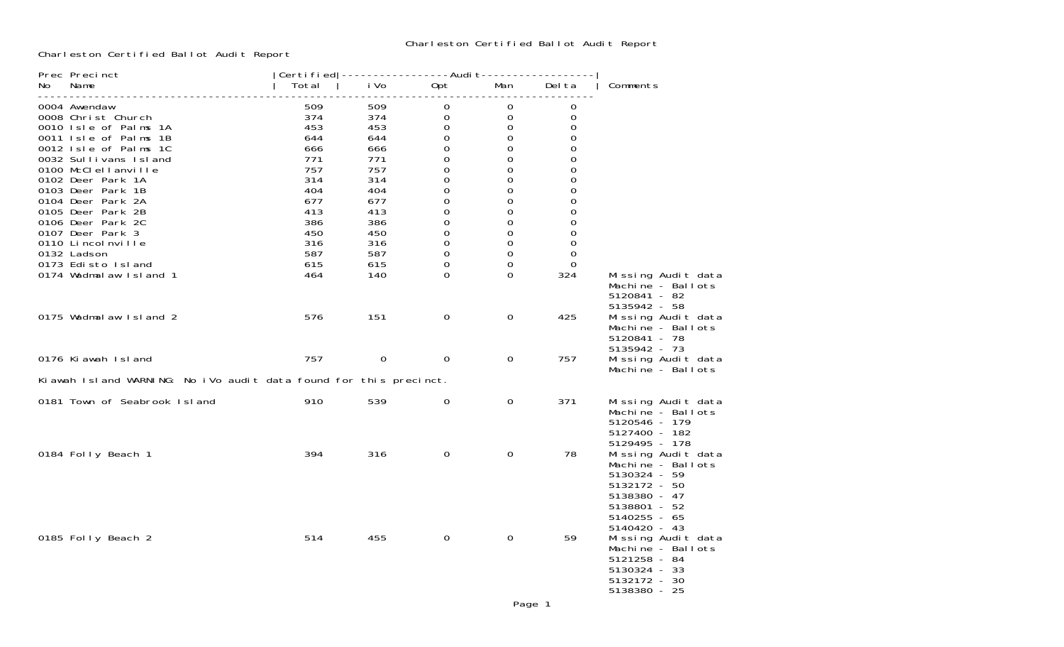## Charleston Certified Ballot Audit Report

Charleston Certified Ballot Audit Report

| No. | Prec Precinct<br>Name                                             | Total      | Certi fi ed   -----------------Audi t-----------------<br>i Vo | Opt         | Man                 | Del ta   | Comments                                                                                                                |
|-----|-------------------------------------------------------------------|------------|----------------------------------------------------------------|-------------|---------------------|----------|-------------------------------------------------------------------------------------------------------------------------|
|     | 0004 Awendaw                                                      | 509        | 509                                                            | 0           | 0                   | 0        |                                                                                                                         |
|     | 0008 Christ Church                                                | 374        | 374                                                            | $\mathbf 0$ | $\mathbf 0$         | 0        |                                                                                                                         |
|     | 0010 Isle of Palms 1A                                             | 453        | 453                                                            | $\mathbf 0$ | 0                   | $\Omega$ |                                                                                                                         |
|     | 0011 Isle of Palms 1B                                             | 644        | 644                                                            | 0           | $\mathbf 0$         | $\Omega$ |                                                                                                                         |
|     | 0012 Isle of Palms 1C                                             | 666        | 666                                                            | 0           | 0                   | 0        |                                                                                                                         |
|     | 0032 Sullivans Island                                             | 771        | 771                                                            | 0           | $\mathsf{O}\xspace$ | 0        |                                                                                                                         |
|     | 0100 McClellanville                                               | 757        | 757                                                            | 0           | $\mathbf 0$         | $\Omega$ |                                                                                                                         |
|     | 0102 Deer Park 1A<br>0103 Deer Park 1B                            | 314<br>404 | 314<br>404                                                     | 0<br>0      | 0<br>0              | 0<br>0   |                                                                                                                         |
|     | 0104 Deer Park 2A                                                 | 677        | 677                                                            | 0           | $\mathbf 0$         | 0        |                                                                                                                         |
|     | 0105 Deer Park 2B                                                 | 413        | 413                                                            | 0           | $\Omega$            | 0        |                                                                                                                         |
|     | 0106 Deer Park 2C                                                 | 386        | 386                                                            | 0           | 0                   | 0        |                                                                                                                         |
|     | 0107 Deer Park 3                                                  | 450        | 450                                                            | 0           | 0                   | 0        |                                                                                                                         |
|     | 0110 Lincolnville                                                 | 316        | 316                                                            | 0           | 0                   | 0        |                                                                                                                         |
|     | 0132 Ladson                                                       | 587        | 587                                                            | 0           | $\mathbf 0$         | 0        |                                                                                                                         |
|     | 0173 Edisto Island                                                | 615        | 615                                                            | 0           | 0                   | $\Omega$ |                                                                                                                         |
|     | 0174 Wadmalaw Island 1                                            | 464        | 140                                                            | $\Omega$    | $\Omega$            | 324      | Missing Audit data<br>Machine - Ballots<br>5120841 - 82<br>5135942 - 58                                                 |
|     | 0175 Wadmal aw Island 2                                           | 576        | 151                                                            | 0           | $\mathbf 0$         | 425      | Missing Audit data<br>Machine - Ballots<br>5120841 - 78<br>5135942 - 73                                                 |
|     | 0176 Ki awah Island                                               | 757        | $\mathbf 0$                                                    | $\mathbf 0$ | $\mathbf 0$         | 757      | Missing Audit data<br>Machine - Ballots                                                                                 |
|     | Kiawah Island WARNING: No iVo audit data found for this precinct. |            |                                                                |             |                     |          |                                                                                                                         |
|     | 0181 Town of Seabrook Island                                      | 910        | 539                                                            | $\Omega$    | $\overline{0}$      | 371      | Missing Audit data<br>Machine - Ballots<br>5120546 - 179<br>5127400 - 182<br>5129495 - 178                              |
|     | 0184 Folly Beach 1                                                | 394        | 316                                                            | $\mathbf 0$ | $\mathbf 0$         | 78       | Missing Audit data<br>Machine - Ballots<br>5130324 - 59<br>5132172 - 50<br>5138380 - 47<br>5138801 - 52<br>5140255 - 65 |
|     | 0185 Folly Beach 2                                                | 514        | 455                                                            | $\mathbf 0$ | $\Omega$            | 59       | 5140420 - 43<br>Missing Audit data<br>Machine - Ballots<br>5121258 - 84<br>5130324 - 33<br>5132172 - 30<br>5138380 - 25 |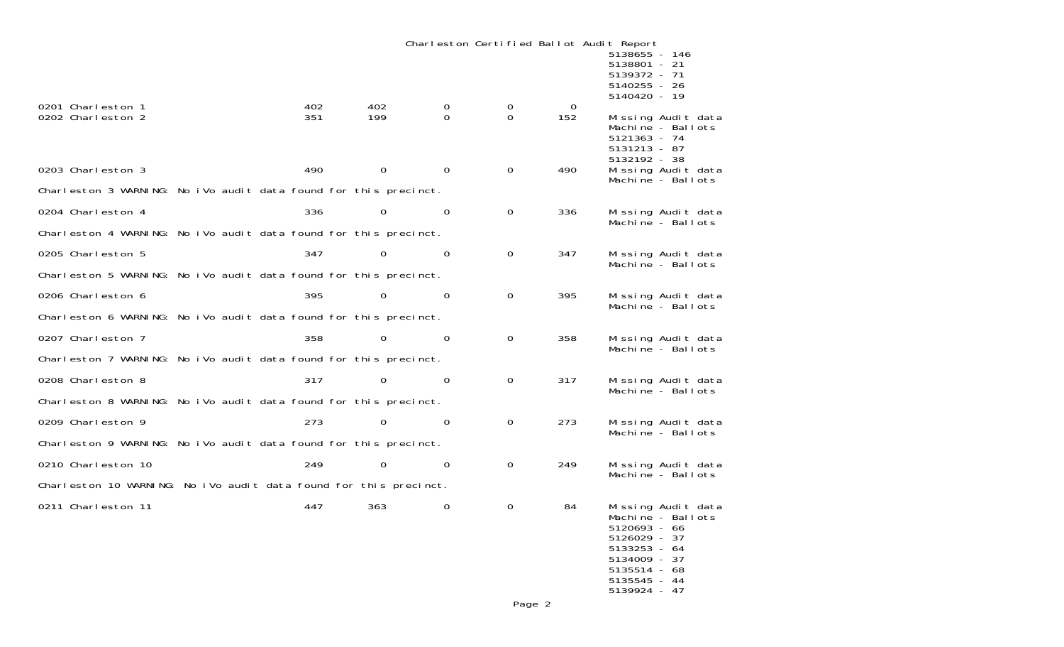Charleston Certified Ballot Audit Report

|                                                                   |            |            |             |                |                         |                 | <u>թ.թ</u><br>5138655 - 146<br>5138801 - 21<br>5139372 - 71<br>5140255 - 26<br>5140420 - 19                    |                                         |
|-------------------------------------------------------------------|------------|------------|-------------|----------------|-------------------------|-----------------|----------------------------------------------------------------------------------------------------------------|-----------------------------------------|
| 0201 Charleston 1<br>0202 Charleston 2                            | 402<br>351 | 402<br>199 |             | 0<br>$\Omega$  | $\mathbf 0$<br>$\Omega$ | $\Omega$<br>152 | 5121363 - 74<br>5131213 - 87<br>5132192 - 38                                                                   | Missing Audit data<br>Machine - Ballots |
| 0203 Charleston 3                                                 | 490        |            | $\mathbf 0$ | $\Omega$       | 0                       | 490             |                                                                                                                | Missing Audit data<br>Machine - Ballots |
| Charleston 3 WARNING: No iVo audit data found for this precinct.  |            |            |             |                |                         |                 |                                                                                                                |                                         |
| 0204 Charleston 4                                                 | 336        |            | 0           | $\mathbf 0$    | $\mathbf 0$             | 336             |                                                                                                                | Missing Audit data<br>Machine - Ballots |
| Charleston 4 WARNING: No iVo audit data found for this precinct.  |            |            |             |                |                         |                 |                                                                                                                |                                         |
| 0205 Charleston 5                                                 | 347        |            | $\Omega$    | $\Omega$       | $\mathbf 0$             | 347             |                                                                                                                | Missing Audit data                      |
| Charleston 5 WARNING: No iVo audit data found for this precinct.  |            |            |             |                |                         |                 |                                                                                                                | Machine - Ballots                       |
| 0206 Charleston 6                                                 | 395        |            | 0           | $\mathbf 0$    | $\mathbf 0$             | 395             |                                                                                                                | Missing Audit data<br>Machine - Ballots |
| Charleston 6 WARNING: No iVo audit data found for this precinct.  |            |            |             |                |                         |                 |                                                                                                                |                                         |
| 0207 Charleston 7                                                 | 358        |            | 0           | $\overline{0}$ | $\mathbf 0$             | 358             |                                                                                                                | Missing Audit data                      |
| Charleston 7 WARNING: No iVo audit data found for this precinct.  |            |            |             |                |                         |                 |                                                                                                                | Machine - Ballots                       |
| 0208 Charleston 8                                                 | 317        |            | $\Omega$    | $\Omega$       | $\mathbf 0$             | 317             |                                                                                                                | Missing Audit data<br>Machine - Ballots |
| Charleston 8 WARNING: No iVo audit data found for this precinct.  |            |            |             |                |                         |                 |                                                                                                                |                                         |
| 0209 Charleston 9                                                 | 273        |            | $\Omega$    | $\Omega$       | 0                       | 273             |                                                                                                                | Missing Audit data                      |
| Charleston 9 WARNING: No iVo audit data found for this precinct.  |            |            |             |                |                         |                 |                                                                                                                | Machine - Ballots                       |
| 0210 Charleston 10                                                | 249        |            | $\mathbf 0$ | $\Omega$       | $\mathbf 0$             | 249             |                                                                                                                | Missing Audit data<br>Machine - Ballots |
| Charleston 10 WARNING: No iVo audit data found for this precinct. |            |            |             |                |                         |                 |                                                                                                                |                                         |
| 0211 Charleston 11                                                | 447        | 363        |             | $\Omega$       | $\mathbf 0$             | 84              | 5120693 - 66<br>5126029 - 37<br>$5133253 - 64$<br>5134009 - 37<br>5135514 - 68<br>5135545 - 44<br>5139924 - 47 | Missing Audit data<br>Machine - Ballots |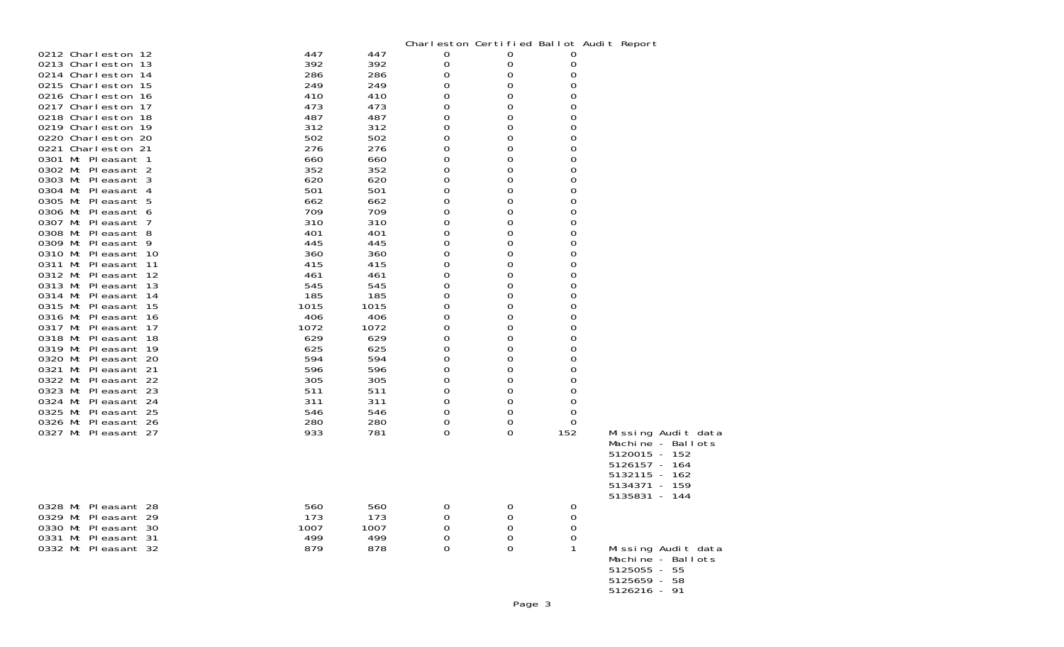|                                            |            |            | Charleston Certified Ballot Audit Report |        |        |                    |
|--------------------------------------------|------------|------------|------------------------------------------|--------|--------|--------------------|
| 0212 Charleston 12                         | 447        | 447        | 0                                        | 0      | O      |                    |
| 0213 Charleston 13                         | 392        | 392        | 0                                        | 0      | 0      |                    |
| 0214 Charleston 14                         | 286        | 286        | 0                                        | 0      | 0      |                    |
| 0215 Charleston 15                         | 249        | 249        | 0                                        | 0      | 0      |                    |
| 0216 Charleston 16                         | 410        | 410        | 0                                        | 0      | 0      |                    |
| 0217 Charleston 17                         | 473        | 473        | 0                                        | 0      | 0      |                    |
| 0218 Charleston 18                         | 487        | 487        | 0                                        | 0      | 0      |                    |
| 0219 Charleston 19                         | 312        | 312        | 0                                        | 0      | 0      |                    |
| 0220 Charleston 20                         | 502        | 502        | 0                                        | 0      | 0      |                    |
| 0221 Charleston 21                         | 276        | 276        | 0                                        | 0      | 0      |                    |
| 0301 Mt Pleasant 1                         | 660        | 660        | 0                                        | 0      | 0      |                    |
| 0302 Mt Pleasant 2                         | 352        | 352        | 0                                        | 0      | 0      |                    |
| 0303 Mt Pleasant 3                         | 620        | 620        | 0                                        | 0      | 0      |                    |
| 0304 Mt Pleasant 4                         | 501        | 501        | 0                                        | 0      | 0      |                    |
| 0305 Mt Pleasant 5                         | 662<br>709 | 662        | 0                                        | 0      | 0      |                    |
| 0306 Mt Pleasant 6<br>0307 Mt Pleasant 7   | 310        | 709<br>310 | 0<br>0                                   | 0<br>0 | 0<br>0 |                    |
| 0308 Mt Pleasant 8                         | 401        | 401        | 0                                        | 0      | 0      |                    |
| 0309 Mt Pleasant 9                         | 445        | 445        | 0                                        | 0      | 0      |                    |
| 0310 Mt Pleasant 10                        | 360        | 360        | 0                                        | 0      | 0      |                    |
| 0311 Mt Pleasant 11                        | 415        | 415        | 0                                        | 0      | 0      |                    |
| 0312 Mt Pleasant 12                        | 461        | 461        | 0                                        | 0      | 0      |                    |
| 0313 Mt Pleasant 13                        | 545        | 545        | 0                                        | 0      | 0      |                    |
| 0314 Mt Pleasant 14                        | 185        | 185        | 0                                        | 0      | 0      |                    |
| 0315 Mt Pleasant 15                        | 1015       | 1015       | 0                                        | 0      | 0      |                    |
| 0316 Mt Pleasant 16                        | 406        | 406        | 0                                        | 0      | 0      |                    |
| 0317 Mt Pleasant 17                        | 1072       | 1072       | 0                                        | 0      | 0      |                    |
| 0318 Mt Pleasant 18                        | 629        | 629        | 0                                        | 0      | 0      |                    |
| 0319 Mt Pleasant 19                        | 625        | 625        | 0                                        | 0      | 0      |                    |
| 0320 Mt Pleasant 20                        | 594        | 594        | 0                                        | 0      | 0      |                    |
| 0321 Mt Pleasant 21                        | 596        | 596        | 0                                        | 0      | 0      |                    |
| 0322 Mt Pleasant 22                        | 305        | 305        | 0                                        | 0      | 0      |                    |
| 0323 Mt Pleasant 23                        | 511        | 511        | 0                                        | 0      | 0      |                    |
| 0324 Mt Pleasant 24                        | 311        | 311        | 0                                        | 0      | 0      |                    |
| 0325 Mt Pleasant 25                        | 546        | 546        | 0                                        | 0      | 0      |                    |
| 0326 Mt Pleasant 26                        | 280        | 280        | 0                                        | 0      | 0      |                    |
| 0327 Mt Pleasant 27                        | 933        | 781        | 0                                        | 0      | 152    | Missing Audit data |
|                                            |            |            |                                          |        |        | Machine - Ballots  |
|                                            |            |            |                                          |        |        | 5120015 - 152      |
|                                            |            |            |                                          |        |        | 5126157 - 164      |
|                                            |            |            |                                          |        |        | 5132115 - 162      |
|                                            |            |            |                                          |        |        | 5134371<br>- 159   |
|                                            |            |            |                                          |        |        | 5135831 - 144      |
| 0328 Mt Pleasant 28<br>0329 Mt Pleasant 29 | 560<br>173 | 560<br>173 | 0                                        | 0      | 0      |                    |
| 0330 Mt Pleasant 30                        | 1007       | 1007       | 0<br>0                                   | 0      | 0<br>0 |                    |
| 0331 Mt Pleasant 31                        | 499        | 499        | 0                                        | 0<br>0 | 0      |                    |
| 0332 Mt Pleasant 32                        | 879        | 878        | 0                                        | 0      | 1      | Missing Audit data |
|                                            |            |            |                                          |        |        | Machine - Ballots  |
|                                            |            |            |                                          |        |        | 5125055 - 55       |
|                                            |            |            |                                          |        |        | 5125659 - 58       |
|                                            |            |            |                                          |        |        | $5126216 - 91$     |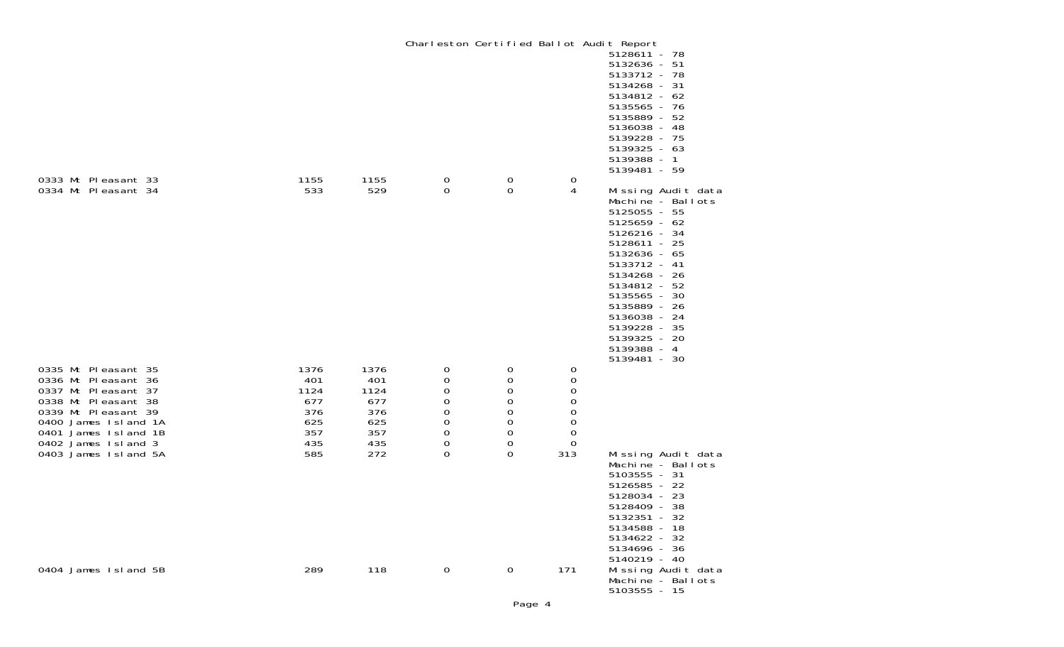|                                                                                                                                                                                        |                                                        |                                                        |                                                                            | Charleston Certified Ballot Audit Report       |                                                                                                             | 5128611 - 78                                                                                                                                                                                                                                                                             |
|----------------------------------------------------------------------------------------------------------------------------------------------------------------------------------------|--------------------------------------------------------|--------------------------------------------------------|----------------------------------------------------------------------------|------------------------------------------------|-------------------------------------------------------------------------------------------------------------|------------------------------------------------------------------------------------------------------------------------------------------------------------------------------------------------------------------------------------------------------------------------------------------|
| 0333 Mt Pleasant 33                                                                                                                                                                    | 1155                                                   | 1155                                                   | 0                                                                          | $\mathbf 0$                                    | 0                                                                                                           | 5132636 - 51<br>5133712 - 78<br>5134268 - 31<br>5134812 - 62<br>5135565 - 76<br>5135889 - 52<br>5136038 - 48<br>5139228 - 75<br>5139325 - 63<br>5139388 - 1<br>5139481 - 59                                                                                                              |
| 0334 Mt Pleasant 34                                                                                                                                                                    | 533                                                    | 529                                                    | 0                                                                          | 0                                              | 4                                                                                                           | Missing Audit data<br>Machine - Ballots<br>5125055 - 55<br>$5125659 - 62$<br>5126216 - 34<br>5128611 - 25<br>5132636 - 65<br>5133712 - 41<br>5134268 - 26<br>5134812 - 52<br>5135565 - 30<br>5135889 - 26<br>5136038 - 24<br>5139228 - 35<br>5139325 - 20<br>5139388 - 4<br>5139481 - 30 |
| 0335 Mt Pleasant 35<br>0336 Mt Pleasant 36<br>0337 Mt Pleasant 37<br>0338 Mt Pleasant 38<br>0339 Mt Pleasant 39<br>0400 James Island 1A<br>0401 James Island 1B<br>0402 James Island 3 | 1376<br>401<br>1124<br>677<br>376<br>625<br>357<br>435 | 1376<br>401<br>1124<br>677<br>376<br>625<br>357<br>435 | 0<br>$\mathbf 0$<br>0<br>0<br>$\mathsf O$<br>$\mathsf{O}\xspace$<br>0<br>0 | 0<br>0<br>0<br>$\mathbf 0$<br>0<br>0<br>0<br>0 | 0<br>0<br>$\mathbf 0$<br>0<br>$\begin{smallmatrix}0\0\0\end{smallmatrix}$<br>$\mbox{O}$<br>$\boldsymbol{0}$ |                                                                                                                                                                                                                                                                                          |
| 0403 James Island 5A                                                                                                                                                                   | 585                                                    | 272                                                    | 0                                                                          | 0                                              | 313                                                                                                         | Missing Audit data<br>Machine - Ballots<br>5103555 - 31<br>5126585 - 22<br>5128034 - 23<br>5128409 - 38<br>5132351 - 32<br>5134588 - 18<br>5134622 - 32<br>5134696 - 36<br>5140219 - 40                                                                                                  |
| 0404 James Island 5B                                                                                                                                                                   | 289                                                    | 118                                                    | 0                                                                          | $\mathbf 0$                                    | 171                                                                                                         | Missing Audit data<br>Machine - Ballots<br>$5103555 - 15$                                                                                                                                                                                                                                |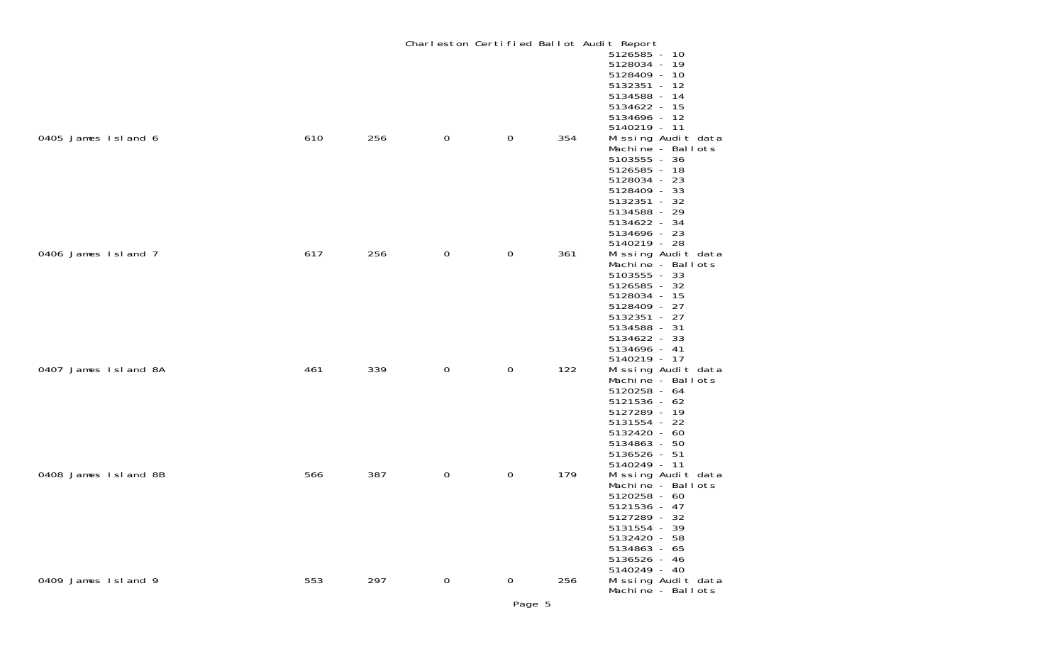|                      |     |     |                |             |     | Charleston Certified Ballot Audit Report                                                                                                                                                |
|----------------------|-----|-----|----------------|-------------|-----|-----------------------------------------------------------------------------------------------------------------------------------------------------------------------------------------|
|                      |     |     |                |             |     | 5126585 - 10<br>5128034 - 19<br>5128409 - 10<br>5132351 - 12<br>5134588 - 14<br>5134622 - 15<br>5134696 - 12                                                                            |
| 0405 James Island 6  | 610 | 256 | $\overline{0}$ | $\mathbf 0$ | 354 | 5140219 - 11<br>Missing Audit data<br>Machine - Ballots<br>5103555 - 36<br>5126585 - 18<br>5128034 - 23<br>5128409 - 33<br>5132351 - 32<br>5134588 - 29<br>5134622 - 34<br>5134696 - 23 |
| 0406 James Island 7  | 617 | 256 | $\mathbf 0$    | $\mathbf 0$ | 361 | 5140219 - 28<br>Missing Audit data<br>Machine - Ballots<br>5103555 - 33<br>5126585 - 32<br>5128034 - 15<br>5128409 - 27<br>5132351 - 27<br>5134588 - 31<br>5134622 - 33<br>5134696 - 41 |
| 0407 James Island 8A | 461 | 339 | $\mathbf 0$    | $\mathbf 0$ | 122 | 5140219 - 17<br>Missing Audit data<br>Machine - Ballots<br>5120258 - 64<br>5121536 - 62<br>5127289 - 19<br>5131554 - 22<br>5132420 - 60<br>5134863 - 50<br>5136526 - 51<br>5140249 - 11 |
| 0408 James Island 8B | 566 | 387 | $\mathbf 0$    | 0           | 179 | Missing Audit data<br>Machine - Ballots<br>5120258 - 60<br>5121536 - 47<br>5127289 - 32<br>5131554 - 39<br>5132420 - 58<br>5134863 - 65<br>5136526 - 46<br>5140249 - 40                 |
| 0409 James Island 9  | 553 | 297 | $\mathbf 0$    | $\mathbf 0$ | 256 | Missing Audit data<br>Machine - Ballots                                                                                                                                                 |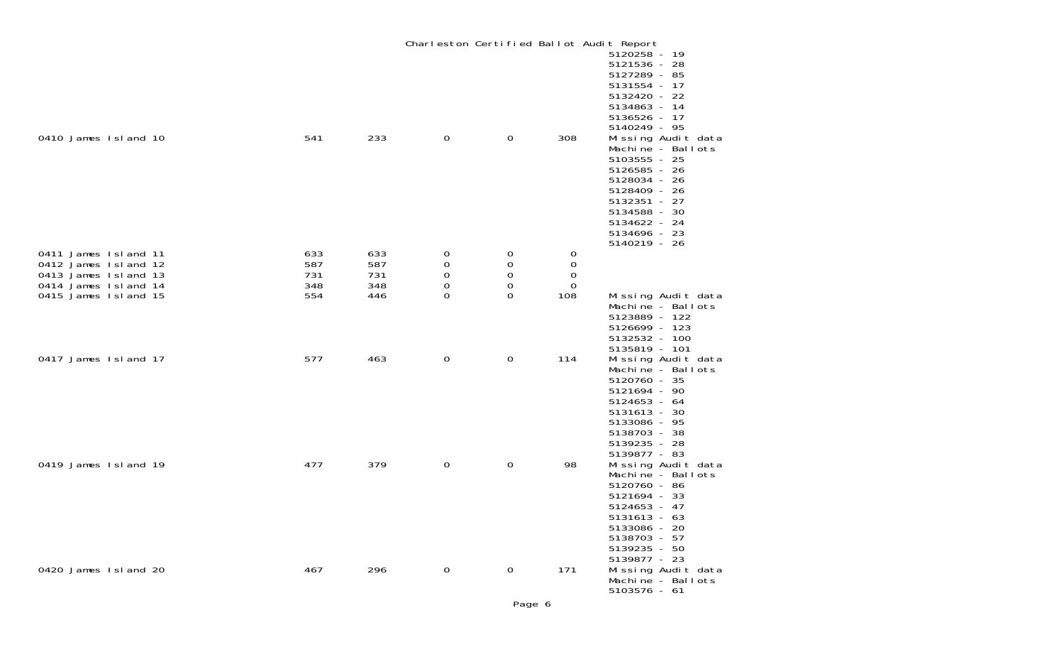|                                                                                                                      |                                 |                                 |                       |                                             |                                   | Charleston Certified Ballot Audit Report<br>5120258 - 19<br>5121536 - 28<br>5127289 - 85<br>5131554 - 17<br>5132420 - 22<br>5134863 - 14                                                                                |
|----------------------------------------------------------------------------------------------------------------------|---------------------------------|---------------------------------|-----------------------|---------------------------------------------|-----------------------------------|-------------------------------------------------------------------------------------------------------------------------------------------------------------------------------------------------------------------------|
| 0410 James Island 10                                                                                                 | 541                             | 233                             | $\mathbf 0$           | $\mathbf 0$                                 | 308                               | 5136526 - 17<br>5140249 - 95<br>Missing Audit data<br>Machine - Ballots<br>5103555 - 25<br>5126585 - 26<br>5128034 - 26<br>5128409 - 26<br>5132351 - 27<br>5134588 - 30<br>5134622 - 24<br>5134696 - 23<br>5140219 - 26 |
| 0411 James Island 11<br>0412 James Island 12<br>0413 James Island 13<br>0414 James Island 14<br>0415 James Island 15 | 633<br>587<br>731<br>348<br>554 | 633<br>587<br>731<br>348<br>446 | 0<br>0<br>0<br>0<br>0 | 0<br>0<br>0<br>$\boldsymbol{0}$<br>$\Omega$ | 0<br>0<br>$\mathbf 0$<br>0<br>108 | Missing Audit data                                                                                                                                                                                                      |
|                                                                                                                      |                                 |                                 |                       |                                             |                                   | Machine - Ballots<br>5123889 - 122<br>5126699 - 123<br>5132532 - 100<br>5135819 - 101                                                                                                                                   |
| 0417 James Island 17                                                                                                 | 577                             | 463                             | $\mathbf 0$           | $\mathbf 0$                                 | 114                               | Missing Audit data<br>Machine - Ballots<br>5120760 - 35<br>5121694 - 90<br>5124653 - 64<br>5131613 - 30<br>5133086 - 95<br>5138703 - 38<br>5139235 - 28<br>5139877 - 83                                                 |
| 0419 James Island 19                                                                                                 | 477                             | 379                             | $\boldsymbol{0}$      | $\boldsymbol{0}$                            | 98                                | Missing Audit data<br>Machine - Ballots<br>5120760 - 86<br>5121694 - 33<br>5124653 - 47<br>5131613 - 63<br>5133086 - 20<br>5138703 - 57<br>5139235 - 50                                                                 |
| 0420 James Island 20                                                                                                 | 467                             | 296                             | $\overline{0}$        | $\mathbf 0$                                 | 171                               | 5139877 - 23<br>Missing Audit data<br>Machine - Ballots<br>$5103576 - 61$                                                                                                                                               |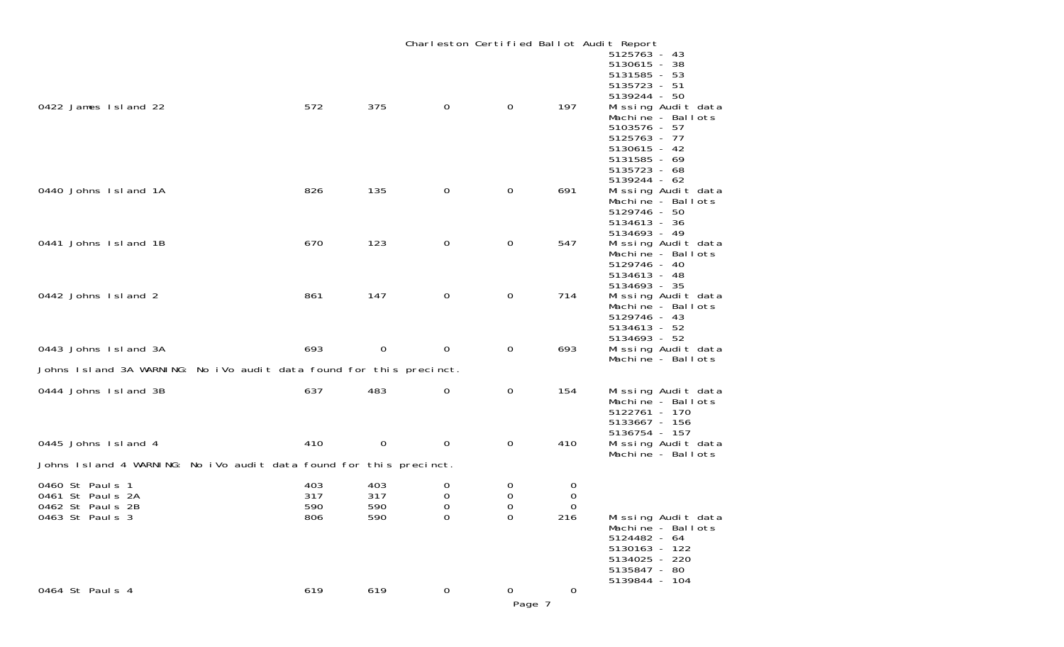|                                                                            |                          |                          |                         |                         |                    | Charleston Certified Ballot Audit Report                                                                                                                                |
|----------------------------------------------------------------------------|--------------------------|--------------------------|-------------------------|-------------------------|--------------------|-------------------------------------------------------------------------------------------------------------------------------------------------------------------------|
| 0422 James Island 22                                                       | 572                      | 375                      | $\mathbf{0}$            | $\mathbf{0}$            | 197                | 5125763 - 43<br>5130615 - 38<br>5131585 - 53<br>5135723 - 51<br>5139244 - 50<br>Missing Audit data<br>Machine - Ballots<br>5103576 - 57<br>5125763 - 77<br>5130615 - 42 |
| 0440 Johns Island 1A                                                       | 826                      | 135                      | $\mathbf 0$             | $\mathbf 0$             | 691                | 5131585 - 69<br>5135723 - 68<br>5139244 - 62<br>Missing Audit data<br>Machine - Ballots<br>5129746 - 50<br>5134613 - 36                                                 |
| 0441 Johns Island 1B                                                       | 670                      | 123                      | $\mathbf 0$             | 0                       | 547                | 5134693 - 49<br>Missing Audit data<br>Machine - Ballots<br>5129746 - 40<br>5134613 - 48                                                                                 |
| 0442 Johns Island 2                                                        | 861                      | 147                      | $\mathbf 0$             | 0                       | 714                | 5134693 - 35<br>Missing Audit data<br>Machine - Ballots<br>5129746 - 43<br>$5134613 - 52$                                                                               |
| 0443 Johns Island 3A                                                       | 693                      | $\mathbf 0$              | $\mathbf 0$             | 0                       | 693                | 5134693 - 52<br>Missing Audit data<br>Machine - Ballots                                                                                                                 |
| Johns Island 3A WARNING: No iVo audit data found for this precinct.        |                          |                          |                         |                         |                    |                                                                                                                                                                         |
| 0444 Johns Island 3B                                                       | 637                      | 483                      | 0                       | 0                       | 154                | Missing Audit data<br>Machine - Ballots<br>5122761 - 170<br>5133667 - 156                                                                                               |
| 0445 Johns Island 4                                                        | 410                      | $\mathbf 0$              | 0                       | 0                       | 410                | 5136754 - 157<br>Missing Audit data<br>Machine - Ballots                                                                                                                |
| Johns Island 4 WARNING: No iVo audit data found for this precinct.         |                          |                          |                         |                         |                    |                                                                                                                                                                         |
| 0460 St Pauls 1<br>0461 St Pauls 2A<br>0462 St Pauls 2B<br>0463 St Pauls 3 | 403<br>317<br>590<br>806 | 403<br>317<br>590<br>590 | 0<br>0<br>0<br>$\Omega$ | 0<br>0<br>0<br>$\Omega$ | 0<br>0<br>0<br>216 | Missing Audit data                                                                                                                                                      |
|                                                                            |                          |                          |                         |                         |                    | Machine - Ballots<br>5124482 - 64<br>5130163 - 122<br>5134025 - 220<br>5135847 - 80<br>5139844 - 104                                                                    |
| 0464 St Paul s 4                                                           | 619                      | 619                      | $\mathbf 0$             | 0<br>Page 7             | 0                  |                                                                                                                                                                         |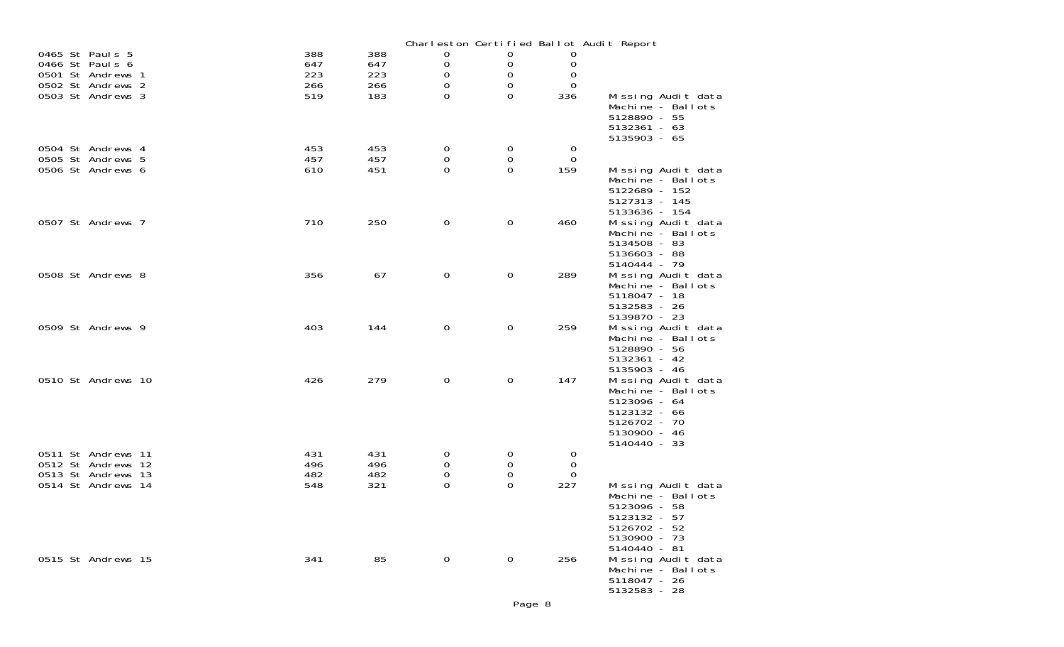|                                          |            |            |                                 |             |                | Charleston Certified Ballot Audit Report |                                         |
|------------------------------------------|------------|------------|---------------------------------|-------------|----------------|------------------------------------------|-----------------------------------------|
| 0465 St Pauls 5                          | 388        | 388        | 0                               | 0           | 0              |                                          |                                         |
| 0466 St Pauls 6                          | 647        | 647        | $\mathbf 0$                     | 0           | 0              |                                          |                                         |
| 0501 St Andrews 1                        | 223        | 223        | 0                               | 0<br>0      | 0              |                                          |                                         |
| 0502 St Andrews 2<br>0503 St Andrews 3   | 266<br>519 | 266<br>183 | 0<br>$\Omega$                   | $\Omega$    | 0<br>336       |                                          | Missing Audit data                      |
|                                          |            |            |                                 |             |                |                                          | Machine - Ballots                       |
|                                          |            |            |                                 |             |                | 5128890 - 55                             |                                         |
|                                          |            |            |                                 |             |                | $5132361 - 63$                           |                                         |
|                                          |            |            |                                 |             |                | 5135903 - 65                             |                                         |
| 0504 St Andrews 4                        | 453        | 453        | 0                               | 0           | $\overline{0}$ |                                          |                                         |
| 0505 St Andrews 5                        | 457        | 457        | 0                               | 0           | $\overline{0}$ |                                          |                                         |
| 0506 St Andrews 6                        | 610        | 451        | 0                               | 0           | 159            |                                          | Missing Audit data                      |
|                                          |            |            |                                 |             |                |                                          | Machine - Ballots                       |
|                                          |            |            |                                 |             |                | 5122689 - 152<br>5127313 - 145           |                                         |
|                                          |            |            |                                 |             |                | 5133636 - 154                            |                                         |
| 0507 St Andrews 7                        | 710        | 250        | $\mathbf 0$                     | $\mathbf 0$ | 460            |                                          | Missing Audit data                      |
|                                          |            |            |                                 |             |                |                                          | Machine - Ballots                       |
|                                          |            |            |                                 |             |                | 5134508 - 83                             |                                         |
|                                          |            |            |                                 |             |                | 5136603 - 88                             |                                         |
|                                          |            |            |                                 |             |                | 5140444 - 79                             |                                         |
| 0508 St Andrews 8                        | 356        | 67         | $\mathbf 0$                     | 0           | 289            |                                          | Missing Audit data                      |
|                                          |            |            |                                 |             |                | 5118047 - 18                             | Machine - Ballots                       |
|                                          |            |            |                                 |             |                | 5132583 - 26                             |                                         |
|                                          |            |            |                                 |             |                | 5139870 - 23                             |                                         |
| 0509 St Andrews 9                        | 403        | 144        | $\mathbf 0$                     | $\mathbf 0$ | 259            |                                          | Missing Audit data                      |
|                                          |            |            |                                 |             |                |                                          | Machine - Ballots                       |
|                                          |            |            |                                 |             |                | 5128890 - 56                             |                                         |
|                                          |            |            |                                 |             |                | 5132361 - 42                             |                                         |
|                                          |            |            |                                 |             |                | 5135903 - 46                             |                                         |
| 0510 St Andrews 10                       | 426        | 279        | $\mathbf 0$                     | $\mathbf 0$ | 147            |                                          | Missing Audit data                      |
|                                          |            |            |                                 |             |                | 5123096 - 64                             | Machine - Ballots                       |
|                                          |            |            |                                 |             |                | 5123132 - 66                             |                                         |
|                                          |            |            |                                 |             |                | 5126702 - 70                             |                                         |
|                                          |            |            |                                 |             |                | 5130900 - 46                             |                                         |
|                                          |            |            |                                 |             |                | 5140440 - 33                             |                                         |
| 0511 St Andrews 11                       | 431        | 431        | 0                               | 0           | $\mathbf{O}$   |                                          |                                         |
| 0512 St Andrews 12                       | 496        | 496        | 0                               | 0           | 0              |                                          |                                         |
| 0513 St Andrews 13<br>0514 St Andrews 14 | 482        | 482        | $\mathsf{O}\xspace$<br>$\Omega$ | 0<br>0      | $\overline{0}$ |                                          |                                         |
|                                          | 548        | 321        |                                 |             | 227            |                                          | Missing Audit data<br>Machine - Ballots |
|                                          |            |            |                                 |             |                | 5123096 - 58                             |                                         |
|                                          |            |            |                                 |             |                | 5123132 - 57                             |                                         |
|                                          |            |            |                                 |             |                | 5126702 - 52                             |                                         |
|                                          |            |            |                                 |             |                | 5130900 - 73                             |                                         |
|                                          |            |            |                                 |             |                | 5140440 - 81                             |                                         |
| 0515 St Andrews 15                       | 341        | 85         | $\mathbf 0$                     | $\mathbf 0$ | 256            |                                          | Missing Audit data                      |
|                                          |            |            |                                 |             |                | 5118047 - 26                             | Machine - Ballots                       |
|                                          |            |            |                                 |             |                | 5132583 - 28                             |                                         |
|                                          |            |            |                                 |             |                |                                          |                                         |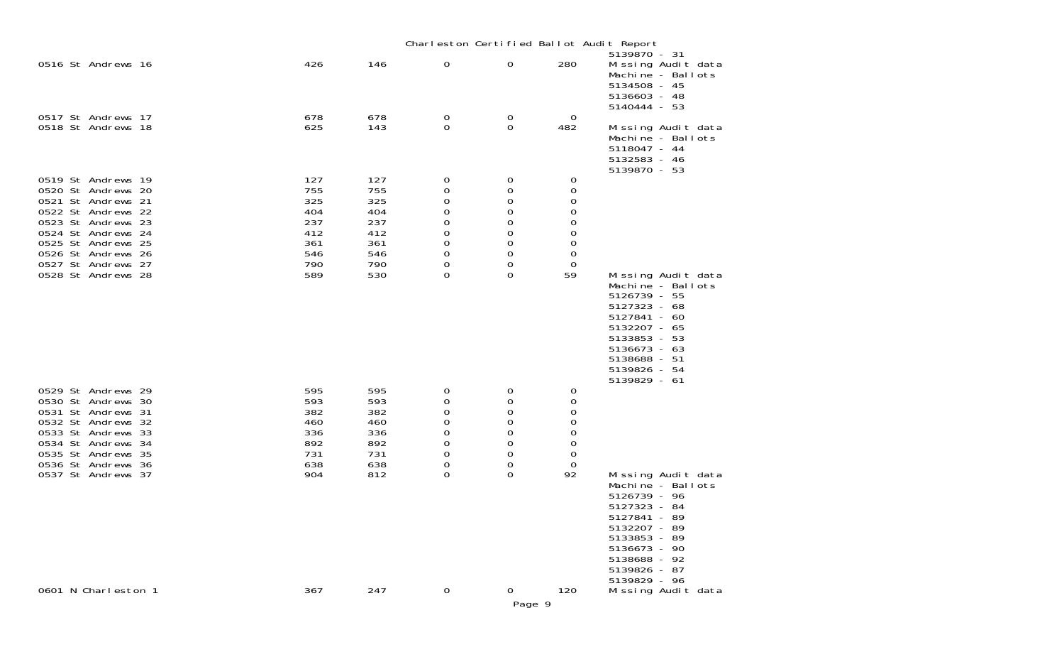|                                                                                                                                                                                                                          |                                                                    |                                                                    |                                                  |                                                                                                    |                                                      | Charleston Certified Ballot Audit Report                                                                                                                                                |
|--------------------------------------------------------------------------------------------------------------------------------------------------------------------------------------------------------------------------|--------------------------------------------------------------------|--------------------------------------------------------------------|--------------------------------------------------|----------------------------------------------------------------------------------------------------|------------------------------------------------------|-----------------------------------------------------------------------------------------------------------------------------------------------------------------------------------------|
| 0516 St Andrews 16                                                                                                                                                                                                       | 426                                                                | 146                                                                | 0                                                | 0                                                                                                  | 280                                                  | 5139870 - 31<br>Missing Audit data<br>Machine - Ballots<br>5134508 - 45<br>5136603 - 48<br>5140444 - 53                                                                                 |
| 0517 St Andrews 17<br>0518 St Andrews 18                                                                                                                                                                                 | 678<br>625                                                         | 678<br>143                                                         | 0<br>0                                           | 0<br>0                                                                                             | 0<br>482                                             | Missing Audit data<br>Machine - Ballots<br>5118047 - 44<br>5132583 - 46<br>5139870 - 53                                                                                                 |
| 0519 St Andrews 19<br>0520 St Andrews 20<br>0521 St Andrews 21<br>0522 St Andrews 22<br>0523 St Andrews 23<br>0524 St Andrews 24<br>0525 St Andrews 25<br>0526 St Andrews 26<br>0527 St Andrews 27<br>0528 St Andrews 28 | 127<br>755<br>325<br>404<br>237<br>412<br>361<br>546<br>790<br>589 | 127<br>755<br>325<br>404<br>237<br>412<br>361<br>546<br>790<br>530 | 0<br>0<br>0<br>0<br>0<br>0<br>0<br>0<br>0<br>0   | 0<br>0<br>0<br>0<br>$\mathbf 0$<br>$\mathbf 0$<br>$\mathbf 0$<br>$\mathbf 0$<br>$\mathbf 0$<br>0   | 0<br>0<br>0<br>0<br>0<br>0<br>0<br>0<br>0<br>59      | Missing Audit data<br>Machine - Ballots<br>5126739 - 55<br>5127323 - 68<br>5127841 - 60<br>5132207 - 65<br>5133853 - 53<br>5136673 - 63<br>5138688 - 51<br>5139826 - 54<br>5139829 - 61 |
| 0529 St Andrews 29<br>0530 St Andrews 30<br>0531 St Andrews 31<br>0532 St Andrews 32<br>0533 St Andrews 33<br>0534 St Andrews 34<br>0535 St Andrews 35<br>0536 St Andrews 36<br>0537 St Andrews 37                       | 595<br>593<br>382<br>460<br>336<br>892<br>731<br>638<br>904        | 595<br>593<br>382<br>460<br>336<br>892<br>731<br>638<br>812        | 0<br>0<br>0<br>0<br>0<br>0<br>0<br>0<br>$\Omega$ | 0<br>0<br>$\mathbf 0$<br>$\mathbf 0$<br>$\mathbf 0$<br>0<br>$\mathbf 0$<br>$\mathbf 0$<br>$\Omega$ | 0<br>0<br>0<br>0<br>0<br>0<br>$\mathbf 0$<br>0<br>92 | Missing Audit data<br>Machine - Ballots<br>5126739 - 96<br>5127323 - 84<br>5127841 - 89<br>5132207 - 89<br>5133853 - 89<br>5136673 - 90<br>5138688 - 92<br>5139826 - 87<br>5139829 - 96 |
| 0601 N Charleston 1                                                                                                                                                                                                      | 367                                                                | 247                                                                | $\mathbf 0$                                      | 0<br>Page 9                                                                                        | 120                                                  | Missing Audit data                                                                                                                                                                      |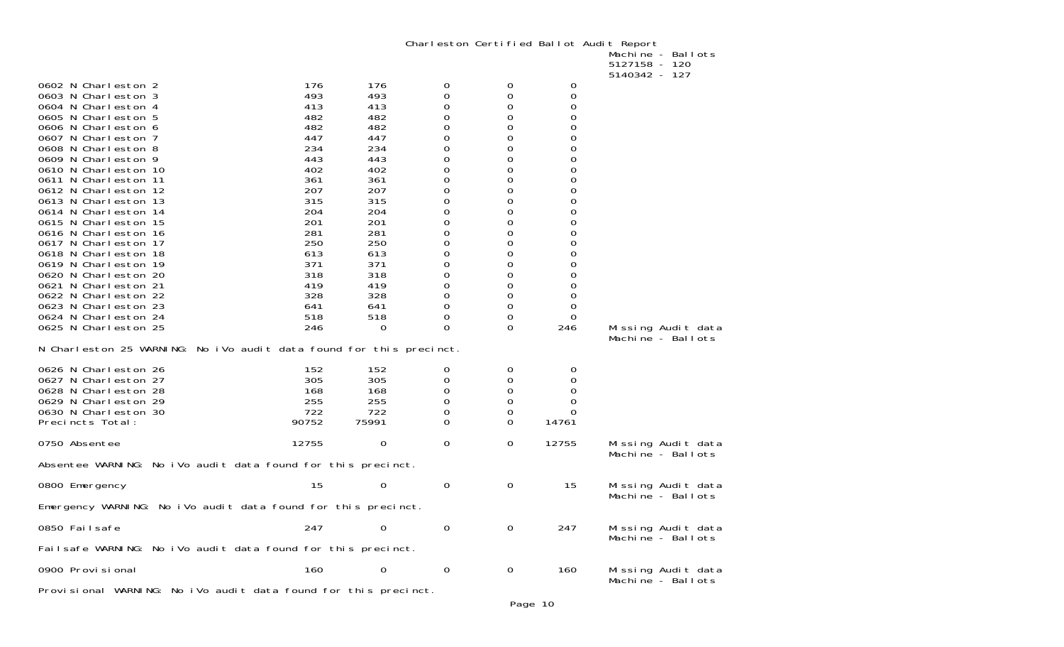Charleston Certified Ballot Audit Report Machine - Ballots

|                                                                                                                                                                                                                                                                                                                                                                                                                                                                                                                                                                                                                                                             |                                                                                                                                                                      |                                                                                                                                                                    |                                                                                                                                                                |                                                                                                                                                  |                                                                                                                                                                                                                                          | 5127158 - 120                                            |
|-------------------------------------------------------------------------------------------------------------------------------------------------------------------------------------------------------------------------------------------------------------------------------------------------------------------------------------------------------------------------------------------------------------------------------------------------------------------------------------------------------------------------------------------------------------------------------------------------------------------------------------------------------------|----------------------------------------------------------------------------------------------------------------------------------------------------------------------|--------------------------------------------------------------------------------------------------------------------------------------------------------------------|----------------------------------------------------------------------------------------------------------------------------------------------------------------|--------------------------------------------------------------------------------------------------------------------------------------------------|------------------------------------------------------------------------------------------------------------------------------------------------------------------------------------------------------------------------------------------|----------------------------------------------------------|
| 0602 N Charleston 2<br>0603 N Charleston 3<br>0604 N Charleston 4<br>0605 N Charleston 5<br>0606 N Charleston 6<br>0607 N Charleston 7<br>0608 N Charleston 8<br>0609 N Charleston 9<br>0610 N Charleston 10<br>0611 N Charleston 11<br>0612 N Charleston 12<br>0613 N Charleston 13<br>0614 N Charleston 14<br>0615 N Charleston 15<br>0616 N Charleston 16<br>0617 N Charleston 17<br>0618 N Charleston 18<br>0619 N Charleston 19<br>0620 N Charleston 20<br>0621 N Charleston 21<br>0622 N Charleston 22<br>0623 N Charleston 23<br>0624 N Charleston 24<br>0625 N Charleston 25<br>N Charleston 25 WARNING: No iVo audit data found for this precinct. | 176<br>493<br>413<br>482<br>482<br>447<br>234<br>443<br>402<br>361<br>207<br>315<br>204<br>201<br>281<br>250<br>613<br>371<br>318<br>419<br>328<br>641<br>518<br>246 | 176<br>493<br>413<br>482<br>482<br>447<br>234<br>443<br>402<br>361<br>207<br>315<br>204<br>201<br>281<br>250<br>613<br>371<br>318<br>419<br>328<br>641<br>518<br>0 | 0<br>0<br>0<br>0<br>0<br>0<br>0<br>0<br>0<br>0<br>0<br>0<br>0<br>$\boldsymbol{0}$<br>0<br>0<br>0<br>0<br>0<br>0<br>$\mathbf 0$<br>0<br>$\mathbf 0$<br>$\Omega$ | 0<br>0<br>0<br>0<br>0<br>0<br>0<br>0<br>0<br>0<br>$\Omega$<br>$\Omega$<br>0<br>0<br>0<br>0<br>0<br>0<br>0<br>$\Omega$<br>0<br>0<br>0<br>$\Omega$ | 0<br>0<br>0<br>$\mathsf{O}\xspace$<br>$\mathsf{O}\xspace$<br>$\mathbf 0$<br>0<br>$\mathbf 0$<br>0<br>0<br>$\mathsf{O}\xspace$<br>$\mathbf 0$<br>$\mathbf 0$<br>$\mathbf 0$<br>$\mathbf 0$<br>0<br>0<br>0<br>0<br>0<br>0<br>0<br>0<br>246 | 5140342 - 127<br>Missing Audit data<br>Machine - Ballots |
| 0626 N Charleston 26<br>0627 N Charleston 27<br>0628 N Charleston 28<br>0629 N Charleston 29<br>0630 N Charleston 30<br>Precincts Total:                                                                                                                                                                                                                                                                                                                                                                                                                                                                                                                    | 152<br>305<br>168<br>255<br>722<br>90752                                                                                                                             | 152<br>305<br>168<br>255<br>722<br>75991                                                                                                                           | 0<br>0<br>0<br>0<br>0<br>$\Omega$                                                                                                                              | 0<br>0<br>0<br>0<br>0<br>$\Omega$                                                                                                                | 0<br>0<br>0<br>0<br>$\Omega$<br>14761                                                                                                                                                                                                    |                                                          |
| 0750 Absentee                                                                                                                                                                                                                                                                                                                                                                                                                                                                                                                                                                                                                                               | 12755                                                                                                                                                                | $\mathbf 0$                                                                                                                                                        | 0                                                                                                                                                              | 0                                                                                                                                                | 12755                                                                                                                                                                                                                                    | Missing Audit data<br>Machine - Ballots                  |
| Absentee WARNING: No iVo audit data found for this precinct.                                                                                                                                                                                                                                                                                                                                                                                                                                                                                                                                                                                                |                                                                                                                                                                      |                                                                                                                                                                    |                                                                                                                                                                |                                                                                                                                                  |                                                                                                                                                                                                                                          |                                                          |
| 0800 Emergency                                                                                                                                                                                                                                                                                                                                                                                                                                                                                                                                                                                                                                              | 15                                                                                                                                                                   | 0                                                                                                                                                                  | 0                                                                                                                                                              | 0                                                                                                                                                | 15                                                                                                                                                                                                                                       | Missing Audit data<br>Machine - Ballots                  |
| Emergency WARNING: No iVo audit data found for this precinct.                                                                                                                                                                                                                                                                                                                                                                                                                                                                                                                                                                                               |                                                                                                                                                                      |                                                                                                                                                                    |                                                                                                                                                                |                                                                                                                                                  |                                                                                                                                                                                                                                          |                                                          |
| 0850 Failsafe                                                                                                                                                                                                                                                                                                                                                                                                                                                                                                                                                                                                                                               | 247                                                                                                                                                                  | 0                                                                                                                                                                  | 0                                                                                                                                                              | 0                                                                                                                                                | 247                                                                                                                                                                                                                                      | Missing Audit data<br>Machine - Ballots                  |
| Failsafe WARNING: No iVo audit data found for this precinct.                                                                                                                                                                                                                                                                                                                                                                                                                                                                                                                                                                                                |                                                                                                                                                                      |                                                                                                                                                                    |                                                                                                                                                                |                                                                                                                                                  |                                                                                                                                                                                                                                          |                                                          |
| 0900 Provi si onal                                                                                                                                                                                                                                                                                                                                                                                                                                                                                                                                                                                                                                          | 160                                                                                                                                                                  | 0                                                                                                                                                                  | $\mathbf 0$                                                                                                                                                    | 0                                                                                                                                                | 160                                                                                                                                                                                                                                      | Missing Audit data<br>Machine - Ballots                  |
| Provisional WARNING: No iVo audit data found for this precinct.                                                                                                                                                                                                                                                                                                                                                                                                                                                                                                                                                                                             |                                                                                                                                                                      |                                                                                                                                                                    |                                                                                                                                                                |                                                                                                                                                  |                                                                                                                                                                                                                                          |                                                          |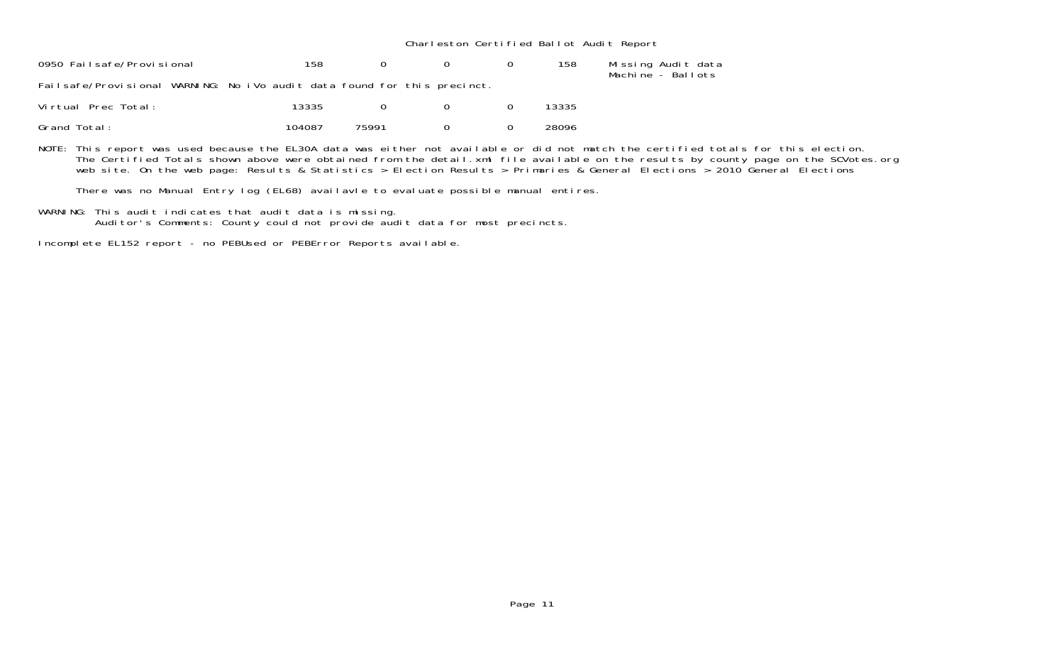Charleston Certified Ballot Audit Report

| 0950 Failsafe/Provisional                                                | 158 |  | 158 | Missing Audit data |
|--------------------------------------------------------------------------|-----|--|-----|--------------------|
| Failsafe/Provisional WARNING: No iVo audit data found for this precinct. |     |  |     | Machine - Ballots  |

| Virtual Prec Total: | 13335  |       |  | 13335 |
|---------------------|--------|-------|--|-------|
| Grand Total:        | 104087 | 75991 |  | 28096 |

NOTE: This report was used because the EL30A data was either not available or did not match the certified totals for this election. The Certified Totals shown above were obtained from the detail.xml file available on the results by county page on the SCVotes.org web site. On the web page: Results & Statistics > Election Results > Primaries & General Elections > 2010 General Elections

There was no Manual Entry log (EL68) availavle to evaluate possible manual entires.

WARNING: This audit indicates that audit data is missing. Auditor's Comments: County could not provide audit data for most precincts.

Incomplete EL152 report - no PEBUsed or PEBError Reports available.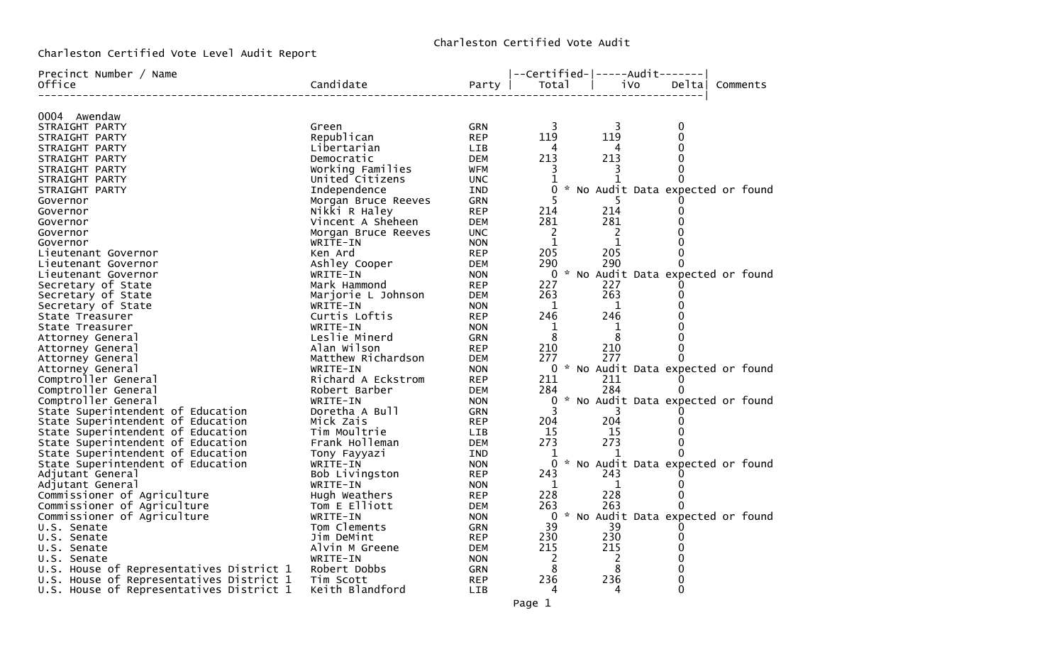Charleston Certified Vote Audit

Charleston Certified Vote Level Audit Report

| Precinct Number / Name                   |                     |            | --Certified- -----Audit------- |              |                             |                                     |
|------------------------------------------|---------------------|------------|--------------------------------|--------------|-----------------------------|-------------------------------------|
| Office                                   | Candidate           | Party      | Total                          | iVo          | Deltal                      | Comments                            |
|                                          |                     |            |                                |              | $\qquad \qquad - - - - - -$ |                                     |
| 0004 Awendaw                             |                     |            |                                |              |                             |                                     |
| STRAIGHT PARTY                           | Green               | <b>GRN</b> | 3                              | 3            | 0                           |                                     |
| STRAIGHT PARTY                           | Republican          | <b>REP</b> | 119                            | 119          | 0                           |                                     |
| STRAIGHT PARTY                           | Libertarian         | LIB        | 4                              |              | $\mathbf 0$                 |                                     |
| STRAIGHT PARTY                           | Democratic          | <b>DEM</b> | 213                            | 213          | $\Omega$                    |                                     |
| STRAIGHT PARTY                           | Working Families    | WFM        | 3                              |              | $\Omega$                    |                                     |
| STRAIGHT PARTY                           | United Citizens     | <b>UNC</b> | 1                              | $\mathbf{1}$ | $\Omega$                    |                                     |
| STRAIGHT PARTY                           | Independence        | IND        |                                |              |                             | 0 * No Audit Data expected or found |
| Governor                                 | Morgan Bruce Reeves | GRN        | 5                              |              |                             |                                     |
| Governor                                 | Nikki R Haley       | <b>REP</b> | 214                            | 214          | 0                           |                                     |
| Governor                                 | Vincent A Sheheen   | <b>DEM</b> | 281                            | 281          | $\mathbf 0$                 |                                     |
| Governor                                 | Morgan Bruce Reeves | <b>UNC</b> | 2                              | 2            | $\Omega$                    |                                     |
| Governor                                 | WRITE-IN            | <b>NON</b> | $\mathbf{1}$                   | $\mathbf{1}$ | $\Omega$                    |                                     |
| Lieutenant Governor                      | Ken Ard             | <b>REP</b> | 205                            | 205          | $\Omega$                    |                                     |
| Lieutenant Governor                      | Ashley Cooper       | DEM        | 290                            | 290          | $\Omega$                    |                                     |
| Lieutenant Governor                      | WRITE-IN            | <b>NON</b> |                                |              |                             | 0 * No Audit Data expected or found |
| Secretary of State                       | Mark Hammond        | <b>REP</b> | 227                            | 227          | 0                           |                                     |
| Secretary of State                       | Marjorie L Johnson  | <b>DEM</b> | 263                            | 263          | 0                           |                                     |
| Secretary of State                       | WRITE-IN            | <b>NON</b> | $\mathbf{1}$                   | $\mathbf{1}$ | 0                           |                                     |
| State Treasurer                          | Curtis Loftis       | <b>REP</b> | 246                            | 246          | $\mathbf 0$                 |                                     |
| State Treasurer                          | WRITE-IN            | <b>NON</b> | 1                              | $\mathbf{1}$ | 0                           |                                     |
| Attorney General                         | Leslie Minerd       | GRN        | 8                              | 8            | $\Omega$                    |                                     |
| Attorney General                         | Alan Wilson         | <b>REP</b> | 210                            | 210          | $\mathbf 0$                 |                                     |
| Attorney General                         | Matthew Richardson  | <b>DEM</b> | 277                            | 277          | 0                           |                                     |
| Attorney General                         | WRITE-IN            | <b>NON</b> |                                |              |                             | 0 * No Audit Data expected or found |
| Comptroller General                      | Richard A Eckstrom  | <b>REP</b> | 211                            | 211          | $\Omega$                    |                                     |
| Comptroller General                      | Robert Barber       | <b>DEM</b> | 284                            | 284          | 0                           |                                     |
| Comptroller General                      | WRITE-IN            | <b>NON</b> |                                |              |                             | 0 * No Audit Data expected or found |
| State Superintendent of Education        | Doretha A Bull      | <b>GRN</b> | 3                              | 3            |                             |                                     |
| State Superintendent of Education        | Mick Zais           | <b>REP</b> | 204                            | 204          | 0                           |                                     |
| State Superintendent of Education        | Tim Moultrie        | <b>LIB</b> | 15                             | 15           | $\Omega$                    |                                     |
| State Superintendent of Education        | Frank Holleman      | <b>DEM</b> | 273                            | 273          | $\Omega$                    |                                     |
| State Superintendent of Education        | Tony Fayyazi        | IND        | $\mathbf{1}$                   | 1            | 0                           |                                     |
| State Superintendent of Education        | WRITE-IN            | <b>NON</b> |                                |              |                             | 0 * No Audit Data expected or found |
| Adjutant General                         | Bob Livingston      | <b>REP</b> | 243                            | 243          |                             |                                     |
| Adjutant General                         | WRITE-IN            | <b>NON</b> | 1                              | $\mathbf 1$  | 0                           |                                     |
| Commissioner of Agriculture              | Hugh Weathers       | <b>REP</b> | 228                            | 228          | 0                           |                                     |
| Commissioner of Agriculture              | Tom E Elliott       | <b>DEM</b> | 263                            | 263          | 0                           |                                     |
| Commissioner of Agriculture              | WRITE-IN            | <b>NON</b> |                                |              |                             | 0 * No Audit Data expected or found |
| U.S. Senate                              | Tom Clements        | <b>GRN</b> | 39                             | 39           | 0                           |                                     |
| U.S. Senate                              | Jim DeMint          | <b>REP</b> | 230                            | 230          | 0                           |                                     |
| U.S. Senate                              | Alvin M Greene      | DEM        | 215                            | 215          | 0                           |                                     |
| U.S. Senate                              | WRITE-IN            | <b>NON</b> | 2                              | 2            | $\Omega$                    |                                     |
| U.S. House of Representatives District 1 | Robert Dobbs        | <b>GRN</b> | 8                              | 8            | 0                           |                                     |
| U.S. House of Representatives District 1 | Tim Scott           | <b>REP</b> | 236                            | 236          | 0                           |                                     |
| U.S. House of Representatives District 1 | Keith Blandford     | <b>LIB</b> | 4                              | 4            | $\Omega$                    |                                     |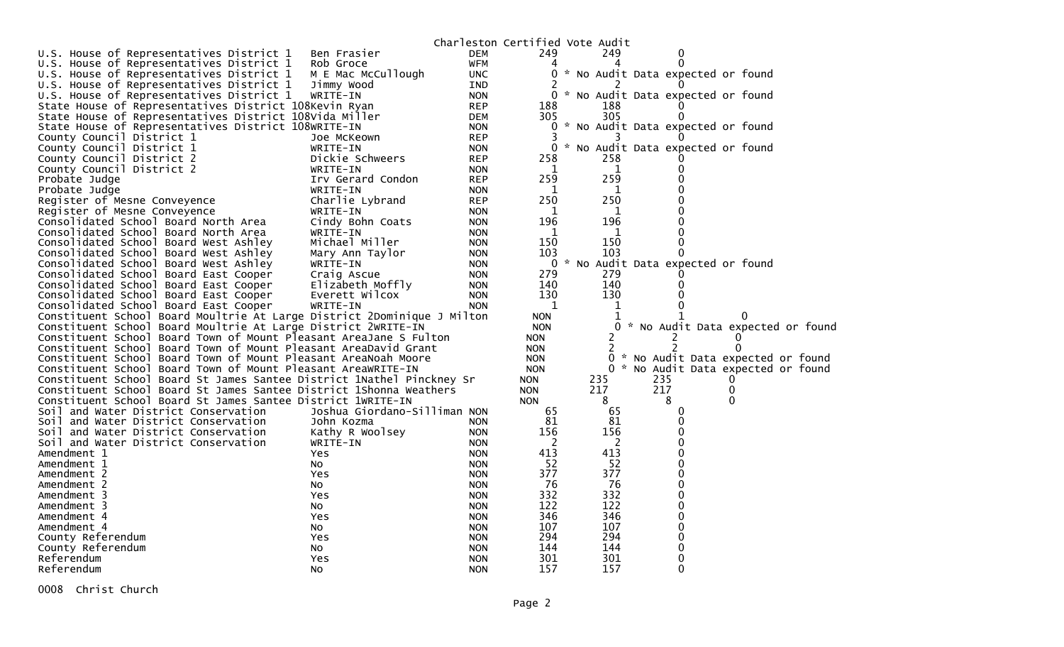|                                                                         |                              |            |                | Charleston Certified Vote Audit |                                     |          |  |
|-------------------------------------------------------------------------|------------------------------|------------|----------------|---------------------------------|-------------------------------------|----------|--|
| U.S. House of Representatives District 1                                | Ben Frasier                  | DEM        | 249            | 249                             |                                     |          |  |
| U.S. House of Representatives District 1                                | Rob Groce                    | WFM        | 4              |                                 | 0                                   |          |  |
| U.S. House of Representatives District 1                                | M E Mac McCullough           | <b>UNC</b> | 0              |                                 | * No Audit Data expected or found   |          |  |
| U.S. House of Representatives District 1                                | Jimmy Wood                   | IND        |                |                                 |                                     |          |  |
| U.S. House of Representatives District 1                                | WRITE-IN                     | <b>NON</b> |                |                                 | 0 * No Audit Data expected or found |          |  |
| State House of Representatives District 108Kevin Ryan                   |                              | <b>REP</b> | 188            | 188                             |                                     |          |  |
| State House of Representatives District 108Vida Miller                  |                              | <b>DEM</b> | 305            | 305                             | 0                                   |          |  |
| State House of Representatives District 108WRITE-IN                     |                              | <b>NON</b> |                |                                 | 0 * No Audit Data expected or found |          |  |
| County Council District 1                                               | Joe McKeown                  | <b>REP</b> | 3              |                                 |                                     |          |  |
| County Council District 1                                               | WRITE-IN                     | <b>NON</b> | 0              |                                 | * No Audit Data expected or found   |          |  |
| County Council District 2                                               | Dickie Schweers              | <b>REP</b> | 258            | 258                             |                                     |          |  |
| County Council District 2                                               | WRITE-IN                     | <b>NON</b> | 1              | $\mathbf 1$                     |                                     |          |  |
| Probate Judge                                                           | Irv Gerard Condon            | <b>REP</b> | 259            | 259                             |                                     |          |  |
| Probate Judge                                                           | WRITE-IN                     | <b>NON</b> | 1              | 1                               |                                     |          |  |
| Register of Mesne Conveyence                                            | Charlie Lybrand              | <b>REP</b> | 250            | 250                             |                                     |          |  |
| Register of Mesne Conveyence                                            | WRITE-IN                     | <b>NON</b> | 1              | 1                               |                                     |          |  |
| Consolidated School Board North Area                                    | Cindy Bohn Coats             | <b>NON</b> | 196            | 196                             |                                     |          |  |
| Consolidated School Board North Area                                    | WRITE-IN                     | <b>NON</b> | 1              | 1                               |                                     |          |  |
| Consolidated School Board West Ashley                                   | Michael Miller               | <b>NON</b> | 150            | 150                             |                                     |          |  |
| Consolidated School Board West Ashley                                   | Mary Ann Taylor              | <b>NON</b> | 103            | 103                             |                                     |          |  |
| Consolidated School Board West Ashley                                   | WRITE-IN                     | <b>NON</b> | 0              |                                 | * No Audit Data expected or found   |          |  |
| Consolidated School Board East Cooper                                   | Craig Ascue                  | <b>NON</b> | 279            | 279                             |                                     |          |  |
| Consolidated School Board East Cooper                                   | Elizabeth Moffly             | <b>NON</b> | 140            | 140                             | 0                                   |          |  |
| Consolidated School Board East Cooper                                   | Everett Wilcox               | <b>NON</b> | 130            | 130                             |                                     |          |  |
| Consolidated School Board East Cooper                                   | WRITE-IN                     | <b>NON</b> | $\mathbf 1$    | 1                               |                                     |          |  |
| Constituent School Board Moultrie At Large District 2Dominique J Milton |                              |            | <b>NON</b>     | 1                               |                                     |          |  |
| Constituent School Board Moultrie At Large District 2WRITE-IN           |                              |            | <b>NON</b>     |                                 | 0 * No Audit Data expected or found |          |  |
| Constituent School Board Town of Mount Pleasant AreaJane S Fulton       |                              |            | <b>NON</b>     | 2                               | $\mathbf{2}^{\prime}$               | $\Omega$ |  |
| Constituent School Board Town of Mount Pleasant AreaDavid Grant         |                              |            | <b>NON</b>     | 2                               | 2                                   |          |  |
| Constituent School Board Town of Mount Pleasant AreaNoah Moore          |                              |            | <b>NON</b>     | 0                               | * No Audit Data expected or found   |          |  |
| Constituent School Board Town of Mount Pleasant AreaWRITE-IN            |                              |            | <b>NON</b>     |                                 | 0 * No Audit Data expected or found |          |  |
| Constituent School Board St James Santee District 1Nathel Pinckney Sr   |                              |            | <b>NON</b>     | 235                             | 235                                 | $\Omega$ |  |
| Constituent School Board St James Santee District 1Shonna Weathers      |                              |            | <b>NON</b>     | 217                             | 217                                 | 0        |  |
| Constituent School Board St James Santee District 1WRITE-IN             |                              |            | <b>NON</b>     | 8                               | 8                                   | 0        |  |
| Soil and Water District Conservation                                    | Joshua Giordano-Silliman NON |            | 65             | 65                              |                                     |          |  |
| Soil and Water District Conservation                                    | John Kozma                   | <b>NON</b> | 81             | 81                              |                                     |          |  |
| Soil and Water District Conservation                                    | Kathy R Woolsey              | <b>NON</b> | 156            | 156                             |                                     |          |  |
| Soil and Water District Conservation                                    | WRITE-IN                     | <b>NON</b> | $\overline{c}$ | $\overline{c}$                  |                                     |          |  |
| Amendment 1                                                             | Yes                          | <b>NON</b> | 413            | 413                             |                                     |          |  |
| Amendment 1                                                             | NO.                          | <b>NON</b> | 52             | -52                             |                                     |          |  |
| Amendment 2                                                             | <b>Yes</b>                   | <b>NON</b> | 377            | 377                             |                                     |          |  |
| Amendment 2                                                             | NO.                          | <b>NON</b> | 76             | 76                              |                                     |          |  |
| Amendment 3                                                             | Yes                          | <b>NON</b> | 332            | 332                             |                                     |          |  |
| Amendment 3                                                             | NO.                          | <b>NON</b> | 122            | 122                             |                                     |          |  |
| Amendment 4                                                             | Yes                          | <b>NON</b> | 346            | 346                             |                                     |          |  |
| Amendment 4                                                             | NO.                          | <b>NON</b> | 107            | 107                             |                                     |          |  |
| County Referendum                                                       | <b>Yes</b>                   | <b>NON</b> | 294            | 294                             |                                     |          |  |
| County Referendum                                                       | No                           | <b>NON</b> | 144            | 144                             |                                     |          |  |
| Referendum                                                              | Yes                          | <b>NON</b> | 301            | 301                             |                                     |          |  |
| Referendum                                                              | No                           | <b>NON</b> | 157            | 157                             | 0                                   |          |  |

0008 Christ Church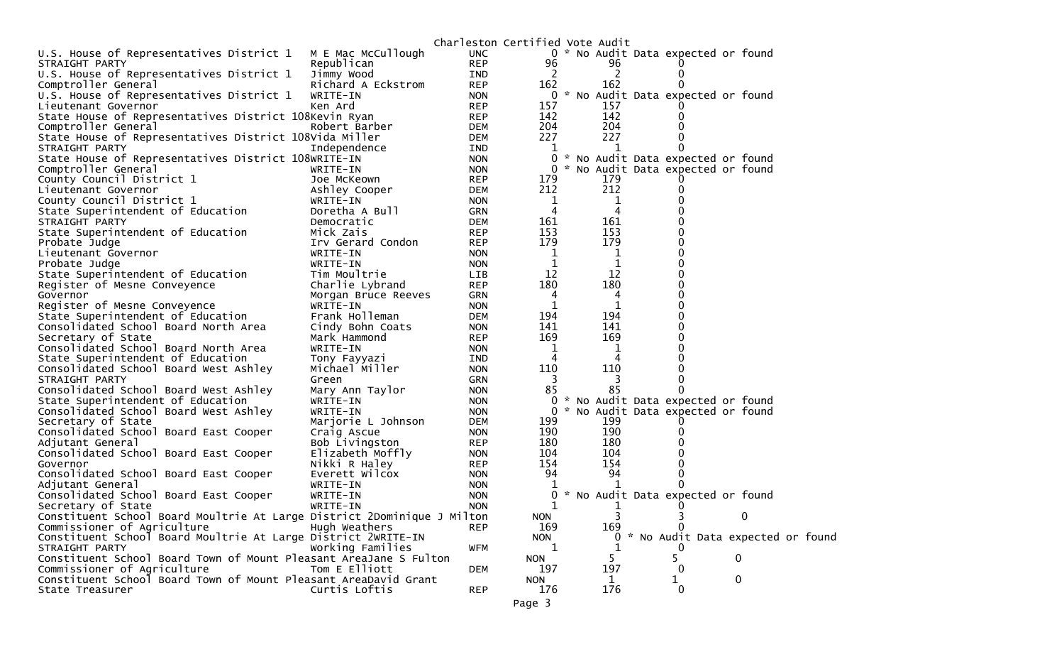|                                                                         |                                | Charleston Certified Vote Audit |              |              |   |                                     |
|-------------------------------------------------------------------------|--------------------------------|---------------------------------|--------------|--------------|---|-------------------------------------|
| U.S. House of Representatives District 1                                | M E Mac McCullough             | <b>UNC</b>                      |              |              |   | 0 * No Audit Data expected or found |
| STRAIGHT PARTY                                                          | Republican                     | <b>REP</b>                      | 96           | 96           |   |                                     |
| U.S. House of Representatives District 1                                | Jimmy Wood                     | <b>IND</b>                      | 2            | 2            |   |                                     |
| Comptroller General                                                     | Richard A Eckstrom             | <b>REP</b>                      | 162          | 162          |   |                                     |
| U.S. House of Representatives District 1                                | WRITE-IN                       | <b>NON</b>                      |              |              |   | 0 * No Audit Data expected or found |
| Lieutenant Governor                                                     | Ken Ard                        | <b>REP</b>                      | 157          | 157          |   |                                     |
| State House of Representatives District 108Kevin Ryan                   |                                | <b>REP</b>                      | 142          | 142          |   |                                     |
| Comptroller General                                                     | Robert Barber                  | DEM                             | 204          | 204          |   |                                     |
| State House of Representatives District 108Vida Miller                  |                                | DEM                             | 227          | 227          |   |                                     |
| STRAIGHT PARTY                                                          | Independence                   | IND                             | 1            |              |   |                                     |
| State House of Representatives District 108WRITE-IN                     |                                | <b>NON</b>                      | 0            |              |   | * No Audit Data expected or found   |
| Comptroller General                                                     | WRITE-IN                       | <b>NON</b>                      | $\mathbf{0}$ |              |   | * No Audit Data expected or found   |
| County Council District 1                                               | Joe McKeown                    | <b>REP</b>                      | 179          | 179          |   |                                     |
| Lieutenant Governor                                                     | Ashley Cooper                  | DEM                             | 212          | 212          |   |                                     |
| County Council District 1                                               | WRITE-IN                       | <b>NON</b>                      | 1            | 1            |   |                                     |
| State Superintendent of Education                                       | Doretha A Bull                 | GRN                             | 4            | 4            |   |                                     |
| STRAIGHT PARTY                                                          | Democratic                     | <b>DEM</b>                      | 161          | 161          |   |                                     |
| State Superintendent of Education                                       | Mick Zais                      | <b>REP</b>                      | 153          | 153          |   |                                     |
| Probate Judge                                                           | Irv Gerard Condon              | <b>REP</b>                      | 179          | 179          |   |                                     |
| Lieutenant Governor                                                     | WRITE-IN                       | <b>NON</b>                      | 1            | 1            |   |                                     |
| Probate Judge                                                           | WRITE-IN                       | <b>NON</b>                      | 1            | $\mathbf 1$  |   |                                     |
| State Superintendent of Education                                       | Tim Moultrie                   | LIB                             | 12           | 12           |   |                                     |
| Register of Mesne Conveyence                                            | Charlie Lybrand                | <b>REP</b>                      | 180          | 180          |   |                                     |
| Governor                                                                | Morgan Bruce Reeves            | GRN                             | 4            | 4            |   |                                     |
| Register of Mesne Conveyence                                            | WRITE-IN                       | <b>NON</b>                      | 1            | 1            |   |                                     |
| State Superintendent of Education                                       | Frank Holleman                 | DEM                             | 194<br>141   | 194<br>141   |   |                                     |
| Consolidated School Board North Area                                    | Cindy Bohn Coats               | <b>NON</b>                      | 169          | 169          |   |                                     |
| Secretary of State<br>Consolidated School Board North Area              | Mark Hammond<br>WRITE-IN       | <b>REP</b><br><b>NON</b>        | 1            | 1            |   |                                     |
| State Superintendent of Education                                       |                                | IND                             | 4            | 4            |   |                                     |
| Consolidated School Board West Ashley                                   | Tony Fayyazi<br>Michael Miller | <b>NON</b>                      | 110          | 110          |   |                                     |
| STRAIGHT PARTY                                                          | Green                          | <b>GRN</b>                      | 3            | 3            |   |                                     |
| Consolidated School Board West Ashley                                   | Mary Ann Taylor                | <b>NON</b>                      | 85           | 85           |   |                                     |
| State Superintendent of Education                                       | WRITE-IN                       | <b>NON</b>                      | 0            |              |   | * No Audit Data expected or found   |
| Consolidated School Board West Ashley                                   | WRITE-IN                       | <b>NON</b>                      | $\mathbf{0}$ |              |   | * No Audit Data expected or found   |
| Secretary of State                                                      | Marjorie L Johnson             | DEM                             | 199          | 199          |   |                                     |
| Consolidated School Board East Cooper                                   | Craig Ascue                    | <b>NON</b>                      | 190          | 190          |   |                                     |
| Adjutant General                                                        | Bob Livingston                 | <b>REP</b>                      | 180          | 180          |   |                                     |
| Consolidated School Board East Cooper                                   | Elizabeth Moffly               | <b>NON</b>                      | 104          | 104          |   |                                     |
| Governor                                                                | Nikki R Haley                  | <b>REP</b>                      | 154          | 154          |   |                                     |
| Consolidated School Board East Cooper                                   | Everett Wilcox                 | <b>NON</b>                      | 94           | 94           |   |                                     |
| Adjutant General                                                        | WRITE-IN                       | <b>NON</b>                      |              |              |   |                                     |
| Consolidated School Board East Cooper                                   | WRITE-IN                       | <b>NON</b>                      | 0            |              |   | * No Audit Data expected or found   |
| Secretary of State                                                      | WRITE-IN                       | <b>NON</b>                      | 1            |              |   |                                     |
| Constituent School Board Moultrie At Large District 2Dominique J Milton |                                |                                 | <b>NON</b>   | 3            |   | 0<br>3                              |
| Commissioner of Agriculture                                             | Hugh Weathers                  | <b>REP</b>                      | 169          | 169          |   |                                     |
| Constituent School Board Moultrie At Large District 2WRITE-IN           |                                |                                 | <b>NON</b>   | $\mathbf{0}$ |   | * No Audit Data expected or found   |
| STRAIGHT PARTY                                                          | Working Families               | WFM                             | 1            |              |   |                                     |
| Constituent School Board Town of Mount Pleasant AreaJane S Fulton       |                                |                                 | <b>NON</b>   | 5.           |   | 0                                   |
| Commissioner of Agriculture                                             | Tom E Elliott                  | DEM                             | 197          | 197          |   | $_{0}$                              |
| Constituent School Board Town of Mount Pleasant AreaDavid Grant         |                                |                                 | <b>NON</b>   | $\mathbf{1}$ | 1 | 0                                   |
| State Treasurer                                                         | Curtis Loftis                  | <b>REP</b>                      | 176          | 176          |   | 0                                   |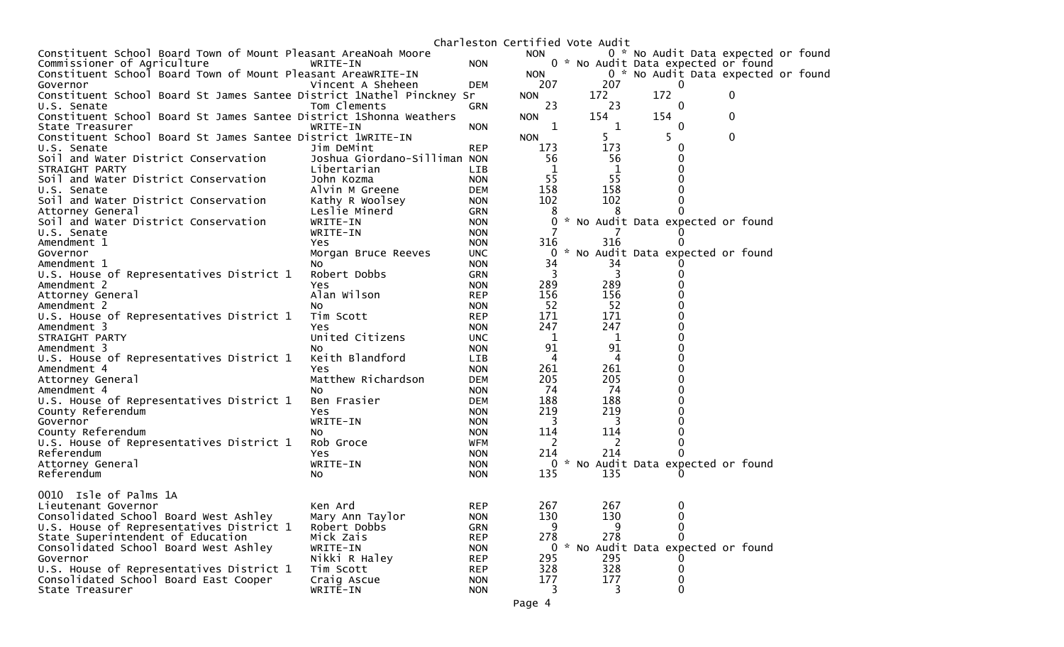|                                                                               |                              |                          |                | Charleston Certified Vote Audit |                                     |              |  |
|-------------------------------------------------------------------------------|------------------------------|--------------------------|----------------|---------------------------------|-------------------------------------|--------------|--|
| Constituent School Board Town of Mount Pleasant AreaNoah Moore                |                              |                          | <b>NON</b>     |                                 | 0 * No Audit Data expected or found |              |  |
| Commissioner of Agriculture                                                   | WRITE-IN                     | <b>NON</b>               |                |                                 | 0 * No Audit Data expected or found |              |  |
| Constituent School Board Town of Mount Pleasant AreaWRITE-IN                  |                              |                          | <b>NON</b>     |                                 | 0 * No Audit Data expected or found |              |  |
| Governor                                                                      | Vincent A Sheheen            | DEM                      | 207            | 207                             | $\overline{0}$                      |              |  |
| Constituent School Board St James Santee District 1Nathel Pinckney Sr         |                              |                          | <b>NON</b>     | 172                             | 172                                 | 0            |  |
| U.S. Senate                                                                   | Tom Clements                 | GRN                      | 23             | 23                              | 0                                   |              |  |
| Constituent School Board St James Santee District 1Shonna Weathers            |                              |                          | <b>NON</b>     | 154                             | 154                                 | 0            |  |
| State Treasurer                                                               | WRITE-IN                     | <b>NON</b>               | 1              | 1                               | $\Omega$                            |              |  |
| Constituent School Board St James Santee District 1WRITE-IN                   |                              |                          | <b>NON</b>     |                                 | 5                                   | $\mathbf{0}$ |  |
| U.S. Senate                                                                   | Jim DeMint                   | <b>REP</b>               | 173            | 173                             |                                     |              |  |
| Soil and Water District Conservation                                          | Joshua Giordano-Silliman NON |                          | 56             | 56                              |                                     |              |  |
| STRAIGHT PARTY                                                                | Libertarian                  | LIB                      |                |                                 |                                     |              |  |
| Soil and Water District Conservation                                          | John Kozma                   | <b>NON</b>               | 55             | 55                              |                                     |              |  |
| U.S. Senate                                                                   | Alvin M Greene               | <b>DEM</b>               | 158            | 158                             |                                     |              |  |
| Soil and Water District Conservation                                          | Kathy R Woolsey              | <b>NON</b>               | 102            | 102                             |                                     |              |  |
| Attorney General                                                              | Leslie Minerd                | <b>GRN</b>               | 8              |                                 |                                     |              |  |
| Soil and Water District Conservation                                          | WRITE-IN                     | <b>NON</b>               |                |                                 | * No Audit Data expected or found   |              |  |
| U.S. Senate                                                                   | WRITE-IN                     | <b>NON</b>               |                |                                 |                                     |              |  |
| Amendment 1                                                                   | Yes.                         | <b>NON</b>               | 316            | 316                             |                                     |              |  |
| Governor                                                                      | Morgan Bruce Reeves          | <b>UNC</b>               | $\Omega$<br>34 |                                 | * No Audit Data expected or found   |              |  |
| Amendment 1<br>U.S. House of Representatives District 1                       | NO.<br>Robert Dobbs          | <b>NON</b><br><b>GRN</b> | 3              | 34                              |                                     |              |  |
| Amendment 2                                                                   | Yes                          | <b>NON</b>               | 289            | 289                             |                                     |              |  |
| Attorney General                                                              | Alan Wilson                  | <b>REP</b>               | 156            | 156                             |                                     |              |  |
| Amendment 2                                                                   | NO.                          | <b>NON</b>               | 52             | 52                              |                                     |              |  |
| U.S. House of Representatives District 1                                      | Tim Scott                    | <b>REP</b>               | 171            | 171                             |                                     |              |  |
| Amendment 3                                                                   | Yes                          | <b>NON</b>               | 247            | 247                             |                                     |              |  |
| STRAIGHT PARTY                                                                | United Citizens              | <b>UNC</b>               | 1              | 1                               |                                     |              |  |
| Amendment 3                                                                   | NO.                          | <b>NON</b>               | 91             | 91                              |                                     |              |  |
| U.S. House of Representatives District 1                                      | Keith Blandford              | LIB                      | 4              | 4                               |                                     |              |  |
| Amendment 4                                                                   | Yes                          | <b>NON</b>               | 261            | 261                             |                                     |              |  |
| Attorney General                                                              | Matthew Richardson           | <b>DEM</b>               | 205            | 205                             |                                     |              |  |
| Amendment 4                                                                   | NO.                          | <b>NON</b>               | 74             | 74                              |                                     |              |  |
| U.S. House of Representatives District 1                                      | Ben Frasier                  | <b>DEM</b>               | 188            | 188                             |                                     |              |  |
| County Referendum                                                             | Yes                          | <b>NON</b>               | 219            | 219                             |                                     |              |  |
| Governor                                                                      | WRITE-IN                     | <b>NON</b>               | 3              | 3                               |                                     |              |  |
| County Referendum                                                             | NO.                          | <b>NON</b>               | 114            | 114                             |                                     |              |  |
| U.S. House of Representatives District 1                                      | Rob Groce                    | WFM                      | 2              |                                 |                                     |              |  |
| Referendum                                                                    | Yes                          | <b>NON</b>               | 214            | 214                             |                                     |              |  |
| Attorney General                                                              | WRITE-IN                     | <b>NON</b>               |                |                                 | 0 * No Audit Data expected or found |              |  |
| Referendum                                                                    | NO.                          | <b>NON</b>               | 135            | 135                             |                                     |              |  |
|                                                                               |                              |                          |                |                                 |                                     |              |  |
| 0010 Isle of Palms 1A                                                         |                              |                          |                |                                 |                                     |              |  |
| Lieutenant Governor                                                           | Ken Ard                      | <b>REP</b>               | 267            | 267                             | 0                                   |              |  |
| Consolidated School Board West Ashley                                         | Mary Ann Taylor              | <b>NON</b>               | 130<br>9       | 130<br>9                        | 0                                   |              |  |
| U.S. House of Representatives District 1<br>State Superintendent of Education | Robert Dobbs<br>Mick Zais    | <b>GRN</b><br><b>REP</b> | 278            | 278                             |                                     |              |  |
| Consolidated School Board West Ashley                                         |                              |                          |                |                                 | 0 * No Audit Data expected or found |              |  |
| Governor                                                                      | WRITE-IN<br>Nikki R Haley    | <b>NON</b><br><b>REP</b> | 295            | 295                             |                                     |              |  |
| U.S. House of Representatives District 1                                      | Tim Scott                    | <b>REP</b>               | 328            | 328                             |                                     |              |  |
| Consolidated School Board East Cooper                                         | Craig Ascue                  | <b>NON</b>               | 177            | 177                             | 0                                   |              |  |
| State Treasurer                                                               | WRITE-IN                     | <b>NON</b>               | 3              | 3                               | 0                                   |              |  |
|                                                                               |                              |                          |                |                                 |                                     |              |  |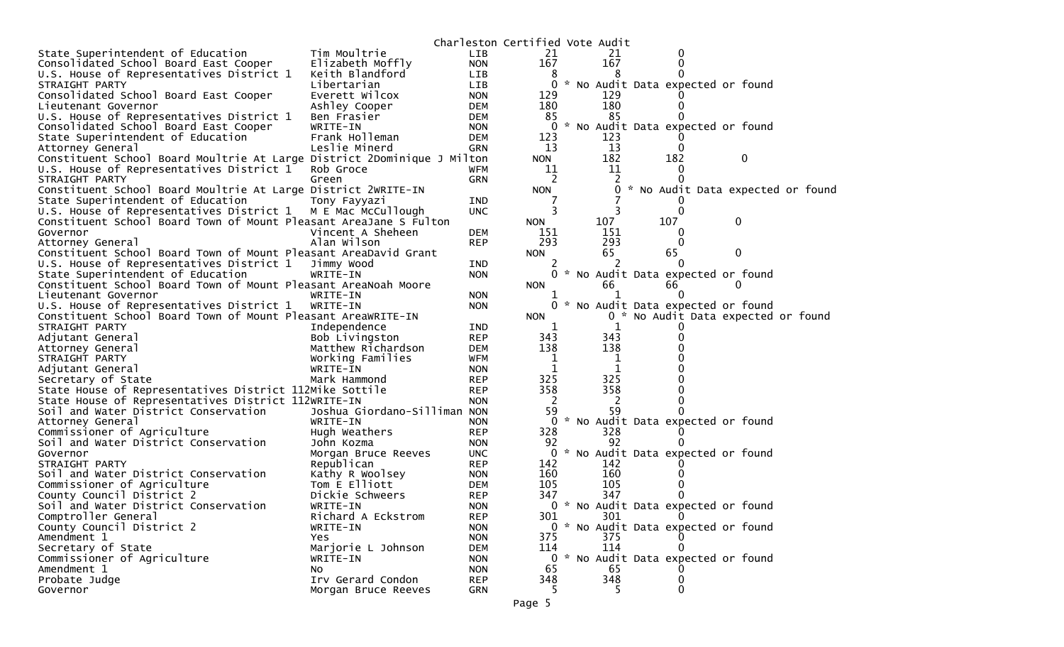|                                                                         |                                  |                          | Charleston Certified Vote Audit |              |     |          |                                     |  |
|-------------------------------------------------------------------------|----------------------------------|--------------------------|---------------------------------|--------------|-----|----------|-------------------------------------|--|
| State Superintendent of Education                                       | Tim Moultrie                     | <b>LIB</b>               | 21                              | 21           |     |          |                                     |  |
| Consolidated School Board East Cooper                                   | Elizabeth Moffly                 | <b>NON</b>               | 167                             | 167          |     |          |                                     |  |
| U.S. House of Representatives District 1                                | Keith Blandford                  | <b>LIB</b>               | 8                               |              |     |          |                                     |  |
| STRAIGHT PARTY                                                          | Libertarian                      | <b>LIB</b>               | 0                               |              |     |          | * No Audit Data expected or found   |  |
| Consolidated School Board East Cooper                                   | Everett Wilcox                   | <b>NON</b>               | 129                             | 129          |     |          |                                     |  |
| Lieutenant Governor                                                     | Ashley Cooper                    | <b>DEM</b>               | 180                             | 180          |     | 0        |                                     |  |
| U.S. House of Representatives District 1                                | Ben Frasier                      | <b>DEM</b>               | 85                              | 85           |     |          |                                     |  |
| Consolidated School Board East Cooper                                   | WRITE-IN                         | <b>NON</b>               | 0                               |              |     |          | * No Audit Data expected or found   |  |
| State Superintendent of Education                                       | Frank Holleman                   | <b>DEM</b>               | 123                             | 123          |     |          |                                     |  |
| Attorney General                                                        | Leslie Minerd                    | <b>GRN</b>               | 13                              | 13           |     | $\Omega$ |                                     |  |
| Constituent School Board Moultrie At Large District 2Dominique J Milton |                                  |                          | <b>NON</b>                      | 182          |     | 182      | 0                                   |  |
| U.S. House of Representatives District 1                                | Rob Groce                        | <b>WFM</b>               | 11                              | 11           |     | $\Omega$ |                                     |  |
| STRAIGHT PARTY                                                          | Green                            | <b>GRN</b>               | 2                               |              |     |          |                                     |  |
| Constituent School Board Moultrie At Large District 2WRITE-IN           |                                  |                          | <b>NON</b>                      | $\mathbf{0}$ |     |          | * No Audit Data expected or found   |  |
| State Superintendent of Education                                       | Tony Fayyazi                     | <b>IND</b>               | 7                               |              |     |          |                                     |  |
| U.S. House of Representatives District 1                                | M E Mac McCullough               | <b>UNC</b>               | 3                               |              |     |          |                                     |  |
| Constituent School Board Town of Mount Pleasant AreaJane S Fulton       |                                  |                          | <b>NON</b>                      | 107          | 107 |          | 0                                   |  |
| Governor                                                                | Vincent A Sheheen                | <b>DEM</b>               | 151                             | 151          |     | 0        |                                     |  |
| Attorney General                                                        | Alan Wilson                      | <b>REP</b>               | 293                             | 293          |     | $\Omega$ |                                     |  |
| Constituent School Board Town of Mount Pleasant AreaDavid Grant         |                                  |                          | <b>NON</b>                      | 65           | 65  |          | 0                                   |  |
| U.S. House of Representatives District 1                                | Jimmy Wood                       | <b>IND</b>               | 2                               |              |     | $\Omega$ |                                     |  |
| State Superintendent of Education                                       | WRITE-IN                         | <b>NON</b>               | 0                               |              |     |          | * No Audit Data expected or found   |  |
| Constituent School Board Town of Mount Pleasant AreaNoah Moore          |                                  |                          | <b>NON</b>                      | 66           | 66  |          | $\Omega$                            |  |
| Lieutenant Governor                                                     | WRITE-IN                         | <b>NON</b>               |                                 |              |     |          |                                     |  |
| U.S. House of Representatives District 1                                | WRITE-IN                         | <b>NON</b>               | 0                               |              |     |          | * No Audit Data expected or found   |  |
| Constituent School Board Town of Mount Pleasant AreaWRITE-IN            |                                  |                          | <b>NON</b>                      |              |     |          | 0 * No Audit Data expected or found |  |
| STRAIGHT PARTY                                                          | Independence                     | <b>IND</b>               | 1                               | 1            |     |          |                                     |  |
| Adjutant General                                                        | Bob Livingston                   | <b>REP</b>               | 343                             | 343          |     |          |                                     |  |
| Attorney General                                                        | Matthew Richardson               | <b>DEM</b>               | 138                             | 138          |     |          |                                     |  |
| STRAIGHT PARTY                                                          | Working Families                 | <b>WFM</b>               | 1                               | 1            |     |          |                                     |  |
| Adjutant General                                                        | WRITE-IN                         | <b>NON</b>               | 1                               | 1            |     |          |                                     |  |
| Secretary of State                                                      | Mark Hammond                     | <b>REP</b>               | 325                             | 325          |     |          |                                     |  |
| State House of Representatives District 112Mike Sottile                 |                                  | <b>REP</b>               | 358                             | 358          |     |          |                                     |  |
| State House of Representatives District 112WRITE-IN                     |                                  | <b>NON</b>               | 2                               | 2            |     |          |                                     |  |
| Soil and Water District Conservation                                    | Joshua Giordano-Silliman NON     |                          | 59                              | 59           |     |          |                                     |  |
| Attorney General                                                        | WRITE-IN                         | <b>NON</b>               | 0                               |              |     |          | * No Audit Data expected or found   |  |
| Commissioner of Agriculture                                             | Hugh Weathers                    | <b>REP</b>               | 328                             | 328          |     |          |                                     |  |
| Soil and Water District Conservation                                    | John Kozma                       | <b>NON</b>               | 92                              | 92           |     |          |                                     |  |
| Governor<br>STRAIGHT PARTY                                              | Morgan Bruce Reeves              | <b>UNC</b>               | 0                               |              |     |          | * No Audit Data expected or found   |  |
| Soil and Water District Conservation                                    | Republican                       | <b>REP</b>               | 142                             | 142<br>160   |     |          |                                     |  |
|                                                                         | Kathy R Woolsey<br>Tom E Elliott | <b>NON</b><br><b>DEM</b> | 160<br>105                      | 105          |     |          |                                     |  |
| Commissioner of Agriculture                                             | Dickie Schweers                  | <b>REP</b>               | 347                             | 347          |     |          |                                     |  |
| County Council District 2                                               |                                  |                          |                                 |              |     |          |                                     |  |
| Soil and Water District Conservation<br>Comptroller General             | WRITE-IN<br>Richard A Eckstrom   | <b>NON</b><br><b>REP</b> | 301                             | 301          |     | 0        | 0 * No Audit Data expected or found |  |
| County Council District 2                                               | WRITE-IN                         | <b>NON</b>               |                                 |              |     |          | 0 * No Audit Data expected or found |  |
| Amendment 1                                                             |                                  | <b>NON</b>               | 375                             | 375          |     |          |                                     |  |
| Secretary of State                                                      | Yes                              |                          | 114                             | 114          |     | 0        |                                     |  |
| Commissioner of Agriculture                                             | Marjorie L Johnson<br>WRITE-IN   | <b>DEM</b><br><b>NON</b> |                                 |              |     |          | 0 * No Audit Data expected or found |  |
| Amendment 1                                                             | No                               | <b>NON</b>               | 65                              | 65           |     |          |                                     |  |
| Probate Judge                                                           | Irv Gerard Condon                | <b>REP</b>               | 348                             | 348          |     | 0        |                                     |  |
| Governor                                                                |                                  | GRN                      | 5                               | 5            |     | 0        |                                     |  |
|                                                                         | Morgan Bruce Reeves              |                          |                                 |              |     |          |                                     |  |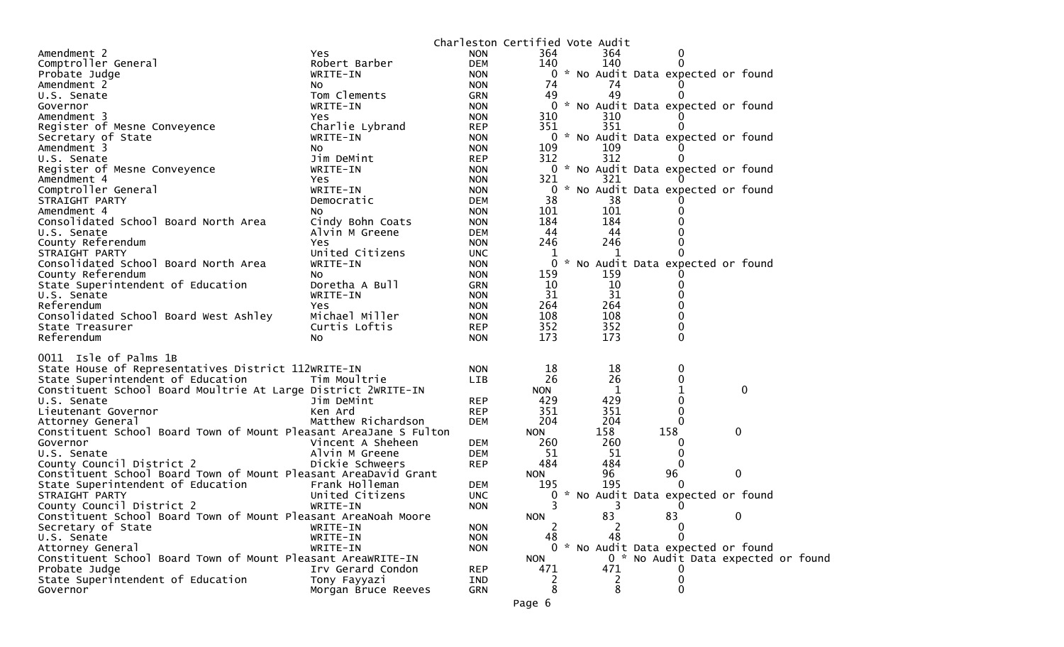| Amendment 2<br>364.<br>Yes.<br><b>NON</b><br>0<br>140<br>140<br>Comptroller General<br>Robert Barber<br><b>DEM</b><br>0 * No Audit Data expected or found<br>Probate Judge<br>WRITE-IN<br><b>NON</b><br><b>NON</b><br>74<br>74<br>Amendment 2<br>NO.<br>49<br>49<br>Tom Clements<br><b>GRN</b><br>$\Omega$<br>U.S. Senate<br>* No Audit Data expected or found<br>0<br>Governor<br>WRITE-IN<br><b>NON</b><br>310<br><b>NON</b><br>310<br>Amendment 3<br><b>Yes</b><br>351<br>351<br>Register of Mesne Conveyence<br>Charlie Lybrand<br><b>REP</b><br>0 * No Audit Data expected or found<br>Secretary of State<br>WRITE-IN<br><b>NON</b><br>109<br>Amendment 3<br><b>NON</b><br>109<br>No.<br>312<br>312<br>Jim DeMint<br><b>REP</b><br>0<br>U.S. Senate<br>0 * No Audit Data expected or found<br>Register of Mesne Conveyence<br>WRITE-IN<br><b>NON</b><br>321<br>321<br>Amendment 4<br><b>NON</b><br>Yes<br>0 * No Audit Data expected or found<br>Comptroller General<br>WRITE-IN<br><b>NON</b><br>38<br>38<br><b>DEM</b><br>STRAIGHT PARTY<br>Democratic<br>101<br>Amendment 4<br>101<br>No<br><b>NON</b><br>184<br>184<br>Consolidated School Board North Area<br>Cindy Bohn Coats<br><b>NON</b><br>44<br>44<br>U.S. Senate<br>Alvin M Greene<br><b>DEM</b><br>246<br>County Referendum<br><b>NON</b><br>246<br>Yes<br>United Citizens<br><b>UNC</b><br>STRAIGHT PARTY<br>1<br>1<br>Consolidated School Board North Area<br>$\mathbf{0}$<br>* No Audit Data expected or found<br><b>NON</b><br>WRITE-IN<br>County Referendum<br>159<br>159<br>No<br><b>NON</b><br>10<br>10<br>State Superintendent of Education<br>Doretha A Bull<br><b>GRN</b><br>0<br>31<br>31<br>U.S. Senate<br><b>NON</b><br>WRITE-IN<br>264<br>Referendum<br><b>NON</b><br>264<br><b>Yes</b><br>108<br>108<br>Michael Miller<br>Consolidated School Board West Ashley<br><b>NON</b><br>352<br>352<br>Curtis Loftis<br><b>REP</b><br>0<br>State Treasurer<br>Referendum<br>173<br>173<br>O<br>No.<br><b>NON</b><br>0011 Isle of Palms 1B<br>State House of Representatives District 112WRITE-IN<br>18<br>18<br><b>NON</b><br>0<br>26<br>26<br>State Superintendent of Education<br>0<br>Tim Moultrie<br><b>LIB</b><br>Constituent School Board Moultrie At Large District 2WRITE-IN<br>$\mathbf 0$<br>1<br><b>NON</b><br>429<br>429<br>0<br>U.S. Senate<br>Jim DeMint<br><b>REP</b><br>351<br>351<br>Lieutenant Governor<br>Ken Ard<br><b>REP</b><br>0<br>Matthew Richardson<br>204<br>204<br><b>DEM</b><br>Attorney General<br>0<br>158<br>Constituent School Board Town of Mount Pleasant AreaJane S Fulton<br>158<br>$\mathbf 0$<br><b>NON</b><br>260<br>260<br>Vincent A Sheheen<br><b>DEM</b><br>Governor<br>Alvin M Greene<br><b>DEM</b><br>51<br>51<br>U.S. Senate<br>0<br>County Council District 2<br>484<br>484<br>Dickie Schweers<br><b>REP</b><br>$\Omega$<br>$\mathbf 0$<br>Constituent School Board Town of Mount Pleasant AreaDavid Grant<br>96<br>96<br><b>NON</b><br>State Superintendent of Education<br>Frank Holleman<br>195<br>DEM<br>195<br>* No Audit Data expected or found<br>STRAIGHT PARTY<br>United Citizens<br><b>UNC</b><br>0<br>3<br>3<br>County Council District 2<br>WRITE-IN<br><b>NON</b><br>0<br><b>NON</b><br>83<br>83<br>Constituent School Board Town of Mount Pleasant AreaNoah Moore<br>0<br>Secretary of State<br>WRITE-IN<br><b>NON</b><br>2<br>0<br>2<br>48<br>U.S. Senate<br>48<br>WRITE-IN<br><b>NON</b><br>0 * No Audit Data expected or found<br>Attorney General<br>WRITE-IN<br><b>NON</b><br>Constituent School Board Town of Mount Pleasant AreaWRITE-IN<br><b>NON</b><br>0 * No Audit Data expected or found<br>Probate Judge<br>Irv Gerard Condon<br>471<br>471<br><b>REP</b><br>State Superintendent of Education<br>Tony Fayyazi<br>IND<br>2<br>2<br>0<br>8<br>8<br>0<br><b>GRN</b><br>Governor<br>Morgan Bruce Reeves |  | Charleston Certified Vote Audit |  |  |  |
|---------------------------------------------------------------------------------------------------------------------------------------------------------------------------------------------------------------------------------------------------------------------------------------------------------------------------------------------------------------------------------------------------------------------------------------------------------------------------------------------------------------------------------------------------------------------------------------------------------------------------------------------------------------------------------------------------------------------------------------------------------------------------------------------------------------------------------------------------------------------------------------------------------------------------------------------------------------------------------------------------------------------------------------------------------------------------------------------------------------------------------------------------------------------------------------------------------------------------------------------------------------------------------------------------------------------------------------------------------------------------------------------------------------------------------------------------------------------------------------------------------------------------------------------------------------------------------------------------------------------------------------------------------------------------------------------------------------------------------------------------------------------------------------------------------------------------------------------------------------------------------------------------------------------------------------------------------------------------------------------------------------------------------------------------------------------------------------------------------------------------------------------------------------------------------------------------------------------------------------------------------------------------------------------------------------------------------------------------------------------------------------------------------------------------------------------------------------------------------------------------------------------------------------------------------------------------------------------------------------------------------------------------------------------------------------------------------------------------------------------------------------------------------------------------------------------------------------------------------------------------------------------------------------------------------------------------------------------------------------------------------------------------------------------------------------------------------------------------------------------------------------------------------------------------------------------------------------------------------------------------------------------------------------------------------------------------------------------------------------------------------------------------------------------------------------------------------------------------------------------------------------------------------------------------------------------------------------------------------------------------------------------------------------------------------------------------------------------------------------------------------------------------------------------------------------------------------------------------------|--|---------------------------------|--|--|--|
|                                                                                                                                                                                                                                                                                                                                                                                                                                                                                                                                                                                                                                                                                                                                                                                                                                                                                                                                                                                                                                                                                                                                                                                                                                                                                                                                                                                                                                                                                                                                                                                                                                                                                                                                                                                                                                                                                                                                                                                                                                                                                                                                                                                                                                                                                                                                                                                                                                                                                                                                                                                                                                                                                                                                                                                                                                                                                                                                                                                                                                                                                                                                                                                                                                                                                                                                                                                                                                                                                                                                                                                                                                                                                                                                                                                                                                                         |  | 364                             |  |  |  |
|                                                                                                                                                                                                                                                                                                                                                                                                                                                                                                                                                                                                                                                                                                                                                                                                                                                                                                                                                                                                                                                                                                                                                                                                                                                                                                                                                                                                                                                                                                                                                                                                                                                                                                                                                                                                                                                                                                                                                                                                                                                                                                                                                                                                                                                                                                                                                                                                                                                                                                                                                                                                                                                                                                                                                                                                                                                                                                                                                                                                                                                                                                                                                                                                                                                                                                                                                                                                                                                                                                                                                                                                                                                                                                                                                                                                                                                         |  |                                 |  |  |  |
|                                                                                                                                                                                                                                                                                                                                                                                                                                                                                                                                                                                                                                                                                                                                                                                                                                                                                                                                                                                                                                                                                                                                                                                                                                                                                                                                                                                                                                                                                                                                                                                                                                                                                                                                                                                                                                                                                                                                                                                                                                                                                                                                                                                                                                                                                                                                                                                                                                                                                                                                                                                                                                                                                                                                                                                                                                                                                                                                                                                                                                                                                                                                                                                                                                                                                                                                                                                                                                                                                                                                                                                                                                                                                                                                                                                                                                                         |  |                                 |  |  |  |
|                                                                                                                                                                                                                                                                                                                                                                                                                                                                                                                                                                                                                                                                                                                                                                                                                                                                                                                                                                                                                                                                                                                                                                                                                                                                                                                                                                                                                                                                                                                                                                                                                                                                                                                                                                                                                                                                                                                                                                                                                                                                                                                                                                                                                                                                                                                                                                                                                                                                                                                                                                                                                                                                                                                                                                                                                                                                                                                                                                                                                                                                                                                                                                                                                                                                                                                                                                                                                                                                                                                                                                                                                                                                                                                                                                                                                                                         |  |                                 |  |  |  |
|                                                                                                                                                                                                                                                                                                                                                                                                                                                                                                                                                                                                                                                                                                                                                                                                                                                                                                                                                                                                                                                                                                                                                                                                                                                                                                                                                                                                                                                                                                                                                                                                                                                                                                                                                                                                                                                                                                                                                                                                                                                                                                                                                                                                                                                                                                                                                                                                                                                                                                                                                                                                                                                                                                                                                                                                                                                                                                                                                                                                                                                                                                                                                                                                                                                                                                                                                                                                                                                                                                                                                                                                                                                                                                                                                                                                                                                         |  |                                 |  |  |  |
|                                                                                                                                                                                                                                                                                                                                                                                                                                                                                                                                                                                                                                                                                                                                                                                                                                                                                                                                                                                                                                                                                                                                                                                                                                                                                                                                                                                                                                                                                                                                                                                                                                                                                                                                                                                                                                                                                                                                                                                                                                                                                                                                                                                                                                                                                                                                                                                                                                                                                                                                                                                                                                                                                                                                                                                                                                                                                                                                                                                                                                                                                                                                                                                                                                                                                                                                                                                                                                                                                                                                                                                                                                                                                                                                                                                                                                                         |  |                                 |  |  |  |
|                                                                                                                                                                                                                                                                                                                                                                                                                                                                                                                                                                                                                                                                                                                                                                                                                                                                                                                                                                                                                                                                                                                                                                                                                                                                                                                                                                                                                                                                                                                                                                                                                                                                                                                                                                                                                                                                                                                                                                                                                                                                                                                                                                                                                                                                                                                                                                                                                                                                                                                                                                                                                                                                                                                                                                                                                                                                                                                                                                                                                                                                                                                                                                                                                                                                                                                                                                                                                                                                                                                                                                                                                                                                                                                                                                                                                                                         |  |                                 |  |  |  |
|                                                                                                                                                                                                                                                                                                                                                                                                                                                                                                                                                                                                                                                                                                                                                                                                                                                                                                                                                                                                                                                                                                                                                                                                                                                                                                                                                                                                                                                                                                                                                                                                                                                                                                                                                                                                                                                                                                                                                                                                                                                                                                                                                                                                                                                                                                                                                                                                                                                                                                                                                                                                                                                                                                                                                                                                                                                                                                                                                                                                                                                                                                                                                                                                                                                                                                                                                                                                                                                                                                                                                                                                                                                                                                                                                                                                                                                         |  |                                 |  |  |  |
|                                                                                                                                                                                                                                                                                                                                                                                                                                                                                                                                                                                                                                                                                                                                                                                                                                                                                                                                                                                                                                                                                                                                                                                                                                                                                                                                                                                                                                                                                                                                                                                                                                                                                                                                                                                                                                                                                                                                                                                                                                                                                                                                                                                                                                                                                                                                                                                                                                                                                                                                                                                                                                                                                                                                                                                                                                                                                                                                                                                                                                                                                                                                                                                                                                                                                                                                                                                                                                                                                                                                                                                                                                                                                                                                                                                                                                                         |  |                                 |  |  |  |
|                                                                                                                                                                                                                                                                                                                                                                                                                                                                                                                                                                                                                                                                                                                                                                                                                                                                                                                                                                                                                                                                                                                                                                                                                                                                                                                                                                                                                                                                                                                                                                                                                                                                                                                                                                                                                                                                                                                                                                                                                                                                                                                                                                                                                                                                                                                                                                                                                                                                                                                                                                                                                                                                                                                                                                                                                                                                                                                                                                                                                                                                                                                                                                                                                                                                                                                                                                                                                                                                                                                                                                                                                                                                                                                                                                                                                                                         |  |                                 |  |  |  |
|                                                                                                                                                                                                                                                                                                                                                                                                                                                                                                                                                                                                                                                                                                                                                                                                                                                                                                                                                                                                                                                                                                                                                                                                                                                                                                                                                                                                                                                                                                                                                                                                                                                                                                                                                                                                                                                                                                                                                                                                                                                                                                                                                                                                                                                                                                                                                                                                                                                                                                                                                                                                                                                                                                                                                                                                                                                                                                                                                                                                                                                                                                                                                                                                                                                                                                                                                                                                                                                                                                                                                                                                                                                                                                                                                                                                                                                         |  |                                 |  |  |  |
|                                                                                                                                                                                                                                                                                                                                                                                                                                                                                                                                                                                                                                                                                                                                                                                                                                                                                                                                                                                                                                                                                                                                                                                                                                                                                                                                                                                                                                                                                                                                                                                                                                                                                                                                                                                                                                                                                                                                                                                                                                                                                                                                                                                                                                                                                                                                                                                                                                                                                                                                                                                                                                                                                                                                                                                                                                                                                                                                                                                                                                                                                                                                                                                                                                                                                                                                                                                                                                                                                                                                                                                                                                                                                                                                                                                                                                                         |  |                                 |  |  |  |
|                                                                                                                                                                                                                                                                                                                                                                                                                                                                                                                                                                                                                                                                                                                                                                                                                                                                                                                                                                                                                                                                                                                                                                                                                                                                                                                                                                                                                                                                                                                                                                                                                                                                                                                                                                                                                                                                                                                                                                                                                                                                                                                                                                                                                                                                                                                                                                                                                                                                                                                                                                                                                                                                                                                                                                                                                                                                                                                                                                                                                                                                                                                                                                                                                                                                                                                                                                                                                                                                                                                                                                                                                                                                                                                                                                                                                                                         |  |                                 |  |  |  |
|                                                                                                                                                                                                                                                                                                                                                                                                                                                                                                                                                                                                                                                                                                                                                                                                                                                                                                                                                                                                                                                                                                                                                                                                                                                                                                                                                                                                                                                                                                                                                                                                                                                                                                                                                                                                                                                                                                                                                                                                                                                                                                                                                                                                                                                                                                                                                                                                                                                                                                                                                                                                                                                                                                                                                                                                                                                                                                                                                                                                                                                                                                                                                                                                                                                                                                                                                                                                                                                                                                                                                                                                                                                                                                                                                                                                                                                         |  |                                 |  |  |  |
|                                                                                                                                                                                                                                                                                                                                                                                                                                                                                                                                                                                                                                                                                                                                                                                                                                                                                                                                                                                                                                                                                                                                                                                                                                                                                                                                                                                                                                                                                                                                                                                                                                                                                                                                                                                                                                                                                                                                                                                                                                                                                                                                                                                                                                                                                                                                                                                                                                                                                                                                                                                                                                                                                                                                                                                                                                                                                                                                                                                                                                                                                                                                                                                                                                                                                                                                                                                                                                                                                                                                                                                                                                                                                                                                                                                                                                                         |  |                                 |  |  |  |
|                                                                                                                                                                                                                                                                                                                                                                                                                                                                                                                                                                                                                                                                                                                                                                                                                                                                                                                                                                                                                                                                                                                                                                                                                                                                                                                                                                                                                                                                                                                                                                                                                                                                                                                                                                                                                                                                                                                                                                                                                                                                                                                                                                                                                                                                                                                                                                                                                                                                                                                                                                                                                                                                                                                                                                                                                                                                                                                                                                                                                                                                                                                                                                                                                                                                                                                                                                                                                                                                                                                                                                                                                                                                                                                                                                                                                                                         |  |                                 |  |  |  |
|                                                                                                                                                                                                                                                                                                                                                                                                                                                                                                                                                                                                                                                                                                                                                                                                                                                                                                                                                                                                                                                                                                                                                                                                                                                                                                                                                                                                                                                                                                                                                                                                                                                                                                                                                                                                                                                                                                                                                                                                                                                                                                                                                                                                                                                                                                                                                                                                                                                                                                                                                                                                                                                                                                                                                                                                                                                                                                                                                                                                                                                                                                                                                                                                                                                                                                                                                                                                                                                                                                                                                                                                                                                                                                                                                                                                                                                         |  |                                 |  |  |  |
|                                                                                                                                                                                                                                                                                                                                                                                                                                                                                                                                                                                                                                                                                                                                                                                                                                                                                                                                                                                                                                                                                                                                                                                                                                                                                                                                                                                                                                                                                                                                                                                                                                                                                                                                                                                                                                                                                                                                                                                                                                                                                                                                                                                                                                                                                                                                                                                                                                                                                                                                                                                                                                                                                                                                                                                                                                                                                                                                                                                                                                                                                                                                                                                                                                                                                                                                                                                                                                                                                                                                                                                                                                                                                                                                                                                                                                                         |  |                                 |  |  |  |
|                                                                                                                                                                                                                                                                                                                                                                                                                                                                                                                                                                                                                                                                                                                                                                                                                                                                                                                                                                                                                                                                                                                                                                                                                                                                                                                                                                                                                                                                                                                                                                                                                                                                                                                                                                                                                                                                                                                                                                                                                                                                                                                                                                                                                                                                                                                                                                                                                                                                                                                                                                                                                                                                                                                                                                                                                                                                                                                                                                                                                                                                                                                                                                                                                                                                                                                                                                                                                                                                                                                                                                                                                                                                                                                                                                                                                                                         |  |                                 |  |  |  |
|                                                                                                                                                                                                                                                                                                                                                                                                                                                                                                                                                                                                                                                                                                                                                                                                                                                                                                                                                                                                                                                                                                                                                                                                                                                                                                                                                                                                                                                                                                                                                                                                                                                                                                                                                                                                                                                                                                                                                                                                                                                                                                                                                                                                                                                                                                                                                                                                                                                                                                                                                                                                                                                                                                                                                                                                                                                                                                                                                                                                                                                                                                                                                                                                                                                                                                                                                                                                                                                                                                                                                                                                                                                                                                                                                                                                                                                         |  |                                 |  |  |  |
|                                                                                                                                                                                                                                                                                                                                                                                                                                                                                                                                                                                                                                                                                                                                                                                                                                                                                                                                                                                                                                                                                                                                                                                                                                                                                                                                                                                                                                                                                                                                                                                                                                                                                                                                                                                                                                                                                                                                                                                                                                                                                                                                                                                                                                                                                                                                                                                                                                                                                                                                                                                                                                                                                                                                                                                                                                                                                                                                                                                                                                                                                                                                                                                                                                                                                                                                                                                                                                                                                                                                                                                                                                                                                                                                                                                                                                                         |  |                                 |  |  |  |
|                                                                                                                                                                                                                                                                                                                                                                                                                                                                                                                                                                                                                                                                                                                                                                                                                                                                                                                                                                                                                                                                                                                                                                                                                                                                                                                                                                                                                                                                                                                                                                                                                                                                                                                                                                                                                                                                                                                                                                                                                                                                                                                                                                                                                                                                                                                                                                                                                                                                                                                                                                                                                                                                                                                                                                                                                                                                                                                                                                                                                                                                                                                                                                                                                                                                                                                                                                                                                                                                                                                                                                                                                                                                                                                                                                                                                                                         |  |                                 |  |  |  |
|                                                                                                                                                                                                                                                                                                                                                                                                                                                                                                                                                                                                                                                                                                                                                                                                                                                                                                                                                                                                                                                                                                                                                                                                                                                                                                                                                                                                                                                                                                                                                                                                                                                                                                                                                                                                                                                                                                                                                                                                                                                                                                                                                                                                                                                                                                                                                                                                                                                                                                                                                                                                                                                                                                                                                                                                                                                                                                                                                                                                                                                                                                                                                                                                                                                                                                                                                                                                                                                                                                                                                                                                                                                                                                                                                                                                                                                         |  |                                 |  |  |  |
|                                                                                                                                                                                                                                                                                                                                                                                                                                                                                                                                                                                                                                                                                                                                                                                                                                                                                                                                                                                                                                                                                                                                                                                                                                                                                                                                                                                                                                                                                                                                                                                                                                                                                                                                                                                                                                                                                                                                                                                                                                                                                                                                                                                                                                                                                                                                                                                                                                                                                                                                                                                                                                                                                                                                                                                                                                                                                                                                                                                                                                                                                                                                                                                                                                                                                                                                                                                                                                                                                                                                                                                                                                                                                                                                                                                                                                                         |  |                                 |  |  |  |
|                                                                                                                                                                                                                                                                                                                                                                                                                                                                                                                                                                                                                                                                                                                                                                                                                                                                                                                                                                                                                                                                                                                                                                                                                                                                                                                                                                                                                                                                                                                                                                                                                                                                                                                                                                                                                                                                                                                                                                                                                                                                                                                                                                                                                                                                                                                                                                                                                                                                                                                                                                                                                                                                                                                                                                                                                                                                                                                                                                                                                                                                                                                                                                                                                                                                                                                                                                                                                                                                                                                                                                                                                                                                                                                                                                                                                                                         |  |                                 |  |  |  |
|                                                                                                                                                                                                                                                                                                                                                                                                                                                                                                                                                                                                                                                                                                                                                                                                                                                                                                                                                                                                                                                                                                                                                                                                                                                                                                                                                                                                                                                                                                                                                                                                                                                                                                                                                                                                                                                                                                                                                                                                                                                                                                                                                                                                                                                                                                                                                                                                                                                                                                                                                                                                                                                                                                                                                                                                                                                                                                                                                                                                                                                                                                                                                                                                                                                                                                                                                                                                                                                                                                                                                                                                                                                                                                                                                                                                                                                         |  |                                 |  |  |  |
|                                                                                                                                                                                                                                                                                                                                                                                                                                                                                                                                                                                                                                                                                                                                                                                                                                                                                                                                                                                                                                                                                                                                                                                                                                                                                                                                                                                                                                                                                                                                                                                                                                                                                                                                                                                                                                                                                                                                                                                                                                                                                                                                                                                                                                                                                                                                                                                                                                                                                                                                                                                                                                                                                                                                                                                                                                                                                                                                                                                                                                                                                                                                                                                                                                                                                                                                                                                                                                                                                                                                                                                                                                                                                                                                                                                                                                                         |  |                                 |  |  |  |
|                                                                                                                                                                                                                                                                                                                                                                                                                                                                                                                                                                                                                                                                                                                                                                                                                                                                                                                                                                                                                                                                                                                                                                                                                                                                                                                                                                                                                                                                                                                                                                                                                                                                                                                                                                                                                                                                                                                                                                                                                                                                                                                                                                                                                                                                                                                                                                                                                                                                                                                                                                                                                                                                                                                                                                                                                                                                                                                                                                                                                                                                                                                                                                                                                                                                                                                                                                                                                                                                                                                                                                                                                                                                                                                                                                                                                                                         |  |                                 |  |  |  |
|                                                                                                                                                                                                                                                                                                                                                                                                                                                                                                                                                                                                                                                                                                                                                                                                                                                                                                                                                                                                                                                                                                                                                                                                                                                                                                                                                                                                                                                                                                                                                                                                                                                                                                                                                                                                                                                                                                                                                                                                                                                                                                                                                                                                                                                                                                                                                                                                                                                                                                                                                                                                                                                                                                                                                                                                                                                                                                                                                                                                                                                                                                                                                                                                                                                                                                                                                                                                                                                                                                                                                                                                                                                                                                                                                                                                                                                         |  |                                 |  |  |  |
|                                                                                                                                                                                                                                                                                                                                                                                                                                                                                                                                                                                                                                                                                                                                                                                                                                                                                                                                                                                                                                                                                                                                                                                                                                                                                                                                                                                                                                                                                                                                                                                                                                                                                                                                                                                                                                                                                                                                                                                                                                                                                                                                                                                                                                                                                                                                                                                                                                                                                                                                                                                                                                                                                                                                                                                                                                                                                                                                                                                                                                                                                                                                                                                                                                                                                                                                                                                                                                                                                                                                                                                                                                                                                                                                                                                                                                                         |  |                                 |  |  |  |
|                                                                                                                                                                                                                                                                                                                                                                                                                                                                                                                                                                                                                                                                                                                                                                                                                                                                                                                                                                                                                                                                                                                                                                                                                                                                                                                                                                                                                                                                                                                                                                                                                                                                                                                                                                                                                                                                                                                                                                                                                                                                                                                                                                                                                                                                                                                                                                                                                                                                                                                                                                                                                                                                                                                                                                                                                                                                                                                                                                                                                                                                                                                                                                                                                                                                                                                                                                                                                                                                                                                                                                                                                                                                                                                                                                                                                                                         |  |                                 |  |  |  |
|                                                                                                                                                                                                                                                                                                                                                                                                                                                                                                                                                                                                                                                                                                                                                                                                                                                                                                                                                                                                                                                                                                                                                                                                                                                                                                                                                                                                                                                                                                                                                                                                                                                                                                                                                                                                                                                                                                                                                                                                                                                                                                                                                                                                                                                                                                                                                                                                                                                                                                                                                                                                                                                                                                                                                                                                                                                                                                                                                                                                                                                                                                                                                                                                                                                                                                                                                                                                                                                                                                                                                                                                                                                                                                                                                                                                                                                         |  |                                 |  |  |  |
|                                                                                                                                                                                                                                                                                                                                                                                                                                                                                                                                                                                                                                                                                                                                                                                                                                                                                                                                                                                                                                                                                                                                                                                                                                                                                                                                                                                                                                                                                                                                                                                                                                                                                                                                                                                                                                                                                                                                                                                                                                                                                                                                                                                                                                                                                                                                                                                                                                                                                                                                                                                                                                                                                                                                                                                                                                                                                                                                                                                                                                                                                                                                                                                                                                                                                                                                                                                                                                                                                                                                                                                                                                                                                                                                                                                                                                                         |  |                                 |  |  |  |
|                                                                                                                                                                                                                                                                                                                                                                                                                                                                                                                                                                                                                                                                                                                                                                                                                                                                                                                                                                                                                                                                                                                                                                                                                                                                                                                                                                                                                                                                                                                                                                                                                                                                                                                                                                                                                                                                                                                                                                                                                                                                                                                                                                                                                                                                                                                                                                                                                                                                                                                                                                                                                                                                                                                                                                                                                                                                                                                                                                                                                                                                                                                                                                                                                                                                                                                                                                                                                                                                                                                                                                                                                                                                                                                                                                                                                                                         |  |                                 |  |  |  |
|                                                                                                                                                                                                                                                                                                                                                                                                                                                                                                                                                                                                                                                                                                                                                                                                                                                                                                                                                                                                                                                                                                                                                                                                                                                                                                                                                                                                                                                                                                                                                                                                                                                                                                                                                                                                                                                                                                                                                                                                                                                                                                                                                                                                                                                                                                                                                                                                                                                                                                                                                                                                                                                                                                                                                                                                                                                                                                                                                                                                                                                                                                                                                                                                                                                                                                                                                                                                                                                                                                                                                                                                                                                                                                                                                                                                                                                         |  |                                 |  |  |  |
|                                                                                                                                                                                                                                                                                                                                                                                                                                                                                                                                                                                                                                                                                                                                                                                                                                                                                                                                                                                                                                                                                                                                                                                                                                                                                                                                                                                                                                                                                                                                                                                                                                                                                                                                                                                                                                                                                                                                                                                                                                                                                                                                                                                                                                                                                                                                                                                                                                                                                                                                                                                                                                                                                                                                                                                                                                                                                                                                                                                                                                                                                                                                                                                                                                                                                                                                                                                                                                                                                                                                                                                                                                                                                                                                                                                                                                                         |  |                                 |  |  |  |
|                                                                                                                                                                                                                                                                                                                                                                                                                                                                                                                                                                                                                                                                                                                                                                                                                                                                                                                                                                                                                                                                                                                                                                                                                                                                                                                                                                                                                                                                                                                                                                                                                                                                                                                                                                                                                                                                                                                                                                                                                                                                                                                                                                                                                                                                                                                                                                                                                                                                                                                                                                                                                                                                                                                                                                                                                                                                                                                                                                                                                                                                                                                                                                                                                                                                                                                                                                                                                                                                                                                                                                                                                                                                                                                                                                                                                                                         |  |                                 |  |  |  |
|                                                                                                                                                                                                                                                                                                                                                                                                                                                                                                                                                                                                                                                                                                                                                                                                                                                                                                                                                                                                                                                                                                                                                                                                                                                                                                                                                                                                                                                                                                                                                                                                                                                                                                                                                                                                                                                                                                                                                                                                                                                                                                                                                                                                                                                                                                                                                                                                                                                                                                                                                                                                                                                                                                                                                                                                                                                                                                                                                                                                                                                                                                                                                                                                                                                                                                                                                                                                                                                                                                                                                                                                                                                                                                                                                                                                                                                         |  |                                 |  |  |  |
|                                                                                                                                                                                                                                                                                                                                                                                                                                                                                                                                                                                                                                                                                                                                                                                                                                                                                                                                                                                                                                                                                                                                                                                                                                                                                                                                                                                                                                                                                                                                                                                                                                                                                                                                                                                                                                                                                                                                                                                                                                                                                                                                                                                                                                                                                                                                                                                                                                                                                                                                                                                                                                                                                                                                                                                                                                                                                                                                                                                                                                                                                                                                                                                                                                                                                                                                                                                                                                                                                                                                                                                                                                                                                                                                                                                                                                                         |  |                                 |  |  |  |
|                                                                                                                                                                                                                                                                                                                                                                                                                                                                                                                                                                                                                                                                                                                                                                                                                                                                                                                                                                                                                                                                                                                                                                                                                                                                                                                                                                                                                                                                                                                                                                                                                                                                                                                                                                                                                                                                                                                                                                                                                                                                                                                                                                                                                                                                                                                                                                                                                                                                                                                                                                                                                                                                                                                                                                                                                                                                                                                                                                                                                                                                                                                                                                                                                                                                                                                                                                                                                                                                                                                                                                                                                                                                                                                                                                                                                                                         |  |                                 |  |  |  |
|                                                                                                                                                                                                                                                                                                                                                                                                                                                                                                                                                                                                                                                                                                                                                                                                                                                                                                                                                                                                                                                                                                                                                                                                                                                                                                                                                                                                                                                                                                                                                                                                                                                                                                                                                                                                                                                                                                                                                                                                                                                                                                                                                                                                                                                                                                                                                                                                                                                                                                                                                                                                                                                                                                                                                                                                                                                                                                                                                                                                                                                                                                                                                                                                                                                                                                                                                                                                                                                                                                                                                                                                                                                                                                                                                                                                                                                         |  |                                 |  |  |  |
|                                                                                                                                                                                                                                                                                                                                                                                                                                                                                                                                                                                                                                                                                                                                                                                                                                                                                                                                                                                                                                                                                                                                                                                                                                                                                                                                                                                                                                                                                                                                                                                                                                                                                                                                                                                                                                                                                                                                                                                                                                                                                                                                                                                                                                                                                                                                                                                                                                                                                                                                                                                                                                                                                                                                                                                                                                                                                                                                                                                                                                                                                                                                                                                                                                                                                                                                                                                                                                                                                                                                                                                                                                                                                                                                                                                                                                                         |  |                                 |  |  |  |
|                                                                                                                                                                                                                                                                                                                                                                                                                                                                                                                                                                                                                                                                                                                                                                                                                                                                                                                                                                                                                                                                                                                                                                                                                                                                                                                                                                                                                                                                                                                                                                                                                                                                                                                                                                                                                                                                                                                                                                                                                                                                                                                                                                                                                                                                                                                                                                                                                                                                                                                                                                                                                                                                                                                                                                                                                                                                                                                                                                                                                                                                                                                                                                                                                                                                                                                                                                                                                                                                                                                                                                                                                                                                                                                                                                                                                                                         |  |                                 |  |  |  |
|                                                                                                                                                                                                                                                                                                                                                                                                                                                                                                                                                                                                                                                                                                                                                                                                                                                                                                                                                                                                                                                                                                                                                                                                                                                                                                                                                                                                                                                                                                                                                                                                                                                                                                                                                                                                                                                                                                                                                                                                                                                                                                                                                                                                                                                                                                                                                                                                                                                                                                                                                                                                                                                                                                                                                                                                                                                                                                                                                                                                                                                                                                                                                                                                                                                                                                                                                                                                                                                                                                                                                                                                                                                                                                                                                                                                                                                         |  |                                 |  |  |  |
|                                                                                                                                                                                                                                                                                                                                                                                                                                                                                                                                                                                                                                                                                                                                                                                                                                                                                                                                                                                                                                                                                                                                                                                                                                                                                                                                                                                                                                                                                                                                                                                                                                                                                                                                                                                                                                                                                                                                                                                                                                                                                                                                                                                                                                                                                                                                                                                                                                                                                                                                                                                                                                                                                                                                                                                                                                                                                                                                                                                                                                                                                                                                                                                                                                                                                                                                                                                                                                                                                                                                                                                                                                                                                                                                                                                                                                                         |  |                                 |  |  |  |
|                                                                                                                                                                                                                                                                                                                                                                                                                                                                                                                                                                                                                                                                                                                                                                                                                                                                                                                                                                                                                                                                                                                                                                                                                                                                                                                                                                                                                                                                                                                                                                                                                                                                                                                                                                                                                                                                                                                                                                                                                                                                                                                                                                                                                                                                                                                                                                                                                                                                                                                                                                                                                                                                                                                                                                                                                                                                                                                                                                                                                                                                                                                                                                                                                                                                                                                                                                                                                                                                                                                                                                                                                                                                                                                                                                                                                                                         |  |                                 |  |  |  |
|                                                                                                                                                                                                                                                                                                                                                                                                                                                                                                                                                                                                                                                                                                                                                                                                                                                                                                                                                                                                                                                                                                                                                                                                                                                                                                                                                                                                                                                                                                                                                                                                                                                                                                                                                                                                                                                                                                                                                                                                                                                                                                                                                                                                                                                                                                                                                                                                                                                                                                                                                                                                                                                                                                                                                                                                                                                                                                                                                                                                                                                                                                                                                                                                                                                                                                                                                                                                                                                                                                                                                                                                                                                                                                                                                                                                                                                         |  |                                 |  |  |  |
|                                                                                                                                                                                                                                                                                                                                                                                                                                                                                                                                                                                                                                                                                                                                                                                                                                                                                                                                                                                                                                                                                                                                                                                                                                                                                                                                                                                                                                                                                                                                                                                                                                                                                                                                                                                                                                                                                                                                                                                                                                                                                                                                                                                                                                                                                                                                                                                                                                                                                                                                                                                                                                                                                                                                                                                                                                                                                                                                                                                                                                                                                                                                                                                                                                                                                                                                                                                                                                                                                                                                                                                                                                                                                                                                                                                                                                                         |  |                                 |  |  |  |
|                                                                                                                                                                                                                                                                                                                                                                                                                                                                                                                                                                                                                                                                                                                                                                                                                                                                                                                                                                                                                                                                                                                                                                                                                                                                                                                                                                                                                                                                                                                                                                                                                                                                                                                                                                                                                                                                                                                                                                                                                                                                                                                                                                                                                                                                                                                                                                                                                                                                                                                                                                                                                                                                                                                                                                                                                                                                                                                                                                                                                                                                                                                                                                                                                                                                                                                                                                                                                                                                                                                                                                                                                                                                                                                                                                                                                                                         |  |                                 |  |  |  |
|                                                                                                                                                                                                                                                                                                                                                                                                                                                                                                                                                                                                                                                                                                                                                                                                                                                                                                                                                                                                                                                                                                                                                                                                                                                                                                                                                                                                                                                                                                                                                                                                                                                                                                                                                                                                                                                                                                                                                                                                                                                                                                                                                                                                                                                                                                                                                                                                                                                                                                                                                                                                                                                                                                                                                                                                                                                                                                                                                                                                                                                                                                                                                                                                                                                                                                                                                                                                                                                                                                                                                                                                                                                                                                                                                                                                                                                         |  |                                 |  |  |  |
|                                                                                                                                                                                                                                                                                                                                                                                                                                                                                                                                                                                                                                                                                                                                                                                                                                                                                                                                                                                                                                                                                                                                                                                                                                                                                                                                                                                                                                                                                                                                                                                                                                                                                                                                                                                                                                                                                                                                                                                                                                                                                                                                                                                                                                                                                                                                                                                                                                                                                                                                                                                                                                                                                                                                                                                                                                                                                                                                                                                                                                                                                                                                                                                                                                                                                                                                                                                                                                                                                                                                                                                                                                                                                                                                                                                                                                                         |  |                                 |  |  |  |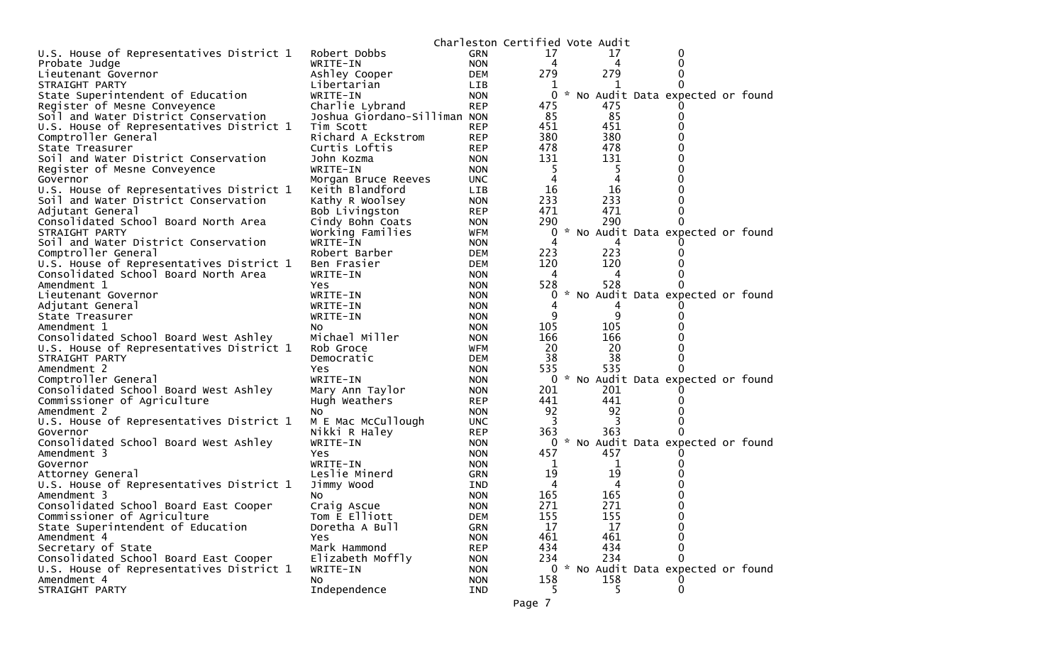|                                          |                              |            | Charleston Certified Vote Audit |     |                                   |  |
|------------------------------------------|------------------------------|------------|---------------------------------|-----|-----------------------------------|--|
| U.S. House of Representatives District 1 | Robert Dobbs                 | <b>GRN</b> | 17                              | 17  | 0                                 |  |
| Probate Judge                            | WRITE-IN                     | <b>NON</b> | 4                               | 4   |                                   |  |
| Lieutenant Governor                      | Ashley Cooper                | <b>DEM</b> | 279                             | 279 |                                   |  |
| STRAIGHT PARTY                           | Libertarian                  | <b>LIB</b> |                                 |     |                                   |  |
| State Superintendent of Education        | WRITE-IN                     | <b>NON</b> | 0                               |     | * No Audit Data expected or found |  |
| Register of Mesne Conveyence             | Charlie Lybrand              | <b>REP</b> | 475                             | 475 |                                   |  |
| Soil and Water District Conservation     | Joshua Giordano-Silliman NON |            | 85                              | 85  |                                   |  |
| U.S. House of Representatives District 1 | Tim Scott                    | <b>REP</b> | 451                             | 451 |                                   |  |
| Comptroller General                      | Richard A Eckstrom           | <b>REP</b> | 380                             | 380 |                                   |  |
| State Treasurer                          | Curtis Loftis                | <b>REP</b> | 478                             | 478 |                                   |  |
| Soil and Water District Conservation     | John Kozma                   | <b>NON</b> | 131                             | 131 |                                   |  |
| Register of Mesne Conveyence             | WRITE-IN                     | <b>NON</b> | 5                               | 5   |                                   |  |
| Governor                                 | Morgan Bruce Reeves          | <b>UNC</b> | 4                               |     |                                   |  |
| U.S. House of Representatives District 1 | Keith Blandford              | <b>LIB</b> | 16                              | 16  |                                   |  |
| Soil and Water District Conservation     | Kathy R Woolsey              | <b>NON</b> | 233                             | 233 |                                   |  |
| Adjutant General                         | Bob Livingston               | <b>REP</b> | 471                             | 471 |                                   |  |
| Consolidated School Board North Area     | Cindy Bohn Coats             | <b>NON</b> | 290                             | 290 |                                   |  |
| STRAIGHT PARTY                           | Working Families             | <b>WFM</b> | 0                               |     | * No Audit Data expected or found |  |
| Soil and Water District Conservation     | WRITE-IN                     | <b>NON</b> |                                 |     |                                   |  |
| Comptroller General                      | Robert Barber                | <b>DEM</b> | 223                             | 223 |                                   |  |
| U.S. House of Representatives District 1 | Ben Frasier                  | <b>DEM</b> | 120                             | 120 |                                   |  |
| Consolidated School Board North Area     | WRITE-IN                     | <b>NON</b> | 4                               | 4   |                                   |  |
| Amendment 1                              | Yes                          | <b>NON</b> | 528                             | 528 |                                   |  |
| Lieutenant Governor                      | WRITE-IN                     | <b>NON</b> | 0                               |     | No Audit Data expected or found   |  |
| Adjutant General                         | WRITE-IN                     | <b>NON</b> |                                 |     |                                   |  |
| State Treasurer                          | WRITE-IN                     | <b>NON</b> | 9                               | 9   |                                   |  |
| Amendment 1                              | NO.                          | <b>NON</b> | 105                             | 105 |                                   |  |
| Consolidated School Board West Ashley    | Michael Miller               | <b>NON</b> | 166                             | 166 |                                   |  |
| U.S. House of Representatives District 1 | Rob Groce                    | <b>WFM</b> | 20                              | 20  |                                   |  |
| STRAIGHT PARTY                           | Democratic                   | <b>DEM</b> | 38                              | 38  |                                   |  |
| Amendment 2                              | Yes                          | <b>NON</b> | 535                             | 535 |                                   |  |
| Comptroller General                      | WRITE-IN                     | <b>NON</b> | 0                               |     | * No Audit Data expected or found |  |
| Consolidated School Board West Ashley    | Mary Ann Taylor              | <b>NON</b> | 201                             | 201 |                                   |  |
| Commissioner of Agriculture              | Hugh Weathers                | <b>REP</b> | 441                             | 441 |                                   |  |
| Amendment 2                              | NO.                          | <b>NON</b> | 92                              | 92  |                                   |  |
| U.S. House of Representatives District 1 | M E Mac McCullough           | <b>UNC</b> | 3                               |     |                                   |  |
| Governor                                 | Nikki R Haley                | <b>REP</b> | 363                             | 363 |                                   |  |
| Consolidated School Board West Ashley    | WRITE-IN                     | <b>NON</b> | 0                               |     | * No Audit Data expected or found |  |
| Amendment 3                              | Yes                          | <b>NON</b> | 457                             | 457 |                                   |  |
| Governor                                 | WRITE-IN                     | <b>NON</b> | 1                               | T   |                                   |  |
| Attorney General                         | Leslie Minerd                | <b>GRN</b> | 19                              | 19  |                                   |  |
| U.S. House of Representatives District 1 | Jimmy Wood                   | IND.       | 4                               | 4   |                                   |  |
| Amendment 3                              | NO.                          | <b>NON</b> | 165                             | 165 |                                   |  |
| Consolidated School Board East Cooper    | Craig Ascue                  | <b>NON</b> | 271                             | 271 | $\Omega$                          |  |
| Commissioner of Agriculture              | Tom E Elliott                | <b>DEM</b> | 155                             | 155 | 0                                 |  |
| State Superintendent of Education        | Doretha A Bull               | <b>GRN</b> | 17                              | 17  | 0                                 |  |
| Amendment 4                              | <b>Yes</b>                   | <b>NON</b> | 461                             | 461 | ∩                                 |  |
| Secretary of State                       | Mark Hammond                 | <b>REP</b> | 434                             | 434 | 0                                 |  |
| Consolidated School Board East Cooper    | Elizabeth Moffly             | <b>NON</b> | 234                             | 234 | 0                                 |  |
| U.S. House of Representatives District 1 | WRITE-IN                     | <b>NON</b> | 0                               |     | * No Audit Data expected or found |  |
| Amendment 4                              | NO.                          | <b>NON</b> | 158                             | 158 |                                   |  |
| STRAIGHT PARTY                           | Independence                 | IND        | 5.                              | 5.  | 0                                 |  |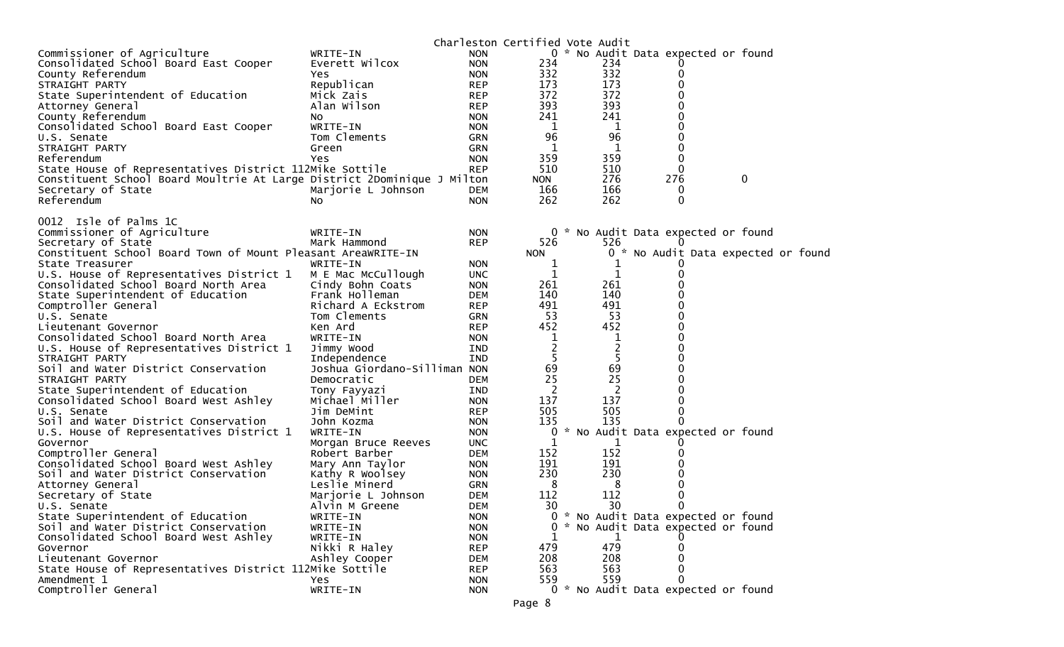|                                                                                    |                                |                          |            | Charleston Certified Vote Audit |                                     |                                     |  |
|------------------------------------------------------------------------------------|--------------------------------|--------------------------|------------|---------------------------------|-------------------------------------|-------------------------------------|--|
| Commissioner of Agriculture                                                        | WRITE-IN                       | <b>NON</b>               |            |                                 | 0 * No Audit Data expected or found |                                     |  |
| Consolidated School Board East Cooper                                              | Everett Wilcox                 | <b>NON</b>               | 234        | 234                             |                                     |                                     |  |
| County Referendum                                                                  | Yes                            | <b>NON</b>               | 332        | 332                             |                                     |                                     |  |
| STRAIGHT PARTY                                                                     | Republican                     | <b>REP</b>               | 173        | 173                             |                                     |                                     |  |
| State Superintendent of Education                                                  | Mick Zais                      | <b>REP</b>               | 372        | 372                             |                                     |                                     |  |
| Attorney General                                                                   | Alan Wilson                    | <b>REP</b>               | 393        | 393                             |                                     |                                     |  |
| County Referendum                                                                  | NO.                            | <b>NON</b>               | 241        | 241                             |                                     |                                     |  |
| Consolidated School Board East Cooper                                              | WRITE-IN                       | <b>NON</b>               | 1          | 1                               |                                     |                                     |  |
| U.S. Senate                                                                        | Tom Clements                   | <b>GRN</b>               | 96         | 96                              |                                     |                                     |  |
| STRAIGHT PARTY                                                                     | Green                          | <b>GRN</b>               |            | 1                               |                                     |                                     |  |
| Referendum                                                                         | Yes                            | <b>NON</b>               | 359        | 359                             | 0                                   |                                     |  |
| State House of Representatives District 112Mike Sottile                            |                                | <b>REP</b>               | 510        | 510                             | $\Omega$                            |                                     |  |
| Constituent School Board Moultrie At Large District 2Dominique J Milton            |                                |                          | <b>NON</b> | 276                             | 276                                 | $\mathbf 0$                         |  |
| Secretary of State                                                                 | Marjorie L Johnson             | <b>DEM</b>               | 166        | 166                             | 0                                   |                                     |  |
| Referendum                                                                         | NO.                            | <b>NON</b>               | 262        | 262                             | $\Omega$                            |                                     |  |
|                                                                                    |                                |                          |            |                                 |                                     |                                     |  |
| 0012 Isle of Palms 1C                                                              |                                |                          |            |                                 |                                     |                                     |  |
| Commissioner of Agriculture                                                        | WRITE-IN                       | <b>NON</b>               |            |                                 | 0 * No Audit Data expected or found |                                     |  |
| Secretary of State<br>Constituent School Board Town of Mount Pleasant AreaWRITE-IN | Mark Hammond                   | <b>REP</b>               | 526        | 526                             |                                     |                                     |  |
|                                                                                    |                                |                          | <b>NON</b> |                                 |                                     | 0 * No Audit Data expected or found |  |
| State Treasurer<br>U.S. House of Representatives District 1                        | WRITE-IN<br>M E Mac McCullough | <b>NON</b><br><b>UNC</b> | 1<br>1     | 1<br>1                          |                                     |                                     |  |
| Consolidated School Board North Area                                               | Cindy Bohn Coats               | <b>NON</b>               | 261        | 261                             |                                     |                                     |  |
| State Superintendent of Education                                                  | Frank Holleman                 | <b>DEM</b>               | 140        | 140                             |                                     |                                     |  |
| Comptroller General                                                                | Richard A Eckstrom             | <b>REP</b>               | 491        | 491                             |                                     |                                     |  |
| U.S. Senate                                                                        | Tom Clements                   | <b>GRN</b>               | 53         | 53                              |                                     |                                     |  |
| Lieutenant Governor                                                                | Ken Ard                        | <b>REP</b>               | 452        | 452                             |                                     |                                     |  |
| Consolidated School Board North Area                                               | WRITE-IN                       | <b>NON</b>               | 1          | 1                               |                                     |                                     |  |
| U.S. House of Representatives District 1                                           | Jimmy Wood                     | IND                      | 2          | $\overline{2}$                  |                                     |                                     |  |
| STRAIGHT PARTY                                                                     | Independence                   | <b>IND</b>               | 5          | 5                               |                                     |                                     |  |
| Soil and Water District Conservation                                               | Joshua Giordano-Silliman NON   |                          | 69         | 69                              |                                     |                                     |  |
| STRAIGHT PARTY                                                                     | Democratic                     | <b>DEM</b>               | 25         | 25                              |                                     |                                     |  |
| State Superintendent of Education                                                  | Tony Fayyazi                   | IND                      | 2          | 2                               |                                     |                                     |  |
| Consolidated School Board West Ashley                                              | Michael Miller                 | <b>NON</b>               | 137        | 137                             |                                     |                                     |  |
| U.S. Senate                                                                        | Jim DeMint                     | <b>REP</b>               | 505        | 505                             | 0                                   |                                     |  |
| Soil and Water District Conservation                                               | John Kozma                     | <b>NON</b>               | 135        | 135                             |                                     |                                     |  |
| U.S. House of Representatives District 1                                           | WRITE-IN                       | <b>NON</b>               | 0          |                                 | No Audit Data expected or found     |                                     |  |
| Governor                                                                           | Morgan Bruce Reeves            | <b>UNC</b>               | 1          | 1                               |                                     |                                     |  |
| Comptroller General                                                                | Robert Barber                  | <b>DEM</b>               | 152        | 152                             |                                     |                                     |  |
| Consolidated School Board West Ashley                                              | Mary Ann Taylor                | <b>NON</b>               | 191        | 191                             |                                     |                                     |  |
| Soil and Water District Conservation                                               | Kathy R Woolsey                | <b>NON</b>               | 230        | 230                             |                                     |                                     |  |
| Attorney General                                                                   | Leslie Minerd                  | <b>GRN</b>               | 8          | 8                               |                                     |                                     |  |
| Secretary of State                                                                 | Marjorie L Johnson             | <b>DEM</b>               | 112        | 112                             |                                     |                                     |  |
| U.S. Senate                                                                        | Alvin M Greene                 | <b>DEM</b>               | 30         | 30                              | 0                                   |                                     |  |
| State Superintendent of Education                                                  | WRITE-IN                       | <b>NON</b>               |            |                                 | * No Audit Data expected or found   |                                     |  |
| Soil and Water District Conservation                                               | WRITE-IN                       | <b>NON</b>               |            |                                 | * No Audit Data expected or found   |                                     |  |
| Consolidated School Board West Ashley                                              | WRITE-IN                       | <b>NON</b>               |            | 1                               |                                     |                                     |  |
| Governor                                                                           | Nikki R Haley                  | <b>REP</b>               | 479        | 479                             |                                     |                                     |  |
| Lieutenant Governor                                                                | Ashley Cooper                  | <b>DEM</b>               | 208        | 208                             |                                     |                                     |  |
| State House of Representatives District 112Mike Sottile                            |                                | <b>REP</b>               | 563        | 563                             |                                     |                                     |  |
| Amendment 1                                                                        | <b>Yes</b>                     | <b>NON</b>               | 559        | 559                             |                                     |                                     |  |
| Comptroller General                                                                | WRITE-IN                       | <b>NON</b>               |            |                                 | 0 * No Audit Data expected or found |                                     |  |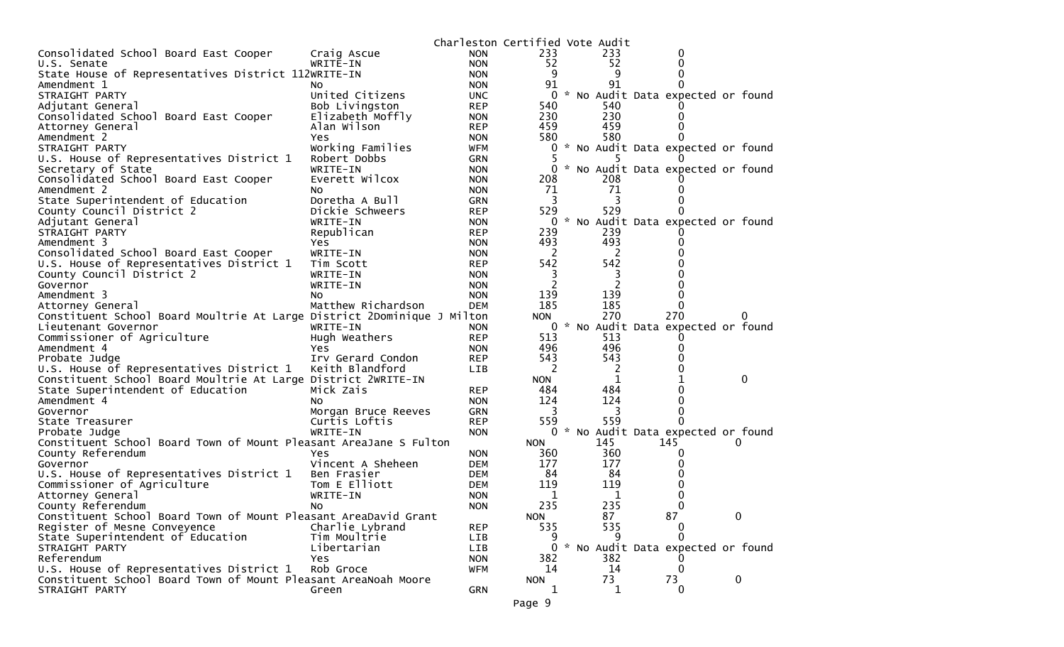|                                                                         |                     | Charleston Certified Vote Audit |            |                |                                     |             |
|-------------------------------------------------------------------------|---------------------|---------------------------------|------------|----------------|-------------------------------------|-------------|
| Consolidated School Board East Cooper                                   | Craig Ascue         | <b>NON</b>                      | 233        | 233            | 0                                   |             |
| U.S. Senate                                                             | WRITE-IN            | <b>NON</b>                      | 52         | 52             | 0                                   |             |
| State House of Representatives District 112WRITE-IN                     |                     | <b>NON</b>                      | 9          | 9              |                                     |             |
| Amendment 1                                                             | NO.                 | <b>NON</b>                      | 91         | 91             |                                     |             |
| STRAIGHT PARTY                                                          | United Citizens     | <b>UNC</b>                      | 0          |                | * No Audit Data expected or found   |             |
| Adjutant General                                                        | Bob Livingston      | <b>REP</b>                      | 540        | 540            |                                     |             |
| Consolidated School Board East Cooper                                   | Elizabeth Moffly    | <b>NON</b>                      | 230        | 230            |                                     |             |
| Attorney General                                                        | Alan Wilson         | <b>REP</b>                      | 459        | 459            |                                     |             |
| Amendment 2                                                             | Yes                 | <b>NON</b>                      | 580        | 580            |                                     |             |
| STRAIGHT PARTY                                                          | Working Families    | <b>WFM</b>                      | 0          |                | * No Audit Data expected or found   |             |
| U.S. House of Representatives District 1                                | Robert Dobbs        | GRN                             |            |                |                                     |             |
| Secretary of State                                                      | WRITE-IN            | <b>NON</b>                      | 0          |                | * No Audit Data expected or found   |             |
| Consolidated School Board East Cooper                                   | Everett Wilcox      | <b>NON</b>                      | 208        | 208            |                                     |             |
| Amendment 2                                                             | NO.                 | <b>NON</b>                      | 71         | 71             |                                     |             |
| State Superintendent of Education                                       | Doretha A Bull      | <b>GRN</b>                      | 3          |                |                                     |             |
| County Council District 2                                               | Dickie Schweers     | <b>REP</b>                      | 529        | 529            |                                     |             |
| Adjutant General                                                        | WRITE-IN            | <b>NON</b>                      |            |                | 0 * No Audit Data expected or found |             |
| STRAIGHT PARTY                                                          | Republican          | <b>REP</b>                      | 239        | 239            |                                     |             |
| Amendment 3                                                             | Yes                 | <b>NON</b>                      | 493        | 493            |                                     |             |
| Consolidated School Board East Cooper                                   | WRITE-IN            | <b>NON</b>                      | 2          | 2              |                                     |             |
| U.S. House of Representatives District 1                                | Tim Scott           | <b>REP</b>                      | 542        | 542            |                                     |             |
| County Council District 2                                               | WRITE-IN            | <b>NON</b>                      |            | 3              |                                     |             |
| Governor                                                                | WRITE-IN            | <b>NON</b>                      | 2          | 2              |                                     |             |
| Amendment 3                                                             | NO.                 | <b>NON</b>                      | 139        | 139            |                                     |             |
| Attorney General                                                        | Matthew Richardson  | <b>DEM</b>                      | 185        | 185            | 0                                   |             |
| Constituent School Board Moultrie At Large District 2Dominique J Milton |                     |                                 | <b>NON</b> | 270            | 270                                 |             |
| Lieutenant Governor                                                     | WRITE-IN            | <b>NON</b>                      | 0          |                | * No Audit Data expected or found   |             |
| Commissioner of Agriculture                                             | Hugh Weathers       | <b>REP</b>                      | 513        | 513            |                                     |             |
| Amendment 4                                                             | Yes                 | <b>NON</b>                      | 496        | 496            | $\mathbf{0}$                        |             |
| Probate Judge                                                           | Irv Gerard Condon   | <b>REP</b>                      | 543        | 543            |                                     |             |
| U.S. House of Representatives District 1                                | Keith Blandford     | <b>LIB</b>                      | 2          | $\overline{2}$ |                                     |             |
| Constituent School Board Moultrie At Large District 2WRITE-IN           |                     |                                 | <b>NON</b> | 1              |                                     | 0           |
| State Superintendent of Education                                       | Mick Zais           | <b>REP</b>                      | 484        | 484            |                                     |             |
| Amendment 4                                                             | NO.                 | <b>NON</b>                      | 124        | 124            |                                     |             |
| Governor                                                                | Morgan Bruce Reeves | <b>GRN</b>                      | 3          | 3              | $\Omega$                            |             |
| State Treasurer                                                         | Curtis Loftis       | <b>REP</b>                      | 559        | 559            | 0                                   |             |
| Probate Judge                                                           | WRITE-IN            | <b>NON</b>                      | 0          |                | * No Audit Data expected or found   |             |
| Constituent School Board Town of Mount Pleasant AreaJane S Fulton       |                     |                                 | <b>NON</b> | 145            | 145                                 | 0           |
| County Referendum                                                       | Yes                 | <b>NON</b>                      | 360        | 360            | $\Omega$                            |             |
| Governor                                                                | Vincent A Sheheen   | <b>DEM</b>                      | 177        | 177            |                                     |             |
| U.S. House of Representatives District 1                                | Ben Frasier         | <b>DEM</b>                      | 84         | 84             |                                     |             |
| Commissioner of Agriculture                                             | Tom E Elliott       | <b>DEM</b>                      | 119        | 119            |                                     |             |
| Attorney General                                                        | WRITE-IN            | <b>NON</b>                      | 1          | 1              |                                     |             |
| County Referendum                                                       | NO.                 | <b>NON</b>                      | 235        | 235            | 0                                   |             |
| Constituent School Board Town of Mount Pleasant AreaDavid Grant         |                     |                                 | <b>NON</b> | 87             | 87                                  | 0           |
| Register of Mesne Conveyence                                            | Charlie Lybrand     | <b>REP</b>                      | 535        | 535            | 0                                   |             |
| State Superintendent of Education                                       | Tim Moultrie        | LIB                             | 9          | 9              | $\Omega$                            |             |
| STRAIGHT PARTY                                                          | Libertarian         | LIB                             | 0          |                | * No Audit Data expected or found   |             |
| Referendum                                                              | Yes                 | <b>NON</b>                      | 382        | 382            |                                     |             |
| U.S. House of Representatives District 1                                | Rob Groce           | WFM                             | 14         | 14             | 0                                   |             |
| Constituent School Board Town of Mount Pleasant AreaNoah Moore          |                     |                                 | <b>NON</b> | 73             | 73                                  | $\mathbf 0$ |
| STRAIGHT PARTY                                                          | Green               | GRN                             | 1          | 1              | 0                                   |             |
|                                                                         |                     |                                 |            |                |                                     |             |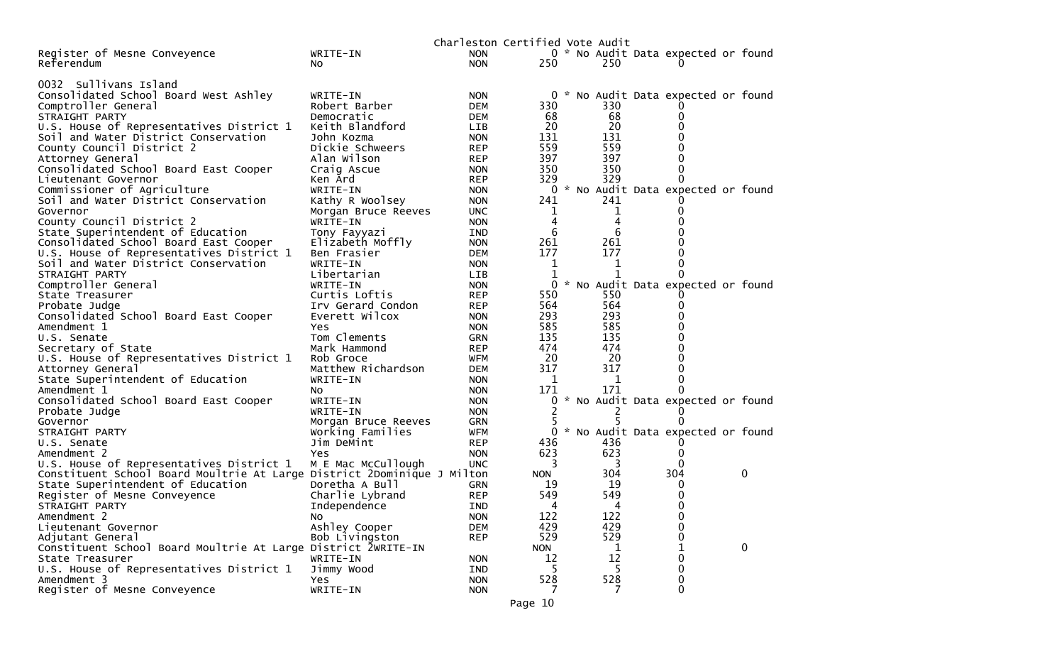|                                                                                   |                                 | Charleston Certified Vote Audit |            |        |                                     |              |
|-----------------------------------------------------------------------------------|---------------------------------|---------------------------------|------------|--------|-------------------------------------|--------------|
| Register of Mesne Conveyence                                                      | WRITE-IN                        | <b>NON</b>                      |            |        | 0 * No Audit Data expected or found |              |
| Referendum                                                                        | NO.                             | <b>NON</b>                      | 250        | 250    |                                     |              |
|                                                                                   |                                 |                                 |            |        |                                     |              |
| 0032 Sullivans Island                                                             |                                 |                                 |            |        |                                     |              |
| Consolidated School Board West Ashley                                             | WRITE-IN                        | <b>NON</b>                      |            |        | 0 * No Audit Data expected or found |              |
| Comptroller General                                                               | Robert Barber                   | <b>DEM</b>                      | 330        | 330    |                                     |              |
| STRAIGHT PARTY                                                                    | Democratic                      | <b>DEM</b>                      | 68         | 68     | O                                   |              |
| U.S. House of Representatives District 1                                          | Keith Blandford                 | LIB                             | 20         | 20     |                                     |              |
| Soil and Water District Conservation                                              | John Kozma                      | <b>NON</b>                      | 131        | 131    |                                     |              |
| County Council District 2                                                         | Dickie Schweers                 | <b>REP</b>                      | 559        | 559    | 0                                   |              |
| Attorney General                                                                  | Alan Wilson                     | REP                             | 397        | 397    | 0                                   |              |
| Consolidated School Board East Cooper                                             | Craig Ascue                     | <b>NON</b>                      | 350        | 350    | 0                                   |              |
| Lieutenant Governor                                                               | Ken Ard                         | <b>REP</b>                      | 329        | 329    | 0                                   |              |
| Commissioner of Agriculture                                                       | WRITE-IN                        | <b>NON</b>                      | 0          |        | * No Audit Data expected or found   |              |
| Soil and Water District Conservation                                              | Kathy R Woolsey                 | <b>NON</b>                      | 241        | 241    |                                     |              |
| Governor                                                                          | Morgan Bruce Reeves             | <b>UNC</b>                      | 1          | ı      |                                     |              |
| County Council District 2                                                         | WRITE-IN                        | <b>NON</b>                      | 4<br>6     | 4<br>6 |                                     |              |
| State Superintendent of Education                                                 | Tony Fayyazi                    | IND                             | 261        | 261    |                                     |              |
| Consolidated School Board East Cooper<br>U.S. House of Representatives District 1 | Elizabeth Moffly<br>Ben Frasier | <b>NON</b><br><b>DEM</b>        | 177        | 177    | 0                                   |              |
| Soil and Water District Conservation                                              | WRITE-IN                        | <b>NON</b>                      | 1          | 1      | 0                                   |              |
| STRAIGHT PARTY                                                                    | Libertarian                     | <b>LIB</b>                      | 1          | 1      | 0                                   |              |
| Comptroller General                                                               | WRITE-IN                        | <b>NON</b>                      | 0          |        | * No Audit Data expected or found   |              |
| State Treasurer                                                                   | Curtis Loftis                   | <b>REP</b>                      | 550        | 550    |                                     |              |
| Probate Judge                                                                     | Irv Gerard Condon               | <b>REP</b>                      | 564        | 564    | 0                                   |              |
| Consolidated School Board East Cooper                                             | Everett Wilcox                  | <b>NON</b>                      | 293        | 293    |                                     |              |
| Amendment 1                                                                       | Yes                             | <b>NON</b>                      | 585        | 585    | 0                                   |              |
| U.S. Senate                                                                       | Tom Clements                    | <b>GRN</b>                      | 135        | 135    | 0                                   |              |
| Secretary of State                                                                | Mark Hammond                    | <b>REP</b>                      | 474        | 474    | 0                                   |              |
| U.S. House of Representatives District 1                                          | Rob Groce                       | WFM                             | 20         | -20    | 0                                   |              |
| Attorney General                                                                  | Matthew Richardson              | <b>DEM</b>                      | 317        | 317    | 0                                   |              |
| State Superintendent of Education                                                 | WRITE-IN                        | <b>NON</b>                      | 1          | 1      |                                     |              |
| Amendment 1                                                                       | NO.                             | <b>NON</b>                      | 171        | 171    | 0                                   |              |
| Consolidated School Board East Cooper                                             | WRITE-IN                        | <b>NON</b>                      |            |        | * No Audit Data expected or found   |              |
| Probate Judge                                                                     | WRITE-IN                        | <b>NON</b>                      | 2          | 2      |                                     |              |
| Governor                                                                          | Morgan Bruce Reeves             | <b>GRN</b>                      |            |        |                                     |              |
| STRAIGHT PARTY<br>U.S. Senate                                                     | Working Families<br>Jim DeMint  | <b>WFM</b><br><b>REP</b>        | 436        | 436    | 0 * No Audit Data expected or found |              |
| Amendment 2                                                                       | Yes                             | <b>NON</b>                      | 623        | 623    | 0                                   |              |
| U.S. House of Representatives District 1                                          | M E Mac McCullough              | <b>UNC</b>                      | 3          | 3      | 0                                   |              |
| Constituent School Board Moultrie At Large District 2Dominique J Milton           |                                 |                                 | <b>NON</b> | 304    | 304                                 | 0            |
| State Superintendent of Education                                                 | Doretha A Bull                  | <b>GRN</b>                      | 19         | 19     | 0                                   |              |
| Register of Mesne Conveyence                                                      | Charlie Lybrand                 | <b>REP</b>                      | 549        | 549    | 0                                   |              |
| STRAIGHT PARTY                                                                    | Independence                    | IND                             | 4          | 4      | 0                                   |              |
| Amendment 2                                                                       | NO.                             | <b>NON</b>                      | 122        | 122    | 0                                   |              |
| Lieutenant Governor                                                               | Ashley Cooper                   | <b>DEM</b>                      | 429        | 429    | 0                                   |              |
| Adjutant General                                                                  | Bob Livingston                  | <b>REP</b>                      | 529        | 529    | 0                                   |              |
| Constituent School Board Moultrie At Large District 2WRITE-IN                     |                                 |                                 | <b>NON</b> | 1      |                                     | $\mathbf{0}$ |
| State Treasurer                                                                   | WRITE-IN                        | <b>NON</b>                      | 12         | 12     | 0                                   |              |
| U.S. House of Representatives District 1                                          | Jimmy Wood                      | IND                             |            | 5      | 0                                   |              |
| Amendment 3                                                                       | Yes                             | <b>NON</b>                      | 528        | 528    | 0                                   |              |
| Register of Mesne Conveyence                                                      | WRITE-IN                        | <b>NON</b>                      | 7          | 7      | 0                                   |              |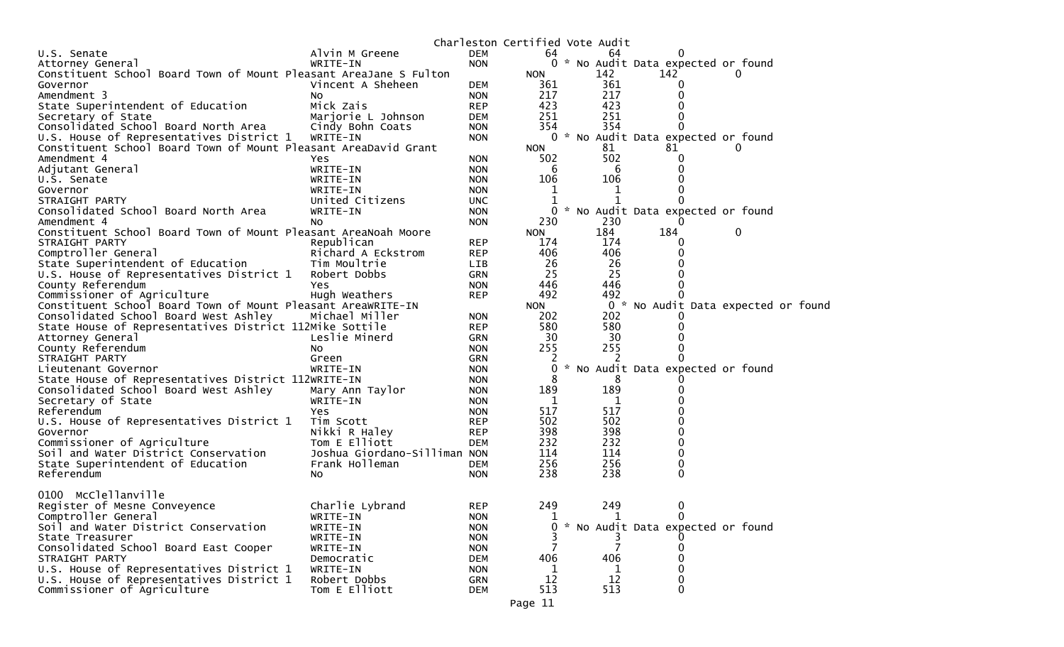| <b>DEM</b><br>64<br>U.S. Senate<br>Alvin M Greene<br>64<br>0<br>0 * No Audit Data expected or found<br><b>NON</b><br>WRITE-IN<br>Attorney General<br>Constituent School Board Town of Mount Pleasant AreaJane S Fulton<br>142<br>142<br><b>NON</b><br>0<br>361<br><b>DEM</b><br>361<br>Vincent A Sheheen<br>Governor<br>217<br>217<br>Amendment 3<br><b>NON</b><br>0<br>NO.<br>423<br>423<br>State Superintendent of Education<br>Mick Zais<br><b>REP</b><br>Secretary of State<br>251<br>251<br>Marjorie L Johnson<br><b>DEM</b><br>354<br>354<br>Consolidated School Board North Area<br>Cindy Bohn Coats<br><b>NON</b><br>0 * No Audit Data expected or found<br>U.S. House of Representatives District 1<br>WRITE-IN<br><b>NON</b><br>Constituent School Board Town of Mount Pleasant AreaDavid Grant<br>81<br>81<br><b>NON</b><br>0<br>502<br>Amendment 4<br>502<br><b>NON</b><br>Yes.<br>6<br>WRITE-IN<br>6<br>Adjutant General<br><b>NON</b><br>106<br>106<br>U.S. Senate<br>WRITE-IN<br><b>NON</b><br>Governor<br>WRITE-IN<br>1<br><b>NON</b><br>1<br>1<br>1<br>STRAIGHT PARTY<br>United Citizens<br><b>UNC</b><br>Consolidated School Board North Area<br>WRITE-IN<br>0<br>* No Audit Data expected or found<br><b>NON</b><br>230<br>230<br>Amendment 4<br><b>NON</b><br>NO.<br>184<br>184<br>0<br>Constituent School Board Town of Mount Pleasant AreaNoah Moore<br><b>NON</b><br>174<br>STRAIGHT PARTY<br>Republican<br><b>REP</b><br>174<br>$\Omega$<br>406<br>406<br>Comptroller General<br><b>REP</b><br>Richard A Eckstrom<br>26<br>26<br>State Superintendent of Education<br>Tim Moultrie<br>LIB<br>25<br>25<br>U.S. House of Representatives District 1<br>Robert Dobbs<br><b>GRN</b><br>446<br>446<br>County Referendum<br><b>NON</b><br>Yes.<br>492<br>Commissioner of Agriculture<br>492<br>Hugh Weathers<br><b>REP</b><br>Constituent School Board Town of Mount Pleasant AreaWRITE-IN<br>0 * No Audit Data expected or found<br>NON<br>Consolidated School Board West Ashley<br>202<br>Michael Miller<br>202<br><b>NON</b><br>State House of Representatives District 112Mike Sottile<br>580<br>580<br><b>REP</b><br>30<br>30<br>Attorney General<br>Leslie Minerd<br><b>GRN</b><br>255<br>255<br>County Referendum<br><b>NON</b><br>NO.<br>2<br>STRAIGHT PARTY<br>Green<br><b>GRN</b><br>No Audit Data expected or found<br>Lieutenant Governor<br>WRITE-IN<br><b>NON</b><br>State House of Representatives District 112WRITE-IN<br>8<br>8<br><b>NON</b><br>189<br>189<br>Consolidated School Board West Ashley<br>Mary Ann Taylor<br><b>NON</b><br>Secretary of State<br>WRITE-IN<br>1<br><b>NON</b><br>1<br>517<br>517<br>Referendum<br><b>NON</b><br>Yes<br>502<br>502<br>U.S. House of Representatives District 1<br>Tim Scott<br><b>REP</b><br>398<br>398<br>Nikki R Haley<br>Governor<br><b>REP</b><br>232<br>232<br>Commissioner of Agriculture<br>Tom E Elliott<br>0<br><b>DEM</b><br>Joshua Giordano-Silliman NON<br>114<br>114<br>Soil and Water District Conservation<br>256<br>256<br>State Superintendent of Education<br>Frank Holleman<br><b>DEM</b><br>0<br>238<br>238<br>Referendum<br>0<br><b>NON</b><br>NO.<br>0100 Mcclellanville<br>249<br>249<br>Register of Mesne Conveyence<br>Charlie Lybrand<br><b>REP</b><br>0<br>Comptroller General<br>WRITE-IN<br><b>NON</b><br>1<br>$\Omega$<br>1<br>Soil and Water District Conservation<br>* No Audit Data expected or found<br>WRITE-IN<br><b>NON</b><br>0<br>State Treasurer<br>WRITE-IN<br><b>NON</b><br>Consolidated School Board East Cooper<br>WRITE-IN<br><b>NON</b><br>406<br>406<br>STRAIGHT PARTY<br>Democratic<br><b>DEM</b><br>U.S. House of Representatives District 1<br>WRITE-IN<br><b>NON</b><br>1<br>0<br>1<br>U.S. House of Representatives District 1<br>Robert Dobbs<br>12<br>12<br>GRN<br>0<br>513<br>513<br>Commissioner of Agriculture<br>Tom E Elliott<br>0<br><b>DEM</b> |  | Charleston Certified Vote Audit |  |  |
|--------------------------------------------------------------------------------------------------------------------------------------------------------------------------------------------------------------------------------------------------------------------------------------------------------------------------------------------------------------------------------------------------------------------------------------------------------------------------------------------------------------------------------------------------------------------------------------------------------------------------------------------------------------------------------------------------------------------------------------------------------------------------------------------------------------------------------------------------------------------------------------------------------------------------------------------------------------------------------------------------------------------------------------------------------------------------------------------------------------------------------------------------------------------------------------------------------------------------------------------------------------------------------------------------------------------------------------------------------------------------------------------------------------------------------------------------------------------------------------------------------------------------------------------------------------------------------------------------------------------------------------------------------------------------------------------------------------------------------------------------------------------------------------------------------------------------------------------------------------------------------------------------------------------------------------------------------------------------------------------------------------------------------------------------------------------------------------------------------------------------------------------------------------------------------------------------------------------------------------------------------------------------------------------------------------------------------------------------------------------------------------------------------------------------------------------------------------------------------------------------------------------------------------------------------------------------------------------------------------------------------------------------------------------------------------------------------------------------------------------------------------------------------------------------------------------------------------------------------------------------------------------------------------------------------------------------------------------------------------------------------------------------------------------------------------------------------------------------------------------------------------------------------------------------------------------------------------------------------------------------------------------------------------------------------------------------------------------------------------------------------------------------------------------------------------------------------------------------------------------------------------------------------------------------------------------------------------------------------------------------------------------------------------------------------------------------------------------------------------------------------------------------------------------------------------------------------------------------------------------------------------------|--|---------------------------------|--|--|
|                                                                                                                                                                                                                                                                                                                                                                                                                                                                                                                                                                                                                                                                                                                                                                                                                                                                                                                                                                                                                                                                                                                                                                                                                                                                                                                                                                                                                                                                                                                                                                                                                                                                                                                                                                                                                                                                                                                                                                                                                                                                                                                                                                                                                                                                                                                                                                                                                                                                                                                                                                                                                                                                                                                                                                                                                                                                                                                                                                                                                                                                                                                                                                                                                                                                                                                                                                                                                                                                                                                                                                                                                                                                                                                                                                                                                                                                                            |  |                                 |  |  |
|                                                                                                                                                                                                                                                                                                                                                                                                                                                                                                                                                                                                                                                                                                                                                                                                                                                                                                                                                                                                                                                                                                                                                                                                                                                                                                                                                                                                                                                                                                                                                                                                                                                                                                                                                                                                                                                                                                                                                                                                                                                                                                                                                                                                                                                                                                                                                                                                                                                                                                                                                                                                                                                                                                                                                                                                                                                                                                                                                                                                                                                                                                                                                                                                                                                                                                                                                                                                                                                                                                                                                                                                                                                                                                                                                                                                                                                                                            |  |                                 |  |  |
|                                                                                                                                                                                                                                                                                                                                                                                                                                                                                                                                                                                                                                                                                                                                                                                                                                                                                                                                                                                                                                                                                                                                                                                                                                                                                                                                                                                                                                                                                                                                                                                                                                                                                                                                                                                                                                                                                                                                                                                                                                                                                                                                                                                                                                                                                                                                                                                                                                                                                                                                                                                                                                                                                                                                                                                                                                                                                                                                                                                                                                                                                                                                                                                                                                                                                                                                                                                                                                                                                                                                                                                                                                                                                                                                                                                                                                                                                            |  |                                 |  |  |
|                                                                                                                                                                                                                                                                                                                                                                                                                                                                                                                                                                                                                                                                                                                                                                                                                                                                                                                                                                                                                                                                                                                                                                                                                                                                                                                                                                                                                                                                                                                                                                                                                                                                                                                                                                                                                                                                                                                                                                                                                                                                                                                                                                                                                                                                                                                                                                                                                                                                                                                                                                                                                                                                                                                                                                                                                                                                                                                                                                                                                                                                                                                                                                                                                                                                                                                                                                                                                                                                                                                                                                                                                                                                                                                                                                                                                                                                                            |  |                                 |  |  |
|                                                                                                                                                                                                                                                                                                                                                                                                                                                                                                                                                                                                                                                                                                                                                                                                                                                                                                                                                                                                                                                                                                                                                                                                                                                                                                                                                                                                                                                                                                                                                                                                                                                                                                                                                                                                                                                                                                                                                                                                                                                                                                                                                                                                                                                                                                                                                                                                                                                                                                                                                                                                                                                                                                                                                                                                                                                                                                                                                                                                                                                                                                                                                                                                                                                                                                                                                                                                                                                                                                                                                                                                                                                                                                                                                                                                                                                                                            |  |                                 |  |  |
|                                                                                                                                                                                                                                                                                                                                                                                                                                                                                                                                                                                                                                                                                                                                                                                                                                                                                                                                                                                                                                                                                                                                                                                                                                                                                                                                                                                                                                                                                                                                                                                                                                                                                                                                                                                                                                                                                                                                                                                                                                                                                                                                                                                                                                                                                                                                                                                                                                                                                                                                                                                                                                                                                                                                                                                                                                                                                                                                                                                                                                                                                                                                                                                                                                                                                                                                                                                                                                                                                                                                                                                                                                                                                                                                                                                                                                                                                            |  |                                 |  |  |
|                                                                                                                                                                                                                                                                                                                                                                                                                                                                                                                                                                                                                                                                                                                                                                                                                                                                                                                                                                                                                                                                                                                                                                                                                                                                                                                                                                                                                                                                                                                                                                                                                                                                                                                                                                                                                                                                                                                                                                                                                                                                                                                                                                                                                                                                                                                                                                                                                                                                                                                                                                                                                                                                                                                                                                                                                                                                                                                                                                                                                                                                                                                                                                                                                                                                                                                                                                                                                                                                                                                                                                                                                                                                                                                                                                                                                                                                                            |  |                                 |  |  |
|                                                                                                                                                                                                                                                                                                                                                                                                                                                                                                                                                                                                                                                                                                                                                                                                                                                                                                                                                                                                                                                                                                                                                                                                                                                                                                                                                                                                                                                                                                                                                                                                                                                                                                                                                                                                                                                                                                                                                                                                                                                                                                                                                                                                                                                                                                                                                                                                                                                                                                                                                                                                                                                                                                                                                                                                                                                                                                                                                                                                                                                                                                                                                                                                                                                                                                                                                                                                                                                                                                                                                                                                                                                                                                                                                                                                                                                                                            |  |                                 |  |  |
|                                                                                                                                                                                                                                                                                                                                                                                                                                                                                                                                                                                                                                                                                                                                                                                                                                                                                                                                                                                                                                                                                                                                                                                                                                                                                                                                                                                                                                                                                                                                                                                                                                                                                                                                                                                                                                                                                                                                                                                                                                                                                                                                                                                                                                                                                                                                                                                                                                                                                                                                                                                                                                                                                                                                                                                                                                                                                                                                                                                                                                                                                                                                                                                                                                                                                                                                                                                                                                                                                                                                                                                                                                                                                                                                                                                                                                                                                            |  |                                 |  |  |
|                                                                                                                                                                                                                                                                                                                                                                                                                                                                                                                                                                                                                                                                                                                                                                                                                                                                                                                                                                                                                                                                                                                                                                                                                                                                                                                                                                                                                                                                                                                                                                                                                                                                                                                                                                                                                                                                                                                                                                                                                                                                                                                                                                                                                                                                                                                                                                                                                                                                                                                                                                                                                                                                                                                                                                                                                                                                                                                                                                                                                                                                                                                                                                                                                                                                                                                                                                                                                                                                                                                                                                                                                                                                                                                                                                                                                                                                                            |  |                                 |  |  |
|                                                                                                                                                                                                                                                                                                                                                                                                                                                                                                                                                                                                                                                                                                                                                                                                                                                                                                                                                                                                                                                                                                                                                                                                                                                                                                                                                                                                                                                                                                                                                                                                                                                                                                                                                                                                                                                                                                                                                                                                                                                                                                                                                                                                                                                                                                                                                                                                                                                                                                                                                                                                                                                                                                                                                                                                                                                                                                                                                                                                                                                                                                                                                                                                                                                                                                                                                                                                                                                                                                                                                                                                                                                                                                                                                                                                                                                                                            |  |                                 |  |  |
|                                                                                                                                                                                                                                                                                                                                                                                                                                                                                                                                                                                                                                                                                                                                                                                                                                                                                                                                                                                                                                                                                                                                                                                                                                                                                                                                                                                                                                                                                                                                                                                                                                                                                                                                                                                                                                                                                                                                                                                                                                                                                                                                                                                                                                                                                                                                                                                                                                                                                                                                                                                                                                                                                                                                                                                                                                                                                                                                                                                                                                                                                                                                                                                                                                                                                                                                                                                                                                                                                                                                                                                                                                                                                                                                                                                                                                                                                            |  |                                 |  |  |
|                                                                                                                                                                                                                                                                                                                                                                                                                                                                                                                                                                                                                                                                                                                                                                                                                                                                                                                                                                                                                                                                                                                                                                                                                                                                                                                                                                                                                                                                                                                                                                                                                                                                                                                                                                                                                                                                                                                                                                                                                                                                                                                                                                                                                                                                                                                                                                                                                                                                                                                                                                                                                                                                                                                                                                                                                                                                                                                                                                                                                                                                                                                                                                                                                                                                                                                                                                                                                                                                                                                                                                                                                                                                                                                                                                                                                                                                                            |  |                                 |  |  |
|                                                                                                                                                                                                                                                                                                                                                                                                                                                                                                                                                                                                                                                                                                                                                                                                                                                                                                                                                                                                                                                                                                                                                                                                                                                                                                                                                                                                                                                                                                                                                                                                                                                                                                                                                                                                                                                                                                                                                                                                                                                                                                                                                                                                                                                                                                                                                                                                                                                                                                                                                                                                                                                                                                                                                                                                                                                                                                                                                                                                                                                                                                                                                                                                                                                                                                                                                                                                                                                                                                                                                                                                                                                                                                                                                                                                                                                                                            |  |                                 |  |  |
|                                                                                                                                                                                                                                                                                                                                                                                                                                                                                                                                                                                                                                                                                                                                                                                                                                                                                                                                                                                                                                                                                                                                                                                                                                                                                                                                                                                                                                                                                                                                                                                                                                                                                                                                                                                                                                                                                                                                                                                                                                                                                                                                                                                                                                                                                                                                                                                                                                                                                                                                                                                                                                                                                                                                                                                                                                                                                                                                                                                                                                                                                                                                                                                                                                                                                                                                                                                                                                                                                                                                                                                                                                                                                                                                                                                                                                                                                            |  |                                 |  |  |
|                                                                                                                                                                                                                                                                                                                                                                                                                                                                                                                                                                                                                                                                                                                                                                                                                                                                                                                                                                                                                                                                                                                                                                                                                                                                                                                                                                                                                                                                                                                                                                                                                                                                                                                                                                                                                                                                                                                                                                                                                                                                                                                                                                                                                                                                                                                                                                                                                                                                                                                                                                                                                                                                                                                                                                                                                                                                                                                                                                                                                                                                                                                                                                                                                                                                                                                                                                                                                                                                                                                                                                                                                                                                                                                                                                                                                                                                                            |  |                                 |  |  |
|                                                                                                                                                                                                                                                                                                                                                                                                                                                                                                                                                                                                                                                                                                                                                                                                                                                                                                                                                                                                                                                                                                                                                                                                                                                                                                                                                                                                                                                                                                                                                                                                                                                                                                                                                                                                                                                                                                                                                                                                                                                                                                                                                                                                                                                                                                                                                                                                                                                                                                                                                                                                                                                                                                                                                                                                                                                                                                                                                                                                                                                                                                                                                                                                                                                                                                                                                                                                                                                                                                                                                                                                                                                                                                                                                                                                                                                                                            |  |                                 |  |  |
|                                                                                                                                                                                                                                                                                                                                                                                                                                                                                                                                                                                                                                                                                                                                                                                                                                                                                                                                                                                                                                                                                                                                                                                                                                                                                                                                                                                                                                                                                                                                                                                                                                                                                                                                                                                                                                                                                                                                                                                                                                                                                                                                                                                                                                                                                                                                                                                                                                                                                                                                                                                                                                                                                                                                                                                                                                                                                                                                                                                                                                                                                                                                                                                                                                                                                                                                                                                                                                                                                                                                                                                                                                                                                                                                                                                                                                                                                            |  |                                 |  |  |
|                                                                                                                                                                                                                                                                                                                                                                                                                                                                                                                                                                                                                                                                                                                                                                                                                                                                                                                                                                                                                                                                                                                                                                                                                                                                                                                                                                                                                                                                                                                                                                                                                                                                                                                                                                                                                                                                                                                                                                                                                                                                                                                                                                                                                                                                                                                                                                                                                                                                                                                                                                                                                                                                                                                                                                                                                                                                                                                                                                                                                                                                                                                                                                                                                                                                                                                                                                                                                                                                                                                                                                                                                                                                                                                                                                                                                                                                                            |  |                                 |  |  |
|                                                                                                                                                                                                                                                                                                                                                                                                                                                                                                                                                                                                                                                                                                                                                                                                                                                                                                                                                                                                                                                                                                                                                                                                                                                                                                                                                                                                                                                                                                                                                                                                                                                                                                                                                                                                                                                                                                                                                                                                                                                                                                                                                                                                                                                                                                                                                                                                                                                                                                                                                                                                                                                                                                                                                                                                                                                                                                                                                                                                                                                                                                                                                                                                                                                                                                                                                                                                                                                                                                                                                                                                                                                                                                                                                                                                                                                                                            |  |                                 |  |  |
|                                                                                                                                                                                                                                                                                                                                                                                                                                                                                                                                                                                                                                                                                                                                                                                                                                                                                                                                                                                                                                                                                                                                                                                                                                                                                                                                                                                                                                                                                                                                                                                                                                                                                                                                                                                                                                                                                                                                                                                                                                                                                                                                                                                                                                                                                                                                                                                                                                                                                                                                                                                                                                                                                                                                                                                                                                                                                                                                                                                                                                                                                                                                                                                                                                                                                                                                                                                                                                                                                                                                                                                                                                                                                                                                                                                                                                                                                            |  |                                 |  |  |
|                                                                                                                                                                                                                                                                                                                                                                                                                                                                                                                                                                                                                                                                                                                                                                                                                                                                                                                                                                                                                                                                                                                                                                                                                                                                                                                                                                                                                                                                                                                                                                                                                                                                                                                                                                                                                                                                                                                                                                                                                                                                                                                                                                                                                                                                                                                                                                                                                                                                                                                                                                                                                                                                                                                                                                                                                                                                                                                                                                                                                                                                                                                                                                                                                                                                                                                                                                                                                                                                                                                                                                                                                                                                                                                                                                                                                                                                                            |  |                                 |  |  |
|                                                                                                                                                                                                                                                                                                                                                                                                                                                                                                                                                                                                                                                                                                                                                                                                                                                                                                                                                                                                                                                                                                                                                                                                                                                                                                                                                                                                                                                                                                                                                                                                                                                                                                                                                                                                                                                                                                                                                                                                                                                                                                                                                                                                                                                                                                                                                                                                                                                                                                                                                                                                                                                                                                                                                                                                                                                                                                                                                                                                                                                                                                                                                                                                                                                                                                                                                                                                                                                                                                                                                                                                                                                                                                                                                                                                                                                                                            |  |                                 |  |  |
|                                                                                                                                                                                                                                                                                                                                                                                                                                                                                                                                                                                                                                                                                                                                                                                                                                                                                                                                                                                                                                                                                                                                                                                                                                                                                                                                                                                                                                                                                                                                                                                                                                                                                                                                                                                                                                                                                                                                                                                                                                                                                                                                                                                                                                                                                                                                                                                                                                                                                                                                                                                                                                                                                                                                                                                                                                                                                                                                                                                                                                                                                                                                                                                                                                                                                                                                                                                                                                                                                                                                                                                                                                                                                                                                                                                                                                                                                            |  |                                 |  |  |
|                                                                                                                                                                                                                                                                                                                                                                                                                                                                                                                                                                                                                                                                                                                                                                                                                                                                                                                                                                                                                                                                                                                                                                                                                                                                                                                                                                                                                                                                                                                                                                                                                                                                                                                                                                                                                                                                                                                                                                                                                                                                                                                                                                                                                                                                                                                                                                                                                                                                                                                                                                                                                                                                                                                                                                                                                                                                                                                                                                                                                                                                                                                                                                                                                                                                                                                                                                                                                                                                                                                                                                                                                                                                                                                                                                                                                                                                                            |  |                                 |  |  |
|                                                                                                                                                                                                                                                                                                                                                                                                                                                                                                                                                                                                                                                                                                                                                                                                                                                                                                                                                                                                                                                                                                                                                                                                                                                                                                                                                                                                                                                                                                                                                                                                                                                                                                                                                                                                                                                                                                                                                                                                                                                                                                                                                                                                                                                                                                                                                                                                                                                                                                                                                                                                                                                                                                                                                                                                                                                                                                                                                                                                                                                                                                                                                                                                                                                                                                                                                                                                                                                                                                                                                                                                                                                                                                                                                                                                                                                                                            |  |                                 |  |  |
|                                                                                                                                                                                                                                                                                                                                                                                                                                                                                                                                                                                                                                                                                                                                                                                                                                                                                                                                                                                                                                                                                                                                                                                                                                                                                                                                                                                                                                                                                                                                                                                                                                                                                                                                                                                                                                                                                                                                                                                                                                                                                                                                                                                                                                                                                                                                                                                                                                                                                                                                                                                                                                                                                                                                                                                                                                                                                                                                                                                                                                                                                                                                                                                                                                                                                                                                                                                                                                                                                                                                                                                                                                                                                                                                                                                                                                                                                            |  |                                 |  |  |
|                                                                                                                                                                                                                                                                                                                                                                                                                                                                                                                                                                                                                                                                                                                                                                                                                                                                                                                                                                                                                                                                                                                                                                                                                                                                                                                                                                                                                                                                                                                                                                                                                                                                                                                                                                                                                                                                                                                                                                                                                                                                                                                                                                                                                                                                                                                                                                                                                                                                                                                                                                                                                                                                                                                                                                                                                                                                                                                                                                                                                                                                                                                                                                                                                                                                                                                                                                                                                                                                                                                                                                                                                                                                                                                                                                                                                                                                                            |  |                                 |  |  |
|                                                                                                                                                                                                                                                                                                                                                                                                                                                                                                                                                                                                                                                                                                                                                                                                                                                                                                                                                                                                                                                                                                                                                                                                                                                                                                                                                                                                                                                                                                                                                                                                                                                                                                                                                                                                                                                                                                                                                                                                                                                                                                                                                                                                                                                                                                                                                                                                                                                                                                                                                                                                                                                                                                                                                                                                                                                                                                                                                                                                                                                                                                                                                                                                                                                                                                                                                                                                                                                                                                                                                                                                                                                                                                                                                                                                                                                                                            |  |                                 |  |  |
|                                                                                                                                                                                                                                                                                                                                                                                                                                                                                                                                                                                                                                                                                                                                                                                                                                                                                                                                                                                                                                                                                                                                                                                                                                                                                                                                                                                                                                                                                                                                                                                                                                                                                                                                                                                                                                                                                                                                                                                                                                                                                                                                                                                                                                                                                                                                                                                                                                                                                                                                                                                                                                                                                                                                                                                                                                                                                                                                                                                                                                                                                                                                                                                                                                                                                                                                                                                                                                                                                                                                                                                                                                                                                                                                                                                                                                                                                            |  |                                 |  |  |
|                                                                                                                                                                                                                                                                                                                                                                                                                                                                                                                                                                                                                                                                                                                                                                                                                                                                                                                                                                                                                                                                                                                                                                                                                                                                                                                                                                                                                                                                                                                                                                                                                                                                                                                                                                                                                                                                                                                                                                                                                                                                                                                                                                                                                                                                                                                                                                                                                                                                                                                                                                                                                                                                                                                                                                                                                                                                                                                                                                                                                                                                                                                                                                                                                                                                                                                                                                                                                                                                                                                                                                                                                                                                                                                                                                                                                                                                                            |  |                                 |  |  |
|                                                                                                                                                                                                                                                                                                                                                                                                                                                                                                                                                                                                                                                                                                                                                                                                                                                                                                                                                                                                                                                                                                                                                                                                                                                                                                                                                                                                                                                                                                                                                                                                                                                                                                                                                                                                                                                                                                                                                                                                                                                                                                                                                                                                                                                                                                                                                                                                                                                                                                                                                                                                                                                                                                                                                                                                                                                                                                                                                                                                                                                                                                                                                                                                                                                                                                                                                                                                                                                                                                                                                                                                                                                                                                                                                                                                                                                                                            |  |                                 |  |  |
|                                                                                                                                                                                                                                                                                                                                                                                                                                                                                                                                                                                                                                                                                                                                                                                                                                                                                                                                                                                                                                                                                                                                                                                                                                                                                                                                                                                                                                                                                                                                                                                                                                                                                                                                                                                                                                                                                                                                                                                                                                                                                                                                                                                                                                                                                                                                                                                                                                                                                                                                                                                                                                                                                                                                                                                                                                                                                                                                                                                                                                                                                                                                                                                                                                                                                                                                                                                                                                                                                                                                                                                                                                                                                                                                                                                                                                                                                            |  |                                 |  |  |
|                                                                                                                                                                                                                                                                                                                                                                                                                                                                                                                                                                                                                                                                                                                                                                                                                                                                                                                                                                                                                                                                                                                                                                                                                                                                                                                                                                                                                                                                                                                                                                                                                                                                                                                                                                                                                                                                                                                                                                                                                                                                                                                                                                                                                                                                                                                                                                                                                                                                                                                                                                                                                                                                                                                                                                                                                                                                                                                                                                                                                                                                                                                                                                                                                                                                                                                                                                                                                                                                                                                                                                                                                                                                                                                                                                                                                                                                                            |  |                                 |  |  |
|                                                                                                                                                                                                                                                                                                                                                                                                                                                                                                                                                                                                                                                                                                                                                                                                                                                                                                                                                                                                                                                                                                                                                                                                                                                                                                                                                                                                                                                                                                                                                                                                                                                                                                                                                                                                                                                                                                                                                                                                                                                                                                                                                                                                                                                                                                                                                                                                                                                                                                                                                                                                                                                                                                                                                                                                                                                                                                                                                                                                                                                                                                                                                                                                                                                                                                                                                                                                                                                                                                                                                                                                                                                                                                                                                                                                                                                                                            |  |                                 |  |  |
|                                                                                                                                                                                                                                                                                                                                                                                                                                                                                                                                                                                                                                                                                                                                                                                                                                                                                                                                                                                                                                                                                                                                                                                                                                                                                                                                                                                                                                                                                                                                                                                                                                                                                                                                                                                                                                                                                                                                                                                                                                                                                                                                                                                                                                                                                                                                                                                                                                                                                                                                                                                                                                                                                                                                                                                                                                                                                                                                                                                                                                                                                                                                                                                                                                                                                                                                                                                                                                                                                                                                                                                                                                                                                                                                                                                                                                                                                            |  |                                 |  |  |
|                                                                                                                                                                                                                                                                                                                                                                                                                                                                                                                                                                                                                                                                                                                                                                                                                                                                                                                                                                                                                                                                                                                                                                                                                                                                                                                                                                                                                                                                                                                                                                                                                                                                                                                                                                                                                                                                                                                                                                                                                                                                                                                                                                                                                                                                                                                                                                                                                                                                                                                                                                                                                                                                                                                                                                                                                                                                                                                                                                                                                                                                                                                                                                                                                                                                                                                                                                                                                                                                                                                                                                                                                                                                                                                                                                                                                                                                                            |  |                                 |  |  |
|                                                                                                                                                                                                                                                                                                                                                                                                                                                                                                                                                                                                                                                                                                                                                                                                                                                                                                                                                                                                                                                                                                                                                                                                                                                                                                                                                                                                                                                                                                                                                                                                                                                                                                                                                                                                                                                                                                                                                                                                                                                                                                                                                                                                                                                                                                                                                                                                                                                                                                                                                                                                                                                                                                                                                                                                                                                                                                                                                                                                                                                                                                                                                                                                                                                                                                                                                                                                                                                                                                                                                                                                                                                                                                                                                                                                                                                                                            |  |                                 |  |  |
|                                                                                                                                                                                                                                                                                                                                                                                                                                                                                                                                                                                                                                                                                                                                                                                                                                                                                                                                                                                                                                                                                                                                                                                                                                                                                                                                                                                                                                                                                                                                                                                                                                                                                                                                                                                                                                                                                                                                                                                                                                                                                                                                                                                                                                                                                                                                                                                                                                                                                                                                                                                                                                                                                                                                                                                                                                                                                                                                                                                                                                                                                                                                                                                                                                                                                                                                                                                                                                                                                                                                                                                                                                                                                                                                                                                                                                                                                            |  |                                 |  |  |
|                                                                                                                                                                                                                                                                                                                                                                                                                                                                                                                                                                                                                                                                                                                                                                                                                                                                                                                                                                                                                                                                                                                                                                                                                                                                                                                                                                                                                                                                                                                                                                                                                                                                                                                                                                                                                                                                                                                                                                                                                                                                                                                                                                                                                                                                                                                                                                                                                                                                                                                                                                                                                                                                                                                                                                                                                                                                                                                                                                                                                                                                                                                                                                                                                                                                                                                                                                                                                                                                                                                                                                                                                                                                                                                                                                                                                                                                                            |  |                                 |  |  |
|                                                                                                                                                                                                                                                                                                                                                                                                                                                                                                                                                                                                                                                                                                                                                                                                                                                                                                                                                                                                                                                                                                                                                                                                                                                                                                                                                                                                                                                                                                                                                                                                                                                                                                                                                                                                                                                                                                                                                                                                                                                                                                                                                                                                                                                                                                                                                                                                                                                                                                                                                                                                                                                                                                                                                                                                                                                                                                                                                                                                                                                                                                                                                                                                                                                                                                                                                                                                                                                                                                                                                                                                                                                                                                                                                                                                                                                                                            |  |                                 |  |  |
|                                                                                                                                                                                                                                                                                                                                                                                                                                                                                                                                                                                                                                                                                                                                                                                                                                                                                                                                                                                                                                                                                                                                                                                                                                                                                                                                                                                                                                                                                                                                                                                                                                                                                                                                                                                                                                                                                                                                                                                                                                                                                                                                                                                                                                                                                                                                                                                                                                                                                                                                                                                                                                                                                                                                                                                                                                                                                                                                                                                                                                                                                                                                                                                                                                                                                                                                                                                                                                                                                                                                                                                                                                                                                                                                                                                                                                                                                            |  |                                 |  |  |
|                                                                                                                                                                                                                                                                                                                                                                                                                                                                                                                                                                                                                                                                                                                                                                                                                                                                                                                                                                                                                                                                                                                                                                                                                                                                                                                                                                                                                                                                                                                                                                                                                                                                                                                                                                                                                                                                                                                                                                                                                                                                                                                                                                                                                                                                                                                                                                                                                                                                                                                                                                                                                                                                                                                                                                                                                                                                                                                                                                                                                                                                                                                                                                                                                                                                                                                                                                                                                                                                                                                                                                                                                                                                                                                                                                                                                                                                                            |  |                                 |  |  |
|                                                                                                                                                                                                                                                                                                                                                                                                                                                                                                                                                                                                                                                                                                                                                                                                                                                                                                                                                                                                                                                                                                                                                                                                                                                                                                                                                                                                                                                                                                                                                                                                                                                                                                                                                                                                                                                                                                                                                                                                                                                                                                                                                                                                                                                                                                                                                                                                                                                                                                                                                                                                                                                                                                                                                                                                                                                                                                                                                                                                                                                                                                                                                                                                                                                                                                                                                                                                                                                                                                                                                                                                                                                                                                                                                                                                                                                                                            |  |                                 |  |  |
|                                                                                                                                                                                                                                                                                                                                                                                                                                                                                                                                                                                                                                                                                                                                                                                                                                                                                                                                                                                                                                                                                                                                                                                                                                                                                                                                                                                                                                                                                                                                                                                                                                                                                                                                                                                                                                                                                                                                                                                                                                                                                                                                                                                                                                                                                                                                                                                                                                                                                                                                                                                                                                                                                                                                                                                                                                                                                                                                                                                                                                                                                                                                                                                                                                                                                                                                                                                                                                                                                                                                                                                                                                                                                                                                                                                                                                                                                            |  |                                 |  |  |
|                                                                                                                                                                                                                                                                                                                                                                                                                                                                                                                                                                                                                                                                                                                                                                                                                                                                                                                                                                                                                                                                                                                                                                                                                                                                                                                                                                                                                                                                                                                                                                                                                                                                                                                                                                                                                                                                                                                                                                                                                                                                                                                                                                                                                                                                                                                                                                                                                                                                                                                                                                                                                                                                                                                                                                                                                                                                                                                                                                                                                                                                                                                                                                                                                                                                                                                                                                                                                                                                                                                                                                                                                                                                                                                                                                                                                                                                                            |  |                                 |  |  |
|                                                                                                                                                                                                                                                                                                                                                                                                                                                                                                                                                                                                                                                                                                                                                                                                                                                                                                                                                                                                                                                                                                                                                                                                                                                                                                                                                                                                                                                                                                                                                                                                                                                                                                                                                                                                                                                                                                                                                                                                                                                                                                                                                                                                                                                                                                                                                                                                                                                                                                                                                                                                                                                                                                                                                                                                                                                                                                                                                                                                                                                                                                                                                                                                                                                                                                                                                                                                                                                                                                                                                                                                                                                                                                                                                                                                                                                                                            |  |                                 |  |  |
|                                                                                                                                                                                                                                                                                                                                                                                                                                                                                                                                                                                                                                                                                                                                                                                                                                                                                                                                                                                                                                                                                                                                                                                                                                                                                                                                                                                                                                                                                                                                                                                                                                                                                                                                                                                                                                                                                                                                                                                                                                                                                                                                                                                                                                                                                                                                                                                                                                                                                                                                                                                                                                                                                                                                                                                                                                                                                                                                                                                                                                                                                                                                                                                                                                                                                                                                                                                                                                                                                                                                                                                                                                                                                                                                                                                                                                                                                            |  |                                 |  |  |
|                                                                                                                                                                                                                                                                                                                                                                                                                                                                                                                                                                                                                                                                                                                                                                                                                                                                                                                                                                                                                                                                                                                                                                                                                                                                                                                                                                                                                                                                                                                                                                                                                                                                                                                                                                                                                                                                                                                                                                                                                                                                                                                                                                                                                                                                                                                                                                                                                                                                                                                                                                                                                                                                                                                                                                                                                                                                                                                                                                                                                                                                                                                                                                                                                                                                                                                                                                                                                                                                                                                                                                                                                                                                                                                                                                                                                                                                                            |  |                                 |  |  |
|                                                                                                                                                                                                                                                                                                                                                                                                                                                                                                                                                                                                                                                                                                                                                                                                                                                                                                                                                                                                                                                                                                                                                                                                                                                                                                                                                                                                                                                                                                                                                                                                                                                                                                                                                                                                                                                                                                                                                                                                                                                                                                                                                                                                                                                                                                                                                                                                                                                                                                                                                                                                                                                                                                                                                                                                                                                                                                                                                                                                                                                                                                                                                                                                                                                                                                                                                                                                                                                                                                                                                                                                                                                                                                                                                                                                                                                                                            |  |                                 |  |  |
|                                                                                                                                                                                                                                                                                                                                                                                                                                                                                                                                                                                                                                                                                                                                                                                                                                                                                                                                                                                                                                                                                                                                                                                                                                                                                                                                                                                                                                                                                                                                                                                                                                                                                                                                                                                                                                                                                                                                                                                                                                                                                                                                                                                                                                                                                                                                                                                                                                                                                                                                                                                                                                                                                                                                                                                                                                                                                                                                                                                                                                                                                                                                                                                                                                                                                                                                                                                                                                                                                                                                                                                                                                                                                                                                                                                                                                                                                            |  |                                 |  |  |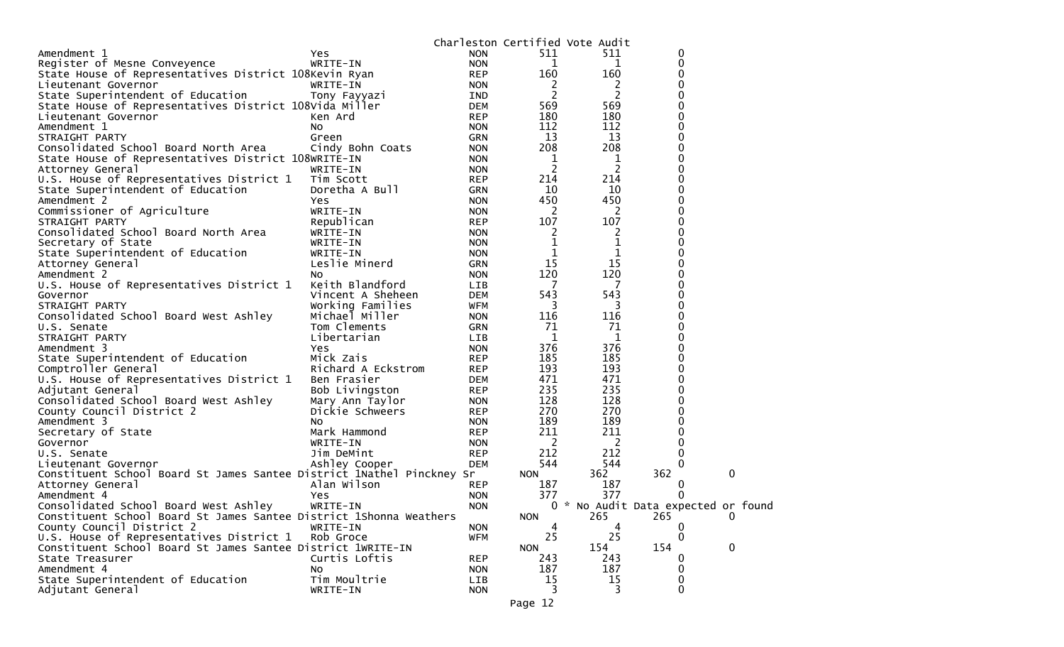|                                                                                                             |                    |                          | Charleston Certified Vote Audit |                |                                            |              |  |
|-------------------------------------------------------------------------------------------------------------|--------------------|--------------------------|---------------------------------|----------------|--------------------------------------------|--------------|--|
| Amendment 1                                                                                                 | Yes                | <b>NON</b>               | 511                             | 511            | 0                                          |              |  |
| Register of Mesne Conveyence                                                                                | WRITE-IN           | <b>NON</b>               | 1                               | 1              | 0                                          |              |  |
| State House of Representatives District 108Kevin Ryan                                                       |                    | <b>REP</b>               | 160                             | 160            | 0                                          |              |  |
| Lieutenant Governor                                                                                         | WRITE-IN           | <b>NON</b>               | 2                               | 2              |                                            |              |  |
| State Superintendent of Education                                                                           | Tony Fayyazi       | <b>IND</b>               | 2                               | 2              |                                            |              |  |
| State House of Representatives District 108Vida Miller                                                      |                    | <b>DEM</b>               | 569                             | 569            | 0                                          |              |  |
| Lieutenant Governor                                                                                         | Ken Ard            | <b>REP</b>               | 180                             | 180            |                                            |              |  |
| Amendment 1                                                                                                 | NO.                | <b>NON</b>               | 112                             | 112            | 0                                          |              |  |
| STRAIGHT PARTY                                                                                              | Green              | <b>GRN</b>               | 13                              | 13             | 0                                          |              |  |
| Consolidated School Board North Area                                                                        | Cindy Bohn Coats   | <b>NON</b>               | 208                             | 208            | 0                                          |              |  |
| State House of Representatives District 108WRITE-IN                                                         |                    | <b>NON</b>               | 1                               | 1              | 0                                          |              |  |
| Attorney General                                                                                            | WRITE-IN           | <b>NON</b>               | $\overline{c}$                  | $\overline{c}$ | 0                                          |              |  |
| U.S. House of Representatives District 1                                                                    | Tim Scott          | <b>REP</b>               | 214                             | 214            | 0                                          |              |  |
| State Superintendent of Education                                                                           | Doretha A Bull     | <b>GRN</b>               | 10                              | 10             | 0                                          |              |  |
| Amendment 2                                                                                                 | <b>Yes</b>         | <b>NON</b>               | 450                             | 450            | 0                                          |              |  |
| Commissioner of Agriculture                                                                                 | WRITE-IN           | <b>NON</b>               | 2                               | 2              |                                            |              |  |
| STRAIGHT PARTY                                                                                              | Republican         | <b>REP</b>               | 107                             | 107            | 0                                          |              |  |
| Consolidated School Board North Area                                                                        | WRITE-IN           | <b>NON</b>               | 2                               | 2              |                                            |              |  |
| Secretary of State                                                                                          | WRITE-IN           | <b>NON</b>               | 1                               |                | 0                                          |              |  |
| State Superintendent of Education                                                                           | WRITE-IN           | <b>NON</b>               | 1                               | 1              | 0                                          |              |  |
| Attorney General                                                                                            | Leslie Minerd      | <b>GRN</b>               | 15                              | 15             |                                            |              |  |
| Amendment 2                                                                                                 | NO.                | <b>NON</b>               | 120                             | 120            | 0                                          |              |  |
| U.S. House of Representatives District 1                                                                    | Keith Blandford    | <b>LIB</b>               | -7                              | 7              | 0                                          |              |  |
| Governor                                                                                                    | Vincent A Sheheen  | <b>DEM</b>               | 543                             | 543            |                                            |              |  |
| STRAIGHT PARTY                                                                                              | Working Families   | WFM                      | 3                               | 3              | 0                                          |              |  |
| Consolidated School Board West Ashley                                                                       | Michael Miller     | <b>NON</b>               | 116                             | 116            | 0                                          |              |  |
| U.S. Senate                                                                                                 | Tom Clements       | <b>GRN</b>               | 71                              | 71             |                                            |              |  |
| STRAIGHT PARTY                                                                                              | Libertarian        | <b>LIB</b>               | 1                               | 1              | 0                                          |              |  |
| Amendment 3                                                                                                 | Yes                | <b>NON</b>               | 376                             | 376            | 0                                          |              |  |
| State Superintendent of Education                                                                           | Mick Zais          | <b>REP</b>               | 185                             | 185            |                                            |              |  |
| Comptroller General                                                                                         | Richard A Eckstrom | <b>REP</b>               | 193                             | 193            | 0                                          |              |  |
| U.S. House of Representatives District 1                                                                    | Ben Frasier        | DEM                      | 471                             | 471            | 0                                          |              |  |
| Adjutant General                                                                                            | Bob Livingston     | <b>REP</b>               | 235                             | 235            |                                            |              |  |
| Consolidated School Board West Ashley                                                                       | Mary Ann Taylor    | <b>NON</b>               | 128                             | 128            | 0                                          |              |  |
| County Council District 2                                                                                   | Dickie Schweers    | <b>REP</b>               | 270                             | 270            | 0                                          |              |  |
| Amendment 3                                                                                                 | NO.                | <b>NON</b>               | 189                             | 189            |                                            |              |  |
| Secretary of State                                                                                          | Mark Hammond       | <b>REP</b>               | 211                             | 211            | 0                                          |              |  |
| Governor                                                                                                    | WRITE-IN           | <b>NON</b>               | 2                               | 2              | 0                                          |              |  |
| U.S. Senate                                                                                                 | Jim DeMint         | <b>REP</b>               | 212                             | 212            | 0                                          |              |  |
| Lieutenant Governor                                                                                         | Ashley Cooper      | <b>DEM</b>               | 544                             | 544            | 0                                          |              |  |
| Constituent School Board St James Santee District 1Nathel Pinckney Sr                                       |                    |                          | <b>NON</b>                      | 362            | 362                                        | 0            |  |
|                                                                                                             | Alan Wilson        | <b>REP</b>               | 187                             | 187            | O                                          |              |  |
| Attorney General<br>Amendment 4                                                                             |                    | <b>NON</b>               | 377                             | 377            |                                            |              |  |
|                                                                                                             | Yes                |                          |                                 |                |                                            |              |  |
| Consolidated School Board West Ashley<br>Constituent School Board St James Santee District 1Shonna Weathers | WRITE-IN           | <b>NON</b>               | <b>NON</b>                      | 265            | 0 * No Audit Data expected or found<br>265 | 0            |  |
| County Council District 2                                                                                   | WRITE-IN           |                          |                                 |                |                                            |              |  |
| U.S. House of Representatives District 1                                                                    | Rob Groce          | <b>NON</b><br><b>WFM</b> | 25                              | 25             | $\Omega$                                   |              |  |
|                                                                                                             |                    |                          |                                 |                |                                            |              |  |
| Constituent School Board St James Santee District 1WRITE-IN                                                 |                    |                          | <b>NON</b>                      | 154            | 154                                        | $\mathbf{0}$ |  |
| State Treasurer                                                                                             | Curtis Loftis      | <b>REP</b>               | 243                             | 243            |                                            |              |  |
| Amendment 4                                                                                                 | <b>NO</b>          | <b>NON</b>               | 187                             | 187            | 0                                          |              |  |
| State Superintendent of Education                                                                           | Tim Moultrie       | LIB                      | 15                              | 15             | 0                                          |              |  |
| Adjutant General                                                                                            | WRITE-IN           | <b>NON</b>               | 3                               | 3              | 0                                          |              |  |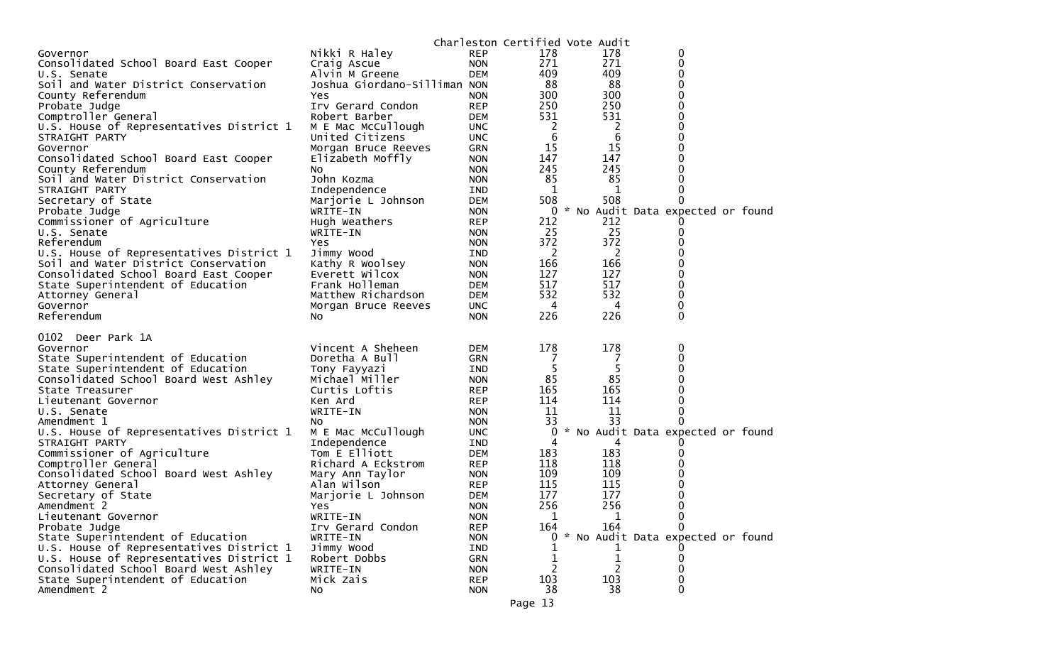|                                          |                              |            | Charleston Certified Vote Audit |     |                                   |  |
|------------------------------------------|------------------------------|------------|---------------------------------|-----|-----------------------------------|--|
| Governor                                 | Nikki R Haley                | <b>REP</b> | 178                             | 178 | 0                                 |  |
| Consolidated School Board East Cooper    | Craig Ascue                  | <b>NON</b> | 271                             | 271 | 0                                 |  |
| U.S. Senate                              | Alvin M Greene               | <b>DEM</b> | 409                             | 409 | 0                                 |  |
| Soil and Water District Conservation     | Joshua Giordano-Silliman NON |            | 88                              | 88  | 0                                 |  |
| County Referendum                        | Yes                          | <b>NON</b> | 300                             | 300 | 0                                 |  |
| Probate Judge                            | Irv Gerard Condon            | <b>REP</b> | 250                             | 250 | 0                                 |  |
| Comptroller General                      | Robert Barber                | DEM        | 531                             | 531 | 0                                 |  |
| U.S. House of Representatives District 1 | M E Mac McCullough           | <b>UNC</b> | 2                               | 2   | 0                                 |  |
| STRAIGHT PARTY                           | United Citizens              | <b>UNC</b> | 6                               | 6   | 0                                 |  |
| Governor                                 | Morgan Bruce Reeves          | GRN        | 15                              | 15  | 0                                 |  |
| Consolidated School Board East Cooper    | Elizabeth Moffly             | <b>NON</b> | 147                             | 147 | 0                                 |  |
| County Referendum                        | NO.                          | <b>NON</b> | 245                             | 245 | 0                                 |  |
| Soil and Water District Conservation     | John Kozma                   | <b>NON</b> | 85                              | 85  | 0                                 |  |
| STRAIGHT PARTY                           | Independence                 | IND        | 1                               | 1   | 0                                 |  |
| Secretary of State                       | Marjorie L Johnson           | DEM        | 508                             | 508 | 0                                 |  |
| Probate Judge                            | WRITE-IN                     | <b>NON</b> | 0                               |     | * No Audit Data expected or found |  |
| Commissioner of Agriculture              | Hugh Weathers                | <b>REP</b> | 212                             | 212 |                                   |  |
| U.S. Senate                              | WRITE-IN                     | <b>NON</b> | 25                              | 25  | 0                                 |  |
| Referendum                               | Yes                          | <b>NON</b> | 372                             | 372 | 0                                 |  |
| U.S. House of Representatives District 1 | Jimmy Wood                   | IND        | 2                               | 2   | 0                                 |  |
| Soil and Water District Conservation     | Kathy R Woolsey              | <b>NON</b> | 166                             | 166 | 0                                 |  |
| Consolidated School Board East Cooper    | Everett Wilcox               | <b>NON</b> | 127                             | 127 | 0                                 |  |
| State Superintendent of Education        | Frank Holleman               | DEM        | 517                             | 517 | 0                                 |  |
| Attorney General                         | Matthew Richardson           | <b>DEM</b> | 532                             | 532 | 0                                 |  |
| Governor                                 | Morgan Bruce Reeves          | <b>UNC</b> | 4                               | 4   | 0                                 |  |
| Referendum                               | No                           | <b>NON</b> | 226                             | 226 | 0                                 |  |
|                                          |                              |            |                                 |     |                                   |  |
|                                          |                              |            |                                 |     |                                   |  |
| 0102 Deer Park 1A                        |                              |            |                                 |     |                                   |  |
| Governor                                 | Vincent A Sheheen            | DEM        | 178                             | 178 | 0                                 |  |
| State Superintendent of Education        | Doretha A Bull               | <b>GRN</b> | 7                               | 7   | 0                                 |  |
| State Superintendent of Education        | Tony Fayyazi                 | IND        | 5                               | 5   | 0                                 |  |
| Consolidated School Board West Ashley    | Michael Miller               | <b>NON</b> | 85                              | 85  | 0                                 |  |
| State Treasurer                          | Curtis Loftis                | <b>REP</b> | 165                             | 165 | 0                                 |  |
| Lieutenant Governor                      | Ken Ard                      | <b>REP</b> | 114                             | 114 | 0                                 |  |
| U.S. Senate                              | WRITE-IN                     | <b>NON</b> | 11                              | 11  | 0                                 |  |
| Amendment 1                              | NO.                          | <b>NON</b> | 33                              | 33  | 0                                 |  |
| U.S. House of Representatives District 1 | M E Mac McCullough           | <b>UNC</b> | 0                               |     | No Audit Data expected or found   |  |
| STRAIGHT PARTY                           | Independence                 | IND        | 4                               | 4   |                                   |  |
| Commissioner of Agriculture              | Tom E Elliott                | DEM        | 183                             | 183 | 0                                 |  |
| Comptroller General                      | Richard A Eckstrom           | <b>REP</b> | 118                             | 118 | 0                                 |  |
| Consolidated School Board West Ashley    | Mary Ann Taylor              | <b>NON</b> | 109                             | 109 | 0                                 |  |
| Attorney General                         | Alan Wilson                  | <b>REP</b> | 115                             | 115 | 0                                 |  |
| Secretary of State                       | Marjorie L Johnson           | DEM        | 177                             | 177 | 0                                 |  |
| Amendment 2                              | Yes                          | <b>NON</b> | 256                             | 256 | 0                                 |  |
| Lieutenant Governor                      | WRITE-IN                     | <b>NON</b> | 1                               | 1   | 0                                 |  |
| Probate Judge                            | Irv Gerard Condon            | <b>REP</b> | 164                             | 164 | 0                                 |  |
| State Superintendent of Education        | WRITE-IN                     | <b>NON</b> | $\Omega$                        |     | * No Audit Data expected or found |  |
| U.S. House of Representatives District 1 | Jimmy Wood                   | IND        |                                 |     |                                   |  |
| U.S. House of Representatives District 1 | Robert Dobbs                 | <b>GRN</b> |                                 | 1   | 0                                 |  |
| Consolidated School Board West Ashley    | WRITE-IN                     | <b>NON</b> |                                 |     | 0                                 |  |
| State Superintendent of Education        | Mick Zais                    | <b>REP</b> | 103                             | 103 | 0                                 |  |
| Amendment 2                              | No                           | <b>NON</b> | 38<br>Page 13                   | 38  | 0                                 |  |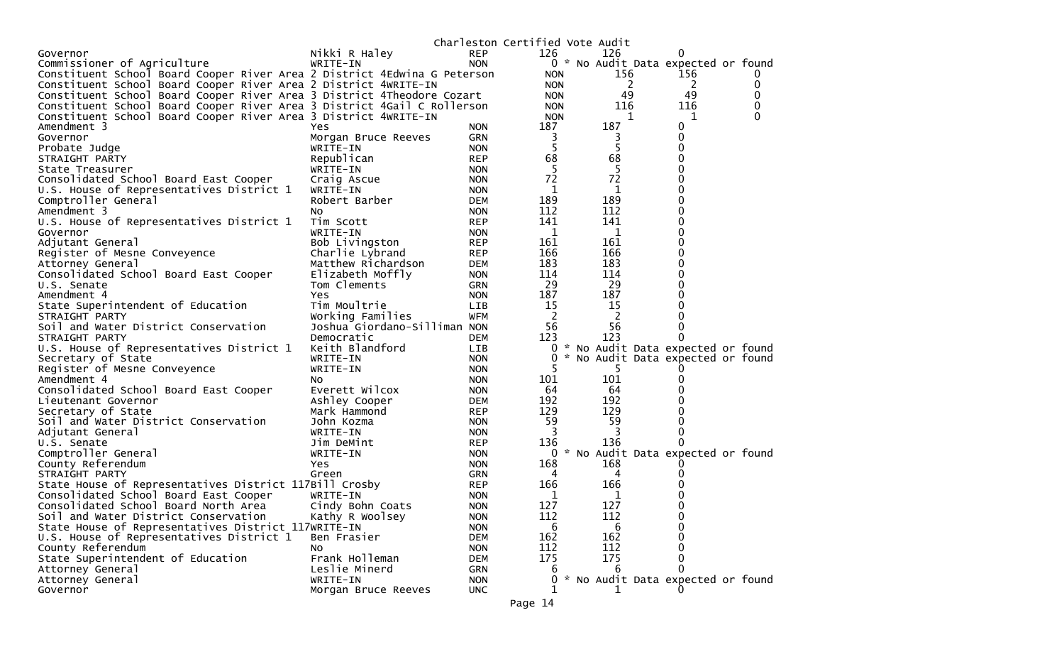|                                                                          |                              |                          | Charleston Certified Vote Audit |     |                                     |          |
|--------------------------------------------------------------------------|------------------------------|--------------------------|---------------------------------|-----|-------------------------------------|----------|
| Governor                                                                 | Nikki R Haley                | <b>REP</b>               | 126                             | 126 | 0                                   |          |
| Commissioner of Agriculture                                              | WRITE-IN                     | <b>NON</b>               |                                 |     | 0 * No Audit Data expected or found |          |
| Constituent School Board Cooper River Area 2 District 4Edwina G Peterson |                              |                          | <b>NON</b>                      | 156 | 156                                 |          |
| Constituent School Board Cooper River Area 2 District 4WRITE-IN          |                              |                          | <b>NON</b>                      | 2   | 2                                   | 0        |
| Constituent School Board Cooper River Area 3 District 4Theodore Cozart   |                              |                          | <b>NON</b>                      | 49  | 49                                  | 0        |
| Constituent School Board Cooper River Area 3 District 4Gail C Rollerson  |                              |                          | <b>NON</b>                      | 116 | 116                                 | 0        |
| Constituent School Board Cooper River Area 3 District 4WRITE-IN          |                              |                          | <b>NON</b>                      | 1   | 1                                   | $\Omega$ |
| Amendment 3                                                              | Yes                          | <b>NON</b>               | 187                             | 187 | 0                                   |          |
| Governor                                                                 | Morgan Bruce Reeves          | <b>GRN</b>               | 3                               | 3   | 0                                   |          |
| Probate Judge                                                            | WRITE-IN                     | <b>NON</b>               | 5                               | 5   | $\Omega$                            |          |
| STRAIGHT PARTY                                                           | Republican                   | <b>REP</b>               | 68                              | 68  | 0                                   |          |
| State Treasurer                                                          | WRITE-IN                     | <b>NON</b>               | 5                               | 5   | 0                                   |          |
| Consolidated School Board East Cooper                                    | Craig Ascue                  | <b>NON</b>               | 72                              | 72  | 0                                   |          |
| U.S. House of Representatives District 1                                 | WRITE-IN                     | <b>NON</b>               | 1                               | 1   | 0                                   |          |
| Comptroller General                                                      | Robert Barber                | <b>DEM</b>               | 189                             | 189 | 0                                   |          |
| Amendment 3                                                              | NO.                          | <b>NON</b>               | 112                             | 112 | 0                                   |          |
| U.S. House of Representatives District 1                                 | Tim Scott                    | <b>REP</b>               | 141                             | 141 | 0                                   |          |
| Governor                                                                 | WRITE-IN                     | <b>NON</b>               | $\mathbf 1$                     | 1   | 0                                   |          |
| Adjutant General                                                         | Bob Livingston               | <b>REP</b>               | 161                             | 161 | 0                                   |          |
| Register of Mesne Conveyence                                             | Charlie Lybrand              | <b>REP</b>               | 166                             | 166 | 0                                   |          |
| Attorney General                                                         | Matthew Richardson           | <b>DEM</b>               | 183                             | 183 | 0                                   |          |
| Consolidated School Board East Cooper                                    | Elizabeth Moffly             | <b>NON</b>               | 114                             | 114 | 0                                   |          |
| U.S. Senate                                                              | Tom Clements                 | <b>GRN</b>               | 29                              | 29  | 0                                   |          |
| Amendment 4                                                              | Yes                          | <b>NON</b>               | 187                             | 187 | 0                                   |          |
| State Superintendent of Education                                        | Tim Moultrie                 | <b>LIB</b>               | 15                              | 15  |                                     |          |
| STRAIGHT PARTY                                                           | Working Families             | <b>WFM</b>               | 2                               | 2   |                                     |          |
| Soil and Water District Conservation                                     | Joshua Giordano-Silliman NON |                          | 56                              | 56  | 0                                   |          |
| STRAIGHT PARTY                                                           | Democratic                   | DEM                      | 123                             | 123 | 0                                   |          |
| U.S. House of Representatives District 1                                 | Keith Blandford              | LIB                      | 0                               |     | * No Audit Data expected or found   |          |
| Secretary of State                                                       | WRITE-IN                     | <b>NON</b>               | 0                               |     | * No Audit Data expected or found   |          |
| Register of Mesne Conveyence                                             | WRITE-IN                     | <b>NON</b>               |                                 | 5.  |                                     |          |
| Amendment 4                                                              | NO.                          | <b>NON</b>               | 101                             | 101 |                                     |          |
| Consolidated School Board East Cooper                                    | Everett Wilcox               | <b>NON</b>               | 64                              | 64  |                                     |          |
| Lieutenant Governor                                                      | Ashley Cooper                | <b>DEM</b>               | 192                             | 192 |                                     |          |
| Secretary of State                                                       | Mark Hammond                 | <b>REP</b>               | 129                             | 129 |                                     |          |
| Soil and Water District Conservation                                     | John Kozma                   | <b>NON</b>               | 59                              | 59  |                                     |          |
| Adjutant General                                                         | WRITE-IN                     | <b>NON</b>               | 3                               | 3   | 0                                   |          |
| U.S. Senate                                                              | Jim DeMint                   | <b>REP</b>               | 136                             | 136 | 0                                   |          |
| Comptroller General                                                      | WRITE-IN                     | <b>NON</b>               | 0                               |     | * No Audit Data expected or found   |          |
|                                                                          |                              | <b>NON</b>               | 168                             | 168 |                                     |          |
| County Referendum                                                        | Yes<br>Green                 |                          | 4                               | 4   |                                     |          |
| STRAIGHT PARTY                                                           |                              | <b>GRN</b><br><b>REP</b> | 166                             | 166 |                                     |          |
| State House of Representatives District 117Bill Crosby                   |                              |                          |                                 |     |                                     |          |
| Consolidated School Board East Cooper                                    | WRITE-IN                     | <b>NON</b>               | 1                               | 1   |                                     |          |
| Consolidated School Board North Area                                     | Cindy Bohn Coats             | <b>NON</b>               | 127                             | 127 | 0                                   |          |
| Soil and Water District Conservation                                     | Kathy R Woolsey              | <b>NON</b>               | 112                             | 112 | 0                                   |          |
| State House of Representatives District 117WRITE-IN                      |                              | <b>NON</b>               | 6                               | 6   | 0                                   |          |
| U.S. House of Representatives District 1                                 | Ben Frasier                  | <b>DEM</b>               | 162                             | 162 | $\Omega$                            |          |
| County Referendum                                                        | NO.                          | <b>NON</b>               | 112                             | 112 | 0                                   |          |
| State Superintendent of Education                                        | Frank Holleman               | <b>DEM</b>               | 175                             | 175 | 0                                   |          |
| Attorney General                                                         | Leslie Minerd                | GRN                      | b                               | 6   | 0                                   |          |
| Attorney General                                                         | WRITE-IN                     | <b>NON</b>               | 0                               |     | * No Audit Data expected or found   |          |
| Governor                                                                 | Morgan Bruce Reeves          | <b>UNC</b>               |                                 |     |                                     |          |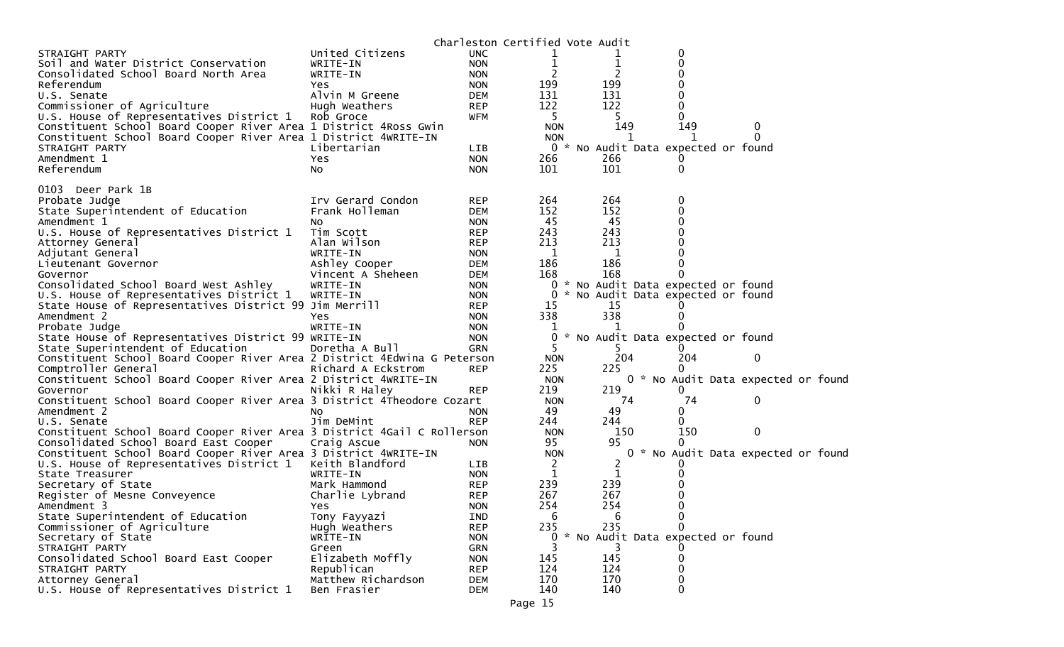|                                                                                                 |                    |                   | Charleston Certified Vote Audit |           |                                     |                                     |
|-------------------------------------------------------------------------------------------------|--------------------|-------------------|---------------------------------|-----------|-------------------------------------|-------------------------------------|
| STRAIGHT PARTY                                                                                  | United Citizens    | UNC.              |                                 |           | 0                                   |                                     |
| Soil and Water District Conservation                                                            | WRITE-IN           | <b>NON</b>        |                                 | 1         | $\Omega$                            |                                     |
| Consolidated School Board North Area                                                            | WRITE-IN           | <b>NON</b>        | 2                               | 2         | 0                                   |                                     |
| Referendum                                                                                      | Yes                | <b>NON</b>        | 199                             | 199       |                                     |                                     |
| U.S. Senate                                                                                     | Alvin M Greene     | DEM               | 131                             | 131       |                                     |                                     |
| Commissioner of Agriculture                                                                     | Hugh Weathers      | <b>REP</b>        | 122                             | 122       | 0                                   |                                     |
| U.S. House of Representatives District 1                                                        | Rob Groce          | WFM               | 5                               | 5.        | 0                                   |                                     |
| Constituent School Board Cooper River Area 1 District 4Ross Gwin                                |                    |                   | <b>NON</b>                      | 149       | 149                                 | 0                                   |
| Constituent School Board Cooper River Area 1 District 4WRITE-IN                                 |                    |                   | <b>NON</b>                      | 1         | ำ                                   | $\Omega$                            |
| STRAIGHT PARTY                                                                                  | Libertarian        | LIB               |                                 |           | 0 * No Audit Data expected or found |                                     |
| Amendment 1                                                                                     | Yes                | <b>NON</b>        | 266                             | 266       |                                     |                                     |
| Referendum                                                                                      | NO.                | <b>NON</b>        | 101                             | 101       | 0                                   |                                     |
|                                                                                                 |                    |                   |                                 |           |                                     |                                     |
| 0103 Deer Park 1B                                                                               |                    |                   |                                 | 264       |                                     |                                     |
| Probate Judge                                                                                   | Irv Gerard Condon  | <b>REP</b>        | 264                             |           | 0                                   |                                     |
| State Superintendent of Education                                                               | Frank Holleman     | <b>DEM</b>        | 152                             | 152<br>45 | 0<br>0                              |                                     |
| Amendment 1                                                                                     | No                 | <b>NON</b>        | 45                              |           |                                     |                                     |
| U.S. House of Representatives District 1                                                        | Tim Scott          | <b>REP</b>        | 243                             | 243       |                                     |                                     |
| Attorney General                                                                                | Alan Wilson        | <b>REP</b>        | 213                             | 213       |                                     |                                     |
| Adjutant General                                                                                | WRITE-IN           | <b>NON</b>        | 1                               | 1         |                                     |                                     |
| Lieutenant Governor                                                                             | Ashley Cooper      | DEM               | 186                             | 186       | 0                                   |                                     |
| Governor                                                                                        | Vincent A Sheheen  | <b>DEM</b>        | 168                             | 168       |                                     |                                     |
| Consolidated School Board West Ashley                                                           | WRITE-IN           | <b>NON</b>        | 0                               |           | * No Audit Data expected or found   |                                     |
| U.S. House of Representatives District 1                                                        | WRITE-IN           | <b>NON</b>        | 0                               |           | No Audit Data expected or found     |                                     |
| State House of Representatives District 99 Jim Merrill<br>Amendment 2                           |                    | <b>REP</b>        | 15<br>338                       | 15<br>338 |                                     |                                     |
|                                                                                                 | Yes                | <b>NON</b>        |                                 |           |                                     |                                     |
| Probate Judge                                                                                   | WRITE-IN           | <b>NON</b>        |                                 |           |                                     |                                     |
| State House of Representatives District 99 WRITE-IN<br>State Superintendent of Education        | Doretha A Bull     | <b>NON</b><br>GRN | 0<br>5                          |           | * No Audit Data expected or found   |                                     |
|                                                                                                 |                    |                   | <b>NON</b>                      | 204       | 204                                 | 0                                   |
| Constituent School Board Cooper River Area 2 District 4Edwina G Peterson<br>Comptroller General | Richard A Eckstrom | <b>REP</b>        | 225                             | 225       | 0                                   |                                     |
|                                                                                                 |                    |                   | <b>NON</b>                      |           |                                     |                                     |
| Constituent School Board Cooper River Area 2 District 4WRITE-IN<br>Governor                     | Nikki R Haley      | <b>REP</b>        | 219                             | 219       | 0                                   | 0 * No Audit Data expected or found |
| Constituent School Board Cooper River Area 3 District 4Theodore Cozart                          |                    |                   | <b>NON</b>                      | 74        | 74                                  | 0                                   |
| Amendment 2                                                                                     |                    | <b>NON</b>        | 49                              | 49        | 0                                   |                                     |
| U.S. Senate                                                                                     | N0<br>Jim DeMint   | <b>REP</b>        | 244                             | 244       | $\Omega$                            |                                     |
| Constituent School Board Cooper River Area 3 District 4Gail C Rollerson                         |                    |                   | <b>NON</b>                      | 150       | 150                                 | 0                                   |
| Consolidated School Board East Cooper                                                           | Craig Ascue        | <b>NON</b>        | 95                              | 95        | 0                                   |                                     |
| Constituent School Board Cooper River Area 3 District 4WRITE-IN                                 |                    |                   | <b>NON</b>                      |           |                                     | 0 * No Audit Data expected or found |
| U.S. House of Representatives District 1                                                        | Keith Blandford    | LIB               | 2                               | 2         |                                     |                                     |
| State Treasurer                                                                                 | WRITE-IN           | <b>NON</b>        | $\mathbf 1$                     | 1         |                                     |                                     |
| Secretary of State                                                                              | Mark Hammond       | <b>REP</b>        | 239                             | 239       |                                     |                                     |
| Register of Mesne Conveyence                                                                    | Charlie Lybrand    | <b>REP</b>        | 267                             | 267       |                                     |                                     |
| Amendment 3                                                                                     | Yes                | <b>NON</b>        | 254                             | 254       | $\Omega$                            |                                     |
| State Superintendent of Education                                                               | Tony Fayyazi       | IND               | 6                               | 6         | 0                                   |                                     |
| Commissioner of Agriculture                                                                     | Hugh Weathers      | <b>REP</b>        | 235                             | 235       | $\Omega$                            |                                     |
| Secretary of State                                                                              | WRITE-IN           | <b>NON</b>        | $\mathbf{0}$                    |           | * No Audit Data expected or found   |                                     |
| STRAIGHT PARTY                                                                                  | Green              | GRN               | 3                               |           |                                     |                                     |
| Consolidated School Board East Cooper                                                           | Elizabeth Moffly   | <b>NON</b>        | 145                             | 145       | 0                                   |                                     |
| STRAIGHT PARTY                                                                                  | Republican         | <b>REP</b>        | 124                             | 124       | 0                                   |                                     |
| Attorney General                                                                                | Matthew Richardson | <b>DEM</b>        | 170                             | 170       | 0                                   |                                     |
| U.S. House of Representatives District 1                                                        | Ben Frasier        | <b>DEM</b>        | 140                             | 140       | 0                                   |                                     |
|                                                                                                 |                    |                   |                                 |           |                                     |                                     |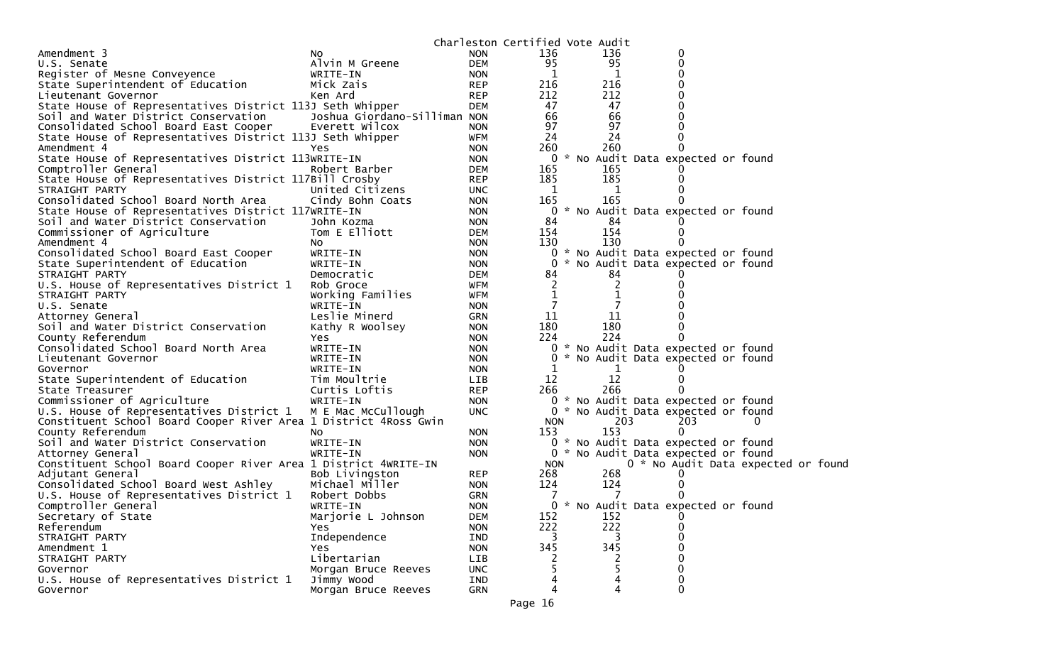|                                                                  |                               |                          | Charleston Certified Vote Audit |         |                                     |          |  |
|------------------------------------------------------------------|-------------------------------|--------------------------|---------------------------------|---------|-------------------------------------|----------|--|
| Amendment 3                                                      | NO.                           | <b>NON</b>               | 136                             | 136     | 0                                   |          |  |
| U.S. Senate                                                      | Alvin M Greene                | <b>DEM</b>               | 95                              | 95      | 0                                   |          |  |
| Register of Mesne Conveyence                                     | WRITE-IN                      | <b>NON</b>               | 1                               | 1       | 0                                   |          |  |
| State Superintendent of Education                                | Mick Zais                     | <b>REP</b>               | 216                             | 216     |                                     |          |  |
| Lieutenant Governor                                              | Ken Ard                       | <b>REP</b>               | 212                             | 212     |                                     |          |  |
| State House of Representatives District 113J Seth Whipper        |                               | <b>DEM</b>               | 47                              | 47      |                                     |          |  |
| Soil and Water District Conservation                             | Joshua Giordano-Silliman NON  |                          | 66                              | 66      |                                     |          |  |
| Consolidated School Board East Cooper                            | Everett Wilcox                | <b>NON</b>               | 97                              | 97      |                                     |          |  |
| State House of Representatives District 113J Seth Whipper        |                               | <b>WFM</b>               | 24                              | 24      |                                     |          |  |
| Amendment 4                                                      | Yes                           | <b>NON</b>               | 260                             | 260     |                                     |          |  |
| State House of Representatives District 113WRITE-IN              |                               | <b>NON</b>               |                                 |         | 0 * No Audit Data expected or found |          |  |
| Comptroller General                                              | Robert Barber                 | <b>DEM</b>               | 165                             | 165     |                                     |          |  |
| State House of Representatives District 117Bill Crosby           |                               | <b>REP</b>               | 185                             | 185     |                                     |          |  |
| STRAIGHT PARTY                                                   | United Citizens               | <b>UNC</b>               | 1                               | 1       |                                     |          |  |
| Consolidated School Board North Area                             | Cindy Bohn Coats              | <b>NON</b>               | 165                             | 165     |                                     |          |  |
| State House of Representatives District 117WRITE-IN              |                               | <b>NON</b>               |                                 |         | 0 * No Audit Data expected or found |          |  |
| Soil and Water District Conservation                             | John Kozma                    | <b>NON</b>               | 84                              | 84      |                                     |          |  |
| Commissioner of Agriculture                                      | Tom E Elliott                 | <b>DEM</b>               | 154                             | 154     |                                     |          |  |
| Amendment 4                                                      | NO.                           | <b>NON</b>               | 130                             | 130     |                                     |          |  |
| Consolidated School Board East Cooper                            | WRITE-IN                      | <b>NON</b>               |                                 |         | 0 * No Audit Data expected or found |          |  |
| State Superintendent of Education                                | WRITE-IN                      | <b>NON</b>               |                                 |         | 0 * No Audit Data expected or found |          |  |
| STRAIGHT PARTY                                                   | Democratic                    | <b>DEM</b>               | 84                              | 84      |                                     |          |  |
| U.S. House of Representatives District 1                         | Rob Groce                     | <b>WFM</b>               | 2                               | 2       |                                     |          |  |
| STRAIGHT PARTY                                                   | Working Families              | WFM                      | $\mathbf 1$                     |         |                                     |          |  |
| U.S. Senate                                                      | WRITE-IN                      | <b>NON</b>               |                                 |         |                                     |          |  |
| Attorney General                                                 | Leslie Minerd                 | <b>GRN</b>               | 11                              | 11      |                                     |          |  |
| Soil and Water District Conservation                             | Kathy R Woolsey               | <b>NON</b>               | 180                             | 180     |                                     |          |  |
| County Referendum                                                | Yes                           | <b>NON</b>               | 224                             | 224     |                                     |          |  |
| Consolidated School Board North Area                             | WRITE-IN                      | <b>NON</b>               |                                 |         | 0 * No Audit Data expected or found |          |  |
| Lieutenant Governor                                              | WRITE-IN                      | <b>NON</b>               | 0<br>1                          |         | * No Audit Data expected or found   |          |  |
| Governor                                                         | WRITE-IN                      | <b>NON</b>               | 12                              | 1<br>12 |                                     |          |  |
| State Superintendent of Education<br>State Treasurer             | Tim Moultrie<br>Curtis Loftis | <b>LIB</b><br><b>REP</b> | 266                             | 266     |                                     |          |  |
| Commissioner of Agriculture                                      | WRITE-IN                      | <b>NON</b>               |                                 |         | 0 * No Audit Data expected or found |          |  |
| U.S. House of Representatives District 1                         | M E Mac McCullough            | <b>UNC</b>               |                                 |         | 0 * No Audit Data expected or found |          |  |
| Constituent School Board Cooper River Area 1 District 4Ross Gwin |                               |                          | <b>NON</b>                      | 203     | 203                                 | $\Omega$ |  |
| County Referendum                                                | NO.                           | <b>NON</b>               | 153                             | 153     | 0                                   |          |  |
| Soil and Water District Conservation                             | WRITE-IN                      | <b>NON</b>               |                                 |         | 0 * No Audit Data expected or found |          |  |
| Attorney General                                                 | WRITE-IN                      | NON                      |                                 |         | 0 * No Audit Data expected or found |          |  |
| Constituent School Board Cooper River Area 1 District 4WRITE-IN  |                               |                          | <b>NON</b>                      |         | 0 * No Audit Data expected or foun  |          |  |
| Adjutant General                                                 | Bob Livingston                | <b>REP</b>               | 268                             | 268     |                                     |          |  |
| Consolidated School Board West Ashley                            | Michael Miller                | <b>NON</b>               | 124                             | 124     |                                     |          |  |
| U.S. House of Representatives District 1                         | Robert Dobbs                  | <b>GRN</b>               |                                 |         |                                     |          |  |
| Comptroller General                                              | WRITE-IN                      | <b>NON</b>               |                                 |         | 0 * No Audit Data expected or found |          |  |
| Secretary of State                                               | Marjorie L Johnson            | <b>DEM</b>               | 152                             | 152     | 0                                   |          |  |
| Referendum                                                       | <b>Yes</b>                    | <b>NON</b>               | 222                             | 222     | 0                                   |          |  |
| STRAIGHT PARTY                                                   | Independence                  | IND                      | 3                               | 3       | 0                                   |          |  |
| Amendment 1                                                      | Yes.                          | <b>NON</b>               | 345                             | 345     | 0                                   |          |  |
| STRAIGHT PARTY                                                   | Libertarian                   | LIB                      |                                 |         | 0                                   |          |  |
| Governor                                                         | Morgan Bruce Reeves           | <b>UNC</b>               |                                 | 5       | $\mathbf 0$                         |          |  |
| U.S. House of Representatives District 1                         | Jimmy Wood                    | IND                      |                                 | 4       | 0                                   |          |  |
| Governor                                                         | Morgan Bruce Reeves           | <b>GRN</b>               | 4                               | 4       | 0                                   |          |  |
|                                                                  |                               |                          |                                 |         |                                     |          |  |

d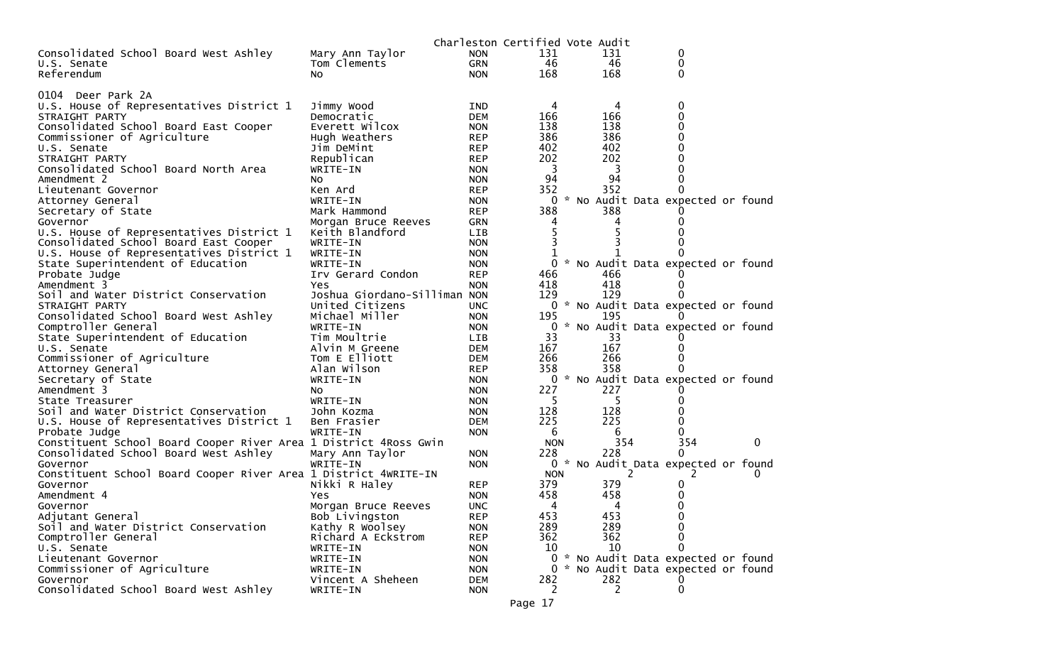|                                                                  |                              |                          | Charleston Certified Vote Audit |     |                                     |   |
|------------------------------------------------------------------|------------------------------|--------------------------|---------------------------------|-----|-------------------------------------|---|
| Consolidated School Board West Ashley                            | Mary Ann Taylor              | <b>NON</b>               | 131                             | 131 | 0                                   |   |
| U.S. Senate                                                      | Tom Clements                 | <b>GRN</b>               | 46                              | 46  | 0                                   |   |
| Referendum                                                       | N <sub>O</sub>               | <b>NON</b>               | 168                             | 168 | $\Omega$                            |   |
|                                                                  |                              |                          |                                 |     |                                     |   |
| 0104 Deer Park 2A                                                |                              |                          |                                 |     |                                     |   |
| U.S. House of Representatives District 1                         | Jimmy Wood                   | IND                      | 4                               | 4   | 0                                   |   |
| STRAIGHT PARTY                                                   | Democratic                   | <b>DEM</b>               | 166                             | 166 | 0                                   |   |
| Consolidated School Board East Cooper                            | Everett Wilcox               | <b>NON</b>               | 138                             | 138 | 0                                   |   |
| Commissioner of Agriculture                                      | Hugh Weathers                | <b>REP</b>               | 386                             | 386 | 0                                   |   |
| U.S. Senate                                                      | Jim DeMint                   | <b>REP</b>               | 402                             | 402 |                                     |   |
| STRAIGHT PARTY                                                   | Republican                   | <b>REP</b>               | 202                             | 202 |                                     |   |
| Consolidated School Board North Area                             | WRITE-IN                     | <b>NON</b>               | 3                               | 3   |                                     |   |
| Amendment 2                                                      | NO.                          | <b>NON</b>               | 94                              | 94  |                                     |   |
| Lieutenant Governor                                              | Ken Ard                      | <b>REP</b>               | 352                             | 352 |                                     |   |
| Attorney General                                                 | WRITE-IN                     | <b>NON</b>               | 0                               |     | * No Audit Data expected or found   |   |
| Secretary of State                                               | Mark Hammond                 | <b>REP</b>               | 388                             | 388 |                                     |   |
| Governor                                                         | Morgan Bruce Reeves          | <b>GRN</b>               | 4                               |     |                                     |   |
| U.S. House of Representatives District 1                         | Keith Blandford              | LIB                      | 5                               |     |                                     |   |
| Consolidated School Board East Cooper                            | WRITE-IN                     | <b>NON</b>               | 3                               |     |                                     |   |
| U.S. House of Representatives District 1                         | WRITE-IN                     | <b>NON</b>               | 1                               |     |                                     |   |
| State Superintendent of Education                                | WRITE-IN                     | <b>NON</b>               | 0                               |     | * No Audit Data expected or found   |   |
| Probate Judge                                                    | Irv Gerard Condon            | <b>REP</b>               | 466                             | 466 |                                     |   |
| Amendment 3                                                      | Yes                          | <b>NON</b>               | 418                             | 418 |                                     |   |
| Soil and Water District Conservation                             | Joshua Giordano-Silliman NON |                          | 129                             | 129 |                                     |   |
| STRAIGHT PARTY                                                   | United Citizens              | <b>UNC</b>               |                                 |     | 0 * No Audit Data expected or found |   |
| Consolidated School Board West Ashley                            | Michael Miller               | <b>NON</b>               | 195                             | 195 |                                     |   |
| Comptroller General                                              | WRITE-IN                     | <b>NON</b>               |                                 |     | 0 * No Audit Data expected or found |   |
| State Superintendent of Education                                | Tim Moultrie                 | LIB                      | 33                              | 33  |                                     |   |
| U.S. Senate                                                      | Alvin M Greene               | <b>DEM</b>               | 167                             | 167 |                                     |   |
| Commissioner of Agriculture                                      | Tom E Elliott                | <b>DEM</b>               | 266                             | 266 |                                     |   |
| Attorney General                                                 | Alan Wilson                  | <b>REP</b>               | 358                             | 358 |                                     |   |
|                                                                  | WRITE-IN                     |                          | 0                               |     | * No Audit Data expected or found   |   |
| Secretary of State<br>Amendment 3                                | No.                          | <b>NON</b><br><b>NON</b> | 227                             | 227 |                                     |   |
| State Treasurer                                                  | WRITE-IN                     | <b>NON</b>               | -5                              |     |                                     |   |
| Soil and Water District Conservation                             | John Kozma                   | <b>NON</b>               | 128                             | 128 |                                     |   |
|                                                                  | Ben Frasier                  | <b>DEM</b>               | 225                             | 225 |                                     |   |
| U.S. House of Representatives District 1<br>Probate Judge        | WRITE-IN                     | <b>NON</b>               | 6                               | 6   | 0                                   |   |
| Constituent School Board Cooper River Area 1 District 4Ross Gwin |                              |                          | <b>NON</b>                      | 354 | 354                                 | 0 |
| Consolidated School Board West Ashley                            |                              | <b>NON</b>               | 228                             | 228 | 0                                   |   |
| Governor                                                         | Mary Ann Taylor<br>WRITE-IN  | <b>NON</b>               |                                 |     | 0 * No Audit Data expected or found |   |
|                                                                  |                              |                          | <b>NON</b>                      | 2   |                                     |   |
| Constituent School Board Cooper River Area 1 District 4WRITE-IN  |                              | <b>REP</b>               | 379                             | 379 | 0                                   |   |
| Governor<br>Amendment 4                                          | Nikki R Haley                | <b>NON</b>               | 458                             | 458 |                                     |   |
|                                                                  | Yes                          | <b>UNC</b>               | 4                               | 4   | 0                                   |   |
| Governor                                                         | Morgan Bruce Reeves          |                          | 453                             | 453 | 0                                   |   |
| Adjutant General<br>Soil and Water District Conservation         | Bob Livingston               | <b>REP</b>               | 289                             | 289 | 0                                   |   |
| Comptroller General                                              | Kathy R Woolsey              | <b>NON</b>               | 362                             | 362 | 0                                   |   |
|                                                                  | Richard A Eckstrom           | <b>REP</b>               |                                 | 10  |                                     |   |
| U.S. Senate                                                      | WRITE-IN                     | <b>NON</b>               | 10<br>0                         |     | * No Audit Data expected or found   |   |
| Lieutenant Governor                                              | WRITE-IN                     | <b>NON</b>               |                                 |     | * No Audit Data expected or found   |   |
| Commissioner of Agriculture                                      | WRITE-IN                     | <b>NON</b>               | $\mathbf{0}$                    |     |                                     |   |
| Governor                                                         | Vincent A Sheheen            | <b>DEM</b>               | 282                             | 282 |                                     |   |
| Consolidated School Board West Ashley                            | WRITE-IN                     | <b>NON</b>               | 2                               | 2   | 0                                   |   |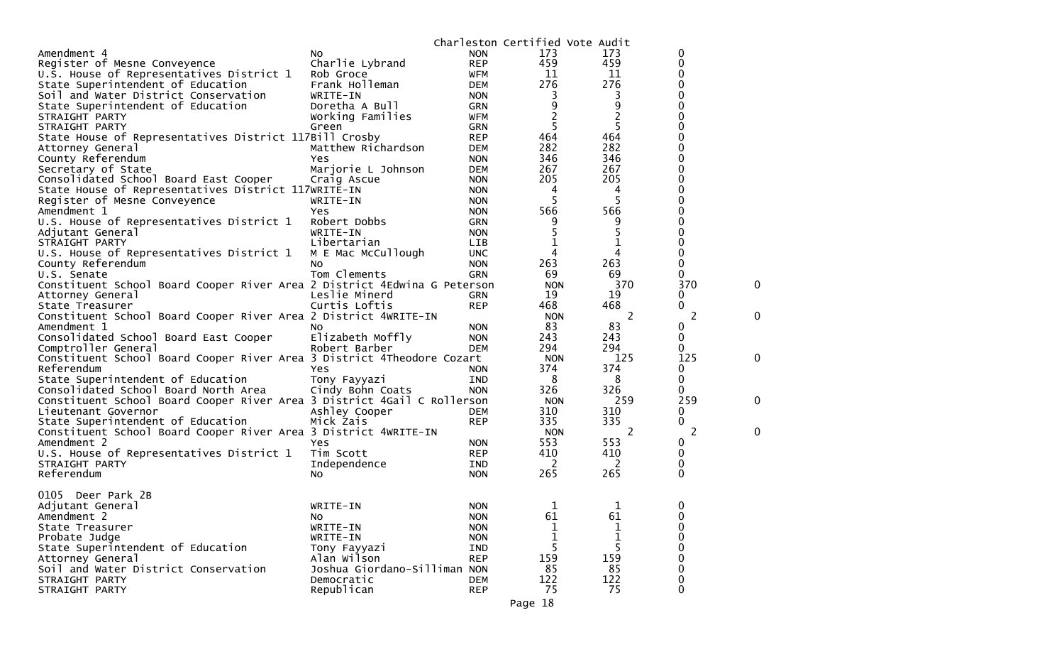|                                                                          |                              |            | Charleston Certified Vote Audit |                |             |   |
|--------------------------------------------------------------------------|------------------------------|------------|---------------------------------|----------------|-------------|---|
| Amendment 4                                                              | No.                          | <b>NON</b> | 173                             | 173            | 0           |   |
| Register of Mesne Conveyence                                             | Charlie Lybrand              | <b>REP</b> | 459                             | 459            | 0           |   |
| U.S. House of Representatives District 1                                 | Rob Groce                    | <b>WFM</b> | 11                              | 11             | 0           |   |
| State Superintendent of Education                                        | Frank Holleman               | <b>DEM</b> | 276                             | 276            | 0           |   |
| Soil and Water District Conservation                                     | WRITE-IN                     | <b>NON</b> | 3                               | 3              | 0           |   |
| State Superintendent of Education                                        | Doretha A Bull               | <b>GRN</b> | 9                               | 9              | 0           |   |
| STRAIGHT PARTY                                                           | Working Families             | <b>WFM</b> | 2                               | $\overline{c}$ | 0           |   |
| STRAIGHT PARTY                                                           | Green                        | <b>GRN</b> | 5                               | 5              | 0           |   |
|                                                                          |                              | <b>REP</b> | 464                             | 464            | 0           |   |
| State House of Representatives District 117Bill Crosby                   |                              |            | 282                             | 282            |             |   |
| Attorney General                                                         | Matthew Richardson           | <b>DEM</b> |                                 |                |             |   |
| County Referendum                                                        | Yes                          | <b>NON</b> | 346                             | 346            | 0           |   |
| Secretary of State                                                       | Marjorie L Johnson           | <b>DEM</b> | 267                             | 267            | 0           |   |
| Consolidated School Board East Cooper                                    | Craig Ascue                  | <b>NON</b> | 205                             | 205            | 0           |   |
| State House of Representatives District 117WRITE-IN                      |                              | <b>NON</b> | 4                               | 4              | 0           |   |
| Register of Mesne Conveyence                                             | WRITE-IN                     | <b>NON</b> | 5                               | 5              | 0           |   |
| Amendment 1                                                              | Yes.                         | <b>NON</b> | 566                             | 566            |             |   |
| U.S. House of Representatives District 1                                 | Robert Dobbs                 | <b>GRN</b> | 9                               | 9              | 0           |   |
| Adjutant General                                                         | WRITE-IN                     | <b>NON</b> | 5                               | 5              | 0           |   |
| STRAIGHT PARTY                                                           | Libertarian                  | <b>LIB</b> |                                 | 1              | 0           |   |
| U.S. House of Representatives District 1                                 | M E Mac McCullough           | <b>UNC</b> | 4                               | 4              | 0           |   |
| County Referendum                                                        | No.                          | <b>NON</b> | 263                             | 263            | 0           |   |
| U.S. Senate                                                              | Tom Clements                 | GRN        | 69                              | 69             | 0           |   |
| Constituent School Board Cooper River Area 2 District 4Edwina G Peterson |                              |            | <b>NON</b>                      | 370            | 370         | 0 |
| Attorney General                                                         | Leslie Minerd                | GRN        | 19                              | 19             | 0           |   |
| State Treasurer                                                          | Curtis Loftis                | <b>REP</b> | 468                             | 468            | 0           |   |
| Constituent School Board Cooper River Area 2 District 4WRITE-IN          |                              |            | <b>NON</b>                      | 2              | 2           | 0 |
| Amendment 1                                                              | NO.                          | <b>NON</b> | 83                              | 83             | 0           |   |
| Consolidated School Board East Cooper                                    | Elizabeth Moffly             | <b>NON</b> | 243                             | 243            | 0           |   |
| Comptroller General                                                      | Robert Barber                | <b>DEM</b> | 294                             | 294            | 0           |   |
| Constituent School Board Cooper River Area 3 District 4Theodore Cozart   |                              |            | <b>NON</b>                      | 125            | 125         | 0 |
| Referendum                                                               | Yes                          | <b>NON</b> | 374                             | 374            | 0           |   |
| State Superintendent of Education                                        | Tony Fayyazi                 | <b>IND</b> | 8                               | 8              | 0           |   |
| Consolidated School Board North Area                                     | Cindy Bohn Coats             | <b>NON</b> | 326                             | 326            | 0           |   |
| Constituent School Board Cooper River Area 3 District 4Gail C Rollerson  |                              |            | <b>NON</b>                      | 259            | 259         | 0 |
| Lieutenant Governor                                                      |                              | <b>DEM</b> | 310                             | 310            | 0           |   |
|                                                                          | Ashley Cooper                |            | 335                             | 335            | 0           |   |
| State Superintendent of Education                                        | Mick Zais                    | <b>REP</b> |                                 |                |             |   |
| Constituent School Board Cooper River Area 3 District 4WRITE-IN          |                              |            | <b>NON</b>                      | 2<br>553       | 2           | 0 |
| Amendment 2                                                              | Yes                          | <b>NON</b> | 553                             |                | 0           |   |
| U.S. House of Representatives District 1                                 | Tim Scott                    | <b>REP</b> | 410                             | 410            | 0           |   |
| STRAIGHT PARTY                                                           | Independence                 | IND        | 2                               | 2              | 0           |   |
| Referendum                                                               | NO.                          | <b>NON</b> | 265                             | 265            | 0           |   |
|                                                                          |                              |            |                                 |                |             |   |
| 0105 Deer Park 2B                                                        |                              |            |                                 |                |             |   |
| Adjutant General                                                         | WRITE-IN                     | <b>NON</b> | 1                               |                | 0           |   |
| Amendment 2                                                              | No                           | <b>NON</b> | 61                              | 61             | 0           |   |
| State Treasurer                                                          | WRITE-IN                     | <b>NON</b> | 1                               | 1              | 0           |   |
| Probate Judge                                                            | WRITE-IN                     | <b>NON</b> | 1                               | 1              | 0           |   |
| State Superintendent of Education                                        | Tony Fayyazi                 | IND        | 5                               | 5              | 0           |   |
| Attorney General                                                         | Alan Wilson                  | <b>REP</b> | 159                             | 159            | 0           |   |
| Soil and Water District Conservation                                     | Joshua Giordano-Silliman NON |            | 85                              | 85             | 0           |   |
| STRAIGHT PARTY                                                           | Democratic                   | <b>DEM</b> | 122                             | 122            | 0           |   |
| STRAIGHT PARTY                                                           | Republican                   | <b>REP</b> | 75                              | 75             | $\mathbf 0$ |   |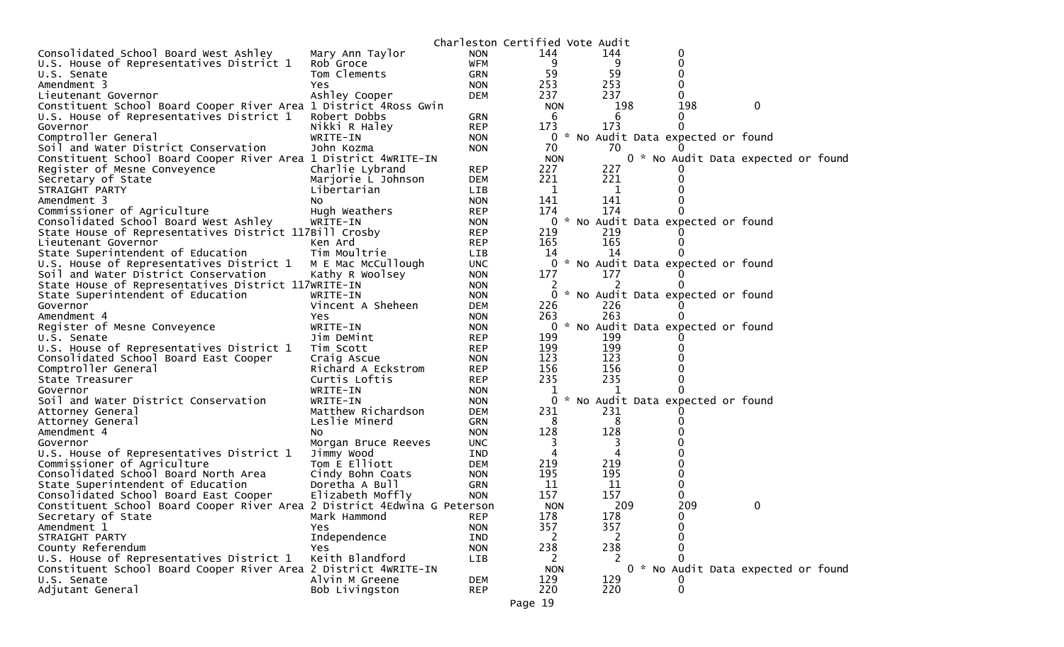|                                                                          |                     |                          | Charleston Certified Vote Audit |                                     |          |                                     |
|--------------------------------------------------------------------------|---------------------|--------------------------|---------------------------------|-------------------------------------|----------|-------------------------------------|
| Consolidated School Board West Ashley                                    | Mary Ann Taylor     | <b>NON</b>               | 144                             | 144                                 | 0        |                                     |
| U.S. House of Representatives District 1                                 | Rob Groce           | <b>WFM</b>               | 9                               | 9                                   | 0        |                                     |
| U.S. Senate                                                              | Tom Clements        | <b>GRN</b>               | 59                              | 59                                  | 0        |                                     |
| Amendment 3                                                              | Yes.                | <b>NON</b>               | 253                             | 253                                 | 0        |                                     |
| Lieutenant Governor                                                      | Ashley Cooper       | <b>DEM</b>               | 237                             | 237                                 |          |                                     |
| Constituent School Board Cooper River Area 1 District 4Ross Gwin         |                     |                          | <b>NON</b>                      | 198                                 | 198      | 0                                   |
| U.S. House of Representatives District 1                                 | Robert Dobbs        | GRN                      | 6                               | 6                                   |          |                                     |
| Governor                                                                 | Nikki R Haley       | <b>REP</b>               | 173                             | 173                                 |          |                                     |
| Comptroller General                                                      | WRITE-IN            | <b>NON</b>               |                                 | 0 * No Audit Data expected or found |          |                                     |
| Soil and Water District Conservation                                     | John Kozma          | <b>NON</b>               | 70                              | 70                                  |          |                                     |
| Constituent School Board Cooper River Area 1 District 4WRITE-IN          |                     |                          | <b>NON</b>                      |                                     |          | 0 * No Audit Data expected or found |
| Register of Mesne Conveyence                                             | Charlie Lybrand     | <b>REP</b>               | 227                             | 227                                 |          |                                     |
| Secretary of State                                                       | Marjorie L Johnson  | DEM                      | 221                             | 221                                 |          |                                     |
| STRAIGHT PARTY                                                           | Libertarian         | <b>LIB</b>               | 1                               | 1                                   |          |                                     |
| Amendment 3                                                              | NO.                 | <b>NON</b>               | 141                             | 141                                 |          |                                     |
| Commissioner of Agriculture                                              | Hugh Weathers       | <b>REP</b>               | 174                             | 174                                 |          |                                     |
| Consolidated School Board West Ashley                                    | WRITE-IN            | <b>NON</b>               |                                 | 0 * No Audit Data expected or found |          |                                     |
| State House of Representatives District 117Bill Crosby                   |                     | REP                      | 219                             | 219                                 |          |                                     |
| Lieutenant Governor                                                      | Ken Ard             | <b>REP</b>               | 165                             | 165                                 | $\Omega$ |                                     |
| State Superintendent of Education                                        | Tim Moultrie        | LIB                      | 14                              | 14                                  |          |                                     |
| U.S. House of Representatives District 1                                 | M E Mac McCullough  | <b>UNC</b>               |                                 | 0 * No Audit Data expected or found |          |                                     |
| Soil and Water District Conservation                                     | Kathy R Woolsey     | <b>NON</b>               | 177                             | 177                                 |          |                                     |
| State House of Representatives District 117WRITE-IN                      |                     | <b>NON</b>               |                                 |                                     |          |                                     |
| State Superintendent of Education                                        | WRITE-IN            | <b>NON</b>               |                                 | 0 * No Audit Data expected or found |          |                                     |
| Governor                                                                 | Vincent A Sheheen   | <b>DEM</b>               | 226<br>263                      | 226<br>263                          |          |                                     |
| Amendment 4<br>Register of Mesne Conveyence                              | Yes<br>WRITE-IN     | <b>NON</b><br><b>NON</b> | 0                               | * No Audit Data expected or found   |          |                                     |
| U.S. Senate                                                              | Jim DeMint          | <b>REP</b>               | 199                             | 199                                 |          |                                     |
| U.S. House of Representatives District 1                                 | Tim Scott           | REP                      | 199                             | 199                                 |          |                                     |
| Consolidated School Board East Cooper                                    | Craig Ascue         | <b>NON</b>               | 123                             | 123                                 |          |                                     |
| Comptroller General                                                      | Richard A Eckstrom  | <b>REP</b>               | 156                             | 156                                 |          |                                     |
| State Treasurer                                                          | Curtis Loftis       | <b>REP</b>               | 235                             | 235                                 |          |                                     |
| Governor                                                                 | WRITE-IN            | <b>NON</b>               |                                 |                                     |          |                                     |
| Soil and Water District Conservation                                     | WRITE-IN            | <b>NON</b>               | 0                               | * No Audit Data expected or found   |          |                                     |
| Attorney General                                                         | Matthew Richardson  | <b>DEM</b>               | 231                             | 231                                 |          |                                     |
| Attorney General                                                         | Leslie Minerd       | <b>GRN</b>               | 8                               | 8                                   |          |                                     |
| Amendment 4                                                              | NO.                 | <b>NON</b>               | 128                             | 128                                 |          |                                     |
| Governor                                                                 | Morgan Bruce Reeves | <b>UNC</b>               | 3                               | 3                                   |          |                                     |
| U.S. House of Representatives District 1                                 | Jimmy Wood          | IND                      | 4                               | 4                                   |          |                                     |
| Commissioner of Agriculture                                              | Tom E Elliott       | <b>DEM</b>               | 219                             | 219                                 |          |                                     |
| Consolidated School Board North Area                                     | Cindy Bohn Coats    | <b>NON</b>               | 195                             | 195                                 |          |                                     |
| State Superintendent of Education                                        | Doretha A Bull      | GRN                      | 11                              | 11                                  |          |                                     |
| Consolidated School Board East Cooper                                    | Elizabeth Moffly    | <b>NON</b>               | 157                             | 157                                 | 0        |                                     |
| Constituent School Board Cooper River Area 2 District 4Edwina G Peterson |                     |                          | <b>NON</b>                      | 209                                 | 209      | 0                                   |
| Secretary of State                                                       | Mark Hammond        | <b>REP</b>               | 178                             | 178                                 | 0        |                                     |
| Amendment 1                                                              | Yes.                | <b>NON</b>               | 357                             | 357                                 |          |                                     |
| STRAIGHT PARTY                                                           | Independence        | IND                      | 2                               | 2                                   | 0        |                                     |
| County Referendum                                                        | Yes.                | <b>NON</b>               | 238                             | 238                                 | 0        |                                     |
| U.S. House of Representatives District 1                                 | Keith Blandford     | LIB                      | 2                               | 2                                   |          |                                     |
| Constituent School Board Cooper River Area 2 District 4WRITE-IN          |                     |                          | <b>NON</b>                      |                                     |          | 0 * No Audit Data expected or found |
| U.S. Senate                                                              | Alvin M Greene      | <b>DEM</b>               | 129                             | 129                                 |          |                                     |
| Adjutant General                                                         | Bob Livingston      | <b>REP</b>               | 220                             | 220                                 | 0        |                                     |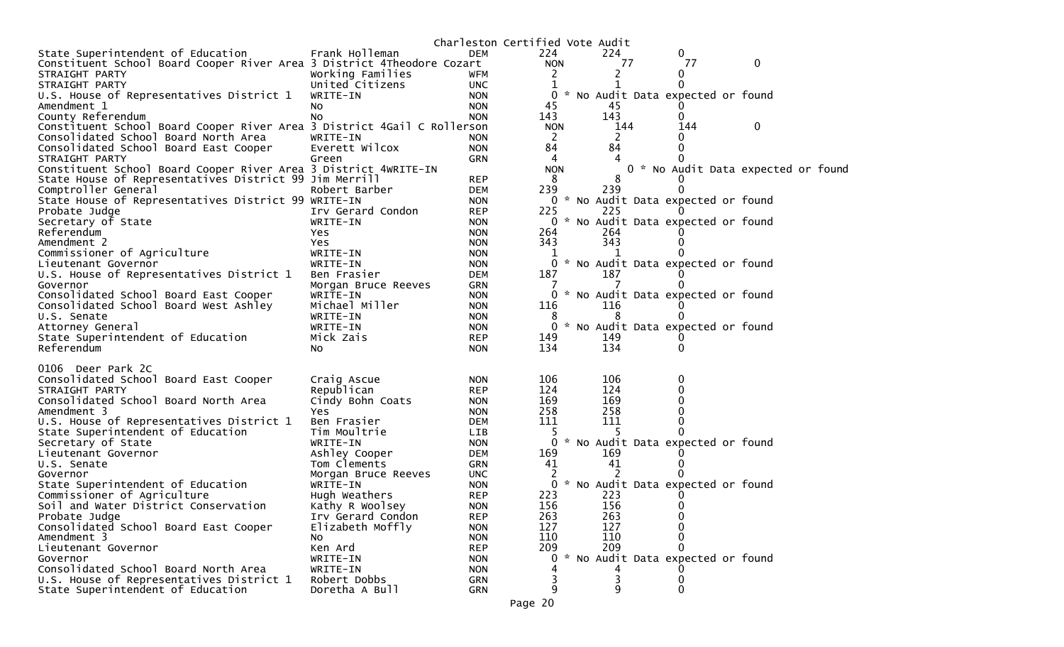|                                                                         |                       |                          | Charleston Certified Vote Audit |     |    |                                     |                                    |  |
|-------------------------------------------------------------------------|-----------------------|--------------------------|---------------------------------|-----|----|-------------------------------------|------------------------------------|--|
| State Superintendent of Education                                       | Frank Holleman        | DEM                      | 224                             | 224 |    | 0                                   |                                    |  |
| Constituent School Board Cooper River Area 3 District 4Theodore Cozart  |                       |                          | <b>NON</b>                      |     | 77 | 77                                  | 0                                  |  |
| STRAIGHT PARTY                                                          | Working Families      | <b>WFM</b>               | 2                               | 2   |    | 0                                   |                                    |  |
| STRAIGHT PARTY                                                          | United Citizens       | <b>UNC</b>               | 1                               |     |    |                                     |                                    |  |
| U.S. House of Representatives District 1                                | WRITE-IN              | <b>NON</b>               | 0                               |     |    | * No Audit Data expected or found   |                                    |  |
| Amendment 1                                                             | NO.                   | <b>NON</b>               | 45                              | 45  |    |                                     |                                    |  |
| County Referendum                                                       | NO.                   | <b>NON</b>               | 143                             | 143 |    | 0                                   |                                    |  |
| Constituent School Board Cooper River Area 3 District 4Gail C Rollerson |                       |                          | <b>NON</b>                      | 144 |    | 144                                 | 0                                  |  |
| Consolidated School Board North Area                                    | WRITE-IN              | <b>NON</b>               | 2                               | 2   |    |                                     |                                    |  |
| Consolidated School Board East Cooper                                   | Everett Wilcox        | <b>NON</b>               | 84                              | 84  |    |                                     |                                    |  |
| STRAIGHT PARTY                                                          | Green                 | GRN                      | 4                               |     |    |                                     |                                    |  |
| Constituent School Board Cooper River Area 3 District 4WRITE-IN         |                       |                          | <b>NON</b>                      |     |    |                                     | 0 * No Audit Data expected or foun |  |
| State House of Representatives District 99 Jim Merrill                  |                       | <b>REP</b>               | 8                               | 8   |    |                                     |                                    |  |
| Comptroller General                                                     | Robert Barber         | <b>DEM</b>               | 239                             | 239 |    |                                     |                                    |  |
| State House of Representatives District 99 WRITE-IN                     |                       | <b>NON</b>               |                                 |     |    | 0 * No Audit Data expected or found |                                    |  |
| Probate Judge                                                           | Irv Gerard Condon     | <b>REP</b>               | 225                             | 225 |    |                                     |                                    |  |
| Secretary of State                                                      | WRITE-IN              | <b>NON</b>               | 0 *                             |     |    | No Audit Data expected or found     |                                    |  |
| Referendum                                                              | Yes                   | <b>NON</b>               | 264                             | 264 |    |                                     |                                    |  |
| Amendment 2                                                             | Yes.                  | <b>NON</b>               | 343                             | 343 |    |                                     |                                    |  |
| Commissioner of Agriculture                                             | WRITE-IN              | <b>NON</b>               |                                 | 1   |    |                                     |                                    |  |
| Lieutenant Governor                                                     | WRITE-IN              | <b>NON</b>               |                                 |     |    | 0 * No Audit Data expected or found |                                    |  |
| U.S. House of Representatives District 1                                | Ben Frasier           | <b>DEM</b>               | 187                             | 187 |    |                                     |                                    |  |
| Governor                                                                | Morgan Bruce Reeves   | GRN                      |                                 |     |    |                                     |                                    |  |
| Consolidated School Board East Cooper                                   | WRITE-IN              | <b>NON</b>               | 0                               |     |    | * No Audit Data expected or found   |                                    |  |
| Consolidated School Board West Ashley                                   | Michael Miller        | <b>NON</b>               | 116                             | 116 |    |                                     |                                    |  |
| U.S. Senate                                                             | WRITE-IN              | <b>NON</b>               | 8<br>$\mathbf{0}$               | 8   |    | * No Audit Data expected or found   |                                    |  |
| Attorney General                                                        | WRITE-IN<br>Mick Zais | <b>NON</b>               |                                 | 149 |    |                                     |                                    |  |
| State Superintendent of Education<br>Referendum                         | NO.                   | <b>REP</b><br><b>NON</b> | 149<br>134                      | 134 |    |                                     |                                    |  |
|                                                                         |                       |                          |                                 |     |    |                                     |                                    |  |
| 0106 Deer Park 2C                                                       |                       |                          |                                 |     |    |                                     |                                    |  |
| Consolidated School Board East Cooper                                   | Craig Ascue           | <b>NON</b>               | 106                             | 106 |    | 0                                   |                                    |  |
| STRAIGHT PARTY                                                          | Republican            | <b>REP</b>               | 124                             | 124 |    |                                     |                                    |  |
| Consolidated School Board North Area                                    | Cindy Bohn Coats      | <b>NON</b>               | 169                             | 169 |    |                                     |                                    |  |
| Amendment 3                                                             | Yes                   | <b>NON</b>               | 258                             | 258 |    |                                     |                                    |  |
| U.S. House of Representatives District 1                                | Ben Frasier           | <b>DEM</b>               | 111                             | 111 |    |                                     |                                    |  |
| State Superintendent of Education                                       | Tim Moultrie          | LIB                      | 5                               |     |    |                                     |                                    |  |
| Secretary of State                                                      | WRITE-IN              | <b>NON</b>               |                                 |     |    | * No Audit Data expected or found   |                                    |  |
| Lieutenant Governor                                                     | Ashley Cooper         | <b>DEM</b>               | 169                             | 169 |    |                                     |                                    |  |
| U.S. Senate                                                             | Tom Clements          | GRN                      | 41                              | 41  |    |                                     |                                    |  |
| Governor                                                                | Morgan Bruce Reeves   | <b>UNC</b>               |                                 |     |    |                                     |                                    |  |
| State Superintendent of Education                                       | WRITE-IN              | <b>NON</b>               | $\mathbf{0}$                    |     |    | * No Audit Data expected or found   |                                    |  |
| Commissioner of Agriculture                                             | Hugh Weathers         | <b>REP</b>               | 223                             | 223 |    |                                     |                                    |  |
| Soil and Water District Conservation                                    | Kathy R Woolsey       | <b>NON</b>               | 156                             | 156 |    |                                     |                                    |  |
| Probate Judge                                                           | Irv Gerard Condon     | <b>REP</b>               | 263                             | 263 |    | 0                                   |                                    |  |
| Consolidated School Board East Cooper                                   | Elizabeth Moffly      | <b>NON</b>               | 127                             | 127 |    | $\Omega$                            |                                    |  |
| Amendment 3                                                             | NO.                   | <b>NON</b>               | 110                             | 110 |    | 0                                   |                                    |  |
| Lieutenant Governor                                                     | Ken Ard               | <b>REP</b>               | 209                             | 209 |    |                                     |                                    |  |
| Governor                                                                | WRITE-IN              | <b>NON</b>               | $\overline{0}$                  |     |    | * No Audit Data expected or found   |                                    |  |
| Consolidated School Board North Area                                    | WRITE-IN              | <b>NON</b>               |                                 |     |    |                                     |                                    |  |
| U.S. House of Representatives District 1                                | Robert Dobbs          | GRN                      |                                 | 3   |    | 0                                   |                                    |  |
| State Superintendent of Education                                       | Doretha A Bull        | GRN                      | 9                               | 9   |    | 0                                   |                                    |  |

d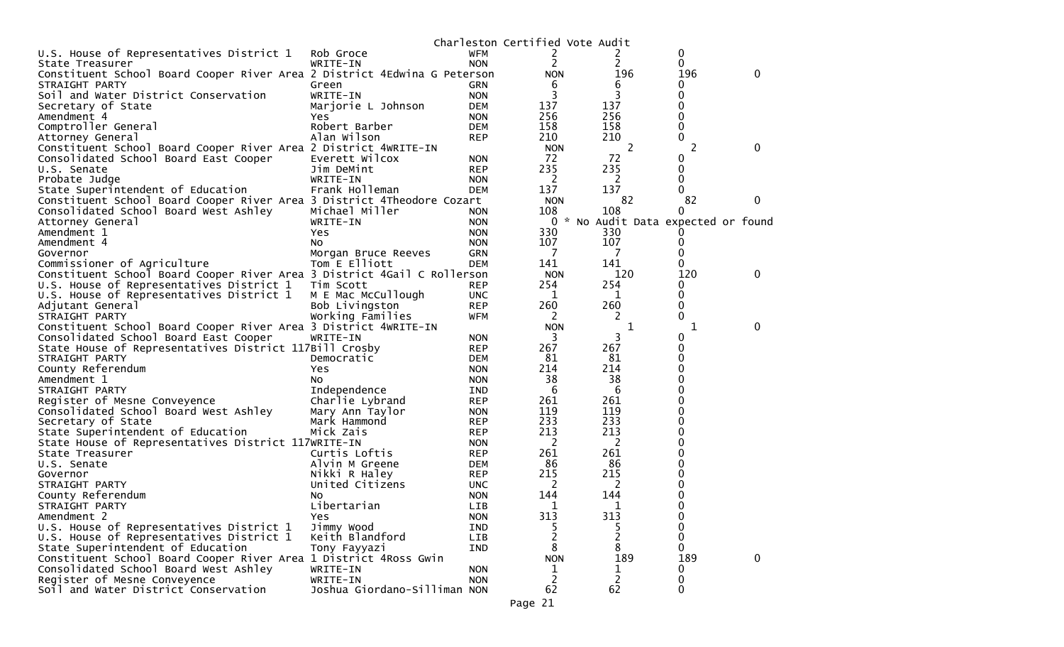|                                                                          |                              |            | Charleston Certified Vote Audit |                |                                     |   |
|--------------------------------------------------------------------------|------------------------------|------------|---------------------------------|----------------|-------------------------------------|---|
| U.S. House of Representatives District 1                                 | Rob Groce                    | <b>WFM</b> | 2                               |                | 0                                   |   |
| State Treasurer                                                          | WRITE-IN                     | <b>NON</b> | 2                               | 2              | 0                                   |   |
| Constituent School Board Cooper River Area 2 District 4Edwina G Peterson |                              |            | <b>NON</b>                      | 196            | 196                                 | 0 |
| STRAIGHT PARTY                                                           | Green                        | <b>GRN</b> | 6                               | 6              | 0                                   |   |
| Soil and Water District Conservation                                     | WRITE-IN                     | <b>NON</b> | 3                               | 3              | 0                                   |   |
| Secretary of State                                                       | Marjorie L Johnson           | <b>DEM</b> | 137                             | 137            | 0                                   |   |
| Amendment 4                                                              | Yes                          | <b>NON</b> | 256                             | 256            | 0                                   |   |
| Comptroller General                                                      | Robert Barber                | <b>DEM</b> | 158                             | 158            | 0                                   |   |
| Attorney General                                                         | Alan Wilson                  | <b>REP</b> | 210                             | 210            | 0                                   |   |
| Constituent School Board Cooper River Area 2 District 4WRITE-IN          |                              |            | <b>NON</b>                      | 2              | 2                                   | 0 |
| Consolidated School Board East Cooper                                    | Everett Wilcox               | <b>NON</b> | 72                              | 72             | 0                                   |   |
| U.S. Senate                                                              |                              |            | 235                             | 235            | 0                                   |   |
|                                                                          | Jim DeMint<br>WRITE-IN       | <b>REP</b> | 2                               | 2              | 0                                   |   |
| Probate Judge                                                            |                              | <b>NON</b> |                                 |                | 0                                   |   |
| State Superintendent of Education                                        | Frank Holleman               | <b>DEM</b> | 137                             | 137            | 82                                  |   |
| Constituent School Board Cooper River Area 3 District 4Theodore Cozart   |                              |            | <b>NON</b>                      | 82             |                                     | 0 |
| Consolidated School Board West Ashley                                    | Michael Miller               | <b>NON</b> | 108                             | 108            | 0                                   |   |
| Attorney General                                                         | WRITE-IN                     | <b>NON</b> |                                 |                | 0 * No Audit Data expected or found |   |
| Amendment 1                                                              | Yes                          | <b>NON</b> | 330                             | 330            |                                     |   |
| Amendment 4                                                              | NO.                          | <b>NON</b> | 107                             | 107            | 0                                   |   |
| Governor                                                                 | Morgan Bruce Reeves          | <b>GRN</b> | 7                               | 7              | 0                                   |   |
| Commissioner of Agriculture                                              | Tom E Elliott                | <b>DEM</b> | 141                             | 141            | 0                                   |   |
| Constituent School Board Cooper River Area 3 District 4Gail C Rollerson  |                              |            | <b>NON</b>                      | 120            | 120                                 | 0 |
| U.S. House of Representatives District 1                                 | Tim Scott                    | <b>REP</b> | 254                             | 254            | 0                                   |   |
| U.S. House of Representatives District 1                                 | M E Mac McCullough           | <b>UNC</b> | $\mathbf{1}$                    | 1              | 0                                   |   |
| Adjutant General                                                         | Bob Livingston               | <b>REP</b> | 260                             | 260            | 0                                   |   |
| STRAIGHT PARTY                                                           | Working Families             | <b>WFM</b> | 2                               | 2              | 0                                   |   |
| Constituent School Board Cooper River Area 3 District 4WRITE-IN          |                              |            | <b>NON</b>                      | 1              | 1                                   | 0 |
| Consolidated School Board East Cooper                                    | WRITE-IN                     | <b>NON</b> | 3                               | 3              | 0                                   |   |
| State House of Representatives District 117Bill Crosby                   |                              | <b>REP</b> | 267                             | 267            | 0                                   |   |
| STRAIGHT PARTY                                                           | Democratic                   | <b>DEM</b> | 81                              | 81             | 0                                   |   |
| County Referendum                                                        | Yes                          | <b>NON</b> | 214                             | 214            | 0                                   |   |
| Amendment 1                                                              | No.                          | <b>NON</b> | 38                              | 38             | 0                                   |   |
| STRAIGHT PARTY                                                           | Independence                 | IND        | 6                               | 6              | 0                                   |   |
| Register of Mesne Conveyence                                             | Charlie Lybrand              | <b>REP</b> | 261                             | 261            | ი                                   |   |
| Consolidated School Board West Ashley                                    | Mary Ann Taylor              | <b>NON</b> | 119                             | 119            | 0                                   |   |
| Secretary of State                                                       | Mark Hammond                 | <b>REP</b> | 233                             | 233            | 0                                   |   |
| State Superintendent of Education                                        | Mick Zais                    | <b>REP</b> | 213                             | 213            | 0                                   |   |
| State House of Representatives District 117WRITE-IN                      |                              | <b>NON</b> | 2                               | 2              | 0                                   |   |
| State Treasurer                                                          | Curtis Loftis                | <b>REP</b> | 261                             | 261            | 0                                   |   |
| U.S. Senate                                                              | Alvin M Greene               | DEM        | 86                              | 86             | 0                                   |   |
| Governor                                                                 | Nikki R Haley                | <b>REP</b> | 215                             | 215            | 0                                   |   |
| STRAIGHT PARTY                                                           | United Citizens              | <b>UNC</b> | 2                               | 2              | 0                                   |   |
| County Referendum                                                        |                              | <b>NON</b> | 144                             | 144            | 0                                   |   |
|                                                                          | NO.<br>Libertarian           |            |                                 | 1              | 0                                   |   |
| STRAIGHT PARTY                                                           |                              | <b>LIB</b> | 1                               |                |                                     |   |
| Amendment 2                                                              | <b>Yes</b>                   | <b>NON</b> | 313                             | 313            | 0                                   |   |
| U.S. House of Representatives District 1                                 | Jimmy Wood                   | IND        | 5                               |                | 0                                   |   |
| U.S. House of Representatives District 1                                 | Keith Blandford              | LIB        | 2                               | $\overline{c}$ | 0                                   |   |
| State Superintendent of Education                                        | Tony Fayyazi                 | IND        | 8                               | 8              | 0                                   |   |
| Constituent School Board Cooper River Area 1 District 4Ross Gwin         |                              |            | <b>NON</b>                      | 189            | 189                                 | 0 |
| Consolidated School Board West Ashley                                    | WRITE-IN                     | <b>NON</b> | 1                               | 1              | 0                                   |   |
| Register of Mesne Conveyence                                             | WRITE-IN                     | <b>NON</b> | $\overline{2}$                  | 2              | 0                                   |   |
| Soil and Water District Conservation                                     | Joshua Giordano-Silliman NON |            | 62                              | 62             | 0                                   |   |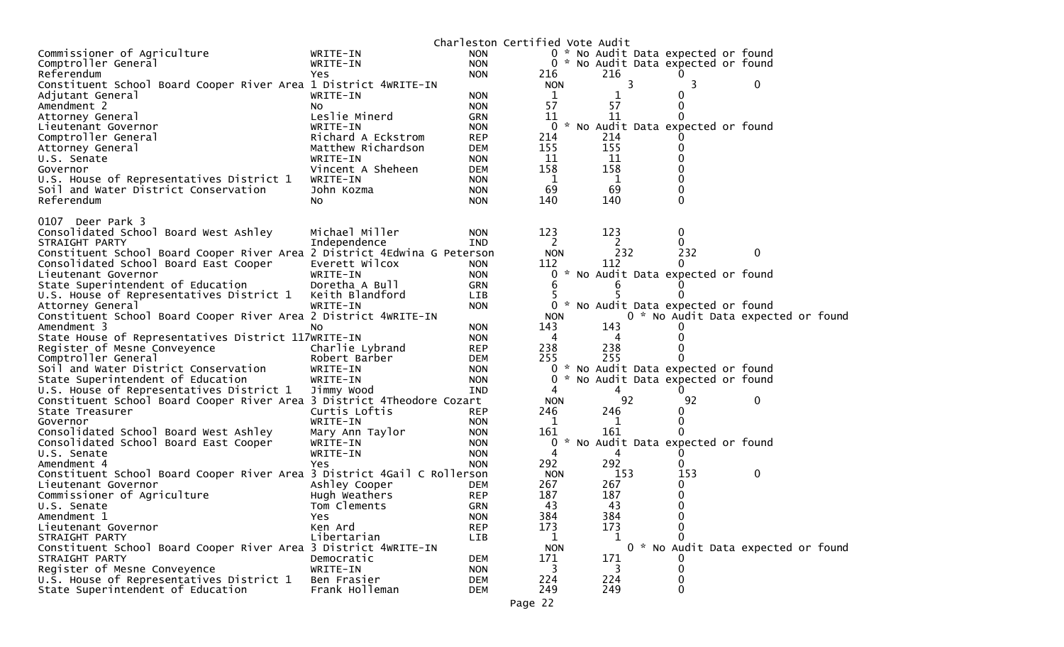|                                                                          |                    |            | Charleston Certified Vote Audit |   |     |                                     |                                     |  |
|--------------------------------------------------------------------------|--------------------|------------|---------------------------------|---|-----|-------------------------------------|-------------------------------------|--|
| Commissioner of Agriculture                                              | WRITE-IN           | <b>NON</b> |                                 |   |     | 0 * No Audit Data expected or found |                                     |  |
| Comptroller General                                                      | WRITE-IN           | <b>NON</b> |                                 |   |     | 0 * No Audit Data expected or found |                                     |  |
| Referendum                                                               | Yes.               | <b>NON</b> | 216                             |   | 216 | $\Omega$                            |                                     |  |
| Constituent School Board Cooper River Area 1 District 4WRITE-IN          |                    |            | <b>NON</b>                      |   | 3   | 3                                   | 0                                   |  |
| Adjutant General                                                         | WRITE-IN           | <b>NON</b> | 1                               |   |     |                                     |                                     |  |
| Amendment 2                                                              | NO.                | <b>NON</b> | 57                              |   | 57  | $\Omega$                            |                                     |  |
| Attorney General                                                         | Leslie Minerd      | <b>GRN</b> | 11                              |   | 11  |                                     |                                     |  |
| Lieutenant Governor                                                      | WRITE-IN           | <b>NON</b> | 0                               |   |     | * No Audit Data expected or found   |                                     |  |
| Comptroller General                                                      | Richard A Eckstrom | <b>REP</b> | 214                             |   | 214 |                                     |                                     |  |
| Attorney General                                                         | Matthew Richardson | <b>DEM</b> | 155                             |   | 155 | $\Omega$                            |                                     |  |
| U.S. Senate                                                              | WRITE-IN           | <b>NON</b> | 11                              |   | 11  |                                     |                                     |  |
| Governor                                                                 | Vincent A Sheheen  | <b>DEM</b> | 158                             |   | 158 |                                     |                                     |  |
| U.S. House of Representatives District 1                                 | WRITE-IN           | <b>NON</b> | $\mathbf{1}$                    |   | 1   | 0                                   |                                     |  |
| Soil and Water District Conservation                                     | John Kozma         | <b>NON</b> | 69                              |   | 69  | $\Omega$                            |                                     |  |
| Referendum                                                               | No                 | <b>NON</b> | 140                             |   | 140 | $\Omega$                            |                                     |  |
|                                                                          |                    |            |                                 |   |     |                                     |                                     |  |
| 0107 Deer Park 3                                                         |                    |            |                                 |   |     |                                     |                                     |  |
| Consolidated School Board West Ashley                                    | Michael Miller     | <b>NON</b> | 123                             |   | 123 | $\mathbf 0$                         |                                     |  |
| STRAIGHT PARTY                                                           | Independence       | <b>IND</b> | 2                               |   | 2   | 0                                   |                                     |  |
| Constituent School Board Cooper River Area 2 District 4Edwina G Peterson |                    |            | <b>NON</b>                      |   | 232 | 232                                 | 0                                   |  |
| Consolidated School Board East Cooper                                    | Everett Wilcox     | <b>NON</b> | 112                             |   | 112 | $\Omega$                            |                                     |  |
| Lieutenant Governor                                                      | WRITE-IN           | <b>NON</b> | 0                               |   |     | * No Audit Data expected or found   |                                     |  |
| State Superintendent of Education                                        | Doretha A Bull     | <b>GRN</b> | 6                               |   |     |                                     |                                     |  |
| U.S. House of Representatives District 1                                 | Keith Blandford    | LIB        |                                 |   |     | 0                                   |                                     |  |
| Attorney General                                                         | WRITE-IN           | <b>NON</b> | 0                               | * |     | No Audit Data expected or found     |                                     |  |
| Constituent School Board Cooper River Area 2 District 4WRITE-IN          |                    |            | <b>NON</b>                      |   |     |                                     | 0 * No Audit Data expected or found |  |
| Amendment 3                                                              | No                 | <b>NON</b> | 143                             |   | 143 |                                     |                                     |  |
| State House of Representatives District 117WRITE-IN                      |                    | <b>NON</b> | 4                               |   | 4   |                                     |                                     |  |
| Register of Mesne Conveyence                                             | Charlie Lybrand    | <b>REP</b> | 238                             |   | 238 | $\Omega$                            |                                     |  |
| Comptroller General                                                      | Robert Barber      | <b>DEM</b> | 255                             |   | 255 | 0                                   |                                     |  |
| Soil and Water District Conservation                                     | WRITE-IN           | <b>NON</b> | 0                               |   |     | * No Audit Data expected or found   |                                     |  |
| State Superintendent of Education                                        | WRITE-IN           | <b>NON</b> | 0                               |   |     | * No Audit Data expected or found   |                                     |  |
| U.S. House of Representatives District 1                                 | Jimmy Wood         | <b>IND</b> | 4                               |   | 4   |                                     |                                     |  |
| Constituent School Board Cooper River Area 3 District 4Theodore Cozart   |                    |            | <b>NON</b>                      |   | 92  | 92                                  | 0                                   |  |
| State Treasurer                                                          | Curtis Loftis      | <b>REP</b> | 246                             |   | 246 | 0                                   |                                     |  |
| Governor                                                                 | WRITE-IN           | <b>NON</b> | 1                               |   | 1   | 0                                   |                                     |  |
| Consolidated School Board West Ashley                                    | Mary Ann Taylor    | <b>NON</b> | 161                             |   | 161 |                                     |                                     |  |
| Consolidated School Board East Cooper                                    | WRITE-IN           | <b>NON</b> | 0                               |   |     | * No Audit Data expected or found   |                                     |  |
| U.S. Senate                                                              | WRITE-IN           | <b>NON</b> | 4                               |   | 4   |                                     |                                     |  |
| Amendment 4                                                              | Yes                | <b>NON</b> | 292                             |   | 292 | $\Omega$                            |                                     |  |
| Constituent School Board Cooper River Area 3 District 4Gail C Rollerson  |                    |            | <b>NON</b>                      |   | 153 | 153                                 | $\boldsymbol{0}$                    |  |
| Lieutenant Governor                                                      | Ashley Cooper      | DEM        | 267                             |   | 267 | 0                                   |                                     |  |
| Commissioner of Agriculture                                              | Hugh Weathers      | <b>REP</b> | 187                             |   | 187 | 0                                   |                                     |  |
| U.S. Senate                                                              | Tom Clements       | <b>GRN</b> | 43                              |   | 43  | $\mathbf{0}$                        |                                     |  |
| Amendment 1                                                              | Yes                | <b>NON</b> | 384                             |   | 384 | 0                                   |                                     |  |
| Lieutenant Governor                                                      | Ken Ard            | <b>REP</b> | 173                             |   | 173 |                                     |                                     |  |
| STRAIGHT PARTY                                                           | Libertarian        | LIB        | 1                               |   | 1   |                                     |                                     |  |
| Constituent School Board Cooper River Area 3 District 4WRITE-IN          |                    |            | <b>NON</b>                      |   |     |                                     | 0 * No Audit Data expected or found |  |
| STRAIGHT PARTY                                                           | Democratic         | <b>DEM</b> | 171                             |   | 171 |                                     |                                     |  |
| Register of Mesne Conveyence                                             | WRITE-IN           | <b>NON</b> | 3                               |   | 3   | 0                                   |                                     |  |
| U.S. House of Representatives District 1                                 | Ben Frasier        | <b>DEM</b> | 224                             |   | 224 | 0                                   |                                     |  |
| State Superintendent of Education                                        | Frank Holleman     | <b>DEM</b> | 249                             |   | 249 | 0                                   |                                     |  |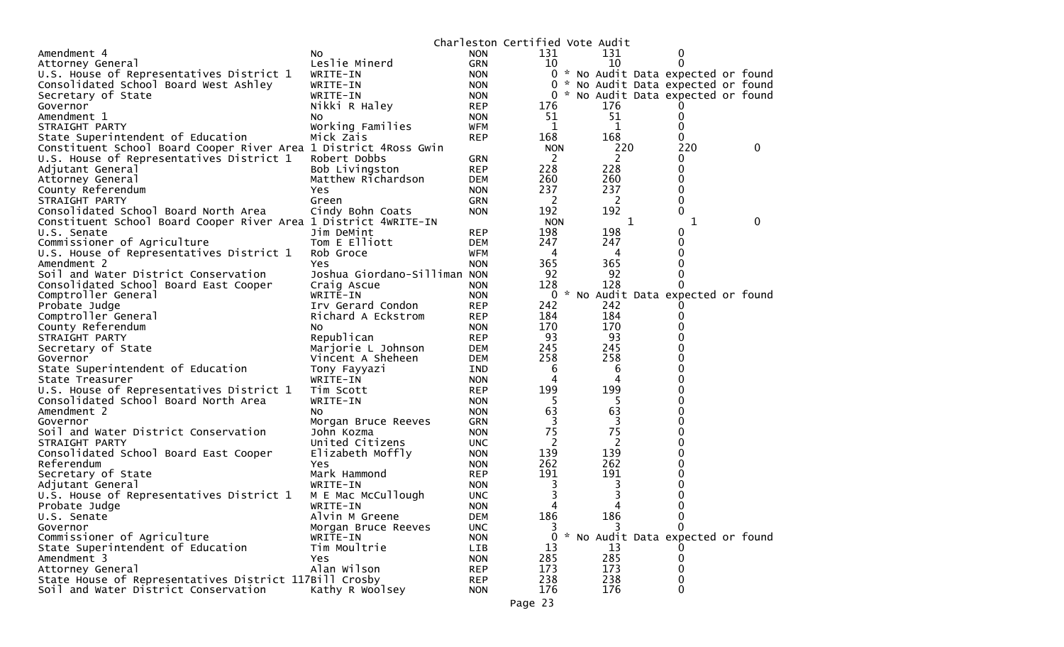|                                                                  |                              |            | Charleston Certified Vote Audit |     |                                     |   |  |
|------------------------------------------------------------------|------------------------------|------------|---------------------------------|-----|-------------------------------------|---|--|
| Amendment 4                                                      | No.                          | <b>NON</b> | 131                             | 131 | 0                                   |   |  |
| Attorney General                                                 | Leslie Minerd                | <b>GRN</b> | 10                              | 10  | 0                                   |   |  |
| U.S. House of Representatives District 1                         | WRITE-IN                     | <b>NON</b> |                                 |     | 0 * No Audit Data expected or found |   |  |
| Consolidated School Board West Ashley                            | WRITE-IN                     | <b>NON</b> | 0                               |     | * No Audit Data expected or found   |   |  |
| Secretary of State                                               | WRITE-IN                     | <b>NON</b> | 0                               |     | * No Audit Data expected or found   |   |  |
| Governor                                                         | Nikki R Haley                | <b>REP</b> | 176                             | 176 |                                     |   |  |
| Amendment 1                                                      | No.                          | <b>NON</b> | 51                              | 51  | 0                                   |   |  |
| STRAIGHT PARTY                                                   | Working Families             | WFM        | 1                               | 1   | 0                                   |   |  |
| State Superintendent of Education                                | Mick Zais                    | <b>REP</b> | 168                             | 168 | 0                                   |   |  |
| Constituent School Board Cooper River Area 1 District 4Ross Gwin |                              |            | <b>NON</b>                      | 220 | 220                                 | 0 |  |
| U.S. House of Representatives District 1                         | Robert Dobbs                 | <b>GRN</b> | 2                               | 2   | 0                                   |   |  |
| Adjutant General                                                 | Bob Livingston               | <b>REP</b> | 228                             | 228 | 0                                   |   |  |
| Attorney General                                                 | Matthew Richardson           | <b>DEM</b> | 260                             | 260 | 0                                   |   |  |
| County Referendum                                                | Yes                          | <b>NON</b> | 237                             | 237 | 0                                   |   |  |
| STRAIGHT PARTY                                                   | Green                        | <b>GRN</b> | 2                               | 2   | 0                                   |   |  |
| Consolidated School Board North Area                             | Cindy Bohn Coats             | <b>NON</b> | 192                             | 192 | 0                                   |   |  |
| Constituent School Board Cooper River Area 1 District 4WRITE-IN  |                              |            | <b>NON</b>                      | 1   | 1                                   | 0 |  |
| U.S. Senate                                                      | Jim DeMint                   | <b>REP</b> | 198                             | 198 | 0                                   |   |  |
| Commissioner of Agriculture                                      | Tom E Elliott                | <b>DEM</b> | 247                             | 247 | 0                                   |   |  |
| U.S. House of Representatives District 1                         | Rob Groce                    | WFM        | 4                               | 4   | 0                                   |   |  |
| Amendment 2                                                      | Yes                          | <b>NON</b> | 365                             | 365 |                                     |   |  |
| Soil and Water District Conservation                             | Joshua Giordano-Silliman NON |            | 92                              | 92  |                                     |   |  |
| Consolidated School Board East Cooper                            | Craig Ascue                  | <b>NON</b> | 128                             | 128 | 0                                   |   |  |
| Comptroller General                                              | WRITE-IN                     | <b>NON</b> | 0                               |     | * No Audit Data expected or found   |   |  |
| Probate Judge                                                    | Irv Gerard Condon            | <b>REP</b> | 242                             | 242 |                                     |   |  |
| Comptroller General                                              | Richard A Eckstrom           | <b>REP</b> | 184                             | 184 |                                     |   |  |
| County Referendum                                                | NO.                          | <b>NON</b> | 170                             | 170 |                                     |   |  |
| STRAIGHT PARTY                                                   | Republican                   | <b>REP</b> | 93                              | 93  |                                     |   |  |
| Secretary of State                                               | Marjorie L Johnson           | DEM        | 245                             | 245 |                                     |   |  |
| Governor                                                         | Vincent A Sheheen            | <b>DEM</b> | 258                             | 258 |                                     |   |  |
| State Superintendent of Education                                | Tony Fayyazi                 | IND        | 6                               | 6   |                                     |   |  |
| State Treasurer                                                  | WRITE-IN                     | <b>NON</b> | 4                               | 4   |                                     |   |  |
| U.S. House of Representatives District 1                         | Tim Scott                    | <b>REP</b> | 199                             | 199 |                                     |   |  |
| Consolidated School Board North Area                             | WRITE-IN                     | <b>NON</b> | 5                               | 5   |                                     |   |  |
| Amendment 2                                                      | NO.                          | <b>NON</b> | 63                              | 63  | 0                                   |   |  |
| Governor                                                         | Morgan Bruce Reeves          | <b>GRN</b> | 3                               | 3   |                                     |   |  |
| Soil and Water District Conservation                             | John Kozma                   | <b>NON</b> | 75                              | 75  |                                     |   |  |
| STRAIGHT PARTY                                                   | United Citizens              | <b>UNC</b> | 2                               | 2   |                                     |   |  |
| Consolidated School Board East Cooper                            | Elizabeth Moffly             | <b>NON</b> | 139                             | 139 |                                     |   |  |
| Referendum                                                       | Yes                          | <b>NON</b> | 262                             | 262 |                                     |   |  |
| Secretary of State                                               | Mark Hammond                 | <b>REP</b> | 191                             | 191 |                                     |   |  |
| Adjutant General                                                 | WRITE-IN                     | <b>NON</b> |                                 | 3   |                                     |   |  |
| U.S. House of Representatives District 1                         | M E Mac McCullough           | <b>UNC</b> |                                 | 3   |                                     |   |  |
| Probate Judge                                                    | WRITE-IN                     | <b>NON</b> | 4                               | 4   | 0                                   |   |  |
| U.S. Senate                                                      | Alvin M Greene               | <b>DEM</b> | 186                             | 186 | 0                                   |   |  |
| Governor                                                         | Morgan Bruce Reeves          | <b>UNC</b> |                                 | 3   | 0                                   |   |  |
| Commissioner of Agriculture                                      | WRITE-IN                     | <b>NON</b> | 0                               |     | * No Audit Data expected or found   |   |  |
| State Superintendent of Education                                | Tim Moultrie                 | LIB        | 13                              | 13  |                                     |   |  |
| Amendment 3                                                      | <b>Yes</b>                   | <b>NON</b> | 285                             | 285 | 0                                   |   |  |
| Attorney General                                                 | Alan Wilson                  | <b>REP</b> | 173                             | 173 | 0                                   |   |  |
| State House of Representatives District 117Bill Crosby           |                              | <b>REP</b> | 238                             | 238 | 0                                   |   |  |
| Soil and Water District Conservation                             | Kathy R Woolsey              | <b>NON</b> | 176                             | 176 | 0                                   |   |  |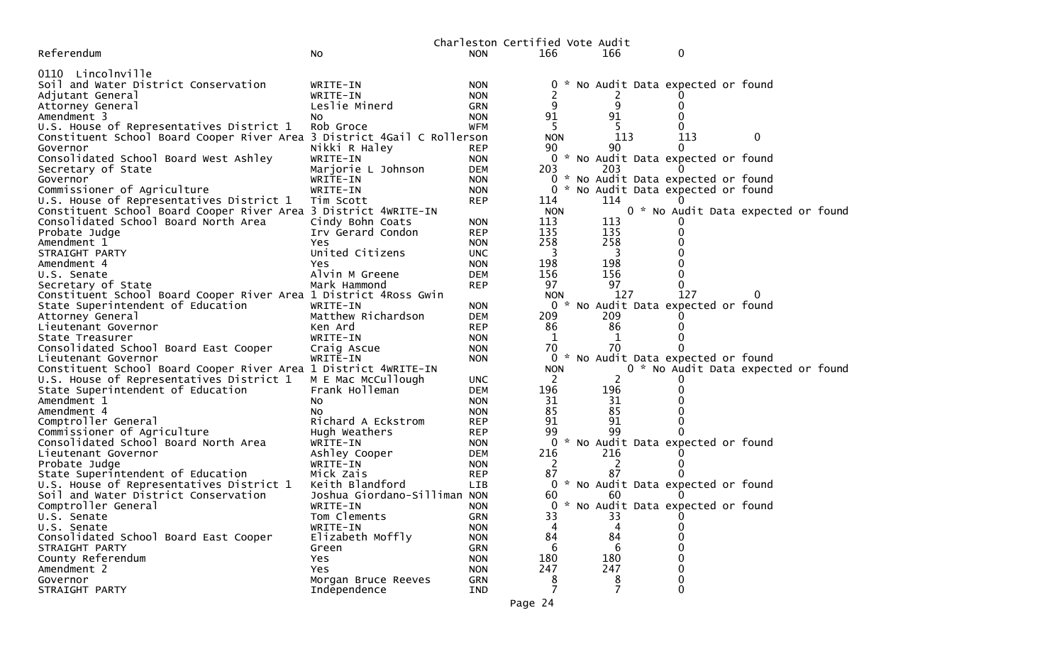|                                                                         |                                |                          | Charleston Certified Vote Audit |                          |                                     |                                     |  |
|-------------------------------------------------------------------------|--------------------------------|--------------------------|---------------------------------|--------------------------|-------------------------------------|-------------------------------------|--|
| Referendum                                                              | No.                            | <b>NON</b>               | 166                             | 166                      | 0                                   |                                     |  |
|                                                                         |                                |                          |                                 |                          |                                     |                                     |  |
| 0110 Lincolnville                                                       |                                |                          |                                 |                          |                                     |                                     |  |
| Soil and Water District Conservation                                    | WRITE-IN                       | <b>NON</b>               |                                 |                          | 0 * No Audit Data expected or found |                                     |  |
| Adjutant General                                                        | WRITE-IN                       | <b>NON</b>               |                                 |                          |                                     |                                     |  |
| Attorney General                                                        | Leslie Minerd                  | <b>GRN</b>               | 9                               | 9                        |                                     |                                     |  |
| Amendment 3                                                             | NO.                            | <b>NON</b>               | 91                              | 91                       |                                     |                                     |  |
| U.S. House of Representatives District 1                                | Rob Groce                      | <b>WFM</b>               | 5.                              | .5.                      |                                     |                                     |  |
| Constituent School Board Cooper River Area 3 District 4Gail C Rollerson |                                |                          | <b>NON</b>                      | 113                      | 113                                 | 0                                   |  |
| Governor                                                                | Nikki R Haley                  | <b>REP</b>               | 90                              | 90                       | $\Omega$                            |                                     |  |
| Consolidated School Board West Ashley                                   | WRITE-IN                       | <b>NON</b>               |                                 | 203                      | 0 * No Audit Data expected or found |                                     |  |
| Secretary of State<br>Governor                                          | Marjorie L Johnson<br>WRITE-IN | <b>DEM</b><br><b>NON</b> | 203                             |                          | 0 * No Audit Data expected or found |                                     |  |
| Commissioner of Agriculture                                             | WRITE-IN                       | <b>NON</b>               | 0                               |                          | * No Audit Data expected or found   |                                     |  |
| U.S. House of Representatives District 1                                | Tim Scott                      | <b>REP</b>               | 114                             | 114                      |                                     |                                     |  |
| Constituent School Board Cooper River Area 3 District 4WRITE-IN         |                                |                          | <b>NON</b>                      |                          |                                     | 0 * No Audit Data expected or found |  |
| Consolidated School Board North Area                                    | Cindy Bohn Coats               | <b>NON</b>               | 113                             | 113                      |                                     |                                     |  |
| Probate Judge                                                           | Irv Gerard Condon              | <b>REP</b>               | 135                             | 135                      |                                     |                                     |  |
| Amendment 1                                                             | Yes                            | <b>NON</b>               | 258                             | 258                      |                                     |                                     |  |
| STRAIGHT PARTY                                                          | United Citizens                | <b>UNC</b>               | $\overline{\mathbf{3}}$         | $\overline{\phantom{a}}$ |                                     |                                     |  |
| Amendment 4                                                             | Yes                            | <b>NON</b>               | 198                             | 198                      |                                     |                                     |  |
| U.S. Senate                                                             | Alvin M Greene                 | <b>DEM</b>               | 156                             | 156                      |                                     |                                     |  |
| Secretary of State                                                      | Mark Hammond                   | <b>REP</b>               | 97                              | 97                       | 0                                   |                                     |  |
| Constituent School Board Cooper River Area 1 District 4Ross Gwin        |                                |                          | <b>NON</b>                      | 127                      | 127                                 | 0                                   |  |
| State Superintendent of Education                                       | WRITE-IN                       | <b>NON</b>               |                                 |                          | 0 * No Audit Data expected or found |                                     |  |
| Attorney General                                                        | Matthew Richardson             | <b>DEM</b>               | 209                             | 209                      |                                     |                                     |  |
| Lieutenant Governor                                                     | Ken Ard                        | <b>REP</b>               | 86                              | 86                       |                                     |                                     |  |
| State Treasurer                                                         | WRITE-IN                       | <b>NON</b>               | 1                               | 1                        |                                     |                                     |  |
| Consolidated School Board East Cooper                                   | Craig Ascue                    | <b>NON</b>               | 70                              | 70                       |                                     |                                     |  |
| Lieutenant Governor                                                     | WRITE-IN                       | <b>NON</b>               |                                 |                          | 0 * No Audit Data expected or found |                                     |  |
| Constituent School Board Cooper River Area 1 District 4WRITE-IN         |                                |                          | <b>NON</b>                      |                          |                                     | 0 * No Audit Data expected or found |  |
| U.S. House of Representatives District 1 M E Mac McCullough             |                                | <b>UNC</b>               | 2                               | 2                        |                                     |                                     |  |
| State Superintendent of Education                                       | Frank Holleman                 | <b>DEM</b>               | 196                             | 196                      |                                     |                                     |  |
| Amendment 1                                                             | NO.                            | <b>NON</b>               | 31                              | 31                       |                                     |                                     |  |
| Amendment 4                                                             | NO.                            | <b>NON</b>               | 85                              | 85                       |                                     |                                     |  |
| Comptroller General                                                     | Richard A Eckstrom             | <b>REP</b>               | 91                              | 91                       |                                     |                                     |  |
| Commissioner of Agriculture                                             | Hugh Weathers                  | <b>REP</b>               | 99                              | 99                       |                                     |                                     |  |
| Consolidated School Board North Area                                    | WRITE-IN                       | <b>NON</b>               | 0                               |                          | * No Audit Data expected or found   |                                     |  |
| Lieutenant Governor                                                     | Ashley Cooper                  | <b>DEM</b>               | 216                             | 216                      |                                     |                                     |  |
| Probate Judge                                                           | WRITE-IN                       | <b>NON</b>               | <sup>2</sup>                    | 2                        |                                     |                                     |  |
| State Superintendent of Education                                       | Mick Zais                      | <b>REP</b>               | 87                              | 87                       |                                     |                                     |  |
| U.S. House of Representatives District 1                                | Keith Blandford                | <b>LIB</b>               |                                 |                          | 0 * No Audit Data expected or found |                                     |  |
| Soil and Water District Conservation                                    | Joshua Giordano-Silliman NON   |                          | 60                              | 60                       |                                     |                                     |  |
| Comptroller General                                                     | WRITE-IN                       | <b>NON</b>               |                                 |                          | 0 * No Audit Data expected or found |                                     |  |
| U.S. Senate                                                             | Tom Clements                   | GRN                      | 33                              | 33<br>4                  | 0                                   |                                     |  |
| U.S. Senate<br>Consolidated School Board East Cooper                    | WRITE-IN<br>Elizabeth Moffly   | <b>NON</b>               | 84                              | 84                       |                                     |                                     |  |
| STRAIGHT PARTY                                                          |                                | <b>NON</b><br>GRN        | 6                               | 6                        |                                     |                                     |  |
| County Referendum                                                       | Green<br>Yes                   | <b>NON</b>               | 180                             | 180                      |                                     |                                     |  |
| Amendment 2                                                             | Yes                            | <b>NON</b>               | 247                             | 247                      |                                     |                                     |  |
| Governor                                                                | Morgan Bruce Reeves            | GRN                      | 8                               | 8                        |                                     |                                     |  |
| STRAIGHT PARTY                                                          | Independence                   | IND                      |                                 |                          |                                     |                                     |  |
|                                                                         |                                |                          |                                 |                          |                                     |                                     |  |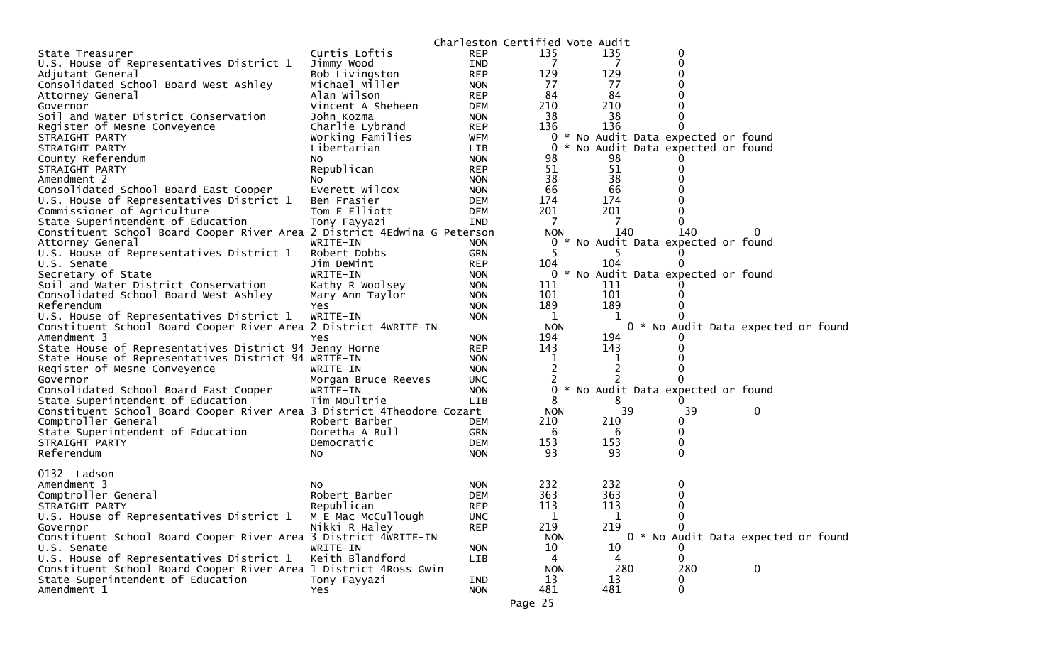|                                                                          |                     |            | Charleston Certified Vote Audit |     |                                     |                                     |
|--------------------------------------------------------------------------|---------------------|------------|---------------------------------|-----|-------------------------------------|-------------------------------------|
| State Treasurer                                                          | Curtis Loftis       | <b>REP</b> | 135                             | 135 | 0                                   |                                     |
| U.S. House of Representatives District 1                                 | Jimmy Wood          | IND        | 7                               | 7   | 0                                   |                                     |
| Adjutant General                                                         | Bob Livingston      | <b>REP</b> | 129                             | 129 | 0                                   |                                     |
| Consolidated School Board West Ashley                                    | Michael Miller      | <b>NON</b> | 77                              | 77  | 0                                   |                                     |
| Attorney General                                                         | Alan Wilson         | <b>REP</b> | 84                              | 84  | 0                                   |                                     |
| Governor                                                                 | Vincent A Sheheen   | <b>DEM</b> | 210                             | 210 |                                     |                                     |
| Soil and Water District Conservation                                     | John Kozma          | <b>NON</b> | 38                              | 38  | $\Omega$                            |                                     |
| Register of Mesne Conveyence                                             | Charlie Lybrand     | <b>REP</b> | 136                             | 136 |                                     |                                     |
| STRAIGHT PARTY                                                           | Working Families    | WFM        | 0                               |     | * No Audit Data expected or found   |                                     |
| STRAIGHT PARTY                                                           | Libertarian         | <b>LIB</b> | 0                               |     | * No Audit Data expected or found   |                                     |
| County Referendum                                                        | No                  | <b>NON</b> | 98                              | 98  |                                     |                                     |
| STRAIGHT PARTY                                                           | Republican          | <b>REP</b> | 51                              | 51  | 0                                   |                                     |
| Amendment 2                                                              | NO.                 | <b>NON</b> | 38                              | 38  |                                     |                                     |
| Consolidated School Board East Cooper                                    | Everett Wilcox      | <b>NON</b> | 66                              | 66  |                                     |                                     |
| U.S. House of Representatives District 1                                 | Ben Frasier         | DEM        | 174                             | 174 |                                     |                                     |
| Commissioner of Agriculture                                              | Tom E Elliott       | DEM        | 201                             | 201 | $\Omega$                            |                                     |
| State Superintendent of Education                                        | Tony Fayyazi        | IND        | 7                               | 7   | 0                                   |                                     |
| Constituent School Board Cooper River Area 2 District 4Edwina G Peterson |                     |            | <b>NON</b>                      | 140 | 140                                 |                                     |
|                                                                          | WRITE-IN            |            | ×.                              |     | No Audit Data expected or found     |                                     |
| Attorney General                                                         |                     | <b>NON</b> | 0<br>5.                         |     |                                     |                                     |
| U.S. House of Representatives District 1                                 | Robert Dobbs        | <b>GRN</b> |                                 | 5   |                                     |                                     |
| U.S. Senate                                                              | Jim DeMint          | <b>REP</b> | 104                             | 104 | $\Omega$                            |                                     |
| Secretary of State                                                       | WRITE-IN            | <b>NON</b> |                                 |     | 0 * No Audit Data expected or found |                                     |
| Soil and Water District Conservation                                     | Kathy R Woolsey     | <b>NON</b> | 111                             | 111 |                                     |                                     |
| Consolidated School Board West Ashley                                    | Mary Ann Taylor     | <b>NON</b> | 101                             | 101 | $\Omega$                            |                                     |
| Referendum                                                               | Yes                 | <b>NON</b> | 189                             | 189 |                                     |                                     |
| U.S. House of Representatives District 1                                 | WRITE-IN            | <b>NON</b> | 1                               |     |                                     |                                     |
| Constituent School Board Cooper River Area 2 District 4WRITE-IN          |                     |            | <b>NON</b>                      |     |                                     | 0 * No Audit Data expected or found |
| Amendment 3                                                              | Yes                 | <b>NON</b> | 194                             | 194 |                                     |                                     |
| State House of Representatives District 94 Jenny Horne                   |                     | <b>REP</b> | 143                             | 143 | $\Omega$                            |                                     |
| State House of Representatives District 94 WRITE-IN                      |                     | <b>NON</b> | 1                               | 1   |                                     |                                     |
| Register of Mesne Conveyence                                             | WRITE-IN            | <b>NON</b> | 2                               | 2   | 0                                   |                                     |
| Governor                                                                 | Morgan Bruce Reeves | <b>UNC</b> |                                 |     | O                                   |                                     |
| Consolidated School Board East Cooper                                    | WRITE-IN            | <b>NON</b> | 0                               |     | No Audit Data expected or found     |                                     |
| State Superintendent of Education                                        | Tim Moultrie        | <b>LIB</b> | 8                               | 8   |                                     |                                     |
| Constituent School Board Cooper River Area 3 District 4Theodore Cozart   |                     |            | <b>NON</b>                      | 39  | 39                                  | 0                                   |
| Comptroller General                                                      | Robert Barber       | DEM        | 210                             | 210 | 0                                   |                                     |
| State Superintendent of Education                                        | Doretha A Bull      | <b>GRN</b> | 6                               | 6   | 0                                   |                                     |
| STRAIGHT PARTY                                                           | Democratic          | DEM        | 153                             | 153 | 0                                   |                                     |
| Referendum                                                               | NO.                 | <b>NON</b> | 93                              | 93  | 0                                   |                                     |
|                                                                          |                     |            |                                 |     |                                     |                                     |
| 0132 Ladson                                                              |                     |            |                                 |     |                                     |                                     |
| Amendment 3                                                              | No                  | <b>NON</b> | 232                             | 232 | 0                                   |                                     |
| Comptroller General                                                      | Robert Barber       | <b>DEM</b> | 363                             | 363 | 0                                   |                                     |
| STRAIGHT PARTY                                                           | Republican          | <b>REP</b> | 113                             | 113 | $\mathbf{0}$                        |                                     |
| U.S. House of Representatives District 1                                 | M E Mac McCullough  | <b>UNC</b> | 1                               | 1   | 0                                   |                                     |
| Governor                                                                 | Nikki R Haley       | <b>REP</b> | 219                             | 219 |                                     |                                     |
| Constituent School Board Cooper River Area 3 District 4WRITE-IN          |                     |            | <b>NON</b>                      |     |                                     | 0 * No Audit Data expected or found |
| U.S. Senate                                                              | WRITE-IN            | <b>NON</b> | 10                              | 10  |                                     |                                     |
| U.S. House of Representatives District 1                                 | Keith Blandford     | <b>LIB</b> | 4                               | 4   | $\Omega$                            |                                     |
| Constituent School Board Cooper River Area 1 District 4Ross Gwin         |                     |            | <b>NON</b>                      | 280 | 280                                 | $\mathbf 0$                         |
| State Superintendent of Education                                        | Tony Fayyazi        | IND        | 13                              | 13  | 0                                   |                                     |
| Amendment 1                                                              | Yes.                | <b>NON</b> | 481                             | 481 | $\mathbf{0}$                        |                                     |
|                                                                          |                     |            |                                 |     |                                     |                                     |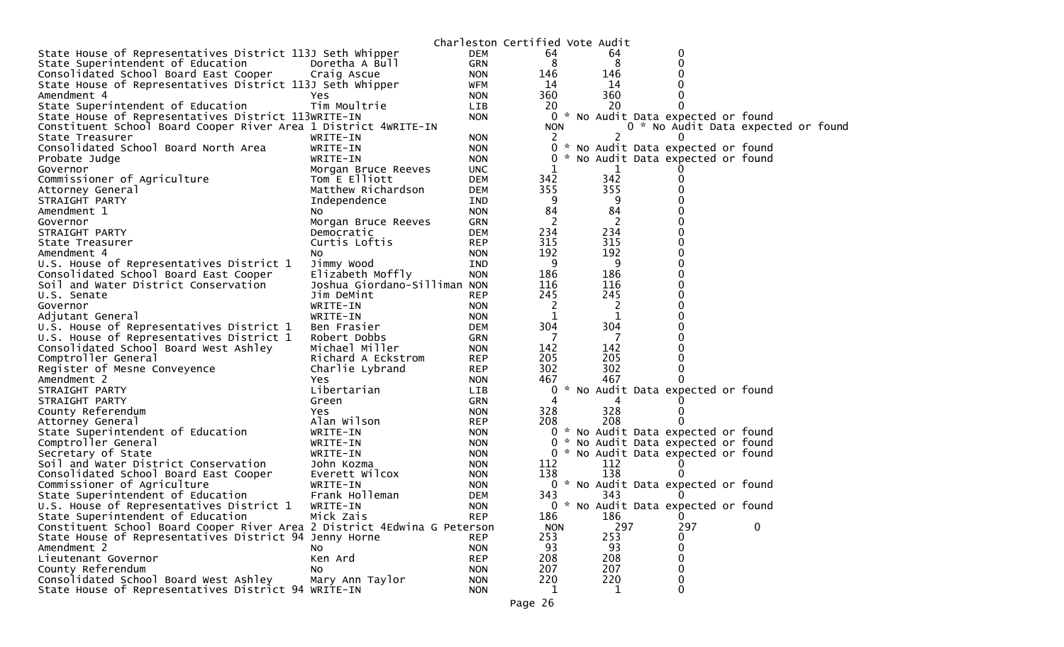|                                                                          |                              |            | Charleston Certified Vote Audit |              |                                     |             |  |
|--------------------------------------------------------------------------|------------------------------|------------|---------------------------------|--------------|-------------------------------------|-------------|--|
| State House of Representatives District 113J Seth Whipper                |                              | <b>DEM</b> | 64                              | 64           | 0                                   |             |  |
| State Superintendent of Education                                        | Doretha A Bull               | <b>GRN</b> | 8                               | 8            | 0                                   |             |  |
| Consolidated School Board East Cooper                                    | Craig Ascue                  | <b>NON</b> | 146                             | 146          |                                     |             |  |
| State House of Representatives District 113J Seth Whipper                |                              | <b>WFM</b> | 14                              | 14           |                                     |             |  |
| Amendment 4                                                              | Yes                          | <b>NON</b> | 360                             | 360          |                                     |             |  |
| State Superintendent of Education                                        | Tim Moultrie                 | <b>LIB</b> | 20                              | 20           | 0                                   |             |  |
| State House of Representatives District 113WRITE-IN                      |                              | <b>NON</b> | 0                               |              | * No Audit Data expected or found   |             |  |
| Constituent School Board Cooper River Area 1 District 4WRITE-IN          |                              |            | <b>NON</b>                      |              | 0 * No Audit Data expected or found |             |  |
| State Treasurer                                                          | WRITE-IN                     | <b>NON</b> | 2                               | 2            | $\Omega$                            |             |  |
| Consolidated School Board North Area                                     | WRITE-IN                     | <b>NON</b> | 0                               | <b>X</b>     | No Audit Data expected or found     |             |  |
| Probate Judge                                                            | WRITE-IN                     | <b>NON</b> | 0                               |              | No Audit Data expected or found     |             |  |
| Governor                                                                 | Morgan Bruce Reeves          | <b>UNC</b> |                                 | 1            |                                     |             |  |
| Commissioner of Agriculture                                              | Tom E Elliott                | <b>DEM</b> | 342                             | 342          | 0                                   |             |  |
| Attorney General                                                         | Matthew Richardson           | <b>DEM</b> | 355                             | 355          |                                     |             |  |
| STRAIGHT PARTY                                                           | Independence                 | IND        | 9                               | 9            |                                     |             |  |
| Amendment 1                                                              | NO.                          | <b>NON</b> | 84                              | 84           |                                     |             |  |
| Governor                                                                 | Morgan Bruce Reeves          | <b>GRN</b> | 2                               | 2            |                                     |             |  |
| STRAIGHT PARTY                                                           | Democratic                   | <b>DEM</b> | 234                             | 234          |                                     |             |  |
| State Treasurer                                                          | Curtis Loftis                | <b>REP</b> | 315                             | 315          |                                     |             |  |
| Amendment 4                                                              | NO.                          | <b>NON</b> | 192                             | 192          | 0                                   |             |  |
| U.S. House of Representatives District 1                                 | Jimmy Wood                   | <b>IND</b> | 9                               | 9            |                                     |             |  |
| Consolidated School Board East Cooper                                    | Elizabeth Moffly             | <b>NON</b> | 186                             | 186          |                                     |             |  |
| Soil and Water District Conservation                                     | Joshua Giordano-Silliman NON |            | 116                             | 116          |                                     |             |  |
| U.S. Senate                                                              | Jim DeMint                   | <b>REP</b> | 245                             | 245          |                                     |             |  |
| Governor                                                                 | WRITE-IN                     | <b>NON</b> | 2                               | 2            |                                     |             |  |
| Adjutant General                                                         | WRITE-IN                     | <b>NON</b> | 1                               |              |                                     |             |  |
| U.S. House of Representatives District 1                                 | Ben Frasier                  | <b>DEM</b> | 304                             | 304          |                                     |             |  |
| U.S. House of Representatives District 1                                 | Robert Dobbs                 | <b>GRN</b> | -7                              |              |                                     |             |  |
| Consolidated School Board West Ashley                                    | Michael Miller               | <b>NON</b> | 142                             | 142          |                                     |             |  |
| Comptroller General                                                      | Richard A Eckstrom           | <b>REP</b> | 205                             | 205          |                                     |             |  |
| Register of Mesne Conveyence                                             | Charlie Lybrand              | <b>REP</b> | 302                             | 302          |                                     |             |  |
| Amendment 2                                                              | Yes.                         | <b>NON</b> | 467                             | 467          |                                     |             |  |
| STRAIGHT PARTY                                                           | Libertarian                  | LIB        |                                 |              | * No Audit Data expected or found   |             |  |
| STRAIGHT PARTY                                                           | Green                        | <b>GRN</b> | 4                               |              |                                     |             |  |
| County Referendum                                                        | Yes                          | <b>NON</b> | 328                             | 328          |                                     |             |  |
| Attorney General                                                         | Alan Wilson                  | <b>REP</b> | 208                             | 208          |                                     |             |  |
| State Superintendent of Education                                        | WRITE-IN                     | <b>NON</b> |                                 |              | 0 * No Audit Data expected or found |             |  |
| Comptroller General                                                      | WRITE-IN                     | <b>NON</b> | 0                               |              | * No Audit Data expected or found   |             |  |
| Secretary of State                                                       | WRITE-IN                     | <b>NON</b> |                                 |              | 0 * No Audit Data expected or found |             |  |
| Soil and Water District Conservation                                     | John Kozma                   | <b>NON</b> | 112                             | 112          |                                     |             |  |
| Consolidated School Board East Cooper                                    | Everett Wilcox               | <b>NON</b> | 138                             | 138          |                                     |             |  |
| Commissioner of Agriculture                                              | WRITE-IN                     | <b>NON</b> |                                 |              | 0 * No Audit Data expected or found |             |  |
| State Superintendent of Education                                        | Frank Holleman               | DEM        | 343                             | 343          |                                     |             |  |
| U.S. House of Representatives District 1                                 | WRITE-IN                     | <b>NON</b> |                                 |              | 0 * No Audit Data expected or found |             |  |
| State Superintendent of Education                                        | Mick Zais                    | <b>REP</b> | 186                             | 186          | 0                                   |             |  |
| Constituent School Board Cooper River Area 2 District 4Edwina G Peterson |                              |            | <b>NON</b>                      | 297          | 297                                 | $\mathbf 0$ |  |
| State House of Representatives District 94 Jenny Horne                   |                              | <b>REP</b> | 253                             | 253          | 0                                   |             |  |
| Amendment 2                                                              | NO.                          | <b>NON</b> | 93                              | 93           | 0                                   |             |  |
| Lieutenant Governor                                                      | Ken Ard                      | <b>REP</b> | 208                             | 208          | 0                                   |             |  |
| County Referendum                                                        | No                           | <b>NON</b> | 207                             | 207          | 0                                   |             |  |
| Consolidated School Board West Ashley                                    | Mary Ann Taylor              | <b>NON</b> | 220                             | 220          | 0                                   |             |  |
| State House of Representatives District 94 WRITE-IN                      |                              | <b>NON</b> | 1                               | $\mathbf{1}$ | 0                                   |             |  |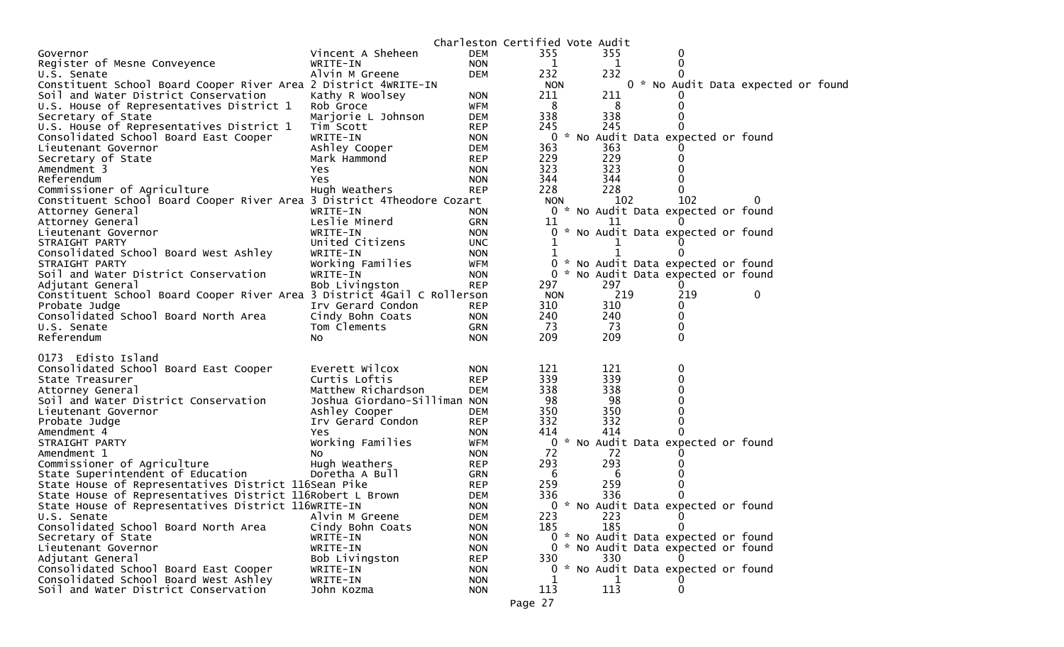|                                                                         |                              |            | Charleston Certified Vote Audit |            |                                     |                                     |  |
|-------------------------------------------------------------------------|------------------------------|------------|---------------------------------|------------|-------------------------------------|-------------------------------------|--|
| Governor                                                                | Vincent A Sheheen            | DEM        | 355                             | 355        | 0                                   |                                     |  |
| Register of Mesne Conveyence                                            | WRITE-IN                     | <b>NON</b> | 1                               | 1          | 0                                   |                                     |  |
| U.S. Senate                                                             | Alvin M Greene               | <b>DEM</b> | 232                             | 232        |                                     |                                     |  |
| Constituent School Board Cooper River Area 2 District 4WRITE-IN         |                              |            | <b>NON</b>                      |            |                                     | 0 * No Audit Data expected or found |  |
| Soil and Water District Conservation                                    | Kathy R Woolsey              | <b>NON</b> | 211                             | 211        |                                     |                                     |  |
| U.S. House of Representatives District 1                                | Rob Groce                    | WFM        | -8                              | 8          | 0                                   |                                     |  |
| Secretary of State                                                      | Marjorie L Johnson           | <b>DEM</b> | 338                             | 338        |                                     |                                     |  |
| U.S. House of Representatives District 1                                | Tim Scott                    | <b>REP</b> | 245                             | 245        |                                     |                                     |  |
| Consolidated School Board East Cooper                                   | WRITE-IN                     | <b>NON</b> |                                 |            | 0 * No Audit Data expected or found |                                     |  |
| Lieutenant Governor                                                     | Ashley Cooper                | <b>DEM</b> | 363                             | 363        |                                     |                                     |  |
| Secretary of State                                                      | Mark Hammond                 | <b>REP</b> | 229                             | 229        |                                     |                                     |  |
| Amendment 3                                                             | <b>Yes</b>                   | <b>NON</b> | 323                             | 323        |                                     |                                     |  |
| Referendum                                                              | Yes                          | <b>NON</b> | 344                             | 344        |                                     |                                     |  |
| Commissioner of Agriculture                                             | Hugh Weathers                | <b>REP</b> | 228                             | 228        | 0                                   |                                     |  |
| Constituent School Board Cooper River Area 3 District 4Theodore Cozart  |                              |            | <b>NON</b>                      | 102        | 102                                 | 0                                   |  |
| Attorney General                                                        | WRITE-IN                     | <b>NON</b> | $\Omega$                        |            | * No Audit Data expected or found   |                                     |  |
| Attorney General                                                        | Leslie Minerd                | <b>GRN</b> | 11                              | 11         |                                     |                                     |  |
| Lieutenant Governor                                                     | WRITE-IN                     | <b>NON</b> |                                 |            | * No Audit Data expected or found   |                                     |  |
| STRAIGHT PARTY                                                          | United Citizens              | <b>UNC</b> |                                 |            |                                     |                                     |  |
| Consolidated School Board West Ashley                                   | WRITE-IN                     | <b>NON</b> | 1                               |            |                                     |                                     |  |
| STRAIGHT PARTY                                                          | Working Families             | WFM        | 0                               |            | * No Audit Data expected or found   |                                     |  |
| Soil and Water District Conservation                                    | WRITE-IN                     | <b>NON</b> | $\Omega$<br>.*                  |            | No Audit Data expected or found     |                                     |  |
| Adjutant General                                                        | Bob Livingston               | <b>REP</b> | 297                             | 297        |                                     |                                     |  |
| Constituent School Board Cooper River Area 3 District 4Gail C Rollerson |                              |            | <b>NON</b>                      | 219        | 219                                 | 0                                   |  |
| Probate Judge                                                           | Irv Gerard Condon            | <b>REP</b> | 310                             | 310        | 0                                   |                                     |  |
| Consolidated School Board North Area                                    | Cindy Bohn Coats             | <b>NON</b> | 240                             | 240        | 0                                   |                                     |  |
| U.S. Senate                                                             | Tom Clements                 | GRN        | 73                              | 73         | 0                                   |                                     |  |
| Referendum                                                              | NO.                          | <b>NON</b> | 209                             | 209        | 0                                   |                                     |  |
|                                                                         |                              |            |                                 |            |                                     |                                     |  |
| 0173 Edisto Island                                                      |                              |            |                                 |            |                                     |                                     |  |
| Consolidated School Board East Cooper                                   | Everett Wilcox               | <b>NON</b> | 121                             | 121        | 0                                   |                                     |  |
| State Treasurer                                                         | Curtis Loftis                | <b>REP</b> | 339                             | 339        |                                     |                                     |  |
| Attorney General                                                        | Matthew Richardson           | <b>DEM</b> | 338                             | 338        |                                     |                                     |  |
| Soil and Water District Conservation                                    | Joshua Giordano-Silliman NON |            | 98                              | 98         |                                     |                                     |  |
| Lieutenant Governor                                                     | Ashley Cooper                | <b>DEM</b> | 350                             | 350        |                                     |                                     |  |
| Probate Judge                                                           | Irv Gerard Condon            | <b>REP</b> | 332                             | 332        | 0                                   |                                     |  |
| Amendment 4                                                             | Yes.                         | <b>NON</b> | 414                             | 414        |                                     |                                     |  |
| STRAIGHT PARTY                                                          | Working Families             | <b>WFM</b> | 0                               |            | * No Audit Data expected or found   |                                     |  |
| Amendment 1                                                             | NO.                          | <b>NON</b> | 72                              | 72         |                                     |                                     |  |
| Commissioner of Agriculture                                             | Hugh Weathers                | <b>REP</b> | 293                             | 293        |                                     |                                     |  |
| State Superintendent of Education                                       | Doretha A Bull               | <b>GRN</b> | - 6                             | 6          |                                     |                                     |  |
| State House of Representatives District 116Sean Pike                    |                              | <b>REP</b> | 259                             | 259        |                                     |                                     |  |
| State House of Representatives District 116Robert L Brown               |                              | <b>DEM</b> | 336                             | 336        |                                     |                                     |  |
| State House of Representatives District 116WRITE-IN                     |                              | <b>NON</b> |                                 |            | * No Audit Data expected or found   |                                     |  |
|                                                                         |                              |            | 223                             |            | 0                                   |                                     |  |
| U.S. Senate                                                             | Alvin M Greene               | <b>DEM</b> |                                 | 223<br>185 | 0                                   |                                     |  |
| Consolidated School Board North Area                                    | Cindy Bohn Coats             | <b>NON</b> | 185                             |            | 0 * No Audit Data expected or found |                                     |  |
| Secretary of State                                                      | WRITE-IN                     | <b>NON</b> |                                 |            |                                     |                                     |  |
| Lieutenant Governor                                                     | WRITE-IN                     | <b>NON</b> |                                 |            | 0 * No Audit Data expected or found |                                     |  |
| Adjutant General                                                        | Bob Livingston               | <b>REP</b> | 330                             | 330        | $\Omega$                            |                                     |  |
| Consolidated School Board East Cooper                                   | WRITE-IN                     | <b>NON</b> |                                 |            | 0 * No Audit Data expected or found |                                     |  |
| Consolidated School Board West Ashley                                   | WRITE-IN                     | <b>NON</b> |                                 |            |                                     |                                     |  |
| Soil and Water District Conservation                                    | John Kozma                   | <b>NON</b> | 113                             | 113        | 0                                   |                                     |  |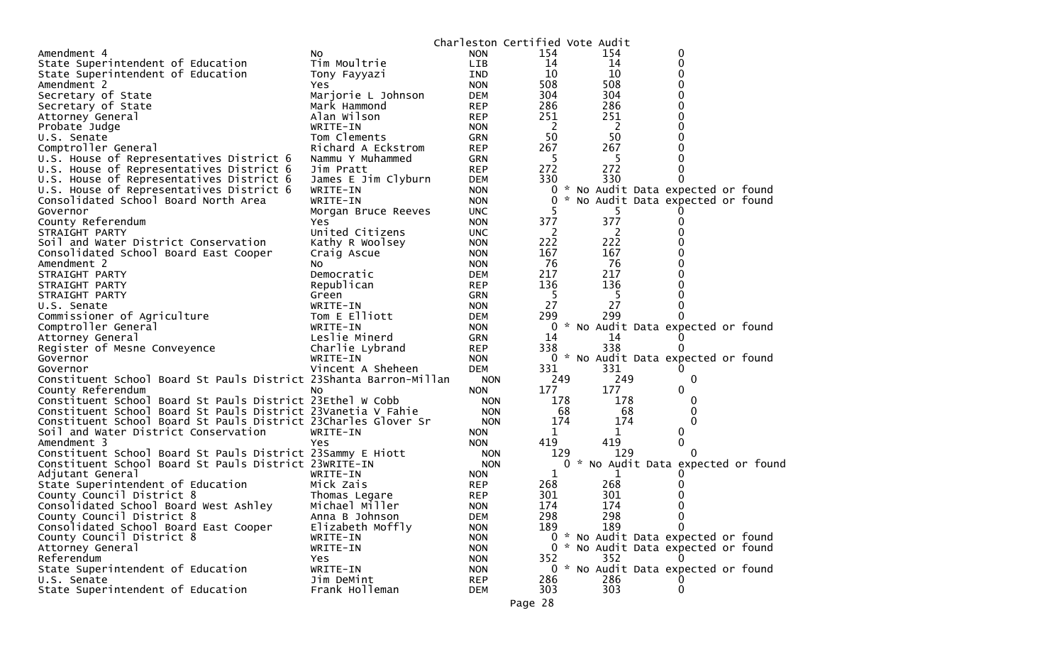| 154<br><b>NON</b><br>154<br>0<br>NO.<br>State Superintendent of Education<br>Tim Moultrie<br>LIB<br>14<br>14<br>0<br>10<br>10<br>State Superintendent of Education<br>0<br>Tony Fayyazi<br>IND<br>508<br>508<br>0<br><b>NON</b><br>Yes<br>304<br>Secretary of State<br>304<br>0<br>Marjorie L Johnson<br>DEM<br>286<br>286<br>0<br>Secretary of State<br>Mark Hammond<br><b>REP</b><br>251<br>Alan Wilson<br>251<br><b>REP</b><br>0<br>Attorney General<br><sup>2</sup><br>0<br>Probate Judge<br>WRITE-IN<br><b>NON</b><br>-2<br>50<br>50<br>Tom Clements<br>U.S. Senate<br><b>GRN</b><br>267<br>267<br>Comptroller General<br>Richard A Eckstrom<br><b>REP</b><br>-5<br>U.S. House of Representatives District 6<br>0<br>Nammu Y Muhammed<br>GRN<br>5<br>272<br>272<br>U.S. House of Representatives District 6<br>Jim Pratt<br><b>REP</b><br>0<br>330<br>330<br>U.S. House of Representatives District 6<br>James E Jim Clyburn<br>0<br><b>DEM</b><br>0 * No Audit Data expected or found<br>U.S. House of Representatives District 6<br>WRITE-IN<br><b>NON</b><br>Consolidated School Board North Area<br>0<br>* No Audit Data expected or found<br>WRITE-IN<br><b>NON</b><br>Governor<br><b>UNC</b><br>5<br>Morgan Bruce Reeves<br>377<br>377<br>County Referendum<br><b>NON</b><br>0<br>Yes<br>United Citizens<br><sup>2</sup><br>2<br>STRAIGHT PARTY<br><b>UNC</b><br>0<br>222<br>222<br>Soil and Water District Conservation<br>Kathy R Woolsey<br><b>NON</b><br>167<br>167<br>Consolidated School Board East Cooper<br><b>NON</b><br>0<br>Craig Ascue<br>76<br>76<br>0<br>Amendment 2<br><b>NON</b><br>NO.<br>217<br>217<br>0<br>STRAIGHT PARTY<br>Democratic<br><b>DEM</b><br>136<br>136<br>Republican<br><b>REP</b><br>STRAIGHT PARTY<br>0<br>-5<br>-5<br>STRAIGHT PARTY<br>Green<br><b>GRN</b><br>27<br>27<br>U.S. Senate<br>WRITE-IN<br><b>NON</b><br>0<br>299<br>Tom E Elliott<br>299<br>Commissioner of Agriculture<br><b>DEM</b><br>0<br>Comptroller General<br>* No Audit Data expected or found<br>WRITE-IN<br><b>NON</b><br>0<br>Leslie Minerd<br>14<br>14<br>Attorney General<br>GRN<br>O<br>338<br>338<br><b>REP</b><br>Register of Mesne Conveyence<br>Charlie Lybrand<br>0<br>0 * No Audit Data expected or found<br>WRITE-IN<br><b>NON</b><br>Governor<br>331<br>Vincent A Sheheen<br>331<br>Governor<br><b>DEM</b><br>$\Omega$<br>Constituent School Board St Pauls District 23Shanta Barron-Millan<br>249<br>249<br>0<br><b>NON</b><br>177<br>0<br>177<br>County Referendum<br><b>NON</b><br>NΟ<br>Constituent School Board St Pauls District 23Ethel W Cobb<br>178<br>178<br><b>NON</b><br>$\Omega$<br>Constituent School Board St Pauls District 23Vanetia V Fahie<br>68<br><b>NON</b><br>68<br>0<br>Constituent School Board St Pauls District 23Charles Glover Sr<br>174<br>0<br>174<br><b>NON</b><br>Soil and Water District Conservation<br>1<br>WRITE-IN<br><b>NON</b><br>1<br>0<br>419<br>0<br>Amendment 3<br>419<br>Yes<br><b>NON</b><br>Constituent School Board St Pauls District 23Sammy E Hiott<br>129<br>129<br><b>NON</b><br>$\Omega$<br>* No Audit Data expected or found<br>Constituent School Board St Pauls District 23WRITE-IN<br><b>NON</b><br>0<br>Adjutant General<br>1<br>1<br>WRITE-IN<br><b>NON</b><br>0<br>268<br>State Superintendent of Education<br>Mick Zais<br>268<br><b>REP</b><br>0<br>301<br>301<br>County Council District 8<br>Thomas Legare<br><b>REP</b><br>0<br>0<br>174<br>174<br>Consolidated School Board West Ashley<br>Michael Miller<br><b>NON</b><br>County Council District 8<br>298<br><b>DEM</b><br>298<br>0<br>Anna B Johnson<br>189<br>Consolidated School Board East Cooper<br>Elizabeth Moffly<br><b>NON</b><br>189<br>0<br>0 * No Audit Data expected or found<br>County Council District 8<br><b>NON</b><br>WRITE-IN<br>Attorney General<br>0 * No Audit Data expected or found<br>WRITE-IN<br><b>NON</b><br>352<br>352<br><b>NON</b><br>Yes<br>$\Omega$<br>0 * No Audit Data expected or found<br>WRITE-IN<br><b>NON</b> |                                   |            | Charleston Certified Vote Audit |     |     |  |  |
|------------------------------------------------------------------------------------------------------------------------------------------------------------------------------------------------------------------------------------------------------------------------------------------------------------------------------------------------------------------------------------------------------------------------------------------------------------------------------------------------------------------------------------------------------------------------------------------------------------------------------------------------------------------------------------------------------------------------------------------------------------------------------------------------------------------------------------------------------------------------------------------------------------------------------------------------------------------------------------------------------------------------------------------------------------------------------------------------------------------------------------------------------------------------------------------------------------------------------------------------------------------------------------------------------------------------------------------------------------------------------------------------------------------------------------------------------------------------------------------------------------------------------------------------------------------------------------------------------------------------------------------------------------------------------------------------------------------------------------------------------------------------------------------------------------------------------------------------------------------------------------------------------------------------------------------------------------------------------------------------------------------------------------------------------------------------------------------------------------------------------------------------------------------------------------------------------------------------------------------------------------------------------------------------------------------------------------------------------------------------------------------------------------------------------------------------------------------------------------------------------------------------------------------------------------------------------------------------------------------------------------------------------------------------------------------------------------------------------------------------------------------------------------------------------------------------------------------------------------------------------------------------------------------------------------------------------------------------------------------------------------------------------------------------------------------------------------------------------------------------------------------------------------------------------------------------------------------------------------------------------------------------------------------------------------------------------------------------------------------------------------------------------------------------------------------------------------------------------------------------------------------------------------------------------------------------------------------------------------------------------------------------------------------------------------------------------------------------------------------------------------------------------------------------------------------------------------------------------------------------------------------------------------------------------------------------------------------------------------------------------------|-----------------------------------|------------|---------------------------------|-----|-----|--|--|
|                                                                                                                                                                                                                                                                                                                                                                                                                                                                                                                                                                                                                                                                                                                                                                                                                                                                                                                                                                                                                                                                                                                                                                                                                                                                                                                                                                                                                                                                                                                                                                                                                                                                                                                                                                                                                                                                                                                                                                                                                                                                                                                                                                                                                                                                                                                                                                                                                                                                                                                                                                                                                                                                                                                                                                                                                                                                                                                                                                                                                                                                                                                                                                                                                                                                                                                                                                                                                                                                                                                                                                                                                                                                                                                                                                                                                                                                                                                                                                                                            | Amendment 4                       |            |                                 |     |     |  |  |
|                                                                                                                                                                                                                                                                                                                                                                                                                                                                                                                                                                                                                                                                                                                                                                                                                                                                                                                                                                                                                                                                                                                                                                                                                                                                                                                                                                                                                                                                                                                                                                                                                                                                                                                                                                                                                                                                                                                                                                                                                                                                                                                                                                                                                                                                                                                                                                                                                                                                                                                                                                                                                                                                                                                                                                                                                                                                                                                                                                                                                                                                                                                                                                                                                                                                                                                                                                                                                                                                                                                                                                                                                                                                                                                                                                                                                                                                                                                                                                                                            |                                   |            |                                 |     |     |  |  |
|                                                                                                                                                                                                                                                                                                                                                                                                                                                                                                                                                                                                                                                                                                                                                                                                                                                                                                                                                                                                                                                                                                                                                                                                                                                                                                                                                                                                                                                                                                                                                                                                                                                                                                                                                                                                                                                                                                                                                                                                                                                                                                                                                                                                                                                                                                                                                                                                                                                                                                                                                                                                                                                                                                                                                                                                                                                                                                                                                                                                                                                                                                                                                                                                                                                                                                                                                                                                                                                                                                                                                                                                                                                                                                                                                                                                                                                                                                                                                                                                            |                                   |            |                                 |     |     |  |  |
|                                                                                                                                                                                                                                                                                                                                                                                                                                                                                                                                                                                                                                                                                                                                                                                                                                                                                                                                                                                                                                                                                                                                                                                                                                                                                                                                                                                                                                                                                                                                                                                                                                                                                                                                                                                                                                                                                                                                                                                                                                                                                                                                                                                                                                                                                                                                                                                                                                                                                                                                                                                                                                                                                                                                                                                                                                                                                                                                                                                                                                                                                                                                                                                                                                                                                                                                                                                                                                                                                                                                                                                                                                                                                                                                                                                                                                                                                                                                                                                                            | Amendment 2                       |            |                                 |     |     |  |  |
|                                                                                                                                                                                                                                                                                                                                                                                                                                                                                                                                                                                                                                                                                                                                                                                                                                                                                                                                                                                                                                                                                                                                                                                                                                                                                                                                                                                                                                                                                                                                                                                                                                                                                                                                                                                                                                                                                                                                                                                                                                                                                                                                                                                                                                                                                                                                                                                                                                                                                                                                                                                                                                                                                                                                                                                                                                                                                                                                                                                                                                                                                                                                                                                                                                                                                                                                                                                                                                                                                                                                                                                                                                                                                                                                                                                                                                                                                                                                                                                                            |                                   |            |                                 |     |     |  |  |
|                                                                                                                                                                                                                                                                                                                                                                                                                                                                                                                                                                                                                                                                                                                                                                                                                                                                                                                                                                                                                                                                                                                                                                                                                                                                                                                                                                                                                                                                                                                                                                                                                                                                                                                                                                                                                                                                                                                                                                                                                                                                                                                                                                                                                                                                                                                                                                                                                                                                                                                                                                                                                                                                                                                                                                                                                                                                                                                                                                                                                                                                                                                                                                                                                                                                                                                                                                                                                                                                                                                                                                                                                                                                                                                                                                                                                                                                                                                                                                                                            |                                   |            |                                 |     |     |  |  |
|                                                                                                                                                                                                                                                                                                                                                                                                                                                                                                                                                                                                                                                                                                                                                                                                                                                                                                                                                                                                                                                                                                                                                                                                                                                                                                                                                                                                                                                                                                                                                                                                                                                                                                                                                                                                                                                                                                                                                                                                                                                                                                                                                                                                                                                                                                                                                                                                                                                                                                                                                                                                                                                                                                                                                                                                                                                                                                                                                                                                                                                                                                                                                                                                                                                                                                                                                                                                                                                                                                                                                                                                                                                                                                                                                                                                                                                                                                                                                                                                            |                                   |            |                                 |     |     |  |  |
|                                                                                                                                                                                                                                                                                                                                                                                                                                                                                                                                                                                                                                                                                                                                                                                                                                                                                                                                                                                                                                                                                                                                                                                                                                                                                                                                                                                                                                                                                                                                                                                                                                                                                                                                                                                                                                                                                                                                                                                                                                                                                                                                                                                                                                                                                                                                                                                                                                                                                                                                                                                                                                                                                                                                                                                                                                                                                                                                                                                                                                                                                                                                                                                                                                                                                                                                                                                                                                                                                                                                                                                                                                                                                                                                                                                                                                                                                                                                                                                                            |                                   |            |                                 |     |     |  |  |
|                                                                                                                                                                                                                                                                                                                                                                                                                                                                                                                                                                                                                                                                                                                                                                                                                                                                                                                                                                                                                                                                                                                                                                                                                                                                                                                                                                                                                                                                                                                                                                                                                                                                                                                                                                                                                                                                                                                                                                                                                                                                                                                                                                                                                                                                                                                                                                                                                                                                                                                                                                                                                                                                                                                                                                                                                                                                                                                                                                                                                                                                                                                                                                                                                                                                                                                                                                                                                                                                                                                                                                                                                                                                                                                                                                                                                                                                                                                                                                                                            |                                   |            |                                 |     |     |  |  |
|                                                                                                                                                                                                                                                                                                                                                                                                                                                                                                                                                                                                                                                                                                                                                                                                                                                                                                                                                                                                                                                                                                                                                                                                                                                                                                                                                                                                                                                                                                                                                                                                                                                                                                                                                                                                                                                                                                                                                                                                                                                                                                                                                                                                                                                                                                                                                                                                                                                                                                                                                                                                                                                                                                                                                                                                                                                                                                                                                                                                                                                                                                                                                                                                                                                                                                                                                                                                                                                                                                                                                                                                                                                                                                                                                                                                                                                                                                                                                                                                            |                                   |            |                                 |     |     |  |  |
|                                                                                                                                                                                                                                                                                                                                                                                                                                                                                                                                                                                                                                                                                                                                                                                                                                                                                                                                                                                                                                                                                                                                                                                                                                                                                                                                                                                                                                                                                                                                                                                                                                                                                                                                                                                                                                                                                                                                                                                                                                                                                                                                                                                                                                                                                                                                                                                                                                                                                                                                                                                                                                                                                                                                                                                                                                                                                                                                                                                                                                                                                                                                                                                                                                                                                                                                                                                                                                                                                                                                                                                                                                                                                                                                                                                                                                                                                                                                                                                                            |                                   |            |                                 |     |     |  |  |
|                                                                                                                                                                                                                                                                                                                                                                                                                                                                                                                                                                                                                                                                                                                                                                                                                                                                                                                                                                                                                                                                                                                                                                                                                                                                                                                                                                                                                                                                                                                                                                                                                                                                                                                                                                                                                                                                                                                                                                                                                                                                                                                                                                                                                                                                                                                                                                                                                                                                                                                                                                                                                                                                                                                                                                                                                                                                                                                                                                                                                                                                                                                                                                                                                                                                                                                                                                                                                                                                                                                                                                                                                                                                                                                                                                                                                                                                                                                                                                                                            |                                   |            |                                 |     |     |  |  |
|                                                                                                                                                                                                                                                                                                                                                                                                                                                                                                                                                                                                                                                                                                                                                                                                                                                                                                                                                                                                                                                                                                                                                                                                                                                                                                                                                                                                                                                                                                                                                                                                                                                                                                                                                                                                                                                                                                                                                                                                                                                                                                                                                                                                                                                                                                                                                                                                                                                                                                                                                                                                                                                                                                                                                                                                                                                                                                                                                                                                                                                                                                                                                                                                                                                                                                                                                                                                                                                                                                                                                                                                                                                                                                                                                                                                                                                                                                                                                                                                            |                                   |            |                                 |     |     |  |  |
|                                                                                                                                                                                                                                                                                                                                                                                                                                                                                                                                                                                                                                                                                                                                                                                                                                                                                                                                                                                                                                                                                                                                                                                                                                                                                                                                                                                                                                                                                                                                                                                                                                                                                                                                                                                                                                                                                                                                                                                                                                                                                                                                                                                                                                                                                                                                                                                                                                                                                                                                                                                                                                                                                                                                                                                                                                                                                                                                                                                                                                                                                                                                                                                                                                                                                                                                                                                                                                                                                                                                                                                                                                                                                                                                                                                                                                                                                                                                                                                                            |                                   |            |                                 |     |     |  |  |
|                                                                                                                                                                                                                                                                                                                                                                                                                                                                                                                                                                                                                                                                                                                                                                                                                                                                                                                                                                                                                                                                                                                                                                                                                                                                                                                                                                                                                                                                                                                                                                                                                                                                                                                                                                                                                                                                                                                                                                                                                                                                                                                                                                                                                                                                                                                                                                                                                                                                                                                                                                                                                                                                                                                                                                                                                                                                                                                                                                                                                                                                                                                                                                                                                                                                                                                                                                                                                                                                                                                                                                                                                                                                                                                                                                                                                                                                                                                                                                                                            |                                   |            |                                 |     |     |  |  |
|                                                                                                                                                                                                                                                                                                                                                                                                                                                                                                                                                                                                                                                                                                                                                                                                                                                                                                                                                                                                                                                                                                                                                                                                                                                                                                                                                                                                                                                                                                                                                                                                                                                                                                                                                                                                                                                                                                                                                                                                                                                                                                                                                                                                                                                                                                                                                                                                                                                                                                                                                                                                                                                                                                                                                                                                                                                                                                                                                                                                                                                                                                                                                                                                                                                                                                                                                                                                                                                                                                                                                                                                                                                                                                                                                                                                                                                                                                                                                                                                            |                                   |            |                                 |     |     |  |  |
|                                                                                                                                                                                                                                                                                                                                                                                                                                                                                                                                                                                                                                                                                                                                                                                                                                                                                                                                                                                                                                                                                                                                                                                                                                                                                                                                                                                                                                                                                                                                                                                                                                                                                                                                                                                                                                                                                                                                                                                                                                                                                                                                                                                                                                                                                                                                                                                                                                                                                                                                                                                                                                                                                                                                                                                                                                                                                                                                                                                                                                                                                                                                                                                                                                                                                                                                                                                                                                                                                                                                                                                                                                                                                                                                                                                                                                                                                                                                                                                                            |                                   |            |                                 |     |     |  |  |
|                                                                                                                                                                                                                                                                                                                                                                                                                                                                                                                                                                                                                                                                                                                                                                                                                                                                                                                                                                                                                                                                                                                                                                                                                                                                                                                                                                                                                                                                                                                                                                                                                                                                                                                                                                                                                                                                                                                                                                                                                                                                                                                                                                                                                                                                                                                                                                                                                                                                                                                                                                                                                                                                                                                                                                                                                                                                                                                                                                                                                                                                                                                                                                                                                                                                                                                                                                                                                                                                                                                                                                                                                                                                                                                                                                                                                                                                                                                                                                                                            |                                   |            |                                 |     |     |  |  |
|                                                                                                                                                                                                                                                                                                                                                                                                                                                                                                                                                                                                                                                                                                                                                                                                                                                                                                                                                                                                                                                                                                                                                                                                                                                                                                                                                                                                                                                                                                                                                                                                                                                                                                                                                                                                                                                                                                                                                                                                                                                                                                                                                                                                                                                                                                                                                                                                                                                                                                                                                                                                                                                                                                                                                                                                                                                                                                                                                                                                                                                                                                                                                                                                                                                                                                                                                                                                                                                                                                                                                                                                                                                                                                                                                                                                                                                                                                                                                                                                            |                                   |            |                                 |     |     |  |  |
|                                                                                                                                                                                                                                                                                                                                                                                                                                                                                                                                                                                                                                                                                                                                                                                                                                                                                                                                                                                                                                                                                                                                                                                                                                                                                                                                                                                                                                                                                                                                                                                                                                                                                                                                                                                                                                                                                                                                                                                                                                                                                                                                                                                                                                                                                                                                                                                                                                                                                                                                                                                                                                                                                                                                                                                                                                                                                                                                                                                                                                                                                                                                                                                                                                                                                                                                                                                                                                                                                                                                                                                                                                                                                                                                                                                                                                                                                                                                                                                                            |                                   |            |                                 |     |     |  |  |
|                                                                                                                                                                                                                                                                                                                                                                                                                                                                                                                                                                                                                                                                                                                                                                                                                                                                                                                                                                                                                                                                                                                                                                                                                                                                                                                                                                                                                                                                                                                                                                                                                                                                                                                                                                                                                                                                                                                                                                                                                                                                                                                                                                                                                                                                                                                                                                                                                                                                                                                                                                                                                                                                                                                                                                                                                                                                                                                                                                                                                                                                                                                                                                                                                                                                                                                                                                                                                                                                                                                                                                                                                                                                                                                                                                                                                                                                                                                                                                                                            |                                   |            |                                 |     |     |  |  |
|                                                                                                                                                                                                                                                                                                                                                                                                                                                                                                                                                                                                                                                                                                                                                                                                                                                                                                                                                                                                                                                                                                                                                                                                                                                                                                                                                                                                                                                                                                                                                                                                                                                                                                                                                                                                                                                                                                                                                                                                                                                                                                                                                                                                                                                                                                                                                                                                                                                                                                                                                                                                                                                                                                                                                                                                                                                                                                                                                                                                                                                                                                                                                                                                                                                                                                                                                                                                                                                                                                                                                                                                                                                                                                                                                                                                                                                                                                                                                                                                            |                                   |            |                                 |     |     |  |  |
|                                                                                                                                                                                                                                                                                                                                                                                                                                                                                                                                                                                                                                                                                                                                                                                                                                                                                                                                                                                                                                                                                                                                                                                                                                                                                                                                                                                                                                                                                                                                                                                                                                                                                                                                                                                                                                                                                                                                                                                                                                                                                                                                                                                                                                                                                                                                                                                                                                                                                                                                                                                                                                                                                                                                                                                                                                                                                                                                                                                                                                                                                                                                                                                                                                                                                                                                                                                                                                                                                                                                                                                                                                                                                                                                                                                                                                                                                                                                                                                                            |                                   |            |                                 |     |     |  |  |
|                                                                                                                                                                                                                                                                                                                                                                                                                                                                                                                                                                                                                                                                                                                                                                                                                                                                                                                                                                                                                                                                                                                                                                                                                                                                                                                                                                                                                                                                                                                                                                                                                                                                                                                                                                                                                                                                                                                                                                                                                                                                                                                                                                                                                                                                                                                                                                                                                                                                                                                                                                                                                                                                                                                                                                                                                                                                                                                                                                                                                                                                                                                                                                                                                                                                                                                                                                                                                                                                                                                                                                                                                                                                                                                                                                                                                                                                                                                                                                                                            |                                   |            |                                 |     |     |  |  |
|                                                                                                                                                                                                                                                                                                                                                                                                                                                                                                                                                                                                                                                                                                                                                                                                                                                                                                                                                                                                                                                                                                                                                                                                                                                                                                                                                                                                                                                                                                                                                                                                                                                                                                                                                                                                                                                                                                                                                                                                                                                                                                                                                                                                                                                                                                                                                                                                                                                                                                                                                                                                                                                                                                                                                                                                                                                                                                                                                                                                                                                                                                                                                                                                                                                                                                                                                                                                                                                                                                                                                                                                                                                                                                                                                                                                                                                                                                                                                                                                            |                                   |            |                                 |     |     |  |  |
|                                                                                                                                                                                                                                                                                                                                                                                                                                                                                                                                                                                                                                                                                                                                                                                                                                                                                                                                                                                                                                                                                                                                                                                                                                                                                                                                                                                                                                                                                                                                                                                                                                                                                                                                                                                                                                                                                                                                                                                                                                                                                                                                                                                                                                                                                                                                                                                                                                                                                                                                                                                                                                                                                                                                                                                                                                                                                                                                                                                                                                                                                                                                                                                                                                                                                                                                                                                                                                                                                                                                                                                                                                                                                                                                                                                                                                                                                                                                                                                                            |                                   |            |                                 |     |     |  |  |
|                                                                                                                                                                                                                                                                                                                                                                                                                                                                                                                                                                                                                                                                                                                                                                                                                                                                                                                                                                                                                                                                                                                                                                                                                                                                                                                                                                                                                                                                                                                                                                                                                                                                                                                                                                                                                                                                                                                                                                                                                                                                                                                                                                                                                                                                                                                                                                                                                                                                                                                                                                                                                                                                                                                                                                                                                                                                                                                                                                                                                                                                                                                                                                                                                                                                                                                                                                                                                                                                                                                                                                                                                                                                                                                                                                                                                                                                                                                                                                                                            |                                   |            |                                 |     |     |  |  |
|                                                                                                                                                                                                                                                                                                                                                                                                                                                                                                                                                                                                                                                                                                                                                                                                                                                                                                                                                                                                                                                                                                                                                                                                                                                                                                                                                                                                                                                                                                                                                                                                                                                                                                                                                                                                                                                                                                                                                                                                                                                                                                                                                                                                                                                                                                                                                                                                                                                                                                                                                                                                                                                                                                                                                                                                                                                                                                                                                                                                                                                                                                                                                                                                                                                                                                                                                                                                                                                                                                                                                                                                                                                                                                                                                                                                                                                                                                                                                                                                            |                                   |            |                                 |     |     |  |  |
|                                                                                                                                                                                                                                                                                                                                                                                                                                                                                                                                                                                                                                                                                                                                                                                                                                                                                                                                                                                                                                                                                                                                                                                                                                                                                                                                                                                                                                                                                                                                                                                                                                                                                                                                                                                                                                                                                                                                                                                                                                                                                                                                                                                                                                                                                                                                                                                                                                                                                                                                                                                                                                                                                                                                                                                                                                                                                                                                                                                                                                                                                                                                                                                                                                                                                                                                                                                                                                                                                                                                                                                                                                                                                                                                                                                                                                                                                                                                                                                                            |                                   |            |                                 |     |     |  |  |
|                                                                                                                                                                                                                                                                                                                                                                                                                                                                                                                                                                                                                                                                                                                                                                                                                                                                                                                                                                                                                                                                                                                                                                                                                                                                                                                                                                                                                                                                                                                                                                                                                                                                                                                                                                                                                                                                                                                                                                                                                                                                                                                                                                                                                                                                                                                                                                                                                                                                                                                                                                                                                                                                                                                                                                                                                                                                                                                                                                                                                                                                                                                                                                                                                                                                                                                                                                                                                                                                                                                                                                                                                                                                                                                                                                                                                                                                                                                                                                                                            |                                   |            |                                 |     |     |  |  |
|                                                                                                                                                                                                                                                                                                                                                                                                                                                                                                                                                                                                                                                                                                                                                                                                                                                                                                                                                                                                                                                                                                                                                                                                                                                                                                                                                                                                                                                                                                                                                                                                                                                                                                                                                                                                                                                                                                                                                                                                                                                                                                                                                                                                                                                                                                                                                                                                                                                                                                                                                                                                                                                                                                                                                                                                                                                                                                                                                                                                                                                                                                                                                                                                                                                                                                                                                                                                                                                                                                                                                                                                                                                                                                                                                                                                                                                                                                                                                                                                            |                                   |            |                                 |     |     |  |  |
|                                                                                                                                                                                                                                                                                                                                                                                                                                                                                                                                                                                                                                                                                                                                                                                                                                                                                                                                                                                                                                                                                                                                                                                                                                                                                                                                                                                                                                                                                                                                                                                                                                                                                                                                                                                                                                                                                                                                                                                                                                                                                                                                                                                                                                                                                                                                                                                                                                                                                                                                                                                                                                                                                                                                                                                                                                                                                                                                                                                                                                                                                                                                                                                                                                                                                                                                                                                                                                                                                                                                                                                                                                                                                                                                                                                                                                                                                                                                                                                                            |                                   |            |                                 |     |     |  |  |
|                                                                                                                                                                                                                                                                                                                                                                                                                                                                                                                                                                                                                                                                                                                                                                                                                                                                                                                                                                                                                                                                                                                                                                                                                                                                                                                                                                                                                                                                                                                                                                                                                                                                                                                                                                                                                                                                                                                                                                                                                                                                                                                                                                                                                                                                                                                                                                                                                                                                                                                                                                                                                                                                                                                                                                                                                                                                                                                                                                                                                                                                                                                                                                                                                                                                                                                                                                                                                                                                                                                                                                                                                                                                                                                                                                                                                                                                                                                                                                                                            |                                   |            |                                 |     |     |  |  |
|                                                                                                                                                                                                                                                                                                                                                                                                                                                                                                                                                                                                                                                                                                                                                                                                                                                                                                                                                                                                                                                                                                                                                                                                                                                                                                                                                                                                                                                                                                                                                                                                                                                                                                                                                                                                                                                                                                                                                                                                                                                                                                                                                                                                                                                                                                                                                                                                                                                                                                                                                                                                                                                                                                                                                                                                                                                                                                                                                                                                                                                                                                                                                                                                                                                                                                                                                                                                                                                                                                                                                                                                                                                                                                                                                                                                                                                                                                                                                                                                            |                                   |            |                                 |     |     |  |  |
|                                                                                                                                                                                                                                                                                                                                                                                                                                                                                                                                                                                                                                                                                                                                                                                                                                                                                                                                                                                                                                                                                                                                                                                                                                                                                                                                                                                                                                                                                                                                                                                                                                                                                                                                                                                                                                                                                                                                                                                                                                                                                                                                                                                                                                                                                                                                                                                                                                                                                                                                                                                                                                                                                                                                                                                                                                                                                                                                                                                                                                                                                                                                                                                                                                                                                                                                                                                                                                                                                                                                                                                                                                                                                                                                                                                                                                                                                                                                                                                                            |                                   |            |                                 |     |     |  |  |
|                                                                                                                                                                                                                                                                                                                                                                                                                                                                                                                                                                                                                                                                                                                                                                                                                                                                                                                                                                                                                                                                                                                                                                                                                                                                                                                                                                                                                                                                                                                                                                                                                                                                                                                                                                                                                                                                                                                                                                                                                                                                                                                                                                                                                                                                                                                                                                                                                                                                                                                                                                                                                                                                                                                                                                                                                                                                                                                                                                                                                                                                                                                                                                                                                                                                                                                                                                                                                                                                                                                                                                                                                                                                                                                                                                                                                                                                                                                                                                                                            |                                   |            |                                 |     |     |  |  |
|                                                                                                                                                                                                                                                                                                                                                                                                                                                                                                                                                                                                                                                                                                                                                                                                                                                                                                                                                                                                                                                                                                                                                                                                                                                                                                                                                                                                                                                                                                                                                                                                                                                                                                                                                                                                                                                                                                                                                                                                                                                                                                                                                                                                                                                                                                                                                                                                                                                                                                                                                                                                                                                                                                                                                                                                                                                                                                                                                                                                                                                                                                                                                                                                                                                                                                                                                                                                                                                                                                                                                                                                                                                                                                                                                                                                                                                                                                                                                                                                            |                                   |            |                                 |     |     |  |  |
|                                                                                                                                                                                                                                                                                                                                                                                                                                                                                                                                                                                                                                                                                                                                                                                                                                                                                                                                                                                                                                                                                                                                                                                                                                                                                                                                                                                                                                                                                                                                                                                                                                                                                                                                                                                                                                                                                                                                                                                                                                                                                                                                                                                                                                                                                                                                                                                                                                                                                                                                                                                                                                                                                                                                                                                                                                                                                                                                                                                                                                                                                                                                                                                                                                                                                                                                                                                                                                                                                                                                                                                                                                                                                                                                                                                                                                                                                                                                                                                                            |                                   |            |                                 |     |     |  |  |
|                                                                                                                                                                                                                                                                                                                                                                                                                                                                                                                                                                                                                                                                                                                                                                                                                                                                                                                                                                                                                                                                                                                                                                                                                                                                                                                                                                                                                                                                                                                                                                                                                                                                                                                                                                                                                                                                                                                                                                                                                                                                                                                                                                                                                                                                                                                                                                                                                                                                                                                                                                                                                                                                                                                                                                                                                                                                                                                                                                                                                                                                                                                                                                                                                                                                                                                                                                                                                                                                                                                                                                                                                                                                                                                                                                                                                                                                                                                                                                                                            |                                   |            |                                 |     |     |  |  |
|                                                                                                                                                                                                                                                                                                                                                                                                                                                                                                                                                                                                                                                                                                                                                                                                                                                                                                                                                                                                                                                                                                                                                                                                                                                                                                                                                                                                                                                                                                                                                                                                                                                                                                                                                                                                                                                                                                                                                                                                                                                                                                                                                                                                                                                                                                                                                                                                                                                                                                                                                                                                                                                                                                                                                                                                                                                                                                                                                                                                                                                                                                                                                                                                                                                                                                                                                                                                                                                                                                                                                                                                                                                                                                                                                                                                                                                                                                                                                                                                            |                                   |            |                                 |     |     |  |  |
|                                                                                                                                                                                                                                                                                                                                                                                                                                                                                                                                                                                                                                                                                                                                                                                                                                                                                                                                                                                                                                                                                                                                                                                                                                                                                                                                                                                                                                                                                                                                                                                                                                                                                                                                                                                                                                                                                                                                                                                                                                                                                                                                                                                                                                                                                                                                                                                                                                                                                                                                                                                                                                                                                                                                                                                                                                                                                                                                                                                                                                                                                                                                                                                                                                                                                                                                                                                                                                                                                                                                                                                                                                                                                                                                                                                                                                                                                                                                                                                                            |                                   |            |                                 |     |     |  |  |
|                                                                                                                                                                                                                                                                                                                                                                                                                                                                                                                                                                                                                                                                                                                                                                                                                                                                                                                                                                                                                                                                                                                                                                                                                                                                                                                                                                                                                                                                                                                                                                                                                                                                                                                                                                                                                                                                                                                                                                                                                                                                                                                                                                                                                                                                                                                                                                                                                                                                                                                                                                                                                                                                                                                                                                                                                                                                                                                                                                                                                                                                                                                                                                                                                                                                                                                                                                                                                                                                                                                                                                                                                                                                                                                                                                                                                                                                                                                                                                                                            |                                   |            |                                 |     |     |  |  |
|                                                                                                                                                                                                                                                                                                                                                                                                                                                                                                                                                                                                                                                                                                                                                                                                                                                                                                                                                                                                                                                                                                                                                                                                                                                                                                                                                                                                                                                                                                                                                                                                                                                                                                                                                                                                                                                                                                                                                                                                                                                                                                                                                                                                                                                                                                                                                                                                                                                                                                                                                                                                                                                                                                                                                                                                                                                                                                                                                                                                                                                                                                                                                                                                                                                                                                                                                                                                                                                                                                                                                                                                                                                                                                                                                                                                                                                                                                                                                                                                            |                                   |            |                                 |     |     |  |  |
|                                                                                                                                                                                                                                                                                                                                                                                                                                                                                                                                                                                                                                                                                                                                                                                                                                                                                                                                                                                                                                                                                                                                                                                                                                                                                                                                                                                                                                                                                                                                                                                                                                                                                                                                                                                                                                                                                                                                                                                                                                                                                                                                                                                                                                                                                                                                                                                                                                                                                                                                                                                                                                                                                                                                                                                                                                                                                                                                                                                                                                                                                                                                                                                                                                                                                                                                                                                                                                                                                                                                                                                                                                                                                                                                                                                                                                                                                                                                                                                                            |                                   |            |                                 |     |     |  |  |
|                                                                                                                                                                                                                                                                                                                                                                                                                                                                                                                                                                                                                                                                                                                                                                                                                                                                                                                                                                                                                                                                                                                                                                                                                                                                                                                                                                                                                                                                                                                                                                                                                                                                                                                                                                                                                                                                                                                                                                                                                                                                                                                                                                                                                                                                                                                                                                                                                                                                                                                                                                                                                                                                                                                                                                                                                                                                                                                                                                                                                                                                                                                                                                                                                                                                                                                                                                                                                                                                                                                                                                                                                                                                                                                                                                                                                                                                                                                                                                                                            |                                   |            |                                 |     |     |  |  |
|                                                                                                                                                                                                                                                                                                                                                                                                                                                                                                                                                                                                                                                                                                                                                                                                                                                                                                                                                                                                                                                                                                                                                                                                                                                                                                                                                                                                                                                                                                                                                                                                                                                                                                                                                                                                                                                                                                                                                                                                                                                                                                                                                                                                                                                                                                                                                                                                                                                                                                                                                                                                                                                                                                                                                                                                                                                                                                                                                                                                                                                                                                                                                                                                                                                                                                                                                                                                                                                                                                                                                                                                                                                                                                                                                                                                                                                                                                                                                                                                            |                                   |            |                                 |     |     |  |  |
|                                                                                                                                                                                                                                                                                                                                                                                                                                                                                                                                                                                                                                                                                                                                                                                                                                                                                                                                                                                                                                                                                                                                                                                                                                                                                                                                                                                                                                                                                                                                                                                                                                                                                                                                                                                                                                                                                                                                                                                                                                                                                                                                                                                                                                                                                                                                                                                                                                                                                                                                                                                                                                                                                                                                                                                                                                                                                                                                                                                                                                                                                                                                                                                                                                                                                                                                                                                                                                                                                                                                                                                                                                                                                                                                                                                                                                                                                                                                                                                                            |                                   |            |                                 |     |     |  |  |
|                                                                                                                                                                                                                                                                                                                                                                                                                                                                                                                                                                                                                                                                                                                                                                                                                                                                                                                                                                                                                                                                                                                                                                                                                                                                                                                                                                                                                                                                                                                                                                                                                                                                                                                                                                                                                                                                                                                                                                                                                                                                                                                                                                                                                                                                                                                                                                                                                                                                                                                                                                                                                                                                                                                                                                                                                                                                                                                                                                                                                                                                                                                                                                                                                                                                                                                                                                                                                                                                                                                                                                                                                                                                                                                                                                                                                                                                                                                                                                                                            | Referendum                        |            |                                 |     |     |  |  |
|                                                                                                                                                                                                                                                                                                                                                                                                                                                                                                                                                                                                                                                                                                                                                                                                                                                                                                                                                                                                                                                                                                                                                                                                                                                                                                                                                                                                                                                                                                                                                                                                                                                                                                                                                                                                                                                                                                                                                                                                                                                                                                                                                                                                                                                                                                                                                                                                                                                                                                                                                                                                                                                                                                                                                                                                                                                                                                                                                                                                                                                                                                                                                                                                                                                                                                                                                                                                                                                                                                                                                                                                                                                                                                                                                                                                                                                                                                                                                                                                            | State Superintendent of Education |            |                                 |     |     |  |  |
|                                                                                                                                                                                                                                                                                                                                                                                                                                                                                                                                                                                                                                                                                                                                                                                                                                                                                                                                                                                                                                                                                                                                                                                                                                                                                                                                                                                                                                                                                                                                                                                                                                                                                                                                                                                                                                                                                                                                                                                                                                                                                                                                                                                                                                                                                                                                                                                                                                                                                                                                                                                                                                                                                                                                                                                                                                                                                                                                                                                                                                                                                                                                                                                                                                                                                                                                                                                                                                                                                                                                                                                                                                                                                                                                                                                                                                                                                                                                                                                                            | U.S. Senate                       | Jim DeMint | <b>REP</b>                      | 286 | 286 |  |  |
| 303<br>303<br>Frank Holleman<br>0<br><b>DEM</b>                                                                                                                                                                                                                                                                                                                                                                                                                                                                                                                                                                                                                                                                                                                                                                                                                                                                                                                                                                                                                                                                                                                                                                                                                                                                                                                                                                                                                                                                                                                                                                                                                                                                                                                                                                                                                                                                                                                                                                                                                                                                                                                                                                                                                                                                                                                                                                                                                                                                                                                                                                                                                                                                                                                                                                                                                                                                                                                                                                                                                                                                                                                                                                                                                                                                                                                                                                                                                                                                                                                                                                                                                                                                                                                                                                                                                                                                                                                                                            | State Superintendent of Education |            |                                 |     |     |  |  |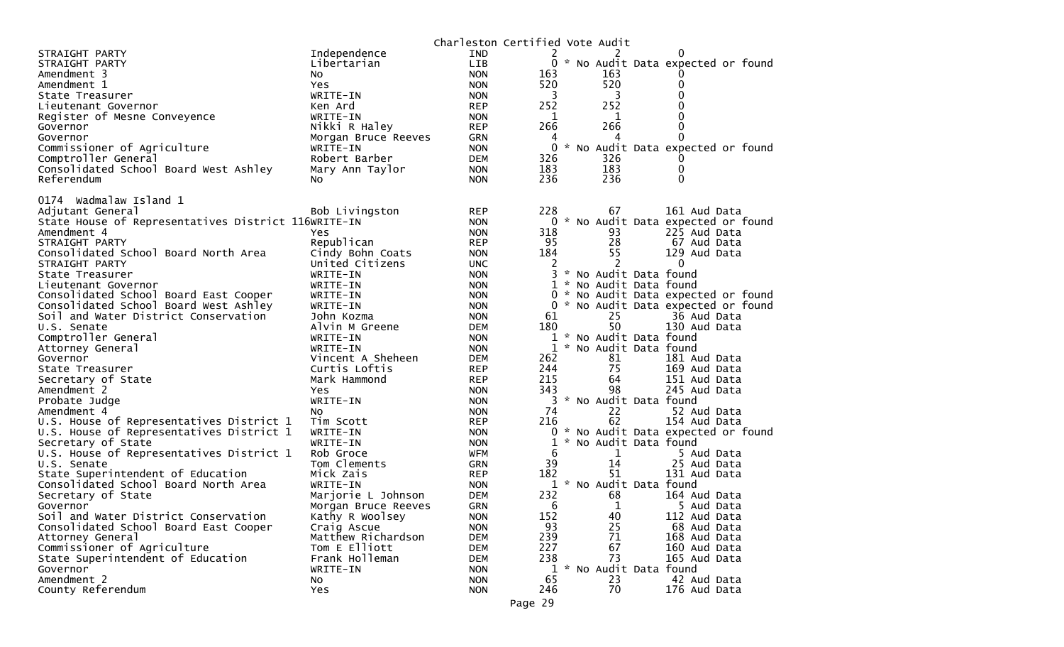|                                                              |                                | Charleston Certified Vote Audit |                   |               |                                                |                                     |
|--------------------------------------------------------------|--------------------------------|---------------------------------|-------------------|---------------|------------------------------------------------|-------------------------------------|
| STRAIGHT PARTY                                               | Independence                   | <b>IND</b>                      | 2                 |               |                                                |                                     |
| STRAIGHT PARTY                                               | Libertarian                    | <b>LIB</b>                      |                   |               |                                                | 0 * No Audit Data expected or found |
| Amendment 3                                                  | NO.                            | <b>NON</b>                      | 163               |               | 163                                            |                                     |
| Amendment 1                                                  | Yes.                           | <b>NON</b>                      | 520               |               | 520                                            | 0                                   |
| State Treasurer                                              | WRITE-IN                       | <b>NON</b>                      | 3                 |               | 3                                              | 0                                   |
| Lieutenant Governor                                          | Ken Ard                        | <b>REP</b>                      | 252               |               | 252                                            |                                     |
| Register of Mesne Conveyence                                 | WRITE-IN                       | <b>NON</b>                      | 1                 |               | 1                                              | 0                                   |
| Governor                                                     | Nikki R Haley                  | <b>REP</b>                      | 266               |               | 266                                            | 0                                   |
| Governor                                                     | Morgan Bruce Reeves            | GRN                             | 4                 |               | 4                                              | 0                                   |
| Commissioner of Agriculture                                  | WRITE-IN                       | <b>NON</b>                      | $\Omega$          |               |                                                | * No Audit Data expected or found   |
| Comptroller General                                          | Robert Barber                  | <b>DEM</b>                      | 326               |               | 326                                            |                                     |
| Consolidated School Board West Ashley                        | Mary Ann Taylor                | <b>NON</b>                      | 183               |               | 183                                            | 0                                   |
| Referendum                                                   | NO.                            | <b>NON</b>                      | 236               |               | 236                                            | 0                                   |
|                                                              |                                |                                 |                   |               |                                                |                                     |
| 0174 Wadmalaw Island 1<br>Adjutant General                   |                                | <b>REP</b>                      | 228               |               | 67                                             | 161 Aud Data                        |
| State House of Representatives District 116WRITE-IN          | Bob Livingston                 | <b>NON</b>                      |                   |               |                                                | 0 * No Audit Data expected or found |
| Amendment 4                                                  | Yes                            | <b>NON</b>                      | 318               |               | 93                                             | 225 Aud Data                        |
|                                                              |                                |                                 |                   |               | 28                                             |                                     |
| STRAIGHT PARTY<br>Consolidated School Board North Area       | Republican<br>Cindy Bohn Coats | <b>REP</b><br><b>NON</b>        | 95<br>184         |               | 55                                             | 67 Aud Data<br>129 Aud Data         |
|                                                              | United Citizens                |                                 |                   |               |                                                | $\Omega$                            |
| STRAIGHT PARTY                                               | WRITE-IN                       | <b>UNC</b>                      | 2<br>3            |               | * No Audit Data found                          |                                     |
| State Treasurer                                              |                                | <b>NON</b>                      | $\mathbf 1$       |               |                                                |                                     |
| Lieutenant Governor<br>Consolidated School Board East Cooper | WRITE-IN<br>WRITE-IN           | <b>NON</b><br><b>NON</b>        |                   |               | * No Audit Data found                          | 0 * No Audit Data expected or found |
| Consolidated School Board West Ashley                        |                                |                                 | $\Omega$          |               |                                                | * No Audit Data expected or found   |
|                                                              | WRITE-IN                       | <b>NON</b>                      | 61                |               | 25                                             | 36 Aud Data                         |
| Soil and Water District Conservation                         | John Kozma                     | <b>NON</b>                      |                   |               | 50                                             | 130 Aud Data                        |
| U.S. Senate                                                  | Alvin M Greene                 | <b>DEM</b>                      | 180               |               |                                                |                                     |
| Comptroller General                                          | WRITE-IN                       | <b>NON</b>                      | $\mathbf{1}$<br>1 |               | * No Audit Data found<br>* No Audit Data found |                                     |
| Attorney General                                             | WRITE-IN                       | <b>NON</b>                      |                   |               |                                                |                                     |
| Governor                                                     | Vincent A Sheheen              | <b>DEM</b>                      | 262<br>244        |               | 81<br>75                                       | 181 Aud Data                        |
| State Treasurer                                              | Curtis Loftis                  | <b>REP</b>                      | 215               |               | 64                                             | 169 Aud Data                        |
| Secretary of State<br>Amendment 2                            | Mark Hammond<br><b>Yes</b>     | <b>REP</b><br><b>NON</b>        | 343               |               | 98                                             | 151 Aud Data<br>245 Aud Data        |
|                                                              | WRITE-IN                       | <b>NON</b>                      | 3                 |               | * No Audit Data found                          |                                     |
| Probate Judge                                                |                                |                                 | 74                |               | 22                                             |                                     |
| Amendment 4<br>U.S. House of Representatives District 1      | NO.<br>Tim Scott               | <b>NON</b>                      | 216               |               | 62                                             | 52 Aud Data<br>154 Aud Data         |
| U.S. House of Representatives District 1                     | WRITE-IN                       | <b>REP</b><br><b>NON</b>        | 0                 |               |                                                | * No Audit Data expected or found   |
| Secretary of State                                           | WRITE-IN                       | <b>NON</b>                      | 1                 | $\mathcal{H}$ | No Audit Data found                            |                                     |
| U.S. House of Representatives District 1                     | Rob Groce                      | <b>WFM</b>                      | 6                 |               | 1                                              | 5 Aud Data                          |
| U.S. Senate                                                  | Tom Clements                   | <b>GRN</b>                      | 39                |               | 14                                             | 25 Aud Data                         |
| State Superintendent of Education                            | Mick Zais                      | <b>REP</b>                      | 182               |               | 51                                             | 131 Aud Data                        |
| Consolidated School Board North Area                         | WRITE-IN                       | <b>NON</b>                      | 1                 |               | * No Audit Data found                          |                                     |
| Secretary of State                                           | Marjorie L Johnson             | <b>DEM</b>                      | 232               |               | 68                                             | 164 Aud Data                        |
| Governor                                                     | Morgan Bruce Reeves            | <b>GRN</b>                      | 6                 |               | $\mathbf{1}$                                   | 5 Aud Data                          |
| Soil and Water District Conservation                         | Kathy R Woolsey                | <b>NON</b>                      | 152               |               | 40                                             | 112 Aud Data                        |
| Consolidated School Board East Cooper                        | Craig Ascue                    | <b>NON</b>                      | 93                |               | 25                                             | 68 Aud Data                         |
| Attorney General                                             | Matthew Richardson             | <b>DEM</b>                      | 239               |               | 71                                             | 168 Aud Data                        |
| Commissioner of Agriculture                                  | Tom E Elliott                  | <b>DEM</b>                      | 227               |               | 67                                             | 160 Aud Data                        |
| State Superintendent of Education                            | Frank Holleman                 | <b>DEM</b>                      | 238               |               | 73                                             | 165 Aud Data                        |
| Governor                                                     | WRITE-IN                       | <b>NON</b>                      | 1                 |               | * No Audit Data found                          |                                     |
| Amendment 2                                                  | No                             | <b>NON</b>                      | 65                |               | 23                                             | 42 Aud Data                         |
| County Referendum                                            | Yes                            | <b>NON</b>                      | 246               |               | 70                                             | 176 Aud Data                        |
|                                                              |                                |                                 |                   |               |                                                |                                     |
|                                                              |                                |                                 | Page 29           |               |                                                |                                     |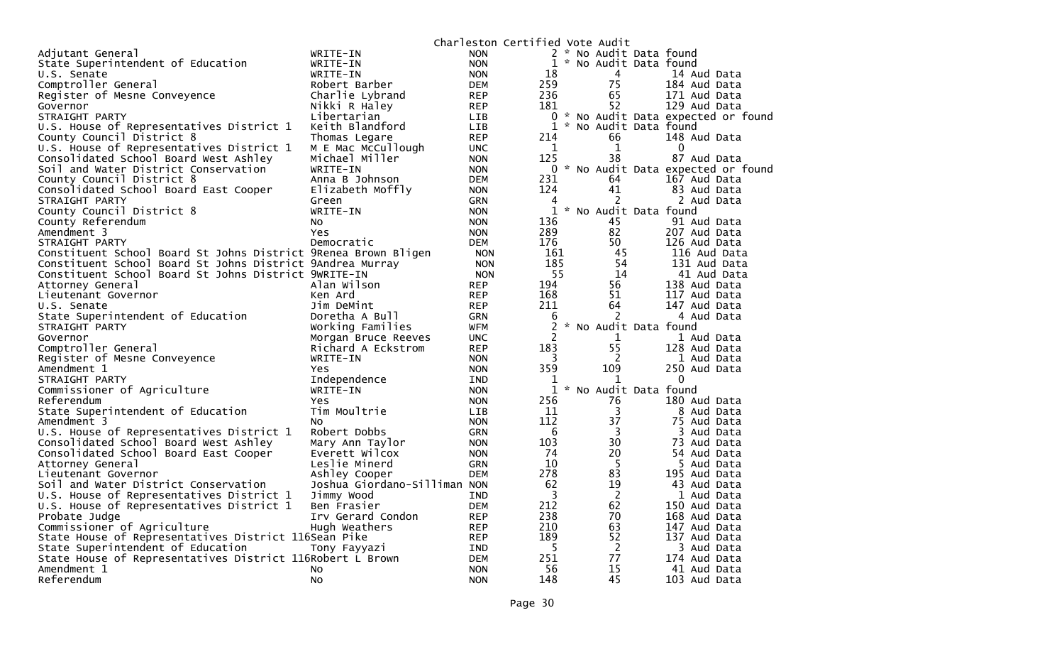|                                                                |                              |            |                | Charleston Certified Vote Audit |                                     |
|----------------------------------------------------------------|------------------------------|------------|----------------|---------------------------------|-------------------------------------|
| Adjutant General                                               | WRITE-IN                     | <b>NON</b> |                | 2 * No Audit Data found         |                                     |
| State Superintendent of Education                              |                              |            |                | 1 * No Audit Data found         |                                     |
|                                                                | WRITE-IN                     | <b>NON</b> |                |                                 |                                     |
| U.S. Senate                                                    | WRITE-IN                     | <b>NON</b> | 18             | 4                               | 14 Aud Data                         |
| Comptroller General                                            | Robert Barber                | <b>DEM</b> | 259            | 75                              | 184 Aud Data                        |
| Register of Mesne Conveyence                                   | Charlie Lybrand              | <b>REP</b> | 236            | 65                              | 171 Aud Data                        |
| Governor                                                       | Nikki R Haley                | <b>REP</b> | 181            | 52                              | 129 Aud Data                        |
| STRAIGHT PARTY                                                 | Libertarian                  | <b>LIB</b> |                |                                 | 0 * No Audit Data expected or found |
| U.S. House of Representatives District 1                       | Keith Blandford              | LIB.       | $\mathbf{1}$   | * No Audit Data found           |                                     |
| County Council District 8                                      | Thomas Legare                | <b>REP</b> | 214            | 66                              | 148 Aud Data                        |
| U.S. House of Representatives District 1                       | M E Mac McCullough           | <b>UNC</b> | 1              | $\mathbf{1}$                    | $\Omega$                            |
| Consolidated School Board West Ashley                          | Michael Miller               | <b>NON</b> | 125            | 38                              | 87 Aud Data                         |
| Soil and Water District Conservation                           | WRITE-IN                     | <b>NON</b> | $\Omega$       |                                 | * No Audit Data expected or found   |
| County Council District 8                                      | Anna B Johnson               | <b>DEM</b> | 231            | 64                              | 167 Aud Data                        |
| Consolidated School Board East Cooper                          | Elizabeth Moffly             | <b>NON</b> | 124            | 41                              | 83 Aud Data                         |
| STRAIGHT PARTY                                                 | Green                        | <b>GRN</b> | 4              | 2                               | 2 Aud Data                          |
| County Council District 8                                      | WRITE-IN                     | <b>NON</b> | 1              | * No Audit Data found           |                                     |
| County Referendum                                              | NO.                          | <b>NON</b> | 136            | 45                              | 91 Aud Data                         |
| Amendment 3                                                    | <b>Yes</b>                   | <b>NON</b> | 289            | 82                              | 207 Aud Data                        |
| STRAIGHT PARTY                                                 | Democratic                   | <b>DEM</b> | 176            | 50                              | 126 Aud Data                        |
| Constituent School Board St Johns District 9Renea Brown Bligen |                              |            | 161            | 45                              | 116 Aud Data                        |
| Constituent School Board St Johns District 9Andrea Murray      |                              | <b>NON</b> |                | 54                              |                                     |
|                                                                |                              | <b>NON</b> | 185            |                                 | 131 Aud Data                        |
| Constituent School Board St Johns District 9wRITE-IN           |                              | <b>NON</b> | 55             | 14                              | 41 Aud Data                         |
| Attorney General                                               | Alan Wilson                  | <b>REP</b> | 194            | 56                              | 138 Aud Data                        |
| Lieutenant Governor                                            | Ken Ard                      | <b>REP</b> | 168            | 51                              | 117 Aud Data                        |
| U.S. Senate                                                    | Jim DeMint                   | <b>REP</b> | 211            | 64                              | 147 Aud Data                        |
| State Superintendent of Education                              | Doretha A Bull               | <b>GRN</b> | 6              | 2                               | 4 Aud Data                          |
| STRAIGHT PARTY                                                 | Working Families             | <b>WFM</b> | 2              | * No Audit Data found           |                                     |
| Governor                                                       | Morgan Bruce Reeves          | <b>UNC</b> | $\overline{c}$ | 1                               | 1 Aud Data                          |
| Comptroller General                                            | Richard A Eckstrom           | <b>REP</b> | 183            | 55                              | 128 Aud Data                        |
| Register of Mesne Conveyence                                   | WRITE-IN                     | <b>NON</b> | 3              | 2                               | 1 Aud Data                          |
| Amendment 1                                                    | Yes                          | <b>NON</b> | 359            | 109                             | 250 Aud Data                        |
| STRAIGHT PARTY                                                 | Independence                 | <b>IND</b> | 1              | 1                               | 0                                   |
| Commissioner of Agriculture                                    | WRITE-IN                     | <b>NON</b> | $\mathbf{1}$   | * No Audit Data found           |                                     |
| Referendum                                                     | Yes                          | <b>NON</b> | 256            | 76                              | 180 Aud Data                        |
| State Superintendent of Education                              | Tim Moultrie                 | <b>LIB</b> | 11             | 3                               | 8 Aud Data                          |
| Amendment 3                                                    | N <sub>O</sub>               | <b>NON</b> | 112            | 37                              | 75 Aud Data                         |
| U.S. House of Representatives District 1                       | Robert Dobbs                 | GRN        | 6              | 3                               | 3 Aud Data                          |
| Consolidated School Board West Ashley                          | Mary Ann Taylor              | <b>NON</b> | 103            | 30                              | 73 Aud Data                         |
| Consolidated School Board East Cooper                          | Everett Wilcox               | <b>NON</b> | 74             | 20                              | 54 Aud Data                         |
| Attorney General                                               | Leslie Minerd                | GRN        | 10             | 5                               | 5 Aud Data                          |
| Lieutenant Governor                                            | Ashley Cooper                | <b>DEM</b> | 278            | 83                              | 195 Aud Data                        |
| Soil and Water District Conservation                           | Joshua Giordano-Silliman NON |            | 62             | 19                              | 43 Aud Data                         |
| U.S. House of Representatives District 1                       | Jimmy Wood                   | <b>IND</b> | 3              | $\overline{2}$                  |                                     |
|                                                                |                              |            | 212            | 62                              | 1 Aud Data                          |
| U.S. House of Representatives District 1                       | Ben Frasier                  | <b>DEM</b> |                |                                 | 150 Aud Data                        |
| Probate Judge                                                  | Irv Gerard Condon            | <b>REP</b> | 238            | 70                              | 168 Aud Data                        |
| Commissioner of Agriculture                                    | Hugh Weathers                | <b>REP</b> | 210            | 63                              | 147 Aud Data                        |
| State House of Representatives District 116Sean Pike           |                              | <b>REP</b> | 189            | 52                              | 137 Aud Data                        |
| State Superintendent of Education                              | Tony Fayyazi                 | IND        | 5              | $\overline{2}$                  | 3 Aud Data                          |
| State House of Representatives District 116Robert L Brown      |                              | <b>DEM</b> | 251            | 77                              | 174 Aud Data                        |
| Amendment 1                                                    | No                           | <b>NON</b> | 56             | 15                              | 41 Aud Data                         |
| Referendum                                                     | <b>NO</b>                    | <b>NON</b> | 148            | 45                              | 103 Aud Data                        |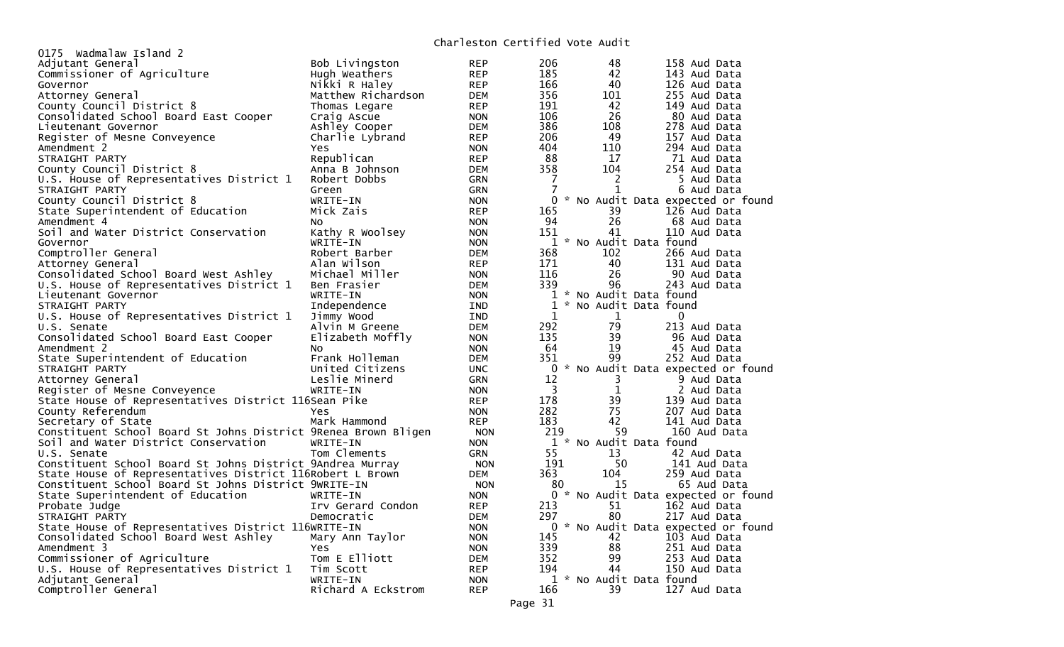## Charleston Certified Vote Audit

| 0175 Wadmalaw Island 2                                         |                    | Charles con Corerrica vocc Addic |                         |                         |                                     |
|----------------------------------------------------------------|--------------------|----------------------------------|-------------------------|-------------------------|-------------------------------------|
| Adjutant General                                               | Bob Livingston     | <b>REP</b>                       | 206                     | 48                      | 158 Aud Data                        |
| Commissioner of Agriculture                                    | Hugh Weathers      | <b>REP</b>                       | 185                     | 42                      | 143 Aud Data                        |
| Governor                                                       | Nikki R Haley      | <b>REP</b>                       | 166                     | 40                      | 126 Aud Data                        |
| Attorney General                                               | Matthew Richardson | DEM                              | 356                     | 101                     | 255 Aud Data                        |
| County Council District 8                                      | Thomas Legare      | <b>REP</b>                       | 191                     | 42                      | 149 Aud Data                        |
| Consolidated School Board East Cooper                          | Craig Ascue        | <b>NON</b>                       | 106                     | 26                      | 80 Aud Data                         |
| Lieutenant Governor                                            | Ashley Cooper      | <b>DEM</b>                       | 386                     | 108                     | 278 Aud Data                        |
| Register of Mesne Conveyence                                   | Charlie Lybrand    | <b>REP</b>                       | 206                     | 49                      | 157 Aud Data                        |
| Amendment 2                                                    | <b>Yes</b>         | <b>NON</b>                       | 404                     | 110                     | 294 Aud Data                        |
| STRAIGHT PARTY                                                 | Republican         | <b>REP</b>                       | 88                      | 17                      | 71 Aud Data                         |
| County Council District 8                                      | Anna B Johnson     | <b>DEM</b>                       | 358                     | 104                     | 254 Aud Data                        |
| U.S. House of Representatives District 1                       | Robert Dobbs       | GRN                              | 7                       | 2                       | 5 Aud Data                          |
| STRAIGHT PARTY                                                 | Green              | GRN                              | 7                       | 1                       | 6 Aud Data                          |
| County Council District 8                                      | WRITE-IN           | <b>NON</b>                       |                         |                         | 0 * No Audit Data expected or found |
| State Superintendent of Education                              | Mick Zais          | <b>REP</b>                       | 165                     | 39                      | 126 Aud Data                        |
| Amendment 4                                                    | No.                | <b>NON</b>                       | 94                      | 26                      | 68 Aud Data                         |
| Soil and Water District Conservation                           | Kathy R Woolsey    | <b>NON</b>                       | 151                     | 41                      | 110 Aud Data                        |
| Governor                                                       | WRITE-IN           | <b>NON</b>                       |                         | 1 * No Audit Data found |                                     |
| Comptroller General                                            | Robert Barber      | <b>DEM</b>                       | 368                     | 102                     | 266 Aud Data                        |
| Attorney General                                               | Alan Wilson        | <b>REP</b>                       | 171                     | 40                      | 131 Aud Data                        |
| Consolidated School Board West Ashley                          | Michael Miller     | <b>NON</b>                       | 116                     | 26                      | 90 Aud Data                         |
| U.S. House of Representatives District 1                       | Ben Frasier        | DEM                              | 339                     | 96                      | 243 Aud Data                        |
| Lieutenant Governor                                            | WRITE-IN           | <b>NON</b>                       |                         | 1 * No Audit Data found |                                     |
| STRAIGHT PARTY                                                 | Independence       | <b>IND</b>                       |                         | 1 * No Audit Data found |                                     |
| U.S. House of Representatives District 1                       | Jimmy Wood         | <b>IND</b>                       | $\mathbf 1$             | 1                       | $\mathbf{0}$                        |
| U.S. Senate                                                    | Alvin M Greene     | <b>DEM</b>                       | 292                     | 79                      | 213 Aud Data                        |
| Consolidated School Board East Cooper                          | Elizabeth Moffly   | <b>NON</b>                       | 135                     | 39                      | 96 Aud Data                         |
| Amendment 2                                                    | No.                | <b>NON</b>                       | 64                      | 19                      | 45 Aud Data                         |
| State Superintendent of Education                              | Frank Holleman     | <b>DEM</b>                       | 351                     | 99                      | 252 Aud Data                        |
| STRAIGHT PARTY                                                 | United Citizens    | <b>UNC</b>                       |                         |                         | 0 * No Audit Data expected or found |
| Attorney General                                               | Leslie Minerd      | <b>GRN</b>                       | 12                      | 3                       | 9 Aud Data                          |
| Register of Mesne Conveyence                                   | WRITE-IN           | <b>NON</b>                       | $\overline{\mathbf{3}}$ | $\mathbf{1}$            | 2 Aud Data                          |
| State House of Representatives District 116Sean Pike           |                    | <b>REP</b>                       | 178                     | 39                      | 139 Aud Data                        |
| County Referendum                                              | <b>Yes</b>         | <b>NON</b>                       | 282                     | 75                      | 207 Aud Data                        |
| Secretary of State                                             | Mark Hammond       | <b>REP</b>                       | 183                     | 42                      | 141 Aud Data                        |
| Constituent School Board St Johns District 9Renea Brown Bligen |                    | <b>NON</b>                       | 219                     | 59                      | 160 Aud Data                        |
| Soil and Water District Conservation                           | WRITE-IN           | <b>NON</b>                       |                         | 1 * No Audit Data found |                                     |
| U.S. Senate                                                    | Tom Clements       | <b>GRN</b>                       | 55                      | 13                      | 42 Aud Data                         |
| Constituent School Board St Johns District 9Andrea Murray      |                    | <b>NON</b>                       | 191                     | 50                      | 141 Aud Data                        |
| State House of Representatives District 116Robert L Brown      |                    | <b>DEM</b>                       | 363                     | 104                     | 259 Aud Data                        |
| Constituent School Board St Johns District 9WRITE-IN           |                    | <b>NON</b>                       | 80                      | 15                      | 65 Aud Data                         |
| State Superintendent of Education                              | WRITE-IN           | <b>NON</b>                       |                         |                         | 0 * No Audit Data expected or found |
| Probate Judge                                                  | Irv Gerard Condon  | <b>REP</b>                       | 213                     | 51                      | 162 Aud Data                        |
| STRAIGHT PARTY                                                 | Democratic         | <b>DEM</b>                       | 297                     | 80                      | 217 Aud Data                        |
| State House of Representatives District 116WRITE-IN            |                    | <b>NON</b>                       |                         |                         | 0 * No Audit Data expected or found |
| Consolidated School Board West Ashley                          | Mary Ann Taylor    | <b>NON</b>                       | 145                     | 42                      | 103 Aud Data                        |
| Amendment 3                                                    | Yes.               | <b>NON</b>                       | 339                     | 88                      | 251 Aud Data                        |
| Commissioner of Agriculture                                    | Tom E Elliott      | <b>DEM</b>                       | 352                     | 99                      | 253 Aud Data                        |
| U.S. House of Representatives District 1                       | Tim Scott          | <b>REP</b>                       | 194                     | 44                      | 150 Aud Data                        |
| Adjutant General                                               | WRITE-IN           | <b>NON</b>                       |                         | 1 * No Audit Data found |                                     |
| Comptroller General                                            | Richard A Eckstrom | <b>REP</b>                       | 166                     | 39                      | 127 Aud Data                        |
|                                                                |                    |                                  |                         |                         |                                     |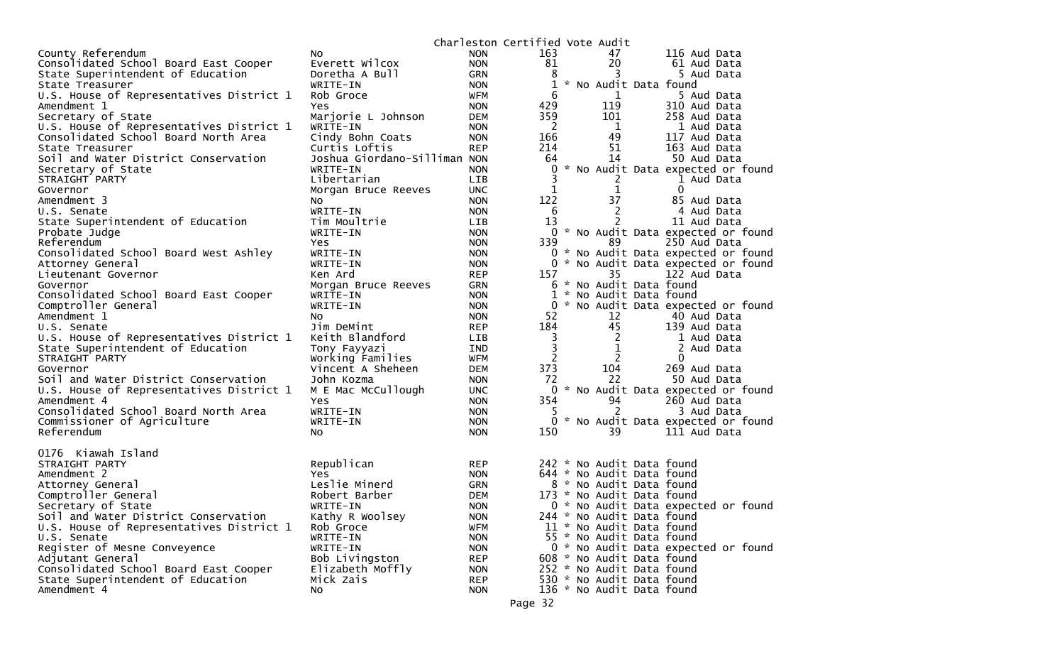|                                                              |                              |                          | Charleston Certified Vote Audit |                           |                                     |
|--------------------------------------------------------------|------------------------------|--------------------------|---------------------------------|---------------------------|-------------------------------------|
| County Referendum                                            | No.                          | <b>NON</b>               | 163                             | 47                        | 116 Aud Data                        |
| Consolidated School Board East Cooper                        | Everett Wilcox               | <b>NON</b>               | 81                              | 20                        | 61 Aud Data                         |
| State Superintendent of Education                            | Doretha A Bull               | GRN                      | 8                               | З                         | 5 Aud Data                          |
| State Treasurer                                              | WRITE-IN                     | <b>NON</b>               | 1                               | * No Audit Data found     |                                     |
| U.S. House of Representatives District 1                     | Rob Groce                    | WFM                      | 6                               | 1                         | 5 Aud Data                          |
| Amendment 1                                                  | Yes                          | <b>NON</b>               | 429                             | 119                       | 310 Aud Data                        |
| Secretary of State                                           | Marjorie L Johnson           | <b>DEM</b>               | 359                             | 101                       | 258 Aud Data                        |
| U.S. House of Representatives District 1                     | WRITE-IN                     | <b>NON</b>               | $\overline{2}$                  | $\mathbf 1$               | 1 Aud Data                          |
| Consolidated School Board North Area                         | Cindy Bohn Coats             | <b>NON</b>               | 166                             | 49                        | 117 Aud Data                        |
| State Treasurer                                              | Curtis Loftis                | <b>REP</b>               | 214                             | 51                        | 163 Aud Data                        |
| Soil and Water District Conservation                         | Joshua Giordano-Silliman NON |                          | 64                              | 14                        | 50 Aud Data                         |
| Secretary of State                                           | WRITE-IN                     | <b>NON</b>               | 0                               |                           | * No Audit Data expected or found   |
| STRAIGHT PARTY                                               | Libertarian                  | <b>LIB</b>               | 3                               | 2                         | 1 Aud Data                          |
| Governor                                                     | Morgan Bruce Reeves          | <b>UNC</b>               | 1                               | 1                         | $\mathbf{0}$                        |
| Amendment 3                                                  | NO.                          | <b>NON</b>               | 122                             | 37                        | 85 Aud Data                         |
| U.S. Senate                                                  | WRITE-IN                     | <b>NON</b>               | -6                              | 2                         | 4 Aud Data                          |
| State Superintendent of Education                            | Tim Moultrie                 | <b>LIB</b>               | 13                              | 2                         | 11 Aud Data                         |
| Probate Judge                                                | WRITE-IN                     | <b>NON</b>               |                                 |                           | 0 * No Audit Data expected or found |
| Referendum                                                   | Yes                          | <b>NON</b>               | 339                             | 89                        | 250 Aud Data                        |
| Consolidated School Board West Ashley                        | WRITE-IN                     | <b>NON</b>               |                                 |                           | 0 * No Audit Data expected or found |
| Attorney General                                             | WRITE-IN                     | <b>NON</b>               |                                 |                           | 0 * No Audit Data expected or found |
| Lieutenant Governor                                          | Ken Ard                      | <b>REP</b>               | 157                             | 35                        | 122 Aud Data                        |
| Governor                                                     | Morgan Bruce Reeves          | <b>GRN</b>               |                                 | 6 * No Audit Data found   |                                     |
| Consolidated School Board East Cooper<br>Comptroller General | WRITE-IN                     | <b>NON</b>               | 0                               | 1 * No Audit Data found   | * No Audit Data expected or found   |
|                                                              | WRITE-IN                     | <b>NON</b>               | 52                              | 12                        |                                     |
| Amendment 1<br>U.S. Senate                                   | No<br>Jim DeMint             | <b>NON</b>               | 184                             | 45                        | 40 Aud Data<br>139 Aud Data         |
| U.S. House of Representatives District 1                     | Keith Blandford              | <b>REP</b><br><b>LIB</b> | 3                               | 2                         | 1 Aud Data                          |
| State Superintendent of Education                            | Tony Fayyazi                 | IND                      | 3                               | 1                         | 2 Aud Data                          |
| STRAIGHT PARTY                                               | Working Families             | <b>WFM</b>               | 2                               | 2                         | $\Omega$                            |
| Governor                                                     | Vincent A Sheheen            | <b>DEM</b>               | 373                             | 104                       | 269 Aud Data                        |
| Soil and Water District Conservation                         | John Kozma                   | <b>NON</b>               | 72                              | 22                        | 50 Aud Data                         |
| U.S. House of Representatives District 1                     | M E Mac McCullough           | <b>UNC</b>               | 0                               |                           | * No Audit Data expected or found   |
| Amendment 4                                                  | Yes                          | <b>NON</b>               | 354                             | 94                        | 260 Aud Data                        |
| Consolidated School Board North Area                         | WRITE-IN                     | <b>NON</b>               | 5                               | 2                         | 3 Aud Data                          |
| Commissioner of Agriculture                                  | WRITE-IN                     | <b>NON</b>               | 0                               |                           | * No Audit Data expected or found   |
| Referendum                                                   | NO.                          | <b>NON</b>               | 150                             | 39                        | 111 Aud Data                        |
|                                                              |                              |                          |                                 |                           |                                     |
| 0176 Kiawah Island                                           |                              |                          |                                 |                           |                                     |
| STRAIGHT PARTY                                               | Republican                   | <b>REP</b>               |                                 | 242 * No Audit Data found |                                     |
| Amendment 2                                                  | Yes.                         | <b>NON</b>               |                                 | 644 * No Audit Data found |                                     |
| Attorney General                                             | Leslie Minerd                | <b>GRN</b>               |                                 | 8 * No Audit Data found   |                                     |
| Comptroller General                                          | Robert Barber                | <b>DEM</b>               |                                 | 173 * No Audit Data found |                                     |
| Secretary of State                                           | WRITE-IN                     | <b>NON</b>               |                                 |                           | 0 * No Audit Data expected or found |
| Soil and Water District Conservation                         | Kathy R Woolsey              | <b>NON</b>               |                                 | 244 * No Audit Data found |                                     |
| U.S. House of Representatives District 1                     | Rob Groce                    | <b>WFM</b>               |                                 | 11 * No Audit Data found  |                                     |
| U.S. Senate                                                  | WRITE-IN                     | <b>NON</b>               |                                 | 55 * No Audit Data found  |                                     |
| Register of Mesne Conveyence                                 | WRITE-IN                     | <b>NON</b>               |                                 |                           | 0 * No Audit Data expected or found |
| Adjutant General                                             | Bob Livingston               | <b>REP</b>               |                                 | 608 * No Audit Data found |                                     |
| Consolidated School Board East Cooper                        | Elizabeth Moffly             | <b>NON</b>               |                                 | 252 * No Audit Data found |                                     |
| State Superintendent of Education                            | Mick Zais                    | <b>REP</b>               |                                 | 530 * No Audit Data found |                                     |
| Amendment 4                                                  | No.                          | <b>NON</b>               |                                 | 136 * No Audit Data found |                                     |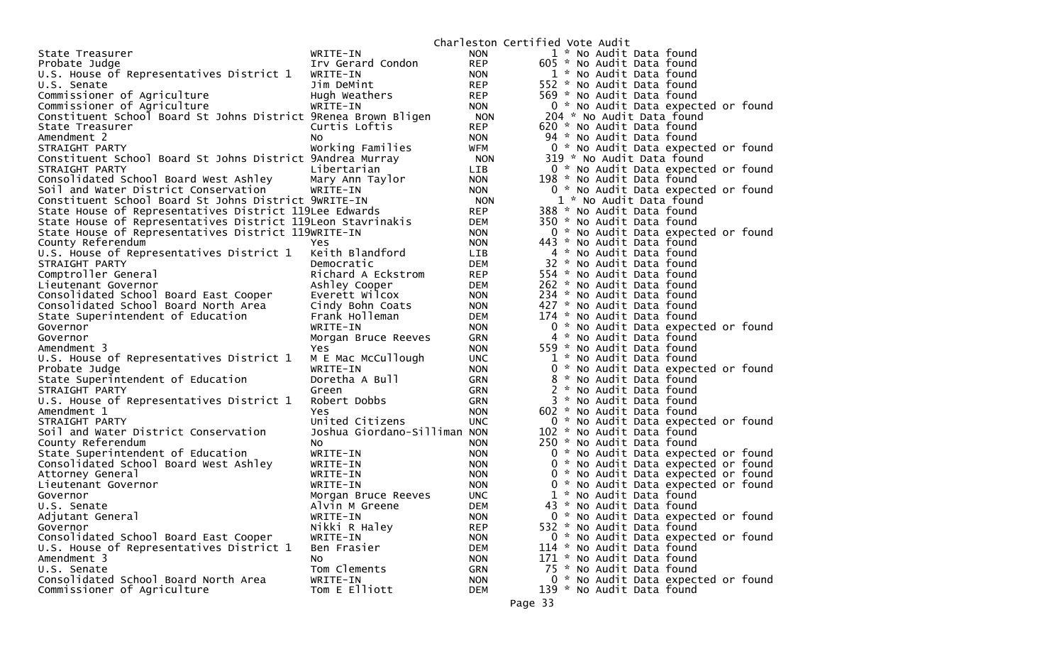|                                                                |                                       |                          | Charleston Certified Vote Audit |                           |                                                                            |  |
|----------------------------------------------------------------|---------------------------------------|--------------------------|---------------------------------|---------------------------|----------------------------------------------------------------------------|--|
| State Treasurer                                                | WRITE-IN                              | <b>NON</b>               |                                 | 1 * No Audit Data found   |                                                                            |  |
| Probate Judge                                                  | Irv Gerard Condon                     | <b>REP</b>               |                                 | 605 * No Audit Data found |                                                                            |  |
| U.S. House of Representatives District 1                       | WRITE-IN                              | <b>NON</b>               |                                 | 1 * No Audit Data found   |                                                                            |  |
| U.S. Senate                                                    | Jim DeMint                            | <b>REP</b>               |                                 | 552 * No Audit Data found |                                                                            |  |
| Commissioner of Agriculture                                    | Hugh Weathers                         | <b>REP</b>               |                                 | 569 * No Audit Data found |                                                                            |  |
| Commissioner of Agriculture                                    | WRITE-IN                              | <b>NON</b>               |                                 |                           | 0 * No Audit Data expected or found                                        |  |
| Constituent School Board St Johns District 9Renea Brown Bligen |                                       | <b>NON</b>               |                                 |                           | 204 * No Audit Data found                                                  |  |
| State Treasurer                                                | Curtis Loftis                         | <b>REP</b>               |                                 | 620 * No Audit Data found |                                                                            |  |
| Amendment 2                                                    | NO.                                   | <b>NON</b>               |                                 | 94 * No Audit Data found  |                                                                            |  |
| STRAIGHT PARTY                                                 | Working Families                      | WFM                      |                                 |                           | 0 * No Audit Data expected or found                                        |  |
| Constituent School Board St Johns District 9Andrea Murray      |                                       | <b>NON</b>               |                                 |                           | 319 * No Audit Data found                                                  |  |
| STRAIGHT PARTY                                                 | Libertarian                           | <b>LIB</b>               |                                 |                           | 0 * No Audit Data expected or found                                        |  |
| Consolidated School Board West Ashley                          | Mary Ann Taylor                       | <b>NON</b>               |                                 | 198 * No Audit Data found |                                                                            |  |
| Soil and Water District Conservation                           | WRITE-IN                              | <b>NON</b>               |                                 |                           | 0 * No Audit Data expected or found                                        |  |
| Constituent School Board St Johns District 9WRITE-IN           |                                       | <b>NON</b>               |                                 |                           | 1 * No Audit Data found                                                    |  |
| State House of Representatives District 119Lee Edwards         |                                       | <b>REP</b>               |                                 | 388 * No Audit Data found |                                                                            |  |
| State House of Representatives District 119Leon Stavrinakis    |                                       | DEM                      |                                 | 350 * No Audit Data found |                                                                            |  |
| State House of Representatives District 119WRITE-IN            |                                       | <b>NON</b>               |                                 |                           | 0 * No Audit Data expected or found                                        |  |
| County Referendum                                              | Yes                                   | <b>NON</b>               |                                 | 443 * No Audit Data found |                                                                            |  |
| U.S. House of Representatives District 1                       | Keith Blandford                       | LIB                      |                                 | 4 * No Audit Data found   |                                                                            |  |
| STRAIGHT PARTY                                                 | Democratic                            | <b>DEM</b>               |                                 | 32 * No Audit Data found  |                                                                            |  |
| Comptroller General                                            | Richard A Eckstrom                    | <b>REP</b>               |                                 | 554 * No Audit Data found |                                                                            |  |
| Lieutenant Governor                                            | Ashley Cooper                         | <b>DEM</b>               |                                 | 262 * No Audit Data found |                                                                            |  |
| Consolidated School Board East Cooper                          | Everett Wilcox                        | <b>NON</b>               |                                 | 234 * No Audit Data found |                                                                            |  |
| Consolidated School Board North Area                           | Cindy Bohn Coats                      | <b>NON</b>               |                                 | 427 * No Audit Data found |                                                                            |  |
| State Superintendent of Education                              | Frank Holleman                        | <b>DEM</b>               |                                 | 174 * No Audit Data found |                                                                            |  |
| Governor                                                       | WRITE-IN                              | <b>NON</b>               |                                 |                           | 0 * No Audit Data expected or found                                        |  |
| Governor                                                       | Morgan Bruce Reeves                   | <b>GRN</b>               |                                 | 4 * No Audit Data found   |                                                                            |  |
| Amendment 3                                                    | Yes                                   | <b>NON</b>               |                                 | 559 * No Audit Data found |                                                                            |  |
| U.S. House of Representatives District 1                       | M E Mac McCullough                    | <b>UNC</b>               |                                 | 1 * No Audit Data found   |                                                                            |  |
| Probate Judge                                                  | WRITE-IN                              | <b>NON</b>               |                                 |                           | 0 * No Audit Data expected or found                                        |  |
| State Superintendent of Education                              | Doretha A Bull                        | <b>GRN</b>               |                                 | 8 * No Audit Data found   |                                                                            |  |
| STRAIGHT PARTY                                                 | Green                                 | <b>GRN</b>               |                                 | 2 * No Audit Data found   |                                                                            |  |
| U.S. House of Representatives District 1                       | Robert Dobbs                          | <b>GRN</b>               |                                 | 3 * No Audit Data found   |                                                                            |  |
| Amendment 1                                                    | Yes                                   | <b>NON</b>               |                                 | 602 * No Audit Data found |                                                                            |  |
| STRAIGHT PARTY                                                 | United Citizens                       | <b>UNC</b>               |                                 |                           | 0 * No Audit Data expected or found                                        |  |
| Soil and Water District Conservation                           | Joshua Giordano-Silliman NON          |                          |                                 | 102 * No Audit Data found |                                                                            |  |
| County Referendum                                              | NO.                                   | <b>NON</b>               |                                 | 250 * No Audit Data found |                                                                            |  |
| State Superintendent of Education                              | WRITE-IN                              | <b>NON</b>               |                                 |                           | 0 * No Audit Data expected or found                                        |  |
| Consolidated School Board West Ashley                          | WRITE-IN                              | <b>NON</b>               |                                 |                           | 0 * No Audit Data expected or found                                        |  |
| Attorney General                                               | WRITE-IN<br>WRITE-IN                  | <b>NON</b><br><b>NON</b> |                                 |                           | 0 * No Audit Data expected or found<br>0 * No Audit Data expected or found |  |
| Lieutenant Governor                                            |                                       | <b>UNC</b>               |                                 | 1 * No Audit Data found   |                                                                            |  |
| Governor                                                       | Morgan Bruce Reeves<br>Alvin M Greene | <b>DEM</b>               |                                 | 43 * No Audit Data found  |                                                                            |  |
| U.S. Senate<br>Adjutant General                                | WRITE-IN                              | <b>NON</b>               |                                 |                           | 0 * No Audit Data expected or found                                        |  |
| Governor                                                       | Nikki R Haley                         | <b>REP</b>               |                                 | 532 * No Audit Data found |                                                                            |  |
| Consolidated School Board East Cooper                          | WRITE-IN                              | <b>NON</b>               |                                 |                           | 0 * No Audit Data expected or found                                        |  |
| U.S. House of Representatives District 1                       | Ben Frasier                           | <b>DEM</b>               |                                 | 114 * No Audit Data found |                                                                            |  |
| Amendment 3                                                    | No                                    | <b>NON</b>               |                                 | 171 * No Audit Data found |                                                                            |  |
| U.S. Senate                                                    | Tom Clements                          | GRN                      |                                 | 75 * No Audit Data found  |                                                                            |  |
| Consolidated School Board North Area                           | WRITE-IN                              | <b>NON</b>               |                                 |                           | 0 * No Audit Data expected or found                                        |  |
| Commissioner of Agriculture                                    | Tom E Elliott                         | <b>DEM</b>               |                                 | 139 * No Audit Data found |                                                                            |  |
|                                                                |                                       |                          |                                 |                           |                                                                            |  |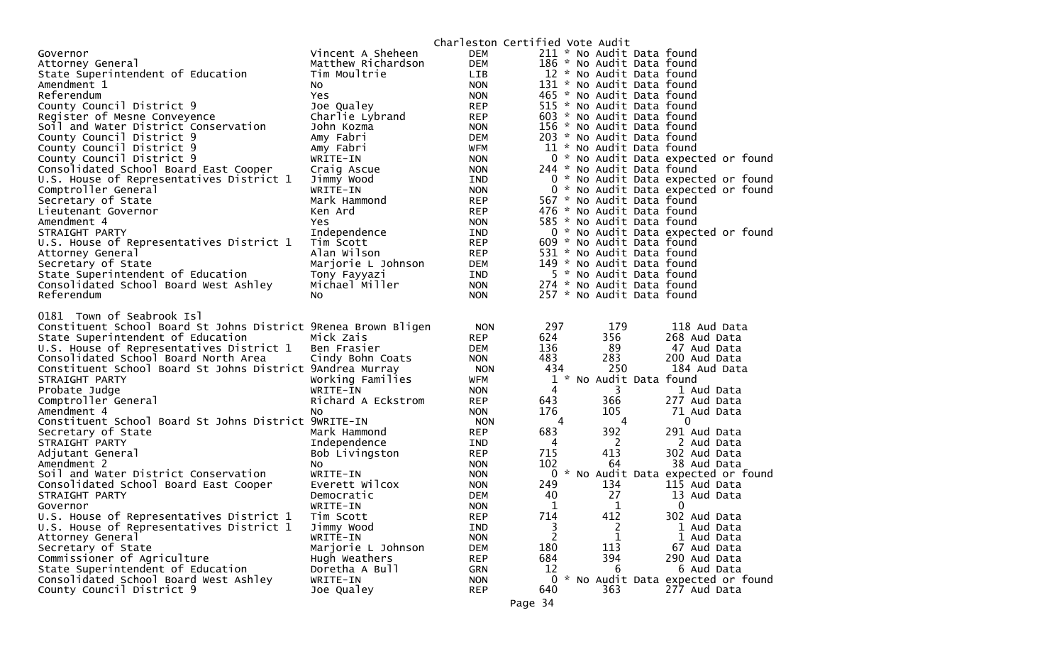|                                                                    |                        |                          | Charleston Certified Vote Audit |                           |                                                     |
|--------------------------------------------------------------------|------------------------|--------------------------|---------------------------------|---------------------------|-----------------------------------------------------|
| Governor                                                           | Vincent A Sheheen      | <b>DEM</b>               |                                 | 211 * No Audit Data found |                                                     |
| Attorney General                                                   | Matthew Richardson     | <b>DEM</b>               |                                 | 186 * No Audit Data found |                                                     |
| State Superintendent of Education                                  | Tim Moultrie           | LIB                      |                                 | 12 * No Audit Data found  |                                                     |
| Amendment 1                                                        | No                     | <b>NON</b>               |                                 | 131 * No Audit Data found |                                                     |
| Referendum                                                         | Yes.                   | <b>NON</b>               |                                 | 465 * No Audit Data found |                                                     |
| County Council District 9                                          | Joe Qualey             | <b>REP</b>               |                                 | 515 * No Audit Data found |                                                     |
| Register of Mesne Conveyence                                       | Charlie Lybrand        | <b>REP</b>               |                                 | 603 * No Audit Data found |                                                     |
| Soil and Water District Conservation                               | John Kozma             | <b>NON</b>               |                                 | 156 * No Audit Data found |                                                     |
| County Council District 9                                          | Amy Fabri              | <b>DEM</b>               |                                 | 203 * No Audit Data found |                                                     |
| County Council District 9                                          | Amy Fabri              | WFM                      |                                 | 11 * No Audit Data found  |                                                     |
| County Council District 9                                          | WRITE-IN               | <b>NON</b>               |                                 |                           | 0 * No Audit Data expected or found                 |
| Consolidated School Board East Cooper                              | Craig Ascue            | <b>NON</b>               |                                 | 244 * No Audit Data found |                                                     |
| U.S. House of Representatives District 1                           | Jimmy Wood             | IND                      |                                 |                           | 0 * No Audit Data expected or found                 |
| Comptroller General                                                | WRITE-IN               | <b>NON</b>               |                                 |                           | 0 * No Audit Data expected or found                 |
| Secretary of State                                                 | Mark Hammond           | <b>REP</b>               |                                 | 567 * No Audit Data found |                                                     |
| Lieutenant Governor                                                | Ken Ard                | <b>REP</b>               |                                 | 476 * No Audit Data found |                                                     |
| Amendment 4                                                        | Yes.                   | <b>NON</b>               |                                 | 585 * No Audit Data found |                                                     |
| STRAIGHT PARTY                                                     | Independence           | IND                      |                                 |                           | 0 * No Audit Data expected or found                 |
| U.S. House of Representatives District 1                           | Tim Scott              | <b>REP</b>               |                                 | 609 * No Audit Data found |                                                     |
| Attorney General                                                   | Alan Wilson            | <b>REP</b>               |                                 | 531 * No Audit Data found |                                                     |
| Secretary of State                                                 | Marjorie L Johnson     | <b>DEM</b>               |                                 | 149 * No Audit Data found |                                                     |
| State Superintendent of Education                                  | Tony Fayyazi           | IND                      |                                 | 5 * No Audit Data found   |                                                     |
| Consolidated School Board West Ashley                              | Michael Miller         | <b>NON</b>               |                                 | 274 * No Audit Data found |                                                     |
| Referendum                                                         | No.                    | <b>NON</b>               |                                 | 257 * No Audit Data found |                                                     |
|                                                                    |                        |                          |                                 |                           |                                                     |
|                                                                    |                        |                          |                                 |                           |                                                     |
| 0181 Town of Seabrook Isl                                          |                        |                          |                                 |                           |                                                     |
| Constituent School Board St Johns District 9Renea Brown Bligen     |                        | <b>NON</b>               | 297                             | 179                       | 118 Aud Data                                        |
| State Superintendent of Education                                  | Mick Zais              | <b>REP</b>               | 624                             | 356                       | 268 Aud Data                                        |
| U.S. House of Representatives District 1                           | Ben Frasier            | DEM                      | 136                             | 89                        | 47 Aud Data                                         |
| Consolidated School Board North Area                               | Cindy Bohn Coats       | <b>NON</b>               | 483                             | 283                       | 200 Aud Data                                        |
| Constituent School Board St Johns District 9Andrea Murray          |                        | <b>NON</b>               | 434                             | 250                       | 184 Aud Data                                        |
| STRAIGHT PARTY                                                     | Working Families       | WFM                      |                                 | 1 * No Audit Data found   |                                                     |
| Probate Judge                                                      | WRITE-IN               | <b>NON</b>               | 4                               | 3                         | 1 Aud Data                                          |
| Comptroller General                                                | Richard A Eckstrom     | <b>REP</b>               | 643                             | 366                       | 277 Aud Data                                        |
| Amendment 4                                                        | No.                    | <b>NON</b>               | 176                             | 105                       | 71 Aud Data                                         |
| Constituent School Board St Johns District 9WRITE-IN               |                        | <b>NON</b>               | 4                               | 4                         | $\mathbf 0$                                         |
| Secretary of State                                                 | Mark Hammond           | <b>REP</b>               | 683                             | 392                       | 291 Aud Data                                        |
| STRAIGHT PARTY                                                     | Independence           | IND                      | 4                               | 2                         | 2 Aud Data                                          |
| Adjutant General                                                   | Bob Livingston         | <b>REP</b>               | 715                             | 413                       | 302 Aud Data                                        |
| Amendment 2                                                        | No                     | <b>NON</b>               | 102                             | 64                        | 38 Aud Data                                         |
| Soil and Water District Conservation                               | WRITE-IN               | <b>NON</b>               |                                 |                           | 0 * No Audit Data expected or found                 |
| Consolidated School Board East Cooper                              | Everett Wilcox         | <b>NON</b>               | 249                             | 134                       | 115 Aud Data                                        |
| STRAIGHT PARTY                                                     | Democratic             | <b>DEM</b>               | 40                              | 27                        | 13 Aud Data                                         |
| Governor                                                           | WRITE-IN               | <b>NON</b>               | $\mathbf{1}$                    | $\mathbf 1$               | 0                                                   |
| U.S. House of Representatives District 1                           | Tim Scott              | <b>REP</b>               | 714                             | 412                       | 302 Aud Data                                        |
| U.S. House of Representatives District 1                           | Jimmy Wood             | <b>IND</b>               | 3                               | 2                         | 1 Aud Data                                          |
| Attorney General                                                   | WRITE-IN               | <b>NON</b>               | 2                               | 1                         | 1 Aud Data                                          |
| Secretary of State                                                 | Marjorie L Johnson     | <b>DEM</b>               | 180                             | 113                       | 67 Aud Data                                         |
| Commissioner of Agriculture                                        | Hugh Weathers          | <b>REP</b>               | 684                             | 394                       | 290 Aud Data                                        |
| State Superintendent of Education                                  | Doretha A Bull         | GRN                      | 12                              | 6                         | 6 Aud Data                                          |
| Consolidated School Board West Ashley<br>County Council District 9 | WRITE-IN<br>Joe Qualey | <b>NON</b><br><b>REP</b> | 640                             | 363                       | 0 * No Audit Data expected or found<br>277 Aud Data |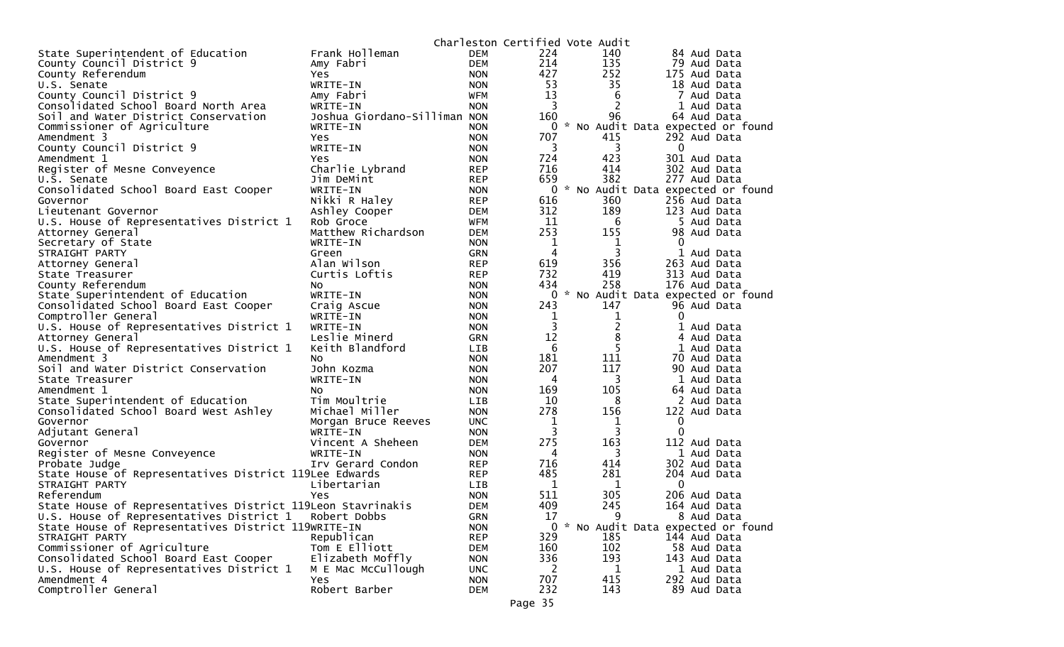|                                                             |                               | Charleston Certified Vote Audit |                |                |                                     |
|-------------------------------------------------------------|-------------------------------|---------------------------------|----------------|----------------|-------------------------------------|
| State Superintendent of Education                           | Frank Holleman                | <b>DEM</b>                      | 224            | 140            | 84 Aud Data                         |
| County Council District 9                                   | Amy Fabri                     | <b>DEM</b>                      | 214            | 135            | 79 Aud Data                         |
| County Referendum                                           | Yes                           | <b>NON</b>                      | 427            | 252            | 175 Aud Data                        |
| U.S. Senate                                                 | WRITE-IN                      | <b>NON</b>                      | 53             | 35             | 18 Aud Data                         |
| County Council District 9                                   | Amy Fabri                     | <b>WFM</b>                      | 13             | 6              | 7 Aud Data                          |
| Consolidated School Board North Area                        | WRITE-IN                      | <b>NON</b>                      | 3              | 2              | 1 Aud Data                          |
| Soil and Water District Conservation                        | Joshua Giordano-Silliman NON  |                                 | 160            | 96             | 64 Aud Data                         |
| Commissioner of Agriculture                                 | WRITE-IN                      | <b>NON</b>                      | 0              |                | * No Audit Data expected or found   |
| Amendment 3                                                 | <b>Yes</b>                    | <b>NON</b>                      | 707            | 415            | 292 Aud Data                        |
| County Council District 9                                   | WRITE-IN                      | <b>NON</b>                      | 3              | 3              | $\mathbf 0$                         |
| Amendment 1                                                 | Yes                           | <b>NON</b>                      | 724            | 423            | 301 Aud Data                        |
| Register of Mesne Conveyence                                | Charlie Lybrand               | <b>REP</b>                      | 716            | 414            | 302 Aud Data                        |
| U.S. Senate                                                 | Jim DeMint                    | <b>REP</b>                      | 659            | 382            | 277 Aud Data                        |
| Consolidated School Board East Cooper                       | WRITE-IN                      | <b>NON</b>                      | 0              |                | * No Audit Data expected or found   |
| Governor                                                    | Nikki R Haley                 | <b>REP</b>                      | 616            | 360            | 256 Aud Data                        |
| Lieutenant Governor                                         | Ashley Cooper                 | <b>DEM</b>                      | 312            | 189            | 123 Aud Data                        |
| U.S. House of Representatives District 1                    | Rob Groce                     | WFM                             | 11             | 6              | 5 Aud Data                          |
| Attorney General                                            | Matthew Richardson            | <b>DEM</b>                      | 253            | 155            | 98 Aud Data                         |
| Secretary of State                                          | WRITE-IN                      | <b>NON</b>                      | $\mathbf 1$    | $\mathbf{1}$   | $\Omega$                            |
| STRAIGHT PARTY                                              | Green                         | <b>GRN</b>                      | 4              | 3              | 1 Aud Data                          |
| Attorney General                                            | Alan Wilson                   | <b>REP</b>                      | 619            | 356            | 263 Aud Data                        |
| State Treasurer                                             | Curtis Loftis                 | <b>REP</b>                      | 732            | 419            | 313 Aud Data                        |
| County Referendum                                           | NO.                           | <b>NON</b>                      | 434            | 258            | 176 Aud Data                        |
| State Superintendent of Education                           | WRITE-IN                      | <b>NON</b>                      |                |                | 0 * No Audit Data expected or found |
| Consolidated School Board East Cooper                       | Craig Ascue                   | <b>NON</b>                      | 243            | 147            | 96 Aud Data                         |
| Comptroller General                                         | WRITE-IN                      | <b>NON</b>                      | 1              | $\mathbf{1}$   | $\Omega$                            |
| U.S. House of Representatives District 1                    | WRITE-IN                      | <b>NON</b>                      | $\overline{3}$ | $\overline{2}$ | Aud Data                            |
| Attorney General                                            | Leslie Minerd                 | GRN                             | 12             | 8              | 4 Aud Data                          |
| U.S. House of Representatives District 1                    | Keith Blandford               | <b>LIB</b>                      | 6              | 5              | 1 Aud Data                          |
| Amendment 3                                                 | NO.                           | <b>NON</b>                      | 181            | 111            | 70 Aud Data                         |
| Soil and Water District Conservation                        | John Kozma                    | <b>NON</b>                      | 207            | 117            | 90 Aud Data                         |
| State Treasurer                                             | WRITE-IN                      | <b>NON</b>                      | 4              | 3              | 1 Aud Data                          |
| Amendment 1                                                 | NO.                           | <b>NON</b>                      | 169            | 105            | 64 Aud Data                         |
| State Superintendent of Education                           | Tim Moultrie                  | <b>LIB</b>                      | 10             | 8              | 2 Aud Data                          |
| Consolidated School Board West Ashley                       | Michael Miller                | <b>NON</b>                      | 278            | 156            | 122 Aud Data                        |
| Governor                                                    | Morgan Bruce Reeves           | <b>UNC</b>                      | 1<br>3         | 1              | 0<br>$\Omega$                       |
| Adjutant General<br>Governor                                | WRITE-IN<br>Vincent A Sheheen | <b>NON</b><br><b>DEM</b>        | 275            | 3<br>163       | 112 Aud Data                        |
| Register of Mesne Conveyence                                | WRITE-IN                      | <b>NON</b>                      | 4              | 3              | 1 Aud Data                          |
| Probate Judge                                               | Irv Gerard Condon             | <b>REP</b>                      | 716            | 414            | 302 Aud Data                        |
| State House of Representatives District 119Lee Edwards      |                               | <b>REP</b>                      | 485            | 281            | 204 Aud Data                        |
| STRAIGHT PARTY                                              | Libertarian                   | LIB                             | 1              | 1              | 0                                   |
| Referendum                                                  | Yes                           | <b>NON</b>                      | 511            | 305            | 206 Aud Data                        |
| State House of Representatives District 119Leon Stavrinakis |                               | <b>DEM</b>                      | 409            | 245            | 164 Aud Data                        |
| U.S. House of Representatives District 1                    | Robert Dobbs                  | <b>GRN</b>                      | 17             | 9              | 8 Aud Data                          |
| State House of Representatives District 119WRITE-IN         |                               | <b>NON</b>                      |                |                | 0 * No Audit Data expected or found |
| STRAIGHT PARTY                                              | Republican                    | <b>REP</b>                      | 329            | 185            | 144 Aud Data                        |
| Commissioner of Agriculture                                 | Tom E Elliott                 | <b>DEM</b>                      | 160            | 102            | 58 Aud Data                         |
| Consolidated School Board East Cooper                       | Elizabeth Moffly              | <b>NON</b>                      | 336            | 193            | 143 Aud Data                        |
| U.S. House of Representatives District 1                    | M E Mac McCullough            | <b>UNC</b>                      | 2              | 1              | 1 Aud Data                          |
| Amendment 4                                                 | Yes                           | <b>NON</b>                      | 707            | 415            | 292 Aud Data                        |
| Comptroller General                                         | Robert Barber                 | <b>DEM</b>                      | 232            | 143            | 89 Aud Data                         |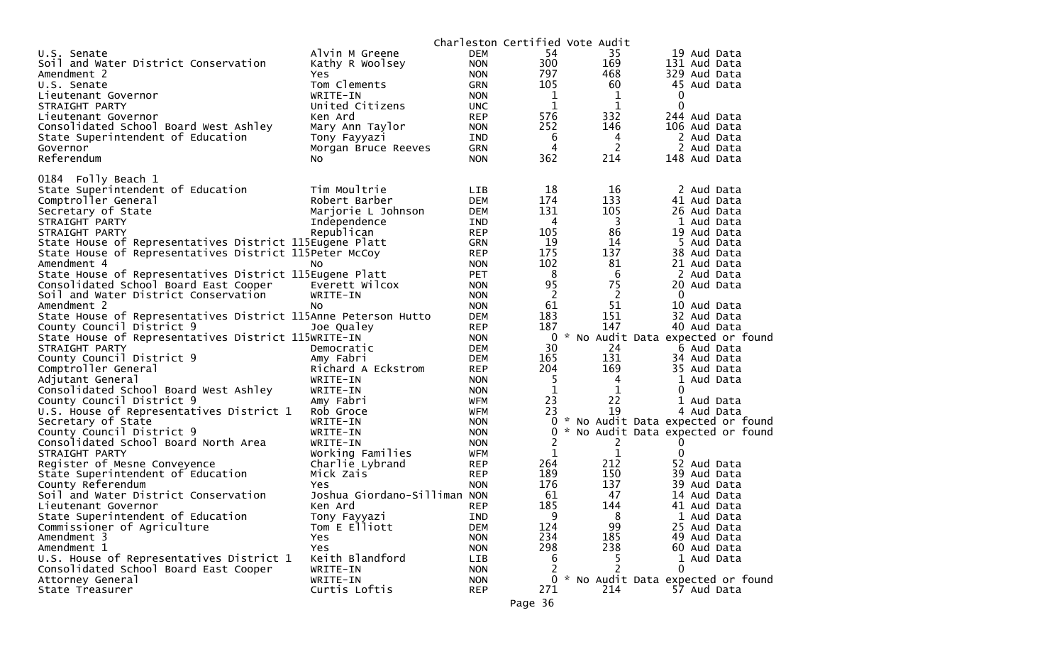|                                                                |                              |            |              | Charleston Certified Vote Audit |                                   |
|----------------------------------------------------------------|------------------------------|------------|--------------|---------------------------------|-----------------------------------|
| U.S. Senate                                                    | Alvin M Greene               | <b>DEM</b> | 54           | 35                              | 19 Aud Data                       |
| Soil and Water District Conservation                           | Kathy R Woolsey              | <b>NON</b> | 300          | 169                             | 131 Aud Data                      |
| Amendment 2                                                    | Yes.                         | <b>NON</b> | 797          | 468                             | 329 Aud Data                      |
| U.S. Senate                                                    | Tom Clements                 | <b>GRN</b> | 105          | 60                              | 45 Aud Data                       |
| Lieutenant Governor                                            | WRITE-IN                     | <b>NON</b> | 1            | 1                               | 0                                 |
| STRAIGHT PARTY                                                 | United Citizens              | <b>UNC</b> | 1            | 1                               | 0                                 |
| Lieutenant Governor                                            | Ken Ard                      | <b>REP</b> | 576          | 332                             | 244<br>Aud Data                   |
| Consolidated School Board West Ashley                          | Mary Ann Taylor              | <b>NON</b> | 252          | 146                             | 106 Aud Data                      |
| State Superintendent of Education                              | Tony Fayyazi                 | IND        | 6            | 4                               | 2 Aud Data                        |
| Governor                                                       | Morgan Bruce Reeves          | <b>GRN</b> | 4            | 2                               | 2 Aud Data                        |
| Referendum                                                     | NO.                          | <b>NON</b> | 362          | 214                             | 148 Aud Data                      |
|                                                                |                              |            |              |                                 |                                   |
| 0184 Folly Beach 1                                             |                              |            |              |                                 |                                   |
| State Superintendent of Education                              | Tim Moultrie                 | LIB.       | 18           | 16                              | 2 Aud Data                        |
| Comptroller General                                            | Robert Barber                | <b>DEM</b> | 174          | 133                             | 41 Aud Data                       |
| Secretary of State                                             | Marjorie L Johnson           | <b>DEM</b> | 131          | 105                             | 26 Aud Data                       |
| STRAIGHT PARTY                                                 | Independence                 | IND        | 4            | 3                               | 1 Aud Data                        |
| STRAIGHT PARTY                                                 | Republican                   | <b>REP</b> | 105          | 86                              | 19 Aud Data                       |
| State House of Representatives District 115Eugene Platt        |                              | <b>GRN</b> | 19           | 14                              | 5 Aud Data                        |
| State House of Representatives District 115Peter McCoy         |                              | <b>REP</b> | 175          | 137                             | 38 Aud Data                       |
| Amendment 4                                                    | NO.                          | <b>NON</b> | 102          | 81                              | 21 Aud Data                       |
| State House of Representatives District 115Eugene Platt        |                              | <b>PET</b> | 8            | 6                               | 2 Aud Data                        |
| Consolidated School Board East Cooper                          | Everett Wilcox               | <b>NON</b> | 95           | 75                              | 20 Aud Data                       |
| Soil and Water District Conservation                           | WRITE-IN                     | <b>NON</b> | 2            | 2                               | $\mathbf{0}$                      |
| Amendment 2                                                    | No.                          | <b>NON</b> | 61           | 51                              | 10 Aud Data                       |
| State House of Representatives District 115Anne Peterson Hutto |                              | <b>DEM</b> | 183          | 151                             | 32 Aud Data                       |
| County Council District 9                                      | Joe Qualey                   | <b>REP</b> | 187          | 147                             | 40 Aud Data                       |
| State House of Representatives District 115WRITE-IN            |                              | <b>NON</b> | 0            |                                 | * No Audit Data expected or found |
| STRAIGHT PARTY                                                 | Democratic                   | <b>DEM</b> | 30           | 24                              | 6 Aud Data                        |
| County Council District 9                                      | Amy Fabri                    | <b>DEM</b> | 165<br>204   | 131                             | 34 Aud Data                       |
| Comptroller General                                            | Richard A Eckstrom           | <b>REP</b> |              | 169                             | 35 Aud Data                       |
| Adjutant General                                               | WRITE-IN                     | <b>NON</b> | 5            | 4                               | 1<br>Aud Data                     |
| Consolidated School Board West Ashley                          | WRITE-IN                     | <b>NON</b> | $\mathbf 1$  | 1                               | 0                                 |
| County Council District 9                                      | Amy Fabri                    | <b>WFM</b> | 23           | 22                              | 1 Aud Data                        |
| U.S. House of Representatives District 1                       | Rob Groce                    | <b>WFM</b> | 23           | 19<br>*                         | 4 Aud Data                        |
| Secretary of State                                             | WRITE-IN                     | <b>NON</b> | 0            |                                 | No Audit Data expected or found   |
| County Council District 9                                      | WRITE-IN                     | <b>NON</b> | $\mathbf{0}$ |                                 | No Audit Data expected or found   |
| Consolidated School Board North Area                           | WRITE-IN                     | <b>NON</b> | 2            | 2<br>$\mathbf{1}$               | O                                 |
| STRAIGHT PARTY                                                 | Working Families             | <b>WFM</b> | 1<br>264     | 212                             | 0                                 |
| Register of Mesne Conveyence                                   | Charlie Lybrand              | <b>REP</b> |              |                                 | 52 Aud Data                       |
| State Superintendent of Education                              | Mick Zais                    | <b>REP</b> | 189          | 150                             | 39 Aud Data                       |
| County Referendum                                              | Yes                          | <b>NON</b> | 176          | 137                             | 39 Aud Data                       |
| Soil and Water District Conservation                           | Joshua Giordano-Silliman NON |            | 61           | 47                              | 14 Aud Data                       |
| Lieutenant Governor                                            | Ken Ard                      | <b>REP</b> | 185          | 144                             | 41 Aud Data                       |
| State Superintendent of Education                              | Tony Fayyazi                 | <b>IND</b> | 9            | ୪                               | 1 Aud Data                        |
| Commissioner of Agriculture                                    | Tom E Elliott                | <b>DEM</b> | 124          | 99                              | 25 Aud Data                       |
| Amendment 3                                                    | <b>Yes</b>                   | <b>NON</b> | 234          | 185                             | 49 Aud Data                       |
| Amendment 1                                                    | Yes                          | <b>NON</b> | 298          | 238                             | 60 Aud Data                       |
| U.S. House of Representatives District 1                       | Keith Blandford              | LIB        | 6            | 5                               | 1<br>Aud Data                     |
| Consolidated School Board East Cooper                          | WRITE-IN                     | <b>NON</b> | 2            |                                 | 0                                 |
| Attorney General                                               | WRITE-IN                     | <b>NON</b> | 0            |                                 | * No Audit Data expected or found |
| State Treasurer                                                | Curtis Loftis                | <b>REP</b> | 271          | 214                             | 57 Aud Data                       |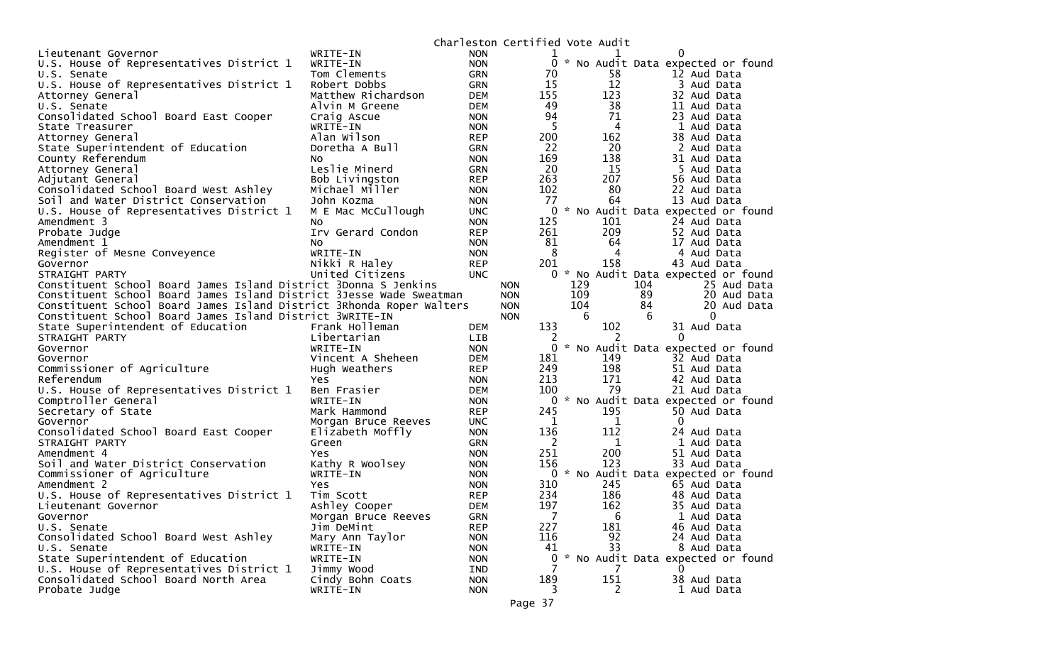|                                                                      |                               | Charleston Certified Vote Audit |                     |     |          |                                                  |
|----------------------------------------------------------------------|-------------------------------|---------------------------------|---------------------|-----|----------|--------------------------------------------------|
| Lieutenant Governor                                                  | WRITE-IN                      | <b>NON</b>                      | 1                   |     |          | 0                                                |
| U.S. House of Representatives District 1                             | WRITE-IN                      | <b>NON</b>                      | 0                   |     |          | * No Audit Data expected or found                |
| U.S. Senate                                                          | Tom Clements                  | GRN                             | 70                  |     | 58       | 12 Aud Data                                      |
| U.S. House of Representatives District 1                             | Robert Dobbs                  | GRN                             | 15                  |     | 12       | 3 Aud Data                                       |
| Attorney General                                                     | Matthew Richardson            | <b>DEM</b>                      | 155                 |     | 123      | 32 Aud Data                                      |
| U.S. Senate                                                          | Alvin M Greene                | <b>DEM</b>                      | 49                  |     | 38       | 11 Aud Data                                      |
| Consolidated School Board East Cooper                                | Craig Ascue                   | <b>NON</b>                      | 94                  |     | 71       | 23 Aud Data                                      |
| State Treasurer                                                      | WRITE-IN                      | <b>NON</b>                      | 5                   |     | 4        | 1 Aud Data                                       |
| Attorney General                                                     | Alan Wilson                   | <b>REP</b>                      | 200                 |     | 162      | 38 Aud Data                                      |
| State Superintendent of Education                                    | Doretha A Bull                | <b>GRN</b>                      | 22                  |     | 20       | 2 Aud Data                                       |
| County Referendum                                                    | NO.                           | <b>NON</b>                      | 169                 |     | 138      | 31 Aud Data                                      |
| Attorney General                                                     | Leslie Minerd                 | <b>GRN</b>                      | 20                  |     | 15       | 5 Aud Data                                       |
| Adjutant General                                                     | Bob Livingston                | <b>REP</b>                      | 263                 |     | 207      | 56 Aud Data                                      |
| Consolidated School Board West Ashley                                | Michael Miller                | <b>NON</b>                      | 102                 |     | 80       | 22 Aud Data                                      |
| Soil and Water District Conservation                                 | John Kozma                    | <b>NON</b>                      | 77                  |     | 64       | 13 Aud Data                                      |
| U.S. House of Representatives District 1                             | M E Mac McCullough            | <b>UNC</b>                      | $\mathbf{0}$<br>125 |     | 101      | * No Audit Data expected or found<br>24 Aud Data |
| Amendment 3<br>Probate Judge                                         | NO.<br>Irv Gerard Condon      | <b>NON</b><br><b>REP</b>        | 261                 |     | 209      | 52 Aud Data                                      |
| Amendment 1                                                          | NO.                           | <b>NON</b>                      | 81                  |     | 64       | 17 Aud Data                                      |
| Register of Mesne Conveyence                                         | WRITE-IN                      | <b>NON</b>                      | 8                   |     | 4        | 4 Aud Data                                       |
| Governor                                                             | Nikki R Haley                 | <b>REP</b>                      | 201                 |     | 158      | 43 Aud Data                                      |
| STRAIGHT PARTY                                                       | United Citizens               | <b>UNC</b>                      |                     |     |          | 0 * No Audit Data expected or found              |
| Constituent School Board James Island District 3Donna S Jenkins      |                               |                                 | <b>NON</b>          | 129 |          | 104<br>25 Aud Data                               |
| Constituent School Board James Island District 3Jesse Wade Sweatman  |                               |                                 | <b>NON</b>          | 109 |          | 89<br>20 Aud Data                                |
| Constituent School Board James Island District 3Rhonda Roper Walters |                               |                                 | <b>NON</b>          | 104 |          | 84<br>20 Aud Data                                |
| Constituent School Board James Island District 3WRITE-IN             |                               |                                 | <b>NON</b>          | 6   |          | 6<br>$\Omega$                                    |
| State Superintendent of Education                                    | Frank Holleman                | <b>DEM</b>                      | 133                 |     | 102      | 31 Aud Data                                      |
| STRAIGHT PARTY                                                       | Libertarian                   | LIB                             | 2                   |     | 2        | $\Omega$                                         |
| Governor                                                             | WRITE-IN                      | <b>NON</b>                      | 0                   |     |          | * No Audit Data expected or found                |
| Governor                                                             | Vincent A Sheheen             | <b>DEM</b>                      | 181                 |     | 149      | 32 Aud Data                                      |
| Commissioner of Agriculture                                          | Hugh Weathers                 | <b>REP</b>                      | 249                 |     | 198      | 51 Aud Data                                      |
| Referendum                                                           | Yes                           | <b>NON</b>                      | 213                 |     | 171      | 42 Aud Data                                      |
| U.S. House of Representatives District 1                             | Ben Frasier                   | <b>DEM</b>                      | 100                 |     | 79       | 21 Aud Data                                      |
| Comptroller General                                                  | WRITE-IN                      | <b>NON</b>                      | 0                   |     |          | * No Audit Data expected or found                |
| Secretary of State                                                   | Mark Hammond                  | <b>REP</b>                      | 245                 |     | 195      | 50 Aud Data                                      |
| Governor                                                             | Morgan Bruce Reeves           | <b>UNC</b>                      | 1                   |     | 1        | $\Omega$                                         |
| Consolidated School Board East Cooper                                | Elizabeth Moffly              | <b>NON</b>                      | 136                 |     | 112      | 24 Aud Data                                      |
| STRAIGHT PARTY<br>Amendment 4                                        | Green                         | <b>GRN</b>                      | - 2<br>251          |     | 1<br>200 | 1 Aud Data                                       |
| Soil and Water District Conservation                                 | <b>Yes</b><br>Kathy R Woolsey | <b>NON</b>                      | 156                 |     | 123      | 51 Aud Data<br>33 Aud Data                       |
| Commissioner of Agriculture                                          | WRITE-IN                      | <b>NON</b><br><b>NON</b>        | 0                   |     |          | * No Audit Data expected or found                |
| Amendment 2                                                          | Yes                           | <b>NON</b>                      | 310                 |     | 245      | 65 Aud Data                                      |
| U.S. House of Representatives District 1                             | Tim Scott                     | <b>REP</b>                      | 234                 |     | 186      | 48 Aud Data                                      |
| Lieutenant Governor                                                  | Ashley Cooper                 | <b>DEM</b>                      | 197                 |     | 162      | 35 Aud Data                                      |
| Governor                                                             | Morgan Bruce Reeves           | <b>GRN</b>                      | 7                   |     | 6        | 1 Aud Data                                       |
| U.S. Senate                                                          | Jim DeMint                    | <b>REP</b>                      | 227                 |     | 181      | 46 Aud Data                                      |
| Consolidated School Board West Ashley                                | Mary Ann Taylor               | <b>NON</b>                      | 116                 |     | 92       | 24 Aud Data                                      |
| U.S. Senate                                                          | WRITE-IN                      | <b>NON</b>                      | 41                  |     | 33       | 8 Aud Data                                       |
| State Superintendent of Education                                    | WRITE-IN                      | <b>NON</b>                      | 0                   |     |          | * No Audit Data expected or found                |
| U.S. House of Representatives District 1                             | Jimmy Wood                    | IND                             | 7                   |     | 7        | 0                                                |
| Consolidated School Board North Area                                 | Cindy Bohn Coats              | <b>NON</b>                      | 189                 |     | 151      | 38 Aud Data                                      |
| Probate Judge                                                        | WRITE-IN                      | <b>NON</b>                      | 3                   |     | 2        | 1 Aud Data                                       |
|                                                                      |                               |                                 | Page 37             |     |          |                                                  |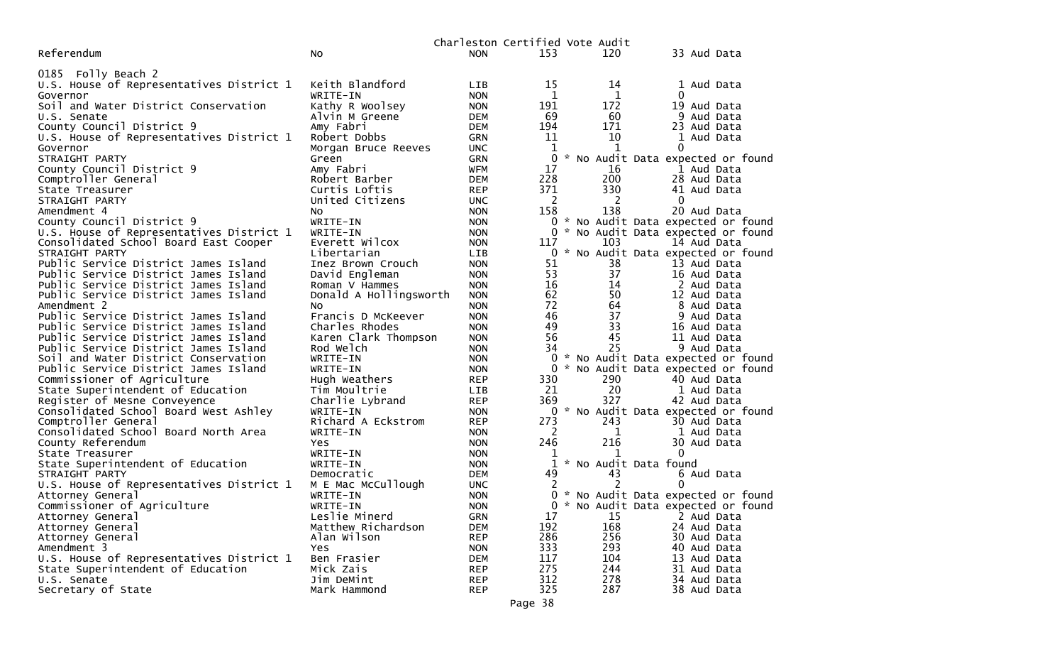|                                                      |                                   |                          |          | Charleston Certified Vote Audit |                                     |
|------------------------------------------------------|-----------------------------------|--------------------------|----------|---------------------------------|-------------------------------------|
| Referendum                                           | No                                | <b>NON</b>               | 153      | 120                             | 33 Aud Data                         |
|                                                      |                                   |                          |          |                                 |                                     |
| 0185 Folly Beach 2                                   |                                   |                          |          |                                 |                                     |
| U.S. House of Representatives District 1             | Keith Blandford                   | <b>LIB</b>               | 15       | 14                              | 1 Aud Data<br>$\Omega$              |
| Governor                                             | WRITE-IN                          | <b>NON</b>               | 1<br>191 | 1                               | 19 Aud Data                         |
| Soil and Water District Conservation                 | Kathy R Woolsey<br>Alvin M Greene | <b>NON</b>               | 69       | 172<br>60                       |                                     |
| U.S. Senate<br>County Council District 9             | Amy Fabri                         | <b>DEM</b><br><b>DEM</b> | 194      | 171                             | 9 Aud Data<br>23 Aud Data           |
|                                                      | Robert Dobbs                      | <b>GRN</b>               | 11       | 10                              | 1 Aud Data                          |
| U.S. House of Representatives District 1<br>Governor |                                   | <b>UNC</b>               | 1        | $\mathbf{1}$                    | 0                                   |
| STRAIGHT PARTY                                       | Morgan Bruce Reeves<br>Green      | <b>GRN</b>               | 0        |                                 | * No Audit Data expected or found   |
| County Council District 9                            | Amy Fabri                         | <b>WFM</b>               | 17       | 16                              | 1 Aud Data                          |
| Comptroller General                                  | Robert Barber                     | <b>DEM</b>               | 228      | 200                             | 28 Aud Data                         |
| State Treasurer                                      | Curtis Loftis                     | <b>REP</b>               | 371      | 330                             | 41 Aud Data                         |
| STRAIGHT PARTY                                       | United Citizens                   | <b>UNC</b>               | 2        | 2                               | $\Omega$                            |
| Amendment 4                                          | NO.                               | <b>NON</b>               | 158      | 138                             | 20 Aud Data                         |
| County Council District 9                            | WRITE-IN                          | <b>NON</b>               |          |                                 | 0 * No Audit Data expected or found |
| U.S. House of Representatives District 1             | WRITE-IN                          | <b>NON</b>               |          |                                 | * No Audit Data expected or found   |
| Consolidated School Board East Cooper                | Everett Wilcox                    | <b>NON</b>               | 117      | 103                             | 14 Aud Data                         |
| STRAIGHT PARTY                                       | Libertarian                       | LIB                      | 0        |                                 | * No Audit Data expected or found   |
| Public Service District James Island                 | Inez Brown Crouch                 | <b>NON</b>               | 51       | 38                              | 13 Aud Data                         |
| Public Service District James Island                 | David Engleman                    | <b>NON</b>               | 53       | 37                              | 16 Aud Data                         |
| Public Service District James Island                 | Roman V Hammes                    | <b>NON</b>               | 16       | 14                              | 2 Aud Data                          |
| Public Service District James Island                 | Donald A Hollingsworth            | <b>NON</b>               | 62       | 50                              | 12 Aud Data                         |
| Amendment 2                                          | NO.                               | <b>NON</b>               | 72       | 64                              | 8 Aud Data                          |
| Public Service District James Island                 | Francis D McKeever                | <b>NON</b>               | 46       | 37                              | 9 Aud Data                          |
| Public Service District James Island                 | Charles Rhodes                    | <b>NON</b>               | 49       | 33                              | 16 Aud Data                         |
| Public Service District James Island                 | Karen Clark Thompson              | <b>NON</b>               | 56       | 45                              | 11 Aud Data                         |
| Public Service District James Island                 | Rod Welch                         | <b>NON</b>               | 34       | 25                              | 9 Aud Data                          |
| Soil and Water District Conservation                 | WRITE-IN                          | <b>NON</b>               | 0        |                                 | * No Audit Data expected or found   |
| Public Service District James Island                 | WRITE-IN                          | <b>NON</b>               | 0        |                                 | * No Audit Data expected or found   |
| Commissioner of Agriculture                          | Hugh Weathers                     | <b>REP</b>               | 330      | 290                             | 40 Aud Data                         |
| State Superintendent of Education                    | Tim Moultrie                      | <b>LIB</b>               | 21       | 20                              | 1 Aud Data                          |
| Register of Mesne Conveyence                         | Charlie Lybrand                   | <b>REP</b>               | 369      | 327                             | 42 Aud Data                         |
| Consolidated School Board West Ashley                | WRITE-IN                          | <b>NON</b>               |          |                                 | 0 * No Audit Data expected or found |
| Comptroller General                                  | Richard A Eckstrom                | <b>REP</b>               | 273      | 243                             | 30 Aud Data                         |
| Consolidated School Board North Area                 | WRITE-IN                          | <b>NON</b>               | 2        | 1                               | 1 Aud Data                          |
| County Referendum                                    | <b>Yes</b>                        | <b>NON</b>               | 246      | 216                             | 30 Aud Data                         |
| State Treasurer                                      | WRITE-IN                          | <b>NON</b>               |          |                                 | $\mathbf 0$                         |
| State Superintendent of Education                    | WRITE-IN                          | <b>NON</b>               | 1        | * No Audit Data found           |                                     |
| STRAIGHT PARTY                                       | Democratic                        | <b>DEM</b>               | 49       | 43                              | 6 Aud Data                          |
| U.S. House of Representatives District 1             | M E Mac McCullough                | <b>UNC</b>               |          | $\mathcal{P}$                   | $\Omega$                            |
| Attorney General                                     | WRITE-IN                          | <b>NON</b>               |          |                                 | * No Audit Data expected or found   |
| Commissioner of Agriculture                          | WRITE-IN                          | <b>NON</b>               |          |                                 | 0 * No Audit Data expected or found |
| Attorney General                                     | Leslie Minerd                     | GRN                      | 17       | 15                              | 2 Aud Data                          |
| Attorney General                                     | Matthew Richardson                | <b>DEM</b>               | 192      | 168                             | 24 Aud Data                         |
| Attorney General                                     | Alan Wilson                       | <b>REP</b>               | 286      | 256                             | 30 Aud Data                         |
| Amendment 3                                          | Yes                               | <b>NON</b>               | 333      | 293                             | 40 Aud Data                         |
| U.S. House of Representatives District 1             | Ben Frasier                       | <b>DEM</b>               | 117      | 104                             | 13 Aud Data                         |
| State Superintendent of Education                    | Mick Zais                         | <b>REP</b>               | 275      | 244                             | 31 Aud Data                         |
| U.S. Senate                                          | Jim DeMint                        | <b>REP</b>               | 312      | 278                             | 34 Aud Data                         |
| Secretary of State                                   | Mark Hammond                      | <b>REP</b>               | 325      | 287                             | 38 Aud Data                         |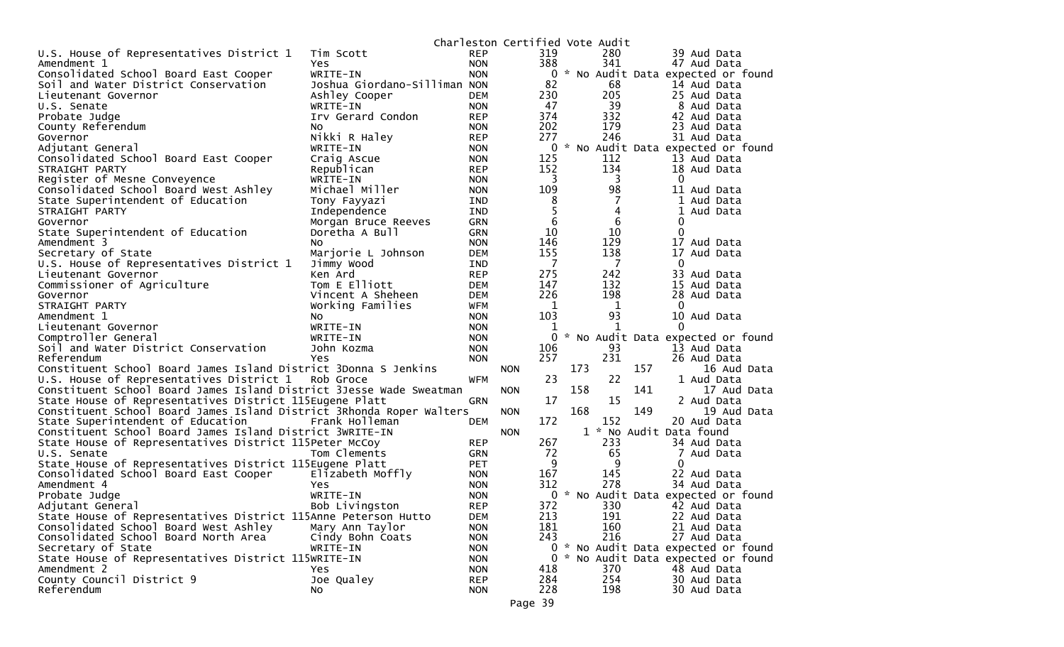|                                                                      |                              |                          | Charleston Certified Vote Audit |          |     |         |     |                                     |
|----------------------------------------------------------------------|------------------------------|--------------------------|---------------------------------|----------|-----|---------|-----|-------------------------------------|
| U.S. House of Representatives District 1                             | Tim Scott                    | <b>REP</b>               |                                 | 319      |     | 280     |     | 39 Aud Data                         |
| Amendment 1                                                          | <b>Yes</b>                   | <b>NON</b>               |                                 | 388      |     | 341     |     | 47 Aud Data                         |
| Consolidated School Board East Cooper                                | WRITE-IN                     | <b>NON</b>               |                                 | 0        |     |         |     | * No Audit Data expected or found   |
| Soil and Water District Conservation                                 | Joshua Giordano-Silliman NON |                          |                                 | 82       |     | 68      |     | 14 Aud Data                         |
| Lieutenant Governor                                                  | Ashley Cooper                | <b>DEM</b>               |                                 | 230      |     | 205     |     | 25 Aud Data                         |
| U.S. Senate                                                          | WRITE-IN                     | <b>NON</b>               |                                 | 47       |     | 39      |     | 8 Aud Data                          |
| Probate Judge                                                        | Irv Gerard Condon            | <b>REP</b>               |                                 | 374      |     | 332     |     | 42 Aud Data                         |
| County Referendum                                                    | NO.                          | <b>NON</b>               |                                 | 202      |     | 179     |     | 23 Aud Data                         |
| Governor                                                             | Nikki R Haley                | <b>REP</b>               |                                 | 277      |     | 246     |     | 31 Aud Data                         |
| Adjutant General                                                     | WRITE-IN                     | <b>NON</b>               |                                 |          |     |         |     | 0 * No Audit Data expected or found |
| Consolidated School Board East Cooper                                | Craig Ascue                  | <b>NON</b>               |                                 | 125      |     | 112     |     | 13 Aud Data                         |
| STRAIGHT PARTY                                                       | Republican                   | <b>REP</b>               |                                 | 152      |     | 134     |     | 18 Aud Data                         |
| Register of Mesne Conveyence                                         | WRITE-IN                     | <b>NON</b>               |                                 | 3        |     | 3       |     | 0                                   |
| Consolidated School Board West Ashley                                | Michael Miller               | <b>NON</b>               |                                 | 109      |     | 98      |     | 11 Aud Data                         |
| State Superintendent of Education                                    | Tony Fayyazi                 | <b>IND</b>               |                                 | 8        |     |         |     | 1 Aud Data                          |
| STRAIGHT PARTY                                                       | Independence                 | <b>IND</b>               |                                 | 5        |     | 4       |     | 1<br>Aud Data                       |
| Governor                                                             | Morgan Bruce Reeves          | <b>GRN</b>               |                                 | 6        |     | 6       |     | 0                                   |
| State Superintendent of Education                                    | Doretha A Bull               | <b>GRN</b>               |                                 | 10       |     | 10      |     | $\mathbf 0$                         |
| Amendment 3                                                          | No                           | <b>NON</b>               |                                 | 146      |     | 129     |     | 17 Aud Data                         |
| Secretary of State                                                   | Marjorie L Johnson           | <b>DEM</b>               |                                 | 155      |     | 138     |     | 17 Aud Data                         |
| U.S. House of Representatives District 1                             | Jimmy Wood                   | <b>IND</b>               |                                 | 7        |     | 7       |     | 0                                   |
| Lieutenant Governor                                                  | Ken Ard                      | <b>REP</b>               |                                 | 275      |     | 242     |     | 33 Aud Data                         |
| Commissioner of Agriculture                                          | Tom E Elliott                | <b>DEM</b>               |                                 | 147      |     | 132     |     | 15 Aud Data                         |
| Governor                                                             | Vincent A Sheheen            | <b>DEM</b>               |                                 | 226      |     | 198     |     | 28 Aud Data<br>$\Omega$             |
| STRAIGHT PARTY<br>Amendment 1                                        | Working Families             | <b>WFM</b>               |                                 | 1<br>103 |     | 1<br>93 |     |                                     |
| Lieutenant Governor                                                  | No.<br>WRITE-IN              | <b>NON</b><br><b>NON</b> |                                 | 1        |     | -1      |     | 10 Aud Data<br>$\Omega$             |
| Comptroller General                                                  | WRITE-IN                     | <b>NON</b>               |                                 | 0        |     |         |     | * No Audit Data expected or found   |
| Soil and Water District Conservation                                 | John Kozma                   | <b>NON</b>               |                                 | 106      |     | 93      |     | 13 Aud Data                         |
| Referendum                                                           | <b>Yes</b>                   | <b>NON</b>               |                                 | 257      |     | 231     |     | 26 Aud Data                         |
| Constituent School Board James Island District 3Donna S Jenkins      |                              |                          | <b>NON</b>                      |          | 173 |         | 157 | 16 Aud Data                         |
| U.S. House of Representatives District 1                             | Rob Groce                    | <b>WFM</b>               |                                 | 23       |     | 22      |     | 1 Aud Data                          |
| Constituent School Board James Island District 3Jesse Wade Sweatman  |                              |                          | <b>NON</b>                      |          | 158 |         | 141 | 17 Aud Data                         |
| State House of Representatives District 115Eugene Platt              |                              | <b>GRN</b>               |                                 | 17       |     | 15      |     | 2 Aud Data                          |
| Constituent School Board James Island District 3Rhonda Roper Walters |                              |                          | <b>NON</b>                      |          | 168 |         | 149 | 19 Aud Data                         |
| State Superintendent of Education                                    | Frank Holleman               | DEM                      |                                 | 172      |     | 152     |     | 20 Aud Data                         |
| Constituent School Board James Island District 3WRITE-IN             |                              |                          | <b>NON</b>                      |          |     |         |     | 1 * No Audit Data found             |
| State House of Representatives District 115Peter McCoy               |                              | <b>REP</b>               |                                 | 267      |     | 233     |     | 34 Aud Data                         |
| U.S. Senate                                                          | Tom Clements                 | <b>GRN</b>               |                                 | 72       |     | 65      |     | 7<br>Aud Data                       |
| State House of Representatives District 115Eugene Platt              |                              | <b>PET</b>               |                                 | 9        |     | 9       |     | 0                                   |
| Consolidated School Board East Cooper                                | Elizabeth Moffly             | <b>NON</b>               |                                 | 167      |     | 145     |     | 22 Aud Data                         |
| Amendment 4                                                          | Yes.                         | <b>NON</b>               |                                 | 312      |     | 278     |     | 34 Aud Data                         |
| Probate Judge                                                        | WRITE-IN                     | <b>NON</b>               |                                 | 0        |     |         |     | * No Audit Data expected or found   |
| Adjutant General                                                     | Bob Livingston               | <b>REP</b>               |                                 | 372      |     | 330     |     | 42 Aud Data                         |
| State House of Representatives District 115Anne Peterson Hutto       |                              | <b>DEM</b>               |                                 | 213      |     | 191     |     | 22 Aud Data                         |
| Consolidated School Board West Ashley                                | Mary Ann Taylor              | <b>NON</b>               |                                 | 181      |     | 160     |     | 21 Aud Data                         |
| Consolidated School Board North Area                                 | Cindy Bohn Coats             | <b>NON</b>               |                                 | 243      |     | 216     |     | 27 Aud Data                         |
| Secretary of State                                                   | WRITE-IN                     | <b>NON</b>               |                                 |          |     |         |     | 0 * No Audit Data expected or found |
| State House of Representatives District 115WRITE-IN                  |                              | <b>NON</b>               |                                 |          |     |         |     | 0 * No Audit Data expected or found |
| Amendment 2                                                          | Yes.                         | <b>NON</b>               |                                 | 418      |     | 370     |     | 48 Aud Data                         |
| County Council District 9                                            | Joe Qualey                   | <b>REP</b>               |                                 | 284      |     | 254     |     | 30 Aud Data                         |
| Referendum                                                           | No.                          | <b>NON</b>               |                                 | 228      |     | 198     |     | 30 Aud Data                         |
|                                                                      |                              |                          | Page 39                         |          |     |         |     |                                     |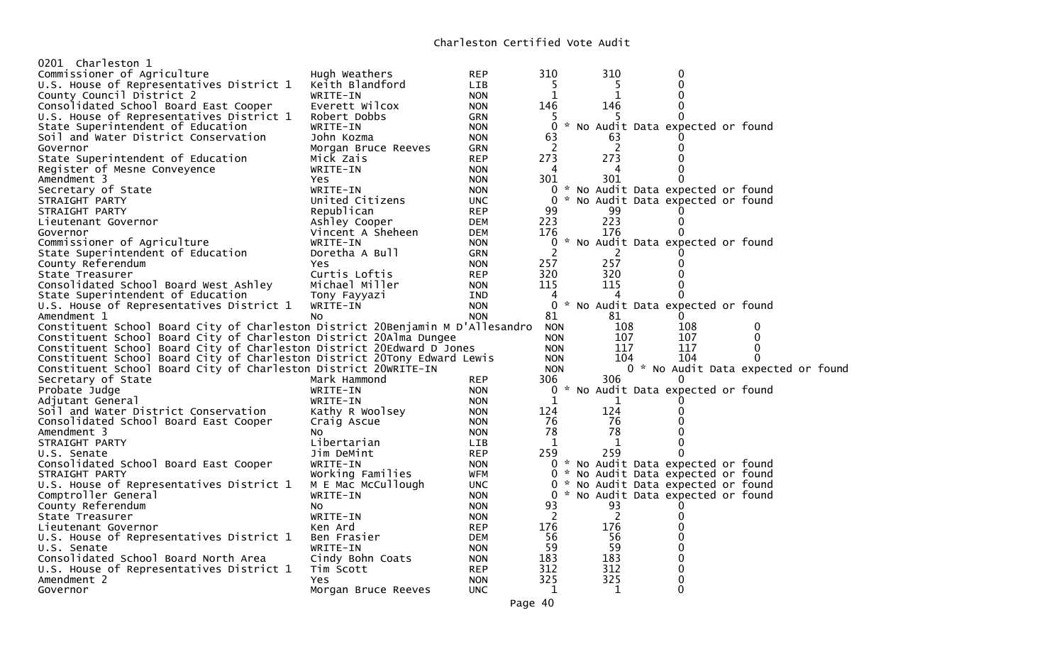| 0201 Charleston 1                                                              |                     |            |                |     |                                     |              |  |
|--------------------------------------------------------------------------------|---------------------|------------|----------------|-----|-------------------------------------|--------------|--|
| Commissioner of Agriculture                                                    | Hugh Weathers       | <b>REP</b> | 310            | 310 | 0                                   |              |  |
| U.S. House of Representatives District 1                                       | Keith Blandford     | LIB        | 5              | 5   | $\Omega$                            |              |  |
| County Council District 2                                                      | WRITE-IN            | <b>NON</b> | 1              | 1   |                                     |              |  |
| Consolidated School Board East Cooper                                          | Everett Wilcox      | <b>NON</b> | 146            | 146 | 0                                   |              |  |
| U.S. House of Representatives District 1                                       | Robert Dobbs        | <b>GRN</b> | b.             |     |                                     |              |  |
| State Superintendent of Education                                              | WRITE-IN            | <b>NON</b> | $\Omega$       |     | * No Audit Data expected or found   |              |  |
| Soil and Water District Conservation                                           | John Kozma          | <b>NON</b> | 63             | 63  |                                     |              |  |
| Governor                                                                       | Morgan Bruce Reeves | <b>GRN</b> | 2              | 2   |                                     |              |  |
| State Superintendent of Education                                              | Mick Zais           | <b>REP</b> | 273            | 273 |                                     |              |  |
| Register of Mesne Conveyence                                                   | WRITE-IN            | <b>NON</b> | 4              | 4   |                                     |              |  |
| Amendment 3                                                                    | <b>Yes</b>          | <b>NON</b> | 301            | 301 |                                     |              |  |
| Secretary of State                                                             | WRITE-IN            | <b>NON</b> |                |     | 0 * No Audit Data expected or found |              |  |
| STRAIGHT PARTY                                                                 | United Citizens     | <b>UNC</b> | $\Omega$       |     | * No Audit Data expected or found   |              |  |
| STRAIGHT PARTY                                                                 | Republican          | <b>REP</b> | 99             | 99  |                                     |              |  |
| Lieutenant Governor                                                            | Ashley Cooper       | <b>DEM</b> | 223            | 223 | 0                                   |              |  |
|                                                                                | Vincent A Sheheen   | <b>DEM</b> | 176            | 176 |                                     |              |  |
| Governor                                                                       |                     |            | 0              |     |                                     |              |  |
| Commissioner of Agriculture                                                    | WRITE-IN            | <b>NON</b> | $\overline{2}$ |     | * No Audit Data expected or found   |              |  |
| State Superintendent of Education                                              | Doretha A Bull      | GRN        |                | 2   |                                     |              |  |
| County Referendum                                                              | Yes                 | <b>NON</b> | 257            | 257 |                                     |              |  |
| State Treasurer                                                                | Curtis Loftis       | <b>REP</b> | 320            | 320 |                                     |              |  |
| Consolidated School Board West Ashley                                          | Michael Miller      | <b>NON</b> | 115            | 115 |                                     |              |  |
| State Superintendent of Education                                              | Tony Fayyazi        | <b>IND</b> | 4              |     |                                     |              |  |
| U.S. House of Representatives District 1                                       | WRITE-IN            | <b>NON</b> | 0              |     | * No Audit Data expected or found   |              |  |
| Amendment 1                                                                    | NO.                 | <b>NON</b> | 81             | 81  | 0                                   |              |  |
| Constituent School Board City of Charleston District 20Benjamin M D'Allesandro |                     |            | <b>NON</b>     | 108 | 108                                 | 0            |  |
| Constituent School Board City of Charleston District 20Alma Dungee             |                     |            | <b>NON</b>     | 107 | 107                                 | 0            |  |
| Constituent School Board City of Charleston District 20Edward D Jones          |                     |            | <b>NON</b>     | 117 | 117                                 | $\mathbf{0}$ |  |
| Constituent School Board City of Charleston District 20Tony Edward Lewis       |                     |            | <b>NON</b>     | 104 | 104                                 | $\Omega$     |  |
| Constituent School Board City of Charleston District 20WRITE-IN                |                     |            | <b>NON</b>     |     | 0 * No Audit Data expected or foun  |              |  |
| Secretary of State                                                             | Mark Hammond        | <b>REP</b> | 306            | 306 |                                     |              |  |
| Probate Judge                                                                  | WRITE-IN            | <b>NON</b> | 0              |     | * No Audit Data expected or found   |              |  |
| Adjutant General                                                               | WRITE-IN            | <b>NON</b> | 1              | 1   |                                     |              |  |
| Soil and Water District Conservation                                           | Kathy R Woolsey     | <b>NON</b> | 124            | 124 |                                     |              |  |
| Consolidated School Board East Cooper                                          | Craig Ascue         | <b>NON</b> | 76             | 76  |                                     |              |  |
| Amendment 3                                                                    | NO.                 | <b>NON</b> | 78             | 78  |                                     |              |  |
| STRAIGHT PARTY                                                                 | Libertarian         | LIB.       | 1              | 1   |                                     |              |  |
| U.S. Senate                                                                    | Jim DeMint          | <b>REP</b> | 259            | 259 | 0                                   |              |  |
| Consolidated School Board East Cooper                                          | WRITE-IN            | <b>NON</b> |                |     | 0 * No Audit Data expected or found |              |  |
| STRAIGHT PARTY                                                                 | Working Families    | <b>WFM</b> |                |     | 0 * No Audit Data expected or found |              |  |
| U.S. House of Representatives District 1                                       | M E Mac McCullough  | <b>UNC</b> |                |     | 0 * No Audit Data expected or found |              |  |
| Comptroller General                                                            | WRITE-IN            | <b>NON</b> |                |     | 0 * No Audit Data expected or found |              |  |
| County Referendum                                                              | NO.                 | <b>NON</b> | 93             | 93  |                                     |              |  |
| State Treasurer                                                                | WRITE-IN            | <b>NON</b> | 2              | 2   |                                     |              |  |
| Lieutenant Governor                                                            | Ken Ard             | <b>REP</b> | 176            | 176 |                                     |              |  |
| U.S. House of Representatives District 1                                       | Ben Frasier         | <b>DEM</b> | 56             | 56  |                                     |              |  |
| U.S. Senate                                                                    | WRITE-IN            | <b>NON</b> | -59            | 59  |                                     |              |  |
| Consolidated School Board North Area                                           | Cindy Bohn Coats    | <b>NON</b> | 183            | 183 |                                     |              |  |
| U.S. House of Representatives District 1                                       | Tim Scott           | <b>REP</b> | 312            | 312 |                                     |              |  |
| Amendment 2                                                                    | Yes.                | <b>NON</b> | 325            | 325 | 0                                   |              |  |
| Governor                                                                       | Morgan Bruce Reeves | <b>UNC</b> | 1              | 1   | $\Omega$                            |              |  |
|                                                                                |                     |            |                |     |                                     |              |  |

d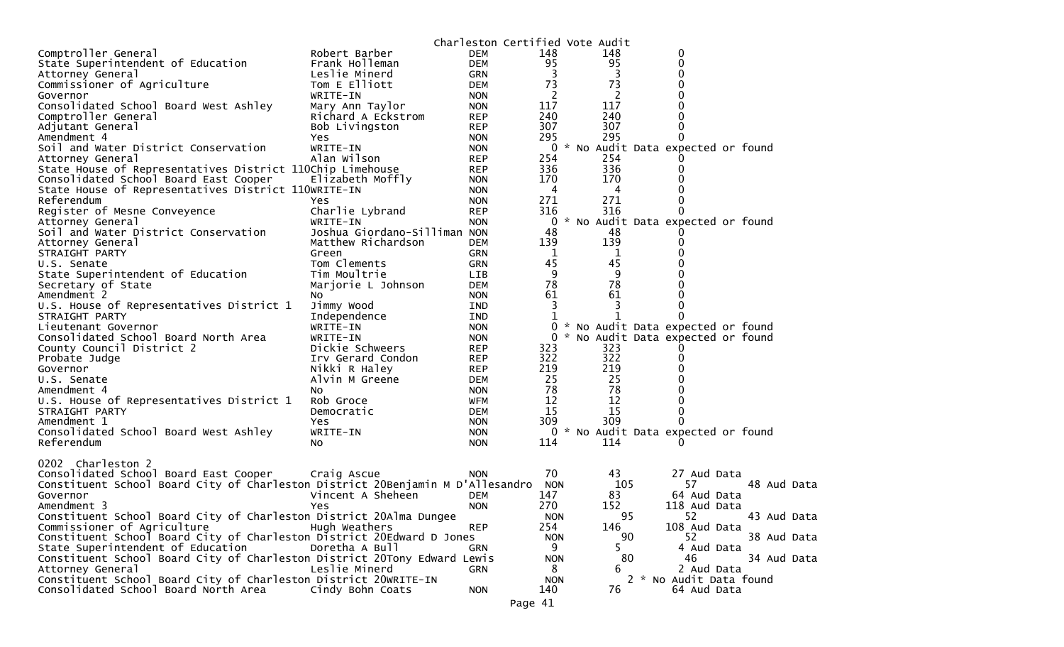|                                                                                |                              | Charleston Certified Vote Audit |            |     |                                     |
|--------------------------------------------------------------------------------|------------------------------|---------------------------------|------------|-----|-------------------------------------|
| Comptroller General                                                            | Robert Barber                | <b>DEM</b>                      | 148        | 148 | 0                                   |
| State Superintendent of Education                                              | Frank Holleman               | <b>DEM</b>                      | 95         | 95  | 0                                   |
| Attorney General                                                               | Leslie Minerd                | GRN                             | 3          | 3   | 0                                   |
| Commissioner of Agriculture                                                    | Tom E Elliott                | DEM                             | 73         | 73  |                                     |
| Governor                                                                       | WRITE-IN                     | <b>NON</b>                      | 2          | 2   |                                     |
| Consolidated School Board West Ashley                                          | Mary Ann Taylor              | <b>NON</b>                      | 117        | 117 |                                     |
| Comptroller General                                                            | Richard A Eckstrom           | <b>REP</b>                      | 240        | 240 |                                     |
| Adjutant General                                                               | Bob Livingston               | <b>REP</b>                      | 307        | 307 | 0                                   |
| Amendment 4                                                                    | Yes                          | <b>NON</b>                      | 295        | 295 | 0                                   |
| Soil and Water District Conservation                                           | WRITE-IN                     | <b>NON</b>                      |            |     | 0 * No Audit Data expected or found |
| Attorney General                                                               | Alan Wilson                  | <b>REP</b>                      | 254        | 254 |                                     |
| State House of Representatives District 110Chip Limehouse                      |                              | <b>REP</b>                      | 336        | 336 |                                     |
| Consolidated School Board East Cooper                                          | Elizabeth Moffly             | <b>NON</b>                      | 170        | 170 |                                     |
| State House of Representatives District 110WRITE-IN                            |                              | <b>NON</b>                      | 4          | 4   |                                     |
| Referendum                                                                     | Yes.                         | <b>NON</b>                      | 271        | 271 | 0                                   |
| Register of Mesne Conveyence                                                   | Charlie Lybrand              | <b>REP</b>                      | 316        | 316 | 0                                   |
| Attorney General                                                               | WRITE-IN                     | <b>NON</b>                      | 0          |     | * No Audit Data expected or found   |
| Soil and Water District Conservation                                           | Joshua Giordano-Silliman NON |                                 | 48         | 48  |                                     |
| Attorney General                                                               | Matthew Richardson           | DEM                             | 139        | 139 |                                     |
| STRAIGHT PARTY                                                                 | Green                        | <b>GRN</b>                      | 1          | 1   |                                     |
| U.S. Senate                                                                    | Tom Clements                 | GRN                             | 45         | 45  |                                     |
| State Superintendent of Education                                              | Tim Moultrie                 | LIB                             | 9          | 9   |                                     |
| Secretary of State                                                             | Marjorie L Johnson           | DEM                             | 78         | 78  |                                     |
| Amendment 2                                                                    | NO.                          | <b>NON</b>                      | 61         | 61  |                                     |
| U.S. House of Representatives District 1                                       | Jimmy Wood                   | <b>IND</b>                      | 3          |     |                                     |
| STRAIGHT PARTY                                                                 | Independence<br>WRITE-IN     | <b>IND</b>                      |            |     | * No Audit Data expected or found   |
| Lieutenant Governor                                                            |                              | <b>NON</b>                      | 0<br>0     |     | * No Audit Data expected or found   |
| Consolidated School Board North Area                                           | WRITE-IN<br>Dickie Schweers  | <b>NON</b>                      | 323        | 323 |                                     |
| County Council District 2<br>Probate Judge                                     | Irv Gerard Condon            | <b>REP</b><br><b>REP</b>        | 322        | 322 |                                     |
| Governor                                                                       | Nikki R Haley                | <b>REP</b>                      | 219        | 219 |                                     |
| U.S. Senate                                                                    | Alvin M Greene               | DEM                             | 25         | 25  |                                     |
| Amendment 4                                                                    | NO.                          | <b>NON</b>                      | 78         | 78  |                                     |
| U.S. House of Representatives District 1                                       | Rob Groce                    | WFM                             | 12         | 12  |                                     |
| STRAIGHT PARTY                                                                 | Democratic                   | <b>DEM</b>                      | 15         | 15  | 0                                   |
| Amendment 1                                                                    | Yes                          | <b>NON</b>                      | 309        | 309 |                                     |
| Consolidated School Board West Ashley                                          | WRITE-IN                     | <b>NON</b>                      | 0          |     | * No Audit Data expected or found   |
| Referendum                                                                     | No.                          | <b>NON</b>                      | 114        | 114 |                                     |
|                                                                                |                              |                                 |            |     |                                     |
| 0202 Charleston 2                                                              |                              |                                 |            |     |                                     |
| Consolidated School Board East Cooper                                          | Craig Ascue                  | <b>NON</b>                      | 70         | 43  | 27 Aud Data                         |
| Constituent School Board City of Charleston District 20Benjamin M D'Allesandro |                              |                                 | <b>NON</b> | 105 | 57<br>48 Aud Data                   |
| Governor                                                                       | Vincent A Sheheen            | DEM                             | 147        | 83  | 64 Aud Data                         |
| Amendment 3                                                                    | Yes                          | <b>NON</b>                      | 270        | 152 | 118 Aud Data                        |
| Constituent School Board City of Charleston District 20Alma Dungee             |                              |                                 | <b>NON</b> | 95  | 52<br>43 Aud Data                   |
| Commissioner of Agriculture                                                    | Hugh Weathers                | <b>REP</b>                      | 254        | 146 | 108 Aud Data                        |
| Constituent School Board City of Charleston District 20Edward D Jones          |                              |                                 | <b>NON</b> | 90  | 52<br>38 Aud Data                   |
| State Superintendent of Education                                              | Doretha A Bull               | <b>GRN</b>                      | 9          | 5   | 4 Aud Data                          |
| Constituent School Board City of Charleston District 20Tony Edward Lewis       |                              |                                 | <b>NON</b> | 80  | 34 Aud Data<br>46                   |
| Attorney General                                                               | Leslie Minerd                | GRN                             | 8          | 6   | 2 Aud Data                          |
| Constituent School Board City of Charleston District 20WRITE-IN                |                              |                                 | <b>NON</b> |     | 2 * No Audit Data found             |
| Consolidated School Board North Area                                           | Cindy Bohn Coats             | <b>NON</b>                      | 140        | 76  | 64 Aud Data                         |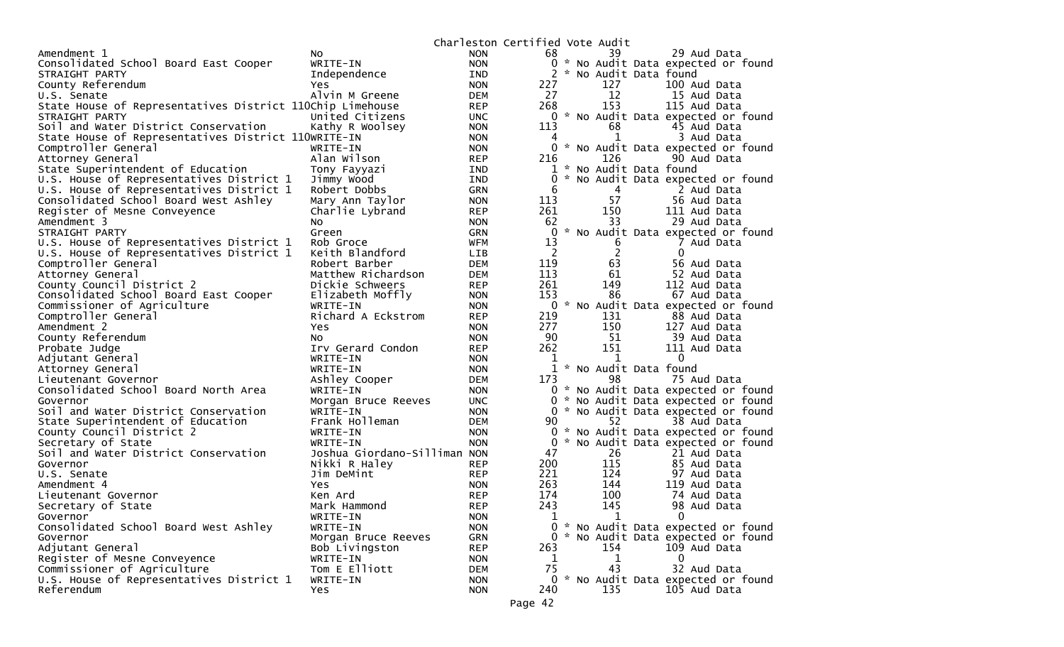|                                                           |                               |                          | Charleston Certified Vote Audit |                       |                                     |
|-----------------------------------------------------------|-------------------------------|--------------------------|---------------------------------|-----------------------|-------------------------------------|
| Amendment 1                                               | NO.                           | <b>NON</b>               | 68                              | 39                    | 29 Aud Data                         |
| Consolidated School Board East Cooper                     | WRITE-IN                      | <b>NON</b>               | 0                               |                       | * No Audit Data expected or found   |
| STRAIGHT PARTY                                            | Independence                  | IND                      | 2                               | * No Audit Data found |                                     |
| County Referendum                                         | <b>Yes</b>                    | <b>NON</b>               | 227                             | 127                   | 100 Aud Data                        |
| U.S. Senate                                               | Alvin M Greene                | <b>DEM</b>               | 27                              | 12                    | 15 Aud Data                         |
| State House of Representatives District 110Chip Limehouse |                               | <b>REP</b>               | 268                             | 153                   | 115 Aud Data                        |
| STRAIGHT PARTY                                            | United Citizens               | <b>UNC</b>               | 0                               |                       | * No Audit Data expected or found   |
| Soil and Water District Conservation                      | Kathy R Woolsey               | <b>NON</b>               | 113                             | 68                    | 45 Aud Data                         |
| State House of Representatives District 110WRITE-IN       |                               | <b>NON</b>               |                                 | 1                     | 3 Aud Data                          |
| Comptroller General                                       | WRITE-IN                      | <b>NON</b>               |                                 |                       | 0 * No Audit Data expected or found |
| Attorney General                                          | Alan Wilson                   | <b>REP</b>               | 216                             | 126                   | 90 Aud Data                         |
| State Superintendent of Education                         | Tony Fayyazi                  | IND                      | 1                               | * No Audit Data found |                                     |
| U.S. House of Representatives District 1                  | Jimmy Wood                    | IND                      | $\Omega$                        |                       | No Audit Data expected or found     |
| U.S. House of Representatives District 1                  | Robert Dobbs                  | <b>GRN</b>               | 6                               | 4                     | 2 Aud Data                          |
| Consolidated School Board West Ashley                     | Mary Ann Taylor               | <b>NON</b>               | 113                             | 57                    | 56 Aud Data                         |
| Register of Mesne Conveyence                              | Charlie Lybrand               | <b>REP</b>               | 261                             | 150                   | 111 Aud Data                        |
| Amendment 3                                               | NO.                           | <b>NON</b>               | 62                              | 33                    | 29 Aud Data                         |
| STRAIGHT PARTY                                            | Green                         | GRN                      | 0                               |                       | * No Audit Data expected or found   |
| U.S. House of Representatives District 1                  | Rob Groce                     | <b>WFM</b>               | 13                              | 6                     | 7 Aud Data                          |
| U.S. House of Representatives District 1                  | Keith Blandford               | <b>LIB</b>               | 2                               | $\overline{c}$        | 0                                   |
| Comptroller General                                       | Robert Barber                 | <b>DEM</b>               | 119                             | 63                    | 56 Aud Data                         |
| Attorney General                                          | Matthew Richardson            | <b>DEM</b>               | 113                             | 61                    | 52 Aud Data                         |
| County Council District 2                                 | Dickie Schweers               | <b>REP</b>               | 261                             | 149                   | 112 Aud Data                        |
| Consolidated School Board East Cooper                     | Elizabeth Moffly              | <b>NON</b>               | 153                             | 86                    | 67 Aud Data                         |
| Commissioner of Agriculture                               | WRITE-IN                      | <b>NON</b>               | 0                               |                       | * No Audit Data expected or found   |
| Comptroller General<br>Amendment 2                        | Richard A Eckstrom            | <b>REP</b>               | 219<br>277                      | 131<br>150            | 88 Aud Data                         |
|                                                           | Yes                           | <b>NON</b>               | 90                              | 51                    | 127 Aud Data                        |
| County Referendum                                         | NO.                           | <b>NON</b>               | 262                             | 151                   | 39 Aud Data                         |
| Probate Judge<br>Adjutant General                         | Irv Gerard Condon<br>WRITE-IN | <b>REP</b><br><b>NON</b> | 1                               | 1                     | 111 Aud Data<br>$\mathbf{0}$        |
| Attorney General                                          | WRITE-IN                      | <b>NON</b>               |                                 | * No Audit Data found |                                     |
| Lieutenant Governor                                       | Ashley Cooper                 | <b>DEM</b>               | 173                             | 98                    | 75 Aud Data                         |
| Consolidated School Board North Area                      | WRITE-IN                      | <b>NON</b>               |                                 |                       | 0 * No Audit Data expected or found |
| Governor                                                  | Morgan Bruce Reeves           | <b>UNC</b>               | 0                               |                       | * No Audit Data expected or found   |
| Soil and Water District Conservation                      | WRITE-IN                      | <b>NON</b>               | 0                               |                       | * No Audit Data expected or found   |
| State Superintendent of Education                         | Frank Holleman                | <b>DEM</b>               | 90                              | 52                    | 38 Aud Data                         |
| County Council District 2                                 | WRITE-IN                      | <b>NON</b>               | $\Omega$                        |                       | * No Audit Data expected or found   |
| Secretary of State                                        | WRITE-IN                      | <b>NON</b>               | $\Omega$                        |                       | * No Audit Data expected or found   |
| Soil and Water District Conservation                      | Joshua Giordano-Silliman NON  |                          | 47                              | 26                    | 21 Aud Data                         |
| Governor                                                  | Nikki R Haley                 | <b>REP</b>               | 200                             | 115                   | 85 Aud Data                         |
| U.S. Senate                                               | Jim DeMint                    | <b>REP</b>               | 221                             | 124                   | 97 Aud Data                         |
| Amendment 4                                               | <b>Yes</b>                    | <b>NON</b>               | 263                             | 144                   | 119 Aud Data                        |
| Lieutenant Governor                                       | Ken Ard                       | <b>REP</b>               | 174                             | 100                   | 74 Aud Data                         |
| Secretary of State                                        | Mark Hammond                  | <b>REP</b>               | 243                             | 145                   | 98 Aud Data                         |
| Governor                                                  | WRITE-IN                      | <b>NON</b>               | 1                               | $\mathbf{1}$          | $\mathbf 0$                         |
| Consolidated School Board West Ashley                     | WRITE-IN                      | <b>NON</b>               |                                 |                       | 0 * No Audit Data expected or found |
| Governor                                                  | Morgan Bruce Reeves           | <b>GRN</b>               |                                 |                       | 0 * No Audit Data expected or found |
| Adjutant General                                          | Bob Livingston                | <b>REP</b>               | 263                             | 154                   | 109 Aud Data                        |
| Register of Mesne Conveyence                              | WRITE-IN                      | <b>NON</b>               | 1                               | 1                     | $\Omega$                            |
| Commissioner of Agriculture                               | Tom E Elliott                 | <b>DEM</b>               | 75                              | 43                    | 32 Aud Data                         |
| U.S. House of Representatives District 1                  | WRITE-IN                      | <b>NON</b>               |                                 |                       | 0 * No Audit Data expected or found |
| Referendum                                                | Yes                           | <b>NON</b>               | 240                             | 135                   | 105 Aud Data                        |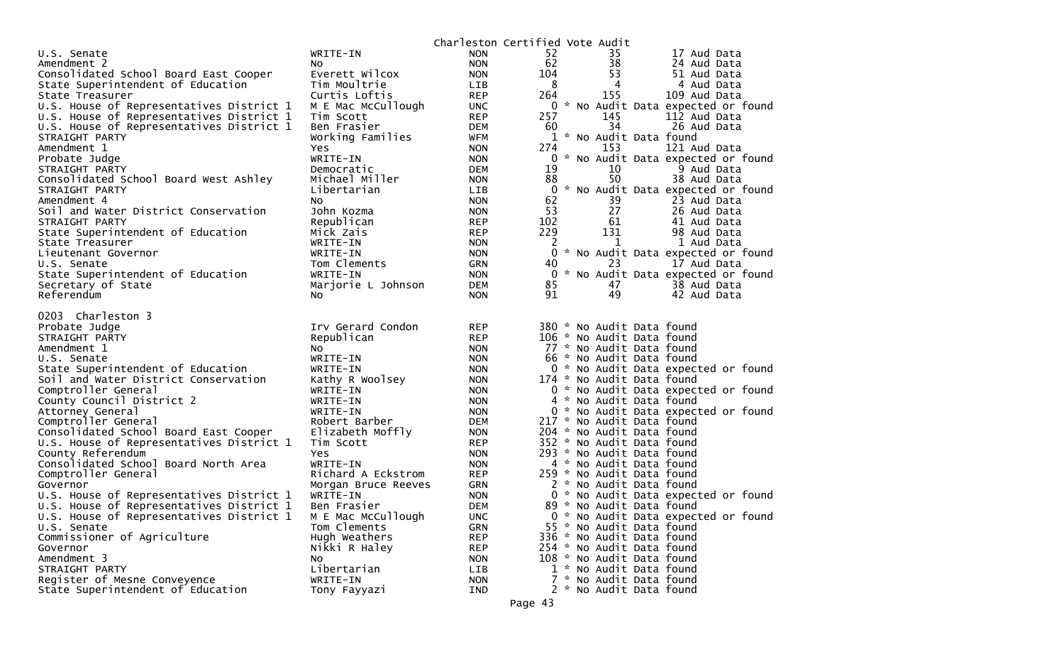|                                          |                     |            | Charleston Certified Vote Audit |                           |                                     |
|------------------------------------------|---------------------|------------|---------------------------------|---------------------------|-------------------------------------|
| U.S. Senate                              | WRITE-IN            | <b>NON</b> | 52                              | 35                        | 17 Aud Data                         |
| Amendment 2                              | NO.                 | <b>NON</b> | 62                              | 38                        | 24 Aud Data                         |
| Consolidated School Board East Cooper    | Everett Wilcox      | <b>NON</b> | 104                             | 53                        | 51 Aud Data                         |
| State Superintendent of Education        | Tim Moultrie        | <b>LIB</b> | 8                               | 4                         | 4 Aud Data                          |
| State Treasurer                          | Curtis Loftis       | <b>REP</b> | 264                             | 155                       | 109 Aud Data                        |
| U.S. House of Representatives District 1 | M E Mac McCullough  | <b>UNC</b> |                                 |                           | 0 * No Audit Data expected or found |
| U.S. House of Representatives District 1 | Tim Scott           | <b>REP</b> | 257                             | 145                       | 112 Aud Data                        |
| U.S. House of Representatives District 1 | Ben Frasier         | <b>DEM</b> | 60                              | 34                        | 26 Aud Data                         |
| STRAIGHT PARTY                           | Working Families    | WFM        |                                 | 1 * No Audit Data found   |                                     |
| Amendment 1                              | Yes                 | <b>NON</b> | 274                             | 153                       | 121 Aud Data                        |
| Probate Judge                            | WRITE-IN            | <b>NON</b> |                                 |                           | 0 * No Audit Data expected or found |
| STRAIGHT PARTY                           | Democratic          | <b>DEM</b> | 19                              | 10                        | 9 Aud Data                          |
| Consolidated School Board West Ashley    | Michael Miller      | <b>NON</b> | 88                              | 50                        | 38 Aud Data                         |
| STRAIGHT PARTY                           | Libertarian         | <b>LIB</b> |                                 |                           | 0 * No Audit Data expected or found |
| Amendment 4                              | No                  | <b>NON</b> | 62                              | 39                        | 23 Aud Data                         |
| Soil and Water District Conservation     | John Kozma          | <b>NON</b> | 53                              | 27                        | 26 Aud Data                         |
| STRAIGHT PARTY                           | Republican          | <b>REP</b> | 102                             | 61                        | 41 Aud Data                         |
| State Superintendent of Education        | Mick Zais           | <b>REP</b> | 229                             | 131                       | 98 Aud Data                         |
| State Treasurer                          | WRITE-IN            | <b>NON</b> | 2                               | 1                         | 1 Aud Data                          |
| Lieutenant Governor                      | WRITE-IN            | <b>NON</b> |                                 |                           | 0 * No Audit Data expected or found |
| U.S. Senate                              | Tom Clements        | <b>GRN</b> | 40                              | 23                        | 17 Aud Data                         |
| State Superintendent of Education        | WRITE-IN            | <b>NON</b> |                                 |                           | 0 * No Audit Data expected or found |
| Secretary of State                       | Marjorie L Johnson  | <b>DEM</b> | 85                              | 47                        | 38 Aud Data                         |
| Referendum                               | NO.                 | <b>NON</b> | 91                              | 49                        | 42 Aud Data                         |
|                                          |                     |            |                                 |                           |                                     |
| 0203 Charleston 3                        |                     |            |                                 |                           |                                     |
| Probate Judge                            | Irv Gerard Condon   | <b>REP</b> |                                 | 380 * No Audit Data found |                                     |
| STRAIGHT PARTY                           | Republican          | <b>REP</b> |                                 | 106 * No Audit Data found |                                     |
| Amendment 1                              | NO.                 | <b>NON</b> |                                 | 77 * No Audit Data found  |                                     |
| U.S. Senate                              | WRITE-IN            | NON.       |                                 | 66 * No Audit Data found  |                                     |
| State Superintendent of Education        | WRITE-IN            | <b>NON</b> |                                 |                           | 0 * No Audit Data expected or found |
| Soil and Water District Conservation     | Kathy R Woolsey     | <b>NON</b> |                                 | 174 * No Audit Data found |                                     |
| Comptroller General                      | WRITE-IN            | <b>NON</b> |                                 |                           | 0 * No Audit Data expected or found |
| County Council District 2                | WRITE-IN            | <b>NON</b> |                                 | 4 * No Audit Data found   |                                     |
| Attorney General                         | WRITE-IN            | <b>NON</b> |                                 |                           | 0 * No Audit Data expected or found |
| Comptroller General                      | Robert Barber       | DEM        |                                 | 217 * No Audit Data found |                                     |
| Consolidated School Board East Cooper    | Elizabeth Moffly    | <b>NON</b> |                                 | 204 * No Audit Data found |                                     |
| U.S. House of Representatives District 1 | Tim Scott           | <b>REP</b> |                                 | 352 * No Audit Data found |                                     |
| County Referendum                        | Yes                 | <b>NON</b> |                                 | 293 * No Audit Data found |                                     |
| Consolidated School Board North Area     | WRITE-IN            | <b>NON</b> |                                 | 4 * No Audit Data found   |                                     |
| Comptroller General                      | Richard A Eckstrom  | <b>REP</b> |                                 | 259 * No Audit Data found |                                     |
| Governor                                 | Morgan Bruce Reeves | GRN        |                                 | 2 * No Audit Data found   |                                     |
| U.S. House of Representatives District 1 | WRITE-IN            | <b>NON</b> |                                 |                           | 0 * No Audit Data expected or found |
| U.S. House of Representatives District 1 | Ben Frasier         | DEM        |                                 | 89 * No Audit Data found  |                                     |
| U.S. House of Representatives District 1 | M E Mac McCullough  | <b>UNC</b> |                                 |                           | 0 * No Audit Data expected or found |
| U.S. Senate                              | Tom Clements        | <b>GRN</b> |                                 | 55 * No Audit Data found  |                                     |
| Commissioner of Agriculture              | Hugh Weathers       | <b>REP</b> |                                 | 336 * No Audit Data found |                                     |
| Governor                                 | Nikki R Haley       | <b>REP</b> |                                 | 254 * No Audit Data found |                                     |
| Amendment 3                              | NO.                 | <b>NON</b> |                                 | 108 * No Audit Data found |                                     |
| STRAIGHT PARTY                           | Libertarian         | LIB        |                                 | 1 * No Audit Data found   |                                     |
| Register of Mesne Conveyence             | WRITE-IN            | <b>NON</b> |                                 | 7 * No Audit Data found   |                                     |
| State Superintendent of Education        | Tony Fayyazi        | IND        |                                 | 2 * No Audit Data found   |                                     |
|                                          |                     |            |                                 |                           |                                     |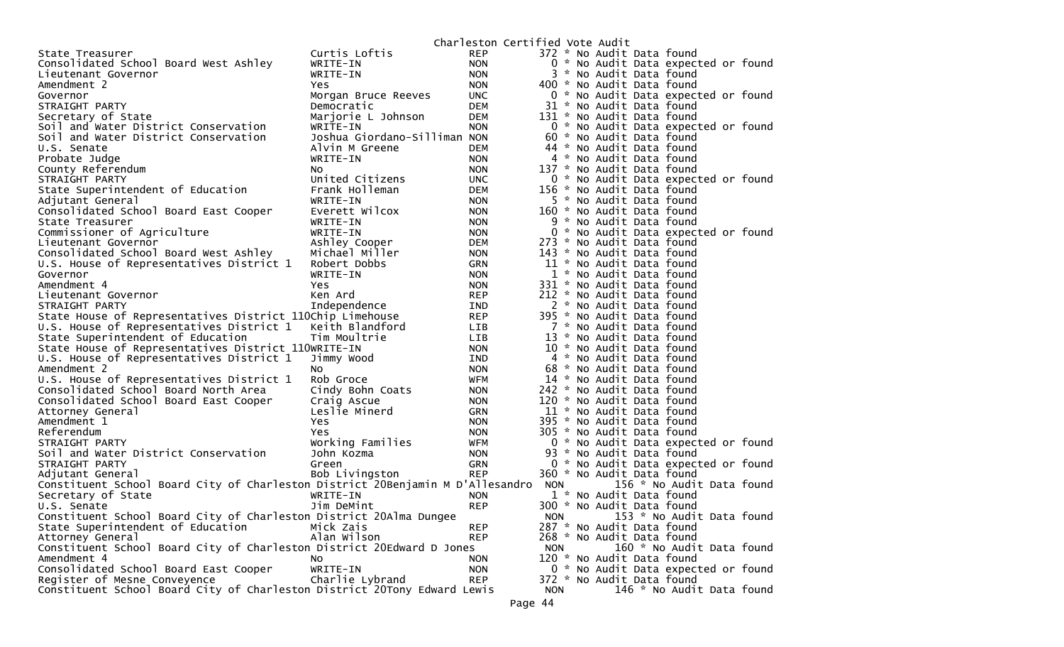|                                                                                                    |                              | Charleston Certified Vote Audit |            |                           |                                     |  |
|----------------------------------------------------------------------------------------------------|------------------------------|---------------------------------|------------|---------------------------|-------------------------------------|--|
| State Treasurer                                                                                    | Curtis Loftis                | <b>REP</b>                      |            | 372 * No Audit Data found |                                     |  |
| Consolidated School Board West Ashley                                                              | WRITE-IN                     | <b>NON</b>                      |            |                           | 0 * No Audit Data expected or found |  |
| Lieutenant Governor                                                                                | WRITE-IN                     | <b>NON</b>                      |            | 3 * No Audit Data found   |                                     |  |
| Amendment 2                                                                                        | Yes.                         | <b>NON</b>                      |            | 400 * No Audit Data found |                                     |  |
| Governor                                                                                           | Morgan Bruce Reeves          | <b>UNC</b>                      |            |                           | 0 * No Audit Data expected or found |  |
| STRAIGHT PARTY                                                                                     | Democratic                   | DEM                             |            | 31 * No Audit Data found  |                                     |  |
| Secretary of State                                                                                 | Marjorie L Johnson           | DEM                             |            | 131 * No Audit Data found |                                     |  |
| Soil and Water District Conservation                                                               | WRITE-IN                     | <b>NON</b>                      |            |                           | 0 * No Audit Data expected or found |  |
| Soil and Water District Conservation                                                               | Joshua Giordano-Silliman NON |                                 |            | 60 * No Audit Data found  |                                     |  |
| U.S. Senate                                                                                        | Alvin M Greene               | DEM                             |            | 44 * No Audit Data found  |                                     |  |
| Probate Judge                                                                                      | WRITE-IN                     | <b>NON</b>                      |            | 4 * No Audit Data found   |                                     |  |
| County Referendum                                                                                  | No                           | <b>NON</b>                      |            | 137 * No Audit Data found |                                     |  |
| STRAIGHT PARTY                                                                                     | United Citizens              | <b>UNC</b>                      |            |                           | 0 * No Audit Data expected or found |  |
| State Superintendent of Education                                                                  | Frank Holleman               | DEM                             |            | 156 * No Audit Data found |                                     |  |
| Adjutant General                                                                                   | WRITE-IN                     | <b>NON</b>                      |            | 5 * No Audit Data found   |                                     |  |
| Consolidated School Board East Cooper                                                              | Everett Wilcox               | <b>NON</b>                      |            | 160 * No Audit Data found |                                     |  |
| State Treasurer                                                                                    | WRITE-IN                     | <b>NON</b>                      |            | 9 * No Audit Data found   |                                     |  |
| Commissioner of Agriculture                                                                        | WRITE-IN                     | <b>NON</b>                      |            |                           | 0 * No Audit Data expected or found |  |
| Lieutenant Governor                                                                                | Ashley Cooper                | DEM                             |            | 273 * No Audit Data found |                                     |  |
| Consolidated School Board West Ashley                                                              | Michael Miller               | <b>NON</b>                      |            | 143 * No Audit Data found |                                     |  |
| U.S. House of Representatives District 1                                                           | Robert Dobbs                 | GRN                             |            | 11 * No Audit Data found  |                                     |  |
| Governor                                                                                           | WRITE-IN                     | <b>NON</b>                      |            | 1 * No Audit Data found   |                                     |  |
| Amendment 4                                                                                        | Yes                          | <b>NON</b>                      |            | 331 * No Audit Data found |                                     |  |
| Lieutenant Governor                                                                                | Ken Ard                      | <b>REP</b>                      |            | 212 * No Audit Data found |                                     |  |
| STRAIGHT PARTY                                                                                     | Independence                 | IND                             |            | 2 * No Audit Data found   |                                     |  |
| State House of Representatives District 110Chip Limehouse                                          |                              | <b>REP</b>                      |            | 395 * No Audit Data found |                                     |  |
| U.S. House of Representatives District 1 Keith Blandford                                           |                              | LIB                             |            | 7 * No Audit Data found   |                                     |  |
| State Superintendent of Education                                                                  | Tim Moultrie                 | LIB                             |            | 13 * No Audit Data found  |                                     |  |
| State House of Representatives District 110WRITE-IN                                                |                              | <b>NON</b>                      |            | 10 * No Audit Data found  |                                     |  |
| U.S. House of Representatives District 1                                                           | Jimmy Wood                   | IND                             |            | 4 * No Audit Data found   |                                     |  |
| Amendment 2                                                                                        | NO.                          | <b>NON</b>                      |            | 68 * No Audit Data found  |                                     |  |
| U.S. House of Representatives District 1                                                           | Rob Groce                    | WFM                             |            | 14 * No Audit Data found  |                                     |  |
| Consolidated School Board North Area                                                               | Cindy Bohn Coats             | <b>NON</b>                      |            | 242 * No Audit Data found |                                     |  |
| Consolidated School Board East Cooper                                                              | Craig Ascue                  | <b>NON</b>                      |            | 120 * No Audit Data found |                                     |  |
| Attorney General                                                                                   | Leslie Minerd                | GRN                             |            | 11 * No Audit Data found  |                                     |  |
| Amendment 1                                                                                        | Yes                          | <b>NON</b>                      |            | 395 * No Audit Data found |                                     |  |
| Referendum                                                                                         | Yes                          | <b>NON</b>                      |            | 305 * No Audit Data found |                                     |  |
| STRAIGHT PARTY                                                                                     | Working Families             | WFM                             |            |                           | 0 * No Audit Data expected or found |  |
| Soil and Water District Conservation                                                               | John Kozma                   | <b>NON</b>                      |            | 93 * No Audit Data found  |                                     |  |
| STRAIGHT PARTY                                                                                     |                              |                                 |            |                           |                                     |  |
|                                                                                                    | Green                        | GRN<br><b>REP</b>               |            | 360 * No Audit Data found | 0 * No Audit Data expected or found |  |
| Adjutant General<br>Constituent School Board City of Charleston District 20Benjamin M D'Allesandro | Bob Livingston               |                                 |            |                           | 156 * No Audit Data found           |  |
|                                                                                                    |                              |                                 | <b>NON</b> |                           |                                     |  |
| Secretary of State                                                                                 | WRITE-IN                     | <b>NON</b>                      |            | 1 * No Audit Data found   |                                     |  |
| U.S. Senate                                                                                        | Jim DeMint                   | <b>REP</b>                      |            | 300 * No Audit Data found |                                     |  |
| Constituent School Board City of Charleston District 20Alma Dungee                                 |                              |                                 | <b>NON</b> |                           | 153 * No Audit Data found           |  |
| State Superintendent of Education                                                                  | Mick Zais                    | <b>REP</b>                      |            | 287 * No Audit Data found |                                     |  |
| Attorney General                                                                                   | Alan Wilson                  | <b>REP</b>                      |            | 268 * No Audit Data found |                                     |  |
| Constituent School Board City of Charleston District 20Edward D Jones                              |                              |                                 | <b>NON</b> |                           | 160 * No Audit Data found           |  |
| Amendment 4                                                                                        | No.                          | <b>NON</b>                      |            | 120 * No Audit Data found |                                     |  |
| Consolidated School Board East Cooper                                                              | WRITE-IN                     | <b>NON</b>                      |            |                           | 0 * No Audit Data expected or found |  |
| Register of Mesne Conveyence                                                                       | Charlie Lybrand              | <b>REP</b>                      |            | 372 * No Audit Data found |                                     |  |
| Constituent School Board City of Charleston District 20Tony Edward Lewis                           |                              |                                 | <b>NON</b> |                           | 146 * No Audit Data found           |  |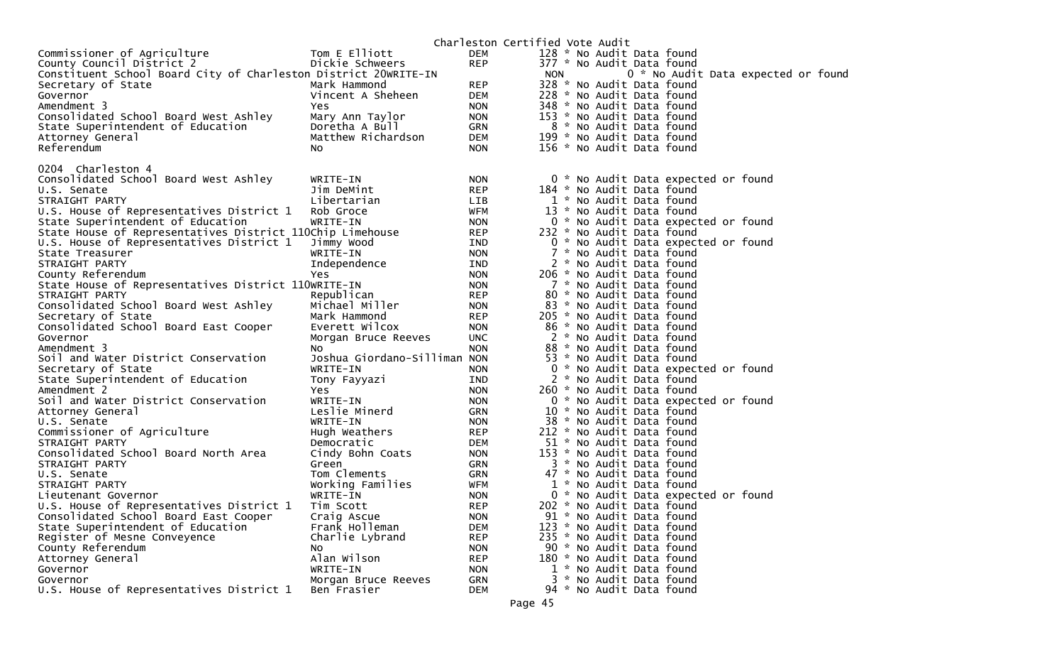|                                                                 |                              |            | Charleston Certified Vote Audit |  |                           |                                     |  |  |
|-----------------------------------------------------------------|------------------------------|------------|---------------------------------|--|---------------------------|-------------------------------------|--|--|
| Commissioner of Agriculture                                     | Tom E Elliott                | <b>DEM</b> |                                 |  | 128 * No Audit Data found |                                     |  |  |
| County Council District 2                                       | Dickie Schweers              | <b>REP</b> |                                 |  | 377 * No Audit Data found |                                     |  |  |
| Constituent School Board City of Charleston District 20WRITE-IN |                              |            | <b>NON</b>                      |  |                           | 0 * No Audit Data expected or foun  |  |  |
| Secretary of State                                              | Mark Hammond                 | <b>REP</b> |                                 |  | 328 * No Audit Data found |                                     |  |  |
| Governor                                                        | Vincent A Sheheen            | <b>DEM</b> |                                 |  | 228 * No Audit Data found |                                     |  |  |
| Amendment 3                                                     | Yes.                         | <b>NON</b> |                                 |  | 348 * No Audit Data found |                                     |  |  |
| Consolidated School Board West Ashley                           | Mary Ann Taylor              | <b>NON</b> |                                 |  | 153 * No Audit Data found |                                     |  |  |
| State Superintendent of Education                               | Doretha A Bull               | GRN        |                                 |  | 8 * No Audit Data found   |                                     |  |  |
| Attorney General                                                | Matthew Richardson           | DEM        |                                 |  | 199 * No Audit Data found |                                     |  |  |
| Referendum                                                      | NO.                          | <b>NON</b> |                                 |  | 156 * No Audit Data found |                                     |  |  |
| 0204 Charleston 4                                               |                              |            |                                 |  |                           |                                     |  |  |
| Consolidated School Board West Ashley                           | WRITE-IN                     | <b>NON</b> |                                 |  |                           | 0 * No Audit Data expected or found |  |  |
| U.S. Senate                                                     | Jim DeMint                   | <b>REP</b> |                                 |  | 184 * No Audit Data found |                                     |  |  |
| STRAIGHT PARTY                                                  | Libertarian                  | LIB        |                                 |  | 1 * No Audit Data found   |                                     |  |  |
| U.S. House of Representatives District 1                        | Rob Groce                    | <b>WFM</b> |                                 |  | 13 * No Audit Data found  |                                     |  |  |
| State Superintendent of Education                               | WRITE-IN                     | <b>NON</b> |                                 |  |                           | 0 * No Audit Data expected or found |  |  |
| State House of Representatives District 110Chip Limehouse       |                              | <b>REP</b> |                                 |  | 232 * No Audit Data found |                                     |  |  |
| U.S. House of Representatives District 1                        | Jimmy Wood                   | IND        |                                 |  |                           | 0 * No Audit Data expected or found |  |  |
| State Treasurer                                                 | WRITE-IN                     | <b>NON</b> |                                 |  | 7 * No Audit Data found   |                                     |  |  |
| STRAIGHT PARTY                                                  | Independence                 | IND        |                                 |  | 2 * No Audit Data found   |                                     |  |  |
| County Referendum                                               | Yes.                         | <b>NON</b> |                                 |  | 206 * No Audit Data found |                                     |  |  |
| State House of Representatives District 110WRITE-IN             |                              | <b>NON</b> |                                 |  | 7 * No Audit Data found   |                                     |  |  |
| STRAIGHT PARTY                                                  | Republican                   | <b>REP</b> |                                 |  | 80 * No Audit Data found  |                                     |  |  |
| Consolidated School Board West Ashley                           | Michael Miller               | <b>NON</b> |                                 |  | 83 * No Audit Data found  |                                     |  |  |
| Secretary of State                                              | Mark Hammond                 | <b>REP</b> |                                 |  | 205 * No Audit Data found |                                     |  |  |
| Consolidated School Board East Cooper                           | Everett Wilcox               | <b>NON</b> |                                 |  | 86 * No Audit Data found  |                                     |  |  |
| Governor                                                        | Morgan Bruce Reeves          | <b>UNC</b> |                                 |  | 2 * No Audit Data found   |                                     |  |  |
| Amendment 3                                                     | NO.                          | <b>NON</b> |                                 |  | 88 * No Audit Data found  |                                     |  |  |
| Soil and Water District Conservation                            | Joshua Giordano-Silliman NON |            |                                 |  | 53 * No Audit Data found  |                                     |  |  |
| Secretary of State                                              | WRITE-IN                     | <b>NON</b> |                                 |  |                           | 0 * No Audit Data expected or found |  |  |
| State Superintendent of Education                               | Tony Fayyazi                 | IND        |                                 |  | 2 * No Audit Data found   |                                     |  |  |
| Amendment 2                                                     | Yes.                         | <b>NON</b> |                                 |  | 260 * No Audit Data found |                                     |  |  |
| Soil and Water District Conservation                            | WRITE-IN                     | <b>NON</b> |                                 |  |                           | 0 * No Audit Data expected or found |  |  |
| Attorney General                                                | Leslie Minerd                | GRN        |                                 |  | 10 * No Audit Data found  |                                     |  |  |
| U.S. Senate                                                     | WRITE-IN                     | <b>NON</b> |                                 |  | 38 * No Audit Data found  |                                     |  |  |
| Commissioner of Agriculture                                     | Hugh Weathers                | <b>REP</b> |                                 |  | 212 * No Audit Data found |                                     |  |  |
| STRAIGHT PARTY                                                  | Democratic                   | DEM        |                                 |  | 51 * No Audit Data found  |                                     |  |  |
| Consolidated School Board North Area                            | Cindy Bohn Coats             | <b>NON</b> |                                 |  | 153 * No Audit Data found |                                     |  |  |
| STRAIGHT PARTY                                                  | Green                        | GRN        |                                 |  | 3 * No Audit Data found   |                                     |  |  |
| U.S. Senate                                                     | Tom Clements                 | GRN        |                                 |  | 47 * No Audit Data found  |                                     |  |  |
| STRAIGHT PARTY                                                  | Working Families             | WFM        |                                 |  | 1 * No Audit Data found   |                                     |  |  |
| Lieutenant Governor                                             | WRITE-IN                     | <b>NON</b> |                                 |  |                           | 0 * No Audit Data expected or found |  |  |
| U.S. House of Representatives District 1                        | Tim Scott                    | <b>REP</b> |                                 |  | 202 * No Audit Data found |                                     |  |  |
| Consolidated School Board East Cooper                           | Craig Ascue                  | <b>NON</b> |                                 |  | 91 * No Audit Data found  |                                     |  |  |
| State Superintendent of Education                               | Frank Holleman               | <b>DEM</b> |                                 |  | 123 * No Audit Data found |                                     |  |  |
| Register of Mesne Conveyence                                    | Charlie Lybrand              | <b>REP</b> |                                 |  | 235 * No Audit Data found |                                     |  |  |
| County Referendum                                               | NO.                          | <b>NON</b> |                                 |  | 90 * No Audit Data found  |                                     |  |  |
| Attorney General                                                | Alan Wilson                  | <b>REP</b> |                                 |  | 180 * No Audit Data found |                                     |  |  |
| Governor                                                        | WRITE-IN                     | <b>NON</b> |                                 |  | 1 * No Audit Data found   |                                     |  |  |
| Governor                                                        | Morgan Bruce Reeves          | GRN        |                                 |  | 3 * No Audit Data found   |                                     |  |  |
| U.S. House of Representatives District 1                        | Ben Frasier                  | <b>DEM</b> |                                 |  | 94 * No Audit Data found  |                                     |  |  |

d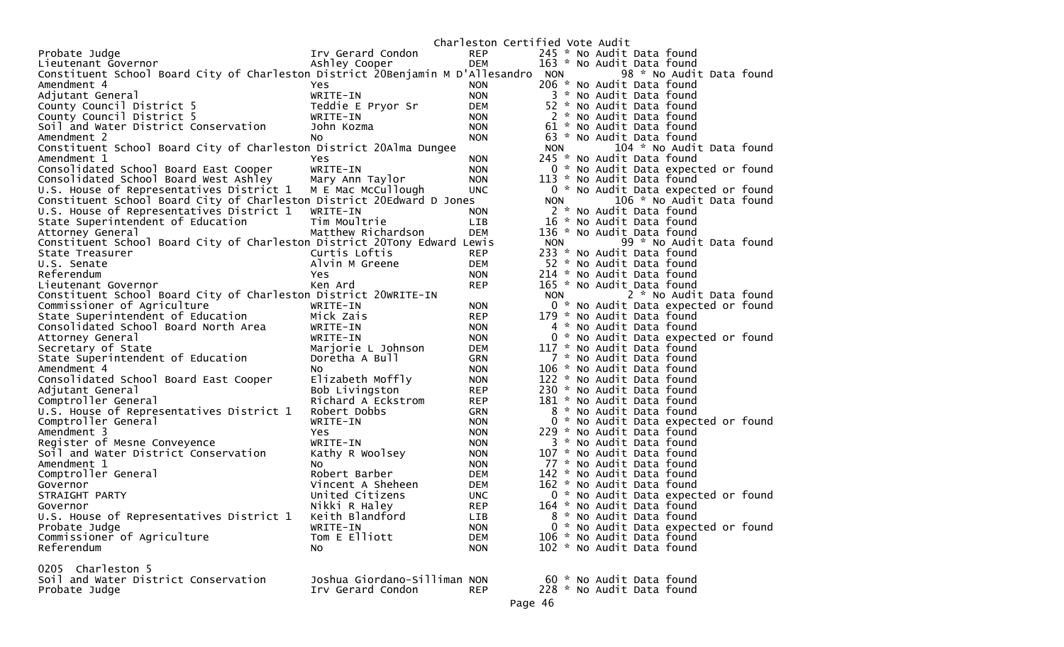|                                                                                        |                              | Charleston Certified Vote Audit |            |                                                      |
|----------------------------------------------------------------------------------------|------------------------------|---------------------------------|------------|------------------------------------------------------|
| Probate Judge                                                                          | Irv Gerard Condon            | <b>REP</b>                      |            | 245 * No Audit Data found                            |
| Lieutenant Governor                                                                    | Ashley Cooper                | <b>DEM</b>                      |            | 163 * No Audit Data found                            |
| Constituent School Board City of Charleston District 20Benjamin M D'Allesandro NON     |                              |                                 |            | 98 * No Audit Data found                             |
| Amendment 4                                                                            | Yes.                         | <b>NON</b>                      |            | 206 * No Audit Data found                            |
| Adjutant General                                                                       | WRITE-IN                     | <b>NON</b>                      |            | 3 * No Audit Data found                              |
| County Council District 5                                                              | Teddie E Pryor Sr            | DEM                             |            | 52 * No Audit Data found                             |
| County Council District 5                                                              | WRITE-IN                     | <b>NON</b>                      |            | 2 * No Audit Data found                              |
| Soil and Water District Conservation                                                   | John Kozma                   | <b>NON</b>                      |            | 61 * No Audit Data found                             |
| Amendment 2                                                                            | No.                          | <b>NON</b>                      |            | 63 * No Audit Data found                             |
| Constituent School Board City of Charleston District 20Alma Dungee                     |                              |                                 | <b>NON</b> | 104 * No Audit Data found                            |
| Amendment 1                                                                            | Yes                          | <b>NON</b>                      |            | 245 * No Audit Data found                            |
| Consolidated School Board East Cooper                                                  | WRITE-IN                     | <b>NON</b>                      |            | 0 * No Audit Data expected or found                  |
| Consolidated School Board West Ashley                                                  | Mary Ann Taylor              | <b>NON</b>                      |            | 113 * No Audit Data found                            |
| U.S. House of Representatives District 1                                               | M E Mac McCullough           | UNC.                            |            | 0 * No Audit Data expected or found                  |
| Constituent School Board City of Charleston District 20Edward D Jones                  |                              |                                 | <b>NON</b> | 106 * No Audit Data found                            |
| U.S. House of Representatives District 1                                               | WRITE-IN                     | <b>NON</b>                      |            | 2 * No Audit Data found                              |
| State Superintendent of Education                                                      | Tim Moultrie                 | LIB                             |            | 16 * No Audit Data found                             |
| Attorney General                                                                       | Matthew Richardson           | <b>DEM</b>                      |            | 136 * No Audit Data found                            |
| Constituent School Board City of Charleston District 20Tony Edward Lewis               |                              |                                 | <b>NON</b> | 99 * No Audit Data found                             |
| State Treasurer                                                                        | Curtis Loftis                | <b>REP</b>                      |            | 233 * No Audit Data found                            |
| U.S. Senate                                                                            | Alvin M Greene               | <b>DEM</b>                      |            | 52 * No Audit Data found                             |
| Referendum                                                                             | Yes.                         | <b>NON</b>                      |            | 214 * No Audit Data found                            |
| Lieutenant Governor<br>Constituent School Board City of Charleston District 20WRITE-IN | Ken Ard                      | <b>REP</b>                      | <b>NON</b> | 165 * No Audit Data found<br>2 * No Audit Data found |
| Commissioner of Agriculture                                                            | WRITE-IN                     | <b>NON</b>                      |            | 0 * No Audit Data expected or found                  |
| State Superintendent of Education                                                      | Mick Zais                    | <b>REP</b>                      |            | 179 * No Audit Data found                            |
| Consolidated School Board North Area                                                   | WRITE-IN                     | <b>NON</b>                      |            | 4 * No Audit Data found                              |
| Attorney General                                                                       | WRITE-IN                     | <b>NON</b>                      |            | 0 * No Audit Data expected or found                  |
| Secretary of State                                                                     | Marjorie L Johnson           | DEM                             |            | 117 * No Audit Data found                            |
| State Superintendent of Education                                                      | Doretha A Bull               | <b>GRN</b>                      |            | 7 * No Audit Data found                              |
| Amendment 4                                                                            | No.                          | <b>NON</b>                      |            | 106 * No Audit Data found                            |
| Consolidated School Board East Cooper                                                  | Elizabeth Moffly             | <b>NON</b>                      |            | 122 * No Audit Data found                            |
| Adjutant General                                                                       | Bob Livingston               | <b>REP</b>                      |            | 230 * No Audit Data found                            |
| Comptroller General                                                                    | Richard A Eckstrom           | <b>REP</b>                      |            | 181 * No Audit Data found                            |
| U.S. House of Representatives District 1                                               | Robert Dobbs                 | <b>GRN</b>                      | 8          | * No Audit Data found                                |
| Comptroller General                                                                    | WRITE-IN                     | <b>NON</b>                      |            | 0 * No Audit Data expected or found                  |
| Amendment 3                                                                            | <b>Yes</b>                   | <b>NON</b>                      |            | 229 * No Audit Data found                            |
| Register of Mesne Conveyence                                                           | WRITE-IN                     | <b>NON</b>                      |            | 3 * No Audit Data found                              |
| Soil and Water District Conservation                                                   | Kathy R Woolsey              | <b>NON</b>                      |            | 107 * No Audit Data found                            |
| Amendment 1                                                                            | NO.                          | <b>NON</b>                      |            | 77 * No Audit Data found                             |
| Comptroller General                                                                    | Robert Barber                | DEM                             |            | 142 * No Audit Data found                            |
| Governor                                                                               | Vincent A Sheheen            | <b>DEM</b>                      |            | 162 * No Audit Data found                            |
| STRAIGHT PARTY                                                                         | United Citizens              | <b>UNC</b>                      |            | 0 * No Audit Data expected or found                  |
| Governor                                                                               | Nikki R Haley                | <b>REP</b>                      |            | 164 * No Audit Data found                            |
| U.S. House of Representatives District 1                                               | Keith Blandford              | LIB                             |            | 8 * No Audit Data found                              |
| Probate Judge                                                                          | WRITE-IN                     | <b>NON</b>                      |            | 0 * No Audit Data expected or found                  |
| Commissioner of Agriculture                                                            | Tom E Elliott                | <b>DEM</b>                      |            | 106 * No Audit Data found                            |
| Referendum                                                                             | NO.                          | <b>NON</b>                      |            | 102 * No Audit Data found                            |
| 0205 Charleston 5                                                                      |                              |                                 |            |                                                      |
| Soil and Water District Conservation                                                   | Joshua Giordano-Silliman NON |                                 |            | 60 * No Audit Data found                             |
| Probate Judge                                                                          | Irv Gerard Condon            | <b>REP</b>                      |            | 228 * No Audit Data found                            |
|                                                                                        |                              | D200A6                          |            |                                                      |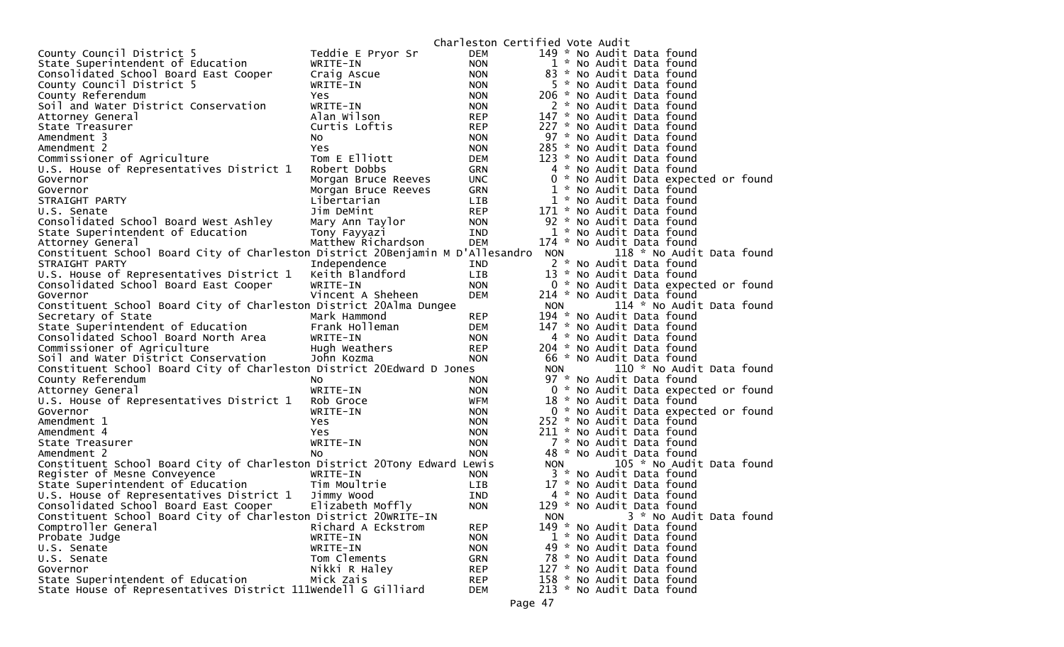|                                                                                |                     | Charleston Certified Vote Audit |            |                                     |
|--------------------------------------------------------------------------------|---------------------|---------------------------------|------------|-------------------------------------|
| County Council District 5                                                      | Teddie E Pryor Sr   | DEM                             |            | 149 * No Audit Data found           |
| State Superintendent of Education                                              | WRITE-IN            | <b>NON</b>                      |            | 1 * No Audit Data found             |
| Consolidated School Board East Cooper                                          | Craig Ascue         | <b>NON</b>                      |            | 83 * No Audit Data found            |
| County Council District 5                                                      | WRITE-IN            | <b>NON</b>                      |            | 5 * No Audit Data found             |
| County Referendum                                                              | Yes                 | <b>NON</b>                      |            | 206 * No Audit Data found           |
| Soil and Water District Conservation                                           | WRITE-IN            | <b>NON</b>                      |            | 2 * No Audit Data found             |
| Attorney General                                                               | Alan Wilson         | <b>REP</b>                      |            | 147 * No Audit Data found           |
| State Treasurer                                                                | Curtis Loftis       | <b>REP</b>                      |            | 227 * No Audit Data found           |
| Amendment 3                                                                    | NO.                 | NON.                            |            | 97 * No Audit Data found            |
| Amendment 2                                                                    | Yes                 | <b>NON</b>                      |            | 285 * No Audit Data found           |
| Commissioner of Agriculture                                                    | Tom E Elliott       | DEM                             |            | 123 * No Audit Data found           |
|                                                                                | Robert Dobbs        |                                 |            | 4 * No Audit Data found             |
| U.S. House of Representatives District 1                                       |                     | GRN                             |            |                                     |
| Governor                                                                       | Morgan Bruce Reeves | <b>UNC</b>                      |            | 0 * No Audit Data expected or found |
| Governor                                                                       | Morgan Bruce Reeves | <b>GRN</b>                      |            | 1 * No Audit Data found             |
| STRAIGHT PARTY                                                                 | Libertarian         | LIB                             |            | 1 * No Audit Data found             |
| U.S. Senate                                                                    | Jim DeMint          | <b>REP</b>                      |            | 171 * No Audit Data found           |
| Consolidated School Board West Ashley                                          | Mary Ann Taylor     | <b>NON</b>                      |            | 92 * No Audit Data found            |
| State Superintendent of Education                                              | Tony Fayyazi        | IND                             |            | 1 * No Audit Data found             |
| Attorney General                                                               | Matthew Richardson  | <b>DEM</b>                      |            | 174 * No Audit Data found           |
| Constituent School Board City of Charleston District 20Benjamin M D'Allesandro |                     |                                 | <b>NON</b> | 118 * No Audit Data found           |
| STRAIGHT PARTY                                                                 | Independence        | IND                             |            | 2 * No Audit Data found             |
| U.S. House of Representatives District 1                                       | Keith Blandford     | <b>LIB</b>                      |            | 13 * No Audit Data found            |
| Consolidated School Board East Cooper                                          | WRITE-IN            | <b>NON</b>                      |            | 0 * No Audit Data expected or found |
| Governor                                                                       | Vincent A Sheheen   | <b>DEM</b>                      |            | 214 * No Audit Data found           |
| Constituent School Board City of Charleston District 20Alma Dungee             |                     |                                 | <b>NON</b> | 114 * No Audit Data found           |
| Secretary of State                                                             | Mark Hammond        | <b>REP</b>                      |            | 194 * No Audit Data found           |
| State Superintendent of Education                                              | Frank Holleman      | DEM                             |            | 147 * No Audit Data found           |
| Consolidated School Board North Area                                           | WRITE-IN            | <b>NON</b>                      |            | 4 * No Audit Data found             |
| Commissioner of Agriculture                                                    | Hugh Weathers       | <b>REP</b>                      |            | 204 * No Audit Data found           |
| Soil and Water District Conservation                                           | John Kozma          | <b>NON</b>                      |            | 66 * No Audit Data found            |
| Constituent School Board City of Charleston District 20Edward D Jones          |                     |                                 |            | 110 * No Audit Data found           |
|                                                                                |                     |                                 | <b>NON</b> |                                     |
| County Referendum                                                              | NO.                 | <b>NON</b>                      |            | 97 * No Audit Data found            |
| Attorney General                                                               | WRITE-IN            | <b>NON</b>                      |            | 0 * No Audit Data expected or found |
| U.S. House of Representatives District 1                                       | Rob Groce           | WFM                             |            | 18 * No Audit Data found            |
| Governor                                                                       | WRITE-IN            | <b>NON</b>                      |            | 0 * No Audit Data expected or found |
| Amendment 1                                                                    | Yes                 | <b>NON</b>                      |            | 252 * No Audit Data found           |
| Amendment 4                                                                    | Yes                 | <b>NON</b>                      |            | 211 * No Audit Data found           |
| State Treasurer                                                                | WRITE-IN            | <b>NON</b>                      |            | 7 * No Audit Data found             |
| Amendment 2                                                                    | No                  | <b>NON</b>                      |            | 48 * No Audit Data found            |
| Constituent School Board City of Charleston District 20Tony Edward Lewis       |                     |                                 | <b>NON</b> | 105 * No Audit Data found           |
| Register of Mesne Conveyence                                                   | WRITE-IN            | <b>NON</b>                      |            | 3 * No Audit Data found             |
| State Superintendent of Education                                              | Tim Moultrie        | LIB                             |            | 17 * No Audit Data found            |
| U.S. House of Representatives District 1                                       | Jimmy Wood          | <b>IND</b>                      |            | 4 * No Audit Data found             |
| Consolidated School Board East Cooper                                          | Elizabeth Moffly    | <b>NON</b>                      |            | 129 * No Audit Data found           |
| Constituent School Board City of Charleston District 20WRITE-IN                |                     |                                 | <b>NON</b> | 3 * No Audit Data found             |
| Comptroller General                                                            | Richard A Eckstrom  | <b>REP</b>                      |            | 149 * No Audit Data found           |
| Probate Judge                                                                  | WRITE-IN            | <b>NON</b>                      |            | 1 * No Audit Data found             |
| U.S. Senate                                                                    | WRITE-IN            | <b>NON</b>                      |            | 49 * No Audit Data found            |
| U.S. Senate                                                                    | Tom Clements        | <b>GRN</b>                      |            | 78 * No Audit Data found            |
| Governor                                                                       | Nikki R Haley       | <b>REP</b>                      |            | 127 * No Audit Data found           |
| State Superintendent of Education                                              | Mick Zais           | <b>REP</b>                      |            | 158 * No Audit Data found           |
| State House of Representatives District 111Wendell G Gilliard                  |                     | DEM                             |            | 213 * No Audit Data found           |
|                                                                                |                     |                                 |            |                                     |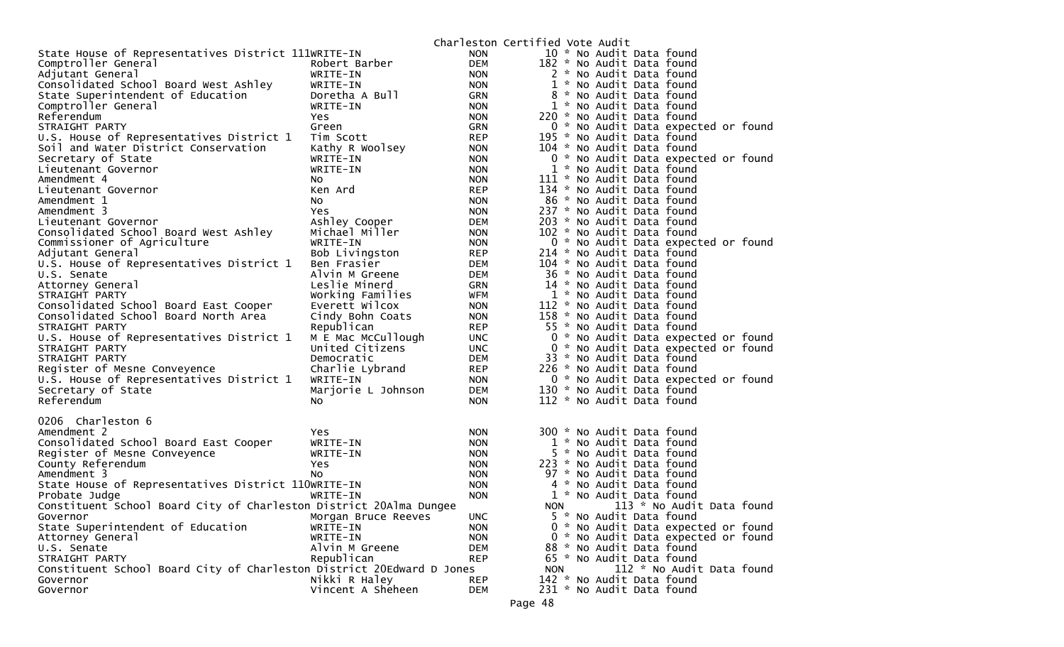|                                                                       |                     |            | Charleston Certified Vote Audit            |
|-----------------------------------------------------------------------|---------------------|------------|--------------------------------------------|
| State House of Representatives District 111WRITE-IN                   |                     | <b>NON</b> | 10 * No Audit Data found                   |
| Comptroller General                                                   | Robert Barber       | <b>DEM</b> | 182 * No Audit Data found                  |
| Adjutant General                                                      | WRITE-IN            | <b>NON</b> | 2 * No Audit Data found                    |
| Consolidated School Board West Ashley                                 | WRITE-IN            | <b>NON</b> | 1 * No Audit Data found                    |
| State Superintendent of Education                                     | Doretha A Bull      | <b>GRN</b> | 8 * No Audit Data found                    |
| Comptroller General                                                   | WRITE-IN            | <b>NON</b> | 1 * No Audit Data found                    |
| Referendum                                                            | <b>Yes</b>          | <b>NON</b> | 220 * No Audit Data found                  |
| STRAIGHT PARTY                                                        | Green               | <b>GRN</b> | 0 * No Audit Data expected or found        |
| U.S. House of Representatives District 1                              | Tim Scott           | <b>REP</b> | 195 * No Audit Data found                  |
| Soil and Water District Conservation                                  | Kathy R Woolsey     | <b>NON</b> | 104 * No Audit Data found                  |
| Secretary of State                                                    | WRITE-IN            | <b>NON</b> | 0 * No Audit Data expected or found        |
| Lieutenant Governor                                                   | WRITE-IN            | NON.       | 1 * No Audit Data found                    |
| Amendment 4                                                           | NO.                 | <b>NON</b> | 111 * No Audit Data found                  |
| Lieutenant Governor                                                   | Ken Ard             | <b>REP</b> | 134 * No Audit Data found                  |
| Amendment 1                                                           | NO.                 | <b>NON</b> | 86 * No Audit Data found                   |
| Amendment 3                                                           | <b>Yes</b>          | <b>NON</b> | 237 * No Audit Data found                  |
| Lieutenant Governor                                                   | Ashley Cooper       | DEM        | 203 * No Audit Data found                  |
| Consolidated School Board West Ashley                                 | Michael Miller      | <b>NON</b> | 102 * No Audit Data found                  |
| Commissioner of Agriculture                                           | WRITE-IN            | <b>NON</b> | 0 * No Audit Data expected or found        |
| Adjutant General                                                      | Bob Livingston      | <b>REP</b> | 214 * No Audit Data found                  |
| U.S. House of Representatives District 1                              | Ben Frasier         | <b>DEM</b> | 104 * No Audit Data found                  |
| U.S. Senate                                                           | Alvin M Greene      | DEM        | 36 * No Audit Data found                   |
| Attorney General                                                      | Leslie Minerd       | <b>GRN</b> | 14 * No Audit Data found                   |
| STRAIGHT PARTY                                                        | Working Families    | WFM        | 1 * No Audit Data found                    |
| Consolidated School Board East Cooper                                 | Everett Wilcox      | <b>NON</b> | 112 * No Audit Data found                  |
| Consolidated School Board North Area                                  | Cindy Bohn Coats    | NON.       | 158 * No Audit Data found                  |
| STRAIGHT PARTY                                                        | Republican          | <b>REP</b> | 55 * No Audit Data found                   |
| U.S. House of Representatives District 1                              | M E Mac McCullough  | <b>UNC</b> | 0 * No Audit Data expected or found        |
| STRAIGHT PARTY                                                        | United Citizens     | <b>UNC</b> | 0 * No Audit Data expected or found        |
| STRAIGHT PARTY                                                        | Democratic          | DEM        | 33 * No Audit Data found                   |
| Register of Mesne Conveyence                                          | Charlie Lybrand     | REP        | 226 * No Audit Data found                  |
| U.S. House of Representatives District 1                              | WRITE-IN            | <b>NON</b> | 0 * No Audit Data expected or found        |
| Secretary of State                                                    | Marjorie L Johnson  | DEM        | 130 * No Audit Data found                  |
| Referendum                                                            | NO.                 | <b>NON</b> | 112 * No Audit Data found                  |
| 0206 Charleston 6                                                     |                     |            |                                            |
| Amendment 2                                                           | Yes.                | NON.       | 300 * No Audit Data found                  |
| Consolidated School Board East Cooper                                 | WRITE-IN            | <b>NON</b> | 1 * No Audit Data found                    |
| Register of Mesne Conveyence                                          | WRITE-IN            | <b>NON</b> | 5 * No Audit Data found                    |
| County Referendum                                                     | Yes                 | <b>NON</b> | 223 * No Audit Data found                  |
| Amendment 3                                                           | No                  | <b>NON</b> | 97 * No Audit Data found                   |
| State House of Representatives District 110WRITE-IN                   |                     | <b>NON</b> | 4 * No Audit Data found                    |
| Probate Judge                                                         | WRITE-IN            | <b>NON</b> | 1 * No Audit Data found                    |
| Constituent School Board City of Charleston District 20Alma Dungee    |                     |            | 113 * No Audit Data found<br>NON <b>NO</b> |
| Governor                                                              | Morgan Bruce Reeves | UNC.       | 5 * No Audit Data found                    |
| State Superintendent of Education                                     | WRITE-IN            | <b>NON</b> | 0 * No Audit Data expected or found        |
| Attorney General                                                      | WRITE-IN            | <b>NON</b> | 0 * No Audit Data expected or found        |
| U.S. Senate                                                           | Alvin M Greene      | <b>DEM</b> | 88 * No Audit Data found                   |
| STRAIGHT PARTY                                                        | Republican          | <b>REP</b> | 65 * No Audit Data found                   |
| Constituent School Board City of Charleston District 20Edward D Jones |                     |            | 112 * No Audit Data found<br><b>NON</b>    |
| Governor                                                              | Nikki R Haley       | <b>REP</b> | 142 * No Audit Data found                  |
| Governor                                                              | Vincent A Sheheen   | <b>DEM</b> | 231 * No Audit Data found                  |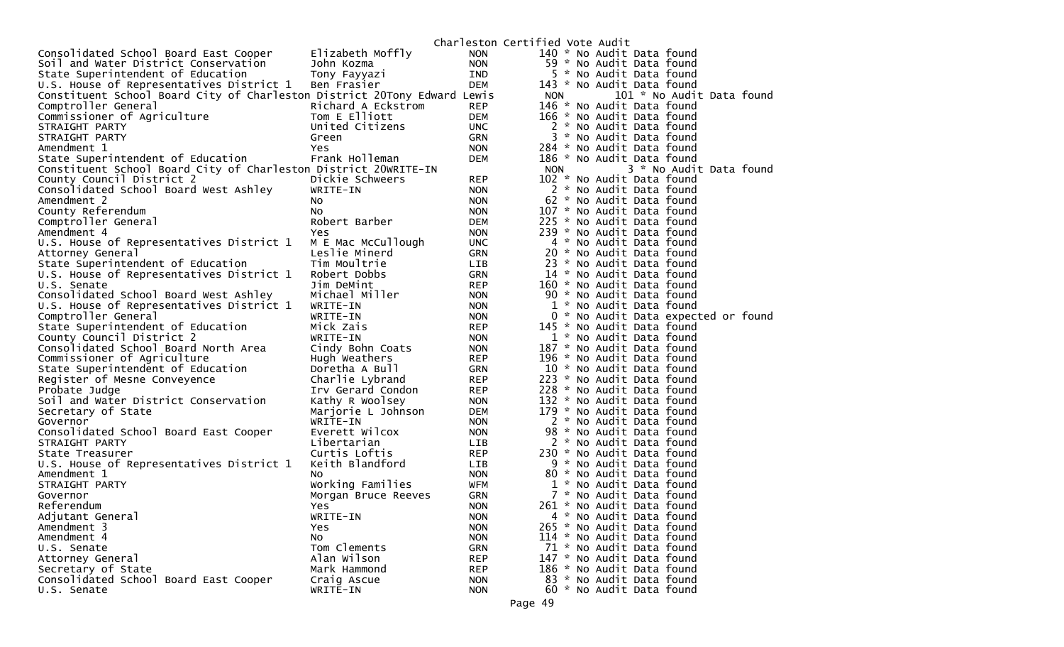|                                                                          |                     |            | Charleston Certified Vote Audit         |
|--------------------------------------------------------------------------|---------------------|------------|-----------------------------------------|
| Consolidated School Board East Cooper                                    | Elizabeth Moffly    | <b>NON</b> | 140 * No Audit Data found               |
| Soil and Water District Conservation                                     | John Kozma          | <b>NON</b> | 59 * No Audit Data found                |
| State Superintendent of Education                                        | Tony Fayyazi        | IND        | 5 * No Audit Data found                 |
| U.S. House of Representatives District 1                                 | Ben Frasier         | DEM        | 143 * No Audit Data found               |
| Constituent School Board City of Charleston District 20Tony Edward Lewis |                     |            | 101 * No Audit Data found<br><b>NON</b> |
| Comptroller General                                                      | Richard A Eckstrom  | <b>REP</b> | 146 * No Audit Data found               |
| Commissioner of Agriculture                                              | Tom E Elliott       | DEM        | 166 * No Audit Data found               |
| STRAIGHT PARTY                                                           | United Citizens     | <b>UNC</b> | 2 * No Audit Data found                 |
| STRAIGHT PARTY                                                           | Green               | GRN        | 3 * No Audit Data found                 |
| Amendment 1                                                              | Yes                 | <b>NON</b> | 284 * No Audit Data found               |
| State Superintendent of Education                                        | Frank Holleman      | DEM        | 186 * No Audit Data found               |
| Constituent School Board City of Charleston District 20WRITE-IN          |                     |            | 3 * No Audit Data found<br><b>NON</b>   |
| County Council District 2                                                | Dickie Schweers     | <b>REP</b> | 102 * No Audit Data found               |
| Consolidated School Board West Ashley                                    | WRITE-IN            | <b>NON</b> | 2 * No Audit Data found                 |
| Amendment 2                                                              | NO.                 | <b>NON</b> | 62 * No Audit Data found                |
| County Referendum                                                        | No                  | <b>NON</b> | 107 * No Audit Data found               |
| Comptroller General                                                      | Robert Barber       | DEM        | 225 * No Audit Data found               |
| Amendment 4                                                              | Yes                 | <b>NON</b> | 239 * No Audit Data found               |
| U.S. House of Representatives District 1                                 | M E Mac McCullough  | <b>UNC</b> | 4 * No Audit Data found                 |
| Attorney General                                                         | Leslie Minerd       | GRN        | 20 * No Audit Data found                |
| State Superintendent of Education                                        | Tim Moultrie        | <b>LIB</b> | 23 * No Audit Data found                |
| U.S. House of Representatives District 1                                 | Robert Dobbs        | <b>GRN</b> | 14 * No Audit Data found                |
| U.S. Senate                                                              | Jim DeMint          | <b>REP</b> | 160 * No Audit Data found               |
| Consolidated School Board West Ashley                                    | Michael Miller      | <b>NON</b> | 90 * No Audit Data found                |
| U.S. House of Representatives District 1                                 | WRITE-IN            | <b>NON</b> | 1 * No Audit Data found                 |
| Comptroller General                                                      | WRITE-IN            | <b>NON</b> | 0 * No Audit Data expected or found     |
| State Superintendent of Education                                        | Mick Zais           | <b>REP</b> | 145 * No Audit Data found               |
| County Council District 2                                                | WRITE-IN            | <b>NON</b> | 1 * No Audit Data found                 |
| Consolidated School Board North Area                                     | Cindy Bohn Coats    | <b>NON</b> | 187 * No Audit Data found               |
| Commissioner of Agriculture                                              | Hugh Weathers       | REP        | 196 * No Audit Data found               |
| State Superintendent of Education                                        | Doretha A Bull      | GRN        | 10 * No Audit Data found                |
| Register of Mesne Conveyence                                             | Charlie Lybrand     | <b>REP</b> | 223 * No Audit Data found               |
| Probate Judge                                                            | Irv Gerard Condon   | <b>REP</b> | 228 * No Audit Data found               |
| Soil and Water District Conservation                                     | Kathy R Woolsey     | <b>NON</b> | 132 * No Audit Data found               |
| Secretary of State                                                       | Marjorie L Johnson  | DEM        | 179 * No Audit Data found               |
| Governor                                                                 | WRITE-IN            | <b>NON</b> | 2 * No Audit Data found                 |
| Consolidated School Board East Cooper                                    | Everett Wilcox      | <b>NON</b> | 98 * No Audit Data found                |
| STRAIGHT PARTY                                                           | Libertarian         | LIB        | 2 * No Audit Data found                 |
| State Treasurer                                                          | Curtis Loftis       | REP        | 230 * No Audit Data found               |
| U.S. House of Representatives District 1                                 | Keith Blandford     | LIB        | 9 * No Audit Data found                 |
| Amendment 1                                                              | NO.                 | <b>NON</b> | 80 * No Audit Data found                |
| STRAIGHT PARTY                                                           | Working Families    | WFM        | 1 * No Audit Data found                 |
| Governor                                                                 | Morgan Bruce Reeves | <b>GRN</b> | 7 * No Audit Data found                 |
| Referendum                                                               | Yes                 | <b>NON</b> | 261 * No Audit Data found               |
| Adjutant General                                                         | WRITE-IN            | <b>NON</b> | 4 * No Audit Data found                 |
| Amendment 3                                                              | Yes                 | <b>NON</b> | 265 * No Audit Data found               |
| Amendment 4                                                              | NO.                 | <b>NON</b> | 114 * No Audit Data found               |
| U.S. Senate                                                              | Tom Clements        | <b>GRN</b> | 71 * No Audit Data found                |
| Attorney General                                                         | Alan Wilson         | <b>REP</b> | 147 * No Audit Data found               |
| Secretary of State                                                       | Mark Hammond        | <b>REP</b> | 186 * No Audit Data found               |
| Consolidated School Board East Cooper                                    | Craig Ascue         | <b>NON</b> | 83 * No Audit Data found                |
| U.S. Senate                                                              | WRITE-IN            | <b>NON</b> | 60 * No Audit Data found                |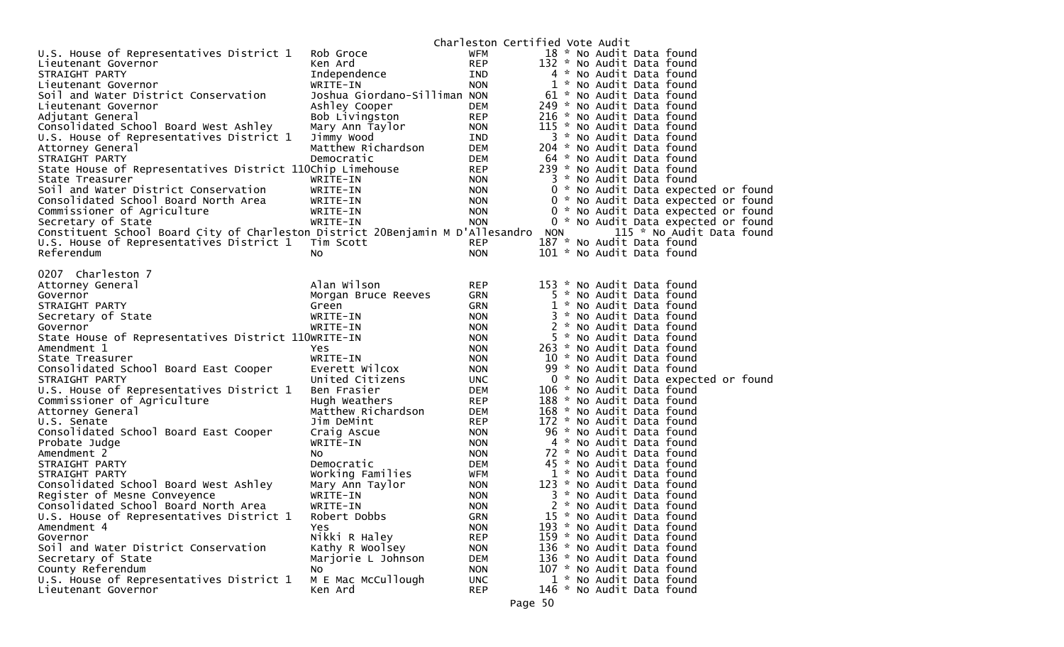|                                                                                    |                                |                   | Charleston Certified Vote Audit                                  |
|------------------------------------------------------------------------------------|--------------------------------|-------------------|------------------------------------------------------------------|
| U.S. House of Representatives District 1                                           | Rob Groce                      | WFM               | 18 * No Audit Data found                                         |
| Lieutenant Governor                                                                | Ken Ard                        | <b>REP</b>        | 132 * No Audit Data found                                        |
| STRAIGHT PARTY                                                                     | Independence                   | <b>IND</b>        | 4 * No Audit Data found                                          |
| Lieutenant Governor                                                                | WRITE-IN                       | <b>NON</b>        | 1 * No Audit Data found                                          |
| Soil and Water District Conservation                                               | Joshua Giordano-Silliman NON   |                   | 61 * No Audit Data found                                         |
| Lieutenant Governor                                                                | Ashley Cooper                  | DEM               | 249 * No Audit Data found                                        |
| Adjutant General                                                                   | Bob Livingston                 | <b>REP</b>        | 216 * No Audit Data found                                        |
| Consolidated School Board West Ashley                                              | Mary Ann Taylor                | <b>NON</b>        | 115 * No Audit Data found                                        |
| U.S. House of Representatives District 1                                           | Jimmy Wood                     | IND               | 3 * No Audit Data found                                          |
| Attorney General                                                                   | Matthew Richardson             | <b>DEM</b>        | 204 * No Audit Data found                                        |
| STRAIGHT PARTY                                                                     | Democratic                     | DEM               | 64 * No Audit Data found                                         |
| State House of Representatives District 110Chip Limehouse                          |                                | <b>REP</b>        | 239 * No Audit Data found                                        |
| State Treasurer                                                                    | WRITE-IN                       | <b>NON</b>        | 3 * No Audit Data found                                          |
| Soil and Water District Conservation                                               | WRITE-IN                       | <b>NON</b>        | 0 * No Audit Data expected or found                              |
| Consolidated School Board North Area                                               | WRITE-IN                       | <b>NON</b>        | 0 * No Audit Data expected or found                              |
| Commissioner of Agriculture                                                        | WRITE-IN                       | <b>NON</b>        | 0 * No Audit Data expected or found                              |
| Secretary of State                                                                 | WRITE-IN                       | <b>NON</b>        | 0 * No Audit Data expected or found                              |
| Constituent School Board City of Charleston District 20Benjamin M D'Allesandro NON |                                |                   | 115 * No Audit Data found                                        |
| U.S. House of Representatives District 1                                           | Tim Scott                      | <b>REP</b>        | 187 * No Audit Data found                                        |
| Referendum                                                                         | NO.                            | <b>NON</b>        | 101 * No Audit Data found                                        |
|                                                                                    |                                |                   |                                                                  |
| 0207 Charleston 7                                                                  |                                |                   |                                                                  |
| Attorney General                                                                   | Alan Wilson                    | <b>REP</b>        | 153 * No Audit Data found                                        |
| Governor                                                                           | Morgan Bruce Reeves            | <b>GRN</b>        | 5 * No Audit Data found                                          |
| STRAIGHT PARTY                                                                     | Green                          | <b>GRN</b>        | 1 * No Audit Data found                                          |
| Secretary of State                                                                 | WRITE-IN                       | <b>NON</b>        | 3 * No Audit Data found                                          |
| Governor                                                                           | WRITE-IN                       | <b>NON</b>        | 2 * No Audit Data found                                          |
| State House of Representatives District 110WRITE-IN                                |                                | <b>NON</b>        | 5 * No Audit Data found                                          |
| Amendment 1                                                                        | Yes                            | <b>NON</b>        | 263 * No Audit Data found                                        |
| State Treasurer                                                                    | WRITE-IN                       | <b>NON</b>        | 10 * No Audit Data found                                         |
| Consolidated School Board East Cooper                                              | Everett Wilcox                 | <b>NON</b>        | 99 * No Audit Data found                                         |
| STRAIGHT PARTY                                                                     | United Citizens<br>Ben Frasier | <b>UNC</b><br>DEM | 0 * No Audit Data expected or found<br>106 * No Audit Data found |
| U.S. House of Representatives District 1                                           | Hugh Weathers                  | <b>REP</b>        | 188 * No Audit Data found                                        |
| Commissioner of Agriculture                                                        | Matthew Richardson             | <b>DEM</b>        | 168 * No Audit Data found                                        |
| Attorney General<br>U.S. Senate                                                    | Jim DeMint                     | <b>REP</b>        | 172 * No Audit Data found                                        |
| Consolidated School Board East Cooper                                              | Craig Ascue                    | <b>NON</b>        | 96 * No Audit Data found                                         |
| Probate Judge                                                                      | WRITE-IN                       | <b>NON</b>        | 4 * No Audit Data found                                          |
| Amendment 2                                                                        | NO.                            | <b>NON</b>        | 72 * No Audit Data found                                         |
| STRAIGHT PARTY                                                                     | Democratic                     | DEM               | 45 * No Audit Data found                                         |
| STRAIGHT PARTY                                                                     | Working Families               | WFM               | 1 * No Audit Data found                                          |
| Consolidated School Board West Ashley                                              | Mary Ann Taylor                | <b>NON</b>        | 123 * No Audit Data found                                        |
| Register of Mesne Conveyence                                                       | WRITE-IN                       | <b>NON</b>        | 3 * No Audit Data found                                          |
| Consolidated School Board North Area                                               | WRITE-IN                       | <b>NON</b>        | 2 * No Audit Data found                                          |
| U.S. House of Representatives District 1                                           | Robert Dobbs                   | <b>GRN</b>        | 15 * No Audit Data found                                         |
| Amendment 4                                                                        | Yes                            | <b>NON</b>        | 193 * No Audit Data found                                        |
| Governor                                                                           | Nikki R Haley                  | <b>REP</b>        | 159 * No Audit Data found                                        |
| Soil and Water District Conservation                                               | Kathy R Woolsey                | <b>NON</b>        | 136 * No Audit Data found                                        |
| Secretary of State                                                                 | Marjorie L Johnson             | <b>DEM</b>        | 136 * No Audit Data found                                        |
| County Referendum                                                                  | NO.                            | <b>NON</b>        | 107 * No Audit Data found                                        |
| U.S. House of Representatives District 1                                           | M E Mac McCullough             | <b>UNC</b>        | 1 * No Audit Data found                                          |
| Lieutenant Governor                                                                | Ken Ard                        | <b>REP</b>        | 146 * No Audit Data found                                        |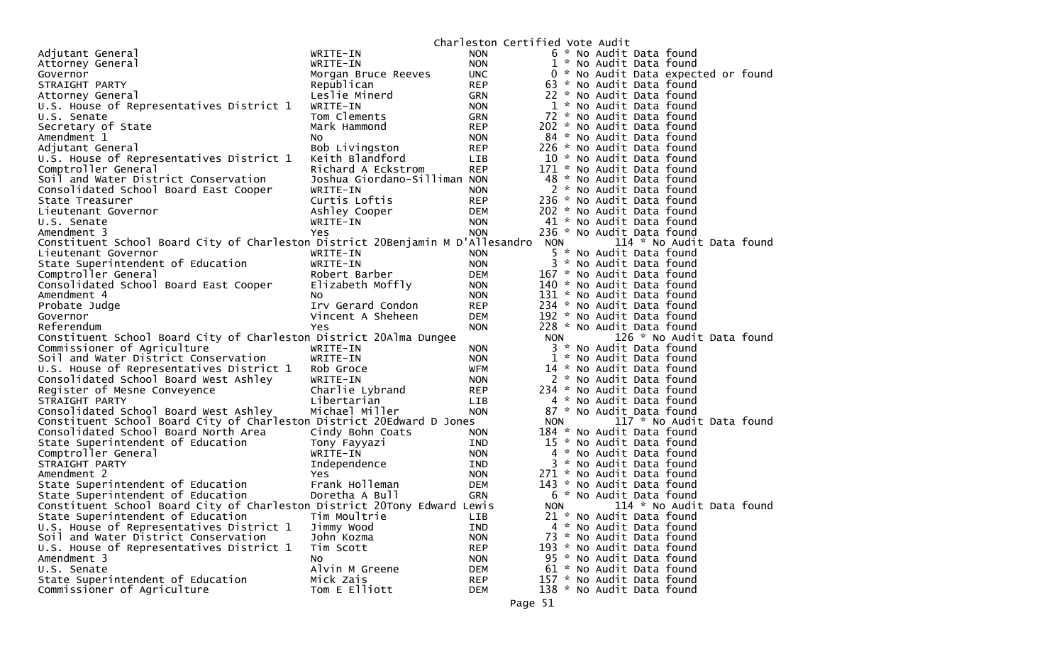|                                                                                |                              | Charleston Certified Vote Audit |            |                                     |
|--------------------------------------------------------------------------------|------------------------------|---------------------------------|------------|-------------------------------------|
| Adjutant General                                                               | WRITE-IN                     | NON.                            |            | 6 * No Audit Data found             |
| Attorney General                                                               | WRITE-IN                     | <b>NON</b>                      |            | 1 * No Audit Data found             |
| Governor                                                                       | Morgan Bruce Reeves          | <b>UNC</b>                      |            | 0 * No Audit Data expected or found |
| STRAIGHT PARTY                                                                 | Republican                   | <b>REP</b>                      |            | 63 * No Audit Data found            |
| Attorney General                                                               | Leslie Minerd                | GRN                             |            | 22 * No Audit Data found            |
| U.S. House of Representatives District 1                                       | WRITE-IN                     | <b>NON</b>                      |            | 1 * No Audit Data found             |
| U.S. Senate                                                                    | Tom Clements                 | GRN                             |            | 72 * No Audit Data found            |
| Secretary of State                                                             | Mark Hammond                 | <b>REP</b>                      |            | 202 * No Audit Data found           |
| Amendment 1                                                                    | NO.                          | <b>NON</b>                      |            | 84 * No Audit Data found            |
| Adjutant General                                                               | Bob Livingston               | <b>REP</b>                      |            | 226 * No Audit Data found           |
| U.S. House of Representatives District 1                                       | Keith Blandford              | LIB                             |            | 10 * No Audit Data found            |
| Comptroller General                                                            | Richard A Eckstrom           | <b>REP</b>                      |            | 171 * No Audit Data found           |
| Soil and Water District Conservation                                           | Joshua Giordano-Silliman NON |                                 |            | 48 * No Audit Data found            |
| Consolidated School Board East Cooper                                          | WRITE-IN                     | <b>NON</b>                      |            | 2 * No Audit Data found             |
| State Treasurer                                                                | Curtis Loftis                | <b>REP</b>                      |            | 236 * No Audit Data found           |
| Lieutenant Governor                                                            | Ashley Cooper                | DEM                             |            | 202 * No Audit Data found           |
| U.S. Senate                                                                    | WRITE-IN                     | <b>NON</b>                      |            | 41 * No Audit Data found            |
| Amendment 3                                                                    | Yes                          | <b>NON</b>                      |            | 236 * No Audit Data found           |
| Constituent School Board City of Charleston District 20Benjamin M D'Allesandro |                              |                                 | <b>NON</b> | 114 * No Audit Data found           |
| Lieutenant Governor                                                            | WRITE-IN                     | <b>NON</b>                      |            | 5 * No Audit Data found             |
| State Superintendent of Education                                              | WRITE-IN                     | <b>NON</b>                      |            | 3 * No Audit Data found             |
| Comptroller General                                                            | Robert Barber                | DEM                             |            | 167 * No Audit Data found           |
| Consolidated School Board East Cooper                                          | Elizabeth Moffly             | <b>NON</b>                      |            | 140 * No Audit Data found           |
| Amendment 4                                                                    | NO.                          | <b>NON</b>                      |            | 131 * No Audit Data found           |
| Probate Judge                                                                  | Irv Gerard Condon            | REP                             |            | 234 * No Audit Data found           |
| Governor                                                                       | Vincent A Sheheen            | <b>DEM</b>                      |            | 192 * No Audit Data found           |
| Referendum                                                                     | Yes                          | <b>NON</b>                      |            | 228 * No Audit Data found           |
| Constituent School Board City of Charleston District 20Alma Dungee             |                              |                                 | <b>NON</b> | 126 * No Audit Data found           |
| Commissioner of Agriculture                                                    | WRITE-IN                     | <b>NON</b>                      |            | 3 * No Audit Data found             |
| Soil and Water District Conservation                                           | WRITE-IN                     | <b>NON</b>                      |            | 1 * No Audit Data found             |
| U.S. House of Representatives District 1                                       | Rob Groce                    | WFM                             |            | 14 * No Audit Data found            |
| Consolidated School Board West Ashley                                          | WRITE-IN                     | <b>NON</b>                      |            | 2 * No Audit Data found             |
| Register of Mesne Conveyence                                                   | Charlie Lybrand              | <b>REP</b>                      |            | 234 * No Audit Data found           |
| STRAIGHT PARTY                                                                 | Libertarian                  | LIB                             |            | 4 * No Audit Data found             |
| Consolidated School Board West Ashley                                          | Michael Miller               | <b>NON</b>                      |            | 87 * No Audit Data found            |
| Constituent School Board City of Charleston District 20Edward D Jones          |                              |                                 | <b>NON</b> | 117 * No Audit Data found           |
| Consolidated School Board North Area                                           | Cindy Bohn Coats             | <b>NON</b>                      |            | 184 * No Audit Data found           |
| State Superintendent of Education                                              | Tony Fayyazi                 | IND                             |            | 15 * No Audit Data found            |
| Comptroller General                                                            | WRITE-IN                     | <b>NON</b>                      |            | 4 * No Audit Data found             |
| STRAIGHT PARTY                                                                 | Independence                 | IND                             |            | 3 * No Audit Data found             |
| Amendment 2                                                                    | Yes                          | <b>NON</b>                      |            | 271 * No Audit Data found           |
| State Superintendent of Education                                              | Frank Holleman               | <b>DEM</b>                      |            | 143 * No Audit Data found           |
| State Superintendent of Education                                              | Doretha A Bull               | GRN                             |            | 6 * No Audit Data found             |
| Constituent School Board City of Charleston District 20Tony Edward Lewis       |                              |                                 | <b>NON</b> | 114 * No Audit Data found           |
| State Superintendent of Education                                              | Tim Moultrie                 | LIB.                            |            | 21 * No Audit Data found            |
| U.S. House of Representatives District 1                                       | Jimmy Wood                   | IND                             |            | 4 * No Audit Data found             |
| Soil and Water District Conservation                                           | John Kozma                   | <b>NON</b>                      |            | 73 * No Audit Data found            |
| U.S. House of Representatives District 1                                       | Tim Scott                    | <b>REP</b>                      |            | 193 * No Audit Data found           |
| Amendment 3                                                                    | NO.                          | <b>NON</b>                      |            | 95 * No Audit Data found            |
| U.S. Senate                                                                    | Alvin M Greene               | <b>DEM</b>                      |            | 61 * No Audit Data found            |
| State Superintendent of Education                                              | Mick Zais                    | <b>REP</b>                      |            | 157 * No Audit Data found           |
| Commissioner of Agriculture                                                    | Tom E Elliott                | <b>DEM</b>                      |            | 138 * No Audit Data found           |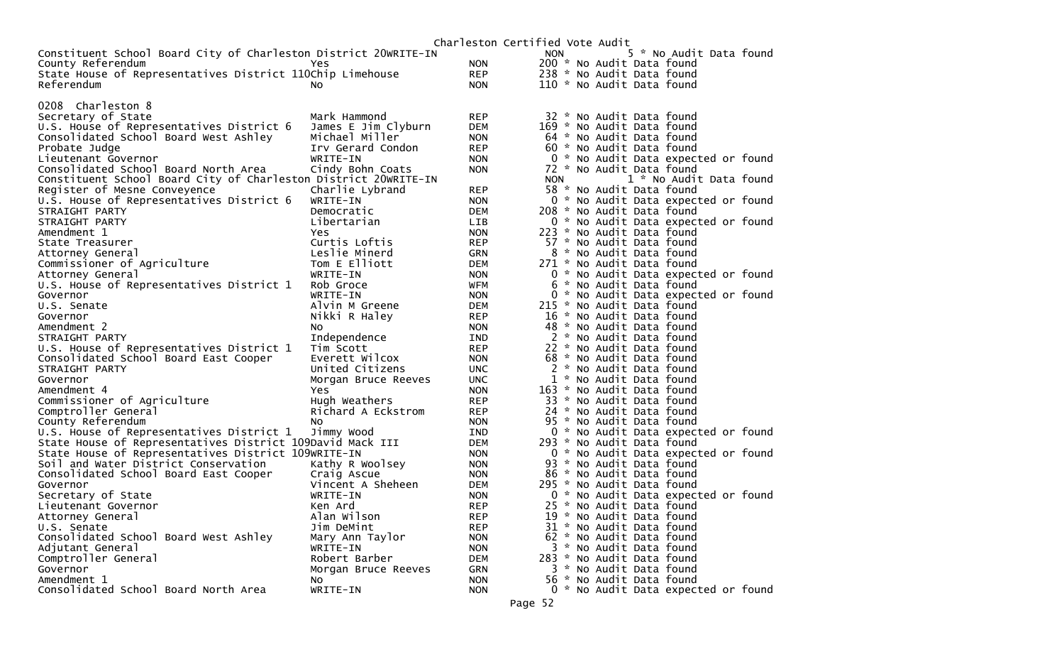| Constituent School Board City of Charleston District 20WRITE-IN<br>County Referendum | Yes                                 | <b>NON</b>         | 5 * No Audit Data found<br><b>NON</b><br>200 * No Audit Data found |
|--------------------------------------------------------------------------------------|-------------------------------------|--------------------|--------------------------------------------------------------------|
| State House of Representatives District 110Chip Limehouse                            |                                     | <b>REP</b>         | 238 * No Audit Data found                                          |
| Referendum                                                                           | NO.                                 | <b>NON</b>         | 110 * No Audit Data found                                          |
|                                                                                      |                                     |                    |                                                                    |
| 0208 Charleston 8                                                                    |                                     |                    |                                                                    |
| Secretary of State                                                                   | Mark Hammond                        | <b>REP</b>         | 32 * No Audit Data found                                           |
| U.S. House of Representatives District 6                                             | James E Jim Clyburn                 | DEM                | 169 * No Audit Data found                                          |
| Consolidated School Board West Ashley                                                | Michael Miller                      | <b>NON</b>         | 64 * No Audit Data found                                           |
| Probate Judge                                                                        | Irv Gerard Condon                   | <b>REP</b>         | 60 * No Audit Data found                                           |
| Lieutenant Governor                                                                  | WRITE-IN                            | <b>NON</b>         | 0 * No Audit Data expected or found                                |
| Consolidated School Board North Area                                                 | Cindy Bohn Coats                    | <b>NON</b>         | 72 * No Audit Data found                                           |
| Constituent School Board City of Charleston District 20WRITE-IN                      |                                     |                    | 1 * No Audit Data found<br><b>NON</b>                              |
| Register of Mesne Conveyence                                                         | Charlie Lybrand                     | <b>REP</b>         | 58 * No Audit Data found                                           |
| U.S. House of Representatives District 6                                             | WRITE-IN                            | <b>NON</b>         | 0 * No Audit Data expected or found                                |
| STRAIGHT PARTY                                                                       | Democratic                          | DEM                | 208 * No Audit Data found                                          |
| STRAIGHT PARTY                                                                       | Libertarian                         | <b>LIB</b>         | 0 * No Audit Data expected or found                                |
| Amendment 1                                                                          | Yes                                 | <b>NON</b>         | 223 * No Audit Data found                                          |
| State Treasurer                                                                      | Curtis Loftis                       | <b>REP</b>         | 57 * No Audit Data found                                           |
| Attorney General                                                                     | Leslie Minerd                       | <b>GRN</b>         | 8 * No Audit Data found                                            |
| Commissioner of Agriculture                                                          | Tom E Elliott                       | DEM                | 271 * No Audit Data found                                          |
| Attorney General                                                                     | WRITE-IN                            | <b>NON</b>         | 0 * No Audit Data expected or found                                |
| U.S. House of Representatives District 1                                             | Rob Groce                           | WFM                | 6 * No Audit Data found                                            |
| Governor                                                                             | WRITE-IN                            | <b>NON</b>         | 0 * No Audit Data expected or found                                |
| U.S. Senate                                                                          | Alvin M Greene                      | <b>DEM</b>         | 215 * No Audit Data found                                          |
| Governor                                                                             | Nikki R Haley                       | <b>REP</b>         | 16 * No Audit Data found                                           |
| Amendment 2                                                                          | NO.                                 | <b>NON</b>         | 48 * No Audit Data found                                           |
| STRAIGHT PARTY                                                                       | Independence                        | IND                | 2 * No Audit Data found                                            |
| U.S. House of Representatives District 1                                             | Tim Scott                           | <b>REP</b>         | 22 * No Audit Data found                                           |
| Consolidated School Board East Cooper                                                | Everett Wilcox                      | <b>NON</b>         | 68 * No Audit Data found<br>2 * No Audit Data found                |
| STRAIGHT PARTY                                                                       | United Citizens                     | <b>UNC</b>         | 1 * No Audit Data found                                            |
| Governor                                                                             | Morgan Bruce Reeves                 | UNC.<br><b>NON</b> | 163 * No Audit Data found                                          |
| Amendment 4                                                                          | Yes                                 | <b>REP</b>         | 33 * No Audit Data found                                           |
| Commissioner of Agriculture                                                          | Hugh Weathers<br>Richard A Eckstrom | <b>REP</b>         |                                                                    |
| Comptroller General<br>County Referendum                                             | No.                                 | <b>NON</b>         | 24 * No Audit Data found<br>95 * No Audit Data found               |
| U.S. House of Representatives District 1                                             | Jimmy Wood                          | <b>IND</b>         | 0 * No Audit Data expected or found                                |
| State House of Representatives District 109David Mack III                            |                                     | <b>DEM</b>         | 293 * No Audit Data found                                          |
| State House of Representatives District 109WRITE-IN                                  |                                     | <b>NON</b>         | 0 * No Audit Data expected or found                                |
| Soil and Water District Conservation                                                 | Kathy R Woolsey                     | <b>NON</b>         | 93 * No Audit Data found                                           |
| Consolidated School Board East Cooper                                                | Craig Ascue                         | <b>NON</b>         | 86 * No Audit Data found                                           |
| Governor                                                                             | Vincent A Sheheen                   | DEM                | 295 * No Audit Data found                                          |
| Secretary of State                                                                   | WRITE-IN                            | <b>NON</b>         | 0 * No Audit Data expected or found                                |
| Lieutenant Governor                                                                  | Ken Ard                             | <b>REP</b>         | 25 * No Audit Data found                                           |
| Attorney General                                                                     | Alan Wilson                         | <b>REP</b>         | 19 * No Audit Data found                                           |
| U.S. Senate                                                                          | Jim DeMint                          | <b>REP</b>         | 31 * No Audit Data found                                           |
| Consolidated School Board West Ashley                                                | Mary Ann Taylor                     | <b>NON</b>         | 62 * No Audit Data found                                           |
| Adjutant General                                                                     | WRITE-IN                            | <b>NON</b>         | 3 * No Audit Data found                                            |
| Comptroller General                                                                  | Robert Barber                       | <b>DEM</b>         | 283 * No Audit Data found                                          |
| Governor                                                                             | Morgan Bruce Reeves                 | <b>GRN</b>         | 3 * No Audit Data found                                            |
| Amendment 1                                                                          | NO.                                 | <b>NON</b>         | 56 * No Audit Data found                                           |
| Consolidated School Board North Area                                                 | WRITE-IN                            | <b>NON</b>         | 0 * No Audit Data expected or found                                |
|                                                                                      |                                     |                    |                                                                    |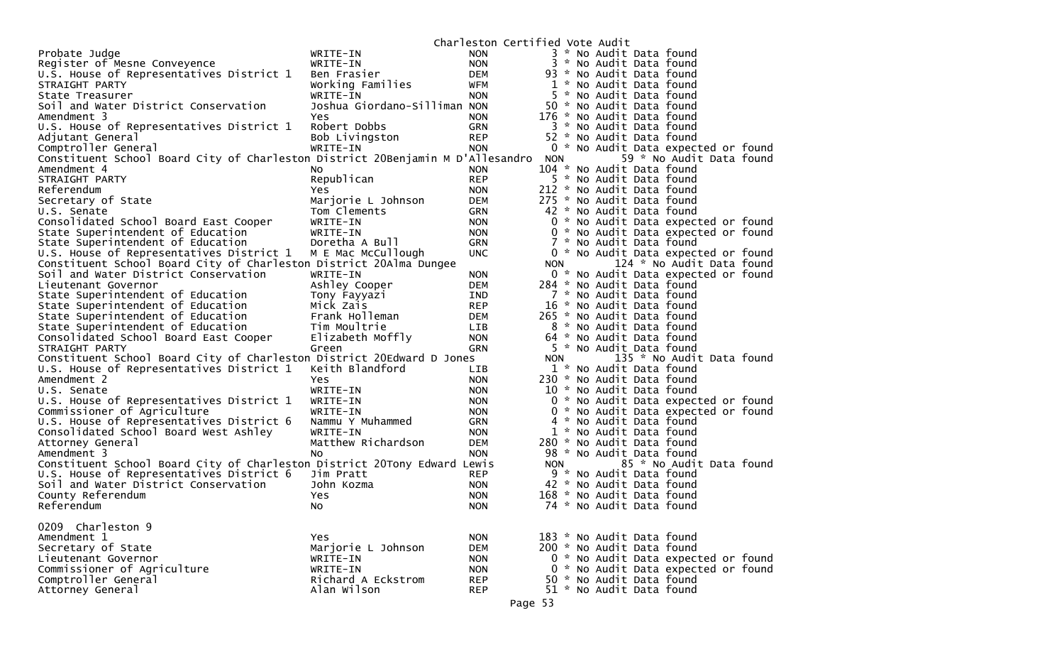|                                                                                |                              | Charleston Certified Vote Audit |            |                                     |
|--------------------------------------------------------------------------------|------------------------------|---------------------------------|------------|-------------------------------------|
| Probate Judge                                                                  | WRITE-IN                     | <b>NON</b>                      |            | 3 * No Audit Data found             |
| Register of Mesne Conveyence                                                   | WRITE-IN                     | <b>NON</b>                      |            | 3 * No Audit Data found             |
| U.S. House of Representatives District 1                                       | Ben Frasier                  | DEM                             |            | 93 * No Audit Data found            |
| STRAIGHT PARTY                                                                 | Working Families             | WFM                             |            | 1 * No Audit Data found             |
| State Treasurer                                                                | WRITE-IN                     | <b>NON</b>                      |            | 5 * No Audit Data found             |
| Soil and Water District Conservation                                           | Joshua Giordano-Silliman NON |                                 |            | 50 * No Audit Data found            |
| Amendment 3                                                                    | Yes                          | <b>NON</b>                      |            | 176 * No Audit Data found           |
| U.S. House of Representatives District 1                                       | Robert Dobbs                 | GRN                             |            | 3 * No Audit Data found             |
| Adjutant General                                                               | Bob Livingston               | <b>REP</b>                      |            | 52 * No Audit Data found            |
| Comptroller General                                                            | WRITE-IN                     | <b>NON</b>                      |            | 0 * No Audit Data expected or found |
| Constituent School Board City of Charleston District 20Benjamin M D'Allesandro |                              |                                 | <b>NON</b> | 59 * No Audit Data found            |
| Amendment 4                                                                    | NO.                          | <b>NON</b>                      |            | 104 * No Audit Data found           |
| STRAIGHT PARTY                                                                 | Republican                   | <b>REP</b>                      |            | 5 * No Audit Data found             |
| Referendum                                                                     | Yes.                         | <b>NON</b>                      |            | 212 * No Audit Data found           |
| Secretary of State                                                             | Marjorie L Johnson           | DEM                             |            | 275 * No Audit Data found           |
| U.S. Senate                                                                    | Tom Clements                 | <b>GRN</b>                      |            | 42 * No Audit Data found            |
| Consolidated School Board East Cooper                                          | WRITE-IN                     | <b>NON</b>                      |            | 0 * No Audit Data expected or found |
| State Superintendent of Education                                              | WRITE-IN                     | <b>NON</b>                      |            | 0 * No Audit Data expected or found |
| State Superintendent of Education                                              | Doretha A Bull               | <b>GRN</b>                      |            | 7 * No Audit Data found             |
| U.S. House of Representatives District 1                                       | M E Mac McCullough           | <b>UNC</b>                      |            | 0 * No Audit Data expected or found |
| Constituent School Board City of Charleston District 20Alma Dungee             |                              |                                 | NON.       | 124 * No Audit Data found           |
| Soil and Water District Conservation                                           | WRITE-IN                     | <b>NON</b>                      |            | 0 * No Audit Data expected or found |
| Lieutenant Governor                                                            | Ashley Cooper                | DEM                             |            | 284 * No Audit Data found           |
| State Superintendent of Education                                              | Tony Fayyazi                 | IND                             |            | 7 * No Audit Data found             |
| State Superintendent of Education                                              | Mick Zais                    | <b>REP</b>                      |            | 16 * No Audit Data found            |
| State Superintendent of Education                                              | Frank Holleman               | DEM                             |            | 265 * No Audit Data found           |
| State Superintendent of Education                                              | Tim Moultrie                 | <b>LIB</b>                      |            | 8 * No Audit Data found             |
| Consolidated School Board East Cooper                                          | Elizabeth Moffly             | <b>NON</b>                      |            | 64 * No Audit Data found            |
| STRAIGHT PARTY                                                                 | Green                        | <b>GRN</b>                      |            | 5 * No Audit Data found             |
| Constituent School Board City of Charleston District 20Edward D Jones          |                              |                                 | <b>NON</b> | 135 * No Audit Data found           |
| U.S. House of Representatives District 1                                       | Keith Blandford              | LIB.                            |            | 1 * No Audit Data found             |
| Amendment 2                                                                    | Yes                          | <b>NON</b>                      |            | 230 * No Audit Data found           |
| U.S. Senate                                                                    | WRITE-IN                     | <b>NON</b>                      |            | 10 * No Audit Data found            |
| U.S. House of Representatives District 1                                       | WRITE-IN                     | <b>NON</b>                      |            | 0 * No Audit Data expected or found |
| Commissioner of Agriculture                                                    | WRITE-IN                     | <b>NON</b>                      |            | 0 * No Audit Data expected or found |
| U.S. House of Representatives District 6                                       | Nammu Y Muhammed             | GRN                             |            | 4 * No Audit Data found             |
| Consolidated School Board West Ashley                                          | WRITE-IN                     | <b>NON</b>                      |            | 1 * No Audit Data found             |
| Attorney General                                                               | Matthew Richardson           | <b>DEM</b>                      |            | 280 * No Audit Data found           |
| Amendment 3                                                                    | NO.                          | <b>NON</b>                      |            | 98 * No Audit Data found            |
| Constituent School Board City of Charleston District 20Tony Edward Lewis       |                              |                                 | NON.       | 85 * No Audit Data found            |
| U.S. House of Representatives District 6                                       | Jim Pratt                    | REP                             |            | 9 * No Audit Data found             |
| Soil and Water District Conservation                                           | John Kozma                   | <b>NON</b>                      |            | 42 * No Audit Data found            |
| County Referendum                                                              | Yes                          | NON.                            |            | 168 * No Audit Data found           |
| Referendum                                                                     | NO.                          | <b>NON</b>                      |            | 74 * No Audit Data found            |
|                                                                                |                              |                                 |            |                                     |
| 0209 Charleston 9                                                              |                              |                                 |            |                                     |
| Amendment 1                                                                    | <b>Yes</b>                   | <b>NON</b>                      |            | 183 * No Audit Data found           |
| Secretary of State                                                             | Marjorie L Johnson           | <b>DEM</b>                      |            | 200 * No Audit Data found           |
| Lieutenant Governor                                                            | WRITE-IN                     | <b>NON</b>                      |            | 0 * No Audit Data expected or found |
| Commissioner of Agriculture                                                    | WRITE-IN                     | <b>NON</b>                      |            | 0 * No Audit Data expected or found |
| Comptroller General                                                            | Richard A Eckstrom           | <b>REP</b>                      |            | 50 * No Audit Data found            |
| Attorney General                                                               | Alan Wilson                  | <b>REP</b>                      |            | 51 * No Audit Data found            |
|                                                                                |                              |                                 |            |                                     |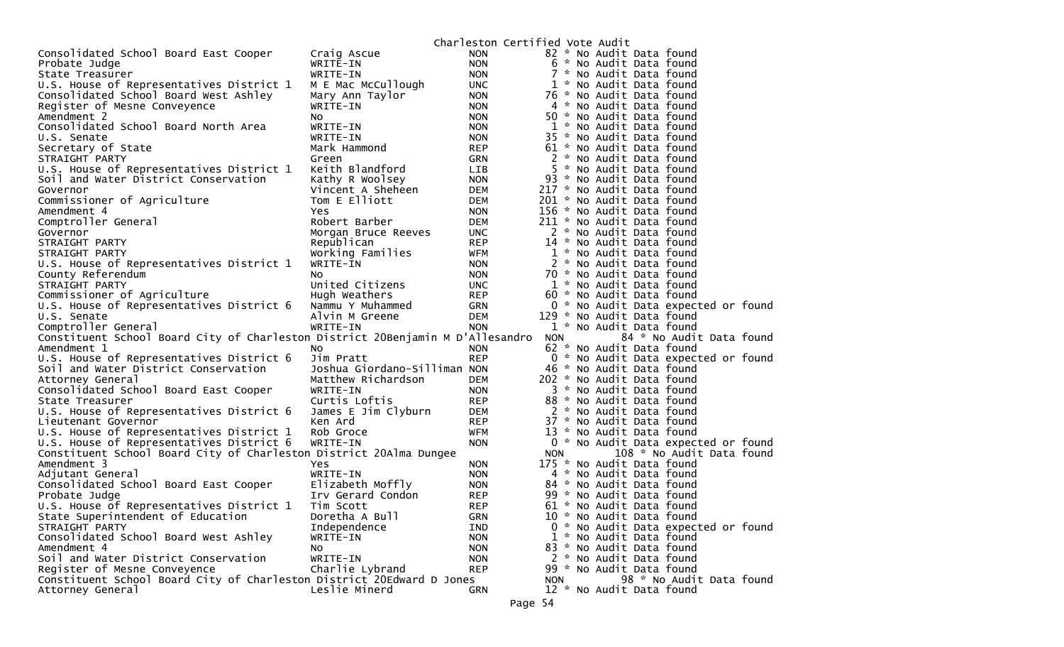|                                                                                |                              | Charleston Certified Vote Audit |            |                                     |
|--------------------------------------------------------------------------------|------------------------------|---------------------------------|------------|-------------------------------------|
| Consolidated School Board East Cooper                                          | Craig Ascue                  | <b>NON</b>                      |            | 82 * No Audit Data found            |
| Probate Judge                                                                  | WRITE-IN                     | <b>NON</b>                      |            | 6 * No Audit Data found             |
| State Treasurer                                                                | WRITE-IN                     | <b>NON</b>                      |            | 7 * No Audit Data found             |
| U.S. House of Representatives District 1                                       | M E Mac McCullough           | <b>UNC</b>                      |            | 1 * No Audit Data found             |
| Consolidated School Board West Ashley                                          | Mary Ann Taylor              | <b>NON</b>                      |            | 76 * No Audit Data found            |
| Register of Mesne Conveyence                                                   | WRITE-IN                     | <b>NON</b>                      |            | 4 * No Audit Data found             |
| Amendment 2                                                                    | NO.                          | <b>NON</b>                      |            | 50 * No Audit Data found            |
| Consolidated School Board North Area                                           | WRITE-IN                     | <b>NON</b>                      |            | 1 * No Audit Data found             |
| U.S. Senate                                                                    | WRITE-IN                     | <b>NON</b>                      |            | 35 * No Audit Data found            |
| Secretary of State                                                             | Mark Hammond                 | <b>REP</b>                      |            | 61 * No Audit Data found            |
| STRAIGHT PARTY                                                                 | Green                        | GRN                             |            | 2 * No Audit Data found             |
| U.S. House of Representatives District 1                                       | Keith Blandford              | LIB                             |            | 5 * No Audit Data found             |
| Soil and Water District Conservation                                           | Kathy R Woolsey              | <b>NON</b>                      |            | 93 * No Audit Data found            |
| Governor                                                                       | Vincent A Sheheen            | DEM                             |            | 217 * No Audit Data found           |
| Commissioner of Agriculture                                                    | Tom E Elliott                | <b>DEM</b>                      |            | 201 * No Audit Data found           |
| Amendment 4                                                                    | Yes.                         | <b>NON</b>                      |            | 156 * No Audit Data found           |
| Comptroller General                                                            | Robert Barber                | <b>DEM</b>                      |            | 211 * No Audit Data found           |
| Governor                                                                       | Morgan Bruce Reeves          | <b>UNC</b>                      |            | 2 * No Audit Data found             |
| STRAIGHT PARTY                                                                 | Republican                   | <b>REP</b>                      |            | 14 * No Audit Data found            |
| STRAIGHT PARTY                                                                 | Working Families             | <b>WFM</b>                      |            | 1 * No Audit Data found             |
| U.S. House of Representatives District 1                                       | WRITE-IN                     | <b>NON</b>                      |            | 2 * No Audit Data found             |
| County Referendum                                                              | NO.                          | <b>NON</b>                      |            | 70 * No Audit Data found            |
| STRAIGHT PARTY                                                                 | United Citizens              | <b>UNC</b>                      |            | 1 * No Audit Data found             |
| Commissioner of Agriculture                                                    | Hugh Weathers                | <b>REP</b>                      |            | 60 * No Audit Data found            |
| U.S. House of Representatives District 6                                       | Nammu Y Muhammed             | <b>GRN</b>                      |            | 0 * No Audit Data expected or found |
| U.S. Senate                                                                    | Alvin M Greene               | <b>DEM</b>                      |            | 129 * No Audit Data found           |
| Comptroller General                                                            | WRITE-IN                     | <b>NON</b>                      |            | 1 * No Audit Data found             |
| Constituent School Board City of Charleston District 20Benjamin M D'Allesandro |                              |                                 | <b>NON</b> | 84 * No Audit Data found            |
| Amendment 1                                                                    | NO.                          | <b>NON</b>                      |            | 62 * No Audit Data found            |
| U.S. House of Representatives District 6                                       | Jim Pratt                    | <b>REP</b>                      |            | 0 * No Audit Data expected or found |
| Soil and Water District Conservation                                           | Joshua Giordano-Silliman NON |                                 |            | 46 * No Audit Data found            |
| Attorney General                                                               | Matthew Richardson           | <b>DEM</b>                      |            | 202 * No Audit Data found           |
| Consolidated School Board East Cooper                                          | WRITE-IN                     | <b>NON</b>                      |            | 3 * No Audit Data found             |
| State Treasurer                                                                | Curtis Loftis                | <b>REP</b>                      |            | 88 * No Audit Data found            |
| U.S. House of Representatives District 6                                       | James E Jim Clyburn          | DEM                             |            | 2 * No Audit Data found             |
| Lieutenant Governor                                                            | Ken Ard                      | <b>REP</b>                      |            | 37 * No Audit Data found            |
| U.S. House of Representatives District 1                                       | Rob Groce                    | <b>WFM</b>                      |            | 13 * No Audit Data found            |
| U.S. House of Representatives District 6                                       | WRITE-IN                     | <b>NON</b>                      |            | 0 * No Audit Data expected or found |
| Constituent School Board City of Charleston District 20Alma Dungee             |                              |                                 | NON.       | 108 * No Audit Data found           |
| Amendment 3                                                                    | Yes                          | <b>NON</b>                      |            | 175 * No Audit Data found           |
| Adjutant General                                                               | WRITE-IN                     | <b>NON</b>                      |            | 4 * No Audit Data found             |
| Consolidated School Board East Cooper                                          | Elizabeth Moffly             | <b>NON</b>                      |            | 84 * No Audit Data found            |
| Probate Judge                                                                  | Irv Gerard Condon            | <b>REP</b>                      |            | 99 * No Audit Data found            |
| U.S. House of Representatives District 1                                       | Tim Scott                    | <b>REP</b>                      |            | 61 * No Audit Data found            |
| State Superintendent of Education                                              | Doretha A Bull               | GRN                             |            | 10 * No Audit Data found            |
| STRAIGHT PARTY                                                                 | Independence                 | <b>IND</b>                      |            | 0 * No Audit Data expected or found |
| Consolidated School Board West Ashley                                          | WRITE-IN                     | <b>NON</b>                      |            | 1 * No Audit Data found             |
| Amendment 4                                                                    | NO.                          | <b>NON</b>                      |            | 83 * No Audit Data found            |
| Soil and Water District Conservation                                           | WRITE-IN                     | <b>NON</b>                      |            | 2 * No Audit Data found             |
| Register of Mesne Conveyence                                                   | Charlie Lybrand              | <b>REP</b>                      |            | 99 * No Audit Data found            |
| Constituent School Board City of Charleston District 20Edward D Jones          |                              |                                 | <b>NON</b> | 98 * No Audit Data found            |
| Attorney General                                                               | Leslie Minerd                | <b>GRN</b>                      |            | 12 * No Audit Data found            |
|                                                                                |                              |                                 |            |                                     |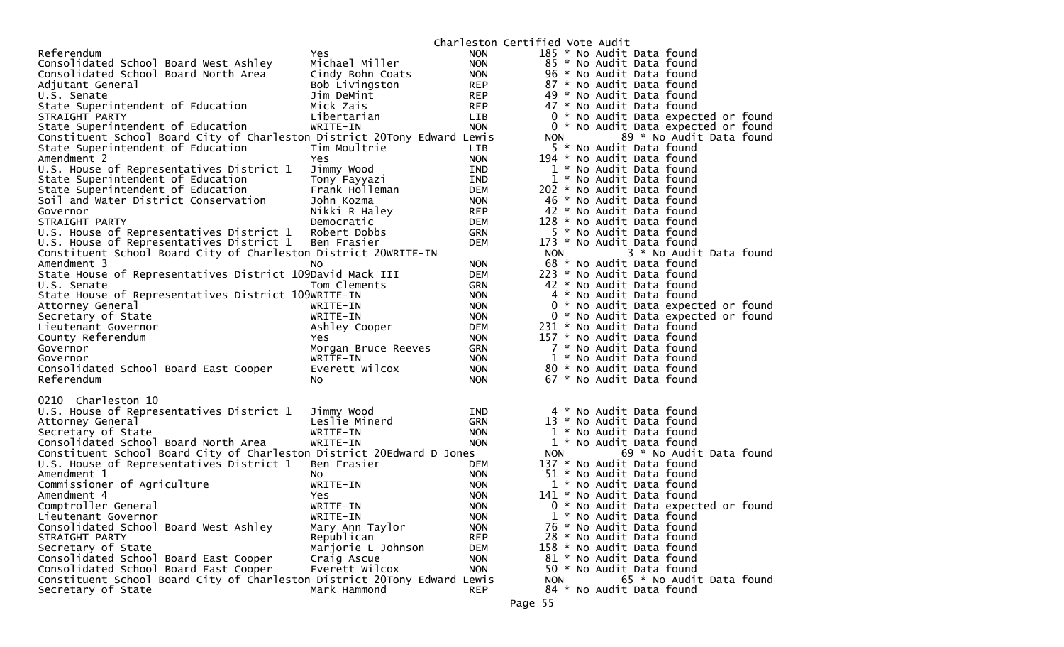|                                                                          |                     |            | Charleston Certified Vote Audit |                           |                                     |  |
|--------------------------------------------------------------------------|---------------------|------------|---------------------------------|---------------------------|-------------------------------------|--|
| Referendum                                                               | Yes.                | <b>NON</b> |                                 | 185 * No Audit Data found |                                     |  |
| Consolidated School Board West Ashley                                    | Michael Miller      | <b>NON</b> |                                 | 85 * No Audit Data found  |                                     |  |
| Consolidated School Board North Area                                     | Cindy Bohn Coats    | <b>NON</b> |                                 | 96 * No Audit Data found  |                                     |  |
| Adjutant General                                                         | Bob Livingston      | <b>REP</b> |                                 | 87 * No Audit Data found  |                                     |  |
| U.S. Senate                                                              | Jim DeMint          | <b>REP</b> |                                 | 49 * No Audit Data found  |                                     |  |
| State Superintendent of Education                                        | Mick Zais           | <b>REP</b> |                                 | 47 * No Audit Data found  |                                     |  |
| STRAIGHT PARTY                                                           | Libertarian         | LIB        |                                 |                           | 0 * No Audit Data expected or found |  |
| State Superintendent of Education                                        | WRITE-IN            | <b>NON</b> |                                 |                           | 0 * No Audit Data expected or found |  |
| Constituent School Board City of Charleston District 20Tony Edward Lewis |                     |            | <b>NON</b>                      |                           | 89 * No Audit Data found            |  |
| State Superintendent of Education                                        | Tim Moultrie        | LIB        |                                 | 5 * No Audit Data found   |                                     |  |
| Amendment 2                                                              | Yes.                | <b>NON</b> |                                 | 194 * No Audit Data found |                                     |  |
| U.S. House of Representatives District 1                                 | Jimmy Wood          | IND        |                                 | 1 * No Audit Data found   |                                     |  |
| State Superintendent of Education                                        | Tony Fayyazi        | <b>IND</b> |                                 | 1 * No Audit Data found   |                                     |  |
| State Superintendent of Education                                        | Frank Holleman      | <b>DEM</b> |                                 | 202 * No Audit Data found |                                     |  |
| Soil and Water District Conservation                                     | John Kozma          | <b>NON</b> |                                 | 46 * No Audit Data found  |                                     |  |
| Governor                                                                 | Nikki R Haley       | <b>REP</b> |                                 | 42 * No Audit Data found  |                                     |  |
| STRAIGHT PARTY                                                           | Democratic          | <b>DEM</b> |                                 | 128 * No Audit Data found |                                     |  |
| U.S. House of Representatives District 1                                 | Robert Dobbs        | GRN        |                                 | 5 * No Audit Data found   |                                     |  |
| U.S. House of Representatives District 1                                 | Ben Frasier         | <b>DEM</b> |                                 | 173 * No Audit Data found |                                     |  |
| Constituent School Board City of Charleston District 20WRITE-IN          |                     |            | <b>NON</b>                      |                           | 3 * No Audit Data found             |  |
| Amendment 3                                                              | NO.                 | <b>NON</b> |                                 | 68 * No Audit Data found  |                                     |  |
| State House of Representatives District 109David Mack III                |                     | <b>DEM</b> |                                 | 223 * No Audit Data found |                                     |  |
| U.S. Senate                                                              | Tom Clements        | GRN        |                                 | 42 * No Audit Data found  |                                     |  |
| State House of Representatives District 109WRITE-IN                      |                     | <b>NON</b> |                                 | 4 * No Audit Data found   |                                     |  |
| Attorney General                                                         | WRITE-IN            | <b>NON</b> |                                 |                           | 0 * No Audit Data expected or found |  |
| Secretary of State                                                       | WRITE-IN            | <b>NON</b> |                                 |                           | 0 * No Audit Data expected or found |  |
| Lieutenant Governor                                                      | Ashley Cooper       | <b>DEM</b> |                                 | 231 * No Audit Data found |                                     |  |
| County Referendum                                                        | Yes                 | <b>NON</b> |                                 | 157 * No Audit Data found |                                     |  |
| Governor                                                                 | Morgan Bruce Reeves | <b>GRN</b> |                                 | 7 * No Audit Data found   |                                     |  |
| Governor                                                                 | WRITE-IN            | <b>NON</b> |                                 | 1 * No Audit Data found   |                                     |  |
| Consolidated School Board East Cooper                                    | Everett Wilcox      | <b>NON</b> |                                 | 80 * No Audit Data found  |                                     |  |
| Referendum                                                               | NO.                 | <b>NON</b> |                                 | 67 * No Audit Data found  |                                     |  |
|                                                                          |                     |            |                                 |                           |                                     |  |
| 0210 Charleston 10                                                       |                     |            |                                 |                           |                                     |  |
| U.S. House of Representatives District 1                                 | Jimmy Wood          | <b>IND</b> |                                 | 4 * No Audit Data found   |                                     |  |
| Attorney General                                                         | Leslie Minerd       | <b>GRN</b> |                                 | 13 * No Audit Data found  |                                     |  |
| Secretary of State                                                       | WRITE-IN            | <b>NON</b> |                                 | 1 * No Audit Data found   |                                     |  |
| Consolidated School Board North Area                                     | WRITE-IN            | <b>NON</b> |                                 | 1 * No Audit Data found   |                                     |  |
| Constituent School Board City of Charleston District 20Edward D Jones    |                     |            | <b>NON</b>                      |                           | 69 * No Audit Data found            |  |
| U.S. House of Representatives District 1                                 | Ben Frasier         | <b>DEM</b> |                                 | 137 * No Audit Data found |                                     |  |
| Amendment 1                                                              | NO.                 | <b>NON</b> |                                 | 51 * No Audit Data found  |                                     |  |
| Commissioner of Agriculture                                              | WRITE-IN            | <b>NON</b> |                                 | 1 * No Audit Data found   |                                     |  |
| Amendment 4                                                              | Yes                 | <b>NON</b> |                                 | 141 * No Audit Data found |                                     |  |
| Comptroller General                                                      | WRITE-IN            | <b>NON</b> |                                 |                           | 0 * No Audit Data expected or found |  |
| Lieutenant Governor                                                      | WRITE-IN            | <b>NON</b> |                                 | 1 * No Audit Data found   |                                     |  |
| Consolidated School Board West Ashley                                    | Mary Ann Taylor     | <b>NON</b> |                                 | 76 * No Audit Data found  |                                     |  |
| STRAIGHT PARTY                                                           | Republican          | <b>REP</b> |                                 | 28 * No Audit Data found  |                                     |  |
| Secretary of State                                                       | Marjorie L Johnson  | <b>DEM</b> |                                 | 158 * No Audit Data found |                                     |  |
| Consolidated School Board East Cooper                                    | Craig Ascue         | <b>NON</b> |                                 | 81 * No Audit Data found  |                                     |  |
| Consolidated School Board East Cooper                                    | Everett Wilcox      | <b>NON</b> |                                 | 50 * No Audit Data found  |                                     |  |
| Constituent School Board City of Charleston District 20Tony Edward Lewis |                     |            | <b>NON</b>                      |                           | 65 * No Audit Data found            |  |
| Secretary of State                                                       | Mark Hammond        | <b>REP</b> |                                 | 84 * No Audit Data found  |                                     |  |
|                                                                          |                     |            |                                 |                           |                                     |  |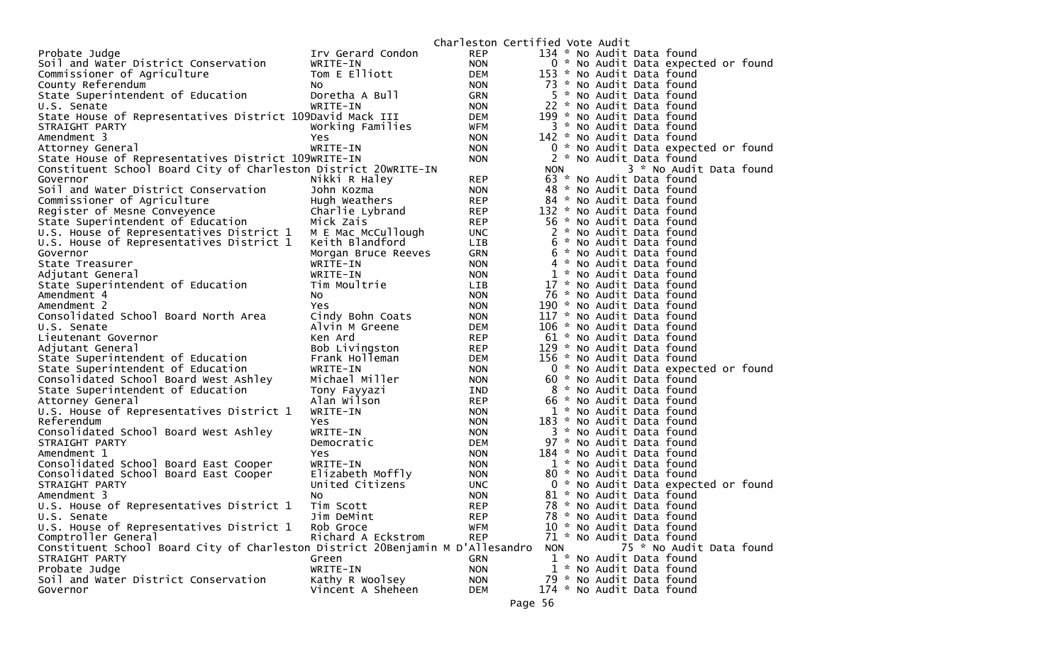|                                                                                |                     |            | Charleston Certified Vote Audit |  |                           |                                     |
|--------------------------------------------------------------------------------|---------------------|------------|---------------------------------|--|---------------------------|-------------------------------------|
| Probate Judge                                                                  | Irv Gerard Condon   | <b>REP</b> |                                 |  | 134 * No Audit Data found |                                     |
| Soil and Water District Conservation                                           | WRITE-IN            | <b>NON</b> |                                 |  |                           | 0 * No Audit Data expected or found |
| Commissioner of Agriculture                                                    | Tom E Elliott       | <b>DEM</b> |                                 |  | 153 * No Audit Data found |                                     |
| County Referendum                                                              | NO.                 | <b>NON</b> |                                 |  | 73 * No Audit Data found  |                                     |
| State Superintendent of Education                                              | Doretha A Bull      | <b>GRN</b> |                                 |  | 5 * No Audit Data found   |                                     |
| U.S. Senate                                                                    | WRITE-IN            | <b>NON</b> |                                 |  | 22 * No Audit Data found  |                                     |
| State House of Representatives District 109David Mack III                      |                     | DEM        |                                 |  | 199 * No Audit Data found |                                     |
| STRAIGHT PARTY                                                                 | Working Families    | WFM        |                                 |  | 3 * No Audit Data found   |                                     |
| Amendment 3                                                                    | Yes                 | <b>NON</b> |                                 |  | 142 * No Audit Data found |                                     |
| Attorney General                                                               | WRITE-IN            | <b>NON</b> |                                 |  |                           | 0 * No Audit Data expected or found |
| State House of Representatives District 109WRITE-IN                            |                     | <b>NON</b> |                                 |  | 2 * No Audit Data found   |                                     |
| Constituent School Board City of Charleston District 20WRITE-IN                |                     |            | <b>NON</b>                      |  |                           | 3 * No Audit Data found             |
| Governor                                                                       | Nikki R Haley       | <b>REP</b> |                                 |  | 63 * No Audit Data found  |                                     |
| Soil and Water District Conservation                                           | John Kozma          | <b>NON</b> |                                 |  | 48 * No Audit Data found  |                                     |
| Commissioner of Agriculture                                                    | Hugh Weathers       | <b>REP</b> |                                 |  | 84 * No Audit Data found  |                                     |
| Register of Mesne Conveyence                                                   | Charlie Lybrand     | <b>REP</b> |                                 |  | 132 * No Audit Data found |                                     |
| State Superintendent of Education                                              | Mick Zais           | <b>REP</b> |                                 |  | 56 * No Audit Data found  |                                     |
| U.S. House of Representatives District 1 M E Mac McCullough                    |                     | <b>UNC</b> |                                 |  | 2 * No Audit Data found   |                                     |
| U.S. House of Representatives District 1                                       | Keith Blandford     | LIB        |                                 |  | 6 * No Audit Data found   |                                     |
| Governor                                                                       | Morgan Bruce Reeves | <b>GRN</b> |                                 |  | 6 * No Audit Data found   |                                     |
| State Treasurer                                                                | WRITE-IN            | <b>NON</b> |                                 |  | 4 * No Audit Data found   |                                     |
| Adjutant General                                                               | WRITE-IN            | <b>NON</b> |                                 |  | 1 * No Audit Data found   |                                     |
| State Superintendent of Education                                              | Tim Moultrie        | LIB        |                                 |  | 17 * No Audit Data found  |                                     |
| Amendment 4                                                                    | No                  | <b>NON</b> |                                 |  | 76 * No Audit Data found  |                                     |
| Amendment 2                                                                    | Yes                 | <b>NON</b> |                                 |  | 190 * No Audit Data found |                                     |
| Consolidated School Board North Area                                           | Cindy Bohn Coats    | <b>NON</b> |                                 |  | 117 * No Audit Data found |                                     |
| U.S. Senate                                                                    | Alvin M Greene      | <b>DEM</b> |                                 |  | 106 * No Audit Data found |                                     |
| Lieutenant Governor                                                            | Ken Ard             | <b>REP</b> |                                 |  | 61 * No Audit Data found  |                                     |
| Adjutant General                                                               | Bob Livingston      | <b>REP</b> |                                 |  | 129 * No Audit Data found |                                     |
| State Superintendent of Education                                              | Frank Holleman      | DEM        |                                 |  | 156 * No Audit Data found |                                     |
| State Superintendent of Education                                              | WRITE-IN            | <b>NON</b> |                                 |  |                           | 0 * No Audit Data expected or found |
| Consolidated School Board West Ashley                                          | Michael Miller      | <b>NON</b> |                                 |  | 60 * No Audit Data found  |                                     |
| State Superintendent of Education                                              | Tony Fayyazi        | IND        |                                 |  | 8 * No Audit Data found   |                                     |
| Attorney General                                                               | Alan Wilson         | <b>REP</b> |                                 |  | 66 * No Audit Data found  |                                     |
| U.S. House of Representatives District 1                                       | WRITE-IN            | <b>NON</b> |                                 |  | 1 * No Audit Data found   |                                     |
| Referendum                                                                     | Yes                 | <b>NON</b> |                                 |  | 183 * No Audit Data found |                                     |
| Consolidated School Board West Ashley                                          | WRITE-IN            | <b>NON</b> |                                 |  | 3 * No Audit Data found   |                                     |
| STRAIGHT PARTY                                                                 | Democratic          | <b>DEM</b> |                                 |  | 97 * No Audit Data found  |                                     |
| Amendment 1                                                                    | Yes                 | <b>NON</b> |                                 |  | 184 * No Audit Data found |                                     |
| Consolidated School Board East Cooper                                          | WRITE-IN            | <b>NON</b> |                                 |  | 1 * No Audit Data found   |                                     |
| Consolidated School Board East Cooper                                          | Elizabeth Moffly    | <b>NON</b> |                                 |  | 80 * No Audit Data found  |                                     |
| STRAIGHT PARTY                                                                 | United Citizens     | <b>UNC</b> |                                 |  |                           | 0 * No Audit Data expected or found |
| Amendment 3                                                                    | No                  | <b>NON</b> |                                 |  | 81 * No Audit Data found  |                                     |
| U.S. House of Representatives District 1                                       | Tim Scott           | <b>REP</b> |                                 |  | 78 * No Audit Data found  |                                     |
| U.S. Senate                                                                    | Jim DeMint          | <b>REP</b> |                                 |  | 78 * No Audit Data found  |                                     |
| U.S. House of Representatives District 1                                       | Rob Groce           | <b>WFM</b> |                                 |  | 10 * No Audit Data found  |                                     |
| Comptroller General                                                            | Richard A Eckstrom  | <b>REP</b> |                                 |  | 71 * No Audit Data found  |                                     |
| Constituent School Board City of Charleston District 20Benjamin M D'Allesandro |                     |            | <b>NON</b>                      |  |                           | 75 * No Audit Data found            |
| STRAIGHT PARTY                                                                 | Green               | <b>GRN</b> |                                 |  | 1 * No Audit Data found   |                                     |
| Probate Judge                                                                  | WRITE-IN            | <b>NON</b> |                                 |  | 1 * No Audit Data found   |                                     |
| Soil and Water District Conservation                                           | Kathy R Woolsey     | <b>NON</b> |                                 |  | 79 * No Audit Data found  |                                     |
| Governor                                                                       | Vincent A Sheheen   | <b>DEM</b> |                                 |  | 174 * No Audit Data found |                                     |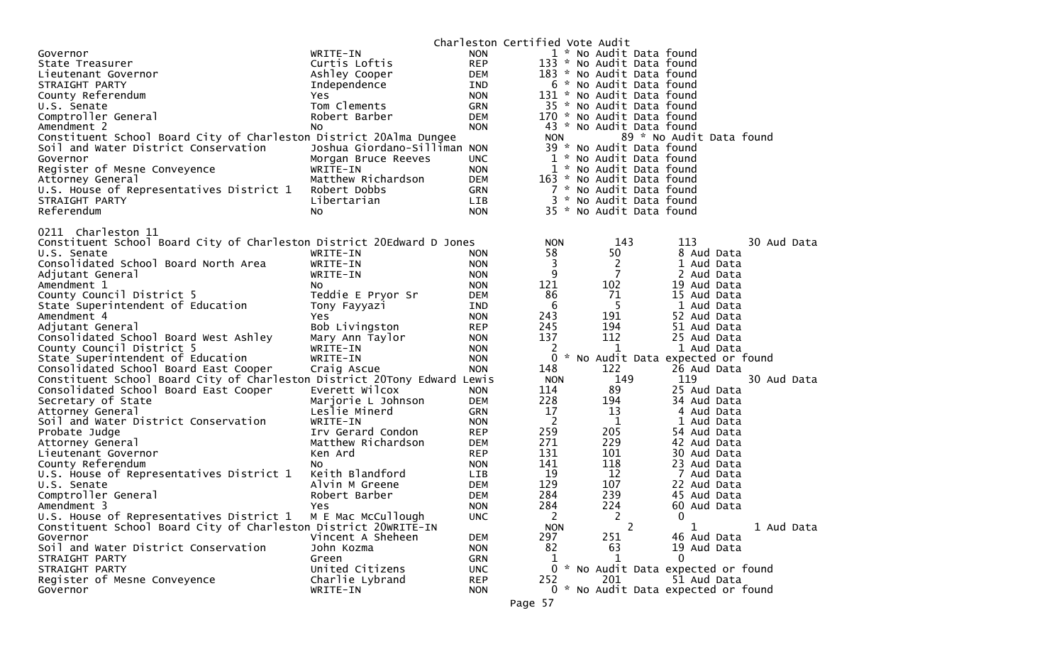|                                                                            |                              |            | Charleston Certified Vote Audit |                              |                                     |             |
|----------------------------------------------------------------------------|------------------------------|------------|---------------------------------|------------------------------|-------------------------------------|-------------|
| Governor                                                                   | WRITE-IN                     | <b>NON</b> |                                 | 1 * No Audit Data found      |                                     |             |
| State Treasurer                                                            | Curtis Loftis                | <b>REP</b> |                                 | 133 * No Audit Data found    |                                     |             |
| Lieutenant Governor                                                        | Ashley Cooper                | <b>DEM</b> |                                 | 183 * No Audit Data found    |                                     |             |
| STRAIGHT PARTY                                                             | Independence                 | IND        |                                 | 6 * No Audit Data found      |                                     |             |
| County Referendum                                                          | Yes                          | <b>NON</b> |                                 | 131 * No Audit Data found    |                                     |             |
| U.S. Senate                                                                | Tom Clements                 | <b>GRN</b> |                                 | 35 * No Audit Data found     |                                     |             |
| Comptroller General                                                        | Robert Barber                | <b>DEM</b> |                                 | 170 * No Audit Data found    |                                     |             |
| Amendment 2                                                                | No                           | <b>NON</b> |                                 | 43 * No Audit Data found     |                                     |             |
| Constituent School Board City of Charleston District 20Alma Dungee         |                              |            | <b>NON</b>                      |                              | 89 * No Audit Data found            |             |
| Soil and Water District Conservation                                       | Joshua Giordano-Silliman NON |            |                                 | 39 * No Audit Data found     |                                     |             |
| Governor                                                                   | Morgan Bruce Reeves          | <b>UNC</b> |                                 | 1 * No Audit Data found      |                                     |             |
| Register of Mesne Conveyence                                               | WRITE-IN                     | <b>NON</b> |                                 | 1 * No Audit Data found      |                                     |             |
| Attorney General                                                           | Matthew Richardson           | <b>DEM</b> |                                 | 163 * No Audit Data found    |                                     |             |
| U.S. House of Representatives District 1                                   | Robert Dobbs                 | GRN        |                                 | 7 * No Audit Data found      |                                     |             |
| STRAIGHT PARTY                                                             | Libertarian                  | LIB        |                                 | 3 * No Audit Data found      |                                     |             |
| Referendum                                                                 | NO.                          | <b>NON</b> |                                 | 35 * No Audit Data found     |                                     |             |
|                                                                            |                              |            |                                 |                              |                                     |             |
| 0211 Charleston 11                                                         |                              |            |                                 |                              |                                     |             |
| Constituent School Board City of Charleston District 20Edward D Jones      |                              |            | <b>NON</b>                      | 143                          | 113                                 | 30 Aud Data |
| U.S. Senate                                                                | WRITE-IN                     | <b>NON</b> | 58                              | 50                           | 8 Aud Data                          |             |
| Consolidated School Board North Area                                       | WRITE-IN                     | <b>NON</b> | 3                               | 2                            | 1 Aud Data                          |             |
| Adjutant General                                                           | WRITE-IN                     | <b>NON</b> | 9                               | 7                            | 2 Aud Data                          |             |
| Amendment 1                                                                | NO.                          | <b>NON</b> | 121                             | 102                          | 19 Aud Data                         |             |
| County Council District 5                                                  | Teddie E Pryor Sr            | <b>DEM</b> | 86                              | 71                           | 15 Aud Data                         |             |
| State Superintendent of Education                                          | Tony Fayyazi                 | IND        | 6                               | 5                            | 1 Aud Data                          |             |
| Amendment 4                                                                | Yes.                         | <b>NON</b> | 243                             | 191                          | 52 Aud Data                         |             |
| Adjutant General                                                           | Bob Livingston               | <b>REP</b> | 245                             | 194                          | 51 Aud Data                         |             |
| Consolidated School Board West Ashley                                      | Mary Ann Taylor              | <b>NON</b> | 137                             | 112                          | 25 Aud Data                         |             |
| County Council District 5                                                  | WRITE-IN                     | <b>NON</b> | 2                               | 1                            | 1 Aud Data                          |             |
| State Superintendent of Education                                          | WRITE-IN                     | <b>NON</b> | 0                               |                              | * No Audit Data expected or found   |             |
| Consolidated School Board East Cooper                                      | Craig Ascue                  | <b>NON</b> | 148                             | 122                          | 26 Aud Data                         |             |
| Constituent School Board City of Charleston District 20Tony Edward Lewis   |                              |            | <b>NON</b>                      | 149                          | 119                                 | 30 Aud Data |
| Consolidated School Board East Cooper                                      | Everett Wilcox               | <b>NON</b> | 114                             | 89                           | 25 Aud Data                         |             |
| Secretary of State                                                         | Marjorie L Johnson           | <b>DEM</b> | 228                             | 194                          | 34 Aud Data                         |             |
| Attorney General                                                           | Leslie Minerd                | GRN        | 17                              | 13                           | 4 Aud Data                          |             |
| Soil and Water District Conservation                                       | WRITE-IN                     | <b>NON</b> | 2                               | 1                            | 1 Aud Data                          |             |
| Probate Judge                                                              | Irv Gerard Condon            | <b>REP</b> | 259                             | 205                          | 54 Aud Data                         |             |
| Attorney General                                                           | Matthew Richardson           | <b>DEM</b> | 271                             | 229                          | 42 Aud Data                         |             |
| Lieutenant Governor                                                        | Ken Ard                      | <b>REP</b> | 131                             | 101                          | 30 Aud Data                         |             |
| County Referendum                                                          | NO.                          | <b>NON</b> | 141                             | 118                          | 23 Aud Data                         |             |
| U.S. House of Representatives District 1                                   | Keith Blandford              | LIB        | 19                              | 12                           | 7 Aud Data                          |             |
| U.S. Senate                                                                | Alvin M Greene               | <b>DEM</b> | 129                             | 107                          | 22 Aud Data                         |             |
| Comptroller General                                                        | Robert Barber                | <b>DEM</b> | 284                             | 239                          | 45 Aud Data                         |             |
| Amendment 3<br>U.S. House of Representatives District 1 M E Mac McCullough | Yes                          | <b>NON</b> | 284                             | 224                          | 60 Aud Data                         |             |
|                                                                            |                              | <b>UNC</b> | 2                               | 2                            | 0                                   |             |
| Constituent School Board City of Charleston District 20WRITE-IN            |                              |            | <b>NON</b>                      | $\mathbf{2}^{\prime}$<br>251 | 1                                   | 1 Aud Data  |
| Governor                                                                   | Vincent A Sheheen            | <b>DEM</b> | 297                             |                              | 46 Aud Data                         |             |
| Soil and Water District Conservation                                       | John Kozma                   | <b>NON</b> | 82                              | 63<br>1                      | 19 Aud Data<br>0                    |             |
| STRAIGHT PARTY<br>STRAIGHT PARTY                                           | Green<br>United Citizens     | <b>GRN</b> | 1                               |                              | 0 * No Audit Data expected or found |             |
|                                                                            | Charlie Lybrand              | <b>UNC</b> | 252                             | 201                          | 51 Aud Data                         |             |
| Register of Mesne Conveyence                                               |                              | <b>REP</b> |                                 |                              |                                     |             |
| Governor                                                                   | WRITE-IN                     | <b>NON</b> |                                 |                              | 0 * No Audit Data expected or found |             |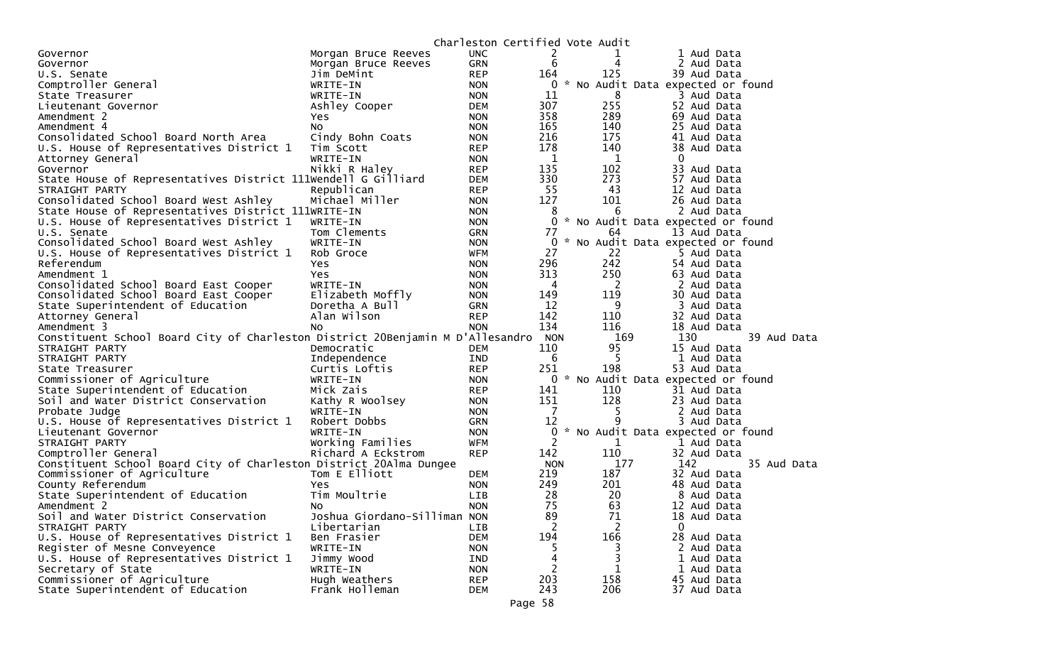| 2<br>Morgan Bruce Reeves<br><b>UNC</b><br>1 Aud Data<br>Governor<br>6<br><b>GRN</b><br>4<br>Governor<br>Morgan Bruce Reeves<br>2 Aud Data<br>125<br><b>REP</b><br>164<br>39 Aud Data<br>U.S. Senate<br>Jim DeMint<br>$\mathcal{H}$<br>Comptroller General<br>No Audit Data expected or found<br>WRITE-IN<br><b>NON</b><br>0<br>8<br>11<br>WRITE-IN<br>3 Aud Data<br>State Treasurer<br><b>NON</b><br>255<br>307<br>52 Aud Data<br>Lieutenant Governor<br>Ashley Cooper<br>DEM<br>358<br>289<br>Amendment 2<br>Yes<br>69 Aud Data<br><b>NON</b><br>165<br>140<br>25 Aud Data<br>Amendment 4<br>NO.<br><b>NON</b><br>216<br>175<br>Consolidated School Board North Area<br>Cindy Bohn Coats<br>41 Aud Data<br><b>NON</b><br>178<br>140<br>U.S. House of Representatives District 1<br>Tim Scott<br><b>REP</b><br>38 Aud Data<br>$\mathbf{1}$<br>$\mathbf{1}$<br>0<br>WRITE-IN<br>Attorney General<br><b>NON</b><br>135<br>102<br>Nikki R Haley<br>33 Aud Data<br>Governor<br><b>REP</b><br>330<br>273<br>State House of Representatives District 111Wendell G Gilliard<br>57 Aud Data<br><b>DEM</b><br>55<br>43<br>Republican<br><b>REP</b><br>12 Aud Data<br>STRAIGHT PARTY<br>127<br>101<br>Consolidated School Board West Ashley<br>Michael Miller<br>26 Aud Data<br><b>NON</b><br>State House of Representatives District 111WRITE-IN<br>8<br>6<br>2 Aud Data<br><b>NON</b><br>U.S. House of Representatives District 1<br>0<br>* No Audit Data expected or found<br><b>NON</b><br>WRITE-IN<br>77<br>64<br>U.S. Senate<br>Tom Clements<br>13 Aud Data<br>GRN<br>No Audit Data expected or found<br>$\mathcal{H}$<br>Consolidated School Board West Ashley<br>WRITE-IN<br>0<br><b>NON</b><br>27<br>U.S. House of Representatives District 1<br>22<br>Rob Groce<br>WFM<br>5 Aud Data<br>242<br>296<br>54 Aud Data<br>Referendum<br>Yes<br><b>NON</b><br>313<br>250<br>Amendment 1<br>Yes.<br>63 Aud Data<br><b>NON</b><br>Consolidated School Board East Cooper<br>WRITE-IN<br>4<br>$\overline{2}$<br><b>NON</b><br>2 Aud Data<br>149<br>119<br>Elizabeth Moffly<br>30 Aud Data<br>Consolidated School Board East Cooper<br><b>NON</b><br>12<br>9<br>State Superintendent of Education<br>Doretha A Bull<br>3 Aud Data<br><b>GRN</b><br>142<br>Alan Wilson<br>110<br>32 Aud Data<br>Attorney General<br><b>REP</b><br>134<br>116<br>18 Aud Data<br>Amendment 3<br><b>NON</b><br>NO.<br>Constituent School Board City of Charleston District 20Benjamin M D'Allesandro<br>130<br>39 Aud Data<br>169<br><b>NON</b><br>95<br>110<br>15 Aud Data<br>Democratic<br>STRAIGHT PARTY<br>DEM<br>5<br>6<br>STRAIGHT PARTY<br>1 Aud Data<br>Independence<br>IND<br>198<br>Curtis Loftis<br>251<br>53 Aud Data<br>State Treasurer<br><b>REP</b><br>* No Audit Data expected or found<br>Commissioner of Agriculture<br>WRITE-IN<br>0<br><b>NON</b><br>State Superintendent of Education<br>Mick Zais<br>141<br>110<br>31 Aud Data<br><b>REP</b><br>128<br>Soil and Water District Conservation<br>151<br>23 Aud Data<br>Kathy R Woolsey<br><b>NON</b><br>7<br>WRITE-IN<br>5<br>Probate Judge<br>2 Aud Data<br><b>NON</b><br>12<br>q<br>U.S. House of Representatives District 1<br>Robert Dobbs<br><b>GRN</b><br>3 Aud Data<br>* No Audit Data expected or found<br>WRITE-IN<br>0<br>Lieutenant Governor<br><b>NON</b><br>$\overline{c}$<br>Working Families<br>1<br>STRAIGHT PARTY<br><b>WFM</b><br>1 Aud Data<br>142<br>110<br>Comptroller General<br><b>REP</b><br>32 Aud Data<br>Richard A Eckstrom<br>Constituent School Board City of Charleston District 20Alma Dungee<br>177<br>142<br>35 Aud Data<br><b>NON</b><br>Tom E Elliott<br>219<br>187<br>Commissioner of Agriculture<br>32 Aud Data<br>DEM<br>249<br>201<br>County Referendum<br>Yes<br><b>NON</b><br>48 Aud Data<br>Tim Moultrie<br>28<br>State Superintendent of Education<br>20<br>8 Aud Data<br>LIB<br>75<br>63<br>Amendment 2<br><b>NON</b><br>12 Aud Data<br>NO.<br>Joshua Giordano-Silliman NON<br>89<br>71<br>Soil and Water District Conservation<br>18 Aud Data<br>2<br>2<br>STRAIGHT PARTY<br>Libertarian<br>$\Omega$<br><b>LIB</b><br>194<br>166<br>U.S. House of Representatives District 1<br>28 Aud Data<br>Ben Frasier<br>DEM<br>Register of Mesne Conveyence<br>WRITE-IN<br>2 Aud Data<br><b>NON</b><br>5.<br>U.S. House of Representatives District 1<br>Jimmy Wood<br>4<br><b>IND</b><br>1 Aud Data<br>$\overline{c}$<br>Secretary of State<br>WRITE-IN<br><b>NON</b><br>1<br>1 Aud Data<br>Commissioner of Agriculture<br>203<br>Hugh Weathers<br>158<br>45 Aud Data<br><b>REP</b><br>243<br>206<br>State Superintendent of Education<br>Frank Holleman<br>37 Aud Data<br><b>DEM</b> |  |  | Charleston Certified Vote Audit |  |
|----------------------------------------------------------------------------------------------------------------------------------------------------------------------------------------------------------------------------------------------------------------------------------------------------------------------------------------------------------------------------------------------------------------------------------------------------------------------------------------------------------------------------------------------------------------------------------------------------------------------------------------------------------------------------------------------------------------------------------------------------------------------------------------------------------------------------------------------------------------------------------------------------------------------------------------------------------------------------------------------------------------------------------------------------------------------------------------------------------------------------------------------------------------------------------------------------------------------------------------------------------------------------------------------------------------------------------------------------------------------------------------------------------------------------------------------------------------------------------------------------------------------------------------------------------------------------------------------------------------------------------------------------------------------------------------------------------------------------------------------------------------------------------------------------------------------------------------------------------------------------------------------------------------------------------------------------------------------------------------------------------------------------------------------------------------------------------------------------------------------------------------------------------------------------------------------------------------------------------------------------------------------------------------------------------------------------------------------------------------------------------------------------------------------------------------------------------------------------------------------------------------------------------------------------------------------------------------------------------------------------------------------------------------------------------------------------------------------------------------------------------------------------------------------------------------------------------------------------------------------------------------------------------------------------------------------------------------------------------------------------------------------------------------------------------------------------------------------------------------------------------------------------------------------------------------------------------------------------------------------------------------------------------------------------------------------------------------------------------------------------------------------------------------------------------------------------------------------------------------------------------------------------------------------------------------------------------------------------------------------------------------------------------------------------------------------------------------------------------------------------------------------------------------------------------------------------------------------------------------------------------------------------------------------------------------------------------------------------------------------------------------------------------------------------------------------------------------------------------------------------------------------------------------------------------------------------------------------------------------------------------------------------------------------------------------------------------------------------------------------------------------------------------------------------------------------------------------------------------------------------------------------------------------------------------------------------------------------------------------------------------------------------------------|--|--|---------------------------------|--|
|                                                                                                                                                                                                                                                                                                                                                                                                                                                                                                                                                                                                                                                                                                                                                                                                                                                                                                                                                                                                                                                                                                                                                                                                                                                                                                                                                                                                                                                                                                                                                                                                                                                                                                                                                                                                                                                                                                                                                                                                                                                                                                                                                                                                                                                                                                                                                                                                                                                                                                                                                                                                                                                                                                                                                                                                                                                                                                                                                                                                                                                                                                                                                                                                                                                                                                                                                                                                                                                                                                                                                                                                                                                                                                                                                                                                                                                                                                                                                                                                                                                                                                                                                                                                                                                                                                                                                                                                                                                                                                                                                                                                                                                                |  |  |                                 |  |
|                                                                                                                                                                                                                                                                                                                                                                                                                                                                                                                                                                                                                                                                                                                                                                                                                                                                                                                                                                                                                                                                                                                                                                                                                                                                                                                                                                                                                                                                                                                                                                                                                                                                                                                                                                                                                                                                                                                                                                                                                                                                                                                                                                                                                                                                                                                                                                                                                                                                                                                                                                                                                                                                                                                                                                                                                                                                                                                                                                                                                                                                                                                                                                                                                                                                                                                                                                                                                                                                                                                                                                                                                                                                                                                                                                                                                                                                                                                                                                                                                                                                                                                                                                                                                                                                                                                                                                                                                                                                                                                                                                                                                                                                |  |  |                                 |  |
|                                                                                                                                                                                                                                                                                                                                                                                                                                                                                                                                                                                                                                                                                                                                                                                                                                                                                                                                                                                                                                                                                                                                                                                                                                                                                                                                                                                                                                                                                                                                                                                                                                                                                                                                                                                                                                                                                                                                                                                                                                                                                                                                                                                                                                                                                                                                                                                                                                                                                                                                                                                                                                                                                                                                                                                                                                                                                                                                                                                                                                                                                                                                                                                                                                                                                                                                                                                                                                                                                                                                                                                                                                                                                                                                                                                                                                                                                                                                                                                                                                                                                                                                                                                                                                                                                                                                                                                                                                                                                                                                                                                                                                                                |  |  |                                 |  |
|                                                                                                                                                                                                                                                                                                                                                                                                                                                                                                                                                                                                                                                                                                                                                                                                                                                                                                                                                                                                                                                                                                                                                                                                                                                                                                                                                                                                                                                                                                                                                                                                                                                                                                                                                                                                                                                                                                                                                                                                                                                                                                                                                                                                                                                                                                                                                                                                                                                                                                                                                                                                                                                                                                                                                                                                                                                                                                                                                                                                                                                                                                                                                                                                                                                                                                                                                                                                                                                                                                                                                                                                                                                                                                                                                                                                                                                                                                                                                                                                                                                                                                                                                                                                                                                                                                                                                                                                                                                                                                                                                                                                                                                                |  |  |                                 |  |
|                                                                                                                                                                                                                                                                                                                                                                                                                                                                                                                                                                                                                                                                                                                                                                                                                                                                                                                                                                                                                                                                                                                                                                                                                                                                                                                                                                                                                                                                                                                                                                                                                                                                                                                                                                                                                                                                                                                                                                                                                                                                                                                                                                                                                                                                                                                                                                                                                                                                                                                                                                                                                                                                                                                                                                                                                                                                                                                                                                                                                                                                                                                                                                                                                                                                                                                                                                                                                                                                                                                                                                                                                                                                                                                                                                                                                                                                                                                                                                                                                                                                                                                                                                                                                                                                                                                                                                                                                                                                                                                                                                                                                                                                |  |  |                                 |  |
|                                                                                                                                                                                                                                                                                                                                                                                                                                                                                                                                                                                                                                                                                                                                                                                                                                                                                                                                                                                                                                                                                                                                                                                                                                                                                                                                                                                                                                                                                                                                                                                                                                                                                                                                                                                                                                                                                                                                                                                                                                                                                                                                                                                                                                                                                                                                                                                                                                                                                                                                                                                                                                                                                                                                                                                                                                                                                                                                                                                                                                                                                                                                                                                                                                                                                                                                                                                                                                                                                                                                                                                                                                                                                                                                                                                                                                                                                                                                                                                                                                                                                                                                                                                                                                                                                                                                                                                                                                                                                                                                                                                                                                                                |  |  |                                 |  |
|                                                                                                                                                                                                                                                                                                                                                                                                                                                                                                                                                                                                                                                                                                                                                                                                                                                                                                                                                                                                                                                                                                                                                                                                                                                                                                                                                                                                                                                                                                                                                                                                                                                                                                                                                                                                                                                                                                                                                                                                                                                                                                                                                                                                                                                                                                                                                                                                                                                                                                                                                                                                                                                                                                                                                                                                                                                                                                                                                                                                                                                                                                                                                                                                                                                                                                                                                                                                                                                                                                                                                                                                                                                                                                                                                                                                                                                                                                                                                                                                                                                                                                                                                                                                                                                                                                                                                                                                                                                                                                                                                                                                                                                                |  |  |                                 |  |
|                                                                                                                                                                                                                                                                                                                                                                                                                                                                                                                                                                                                                                                                                                                                                                                                                                                                                                                                                                                                                                                                                                                                                                                                                                                                                                                                                                                                                                                                                                                                                                                                                                                                                                                                                                                                                                                                                                                                                                                                                                                                                                                                                                                                                                                                                                                                                                                                                                                                                                                                                                                                                                                                                                                                                                                                                                                                                                                                                                                                                                                                                                                                                                                                                                                                                                                                                                                                                                                                                                                                                                                                                                                                                                                                                                                                                                                                                                                                                                                                                                                                                                                                                                                                                                                                                                                                                                                                                                                                                                                                                                                                                                                                |  |  |                                 |  |
|                                                                                                                                                                                                                                                                                                                                                                                                                                                                                                                                                                                                                                                                                                                                                                                                                                                                                                                                                                                                                                                                                                                                                                                                                                                                                                                                                                                                                                                                                                                                                                                                                                                                                                                                                                                                                                                                                                                                                                                                                                                                                                                                                                                                                                                                                                                                                                                                                                                                                                                                                                                                                                                                                                                                                                                                                                                                                                                                                                                                                                                                                                                                                                                                                                                                                                                                                                                                                                                                                                                                                                                                                                                                                                                                                                                                                                                                                                                                                                                                                                                                                                                                                                                                                                                                                                                                                                                                                                                                                                                                                                                                                                                                |  |  |                                 |  |
|                                                                                                                                                                                                                                                                                                                                                                                                                                                                                                                                                                                                                                                                                                                                                                                                                                                                                                                                                                                                                                                                                                                                                                                                                                                                                                                                                                                                                                                                                                                                                                                                                                                                                                                                                                                                                                                                                                                                                                                                                                                                                                                                                                                                                                                                                                                                                                                                                                                                                                                                                                                                                                                                                                                                                                                                                                                                                                                                                                                                                                                                                                                                                                                                                                                                                                                                                                                                                                                                                                                                                                                                                                                                                                                                                                                                                                                                                                                                                                                                                                                                                                                                                                                                                                                                                                                                                                                                                                                                                                                                                                                                                                                                |  |  |                                 |  |
|                                                                                                                                                                                                                                                                                                                                                                                                                                                                                                                                                                                                                                                                                                                                                                                                                                                                                                                                                                                                                                                                                                                                                                                                                                                                                                                                                                                                                                                                                                                                                                                                                                                                                                                                                                                                                                                                                                                                                                                                                                                                                                                                                                                                                                                                                                                                                                                                                                                                                                                                                                                                                                                                                                                                                                                                                                                                                                                                                                                                                                                                                                                                                                                                                                                                                                                                                                                                                                                                                                                                                                                                                                                                                                                                                                                                                                                                                                                                                                                                                                                                                                                                                                                                                                                                                                                                                                                                                                                                                                                                                                                                                                                                |  |  |                                 |  |
|                                                                                                                                                                                                                                                                                                                                                                                                                                                                                                                                                                                                                                                                                                                                                                                                                                                                                                                                                                                                                                                                                                                                                                                                                                                                                                                                                                                                                                                                                                                                                                                                                                                                                                                                                                                                                                                                                                                                                                                                                                                                                                                                                                                                                                                                                                                                                                                                                                                                                                                                                                                                                                                                                                                                                                                                                                                                                                                                                                                                                                                                                                                                                                                                                                                                                                                                                                                                                                                                                                                                                                                                                                                                                                                                                                                                                                                                                                                                                                                                                                                                                                                                                                                                                                                                                                                                                                                                                                                                                                                                                                                                                                                                |  |  |                                 |  |
|                                                                                                                                                                                                                                                                                                                                                                                                                                                                                                                                                                                                                                                                                                                                                                                                                                                                                                                                                                                                                                                                                                                                                                                                                                                                                                                                                                                                                                                                                                                                                                                                                                                                                                                                                                                                                                                                                                                                                                                                                                                                                                                                                                                                                                                                                                                                                                                                                                                                                                                                                                                                                                                                                                                                                                                                                                                                                                                                                                                                                                                                                                                                                                                                                                                                                                                                                                                                                                                                                                                                                                                                                                                                                                                                                                                                                                                                                                                                                                                                                                                                                                                                                                                                                                                                                                                                                                                                                                                                                                                                                                                                                                                                |  |  |                                 |  |
|                                                                                                                                                                                                                                                                                                                                                                                                                                                                                                                                                                                                                                                                                                                                                                                                                                                                                                                                                                                                                                                                                                                                                                                                                                                                                                                                                                                                                                                                                                                                                                                                                                                                                                                                                                                                                                                                                                                                                                                                                                                                                                                                                                                                                                                                                                                                                                                                                                                                                                                                                                                                                                                                                                                                                                                                                                                                                                                                                                                                                                                                                                                                                                                                                                                                                                                                                                                                                                                                                                                                                                                                                                                                                                                                                                                                                                                                                                                                                                                                                                                                                                                                                                                                                                                                                                                                                                                                                                                                                                                                                                                                                                                                |  |  |                                 |  |
|                                                                                                                                                                                                                                                                                                                                                                                                                                                                                                                                                                                                                                                                                                                                                                                                                                                                                                                                                                                                                                                                                                                                                                                                                                                                                                                                                                                                                                                                                                                                                                                                                                                                                                                                                                                                                                                                                                                                                                                                                                                                                                                                                                                                                                                                                                                                                                                                                                                                                                                                                                                                                                                                                                                                                                                                                                                                                                                                                                                                                                                                                                                                                                                                                                                                                                                                                                                                                                                                                                                                                                                                                                                                                                                                                                                                                                                                                                                                                                                                                                                                                                                                                                                                                                                                                                                                                                                                                                                                                                                                                                                                                                                                |  |  |                                 |  |
|                                                                                                                                                                                                                                                                                                                                                                                                                                                                                                                                                                                                                                                                                                                                                                                                                                                                                                                                                                                                                                                                                                                                                                                                                                                                                                                                                                                                                                                                                                                                                                                                                                                                                                                                                                                                                                                                                                                                                                                                                                                                                                                                                                                                                                                                                                                                                                                                                                                                                                                                                                                                                                                                                                                                                                                                                                                                                                                                                                                                                                                                                                                                                                                                                                                                                                                                                                                                                                                                                                                                                                                                                                                                                                                                                                                                                                                                                                                                                                                                                                                                                                                                                                                                                                                                                                                                                                                                                                                                                                                                                                                                                                                                |  |  |                                 |  |
|                                                                                                                                                                                                                                                                                                                                                                                                                                                                                                                                                                                                                                                                                                                                                                                                                                                                                                                                                                                                                                                                                                                                                                                                                                                                                                                                                                                                                                                                                                                                                                                                                                                                                                                                                                                                                                                                                                                                                                                                                                                                                                                                                                                                                                                                                                                                                                                                                                                                                                                                                                                                                                                                                                                                                                                                                                                                                                                                                                                                                                                                                                                                                                                                                                                                                                                                                                                                                                                                                                                                                                                                                                                                                                                                                                                                                                                                                                                                                                                                                                                                                                                                                                                                                                                                                                                                                                                                                                                                                                                                                                                                                                                                |  |  |                                 |  |
|                                                                                                                                                                                                                                                                                                                                                                                                                                                                                                                                                                                                                                                                                                                                                                                                                                                                                                                                                                                                                                                                                                                                                                                                                                                                                                                                                                                                                                                                                                                                                                                                                                                                                                                                                                                                                                                                                                                                                                                                                                                                                                                                                                                                                                                                                                                                                                                                                                                                                                                                                                                                                                                                                                                                                                                                                                                                                                                                                                                                                                                                                                                                                                                                                                                                                                                                                                                                                                                                                                                                                                                                                                                                                                                                                                                                                                                                                                                                                                                                                                                                                                                                                                                                                                                                                                                                                                                                                                                                                                                                                                                                                                                                |  |  |                                 |  |
|                                                                                                                                                                                                                                                                                                                                                                                                                                                                                                                                                                                                                                                                                                                                                                                                                                                                                                                                                                                                                                                                                                                                                                                                                                                                                                                                                                                                                                                                                                                                                                                                                                                                                                                                                                                                                                                                                                                                                                                                                                                                                                                                                                                                                                                                                                                                                                                                                                                                                                                                                                                                                                                                                                                                                                                                                                                                                                                                                                                                                                                                                                                                                                                                                                                                                                                                                                                                                                                                                                                                                                                                                                                                                                                                                                                                                                                                                                                                                                                                                                                                                                                                                                                                                                                                                                                                                                                                                                                                                                                                                                                                                                                                |  |  |                                 |  |
|                                                                                                                                                                                                                                                                                                                                                                                                                                                                                                                                                                                                                                                                                                                                                                                                                                                                                                                                                                                                                                                                                                                                                                                                                                                                                                                                                                                                                                                                                                                                                                                                                                                                                                                                                                                                                                                                                                                                                                                                                                                                                                                                                                                                                                                                                                                                                                                                                                                                                                                                                                                                                                                                                                                                                                                                                                                                                                                                                                                                                                                                                                                                                                                                                                                                                                                                                                                                                                                                                                                                                                                                                                                                                                                                                                                                                                                                                                                                                                                                                                                                                                                                                                                                                                                                                                                                                                                                                                                                                                                                                                                                                                                                |  |  |                                 |  |
|                                                                                                                                                                                                                                                                                                                                                                                                                                                                                                                                                                                                                                                                                                                                                                                                                                                                                                                                                                                                                                                                                                                                                                                                                                                                                                                                                                                                                                                                                                                                                                                                                                                                                                                                                                                                                                                                                                                                                                                                                                                                                                                                                                                                                                                                                                                                                                                                                                                                                                                                                                                                                                                                                                                                                                                                                                                                                                                                                                                                                                                                                                                                                                                                                                                                                                                                                                                                                                                                                                                                                                                                                                                                                                                                                                                                                                                                                                                                                                                                                                                                                                                                                                                                                                                                                                                                                                                                                                                                                                                                                                                                                                                                |  |  |                                 |  |
|                                                                                                                                                                                                                                                                                                                                                                                                                                                                                                                                                                                                                                                                                                                                                                                                                                                                                                                                                                                                                                                                                                                                                                                                                                                                                                                                                                                                                                                                                                                                                                                                                                                                                                                                                                                                                                                                                                                                                                                                                                                                                                                                                                                                                                                                                                                                                                                                                                                                                                                                                                                                                                                                                                                                                                                                                                                                                                                                                                                                                                                                                                                                                                                                                                                                                                                                                                                                                                                                                                                                                                                                                                                                                                                                                                                                                                                                                                                                                                                                                                                                                                                                                                                                                                                                                                                                                                                                                                                                                                                                                                                                                                                                |  |  |                                 |  |
|                                                                                                                                                                                                                                                                                                                                                                                                                                                                                                                                                                                                                                                                                                                                                                                                                                                                                                                                                                                                                                                                                                                                                                                                                                                                                                                                                                                                                                                                                                                                                                                                                                                                                                                                                                                                                                                                                                                                                                                                                                                                                                                                                                                                                                                                                                                                                                                                                                                                                                                                                                                                                                                                                                                                                                                                                                                                                                                                                                                                                                                                                                                                                                                                                                                                                                                                                                                                                                                                                                                                                                                                                                                                                                                                                                                                                                                                                                                                                                                                                                                                                                                                                                                                                                                                                                                                                                                                                                                                                                                                                                                                                                                                |  |  |                                 |  |
|                                                                                                                                                                                                                                                                                                                                                                                                                                                                                                                                                                                                                                                                                                                                                                                                                                                                                                                                                                                                                                                                                                                                                                                                                                                                                                                                                                                                                                                                                                                                                                                                                                                                                                                                                                                                                                                                                                                                                                                                                                                                                                                                                                                                                                                                                                                                                                                                                                                                                                                                                                                                                                                                                                                                                                                                                                                                                                                                                                                                                                                                                                                                                                                                                                                                                                                                                                                                                                                                                                                                                                                                                                                                                                                                                                                                                                                                                                                                                                                                                                                                                                                                                                                                                                                                                                                                                                                                                                                                                                                                                                                                                                                                |  |  |                                 |  |
|                                                                                                                                                                                                                                                                                                                                                                                                                                                                                                                                                                                                                                                                                                                                                                                                                                                                                                                                                                                                                                                                                                                                                                                                                                                                                                                                                                                                                                                                                                                                                                                                                                                                                                                                                                                                                                                                                                                                                                                                                                                                                                                                                                                                                                                                                                                                                                                                                                                                                                                                                                                                                                                                                                                                                                                                                                                                                                                                                                                                                                                                                                                                                                                                                                                                                                                                                                                                                                                                                                                                                                                                                                                                                                                                                                                                                                                                                                                                                                                                                                                                                                                                                                                                                                                                                                                                                                                                                                                                                                                                                                                                                                                                |  |  |                                 |  |
|                                                                                                                                                                                                                                                                                                                                                                                                                                                                                                                                                                                                                                                                                                                                                                                                                                                                                                                                                                                                                                                                                                                                                                                                                                                                                                                                                                                                                                                                                                                                                                                                                                                                                                                                                                                                                                                                                                                                                                                                                                                                                                                                                                                                                                                                                                                                                                                                                                                                                                                                                                                                                                                                                                                                                                                                                                                                                                                                                                                                                                                                                                                                                                                                                                                                                                                                                                                                                                                                                                                                                                                                                                                                                                                                                                                                                                                                                                                                                                                                                                                                                                                                                                                                                                                                                                                                                                                                                                                                                                                                                                                                                                                                |  |  |                                 |  |
|                                                                                                                                                                                                                                                                                                                                                                                                                                                                                                                                                                                                                                                                                                                                                                                                                                                                                                                                                                                                                                                                                                                                                                                                                                                                                                                                                                                                                                                                                                                                                                                                                                                                                                                                                                                                                                                                                                                                                                                                                                                                                                                                                                                                                                                                                                                                                                                                                                                                                                                                                                                                                                                                                                                                                                                                                                                                                                                                                                                                                                                                                                                                                                                                                                                                                                                                                                                                                                                                                                                                                                                                                                                                                                                                                                                                                                                                                                                                                                                                                                                                                                                                                                                                                                                                                                                                                                                                                                                                                                                                                                                                                                                                |  |  |                                 |  |
|                                                                                                                                                                                                                                                                                                                                                                                                                                                                                                                                                                                                                                                                                                                                                                                                                                                                                                                                                                                                                                                                                                                                                                                                                                                                                                                                                                                                                                                                                                                                                                                                                                                                                                                                                                                                                                                                                                                                                                                                                                                                                                                                                                                                                                                                                                                                                                                                                                                                                                                                                                                                                                                                                                                                                                                                                                                                                                                                                                                                                                                                                                                                                                                                                                                                                                                                                                                                                                                                                                                                                                                                                                                                                                                                                                                                                                                                                                                                                                                                                                                                                                                                                                                                                                                                                                                                                                                                                                                                                                                                                                                                                                                                |  |  |                                 |  |
|                                                                                                                                                                                                                                                                                                                                                                                                                                                                                                                                                                                                                                                                                                                                                                                                                                                                                                                                                                                                                                                                                                                                                                                                                                                                                                                                                                                                                                                                                                                                                                                                                                                                                                                                                                                                                                                                                                                                                                                                                                                                                                                                                                                                                                                                                                                                                                                                                                                                                                                                                                                                                                                                                                                                                                                                                                                                                                                                                                                                                                                                                                                                                                                                                                                                                                                                                                                                                                                                                                                                                                                                                                                                                                                                                                                                                                                                                                                                                                                                                                                                                                                                                                                                                                                                                                                                                                                                                                                                                                                                                                                                                                                                |  |  |                                 |  |
|                                                                                                                                                                                                                                                                                                                                                                                                                                                                                                                                                                                                                                                                                                                                                                                                                                                                                                                                                                                                                                                                                                                                                                                                                                                                                                                                                                                                                                                                                                                                                                                                                                                                                                                                                                                                                                                                                                                                                                                                                                                                                                                                                                                                                                                                                                                                                                                                                                                                                                                                                                                                                                                                                                                                                                                                                                                                                                                                                                                                                                                                                                                                                                                                                                                                                                                                                                                                                                                                                                                                                                                                                                                                                                                                                                                                                                                                                                                                                                                                                                                                                                                                                                                                                                                                                                                                                                                                                                                                                                                                                                                                                                                                |  |  |                                 |  |
|                                                                                                                                                                                                                                                                                                                                                                                                                                                                                                                                                                                                                                                                                                                                                                                                                                                                                                                                                                                                                                                                                                                                                                                                                                                                                                                                                                                                                                                                                                                                                                                                                                                                                                                                                                                                                                                                                                                                                                                                                                                                                                                                                                                                                                                                                                                                                                                                                                                                                                                                                                                                                                                                                                                                                                                                                                                                                                                                                                                                                                                                                                                                                                                                                                                                                                                                                                                                                                                                                                                                                                                                                                                                                                                                                                                                                                                                                                                                                                                                                                                                                                                                                                                                                                                                                                                                                                                                                                                                                                                                                                                                                                                                |  |  |                                 |  |
|                                                                                                                                                                                                                                                                                                                                                                                                                                                                                                                                                                                                                                                                                                                                                                                                                                                                                                                                                                                                                                                                                                                                                                                                                                                                                                                                                                                                                                                                                                                                                                                                                                                                                                                                                                                                                                                                                                                                                                                                                                                                                                                                                                                                                                                                                                                                                                                                                                                                                                                                                                                                                                                                                                                                                                                                                                                                                                                                                                                                                                                                                                                                                                                                                                                                                                                                                                                                                                                                                                                                                                                                                                                                                                                                                                                                                                                                                                                                                                                                                                                                                                                                                                                                                                                                                                                                                                                                                                                                                                                                                                                                                                                                |  |  |                                 |  |
|                                                                                                                                                                                                                                                                                                                                                                                                                                                                                                                                                                                                                                                                                                                                                                                                                                                                                                                                                                                                                                                                                                                                                                                                                                                                                                                                                                                                                                                                                                                                                                                                                                                                                                                                                                                                                                                                                                                                                                                                                                                                                                                                                                                                                                                                                                                                                                                                                                                                                                                                                                                                                                                                                                                                                                                                                                                                                                                                                                                                                                                                                                                                                                                                                                                                                                                                                                                                                                                                                                                                                                                                                                                                                                                                                                                                                                                                                                                                                                                                                                                                                                                                                                                                                                                                                                                                                                                                                                                                                                                                                                                                                                                                |  |  |                                 |  |
|                                                                                                                                                                                                                                                                                                                                                                                                                                                                                                                                                                                                                                                                                                                                                                                                                                                                                                                                                                                                                                                                                                                                                                                                                                                                                                                                                                                                                                                                                                                                                                                                                                                                                                                                                                                                                                                                                                                                                                                                                                                                                                                                                                                                                                                                                                                                                                                                                                                                                                                                                                                                                                                                                                                                                                                                                                                                                                                                                                                                                                                                                                                                                                                                                                                                                                                                                                                                                                                                                                                                                                                                                                                                                                                                                                                                                                                                                                                                                                                                                                                                                                                                                                                                                                                                                                                                                                                                                                                                                                                                                                                                                                                                |  |  |                                 |  |
|                                                                                                                                                                                                                                                                                                                                                                                                                                                                                                                                                                                                                                                                                                                                                                                                                                                                                                                                                                                                                                                                                                                                                                                                                                                                                                                                                                                                                                                                                                                                                                                                                                                                                                                                                                                                                                                                                                                                                                                                                                                                                                                                                                                                                                                                                                                                                                                                                                                                                                                                                                                                                                                                                                                                                                                                                                                                                                                                                                                                                                                                                                                                                                                                                                                                                                                                                                                                                                                                                                                                                                                                                                                                                                                                                                                                                                                                                                                                                                                                                                                                                                                                                                                                                                                                                                                                                                                                                                                                                                                                                                                                                                                                |  |  |                                 |  |
|                                                                                                                                                                                                                                                                                                                                                                                                                                                                                                                                                                                                                                                                                                                                                                                                                                                                                                                                                                                                                                                                                                                                                                                                                                                                                                                                                                                                                                                                                                                                                                                                                                                                                                                                                                                                                                                                                                                                                                                                                                                                                                                                                                                                                                                                                                                                                                                                                                                                                                                                                                                                                                                                                                                                                                                                                                                                                                                                                                                                                                                                                                                                                                                                                                                                                                                                                                                                                                                                                                                                                                                                                                                                                                                                                                                                                                                                                                                                                                                                                                                                                                                                                                                                                                                                                                                                                                                                                                                                                                                                                                                                                                                                |  |  |                                 |  |
|                                                                                                                                                                                                                                                                                                                                                                                                                                                                                                                                                                                                                                                                                                                                                                                                                                                                                                                                                                                                                                                                                                                                                                                                                                                                                                                                                                                                                                                                                                                                                                                                                                                                                                                                                                                                                                                                                                                                                                                                                                                                                                                                                                                                                                                                                                                                                                                                                                                                                                                                                                                                                                                                                                                                                                                                                                                                                                                                                                                                                                                                                                                                                                                                                                                                                                                                                                                                                                                                                                                                                                                                                                                                                                                                                                                                                                                                                                                                                                                                                                                                                                                                                                                                                                                                                                                                                                                                                                                                                                                                                                                                                                                                |  |  |                                 |  |
|                                                                                                                                                                                                                                                                                                                                                                                                                                                                                                                                                                                                                                                                                                                                                                                                                                                                                                                                                                                                                                                                                                                                                                                                                                                                                                                                                                                                                                                                                                                                                                                                                                                                                                                                                                                                                                                                                                                                                                                                                                                                                                                                                                                                                                                                                                                                                                                                                                                                                                                                                                                                                                                                                                                                                                                                                                                                                                                                                                                                                                                                                                                                                                                                                                                                                                                                                                                                                                                                                                                                                                                                                                                                                                                                                                                                                                                                                                                                                                                                                                                                                                                                                                                                                                                                                                                                                                                                                                                                                                                                                                                                                                                                |  |  |                                 |  |
|                                                                                                                                                                                                                                                                                                                                                                                                                                                                                                                                                                                                                                                                                                                                                                                                                                                                                                                                                                                                                                                                                                                                                                                                                                                                                                                                                                                                                                                                                                                                                                                                                                                                                                                                                                                                                                                                                                                                                                                                                                                                                                                                                                                                                                                                                                                                                                                                                                                                                                                                                                                                                                                                                                                                                                                                                                                                                                                                                                                                                                                                                                                                                                                                                                                                                                                                                                                                                                                                                                                                                                                                                                                                                                                                                                                                                                                                                                                                                                                                                                                                                                                                                                                                                                                                                                                                                                                                                                                                                                                                                                                                                                                                |  |  |                                 |  |
|                                                                                                                                                                                                                                                                                                                                                                                                                                                                                                                                                                                                                                                                                                                                                                                                                                                                                                                                                                                                                                                                                                                                                                                                                                                                                                                                                                                                                                                                                                                                                                                                                                                                                                                                                                                                                                                                                                                                                                                                                                                                                                                                                                                                                                                                                                                                                                                                                                                                                                                                                                                                                                                                                                                                                                                                                                                                                                                                                                                                                                                                                                                                                                                                                                                                                                                                                                                                                                                                                                                                                                                                                                                                                                                                                                                                                                                                                                                                                                                                                                                                                                                                                                                                                                                                                                                                                                                                                                                                                                                                                                                                                                                                |  |  |                                 |  |
|                                                                                                                                                                                                                                                                                                                                                                                                                                                                                                                                                                                                                                                                                                                                                                                                                                                                                                                                                                                                                                                                                                                                                                                                                                                                                                                                                                                                                                                                                                                                                                                                                                                                                                                                                                                                                                                                                                                                                                                                                                                                                                                                                                                                                                                                                                                                                                                                                                                                                                                                                                                                                                                                                                                                                                                                                                                                                                                                                                                                                                                                                                                                                                                                                                                                                                                                                                                                                                                                                                                                                                                                                                                                                                                                                                                                                                                                                                                                                                                                                                                                                                                                                                                                                                                                                                                                                                                                                                                                                                                                                                                                                                                                |  |  |                                 |  |
|                                                                                                                                                                                                                                                                                                                                                                                                                                                                                                                                                                                                                                                                                                                                                                                                                                                                                                                                                                                                                                                                                                                                                                                                                                                                                                                                                                                                                                                                                                                                                                                                                                                                                                                                                                                                                                                                                                                                                                                                                                                                                                                                                                                                                                                                                                                                                                                                                                                                                                                                                                                                                                                                                                                                                                                                                                                                                                                                                                                                                                                                                                                                                                                                                                                                                                                                                                                                                                                                                                                                                                                                                                                                                                                                                                                                                                                                                                                                                                                                                                                                                                                                                                                                                                                                                                                                                                                                                                                                                                                                                                                                                                                                |  |  |                                 |  |
|                                                                                                                                                                                                                                                                                                                                                                                                                                                                                                                                                                                                                                                                                                                                                                                                                                                                                                                                                                                                                                                                                                                                                                                                                                                                                                                                                                                                                                                                                                                                                                                                                                                                                                                                                                                                                                                                                                                                                                                                                                                                                                                                                                                                                                                                                                                                                                                                                                                                                                                                                                                                                                                                                                                                                                                                                                                                                                                                                                                                                                                                                                                                                                                                                                                                                                                                                                                                                                                                                                                                                                                                                                                                                                                                                                                                                                                                                                                                                                                                                                                                                                                                                                                                                                                                                                                                                                                                                                                                                                                                                                                                                                                                |  |  |                                 |  |
|                                                                                                                                                                                                                                                                                                                                                                                                                                                                                                                                                                                                                                                                                                                                                                                                                                                                                                                                                                                                                                                                                                                                                                                                                                                                                                                                                                                                                                                                                                                                                                                                                                                                                                                                                                                                                                                                                                                                                                                                                                                                                                                                                                                                                                                                                                                                                                                                                                                                                                                                                                                                                                                                                                                                                                                                                                                                                                                                                                                                                                                                                                                                                                                                                                                                                                                                                                                                                                                                                                                                                                                                                                                                                                                                                                                                                                                                                                                                                                                                                                                                                                                                                                                                                                                                                                                                                                                                                                                                                                                                                                                                                                                                |  |  |                                 |  |
|                                                                                                                                                                                                                                                                                                                                                                                                                                                                                                                                                                                                                                                                                                                                                                                                                                                                                                                                                                                                                                                                                                                                                                                                                                                                                                                                                                                                                                                                                                                                                                                                                                                                                                                                                                                                                                                                                                                                                                                                                                                                                                                                                                                                                                                                                                                                                                                                                                                                                                                                                                                                                                                                                                                                                                                                                                                                                                                                                                                                                                                                                                                                                                                                                                                                                                                                                                                                                                                                                                                                                                                                                                                                                                                                                                                                                                                                                                                                                                                                                                                                                                                                                                                                                                                                                                                                                                                                                                                                                                                                                                                                                                                                |  |  |                                 |  |
|                                                                                                                                                                                                                                                                                                                                                                                                                                                                                                                                                                                                                                                                                                                                                                                                                                                                                                                                                                                                                                                                                                                                                                                                                                                                                                                                                                                                                                                                                                                                                                                                                                                                                                                                                                                                                                                                                                                                                                                                                                                                                                                                                                                                                                                                                                                                                                                                                                                                                                                                                                                                                                                                                                                                                                                                                                                                                                                                                                                                                                                                                                                                                                                                                                                                                                                                                                                                                                                                                                                                                                                                                                                                                                                                                                                                                                                                                                                                                                                                                                                                                                                                                                                                                                                                                                                                                                                                                                                                                                                                                                                                                                                                |  |  |                                 |  |
|                                                                                                                                                                                                                                                                                                                                                                                                                                                                                                                                                                                                                                                                                                                                                                                                                                                                                                                                                                                                                                                                                                                                                                                                                                                                                                                                                                                                                                                                                                                                                                                                                                                                                                                                                                                                                                                                                                                                                                                                                                                                                                                                                                                                                                                                                                                                                                                                                                                                                                                                                                                                                                                                                                                                                                                                                                                                                                                                                                                                                                                                                                                                                                                                                                                                                                                                                                                                                                                                                                                                                                                                                                                                                                                                                                                                                                                                                                                                                                                                                                                                                                                                                                                                                                                                                                                                                                                                                                                                                                                                                                                                                                                                |  |  |                                 |  |
|                                                                                                                                                                                                                                                                                                                                                                                                                                                                                                                                                                                                                                                                                                                                                                                                                                                                                                                                                                                                                                                                                                                                                                                                                                                                                                                                                                                                                                                                                                                                                                                                                                                                                                                                                                                                                                                                                                                                                                                                                                                                                                                                                                                                                                                                                                                                                                                                                                                                                                                                                                                                                                                                                                                                                                                                                                                                                                                                                                                                                                                                                                                                                                                                                                                                                                                                                                                                                                                                                                                                                                                                                                                                                                                                                                                                                                                                                                                                                                                                                                                                                                                                                                                                                                                                                                                                                                                                                                                                                                                                                                                                                                                                |  |  |                                 |  |
|                                                                                                                                                                                                                                                                                                                                                                                                                                                                                                                                                                                                                                                                                                                                                                                                                                                                                                                                                                                                                                                                                                                                                                                                                                                                                                                                                                                                                                                                                                                                                                                                                                                                                                                                                                                                                                                                                                                                                                                                                                                                                                                                                                                                                                                                                                                                                                                                                                                                                                                                                                                                                                                                                                                                                                                                                                                                                                                                                                                                                                                                                                                                                                                                                                                                                                                                                                                                                                                                                                                                                                                                                                                                                                                                                                                                                                                                                                                                                                                                                                                                                                                                                                                                                                                                                                                                                                                                                                                                                                                                                                                                                                                                |  |  |                                 |  |
|                                                                                                                                                                                                                                                                                                                                                                                                                                                                                                                                                                                                                                                                                                                                                                                                                                                                                                                                                                                                                                                                                                                                                                                                                                                                                                                                                                                                                                                                                                                                                                                                                                                                                                                                                                                                                                                                                                                                                                                                                                                                                                                                                                                                                                                                                                                                                                                                                                                                                                                                                                                                                                                                                                                                                                                                                                                                                                                                                                                                                                                                                                                                                                                                                                                                                                                                                                                                                                                                                                                                                                                                                                                                                                                                                                                                                                                                                                                                                                                                                                                                                                                                                                                                                                                                                                                                                                                                                                                                                                                                                                                                                                                                |  |  |                                 |  |
|                                                                                                                                                                                                                                                                                                                                                                                                                                                                                                                                                                                                                                                                                                                                                                                                                                                                                                                                                                                                                                                                                                                                                                                                                                                                                                                                                                                                                                                                                                                                                                                                                                                                                                                                                                                                                                                                                                                                                                                                                                                                                                                                                                                                                                                                                                                                                                                                                                                                                                                                                                                                                                                                                                                                                                                                                                                                                                                                                                                                                                                                                                                                                                                                                                                                                                                                                                                                                                                                                                                                                                                                                                                                                                                                                                                                                                                                                                                                                                                                                                                                                                                                                                                                                                                                                                                                                                                                                                                                                                                                                                                                                                                                |  |  |                                 |  |
|                                                                                                                                                                                                                                                                                                                                                                                                                                                                                                                                                                                                                                                                                                                                                                                                                                                                                                                                                                                                                                                                                                                                                                                                                                                                                                                                                                                                                                                                                                                                                                                                                                                                                                                                                                                                                                                                                                                                                                                                                                                                                                                                                                                                                                                                                                                                                                                                                                                                                                                                                                                                                                                                                                                                                                                                                                                                                                                                                                                                                                                                                                                                                                                                                                                                                                                                                                                                                                                                                                                                                                                                                                                                                                                                                                                                                                                                                                                                                                                                                                                                                                                                                                                                                                                                                                                                                                                                                                                                                                                                                                                                                                                                |  |  |                                 |  |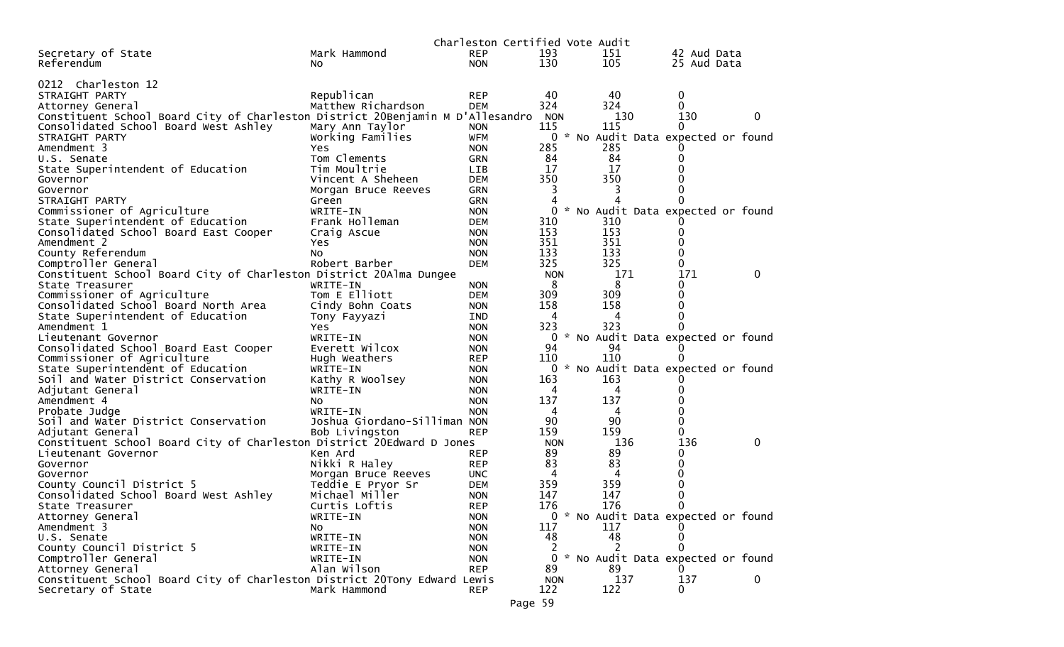|                                                                                |                                          | Charleston Certified Vote Audit |            |                                          |             |   |
|--------------------------------------------------------------------------------|------------------------------------------|---------------------------------|------------|------------------------------------------|-------------|---|
| Secretary of State                                                             | Mark Hammond                             | <b>REP</b>                      | 193        | 151                                      | 42 Aud Data |   |
| Referendum                                                                     | NO.                                      | <b>NON</b>                      | 130        | 105                                      | 25 Aud Data |   |
|                                                                                |                                          |                                 |            |                                          |             |   |
| 0212 Charleston 12                                                             |                                          |                                 |            |                                          |             |   |
| STRAIGHT PARTY                                                                 | Republican                               | <b>REP</b>                      | 40         | 40                                       | 0           |   |
| Attorney General                                                               | Matthew Richardson                       | <b>DEM</b>                      | 324        | 324                                      | $\Omega$    |   |
| Constituent School Board City of Charleston District 20Benjamin M D'Allesandro |                                          |                                 | <b>NON</b> | 130                                      | 130         | 0 |
| Consolidated School Board West Ashley                                          | Mary Ann Taylor                          | <b>NON</b>                      | 115        | 115                                      | 0           |   |
| STRAIGHT PARTY                                                                 | Working Families                         | <b>WFM</b>                      |            | 0 * No Audit Data expected or found      |             |   |
| Amendment 3                                                                    | Yes                                      | <b>NON</b>                      | 285        | 285                                      |             |   |
| U.S. Senate                                                                    | Tom Clements                             | <b>GRN</b>                      | 84         | 84                                       | 0           |   |
| State Superintendent of Education                                              | Tim Moultrie                             | LIB                             | 17         | 17                                       |             |   |
| Governor                                                                       | Vincent A Sheheen                        | <b>DEM</b>                      | 350        | 350                                      |             |   |
| Governor                                                                       | Morgan Bruce Reeves                      | <b>GRN</b>                      | 3          | 3                                        | 0           |   |
| STRAIGHT PARTY                                                                 | Green                                    | <b>GRN</b>                      | 4          |                                          | $\Omega$    |   |
| Commissioner of Agriculture                                                    | WRITE-IN                                 | <b>NON</b>                      | $\Omega$   | * No Audit Data expected or found        |             |   |
| State Superintendent of Education                                              | Frank Holleman                           | <b>DEM</b>                      | 310        | 310                                      |             |   |
| Consolidated School Board East Cooper                                          | Craig Ascue                              | <b>NON</b>                      | 153        | 153                                      | 0           |   |
| Amendment 2                                                                    | Yes                                      | <b>NON</b>                      | 351        | 351                                      |             |   |
| County Referendum                                                              | No                                       | <b>NON</b>                      | 133        | 133                                      | 0           |   |
| Comptroller General                                                            | Robert Barber                            | <b>DEM</b>                      | 325        | 325                                      | 0           |   |
| Constituent School Board City of Charleston District 20Alma Dungee             |                                          |                                 | <b>NON</b> | 171                                      | 171         | 0 |
| State Treasurer                                                                | WRITE-IN                                 | <b>NON</b>                      | 8          | 8                                        | 0           |   |
| Commissioner of Agriculture                                                    | Tom E Elliott                            | <b>DEM</b>                      | 309        | 309                                      | 0           |   |
| Consolidated School Board North Area                                           | Cindy Bohn Coats                         | <b>NON</b>                      | 158        | 158                                      | 0           |   |
| State Superintendent of Education                                              | Tony Fayyazi                             | IND                             | 4          | 4                                        | 0           |   |
| Amendment 1                                                                    | Yes                                      | <b>NON</b>                      | 323        | 323                                      |             |   |
| Lieutenant Governor                                                            | WRITE-IN                                 | <b>NON</b>                      | 0          | No Audit Data expected or found<br>94    |             |   |
| Consolidated School Board East Cooper                                          | Everett Wilcox                           | <b>NON</b>                      | 94         |                                          |             |   |
| Commissioner of Agriculture                                                    | Hugh Weathers                            | <b>REP</b>                      | 110        | 110<br>* No Audit Data expected or found |             |   |
| State Superintendent of Education                                              | WRITE-IN                                 | <b>NON</b>                      | 0          |                                          |             |   |
| Soil and Water District Conservation                                           | Kathy R Woolsey                          | <b>NON</b>                      | 163<br>4   | 163<br>4                                 |             |   |
| Adjutant General                                                               | WRITE-IN                                 | <b>NON</b>                      | 137        | 137                                      |             |   |
| Amendment 4                                                                    | No.                                      | <b>NON</b>                      | 4          |                                          |             |   |
| Probate Judge<br>Soil and Water District Conservation                          | WRITE-IN<br>Joshua Giordano-Silliman NON | <b>NON</b>                      | 90         | 4<br>90                                  | 0<br>0      |   |
| Adjutant General                                                               | Bob Livingston                           | <b>REP</b>                      | 159        | 159                                      | 0           |   |
| Constituent School Board City of Charleston District 20Edward D Jones          |                                          |                                 | <b>NON</b> | 136                                      | 136         | 0 |
| Lieutenant Governor                                                            | Ken Ard                                  | <b>REP</b>                      | 89         | 89                                       | 0           |   |
| Governor                                                                       | Nikki R Haley                            | <b>REP</b>                      | 83         | 83                                       | 0           |   |
| Governor                                                                       | Morgan Bruce Reeves                      | <b>UNC</b>                      | 4          | 4                                        | 0           |   |
| County Council District 5                                                      | Teddie E Pryor Sr                        | <b>DEM</b>                      | 359        | 359                                      | 0           |   |
| Consolidated School Board West Ashley                                          | Michael Miller                           | <b>NON</b>                      | 147        | 147                                      | 0           |   |
| State Treasurer                                                                | Curtis Loftis                            | <b>REP</b>                      | 176        | 176                                      | 0           |   |
| Attorney General                                                               | WRITE-IN                                 | <b>NON</b>                      |            | 0 * No Audit Data expected or found      |             |   |
| Amendment 3                                                                    | No                                       | <b>NON</b>                      | 117        | 117                                      |             |   |
| U.S. Senate                                                                    | WRITE-IN                                 | <b>NON</b>                      | 48         | 48                                       |             |   |
| County Council District 5                                                      | WRITE-IN                                 | <b>NON</b>                      | 2          |                                          | 0           |   |
| Comptroller General                                                            | WRITE-IN                                 | <b>NON</b>                      | 0          | * No Audit Data expected or found        |             |   |
| Attorney General                                                               | Alan Wilson                              | <b>REP</b>                      | 89         | 89                                       |             |   |
| Constituent School Board City of Charleston District 20Tony Edward Lewis       |                                          |                                 | <b>NON</b> | 137                                      | 137         | 0 |
| Secretary of State                                                             | Mark Hammond                             | <b>REP</b>                      | 122        | 122                                      | 0           |   |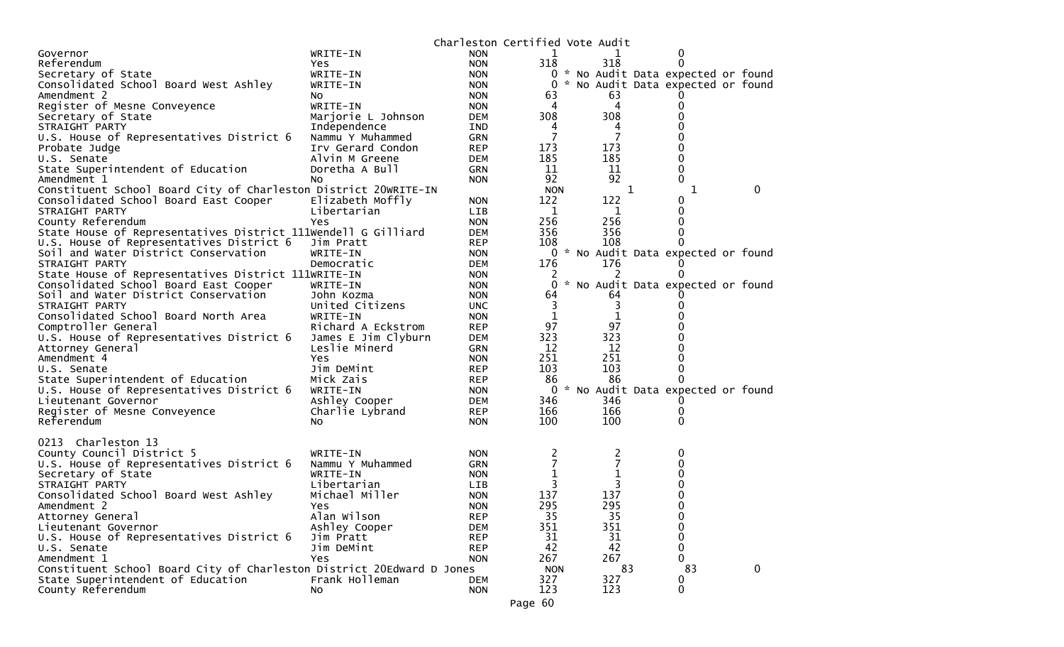| WRITE-IN<br><b>NON</b><br>Governor<br>$\Omega$<br>318<br>318<br>Referendum<br><b>NON</b><br>0<br>Yes<br>Secretary of State<br>WRITE-IN<br>0 * No Audit Data expected or found<br><b>NON</b><br>* No Audit Data expected or found<br>Consolidated School Board West Ashley<br>0<br>WRITE-IN<br><b>NON</b><br>63<br>Amendment 2<br><b>NON</b><br>63<br>NO.<br>WRITE-IN<br>4<br>0<br>Register of Mesne Conveyence<br><b>NON</b><br>4<br>308<br>308<br>Secretary of State<br>Marjorie L Johnson<br>0<br>DEM<br>0<br>STRAIGHT PARTY<br>Independence<br>IND<br>4<br>4<br>7<br>U.S. House of Representatives District 6<br>Nammu Y Muhammed<br>0<br><b>GRN</b><br>173<br>173<br>Irv Gerard Condon<br>0<br><b>REP</b><br>Probate Judge<br>185<br>185<br>Alvin M Greene<br>0<br>U.S. Senate<br>DEM<br>11<br>State Superintendent of Education<br>11<br>0<br>Doretha A Bull<br><b>GRN</b><br>92<br>92<br>0<br>Amendment 1<br><b>NON</b><br>NO.<br>Constituent School Board City of Charleston District 20WRITE-IN<br><b>NON</b><br>0<br>1<br>1<br>122<br>122<br>Consolidated School Board East Cooper<br>Elizabeth Moffly<br><b>NON</b><br>0<br>Libertarian<br>1<br>1<br>0<br>STRAIGHT PARTY<br><b>LIB</b><br>256<br>0<br>256<br>County Referendum<br><b>NON</b><br>Yes<br>State House of Representatives District 111Wendell G Gilliard<br>356<br>356<br>0<br><b>DEM</b><br>U.S. House of Representatives District 6<br>Jim Pratt<br>108<br>108<br>0<br><b>REP</b><br>0 * No Audit Data expected or found<br>Soil and Water District Conservation<br>WRITE-IN<br><b>NON</b><br>Democratic<br>176<br>176<br>STRAIGHT PARTY<br>DEM<br>U<br>State House of Representatives District 111WRITE-IN<br><b>NON</b><br>0<br>* No Audit Data expected or found<br>Consolidated School Board East Cooper<br>0<br>WRITE-IN<br><b>NON</b><br>Soil and Water District Conservation<br>John Kozma<br><b>NON</b><br>64<br>64<br>3<br>3<br>STRAIGHT PARTY<br>United Citizens<br><b>UNC</b><br>0<br>$\mathbf{1}$<br>Consolidated School Board North Area<br>1<br>WRITE-IN<br><b>NON</b><br>97<br>97<br>Comptroller General<br>Richard A Eckstrom<br><b>REP</b><br>323<br>323<br>U.S. House of Representatives District 6<br>James E Jim Clyburn<br>DEM<br>0<br>12<br>12<br>Leslie Minerd<br><b>GRN</b><br>0<br>Attorney General<br>251<br>251<br>Amendment 4<br>Yes<br>0<br><b>NON</b><br>103<br>103<br>0<br>Jim DeMint<br><b>REP</b><br>U.S. Senate<br>State Superintendent of Education<br>86<br>86<br>Mick Zais<br><b>REP</b><br>0<br>U.S. House of Representatives District 6<br>* No Audit Data expected or found<br>WRITE-IN<br>0<br><b>NON</b><br>346<br>346<br>Lieutenant Governor<br>Ashley Cooper<br>DEM<br>0<br>166<br>166<br>Register of Mesne Conveyence<br>Charlie Lybrand<br><b>REP</b><br>0<br>100<br>$\Omega$<br>Referendum<br>100<br><b>NON</b><br>No.<br>0213 Charleston 13<br>County Council District 5<br>WRITE-IN<br><b>NON</b><br>2<br>0<br>7<br>7<br>U.S. House of Representatives District 6<br>Nammu Y Muhammed<br><b>GRN</b><br>0<br>1<br>Secretary of State<br>WRITE-IN<br>0<br><b>NON</b><br>3<br>STRAIGHT PARTY<br>Libertarian<br>0<br>LIB<br>137<br>137<br>Consolidated School Board West Ashley<br>Michael Miller<br><b>NON</b><br>0<br>0<br>295<br>295<br>Amendment 2<br><b>NON</b><br>Yes<br>Attorney General<br>Alan Wilson<br>35<br>35<br><b>REP</b><br>$\bf{0}$<br>351<br>351<br>0<br>Lieutenant Governor<br>Ashley Cooper<br><b>DEM</b><br>0<br>U.S. House of Representatives District 6<br>31<br>Jim Pratt<br><b>REP</b><br>31<br>42<br>$\Omega$<br>42<br>Jim DeMint<br><b>REP</b><br>U.S. Senate<br>267<br>267<br>0<br>Amendment 1<br>Yes<br><b>NON</b><br>Constituent School Board City of Charleston District 20Edward D Jones<br>83<br>83<br>0<br><b>NON</b><br>327<br>State Superintendent of Education<br>Frank Holleman<br>327<br>0<br><b>DEM</b><br>$\mathbf 0$<br><b>NON</b><br>123<br>123<br>County Referendum<br>NO. |  | Charleston Certified Vote Audit |  |  |  |
|---------------------------------------------------------------------------------------------------------------------------------------------------------------------------------------------------------------------------------------------------------------------------------------------------------------------------------------------------------------------------------------------------------------------------------------------------------------------------------------------------------------------------------------------------------------------------------------------------------------------------------------------------------------------------------------------------------------------------------------------------------------------------------------------------------------------------------------------------------------------------------------------------------------------------------------------------------------------------------------------------------------------------------------------------------------------------------------------------------------------------------------------------------------------------------------------------------------------------------------------------------------------------------------------------------------------------------------------------------------------------------------------------------------------------------------------------------------------------------------------------------------------------------------------------------------------------------------------------------------------------------------------------------------------------------------------------------------------------------------------------------------------------------------------------------------------------------------------------------------------------------------------------------------------------------------------------------------------------------------------------------------------------------------------------------------------------------------------------------------------------------------------------------------------------------------------------------------------------------------------------------------------------------------------------------------------------------------------------------------------------------------------------------------------------------------------------------------------------------------------------------------------------------------------------------------------------------------------------------------------------------------------------------------------------------------------------------------------------------------------------------------------------------------------------------------------------------------------------------------------------------------------------------------------------------------------------------------------------------------------------------------------------------------------------------------------------------------------------------------------------------------------------------------------------------------------------------------------------------------------------------------------------------------------------------------------------------------------------------------------------------------------------------------------------------------------------------------------------------------------------------------------------------------------------------------------------------------------------------------------------------------------------------------------------------------------------------------------------------------------------------------------------------------------------------------------------------------------------------------------------------------------------------------------------------------------|--|---------------------------------|--|--|--|
|                                                                                                                                                                                                                                                                                                                                                                                                                                                                                                                                                                                                                                                                                                                                                                                                                                                                                                                                                                                                                                                                                                                                                                                                                                                                                                                                                                                                                                                                                                                                                                                                                                                                                                                                                                                                                                                                                                                                                                                                                                                                                                                                                                                                                                                                                                                                                                                                                                                                                                                                                                                                                                                                                                                                                                                                                                                                                                                                                                                                                                                                                                                                                                                                                                                                                                                                                                                                                                                                                                                                                                                                                                                                                                                                                                                                                                                                                                                                             |  |                                 |  |  |  |
|                                                                                                                                                                                                                                                                                                                                                                                                                                                                                                                                                                                                                                                                                                                                                                                                                                                                                                                                                                                                                                                                                                                                                                                                                                                                                                                                                                                                                                                                                                                                                                                                                                                                                                                                                                                                                                                                                                                                                                                                                                                                                                                                                                                                                                                                                                                                                                                                                                                                                                                                                                                                                                                                                                                                                                                                                                                                                                                                                                                                                                                                                                                                                                                                                                                                                                                                                                                                                                                                                                                                                                                                                                                                                                                                                                                                                                                                                                                                             |  |                                 |  |  |  |
|                                                                                                                                                                                                                                                                                                                                                                                                                                                                                                                                                                                                                                                                                                                                                                                                                                                                                                                                                                                                                                                                                                                                                                                                                                                                                                                                                                                                                                                                                                                                                                                                                                                                                                                                                                                                                                                                                                                                                                                                                                                                                                                                                                                                                                                                                                                                                                                                                                                                                                                                                                                                                                                                                                                                                                                                                                                                                                                                                                                                                                                                                                                                                                                                                                                                                                                                                                                                                                                                                                                                                                                                                                                                                                                                                                                                                                                                                                                                             |  |                                 |  |  |  |
|                                                                                                                                                                                                                                                                                                                                                                                                                                                                                                                                                                                                                                                                                                                                                                                                                                                                                                                                                                                                                                                                                                                                                                                                                                                                                                                                                                                                                                                                                                                                                                                                                                                                                                                                                                                                                                                                                                                                                                                                                                                                                                                                                                                                                                                                                                                                                                                                                                                                                                                                                                                                                                                                                                                                                                                                                                                                                                                                                                                                                                                                                                                                                                                                                                                                                                                                                                                                                                                                                                                                                                                                                                                                                                                                                                                                                                                                                                                                             |  |                                 |  |  |  |
|                                                                                                                                                                                                                                                                                                                                                                                                                                                                                                                                                                                                                                                                                                                                                                                                                                                                                                                                                                                                                                                                                                                                                                                                                                                                                                                                                                                                                                                                                                                                                                                                                                                                                                                                                                                                                                                                                                                                                                                                                                                                                                                                                                                                                                                                                                                                                                                                                                                                                                                                                                                                                                                                                                                                                                                                                                                                                                                                                                                                                                                                                                                                                                                                                                                                                                                                                                                                                                                                                                                                                                                                                                                                                                                                                                                                                                                                                                                                             |  |                                 |  |  |  |
|                                                                                                                                                                                                                                                                                                                                                                                                                                                                                                                                                                                                                                                                                                                                                                                                                                                                                                                                                                                                                                                                                                                                                                                                                                                                                                                                                                                                                                                                                                                                                                                                                                                                                                                                                                                                                                                                                                                                                                                                                                                                                                                                                                                                                                                                                                                                                                                                                                                                                                                                                                                                                                                                                                                                                                                                                                                                                                                                                                                                                                                                                                                                                                                                                                                                                                                                                                                                                                                                                                                                                                                                                                                                                                                                                                                                                                                                                                                                             |  |                                 |  |  |  |
|                                                                                                                                                                                                                                                                                                                                                                                                                                                                                                                                                                                                                                                                                                                                                                                                                                                                                                                                                                                                                                                                                                                                                                                                                                                                                                                                                                                                                                                                                                                                                                                                                                                                                                                                                                                                                                                                                                                                                                                                                                                                                                                                                                                                                                                                                                                                                                                                                                                                                                                                                                                                                                                                                                                                                                                                                                                                                                                                                                                                                                                                                                                                                                                                                                                                                                                                                                                                                                                                                                                                                                                                                                                                                                                                                                                                                                                                                                                                             |  |                                 |  |  |  |
|                                                                                                                                                                                                                                                                                                                                                                                                                                                                                                                                                                                                                                                                                                                                                                                                                                                                                                                                                                                                                                                                                                                                                                                                                                                                                                                                                                                                                                                                                                                                                                                                                                                                                                                                                                                                                                                                                                                                                                                                                                                                                                                                                                                                                                                                                                                                                                                                                                                                                                                                                                                                                                                                                                                                                                                                                                                                                                                                                                                                                                                                                                                                                                                                                                                                                                                                                                                                                                                                                                                                                                                                                                                                                                                                                                                                                                                                                                                                             |  |                                 |  |  |  |
|                                                                                                                                                                                                                                                                                                                                                                                                                                                                                                                                                                                                                                                                                                                                                                                                                                                                                                                                                                                                                                                                                                                                                                                                                                                                                                                                                                                                                                                                                                                                                                                                                                                                                                                                                                                                                                                                                                                                                                                                                                                                                                                                                                                                                                                                                                                                                                                                                                                                                                                                                                                                                                                                                                                                                                                                                                                                                                                                                                                                                                                                                                                                                                                                                                                                                                                                                                                                                                                                                                                                                                                                                                                                                                                                                                                                                                                                                                                                             |  |                                 |  |  |  |
|                                                                                                                                                                                                                                                                                                                                                                                                                                                                                                                                                                                                                                                                                                                                                                                                                                                                                                                                                                                                                                                                                                                                                                                                                                                                                                                                                                                                                                                                                                                                                                                                                                                                                                                                                                                                                                                                                                                                                                                                                                                                                                                                                                                                                                                                                                                                                                                                                                                                                                                                                                                                                                                                                                                                                                                                                                                                                                                                                                                                                                                                                                                                                                                                                                                                                                                                                                                                                                                                                                                                                                                                                                                                                                                                                                                                                                                                                                                                             |  |                                 |  |  |  |
|                                                                                                                                                                                                                                                                                                                                                                                                                                                                                                                                                                                                                                                                                                                                                                                                                                                                                                                                                                                                                                                                                                                                                                                                                                                                                                                                                                                                                                                                                                                                                                                                                                                                                                                                                                                                                                                                                                                                                                                                                                                                                                                                                                                                                                                                                                                                                                                                                                                                                                                                                                                                                                                                                                                                                                                                                                                                                                                                                                                                                                                                                                                                                                                                                                                                                                                                                                                                                                                                                                                                                                                                                                                                                                                                                                                                                                                                                                                                             |  |                                 |  |  |  |
|                                                                                                                                                                                                                                                                                                                                                                                                                                                                                                                                                                                                                                                                                                                                                                                                                                                                                                                                                                                                                                                                                                                                                                                                                                                                                                                                                                                                                                                                                                                                                                                                                                                                                                                                                                                                                                                                                                                                                                                                                                                                                                                                                                                                                                                                                                                                                                                                                                                                                                                                                                                                                                                                                                                                                                                                                                                                                                                                                                                                                                                                                                                                                                                                                                                                                                                                                                                                                                                                                                                                                                                                                                                                                                                                                                                                                                                                                                                                             |  |                                 |  |  |  |
|                                                                                                                                                                                                                                                                                                                                                                                                                                                                                                                                                                                                                                                                                                                                                                                                                                                                                                                                                                                                                                                                                                                                                                                                                                                                                                                                                                                                                                                                                                                                                                                                                                                                                                                                                                                                                                                                                                                                                                                                                                                                                                                                                                                                                                                                                                                                                                                                                                                                                                                                                                                                                                                                                                                                                                                                                                                                                                                                                                                                                                                                                                                                                                                                                                                                                                                                                                                                                                                                                                                                                                                                                                                                                                                                                                                                                                                                                                                                             |  |                                 |  |  |  |
|                                                                                                                                                                                                                                                                                                                                                                                                                                                                                                                                                                                                                                                                                                                                                                                                                                                                                                                                                                                                                                                                                                                                                                                                                                                                                                                                                                                                                                                                                                                                                                                                                                                                                                                                                                                                                                                                                                                                                                                                                                                                                                                                                                                                                                                                                                                                                                                                                                                                                                                                                                                                                                                                                                                                                                                                                                                                                                                                                                                                                                                                                                                                                                                                                                                                                                                                                                                                                                                                                                                                                                                                                                                                                                                                                                                                                                                                                                                                             |  |                                 |  |  |  |
|                                                                                                                                                                                                                                                                                                                                                                                                                                                                                                                                                                                                                                                                                                                                                                                                                                                                                                                                                                                                                                                                                                                                                                                                                                                                                                                                                                                                                                                                                                                                                                                                                                                                                                                                                                                                                                                                                                                                                                                                                                                                                                                                                                                                                                                                                                                                                                                                                                                                                                                                                                                                                                                                                                                                                                                                                                                                                                                                                                                                                                                                                                                                                                                                                                                                                                                                                                                                                                                                                                                                                                                                                                                                                                                                                                                                                                                                                                                                             |  |                                 |  |  |  |
|                                                                                                                                                                                                                                                                                                                                                                                                                                                                                                                                                                                                                                                                                                                                                                                                                                                                                                                                                                                                                                                                                                                                                                                                                                                                                                                                                                                                                                                                                                                                                                                                                                                                                                                                                                                                                                                                                                                                                                                                                                                                                                                                                                                                                                                                                                                                                                                                                                                                                                                                                                                                                                                                                                                                                                                                                                                                                                                                                                                                                                                                                                                                                                                                                                                                                                                                                                                                                                                                                                                                                                                                                                                                                                                                                                                                                                                                                                                                             |  |                                 |  |  |  |
|                                                                                                                                                                                                                                                                                                                                                                                                                                                                                                                                                                                                                                                                                                                                                                                                                                                                                                                                                                                                                                                                                                                                                                                                                                                                                                                                                                                                                                                                                                                                                                                                                                                                                                                                                                                                                                                                                                                                                                                                                                                                                                                                                                                                                                                                                                                                                                                                                                                                                                                                                                                                                                                                                                                                                                                                                                                                                                                                                                                                                                                                                                                                                                                                                                                                                                                                                                                                                                                                                                                                                                                                                                                                                                                                                                                                                                                                                                                                             |  |                                 |  |  |  |
|                                                                                                                                                                                                                                                                                                                                                                                                                                                                                                                                                                                                                                                                                                                                                                                                                                                                                                                                                                                                                                                                                                                                                                                                                                                                                                                                                                                                                                                                                                                                                                                                                                                                                                                                                                                                                                                                                                                                                                                                                                                                                                                                                                                                                                                                                                                                                                                                                                                                                                                                                                                                                                                                                                                                                                                                                                                                                                                                                                                                                                                                                                                                                                                                                                                                                                                                                                                                                                                                                                                                                                                                                                                                                                                                                                                                                                                                                                                                             |  |                                 |  |  |  |
|                                                                                                                                                                                                                                                                                                                                                                                                                                                                                                                                                                                                                                                                                                                                                                                                                                                                                                                                                                                                                                                                                                                                                                                                                                                                                                                                                                                                                                                                                                                                                                                                                                                                                                                                                                                                                                                                                                                                                                                                                                                                                                                                                                                                                                                                                                                                                                                                                                                                                                                                                                                                                                                                                                                                                                                                                                                                                                                                                                                                                                                                                                                                                                                                                                                                                                                                                                                                                                                                                                                                                                                                                                                                                                                                                                                                                                                                                                                                             |  |                                 |  |  |  |
|                                                                                                                                                                                                                                                                                                                                                                                                                                                                                                                                                                                                                                                                                                                                                                                                                                                                                                                                                                                                                                                                                                                                                                                                                                                                                                                                                                                                                                                                                                                                                                                                                                                                                                                                                                                                                                                                                                                                                                                                                                                                                                                                                                                                                                                                                                                                                                                                                                                                                                                                                                                                                                                                                                                                                                                                                                                                                                                                                                                                                                                                                                                                                                                                                                                                                                                                                                                                                                                                                                                                                                                                                                                                                                                                                                                                                                                                                                                                             |  |                                 |  |  |  |
|                                                                                                                                                                                                                                                                                                                                                                                                                                                                                                                                                                                                                                                                                                                                                                                                                                                                                                                                                                                                                                                                                                                                                                                                                                                                                                                                                                                                                                                                                                                                                                                                                                                                                                                                                                                                                                                                                                                                                                                                                                                                                                                                                                                                                                                                                                                                                                                                                                                                                                                                                                                                                                                                                                                                                                                                                                                                                                                                                                                                                                                                                                                                                                                                                                                                                                                                                                                                                                                                                                                                                                                                                                                                                                                                                                                                                                                                                                                                             |  |                                 |  |  |  |
|                                                                                                                                                                                                                                                                                                                                                                                                                                                                                                                                                                                                                                                                                                                                                                                                                                                                                                                                                                                                                                                                                                                                                                                                                                                                                                                                                                                                                                                                                                                                                                                                                                                                                                                                                                                                                                                                                                                                                                                                                                                                                                                                                                                                                                                                                                                                                                                                                                                                                                                                                                                                                                                                                                                                                                                                                                                                                                                                                                                                                                                                                                                                                                                                                                                                                                                                                                                                                                                                                                                                                                                                                                                                                                                                                                                                                                                                                                                                             |  |                                 |  |  |  |
|                                                                                                                                                                                                                                                                                                                                                                                                                                                                                                                                                                                                                                                                                                                                                                                                                                                                                                                                                                                                                                                                                                                                                                                                                                                                                                                                                                                                                                                                                                                                                                                                                                                                                                                                                                                                                                                                                                                                                                                                                                                                                                                                                                                                                                                                                                                                                                                                                                                                                                                                                                                                                                                                                                                                                                                                                                                                                                                                                                                                                                                                                                                                                                                                                                                                                                                                                                                                                                                                                                                                                                                                                                                                                                                                                                                                                                                                                                                                             |  |                                 |  |  |  |
|                                                                                                                                                                                                                                                                                                                                                                                                                                                                                                                                                                                                                                                                                                                                                                                                                                                                                                                                                                                                                                                                                                                                                                                                                                                                                                                                                                                                                                                                                                                                                                                                                                                                                                                                                                                                                                                                                                                                                                                                                                                                                                                                                                                                                                                                                                                                                                                                                                                                                                                                                                                                                                                                                                                                                                                                                                                                                                                                                                                                                                                                                                                                                                                                                                                                                                                                                                                                                                                                                                                                                                                                                                                                                                                                                                                                                                                                                                                                             |  |                                 |  |  |  |
|                                                                                                                                                                                                                                                                                                                                                                                                                                                                                                                                                                                                                                                                                                                                                                                                                                                                                                                                                                                                                                                                                                                                                                                                                                                                                                                                                                                                                                                                                                                                                                                                                                                                                                                                                                                                                                                                                                                                                                                                                                                                                                                                                                                                                                                                                                                                                                                                                                                                                                                                                                                                                                                                                                                                                                                                                                                                                                                                                                                                                                                                                                                                                                                                                                                                                                                                                                                                                                                                                                                                                                                                                                                                                                                                                                                                                                                                                                                                             |  |                                 |  |  |  |
|                                                                                                                                                                                                                                                                                                                                                                                                                                                                                                                                                                                                                                                                                                                                                                                                                                                                                                                                                                                                                                                                                                                                                                                                                                                                                                                                                                                                                                                                                                                                                                                                                                                                                                                                                                                                                                                                                                                                                                                                                                                                                                                                                                                                                                                                                                                                                                                                                                                                                                                                                                                                                                                                                                                                                                                                                                                                                                                                                                                                                                                                                                                                                                                                                                                                                                                                                                                                                                                                                                                                                                                                                                                                                                                                                                                                                                                                                                                                             |  |                                 |  |  |  |
|                                                                                                                                                                                                                                                                                                                                                                                                                                                                                                                                                                                                                                                                                                                                                                                                                                                                                                                                                                                                                                                                                                                                                                                                                                                                                                                                                                                                                                                                                                                                                                                                                                                                                                                                                                                                                                                                                                                                                                                                                                                                                                                                                                                                                                                                                                                                                                                                                                                                                                                                                                                                                                                                                                                                                                                                                                                                                                                                                                                                                                                                                                                                                                                                                                                                                                                                                                                                                                                                                                                                                                                                                                                                                                                                                                                                                                                                                                                                             |  |                                 |  |  |  |
|                                                                                                                                                                                                                                                                                                                                                                                                                                                                                                                                                                                                                                                                                                                                                                                                                                                                                                                                                                                                                                                                                                                                                                                                                                                                                                                                                                                                                                                                                                                                                                                                                                                                                                                                                                                                                                                                                                                                                                                                                                                                                                                                                                                                                                                                                                                                                                                                                                                                                                                                                                                                                                                                                                                                                                                                                                                                                                                                                                                                                                                                                                                                                                                                                                                                                                                                                                                                                                                                                                                                                                                                                                                                                                                                                                                                                                                                                                                                             |  |                                 |  |  |  |
|                                                                                                                                                                                                                                                                                                                                                                                                                                                                                                                                                                                                                                                                                                                                                                                                                                                                                                                                                                                                                                                                                                                                                                                                                                                                                                                                                                                                                                                                                                                                                                                                                                                                                                                                                                                                                                                                                                                                                                                                                                                                                                                                                                                                                                                                                                                                                                                                                                                                                                                                                                                                                                                                                                                                                                                                                                                                                                                                                                                                                                                                                                                                                                                                                                                                                                                                                                                                                                                                                                                                                                                                                                                                                                                                                                                                                                                                                                                                             |  |                                 |  |  |  |
|                                                                                                                                                                                                                                                                                                                                                                                                                                                                                                                                                                                                                                                                                                                                                                                                                                                                                                                                                                                                                                                                                                                                                                                                                                                                                                                                                                                                                                                                                                                                                                                                                                                                                                                                                                                                                                                                                                                                                                                                                                                                                                                                                                                                                                                                                                                                                                                                                                                                                                                                                                                                                                                                                                                                                                                                                                                                                                                                                                                                                                                                                                                                                                                                                                                                                                                                                                                                                                                                                                                                                                                                                                                                                                                                                                                                                                                                                                                                             |  |                                 |  |  |  |
|                                                                                                                                                                                                                                                                                                                                                                                                                                                                                                                                                                                                                                                                                                                                                                                                                                                                                                                                                                                                                                                                                                                                                                                                                                                                                                                                                                                                                                                                                                                                                                                                                                                                                                                                                                                                                                                                                                                                                                                                                                                                                                                                                                                                                                                                                                                                                                                                                                                                                                                                                                                                                                                                                                                                                                                                                                                                                                                                                                                                                                                                                                                                                                                                                                                                                                                                                                                                                                                                                                                                                                                                                                                                                                                                                                                                                                                                                                                                             |  |                                 |  |  |  |
|                                                                                                                                                                                                                                                                                                                                                                                                                                                                                                                                                                                                                                                                                                                                                                                                                                                                                                                                                                                                                                                                                                                                                                                                                                                                                                                                                                                                                                                                                                                                                                                                                                                                                                                                                                                                                                                                                                                                                                                                                                                                                                                                                                                                                                                                                                                                                                                                                                                                                                                                                                                                                                                                                                                                                                                                                                                                                                                                                                                                                                                                                                                                                                                                                                                                                                                                                                                                                                                                                                                                                                                                                                                                                                                                                                                                                                                                                                                                             |  |                                 |  |  |  |
|                                                                                                                                                                                                                                                                                                                                                                                                                                                                                                                                                                                                                                                                                                                                                                                                                                                                                                                                                                                                                                                                                                                                                                                                                                                                                                                                                                                                                                                                                                                                                                                                                                                                                                                                                                                                                                                                                                                                                                                                                                                                                                                                                                                                                                                                                                                                                                                                                                                                                                                                                                                                                                                                                                                                                                                                                                                                                                                                                                                                                                                                                                                                                                                                                                                                                                                                                                                                                                                                                                                                                                                                                                                                                                                                                                                                                                                                                                                                             |  |                                 |  |  |  |
|                                                                                                                                                                                                                                                                                                                                                                                                                                                                                                                                                                                                                                                                                                                                                                                                                                                                                                                                                                                                                                                                                                                                                                                                                                                                                                                                                                                                                                                                                                                                                                                                                                                                                                                                                                                                                                                                                                                                                                                                                                                                                                                                                                                                                                                                                                                                                                                                                                                                                                                                                                                                                                                                                                                                                                                                                                                                                                                                                                                                                                                                                                                                                                                                                                                                                                                                                                                                                                                                                                                                                                                                                                                                                                                                                                                                                                                                                                                                             |  |                                 |  |  |  |
|                                                                                                                                                                                                                                                                                                                                                                                                                                                                                                                                                                                                                                                                                                                                                                                                                                                                                                                                                                                                                                                                                                                                                                                                                                                                                                                                                                                                                                                                                                                                                                                                                                                                                                                                                                                                                                                                                                                                                                                                                                                                                                                                                                                                                                                                                                                                                                                                                                                                                                                                                                                                                                                                                                                                                                                                                                                                                                                                                                                                                                                                                                                                                                                                                                                                                                                                                                                                                                                                                                                                                                                                                                                                                                                                                                                                                                                                                                                                             |  |                                 |  |  |  |
|                                                                                                                                                                                                                                                                                                                                                                                                                                                                                                                                                                                                                                                                                                                                                                                                                                                                                                                                                                                                                                                                                                                                                                                                                                                                                                                                                                                                                                                                                                                                                                                                                                                                                                                                                                                                                                                                                                                                                                                                                                                                                                                                                                                                                                                                                                                                                                                                                                                                                                                                                                                                                                                                                                                                                                                                                                                                                                                                                                                                                                                                                                                                                                                                                                                                                                                                                                                                                                                                                                                                                                                                                                                                                                                                                                                                                                                                                                                                             |  |                                 |  |  |  |
|                                                                                                                                                                                                                                                                                                                                                                                                                                                                                                                                                                                                                                                                                                                                                                                                                                                                                                                                                                                                                                                                                                                                                                                                                                                                                                                                                                                                                                                                                                                                                                                                                                                                                                                                                                                                                                                                                                                                                                                                                                                                                                                                                                                                                                                                                                                                                                                                                                                                                                                                                                                                                                                                                                                                                                                                                                                                                                                                                                                                                                                                                                                                                                                                                                                                                                                                                                                                                                                                                                                                                                                                                                                                                                                                                                                                                                                                                                                                             |  |                                 |  |  |  |
|                                                                                                                                                                                                                                                                                                                                                                                                                                                                                                                                                                                                                                                                                                                                                                                                                                                                                                                                                                                                                                                                                                                                                                                                                                                                                                                                                                                                                                                                                                                                                                                                                                                                                                                                                                                                                                                                                                                                                                                                                                                                                                                                                                                                                                                                                                                                                                                                                                                                                                                                                                                                                                                                                                                                                                                                                                                                                                                                                                                                                                                                                                                                                                                                                                                                                                                                                                                                                                                                                                                                                                                                                                                                                                                                                                                                                                                                                                                                             |  |                                 |  |  |  |
|                                                                                                                                                                                                                                                                                                                                                                                                                                                                                                                                                                                                                                                                                                                                                                                                                                                                                                                                                                                                                                                                                                                                                                                                                                                                                                                                                                                                                                                                                                                                                                                                                                                                                                                                                                                                                                                                                                                                                                                                                                                                                                                                                                                                                                                                                                                                                                                                                                                                                                                                                                                                                                                                                                                                                                                                                                                                                                                                                                                                                                                                                                                                                                                                                                                                                                                                                                                                                                                                                                                                                                                                                                                                                                                                                                                                                                                                                                                                             |  |                                 |  |  |  |
|                                                                                                                                                                                                                                                                                                                                                                                                                                                                                                                                                                                                                                                                                                                                                                                                                                                                                                                                                                                                                                                                                                                                                                                                                                                                                                                                                                                                                                                                                                                                                                                                                                                                                                                                                                                                                                                                                                                                                                                                                                                                                                                                                                                                                                                                                                                                                                                                                                                                                                                                                                                                                                                                                                                                                                                                                                                                                                                                                                                                                                                                                                                                                                                                                                                                                                                                                                                                                                                                                                                                                                                                                                                                                                                                                                                                                                                                                                                                             |  |                                 |  |  |  |
|                                                                                                                                                                                                                                                                                                                                                                                                                                                                                                                                                                                                                                                                                                                                                                                                                                                                                                                                                                                                                                                                                                                                                                                                                                                                                                                                                                                                                                                                                                                                                                                                                                                                                                                                                                                                                                                                                                                                                                                                                                                                                                                                                                                                                                                                                                                                                                                                                                                                                                                                                                                                                                                                                                                                                                                                                                                                                                                                                                                                                                                                                                                                                                                                                                                                                                                                                                                                                                                                                                                                                                                                                                                                                                                                                                                                                                                                                                                                             |  |                                 |  |  |  |
|                                                                                                                                                                                                                                                                                                                                                                                                                                                                                                                                                                                                                                                                                                                                                                                                                                                                                                                                                                                                                                                                                                                                                                                                                                                                                                                                                                                                                                                                                                                                                                                                                                                                                                                                                                                                                                                                                                                                                                                                                                                                                                                                                                                                                                                                                                                                                                                                                                                                                                                                                                                                                                                                                                                                                                                                                                                                                                                                                                                                                                                                                                                                                                                                                                                                                                                                                                                                                                                                                                                                                                                                                                                                                                                                                                                                                                                                                                                                             |  |                                 |  |  |  |
|                                                                                                                                                                                                                                                                                                                                                                                                                                                                                                                                                                                                                                                                                                                                                                                                                                                                                                                                                                                                                                                                                                                                                                                                                                                                                                                                                                                                                                                                                                                                                                                                                                                                                                                                                                                                                                                                                                                                                                                                                                                                                                                                                                                                                                                                                                                                                                                                                                                                                                                                                                                                                                                                                                                                                                                                                                                                                                                                                                                                                                                                                                                                                                                                                                                                                                                                                                                                                                                                                                                                                                                                                                                                                                                                                                                                                                                                                                                                             |  |                                 |  |  |  |
|                                                                                                                                                                                                                                                                                                                                                                                                                                                                                                                                                                                                                                                                                                                                                                                                                                                                                                                                                                                                                                                                                                                                                                                                                                                                                                                                                                                                                                                                                                                                                                                                                                                                                                                                                                                                                                                                                                                                                                                                                                                                                                                                                                                                                                                                                                                                                                                                                                                                                                                                                                                                                                                                                                                                                                                                                                                                                                                                                                                                                                                                                                                                                                                                                                                                                                                                                                                                                                                                                                                                                                                                                                                                                                                                                                                                                                                                                                                                             |  |                                 |  |  |  |
|                                                                                                                                                                                                                                                                                                                                                                                                                                                                                                                                                                                                                                                                                                                                                                                                                                                                                                                                                                                                                                                                                                                                                                                                                                                                                                                                                                                                                                                                                                                                                                                                                                                                                                                                                                                                                                                                                                                                                                                                                                                                                                                                                                                                                                                                                                                                                                                                                                                                                                                                                                                                                                                                                                                                                                                                                                                                                                                                                                                                                                                                                                                                                                                                                                                                                                                                                                                                                                                                                                                                                                                                                                                                                                                                                                                                                                                                                                                                             |  |                                 |  |  |  |
|                                                                                                                                                                                                                                                                                                                                                                                                                                                                                                                                                                                                                                                                                                                                                                                                                                                                                                                                                                                                                                                                                                                                                                                                                                                                                                                                                                                                                                                                                                                                                                                                                                                                                                                                                                                                                                                                                                                                                                                                                                                                                                                                                                                                                                                                                                                                                                                                                                                                                                                                                                                                                                                                                                                                                                                                                                                                                                                                                                                                                                                                                                                                                                                                                                                                                                                                                                                                                                                                                                                                                                                                                                                                                                                                                                                                                                                                                                                                             |  |                                 |  |  |  |
|                                                                                                                                                                                                                                                                                                                                                                                                                                                                                                                                                                                                                                                                                                                                                                                                                                                                                                                                                                                                                                                                                                                                                                                                                                                                                                                                                                                                                                                                                                                                                                                                                                                                                                                                                                                                                                                                                                                                                                                                                                                                                                                                                                                                                                                                                                                                                                                                                                                                                                                                                                                                                                                                                                                                                                                                                                                                                                                                                                                                                                                                                                                                                                                                                                                                                                                                                                                                                                                                                                                                                                                                                                                                                                                                                                                                                                                                                                                                             |  |                                 |  |  |  |
|                                                                                                                                                                                                                                                                                                                                                                                                                                                                                                                                                                                                                                                                                                                                                                                                                                                                                                                                                                                                                                                                                                                                                                                                                                                                                                                                                                                                                                                                                                                                                                                                                                                                                                                                                                                                                                                                                                                                                                                                                                                                                                                                                                                                                                                                                                                                                                                                                                                                                                                                                                                                                                                                                                                                                                                                                                                                                                                                                                                                                                                                                                                                                                                                                                                                                                                                                                                                                                                                                                                                                                                                                                                                                                                                                                                                                                                                                                                                             |  |                                 |  |  |  |
|                                                                                                                                                                                                                                                                                                                                                                                                                                                                                                                                                                                                                                                                                                                                                                                                                                                                                                                                                                                                                                                                                                                                                                                                                                                                                                                                                                                                                                                                                                                                                                                                                                                                                                                                                                                                                                                                                                                                                                                                                                                                                                                                                                                                                                                                                                                                                                                                                                                                                                                                                                                                                                                                                                                                                                                                                                                                                                                                                                                                                                                                                                                                                                                                                                                                                                                                                                                                                                                                                                                                                                                                                                                                                                                                                                                                                                                                                                                                             |  |                                 |  |  |  |
|                                                                                                                                                                                                                                                                                                                                                                                                                                                                                                                                                                                                                                                                                                                                                                                                                                                                                                                                                                                                                                                                                                                                                                                                                                                                                                                                                                                                                                                                                                                                                                                                                                                                                                                                                                                                                                                                                                                                                                                                                                                                                                                                                                                                                                                                                                                                                                                                                                                                                                                                                                                                                                                                                                                                                                                                                                                                                                                                                                                                                                                                                                                                                                                                                                                                                                                                                                                                                                                                                                                                                                                                                                                                                                                                                                                                                                                                                                                                             |  |                                 |  |  |  |
|                                                                                                                                                                                                                                                                                                                                                                                                                                                                                                                                                                                                                                                                                                                                                                                                                                                                                                                                                                                                                                                                                                                                                                                                                                                                                                                                                                                                                                                                                                                                                                                                                                                                                                                                                                                                                                                                                                                                                                                                                                                                                                                                                                                                                                                                                                                                                                                                                                                                                                                                                                                                                                                                                                                                                                                                                                                                                                                                                                                                                                                                                                                                                                                                                                                                                                                                                                                                                                                                                                                                                                                                                                                                                                                                                                                                                                                                                                                                             |  |                                 |  |  |  |
|                                                                                                                                                                                                                                                                                                                                                                                                                                                                                                                                                                                                                                                                                                                                                                                                                                                                                                                                                                                                                                                                                                                                                                                                                                                                                                                                                                                                                                                                                                                                                                                                                                                                                                                                                                                                                                                                                                                                                                                                                                                                                                                                                                                                                                                                                                                                                                                                                                                                                                                                                                                                                                                                                                                                                                                                                                                                                                                                                                                                                                                                                                                                                                                                                                                                                                                                                                                                                                                                                                                                                                                                                                                                                                                                                                                                                                                                                                                                             |  |                                 |  |  |  |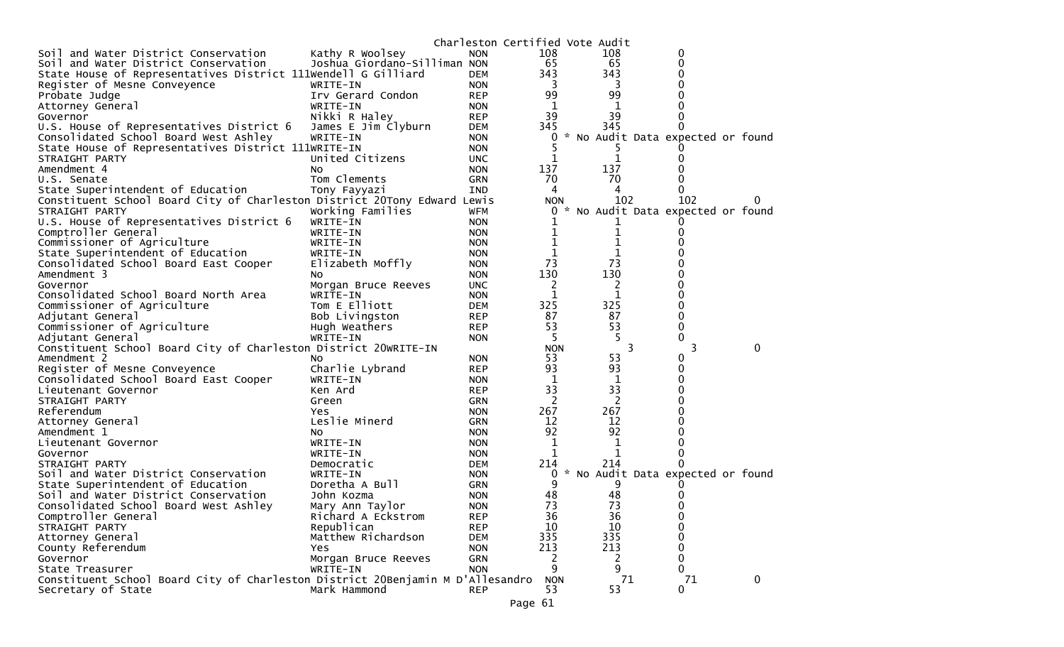|                                                                                                      |                              |            | Charleston Certified Vote Audit |                |                                   |             |
|------------------------------------------------------------------------------------------------------|------------------------------|------------|---------------------------------|----------------|-----------------------------------|-------------|
| Soil and Water District Conservation                                                                 | Kathy R Woolsey              | <b>NON</b> | 108                             | 108            | 0                                 |             |
| Soil and Water District Conservation                                                                 | Joshua Giordano-Silliman NON |            | 65                              | 65             | $\Omega$                          |             |
| State House of Representatives District 111Wendell G Gilliard                                        |                              | <b>DEM</b> | 343                             | 343            | 0                                 |             |
| Register of Mesne Conveyence                                                                         | WRITE-IN                     | <b>NON</b> | 3                               | 3              |                                   |             |
| Probate Judge                                                                                        | Irv Gerard Condon            | <b>REP</b> | 99                              | 99             |                                   |             |
| Attorney General                                                                                     | WRITE-IN                     | <b>NON</b> | 1                               | 1              |                                   |             |
| Governor                                                                                             | Nikki R Haley                | <b>REP</b> | 39                              | 39             |                                   |             |
| U.S. House of Representatives District 6                                                             | James E Jim Clyburn          | <b>DEM</b> | 345                             | 345            |                                   |             |
| Consolidated School Board West Ashley                                                                | WRITE-IN                     | <b>NON</b> | 0                               |                | * No Audit Data expected or found |             |
| State House of Representatives District 111WRITE-IN                                                  |                              | <b>NON</b> |                                 |                |                                   |             |
| STRAIGHT PARTY                                                                                       | United Citizens              | <b>UNC</b> |                                 | 1              |                                   |             |
| Amendment 4                                                                                          | NO.                          | <b>NON</b> | 137                             | 137            |                                   |             |
| U.S. Senate                                                                                          | Tom Clements                 | <b>GRN</b> | 70                              | 70             |                                   |             |
| State Superintendent of Education                                                                    | Tony Fayyazi                 | <b>IND</b> | 4                               | 4              | 0                                 |             |
| Constituent School Board City of Charleston District 20Tony Edward Lewis                             |                              |            | <b>NON</b>                      | 102            | 102                               |             |
| STRAIGHT PARTY                                                                                       | Working Families             | <b>WFM</b> | 0                               |                | * No Audit Data expected or found |             |
| U.S. House of Representatives District 6                                                             | WRITE-IN                     | <b>NON</b> |                                 |                |                                   |             |
| Comptroller General                                                                                  | WRITE-IN                     | <b>NON</b> | 1                               | 1              |                                   |             |
| Commissioner of Agriculture                                                                          | WRITE-IN                     | <b>NON</b> |                                 |                |                                   |             |
| State Superintendent of Education                                                                    | WRITE-IN                     | <b>NON</b> | 1                               | 1              |                                   |             |
| Consolidated School Board East Cooper                                                                | Elizabeth Moffly             | <b>NON</b> | 73                              | 73             |                                   |             |
| Amendment 3                                                                                          | NO.                          | <b>NON</b> | 130                             | 130            |                                   |             |
| Governor                                                                                             |                              |            |                                 | 2              |                                   |             |
|                                                                                                      | Morgan Bruce Reeves          | <b>UNC</b> | 2                               | 1              |                                   |             |
| Consolidated School Board North Area                                                                 | WRITE-IN                     | <b>NON</b> | 1                               |                | 0                                 |             |
| Commissioner of Agriculture                                                                          | Tom E Elliott                | <b>DEM</b> | 325                             | 325<br>87      | $\Omega$                          |             |
| Adjutant General                                                                                     | Bob Livingston               | <b>REP</b> | 87                              | 53             |                                   |             |
| Commissioner of Agriculture                                                                          | Hugh Weathers                | <b>REP</b> | 53                              |                | 0                                 |             |
| Adjutant General                                                                                     | WRITE-IN                     | <b>NON</b> | -5                              |                | 0                                 |             |
| Constituent School Board City of Charleston District 20WRITE-IN                                      |                              |            | <b>NON</b>                      | 3              | 3                                 | $\Omega$    |
| Amendment 2                                                                                          | NO.                          | <b>NON</b> | 53                              | 53             | 0                                 |             |
| Register of Mesne Conveyence                                                                         | Charlie Lybrand              | <b>REP</b> | 93                              | 93             | 0                                 |             |
| Consolidated School Board East Cooper                                                                | WRITE-IN                     | <b>NON</b> | 1                               | $\mathbf 1$    | 0                                 |             |
| Lieutenant Governor                                                                                  | Ken Ard                      | <b>REP</b> | 33                              | 33             |                                   |             |
| STRAIGHT PARTY                                                                                       | Green                        | <b>GRN</b> | 2                               | $\overline{2}$ | 0                                 |             |
| Referendum                                                                                           | Yes.                         | <b>NON</b> | 267                             | 267            | 0                                 |             |
| Attorney General                                                                                     | Leslie Minerd                | <b>GRN</b> | 12                              | 12             |                                   |             |
| Amendment 1                                                                                          | NO.                          | <b>NON</b> | 92                              | 92             |                                   |             |
| Lieutenant Governor                                                                                  | WRITE-IN                     | <b>NON</b> | 1                               | 1              |                                   |             |
| Governor                                                                                             | WRITE-IN                     | <b>NON</b> | 1                               | 1              | 0                                 |             |
| STRAIGHT PARTY                                                                                       | Democratic                   | <b>DEM</b> | 214                             | 214            |                                   |             |
| Soil and Water District Conservation                                                                 | WRITE-IN                     | <b>NON</b> | 0                               |                | * No Audit Data expected or found |             |
| State Superintendent of Education                                                                    | Doretha A Bull               | <b>GRN</b> | 9                               |                |                                   |             |
| Soil and Water District Conservation                                                                 | John Kozma                   | <b>NON</b> | 48                              | 48             |                                   |             |
| Consolidated School Board West Ashley                                                                | Mary Ann Taylor              | <b>NON</b> | 73                              | 73             | 0                                 |             |
| Comptroller General                                                                                  | Richard A Eckstrom           | <b>REP</b> | 36                              | 36             | 0                                 |             |
| STRAIGHT PARTY                                                                                       | Republican                   | <b>REP</b> | 10                              | 10             | $\mathbf 0$                       |             |
| Attorney General                                                                                     |                              |            |                                 |                | 0                                 |             |
| County Referendum                                                                                    | Matthew Richardson           | <b>DEM</b> | 335                             | 335            |                                   |             |
|                                                                                                      | Yes.                         | <b>NON</b> | 213                             | 213            | $\mathbf 0$                       |             |
| Governor                                                                                             | Morgan Bruce Reeves          | GRN        | 2                               | 2              | $\mathbf{0}$                      |             |
| State Treasurer                                                                                      | WRITE-IN                     | <b>NON</b> | 9                               | 9              | $\mathbf{0}$                      |             |
| Constituent School Board City of Charleston District 20Benjamin M D'Allesandro<br>Secretary of State | Mark Hammond                 | <b>REP</b> | <b>NON</b><br>53                | 71<br>53       | 71<br>0                           | $\mathbf 0$ |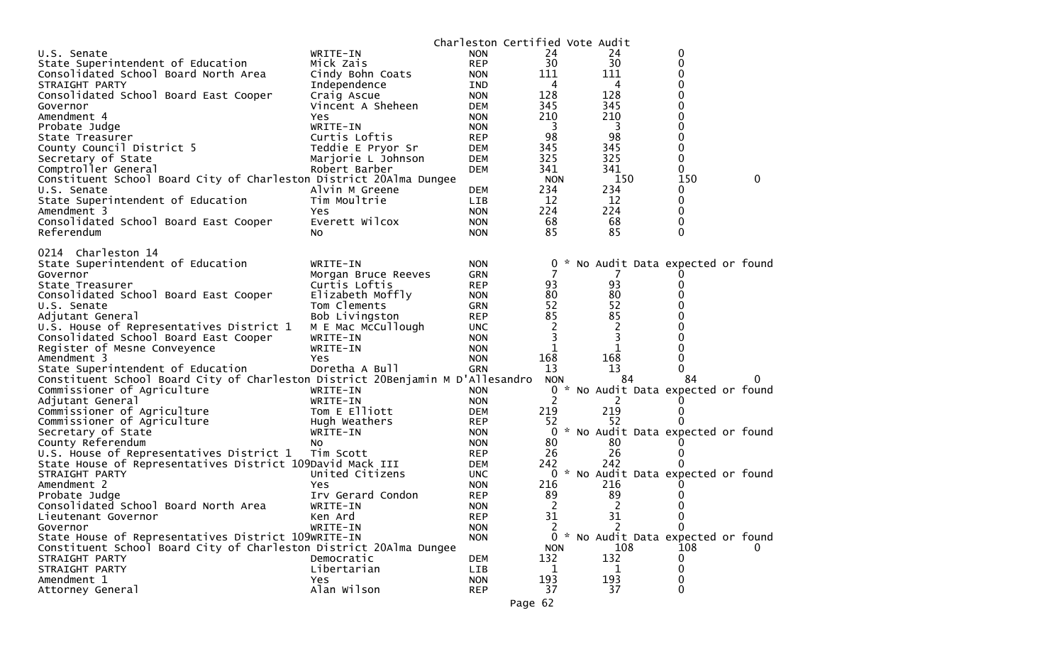| WRITE-IN<br>24<br>24<br>U.S. Senate<br><b>NON</b><br>0<br>30<br>30<br><b>REP</b><br>0<br>State Superintendent of Education<br>Mick Zais |  |
|-----------------------------------------------------------------------------------------------------------------------------------------|--|
|                                                                                                                                         |  |
|                                                                                                                                         |  |
| 111<br>0<br>Consolidated School Board North Area<br>Cindy Bohn Coats<br>111<br><b>NON</b>                                               |  |
| 0<br>4<br>STRAIGHT PARTY<br>Independence<br>IND<br>4                                                                                    |  |
| 128<br>128<br>0<br>Consolidated School Board East Cooper<br>Craig Ascue<br><b>NON</b>                                                   |  |
| 0<br>345<br>345<br>Vincent A Sheheen<br><b>DEM</b><br>Governor                                                                          |  |
| 210<br>210<br>0<br>Amendment 4<br>Yes<br><b>NON</b>                                                                                     |  |
| 3<br>3<br>0<br>WRITE-IN<br>Probate Judge<br><b>NON</b>                                                                                  |  |
| 98<br>98<br>0<br>Curtis Loftis<br>State Treasurer<br><b>REP</b>                                                                         |  |
| 345<br>345<br>0<br>County Council District 5<br>Teddie E Pryor Sr<br><b>DEM</b>                                                         |  |
| 325<br>325<br>0<br>Secretary of State<br>Marjorie L Johnson<br><b>DEM</b>                                                               |  |
| Comptroller General<br>341<br>341<br>0<br>Robert Barber<br>DEM                                                                          |  |
| Constituent School Board City of Charleston District 20Alma Dungee<br>150<br>150<br><b>NON</b><br>0                                     |  |
| 234<br>234<br>Alvin M Greene<br>0<br>U.S. Senate<br>DEM                                                                                 |  |
| 0<br>State Superintendent of Education<br>12<br>12<br>Tim Moultrie<br>LIB                                                               |  |
| 224<br>224<br>0<br>Amendment 3<br><b>NON</b><br><b>Yes</b>                                                                              |  |
| 68<br>0<br>Consolidated School Board East Cooper<br>Everett Wilcox<br>68<br><b>NON</b>                                                  |  |
| 85<br>85<br>$\Omega$<br>Referendum<br><b>NON</b><br>No.                                                                                 |  |
|                                                                                                                                         |  |
| 0214 Charleston 14                                                                                                                      |  |
| State Superintendent of Education<br>0 * No Audit Data expected or found<br>WRITE-IN<br><b>NON</b>                                      |  |
| Morgan Bruce Reeves<br><b>GRN</b><br>Governor                                                                                           |  |
| 93<br>93<br>Curtis Loftis<br><b>REP</b><br>State Treasurer<br>0<br>80<br>80                                                             |  |
| Consolidated School Board East Cooper<br>Elizabeth Moffly<br><b>NON</b><br>52<br>52<br>U.S. Senate                                      |  |
| Tom Clements<br><b>GRN</b><br>85<br>85<br>0                                                                                             |  |
| Bob Livingston<br>Adjutant General<br><b>REP</b><br>$\overline{c}$                                                                      |  |
| 2<br>U.S. House of Representatives District 1<br>M E Mac McCullough<br><b>UNC</b><br>3<br>3<br>WRITE-IN                                 |  |
| Consolidated School Board East Cooper<br><b>NON</b><br>1<br>1<br><b>NON</b><br>0                                                        |  |
| Register of Mesne Conveyence<br>WRITE-IN<br>168<br>168<br>0<br>Amendment 3<br><b>Yes</b>                                                |  |
| <b>NON</b><br>0<br>State Superintendent of Education<br>Doretha A Bull<br>13<br>13<br><b>GRN</b>                                        |  |
| Constituent School Board City of Charleston District 20Benjamin M D'Allesandro<br>84<br><b>NON</b><br>84<br>0                           |  |
| Commissioner of Agriculture<br>WRITE-IN<br>0<br>* No Audit Data expected or found<br><b>NON</b>                                         |  |
| Adjutant General<br>WRITE-IN<br>2<br><b>NON</b><br>2                                                                                    |  |
| 219<br>Commissioner of Agriculture<br>Tom E Elliott<br>219<br><b>DEM</b><br>0                                                           |  |
| Commissioner of Agriculture<br>52<br><b>REP</b><br>52<br>Hugh Weathers                                                                  |  |
| * No Audit Data expected or found<br>Secretary of State<br>WRITE-IN<br>0<br><b>NON</b>                                                  |  |
| County Referendum<br>80<br>80<br>NO.<br><b>NON</b>                                                                                      |  |
| U.S. House of Representatives District 1<br>26<br>26<br>Tim Scott<br><b>REP</b><br>0                                                    |  |
| 242<br>State House of Representatives District 109David Mack III<br>242<br>DEM                                                          |  |
| 0 * No Audit Data expected or found<br>STRAIGHT PARTY<br>United Citizens<br>UNC.                                                        |  |
| Amendment 2<br>216<br>Yes<br><b>NON</b><br>216                                                                                          |  |
| 89<br>89<br>Irv Gerard Condon<br>Probate Judge<br><b>REP</b>                                                                            |  |
| 2<br>Consolidated School Board North Area<br>2<br>WRITE-IN<br>0<br><b>NON</b>                                                           |  |
| 31<br>31<br><b>REP</b><br>Lieutenant Governor<br>Ken Ard<br>0                                                                           |  |
| 2<br>Governor<br>WRITE-IN<br><b>NON</b>                                                                                                 |  |
| * No Audit Data expected or found<br>State House of Representatives District 109WRITE-IN<br>$\mathbf{0}$<br><b>NON</b>                  |  |
| Constituent School Board City of Charleston District 20Alma Dungee<br>108<br>108<br><b>NON</b>                                          |  |
| 132<br>132<br>STRAIGHT PARTY<br>Democratic<br>DEM<br>0                                                                                  |  |
| Libertarian<br>0<br>STRAIGHT PARTY<br>LIB<br>1<br>1                                                                                     |  |
| 193<br>193<br>Amendment 1<br>Yes<br><b>NON</b><br>0                                                                                     |  |
| Alan Wilson<br>37<br>37<br>0<br><b>REP</b><br>Attorney General                                                                          |  |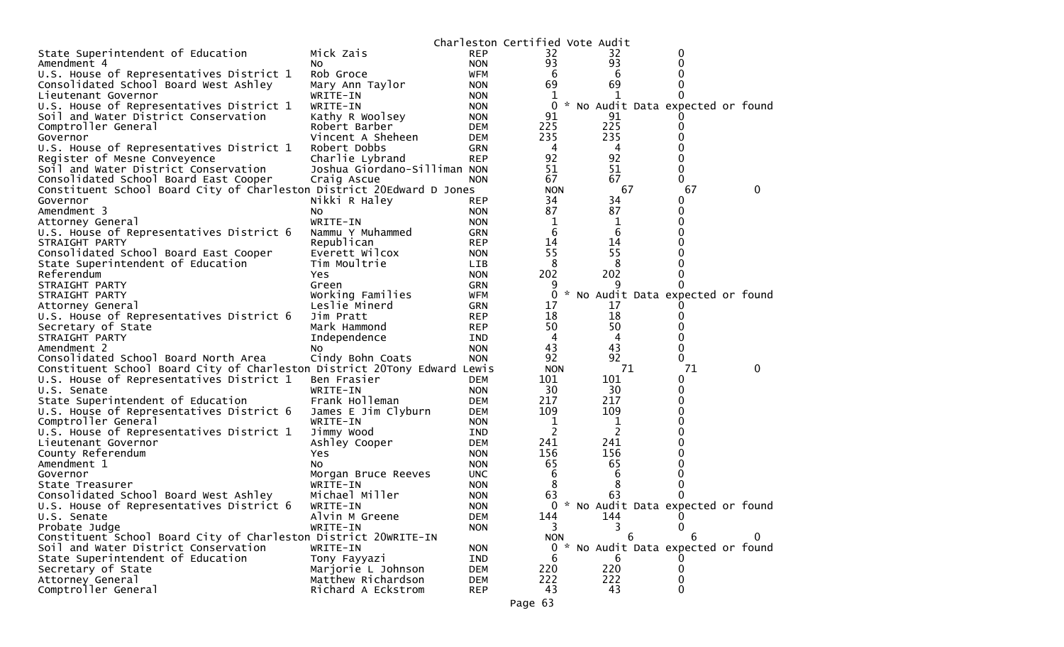|                                                                          |                                 |                   | Charleston Certified Vote Audit |                |                                     |   |
|--------------------------------------------------------------------------|---------------------------------|-------------------|---------------------------------|----------------|-------------------------------------|---|
| State Superintendent of Education                                        | Mick Zais                       | <b>REP</b>        | 32                              | 32             | 0                                   |   |
| Amendment 4                                                              | NO.                             | <b>NON</b>        | 93                              | 93             | 0                                   |   |
| U.S. House of Representatives District 1                                 | Rob Groce                       | <b>WFM</b>        | 6                               | 6              | 0                                   |   |
| Consolidated School Board West Ashley                                    | Mary Ann Taylor                 | <b>NON</b>        | 69                              | 69             |                                     |   |
| Lieutenant Governor                                                      | WRITE-IN                        | <b>NON</b>        | 1                               | 1              |                                     |   |
| U.S. House of Representatives District 1                                 | WRITE-IN                        | <b>NON</b>        | 0                               |                | * No Audit Data expected or found   |   |
| Soil and Water District Conservation                                     | Kathy R Woolsey                 | <b>NON</b>        | 91                              | 91             |                                     |   |
| Comptroller General                                                      | Robert Barber                   | DEM               | 225                             | 225            | 0                                   |   |
| Governor                                                                 | Vincent A Sheheen               | DEM               | 235                             | 235            |                                     |   |
| U.S. House of Representatives District 1                                 | Robert Dobbs                    | <b>GRN</b>        | 4                               | 4              |                                     |   |
| Register of Mesne Conveyence                                             | Charlie Lybrand                 | <b>REP</b>        | 92                              | 92             | 0                                   |   |
| Soil and Water District Conservation                                     | Joshua Giordano-Silliman NON    |                   | 51                              | 51             | 0                                   |   |
| Consolidated School Board East Cooper                                    | Craig Ascue                     | <b>NON</b>        | 67                              | 67             | 0                                   |   |
| Constituent School Board City of Charleston District 20Edward D Jones    |                                 |                   | <b>NON</b>                      | 67             | 67                                  | 0 |
| Governor                                                                 | Nikki R Haley                   | <b>REP</b>        | 34                              | 34             | 0                                   |   |
| Amendment 3                                                              | No.                             | <b>NON</b>        | 87                              | 87             | 0                                   |   |
| Attorney General                                                         | WRITE-IN                        | <b>NON</b>        | 1                               | 1              | 0                                   |   |
| U.S. House of Representatives District 6                                 | Nammu Y Muhammed                | <b>GRN</b>        | 6                               | 6              |                                     |   |
| STRAIGHT PARTY                                                           | Republican                      | <b>REP</b>        | 14                              | 14             |                                     |   |
| Consolidated School Board East Cooper                                    | Everett Wilcox                  | <b>NON</b>        | 55                              | 55             |                                     |   |
| State Superintendent of Education                                        | Tim Moultrie                    | <b>LIB</b>        | 8                               | 8              |                                     |   |
| Referendum                                                               | Yes                             | <b>NON</b>        | 202                             | 202            | 0                                   |   |
| STRAIGHT PARTY                                                           | Green                           | <b>GRN</b>        | 9                               | 9              | 0                                   |   |
| STRAIGHT PARTY                                                           | Working Families                | WFM               | 0                               |                | * No Audit Data expected or found   |   |
| Attorney General                                                         | Leslie Minerd                   | <b>GRN</b>        | 17                              | 17             |                                     |   |
| U.S. House of Representatives District 6                                 | Jim Pratt                       | <b>REP</b>        | 18                              | 18             |                                     |   |
| Secretary of State                                                       | Mark Hammond                    | <b>REP</b>        | 50                              | 50             |                                     |   |
| STRAIGHT PARTY                                                           | Independence                    | IND               | 4                               | 4              | O                                   |   |
| Amendment 2                                                              | NO.                             | <b>NON</b>        | 43                              | 43<br>92       | 0                                   |   |
| Consolidated School Board North Area                                     | Cindy Bohn Coats                | <b>NON</b>        | 92                              | 71             | 0<br>71                             | 0 |
| Constituent School Board City of Charleston District 20Tony Edward Lewis |                                 |                   | <b>NON</b><br>101               | 101            |                                     |   |
| U.S. House of Representatives District 1<br>U.S. Senate                  | Ben Frasier<br>WRITE-IN         | DEM<br><b>NON</b> | 30                              | 30             | 0<br>0                              |   |
|                                                                          | Frank Holleman                  | DEM               | 217                             | 217            | 0                                   |   |
| State Superintendent of Education                                        |                                 | DEM               | 109                             | 109            | 0                                   |   |
| U.S. House of Representatives District 6<br>Comptroller General          | James E Jim Clyburn<br>WRITE-IN | <b>NON</b>        | 1                               | 1              | 0                                   |   |
| U.S. House of Representatives District 1                                 | Jimmy Wood                      | <b>IND</b>        | 2                               | $\overline{2}$ |                                     |   |
| Lieutenant Governor                                                      | Ashley Cooper                   | DEM               | 241                             | 241            |                                     |   |
| County Referendum                                                        | Yes                             | <b>NON</b>        | 156                             | 156            |                                     |   |
| Amendment 1                                                              | No.                             | <b>NON</b>        | 65                              | 65             | 0                                   |   |
| Governor                                                                 | Morgan Bruce Reeves             | <b>UNC</b>        | 6                               | 6              |                                     |   |
| State Treasurer                                                          | WRITE-IN                        | <b>NON</b>        | 8                               | 8              |                                     |   |
| Consolidated School Board West Ashley                                    | Michael Miller                  | <b>NON</b>        | 63                              | 63             | 0                                   |   |
| U.S. House of Representatives District 6                                 | WRITE-IN                        | <b>NON</b>        |                                 |                | 0 * No Audit Data expected or found |   |
| U.S. Senate                                                              | Alvin M Greene                  | <b>DEM</b>        | 144                             | 144            | 0                                   |   |
| Probate Judge                                                            | WRITE-IN                        | <b>NON</b>        | 3                               | 3              | 0                                   |   |
| Constituent School Board City of Charleston District 20WRITE-IN          |                                 |                   | <b>NON</b>                      | 6              | 6                                   | 0 |
| Soil and Water District Conservation                                     | WRITE-IN                        | <b>NON</b>        |                                 |                | 0 * No Audit Data expected or found |   |
| State Superintendent of Education                                        | Tony Fayyazi                    | IND               | 6                               | 6              |                                     |   |
| Secretary of State                                                       | Marjorie L Johnson              | <b>DEM</b>        | 220                             | 220            | 0                                   |   |
| Attorney General                                                         | Matthew Richardson              | <b>DEM</b>        | 222                             | 222            | 0                                   |   |
| Comptroller General                                                      | Richard A Eckstrom              | <b>REP</b>        | 43                              | 43             | 0                                   |   |
|                                                                          |                                 |                   |                                 |                |                                     |   |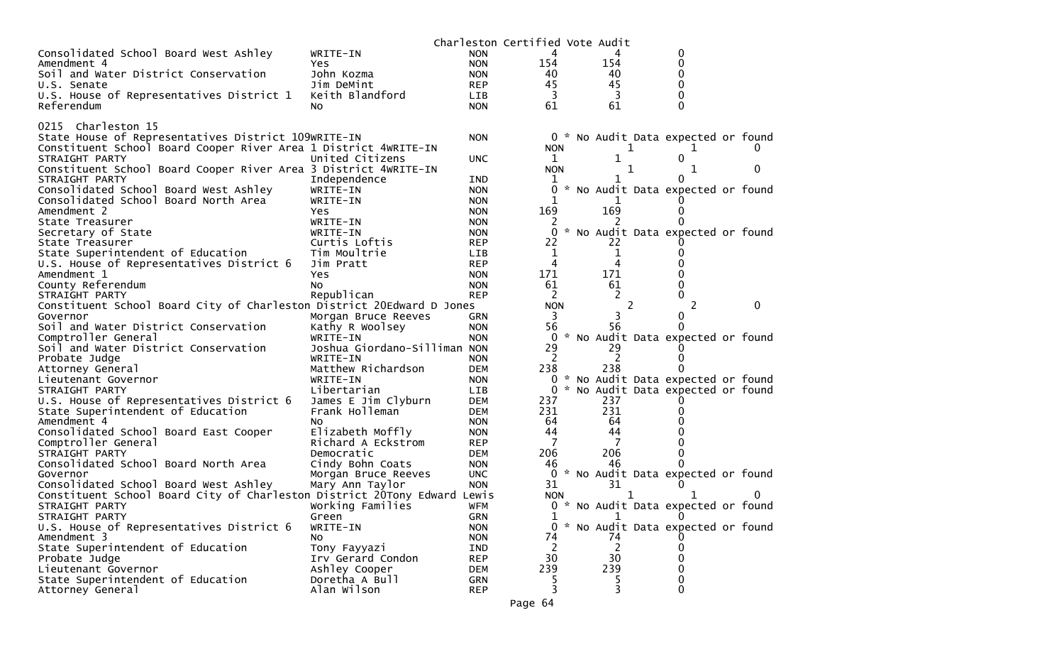| Consolidated School Board West Ashley<br>0<br>WRITE-IN<br><b>NON</b><br>4<br>154<br>$\Omega$<br>154<br>Amendment 4<br><b>NON</b><br>Yes<br>Soil and Water District Conservation<br>0<br>John Kozma<br>40<br>40<br><b>NON</b><br>45<br>45<br>0<br>Jim DeMint<br><b>REP</b><br>U.S. Senate<br>Keith Blandford<br>3<br>0<br>U.S. House of Representatives District 1<br><b>LIB</b><br>61<br>61<br>Referendum<br>0<br>No.<br><b>NON</b><br>0215 Charleston 15<br>State House of Representatives District 109WRITE-IN<br>0 * No Audit Data expected or found<br><b>NON</b><br>Constituent School Board Cooper River Area 1 District 4WRITE-IN<br><b>NON</b><br>1<br>1<br>United Citizens<br>$\mathbf{1}$<br>0<br>STRAIGHT PARTY<br><b>UNC</b><br>Constituent School Board Cooper River Area 3 District 4WRITE-IN<br><b>NON</b><br>1<br>0<br>1<br>STRAIGHT PARTY<br>IND<br>Independence<br>1<br>$\Omega$<br>Consolidated School Board West Ashley<br>* No Audit Data expected or found<br>WRITE-IN<br>0<br><b>NON</b><br>Consolidated School Board North Area<br>WRITE-IN<br><b>NON</b><br>169<br>169<br>Amendment 2<br>Yes<br><b>NON</b><br>$\Omega$<br>State Treasurer<br>WRITE-IN<br><b>NON</b><br>* No Audit Data expected or found<br>Secretary of State<br>WRITE-IN<br><b>NON</b><br>0<br>22<br>22<br>Curtis Loftis<br><b>REP</b><br>State Treasurer<br>State Superintendent of Education<br>Tim Moultrie<br>LIB<br>1<br>1<br>4<br>U.S. House of Representatives District 6<br>Jim Pratt<br><b>REP</b><br>4<br>171<br>171<br>Amendment 1<br>0<br>Yes<br><b>NON</b><br>County Referendum<br>61<br>61<br>0<br>No.<br><b>NON</b><br>Republican<br>2<br><b>REP</b><br>STRAIGHT PARTY<br>Constituent School Board City of Charleston District 20Edward D Jones<br>2<br><b>NON</b><br>2<br>$\Omega$<br>Governor<br>3<br>Morgan Bruce Reeves<br>GRN |  |
|----------------------------------------------------------------------------------------------------------------------------------------------------------------------------------------------------------------------------------------------------------------------------------------------------------------------------------------------------------------------------------------------------------------------------------------------------------------------------------------------------------------------------------------------------------------------------------------------------------------------------------------------------------------------------------------------------------------------------------------------------------------------------------------------------------------------------------------------------------------------------------------------------------------------------------------------------------------------------------------------------------------------------------------------------------------------------------------------------------------------------------------------------------------------------------------------------------------------------------------------------------------------------------------------------------------------------------------------------------------------------------------------------------------------------------------------------------------------------------------------------------------------------------------------------------------------------------------------------------------------------------------------------------------------------------------------------------------------------------------------------------------------------------------------------------------------------------------------|--|
|                                                                                                                                                                                                                                                                                                                                                                                                                                                                                                                                                                                                                                                                                                                                                                                                                                                                                                                                                                                                                                                                                                                                                                                                                                                                                                                                                                                                                                                                                                                                                                                                                                                                                                                                                                                                                                              |  |
|                                                                                                                                                                                                                                                                                                                                                                                                                                                                                                                                                                                                                                                                                                                                                                                                                                                                                                                                                                                                                                                                                                                                                                                                                                                                                                                                                                                                                                                                                                                                                                                                                                                                                                                                                                                                                                              |  |
|                                                                                                                                                                                                                                                                                                                                                                                                                                                                                                                                                                                                                                                                                                                                                                                                                                                                                                                                                                                                                                                                                                                                                                                                                                                                                                                                                                                                                                                                                                                                                                                                                                                                                                                                                                                                                                              |  |
|                                                                                                                                                                                                                                                                                                                                                                                                                                                                                                                                                                                                                                                                                                                                                                                                                                                                                                                                                                                                                                                                                                                                                                                                                                                                                                                                                                                                                                                                                                                                                                                                                                                                                                                                                                                                                                              |  |
|                                                                                                                                                                                                                                                                                                                                                                                                                                                                                                                                                                                                                                                                                                                                                                                                                                                                                                                                                                                                                                                                                                                                                                                                                                                                                                                                                                                                                                                                                                                                                                                                                                                                                                                                                                                                                                              |  |
|                                                                                                                                                                                                                                                                                                                                                                                                                                                                                                                                                                                                                                                                                                                                                                                                                                                                                                                                                                                                                                                                                                                                                                                                                                                                                                                                                                                                                                                                                                                                                                                                                                                                                                                                                                                                                                              |  |
|                                                                                                                                                                                                                                                                                                                                                                                                                                                                                                                                                                                                                                                                                                                                                                                                                                                                                                                                                                                                                                                                                                                                                                                                                                                                                                                                                                                                                                                                                                                                                                                                                                                                                                                                                                                                                                              |  |
|                                                                                                                                                                                                                                                                                                                                                                                                                                                                                                                                                                                                                                                                                                                                                                                                                                                                                                                                                                                                                                                                                                                                                                                                                                                                                                                                                                                                                                                                                                                                                                                                                                                                                                                                                                                                                                              |  |
|                                                                                                                                                                                                                                                                                                                                                                                                                                                                                                                                                                                                                                                                                                                                                                                                                                                                                                                                                                                                                                                                                                                                                                                                                                                                                                                                                                                                                                                                                                                                                                                                                                                                                                                                                                                                                                              |  |
|                                                                                                                                                                                                                                                                                                                                                                                                                                                                                                                                                                                                                                                                                                                                                                                                                                                                                                                                                                                                                                                                                                                                                                                                                                                                                                                                                                                                                                                                                                                                                                                                                                                                                                                                                                                                                                              |  |
|                                                                                                                                                                                                                                                                                                                                                                                                                                                                                                                                                                                                                                                                                                                                                                                                                                                                                                                                                                                                                                                                                                                                                                                                                                                                                                                                                                                                                                                                                                                                                                                                                                                                                                                                                                                                                                              |  |
|                                                                                                                                                                                                                                                                                                                                                                                                                                                                                                                                                                                                                                                                                                                                                                                                                                                                                                                                                                                                                                                                                                                                                                                                                                                                                                                                                                                                                                                                                                                                                                                                                                                                                                                                                                                                                                              |  |
|                                                                                                                                                                                                                                                                                                                                                                                                                                                                                                                                                                                                                                                                                                                                                                                                                                                                                                                                                                                                                                                                                                                                                                                                                                                                                                                                                                                                                                                                                                                                                                                                                                                                                                                                                                                                                                              |  |
|                                                                                                                                                                                                                                                                                                                                                                                                                                                                                                                                                                                                                                                                                                                                                                                                                                                                                                                                                                                                                                                                                                                                                                                                                                                                                                                                                                                                                                                                                                                                                                                                                                                                                                                                                                                                                                              |  |
|                                                                                                                                                                                                                                                                                                                                                                                                                                                                                                                                                                                                                                                                                                                                                                                                                                                                                                                                                                                                                                                                                                                                                                                                                                                                                                                                                                                                                                                                                                                                                                                                                                                                                                                                                                                                                                              |  |
|                                                                                                                                                                                                                                                                                                                                                                                                                                                                                                                                                                                                                                                                                                                                                                                                                                                                                                                                                                                                                                                                                                                                                                                                                                                                                                                                                                                                                                                                                                                                                                                                                                                                                                                                                                                                                                              |  |
|                                                                                                                                                                                                                                                                                                                                                                                                                                                                                                                                                                                                                                                                                                                                                                                                                                                                                                                                                                                                                                                                                                                                                                                                                                                                                                                                                                                                                                                                                                                                                                                                                                                                                                                                                                                                                                              |  |
|                                                                                                                                                                                                                                                                                                                                                                                                                                                                                                                                                                                                                                                                                                                                                                                                                                                                                                                                                                                                                                                                                                                                                                                                                                                                                                                                                                                                                                                                                                                                                                                                                                                                                                                                                                                                                                              |  |
|                                                                                                                                                                                                                                                                                                                                                                                                                                                                                                                                                                                                                                                                                                                                                                                                                                                                                                                                                                                                                                                                                                                                                                                                                                                                                                                                                                                                                                                                                                                                                                                                                                                                                                                                                                                                                                              |  |
|                                                                                                                                                                                                                                                                                                                                                                                                                                                                                                                                                                                                                                                                                                                                                                                                                                                                                                                                                                                                                                                                                                                                                                                                                                                                                                                                                                                                                                                                                                                                                                                                                                                                                                                                                                                                                                              |  |
|                                                                                                                                                                                                                                                                                                                                                                                                                                                                                                                                                                                                                                                                                                                                                                                                                                                                                                                                                                                                                                                                                                                                                                                                                                                                                                                                                                                                                                                                                                                                                                                                                                                                                                                                                                                                                                              |  |
|                                                                                                                                                                                                                                                                                                                                                                                                                                                                                                                                                                                                                                                                                                                                                                                                                                                                                                                                                                                                                                                                                                                                                                                                                                                                                                                                                                                                                                                                                                                                                                                                                                                                                                                                                                                                                                              |  |
|                                                                                                                                                                                                                                                                                                                                                                                                                                                                                                                                                                                                                                                                                                                                                                                                                                                                                                                                                                                                                                                                                                                                                                                                                                                                                                                                                                                                                                                                                                                                                                                                                                                                                                                                                                                                                                              |  |
|                                                                                                                                                                                                                                                                                                                                                                                                                                                                                                                                                                                                                                                                                                                                                                                                                                                                                                                                                                                                                                                                                                                                                                                                                                                                                                                                                                                                                                                                                                                                                                                                                                                                                                                                                                                                                                              |  |
|                                                                                                                                                                                                                                                                                                                                                                                                                                                                                                                                                                                                                                                                                                                                                                                                                                                                                                                                                                                                                                                                                                                                                                                                                                                                                                                                                                                                                                                                                                                                                                                                                                                                                                                                                                                                                                              |  |
| Soil and Water District Conservation<br>Kathy R Woolsey<br>56<br>56<br><b>NON</b>                                                                                                                                                                                                                                                                                                                                                                                                                                                                                                                                                                                                                                                                                                                                                                                                                                                                                                                                                                                                                                                                                                                                                                                                                                                                                                                                                                                                                                                                                                                                                                                                                                                                                                                                                            |  |
| 0 * No Audit Data expected or found<br>Comptroller General<br>WRITE-IN<br><b>NON</b>                                                                                                                                                                                                                                                                                                                                                                                                                                                                                                                                                                                                                                                                                                                                                                                                                                                                                                                                                                                                                                                                                                                                                                                                                                                                                                                                                                                                                                                                                                                                                                                                                                                                                                                                                         |  |
| Joshua Giordano-Silliman NON<br>29<br>Soil and Water District Conservation<br>29                                                                                                                                                                                                                                                                                                                                                                                                                                                                                                                                                                                                                                                                                                                                                                                                                                                                                                                                                                                                                                                                                                                                                                                                                                                                                                                                                                                                                                                                                                                                                                                                                                                                                                                                                             |  |
| 2<br>2<br>Probate Judge<br>WRITE-IN<br><b>NON</b>                                                                                                                                                                                                                                                                                                                                                                                                                                                                                                                                                                                                                                                                                                                                                                                                                                                                                                                                                                                                                                                                                                                                                                                                                                                                                                                                                                                                                                                                                                                                                                                                                                                                                                                                                                                            |  |
| 238<br>238<br>Attorney General<br>Matthew Richardson<br><b>DEM</b>                                                                                                                                                                                                                                                                                                                                                                                                                                                                                                                                                                                                                                                                                                                                                                                                                                                                                                                                                                                                                                                                                                                                                                                                                                                                                                                                                                                                                                                                                                                                                                                                                                                                                                                                                                           |  |
| 0<br>* No Audit Data expected or found<br>Lieutenant Governor<br>WRITE-IN<br><b>NON</b>                                                                                                                                                                                                                                                                                                                                                                                                                                                                                                                                                                                                                                                                                                                                                                                                                                                                                                                                                                                                                                                                                                                                                                                                                                                                                                                                                                                                                                                                                                                                                                                                                                                                                                                                                      |  |
| Libertarian<br>LIB<br>0 * No Audit Data expected or found<br>STRAIGHT PARTY                                                                                                                                                                                                                                                                                                                                                                                                                                                                                                                                                                                                                                                                                                                                                                                                                                                                                                                                                                                                                                                                                                                                                                                                                                                                                                                                                                                                                                                                                                                                                                                                                                                                                                                                                                  |  |
| U.S. House of Representatives District 6<br>James E Jim Clyburn<br>237<br>237<br><b>DEM</b>                                                                                                                                                                                                                                                                                                                                                                                                                                                                                                                                                                                                                                                                                                                                                                                                                                                                                                                                                                                                                                                                                                                                                                                                                                                                                                                                                                                                                                                                                                                                                                                                                                                                                                                                                  |  |
| 231<br>Frank Holleman<br>231<br>State Superintendent of Education<br><b>DEM</b>                                                                                                                                                                                                                                                                                                                                                                                                                                                                                                                                                                                                                                                                                                                                                                                                                                                                                                                                                                                                                                                                                                                                                                                                                                                                                                                                                                                                                                                                                                                                                                                                                                                                                                                                                              |  |
| 64<br>64<br>Amendment 4<br>No<br><b>NON</b>                                                                                                                                                                                                                                                                                                                                                                                                                                                                                                                                                                                                                                                                                                                                                                                                                                                                                                                                                                                                                                                                                                                                                                                                                                                                                                                                                                                                                                                                                                                                                                                                                                                                                                                                                                                                  |  |
| 44<br>Consolidated School Board East Cooper<br>Elizabeth Moffly<br>44<br><b>NON</b>                                                                                                                                                                                                                                                                                                                                                                                                                                                                                                                                                                                                                                                                                                                                                                                                                                                                                                                                                                                                                                                                                                                                                                                                                                                                                                                                                                                                                                                                                                                                                                                                                                                                                                                                                          |  |
| Comptroller General<br><b>REP</b><br>7<br>7<br>0<br>Richard A Eckstrom                                                                                                                                                                                                                                                                                                                                                                                                                                                                                                                                                                                                                                                                                                                                                                                                                                                                                                                                                                                                                                                                                                                                                                                                                                                                                                                                                                                                                                                                                                                                                                                                                                                                                                                                                                       |  |
| 206<br>0<br>STRAIGHT PARTY<br>206<br>Democratic<br><b>DEM</b>                                                                                                                                                                                                                                                                                                                                                                                                                                                                                                                                                                                                                                                                                                                                                                                                                                                                                                                                                                                                                                                                                                                                                                                                                                                                                                                                                                                                                                                                                                                                                                                                                                                                                                                                                                                |  |
| Consolidated School Board North Area<br>Cindy Bohn Coats<br>46<br><b>NON</b><br>46                                                                                                                                                                                                                                                                                                                                                                                                                                                                                                                                                                                                                                                                                                                                                                                                                                                                                                                                                                                                                                                                                                                                                                                                                                                                                                                                                                                                                                                                                                                                                                                                                                                                                                                                                           |  |
| 0 * No Audit Data expected or found<br>Morgan Bruce Reeves<br><b>UNC</b><br>Governor<br>31<br>31                                                                                                                                                                                                                                                                                                                                                                                                                                                                                                                                                                                                                                                                                                                                                                                                                                                                                                                                                                                                                                                                                                                                                                                                                                                                                                                                                                                                                                                                                                                                                                                                                                                                                                                                             |  |
| Consolidated School Board West Ashley<br>Mary Ann Taylor<br><b>NON</b><br>Constituent School Board City of Charleston District 20Tony Edward Lewis                                                                                                                                                                                                                                                                                                                                                                                                                                                                                                                                                                                                                                                                                                                                                                                                                                                                                                                                                                                                                                                                                                                                                                                                                                                                                                                                                                                                                                                                                                                                                                                                                                                                                           |  |
| <b>NON</b><br><b>WFM</b>                                                                                                                                                                                                                                                                                                                                                                                                                                                                                                                                                                                                                                                                                                                                                                                                                                                                                                                                                                                                                                                                                                                                                                                                                                                                                                                                                                                                                                                                                                                                                                                                                                                                                                                                                                                                                     |  |
| 0 * No Audit Data expected or found<br>Working Families<br>STRAIGHT PARTY<br>0<br>STRAIGHT PARTY<br><b>GRN</b><br>1<br>Green<br>1                                                                                                                                                                                                                                                                                                                                                                                                                                                                                                                                                                                                                                                                                                                                                                                                                                                                                                                                                                                                                                                                                                                                                                                                                                                                                                                                                                                                                                                                                                                                                                                                                                                                                                            |  |
| * No Audit Data expected or found<br>U.S. House of Representatives District 6<br>0<br>WRITE-IN<br><b>NON</b>                                                                                                                                                                                                                                                                                                                                                                                                                                                                                                                                                                                                                                                                                                                                                                                                                                                                                                                                                                                                                                                                                                                                                                                                                                                                                                                                                                                                                                                                                                                                                                                                                                                                                                                                 |  |
| Amendment 3<br>74<br><b>NON</b><br>74<br>No                                                                                                                                                                                                                                                                                                                                                                                                                                                                                                                                                                                                                                                                                                                                                                                                                                                                                                                                                                                                                                                                                                                                                                                                                                                                                                                                                                                                                                                                                                                                                                                                                                                                                                                                                                                                  |  |
| 2<br>2<br>State Superintendent of Education<br>Tony Fayyazi<br>IND                                                                                                                                                                                                                                                                                                                                                                                                                                                                                                                                                                                                                                                                                                                                                                                                                                                                                                                                                                                                                                                                                                                                                                                                                                                                                                                                                                                                                                                                                                                                                                                                                                                                                                                                                                           |  |
| 30<br>30<br>Probate Judge<br>Irv Gerard Condon<br><b>REP</b>                                                                                                                                                                                                                                                                                                                                                                                                                                                                                                                                                                                                                                                                                                                                                                                                                                                                                                                                                                                                                                                                                                                                                                                                                                                                                                                                                                                                                                                                                                                                                                                                                                                                                                                                                                                 |  |
| Ashley Cooper<br>239<br>239<br>Lieutenant Governor<br><b>DEM</b>                                                                                                                                                                                                                                                                                                                                                                                                                                                                                                                                                                                                                                                                                                                                                                                                                                                                                                                                                                                                                                                                                                                                                                                                                                                                                                                                                                                                                                                                                                                                                                                                                                                                                                                                                                             |  |
| State Superintendent of Education<br>Doretha A Bull<br><b>GRN</b><br>0                                                                                                                                                                                                                                                                                                                                                                                                                                                                                                                                                                                                                                                                                                                                                                                                                                                                                                                                                                                                                                                                                                                                                                                                                                                                                                                                                                                                                                                                                                                                                                                                                                                                                                                                                                       |  |
| Alan Wilson<br>3<br>3<br>Attorney General<br><b>REP</b><br>0                                                                                                                                                                                                                                                                                                                                                                                                                                                                                                                                                                                                                                                                                                                                                                                                                                                                                                                                                                                                                                                                                                                                                                                                                                                                                                                                                                                                                                                                                                                                                                                                                                                                                                                                                                                 |  |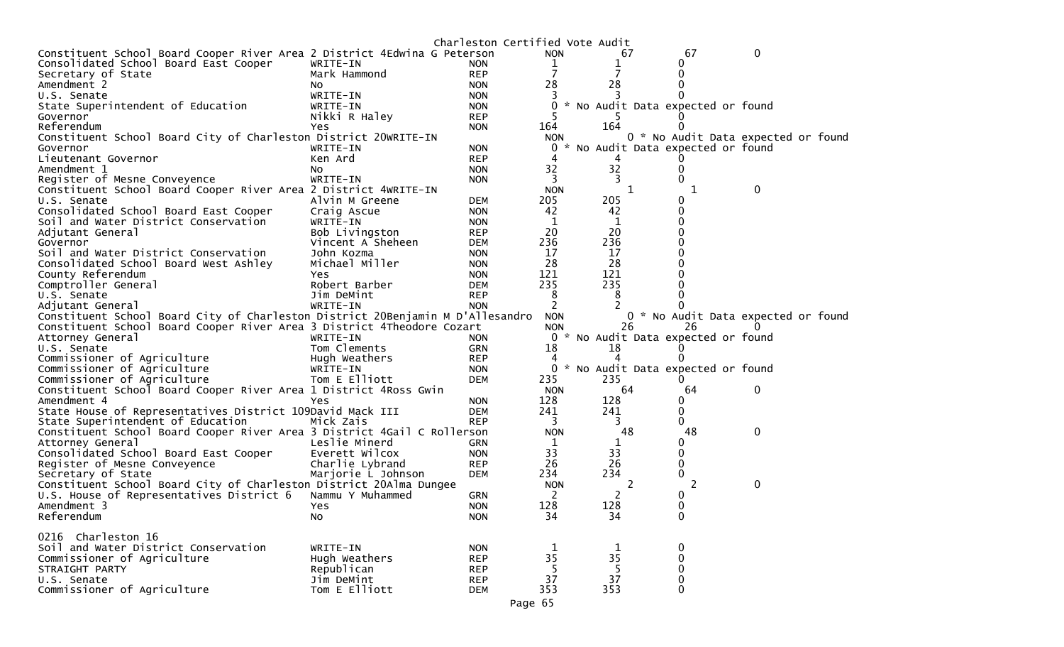|                                                                                |                    | Charleston Certified Vote Audit |              |                                     |                                     |              |  |
|--------------------------------------------------------------------------------|--------------------|---------------------------------|--------------|-------------------------------------|-------------------------------------|--------------|--|
| Constituent School Board Cooper River Area 2 District 4Edwina G Peterson       |                    |                                 | <b>NON</b>   | 67                                  | 67                                  | 0            |  |
| Consolidated School Board East Cooper                                          | WRITE-IN           | <b>NON</b>                      | 1            |                                     | 0                                   |              |  |
| Secretary of State                                                             | Mark Hammond       | <b>REP</b>                      | 7            |                                     | 0                                   |              |  |
| Amendment 2                                                                    | NO.                | <b>NON</b>                      | 28           | 28                                  | 0                                   |              |  |
| U.S. Senate                                                                    | WRITE-IN           | <b>NON</b>                      |              |                                     |                                     |              |  |
| State Superintendent of Education                                              | WRITE-IN           | <b>NON</b>                      | 0            | * No Audit Data expected or found   |                                     |              |  |
| Governor                                                                       | Nikki R Haley      | <b>REP</b>                      |              |                                     |                                     |              |  |
| Referendum                                                                     | Yes                | <b>NON</b>                      | 164          | 164                                 |                                     |              |  |
| Constituent School Board City of Charleston District 20WRITE-IN                |                    |                                 | <b>NON</b>   |                                     | 0 * No Audit Data expected or found |              |  |
| Governor                                                                       | WRITE-IN           | <b>NON</b>                      | 0            | * No Audit Data expected or found   |                                     |              |  |
| Lieutenant Governor                                                            | Ken Ard            | <b>REP</b>                      | 4            |                                     |                                     |              |  |
| Amendment 1                                                                    | NO.                | <b>NON</b>                      | 32           | 32                                  | 0                                   |              |  |
| Register of Mesne Conveyence                                                   | WRITE-IN           | <b>NON</b>                      | 3            | 3                                   | $\Omega$                            |              |  |
| Constituent School Board Cooper River Area 2 District 4WRITE-IN                |                    |                                 | <b>NON</b>   | 1                                   | 1                                   | 0            |  |
| U.S. Senate                                                                    | Alvin M Greene     | <b>DEM</b>                      | 205          | 205                                 |                                     |              |  |
| Consolidated School Board East Cooper                                          | Craig Ascue        | <b>NON</b>                      | 42           | 42                                  |                                     |              |  |
| Soil and Water District Conservation                                           | WRITE-IN           | <b>NON</b>                      | 1            | 1                                   |                                     |              |  |
| Adjutant General                                                               | Bob Livingston     | <b>REP</b>                      | 20           | 20                                  |                                     |              |  |
| Governor                                                                       | Vincent A Sheheen  | <b>DEM</b>                      | 236          | 236                                 |                                     |              |  |
| Soil and Water District Conservation                                           | John Kozma         | <b>NON</b>                      | 17           | 17                                  |                                     |              |  |
| Consolidated School Board West Ashley                                          | Michael Miller     | <b>NON</b>                      | 28           | 28                                  |                                     |              |  |
| County Referendum                                                              | Yes.               | <b>NON</b>                      | 121          | 121                                 |                                     |              |  |
| Comptroller General                                                            | Robert Barber      | <b>DEM</b>                      | 235          | 235                                 |                                     |              |  |
| U.S. Senate                                                                    | Jim DeMint         | <b>REP</b>                      | 8            | 8                                   |                                     |              |  |
| Adjutant General                                                               | WRITE-IN           | <b>NON</b>                      | 2            |                                     |                                     |              |  |
| Constituent School Board City of Charleston District 20Benjamin M D'Allesandro |                    |                                 | <b>NON</b>   |                                     | 0 * No Audit Data expected or found |              |  |
| Constituent School Board Cooper River Area 3 District 4Theodore Cozart         |                    |                                 | <b>NON</b>   | 26                                  | 26                                  | $\Omega$     |  |
| Attorney General                                                               | WRITE-IN           | <b>NON</b>                      |              | 0 * No Audit Data expected or found |                                     |              |  |
| U.S. Senate                                                                    | Tom Clements       | <b>GRN</b>                      | 18           | 18                                  |                                     |              |  |
| Commissioner of Agriculture                                                    | Hugh Weathers      | <b>REP</b>                      |              |                                     |                                     |              |  |
| Commissioner of Agriculture                                                    | WRITE-IN           | <b>NON</b>                      | 0            | * No Audit Data expected or found   |                                     |              |  |
| Commissioner of Agriculture                                                    | Tom E Elliott      | <b>DEM</b>                      | 235          | 235                                 | $\Omega$                            |              |  |
| Constituent School Board Cooper River Area 1 District 4Ross Gwin               |                    |                                 | <b>NON</b>   | 64                                  | 64                                  | $\mathbf 0$  |  |
| Amendment 4                                                                    | Yes                | <b>NON</b>                      | 128          | 128                                 | 0                                   |              |  |
| State House of Representatives District 109David Mack III                      |                    | <b>DEM</b>                      | 241          | 241                                 | 0                                   |              |  |
| State Superintendent of Education                                              | Mick Zais          | <b>REP</b>                      | 3            | 3                                   | 0                                   |              |  |
| Constituent School Board Cooper River Area 3 District 4Gail C Rollerson        |                    |                                 | <b>NON</b>   | 48                                  | 48                                  | $\mathbf{0}$ |  |
| Attorney General                                                               | Leslie Minerd      | GRN                             | $\mathbf{1}$ | 1                                   | 0                                   |              |  |
| Consolidated School Board East Cooper                                          | Everett Wilcox     | <b>NON</b>                      | 33           | 33                                  | 0                                   |              |  |
| Register of Mesne Conveyence                                                   | Charlie Lybrand    | <b>REP</b>                      | 26           | 26                                  | 0                                   |              |  |
| Secretary of State                                                             | Marjorie L Johnson | <b>DEM</b>                      | 234          | 234                                 | 0                                   |              |  |
| Constituent School Board City of Charleston District 20Alma Dungee             |                    |                                 | <b>NON</b>   | 2                                   | 2                                   | 0            |  |
| U.S. House of Representatives District 6                                       | Nammu Y Muhammed   | <b>GRN</b>                      | 2            |                                     |                                     |              |  |
|                                                                                |                    | <b>NON</b>                      | 128          | 2<br>128                            | 0                                   |              |  |
| Amendment 3                                                                    | Yes                |                                 | 34           | 34                                  |                                     |              |  |
| Referendum                                                                     | No                 | <b>NON</b>                      |              |                                     | 0                                   |              |  |
| 0216 Charleston 16                                                             |                    |                                 |              |                                     |                                     |              |  |
| Soil and Water District Conservation                                           | WRITE-IN           | <b>NON</b>                      |              |                                     | 0                                   |              |  |
| Commissioner of Agriculture                                                    | Hugh Weathers      | <b>REP</b>                      | 35           | 1<br>35                             | $\pmb{0}$                           |              |  |
| STRAIGHT PARTY                                                                 |                    |                                 | 5            | 5                                   | $\pmb{0}$                           |              |  |
|                                                                                | Republican         | <b>REP</b>                      | 37           |                                     |                                     |              |  |
| U.S. Senate<br>Commissioner of Agriculture                                     | Jim DeMint         | <b>REP</b>                      |              | 37<br>353                           | $\pmb{0}$                           |              |  |
|                                                                                | Tom E Elliott      | <b>DEM</b>                      | 353          |                                     | 0                                   |              |  |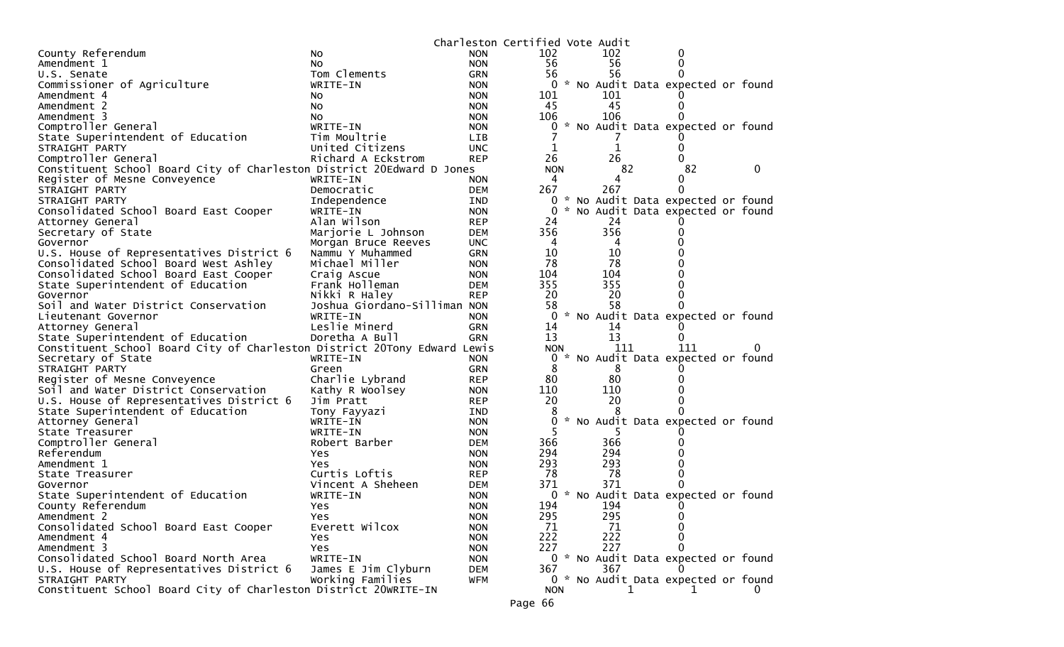|                                                                          |                              |            | Charleston Certified Vote Audit |                                     |          |   |
|--------------------------------------------------------------------------|------------------------------|------------|---------------------------------|-------------------------------------|----------|---|
| County Referendum                                                        | No                           | <b>NON</b> | 102                             | 102                                 | 0        |   |
| Amendment 1                                                              | No.                          | <b>NON</b> | 56                              | 56                                  | 0        |   |
| U.S. Senate                                                              | Tom Clements                 | GRN        | 56                              | 56                                  |          |   |
| Commissioner of Agriculture                                              | WRITE-IN                     | <b>NON</b> | 0                               | * No Audit Data expected or found   |          |   |
| Amendment 4                                                              | NO.                          | <b>NON</b> | 101                             | 101                                 |          |   |
| Amendment 2                                                              | NO.                          | <b>NON</b> | 45                              | 45                                  | $\Omega$ |   |
| Amendment 3                                                              | No                           | <b>NON</b> | 106                             | 106                                 |          |   |
| Comptroller General                                                      | WRITE-IN                     | <b>NON</b> | 0                               | * No Audit Data expected or found   |          |   |
| State Superintendent of Education                                        | Tim Moultrie                 | <b>LIB</b> |                                 |                                     |          |   |
| STRAIGHT PARTY                                                           | United Citizens              | <b>UNC</b> |                                 | 1                                   |          |   |
| Comptroller General                                                      | Richard A Eckstrom           | <b>REP</b> | 26                              | 26                                  |          |   |
| Constituent School Board City of Charleston District 20Edward D Jones    |                              |            | <b>NON</b>                      | 82                                  | 82       | 0 |
| Register of Mesne Conveyence                                             | WRITE-IN                     | <b>NON</b> | 4                               | 4                                   |          |   |
| STRAIGHT PARTY                                                           | Democratic                   | <b>DEM</b> | 267                             | 267                                 | 0        |   |
| STRAIGHT PARTY                                                           | Independence                 | IND        | 0                               | * No Audit Data expected or found   |          |   |
| Consolidated School Board East Cooper                                    | WRITE-IN                     | <b>NON</b> | 0                               | * No Audit Data expected or found   |          |   |
| Attorney General                                                         | Alan Wilson                  | <b>REP</b> | 24                              | 24                                  |          |   |
| Secretary of State                                                       | Marjorie L Johnson           | <b>DEM</b> | 356                             | 356                                 | O        |   |
| Governor                                                                 | Morgan Bruce Reeves          | <b>UNC</b> | 4                               | 4                                   |          |   |
| U.S. House of Representatives District 6                                 | Nammu Y Muhammed             | <b>GRN</b> | 10                              | 10                                  |          |   |
| Consolidated School Board West Ashley                                    | Michael Miller               | <b>NON</b> | 78                              | 78                                  |          |   |
| Consolidated School Board East Cooper                                    | Craig Ascue                  | <b>NON</b> | 104                             | 104                                 |          |   |
| State Superintendent of Education                                        | Frank Holleman               | <b>DEM</b> | 355                             | 355                                 |          |   |
| Governor                                                                 | Nikki R Haley                | <b>REP</b> | 20                              | 20                                  |          |   |
| Soil and Water District Conservation                                     | Joshua Giordano-Silliman NON |            | 58                              | 58                                  |          |   |
| Lieutenant Governor                                                      | WRITE-IN                     | <b>NON</b> | 0                               | * No Audit Data expected or found   |          |   |
| Attorney General                                                         | Leslie Minerd                | GRN        | 14                              | 14                                  |          |   |
| State Superintendent of Education                                        | Doretha A Bull               | <b>GRN</b> | 13                              | 13                                  |          |   |
| Constituent School Board City of Charleston District 20Tony Edward Lewis |                              |            | <b>NON</b>                      | 111                                 | 111      | 0 |
| Secretary of State                                                       | WRITE-IN                     | <b>NON</b> | 0                               | * No Audit Data expected or found   |          |   |
| STRAIGHT PARTY                                                           | Green                        | <b>GRN</b> | 8                               | 8                                   |          |   |
| Register of Mesne Conveyence                                             | Charlie Lybrand              | <b>REP</b> | 80                              | 80                                  |          |   |
| Soil and Water District Conservation                                     | Kathy R Woolsey              | <b>NON</b> | 110                             | 110                                 |          |   |
| U.S. House of Representatives District 6                                 | Jim Pratt                    | <b>REP</b> | 20                              | 20                                  |          |   |
| State Superintendent of Education                                        | Tony Fayyazi                 | IND        | 8                               |                                     |          |   |
| Attorney General                                                         | WRITE-IN                     | <b>NON</b> | 0                               | * No Audit Data expected or found   |          |   |
| State Treasurer                                                          | WRITE-IN                     | <b>NON</b> |                                 |                                     |          |   |
| Comptroller General                                                      | Robert Barber                | <b>DEM</b> | 366                             | 366                                 |          |   |
| Referendum                                                               | Yes.                         | <b>NON</b> | 294                             | 294                                 |          |   |
| Amendment 1                                                              | Yes                          | <b>NON</b> | 293                             | 293                                 |          |   |
| State Treasurer                                                          | Curtis Loftis                | <b>REP</b> | 78                              | 78                                  |          |   |
| Governor                                                                 | Vincent A Sheheen            | <b>DEM</b> | 371                             | 371                                 |          |   |
| State Superintendent of Education                                        | WRITE-IN                     | <b>NON</b> | 0                               | * No Audit Data expected or found   |          |   |
| County Referendum                                                        | Yes.                         | <b>NON</b> | 194                             | 194                                 |          |   |
| Amendment 2                                                              | Yes                          | <b>NON</b> | 295                             | 295                                 | 0        |   |
| Consolidated School Board East Cooper                                    | Everett Wilcox               | <b>NON</b> | 71                              | 71                                  |          |   |
| Amendment 4                                                              | Yes.                         | <b>NON</b> | 222                             | 222                                 |          |   |
| Amendment 3                                                              | Yes                          | <b>NON</b> | 227                             | 227                                 | 0        |   |
| Consolidated School Board North Area                                     | WRITE-IN                     | <b>NON</b> |                                 | 0 * No Audit Data expected or found |          |   |
| U.S. House of Representatives District 6                                 | James E Jim Clyburn          | <b>DEM</b> | 367                             | 367                                 |          |   |
| STRAIGHT PARTY                                                           | Working Families             | <b>WFM</b> |                                 | 0 * No Audit Data expected or found |          |   |
| Constituent School Board City of Charleston District 20WRITE-IN          |                              |            | <b>NON</b>                      | ı.                                  |          | 0 |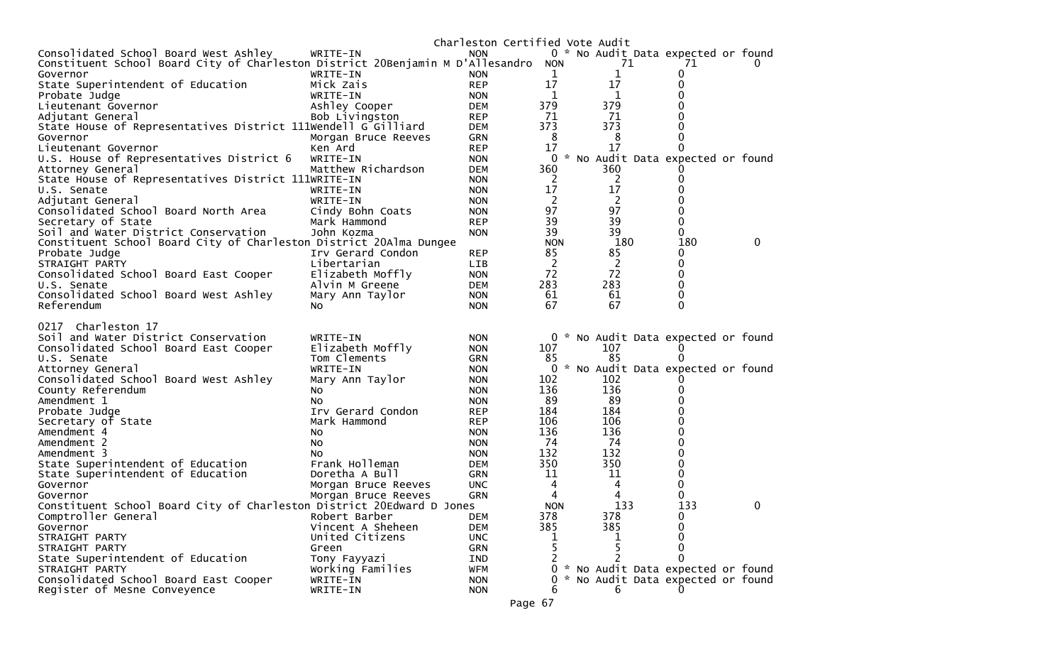|                                                                                |                     | Charleston Certified Vote Audit |                |                                     |              |   |
|--------------------------------------------------------------------------------|---------------------|---------------------------------|----------------|-------------------------------------|--------------|---|
| Consolidated School Board West Ashley                                          | WRITE-IN            | <b>NON</b>                      |                | 0 * No Audit Data expected or found |              |   |
| Constituent School Board City of Charleston District 20Benjamin M D'Allesandro |                     |                                 | <b>NON</b>     | 71                                  | 71           |   |
| Governor                                                                       | WRITE-IN            | <b>NON</b>                      | 1              | 1                                   | 0            |   |
| State Superintendent of Education                                              | Mick Zais           | <b>REP</b>                      | 17             | 17                                  | 0            |   |
| Probate Judge                                                                  | WRITE-IN            | <b>NON</b>                      | 1              | 1                                   | 0            |   |
| Lieutenant Governor                                                            | Ashley Cooper       | <b>DEM</b>                      | 379            | 379                                 |              |   |
| Adjutant General                                                               | Bob Livingston      | <b>REP</b>                      | 71             | -71                                 |              |   |
| State House of Representatives District 111Wendell G Gilliard                  |                     | <b>DEM</b>                      | 373            | 373                                 | 0            |   |
| Governor                                                                       | Morgan Bruce Reeves | <b>GRN</b>                      | 8              | 8                                   | 0            |   |
| Lieutenant Governor                                                            | Ken Ard             | <b>REP</b>                      | 17             | 17                                  | 0            |   |
| U.S. House of Representatives District 6                                       | WRITE-IN            | <b>NON</b>                      | 0              | * No Audit Data expected or found   |              |   |
| Attorney General                                                               | Matthew Richardson  | <b>DEM</b>                      | 360            | 360                                 |              |   |
| State House of Representatives District 111WRITE-IN                            |                     | <b>NON</b>                      | 2              | 2                                   | 0            |   |
| U.S. Senate                                                                    | WRITE-IN            | <b>NON</b>                      | 17             | 17                                  |              |   |
| Adjutant General                                                               | WRITE-IN            | <b>NON</b>                      | 2              | $\overline{2}$                      |              |   |
| Consolidated School Board North Area                                           | Cindy Bohn Coats    | <b>NON</b>                      | 97             | 97                                  |              |   |
| Secretary of State                                                             | Mark Hammond        | <b>REP</b>                      | 39             | 39                                  | 0            |   |
| Soil and Water District Conservation                                           | John Kozma          | <b>NON</b>                      | 39             | 39                                  | 0            |   |
| Constituent School Board City of Charleston District 20Alma Dungee             |                     |                                 | <b>NON</b>     | 180                                 | 180          | 0 |
| Probate Judge                                                                  | Irv Gerard Condon   | <b>REP</b>                      | 85             | 85                                  | 0            |   |
| STRAIGHT PARTY                                                                 | Libertarian         | <b>LIB</b>                      | $\overline{2}$ | $\overline{c}$                      | 0            |   |
| Consolidated School Board East Cooper                                          | Elizabeth Moffly    | <b>NON</b>                      | 72             | 72                                  | 0            |   |
| U.S. Senate                                                                    | Alvin M Greene      | DEM                             | 283            | 283                                 | 0            |   |
| Consolidated School Board West Ashley                                          | Mary Ann Taylor     | <b>NON</b>                      | 61             | 61                                  | 0            |   |
| Referendum                                                                     | No.                 | <b>NON</b>                      | 67             | 67                                  | $\Omega$     |   |
|                                                                                |                     |                                 |                |                                     |              |   |
| 0217 Charleston 17                                                             |                     |                                 |                |                                     |              |   |
| Soil and Water District Conservation                                           | WRITE-IN            | <b>NON</b>                      |                | 0 * No Audit Data expected or found |              |   |
| Consolidated School Board East Cooper                                          | Elizabeth Moffly    | <b>NON</b>                      | 107            | 107                                 |              |   |
| U.S. Senate                                                                    | Tom Clements        | <b>GRN</b>                      | 85             | 85                                  | O            |   |
| Attorney General                                                               | WRITE-IN            | <b>NON</b>                      |                | * No Audit Data expected or found   |              |   |
| Consolidated School Board West Ashley                                          | Mary Ann Taylor     | <b>NON</b>                      | 102            | 102                                 |              |   |
| County Referendum                                                              | NO.                 | <b>NON</b>                      | 136            | 136                                 | 0            |   |
| Amendment 1                                                                    | NO.                 | <b>NON</b>                      | 89             | 89                                  | 0            |   |
| Probate Judge                                                                  | Irv Gerard Condon   | <b>REP</b>                      | 184            | 184                                 | 0            |   |
| Secretary of State                                                             | Mark Hammond        | <b>REP</b>                      | 106            | 106                                 | 0            |   |
| Amendment 4                                                                    | NO.                 | <b>NON</b>                      | 136            | 136                                 | 0            |   |
| Amendment 2                                                                    | NO.                 | <b>NON</b>                      | 74             | 74                                  | 0            |   |
| Amendment 3                                                                    | No.                 | <b>NON</b>                      | 132            | 132                                 | 0            |   |
| State Superintendent of Education                                              | Frank Holleman      | DEM                             | 350            | 350                                 | 0            |   |
| State Superintendent of Education                                              | Doretha A Bull      | <b>GRN</b>                      | 11             | 11                                  | 0            |   |
| Governor                                                                       | Morgan Bruce Reeves | <b>UNC</b>                      | 4              | 4                                   | 0            |   |
| Governor                                                                       | Morgan Bruce Reeves | <b>GRN</b>                      | 4              |                                     | 0            |   |
| Constituent School Board City of Charleston District 20Edward D Jones          |                     |                                 | <b>NON</b>     | 133                                 | 133          | 0 |
| Comptroller General                                                            | Robert Barber       | <b>DEM</b>                      | 378            | 378                                 | 0            |   |
| Governor                                                                       | Vincent A Sheheen   | <b>DEM</b>                      | 385            | 385                                 | 0            |   |
| STRAIGHT PARTY                                                                 | United Citizens     | <b>UNC</b>                      |                |                                     | 0            |   |
| STRAIGHT PARTY                                                                 | Green               | GRN                             |                |                                     | 0            |   |
| State Superintendent of Education                                              | Tony Fayyazi        | IND                             |                |                                     | 0            |   |
| STRAIGHT PARTY                                                                 | Working Families    | <b>WFM</b>                      |                | 0 * No Audit Data expected or found |              |   |
| Consolidated School Board East Cooper                                          | WRITE-IN            | <b>NON</b>                      |                | * No Audit Data expected or found   |              |   |
| Register of Mesne Conveyence                                                   | WRITE-IN            | <b>NON</b>                      | 6              | 6                                   | $\mathbf{0}$ |   |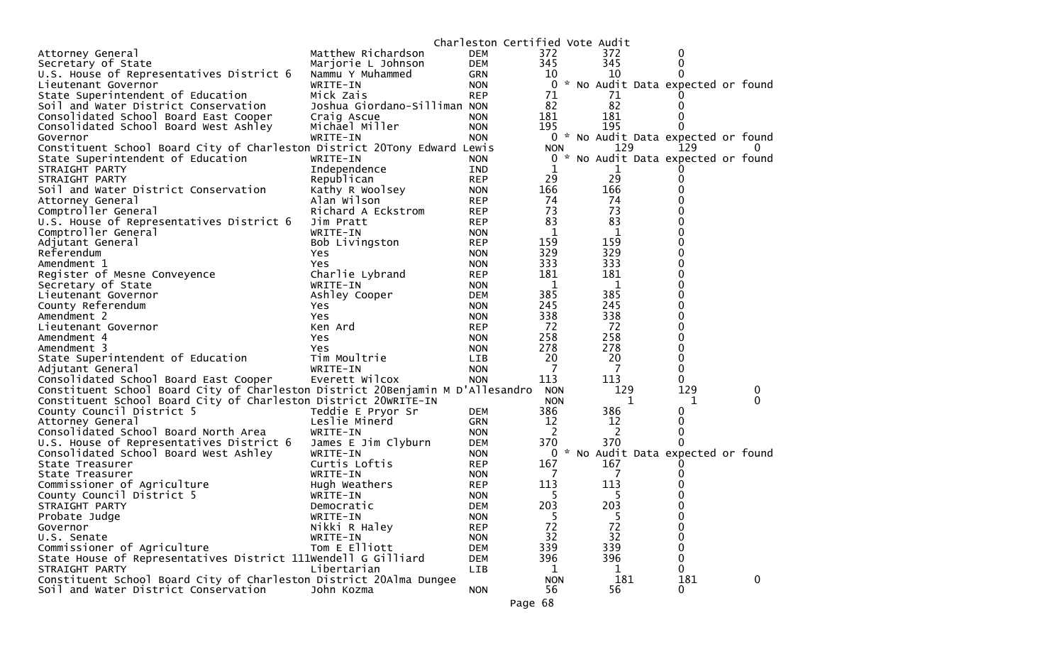| 372<br>Matthew Richardson<br><b>DEM</b><br>372<br>Attorney General<br>0<br>345<br>345<br>Secretary of State<br>Marjorie L Johnson<br>DEM<br>0<br>10<br>10<br>U.S. House of Representatives District 6<br>Nammu Y Muhammed<br>GRN<br>$\Omega$<br>* No Audit Data expected or found<br>WRITE-IN<br>0<br>Lieutenant Governor<br><b>NON</b><br>71<br>State Superintendent of Education<br>Mick Zais<br><b>REP</b><br>71<br>82<br>Joshua Giordano-Silliman NON<br>82<br>Soil and Water District Conservation<br>0<br>181<br>181<br>Consolidated School Board East Cooper<br>Craig Ascue<br><b>NON</b><br>195<br>195<br>Michael Miller<br>Consolidated School Board West Ashley<br><b>NON</b><br>0 * No Audit Data expected or found<br><b>NON</b><br>WRITE-IN<br>Governor<br>129<br>Constituent School Board City of Charleston District 20Tony Edward Lewis<br>129<br><b>NON</b><br>State Superintendent of Education<br>0 * No Audit Data expected or found<br>WRITE-IN<br><b>NON</b><br>1<br>STRAIGHT PARTY<br>Independence<br>IND<br>1<br>29<br>29<br>Republican<br>STRAIGHT PARTY<br><b>REP</b><br>0<br>166<br>166<br>Soil and Water District Conservation<br>Kathy R Woolsey<br><b>NON</b><br>74<br>Alan Wilson<br>74<br>Attorney General<br><b>REP</b><br>73<br>Comptroller General<br>73<br>Richard A Eckstrom<br><b>REP</b><br>83<br>83<br>U.S. House of Representatives District 6<br>Jim Pratt<br><b>REP</b><br>$\mathbf{1}$<br>1<br>Comptroller General<br>WRITE-IN<br><b>NON</b><br>159<br>159<br>Adjutant General<br>Bob Livingston<br><b>REP</b><br>329<br>329<br>Referendum<br><b>NON</b><br>Yes.<br>333<br>333<br>Amendment 1<br>Yes<br><b>NON</b><br>181<br>181<br>Register of Mesne Conveyence<br>Charlie Lybrand<br>0<br><b>REP</b><br>$\mathbf{1}$<br>- 1<br>0<br>Secretary of State<br>WRITE-IN<br><b>NON</b><br>385<br>385<br>Lieutenant Governor<br>Ashley Cooper<br>DEM<br>245<br>245<br>0<br>County Referendum<br><b>NON</b><br>Yes<br>338<br>338<br>0<br>Amendment 2<br><b>NON</b><br>Yes<br>72<br>72<br>Lieutenant Governor<br>Ken Ard<br><b>REP</b><br>258<br>258<br>Amendment 4<br><b>NON</b><br><b>Yes</b><br>278<br>278<br>0<br>Amendment 3<br><b>NON</b><br>Yes<br>20<br>20<br>State Superintendent of Education<br>Tim Moultrie<br>0<br><b>LIB</b><br>-7<br>7<br>0<br>WRITE-IN<br>Adjutant General<br><b>NON</b><br>Everett Wilcox<br>113<br>113<br>Consolidated School Board East Cooper<br><b>NON</b><br>0<br>Constituent School Board City of Charleston District 20Benjamin M D'Allesandro<br>129<br>129<br><b>NON</b><br>0<br>Constituent School Board City of Charleston District 20WRITE-IN<br><b>NON</b><br>1<br>1<br>0<br>386<br>386<br>County Council District 5<br>Teddie E Pryor Sr<br><b>DEM</b><br>0<br>12<br>Leslie Minerd<br>12<br>0<br>Attorney General<br><b>GRN</b><br>2<br>2<br>Consolidated School Board North Area<br>WRITE-IN<br>0<br><b>NON</b><br>370<br>370<br>James E Jim Clyburn<br>U.S. House of Representatives District 6<br>DEM<br>$\Omega$<br>0 * No Audit Data expected or found<br>Consolidated School Board West Ashley<br>WRITE-IN<br><b>NON</b><br>Curtis Loftis<br>167<br>167<br>State Treasurer<br><b>REP</b><br>-7<br>7<br>State Treasurer<br>WRITE-IN<br><b>NON</b><br>Commissioner of Agriculture<br>113<br>113<br>Hugh Weathers<br><b>REP</b><br>County Council District 5<br>5<br>5<br>WRITE-IN<br><b>NON</b><br>203<br>203<br>0<br>STRAIGHT PARTY<br>Democratic<br><b>DEM</b><br>5<br>5<br>Probate Judge<br>WRITE-IN<br><b>NON</b><br>0<br>72<br>72<br>Nikki R Haley<br>0<br>Governor<br><b>REP</b><br>32<br>32<br>0<br>U.S. Senate<br>WRITE-IN<br><b>NON</b><br>Tom E Elliott<br>339<br>339<br>Commissioner of Agriculture<br>0<br><b>DEM</b> |                                                               | Charleston Certified Vote Audit |     |     |   |  |
|---------------------------------------------------------------------------------------------------------------------------------------------------------------------------------------------------------------------------------------------------------------------------------------------------------------------------------------------------------------------------------------------------------------------------------------------------------------------------------------------------------------------------------------------------------------------------------------------------------------------------------------------------------------------------------------------------------------------------------------------------------------------------------------------------------------------------------------------------------------------------------------------------------------------------------------------------------------------------------------------------------------------------------------------------------------------------------------------------------------------------------------------------------------------------------------------------------------------------------------------------------------------------------------------------------------------------------------------------------------------------------------------------------------------------------------------------------------------------------------------------------------------------------------------------------------------------------------------------------------------------------------------------------------------------------------------------------------------------------------------------------------------------------------------------------------------------------------------------------------------------------------------------------------------------------------------------------------------------------------------------------------------------------------------------------------------------------------------------------------------------------------------------------------------------------------------------------------------------------------------------------------------------------------------------------------------------------------------------------------------------------------------------------------------------------------------------------------------------------------------------------------------------------------------------------------------------------------------------------------------------------------------------------------------------------------------------------------------------------------------------------------------------------------------------------------------------------------------------------------------------------------------------------------------------------------------------------------------------------------------------------------------------------------------------------------------------------------------------------------------------------------------------------------------------------------------------------------------------------------------------------------------------------------------------------------------------------------------------------------------------------------------------------------------------------------------------------------------------------------------------------------------------------------------------------------------------------------------------------------------------------------------------------------------------------------------------------------------------|---------------------------------------------------------------|---------------------------------|-----|-----|---|--|
|                                                                                                                                                                                                                                                                                                                                                                                                                                                                                                                                                                                                                                                                                                                                                                                                                                                                                                                                                                                                                                                                                                                                                                                                                                                                                                                                                                                                                                                                                                                                                                                                                                                                                                                                                                                                                                                                                                                                                                                                                                                                                                                                                                                                                                                                                                                                                                                                                                                                                                                                                                                                                                                                                                                                                                                                                                                                                                                                                                                                                                                                                                                                                                                                                                                                                                                                                                                                                                                                                                                                                                                                                                                                                                                           |                                                               |                                 |     |     |   |  |
|                                                                                                                                                                                                                                                                                                                                                                                                                                                                                                                                                                                                                                                                                                                                                                                                                                                                                                                                                                                                                                                                                                                                                                                                                                                                                                                                                                                                                                                                                                                                                                                                                                                                                                                                                                                                                                                                                                                                                                                                                                                                                                                                                                                                                                                                                                                                                                                                                                                                                                                                                                                                                                                                                                                                                                                                                                                                                                                                                                                                                                                                                                                                                                                                                                                                                                                                                                                                                                                                                                                                                                                                                                                                                                                           |                                                               |                                 |     |     |   |  |
|                                                                                                                                                                                                                                                                                                                                                                                                                                                                                                                                                                                                                                                                                                                                                                                                                                                                                                                                                                                                                                                                                                                                                                                                                                                                                                                                                                                                                                                                                                                                                                                                                                                                                                                                                                                                                                                                                                                                                                                                                                                                                                                                                                                                                                                                                                                                                                                                                                                                                                                                                                                                                                                                                                                                                                                                                                                                                                                                                                                                                                                                                                                                                                                                                                                                                                                                                                                                                                                                                                                                                                                                                                                                                                                           |                                                               |                                 |     |     |   |  |
|                                                                                                                                                                                                                                                                                                                                                                                                                                                                                                                                                                                                                                                                                                                                                                                                                                                                                                                                                                                                                                                                                                                                                                                                                                                                                                                                                                                                                                                                                                                                                                                                                                                                                                                                                                                                                                                                                                                                                                                                                                                                                                                                                                                                                                                                                                                                                                                                                                                                                                                                                                                                                                                                                                                                                                                                                                                                                                                                                                                                                                                                                                                                                                                                                                                                                                                                                                                                                                                                                                                                                                                                                                                                                                                           |                                                               |                                 |     |     |   |  |
|                                                                                                                                                                                                                                                                                                                                                                                                                                                                                                                                                                                                                                                                                                                                                                                                                                                                                                                                                                                                                                                                                                                                                                                                                                                                                                                                                                                                                                                                                                                                                                                                                                                                                                                                                                                                                                                                                                                                                                                                                                                                                                                                                                                                                                                                                                                                                                                                                                                                                                                                                                                                                                                                                                                                                                                                                                                                                                                                                                                                                                                                                                                                                                                                                                                                                                                                                                                                                                                                                                                                                                                                                                                                                                                           |                                                               |                                 |     |     |   |  |
|                                                                                                                                                                                                                                                                                                                                                                                                                                                                                                                                                                                                                                                                                                                                                                                                                                                                                                                                                                                                                                                                                                                                                                                                                                                                                                                                                                                                                                                                                                                                                                                                                                                                                                                                                                                                                                                                                                                                                                                                                                                                                                                                                                                                                                                                                                                                                                                                                                                                                                                                                                                                                                                                                                                                                                                                                                                                                                                                                                                                                                                                                                                                                                                                                                                                                                                                                                                                                                                                                                                                                                                                                                                                                                                           |                                                               |                                 |     |     |   |  |
|                                                                                                                                                                                                                                                                                                                                                                                                                                                                                                                                                                                                                                                                                                                                                                                                                                                                                                                                                                                                                                                                                                                                                                                                                                                                                                                                                                                                                                                                                                                                                                                                                                                                                                                                                                                                                                                                                                                                                                                                                                                                                                                                                                                                                                                                                                                                                                                                                                                                                                                                                                                                                                                                                                                                                                                                                                                                                                                                                                                                                                                                                                                                                                                                                                                                                                                                                                                                                                                                                                                                                                                                                                                                                                                           |                                                               |                                 |     |     |   |  |
|                                                                                                                                                                                                                                                                                                                                                                                                                                                                                                                                                                                                                                                                                                                                                                                                                                                                                                                                                                                                                                                                                                                                                                                                                                                                                                                                                                                                                                                                                                                                                                                                                                                                                                                                                                                                                                                                                                                                                                                                                                                                                                                                                                                                                                                                                                                                                                                                                                                                                                                                                                                                                                                                                                                                                                                                                                                                                                                                                                                                                                                                                                                                                                                                                                                                                                                                                                                                                                                                                                                                                                                                                                                                                                                           |                                                               |                                 |     |     |   |  |
|                                                                                                                                                                                                                                                                                                                                                                                                                                                                                                                                                                                                                                                                                                                                                                                                                                                                                                                                                                                                                                                                                                                                                                                                                                                                                                                                                                                                                                                                                                                                                                                                                                                                                                                                                                                                                                                                                                                                                                                                                                                                                                                                                                                                                                                                                                                                                                                                                                                                                                                                                                                                                                                                                                                                                                                                                                                                                                                                                                                                                                                                                                                                                                                                                                                                                                                                                                                                                                                                                                                                                                                                                                                                                                                           |                                                               |                                 |     |     |   |  |
|                                                                                                                                                                                                                                                                                                                                                                                                                                                                                                                                                                                                                                                                                                                                                                                                                                                                                                                                                                                                                                                                                                                                                                                                                                                                                                                                                                                                                                                                                                                                                                                                                                                                                                                                                                                                                                                                                                                                                                                                                                                                                                                                                                                                                                                                                                                                                                                                                                                                                                                                                                                                                                                                                                                                                                                                                                                                                                                                                                                                                                                                                                                                                                                                                                                                                                                                                                                                                                                                                                                                                                                                                                                                                                                           |                                                               |                                 |     |     |   |  |
|                                                                                                                                                                                                                                                                                                                                                                                                                                                                                                                                                                                                                                                                                                                                                                                                                                                                                                                                                                                                                                                                                                                                                                                                                                                                                                                                                                                                                                                                                                                                                                                                                                                                                                                                                                                                                                                                                                                                                                                                                                                                                                                                                                                                                                                                                                                                                                                                                                                                                                                                                                                                                                                                                                                                                                                                                                                                                                                                                                                                                                                                                                                                                                                                                                                                                                                                                                                                                                                                                                                                                                                                                                                                                                                           |                                                               |                                 |     |     |   |  |
|                                                                                                                                                                                                                                                                                                                                                                                                                                                                                                                                                                                                                                                                                                                                                                                                                                                                                                                                                                                                                                                                                                                                                                                                                                                                                                                                                                                                                                                                                                                                                                                                                                                                                                                                                                                                                                                                                                                                                                                                                                                                                                                                                                                                                                                                                                                                                                                                                                                                                                                                                                                                                                                                                                                                                                                                                                                                                                                                                                                                                                                                                                                                                                                                                                                                                                                                                                                                                                                                                                                                                                                                                                                                                                                           |                                                               |                                 |     |     |   |  |
|                                                                                                                                                                                                                                                                                                                                                                                                                                                                                                                                                                                                                                                                                                                                                                                                                                                                                                                                                                                                                                                                                                                                                                                                                                                                                                                                                                                                                                                                                                                                                                                                                                                                                                                                                                                                                                                                                                                                                                                                                                                                                                                                                                                                                                                                                                                                                                                                                                                                                                                                                                                                                                                                                                                                                                                                                                                                                                                                                                                                                                                                                                                                                                                                                                                                                                                                                                                                                                                                                                                                                                                                                                                                                                                           |                                                               |                                 |     |     |   |  |
|                                                                                                                                                                                                                                                                                                                                                                                                                                                                                                                                                                                                                                                                                                                                                                                                                                                                                                                                                                                                                                                                                                                                                                                                                                                                                                                                                                                                                                                                                                                                                                                                                                                                                                                                                                                                                                                                                                                                                                                                                                                                                                                                                                                                                                                                                                                                                                                                                                                                                                                                                                                                                                                                                                                                                                                                                                                                                                                                                                                                                                                                                                                                                                                                                                                                                                                                                                                                                                                                                                                                                                                                                                                                                                                           |                                                               |                                 |     |     |   |  |
|                                                                                                                                                                                                                                                                                                                                                                                                                                                                                                                                                                                                                                                                                                                                                                                                                                                                                                                                                                                                                                                                                                                                                                                                                                                                                                                                                                                                                                                                                                                                                                                                                                                                                                                                                                                                                                                                                                                                                                                                                                                                                                                                                                                                                                                                                                                                                                                                                                                                                                                                                                                                                                                                                                                                                                                                                                                                                                                                                                                                                                                                                                                                                                                                                                                                                                                                                                                                                                                                                                                                                                                                                                                                                                                           |                                                               |                                 |     |     |   |  |
|                                                                                                                                                                                                                                                                                                                                                                                                                                                                                                                                                                                                                                                                                                                                                                                                                                                                                                                                                                                                                                                                                                                                                                                                                                                                                                                                                                                                                                                                                                                                                                                                                                                                                                                                                                                                                                                                                                                                                                                                                                                                                                                                                                                                                                                                                                                                                                                                                                                                                                                                                                                                                                                                                                                                                                                                                                                                                                                                                                                                                                                                                                                                                                                                                                                                                                                                                                                                                                                                                                                                                                                                                                                                                                                           |                                                               |                                 |     |     |   |  |
|                                                                                                                                                                                                                                                                                                                                                                                                                                                                                                                                                                                                                                                                                                                                                                                                                                                                                                                                                                                                                                                                                                                                                                                                                                                                                                                                                                                                                                                                                                                                                                                                                                                                                                                                                                                                                                                                                                                                                                                                                                                                                                                                                                                                                                                                                                                                                                                                                                                                                                                                                                                                                                                                                                                                                                                                                                                                                                                                                                                                                                                                                                                                                                                                                                                                                                                                                                                                                                                                                                                                                                                                                                                                                                                           |                                                               |                                 |     |     |   |  |
|                                                                                                                                                                                                                                                                                                                                                                                                                                                                                                                                                                                                                                                                                                                                                                                                                                                                                                                                                                                                                                                                                                                                                                                                                                                                                                                                                                                                                                                                                                                                                                                                                                                                                                                                                                                                                                                                                                                                                                                                                                                                                                                                                                                                                                                                                                                                                                                                                                                                                                                                                                                                                                                                                                                                                                                                                                                                                                                                                                                                                                                                                                                                                                                                                                                                                                                                                                                                                                                                                                                                                                                                                                                                                                                           |                                                               |                                 |     |     |   |  |
|                                                                                                                                                                                                                                                                                                                                                                                                                                                                                                                                                                                                                                                                                                                                                                                                                                                                                                                                                                                                                                                                                                                                                                                                                                                                                                                                                                                                                                                                                                                                                                                                                                                                                                                                                                                                                                                                                                                                                                                                                                                                                                                                                                                                                                                                                                                                                                                                                                                                                                                                                                                                                                                                                                                                                                                                                                                                                                                                                                                                                                                                                                                                                                                                                                                                                                                                                                                                                                                                                                                                                                                                                                                                                                                           |                                                               |                                 |     |     |   |  |
|                                                                                                                                                                                                                                                                                                                                                                                                                                                                                                                                                                                                                                                                                                                                                                                                                                                                                                                                                                                                                                                                                                                                                                                                                                                                                                                                                                                                                                                                                                                                                                                                                                                                                                                                                                                                                                                                                                                                                                                                                                                                                                                                                                                                                                                                                                                                                                                                                                                                                                                                                                                                                                                                                                                                                                                                                                                                                                                                                                                                                                                                                                                                                                                                                                                                                                                                                                                                                                                                                                                                                                                                                                                                                                                           |                                                               |                                 |     |     |   |  |
|                                                                                                                                                                                                                                                                                                                                                                                                                                                                                                                                                                                                                                                                                                                                                                                                                                                                                                                                                                                                                                                                                                                                                                                                                                                                                                                                                                                                                                                                                                                                                                                                                                                                                                                                                                                                                                                                                                                                                                                                                                                                                                                                                                                                                                                                                                                                                                                                                                                                                                                                                                                                                                                                                                                                                                                                                                                                                                                                                                                                                                                                                                                                                                                                                                                                                                                                                                                                                                                                                                                                                                                                                                                                                                                           |                                                               |                                 |     |     |   |  |
|                                                                                                                                                                                                                                                                                                                                                                                                                                                                                                                                                                                                                                                                                                                                                                                                                                                                                                                                                                                                                                                                                                                                                                                                                                                                                                                                                                                                                                                                                                                                                                                                                                                                                                                                                                                                                                                                                                                                                                                                                                                                                                                                                                                                                                                                                                                                                                                                                                                                                                                                                                                                                                                                                                                                                                                                                                                                                                                                                                                                                                                                                                                                                                                                                                                                                                                                                                                                                                                                                                                                                                                                                                                                                                                           |                                                               |                                 |     |     |   |  |
|                                                                                                                                                                                                                                                                                                                                                                                                                                                                                                                                                                                                                                                                                                                                                                                                                                                                                                                                                                                                                                                                                                                                                                                                                                                                                                                                                                                                                                                                                                                                                                                                                                                                                                                                                                                                                                                                                                                                                                                                                                                                                                                                                                                                                                                                                                                                                                                                                                                                                                                                                                                                                                                                                                                                                                                                                                                                                                                                                                                                                                                                                                                                                                                                                                                                                                                                                                                                                                                                                                                                                                                                                                                                                                                           |                                                               |                                 |     |     |   |  |
|                                                                                                                                                                                                                                                                                                                                                                                                                                                                                                                                                                                                                                                                                                                                                                                                                                                                                                                                                                                                                                                                                                                                                                                                                                                                                                                                                                                                                                                                                                                                                                                                                                                                                                                                                                                                                                                                                                                                                                                                                                                                                                                                                                                                                                                                                                                                                                                                                                                                                                                                                                                                                                                                                                                                                                                                                                                                                                                                                                                                                                                                                                                                                                                                                                                                                                                                                                                                                                                                                                                                                                                                                                                                                                                           |                                                               |                                 |     |     |   |  |
|                                                                                                                                                                                                                                                                                                                                                                                                                                                                                                                                                                                                                                                                                                                                                                                                                                                                                                                                                                                                                                                                                                                                                                                                                                                                                                                                                                                                                                                                                                                                                                                                                                                                                                                                                                                                                                                                                                                                                                                                                                                                                                                                                                                                                                                                                                                                                                                                                                                                                                                                                                                                                                                                                                                                                                                                                                                                                                                                                                                                                                                                                                                                                                                                                                                                                                                                                                                                                                                                                                                                                                                                                                                                                                                           |                                                               |                                 |     |     |   |  |
|                                                                                                                                                                                                                                                                                                                                                                                                                                                                                                                                                                                                                                                                                                                                                                                                                                                                                                                                                                                                                                                                                                                                                                                                                                                                                                                                                                                                                                                                                                                                                                                                                                                                                                                                                                                                                                                                                                                                                                                                                                                                                                                                                                                                                                                                                                                                                                                                                                                                                                                                                                                                                                                                                                                                                                                                                                                                                                                                                                                                                                                                                                                                                                                                                                                                                                                                                                                                                                                                                                                                                                                                                                                                                                                           |                                                               |                                 |     |     |   |  |
|                                                                                                                                                                                                                                                                                                                                                                                                                                                                                                                                                                                                                                                                                                                                                                                                                                                                                                                                                                                                                                                                                                                                                                                                                                                                                                                                                                                                                                                                                                                                                                                                                                                                                                                                                                                                                                                                                                                                                                                                                                                                                                                                                                                                                                                                                                                                                                                                                                                                                                                                                                                                                                                                                                                                                                                                                                                                                                                                                                                                                                                                                                                                                                                                                                                                                                                                                                                                                                                                                                                                                                                                                                                                                                                           |                                                               |                                 |     |     |   |  |
|                                                                                                                                                                                                                                                                                                                                                                                                                                                                                                                                                                                                                                                                                                                                                                                                                                                                                                                                                                                                                                                                                                                                                                                                                                                                                                                                                                                                                                                                                                                                                                                                                                                                                                                                                                                                                                                                                                                                                                                                                                                                                                                                                                                                                                                                                                                                                                                                                                                                                                                                                                                                                                                                                                                                                                                                                                                                                                                                                                                                                                                                                                                                                                                                                                                                                                                                                                                                                                                                                                                                                                                                                                                                                                                           |                                                               |                                 |     |     |   |  |
|                                                                                                                                                                                                                                                                                                                                                                                                                                                                                                                                                                                                                                                                                                                                                                                                                                                                                                                                                                                                                                                                                                                                                                                                                                                                                                                                                                                                                                                                                                                                                                                                                                                                                                                                                                                                                                                                                                                                                                                                                                                                                                                                                                                                                                                                                                                                                                                                                                                                                                                                                                                                                                                                                                                                                                                                                                                                                                                                                                                                                                                                                                                                                                                                                                                                                                                                                                                                                                                                                                                                                                                                                                                                                                                           |                                                               |                                 |     |     |   |  |
|                                                                                                                                                                                                                                                                                                                                                                                                                                                                                                                                                                                                                                                                                                                                                                                                                                                                                                                                                                                                                                                                                                                                                                                                                                                                                                                                                                                                                                                                                                                                                                                                                                                                                                                                                                                                                                                                                                                                                                                                                                                                                                                                                                                                                                                                                                                                                                                                                                                                                                                                                                                                                                                                                                                                                                                                                                                                                                                                                                                                                                                                                                                                                                                                                                                                                                                                                                                                                                                                                                                                                                                                                                                                                                                           |                                                               |                                 |     |     |   |  |
|                                                                                                                                                                                                                                                                                                                                                                                                                                                                                                                                                                                                                                                                                                                                                                                                                                                                                                                                                                                                                                                                                                                                                                                                                                                                                                                                                                                                                                                                                                                                                                                                                                                                                                                                                                                                                                                                                                                                                                                                                                                                                                                                                                                                                                                                                                                                                                                                                                                                                                                                                                                                                                                                                                                                                                                                                                                                                                                                                                                                                                                                                                                                                                                                                                                                                                                                                                                                                                                                                                                                                                                                                                                                                                                           |                                                               |                                 |     |     |   |  |
|                                                                                                                                                                                                                                                                                                                                                                                                                                                                                                                                                                                                                                                                                                                                                                                                                                                                                                                                                                                                                                                                                                                                                                                                                                                                                                                                                                                                                                                                                                                                                                                                                                                                                                                                                                                                                                                                                                                                                                                                                                                                                                                                                                                                                                                                                                                                                                                                                                                                                                                                                                                                                                                                                                                                                                                                                                                                                                                                                                                                                                                                                                                                                                                                                                                                                                                                                                                                                                                                                                                                                                                                                                                                                                                           |                                                               |                                 |     |     |   |  |
|                                                                                                                                                                                                                                                                                                                                                                                                                                                                                                                                                                                                                                                                                                                                                                                                                                                                                                                                                                                                                                                                                                                                                                                                                                                                                                                                                                                                                                                                                                                                                                                                                                                                                                                                                                                                                                                                                                                                                                                                                                                                                                                                                                                                                                                                                                                                                                                                                                                                                                                                                                                                                                                                                                                                                                                                                                                                                                                                                                                                                                                                                                                                                                                                                                                                                                                                                                                                                                                                                                                                                                                                                                                                                                                           |                                                               |                                 |     |     |   |  |
|                                                                                                                                                                                                                                                                                                                                                                                                                                                                                                                                                                                                                                                                                                                                                                                                                                                                                                                                                                                                                                                                                                                                                                                                                                                                                                                                                                                                                                                                                                                                                                                                                                                                                                                                                                                                                                                                                                                                                                                                                                                                                                                                                                                                                                                                                                                                                                                                                                                                                                                                                                                                                                                                                                                                                                                                                                                                                                                                                                                                                                                                                                                                                                                                                                                                                                                                                                                                                                                                                                                                                                                                                                                                                                                           |                                                               |                                 |     |     |   |  |
|                                                                                                                                                                                                                                                                                                                                                                                                                                                                                                                                                                                                                                                                                                                                                                                                                                                                                                                                                                                                                                                                                                                                                                                                                                                                                                                                                                                                                                                                                                                                                                                                                                                                                                                                                                                                                                                                                                                                                                                                                                                                                                                                                                                                                                                                                                                                                                                                                                                                                                                                                                                                                                                                                                                                                                                                                                                                                                                                                                                                                                                                                                                                                                                                                                                                                                                                                                                                                                                                                                                                                                                                                                                                                                                           |                                                               |                                 |     |     |   |  |
|                                                                                                                                                                                                                                                                                                                                                                                                                                                                                                                                                                                                                                                                                                                                                                                                                                                                                                                                                                                                                                                                                                                                                                                                                                                                                                                                                                                                                                                                                                                                                                                                                                                                                                                                                                                                                                                                                                                                                                                                                                                                                                                                                                                                                                                                                                                                                                                                                                                                                                                                                                                                                                                                                                                                                                                                                                                                                                                                                                                                                                                                                                                                                                                                                                                                                                                                                                                                                                                                                                                                                                                                                                                                                                                           |                                                               |                                 |     |     |   |  |
|                                                                                                                                                                                                                                                                                                                                                                                                                                                                                                                                                                                                                                                                                                                                                                                                                                                                                                                                                                                                                                                                                                                                                                                                                                                                                                                                                                                                                                                                                                                                                                                                                                                                                                                                                                                                                                                                                                                                                                                                                                                                                                                                                                                                                                                                                                                                                                                                                                                                                                                                                                                                                                                                                                                                                                                                                                                                                                                                                                                                                                                                                                                                                                                                                                                                                                                                                                                                                                                                                                                                                                                                                                                                                                                           |                                                               |                                 |     |     |   |  |
|                                                                                                                                                                                                                                                                                                                                                                                                                                                                                                                                                                                                                                                                                                                                                                                                                                                                                                                                                                                                                                                                                                                                                                                                                                                                                                                                                                                                                                                                                                                                                                                                                                                                                                                                                                                                                                                                                                                                                                                                                                                                                                                                                                                                                                                                                                                                                                                                                                                                                                                                                                                                                                                                                                                                                                                                                                                                                                                                                                                                                                                                                                                                                                                                                                                                                                                                                                                                                                                                                                                                                                                                                                                                                                                           |                                                               |                                 |     |     |   |  |
|                                                                                                                                                                                                                                                                                                                                                                                                                                                                                                                                                                                                                                                                                                                                                                                                                                                                                                                                                                                                                                                                                                                                                                                                                                                                                                                                                                                                                                                                                                                                                                                                                                                                                                                                                                                                                                                                                                                                                                                                                                                                                                                                                                                                                                                                                                                                                                                                                                                                                                                                                                                                                                                                                                                                                                                                                                                                                                                                                                                                                                                                                                                                                                                                                                                                                                                                                                                                                                                                                                                                                                                                                                                                                                                           |                                                               |                                 |     |     |   |  |
|                                                                                                                                                                                                                                                                                                                                                                                                                                                                                                                                                                                                                                                                                                                                                                                                                                                                                                                                                                                                                                                                                                                                                                                                                                                                                                                                                                                                                                                                                                                                                                                                                                                                                                                                                                                                                                                                                                                                                                                                                                                                                                                                                                                                                                                                                                                                                                                                                                                                                                                                                                                                                                                                                                                                                                                                                                                                                                                                                                                                                                                                                                                                                                                                                                                                                                                                                                                                                                                                                                                                                                                                                                                                                                                           |                                                               |                                 |     |     |   |  |
|                                                                                                                                                                                                                                                                                                                                                                                                                                                                                                                                                                                                                                                                                                                                                                                                                                                                                                                                                                                                                                                                                                                                                                                                                                                                                                                                                                                                                                                                                                                                                                                                                                                                                                                                                                                                                                                                                                                                                                                                                                                                                                                                                                                                                                                                                                                                                                                                                                                                                                                                                                                                                                                                                                                                                                                                                                                                                                                                                                                                                                                                                                                                                                                                                                                                                                                                                                                                                                                                                                                                                                                                                                                                                                                           |                                                               |                                 |     |     |   |  |
|                                                                                                                                                                                                                                                                                                                                                                                                                                                                                                                                                                                                                                                                                                                                                                                                                                                                                                                                                                                                                                                                                                                                                                                                                                                                                                                                                                                                                                                                                                                                                                                                                                                                                                                                                                                                                                                                                                                                                                                                                                                                                                                                                                                                                                                                                                                                                                                                                                                                                                                                                                                                                                                                                                                                                                                                                                                                                                                                                                                                                                                                                                                                                                                                                                                                                                                                                                                                                                                                                                                                                                                                                                                                                                                           |                                                               |                                 |     |     |   |  |
|                                                                                                                                                                                                                                                                                                                                                                                                                                                                                                                                                                                                                                                                                                                                                                                                                                                                                                                                                                                                                                                                                                                                                                                                                                                                                                                                                                                                                                                                                                                                                                                                                                                                                                                                                                                                                                                                                                                                                                                                                                                                                                                                                                                                                                                                                                                                                                                                                                                                                                                                                                                                                                                                                                                                                                                                                                                                                                                                                                                                                                                                                                                                                                                                                                                                                                                                                                                                                                                                                                                                                                                                                                                                                                                           |                                                               |                                 |     |     |   |  |
|                                                                                                                                                                                                                                                                                                                                                                                                                                                                                                                                                                                                                                                                                                                                                                                                                                                                                                                                                                                                                                                                                                                                                                                                                                                                                                                                                                                                                                                                                                                                                                                                                                                                                                                                                                                                                                                                                                                                                                                                                                                                                                                                                                                                                                                                                                                                                                                                                                                                                                                                                                                                                                                                                                                                                                                                                                                                                                                                                                                                                                                                                                                                                                                                                                                                                                                                                                                                                                                                                                                                                                                                                                                                                                                           |                                                               |                                 |     |     |   |  |
|                                                                                                                                                                                                                                                                                                                                                                                                                                                                                                                                                                                                                                                                                                                                                                                                                                                                                                                                                                                                                                                                                                                                                                                                                                                                                                                                                                                                                                                                                                                                                                                                                                                                                                                                                                                                                                                                                                                                                                                                                                                                                                                                                                                                                                                                                                                                                                                                                                                                                                                                                                                                                                                                                                                                                                                                                                                                                                                                                                                                                                                                                                                                                                                                                                                                                                                                                                                                                                                                                                                                                                                                                                                                                                                           |                                                               |                                 |     |     |   |  |
|                                                                                                                                                                                                                                                                                                                                                                                                                                                                                                                                                                                                                                                                                                                                                                                                                                                                                                                                                                                                                                                                                                                                                                                                                                                                                                                                                                                                                                                                                                                                                                                                                                                                                                                                                                                                                                                                                                                                                                                                                                                                                                                                                                                                                                                                                                                                                                                                                                                                                                                                                                                                                                                                                                                                                                                                                                                                                                                                                                                                                                                                                                                                                                                                                                                                                                                                                                                                                                                                                                                                                                                                                                                                                                                           |                                                               |                                 |     |     |   |  |
|                                                                                                                                                                                                                                                                                                                                                                                                                                                                                                                                                                                                                                                                                                                                                                                                                                                                                                                                                                                                                                                                                                                                                                                                                                                                                                                                                                                                                                                                                                                                                                                                                                                                                                                                                                                                                                                                                                                                                                                                                                                                                                                                                                                                                                                                                                                                                                                                                                                                                                                                                                                                                                                                                                                                                                                                                                                                                                                                                                                                                                                                                                                                                                                                                                                                                                                                                                                                                                                                                                                                                                                                                                                                                                                           |                                                               |                                 |     |     |   |  |
|                                                                                                                                                                                                                                                                                                                                                                                                                                                                                                                                                                                                                                                                                                                                                                                                                                                                                                                                                                                                                                                                                                                                                                                                                                                                                                                                                                                                                                                                                                                                                                                                                                                                                                                                                                                                                                                                                                                                                                                                                                                                                                                                                                                                                                                                                                                                                                                                                                                                                                                                                                                                                                                                                                                                                                                                                                                                                                                                                                                                                                                                                                                                                                                                                                                                                                                                                                                                                                                                                                                                                                                                                                                                                                                           |                                                               |                                 |     |     |   |  |
|                                                                                                                                                                                                                                                                                                                                                                                                                                                                                                                                                                                                                                                                                                                                                                                                                                                                                                                                                                                                                                                                                                                                                                                                                                                                                                                                                                                                                                                                                                                                                                                                                                                                                                                                                                                                                                                                                                                                                                                                                                                                                                                                                                                                                                                                                                                                                                                                                                                                                                                                                                                                                                                                                                                                                                                                                                                                                                                                                                                                                                                                                                                                                                                                                                                                                                                                                                                                                                                                                                                                                                                                                                                                                                                           | State House of Representatives District 111Wendell G Gilliard | <b>DEM</b>                      | 396 | 396 | 0 |  |
| STRAIGHT PARTY<br>Libertarian<br>$\mathbf{1}$<br>$\mathbf 1$<br>0<br>LIB                                                                                                                                                                                                                                                                                                                                                                                                                                                                                                                                                                                                                                                                                                                                                                                                                                                                                                                                                                                                                                                                                                                                                                                                                                                                                                                                                                                                                                                                                                                                                                                                                                                                                                                                                                                                                                                                                                                                                                                                                                                                                                                                                                                                                                                                                                                                                                                                                                                                                                                                                                                                                                                                                                                                                                                                                                                                                                                                                                                                                                                                                                                                                                                                                                                                                                                                                                                                                                                                                                                                                                                                                                                  |                                                               |                                 |     |     |   |  |
| Constituent School Board City of Charleston District 20Alma Dungee<br>181<br>181<br><b>NON</b><br>0                                                                                                                                                                                                                                                                                                                                                                                                                                                                                                                                                                                                                                                                                                                                                                                                                                                                                                                                                                                                                                                                                                                                                                                                                                                                                                                                                                                                                                                                                                                                                                                                                                                                                                                                                                                                                                                                                                                                                                                                                                                                                                                                                                                                                                                                                                                                                                                                                                                                                                                                                                                                                                                                                                                                                                                                                                                                                                                                                                                                                                                                                                                                                                                                                                                                                                                                                                                                                                                                                                                                                                                                                       |                                                               |                                 |     |     |   |  |
| 56<br>56<br>Soil and Water District Conservation<br>John Kozma<br><b>NON</b><br>0                                                                                                                                                                                                                                                                                                                                                                                                                                                                                                                                                                                                                                                                                                                                                                                                                                                                                                                                                                                                                                                                                                                                                                                                                                                                                                                                                                                                                                                                                                                                                                                                                                                                                                                                                                                                                                                                                                                                                                                                                                                                                                                                                                                                                                                                                                                                                                                                                                                                                                                                                                                                                                                                                                                                                                                                                                                                                                                                                                                                                                                                                                                                                                                                                                                                                                                                                                                                                                                                                                                                                                                                                                         |                                                               |                                 |     |     |   |  |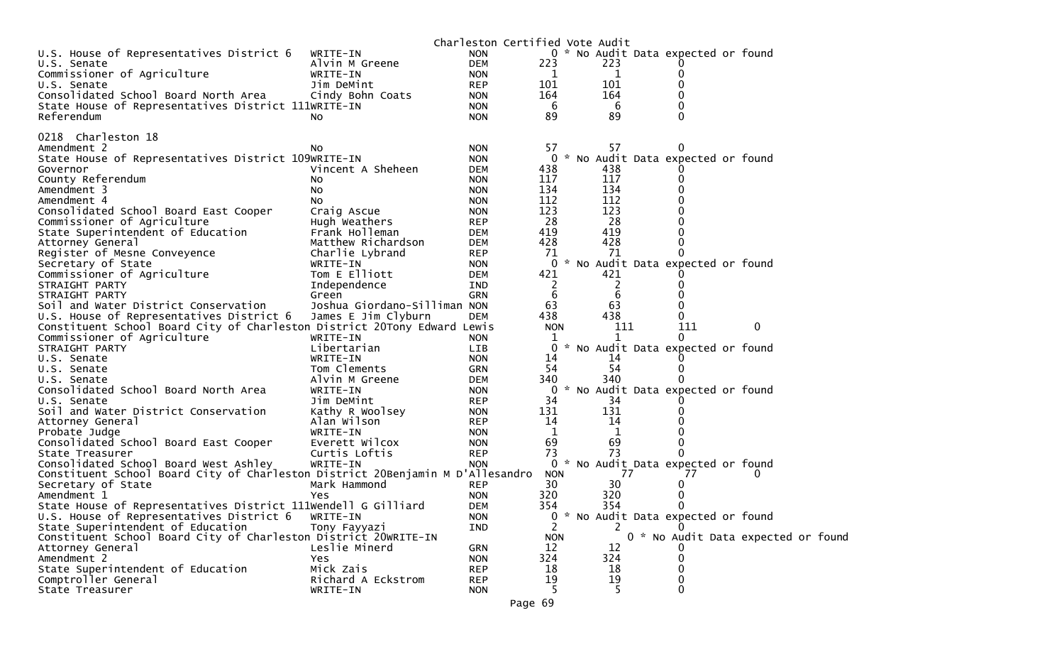|                                                                                |                              |                          | Charleston Certified Vote Audit |           |                                     |                                    |  |
|--------------------------------------------------------------------------------|------------------------------|--------------------------|---------------------------------|-----------|-------------------------------------|------------------------------------|--|
| U.S. House of Representatives District 6                                       | WRITE-IN                     | <b>NON</b>               |                                 |           | 0 * No Audit Data expected or found |                                    |  |
| U.S. Senate                                                                    | Alvin M Greene               | <b>DEM</b>               | 223                             | 223       |                                     |                                    |  |
| Commissioner of Agriculture                                                    | WRITE-IN                     | <b>NON</b>               | 1                               | - 1       |                                     |                                    |  |
| U.S. Senate                                                                    | Jim DeMint                   | <b>REP</b>               | 101                             | 101       |                                     |                                    |  |
| Consolidated School Board North Area                                           | Cindy Bohn Coats             | <b>NON</b>               | 164                             | 164       |                                     |                                    |  |
| State House of Representatives District 111WRITE-IN                            |                              | <b>NON</b>               | 6                               | -6        |                                     |                                    |  |
| Referendum                                                                     | NO.                          | <b>NON</b>               | 89                              | 89        |                                     |                                    |  |
|                                                                                |                              |                          |                                 |           |                                     |                                    |  |
| 0218 Charleston 18                                                             |                              |                          | 57                              | 57        |                                     |                                    |  |
| Amendment 2<br>State House of Representatives District 109WRITE-IN             | NO.                          | <b>NON</b><br><b>NON</b> |                                 |           | 0 * No Audit Data expected or found |                                    |  |
| Governor                                                                       | Vincent A Sheheen            | <b>DEM</b>               | 438                             | 438       |                                     |                                    |  |
| County Referendum                                                              | No                           | <b>NON</b>               | 117                             | 117       |                                     |                                    |  |
| Amendment 3                                                                    | No.                          | <b>NON</b>               | 134                             | 134       |                                     |                                    |  |
| Amendment 4                                                                    | No.                          | <b>NON</b>               | 112                             | 112       |                                     |                                    |  |
| Consolidated School Board East Cooper                                          | Craig Ascue                  | <b>NON</b>               | 123                             | 123       |                                     |                                    |  |
| Commissioner of Agriculture                                                    | Hugh Weathers                | <b>REP</b>               | 28                              | 28        |                                     |                                    |  |
| State Superintendent of Education                                              | Frank Holleman               | <b>DEM</b>               | 419                             | 419       |                                     |                                    |  |
| Attorney General                                                               | Matthew Richardson           | <b>DEM</b>               | 428                             | 428       |                                     |                                    |  |
| Register of Mesne Conveyence                                                   | Charlie Lybrand              | <b>REP</b>               | 71                              | 71        |                                     |                                    |  |
| Secretary of State                                                             | WRITE-IN                     | <b>NON</b>               | 0                               |           | * No Audit Data expected or found   |                                    |  |
| Commissioner of Agriculture                                                    | Tom E Elliott                | <b>DEM</b>               | 421                             | 421       |                                     |                                    |  |
| STRAIGHT PARTY                                                                 | Independence                 | IND                      | 2                               | 2         |                                     |                                    |  |
| STRAIGHT PARTY                                                                 | Green                        | <b>GRN</b>               | 6                               | 6         |                                     |                                    |  |
| Soil and Water District Conservation                                           | Joshua Giordano-Silliman NON |                          | 63                              | 63        |                                     |                                    |  |
| U.S. House of Representatives District 6                                       | James E Jim Clyburn          | <b>DEM</b>               | 438                             | 438       |                                     |                                    |  |
| Constituent School Board City of Charleston District 20Tony Edward Lewis       |                              |                          | <b>NON</b>                      | 111       | 111                                 | 0                                  |  |
| Commissioner of Agriculture                                                    | WRITE-IN                     | <b>NON</b>               | 1                               |           |                                     |                                    |  |
| STRAIGHT PARTY                                                                 | Libertarian                  | LIB                      | 0                               |           | * No Audit Data expected or found   |                                    |  |
| U.S. Senate                                                                    | WRITE-IN                     | <b>NON</b>               | 14                              | 14        |                                     |                                    |  |
| U.S. Senate                                                                    | Tom Clements                 | <b>GRN</b>               | -54                             | 54        | 0                                   |                                    |  |
| U.S. Senate                                                                    | Alvin M Greene               | <b>DEM</b>               | 340                             | 340       |                                     |                                    |  |
| Consolidated School Board North Area                                           | WRITE-IN                     | <b>NON</b>               | 0                               |           | * No Audit Data expected or found   |                                    |  |
| U.S. Senate                                                                    | Jim DeMint                   | <b>REP</b>               | 34                              | 34        |                                     |                                    |  |
| Soil and Water District Conservation                                           | Kathy R Woolsey              | <b>NON</b>               | 131                             | 131       |                                     |                                    |  |
| Attorney General                                                               | Alan Wilson                  | <b>REP</b>               | 14                              | 14        |                                     |                                    |  |
| Probate Judge                                                                  | WRITE-IN                     | <b>NON</b>               | 1                               | 1         |                                     |                                    |  |
| Consolidated School Board East Cooper                                          | Everett Wilcox               | <b>NON</b>               | 69                              | 69        | 0                                   |                                    |  |
| State Treasurer                                                                | Curtis Loftis                | <b>REP</b>               | 73                              | 73        |                                     |                                    |  |
| Consolidated School Board West Ashley                                          | WRITE-IN                     | <b>NON</b>               |                                 |           | 0 * No Audit Data expected or found |                                    |  |
| Constituent School Board City of Charleston District 20Benjamin M D'Allesandro |                              |                          | <b>NON</b>                      | 77        | 77                                  | 0                                  |  |
| Secretary of State                                                             | Mark Hammond                 | <b>REP</b>               | 30                              | 30        | 0                                   |                                    |  |
| Amendment 1                                                                    | Yes                          | <b>NON</b>               | 320                             | 320       |                                     |                                    |  |
| State House of Representatives District 111Wendell G Gilliard                  |                              | <b>DEM</b>               | 354                             | 354       | $\Omega$                            |                                    |  |
| U.S. House of Representatives District 6                                       | WRITE-IN                     | <b>NON</b>               |                                 |           | 0 * No Audit Data expected or found |                                    |  |
| State Superintendent of Education                                              | Tony Fayyazi                 | IND                      | 2                               | 2         |                                     |                                    |  |
| Constituent School Board City of Charleston District 20WRITE-IN                |                              |                          | <b>NON</b>                      |           |                                     | 0 * No Audit Data expected or foun |  |
| Attorney General                                                               | Leslie Minerd                | <b>GRN</b>               | 12                              | 12        |                                     |                                    |  |
| Amendment 2<br>State Superintendent of Education                               | Yes<br>Mick Zais             | <b>NON</b>               | 324<br>18                       | 324<br>18 |                                     |                                    |  |
| Comptroller General                                                            | Richard A Eckstrom           | <b>REP</b>               | 19                              | 19        |                                     |                                    |  |
| State Treasurer                                                                | WRITE-IN                     | <b>REP</b><br><b>NON</b> | 5                               | 5         | $\Omega$                            |                                    |  |
|                                                                                |                              |                          |                                 |           |                                     |                                    |  |

d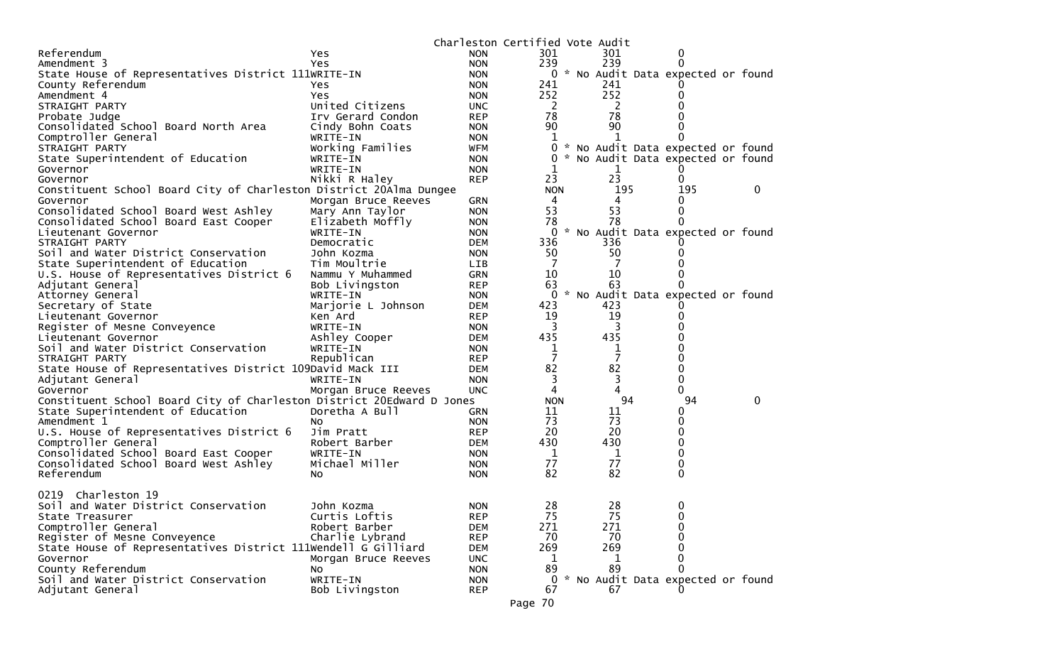|                                                                       |                                  | Charleston Certified Vote Audit |            |                |                                     |   |
|-----------------------------------------------------------------------|----------------------------------|---------------------------------|------------|----------------|-------------------------------------|---|
| Referendum                                                            | Yes.                             | <b>NON</b>                      | 301        | 301            | 0                                   |   |
| Amendment 3                                                           | Yes                              | <b>NON</b>                      | 239        | 239            |                                     |   |
| State House of Representatives District 111WRITE-IN                   |                                  | <b>NON</b>                      |            |                | 0 * No Audit Data expected or found |   |
| County Referendum                                                     | Yes                              | <b>NON</b>                      | 241        | 241            |                                     |   |
| Amendment 4                                                           | Yes                              | <b>NON</b>                      | 252        | 252            |                                     |   |
| STRAIGHT PARTY                                                        | United Citizens                  | <b>UNC</b>                      | 2          | - 2            |                                     |   |
| Probate Judge                                                         | Irv Gerard Condon                | <b>REP</b>                      | 78         | 78             |                                     |   |
| Consolidated School Board North Area                                  | Cindy Bohn Coats                 | <b>NON</b>                      | 90         | 90             |                                     |   |
| Comptroller General                                                   | WRITE-IN                         | <b>NON</b>                      | 1          |                |                                     |   |
| STRAIGHT PARTY                                                        | Working Families                 | <b>WFM</b>                      | 0          |                | * No Audit Data expected or found   |   |
| State Superintendent of Education                                     | WRITE-IN                         | <b>NON</b>                      | 0          |                | * No Audit Data expected or found   |   |
| Governor                                                              | WRITE-IN                         | <b>NON</b>                      |            | 1              |                                     |   |
| Governor                                                              | Nikki R Haley                    | <b>REP</b>                      | 23         | 23             | 0                                   |   |
| Constituent School Board City of Charleston District 20Alma Dungee    |                                  |                                 | <b>NON</b> | 195            | 195                                 | 0 |
| Governor                                                              | Morgan Bruce Reeves              | GRN                             | 4          | 4              |                                     |   |
| Consolidated School Board West Ashley                                 | Mary Ann Taylor                  | <b>NON</b>                      | 53         | 53             | 0                                   |   |
| Consolidated School Board East Cooper                                 | Elizabeth Moffly                 | <b>NON</b>                      | 78         | 78             |                                     |   |
| Lieutenant Governor                                                   | WRITE-IN                         | <b>NON</b>                      | 0          |                | * No Audit Data expected or found   |   |
| STRAIGHT PARTY                                                        | Democratic                       | <b>DEM</b>                      | 336        | 336            |                                     |   |
| Soil and Water District Conservation                                  | John Kozma                       | <b>NON</b>                      | 50         | 50             |                                     |   |
| State Superintendent of Education                                     | Tim Moultrie                     | LIB                             | 7          |                |                                     |   |
| U.S. House of Representatives District 6                              | Nammu Y Muhammed                 | <b>GRN</b>                      | 10         | 10             |                                     |   |
| Adjutant General                                                      | Bob Livingston                   | <b>REP</b>                      | 63         | 63             |                                     |   |
| Attorney General                                                      | WRITE-IN                         | <b>NON</b>                      | 0          |                | * No Audit Data expected or found   |   |
| Secretary of State                                                    | Marjorie L Johnson               | <b>DEM</b>                      | 423        | 423            |                                     |   |
| Lieutenant Governor                                                   | Ken Ard                          | <b>REP</b>                      | 19         | 19             |                                     |   |
| Register of Mesne Conveyence                                          | WRITE-IN                         | <b>NON</b>                      | 3          | 3              |                                     |   |
| Lieutenant Governor                                                   | Ashley Cooper                    | <b>DEM</b>                      | 435        | 435            |                                     |   |
| Soil and Water District Conservation                                  | WRITE-IN                         | <b>NON</b>                      | 1          | 1              |                                     |   |
| STRAIGHT PARTY                                                        | Republican                       | <b>REP</b>                      | 7          | $\overline{7}$ |                                     |   |
| State House of Representatives District 109David Mack III             |                                  | DEM                             | 82         | 82             | 0                                   |   |
| Adjutant General                                                      | WRITE-IN                         | <b>NON</b>                      | 3          | 3              | 0                                   |   |
| Governor                                                              | Morgan Bruce Reeves              | <b>UNC</b>                      | 4          | 4              | 0                                   |   |
| Constituent School Board City of Charleston District 20Edward D Jones |                                  |                                 | <b>NON</b> | 94             | 94                                  | 0 |
| State Superintendent of Education                                     | Doretha A Bull                   | <b>GRN</b>                      | 11         | 11             | 0                                   |   |
| Amendment 1                                                           | NO.                              | <b>NON</b>                      | 73         | 73             | 0                                   |   |
| U.S. House of Representatives District 6                              | Jim Pratt                        | <b>REP</b>                      | 20         | 20             | 0                                   |   |
| Comptroller General                                                   | Robert Barber                    | <b>DEM</b>                      | 430        | 430            | 0                                   |   |
| Consolidated School Board East Cooper                                 | WRITE-IN                         | <b>NON</b>                      | 1          | $\mathbf 1$    | 0                                   |   |
| Consolidated School Board West Ashley                                 | Michael Miller                   | <b>NON</b>                      | 77         | 77             | 0                                   |   |
| Referendum                                                            | NO.                              | <b>NON</b>                      | 82         | 82             | $\Omega$                            |   |
| Charleston 19<br>0219                                                 |                                  |                                 |            |                |                                     |   |
|                                                                       |                                  |                                 |            | 28             |                                     |   |
| Soil and Water District Conservation                                  | John Kozma                       | <b>NON</b>                      | 28         |                | 0                                   |   |
| State Treasurer                                                       | Curtis Loftis                    | <b>REP</b>                      | 75         | 75             | 0<br>$\Omega$                       |   |
| Comptroller General<br>Register of Mesne Conveyence                   | Robert Barber<br>Charlie Lybrand | <b>DEM</b>                      | 271<br>70  | 271<br>70      | 0                                   |   |
|                                                                       |                                  | <b>REP</b>                      |            |                |                                     |   |
| State House of Representatives District 111Wendell G Gilliard         |                                  | <b>DEM</b>                      | 269        | 269            | 0                                   |   |
| Governor                                                              | Morgan Bruce Reeves              | <b>UNC</b>                      | 1          | 1              | 0                                   |   |
| County Referendum                                                     | No.                              | <b>NON</b>                      | 89         | 89             |                                     |   |
| Soil and Water District Conservation                                  | WRITE-IN                         | <b>NON</b>                      | 0          |                | * No Audit Data expected or found   |   |
| Adjutant General                                                      | Bob Livingston                   | <b>REP</b>                      | 67         | 67             |                                     |   |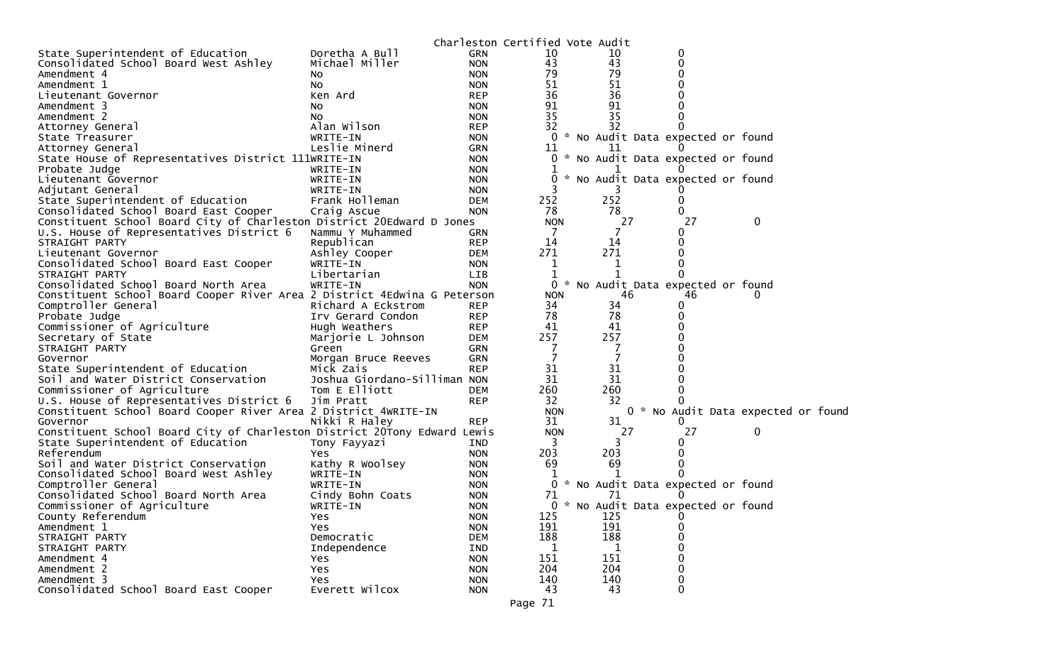|                                                                          |                                    |                          | Charleston Certified Vote Audit |     |    |                                     |          |  |
|--------------------------------------------------------------------------|------------------------------------|--------------------------|---------------------------------|-----|----|-------------------------------------|----------|--|
| State Superintendent of Education                                        | Doretha A Bull                     | <b>GRN</b>               | 10                              | 10  |    | 0                                   |          |  |
| Consolidated School Board West Ashley                                    | Michael Miller                     | <b>NON</b>               | 43                              | 43  |    | 0                                   |          |  |
| Amendment 4                                                              | NO.                                | <b>NON</b>               | 79                              | 79  |    |                                     |          |  |
| Amendment 1                                                              | No                                 | <b>NON</b>               | 51                              | 51  |    |                                     |          |  |
| Lieutenant Governor                                                      | Ken Ard                            | <b>REP</b>               | 36                              | 36  |    |                                     |          |  |
| Amendment 3                                                              | NO.                                | <b>NON</b>               | 91                              | 91  |    |                                     |          |  |
| Amendment 2                                                              | NO.                                | <b>NON</b>               | 35                              | 35  |    |                                     |          |  |
| Attorney General                                                         | Alan Wilson                        | <b>REP</b>               | 32                              | 32  |    |                                     |          |  |
| State Treasurer                                                          | WRITE-IN                           | <b>NON</b>               |                                 |     |    | 0 * No Audit Data expected or found |          |  |
| Attorney General                                                         | Leslie Minerd                      | <b>GRN</b>               | 11                              | TT  |    |                                     |          |  |
| State House of Representatives District 111WRITE-IN                      |                                    | <b>NON</b>               |                                 |     |    | 0 * No Audit Data expected or found |          |  |
| Probate Judge                                                            | WRITE-IN                           | <b>NON</b>               |                                 |     |    |                                     |          |  |
| Lieutenant Governor                                                      | WRITE-IN                           | <b>NON</b>               |                                 |     |    | * No Audit Data expected or found   |          |  |
| Adjutant General                                                         | WRITE-IN                           | <b>NON</b>               |                                 |     |    |                                     |          |  |
| State Superintendent of Education                                        | Frank Holleman                     | <b>DEM</b>               | 252                             | 252 |    |                                     |          |  |
| Consolidated School Board East Cooper                                    | Craig Ascue                        | <b>NON</b>               | 78                              |     | 78 |                                     |          |  |
| Constituent School Board City of Charleston District 20Edward D Jones    |                                    |                          | <b>NON</b>                      |     | 27 | 27                                  | 0        |  |
| U.S. House of Representatives District 6                                 | Nammu Y Muhammed                   | <b>GRN</b>               | 7                               |     | 7  |                                     |          |  |
| STRAIGHT PARTY                                                           | Republican                         | <b>REP</b>               | 14                              | 14  |    |                                     |          |  |
| Lieutenant Governor                                                      | Ashley Cooper                      | <b>DEM</b>               | 271                             | 271 |    |                                     |          |  |
| Consolidated School Board East Cooper                                    | WRITE-IN                           | <b>NON</b>               | 1                               |     | 1  |                                     |          |  |
| STRAIGHT PARTY                                                           | Libertarian                        | <b>LIB</b>               | 1                               |     |    |                                     |          |  |
| Consolidated School Board North Area                                     | WRITE-IN                           | <b>NON</b>               |                                 |     |    | 0 * No Audit Data expected or found |          |  |
| Constituent School Board Cooper River Area 2 District 4Edwina G Peterson |                                    |                          | <b>NON</b>                      |     | 46 | 46                                  | $\Omega$ |  |
| Comptroller General                                                      | Richard A Eckstrom                 | <b>REP</b>               | 34                              | 34  |    |                                     |          |  |
|                                                                          |                                    |                          | 78                              |     | 78 |                                     |          |  |
| Probate Judge                                                            | Irv Gerard Condon<br>Hugh Weathers | <b>REP</b><br><b>REP</b> | 41                              | 41  |    |                                     |          |  |
| Commissioner of Agriculture<br>Secretary of State                        |                                    |                          | 257                             | 257 |    |                                     |          |  |
| STRAIGHT PARTY                                                           | Marjorie L Johnson                 | <b>DEM</b><br><b>GRN</b> | 7                               |     | 7  |                                     |          |  |
|                                                                          | Green                              |                          | 7                               |     | 7  |                                     |          |  |
| Governor                                                                 | Morgan Bruce Reeves                | <b>GRN</b><br><b>REP</b> | 31                              | 31  |    |                                     |          |  |
| State Superintendent of Education                                        | Mick Zais                          |                          |                                 |     |    |                                     |          |  |
| Soil and Water District Conservation                                     | Joshua Giordano-Silliman NON       |                          | 31                              | 31  |    |                                     |          |  |
| Commissioner of Agriculture                                              | Tom E Elliott                      | <b>DEM</b>               | 260                             | 260 |    |                                     |          |  |
| U.S. House of Representatives District 6                                 | Jim Pratt                          | <b>REP</b>               | 32                              | 32  |    |                                     |          |  |
| Constituent School Board Cooper River Area 2 District 4WRITE-IN          |                                    |                          | <b>NON</b>                      |     |    | 0 * No Audit Data expected or foun  |          |  |
| Governor                                                                 | Nikki R Haley                      | <b>REP</b>               | 31                              | 31  |    |                                     |          |  |
| Constituent School Board City of Charleston District 20Tony Edward Lewis |                                    |                          | <b>NON</b>                      |     | 27 | 27                                  | 0        |  |
| State Superintendent of Education                                        | Tony Fayyazi                       | <b>IND</b>               | 3                               |     | 3  |                                     |          |  |
| Referendum                                                               | Yes                                | <b>NON</b>               | 203                             | 203 |    |                                     |          |  |
| Soil and Water District Conservation                                     | Kathy R Woolsey                    | <b>NON</b>               | 69                              | 69  |    |                                     |          |  |
| Consolidated School Board West Ashley                                    | WRITE-IN                           | <b>NON</b>               |                                 |     |    |                                     |          |  |
| Comptroller General                                                      | WRITE-IN                           | <b>NON</b>               |                                 |     |    | 0 * No Audit Data expected or found |          |  |
| Consolidated School Board North Area                                     | Cindy Bohn Coats                   | <b>NON</b>               | 71                              | 71  |    |                                     |          |  |
| Commissioner of Agriculture                                              | WRITE-IN                           | <b>NON</b>               |                                 |     |    | 0 * No Audit Data expected or found |          |  |
| County Referendum                                                        | Yes                                | <b>NON</b>               | 125                             | 125 |    | 0                                   |          |  |
| Amendment 1                                                              | Yes                                | <b>NON</b>               | 191                             | 191 |    | 0                                   |          |  |
| STRAIGHT PARTY                                                           | Democratic                         | <b>DEM</b>               | 188                             | 188 |    | 0                                   |          |  |
| STRAIGHT PARTY                                                           | Independence                       | IND                      | 1                               |     | 1  | 0                                   |          |  |
| Amendment 4                                                              | Yes                                | <b>NON</b>               | 151                             | 151 |    | 0                                   |          |  |
| Amendment 2                                                              | Yes                                | <b>NON</b>               | 204                             | 204 |    | 0                                   |          |  |
| Amendment 3                                                              | Yes                                | <b>NON</b>               | 140                             | 140 |    | 0                                   |          |  |
| Consolidated School Board East Cooper                                    | Everett Wilcox                     | <b>NON</b>               | 43                              | 43  |    | 0                                   |          |  |
|                                                                          |                                    |                          |                                 |     |    |                                     |          |  |

d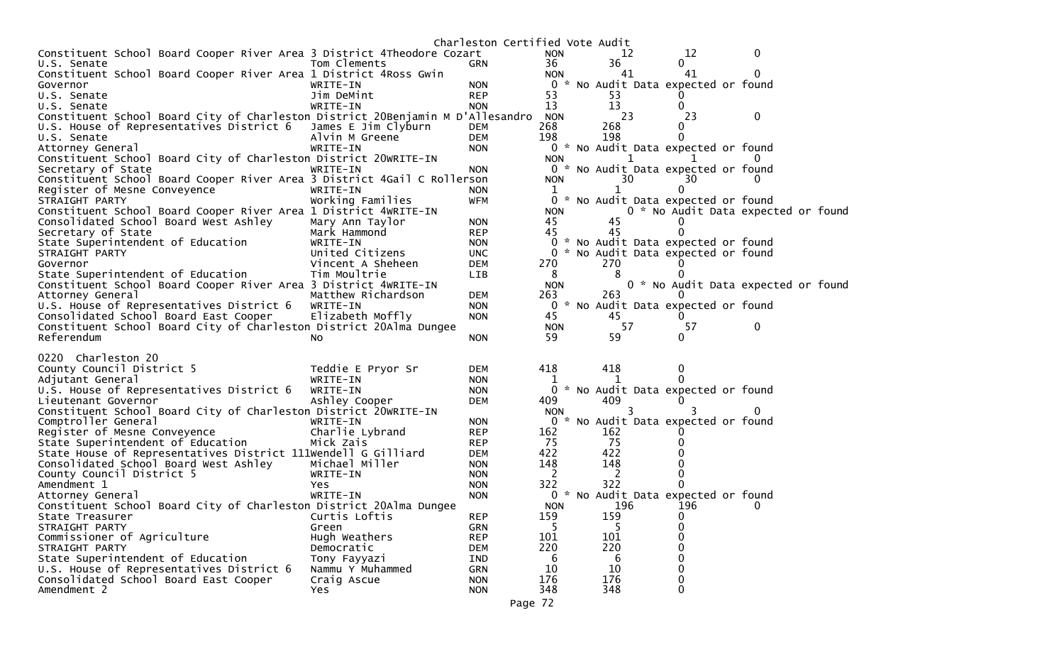|                                                                                |                              | Charleston Certified Vote Audit |                |              |                                          |                                     |
|--------------------------------------------------------------------------------|------------------------------|---------------------------------|----------------|--------------|------------------------------------------|-------------------------------------|
| Constituent School Board Cooper River Area 3 District 4Theodore Cozart         |                              |                                 | <b>NON</b>     | 12           | 12                                       | 0                                   |
| U.S. Senate                                                                    | Tom Clements                 | <b>GRN</b>                      | 36             | 36           | 0                                        |                                     |
| Constituent School Board Cooper River Area 1 District 4Ross Gwin               |                              |                                 | <b>NON</b>     | 41           | 41                                       | 0                                   |
| Governor                                                                       | WRITE-IN                     | <b>NON</b>                      | $\overline{0}$ |              | * No Audit Data expected or found        |                                     |
| U.S. Senate                                                                    | Jim DeMint                   | <b>REP</b>                      | 53             | 53           |                                          |                                     |
| U.S. Senate                                                                    | WRITE-IN                     | <b>NON</b>                      | 13             | 13           | 0                                        |                                     |
| Constituent School Board City of Charleston District 20Benjamin M D'Allesandro |                              |                                 | <b>NON</b>     | 23           | 23                                       | 0                                   |
| U.S. House of Representatives District 6 James E Jim Clyburn                   |                              | <b>DEM</b>                      | 268            | 268          | 0                                        |                                     |
| U.S. Senate                                                                    | Alvin M Greene               | DEM                             | 198            | 198          | 0                                        |                                     |
| Attorney General                                                               | WRITE-IN                     | <b>NON</b>                      |                |              | 0 * No Audit Data expected or found      |                                     |
| Constituent School Board City of Charleston District 20WRITE-IN                |                              |                                 | <b>NON</b>     |              |                                          |                                     |
| Secretary of State                                                             | WRITE-IN                     | <b>NON</b>                      |                | 30           | 0 * No Audit Data expected or found      |                                     |
| Constituent School Board Cooper River Area 3 District 4Gail C Rollerson        |                              |                                 | <b>NON</b>     |              | 30                                       |                                     |
| Register of Mesne Conveyence<br>STRAIGHT PARTY                                 | WRITE-IN<br>Working Families | <b>NON</b><br><b>WFM</b>        | ı.             |              | 0<br>0 * No Audit Data expected or found |                                     |
| Constituent School Board Cooper River Area 1 District 4WRITE-IN                |                              |                                 | <b>NON</b>     |              |                                          | 0 * No Audit Data expected or found |
| Consolidated School Board West Ashley                                          | Mary Ann Taylor              | <b>NON</b>                      | 45             | 45           |                                          |                                     |
| Secretary of State                                                             | Mark Hammond                 | <b>REP</b>                      | 45             | 45           | 0                                        |                                     |
| State Superintendent of Education                                              | WRITE-IN                     | <b>NON</b>                      | $\bf{0}$       |              | * No Audit Data expected or found        |                                     |
| STRAIGHT PARTY                                                                 | United Citizens              | <b>UNC</b>                      | 0              |              | * No Audit Data expected or found        |                                     |
| Governor                                                                       | Vincent A Sheheen            | <b>DEM</b>                      | 270            | 270          |                                          |                                     |
| State Superintendent of Education                                              | Tim Moultrie                 | <b>LIB</b>                      | 8              | 8            |                                          |                                     |
| Constituent School Board Cooper River Area 3 District 4WRITE-IN                |                              |                                 | <b>NON</b>     |              |                                          | 0 * No Audit Data expected or found |
| Attorney General                                                               | Matthew Richardson           | <b>DEM</b>                      | 263            | 263          |                                          |                                     |
| U.S. House of Representatives District 6                                       | WRITE-IN                     | <b>NON</b>                      | 0              |              | * No Audit Data expected or found        |                                     |
| Consolidated School Board East Cooper                                          | Elizabeth Moffly             | <b>NON</b>                      | 45             | 45           | 0                                        |                                     |
| Constituent School Board City of Charleston District 20Alma Dungee             |                              |                                 | <b>NON</b>     | 57           | 57                                       | 0                                   |
| Referendum                                                                     | NO.                          | <b>NON</b>                      | 59             | 59           | 0                                        |                                     |
|                                                                                |                              |                                 |                |              |                                          |                                     |
| 0220 Charleston 20                                                             |                              |                                 |                |              |                                          |                                     |
| County Council District 5                                                      | Teddie E Pryor Sr            | DEM                             | 418            | 418          | 0                                        |                                     |
| Adjutant General                                                               | WRITE-IN                     | <b>NON</b>                      |                |              |                                          |                                     |
| U.S. House of Representatives District 6                                       | WRITE-IN                     | <b>NON</b>                      |                |              | * No Audit Data expected or found        |                                     |
| Lieutenant Governor                                                            | Ashley Cooper                | <b>DEM</b>                      | 409            | 409          |                                          |                                     |
| Constituent School Board City of Charleston District 20WRITE-IN                |                              |                                 | <b>NON</b>     | 3            |                                          | 0                                   |
| Comptroller General                                                            | WRITE-IN                     | <b>NON</b>                      | 0              |              | * No Audit Data expected or found        |                                     |
| Register of Mesne Conveyence                                                   | Charlie Lybrand              | <b>REP</b>                      | 162            | 162          |                                          |                                     |
| State Superintendent of Education                                              | Mick Zais                    | <b>REP</b>                      | 75             | -75          |                                          |                                     |
| State House of Representatives District 111Wendell G Gilliard                  |                              | DEM                             | 422            | 422          |                                          |                                     |
| Consolidated School Board West Ashley                                          | Michael Miller               | <b>NON</b>                      | 148            | 148          |                                          |                                     |
| County Council District 5                                                      | WRITE-IN                     | <b>NON</b>                      | - 2            | <sup>2</sup> |                                          |                                     |
| Amendment 1                                                                    | Yes.                         | <b>NON</b>                      | 322            | 322          |                                          |                                     |
| Attorney General                                                               | WRITE-IN                     | <b>NON</b>                      | 0              |              | * No Audit Data expected or found        |                                     |
| Constituent School Board City of Charleston District 20Alma Dungee             |                              |                                 | <b>NON</b>     | 196          | 196                                      | 0                                   |
| State Treasurer                                                                | Curtis Loftis                | <b>REP</b>                      | 159            | 159          | 0                                        |                                     |
| STRAIGHT PARTY                                                                 | Green                        | <b>GRN</b>                      |                |              | 0                                        |                                     |
| Commissioner of Agriculture                                                    | Hugh Weathers                | <b>REP</b>                      | 101            | 101          | 0                                        |                                     |
| STRAIGHT PARTY                                                                 | Democratic                   | <b>DEM</b>                      | 220            | 220          |                                          |                                     |
| State Superintendent of Education                                              | Tony Fayyazi                 | IND                             | 6              | 6            |                                          |                                     |
| U.S. House of Representatives District 6                                       | Nammu Y Muhammed             | <b>GRN</b>                      | 10             | 10           | 0                                        |                                     |
| Consolidated School Board East Cooper                                          | Craig Ascue                  | <b>NON</b>                      | 176            | 176          | 0                                        |                                     |
| Amendment 2                                                                    | Yes                          | <b>NON</b>                      | 348            | 348          | 0                                        |                                     |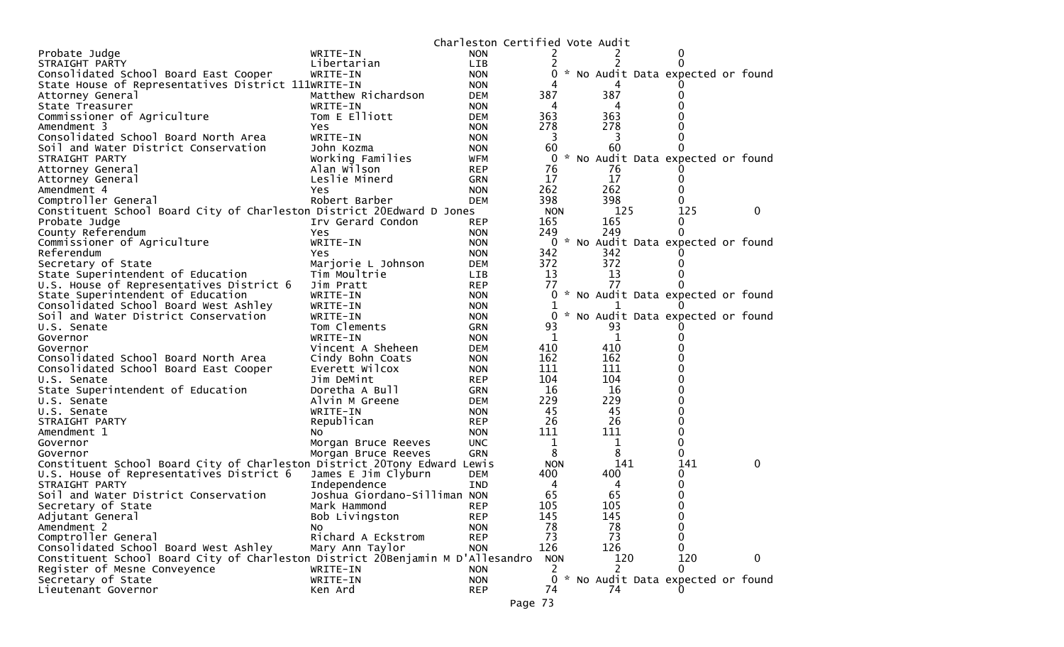|                                                                                |                              | Charleston Certified Vote Audit |            |          |                                   |   |
|--------------------------------------------------------------------------------|------------------------------|---------------------------------|------------|----------|-----------------------------------|---|
| Probate Judge                                                                  | WRITE-IN                     | <b>NON</b>                      |            |          |                                   |   |
| STRAIGHT PARTY                                                                 | Libertarian                  | <b>LIB</b>                      |            |          |                                   |   |
| Consolidated School Board East Cooper                                          | WRITE-IN                     | <b>NON</b>                      |            |          | * No Audit Data expected or found |   |
| State House of Representatives District 111WRITE-IN                            |                              | <b>NON</b>                      |            |          |                                   |   |
| Attorney General                                                               | Matthew Richardson           | <b>DEM</b>                      | 387        | 387      |                                   |   |
| State Treasurer                                                                | WRITE-IN                     | <b>NON</b>                      | 4          | 4        |                                   |   |
| Commissioner of Agriculture                                                    | Tom E Elliott                | <b>DEM</b>                      | 363        | 363      |                                   |   |
| Amendment 3                                                                    | Yes                          | <b>NON</b>                      | 278        | 278      |                                   |   |
| Consolidated School Board North Area                                           | WRITE-IN                     | <b>NON</b>                      | 3          | 3        |                                   |   |
| Soil and Water District Conservation                                           | John Kozma                   | <b>NON</b>                      | 60         | 60       | 0                                 |   |
| STRAIGHT PARTY                                                                 | Working Families             | WFM                             | 0          |          | * No Audit Data expected or found |   |
| Attorney General                                                               | Alan Wilson                  | <b>REP</b>                      | 76         | 76       |                                   |   |
| Attorney General                                                               | Leslie Minerd                | <b>GRN</b>                      | 17         | 17       | 0                                 |   |
| Amendment 4                                                                    | Yes                          | <b>NON</b>                      | 262        | 262      |                                   |   |
| Comptroller General                                                            | Robert Barber                | <b>DEM</b>                      | 398        | 398      | 0                                 |   |
| Constituent School Board City of Charleston District 20Edward D Jones          |                              |                                 | <b>NON</b> | 125      | 125                               | 0 |
| Probate Judge                                                                  | Irv Gerard Condon            | <b>REP</b>                      | 165        | 165      | 0                                 |   |
| County Referendum                                                              | Yes                          | <b>NON</b>                      | 249        | 249      | 0                                 |   |
| Commissioner of Agriculture                                                    | WRITE-IN                     | <b>NON</b>                      | 0          |          | * No Audit Data expected or found |   |
| Referendum                                                                     | Yes                          | <b>NON</b>                      | 342        | 342      |                                   |   |
| Secretary of State                                                             | Marjorie L Johnson           | <b>DEM</b>                      | 372        | 372      |                                   |   |
| State Superintendent of Education                                              | Tim Moultrie                 | LIB.                            | 13         | 13       |                                   |   |
| U.S. House of Representatives District 6                                       | Jim Pratt                    | <b>REP</b>                      | 77         | 77       | 0                                 |   |
| State Superintendent of Education                                              | WRITE-IN                     | <b>NON</b>                      | 0          |          | * No Audit Data expected or found |   |
| Consolidated School Board West Ashley                                          | WRITE-IN                     | <b>NON</b>                      |            |          |                                   |   |
| Soil and Water District Conservation                                           | WRITE-IN                     | <b>NON</b>                      | 0          |          | * No Audit Data expected or found |   |
| U.S. Senate                                                                    | Tom Clements                 | <b>GRN</b>                      | 93         | 93       |                                   |   |
| Governor                                                                       | WRITE-IN                     | <b>NON</b>                      | 1          | 1        |                                   |   |
| Governor                                                                       | Vincent A Sheheen            | <b>DEM</b>                      | 410        | 410      |                                   |   |
| Consolidated School Board North Area                                           | Cindy Bohn Coats             | <b>NON</b>                      | 162        | 162      |                                   |   |
| Consolidated School Board East Cooper                                          | Everett Wilcox               | <b>NON</b>                      | 111        | 111      | ი                                 |   |
| U.S. Senate                                                                    | Jim DeMint                   | <b>REP</b>                      | 104        | 104      |                                   |   |
| State Superintendent of Education                                              | Doretha A Bull               | <b>GRN</b>                      | 16         | 16       |                                   |   |
| U.S. Senate                                                                    | Alvin M Greene               | <b>DEM</b>                      | 229        | 229      |                                   |   |
| U.S. Senate                                                                    | WRITE-IN                     | <b>NON</b>                      | 45         | 45       |                                   |   |
| STRAIGHT PARTY                                                                 | Republican                   | <b>REP</b>                      | 26         | 26       |                                   |   |
| Amendment 1                                                                    | NO.                          | <b>NON</b>                      | 111        | 111      | 0                                 |   |
| Governor                                                                       | Morgan Bruce Reeves          | <b>UNC</b>                      | 1          | 1        | 0                                 |   |
| Governor                                                                       | Morgan Bruce Reeves          | <b>GRN</b>                      | 8          | 8        | 0                                 |   |
| Constituent School Board City of Charleston District 20Tony Edward Lewis       |                              |                                 | <b>NON</b> | 141      | 141                               | 0 |
| U.S. House of Representatives District 6                                       | James E Jim Clyburn          | <b>DEM</b>                      | 400        | 400      | 0                                 |   |
| STRAIGHT PARTY                                                                 | Independence                 | <b>IND</b>                      | 4          | 4        | 0                                 |   |
| Soil and Water District Conservation                                           | Joshua Giordano-Silliman NON |                                 | 65         | 65       | 0                                 |   |
| Secretary of State                                                             | Mark Hammond                 | <b>REP</b>                      | 105        | 105      | $\mathbf 0$                       |   |
| Adjutant General                                                               | Bob Livingston               | <b>REP</b>                      | 145        | 145      | 0                                 |   |
| Amendment 2                                                                    | Νo<br>Richard A Eckstrom     | <b>NON</b><br><b>REP</b>        | 78<br>73   | 78<br>73 | 0<br>0                            |   |
| Comptroller General                                                            |                              |                                 |            |          |                                   |   |
| Consolidated School Board West Ashley                                          | Mary Ann Taylor              | <b>NON</b>                      | 126        | 126      | 0                                 |   |
| Constituent School Board City of Charleston District 20Benjamin M D'Allesandro |                              |                                 | <b>NON</b> | 120      | 120                               | 0 |
| Register of Mesne Conveyence                                                   | WRITE-IN                     | <b>NON</b>                      | 2          | 2        | $\mathbf{0}$                      |   |
| Secretary of State                                                             | WRITE-IN                     | <b>NON</b>                      | 0          |          | * No Audit Data expected or found |   |
| Lieutenant Governor                                                            | Ken Ard                      | <b>REP</b>                      | 74         | 74       | $\Omega$                          |   |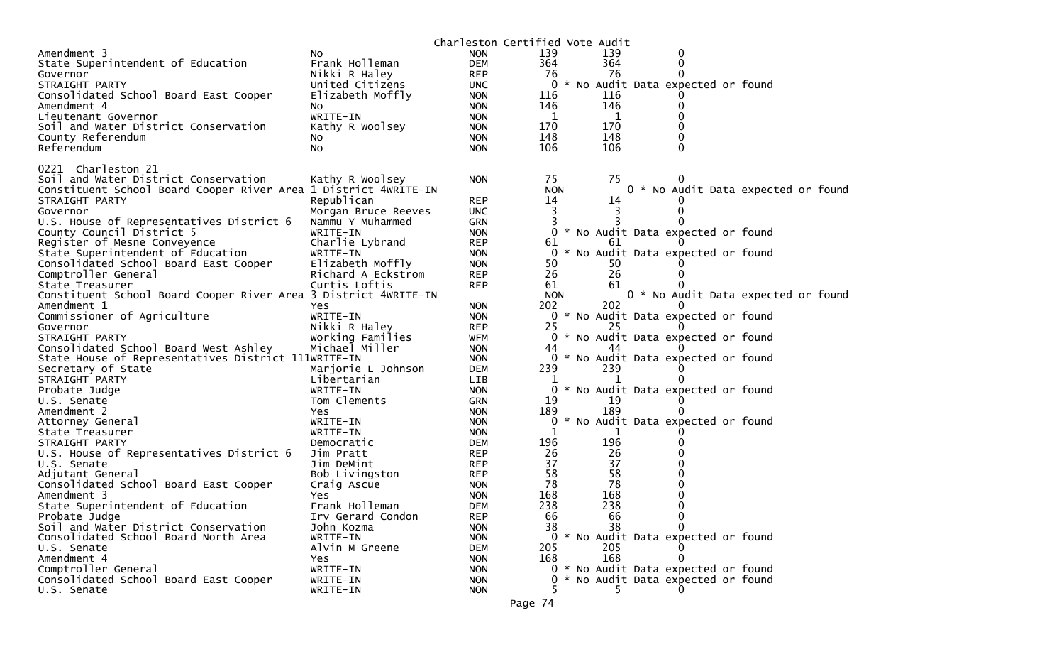|                                                                 |                     | Charleston Certified Vote Audit |                |     |                                     |                                     |
|-----------------------------------------------------------------|---------------------|---------------------------------|----------------|-----|-------------------------------------|-------------------------------------|
| Amendment 3                                                     | NO.                 | <b>NON</b>                      | 139            | 139 | 0                                   |                                     |
| State Superintendent of Education                               | Frank Holleman      | <b>DEM</b>                      | 364            | 364 | 0                                   |                                     |
| Governor                                                        | Nikki R Haley       | <b>REP</b>                      | 76             | 76  | 0                                   |                                     |
| STRAIGHT PARTY                                                  | United Citizens     | <b>UNC</b>                      | 0              |     | * No Audit Data expected or found   |                                     |
| Consolidated School Board East Cooper                           | Elizabeth Moffly    | <b>NON</b>                      | 116            | 116 |                                     |                                     |
| Amendment 4                                                     | No                  | <b>NON</b>                      | 146            | 146 | 0                                   |                                     |
| Lieutenant Governor                                             | WRITE-IN            | <b>NON</b>                      | 1              | 1   |                                     |                                     |
| Soil and Water District Conservation                            | Kathy R Woolsey     | <b>NON</b>                      | 170            | 170 | 0                                   |                                     |
| County Referendum                                               | NO.                 | <b>NON</b>                      | 148            | 148 | 0                                   |                                     |
| Referendum                                                      | No                  | <b>NON</b>                      | 106            | 106 | 0                                   |                                     |
| 0221 Charleston 21                                              |                     |                                 |                |     |                                     |                                     |
| Soil and Water District Conservation                            | Kathy R Woolsey     | <b>NON</b>                      | 75             | 75  |                                     |                                     |
| Constituent School Board Cooper River Area 1 District 4WRITE-IN |                     |                                 | <b>NON</b>     |     |                                     | 0 * No Audit Data expected or found |
| STRAIGHT PARTY                                                  | Republican          | <b>REP</b>                      | 14             | 14  |                                     |                                     |
| Governor                                                        | Morgan Bruce Reeves | <b>UNC</b>                      | 3              |     |                                     |                                     |
| U.S. House of Representatives District 6                        | Nammu Y Muhammed    | <b>GRN</b>                      | 3              |     |                                     |                                     |
| County Council District 5                                       | WRITE-IN            | <b>NON</b>                      | 0              |     | * No Audit Data expected or found   |                                     |
| Register of Mesne Conveyence                                    | Charlie Lybrand     | <b>REP</b>                      | 61             | 61  |                                     |                                     |
| State Superintendent of Education                               | WRITE-IN            | <b>NON</b>                      | $\overline{0}$ |     | * No Audit Data expected or found   |                                     |
| Consolidated School Board East Cooper                           | Elizabeth Moffly    | <b>NON</b>                      | 50             | 50  |                                     |                                     |
| Comptroller General                                             | Richard A Eckstrom  | <b>REP</b>                      | 26             | 26  |                                     |                                     |
| State Treasurer                                                 | Curtis Loftis       | <b>REP</b>                      | 61             | 61  |                                     |                                     |
| Constituent School Board Cooper River Area 3 District 4WRITE-IN |                     |                                 | <b>NON</b>     |     |                                     | 0 * No Audit Data expected or found |
| Amendment 1                                                     | Yes                 | <b>NON</b>                      | 202            | 202 |                                     |                                     |
| Commissioner of Agriculture                                     | WRITE-IN            | <b>NON</b>                      |                |     | 0 * No Audit Data expected or found |                                     |
| Governor                                                        | Nikki R Haley       | <b>REP</b>                      | 25             | 25  |                                     |                                     |
| STRAIGHT PARTY                                                  | Working Families    | WFM                             | $\overline{0}$ |     | * No Audit Data expected or found   |                                     |
| Consolidated School Board West Ashley                           | Michael Miller      | <b>NON</b>                      | 44             | 44  |                                     |                                     |
| State House of Representatives District 111WRITE-IN             |                     | <b>NON</b>                      | 0              |     | * No Audit Data expected or found   |                                     |
| Secretary of State                                              | Marjorie L Johnson  | <b>DEM</b>                      | 239            | 239 |                                     |                                     |
| STRAIGHT PARTY                                                  | Libertarian         | LIB                             |                |     |                                     |                                     |
| Probate Judge                                                   | WRITE-IN            | <b>NON</b>                      | 0              |     | * No Audit Data expected or found   |                                     |
| U.S. Senate                                                     | Tom Clements        | GRN                             | 19             | 19  |                                     |                                     |
| Amendment 2                                                     | Yes                 | <b>NON</b>                      | 189            | 189 |                                     |                                     |
| Attorney General                                                | WRITE-IN            | <b>NON</b>                      | 0              |     | * No Audit Data expected or found   |                                     |
| State Treasurer                                                 | WRITE-IN            | <b>NON</b>                      |                | 1   |                                     |                                     |
| STRAIGHT PARTY                                                  | Democratic          | <b>DEM</b>                      | 196            | 196 |                                     |                                     |
| U.S. House of Representatives District 6                        | Jim Pratt           | <b>REP</b>                      | 26             | 26  |                                     |                                     |
| U.S. Senate                                                     | Jim DeMint          | <b>REP</b>                      | 37             | 37  |                                     |                                     |
| Adjutant General                                                | Bob Livingston      | <b>REP</b>                      | 58             | 58  |                                     |                                     |
| Consolidated School Board East Cooper                           | Craig Ascue         | <b>NON</b>                      | 78             | 78  |                                     |                                     |
| Amendment 3                                                     | Yes                 | <b>NON</b>                      | 168            | 168 | 0                                   |                                     |
| State Superintendent of Education                               | Frank Holleman      | <b>DEM</b>                      | 238            | 238 | 0                                   |                                     |
| Probate Judge                                                   | Irv Gerard Condon   | <b>REP</b>                      | 66             | 66  | 0                                   |                                     |
| Soil and Water District Conservation                            | John Kozma          | <b>NON</b>                      | 38             | 38  |                                     |                                     |
| Consolidated School Board North Area                            | WRITE-IN            | <b>NON</b>                      |                |     | 0 * No Audit Data expected or found |                                     |
| U.S. Senate                                                     | Alvin M Greene      | <b>DEM</b>                      | 205            | 205 |                                     |                                     |
| Amendment 4                                                     | <b>Yes</b>          | <b>NON</b>                      | 168            | 168 | 0                                   |                                     |
| Comptroller General                                             | WRITE-IN            | <b>NON</b>                      |                |     | 0 * No Audit Data expected or found |                                     |
| Consolidated School Board East Cooper                           | WRITE-IN            | <b>NON</b>                      | 0              |     | * No Audit Data expected or found   |                                     |
| U.S. Senate                                                     | WRITE-IN            | <b>NON</b>                      |                | 5.  | 0                                   |                                     |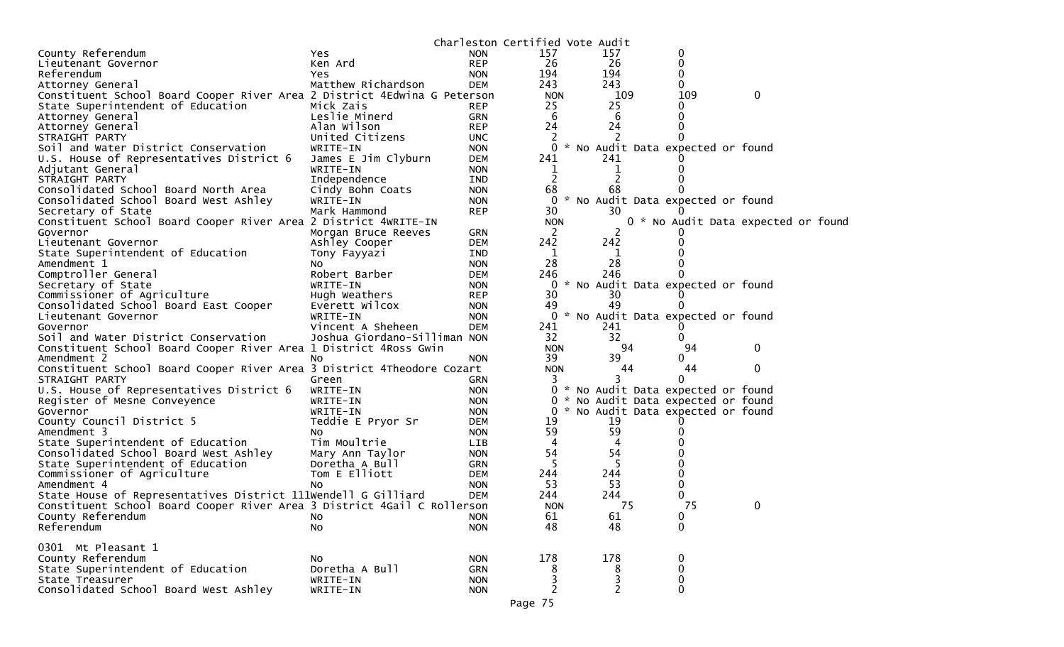|                                                                          |                              |            |                | Charleston Certified Vote Audit     |             |                                    |
|--------------------------------------------------------------------------|------------------------------|------------|----------------|-------------------------------------|-------------|------------------------------------|
| County Referendum                                                        | Yes                          | <b>NON</b> | 157            | 157                                 | 0           |                                    |
| Lieutenant Governor                                                      | Ken Ard                      | <b>REP</b> | 26             | -26                                 | 0           |                                    |
| Referendum                                                               | Yes.                         | <b>NON</b> | 194            | 194                                 | 0           |                                    |
| Attorney General                                                         | Matthew Richardson           | DEM        | 243            | 243                                 | 0           |                                    |
| Constituent School Board Cooper River Area 2 District 4Edwina G Peterson |                              |            | <b>NON</b>     | 109                                 | 109         | 0                                  |
| State Superintendent of Education                                        | Mick Zais                    | <b>REP</b> | 25             | 25                                  | 0           |                                    |
| Attorney General                                                         | Leslie Minerd                | <b>GRN</b> | 6              | 6                                   | 0           |                                    |
| Attorney General                                                         | Alan Wilson                  | <b>REP</b> | 24             | 24                                  | 0           |                                    |
| STRAIGHT PARTY                                                           | United Citizens              | <b>UNC</b> |                |                                     |             |                                    |
| Soil and Water District Conservation                                     | WRITE-IN                     | <b>NON</b> |                | 0 * No Audit Data expected or found |             |                                    |
| U.S. House of Representatives District 6                                 | James E Jim Clyburn          | <b>DEM</b> | 241            | 241                                 |             |                                    |
| Adjutant General                                                         | WRITE-IN                     | <b>NON</b> | $\mathbf 1$    | 1                                   |             |                                    |
| STRAIGHT PARTY                                                           | Independence                 | <b>IND</b> | 2              |                                     |             |                                    |
| Consolidated School Board North Area                                     | Cindy Bohn Coats             | <b>NON</b> | 68             | 68                                  |             |                                    |
| Consolidated School Board West Ashley                                    | WRITE-IN                     | <b>NON</b> |                | 0 * No Audit Data expected or found |             |                                    |
| Secretary of State                                                       | Mark Hammond                 | <b>REP</b> | 30             | 30                                  |             |                                    |
| Constituent School Board Cooper River Area 2 District 4WRITE-IN          |                              |            | <b>NON</b>     |                                     |             | 0 * No Audit Data expected or foun |
| Governor                                                                 | Morgan Bruce Reeves          | GRN        | $\mathbf{2}$   |                                     |             |                                    |
| Lieutenant Governor                                                      | Ashley Cooper                | <b>DEM</b> | 242            | 242                                 |             |                                    |
| State Superintendent of Education                                        | Tony Fayyazi                 | IND        | $\mathbf 1$    | ı                                   |             |                                    |
| Amendment 1                                                              | NO.                          | <b>NON</b> | 28             | 28                                  |             |                                    |
| Comptroller General                                                      | Robert Barber                | <b>DEM</b> | 246            | 246                                 |             |                                    |
| Secretary of State                                                       | WRITE-IN                     | <b>NON</b> |                | 0 * No Audit Data expected or found |             |                                    |
| Commissioner of Agriculture                                              | Hugh Weathers                | <b>REP</b> | 30             | 30                                  |             |                                    |
| Consolidated School Board East Cooper                                    | Everett Wilcox               | <b>NON</b> | 49             | 49                                  |             |                                    |
| Lieutenant Governor                                                      | WRITE-IN                     | <b>NON</b> |                | 0 * No Audit Data expected or found |             |                                    |
| Governor                                                                 | Vincent A Sheheen            | <b>DEM</b> | 241            | 241                                 |             |                                    |
| Soil and Water District Conservation                                     | Joshua Giordano-Silliman NON |            | 32             | 32                                  |             |                                    |
| Constituent School Board Cooper River Area 1 District 4Ross Gwin         |                              |            | <b>NON</b>     | 94                                  | 94          | 0                                  |
| Amendment 2                                                              | NO.                          | <b>NON</b> | 39             | 39                                  | 0           |                                    |
| Constituent School Board Cooper River Area 3 District 4Theodore Cozart   |                              |            | <b>NON</b>     | 44                                  | 44          | $\mathbf{0}$                       |
| STRAIGHT PARTY                                                           | Green                        | <b>GRN</b> | 3              | 3                                   | 0           |                                    |
| U.S. House of Representatives District 6                                 | WRITE-IN                     | <b>NON</b> |                | 0 * No Audit Data expected or found |             |                                    |
| Register of Mesne Conveyence                                             | WRITE-IN                     | <b>NON</b> |                | 0 * No Audit Data expected or found |             |                                    |
| Governor                                                                 | WRITE-IN                     | <b>NON</b> |                | 0 * No Audit Data expected or found |             |                                    |
| County Council District 5                                                | Teddie E Pryor Sr            | <b>DEM</b> | 19             | 19                                  |             |                                    |
| Amendment 3                                                              | NO.                          | <b>NON</b> | 59             | 59                                  |             |                                    |
| State Superintendent of Education                                        | Tim Moultrie                 | <b>LIB</b> | 4              | 4                                   |             |                                    |
| Consolidated School Board West Ashley                                    | Mary Ann Taylor              | <b>NON</b> | 54             | 54                                  |             |                                    |
| State Superintendent of Education                                        | Doretha A Bull               | GRN        | 5              |                                     |             |                                    |
| Commissioner of Agriculture                                              | Tom E Elliott                | <b>DEM</b> | 244            | 244                                 |             |                                    |
| Amendment 4                                                              | NO.                          | <b>NON</b> | 53             | 53                                  | 0           |                                    |
| State House of Representatives District 111Wendell G Gilliard            |                              | <b>DEM</b> | 244            | 244                                 | 0           |                                    |
| Constituent School Board Cooper River Area 3 District 4Gail C Rollerson  |                              |            | <b>NON</b>     | 75                                  | 75          | 0                                  |
| County Referendum                                                        | No                           | <b>NON</b> | 61             | 61                                  | 0           |                                    |
| Referendum                                                               | No                           | <b>NON</b> | 48             | 48                                  | $\mathbf 0$ |                                    |
|                                                                          |                              |            |                |                                     |             |                                    |
| 0301 Mt Pleasant 1                                                       |                              |            |                |                                     |             |                                    |
| County Referendum                                                        | NO.                          | <b>NON</b> | 178            | 178                                 | 0           |                                    |
| State Superintendent of Education                                        | Doretha A Bull               | GRN        | 8              | 8                                   | $\pmb{0}$   |                                    |
| State Treasurer                                                          | WRITE-IN                     | <b>NON</b> | 3              | 3                                   | $\mathbf 0$ |                                    |
| Consolidated School Board West Ashley                                    | WRITE-IN                     | <b>NON</b> | $\overline{c}$ | $\overline{2}$                      | $\mathbf 0$ |                                    |
|                                                                          |                              |            |                |                                     |             |                                    |

d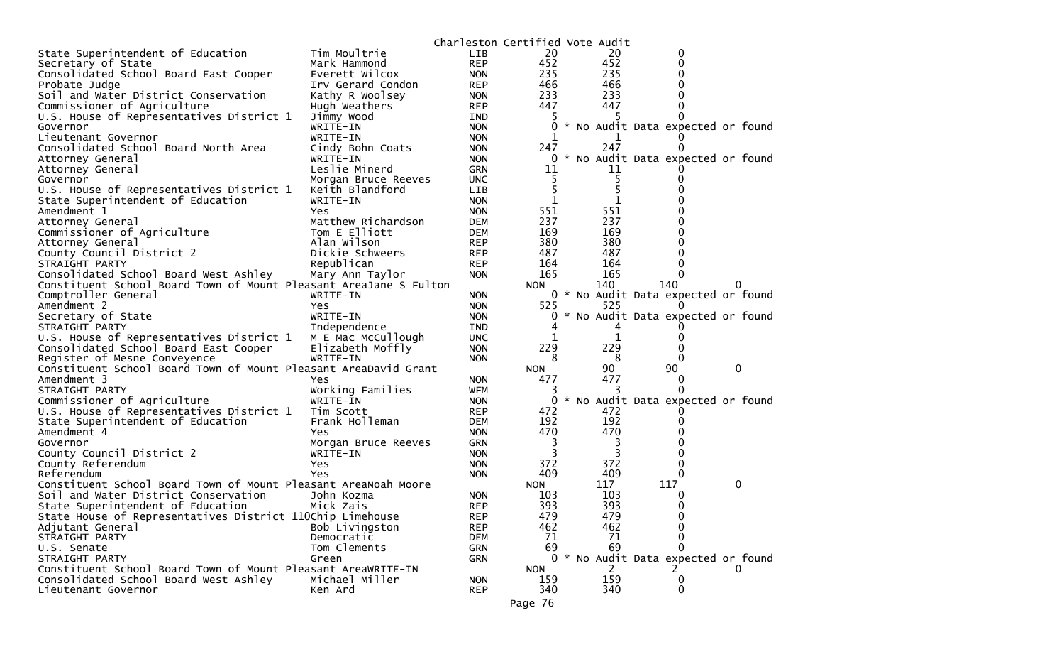|                                                                                          |                     | Charleston Certified Vote Audit |            |            |                                            |   |
|------------------------------------------------------------------------------------------|---------------------|---------------------------------|------------|------------|--------------------------------------------|---|
| State Superintendent of Education                                                        | Tim Moultrie        | <b>LIB</b>                      | 20         | 20         | 0                                          |   |
| Secretary of State                                                                       | Mark Hammond        | <b>REP</b>                      | 452        | 452        | 0                                          |   |
| Consolidated School Board East Cooper                                                    | Everett Wilcox      | <b>NON</b>                      | 235        | 235        | 0                                          |   |
| Probate Judge                                                                            | Irv Gerard Condon   | <b>REP</b>                      | 466        | 466        | 0                                          |   |
| Soil and Water District Conservation                                                     | Kathy R Woolsey     | <b>NON</b>                      | 233        | 233        | 0                                          |   |
| Commissioner of Agriculture                                                              | Hugh Weathers       | <b>REP</b>                      | 447        | 447        |                                            |   |
| U.S. House of Representatives District 1                                                 | Jimmy Wood          | <b>IND</b>                      |            |            |                                            |   |
| Governor                                                                                 | WRITE-IN            | <b>NON</b>                      | 0          |            | * No Audit Data expected or found          |   |
| Lieutenant Governor                                                                      | WRITE-IN            | <b>NON</b>                      | 1          |            |                                            |   |
| Consolidated School Board North Area                                                     | Cindy Bohn Coats    | <b>NON</b>                      | 247        | 247        |                                            |   |
| Attorney General                                                                         | WRITE-IN            | <b>NON</b>                      |            |            | 0 * No Audit Data expected or found        |   |
| Attorney General                                                                         | Leslie Minerd       | <b>GRN</b>                      | 11         | 11         |                                            |   |
| Governor                                                                                 | Morgan Bruce Reeves | <b>UNC</b>                      |            |            |                                            |   |
| U.S. House of Representatives District 1                                                 | Keith Blandford     | <b>LIB</b>                      | 5          |            |                                            |   |
| State Superintendent of Education                                                        | WRITE-IN            | <b>NON</b>                      | 1          |            |                                            |   |
| Amendment 1                                                                              | Yes.                | <b>NON</b>                      | 551        | 551        |                                            |   |
| Attorney General                                                                         | Matthew Richardson  | <b>DEM</b>                      | 237        | 237        |                                            |   |
| Commissioner of Agriculture                                                              | Tom E Elliott       | <b>DEM</b>                      | 169        | 169        |                                            |   |
| Attorney General                                                                         | Alan Wilson         | <b>REP</b>                      | 380        | 380        |                                            |   |
| County Council District 2                                                                | Dickie Schweers     | <b>REP</b>                      | 487        | 487        |                                            |   |
| STRAIGHT PARTY                                                                           | Republican          | <b>REP</b>                      | 164        | 164        | 0                                          |   |
| Consolidated School Board West Ashley                                                    | Mary Ann Taylor     | <b>NON</b>                      | 165        | 165        | $\Omega$                                   |   |
| Constituent School Board Town of Mount Pleasant AreaJane S Fulton<br>Comptroller General | WRITE-IN            | <b>NON</b>                      | NON.       | 140        | 140<br>0 * No Audit Data expected or found | 0 |
| Amendment 2                                                                              | Yes.                | <b>NON</b>                      | 525        | 525        |                                            |   |
| Secretary of State                                                                       | WRITE-IN            | <b>NON</b>                      | 0          |            | * No Audit Data expected or found          |   |
| STRAIGHT PARTY                                                                           | Independence        | <b>IND</b>                      |            |            |                                            |   |
| U.S. House of Representatives District 1                                                 | M E Mac McCullough  | <b>UNC</b>                      | 1          |            | 0                                          |   |
| Consolidated School Board East Cooper                                                    | Elizabeth Moffly    | <b>NON</b>                      | 229        | 229        |                                            |   |
| Register of Mesne Conveyence                                                             | WRITE-IN            | <b>NON</b>                      | 8          | 8          | $\Omega$                                   |   |
| Constituent School Board Town of Mount Pleasant AreaDavid Grant                          |                     |                                 | <b>NON</b> | 90         | 90                                         | 0 |
| Amendment 3                                                                              | Yes                 | <b>NON</b>                      | 477        | 477        | $\bf{0}$                                   |   |
| STRAIGHT PARTY                                                                           | Working Families    | <b>WFM</b>                      |            |            | 0                                          |   |
| Commissioner of Agriculture                                                              | WRITE-IN            | <b>NON</b>                      | 0          |            | * No Audit Data expected or found          |   |
| U.S. House of Representatives District 1                                                 | Tim Scott           | <b>REP</b>                      | 472        | 472        |                                            |   |
| State Superintendent of Education                                                        | Frank Holleman      | <b>DEM</b>                      | 192        | 192        | $\Omega$                                   |   |
| Amendment 4                                                                              | Yes                 | <b>NON</b>                      | 470        | 470        |                                            |   |
| Governor                                                                                 | Morgan Bruce Reeves | <b>GRN</b>                      | 3          | 3          |                                            |   |
| County Council District 2                                                                | WRITE-IN            | <b>NON</b>                      | 3          | 3          |                                            |   |
| County Referendum                                                                        | Yes                 | <b>NON</b>                      | 372        | 372        | 0                                          |   |
| Referendum                                                                               | Yes                 | <b>NON</b>                      | 409        | 409        | $\Omega$                                   |   |
| Constituent School Board Town of Mount Pleasant AreaNoah Moore                           |                     |                                 | NON.       | 117        | 117                                        | 0 |
| Soil and Water District Conservation                                                     | John Kozma          | <b>NON</b>                      | 103        | 103        | 0                                          |   |
| State Superintendent of Education                                                        | Mick Zais           | <b>REP</b>                      | 393        | 393        | 0                                          |   |
| State House of Representatives District 110Chip Limehouse<br>Adjutant General            | Bob Livingston      | <b>REP</b>                      | 479<br>462 | 479<br>462 | 0                                          |   |
|                                                                                          | Democratic          | <b>REP</b>                      | 71         | 71         |                                            |   |
| STRAIGHT PARTY<br>U.S. Senate                                                            | Tom Clements        | <b>DEM</b><br><b>GRN</b>        | 69         | 69         | 0                                          |   |
| STRAIGHT PARTY                                                                           | Green               | <b>GRN</b>                      |            |            | 0 * No Audit Data expected or found        |   |
| Constituent School Board Town of Mount Pleasant AreaWRITE-IN                             |                     |                                 | <b>NON</b> | 2          |                                            |   |
| Consolidated School Board West Ashley                                                    | Michael Miller      | <b>NON</b>                      | 159        | 159        | 0                                          |   |
| Lieutenant Governor                                                                      | Ken Ard             | <b>REP</b>                      | 340        | 340        | $\Omega$                                   |   |
|                                                                                          |                     |                                 | Page 76    |            |                                            |   |
|                                                                                          |                     |                                 |            |            |                                            |   |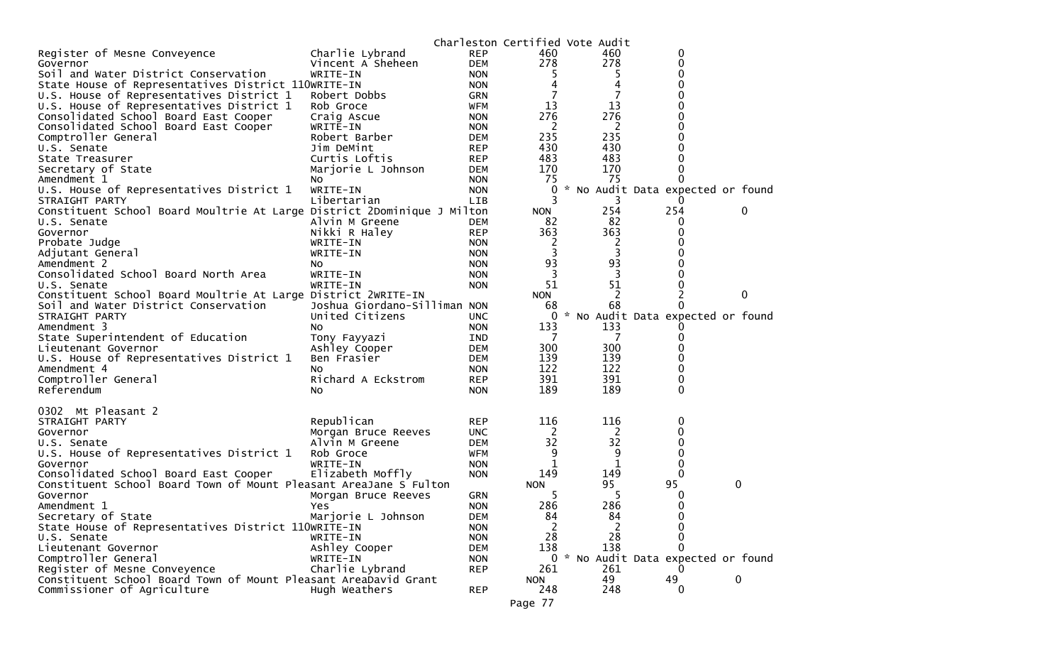|                                                                              |                              |            | Charleston Certified Vote Audit |                |                                     |   |             |
|------------------------------------------------------------------------------|------------------------------|------------|---------------------------------|----------------|-------------------------------------|---|-------------|
| Register of Mesne Conveyence                                                 | Charlie Lybrand              | <b>REP</b> | 460                             | 460            | 0                                   |   |             |
| Governor                                                                     | Vincent A Sheheen            | <b>DEM</b> | 278                             | 278            | 0                                   |   |             |
| Soil and Water District Conservation                                         | WRITE-IN                     | <b>NON</b> | 5.                              | 5              | 0                                   |   |             |
| State House of Representatives District 110WRITE-IN                          |                              | <b>NON</b> | 4                               | 4              | 0                                   |   |             |
| U.S. House of Representatives District 1                                     | Robert Dobbs                 | <b>GRN</b> |                                 | 7              | o                                   |   |             |
| U.S. House of Representatives District 1                                     | Rob Groce                    | WFM        | 13                              | 13             | 0                                   |   |             |
| Consolidated School Board East Cooper                                        | Craig Ascue                  | <b>NON</b> | 276                             | 276            | 0                                   |   |             |
| Consolidated School Board East Cooper                                        | WRITE-IN                     | <b>NON</b> | 2                               | 2              | 0                                   |   |             |
| Comptroller General                                                          | Robert Barber                | DEM        | 235                             | 235            | 0                                   |   |             |
| U.S. Senate                                                                  | Jim DeMint                   | <b>REP</b> | 430                             | 430            | 0                                   |   |             |
| State Treasurer                                                              | Curtis Loftis                | <b>REP</b> | 483                             | 483            | 0                                   |   |             |
| Secretary of State                                                           | Marjorie L Johnson           | <b>DEM</b> | 170                             | 170            | 0                                   |   |             |
| Amendment 1                                                                  | No.                          | <b>NON</b> | 75                              | 75             | 0                                   |   |             |
| U.S. House of Representatives District 1                                     | WRITE-IN                     | <b>NON</b> | 0                               |                | No Audit Data expected or found     |   |             |
| STRAIGHT PARTY                                                               | Libertarian                  | <b>LIB</b> | 3                               | 3              | 0                                   |   |             |
| Constituent School Board Moultrie At Large District 2Dominique J Milton      |                              |            | <b>NON</b>                      | 254            | 254                                 |   | 0           |
| U.S. Senate                                                                  | Alvin M Greene               | DEM        | 82                              | 82             | 0                                   |   |             |
| Governor                                                                     | Nikki R Haley                | <b>REP</b> | 363                             | 363            | 0                                   |   |             |
| Probate Judge                                                                | WRITE-IN                     | <b>NON</b> | 2                               | 2              |                                     |   |             |
| Adjutant General                                                             | WRITE-IN                     | <b>NON</b> | 3                               | 3              |                                     |   |             |
| Amendment 2<br>Consolidated School Board North Area                          | No.                          | <b>NON</b> | 93                              | 93<br>3        | Ω                                   |   |             |
|                                                                              | WRITE-IN                     | <b>NON</b> | 51                              | 51             | 0                                   |   |             |
| U.S. Senate<br>Constituent School Board Moultrie At Large District 2WRITE-IN | WRITE-IN                     | <b>NON</b> | <b>NON</b>                      | 2              | 2                                   |   | $\mathbf 0$ |
| Soil and Water District Conservation                                         | Joshua Giordano-Silliman NON |            | 68                              | 68             | 0                                   |   |             |
| STRAIGHT PARTY                                                               | United Citizens              | <b>UNC</b> | 0                               |                | * No Audit Data expected or found   |   |             |
| Amendment 3                                                                  | NO.                          | <b>NON</b> | 133                             | 133            | O                                   |   |             |
| State Superintendent of Education                                            | Tony Fayyazi                 | IND        |                                 |                | 0                                   |   |             |
| Lieutenant Governor                                                          | Ashley Cooper                | DEM        | 300                             | 300            | 0                                   |   |             |
| U.S. House of Representatives District 1                                     | Ben Frasier                  | <b>DEM</b> | 139                             | 139            | 0                                   |   |             |
| Amendment 4                                                                  | NO.                          | <b>NON</b> | 122                             | 122            | 0                                   |   |             |
| Comptroller General                                                          | Richard A Eckstrom           | <b>REP</b> | 391                             | 391            | 0                                   |   |             |
| Referendum                                                                   | No.                          | <b>NON</b> | 189                             | 189            | 0                                   |   |             |
|                                                                              |                              |            |                                 |                |                                     |   |             |
| 0302 Mt Pleasant 2                                                           |                              |            |                                 |                |                                     |   |             |
| STRAIGHT PARTY                                                               | Republican                   | <b>REP</b> | 116                             | 116            | 0                                   |   |             |
| Governor                                                                     | Morgan Bruce Reeves          | <b>UNC</b> | 2                               | 2              |                                     |   |             |
| U.S. Senate                                                                  | Alvin M Greene               | <b>DEM</b> | 32                              | 32             | 0                                   |   |             |
| U.S. House of Representatives District 1                                     | Rob Groce                    | WFM        | 9                               | 9              | 0                                   |   |             |
| Governor                                                                     | WRITE-IN                     | <b>NON</b> | 1                               | $\mathbf{1}$   | 0                                   |   |             |
| Consolidated School Board East Cooper                                        | Elizabeth Moffly             | <b>NON</b> | 149                             | 149            | $\mathbf{0}$                        |   |             |
| Constituent School Board Town of Mount Pleasant AreaJane S Fulton            |                              |            | <b>NON</b>                      | 95             | 95                                  | 0 |             |
| Governor                                                                     | Morgan Bruce Reeves          | <b>GRN</b> | 5                               | 5              | 0                                   |   |             |
| Amendment 1                                                                  | Yes                          | <b>NON</b> | 286                             | 286            | 0                                   |   |             |
| Secretary of State                                                           | Marjorie L Johnson           | <b>DEM</b> | 84                              | 84             | 0                                   |   |             |
| State House of Representatives District 110WRITE-IN                          |                              | <b>NON</b> | 2                               | $\overline{2}$ | 0                                   |   |             |
| U.S. Senate                                                                  | WRITE-IN                     | <b>NON</b> | 28                              | 28             | 0                                   |   |             |
| Lieutenant Governor                                                          | Ashley Cooper                | <b>DEM</b> | 138                             | 138            | 0                                   |   |             |
| Comptroller General                                                          | WRITE-IN                     | <b>NON</b> |                                 |                | 0 * No Audit Data expected or found |   |             |
| Register of Mesne Conveyence                                                 | Charlie Lybrand              | <b>REP</b> | 261                             | 261            |                                     |   |             |
| Constituent School Board Town of Mount Pleasant AreaDavid Grant              |                              |            | <b>NON</b>                      | 49             | 49                                  | 0 |             |
| Commissioner of Agriculture                                                  | Hugh Weathers                | <b>REP</b> | 248                             | 248            | 0                                   |   |             |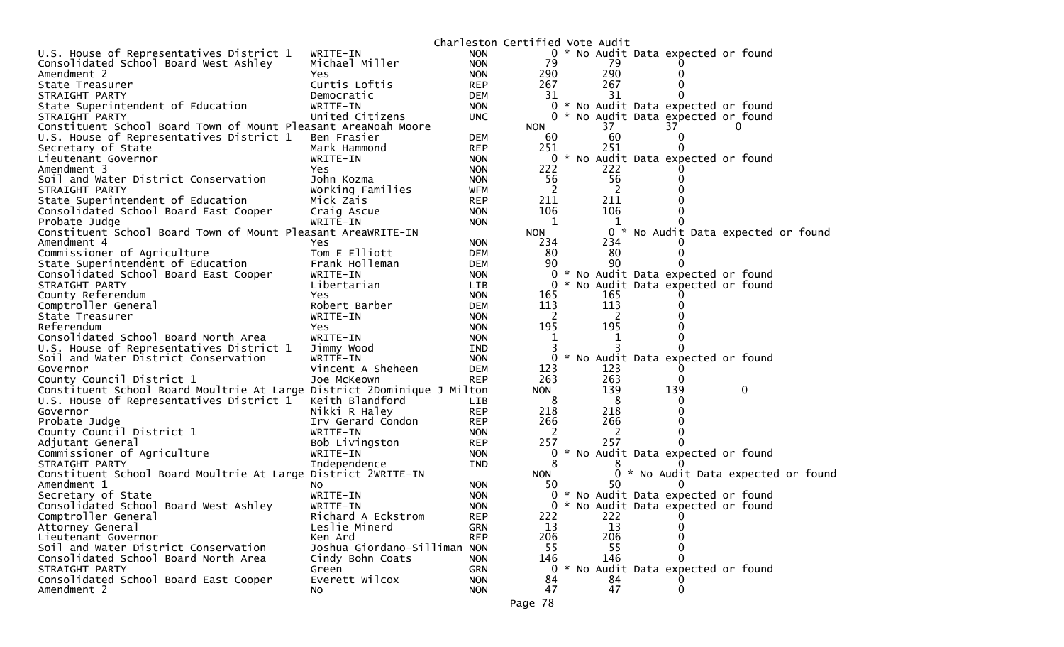|                                                                         |                              | Charleston Certified Vote Audit |              |            |              |                                     |                                     |
|-------------------------------------------------------------------------|------------------------------|---------------------------------|--------------|------------|--------------|-------------------------------------|-------------------------------------|
| U.S. House of Representatives District 1                                | WRITE-IN                     | <b>NON</b>                      |              |            |              | 0 * No Audit Data expected or found |                                     |
| Consolidated School Board West Ashley                                   | Michael Miller               | <b>NON</b>                      | 79           | 79         |              |                                     |                                     |
| Amendment 2                                                             | Yes.                         | <b>NON</b>                      | 290          | 290        |              |                                     |                                     |
| State Treasurer                                                         | Curtis Loftis                | <b>REP</b>                      | 267          | 267        |              |                                     |                                     |
| STRAIGHT PARTY                                                          | Democratic                   | <b>DEM</b>                      | 31           | 31         |              |                                     |                                     |
| State Superintendent of Education                                       | WRITE-IN                     | <b>NON</b>                      |              |            |              | 0 * No Audit Data expected or found |                                     |
| STRAIGHT PARTY                                                          | United Citizens              | <b>UNC</b>                      | 0            |            |              | * No Audit Data expected or found   |                                     |
| Constituent School Board Town of Mount Pleasant AreaNoah Moore          |                              |                                 | <b>NON</b>   | 37         | 37           | $\Omega$                            |                                     |
| U.S. House of Representatives District 1                                | Ben Frasier                  | <b>DEM</b>                      | 60           | 60         |              |                                     |                                     |
| Secretary of State                                                      | Mark Hammond                 | <b>REP</b>                      | 251          | 251        |              |                                     |                                     |
| Lieutenant Governor                                                     | WRITE-IN                     | <b>NON</b>                      | 0            |            |              | * No Audit Data expected or found   |                                     |
| Amendment 3                                                             | Yes.                         | <b>NON</b>                      | 222          | 222        |              |                                     |                                     |
| Soil and Water District Conservation                                    | John Kozma                   | <b>NON</b>                      | 56           | 56         |              |                                     |                                     |
| STRAIGHT PARTY                                                          | Working Families             | WFM                             | 2            | 2          |              |                                     |                                     |
| State Superintendent of Education                                       | Mick Zais                    | <b>REP</b>                      | 211          | 211        |              |                                     |                                     |
| Consolidated School Board East Cooper                                   | Craig Ascue                  | <b>NON</b>                      | 106          | 106        |              |                                     |                                     |
| Probate Judge                                                           | WRITE-IN                     | <b>NON</b>                      | 1            | 1          |              |                                     |                                     |
| Constituent School Board Town of Mount Pleasant AreaWRITE-IN            |                              |                                 | <b>NON</b>   |            |              |                                     | 0 * No Audit Data expected or found |
| Amendment 4                                                             | Yes                          | <b>NON</b>                      | 234          | 234        |              |                                     |                                     |
| Commissioner of Agriculture                                             | Tom E Elliott                | <b>DEM</b>                      | 80           | 80         |              |                                     |                                     |
| State Superintendent of Education                                       | Frank Holleman               | <b>DEM</b>                      | 90           | 90         |              |                                     |                                     |
| Consolidated School Board East Cooper                                   | WRITE-IN                     | <b>NON</b>                      | 0            |            |              | * No Audit Data expected or found   |                                     |
| STRAIGHT PARTY                                                          | Libertarian                  | LIB                             | $\mathbf{0}$ |            |              | * No Audit Data expected or found   |                                     |
| County Referendum                                                       | <b>Yes</b>                   | <b>NON</b>                      | 165          | 165<br>113 |              |                                     |                                     |
| Comptroller General                                                     | Robert Barber                | <b>DEM</b>                      | 113          |            |              |                                     |                                     |
| State Treasurer<br>Referendum                                           | WRITE-IN<br><b>Yes</b>       | <b>NON</b><br><b>NON</b>        | 2<br>195     | 2<br>195   |              |                                     |                                     |
| Consolidated School Board North Area                                    | WRITE-IN                     | <b>NON</b>                      | 1            | 1          |              |                                     |                                     |
| U.S. House of Representatives District 1                                | Jimmy Wood                   | IND                             |              |            |              |                                     |                                     |
| Soil and Water District Conservation                                    | WRITE-IN                     | <b>NON</b>                      |              |            |              | 0 * No Audit Data expected or found |                                     |
| Governor                                                                | Vincent A Sheheen            | <b>DEM</b>                      | 123          | 123        |              |                                     |                                     |
| County Council District 1                                               | Joe McKeown                  | <b>REP</b>                      | 263          | 263        |              |                                     |                                     |
| Constituent School Board Moultrie At Large District 2Dominique J Milton |                              |                                 | <b>NON</b>   | 139        | 139          | 0                                   |                                     |
| U.S. House of Representatives District 1                                | Keith Blandford              | LIB                             | 8            | 8          |              |                                     |                                     |
| Governor                                                                | Nikki R Haley                | <b>REP</b>                      | 218          | 218        |              |                                     |                                     |
| Probate Judge                                                           | Irv Gerard Condon            | <b>REP</b>                      | 266          | 266        |              |                                     |                                     |
| County Council District 1                                               | WRITE-IN                     | <b>NON</b>                      | 2            | 2          |              |                                     |                                     |
| Adjutant General                                                        | Bob Livingston               | <b>REP</b>                      | 257          | 257        |              |                                     |                                     |
| Commissioner of Agriculture                                             | WRITE-IN                     | <b>NON</b>                      | 0            |            |              | * No Audit Data expected or found   |                                     |
| STRAIGHT PARTY                                                          | Independence                 | IND                             | 8            |            |              |                                     |                                     |
| Constituent School Board Moultrie At Large District 2WRITE-IN           |                              |                                 | <b>NON</b>   |            |              |                                     | 0 * No Audit Data expected or found |
| Amendment 1                                                             | NO.                          | <b>NON</b>                      | 50           | 50         |              |                                     |                                     |
| Secretary of State                                                      | WRITE-IN                     | <b>NON</b>                      |              |            |              | 0 * No Audit Data expected or found |                                     |
| Consolidated School Board West Ashley                                   | WRITE-IN                     | <b>NON</b>                      |              |            |              | 0 * No Audit Data expected or found |                                     |
| Comptroller General                                                     | Richard A Eckstrom           | <b>REP</b>                      | 222          | 222        |              |                                     |                                     |
| Attorney General                                                        | Leslie Minerd                | <b>GRN</b>                      | 13           | 13         |              |                                     |                                     |
| Lieutenant Governor                                                     | Ken Ard                      | <b>REP</b>                      | 206          | 206        |              |                                     |                                     |
| Soil and Water District Conservation                                    | Joshua Giordano-Silliman NON |                                 | 55           | 55         |              |                                     |                                     |
| Consolidated School Board North Area                                    | Cindy Bohn Coats             | <b>NON</b>                      | 146          | 146        |              |                                     |                                     |
| STRAIGHT PARTY                                                          | Green                        | GRN                             | $\mathbf{0}$ |            |              | * No Audit Data expected or found   |                                     |
| Consolidated School Board East Cooper                                   | Everett Wilcox               | <b>NON</b>                      | 84           | 84         |              |                                     |                                     |
| Amendment 2                                                             | NO.                          | <b>NON</b>                      | 47           | 47         | $\mathbf{0}$ |                                     |                                     |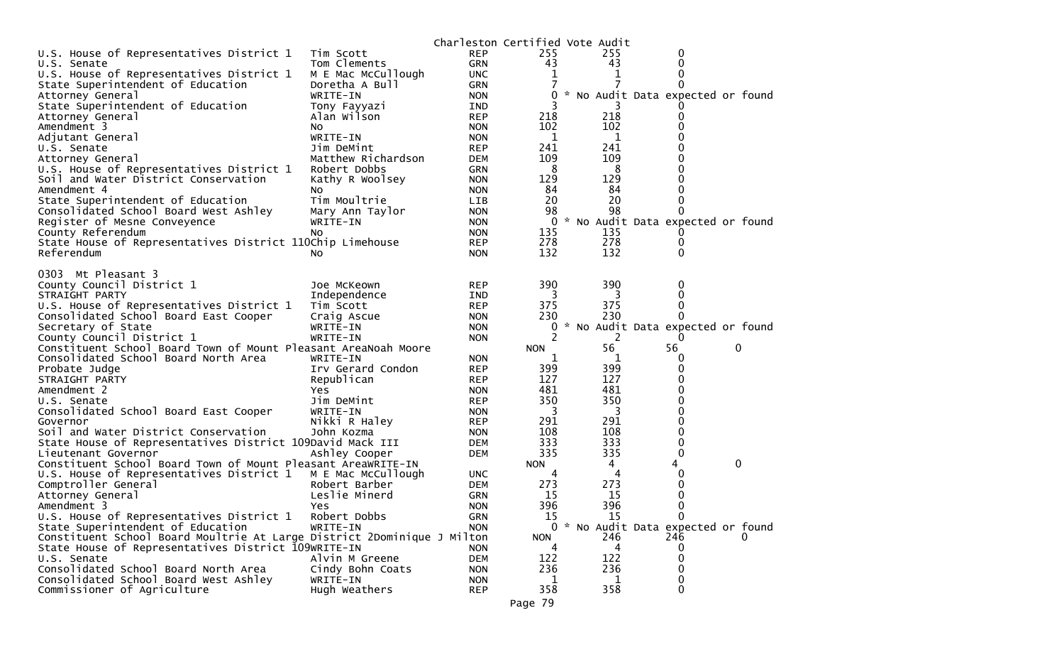|                                                                                             |                    | Charleston Certified Vote Audit |                 |         |                                     |   |
|---------------------------------------------------------------------------------------------|--------------------|---------------------------------|-----------------|---------|-------------------------------------|---|
| U.S. House of Representatives District 1                                                    | Tim Scott          | <b>REP</b>                      | 255             | 255     | 0                                   |   |
| U.S. Senate                                                                                 | Tom Clements       | <b>GRN</b>                      | 43              | 43      | 0                                   |   |
| U.S. House of Representatives District 1                                                    | M E Mac McCullough | <b>UNC</b>                      | 1               | 1       | 0                                   |   |
| State Superintendent of Education                                                           | Doretha A Bull     | <b>GRN</b>                      |                 |         | 0                                   |   |
| Attorney General                                                                            | WRITE-IN           | <b>NON</b>                      | 0               |         | * No Audit Data expected or found   |   |
| State Superintendent of Education                                                           | Tony Fayyazi       | IND                             |                 | 218     |                                     |   |
| Attorney General<br>Amendment 3                                                             | Alan Wilson<br>NO. | <b>REP</b><br><b>NON</b>        | 218<br>102      | 102     | 0<br>0                              |   |
| Adjutant General                                                                            | WRITE-IN           | <b>NON</b>                      | 1               | 1       |                                     |   |
| U.S. Senate                                                                                 | Jim DeMint         | <b>REP</b>                      | 241             | 241     |                                     |   |
| Attorney General                                                                            | Matthew Richardson | <b>DEM</b>                      | 109             | 109     | 0                                   |   |
| U.S. House of Representatives District 1                                                    | Robert Dobbs       | <b>GRN</b>                      | 8               | 8       | 0                                   |   |
| Soil and Water District Conservation                                                        | Kathy R Woolsey    | <b>NON</b>                      | 129             | 129     | 0                                   |   |
| Amendment 4                                                                                 | NO.                | <b>NON</b>                      | 84              | 84      | 0                                   |   |
| State Superintendent of Education                                                           | Tim Moultrie       | <b>LIB</b>                      | 20              | 20      | 0                                   |   |
| Consolidated School Board West Ashley                                                       | Mary Ann Taylor    | <b>NON</b>                      | 98              | 98      | 0                                   |   |
| Register of Mesne Conveyence                                                                | WRITE-IN           | <b>NON</b>                      | 0               |         | * No Audit Data expected or found   |   |
| County Referendum                                                                           | No.                | <b>NON</b>                      | 135             | 135     |                                     |   |
| State House of Representatives District 110Chip Limehouse                                   |                    | <b>REP</b>                      | 278             | 278     | 0                                   |   |
| Referendum                                                                                  | NO.                | <b>NON</b>                      | 132             | 132     | 0                                   |   |
|                                                                                             |                    |                                 |                 |         |                                     |   |
| 0303 Mt Pleasant 3                                                                          |                    |                                 |                 |         |                                     |   |
| County Council District 1                                                                   | Joe McKeown        | <b>REP</b>                      | 390             | 390     | 0                                   |   |
| STRAIGHT PARTY                                                                              | Independence       | <b>IND</b>                      | 3               | 3       | 0                                   |   |
| U.S. House of Representatives District 1                                                    | Tim Scott          | <b>REP</b>                      | 375             | 375     | 0                                   |   |
| Consolidated School Board East Cooper                                                       | Craig Ascue        | <b>NON</b>                      | 230             | 230     | 0                                   |   |
| Secretary of State                                                                          | WRITE-IN           | <b>NON</b>                      | 0               |         | * No Audit Data expected or found   |   |
| County Council District 1<br>Constituent School Board Town of Mount Pleasant AreaNoah Moore | WRITE-IN           | <b>NON</b>                      | 2<br><b>NON</b> | 2<br>56 | 56                                  | 0 |
| Consolidated School Board North Area                                                        | WRITE-IN           | <b>NON</b>                      | 1               | 1       | 0                                   |   |
| Probate Judge                                                                               | Irv Gerard Condon  | <b>REP</b>                      | 399             | 399     | 0                                   |   |
| STRAIGHT PARTY                                                                              | Republican         | <b>REP</b>                      | 127             | 127     | 0                                   |   |
| Amendment 2                                                                                 | Yes.               | <b>NON</b>                      | 481             | 481     | 0                                   |   |
| U.S. Senate                                                                                 | Jim DeMint         | <b>REP</b>                      | 350             | 350     | 0                                   |   |
| Consolidated School Board East Cooper                                                       | WRITE-IN           | <b>NON</b>                      | 3               | 3       | 0                                   |   |
| Governor                                                                                    | Nikki R Haley      | <b>REP</b>                      | 291             | 291     | 0                                   |   |
| Soil and Water District Conservation                                                        | John Kozma         | <b>NON</b>                      | 108             | 108     | 0                                   |   |
| State House of Representatives District 109David Mack III                                   |                    | <b>DEM</b>                      | 333             | 333     | 0                                   |   |
| Lieutenant Governor                                                                         | Ashley Cooper      | <b>DEM</b>                      | 335             | 335     | 0                                   |   |
| Constituent School Board Town of Mount Pleasant AreawRITE-IN                                |                    |                                 | <b>NON</b>      | 4       | 4                                   | 0 |
| U.S. House of Representatives District 1                                                    | M E Mac McCullough | UNC.                            | 4               | 4       | 0                                   |   |
| Comptroller General                                                                         | Robert Barber      | <b>DEM</b>                      | 273             | 273     | 0                                   |   |
| Attorney General                                                                            | Leslie Minerd      | <b>GRN</b>                      | 15              | 15      | 0                                   |   |
| Amendment 3                                                                                 | Yes                | <b>NON</b>                      | 396             | 396     | $\mathbf{0}$                        |   |
| U.S. House of Representatives District 1                                                    | Robert Dobbs       | <b>GRN</b>                      | 15              | 15      | $\mathbf{0}$                        |   |
| State Superintendent of Education                                                           | WRITE-IN           | <b>NON</b>                      |                 |         | 0 * No Audit Data expected or found |   |
| Constituent School Board Moultrie At Large District 2Dominique J Milton                     |                    |                                 | <b>NON</b>      | 246     | 246                                 |   |
| State House of Representatives District 109WRITE-IN                                         |                    | <b>NON</b>                      | 4               | 4       | 0                                   |   |
| U.S. Senate                                                                                 | Alvin M Greene     | <b>DEM</b>                      | 122             | 122     | 0                                   |   |
| Consolidated School Board North Area                                                        | Cindy Bohn Coats   | <b>NON</b>                      | 236             | 236     | 0                                   |   |
| Consolidated School Board West Ashley                                                       | WRITE-IN           | <b>NON</b>                      | 1               | 1       | 0                                   |   |
| Commissioner of Agriculture                                                                 | Hugh Weathers      | <b>REP</b>                      | 358             | 358     | 0                                   |   |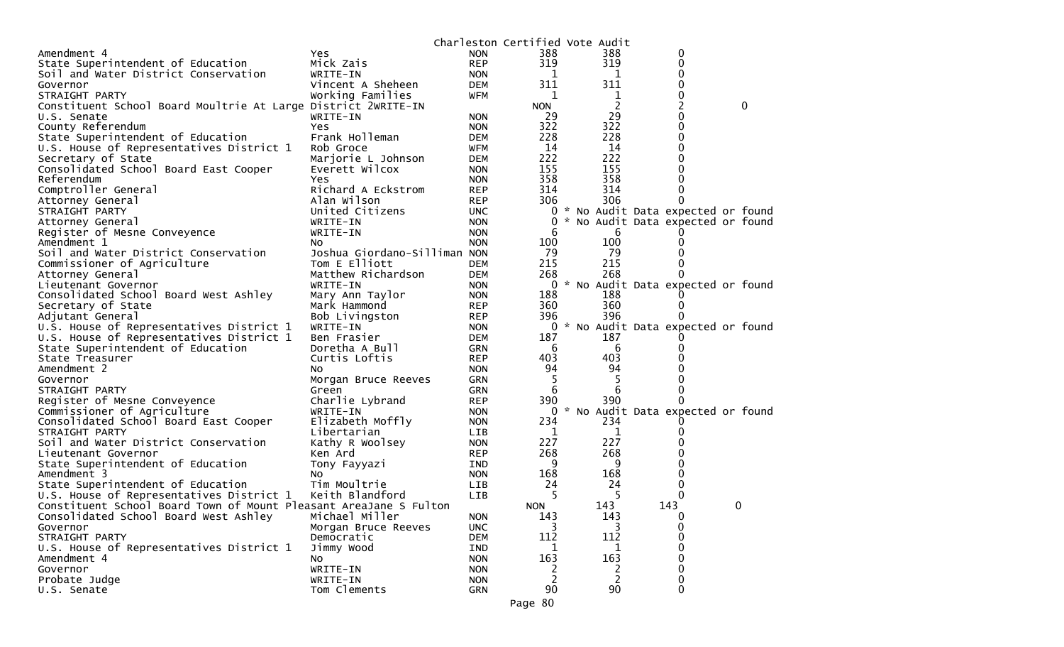|                                                                   |                              |            | Charleston Certified Vote Audit |                |                                                                          |             |
|-------------------------------------------------------------------|------------------------------|------------|---------------------------------|----------------|--------------------------------------------------------------------------|-------------|
| Amendment 4                                                       | Yes                          | <b>NON</b> | 388                             | 388            | 0                                                                        |             |
| State Superintendent of Education                                 | Mick Zais                    | <b>REP</b> | 319                             | 319            | 0                                                                        |             |
| Soil and Water District Conservation                              | WRITE-IN                     | <b>NON</b> | 1                               | 1              | 0                                                                        |             |
| Governor                                                          | Vincent A Sheheen            | DEM        | 311                             | 311            | 0                                                                        |             |
| STRAIGHT PARTY                                                    | Working Families             | WFM        | 1                               | 1              | 0                                                                        |             |
| Constituent School Board Moultrie At Large District 2WRITE-IN     |                              |            | <b>NON</b>                      | $\overline{c}$ | 2                                                                        | $\mathbf 0$ |
| U.S. Senate                                                       | WRITE-IN                     | NON.       | 29                              | 29             | 0                                                                        |             |
| County Referendum                                                 | Yes.                         | <b>NON</b> | 322                             | 322            | 0                                                                        |             |
| State Superintendent of Education                                 | Frank Holleman               | DEM        | 228                             | 228            | 0                                                                        |             |
| U.S. House of Representatives District 1                          | Rob Groce                    | WFM        | 14                              | 14             | 0                                                                        |             |
| Secretary of State                                                | Marjorie L Johnson           | DEM        | 222                             | 222            | 0                                                                        |             |
| Consolidated School Board East Cooper                             | Everett Wilcox               | <b>NON</b> | 155                             | 155            | 0                                                                        |             |
| Referendum                                                        | Yes                          | <b>NON</b> | 358                             | 358            | $\Omega$                                                                 |             |
| Comptroller General                                               | Richard A Eckstrom           | <b>REP</b> | 314                             | 314            | 0                                                                        |             |
| Attorney General                                                  | Alan Wilson                  | <b>REP</b> | 306                             | 306            | 0                                                                        |             |
| STRAIGHT PARTY                                                    | United Citizens              |            |                                 |                |                                                                          |             |
|                                                                   |                              | UNC.       | $\mathbf{0}$                    |                | 0 * No Audit Data expected or found<br>* No Audit Data expected or found |             |
| Attorney General                                                  | WRITE-IN                     | <b>NON</b> |                                 |                |                                                                          |             |
| Register of Mesne Conveyence                                      | WRITE-IN                     | <b>NON</b> | 6                               | 6              |                                                                          |             |
| Amendment 1                                                       | No.                          | <b>NON</b> | 100                             | 100            | 0                                                                        |             |
| Soil and Water District Conservation                              | Joshua Giordano-Silliman NON |            | -79                             | 79             | 0                                                                        |             |
| Commissioner of Agriculture                                       | Tom E Elliott                | <b>DEM</b> | 215                             | 215            | 0                                                                        |             |
| Attorney General                                                  | Matthew Richardson           | <b>DEM</b> | 268                             | 268            |                                                                          |             |
| Lieutenant Governor                                               | WRITE-IN                     | <b>NON</b> |                                 |                | 0 * No Audit Data expected or found                                      |             |
| Consolidated School Board West Ashley                             | Mary Ann Taylor              | <b>NON</b> | 188                             | 188            |                                                                          |             |
| Secretary of State                                                | Mark Hammond                 | <b>REP</b> | 360                             | 360            | 0                                                                        |             |
| Adjutant General                                                  | Bob Livingston               | <b>REP</b> | 396                             | 396            |                                                                          |             |
| U.S. House of Representatives District 1                          | WRITE-IN                     | <b>NON</b> |                                 |                | 0 * No Audit Data expected or found                                      |             |
| U.S. House of Representatives District 1                          | Ben Frasier                  | DEM        | 187                             | 187            |                                                                          |             |
| State Superintendent of Education                                 | Doretha A Bull               | <b>GRN</b> | 6                               | 6              | 0                                                                        |             |
| State Treasurer                                                   | Curtis Loftis                | <b>REP</b> | 403                             | 403            |                                                                          |             |
| Amendment 2                                                       | NO.                          | <b>NON</b> | 94                              | 94             | 0                                                                        |             |
| Governor                                                          | Morgan Bruce Reeves          | <b>GRN</b> | 5                               | 5              | 0                                                                        |             |
| STRAIGHT PARTY                                                    | Green                        | <b>GRN</b> | 6                               | 6              | 0                                                                        |             |
| Register of Mesne Conveyence                                      | Charlie Lybrand              | <b>REP</b> | 390                             | 390            |                                                                          |             |
| Commissioner of Agriculture                                       | WRITE-IN                     | <b>NON</b> |                                 |                | 0 * No Audit Data expected or found                                      |             |
| Consolidated School Board East Cooper                             | Elizabeth Moffly             | <b>NON</b> | 234                             | 234            |                                                                          |             |
| STRAIGHT PARTY                                                    | Libertarian                  | LIB        | 1                               | 1              | 0                                                                        |             |
| Soil and Water District Conservation                              | Kathy R Woolsey              | <b>NON</b> | 227                             | 227            |                                                                          |             |
| Lieutenant Governor                                               | Ken Ard                      | <b>REP</b> | 268                             | 268            | 0                                                                        |             |
| State Superintendent of Education                                 | Tony Fayyazi                 | IND        | 9                               | 9              | 0                                                                        |             |
| Amendment 3                                                       | No                           | <b>NON</b> | 168                             | 168            | 0                                                                        |             |
| State Superintendent of Education                                 | Tim Moultrie                 | <b>LIB</b> | 24                              | 24             | 0                                                                        |             |
| U.S. House of Representatives District 1                          | Keith Blandford              | <b>LIB</b> | 5                               | 5              | 0                                                                        |             |
| Constituent School Board Town of Mount Pleasant AreaJane S Fulton |                              |            | <b>NON</b>                      | 143            | 143                                                                      | 0           |
| Consolidated School Board West Ashley                             | Michael Miller               | <b>NON</b> | 143                             | 143            | 0                                                                        |             |
| Governor                                                          | Morgan Bruce Reeves          | <b>UNC</b> | 3                               | 3              | 0                                                                        |             |
| STRAIGHT PARTY                                                    | Democratic                   | <b>DEM</b> | 112                             | 112            | 0                                                                        |             |
| U.S. House of Representatives District 1                          | Jimmy Wood                   | IND        |                                 | 1              | 0                                                                        |             |
| Amendment 4                                                       | No                           | <b>NON</b> | 163                             | 163            | 0                                                                        |             |
| Governor                                                          | WRITE-IN                     | <b>NON</b> | 2                               | 2              | 0                                                                        |             |
| Probate Judge                                                     | WRITE-IN                     | <b>NON</b> | $\overline{c}$                  | 2              | 0                                                                        |             |
| U.S. Senate                                                       | Tom Clements                 | GRN        | 90                              | 90             | 0                                                                        |             |
|                                                                   |                              |            |                                 |                |                                                                          |             |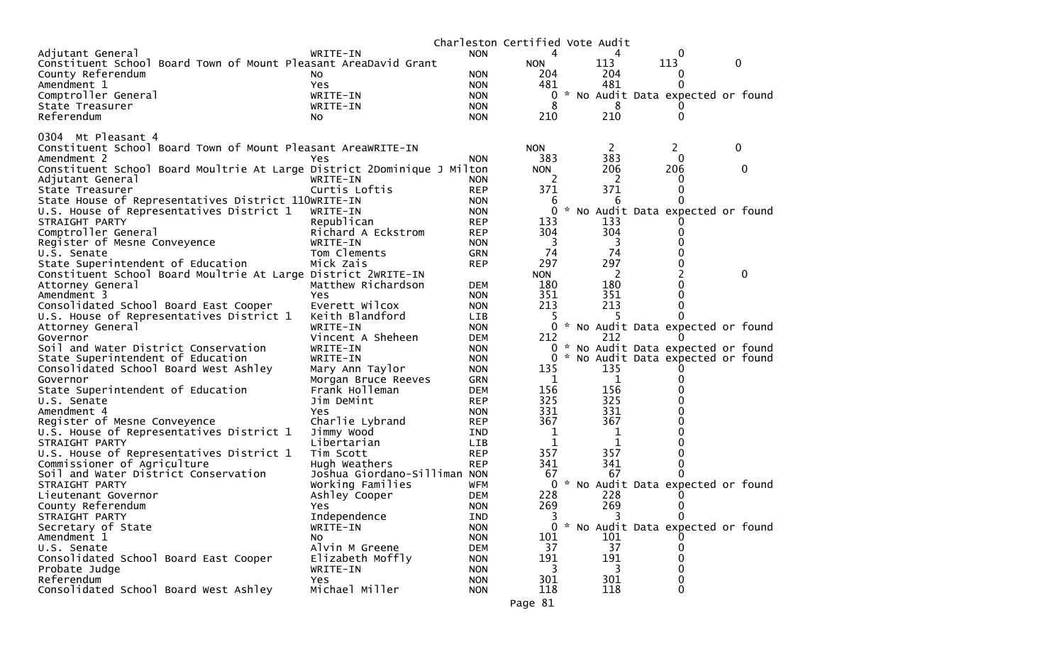|                                                                         |                              |                          | Charleston Certified Vote Audit |          |                                     |   |
|-------------------------------------------------------------------------|------------------------------|--------------------------|---------------------------------|----------|-------------------------------------|---|
| Adjutant General                                                        | WRITE-IN                     | <b>NON</b>               | 4                               | 4        | 0                                   |   |
| Constituent School Board Town of Mount Pleasant AreaDavid Grant         |                              |                          | <b>NON</b>                      | 113      | 113                                 | 0 |
| County Referendum                                                       | NO.                          | <b>NON</b>               | 204                             | 204      | 0                                   |   |
| Amendment 1                                                             | <b>Yes</b>                   | <b>NON</b>               | 481                             | 481      | 0                                   |   |
| Comptroller General                                                     | WRITE-IN                     | <b>NON</b>               | 0                               |          | * No Audit Data expected or found   |   |
| State Treasurer                                                         | WRITE-IN                     | <b>NON</b>               | 8                               | 8        |                                     |   |
| Referendum                                                              | NO.                          | <b>NON</b>               | 210                             | 210      | 0                                   |   |
|                                                                         |                              |                          |                                 |          |                                     |   |
| 0304 Mt Pleasant 4                                                      |                              |                          |                                 |          |                                     |   |
| Constituent School Board Town of Mount Pleasant AreaWRITE-IN            |                              |                          | <b>NON</b>                      | 2        | 2.                                  | 0 |
| Amendment 2                                                             | Yes                          | <b>NON</b>               | 383                             | 383      | $\Omega$                            |   |
| Constituent School Board Moultrie At Large District 2Dominique J Milton |                              |                          | <b>NON</b>                      | 206      | 206                                 | 0 |
| Adjutant General                                                        | WRITE-IN                     | NON.                     | 2                               | 2        | O                                   |   |
| State Treasurer                                                         | Curtis Loftis                | <b>REP</b>               | 371                             | 371      | 0                                   |   |
| State House of Representatives District 110WRITE-IN                     |                              | <b>NON</b>               | 6                               | 6        |                                     |   |
| U.S. House of Representatives District 1                                | WRITE-IN                     | <b>NON</b>               | 0                               |          | * No Audit Data expected or found   |   |
| STRAIGHT PARTY                                                          | Republican                   | <b>REP</b>               | 133                             | 133      |                                     |   |
| Comptroller General                                                     | Richard A Eckstrom           | <b>REP</b>               | 304                             | 304      | 0                                   |   |
| Register of Mesne Conveyence                                            | WRITE-IN                     | <b>NON</b>               | 3<br>74                         | 3<br>74  |                                     |   |
| U.S. Senate                                                             | Tom Clements                 | <b>GRN</b>               |                                 |          |                                     |   |
| State Superintendent of Education                                       | Mick Zais                    | <b>REP</b>               | 297                             | 297<br>2 |                                     | 0 |
| Constituent School Board Moultrie At Large District 2WRITE-IN           |                              |                          | <b>NON</b><br>180               | 180      | 0                                   |   |
| Attorney General<br>Amendment 3                                         | Matthew Richardson<br>Yes    | <b>DEM</b><br><b>NON</b> | 351                             | 351      |                                     |   |
| Consolidated School Board East Cooper                                   | Everett Wilcox               | <b>NON</b>               | 213                             | 213      | 0                                   |   |
| U.S. House of Representatives District 1                                | Keith Blandford              | <b>LIB</b>               | 5                               | 5        |                                     |   |
| Attorney General                                                        | WRITE-IN                     | <b>NON</b>               |                                 |          | 0 * No Audit Data expected or found |   |
| Governor                                                                | Vincent A Sheheen            | DEM                      | 212                             | 212      |                                     |   |
| Soil and Water District Conservation                                    | WRITE-IN                     | <b>NON</b>               |                                 |          | 0 * No Audit Data expected or found |   |
| State Superintendent of Education                                       | WRITE-IN                     | <b>NON</b>               | 0                               |          | * No Audit Data expected or found   |   |
| Consolidated School Board West Ashley                                   | Mary Ann Taylor              | <b>NON</b>               | 135                             | 135      |                                     |   |
| Governor                                                                | Morgan Bruce Reeves          | <b>GRN</b>               | 1                               | 1        |                                     |   |
| State Superintendent of Education                                       | Frank Holleman               | <b>DEM</b>               | 156                             | 156      |                                     |   |
| U.S. Senate                                                             | Jim DeMint                   | <b>REP</b>               | 325                             | 325      |                                     |   |
| Amendment 4                                                             | Yes                          | <b>NON</b>               | 331                             | 331      |                                     |   |
| Register of Mesne Conveyence                                            | Charlie Lybrand              | <b>REP</b>               | 367                             | 367      |                                     |   |
| U.S. House of Representatives District 1                                | Jimmy Wood                   | IND                      | 1                               | 1        |                                     |   |
| STRAIGHT PARTY                                                          | Libertarian                  | LIB                      | 1                               | 1        |                                     |   |
| U.S. House of Representatives District 1                                | Tim Scott                    | <b>REP</b>               | 357                             | 357      |                                     |   |
| Commissioner of Agriculture                                             | Hugh Weathers                | <b>REP</b>               | 341                             | 341      | 0                                   |   |
| Soil and Water District Conservation                                    | Joshua Giordano-Silliman NON |                          | 67                              | 67       | O                                   |   |
| STRAIGHT PARTY                                                          | Working Families             | WFM                      | 0                               |          | * No Audit Data expected or found   |   |
| Lieutenant Governor                                                     | Ashley Cooper                | <b>DEM</b>               | 228                             | 228      |                                     |   |
| County Referendum                                                       | Yes                          | <b>NON</b>               | 269                             | 269      | 0                                   |   |
| STRAIGHT PARTY                                                          | Independence                 | IND                      | 3                               | 3        | 0                                   |   |
| Secretary of State                                                      | WRITE-IN                     | <b>NON</b>               | 0                               |          | * No Audit Data expected or found   |   |
| Amendment 1                                                             | NO.                          | <b>NON</b>               | 101                             | 101      |                                     |   |
| U.S. Senate                                                             | Alvin M Greene               | <b>DEM</b>               | 37                              | 37       | 0                                   |   |
| Consolidated School Board East Cooper                                   | Elizabeth Moffly             | <b>NON</b>               | 191                             | 191      | 0                                   |   |
| Probate Judge                                                           | WRITE-IN                     | <b>NON</b>               | 3                               | 3        | 0                                   |   |
| Referendum                                                              | Yes                          | <b>NON</b>               | 301                             | 301      | 0                                   |   |
| Consolidated School Board West Ashley                                   | Michael Miller               | <b>NON</b>               | 118                             | 118      | 0                                   |   |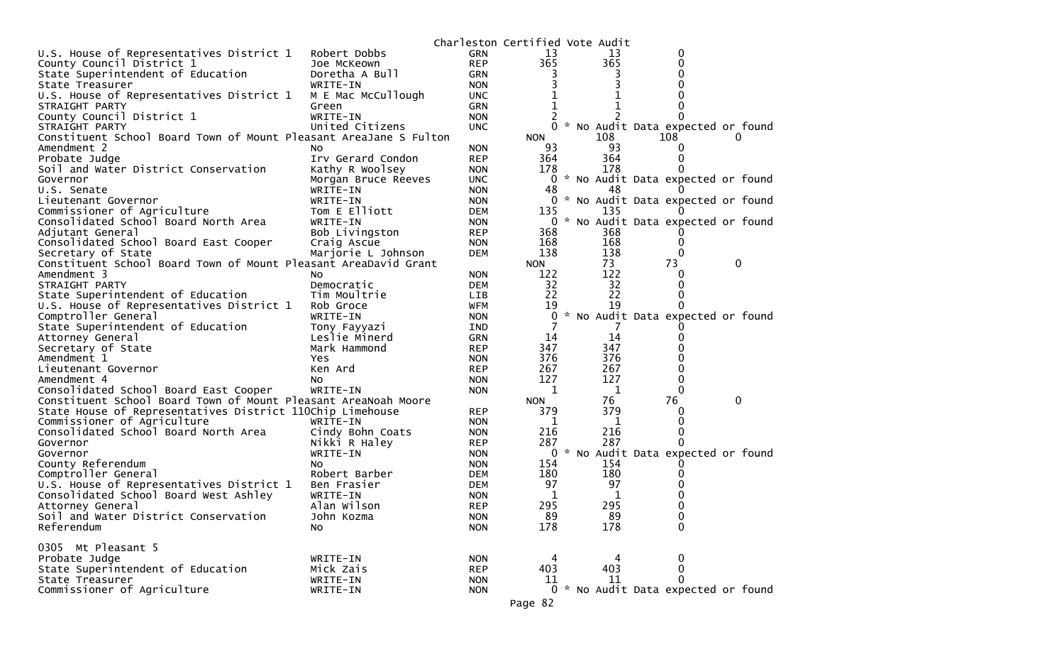|                                                                   |                            | Charleston Certified Vote Audit |                   |           |                                     |   |
|-------------------------------------------------------------------|----------------------------|---------------------------------|-------------------|-----------|-------------------------------------|---|
| U.S. House of Representatives District 1                          | Robert Dobbs               | <b>GRN</b>                      | 13                | 13        | 0                                   |   |
| County Council District 1                                         | Joe McKeown                | <b>REP</b>                      | 365               | 365       | 0                                   |   |
| State Superintendent of Education                                 | Doretha A Bull             | <b>GRN</b>                      |                   |           | Ω                                   |   |
| State Treasurer                                                   | WRITE-IN                   | <b>NON</b>                      |                   |           |                                     |   |
| U.S. House of Representatives District 1                          | M E Mac McCullough         | UNC.                            |                   |           |                                     |   |
| STRAIGHT PARTY                                                    | Green                      | GRN                             |                   |           |                                     |   |
| County Council District 1                                         | WRITE-IN                   | <b>NON</b>                      |                   |           |                                     |   |
| STRAIGHT PARTY                                                    | United Citizens            | <b>UNC</b>                      | $\Omega$          |           | * No Audit Data expected or found   |   |
| Constituent School Board Town of Mount Pleasant AreaJane S Fulton |                            |                                 | <b>NON</b>        | 108       | 108                                 | 0 |
| Amendment 2                                                       | NO.                        | <b>NON</b>                      | 93                | 93        | 0                                   |   |
| Probate Judge                                                     | Irv Gerard Condon          | <b>REP</b>                      | 364               | 364       | 0                                   |   |
| Soil and Water District Conservation                              | Kathy R Woolsey            | <b>NON</b>                      | 178               | 178       |                                     |   |
| Governor                                                          | Morgan Bruce Reeves        | <b>UNC</b>                      | 0                 |           | * No Audit Data expected or found   |   |
| U.S. Senate                                                       | WRITE-IN                   | <b>NON</b>                      | 48                | 48        | $\Omega$                            |   |
| Lieutenant Governor                                               | WRITE-IN                   | <b>NON</b>                      |                   |           | 0 * No Audit Data expected or found |   |
| Commissioner of Agriculture                                       | Tom E Elliott              | DEM                             | 135               | 135       |                                     |   |
| Consolidated School Board North Area                              | WRITE-IN                   | <b>NON</b>                      |                   |           | 0 * No Audit Data expected or found |   |
| Adjutant General                                                  | Bob Livingston             | <b>REP</b>                      | 368               | 368       |                                     |   |
| Consolidated School Board East Cooper                             | Craig Ascue                | <b>NON</b>                      | 168               | 168       | 0                                   |   |
| Secretary of State                                                | Marjorie L Johnson         | <b>DEM</b>                      | 138               | 138       | $\Omega$                            |   |
| Constituent School Board Town of Mount Pleasant AreaDavid Grant   |                            |                                 | <b>NON</b><br>122 | 73<br>122 | 73                                  | 0 |
| Amendment 3<br>STRAIGHT PARTY                                     | NO.                        | <b>NON</b>                      | 32                | 32        | 0<br>0                              |   |
| State Superintendent of Education                                 | Democratic<br>Tim Moultrie | <b>DEM</b><br><b>LIB</b>        | 22                | 22        | 0                                   |   |
| U.S. House of Representatives District 1                          | Rob Groce                  | WFM                             | 19                | 19        | 0                                   |   |
| Comptroller General                                               | WRITE-IN                   | <b>NON</b>                      | 0                 |           | * No Audit Data expected or found   |   |
| State Superintendent of Education                                 | Tony Fayyazi               | IND                             |                   |           |                                     |   |
| Attorney General                                                  | Leslie Minerd              | <b>GRN</b>                      | 14                | 14        | 0                                   |   |
| Secretary of State                                                | Mark Hammond               | <b>REP</b>                      | 347               | 347       | 0                                   |   |
| Amendment 1                                                       | Yes                        | <b>NON</b>                      | 376               | 376       |                                     |   |
| Lieutenant Governor                                               | Ken Ard                    | <b>REP</b>                      | 267               | 267       | 0                                   |   |
| Amendment 4                                                       | No                         | <b>NON</b>                      | 127               | 127       | 0                                   |   |
| Consolidated School Board East Cooper                             | WRITE-IN                   | <b>NON</b>                      | 1                 | 1         | $\Omega$                            |   |
| Constituent School Board Town of Mount Pleasant AreaNoah Moore    |                            |                                 | <b>NON</b>        | 76        | 76                                  | 0 |
| State House of Representatives District 110Chip Limehouse         |                            | <b>REP</b>                      | 379               | 379       | 0                                   |   |
| Commissioner of Agriculture                                       | WRITE-IN                   | <b>NON</b>                      | 1                 | 1         | 0                                   |   |
| Consolidated School Board North Area                              | Cindy Bohn Coats           | <b>NON</b>                      | 216               | 216       | 0                                   |   |
| Governor                                                          | Nikki R Haley              | <b>REP</b>                      | 287               | 287       | 0                                   |   |
| Governor                                                          | WRITE-IN                   | <b>NON</b>                      | 0                 |           | * No Audit Data expected or found   |   |
| County Referendum                                                 | NO.                        | <b>NON</b>                      | 154               | 154       |                                     |   |
| Comptroller General                                               | Robert Barber              | <b>DEM</b>                      | 180               | 180       |                                     |   |
| U.S. House of Representatives District 1                          | Ben Frasier                | <b>DEM</b>                      | 97                | 97        |                                     |   |
| Consolidated School Board West Ashley                             | WRITE-IN                   | <b>NON</b>                      | 1                 | 1         |                                     |   |
| Attorney General                                                  | Alan Wilson                | <b>REP</b>                      | 295               | 295       | $\Omega$                            |   |
| Soil and Water District Conservation                              | John Kozma                 | <b>NON</b>                      | 89                | 89        | 0                                   |   |
| Referendum                                                        | No.                        | <b>NON</b>                      | 178               | 178       | $\mathbf 0$                         |   |
|                                                                   |                            |                                 |                   |           |                                     |   |
| 0305 Mt Pleasant 5                                                |                            |                                 |                   |           |                                     |   |
| Probate Judge                                                     | WRITE-IN                   | <b>NON</b>                      | 4                 |           | 0                                   |   |
| State Superintendent of Education                                 | Mick Zais                  | <b>REP</b>                      | 403               | 403       | 0                                   |   |
| State Treasurer                                                   | WRITE-IN                   | <b>NON</b>                      | 11                | 11        | $\mathbf{0}$                        |   |
| Commissioner of Agriculture                                       | WRITE-IN                   | <b>NON</b>                      |                   |           | 0 * No Audit Data expected or found |   |
|                                                                   |                            |                                 | Page 82           |           |                                     |   |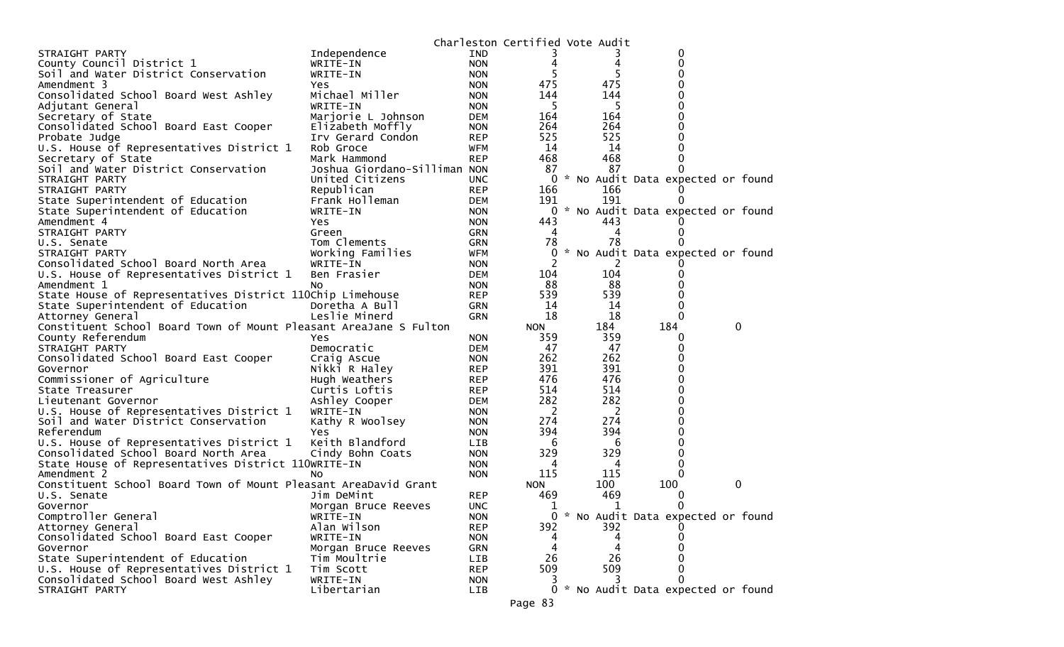|                                                                   |                              |            | Charleston Certified Vote Audit |            |                                     |   |
|-------------------------------------------------------------------|------------------------------|------------|---------------------------------|------------|-------------------------------------|---|
| STRAIGHT PARTY                                                    | Independence                 | IND        |                                 |            | 0                                   |   |
| County Council District 1                                         | WRITE-IN                     | <b>NON</b> | 4                               | 4          | 0                                   |   |
| Soil and Water District Conservation                              | WRITE-IN                     | <b>NON</b> |                                 |            | 0                                   |   |
| Amendment 3                                                       | Yes                          | <b>NON</b> | 475                             | 475        | 0                                   |   |
| Consolidated School Board West Ashley                             | Michael Miller               | <b>NON</b> | 144                             | 144        | 0                                   |   |
| Adjutant General                                                  | WRITE-IN                     | <b>NON</b> | 5                               | 5          | 0                                   |   |
| Secretary of State                                                | Marjorie L Johnson           | <b>DEM</b> | 164                             | 164        | 0                                   |   |
| Consolidated School Board East Cooper                             | Elizabeth Moffly             | <b>NON</b> | 264                             | 264        | 0                                   |   |
| Probate Judge                                                     | Irv Gerard Condon            | <b>REP</b> | 525                             | 525        | 0                                   |   |
| U.S. House of Representatives District 1                          | Rob Groce                    | <b>WFM</b> | 14                              | 14         | 0                                   |   |
| Secretary of State                                                | Mark Hammond                 | <b>REP</b> | 468                             | 468        | 0                                   |   |
| Soil and Water District Conservation                              | Joshua Giordano-Silliman NON |            | 87                              | 87         | 0                                   |   |
| STRAIGHT PARTY                                                    | United Citizens              | <b>UNC</b> | 0                               |            | * No Audit Data expected or found   |   |
| STRAIGHT PARTY                                                    | Republican                   | <b>REP</b> | 166                             | 166        | O                                   |   |
| State Superintendent of Education                                 | Frank Holleman               | <b>DEM</b> | 191                             | 191        | $\Omega$                            |   |
| State Superintendent of Education                                 | WRITE-IN                     | <b>NON</b> | 0                               |            | * No Audit Data expected or found   |   |
| Amendment 4                                                       | <b>Yes</b>                   | <b>NON</b> | 443                             | 443        |                                     |   |
| STRAIGHT PARTY                                                    | Green                        | <b>GRN</b> | 4                               | 4          | $_{0}$                              |   |
| U.S. Senate                                                       | Tom Clements                 | <b>GRN</b> | 78                              | 78         |                                     |   |
| STRAIGHT PARTY                                                    | Working Families             | WFM        | 0                               |            | * No Audit Data expected or found   |   |
| Consolidated School Board North Area                              | WRITE-IN                     | <b>NON</b> | 2                               | 2          |                                     |   |
| U.S. House of Representatives District 1                          | Ben Frasier                  | DEM        | 104                             | 104        | 0                                   |   |
| Amendment 1                                                       | NO.                          | <b>NON</b> | 88                              | 88         | 0                                   |   |
| State House of Representatives District 110Chip Limehouse         |                              | <b>REP</b> | 539                             | 539        | 0                                   |   |
| State Superintendent of Education                                 | Doretha A Bull               | <b>GRN</b> | 14                              | 14         | 0                                   |   |
| Attorney General                                                  | Leslie Minerd                | <b>GRN</b> | 18                              | 18         | $\Omega$                            |   |
| Constituent School Board Town of Mount Pleasant AreaJane S Fulton |                              |            | <b>NON</b>                      | 184        | 184                                 | 0 |
|                                                                   |                              | <b>NON</b> | 359                             | 359        | 0                                   |   |
| County Referendum<br>STRAIGHT PARTY                               | Yes<br>Democratic            | <b>DEM</b> | 47                              | 47         | 0                                   |   |
|                                                                   |                              |            | 262                             | 262        | 0                                   |   |
| Consolidated School Board East Cooper                             | Craig Ascue                  | <b>NON</b> | 391                             | 391        | 0                                   |   |
| Governor                                                          | Nikki R Haley                | <b>REP</b> |                                 |            | 0                                   |   |
| Commissioner of Agriculture                                       | Hugh Weathers                | <b>REP</b> | 476<br>514                      | 476<br>514 | 0                                   |   |
| State Treasurer                                                   | Curtis Loftis                | <b>REP</b> | 282                             | 282        |                                     |   |
| Lieutenant Governor                                               | Ashley Cooper                | <b>DEM</b> |                                 |            | 0                                   |   |
| U.S. House of Representatives District 1                          | WRITE-IN                     | <b>NON</b> | 2                               | 2          | 0                                   |   |
| Soil and Water District Conservation                              | Kathy R Woolsey              | <b>NON</b> | 274                             | 274        | 0                                   |   |
| Referendum                                                        | Yes                          | <b>NON</b> | 394                             | 394        | 0                                   |   |
| U.S. House of Representatives District 1                          | Keith Blandford              | <b>LIB</b> | 6                               | 6          | 0                                   |   |
| Consolidated School Board North Area                              | Cindy Bohn Coats             | <b>NON</b> | 329                             | 329        | 0                                   |   |
| State House of Representatives District 110WRITE-IN               |                              | <b>NON</b> | 4                               | 4          | 0                                   |   |
| Amendment 2                                                       | NO.                          | <b>NON</b> | 115                             | 115        | $\Omega$                            |   |
| Constituent School Board Town of Mount Pleasant AreaDavid Grant   |                              |            | <b>NON</b>                      | 100        | 100                                 | 0 |
| U.S. Senate                                                       | Jim DeMint                   | <b>REP</b> | 469                             | 469        | 0                                   |   |
| Governor                                                          | Morgan Bruce Reeves          | <b>UNC</b> | 1                               | 1          | 0                                   |   |
| Comptroller General                                               | WRITE-IN                     | <b>NON</b> | 0                               |            | * No Audit Data expected or found   |   |
| Attorney General                                                  | Alan Wilson                  | <b>REP</b> | 392                             | 392        | $_{0}$                              |   |
| Consolidated School Board East Cooper                             | WRITE-IN                     | <b>NON</b> |                                 |            | 0                                   |   |
| Governor                                                          | Morgan Bruce Reeves          | <b>GRN</b> | 4                               |            | 0                                   |   |
| State Superintendent of Education                                 | Tim Moultrie                 | LIB        | 26                              | 26         | 0                                   |   |
| U.S. House of Representatives District 1                          | Tim Scott                    | <b>REP</b> | 509                             | 509        | 0                                   |   |
| Consolidated School Board West Ashley                             | WRITE-IN                     | <b>NON</b> |                                 |            | 0                                   |   |
| STRAIGHT PARTY                                                    | Libertarian                  | LIB        |                                 |            | 0 * No Audit Data expected or found |   |
|                                                                   |                              |            | Page 83                         |            |                                     |   |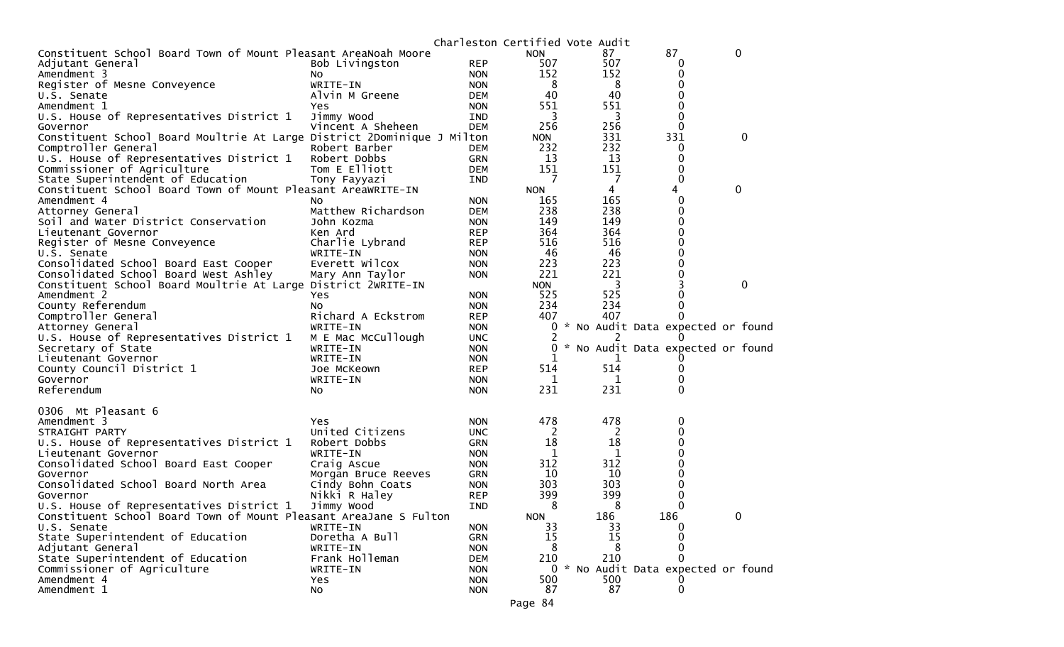| 87<br>0<br>Constituent School Board Town of Mount Pleasant AreaNoah Moore<br><b>NON</b><br>87<br>507<br>507<br><b>REP</b><br>Adjutant General<br>Bob Livingston<br>0<br>152<br>152<br><b>NON</b><br>0<br>Amendment 3<br>NO.<br>WRITE-IN<br>8<br>0<br>Register of Mesne Conveyence<br><b>NON</b><br>8<br>40<br>40<br>Alvin M Greene<br>0<br>DEM<br>U.S. Senate<br>551<br>551<br>Amendment 1<br>0<br>Yes<br><b>NON</b> |  |
|----------------------------------------------------------------------------------------------------------------------------------------------------------------------------------------------------------------------------------------------------------------------------------------------------------------------------------------------------------------------------------------------------------------------|--|
|                                                                                                                                                                                                                                                                                                                                                                                                                      |  |
|                                                                                                                                                                                                                                                                                                                                                                                                                      |  |
|                                                                                                                                                                                                                                                                                                                                                                                                                      |  |
|                                                                                                                                                                                                                                                                                                                                                                                                                      |  |
|                                                                                                                                                                                                                                                                                                                                                                                                                      |  |
|                                                                                                                                                                                                                                                                                                                                                                                                                      |  |
| 3<br>3<br>0<br>U.S. House of Representatives District 1<br>Jimmy Wood<br>IND                                                                                                                                                                                                                                                                                                                                         |  |
| 256<br>256<br>0<br>Vincent A Sheheen<br>Governor<br><b>DEM</b>                                                                                                                                                                                                                                                                                                                                                       |  |
| 331<br>331<br>0<br>Constituent School Board Moultrie At Large District 2Dominique J Milton<br><b>NON</b>                                                                                                                                                                                                                                                                                                             |  |
| 232<br>232<br>Comptroller General<br>Robert Barber<br>0<br>DEM                                                                                                                                                                                                                                                                                                                                                       |  |
| 13<br>13<br>U.S. House of Representatives District 1<br>Robert Dobbs<br>GRN<br>0                                                                                                                                                                                                                                                                                                                                     |  |
| 151<br>Tom E Elliott<br>151<br>Commissioner of Agriculture<br>0<br>DEM                                                                                                                                                                                                                                                                                                                                               |  |
| State Superintendent of Education<br>7<br>7<br>0<br>Tony Fayyazi<br>IND                                                                                                                                                                                                                                                                                                                                              |  |
| Constituent School Board Town of Mount Pleasant AreaWRITE-IN<br>0<br><b>NON</b><br>4<br>4                                                                                                                                                                                                                                                                                                                            |  |
| 165<br>165<br>0<br>Amendment 4<br><b>NON</b><br>NO.                                                                                                                                                                                                                                                                                                                                                                  |  |
| 238<br>238<br>0<br>Matthew Richardson<br>DEM<br>Attorney General                                                                                                                                                                                                                                                                                                                                                     |  |
| 149<br>149<br>0<br>Soil and Water District Conservation<br>John Kozma<br><b>NON</b>                                                                                                                                                                                                                                                                                                                                  |  |
| 364<br>364<br>Ken Ard<br>0<br>Lieutenant Governor<br><b>REP</b>                                                                                                                                                                                                                                                                                                                                                      |  |
| 516<br>516<br>Register of Mesne Conveyence<br>Charlie Lybrand<br>0<br><b>REP</b>                                                                                                                                                                                                                                                                                                                                     |  |
| 46<br>0<br>46<br>U.S. Senate<br>WRITE-IN<br><b>NON</b>                                                                                                                                                                                                                                                                                                                                                               |  |
| 223<br>223<br>Consolidated School Board East Cooper<br>Everett Wilcox<br>0<br><b>NON</b>                                                                                                                                                                                                                                                                                                                             |  |
| 221<br>221<br>0<br>Consolidated School Board West Ashley<br>Mary Ann Taylor<br><b>NON</b>                                                                                                                                                                                                                                                                                                                            |  |
| Constituent School Board Moultrie At Large District 2WRITE-IN<br>3<br><b>NON</b><br>3<br>0                                                                                                                                                                                                                                                                                                                           |  |
| 525<br>525<br>0<br>Amendment 2<br><b>NON</b><br>Yes                                                                                                                                                                                                                                                                                                                                                                  |  |
| County Referendum<br>234<br>234<br><b>NON</b><br>0<br>No.                                                                                                                                                                                                                                                                                                                                                            |  |
| 407<br>Comptroller General<br>Richard A Eckstrom<br><b>REP</b><br>407<br>0                                                                                                                                                                                                                                                                                                                                           |  |
| * No Audit Data expected or found<br>Attorney General<br>WRITE-IN<br><b>NON</b><br>0                                                                                                                                                                                                                                                                                                                                 |  |
| U.S. House of Representatives District 1<br>M E Mac McCullough<br><b>UNC</b><br>Ü                                                                                                                                                                                                                                                                                                                                    |  |
| * No Audit Data expected or found<br>Secretary of State<br>WRITE-IN<br><b>NON</b><br>0                                                                                                                                                                                                                                                                                                                               |  |
| WRITE-IN<br>Lieutenant Governor<br><b>NON</b><br>1                                                                                                                                                                                                                                                                                                                                                                   |  |
| 514<br>County Council District 1<br>514<br>0<br>Joe McKeown<br><b>REP</b>                                                                                                                                                                                                                                                                                                                                            |  |
| 0<br>Governor<br>WRITE-IN<br><b>NON</b><br>1<br>1                                                                                                                                                                                                                                                                                                                                                                    |  |
| 231<br>231<br>0<br>Referendum<br><b>NON</b><br>No                                                                                                                                                                                                                                                                                                                                                                    |  |
|                                                                                                                                                                                                                                                                                                                                                                                                                      |  |
| 0306 Mt Pleasant 6                                                                                                                                                                                                                                                                                                                                                                                                   |  |
| 478<br>478<br>Amendment 3<br>0<br>Yes<br><b>NON</b>                                                                                                                                                                                                                                                                                                                                                                  |  |
| United Citizens<br>STRAIGHT PARTY<br><b>UNC</b><br>2<br>2<br>0                                                                                                                                                                                                                                                                                                                                                       |  |
| 18<br>18<br>U.S. House of Representatives District 1<br>0<br>Robert Dobbs<br><b>GRN</b>                                                                                                                                                                                                                                                                                                                              |  |
| 1<br>WRITE-IN<br>1<br>0<br>Lieutenant Governor<br><b>NON</b>                                                                                                                                                                                                                                                                                                                                                         |  |
| 312<br>312<br>Consolidated School Board East Cooper<br>Craig Ascue<br><b>NON</b><br>0                                                                                                                                                                                                                                                                                                                                |  |
| 10<br>10<br>0<br>Governor<br><b>GRN</b><br>Morgan Bruce Reeves                                                                                                                                                                                                                                                                                                                                                       |  |
| 303<br>0<br>Consolidated School Board North Area<br>303<br>Cindy Bohn Coats<br><b>NON</b>                                                                                                                                                                                                                                                                                                                            |  |
| 399<br>399<br>0<br>Nikki R Haley<br><b>REP</b><br>Governor                                                                                                                                                                                                                                                                                                                                                           |  |
| 0<br>8<br>8<br>U.S. House of Representatives District 1<br>Jimmy Wood<br>IND                                                                                                                                                                                                                                                                                                                                         |  |
| 186<br>186<br>Constituent School Board Town of Mount Pleasant AreaJane S Fulton<br><b>NON</b><br>0                                                                                                                                                                                                                                                                                                                   |  |
| 33<br>U.S. Senate<br>WRITE-IN<br>33<br><b>NON</b><br>$\Omega$                                                                                                                                                                                                                                                                                                                                                        |  |
| State Superintendent of Education<br>Doretha A Bull<br>15<br>15<br><b>GRN</b><br>0                                                                                                                                                                                                                                                                                                                                   |  |
| 0<br>Adjutant General<br>8<br>8<br>WRITE-IN<br><b>NON</b>                                                                                                                                                                                                                                                                                                                                                            |  |
| State Superintendent of Education<br>Frank Holleman<br>210<br>210<br>$\Omega$<br><b>DEM</b>                                                                                                                                                                                                                                                                                                                          |  |
| 0 * No Audit Data expected or found<br>Commissioner of Agriculture<br>WRITE-IN<br><b>NON</b>                                                                                                                                                                                                                                                                                                                         |  |
| Amendment 4<br>500<br>500<br>Yes<br><b>NON</b>                                                                                                                                                                                                                                                                                                                                                                       |  |
| 87<br>Amendment 1<br>87<br>0<br><b>NON</b><br>No                                                                                                                                                                                                                                                                                                                                                                     |  |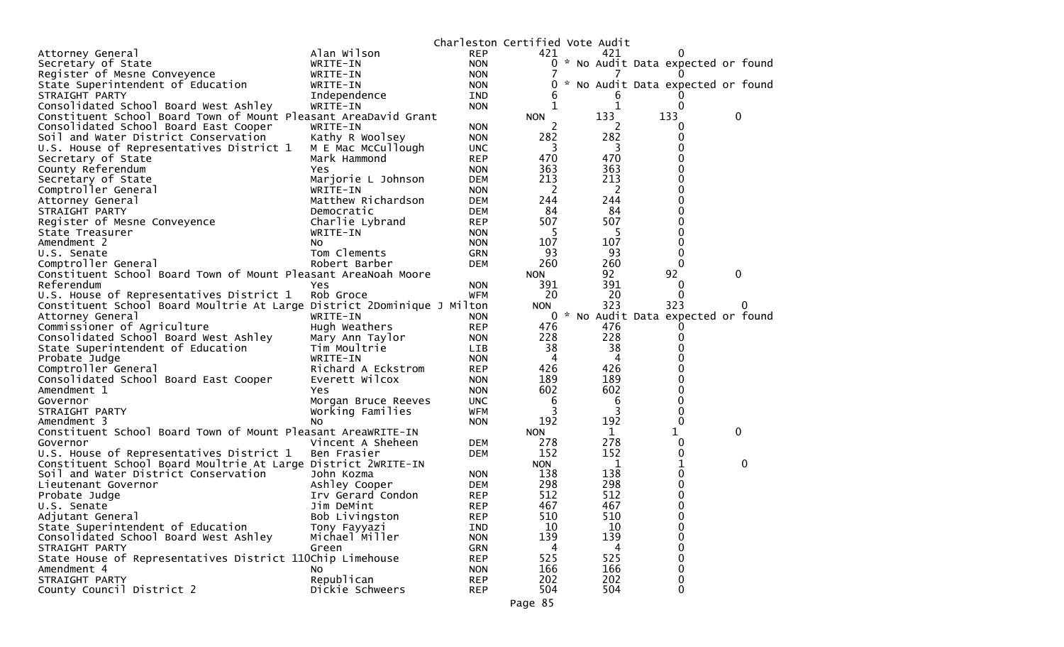|                                                                         |            |            | Charleston Certified Vote Audit |                                   |   |
|-------------------------------------------------------------------------|------------|------------|---------------------------------|-----------------------------------|---|
| Alan Wilson<br>Attorney General                                         | <b>REP</b> | 421        | 421                             | O                                 |   |
| Secretary of State<br>WRITE-IN                                          | <b>NON</b> | 0          |                                 | * No Audit Data expected or found |   |
| Register of Mesne Conveyence<br>WRITE-IN                                | <b>NON</b> |            |                                 |                                   |   |
| State Superintendent of Education<br>WRITE-IN                           | <b>NON</b> | 0          |                                 | * No Audit Data expected or found |   |
| STRAIGHT PARTY<br>Independence                                          | <b>IND</b> | 6          | 6                               |                                   |   |
| Consolidated School Board West Ashley<br>WRITE-IN                       | <b>NON</b> |            | 1                               | 0                                 |   |
| Constituent School Board Town of Mount Pleasant AreaDavid Grant         |            | <b>NON</b> | 133                             | 133                               | 0 |
| Consolidated School Board East Cooper<br>WRITE-IN                       | <b>NON</b> | 2          |                                 | 0                                 |   |
| Soil and Water District Conservation<br>Kathy R Woolsey                 | <b>NON</b> | 282        | 282                             | 0                                 |   |
| U.S. House of Representatives District 1<br>M E Mac McCullough          | <b>UNC</b> | 3          | 3                               |                                   |   |
| Secretary of State<br>Mark Hammond                                      | <b>REP</b> | 470        | 470                             |                                   |   |
| County Referendum<br>Yes                                                | <b>NON</b> | 363        | 363                             | 0                                 |   |
| Secretary of State<br>Marjorie L Johnson                                | <b>DEM</b> | 213        | 213                             | 0                                 |   |
| Comptroller General<br>WRITE-IN                                         | <b>NON</b> | 2          | 2                               |                                   |   |
| Matthew Richardson<br>Attorney General                                  | <b>DEM</b> | 244        | 244                             | 0                                 |   |
| STRAIGHT PARTY<br>Democratic                                            | <b>DEM</b> | 84         | 84                              | 0                                 |   |
| Register of Mesne Conveyence<br>Charlie Lybrand                         | <b>REP</b> | 507        | 507                             | 0                                 |   |
| WRITE-IN<br>State Treasurer                                             | <b>NON</b> | 5          | 5                               | 0                                 |   |
| Amendment 2<br>No.                                                      | <b>NON</b> | 107        | 107                             | 0                                 |   |
| Tom Clements<br>U.S. Senate                                             | <b>GRN</b> | 93         | 93                              | 0                                 |   |
| Comptroller General<br>Robert Barber                                    | <b>DEM</b> | 260        | 260                             | 0                                 |   |
| Constituent School Board Town of Mount Pleasant AreaNoah Moore          |            | <b>NON</b> | 92                              | 92                                | 0 |
| Referendum<br>Yes                                                       | NON.       | 391        | 391                             | 0                                 |   |
| U.S. House of Representatives District 1<br>Rob Groce                   | WFM        | 20         | 20                              | 0                                 |   |
| Constituent School Board Moultrie At Large District 2Dominique J Milton |            | <b>NON</b> | 323                             | 323                               |   |
| Attorney General<br>WRITE-IN                                            | <b>NON</b> | 0          |                                 | * No Audit Data expected or found |   |
| Commissioner of Agriculture<br>Hugh Weathers                            | <b>REP</b> | 476        | 476                             |                                   |   |
| Consolidated School Board West Ashley<br>Mary Ann Taylor                | <b>NON</b> | 228        | 228                             |                                   |   |
| State Superintendent of Education<br>Tim Moultrie                       | <b>LIB</b> | 38         | 38                              |                                   |   |
| Probate Judge<br>WRITE-IN                                               | <b>NON</b> | 4          | 4                               |                                   |   |
| Comptroller General<br>Richard A Eckstrom                               | <b>REP</b> | 426        | 426                             |                                   |   |
| Consolidated School Board East Cooper<br>Everett Wilcox                 | <b>NON</b> | 189        | 189                             |                                   |   |
| Amendment 1<br>Yes                                                      | <b>NON</b> | 602        | 602                             | 0                                 |   |
| Governor<br>Morgan Bruce Reeves                                         | <b>UNC</b> | 6          | 6                               | 0                                 |   |
| Working Families<br>STRAIGHT PARTY                                      | <b>WFM</b> | 3          | 3                               | 0                                 |   |
| Amendment 3<br>NO.                                                      | <b>NON</b> | 192        | 192                             | 0                                 |   |
| Constituent School Board Town of Mount Pleasant AreaWRITE-IN            |            | <b>NON</b> | 1                               | 1                                 | 0 |
| Governor<br>Vincent A Sheheen                                           | <b>DEM</b> | 278        | 278                             | 0                                 |   |
| U.S. House of Representatives District 1<br>Ben Frasier                 | DEM        | 152        | 152                             | 0                                 |   |
| Constituent School Board Moultrie At Large District 2WRITE-IN           |            | <b>NON</b> | 1                               | 1                                 | 0 |
| Soil and Water District Conservation<br>John Kozma                      | <b>NON</b> | 138        | 138                             | 0                                 |   |
| Ashley Cooper<br>Lieutenant Governor                                    | DEM        | 298        | 298                             | 0                                 |   |
| Irv Gerard Condon<br>Probate Judge                                      | <b>REP</b> | 512        | 512                             | 0                                 |   |
| Jim DeMint<br>U.S. Senate                                               | <b>REP</b> | 467        | 467                             | U                                 |   |
| Adjutant General<br>Bob Livingston                                      | <b>REP</b> | 510        | 510                             | 0                                 |   |
| State Superintendent of Education<br>Tony Fayyazi                       | IND        | 10         | 10                              | 0                                 |   |
| Consolidated School Board West Ashley<br>Michael Miller                 | <b>NON</b> | 139        | 139                             | 0                                 |   |
| STRAIGHT PARTY<br>Green                                                 | <b>GRN</b> | 4          | 4                               | 0                                 |   |
| State House of Representatives District 110Chip Limehouse               | <b>REP</b> | 525        | 525                             |                                   |   |
| Amendment 4<br>No.                                                      | <b>NON</b> | 166        | 166                             | 0                                 |   |
| STRAIGHT PARTY<br>Republican                                            | <b>REP</b> | 202        | 202                             | 0                                 |   |
| County Council District 2<br>Dickie Schweers                            | <b>REP</b> | 504        | 504                             | 0                                 |   |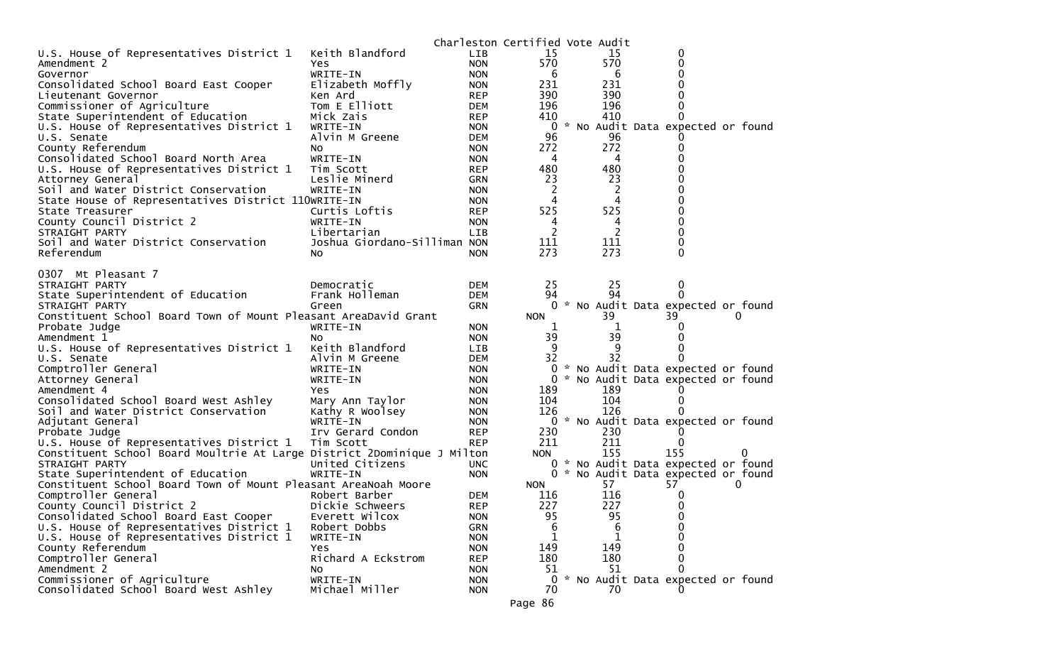|                                                                         |                              |                          | Charleston Certified Vote Audit |                |                                     |   |  |
|-------------------------------------------------------------------------|------------------------------|--------------------------|---------------------------------|----------------|-------------------------------------|---|--|
| U.S. House of Representatives District 1                                | Keith Blandford              | LIB                      | 15                              | 15             | 0                                   |   |  |
| Amendment 2                                                             | Yes                          | <b>NON</b>               | 570                             | 570            |                                     |   |  |
| Governor                                                                | WRITE-IN                     | <b>NON</b>               | 6                               | 6              |                                     |   |  |
| Consolidated School Board East Cooper                                   | Elizabeth Moffly             | <b>NON</b>               | 231                             | 231            |                                     |   |  |
| Lieutenant Governor                                                     | Ken Ard                      | <b>REP</b>               | 390                             | 390            |                                     |   |  |
| Commissioner of Agriculture                                             | Tom E Elliott                | <b>DEM</b>               | 196                             | 196            |                                     |   |  |
| State Superintendent of Education                                       | Mick Zais                    | <b>REP</b>               | 410                             | 410            |                                     |   |  |
| U.S. House of Representatives District 1                                | WRITE-IN                     | <b>NON</b>               | $\mathbf{0}$                    |                | * No Audit Data expected or found   |   |  |
| U.S. Senate                                                             | Alvin M Greene               | <b>DEM</b>               | 96                              | 96             |                                     |   |  |
| County Referendum                                                       | NO.                          | <b>NON</b>               | 272                             | 272            |                                     |   |  |
| Consolidated School Board North Area                                    | WRITE-IN                     | <b>NON</b>               | 4                               | 4              |                                     |   |  |
| U.S. House of Representatives District 1                                | Tim Scott                    | <b>REP</b>               | 480                             | 480            |                                     |   |  |
| Attorney General                                                        | Leslie Minerd                | <b>GRN</b>               | 23                              | 23             |                                     |   |  |
| Soil and Water District Conservation                                    | WRITE-IN                     | <b>NON</b>               | 2                               | 2              |                                     |   |  |
| State House of Representatives District 110WRITE-IN                     |                              | <b>NON</b>               | 4                               | 4              |                                     |   |  |
| State Treasurer                                                         | Curtis Loftis                | <b>REP</b>               | 525                             | 525            |                                     |   |  |
| County Council District 2                                               | WRITE-IN                     | <b>NON</b>               | 4                               | 4              |                                     |   |  |
| STRAIGHT PARTY                                                          | Libertarian                  | LIB                      | 2                               | $\overline{2}$ |                                     |   |  |
| Soil and Water District Conservation                                    | Joshua Giordano-Silliman NON |                          | 111                             | 111            |                                     |   |  |
| Referendum                                                              | No                           | <b>NON</b>               | 273                             | 273            | 0                                   |   |  |
|                                                                         |                              |                          |                                 |                |                                     |   |  |
| 0307 Mt Pleasant 7                                                      |                              |                          |                                 |                |                                     |   |  |
| STRAIGHT PARTY                                                          | Democratic                   | <b>DEM</b>               | 25                              | 25             | 0                                   |   |  |
| State Superintendent of Education                                       | Frank Holleman               | <b>DEM</b>               | 94                              | 94             | $\Omega$                            |   |  |
| STRAIGHT PARTY                                                          | Green                        | <b>GRN</b>               | 0                               |                | * No Audit Data expected or found   |   |  |
| Constituent School Board Town of Mount Pleasant AreaDavid Grant         |                              |                          | <b>NON</b>                      | 39             | 39                                  | Ü |  |
| Probate Judge                                                           | WRITE-IN                     | <b>NON</b>               | 1                               | 1              |                                     |   |  |
| Amendment 1                                                             | NO.                          | <b>NON</b>               | 39<br>9                         | 39             |                                     |   |  |
| U.S. House of Representatives District 1                                | Keith Blandford              | <b>LIB</b>               |                                 | 9<br>32        |                                     |   |  |
| U.S. Senate                                                             | Alvin M Greene               | <b>DEM</b>               | 32<br>0                         |                |                                     |   |  |
| Comptroller General                                                     | WRITE-IN                     | <b>NON</b>               |                                 |                | * No Audit Data expected or found   |   |  |
| Attorney General                                                        | WRITE-IN                     | <b>NON</b>               |                                 |                | 0 * No Audit Data expected or found |   |  |
| Amendment 4                                                             | Yes.                         | <b>NON</b>               | 189<br>104                      | 189<br>104     |                                     |   |  |
| Consolidated School Board West Ashley                                   | Mary Ann Taylor              | <b>NON</b>               | 126                             | 126            |                                     |   |  |
| Soil and Water District Conservation                                    | Kathy R Woolsey<br>WRITE-IN  | <b>NON</b><br><b>NON</b> | 0                               |                | * No Audit Data expected or found   |   |  |
| Adjutant General<br>Probate Judge                                       | Irv Gerard Condon            | <b>REP</b>               | 230                             | 230            |                                     |   |  |
| U.S. House of Representatives District 1                                | Tim Scott                    | <b>REP</b>               | 211                             | 211            | $\Omega$                            |   |  |
| Constituent School Board Moultrie At Large District 2Dominique J Milton |                              |                          | <b>NON</b>                      | 155            | 155                                 |   |  |
| STRAIGHT PARTY                                                          | United Citizens              | <b>UNC</b>               | $\mathbf{0}$                    |                | * No Audit Data expected or found   |   |  |
| State Superintendent of Education                                       | WRITE-IN                     | <b>NON</b>               |                                 |                | 0 * No Audit Data expected or found |   |  |
| Constituent School Board Town of Mount Pleasant AreaNoah Moore          |                              |                          | <b>NON</b>                      | 57             | 57                                  | Ü |  |
| Comptroller General                                                     | Robert Barber                | <b>DEM</b>               | 116                             | 116            | 0                                   |   |  |
| County Council District 2                                               | Dickie Schweers              | <b>REP</b>               | 227                             | 227            | 0                                   |   |  |
| Consolidated School Board East Cooper                                   | Everett Wilcox               | <b>NON</b>               | 95                              | 95             | 0                                   |   |  |
| U.S. House of Representatives District 1                                | Robert Dobbs                 | <b>GRN</b>               | 6                               | 6              | 0                                   |   |  |
| U.S. House of Representatives District 1                                | WRITE-IN                     | <b>NON</b>               | 1                               | 1              | 0                                   |   |  |
| County Referendum                                                       | Yes                          | <b>NON</b>               | 149                             | 149            |                                     |   |  |
| Comptroller General                                                     | Richard A Eckstrom           | <b>REP</b>               | 180                             | 180            |                                     |   |  |
| Amendment 2                                                             | NO.                          | <b>NON</b>               | 51                              | 51             |                                     |   |  |
| Commissioner of Agriculture                                             | WRITE-IN                     | <b>NON</b>               | $\overline{0}$                  |                | * No Audit Data expected or found   |   |  |
| Consolidated School Board West Ashley                                   | Michael Miller               | <b>NON</b>               | 70                              | 70             |                                     |   |  |
|                                                                         |                              |                          | Page 86                         |                |                                     |   |  |
|                                                                         |                              |                          |                                 |                |                                     |   |  |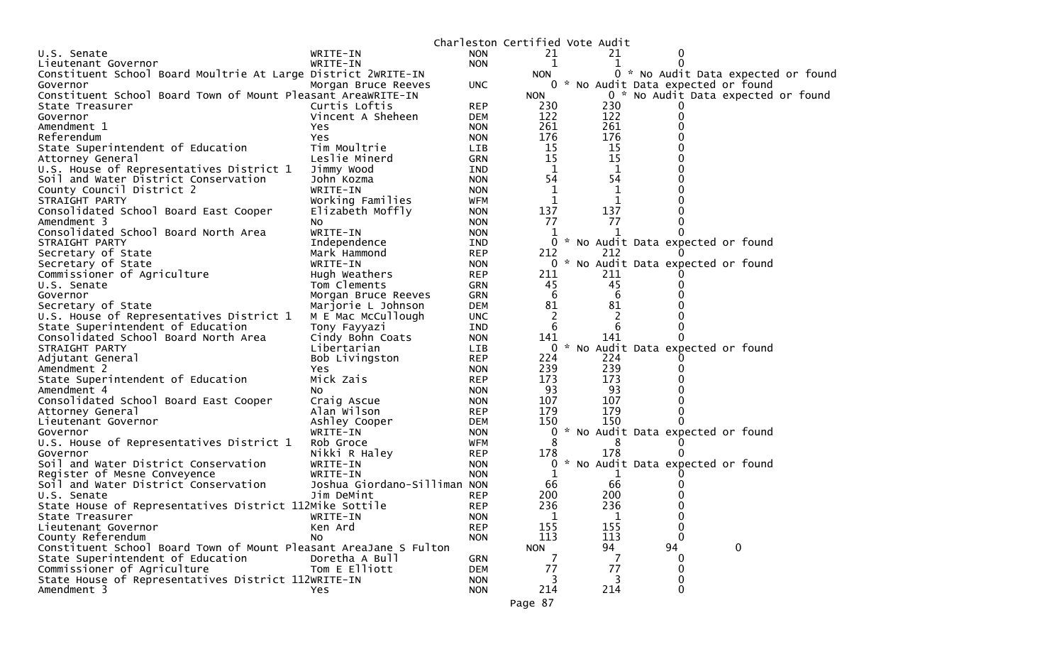| Charleston Certified Vote Audit<br>21<br>21<br>U.S. Senate<br>WRITE-IN<br><b>NON</b><br>WRITE-IN<br><b>NON</b><br>1<br>1<br>0<br>Lieutenant Governor<br>Constituent School Board Moultrie At Large District 2WRITE-IN<br>0 * No Audit Data expected or found<br><b>NON</b><br>0 * No Audit Data expected or found<br>Governor<br>Morgan Bruce Reeves<br>UNC.<br>0 * No Audit Data expected or found<br>Constituent School Board Town of Mount Pleasant AreaWRITE-IN<br><b>NON</b><br>Curtis Loftis<br><b>REP</b><br>230<br>230<br>State Treasurer<br>122<br>122<br>Governor<br>Vincent A Sheheen<br><b>DEM</b><br>261<br>261<br>Amendment 1<br><b>NON</b><br>Yes<br>176<br>176<br>Referendum<br>Yes<br><b>NON</b><br>Tim Moultrie<br>15<br>15<br>State Superintendent of Education<br><b>LIB</b><br>15<br>15<br>Leslie Minerd<br><b>GRN</b><br>Attorney General<br>U.S. House of Representatives District 1<br>Jimmy Wood<br>IND<br>1<br>1<br>54<br>54<br>Soil and Water District Conservation<br>John Kozma<br><b>NON</b><br>$\mathbf 1$<br>$\mathbf 1$<br>County Council District 2<br>WRITE-IN<br><b>NON</b><br>Working Families<br>1<br>1<br>STRAIGHT PARTY<br>WFM<br>137<br>137<br>Consolidated School Board East Cooper<br>Elizabeth Moffly<br><b>NON</b><br>77<br>77<br>Amendment 3<br><b>NON</b><br>No.<br>Consolidated School Board North Area<br>WRITE-IN<br><b>NON</b><br>1<br>0<br>STRAIGHT PARTY<br>Independence<br>* No Audit Data expected or found<br><b>IND</b><br>Secretary of State<br><b>REP</b><br>212<br>212<br>Mark Hammond<br>* No Audit Data expected or found<br>Secretary of State<br>WRITE-IN<br>0<br><b>NON</b><br>211<br>Commissioner of Agriculture<br><b>REP</b><br>211<br>Hugh Weathers<br>45<br>45<br>Tom Clements<br>U.S. Senate<br><b>GRN</b><br>6<br>Governor<br>Morgan Bruce Reeves<br><b>GRN</b><br>6<br>81<br>81<br>Secretary of State<br><b>DEM</b><br>Marjorie L Johnson<br>$\overline{2}$<br>$\overline{c}$<br>U.S. House of Representatives District 1<br>M E Mac McCullough<br><b>UNC</b><br>State Superintendent of Education<br>6<br>6<br>Tony Fayyazi<br>IND<br>141<br>141<br>Consolidated School Board North Area<br>Cindy Bohn Coats<br><b>NON</b><br>* No Audit Data expected or found<br>0<br>STRAIGHT PARTY<br>Libertarian<br><b>LIB</b><br>224<br><b>REP</b><br>224<br>Adjutant General<br>Bob Livingston<br>239<br>239<br>Amendment 2<br><b>NON</b><br>Yes<br>173<br>173<br>Mick Zais<br>State Superintendent of Education<br><b>REP</b><br>93<br>93<br>Amendment 4<br><b>NON</b><br>NO.<br>107<br>107<br>Consolidated School Board East Cooper<br>Craig Ascue<br><b>NON</b><br>179<br>179<br>Alan Wilson<br>Attorney General<br><b>REP</b><br>150<br>150<br>Ashley Cooper<br>Lieutenant Governor<br><b>DEM</b><br>* No Audit Data expected or found<br>WRITE-IN<br>0<br><b>NON</b><br>Governor<br>8<br>U.S. House of Representatives District 1<br>Rob Groce<br>WFM<br>178<br>Nikki R Haley<br>178<br>Governor<br><b>REP</b><br>* No Audit Data expected or found<br>Soil and Water District Conservation<br>WRITE-IN<br><b>NON</b><br>0<br>1<br>Register of Mesne Conveyence<br>WRITE-IN<br><b>NON</b><br>T<br>66<br>Soil and Water District Conservation<br>Joshua Giordano-Silliman NON<br>66<br>200<br>200<br>Jim DeMint<br><b>REP</b><br>U.S. Senate<br>State House of Representatives District 112Mike Sottile<br>236<br>236<br><b>REP</b><br>1<br>1<br>0<br>State Treasurer<br>WRITE-IN<br><b>NON</b><br>155<br>155<br>Lieutenant Governor<br>Ken Ard<br><b>REP</b><br>113<br>113<br>0<br>County Referendum<br>No<br><b>NON</b><br>$\mathbf 0$<br>94<br>Constituent School Board Town of Mount Pleasant AreaJane S Fulton<br>94<br><b>NON</b><br>State Superintendent of Education<br>Doretha A Bull<br><b>GRN</b><br>7<br>77 |                             |               |            |    |  |  |
|----------------------------------------------------------------------------------------------------------------------------------------------------------------------------------------------------------------------------------------------------------------------------------------------------------------------------------------------------------------------------------------------------------------------------------------------------------------------------------------------------------------------------------------------------------------------------------------------------------------------------------------------------------------------------------------------------------------------------------------------------------------------------------------------------------------------------------------------------------------------------------------------------------------------------------------------------------------------------------------------------------------------------------------------------------------------------------------------------------------------------------------------------------------------------------------------------------------------------------------------------------------------------------------------------------------------------------------------------------------------------------------------------------------------------------------------------------------------------------------------------------------------------------------------------------------------------------------------------------------------------------------------------------------------------------------------------------------------------------------------------------------------------------------------------------------------------------------------------------------------------------------------------------------------------------------------------------------------------------------------------------------------------------------------------------------------------------------------------------------------------------------------------------------------------------------------------------------------------------------------------------------------------------------------------------------------------------------------------------------------------------------------------------------------------------------------------------------------------------------------------------------------------------------------------------------------------------------------------------------------------------------------------------------------------------------------------------------------------------------------------------------------------------------------------------------------------------------------------------------------------------------------------------------------------------------------------------------------------------------------------------------------------------------------------------------------------------------------------------------------------------------------------------------------------------------------------------------------------------------------------------------------------------------------------------------------------------------------------------------------------------------------------------------------------------------------------------------------------------------------------------------------------------------------------------------------------------------------------------------------------------------------------------------------------------------------------------------------------------------------------------------------------------------------|-----------------------------|---------------|------------|----|--|--|
|                                                                                                                                                                                                                                                                                                                                                                                                                                                                                                                                                                                                                                                                                                                                                                                                                                                                                                                                                                                                                                                                                                                                                                                                                                                                                                                                                                                                                                                                                                                                                                                                                                                                                                                                                                                                                                                                                                                                                                                                                                                                                                                                                                                                                                                                                                                                                                                                                                                                                                                                                                                                                                                                                                                                                                                                                                                                                                                                                                                                                                                                                                                                                                                                                                                                                                                                                                                                                                                                                                                                                                                                                                                                                                                                                                                              |                             |               |            |    |  |  |
|                                                                                                                                                                                                                                                                                                                                                                                                                                                                                                                                                                                                                                                                                                                                                                                                                                                                                                                                                                                                                                                                                                                                                                                                                                                                                                                                                                                                                                                                                                                                                                                                                                                                                                                                                                                                                                                                                                                                                                                                                                                                                                                                                                                                                                                                                                                                                                                                                                                                                                                                                                                                                                                                                                                                                                                                                                                                                                                                                                                                                                                                                                                                                                                                                                                                                                                                                                                                                                                                                                                                                                                                                                                                                                                                                                                              |                             |               |            |    |  |  |
|                                                                                                                                                                                                                                                                                                                                                                                                                                                                                                                                                                                                                                                                                                                                                                                                                                                                                                                                                                                                                                                                                                                                                                                                                                                                                                                                                                                                                                                                                                                                                                                                                                                                                                                                                                                                                                                                                                                                                                                                                                                                                                                                                                                                                                                                                                                                                                                                                                                                                                                                                                                                                                                                                                                                                                                                                                                                                                                                                                                                                                                                                                                                                                                                                                                                                                                                                                                                                                                                                                                                                                                                                                                                                                                                                                                              |                             |               |            |    |  |  |
|                                                                                                                                                                                                                                                                                                                                                                                                                                                                                                                                                                                                                                                                                                                                                                                                                                                                                                                                                                                                                                                                                                                                                                                                                                                                                                                                                                                                                                                                                                                                                                                                                                                                                                                                                                                                                                                                                                                                                                                                                                                                                                                                                                                                                                                                                                                                                                                                                                                                                                                                                                                                                                                                                                                                                                                                                                                                                                                                                                                                                                                                                                                                                                                                                                                                                                                                                                                                                                                                                                                                                                                                                                                                                                                                                                                              |                             |               |            |    |  |  |
|                                                                                                                                                                                                                                                                                                                                                                                                                                                                                                                                                                                                                                                                                                                                                                                                                                                                                                                                                                                                                                                                                                                                                                                                                                                                                                                                                                                                                                                                                                                                                                                                                                                                                                                                                                                                                                                                                                                                                                                                                                                                                                                                                                                                                                                                                                                                                                                                                                                                                                                                                                                                                                                                                                                                                                                                                                                                                                                                                                                                                                                                                                                                                                                                                                                                                                                                                                                                                                                                                                                                                                                                                                                                                                                                                                                              |                             |               |            |    |  |  |
|                                                                                                                                                                                                                                                                                                                                                                                                                                                                                                                                                                                                                                                                                                                                                                                                                                                                                                                                                                                                                                                                                                                                                                                                                                                                                                                                                                                                                                                                                                                                                                                                                                                                                                                                                                                                                                                                                                                                                                                                                                                                                                                                                                                                                                                                                                                                                                                                                                                                                                                                                                                                                                                                                                                                                                                                                                                                                                                                                                                                                                                                                                                                                                                                                                                                                                                                                                                                                                                                                                                                                                                                                                                                                                                                                                                              |                             |               |            |    |  |  |
|                                                                                                                                                                                                                                                                                                                                                                                                                                                                                                                                                                                                                                                                                                                                                                                                                                                                                                                                                                                                                                                                                                                                                                                                                                                                                                                                                                                                                                                                                                                                                                                                                                                                                                                                                                                                                                                                                                                                                                                                                                                                                                                                                                                                                                                                                                                                                                                                                                                                                                                                                                                                                                                                                                                                                                                                                                                                                                                                                                                                                                                                                                                                                                                                                                                                                                                                                                                                                                                                                                                                                                                                                                                                                                                                                                                              |                             |               |            |    |  |  |
|                                                                                                                                                                                                                                                                                                                                                                                                                                                                                                                                                                                                                                                                                                                                                                                                                                                                                                                                                                                                                                                                                                                                                                                                                                                                                                                                                                                                                                                                                                                                                                                                                                                                                                                                                                                                                                                                                                                                                                                                                                                                                                                                                                                                                                                                                                                                                                                                                                                                                                                                                                                                                                                                                                                                                                                                                                                                                                                                                                                                                                                                                                                                                                                                                                                                                                                                                                                                                                                                                                                                                                                                                                                                                                                                                                                              |                             |               |            |    |  |  |
|                                                                                                                                                                                                                                                                                                                                                                                                                                                                                                                                                                                                                                                                                                                                                                                                                                                                                                                                                                                                                                                                                                                                                                                                                                                                                                                                                                                                                                                                                                                                                                                                                                                                                                                                                                                                                                                                                                                                                                                                                                                                                                                                                                                                                                                                                                                                                                                                                                                                                                                                                                                                                                                                                                                                                                                                                                                                                                                                                                                                                                                                                                                                                                                                                                                                                                                                                                                                                                                                                                                                                                                                                                                                                                                                                                                              |                             |               |            |    |  |  |
|                                                                                                                                                                                                                                                                                                                                                                                                                                                                                                                                                                                                                                                                                                                                                                                                                                                                                                                                                                                                                                                                                                                                                                                                                                                                                                                                                                                                                                                                                                                                                                                                                                                                                                                                                                                                                                                                                                                                                                                                                                                                                                                                                                                                                                                                                                                                                                                                                                                                                                                                                                                                                                                                                                                                                                                                                                                                                                                                                                                                                                                                                                                                                                                                                                                                                                                                                                                                                                                                                                                                                                                                                                                                                                                                                                                              |                             |               |            |    |  |  |
|                                                                                                                                                                                                                                                                                                                                                                                                                                                                                                                                                                                                                                                                                                                                                                                                                                                                                                                                                                                                                                                                                                                                                                                                                                                                                                                                                                                                                                                                                                                                                                                                                                                                                                                                                                                                                                                                                                                                                                                                                                                                                                                                                                                                                                                                                                                                                                                                                                                                                                                                                                                                                                                                                                                                                                                                                                                                                                                                                                                                                                                                                                                                                                                                                                                                                                                                                                                                                                                                                                                                                                                                                                                                                                                                                                                              |                             |               |            |    |  |  |
|                                                                                                                                                                                                                                                                                                                                                                                                                                                                                                                                                                                                                                                                                                                                                                                                                                                                                                                                                                                                                                                                                                                                                                                                                                                                                                                                                                                                                                                                                                                                                                                                                                                                                                                                                                                                                                                                                                                                                                                                                                                                                                                                                                                                                                                                                                                                                                                                                                                                                                                                                                                                                                                                                                                                                                                                                                                                                                                                                                                                                                                                                                                                                                                                                                                                                                                                                                                                                                                                                                                                                                                                                                                                                                                                                                                              |                             |               |            |    |  |  |
|                                                                                                                                                                                                                                                                                                                                                                                                                                                                                                                                                                                                                                                                                                                                                                                                                                                                                                                                                                                                                                                                                                                                                                                                                                                                                                                                                                                                                                                                                                                                                                                                                                                                                                                                                                                                                                                                                                                                                                                                                                                                                                                                                                                                                                                                                                                                                                                                                                                                                                                                                                                                                                                                                                                                                                                                                                                                                                                                                                                                                                                                                                                                                                                                                                                                                                                                                                                                                                                                                                                                                                                                                                                                                                                                                                                              |                             |               |            |    |  |  |
|                                                                                                                                                                                                                                                                                                                                                                                                                                                                                                                                                                                                                                                                                                                                                                                                                                                                                                                                                                                                                                                                                                                                                                                                                                                                                                                                                                                                                                                                                                                                                                                                                                                                                                                                                                                                                                                                                                                                                                                                                                                                                                                                                                                                                                                                                                                                                                                                                                                                                                                                                                                                                                                                                                                                                                                                                                                                                                                                                                                                                                                                                                                                                                                                                                                                                                                                                                                                                                                                                                                                                                                                                                                                                                                                                                                              |                             |               |            |    |  |  |
|                                                                                                                                                                                                                                                                                                                                                                                                                                                                                                                                                                                                                                                                                                                                                                                                                                                                                                                                                                                                                                                                                                                                                                                                                                                                                                                                                                                                                                                                                                                                                                                                                                                                                                                                                                                                                                                                                                                                                                                                                                                                                                                                                                                                                                                                                                                                                                                                                                                                                                                                                                                                                                                                                                                                                                                                                                                                                                                                                                                                                                                                                                                                                                                                                                                                                                                                                                                                                                                                                                                                                                                                                                                                                                                                                                                              |                             |               |            |    |  |  |
|                                                                                                                                                                                                                                                                                                                                                                                                                                                                                                                                                                                                                                                                                                                                                                                                                                                                                                                                                                                                                                                                                                                                                                                                                                                                                                                                                                                                                                                                                                                                                                                                                                                                                                                                                                                                                                                                                                                                                                                                                                                                                                                                                                                                                                                                                                                                                                                                                                                                                                                                                                                                                                                                                                                                                                                                                                                                                                                                                                                                                                                                                                                                                                                                                                                                                                                                                                                                                                                                                                                                                                                                                                                                                                                                                                                              |                             |               |            |    |  |  |
|                                                                                                                                                                                                                                                                                                                                                                                                                                                                                                                                                                                                                                                                                                                                                                                                                                                                                                                                                                                                                                                                                                                                                                                                                                                                                                                                                                                                                                                                                                                                                                                                                                                                                                                                                                                                                                                                                                                                                                                                                                                                                                                                                                                                                                                                                                                                                                                                                                                                                                                                                                                                                                                                                                                                                                                                                                                                                                                                                                                                                                                                                                                                                                                                                                                                                                                                                                                                                                                                                                                                                                                                                                                                                                                                                                                              |                             |               |            |    |  |  |
|                                                                                                                                                                                                                                                                                                                                                                                                                                                                                                                                                                                                                                                                                                                                                                                                                                                                                                                                                                                                                                                                                                                                                                                                                                                                                                                                                                                                                                                                                                                                                                                                                                                                                                                                                                                                                                                                                                                                                                                                                                                                                                                                                                                                                                                                                                                                                                                                                                                                                                                                                                                                                                                                                                                                                                                                                                                                                                                                                                                                                                                                                                                                                                                                                                                                                                                                                                                                                                                                                                                                                                                                                                                                                                                                                                                              |                             |               |            |    |  |  |
|                                                                                                                                                                                                                                                                                                                                                                                                                                                                                                                                                                                                                                                                                                                                                                                                                                                                                                                                                                                                                                                                                                                                                                                                                                                                                                                                                                                                                                                                                                                                                                                                                                                                                                                                                                                                                                                                                                                                                                                                                                                                                                                                                                                                                                                                                                                                                                                                                                                                                                                                                                                                                                                                                                                                                                                                                                                                                                                                                                                                                                                                                                                                                                                                                                                                                                                                                                                                                                                                                                                                                                                                                                                                                                                                                                                              |                             |               |            |    |  |  |
|                                                                                                                                                                                                                                                                                                                                                                                                                                                                                                                                                                                                                                                                                                                                                                                                                                                                                                                                                                                                                                                                                                                                                                                                                                                                                                                                                                                                                                                                                                                                                                                                                                                                                                                                                                                                                                                                                                                                                                                                                                                                                                                                                                                                                                                                                                                                                                                                                                                                                                                                                                                                                                                                                                                                                                                                                                                                                                                                                                                                                                                                                                                                                                                                                                                                                                                                                                                                                                                                                                                                                                                                                                                                                                                                                                                              |                             |               |            |    |  |  |
|                                                                                                                                                                                                                                                                                                                                                                                                                                                                                                                                                                                                                                                                                                                                                                                                                                                                                                                                                                                                                                                                                                                                                                                                                                                                                                                                                                                                                                                                                                                                                                                                                                                                                                                                                                                                                                                                                                                                                                                                                                                                                                                                                                                                                                                                                                                                                                                                                                                                                                                                                                                                                                                                                                                                                                                                                                                                                                                                                                                                                                                                                                                                                                                                                                                                                                                                                                                                                                                                                                                                                                                                                                                                                                                                                                                              |                             |               |            |    |  |  |
|                                                                                                                                                                                                                                                                                                                                                                                                                                                                                                                                                                                                                                                                                                                                                                                                                                                                                                                                                                                                                                                                                                                                                                                                                                                                                                                                                                                                                                                                                                                                                                                                                                                                                                                                                                                                                                                                                                                                                                                                                                                                                                                                                                                                                                                                                                                                                                                                                                                                                                                                                                                                                                                                                                                                                                                                                                                                                                                                                                                                                                                                                                                                                                                                                                                                                                                                                                                                                                                                                                                                                                                                                                                                                                                                                                                              |                             |               |            |    |  |  |
|                                                                                                                                                                                                                                                                                                                                                                                                                                                                                                                                                                                                                                                                                                                                                                                                                                                                                                                                                                                                                                                                                                                                                                                                                                                                                                                                                                                                                                                                                                                                                                                                                                                                                                                                                                                                                                                                                                                                                                                                                                                                                                                                                                                                                                                                                                                                                                                                                                                                                                                                                                                                                                                                                                                                                                                                                                                                                                                                                                                                                                                                                                                                                                                                                                                                                                                                                                                                                                                                                                                                                                                                                                                                                                                                                                                              |                             |               |            |    |  |  |
|                                                                                                                                                                                                                                                                                                                                                                                                                                                                                                                                                                                                                                                                                                                                                                                                                                                                                                                                                                                                                                                                                                                                                                                                                                                                                                                                                                                                                                                                                                                                                                                                                                                                                                                                                                                                                                                                                                                                                                                                                                                                                                                                                                                                                                                                                                                                                                                                                                                                                                                                                                                                                                                                                                                                                                                                                                                                                                                                                                                                                                                                                                                                                                                                                                                                                                                                                                                                                                                                                                                                                                                                                                                                                                                                                                                              |                             |               |            |    |  |  |
|                                                                                                                                                                                                                                                                                                                                                                                                                                                                                                                                                                                                                                                                                                                                                                                                                                                                                                                                                                                                                                                                                                                                                                                                                                                                                                                                                                                                                                                                                                                                                                                                                                                                                                                                                                                                                                                                                                                                                                                                                                                                                                                                                                                                                                                                                                                                                                                                                                                                                                                                                                                                                                                                                                                                                                                                                                                                                                                                                                                                                                                                                                                                                                                                                                                                                                                                                                                                                                                                                                                                                                                                                                                                                                                                                                                              |                             |               |            |    |  |  |
|                                                                                                                                                                                                                                                                                                                                                                                                                                                                                                                                                                                                                                                                                                                                                                                                                                                                                                                                                                                                                                                                                                                                                                                                                                                                                                                                                                                                                                                                                                                                                                                                                                                                                                                                                                                                                                                                                                                                                                                                                                                                                                                                                                                                                                                                                                                                                                                                                                                                                                                                                                                                                                                                                                                                                                                                                                                                                                                                                                                                                                                                                                                                                                                                                                                                                                                                                                                                                                                                                                                                                                                                                                                                                                                                                                                              |                             |               |            |    |  |  |
|                                                                                                                                                                                                                                                                                                                                                                                                                                                                                                                                                                                                                                                                                                                                                                                                                                                                                                                                                                                                                                                                                                                                                                                                                                                                                                                                                                                                                                                                                                                                                                                                                                                                                                                                                                                                                                                                                                                                                                                                                                                                                                                                                                                                                                                                                                                                                                                                                                                                                                                                                                                                                                                                                                                                                                                                                                                                                                                                                                                                                                                                                                                                                                                                                                                                                                                                                                                                                                                                                                                                                                                                                                                                                                                                                                                              |                             |               |            |    |  |  |
|                                                                                                                                                                                                                                                                                                                                                                                                                                                                                                                                                                                                                                                                                                                                                                                                                                                                                                                                                                                                                                                                                                                                                                                                                                                                                                                                                                                                                                                                                                                                                                                                                                                                                                                                                                                                                                                                                                                                                                                                                                                                                                                                                                                                                                                                                                                                                                                                                                                                                                                                                                                                                                                                                                                                                                                                                                                                                                                                                                                                                                                                                                                                                                                                                                                                                                                                                                                                                                                                                                                                                                                                                                                                                                                                                                                              |                             |               |            |    |  |  |
|                                                                                                                                                                                                                                                                                                                                                                                                                                                                                                                                                                                                                                                                                                                                                                                                                                                                                                                                                                                                                                                                                                                                                                                                                                                                                                                                                                                                                                                                                                                                                                                                                                                                                                                                                                                                                                                                                                                                                                                                                                                                                                                                                                                                                                                                                                                                                                                                                                                                                                                                                                                                                                                                                                                                                                                                                                                                                                                                                                                                                                                                                                                                                                                                                                                                                                                                                                                                                                                                                                                                                                                                                                                                                                                                                                                              |                             |               |            |    |  |  |
|                                                                                                                                                                                                                                                                                                                                                                                                                                                                                                                                                                                                                                                                                                                                                                                                                                                                                                                                                                                                                                                                                                                                                                                                                                                                                                                                                                                                                                                                                                                                                                                                                                                                                                                                                                                                                                                                                                                                                                                                                                                                                                                                                                                                                                                                                                                                                                                                                                                                                                                                                                                                                                                                                                                                                                                                                                                                                                                                                                                                                                                                                                                                                                                                                                                                                                                                                                                                                                                                                                                                                                                                                                                                                                                                                                                              |                             |               |            |    |  |  |
|                                                                                                                                                                                                                                                                                                                                                                                                                                                                                                                                                                                                                                                                                                                                                                                                                                                                                                                                                                                                                                                                                                                                                                                                                                                                                                                                                                                                                                                                                                                                                                                                                                                                                                                                                                                                                                                                                                                                                                                                                                                                                                                                                                                                                                                                                                                                                                                                                                                                                                                                                                                                                                                                                                                                                                                                                                                                                                                                                                                                                                                                                                                                                                                                                                                                                                                                                                                                                                                                                                                                                                                                                                                                                                                                                                                              |                             |               |            |    |  |  |
|                                                                                                                                                                                                                                                                                                                                                                                                                                                                                                                                                                                                                                                                                                                                                                                                                                                                                                                                                                                                                                                                                                                                                                                                                                                                                                                                                                                                                                                                                                                                                                                                                                                                                                                                                                                                                                                                                                                                                                                                                                                                                                                                                                                                                                                                                                                                                                                                                                                                                                                                                                                                                                                                                                                                                                                                                                                                                                                                                                                                                                                                                                                                                                                                                                                                                                                                                                                                                                                                                                                                                                                                                                                                                                                                                                                              |                             |               |            |    |  |  |
|                                                                                                                                                                                                                                                                                                                                                                                                                                                                                                                                                                                                                                                                                                                                                                                                                                                                                                                                                                                                                                                                                                                                                                                                                                                                                                                                                                                                                                                                                                                                                                                                                                                                                                                                                                                                                                                                                                                                                                                                                                                                                                                                                                                                                                                                                                                                                                                                                                                                                                                                                                                                                                                                                                                                                                                                                                                                                                                                                                                                                                                                                                                                                                                                                                                                                                                                                                                                                                                                                                                                                                                                                                                                                                                                                                                              |                             |               |            |    |  |  |
|                                                                                                                                                                                                                                                                                                                                                                                                                                                                                                                                                                                                                                                                                                                                                                                                                                                                                                                                                                                                                                                                                                                                                                                                                                                                                                                                                                                                                                                                                                                                                                                                                                                                                                                                                                                                                                                                                                                                                                                                                                                                                                                                                                                                                                                                                                                                                                                                                                                                                                                                                                                                                                                                                                                                                                                                                                                                                                                                                                                                                                                                                                                                                                                                                                                                                                                                                                                                                                                                                                                                                                                                                                                                                                                                                                                              |                             |               |            |    |  |  |
|                                                                                                                                                                                                                                                                                                                                                                                                                                                                                                                                                                                                                                                                                                                                                                                                                                                                                                                                                                                                                                                                                                                                                                                                                                                                                                                                                                                                                                                                                                                                                                                                                                                                                                                                                                                                                                                                                                                                                                                                                                                                                                                                                                                                                                                                                                                                                                                                                                                                                                                                                                                                                                                                                                                                                                                                                                                                                                                                                                                                                                                                                                                                                                                                                                                                                                                                                                                                                                                                                                                                                                                                                                                                                                                                                                                              |                             |               |            |    |  |  |
|                                                                                                                                                                                                                                                                                                                                                                                                                                                                                                                                                                                                                                                                                                                                                                                                                                                                                                                                                                                                                                                                                                                                                                                                                                                                                                                                                                                                                                                                                                                                                                                                                                                                                                                                                                                                                                                                                                                                                                                                                                                                                                                                                                                                                                                                                                                                                                                                                                                                                                                                                                                                                                                                                                                                                                                                                                                                                                                                                                                                                                                                                                                                                                                                                                                                                                                                                                                                                                                                                                                                                                                                                                                                                                                                                                                              |                             |               |            |    |  |  |
|                                                                                                                                                                                                                                                                                                                                                                                                                                                                                                                                                                                                                                                                                                                                                                                                                                                                                                                                                                                                                                                                                                                                                                                                                                                                                                                                                                                                                                                                                                                                                                                                                                                                                                                                                                                                                                                                                                                                                                                                                                                                                                                                                                                                                                                                                                                                                                                                                                                                                                                                                                                                                                                                                                                                                                                                                                                                                                                                                                                                                                                                                                                                                                                                                                                                                                                                                                                                                                                                                                                                                                                                                                                                                                                                                                                              |                             |               |            |    |  |  |
|                                                                                                                                                                                                                                                                                                                                                                                                                                                                                                                                                                                                                                                                                                                                                                                                                                                                                                                                                                                                                                                                                                                                                                                                                                                                                                                                                                                                                                                                                                                                                                                                                                                                                                                                                                                                                                                                                                                                                                                                                                                                                                                                                                                                                                                                                                                                                                                                                                                                                                                                                                                                                                                                                                                                                                                                                                                                                                                                                                                                                                                                                                                                                                                                                                                                                                                                                                                                                                                                                                                                                                                                                                                                                                                                                                                              |                             |               |            |    |  |  |
|                                                                                                                                                                                                                                                                                                                                                                                                                                                                                                                                                                                                                                                                                                                                                                                                                                                                                                                                                                                                                                                                                                                                                                                                                                                                                                                                                                                                                                                                                                                                                                                                                                                                                                                                                                                                                                                                                                                                                                                                                                                                                                                                                                                                                                                                                                                                                                                                                                                                                                                                                                                                                                                                                                                                                                                                                                                                                                                                                                                                                                                                                                                                                                                                                                                                                                                                                                                                                                                                                                                                                                                                                                                                                                                                                                                              |                             |               |            |    |  |  |
|                                                                                                                                                                                                                                                                                                                                                                                                                                                                                                                                                                                                                                                                                                                                                                                                                                                                                                                                                                                                                                                                                                                                                                                                                                                                                                                                                                                                                                                                                                                                                                                                                                                                                                                                                                                                                                                                                                                                                                                                                                                                                                                                                                                                                                                                                                                                                                                                                                                                                                                                                                                                                                                                                                                                                                                                                                                                                                                                                                                                                                                                                                                                                                                                                                                                                                                                                                                                                                                                                                                                                                                                                                                                                                                                                                                              |                             |               |            |    |  |  |
|                                                                                                                                                                                                                                                                                                                                                                                                                                                                                                                                                                                                                                                                                                                                                                                                                                                                                                                                                                                                                                                                                                                                                                                                                                                                                                                                                                                                                                                                                                                                                                                                                                                                                                                                                                                                                                                                                                                                                                                                                                                                                                                                                                                                                                                                                                                                                                                                                                                                                                                                                                                                                                                                                                                                                                                                                                                                                                                                                                                                                                                                                                                                                                                                                                                                                                                                                                                                                                                                                                                                                                                                                                                                                                                                                                                              |                             |               |            |    |  |  |
|                                                                                                                                                                                                                                                                                                                                                                                                                                                                                                                                                                                                                                                                                                                                                                                                                                                                                                                                                                                                                                                                                                                                                                                                                                                                                                                                                                                                                                                                                                                                                                                                                                                                                                                                                                                                                                                                                                                                                                                                                                                                                                                                                                                                                                                                                                                                                                                                                                                                                                                                                                                                                                                                                                                                                                                                                                                                                                                                                                                                                                                                                                                                                                                                                                                                                                                                                                                                                                                                                                                                                                                                                                                                                                                                                                                              |                             |               |            |    |  |  |
|                                                                                                                                                                                                                                                                                                                                                                                                                                                                                                                                                                                                                                                                                                                                                                                                                                                                                                                                                                                                                                                                                                                                                                                                                                                                                                                                                                                                                                                                                                                                                                                                                                                                                                                                                                                                                                                                                                                                                                                                                                                                                                                                                                                                                                                                                                                                                                                                                                                                                                                                                                                                                                                                                                                                                                                                                                                                                                                                                                                                                                                                                                                                                                                                                                                                                                                                                                                                                                                                                                                                                                                                                                                                                                                                                                                              |                             |               |            |    |  |  |
|                                                                                                                                                                                                                                                                                                                                                                                                                                                                                                                                                                                                                                                                                                                                                                                                                                                                                                                                                                                                                                                                                                                                                                                                                                                                                                                                                                                                                                                                                                                                                                                                                                                                                                                                                                                                                                                                                                                                                                                                                                                                                                                                                                                                                                                                                                                                                                                                                                                                                                                                                                                                                                                                                                                                                                                                                                                                                                                                                                                                                                                                                                                                                                                                                                                                                                                                                                                                                                                                                                                                                                                                                                                                                                                                                                                              |                             |               |            |    |  |  |
|                                                                                                                                                                                                                                                                                                                                                                                                                                                                                                                                                                                                                                                                                                                                                                                                                                                                                                                                                                                                                                                                                                                                                                                                                                                                                                                                                                                                                                                                                                                                                                                                                                                                                                                                                                                                                                                                                                                                                                                                                                                                                                                                                                                                                                                                                                                                                                                                                                                                                                                                                                                                                                                                                                                                                                                                                                                                                                                                                                                                                                                                                                                                                                                                                                                                                                                                                                                                                                                                                                                                                                                                                                                                                                                                                                                              |                             |               |            |    |  |  |
|                                                                                                                                                                                                                                                                                                                                                                                                                                                                                                                                                                                                                                                                                                                                                                                                                                                                                                                                                                                                                                                                                                                                                                                                                                                                                                                                                                                                                                                                                                                                                                                                                                                                                                                                                                                                                                                                                                                                                                                                                                                                                                                                                                                                                                                                                                                                                                                                                                                                                                                                                                                                                                                                                                                                                                                                                                                                                                                                                                                                                                                                                                                                                                                                                                                                                                                                                                                                                                                                                                                                                                                                                                                                                                                                                                                              |                             |               |            |    |  |  |
|                                                                                                                                                                                                                                                                                                                                                                                                                                                                                                                                                                                                                                                                                                                                                                                                                                                                                                                                                                                                                                                                                                                                                                                                                                                                                                                                                                                                                                                                                                                                                                                                                                                                                                                                                                                                                                                                                                                                                                                                                                                                                                                                                                                                                                                                                                                                                                                                                                                                                                                                                                                                                                                                                                                                                                                                                                                                                                                                                                                                                                                                                                                                                                                                                                                                                                                                                                                                                                                                                                                                                                                                                                                                                                                                                                                              |                             |               |            |    |  |  |
|                                                                                                                                                                                                                                                                                                                                                                                                                                                                                                                                                                                                                                                                                                                                                                                                                                                                                                                                                                                                                                                                                                                                                                                                                                                                                                                                                                                                                                                                                                                                                                                                                                                                                                                                                                                                                                                                                                                                                                                                                                                                                                                                                                                                                                                                                                                                                                                                                                                                                                                                                                                                                                                                                                                                                                                                                                                                                                                                                                                                                                                                                                                                                                                                                                                                                                                                                                                                                                                                                                                                                                                                                                                                                                                                                                                              |                             |               |            |    |  |  |
|                                                                                                                                                                                                                                                                                                                                                                                                                                                                                                                                                                                                                                                                                                                                                                                                                                                                                                                                                                                                                                                                                                                                                                                                                                                                                                                                                                                                                                                                                                                                                                                                                                                                                                                                                                                                                                                                                                                                                                                                                                                                                                                                                                                                                                                                                                                                                                                                                                                                                                                                                                                                                                                                                                                                                                                                                                                                                                                                                                                                                                                                                                                                                                                                                                                                                                                                                                                                                                                                                                                                                                                                                                                                                                                                                                                              |                             |               |            |    |  |  |
|                                                                                                                                                                                                                                                                                                                                                                                                                                                                                                                                                                                                                                                                                                                                                                                                                                                                                                                                                                                                                                                                                                                                                                                                                                                                                                                                                                                                                                                                                                                                                                                                                                                                                                                                                                                                                                                                                                                                                                                                                                                                                                                                                                                                                                                                                                                                                                                                                                                                                                                                                                                                                                                                                                                                                                                                                                                                                                                                                                                                                                                                                                                                                                                                                                                                                                                                                                                                                                                                                                                                                                                                                                                                                                                                                                                              | Commissioner of Agriculture | Tom E Elliott | <b>DEM</b> | 77 |  |  |
| State House of Representatives District 112WRITE-IN<br>3<br>3<br><b>NON</b>                                                                                                                                                                                                                                                                                                                                                                                                                                                                                                                                                                                                                                                                                                                                                                                                                                                                                                                                                                                                                                                                                                                                                                                                                                                                                                                                                                                                                                                                                                                                                                                                                                                                                                                                                                                                                                                                                                                                                                                                                                                                                                                                                                                                                                                                                                                                                                                                                                                                                                                                                                                                                                                                                                                                                                                                                                                                                                                                                                                                                                                                                                                                                                                                                                                                                                                                                                                                                                                                                                                                                                                                                                                                                                                  |                             |               |            |    |  |  |
| Amendment 3<br>214<br>214<br>$\Omega$<br>Yes<br><b>NON</b>                                                                                                                                                                                                                                                                                                                                                                                                                                                                                                                                                                                                                                                                                                                                                                                                                                                                                                                                                                                                                                                                                                                                                                                                                                                                                                                                                                                                                                                                                                                                                                                                                                                                                                                                                                                                                                                                                                                                                                                                                                                                                                                                                                                                                                                                                                                                                                                                                                                                                                                                                                                                                                                                                                                                                                                                                                                                                                                                                                                                                                                                                                                                                                                                                                                                                                                                                                                                                                                                                                                                                                                                                                                                                                                                   |                             |               |            |    |  |  |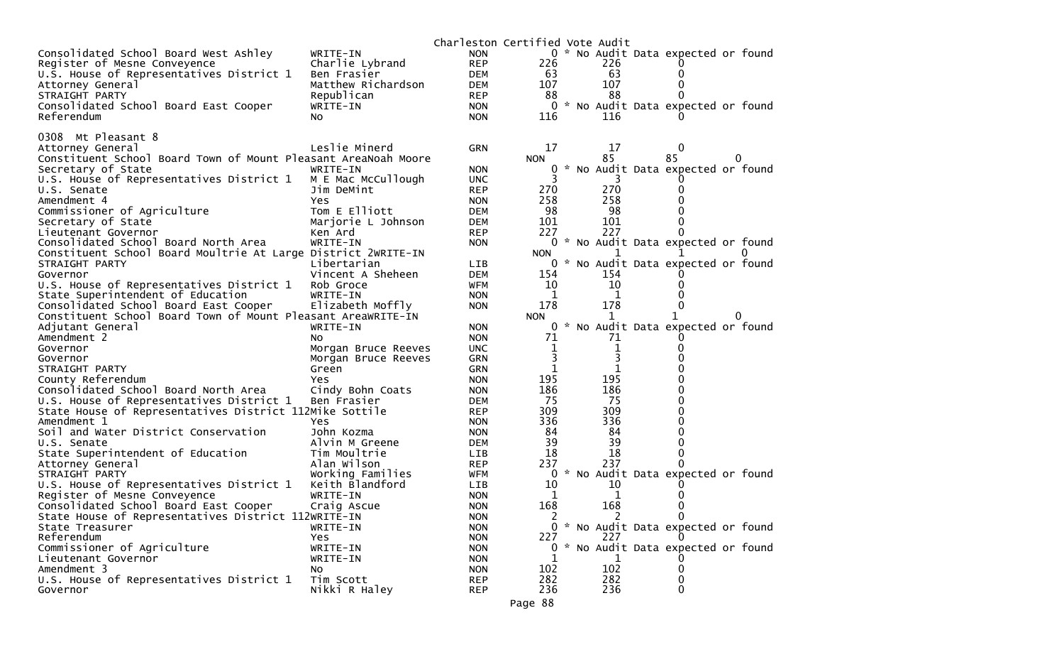|                                                                |                          | Charleston Certified Vote Audit |               |            |                                     |          |  |
|----------------------------------------------------------------|--------------------------|---------------------------------|---------------|------------|-------------------------------------|----------|--|
| Consolidated School Board West Ashley                          | WRITE-IN                 | <b>NON</b>                      |               |            | 0 * No Audit Data expected or found |          |  |
| Register of Mesne Conveyence                                   | Charlie Lybrand          | <b>REP</b>                      | 226           | 226        |                                     |          |  |
| U.S. House of Representatives District 1                       | Ben Frasier              | DEM                             | 63            | 63         | 0                                   |          |  |
| Attorney General                                               | Matthew Richardson       | DEM                             | 107           | 107        | 0                                   |          |  |
| STRAIGHT PARTY                                                 | Republican               | <b>REP</b>                      | 88            | 88         | 0                                   |          |  |
| Consolidated School Board East Cooper                          | WRITE-IN                 | <b>NON</b>                      | 0             |            | * No Audit Data expected or found   |          |  |
| Referendum                                                     | No.                      | <b>NON</b>                      | 116           | 116        |                                     |          |  |
| 0308 Mt Pleasant 8                                             |                          |                                 |               |            |                                     |          |  |
| Attorney General                                               | Leslie Minerd            | <b>GRN</b>                      | 17            | 17         | 0                                   |          |  |
| Constituent School Board Town of Mount Pleasant AreaNoah Moore |                          |                                 | <b>NON</b>    | 85         | 85                                  | 0        |  |
| Secretary of State                                             | WRITE-IN                 | <b>NON</b>                      |               |            | * No Audit Data expected or found   |          |  |
| U.S. House of Representatives District 1                       | M E Mac McCullough       | <b>UNC</b>                      |               |            |                                     |          |  |
| U.S. Senate                                                    | Jim DeMint               | <b>REP</b>                      | 270           | 270        |                                     |          |  |
| Amendment 4                                                    | Yes                      | <b>NON</b>                      | 258           | 258        |                                     |          |  |
| Commissioner of Agriculture                                    | Tom E Elliott            | <b>DEM</b>                      | 98            | 98         |                                     |          |  |
| Secretary of State                                             | Marjorie L Johnson       | <b>DEM</b>                      | 101           | 101        | 0                                   |          |  |
| Lieutenant Governor                                            | Ken Ard                  | <b>REP</b>                      | 227           | 227        | 0                                   |          |  |
| Consolidated School Board North Area                           | WRITE-IN                 | <b>NON</b>                      |               |            | 0 * No Audit Data expected or found |          |  |
| Constituent School Board Moultrie At Large District 2WRITE-IN  |                          |                                 | <b>NON</b>    | 1          | T.                                  |          |  |
| STRAIGHT PARTY                                                 | Libertarian              | <b>LIB</b>                      |               |            | 0 * No Audit Data expected or found |          |  |
| Governor                                                       | Vincent A Sheheen        | <b>DEM</b>                      | 154           | 154        |                                     |          |  |
| U.S. House of Representatives District 1                       | Rob Groce                | WFM                             | 10            | 10         |                                     |          |  |
| State Superintendent of Education                              | WRITE-IN                 | <b>NON</b>                      | 1             | 1          |                                     |          |  |
| Consolidated School Board East Cooper                          | Elizabeth Moffly         | <b>NON</b>                      | 178           | 178        | 0                                   |          |  |
| Constituent School Board Town of Mount Pleasant AreaWRITE-IN   |                          |                                 | <b>NON</b>    | 1          |                                     | $\Omega$ |  |
| Adjutant General                                               | WRITE-IN                 | <b>NON</b>                      | 0             |            | * No Audit Data expected or found   |          |  |
| Amendment 2                                                    | NO.                      | <b>NON</b>                      | 71            | 71         |                                     |          |  |
| Governor                                                       | Morgan Bruce Reeves      | <b>UNC</b>                      | 1             | 1          | 0                                   |          |  |
| Governor                                                       | Morgan Bruce Reeves      | <b>GRN</b>                      | $\mathbf{1}$  | 1          |                                     |          |  |
| STRAIGHT PARTY<br>County Referendum                            | Green                    | <b>GRN</b><br><b>NON</b>        | 195           | 195        |                                     |          |  |
| Consolidated School Board North Area                           | Yes.<br>Cindy Bohn Coats | <b>NON</b>                      | 186           | 186        | 0                                   |          |  |
| U.S. House of Representatives District 1                       | Ben Frasier              | <b>DEM</b>                      | 75            | -75        | o                                   |          |  |
| State House of Representatives District 112Mike Sottile        |                          | <b>REP</b>                      | 309           | 309        | 0                                   |          |  |
| Amendment 1                                                    | Yes                      | <b>NON</b>                      | 336           | 336        | 0                                   |          |  |
| Soil and Water District Conservation                           | John Kozma               | <b>NON</b>                      | 84            | 84         | 0                                   |          |  |
| U.S. Senate                                                    | Alvin M Greene           | DEM                             | 39            | 39         | 0                                   |          |  |
| State Superintendent of Education                              | Tim Moultrie             | <b>LIB</b>                      | 18            | 18         | 0                                   |          |  |
| Attorney General                                               | Alan Wilson              | <b>REP</b>                      | 237           | 237        | 0                                   |          |  |
| STRAIGHT PARTY                                                 | Working Families         | WFM                             | 0             |            | * No Audit Data expected or found   |          |  |
| U.S. House of Representatives District 1                       | Keith Blandford          | <b>LIB</b>                      | 10            | 10         |                                     |          |  |
| Register of Mesne Conveyence                                   | WRITE-IN                 | <b>NON</b>                      | 1             | 1          |                                     |          |  |
| Consolidated School Board East Cooper                          | Craig Ascue              | <b>NON</b>                      | 168           | 168        | 0                                   |          |  |
| State House of Representatives District 112WRITE-IN            |                          | <b>NON</b>                      | $\mathcal{L}$ | 2          | 0                                   |          |  |
| State Treasurer                                                | WRITE-IN                 | <b>NON</b>                      |               |            | 0 * No Audit Data expected or found |          |  |
| Referendum                                                     | Yes                      | <b>NON</b>                      | 227           | 227        |                                     |          |  |
| Commissioner of Agriculture                                    | WRITE-IN                 | <b>NON</b>                      |               |            | 0 * No Audit Data expected or found |          |  |
| Lieutenant Governor                                            | WRITE-IN                 | <b>NON</b>                      |               |            |                                     |          |  |
| Amendment 3                                                    | NO.                      | <b>NON</b>                      | 102           | 102        | 0                                   |          |  |
| U.S. House of Representatives District 1<br>Governor           | Tim Scott                | <b>REP</b>                      | 282<br>236    | 282<br>236 | 0<br>$\Omega$                       |          |  |
|                                                                | Nikki R Haley            | <b>REP</b>                      |               |            |                                     |          |  |
|                                                                |                          |                                 | Page 88       |            |                                     |          |  |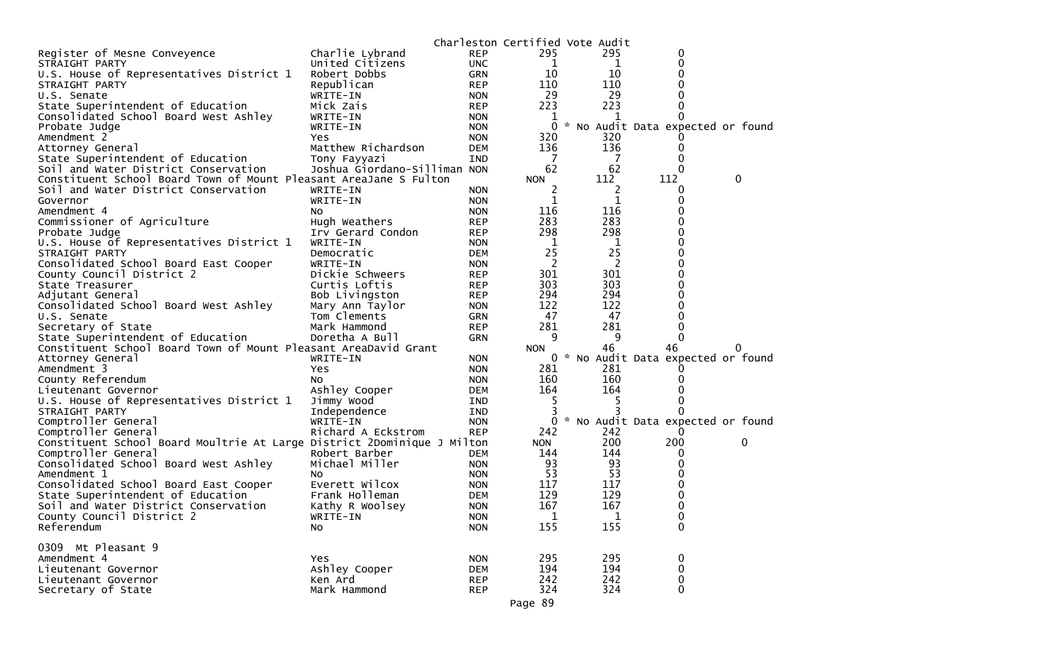|                                                                         |                              |            |                | Charleston Certified Vote Audit |                                     |          |
|-------------------------------------------------------------------------|------------------------------|------------|----------------|---------------------------------|-------------------------------------|----------|
| Register of Mesne Conveyence                                            | Charlie Lybrand              | <b>REP</b> | 295            | 295                             | 0                                   |          |
| STRAIGHT PARTY                                                          | United Citizens              | <b>UNC</b> | 1              | 1                               | 0                                   |          |
| U.S. House of Representatives District 1                                | Robert Dobbs                 | <b>GRN</b> | 10             | 10                              |                                     |          |
| STRAIGHT PARTY                                                          | Republican                   | <b>REP</b> | 110            | 110                             | 0                                   |          |
| U.S. Senate                                                             | WRITE-IN                     | <b>NON</b> | 29             | 29                              | 0                                   |          |
| State Superintendent of Education                                       | Mick Zais                    | <b>REP</b> | 223            | 223                             | 0                                   |          |
| Consolidated School Board West Ashley                                   | WRITE-IN                     | <b>NON</b> | 1              |                                 |                                     |          |
| Probate Judge                                                           | WRITE-IN                     | <b>NON</b> | $\mathbf{0}$   |                                 | * No Audit Data expected or found   |          |
| Amendment 2                                                             | Yes                          | <b>NON</b> | 320            | 320                             |                                     |          |
| Attorney General                                                        | Matthew Richardson           | <b>DEM</b> | 136            | 136                             | O                                   |          |
| State Superintendent of Education                                       | Tony Fayyazi                 | IND        | 7              | 7                               | 0                                   |          |
| Soil and Water District Conservation                                    | Joshua Giordano-Silliman NON |            | 62             | 62                              | $\Omega$                            |          |
| Constituent School Board Town of Mount Pleasant AreaJane S Fulton       |                              |            | <b>NON</b>     | 112                             | 112                                 | 0        |
| Soil and Water District Conservation                                    | WRITE-IN                     | <b>NON</b> | 2              | 2                               | 0                                   |          |
| Governor                                                                | WRITE-IN                     | <b>NON</b> | 1              | 1                               | 0                                   |          |
| Amendment 4                                                             | NO.                          | <b>NON</b> | 116            | 116                             |                                     |          |
| Commissioner of Agriculture                                             | Hugh Weathers                | REP        | 283            | 283                             | 0                                   |          |
| Probate Judge                                                           | Irv Gerard Condon            | <b>REP</b> | 298            | 298                             | 0                                   |          |
| U.S. House of Representatives District 1                                | WRITE-IN                     | <b>NON</b> | $\overline{1}$ | 1                               | 0                                   |          |
| STRAIGHT PARTY                                                          | Democratic                   | DEM        | 25             | 25                              | 0                                   |          |
| Consolidated School Board East Cooper                                   | WRITE-IN                     | <b>NON</b> | 2              | 2                               |                                     |          |
| County Council District 2                                               | Dickie Schweers              | <b>REP</b> | 301            | 301                             | 0                                   |          |
| State Treasurer                                                         | Curtis Loftis                | <b>REP</b> | 303            | 303                             | 0                                   |          |
| Adjutant General                                                        | Bob Livingston               | <b>REP</b> | 294            | 294                             | 0                                   |          |
| Consolidated School Board West Ashley                                   | Mary Ann Taylor              | <b>NON</b> | 122            | 122                             | 0                                   |          |
| U.S. Senate                                                             | Tom Clements                 | GRN        | 47             | 47                              | 0                                   |          |
| Secretary of State                                                      | Mark Hammond                 | <b>REP</b> | 281            | 281                             | 0                                   |          |
| State Superintendent of Education                                       | Doretha A Bull               | GRN        | 9              | 9                               | $\Omega$                            |          |
| Constituent School Board Town of Mount Pleasant AreaDavid Grant         |                              |            | <b>NON</b>     | 46                              | 46                                  | $\Omega$ |
| Attorney General                                                        | WRITE-IN                     | <b>NON</b> |                |                                 | 0 * No Audit Data expected or found |          |
| Amendment 3                                                             | Yes                          | <b>NON</b> | 281            | 281                             |                                     |          |
| County Referendum                                                       | NO.                          | <b>NON</b> | 160            | 160                             |                                     |          |
| Lieutenant Governor                                                     | Ashley Cooper                | <b>DEM</b> | 164            | 164                             |                                     |          |
| U.S. House of Representatives District 1                                | Jimmy Wood                   | <b>IND</b> | 5              | 5                               |                                     |          |
| STRAIGHT PARTY                                                          |                              | IND        | 3              |                                 | 0                                   |          |
| Comptroller General                                                     | Independence<br>WRITE-IN     | <b>NON</b> | $\mathbf 0$    |                                 | * No Audit Data expected or found   |          |
| Comptroller General                                                     | Richard A Eckstrom           | <b>REP</b> | 242            | 242                             |                                     |          |
| Constituent School Board Moultrie At Large District 2Dominique J Milton |                              |            | <b>NON</b>     | 200                             | 200                                 | 0        |
| Comptroller General                                                     |                              |            |                | 144                             |                                     |          |
|                                                                         | Robert Barber                | DEM        | 144<br>93      | 93                              | 0<br>0                              |          |
| Consolidated School Board West Ashley                                   | Michael Miller               | <b>NON</b> |                |                                 |                                     |          |
| Amendment 1                                                             | NO.                          | <b>NON</b> | 53             | 53                              |                                     |          |
| Consolidated School Board East Cooper                                   | Everett Wilcox               | <b>NON</b> | 117            | 117                             | 0                                   |          |
| State Superintendent of Education                                       | Frank Holleman               | <b>DEM</b> | 129            | 129                             | 0                                   |          |
| Soil and Water District Conservation                                    | Kathy R Woolsey              | <b>NON</b> | 167            | 167                             | $\Omega$                            |          |
| County Council District 2                                               | WRITE-IN                     | <b>NON</b> | $\mathbf{1}$   | $\mathbf{1}$                    | 0                                   |          |
| Referendum                                                              | No                           | <b>NON</b> | 155            | 155                             | 0                                   |          |
|                                                                         |                              |            |                |                                 |                                     |          |
| 0309 Mt Pleasant 9                                                      |                              |            |                |                                 |                                     |          |
| Amendment 4                                                             | Yes                          | <b>NON</b> | 295            | 295                             | 0                                   |          |
| Lieutenant Governor                                                     | Ashley Cooper                | <b>DEM</b> | 194            | 194                             | 0                                   |          |
| Lieutenant Governor                                                     | Ken Ard                      | <b>REP</b> | 242            | 242                             | 0                                   |          |
| Secretary of State                                                      | Mark Hammond                 | <b>REP</b> | 324            | 324                             | 0                                   |          |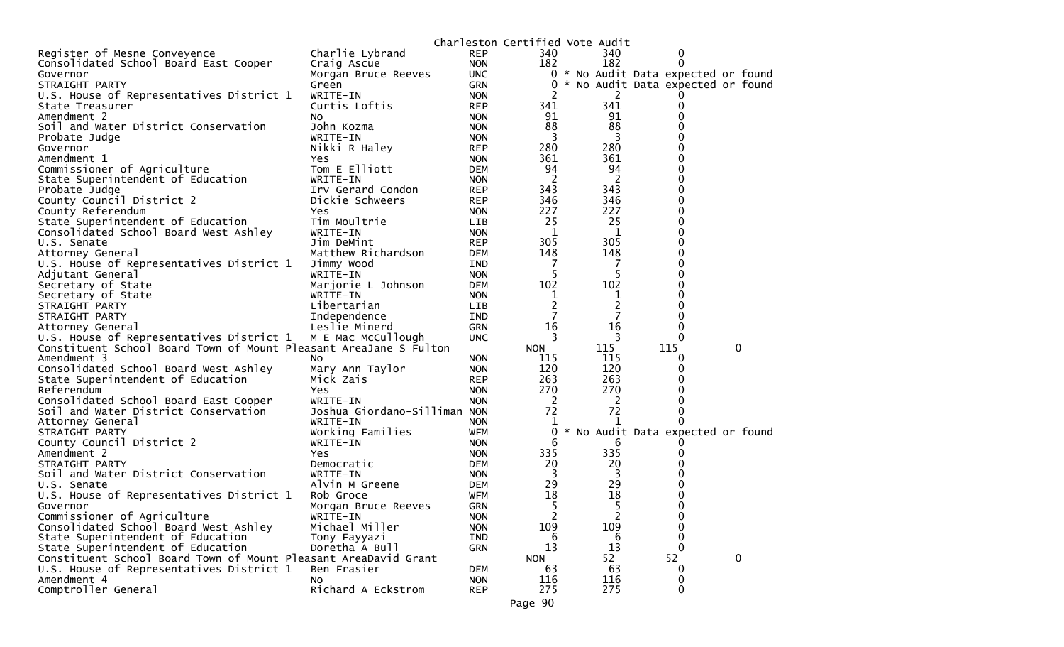|                                                                   |                              |            | Charleston Certified Vote Audit |                |                                     |   |  |
|-------------------------------------------------------------------|------------------------------|------------|---------------------------------|----------------|-------------------------------------|---|--|
| Register of Mesne Conveyence                                      | Charlie Lybrand              | <b>REP</b> | 340                             | 340            | 0                                   |   |  |
| Consolidated School Board East Cooper                             | Craig Ascue                  | <b>NON</b> | 182                             | 182            | 0                                   |   |  |
| Governor                                                          | Morgan Bruce Reeves          | UNC.       |                                 |                | 0 * No Audit Data expected or found |   |  |
| STRAIGHT PARTY                                                    | Green                        | GRN        | 0                               |                | * No Audit Data expected or found   |   |  |
| U.S. House of Representatives District 1                          | WRITE-IN                     | <b>NON</b> |                                 | 2              |                                     |   |  |
| State Treasurer                                                   | Curtis Loftis                | <b>REP</b> | 341                             | 341            | 0                                   |   |  |
| Amendment 2                                                       | No.                          | <b>NON</b> | 91                              | 91             | 0                                   |   |  |
| Soil and Water District Conservation                              | John Kozma                   | <b>NON</b> | 88                              | 88             | 0                                   |   |  |
| Probate Judge                                                     | WRITE-IN                     | <b>NON</b> | 3                               | 3              |                                     |   |  |
| Governor                                                          | Nikki R Haley                | <b>REP</b> | 280                             | 280            | 0                                   |   |  |
| Amendment 1                                                       | Yes                          | <b>NON</b> | 361                             | 361            | 0                                   |   |  |
| Commissioner of Agriculture                                       | Tom E Elliott                | <b>DEM</b> | 94                              | 94             | 0                                   |   |  |
| State Superintendent of Education                                 | WRITE-IN                     | <b>NON</b> | 2                               | 2              | 0                                   |   |  |
| Probate Judge                                                     | Irv Gerard Condon            | <b>REP</b> | 343                             | 343            | 0                                   |   |  |
| County Council District 2                                         | Dickie Schweers              | <b>REP</b> | 346                             | 346            | 0                                   |   |  |
| County Referendum                                                 | Yes                          | <b>NON</b> | 227                             | 227            | 0                                   |   |  |
| State Superintendent of Education                                 | Tim Moultrie                 | LIB        | 25                              | 25             | 0                                   |   |  |
| Consolidated School Board West Ashley                             | WRITE-IN                     | <b>NON</b> | $\mathbf 1$                     | 1              | 0                                   |   |  |
| U.S. Senate                                                       | Jim DeMint                   | <b>REP</b> | 305                             | 305            | 0                                   |   |  |
| Attorney General                                                  | Matthew Richardson           | <b>DEM</b> | 148                             | 148            | 0                                   |   |  |
| U.S. House of Representatives District 1                          | Jimmy Wood                   | IND        | -7                              | 7              | 0                                   |   |  |
| Adjutant General                                                  | WRITE-IN                     | <b>NON</b> | 5                               | 5              | 0                                   |   |  |
| Secretary of State                                                | Marjorie L Johnson           | <b>DEM</b> | 102                             | 102            | 0                                   |   |  |
| Secretary of State                                                | WRITE-IN                     | <b>NON</b> | ı                               | ı              | 0                                   |   |  |
| STRAIGHT PARTY                                                    | Libertarian                  | LIB.       | $\overline{2}$                  | 2              | 0                                   |   |  |
| STRAIGHT PARTY                                                    | Independence                 | <b>IND</b> | 7                               | 7              | 0                                   |   |  |
| Attorney General                                                  | Leslie Minerd                | GRN        | 16                              | 16             | 0                                   |   |  |
| U.S. House of Representatives District 1                          | M E Mac McCullough           | <b>UNC</b> | 3                               | 3              | $\Omega$                            |   |  |
| Constituent School Board Town of Mount Pleasant AreaJane S Fulton |                              |            | <b>NON</b>                      | 115            | 115                                 | 0 |  |
| Amendment 3                                                       | NO.                          | <b>NON</b> | 115                             | 115            | 0                                   |   |  |
| Consolidated School Board West Ashley                             | Mary Ann Taylor              | <b>NON</b> | 120                             | 120            | 0                                   |   |  |
| State Superintendent of Education                                 | Mick Zais                    | <b>REP</b> | 263                             | 263            | 0                                   |   |  |
| Referendum                                                        | Yes                          | <b>NON</b> | 270                             | 270            | 0                                   |   |  |
| Consolidated School Board East Cooper                             | WRITE-IN                     | <b>NON</b> | <sup>2</sup>                    | $\overline{2}$ | 0                                   |   |  |
| Soil and Water District Conservation                              | Joshua Giordano-Silliman NON |            | 72                              | 72             | 0                                   |   |  |
| Attorney General                                                  | WRITE-IN                     | <b>NON</b> | 1                               | 1              | 0                                   |   |  |
| STRAIGHT PARTY                                                    | Working Families             | <b>WFM</b> | 0                               |                | * No Audit Data expected or found   |   |  |
| County Council District 2                                         | WRITE-IN                     | <b>NON</b> | 6                               | 6              |                                     |   |  |
| Amendment 2                                                       | Yes                          | <b>NON</b> | 335                             | 335            | 0                                   |   |  |
| STRAIGHT PARTY                                                    | Democratic                   | <b>DEM</b> | 20                              | 20             |                                     |   |  |
| Soil and Water District Conservation                              | WRITE-IN                     | <b>NON</b> | 3                               | 3              |                                     |   |  |
| U.S. Senate                                                       | Alvin M Greene               | <b>DEM</b> | 29                              | 29             | 0                                   |   |  |
| U.S. House of Representatives District 1                          | Rob Groce                    | WFM        | 18                              | 18             | 0                                   |   |  |
| Governor                                                          | Morgan Bruce Reeves          | <b>GRN</b> | 5                               | 5              | 0                                   |   |  |
| Commissioner of Agriculture                                       | WRITE-IN                     | <b>NON</b> |                                 | 2              | $\mathbf 0$                         |   |  |
| Consolidated School Board West Ashley                             | Michael Miller               | <b>NON</b> | 109                             | 109            | 0                                   |   |  |
| State Superintendent of Education                                 | Tony Fayyazi                 | IND        | 6                               | 6              | 0                                   |   |  |
| State Superintendent of Education                                 | Doretha A Bull               | <b>GRN</b> | 13                              | 13             | $\mathbf 0$                         |   |  |
| Constituent School Board Town of Mount Pleasant AreaDavid Grant   |                              |            | <b>NON</b>                      | 52             | 52                                  | 0 |  |
| U.S. House of Representatives District 1                          | Ben Frasier                  | <b>DEM</b> | 63                              | 63             | 0                                   |   |  |
| Amendment 4                                                       |                              | <b>NON</b> | 116                             | 116            | 0                                   |   |  |
| Comptroller General                                               | NO.<br>Richard A Eckstrom    | <b>REP</b> | 275                             | 275            | 0                                   |   |  |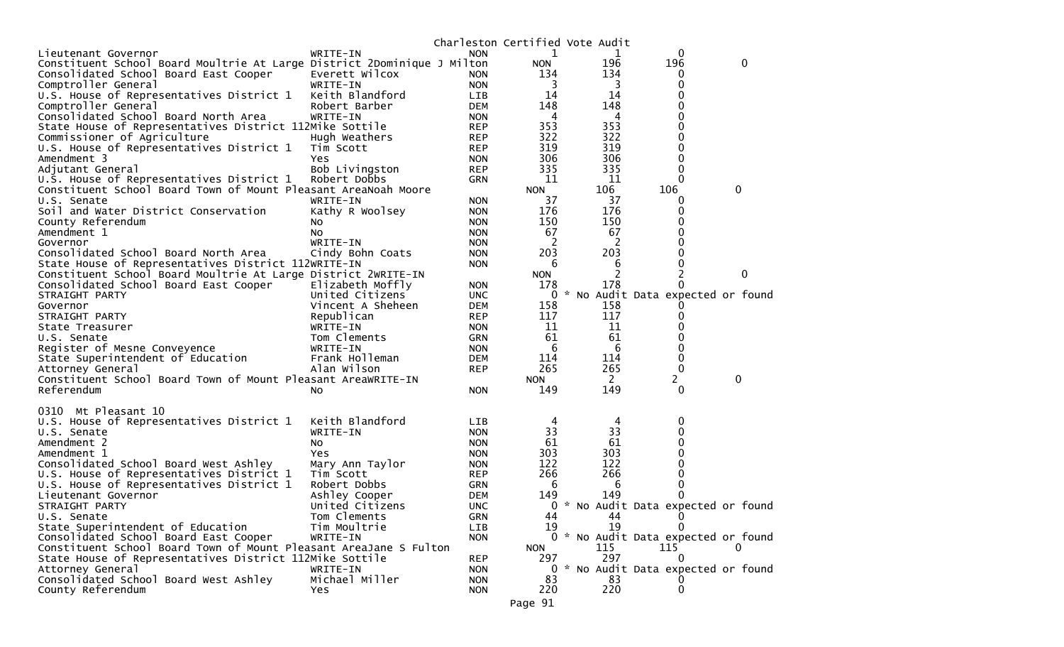|                                                                                                            |                                 |                          |                   | Charleston Certified Vote Audit |                                                   |   |
|------------------------------------------------------------------------------------------------------------|---------------------------------|--------------------------|-------------------|---------------------------------|---------------------------------------------------|---|
| Lieutenant Governor                                                                                        | WRITE-IN                        | <b>NON</b>               | 1                 | 1                               | 0                                                 |   |
| Constituent School Board Moultrie At Large District 2Dominique J Milton                                    |                                 |                          | <b>NON</b>        | 196                             | 196                                               | 0 |
| Consolidated School Board East Cooper                                                                      | Everett Wilcox                  | <b>NON</b>               | 134               | 134                             | $\bf{0}$                                          |   |
| Comptroller General                                                                                        | WRITE-IN                        | <b>NON</b>               | 3                 | 3                               | 0                                                 |   |
| U.S. House of Representatives District 1                                                                   | Keith Blandford                 | LIB                      | 14                | 14                              | 0                                                 |   |
| Comptroller General                                                                                        | Robert Barber                   | <b>DEM</b>               | 148               | 148                             | 0                                                 |   |
| Consolidated School Board North Area                                                                       | WRITE-IN                        | <b>NON</b>               | 4                 | 4                               | 0                                                 |   |
| State House of Representatives District 112Mike Sottile                                                    |                                 | <b>REP</b>               | 353               | 353                             | 0                                                 |   |
| Commissioner of Agriculture                                                                                | Hugh Weathers                   | <b>REP</b>               | 322               | 322                             | 0                                                 |   |
| U.S. House of Representatives District 1                                                                   | Tim Scott                       | <b>REP</b>               | 319               | 319                             |                                                   |   |
| Amendment 3                                                                                                | Yes                             | <b>NON</b>               | 306               | 306                             | 0                                                 |   |
| Adjutant General                                                                                           | Bob Livingston                  | <b>REP</b>               | 335               | 335                             | 0                                                 |   |
| U.S. House of Representatives District 1                                                                   | Robert Dobbs                    | <b>GRN</b>               | 11                | 11                              | $\Omega$                                          |   |
| Constituent School Board Town of Mount Pleasant AreaNoah Moore                                             |                                 |                          | <b>NON</b>        | 106                             | 106                                               | 0 |
| U.S. Senate                                                                                                | WRITE-IN                        | <b>NON</b>               | 37                | 37                              | 0                                                 |   |
| Soil and Water District Conservation                                                                       | Kathy R Woolsey                 | <b>NON</b>               | 176               | 176                             | 0                                                 |   |
| County Referendum                                                                                          | NO.                             | <b>NON</b>               | 150               | 150                             | 0                                                 |   |
| Amendment 1                                                                                                | No.                             | <b>NON</b>               | 67                | 67                              | 0                                                 |   |
| Governor                                                                                                   | WRITE-IN                        | <b>NON</b>               | 2                 | 2                               |                                                   |   |
| Consolidated School Board North Area                                                                       | Cindy Bohn Coats                | <b>NON</b>               | 203               | 203                             | 0                                                 |   |
| State House of Representatives District 112WRITE-IN                                                        |                                 | <b>NON</b>               | 6                 | 6                               | 0                                                 |   |
| Constituent School Board Moultrie At Large District 2WRITE-IN                                              |                                 |                          | <b>NON</b>        | 2                               |                                                   | 0 |
| Consolidated School Board East Cooper                                                                      | Elizabeth Moffly                | <b>NON</b>               | 178               | 178                             |                                                   |   |
| STRAIGHT PARTY                                                                                             | United Citizens                 | <b>UNC</b>               | 0                 |                                 | * No Audit Data expected or found                 |   |
| Governor                                                                                                   | Vincent A Sheheen               | <b>DEM</b>               | 158               | 158                             |                                                   |   |
| STRAIGHT PARTY                                                                                             | Republican                      | <b>REP</b>               | 117               | 117                             | 0                                                 |   |
| State Treasurer                                                                                            | WRITE-IN                        | <b>NON</b>               | 11                | 11                              |                                                   |   |
| U.S. Senate                                                                                                | Tom Clements                    | <b>GRN</b>               | 61                | 61                              | 0                                                 |   |
| Register of Mesne Conveyence                                                                               | WRITE-IN                        | <b>NON</b>               | 6                 | 6                               | 0                                                 |   |
| State Superintendent of Education                                                                          | Frank Holleman                  | <b>DEM</b>               | 114               | 114                             | 0                                                 |   |
| Attorney General                                                                                           | Alan Wilson                     | <b>REP</b>               | 265               | 265                             | $\mathbf 0$                                       |   |
| Constituent School Board Town of Mount Pleasant AreaWRITE-IN                                               |                                 |                          | <b>NON</b>        | $\mathbf{2}$                    | 2                                                 | 0 |
| Referendum                                                                                                 | No.                             | <b>NON</b>               | 149               | 149                             | 0                                                 |   |
|                                                                                                            |                                 |                          |                   |                                 |                                                   |   |
| 0310 Mt Pleasant 10                                                                                        |                                 |                          |                   |                                 |                                                   |   |
| U.S. House of Representatives District 1                                                                   | Keith Blandford                 | <b>LIB</b>               | 4                 | 4                               | 0                                                 |   |
| U.S. Senate                                                                                                | WRITE-IN                        | <b>NON</b>               | 33                | 33<br>61                        | 0                                                 |   |
| Amendment 2                                                                                                | No                              | <b>NON</b>               | 61                |                                 | 0                                                 |   |
| Amendment 1                                                                                                | Yes                             | <b>NON</b>               | 303<br>122        | 303<br>122                      | 0                                                 |   |
| Consolidated School Board West Ashley                                                                      | Mary Ann Taylor                 | <b>NON</b>               | 266               | 266                             | 0                                                 |   |
| U.S. House of Representatives District 1                                                                   | Tim Scott                       | <b>REP</b>               | 6                 | 6                               | 0                                                 |   |
| U.S. House of Representatives District 1<br>Lieutenant Governor                                            | Robert Dobbs                    | <b>GRN</b>               |                   | 149                             |                                                   |   |
|                                                                                                            | Ashley Cooper                   | <b>DEM</b>               | 149<br>0          |                                 | 0                                                 |   |
| STRAIGHT PARTY<br>U.S. Senate                                                                              | United Citizens<br>Tom Clements | <b>UNC</b><br><b>GRN</b> | 44                | 44                              | * No Audit Data expected or found<br>$\mathbf{0}$ |   |
| State Superintendent of Education                                                                          | Tim Moultrie                    | <b>LIB</b>               | 19                | 19                              | 0                                                 |   |
|                                                                                                            | WRITE-IN                        | <b>NON</b>               |                   |                                 | 0 * No Audit Data expected or found               |   |
| Consolidated School Board East Cooper<br>Constituent School Board Town of Mount Pleasant AreaJane S Fulton |                                 |                          |                   | 115                             | 115                                               | 0 |
| State House of Representatives District 112Mike Sottile                                                    |                                 | <b>REP</b>               | <b>NON</b><br>297 | 297                             | 0                                                 |   |
| Attorney General                                                                                           | WRITE-IN                        | <b>NON</b>               |                   |                                 | 0 * No Audit Data expected or found               |   |
| Consolidated School Board West Ashley                                                                      | Michael Miller                  | <b>NON</b>               | 83                | 83                              | 0                                                 |   |
| County Referendum                                                                                          | <b>Yes</b>                      | <b>NON</b>               | 220               | 220                             | $\mathbf 0$                                       |   |
|                                                                                                            |                                 |                          |                   |                                 |                                                   |   |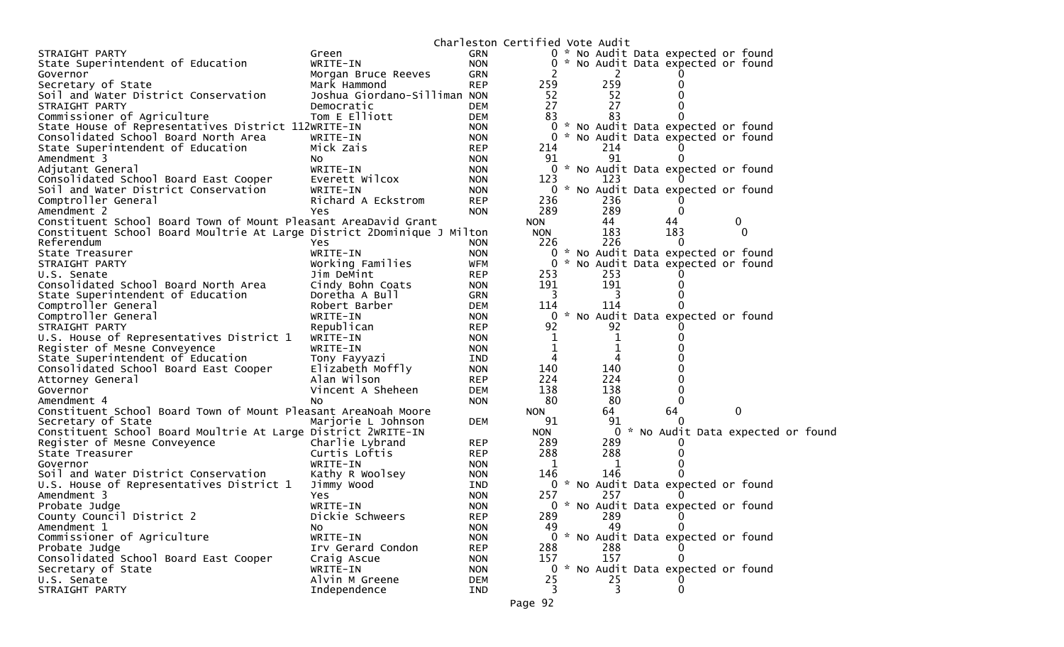|                                                                         |                              |                          | Charleston Certified Vote Audit |  |                |          |                                     |             |          |                                     |
|-------------------------------------------------------------------------|------------------------------|--------------------------|---------------------------------|--|----------------|----------|-------------------------------------|-------------|----------|-------------------------------------|
| STRAIGHT PARTY                                                          | Green                        | <b>GRN</b>               |                                 |  |                |          | 0 * No Audit Data expected or found |             |          |                                     |
| State Superintendent of Education                                       | WRITE-IN                     | <b>NON</b>               |                                 |  |                |          | 0 * No Audit Data expected or found |             |          |                                     |
| Governor                                                                | Morgan Bruce Reeves          | <b>GRN</b>               |                                 |  | 2              |          |                                     |             |          |                                     |
| Secretary of State                                                      | Mark Hammond                 | <b>REP</b>               | 259                             |  | 259            |          |                                     |             |          |                                     |
| Soil and Water District Conservation                                    | Joshua Giordano-Silliman NON |                          | 52                              |  | 52             |          |                                     |             |          |                                     |
| STRAIGHT PARTY                                                          | Democratic                   | <b>DEM</b>               | 27                              |  | 27             |          |                                     |             |          |                                     |
| Commissioner of Agriculture                                             | Tom E Elliott                | <b>DEM</b>               | 83                              |  | 83             |          |                                     |             |          |                                     |
| State House of Representatives District 112WRITE-IN                     |                              | <b>NON</b>               |                                 |  |                |          | 0 * No Audit Data expected or found |             |          |                                     |
| Consolidated School Board North Area                                    | WRITE-IN                     | <b>NON</b>               |                                 |  |                |          | 0 * No Audit Data expected or found |             |          |                                     |
| State Superintendent of Education                                       | Mick Zais                    | <b>REP</b>               | 214                             |  | 214            |          |                                     |             |          |                                     |
| Amendment 3                                                             | No.                          | <b>NON</b>               | 91                              |  | 91             |          |                                     |             |          |                                     |
| Adjutant General                                                        | WRITE-IN                     | <b>NON</b>               |                                 |  |                |          | 0 * No Audit Data expected or found |             |          |                                     |
| Consolidated School Board East Cooper                                   | Everett Wilcox               | <b>NON</b>               | 123                             |  | 123            |          |                                     |             |          |                                     |
| Soil and Water District Conservation                                    | WRITE-IN                     | <b>NON</b>               |                                 |  |                |          | 0 * No Audit Data expected or found |             |          |                                     |
| Comptroller General                                                     | Richard A Eckstrom           | <b>REP</b>               | 236                             |  | 236            |          |                                     |             |          |                                     |
| Amendment 2                                                             | Yes                          | <b>NON</b>               | 289                             |  | 289            | $\Omega$ |                                     |             |          |                                     |
| Constituent School Board Town of Mount Pleasant AreaDavid Grant         |                              |                          | <b>NON</b>                      |  | 44             | 44       |                                     | $\mathbf 0$ |          |                                     |
| Constituent School Board Moultrie At Large District 2Dominique J Milton |                              |                          | <b>NON</b>                      |  | 183            | 183      |                                     |             | $\Omega$ |                                     |
| Referendum                                                              | Yes                          | <b>NON</b>               | 226                             |  | 226            |          | 0                                   |             |          |                                     |
| State Treasurer                                                         | WRITE-IN                     | <b>NON</b>               | 0                               |  |                |          | * No Audit Data expected or found   |             |          |                                     |
| STRAIGHT PARTY                                                          | Working Families             | <b>WFM</b>               | 0                               |  |                |          | * No Audit Data expected or found   |             |          |                                     |
| U.S. Senate                                                             | Jim DeMint                   | <b>REP</b>               | 253                             |  | 253            |          |                                     |             |          |                                     |
| Consolidated School Board North Area                                    | Cindy Bohn Coats             | <b>NON</b>               | 191                             |  | 191            |          |                                     |             |          |                                     |
| State Superintendent of Education                                       | Doretha A Bull               | <b>GRN</b>               | 3                               |  | 3              |          |                                     |             |          |                                     |
| Comptroller General                                                     | Robert Barber                | <b>DEM</b>               | 114                             |  | 114            |          |                                     |             |          |                                     |
| Comptroller General                                                     | WRITE-IN                     | <b>NON</b>               | 0                               |  |                |          | * No Audit Data expected or found   |             |          |                                     |
| STRAIGHT PARTY                                                          | Republican                   | <b>REP</b>               | 92                              |  | 92             |          |                                     |             |          |                                     |
| U.S. House of Representatives District 1                                | WRITE-IN                     | <b>NON</b>               | 1                               |  | 1              |          |                                     |             |          |                                     |
| Register of Mesne Conveyence                                            | WRITE-IN                     | <b>NON</b>               | 1                               |  | 1              |          |                                     |             |          |                                     |
| State Superintendent of Education                                       | Tony Fayyazi                 | IND                      | 4                               |  | 4              |          |                                     |             |          |                                     |
| Consolidated School Board East Cooper                                   | Elizabeth Moffly             | <b>NON</b>               | 140                             |  | 140            |          |                                     |             |          |                                     |
| Attorney General                                                        | Alan Wilson                  | <b>REP</b>               | 224                             |  | 224            |          |                                     |             |          |                                     |
| Governor                                                                | Vincent A Sheheen            | <b>DEM</b>               | 138                             |  | 138            |          |                                     |             |          |                                     |
| Amendment 4                                                             | No.                          | <b>NON</b>               | 80                              |  | 80             |          |                                     |             |          |                                     |
| Constituent School Board Town of Mount Pleasant AreaNoah Moore          |                              |                          | <b>NON</b>                      |  | 64             | 64       |                                     | 0           |          |                                     |
| Secretary of State                                                      | Marjorie L Johnson           | <b>DEM</b>               | 91                              |  | 91             |          |                                     |             |          |                                     |
| Constituent School Board Moultrie At Large District 2WRITE-IN           |                              |                          | <b>NON</b>                      |  |                |          |                                     |             |          | 0 * No Audit Data expected or found |
| Register of Mesne Conveyence                                            | Charlie Lybrand              | <b>REP</b>               | 289                             |  | 289            |          |                                     |             |          |                                     |
| State Treasurer                                                         | Curtis Loftis                | <b>REP</b>               | 288                             |  | 288            |          |                                     |             |          |                                     |
| Governor                                                                | WRITE-IN                     | <b>NON</b>               | 1                               |  | 1<br>146       |          |                                     |             |          |                                     |
| Soil and Water District Conservation                                    | Kathy R Woolsey              | <b>NON</b>               | 146                             |  |                |          |                                     |             |          |                                     |
| U.S. House of Representatives District 1                                | Jimmy Wood                   | IND                      | 257                             |  | 257            |          | 0 * No Audit Data expected or found |             |          |                                     |
| Amendment 3                                                             | Yes                          | <b>NON</b>               |                                 |  |                |          |                                     |             |          |                                     |
| Probate Judge<br>County Council District 2                              | WRITE-IN                     | <b>NON</b>               | 289                             |  | 289            |          | 0 * No Audit Data expected or found |             |          |                                     |
|                                                                         | Dickie Schweers              | <b>REP</b>               | 49                              |  | 49             |          | 0                                   |             |          |                                     |
| Amendment 1<br>Commissioner of Agriculture                              | NO.<br>WRITE-IN              | <b>NON</b><br><b>NON</b> |                                 |  |                |          | 0 * No Audit Data expected or found |             |          |                                     |
| Probate Judge                                                           | Irv Gerard Condon            |                          | 288                             |  | 288            |          |                                     |             |          |                                     |
| Consolidated School Board East Cooper                                   |                              | <b>REP</b><br><b>NON</b> | 157                             |  | 157            |          |                                     |             |          |                                     |
| Secretary of State                                                      | Craig Ascue<br>WRITE-IN      | <b>NON</b>               | 0                               |  |                |          | * No Audit Data expected or found   |             |          |                                     |
| U.S. Senate                                                             | Alvin M Greene               | <b>DEM</b>               | 25                              |  | 25             |          |                                     |             |          |                                     |
| STRAIGHT PARTY                                                          | Independence                 | IND                      | 3                               |  | $\overline{3}$ |          | 0                                   |             |          |                                     |
|                                                                         |                              |                          |                                 |  |                |          |                                     |             |          |                                     |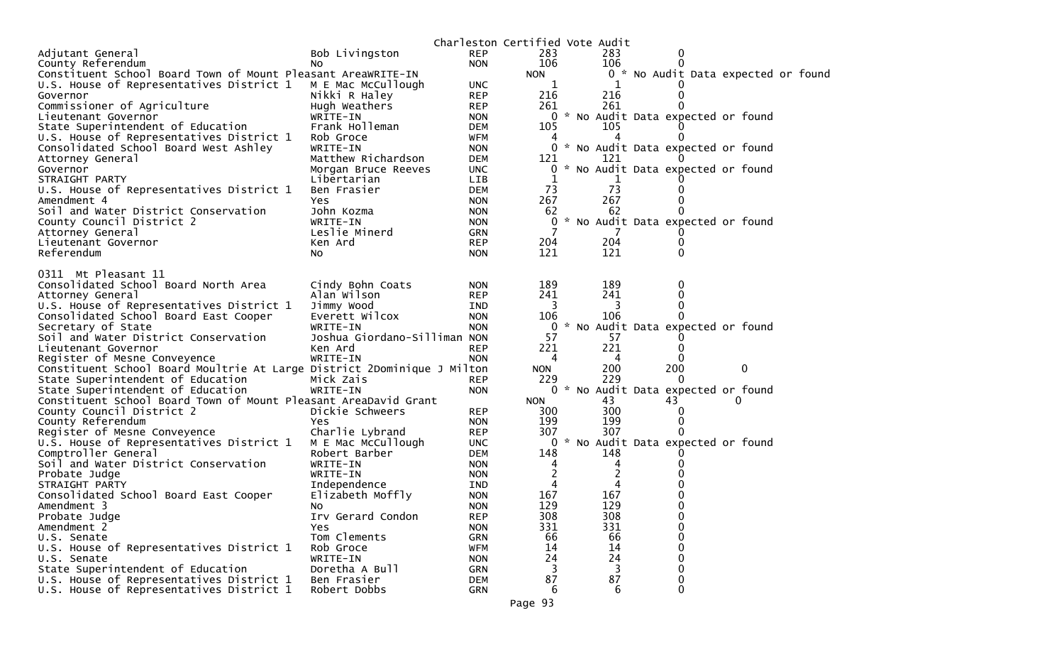|                                                                          |                                       |            | Charleston Certified Vote Audit |                |                                     |  |
|--------------------------------------------------------------------------|---------------------------------------|------------|---------------------------------|----------------|-------------------------------------|--|
| Adjutant General                                                         | Bob Livingston                        | <b>REP</b> | 283                             | 283            |                                     |  |
| County Referendum                                                        | No                                    | <b>NON</b> | 106                             | 106            |                                     |  |
| Constituent School Board Town of Mount Pleasant AreaWRITE-IN             |                                       |            | <b>NON</b>                      |                | 0 * No Audit Data expected or found |  |
| U.S. House of Representatives District 1                                 | M E Mac McCullough                    | <b>UNC</b> | 1                               |                |                                     |  |
| Governor                                                                 | Nikki R Haley                         | <b>REP</b> | 216                             | 216            |                                     |  |
| Commissioner of Agriculture                                              | Hugh Weathers                         | <b>REP</b> | 261                             | 261            |                                     |  |
| Lieutenant Governor                                                      | WRITE-IN                              | <b>NON</b> | 0                               |                | * No Audit Data expected or found   |  |
| State Superintendent of Education                                        | Frank Holleman                        | <b>DEM</b> | 105                             | 105            |                                     |  |
| U.S. House of Representatives District 1                                 | Rob Groce                             | WFM        | 4                               |                |                                     |  |
| Consolidated School Board West Ashley                                    | WRITE-IN                              | <b>NON</b> | 0                               |                | * No Audit Data expected or found   |  |
| Attorney General                                                         | Matthew Richardson                    | <b>DEM</b> | 121                             | 121            |                                     |  |
| Governor                                                                 | Morgan Bruce Reeves                   | <b>UNC</b> | 0                               |                | No Audit Data expected or found     |  |
| STRAIGHT PARTY                                                           | Libertarian                           | <b>LIB</b> | 1                               |                |                                     |  |
| U.S. House of Representatives District 1                                 | Ben Frasier                           | <b>DEM</b> | 73                              | 73             |                                     |  |
| Amendment 4                                                              | Yes                                   | <b>NON</b> | 267                             | 267            | 0                                   |  |
| Soil and Water District Conservation                                     | John Kozma                            | <b>NON</b> | 62                              | 62             |                                     |  |
| County Council District 2                                                | WRITE-IN                              | <b>NON</b> | 0                               |                | * No Audit Data expected or found   |  |
| Attorney General                                                         | Leslie Minerd                         | <b>GRN</b> | 7                               |                |                                     |  |
| Lieutenant Governor                                                      | Ken Ard                               | <b>REP</b> | 204                             | 204            |                                     |  |
| Referendum                                                               | NO.                                   | <b>NON</b> | 121                             | 121            | 0                                   |  |
|                                                                          |                                       |            |                                 |                |                                     |  |
| 0311 Mt Pleasant 11                                                      |                                       |            |                                 |                |                                     |  |
| Consolidated School Board North Area                                     | Cindy Bohn Coats                      | <b>NON</b> | 189                             | 189            | 0                                   |  |
| Attorney General                                                         | Alan Wilson                           | <b>REP</b> | 241                             | 241            | 0                                   |  |
| U.S. House of Representatives District 1                                 | Jimmy Wood                            | IND        | 3                               | 3              | 0                                   |  |
| Consolidated School Board East Cooper                                    | Everett Wilcox                        | <b>NON</b> | 106                             | 106            |                                     |  |
| Secretary of State                                                       | WRITE-IN                              | <b>NON</b> | 0                               |                | No Audit Data expected or found     |  |
| Soil and Water District Conservation                                     | Joshua Giordano-Silliman NON          |            | 57                              | 57             |                                     |  |
| Lieutenant Governor                                                      | Ken Ard                               | <b>REP</b> | 221                             | 221            |                                     |  |
| Register of Mesne Conveyence                                             | WRITE-IN                              | <b>NON</b> | 4                               | 4              |                                     |  |
| Constituent School Board Moultrie At Large District 2Dominique J Milton  |                                       |            | <b>NON</b>                      | 200            | 200<br>0                            |  |
| State Superintendent of Education                                        | Mick Zais                             | <b>REP</b> | 229                             | 229            | $\Omega$                            |  |
| State Superintendent of Education                                        | WRITE-IN                              | <b>NON</b> |                                 |                | 0 * No Audit Data expected or found |  |
| Constituent School Board Town of Mount Pleasant AreaDavid Grant          |                                       |            | <b>NON</b>                      | 43             | 43<br>$\Omega$                      |  |
| County Council District 2                                                | Dickie Schweers                       | <b>REP</b> | 300                             | 300            |                                     |  |
| County Referendum                                                        | Yes                                   | <b>NON</b> | 199                             | 199            | 0                                   |  |
|                                                                          |                                       | <b>REP</b> | 307                             | 307            |                                     |  |
| Register of Mesne Conveyence<br>U.S. House of Representatives District 1 | Charlie Lybrand<br>M E Mac McCullough | <b>UNC</b> |                                 |                | 0 * No Audit Data expected or found |  |
|                                                                          |                                       |            |                                 |                |                                     |  |
| Comptroller General                                                      | Robert Barber                         | <b>DEM</b> | 148                             | 148            |                                     |  |
| Soil and Water District Conservation                                     | WRITE-IN                              | <b>NON</b> | 4                               | 4              |                                     |  |
| Probate Judge                                                            | WRITE-IN                              | <b>NON</b> | $\overline{c}$                  | $\overline{c}$ |                                     |  |
| STRAIGHT PARTY                                                           | Independence                          | IND        | 4                               | 4              |                                     |  |
| Consolidated School Board East Cooper                                    | Elizabeth Moffly                      | <b>NON</b> | 167                             | 167            | 0                                   |  |
| Amendment 3                                                              | No                                    | <b>NON</b> | 129                             | 129            | 0                                   |  |
| Probate Judge                                                            | Irv Gerard Condon                     | <b>REP</b> | 308                             | 308            | 0                                   |  |
| Amendment 2                                                              | Yes                                   | <b>NON</b> | 331                             | 331            | 0                                   |  |
| U.S. Senate                                                              | Tom Clements                          | <b>GRN</b> | 66                              | 66             | 0                                   |  |
| U.S. House of Representatives District 1                                 | Rob Groce                             | <b>WFM</b> | 14                              | 14             | 0                                   |  |
| U.S. Senate                                                              | WRITE-IN                              | <b>NON</b> | 24                              | 24             | 0                                   |  |
| State Superintendent of Education                                        | Doretha A Bull                        | <b>GRN</b> | 3                               | 3              | 0                                   |  |
| U.S. House of Representatives District 1                                 | Ben Frasier                           | <b>DEM</b> | 87                              | 87             | 0                                   |  |
| U.S. House of Representatives District 1                                 | Robert Dobbs                          | <b>GRN</b> | 6                               | 6              | 0                                   |  |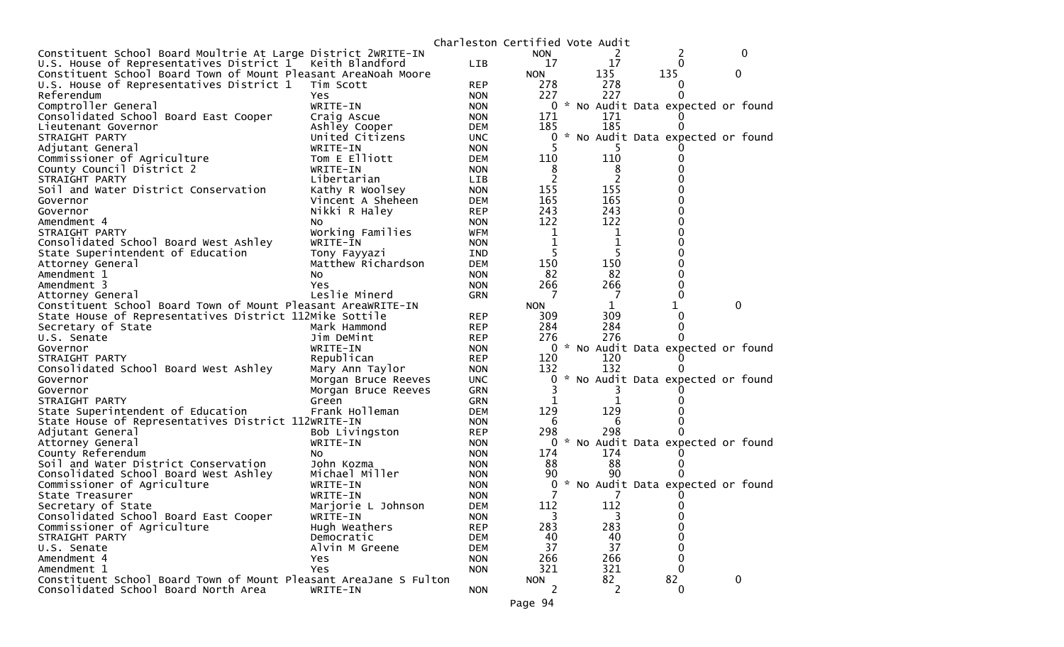|                                                                   |                     | Charleston Certified Vote Audit |                |     |     |                                     |                  |
|-------------------------------------------------------------------|---------------------|---------------------------------|----------------|-----|-----|-------------------------------------|------------------|
| Constituent School Board Moultrie At Large District 2WRITE-IN     |                     |                                 | <b>NON</b>     |     |     | 2                                   | $\Omega$         |
| U.S. House of Representatives District 1 Keith Blandford          |                     | LIB                             | 17             |     | 17  | 0                                   |                  |
| Constituent School Board Town of Mount Pleasant AreaNoah Moore    |                     |                                 | <b>NON</b>     | 135 |     | 135                                 | 0                |
| U.S. House of Representatives District 1                          | Tim Scott           | <b>REP</b>                      | 278            |     | 278 | 0                                   |                  |
| Referendum                                                        | Yes                 | <b>NON</b>                      | 227            |     | 227 | 0                                   |                  |
| Comptroller General                                               | WRITE-IN            | <b>NON</b>                      |                |     |     | 0 * No Audit Data expected or found |                  |
| Consolidated School Board East Cooper                             | Craig Ascue         | <b>NON</b>                      | 171            |     | 171 |                                     |                  |
| Lieutenant Governor                                               | Ashley Cooper       | DEM                             | 185            |     | 185 |                                     |                  |
| STRAIGHT PARTY                                                    | United Citizens     | <b>UNC</b>                      | 0              |     |     | * No Audit Data expected or found   |                  |
| Adjutant General                                                  | WRITE-IN            | <b>NON</b>                      |                |     |     |                                     |                  |
| Commissioner of Agriculture                                       | Tom E Elliott       | <b>DEM</b>                      | 110            |     | 110 |                                     |                  |
| County Council District 2                                         | WRITE-IN            | <b>NON</b>                      | 8              |     | 8   |                                     |                  |
| STRAIGHT PARTY                                                    | Libertarian         | LIB                             | 2              |     | 2   |                                     |                  |
| Soil and Water District Conservation                              | Kathy R Woolsey     | <b>NON</b>                      | 155            |     | 155 |                                     |                  |
| Governor                                                          | Vincent A Sheheen   | <b>DEM</b>                      | 165            |     | 165 | 0                                   |                  |
| Governor                                                          | Nikki R Haley       | <b>REP</b>                      | 243            |     | 243 | 0                                   |                  |
| Amendment 4                                                       | NO.                 | <b>NON</b>                      | 122            |     | 122 | 0                                   |                  |
| STRAIGHT PARTY                                                    | Working Families    | <b>WFM</b>                      | $\mathbf 1$    |     | 1   | 0                                   |                  |
| Consolidated School Board West Ashley                             | WRITE-IN            | <b>NON</b>                      | 1              |     | 1   |                                     |                  |
| State Superintendent of Education                                 | Tony Fayyazi        | <b>IND</b>                      | 5              |     |     |                                     |                  |
| Attorney General                                                  | Matthew Richardson  | <b>DEM</b>                      | 150            |     | 150 |                                     |                  |
| Amendment 1                                                       | No.                 | <b>NON</b>                      | 82             |     | 82  | 0                                   |                  |
| Amendment 3                                                       | Yes                 | <b>NON</b>                      | 266            |     | 266 | 0                                   |                  |
| Attorney General                                                  | Leslie Minerd       | <b>GRN</b>                      | 7              |     | 7   | 0                                   |                  |
| Constituent School Board Town of Mount Pleasant AreaWRITE-IN      |                     |                                 | <b>NON</b>     |     | 1   |                                     | 0                |
|                                                                   |                     |                                 |                |     | 309 |                                     |                  |
| State House of Representatives District 112Mike Sottile           |                     | <b>REP</b>                      | 309            |     |     | 0                                   |                  |
| Secretary of State                                                | Mark Hammond        | <b>REP</b>                      | 284            |     | 284 | 0                                   |                  |
| U.S. Senate                                                       | Jim DeMint          | <b>REP</b>                      | 276            |     | 276 |                                     |                  |
| Governor                                                          | WRITE-IN            | <b>NON</b>                      | $\overline{0}$ |     |     | * No Audit Data expected or found   |                  |
| STRAIGHT PARTY                                                    | Republican          | <b>REP</b>                      | 120            |     | 120 |                                     |                  |
| Consolidated School Board West Ashley                             | Mary Ann Taylor     | <b>NON</b>                      | 132            |     | 132 | 0                                   |                  |
| Governor                                                          | Morgan Bruce Reeves | <b>UNC</b>                      | 0              |     |     | * No Audit Data expected or found   |                  |
| Governor                                                          | Morgan Bruce Reeves | GRN                             |                |     |     |                                     |                  |
| STRAIGHT PARTY                                                    | Green               | <b>GRN</b>                      | ı              |     |     |                                     |                  |
| State Superintendent of Education                                 | Frank Holleman      | <b>DEM</b>                      | 129            |     | 129 |                                     |                  |
| State House of Representatives District 112WRITE-IN               |                     | <b>NON</b>                      | -6             |     | 6   |                                     |                  |
| Adjutant General                                                  | Bob Livingston      | <b>REP</b>                      | 298            |     | 298 |                                     |                  |
| Attorney General                                                  | WRITE-IN            | <b>NON</b>                      | 0              |     |     | * No Audit Data expected or found   |                  |
| County Referendum                                                 | NO.                 | <b>NON</b>                      | 174            |     | 174 |                                     |                  |
| Soil and Water District Conservation                              | John Kozma          | <b>NON</b>                      | 88             |     | 88  |                                     |                  |
| Consolidated School Board West Ashley                             | Michael Miller      | <b>NON</b>                      | 90             |     | 90  |                                     |                  |
| Commissioner of Agriculture                                       | WRITE-IN            | <b>NON</b>                      | 0              |     |     | * No Audit Data expected or found   |                  |
| State Treasurer                                                   | WRITE-IN            | <b>NON</b>                      |                |     |     |                                     |                  |
| Secretary of State                                                | Marjorie L Johnson  | <b>DEM</b>                      | 112            |     | 112 | 0                                   |                  |
| Consolidated School Board East Cooper                             | WRITE-IN            | <b>NON</b>                      | 3              |     | 3   | 0                                   |                  |
| Commissioner of Agriculture                                       | Hugh Weathers       | <b>REP</b>                      | 283            |     | 283 | 0                                   |                  |
| STRAIGHT PARTY                                                    | Democratic          | <b>DEM</b>                      | 40             |     | 40  | 0                                   |                  |
| U.S. Senate                                                       | Alvin M Greene      | <b>DEM</b>                      | 37             |     | 37  | 0                                   |                  |
| Amendment 4                                                       | Yes.                | <b>NON</b>                      | 266            |     | 266 | 0                                   |                  |
| Amendment 1                                                       | Yes                 | <b>NON</b>                      | 321            |     | 321 | 0                                   |                  |
| Constituent School Board Town of Mount Pleasant AreaJane S Fulton |                     |                                 | <b>NON</b>     |     | 82  | 82                                  | $\boldsymbol{0}$ |
| Consolidated School Board North Area                              | WRITE-IN            | <b>NON</b>                      | 2              |     | 2   | $\mathbf{0}$                        |                  |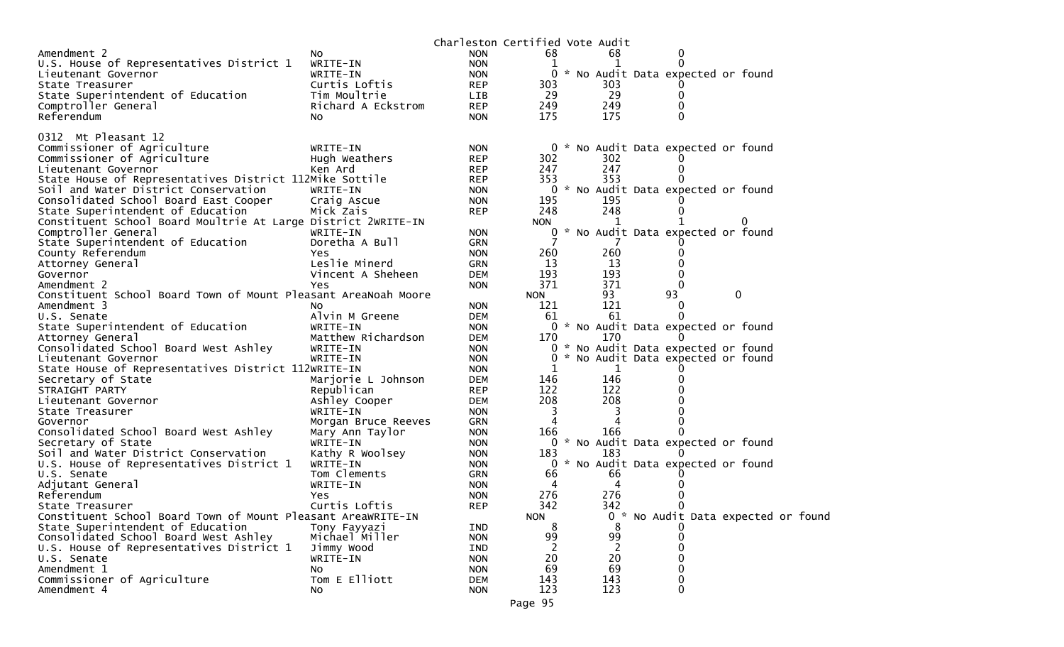| 68<br>Amendment 2<br><b>NON</b><br>68<br>NO.<br>U.S. House of Representatives District 1<br>WRITE-IN<br><b>NON</b><br>1<br>0<br>* No Audit Data expected or found<br>Lieutenant Governor<br>WRITE-IN<br><b>NON</b><br>Curtis Loftis<br><b>REP</b><br>303<br>303<br>State Treasurer<br>29<br>29<br>State Superintendent of Education<br>Tim Moultrie<br>LIB<br>0<br><b>REP</b><br>249<br>249<br>Comptroller General<br>Richard A Eckstrom<br>175<br>175<br>Referendum<br>No<br><b>NON</b><br>0312 Mt Pleasant 12<br>Commissioner of Agriculture<br>* No Audit Data expected or found<br>WRITE-IN<br><b>NON</b><br>0<br>302<br>302<br>Commissioner of Agriculture<br>Hugh Weathers<br><b>REP</b><br>247<br>247<br>Lieutenant Governor<br>Ken Ard<br><b>REP</b><br>$\Omega$<br>353<br>353<br>State House of Representatives District 112Mike Sottile<br><b>REP</b><br>0 * No Audit Data expected or found<br>Soil and Water District Conservation<br>WRITE-IN<br><b>NON</b><br>Consolidated School Board East Cooper<br>195<br>195<br>Craig Ascue<br><b>NON</b><br>248<br>248<br>State Superintendent of Education<br>Mick Zais<br><b>REP</b><br>Constituent School Board Moultrie At Large District 2WRITE-IN<br><b>NON</b><br>Comptroller General<br>* No Audit Data expected or found<br>WRITE-IN<br><b>NON</b><br>0<br>State Superintendent of Education<br>Doretha A Bull<br><b>GRN</b><br>260<br>260<br>County Referendum<br><b>NON</b><br>Yes.<br>Leslie Minerd<br>13<br>13<br><b>GRN</b><br>Attorney General<br>193<br>193<br>Vincent A Sheheen<br>Governor<br><b>DEM</b><br>$\Omega$<br>371<br>371<br>Amendment 2<br><b>NON</b><br>0<br>Yes.<br>93<br>93<br>0<br>Constituent School Board Town of Mount Pleasant AreaNoah Moore<br><b>NON</b><br>121<br>121<br>Amendment 3<br><b>NON</b><br>NO.<br>$\Omega$<br>Alvin M Greene<br><b>DEM</b><br>61<br>61<br>U.S. Senate<br>State Superintendent of Education<br>0 * No Audit Data expected or found<br>WRITE-IN<br><b>NON</b><br>170<br>170<br>Matthew Richardson<br>Attorney General<br><b>DEM</b><br>Consolidated School Board West Ashley<br><b>NON</b><br>0<br>* No Audit Data expected or found<br>WRITE-IN<br>* No Audit Data expected or found<br>WRITE-IN<br>Lieutenant Governor<br><b>NON</b><br>State House of Representatives District 112WRITE-IN<br>1<br><b>NON</b><br>1<br>146<br>Secretary of State<br>Marjorie L Johnson<br>146<br><b>DEM</b><br>122<br>122<br>STRAIGHT PARTY<br>Republican<br><b>REP</b><br>208<br>Ashley Cooper<br>208<br><b>DEM</b><br>Lieutenant Governor<br>WRITE-IN<br>3<br>3<br>State Treasurer<br><b>NON</b><br><b>GRN</b><br>Governor<br>Morgan Bruce Reeves<br>4<br>Consolidated School Board West Ashley<br>166<br>166<br>Mary Ann Taylor<br><b>NON</b><br>0 * No Audit Data expected or found<br>Secretary of State<br>WRITE-IN<br><b>NON</b><br>Soil and Water District Conservation<br>Kathy R Woolsey<br>183<br>183<br><b>NON</b><br>0 * No Audit Data expected or found<br>U.S. House of Representatives District 1<br>WRITE-IN<br><b>NON</b><br>66<br>66<br>U.S. Senate<br>Tom Clements<br><b>GRN</b><br>4<br>4<br>Adjutant General<br>WRITE-IN<br><b>NON</b><br>276<br>276<br>Referendum<br><b>NON</b><br>Yes<br>342<br>342<br>Curtis Loftis<br>0<br><b>REP</b><br>State Treasurer<br>Constituent School Board Town of Mount Pleasant AreaWRITE-IN<br><b>NON</b><br>0<br>No Audit Data expected or found<br>State Superintendent of Education<br>8<br>Tony Fayyazi<br>8<br><b>IND</b><br>Consolidated School Board West Ashley<br>99<br>99<br>Michael Miller<br><b>NON</b><br>0<br>U.S. House of Representatives District 1<br>Jimmy Wood<br><b>IND</b><br>20<br>20<br>U.S. Senate<br>WRITE-IN<br><b>NON</b><br>0<br>69<br>69<br>Amendment 1<br><b>NON</b><br><b>NO</b><br>Commissioner of Agriculture<br>Tom E Elliott<br>143<br>143<br><b>DEM</b><br>0<br>123<br>123<br>Amendment 4<br>0<br><b>NON</b><br>No. |  | Charleston Certified Vote Audit |  |  |  |  |
|------------------------------------------------------------------------------------------------------------------------------------------------------------------------------------------------------------------------------------------------------------------------------------------------------------------------------------------------------------------------------------------------------------------------------------------------------------------------------------------------------------------------------------------------------------------------------------------------------------------------------------------------------------------------------------------------------------------------------------------------------------------------------------------------------------------------------------------------------------------------------------------------------------------------------------------------------------------------------------------------------------------------------------------------------------------------------------------------------------------------------------------------------------------------------------------------------------------------------------------------------------------------------------------------------------------------------------------------------------------------------------------------------------------------------------------------------------------------------------------------------------------------------------------------------------------------------------------------------------------------------------------------------------------------------------------------------------------------------------------------------------------------------------------------------------------------------------------------------------------------------------------------------------------------------------------------------------------------------------------------------------------------------------------------------------------------------------------------------------------------------------------------------------------------------------------------------------------------------------------------------------------------------------------------------------------------------------------------------------------------------------------------------------------------------------------------------------------------------------------------------------------------------------------------------------------------------------------------------------------------------------------------------------------------------------------------------------------------------------------------------------------------------------------------------------------------------------------------------------------------------------------------------------------------------------------------------------------------------------------------------------------------------------------------------------------------------------------------------------------------------------------------------------------------------------------------------------------------------------------------------------------------------------------------------------------------------------------------------------------------------------------------------------------------------------------------------------------------------------------------------------------------------------------------------------------------------------------------------------------------------------------------------------------------------------------------------------------------------------------------------------------------------------------------------------------------------------------------------------------------------------------------------------------------|--|---------------------------------|--|--|--|--|
|                                                                                                                                                                                                                                                                                                                                                                                                                                                                                                                                                                                                                                                                                                                                                                                                                                                                                                                                                                                                                                                                                                                                                                                                                                                                                                                                                                                                                                                                                                                                                                                                                                                                                                                                                                                                                                                                                                                                                                                                                                                                                                                                                                                                                                                                                                                                                                                                                                                                                                                                                                                                                                                                                                                                                                                                                                                                                                                                                                                                                                                                                                                                                                                                                                                                                                                                                                                                                                                                                                                                                                                                                                                                                                                                                                                                                                                                                                                        |  |                                 |  |  |  |  |
|                                                                                                                                                                                                                                                                                                                                                                                                                                                                                                                                                                                                                                                                                                                                                                                                                                                                                                                                                                                                                                                                                                                                                                                                                                                                                                                                                                                                                                                                                                                                                                                                                                                                                                                                                                                                                                                                                                                                                                                                                                                                                                                                                                                                                                                                                                                                                                                                                                                                                                                                                                                                                                                                                                                                                                                                                                                                                                                                                                                                                                                                                                                                                                                                                                                                                                                                                                                                                                                                                                                                                                                                                                                                                                                                                                                                                                                                                                                        |  |                                 |  |  |  |  |
|                                                                                                                                                                                                                                                                                                                                                                                                                                                                                                                                                                                                                                                                                                                                                                                                                                                                                                                                                                                                                                                                                                                                                                                                                                                                                                                                                                                                                                                                                                                                                                                                                                                                                                                                                                                                                                                                                                                                                                                                                                                                                                                                                                                                                                                                                                                                                                                                                                                                                                                                                                                                                                                                                                                                                                                                                                                                                                                                                                                                                                                                                                                                                                                                                                                                                                                                                                                                                                                                                                                                                                                                                                                                                                                                                                                                                                                                                                                        |  |                                 |  |  |  |  |
|                                                                                                                                                                                                                                                                                                                                                                                                                                                                                                                                                                                                                                                                                                                                                                                                                                                                                                                                                                                                                                                                                                                                                                                                                                                                                                                                                                                                                                                                                                                                                                                                                                                                                                                                                                                                                                                                                                                                                                                                                                                                                                                                                                                                                                                                                                                                                                                                                                                                                                                                                                                                                                                                                                                                                                                                                                                                                                                                                                                                                                                                                                                                                                                                                                                                                                                                                                                                                                                                                                                                                                                                                                                                                                                                                                                                                                                                                                                        |  |                                 |  |  |  |  |
|                                                                                                                                                                                                                                                                                                                                                                                                                                                                                                                                                                                                                                                                                                                                                                                                                                                                                                                                                                                                                                                                                                                                                                                                                                                                                                                                                                                                                                                                                                                                                                                                                                                                                                                                                                                                                                                                                                                                                                                                                                                                                                                                                                                                                                                                                                                                                                                                                                                                                                                                                                                                                                                                                                                                                                                                                                                                                                                                                                                                                                                                                                                                                                                                                                                                                                                                                                                                                                                                                                                                                                                                                                                                                                                                                                                                                                                                                                                        |  |                                 |  |  |  |  |
|                                                                                                                                                                                                                                                                                                                                                                                                                                                                                                                                                                                                                                                                                                                                                                                                                                                                                                                                                                                                                                                                                                                                                                                                                                                                                                                                                                                                                                                                                                                                                                                                                                                                                                                                                                                                                                                                                                                                                                                                                                                                                                                                                                                                                                                                                                                                                                                                                                                                                                                                                                                                                                                                                                                                                                                                                                                                                                                                                                                                                                                                                                                                                                                                                                                                                                                                                                                                                                                                                                                                                                                                                                                                                                                                                                                                                                                                                                                        |  |                                 |  |  |  |  |
|                                                                                                                                                                                                                                                                                                                                                                                                                                                                                                                                                                                                                                                                                                                                                                                                                                                                                                                                                                                                                                                                                                                                                                                                                                                                                                                                                                                                                                                                                                                                                                                                                                                                                                                                                                                                                                                                                                                                                                                                                                                                                                                                                                                                                                                                                                                                                                                                                                                                                                                                                                                                                                                                                                                                                                                                                                                                                                                                                                                                                                                                                                                                                                                                                                                                                                                                                                                                                                                                                                                                                                                                                                                                                                                                                                                                                                                                                                                        |  |                                 |  |  |  |  |
|                                                                                                                                                                                                                                                                                                                                                                                                                                                                                                                                                                                                                                                                                                                                                                                                                                                                                                                                                                                                                                                                                                                                                                                                                                                                                                                                                                                                                                                                                                                                                                                                                                                                                                                                                                                                                                                                                                                                                                                                                                                                                                                                                                                                                                                                                                                                                                                                                                                                                                                                                                                                                                                                                                                                                                                                                                                                                                                                                                                                                                                                                                                                                                                                                                                                                                                                                                                                                                                                                                                                                                                                                                                                                                                                                                                                                                                                                                                        |  |                                 |  |  |  |  |
|                                                                                                                                                                                                                                                                                                                                                                                                                                                                                                                                                                                                                                                                                                                                                                                                                                                                                                                                                                                                                                                                                                                                                                                                                                                                                                                                                                                                                                                                                                                                                                                                                                                                                                                                                                                                                                                                                                                                                                                                                                                                                                                                                                                                                                                                                                                                                                                                                                                                                                                                                                                                                                                                                                                                                                                                                                                                                                                                                                                                                                                                                                                                                                                                                                                                                                                                                                                                                                                                                                                                                                                                                                                                                                                                                                                                                                                                                                                        |  |                                 |  |  |  |  |
|                                                                                                                                                                                                                                                                                                                                                                                                                                                                                                                                                                                                                                                                                                                                                                                                                                                                                                                                                                                                                                                                                                                                                                                                                                                                                                                                                                                                                                                                                                                                                                                                                                                                                                                                                                                                                                                                                                                                                                                                                                                                                                                                                                                                                                                                                                                                                                                                                                                                                                                                                                                                                                                                                                                                                                                                                                                                                                                                                                                                                                                                                                                                                                                                                                                                                                                                                                                                                                                                                                                                                                                                                                                                                                                                                                                                                                                                                                                        |  |                                 |  |  |  |  |
|                                                                                                                                                                                                                                                                                                                                                                                                                                                                                                                                                                                                                                                                                                                                                                                                                                                                                                                                                                                                                                                                                                                                                                                                                                                                                                                                                                                                                                                                                                                                                                                                                                                                                                                                                                                                                                                                                                                                                                                                                                                                                                                                                                                                                                                                                                                                                                                                                                                                                                                                                                                                                                                                                                                                                                                                                                                                                                                                                                                                                                                                                                                                                                                                                                                                                                                                                                                                                                                                                                                                                                                                                                                                                                                                                                                                                                                                                                                        |  |                                 |  |  |  |  |
|                                                                                                                                                                                                                                                                                                                                                                                                                                                                                                                                                                                                                                                                                                                                                                                                                                                                                                                                                                                                                                                                                                                                                                                                                                                                                                                                                                                                                                                                                                                                                                                                                                                                                                                                                                                                                                                                                                                                                                                                                                                                                                                                                                                                                                                                                                                                                                                                                                                                                                                                                                                                                                                                                                                                                                                                                                                                                                                                                                                                                                                                                                                                                                                                                                                                                                                                                                                                                                                                                                                                                                                                                                                                                                                                                                                                                                                                                                                        |  |                                 |  |  |  |  |
|                                                                                                                                                                                                                                                                                                                                                                                                                                                                                                                                                                                                                                                                                                                                                                                                                                                                                                                                                                                                                                                                                                                                                                                                                                                                                                                                                                                                                                                                                                                                                                                                                                                                                                                                                                                                                                                                                                                                                                                                                                                                                                                                                                                                                                                                                                                                                                                                                                                                                                                                                                                                                                                                                                                                                                                                                                                                                                                                                                                                                                                                                                                                                                                                                                                                                                                                                                                                                                                                                                                                                                                                                                                                                                                                                                                                                                                                                                                        |  |                                 |  |  |  |  |
|                                                                                                                                                                                                                                                                                                                                                                                                                                                                                                                                                                                                                                                                                                                                                                                                                                                                                                                                                                                                                                                                                                                                                                                                                                                                                                                                                                                                                                                                                                                                                                                                                                                                                                                                                                                                                                                                                                                                                                                                                                                                                                                                                                                                                                                                                                                                                                                                                                                                                                                                                                                                                                                                                                                                                                                                                                                                                                                                                                                                                                                                                                                                                                                                                                                                                                                                                                                                                                                                                                                                                                                                                                                                                                                                                                                                                                                                                                                        |  |                                 |  |  |  |  |
|                                                                                                                                                                                                                                                                                                                                                                                                                                                                                                                                                                                                                                                                                                                                                                                                                                                                                                                                                                                                                                                                                                                                                                                                                                                                                                                                                                                                                                                                                                                                                                                                                                                                                                                                                                                                                                                                                                                                                                                                                                                                                                                                                                                                                                                                                                                                                                                                                                                                                                                                                                                                                                                                                                                                                                                                                                                                                                                                                                                                                                                                                                                                                                                                                                                                                                                                                                                                                                                                                                                                                                                                                                                                                                                                                                                                                                                                                                                        |  |                                 |  |  |  |  |
|                                                                                                                                                                                                                                                                                                                                                                                                                                                                                                                                                                                                                                                                                                                                                                                                                                                                                                                                                                                                                                                                                                                                                                                                                                                                                                                                                                                                                                                                                                                                                                                                                                                                                                                                                                                                                                                                                                                                                                                                                                                                                                                                                                                                                                                                                                                                                                                                                                                                                                                                                                                                                                                                                                                                                                                                                                                                                                                                                                                                                                                                                                                                                                                                                                                                                                                                                                                                                                                                                                                                                                                                                                                                                                                                                                                                                                                                                                                        |  |                                 |  |  |  |  |
|                                                                                                                                                                                                                                                                                                                                                                                                                                                                                                                                                                                                                                                                                                                                                                                                                                                                                                                                                                                                                                                                                                                                                                                                                                                                                                                                                                                                                                                                                                                                                                                                                                                                                                                                                                                                                                                                                                                                                                                                                                                                                                                                                                                                                                                                                                                                                                                                                                                                                                                                                                                                                                                                                                                                                                                                                                                                                                                                                                                                                                                                                                                                                                                                                                                                                                                                                                                                                                                                                                                                                                                                                                                                                                                                                                                                                                                                                                                        |  |                                 |  |  |  |  |
|                                                                                                                                                                                                                                                                                                                                                                                                                                                                                                                                                                                                                                                                                                                                                                                                                                                                                                                                                                                                                                                                                                                                                                                                                                                                                                                                                                                                                                                                                                                                                                                                                                                                                                                                                                                                                                                                                                                                                                                                                                                                                                                                                                                                                                                                                                                                                                                                                                                                                                                                                                                                                                                                                                                                                                                                                                                                                                                                                                                                                                                                                                                                                                                                                                                                                                                                                                                                                                                                                                                                                                                                                                                                                                                                                                                                                                                                                                                        |  |                                 |  |  |  |  |
|                                                                                                                                                                                                                                                                                                                                                                                                                                                                                                                                                                                                                                                                                                                                                                                                                                                                                                                                                                                                                                                                                                                                                                                                                                                                                                                                                                                                                                                                                                                                                                                                                                                                                                                                                                                                                                                                                                                                                                                                                                                                                                                                                                                                                                                                                                                                                                                                                                                                                                                                                                                                                                                                                                                                                                                                                                                                                                                                                                                                                                                                                                                                                                                                                                                                                                                                                                                                                                                                                                                                                                                                                                                                                                                                                                                                                                                                                                                        |  |                                 |  |  |  |  |
|                                                                                                                                                                                                                                                                                                                                                                                                                                                                                                                                                                                                                                                                                                                                                                                                                                                                                                                                                                                                                                                                                                                                                                                                                                                                                                                                                                                                                                                                                                                                                                                                                                                                                                                                                                                                                                                                                                                                                                                                                                                                                                                                                                                                                                                                                                                                                                                                                                                                                                                                                                                                                                                                                                                                                                                                                                                                                                                                                                                                                                                                                                                                                                                                                                                                                                                                                                                                                                                                                                                                                                                                                                                                                                                                                                                                                                                                                                                        |  |                                 |  |  |  |  |
|                                                                                                                                                                                                                                                                                                                                                                                                                                                                                                                                                                                                                                                                                                                                                                                                                                                                                                                                                                                                                                                                                                                                                                                                                                                                                                                                                                                                                                                                                                                                                                                                                                                                                                                                                                                                                                                                                                                                                                                                                                                                                                                                                                                                                                                                                                                                                                                                                                                                                                                                                                                                                                                                                                                                                                                                                                                                                                                                                                                                                                                                                                                                                                                                                                                                                                                                                                                                                                                                                                                                                                                                                                                                                                                                                                                                                                                                                                                        |  |                                 |  |  |  |  |
|                                                                                                                                                                                                                                                                                                                                                                                                                                                                                                                                                                                                                                                                                                                                                                                                                                                                                                                                                                                                                                                                                                                                                                                                                                                                                                                                                                                                                                                                                                                                                                                                                                                                                                                                                                                                                                                                                                                                                                                                                                                                                                                                                                                                                                                                                                                                                                                                                                                                                                                                                                                                                                                                                                                                                                                                                                                                                                                                                                                                                                                                                                                                                                                                                                                                                                                                                                                                                                                                                                                                                                                                                                                                                                                                                                                                                                                                                                                        |  |                                 |  |  |  |  |
|                                                                                                                                                                                                                                                                                                                                                                                                                                                                                                                                                                                                                                                                                                                                                                                                                                                                                                                                                                                                                                                                                                                                                                                                                                                                                                                                                                                                                                                                                                                                                                                                                                                                                                                                                                                                                                                                                                                                                                                                                                                                                                                                                                                                                                                                                                                                                                                                                                                                                                                                                                                                                                                                                                                                                                                                                                                                                                                                                                                                                                                                                                                                                                                                                                                                                                                                                                                                                                                                                                                                                                                                                                                                                                                                                                                                                                                                                                                        |  |                                 |  |  |  |  |
|                                                                                                                                                                                                                                                                                                                                                                                                                                                                                                                                                                                                                                                                                                                                                                                                                                                                                                                                                                                                                                                                                                                                                                                                                                                                                                                                                                                                                                                                                                                                                                                                                                                                                                                                                                                                                                                                                                                                                                                                                                                                                                                                                                                                                                                                                                                                                                                                                                                                                                                                                                                                                                                                                                                                                                                                                                                                                                                                                                                                                                                                                                                                                                                                                                                                                                                                                                                                                                                                                                                                                                                                                                                                                                                                                                                                                                                                                                                        |  |                                 |  |  |  |  |
|                                                                                                                                                                                                                                                                                                                                                                                                                                                                                                                                                                                                                                                                                                                                                                                                                                                                                                                                                                                                                                                                                                                                                                                                                                                                                                                                                                                                                                                                                                                                                                                                                                                                                                                                                                                                                                                                                                                                                                                                                                                                                                                                                                                                                                                                                                                                                                                                                                                                                                                                                                                                                                                                                                                                                                                                                                                                                                                                                                                                                                                                                                                                                                                                                                                                                                                                                                                                                                                                                                                                                                                                                                                                                                                                                                                                                                                                                                                        |  |                                 |  |  |  |  |
|                                                                                                                                                                                                                                                                                                                                                                                                                                                                                                                                                                                                                                                                                                                                                                                                                                                                                                                                                                                                                                                                                                                                                                                                                                                                                                                                                                                                                                                                                                                                                                                                                                                                                                                                                                                                                                                                                                                                                                                                                                                                                                                                                                                                                                                                                                                                                                                                                                                                                                                                                                                                                                                                                                                                                                                                                                                                                                                                                                                                                                                                                                                                                                                                                                                                                                                                                                                                                                                                                                                                                                                                                                                                                                                                                                                                                                                                                                                        |  |                                 |  |  |  |  |
|                                                                                                                                                                                                                                                                                                                                                                                                                                                                                                                                                                                                                                                                                                                                                                                                                                                                                                                                                                                                                                                                                                                                                                                                                                                                                                                                                                                                                                                                                                                                                                                                                                                                                                                                                                                                                                                                                                                                                                                                                                                                                                                                                                                                                                                                                                                                                                                                                                                                                                                                                                                                                                                                                                                                                                                                                                                                                                                                                                                                                                                                                                                                                                                                                                                                                                                                                                                                                                                                                                                                                                                                                                                                                                                                                                                                                                                                                                                        |  |                                 |  |  |  |  |
|                                                                                                                                                                                                                                                                                                                                                                                                                                                                                                                                                                                                                                                                                                                                                                                                                                                                                                                                                                                                                                                                                                                                                                                                                                                                                                                                                                                                                                                                                                                                                                                                                                                                                                                                                                                                                                                                                                                                                                                                                                                                                                                                                                                                                                                                                                                                                                                                                                                                                                                                                                                                                                                                                                                                                                                                                                                                                                                                                                                                                                                                                                                                                                                                                                                                                                                                                                                                                                                                                                                                                                                                                                                                                                                                                                                                                                                                                                                        |  |                                 |  |  |  |  |
|                                                                                                                                                                                                                                                                                                                                                                                                                                                                                                                                                                                                                                                                                                                                                                                                                                                                                                                                                                                                                                                                                                                                                                                                                                                                                                                                                                                                                                                                                                                                                                                                                                                                                                                                                                                                                                                                                                                                                                                                                                                                                                                                                                                                                                                                                                                                                                                                                                                                                                                                                                                                                                                                                                                                                                                                                                                                                                                                                                                                                                                                                                                                                                                                                                                                                                                                                                                                                                                                                                                                                                                                                                                                                                                                                                                                                                                                                                                        |  |                                 |  |  |  |  |
|                                                                                                                                                                                                                                                                                                                                                                                                                                                                                                                                                                                                                                                                                                                                                                                                                                                                                                                                                                                                                                                                                                                                                                                                                                                                                                                                                                                                                                                                                                                                                                                                                                                                                                                                                                                                                                                                                                                                                                                                                                                                                                                                                                                                                                                                                                                                                                                                                                                                                                                                                                                                                                                                                                                                                                                                                                                                                                                                                                                                                                                                                                                                                                                                                                                                                                                                                                                                                                                                                                                                                                                                                                                                                                                                                                                                                                                                                                                        |  |                                 |  |  |  |  |
|                                                                                                                                                                                                                                                                                                                                                                                                                                                                                                                                                                                                                                                                                                                                                                                                                                                                                                                                                                                                                                                                                                                                                                                                                                                                                                                                                                                                                                                                                                                                                                                                                                                                                                                                                                                                                                                                                                                                                                                                                                                                                                                                                                                                                                                                                                                                                                                                                                                                                                                                                                                                                                                                                                                                                                                                                                                                                                                                                                                                                                                                                                                                                                                                                                                                                                                                                                                                                                                                                                                                                                                                                                                                                                                                                                                                                                                                                                                        |  |                                 |  |  |  |  |
|                                                                                                                                                                                                                                                                                                                                                                                                                                                                                                                                                                                                                                                                                                                                                                                                                                                                                                                                                                                                                                                                                                                                                                                                                                                                                                                                                                                                                                                                                                                                                                                                                                                                                                                                                                                                                                                                                                                                                                                                                                                                                                                                                                                                                                                                                                                                                                                                                                                                                                                                                                                                                                                                                                                                                                                                                                                                                                                                                                                                                                                                                                                                                                                                                                                                                                                                                                                                                                                                                                                                                                                                                                                                                                                                                                                                                                                                                                                        |  |                                 |  |  |  |  |
|                                                                                                                                                                                                                                                                                                                                                                                                                                                                                                                                                                                                                                                                                                                                                                                                                                                                                                                                                                                                                                                                                                                                                                                                                                                                                                                                                                                                                                                                                                                                                                                                                                                                                                                                                                                                                                                                                                                                                                                                                                                                                                                                                                                                                                                                                                                                                                                                                                                                                                                                                                                                                                                                                                                                                                                                                                                                                                                                                                                                                                                                                                                                                                                                                                                                                                                                                                                                                                                                                                                                                                                                                                                                                                                                                                                                                                                                                                                        |  |                                 |  |  |  |  |
|                                                                                                                                                                                                                                                                                                                                                                                                                                                                                                                                                                                                                                                                                                                                                                                                                                                                                                                                                                                                                                                                                                                                                                                                                                                                                                                                                                                                                                                                                                                                                                                                                                                                                                                                                                                                                                                                                                                                                                                                                                                                                                                                                                                                                                                                                                                                                                                                                                                                                                                                                                                                                                                                                                                                                                                                                                                                                                                                                                                                                                                                                                                                                                                                                                                                                                                                                                                                                                                                                                                                                                                                                                                                                                                                                                                                                                                                                                                        |  |                                 |  |  |  |  |
|                                                                                                                                                                                                                                                                                                                                                                                                                                                                                                                                                                                                                                                                                                                                                                                                                                                                                                                                                                                                                                                                                                                                                                                                                                                                                                                                                                                                                                                                                                                                                                                                                                                                                                                                                                                                                                                                                                                                                                                                                                                                                                                                                                                                                                                                                                                                                                                                                                                                                                                                                                                                                                                                                                                                                                                                                                                                                                                                                                                                                                                                                                                                                                                                                                                                                                                                                                                                                                                                                                                                                                                                                                                                                                                                                                                                                                                                                                                        |  |                                 |  |  |  |  |
|                                                                                                                                                                                                                                                                                                                                                                                                                                                                                                                                                                                                                                                                                                                                                                                                                                                                                                                                                                                                                                                                                                                                                                                                                                                                                                                                                                                                                                                                                                                                                                                                                                                                                                                                                                                                                                                                                                                                                                                                                                                                                                                                                                                                                                                                                                                                                                                                                                                                                                                                                                                                                                                                                                                                                                                                                                                                                                                                                                                                                                                                                                                                                                                                                                                                                                                                                                                                                                                                                                                                                                                                                                                                                                                                                                                                                                                                                                                        |  |                                 |  |  |  |  |
|                                                                                                                                                                                                                                                                                                                                                                                                                                                                                                                                                                                                                                                                                                                                                                                                                                                                                                                                                                                                                                                                                                                                                                                                                                                                                                                                                                                                                                                                                                                                                                                                                                                                                                                                                                                                                                                                                                                                                                                                                                                                                                                                                                                                                                                                                                                                                                                                                                                                                                                                                                                                                                                                                                                                                                                                                                                                                                                                                                                                                                                                                                                                                                                                                                                                                                                                                                                                                                                                                                                                                                                                                                                                                                                                                                                                                                                                                                                        |  |                                 |  |  |  |  |
|                                                                                                                                                                                                                                                                                                                                                                                                                                                                                                                                                                                                                                                                                                                                                                                                                                                                                                                                                                                                                                                                                                                                                                                                                                                                                                                                                                                                                                                                                                                                                                                                                                                                                                                                                                                                                                                                                                                                                                                                                                                                                                                                                                                                                                                                                                                                                                                                                                                                                                                                                                                                                                                                                                                                                                                                                                                                                                                                                                                                                                                                                                                                                                                                                                                                                                                                                                                                                                                                                                                                                                                                                                                                                                                                                                                                                                                                                                                        |  |                                 |  |  |  |  |
|                                                                                                                                                                                                                                                                                                                                                                                                                                                                                                                                                                                                                                                                                                                                                                                                                                                                                                                                                                                                                                                                                                                                                                                                                                                                                                                                                                                                                                                                                                                                                                                                                                                                                                                                                                                                                                                                                                                                                                                                                                                                                                                                                                                                                                                                                                                                                                                                                                                                                                                                                                                                                                                                                                                                                                                                                                                                                                                                                                                                                                                                                                                                                                                                                                                                                                                                                                                                                                                                                                                                                                                                                                                                                                                                                                                                                                                                                                                        |  |                                 |  |  |  |  |
|                                                                                                                                                                                                                                                                                                                                                                                                                                                                                                                                                                                                                                                                                                                                                                                                                                                                                                                                                                                                                                                                                                                                                                                                                                                                                                                                                                                                                                                                                                                                                                                                                                                                                                                                                                                                                                                                                                                                                                                                                                                                                                                                                                                                                                                                                                                                                                                                                                                                                                                                                                                                                                                                                                                                                                                                                                                                                                                                                                                                                                                                                                                                                                                                                                                                                                                                                                                                                                                                                                                                                                                                                                                                                                                                                                                                                                                                                                                        |  |                                 |  |  |  |  |
|                                                                                                                                                                                                                                                                                                                                                                                                                                                                                                                                                                                                                                                                                                                                                                                                                                                                                                                                                                                                                                                                                                                                                                                                                                                                                                                                                                                                                                                                                                                                                                                                                                                                                                                                                                                                                                                                                                                                                                                                                                                                                                                                                                                                                                                                                                                                                                                                                                                                                                                                                                                                                                                                                                                                                                                                                                                                                                                                                                                                                                                                                                                                                                                                                                                                                                                                                                                                                                                                                                                                                                                                                                                                                                                                                                                                                                                                                                                        |  |                                 |  |  |  |  |
|                                                                                                                                                                                                                                                                                                                                                                                                                                                                                                                                                                                                                                                                                                                                                                                                                                                                                                                                                                                                                                                                                                                                                                                                                                                                                                                                                                                                                                                                                                                                                                                                                                                                                                                                                                                                                                                                                                                                                                                                                                                                                                                                                                                                                                                                                                                                                                                                                                                                                                                                                                                                                                                                                                                                                                                                                                                                                                                                                                                                                                                                                                                                                                                                                                                                                                                                                                                                                                                                                                                                                                                                                                                                                                                                                                                                                                                                                                                        |  |                                 |  |  |  |  |
|                                                                                                                                                                                                                                                                                                                                                                                                                                                                                                                                                                                                                                                                                                                                                                                                                                                                                                                                                                                                                                                                                                                                                                                                                                                                                                                                                                                                                                                                                                                                                                                                                                                                                                                                                                                                                                                                                                                                                                                                                                                                                                                                                                                                                                                                                                                                                                                                                                                                                                                                                                                                                                                                                                                                                                                                                                                                                                                                                                                                                                                                                                                                                                                                                                                                                                                                                                                                                                                                                                                                                                                                                                                                                                                                                                                                                                                                                                                        |  |                                 |  |  |  |  |
|                                                                                                                                                                                                                                                                                                                                                                                                                                                                                                                                                                                                                                                                                                                                                                                                                                                                                                                                                                                                                                                                                                                                                                                                                                                                                                                                                                                                                                                                                                                                                                                                                                                                                                                                                                                                                                                                                                                                                                                                                                                                                                                                                                                                                                                                                                                                                                                                                                                                                                                                                                                                                                                                                                                                                                                                                                                                                                                                                                                                                                                                                                                                                                                                                                                                                                                                                                                                                                                                                                                                                                                                                                                                                                                                                                                                                                                                                                                        |  |                                 |  |  |  |  |
|                                                                                                                                                                                                                                                                                                                                                                                                                                                                                                                                                                                                                                                                                                                                                                                                                                                                                                                                                                                                                                                                                                                                                                                                                                                                                                                                                                                                                                                                                                                                                                                                                                                                                                                                                                                                                                                                                                                                                                                                                                                                                                                                                                                                                                                                                                                                                                                                                                                                                                                                                                                                                                                                                                                                                                                                                                                                                                                                                                                                                                                                                                                                                                                                                                                                                                                                                                                                                                                                                                                                                                                                                                                                                                                                                                                                                                                                                                                        |  |                                 |  |  |  |  |
|                                                                                                                                                                                                                                                                                                                                                                                                                                                                                                                                                                                                                                                                                                                                                                                                                                                                                                                                                                                                                                                                                                                                                                                                                                                                                                                                                                                                                                                                                                                                                                                                                                                                                                                                                                                                                                                                                                                                                                                                                                                                                                                                                                                                                                                                                                                                                                                                                                                                                                                                                                                                                                                                                                                                                                                                                                                                                                                                                                                                                                                                                                                                                                                                                                                                                                                                                                                                                                                                                                                                                                                                                                                                                                                                                                                                                                                                                                                        |  |                                 |  |  |  |  |
|                                                                                                                                                                                                                                                                                                                                                                                                                                                                                                                                                                                                                                                                                                                                                                                                                                                                                                                                                                                                                                                                                                                                                                                                                                                                                                                                                                                                                                                                                                                                                                                                                                                                                                                                                                                                                                                                                                                                                                                                                                                                                                                                                                                                                                                                                                                                                                                                                                                                                                                                                                                                                                                                                                                                                                                                                                                                                                                                                                                                                                                                                                                                                                                                                                                                                                                                                                                                                                                                                                                                                                                                                                                                                                                                                                                                                                                                                                                        |  |                                 |  |  |  |  |
|                                                                                                                                                                                                                                                                                                                                                                                                                                                                                                                                                                                                                                                                                                                                                                                                                                                                                                                                                                                                                                                                                                                                                                                                                                                                                                                                                                                                                                                                                                                                                                                                                                                                                                                                                                                                                                                                                                                                                                                                                                                                                                                                                                                                                                                                                                                                                                                                                                                                                                                                                                                                                                                                                                                                                                                                                                                                                                                                                                                                                                                                                                                                                                                                                                                                                                                                                                                                                                                                                                                                                                                                                                                                                                                                                                                                                                                                                                                        |  |                                 |  |  |  |  |
|                                                                                                                                                                                                                                                                                                                                                                                                                                                                                                                                                                                                                                                                                                                                                                                                                                                                                                                                                                                                                                                                                                                                                                                                                                                                                                                                                                                                                                                                                                                                                                                                                                                                                                                                                                                                                                                                                                                                                                                                                                                                                                                                                                                                                                                                                                                                                                                                                                                                                                                                                                                                                                                                                                                                                                                                                                                                                                                                                                                                                                                                                                                                                                                                                                                                                                                                                                                                                                                                                                                                                                                                                                                                                                                                                                                                                                                                                                                        |  |                                 |  |  |  |  |
|                                                                                                                                                                                                                                                                                                                                                                                                                                                                                                                                                                                                                                                                                                                                                                                                                                                                                                                                                                                                                                                                                                                                                                                                                                                                                                                                                                                                                                                                                                                                                                                                                                                                                                                                                                                                                                                                                                                                                                                                                                                                                                                                                                                                                                                                                                                                                                                                                                                                                                                                                                                                                                                                                                                                                                                                                                                                                                                                                                                                                                                                                                                                                                                                                                                                                                                                                                                                                                                                                                                                                                                                                                                                                                                                                                                                                                                                                                                        |  |                                 |  |  |  |  |
|                                                                                                                                                                                                                                                                                                                                                                                                                                                                                                                                                                                                                                                                                                                                                                                                                                                                                                                                                                                                                                                                                                                                                                                                                                                                                                                                                                                                                                                                                                                                                                                                                                                                                                                                                                                                                                                                                                                                                                                                                                                                                                                                                                                                                                                                                                                                                                                                                                                                                                                                                                                                                                                                                                                                                                                                                                                                                                                                                                                                                                                                                                                                                                                                                                                                                                                                                                                                                                                                                                                                                                                                                                                                                                                                                                                                                                                                                                                        |  |                                 |  |  |  |  |
|                                                                                                                                                                                                                                                                                                                                                                                                                                                                                                                                                                                                                                                                                                                                                                                                                                                                                                                                                                                                                                                                                                                                                                                                                                                                                                                                                                                                                                                                                                                                                                                                                                                                                                                                                                                                                                                                                                                                                                                                                                                                                                                                                                                                                                                                                                                                                                                                                                                                                                                                                                                                                                                                                                                                                                                                                                                                                                                                                                                                                                                                                                                                                                                                                                                                                                                                                                                                                                                                                                                                                                                                                                                                                                                                                                                                                                                                                                                        |  |                                 |  |  |  |  |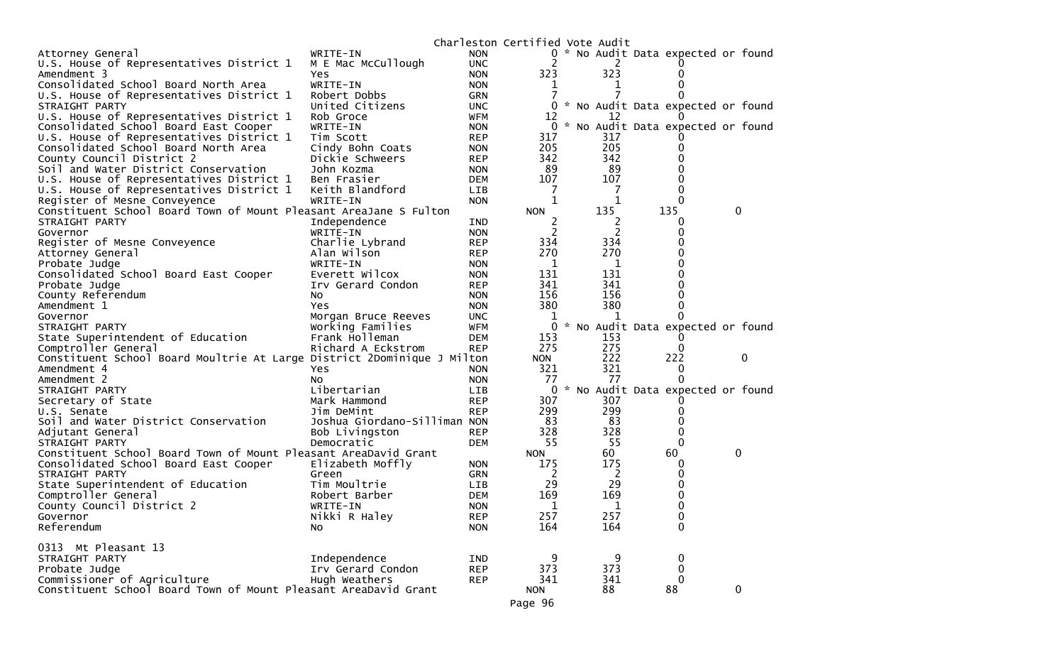|                                                                         |                              |            | Charleston Certified Vote Audit |     |                                     |              |
|-------------------------------------------------------------------------|------------------------------|------------|---------------------------------|-----|-------------------------------------|--------------|
| Attorney General                                                        | WRITE-IN                     | <b>NON</b> |                                 |     | 0 * No Audit Data expected or found |              |
| U.S. House of Representatives District 1                                | M E Mac McCullough           | <b>UNC</b> | 2                               | 2   |                                     |              |
| Amendment 3                                                             | Yes                          | <b>NON</b> | 323                             | 323 |                                     |              |
| Consolidated School Board North Area                                    | WRITE-IN                     | <b>NON</b> | 1                               | T   |                                     |              |
| U.S. House of Representatives District 1                                | Robert Dobbs                 | <b>GRN</b> |                                 |     |                                     |              |
| STRAIGHT PARTY                                                          | United Citizens              | <b>UNC</b> |                                 |     | 0 * No Audit Data expected or found |              |
| U.S. House of Representatives District 1                                | Rob Groce                    | <b>WFM</b> | 12                              | 12  |                                     |              |
| Consolidated School Board East Cooper                                   | WRITE-IN                     | <b>NON</b> |                                 |     | 0 * No Audit Data expected or found |              |
| U.S. House of Representatives District 1                                | Tim Scott                    | <b>REP</b> | 317                             | 317 |                                     |              |
| Consolidated School Board North Area                                    | Cindy Bohn Coats             | <b>NON</b> | 205                             | 205 |                                     |              |
| County Council District 2                                               | Dickie Schweers              | <b>REP</b> | 342                             | 342 | 0                                   |              |
| Soil and Water District Conservation                                    | John Kozma                   | <b>NON</b> | 89                              | 89  |                                     |              |
| U.S. House of Representatives District 1                                | Ben Frasier                  | <b>DEM</b> | 107                             | 107 | 0                                   |              |
| U.S. House of Representatives District 1                                | Keith Blandford              | <b>LIB</b> | 7                               | 7   | 0                                   |              |
| Register of Mesne Conveyence                                            | WRITE-IN                     | <b>NON</b> | 1                               | 1   | 0                                   |              |
| Constituent School Board Town of Mount Pleasant AreaJane S Fulton       |                              |            | <b>NON</b>                      | 135 | 135                                 | $\mathbf{0}$ |
| STRAIGHT PARTY                                                          | Independence                 | IND        | 2                               | 2   | 0                                   |              |
| Governor                                                                | WRITE-IN                     | <b>NON</b> | $\overline{2}$                  | 2   | 0                                   |              |
| Register of Mesne Conveyence                                            | Charlie Lybrand              | <b>REP</b> | 334                             | 334 |                                     |              |
| Attorney General                                                        | Alan Wilson                  | <b>REP</b> | 270                             | 270 | 0                                   |              |
| Probate Judge                                                           | WRITE-IN                     | <b>NON</b> | 1                               | 1   |                                     |              |
| Consolidated School Board East Cooper                                   | Everett Wilcox               | <b>NON</b> | 131                             | 131 |                                     |              |
| Probate Judge                                                           | Irv Gerard Condon            | <b>REP</b> | 341                             | 341 |                                     |              |
| County Referendum                                                       | No.                          | <b>NON</b> | 156                             | 156 |                                     |              |
| Amendment 1                                                             | Yes                          | <b>NON</b> | 380                             | 380 | 0                                   |              |
| Governor                                                                | Morgan Bruce Reeves          | <b>UNC</b> | 1                               | 1   |                                     |              |
| STRAIGHT PARTY                                                          | Working Families             | <b>WFM</b> | 0                               |     | * No Audit Data expected or found   |              |
| State Superintendent of Education                                       | Frank Holleman               | <b>DEM</b> | 153                             | 153 |                                     |              |
| Comptroller General                                                     | Richard A Eckstrom           | <b>REP</b> | 275                             | 275 | $\Omega$                            |              |
| Constituent School Board Moultrie At Large District 2Dominique J Milton |                              |            | <b>NON</b>                      | 222 | 222                                 | 0            |
| Amendment 4                                                             | Yes                          | <b>NON</b> | 321                             | 321 | 0                                   |              |
| Amendment 2                                                             | NO.                          | <b>NON</b> | 77                              | 77  |                                     |              |
| STRAIGHT PARTY                                                          | Libertarian                  | LIB        |                                 |     | 0 * No Audit Data expected or found |              |
| Secretary of State                                                      | Mark Hammond                 | <b>REP</b> | 307                             | 307 |                                     |              |
| U.S. Senate                                                             | Jim DeMint                   | <b>REP</b> | 299                             | 299 | $\Omega$                            |              |
| Soil and Water District Conservation                                    | Joshua Giordano-Silliman NON |            | 83                              | 83  | 0                                   |              |
| Adjutant General                                                        | Bob Livingston               | <b>REP</b> | 328                             | 328 | 0                                   |              |
| STRAIGHT PARTY                                                          | Democratic                   | <b>DEM</b> | 55                              | 55  | 0                                   |              |
| Constituent School Board Town of Mount Pleasant AreaDavid Grant         |                              |            | <b>NON</b>                      | 60  | 60                                  | $\mathbf 0$  |
| Consolidated School Board East Cooper                                   | Elizabeth Moffly             | <b>NON</b> | 175                             | 175 | 0                                   |              |
| STRAIGHT PARTY                                                          | Green                        | <b>GRN</b> | 2                               | 2   | 0                                   |              |
| State Superintendent of Education                                       | Tim Moultrie                 | <b>LIB</b> | 29                              | 29  | 0                                   |              |
| Comptroller General                                                     | Robert Barber                | <b>DEM</b> | 169                             | 169 | 0                                   |              |
| County Council District 2                                               | WRITE-IN                     | <b>NON</b> | 1                               | 1   | 0                                   |              |
| Governor                                                                | Nikki R Haley                | <b>REP</b> | 257                             | 257 | 0                                   |              |
| Referendum                                                              | No.                          | <b>NON</b> | 164                             | 164 | $\mathbf{0}$                        |              |
|                                                                         |                              |            |                                 |     |                                     |              |
| 0313 Mt Pleasant 13                                                     |                              |            |                                 |     |                                     |              |
| STRAIGHT PARTY                                                          | Independence                 | IND        | 9                               | 9   | 0                                   |              |
| Probate Judge                                                           | Irv Gerard Condon            | <b>REP</b> | 373                             | 373 | $\mathbf 0$                         |              |
| Commissioner of Agriculture                                             | Hugh Weathers                | <b>REP</b> | 341                             | 341 | 0                                   |              |
| Constituent School Board Town of Mount Pleasant AreaDavid Grant         |                              |            | <b>NON</b>                      | 88  | 88                                  | $\mathbf 0$  |
|                                                                         |                              |            | Page 96                         |     |                                     |              |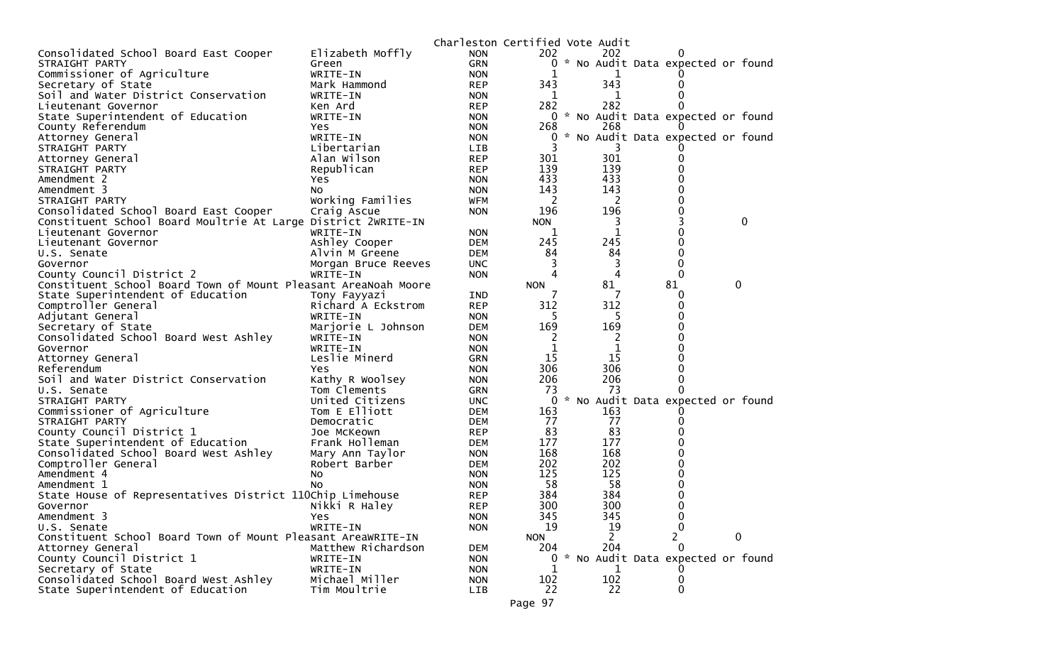|                                                                |                     | Charleston Certified Vote Audit |                |             |                                               |   |   |
|----------------------------------------------------------------|---------------------|---------------------------------|----------------|-------------|-----------------------------------------------|---|---|
| Consolidated School Board East Cooper                          | Elizabeth Moffly    | <b>NON</b>                      | 202            | 202         | $\Omega$                                      |   |   |
| STRAIGHT PARTY                                                 | Green               | <b>GRN</b>                      | 0              |             | * No Audit Data expected or found             |   |   |
| Commissioner of Agriculture                                    | WRITE-IN            | <b>NON</b>                      |                |             |                                               |   |   |
| Secretary of State                                             | Mark Hammond        | <b>REP</b>                      | 343            | 343         | 0                                             |   |   |
| Soil and Water District Conservation                           | WRITE-IN            | <b>NON</b>                      | 1              | 1           | 0                                             |   |   |
| Lieutenant Governor                                            | Ken Ard             | <b>REP</b>                      | 282            | 282         | 0                                             |   |   |
| State Superintendent of Education                              | WRITE-IN            | <b>NON</b>                      | 0              |             | * No Audit Data expected or found             |   |   |
| County Referendum                                              | Yes                 | <b>NON</b>                      | 268            | 268         |                                               |   |   |
| Attorney General                                               | WRITE-IN            | <b>NON</b>                      | 0              |             | * No Audit Data expected or found             |   |   |
| STRAIGHT PARTY                                                 | Libertarian         | LIB.                            |                |             |                                               |   |   |
| Attorney General                                               | Alan Wilson         | <b>REP</b>                      | 301            | 301         | 0                                             |   |   |
| STRAIGHT PARTY                                                 | Republican          | <b>REP</b>                      | 139            | 139         | 0                                             |   |   |
| Amendment 2                                                    | Yes                 | <b>NON</b>                      | 433            | 433         | 0                                             |   |   |
| Amendment 3                                                    | No                  | <b>NON</b>                      | 143            | 143         | 0                                             |   |   |
| STRAIGHT PARTY                                                 | Working Families    | WFM                             | 2              | 2           | 0                                             |   |   |
| Consolidated School Board East Cooper                          | Craig Ascue         | <b>NON</b>                      | 196            | 196         | 0                                             |   |   |
| Constituent School Board Moultrie At Large District 2WRITE-IN  |                     |                                 | <b>NON</b>     | 3           | 3                                             |   | 0 |
| Lieutenant Governor                                            | WRITE-IN            | <b>NON</b>                      | 1              | 1           | 0                                             |   |   |
| Lieutenant Governor                                            | Ashley Cooper       | DEM                             | 245            | 245         | 0                                             |   |   |
| U.S. Senate                                                    | Alvin M Greene      | DEM                             | 84             | 84          | 0                                             |   |   |
| Governor                                                       | Morgan Bruce Reeves | <b>UNC</b>                      | 3              | 3           | 0                                             |   |   |
| County Council District 2                                      | WRITE-IN            | <b>NON</b>                      | 4              | 4           | $\Omega$                                      |   |   |
| Constituent School Board Town of Mount Pleasant AreaNoah Moore |                     |                                 | <b>NON</b>     | 81          | 81                                            | 0 |   |
| State Superintendent of Education                              | Tony Fayyazi        | IND                             |                |             | 0                                             |   |   |
| Comptroller General                                            | Richard A Eckstrom  | <b>REP</b>                      | 312            | 312         | 0                                             |   |   |
| Adjutant General                                               | WRITE-IN            | <b>NON</b>                      | 5              | 5.          | 0                                             |   |   |
| Secretary of State                                             | Marjorie L Johnson  | <b>DEM</b>                      | 169            | 169         | 0                                             |   |   |
| Consolidated School Board West Ashley                          | WRITE-IN            | <b>NON</b>                      | 2              | 2           | 0                                             |   |   |
| Governor                                                       | WRITE-IN            | <b>NON</b>                      | 1              | $\mathbf 1$ | 0                                             |   |   |
| Attorney General                                               | Leslie Minerd       | <b>GRN</b>                      | 15             | 15          | 0                                             |   |   |
| Referendum                                                     | Yes                 | <b>NON</b>                      | 306            | 306         | 0                                             |   |   |
| Soil and Water District Conservation                           | Kathy R Woolsey     | <b>NON</b>                      | 206            | 206         | 0                                             |   |   |
| U.S. Senate                                                    | Tom Clements        | <b>GRN</b>                      | 73             | -73         | 0                                             |   |   |
| STRAIGHT PARTY                                                 | United Citizens     | <b>UNC</b>                      | 0              |             | * No Audit Data expected or found             |   |   |
| Commissioner of Agriculture                                    | Tom E Elliott       | DEM                             | 163            | 163         |                                               |   |   |
| STRAIGHT PARTY                                                 | Democratic          | DEM                             | 77             | 77          | 0                                             |   |   |
| County Council District 1                                      | Joe McKeown         | <b>REP</b>                      | 83             | 83          | 0                                             |   |   |
| State Superintendent of Education                              | Frank Holleman      | DEM                             | 177            | 177         | 0                                             |   |   |
| Consolidated School Board West Ashley                          | Mary Ann Taylor     | <b>NON</b>                      | 168            | 168         | 0                                             |   |   |
| Comptroller General                                            | Robert Barber       | DEM                             | 202            | 202         | 0                                             |   |   |
| Amendment 4                                                    | No                  | <b>NON</b>                      | 125            | 125         | 0                                             |   |   |
| Amendment 1                                                    | No                  | <b>NON</b>                      | 58             | 58          | 0                                             |   |   |
| State House of Representatives District 110Chip Limehouse      |                     | <b>REP</b>                      | 384            | 384         | 0                                             |   |   |
| Governor                                                       | Nikki R Haley       | <b>REP</b>                      | 300            | 300         | 0                                             |   |   |
| Amendment 3                                                    | Yes                 | <b>NON</b>                      | 345            | 345         | $\bf{0}$                                      |   |   |
| U.S. Senate                                                    | WRITE-IN            | <b>NON</b>                      | 19             | 19          | 0                                             |   |   |
| Constituent School Board Town of Mount Pleasant AreaWRITE-IN   |                     |                                 | <b>NON</b>     | 2           | $\overline{c}$                                | 0 |   |
| Attorney General                                               | Matthew Richardson  | <b>DEM</b>                      | 204            | 204         | $\Omega$<br>* No Audit Data expected or found |   |   |
| County Council District 1                                      | WRITE-IN            | <b>NON</b>                      | $\overline{0}$ |             |                                               |   |   |
| Secretary of State<br>Consolidated School Board West Ashley    | WRITE-IN            | <b>NON</b>                      | 1              | 1           | $\Omega$                                      |   |   |
|                                                                | Michael Miller      | <b>NON</b>                      | 102            | 102         | 0                                             |   |   |
| State Superintendent of Education                              | Tim Moultrie        | <b>LIB</b>                      | 22             | 22          | 0                                             |   |   |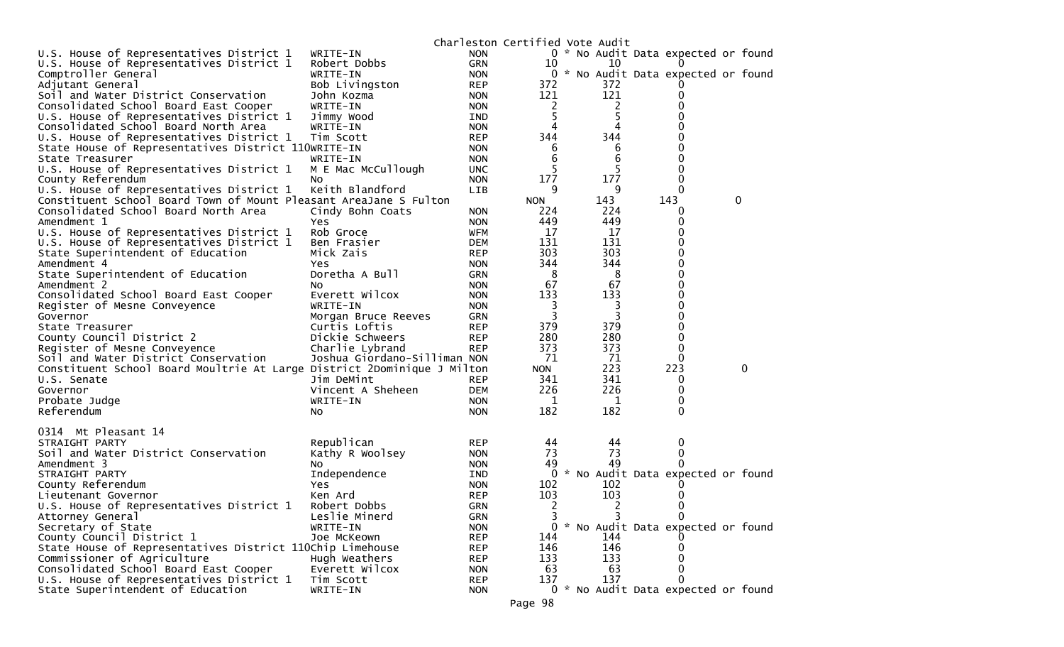|                                                                         |                                 |                   | Charleston Certified Vote Audit |           |                                     |   |              |
|-------------------------------------------------------------------------|---------------------------------|-------------------|---------------------------------|-----------|-------------------------------------|---|--------------|
| U.S. House of Representatives District 1                                | WRITE-IN                        | <b>NON</b>        |                                 |           | 0 * No Audit Data expected or found |   |              |
| U.S. House of Representatives District 1                                | Robert Dobbs                    | GRN               | 10                              | 10        |                                     |   |              |
| Comptroller General                                                     | WRITE-IN                        | <b>NON</b>        |                                 |           | 0 * No Audit Data expected or found |   |              |
| Adjutant General                                                        | Bob Livingston                  | <b>REP</b>        | 372                             | 372       |                                     |   |              |
| Soil and Water District Conservation                                    | John Kozma                      | <b>NON</b>        | 121                             | 121       |                                     |   |              |
| Consolidated School Board East Cooper                                   | WRITE-IN                        | <b>NON</b>        | 2                               | 2         |                                     |   |              |
| U.S. House of Representatives District 1                                | Jimmy Wood                      | IND               | 5                               | 5         |                                     |   |              |
| Consolidated School Board North Area                                    | WRITE-IN                        | <b>NON</b>        | 4                               | 4         | 0                                   |   |              |
| U.S. House of Representatives District 1                                | Tim Scott                       | <b>REP</b>        | 344                             | 344       |                                     |   |              |
| State House of Representatives District 110WRITE-IN                     |                                 | <b>NON</b>        | 6                               | 6         | 0                                   |   |              |
| State Treasurer                                                         | WRITE-IN                        | <b>NON</b>        | 6                               | 6         | 0                                   |   |              |
| U.S. House of Representatives District 1                                | M E Mac McCullough              | <b>UNC</b>        | 5                               | 5         | 0                                   |   |              |
| County Referendum                                                       | No                              | <b>NON</b>        | 177                             | 177       | 0                                   |   |              |
| U.S. House of Representatives District 1                                | Keith Blandford                 | LIB               | 9                               | 9         | $\Omega$                            |   |              |
| Constituent School Board Town of Mount Pleasant AreaJane S Fulton       |                                 |                   | <b>NON</b>                      | 143       | 143                                 | 0 |              |
| Consolidated School Board North Area                                    | Cindy Bohn Coats                | <b>NON</b>        | 224                             | 224       | 0                                   |   |              |
| Amendment 1                                                             | Yes                             | <b>NON</b>        | 449                             | 449       | 0                                   |   |              |
| U.S. House of Representatives District 1                                | Rob Groce                       | WFM               | 17                              | 17        |                                     |   |              |
| U.S. House of Representatives District 1                                | Ben Frasier                     | DEM               | 131                             | 131       | 0                                   |   |              |
| State Superintendent of Education                                       | Mick Zais                       | <b>REP</b>        | 303                             | 303       | $\mathbf{0}$                        |   |              |
| Amendment 4                                                             | Yes                             | <b>NON</b>        | 344                             | 344       | 0                                   |   |              |
| State Superintendent of Education                                       | Doretha A Bull                  | <b>GRN</b>        | 8                               | 8         | 0                                   |   |              |
| Amendment 2                                                             | NO.                             | <b>NON</b>        | 67                              | 67        | 0                                   |   |              |
| Consolidated School Board East Cooper                                   | Everett Wilcox                  | <b>NON</b>        | 133                             | 133       | 0                                   |   |              |
| Register of Mesne Conveyence                                            | WRITE-IN                        | <b>NON</b>        | 3                               | 3         | 0                                   |   |              |
| Governor                                                                | Morgan Bruce Reeves             | <b>GRN</b>        | 3                               | 3         | 0                                   |   |              |
| State Treasurer                                                         | Curtis Loftis                   | <b>REP</b>        | 379                             | 379       | 0                                   |   |              |
| County Council District 2                                               | Dickie Schweers                 | <b>REP</b>        | 280                             | 280       | 0                                   |   |              |
| Register of Mesne Conveyence                                            | Charlie Lybrand                 | <b>REP</b>        | 373                             | 373       | 0                                   |   |              |
| Soil and Water District Conservation                                    | Joshua Giordano-Silliman NON    |                   | 71                              | 71<br>223 | $\mathbf{0}$<br>223                 |   | $\mathbf{0}$ |
| Constituent School Board Moultrie At Large District 2Dominique J Milton |                                 |                   | <b>NON</b>                      | 341       |                                     |   |              |
| U.S. Senate                                                             | Jim DeMint<br>Vincent A Sheheen | <b>REP</b><br>DEM | 341<br>226                      | 226       | 0<br>0                              |   |              |
| Governor<br>Probate Judge                                               | WRITE-IN                        | <b>NON</b>        | $\mathbf{1}$                    | 1         | 0                                   |   |              |
|                                                                         |                                 |                   | 182                             | 182       | $\Omega$                            |   |              |
| Referendum                                                              | No                              | <b>NON</b>        |                                 |           |                                     |   |              |
| 0314 Mt Pleasant 14                                                     |                                 |                   |                                 |           |                                     |   |              |
| STRAIGHT PARTY                                                          | Republican                      | <b>REP</b>        | 44                              | 44        | 0                                   |   |              |
| Soil and Water District Conservation                                    | Kathy R Woolsey                 | <b>NON</b>        | 73                              | 73        | 0                                   |   |              |
| Amendment 3                                                             | NO.                             | <b>NON</b>        | 49                              | 49        |                                     |   |              |
| STRAIGHT PARTY                                                          | Independence                    | IND               |                                 |           | 0 * No Audit Data expected or found |   |              |
| County Referendum                                                       | Yes                             | <b>NON</b>        | 102                             | 102       |                                     |   |              |
| Lieutenant Governor                                                     | Ken Ard                         | <b>REP</b>        | 103                             | 103       |                                     |   |              |
| U.S. House of Representatives District 1                                | Robert Dobbs                    | <b>GRN</b>        | 2                               | 2         | $\Omega$                            |   |              |
| Attorney General                                                        | Leslie Minerd                   | GRN               | 3                               | 3         | 0                                   |   |              |
| Secretary of State                                                      | WRITE-IN                        | <b>NON</b>        | 0                               |           | * No Audit Data expected or found   |   |              |
| County Council District 1                                               | Joe McKeown                     | <b>REP</b>        | 144                             | 144       |                                     |   |              |
| State House of Representatives District 110Chip Limehouse               |                                 | <b>REP</b>        | 146                             | 146       | 0                                   |   |              |
| Commissioner of Agriculture                                             | Hugh Weathers                   | <b>REP</b>        | 133                             | 133       |                                     |   |              |
| Consolidated School Board East Cooper                                   | Everett Wilcox                  | <b>NON</b>        | 63                              | 63        | $\Omega$                            |   |              |
| U.S. House of Representatives District 1                                | Tim Scott                       | <b>REP</b>        | 137                             | 137       | 0                                   |   |              |
| State Superintendent of Education                                       | WRITE-IN                        | <b>NON</b>        |                                 |           | 0 * No Audit Data expected or found |   |              |
|                                                                         |                                 |                   |                                 |           |                                     |   |              |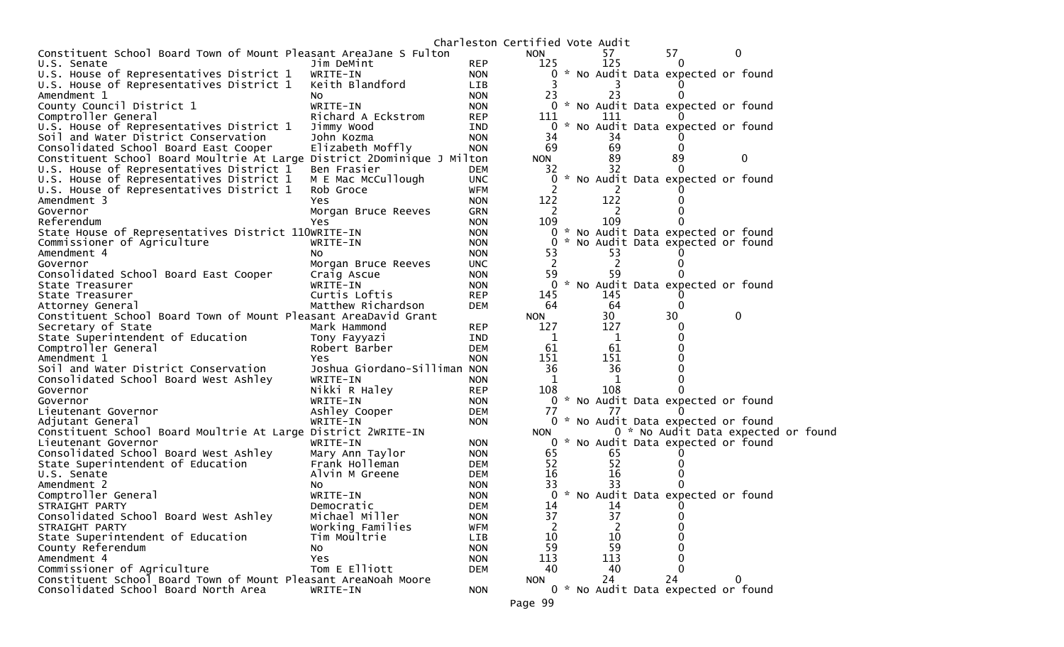|                                                                         |                              |            | Charleston Certified Vote Audit |  |     |    |                                     |  |  |
|-------------------------------------------------------------------------|------------------------------|------------|---------------------------------|--|-----|----|-------------------------------------|--|--|
| Constituent School Board Town of Mount Pleasant AreaJane S Fulton       |                              |            | <b>NON</b>                      |  | 57  | 57 | 0                                   |  |  |
| U.S. Senate                                                             | Jim DeMint                   | <b>REP</b> | 125                             |  | 125 | 0  |                                     |  |  |
| U.S. House of Representatives District 1                                | WRITE-IN                     | <b>NON</b> | 0                               |  |     |    | * No Audit Data expected or found   |  |  |
| U.S. House of Representatives District 1                                | Keith Blandford              | LIB        |                                 |  |     |    |                                     |  |  |
| Amendment 1                                                             | NO.                          | <b>NON</b> | 23                              |  | 23  |    |                                     |  |  |
| County Council District 1                                               | WRITE-IN                     | <b>NON</b> |                                 |  |     |    | 0 * No Audit Data expected or found |  |  |
| Comptroller General                                                     | Richard A Eckstrom           | <b>REP</b> | 111                             |  | 111 |    |                                     |  |  |
| U.S. House of Representatives District 1                                | Jimmy Wood                   | IND        | 0                               |  |     |    | * No Audit Data expected or found   |  |  |
| Soil and Water District Conservation                                    | John Kozma                   | <b>NON</b> | 34                              |  | 34  |    |                                     |  |  |
| Consolidated School Board East Cooper                                   | Elizabeth Moffly             | <b>NON</b> | 69                              |  | 69  |    |                                     |  |  |
| Constituent School Board Moultrie At Large District 2Dominique J Milton |                              |            | <b>NON</b>                      |  | 89  | 89 | 0                                   |  |  |
| U.S. House of Representatives District 1                                | Ben Frasier                  | DEM        | 32                              |  | 32  |    |                                     |  |  |
| U.S. House of Representatives District 1                                | M E Mac McCullough           | <b>UNC</b> | 0                               |  |     |    | No Audit Data expected or found     |  |  |
| U.S. House of Representatives District 1                                | Rob Groce                    | WFM        | 2                               |  |     |    |                                     |  |  |
| Amendment 3                                                             | Yes                          | <b>NON</b> | 122                             |  | 122 |    |                                     |  |  |
| Governor                                                                | Morgan Bruce Reeves          | <b>GRN</b> | 2                               |  | 2   |    |                                     |  |  |
| Referendum                                                              | Yes                          | <b>NON</b> | 109                             |  | 109 |    |                                     |  |  |
| State House of Representatives District 110WRITE-IN                     |                              | <b>NON</b> | 0                               |  |     |    | * No Audit Data expected or found   |  |  |
| Commissioner of Agriculture                                             | WRITE-IN                     | <b>NON</b> | 0                               |  |     |    | No Audit Data expected or found     |  |  |
| Amendment 4                                                             | NO.                          | <b>NON</b> | 53                              |  | 53  |    |                                     |  |  |
| Governor                                                                | Morgan Bruce Reeves          | <b>UNC</b> | $\overline{2}$                  |  | 2   |    |                                     |  |  |
| Consolidated School Board East Cooper                                   | Craig Ascue                  | <b>NON</b> | 59                              |  | 59  |    |                                     |  |  |
| State Treasurer                                                         | WRITE-IN                     | <b>NON</b> | 0                               |  |     |    | * No Audit Data expected or found   |  |  |
| State Treasurer                                                         | Curtis Loftis                | <b>REP</b> | 145                             |  | 145 |    |                                     |  |  |
| Attorney General                                                        | Matthew Richardson           | <b>DEM</b> | 64                              |  | 64  | 0  |                                     |  |  |
| Constituent School Board Town of Mount Pleasant AreaDavid Grant         |                              |            | <b>NON</b>                      |  | 30  | 30 | $\mathbf 0$                         |  |  |
| Secretary of State                                                      | Mark Hammond                 | <b>REP</b> | 127                             |  | 127 |    |                                     |  |  |
| State Superintendent of Education                                       | Tony Fayyazi                 | IND        | 1                               |  | 1   |    |                                     |  |  |
| Comptroller General                                                     | Robert Barber                | <b>DEM</b> | 61                              |  | 61  |    |                                     |  |  |
| Amendment 1                                                             | Yes                          | <b>NON</b> | 151                             |  | 151 |    |                                     |  |  |
| Soil and Water District Conservation                                    | Joshua Giordano-Silliman NON |            | 36                              |  | 36  |    |                                     |  |  |
| Consolidated School Board West Ashley                                   | WRITE-IN                     | <b>NON</b> | 1                               |  | 1   |    |                                     |  |  |
| Governor                                                                | Nikki R Haley                | <b>REP</b> | 108                             |  | 108 |    |                                     |  |  |
| Governor                                                                | WRITE-IN                     | <b>NON</b> |                                 |  |     |    | 0 * No Audit Data expected or found |  |  |
| Lieutenant Governor                                                     | Ashley Cooper                | <b>DEM</b> | 77                              |  | 77  |    |                                     |  |  |
| Adjutant General                                                        | WRITE-IN                     | <b>NON</b> |                                 |  |     |    | 0 * No Audit Data expected or found |  |  |
| Constituent School Board Moultrie At Large District 2WRITE-IN           |                              |            | <b>NON</b>                      |  |     |    | 0 * No Audit Data expected or found |  |  |
| Lieutenant Governor                                                     | WRITE-IN                     | <b>NON</b> |                                 |  |     |    | 0 * No Audit Data expected or found |  |  |
| Consolidated School Board West Ashley                                   | Mary Ann Taylor              | <b>NON</b> | 65                              |  | 65  |    |                                     |  |  |
| State Superintendent of Education                                       | Frank Holleman               | <b>DEM</b> | 52                              |  | 52  |    |                                     |  |  |
| U.S. Senate                                                             | Alvin M Greene               | DEM        | 16                              |  | 16  |    |                                     |  |  |
| Amendment 2                                                             | NO.                          | <b>NON</b> | 33                              |  | 33  |    |                                     |  |  |
| Comptroller General                                                     | WRITE-IN                     | <b>NON</b> | 0                               |  |     |    | * No Audit Data expected or found   |  |  |
| STRAIGHT PARTY                                                          | Democratic                   | <b>DEM</b> | 14                              |  | 14  |    |                                     |  |  |
| Consolidated School Board West Ashley                                   | Michael Miller               | <b>NON</b> | 37                              |  | 37  |    |                                     |  |  |
| STRAIGHT PARTY                                                          | Working Families             | <b>WFM</b> | 2                               |  |     |    |                                     |  |  |
| State Superintendent of Education                                       | Tim Moultrie                 | <b>LIB</b> | 10                              |  | 10  |    |                                     |  |  |
| County Referendum                                                       | No                           | <b>NON</b> | 59                              |  | 59  |    |                                     |  |  |
| Amendment 4                                                             | Yes                          | <b>NON</b> | 113                             |  | 113 |    |                                     |  |  |
| Commissioner of Agriculture                                             | Tom E Elliott                | <b>DEM</b> | 40                              |  | 40  |    |                                     |  |  |
| Constituent School Board Town of Mount Pleasant AreaNoah Moore          |                              |            | <b>NON</b>                      |  | 24  | 24 | 0                                   |  |  |
| Consolidated School Board North Area                                    | WRITE-IN                     | <b>NON</b> |                                 |  |     |    | 0 * No Audit Data expected or found |  |  |
|                                                                         |                              |            |                                 |  |     |    |                                     |  |  |
|                                                                         |                              |            | Page 99                         |  |     |    |                                     |  |  |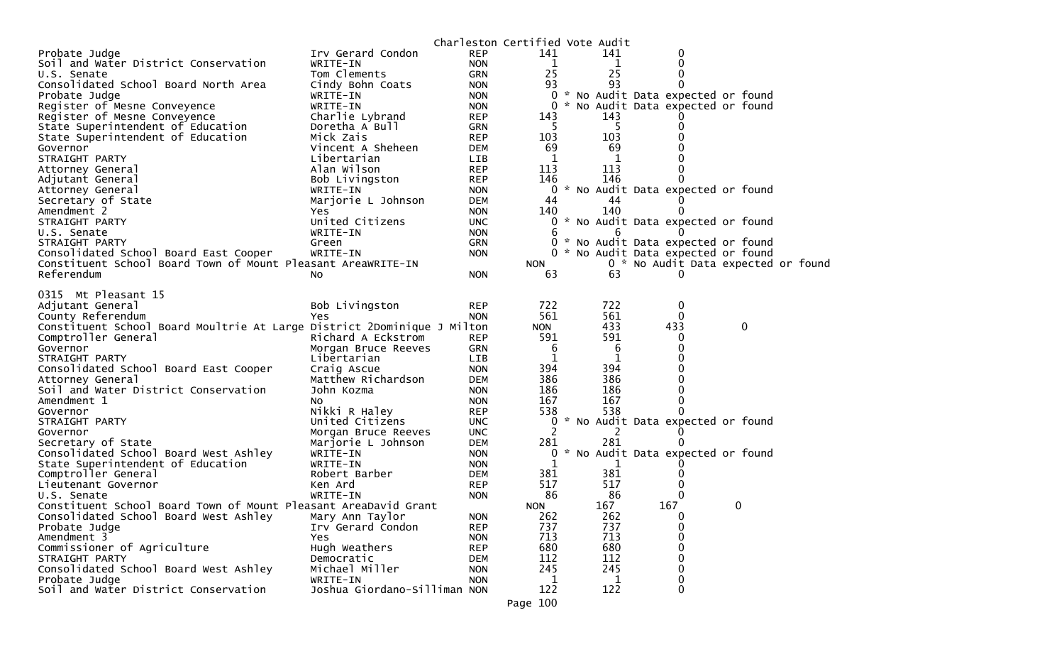|                                                                         |                              | Charleston Certified Vote Audit |            |     |                                     |             |  |
|-------------------------------------------------------------------------|------------------------------|---------------------------------|------------|-----|-------------------------------------|-------------|--|
| Probate Judge                                                           | Irv Gerard Condon            | <b>REP</b>                      | 141        | 141 | 0                                   |             |  |
| Soil and Water District Conservation                                    | WRITE-IN                     | <b>NON</b>                      | 1          | 1   | 0                                   |             |  |
| U.S. Senate                                                             | Tom Clements                 | GRN                             | 25         | 25  | 0                                   |             |  |
| Consolidated School Board North Area                                    | Cindy Bohn Coats             | <b>NON</b>                      | 93         | 93  | 0                                   |             |  |
| Probate Judge                                                           | WRITE-IN                     | <b>NON</b>                      |            |     | 0 * No Audit Data expected or found |             |  |
| Register of Mesne Conveyence                                            | WRITE-IN                     | <b>NON</b>                      | 0          |     | * No Audit Data expected or found   |             |  |
| Register of Mesne Conveyence                                            | Charlie Lybrand              | <b>REP</b>                      | 143        | 143 |                                     |             |  |
| State Superintendent of Education                                       | Doretha A Bull               | GRN                             | 5          | -5  |                                     |             |  |
| State Superintendent of Education                                       | Mick Zais                    | <b>REP</b>                      | 103        | 103 |                                     |             |  |
| Governor                                                                | Vincent A Sheheen            | <b>DEM</b>                      | 69         | 69  |                                     |             |  |
| STRAIGHT PARTY                                                          | Libertarian                  | <b>LIB</b>                      | 1          | 1   |                                     |             |  |
| Attorney General                                                        | Alan Wilson                  | <b>REP</b>                      | 113        | 113 |                                     |             |  |
| Adjutant General                                                        | Bob Livingston               | <b>REP</b>                      | 146        | 146 |                                     |             |  |
| Attorney General                                                        | WRITE-IN                     | <b>NON</b>                      |            |     | 0 * No Audit Data expected or found |             |  |
| Secretary of State                                                      | Marjorie L Johnson           | <b>DEM</b>                      | 44         | 44  |                                     |             |  |
| Amendment 2                                                             | Yes                          | <b>NON</b>                      | 140        | 140 |                                     |             |  |
| STRAIGHT PARTY                                                          | United Citizens              | <b>UNC</b>                      | 0          |     | * No Audit Data expected or found   |             |  |
| U.S. Senate                                                             | WRITE-IN                     | <b>NON</b>                      | 6          | 6   |                                     |             |  |
| STRAIGHT PARTY                                                          | Green                        | <b>GRN</b>                      | 0          |     | * No Audit Data expected or found   |             |  |
| Consolidated School Board East Cooper                                   | WRITE-IN                     | <b>NON</b>                      |            |     | 0 * No Audit Data expected or found |             |  |
| Constituent School Board Town of Mount Pleasant AreaWRITE-IN            |                              |                                 | <b>NON</b> |     | 0 * No Audit Data expected or found |             |  |
| Referendum                                                              | NO.                          | <b>NON</b>                      | 63         | 63  |                                     |             |  |
|                                                                         |                              |                                 |            |     |                                     |             |  |
| 0315 Mt Pleasant 15                                                     |                              |                                 |            |     |                                     |             |  |
| Adjutant General                                                        | Bob Livingston               | <b>REP</b>                      | 722        | 722 | 0                                   |             |  |
| County Referendum                                                       | Yes                          | <b>NON</b>                      | 561        | 561 | $\Omega$                            |             |  |
| Constituent School Board Moultrie At Large District 2Dominique J Milton |                              |                                 | <b>NON</b> | 433 | 433                                 | $\mathbf 0$ |  |
| Comptroller General                                                     | Richard A Eckstrom           | <b>REP</b>                      | 591        | 591 | 0                                   |             |  |
| Governor                                                                | Morgan Bruce Reeves          | <b>GRN</b>                      | 6          | 6   | 0                                   |             |  |
| STRAIGHT PARTY                                                          | Libertarian                  | LIB                             |            | 1   |                                     |             |  |
| Consolidated School Board East Cooper                                   | Craig Ascue                  | <b>NON</b>                      | 394        | 394 |                                     |             |  |
| Attorney General                                                        | Matthew Richardson           | <b>DEM</b>                      | 386        | 386 |                                     |             |  |
| Soil and Water District Conservation                                    | John Kozma                   | <b>NON</b>                      | 186        | 186 | 0                                   |             |  |
| Amendment 1                                                             | No                           | <b>NON</b>                      | 167        | 167 | $\Omega$                            |             |  |
| Governor                                                                | Nikki R Haley                | <b>REP</b>                      | 538        | 538 |                                     |             |  |
| STRAIGHT PARTY                                                          | United Citizens              | <b>UNC</b>                      | 0          |     | * No Audit Data expected or found   |             |  |
| Governor                                                                | Morgan Bruce Reeves          | <b>UNC</b>                      | 2          | 2   |                                     |             |  |
| Secretary of State                                                      | Marjorie L Johnson           | <b>DEM</b>                      | 281        | 281 |                                     |             |  |
| Consolidated School Board West Ashley                                   | WRITE-IN                     | <b>NON</b>                      | 0          | ₩.  | No Audit Data expected or found     |             |  |
| State Superintendent of Education                                       | WRITE-IN                     | <b>NON</b>                      |            | 1   |                                     |             |  |
| Comptroller General                                                     | Robert Barber                | <b>DEM</b>                      | 381        | 381 |                                     |             |  |
| Lieutenant Governor                                                     | Ken Ard                      | <b>REP</b>                      | 517        | 517 |                                     |             |  |
| U.S. Senate                                                             | WRITE-IN                     | <b>NON</b>                      | 86         | 86  | $\Omega$                            |             |  |
| Constituent School Board Town of Mount Pleasant AreaDavid Grant         |                              |                                 | <b>NON</b> | 167 | 167                                 | 0           |  |
| Consolidated School Board West Ashley                                   | Mary Ann Taylor              | <b>NON</b>                      | 262        | 262 | 0                                   |             |  |
| Probate Judge                                                           | Irv Gerard Condon            | <b>REP</b>                      | 737        | 737 | 0                                   |             |  |
| Amendment 3                                                             | Yes                          | <b>NON</b>                      | 713        | 713 | 0                                   |             |  |
| Commissioner of Agriculture                                             | Hugh Weathers                | <b>REP</b>                      | 680        | 680 | 0                                   |             |  |
| STRAIGHT PARTY                                                          | Democratic                   | <b>DEM</b>                      | 112        | 112 | 0                                   |             |  |
| Consolidated School Board West Ashley                                   | Michael Miller               | <b>NON</b>                      | 245        | 245 | $\Omega$                            |             |  |
| Probate Judge                                                           | WRITE-IN                     | <b>NON</b>                      | 1          |     | 0                                   |             |  |
| Soil and Water District Conservation                                    | Joshua Giordano-Silliman NON |                                 | 122        | 122 | 0                                   |             |  |
|                                                                         |                              |                                 |            |     |                                     |             |  |
|                                                                         |                              |                                 | Page 100   |     |                                     |             |  |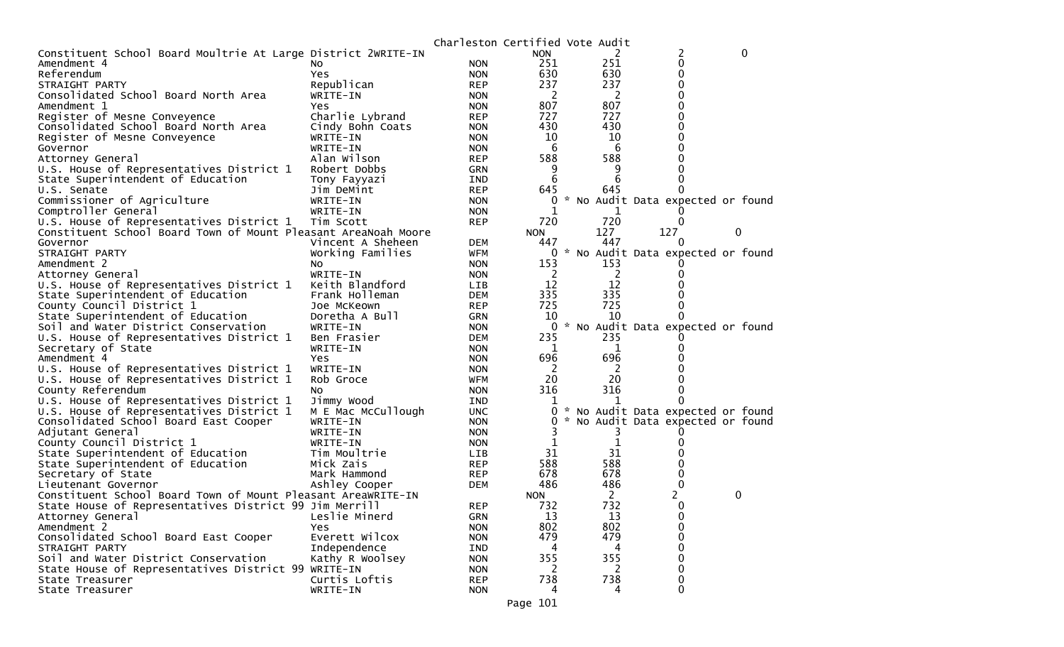|                                                                |                    | Charleston Certified Vote Audit |              |                |                                   |   |          |
|----------------------------------------------------------------|--------------------|---------------------------------|--------------|----------------|-----------------------------------|---|----------|
| Constituent School Board Moultrie At Large District 2WRITE-IN  |                    |                                 | <b>NON</b>   | 2              | 2                                 |   | $\Omega$ |
| Amendment 4                                                    | NO.                | <b>NON</b>                      | 251          | 251            | 0                                 |   |          |
| Referendum                                                     | Yes                | <b>NON</b>                      | 630          | 630            | 0                                 |   |          |
| STRAIGHT PARTY                                                 | Republican         | <b>REP</b>                      | 237          | 237            | 0                                 |   |          |
| Consolidated School Board North Area                           | WRITE-IN           | <b>NON</b>                      | 2            | 2              | 0                                 |   |          |
| Amendment 1                                                    | Yes.               | <b>NON</b>                      | 807          | 807            | 0                                 |   |          |
| Register of Mesne Conveyence                                   | Charlie Lybrand    | <b>REP</b>                      | 727          | 727            | 0                                 |   |          |
| Consolidated School Board North Area                           | Cindy Bohn Coats   | <b>NON</b>                      | 430          | 430            | 0                                 |   |          |
| Register of Mesne Conveyence                                   | WRITE-IN           | <b>NON</b>                      | 10           | 10             | 0                                 |   |          |
| Governor                                                       | WRITE-IN           | <b>NON</b>                      | 6            | 6              | 0                                 |   |          |
| Attorney General                                               | Alan Wilson        | <b>REP</b>                      | 588          | 588            | U                                 |   |          |
| U.S. House of Representatives District 1                       | Robert Dobbs       | <b>GRN</b>                      | 9            | 9              |                                   |   |          |
| State Superintendent of Education                              | Tony Fayyazi       | IND                             | 6            | 6              |                                   |   |          |
| U.S. Senate                                                    | Jim DeMint         | <b>REP</b>                      | 645          | 645            | 0                                 |   |          |
| Commissioner of Agriculture                                    | WRITE-IN           | <b>NON</b>                      | 0            |                | * No Audit Data expected or found |   |          |
| Comptroller General                                            | WRITE-IN           | <b>NON</b>                      | 1            | 1              |                                   |   |          |
| U.S. House of Representatives District 1                       | Tim Scott          | <b>REP</b>                      | 720          | 720            | $\Omega$                          |   |          |
| Constituent School Board Town of Mount Pleasant AreaNoah Moore |                    |                                 | <b>NON</b>   | 127            | 127                               | 0 |          |
| Governor                                                       | Vincent A Sheheen  | <b>DEM</b>                      | 447          | 447            | $\Omega$                          |   |          |
| STRAIGHT PARTY                                                 | Working Families   | WFM                             | 0            |                | * No Audit Data expected or found |   |          |
| Amendment 2                                                    | NO.                | <b>NON</b>                      | 153          | 153            |                                   |   |          |
| Attorney General                                               | WRITE-IN           | <b>NON</b>                      | <sup>2</sup> | $\overline{2}$ | 0                                 |   |          |
| U.S. House of Representatives District 1                       | Keith Blandford    | <b>LIB</b>                      | 12           | 12             |                                   |   |          |
| State Superintendent of Education                              | Frank Holleman     | <b>DEM</b>                      | 335          | 335            |                                   |   |          |
| County Council District 1                                      | Joe McKeown        | <b>REP</b>                      | 725          | 725            | 0                                 |   |          |
| State Superintendent of Education                              | Doretha A Bull     | <b>GRN</b>                      | 10           | 10             | 0                                 |   |          |
| Soil and Water District Conservation                           | WRITE-IN           | <b>NON</b>                      | 0            |                | * No Audit Data expected or found |   |          |
| U.S. House of Representatives District 1                       | Ben Frasier        | <b>DEM</b>                      | 235          | 235            |                                   |   |          |
| Secretary of State                                             | WRITE-IN           | <b>NON</b>                      | 1            | 1              |                                   |   |          |
| Amendment 4                                                    | Yes                | <b>NON</b>                      | 696          | 696            |                                   |   |          |
| U.S. House of Representatives District 1                       | WRITE-IN           | <b>NON</b>                      | -2           | - 2            |                                   |   |          |
| U.S. House of Representatives District 1                       | Rob Groce          | WFM                             | 20           | 20             | 0                                 |   |          |
| County Referendum                                              | NO.                | <b>NON</b>                      | 316          | 316            | 0                                 |   |          |
| U.S. House of Representatives District 1                       | Jimmy Wood         | IND                             | 1            |                | $\Omega$                          |   |          |
| U.S. House of Representatives District 1                       | M E Mac McCullough | <b>UNC</b>                      | 0            |                | * No Audit Data expected or found |   |          |
| Consolidated School Board East Cooper                          | WRITE-IN           | <b>NON</b>                      | 0            |                | * No Audit Data expected or found |   |          |
| Adjutant General                                               | WRITE-IN           | <b>NON</b>                      |              |                |                                   |   |          |
| County Council District 1                                      | WRITE-IN           | <b>NON</b>                      | 1            | 1              |                                   |   |          |
| State Superintendent of Education                              | Tim Moultrie       | <b>LIB</b>                      | 31           | 31             |                                   |   |          |
| State Superintendent of Education                              | Mick Zais          | <b>REP</b>                      | 588          | 588            | 0                                 |   |          |
| Secretary of State                                             | Mark Hammond       | <b>REP</b>                      | 678          | 678            | 0                                 |   |          |
| Lieutenant Governor                                            | Ashley Cooper      | <b>DEM</b>                      | 486          | 486            | 0                                 |   |          |
| Constituent School Board Town of Mount Pleasant AreaWRITE-IN   |                    |                                 | <b>NON</b>   | 2              | 2                                 | 0 |          |
| State House of Representatives District 99 Jim Merrill         |                    | <b>REP</b>                      | 732          | 732            | $\Omega$                          |   |          |
| Attorney General                                               | Leslie Minerd      | <b>GRN</b>                      | 13           | 13             | 0                                 |   |          |
| Amendment 2                                                    | Yes                | <b>NON</b>                      | 802          | 802            | 0                                 |   |          |
| Consolidated School Board East Cooper                          | Everett Wilcox     | <b>NON</b>                      | 479          | 479            | 0                                 |   |          |
| STRAIGHT PARTY                                                 | Independence       | <b>IND</b>                      | 4            | 4              | 0                                 |   |          |
| Soil and Water District Conservation                           | Kathy R Woolsey    | <b>NON</b>                      | 355          | 355            | 0                                 |   |          |
| State House of Representatives District 99 WRITE-IN            |                    | <b>NON</b>                      | 2            | 2              | 0                                 |   |          |
| State Treasurer                                                | Curtis Loftis      | <b>REP</b>                      | 738          | 738            | 0                                 |   |          |
| State Treasurer                                                | WRITE-IN           | <b>NON</b>                      | 4            | 4              | $\mathbf 0$                       |   |          |
|                                                                |                    |                                 |              |                |                                   |   |          |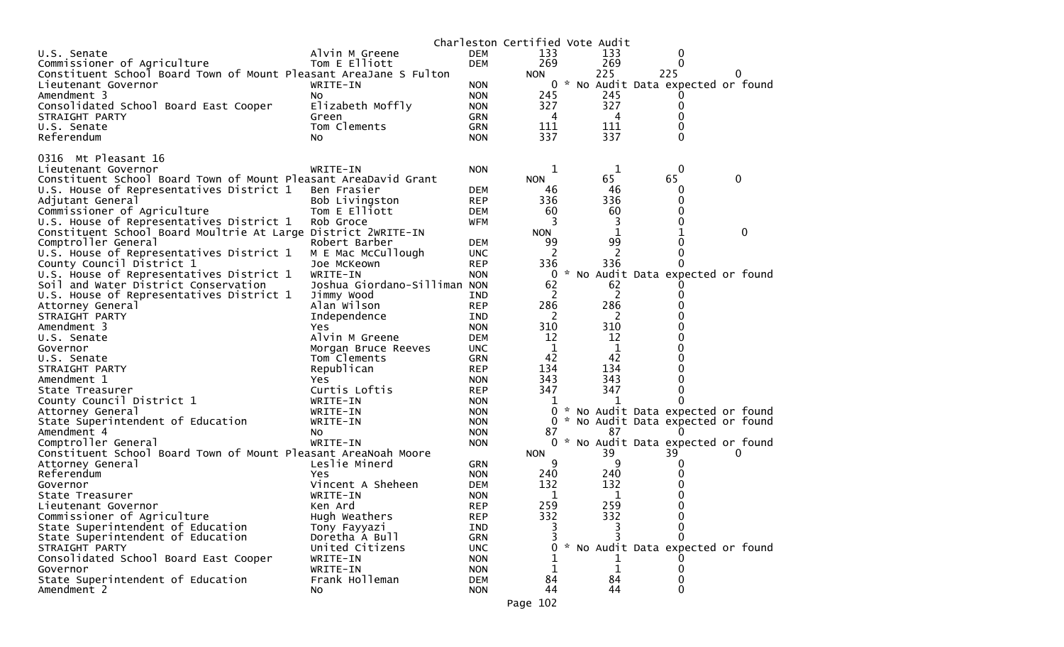|                                                                   |                              |            | Charleston Certified Vote Audit |              |                                     |   |             |
|-------------------------------------------------------------------|------------------------------|------------|---------------------------------|--------------|-------------------------------------|---|-------------|
| U.S. Senate                                                       | Alvin M Greene               | <b>DEM</b> | 133                             | 133          | 0                                   |   |             |
| Commissioner of Agriculture                                       | Tom E Elliott                | <b>DEM</b> | 269                             | 269          | 0                                   |   |             |
| Constituent School Board Town of Mount Pleasant AreaJane S Fulton |                              |            | <b>NON</b>                      | 225          | 225                                 | 0 |             |
| Lieutenant Governor                                               | WRITE-IN                     | <b>NON</b> | 0                               |              | * No Audit Data expected or found   |   |             |
| Amendment 3                                                       | NO.                          | <b>NON</b> | 245                             | 245          |                                     |   |             |
| Consolidated School Board East Cooper                             | Elizabeth Moffly             | <b>NON</b> | 327                             | 327          | 0                                   |   |             |
| STRAIGHT PARTY                                                    | Green                        | <b>GRN</b> | 4                               | 4            | 0                                   |   |             |
| U.S. Senate                                                       | Tom Clements                 | <b>GRN</b> | 111                             | 111          | $\Omega$                            |   |             |
| Referendum                                                        | No.                          | <b>NON</b> | 337                             | 337          | $\Omega$                            |   |             |
|                                                                   |                              |            |                                 |              |                                     |   |             |
| Mt Pleasant 16<br>0316                                            |                              |            |                                 |              |                                     |   |             |
| Lieutenant Governor                                               | WRITE-IN                     | <b>NON</b> | 1                               | $\mathbf{1}$ | $\mathbf 0$                         |   |             |
| Constituent School Board Town of Mount Pleasant AreaDavid Grant   |                              |            | <b>NON</b>                      | 65           | 65                                  | 0 |             |
| U.S. House of Representatives District 1                          | Ben Frasier                  | <b>DEM</b> | 46                              | 46           | 0<br>0                              |   |             |
| Adjutant General                                                  | Bob Livingston               | <b>REP</b> | 336                             | 336          |                                     |   |             |
| Commissioner of Agriculture                                       | Tom E Elliott                | <b>DEM</b> | 60                              | 60           | 0                                   |   |             |
| U.S. House of Representatives District 1                          | Rob Groce                    | <b>WFM</b> | 3                               | 3            | 0                                   |   |             |
| Constituent School Board Moultrie At Large District 2WRITE-IN     |                              |            | <b>NON</b>                      | 1            |                                     |   | $\mathbf 0$ |
| Comptroller General                                               | Robert Barber                | <b>DEM</b> | 99                              | 99           | 0                                   |   |             |
| U.S. House of Representatives District 1                          | M E Mac McCullough           | <b>UNC</b> | 2                               | 2            | 0                                   |   |             |
| County Council District 1                                         | Joe McKeown                  | <b>REP</b> | 336                             | 336          | 0                                   |   |             |
| U.S. House of Representatives District 1                          | WRITE-IN                     | <b>NON</b> | 0                               |              | * No Audit Data expected or found   |   |             |
| Soil and Water District Conservation                              | Joshua Giordano-Silliman NON |            | 62                              | 62           |                                     |   |             |
| U.S. House of Representatives District 1                          | Jimmy Wood                   | <b>IND</b> | 2                               | 2            | 0                                   |   |             |
| Attorney General                                                  | Alan Wilson                  | <b>REP</b> | 286                             | 286          |                                     |   |             |
| STRAIGHT PARTY                                                    | Independence                 | <b>IND</b> | 2                               | 2            |                                     |   |             |
| Amendment 3                                                       | Yes                          | <b>NON</b> | 310                             | 310          |                                     |   |             |
| U.S. Senate                                                       | Alvin M Greene               | <b>DEM</b> | 12                              | 12           |                                     |   |             |
| Governor                                                          | Morgan Bruce Reeves          | <b>UNC</b> | 1                               | 1            |                                     |   |             |
| U.S. Senate                                                       | Tom Clements                 | <b>GRN</b> | 42                              | 42           |                                     |   |             |
| STRAIGHT PARTY                                                    | Republican                   | <b>REP</b> | 134                             | 134          | O                                   |   |             |
| Amendment 1                                                       | Yes                          | <b>NON</b> | 343                             | 343          |                                     |   |             |
| State Treasurer                                                   | Curtis Loftis                | <b>REP</b> | 347                             | 347          | 0                                   |   |             |
| County Council District 1                                         | WRITE-IN                     | <b>NON</b> | 1                               |              | $\Omega$                            |   |             |
| Attorney General                                                  | WRITE-IN                     | <b>NON</b> | 0                               |              | * No Audit Data expected or found   |   |             |
| State Superintendent of Education                                 | WRITE-IN                     | <b>NON</b> | 0                               |              | * No Audit Data expected or found   |   |             |
| Amendment 4                                                       | No                           | <b>NON</b> | 87                              | 87           | 0                                   |   |             |
| Comptroller General                                               | WRITE-IN                     | <b>NON</b> |                                 |              | 0 * No Audit Data expected or found |   |             |
| Constituent School Board Town of Mount Pleasant AreaNoah Moore    |                              |            | <b>NON</b>                      | 39           | 39                                  | U |             |
| Attorney General                                                  | Leslie Minerd                | <b>GRN</b> | 9                               | 9            | $\Omega$                            |   |             |
| Referendum                                                        | Yes                          | <b>NON</b> | 240                             | 240          | 0                                   |   |             |
| Governor                                                          | Vincent A Sheheen            | <b>DEM</b> | 132                             | 132          | 0                                   |   |             |
| State Treasurer                                                   | WRITE-IN                     | <b>NON</b> | 1                               | 1            | 0                                   |   |             |
| Lieutenant Governor                                               | Ken Ard                      | <b>REP</b> | 259                             | 259          | 0                                   |   |             |
| Commissioner of Agriculture                                       | Hugh Weathers                | <b>REP</b> | 332                             | 332          | 0                                   |   |             |
| State Superintendent of Education                                 | Tony Fayyazi                 | <b>IND</b> |                                 |              | $\Omega$                            |   |             |
| State Superintendent of Education                                 | Doretha A Bull               | <b>GRN</b> |                                 |              | 0                                   |   |             |
| STRAIGHT PARTY                                                    | United Citizens              | <b>UNC</b> | 0                               |              | * No Audit Data expected or found   |   |             |
| Consolidated School Board East Cooper                             | WRITE-IN                     | <b>NON</b> |                                 |              |                                     |   |             |
| Governor                                                          | WRITE-IN                     | <b>NON</b> |                                 | $\mathbf{1}$ | 0                                   |   |             |
| State Superintendent of Education                                 | Frank Holleman               | <b>DEM</b> | 84                              | 84           | 0                                   |   |             |
| Amendment 2                                                       | NO.                          | <b>NON</b> | 44                              | 44           | $\Omega$                            |   |             |
|                                                                   |                              |            | Page 102                        |              |                                     |   |             |
|                                                                   |                              |            |                                 |              |                                     |   |             |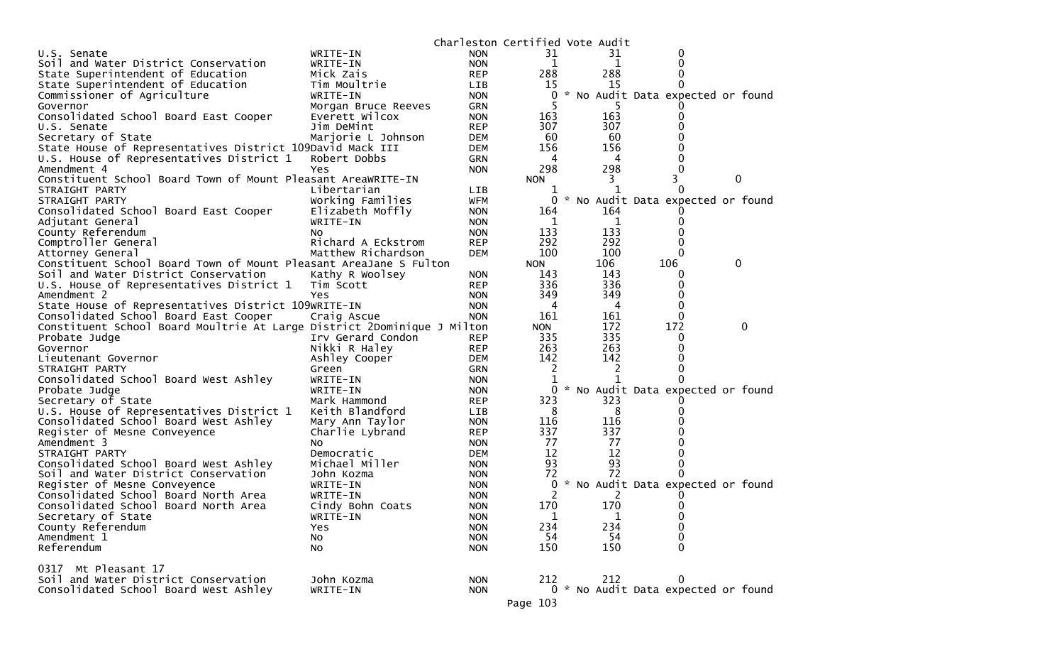|                                                                               |                              |                          | Charleston Certified Vote Audit |     |                                          |             |
|-------------------------------------------------------------------------------|------------------------------|--------------------------|---------------------------------|-----|------------------------------------------|-------------|
| U.S. Senate                                                                   | WRITE-IN                     | <b>NON</b>               | 31                              | 31  | 0                                        |             |
| Soil and Water District Conservation                                          | WRITE-IN                     | <b>NON</b>               | 1                               | 1   |                                          |             |
| State Superintendent of Education                                             | Mick Zais                    | <b>REP</b>               | 288                             | 288 |                                          |             |
| State Superintendent of Education                                             | Tim Moultrie                 | <b>LIB</b>               | 15                              | 15  |                                          |             |
| Commissioner of Agriculture                                                   | WRITE-IN                     | <b>NON</b>               | 0                               |     | * No Audit Data expected or found        |             |
| Governor                                                                      | Morgan Bruce Reeves          | <b>GRN</b>               |                                 |     |                                          |             |
| Consolidated School Board East Cooper                                         | Everett Wilcox               | <b>NON</b>               | 163                             | 163 | $\Omega$                                 |             |
| U.S. Senate                                                                   | Jim DeMint                   | <b>REP</b>               | 307                             | 307 |                                          |             |
| Secretary of State                                                            | Marjorie L Johnson           | <b>DEM</b>               | 60                              | 60  |                                          |             |
| State House of Representatives District 109David Mack III                     |                              | <b>DEM</b>               | 156                             | 156 |                                          |             |
| U.S. House of Representatives District 1                                      | Robert Dobbs                 | <b>GRN</b>               | 4                               | 4   |                                          |             |
| Amendment 4                                                                   | Yes.                         | <b>NON</b>               | 298                             | 298 |                                          |             |
| Constituent School Board Town of Mount Pleasant AreaWRITE-IN                  |                              |                          | <b>NON</b>                      | 3   | 3                                        | 0           |
| STRAIGHT PARTY                                                                | Libertarian                  | <b>LIB</b>               |                                 |     |                                          |             |
| STRAIGHT PARTY                                                                | Working Families             | WFM                      | 0                               |     | * No Audit Data expected or found        |             |
| Consolidated School Board East Cooper                                         | Elizabeth Moffly             | <b>NON</b>               | 164                             | 164 |                                          |             |
| Adjutant General                                                              | WRITE-IN                     | <b>NON</b>               | 1                               | 1   | $\Omega$                                 |             |
| County Referendum                                                             | NO.                          | <b>NON</b>               | 133                             | 133 |                                          |             |
| Comptroller General                                                           | Richard A Eckstrom           | <b>REP</b>               | 292                             | 292 |                                          |             |
| Attorney General                                                              | Matthew Richardson           | <b>DEM</b>               | 100                             | 100 | $\Omega$                                 |             |
| Constituent School Board Town of Mount Pleasant AreaJane S Fulton             |                              |                          | <b>NON</b>                      | 106 | 106                                      | 0           |
| Soil and Water District Conservation                                          | Kathy R Woolsey              | <b>NON</b>               | 143                             | 143 | $\Omega$                                 |             |
| U.S. House of Representatives District 1                                      | Tim Scott                    | <b>REP</b>               | 336                             | 336 | 0                                        |             |
| Amendment 2                                                                   | <b>Yes</b>                   | <b>NON</b>               | 349                             | 349 | 0                                        |             |
| State House of Representatives District 109WRITE-IN                           |                              | <b>NON</b>               | 4                               | 4   | 0                                        |             |
| Consolidated School Board East Cooper                                         | Craig Ascue                  | <b>NON</b>               | 161                             | 161 | 0                                        |             |
| Constituent School Board Moultrie At Large District 2Dominique J Milton       |                              |                          | <b>NON</b>                      | 172 | 172                                      | $\mathbf 0$ |
| Probate Judge                                                                 | Irv Gerard Condon            | <b>REP</b>               | 335                             | 335 | 0                                        |             |
| Governor                                                                      | Nikki R Haley                | <b>REP</b>               | 263                             | 263 | 0                                        |             |
| Lieutenant Governor                                                           | Ashley Cooper                | DEM                      | 142                             | 142 |                                          |             |
| STRAIGHT PARTY                                                                | Green                        | <b>GRN</b>               | 2                               | 2   |                                          |             |
| Consolidated School Board West Ashley                                         | WRITE-IN                     | <b>NON</b>               |                                 |     |                                          |             |
| Probate Judge                                                                 | WRITE-IN                     | <b>NON</b>               | 0                               |     | * No Audit Data expected or found        |             |
| Secretary of State                                                            | Mark Hammond                 | <b>REP</b>               | 323                             | 323 |                                          |             |
| U.S. House of Representatives District 1                                      | Keith Blandford              | LIB                      | 8                               | 8   |                                          |             |
| Consolidated School Board West Ashley                                         | Mary Ann Taylor              | <b>NON</b>               | 116                             | 116 |                                          |             |
| Register of Mesne Conveyence                                                  | Charlie Lybrand              | <b>REP</b>               | 337                             | 337 |                                          |             |
| Amendment 3                                                                   | NO.                          | <b>NON</b>               | 77                              | 77  |                                          |             |
| STRAIGHT PARTY                                                                | Democratic                   | <b>DEM</b>               | 12                              | 12  |                                          |             |
| Consolidated School Board West Ashley                                         | Michael Miller               | <b>NON</b>               | 93                              | 93  |                                          |             |
| Soil and Water District Conservation                                          | John Kozma                   | <b>NON</b>               | 72                              | 72  |                                          |             |
| Register of Mesne Conveyence                                                  | WRITE-IN                     | <b>NON</b>               | 0                               |     | * No Audit Data expected or found        |             |
| Consolidated School Board North Area                                          | WRITE-IN                     |                          | 2                               |     |                                          |             |
|                                                                               |                              | <b>NON</b>               | 170                             | 170 | 0                                        |             |
| Consolidated School Board North Area<br>Secretary of State                    | Cindy Bohn Coats<br>WRITE-IN | <b>NON</b><br><b>NON</b> |                                 | 1   | 0                                        |             |
|                                                                               |                              |                          | 1<br>234                        | 234 | 0                                        |             |
| County Referendum<br>Amendment 1                                              | Yes                          | <b>NON</b><br><b>NON</b> | 54                              | 54  | 0                                        |             |
|                                                                               | No                           |                          |                                 |     | $\Omega$                                 |             |
| Referendum                                                                    | No                           | <b>NON</b>               | 150                             | 150 |                                          |             |
|                                                                               |                              |                          |                                 |     |                                          |             |
| 0317 Mt Pleasant 17                                                           |                              |                          |                                 |     |                                          |             |
| Soil and Water District Conservation<br>Consolidated School Board West Ashley | John Kozma                   | <b>NON</b>               | 212                             | 212 | 0<br>0 * No Audit Data expected or found |             |
|                                                                               | WRITE-IN                     | <b>NON</b>               |                                 |     |                                          |             |
|                                                                               |                              |                          | Page 103                        |     |                                          |             |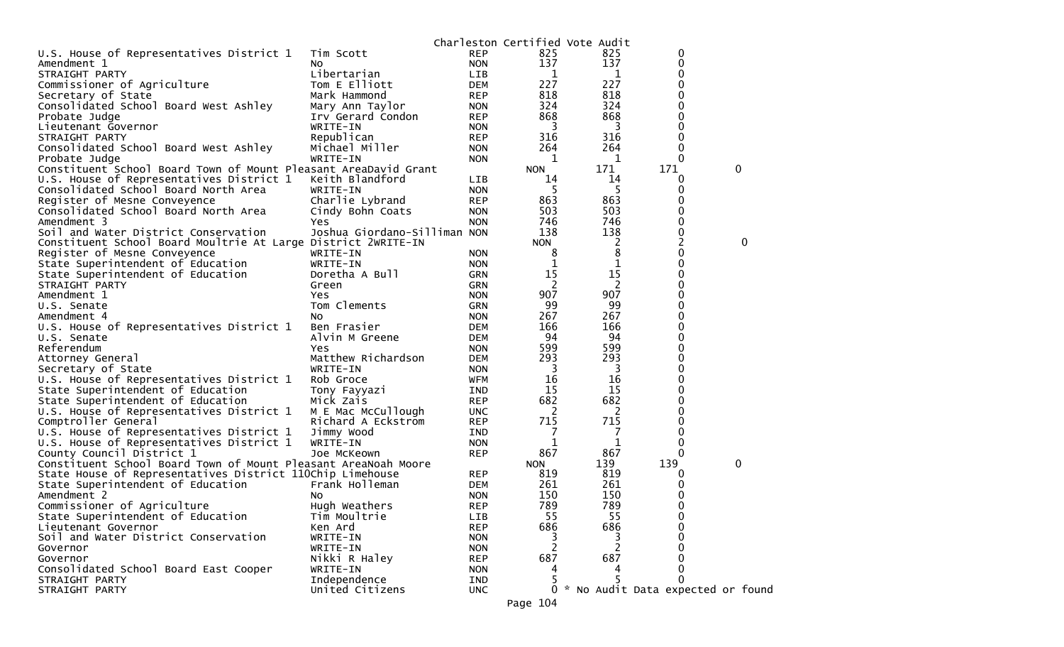|                                                                 |                              |            |            | Charleston Certified Vote Audit |                                     |             |
|-----------------------------------------------------------------|------------------------------|------------|------------|---------------------------------|-------------------------------------|-------------|
| U.S. House of Representatives District 1                        | Tim Scott                    | <b>REP</b> | 825        | 825                             | 0                                   |             |
| Amendment 1                                                     | NO.                          | <b>NON</b> | 137        | 137                             | 0                                   |             |
| STRAIGHT PARTY                                                  | Libertarian                  | LIB        | 1          | 1                               | 0                                   |             |
| Commissioner of Agriculture                                     | Tom E Elliott                | <b>DEM</b> | 227        | 227                             | 0                                   |             |
| Secretary of State                                              | Mark Hammond                 | <b>REP</b> | 818        | 818                             | 0                                   |             |
| Consolidated School Board West Ashley                           | Mary Ann Taylor              | <b>NON</b> | 324        | 324                             | 0                                   |             |
| Probate Judge                                                   | Irv Gerard Condon            | <b>REP</b> | 868        | 868                             | 0                                   |             |
| Lieutenant Governor                                             | WRITE-IN                     | <b>NON</b> | 3          | 3                               | 0                                   |             |
| STRAIGHT PARTY                                                  | Republican                   | <b>REP</b> | 316        | 316                             | 0                                   |             |
| Consolidated School Board West Ashley                           | Michael Miller               | <b>NON</b> | 264        | 264                             | 0                                   |             |
| Probate Judge                                                   | WRITE-IN                     | <b>NON</b> | 1          | 1                               | $\Omega$                            |             |
| Constituent School Board Town of Mount Pleasant AreaDavid Grant |                              |            | <b>NON</b> | 171                             | 171                                 | $\mathbf 0$ |
| U.S. House of Representatives District 1                        | Keith Blandford              | LIB        | 14         | 14                              | 0                                   |             |
| Consolidated School Board North Area                            | WRITE-IN                     | <b>NON</b> | 5          | 5                               | 0                                   |             |
| Register of Mesne Conveyence                                    | Charlie Lybrand              | <b>REP</b> | 863        | 863                             | 0                                   |             |
| Consolidated School Board North Area                            | Cindy Bohn Coats             | <b>NON</b> | 503        | 503                             | 0                                   |             |
| Amendment 3                                                     | Yes                          | <b>NON</b> | 746        | 746                             | 0                                   |             |
| Soil and Water District Conservation                            | Joshua Giordano-Silliman NON |            | 138        | 138                             | 0                                   |             |
| Constituent School Board Moultrie At Large District 2WRITE-IN   |                              |            | <b>NON</b> | 2                               | $\overline{c}$                      | 0           |
| Register of Mesne Conveyence                                    | WRITE-IN                     | <b>NON</b> | 8          | 8                               | 0                                   |             |
| State Superintendent of Education                               | WRITE-IN                     | <b>NON</b> | 1          | 1                               | 0                                   |             |
| State Superintendent of Education                               | Doretha A Bull               | <b>GRN</b> | 15         | 15                              | 0                                   |             |
| STRAIGHT PARTY                                                  | Green                        | <b>GRN</b> | 2          | 2                               | 0                                   |             |
| Amendment 1                                                     | Yes                          | <b>NON</b> | 907        | 907                             | 0                                   |             |
| U.S. Senate                                                     | Tom Clements                 | <b>GRN</b> | 99         | 99                              | 0                                   |             |
| Amendment 4                                                     | No.                          | <b>NON</b> | 267        | 267                             | 0                                   |             |
| U.S. House of Representatives District 1                        | Ben Frasier                  | <b>DEM</b> | 166        | 166                             | 0                                   |             |
| U.S. Senate                                                     | Alvin M Greene               | <b>DEM</b> | 94         | 94                              | 0                                   |             |
| Referendum                                                      | Yes                          | <b>NON</b> | 599        | 599                             | 0                                   |             |
| Attorney General                                                | Matthew Richardson           | <b>DEM</b> | 293        | 293                             | 0                                   |             |
| Secretary of State                                              | WRITE-IN                     | <b>NON</b> | 3          | 3                               | $\Omega$                            |             |
| U.S. House of Representatives District 1                        | Rob Groce                    | <b>WFM</b> | 16         | 16                              | 0                                   |             |
| State Superintendent of Education                               | Tony Fayyazi                 | <b>IND</b> | 15         | 15                              | 0                                   |             |
| State Superintendent of Education                               | Mick Zais                    | <b>REP</b> | 682        | 682                             | 0                                   |             |
| U.S. House of Representatives District 1                        | M E Mac McCullough           | <b>UNC</b> | 2          | 2                               | 0                                   |             |
| Comptroller General                                             | Richard A Eckstrom           | <b>REP</b> | 715        | 715                             | 0                                   |             |
| U.S. House of Representatives District 1                        | Jimmy Wood                   | <b>IND</b> |            | 7                               | 0                                   |             |
| U.S. House of Representatives District 1                        | WRITE-IN                     | <b>NON</b> | 1          | 1                               | 0                                   |             |
| County Council District 1                                       | Joe McKeown                  | <b>REP</b> | 867        | 867                             | 0                                   |             |
| Constituent School Board Town of Mount Pleasant AreaNoah Moore  |                              |            | <b>NON</b> | 139                             | 139                                 | 0           |
| State House of Representatives District 110Chip Limehouse       |                              | <b>REP</b> | 819        | 819                             | 0                                   |             |
| State Superintendent of Education                               | Frank Holleman               | <b>DEM</b> | 261        | 261                             | 0                                   |             |
| Amendment 2                                                     | No.                          | <b>NON</b> | 150        | 150                             | 0                                   |             |
| Commissioner of Agriculture                                     | Hugh Weathers                | <b>REP</b> | 789        | 789                             | 0                                   |             |
| State Superintendent of Education                               | Tim Moultrie                 | LIB        | 55         | 55                              | 0                                   |             |
| Lieutenant Governor                                             | Ken Ard                      | <b>REP</b> | 686        | 686                             |                                     |             |
| Soil and Water District Conservation                            | WRITE-IN                     | <b>NON</b> | 3          | 3                               | 0                                   |             |
| Governor                                                        | WRITE-IN                     | <b>NON</b> | 2          |                                 | 0                                   |             |
| Governor                                                        | Nikki R Haley                | <b>REP</b> | 687        | 687                             | 0                                   |             |
| Consolidated School Board East Cooper                           | WRITE-IN                     | <b>NON</b> | 4          |                                 | 0                                   |             |
| STRAIGHT PARTY                                                  | Independence                 | IND        |            |                                 | 0                                   |             |
| STRAIGHT PARTY                                                  | United Citizens              | <b>UNC</b> |            |                                 | 0 * No Audit Data expected or found |             |
|                                                                 |                              |            |            |                                 |                                     |             |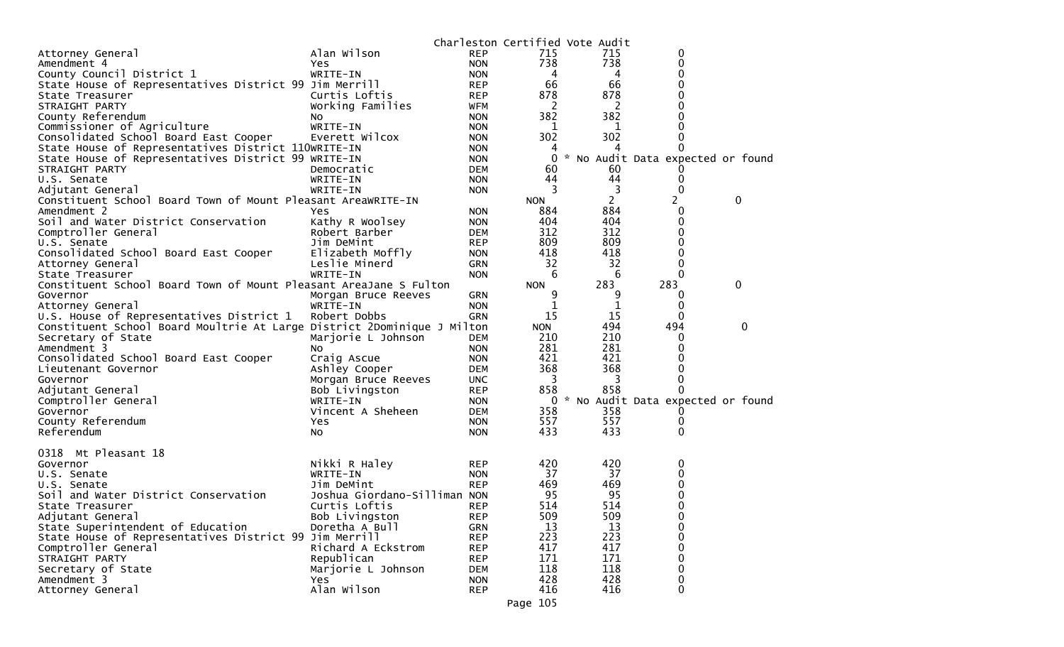|                                                                         |                              |            |            | Charleston Certified Vote Audit |                                     |   |
|-------------------------------------------------------------------------|------------------------------|------------|------------|---------------------------------|-------------------------------------|---|
| Attorney General                                                        | Alan Wilson                  | <b>REP</b> | 715        | 715                             | 0                                   |   |
| Amendment 4                                                             | Yes                          | <b>NON</b> | 738        | 738                             | 0                                   |   |
| County Council District 1                                               | WRITE-IN                     | <b>NON</b> | 4          | 4                               | 0                                   |   |
| State House of Representatives District 99 Jim Merrill                  |                              | <b>REP</b> | 66         | 66                              | 0                                   |   |
| State Treasurer                                                         | Curtis Loftis                | <b>REP</b> | 878        | 878                             | 0                                   |   |
| STRAIGHT PARTY                                                          | Working Families             | WFM        | 2          | 2                               | 0                                   |   |
| County Referendum                                                       | No.                          | <b>NON</b> | 382        | 382                             | 0                                   |   |
| Commissioner of Agriculture                                             | WRITE-IN                     | <b>NON</b> | 1          | 1                               | 0                                   |   |
| Consolidated School Board East Cooper                                   | Everett Wilcox               | <b>NON</b> | 302        | 302                             | 0                                   |   |
| State House of Representatives District 110WRITE-IN                     |                              | <b>NON</b> | 4          |                                 | O                                   |   |
| State House of Representatives District 99 WRITE-IN                     |                              | <b>NON</b> | 0          |                                 | * No Audit Data expected or found   |   |
| STRAIGHT PARTY                                                          | Democratic                   | <b>DEM</b> | 60         | 60                              |                                     |   |
| U.S. Senate                                                             | WRITE-IN                     | <b>NON</b> | 44         | 44                              | 0                                   |   |
| Adjutant General                                                        | WRITE-IN                     | <b>NON</b> | 3          | 3                               | 0                                   |   |
| Constituent School Board Town of Mount Pleasant AreaWRITE-IN            |                              |            | <b>NON</b> | $\mathbf{2}$                    | 2                                   | 0 |
| Amendment 2                                                             | <b>Yes</b>                   | <b>NON</b> | 884        | 884                             | 0                                   |   |
| Soil and Water District Conservation                                    | Kathy R Woolsey              | <b>NON</b> | 404        | 404                             | 0                                   |   |
| Comptroller General                                                     | Robert Barber                | <b>DEM</b> | 312        | 312                             | 0                                   |   |
| U.S. Senate                                                             | Jim DeMint                   | <b>REP</b> | 809        | 809                             | 0                                   |   |
| Consolidated School Board East Cooper                                   | Elizabeth Moffly             | <b>NON</b> | 418        | 418                             | 0                                   |   |
| Attorney General                                                        | Leslie Minerd                | <b>GRN</b> | 32         | 32                              | 0                                   |   |
| State Treasurer                                                         | WRITE-IN                     | <b>NON</b> | 6          | 6                               | 0                                   |   |
| Constituent School Board Town of Mount Pleasant AreaJane S Fulton       |                              |            | <b>NON</b> | 283                             | 283                                 | 0 |
| Governor                                                                | Morgan Bruce Reeves          | GRN        | 9          | 9                               | 0                                   |   |
| Attorney General                                                        | WRITE-IN                     | <b>NON</b> | 1          |                                 | 0                                   |   |
| U.S. House of Representatives District 1                                | Robert Dobbs                 | <b>GRN</b> | 15         | 15                              | 0                                   |   |
| Constituent School Board Moultrie At Large District 2Dominique J Milton |                              |            | <b>NON</b> | 494                             | 494                                 | 0 |
| Secretary of State                                                      | Marjorie L Johnson           | <b>DEM</b> | 210        | 210                             | O                                   |   |
| Amendment 3                                                             | NO.                          | <b>NON</b> | 281        | 281                             | 0                                   |   |
| Consolidated School Board East Cooper                                   | Craig Ascue                  | <b>NON</b> | 421        | 421                             | 0                                   |   |
| Lieutenant Governor                                                     | Ashley Cooper                | DEM        | 368        | 368                             | 0                                   |   |
| Governor                                                                | Morgan Bruce Reeves          | <b>UNC</b> | 3          | 3<br>858                        | 0<br>0                              |   |
| Adjutant General                                                        | Bob Livingston               | <b>REP</b> | 858        |                                 |                                     |   |
| Comptroller General                                                     | WRITE-IN                     | <b>NON</b> |            |                                 | 0 * No Audit Data expected or found |   |
| Governor                                                                | Vincent A Sheheen            | <b>DEM</b> | 358<br>557 | 358<br>557                      | O                                   |   |
| County Referendum<br>Referendum                                         | Yes                          | <b>NON</b> | 433        | 433                             | 0<br>0                              |   |
|                                                                         | NO.                          | <b>NON</b> |            |                                 |                                     |   |
| 0318 Mt Pleasant 18                                                     |                              |            |            |                                 |                                     |   |
| Governor                                                                | Nikki R Haley                | <b>REP</b> | 420        | 420                             | 0                                   |   |
| U.S. Senate                                                             | WRITE-IN                     | <b>NON</b> | 37         | 37                              | 0                                   |   |
| U.S. Senate                                                             | Jim DeMint                   | <b>REP</b> | 469        | 469                             | 0                                   |   |
| Soil and Water District Conservation                                    | Joshua Giordano-Silliman NON |            | 95         | 95                              | 0                                   |   |
| State Treasurer                                                         | Curtis Loftis                | <b>REP</b> | 514        | 514                             | $\Omega$                            |   |
| Adjutant General                                                        | Bob Livingston               | <b>REP</b> | 509        | 509                             | 0                                   |   |
| State Superintendent of Education                                       | Doretha A Bull               | <b>GRN</b> | 13         | 13                              | 0                                   |   |
| State House of Representatives District 99 Jim Merrill                  |                              | <b>REP</b> | 223        | 223                             | 0                                   |   |
| Comptroller General                                                     | Richard A Eckstrom           | <b>REP</b> | 417        | 417                             | 0                                   |   |
| STRAIGHT PARTY                                                          | Republican                   | <b>REP</b> | 171        | 171                             | $\Omega$                            |   |
| Secretary of State                                                      | Marjorie L Johnson           | <b>DEM</b> | 118        | 118                             | 0                                   |   |
| Amendment 3                                                             | <b>Yes</b>                   | <b>NON</b> | 428        | 428                             | 0                                   |   |
| Attorney General                                                        | Alan Wilson                  | <b>REP</b> | 416        | 416                             | $\Omega$                            |   |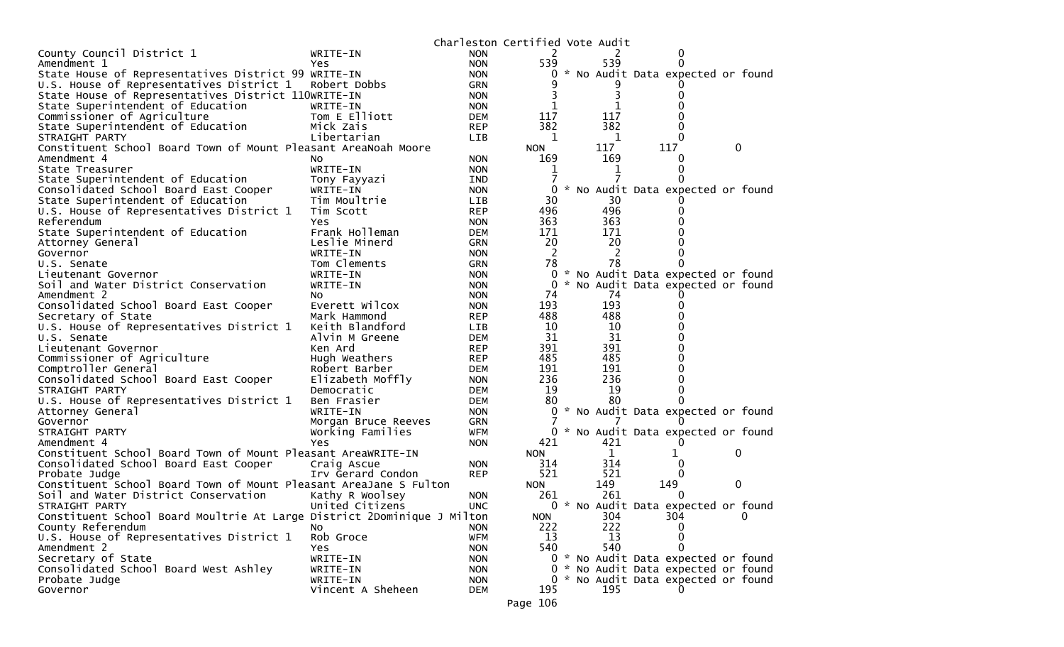|                                                                         |                         |                   | Charleston Certified Vote Audit |              |                                     |   |          |
|-------------------------------------------------------------------------|-------------------------|-------------------|---------------------------------|--------------|-------------------------------------|---|----------|
| County Council District 1                                               | WRITE-IN                | <b>NON</b>        | 2                               |              |                                     |   |          |
| Amendment 1                                                             | Yes                     | <b>NON</b>        | 539                             | 539          |                                     |   |          |
| State House of Representatives District 99 WRITE-IN                     |                         | <b>NON</b>        | 0                               |              | * No Audit Data expected or found   |   |          |
| U.S. House of Representatives District 1                                | Robert Dobbs            | GRN               |                                 |              |                                     |   |          |
| State House of Representatives District 110WRITE-IN                     |                         | <b>NON</b>        |                                 | 3            |                                     |   |          |
| State Superintendent of Education                                       | WRITE-IN                | <b>NON</b>        |                                 |              |                                     |   |          |
| Commissioner of Agriculture                                             | Tom E Elliott           | <b>DEM</b>        | 117                             | 117          |                                     |   |          |
| State Superintendent of Education                                       | Mick Zais               | <b>REP</b>        | 382                             | 382          |                                     |   |          |
| STRAIGHT PARTY                                                          | Libertarian             | <b>LIB</b>        | 1                               | 1            |                                     |   |          |
| Constituent School Board Town of Mount Pleasant AreaNoah Moore          |                         |                   | <b>NON</b>                      | 117          | 117                                 | 0 |          |
| Amendment 4                                                             | NO.                     | <b>NON</b>        | 169                             | 169          |                                     |   |          |
| State Treasurer                                                         | WRITE-IN                | <b>NON</b>        | 1                               |              |                                     |   |          |
| State Superintendent of Education                                       | Tony Fayyazi            | <b>IND</b>        |                                 |              |                                     |   |          |
| Consolidated School Board East Cooper                                   | WRITE-IN                | <b>NON</b>        | 0                               |              | * No Audit Data expected or found   |   |          |
| State Superintendent of Education                                       | Tim Moultrie            | <b>LIB</b>        | 30                              | 30           |                                     |   |          |
| U.S. House of Representatives District 1                                | Tim Scott               | <b>REP</b>        | 496                             | 496          |                                     |   |          |
| Referendum                                                              | Yes                     | <b>NON</b>        | 363                             | 363          |                                     |   |          |
| State Superintendent of Education                                       | Frank Holleman          | <b>DEM</b>        | 171                             | 171          |                                     |   |          |
| Attorney General                                                        | Leslie Minerd           | <b>GRN</b>        | 20                              | 20           |                                     |   |          |
| Governor                                                                | WRITE-IN                | <b>NON</b>        | 2                               | 2            |                                     |   |          |
| U.S. Senate                                                             | Tom Clements            | GRN               | 78                              | 78           |                                     |   |          |
| Lieutenant Governor                                                     | WRITE-IN                | <b>NON</b>        | 0                               |              | * No Audit Data expected or found   |   |          |
| Soil and Water District Conservation                                    | WRITE-IN                | <b>NON</b>        | 0                               |              | * No Audit Data expected or found   |   |          |
| Amendment 2                                                             | NO.                     | <b>NON</b>        | 74                              | 74           |                                     |   |          |
| Consolidated School Board East Cooper                                   | Everett Wilcox          | <b>NON</b>        | 193                             | 193          |                                     |   |          |
| Secretary of State                                                      | Mark Hammond            | <b>REP</b>        | 488                             | 488          |                                     |   |          |
| U.S. House of Representatives District 1                                | Keith Blandford         | <b>LIB</b>        | 10                              | 10           |                                     |   |          |
| U.S. Senate                                                             | Alvin M Greene          | <b>DEM</b>        | 31                              | 31           |                                     |   |          |
| Lieutenant Governor                                                     | Ken Ard                 | <b>REP</b>        | 391                             | 391          |                                     |   |          |
| Commissioner of Agriculture                                             | Hugh Weathers           | <b>REP</b>        | 485                             | 485          |                                     |   |          |
| Comptroller General                                                     | Robert Barber           | DEM               | 191                             | 191          |                                     |   |          |
| Consolidated School Board East Cooper                                   | Elizabeth Moffly        | <b>NON</b>        | 236                             | 236          |                                     |   |          |
| STRAIGHT PARTY                                                          | Democratic              | <b>DEM</b>        | 19                              | 19           |                                     |   |          |
| U.S. House of Representatives District 1                                | Ben Frasier             | <b>DEM</b>        | 80                              | 80           |                                     |   |          |
|                                                                         | WRITE-IN                | <b>NON</b>        | 0                               |              | * No Audit Data expected or found   |   |          |
| Attorney General<br>Governor                                            |                         | <b>GRN</b>        |                                 |              |                                     |   |          |
|                                                                         | Morgan Bruce Reeves     |                   |                                 |              | 0 * No Audit Data expected or found |   |          |
| STRAIGHT PARTY<br>Amendment 4                                           | Working Families<br>Yes | WFM<br><b>NON</b> | 421                             | 421          |                                     |   |          |
| Constituent School Board Town of Mount Pleasant AreaWRITE-IN            |                         |                   | <b>NON</b>                      | $\mathbf{1}$ | 1                                   | 0 |          |
|                                                                         |                         |                   |                                 | 314          |                                     |   |          |
| Consolidated School Board East Cooper                                   | Craig Ascue             | <b>NON</b>        | 314                             | 521          | 0                                   |   |          |
| Probate Judge                                                           | Irv Gerard Condon       | <b>REP</b>        | 521                             |              | 0                                   | 0 |          |
| Constituent School Board Town of Mount Pleasant AreaJane S Fulton       |                         |                   | <b>NON</b>                      | 149          | 149                                 |   |          |
| Soil and Water District Conservation                                    | Kathy R Woolsey         | <b>NON</b>        | 261                             | 261          | $\Omega$                            |   |          |
| STRAIGHT PARTY                                                          | United Citizens         | <b>UNC</b>        | 0                               |              | * No Audit Data expected or found   |   |          |
| Constituent School Board Moultrie At Large District 2Dominique J Milton |                         |                   | <b>NON</b>                      | 304          | 304                                 |   | $\bf{0}$ |
| County Referendum                                                       | NO.                     | <b>NON</b>        | 222                             | 222          | 0                                   |   |          |
| U.S. House of Representatives District 1                                | Rob Groce               | <b>WFM</b>        | 13                              | 13           | 0                                   |   |          |
| Amendment 2                                                             | Yes                     | <b>NON</b>        | 540                             | 540          | 0                                   |   |          |
| Secretary of State                                                      | WRITE-IN                | <b>NON</b>        |                                 |              | 0 * No Audit Data expected or found |   |          |
| Consolidated School Board West Ashley                                   | WRITE-IN                | <b>NON</b>        |                                 |              | 0 * No Audit Data expected or found |   |          |
| Probate Judge                                                           | WRITE-IN                | <b>NON</b>        |                                 |              | 0 * No Audit Data expected or found |   |          |
| Governor                                                                | Vincent A Sheheen       | <b>DEM</b>        | 195                             | 195          |                                     |   |          |
|                                                                         |                         |                   | Page 106                        |              |                                     |   |          |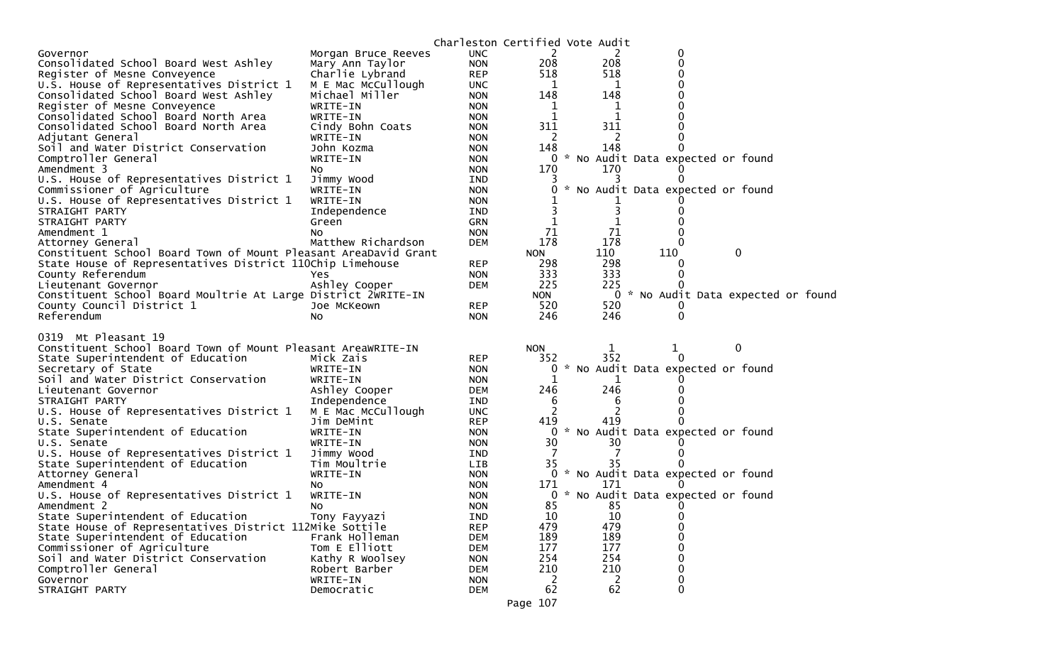|                                                                 |                        | Charleston Certified Vote Audit |                      |               |                          |                                     |  |
|-----------------------------------------------------------------|------------------------|---------------------------------|----------------------|---------------|--------------------------|-------------------------------------|--|
| Governor                                                        | Morgan Bruce Reeves    | <b>UNC</b>                      | 2                    |               | 2<br>0                   |                                     |  |
| Consolidated School Board West Ashley                           | Mary Ann Taylor        | <b>NON</b>                      | 208                  | 208           | 0                        |                                     |  |
| Register of Mesne Conveyence                                    | Charlie Lybrand        | <b>REP</b>                      | 518                  | 518           |                          |                                     |  |
| U.S. House of Representatives District 1                        | M E Mac McCullough     | <b>UNC</b>                      | 1                    |               | 1                        |                                     |  |
| Consolidated School Board West Ashley                           | Michael Miller         | <b>NON</b>                      | 148                  | 148           |                          |                                     |  |
| Register of Mesne Conveyence                                    | WRITE-IN               | <b>NON</b>                      | 1                    |               | 1                        |                                     |  |
| Consolidated School Board North Area                            | WRITE-IN               | <b>NON</b>                      | 1                    |               | 1                        |                                     |  |
| Consolidated School Board North Area                            | Cindy Bohn Coats       | <b>NON</b>                      | 311                  | 311           |                          |                                     |  |
| Adjutant General                                                | WRITE-IN               | <b>NON</b>                      | 2                    |               | 2                        |                                     |  |
| Soil and Water District Conservation                            | John Kozma             | <b>NON</b>                      | 148                  | 148           |                          |                                     |  |
| Comptroller General                                             | WRITE-IN               | <b>NON</b>                      |                      |               |                          | 0 * No Audit Data expected or found |  |
| Amendment 3                                                     | NO.                    | <b>NON</b>                      | 170                  | 170           |                          |                                     |  |
| U.S. House of Representatives District 1                        | Jimmy Wood             | <b>IND</b>                      | 3                    |               | 0                        |                                     |  |
| Commissioner of Agriculture                                     | WRITE-IN               | <b>NON</b>                      | 0                    |               |                          | No Audit Data expected or found     |  |
| U.S. House of Representatives District 1                        | WRITE-IN               | <b>NON</b>                      |                      |               |                          |                                     |  |
| STRAIGHT PARTY                                                  | Independence           | <b>IND</b>                      | 3                    |               |                          |                                     |  |
| STRAIGHT PARTY                                                  | Green                  | <b>GRN</b>                      | 1                    |               |                          |                                     |  |
| Amendment 1                                                     | No                     | <b>NON</b>                      | 71                   | 71            |                          |                                     |  |
| Attorney General                                                | Matthew Richardson     | <b>DEM</b>                      | 178                  | 178           |                          |                                     |  |
| Constituent School Board Town of Mount Pleasant AreaDavid Grant |                        |                                 | <b>NON</b>           | 110           | 110                      | $\mathbf{0}$                        |  |
| State House of Representatives District 110Chip Limehouse       |                        | <b>REP</b>                      | 298                  | 298           | $\Omega$                 |                                     |  |
| County Referendum                                               | Yes                    | <b>NON</b>                      | 333                  | 333           |                          |                                     |  |
| Lieutenant Governor                                             | Ashley Cooper          | <b>DEM</b>                      | 225                  | 225           |                          |                                     |  |
| Constituent School Board Moultrie At Large District 2WRITE-IN   |                        |                                 | <b>NON</b><br>520    | 520           |                          | 0 * No Audit Data expected or found |  |
| County Council District 1<br>Referendum                         | Joe McKeown            | <b>REP</b>                      | 246                  | 246           | $\Omega$                 |                                     |  |
|                                                                 | NO.                    | <b>NON</b>                      |                      |               |                          |                                     |  |
| 0319 Mt Pleasant 19                                             |                        |                                 |                      |               |                          |                                     |  |
| Constituent School Board Town of Mount Pleasant AreaWRITE-IN    |                        |                                 | <b>NON</b>           | 1             | 1                        | 0                                   |  |
| State Superintendent of Education                               | Mick Zais              | <b>REP</b>                      | 352                  | 352           | $\Omega$                 |                                     |  |
| Secretary of State                                              | WRITE-IN               | <b>NON</b>                      | 0                    | ₩.            |                          | No Audit Data expected or found     |  |
| Soil and Water District Conservation                            | WRITE-IN               | <b>NON</b>                      | 1                    |               |                          |                                     |  |
| Lieutenant Governor                                             |                        |                                 |                      |               |                          |                                     |  |
|                                                                 | Ashley Cooper          | <b>DEM</b>                      | 246                  | 246           |                          |                                     |  |
| STRAIGHT PARTY                                                  | Independence           | <b>IND</b>                      | 6                    |               | 6                        |                                     |  |
| U.S. House of Representatives District 1                        | M E Mac McCullough     | <b>UNC</b>                      | 2                    |               |                          |                                     |  |
| U.S. Senate                                                     | Jim DeMint             | <b>REP</b>                      | 419                  | 419           |                          |                                     |  |
| State Superintendent of Education                               | WRITE-IN               | <b>NON</b>                      | 0                    | $\mathcal{R}$ |                          | No Audit Data expected or found     |  |
| U.S. Senate                                                     | WRITE-IN               | <b>NON</b>                      | 30                   | 30            |                          |                                     |  |
| U.S. House of Representatives District 1                        | Jimmy Wood             | <b>IND</b>                      | 7                    |               |                          |                                     |  |
| State Superintendent of Education                               | Tim Moultrie           | LIB                             | 35                   | 35            |                          |                                     |  |
| Attorney General                                                | WRITE-IN               | <b>NON</b>                      |                      |               |                          | 0 * No Audit Data expected or found |  |
| Amendment 4                                                     | NO.                    | <b>NON</b>                      | 171                  | 171           |                          |                                     |  |
| U.S. House of Representatives District 1                        | WRITE-IN               | <b>NON</b>                      |                      |               |                          | 0 * No Audit Data expected or found |  |
| Amendment 2                                                     | No.                    | <b>NON</b>                      | 85                   | 85            |                          |                                     |  |
| State Superintendent of Education                               | Tony Fayyazi           | IND                             | 10                   | 10            | 0                        |                                     |  |
| State House of Representatives District 112Mike Sottile         |                        | <b>REP</b>                      | 479                  | 479           | 0                        |                                     |  |
| State Superintendent of Education                               | Frank Holleman         | <b>DEM</b>                      | 189                  | 189           | $\Omega$                 |                                     |  |
| Commissioner of Agriculture                                     | Tom E Elliott          | <b>DEM</b>                      | 177                  | 177           | 0                        |                                     |  |
| Soil and Water District Conservation                            | Kathy R Woolsey        | <b>NON</b>                      | 254                  | 254           | 0                        |                                     |  |
| Comptroller General                                             | Robert Barber          | DEM                             | 210                  | 210           | $\Omega$                 |                                     |  |
| Governor<br>STRAIGHT PARTY                                      | WRITE-IN<br>Democratic | <b>NON</b><br><b>DEM</b>        | $\overline{c}$<br>62 | 62            | 2<br>0<br>$\overline{0}$ |                                     |  |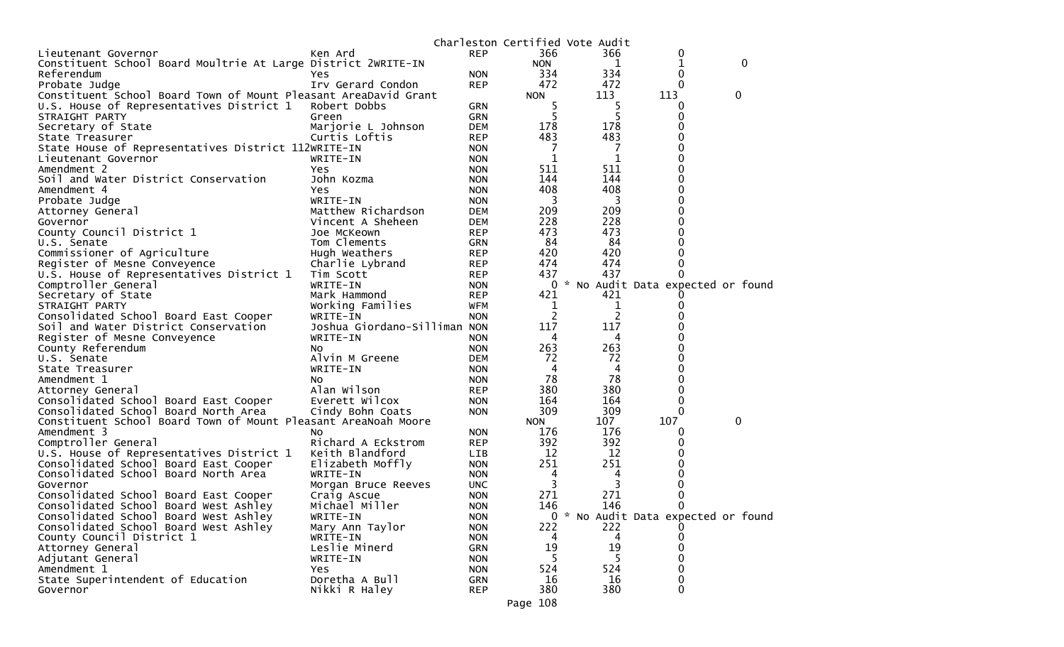|                                                                 |                              |            |            | Charleston Certified Vote Audit |                                     |              |
|-----------------------------------------------------------------|------------------------------|------------|------------|---------------------------------|-------------------------------------|--------------|
| Lieutenant Governor                                             | Ken Ard                      | <b>REP</b> | 366        | 366                             | 0                                   |              |
| Constituent School Board Moultrie At Large District 2WRITE-IN   |                              |            | <b>NON</b> | 1                               | 1                                   | $\mathbf{0}$ |
| Referendum                                                      | Yes                          | <b>NON</b> | 334        | 334                             | 0                                   |              |
| Probate Judge                                                   | Irv Gerard Condon            | <b>REP</b> | 472        | 472                             | 0                                   |              |
| Constituent School Board Town of Mount Pleasant AreaDavid Grant |                              |            | <b>NON</b> | 113                             | 113                                 | 0            |
| U.S. House of Representatives District 1                        | Robert Dobbs                 | GRN        | 5          | 5                               | 0                                   |              |
| STRAIGHT PARTY                                                  | Green                        | <b>GRN</b> | 5          | 5                               | 0                                   |              |
| Secretary of State                                              | Marjorie L Johnson           | <b>DEM</b> | 178        | 178                             | 0                                   |              |
| State Treasurer                                                 | Curtis Loftis                | <b>REP</b> | 483        | 483                             | 0                                   |              |
| State House of Representatives District 112WRITE-IN             |                              | <b>NON</b> | 7          | 7                               | 0                                   |              |
| Lieutenant Governor                                             | WRITE-IN                     | <b>NON</b> | 1          | 1                               | 0                                   |              |
| Amendment 2                                                     | Yes                          | <b>NON</b> | 511        | 511                             | 0                                   |              |
| Soil and Water District Conservation                            | John Kozma                   | <b>NON</b> | 144        | 144                             | 0                                   |              |
|                                                                 |                              |            | 408        | 408                             | 0                                   |              |
| Amendment 4                                                     | Yes                          | <b>NON</b> |            |                                 |                                     |              |
| Probate Judge                                                   | WRITE-IN                     | <b>NON</b> | 3          | 3                               | 0                                   |              |
| Attorney General                                                | Matthew Richardson           | DEM        | 209        | 209                             | 0                                   |              |
| Governor                                                        | Vincent A Sheheen            | DEM        | 228        | 228                             | 0                                   |              |
| County Council District 1                                       | Joe McKeown                  | <b>REP</b> | 473        | 473                             | 0                                   |              |
| U.S. Senate                                                     | Tom Clements                 | <b>GRN</b> | 84         | 84                              | 0                                   |              |
| Commissioner of Agriculture                                     | Hugh Weathers                | <b>REP</b> | 420        | 420                             | 0                                   |              |
| Register of Mesne Conveyence                                    | Charlie Lybrand              | <b>REP</b> | 474        | 474                             | 0                                   |              |
| U.S. House of Representatives District 1                        | Tim Scott                    | <b>REP</b> | 437        | 437                             | 0                                   |              |
| Comptroller General                                             | WRITE-IN                     | <b>NON</b> | 0          |                                 | * No Audit Data expected or found   |              |
| Secretary of State                                              | Mark Hammond                 | <b>REP</b> | 421        | 421                             |                                     |              |
| STRAIGHT PARTY                                                  | Working Families             | <b>WFM</b> | 1          | 1                               | 0                                   |              |
| Consolidated School Board East Cooper                           | WRITE-IN                     | <b>NON</b> | 2          | 2                               |                                     |              |
| Soil and Water District Conservation                            | Joshua Giordano-Silliman NON |            | 117        | 117                             |                                     |              |
| Register of Mesne Conveyence                                    | WRITE-IN                     | <b>NON</b> | 4          | 4                               |                                     |              |
| County Referendum                                               | NO.                          | <b>NON</b> | 263        | 263                             | 0                                   |              |
| U.S. Senate                                                     | Alvin M Greene               | <b>DEM</b> | 72         | 72                              |                                     |              |
| State Treasurer                                                 | WRITE-IN                     | <b>NON</b> | 4          | 4                               | 0                                   |              |
| Amendment 1                                                     | NO.                          | <b>NON</b> | 78         | 78                              | 0                                   |              |
| Attorney General                                                | Alan Wilson                  | <b>REP</b> | 380        | 380                             | 0                                   |              |
| Consolidated School Board East Cooper                           | Everett Wilcox               | <b>NON</b> | 164        | 164                             | 0                                   |              |
| Consolidated School Board North Area                            | Cindy Bohn Coats             | <b>NON</b> | 309        | 309                             | 0                                   |              |
| Constituent School Board Town of Mount Pleasant AreaNoah Moore  |                              |            | <b>NON</b> | 107                             | 107                                 | 0            |
| Amendment 3                                                     | N <sub>O</sub>               | <b>NON</b> | 176        | 176                             | 0                                   |              |
| Comptroller General                                             | Richard A Eckstrom           | <b>REP</b> | 392        | 392                             | 0                                   |              |
| U.S. House of Representatives District 1                        | Keith Blandford              | <b>LIB</b> | 12         | 12                              |                                     |              |
| Consolidated School Board East Cooper                           | Elizabeth Moffly             | <b>NON</b> | 251        | 251                             | Ω                                   |              |
| Consolidated School Board North Area                            | WRITE-IN                     | <b>NON</b> | 4          | 4                               | 0                                   |              |
| Governor                                                        | Morgan Bruce Reeves          | <b>UNC</b> | 3          | 3                               |                                     |              |
| Consolidated School Board East Cooper                           | Craig Ascue                  | <b>NON</b> | 271        | 271                             | 0                                   |              |
| Consolidated School Board West Ashley                           | Michael Miller               | <b>NON</b> | 146        | 146                             | 0                                   |              |
| Consolidated School Board West Ashley                           | WRITE-IN                     | <b>NON</b> |            |                                 | 0 * No Audit Data expected or found |              |
| Consolidated School Board West Ashley                           | Mary Ann Taylor              | <b>NON</b> | 222        | 222                             |                                     |              |
| County Council District 1                                       | WRITE-IN                     | <b>NON</b> | 4          | 4                               |                                     |              |
| Attorney General                                                | Leslie Minerd                | <b>GRN</b> | 19         | 19                              | 0                                   |              |
| Adjutant General                                                | WRITE-IN                     | <b>NON</b> |            |                                 |                                     |              |
| Amendment 1                                                     | Yes                          | <b>NON</b> | 524        | 524                             | 0                                   |              |
| State Superintendent of Education                               | Doretha A Bull               | <b>GRN</b> | 16         | 16                              | 0                                   |              |
| Governor                                                        | Nikki R Haley                | <b>REP</b> | 380        | 380                             | $\mathbf{0}$                        |              |
|                                                                 |                              |            |            |                                 |                                     |              |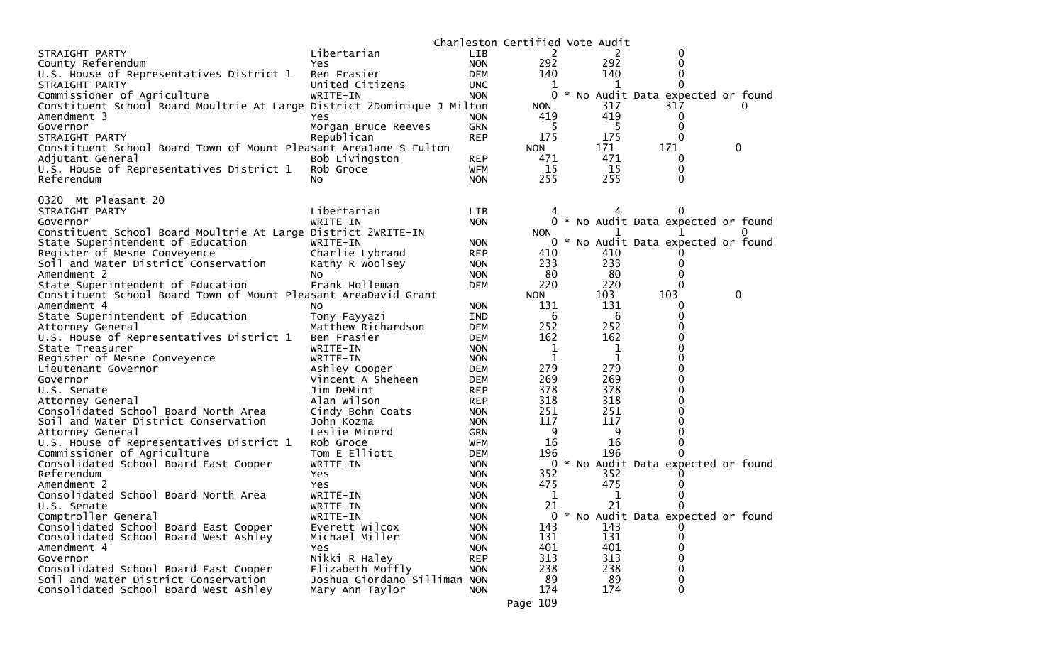| STRAIGHT PARTY<br>Libertarian<br>2<br><b>LIB</b><br>2<br>$\bf{0}$<br>292<br>292<br>$\mathbf{0}$<br>County Referendum<br>Yes.<br><b>NON</b><br>0<br>U.S. House of Representatives District 1<br>140<br>140<br>Ben Frasier<br><b>DEM</b><br>STRAIGHT PARTY<br>United Citizens<br>$\Omega$<br><b>UNC</b><br>1<br>Commissioner of Agriculture<br>0<br>WRITE-IN<br>* No Audit Data expected or found<br><b>NON</b><br>Constituent School Board Moultrie At Large District 2Dominique J Milton<br>317<br>317<br><b>NON</b><br>0<br>419<br>Amendment 3<br>419<br>Yes.<br><b>NON</b><br>0<br>5<br>0<br><b>GRN</b><br>5<br>Governor<br>Morgan Bruce Reeves<br>175<br>175<br>$\Omega$<br>Republican<br><b>REP</b><br>STRAIGHT PARTY<br>171<br>171<br>Constituent School Board Town of Mount Pleasant AreaJane S Fulton<br>0<br><b>NON</b><br>471<br>471<br>Adjutant General<br>Bob Livingston<br><b>REP</b><br>0<br>15<br>Rob Groce<br>15<br>0<br>U.S. House of Representatives District 1<br><b>WFM</b><br>255<br>255<br>Referendum<br>$\Omega$<br>No.<br><b>NON</b><br>0320 Mt Pleasant 20<br>Libertarian<br>STRAIGHT PARTY<br>LIB.<br>$\Omega$<br>WRITE-IN<br><b>NON</b><br>0 * No Audit Data expected or found<br>Governor<br>Constituent School Board Moultrie At Large District 2WRITE-IN<br><b>NON</b><br>$^{\circ}$<br>State Superintendent of Education<br>$\sim$<br>No Audit Data expected or found<br>WRITE-IN<br>0<br><b>NON</b><br>Charlie Lybrand<br>Register of Mesne Conveyence<br><b>REP</b><br>410<br>410<br>233<br>233<br>Soil and Water District Conservation<br>Kathy R Woolsey<br>0<br><b>NON</b><br>80<br>80<br>Amendment 2<br>0<br><b>NON</b><br>No.<br>220<br>220<br>$\Omega$<br>State Superintendent of Education<br>Frank Holleman<br><b>DEM</b><br>103<br>103<br>0<br>Constituent School Board Town of Mount Pleasant AreaDavid Grant<br><b>NON</b><br>131<br>Amendment 4<br>131<br>0<br>No.<br><b>NON</b><br>State Superintendent of Education<br>6<br>6<br>0<br>Tony Fayyazi<br><b>IND</b><br>252<br>252<br>0<br>Attorney General<br>Matthew Richardson<br><b>DEM</b><br>162<br>162<br>0<br>U.S. House of Representatives District 1<br>Ben Frasier<br><b>DEM</b><br>1<br>0<br>State Treasurer<br>WRITE-IN<br>1<br><b>NON</b><br>1<br>1<br>0<br>Register of Mesne Conveyence<br>WRITE-IN<br><b>NON</b><br>279<br>279<br>0<br>Ashley Cooper<br>Lieutenant Governor<br><b>DEM</b><br>269<br>269<br>0<br>Governor<br>Vincent A Sheheen<br><b>DEM</b><br>378<br>378<br>0<br>Jim DeMint<br>U.S. Senate<br><b>REP</b><br>318<br>318<br>Alan Wilson<br>0<br>Attorney General<br><b>REP</b><br>251<br>251<br>Consolidated School Board North Area<br>Cindy Bohn Coats<br>0<br><b>NON</b><br>117<br>117<br>Soil and Water District Conservation<br>0<br>John Kozma<br><b>NON</b><br>Leslie Minerd<br>9<br>9<br>$\Omega$<br>Attorney General<br>GRN<br>16<br>16<br>$\mathbf{0}$<br>U.S. House of Representatives District 1<br>Rob Groce<br><b>WFM</b><br>Tom E Elliott<br>196<br>196<br>Commissioner of Agriculture<br><b>DEM</b><br>0<br>* No Audit Data expected or found<br>0<br>Consolidated School Board East Cooper<br>WRITE-IN<br><b>NON</b><br>Referendum<br>352<br>352<br>Yes<br><b>NON</b><br>$\Omega$<br>475<br>Amendment 2<br>475<br>Yes.<br><b>NON</b><br>0<br>Consolidated School Board North Area<br>1<br>WRITE-IN<br>1<br>0<br><b>NON</b><br>21<br>21<br>$\mathbf{0}$<br>WRITE-IN<br>U.S. Senate<br><b>NON</b><br>Comptroller General<br>WRITE-IN<br>No Audit Data expected or found<br><b>NON</b><br>0<br>Consolidated School Board East Cooper<br>Everett Wilcox<br>143<br>143<br><b>NON</b><br>131<br>Consolidated School Board West Ashley<br>Michael Miller<br>131<br><b>NON</b><br>0<br>Amendment 4<br>401<br>401<br>0<br>Yes<br><b>NON</b><br>313<br>313<br>Governor<br>Nikki R Haley<br>$\Omega$<br><b>REP</b><br>238<br>Consolidated School Board East Cooper<br>Elizabeth Moffly<br>238<br>0<br><b>NON</b><br>89<br>Soil and Water District Conservation<br>Joshua Giordano-Silliman NON<br>89<br>$\mathbf 0$<br>174<br>Consolidated School Board West Ashley<br>174<br>$\Omega$<br>Mary Ann Taylor<br><b>NON</b> |  | Charleston Certified Vote Audit |  |  |
|--------------------------------------------------------------------------------------------------------------------------------------------------------------------------------------------------------------------------------------------------------------------------------------------------------------------------------------------------------------------------------------------------------------------------------------------------------------------------------------------------------------------------------------------------------------------------------------------------------------------------------------------------------------------------------------------------------------------------------------------------------------------------------------------------------------------------------------------------------------------------------------------------------------------------------------------------------------------------------------------------------------------------------------------------------------------------------------------------------------------------------------------------------------------------------------------------------------------------------------------------------------------------------------------------------------------------------------------------------------------------------------------------------------------------------------------------------------------------------------------------------------------------------------------------------------------------------------------------------------------------------------------------------------------------------------------------------------------------------------------------------------------------------------------------------------------------------------------------------------------------------------------------------------------------------------------------------------------------------------------------------------------------------------------------------------------------------------------------------------------------------------------------------------------------------------------------------------------------------------------------------------------------------------------------------------------------------------------------------------------------------------------------------------------------------------------------------------------------------------------------------------------------------------------------------------------------------------------------------------------------------------------------------------------------------------------------------------------------------------------------------------------------------------------------------------------------------------------------------------------------------------------------------------------------------------------------------------------------------------------------------------------------------------------------------------------------------------------------------------------------------------------------------------------------------------------------------------------------------------------------------------------------------------------------------------------------------------------------------------------------------------------------------------------------------------------------------------------------------------------------------------------------------------------------------------------------------------------------------------------------------------------------------------------------------------------------------------------------------------------------------------------------------------------------------------------------------------------------------------------------------------------------------------------------------------------------------------------------------------------------------------------------------------------------------------------------------------------------------------------------------------------------------|--|---------------------------------|--|--|
|                                                                                                                                                                                                                                                                                                                                                                                                                                                                                                                                                                                                                                                                                                                                                                                                                                                                                                                                                                                                                                                                                                                                                                                                                                                                                                                                                                                                                                                                                                                                                                                                                                                                                                                                                                                                                                                                                                                                                                                                                                                                                                                                                                                                                                                                                                                                                                                                                                                                                                                                                                                                                                                                                                                                                                                                                                                                                                                                                                                                                                                                                                                                                                                                                                                                                                                                                                                                                                                                                                                                                                                                                                                                                                                                                                                                                                                                                                                                                                                                                                                                                                                                                        |  |                                 |  |  |
|                                                                                                                                                                                                                                                                                                                                                                                                                                                                                                                                                                                                                                                                                                                                                                                                                                                                                                                                                                                                                                                                                                                                                                                                                                                                                                                                                                                                                                                                                                                                                                                                                                                                                                                                                                                                                                                                                                                                                                                                                                                                                                                                                                                                                                                                                                                                                                                                                                                                                                                                                                                                                                                                                                                                                                                                                                                                                                                                                                                                                                                                                                                                                                                                                                                                                                                                                                                                                                                                                                                                                                                                                                                                                                                                                                                                                                                                                                                                                                                                                                                                                                                                                        |  |                                 |  |  |
|                                                                                                                                                                                                                                                                                                                                                                                                                                                                                                                                                                                                                                                                                                                                                                                                                                                                                                                                                                                                                                                                                                                                                                                                                                                                                                                                                                                                                                                                                                                                                                                                                                                                                                                                                                                                                                                                                                                                                                                                                                                                                                                                                                                                                                                                                                                                                                                                                                                                                                                                                                                                                                                                                                                                                                                                                                                                                                                                                                                                                                                                                                                                                                                                                                                                                                                                                                                                                                                                                                                                                                                                                                                                                                                                                                                                                                                                                                                                                                                                                                                                                                                                                        |  |                                 |  |  |
|                                                                                                                                                                                                                                                                                                                                                                                                                                                                                                                                                                                                                                                                                                                                                                                                                                                                                                                                                                                                                                                                                                                                                                                                                                                                                                                                                                                                                                                                                                                                                                                                                                                                                                                                                                                                                                                                                                                                                                                                                                                                                                                                                                                                                                                                                                                                                                                                                                                                                                                                                                                                                                                                                                                                                                                                                                                                                                                                                                                                                                                                                                                                                                                                                                                                                                                                                                                                                                                                                                                                                                                                                                                                                                                                                                                                                                                                                                                                                                                                                                                                                                                                                        |  |                                 |  |  |
|                                                                                                                                                                                                                                                                                                                                                                                                                                                                                                                                                                                                                                                                                                                                                                                                                                                                                                                                                                                                                                                                                                                                                                                                                                                                                                                                                                                                                                                                                                                                                                                                                                                                                                                                                                                                                                                                                                                                                                                                                                                                                                                                                                                                                                                                                                                                                                                                                                                                                                                                                                                                                                                                                                                                                                                                                                                                                                                                                                                                                                                                                                                                                                                                                                                                                                                                                                                                                                                                                                                                                                                                                                                                                                                                                                                                                                                                                                                                                                                                                                                                                                                                                        |  |                                 |  |  |
|                                                                                                                                                                                                                                                                                                                                                                                                                                                                                                                                                                                                                                                                                                                                                                                                                                                                                                                                                                                                                                                                                                                                                                                                                                                                                                                                                                                                                                                                                                                                                                                                                                                                                                                                                                                                                                                                                                                                                                                                                                                                                                                                                                                                                                                                                                                                                                                                                                                                                                                                                                                                                                                                                                                                                                                                                                                                                                                                                                                                                                                                                                                                                                                                                                                                                                                                                                                                                                                                                                                                                                                                                                                                                                                                                                                                                                                                                                                                                                                                                                                                                                                                                        |  |                                 |  |  |
|                                                                                                                                                                                                                                                                                                                                                                                                                                                                                                                                                                                                                                                                                                                                                                                                                                                                                                                                                                                                                                                                                                                                                                                                                                                                                                                                                                                                                                                                                                                                                                                                                                                                                                                                                                                                                                                                                                                                                                                                                                                                                                                                                                                                                                                                                                                                                                                                                                                                                                                                                                                                                                                                                                                                                                                                                                                                                                                                                                                                                                                                                                                                                                                                                                                                                                                                                                                                                                                                                                                                                                                                                                                                                                                                                                                                                                                                                                                                                                                                                                                                                                                                                        |  |                                 |  |  |
|                                                                                                                                                                                                                                                                                                                                                                                                                                                                                                                                                                                                                                                                                                                                                                                                                                                                                                                                                                                                                                                                                                                                                                                                                                                                                                                                                                                                                                                                                                                                                                                                                                                                                                                                                                                                                                                                                                                                                                                                                                                                                                                                                                                                                                                                                                                                                                                                                                                                                                                                                                                                                                                                                                                                                                                                                                                                                                                                                                                                                                                                                                                                                                                                                                                                                                                                                                                                                                                                                                                                                                                                                                                                                                                                                                                                                                                                                                                                                                                                                                                                                                                                                        |  |                                 |  |  |
|                                                                                                                                                                                                                                                                                                                                                                                                                                                                                                                                                                                                                                                                                                                                                                                                                                                                                                                                                                                                                                                                                                                                                                                                                                                                                                                                                                                                                                                                                                                                                                                                                                                                                                                                                                                                                                                                                                                                                                                                                                                                                                                                                                                                                                                                                                                                                                                                                                                                                                                                                                                                                                                                                                                                                                                                                                                                                                                                                                                                                                                                                                                                                                                                                                                                                                                                                                                                                                                                                                                                                                                                                                                                                                                                                                                                                                                                                                                                                                                                                                                                                                                                                        |  |                                 |  |  |
|                                                                                                                                                                                                                                                                                                                                                                                                                                                                                                                                                                                                                                                                                                                                                                                                                                                                                                                                                                                                                                                                                                                                                                                                                                                                                                                                                                                                                                                                                                                                                                                                                                                                                                                                                                                                                                                                                                                                                                                                                                                                                                                                                                                                                                                                                                                                                                                                                                                                                                                                                                                                                                                                                                                                                                                                                                                                                                                                                                                                                                                                                                                                                                                                                                                                                                                                                                                                                                                                                                                                                                                                                                                                                                                                                                                                                                                                                                                                                                                                                                                                                                                                                        |  |                                 |  |  |
|                                                                                                                                                                                                                                                                                                                                                                                                                                                                                                                                                                                                                                                                                                                                                                                                                                                                                                                                                                                                                                                                                                                                                                                                                                                                                                                                                                                                                                                                                                                                                                                                                                                                                                                                                                                                                                                                                                                                                                                                                                                                                                                                                                                                                                                                                                                                                                                                                                                                                                                                                                                                                                                                                                                                                                                                                                                                                                                                                                                                                                                                                                                                                                                                                                                                                                                                                                                                                                                                                                                                                                                                                                                                                                                                                                                                                                                                                                                                                                                                                                                                                                                                                        |  |                                 |  |  |
|                                                                                                                                                                                                                                                                                                                                                                                                                                                                                                                                                                                                                                                                                                                                                                                                                                                                                                                                                                                                                                                                                                                                                                                                                                                                                                                                                                                                                                                                                                                                                                                                                                                                                                                                                                                                                                                                                                                                                                                                                                                                                                                                                                                                                                                                                                                                                                                                                                                                                                                                                                                                                                                                                                                                                                                                                                                                                                                                                                                                                                                                                                                                                                                                                                                                                                                                                                                                                                                                                                                                                                                                                                                                                                                                                                                                                                                                                                                                                                                                                                                                                                                                                        |  |                                 |  |  |
|                                                                                                                                                                                                                                                                                                                                                                                                                                                                                                                                                                                                                                                                                                                                                                                                                                                                                                                                                                                                                                                                                                                                                                                                                                                                                                                                                                                                                                                                                                                                                                                                                                                                                                                                                                                                                                                                                                                                                                                                                                                                                                                                                                                                                                                                                                                                                                                                                                                                                                                                                                                                                                                                                                                                                                                                                                                                                                                                                                                                                                                                                                                                                                                                                                                                                                                                                                                                                                                                                                                                                                                                                                                                                                                                                                                                                                                                                                                                                                                                                                                                                                                                                        |  |                                 |  |  |
|                                                                                                                                                                                                                                                                                                                                                                                                                                                                                                                                                                                                                                                                                                                                                                                                                                                                                                                                                                                                                                                                                                                                                                                                                                                                                                                                                                                                                                                                                                                                                                                                                                                                                                                                                                                                                                                                                                                                                                                                                                                                                                                                                                                                                                                                                                                                                                                                                                                                                                                                                                                                                                                                                                                                                                                                                                                                                                                                                                                                                                                                                                                                                                                                                                                                                                                                                                                                                                                                                                                                                                                                                                                                                                                                                                                                                                                                                                                                                                                                                                                                                                                                                        |  |                                 |  |  |
|                                                                                                                                                                                                                                                                                                                                                                                                                                                                                                                                                                                                                                                                                                                                                                                                                                                                                                                                                                                                                                                                                                                                                                                                                                                                                                                                                                                                                                                                                                                                                                                                                                                                                                                                                                                                                                                                                                                                                                                                                                                                                                                                                                                                                                                                                                                                                                                                                                                                                                                                                                                                                                                                                                                                                                                                                                                                                                                                                                                                                                                                                                                                                                                                                                                                                                                                                                                                                                                                                                                                                                                                                                                                                                                                                                                                                                                                                                                                                                                                                                                                                                                                                        |  |                                 |  |  |
|                                                                                                                                                                                                                                                                                                                                                                                                                                                                                                                                                                                                                                                                                                                                                                                                                                                                                                                                                                                                                                                                                                                                                                                                                                                                                                                                                                                                                                                                                                                                                                                                                                                                                                                                                                                                                                                                                                                                                                                                                                                                                                                                                                                                                                                                                                                                                                                                                                                                                                                                                                                                                                                                                                                                                                                                                                                                                                                                                                                                                                                                                                                                                                                                                                                                                                                                                                                                                                                                                                                                                                                                                                                                                                                                                                                                                                                                                                                                                                                                                                                                                                                                                        |  |                                 |  |  |
|                                                                                                                                                                                                                                                                                                                                                                                                                                                                                                                                                                                                                                                                                                                                                                                                                                                                                                                                                                                                                                                                                                                                                                                                                                                                                                                                                                                                                                                                                                                                                                                                                                                                                                                                                                                                                                                                                                                                                                                                                                                                                                                                                                                                                                                                                                                                                                                                                                                                                                                                                                                                                                                                                                                                                                                                                                                                                                                                                                                                                                                                                                                                                                                                                                                                                                                                                                                                                                                                                                                                                                                                                                                                                                                                                                                                                                                                                                                                                                                                                                                                                                                                                        |  |                                 |  |  |
|                                                                                                                                                                                                                                                                                                                                                                                                                                                                                                                                                                                                                                                                                                                                                                                                                                                                                                                                                                                                                                                                                                                                                                                                                                                                                                                                                                                                                                                                                                                                                                                                                                                                                                                                                                                                                                                                                                                                                                                                                                                                                                                                                                                                                                                                                                                                                                                                                                                                                                                                                                                                                                                                                                                                                                                                                                                                                                                                                                                                                                                                                                                                                                                                                                                                                                                                                                                                                                                                                                                                                                                                                                                                                                                                                                                                                                                                                                                                                                                                                                                                                                                                                        |  |                                 |  |  |
|                                                                                                                                                                                                                                                                                                                                                                                                                                                                                                                                                                                                                                                                                                                                                                                                                                                                                                                                                                                                                                                                                                                                                                                                                                                                                                                                                                                                                                                                                                                                                                                                                                                                                                                                                                                                                                                                                                                                                                                                                                                                                                                                                                                                                                                                                                                                                                                                                                                                                                                                                                                                                                                                                                                                                                                                                                                                                                                                                                                                                                                                                                                                                                                                                                                                                                                                                                                                                                                                                                                                                                                                                                                                                                                                                                                                                                                                                                                                                                                                                                                                                                                                                        |  |                                 |  |  |
|                                                                                                                                                                                                                                                                                                                                                                                                                                                                                                                                                                                                                                                                                                                                                                                                                                                                                                                                                                                                                                                                                                                                                                                                                                                                                                                                                                                                                                                                                                                                                                                                                                                                                                                                                                                                                                                                                                                                                                                                                                                                                                                                                                                                                                                                                                                                                                                                                                                                                                                                                                                                                                                                                                                                                                                                                                                                                                                                                                                                                                                                                                                                                                                                                                                                                                                                                                                                                                                                                                                                                                                                                                                                                                                                                                                                                                                                                                                                                                                                                                                                                                                                                        |  |                                 |  |  |
|                                                                                                                                                                                                                                                                                                                                                                                                                                                                                                                                                                                                                                                                                                                                                                                                                                                                                                                                                                                                                                                                                                                                                                                                                                                                                                                                                                                                                                                                                                                                                                                                                                                                                                                                                                                                                                                                                                                                                                                                                                                                                                                                                                                                                                                                                                                                                                                                                                                                                                                                                                                                                                                                                                                                                                                                                                                                                                                                                                                                                                                                                                                                                                                                                                                                                                                                                                                                                                                                                                                                                                                                                                                                                                                                                                                                                                                                                                                                                                                                                                                                                                                                                        |  |                                 |  |  |
|                                                                                                                                                                                                                                                                                                                                                                                                                                                                                                                                                                                                                                                                                                                                                                                                                                                                                                                                                                                                                                                                                                                                                                                                                                                                                                                                                                                                                                                                                                                                                                                                                                                                                                                                                                                                                                                                                                                                                                                                                                                                                                                                                                                                                                                                                                                                                                                                                                                                                                                                                                                                                                                                                                                                                                                                                                                                                                                                                                                                                                                                                                                                                                                                                                                                                                                                                                                                                                                                                                                                                                                                                                                                                                                                                                                                                                                                                                                                                                                                                                                                                                                                                        |  |                                 |  |  |
|                                                                                                                                                                                                                                                                                                                                                                                                                                                                                                                                                                                                                                                                                                                                                                                                                                                                                                                                                                                                                                                                                                                                                                                                                                                                                                                                                                                                                                                                                                                                                                                                                                                                                                                                                                                                                                                                                                                                                                                                                                                                                                                                                                                                                                                                                                                                                                                                                                                                                                                                                                                                                                                                                                                                                                                                                                                                                                                                                                                                                                                                                                                                                                                                                                                                                                                                                                                                                                                                                                                                                                                                                                                                                                                                                                                                                                                                                                                                                                                                                                                                                                                                                        |  |                                 |  |  |
|                                                                                                                                                                                                                                                                                                                                                                                                                                                                                                                                                                                                                                                                                                                                                                                                                                                                                                                                                                                                                                                                                                                                                                                                                                                                                                                                                                                                                                                                                                                                                                                                                                                                                                                                                                                                                                                                                                                                                                                                                                                                                                                                                                                                                                                                                                                                                                                                                                                                                                                                                                                                                                                                                                                                                                                                                                                                                                                                                                                                                                                                                                                                                                                                                                                                                                                                                                                                                                                                                                                                                                                                                                                                                                                                                                                                                                                                                                                                                                                                                                                                                                                                                        |  |                                 |  |  |
|                                                                                                                                                                                                                                                                                                                                                                                                                                                                                                                                                                                                                                                                                                                                                                                                                                                                                                                                                                                                                                                                                                                                                                                                                                                                                                                                                                                                                                                                                                                                                                                                                                                                                                                                                                                                                                                                                                                                                                                                                                                                                                                                                                                                                                                                                                                                                                                                                                                                                                                                                                                                                                                                                                                                                                                                                                                                                                                                                                                                                                                                                                                                                                                                                                                                                                                                                                                                                                                                                                                                                                                                                                                                                                                                                                                                                                                                                                                                                                                                                                                                                                                                                        |  |                                 |  |  |
|                                                                                                                                                                                                                                                                                                                                                                                                                                                                                                                                                                                                                                                                                                                                                                                                                                                                                                                                                                                                                                                                                                                                                                                                                                                                                                                                                                                                                                                                                                                                                                                                                                                                                                                                                                                                                                                                                                                                                                                                                                                                                                                                                                                                                                                                                                                                                                                                                                                                                                                                                                                                                                                                                                                                                                                                                                                                                                                                                                                                                                                                                                                                                                                                                                                                                                                                                                                                                                                                                                                                                                                                                                                                                                                                                                                                                                                                                                                                                                                                                                                                                                                                                        |  |                                 |  |  |
|                                                                                                                                                                                                                                                                                                                                                                                                                                                                                                                                                                                                                                                                                                                                                                                                                                                                                                                                                                                                                                                                                                                                                                                                                                                                                                                                                                                                                                                                                                                                                                                                                                                                                                                                                                                                                                                                                                                                                                                                                                                                                                                                                                                                                                                                                                                                                                                                                                                                                                                                                                                                                                                                                                                                                                                                                                                                                                                                                                                                                                                                                                                                                                                                                                                                                                                                                                                                                                                                                                                                                                                                                                                                                                                                                                                                                                                                                                                                                                                                                                                                                                                                                        |  |                                 |  |  |
|                                                                                                                                                                                                                                                                                                                                                                                                                                                                                                                                                                                                                                                                                                                                                                                                                                                                                                                                                                                                                                                                                                                                                                                                                                                                                                                                                                                                                                                                                                                                                                                                                                                                                                                                                                                                                                                                                                                                                                                                                                                                                                                                                                                                                                                                                                                                                                                                                                                                                                                                                                                                                                                                                                                                                                                                                                                                                                                                                                                                                                                                                                                                                                                                                                                                                                                                                                                                                                                                                                                                                                                                                                                                                                                                                                                                                                                                                                                                                                                                                                                                                                                                                        |  |                                 |  |  |
|                                                                                                                                                                                                                                                                                                                                                                                                                                                                                                                                                                                                                                                                                                                                                                                                                                                                                                                                                                                                                                                                                                                                                                                                                                                                                                                                                                                                                                                                                                                                                                                                                                                                                                                                                                                                                                                                                                                                                                                                                                                                                                                                                                                                                                                                                                                                                                                                                                                                                                                                                                                                                                                                                                                                                                                                                                                                                                                                                                                                                                                                                                                                                                                                                                                                                                                                                                                                                                                                                                                                                                                                                                                                                                                                                                                                                                                                                                                                                                                                                                                                                                                                                        |  |                                 |  |  |
|                                                                                                                                                                                                                                                                                                                                                                                                                                                                                                                                                                                                                                                                                                                                                                                                                                                                                                                                                                                                                                                                                                                                                                                                                                                                                                                                                                                                                                                                                                                                                                                                                                                                                                                                                                                                                                                                                                                                                                                                                                                                                                                                                                                                                                                                                                                                                                                                                                                                                                                                                                                                                                                                                                                                                                                                                                                                                                                                                                                                                                                                                                                                                                                                                                                                                                                                                                                                                                                                                                                                                                                                                                                                                                                                                                                                                                                                                                                                                                                                                                                                                                                                                        |  |                                 |  |  |
|                                                                                                                                                                                                                                                                                                                                                                                                                                                                                                                                                                                                                                                                                                                                                                                                                                                                                                                                                                                                                                                                                                                                                                                                                                                                                                                                                                                                                                                                                                                                                                                                                                                                                                                                                                                                                                                                                                                                                                                                                                                                                                                                                                                                                                                                                                                                                                                                                                                                                                                                                                                                                                                                                                                                                                                                                                                                                                                                                                                                                                                                                                                                                                                                                                                                                                                                                                                                                                                                                                                                                                                                                                                                                                                                                                                                                                                                                                                                                                                                                                                                                                                                                        |  |                                 |  |  |
|                                                                                                                                                                                                                                                                                                                                                                                                                                                                                                                                                                                                                                                                                                                                                                                                                                                                                                                                                                                                                                                                                                                                                                                                                                                                                                                                                                                                                                                                                                                                                                                                                                                                                                                                                                                                                                                                                                                                                                                                                                                                                                                                                                                                                                                                                                                                                                                                                                                                                                                                                                                                                                                                                                                                                                                                                                                                                                                                                                                                                                                                                                                                                                                                                                                                                                                                                                                                                                                                                                                                                                                                                                                                                                                                                                                                                                                                                                                                                                                                                                                                                                                                                        |  |                                 |  |  |
|                                                                                                                                                                                                                                                                                                                                                                                                                                                                                                                                                                                                                                                                                                                                                                                                                                                                                                                                                                                                                                                                                                                                                                                                                                                                                                                                                                                                                                                                                                                                                                                                                                                                                                                                                                                                                                                                                                                                                                                                                                                                                                                                                                                                                                                                                                                                                                                                                                                                                                                                                                                                                                                                                                                                                                                                                                                                                                                                                                                                                                                                                                                                                                                                                                                                                                                                                                                                                                                                                                                                                                                                                                                                                                                                                                                                                                                                                                                                                                                                                                                                                                                                                        |  |                                 |  |  |
|                                                                                                                                                                                                                                                                                                                                                                                                                                                                                                                                                                                                                                                                                                                                                                                                                                                                                                                                                                                                                                                                                                                                                                                                                                                                                                                                                                                                                                                                                                                                                                                                                                                                                                                                                                                                                                                                                                                                                                                                                                                                                                                                                                                                                                                                                                                                                                                                                                                                                                                                                                                                                                                                                                                                                                                                                                                                                                                                                                                                                                                                                                                                                                                                                                                                                                                                                                                                                                                                                                                                                                                                                                                                                                                                                                                                                                                                                                                                                                                                                                                                                                                                                        |  |                                 |  |  |
|                                                                                                                                                                                                                                                                                                                                                                                                                                                                                                                                                                                                                                                                                                                                                                                                                                                                                                                                                                                                                                                                                                                                                                                                                                                                                                                                                                                                                                                                                                                                                                                                                                                                                                                                                                                                                                                                                                                                                                                                                                                                                                                                                                                                                                                                                                                                                                                                                                                                                                                                                                                                                                                                                                                                                                                                                                                                                                                                                                                                                                                                                                                                                                                                                                                                                                                                                                                                                                                                                                                                                                                                                                                                                                                                                                                                                                                                                                                                                                                                                                                                                                                                                        |  |                                 |  |  |
|                                                                                                                                                                                                                                                                                                                                                                                                                                                                                                                                                                                                                                                                                                                                                                                                                                                                                                                                                                                                                                                                                                                                                                                                                                                                                                                                                                                                                                                                                                                                                                                                                                                                                                                                                                                                                                                                                                                                                                                                                                                                                                                                                                                                                                                                                                                                                                                                                                                                                                                                                                                                                                                                                                                                                                                                                                                                                                                                                                                                                                                                                                                                                                                                                                                                                                                                                                                                                                                                                                                                                                                                                                                                                                                                                                                                                                                                                                                                                                                                                                                                                                                                                        |  |                                 |  |  |
|                                                                                                                                                                                                                                                                                                                                                                                                                                                                                                                                                                                                                                                                                                                                                                                                                                                                                                                                                                                                                                                                                                                                                                                                                                                                                                                                                                                                                                                                                                                                                                                                                                                                                                                                                                                                                                                                                                                                                                                                                                                                                                                                                                                                                                                                                                                                                                                                                                                                                                                                                                                                                                                                                                                                                                                                                                                                                                                                                                                                                                                                                                                                                                                                                                                                                                                                                                                                                                                                                                                                                                                                                                                                                                                                                                                                                                                                                                                                                                                                                                                                                                                                                        |  |                                 |  |  |
|                                                                                                                                                                                                                                                                                                                                                                                                                                                                                                                                                                                                                                                                                                                                                                                                                                                                                                                                                                                                                                                                                                                                                                                                                                                                                                                                                                                                                                                                                                                                                                                                                                                                                                                                                                                                                                                                                                                                                                                                                                                                                                                                                                                                                                                                                                                                                                                                                                                                                                                                                                                                                                                                                                                                                                                                                                                                                                                                                                                                                                                                                                                                                                                                                                                                                                                                                                                                                                                                                                                                                                                                                                                                                                                                                                                                                                                                                                                                                                                                                                                                                                                                                        |  |                                 |  |  |
|                                                                                                                                                                                                                                                                                                                                                                                                                                                                                                                                                                                                                                                                                                                                                                                                                                                                                                                                                                                                                                                                                                                                                                                                                                                                                                                                                                                                                                                                                                                                                                                                                                                                                                                                                                                                                                                                                                                                                                                                                                                                                                                                                                                                                                                                                                                                                                                                                                                                                                                                                                                                                                                                                                                                                                                                                                                                                                                                                                                                                                                                                                                                                                                                                                                                                                                                                                                                                                                                                                                                                                                                                                                                                                                                                                                                                                                                                                                                                                                                                                                                                                                                                        |  |                                 |  |  |
|                                                                                                                                                                                                                                                                                                                                                                                                                                                                                                                                                                                                                                                                                                                                                                                                                                                                                                                                                                                                                                                                                                                                                                                                                                                                                                                                                                                                                                                                                                                                                                                                                                                                                                                                                                                                                                                                                                                                                                                                                                                                                                                                                                                                                                                                                                                                                                                                                                                                                                                                                                                                                                                                                                                                                                                                                                                                                                                                                                                                                                                                                                                                                                                                                                                                                                                                                                                                                                                                                                                                                                                                                                                                                                                                                                                                                                                                                                                                                                                                                                                                                                                                                        |  |                                 |  |  |
|                                                                                                                                                                                                                                                                                                                                                                                                                                                                                                                                                                                                                                                                                                                                                                                                                                                                                                                                                                                                                                                                                                                                                                                                                                                                                                                                                                                                                                                                                                                                                                                                                                                                                                                                                                                                                                                                                                                                                                                                                                                                                                                                                                                                                                                                                                                                                                                                                                                                                                                                                                                                                                                                                                                                                                                                                                                                                                                                                                                                                                                                                                                                                                                                                                                                                                                                                                                                                                                                                                                                                                                                                                                                                                                                                                                                                                                                                                                                                                                                                                                                                                                                                        |  |                                 |  |  |
|                                                                                                                                                                                                                                                                                                                                                                                                                                                                                                                                                                                                                                                                                                                                                                                                                                                                                                                                                                                                                                                                                                                                                                                                                                                                                                                                                                                                                                                                                                                                                                                                                                                                                                                                                                                                                                                                                                                                                                                                                                                                                                                                                                                                                                                                                                                                                                                                                                                                                                                                                                                                                                                                                                                                                                                                                                                                                                                                                                                                                                                                                                                                                                                                                                                                                                                                                                                                                                                                                                                                                                                                                                                                                                                                                                                                                                                                                                                                                                                                                                                                                                                                                        |  |                                 |  |  |
|                                                                                                                                                                                                                                                                                                                                                                                                                                                                                                                                                                                                                                                                                                                                                                                                                                                                                                                                                                                                                                                                                                                                                                                                                                                                                                                                                                                                                                                                                                                                                                                                                                                                                                                                                                                                                                                                                                                                                                                                                                                                                                                                                                                                                                                                                                                                                                                                                                                                                                                                                                                                                                                                                                                                                                                                                                                                                                                                                                                                                                                                                                                                                                                                                                                                                                                                                                                                                                                                                                                                                                                                                                                                                                                                                                                                                                                                                                                                                                                                                                                                                                                                                        |  |                                 |  |  |
|                                                                                                                                                                                                                                                                                                                                                                                                                                                                                                                                                                                                                                                                                                                                                                                                                                                                                                                                                                                                                                                                                                                                                                                                                                                                                                                                                                                                                                                                                                                                                                                                                                                                                                                                                                                                                                                                                                                                                                                                                                                                                                                                                                                                                                                                                                                                                                                                                                                                                                                                                                                                                                                                                                                                                                                                                                                                                                                                                                                                                                                                                                                                                                                                                                                                                                                                                                                                                                                                                                                                                                                                                                                                                                                                                                                                                                                                                                                                                                                                                                                                                                                                                        |  |                                 |  |  |
|                                                                                                                                                                                                                                                                                                                                                                                                                                                                                                                                                                                                                                                                                                                                                                                                                                                                                                                                                                                                                                                                                                                                                                                                                                                                                                                                                                                                                                                                                                                                                                                                                                                                                                                                                                                                                                                                                                                                                                                                                                                                                                                                                                                                                                                                                                                                                                                                                                                                                                                                                                                                                                                                                                                                                                                                                                                                                                                                                                                                                                                                                                                                                                                                                                                                                                                                                                                                                                                                                                                                                                                                                                                                                                                                                                                                                                                                                                                                                                                                                                                                                                                                                        |  |                                 |  |  |
|                                                                                                                                                                                                                                                                                                                                                                                                                                                                                                                                                                                                                                                                                                                                                                                                                                                                                                                                                                                                                                                                                                                                                                                                                                                                                                                                                                                                                                                                                                                                                                                                                                                                                                                                                                                                                                                                                                                                                                                                                                                                                                                                                                                                                                                                                                                                                                                                                                                                                                                                                                                                                                                                                                                                                                                                                                                                                                                                                                                                                                                                                                                                                                                                                                                                                                                                                                                                                                                                                                                                                                                                                                                                                                                                                                                                                                                                                                                                                                                                                                                                                                                                                        |  |                                 |  |  |
|                                                                                                                                                                                                                                                                                                                                                                                                                                                                                                                                                                                                                                                                                                                                                                                                                                                                                                                                                                                                                                                                                                                                                                                                                                                                                                                                                                                                                                                                                                                                                                                                                                                                                                                                                                                                                                                                                                                                                                                                                                                                                                                                                                                                                                                                                                                                                                                                                                                                                                                                                                                                                                                                                                                                                                                                                                                                                                                                                                                                                                                                                                                                                                                                                                                                                                                                                                                                                                                                                                                                                                                                                                                                                                                                                                                                                                                                                                                                                                                                                                                                                                                                                        |  |                                 |  |  |
|                                                                                                                                                                                                                                                                                                                                                                                                                                                                                                                                                                                                                                                                                                                                                                                                                                                                                                                                                                                                                                                                                                                                                                                                                                                                                                                                                                                                                                                                                                                                                                                                                                                                                                                                                                                                                                                                                                                                                                                                                                                                                                                                                                                                                                                                                                                                                                                                                                                                                                                                                                                                                                                                                                                                                                                                                                                                                                                                                                                                                                                                                                                                                                                                                                                                                                                                                                                                                                                                                                                                                                                                                                                                                                                                                                                                                                                                                                                                                                                                                                                                                                                                                        |  |                                 |  |  |
|                                                                                                                                                                                                                                                                                                                                                                                                                                                                                                                                                                                                                                                                                                                                                                                                                                                                                                                                                                                                                                                                                                                                                                                                                                                                                                                                                                                                                                                                                                                                                                                                                                                                                                                                                                                                                                                                                                                                                                                                                                                                                                                                                                                                                                                                                                                                                                                                                                                                                                                                                                                                                                                                                                                                                                                                                                                                                                                                                                                                                                                                                                                                                                                                                                                                                                                                                                                                                                                                                                                                                                                                                                                                                                                                                                                                                                                                                                                                                                                                                                                                                                                                                        |  |                                 |  |  |
|                                                                                                                                                                                                                                                                                                                                                                                                                                                                                                                                                                                                                                                                                                                                                                                                                                                                                                                                                                                                                                                                                                                                                                                                                                                                                                                                                                                                                                                                                                                                                                                                                                                                                                                                                                                                                                                                                                                                                                                                                                                                                                                                                                                                                                                                                                                                                                                                                                                                                                                                                                                                                                                                                                                                                                                                                                                                                                                                                                                                                                                                                                                                                                                                                                                                                                                                                                                                                                                                                                                                                                                                                                                                                                                                                                                                                                                                                                                                                                                                                                                                                                                                                        |  |                                 |  |  |
|                                                                                                                                                                                                                                                                                                                                                                                                                                                                                                                                                                                                                                                                                                                                                                                                                                                                                                                                                                                                                                                                                                                                                                                                                                                                                                                                                                                                                                                                                                                                                                                                                                                                                                                                                                                                                                                                                                                                                                                                                                                                                                                                                                                                                                                                                                                                                                                                                                                                                                                                                                                                                                                                                                                                                                                                                                                                                                                                                                                                                                                                                                                                                                                                                                                                                                                                                                                                                                                                                                                                                                                                                                                                                                                                                                                                                                                                                                                                                                                                                                                                                                                                                        |  |                                 |  |  |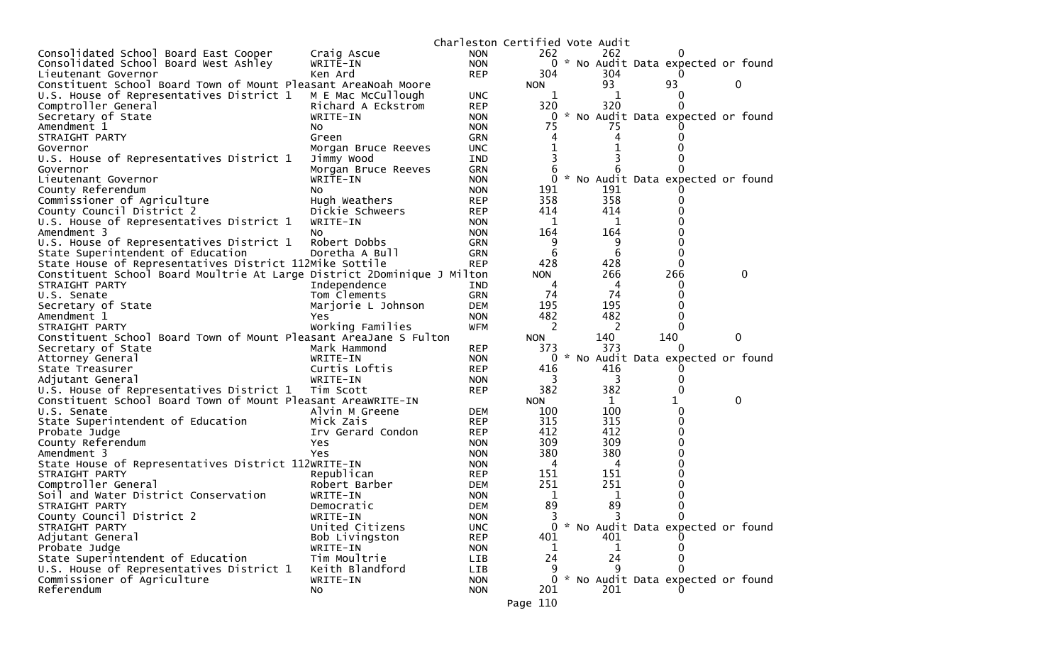|                                                                                                          |                             | Charleston Certified Vote Audit |            |                     |                                     |             |   |
|----------------------------------------------------------------------------------------------------------|-----------------------------|---------------------------------|------------|---------------------|-------------------------------------|-------------|---|
| Consolidated School Board East Cooper                                                                    | Craig Ascue                 | <b>NON</b>                      | 262        | 262                 |                                     |             |   |
| Consolidated School Board West Ashley                                                                    | WRITE-IN                    | <b>NON</b>                      | 0          |                     | * No Audit Data expected or found   |             |   |
| Lieutenant Governor                                                                                      | Ken Ard                     | <b>REP</b>                      | 304        | 304                 |                                     |             |   |
| Constituent School Board Town of Mount Pleasant AreaNoah Moore                                           |                             |                                 | <b>NON</b> | 93                  | 93                                  | 0           |   |
| U.S. House of Representatives District 1                                                                 | M E Mac McCullough          | <b>UNC</b>                      | 1          | 1                   | O                                   |             |   |
| Comptroller General                                                                                      | Richard A Eckstrom          | <b>REP</b>                      | 320        | 320                 | 0                                   |             |   |
| Secretary of State                                                                                       | WRITE-IN                    | <b>NON</b>                      | 0          |                     | * No Audit Data expected or found   |             |   |
| Amendment 1                                                                                              | NO.                         | <b>NON</b>                      | 75         | 75                  |                                     |             |   |
| STRAIGHT PARTY                                                                                           | Green                       | <b>GRN</b>                      |            |                     |                                     |             |   |
| Governor                                                                                                 | Morgan Bruce Reeves         | <b>UNC</b>                      |            |                     |                                     |             |   |
| U.S. House of Representatives District 1                                                                 | Jimmy Wood                  | IND                             | 3          |                     |                                     |             |   |
| Governor                                                                                                 | Morgan Bruce Reeves         | <b>GRN</b>                      | 6          |                     |                                     |             |   |
| Lieutenant Governor                                                                                      | WRITE-IN                    | <b>NON</b>                      | 0          |                     | * No Audit Data expected or found   |             |   |
| County Referendum                                                                                        | NO.                         | <b>NON</b>                      | 191        | 191                 |                                     |             |   |
| Commissioner of Agriculture                                                                              | Hugh Weathers               | <b>REP</b>                      | 358        | 358                 |                                     |             |   |
| County Council District 2                                                                                | Dickie Schweers             | <b>REP</b>                      | 414        | 414                 |                                     |             |   |
| U.S. House of Representatives District 1                                                                 | WRITE-IN                    | <b>NON</b>                      | 1          | 1                   |                                     |             |   |
| Amendment 3                                                                                              | No.                         | <b>NON</b>                      | 164        | 164                 |                                     |             |   |
| U.S. House of Representatives District 1                                                                 | Robert Dobbs                | <b>GRN</b>                      | 9          | 9                   | O                                   |             |   |
| State Superintendent of Education                                                                        | Doretha A Bull              | <b>GRN</b>                      | 6          | 6                   | 0                                   |             |   |
| State House of Representatives District 112Mike Sottile                                                  |                             | <b>REP</b>                      | 428        | 428                 | 0                                   |             |   |
| Constituent School Board Moultrie At Large District 2Dominique J Milton                                  |                             |                                 | <b>NON</b> | 266                 | 266                                 |             | 0 |
| STRAIGHT PARTY                                                                                           | Independence                | IND                             | 4          | 4                   | 0                                   |             |   |
| U.S. Senate                                                                                              | Tom Clements                | <b>GRN</b>                      | 74         | 74                  | U                                   |             |   |
| Secretary of State                                                                                       | Marjorie L Johnson          | <b>DEM</b>                      | 195        | 195                 |                                     |             |   |
| Amendment 1                                                                                              | Yes.                        | <b>NON</b>                      | 482        | 482                 | 0                                   |             |   |
| STRAIGHT PARTY                                                                                           | Working Families            | <b>WFM</b>                      | 2          | 2                   | $\Omega$                            |             |   |
| Constituent School Board Town of Mount Pleasant AreaJane S Fulton                                        |                             |                                 | <b>NON</b> | 140                 | 140                                 | $\mathbf 0$ |   |
| Secretary of State                                                                                       | Mark Hammond                | <b>REP</b>                      | 373        | 373                 | $\Omega$                            |             |   |
| Attorney General                                                                                         | WRITE-IN                    | <b>NON</b>                      | 0          |                     | * No Audit Data expected or found   |             |   |
| State Treasurer                                                                                          | Curtis Loftis               | <b>REP</b>                      | 416        | 416                 |                                     |             |   |
| Adjutant General                                                                                         | WRITE-IN                    | <b>NON</b>                      | 3<br>382   | 3<br>382            | 0                                   |             |   |
| U.S. House of Representatives District 1<br>Constituent School Board Town of Mount Pleasant AreaWRITE-IN | Tim Scott                   | <b>REP</b>                      | <b>NON</b> |                     | 1                                   | 0           |   |
|                                                                                                          |                             |                                 |            | $\mathbf{1}$<br>100 | 0                                   |             |   |
| U.S. Senate<br>State Superintendent of Education                                                         | Alvin M Greene<br>Mick Zais | <b>DEM</b><br><b>REP</b>        | 100<br>315 | 315                 | 0                                   |             |   |
|                                                                                                          | Irv Gerard Condon           | <b>REP</b>                      | 412        | 412                 | U                                   |             |   |
| Probate Judge<br>County Referendum                                                                       | Yes                         | <b>NON</b>                      | 309        | 309                 |                                     |             |   |
| Amendment 3                                                                                              | Yes                         | <b>NON</b>                      | 380        | 380                 |                                     |             |   |
| State House of Representatives District 112WRITE-IN                                                      |                             | <b>NON</b>                      | 4          | 4                   |                                     |             |   |
| STRAIGHT PARTY                                                                                           | Republican                  | <b>REP</b>                      | 151        | 151                 |                                     |             |   |
| Comptroller General                                                                                      | Robert Barber               | <b>DEM</b>                      | 251        | 251                 |                                     |             |   |
| Soil and Water District Conservation                                                                     | WRITE-IN                    | <b>NON</b>                      | 1          | $\mathbf 1$         |                                     |             |   |
| STRAIGHT PARTY                                                                                           | Democratic                  | <b>DEM</b>                      | 89         | 89                  | 0                                   |             |   |
| County Council District 2                                                                                | WRITE-IN                    | <b>NON</b>                      | 3          | 3                   | 0                                   |             |   |
| STRAIGHT PARTY                                                                                           | United Citizens             | <b>UNC</b>                      | 0          |                     | * No Audit Data expected or found   |             |   |
| Adjutant General                                                                                         | Bob Livingston              | <b>REP</b>                      | 401        | 401                 |                                     |             |   |
| Probate Judge                                                                                            | WRITE-IN                    | <b>NON</b>                      | T          | 1                   |                                     |             |   |
| State Superintendent of Education                                                                        | Tim Moultrie                | LIB                             | 24         | 24                  | 0                                   |             |   |
| U.S. House of Representatives District 1                                                                 | Keith Blandford             | LIB                             | 9          | 9                   |                                     |             |   |
| Commissioner of Agriculture                                                                              | WRITE-IN                    | <b>NON</b>                      |            |                     | 0 * No Audit Data expected or found |             |   |
| Referendum                                                                                               | No                          | <b>NON</b>                      | 201        | 201                 |                                     |             |   |
|                                                                                                          |                             |                                 |            |                     |                                     |             |   |
|                                                                                                          |                             |                                 | Page 110   |                     |                                     |             |   |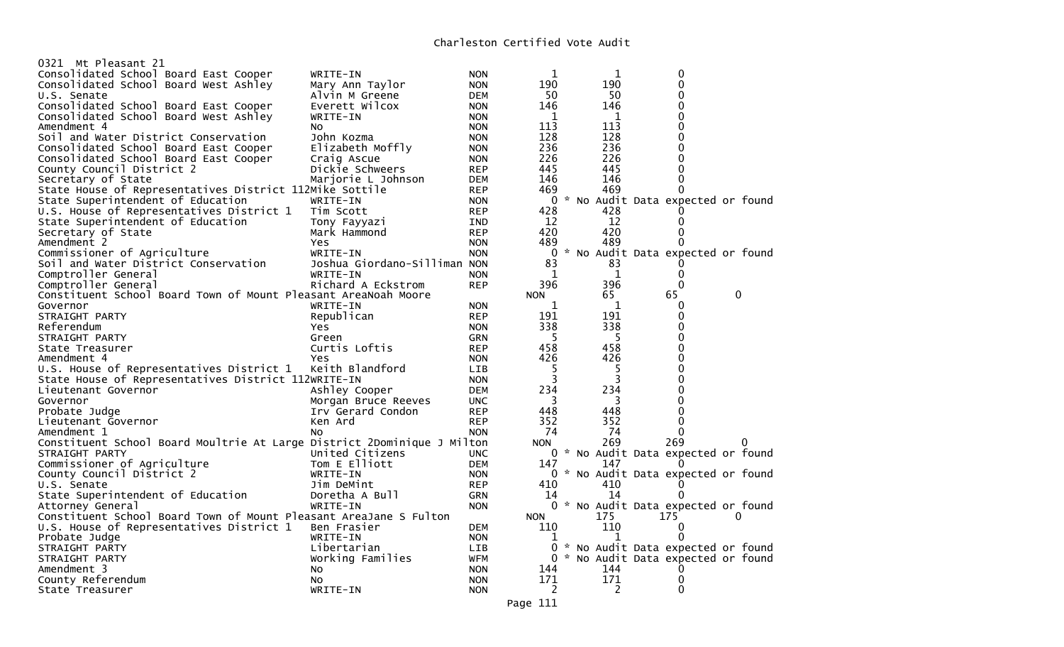| 0321 Mt Pleasant 21                                                     |                              |            |            |              |                                     |          |
|-------------------------------------------------------------------------|------------------------------|------------|------------|--------------|-------------------------------------|----------|
| Consolidated School Board East Cooper                                   | WRITE-IN                     | <b>NON</b> | 1          | 1            | 0                                   |          |
| Consolidated School Board West Ashley                                   | Mary Ann Taylor              | <b>NON</b> | 190        | 190          | $\Omega$                            |          |
| U.S. Senate                                                             | Alvin M Greene               | DEM        | 50         | 50           | $\Omega$                            |          |
| Consolidated School Board East Cooper                                   | Everett Wilcox               | <b>NON</b> | 146        | 146          | 0                                   |          |
| Consolidated School Board West Ashley                                   | WRITE-IN                     | <b>NON</b> | 1          | 1            | $\Omega$                            |          |
| Amendment 4                                                             | No.                          | <b>NON</b> | 113        | 113          | $\Omega$                            |          |
| Soil and Water District Conservation                                    | John Kozma                   | <b>NON</b> | 128        | 128          | $\Omega$                            |          |
| Consolidated School Board East Cooper                                   | Elizabeth Moffly             | <b>NON</b> | 236        | 236          | 0                                   |          |
| Consolidated School Board East Cooper                                   | Craig Ascue                  | <b>NON</b> | 226        | 226          | 0                                   |          |
| County Council District 2                                               | Dickie Schweers              | <b>REP</b> | 445        | 445          | $\Omega$                            |          |
| Secretary of State                                                      | Marjorie L Johnson           | <b>DEM</b> | 146        | 146          | $\Omega$                            |          |
| State House of Representatives District 112Mike Sottile                 |                              | <b>REP</b> | 469        | 469          | 0                                   |          |
| State Superintendent of Education                                       | WRITE-IN                     | <b>NON</b> | 0          |              | * No Audit Data expected or found   |          |
| U.S. House of Representatives District 1                                | Tim Scott                    | <b>REP</b> | 428        | 428          |                                     |          |
| State Superintendent of Education                                       |                              | IND        | 12         | 12           | 0                                   |          |
|                                                                         | Tony Fayyazi                 |            | 420        | 420          | $\Omega$                            |          |
| Secretary of State                                                      | Mark Hammond                 | <b>REP</b> |            |              |                                     |          |
| Amendment 2                                                             | Yes                          | <b>NON</b> | 489        | 489          | 0                                   |          |
| Commissioner of Agriculture                                             | WRITE-IN                     | <b>NON</b> | 0          |              | * No Audit Data expected or found   |          |
| Soil and Water District Conservation                                    | Joshua Giordano-Silliman NON |            | 83         | 83           | 0                                   |          |
| Comptroller General                                                     | WRITE-IN                     | <b>NON</b> | 1          | $\mathbf{1}$ | 0                                   |          |
| Comptroller General                                                     | Richard A Eckstrom           | <b>REP</b> | 396        | 396          | $\Omega$                            |          |
| Constituent School Board Town of Mount Pleasant AreaNoah Moore          |                              |            | <b>NON</b> | 65           | 65                                  | 0        |
| Governor                                                                | WRITE-IN                     | <b>NON</b> | 1          | 1            | 0                                   |          |
| STRAIGHT PARTY                                                          | Republican                   | <b>REP</b> | 191        | 191          | $\Omega$                            |          |
| Referendum                                                              | Yes                          | <b>NON</b> | 338        | 338          | 0                                   |          |
| STRAIGHT PARTY                                                          | Green                        | GRN        | 5          | 5            | 0                                   |          |
| State Treasurer                                                         | Curtis Loftis                | <b>REP</b> | 458        | 458          | 0                                   |          |
| Amendment 4                                                             | <b>Yes</b>                   | <b>NON</b> | 426        | 426          | 0                                   |          |
| U.S. House of Representatives District 1                                | Keith Blandford              | <b>LIB</b> | 5          | 5            | $\Omega$                            |          |
| State House of Representatives District 112WRITE-IN                     |                              | <b>NON</b> | 3          | 3            | 0                                   |          |
| Lieutenant Governor                                                     | Ashley Cooper                | DEM        | 234        | 234          | 0                                   |          |
| Governor                                                                | Morgan Bruce Reeves          | <b>UNC</b> | 3          | 3            | 0                                   |          |
| Probate Judge                                                           | Irv Gerard Condon            | <b>REP</b> | 448        | 448          | 0                                   |          |
| Lieutenant Governor                                                     | Ken Ard                      | <b>REP</b> | 352        | 352          | $\Omega$                            |          |
| Amendment 1                                                             | No                           | <b>NON</b> | 74         | 74           | 0                                   |          |
| Constituent School Board Moultrie At Large District 2Dominique J Milton |                              |            | <b>NON</b> | 269          | 269                                 | 0        |
| STRAIGHT PARTY                                                          | United Citizens              | <b>UNC</b> |            |              | 0 * No Audit Data expected or found |          |
| Commissioner of Agriculture                                             | Tom E Elliott                | <b>DEM</b> | 147        | 147          |                                     |          |
| County Council District 2                                               | WRITE-IN                     |            |            |              | 0 * No Audit Data expected or found |          |
|                                                                         |                              | <b>NON</b> | 410        | 410          |                                     |          |
| U.S. Senate                                                             | Jim DeMint                   | <b>REP</b> |            |              |                                     |          |
| State Superintendent of Education                                       | Doretha A Bull               | <b>GRN</b> | 14         | 14           | 0                                   |          |
| Attorney General                                                        | WRITE-IN                     | <b>NON</b> |            |              | 0 * No Audit Data expected or found |          |
| Constituent School Board Town of Mount Pleasant AreaJane S Fulton       |                              |            | <b>NON</b> | 175          | 175                                 | $\Omega$ |
| U.S. House of Representatives District 1                                | Ben Frasier                  | <b>DEM</b> | 110        | 110          | 0                                   |          |
| Probate Judge                                                           | WRITE-IN                     | <b>NON</b> | 1          | 1            | 0                                   |          |
| STRAIGHT PARTY                                                          | Libertarian                  | LIB        | 0          |              | * No Audit Data expected or found   |          |
| STRAIGHT PARTY                                                          | Working Families             | WFM        |            |              | 0 * No Audit Data expected or found |          |
| Amendment 3                                                             | No                           | <b>NON</b> | 144        | 144          | O                                   |          |
| County Referendum                                                       | No                           | <b>NON</b> | 171        | 171          | 0                                   |          |
| State Treasurer                                                         | WRITE-IN                     | <b>NON</b> | 2          | 2            | 0                                   |          |
|                                                                         |                              |            |            |              |                                     |          |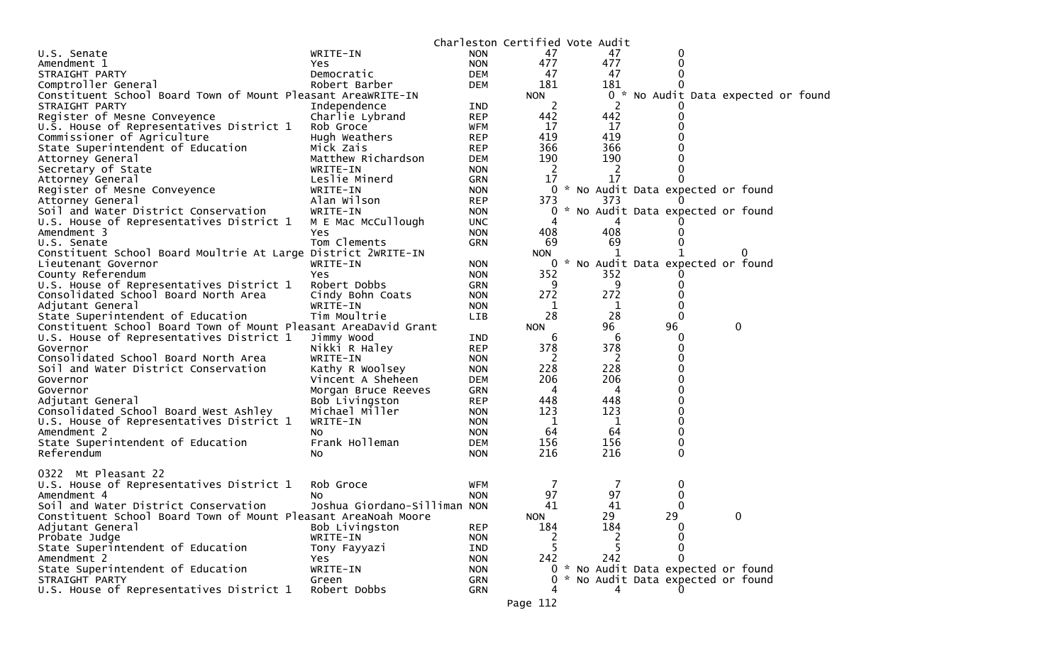|                                                                 |                              |            | Charleston Certified Vote Audit |                                      |    |                                     |  |
|-----------------------------------------------------------------|------------------------------|------------|---------------------------------|--------------------------------------|----|-------------------------------------|--|
| U.S. Senate                                                     | WRITE-IN                     | <b>NON</b> | 47                              | 47                                   | 0  |                                     |  |
| Amendment 1                                                     | Yes                          | <b>NON</b> | 477                             | 477                                  | 0  |                                     |  |
| STRAIGHT PARTY                                                  | Democratic                   | <b>DEM</b> | 47                              | 47                                   | 0  |                                     |  |
| Comptroller General                                             | Robert Barber                | <b>DEM</b> | 181                             | 181                                  |    |                                     |  |
| Constituent School Board Town of Mount Pleasant AreaWRITE-IN    |                              |            | <b>NON</b>                      |                                      |    | 0 * No Audit Data expected or found |  |
| STRAIGHT PARTY                                                  | Independence                 | IND        | 2                               | 2                                    |    |                                     |  |
| Register of Mesne Conveyence                                    | Charlie Lybrand              | <b>REP</b> | 442                             | 442                                  |    |                                     |  |
| U.S. House of Representatives District 1                        | Rob Groce                    | <b>WFM</b> | 17                              | 17                                   |    |                                     |  |
| Commissioner of Agriculture                                     | Hugh Weathers                | <b>REP</b> | 419                             | 419                                  |    |                                     |  |
| State Superintendent of Education                               | Mick Zais                    | <b>REP</b> | 366                             | 366                                  |    |                                     |  |
| Attorney General                                                | Matthew Richardson           | <b>DEM</b> | 190                             | 190                                  |    |                                     |  |
| Secretary of State                                              | WRITE-IN                     | <b>NON</b> | 2                               | 2                                    | 0  |                                     |  |
| Attorney General                                                | Leslie Minerd                | GRN        | 17                              | 17                                   |    |                                     |  |
| Register of Mesne Conveyence                                    | WRITE-IN                     | <b>NON</b> |                                 | 0 * No Audit Data expected or found  |    |                                     |  |
| Attorney General                                                | Alan Wilson                  | <b>REP</b> | 373                             | 373                                  |    |                                     |  |
| Soil and Water District Conservation                            | WRITE-IN                     | <b>NON</b> | 0                               | No Audit Data expected or found      |    |                                     |  |
| U.S. House of Representatives District 1                        | M E Mac McCullough           | <b>UNC</b> | 4                               | 4                                    |    |                                     |  |
|                                                                 |                              |            |                                 | 408                                  | 0  |                                     |  |
| Amendment 3                                                     | Yes                          | <b>NON</b> | 408                             |                                      |    |                                     |  |
| U.S. Senate                                                     | Tom Clements                 | GRN        | 69                              | 69                                   |    |                                     |  |
| Constituent School Board Moultrie At Large District 2WRITE-IN   |                              |            | <b>NON</b>                      | 1                                    |    |                                     |  |
| Lieutenant Governor                                             | WRITE-IN                     | <b>NON</b> |                                 | 0 * No Audit Data expected or found  |    |                                     |  |
| County Referendum                                               | Yes                          | <b>NON</b> | 352                             | 352                                  |    |                                     |  |
| U.S. House of Representatives District 1                        | Robert Dobbs                 | <b>GRN</b> | 9                               | 9                                    | 0  |                                     |  |
| Consolidated School Board North Area                            | Cindy Bohn Coats             | <b>NON</b> | 272                             | 272                                  |    |                                     |  |
| Adjutant General                                                | WRITE-IN                     | <b>NON</b> | 1                               | 1                                    | 0  |                                     |  |
| State Superintendent of Education                               | Tim Moultrie                 | <b>LIB</b> | 28                              | 28                                   | 0  |                                     |  |
| Constituent School Board Town of Mount Pleasant AreaDavid Grant |                              |            | <b>NON</b>                      | 96                                   | 96 | 0                                   |  |
| U.S. House of Representatives District 1                        | Jimmy Wood                   | IND        | 6                               | 6                                    | 0  |                                     |  |
| Governor                                                        | Nikki R Haley                | <b>REP</b> | 378                             | 378                                  | 0  |                                     |  |
| Consolidated School Board North Area                            | WRITE-IN                     | <b>NON</b> | 2                               | 2                                    |    |                                     |  |
| Soil and Water District Conservation                            | Kathy R Woolsey              | <b>NON</b> | 228                             | 228                                  | 0  |                                     |  |
| Governor                                                        | Vincent A Sheheen            | <b>DEM</b> | 206                             | 206                                  |    |                                     |  |
| Governor                                                        | Morgan Bruce Reeves          | GRN        | 4                               | 4                                    |    |                                     |  |
| Adjutant General                                                | Bob Livingston               | <b>REP</b> | 448                             | 448                                  | 0  |                                     |  |
| Consolidated School Board West Ashley                           | Michael Miller               | <b>NON</b> | 123                             | 123                                  |    |                                     |  |
| U.S. House of Representatives District 1                        | WRITE-IN                     | <b>NON</b> | $\mathbf 1$                     | 1                                    | 0  |                                     |  |
| Amendment 2                                                     | No                           | <b>NON</b> | 64                              | 64                                   | 0  |                                     |  |
| State Superintendent of Education                               | Frank Holleman               | <b>DEM</b> | 156                             | 156                                  | 0  |                                     |  |
| Referendum                                                      | NO.                          | <b>NON</b> | 216                             | 216                                  | 0  |                                     |  |
|                                                                 |                              |            |                                 |                                      |    |                                     |  |
| 0322 Mt Pleasant 22                                             |                              |            |                                 |                                      |    |                                     |  |
| U.S. House of Representatives District 1                        | Rob Groce                    | WFM        | 7                               |                                      | 0  |                                     |  |
| Amendment 4                                                     | NO.                          | <b>NON</b> | 97                              | 97                                   | 0  |                                     |  |
| Soil and Water District Conservation                            | Joshua Giordano-Silliman NON |            | 41                              | 41                                   | 0  |                                     |  |
| Constituent School Board Town of Mount Pleasant AreaNoah Moore  |                              |            | <b>NON</b>                      | 29                                   | 29 | 0                                   |  |
| Adjutant General                                                | Bob Livingston               | <b>REP</b> | 184                             | 184                                  | 0  |                                     |  |
| Probate Judge                                                   | WRITE-IN                     | <b>NON</b> | 2                               | 2                                    | 0  |                                     |  |
| State Superintendent of Education                               | Tony Fayyazi                 | IND        | 5                               |                                      | 0  |                                     |  |
| Amendment 2                                                     | <b>Yes</b>                   | <b>NON</b> | 242                             | 242                                  | 0  |                                     |  |
| State Superintendent of Education                               | WRITE-IN                     | <b>NON</b> | *<br>$\Omega$                   | No Audit Data expected or found      |    |                                     |  |
| STRAIGHT PARTY                                                  | Green                        | <b>GRN</b> | 0                               |                                      |    |                                     |  |
| U.S. House of Representatives District 1                        | Robert Dobbs                 |            |                                 | No Audit Data expected or found<br>4 |    |                                     |  |
|                                                                 |                              | GRN        |                                 |                                      |    |                                     |  |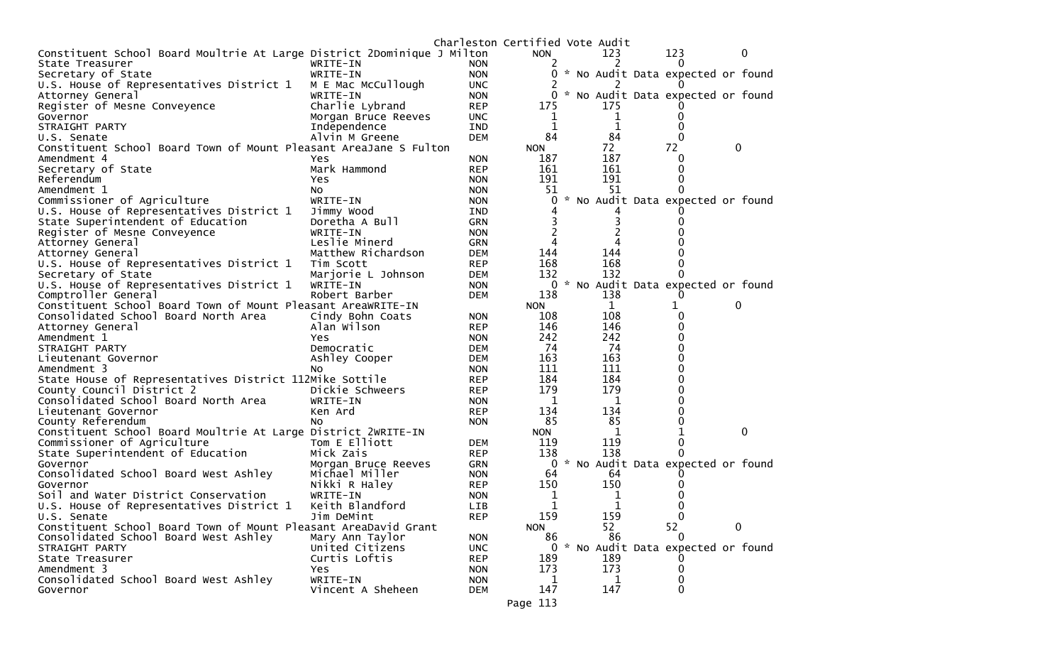|                                                                         |                     | Charleston Certified Vote Audit |            |              |                                     |          |             |
|-------------------------------------------------------------------------|---------------------|---------------------------------|------------|--------------|-------------------------------------|----------|-------------|
| Constituent School Board Moultrie At Large District 2Dominique J Milton |                     |                                 | <b>NON</b> | 123          | 123                                 |          | $\mathbf 0$ |
| State Treasurer                                                         | WRITE-IN            | <b>NON</b>                      | 2          | 2            | $\Omega$                            |          |             |
| Secretary of State                                                      | WRITE-IN            | <b>NON</b>                      | 0          |              | * No Audit Data expected or found   |          |             |
| U.S. House of Representatives District 1                                | M E Mac McCullough  | <b>UNC</b>                      |            |              |                                     |          |             |
| Attorney General                                                        | WRITE-IN            | <b>NON</b>                      | 0          |              | * No Audit Data expected or found   |          |             |
| Register of Mesne Conveyence                                            | Charlie Lybrand     | <b>REP</b>                      | 175        | 175          |                                     |          |             |
| Governor                                                                | Morgan Bruce Reeves | <b>UNC</b>                      | T          | 1            | 0                                   |          |             |
| STRAIGHT PARTY                                                          | Independence        | <b>IND</b>                      | 1          | 1            | 0                                   |          |             |
| U.S. Senate                                                             | Alvin M Greene      | <b>DEM</b>                      | 84         | 84           | 0                                   |          |             |
| Constituent School Board Town of Mount Pleasant AreaJane S Fulton       |                     |                                 | <b>NON</b> | 72           | 72                                  | 0        |             |
| Amendment 4                                                             | Yes                 | <b>NON</b>                      | 187        | 187          | 0                                   |          |             |
| Secretary of State                                                      | Mark Hammond        | <b>REP</b>                      | 161        | 161          | 0                                   |          |             |
| Referendum                                                              | Yes                 | <b>NON</b>                      | 191        | 191          | 0                                   |          |             |
| Amendment 1                                                             | No                  | <b>NON</b>                      | 51         | 51           |                                     |          |             |
| Commissioner of Agriculture                                             | WRITE-IN            | <b>NON</b>                      | 0          |              | * No Audit Data expected or found   |          |             |
| U.S. House of Representatives District 1                                | Jimmy Wood          | IND                             |            |              |                                     |          |             |
| State Superintendent of Education                                       | Doretha A Bull      | <b>GRN</b>                      |            | 3            |                                     |          |             |
| Register of Mesne Conveyence                                            | WRITE-IN            | <b>NON</b>                      |            |              |                                     |          |             |
| Attorney General                                                        | Leslie Minerd       | <b>GRN</b>                      |            |              |                                     |          |             |
| Attorney General                                                        | Matthew Richardson  | <b>DEM</b>                      | 144        | 144          |                                     |          |             |
| U.S. House of Representatives District 1                                | Tim Scott           | <b>REP</b>                      | 168        | 168          |                                     |          |             |
| Secretary of State                                                      | Marjorie L Johnson  | <b>DEM</b>                      | 132        | 132          |                                     |          |             |
| U.S. House of Representatives District 1                                | WRITE-IN            | <b>NON</b>                      |            |              | 0 * No Audit Data expected or found |          |             |
| Comptroller General                                                     | Robert Barber       | <b>DEM</b>                      | 138        | 138          |                                     |          |             |
| Constituent School Board Town of Mount Pleasant AreaWRITE-IN            |                     |                                 | <b>NON</b> | $\mathbf{1}$ | 1                                   | 0        |             |
| Consolidated School Board North Area                                    | Cindy Bohn Coats    | <b>NON</b>                      | 108        | 108          | 0                                   |          |             |
| Attorney General                                                        | Alan Wilson         | <b>REP</b>                      | 146        | 146          | ∩                                   |          |             |
| Amendment 1                                                             | Yes                 | <b>NON</b>                      | 242        | 242          |                                     |          |             |
| STRAIGHT PARTY                                                          | Democratic          | <b>DEM</b>                      | 74         | 74           |                                     |          |             |
| Lieutenant Governor                                                     | Ashley Cooper       | <b>DEM</b>                      | 163        | 163          |                                     |          |             |
| Amendment 3                                                             | <b>NO</b>           | <b>NON</b>                      | 111        | 111          | U                                   |          |             |
| State House of Representatives District 112Mike Sottile                 |                     | <b>REP</b>                      | 184        | 184          |                                     |          |             |
| County Council District 2                                               | Dickie Schweers     | <b>REP</b>                      | 179        | 179          |                                     |          |             |
| Consolidated School Board North Area                                    | WRITE-IN            | <b>NON</b>                      | 1          | 1            |                                     |          |             |
| Lieutenant Governor                                                     | Ken Ard             | <b>REP</b>                      | 134        | 134          |                                     |          |             |
| County Referendum                                                       | No                  | <b>NON</b>                      | 85         | 85           |                                     |          |             |
| Constituent School Board Moultrie At Large District 2WRITE-IN           |                     |                                 | <b>NON</b> | 1            |                                     |          | $\mathbf 0$ |
| Commissioner of Agriculture                                             | Tom E Elliott       | <b>DEM</b>                      | 119        | 119          | 0                                   |          |             |
| State Superintendent of Education                                       | Mick Zais           | <b>REP</b>                      | 138        | 138          | 0                                   |          |             |
| Governor                                                                | Morgan Bruce Reeves | <b>GRN</b>                      | 0          |              | * No Audit Data expected or found   |          |             |
| Consolidated School Board West Ashley                                   | Michael Miller      | <b>NON</b>                      | 64         | 64           |                                     |          |             |
| Governor                                                                | Nikki R Haley       | <b>REP</b>                      | 150        | 150          |                                     |          |             |
| Soil and Water District Conservation                                    | WRITE-IN            | <b>NON</b>                      | 1          | 1            |                                     |          |             |
| U.S. House of Representatives District 1                                | Keith Blandford     | <b>LIB</b>                      | 1          | 1            | 0                                   |          |             |
| U.S. Senate                                                             | Jim DeMint          | <b>REP</b>                      | 159        | 159          | 0                                   |          |             |
| Constituent School Board Town of Mount Pleasant AreaDavid Grant         |                     |                                 | <b>NON</b> | 52           | 52                                  | $\Omega$ |             |
| Consolidated School Board West Ashley                                   | Mary Ann Taylor     | <b>NON</b>                      | 86         | 86           | $\Omega$                            |          |             |
| STRAIGHT PARTY                                                          | United Citizens     | <b>UNC</b>                      |            |              | 0 * No Audit Data expected or found |          |             |
| State Treasurer                                                         | Curtis Loftis       | <b>REP</b>                      | 189        | 189          |                                     |          |             |
| Amendment 3                                                             | Yes                 | <b>NON</b>                      | 173        | 173          | $\Omega$                            |          |             |
| Consolidated School Board West Ashley                                   | WRITE-IN            | <b>NON</b>                      | 1          | 1            | 0                                   |          |             |
| Governor                                                                | Vincent A Sheheen   | <b>DEM</b>                      | 147        | 147          | $\Omega$                            |          |             |
|                                                                         |                     |                                 | Page 113   |              |                                     |          |             |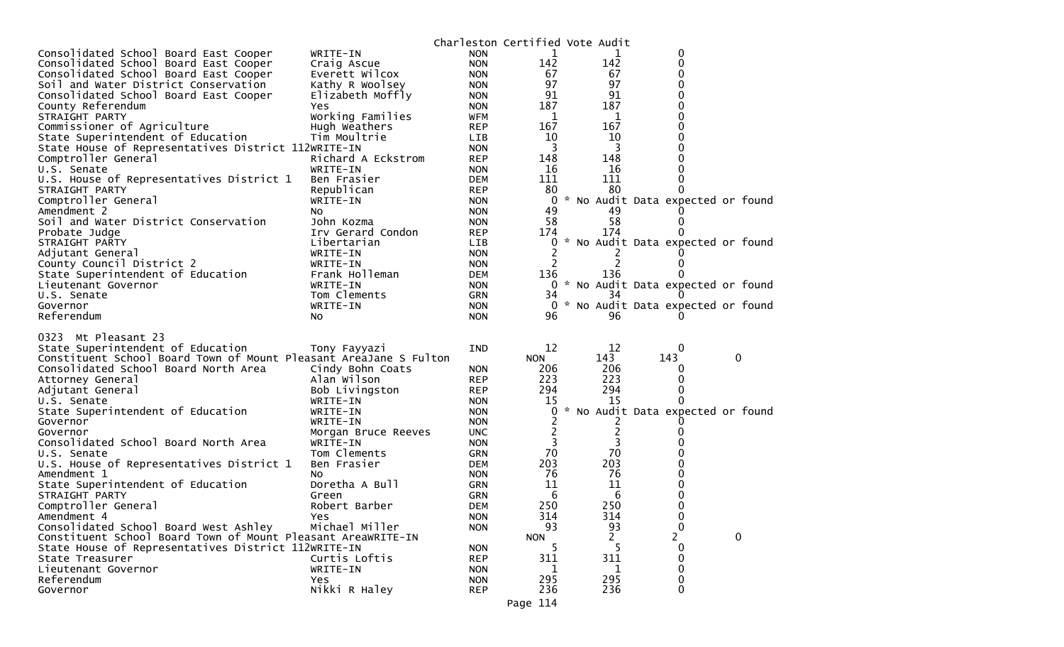|                                                                                                                                                                                                                              |                                                                               |                                                                    |                                             | Charleston Certified Vote Audit      |                                     |   |
|------------------------------------------------------------------------------------------------------------------------------------------------------------------------------------------------------------------------------|-------------------------------------------------------------------------------|--------------------------------------------------------------------|---------------------------------------------|--------------------------------------|-------------------------------------|---|
| Consolidated School Board East Cooper                                                                                                                                                                                        | WRITE-IN                                                                      | <b>NON</b>                                                         | 1                                           | 1                                    | 0                                   |   |
| Consolidated School Board East Cooper                                                                                                                                                                                        | Craig Ascue                                                                   | <b>NON</b>                                                         | 142                                         | 142                                  | 0                                   |   |
| Consolidated School Board East Cooper                                                                                                                                                                                        | Everett Wilcox                                                                | <b>NON</b>                                                         | 67                                          | 67                                   | 0                                   |   |
| Soil and Water District Conservation                                                                                                                                                                                         | Kathy R Woolsey                                                               | <b>NON</b>                                                         | 97                                          | 97                                   | 0                                   |   |
| Consolidated School Board East Cooper                                                                                                                                                                                        | Elizabeth Moffly                                                              | <b>NON</b>                                                         | 91                                          | 91                                   | $\Omega$                            |   |
| County Referendum                                                                                                                                                                                                            | <b>Yes</b>                                                                    | <b>NON</b>                                                         | 187                                         | 187                                  | 0                                   |   |
| STRAIGHT PARTY                                                                                                                                                                                                               | Working Families                                                              | WFM                                                                | 1                                           | 1                                    | 0                                   |   |
| Commissioner of Agriculture                                                                                                                                                                                                  | Hugh Weathers                                                                 | <b>REP</b>                                                         | 167                                         | 167                                  | 0                                   |   |
| State Superintendent of Education                                                                                                                                                                                            | Tim Moultrie                                                                  | LIB                                                                | 10                                          | 10                                   | 0                                   |   |
| State House of Representatives District 112WRITE-IN                                                                                                                                                                          |                                                                               | <b>NON</b>                                                         | 3                                           | 3                                    | 0                                   |   |
| Comptroller General                                                                                                                                                                                                          | Richard A Eckstrom                                                            | <b>REP</b>                                                         | 148                                         | 148                                  | 0                                   |   |
| U.S. Senate                                                                                                                                                                                                                  | WRITE-IN                                                                      | <b>NON</b>                                                         | 16                                          | 16                                   | 0                                   |   |
| U.S. House of Representatives District 1                                                                                                                                                                                     | Ben Frasier                                                                   | <b>DEM</b>                                                         | 111                                         | 111                                  | 0                                   |   |
| STRAIGHT PARTY                                                                                                                                                                                                               | Republican                                                                    | <b>REP</b>                                                         | 80                                          | 80                                   |                                     |   |
| Comptroller General                                                                                                                                                                                                          | WRITE-IN                                                                      | <b>NON</b>                                                         | $\overline{0}$                              |                                      | * No Audit Data expected or found   |   |
| Amendment 2                                                                                                                                                                                                                  | No                                                                            | <b>NON</b>                                                         | 49                                          | 49                                   |                                     |   |
| Soil and Water District Conservation                                                                                                                                                                                         | John Kozma                                                                    | <b>NON</b>                                                         | 58                                          | 58                                   |                                     |   |
| Probate Judge                                                                                                                                                                                                                | Irv Gerard Condon                                                             | <b>REP</b>                                                         | 174                                         | 174                                  |                                     |   |
| STRAIGHT PARTY                                                                                                                                                                                                               | Libertarian                                                                   | <b>LIB</b>                                                         | 0                                           |                                      | * No Audit Data expected or found   |   |
| Adjutant General                                                                                                                                                                                                             | WRITE-IN                                                                      | <b>NON</b>                                                         |                                             |                                      |                                     |   |
| County Council District 2                                                                                                                                                                                                    | WRITE-IN                                                                      | <b>NON</b>                                                         | 2                                           | 2                                    | 0                                   |   |
| State Superintendent of Education                                                                                                                                                                                            | Frank Holleman                                                                | <b>DEM</b>                                                         | 136                                         | 136                                  |                                     |   |
| Lieutenant Governor                                                                                                                                                                                                          | WRITE-IN                                                                      | <b>NON</b>                                                         |                                             |                                      | 0 * No Audit Data expected or found |   |
| U.S. Senate                                                                                                                                                                                                                  | Tom Clements                                                                  | GRN                                                                | 34                                          | 34                                   |                                     |   |
| Governor                                                                                                                                                                                                                     | WRITE-IN                                                                      | <b>NON</b>                                                         |                                             |                                      | 0 * No Audit Data expected or found |   |
| Referendum                                                                                                                                                                                                                   | No.                                                                           | <b>NON</b>                                                         | 96                                          | 96                                   |                                     |   |
| 0323 Mt Pleasant 23<br>State Superintendent of Education<br>Constituent School Board Town of Mount Pleasant AreaJane S Fulton<br>Consolidated School Board North Area<br>Attorney General<br>Adjutant General<br>U.S. Senate | Tony Fayyazi<br>Cindy Bohn Coats<br>Alan Wilson<br>Bob Livingston<br>WRITE-IN | <b>IND</b><br><b>NON</b><br><b>REP</b><br><b>REP</b><br><b>NON</b> | 12<br><b>NON</b><br>206<br>223<br>294<br>15 | 12<br>143<br>206<br>223<br>294<br>15 | 0<br>143<br>0<br>0<br>0<br>0        | 0 |
| State Superintendent of Education                                                                                                                                                                                            | WRITE-IN                                                                      | <b>NON</b>                                                         | 0                                           |                                      | * No Audit Data expected or found   |   |
| Governor                                                                                                                                                                                                                     | WRITE-IN                                                                      | <b>NON</b>                                                         | 2                                           | 2                                    |                                     |   |
| Governor                                                                                                                                                                                                                     | Morgan Bruce Reeves                                                           | <b>UNC</b>                                                         | 2                                           | 2                                    | $\Omega$                            |   |
| Consolidated School Board North Area                                                                                                                                                                                         | WRITE-IN                                                                      | <b>NON</b>                                                         | 3                                           | 3                                    |                                     |   |
| U.S. Senate                                                                                                                                                                                                                  | Tom Clements                                                                  | <b>GRN</b>                                                         | 70                                          | 70                                   |                                     |   |
| U.S. House of Representatives District 1                                                                                                                                                                                     | Ben Frasier                                                                   | <b>DEM</b>                                                         | 203                                         | 203                                  | 0                                   |   |
| Amendment 1                                                                                                                                                                                                                  | NO.                                                                           | <b>NON</b>                                                         | 76                                          | 76                                   | 0                                   |   |
| State Superintendent of Education                                                                                                                                                                                            | Doretha A Bull                                                                | <b>GRN</b>                                                         | 11                                          | 11                                   |                                     |   |
| STRAIGHT PARTY                                                                                                                                                                                                               | Green                                                                         | <b>GRN</b>                                                         | 6                                           | 6                                    | 0                                   |   |
| Comptroller General                                                                                                                                                                                                          | Robert Barber                                                                 | <b>DEM</b>                                                         | 250                                         | 250                                  | $\Omega$                            |   |
| Amendment 4                                                                                                                                                                                                                  | <b>Yes</b>                                                                    | <b>NON</b>                                                         | 314                                         | 314                                  | 0                                   |   |
| Consolidated School Board West Ashley                                                                                                                                                                                        | Michael Miller                                                                | <b>NON</b>                                                         | 93                                          | 93                                   | $\mathbf 0$                         |   |
| Constituent School Board Town of Mount Pleasant AreaWRITE-IN                                                                                                                                                                 |                                                                               |                                                                    | <b>NON</b>                                  | 2                                    | $\overline{c}$                      | 0 |
| State House of Representatives District 112WRITE-IN                                                                                                                                                                          |                                                                               | <b>NON</b>                                                         | 5                                           | 5                                    | 0                                   |   |
| State Treasurer                                                                                                                                                                                                              |                                                                               |                                                                    |                                             |                                      | 0                                   |   |
|                                                                                                                                                                                                                              | Curtis Loftis                                                                 | <b>REP</b>                                                         | 311                                         | 311                                  |                                     |   |
| Lieutenant Governor                                                                                                                                                                                                          | WRITE-IN                                                                      | <b>NON</b>                                                         | 1                                           | 1                                    | 0                                   |   |
| Referendum<br>Governor                                                                                                                                                                                                       | <b>Yes</b><br>Nikki R Haley                                                   | <b>NON</b><br><b>REP</b>                                           | 295<br>236                                  | 295<br>236                           | 0<br>0                              |   |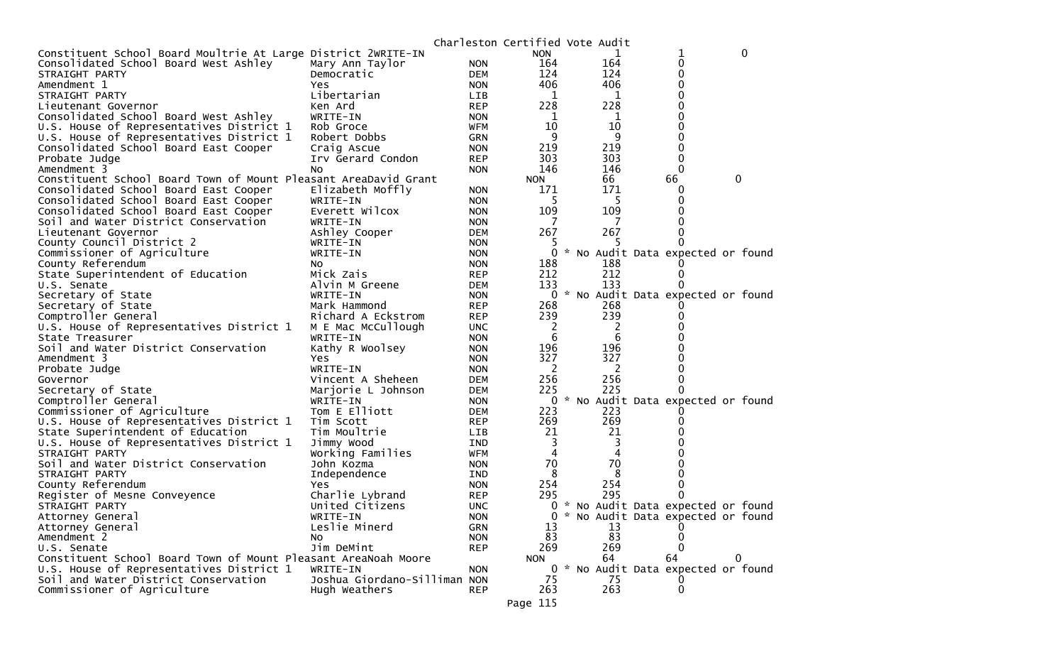|                                                                 |                              |            | Charleston Certified Vote Audit |     |                                     |   |
|-----------------------------------------------------------------|------------------------------|------------|---------------------------------|-----|-------------------------------------|---|
| Constituent School Board Moultrie At Large District 2WRITE-IN   |                              |            | <b>NON</b>                      |     | 1                                   | 0 |
| Consolidated School Board West Ashley                           | Mary Ann Taylor              | <b>NON</b> | 164                             | 164 | 0                                   |   |
| STRAIGHT PARTY                                                  | Democratic                   | <b>DEM</b> | 124                             | 124 | 0                                   |   |
| Amendment 1                                                     | Yes                          | <b>NON</b> | 406                             | 406 | 0                                   |   |
| STRAIGHT PARTY                                                  | Libertarian                  | <b>LIB</b> | 1                               | 1   | ∩                                   |   |
| Lieutenant Governor                                             | Ken Ard                      | <b>REP</b> | 228                             | 228 | 0                                   |   |
| Consolidated School Board West Ashley                           | WRITE-IN                     | <b>NON</b> | 1                               | 1   |                                     |   |
| U.S. House of Representatives District 1                        | Rob Groce                    | <b>WFM</b> | 10                              | 10  | 0                                   |   |
| U.S. House of Representatives District 1                        | Robert Dobbs                 | GRN        | 9                               | 9   | 0                                   |   |
| Consolidated School Board East Cooper                           | Craig Ascue                  | <b>NON</b> | 219                             | 219 | $\Omega$                            |   |
| Probate Judge                                                   | Irv Gerard Condon            | <b>REP</b> | 303                             | 303 | $\Omega$                            |   |
| Amendment 3                                                     | N <sub>O</sub>               | <b>NON</b> | 146                             | 146 | $\Omega$                            |   |
| Constituent School Board Town of Mount Pleasant AreaDavid Grant |                              |            | <b>NON</b>                      | 66  | 66                                  | 0 |
| Consolidated School Board East Cooper                           | Elizabeth Moffly             | <b>NON</b> | 171                             | 171 | 0                                   |   |
| Consolidated School Board East Cooper                           | WRITE-IN                     | <b>NON</b> | 5                               | 5   | 0                                   |   |
| Consolidated School Board East Cooper                           | Everett Wilcox               | <b>NON</b> | 109                             | 109 |                                     |   |
| Soil and Water District Conservation                            | WRITE-IN                     | <b>NON</b> |                                 |     |                                     |   |
| Lieutenant Governor                                             | Ashley Cooper                | <b>DEM</b> | 267                             | 267 |                                     |   |
| County Council District 2                                       | WRITE-IN                     | <b>NON</b> |                                 |     |                                     |   |
| Commissioner of Agriculture                                     | WRITE-IN                     | <b>NON</b> | 0                               |     | * No Audit Data expected or found   |   |
| County Referendum                                               | NO.                          | <b>NON</b> | 188                             | 188 |                                     |   |
| State Superintendent of Education                               | Mick Zais                    | <b>REP</b> | 212                             | 212 | $\Omega$                            |   |
| U.S. Senate                                                     | Alvin M Greene               | <b>DEM</b> | 133                             | 133 |                                     |   |
| Secretary of State                                              | WRITE-IN                     | <b>NON</b> | 0                               |     | * No Audit Data expected or found   |   |
| Secretary of State                                              | Mark Hammond                 | <b>REP</b> | 268                             | 268 |                                     |   |
| Comptroller General                                             | Richard A Eckstrom           | <b>REP</b> | 239                             | 239 |                                     |   |
| U.S. House of Representatives District 1                        | M E Mac McCullough           | <b>UNC</b> | $\overline{2}$                  | 2   |                                     |   |
| State Treasurer                                                 | WRITE-IN                     | <b>NON</b> | 6                               | 6   |                                     |   |
| Soil and Water District Conservation                            | Kathy R Woolsey              | <b>NON</b> | 196                             | 196 |                                     |   |
| Amendment 3                                                     | Yes                          | <b>NON</b> | 327                             | 327 |                                     |   |
| Probate Judge                                                   | WRITE-IN                     | <b>NON</b> | 2                               | 2   |                                     |   |
| Governor                                                        | Vincent A Sheheen            | <b>DEM</b> | 256                             | 256 | 0                                   |   |
| Secretary of State                                              | Marjorie L Johnson           | <b>DEM</b> | 225                             | 225 |                                     |   |
| Comptroller General                                             | WRITE-IN                     | <b>NON</b> | 0                               |     | * No Audit Data expected or found   |   |
| Commissioner of Agriculture                                     | Tom E Elliott                | <b>DEM</b> | 223                             | 223 |                                     |   |
| U.S. House of Representatives District 1                        | Tim Scott                    | <b>REP</b> | 269                             | 269 | 0                                   |   |
| State Superintendent of Education                               | Tim Moultrie                 | <b>LIB</b> | 21                              | 21  |                                     |   |
| U.S. House of Representatives District 1                        | Jimmy Wood                   | IND        | 3                               | 3   |                                     |   |
| STRAIGHT PARTY                                                  | Working Families             | WFM        | 4                               | 4   |                                     |   |
| Soil and Water District Conservation                            | John Kozma                   | <b>NON</b> | 70                              | 70  |                                     |   |
| STRAIGHT PARTY                                                  | Independence                 | IND        | 8                               | 8   |                                     |   |
| County Referendum                                               | Yes                          | <b>NON</b> | 254                             | 254 | 0                                   |   |
| Register of Mesne Conveyence                                    | Charlie Lybrand              | <b>REP</b> | 295                             | 295 | 0                                   |   |
| STRAIGHT PARTY                                                  | United Citizens              | <b>UNC</b> | 0                               |     | * No Audit Data expected or found   |   |
| Attorney General                                                | WRITE-IN                     | <b>NON</b> | 0                               |     | * No Audit Data expected or found   |   |
| Attorney General                                                | Leslie Minerd                | <b>GRN</b> | 13                              | 13  |                                     |   |
| Amendment 2                                                     | NO.                          | <b>NON</b> | 83                              | 83  | $\Omega$                            |   |
| U.S. Senate                                                     | Jim DeMint                   | <b>REP</b> | 269                             | 269 | $\Omega$                            |   |
| Constituent School Board Town of Mount Pleasant AreaNoah Moore  |                              |            | <b>NON</b>                      | 64  | 64                                  | 0 |
| U.S. House of Representatives District 1                        | WRITE-IN                     | <b>NON</b> |                                 |     | 0 * No Audit Data expected or found |   |
| Soil and Water District Conservation                            | Joshua Giordano-Silliman NON |            | 75                              | 75  | 0                                   |   |
| Commissioner of Agriculture                                     | Hugh Weathers                | <b>REP</b> | 263                             | 263 | $\mathbf 0$                         |   |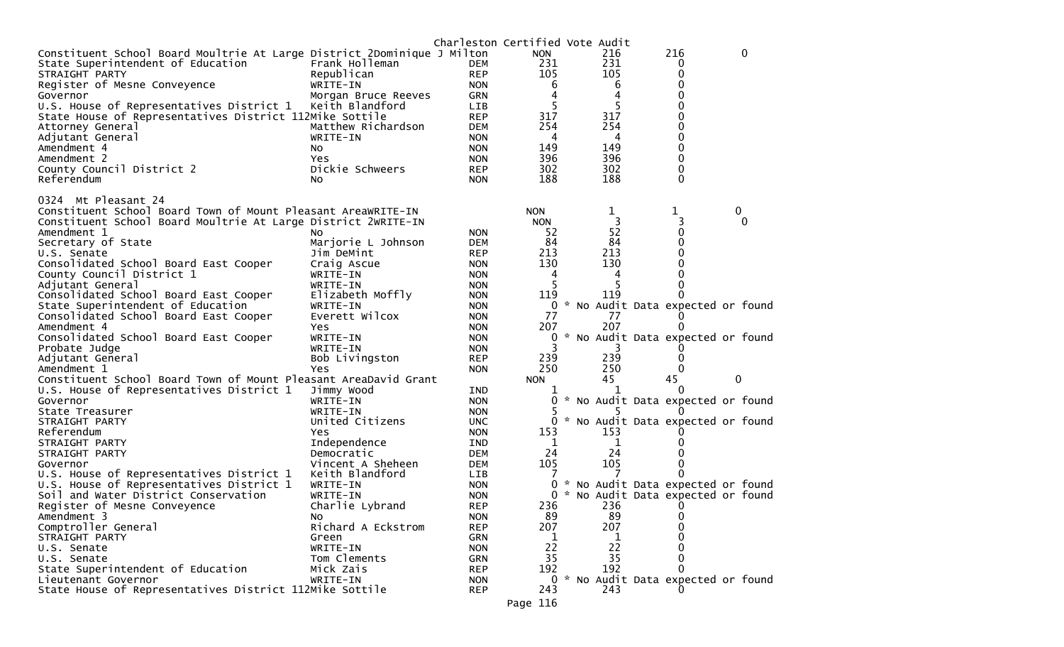|                                                                              |                           | Charleston Certified Vote Audit |                  |          |                                   |   |               |
|------------------------------------------------------------------------------|---------------------------|---------------------------------|------------------|----------|-----------------------------------|---|---------------|
| Constituent School Board Moultrie At Large District 2Dominique J Milton      |                           |                                 | <b>NON</b>       | 216      | 216                               |   | $\Omega$      |
| State Superintendent of Education                                            | Frank Holleman            | DEM                             | 231              | 231      | 0                                 |   |               |
| STRAIGHT PARTY                                                               | Republican                | <b>REP</b>                      | 105              | 105      | 0                                 |   |               |
| Register of Mesne Conveyence                                                 | WRITE-IN                  | <b>NON</b>                      | 6                | 6        |                                   |   |               |
| Governor                                                                     | Morgan Bruce Reeves       | GRN                             | 4                | 4        |                                   |   |               |
| U.S. House of Representatives District 1                                     | Keith Blandford           | <b>LIB</b>                      | 5                | 5        | 0                                 |   |               |
| State House of Representatives District 112Mike Sottile                      |                           | <b>REP</b>                      | 317              | 317      | 0                                 |   |               |
| Attorney General                                                             | Matthew Richardson        | <b>DEM</b>                      | 254              | 254      | 0                                 |   |               |
| Adjutant General                                                             | WRITE-IN                  | <b>NON</b>                      | 4                | 4        | 0                                 |   |               |
| Amendment 4                                                                  | NO.                       | <b>NON</b>                      | 149              | 149      | 0                                 |   |               |
| Amendment 2                                                                  | Yes                       | <b>NON</b>                      | 396              | 396      | 0                                 |   |               |
| County Council District 2                                                    | Dickie Schweers           | <b>REP</b>                      | 302              | 302      | 0                                 |   |               |
| Referendum                                                                   | NO.                       | <b>NON</b>                      | 188              | 188      | $\Omega$                          |   |               |
|                                                                              |                           |                                 |                  |          |                                   |   |               |
| 0324 Mt Pleasant 24                                                          |                           |                                 |                  |          |                                   |   |               |
| Constituent School Board Town of Mount Pleasant AreaWRITE-IN                 |                           |                                 | <b>NON</b>       | 1<br>3   | 1                                 |   | 0<br>$\Omega$ |
| Constituent School Board Moultrie At Large District 2WRITE-IN<br>Amendment 1 |                           | <b>NON</b>                      | <b>NON</b><br>52 | 52       | 0                                 |   |               |
| Secretary of State                                                           | NO.<br>Marjorie L Johnson | <b>DEM</b>                      | 84               | 84       | 0                                 |   |               |
| U.S. Senate                                                                  | Jim DeMint                | <b>REP</b>                      | 213              | 213      | 0                                 |   |               |
| Consolidated School Board East Cooper                                        | Craig Ascue               | <b>NON</b>                      | 130              | 130      |                                   |   |               |
| County Council District 1                                                    | WRITE-IN                  | <b>NON</b>                      | 4                | 4        |                                   |   |               |
| Adjutant General                                                             | WRITE-IN                  | <b>NON</b>                      |                  | 5        |                                   |   |               |
| Consolidated School Board East Cooper                                        | Elizabeth Moffly          | <b>NON</b>                      | 119              | 119      |                                   |   |               |
| State Superintendent of Education                                            | WRITE-IN                  | <b>NON</b>                      | 0                |          | No Audit Data expected or found   |   |               |
| Consolidated School Board East Cooper                                        | Everett Wilcox            | <b>NON</b>                      | 77               | 77       |                                   |   |               |
| Amendment 4                                                                  | Yes                       | <b>NON</b>                      | 207              | 207      |                                   |   |               |
| Consolidated School Board East Cooper                                        | WRITE-IN                  | <b>NON</b>                      | 0                |          | No Audit Data expected or found   |   |               |
| Probate Judge                                                                | WRITE-IN                  | <b>NON</b>                      | 3                |          |                                   |   |               |
| Adjutant General                                                             | Bob Livingston            | <b>REP</b>                      | 239              | 239      |                                   |   |               |
| Amendment 1                                                                  | <b>Yes</b>                | <b>NON</b>                      | 250              | 250      |                                   |   |               |
| Constituent School Board Town of Mount Pleasant AreaDavid Grant              |                           |                                 | <b>NON</b>       | 45       | 45                                | 0 |               |
| U.S. House of Representatives District 1                                     | Jimmy Wood                | IND                             |                  |          |                                   |   |               |
| Governor                                                                     | WRITE-IN                  | <b>NON</b>                      | 0                |          | * No Audit Data expected or found |   |               |
| State Treasurer                                                              | WRITE-IN                  | <b>NON</b>                      |                  |          |                                   |   |               |
| STRAIGHT PARTY                                                               | United Citizens           | <b>UNC</b>                      | 0                |          | * No Audit Data expected or found |   |               |
| Referendum                                                                   | Yes.                      | <b>NON</b>                      | 153              | 153      |                                   |   |               |
| STRAIGHT PARTY                                                               | Independence              | IND                             | 1                | 1        |                                   |   |               |
| STRAIGHT PARTY                                                               | Democratic                | <b>DEM</b>                      | 24               | 24       |                                   |   |               |
| Governor                                                                     | Vincent A Sheheen         | <b>DEM</b>                      | 105              | 105      |                                   |   |               |
| U.S. House of Representatives District 1                                     | Keith Blandford           | <b>LIB</b>                      | 7                |          | 0                                 |   |               |
| U.S. House of Representatives District 1                                     | WRITE-IN                  | <b>NON</b>                      | 0                |          | * No Audit Data expected or found |   |               |
| Soil and Water District Conservation                                         | WRITE-IN                  | <b>NON</b>                      | $\Omega$         |          | * No Audit Data expected or found |   |               |
| Register of Mesne Conveyence                                                 | Charlie Lybrand           | <b>REP</b>                      | 236              | 236      | 0                                 |   |               |
| Amendment 3                                                                  | No                        | <b>NON</b>                      | 89               | 89       | 0                                 |   |               |
| Comptroller General                                                          | Richard A Eckstrom        | <b>REP</b>                      | 207              | 207      |                                   |   |               |
| STRAIGHT PARTY                                                               | Green                     | <b>GRN</b>                      | 1                |          |                                   |   |               |
| U.S. Senate<br>U.S. Senate                                                   | WRITE-IN                  | <b>NON</b>                      | 22<br>35         | 22<br>35 |                                   |   |               |
|                                                                              | Tom Clements              | GRN                             | 192              | 192      | 0                                 |   |               |
| State Superintendent of Education<br>Lieutenant Governor                     | Mick Zais<br>WRITE-IN     | <b>REP</b><br><b>NON</b>        | 0                |          | * No Audit Data expected or found |   |               |
| State House of Representatives District 112Mike Sottile                      |                           | <b>REP</b>                      | 243              | 243      |                                   |   |               |
|                                                                              |                           |                                 |                  |          |                                   |   |               |
|                                                                              |                           |                                 | Page 116         |          |                                   |   |               |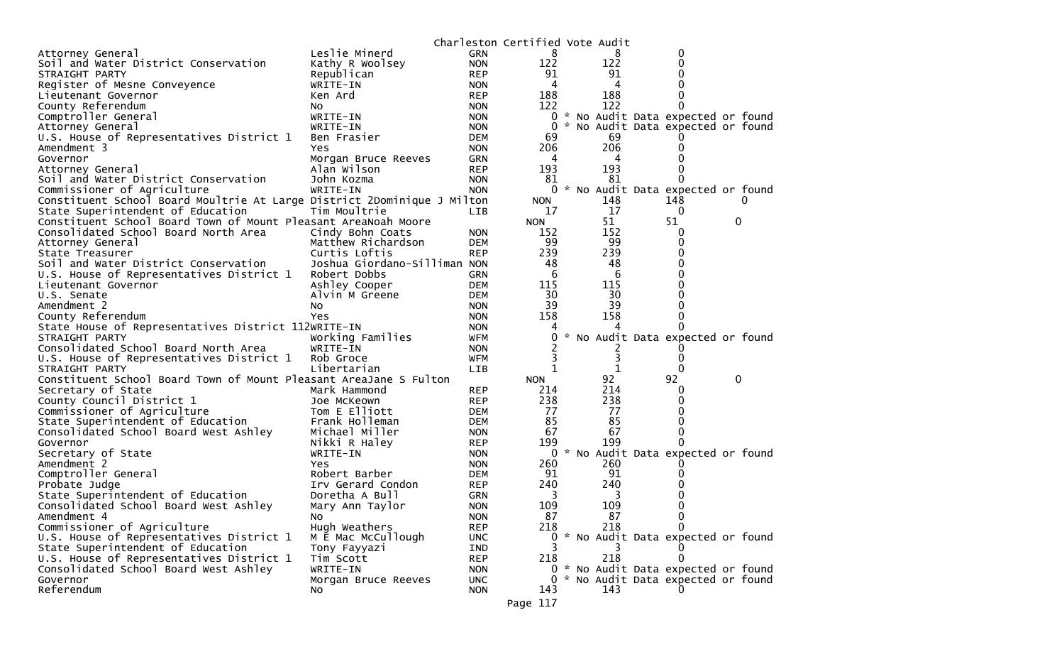|                                                                         |                                              |                          | Charleston Certified Vote Audit |  |           |                                     |   |  |
|-------------------------------------------------------------------------|----------------------------------------------|--------------------------|---------------------------------|--|-----------|-------------------------------------|---|--|
| Attorney General                                                        | Leslie Minerd                                | <b>GRN</b>               | 8                               |  | 8         | 0                                   |   |  |
| Soil and Water District Conservation                                    | Kathy R Woolsey                              | <b>NON</b>               | 122                             |  | 122       | 0                                   |   |  |
| STRAIGHT PARTY                                                          | Republican                                   | <b>REP</b>               | 91                              |  | 91        | 0                                   |   |  |
| Register of Mesne Conveyence                                            | WRITE-IN                                     | <b>NON</b>               | 4                               |  | 4         | 0                                   |   |  |
| Lieutenant Governor                                                     | Ken Ard                                      | <b>REP</b>               | 188                             |  | 188       | 0                                   |   |  |
| County Referendum                                                       | NO.                                          | <b>NON</b>               | 122                             |  | 122       | 0                                   |   |  |
| Comptroller General                                                     | WRITE-IN                                     | <b>NON</b>               | 0                               |  |           | * No Audit Data expected or found   |   |  |
| Attorney General                                                        | WRITE-IN                                     | <b>NON</b>               | 0                               |  |           | * No Audit Data expected or found   |   |  |
| U.S. House of Representatives District 1                                | Ben Frasier                                  | <b>DEM</b>               | 69                              |  | 69        |                                     |   |  |
| Amendment 3                                                             | Yes                                          | <b>NON</b>               | 206                             |  | 206       | 0                                   |   |  |
| Governor                                                                | Morgan Bruce Reeves                          | GRN                      | 4                               |  | 4         | 0                                   |   |  |
| Attorney General                                                        | Alan Wilson                                  | <b>REP</b>               | 193                             |  | 193       | 0                                   |   |  |
| Soil and Water District Conservation                                    | John Kozma                                   | <b>NON</b>               | 81                              |  | 81        | 0                                   |   |  |
| Commissioner of Agriculture                                             | WRITE-IN                                     | <b>NON</b>               | 0                               |  |           | * No Audit Data expected or found   |   |  |
| Constituent School Board Moultrie At Large District 2Dominique J Milton |                                              |                          | NON.                            |  | 148       | 148                                 |   |  |
| State Superintendent of Education                                       | Tim Moultrie                                 | LIB                      | 17                              |  | 17        | 0                                   |   |  |
| Constituent School Board Town of Mount Pleasant AreaNoah Moore          |                                              |                          | <b>NON</b>                      |  | 51        | 51                                  | 0 |  |
| Consolidated School Board North Area                                    | Cindy Bohn Coats                             | <b>NON</b>               | 152                             |  | 152       | 0                                   |   |  |
| Attorney General                                                        | Matthew Richardson                           | <b>DEM</b>               | 99                              |  | 99        | 0                                   |   |  |
| State Treasurer                                                         | Curtis Loftis                                | <b>REP</b>               | 239                             |  | 239       | 0                                   |   |  |
| Soil and Water District Conservation                                    | Joshua Giordano-Silliman NON<br>Robert Dobbs |                          | 48                              |  | 48        | 0<br>0                              |   |  |
| U.S. House of Representatives District 1<br>Lieutenant Governor         |                                              | GRN                      | 6                               |  | 6         | 0                                   |   |  |
| U.S. Senate                                                             | Ashley Cooper<br>Alvin M Greene              | <b>DEM</b><br><b>DEM</b> | 115<br>30                       |  | 115<br>30 | 0                                   |   |  |
| Amendment 2                                                             |                                              | <b>NON</b>               | 39                              |  | 39        | 0                                   |   |  |
| County Referendum                                                       | No<br>Yes                                    | <b>NON</b>               | 158                             |  | 158       | 0                                   |   |  |
| State House of Representatives District 112WRITE-IN                     |                                              | <b>NON</b>               |                                 |  |           | 0                                   |   |  |
| STRAIGHT PARTY                                                          | Working Families                             | WFM                      | 0                               |  |           | * No Audit Data expected or found   |   |  |
| Consolidated School Board North Area                                    | WRITE-IN                                     | <b>NON</b>               |                                 |  |           |                                     |   |  |
| U.S. House of Representatives District 1                                | Rob Groce                                    | <b>WFM</b>               |                                 |  | 3         | 0                                   |   |  |
| STRAIGHT PARTY                                                          | Libertarian                                  | <b>LIB</b>               | 1                               |  | 1         | 0                                   |   |  |
| Constituent School Board Town of Mount Pleasant AreaJane S Fulton       |                                              |                          | <b>NON</b>                      |  | 92        | 92                                  | 0 |  |
| Secretary of State                                                      | Mark Hammond                                 | <b>REP</b>               | 214                             |  | 214       | O                                   |   |  |
| County Council District 1                                               | Joe McKeown                                  | <b>REP</b>               | 238                             |  | 238       | 0                                   |   |  |
| Commissioner of Agriculture                                             | Tom E Elliott                                | <b>DEM</b>               | 77                              |  | 77        | 0                                   |   |  |
| State Superintendent of Education                                       | Frank Holleman                               | <b>DEM</b>               | 85                              |  | 85        | 0                                   |   |  |
| Consolidated School Board West Ashley                                   | Michael Miller                               | <b>NON</b>               | 67                              |  | 67        | 0                                   |   |  |
| Governor                                                                | Nikki R Haley                                | <b>REP</b>               | 199                             |  | 199       | 0                                   |   |  |
| Secretary of State                                                      | WRITE-IN                                     | <b>NON</b>               | 0                               |  |           | * No Audit Data expected or found   |   |  |
| Amendment 2                                                             | Yes                                          | <b>NON</b>               | 260                             |  | 260       |                                     |   |  |
| Comptroller General                                                     | Robert Barber                                | <b>DEM</b>               | 91                              |  | 91        |                                     |   |  |
| Probate Judge                                                           | Irv Gerard Condon                            | <b>REP</b>               | 240                             |  | 240       |                                     |   |  |
| State Superintendent of Education                                       | Doretha A Bull                               | <b>GRN</b>               | 3                               |  | 3         | 0                                   |   |  |
| Consolidated School Board West Ashley                                   | Mary Ann Taylor                              | <b>NON</b>               | 109                             |  | 109       | 0                                   |   |  |
| Amendment 4                                                             | No.                                          | <b>NON</b>               | 87                              |  | 87        | 0                                   |   |  |
| Commissioner of Agriculture                                             | Hugh Weathers                                | <b>REP</b>               | 218                             |  | 218       | 0                                   |   |  |
| U.S. House of Representatives District 1                                | M E Mac McCullough                           | <b>UNC</b>               | 0                               |  |           | * No Audit Data expected or found   |   |  |
| State Superintendent of Education                                       | Tony Fayyazi                                 | IND                      | 3                               |  |           |                                     |   |  |
| U.S. House of Representatives District 1                                | Tim Scott                                    | <b>REP</b>               | 218                             |  | 218       | 0                                   |   |  |
| Consolidated School Board West Ashley                                   | WRITE-IN                                     | <b>NON</b>               |                                 |  |           | 0 * No Audit Data expected or found |   |  |
| Governor                                                                | Morgan Bruce Reeves                          | <b>UNC</b>               | 0                               |  |           | * No Audit Data expected or found   |   |  |
| Referendum                                                              | No                                           | <b>NON</b>               | 143                             |  | 143       | $\Omega$                            |   |  |
|                                                                         |                                              |                          | Page 117                        |  |           |                                     |   |  |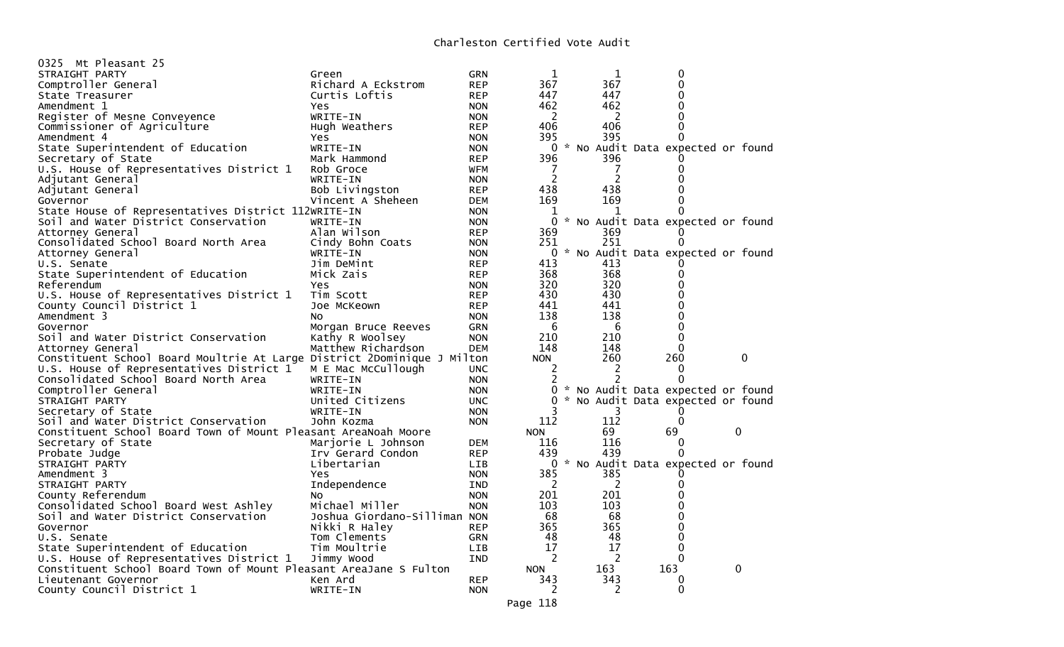| 0325 Mt Pleasant 25                                                     |                              |            |            |     |                                   |          |  |
|-------------------------------------------------------------------------|------------------------------|------------|------------|-----|-----------------------------------|----------|--|
| STRAIGHT PARTY                                                          | Green                        | GRN        | 1          | 1   | 0                                 |          |  |
| Comptroller General                                                     | Richard A Eckstrom           | <b>REP</b> | 367        | 367 | 0                                 |          |  |
| State Treasurer                                                         | Curtis Loftis                | <b>REP</b> | 447        | 447 | 0                                 |          |  |
| Amendment 1                                                             | Yes                          | <b>NON</b> | 462        | 462 | $\Omega$                          |          |  |
| Register of Mesne Conveyence                                            | WRITE-IN                     | <b>NON</b> | 2          | 2   | $\Omega$                          |          |  |
| Commissioner of Agriculture                                             | Hugh Weathers                | <b>REP</b> | 406        | 406 | 0                                 |          |  |
| Amendment 4                                                             | <b>Yes</b>                   | <b>NON</b> | 395        | 395 | 0                                 |          |  |
| State Superintendent of Education                                       | WRITE-IN                     | <b>NON</b> | 0          |     | * No Audit Data expected or found |          |  |
| Secretary of State                                                      | Mark Hammond                 | <b>REP</b> | 396        | 396 | 0                                 |          |  |
| U.S. House of Representatives District 1                                | Rob Groce                    | WFM        |            | 7   | 0                                 |          |  |
| Adjutant General                                                        | WRITE-IN                     | <b>NON</b> | 2          | 2   | 0                                 |          |  |
| Adjutant General                                                        | Bob Livingston               | <b>REP</b> | 438        | 438 | 0                                 |          |  |
| Governor                                                                | Vincent A Sheheen            | <b>DEM</b> | 169        | 169 | 0                                 |          |  |
| State House of Representatives District 112WRITE-IN                     |                              | <b>NON</b> | 1          | 1   | 0                                 |          |  |
| Soil and Water District Conservation                                    | WRITE-IN                     | <b>NON</b> | 0          |     | * No Audit Data expected or found |          |  |
|                                                                         | Alan Wilson                  | <b>REP</b> | 369        | 369 | $\Omega$                          |          |  |
| Attorney General                                                        |                              |            |            | 251 | 0                                 |          |  |
| Consolidated School Board North Area                                    | Cindy Bohn Coats             | <b>NON</b> | 251        |     |                                   |          |  |
| Attorney General                                                        | WRITE-IN                     | <b>NON</b> | 0          |     | * No Audit Data expected or found |          |  |
| U.S. Senate                                                             | Jim DeMint                   | <b>REP</b> | 413        | 413 |                                   |          |  |
| State Superintendent of Education                                       | Mick Zais                    | <b>REP</b> | 368        | 368 | 0                                 |          |  |
| Referendum                                                              | Yes                          | <b>NON</b> | 320        | 320 | 0                                 |          |  |
| U.S. House of Representatives District 1                                | Tim Scott                    | <b>REP</b> | 430        | 430 | 0                                 |          |  |
| County Council District 1                                               | Joe McKeown                  | <b>REP</b> | 441        | 441 | 0                                 |          |  |
| Amendment 3                                                             | N <sub>O</sub>               | <b>NON</b> | 138        | 138 | 0                                 |          |  |
| Governor                                                                | Morgan Bruce Reeves          | <b>GRN</b> | 6          | 6   | 0                                 |          |  |
| Soil and Water District Conservation                                    | Kathy R Woolsey              | <b>NON</b> | 210        | 210 | 0                                 |          |  |
| Attorney General                                                        | Matthew Richardson           | <b>DEM</b> | 148        | 148 | $\Omega$                          |          |  |
| Constituent School Board Moultrie At Large District 2Dominique J Milton |                              |            | <b>NON</b> | 260 | 260                               | $\Omega$ |  |
| U.S. House of Representatives District 1                                | M E Mac McCullough           | <b>UNC</b> | 2          | 2   | 0                                 |          |  |
| Consolidated School Board North Area                                    | WRITE-IN                     | <b>NON</b> | 2          | 2   | $\Omega$                          |          |  |
| Comptroller General                                                     | WRITE-IN                     | <b>NON</b> | 0          |     | * No Audit Data expected or found |          |  |
| STRAIGHT PARTY                                                          | United Citizens              | <b>UNC</b> | 0          |     | * No Audit Data expected or found |          |  |
| Secretary of State                                                      | WRITE-IN                     | <b>NON</b> |            | 3   | $\Omega$                          |          |  |
| Soil and Water District Conservation                                    | John Kozma                   | <b>NON</b> | 112        | 112 | 0                                 |          |  |
| Constituent School Board Town of Mount Pleasant AreaNoah Moore          |                              |            | <b>NON</b> | 69  | 69                                | 0        |  |
| Secretary of State                                                      | Marjorie L Johnson           | <b>DEM</b> | 116        | 116 | 0                                 |          |  |
| Probate Judge                                                           | Irv Gerard Condon            | <b>REP</b> | 439        | 439 | $\Omega$                          |          |  |
| STRAIGHT PARTY                                                          | Libertarian                  | LIB        | 0          |     | * No Audit Data expected or found |          |  |
| Amendment 3                                                             | Yes.                         | <b>NON</b> | 385        | 385 | 0                                 |          |  |
| STRAIGHT PARTY                                                          | Independence                 | IND        | 2          | 2   | 0                                 |          |  |
| County Referendum                                                       | No                           | <b>NON</b> | 201        | 201 | 0                                 |          |  |
| Consolidated School Board West Ashley                                   | Michael Miller               | <b>NON</b> | 103        | 103 | 0                                 |          |  |
| Soil and Water District Conservation                                    | Joshua Giordano-Silliman NON |            | 68         | 68  | 0                                 |          |  |
|                                                                         | Nikki R Haley                |            | 365        | 365 | 0                                 |          |  |
| Governor                                                                |                              | <b>REP</b> | 48         | 48  | 0                                 |          |  |
| U.S. Senate                                                             | Tom Clements                 | GRN        |            |     |                                   |          |  |
| State Superintendent of Education                                       | Tim Moultrie                 | <b>LIB</b> | 17         | 17  | 0                                 |          |  |
| U.S. House of Representatives District 1                                | Jimmy Wood                   | IND        | 2          | 2   | $\Omega$                          |          |  |
| Constituent School Board Town of Mount Pleasant AreaJane S Fulton       |                              |            | <b>NON</b> | 163 | 163                               | 0        |  |
| Lieutenant Governor                                                     | Ken Ard                      | <b>REP</b> | 343        | 343 | 0                                 |          |  |
| County Council District 1                                               | WRITE-IN                     | <b>NON</b> | 2          | 2   | $\Omega$                          |          |  |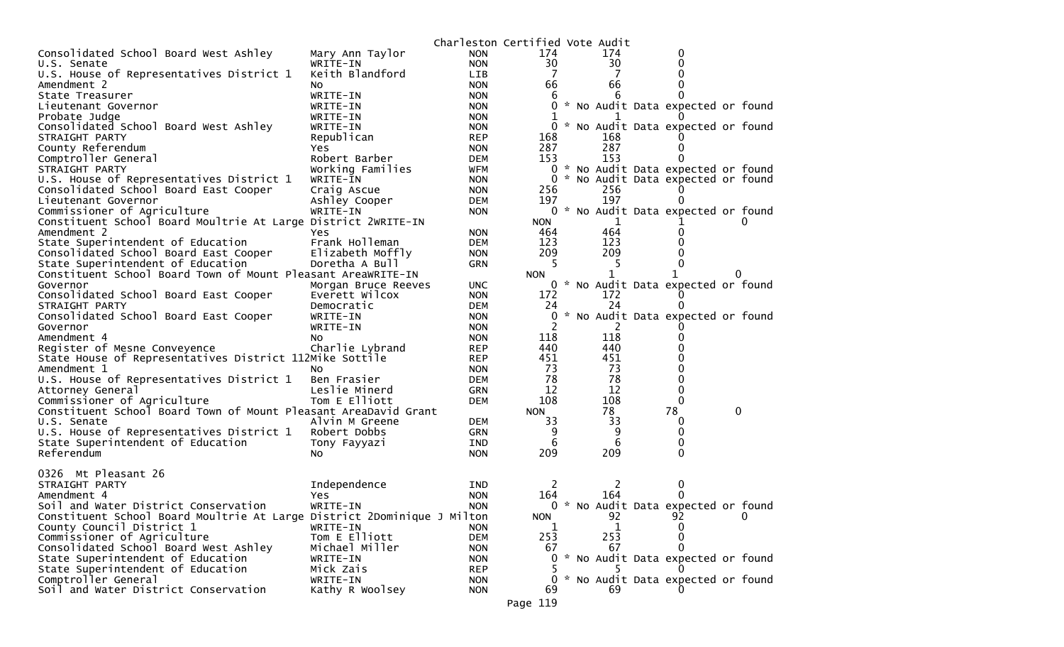| 174<br>Consolidated School Board West Ashley<br>174<br>Mary Ann Taylor<br><b>NON</b><br>0<br>30<br>WRITE-IN<br>30<br>0<br>U.S. Senate<br><b>NON</b><br>Keith Blandford<br>U.S. House of Representatives District 1<br>7<br>7<br><b>LIB</b><br>0<br>66<br>66<br>Amendment 2<br><b>NON</b><br>0<br>NO<br>State Treasurer<br>WRITE-IN<br>6<br><b>NON</b><br>6<br>* No Audit Data expected or found<br>0<br>Lieutenant Governor<br>WRITE-IN<br><b>NON</b><br>Probate Judge<br>WRITE-IN<br><b>NON</b><br>1<br>* No Audit Data expected or found<br>Consolidated School Board West Ashley<br>0<br>WRITE-IN<br><b>NON</b><br>STRAIGHT PARTY<br>Republican<br><b>REP</b><br>168<br>168<br>County Referendum<br>287<br>287<br><b>Yes</b><br><b>NON</b><br>0<br>153<br>153<br>Comptroller General<br>Robert Barber<br>0<br>DEM<br>0<br>* No Audit Data expected or found<br>Working Families<br><b>WFM</b><br>STRAIGHT PARTY<br>* No Audit Data expected or found<br>U.S. House of Representatives District 1<br>WRITE-IN<br><b>NON</b><br>Consolidated School Board East Cooper<br>256<br>256<br>Craig Ascue<br><b>NON</b><br>197<br>197<br>Ashley Cooper<br>Lieutenant Governor<br>DEM<br>Commissioner of Agriculture<br>0 * No Audit Data expected or found<br>WRITE-IN<br><b>NON</b><br>Constituent School Board Moultrie At Large District 2WRITE-IN<br><b>NON</b><br>T<br>464<br>464<br>Amendment 2<br><b>NON</b><br>0<br>Yes<br>State Superintendent of Education<br>Frank Holleman<br>123<br>123<br>DEM<br>209<br>209<br>Consolidated School Board East Cooper<br>0<br>Elizabeth Moffly<br><b>NON</b><br>State Superintendent of Education<br>5<br>Doretha A Bull<br>GRN<br>5<br>0<br>Constituent School Board Town of Mount Pleasant AreaWRITE-IN<br><b>NON</b><br>$\Omega$<br>0 * No Audit Data expected or found<br>Governor<br>Morgan Bruce Reeves<br>UNC.<br>Consolidated School Board East Cooper<br>Everett Wilcox<br>172<br>172<br><b>NON</b><br>24<br>24<br>STRAIGHT PARTY<br>Democratic<br>DEM<br>* No Audit Data expected or found<br>Consolidated School Board East Cooper<br>0<br>WRITE-IN<br><b>NON</b><br>2<br>Governor<br>WRITE-IN<br><b>NON</b><br>2<br>118<br>118<br>Amendment 4<br>NO.<br><b>NON</b><br>$\Omega$<br>440<br>440<br>Register of Mesne Conveyence<br>Charlie Lybrand<br>0<br><b>REP</b><br>State House of Representatives District 112Mike Sottile<br>451<br>451<br><b>REP</b><br>73<br>73<br>Amendment 1<br>0<br><b>NON</b><br>NO.<br>78<br>78<br>U.S. House of Representatives District 1<br>0<br>Ben Frasier<br>DEM<br>12<br>12<br>Leslie Minerd<br>0<br>Attorney General<br><b>GRN</b><br>108<br>108<br>Commissioner of Agriculture<br>Tom E Elliott<br>0<br>DEM<br>78<br>Constituent School Board Town of Mount Pleasant AreaDavid Grant<br>78<br>0<br><b>NON</b><br>33<br>33<br>U.S. Senate<br>Alvin M Greene<br>DEM<br>0<br>9<br>U.S. House of Representatives District 1<br>Robert Dobbs<br>9<br>GRN<br>0<br>6<br>6<br>State Superintendent of Education<br>0<br>Tony Fayyazi<br>IND<br>209<br>209<br>Referendum<br>0<br>No<br><b>NON</b><br>0326 Mt Pleasant 26<br>Independence<br>2<br>2<br>STRAIGHT PARTY<br><b>IND</b><br>0<br>164<br>164<br>Amendment 4<br><b>NON</b><br>Yes<br>0 * No Audit Data expected or found<br>Soil and Water District Conservation<br>WRITE-IN<br><b>NON</b><br>92<br>92<br>Constituent School Board Moultrie At Large District 2Dominique J Milton<br><b>NON</b><br>0<br>County Council District 1<br>WRITE-IN<br>1<br>1<br><b>NON</b><br>$\Omega$<br>253<br>Commissioner of Agriculture<br>Tom E Elliott<br>253<br><b>DEM</b><br>0<br>Consolidated School Board West Ashley<br>Michael Miller<br>67<br>67<br>0<br><b>NON</b><br>State Superintendent of Education<br>* No Audit Data expected or found<br>0<br>WRITE-IN<br><b>NON</b><br>State Superintendent of Education<br>Mick Zais<br><b>REP</b><br>Comptroller General<br>* No Audit Data expected or found<br>WRITE-IN<br><b>NON</b><br>0<br>Soil and Water District Conservation<br>Kathy R Woolsey<br>69<br>69<br><b>NON</b><br>Page 119 |  | Charleston Certified Vote Audit |  |  |  |  |
|-------------------------------------------------------------------------------------------------------------------------------------------------------------------------------------------------------------------------------------------------------------------------------------------------------------------------------------------------------------------------------------------------------------------------------------------------------------------------------------------------------------------------------------------------------------------------------------------------------------------------------------------------------------------------------------------------------------------------------------------------------------------------------------------------------------------------------------------------------------------------------------------------------------------------------------------------------------------------------------------------------------------------------------------------------------------------------------------------------------------------------------------------------------------------------------------------------------------------------------------------------------------------------------------------------------------------------------------------------------------------------------------------------------------------------------------------------------------------------------------------------------------------------------------------------------------------------------------------------------------------------------------------------------------------------------------------------------------------------------------------------------------------------------------------------------------------------------------------------------------------------------------------------------------------------------------------------------------------------------------------------------------------------------------------------------------------------------------------------------------------------------------------------------------------------------------------------------------------------------------------------------------------------------------------------------------------------------------------------------------------------------------------------------------------------------------------------------------------------------------------------------------------------------------------------------------------------------------------------------------------------------------------------------------------------------------------------------------------------------------------------------------------------------------------------------------------------------------------------------------------------------------------------------------------------------------------------------------------------------------------------------------------------------------------------------------------------------------------------------------------------------------------------------------------------------------------------------------------------------------------------------------------------------------------------------------------------------------------------------------------------------------------------------------------------------------------------------------------------------------------------------------------------------------------------------------------------------------------------------------------------------------------------------------------------------------------------------------------------------------------------------------------------------------------------------------------------------------------------------------------------------------------------------------------------------------------------------------------------------------------------------------------------------------------------------------------|--|---------------------------------|--|--|--|--|
|                                                                                                                                                                                                                                                                                                                                                                                                                                                                                                                                                                                                                                                                                                                                                                                                                                                                                                                                                                                                                                                                                                                                                                                                                                                                                                                                                                                                                                                                                                                                                                                                                                                                                                                                                                                                                                                                                                                                                                                                                                                                                                                                                                                                                                                                                                                                                                                                                                                                                                                                                                                                                                                                                                                                                                                                                                                                                                                                                                                                                                                                                                                                                                                                                                                                                                                                                                                                                                                                                                                                                                                                                                                                                                                                                                                                                                                                                                                                                                                                                                                                         |  |                                 |  |  |  |  |
|                                                                                                                                                                                                                                                                                                                                                                                                                                                                                                                                                                                                                                                                                                                                                                                                                                                                                                                                                                                                                                                                                                                                                                                                                                                                                                                                                                                                                                                                                                                                                                                                                                                                                                                                                                                                                                                                                                                                                                                                                                                                                                                                                                                                                                                                                                                                                                                                                                                                                                                                                                                                                                                                                                                                                                                                                                                                                                                                                                                                                                                                                                                                                                                                                                                                                                                                                                                                                                                                                                                                                                                                                                                                                                                                                                                                                                                                                                                                                                                                                                                                         |  |                                 |  |  |  |  |
|                                                                                                                                                                                                                                                                                                                                                                                                                                                                                                                                                                                                                                                                                                                                                                                                                                                                                                                                                                                                                                                                                                                                                                                                                                                                                                                                                                                                                                                                                                                                                                                                                                                                                                                                                                                                                                                                                                                                                                                                                                                                                                                                                                                                                                                                                                                                                                                                                                                                                                                                                                                                                                                                                                                                                                                                                                                                                                                                                                                                                                                                                                                                                                                                                                                                                                                                                                                                                                                                                                                                                                                                                                                                                                                                                                                                                                                                                                                                                                                                                                                                         |  |                                 |  |  |  |  |
|                                                                                                                                                                                                                                                                                                                                                                                                                                                                                                                                                                                                                                                                                                                                                                                                                                                                                                                                                                                                                                                                                                                                                                                                                                                                                                                                                                                                                                                                                                                                                                                                                                                                                                                                                                                                                                                                                                                                                                                                                                                                                                                                                                                                                                                                                                                                                                                                                                                                                                                                                                                                                                                                                                                                                                                                                                                                                                                                                                                                                                                                                                                                                                                                                                                                                                                                                                                                                                                                                                                                                                                                                                                                                                                                                                                                                                                                                                                                                                                                                                                                         |  |                                 |  |  |  |  |
|                                                                                                                                                                                                                                                                                                                                                                                                                                                                                                                                                                                                                                                                                                                                                                                                                                                                                                                                                                                                                                                                                                                                                                                                                                                                                                                                                                                                                                                                                                                                                                                                                                                                                                                                                                                                                                                                                                                                                                                                                                                                                                                                                                                                                                                                                                                                                                                                                                                                                                                                                                                                                                                                                                                                                                                                                                                                                                                                                                                                                                                                                                                                                                                                                                                                                                                                                                                                                                                                                                                                                                                                                                                                                                                                                                                                                                                                                                                                                                                                                                                                         |  |                                 |  |  |  |  |
|                                                                                                                                                                                                                                                                                                                                                                                                                                                                                                                                                                                                                                                                                                                                                                                                                                                                                                                                                                                                                                                                                                                                                                                                                                                                                                                                                                                                                                                                                                                                                                                                                                                                                                                                                                                                                                                                                                                                                                                                                                                                                                                                                                                                                                                                                                                                                                                                                                                                                                                                                                                                                                                                                                                                                                                                                                                                                                                                                                                                                                                                                                                                                                                                                                                                                                                                                                                                                                                                                                                                                                                                                                                                                                                                                                                                                                                                                                                                                                                                                                                                         |  |                                 |  |  |  |  |
|                                                                                                                                                                                                                                                                                                                                                                                                                                                                                                                                                                                                                                                                                                                                                                                                                                                                                                                                                                                                                                                                                                                                                                                                                                                                                                                                                                                                                                                                                                                                                                                                                                                                                                                                                                                                                                                                                                                                                                                                                                                                                                                                                                                                                                                                                                                                                                                                                                                                                                                                                                                                                                                                                                                                                                                                                                                                                                                                                                                                                                                                                                                                                                                                                                                                                                                                                                                                                                                                                                                                                                                                                                                                                                                                                                                                                                                                                                                                                                                                                                                                         |  |                                 |  |  |  |  |
|                                                                                                                                                                                                                                                                                                                                                                                                                                                                                                                                                                                                                                                                                                                                                                                                                                                                                                                                                                                                                                                                                                                                                                                                                                                                                                                                                                                                                                                                                                                                                                                                                                                                                                                                                                                                                                                                                                                                                                                                                                                                                                                                                                                                                                                                                                                                                                                                                                                                                                                                                                                                                                                                                                                                                                                                                                                                                                                                                                                                                                                                                                                                                                                                                                                                                                                                                                                                                                                                                                                                                                                                                                                                                                                                                                                                                                                                                                                                                                                                                                                                         |  |                                 |  |  |  |  |
|                                                                                                                                                                                                                                                                                                                                                                                                                                                                                                                                                                                                                                                                                                                                                                                                                                                                                                                                                                                                                                                                                                                                                                                                                                                                                                                                                                                                                                                                                                                                                                                                                                                                                                                                                                                                                                                                                                                                                                                                                                                                                                                                                                                                                                                                                                                                                                                                                                                                                                                                                                                                                                                                                                                                                                                                                                                                                                                                                                                                                                                                                                                                                                                                                                                                                                                                                                                                                                                                                                                                                                                                                                                                                                                                                                                                                                                                                                                                                                                                                                                                         |  |                                 |  |  |  |  |
|                                                                                                                                                                                                                                                                                                                                                                                                                                                                                                                                                                                                                                                                                                                                                                                                                                                                                                                                                                                                                                                                                                                                                                                                                                                                                                                                                                                                                                                                                                                                                                                                                                                                                                                                                                                                                                                                                                                                                                                                                                                                                                                                                                                                                                                                                                                                                                                                                                                                                                                                                                                                                                                                                                                                                                                                                                                                                                                                                                                                                                                                                                                                                                                                                                                                                                                                                                                                                                                                                                                                                                                                                                                                                                                                                                                                                                                                                                                                                                                                                                                                         |  |                                 |  |  |  |  |
|                                                                                                                                                                                                                                                                                                                                                                                                                                                                                                                                                                                                                                                                                                                                                                                                                                                                                                                                                                                                                                                                                                                                                                                                                                                                                                                                                                                                                                                                                                                                                                                                                                                                                                                                                                                                                                                                                                                                                                                                                                                                                                                                                                                                                                                                                                                                                                                                                                                                                                                                                                                                                                                                                                                                                                                                                                                                                                                                                                                                                                                                                                                                                                                                                                                                                                                                                                                                                                                                                                                                                                                                                                                                                                                                                                                                                                                                                                                                                                                                                                                                         |  |                                 |  |  |  |  |
|                                                                                                                                                                                                                                                                                                                                                                                                                                                                                                                                                                                                                                                                                                                                                                                                                                                                                                                                                                                                                                                                                                                                                                                                                                                                                                                                                                                                                                                                                                                                                                                                                                                                                                                                                                                                                                                                                                                                                                                                                                                                                                                                                                                                                                                                                                                                                                                                                                                                                                                                                                                                                                                                                                                                                                                                                                                                                                                                                                                                                                                                                                                                                                                                                                                                                                                                                                                                                                                                                                                                                                                                                                                                                                                                                                                                                                                                                                                                                                                                                                                                         |  |                                 |  |  |  |  |
|                                                                                                                                                                                                                                                                                                                                                                                                                                                                                                                                                                                                                                                                                                                                                                                                                                                                                                                                                                                                                                                                                                                                                                                                                                                                                                                                                                                                                                                                                                                                                                                                                                                                                                                                                                                                                                                                                                                                                                                                                                                                                                                                                                                                                                                                                                                                                                                                                                                                                                                                                                                                                                                                                                                                                                                                                                                                                                                                                                                                                                                                                                                                                                                                                                                                                                                                                                                                                                                                                                                                                                                                                                                                                                                                                                                                                                                                                                                                                                                                                                                                         |  |                                 |  |  |  |  |
|                                                                                                                                                                                                                                                                                                                                                                                                                                                                                                                                                                                                                                                                                                                                                                                                                                                                                                                                                                                                                                                                                                                                                                                                                                                                                                                                                                                                                                                                                                                                                                                                                                                                                                                                                                                                                                                                                                                                                                                                                                                                                                                                                                                                                                                                                                                                                                                                                                                                                                                                                                                                                                                                                                                                                                                                                                                                                                                                                                                                                                                                                                                                                                                                                                                                                                                                                                                                                                                                                                                                                                                                                                                                                                                                                                                                                                                                                                                                                                                                                                                                         |  |                                 |  |  |  |  |
|                                                                                                                                                                                                                                                                                                                                                                                                                                                                                                                                                                                                                                                                                                                                                                                                                                                                                                                                                                                                                                                                                                                                                                                                                                                                                                                                                                                                                                                                                                                                                                                                                                                                                                                                                                                                                                                                                                                                                                                                                                                                                                                                                                                                                                                                                                                                                                                                                                                                                                                                                                                                                                                                                                                                                                                                                                                                                                                                                                                                                                                                                                                                                                                                                                                                                                                                                                                                                                                                                                                                                                                                                                                                                                                                                                                                                                                                                                                                                                                                                                                                         |  |                                 |  |  |  |  |
|                                                                                                                                                                                                                                                                                                                                                                                                                                                                                                                                                                                                                                                                                                                                                                                                                                                                                                                                                                                                                                                                                                                                                                                                                                                                                                                                                                                                                                                                                                                                                                                                                                                                                                                                                                                                                                                                                                                                                                                                                                                                                                                                                                                                                                                                                                                                                                                                                                                                                                                                                                                                                                                                                                                                                                                                                                                                                                                                                                                                                                                                                                                                                                                                                                                                                                                                                                                                                                                                                                                                                                                                                                                                                                                                                                                                                                                                                                                                                                                                                                                                         |  |                                 |  |  |  |  |
|                                                                                                                                                                                                                                                                                                                                                                                                                                                                                                                                                                                                                                                                                                                                                                                                                                                                                                                                                                                                                                                                                                                                                                                                                                                                                                                                                                                                                                                                                                                                                                                                                                                                                                                                                                                                                                                                                                                                                                                                                                                                                                                                                                                                                                                                                                                                                                                                                                                                                                                                                                                                                                                                                                                                                                                                                                                                                                                                                                                                                                                                                                                                                                                                                                                                                                                                                                                                                                                                                                                                                                                                                                                                                                                                                                                                                                                                                                                                                                                                                                                                         |  |                                 |  |  |  |  |
|                                                                                                                                                                                                                                                                                                                                                                                                                                                                                                                                                                                                                                                                                                                                                                                                                                                                                                                                                                                                                                                                                                                                                                                                                                                                                                                                                                                                                                                                                                                                                                                                                                                                                                                                                                                                                                                                                                                                                                                                                                                                                                                                                                                                                                                                                                                                                                                                                                                                                                                                                                                                                                                                                                                                                                                                                                                                                                                                                                                                                                                                                                                                                                                                                                                                                                                                                                                                                                                                                                                                                                                                                                                                                                                                                                                                                                                                                                                                                                                                                                                                         |  |                                 |  |  |  |  |
|                                                                                                                                                                                                                                                                                                                                                                                                                                                                                                                                                                                                                                                                                                                                                                                                                                                                                                                                                                                                                                                                                                                                                                                                                                                                                                                                                                                                                                                                                                                                                                                                                                                                                                                                                                                                                                                                                                                                                                                                                                                                                                                                                                                                                                                                                                                                                                                                                                                                                                                                                                                                                                                                                                                                                                                                                                                                                                                                                                                                                                                                                                                                                                                                                                                                                                                                                                                                                                                                                                                                                                                                                                                                                                                                                                                                                                                                                                                                                                                                                                                                         |  |                                 |  |  |  |  |
|                                                                                                                                                                                                                                                                                                                                                                                                                                                                                                                                                                                                                                                                                                                                                                                                                                                                                                                                                                                                                                                                                                                                                                                                                                                                                                                                                                                                                                                                                                                                                                                                                                                                                                                                                                                                                                                                                                                                                                                                                                                                                                                                                                                                                                                                                                                                                                                                                                                                                                                                                                                                                                                                                                                                                                                                                                                                                                                                                                                                                                                                                                                                                                                                                                                                                                                                                                                                                                                                                                                                                                                                                                                                                                                                                                                                                                                                                                                                                                                                                                                                         |  |                                 |  |  |  |  |
|                                                                                                                                                                                                                                                                                                                                                                                                                                                                                                                                                                                                                                                                                                                                                                                                                                                                                                                                                                                                                                                                                                                                                                                                                                                                                                                                                                                                                                                                                                                                                                                                                                                                                                                                                                                                                                                                                                                                                                                                                                                                                                                                                                                                                                                                                                                                                                                                                                                                                                                                                                                                                                                                                                                                                                                                                                                                                                                                                                                                                                                                                                                                                                                                                                                                                                                                                                                                                                                                                                                                                                                                                                                                                                                                                                                                                                                                                                                                                                                                                                                                         |  |                                 |  |  |  |  |
|                                                                                                                                                                                                                                                                                                                                                                                                                                                                                                                                                                                                                                                                                                                                                                                                                                                                                                                                                                                                                                                                                                                                                                                                                                                                                                                                                                                                                                                                                                                                                                                                                                                                                                                                                                                                                                                                                                                                                                                                                                                                                                                                                                                                                                                                                                                                                                                                                                                                                                                                                                                                                                                                                                                                                                                                                                                                                                                                                                                                                                                                                                                                                                                                                                                                                                                                                                                                                                                                                                                                                                                                                                                                                                                                                                                                                                                                                                                                                                                                                                                                         |  |                                 |  |  |  |  |
|                                                                                                                                                                                                                                                                                                                                                                                                                                                                                                                                                                                                                                                                                                                                                                                                                                                                                                                                                                                                                                                                                                                                                                                                                                                                                                                                                                                                                                                                                                                                                                                                                                                                                                                                                                                                                                                                                                                                                                                                                                                                                                                                                                                                                                                                                                                                                                                                                                                                                                                                                                                                                                                                                                                                                                                                                                                                                                                                                                                                                                                                                                                                                                                                                                                                                                                                                                                                                                                                                                                                                                                                                                                                                                                                                                                                                                                                                                                                                                                                                                                                         |  |                                 |  |  |  |  |
|                                                                                                                                                                                                                                                                                                                                                                                                                                                                                                                                                                                                                                                                                                                                                                                                                                                                                                                                                                                                                                                                                                                                                                                                                                                                                                                                                                                                                                                                                                                                                                                                                                                                                                                                                                                                                                                                                                                                                                                                                                                                                                                                                                                                                                                                                                                                                                                                                                                                                                                                                                                                                                                                                                                                                                                                                                                                                                                                                                                                                                                                                                                                                                                                                                                                                                                                                                                                                                                                                                                                                                                                                                                                                                                                                                                                                                                                                                                                                                                                                                                                         |  |                                 |  |  |  |  |
|                                                                                                                                                                                                                                                                                                                                                                                                                                                                                                                                                                                                                                                                                                                                                                                                                                                                                                                                                                                                                                                                                                                                                                                                                                                                                                                                                                                                                                                                                                                                                                                                                                                                                                                                                                                                                                                                                                                                                                                                                                                                                                                                                                                                                                                                                                                                                                                                                                                                                                                                                                                                                                                                                                                                                                                                                                                                                                                                                                                                                                                                                                                                                                                                                                                                                                                                                                                                                                                                                                                                                                                                                                                                                                                                                                                                                                                                                                                                                                                                                                                                         |  |                                 |  |  |  |  |
|                                                                                                                                                                                                                                                                                                                                                                                                                                                                                                                                                                                                                                                                                                                                                                                                                                                                                                                                                                                                                                                                                                                                                                                                                                                                                                                                                                                                                                                                                                                                                                                                                                                                                                                                                                                                                                                                                                                                                                                                                                                                                                                                                                                                                                                                                                                                                                                                                                                                                                                                                                                                                                                                                                                                                                                                                                                                                                                                                                                                                                                                                                                                                                                                                                                                                                                                                                                                                                                                                                                                                                                                                                                                                                                                                                                                                                                                                                                                                                                                                                                                         |  |                                 |  |  |  |  |
|                                                                                                                                                                                                                                                                                                                                                                                                                                                                                                                                                                                                                                                                                                                                                                                                                                                                                                                                                                                                                                                                                                                                                                                                                                                                                                                                                                                                                                                                                                                                                                                                                                                                                                                                                                                                                                                                                                                                                                                                                                                                                                                                                                                                                                                                                                                                                                                                                                                                                                                                                                                                                                                                                                                                                                                                                                                                                                                                                                                                                                                                                                                                                                                                                                                                                                                                                                                                                                                                                                                                                                                                                                                                                                                                                                                                                                                                                                                                                                                                                                                                         |  |                                 |  |  |  |  |
|                                                                                                                                                                                                                                                                                                                                                                                                                                                                                                                                                                                                                                                                                                                                                                                                                                                                                                                                                                                                                                                                                                                                                                                                                                                                                                                                                                                                                                                                                                                                                                                                                                                                                                                                                                                                                                                                                                                                                                                                                                                                                                                                                                                                                                                                                                                                                                                                                                                                                                                                                                                                                                                                                                                                                                                                                                                                                                                                                                                                                                                                                                                                                                                                                                                                                                                                                                                                                                                                                                                                                                                                                                                                                                                                                                                                                                                                                                                                                                                                                                                                         |  |                                 |  |  |  |  |
|                                                                                                                                                                                                                                                                                                                                                                                                                                                                                                                                                                                                                                                                                                                                                                                                                                                                                                                                                                                                                                                                                                                                                                                                                                                                                                                                                                                                                                                                                                                                                                                                                                                                                                                                                                                                                                                                                                                                                                                                                                                                                                                                                                                                                                                                                                                                                                                                                                                                                                                                                                                                                                                                                                                                                                                                                                                                                                                                                                                                                                                                                                                                                                                                                                                                                                                                                                                                                                                                                                                                                                                                                                                                                                                                                                                                                                                                                                                                                                                                                                                                         |  |                                 |  |  |  |  |
|                                                                                                                                                                                                                                                                                                                                                                                                                                                                                                                                                                                                                                                                                                                                                                                                                                                                                                                                                                                                                                                                                                                                                                                                                                                                                                                                                                                                                                                                                                                                                                                                                                                                                                                                                                                                                                                                                                                                                                                                                                                                                                                                                                                                                                                                                                                                                                                                                                                                                                                                                                                                                                                                                                                                                                                                                                                                                                                                                                                                                                                                                                                                                                                                                                                                                                                                                                                                                                                                                                                                                                                                                                                                                                                                                                                                                                                                                                                                                                                                                                                                         |  |                                 |  |  |  |  |
|                                                                                                                                                                                                                                                                                                                                                                                                                                                                                                                                                                                                                                                                                                                                                                                                                                                                                                                                                                                                                                                                                                                                                                                                                                                                                                                                                                                                                                                                                                                                                                                                                                                                                                                                                                                                                                                                                                                                                                                                                                                                                                                                                                                                                                                                                                                                                                                                                                                                                                                                                                                                                                                                                                                                                                                                                                                                                                                                                                                                                                                                                                                                                                                                                                                                                                                                                                                                                                                                                                                                                                                                                                                                                                                                                                                                                                                                                                                                                                                                                                                                         |  |                                 |  |  |  |  |
|                                                                                                                                                                                                                                                                                                                                                                                                                                                                                                                                                                                                                                                                                                                                                                                                                                                                                                                                                                                                                                                                                                                                                                                                                                                                                                                                                                                                                                                                                                                                                                                                                                                                                                                                                                                                                                                                                                                                                                                                                                                                                                                                                                                                                                                                                                                                                                                                                                                                                                                                                                                                                                                                                                                                                                                                                                                                                                                                                                                                                                                                                                                                                                                                                                                                                                                                                                                                                                                                                                                                                                                                                                                                                                                                                                                                                                                                                                                                                                                                                                                                         |  |                                 |  |  |  |  |
|                                                                                                                                                                                                                                                                                                                                                                                                                                                                                                                                                                                                                                                                                                                                                                                                                                                                                                                                                                                                                                                                                                                                                                                                                                                                                                                                                                                                                                                                                                                                                                                                                                                                                                                                                                                                                                                                                                                                                                                                                                                                                                                                                                                                                                                                                                                                                                                                                                                                                                                                                                                                                                                                                                                                                                                                                                                                                                                                                                                                                                                                                                                                                                                                                                                                                                                                                                                                                                                                                                                                                                                                                                                                                                                                                                                                                                                                                                                                                                                                                                                                         |  |                                 |  |  |  |  |
|                                                                                                                                                                                                                                                                                                                                                                                                                                                                                                                                                                                                                                                                                                                                                                                                                                                                                                                                                                                                                                                                                                                                                                                                                                                                                                                                                                                                                                                                                                                                                                                                                                                                                                                                                                                                                                                                                                                                                                                                                                                                                                                                                                                                                                                                                                                                                                                                                                                                                                                                                                                                                                                                                                                                                                                                                                                                                                                                                                                                                                                                                                                                                                                                                                                                                                                                                                                                                                                                                                                                                                                                                                                                                                                                                                                                                                                                                                                                                                                                                                                                         |  |                                 |  |  |  |  |
|                                                                                                                                                                                                                                                                                                                                                                                                                                                                                                                                                                                                                                                                                                                                                                                                                                                                                                                                                                                                                                                                                                                                                                                                                                                                                                                                                                                                                                                                                                                                                                                                                                                                                                                                                                                                                                                                                                                                                                                                                                                                                                                                                                                                                                                                                                                                                                                                                                                                                                                                                                                                                                                                                                                                                                                                                                                                                                                                                                                                                                                                                                                                                                                                                                                                                                                                                                                                                                                                                                                                                                                                                                                                                                                                                                                                                                                                                                                                                                                                                                                                         |  |                                 |  |  |  |  |
|                                                                                                                                                                                                                                                                                                                                                                                                                                                                                                                                                                                                                                                                                                                                                                                                                                                                                                                                                                                                                                                                                                                                                                                                                                                                                                                                                                                                                                                                                                                                                                                                                                                                                                                                                                                                                                                                                                                                                                                                                                                                                                                                                                                                                                                                                                                                                                                                                                                                                                                                                                                                                                                                                                                                                                                                                                                                                                                                                                                                                                                                                                                                                                                                                                                                                                                                                                                                                                                                                                                                                                                                                                                                                                                                                                                                                                                                                                                                                                                                                                                                         |  |                                 |  |  |  |  |
|                                                                                                                                                                                                                                                                                                                                                                                                                                                                                                                                                                                                                                                                                                                                                                                                                                                                                                                                                                                                                                                                                                                                                                                                                                                                                                                                                                                                                                                                                                                                                                                                                                                                                                                                                                                                                                                                                                                                                                                                                                                                                                                                                                                                                                                                                                                                                                                                                                                                                                                                                                                                                                                                                                                                                                                                                                                                                                                                                                                                                                                                                                                                                                                                                                                                                                                                                                                                                                                                                                                                                                                                                                                                                                                                                                                                                                                                                                                                                                                                                                                                         |  |                                 |  |  |  |  |
|                                                                                                                                                                                                                                                                                                                                                                                                                                                                                                                                                                                                                                                                                                                                                                                                                                                                                                                                                                                                                                                                                                                                                                                                                                                                                                                                                                                                                                                                                                                                                                                                                                                                                                                                                                                                                                                                                                                                                                                                                                                                                                                                                                                                                                                                                                                                                                                                                                                                                                                                                                                                                                                                                                                                                                                                                                                                                                                                                                                                                                                                                                                                                                                                                                                                                                                                                                                                                                                                                                                                                                                                                                                                                                                                                                                                                                                                                                                                                                                                                                                                         |  |                                 |  |  |  |  |
|                                                                                                                                                                                                                                                                                                                                                                                                                                                                                                                                                                                                                                                                                                                                                                                                                                                                                                                                                                                                                                                                                                                                                                                                                                                                                                                                                                                                                                                                                                                                                                                                                                                                                                                                                                                                                                                                                                                                                                                                                                                                                                                                                                                                                                                                                                                                                                                                                                                                                                                                                                                                                                                                                                                                                                                                                                                                                                                                                                                                                                                                                                                                                                                                                                                                                                                                                                                                                                                                                                                                                                                                                                                                                                                                                                                                                                                                                                                                                                                                                                                                         |  |                                 |  |  |  |  |
|                                                                                                                                                                                                                                                                                                                                                                                                                                                                                                                                                                                                                                                                                                                                                                                                                                                                                                                                                                                                                                                                                                                                                                                                                                                                                                                                                                                                                                                                                                                                                                                                                                                                                                                                                                                                                                                                                                                                                                                                                                                                                                                                                                                                                                                                                                                                                                                                                                                                                                                                                                                                                                                                                                                                                                                                                                                                                                                                                                                                                                                                                                                                                                                                                                                                                                                                                                                                                                                                                                                                                                                                                                                                                                                                                                                                                                                                                                                                                                                                                                                                         |  |                                 |  |  |  |  |
|                                                                                                                                                                                                                                                                                                                                                                                                                                                                                                                                                                                                                                                                                                                                                                                                                                                                                                                                                                                                                                                                                                                                                                                                                                                                                                                                                                                                                                                                                                                                                                                                                                                                                                                                                                                                                                                                                                                                                                                                                                                                                                                                                                                                                                                                                                                                                                                                                                                                                                                                                                                                                                                                                                                                                                                                                                                                                                                                                                                                                                                                                                                                                                                                                                                                                                                                                                                                                                                                                                                                                                                                                                                                                                                                                                                                                                                                                                                                                                                                                                                                         |  |                                 |  |  |  |  |
|                                                                                                                                                                                                                                                                                                                                                                                                                                                                                                                                                                                                                                                                                                                                                                                                                                                                                                                                                                                                                                                                                                                                                                                                                                                                                                                                                                                                                                                                                                                                                                                                                                                                                                                                                                                                                                                                                                                                                                                                                                                                                                                                                                                                                                                                                                                                                                                                                                                                                                                                                                                                                                                                                                                                                                                                                                                                                                                                                                                                                                                                                                                                                                                                                                                                                                                                                                                                                                                                                                                                                                                                                                                                                                                                                                                                                                                                                                                                                                                                                                                                         |  |                                 |  |  |  |  |
|                                                                                                                                                                                                                                                                                                                                                                                                                                                                                                                                                                                                                                                                                                                                                                                                                                                                                                                                                                                                                                                                                                                                                                                                                                                                                                                                                                                                                                                                                                                                                                                                                                                                                                                                                                                                                                                                                                                                                                                                                                                                                                                                                                                                                                                                                                                                                                                                                                                                                                                                                                                                                                                                                                                                                                                                                                                                                                                                                                                                                                                                                                                                                                                                                                                                                                                                                                                                                                                                                                                                                                                                                                                                                                                                                                                                                                                                                                                                                                                                                                                                         |  |                                 |  |  |  |  |
|                                                                                                                                                                                                                                                                                                                                                                                                                                                                                                                                                                                                                                                                                                                                                                                                                                                                                                                                                                                                                                                                                                                                                                                                                                                                                                                                                                                                                                                                                                                                                                                                                                                                                                                                                                                                                                                                                                                                                                                                                                                                                                                                                                                                                                                                                                                                                                                                                                                                                                                                                                                                                                                                                                                                                                                                                                                                                                                                                                                                                                                                                                                                                                                                                                                                                                                                                                                                                                                                                                                                                                                                                                                                                                                                                                                                                                                                                                                                                                                                                                                                         |  |                                 |  |  |  |  |
|                                                                                                                                                                                                                                                                                                                                                                                                                                                                                                                                                                                                                                                                                                                                                                                                                                                                                                                                                                                                                                                                                                                                                                                                                                                                                                                                                                                                                                                                                                                                                                                                                                                                                                                                                                                                                                                                                                                                                                                                                                                                                                                                                                                                                                                                                                                                                                                                                                                                                                                                                                                                                                                                                                                                                                                                                                                                                                                                                                                                                                                                                                                                                                                                                                                                                                                                                                                                                                                                                                                                                                                                                                                                                                                                                                                                                                                                                                                                                                                                                                                                         |  |                                 |  |  |  |  |
|                                                                                                                                                                                                                                                                                                                                                                                                                                                                                                                                                                                                                                                                                                                                                                                                                                                                                                                                                                                                                                                                                                                                                                                                                                                                                                                                                                                                                                                                                                                                                                                                                                                                                                                                                                                                                                                                                                                                                                                                                                                                                                                                                                                                                                                                                                                                                                                                                                                                                                                                                                                                                                                                                                                                                                                                                                                                                                                                                                                                                                                                                                                                                                                                                                                                                                                                                                                                                                                                                                                                                                                                                                                                                                                                                                                                                                                                                                                                                                                                                                                                         |  |                                 |  |  |  |  |
|                                                                                                                                                                                                                                                                                                                                                                                                                                                                                                                                                                                                                                                                                                                                                                                                                                                                                                                                                                                                                                                                                                                                                                                                                                                                                                                                                                                                                                                                                                                                                                                                                                                                                                                                                                                                                                                                                                                                                                                                                                                                                                                                                                                                                                                                                                                                                                                                                                                                                                                                                                                                                                                                                                                                                                                                                                                                                                                                                                                                                                                                                                                                                                                                                                                                                                                                                                                                                                                                                                                                                                                                                                                                                                                                                                                                                                                                                                                                                                                                                                                                         |  |                                 |  |  |  |  |
|                                                                                                                                                                                                                                                                                                                                                                                                                                                                                                                                                                                                                                                                                                                                                                                                                                                                                                                                                                                                                                                                                                                                                                                                                                                                                                                                                                                                                                                                                                                                                                                                                                                                                                                                                                                                                                                                                                                                                                                                                                                                                                                                                                                                                                                                                                                                                                                                                                                                                                                                                                                                                                                                                                                                                                                                                                                                                                                                                                                                                                                                                                                                                                                                                                                                                                                                                                                                                                                                                                                                                                                                                                                                                                                                                                                                                                                                                                                                                                                                                                                                         |  |                                 |  |  |  |  |
|                                                                                                                                                                                                                                                                                                                                                                                                                                                                                                                                                                                                                                                                                                                                                                                                                                                                                                                                                                                                                                                                                                                                                                                                                                                                                                                                                                                                                                                                                                                                                                                                                                                                                                                                                                                                                                                                                                                                                                                                                                                                                                                                                                                                                                                                                                                                                                                                                                                                                                                                                                                                                                                                                                                                                                                                                                                                                                                                                                                                                                                                                                                                                                                                                                                                                                                                                                                                                                                                                                                                                                                                                                                                                                                                                                                                                                                                                                                                                                                                                                                                         |  |                                 |  |  |  |  |
|                                                                                                                                                                                                                                                                                                                                                                                                                                                                                                                                                                                                                                                                                                                                                                                                                                                                                                                                                                                                                                                                                                                                                                                                                                                                                                                                                                                                                                                                                                                                                                                                                                                                                                                                                                                                                                                                                                                                                                                                                                                                                                                                                                                                                                                                                                                                                                                                                                                                                                                                                                                                                                                                                                                                                                                                                                                                                                                                                                                                                                                                                                                                                                                                                                                                                                                                                                                                                                                                                                                                                                                                                                                                                                                                                                                                                                                                                                                                                                                                                                                                         |  |                                 |  |  |  |  |
|                                                                                                                                                                                                                                                                                                                                                                                                                                                                                                                                                                                                                                                                                                                                                                                                                                                                                                                                                                                                                                                                                                                                                                                                                                                                                                                                                                                                                                                                                                                                                                                                                                                                                                                                                                                                                                                                                                                                                                                                                                                                                                                                                                                                                                                                                                                                                                                                                                                                                                                                                                                                                                                                                                                                                                                                                                                                                                                                                                                                                                                                                                                                                                                                                                                                                                                                                                                                                                                                                                                                                                                                                                                                                                                                                                                                                                                                                                                                                                                                                                                                         |  |                                 |  |  |  |  |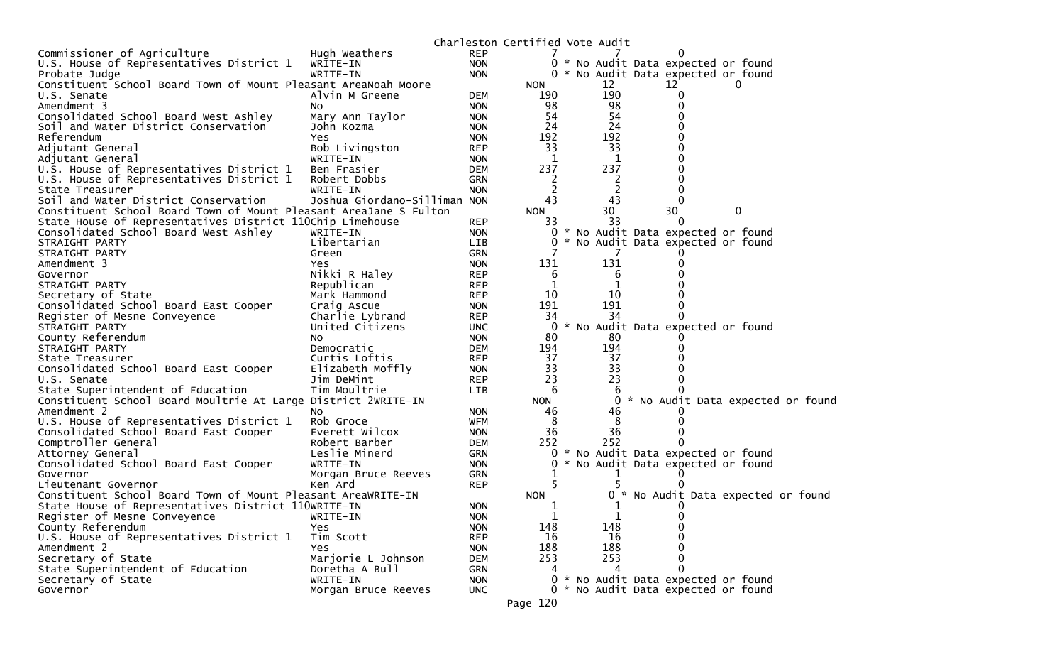|                                                                   |                              |            | Charleston Certified Vote Audit |          |       |          |                                     |                                   |
|-------------------------------------------------------------------|------------------------------|------------|---------------------------------|----------|-------|----------|-------------------------------------|-----------------------------------|
| Commissioner of Agriculture                                       | Hugh Weathers                | <b>REP</b> |                                 |          |       | 0        |                                     |                                   |
| U.S. House of Representatives District 1                          | WRITE-IN                     | <b>NON</b> |                                 |          |       |          | 0 * No Audit Data expected or found |                                   |
| Probate Judge                                                     | WRITE-IN                     | <b>NON</b> |                                 |          |       |          | 0 * No Audit Data expected or found |                                   |
| Constituent School Board Town of Mount Pleasant AreaNoah Moore    |                              |            | <b>NON</b>                      |          | 12    | 12       | $\Omega$                            |                                   |
| U.S. Senate                                                       | Alvin M Greene               | DEM        | 190                             |          | 190   |          |                                     |                                   |
| Amendment 3                                                       | NO.                          | <b>NON</b> | 98                              |          | 98    |          |                                     |                                   |
| Consolidated School Board West Ashley                             | Mary Ann Taylor              | <b>NON</b> | 54                              |          | 54    |          |                                     |                                   |
| Soil and Water District Conservation                              | John Kozma                   | <b>NON</b> | 24                              |          | 24    |          |                                     |                                   |
| Referendum                                                        | Yes                          | <b>NON</b> | 192                             |          | 192   |          |                                     |                                   |
| Adjutant General                                                  | Bob Livingston               | <b>REP</b> | 33                              |          | 33    |          |                                     |                                   |
| Adjutant General                                                  | WRITE-IN                     | <b>NON</b> | 1                               |          | 1     |          |                                     |                                   |
| U.S. House of Representatives District 1                          | Ben Frasier                  | <b>DEM</b> | 237                             |          | 237   |          |                                     |                                   |
| U.S. House of Representatives District 1                          | Robert Dobbs                 | <b>GRN</b> | 2                               |          | 2     |          |                                     |                                   |
| State Treasurer                                                   | WRITE-IN                     | <b>NON</b> | 2                               |          | 2     |          |                                     |                                   |
| Soil and Water District Conservation                              | Joshua Giordano-Silliman NON |            | 43                              |          | 43    |          |                                     |                                   |
| Constituent School Board Town of Mount Pleasant AreaJane S Fulton |                              |            | <b>NON</b>                      |          | 30    | 30       | $\mathbf{0}$                        |                                   |
| State House of Representatives District 110Chip Limehouse         |                              | <b>REP</b> | 33                              |          | 33    | $\Omega$ |                                     |                                   |
| Consolidated School Board West Ashley                             | WRITE-IN                     | <b>NON</b> | 0                               | <b>*</b> |       |          | No Audit Data expected or found     |                                   |
| STRAIGHT PARTY                                                    | Libertarian                  | LIB        | 0                               |          |       |          | * No Audit Data expected or found   |                                   |
| STRAIGHT PARTY                                                    | Green                        | <b>GRN</b> |                                 |          | 7     |          |                                     |                                   |
| Amendment 3                                                       | Yes                          | <b>NON</b> | 131                             |          | 131   |          |                                     |                                   |
| Governor                                                          | Nikki R Haley                | <b>REP</b> | 6                               |          | 6     |          |                                     |                                   |
| STRAIGHT PARTY                                                    | Republican                   | <b>REP</b> | 1                               |          |       |          |                                     |                                   |
| Secretary of State                                                | Mark Hammond                 | <b>REP</b> | 10                              |          | 10    |          |                                     |                                   |
| Consolidated School Board East Cooper                             | Craig Ascue                  | <b>NON</b> | 191                             |          | 191   |          |                                     |                                   |
| Register of Mesne Conveyence                                      | Charlie Lybrand              | <b>REP</b> | 34                              |          | 34    |          |                                     |                                   |
| STRAIGHT PARTY                                                    | United Citizens              | <b>UNC</b> | 0                               |          |       |          | * No Audit Data expected or found   |                                   |
| County Referendum                                                 | NO.                          | <b>NON</b> | 80                              |          | 80    |          |                                     |                                   |
| STRAIGHT PARTY                                                    | Democratic                   | <b>DEM</b> | 194                             |          | 194   |          |                                     |                                   |
| State Treasurer                                                   | Curtis Loftis                | <b>REP</b> | 37                              |          | 37    |          |                                     |                                   |
| Consolidated School Board East Cooper                             | Elizabeth Moffly             | <b>NON</b> | 33                              |          | 33    |          |                                     |                                   |
| U.S. Senate                                                       | Jim DeMint                   | <b>REP</b> | 23                              |          | 23    |          |                                     |                                   |
| State Superintendent of Education                                 | Tim Moultrie                 | <b>LIB</b> | 6                               |          | b     |          |                                     |                                   |
| Constituent School Board Moultrie At Large District 2WRITE-IN     |                              |            | <b>NON</b>                      |          | 0     |          |                                     | * No Audit Data expected or found |
| Amendment 2                                                       | NO.                          | <b>NON</b> | 46                              |          | 46    |          |                                     |                                   |
| U.S. House of Representatives District 1                          | Rob Groce                    | <b>WFM</b> | 8                               |          | 8     |          |                                     |                                   |
| Consolidated School Board East Cooper                             | Everett Wilcox               | <b>NON</b> | 36                              |          | 36    |          |                                     |                                   |
| Comptroller General                                               | Robert Barber                | <b>DEM</b> | 252                             |          | 252   |          |                                     |                                   |
| Attorney General                                                  | Leslie Minerd                | <b>GRN</b> | 0                               |          |       |          | * No Audit Data expected or found   |                                   |
| Consolidated School Board East Cooper                             | WRITE-IN                     | <b>NON</b> | 0                               |          |       |          | No Audit Data expected or found     |                                   |
| Governor                                                          | Morgan Bruce Reeves          | <b>GRN</b> |                                 |          | ı     |          |                                     |                                   |
| Lieutenant Governor                                               | Ken Ard                      | <b>REP</b> |                                 |          |       |          |                                     |                                   |
| Constituent School Board Town of Mount Pleasant AreaWRITE-IN      |                              |            | <b>NON</b>                      |          | $0 *$ |          |                                     | No Audit Data expected or found   |
| State House of Representatives District 110WRITE-IN               |                              | <b>NON</b> | 1                               |          | 1     |          |                                     |                                   |
| Register of Mesne Conveyence                                      | WRITE-IN                     | <b>NON</b> | 1                               |          | T     | U        |                                     |                                   |
| County Referendum                                                 | Yes                          | <b>NON</b> | 148                             |          | 148   |          |                                     |                                   |
| U.S. House of Representatives District 1                          | Tim Scott                    | <b>REP</b> | 16                              |          | 16    |          |                                     |                                   |
| Amendment 2                                                       | Yes                          | <b>NON</b> | 188                             |          | 188   |          |                                     |                                   |
| Secretary of State                                                | Marjorie L Johnson           | <b>DEM</b> | 253                             |          | 253   |          |                                     |                                   |
| State Superintendent of Education                                 | Doretha A Bull               | GRN        |                                 |          |       | 0        |                                     |                                   |
| Secretary of State                                                | WRITE-IN                     | <b>NON</b> | 0                               |          |       |          | * No Audit Data expected or found   |                                   |
| Governor                                                          |                              | <b>UNC</b> |                                 |          |       |          | 0 * No Audit Data expected or found |                                   |
|                                                                   | Morgan Bruce Reeves          |            |                                 |          |       |          |                                     |                                   |
|                                                                   |                              |            | Page 120                        |          |       |          |                                     |                                   |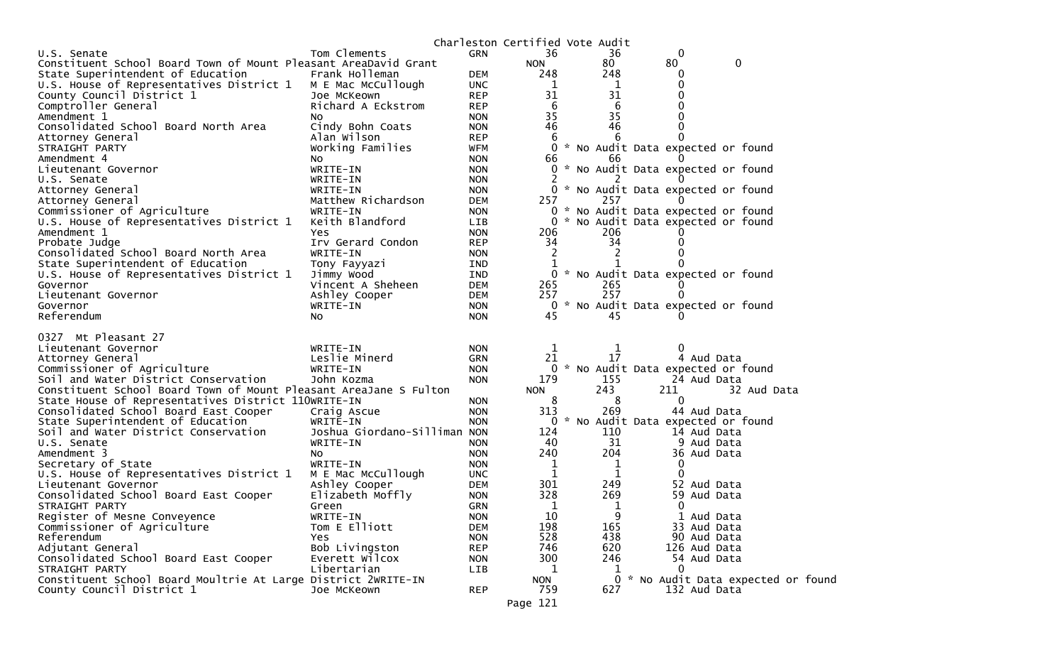|                                                                   |                               |                          |              | Charleston Certified Vote Audit |                                     |
|-------------------------------------------------------------------|-------------------------------|--------------------------|--------------|---------------------------------|-------------------------------------|
| U.S. Senate                                                       | Tom Clements                  | <b>GRN</b>               | 36           | 36                              | 0                                   |
| Constituent School Board Town of Mount Pleasant AreaDavid Grant   |                               |                          | <b>NON</b>   | 80                              | 0<br>80                             |
| State Superintendent of Education                                 | Frank Holleman                | <b>DEM</b>               | 248          | 248                             | 0                                   |
| U.S. House of Representatives District 1                          | M E Mac McCullough            | <b>UNC</b>               | 1            | 1                               |                                     |
| County Council District 1                                         | Joe McKeown                   | <b>REP</b>               | 31           | 31                              |                                     |
| Comptroller General                                               | Richard A Eckstrom            | <b>REP</b>               | 6            | 6                               |                                     |
| Amendment 1                                                       | NO                            | <b>NON</b>               | 35           | 35                              |                                     |
| Consolidated School Board North Area                              | Cindy Bohn Coats              | <b>NON</b>               | 46           | 46                              |                                     |
| Attorney General                                                  | Alan Wilson                   | <b>REP</b>               | 6            | 6                               |                                     |
| STRAIGHT PARTY                                                    | Working Families              | <b>WFM</b>               | 0            |                                 | * No Audit Data expected or found   |
| Amendment 4                                                       | NO.                           | <b>NON</b>               | 66           | 66.                             |                                     |
| Lieutenant Governor                                               | WRITE-IN                      | <b>NON</b>               | 0            |                                 | * No Audit Data expected or found   |
| U.S. Senate                                                       | WRITE-IN                      | <b>NON</b>               |              |                                 |                                     |
| Attorney General                                                  | WRITE-IN                      | <b>NON</b>               |              |                                 | 0 * No Audit Data expected or found |
| Attorney General                                                  | Matthew Richardson            | <b>DEM</b>               | 257          | 257                             |                                     |
| Commissioner of Agriculture                                       | WRITE-IN                      | <b>NON</b>               | 0            | *                               | * No Audit Data expected or found   |
| U.S. House of Representatives District 1                          | Keith Blandford               | <b>LIB</b>               | 0            |                                 | No Audit Data expected or found     |
| Amendment 1                                                       | Yes                           | <b>NON</b>               | 206<br>34    | 206<br>34                       |                                     |
| Probate Judge<br>Consolidated School Board North Area             | Irv Gerard Condon<br>WRITE-IN | <b>REP</b>               | 2            | 2                               |                                     |
| State Superintendent of Education                                 |                               | <b>NON</b><br><b>IND</b> | 1            |                                 |                                     |
| U.S. House of Representatives District 1                          | Tony Fayyazi<br>Jimmy Wood    | <b>IND</b>               |              |                                 | 0 * No Audit Data expected or found |
| Governor                                                          | Vincent A Sheheen             | <b>DEM</b>               | 265          | 265                             | $\Omega$                            |
| Lieutenant Governor                                               | Ashley Cooper                 | <b>DEM</b>               | 257          | 257                             |                                     |
| Governor                                                          | WRITE-IN                      | <b>NON</b>               |              |                                 | 0 * No Audit Data expected or found |
| Referendum                                                        | NO.                           | <b>NON</b>               | 45           | 45                              |                                     |
|                                                                   |                               |                          |              |                                 |                                     |
| 0327 Mt Pleasant 27                                               |                               |                          |              |                                 |                                     |
| Lieutenant Governor                                               | WRITE-IN                      | <b>NON</b>               | $\mathbf 1$  | 1                               | $\Omega$                            |
| Attorney General                                                  | Leslie Minerd                 | GRN                      | 21           | 17                              | 4 Aud Data                          |
| Commissioner of Agriculture                                       | WRITE-IN                      | <b>NON</b>               |              |                                 | 0 * No Audit Data expected or found |
| Soil and Water District Conservation                              | John Kozma                    | <b>NON</b>               | 179          | 155                             | 24 Aud Data                         |
| Constituent School Board Town of Mount Pleasant AreaJane S Fulton |                               |                          | <b>NON</b>   | 243                             | 211<br>32 Aud Data                  |
| State House of Representatives District 110WRITE-IN               |                               | NON.                     | 8            | 8                               | $\Omega$                            |
| Consolidated School Board East Cooper                             | Craig Ascue                   | <b>NON</b>               | 313          | 269                             | 44 Aud Data                         |
| State Superintendent of Education                                 | WRITE-IN                      | <b>NON</b>               | 0            | W.                              | No Audit Data expected or found     |
| Soil and Water District Conservation                              | Joshua Giordano-Silliman NON  |                          | 124          | 110                             | 14 Aud Data                         |
| U.S. Senate                                                       | WRITE-IN                      | <b>NON</b>               | 40           | 31                              | 9 Aud Data                          |
| Amendment 3                                                       | NO.<br>WRITE-IN               | <b>NON</b>               | 240          | 204                             | 36 Aud Data                         |
| Secretary of State<br>U.S. House of Representatives District 1    | M E Mac McCullough            | <b>NON</b><br><b>UNC</b> | 1<br>1       | 1<br>1                          | 0<br>0                              |
| Lieutenant Governor                                               | Ashley Cooper                 | <b>DEM</b>               | 301          | 249                             | 52 Aud Data                         |
| Consolidated School Board East Cooper                             | Elizabeth Moffly              | <b>NON</b>               | 328          | 269                             | 59 Aud Data                         |
| STRAIGHT PARTY                                                    | Green                         | <b>GRN</b>               | $\mathbf{1}$ |                                 | $\mathbf{0}$                        |
| Register of Mesne Conveyence                                      | WRITE-IN                      | <b>NON</b>               | 10           | 9                               | 1 Aud Data                          |
| Commissioner of Agriculture                                       | Tom E Elliott                 | <b>DEM</b>               | 198          | 165                             | 33 Aud Data                         |
| Referendum                                                        | Yes                           | <b>NON</b>               | 528          | 438                             | 90 Aud Data                         |
| Adjutant General                                                  | Bob Livingston                | <b>REP</b>               | 746          | 620                             | 126 Aud Data                        |
| Consolidated School Board East Cooper                             | Everett Wilcox                | <b>NON</b>               | 300          | 246                             | 54 Aud Data                         |
| STRAIGHT PARTY                                                    | Libertarian                   | <b>LIB</b>               | 1            | 1                               |                                     |
| Constituent School Board Moultrie At Large District 2WRITE-IN     |                               |                          | <b>NON</b>   |                                 | 0 * No Audit Data expected or found |
| County Council District 1                                         | Joe McKeown                   | <b>REP</b>               | 759          | 627                             | 132 Aud Data                        |
|                                                                   |                               |                          |              |                                 |                                     |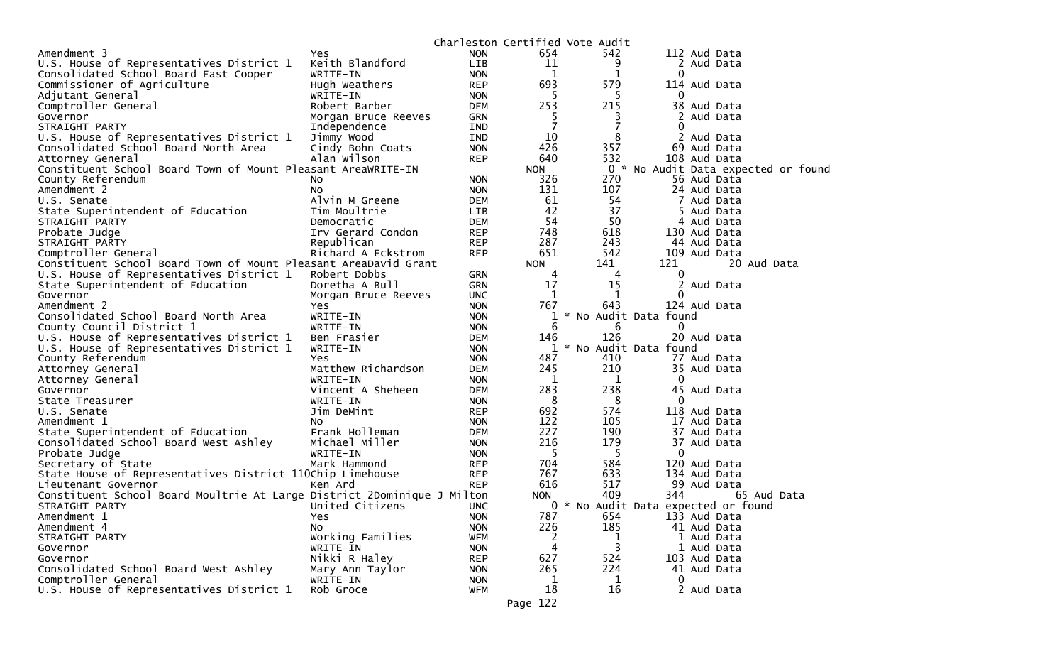|                                                                         |                     |            | Charleston Certified Vote Audit |                                     |                                     |            |             |  |
|-------------------------------------------------------------------------|---------------------|------------|---------------------------------|-------------------------------------|-------------------------------------|------------|-------------|--|
| Amendment 3                                                             | <b>Yes</b>          | <b>NON</b> | 654                             | 542                                 | 112 Aud Data                        |            |             |  |
| U.S. House of Representatives District 1                                | Keith Blandford     | LIB        | 11                              | 9                                   |                                     | 2 Aud Data |             |  |
| Consolidated School Board East Cooper                                   | WRITE-IN            | <b>NON</b> | 1                               | 1                                   | 0                                   |            |             |  |
| Commissioner of Agriculture                                             | Hugh Weathers       | <b>REP</b> | 693                             | 579                                 | 114 Aud Data                        |            |             |  |
| Adjutant General                                                        | WRITE-IN            | <b>NON</b> | 5                               | 5                                   | $\Omega$                            |            |             |  |
| Comptroller General                                                     | Robert Barber       | <b>DEM</b> | 253                             | 215                                 | 38 Aud Data                         |            |             |  |
| Governor                                                                | Morgan Bruce Reeves | GRN        | 5                               | 3                                   |                                     | 2 Aud Data |             |  |
| STRAIGHT PARTY                                                          | Independence        | IND        | $\overline{7}$                  | $\overline{7}$                      | 0                                   |            |             |  |
| U.S. House of Representatives District 1                                | Jimmy Wood          | IND        | 10                              | 8                                   | 2                                   | Aud Data   |             |  |
| Consolidated School Board North Area                                    | Cindy Bohn Coats    | <b>NON</b> | 426                             | 357                                 | 69 Aud Data                         |            |             |  |
| Attorney General                                                        | Alan Wilson         | <b>REP</b> | 640                             | 532                                 | 108 Aud Data                        |            |             |  |
| Constituent School Board Town of Mount Pleasant AreaWRITE-IN            |                     |            | <b>NON</b>                      |                                     | 0 * No Audit Data expected or found |            |             |  |
| County Referendum                                                       | N <sub>O</sub>      | <b>NON</b> | 326                             | 270                                 | 56 Aud Data                         |            |             |  |
| Amendment 2                                                             | No.                 | <b>NON</b> | 131                             | 107                                 | 24 Aud Data                         |            |             |  |
|                                                                         | Alvin M Greene      | <b>DEM</b> | 61                              | 54                                  |                                     | 7 Aud Data |             |  |
| U.S. Senate                                                             |                     |            | 42                              | 37                                  |                                     |            |             |  |
| State Superintendent of Education                                       | Tim Moultrie        | LIB        | 54                              | 50                                  |                                     | 5 Aud Data |             |  |
| STRAIGHT PARTY                                                          | Democratic          | <b>DEM</b> |                                 |                                     |                                     | 4 Aud Data |             |  |
| Probate Judge                                                           | Irv Gerard Condon   | <b>REP</b> | 748                             | 618                                 | 130 Aud Data                        |            |             |  |
| STRAIGHT PARTY                                                          | Republican          | <b>REP</b> | 287                             | 243                                 | 44 Aud Data                         |            |             |  |
| Comptroller General                                                     | Richard A Eckstrom  | <b>REP</b> | 651                             | 542                                 | 109 Aud Data                        |            |             |  |
| Constituent School Board Town of Mount Pleasant AreaDavid Grant         |                     |            | <b>NON</b>                      | 141                                 | 121                                 |            | 20 Aud Data |  |
| U.S. House of Representatives District 1                                | Robert Dobbs        | <b>GRN</b> | 4                               | 4                                   | 0                                   |            |             |  |
| State Superintendent of Education                                       | Doretha A Bull      | <b>GRN</b> | 17                              | 15                                  |                                     | 2 Aud Data |             |  |
| Governor                                                                | Morgan Bruce Reeves | <b>UNC</b> | 1                               | 1                                   | $\Omega$                            |            |             |  |
| Amendment 2                                                             | Yes                 | <b>NON</b> | 767                             | 643                                 | 124 Aud Data                        |            |             |  |
| Consolidated School Board North Area                                    | WRITE-IN            | <b>NON</b> |                                 | * No Audit Data found               |                                     |            |             |  |
| County Council District 1                                               | WRITE-IN            | <b>NON</b> | 6                               | 6                                   | 0                                   |            |             |  |
| U.S. House of Representatives District 1                                | Ben Frasier         | <b>DEM</b> | 146                             | 126                                 | 20 Aud Data                         |            |             |  |
| U.S. House of Representatives District 1                                | WRITE-IN            | <b>NON</b> | 1                               | * No Audit Data found               |                                     |            |             |  |
| County Referendum                                                       | Yes                 | <b>NON</b> | 487                             | 410                                 | 77 Aud Data                         |            |             |  |
| Attorney General                                                        | Matthew Richardson  | <b>DEM</b> | 245                             | 210                                 | 35 Aud Data                         |            |             |  |
| Attorney General                                                        | WRITE-IN            | <b>NON</b> | 1                               | 1                                   | $\Omega$                            |            |             |  |
| Governor                                                                | Vincent A Sheheen   | <b>DEM</b> | 283                             | 238                                 | 45 Aud Data                         |            |             |  |
| State Treasurer                                                         | WRITE-IN            | <b>NON</b> | 8                               | 8                                   | $\Omega$                            |            |             |  |
| U.S. Senate                                                             | Jim DeMint          | <b>REP</b> | 692                             | 574                                 | 118 Aud Data                        |            |             |  |
| Amendment 1                                                             | No                  | <b>NON</b> | 122                             | 105                                 | 17 Aud Data                         |            |             |  |
| State Superintendent of Education                                       | Frank Holleman      | <b>DEM</b> | 227                             | 190                                 | 37 Aud Data                         |            |             |  |
| Consolidated School Board West Ashley                                   | Michael Miller      | <b>NON</b> | 216                             | 179                                 | 37 Aud Data                         |            |             |  |
| Probate Judge                                                           | WRITE-IN            | <b>NON</b> | 5                               | -5                                  | $\Omega$                            |            |             |  |
| Secretary of State                                                      | Mark Hammond        | <b>REP</b> | 704                             | 584                                 | 120 Aud Data                        |            |             |  |
| State House of Representatives District 110Chip Limehouse               |                     | <b>REP</b> | 767                             | 633                                 | 134 Aud Data                        |            |             |  |
| Lieutenant Governor                                                     | Ken Ard             | <b>REP</b> | 616                             | 517                                 | 99 Aud Data                         |            |             |  |
| Constituent School Board Moultrie At Large District 2Dominique J Milton |                     |            | <b>NON</b>                      | 409                                 | 344                                 |            | 65 Aud Data |  |
| STRAIGHT PARTY                                                          | United Citizens     | <b>UNC</b> |                                 | 0 * No Audit Data expected or found |                                     |            |             |  |
| Amendment 1                                                             | Yes                 | <b>NON</b> | 787                             | 654                                 | 133 Aud Data                        |            |             |  |
| Amendment 4                                                             | No                  | <b>NON</b> | 226                             | 185                                 | 41 Aud Data                         |            |             |  |
| STRAIGHT PARTY                                                          | Working Families    | <b>WFM</b> | 2                               | 1                                   |                                     | 1 Aud Data |             |  |
| Governor                                                                | WRITE-IN            | <b>NON</b> | 4                               | 3                                   |                                     | 1 Aud Data |             |  |
| Governor                                                                | Nikki R Haley       | <b>REP</b> | 627                             | 524                                 | 103 Aud Data                        |            |             |  |
| Consolidated School Board West Ashley                                   | Mary Ann Taylor     | <b>NON</b> | 265                             | 224                                 | 41 Aud Data                         |            |             |  |
| Comptroller General                                                     | WRITE-IN            | <b>NON</b> | 1                               | 1                                   | 0                                   |            |             |  |
| U.S. House of Representatives District 1                                | Rob Groce           | WFM        | 18                              | 16                                  |                                     | 2 Aud Data |             |  |
|                                                                         |                     |            |                                 |                                     |                                     |            |             |  |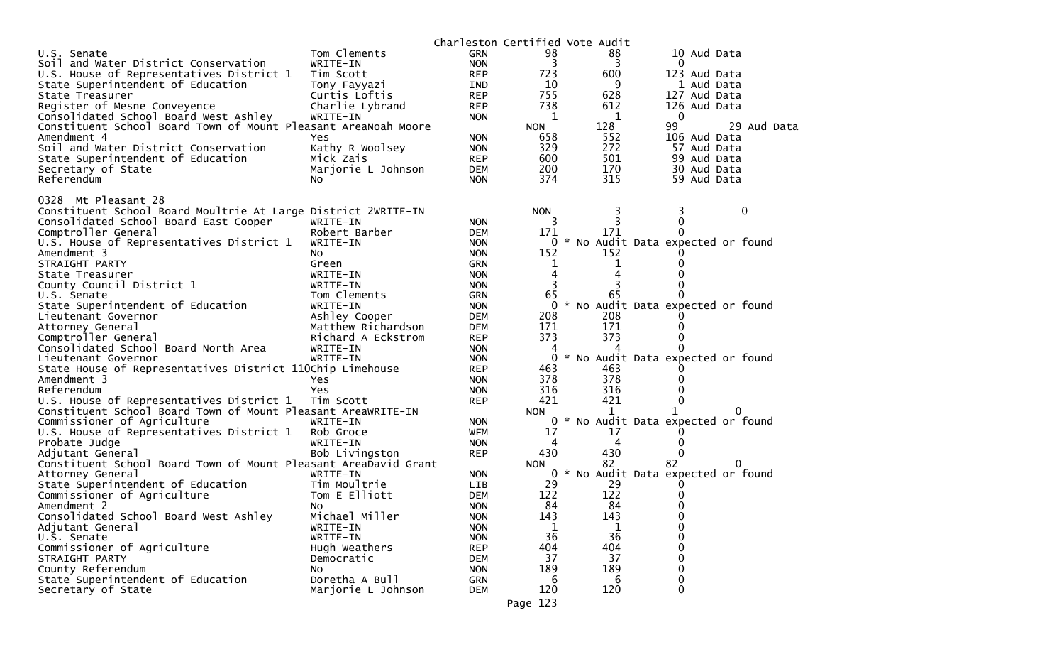|                                                                 |                    |            |             | Charleston Certified Vote Audit     |          |              |             |
|-----------------------------------------------------------------|--------------------|------------|-------------|-------------------------------------|----------|--------------|-------------|
| U.S. Senate                                                     | Tom Clements       | <b>GRN</b> | 98          | 88                                  |          | 10 Aud Data  |             |
| Soil and Water District Conservation                            | WRITE-IN           | <b>NON</b> | 3           | 3                                   | $\Omega$ |              |             |
| U.S. House of Representatives District 1                        | Tim Scott          | <b>REP</b> | 723         | 600                                 |          | 123 Aud Data |             |
| State Superintendent of Education                               | Tony Fayyazi       | IND        | 10          | 9                                   |          | 1 Aud Data   |             |
| State Treasurer                                                 | Curtis Loftis      | <b>REP</b> | 755         | 628                                 |          | 127 Aud Data |             |
| Register of Mesne Conveyence                                    | Charlie Lybrand    | <b>REP</b> | 738         | 612                                 |          | 126 Aud Data |             |
| Consolidated School Board West Ashley                           | WRITE-IN           | <b>NON</b> | 1           | 1                                   | 0        |              |             |
| Constituent School Board Town of Mount Pleasant AreaNoah Moore  |                    |            | <b>NON</b>  | 128                                 | 99       |              | 29 Aud Data |
| Amendment 4                                                     | Yes                | <b>NON</b> | 658         | 552                                 |          | 106 Aud Data |             |
| Soil and Water District Conservation                            | Kathy R Woolsey    | <b>NON</b> | 329         | 272                                 |          | 57 Aud Data  |             |
| State Superintendent of Education                               | Mick Zais          | <b>REP</b> | 600         | 501                                 |          | 99 Aud Data  |             |
| Secretary of State                                              | Marjorie L Johnson | <b>DEM</b> | 200         | 170                                 |          | 30 Aud Data  |             |
| Referendum                                                      | No.                | <b>NON</b> | 374         | 315                                 |          | 59 Aud Data  |             |
|                                                                 |                    |            |             |                                     |          |              |             |
| 0328 Mt Pleasant 28                                             |                    |            |             |                                     |          |              |             |
| Constituent School Board Moultrie At Large District 2WRITE-IN   |                    |            | <b>NON</b>  | 3                                   | 3        |              | 0           |
| Consolidated School Board East Cooper                           | WRITE-IN           | <b>NON</b> | 3           | 3                                   | 0        |              |             |
| Comptroller General                                             | Robert Barber      | <b>DEM</b> | 171         | 171                                 |          |              |             |
| U.S. House of Representatives District 1                        | WRITE-IN           | <b>NON</b> | $\Omega$    | * No Audit Data expected or found   |          |              |             |
| Amendment 3                                                     | NO.                | <b>NON</b> | 152         | 152                                 |          |              |             |
| STRAIGHT PARTY                                                  | Green              | <b>GRN</b> | $\mathbf 1$ |                                     |          |              |             |
|                                                                 |                    |            | 4           | ı<br>4                              |          |              |             |
| State Treasurer                                                 | WRITE-IN           | <b>NON</b> |             |                                     |          |              |             |
| County Council District 1                                       | WRITE-IN           | <b>NON</b> | 3           |                                     |          |              |             |
| U.S. Senate                                                     | Tom Clements       | GRN        | 65          | 65                                  |          |              |             |
| State Superintendent of Education                               | WRITE-IN           | <b>NON</b> | 0           | * No Audit Data expected or found   |          |              |             |
| Lieutenant Governor                                             | Ashley Cooper      | <b>DEM</b> | 208         | 208                                 |          |              |             |
| Attorney General                                                | Matthew Richardson | <b>DEM</b> | 171         | 171                                 |          |              |             |
| Comptroller General                                             | Richard A Eckstrom | <b>REP</b> | 373         | 373                                 |          |              |             |
| Consolidated School Board North Area                            | WRITE-IN           | <b>NON</b> | 4           | 4                                   |          |              |             |
| Lieutenant Governor                                             | WRITE-IN           | <b>NON</b> | 0           | * No Audit Data expected or found   |          |              |             |
| State House of Representatives District 110Chip Limehouse       |                    | <b>REP</b> | 463         | 463                                 |          |              |             |
| Amendment 3                                                     | Yes                | <b>NON</b> | 378         | 378                                 |          |              |             |
| Referendum                                                      | Yes                | <b>NON</b> | 316         | 316                                 |          |              |             |
| U.S. House of Representatives District 1                        | Tim Scott          | <b>REP</b> | 421         | 421                                 | 0        |              |             |
| Constituent School Board Town of Mount Pleasant AreaWRITE-IN    |                    |            | <b>NON</b>  | $\mathbf{1}$                        | 1        |              |             |
| Commissioner of Agriculture                                     | WRITE-IN           | <b>NON</b> |             | 0 * No Audit Data expected or found |          |              |             |
| U.S. House of Representatives District 1                        | Rob Groce          | <b>WFM</b> | 17          | 17                                  |          |              |             |
| Probate Judge                                                   | WRITE-IN           | <b>NON</b> | 4           | 4                                   | 0        |              |             |
| Adjutant General                                                | Bob Livingston     | <b>REP</b> | 430         | 430                                 | 0        |              |             |
| Constituent School Board Town of Mount Pleasant AreaDavid Grant |                    |            | <b>NON</b>  | 82                                  | 82       | 0            |             |
| Attorney General                                                | WRITE-IN           | <b>NON</b> |             | 0 * No Audit Data expected or found |          |              |             |
| State Superintendent of Education                               | Tim Moultrie       | <b>LIB</b> | 29          | 29                                  |          |              |             |
| Commissioner of Agriculture                                     | Tom E Elliott      | <b>DEM</b> | 122         | 122                                 |          |              |             |
| Amendment 2                                                     | No.                | <b>NON</b> | 84          | 84                                  | 0        |              |             |
| Consolidated School Board West Ashley                           | Michael Miller     | <b>NON</b> | 143         | 143                                 | 0        |              |             |
| Adjutant General                                                | WRITE-IN           | <b>NON</b> | 1           | 1                                   | 0        |              |             |
| U.S. Senate                                                     | WRITE-IN           | <b>NON</b> | 36          | 36                                  | 0        |              |             |
| Commissioner of Agriculture                                     |                    |            | 404         |                                     | 0        |              |             |
|                                                                 | Hugh Weathers      | <b>REP</b> | 37          | 404<br>37                           | 0        |              |             |
| STRAIGHT PARTY                                                  | Democratic         | <b>DEM</b> |             |                                     |          |              |             |
| County Referendum                                               | NO.                | <b>NON</b> | 189         | 189                                 | 0        |              |             |
| State Superintendent of Education                               | Doretha A Bull     | GRN        | 6           | 6                                   | 0        |              |             |
| Secretary of State                                              | Marjorie L Johnson | <b>DEM</b> | 120         | 120                                 | 0        |              |             |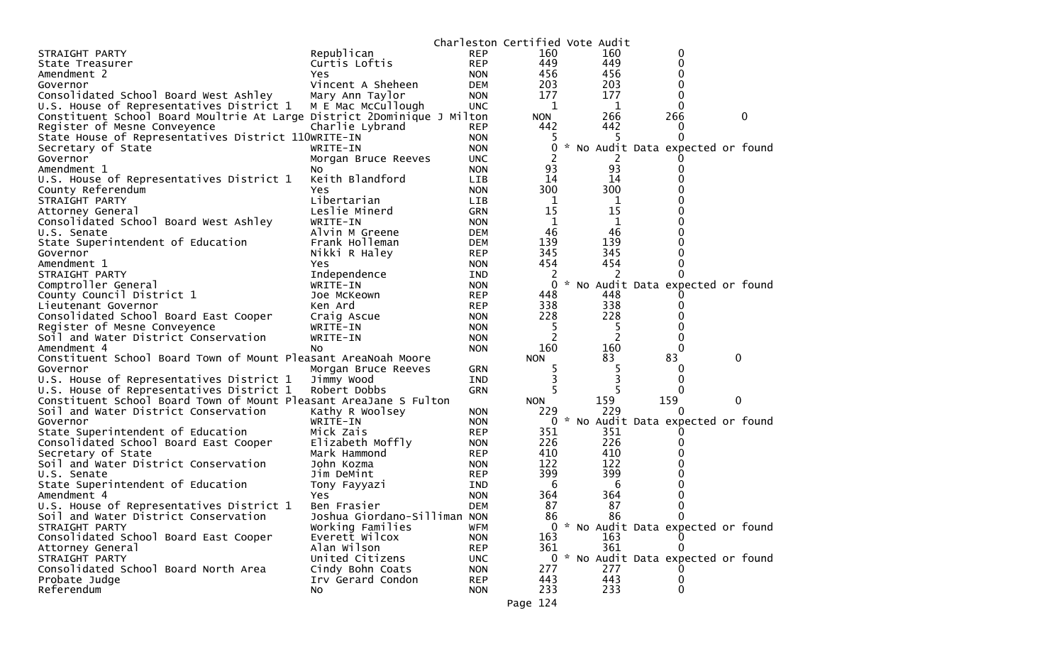|                                                                         |                              |            | Charleston Certified Vote Audit |     |                                     |   |  |
|-------------------------------------------------------------------------|------------------------------|------------|---------------------------------|-----|-------------------------------------|---|--|
| STRAIGHT PARTY                                                          | Republican                   | <b>REP</b> | 160                             | 160 | 0                                   |   |  |
| State Treasurer                                                         | Curtis Loftis                | <b>REP</b> | 449                             | 449 | 0                                   |   |  |
| Amendment 2                                                             | Yes                          | <b>NON</b> | 456                             | 456 | 0                                   |   |  |
| Governor                                                                | Vincent A Sheheen            | <b>DEM</b> | 203                             | 203 | 0                                   |   |  |
| Consolidated School Board West Ashley                                   | Mary Ann Taylor              | <b>NON</b> | 177                             | 177 | 0                                   |   |  |
| U.S. House of Representatives District 1                                | M E Mac McCullough           | <b>UNC</b> | 1                               | 1   | 0                                   |   |  |
| Constituent School Board Moultrie At Large District 2Dominique J Milton |                              |            | <b>NON</b>                      | 266 | 266                                 | 0 |  |
| Register of Mesne Conveyence                                            | Charlie Lybrand              | <b>REP</b> | 442                             | 442 | 0                                   |   |  |
| State House of Representatives District 110WRITE-IN                     |                              | <b>NON</b> | ל                               | 5   | 0                                   |   |  |
| Secretary of State                                                      | WRITE-IN                     | <b>NON</b> | 0                               |     | * No Audit Data expected or found   |   |  |
| Governor                                                                | Morgan Bruce Reeves          | <b>UNC</b> |                                 |     |                                     |   |  |
| Amendment 1                                                             | NO.                          | <b>NON</b> | 93                              | 93  |                                     |   |  |
| U.S. House of Representatives District 1                                | Keith Blandford              | <b>LIB</b> | 14                              | 14  |                                     |   |  |
| County Referendum                                                       | Yes.                         | <b>NON</b> | 300                             | 300 |                                     |   |  |
| STRAIGHT PARTY                                                          | Libertarian                  | LIB        | 1                               | 1   |                                     |   |  |
| Attorney General                                                        | Leslie Minerd                | <b>GRN</b> | 15                              | 15  |                                     |   |  |
| Consolidated School Board West Ashley                                   | WRITE-IN                     | <b>NON</b> | 1                               | 1   |                                     |   |  |
| U.S. Senate                                                             | Alvin M Greene               | <b>DEM</b> | 46                              | 46  |                                     |   |  |
| State Superintendent of Education                                       | Frank Holleman               | <b>DEM</b> | 139                             | 139 |                                     |   |  |
| Governor                                                                | Nikki R Haley                | <b>REP</b> | 345                             | 345 | 0                                   |   |  |
| Amendment 1                                                             | Yes.                         | <b>NON</b> | 454                             | 454 |                                     |   |  |
| STRAIGHT PARTY                                                          | Independence                 | IND        | 2                               |     |                                     |   |  |
| Comptroller General                                                     | WRITE-IN                     | <b>NON</b> | 0                               |     | * No Audit Data expected or found   |   |  |
| County Council District 1                                               | Joe McKeown                  | <b>REP</b> | 448                             | 448 |                                     |   |  |
| Lieutenant Governor                                                     | Ken Ard                      | <b>REP</b> | 338                             | 338 |                                     |   |  |
| Consolidated School Board East Cooper                                   | Craig Ascue                  | <b>NON</b> | 228                             | 228 |                                     |   |  |
| Register of Mesne Conveyence                                            | WRITE-IN                     | <b>NON</b> | 5                               | 5   |                                     |   |  |
| Soil and Water District Conservation                                    | WRITE-IN                     | <b>NON</b> | 2                               | 2   | 0                                   |   |  |
| Amendment 4                                                             | NO.                          | <b>NON</b> | 160                             | 160 | $\Omega$                            |   |  |
| Constituent School Board Town of Mount Pleasant AreaNoah Moore          |                              |            | <b>NON</b>                      | 83  | 83                                  | 0 |  |
| Governor                                                                | Morgan Bruce Reeves          | <b>GRN</b> | 5                               |     | O                                   |   |  |
| U.S. House of Representatives District 1                                | Jimmy Wood                   | <b>IND</b> | 3                               | 3   | 0                                   |   |  |
| U.S. House of Representatives District 1                                | Robert Dobbs                 | <b>GRN</b> | 5                               |     | 0                                   |   |  |
| Constituent School Board Town of Mount Pleasant AreaJane S Fulton       |                              |            | <b>NON</b>                      | 159 | 159                                 | 0 |  |
| Soil and Water District Conservation                                    | Kathy R Woolsey              | <b>NON</b> | 229                             | 229 |                                     |   |  |
| Governor                                                                | WRITE-IN                     | <b>NON</b> | 0                               |     | * No Audit Data expected or found   |   |  |
| State Superintendent of Education                                       | Mick Zais                    | <b>REP</b> | 351                             | 351 |                                     |   |  |
| Consolidated School Board East Cooper                                   | Elizabeth Moffly             | <b>NON</b> | 226                             | 226 |                                     |   |  |
| Secretary of State                                                      | Mark Hammond                 | <b>REP</b> | 410                             | 410 |                                     |   |  |
| Soil and Water District Conservation                                    | John Kozma                   | <b>NON</b> | 122                             | 122 |                                     |   |  |
| U.S. Senate                                                             | Jim DeMint                   | <b>REP</b> | 399                             | 399 |                                     |   |  |
| State Superintendent of Education                                       | Tony Fayyazi                 | IND        | 6                               | 6   |                                     |   |  |
| Amendment 4                                                             | Yes                          | <b>NON</b> | 364                             | 364 |                                     |   |  |
| U.S. House of Representatives District 1                                | Ben Frasier                  | <b>DEM</b> | 87                              | 87  | 0                                   |   |  |
| Soil and Water District Conservation                                    | Joshua Giordano-Silliman NON |            | 86                              | 86  | 0                                   |   |  |
| STRAIGHT PARTY                                                          | Working Families             | <b>WFM</b> |                                 |     | 0 * No Audit Data expected or found |   |  |
| Consolidated School Board East Cooper                                   | Everett Wilcox               | <b>NON</b> | 163                             | 163 |                                     |   |  |
| Attorney General                                                        | Alan Wilson                  | <b>REP</b> | 361                             | 361 |                                     |   |  |
| STRAIGHT PARTY                                                          | United Citizens              | <b>UNC</b> |                                 |     | 0 * No Audit Data expected or found |   |  |
| Consolidated School Board North Area                                    | Cindy Bohn Coats             | <b>NON</b> | 277                             | 277 |                                     |   |  |
| Probate Judge                                                           | Irv Gerard Condon            | <b>REP</b> | 443                             | 443 | 0                                   |   |  |
| Referendum                                                              | No                           | <b>NON</b> | 233                             | 233 | 0                                   |   |  |
|                                                                         |                              |            |                                 |     |                                     |   |  |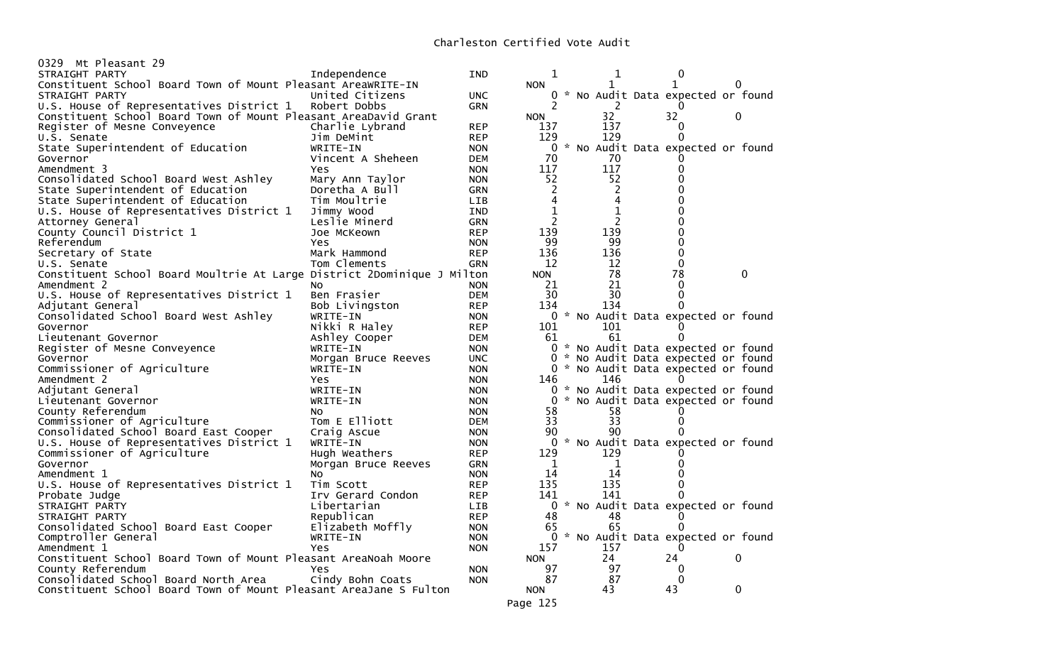| 0329 Mt Pleasant 29                                                     |                     |                          |                |     |                                     |          |
|-------------------------------------------------------------------------|---------------------|--------------------------|----------------|-----|-------------------------------------|----------|
| STRAIGHT PARTY                                                          | Independence        | <b>IND</b>               | 1              | 1   | 0                                   |          |
| Constituent School Board Town of Mount Pleasant AreaWRITE-IN            |                     |                          | <b>NON</b>     |     | 1                                   | 0        |
| STRAIGHT PARTY                                                          | United Citizens     | UNC.                     |                |     | 0 * No Audit Data expected or found |          |
| U.S. House of Representatives District 1                                | Robert Dobbs        | GRN                      | 2              | 2   |                                     |          |
| Constituent School Board Town of Mount Pleasant AreaDavid Grant         |                     |                          | <b>NON</b>     | 32  | 32                                  | 0        |
| Register of Mesne Conveyence                                            | Charlie Lybrand     | <b>REP</b>               | 137            | 137 | 0                                   |          |
| U.S. Senate                                                             | Jim DeMint          | <b>REP</b>               | 129            | 129 | 0                                   |          |
| State Superintendent of Education                                       | WRITE-IN            | <b>NON</b>               |                |     | 0 * No Audit Data expected or found |          |
| Governor                                                                | Vincent A Sheheen   | <b>DEM</b>               | 70             | 70  |                                     |          |
| Amendment 3                                                             | Yes.                | <b>NON</b>               | 117            | 117 | 0                                   |          |
| Consolidated School Board West Ashley                                   | Mary Ann Taylor     | <b>NON</b>               | 52             | 52  | 0                                   |          |
|                                                                         |                     | <b>GRN</b>               | $\overline{2}$ | 2   | 0                                   |          |
| State Superintendent of Education                                       | Doretha A Bull      |                          | 4              |     |                                     |          |
| State Superintendent of Education                                       | Tim Moultrie        | LIB                      |                | 4   |                                     |          |
| U.S. House of Representatives District 1                                | Jimmy Wood          | <b>IND</b>               | 1              | 1   | 0                                   |          |
| Attorney General                                                        | Leslie Minerd       | <b>GRN</b>               | 2              |     | 0                                   |          |
| County Council District 1                                               | Joe McKeown         | <b>REP</b>               | 139            | 139 | 0                                   |          |
| Referendum                                                              | Yes                 | <b>NON</b>               | 99             | 99  | 0                                   |          |
| Secretary of State                                                      | Mark Hammond        | <b>REP</b>               | 136            | 136 | 0                                   |          |
| U.S. Senate                                                             | Tom Clements        | <b>GRN</b>               | 12             | 12  | $\Omega$                            |          |
| Constituent School Board Moultrie At Large District 2Dominique J Milton |                     |                          | <b>NON</b>     | 78  | 78                                  | $\Omega$ |
| Amendment 2                                                             | No                  | <b>NON</b>               | 21             | 21  | $\Omega$                            |          |
| U.S. House of Representatives District 1                                | Ben Frasier         | <b>DEM</b>               | 30             | 30  | 0                                   |          |
| Adjutant General                                                        | Bob Livingston      | <b>REP</b>               | 134            | 134 |                                     |          |
| Consolidated School Board West Ashley                                   | WRITE-IN            | <b>NON</b>               |                |     | 0 * No Audit Data expected or found |          |
| Governor                                                                | Nikki R Haley       | <b>REP</b>               | 101            | 101 |                                     |          |
| Lieutenant Governor                                                     | Ashley Cooper       | <b>DEM</b>               | 61             | 61  | 0                                   |          |
| Register of Mesne Conveyence                                            | WRITE-IN            | <b>NON</b>               |                |     | 0 * No Audit Data expected or found |          |
| Governor                                                                | Morgan Bruce Reeves | <b>UNC</b>               |                |     | 0 * No Audit Data expected or found |          |
| Commissioner of Agriculture                                             | WRITE-IN            | <b>NON</b>               |                |     | 0 * No Audit Data expected or found |          |
| Amendment 2                                                             | <b>Yes</b>          | <b>NON</b>               | 146            | 146 |                                     |          |
| Adjutant General                                                        | WRITE-IN            | <b>NON</b>               | 0              |     | * No Audit Data expected or found   |          |
| Lieutenant Governor                                                     | WRITE-IN            | <b>NON</b>               |                |     | 0 * No Audit Data expected or found |          |
| County Referendum                                                       | NO.                 | <b>NON</b>               | 58             | 58  |                                     |          |
| Commissioner of Agriculture                                             | Tom E Elliott       | <b>DEM</b>               | 33             | 33  | 0                                   |          |
| Consolidated School Board East Cooper                                   | Craig Ascue         | <b>NON</b>               | 90             | 90  |                                     |          |
| U.S. House of Representatives District 1                                | WRITE-IN            | <b>NON</b>               |                |     | 0 * No Audit Data expected or found |          |
| Commissioner of Agriculture                                             | Hugh Weathers       | <b>REP</b>               | 129            | 129 |                                     |          |
| Governor                                                                |                     |                          | 1              | 1   |                                     |          |
|                                                                         | Morgan Bruce Reeves | <b>GRN</b>               | 14             | 14  |                                     |          |
| Amendment 1                                                             | NO.<br>Tim Scott    | <b>NON</b><br><b>REP</b> | 135            | 135 | 0                                   |          |
| U.S. House of Representatives District 1                                |                     |                          |                |     |                                     |          |
| Probate Judge                                                           | Irv Gerard Condon   | <b>REP</b>               | 141            | 141 | 0                                   |          |
| STRAIGHT PARTY                                                          | Libertarian         | LIB                      | $\Omega$       |     | * No Audit Data expected or found   |          |
| STRAIGHT PARTY                                                          | Republican          | <b>REP</b>               | 48             | 48  |                                     |          |
| Consolidated School Board East Cooper                                   | Elizabeth Moffly    | <b>NON</b>               | 65             | 65  | 0                                   |          |
| Comptroller General                                                     | WRITE-IN            | <b>NON</b>               |                |     | 0 * No Audit Data expected or found |          |
| Amendment 1                                                             | Yes                 | <b>NON</b>               | 157            | 157 | 0                                   |          |
| Constituent School Board Town of Mount Pleasant AreaNoah Moore          |                     |                          | <b>NON</b>     | 24  | 24                                  | 0        |
| County Referendum                                                       | <b>Yes</b>          | <b>NON</b>               | 97             | 97  | 0                                   |          |
| Consolidated School Board North Area                                    | Cindy Bohn Coats    | <b>NON</b>               | 87             | 87  | 0                                   |          |
| Constituent School Board Town of Mount Pleasant AreaJane S Fulton       |                     |                          | <b>NON</b>     | 43  | 43                                  | 0        |
|                                                                         |                     |                          |                |     |                                     |          |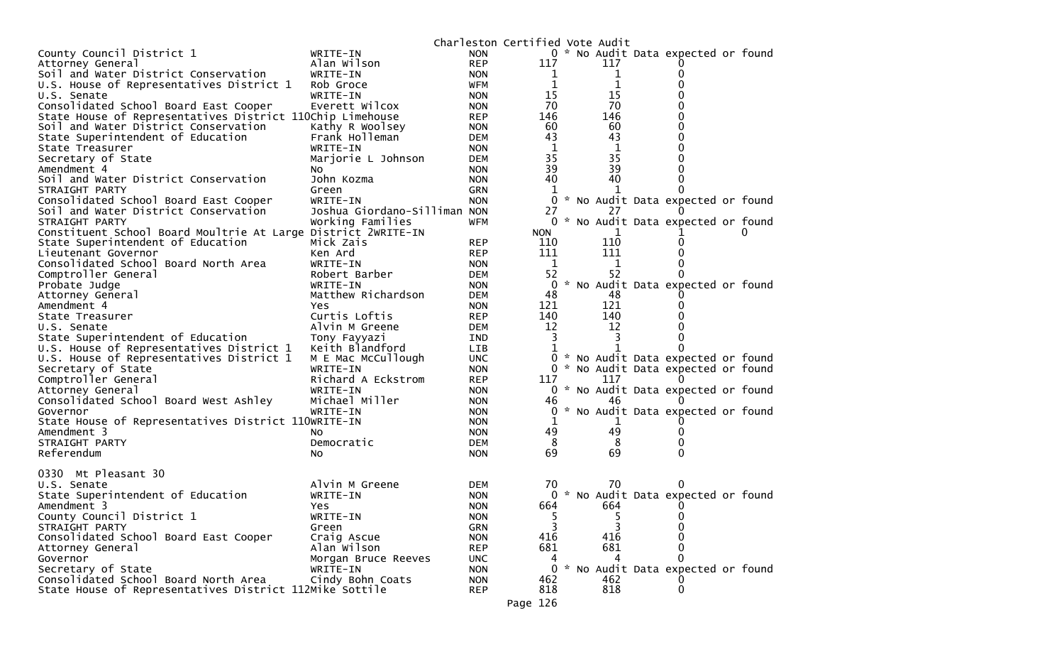|                                                               |                              |            | Charleston Certified Vote Audit |             |                                     |  |
|---------------------------------------------------------------|------------------------------|------------|---------------------------------|-------------|-------------------------------------|--|
| County Council District 1                                     | WRITE-IN                     | <b>NON</b> |                                 |             | 0 * No Audit Data expected or found |  |
| Attorney General                                              | Alan Wilson                  | <b>REP</b> | 117                             | 117         |                                     |  |
| Soil and Water District Conservation                          | WRITE-IN                     | <b>NON</b> | 1                               | 1           |                                     |  |
| U.S. House of Representatives District 1                      | Rob Groce                    | <b>WFM</b> | 1                               | $\mathbf 1$ |                                     |  |
| U.S. Senate                                                   | WRITE-IN                     | <b>NON</b> | 15                              | 15          |                                     |  |
| Consolidated School Board East Cooper                         | Everett Wilcox               | <b>NON</b> | 70                              | 70          |                                     |  |
| State House of Representatives District 110Chip Limehouse     |                              | <b>REP</b> | 146                             | 146         |                                     |  |
| Soil and Water District Conservation                          | Kathy R Woolsey              | <b>NON</b> | 60                              | 60          |                                     |  |
| State Superintendent of Education                             | Frank Holleman               | <b>DEM</b> | 43                              | 43          |                                     |  |
| State Treasurer                                               | WRITE-IN                     | <b>NON</b> | 1                               | 1           |                                     |  |
| Secretary of State                                            | Marjorie L Johnson           | <b>DEM</b> | 35                              | 35          |                                     |  |
| Amendment 4                                                   | NO.                          | <b>NON</b> | 39                              | 39          |                                     |  |
| Soil and Water District Conservation                          | John Kozma                   | <b>NON</b> | 40                              | 40          |                                     |  |
| STRAIGHT PARTY                                                | Green                        | <b>GRN</b> |                                 |             |                                     |  |
| Consolidated School Board East Cooper                         | WRITE-IN                     | <b>NON</b> | 0                               |             | * No Audit Data expected or found   |  |
| Soil and Water District Conservation                          | Joshua Giordano-Silliman NON |            | 27                              |             |                                     |  |
| STRAIGHT PARTY                                                | Working Families             | <b>WFM</b> |                                 |             | 0 * No Audit Data expected or found |  |
| Constituent School Board Moultrie At Large District 2WRITE-IN |                              |            | <b>NON</b>                      |             |                                     |  |
|                                                               |                              |            |                                 | 110         |                                     |  |
| State Superintendent of Education<br>Lieutenant Governor      | Mick Zais<br>Ken Ard         | <b>REP</b> | 110<br>111                      | 111         |                                     |  |
|                                                               |                              | <b>REP</b> |                                 |             |                                     |  |
| Consolidated School Board North Area                          | WRITE-IN                     | <b>NON</b> | 1                               | 1           | O                                   |  |
| Comptroller General                                           | Robert Barber                | <b>DEM</b> | 52                              | 52          |                                     |  |
| Probate Judge                                                 | WRITE-IN                     | <b>NON</b> | 0                               |             | * No Audit Data expected or found   |  |
| Attorney General                                              | Matthew Richardson           | <b>DEM</b> | 48                              | 48          |                                     |  |
| Amendment 4                                                   | Yes                          | <b>NON</b> | 121                             | 121         |                                     |  |
| State Treasurer                                               | Curtis Loftis                | <b>REP</b> | 140                             | 140         |                                     |  |
| U.S. Senate                                                   | Alvin M Greene               | <b>DEM</b> | 12                              | 12          |                                     |  |
| State Superintendent of Education                             | Tony Fayyazi                 | <b>IND</b> | 3                               | 3           |                                     |  |
| U.S. House of Representatives District 1                      | Keith Blandford              | LIB        |                                 | 1           |                                     |  |
| U.S. House of Representatives District 1                      | M E Mac McCullough           | <b>UNC</b> | 0                               |             | * No Audit Data expected or found   |  |
| Secretary of State                                            | WRITE-IN                     | <b>NON</b> |                                 |             | 0 * No Audit Data expected or found |  |
| Comptroller General                                           | Richard A Eckstrom           | <b>REP</b> | 117                             | 117         |                                     |  |
| Attorney General                                              | WRITE-IN                     | <b>NON</b> |                                 |             | 0 * No Audit Data expected or found |  |
| Consolidated School Board West Ashley                         | Michael Miller               | <b>NON</b> | 46                              | 46          |                                     |  |
| Governor                                                      | WRITE-IN                     | <b>NON</b> | 0                               |             | * No Audit Data expected or found   |  |
| State House of Representatives District 110WRITE-IN           |                              | <b>NON</b> | 1                               |             |                                     |  |
| Amendment 3                                                   | NO.                          | <b>NON</b> | 49                              | 49          |                                     |  |
| STRAIGHT PARTY                                                | Democratic                   | <b>DEM</b> | 8                               | 8           |                                     |  |
| Referendum                                                    | No.                          | <b>NON</b> | 69                              | 69          | 0                                   |  |
|                                                               |                              |            |                                 |             |                                     |  |
| 0330 Mt Pleasant 30                                           |                              |            |                                 |             |                                     |  |
| U.S. Senate                                                   | Alvin M Greene               | <b>DEM</b> | 70                              | 70          | $\Omega$                            |  |
| State Superintendent of Education                             | WRITE-IN                     | <b>NON</b> |                                 |             | 0 * No Audit Data expected or found |  |
| Amendment 3                                                   | Yes                          | <b>NON</b> | 664                             | 664         | $\Omega$                            |  |
| County Council District 1                                     | WRITE-IN                     | <b>NON</b> |                                 | 5           | O                                   |  |
| STRAIGHT PARTY                                                | Green                        | GRN        |                                 | 3           | 0                                   |  |
| Consolidated School Board East Cooper                         | Craig Ascue                  | <b>NON</b> | 416                             | 416         |                                     |  |
| Attorney General                                              | Alan Wilson                  | <b>REP</b> | 681                             | 681         | ∩                                   |  |
| Governor                                                      | Morgan Bruce Reeves          | <b>UNC</b> | 4                               | 4           | 0                                   |  |
| Secretary of State                                            | WRITE-IN                     | <b>NON</b> | 0                               |             | * No Audit Data expected or found   |  |
| Consolidated School Board North Area                          | Cindy Bohn Coats             | <b>NON</b> | 462                             | 462         |                                     |  |
| State House of Representatives District 112Mike Sottile       |                              | <b>REP</b> | 818                             | 818         | 0                                   |  |
|                                                               |                              |            |                                 |             |                                     |  |
|                                                               |                              |            | Page 126                        |             |                                     |  |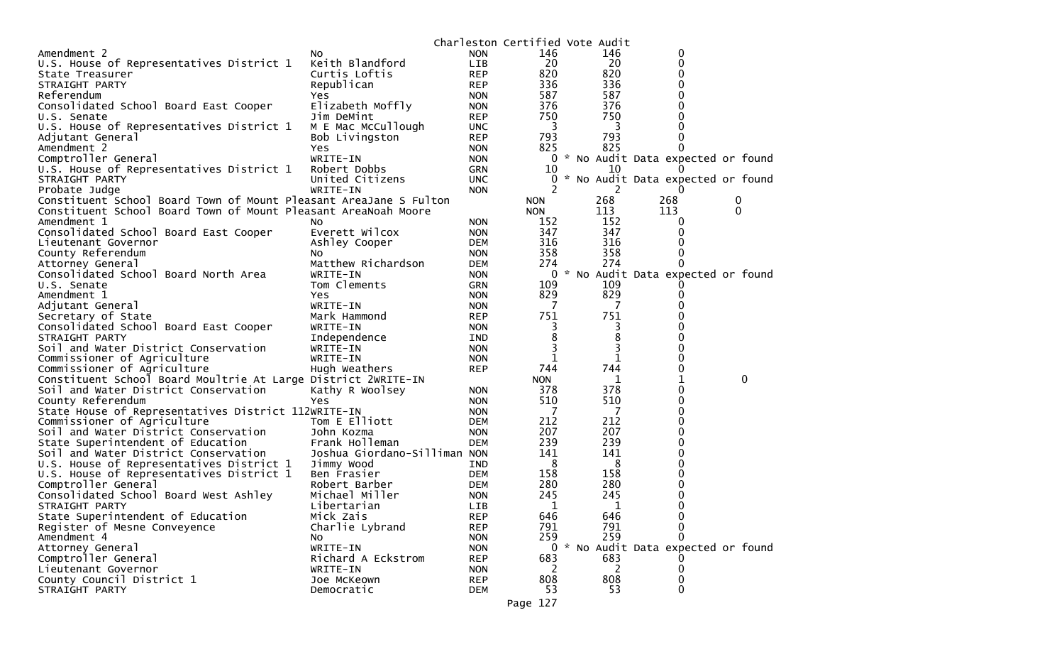|                                                                   |                                |                          | Charleston Certified Vote Audit |                |                                     |              |
|-------------------------------------------------------------------|--------------------------------|--------------------------|---------------------------------|----------------|-------------------------------------|--------------|
| Amendment 2                                                       | NO.                            | <b>NON</b>               | 146                             | 146            | 0                                   |              |
| U.S. House of Representatives District 1                          | Keith Blandford                | <b>LIB</b>               | 20                              | 20             | 0                                   |              |
| State Treasurer                                                   | Curtis Loftis                  | <b>REP</b>               | 820                             | 820            | 0                                   |              |
| STRAIGHT PARTY                                                    | Republican                     | <b>REP</b>               | 336                             | 336            | 0                                   |              |
| Referendum                                                        | Yes                            | <b>NON</b>               | 587                             | 587            | 0                                   |              |
| Consolidated School Board East Cooper                             | Elizabeth Moffly               | <b>NON</b>               | 376                             | 376            |                                     |              |
| U.S. Senate                                                       | Jim DeMint                     | <b>REP</b>               | 750                             | 750            |                                     |              |
| U.S. House of Representatives District 1                          | M E Mac McCullough             | <b>UNC</b>               | 3                               | 3              | 0                                   |              |
| Adjutant General                                                  | Bob Livingston                 | <b>REP</b>               | 793                             | 793            | 0                                   |              |
| Amendment 2                                                       | <b>Yes</b>                     | <b>NON</b>               | 825                             | 825            | 0                                   |              |
| Comptroller General                                               | WRITE-IN                       | <b>NON</b>               |                                 |                | 0 * No Audit Data expected or found |              |
| U.S. House of Representatives District 1                          | Robert Dobbs                   | GRN                      | 10                              | 10             |                                     |              |
| STRAIGHT PARTY                                                    | United Citizens                | <b>UNC</b>               |                                 |                | * No Audit Data expected or found   |              |
| Probate Judge                                                     | WRITE-IN                       | <b>NON</b>               | 2                               | 2              | 0                                   |              |
| Constituent School Board Town of Mount Pleasant AreaJane S Fulton |                                |                          | <b>NON</b>                      | 268            | 268                                 | 0            |
| Constituent School Board Town of Mount Pleasant AreaNoah Moore    |                                |                          | <b>NON</b>                      | 113            | 113                                 | 0            |
| Amendment 1                                                       | NO.                            | <b>NON</b>               | 152                             | 152            | 0                                   |              |
| Consolidated School Board East Cooper                             | Everett Wilcox                 | <b>NON</b>               | 347                             | 347            |                                     |              |
| Lieutenant Governor                                               | Ashley Cooper                  | <b>DEM</b>               | 316                             | 316            |                                     |              |
| County Referendum                                                 | NO.                            | <b>NON</b>               | 358                             | 358            | 0                                   |              |
| Attorney General                                                  | Matthew Richardson             | DEM                      | 274                             | 274            | 0                                   |              |
| Consolidated School Board North Area                              | WRITE-IN                       | <b>NON</b>               | 0                               |                | * No Audit Data expected or found   |              |
| U.S. Senate                                                       | Tom Clements                   | <b>GRN</b>               | 109                             | 109            |                                     |              |
| Amendment 1                                                       | Yes                            | <b>NON</b>               | 829                             | 829            | 0                                   |              |
| Adjutant General                                                  | WRITE-IN                       | <b>NON</b>               | - 7                             | 7              |                                     |              |
| Secretary of State                                                | Mark Hammond                   | <b>REP</b>               | 751                             | 751            |                                     |              |
| Consolidated School Board East Cooper                             | WRITE-IN                       | <b>NON</b>               |                                 | 3              |                                     |              |
| STRAIGHT PARTY                                                    | Independence                   | IND                      | 8                               | 8              |                                     |              |
| Soil and Water District Conservation                              | WRITE-IN                       | <b>NON</b>               | 3                               | 3              |                                     |              |
| Commissioner of Agriculture                                       | WRITE-IN                       | <b>NON</b>               | 1                               | 1              |                                     |              |
| Commissioner of Agriculture                                       | Hugh Weathers                  | <b>REP</b>               | 744                             | 744            | 0                                   |              |
| Constituent School Board Moultrie At Large District 2WRITE-IN     |                                |                          | <b>NON</b>                      | 1              | 1                                   | $\mathbf{0}$ |
| Soil and Water District Conservation                              | Kathy R Woolsey                | <b>NON</b>               | 378                             | 378            | 0                                   |              |
| County Referendum                                                 | Yes                            | <b>NON</b>               | 510                             | 510            | 0                                   |              |
| State House of Representatives District 112WRITE-IN               |                                | <b>NON</b>               | 7                               | $\overline{7}$ | 0                                   |              |
| Commissioner of Agriculture                                       | Tom E Elliott                  | <b>DEM</b>               | 212                             | 212            | 0                                   |              |
| Soil and Water District Conservation                              | John Kozma                     | <b>NON</b>               | 207                             | 207            | 0                                   |              |
| State Superintendent of Education                                 | Frank Holleman                 | <b>DEM</b>               | 239                             | 239            | 0                                   |              |
| Soil and Water District Conservation                              | Joshua Giordano-Silliman NON   |                          | 141                             | 141            |                                     |              |
| U.S. House of Representatives District 1                          | Jimmy Wood                     | IND                      | 8                               | 8              | 0                                   |              |
| U.S. House of Representatives District 1                          | Ben Frasier                    | DEM                      | 158                             | 158            | 0                                   |              |
| Comptroller General                                               | Robert Barber                  | <b>DEM</b>               | 280                             | 280            | 0                                   |              |
| Consolidated School Board West Ashley                             | Michael Miller                 | <b>NON</b>               | 245                             | 245            | 0                                   |              |
| STRAIGHT PARTY                                                    | Libertarian                    | LIB                      | 1                               | 1              | 0                                   |              |
| State Superintendent of Education                                 | Mick Zais                      | <b>REP</b>               | 646                             | 646            | 0                                   |              |
| Register of Mesne Conveyence                                      | Charlie Lybrand                | <b>REP</b>               | 791<br>259                      | 791<br>259     | 0<br>0                              |              |
| Amendment 4                                                       | NO.                            | <b>NON</b>               |                                 |                |                                     |              |
| Attorney General                                                  | WRITE-IN                       | <b>NON</b>               | 683                             |                | 0 * No Audit Data expected or found |              |
| Comptroller General<br>Lieutenant Governor                        | Richard A Eckstrom<br>WRITE-IN | <b>REP</b><br><b>NON</b> | 2                               | 683<br>2       | 0                                   |              |
| County Council District 1                                         | Joe McKeown                    | <b>REP</b>               | 808                             | 808            | 0                                   |              |
| STRAIGHT PARTY                                                    | Democratic                     |                          | 53                              | 53             | 0                                   |              |
|                                                                   |                                | DEM                      |                                 |                |                                     |              |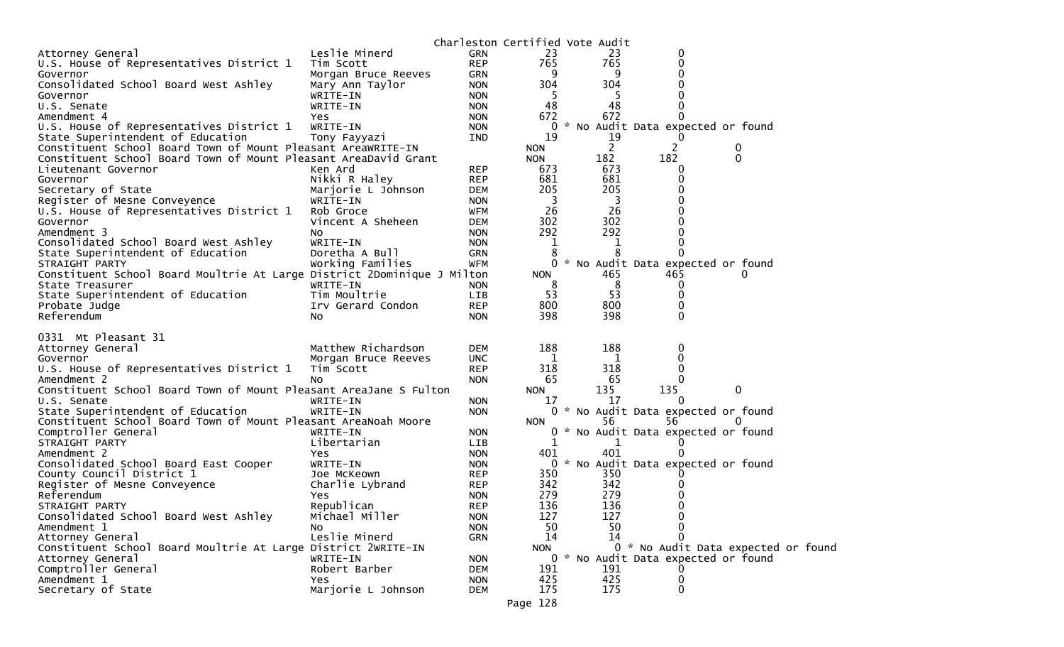|                                                                                                     |                         |                   | Charleston Certified Vote Audit |               |                |          |                                     |  |
|-----------------------------------------------------------------------------------------------------|-------------------------|-------------------|---------------------------------|---------------|----------------|----------|-------------------------------------|--|
| Attorney General                                                                                    | Leslie Minerd           | <b>GRN</b>        | 23                              |               | 23             | 0        |                                     |  |
| U.S. House of Representatives District 1                                                            | Tim Scott               | <b>REP</b>        | 765                             |               | 765            |          |                                     |  |
| Governor                                                                                            | Morgan Bruce Reeves     | GRN               | 9                               |               | 9              |          |                                     |  |
| Consolidated School Board West Ashley                                                               | Mary Ann Taylor         | <b>NON</b>        | 304                             |               | 304            |          |                                     |  |
| Governor                                                                                            | WRITE-IN                | <b>NON</b>        | 5                               |               |                |          |                                     |  |
| U.S. Senate                                                                                         | WRITE-IN                | <b>NON</b>        | 48                              |               | 48             |          |                                     |  |
| Amendment 4                                                                                         | Yes                     | <b>NON</b>        | 672                             |               | 672            |          |                                     |  |
| U.S. House of Representatives District 1                                                            | WRITE-IN                | <b>NON</b>        | 0                               | $\mathcal{H}$ |                |          | No Audit Data expected or found     |  |
| State Superintendent of Education                                                                   | Tony Fayyazi            | IND               | 19                              |               | 19             |          |                                     |  |
| Constituent School Board Town of Mount Pleasant AreaWRITE-IN                                        |                         |                   | <b>NON</b>                      |               | $\overline{2}$ |          | $\mathbf 0$                         |  |
| Constituent School Board Town of Mount Pleasant AreaDavid Grant                                     |                         |                   | <b>NON</b>                      |               | 182            | 182      | $\mathbf{0}$                        |  |
| Lieutenant Governor                                                                                 | Ken Ard                 | <b>REP</b>        | 673                             |               | 673            |          |                                     |  |
| Governor                                                                                            | Nikki R Haley           | <b>REP</b>        | 681                             |               | 681            |          |                                     |  |
| Secretary of State                                                                                  | Marjorie L Johnson      | <b>DEM</b>        | 205                             |               | 205            |          |                                     |  |
| Register of Mesne Conveyence                                                                        | WRITE-IN                | <b>NON</b>        | 3                               |               | 3              |          |                                     |  |
| U.S. House of Representatives District 1                                                            | Rob Groce               | <b>WFM</b>        | 26                              |               | 26             |          |                                     |  |
| Governor                                                                                            | Vincent A Sheheen       | <b>DEM</b>        | 302                             |               | 302            |          |                                     |  |
| Amendment 3                                                                                         | NO.                     | <b>NON</b>        | 292                             |               | 292            |          |                                     |  |
| Consolidated School Board West Ashley                                                               | WRITE-IN                | <b>NON</b>        | $\mathbf 1$                     |               | 1              |          |                                     |  |
| State Superintendent of Education                                                                   | Doretha A Bull          | <b>GRN</b>        | 8                               |               | 8              |          |                                     |  |
| STRAIGHT PARTY                                                                                      | Working Families        | <b>WFM</b>        | 0                               |               |                |          | * No Audit Data expected or found   |  |
| Constituent School Board Moultrie At Large District 2Dominique J Milton                             |                         |                   | <b>NON</b>                      |               | 465            | 465      |                                     |  |
| State Treasurer                                                                                     | WRITE-IN                | <b>NON</b>        | 8                               |               | 8              | O        |                                     |  |
| State Superintendent of Education                                                                   | Tim Moultrie            | LIB               | 53                              |               | 53             | 0        |                                     |  |
| Probate Judge                                                                                       | Irv Gerard Condon       | <b>REP</b>        | 800                             |               | 800            |          |                                     |  |
| Referendum                                                                                          | <b>NO</b>               | <b>NON</b>        | 398                             |               | 398            | 0        |                                     |  |
|                                                                                                     |                         |                   |                                 |               |                |          |                                     |  |
| 0331 Mt Pleasant 31                                                                                 |                         |                   |                                 |               |                |          |                                     |  |
| Attorney General                                                                                    | Matthew Richardson      | <b>DEM</b>        | 188                             |               | 188            |          |                                     |  |
| Governor                                                                                            | Morgan Bruce Reeves     | <b>UNC</b>        | 1                               |               | 1              |          |                                     |  |
| U.S. House of Representatives District 1                                                            | Tim Scott               | <b>REP</b>        | 318                             |               | 318            | 0        |                                     |  |
| Amendment 2                                                                                         | No                      | <b>NON</b>        | 65                              |               | 65             | 135      |                                     |  |
| Constituent School Board Town of Mount Pleasant AreaJane S Fulton                                   |                         |                   | <b>NON</b>                      |               | 135<br>17      | $\Omega$ | 0                                   |  |
| U.S. Senate                                                                                         | WRITE-IN                | <b>NON</b>        | 17                              |               |                |          |                                     |  |
| State Superintendent of Education<br>Constituent School Board Town of Mount Pleasant AreaNoah Moore | WRITE-IN                | <b>NON</b>        |                                 |               | 56             | 56       | 0 * No Audit Data expected or found |  |
| Comptroller General                                                                                 |                         |                   | <b>NON</b>                      | *             |                |          |                                     |  |
|                                                                                                     | WRITE-IN<br>Libertarian | <b>NON</b><br>LIB | 0<br>1                          |               | 1              |          | No Audit Data expected or found     |  |
| STRAIGHT PARTY<br>Amendment 2                                                                       | Yes                     | <b>NON</b>        | 401                             |               | 401            |          |                                     |  |
| Consolidated School Board East Cooper                                                               | WRITE-IN                | <b>NON</b>        | 0                               |               |                |          | * No Audit Data expected or found   |  |
| County Council District 1                                                                           |                         | <b>REP</b>        | 350                             |               | 350            |          |                                     |  |
| Register of Mesne Conveyence                                                                        | Joe McKeown             | <b>REP</b>        | 342                             |               | 342            |          |                                     |  |
| Referendum                                                                                          | Charlie Lybrand<br>Yes. | <b>NON</b>        | 279                             |               | 279            |          |                                     |  |
|                                                                                                     | Republican              | <b>REP</b>        | 136                             |               | 136            | 0        |                                     |  |
| STRAIGHT PARTY<br>Consolidated School Board West Ashley                                             | Michael Miller          | <b>NON</b>        | 127                             |               | 127            | 0        |                                     |  |
| Amendment 1                                                                                         | NO.                     | <b>NON</b>        | 50                              |               | 50             |          |                                     |  |
| Attorney General                                                                                    | Leslie Minerd           | <b>GRN</b>        | 14                              |               | 14             |          |                                     |  |
| Constituent School Board Moultrie At Large District 2WRITE-IN                                       |                         |                   | <b>NON</b>                      |               |                |          | 0 * No Audit Data expected or found |  |
| Attorney General                                                                                    | WRITE-IN                | <b>NON</b>        |                                 |               |                |          | 0 * No Audit Data expected or found |  |
| Comptroller General                                                                                 | Robert Barber           | <b>DEM</b>        | 191                             |               | 191            |          |                                     |  |
| Amendment 1                                                                                         | Yes.                    | <b>NON</b>        | 425                             |               | 425            | 0        |                                     |  |
| Secretary of State                                                                                  | Marjorie L Johnson      | <b>DEM</b>        | 175                             |               | 175            | 0        |                                     |  |
|                                                                                                     |                         |                   |                                 |               |                |          |                                     |  |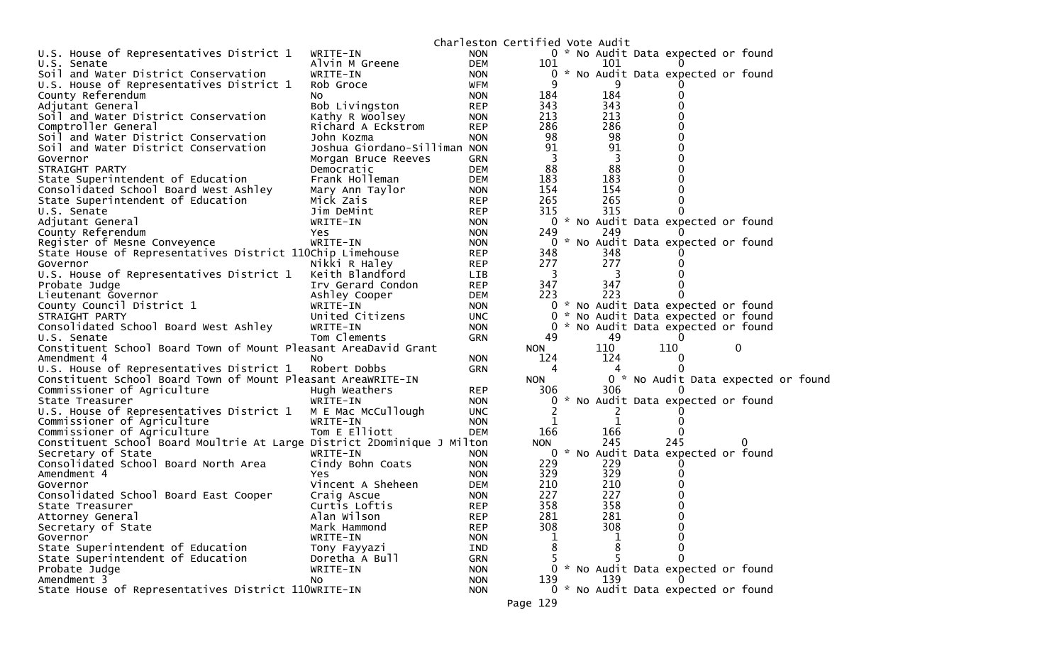|                                                                         |                              |            | Charleston Certified Vote Audit |     |                                     |   |  |  |
|-------------------------------------------------------------------------|------------------------------|------------|---------------------------------|-----|-------------------------------------|---|--|--|
| U.S. House of Representatives District 1                                | WRITE-IN                     | <b>NON</b> |                                 |     | 0 * No Audit Data expected or found |   |  |  |
| U.S. Senate                                                             | Alvin M Greene               | <b>DEM</b> | 101                             | 101 |                                     |   |  |  |
| Soil and Water District Conservation                                    | WRITE-IN                     | <b>NON</b> | 0                               |     | * No Audit Data expected or found   |   |  |  |
| U.S. House of Representatives District 1                                | Rob Groce                    | WFM        | 9                               |     |                                     |   |  |  |
| County Referendum                                                       | No                           | <b>NON</b> | 184                             | 184 |                                     |   |  |  |
| Adjutant General                                                        | Bob Livingston               | <b>REP</b> | 343                             | 343 |                                     |   |  |  |
| Soil and Water District Conservation                                    | Kathy R Woolsey              | <b>NON</b> | 213                             | 213 |                                     |   |  |  |
| Comptroller General                                                     | Richard A Eckstrom           | <b>REP</b> | 286                             | 286 |                                     |   |  |  |
| Soil and Water District Conservation                                    | John Kozma                   | <b>NON</b> | 98                              | 98  |                                     |   |  |  |
| Soil and Water District Conservation                                    | Joshua Giordano-Silliman NON |            | 91                              | 91  |                                     |   |  |  |
| Governor                                                                | Morgan Bruce Reeves          | <b>GRN</b> | 3                               | 3   |                                     |   |  |  |
| STRAIGHT PARTY                                                          |                              | <b>DEM</b> | 88                              | 88  |                                     |   |  |  |
|                                                                         | Democratic<br>Frank Holleman |            | 183                             | 183 |                                     |   |  |  |
| State Superintendent of Education                                       |                              | <b>DEM</b> |                                 |     |                                     |   |  |  |
| Consolidated School Board West Ashley                                   | Mary Ann Taylor              | <b>NON</b> | 154                             | 154 |                                     |   |  |  |
| State Superintendent of Education                                       | Mick Zais                    | <b>REP</b> | 265                             | 265 | 0                                   |   |  |  |
| U.S. Senate                                                             | Jim DeMint                   | <b>REP</b> | 315                             | 315 |                                     |   |  |  |
| Adjutant General                                                        | WRITE-IN                     | <b>NON</b> |                                 |     | 0 * No Audit Data expected or found |   |  |  |
| County Referendum                                                       | Yes                          | <b>NON</b> | 249                             | 249 |                                     |   |  |  |
| Register of Mesne Conveyence                                            | WRITE-IN                     | <b>NON</b> | 0                               |     | * No Audit Data expected or found   |   |  |  |
| State House of Representatives District 110Chip Limehouse               |                              | <b>REP</b> | 348                             | 348 |                                     |   |  |  |
| Governor                                                                | Nikki R Haley                | <b>REP</b> | 277                             | 277 |                                     |   |  |  |
| U.S. House of Representatives District 1                                | Keith Blandford              | LIB        | 3                               | 3   |                                     |   |  |  |
| Probate Judge                                                           | Irv Gerard Condon            | <b>REP</b> | 347                             | 347 |                                     |   |  |  |
| Lieutenant Governor                                                     | Ashley Cooper                | <b>DEM</b> | 223                             | 223 |                                     |   |  |  |
| County Council District 1                                               | WRITE-IN                     | <b>NON</b> |                                 |     | 0 * No Audit Data expected or found |   |  |  |
| STRAIGHT PARTY                                                          | United Citizens              | <b>UNC</b> | 0                               |     | * No Audit Data expected or found   |   |  |  |
| Consolidated School Board West Ashley                                   | WRITE-IN                     | <b>NON</b> |                                 |     | 0 * No Audit Data expected or found |   |  |  |
| U.S. Senate                                                             | Tom Clements                 | <b>GRN</b> | 49                              | 49  | $\Omega$                            |   |  |  |
| Constituent School Board Town of Mount Pleasant AreaDavid Grant         |                              |            | <b>NON</b>                      | 110 | 110                                 | 0 |  |  |
| Amendment 4                                                             | NO.                          | <b>NON</b> | 124                             | 124 | $\Omega$                            |   |  |  |
| U.S. House of Representatives District 1                                | Robert Dobbs                 | <b>GRN</b> | 4                               | 4   |                                     |   |  |  |
| Constituent School Board Town of Mount Pleasant AreaWRITE-IN            |                              |            | <b>NON</b>                      |     | 0 * No Audit Data expected or found |   |  |  |
| Commissioner of Agriculture                                             | Hugh Weathers                | <b>REP</b> | 306                             | 306 |                                     |   |  |  |
|                                                                         |                              | <b>NON</b> | 0                               |     | * No Audit Data expected or found   |   |  |  |
| State Treasurer                                                         | WRITE-IN                     |            |                                 |     |                                     |   |  |  |
| U.S. House of Representatives District 1                                | M E Mac McCullough           | <b>UNC</b> | 2                               | 2   |                                     |   |  |  |
| Commissioner of Agriculture                                             | WRITE-IN                     | <b>NON</b> |                                 | 1   |                                     |   |  |  |
| Commissioner of Agriculture                                             | Tom E Elliott                | <b>DEM</b> | 166                             | 166 |                                     |   |  |  |
| Constituent School Board Moultrie At Large District 2Dominique J Milton |                              |            | <b>NON</b>                      | 245 | 245                                 |   |  |  |
| Secretary of State                                                      | WRITE-IN                     | <b>NON</b> | 0                               |     | * No Audit Data expected or found   |   |  |  |
| Consolidated School Board North Area                                    | Cindy Bohn Coats             | <b>NON</b> | 229                             | 229 |                                     |   |  |  |
| Amendment 4                                                             | Yes                          | <b>NON</b> | 329                             | 329 |                                     |   |  |  |
| Governor                                                                | Vincent A Sheheen            | <b>DEM</b> | 210                             | 210 |                                     |   |  |  |
| Consolidated School Board East Cooper                                   | Craig Ascue                  | <b>NON</b> | 227                             | 227 |                                     |   |  |  |
| State Treasurer                                                         | Curtis Loftis                | <b>REP</b> | 358                             | 358 | 0                                   |   |  |  |
| Attorney General                                                        | Alan Wilson                  | <b>REP</b> | 281                             | 281 |                                     |   |  |  |
| Secretary of State                                                      | Mark Hammond                 | <b>REP</b> | 308                             | 308 | 0                                   |   |  |  |
| Governor                                                                | WRITE-IN                     | <b>NON</b> | 1                               |     |                                     |   |  |  |
| State Superintendent of Education                                       | Tony Fayyazi                 | IND        | 8                               | 8   | 0                                   |   |  |  |
| State Superintendent of Education                                       |                              |            |                                 |     | 0                                   |   |  |  |
|                                                                         | Doretha A Bull               | <b>GRN</b> | 5.                              | 5   |                                     |   |  |  |
|                                                                         | WRITE-IN                     |            | 0                               |     |                                     |   |  |  |
| Probate Judge                                                           |                              | <b>NON</b> |                                 |     | * No Audit Data expected or found   |   |  |  |
| Amendment 3                                                             | No.                          | <b>NON</b> | 139                             | 139 |                                     |   |  |  |
| State House of Representatives District 110WRITE-IN                     |                              | <b>NON</b> | Page 129                        |     | 0 * No Audit Data expected or found |   |  |  |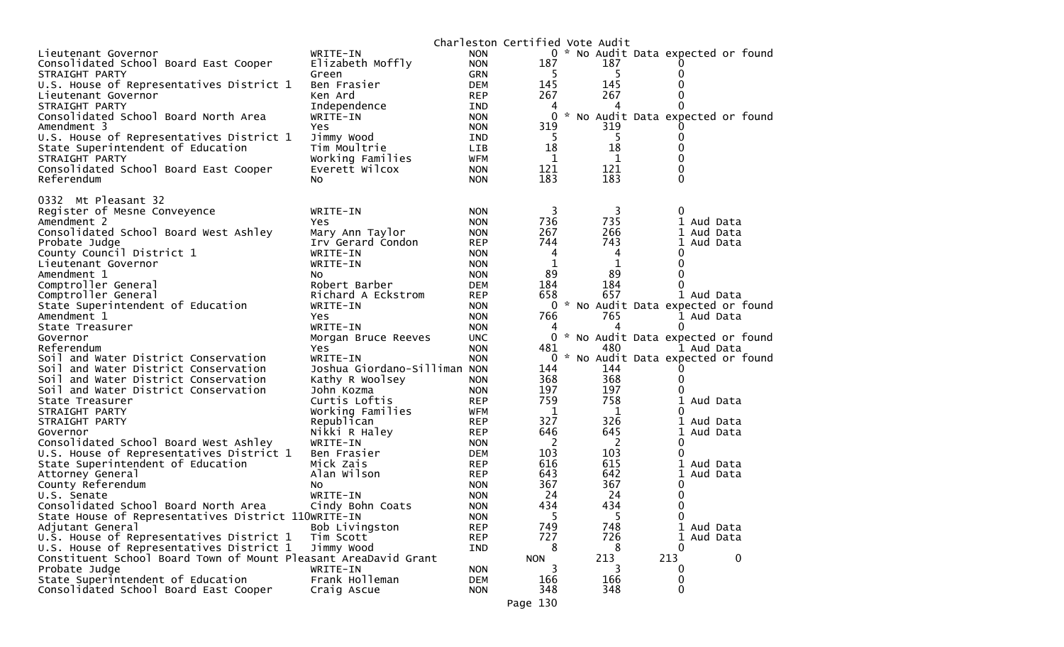|                                                                 |                               |                          | Charleston Certified Vote Audit |            |          |                                     |
|-----------------------------------------------------------------|-------------------------------|--------------------------|---------------------------------|------------|----------|-------------------------------------|
| Lieutenant Governor                                             | WRITE-IN                      | <b>NON</b>               |                                 |            |          | 0 * No Audit Data expected or found |
| Consolidated School Board East Cooper                           | Elizabeth Moffly              | <b>NON</b>               | 187                             | 187        |          |                                     |
| STRAIGHT PARTY                                                  | Green                         | <b>GRN</b>               | -5                              | 5          | 0        |                                     |
| U.S. House of Representatives District 1                        | Ben Frasier                   | <b>DEM</b>               | 145                             | 145        | 0        |                                     |
| Lieutenant Governor                                             | Ken Ard                       | <b>REP</b>               | 267                             | 267        |          |                                     |
| STRAIGHT PARTY                                                  | Independence                  | <b>IND</b>               | 4                               | 4          | 0        |                                     |
| Consolidated School Board North Area                            | WRITE-IN                      | <b>NON</b>               | 0                               |            |          | * No Audit Data expected or found   |
| Amendment 3                                                     | Yes.                          | <b>NON</b>               | 319                             | 319        |          |                                     |
| U.S. House of Representatives District 1                        | Jimmy Wood                    | <b>IND</b>               | -5                              | 5          | 0        |                                     |
| State Superintendent of Education                               | Tim Moultrie                  | <b>LIB</b>               | 18                              | 18         | 0        |                                     |
| STRAIGHT PARTY                                                  | Working Families              | <b>WFM</b>               | 1                               | 1          | 0        |                                     |
| Consolidated School Board East Cooper                           | Everett Wilcox                | <b>NON</b>               | 121                             | 121        | 0        |                                     |
| Referendum                                                      | No.                           | <b>NON</b>               | 183                             | 183        | 0        |                                     |
|                                                                 |                               |                          |                                 |            |          |                                     |
| 0332 Mt Pleasant 32                                             |                               |                          |                                 | 3          | 0        |                                     |
| Register of Mesne Conveyence                                    | WRITE-IN                      | <b>NON</b>               | 3<br>736                        | 735        |          | 1 Aud Data                          |
| Amendment 2                                                     | <b>Yes</b>                    | <b>NON</b>               | 267                             |            | 1        |                                     |
| Consolidated School Board West Ashley                           | Mary Ann Taylor               | <b>NON</b>               | 744                             | 266<br>743 |          | Aud Data                            |
| Probate Judge<br>County Council District 1                      | Irv Gerard Condon<br>WRITE-IN | <b>REP</b><br><b>NON</b> | 4                               | 4          | 1<br>0   | Aud Data                            |
| Lieutenant Governor                                             | WRITE-IN                      | <b>NON</b>               | 1                               | 1          | 0        |                                     |
| Amendment 1                                                     | NO.                           | <b>NON</b>               | 89                              | 89         | $\Omega$ |                                     |
| Comptroller General                                             | Robert Barber                 | <b>DEM</b>               | 184                             | 184        | 0        |                                     |
| Comptroller General                                             | Richard A Eckstrom            | <b>REP</b>               | 658                             | 657        |          | 1 Aud Data                          |
| State Superintendent of Education                               | WRITE-IN                      | <b>NON</b>               |                                 |            |          | 0 * No Audit Data expected or found |
| Amendment 1                                                     | <b>Yes</b>                    | <b>NON</b>               | 766                             | 765        |          | 1 Aud Data                          |
| State Treasurer                                                 | WRITE-IN                      | <b>NON</b>               | 4                               |            | 0        |                                     |
| Governor                                                        | Morgan Bruce Reeves           | <b>UNC</b>               |                                 |            |          | 0 * No Audit Data expected or found |
| Referendum                                                      | Yes                           | <b>NON</b>               | 481                             | 480        |          | 1 Aud Data                          |
| Soil and Water District Conservation                            | WRITE-IN                      | <b>NON</b>               | 0                               |            |          | * No Audit Data expected or found   |
| Soil and Water District Conservation                            | Joshua Giordano-Silliman NON  |                          | 144                             | 144        |          |                                     |
| Soil and Water District Conservation                            | Kathy R Woolsey               | <b>NON</b>               | 368                             | 368        | 0        |                                     |
| Soil and Water District Conservation                            | John Kozma                    | <b>NON</b>               | 197                             | 197        |          |                                     |
| State Treasurer                                                 | Curtis Loftis                 | <b>REP</b>               | 759                             | 758        | 1        | Aud Data                            |
| STRAIGHT PARTY                                                  | Working Families              | <b>WFM</b>               | 1                               | 1          | 0        |                                     |
| STRAIGHT PARTY                                                  | Republican                    | <b>REP</b>               | 327                             | 326        |          | Aud Data                            |
| Governor                                                        | Nikki R Haley                 | <b>REP</b>               | 646                             | 645        | 1        | Aud Data                            |
| Consolidated School Board West Ashley                           | WRITE-IN                      | <b>NON</b>               | 2                               | 2          | 0        |                                     |
| U.S. House of Representatives District 1                        | Ben Frasier                   | <b>DEM</b>               | 103                             | 103        | 0        |                                     |
| State Superintendent of Education                               | Mick Zais                     | <b>REP</b>               | 616                             | 615        |          | Aud Data                            |
| Attorney General                                                | Alan Wilson                   | <b>REP</b>               | 643                             | 642        | 1        | Aud Data                            |
| County Referendum                                               | NO.                           | <b>NON</b>               | 367                             | 367        | 0        |                                     |
| U.S. Senate                                                     | WRITE-IN                      | <b>NON</b>               | 24                              | 24         | 0        |                                     |
| Consolidated School Board North Area                            | Cindy Bohn Coats              | <b>NON</b>               | 434                             | 434        | 0        |                                     |
| State House of Representatives District 110WRITE-IN             |                               | <b>NON</b>               | 5                               | 5.         | 0        |                                     |
| Adjutant General                                                | Bob Livingston                | <b>REP</b>               | 749                             | 748        |          | 1 Aud Data                          |
| U.S. House of Representatives District 1                        | Tim Scott                     | <b>REP</b>               | 727                             | 726        |          | 1 Aud Data                          |
| U.S. House of Representatives District 1                        | Jimmy Wood                    | <b>IND</b>               | 8                               | 8          | 0        |                                     |
| Constituent School Board Town of Mount Pleasant AreaDavid Grant |                               |                          | <b>NON</b>                      | 213        | 213      | 0                                   |
| Probate Judge                                                   | WRITE-IN                      | <b>NON</b>               | 3                               |            | 0        |                                     |
| State Superintendent of Education                               | Frank Holleman                | <b>DEM</b>               | 166                             | 166        | 0        |                                     |
| Consolidated School Board East Cooper                           | Craig Ascue                   | <b>NON</b>               | 348                             | 348        | 0        |                                     |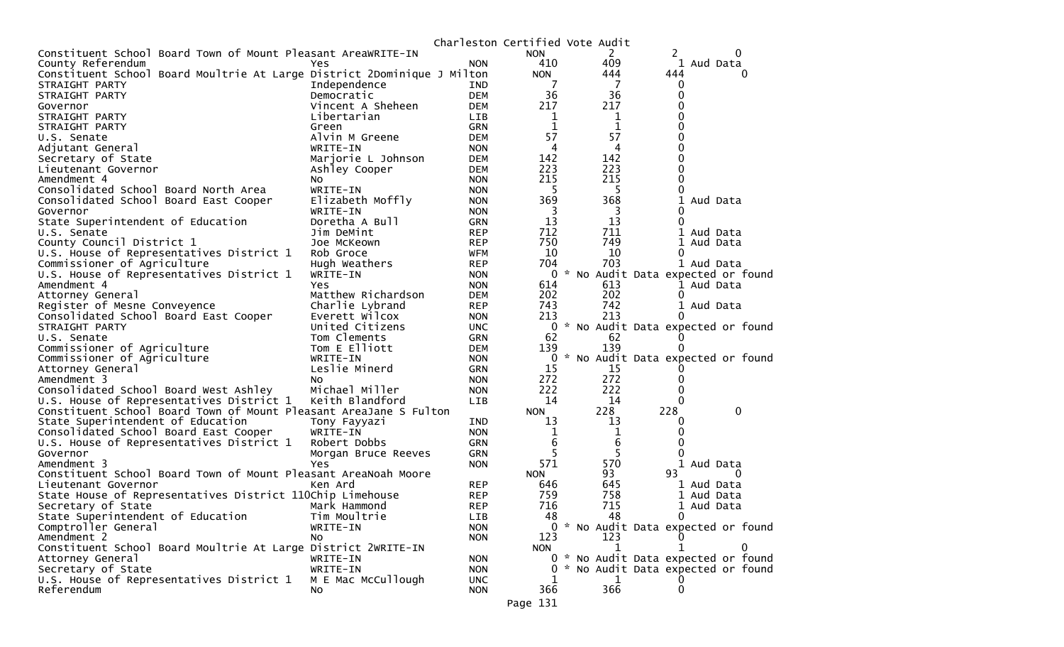|                                                                         |                     |            |                | Charleston Certified Vote Audit |                                     |
|-------------------------------------------------------------------------|---------------------|------------|----------------|---------------------------------|-------------------------------------|
| Constituent School Board Town of Mount Pleasant AreaWRITE-IN            |                     |            | <b>NON</b>     | 2                               | 2                                   |
| County Referendum                                                       | Yes                 | <b>NON</b> | 410            | 409                             | 1 Aud Data                          |
| Constituent School Board Moultrie At Large District 2Dominique J Milton |                     |            | <b>NON</b>     | 444                             | 444<br>0                            |
| STRAIGHT PARTY                                                          | Independence        | IND        |                | 7                               | 0                                   |
| STRAIGHT PARTY                                                          | Democratic          | <b>DEM</b> | 36             | 36                              | 0                                   |
| Governor                                                                | Vincent A Sheheen   | <b>DEM</b> | 217            | 217                             | 0                                   |
| STRAIGHT PARTY                                                          | Libertarian         | LIB        | 1              | 1                               | 0                                   |
| STRAIGHT PARTY                                                          | Green               | <b>GRN</b> | 1              | 1                               | 0                                   |
| U.S. Senate                                                             | Alvin M Greene      | <b>DEM</b> | 57             | 57                              | 0                                   |
| Adjutant General                                                        | WRITE-IN            | <b>NON</b> | 4              | 4                               | 0                                   |
| Secretary of State                                                      | Marjorie L Johnson  | <b>DEM</b> | 142            | 142                             | 0                                   |
|                                                                         |                     | <b>DEM</b> | 223            | 223                             | 0                                   |
| Lieutenant Governor                                                     | Ashley Cooper       |            |                | 215                             | 0                                   |
| Amendment 4                                                             | NO.                 | <b>NON</b> | 215            |                                 |                                     |
| Consolidated School Board North Area                                    | WRITE-IN            | <b>NON</b> | 5              | -5                              | 0                                   |
| Consolidated School Board East Cooper                                   | Elizabeth Moffly    | <b>NON</b> | 369            | 368                             | 1<br>Aud Data                       |
| Governor                                                                | WRITE-IN            | <b>NON</b> | 3              | 3                               | 0                                   |
| State Superintendent of Education                                       | Doretha A Bull      | <b>GRN</b> | 13             | 13                              | $\Omega$                            |
| U.S. Senate                                                             | Jim DeMint          | <b>REP</b> | 712            | 711                             | 1 Aud Data                          |
| County Council District 1                                               | Joe McKeown         | <b>REP</b> | 750            | 749                             | Aud Data<br>1                       |
| U.S. House of Representatives District 1                                | Rob Groce           | <b>WFM</b> | 10             | 10                              | 0                                   |
| Commissioner of Agriculture                                             | Hugh Weathers       | <b>REP</b> | 704            | 703                             | 1 Aud Data                          |
| U.S. House of Representatives District 1                                | WRITE-IN            | <b>NON</b> | $\Omega$       |                                 | * No Audit Data expected or found   |
| Amendment 4                                                             | Yes                 | <b>NON</b> | 614            | 613                             | 1 Aud Data                          |
| Attorney General                                                        | Matthew Richardson  | <b>DEM</b> | 202            | 202                             | 0                                   |
| Register of Mesne Conveyence                                            | Charlie Lybrand     | <b>REP</b> | 743            | 742                             | 1 Aud Data                          |
| Consolidated School Board East Cooper                                   | Everett Wilcox      | <b>NON</b> | 213            | 213                             | 0                                   |
| STRAIGHT PARTY                                                          | United Citizens     | <b>UNC</b> |                |                                 | 0 * No Audit Data expected or found |
| U.S. Senate                                                             | Tom Clements        | <b>GRN</b> | 62             | 62                              | 0                                   |
| Commissioner of Agriculture                                             | Tom E Elliott       | <b>DEM</b> | 139            | 139                             | 0                                   |
| Commissioner of Agriculture                                             | WRITE-IN            | <b>NON</b> | 0              |                                 | * No Audit Data expected or found   |
| Attorney General                                                        | Leslie Minerd       | <b>GRN</b> | 15             | 15                              |                                     |
| Amendment 3                                                             | NO.                 | <b>NON</b> | 272            | 272                             | 0                                   |
| Consolidated School Board West Ashley                                   | Michael Miller      |            | 222            | 222                             | 0                                   |
|                                                                         |                     | <b>NON</b> | 14             | 14                              | $\Omega$                            |
| U.S. House of Representatives District 1                                | Keith Blandford     | <b>LIB</b> |                |                                 |                                     |
| Constituent School Board Town of Mount Pleasant AreaJane S Fulton       |                     |            | <b>NON</b>     | 228                             | 228<br>0                            |
| State Superintendent of Education                                       | Tony Fayyazi        | <b>IND</b> | 13             | 13                              | 0                                   |
| Consolidated School Board East Cooper                                   | WRITE-IN            | <b>NON</b> | 1              | 1                               | 0                                   |
| U.S. House of Representatives District 1                                | Robert Dobbs        | <b>GRN</b> | 6              | 6                               | 0                                   |
| Governor                                                                | Morgan Bruce Reeves | <b>GRN</b> | 5              | 5                               |                                     |
| Amendment 3                                                             | Yes                 | <b>NON</b> | 571            | 570                             | Aud Data                            |
| Constituent School Board Town of Mount Pleasant AreaNoah Moore          |                     |            | <b>NON</b>     | 93                              | 93<br>0                             |
| Lieutenant Governor                                                     | Ken Ard             | <b>REP</b> | 646            | 645                             | 1 Aud Data                          |
| State House of Representatives District 110Chip Limehouse               |                     | <b>REP</b> | 759            | 758                             | 1 Aud Data                          |
| Secretary of State                                                      | Mark Hammond        | <b>REP</b> | 716            | 715                             | 1 Aud Data                          |
| State Superintendent of Education                                       | Tim Moultrie        | LIB        | 48             | 48                              | 0                                   |
| Comptroller General                                                     | WRITE-IN            | <b>NON</b> |                |                                 | 0 * No Audit Data expected or found |
| Amendment 2                                                             | NO.                 | <b>NON</b> | 123            | 123                             |                                     |
| Constituent School Board Moultrie At Large District 2WRITE-IN           |                     |            | <b>NON</b>     | 1                               |                                     |
| Attorney General                                                        | WRITE-IN            | <b>NON</b> |                |                                 | 0 * No Audit Data expected or found |
| Secretary of State                                                      | WRITE-IN            | <b>NON</b> | $\overline{0}$ |                                 | * No Audit Data expected or found   |
| U.S. House of Representatives District 1                                | M E Mac McCullough  | <b>UNC</b> | 1              | 1                               |                                     |
| Referendum                                                              | NO.                 | <b>NON</b> | 366            | 366                             | 0                                   |
|                                                                         |                     |            |                |                                 |                                     |
|                                                                         |                     |            | Page 131       |                                 |                                     |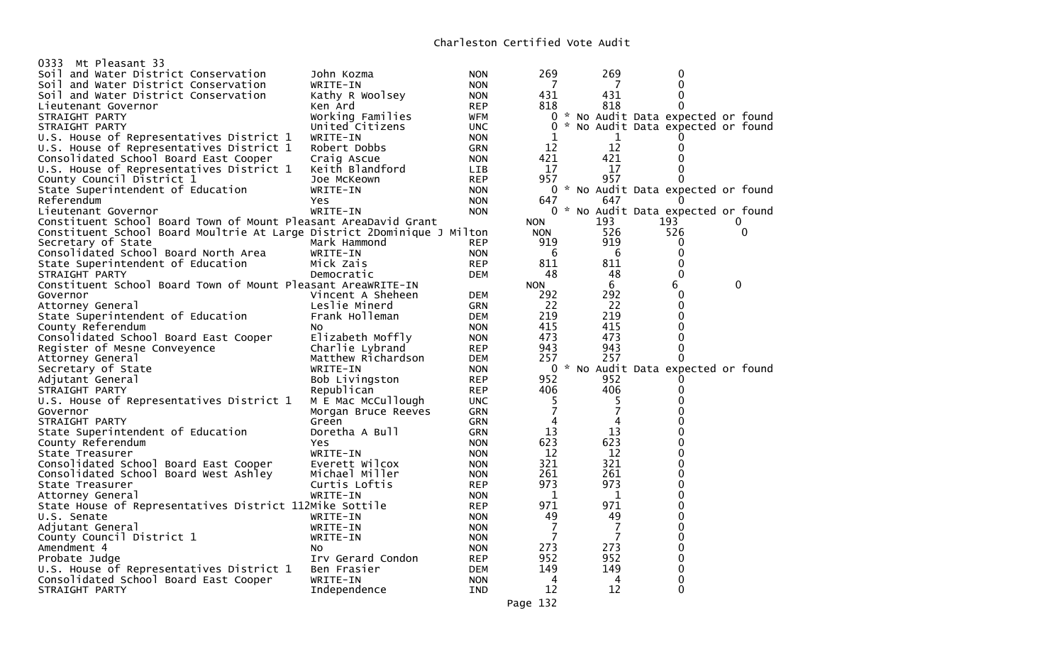| Mt Pleasant 33<br>0333                                                  |                     |            |                |     |                                     |   |
|-------------------------------------------------------------------------|---------------------|------------|----------------|-----|-------------------------------------|---|
| Soil and Water District Conservation                                    | John Kozma          | <b>NON</b> | 269            | 269 | 0                                   |   |
| Soil and Water District Conservation                                    | WRITE-IN            | <b>NON</b> |                |     | 0                                   |   |
| Soil and Water District Conservation                                    | Kathy R Woolsey     | <b>NON</b> | 431            | 431 | 0                                   |   |
| Lieutenant Governor                                                     | Ken Ard             | <b>REP</b> | 818            | 818 | 0                                   |   |
| STRAIGHT PARTY                                                          | Working Families    | WFM        | $\Omega$       |     | * No Audit Data expected or found   |   |
| STRAIGHT PARTY                                                          | United Citizens     | <b>UNC</b> | $\Omega$       |     | No Audit Data expected or found     |   |
| U.S. House of Representatives District 1                                | WRITE-IN            | <b>NON</b> | 1              | 1   |                                     |   |
|                                                                         |                     |            |                | 12  |                                     |   |
| U.S. House of Representatives District 1                                | Robert Dobbs        | GRN        | 12             |     | 0                                   |   |
| Consolidated School Board East Cooper                                   | Craig Ascue         | <b>NON</b> | 421            | 421 | 0                                   |   |
| U.S. House of Representatives District 1                                | Keith Blandford     | LIB        | 17             | 17  | 0                                   |   |
| County Council District 1                                               | Joe McKeown         | <b>REP</b> | 957            | 957 | 0                                   |   |
| State Superintendent of Education                                       | WRITE-IN            | <b>NON</b> |                |     | 0 * No Audit Data expected or found |   |
| Referendum                                                              | <b>Yes</b>          | <b>NON</b> | 647            | 647 |                                     |   |
| Lieutenant Governor                                                     | WRITE-IN            | <b>NON</b> |                |     | 0 * No Audit Data expected or found |   |
| Constituent School Board Town of Mount Pleasant AreaDavid Grant         |                     |            | <b>NON</b>     | 193 | 193                                 | O |
| Constituent School Board Moultrie At Large District 2Dominique J Milton |                     |            | <b>NON</b>     | 526 | 526                                 | 0 |
| Secretary of State                                                      | Mark Hammond        | <b>REP</b> | 919            | 919 | 0                                   |   |
| Consolidated School Board North Area                                    | WRITE-IN            | <b>NON</b> | 6              | 6   | 0                                   |   |
| State Superintendent of Education                                       | Mick Zais           | <b>REP</b> | 811            | 811 | 0                                   |   |
| STRAIGHT PARTY                                                          | Democratic          | <b>DEM</b> | 48             | 48  | 0                                   |   |
| Constituent School Board Town of Mount Pleasant AreaWRITE-IN            |                     |            | <b>NON</b>     | 6   | 6                                   | 0 |
| Governor                                                                | Vincent A Sheheen   | <b>DEM</b> | 292            | 292 | 0                                   |   |
|                                                                         | Leslie Minerd       |            | 22             | -22 | 0                                   |   |
| Attorney General                                                        |                     | GRN        |                |     |                                     |   |
| State Superintendent of Education                                       | Frank Holleman      | <b>DEM</b> | 219            | 219 | 0                                   |   |
| County Referendum                                                       | No                  | <b>NON</b> | 415            | 415 | 0                                   |   |
| Consolidated School Board East Cooper                                   | Elizabeth Moffly    | <b>NON</b> | 473            | 473 | 0                                   |   |
| Register of Mesne Conveyence                                            | Charlie Lybrand     | <b>REP</b> | 943            | 943 | 0                                   |   |
| Attorney General                                                        | Matthew Richardson  | <b>DEM</b> | 257            | 257 | $\Omega$                            |   |
| Secretary of State                                                      | WRITE-IN            | <b>NON</b> |                |     | 0 * No Audit Data expected or found |   |
| Adjutant General                                                        | Bob Livingston      | <b>REP</b> | 952            | 952 |                                     |   |
| STRAIGHT PARTY                                                          | Republican          | <b>REP</b> | 406            | 406 | 0                                   |   |
| U.S. House of Representatives District 1                                | M E Mac McCullough  | UNC.       | 5              | 5   | 0                                   |   |
| Governor                                                                | Morgan Bruce Reeves | <b>GRN</b> | $\overline{7}$ | 7   | 0                                   |   |
| STRAIGHT PARTY                                                          | Green               | GRN        | 4              | 4   | 0                                   |   |
| State Superintendent of Education                                       | Doretha A Bull      | <b>GRN</b> | 13             | 13  | o                                   |   |
| County Referendum                                                       | Yes                 | <b>NON</b> | 623            | 623 | 0                                   |   |
| State Treasurer                                                         | WRITE-IN            | <b>NON</b> | 12             | 12  | 0                                   |   |
| Consolidated School Board East Cooper                                   | Everett Wilcox      | <b>NON</b> | 321            | 321 | 0                                   |   |
| Consolidated School Board West Ashley                                   | Michael Miller      | <b>NON</b> | 261            | 261 | 0                                   |   |
| State Treasurer                                                         | Curtis Loftis       | <b>REP</b> | 973            | 973 | 0                                   |   |
|                                                                         |                     |            | 1              |     | 0                                   |   |
| Attorney General                                                        | WRITE-IN            | <b>NON</b> |                | 1   |                                     |   |
| State House of Representatives District 112Mike Sottile                 |                     | <b>REP</b> | 971            | 971 | 0                                   |   |
| U.S. Senate                                                             | WRITE-IN            | <b>NON</b> | 49             | 49  | 0                                   |   |
| Adjutant General                                                        | WRITE-IN            | <b>NON</b> | 7              | 7   | 0                                   |   |
| County Council District 1                                               | WRITE-IN            | <b>NON</b> | 7              | 7   | 0                                   |   |
| Amendment 4                                                             | No                  | <b>NON</b> | 273            | 273 | 0                                   |   |
| Probate Judge                                                           | Irv Gerard Condon   | <b>REP</b> | 952            | 952 | 0                                   |   |
| U.S. House of Representatives District 1                                | Ben Frasier         | <b>DEM</b> | 149            | 149 | 0                                   |   |
| Consolidated School Board East Cooper                                   | WRITE-IN            | <b>NON</b> | 4              | 4   | 0                                   |   |
| STRAIGHT PARTY                                                          | Independence        | <b>IND</b> | 12             | 12  | $\Omega$                            |   |
|                                                                         |                     |            |                |     |                                     |   |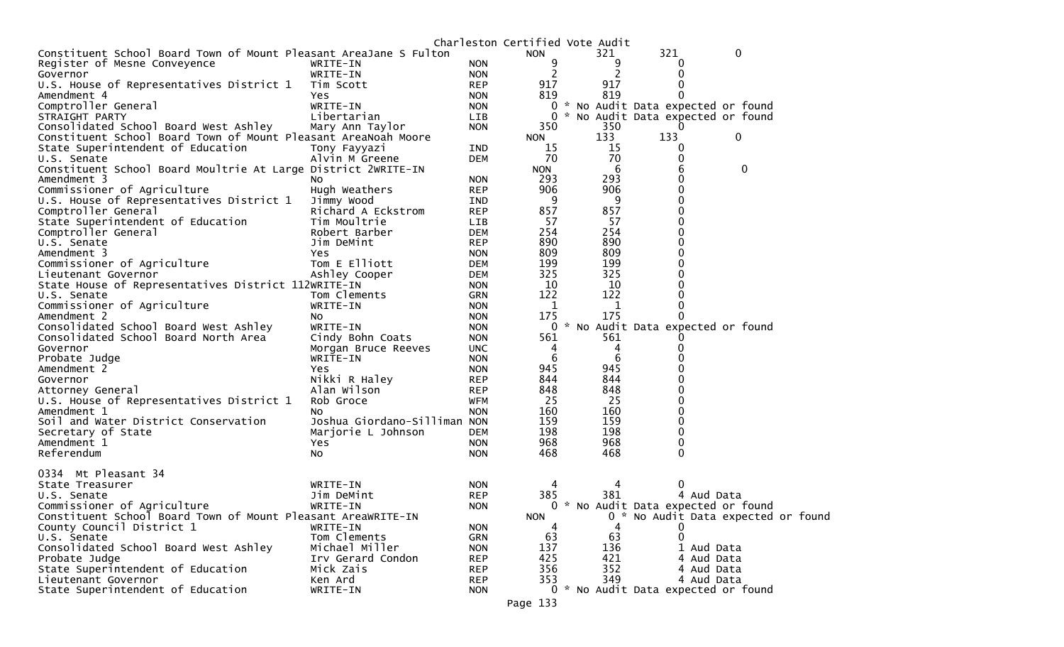|                                                                   |                              |            | Charleston Certified Vote Audit |     |                                     |                  |                                     |
|-------------------------------------------------------------------|------------------------------|------------|---------------------------------|-----|-------------------------------------|------------------|-------------------------------------|
| Constituent School Board Town of Mount Pleasant AreaJane S Fulton |                              |            | <b>NON</b>                      | 321 | 321                                 | 0                |                                     |
| Register of Mesne Conveyence                                      | WRITE-IN                     | <b>NON</b> | 9                               | 9   | O                                   |                  |                                     |
| Governor                                                          | WRITE-IN                     | <b>NON</b> | 2                               | 2   | 0                                   |                  |                                     |
| U.S. House of Representatives District 1                          | Tim Scott                    | <b>REP</b> | 917                             | 917 | 0                                   |                  |                                     |
| Amendment 4                                                       | Yes                          | <b>NON</b> | 819                             | 819 | 0                                   |                  |                                     |
| Comptroller General                                               | WRITE-IN                     | <b>NON</b> |                                 |     | 0 * No Audit Data expected or found |                  |                                     |
| STRAIGHT PARTY                                                    | Libertarian                  | LIB        | $\mathbf{0}$                    |     | * No Audit Data expected or found   |                  |                                     |
| Consolidated School Board West Ashley                             | Mary Ann Taylor              | <b>NON</b> | 350                             | 350 |                                     |                  |                                     |
| Constituent School Board Town of Mount Pleasant AreaNoah Moore    |                              |            | <b>NON</b>                      | 133 | 133                                 | $\boldsymbol{0}$ |                                     |
| State Superintendent of Education                                 | Tony Fayyazi                 | <b>IND</b> | 15                              | 15  | 0                                   |                  |                                     |
| U.S. Senate                                                       | Alvin M Greene               | <b>DEM</b> | 70                              | 70  | 0                                   |                  |                                     |
| Constituent School Board Moultrie At Large District 2WRITE-IN     |                              |            | <b>NON</b>                      | 6   |                                     | $\mathbf 0$      |                                     |
| Amendment 3                                                       | NO.                          | <b>NON</b> | 293                             | 293 | 0                                   |                  |                                     |
| Commissioner of Agriculture                                       | Hugh Weathers                | <b>REP</b> | 906                             | 906 | 0                                   |                  |                                     |
| U.S. House of Representatives District 1                          | Jimmy Wood                   | <b>IND</b> | 9                               | 9   | 0                                   |                  |                                     |
| Comptroller General                                               | Richard A Eckstrom           | <b>REP</b> | 857                             | 857 |                                     |                  |                                     |
| State Superintendent of Education                                 | Tim Moultrie                 | <b>LIB</b> | 57                              | 57  | 0                                   |                  |                                     |
| Comptroller General                                               | Robert Barber                | <b>DEM</b> | 254                             | 254 |                                     |                  |                                     |
| U.S. Senate                                                       | Jim DeMint                   | <b>REP</b> | 890                             | 890 |                                     |                  |                                     |
| Amendment 3                                                       | <b>Yes</b>                   | <b>NON</b> | 809                             | 809 |                                     |                  |                                     |
| Commissioner of Agriculture                                       | Tom E Elliott                | <b>DEM</b> | 199                             | 199 |                                     |                  |                                     |
| Lieutenant Governor                                               | Ashley Cooper                | <b>DEM</b> | 325                             | 325 |                                     |                  |                                     |
| State House of Representatives District 112WRITE-IN               |                              | <b>NON</b> | 10                              | 10  |                                     |                  |                                     |
| U.S. Senate                                                       | Tom Clements                 | <b>GRN</b> | 122                             | 122 | 0                                   |                  |                                     |
| Commissioner of Agriculture                                       | WRITE-IN                     | <b>NON</b> | 1                               | 1   | 0                                   |                  |                                     |
| Amendment 2                                                       | NO.                          | <b>NON</b> | 175                             | 175 |                                     |                  |                                     |
| Consolidated School Board West Ashley                             | WRITE-IN                     | <b>NON</b> |                                 |     | 0 * No Audit Data expected or found |                  |                                     |
| Consolidated School Board North Area                              | Cindy Bohn Coats             | <b>NON</b> | 561                             | 561 |                                     |                  |                                     |
| Governor                                                          | Morgan Bruce Reeves          | <b>UNC</b> | 4                               | 4   |                                     |                  |                                     |
| Probate Judge                                                     | WRITE-IN                     | <b>NON</b> | 6                               | 6   |                                     |                  |                                     |
| Amendment 2                                                       | Yes                          | <b>NON</b> | 945                             | 945 |                                     |                  |                                     |
| Governor                                                          | Nikki R Haley                | <b>REP</b> | 844                             | 844 |                                     |                  |                                     |
| Attorney General                                                  | Alan Wilson                  | <b>REP</b> | 848                             | 848 |                                     |                  |                                     |
| U.S. House of Representatives District 1                          | Rob Groce                    | WFM        | 25                              | 25  |                                     |                  |                                     |
| Amendment 1                                                       | NO.                          | <b>NON</b> | 160                             | 160 | 0                                   |                  |                                     |
| Soil and Water District Conservation                              | Joshua Giordano-Silliman NON |            | 159                             | 159 | 0                                   |                  |                                     |
| Secretary of State                                                | Marjorie L Johnson           | <b>DEM</b> | 198                             | 198 | 0                                   |                  |                                     |
| Amendment 1                                                       | Yes                          | <b>NON</b> | 968                             | 968 | 0                                   |                  |                                     |
| Referendum                                                        | NO.                          | <b>NON</b> | 468                             | 468 | 0                                   |                  |                                     |
|                                                                   |                              |            |                                 |     |                                     |                  |                                     |
| 0334 Mt Pleasant 34                                               |                              |            |                                 |     |                                     |                  |                                     |
| State Treasurer                                                   | WRITE-IN                     | <b>NON</b> |                                 |     |                                     |                  |                                     |
| U.S. Senate                                                       | Jim DeMint                   | <b>REP</b> | 385                             | 381 | 4 Aud Data                          |                  |                                     |
| Commissioner of Agriculture                                       | WRITE-IN                     | <b>NON</b> |                                 |     | 0 * No Audit Data expected or found |                  |                                     |
| Constituent School Board Town of Mount Pleasant AreaWRITE-IN      |                              |            | <b>NON</b>                      |     |                                     |                  | 0 * No Audit Data expected or found |
| County Council District 1                                         | WRITE-IN                     | <b>NON</b> | 4                               | 4   |                                     |                  |                                     |
| U.S. Senate                                                       | Tom Clements                 | GRN        | 63                              | 63  | 0                                   |                  |                                     |
| Consolidated School Board West Ashley                             | Michael Miller               | <b>NON</b> | 137                             | 136 | 1 Aud Data                          |                  |                                     |
| Probate Judge                                                     | Irv Gerard Condon            | <b>REP</b> | 425                             | 421 | 4 Aud Data                          |                  |                                     |
| State Superintendent of Education                                 | Mick Zais                    | <b>REP</b> | 356                             | 352 | 4 Aud Data                          |                  |                                     |
| Lieutenant Governor                                               | Ken Ard                      | <b>REP</b> | 353                             | 349 | 4 Aud Data                          |                  |                                     |
| State Superintendent of Education                                 | WRITE-IN                     | <b>NON</b> |                                 |     | 0 * No Audit Data expected or found |                  |                                     |
|                                                                   |                              |            | Page 133                        |     |                                     |                  |                                     |
|                                                                   |                              |            |                                 |     |                                     |                  |                                     |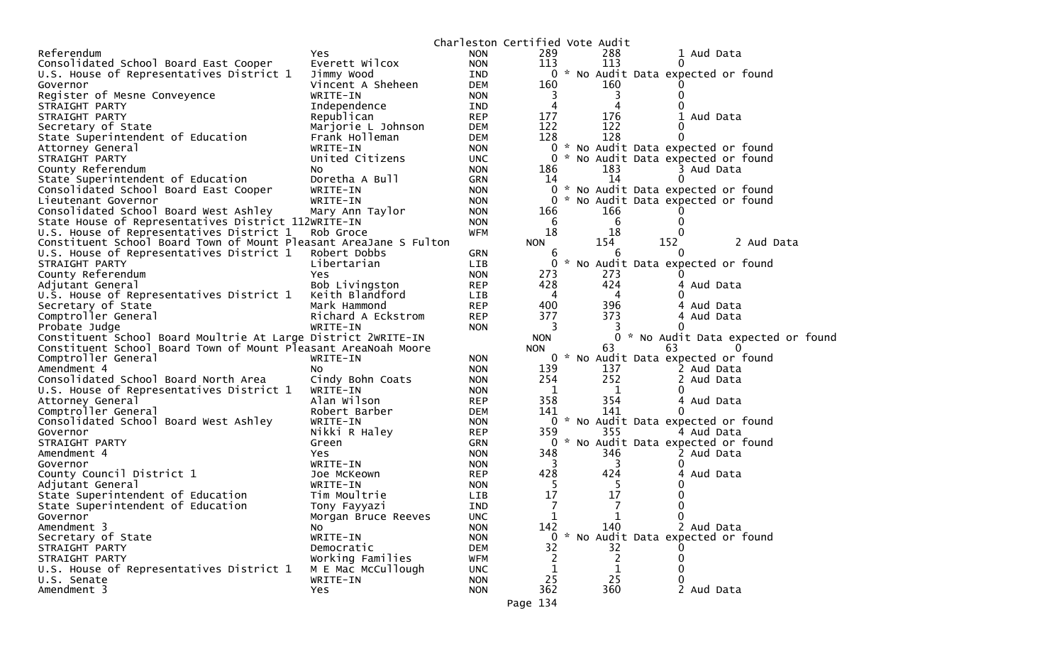|                                                                   |                     |            | Charleston Certified Vote Audit |       |     |          |                                     |
|-------------------------------------------------------------------|---------------------|------------|---------------------------------|-------|-----|----------|-------------------------------------|
| Referendum                                                        | <b>Yes</b>          | <b>NON</b> | 289                             |       | 288 |          | 1 Aud Data                          |
| Consolidated School Board East Cooper                             | Everett Wilcox      | <b>NON</b> | 113                             |       | 113 | $\Omega$ |                                     |
| U.S. House of Representatives District 1                          | Jimmy Wood          | IND        |                                 |       |     |          | 0 * No Audit Data expected or found |
| Governor                                                          | Vincent A Sheheen   | <b>DEM</b> | 160                             |       | 160 |          |                                     |
| Register of Mesne Conveyence                                      | WRITE-IN            | <b>NON</b> | 3                               |       | 3   |          |                                     |
| STRAIGHT PARTY                                                    | Independence        | IND        | 4                               |       | 4   |          |                                     |
| STRAIGHT PARTY                                                    | Republican          | <b>REP</b> | 177                             |       | 176 |          | Aud Data                            |
| Secretary of State                                                | Marjorie L Johnson  | <b>DEM</b> | 122                             |       | 122 | $_{0}$   |                                     |
| State Superintendent of Education                                 | Frank Holleman      | <b>DEM</b> | 128                             |       | 128 | 0        |                                     |
| Attorney General                                                  | WRITE-IN            | <b>NON</b> | $\Omega$                        |       |     |          | * No Audit Data expected or found   |
| STRAIGHT PARTY                                                    | United Citizens     | <b>UNC</b> |                                 |       |     |          | 0 * No Audit Data expected or found |
| County Referendum                                                 | NO.                 | <b>NON</b> | 186                             |       | 183 |          | 3 Aud Data                          |
| State Superintendent of Education                                 | Doretha A Bull      | GRN        | 14                              |       | 14  | 0        |                                     |
| Consolidated School Board East Cooper                             | WRITE-IN            | <b>NON</b> |                                 |       |     |          | 0 * No Audit Data expected or found |
| Lieutenant Governor                                               | WRITE-IN            | <b>NON</b> | 0                               | ₩.    |     |          | No Audit Data expected or found     |
| Consolidated School Board West Ashley                             | Mary Ann Taylor     | <b>NON</b> | 166                             |       | 166 |          |                                     |
| State House of Representatives District 112WRITE-IN               |                     | <b>NON</b> | 6                               |       | 6   |          |                                     |
| U.S. House of Representatives District 1                          | Rob Groce           | WFM        | 18                              |       | 18  |          |                                     |
| Constituent School Board Town of Mount Pleasant AreaJane S Fulton |                     |            | <b>NON</b>                      |       | 154 | 152      | 2 Aud Data                          |
| U.S. House of Representatives District 1                          | Robert Dobbs        | <b>GRN</b> | 6                               |       | 6   | $\theta$ |                                     |
| STRAIGHT PARTY                                                    | Libertarian         | <b>LIB</b> | 0                               |       |     |          | * No Audit Data expected or found   |
| County Referendum                                                 | Yes                 | <b>NON</b> | 273                             |       | 273 |          |                                     |
| Adjutant General                                                  | Bob Livingston      | <b>REP</b> | 428                             |       | 424 |          | 4 Aud Data                          |
| U.S. House of Representatives District 1                          | Keith Blandford     | LIB        | 4                               |       | 4   |          |                                     |
| Secretary of State                                                | Mark Hammond        | <b>REP</b> | 400                             |       | 396 |          | Aud Data                            |
| Comptroller General                                               | Richard A Eckstrom  | <b>REP</b> | 377                             |       | 373 |          | 4 Aud Data                          |
| Probate Judge                                                     | WRITE-IN            | <b>NON</b> | 3                               |       |     |          |                                     |
| Constituent School Board Moultrie At Large District 2WRITE-IN     |                     |            | <b>NON</b>                      |       | 0.  |          | * No Audit Data expected or found   |
| Constituent School Board Town of Mount Pleasant AreaNoah Moore    |                     |            | <b>NON</b>                      |       | 63  | 63       |                                     |
| Comptroller General                                               | WRITE-IN            | <b>NON</b> |                                 | $0 *$ |     |          | No Audit Data expected or found     |
| Amendment 4                                                       | NO.                 | <b>NON</b> | 139                             |       | 137 |          | 2 Aud Data                          |
| Consolidated School Board North Area                              | Cindy Bohn Coats    | <b>NON</b> | 254                             |       | 252 |          | 2 Aud Data                          |
| U.S. House of Representatives District 1                          | WRITE-IN            | <b>NON</b> | 1                               |       | 1   | $\Omega$ |                                     |
| Attorney General                                                  | Alan Wilson         | <b>REP</b> | 358                             |       | 354 |          | 4 Aud Data                          |
| Comptroller General                                               | Robert Barber       | <b>DEM</b> | 141                             |       | 141 | 0        |                                     |
| Consolidated School Board West Ashley                             | WRITE-IN            | <b>NON</b> |                                 |       |     |          | 0 * No Audit Data expected or found |
| Governor                                                          | Nikki R Haley       | <b>REP</b> | 359                             |       | 355 |          | 4 Aud Data                          |
| STRAIGHT PARTY                                                    | Green               | GRN        |                                 |       |     |          | 0 * No Audit Data expected or found |
| Amendment 4                                                       | Yes                 | <b>NON</b> | 348                             |       | 346 |          | 2 Aud Data                          |
| Governor                                                          | WRITE-IN            | <b>NON</b> | 3                               |       | 3   | $\Omega$ |                                     |
| County Council District 1                                         | Joe McKeown         | <b>REP</b> | 428                             |       | 424 |          | Aud Data                            |
| Adjutant General                                                  | WRITE-IN            | <b>NON</b> | -5                              |       | Ь   |          |                                     |
| State Superintendent of Education                                 | Tim Moultrie        | LIB        | 17                              |       | 17  |          |                                     |
| State Superintendent of Education                                 | Tony Fayyazi        | <b>IND</b> | 7                               |       | 7   | 0        |                                     |
| Governor                                                          | Morgan Bruce Reeves | <b>UNC</b> | 1                               |       | 1   | 0        |                                     |
| Amendment 3                                                       | NO.                 | <b>NON</b> | 142                             |       | 140 |          | 2 Aud Data                          |
| Secretary of State                                                | WRITE-IN            | <b>NON</b> | 0                               |       |     |          | * No Audit Data expected or found   |
| STRAIGHT PARTY                                                    | Democratic          | <b>DEM</b> | 32                              |       | 32  |          |                                     |
| STRAIGHT PARTY                                                    | Working Families    | <b>WFM</b> | 2                               |       | 2   |          |                                     |
| U.S. House of Representatives District 1                          | M E Mac McCullough  | <b>UNC</b> | 1                               |       | 1   |          |                                     |
| U.S. Senate                                                       | WRITE-IN            | <b>NON</b> | 25                              |       | 25  |          |                                     |
| Amendment 3                                                       | Yes                 | <b>NON</b> | 362                             |       | 360 |          | 2 Aud Data                          |
|                                                                   |                     |            |                                 |       |     |          |                                     |
|                                                                   |                     |            | Page 134                        |       |     |          |                                     |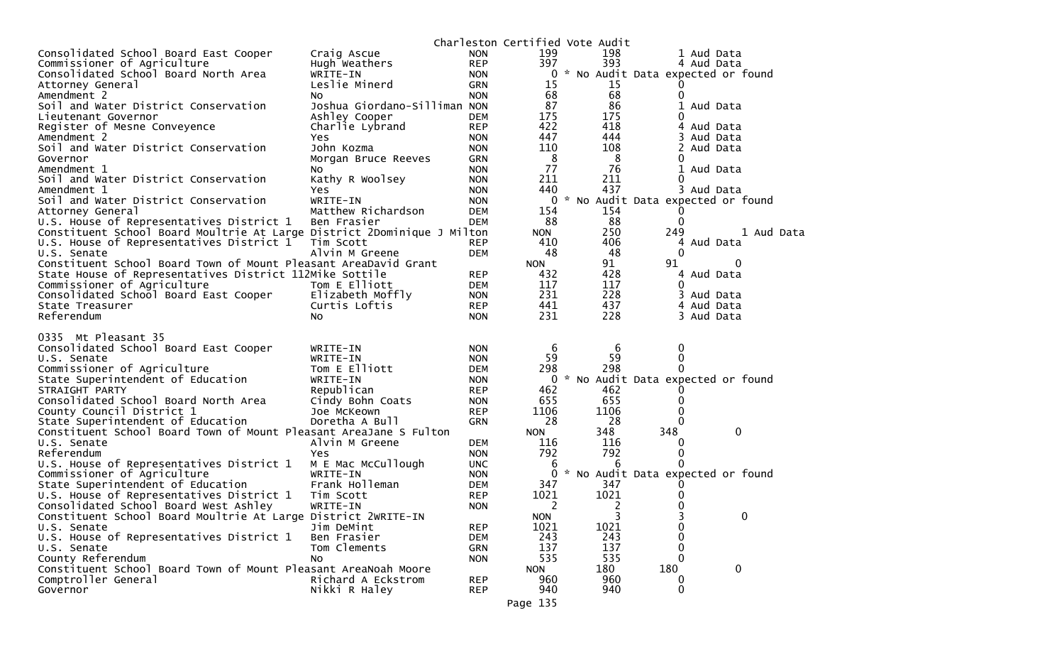|                                                                         |                              |            | Charleston Certified Vote Audit |     |      |                                     |            |            |  |
|-------------------------------------------------------------------------|------------------------------|------------|---------------------------------|-----|------|-------------------------------------|------------|------------|--|
| Consolidated School Board East Cooper                                   | Craig Ascue                  | <b>NON</b> | 199                             |     | 198  |                                     | 1 Aud Data |            |  |
| Commissioner of Agriculture                                             | Hugh Weathers                | <b>REP</b> | 397                             |     | 393  |                                     | 4 Aud Data |            |  |
| Consolidated School Board North Area                                    | WRITE-IN                     | <b>NON</b> |                                 |     |      | 0 * No Audit Data expected or found |            |            |  |
| Attorney General                                                        | Leslie Minerd                | GRN        | 15                              |     | 15   |                                     |            |            |  |
| Amendment 2                                                             | NO.                          | <b>NON</b> | 68                              |     | 68   | 0                                   |            |            |  |
| Soil and Water District Conservation                                    | Joshua Giordano-Silliman NON |            | 87                              |     | 86   |                                     | 1 Aud Data |            |  |
| Lieutenant Governor                                                     | Ashley Cooper                | <b>DEM</b> | 175                             |     | 175  | $\Omega$                            |            |            |  |
| Register of Mesne Conveyence                                            | Charlie Lybrand              | <b>REP</b> | 422                             |     | 418  |                                     | 4 Aud Data |            |  |
| Amendment 2                                                             | Yes                          | <b>NON</b> | 447                             |     | 444  |                                     | 3 Aud Data |            |  |
| Soil and Water District Conservation                                    | John Kozma                   | <b>NON</b> | 110                             |     | 108  | 2                                   | Aud Data   |            |  |
| Governor                                                                | Morgan Bruce Reeves          | GRN        | 8                               |     | 8    | 0                                   |            |            |  |
| Amendment 1                                                             | NO.                          | <b>NON</b> | 77                              |     | 76   |                                     | 1 Aud Data |            |  |
| Soil and Water District Conservation                                    | Kathy R Woolsey              | <b>NON</b> | 211                             |     | 211  | 0                                   |            |            |  |
| Amendment 1                                                             | Yes                          | <b>NON</b> | 440                             |     | 437  |                                     | 3 Aud Data |            |  |
| Soil and Water District Conservation                                    | WRITE-IN                     | <b>NON</b> |                                 |     |      | 0 * No Audit Data expected or found |            |            |  |
| Attorney General                                                        | Matthew Richardson           | <b>DEM</b> | 154                             |     | 154  |                                     |            |            |  |
| U.S. House of Representatives District 1                                | Ben Frasier                  | <b>DEM</b> | 88                              |     | 88   | 0                                   |            |            |  |
| Constituent School Board Moultrie At Large District 2Dominique J Milton |                              |            | <b>NON</b>                      |     | 250  | 249                                 |            | 1 Aud Data |  |
| U.S. House of Representatives District 1                                | Tim Scott                    | <b>REP</b> | 410                             |     | 406  |                                     | 4 Aud Data |            |  |
| U.S. Senate                                                             | Alvin M Greene               | <b>DEM</b> | 48                              |     | 48   | 0                                   |            |            |  |
| Constituent School Board Town of Mount Pleasant AreaDavid Grant         |                              |            | <b>NON</b>                      |     | 91   | 91                                  | 0          |            |  |
| State House of Representatives District 112Mike Sottile                 |                              | <b>REP</b> | 432                             |     | 428  |                                     | 4 Aud Data |            |  |
| Commissioner of Agriculture                                             | Tom E Elliott                | <b>DEM</b> | 117                             |     | 117  | $\Omega$                            |            |            |  |
| Consolidated School Board East Cooper                                   | Elizabeth Moffly             | <b>NON</b> | 231                             |     | 228  |                                     | 3 Aud Data |            |  |
| State Treasurer                                                         | Curtis Loftis                | <b>REP</b> | 441                             |     | 437  |                                     | 4 Aud Data |            |  |
| Referendum                                                              | NO.                          | <b>NON</b> | 231                             |     | 228  |                                     | 3 Aud Data |            |  |
|                                                                         |                              |            |                                 |     |      |                                     |            |            |  |
| 0335 Mt Pleasant 35                                                     |                              |            |                                 |     |      |                                     |            |            |  |
| Consolidated School Board East Cooper                                   | WRITE-IN                     | <b>NON</b> | 6                               |     | 6    | 0                                   |            |            |  |
| U.S. Senate                                                             | WRITE-IN                     | <b>NON</b> | 59                              |     | 59   | 0                                   |            |            |  |
| Commissioner of Agriculture                                             | Tom E Elliott                | <b>DEM</b> | 298                             |     | 298  |                                     |            |            |  |
| State Superintendent of Education                                       | WRITE-IN                     | <b>NON</b> |                                 |     |      | 0 * No Audit Data expected or found |            |            |  |
| STRAIGHT PARTY                                                          | Republican                   | <b>REP</b> | 462                             |     | 462  |                                     |            |            |  |
| Consolidated School Board North Area                                    | Cindy Bohn Coats             | <b>NON</b> | 655                             |     | 655  | $\Omega$                            |            |            |  |
| County Council District 1                                               | Joe McKeown                  | <b>REP</b> | 1106                            |     | 1106 |                                     |            |            |  |
| State Superintendent of Education                                       | Doretha A Bull               | <b>GRN</b> | 28                              |     | 28   |                                     |            |            |  |
| Constituent School Board Town of Mount Pleasant AreaJane S Fulton       |                              |            | <b>NON</b>                      | 348 |      | 348                                 | 0          |            |  |
| U.S. Senate                                                             | Alvin M Greene               | <b>DEM</b> | 116                             |     | 116  | 0                                   |            |            |  |
| Referendum                                                              | Yes                          | <b>NON</b> | 792                             |     | 792  | 0                                   |            |            |  |
| U.S. House of Representatives District 1                                | M E Mac McCullough           | <b>UNC</b> | 6                               |     | 6    |                                     |            |            |  |
| Commissioner of Agriculture                                             | WRITE-IN                     | <b>NON</b> | 0                               |     |      | * No Audit Data expected or found   |            |            |  |
| State Superintendent of Education                                       | Frank Holleman               | <b>DEM</b> | 347                             |     | 347  |                                     |            |            |  |
| U.S. House of Representatives District 1                                | Tim Scott                    | <b>REP</b> | 1021                            |     | 1021 |                                     |            |            |  |
| Consolidated School Board West Ashley                                   | WRITE-IN                     | <b>NON</b> | 2                               |     | 2    | 0                                   |            |            |  |
| Constituent School Board Moultrie At Large District 2WRITE-IN           |                              |            | <b>NON</b>                      |     | 3    | ͻ                                   | 0          |            |  |
| U.S. Senate                                                             | Jim DeMint                   | <b>REP</b> | 1021                            |     | 1021 | 0                                   |            |            |  |
| U.S. House of Representatives District 1                                | Ben Frasier                  | <b>DEM</b> | 243                             |     | 243  | 0                                   |            |            |  |
| U.S. Senate                                                             | Tom Clements                 | GRN        | 137                             |     | 137  |                                     |            |            |  |
| County Referendum                                                       | NO.                          | <b>NON</b> | 535                             |     | 535  | 0                                   |            |            |  |
| Constituent School Board Town of Mount Pleasant AreaNoah Moore          |                              |            | <b>NON</b>                      | 180 |      | 180                                 | 0          |            |  |
| Comptroller General                                                     | Richard A Eckstrom           | <b>REP</b> | 960                             |     | 960  | $\Omega$                            |            |            |  |
| Governor                                                                | Nikki R Haley                | <b>REP</b> | 940                             |     | 940  | $\Omega$                            |            |            |  |
|                                                                         |                              |            | Page 135                        |     |      |                                     |            |            |  |
|                                                                         |                              |            |                                 |     |      |                                     |            |            |  |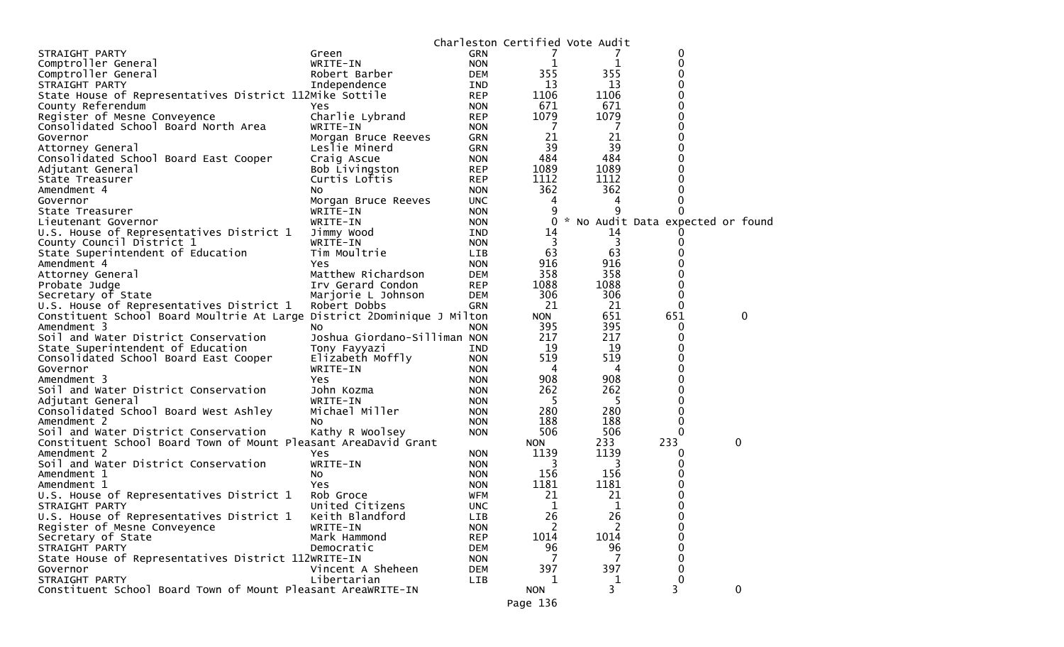|                                                                         |                              | Charleston Certified Vote Audit |            |      |             |                                     |
|-------------------------------------------------------------------------|------------------------------|---------------------------------|------------|------|-------------|-------------------------------------|
| STRAIGHT PARTY                                                          | Green                        | <b>GRN</b>                      |            |      | 0           |                                     |
| Comptroller General                                                     | WRITE-IN                     | <b>NON</b>                      | 1          | 1    | 0           |                                     |
| Comptroller General                                                     | Robert Barber                | <b>DEM</b>                      | 355        | 355  | 0           |                                     |
| STRAIGHT PARTY                                                          | Independence                 | IND.                            | 13         | 13   | 0           |                                     |
| State House of Representatives District 112Mike Sottile                 |                              | <b>REP</b>                      | 1106       | 1106 | 0           |                                     |
| County Referendum                                                       | Yes                          | <b>NON</b>                      | 671        | 671  | 0           |                                     |
| Register of Mesne Conveyence                                            | Charlie Lybrand              | <b>REP</b>                      | 1079       | 1079 | 0           |                                     |
| Consolidated School Board North Area                                    | WRITE-IN                     | <b>NON</b>                      | 7          | -7   | 0           |                                     |
| Governor                                                                | Morgan Bruce Reeves          | <b>GRN</b>                      | 21         | 21   | 0           |                                     |
| Attorney General                                                        | Leslie Minerd                | <b>GRN</b>                      | 39         | 39   | 0           |                                     |
| Consolidated School Board East Cooper                                   | Craig Ascue                  | <b>NON</b>                      | 484        | 484  | 0           |                                     |
| Adjutant General                                                        | Bob Livingston               | <b>REP</b>                      | 1089       | 1089 | 0           |                                     |
| State Treasurer                                                         | Curtis Loftis                | <b>REP</b>                      | 1112       | 1112 | 0           |                                     |
| Amendment 4                                                             | No                           | <b>NON</b>                      | 362        | 362  | 0           |                                     |
| Governor                                                                | Morgan Bruce Reeves          | <b>UNC</b>                      | 4          | 4    | 0           |                                     |
| State Treasurer                                                         | WRITE-IN                     | <b>NON</b>                      |            | q    | 0           |                                     |
| Lieutenant Governor                                                     | WRITE-IN                     | <b>NON</b>                      |            |      |             | 0 * No Audit Data expected or found |
| U.S. House of Representatives District 1                                | Jimmy Wood                   | IND                             | 14         | 14   |             |                                     |
| County Council District 1                                               | WRITE-IN                     | <b>NON</b>                      | 3          | 3    | 0           |                                     |
| State Superintendent of Education                                       | Tim Moultrie                 | LIB                             | 63         | 63   | 0           |                                     |
| Amendment 4                                                             | Yes                          | <b>NON</b>                      | 916        | 916  | 0           |                                     |
| Attorney General                                                        | Matthew Richardson           | <b>DEM</b>                      | 358        | 358  | 0           |                                     |
| Probate Judge                                                           | Irv Gerard Condon            | <b>REP</b>                      | 1088       | 1088 | 0           |                                     |
| Secretary of State                                                      | Marjorie L Johnson           | DEM                             | 306        | 306  | 0           |                                     |
| U.S. House of Representatives District 1                                | Robert Dobbs                 | <b>GRN</b>                      | 21         | 21   | 0           |                                     |
| Constituent School Board Moultrie At Large District 2Dominique J Milton |                              |                                 | <b>NON</b> | 651  | 651         | 0                                   |
| Amendment 3                                                             | No.                          | <b>NON</b>                      | 395        | 395  | 0           |                                     |
| Soil and Water District Conservation                                    | Joshua Giordano-Silliman NON |                                 | 217        | 217  | 0           |                                     |
| State Superintendent of Education                                       | Tony Fayyazi                 | IND                             | 19         | 19   | 0           |                                     |
| Consolidated School Board East Cooper                                   | Elizabeth Moffly             | <b>NON</b>                      | 519        | 519  | 0           |                                     |
| Governor                                                                | WRITE-IN                     | <b>NON</b>                      | 4          | 4    | 0           |                                     |
| Amendment 3                                                             | Yes.                         | <b>NON</b>                      | 908        | 908  | 0           |                                     |
| Soil and Water District Conservation                                    | John Kozma                   | <b>NON</b>                      | 262        | 262  | 0           |                                     |
| Adjutant General                                                        | WRITE-IN                     | <b>NON</b>                      | -5         | 5    | 0           |                                     |
| Consolidated School Board West Ashley                                   | Michael Miller               | <b>NON</b>                      | 280        | 280  | 0           |                                     |
| Amendment 2                                                             | No.                          | <b>NON</b>                      | 188        | 188  | 0           |                                     |
| Soil and Water District Conservation                                    | Kathy R Woolsey              | <b>NON</b>                      | 506        | 506  | 0           |                                     |
| Constituent School Board Town of Mount Pleasant AreaDavid Grant         |                              |                                 | <b>NON</b> | 233  | 233         | 0                                   |
| Amendment 2                                                             | Yes                          | <b>NON</b>                      | 1139       | 1139 | 0           |                                     |
| Soil and Water District Conservation                                    | WRITE-IN                     | <b>NON</b>                      | 3          | 3    | 0           |                                     |
| Amendment 1                                                             | NO.                          | <b>NON</b>                      | 156        | 156  | 0           |                                     |
| Amendment 1                                                             | Yes                          | <b>NON</b>                      | 1181       | 1181 | 0           |                                     |
| U.S. House of Representatives District 1                                | Rob Groce                    | <b>WFM</b>                      | 21         | 21   | 0           |                                     |
| STRAIGHT PARTY                                                          | United Citizens              | <b>UNC</b>                      | 1          | 1    | 0           |                                     |
| U.S. House of Representatives District 1                                | Keith Blandford              | <b>LIB</b>                      | 26         | 26   | 0           |                                     |
| Register of Mesne Conveyence                                            | WRITE-IN                     | <b>NON</b>                      | 2          | 2    | 0           |                                     |
| Secretary of State                                                      | Mark Hammond                 | <b>REP</b>                      | 1014       | 1014 | 0           |                                     |
| STRAIGHT PARTY                                                          | Democratic                   | <b>DEM</b>                      | 96         | 96   | 0           |                                     |
| State House of Representatives District 112WRITE-IN                     |                              | <b>NON</b>                      | 7          | 7    | 0           |                                     |
| Governor                                                                | Vincent A Sheheen            | <b>DEM</b>                      | 397        | 397  | 0           |                                     |
| STRAIGHT PARTY                                                          | Libertarian                  | LIB                             | 1          | 1    | $\mathbf 0$ |                                     |
| Constituent School Board Town of Mount Pleasant AreaWRITE-IN            |                              |                                 | <b>NON</b> | 3    | 3           | $\mathbf 0$                         |
|                                                                         |                              |                                 |            |      |             |                                     |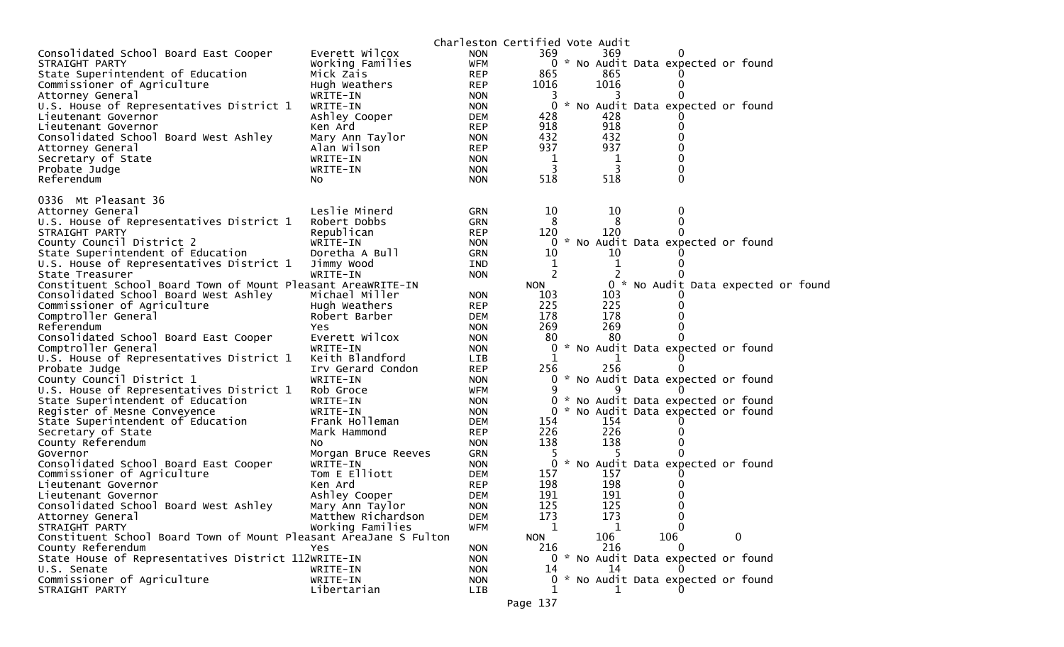|                                                                   |                     |            | Charleston Certified Vote Audit |      |                                     |   |                                     |
|-------------------------------------------------------------------|---------------------|------------|---------------------------------|------|-------------------------------------|---|-------------------------------------|
| Consolidated School Board East Cooper                             | Everett Wilcox      | <b>NON</b> | 369                             | 369. |                                     |   |                                     |
| STRAIGHT PARTY                                                    | Working Families    | <b>WFM</b> |                                 |      | 0 * No Audit Data expected or found |   |                                     |
| State Superintendent of Education                                 | Mick Zais           | <b>REP</b> | 865                             | 865  |                                     |   |                                     |
| Commissioner of Agriculture                                       | Hugh Weathers       | <b>REP</b> | 1016                            | 1016 | $_{0}$                              |   |                                     |
| Attorney General                                                  | WRITE-IN            | <b>NON</b> | 3                               |      |                                     |   |                                     |
| U.S. House of Representatives District 1                          | WRITE-IN            | <b>NON</b> | 0                               |      | * No Audit Data expected or found   |   |                                     |
| Lieutenant Governor                                               | Ashley Cooper       | <b>DEM</b> | 428                             | 428  |                                     |   |                                     |
| Lieutenant Governor                                               | Ken Ard             | <b>REP</b> | 918                             | 918  | 0                                   |   |                                     |
| Consolidated School Board West Ashley                             | Mary Ann Taylor     | <b>NON</b> | 432                             | 432  | 0                                   |   |                                     |
| Attorney General                                                  | Alan Wilson         | <b>REP</b> | 937                             | 937  |                                     |   |                                     |
| Secretary of State                                                | WRITE-IN            | <b>NON</b> | 1                               | 1    | 0                                   |   |                                     |
| Probate Judge                                                     | WRITE-IN            | <b>NON</b> | 3                               | 3    | 0                                   |   |                                     |
| Referendum                                                        | NO.                 | <b>NON</b> | 518                             | 518  | 0                                   |   |                                     |
| 0336 Mt Pleasant 36                                               |                     |            |                                 |      |                                     |   |                                     |
| Attorney General                                                  | Leslie Minerd       | GRN        | 10                              | 10   | 0                                   |   |                                     |
| U.S. House of Representatives District 1                          | Robert Dobbs        | GRN        | 8                               | 8    | 0                                   |   |                                     |
| STRAIGHT PARTY                                                    | Republican          | <b>REP</b> | 120                             | 120  |                                     |   |                                     |
| County Council District 2                                         | WRITE-IN            | <b>NON</b> | 0<br>*                          |      | No Audit Data expected or found     |   |                                     |
| State Superintendent of Education                                 | Doretha A Bull      | GRN        | 10                              | 10   |                                     |   |                                     |
| U.S. House of Representatives District 1                          | Jimmy Wood          | <b>IND</b> | 1                               | 1    |                                     |   |                                     |
| State Treasurer                                                   | WRITE-IN            | <b>NON</b> | 2                               |      |                                     |   |                                     |
| Constituent School Board Town of Mount Pleasant AreaWRITE-IN      |                     |            | <b>NON</b>                      |      |                                     |   | 0 * No Audit Data expected or found |
| Consolidated School Board West Ashley                             | Michael Miller      | <b>NON</b> | 103                             | 103  |                                     |   |                                     |
| Commissioner of Agriculture                                       | Hugh Weathers       | <b>REP</b> | 225                             | 225  |                                     |   |                                     |
| Comptroller General                                               | Robert Barber       | <b>DEM</b> | 178                             | 178  |                                     |   |                                     |
| Referendum                                                        | Yes                 | <b>NON</b> | 269                             | 269  | 0                                   |   |                                     |
| Consolidated School Board East Cooper                             | Everett Wilcox      | <b>NON</b> | 80                              | 80   |                                     |   |                                     |
| Comptroller General                                               | WRITE-IN            | <b>NON</b> |                                 |      | 0 * No Audit Data expected or found |   |                                     |
| U.S. House of Representatives District 1                          | Keith Blandford     | <b>LIB</b> | 1                               |      |                                     |   |                                     |
| Probate Judge                                                     | Irv Gerard Condon   | <b>REP</b> | 256                             | 256  |                                     |   |                                     |
| County Council District 1                                         | WRITE-IN            | <b>NON</b> |                                 |      | 0 * No Audit Data expected or found |   |                                     |
| U.S. House of Representatives District 1                          | Rob Groce           | WFM        | 9                               |      |                                     |   |                                     |
| State Superintendent of Education                                 | WRITE-IN            | <b>NON</b> | 0<br>ж,                         |      | No Audit Data expected or found     |   |                                     |
| Register of Mesne Conveyence                                      | WRITE-IN            | <b>NON</b> |                                 |      | 0 * No Audit Data expected or found |   |                                     |
| State Superintendent of Education                                 | Frank Holleman      | <b>DEM</b> | 154                             | 154  |                                     |   |                                     |
| Secretary of State                                                | Mark Hammond        | <b>REP</b> | 226                             | 226  | $_{0}$                              |   |                                     |
| County Referendum                                                 | No.                 | <b>NON</b> | 138                             | 138  | 0                                   |   |                                     |
| Governor                                                          | Morgan Bruce Reeves | GRN        | 5                               |      |                                     |   |                                     |
| Consolidated School Board East Cooper                             | WRITE-IN            | <b>NON</b> | $\mathbf{0}$                    |      | * No Audit Data expected or found   |   |                                     |
| Commissioner of Agriculture                                       | Tom E Elliott       | <b>DEM</b> | 157                             | 157  |                                     |   |                                     |
| Lieutenant Governor                                               | Ken Ard             | <b>REP</b> | 198                             | 198  | $_{0}$                              |   |                                     |
| Lieutenant Governor                                               | Ashley Cooper       | <b>DEM</b> | 191                             | 191  | 0                                   |   |                                     |
| Consolidated School Board West Ashley                             | Mary Ann Taylor     | <b>NON</b> | 125                             | 125  | 0                                   |   |                                     |
| Attorney General                                                  | Matthew Richardson  | <b>DEM</b> | 173                             | 173  | Ü                                   |   |                                     |
| STRAIGHT PARTY                                                    | Working Families    | <b>WFM</b> | 1                               | 1    |                                     |   |                                     |
| Constituent School Board Town of Mount Pleasant AreaJane S Fulton |                     |            | <b>NON</b>                      | 106  | 106                                 | 0 |                                     |
| County Referendum                                                 | Yes                 | <b>NON</b> | 216                             | 216  |                                     |   |                                     |
| State House of Representatives District 112WRITE-IN               |                     | <b>NON</b> |                                 |      | 0 * No Audit Data expected or found |   |                                     |
| U.S. Senate                                                       | WRITE-IN            | <b>NON</b> | 14                              | 14   |                                     |   |                                     |
| Commissioner of Agriculture                                       | WRITE-IN            | <b>NON</b> |                                 |      | * No Audit Data expected or found   |   |                                     |
| STRAIGHT PARTY                                                    | Libertarian         | LIB        |                                 |      |                                     |   |                                     |
|                                                                   |                     |            | Page 137                        |      |                                     |   |                                     |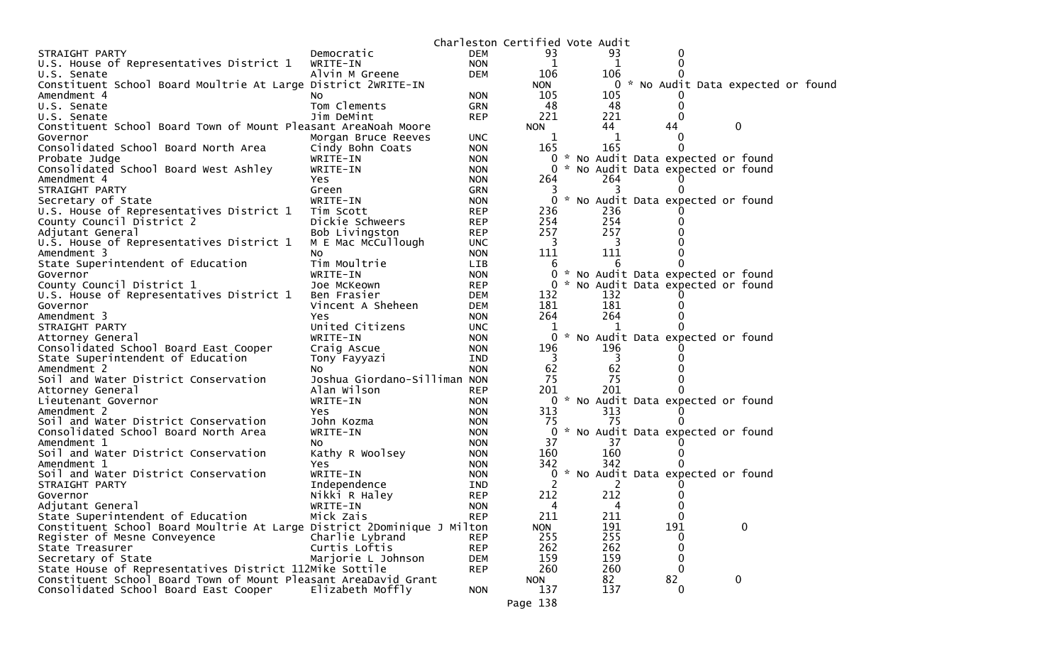|                                                                         |                              | Charleston Certified Vote Audit |                |     |          |                                     |             |  |  |
|-------------------------------------------------------------------------|------------------------------|---------------------------------|----------------|-----|----------|-------------------------------------|-------------|--|--|
| STRAIGHT PARTY                                                          | Democratic                   | <b>DEM</b>                      | 93             | 93  |          |                                     |             |  |  |
| U.S. House of Representatives District 1                                | WRITE-IN                     | <b>NON</b>                      | 1              | 1   |          |                                     |             |  |  |
| U.S. Senate                                                             | Alvin M Greene               | <b>DEM</b>                      | 106            | 106 |          |                                     |             |  |  |
| Constituent School Board Moultrie At Large District 2WRITE-IN           |                              |                                 | <b>NON</b>     |     |          | 0 * No Audit Data expected or found |             |  |  |
| Amendment 4                                                             | NO.                          | <b>NON</b>                      | 105            | 105 |          |                                     |             |  |  |
| U.S. Senate                                                             | Tom Clements                 | GRN                             | 48             | 48  | 0        |                                     |             |  |  |
| U.S. Senate                                                             | Jim DeMint                   | <b>REP</b>                      | 221            | 221 | 0        |                                     |             |  |  |
| Constituent School Board Town of Mount Pleasant AreaNoah Moore          |                              |                                 | <b>NON</b>     | 44  | 44       |                                     | 0           |  |  |
| Governor                                                                | Morgan Bruce Reeves          | <b>UNC</b>                      | 1              | 1   | $\Omega$ |                                     |             |  |  |
| Consolidated School Board North Area                                    | Cindy Bohn Coats             | <b>NON</b>                      | 165            | 165 |          |                                     |             |  |  |
| Probate Judge                                                           | WRITE-IN                     | <b>NON</b>                      | $\overline{0}$ |     |          | * No Audit Data expected or found   |             |  |  |
| Consolidated School Board West Ashley                                   | WRITE-IN                     | <b>NON</b>                      | 0              |     |          | * No Audit Data expected or found   |             |  |  |
| Amendment 4                                                             | Yes                          | <b>NON</b>                      | 264            | 264 |          |                                     |             |  |  |
| STRAIGHT PARTY                                                          | Green                        | <b>GRN</b>                      | 3              |     |          |                                     |             |  |  |
| Secretary of State                                                      | WRITE-IN                     | <b>NON</b>                      | 0              |     |          | * No Audit Data expected or found   |             |  |  |
| U.S. House of Representatives District 1                                | Tim Scott                    | <b>REP</b>                      | 236            | 236 |          |                                     |             |  |  |
| County Council District 2                                               | Dickie Schweers              | <b>REP</b>                      | 254            | 254 |          |                                     |             |  |  |
| Adjutant General                                                        | Bob Livingston               | <b>REP</b>                      | 257            | 257 |          |                                     |             |  |  |
| U.S. House of Representatives District 1                                | M E Mac McCullough           | <b>UNC</b>                      | 3              | 3   |          |                                     |             |  |  |
| Amendment 3                                                             | No                           | <b>NON</b>                      | 111            | 111 |          |                                     |             |  |  |
| State Superintendent of Education                                       | Tim Moultrie                 | LIB                             | 6              |     |          |                                     |             |  |  |
| Governor                                                                | WRITE-IN                     | <b>NON</b>                      | 0              |     |          | * No Audit Data expected or found   |             |  |  |
| County Council District 1                                               | Joe McKeown                  | <b>REP</b>                      | $\Omega$       |     |          | * No Audit Data expected or found   |             |  |  |
| U.S. House of Representatives District 1                                | Ben Frasier                  | <b>DEM</b>                      | 132            | 132 |          |                                     |             |  |  |
| Governor                                                                | Vincent A Sheheen            | <b>DEM</b>                      | 181            | 181 |          |                                     |             |  |  |
| Amendment 3                                                             | Yes                          | <b>NON</b>                      | 264            | 264 |          |                                     |             |  |  |
| STRAIGHT PARTY                                                          | United Citizens              | <b>UNC</b>                      | 1              |     |          |                                     |             |  |  |
| Attorney General                                                        | WRITE-IN                     | <b>NON</b>                      | 0              |     |          | * No Audit Data expected or found   |             |  |  |
| Consolidated School Board East Cooper                                   | Craig Ascue                  | <b>NON</b>                      | 196            | 196 |          |                                     |             |  |  |
| State Superintendent of Education                                       | Tony Fayyazi                 | <b>IND</b>                      | -3             | 3   |          |                                     |             |  |  |
| Amendment 2                                                             | NO.                          | <b>NON</b>                      | 62             | 62  |          |                                     |             |  |  |
| Soil and Water District Conservation                                    | Joshua Giordano-Silliman NON |                                 | 75             | 75  |          |                                     |             |  |  |
| Attorney General                                                        | Alan Wilson                  | <b>REP</b>                      | 201            | 201 |          |                                     |             |  |  |
| Lieutenant Governor                                                     | WRITE-IN                     | <b>NON</b>                      |                |     |          | 0 * No Audit Data expected or found |             |  |  |
| Amendment 2                                                             | Yes                          | <b>NON</b>                      | 313            | 313 |          |                                     |             |  |  |
| Soil and Water District Conservation                                    | John Kozma                   | <b>NON</b>                      | 75             | 75  |          |                                     |             |  |  |
| Consolidated School Board North Area                                    | WRITE-IN                     | <b>NON</b>                      | 0              |     |          | * No Audit Data expected or found   |             |  |  |
| Amendment 1                                                             | NO.                          | <b>NON</b>                      | 37             | 37  |          |                                     |             |  |  |
| Soil and Water District Conservation                                    | Kathy R Woolsey              | <b>NON</b>                      | 160            | 160 |          |                                     |             |  |  |
| Amendment 1                                                             | Yes                          | <b>NON</b>                      | 342            | 342 |          |                                     |             |  |  |
| Soil and Water District Conservation                                    | WRITE-IN                     | <b>NON</b>                      | 0              |     |          | * No Audit Data expected or found   |             |  |  |
| STRAIGHT PARTY                                                          | Independence                 | <b>IND</b>                      |                |     |          |                                     |             |  |  |
| Governor                                                                | Nikki R Haley                | <b>REP</b>                      | 212            | 212 |          |                                     |             |  |  |
| Adjutant General                                                        | WRITE-IN                     | <b>NON</b>                      | 4              | 4   |          |                                     |             |  |  |
| State Superintendent of Education                                       | Mick Zais                    | <b>REP</b>                      | 211            | 211 | 0        |                                     |             |  |  |
| Constituent School Board Moultrie At Large District 2Dominique J Milton |                              |                                 | <b>NON</b>     | 191 | 191      |                                     | $\mathbf 0$ |  |  |
| Register of Mesne Conveyence                                            | Charlie Lybrand              | <b>REP</b>                      | 255            | 255 | 0        |                                     |             |  |  |
| State Treasurer                                                         | Curtis Loftis                | <b>REP</b>                      | 262            | 262 | $\Omega$ |                                     |             |  |  |
| Secretary of State                                                      | Marjorie L Johnson           | <b>DEM</b>                      | 159            | 159 | 0        |                                     |             |  |  |
| State House of Representatives District 112Mike Sottile                 |                              | <b>REP</b>                      | 260            | 260 | $\Omega$ |                                     |             |  |  |
| Constituent School Board Town of Mount Pleasant AreaDavid Grant         |                              |                                 | <b>NON</b>     | 82  | 82       |                                     | $\mathbf 0$ |  |  |
| Consolidated School Board East Cooper                                   | Elizabeth Moffly             | <b>NON</b>                      | 137            | 137 |          | 0                                   |             |  |  |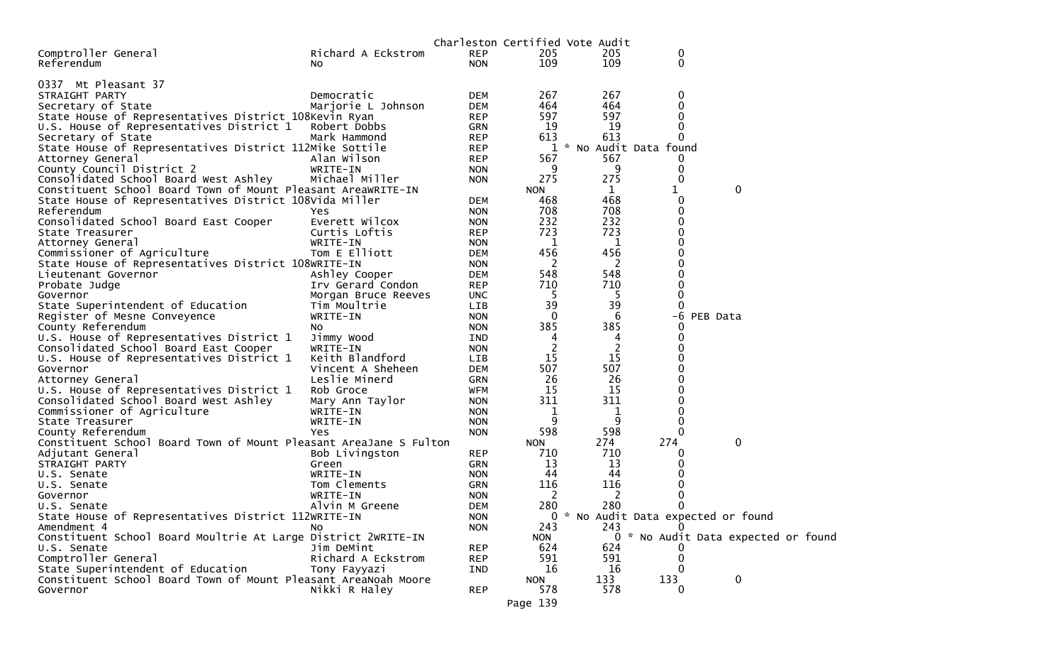|                                                                                                   |                             |                          |                | Charleston Certified Vote Audit |        |                                     |  |
|---------------------------------------------------------------------------------------------------|-----------------------------|--------------------------|----------------|---------------------------------|--------|-------------------------------------|--|
| Comptroller General                                                                               | Richard A Eckstrom          | <b>REP</b>               | 205            | 205                             | 0      |                                     |  |
| Referendum                                                                                        | NO.                         | <b>NON</b>               | 109            | 109                             | 0      |                                     |  |
|                                                                                                   |                             |                          |                |                                 |        |                                     |  |
| 0337 Mt Pleasant 37                                                                               |                             |                          |                |                                 |        |                                     |  |
| STRAIGHT PARTY                                                                                    | Democratic                  | <b>DEM</b>               | 267<br>464     | 267<br>464                      | 0<br>0 |                                     |  |
| Secretary of State                                                                                | Marjorie L Johnson          | <b>DEM</b><br><b>REP</b> | 597            | 597                             |        |                                     |  |
| State House of Representatives District 108Kevin Ryan<br>U.S. House of Representatives District 1 | Robert Dobbs                | <b>GRN</b>               | 19             | 19                              | 0      |                                     |  |
| Secretary of State                                                                                | Mark Hammond                | <b>REP</b>               | 613            | 613                             | 0      |                                     |  |
| State House of Representatives District 112Mike Sottile                                           |                             | <b>REP</b>               | 1              | * No Audit Data found           |        |                                     |  |
| Attorney General                                                                                  | Alan Wilson                 | <b>REP</b>               | 567            | 567                             | U      |                                     |  |
| County Council District 2                                                                         | WRITE-IN                    | <b>NON</b>               | 9              | 9                               | 0      |                                     |  |
| Consolidated School Board West Ashley                                                             | Michael Miller              | <b>NON</b>               | 275            | 275                             | 0      |                                     |  |
| Constituent School Board Town of Mount Pleasant AreaWRITE-IN                                      |                             |                          | <b>NON</b>     | $\mathbf{1}$                    | 1      | 0                                   |  |
| State House of Representatives District 108Vida Miller                                            |                             | DEM                      | 468            | 468                             | 0      |                                     |  |
| Referendum                                                                                        | Yes                         | <b>NON</b>               | 708            | 708                             |        |                                     |  |
| Consolidated School Board East Cooper                                                             | Everett Wilcox              | <b>NON</b>               | 232            | 232                             |        |                                     |  |
| State Treasurer                                                                                   | Curtis Loftis               | <b>REP</b>               | 723            | 723                             |        |                                     |  |
| Attorney General                                                                                  | WRITE-IN                    | <b>NON</b>               | 1              | $\mathbf 1$                     |        |                                     |  |
| Commissioner of Agriculture                                                                       | Tom E Elliott               | <b>DEM</b>               | 456            | 456                             |        |                                     |  |
| State House of Representatives District 108WRITE-IN                                               |                             | <b>NON</b>               | 2              | 2                               |        |                                     |  |
| Lieutenant Governor                                                                               | Ashley Cooper               | <b>DEM</b>               | 548            | 548                             |        |                                     |  |
| Probate Judge                                                                                     | Irv Gerard Condon           | <b>REP</b>               | 710            | 710                             |        |                                     |  |
| Governor                                                                                          | Morgan Bruce Reeves         | <b>UNC</b>               | 5              | 5                               | 0      |                                     |  |
| State Superintendent of Education                                                                 | Tim Moultrie                | LIB                      | 39             | 39                              | 0      |                                     |  |
| Register of Mesne Conveyence                                                                      | WRITE-IN                    | <b>NON</b>               | 0              | 6                               | -6     | PEB Data                            |  |
| County Referendum                                                                                 | No.                         | <b>NON</b>               | 385            | 385                             | O      |                                     |  |
| U.S. House of Representatives District 1                                                          | Jimmy Wood                  | IND                      | 4              | 4                               |        |                                     |  |
| Consolidated School Board East Cooper                                                             | WRITE-IN                    | <b>NON</b>               | $\overline{c}$ | 2                               |        |                                     |  |
| U.S. House of Representatives District 1                                                          | Keith Blandford             | LIB                      | 15             | 15                              |        |                                     |  |
| Governor                                                                                          | Vincent A Sheheen           | DEM                      | 507            | 507                             |        |                                     |  |
| Attorney General                                                                                  | Leslie Minerd<br>Rob Groce  | <b>GRN</b><br>WFM        | 26<br>15       | 26<br>15                        |        |                                     |  |
| U.S. House of Representatives District 1<br>Consolidated School Board West Ashley                 |                             |                          | 311            | 311                             |        |                                     |  |
| Commissioner of Agriculture                                                                       | Mary Ann Taylor<br>WRITE-IN | <b>NON</b><br><b>NON</b> | 1              | 1                               |        |                                     |  |
| State Treasurer                                                                                   | WRITE-IN                    | <b>NON</b>               | 9              | 9                               | 0      |                                     |  |
| County Referendum                                                                                 | Yes                         | <b>NON</b>               | 598            | 598                             | 0      |                                     |  |
| Constituent School Board Town of Mount Pleasant AreaJane S Fulton                                 |                             |                          | <b>NON</b>     | 274                             | 274    | 0                                   |  |
| Adjutant General                                                                                  | Bob Livingston              | <b>REP</b>               | 710            | 710                             |        |                                     |  |
| STRAIGHT PARTY                                                                                    | Green                       | <b>GRN</b>               | 13             | 13                              |        |                                     |  |
| U.S. Senate                                                                                       | WRITE-IN                    | <b>NON</b>               | 44             | 44                              |        |                                     |  |
| U.S. Senate                                                                                       | Tom Clements                | GRN                      | 116            | 116                             |        |                                     |  |
| Governor                                                                                          | WRITE-IN                    | <b>NON</b>               | 2              | 2                               |        |                                     |  |
| U.S. Senate                                                                                       | Alvin M Greene              | <b>DEM</b>               | 280            | 280                             |        |                                     |  |
| State House of Representatives District 112WRITE-IN                                               |                             | <b>NON</b>               |                |                                 |        | 0 * No Audit Data expected or found |  |
| Amendment 4                                                                                       | NO.                         | <b>NON</b>               | 243            | 243                             |        |                                     |  |
| Constituent School Board Moultrie At Large District 2WRITE-IN                                     |                             |                          | <b>NON</b>     |                                 |        | 0 * No Audit Data expected or found |  |
| U.S. Senate                                                                                       | Jim DeMint                  | <b>REP</b>               | 624            | 624                             |        |                                     |  |
| Comptroller General                                                                               | Richard A Eckstrom          | <b>REP</b>               | 591            | 591                             |        |                                     |  |
| State Superintendent of Education                                                                 | Tony Fayyazi                | IND                      | 16             | 16                              |        |                                     |  |
| Constituent School Board Town of Mount Pleasant AreaNoah Moore                                    |                             |                          | <b>NON</b>     | 133                             | 133    | 0                                   |  |
| Governor                                                                                          | Nikki R Haley               | <b>REP</b>               | 578            | 578                             | 0      |                                     |  |
|                                                                                                   |                             |                          | Page 139       |                                 |        |                                     |  |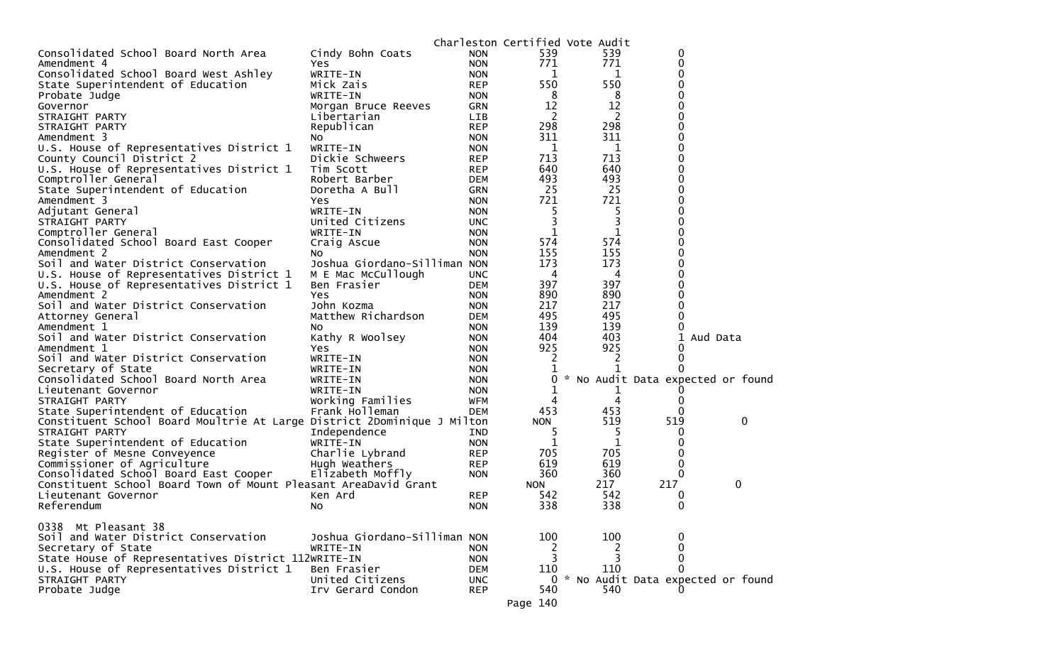|                                                                         |                                     |                          |                    | Charleston Certified Vote Audit |                                   |          |
|-------------------------------------------------------------------------|-------------------------------------|--------------------------|--------------------|---------------------------------|-----------------------------------|----------|
| Consolidated School Board North Area                                    | Cindy Bohn Coats                    | <b>NON</b>               | 539                | 539                             | 0                                 |          |
| Amendment 4                                                             | Yes                                 | <b>NON</b>               | 771                | 771                             | $\Omega$                          |          |
| Consolidated School Board West Ashley                                   | WRITE-IN                            | <b>NON</b>               | 1                  | 1                               | 0                                 |          |
| State Superintendent of Education                                       | Mick Zais                           | <b>REP</b>               | 550                | 550                             | 0                                 |          |
| Probate Judge                                                           | WRITE-IN                            | <b>NON</b>               | 8                  | 8                               | 0                                 |          |
| Governor                                                                | Morgan Bruce Reeves                 | <b>GRN</b>               | 12                 | 12                              | 0                                 |          |
| STRAIGHT PARTY                                                          | Libertarian                         | <b>LIB</b>               | $\overline{c}$     | 2                               |                                   |          |
| STRAIGHT PARTY                                                          | Republican                          | <b>REP</b>               | 298                | 298                             | 0                                 |          |
| Amendment 3                                                             | NO.                                 | <b>NON</b>               | 311                | 311                             |                                   |          |
| U.S. House of Representatives District 1                                | WRITE-IN                            | <b>NON</b>               | 1                  | 1                               | 0                                 |          |
| County Council District 2                                               | Dickie Schweers                     | <b>REP</b>               | 713                | 713                             | 0                                 |          |
| U.S. House of Representatives District 1                                | Tim Scott                           | <b>REP</b>               | 640                | 640                             | 0                                 |          |
| Comptroller General                                                     | Robert Barber                       | <b>DEM</b>               | 493                | 493                             | 0                                 |          |
| State Superintendent of Education                                       | Doretha A Bull                      | <b>GRN</b>               | 25                 | 25                              | 0                                 |          |
| Amendment 3                                                             | Yes                                 | <b>NON</b>               | 721                | 721                             |                                   |          |
| Adjutant General                                                        | WRITE-IN                            | <b>NON</b>               | 5<br>3             | 5<br>3                          | 0<br>0                            |          |
| STRAIGHT PARTY                                                          | United Citizens                     | <b>UNC</b>               |                    |                                 |                                   |          |
| Comptroller General                                                     | WRITE-IN                            | <b>NON</b>               | $\mathbf 1$<br>574 | 1<br>574                        |                                   |          |
| Consolidated School Board East Cooper<br>Amendment 2                    | Craig Ascue                         | <b>NON</b><br><b>NON</b> | 155                | 155                             | 0                                 |          |
| Soil and Water District Conservation                                    | No.<br>Joshua Giordano-Silliman NON |                          | 173                | 173                             |                                   |          |
| U.S. House of Representatives District 1                                | M E Mac McCullough                  | <b>UNC</b>               | 4                  | 4                               | 0                                 |          |
| U.S. House of Representatives District 1                                | Ben Frasier                         | <b>DEM</b>               | 397                | 397                             | 0                                 |          |
| Amendment 2                                                             | Yes                                 | <b>NON</b>               | 890                | 890                             | 0                                 |          |
| Soil and Water District Conservation                                    | John Kozma                          | <b>NON</b>               | 217                | 217                             | 0                                 |          |
| Attorney General                                                        | Matthew Richardson                  | <b>DEM</b>               | 495                | 495                             | 0                                 |          |
| Amendment 1                                                             | NO.                                 | <b>NON</b>               | 139                | 139                             | 0                                 |          |
| Soil and Water District Conservation                                    | Kathy R Woolsey                     | <b>NON</b>               | 404                | 403                             | 1                                 | Aud Data |
| Amendment 1                                                             | Yes                                 | <b>NON</b>               | 925                | 925                             | $\Omega$                          |          |
| Soil and Water District Conservation                                    | WRITE-IN                            | <b>NON</b>               | 2                  | 2                               | $\Omega$                          |          |
| Secretary of State                                                      | WRITE-IN                            | <b>NON</b>               |                    |                                 |                                   |          |
| Consolidated School Board North Area                                    | WRITE-IN                            | <b>NON</b>               | 0                  |                                 | * No Audit Data expected or found |          |
| Lieutenant Governor                                                     | WRITE-IN                            | <b>NON</b>               |                    | T                               |                                   |          |
| STRAIGHT PARTY                                                          | Working Families                    | WFM                      |                    | 4                               | 0                                 |          |
| State Superintendent of Education                                       | Frank Holleman                      | <b>DEM</b>               | 453                | 453                             | 0                                 |          |
| Constituent School Board Moultrie At Large District 2Dominique J Milton |                                     |                          | <b>NON</b>         | 519                             | 519                               | 0        |
| STRAIGHT PARTY                                                          | Independence                        | <b>IND</b>               | 5                  |                                 |                                   |          |
| State Superintendent of Education                                       | WRITE-IN                            | <b>NON</b>               | 1                  | 1                               | $\Omega$                          |          |
| Register of Mesne Conveyence                                            | Charlie Lybrand                     | <b>REP</b>               | 705                | 705                             | 0                                 |          |
| Commissioner of Agriculture                                             | Hugh Weathers                       | <b>REP</b>               | 619                | 619                             | 0                                 |          |
| Consolidated School Board East Cooper                                   | Elizabeth Moffly                    | <b>NON</b>               | 360                | 360                             | 0                                 |          |
| Constituent School Board Town of Mount Pleasant AreaDavid Grant         |                                     |                          | <b>NON</b>         | 217                             | 217                               | 0        |
| Lieutenant Governor                                                     | Ken Ard                             | <b>REP</b>               | 542                | 542                             | 0                                 |          |
| Referendum                                                              | No                                  | <b>NON</b>               | 338                | 338                             | 0                                 |          |
|                                                                         |                                     |                          |                    |                                 |                                   |          |
| 0338 Mt Pleasant 38                                                     |                                     |                          |                    |                                 |                                   |          |
| Soil and Water District Conservation                                    | Joshua Giordano-Silliman NON        |                          | 100                | 100                             | 0                                 |          |
| Secretary of State                                                      | WRITE-IN                            | <b>NON</b>               | 2                  | 2                               | 0                                 |          |
| State House of Representatives District 112WRITE-IN                     |                                     | <b>NON</b>               | 3                  | 3                               | $\Omega$                          |          |
| U.S. House of Representatives District 1                                | Ben Frasier                         | <b>DEM</b>               | 110                | 110                             | 0                                 |          |
| STRAIGHT PARTY                                                          | United Citizens                     | <b>UNC</b>               | 0                  |                                 | * No Audit Data expected or found |          |
| Probate Judge                                                           | Irv Gerard Condon                   | <b>REP</b>               | 540                | 540                             |                                   |          |
|                                                                         |                                     |                          | Page 140           |                                 |                                   |          |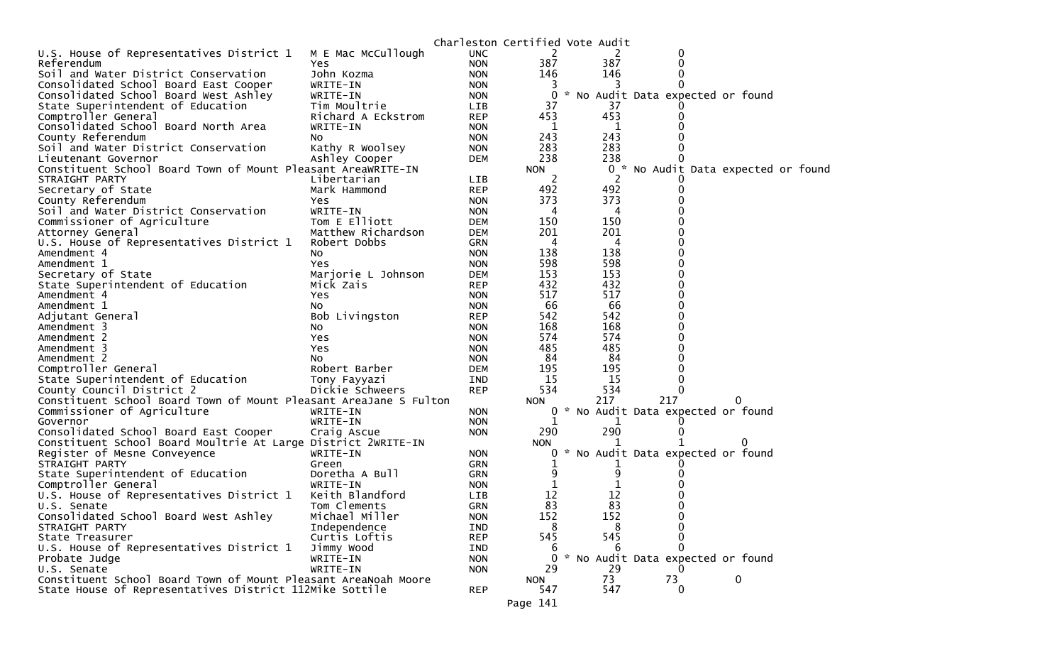|                                                                   |                                 |                          | Charleston Certified Vote Audit |            |                                     |          |  |
|-------------------------------------------------------------------|---------------------------------|--------------------------|---------------------------------|------------|-------------------------------------|----------|--|
| U.S. House of Representatives District 1                          | M E Mac McCullough              | <b>UNC</b>               | 2                               | 2          | 0                                   |          |  |
| Referendum                                                        | Yes.                            | <b>NON</b>               | 387                             | 387        | 0                                   |          |  |
| Soil and Water District Conservation                              | John Kozma                      | <b>NON</b>               | 146                             | 146        | 0                                   |          |  |
| Consolidated School Board East Cooper                             | WRITE-IN                        | <b>NON</b>               | 3                               |            |                                     |          |  |
| Consolidated School Board West Ashley                             | WRITE-IN                        | <b>NON</b>               | $\Omega$                        |            | * No Audit Data expected or found   |          |  |
| State Superintendent of Education                                 | Tim Moultrie                    | <b>LIB</b>               | 37                              | 37         |                                     |          |  |
| Comptroller General                                               | Richard A Eckstrom              | <b>REP</b>               | 453                             | 453        | $_{0}$                              |          |  |
| Consolidated School Board North Area                              | WRITE-IN                        | <b>NON</b>               | 1                               | 1          |                                     |          |  |
| County Referendum                                                 | NO.                             | <b>NON</b>               | 243                             | 243        |                                     |          |  |
| Soil and Water District Conservation                              | Kathy R Woolsey                 | <b>NON</b>               | 283                             | 283        |                                     |          |  |
| Lieutenant Governor                                               | Ashley Cooper                   | <b>DEM</b>               | 238                             | 238        |                                     |          |  |
| Constituent School Board Town of Mount Pleasant AreaWRITE-IN      |                                 |                          | <b>NON</b>                      |            | 0 * No Audit Data expected or found |          |  |
| STRAIGHT PARTY                                                    | Libertarian                     | <b>LIB</b>               | 2                               | 2          |                                     |          |  |
| Secretary of State                                                | Mark Hammond                    | <b>REP</b>               | 492                             | 492        |                                     |          |  |
| County Referendum                                                 | Yes                             | <b>NON</b>               | 373                             | 373        |                                     |          |  |
| Soil and Water District Conservation                              | WRITE-IN                        | <b>NON</b>               | 4                               | 4          |                                     |          |  |
| Commissioner of Agriculture                                       | Tom E Elliott                   | <b>DEM</b>               | 150                             | 150        |                                     |          |  |
| Attorney General                                                  | Matthew Richardson              | <b>DEM</b>               | 201                             | 201        |                                     |          |  |
| U.S. House of Representatives District 1                          | Robert Dobbs                    | <b>GRN</b>               | 4                               | 4          |                                     |          |  |
| Amendment 4                                                       | No                              | <b>NON</b>               | 138                             | 138        |                                     |          |  |
| Amendment 1                                                       | Yes                             | <b>NON</b>               | 598                             | 598        |                                     |          |  |
| Secretary of State                                                | Marjorie L Johnson              | <b>DEM</b>               | 153                             | 153        |                                     |          |  |
| State Superintendent of Education                                 | Mick Zais                       | <b>REP</b>               | 432                             | 432        |                                     |          |  |
| Amendment 4                                                       | Yes                             | <b>NON</b>               | 517                             | 517        |                                     |          |  |
| Amendment 1                                                       | NO.                             | <b>NON</b>               | 66                              | 66         |                                     |          |  |
| Adjutant General                                                  | Bob Livingston                  | <b>REP</b>               | 542<br>168                      | 542<br>168 |                                     |          |  |
| Amendment 3                                                       | No                              | <b>NON</b>               |                                 |            |                                     |          |  |
| Amendment 2                                                       | Yes                             | <b>NON</b>               | 574<br>485                      | 574<br>485 |                                     |          |  |
| Amendment 3                                                       | Yes                             | <b>NON</b>               | 84                              | 84         |                                     |          |  |
| Amendment 2<br>Comptroller General                                | No.<br>Robert Barber            | <b>NON</b><br><b>DEM</b> | 195                             | 195        |                                     |          |  |
|                                                                   |                                 | IND                      | 15                              | 15         | 0                                   |          |  |
| State Superintendent of Education<br>County Council District 2    | Tony Fayyazi<br>Dickie Schweers | <b>REP</b>               | 534                             | 534        | $\Omega$                            |          |  |
| Constituent School Board Town of Mount Pleasant AreaJane S Fulton |                                 |                          | <b>NON</b>                      | 217        | 217                                 | 0        |  |
| Commissioner of Agriculture                                       | WRITE-IN                        | <b>NON</b>               |                                 |            | 0 * No Audit Data expected or found |          |  |
| Governor                                                          | WRITE-IN                        | <b>NON</b>               | 1                               | 1          |                                     |          |  |
| Consolidated School Board East Cooper                             | Craig Ascue                     | <b>NON</b>               | 290                             | 290        |                                     |          |  |
| Constituent School Board Moultrie At Large District 2WRITE-IN     |                                 |                          | <b>NON</b>                      |            |                                     |          |  |
| Register of Mesne Conveyence                                      | WRITE-IN                        | <b>NON</b>               | 0                               |            | * No Audit Data expected or found   |          |  |
| STRAIGHT PARTY                                                    | Green                           | GRN                      |                                 |            |                                     |          |  |
| State Superintendent of Education                                 | Doretha A Bull                  | GRN                      | 9                               | 9          |                                     |          |  |
| Comptroller General                                               | WRITE-IN                        | <b>NON</b>               |                                 |            |                                     |          |  |
| U.S. House of Representatives District 1                          | Keith Blandford                 | <b>LIB</b>               | 12                              | 12         |                                     |          |  |
| U.S. Senate                                                       | Tom Clements                    | <b>GRN</b>               | 83                              | 83         | 0                                   |          |  |
| Consolidated School Board West Ashley                             | Michael Miller                  | <b>NON</b>               | 152                             | 152        | 0                                   |          |  |
| STRAIGHT PARTY                                                    | Independence                    | IND                      | 8                               | 8          | 0                                   |          |  |
| State Treasurer                                                   | Curtis Loftis                   | <b>REP</b>               | 545                             | 545        | 0                                   |          |  |
| U.S. House of Representatives District 1                          | Jimmy Wood                      | IND                      | 6                               | 6          | $\Omega$                            |          |  |
| Probate Judge                                                     | WRITE-IN                        | <b>NON</b>               | $\Omega$                        |            | * No Audit Data expected or found   |          |  |
| U.S. Senate                                                       | WRITE-IN                        | <b>NON</b>               | 29                              | 29         |                                     |          |  |
| Constituent School Board Town of Mount Pleasant AreaNoah Moore    |                                 |                          | <b>NON</b>                      | 73         | 73                                  | $\bf{0}$ |  |
| State House of Representatives District 112Mike Sottile           |                                 | <b>REP</b>               | 547                             | 547        | 0                                   |          |  |
|                                                                   |                                 |                          | Page 141                        |            |                                     |          |  |
|                                                                   |                                 |                          |                                 |            |                                     |          |  |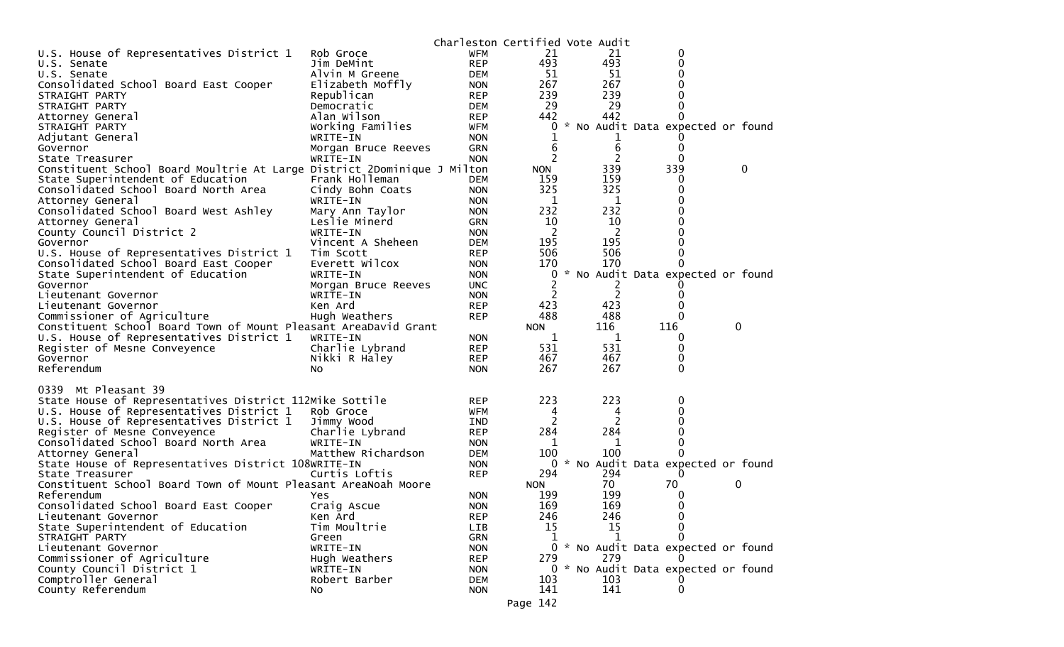| U.S. House of Representatives District 1<br><b>WFM</b><br>21<br>21<br>0<br>Rob Groce<br>493<br>493<br><b>REP</b><br>0<br>Jim DeMint<br>U.S. Senate<br>51<br>51<br>Alvin M Greene<br><b>DEM</b><br>0<br>U.S. Senate<br>267<br>267<br>Consolidated School Board East Cooper<br>Elizabeth Moffly<br><b>NON</b><br>239<br>239<br>Republican<br>STRAIGHT PARTY<br><b>REP</b><br>29<br>29<br>STRAIGHT PARTY<br>Democratic<br>DEM<br>Alan Wilson<br>442<br>442<br><b>REP</b><br>Attorney General<br>$_{0}$<br>$\mathcal{H}$<br>No Audit Data expected or found<br>Working Families<br>WFM<br>0<br>STRAIGHT PARTY<br>Adjutant General<br>WRITE-IN<br><b>NON</b><br>6<br>Governor<br>Morgan Bruce Reeves<br><b>GRN</b><br>6<br>$\Omega$<br>2<br>2<br>0<br>State Treasurer<br>WRITE-IN<br><b>NON</b><br>339<br>339<br>0<br>Constituent School Board Moultrie At Large District 2Dominique J Milton<br><b>NON</b><br>Frank Holleman<br>159<br>159<br>State Superintendent of Education<br><b>DEM</b><br>0<br>325<br>325<br>Consolidated School Board North Area<br>Cindy Bohn Coats<br>0<br><b>NON</b><br>1<br>1<br>Attorney General<br>WRITE-IN<br><b>NON</b><br>232<br>232<br>Consolidated School Board West Ashley<br>Mary Ann Taylor<br><b>NON</b><br>10<br>10<br>Attorney General<br>Leslie Minerd<br><b>GRN</b><br>0<br>$\overline{c}$<br>2<br>County Council District 2<br>WRITE-IN<br><b>NON</b><br>195<br>195<br>Vincent A Sheheen<br>Governor<br><b>DEM</b><br>506<br>506<br>U.S. House of Representatives District 1<br><b>REP</b><br>Tim Scott<br>0<br>Everett Wilcox<br>170<br>170<br>Consolidated School Board East Cooper<br><b>NON</b><br>0<br>* No Audit Data expected or found<br>State Superintendent of Education<br>WRITE-IN<br><b>NON</b><br>0<br><b>UNC</b><br>Governor<br>Morgan Bruce Reeves<br>$\overline{c}$<br>2<br>Lieutenant Governor<br>WRITE-IN<br><b>NON</b><br>0<br>423<br>423<br>Ken Ard<br><b>REP</b><br>Lieutenant Governor<br>488<br>488<br>Commissioner of Agriculture<br><b>REP</b><br>0<br>Hugh Weathers<br>0<br>Constituent School Board Town of Mount Pleasant AreaDavid Grant<br>116<br>116<br><b>NON</b><br>U.S. House of Representatives District 1<br>WRITE-IN<br>1<br>1<br><b>NON</b><br>0<br>531<br>531<br>Register of Mesne Conveyence<br>Charlie Lybrand<br><b>REP</b><br>0<br>467<br>467<br>0<br>Nikki R Haley<br>Governor<br><b>REP</b><br>267<br>267<br>$\Omega$<br>Referendum<br><b>NON</b><br>No.<br>Mt Pleasant 39<br>0339<br>223<br>223<br>State House of Representatives District 112Mike Sottile<br><b>REP</b><br>0<br>U.S. House of Representatives District 1<br>0<br>Rob Groce<br>WFM<br>4<br>4<br>2<br>2<br>U.S. House of Representatives District 1<br>0<br>Jimmy Wood<br>IND<br>284<br>284<br>Register of Mesne Conveyence<br>Charlie Lybrand<br><b>REP</b><br>0<br>Consolidated School Board North Area<br>WRITE-IN<br><b>NON</b><br>1<br>0<br>1<br>100<br>100<br>Matthew Richardson<br>Attorney General<br><b>DEM</b><br>0<br>State House of Representatives District 108WRITE-IN<br>0<br>* No Audit Data expected or found<br><b>NON</b><br>294<br>294<br>Curtis Loftis<br><b>REP</b><br>State Treasurer<br>$\Omega$<br>Constituent School Board Town of Mount Pleasant AreaNoah Moore<br>70<br>70<br>0<br><b>NON</b><br>199<br>Referendum<br>199<br><b>NON</b><br>Yes<br>0<br>169<br>Consolidated School Board East Cooper<br>169<br><b>NON</b><br>0<br>Craig Ascue<br>246<br>246<br>Ken Ard<br><b>REP</b><br>0<br>Lieutenant Governor<br>15<br>$\Omega$<br>State Superintendent of Education<br>Tim Moultrie<br>LIB<br>15<br>Green<br><b>GRN</b><br>STRAIGHT PARTY<br>1<br>1<br>0<br>0 * No Audit Data expected or found<br>Lieutenant Governor<br>WRITE-IN<br><b>NON</b><br>Commissioner of Agriculture<br>279<br>Hugh Weathers<br><b>REP</b><br>279<br>County Council District 1<br>0 * No Audit Data expected or found<br><b>NON</b><br>WRITE-IN<br>Comptroller General<br>103<br>103<br>Robert Barber<br><b>DEM</b><br>141<br>141<br>County Referendum<br>0<br>No<br><b>NON</b><br>Page 142 |  | Charleston Certified Vote Audit |  |  |  |  |
|-------------------------------------------------------------------------------------------------------------------------------------------------------------------------------------------------------------------------------------------------------------------------------------------------------------------------------------------------------------------------------------------------------------------------------------------------------------------------------------------------------------------------------------------------------------------------------------------------------------------------------------------------------------------------------------------------------------------------------------------------------------------------------------------------------------------------------------------------------------------------------------------------------------------------------------------------------------------------------------------------------------------------------------------------------------------------------------------------------------------------------------------------------------------------------------------------------------------------------------------------------------------------------------------------------------------------------------------------------------------------------------------------------------------------------------------------------------------------------------------------------------------------------------------------------------------------------------------------------------------------------------------------------------------------------------------------------------------------------------------------------------------------------------------------------------------------------------------------------------------------------------------------------------------------------------------------------------------------------------------------------------------------------------------------------------------------------------------------------------------------------------------------------------------------------------------------------------------------------------------------------------------------------------------------------------------------------------------------------------------------------------------------------------------------------------------------------------------------------------------------------------------------------------------------------------------------------------------------------------------------------------------------------------------------------------------------------------------------------------------------------------------------------------------------------------------------------------------------------------------------------------------------------------------------------------------------------------------------------------------------------------------------------------------------------------------------------------------------------------------------------------------------------------------------------------------------------------------------------------------------------------------------------------------------------------------------------------------------------------------------------------------------------------------------------------------------------------------------------------------------------------------------------------------------------------------------------------------------------------------------------------------------------------------------------------------------------------------------------------------------------------------------------------------------------------------------------------------------------------------------------------------------------------------------------------------------------------------------------------------------------------------------------------------------------------|--|---------------------------------|--|--|--|--|
|                                                                                                                                                                                                                                                                                                                                                                                                                                                                                                                                                                                                                                                                                                                                                                                                                                                                                                                                                                                                                                                                                                                                                                                                                                                                                                                                                                                                                                                                                                                                                                                                                                                                                                                                                                                                                                                                                                                                                                                                                                                                                                                                                                                                                                                                                                                                                                                                                                                                                                                                                                                                                                                                                                                                                                                                                                                                                                                                                                                                                                                                                                                                                                                                                                                                                                                                                                                                                                                                                                                                                                                                                                                                                                                                                                                                                                                                                                                                                                                                                                                             |  |                                 |  |  |  |  |
|                                                                                                                                                                                                                                                                                                                                                                                                                                                                                                                                                                                                                                                                                                                                                                                                                                                                                                                                                                                                                                                                                                                                                                                                                                                                                                                                                                                                                                                                                                                                                                                                                                                                                                                                                                                                                                                                                                                                                                                                                                                                                                                                                                                                                                                                                                                                                                                                                                                                                                                                                                                                                                                                                                                                                                                                                                                                                                                                                                                                                                                                                                                                                                                                                                                                                                                                                                                                                                                                                                                                                                                                                                                                                                                                                                                                                                                                                                                                                                                                                                                             |  |                                 |  |  |  |  |
|                                                                                                                                                                                                                                                                                                                                                                                                                                                                                                                                                                                                                                                                                                                                                                                                                                                                                                                                                                                                                                                                                                                                                                                                                                                                                                                                                                                                                                                                                                                                                                                                                                                                                                                                                                                                                                                                                                                                                                                                                                                                                                                                                                                                                                                                                                                                                                                                                                                                                                                                                                                                                                                                                                                                                                                                                                                                                                                                                                                                                                                                                                                                                                                                                                                                                                                                                                                                                                                                                                                                                                                                                                                                                                                                                                                                                                                                                                                                                                                                                                                             |  |                                 |  |  |  |  |
|                                                                                                                                                                                                                                                                                                                                                                                                                                                                                                                                                                                                                                                                                                                                                                                                                                                                                                                                                                                                                                                                                                                                                                                                                                                                                                                                                                                                                                                                                                                                                                                                                                                                                                                                                                                                                                                                                                                                                                                                                                                                                                                                                                                                                                                                                                                                                                                                                                                                                                                                                                                                                                                                                                                                                                                                                                                                                                                                                                                                                                                                                                                                                                                                                                                                                                                                                                                                                                                                                                                                                                                                                                                                                                                                                                                                                                                                                                                                                                                                                                                             |  |                                 |  |  |  |  |
|                                                                                                                                                                                                                                                                                                                                                                                                                                                                                                                                                                                                                                                                                                                                                                                                                                                                                                                                                                                                                                                                                                                                                                                                                                                                                                                                                                                                                                                                                                                                                                                                                                                                                                                                                                                                                                                                                                                                                                                                                                                                                                                                                                                                                                                                                                                                                                                                                                                                                                                                                                                                                                                                                                                                                                                                                                                                                                                                                                                                                                                                                                                                                                                                                                                                                                                                                                                                                                                                                                                                                                                                                                                                                                                                                                                                                                                                                                                                                                                                                                                             |  |                                 |  |  |  |  |
|                                                                                                                                                                                                                                                                                                                                                                                                                                                                                                                                                                                                                                                                                                                                                                                                                                                                                                                                                                                                                                                                                                                                                                                                                                                                                                                                                                                                                                                                                                                                                                                                                                                                                                                                                                                                                                                                                                                                                                                                                                                                                                                                                                                                                                                                                                                                                                                                                                                                                                                                                                                                                                                                                                                                                                                                                                                                                                                                                                                                                                                                                                                                                                                                                                                                                                                                                                                                                                                                                                                                                                                                                                                                                                                                                                                                                                                                                                                                                                                                                                                             |  |                                 |  |  |  |  |
|                                                                                                                                                                                                                                                                                                                                                                                                                                                                                                                                                                                                                                                                                                                                                                                                                                                                                                                                                                                                                                                                                                                                                                                                                                                                                                                                                                                                                                                                                                                                                                                                                                                                                                                                                                                                                                                                                                                                                                                                                                                                                                                                                                                                                                                                                                                                                                                                                                                                                                                                                                                                                                                                                                                                                                                                                                                                                                                                                                                                                                                                                                                                                                                                                                                                                                                                                                                                                                                                                                                                                                                                                                                                                                                                                                                                                                                                                                                                                                                                                                                             |  |                                 |  |  |  |  |
|                                                                                                                                                                                                                                                                                                                                                                                                                                                                                                                                                                                                                                                                                                                                                                                                                                                                                                                                                                                                                                                                                                                                                                                                                                                                                                                                                                                                                                                                                                                                                                                                                                                                                                                                                                                                                                                                                                                                                                                                                                                                                                                                                                                                                                                                                                                                                                                                                                                                                                                                                                                                                                                                                                                                                                                                                                                                                                                                                                                                                                                                                                                                                                                                                                                                                                                                                                                                                                                                                                                                                                                                                                                                                                                                                                                                                                                                                                                                                                                                                                                             |  |                                 |  |  |  |  |
|                                                                                                                                                                                                                                                                                                                                                                                                                                                                                                                                                                                                                                                                                                                                                                                                                                                                                                                                                                                                                                                                                                                                                                                                                                                                                                                                                                                                                                                                                                                                                                                                                                                                                                                                                                                                                                                                                                                                                                                                                                                                                                                                                                                                                                                                                                                                                                                                                                                                                                                                                                                                                                                                                                                                                                                                                                                                                                                                                                                                                                                                                                                                                                                                                                                                                                                                                                                                                                                                                                                                                                                                                                                                                                                                                                                                                                                                                                                                                                                                                                                             |  |                                 |  |  |  |  |
|                                                                                                                                                                                                                                                                                                                                                                                                                                                                                                                                                                                                                                                                                                                                                                                                                                                                                                                                                                                                                                                                                                                                                                                                                                                                                                                                                                                                                                                                                                                                                                                                                                                                                                                                                                                                                                                                                                                                                                                                                                                                                                                                                                                                                                                                                                                                                                                                                                                                                                                                                                                                                                                                                                                                                                                                                                                                                                                                                                                                                                                                                                                                                                                                                                                                                                                                                                                                                                                                                                                                                                                                                                                                                                                                                                                                                                                                                                                                                                                                                                                             |  |                                 |  |  |  |  |
|                                                                                                                                                                                                                                                                                                                                                                                                                                                                                                                                                                                                                                                                                                                                                                                                                                                                                                                                                                                                                                                                                                                                                                                                                                                                                                                                                                                                                                                                                                                                                                                                                                                                                                                                                                                                                                                                                                                                                                                                                                                                                                                                                                                                                                                                                                                                                                                                                                                                                                                                                                                                                                                                                                                                                                                                                                                                                                                                                                                                                                                                                                                                                                                                                                                                                                                                                                                                                                                                                                                                                                                                                                                                                                                                                                                                                                                                                                                                                                                                                                                             |  |                                 |  |  |  |  |
|                                                                                                                                                                                                                                                                                                                                                                                                                                                                                                                                                                                                                                                                                                                                                                                                                                                                                                                                                                                                                                                                                                                                                                                                                                                                                                                                                                                                                                                                                                                                                                                                                                                                                                                                                                                                                                                                                                                                                                                                                                                                                                                                                                                                                                                                                                                                                                                                                                                                                                                                                                                                                                                                                                                                                                                                                                                                                                                                                                                                                                                                                                                                                                                                                                                                                                                                                                                                                                                                                                                                                                                                                                                                                                                                                                                                                                                                                                                                                                                                                                                             |  |                                 |  |  |  |  |
|                                                                                                                                                                                                                                                                                                                                                                                                                                                                                                                                                                                                                                                                                                                                                                                                                                                                                                                                                                                                                                                                                                                                                                                                                                                                                                                                                                                                                                                                                                                                                                                                                                                                                                                                                                                                                                                                                                                                                                                                                                                                                                                                                                                                                                                                                                                                                                                                                                                                                                                                                                                                                                                                                                                                                                                                                                                                                                                                                                                                                                                                                                                                                                                                                                                                                                                                                                                                                                                                                                                                                                                                                                                                                                                                                                                                                                                                                                                                                                                                                                                             |  |                                 |  |  |  |  |
|                                                                                                                                                                                                                                                                                                                                                                                                                                                                                                                                                                                                                                                                                                                                                                                                                                                                                                                                                                                                                                                                                                                                                                                                                                                                                                                                                                                                                                                                                                                                                                                                                                                                                                                                                                                                                                                                                                                                                                                                                                                                                                                                                                                                                                                                                                                                                                                                                                                                                                                                                                                                                                                                                                                                                                                                                                                                                                                                                                                                                                                                                                                                                                                                                                                                                                                                                                                                                                                                                                                                                                                                                                                                                                                                                                                                                                                                                                                                                                                                                                                             |  |                                 |  |  |  |  |
|                                                                                                                                                                                                                                                                                                                                                                                                                                                                                                                                                                                                                                                                                                                                                                                                                                                                                                                                                                                                                                                                                                                                                                                                                                                                                                                                                                                                                                                                                                                                                                                                                                                                                                                                                                                                                                                                                                                                                                                                                                                                                                                                                                                                                                                                                                                                                                                                                                                                                                                                                                                                                                                                                                                                                                                                                                                                                                                                                                                                                                                                                                                                                                                                                                                                                                                                                                                                                                                                                                                                                                                                                                                                                                                                                                                                                                                                                                                                                                                                                                                             |  |                                 |  |  |  |  |
|                                                                                                                                                                                                                                                                                                                                                                                                                                                                                                                                                                                                                                                                                                                                                                                                                                                                                                                                                                                                                                                                                                                                                                                                                                                                                                                                                                                                                                                                                                                                                                                                                                                                                                                                                                                                                                                                                                                                                                                                                                                                                                                                                                                                                                                                                                                                                                                                                                                                                                                                                                                                                                                                                                                                                                                                                                                                                                                                                                                                                                                                                                                                                                                                                                                                                                                                                                                                                                                                                                                                                                                                                                                                                                                                                                                                                                                                                                                                                                                                                                                             |  |                                 |  |  |  |  |
|                                                                                                                                                                                                                                                                                                                                                                                                                                                                                                                                                                                                                                                                                                                                                                                                                                                                                                                                                                                                                                                                                                                                                                                                                                                                                                                                                                                                                                                                                                                                                                                                                                                                                                                                                                                                                                                                                                                                                                                                                                                                                                                                                                                                                                                                                                                                                                                                                                                                                                                                                                                                                                                                                                                                                                                                                                                                                                                                                                                                                                                                                                                                                                                                                                                                                                                                                                                                                                                                                                                                                                                                                                                                                                                                                                                                                                                                                                                                                                                                                                                             |  |                                 |  |  |  |  |
|                                                                                                                                                                                                                                                                                                                                                                                                                                                                                                                                                                                                                                                                                                                                                                                                                                                                                                                                                                                                                                                                                                                                                                                                                                                                                                                                                                                                                                                                                                                                                                                                                                                                                                                                                                                                                                                                                                                                                                                                                                                                                                                                                                                                                                                                                                                                                                                                                                                                                                                                                                                                                                                                                                                                                                                                                                                                                                                                                                                                                                                                                                                                                                                                                                                                                                                                                                                                                                                                                                                                                                                                                                                                                                                                                                                                                                                                                                                                                                                                                                                             |  |                                 |  |  |  |  |
|                                                                                                                                                                                                                                                                                                                                                                                                                                                                                                                                                                                                                                                                                                                                                                                                                                                                                                                                                                                                                                                                                                                                                                                                                                                                                                                                                                                                                                                                                                                                                                                                                                                                                                                                                                                                                                                                                                                                                                                                                                                                                                                                                                                                                                                                                                                                                                                                                                                                                                                                                                                                                                                                                                                                                                                                                                                                                                                                                                                                                                                                                                                                                                                                                                                                                                                                                                                                                                                                                                                                                                                                                                                                                                                                                                                                                                                                                                                                                                                                                                                             |  |                                 |  |  |  |  |
|                                                                                                                                                                                                                                                                                                                                                                                                                                                                                                                                                                                                                                                                                                                                                                                                                                                                                                                                                                                                                                                                                                                                                                                                                                                                                                                                                                                                                                                                                                                                                                                                                                                                                                                                                                                                                                                                                                                                                                                                                                                                                                                                                                                                                                                                                                                                                                                                                                                                                                                                                                                                                                                                                                                                                                                                                                                                                                                                                                                                                                                                                                                                                                                                                                                                                                                                                                                                                                                                                                                                                                                                                                                                                                                                                                                                                                                                                                                                                                                                                                                             |  |                                 |  |  |  |  |
|                                                                                                                                                                                                                                                                                                                                                                                                                                                                                                                                                                                                                                                                                                                                                                                                                                                                                                                                                                                                                                                                                                                                                                                                                                                                                                                                                                                                                                                                                                                                                                                                                                                                                                                                                                                                                                                                                                                                                                                                                                                                                                                                                                                                                                                                                                                                                                                                                                                                                                                                                                                                                                                                                                                                                                                                                                                                                                                                                                                                                                                                                                                                                                                                                                                                                                                                                                                                                                                                                                                                                                                                                                                                                                                                                                                                                                                                                                                                                                                                                                                             |  |                                 |  |  |  |  |
|                                                                                                                                                                                                                                                                                                                                                                                                                                                                                                                                                                                                                                                                                                                                                                                                                                                                                                                                                                                                                                                                                                                                                                                                                                                                                                                                                                                                                                                                                                                                                                                                                                                                                                                                                                                                                                                                                                                                                                                                                                                                                                                                                                                                                                                                                                                                                                                                                                                                                                                                                                                                                                                                                                                                                                                                                                                                                                                                                                                                                                                                                                                                                                                                                                                                                                                                                                                                                                                                                                                                                                                                                                                                                                                                                                                                                                                                                                                                                                                                                                                             |  |                                 |  |  |  |  |
|                                                                                                                                                                                                                                                                                                                                                                                                                                                                                                                                                                                                                                                                                                                                                                                                                                                                                                                                                                                                                                                                                                                                                                                                                                                                                                                                                                                                                                                                                                                                                                                                                                                                                                                                                                                                                                                                                                                                                                                                                                                                                                                                                                                                                                                                                                                                                                                                                                                                                                                                                                                                                                                                                                                                                                                                                                                                                                                                                                                                                                                                                                                                                                                                                                                                                                                                                                                                                                                                                                                                                                                                                                                                                                                                                                                                                                                                                                                                                                                                                                                             |  |                                 |  |  |  |  |
|                                                                                                                                                                                                                                                                                                                                                                                                                                                                                                                                                                                                                                                                                                                                                                                                                                                                                                                                                                                                                                                                                                                                                                                                                                                                                                                                                                                                                                                                                                                                                                                                                                                                                                                                                                                                                                                                                                                                                                                                                                                                                                                                                                                                                                                                                                                                                                                                                                                                                                                                                                                                                                                                                                                                                                                                                                                                                                                                                                                                                                                                                                                                                                                                                                                                                                                                                                                                                                                                                                                                                                                                                                                                                                                                                                                                                                                                                                                                                                                                                                                             |  |                                 |  |  |  |  |
|                                                                                                                                                                                                                                                                                                                                                                                                                                                                                                                                                                                                                                                                                                                                                                                                                                                                                                                                                                                                                                                                                                                                                                                                                                                                                                                                                                                                                                                                                                                                                                                                                                                                                                                                                                                                                                                                                                                                                                                                                                                                                                                                                                                                                                                                                                                                                                                                                                                                                                                                                                                                                                                                                                                                                                                                                                                                                                                                                                                                                                                                                                                                                                                                                                                                                                                                                                                                                                                                                                                                                                                                                                                                                                                                                                                                                                                                                                                                                                                                                                                             |  |                                 |  |  |  |  |
|                                                                                                                                                                                                                                                                                                                                                                                                                                                                                                                                                                                                                                                                                                                                                                                                                                                                                                                                                                                                                                                                                                                                                                                                                                                                                                                                                                                                                                                                                                                                                                                                                                                                                                                                                                                                                                                                                                                                                                                                                                                                                                                                                                                                                                                                                                                                                                                                                                                                                                                                                                                                                                                                                                                                                                                                                                                                                                                                                                                                                                                                                                                                                                                                                                                                                                                                                                                                                                                                                                                                                                                                                                                                                                                                                                                                                                                                                                                                                                                                                                                             |  |                                 |  |  |  |  |
|                                                                                                                                                                                                                                                                                                                                                                                                                                                                                                                                                                                                                                                                                                                                                                                                                                                                                                                                                                                                                                                                                                                                                                                                                                                                                                                                                                                                                                                                                                                                                                                                                                                                                                                                                                                                                                                                                                                                                                                                                                                                                                                                                                                                                                                                                                                                                                                                                                                                                                                                                                                                                                                                                                                                                                                                                                                                                                                                                                                                                                                                                                                                                                                                                                                                                                                                                                                                                                                                                                                                                                                                                                                                                                                                                                                                                                                                                                                                                                                                                                                             |  |                                 |  |  |  |  |
|                                                                                                                                                                                                                                                                                                                                                                                                                                                                                                                                                                                                                                                                                                                                                                                                                                                                                                                                                                                                                                                                                                                                                                                                                                                                                                                                                                                                                                                                                                                                                                                                                                                                                                                                                                                                                                                                                                                                                                                                                                                                                                                                                                                                                                                                                                                                                                                                                                                                                                                                                                                                                                                                                                                                                                                                                                                                                                                                                                                                                                                                                                                                                                                                                                                                                                                                                                                                                                                                                                                                                                                                                                                                                                                                                                                                                                                                                                                                                                                                                                                             |  |                                 |  |  |  |  |
|                                                                                                                                                                                                                                                                                                                                                                                                                                                                                                                                                                                                                                                                                                                                                                                                                                                                                                                                                                                                                                                                                                                                                                                                                                                                                                                                                                                                                                                                                                                                                                                                                                                                                                                                                                                                                                                                                                                                                                                                                                                                                                                                                                                                                                                                                                                                                                                                                                                                                                                                                                                                                                                                                                                                                                                                                                                                                                                                                                                                                                                                                                                                                                                                                                                                                                                                                                                                                                                                                                                                                                                                                                                                                                                                                                                                                                                                                                                                                                                                                                                             |  |                                 |  |  |  |  |
|                                                                                                                                                                                                                                                                                                                                                                                                                                                                                                                                                                                                                                                                                                                                                                                                                                                                                                                                                                                                                                                                                                                                                                                                                                                                                                                                                                                                                                                                                                                                                                                                                                                                                                                                                                                                                                                                                                                                                                                                                                                                                                                                                                                                                                                                                                                                                                                                                                                                                                                                                                                                                                                                                                                                                                                                                                                                                                                                                                                                                                                                                                                                                                                                                                                                                                                                                                                                                                                                                                                                                                                                                                                                                                                                                                                                                                                                                                                                                                                                                                                             |  |                                 |  |  |  |  |
|                                                                                                                                                                                                                                                                                                                                                                                                                                                                                                                                                                                                                                                                                                                                                                                                                                                                                                                                                                                                                                                                                                                                                                                                                                                                                                                                                                                                                                                                                                                                                                                                                                                                                                                                                                                                                                                                                                                                                                                                                                                                                                                                                                                                                                                                                                                                                                                                                                                                                                                                                                                                                                                                                                                                                                                                                                                                                                                                                                                                                                                                                                                                                                                                                                                                                                                                                                                                                                                                                                                                                                                                                                                                                                                                                                                                                                                                                                                                                                                                                                                             |  |                                 |  |  |  |  |
|                                                                                                                                                                                                                                                                                                                                                                                                                                                                                                                                                                                                                                                                                                                                                                                                                                                                                                                                                                                                                                                                                                                                                                                                                                                                                                                                                                                                                                                                                                                                                                                                                                                                                                                                                                                                                                                                                                                                                                                                                                                                                                                                                                                                                                                                                                                                                                                                                                                                                                                                                                                                                                                                                                                                                                                                                                                                                                                                                                                                                                                                                                                                                                                                                                                                                                                                                                                                                                                                                                                                                                                                                                                                                                                                                                                                                                                                                                                                                                                                                                                             |  |                                 |  |  |  |  |
|                                                                                                                                                                                                                                                                                                                                                                                                                                                                                                                                                                                                                                                                                                                                                                                                                                                                                                                                                                                                                                                                                                                                                                                                                                                                                                                                                                                                                                                                                                                                                                                                                                                                                                                                                                                                                                                                                                                                                                                                                                                                                                                                                                                                                                                                                                                                                                                                                                                                                                                                                                                                                                                                                                                                                                                                                                                                                                                                                                                                                                                                                                                                                                                                                                                                                                                                                                                                                                                                                                                                                                                                                                                                                                                                                                                                                                                                                                                                                                                                                                                             |  |                                 |  |  |  |  |
|                                                                                                                                                                                                                                                                                                                                                                                                                                                                                                                                                                                                                                                                                                                                                                                                                                                                                                                                                                                                                                                                                                                                                                                                                                                                                                                                                                                                                                                                                                                                                                                                                                                                                                                                                                                                                                                                                                                                                                                                                                                                                                                                                                                                                                                                                                                                                                                                                                                                                                                                                                                                                                                                                                                                                                                                                                                                                                                                                                                                                                                                                                                                                                                                                                                                                                                                                                                                                                                                                                                                                                                                                                                                                                                                                                                                                                                                                                                                                                                                                                                             |  |                                 |  |  |  |  |
|                                                                                                                                                                                                                                                                                                                                                                                                                                                                                                                                                                                                                                                                                                                                                                                                                                                                                                                                                                                                                                                                                                                                                                                                                                                                                                                                                                                                                                                                                                                                                                                                                                                                                                                                                                                                                                                                                                                                                                                                                                                                                                                                                                                                                                                                                                                                                                                                                                                                                                                                                                                                                                                                                                                                                                                                                                                                                                                                                                                                                                                                                                                                                                                                                                                                                                                                                                                                                                                                                                                                                                                                                                                                                                                                                                                                                                                                                                                                                                                                                                                             |  |                                 |  |  |  |  |
|                                                                                                                                                                                                                                                                                                                                                                                                                                                                                                                                                                                                                                                                                                                                                                                                                                                                                                                                                                                                                                                                                                                                                                                                                                                                                                                                                                                                                                                                                                                                                                                                                                                                                                                                                                                                                                                                                                                                                                                                                                                                                                                                                                                                                                                                                                                                                                                                                                                                                                                                                                                                                                                                                                                                                                                                                                                                                                                                                                                                                                                                                                                                                                                                                                                                                                                                                                                                                                                                                                                                                                                                                                                                                                                                                                                                                                                                                                                                                                                                                                                             |  |                                 |  |  |  |  |
|                                                                                                                                                                                                                                                                                                                                                                                                                                                                                                                                                                                                                                                                                                                                                                                                                                                                                                                                                                                                                                                                                                                                                                                                                                                                                                                                                                                                                                                                                                                                                                                                                                                                                                                                                                                                                                                                                                                                                                                                                                                                                                                                                                                                                                                                                                                                                                                                                                                                                                                                                                                                                                                                                                                                                                                                                                                                                                                                                                                                                                                                                                                                                                                                                                                                                                                                                                                                                                                                                                                                                                                                                                                                                                                                                                                                                                                                                                                                                                                                                                                             |  |                                 |  |  |  |  |
|                                                                                                                                                                                                                                                                                                                                                                                                                                                                                                                                                                                                                                                                                                                                                                                                                                                                                                                                                                                                                                                                                                                                                                                                                                                                                                                                                                                                                                                                                                                                                                                                                                                                                                                                                                                                                                                                                                                                                                                                                                                                                                                                                                                                                                                                                                                                                                                                                                                                                                                                                                                                                                                                                                                                                                                                                                                                                                                                                                                                                                                                                                                                                                                                                                                                                                                                                                                                                                                                                                                                                                                                                                                                                                                                                                                                                                                                                                                                                                                                                                                             |  |                                 |  |  |  |  |
|                                                                                                                                                                                                                                                                                                                                                                                                                                                                                                                                                                                                                                                                                                                                                                                                                                                                                                                                                                                                                                                                                                                                                                                                                                                                                                                                                                                                                                                                                                                                                                                                                                                                                                                                                                                                                                                                                                                                                                                                                                                                                                                                                                                                                                                                                                                                                                                                                                                                                                                                                                                                                                                                                                                                                                                                                                                                                                                                                                                                                                                                                                                                                                                                                                                                                                                                                                                                                                                                                                                                                                                                                                                                                                                                                                                                                                                                                                                                                                                                                                                             |  |                                 |  |  |  |  |
|                                                                                                                                                                                                                                                                                                                                                                                                                                                                                                                                                                                                                                                                                                                                                                                                                                                                                                                                                                                                                                                                                                                                                                                                                                                                                                                                                                                                                                                                                                                                                                                                                                                                                                                                                                                                                                                                                                                                                                                                                                                                                                                                                                                                                                                                                                                                                                                                                                                                                                                                                                                                                                                                                                                                                                                                                                                                                                                                                                                                                                                                                                                                                                                                                                                                                                                                                                                                                                                                                                                                                                                                                                                                                                                                                                                                                                                                                                                                                                                                                                                             |  |                                 |  |  |  |  |
|                                                                                                                                                                                                                                                                                                                                                                                                                                                                                                                                                                                                                                                                                                                                                                                                                                                                                                                                                                                                                                                                                                                                                                                                                                                                                                                                                                                                                                                                                                                                                                                                                                                                                                                                                                                                                                                                                                                                                                                                                                                                                                                                                                                                                                                                                                                                                                                                                                                                                                                                                                                                                                                                                                                                                                                                                                                                                                                                                                                                                                                                                                                                                                                                                                                                                                                                                                                                                                                                                                                                                                                                                                                                                                                                                                                                                                                                                                                                                                                                                                                             |  |                                 |  |  |  |  |
|                                                                                                                                                                                                                                                                                                                                                                                                                                                                                                                                                                                                                                                                                                                                                                                                                                                                                                                                                                                                                                                                                                                                                                                                                                                                                                                                                                                                                                                                                                                                                                                                                                                                                                                                                                                                                                                                                                                                                                                                                                                                                                                                                                                                                                                                                                                                                                                                                                                                                                                                                                                                                                                                                                                                                                                                                                                                                                                                                                                                                                                                                                                                                                                                                                                                                                                                                                                                                                                                                                                                                                                                                                                                                                                                                                                                                                                                                                                                                                                                                                                             |  |                                 |  |  |  |  |
|                                                                                                                                                                                                                                                                                                                                                                                                                                                                                                                                                                                                                                                                                                                                                                                                                                                                                                                                                                                                                                                                                                                                                                                                                                                                                                                                                                                                                                                                                                                                                                                                                                                                                                                                                                                                                                                                                                                                                                                                                                                                                                                                                                                                                                                                                                                                                                                                                                                                                                                                                                                                                                                                                                                                                                                                                                                                                                                                                                                                                                                                                                                                                                                                                                                                                                                                                                                                                                                                                                                                                                                                                                                                                                                                                                                                                                                                                                                                                                                                                                                             |  |                                 |  |  |  |  |
|                                                                                                                                                                                                                                                                                                                                                                                                                                                                                                                                                                                                                                                                                                                                                                                                                                                                                                                                                                                                                                                                                                                                                                                                                                                                                                                                                                                                                                                                                                                                                                                                                                                                                                                                                                                                                                                                                                                                                                                                                                                                                                                                                                                                                                                                                                                                                                                                                                                                                                                                                                                                                                                                                                                                                                                                                                                                                                                                                                                                                                                                                                                                                                                                                                                                                                                                                                                                                                                                                                                                                                                                                                                                                                                                                                                                                                                                                                                                                                                                                                                             |  |                                 |  |  |  |  |
|                                                                                                                                                                                                                                                                                                                                                                                                                                                                                                                                                                                                                                                                                                                                                                                                                                                                                                                                                                                                                                                                                                                                                                                                                                                                                                                                                                                                                                                                                                                                                                                                                                                                                                                                                                                                                                                                                                                                                                                                                                                                                                                                                                                                                                                                                                                                                                                                                                                                                                                                                                                                                                                                                                                                                                                                                                                                                                                                                                                                                                                                                                                                                                                                                                                                                                                                                                                                                                                                                                                                                                                                                                                                                                                                                                                                                                                                                                                                                                                                                                                             |  |                                 |  |  |  |  |
|                                                                                                                                                                                                                                                                                                                                                                                                                                                                                                                                                                                                                                                                                                                                                                                                                                                                                                                                                                                                                                                                                                                                                                                                                                                                                                                                                                                                                                                                                                                                                                                                                                                                                                                                                                                                                                                                                                                                                                                                                                                                                                                                                                                                                                                                                                                                                                                                                                                                                                                                                                                                                                                                                                                                                                                                                                                                                                                                                                                                                                                                                                                                                                                                                                                                                                                                                                                                                                                                                                                                                                                                                                                                                                                                                                                                                                                                                                                                                                                                                                                             |  |                                 |  |  |  |  |
|                                                                                                                                                                                                                                                                                                                                                                                                                                                                                                                                                                                                                                                                                                                                                                                                                                                                                                                                                                                                                                                                                                                                                                                                                                                                                                                                                                                                                                                                                                                                                                                                                                                                                                                                                                                                                                                                                                                                                                                                                                                                                                                                                                                                                                                                                                                                                                                                                                                                                                                                                                                                                                                                                                                                                                                                                                                                                                                                                                                                                                                                                                                                                                                                                                                                                                                                                                                                                                                                                                                                                                                                                                                                                                                                                                                                                                                                                                                                                                                                                                                             |  |                                 |  |  |  |  |
|                                                                                                                                                                                                                                                                                                                                                                                                                                                                                                                                                                                                                                                                                                                                                                                                                                                                                                                                                                                                                                                                                                                                                                                                                                                                                                                                                                                                                                                                                                                                                                                                                                                                                                                                                                                                                                                                                                                                                                                                                                                                                                                                                                                                                                                                                                                                                                                                                                                                                                                                                                                                                                                                                                                                                                                                                                                                                                                                                                                                                                                                                                                                                                                                                                                                                                                                                                                                                                                                                                                                                                                                                                                                                                                                                                                                                                                                                                                                                                                                                                                             |  |                                 |  |  |  |  |
|                                                                                                                                                                                                                                                                                                                                                                                                                                                                                                                                                                                                                                                                                                                                                                                                                                                                                                                                                                                                                                                                                                                                                                                                                                                                                                                                                                                                                                                                                                                                                                                                                                                                                                                                                                                                                                                                                                                                                                                                                                                                                                                                                                                                                                                                                                                                                                                                                                                                                                                                                                                                                                                                                                                                                                                                                                                                                                                                                                                                                                                                                                                                                                                                                                                                                                                                                                                                                                                                                                                                                                                                                                                                                                                                                                                                                                                                                                                                                                                                                                                             |  |                                 |  |  |  |  |
|                                                                                                                                                                                                                                                                                                                                                                                                                                                                                                                                                                                                                                                                                                                                                                                                                                                                                                                                                                                                                                                                                                                                                                                                                                                                                                                                                                                                                                                                                                                                                                                                                                                                                                                                                                                                                                                                                                                                                                                                                                                                                                                                                                                                                                                                                                                                                                                                                                                                                                                                                                                                                                                                                                                                                                                                                                                                                                                                                                                                                                                                                                                                                                                                                                                                                                                                                                                                                                                                                                                                                                                                                                                                                                                                                                                                                                                                                                                                                                                                                                                             |  |                                 |  |  |  |  |
|                                                                                                                                                                                                                                                                                                                                                                                                                                                                                                                                                                                                                                                                                                                                                                                                                                                                                                                                                                                                                                                                                                                                                                                                                                                                                                                                                                                                                                                                                                                                                                                                                                                                                                                                                                                                                                                                                                                                                                                                                                                                                                                                                                                                                                                                                                                                                                                                                                                                                                                                                                                                                                                                                                                                                                                                                                                                                                                                                                                                                                                                                                                                                                                                                                                                                                                                                                                                                                                                                                                                                                                                                                                                                                                                                                                                                                                                                                                                                                                                                                                             |  |                                 |  |  |  |  |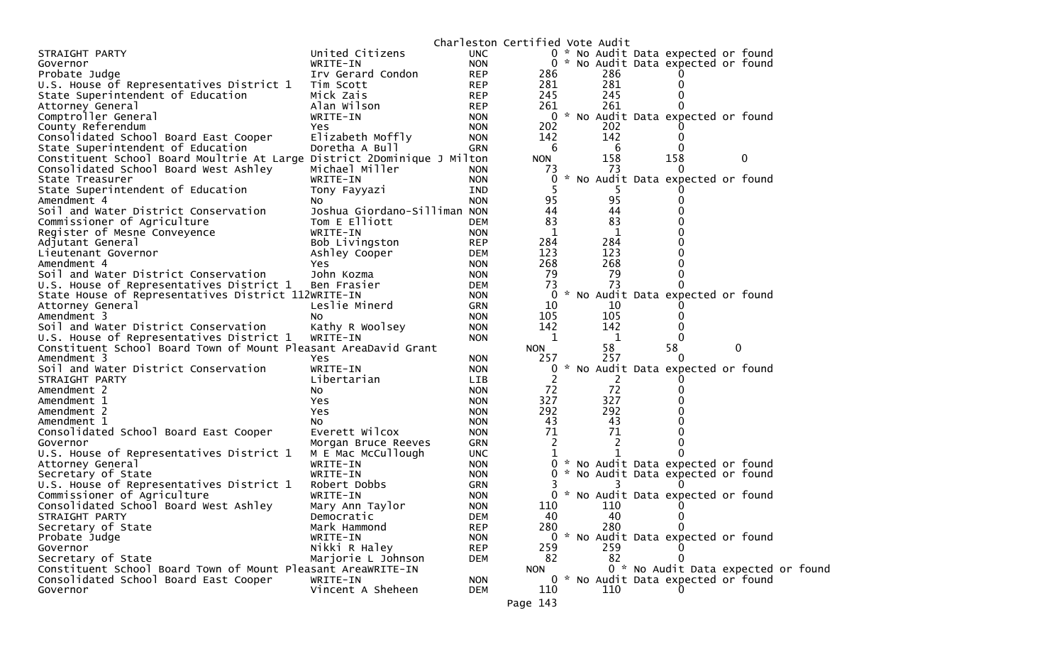|                                                                         |                               |                          | Charleston Certified Vote Audit |     |                                     |   |   |  |
|-------------------------------------------------------------------------|-------------------------------|--------------------------|---------------------------------|-----|-------------------------------------|---|---|--|
| STRAIGHT PARTY                                                          | United Citizens               | <b>UNC</b>               |                                 |     | 0 * No Audit Data expected or found |   |   |  |
| Governor                                                                | WRITE-IN                      | <b>NON</b>               |                                 |     | 0 * No Audit Data expected or found |   |   |  |
| Probate Judge                                                           | Irv Gerard Condon             | <b>REP</b>               | 286                             | 286 |                                     |   |   |  |
| U.S. House of Representatives District 1                                | Tim Scott                     | <b>REP</b>               | 281                             | 281 |                                     |   |   |  |
| State Superintendent of Education                                       | Mick Zais                     | <b>REP</b>               | 245                             | 245 |                                     |   |   |  |
| Attorney General                                                        | Alan Wilson                   | <b>REP</b>               | 261                             | 261 |                                     |   |   |  |
| Comptroller General                                                     | WRITE-IN                      | <b>NON</b>               | 0                               |     | * No Audit Data expected or found   |   |   |  |
| County Referendum                                                       | Yes                           | <b>NON</b>               | 202                             | 202 |                                     |   |   |  |
| Consolidated School Board East Cooper                                   | Elizabeth Moffly              | <b>NON</b>               | 142                             | 142 |                                     |   |   |  |
| State Superintendent of Education                                       | Doretha A Bull                | <b>GRN</b>               | 6                               | 6   |                                     |   |   |  |
| Constituent School Board Moultrie At Large District 2Dominique J Milton |                               |                          | <b>NON</b>                      | 158 | 158                                 |   | 0 |  |
| Consolidated School Board West Ashley                                   | Michael Miller                | <b>NON</b>               | 73                              | 73  | $\Omega$                            |   |   |  |
| State Treasurer                                                         | WRITE-IN                      | <b>NON</b>               | $\Omega$                        |     | No Audit Data expected or found     |   |   |  |
| State Superintendent of Education                                       | Tony Fayyazi                  | <b>IND</b>               |                                 |     |                                     |   |   |  |
| Amendment 4                                                             | NO.                           | <b>NON</b>               | 95                              | 95  |                                     |   |   |  |
| Soil and Water District Conservation                                    | Joshua Giordano-Silliman NON  |                          | 44                              | 44  |                                     |   |   |  |
| Commissioner of Agriculture                                             | Tom E Elliott                 | <b>DEM</b>               | 83                              | 83  |                                     |   |   |  |
| Register of Mesne Conveyence                                            | WRITE-IN                      | <b>NON</b>               | 1                               | 1   |                                     |   |   |  |
| Adjutant General                                                        | Bob Livingston                | <b>REP</b>               | 284                             | 284 |                                     |   |   |  |
| Lieutenant Governor                                                     | Ashley Cooper                 | <b>DEM</b>               | 123                             | 123 |                                     |   |   |  |
| Amendment 4                                                             | Yes.                          | <b>NON</b>               | 268                             | 268 |                                     |   |   |  |
| Soil and Water District Conservation                                    | John Kozma                    | <b>NON</b>               | 79                              | 79  |                                     |   |   |  |
| U.S. House of Representatives District 1                                | Ben Frasier                   | <b>DEM</b>               | 73                              | 73  |                                     |   |   |  |
| State House of Representatives District 112WRITE-IN                     |                               | <b>NON</b>               | 0                               |     | * No Audit Data expected or found   |   |   |  |
| Attorney General                                                        | Leslie Minerd                 | <b>GRN</b>               | 10                              | 10  |                                     |   |   |  |
| Amendment 3                                                             | NO.                           | <b>NON</b>               | 105                             | 105 |                                     |   |   |  |
| Soil and Water District Conservation                                    | Kathy R Woolsey               | <b>NON</b>               | 142                             | 142 |                                     |   |   |  |
| U.S. House of Representatives District 1                                | WRITE-IN                      | <b>NON</b>               | 1                               | 1   |                                     |   |   |  |
| Constituent School Board Town of Mount Pleasant AreaDavid Grant         |                               |                          | <b>NON</b>                      | 58  | 58                                  | 0 |   |  |
| Amendment 3                                                             | Yes                           | <b>NON</b>               | 257                             | 257 |                                     |   |   |  |
| Soil and Water District Conservation                                    | WRITE-IN                      | <b>NON</b>               | 0                               |     | No Audit Data expected or found     |   |   |  |
| STRAIGHT PARTY                                                          | Libertarian                   | <b>LIB</b>               | 2                               | 2   |                                     |   |   |  |
| Amendment 2                                                             | No.                           | <b>NON</b>               | 72                              | 72  |                                     |   |   |  |
| Amendment 1                                                             | Yes                           | <b>NON</b>               | 327                             | 327 |                                     |   |   |  |
| Amendment 2                                                             | Yes                           | <b>NON</b>               | 292                             | 292 |                                     |   |   |  |
| Amendment 1                                                             | No.                           | <b>NON</b>               | 43                              | 43  |                                     |   |   |  |
| Consolidated School Board East Cooper                                   | Everett Wilcox                | <b>NON</b>               | 71                              | 71  |                                     |   |   |  |
| Governor                                                                | Morgan Bruce Reeves           | <b>GRN</b>               | 2                               |     |                                     |   |   |  |
| U.S. House of Representatives District 1                                | M E Mac McCullough            | <b>UNC</b>               |                                 |     |                                     |   |   |  |
| Attorney General                                                        | WRITE-IN                      | <b>NON</b>               | 0                               |     | * No Audit Data expected or found   |   |   |  |
| Secretary of State                                                      | WRITE-IN                      | <b>NON</b>               | 0                               |     | No Audit Data expected or found     |   |   |  |
| U.S. House of Representatives District 1                                | Robert Dobbs                  | <b>GRN</b>               |                                 |     |                                     |   |   |  |
| Commissioner of Agriculture                                             | WRITE-IN                      | <b>NON</b>               | 0                               |     | * No Audit Data expected or found   |   |   |  |
|                                                                         |                               | <b>NON</b>               | 110                             | 110 |                                     |   |   |  |
| Consolidated School Board West Ashley<br>STRAIGHT PARTY                 | Mary Ann Taylor               | <b>DEM</b>               | 40                              | 40  | 0                                   |   |   |  |
|                                                                         | Democratic                    |                          | 280                             | 280 |                                     |   |   |  |
| Secretary of State<br>Probate Judge                                     | Mark Hammond<br>WRITE-IN      | <b>REP</b><br><b>NON</b> |                                 |     | 0 * No Audit Data expected or found |   |   |  |
| Governor                                                                | Nikki R Haley                 | <b>REP</b>               | 259                             | 259 |                                     |   |   |  |
|                                                                         |                               |                          | 82                              | 82  | 0                                   |   |   |  |
| Secretary of State                                                      | Marjorie L Johnson            | DEM                      |                                 |     | 0 * No Audit Data expected or found |   |   |  |
| Constituent School Board Town of Mount Pleasant AreaWRITE-IN            |                               |                          | <b>NON</b>                      |     |                                     |   |   |  |
| Consolidated School Board East Cooper                                   | WRITE-IN<br>Vincent A Sheheen | <b>NON</b>               |                                 |     | 0 * No Audit Data expected or found |   |   |  |
| Governor                                                                |                               | DEM                      | 110                             | 110 |                                     |   |   |  |
|                                                                         |                               |                          | Page 143                        |     |                                     |   |   |  |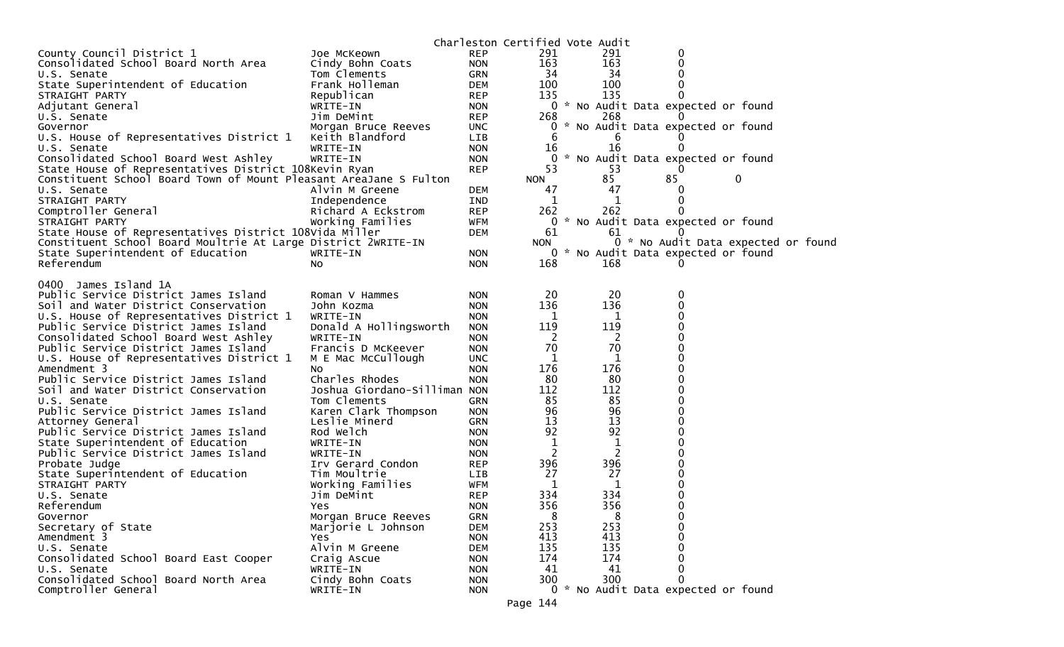|                                                                   |                              |                          | Charleston Certified Vote Audit |     |    |                                     |  |
|-------------------------------------------------------------------|------------------------------|--------------------------|---------------------------------|-----|----|-------------------------------------|--|
| County Council District 1                                         | Joe McKeown                  | <b>REP</b>               | 291                             | 291 | 0  |                                     |  |
| Consolidated School Board North Area                              | Cindy Bohn Coats             | <b>NON</b>               | 163                             | 163 |    |                                     |  |
| U.S. Senate                                                       | Tom Clements                 | GRN                      | 34                              | 34  |    |                                     |  |
| State Superintendent of Education                                 | Frank Holleman               | <b>DEM</b>               | 100                             | 100 |    |                                     |  |
| STRAIGHT PARTY                                                    | Republican                   | <b>REP</b>               | 135                             | 135 |    |                                     |  |
| Adjutant General                                                  | WRITE-IN                     | <b>NON</b>               |                                 |     |    | 0 * No Audit Data expected or found |  |
| U.S. Senate                                                       | Jim DeMint                   | <b>REP</b>               | 268                             | 268 |    |                                     |  |
| Governor                                                          | Morgan Bruce Reeves          | <b>UNC</b>               | $\mathbf{0}$                    |     |    | * No Audit Data expected or found   |  |
| U.S. House of Representatives District 1                          | Keith Blandford              | LIB                      | 6                               | 6   |    |                                     |  |
| U.S. Senate                                                       | WRITE-IN                     | <b>NON</b>               | 16                              | 16  |    |                                     |  |
| Consolidated School Board West Ashley                             | WRITE-IN                     | <b>NON</b>               | $\mathbf{0}$                    |     |    | * No Audit Data expected or found   |  |
| State House of Representatives District 108Kevin Ryan             |                              | <b>REP</b>               | 53                              | 53  |    |                                     |  |
| Constituent School Board Town of Mount Pleasant AreaJane S Fulton |                              |                          | <b>NON</b>                      | 85  | 85 | 0                                   |  |
| U.S. Senate                                                       | Alvin M Greene               | <b>DEM</b>               | 47                              | 47  |    |                                     |  |
| STRAIGHT PARTY                                                    | Independence                 | IND                      | 1                               | 1   |    |                                     |  |
| Comptroller General                                               | Richard A Eckstrom           | <b>REP</b>               | 262                             | 262 |    |                                     |  |
| STRAIGHT PARTY                                                    | Working Families             | <b>WFM</b>               |                                 |     |    | 0 * No Audit Data expected or found |  |
| State House of Representatives District 108Vida Miller            |                              | <b>DEM</b>               | 61                              | 61  |    |                                     |  |
| Constituent School Board Moultrie At Large District 2WRITE-IN     |                              |                          | <b>NON</b>                      |     |    | 0 * No Audit Data expected or found |  |
| State Superintendent of Education                                 | WRITE-IN                     | <b>NON</b>               |                                 |     |    | 0 * No Audit Data expected or found |  |
| Referendum                                                        | No.                          | <b>NON</b>               | 168                             | 168 | U  |                                     |  |
|                                                                   |                              |                          |                                 |     |    |                                     |  |
| 0400 James Island 1A                                              |                              |                          |                                 |     |    |                                     |  |
| Public Service District James Island                              | Roman V Hammes               | <b>NON</b>               | 20                              | 20  | 0  |                                     |  |
| Soil and Water District Conservation                              | John Kozma                   | <b>NON</b>               | 136                             | 136 |    |                                     |  |
| U.S. House of Representatives District 1                          | WRITE-IN                     | <b>NON</b>               | 1                               | 1   |    |                                     |  |
| Public Service District James Island                              | Donald A Hollingsworth       | <b>NON</b>               | 119                             | 119 |    |                                     |  |
| Consolidated School Board West Ashley                             | WRITE-IN                     | <b>NON</b>               | 2                               | 2   |    |                                     |  |
| Public Service District James Island                              | Francis D McKeever           | <b>NON</b>               | 70                              | 70  |    |                                     |  |
| U.S. House of Representatives District 1                          | M E Mac McCullough           | <b>UNC</b>               | 1                               | 1   |    |                                     |  |
| Amendment 3                                                       | NO.                          | <b>NON</b>               | 176                             | 176 |    |                                     |  |
| Public Service District James Island                              | Charles Rhodes               | <b>NON</b>               | 80                              | 80  |    |                                     |  |
| Soil and Water District Conservation                              | Joshua Giordano-Silliman NON |                          | 112                             | 112 |    |                                     |  |
| U.S. Senate                                                       | Tom Clements                 | GRN                      | 85                              | 85  |    |                                     |  |
| Public Service District James Island                              | Karen Clark Thompson         | <b>NON</b>               | 96                              | 96  |    |                                     |  |
| Attorney General                                                  | Leslie Minerd                | <b>GRN</b>               | 13                              | 13  |    |                                     |  |
| Public Service District James Island                              | Rod Welch                    | <b>NON</b>               | 92                              | 92  |    |                                     |  |
| State Superintendent of Education                                 | WRITE-IN                     | <b>NON</b>               | 1                               | 1   |    |                                     |  |
| Public Service District James Island                              | WRITE-IN                     | <b>NON</b>               | 2                               | 2   |    |                                     |  |
| Probate Judge                                                     | Irv Gerard Condon            | <b>REP</b>               | 396                             | 396 |    |                                     |  |
| State Superintendent of Education                                 | Tim Moultrie                 | <b>LIB</b>               | 27                              | 27  |    |                                     |  |
| STRAIGHT PARTY                                                    | Working Families             | <b>WFM</b>               | 1                               | 1   |    |                                     |  |
| U.S. Senate                                                       | Jim DeMint                   | <b>REP</b>               | 334                             | 334 |    |                                     |  |
| Referendum                                                        | Yes.                         | <b>NON</b>               | 356                             | 356 | 0  |                                     |  |
| Governor                                                          | Morgan Bruce Reeves          | GRN                      | 8                               | 8   | 0  |                                     |  |
| Secretary of State                                                | Marjorie L Johnson           | <b>DEM</b>               | 253                             | 253 |    |                                     |  |
| Amendment 3                                                       | <b>Yes</b>                   | <b>NON</b>               | 413                             | 413 |    |                                     |  |
| U.S. Senate                                                       | Alvin M Greene               | <b>DEM</b>               | 135                             | 135 |    |                                     |  |
|                                                                   |                              |                          | 174                             | 174 |    |                                     |  |
| Consolidated School Board East Cooper                             | Craig Ascue                  | <b>NON</b>               | 41                              | 41  |    |                                     |  |
| U.S. Senate<br>Consolidated School Board North Area               | WRITE-IN                     | <b>NON</b>               |                                 | 300 | 0  |                                     |  |
| Comptroller General                                               | Cindy Bohn Coats<br>WRITE-IN | <b>NON</b><br><b>NON</b> | 300                             |     |    | 0 * No Audit Data expected or found |  |
|                                                                   |                              |                          |                                 |     |    |                                     |  |
|                                                                   |                              |                          | Page 144                        |     |    |                                     |  |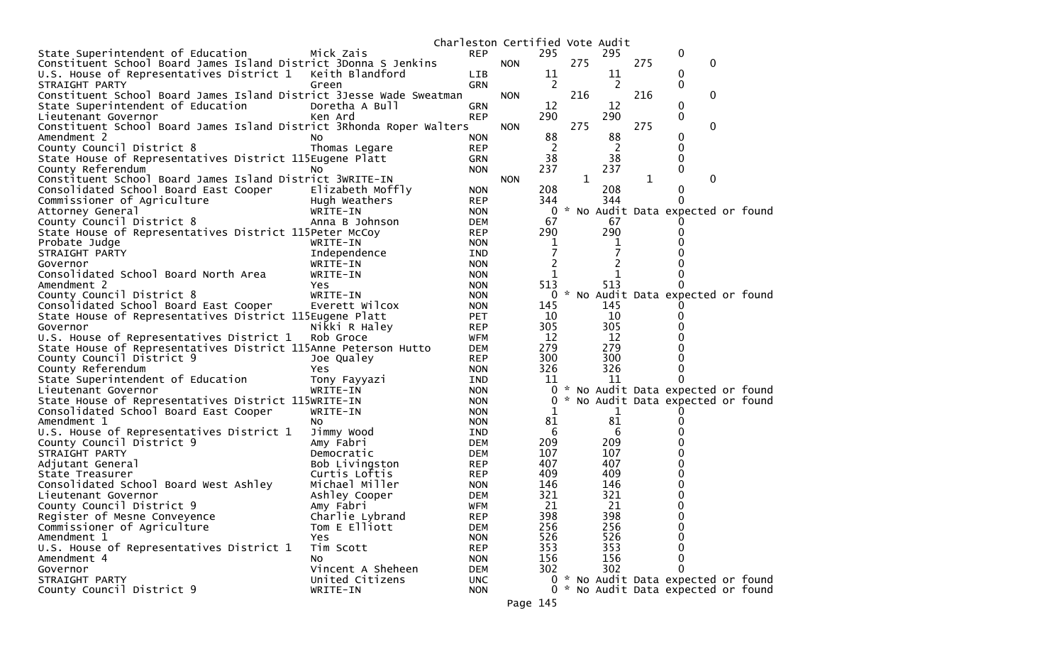|                                                                      |                            |                          | Charleston Certified Vote Audit |                |              |           |     |                                     |  |
|----------------------------------------------------------------------|----------------------------|--------------------------|---------------------------------|----------------|--------------|-----------|-----|-------------------------------------|--|
| State Superintendent of Education                                    | Mick Zais                  | <b>REP</b>               |                                 | 295            |              | 295       |     | 0                                   |  |
| Constituent School Board James Island District 3Donna S Jenkins      |                            |                          | <b>NON</b>                      |                | 275          |           | 275 | $\mathbf 0$                         |  |
| U.S. House of Representatives District 1                             | Keith Blandford            | <b>LIB</b>               |                                 | 11             |              | 11        |     | 0                                   |  |
| STRAIGHT PARTY                                                       | Green                      | <b>GRN</b>               |                                 | 2              |              | 2         |     | 0                                   |  |
| Constituent School Board James Island District 3Jesse Wade Sweatman  |                            |                          | <b>NON</b>                      |                | 216          |           | 216 | 0                                   |  |
| State Superintendent of Education                                    | Doretha A Bull             | <b>GRN</b>               |                                 | 12             |              | 12        |     | 0                                   |  |
| Lieutenant Governor                                                  | Ken Ard                    | <b>REP</b>               |                                 | 290            |              | 290       |     | 0                                   |  |
| Constituent School Board James Island District 3Rhonda Roper Walters |                            |                          | <b>NON</b>                      |                | 275          |           | 275 | 0                                   |  |
| Amendment 2                                                          | <b>NO</b>                  | <b>NON</b>               |                                 | 88             |              | 88        |     | 0                                   |  |
| County Council District 8                                            | Thomas Legare              | <b>REP</b>               |                                 | 2              |              | 2         |     | 0                                   |  |
| State House of Representatives District 115Eugene Platt              |                            | GRN                      |                                 | 38             |              | 38        |     | 0                                   |  |
| County Referendum                                                    | <b>NO</b>                  | <b>NON</b>               |                                 | 237            |              | 237       |     | 0                                   |  |
| Constituent School Board James Island District 3WRITE-IN             |                            |                          | <b>NON</b>                      |                | $\mathbf{1}$ |           | 1   | 0                                   |  |
| Consolidated School Board East Cooper                                | Elizabeth Moffly           | <b>NON</b>               |                                 | 208            |              | 208       |     | 0                                   |  |
| Commissioner of Agriculture                                          | Hugh Weathers              | <b>REP</b>               |                                 | 344            |              | 344       |     | 0                                   |  |
| Attorney General                                                     | WRITE-IN                   | <b>NON</b>               |                                 |                |              |           |     | 0 * No Audit Data expected or found |  |
| County Council District 8                                            | Anna B Johnson             | DEM                      |                                 | 67             |              | 67        |     |                                     |  |
| State House of Representatives District 115Peter McCoy               |                            | <b>REP</b>               |                                 | 290            |              | 290       |     |                                     |  |
| Probate Judge                                                        | WRITE-IN                   | <b>NON</b>               |                                 | 1              |              |           |     |                                     |  |
| STRAIGHT PARTY                                                       | Independence               | IND                      |                                 |                |              |           |     |                                     |  |
| Governor                                                             | WRITE-IN                   | <b>NON</b>               |                                 | $\overline{c}$ |              |           |     |                                     |  |
| Consolidated School Board North Area                                 | WRITE-IN                   | <b>NON</b>               |                                 | 1              |              |           |     |                                     |  |
| Amendment 2                                                          | Yes.                       | <b>NON</b>               |                                 | 513            |              | 513       |     |                                     |  |
| County Council District 8                                            | WRITE-IN<br>Everett Wilcox | <b>NON</b>               |                                 |                |              |           |     | 0 * No Audit Data expected or found |  |
| Consolidated School Board East Cooper                                |                            | <b>NON</b>               |                                 | 145<br>10      |              | 145<br>10 |     |                                     |  |
| State House of Representatives District 115Eugene Platt<br>Governor  | Nikki R Haley              | <b>PET</b><br><b>REP</b> |                                 | 305            |              | 305       |     |                                     |  |
| U.S. House of Representatives District 1                             | Rob Groce                  | WFM                      |                                 | 12             |              | 12        |     |                                     |  |
| State House of Representatives District 115Anne Peterson Hutto       |                            | DEM                      |                                 | 279            |              | 279       |     |                                     |  |
| County Council District 9                                            | Joe Qualey                 | <b>REP</b>               |                                 | 300            |              | 300       |     |                                     |  |
| County Referendum                                                    | Yes                        | <b>NON</b>               |                                 | 326            |              | 326       |     |                                     |  |
| State Superintendent of Education                                    | Tony Fayyazi               | IND                      |                                 | 11             |              | 11        |     | 0                                   |  |
| Lieutenant Governor                                                  | WRITE-IN                   | <b>NON</b>               |                                 |                |              |           |     | 0 * No Audit Data expected or found |  |
| State House of Representatives District 115WRITE-IN                  |                            | <b>NON</b>               |                                 | 0              |              |           |     | * No Audit Data expected or found   |  |
| Consolidated School Board East Cooper                                | WRITE-IN                   | <b>NON</b>               |                                 | 1              |              | 1         |     |                                     |  |
| Amendment 1                                                          | NO.                        | <b>NON</b>               |                                 | 81             |              | 81        |     |                                     |  |
| U.S. House of Representatives District 1                             | Jimmy Wood                 | IND                      |                                 | 6              |              | 6         |     |                                     |  |
| County Council District 9                                            | Amy Fabri                  | <b>DEM</b>               |                                 | 209            |              | 209       |     |                                     |  |
| STRAIGHT PARTY                                                       | Democratic                 | DEM                      |                                 | 107            |              | 107       |     |                                     |  |
| Adjutant General                                                     | Bob Livingston             | <b>REP</b>               |                                 | 407            |              | 407       |     |                                     |  |
| State Treasurer                                                      | Curtis Loftis              | <b>REP</b>               |                                 | 409            |              | 409       |     |                                     |  |
| Consolidated School Board West Ashley                                | Michael Miller             | <b>NON</b>               |                                 | 146            |              | 146       |     |                                     |  |
| Lieutenant Governor                                                  | Ashley Cooper              | <b>DEM</b>               |                                 | 321            |              | 321       |     | 0                                   |  |
| County Council District 9                                            | Amy Fabri                  | <b>WFM</b>               |                                 | 21             |              | 21        |     | 0                                   |  |
| Register of Mesne Conveyence                                         | Charlie Lybrand            | <b>REP</b>               |                                 | 398            |              | 398       |     | 0                                   |  |
| Commissioner of Agriculture                                          | Tom E Elliott              | <b>DEM</b>               |                                 | 256            |              | 256       |     | 0                                   |  |
| Amendment 1                                                          | Yes                        | <b>NON</b>               |                                 | 526            |              | 526       |     | 0                                   |  |
| U.S. House of Representatives District 1                             | Tim Scott                  | <b>REP</b>               |                                 | 353            |              | 353       |     |                                     |  |
| Amendment 4                                                          | No                         | <b>NON</b>               |                                 | 156            |              | 156       |     | 0                                   |  |
| Governor                                                             | Vincent A Sheheen          | <b>DEM</b>               |                                 | 302            |              | 302       |     | 0                                   |  |
| STRAIGHT PARTY                                                       | United Citizens            | <b>UNC</b>               |                                 |                |              |           |     | 0 * No Audit Data expected or found |  |
| County Council District 9                                            | WRITE-IN                   | <b>NON</b>               |                                 |                |              |           |     | 0 * No Audit Data expected or found |  |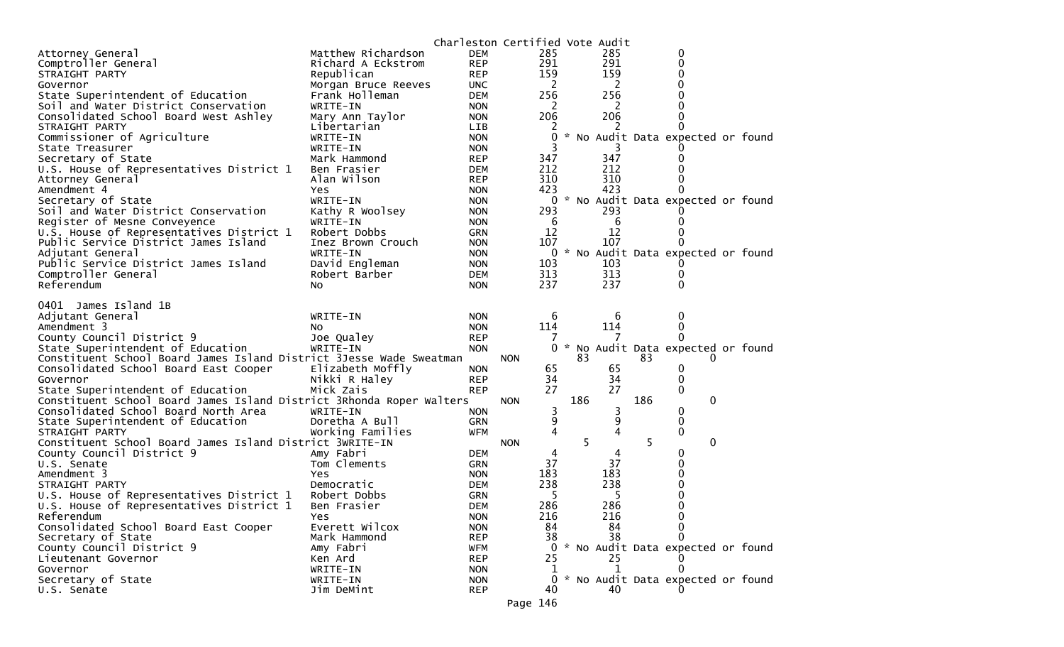|                                                                      |                             |                          | Charleston Certified Vote Audit |     |              |     |                                     |  |
|----------------------------------------------------------------------|-----------------------------|--------------------------|---------------------------------|-----|--------------|-----|-------------------------------------|--|
| Attorney General                                                     | Matthew Richardson          | DEM                      | 285                             |     | 285          |     | 0                                   |  |
| Comptroller General                                                  | Richard A Eckstrom          | <b>REP</b>               | 291                             |     | 291          |     | 0                                   |  |
| STRAIGHT PARTY                                                       | Republican                  | <b>REP</b>               | 159                             |     | 159          |     | 0                                   |  |
| Governor                                                             | Morgan Bruce Reeves         | UNC.                     | 2                               |     | 2            |     | 0                                   |  |
| State Superintendent of Education                                    | Frank Holleman              | <b>DEM</b>               | 256                             |     | 256          |     | 0                                   |  |
| Soil and Water District Conservation                                 | WRITE-IN                    | <b>NON</b>               | 2                               |     | 2            |     |                                     |  |
| Consolidated School Board West Ashley                                | Mary Ann Taylor             | <b>NON</b>               | 206                             |     | 206          |     | 0                                   |  |
| STRAIGHT PARTY                                                       | Libertarian                 | <b>LIB</b>               | 2                               |     | 2            |     | 0                                   |  |
| Commissioner of Agriculture                                          | WRITE-IN                    | <b>NON</b>               | 0                               |     |              |     | * No Audit Data expected or found   |  |
| State Treasurer                                                      | WRITE-IN                    | <b>NON</b>               |                                 |     |              |     |                                     |  |
| Secretary of State                                                   | Mark Hammond                | <b>REP</b>               | 347                             |     | 347          |     | 0                                   |  |
| U.S. House of Representatives District 1                             | Ben Frasier                 | DEM                      | 212                             |     | 212          |     | 0                                   |  |
| Attorney General                                                     | Alan Wilson                 | <b>REP</b>               | 310<br>423                      |     | 310          |     | 0                                   |  |
| Amendment 4                                                          | <b>Yes</b><br>WRITE-IN      | <b>NON</b>               | 0                               |     | 423          |     | * No Audit Data expected or found   |  |
| Secretary of State<br>Soil and Water District Conservation           | Kathy R Woolsey             | <b>NON</b>               | 293                             |     | 293          |     |                                     |  |
| Register of Mesne Conveyence                                         | WRITE-IN                    | <b>NON</b><br><b>NON</b> | 6                               |     | 6            |     | 0                                   |  |
| U.S. House of Representatives District 1                             | Robert Dobbs                | <b>GRN</b>               | 12                              |     | 12           |     | 0                                   |  |
| Public Service District James Island                                 | Inez Brown Crouch           | <b>NON</b>               | 107                             |     | 107          |     |                                     |  |
| Adjutant General                                                     | WRITE-IN                    | <b>NON</b>               |                                 |     |              |     | 0 * No Audit Data expected or found |  |
| Public Service District James Island                                 | David Engleman              | <b>NON</b>               | 103                             |     | 103          |     | 0                                   |  |
| Comptroller General                                                  | Robert Barber               | <b>DEM</b>               | 313                             |     | 313          |     | 0                                   |  |
| Referendum                                                           | No.                         | <b>NON</b>               | 237                             |     | 237          |     | 0                                   |  |
|                                                                      |                             |                          |                                 |     |              |     |                                     |  |
| 0401 James Island 1B                                                 |                             |                          |                                 |     |              |     |                                     |  |
| Adjutant General                                                     | WRITE-IN                    | <b>NON</b>               | 6                               |     | 6            |     | 0                                   |  |
| Amendment 3                                                          | NO.                         | <b>NON</b>               | 114                             |     | 114          |     | 0                                   |  |
| County Council District 9                                            | Joe Qualey                  | <b>REP</b>               |                                 |     |              |     | 0                                   |  |
| State Superintendent of Education                                    | WRITE-IN                    | <b>NON</b>               |                                 |     |              |     | 0 * No Audit Data expected or found |  |
| Constituent School Board James Island District 3Jesse Wade Sweatman  |                             |                          | <b>NON</b>                      | 83  |              | 83  | 0                                   |  |
| Consolidated School Board East Cooper                                | Elizabeth Moffly            | <b>NON</b>               | 65                              |     | 65           |     | 0                                   |  |
| Governor                                                             | Nikki R Haley               | <b>REP</b>               | 34                              |     | 34           |     | 0                                   |  |
| State Superintendent of Education                                    | Mick Zais                   | <b>REP</b>               | 27                              |     | 27           |     | 0                                   |  |
| Constituent School Board James Island District 3Rhonda Roper Walters |                             |                          | <b>NON</b>                      | 186 |              | 186 | 0                                   |  |
| Consolidated School Board North Area                                 | WRITE-IN                    | <b>NON</b>               | 3                               |     | 3            |     | 0                                   |  |
| State Superintendent of Education                                    | Doretha A Bull              | <b>GRN</b>               | 9                               |     | 9            |     | 0                                   |  |
| STRAIGHT PARTY                                                       | Working Families            | WFM                      | $\overline{4}$                  |     | 4            |     | 0                                   |  |
| Constituent School Board James Island District 3WRITE-IN             |                             |                          | <b>NON</b>                      | 5   |              | 5   | 0                                   |  |
| County Council District 9                                            | Amy Fabri                   | <b>DEM</b>               | 4                               |     | 4            |     | 0                                   |  |
| U.S. Senate                                                          | Tom Clements                | GRN                      | 37                              |     | 37           |     | 0                                   |  |
| Amendment 3                                                          | Yes                         | <b>NON</b>               | 183                             |     | 183          |     | 0                                   |  |
| STRAIGHT PARTY                                                       | Democratic                  | <b>DEM</b>               | 238<br>5                        |     | 238<br>5     |     | 0<br>0                              |  |
| U.S. House of Representatives District 1                             | Robert Dobbs<br>Ben Frasier | <b>GRN</b>               | 286                             |     | 286          |     | 0                                   |  |
| U.S. House of Representatives District 1<br>Referendum               | <b>Yes</b>                  | DEM                      | 216                             |     | 216          |     | 0                                   |  |
| Consolidated School Board East Cooper                                | Everett Wilcox              | <b>NON</b><br><b>NON</b> | 84                              |     | 84           |     | 0                                   |  |
| Secretary of State                                                   | Mark Hammond                | <b>REP</b>               | 38                              |     | 38           |     | 0                                   |  |
| County Council District 9                                            | Amy Fabri                   | WFM                      | 0                               |     |              |     | * No Audit Data expected or found   |  |
| Lieutenant Governor                                                  | Ken Ard                     | <b>REP</b>               | 25                              |     | 25           |     |                                     |  |
| Governor                                                             | WRITE-IN                    | <b>NON</b>               | 1                               |     | $\mathbf{1}$ |     | 0                                   |  |
| Secretary of State                                                   | WRITE-IN                    | <b>NON</b>               | 0                               |     |              |     | * No Audit Data expected or found   |  |
| U.S. Senate                                                          | Jim DeMint                  | <b>REP</b>               | 40                              |     | 40           |     |                                     |  |
|                                                                      |                             |                          | Page 146                        |     |              |     |                                     |  |
|                                                                      |                             |                          |                                 |     |              |     |                                     |  |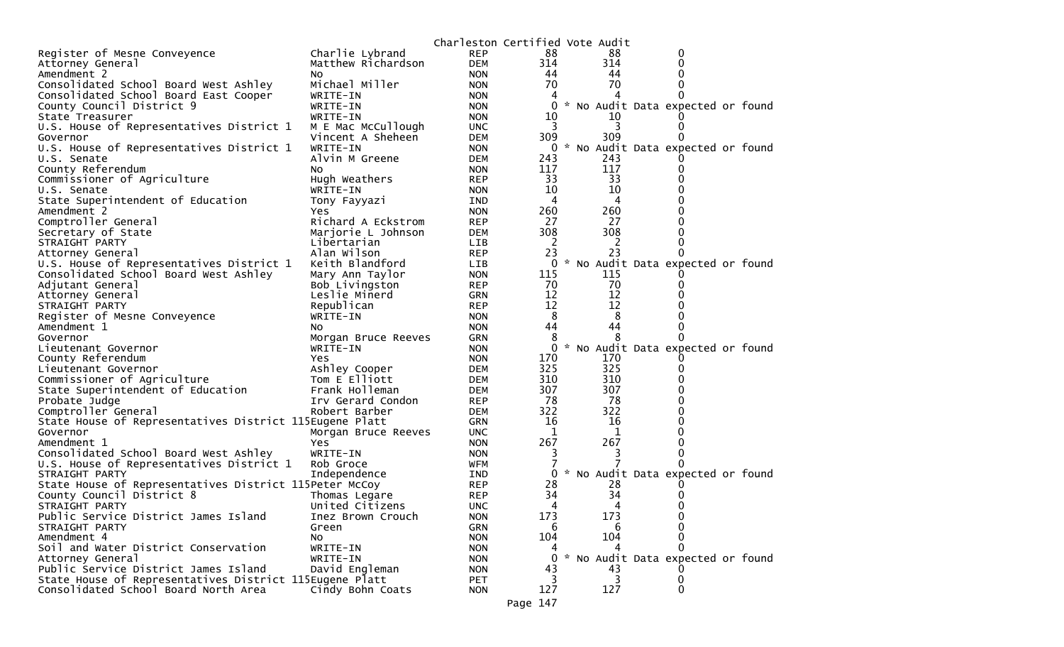|                                                         |                     | Charleston Certified Vote Audit |                |     |                                     |  |
|---------------------------------------------------------|---------------------|---------------------------------|----------------|-----|-------------------------------------|--|
| Register of Mesne Conveyence                            | Charlie Lybrand     | <b>REP</b>                      | 88             | 88  | 0                                   |  |
| Attorney General                                        | Matthew Richardson  | <b>DEM</b>                      | 314            | 314 |                                     |  |
| Amendment 2                                             | NO.                 | <b>NON</b>                      | 44             | 44  |                                     |  |
| Consolidated School Board West Ashley                   | Michael Miller      | <b>NON</b>                      | 70             | 70  |                                     |  |
| Consolidated School Board East Cooper                   | WRITE-IN            | <b>NON</b>                      | 4              | 4   |                                     |  |
| County Council District 9                               | WRITE-IN            | <b>NON</b>                      | 0              |     | * No Audit Data expected or found   |  |
| State Treasurer                                         | WRITE-IN            | <b>NON</b>                      | 10             | 10  |                                     |  |
| U.S. House of Representatives District 1                | M E Mac McCullough  | <b>UNC</b>                      | 3              | 3   |                                     |  |
| Governor                                                | Vincent A Sheheen   | <b>DEM</b>                      | 309            | 309 |                                     |  |
| U.S. House of Representatives District 1                | WRITE-IN            | <b>NON</b>                      | $\overline{0}$ |     | * No Audit Data expected or found   |  |
| U.S. Senate                                             | Alvin M Greene      | <b>DEM</b>                      | 243            | 243 |                                     |  |
| County Referendum                                       | NO.                 | <b>NON</b>                      | 117            | 117 |                                     |  |
| Commissioner of Agriculture                             | Hugh Weathers       | <b>REP</b>                      | 33             | 33  |                                     |  |
| U.S. Senate                                             | WRITE-IN            | <b>NON</b>                      | 10             | 10  |                                     |  |
| State Superintendent of Education                       | Tony Fayyazi        | IND                             | 4              | 4   |                                     |  |
| Amendment 2                                             | Yes                 | <b>NON</b>                      | 260            | 260 |                                     |  |
| Comptroller General                                     | Richard A Eckstrom  | <b>REP</b>                      | 27             | 27  |                                     |  |
| Secretary of State                                      | Marjorie L Johnson  | <b>DEM</b>                      | 308            | 308 |                                     |  |
| STRAIGHT PARTY                                          | Libertarian         | <b>LIB</b>                      | 2              | 2   |                                     |  |
| Attorney General                                        | Alan Wilson         | <b>REP</b>                      | 23             | 23  |                                     |  |
| U.S. House of Representatives District 1                | Keith Blandford     | <b>LIB</b>                      |                |     | 0 * No Audit Data expected or found |  |
| Consolidated School Board West Ashley                   | Mary Ann Taylor     | <b>NON</b>                      | 115            | 115 |                                     |  |
| Adjutant General                                        | Bob Livingston      | <b>REP</b>                      | 70             | 70  |                                     |  |
| Attorney General                                        | Leslie Minerd       | GRN                             | 12             | 12  |                                     |  |
| STRAIGHT PARTY                                          | Republican          | <b>REP</b>                      | 12             | 12  |                                     |  |
| Register of Mesne Conveyence                            | WRITE-IN            | <b>NON</b>                      | 8              | 8   |                                     |  |
| Amendment 1                                             | NO.                 | <b>NON</b>                      | 44             | 44  |                                     |  |
| Governor                                                | Morgan Bruce Reeves | GRN                             | 8              | 8   |                                     |  |
| Lieutenant Governor                                     | WRITE-IN            | <b>NON</b>                      | $\overline{0}$ |     | * No Audit Data expected or found   |  |
| County Referendum                                       | Yes                 | <b>NON</b>                      | 170            | 170 |                                     |  |
| Lieutenant Governor                                     | Ashley Cooper       | <b>DEM</b>                      | 325            | 325 |                                     |  |
| Commissioner of Agriculture                             | Tom E Elliott       | DEM                             | 310            | 310 |                                     |  |
| State Superintendent of Education                       | Frank Holleman      | DEM                             | 307            | 307 |                                     |  |
| Probate Judge                                           | Irv Gerard Condon   | <b>REP</b>                      | 78             | 78  |                                     |  |
| Comptroller General                                     | Robert Barber       | DEM                             | 322            | 322 |                                     |  |
| State House of Representatives District 115Eugene Platt |                     | GRN                             | 16             | 16  |                                     |  |
| Governor                                                | Morgan Bruce Reeves | <b>UNC</b>                      | 1              | 1   |                                     |  |
| Amendment 1                                             | Yes                 | <b>NON</b>                      | 267            | 267 |                                     |  |
| Consolidated School Board West Ashley                   | WRITE-IN            | <b>NON</b>                      | 3              | 3   |                                     |  |
| U.S. House of Representatives District 1                | Rob Groce           | WFM                             |                |     |                                     |  |
| STRAIGHT PARTY                                          | Independence        | IND                             | $\mathbf{0}$   |     | * No Audit Data expected or found   |  |
| State House of Representatives District 115Peter McCoy  |                     | <b>REP</b>                      | 28             | 28  |                                     |  |
| County Council District 8                               | Thomas Legare       | <b>REP</b>                      | 34             | 34  |                                     |  |
| STRAIGHT PARTY                                          | United Citizens     | <b>UNC</b>                      | 4              | 4   | 0                                   |  |
| Public Service District James Island                    | Inez Brown Crouch   | <b>NON</b>                      | 173            | 173 | 0                                   |  |
| STRAIGHT PARTY                                          | Green               | GRN                             | 6              | 6   |                                     |  |
| Amendment 4                                             | No                  | <b>NON</b>                      | 104            | 104 |                                     |  |
| Soil and Water District Conservation                    | WRITE-IN            | <b>NON</b>                      |                |     | 0                                   |  |
| Attorney General                                        | WRITE-IN            | <b>NON</b>                      | $\Omega$       |     | * No Audit Data expected or found   |  |
| Public Service District James Island                    | David Engleman      | <b>NON</b>                      | 43             | 43  |                                     |  |
| State House of Representatives District 115Eugene Platt |                     | <b>PET</b>                      |                | 3   | 0                                   |  |
| Consolidated School Board North Area                    | Cindy Bohn Coats    | <b>NON</b>                      | 127            | 127 | 0                                   |  |
|                                                         |                     |                                 | Page 147       |     |                                     |  |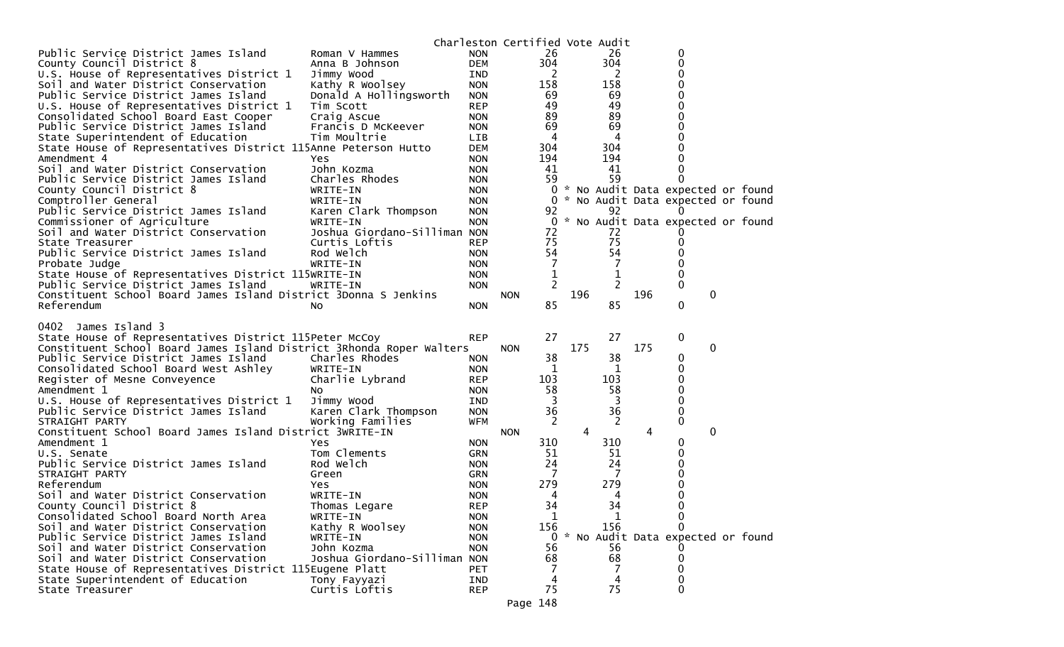|                                                                      |                               |            | Charleston Certified Vote Audit |          |     |                |     |                                     |   |  |
|----------------------------------------------------------------------|-------------------------------|------------|---------------------------------|----------|-----|----------------|-----|-------------------------------------|---|--|
| Public Service District James Island                                 | Roman V Hammes                | <b>NON</b> |                                 | 26       |     | 26             |     | 0                                   |   |  |
| County Council District 8                                            | Anna B Johnson                | <b>DEM</b> |                                 | 304      |     | 304            |     | 0                                   |   |  |
| U.S. House of Representatives District 1                             | Jimmy Wood                    | IND        |                                 | 2        |     | 2              |     | 0                                   |   |  |
| Soil and Water District Conservation                                 | Kathy R Woolsey               | <b>NON</b> |                                 | 158      |     | 158            |     | 0                                   |   |  |
| Public Service District James Island                                 | Donald A Hollingsworth        | <b>NON</b> |                                 | 69       |     | 69             |     | 0                                   |   |  |
| U.S. House of Representatives District 1                             | Tim Scott                     | <b>REP</b> |                                 | 49       |     | 49             |     |                                     |   |  |
| Consolidated School Board East Cooper                                | Craig Ascue                   | <b>NON</b> |                                 | 89       |     | 89             |     |                                     |   |  |
| Public Service District James Island                                 | Francis D McKeever            | <b>NON</b> |                                 | 69       |     | 69             |     | 0                                   |   |  |
| State Superintendent of Education                                    | Tim Moultrie                  | <b>LIB</b> |                                 | 4        |     | 4              |     |                                     |   |  |
| State House of Representatives District 115Anne Peterson Hutto       |                               | <b>DEM</b> |                                 | 304      |     | 304            |     |                                     |   |  |
| Amendment 4                                                          | Yes                           | <b>NON</b> |                                 | 194      |     | 194            |     | 0                                   |   |  |
| Soil and Water District Conservation                                 | John Kozma                    | <b>NON</b> |                                 | 41       |     | 41             |     |                                     |   |  |
| Public Service District James Island                                 | Charles Rhodes                | <b>NON</b> |                                 | 59       |     | 59             |     |                                     |   |  |
| County Council District 8                                            | WRITE-IN                      | <b>NON</b> |                                 |          |     |                |     | 0 * No Audit Data expected or found |   |  |
| Comptroller General                                                  | WRITE-IN                      | <b>NON</b> |                                 |          |     |                |     | 0 * No Audit Data expected or found |   |  |
| Public Service District James Island                                 | Karen Clark Thompson          | <b>NON</b> |                                 | 92       |     | 92             |     |                                     |   |  |
| Commissioner of Agriculture                                          | WRITE-IN                      | <b>NON</b> |                                 |          |     |                |     | 0 * No Audit Data expected or found |   |  |
| Soil and Water District Conservation                                 | Joshua Giordano-Silliman NON  |            |                                 | 72       |     | 72             |     |                                     |   |  |
|                                                                      |                               |            |                                 |          |     | 75             |     |                                     |   |  |
| State Treasurer                                                      | Curtis Loftis                 | <b>REP</b> |                                 | 75<br>54 |     | 54             |     | 0                                   |   |  |
| Public Service District James Island                                 | Rod Welch                     | <b>NON</b> |                                 |          |     |                |     | 0                                   |   |  |
| Probate Judge                                                        | WRITE-IN                      | <b>NON</b> |                                 | 7        |     | 7              |     | 0                                   |   |  |
| State House of Representatives District 115WRITE-IN                  |                               | <b>NON</b> |                                 | 1        |     | 1              |     | 0                                   |   |  |
| Public Service District James Island                                 | WRITE-IN                      | <b>NON</b> |                                 | 2        |     | $\overline{2}$ |     | 0                                   |   |  |
| Constituent School Board James Island District 3Donna S Jenkins      |                               |            | <b>NON</b>                      |          | 196 |                | 196 |                                     | 0 |  |
| Referendum                                                           | No                            | <b>NON</b> |                                 | 85       |     | 85             |     | 0                                   |   |  |
|                                                                      |                               |            |                                 |          |     |                |     |                                     |   |  |
|                                                                      |                               |            |                                 |          |     |                |     |                                     |   |  |
| James Island 3<br>0402                                               |                               |            |                                 |          |     |                |     |                                     |   |  |
| State House of Representatives District 115Peter McCoy               |                               | <b>REP</b> |                                 | 27       |     | 27             |     | 0                                   |   |  |
| Constituent School Board James Island District 3Rhonda Roper Walters |                               |            | <b>NON</b>                      |          | 175 |                | 175 |                                     | 0 |  |
| Public Service District James Island                                 | Charles Rhodes                | <b>NON</b> |                                 | 38       |     | 38             |     | 0                                   |   |  |
| Consolidated School Board West Ashley                                | WRITE-IN                      | <b>NON</b> |                                 | 1        |     | 1              |     | 0                                   |   |  |
| Register of Mesne Conveyence                                         | Charlie Lybrand               | <b>REP</b> |                                 | 103      |     | 103            |     | 0                                   |   |  |
| Amendment 1                                                          | NO.                           | <b>NON</b> |                                 | 58       |     | 58             |     | 0                                   |   |  |
| U.S. House of Representatives District 1                             | Jimmy Wood                    | IND        |                                 | 3        |     | 3              |     | 0                                   |   |  |
| Public Service District James Island                                 | Karen Clark Thompson          | <b>NON</b> |                                 | 36       |     | 36             |     | 0                                   |   |  |
| STRAIGHT PARTY                                                       | Working Families              | <b>WFM</b> |                                 | 2        |     | 2              |     | 0                                   |   |  |
| Constituent School Board James Island District 3WRITE-IN             |                               |            | <b>NON</b>                      |          | 4   |                | 4   |                                     | 0 |  |
| Amendment 1                                                          | Yes                           | <b>NON</b> |                                 | 310      |     | 310            |     | 0                                   |   |  |
| U.S. Senate                                                          | Tom Clements                  | <b>GRN</b> |                                 | 51       |     | 51             |     | 0                                   |   |  |
| Public Service District James Island                                 | Rod Welch                     | <b>NON</b> |                                 | 24       |     | 24             |     | 0                                   |   |  |
| STRAIGHT PARTY                                                       | Green                         | <b>GRN</b> |                                 | 7        |     | 7              |     |                                     |   |  |
| Referendum                                                           | Yes                           | <b>NON</b> |                                 | 279      |     | 279            |     | 0                                   |   |  |
| Soil and Water District Conservation                                 | WRITE-IN                      | <b>NON</b> |                                 | 4        |     | 4              |     | 0                                   |   |  |
| County Council District 8                                            | Thomas Legare                 | <b>REP</b> |                                 | 34       |     | 34             |     | 0                                   |   |  |
| Consolidated School Board North Area                                 | WRITE-IN                      | <b>NON</b> |                                 | 1        |     | 1              |     | 0                                   |   |  |
| Soil and Water District Conservation                                 | Kathy R Woolsey               | <b>NON</b> |                                 | 156      |     | 156            |     |                                     |   |  |
| Public Service District James Island                                 | WRITE-IN                      | <b>NON</b> |                                 |          |     |                |     | 0 * No Audit Data expected or found |   |  |
| Soil and Water District Conservation                                 | John Kozma                    | <b>NON</b> |                                 | 56       |     | 56             |     |                                     |   |  |
| Soil and Water District Conservation                                 | Joshua Giordano-Silliman NON  |            |                                 | 68       |     | 68             |     | 0                                   |   |  |
| State House of Representatives District 115Eugene Platt              |                               | <b>PET</b> |                                 | 7        |     | 7              |     | 0                                   |   |  |
| State Superintendent of Education                                    | Tony Fayyazi<br>Curtis Loftis | IND        |                                 | 4<br>75  |     | 4<br>75        |     | 0                                   |   |  |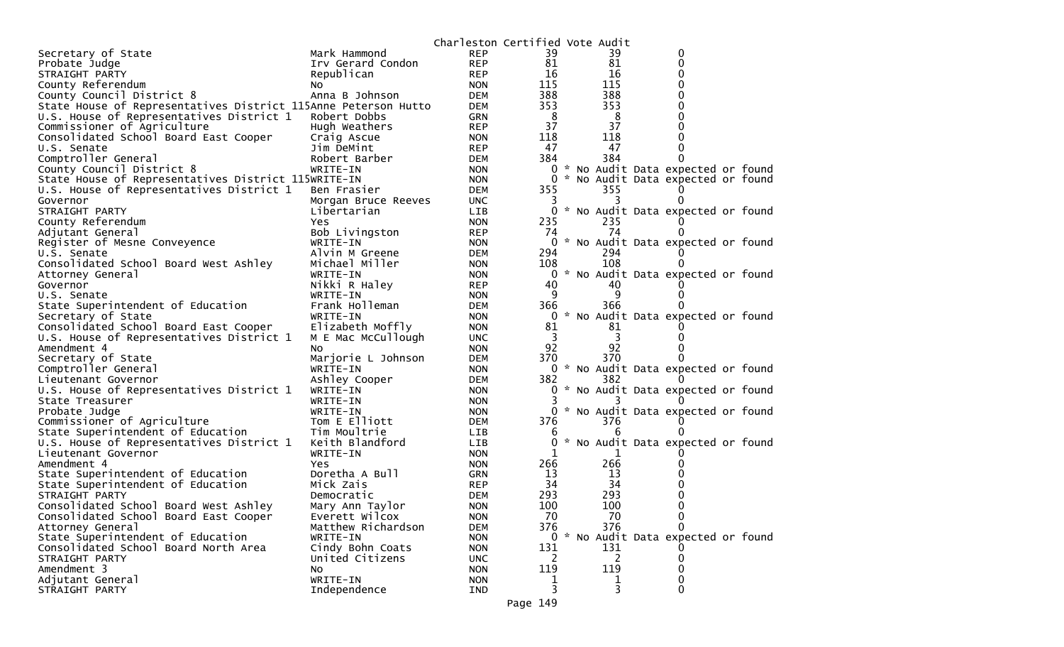|                                                                |                     | Charleston Certified Vote Audit |              |     |                                     |  |
|----------------------------------------------------------------|---------------------|---------------------------------|--------------|-----|-------------------------------------|--|
| Secretary of State                                             | Mark Hammond        | <b>REP</b>                      | 39           | 39  | 0                                   |  |
| Probate Judge                                                  | Irv Gerard Condon   | <b>REP</b>                      | 81           | 81  | 0                                   |  |
| STRAIGHT PARTY                                                 | Republican          | <b>REP</b>                      | 16           | 16  |                                     |  |
| County Referendum                                              | NO.                 | <b>NON</b>                      | 115          | 115 |                                     |  |
| County Council District 8                                      | Anna B Johnson      | <b>DEM</b>                      | 388          | 388 |                                     |  |
| State House of Representatives District 115Anne Peterson Hutto |                     | <b>DEM</b>                      | 353          | 353 |                                     |  |
| U.S. House of Representatives District 1                       | Robert Dobbs        | <b>GRN</b>                      | 8            | 8   |                                     |  |
| Commissioner of Agriculture                                    | Hugh Weathers       | <b>REP</b>                      | 37           | 37  |                                     |  |
| Consolidated School Board East Cooper                          | Craig Ascue         | <b>NON</b>                      | 118          | 118 |                                     |  |
| U.S. Senate                                                    | Jim DeMint          | <b>REP</b>                      | 47           | 47  |                                     |  |
| Comptroller General                                            | Robert Barber       | <b>DEM</b>                      | 384          | 384 |                                     |  |
| County Council District 8                                      | WRITE-IN            | <b>NON</b>                      | 0            |     | * No Audit Data expected or found   |  |
| State House of Representatives District 115WRITE-IN            |                     | <b>NON</b>                      | 0            |     | * No Audit Data expected or found   |  |
| U.S. House of Representatives District 1                       | Ben Frasier         | <b>DEM</b>                      | 355          | 355 |                                     |  |
| Governor                                                       | Morgan Bruce Reeves | <b>UNC</b>                      |              |     |                                     |  |
| STRAIGHT PARTY                                                 | Libertarian         | <b>LIB</b>                      | 0            |     | * No Audit Data expected or found   |  |
| County Referendum                                              | Yes                 | <b>NON</b>                      | 235          | 235 |                                     |  |
| Adjutant General                                               | Bob Livingston      | <b>REP</b>                      | 74           | 74  |                                     |  |
| Register of Mesne Conveyence                                   | WRITE-IN            | <b>NON</b>                      |              |     | * No Audit Data expected or found   |  |
| U.S. Senate                                                    | Alvin M Greene      | <b>DEM</b>                      | 294          | 294 |                                     |  |
| Consolidated School Board West Ashley                          | Michael Miller      | <b>NON</b>                      | 108          | 108 |                                     |  |
| Attorney General                                               | WRITE-IN            | <b>NON</b>                      | 0            |     | * No Audit Data expected or found   |  |
| Governor                                                       | Nikki R Haley       | <b>REP</b>                      | 40           | 40  |                                     |  |
| U.S. Senate                                                    | WRITE-IN            | <b>NON</b>                      | 9            | 9   |                                     |  |
| State Superintendent of Education                              | Frank Holleman      | <b>DEM</b>                      | 366          | 366 |                                     |  |
| Secretary of State                                             | WRITE-IN            | <b>NON</b>                      | 0            |     | * No Audit Data expected or found   |  |
| Consolidated School Board East Cooper                          | Elizabeth Moffly    | <b>NON</b>                      | 81           | 81  |                                     |  |
| U.S. House of Representatives District 1                       | M E Mac McCullough  | <b>UNC</b>                      | 3            | 3   |                                     |  |
| Amendment 4                                                    | NO.                 | <b>NON</b>                      | 92           | 92  |                                     |  |
| Secretary of State                                             | Marjorie L Johnson  | <b>DEM</b>                      | 370          | 370 |                                     |  |
| Comptroller General                                            | WRITE-IN            | <b>NON</b>                      |              |     | 0 * No Audit Data expected or found |  |
| Lieutenant Governor                                            | Ashley Cooper       | <b>DEM</b>                      | 382          | 382 |                                     |  |
| U.S. House of Representatives District 1                       | WRITE-IN            | <b>NON</b>                      | 0            |     | * No Audit Data expected or found   |  |
| State Treasurer                                                | WRITE-IN            | <b>NON</b>                      |              |     |                                     |  |
| Probate Judge                                                  | WRITE-IN            | <b>NON</b>                      |              |     | 0 * No Audit Data expected or found |  |
| Commissioner of Agriculture                                    | Tom E Elliott       | <b>DEM</b>                      | 376          | 376 |                                     |  |
| State Superintendent of Education                              | Tim Moultrie        | <b>LIB</b>                      |              | 6   |                                     |  |
| U.S. House of Representatives District 1                       | Keith Blandford     | LIB                             |              |     | * No Audit Data expected or found   |  |
| Lieutenant Governor                                            | WRITE-IN            | <b>NON</b>                      | 1            | ı   |                                     |  |
| Amendment 4                                                    | Yes.                | <b>NON</b>                      | 266          | 266 |                                     |  |
| State Superintendent of Education                              | Doretha A Bull      | <b>GRN</b>                      | 13           | 13  |                                     |  |
| State Superintendent of Education                              | Mick Zais           | <b>REP</b>                      | 34           | 34  |                                     |  |
| STRAIGHT PARTY                                                 | Democratic          | <b>DEM</b>                      | 293          | 293 |                                     |  |
| Consolidated School Board West Ashley                          | Mary Ann Taylor     | <b>NON</b>                      | 100          | 100 | 0                                   |  |
| Consolidated School Board East Cooper                          | Everett Wilcox      | <b>NON</b>                      | 70           | 70  | 0                                   |  |
| Attorney General                                               | Matthew Richardson  | <b>DEM</b>                      | 376          | 376 | 0                                   |  |
| State Superintendent of Education                              | WRITE-IN            | <b>NON</b>                      |              |     | 0 * No Audit Data expected or found |  |
| Consolidated School Board North Area                           | Cindy Bohn Coats    | <b>NON</b>                      | 131          | 131 |                                     |  |
| STRAIGHT PARTY                                                 | United Citizens     | <b>UNC</b>                      | <sup>2</sup> | 2   | 0                                   |  |
| Amendment 3                                                    | No                  | <b>NON</b>                      | 119          | 119 |                                     |  |
| Adjutant General                                               | WRITE-IN            | <b>NON</b>                      | 1            | T   | 0                                   |  |
| STRAIGHT PARTY                                                 | Independence        | IND                             | 3            | 3   | 0                                   |  |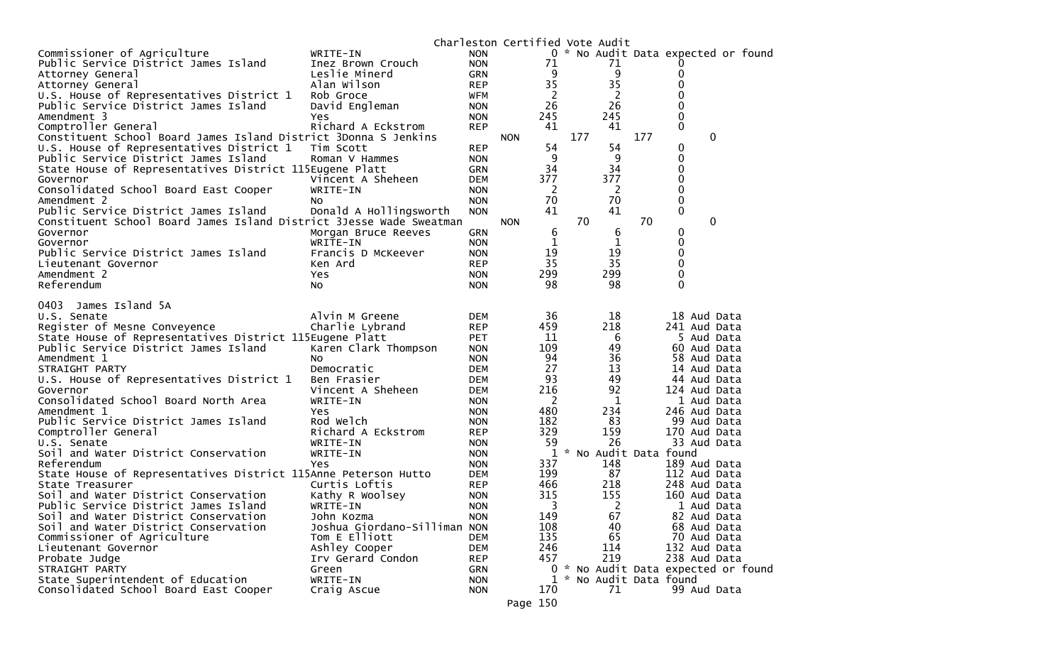|                                                                     |                                  |                          | Charleston Certified Vote Audit |                |     |                       |     |                                     |
|---------------------------------------------------------------------|----------------------------------|--------------------------|---------------------------------|----------------|-----|-----------------------|-----|-------------------------------------|
| Commissioner of Agriculture                                         | WRITE-IN                         | <b>NON</b>               |                                 |                |     |                       |     | 0 * No Audit Data expected or found |
| Public Service District James Island                                | Inez Brown Crouch                | <b>NON</b>               |                                 | 71             |     | 71                    |     |                                     |
| Attorney General                                                    | Leslie Minerd                    | <b>GRN</b>               |                                 | 9              |     | 9                     |     | 0                                   |
| Attorney General                                                    | Alan Wilson                      | <b>REP</b>               |                                 | 35             |     | 35                    |     | 0                                   |
| U.S. House of Representatives District 1                            | Rob Groce                        | <b>WFM</b>               |                                 | $\overline{2}$ |     | $\overline{c}$        |     | 0                                   |
| Public Service District James Island                                | David Engleman                   | <b>NON</b>               |                                 | 26             |     | 26                    |     | 0                                   |
| Amendment 3                                                         | Yes                              | <b>NON</b>               |                                 | 245            |     | 245                   |     | 0                                   |
| Comptroller General                                                 | Richard A Eckstrom               | <b>REP</b>               |                                 | 41             |     | 41                    |     | $\mathbf{0}$                        |
| Constituent School Board James Island District 3Donna S Jenkins     |                                  |                          | <b>NON</b>                      |                | 177 |                       | 177 | 0                                   |
| U.S. House of Representatives District 1                            | Tim Scott                        | <b>REP</b>               |                                 | 54             |     | 54                    |     | 0                                   |
| Public Service District James Island                                | Roman V Hammes                   | <b>NON</b>               |                                 | 9              |     | 9                     |     | 0                                   |
| State House of Representatives District 115Eugene Platt             |                                  | <b>GRN</b>               |                                 | 34             |     | 34                    |     | 0                                   |
| Governor                                                            | Vincent A Sheheen                | <b>DEM</b>               |                                 | 377            |     | 377                   |     | 0                                   |
| Consolidated School Board East Cooper                               | WRITE-IN                         | <b>NON</b>               |                                 | 2              |     | 2                     |     | 0                                   |
| Amendment 2                                                         | NO.                              | <b>NON</b>               |                                 | 70             |     | 70                    |     | 0                                   |
| Public Service District James Island                                | Donald A Hollingsworth           | <b>NON</b>               |                                 | 41             |     | 41                    |     | 0                                   |
| Constituent School Board James Island District 3Jesse Wade Sweatman |                                  |                          | <b>NON</b>                      |                | 70  |                       | 70  | 0                                   |
| Governor                                                            | Morgan Bruce Reeves              | <b>GRN</b>               |                                 | 6              |     | 6                     |     | 0                                   |
| Governor                                                            | WRITE-IN                         | <b>NON</b>               |                                 | 1              |     | 1                     |     | 0                                   |
| Public Service District James Island                                | Francis D McKeever               | <b>NON</b>               |                                 | 19             |     | 19                    |     | 0                                   |
| Lieutenant Governor                                                 | Ken Ard                          | <b>REP</b>               |                                 | 35             |     | 35                    |     | 0                                   |
| Amendment 2                                                         | Yes                              | <b>NON</b>               |                                 | 299            |     | 299                   |     | 0                                   |
| Referendum                                                          | No                               | <b>NON</b>               |                                 | 98             |     | 98                    |     | $\Omega$                            |
|                                                                     |                                  |                          |                                 |                |     |                       |     |                                     |
| James Island 5A<br>0403                                             |                                  |                          |                                 |                |     |                       |     |                                     |
| U.S. Senate                                                         | Alvin M Greene                   | <b>DEM</b>               |                                 | 36             |     | 18                    |     | 18 Aud Data                         |
| Register of Mesne Conveyence                                        | Charlie Lybrand                  | <b>REP</b>               |                                 | 459            |     | 218                   |     | 241 Aud Data                        |
| State House of Representatives District 115Eugene Platt             |                                  | <b>PET</b>               |                                 | 11             |     | 6                     |     | 5 Aud Data                          |
| Public Service District James Island                                | Karen Clark Thompson             | <b>NON</b>               |                                 | 109            |     | 49                    |     | 60 Aud Data                         |
| Amendment 1                                                         | No.                              | <b>NON</b>               |                                 | 94<br>27       |     | 36                    |     | 58 Aud Data                         |
| STRAIGHT PARTY                                                      | Democratic                       | <b>DEM</b>               |                                 | 93             |     | 13<br>49              |     | 14 Aud Data                         |
| U.S. House of Representatives District 1                            | Ben Frasier<br>Vincent A Sheheen | <b>DEM</b><br><b>DEM</b> |                                 | 216            |     | 92                    |     | 44 Aud Data<br>124 Aud Data         |
| Governor<br>Consolidated School Board North Area                    | WRITE-IN                         |                          |                                 | 2              |     | 1                     |     | 1 Aud Data                          |
| Amendment 1                                                         | Yes                              | <b>NON</b>               |                                 | 480            |     | 234                   |     | 246 Aud Data                        |
| Public Service District James Island                                | Rod Welch                        | <b>NON</b><br><b>NON</b> |                                 | 182            |     | 83                    |     | 99 Aud Data                         |
| Comptroller General                                                 | Richard A Eckstrom               | <b>REP</b>               |                                 | 329            |     | 159                   |     | 170 Aud Data                        |
| U.S. Senate                                                         | WRITE-IN                         | <b>NON</b>               |                                 | 59             |     | 26                    |     | 33 Aud Data                         |
| Soil and Water District Conservation                                | WRITE-IN                         | <b>NON</b>               |                                 | 1              |     | * No Audit Data found |     |                                     |
| Referendum                                                          | Yes                              | <b>NON</b>               |                                 | 337            |     | 148                   |     | 189 Aud Data                        |
| State House of Representatives District 115Anne Peterson Hutto      |                                  | <b>DEM</b>               |                                 | 199            |     | 87                    |     | 112 Aud Data                        |
| State Treasurer                                                     | Curtis Loftis                    | <b>REP</b>               |                                 | 466            |     | 218                   |     | 248 Aud Data                        |
| Soil and Water District Conservation                                | Kathy R Woolsey                  | <b>NON</b>               |                                 | 315            |     | 155                   |     | 160 Aud Data                        |
| Public Service District James Island                                | WRITE-IN                         | <b>NON</b>               |                                 | 3              |     | 2                     |     | 1 Aud Data                          |
| Soil and Water District Conservation                                | John Kozma                       | <b>NON</b>               |                                 | 149            |     | 67                    |     | 82 Aud Data                         |
| Soil and Water District Conservation                                | Joshua Giordano-Silliman NON     |                          |                                 | 108            |     | 40                    |     | 68 Aud Data                         |
| Commissioner of Agriculture                                         | Tom E Elliott                    | <b>DEM</b>               |                                 | 135            |     | 65                    |     | 70 Aud Data                         |
| Lieutenant Governor                                                 | Ashley Cooper                    | <b>DEM</b>               |                                 | 246            |     | 114                   |     | 132 Aud Data                        |
| Probate Judge                                                       | Irv Gerard Condon                | <b>REP</b>               |                                 | 457            |     | 219                   |     | 238 Aud Data                        |
| STRAIGHT PARTY                                                      | Green                            | <b>GRN</b>               |                                 | 0              |     |                       |     | * No Audit Data expected or found   |
| State Superintendent of Education                                   | WRITE-IN                         | <b>NON</b>               |                                 | 1              |     | * No Audit Data found |     |                                     |
| Consolidated School Board East Cooper                               | Craig Ascue                      | <b>NON</b>               |                                 | 170            |     | 71                    |     | 99 Aud Data                         |
|                                                                     |                                  |                          |                                 |                |     |                       |     |                                     |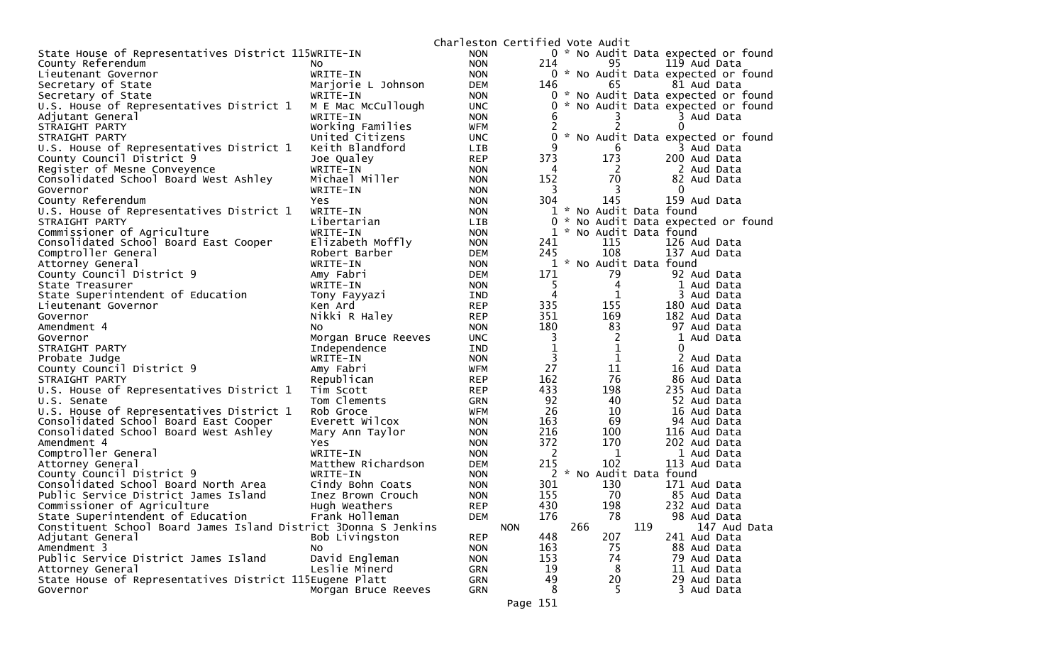|                                                                 |                                         | Charleston Certified Vote Audit |                |                                     |
|-----------------------------------------------------------------|-----------------------------------------|---------------------------------|----------------|-------------------------------------|
| State House of Representatives District 115WRITE-IN             | <b>NON</b>                              |                                 |                | 0 * No Audit Data expected or found |
| County Referendum<br>NO.                                        | <b>NON</b>                              | 214                             | 95             | 119 Aud Data                        |
| Lieutenant Governor                                             | WRITE-IN<br><b>NON</b>                  |                                 |                | 0 * No Audit Data expected or found |
| Secretary of State                                              | Marjorie L Johnson<br><b>DEM</b>        | 146                             | 65             | 81 Aud Data                         |
| Secretary of State                                              | WRITE-IN<br><b>NON</b>                  |                                 |                | 0 * No Audit Data expected or found |
| U.S. House of Representatives District 1                        | M E Mac McCullough<br><b>UNC</b>        | 0                               |                | No Audit Data expected or found     |
| Adjutant General                                                | WRITE-IN<br><b>NON</b>                  | 6                               | 3              | 3 Aud Data                          |
| STRAIGHT PARTY                                                  | Working Families<br><b>WFM</b>          | 2                               | 2              | 0                                   |
| STRAIGHT PARTY                                                  | United Citizens<br><b>UNC</b>           | 0                               |                | * No Audit Data expected or found   |
| U.S. House of Representatives District 1                        | Keith Blandford<br><b>LIB</b>           | 9                               | 6              | 3 Aud Data                          |
| County Council District 9                                       | Joe Qualey<br><b>REP</b>                | 373                             | 173            | 200 Aud Data                        |
| Register of Mesne Conveyence                                    | WRITE-IN<br><b>NON</b>                  | 4                               | -2             | 2 Aud Data                          |
| Consolidated School Board West Ashley                           | Michael Miller<br><b>NON</b>            | 152                             | 70             | 82 Aud Data                         |
| Governor                                                        | WRITE-IN<br><b>NON</b>                  | 3                               | 3              | $\mathbf{0}$                        |
| County Referendum<br>Yes                                        | <b>NON</b>                              | 304                             | 145            | 159 Aud Data                        |
| U.S. House of Representatives District 1                        | WRITE-IN<br><b>NON</b>                  |                                 |                | 1 * No Audit Data found             |
| STRAIGHT PARTY                                                  | Libertarian<br>LIB.                     | 0<br>*                          |                | No Audit Data expected or found     |
| Commissioner of Agriculture                                     | WRITE-IN<br><b>NON</b>                  |                                 |                | 1 * No Audit Data found             |
| Consolidated School Board East Cooper                           | Elizabeth Moffly<br><b>NON</b>          | 241                             | 115            | 126 Aud Data                        |
| Comptroller General                                             | Robert Barber<br>DEM                    | 245                             | 108            | 137 Aud Data                        |
| Attorney General                                                | WRITE-IN<br><b>NON</b>                  |                                 |                | 1 * No Audit Data found             |
| County Council District 9                                       | Amy Fabri<br><b>DEM</b>                 | 171                             | 79             | 92 Aud Data                         |
| State Treasurer                                                 | WRITE-IN<br><b>NON</b>                  | 5                               | 4              | 1 Aud Data                          |
| State Superintendent of Education                               | IND<br>Tony Fayyazi                     | 4                               | 1              | 3 Aud Data                          |
| Ken Ard<br>Lieutenant Governor                                  | <b>REP</b>                              | 335                             | 155            | 180 Aud Data                        |
| Governor                                                        | Nikki R Haley<br><b>REP</b>             | 351                             | 169            | 182 Aud Data                        |
| Amendment 4<br>NO.                                              | <b>NON</b>                              | 180                             | 83             | 97 Aud Data                         |
| Governor                                                        | Morgan Bruce Reeves<br><b>UNC</b>       | 3                               | $\overline{2}$ | 1 Aud Data                          |
| STRAIGHT PARTY                                                  | Independence<br>IND                     | $\mathbf{1}$                    | $\mathbf 1$    | 0                                   |
| Probate Judge                                                   | WRITE-IN<br><b>NON</b>                  | 3                               | $\mathbf{1}$   | 2 Aud Data                          |
| County Council District 9                                       | Amy Fabri<br>WFM                        | 27                              | 11             | 16 Aud Data                         |
| STRAIGHT PARTY                                                  | Republican<br><b>REP</b>                | 162                             | 76             | 86 Aud Data                         |
| U.S. House of Representatives District 1                        | <b>REP</b><br>Tim Scott                 | 433                             | 198            | 235 Aud Data                        |
| U.S. Senate                                                     | Tom Clements<br><b>GRN</b>              | 92                              | 40             | 52 Aud Data                         |
| U.S. House of Representatives District 1                        | Rob Groce<br>WFM                        | 26<br>163                       | 10             | 16 Aud Data                         |
| Consolidated School Board East Cooper                           | Everett Wilcox<br><b>NON</b>            | 216                             | 69             | 94 Aud Data                         |
| Consolidated School Board West Ashley<br>Amendment 4<br>Yes     | Mary Ann Taylor<br><b>NON</b>           | 372                             | 100<br>170     | 116 Aud Data<br>202 Aud Data        |
| Comptroller General                                             | <b>NON</b><br>WRITE-IN                  | 2                               | 1              | 1 Aud Data                          |
| Attorney General                                                | <b>NON</b><br>Matthew Richardson<br>DEM | 215                             | 102            | 113 Aud Data                        |
| County Council District 9                                       | WRITE-IN<br><b>NON</b>                  | 2                               |                | * No Audit Data found               |
| Consolidated School Board North Area                            | Cindy Bohn Coats<br><b>NON</b>          | 301                             | 130            | 171 Aud Data                        |
| Public Service District James Island                            | Inez Brown Crouch<br><b>NON</b>         | 155                             | 70             | 85 Aud Data                         |
| Commissioner of Agriculture                                     | Hugh Weathers<br><b>REP</b>             | 430                             | 198            | 232 Aud Data                        |
| State Superintendent of Education                               | Frank Holleman<br><b>DEM</b>            | 176                             | 78             | 98 Aud Data                         |
| Constituent School Board James Island District 3Donna S Jenkins |                                         | <b>NON</b>                      | 266            | 119<br>147 Aud Data                 |
| Adjutant General                                                | Bob Livingston<br><b>REP</b>            | 448                             | 207            | 241 Aud Data                        |
| Amendment 3<br>NO.                                              | <b>NON</b>                              | 163                             | 75             | 88 Aud Data                         |
| Public Service District James Island                            | David Engleman<br><b>NON</b>            | 153                             | 74             | 79 Aud Data                         |
| Attorney General                                                | Leslie Minerd<br><b>GRN</b>             | 19                              | 8              | 11 Aud Data                         |
| State House of Representatives District 115Eugene Platt         | <b>GRN</b>                              | 49                              | 20             | 29 Aud Data                         |
| Governor                                                        | <b>GRN</b><br>Morgan Bruce Reeves       | 8                               | 5              | 3 Aud Data                          |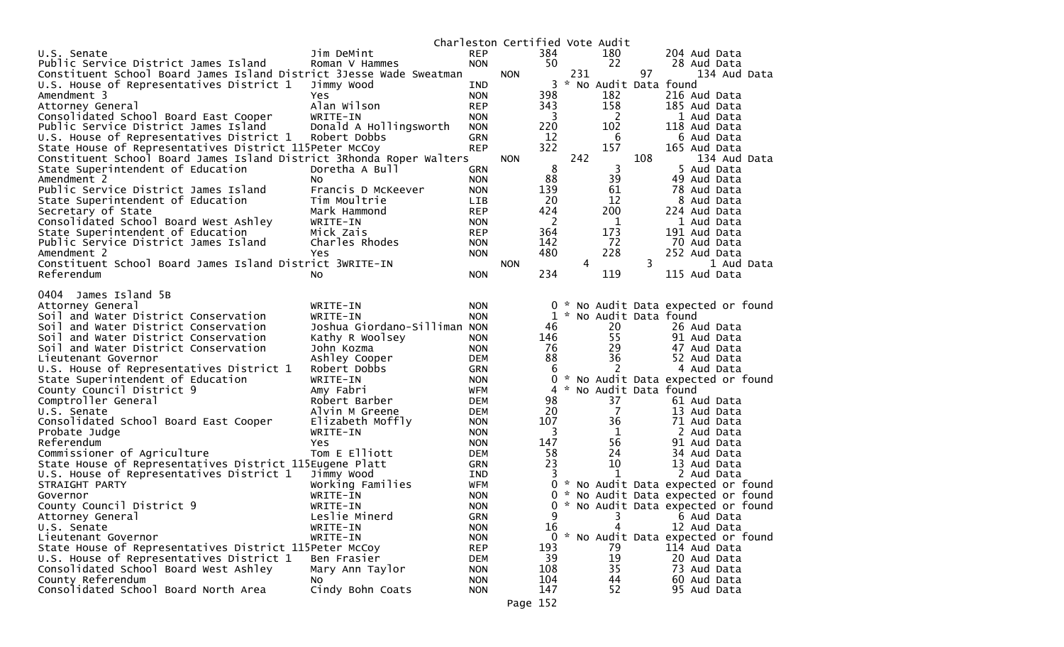|                                                                      |                              |            | Charleston Certified Vote Audit |          |     |                         |     |                                     |
|----------------------------------------------------------------------|------------------------------|------------|---------------------------------|----------|-----|-------------------------|-----|-------------------------------------|
| U.S. Senate                                                          | Jim DeMint                   | <b>REP</b> |                                 | 384      |     | 180                     |     | 204 Aud Data                        |
| Public Service District James Island                                 | Roman V Hammes               | <b>NON</b> |                                 | 50       |     | 22                      |     | 28 Aud Data                         |
| Constituent School Board James Island District 3Jesse Wade Sweatman  |                              |            | <b>NON</b>                      |          | 231 |                         | 97  | 134 Aud Data                        |
| U.S. House of Representatives District 1                             | Jimmy Wood                   | IND        |                                 | 3        |     | * No Audit Data found   |     |                                     |
| Amendment 3                                                          | Yes                          | <b>NON</b> |                                 | 398      |     | 182                     |     | 216 Aud Data                        |
| Attorney General                                                     | Alan Wilson                  | <b>REP</b> |                                 | 343      |     | 158                     |     | 185 Aud Data                        |
| Consolidated School Board East Cooper                                | WRITE-IN                     | <b>NON</b> |                                 | 3        |     | 2                       |     | 1 Aud Data                          |
| Public Service District James Island                                 | Donald A Hollingsworth       | <b>NON</b> |                                 | 220      |     | 102                     |     | 118 Aud Data                        |
| U.S. House of Representatives District 1                             | Robert Dobbs                 | <b>GRN</b> |                                 | 12       |     | -6                      |     | 6 Aud Data                          |
| State House of Representatives District 115Peter McCoy               |                              | <b>REP</b> |                                 | 322      |     | 157                     |     | 165 Aud Data                        |
| Constituent School Board James Island District 3Rhonda Roper Walters |                              |            | <b>NON</b>                      |          | 242 |                         | 108 | 134 Aud Data                        |
| State Superintendent of Education                                    | Doretha A Bull               | <b>GRN</b> |                                 | 8        |     | 3                       |     | 5 Aud Data                          |
| Amendment 2                                                          | NO.                          | <b>NON</b> |                                 | 88       |     | 39                      |     | 49 Aud Data                         |
| Public Service District James Island                                 | Francis D McKeever           | <b>NON</b> |                                 | 139      |     | 61                      |     | 78 Aud Data                         |
| State Superintendent of Education                                    | Tim Moultrie                 | <b>LIB</b> |                                 | 20       |     | 12                      |     | 8 Aud Data                          |
| Secretary of State                                                   | Mark Hammond                 | <b>REP</b> |                                 | 424      |     | 200                     |     | 224 Aud Data                        |
| Consolidated School Board West Ashley                                | WRITE-IN                     | <b>NON</b> |                                 | 2        |     | 1                       |     | 1 Aud Data                          |
| State Superintendent of Education                                    | Mick Zais                    | <b>REP</b> |                                 | 364      |     | 173                     |     | 191 Aud Data                        |
| Public Service District James Island                                 | Charles Rhodes               | <b>NON</b> |                                 | 142      |     | 72                      |     | 70 Aud Data                         |
| Amendment 2                                                          | Yes                          | <b>NON</b> |                                 | 480      |     | 228                     |     | 252 Aud Data                        |
| Constituent School Board James Island District 3WRITE-IN             |                              |            | <b>NON</b>                      |          | 4   |                         | 3   | 1 Aud Data                          |
| Referendum                                                           | NO.                          | <b>NON</b> |                                 | 234      |     | 119                     |     | 115 Aud Data                        |
| James Island 5B<br>0404                                              |                              |            |                                 |          |     |                         |     |                                     |
|                                                                      | WRITE-IN                     | <b>NON</b> |                                 | 0        | ×,  |                         |     |                                     |
| Attorney General<br>Soil and Water District Conservation             | WRITE-IN                     | <b>NON</b> |                                 |          |     | 1 * No Audit Data found |     | No Audit Data expected or found     |
| Soil and Water District Conservation                                 | Joshua Giordano-Silliman NON |            |                                 | 46       |     | 20                      |     | 26 Aud Data                         |
| Soil and Water District Conservation                                 | Kathy R Woolsey              | <b>NON</b> |                                 | 146      |     | 55                      |     | 91 Aud Data                         |
| Soil and Water District Conservation                                 | John Kozma                   | <b>NON</b> |                                 | 76       |     | 29                      |     | 47 Aud Data                         |
| Lieutenant Governor                                                  | Ashley Cooper                | <b>DEM</b> |                                 | 88       |     | 36                      |     | 52 Aud Data                         |
| U.S. House of Representatives District 1                             | Robert Dobbs                 | <b>GRN</b> |                                 | 6        |     | 2                       |     | 4 Aud Data                          |
| State Superintendent of Education                                    | WRITE-IN                     | <b>NON</b> |                                 | 0        |     |                         |     | * No Audit Data expected or found   |
| County Council District 9                                            | Amy Fabri                    | <b>WFM</b> |                                 | 4        |     | * No Audit Data found   |     |                                     |
| Comptroller General                                                  | Robert Barber                | DEM        |                                 | 98       |     | 37                      |     | 61 Aud Data                         |
| U.S. Senate                                                          | Alvin M Greene               | <b>DEM</b> |                                 | 20       |     | $\overline{7}$          |     | 13 Aud Data                         |
| Consolidated School Board East Cooper                                | Elizabeth Moffly             | <b>NON</b> |                                 | 107      |     | 36                      |     | 71 Aud Data                         |
| Probate Judge                                                        | WRITE-IN                     | <b>NON</b> |                                 | 3        |     | 1                       |     | 2 Aud Data                          |
| Referendum                                                           | Yes                          | <b>NON</b> |                                 | 147      |     | 56                      |     | 91 Aud Data                         |
| Commissioner of Agriculture                                          | Tom E Elliott                | <b>DEM</b> |                                 | 58       |     | 24                      |     | 34 Aud Data                         |
| State House of Representatives District 115Eugene Platt              |                              | GRN        |                                 | 23       |     | 10                      |     | 13 Aud Data                         |
| U.S. House of Representatives District 1                             | Jimmy Wood                   | IND        |                                 |          |     | $\mathbf{1}$            |     | 2 Aud Data                          |
| STRAIGHT PARTY                                                       | Working Families             | WFM        |                                 |          |     |                         |     | 0 * No Audit Data expected or found |
| Governor                                                             | WRITE-IN                     | <b>NON</b> |                                 | $\Omega$ |     |                         |     | * No Audit Data expected or found   |
| County Council District 9                                            | WRITE-IN                     | <b>NON</b> |                                 |          |     |                         |     | 0 * No Audit Data expected or found |
| Attorney General                                                     | Leslie Minerd                | <b>GRN</b> |                                 | 9        |     | 3                       |     | 6 Aud Data                          |
| U.S. Senate                                                          | WRITE-IN                     | <b>NON</b> |                                 | 16       |     |                         |     | 12 Aud Data                         |
| Lieutenant Governor                                                  | WRITE-IN                     | <b>NON</b> |                                 | 0        |     |                         |     | * No Audit Data expected or found   |
| State House of Representatives District 115Peter McCoy               |                              | <b>REP</b> |                                 | 193      |     | 79                      |     | 114 Aud Data                        |
| U.S. House of Representatives District 1                             | Ben Frasier                  | DEM        |                                 | 39       |     | 19                      |     | 20 Aud Data                         |
| Consolidated School Board West Ashley                                | Mary Ann Taylor              | <b>NON</b> |                                 | 108      |     | 35                      |     | 73 Aud Data                         |
| County Referendum                                                    | <b>NO</b>                    | <b>NON</b> |                                 | 104      |     | 44                      |     | 60 Aud Data                         |
| Consolidated School Board North Area                                 | Cindy Bohn Coats             | <b>NON</b> |                                 | 147      |     | 52                      |     | 95 Aud Data                         |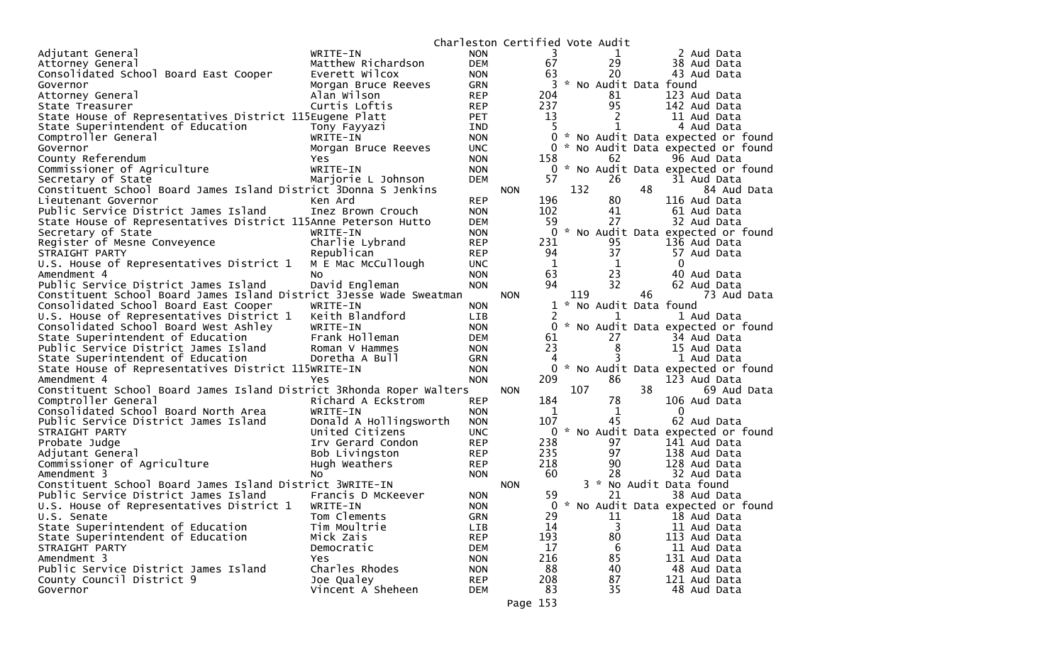|                                                                      |                                      |                          |            |             |     | Charleston Certified Vote Audit |    |                                                  |
|----------------------------------------------------------------------|--------------------------------------|--------------------------|------------|-------------|-----|---------------------------------|----|--------------------------------------------------|
| Adjutant General                                                     | WRITE-IN                             | <b>NON</b>               |            | 3           |     | 1                               |    | 2 Aud Data                                       |
| Attorney General                                                     | Matthew Richardson                   | <b>DEM</b>               |            | 67          |     | 29                              |    | 38 Aud Data                                      |
| Consolidated School Board East Cooper                                | Everett Wilcox                       | <b>NON</b>               |            | 63          |     | 20                              |    | 43 Aud Data                                      |
| Governor                                                             | Morgan Bruce Reeves                  | GRN                      |            | 3           |     | * No Audit Data found           |    |                                                  |
| Attorney General                                                     | Alan Wilson                          | <b>REP</b>               |            | 204         |     | 81                              |    | 123 Aud Data                                     |
| State Treasurer                                                      | Curtis Loftis                        | <b>REP</b>               |            | 237         |     | 95                              |    | 142 Aud Data                                     |
| State House of Representatives District 115Eugene Platt              |                                      | <b>PET</b>               |            | 13          |     | 2                               |    | 11 Aud Data                                      |
| State Superintendent of Education                                    | Tony Fayyazi                         | <b>IND</b>               |            | 5.          |     | 1                               |    | 4 Aud Data                                       |
| Comptroller General                                                  | WRITE-IN                             | <b>NON</b>               |            |             |     |                                 |    | 0 * No Audit Data expected or found              |
| Governor                                                             | Morgan Bruce Reeves                  | UNC.                     |            |             |     |                                 |    | * No Audit Data expected or found                |
| County Referendum                                                    | Yes.                                 | <b>NON</b>               |            | 158         |     | 62                              |    | 96 Aud Data                                      |
| Commissioner of Agriculture                                          | WRITE-IN                             | <b>NON</b>               |            |             |     |                                 |    | 0 * No Audit Data expected or found              |
| Secretary of State                                                   | Marjorie L Johnson                   | <b>DEM</b>               |            | 57          |     | 26                              |    | 31 Aud Data                                      |
| Constituent School Board James Island District 3Donna S Jenkins      |                                      |                          | <b>NON</b> |             | 132 |                                 | 48 | 84 Aud Data                                      |
| Lieutenant Governor                                                  | Ken Ard                              | <b>REP</b>               |            | 196         |     | 80                              |    | 116 Aud Data                                     |
| Public Service District James Island                                 | Inez Brown Crouch                    | <b>NON</b>               |            | 102         |     | 41                              |    | 61 Aud Data                                      |
| State House of Representatives District 115Anne Peterson Hutto       |                                      | <b>DEM</b>               |            | 59          |     | 27                              |    | 32 Aud Data                                      |
| Secretary of State                                                   | WRITE-IN                             | <b>NON</b>               |            | 0           |     |                                 |    | * No Audit Data expected or found                |
| Register of Mesne Conveyence                                         | Charlie Lybrand                      | <b>REP</b>               |            | 231         |     | 95                              |    | 136 Aud Data                                     |
| STRAIGHT PARTY                                                       | Republican                           | <b>REP</b>               |            | 94          |     | 37                              |    | 57 Aud Data                                      |
| U.S. House of Representatives District 1                             | M E Mac McCullough                   | <b>UNC</b>               |            | $\mathbf 1$ |     | 1                               |    | $\bf{0}$                                         |
| Amendment 4                                                          | No                                   | <b>NON</b>               |            | 63          |     | 23                              |    | 40 Aud Data                                      |
| Public Service District James Island                                 | David Engleman                       | <b>NON</b>               |            | 94          |     | 32                              |    | 62 Aud Data                                      |
| Constituent School Board James Island District 3Jesse Wade Sweatman  |                                      |                          | <b>NON</b> |             | 119 |                                 | 46 | 73 Aud Data                                      |
| Consolidated School Board East Cooper                                | WRITE-IN                             | <b>NON</b>               |            |             |     | 1 * No Audit Data found         |    |                                                  |
| U.S. House of Representatives District 1                             | Keith Blandford                      | LIB                      |            | 2           |     | 1                               |    | 1 Aud Data                                       |
| Consolidated School Board West Ashley                                | WRITE-IN                             | <b>NON</b>               |            | 0           |     |                                 |    | * No Audit Data expected or found                |
| State Superintendent of Education                                    | Frank Holleman                       | <b>DEM</b>               |            | 61          |     | 27                              |    | 34 Aud Data                                      |
| Public Service District James Island                                 | Roman V Hammes                       | <b>NON</b>               |            | 23          |     | 8                               |    | 15 Aud Data                                      |
| State Superintendent of Education                                    | Doretha A Bull                       | <b>GRN</b>               |            | 4           |     |                                 |    | 1 Aud Data                                       |
| State House of Representatives District 115WRITE-IN                  |                                      | <b>NON</b>               |            | 0           |     |                                 |    | * No Audit Data expected or found                |
| Amendment 4                                                          | Yes                                  | <b>NON</b>               |            | 209         |     | 86                              |    | 123 Aud Data                                     |
| Constituent School Board James Island District 3Rhonda Roper Walters |                                      |                          | <b>NON</b> |             | 107 |                                 | 38 | 69 Aud Data                                      |
| Comptroller General                                                  | Richard A Eckstrom                   | <b>REP</b>               |            | 184         |     | 78                              |    | 106 Aud Data<br>$\mathbf{0}$                     |
| Consolidated School Board North Area                                 | WRITE-IN                             | <b>NON</b>               |            | 1<br>107    |     | 1<br>45                         |    |                                                  |
| Public Service District James Island                                 | Donald A Hollingsworth               | <b>NON</b>               |            | 0           |     |                                 |    | 62 Aud Data<br>* No Audit Data expected or found |
| STRAIGHT PARTY<br>Probate Judge                                      | United Citizens<br>Irv Gerard Condon | <b>UNC</b><br><b>REP</b> |            | 238         |     | 97                              |    | 141 Aud Data                                     |
| Adjutant General                                                     | Bob Livingston                       | <b>REP</b>               |            | 235         |     | 97                              |    | 138 Aud Data                                     |
| Commissioner of Agriculture                                          |                                      | <b>REP</b>               |            | 218         |     | 90                              |    | 128 Aud Data                                     |
| Amendment 3                                                          | Hugh Weathers                        | <b>NON</b>               |            | 60          |     | 28                              |    | 32 Aud Data                                      |
| Constituent School Board James Island District 3WRITE-IN             | No                                   |                          | <b>NON</b> |             |     |                                 |    | 3 * No Audit Data found                          |
| Public Service District James Island                                 | Francis D McKeever                   | <b>NON</b>               |            | 59          |     | 21                              |    | 38 Aud Data                                      |
| U.S. House of Representatives District 1                             | WRITE-IN                             | <b>NON</b>               |            |             |     |                                 |    | 0 * No Audit Data expected or found              |
| U.S. Senate                                                          | Tom Clements                         | <b>GRN</b>               |            | 29          |     | 11                              |    | 18 Aud Data                                      |
| State Superintendent of Education                                    | Tim Moultrie                         | LIB                      |            | 14          |     | 3                               |    | 11 Aud Data                                      |
| State Superintendent of Education                                    | Mick Zais                            | <b>REP</b>               |            | 193         |     | 80                              |    | 113 Aud Data                                     |
| STRAIGHT PARTY                                                       | Democratic                           | <b>DEM</b>               |            | 17          |     | 6                               |    | 11 Aud Data                                      |
| Amendment 3                                                          | Yes                                  | <b>NON</b>               |            | 216         |     | 85                              |    | 131 Aud Data                                     |
| Public Service District James Island                                 | Charles Rhodes                       | <b>NON</b>               |            | 88          |     | 40                              |    | 48 Aud Data                                      |
| County Council District 9                                            | Joe Qualey                           | <b>REP</b>               |            | 208         |     | 87                              |    | 121 Aud Data                                     |
| Governor                                                             | Vincent A Sheheen                    | <b>DEM</b>               |            | 83          |     | 35                              |    | 48 Aud Data                                      |
|                                                                      |                                      |                          |            |             |     |                                 |    |                                                  |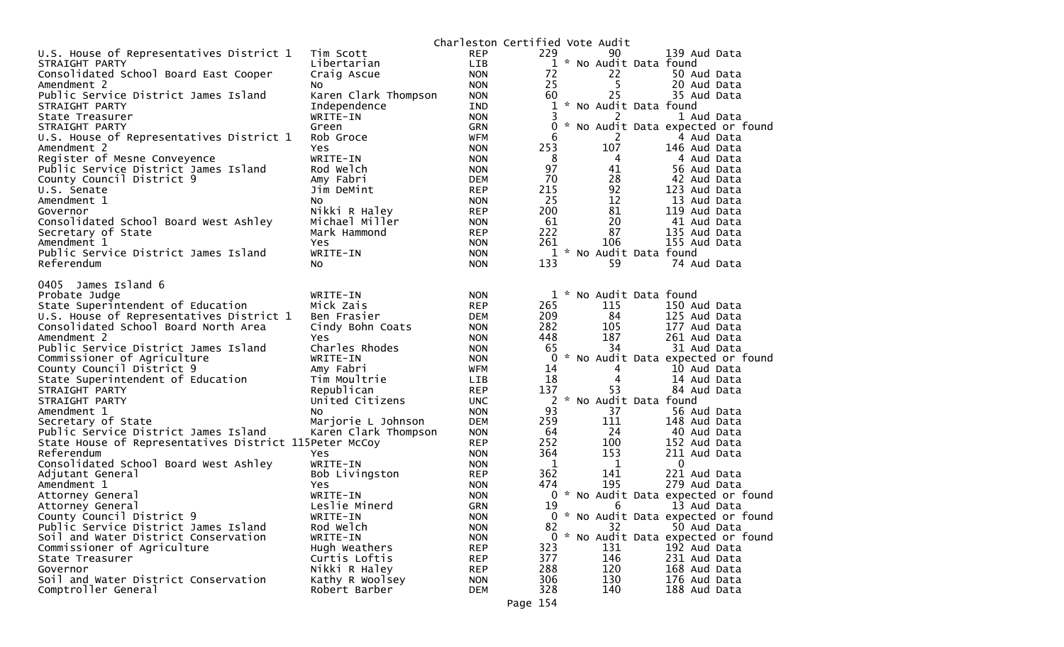|                                                                      |                      | Charleston Certified Vote Audit |             |                         |                             |                                     |
|----------------------------------------------------------------------|----------------------|---------------------------------|-------------|-------------------------|-----------------------------|-------------------------------------|
| U.S. House of Representatives District 1                             | Tim Scott            | <b>REP</b>                      | 229         | 90                      | 139 Aud Data                |                                     |
| STRAIGHT PARTY                                                       | Libertarian          | LIB                             |             | 1 * No Audit Data found |                             |                                     |
| Consolidated School Board East Cooper                                | Craig Ascue          | <b>NON</b>                      | 72          | 22                      | 50 Aud Data                 |                                     |
| Amendment 2                                                          | NO.                  | <b>NON</b>                      | 25          | 5                       | 20 Aud Data                 |                                     |
| Public Service District James Island                                 | Karen Clark Thompson | <b>NON</b>                      | 60          | 25                      | 35 Aud Data                 |                                     |
| STRAIGHT PARTY                                                       | Independence         | IND                             | 1           | * No Audit Data found   |                             |                                     |
| State Treasurer                                                      | WRITE-IN             | <b>NON</b>                      | 3           | 2                       | 1 Aud Data                  |                                     |
| STRAIGHT PARTY                                                       | Green                | GRN                             | 0           |                         |                             | * No Audit Data expected or found   |
| U.S. House of Representatives District 1                             | Rob Groce            | <b>WFM</b>                      | 6           | 2                       | 4 Aud Data                  |                                     |
| Amendment 2                                                          | Yes                  | <b>NON</b>                      | 253         | 107                     | 146 Aud Data                |                                     |
| Register of Mesne Conveyence                                         | WRITE-IN             | <b>NON</b>                      | 8           | 4                       | 4 Aud Data                  |                                     |
| Public Service District James Island                                 | Rod Welch            | <b>NON</b>                      | 97          | 41                      | 56 Aud Data                 |                                     |
| County Council District 9                                            | Amy Fabri            | <b>DEM</b>                      | 70          | 28                      | 42 Aud Data                 |                                     |
| U.S. Senate                                                          | Jim DeMint           | <b>REP</b>                      | 215         | 92                      | 123 Aud Data                |                                     |
| Amendment 1                                                          | No                   | <b>NON</b>                      | 25          | 12                      | 13 Aud Data                 |                                     |
| Governor                                                             | Nikki R Haley        | <b>REP</b>                      | 200         | 81                      | 119 Aud Data                |                                     |
| Consolidated School Board West Ashley                                | Michael Miller       | <b>NON</b>                      | 61          | 20                      | 41 Aud Data                 |                                     |
| Secretary of State                                                   | Mark Hammond         | <b>REP</b>                      | 222         | 87                      | 135 Aud Data                |                                     |
| Amendment 1                                                          | <b>Yes</b>           | <b>NON</b>                      | 261         | 106                     | 155 Aud Data                |                                     |
| Public Service District James Island                                 | WRITE-IN             | <b>NON</b>                      |             | 1 * No Audit Data found |                             |                                     |
| Referendum                                                           | No                   | <b>NON</b>                      | 133         | 59                      | 74 Aud Data                 |                                     |
|                                                                      |                      |                                 |             |                         |                             |                                     |
| James Island 6<br>0405                                               |                      |                                 |             |                         |                             |                                     |
| Probate Judge                                                        | WRITE-IN             | <b>NON</b>                      | $1 *$       | No Audit Data found     |                             |                                     |
| State Superintendent of Education                                    | Mick Zais            | <b>REP</b>                      | 265         | 115                     | 150 Aud Data                |                                     |
| U.S. House of Representatives District 1                             | Ben Frasier          | <b>DEM</b>                      | 209         | 84                      | 125 Aud Data                |                                     |
| Consolidated School Board North Area                                 | Cindy Bohn Coats     | <b>NON</b>                      | 282         | 105                     | 177 Aud Data                |                                     |
| Amendment 2                                                          | Yes                  | <b>NON</b>                      | 448         | 187                     | 261 Aud Data                |                                     |
| Public Service District James Island                                 | Charles Rhodes       | <b>NON</b>                      | 65          | 34                      | 31 Aud Data                 |                                     |
| Commissioner of Agriculture                                          | WRITE-IN             | <b>NON</b>                      | 0           |                         |                             | * No Audit Data expected or found   |
| County Council District 9                                            | Amy Fabri            | <b>WFM</b>                      | 14          | 4                       | 10 Aud Data                 |                                     |
| State Superintendent of Education                                    | Tim Moultrie         | LIB                             | 18          | 4<br>53                 | 14 Aud Data                 |                                     |
| STRAIGHT PARTY                                                       | Republican           | <b>REP</b>                      | 137         | * No Audit Data found   | 84 Aud Data                 |                                     |
| STRAIGHT PARTY                                                       | United Citizens      | <b>UNC</b>                      | 2           |                         |                             |                                     |
| Amendment 1                                                          | NO.                  | <b>NON</b>                      | 93<br>259   | 37<br>111               | 56 Aud Data                 |                                     |
| Secretary of State                                                   | Marjorie L Johnson   | <b>DEM</b>                      | 64          | 24                      | 148 Aud Data                |                                     |
| Public Service District James Island                                 | Karen Clark Thompson | <b>NON</b><br><b>REP</b>        | 252         | 100                     | 40 Aud Data<br>152 Aud Data |                                     |
| State House of Representatives District 115Peter McCoy<br>Referendum | <b>Yes</b>           | <b>NON</b>                      | 364         | 153                     | 211 Aud Data                |                                     |
| Consolidated School Board West Ashley                                | WRITE-IN             | <b>NON</b>                      | $\mathbf 1$ | 1                       | 0                           |                                     |
| Adjutant General                                                     | Bob Livingston       | <b>REP</b>                      | 362         | 141                     | 221 Aud Data                |                                     |
| Amendment 1                                                          | Yes                  | <b>NON</b>                      | 474         | 195                     | 279 Aud Data                |                                     |
| Attorney General                                                     | WRITE-IN             | <b>NON</b>                      |             |                         |                             | 0 * No Audit Data expected or found |
| Attorney General                                                     | Leslie Minerd        | <b>GRN</b>                      | 19          | 6                       | 13 Aud Data                 |                                     |
| County Council District 9                                            | WRITE-IN             | <b>NON</b>                      |             |                         |                             | 0 * No Audit Data expected or found |
| Public Service District James Island                                 | Rod Welch            | <b>NON</b>                      | 82          | 32                      | 50 Aud Data                 |                                     |
| Soil and Water District Conservation                                 | WRITE-IN             | <b>NON</b>                      |             |                         |                             | 0 * No Audit Data expected or found |
| Commissioner of Agriculture                                          | Hugh Weathers        | <b>REP</b>                      | 323         | 131                     | 192 Aud Data                |                                     |
| State Treasurer                                                      | Curtis Loftis        | <b>REP</b>                      | 377         | 146                     | 231 Aud Data                |                                     |
| Governor                                                             | Nikki R Haley        | <b>REP</b>                      | 288         | 120                     | 168 Aud Data                |                                     |
| Soil and Water District Conservation                                 | Kathy R Woolsey      | <b>NON</b>                      | 306         | 130                     | 176 Aud Data                |                                     |
| Comptroller General                                                  | Robert Barber        | <b>DEM</b>                      | 328         | 140                     | 188 Aud Data                |                                     |
|                                                                      |                      |                                 |             |                         |                             |                                     |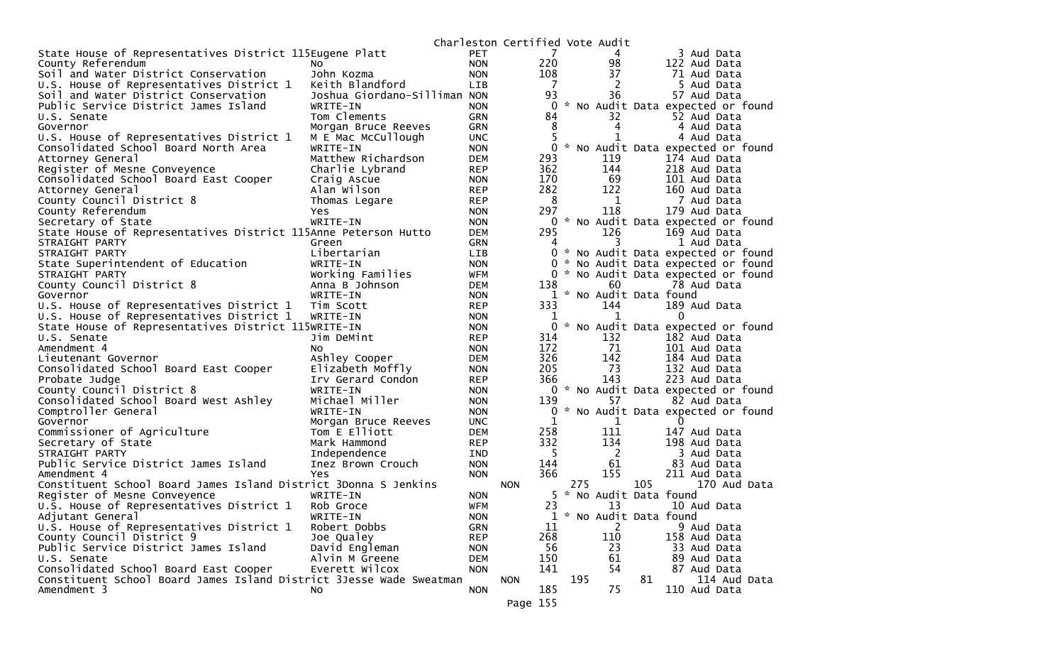|                                                                     |                                  |                          | Charleston Certified Vote Audit |                |     |                         |     |                                                                          |
|---------------------------------------------------------------------|----------------------------------|--------------------------|---------------------------------|----------------|-----|-------------------------|-----|--------------------------------------------------------------------------|
| State House of Representatives District 115Eugene Platt             |                                  | PET                      |                                 | 7              |     | 4                       |     | 3 Aud Data                                                               |
| County Referendum                                                   | NO.                              | <b>NON</b>               |                                 | 220            |     | 98                      |     | 122 Aud Data                                                             |
| Soil and Water District Conservation                                | John Kozma                       | <b>NON</b>               |                                 | 108            |     | 37                      |     | 71 Aud Data                                                              |
| U.S. House of Representatives District 1                            | Keith Blandford                  | LIB                      |                                 | $\overline{7}$ |     | 2                       |     | 5 Aud Data                                                               |
| Soil and Water District Conservation                                | Joshua Giordano-Silliman NON     |                          |                                 | 93             |     | 36                      |     | 57 Aud Data                                                              |
| Public Service District James Island                                | WRITE-IN                         | <b>NON</b>               |                                 | 0              |     |                         |     | * No Audit Data expected or found                                        |
| U.S. Senate                                                         | Tom Clements                     | GRN                      |                                 | 84             |     | 32                      |     | 52 Aud Data                                                              |
| Governor                                                            | Morgan Bruce Reeves              | <b>GRN</b>               |                                 | 8              |     | 4                       |     | 4 Aud Data                                                               |
| U.S. House of Representatives District 1                            | M E Mac McCullough               | <b>UNC</b>               |                                 | 5              |     | 1                       |     | 4 Aud Data                                                               |
| Consolidated School Board North Area                                | WRITE-IN                         | <b>NON</b>               |                                 |                |     |                         |     | 0 * No Audit Data expected or found                                      |
| Attorney General                                                    | Matthew Richardson               | <b>DEM</b>               |                                 | 293            |     | 119                     |     | 174 Aud Data                                                             |
| Register of Mesne Conveyence                                        | Charlie Lybrand                  | <b>REP</b>               |                                 | 362            |     | 144                     |     | 218 Aud Data                                                             |
| Consolidated School Board East Cooper                               | Craig Ascue                      | <b>NON</b>               |                                 | 170            |     | 69                      |     | 101 Aud Data                                                             |
| Attorney General                                                    | Alan Wilson                      | <b>REP</b>               |                                 | 282            |     | 122                     |     | 160 Aud Data                                                             |
| County Council District 8                                           | Thomas Legare                    | <b>REP</b>               |                                 | - 8            |     | 1                       |     | 7 Aud Data                                                               |
| County Referendum                                                   | Yes                              | <b>NON</b>               |                                 | 297            |     | 118                     |     | 179 Aud Data                                                             |
| Secretary of State                                                  | WRITE-IN                         | <b>NON</b>               |                                 |                |     |                         |     | 0 * No Audit Data expected or found                                      |
| State House of Representatives District 115Anne Peterson Hutto      |                                  | <b>DEM</b>               |                                 | 295            |     | 126                     |     | 169 Aud Data                                                             |
| STRAIGHT PARTY                                                      | Green                            | <b>GRN</b>               |                                 | 4              |     | 3                       |     | 1 Aud Data                                                               |
| STRAIGHT PARTY                                                      | Libertarian                      | LIB.                     |                                 |                |     |                         |     | 0 * No Audit Data expected or found                                      |
| State Superintendent of Education<br>STRAIGHT PARTY                 | WRITE-IN<br>Working Families     | <b>NON</b><br>WFM        |                                 | 0              |     |                         |     | * No Audit Data expected or found<br>0 * No Audit Data expected or found |
| County Council District 8                                           | Anna B Johnson                   | <b>DEM</b>               |                                 | 138            |     | 60                      |     | 78 Aud Data                                                              |
| Governor                                                            | WRITE-IN                         | <b>NON</b>               |                                 |                |     | 1 * No Audit Data found |     |                                                                          |
| U.S. House of Representatives District 1                            | Tim Scott                        | <b>REP</b>               |                                 | 333            |     | 144                     |     | 189 Aud Data                                                             |
| U.S. House of Representatives District 1                            | WRITE-IN                         | <b>NON</b>               |                                 | 1              |     | 1                       |     | $\mathbf{0}$                                                             |
| State House of Representatives District 115WRITE-IN                 |                                  | <b>NON</b>               |                                 |                |     |                         |     | 0 * No Audit Data expected or found                                      |
| U.S. Senate                                                         | Jim DeMint                       | <b>REP</b>               |                                 | 314            |     | 132                     |     | 182 Aud Data                                                             |
| Amendment 4                                                         | NO.                              | <b>NON</b>               |                                 | 172            |     | 71                      |     | 101 Aud Data                                                             |
| Lieutenant Governor                                                 | Ashley Cooper                    | <b>DEM</b>               |                                 | 326            |     | 142                     |     | 184 Aud Data                                                             |
| Consolidated School Board East Cooper                               | Elizabeth Moffly                 | <b>NON</b>               |                                 | 205            |     | 73                      |     | 132 Aud Data                                                             |
| Probate Judge                                                       | Irv Gerard Condon                | <b>REP</b>               |                                 | 366            |     | 143                     |     | 223 Aud Data                                                             |
| County Council District 8                                           | WRITE-IN                         | <b>NON</b>               |                                 |                |     |                         |     | 0 * No Audit Data expected or found                                      |
| Consolidated School Board West Ashley                               | Michael Miller                   | <b>NON</b>               |                                 | 139            |     | 57                      |     | 82 Aud Data                                                              |
| Comptroller General                                                 | WRITE-IN                         | <b>NON</b>               |                                 |                |     |                         |     | 0 * No Audit Data expected or found                                      |
| Governor                                                            | Morgan Bruce Reeves              | <b>UNC</b>               |                                 | 1              |     | 1                       |     | $\Omega$                                                                 |
| Commissioner of Agriculture                                         | Tom E Elliott                    | <b>DEM</b>               |                                 | 258            |     | 111                     |     | 147 Aud Data                                                             |
| Secretary of State                                                  | Mark Hammond                     | <b>REP</b>               |                                 | 332            |     | 134                     |     | 198 Aud Data                                                             |
| STRAIGHT PARTY                                                      | Independence                     | IND                      |                                 | -5             |     | $\overline{2}$          |     | 3 Aud Data                                                               |
| Public Service District James Island                                | Inez Brown Crouch                | <b>NON</b>               |                                 | 144            |     | 61                      |     | 83 Aud Data                                                              |
| Amendment 4                                                         | Yes                              | <b>NON</b>               |                                 | 366            |     | 155                     |     | 211 Aud Data                                                             |
| Constituent School Board James Island District 3Donna S Jenkins     |                                  |                          | <b>NON</b>                      |                | 275 |                         | 105 | 170 Aud Data                                                             |
| Register of Mesne Conveyence                                        | WRITE-IN                         | <b>NON</b>               |                                 |                |     | 5 * No Audit Data found |     |                                                                          |
| U.S. House of Representatives District 1                            | Rob Groce                        | <b>WFM</b>               |                                 | 23             |     | 13                      |     | 10 Aud Data                                                              |
| Adjutant General                                                    | WRITE-IN                         | <b>NON</b>               |                                 |                |     | 1 * No Audit Data found |     |                                                                          |
| U.S. House of Representatives District 1                            | Robert Dobbs                     | <b>GRN</b>               |                                 | 11             |     | 2                       |     | 9 Aud Data                                                               |
| County Council District 9                                           | Joe Qualey                       | <b>REP</b>               |                                 | 268            |     | 110                     |     | 158 Aud Data                                                             |
| Public Service District James Island<br>U.S. Senate                 | David Engleman<br>Alvin M Greene | <b>NON</b><br><b>DEM</b> |                                 | 56<br>150      |     | 23<br>61                |     | 33 Aud Data<br>89 Aud Data                                               |
| Consolidated School Board East Cooper                               | Everett Wilcox                   | <b>NON</b>               |                                 | 141            |     | 54                      |     |                                                                          |
| Constituent School Board James Island District 3Jesse Wade Sweatman |                                  |                          | <b>NON</b>                      |                | 195 |                         | 81  | 87 Aud Data<br>114 Aud Data                                              |
| Amendment 3                                                         | No                               | <b>NON</b>               |                                 | 185            |     | 75                      |     | 110 Aud Data                                                             |
|                                                                     |                                  |                          |                                 |                |     |                         |     |                                                                          |
|                                                                     |                                  |                          | Page 155                        |                |     |                         |     |                                                                          |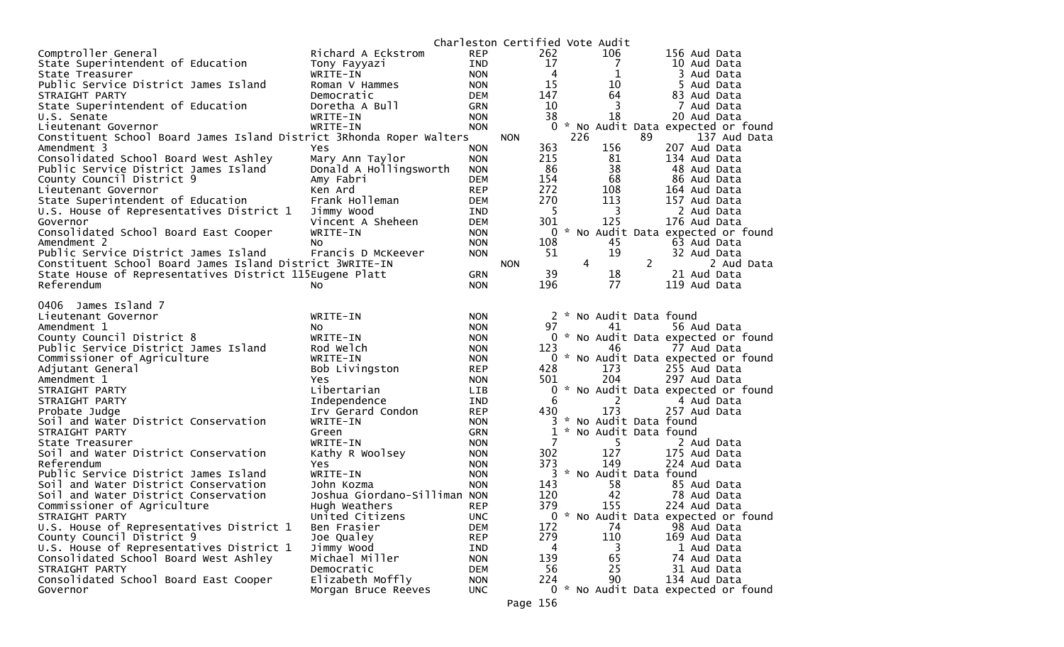|                                                                      |                                         |                          | Charleston Certified Vote Audit |       |               |                         |    |                                                     |
|----------------------------------------------------------------------|-----------------------------------------|--------------------------|---------------------------------|-------|---------------|-------------------------|----|-----------------------------------------------------|
| Comptroller General                                                  | Richard A Eckstrom                      | <b>REP</b>               |                                 | 262   |               | 106                     |    | 156 Aud Data                                        |
| State Superintendent of Education                                    | Tony Fayyazi                            | <b>IND</b>               |                                 | 17    |               | 7                       |    | 10 Aud Data                                         |
| State Treasurer                                                      | WRITE-IN                                | <b>NON</b>               |                                 | 4     |               | 1                       |    | 3 Aud Data                                          |
| Public Service District James Island                                 | Roman V Hammes                          | <b>NON</b>               |                                 | 15    |               | 10                      |    | 5 Aud Data                                          |
| STRAIGHT PARTY                                                       | Democratic                              | <b>DEM</b>               |                                 | 147   |               | 64                      |    | 83 Aud Data                                         |
| State Superintendent of Education                                    | Doretha A Bull                          | <b>GRN</b>               |                                 | 10    |               | 3                       |    | 7 Aud Data                                          |
| U.S. Senate                                                          | WRITE-IN                                | <b>NON</b>               |                                 | 38    |               | 18                      |    | 20 Aud Data                                         |
| Lieutenant Governor                                                  | WRITE-IN                                | <b>NON</b>               |                                 |       |               |                         |    | 0 * No Audit Data expected or found                 |
| Constituent School Board James Island District 3Rhonda Roper Walters |                                         |                          | <b>NON</b>                      |       | 226           |                         | 89 | 137 Aud Data                                        |
| Amendment 3                                                          | Yes                                     | <b>NON</b>               |                                 | 363   |               | 156                     |    | 207 Aud Data                                        |
| Consolidated School Board West Ashley                                | Mary Ann Taylor                         | <b>NON</b>               |                                 | 215   |               | 81                      |    | 134 Aud Data                                        |
| Public Service District James Island                                 | Donald A Hollingsworth                  | <b>NON</b>               |                                 | 86    |               | 38                      |    | 48 Aud Data                                         |
| County Council District 9                                            | Amy Fabri                               | <b>DEM</b>               |                                 | 154   |               | 68                      |    | 86 Aud Data                                         |
|                                                                      |                                         |                          |                                 | 272   |               | 108                     |    |                                                     |
| Lieutenant Governor                                                  | Ken Ard                                 | <b>REP</b>               |                                 |       |               |                         |    | 164 Aud Data                                        |
| State Superintendent of Education                                    | Frank Holleman                          | <b>DEM</b>               |                                 | 270   |               | 113                     |    | 157 Aud Data                                        |
| U.S. House of Representatives District 1                             | Jimmy Wood                              | <b>IND</b>               |                                 | 5     |               | 3                       |    | 2 Aud Data                                          |
| Governor                                                             | Vincent A Sheheen                       | <b>DEM</b>               |                                 | 301   |               | 125                     |    | 176 Aud Data                                        |
| Consolidated School Board East Cooper                                | WRITE-IN                                | <b>NON</b>               |                                 | 0     | $\mathcal{H}$ |                         |    | No Audit Data expected or found                     |
| Amendment 2                                                          | No.                                     | <b>NON</b>               |                                 | 108   |               | 45                      |    | 63 Aud Data                                         |
| Public Service District James Island                                 | Francis D McKeever                      | <b>NON</b>               |                                 | 51    |               | 19                      |    | 32 Aud Data                                         |
| Constituent School Board James Island District 3WRITE-IN             |                                         |                          | <b>NON</b>                      |       | 4             |                         | 2  | 2 Aud Data                                          |
| State House of Representatives District 115Eugene Platt              |                                         | <b>GRN</b>               |                                 | 39    |               | 18                      |    | 21 Aud Data                                         |
| Referendum                                                           | No                                      | <b>NON</b>               |                                 | 196   |               | 77                      |    | 119 Aud Data                                        |
|                                                                      |                                         |                          |                                 |       |               |                         |    |                                                     |
| James Island 7<br>0406                                               |                                         |                          |                                 |       |               |                         |    |                                                     |
| Lieutenant Governor                                                  | WRITE-IN                                | <b>NON</b>               |                                 |       |               | 2 * No Audit Data found |    |                                                     |
| Amendment 1                                                          | NO.                                     | <b>NON</b>               |                                 | 97    |               | 41                      |    | 56 Aud Data                                         |
| County Council District 8                                            | WRITE-IN                                | <b>NON</b>               |                                 |       |               |                         |    | 0 * No Audit Data expected or found                 |
| Public Service District James Island                                 | Rod Welch                               | <b>NON</b>               |                                 | 123   |               | 46                      |    | 77 Aud Data                                         |
| Commissioner of Agriculture                                          | WRITE-IN                                | <b>NON</b>               |                                 |       |               |                         |    | 0 * No Audit Data expected or found                 |
| Adjutant General                                                     | Bob Livingston                          | <b>REP</b>               |                                 | 428   |               | 173                     |    | 255 Aud Data                                        |
| Amendment 1                                                          | Yes.                                    | <b>NON</b>               |                                 | 501   |               | 204                     |    | 297 Aud Data                                        |
| STRAIGHT PARTY                                                       | Libertarian                             | LIB.                     |                                 | 0     |               |                         |    | * No Audit Data expected or found                   |
| STRAIGHT PARTY                                                       | Independence                            | <b>IND</b>               |                                 | 6     |               | 2                       |    | 4 Aud Data                                          |
| Probate Judge                                                        | Irv Gerard Condon                       | <b>REP</b>               |                                 | 430   |               | 173                     |    | 257 Aud Data                                        |
| Soil and Water District Conservation                                 | WRITE-IN                                | <b>NON</b>               |                                 |       |               | * No Audit Data found   |    |                                                     |
| STRAIGHT PARTY                                                       | Green                                   | <b>GRN</b>               |                                 | 1     |               | * No Audit Data found   |    |                                                     |
| State Treasurer                                                      | WRITE-IN                                | <b>NON</b>               |                                 | 7     |               | 5.                      |    | 2 Aud Data                                          |
| Soil and Water District Conservation                                 | Kathy R Woolsey                         | <b>NON</b>               |                                 | 302   |               | 127                     |    | 175 Aud Data                                        |
| Referendum                                                           | Yes                                     | <b>NON</b>               |                                 | 373   |               | 149                     |    | 224 Aud Data                                        |
| Public Service District James Island                                 | WRITE-IN                                | <b>NON</b>               |                                 |       |               | 3 * No Audit Data found |    |                                                     |
| Soil and Water District Conservation                                 | John Kozma                              | <b>NON</b>               |                                 | 143   |               | 58                      |    | 85 Aud Data                                         |
| Soil and Water District Conservation                                 | Joshua Giordano-Silliman NON            |                          |                                 | 120   |               | 42                      |    | 78 Aud Data                                         |
| Commissioner of Agriculture                                          | Hugh Weathers                           | <b>REP</b>               |                                 | 379   |               | 155                     |    | 224 Aud Data                                        |
| STRAIGHT PARTY                                                       | United Citizens                         | <b>UNC</b>               |                                 | $0 *$ |               |                         |    |                                                     |
|                                                                      |                                         |                          |                                 |       |               |                         |    | No Audit Data expected or found                     |
| U.S. House of Representatives District 1                             | Ben Frasier                             | <b>DEM</b>               |                                 | 172   |               | 74                      |    | 98 Aud Data                                         |
| County Council District 9                                            | Joe Qualey                              | <b>REP</b>               |                                 | 279   |               | 110                     |    | 169 Aud Data                                        |
| U.S. House of Representatives District 1                             | Jimmy Wood                              | <b>IND</b>               |                                 | 4     |               | 3                       |    | 1 Aud Data                                          |
| Consolidated School Board West Ashley                                |                                         |                          |                                 |       |               |                         |    |                                                     |
|                                                                      | Michael Miller                          | <b>NON</b>               |                                 | 139   |               | 65                      |    | 74 Aud Data                                         |
| STRAIGHT PARTY                                                       | Democratic                              | DEM                      |                                 | 56    |               | 25                      |    | 31 Aud Data                                         |
| Consolidated School Board East Cooper<br>Governor                    | Elizabeth Moffly<br>Morgan Bruce Reeves | <b>NON</b><br><b>UNC</b> |                                 | 224   |               | 90                      |    | 134 Aud Data<br>0 * No Audit Data expected or found |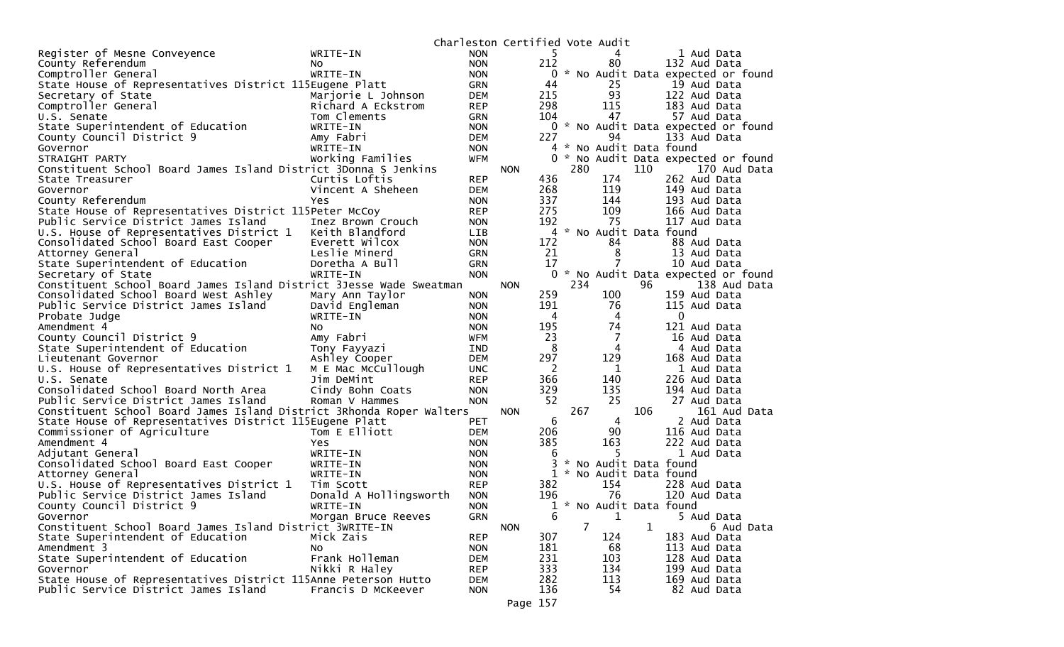|                                                                      |                        | Charleston Certified Vote Audit |            |     |                |                         |              |                                     |
|----------------------------------------------------------------------|------------------------|---------------------------------|------------|-----|----------------|-------------------------|--------------|-------------------------------------|
| Register of Mesne Conveyence                                         | WRITE-IN               | NON                             |            | 5.  |                | 4                       |              | 1 Aud Data                          |
| County Referendum                                                    | NO.                    | <b>NON</b>                      |            | 212 |                | 80                      |              | 132 Aud Data                        |
| Comptroller General                                                  | WRITE-IN               | <b>NON</b>                      |            | 0   |                |                         |              | * No Audit Data expected or found   |
| State House of Representatives District 115Eugene Platt              |                        | <b>GRN</b>                      |            | 44  |                | 25                      |              | 19 Aud Data                         |
| Secretary of State                                                   | Marjorie L Johnson     | <b>DEM</b>                      |            | 215 |                | 93                      |              | 122 Aud Data                        |
| Comptroller General                                                  | Richard A Eckstrom     | <b>REP</b>                      |            | 298 |                | 115                     |              | 183 Aud Data                        |
| U.S. Senate                                                          | Tom Clements           | <b>GRN</b>                      |            | 104 |                | 47                      |              | 57 Aud Data                         |
| State Superintendent of Education                                    | WRITE-IN               | <b>NON</b>                      |            | 0   |                |                         |              | * No Audit Data expected or found   |
| County Council District 9                                            | Amy Fabri              | DEM                             |            | 227 |                | 94                      |              | 133 Aud Data                        |
| Governor                                                             | WRITE-IN               | <b>NON</b>                      |            |     |                | 4 * No Audit Data found |              |                                     |
| STRAIGHT PARTY                                                       | Working Families       | WFM                             |            | 0   |                |                         |              | * No Audit Data expected or found   |
| Constituent School Board James Island District 3Donna S Jenkins      |                        |                                 | <b>NON</b> |     | 280            |                         | 110          | 170 Aud Data                        |
| State Treasurer                                                      | Curtis Loftis          | <b>REP</b>                      |            | 436 |                | 174                     |              | 262 Aud Data                        |
| Governor                                                             | Vincent A Sheheen      | <b>DEM</b>                      |            | 268 |                | 119                     |              | 149 Aud Data                        |
| County Referendum                                                    | Yes                    | <b>NON</b>                      |            | 337 |                | 144                     |              | 193 Aud Data                        |
| State House of Representatives District 115Peter McCoy               |                        | <b>REP</b>                      |            | 275 |                | 109                     |              | 166 Aud Data                        |
| Public Service District James Island                                 | Inez Brown Crouch      | <b>NON</b>                      |            | 192 |                | 75                      |              | 117 Aud Data                        |
| U.S. House of Representatives District 1                             | Keith Blandford        | LIB.                            |            |     |                | 4 * No Audit Data found |              |                                     |
| Consolidated School Board East Cooper                                | Everett Wilcox         | <b>NON</b>                      |            | 172 |                | 84                      |              | 88 Aud Data                         |
| Attorney General                                                     | Leslie Minerd          | <b>GRN</b>                      |            | 21  |                | 8                       |              | 13 Aud Data                         |
| State Superintendent of Education                                    | Doretha A Bull         | <b>GRN</b>                      |            | 17  |                |                         |              | 10 Aud Data                         |
| Secretary of State                                                   | WRITE-IN               | <b>NON</b>                      |            |     |                |                         |              | 0 * No Audit Data expected or found |
| Constituent School Board James Island District 3Jesse Wade Sweatman  |                        |                                 | <b>NON</b> |     | 234            |                         | 96           | 138 Aud Data                        |
| Consolidated School Board West Ashley                                | Mary Ann Taylor        | <b>NON</b>                      |            | 259 |                | 100                     |              | 159 Aud Data                        |
| Public Service District James Island                                 | David Engleman         | <b>NON</b>                      |            | 191 |                | 76                      |              | 115 Aud Data                        |
| Probate Judge                                                        | WRITE-IN               | <b>NON</b>                      |            | 4   |                | 4                       |              | $\mathbf{0}$                        |
| Amendment 4                                                          | NO.                    | <b>NON</b>                      |            | 195 |                | 74                      |              | 121 Aud Data                        |
| County Council District 9                                            | Amy Fabri              | WFM                             |            | 23  |                | 7                       |              | 16 Aud Data                         |
| State Superintendent of Education                                    | Tony Fayyazi           | IND                             |            | 8   |                | 4                       |              | 4 Aud Data                          |
| Lieutenant Governor                                                  | Ashley Cooper          | <b>DEM</b>                      |            | 297 |                | 129                     |              | 168 Aud Data                        |
| U.S. House of Representatives District 1                             | M E Mac McCullough     | UNC.                            |            | 2   |                | 1                       |              | 1 Aud Data                          |
| U.S. Senate                                                          | Jim DeMint             | <b>REP</b>                      |            | 366 |                | 140                     |              | 226 Aud Data                        |
| Consolidated School Board North Area                                 | Cindy Bohn Coats       | <b>NON</b>                      |            | 329 |                | 135                     |              | 194 Aud Data                        |
| Public Service District James Island                                 | Roman V Hammes         | <b>NON</b>                      |            | 52  |                | 25                      |              | 27 Aud Data                         |
| Constituent School Board James Island District 3Rhonda Roper Walters |                        |                                 | <b>NON</b> |     | 267            |                         | 106          | 161 Aud Data                        |
| State House of Representatives District 115Eugene Platt              |                        | PET                             |            | 6   |                | 4                       |              | 2 Aud Data                          |
| Commissioner of Agriculture                                          | Tom E Elliott          | <b>DEM</b>                      |            | 206 |                | 90                      |              | 116 Aud Data                        |
| Amendment 4                                                          | <b>Yes</b>             | <b>NON</b>                      |            | 385 |                | 163                     |              | 222 Aud Data                        |
| Adjutant General                                                     | WRITE-IN               | <b>NON</b>                      |            | 6   |                | 5.                      |              | 1 Aud Data                          |
| Consolidated School Board East Cooper                                | WRITE-IN               | <b>NON</b>                      |            |     |                | * No Audit Data found   |              |                                     |
| Attorney General                                                     | WRITE-IN               | <b>NON</b>                      |            |     |                | 1 * No Audit Data found |              |                                     |
| U.S. House of Representatives District 1                             | Tim Scott              | <b>REP</b>                      |            | 382 |                | 154                     |              | 228 Aud Data                        |
| Public Service District James Island                                 | Donald A Hollingsworth | <b>NON</b>                      |            | 196 |                | 76                      |              | 120 Aud Data                        |
| County Council District 9                                            | WRITE-IN               | <b>NON</b>                      |            |     |                |                         |              | 1 * No Audit Data found             |
| Governor                                                             | Morgan Bruce Reeves    | GRN                             |            | 6   |                | $\mathbf{1}$            |              | 5 Aud Data                          |
| Constituent School Board James Island District 3WRITE-IN             |                        |                                 | <b>NON</b> |     | $\overline{7}$ |                         | $\mathbf{1}$ | 6 Aud Data                          |
| State Superintendent of Education                                    | Mick Zais              | <b>REP</b>                      |            | 307 |                | 124                     |              | 183 Aud Data                        |
| Amendment 3                                                          | NO.                    | <b>NON</b>                      |            | 181 |                | 68                      |              | 113 Aud Data                        |
| State Superintendent of Education                                    | Frank Holleman         | <b>DEM</b>                      |            | 231 |                | 103                     |              | 128 Aud Data                        |
| Governor                                                             | Nikki R Haley          | <b>REP</b>                      |            | 333 |                | 134                     |              | 199 Aud Data                        |
| State House of Representatives District 115Anne Peterson Hutto       |                        | <b>DEM</b>                      |            | 282 |                | 113                     |              | 169 Aud Data                        |
| Public Service District James Island                                 | Francis D McKeever     | <b>NON</b>                      |            | 136 |                | 54                      |              | 82 Aud Data                         |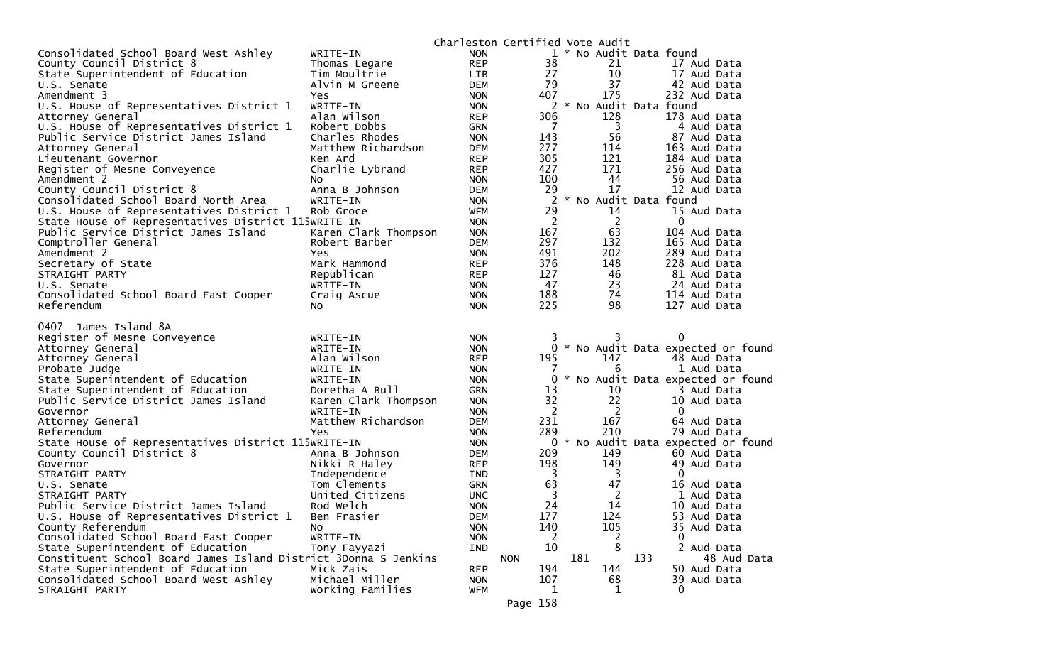|                                                                 |                                    | Charleston Certified Vote Audit |                       |     |                |     |                              |                                     |
|-----------------------------------------------------------------|------------------------------------|---------------------------------|-----------------------|-----|----------------|-----|------------------------------|-------------------------------------|
| Consolidated School Board West Ashley                           | WRITE-IN                           | <b>NON</b>                      |                       |     |                |     | 1 * No Audit Data found      |                                     |
| County Council District 8                                       | Thomas Legare                      | <b>REP</b>                      | 38                    |     | 21             |     | 17 Aud Data                  |                                     |
| State Superintendent of Education                               | Tim Moultrie                       | <b>LIB</b>                      | 27                    |     | 10             |     | 17 Aud Data                  |                                     |
| U.S. Senate                                                     | Alvin M Greene                     | <b>DEM</b>                      | 79                    |     | 37             |     | 42 Aud Data                  |                                     |
| Amendment 3                                                     | Yes                                | <b>NON</b>                      | 407                   |     | 175            |     | 232 Aud Data                 |                                     |
| U.S. House of Representatives District 1                        | WRITE-IN                           | <b>NON</b>                      |                       |     |                |     | 2 * No Audit Data found      |                                     |
| Attorney General                                                | Alan Wilson                        | <b>REP</b>                      | 306                   |     | 128            |     | 178 Aud Data                 |                                     |
| U.S. House of Representatives District 1                        | Robert Dobbs<br>Charles Rhodes     | <b>GRN</b><br><b>NON</b>        | $\overline{7}$<br>143 |     | 3<br>56        |     | 4 Aud Data                   |                                     |
| Public Service District James Island                            |                                    | <b>DEM</b>                      | 277                   |     |                |     | 87 Aud Data                  |                                     |
| Attorney General<br>Lieutenant Governor                         | Matthew Richardson<br>Ken Ard      | <b>REP</b>                      | 305                   |     | 114<br>121     |     | 163 Aud Data<br>184 Aud Data |                                     |
| Register of Mesne Conveyence                                    | Charlie Lybrand                    | <b>REP</b>                      | 427                   |     | 171            |     | 256 Aud Data                 |                                     |
| Amendment 2                                                     | NO.                                | <b>NON</b>                      | 100                   |     | 44             |     | 56 Aud Data                  |                                     |
| County Council District 8                                       | Anna B Johnson                     | <b>DEM</b>                      | 29                    |     | 17             |     | 12 Aud Data                  |                                     |
| Consolidated School Board North Area                            | WRITE-IN                           | <b>NON</b>                      | 2                     |     |                |     | * No Audit Data found        |                                     |
| U.S. House of Representatives District 1                        | Rob Groce                          | WFM                             | 29                    |     | 14             |     | 15 Aud Data                  |                                     |
| State House of Representatives District 115WRITE-IN             |                                    | <b>NON</b>                      | $\overline{2}$        |     | $\overline{2}$ |     | $\mathbf 0$                  |                                     |
| Public Service District James Island                            | Karen Clark Thompson               | <b>NON</b>                      | 167                   |     | 63             |     | 104 Aud Data                 |                                     |
| Comptroller General                                             | Robert Barber                      | <b>DEM</b>                      | 297                   |     | 132            |     | 165 Aud Data                 |                                     |
| Amendment 2                                                     | Yes.                               | <b>NON</b>                      | 491                   |     | 202            |     | 289 Aud Data                 |                                     |
| Secretary of State                                              | Mark Hammond                       | <b>REP</b>                      | 376                   |     | 148            |     | 228 Aud Data                 |                                     |
| STRAIGHT PARTY                                                  | Republican                         | <b>REP</b>                      | 127                   |     | 46             |     | 81 Aud Data                  |                                     |
| U.S. Senate                                                     | WRITE-IN                           | <b>NON</b>                      | 47                    |     | 23             |     | 24 Aud Data                  |                                     |
| Consolidated School Board East Cooper                           | Craig Ascue                        | <b>NON</b>                      | 188                   |     | 74             |     | 114 Aud Data                 |                                     |
| Referendum                                                      | No.                                | <b>NON</b>                      | 225                   |     | 98             |     | 127 Aud Data                 |                                     |
|                                                                 |                                    |                                 |                       |     |                |     |                              |                                     |
|                                                                 |                                    |                                 |                       |     |                |     |                              |                                     |
| James Island 8A<br>0407                                         |                                    |                                 |                       |     |                |     |                              |                                     |
| Register of Mesne Conveyence                                    | WRITE-IN                           | <b>NON</b>                      |                       |     |                |     | 0                            |                                     |
| Attorney General                                                | WRITE-IN                           | <b>NON</b>                      |                       |     |                |     |                              | 0 * No Audit Data expected or found |
| Attorney General                                                | Alan Wilson                        | <b>REP</b>                      | 195                   |     | 147            |     | 48 Aud Data                  |                                     |
| Probate Judge                                                   | WRITE-IN                           | <b>NON</b>                      | 7                     |     | 6              |     | 1 Aud Data                   |                                     |
| State Superintendent of Education                               | WRITE-IN                           | <b>NON</b>                      | $\mathbf{0}$          |     |                |     |                              | * No Audit Data expected or found   |
| State Superintendent of Education                               | Doretha A Bull                     | <b>GRN</b>                      | 13                    |     | 10             |     | 3 Aud Data                   |                                     |
| Public Service District James Island                            | Karen Clark Thompson               | <b>NON</b>                      | 32                    |     | 22             |     | 10 Aud Data                  |                                     |
| Governor                                                        | WRITE-IN                           | <b>NON</b>                      | 2                     |     | $\overline{2}$ |     | 0                            |                                     |
| Attorney General                                                | Matthew Richardson                 | <b>DEM</b>                      | 231                   |     | 167            |     | 64 Aud Data                  |                                     |
| Referendum                                                      | Yes                                | <b>NON</b>                      | 289                   |     | 210            |     | 79 Aud Data                  |                                     |
| State House of Representatives District 115WRITE-IN             |                                    | <b>NON</b>                      | 0                     |     |                |     |                              | * No Audit Data expected or found   |
| County Council District 8                                       | Anna B Johnson                     | <b>DEM</b>                      | 209                   |     | 149            |     | 60 Aud Data                  |                                     |
| Governor                                                        | Nikki R Haley                      | <b>REP</b>                      | 198                   |     | 149<br>3       |     | 49 Aud Data<br>$\mathbf 0$   |                                     |
| STRAIGHT PARTY<br>U.S. Senate                                   | Independence<br>Tom Clements       | <b>IND</b><br>GRN               | 3<br>63               |     | 47             |     |                              |                                     |
| STRAIGHT PARTY                                                  | United Citizens                    | <b>UNC</b>                      | 3                     |     | 2              |     | 16 Aud Data<br>1 Aud Data    |                                     |
| Public Service District James Island                            | Rod Welch                          | <b>NON</b>                      | 24                    |     | 14             |     | 10 Aud Data                  |                                     |
| U.S. House of Representatives District 1                        | Ben Frasier                        | <b>DEM</b>                      | 177                   |     | 124            |     | 53 Aud Data                  |                                     |
| County Referendum                                               | No                                 | <b>NON</b>                      | 140                   |     | 105            |     | 35 Aud Data                  |                                     |
| Consolidated School Board East Cooper                           | WRITE-IN                           | <b>NON</b>                      | 2                     |     | 2              |     | $\Omega$                     |                                     |
| State Superintendent of Education                               | Tony Fayyazi                       | <b>IND</b>                      | 10                    |     | 8              |     | 2 Aud Data                   |                                     |
| Constituent School Board James Island District 3Donna S Jenkins |                                    |                                 | <b>NON</b>            | 181 |                | 133 |                              | 48 Aud Data                         |
| State Superintendent of Education                               | Mick Zais                          | <b>REP</b>                      | 194                   |     | 144            |     | 50 Aud Data                  |                                     |
| Consolidated School Board West Ashley<br>STRAIGHT PARTY         | Michael Miller<br>Working Families | <b>NON</b><br><b>WFM</b>        | 107<br>1              |     | 68<br>1        |     | 39 Aud Data<br>0             |                                     |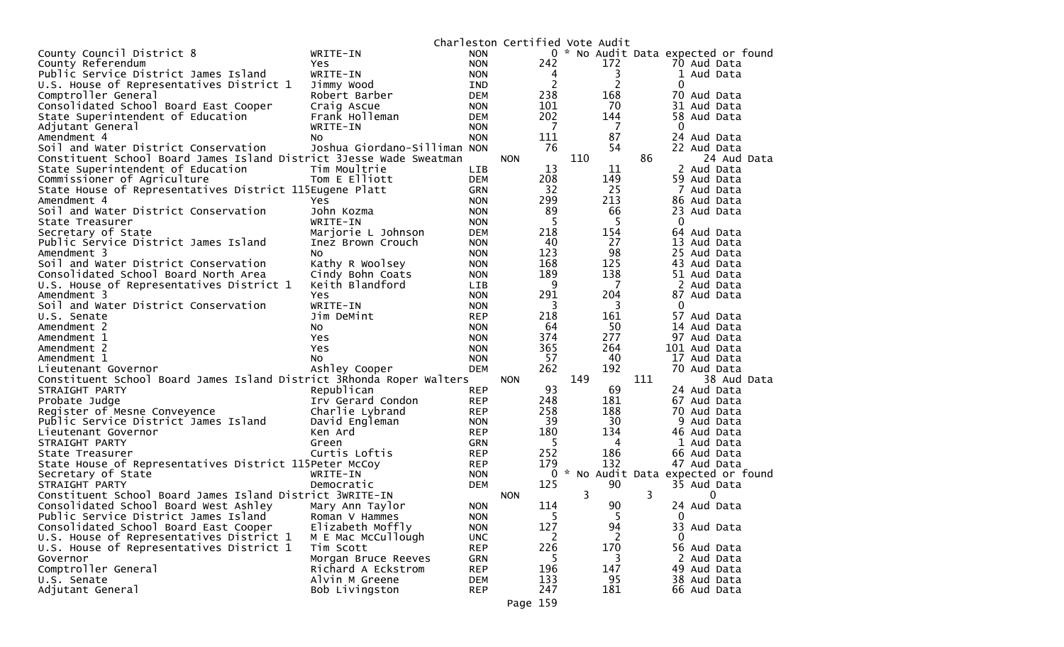|                                                                      |                              |            | Charleston Certified Vote Audit |                |     |                |     |                                     |
|----------------------------------------------------------------------|------------------------------|------------|---------------------------------|----------------|-----|----------------|-----|-------------------------------------|
| County Council District 8                                            | WRITE-IN                     | <b>NON</b> |                                 |                |     |                |     | 0 * No Audit Data expected or found |
| County Referendum                                                    | Yes.                         | <b>NON</b> |                                 | 242            |     | 172            |     | 70 Aud Data                         |
| Public Service District James Island                                 | WRITE-IN                     | <b>NON</b> |                                 | 4              |     | 3              |     | 1 Aud Data                          |
| U.S. House of Representatives District 1                             | Jimmy Wood                   | IND        |                                 | $\overline{2}$ |     | $\overline{2}$ |     | 0                                   |
| Comptroller General                                                  | Robert Barber                | <b>DEM</b> |                                 | 238            |     | 168            |     | 70 Aud Data                         |
| Consolidated School Board East Cooper                                | Craig Ascue                  | <b>NON</b> |                                 | 101            |     | 70             |     | 31 Aud Data                         |
| State Superintendent of Education                                    | Frank Holleman               | <b>DEM</b> |                                 | 202            |     | 144            |     | 58 Aud Data                         |
| Adjutant General                                                     | WRITE-IN                     | <b>NON</b> |                                 | $\overline{7}$ |     | $\overline{7}$ |     | $\mathbf{0}$                        |
| Amendment 4                                                          | NO.                          | <b>NON</b> |                                 | 111            |     | 87             |     | 24 Aud Data                         |
| Soil and Water District Conservation                                 | Joshua Giordano-Silliman NON |            |                                 | 76             |     | 54             |     | 22 Aud Data                         |
| Constituent School Board James Island District 3Jesse Wade Sweatman  |                              |            | <b>NON</b>                      |                | 110 |                | 86  | 24 Aud Data                         |
| State Superintendent of Education                                    | Tim Moultrie                 | LIB        |                                 | 13             |     | 11             |     | 2 Aud Data                          |
| Commissioner of Agriculture                                          | Tom E Elliott                | <b>DEM</b> |                                 | 208            |     | 149            |     | 59 Aud Data                         |
| State House of Representatives District 115Eugene Platt              |                              | GRN        |                                 | 32             |     | 25             |     | 7 Aud Data                          |
| Amendment 4                                                          | <b>Yes</b>                   | <b>NON</b> |                                 | 299            |     | 213            |     | 86 Aud Data                         |
| Soil and Water District Conservation                                 | John Kozma                   | <b>NON</b> |                                 | 89             |     | 66             |     | 23 Aud Data                         |
| State Treasurer                                                      | WRITE-IN                     | <b>NON</b> |                                 | 5              |     | 5              |     | $\mathbf{0}$                        |
| Secretary of State                                                   | Marjorie L Johnson           | <b>DEM</b> |                                 | 218            |     | 154            |     | 64 Aud Data                         |
| Public Service District James Island                                 | Inez Brown Crouch            | <b>NON</b> |                                 | 40             |     | 27             |     | 13 Aud Data                         |
| Amendment 3                                                          | NO.                          | <b>NON</b> |                                 | 123            |     | 98             |     | 25 Aud Data                         |
| Soil and Water District Conservation                                 | Kathy R Woolsey              | <b>NON</b> |                                 | 168            |     | 125            |     | 43 Aud Data                         |
| Consolidated School Board North Area                                 | Cindy Bohn Coats             | <b>NON</b> |                                 | 189            |     | 138            |     | 51 Aud Data                         |
| U.S. House of Representatives District 1                             | Keith Blandford              | LIB        |                                 | 9              |     | 7              |     | 2 Aud Data                          |
| Amendment 3                                                          | Yes                          | <b>NON</b> |                                 | 291            |     | 204            |     | 87 Aud Data                         |
| Soil and Water District Conservation                                 | WRITE-IN                     | <b>NON</b> |                                 | 3              |     | 3              |     | $\mathbf 0$                         |
| U.S. Senate                                                          | Jim DeMint                   | <b>REP</b> |                                 | 218            |     | 161            |     | 57 Aud Data                         |
| Amendment 2                                                          | No.                          | <b>NON</b> |                                 | 64             |     | 50             |     | 14 Aud Data                         |
| Amendment 1                                                          | Yes                          | <b>NON</b> |                                 | 374            |     | 277            |     | 97 Aud Data                         |
| Amendment 2                                                          | Yes                          | <b>NON</b> |                                 | 365            |     | 264            |     | 101 Aud Data                        |
| Amendment 1                                                          | NO.                          | <b>NON</b> |                                 | 57             |     | 40             |     | 17 Aud Data                         |
| Lieutenant Governor                                                  | Ashley Cooper                | <b>DEM</b> |                                 | 262            |     | 192            |     | 70 Aud Data                         |
| Constituent School Board James Island District 3Rhonda Roper Walters |                              |            | <b>NON</b>                      |                | 149 |                | 111 | 38 Aud Data                         |
| STRAIGHT PARTY                                                       | Republican                   | <b>REP</b> |                                 | 93             |     | 69             |     | 24 Aud Data                         |
| Probate Judge                                                        | Irv Gerard Condon            | <b>REP</b> |                                 | 248            |     | 181            |     | 67 Aud Data                         |
| Register of Mesne Conveyence                                         | Charlie Lybrand              | <b>REP</b> |                                 | 258            |     | 188            |     | 70 Aud Data                         |
| Public Service District James Island                                 | David Engleman               | <b>NON</b> |                                 | 39             |     | 30             |     | 9 Aud Data                          |
| Lieutenant Governor                                                  | Ken Ard                      | <b>REP</b> |                                 | 180            |     | 134            |     | 46 Aud Data                         |
| STRAIGHT PARTY                                                       | Green                        | GRN        |                                 | -5             |     | 4              |     | 1 Aud Data                          |
| State Treasurer                                                      | Curtis Loftis                | <b>REP</b> |                                 | 252            |     | 186            |     | 66 Aud Data                         |
| State House of Representatives District 115Peter McCoy               |                              | REP        |                                 | 179            |     | 132            |     | 47 Aud Data                         |
| Secretary of State                                                   | WRITE-IN                     | <b>NON</b> |                                 |                |     |                |     | 0 * No Audit Data expected or found |
| STRAIGHT PARTY                                                       | Democratic                   | <b>DEM</b> |                                 | 125            |     | 90             |     | 35 Aud Data                         |
| Constituent School Board James Island District 3WRITE-IN             |                              |            | <b>NON</b>                      |                | 3   |                | 3   | 0                                   |
| Consolidated School Board West Ashley                                | Mary Ann Taylor              | <b>NON</b> |                                 | 114            |     | 90             |     | 24 Aud Data                         |
| Public Service District James Island                                 | Roman V Hammes               | <b>NON</b> |                                 | 5              |     | 5              |     | 0                                   |
| Consolidated School Board East Cooper                                | Elizabeth Moffly             | <b>NON</b> |                                 | 127            |     | 94             |     | 33 Aud Data                         |
| U.S. House of Representatives District 1                             | M E Mac McCullough           | <b>UNC</b> |                                 | 2              |     | 2              |     | $\Omega$                            |
| U.S. House of Representatives District 1                             | Tim Scott                    | <b>REP</b> |                                 | 226            |     | 170            |     | 56 Aud Data                         |
| Governor                                                             | Morgan Bruce Reeves          | <b>GRN</b> |                                 | -5             |     | 3              |     | 2 Aud Data                          |
| Comptroller General                                                  | Richard A Eckstrom           | <b>REP</b> |                                 | 196            |     | 147            |     | 49 Aud Data                         |
| U.S. Senate                                                          | Alvin M Greene               | <b>DEM</b> |                                 | 133            |     | 95             |     | 38 Aud Data                         |
| Adjutant General                                                     | Bob Livingston               | <b>REP</b> |                                 | 247            |     | 181            |     | 66 Aud Data                         |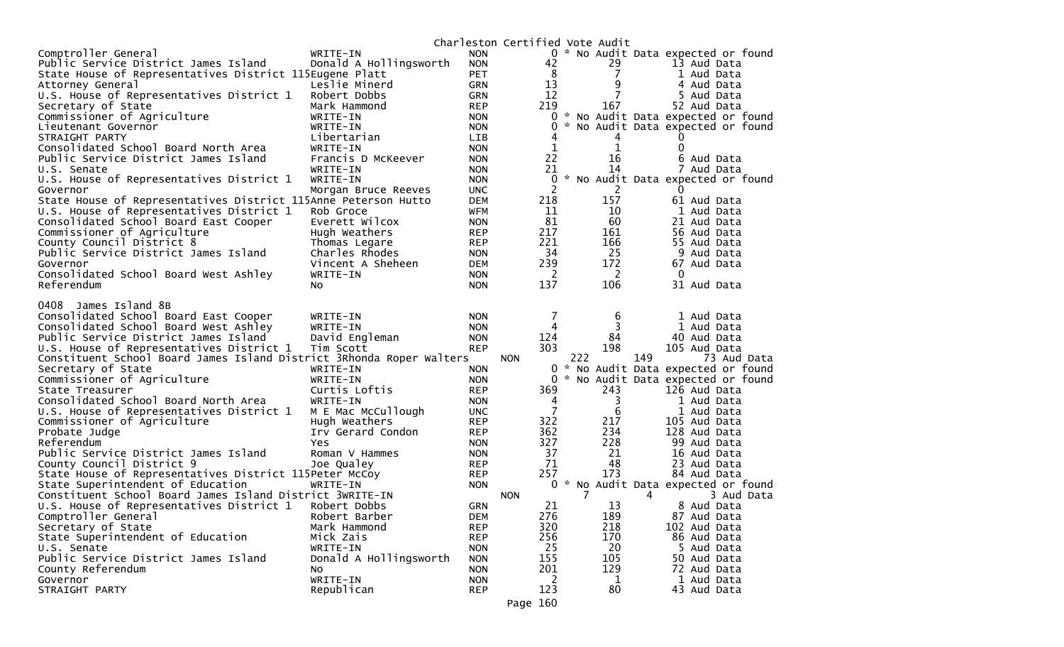|                                                                                   |                                 |                          | Charleston Certified Vote Audit |      |          |                                     |
|-----------------------------------------------------------------------------------|---------------------------------|--------------------------|---------------------------------|------|----------|-------------------------------------|
| Comptroller General                                                               | WRITE-IN                        | <b>NON</b>               |                                 |      |          | 0 * No Audit Data expected or found |
| Public Service District James Island                                              | Donald A Hollingsworth          | <b>NON</b>               | 42                              |      | 29       | 13 Aud Data                         |
| State House of Representatives District 115Eugene Platt                           |                                 | <b>PET</b>               | 8                               |      | 7        | 1 Aud Data                          |
| Attorney General                                                                  | Leslie Minerd                   | <b>GRN</b>               | 13                              |      | 9        | 4 Aud Data                          |
| U.S. House of Representatives District 1                                          | Robert Dobbs                    | <b>GRN</b>               | 12                              |      | 7        | 5 Aud Data                          |
| Secretary of State                                                                | Mark Hammond                    | <b>REP</b>               | 219                             |      | 167      | 52 Aud Data                         |
| Commissioner of Agriculture                                                       | WRITE-IN                        | <b>NON</b>               |                                 |      |          | 0 * No Audit Data expected or found |
| Lieutenant Governor                                                               | WRITE-IN                        | <b>NON</b>               | 0                               |      |          | * No Audit Data expected or found   |
| STRAIGHT PARTY                                                                    | Libertarian                     | <b>LIB</b>               | 4                               |      | 4        |                                     |
| Consolidated School Board North Area                                              | WRITE-IN                        | <b>NON</b>               | 1                               |      | 1        | $\Omega$                            |
| Public Service District James Island                                              | Francis D McKeever              | <b>NON</b>               | 22                              |      | 16       | 6 Aud Data                          |
| U.S. Senate                                                                       | WRITE-IN                        | <b>NON</b>               | 21                              |      | 14       | 7 Aud Data                          |
| U.S. House of Representatives District 1                                          | WRITE-IN                        | <b>NON</b>               | 0                               |      |          | * No Audit Data expected or found   |
| Governor                                                                          | Morgan Bruce Reeves             | <b>UNC</b>               | 2<br>218                        |      | 2<br>157 | 0                                   |
| State House of Representatives District 115Anne Peterson Hutto                    | Rob Groce                       | <b>DEM</b>               | 11                              |      | 10       | 61 Aud Data                         |
| U.S. House of Representatives District 1<br>Consolidated School Board East Cooper | Everett Wilcox                  | WFM<br><b>NON</b>        | 81                              |      | 60       | 1 Aud Data<br>21 Aud Data           |
| Commissioner of Agriculture                                                       | Hugh Weathers                   |                          | 217                             |      | 161      | 56 Aud Data                         |
| County Council District 8                                                         |                                 | <b>REP</b><br><b>REP</b> | 221                             |      | 166      | 55 Aud Data                         |
| Public Service District James Island                                              | Thomas Legare<br>Charles Rhodes | <b>NON</b>               | 34                              |      | 25       | 9 Aud Data                          |
| Governor                                                                          | Vincent A Sheheen               | <b>DEM</b>               | 239                             |      | 172      | 67 Aud Data                         |
| Consolidated School Board West Ashley                                             | WRITE-IN                        | <b>NON</b>               | 2                               |      | 2        | 0                                   |
| Referendum                                                                        | No.                             | <b>NON</b>               | 137                             |      | 106      | 31 Aud Data                         |
|                                                                                   |                                 |                          |                                 |      |          |                                     |
| 0408 James Island 8B                                                              |                                 |                          |                                 |      |          |                                     |
| Consolidated School Board East Cooper                                             | WRITE-IN                        | <b>NON</b>               | 7                               |      | 6        | 1 Aud Data                          |
| Consolidated School Board West Ashley                                             | WRITE-IN                        | <b>NON</b>               | 4                               |      | 3        | 1 Aud Data                          |
| Public Service District James Island                                              | David Engleman                  | <b>NON</b>               | 124                             |      | 84       | 40 Aud Data                         |
| U.S. House of Representatives District 1                                          | Tim Scott                       | <b>REP</b>               | 303                             |      |          |                                     |
|                                                                                   |                                 |                          |                                 |      | 198      | 105 Aud Data                        |
| Constituent School Board James Island District 3Rhonda Roper Walters              |                                 |                          | <b>NON</b>                      | 222  |          | 149<br>73 Aud Data                  |
| Secretary of State                                                                | WRITE-IN                        | <b>NON</b>               |                                 | $0*$ |          | No Audit Data expected or found     |
| Commissioner of Agriculture                                                       | WRITE-IN                        | <b>NON</b>               |                                 |      |          | 0 * No Audit Data expected or found |
| State Treasurer                                                                   | Curtis Loftis                   | <b>REP</b>               | 369                             |      | 243      | 126 Aud Data                        |
| Consolidated School Board North Area                                              | WRITE-IN                        | <b>NON</b>               | 4                               |      | 3        | 1 Aud Data                          |
| U.S. House of Representatives District 1                                          | M E Mac McCullough              | <b>UNC</b>               | $\overline{7}$                  |      | 6        | 1 Aud Data                          |
| Commissioner of Agriculture                                                       | Hugh Weathers                   | <b>REP</b>               | 322                             |      | 217      | 105 Aud Data                        |
| Probate Judge                                                                     | Irv Gerard Condon               | <b>REP</b>               | 362                             |      | 234      | 128 Aud Data                        |
| Referendum                                                                        | Yes                             | <b>NON</b>               | 327                             |      | 228      | 99 Aud Data                         |
| Public Service District James Island                                              | Roman V Hammes                  | <b>NON</b>               | 37                              |      | 21       | 16 Aud Data                         |
| County Council District 9                                                         | Joe Qualey                      | <b>REP</b>               | 71                              |      | 48       | 23 Aud Data                         |
| State House of Representatives District 115Peter McCoy                            |                                 | <b>REP</b>               | 257                             |      | 173      | 84 Aud Data                         |
| State Superintendent of Education                                                 | WRITE-IN                        | <b>NON</b>               |                                 |      |          | 0 * No Audit Data expected or found |
| Constituent School Board James Island District 3WRITE-IN                          |                                 |                          | <b>NON</b>                      |      |          | 4<br>3 Aud Data                     |
| U.S. House of Representatives District 1                                          | Robert Dobbs                    | <b>GRN</b>               | 21                              |      | 13       | 8 Aud Data                          |
| Comptroller General                                                               | Robert Barber                   | <b>DEM</b>               | 276                             |      | 189      | 87 Aud Data                         |
| Secretary of State                                                                | Mark Hammond                    | <b>REP</b>               | 320                             |      | 218      | 102 Aud Data                        |
| State Superintendent of Education                                                 | Mick Zais                       | <b>REP</b>               | 256                             |      | 170      | 86 Aud Data                         |
| U.S. Senate                                                                       | WRITE-IN                        | <b>NON</b>               | 25                              |      | 20       | 5 Aud Data                          |
| Public Service District James Island                                              | Donald A Hollingsworth          | <b>NON</b>               | 155                             |      | 105      | 50 Aud Data                         |
| County Referendum                                                                 | No                              | <b>NON</b>               | 201                             |      | 129      | 72 Aud Data                         |
| Governor<br>STRAIGHT PARTY                                                        | WRITE-IN<br>Republican          | <b>NON</b><br><b>REP</b> | 2<br>123                        |      | 1<br>80  | 1 Aud Data<br>43 Aud Data           |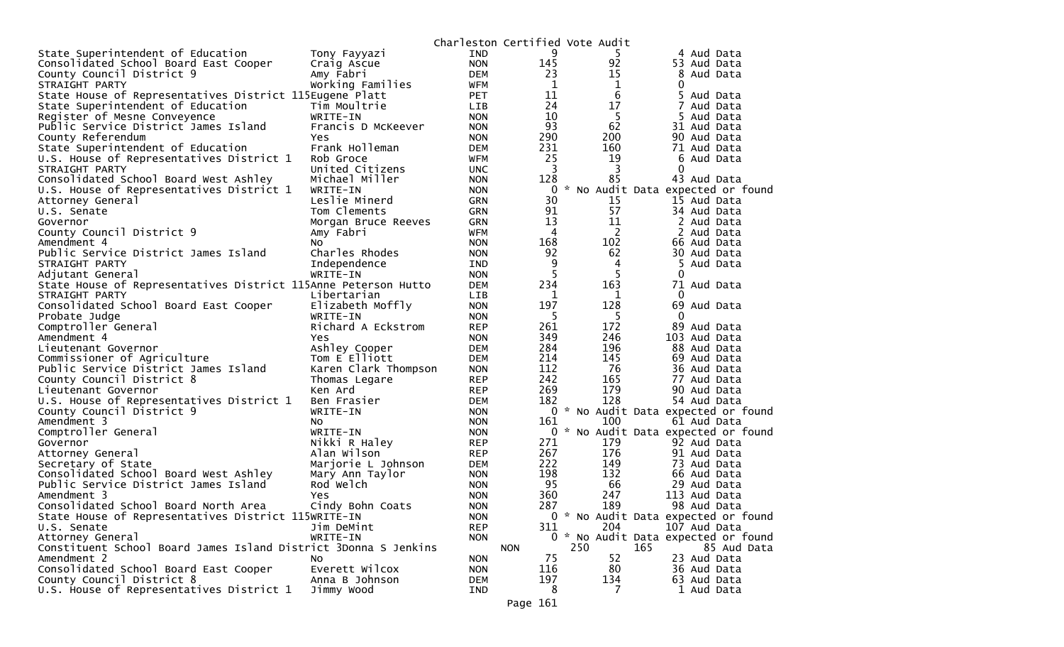|                                                                 |                              | Charleston Certified Vote Audit |            |     |                                                    |
|-----------------------------------------------------------------|------------------------------|---------------------------------|------------|-----|----------------------------------------------------|
| State Superintendent of Education                               | Tony Fayyazi                 | <b>IND</b>                      | 9          | 5   | 4 Aud Data                                         |
| Consolidated School Board East Cooper                           | Craig Ascue                  | <b>NON</b>                      | 145        | 92  | 53 Aud Data                                        |
| County Council District 9                                       | Amy Fabri                    | <b>DEM</b>                      | 23         | 15  | 8 Aud Data                                         |
| STRAIGHT PARTY                                                  | Working Families             | WFM                             | 1          | 1   | 0                                                  |
| State House of Representatives District 115Eugene Platt         |                              | <b>PET</b>                      | 11         | 6   | 5<br>Aud Data                                      |
| State Superintendent of Education                               | Tim Moultrie                 | <b>LIB</b>                      | 24         | 17  | 7 Aud Data                                         |
| Register of Mesne Conveyence                                    | WRITE-IN                     | <b>NON</b>                      | 10         | 5   | 5 Aud Data                                         |
| Public Service District James Island                            | Francis D McKeever           | <b>NON</b>                      | 93         | 62  | 31 Aud Data                                        |
| County Referendum                                               | Yes                          | <b>NON</b>                      | 290        | 200 | 90 Aud Data                                        |
| State Superintendent of Education                               | Frank Holleman               | <b>DEM</b>                      | 231        | 160 | 71 Aud Data                                        |
| U.S. House of Representatives District 1                        | Rob Groce                    | WFM                             | 25         | 19  | 6 Aud Data                                         |
| STRAIGHT PARTY                                                  | United Citizens              | <b>UNC</b>                      | 3          | 3   | 0                                                  |
| Consolidated School Board West Ashley                           | Michael Miller               | <b>NON</b>                      | 128        | 85  | 43 Aud Data                                        |
| U.S. House of Representatives District 1                        | WRITE-IN                     | <b>NON</b>                      | 0          |     | * No Audit Data expected or found                  |
| Attorney General                                                | Leslie Minerd                | <b>GRN</b>                      | 30         | 15  | 15 Aud Data                                        |
| U.S. Senate                                                     | Tom Clements                 | <b>GRN</b>                      | 91         | 57  | 34 Aud Data                                        |
| Governor                                                        | Morgan Bruce Reeves          | <b>GRN</b>                      | 13         | 11  | 2 Aud Data                                         |
| County Council District 9                                       | Amy Fabri                    | <b>WFM</b>                      | 4          | 2   | 2 Aud Data                                         |
| Amendment 4                                                     | NO.                          | <b>NON</b>                      | 168        | 102 | 66 Aud Data                                        |
| Public Service District James Island                            | Charles Rhodes               | <b>NON</b>                      | 92         | 62  | 30 Aud Data                                        |
| STRAIGHT PARTY                                                  | Independence                 | IND                             | 9          | 4   | 5 Aud Data                                         |
| Adjutant General                                                | WRITE-IN                     | <b>NON</b>                      | 5          | 5   | 0                                                  |
| State House of Representatives District 115Anne Peterson Hutto  |                              | <b>DEM</b>                      | 234        | 163 | 71 Aud Data                                        |
| STRAIGHT PARTY                                                  | Libertarian                  | <b>LIB</b>                      | 1          | 1   | $\Omega$                                           |
| Consolidated School Board East Cooper                           | Elizabeth Moffly             | <b>NON</b>                      | 197        | 128 | 69 Aud Data                                        |
| Probate Judge                                                   | WRITE-IN                     | <b>NON</b>                      | 5          | 5   | $\mathbf 0$                                        |
| Comptroller General                                             | Richard A Eckstrom           | <b>REP</b>                      | 261        | 172 | 89 Aud Data                                        |
| Amendment 4                                                     | Yes                          | <b>NON</b>                      | 349        | 246 | 103 Aud Data                                       |
| Lieutenant Governor                                             | Ashley Cooper                | <b>DEM</b>                      | 284        | 196 | 88 Aud Data                                        |
| Commissioner of Agriculture                                     | Tom E Elliott                | <b>DEM</b>                      | 214        | 145 | 69 Aud Data                                        |
| Public Service District James Island                            | Karen Clark Thompson         | <b>NON</b>                      | 112        | 76  | 36 Aud Data                                        |
| County Council District 8                                       | Thomas Legare                | <b>REP</b>                      | 242        | 165 | 77 Aud Data                                        |
| Lieutenant Governor                                             | Ken Ard                      | <b>REP</b>                      | 269        | 179 | 90 Aud Data                                        |
| U.S. House of Representatives District 1                        | Ben Frasier                  | <b>DEM</b>                      | 182        | 128 | 54 Aud Data                                        |
| County Council District 9                                       | WRITE-IN                     | <b>NON</b>                      |            | 100 | 0 * No Audit Data expected or found                |
| Amendment 3                                                     | NO.                          | <b>NON</b>                      | 161        |     | 61 Aud Data<br>0 * No Audit Data expected or found |
| Comptroller General                                             | WRITE-IN                     | <b>NON</b>                      | 271        | 179 |                                                    |
| Governor                                                        | Nikki R Haley<br>Alan Wilson | <b>REP</b>                      | 267        | 176 | 92 Aud Data<br>91 Aud Data                         |
| Attorney General<br>Secretary of State                          |                              | <b>REP</b><br><b>DEM</b>        | 222        | 149 | 73 Aud Data                                        |
| Consolidated School Board West Ashley                           | Marjorie L Johnson           | <b>NON</b>                      | 198        | 132 | 66 Aud Data                                        |
| Public Service District James Island                            | Mary Ann Taylor<br>Rod Welch | <b>NON</b>                      | 95         | 66  | 29 Aud Data                                        |
| Amendment 3                                                     | Yes                          | <b>NON</b>                      | 360        | 247 | 113 Aud Data                                       |
| Consolidated School Board North Area                            | Cindy Bohn Coats             | <b>NON</b>                      | 287        | 189 | 98 Aud Data                                        |
| State House of Representatives District 115WRITE-IN             |                              | <b>NON</b>                      |            |     | 0 * No Audit Data expected or found                |
| U.S. Senate                                                     | Jim DeMint                   | <b>REP</b>                      | 311        | 204 | 107 Aud Data                                       |
| Attorney General                                                | WRITE-IN                     | <b>NON</b>                      |            |     | 0 * No Audit Data expected or found                |
| Constituent School Board James Island District 3Donna S Jenkins |                              |                                 | <b>NON</b> | 250 | 165<br>85 Aud Data                                 |
| Amendment 2                                                     | NO.                          | <b>NON</b>                      | 75         | 52  | 23 Aud Data                                        |
| Consolidated School Board East Cooper                           | Everett Wilcox               | <b>NON</b>                      | 116        | 80  | 36 Aud Data                                        |
| County Council District 8                                       | Anna B Johnson               | DEM                             | 197        | 134 | 63 Aud Data                                        |
| U.S. House of Representatives District 1                        | Jimmy Wood                   | IND                             | 8          | 7   | 1 Aud Data                                         |
|                                                                 |                              |                                 |            |     |                                                    |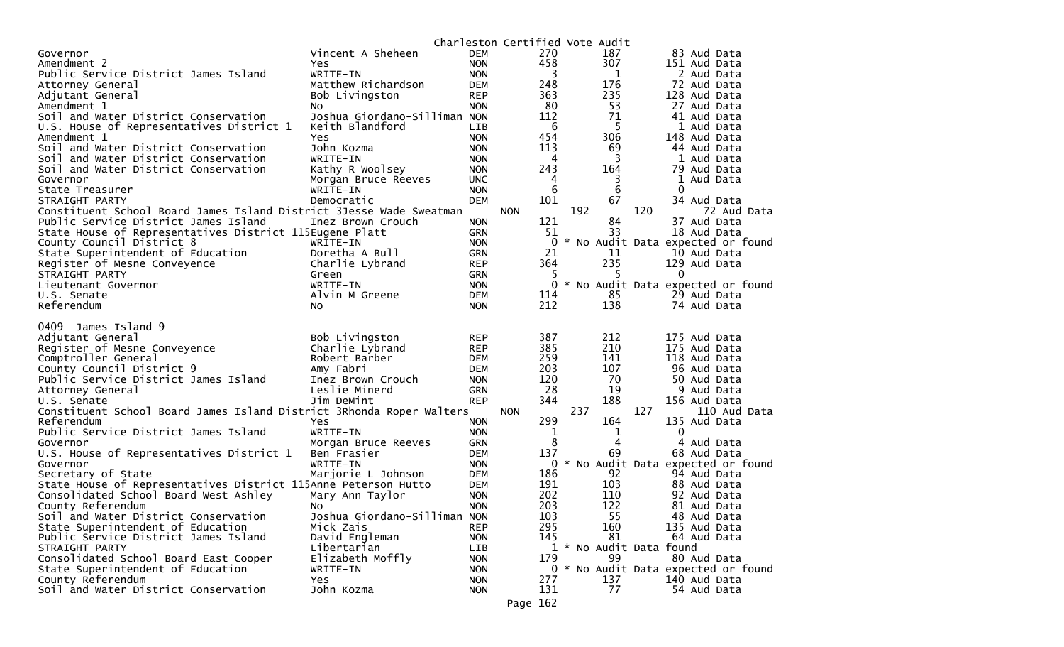|                                                                      |                                   |                          | Charleston Certified Vote Audit |             |                         |     |                             |                                     |
|----------------------------------------------------------------------|-----------------------------------|--------------------------|---------------------------------|-------------|-------------------------|-----|-----------------------------|-------------------------------------|
| Governor                                                             | Vincent A Sheheen                 | <b>DEM</b>               | 270                             |             | 187                     |     | 83 Aud Data                 |                                     |
| Amendment 2                                                          | Yes                               | <b>NON</b>               | 458                             |             | 307                     |     | 151 Aud Data                |                                     |
| Public Service District James Island                                 | WRITE-IN                          | <b>NON</b>               |                                 | 3           | 1                       |     | 2 Aud Data                  |                                     |
| Attorney General                                                     | Matthew Richardson                | DEM                      | 248                             |             | 176                     |     | 72 Aud Data                 |                                     |
| Adjutant General                                                     | Bob Livingston                    | <b>REP</b>               | 363                             |             | 235                     |     | 128 Aud Data                |                                     |
| Amendment 1                                                          | No                                | <b>NON</b>               | 80                              |             | 53                      |     | 27 Aud Data                 |                                     |
| Soil and Water District Conservation                                 | Joshua Giordano-Silliman NON      |                          | 112                             |             | 71                      |     | 41 Aud Data                 |                                     |
| U.S. House of Representatives District 1                             | Keith Blandford                   | <b>LIB</b>               |                                 | 6           | 5                       |     | 1 Aud Data                  |                                     |
| Amendment 1                                                          | Yes                               | <b>NON</b>               | 454                             |             | 306                     |     | 148 Aud Data                |                                     |
| Soil and Water District Conservation                                 | John Kozma                        | <b>NON</b>               | 113                             |             | 69                      |     | 44 Aud Data                 |                                     |
| Soil and Water District Conservation                                 | WRITE-IN                          | <b>NON</b>               |                                 | 4           | 3                       |     | 1 Aud Data                  |                                     |
| Soil and Water District Conservation                                 | Kathy R Woolsey                   | <b>NON</b>               | 243                             |             | 164                     |     | 79 Aud Data                 |                                     |
| Governor                                                             | Morgan Bruce Reeves               | <b>UNC</b>               |                                 | 4           | 3                       |     | 1 Aud Data                  |                                     |
| State Treasurer                                                      | WRITE-IN                          | <b>NON</b>               |                                 | 6           | 6                       |     | 0                           |                                     |
| STRAIGHT PARTY                                                       | Democratic                        | <b>DEM</b>               | 101                             |             | 67                      |     | 34 Aud Data                 |                                     |
| Constituent School Board James Island District 3Jesse Wade Sweatman  |                                   |                          | <b>NON</b>                      | 192         |                         | 120 |                             | 72 Aud Data                         |
| Public Service District James Island                                 | Inez Brown Crouch                 | <b>NON</b>               | 121                             |             | 84                      |     | 37 Aud Data                 |                                     |
| State House of Representatives District 115Eugene Platt              |                                   | GRN                      | 51                              |             | 33                      |     | 18 Aud Data                 |                                     |
| County Council District 8                                            | WRITE-IN                          | <b>NON</b>               |                                 | $\Omega$    |                         |     |                             | * No Audit Data expected or found   |
| State Superintendent of Education                                    | Doretha A Bull                    | <b>GRN</b>               | 21                              |             | 11                      |     | 10 Aud Data                 |                                     |
| Register of Mesne Conveyence                                         | Charlie Lybrand                   | <b>REP</b>               | 364                             |             | 235                     |     | 129 Aud Data                |                                     |
| STRAIGHT PARTY                                                       | Green                             | <b>GRN</b>               |                                 |             | 5                       |     | 0                           |                                     |
| Lieutenant Governor                                                  | WRITE-IN                          | <b>NON</b>               |                                 |             |                         |     |                             | 0 * No Audit Data expected or found |
| U.S. Senate                                                          | Alvin M Greene                    | DEM                      | 114                             |             | 85                      |     | 29 Aud Data                 |                                     |
| Referendum                                                           | NO.                               | <b>NON</b>               | 212                             |             | 138                     |     | 74 Aud Data                 |                                     |
|                                                                      |                                   |                          |                                 |             |                         |     |                             |                                     |
|                                                                      |                                   |                          |                                 |             |                         |     |                             |                                     |
| 0409<br>James Island 9                                               |                                   |                          |                                 |             |                         |     |                             |                                     |
|                                                                      |                                   | <b>REP</b>               | 387                             |             | 212                     |     | 175 Aud Data                |                                     |
| Adjutant General                                                     | Bob Livingston<br>Charlie Lybrand | <b>REP</b>               | 385                             |             | 210                     |     | 175 Aud Data                |                                     |
| Register of Mesne Conveyence                                         |                                   | <b>DEM</b>               | 259                             |             | 141                     |     |                             |                                     |
| Comptroller General                                                  | Robert Barber<br>Amy Fabri        | DEM                      | 203                             |             | 107                     |     | 118 Aud Data<br>96 Aud Data |                                     |
| County Council District 9<br>Public Service District James Island    | Inez Brown Crouch                 | <b>NON</b>               | 120                             |             | 70                      |     | 50 Aud Data                 |                                     |
|                                                                      | Leslie Minerd                     | <b>GRN</b>               | 28                              |             | 19                      |     | 9 Aud Data                  |                                     |
| Attorney General<br>U.S. Senate                                      | Jim DeMint                        | <b>REP</b>               | 344                             |             | 188                     |     | 156 Aud Data                |                                     |
| Constituent School Board James Island District 3Rhonda Roper Walters |                                   |                          | <b>NON</b>                      | 237         |                         | 127 |                             | 110 Aud Data                        |
| Referendum                                                           | Yes                               | <b>NON</b>               | 299                             |             | 164                     |     | 135 Aud Data                |                                     |
| Public Service District James Island                                 | WRITE-IN                          | <b>NON</b>               |                                 | $\mathbf 1$ | 1                       |     | $\mathbf 0$                 |                                     |
| Governor                                                             | Morgan Bruce Reeves               | GRN                      |                                 | 8           | 4                       |     | 4 Aud Data                  |                                     |
| U.S. House of Representatives District 1                             | Ben Frasier                       | <b>DEM</b>               | 137                             |             | 69                      |     | 68 Aud Data                 |                                     |
| Governor                                                             | WRITE-IN                          | <b>NON</b>               |                                 |             |                         |     |                             | 0 * No Audit Data expected or found |
| Secretary of State                                                   | Marjorie L Johnson                | <b>DEM</b>               | 186                             |             | 92                      |     | 94 Aud Data                 |                                     |
| State House of Representatives District 115Anne Peterson Hutto       |                                   | <b>DEM</b>               | 191                             |             | 103                     |     | 88 Aud Data                 |                                     |
| Consolidated School Board West Ashley                                | Mary Ann Taylor                   | <b>NON</b>               | 202                             |             | 110                     |     | 92 Aud Data                 |                                     |
| County Referendum                                                    | NO.                               | <b>NON</b>               | 203                             |             | 122                     |     | 81 Aud Data                 |                                     |
| Soil and Water District Conservation                                 | Joshua Giordano-Silliman NON      |                          | 103                             |             | 55                      |     | 48 Aud Data                 |                                     |
| State Superintendent of Education                                    | Mick Zais                         | <b>REP</b>               | 295                             |             | 160                     |     | 135 Aud Data                |                                     |
| Public Service District James Island                                 | David Engleman                    | <b>NON</b>               | 145                             |             | 81                      |     | 64 Aud Data                 |                                     |
| STRAIGHT PARTY                                                       | Libertarian                       | LIB                      |                                 |             | 1 * No Audit Data found |     |                             |                                     |
| Consolidated School Board East Cooper                                | Elizabeth Moffly                  | <b>NON</b>               | 179                             |             | 99                      |     | 80 Aud Data                 |                                     |
| State Superintendent of Education                                    | WRITE-IN                          | <b>NON</b>               |                                 |             |                         |     |                             | 0 * No Audit Data expected or found |
| County Referendum<br>Soil and Water District Conservation            | <b>Yes</b><br>John Kozma          | <b>NON</b><br><b>NON</b> | 277<br>131                      |             | 137<br>77               |     | 140 Aud Data<br>54 Aud Data |                                     |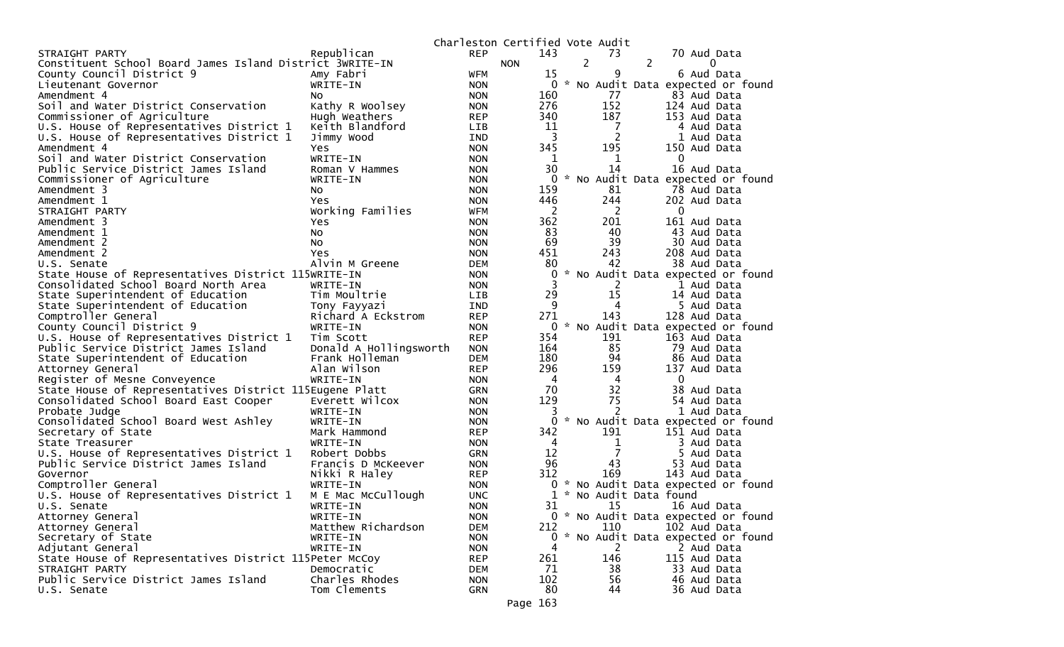|                                                          |                        |            | Charleston Certified Vote Audit |                |                |                                     |
|----------------------------------------------------------|------------------------|------------|---------------------------------|----------------|----------------|-------------------------------------|
| STRAIGHT PARTY                                           | Republican             | <b>REP</b> | 143                             |                | 73             | 70 Aud Data                         |
| Constituent School Board James Island District 3WRITE-IN |                        |            | <b>NON</b>                      | $\overline{2}$ |                | 2<br>0                              |
| County Council District 9                                | Amy Fabri              | <b>WFM</b> | 15                              |                | 9              | 6 Aud Data                          |
| Lieutenant Governor                                      | WRITE-IN               | <b>NON</b> |                                 |                |                | 0 * No Audit Data expected or found |
| Amendment 4                                              | NO.                    | <b>NON</b> | 160                             |                | 77             | 83 Aud Data                         |
| Soil and Water District Conservation                     | Kathy R Woolsey        | <b>NON</b> | 276                             |                | 152            | 124 Aud Data                        |
| Commissioner of Agriculture                              | Hugh Weathers          | <b>REP</b> | 340                             |                | 187            | 153 Aud Data                        |
| U.S. House of Representatives District 1                 | Keith Blandford        | <b>LIB</b> | 11                              |                | 7              | 4 Aud Data                          |
| U.S. House of Representatives District 1                 | Jimmy Wood             | <b>IND</b> | $\overline{\mathbf{3}}$         |                | $\overline{c}$ | 1 Aud Data                          |
| Amendment 4                                              | Yes                    | <b>NON</b> | 345                             |                | 195            | 150 Aud Data                        |
| Soil and Water District Conservation                     | WRITE-IN               | <b>NON</b> | 1                               |                | 1              | $\mathbf{0}$                        |
| Public Service District James Island                     | Roman V Hammes         | <b>NON</b> | 30                              |                | 14             | 16 Aud Data                         |
| Commissioner of Agriculture                              | WRITE-IN               | <b>NON</b> | 0                               |                |                | * No Audit Data expected or found   |
| Amendment 3                                              | NO.                    | <b>NON</b> | 159                             |                | 81             | 78 Aud Data                         |
| Amendment 1                                              | Yes                    | <b>NON</b> | 446                             |                | 244            | 202 Aud Data                        |
| STRAIGHT PARTY                                           | Working Families       | <b>WFM</b> | 2                               |                | 2              | 0                                   |
| Amendment 3                                              | Yes                    | <b>NON</b> | 362                             |                | 201            | 161 Aud Data                        |
| Amendment 1                                              | No                     | <b>NON</b> | 83                              |                | 40             | 43 Aud Data                         |
| Amendment 2                                              | NO.                    | <b>NON</b> | 69                              |                | 39             | 30 Aud Data                         |
| Amendment 2                                              | Yes                    | <b>NON</b> | 451                             |                | 243            | 208 Aud Data                        |
| U.S. Senate                                              | Alvin M Greene         | <b>DEM</b> | 80                              |                | 42             | 38 Aud Data                         |
| State House of Representatives District 115WRITE-IN      |                        | <b>NON</b> | 0                               |                |                | * No Audit Data expected or found   |
| Consolidated School Board North Area                     | WRITE-IN               | <b>NON</b> | 3                               |                | 2              | 1 Aud Data                          |
| State Superintendent of Education                        | Tim Moultrie           | <b>LIB</b> | 29                              |                | 15             | 14 Aud Data                         |
| State Superintendent of Education                        | Tony Fayyazi           | <b>IND</b> | 9                               |                | 4              | 5 Aud Data                          |
| Comptroller General                                      | Richard A Eckstrom     | <b>REP</b> | 271                             |                | 143            | 128 Aud Data                        |
| County Council District 9                                | WRITE-IN               | <b>NON</b> |                                 |                |                | 0 * No Audit Data expected or found |
| U.S. House of Representatives District 1                 | Tim Scott              | <b>REP</b> | 354                             |                | 191            | 163 Aud Data                        |
| Public Service District James Island                     | Donald A Hollingsworth | <b>NON</b> | 164                             |                | 85             | 79 Aud Data                         |
| State Superintendent of Education                        | Frank Holleman         | DEM        | 180                             |                | 94             | 86 Aud Data                         |
| Attorney General                                         | Alan Wilson            | <b>REP</b> | 296                             |                | 159            | 137 Aud Data                        |
| Register of Mesne Conveyence                             | WRITE-IN               | <b>NON</b> | -4                              |                | 4              | 0                                   |
| State House of Representatives District 115Eugene Platt  |                        | <b>GRN</b> | 70                              |                | 32             | 38 Aud Data                         |
| Consolidated School Board East Cooper                    | Everett Wilcox         | <b>NON</b> | 129                             |                | 75             | 54 Aud Data                         |
| Probate Judge                                            | WRITE-IN               | <b>NON</b> | 3                               |                | 2              | 1 Aud Data                          |
| Consolidated School Board West Ashley                    | WRITE-IN               | <b>NON</b> | 0                               |                |                | * No Audit Data expected or found   |
| Secretary of State                                       | Mark Hammond           | <b>REP</b> | 342                             |                | 191            | 151 Aud Data                        |
| State Treasurer                                          | WRITE-IN               | <b>NON</b> | 4                               |                | 1              | 3 Aud Data                          |
| U.S. House of Representatives District 1                 | Robert Dobbs           | <b>GRN</b> | 12                              |                | 7              | 5 Aud Data                          |
| Public Service District James Island                     | Francis D McKeever     | <b>NON</b> | 96                              |                | 43             | 53 Aud Data                         |
| Governor                                                 | Nikki R Haley          | <b>REP</b> | 312                             |                | 169            | 143 Aud Data                        |
| Comptroller General                                      | WRITE-IN               | <b>NON</b> | 0                               |                |                | * No Audit Data expected or found   |
| U.S. House of Representatives District 1                 | M E Mac McCullough     | <b>UNC</b> |                                 |                |                | * No Audit Data found               |
| U.S. Senate                                              | WRITE-IN               | <b>NON</b> | 31                              |                | 15             | 16 Aud Data                         |
| Attorney General                                         | WRITE-IN               | <b>NON</b> |                                 |                |                | 0 * No Audit Data expected or found |
| Attorney General                                         | Matthew Richardson     | <b>DEM</b> | 212                             |                | 110            | 102 Aud Data                        |
| Secretary of State                                       | WRITE-IN               | <b>NON</b> |                                 |                |                | 0 * No Audit Data expected or found |
| Adjutant General                                         | WRITE-IN               | <b>NON</b> | 4                               |                | 2              | 2 Aud Data                          |
| State House of Representatives District 115Peter McCoy   |                        | <b>REP</b> | 261                             |                | 146            | 115 Aud Data                        |
| STRAIGHT PARTY                                           | Democratic             | DEM        | 71                              |                | 38             | 33 Aud Data                         |
| Public Service District James Island                     | Charles Rhodes         | <b>NON</b> | 102                             |                | 56             | 46 Aud Data                         |
| U.S. Senate                                              | Tom Clements           | <b>GRN</b> | 80                              |                | 44             | 36 Aud Data                         |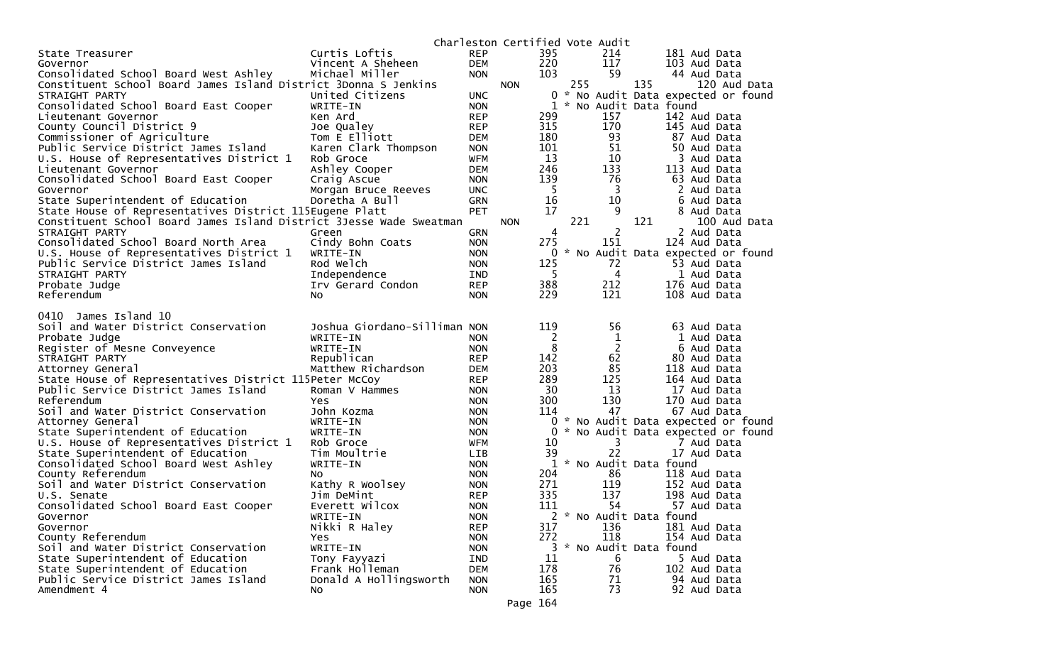|                                                                                                |                              |                          | Charleston Certified Vote Audit |             |     |                |     |                                     |
|------------------------------------------------------------------------------------------------|------------------------------|--------------------------|---------------------------------|-------------|-----|----------------|-----|-------------------------------------|
| State Treasurer                                                                                | Curtis Loftis                | <b>REP</b>               |                                 | 395         |     | 214            |     | 181 Aud Data                        |
| Governor                                                                                       | Vincent A Sheheen            | <b>DEM</b>               |                                 | 220         |     | 117            |     | 103 Aud Data                        |
| Consolidated School Board West Ashley                                                          | Michael Miller               | <b>NON</b>               |                                 | 103         |     | 59             |     | 44 Aud Data                         |
| Constituent School Board James Island District 3Donna S Jenkins                                |                              |                          | <b>NON</b>                      |             | 255 |                | 135 | 120 Aud Data                        |
| STRAIGHT PARTY                                                                                 | United Citizens              | <b>UNC</b>               |                                 |             |     |                |     | 0 * No Audit Data expected or found |
| Consolidated School Board East Cooper                                                          | WRITE-IN                     | <b>NON</b>               |                                 | $\mathbf 1$ |     |                |     | * No Audit Data found               |
| Lieutenant Governor                                                                            | Ken Ard                      | <b>REP</b>               |                                 | 299         |     | 157            |     | 142 Aud Data                        |
| County Council District 9                                                                      | Joe Qualey                   | <b>REP</b>               |                                 | 315         |     | 170            |     | 145 Aud Data                        |
| Commissioner of Agriculture                                                                    | Tom E Elliott                | <b>DEM</b>               |                                 | 180         |     | 93             |     | 87 Aud Data                         |
| Public Service District James Island                                                           | Karen Clark Thompson         | <b>NON</b>               |                                 | 101<br>13   |     | 51<br>10       |     | 50 Aud Data                         |
| U.S. House of Representatives District 1                                                       | Rob Groce<br>Ashley Cooper   | <b>WFM</b><br><b>DEM</b> |                                 | 246         |     | 133            |     | 3 Aud Data<br>113 Aud Data          |
| Lieutenant Governor<br>Consolidated School Board East Cooper                                   | Craig Ascue                  | <b>NON</b>               |                                 | 139         |     | 76             |     | 63 Aud Data                         |
| Governor                                                                                       | Morgan Bruce Reeves          | <b>UNC</b>               |                                 | 5           |     | 3              |     | 2 Aud Data                          |
| State Superintendent of Education                                                              | Doretha A Bull               | <b>GRN</b>               |                                 | 16          |     | 10             |     | 6 Aud Data                          |
| State House of Representatives District 115Eugene Platt                                        |                              | <b>PET</b>               |                                 | 17          |     | 9              |     | 8 Aud Data                          |
| Constituent School Board James Island District 3Jesse Wade Sweatman                            |                              |                          | <b>NON</b>                      |             | 221 |                | 121 | 100 Aud Data                        |
| STRAIGHT PARTY                                                                                 | Green                        | <b>GRN</b>               |                                 | 4           |     | $\overline{2}$ |     | 2 Aud Data                          |
| Consolidated School Board North Area                                                           | Cindy Bohn Coats             | <b>NON</b>               |                                 | 275         |     | 151            |     | 124 Aud Data                        |
| U.S. House of Representatives District 1                                                       | WRITE-IN                     | <b>NON</b>               |                                 | 0           |     |                |     | * No Audit Data expected or found   |
| Public Service District James Island                                                           | Rod Welch                    | <b>NON</b>               |                                 | 125         |     | 72             |     | 53 Aud Data                         |
| STRAIGHT PARTY                                                                                 | Independence                 | IND                      |                                 | 5           |     | 4              |     | 1 Aud Data                          |
| Probate Judge                                                                                  | Irv Gerard Condon            | <b>REP</b>               |                                 | 388         |     | 212            |     | 176 Aud Data                        |
| Referendum                                                                                     | No.                          | <b>NON</b>               |                                 | 229         |     | 121            |     | 108 Aud Data                        |
|                                                                                                |                              |                          |                                 |             |     |                |     |                                     |
| 0410<br>James Island 10                                                                        |                              |                          |                                 |             |     |                |     |                                     |
| Soil and Water District Conservation                                                           | Joshua Giordano-Silliman NON |                          |                                 | 119         |     | 56             |     | 63 Aud Data                         |
| Probate Judge                                                                                  | WRITE-IN                     | <b>NON</b>               |                                 | 2           |     | $\mathbf{1}$   |     | 1 Aud Data                          |
| Register of Mesne Conveyence                                                                   | WRITE-IN                     | <b>NON</b>               |                                 | 8           |     | $\overline{2}$ |     | 6 Aud Data                          |
| STRAIGHT PARTY                                                                                 | Republican                   | <b>REP</b>               |                                 | 142<br>203  |     | 62<br>85       |     | 80 Aud Data                         |
| Attorney General                                                                               | Matthew Richardson           | <b>DEM</b><br><b>REP</b> |                                 | 289         |     | 125            |     | 118 Aud Data<br>164 Aud Data        |
| State House of Representatives District 115Peter McCoy<br>Public Service District James Island | Roman V Hammes               | <b>NON</b>               |                                 | 30          |     | 13             |     | 17 Aud Data                         |
| Referendum                                                                                     | Yes                          | <b>NON</b>               |                                 | 300         |     | 130            |     | 170 Aud Data                        |
| Soil and Water District Conservation                                                           | John Kozma                   | <b>NON</b>               |                                 | 114         |     | 47             |     | 67 Aud Data                         |
| Attorney General                                                                               | WRITE-IN                     | <b>NON</b>               |                                 | 0           |     |                |     | * No Audit Data expected or found   |
| State Superintendent of Education                                                              | WRITE-IN                     | <b>NON</b>               |                                 | 0           |     |                |     | * No Audit Data expected or found   |
| U.S. House of Representatives District 1                                                       | Rob Groce                    | WFM                      |                                 | 10          |     | 3              |     | 7 Aud Data                          |
| State Superintendent of Education                                                              | Tim Moultrie                 | <b>LIB</b>               |                                 | 39          |     | 22             |     | 17 Aud Data                         |
| Consolidated School Board West Ashley                                                          | WRITE-IN                     | <b>NON</b>               |                                 |             |     |                |     | 1 * No Audit Data found             |
| County Referendum                                                                              | No                           | <b>NON</b>               |                                 | 204         |     | 86             |     | 118 Aud Data                        |
| Soil and Water District Conservation                                                           | Kathy R Woolsey              | <b>NON</b>               |                                 | 271         |     | 119            |     | 152 Aud Data                        |
| U.S. Senate                                                                                    | Jim DeMint                   | <b>REP</b>               |                                 | 335         |     | 137            |     | 198 Aud Data                        |
| Consolidated School Board East Cooper                                                          | Everett Wilcox               | <b>NON</b>               |                                 | 111         |     | 54             |     | 57 Aud Data                         |
| Governor                                                                                       | WRITE-IN                     | <b>NON</b>               |                                 |             |     |                |     | * No Audit Data found               |
| Governor                                                                                       | Nikki R Haley                | <b>REP</b>               |                                 | 317         |     | 136            |     | 181 Aud Data                        |
| County Referendum                                                                              | Yes                          | <b>NON</b>               |                                 | 272         |     | 118            |     | 154 Aud Data                        |
| Soil and Water District Conservation                                                           | WRITE-IN                     | <b>NON</b>               |                                 | 3           |     |                |     | * No Audit Data found               |
| State Superintendent of Education                                                              | Tony Fayyazi                 | <b>IND</b>               |                                 | 11          |     | 6              |     | 5 Aud Data                          |
| State Superintendent of Education                                                              | Frank Holleman               | <b>DEM</b>               |                                 | 178         |     | 76             |     | 102 Aud Data                        |
| Public Service District James Island                                                           | Donald A Hollingsworth       | <b>NON</b>               |                                 | 165         |     | 71             |     | 94 Aud Data                         |
| Amendment 4                                                                                    | No                           | <b>NON</b>               |                                 | 165         |     | 73             |     | 92 Aud Data                         |
|                                                                                                |                              |                          | Page 164                        |             |     |                |     |                                     |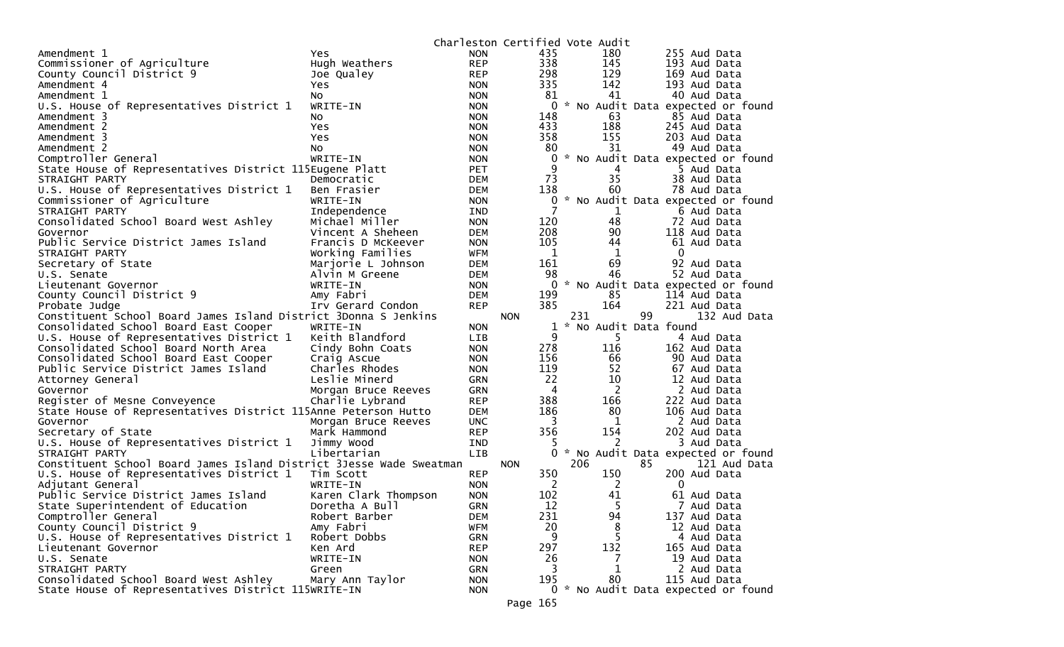|                                                                     |                      |            | Charleston Certified Vote Audit |                         |                                     |
|---------------------------------------------------------------------|----------------------|------------|---------------------------------|-------------------------|-------------------------------------|
| Amendment 1                                                         | Yes                  | <b>NON</b> | 435                             | 180                     | 255 Aud Data                        |
| Commissioner of Agriculture                                         | Hugh Weathers        | <b>REP</b> | 338                             | 145                     | 193 Aud Data                        |
| County Council District 9                                           | Joe Qualey           | <b>REP</b> | 298                             | 129                     | 169 Aud Data                        |
| Amendment 4                                                         | Yes                  | <b>NON</b> | 335                             | 142                     | 193 Aud Data                        |
| Amendment 1                                                         | No                   | <b>NON</b> | 81                              | 41                      | 40 Aud Data                         |
| U.S. House of Representatives District 1                            | WRITE-IN             | <b>NON</b> | 0                               |                         | * No Audit Data expected or found   |
| Amendment 3                                                         | NO.                  | <b>NON</b> | 148                             | 63                      | 85 Aud Data                         |
| Amendment 2                                                         | Yes                  | <b>NON</b> | 433                             | 188                     | 245 Aud Data                        |
| Amendment 3                                                         | Yes                  | <b>NON</b> | 358                             | 155                     | 203 Aud Data                        |
| Amendment 2                                                         | No.                  | <b>NON</b> | 80                              | 31                      | 49 Aud Data                         |
| Comptroller General                                                 | WRITE-IN             | <b>NON</b> | 0                               |                         | * No Audit Data expected or found   |
| State House of Representatives District 115Eugene Platt             |                      | <b>PET</b> | 9                               | 4                       | 5 Aud Data                          |
| STRAIGHT PARTY                                                      | Democratic           | <b>DEM</b> | 73                              | 35                      | 38 Aud Data                         |
| U.S. House of Representatives District 1                            | Ben Frasier          | DEM        | 138                             | 60                      | 78 Aud Data                         |
| Commissioner of Agriculture                                         | WRITE-IN             | <b>NON</b> |                                 |                         | 0 * No Audit Data expected or found |
| STRAIGHT PARTY                                                      | Independence         | IND        | 7                               | $\mathbf 1$             | 6 Aud Data                          |
| Consolidated School Board West Ashley                               | Michael Miller       | <b>NON</b> | 120                             | 48                      | 72 Aud Data                         |
| Governor                                                            | Vincent A Sheheen    | <b>DEM</b> | 208                             | 90                      | 118 Aud Data                        |
| Public Service District James Island                                | Francis D McKeever   | <b>NON</b> | 105                             | 44                      | 61 Aud Data                         |
| STRAIGHT PARTY                                                      | Working Families     | <b>WFM</b> | 1                               | 1                       | $\Omega$                            |
| Secretary of State                                                  | Marjorie L Johnson   | <b>DEM</b> | 161                             | 69                      | 92 Aud Data                         |
| U.S. Senate                                                         | Alvin M Greene       | DEM        | 98                              | 46                      | 52 Aud Data                         |
| Lieutenant Governor                                                 | WRITE-IN             | <b>NON</b> | 0                               |                         | * No Audit Data expected or found   |
| County Council District 9                                           | Amy Fabri            | <b>DEM</b> | 199                             | 85                      | 114 Aud Data                        |
| Probate Judge                                                       | Irv Gerard Condon    | <b>REP</b> | 385                             | 164                     | 221 Aud Data                        |
| Constituent School Board James Island District 3Donna S Jenkins     |                      |            | <b>NON</b>                      | 231<br>99               | 132 Aud Data                        |
| Consolidated School Board East Cooper                               | WRITE-IN             | <b>NON</b> |                                 | 1 * No Audit Data found |                                     |
| U.S. House of Representatives District 1                            | Keith Blandford      | LIB        | 9                               | 5                       | 4 Aud Data                          |
| Consolidated School Board North Area                                | Cindy Bohn Coats     | <b>NON</b> | 278                             | 116                     | 162 Aud Data                        |
| Consolidated School Board East Cooper                               | Craig Ascue          | <b>NON</b> | 156                             | 66                      | 90 Aud Data                         |
| Public Service District James Island                                | Charles Rhodes       | <b>NON</b> | 119                             | 52                      | 67 Aud Data                         |
| Attorney General                                                    | Leslie Minerd        | <b>GRN</b> | 22                              | 10                      | 12 Aud Data                         |
| Governor                                                            | Morgan Bruce Reeves  | <b>GRN</b> | $\overline{4}$                  | 2                       | 2 Aud Data                          |
| Register of Mesne Conveyence                                        | Charlie Lybrand      | <b>REP</b> | 388                             | 166                     | 222 Aud Data                        |
| State House of Representatives District 115Anne Peterson Hutto      |                      | <b>DEM</b> | 186                             | 80                      | 106 Aud Data                        |
| Governor                                                            | Morgan Bruce Reeves  | <b>UNC</b> | 3                               | 1                       | 2 Aud Data                          |
| Secretary of State                                                  | Mark Hammond         | <b>REP</b> | 356                             | 154                     | 202 Aud Data                        |
| U.S. House of Representatives District 1                            | Jimmy Wood           | <b>IND</b> | 5                               | 2                       | 3 Aud Data                          |
| STRAIGHT PARTY                                                      | Libertarian          | LIB        | 0                               |                         | * No Audit Data expected or found   |
| Constituent School Board James Island District 3Jesse Wade Sweatman |                      |            | <b>NON</b>                      | 206<br>85               | 121 Aud Data                        |
| U.S. House of Representatives District 1                            | Tim Scott            | <b>REP</b> | 350                             | 150                     | 200 Aud Data                        |
| Adjutant General                                                    | WRITE-IN             | <b>NON</b> | 2                               | 2                       | $\mathbf{0}$                        |
| Public Service District James Island                                | Karen Clark Thompson | <b>NON</b> | 102                             | 41                      | 61 Aud Data                         |
| State Superintendent of Education                                   | Doretha A Bull       | <b>GRN</b> | 12                              | 5                       | 7 Aud Data                          |
| Comptroller General                                                 | Robert Barber        | <b>DEM</b> | 231                             | 94                      | 137 Aud Data                        |
| County Council District 9                                           | Amy Fabri            | <b>WFM</b> | 20                              | 8                       | 12 Aud Data                         |
| U.S. House of Representatives District 1                            | Robert Dobbs         | <b>GRN</b> | 9                               | 5                       | 4 Aud Data                          |
| Lieutenant Governor                                                 | Ken Ard              | <b>REP</b> | 297                             | 132                     | 165 Aud Data                        |
| U.S. Senate                                                         | WRITE-IN             | <b>NON</b> | 26                              | 7                       | 19 Aud Data                         |
| STRAIGHT PARTY                                                      | Green                | <b>GRN</b> | 3                               | 1                       | 2 Aud Data                          |
| Consolidated School Board West Ashley                               | Mary Ann Taylor      | <b>NON</b> | 195                             | 80                      | 115 Aud Data                        |
| State House of Representatives District 115WRITE-IN                 |                      | <b>NON</b> |                                 |                         | 0 * No Audit Data expected or found |
|                                                                     |                      |            |                                 |                         |                                     |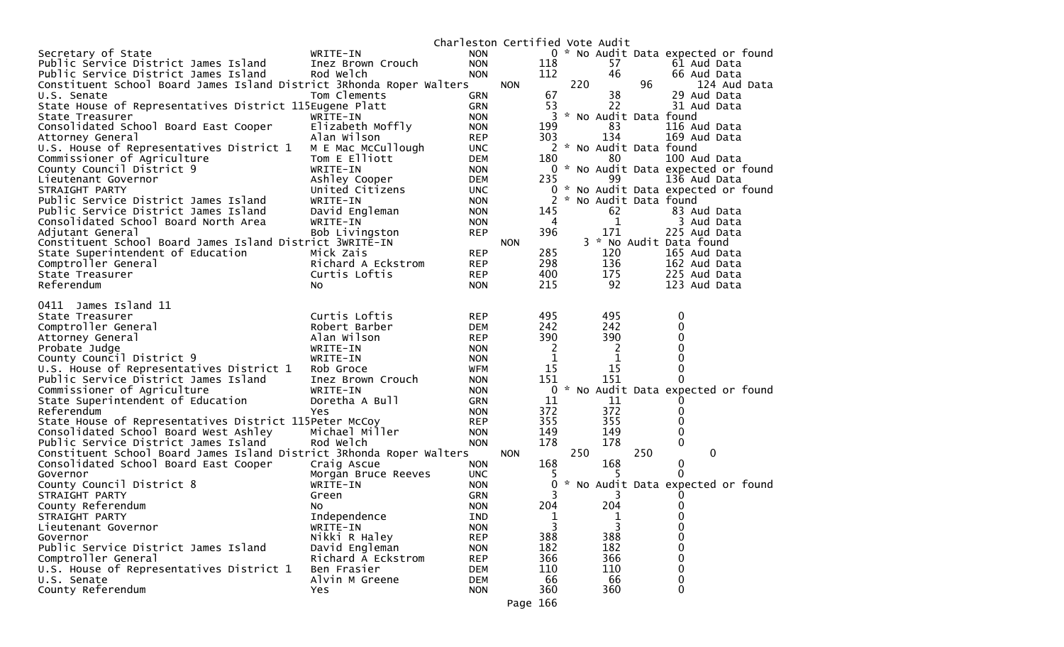| Charleston Certified Vote Audit<br>0 * No Audit Data expected or found<br>Secretary of State<br>WRITE-IN<br><b>NON</b><br>Public Service District James Island<br><b>NON</b><br>118<br>57<br>61 Aud Data<br>Inez Brown Crouch<br>112<br>46<br>Public Service District James Island<br>Rod Welch<br>66 Aud Data<br><b>NON</b><br>220<br>96<br>Constituent School Board James Island District 3Rhonda Roper Walters<br><b>NON</b><br>124 Aud Data<br>67<br>38<br>29 Aud Data<br>Tom Clements<br>U.S. Senate<br><b>GRN</b><br>22<br>53<br>31 Aud Data<br>State House of Representatives District 115Eugene Platt<br><b>GRN</b><br>3<br>* No Audit Data found<br>State Treasurer<br>WRITE-IN<br><b>NON</b><br>Consolidated School Board East Cooper<br>Elizabeth Moffly<br>199<br>83<br>116 Aud Data<br><b>NON</b><br>Alan Wilson<br>303<br>134<br><b>REP</b><br>169 Aud Data<br>Attorney General<br>2 * No Audit Data found<br>U.S. House of Representatives District 1<br>M E Mac McCullough<br><b>UNC</b><br>Commissioner of Agriculture<br>Tom E Elliott<br>80<br>100 Aud Data<br><b>DEM</b><br>180<br>County Council District 9<br>WRITE-IN<br>0 * No Audit Data expected or found<br><b>NON</b><br>Ashley Cooper<br>235<br>99<br>136 Aud Data<br>Lieutenant Governor<br><b>DEM</b><br>United Citizens<br>* No Audit Data expected or found<br>STRAIGHT PARTY<br>0<br><b>UNC</b><br>Public Service District James Island<br>* No Audit Data found<br>WRITE-IN<br><b>NON</b><br>62<br>Public Service District James Island<br>David Engleman<br>145<br>83 Aud Data<br><b>NON</b><br>1<br>3 Aud Data<br>Consolidated School Board North Area<br>WRITE-IN<br>4<br><b>NON</b><br>396<br>171<br>Bob Livingston<br>225 Aud Data<br>Adjutant General<br><b>REP</b><br>3 * No Audit Data found<br>Constituent School Board James Island District 3WRITE-IN<br><b>NON</b><br>285<br>120<br>State Superintendent of Education<br>Mick Zais<br><b>REP</b><br>165 Aud Data<br>Comptroller General<br>298<br>136<br>Richard A Eckstrom<br><b>REP</b><br>162 Aud Data<br>400<br>175<br>State Treasurer<br>Curtis Loftis<br><b>REP</b><br>225 Aud Data<br>215<br>92<br>123 Aud Data<br>Referendum<br>No<br><b>NON</b><br>James Island 11<br>0411<br>495<br>495<br>Curtis Loftis<br><b>REP</b><br>0<br>State Treasurer<br>0<br>Comptroller General<br>Robert Barber<br>242<br>242<br><b>DEM</b><br>390<br>390<br>Alan Wilson<br>0<br>Attorney General<br><b>REP</b><br>0<br>Probate Judge<br>WRITE-IN<br>2<br>2<br><b>NON</b><br>1<br>1<br>0<br>County Council District 9<br>WRITE-IN<br><b>NON</b><br>15<br>15<br>0<br>U.S. House of Representatives District 1<br>Rob Groce<br>WFM<br>151<br>151<br>Public Service District James Island<br>Inez Brown Crouch<br><b>NON</b><br>0<br>No Audit Data expected or found<br>Commissioner of Agriculture<br>0<br>WRITE-IN<br><b>NON</b><br>11<br>11<br>State Superintendent of Education<br>Doretha A Bull<br>GRN<br>0<br>372<br>372<br>Referendum<br>Yes<br>0<br><b>NON</b><br>355<br>355<br>0<br>State House of Representatives District 115Peter McCoy<br><b>REP</b><br>Consolidated School Board West Ashley<br>Michael Miller<br>149<br>149<br>0<br><b>NON</b><br>178<br>178<br>$\mathbf 0$<br>Public Service District James Island<br>Rod Welch<br><b>NON</b><br>250<br>250<br>$\mathbf{0}$<br>Constituent School Board James Island District 3Rhonda Roper Walters<br><b>NON</b><br>168<br>168<br>$\mathbf 0$<br>Consolidated School Board East Cooper<br>Craig Ascue<br><b>NON</b><br>0<br>Governor<br>Morgan Bruce Reeves<br><b>UNC</b><br>ל<br>County Council District 8<br>0<br>* No Audit Data expected or found<br>WRITE-IN<br><b>NON</b><br>3<br>STRAIGHT PARTY<br><b>GRN</b><br>3<br>Green<br>U<br>204<br>County Referendum<br>204<br><b>NON</b><br>0<br>NO.<br>$\mathbf 0$<br>STRAIGHT PARTY<br>Independence<br><b>IND</b><br>1<br>1<br>3<br>3<br>WRITE-IN<br>0<br><b>NON</b><br>Lieutenant Governor<br>388<br>Nikki R Haley<br>388<br>Governor<br><b>REP</b><br>0<br>Public Service District James Island<br>182<br>182<br>David Engleman<br>0<br><b>NON</b><br>Comptroller General<br>366<br>366<br>0<br>Richard A Eckstrom<br><b>REP</b><br>U.S. House of Representatives District 1<br>Ben Frasier<br><b>DEM</b><br>110<br>110<br>0<br>66<br>66<br>U.S. Senate<br>Alvin M Greene<br><b>DEM</b><br>0<br>County Referendum<br>360<br>360<br>0<br>Yes<br><b>NON</b> |  |  |  |  |  |  |
|-------------------------------------------------------------------------------------------------------------------------------------------------------------------------------------------------------------------------------------------------------------------------------------------------------------------------------------------------------------------------------------------------------------------------------------------------------------------------------------------------------------------------------------------------------------------------------------------------------------------------------------------------------------------------------------------------------------------------------------------------------------------------------------------------------------------------------------------------------------------------------------------------------------------------------------------------------------------------------------------------------------------------------------------------------------------------------------------------------------------------------------------------------------------------------------------------------------------------------------------------------------------------------------------------------------------------------------------------------------------------------------------------------------------------------------------------------------------------------------------------------------------------------------------------------------------------------------------------------------------------------------------------------------------------------------------------------------------------------------------------------------------------------------------------------------------------------------------------------------------------------------------------------------------------------------------------------------------------------------------------------------------------------------------------------------------------------------------------------------------------------------------------------------------------------------------------------------------------------------------------------------------------------------------------------------------------------------------------------------------------------------------------------------------------------------------------------------------------------------------------------------------------------------------------------------------------------------------------------------------------------------------------------------------------------------------------------------------------------------------------------------------------------------------------------------------------------------------------------------------------------------------------------------------------------------------------------------------------------------------------------------------------------------------------------------------------------------------------------------------------------------------------------------------------------------------------------------------------------------------------------------------------------------------------------------------------------------------------------------------------------------------------------------------------------------------------------------------------------------------------------------------------------------------------------------------------------------------------------------------------------------------------------------------------------------------------------------------------------------------------------------------------------------------------------------------------------------------------------------------------------------------------------------------------------------------------------------------------------------------------------------------------------------------------------------------------------------------------------------------------------------------------------------------------------------------------------------------------------------------------------------------------------------------------------------------------------------------------------------------------------------------------------------------|--|--|--|--|--|--|
|                                                                                                                                                                                                                                                                                                                                                                                                                                                                                                                                                                                                                                                                                                                                                                                                                                                                                                                                                                                                                                                                                                                                                                                                                                                                                                                                                                                                                                                                                                                                                                                                                                                                                                                                                                                                                                                                                                                                                                                                                                                                                                                                                                                                                                                                                                                                                                                                                                                                                                                                                                                                                                                                                                                                                                                                                                                                                                                                                                                                                                                                                                                                                                                                                                                                                                                                                                                                                                                                                                                                                                                                                                                                                                                                                                                                                                                                                                                                                                                                                                                                                                                                                                                                                                                                                                                                                                                                                   |  |  |  |  |  |  |
|                                                                                                                                                                                                                                                                                                                                                                                                                                                                                                                                                                                                                                                                                                                                                                                                                                                                                                                                                                                                                                                                                                                                                                                                                                                                                                                                                                                                                                                                                                                                                                                                                                                                                                                                                                                                                                                                                                                                                                                                                                                                                                                                                                                                                                                                                                                                                                                                                                                                                                                                                                                                                                                                                                                                                                                                                                                                                                                                                                                                                                                                                                                                                                                                                                                                                                                                                                                                                                                                                                                                                                                                                                                                                                                                                                                                                                                                                                                                                                                                                                                                                                                                                                                                                                                                                                                                                                                                                   |  |  |  |  |  |  |
|                                                                                                                                                                                                                                                                                                                                                                                                                                                                                                                                                                                                                                                                                                                                                                                                                                                                                                                                                                                                                                                                                                                                                                                                                                                                                                                                                                                                                                                                                                                                                                                                                                                                                                                                                                                                                                                                                                                                                                                                                                                                                                                                                                                                                                                                                                                                                                                                                                                                                                                                                                                                                                                                                                                                                                                                                                                                                                                                                                                                                                                                                                                                                                                                                                                                                                                                                                                                                                                                                                                                                                                                                                                                                                                                                                                                                                                                                                                                                                                                                                                                                                                                                                                                                                                                                                                                                                                                                   |  |  |  |  |  |  |
|                                                                                                                                                                                                                                                                                                                                                                                                                                                                                                                                                                                                                                                                                                                                                                                                                                                                                                                                                                                                                                                                                                                                                                                                                                                                                                                                                                                                                                                                                                                                                                                                                                                                                                                                                                                                                                                                                                                                                                                                                                                                                                                                                                                                                                                                                                                                                                                                                                                                                                                                                                                                                                                                                                                                                                                                                                                                                                                                                                                                                                                                                                                                                                                                                                                                                                                                                                                                                                                                                                                                                                                                                                                                                                                                                                                                                                                                                                                                                                                                                                                                                                                                                                                                                                                                                                                                                                                                                   |  |  |  |  |  |  |
|                                                                                                                                                                                                                                                                                                                                                                                                                                                                                                                                                                                                                                                                                                                                                                                                                                                                                                                                                                                                                                                                                                                                                                                                                                                                                                                                                                                                                                                                                                                                                                                                                                                                                                                                                                                                                                                                                                                                                                                                                                                                                                                                                                                                                                                                                                                                                                                                                                                                                                                                                                                                                                                                                                                                                                                                                                                                                                                                                                                                                                                                                                                                                                                                                                                                                                                                                                                                                                                                                                                                                                                                                                                                                                                                                                                                                                                                                                                                                                                                                                                                                                                                                                                                                                                                                                                                                                                                                   |  |  |  |  |  |  |
|                                                                                                                                                                                                                                                                                                                                                                                                                                                                                                                                                                                                                                                                                                                                                                                                                                                                                                                                                                                                                                                                                                                                                                                                                                                                                                                                                                                                                                                                                                                                                                                                                                                                                                                                                                                                                                                                                                                                                                                                                                                                                                                                                                                                                                                                                                                                                                                                                                                                                                                                                                                                                                                                                                                                                                                                                                                                                                                                                                                                                                                                                                                                                                                                                                                                                                                                                                                                                                                                                                                                                                                                                                                                                                                                                                                                                                                                                                                                                                                                                                                                                                                                                                                                                                                                                                                                                                                                                   |  |  |  |  |  |  |
|                                                                                                                                                                                                                                                                                                                                                                                                                                                                                                                                                                                                                                                                                                                                                                                                                                                                                                                                                                                                                                                                                                                                                                                                                                                                                                                                                                                                                                                                                                                                                                                                                                                                                                                                                                                                                                                                                                                                                                                                                                                                                                                                                                                                                                                                                                                                                                                                                                                                                                                                                                                                                                                                                                                                                                                                                                                                                                                                                                                                                                                                                                                                                                                                                                                                                                                                                                                                                                                                                                                                                                                                                                                                                                                                                                                                                                                                                                                                                                                                                                                                                                                                                                                                                                                                                                                                                                                                                   |  |  |  |  |  |  |
|                                                                                                                                                                                                                                                                                                                                                                                                                                                                                                                                                                                                                                                                                                                                                                                                                                                                                                                                                                                                                                                                                                                                                                                                                                                                                                                                                                                                                                                                                                                                                                                                                                                                                                                                                                                                                                                                                                                                                                                                                                                                                                                                                                                                                                                                                                                                                                                                                                                                                                                                                                                                                                                                                                                                                                                                                                                                                                                                                                                                                                                                                                                                                                                                                                                                                                                                                                                                                                                                                                                                                                                                                                                                                                                                                                                                                                                                                                                                                                                                                                                                                                                                                                                                                                                                                                                                                                                                                   |  |  |  |  |  |  |
|                                                                                                                                                                                                                                                                                                                                                                                                                                                                                                                                                                                                                                                                                                                                                                                                                                                                                                                                                                                                                                                                                                                                                                                                                                                                                                                                                                                                                                                                                                                                                                                                                                                                                                                                                                                                                                                                                                                                                                                                                                                                                                                                                                                                                                                                                                                                                                                                                                                                                                                                                                                                                                                                                                                                                                                                                                                                                                                                                                                                                                                                                                                                                                                                                                                                                                                                                                                                                                                                                                                                                                                                                                                                                                                                                                                                                                                                                                                                                                                                                                                                                                                                                                                                                                                                                                                                                                                                                   |  |  |  |  |  |  |
|                                                                                                                                                                                                                                                                                                                                                                                                                                                                                                                                                                                                                                                                                                                                                                                                                                                                                                                                                                                                                                                                                                                                                                                                                                                                                                                                                                                                                                                                                                                                                                                                                                                                                                                                                                                                                                                                                                                                                                                                                                                                                                                                                                                                                                                                                                                                                                                                                                                                                                                                                                                                                                                                                                                                                                                                                                                                                                                                                                                                                                                                                                                                                                                                                                                                                                                                                                                                                                                                                                                                                                                                                                                                                                                                                                                                                                                                                                                                                                                                                                                                                                                                                                                                                                                                                                                                                                                                                   |  |  |  |  |  |  |
|                                                                                                                                                                                                                                                                                                                                                                                                                                                                                                                                                                                                                                                                                                                                                                                                                                                                                                                                                                                                                                                                                                                                                                                                                                                                                                                                                                                                                                                                                                                                                                                                                                                                                                                                                                                                                                                                                                                                                                                                                                                                                                                                                                                                                                                                                                                                                                                                                                                                                                                                                                                                                                                                                                                                                                                                                                                                                                                                                                                                                                                                                                                                                                                                                                                                                                                                                                                                                                                                                                                                                                                                                                                                                                                                                                                                                                                                                                                                                                                                                                                                                                                                                                                                                                                                                                                                                                                                                   |  |  |  |  |  |  |
|                                                                                                                                                                                                                                                                                                                                                                                                                                                                                                                                                                                                                                                                                                                                                                                                                                                                                                                                                                                                                                                                                                                                                                                                                                                                                                                                                                                                                                                                                                                                                                                                                                                                                                                                                                                                                                                                                                                                                                                                                                                                                                                                                                                                                                                                                                                                                                                                                                                                                                                                                                                                                                                                                                                                                                                                                                                                                                                                                                                                                                                                                                                                                                                                                                                                                                                                                                                                                                                                                                                                                                                                                                                                                                                                                                                                                                                                                                                                                                                                                                                                                                                                                                                                                                                                                                                                                                                                                   |  |  |  |  |  |  |
|                                                                                                                                                                                                                                                                                                                                                                                                                                                                                                                                                                                                                                                                                                                                                                                                                                                                                                                                                                                                                                                                                                                                                                                                                                                                                                                                                                                                                                                                                                                                                                                                                                                                                                                                                                                                                                                                                                                                                                                                                                                                                                                                                                                                                                                                                                                                                                                                                                                                                                                                                                                                                                                                                                                                                                                                                                                                                                                                                                                                                                                                                                                                                                                                                                                                                                                                                                                                                                                                                                                                                                                                                                                                                                                                                                                                                                                                                                                                                                                                                                                                                                                                                                                                                                                                                                                                                                                                                   |  |  |  |  |  |  |
|                                                                                                                                                                                                                                                                                                                                                                                                                                                                                                                                                                                                                                                                                                                                                                                                                                                                                                                                                                                                                                                                                                                                                                                                                                                                                                                                                                                                                                                                                                                                                                                                                                                                                                                                                                                                                                                                                                                                                                                                                                                                                                                                                                                                                                                                                                                                                                                                                                                                                                                                                                                                                                                                                                                                                                                                                                                                                                                                                                                                                                                                                                                                                                                                                                                                                                                                                                                                                                                                                                                                                                                                                                                                                                                                                                                                                                                                                                                                                                                                                                                                                                                                                                                                                                                                                                                                                                                                                   |  |  |  |  |  |  |
|                                                                                                                                                                                                                                                                                                                                                                                                                                                                                                                                                                                                                                                                                                                                                                                                                                                                                                                                                                                                                                                                                                                                                                                                                                                                                                                                                                                                                                                                                                                                                                                                                                                                                                                                                                                                                                                                                                                                                                                                                                                                                                                                                                                                                                                                                                                                                                                                                                                                                                                                                                                                                                                                                                                                                                                                                                                                                                                                                                                                                                                                                                                                                                                                                                                                                                                                                                                                                                                                                                                                                                                                                                                                                                                                                                                                                                                                                                                                                                                                                                                                                                                                                                                                                                                                                                                                                                                                                   |  |  |  |  |  |  |
|                                                                                                                                                                                                                                                                                                                                                                                                                                                                                                                                                                                                                                                                                                                                                                                                                                                                                                                                                                                                                                                                                                                                                                                                                                                                                                                                                                                                                                                                                                                                                                                                                                                                                                                                                                                                                                                                                                                                                                                                                                                                                                                                                                                                                                                                                                                                                                                                                                                                                                                                                                                                                                                                                                                                                                                                                                                                                                                                                                                                                                                                                                                                                                                                                                                                                                                                                                                                                                                                                                                                                                                                                                                                                                                                                                                                                                                                                                                                                                                                                                                                                                                                                                                                                                                                                                                                                                                                                   |  |  |  |  |  |  |
|                                                                                                                                                                                                                                                                                                                                                                                                                                                                                                                                                                                                                                                                                                                                                                                                                                                                                                                                                                                                                                                                                                                                                                                                                                                                                                                                                                                                                                                                                                                                                                                                                                                                                                                                                                                                                                                                                                                                                                                                                                                                                                                                                                                                                                                                                                                                                                                                                                                                                                                                                                                                                                                                                                                                                                                                                                                                                                                                                                                                                                                                                                                                                                                                                                                                                                                                                                                                                                                                                                                                                                                                                                                                                                                                                                                                                                                                                                                                                                                                                                                                                                                                                                                                                                                                                                                                                                                                                   |  |  |  |  |  |  |
|                                                                                                                                                                                                                                                                                                                                                                                                                                                                                                                                                                                                                                                                                                                                                                                                                                                                                                                                                                                                                                                                                                                                                                                                                                                                                                                                                                                                                                                                                                                                                                                                                                                                                                                                                                                                                                                                                                                                                                                                                                                                                                                                                                                                                                                                                                                                                                                                                                                                                                                                                                                                                                                                                                                                                                                                                                                                                                                                                                                                                                                                                                                                                                                                                                                                                                                                                                                                                                                                                                                                                                                                                                                                                                                                                                                                                                                                                                                                                                                                                                                                                                                                                                                                                                                                                                                                                                                                                   |  |  |  |  |  |  |
|                                                                                                                                                                                                                                                                                                                                                                                                                                                                                                                                                                                                                                                                                                                                                                                                                                                                                                                                                                                                                                                                                                                                                                                                                                                                                                                                                                                                                                                                                                                                                                                                                                                                                                                                                                                                                                                                                                                                                                                                                                                                                                                                                                                                                                                                                                                                                                                                                                                                                                                                                                                                                                                                                                                                                                                                                                                                                                                                                                                                                                                                                                                                                                                                                                                                                                                                                                                                                                                                                                                                                                                                                                                                                                                                                                                                                                                                                                                                                                                                                                                                                                                                                                                                                                                                                                                                                                                                                   |  |  |  |  |  |  |
|                                                                                                                                                                                                                                                                                                                                                                                                                                                                                                                                                                                                                                                                                                                                                                                                                                                                                                                                                                                                                                                                                                                                                                                                                                                                                                                                                                                                                                                                                                                                                                                                                                                                                                                                                                                                                                                                                                                                                                                                                                                                                                                                                                                                                                                                                                                                                                                                                                                                                                                                                                                                                                                                                                                                                                                                                                                                                                                                                                                                                                                                                                                                                                                                                                                                                                                                                                                                                                                                                                                                                                                                                                                                                                                                                                                                                                                                                                                                                                                                                                                                                                                                                                                                                                                                                                                                                                                                                   |  |  |  |  |  |  |
|                                                                                                                                                                                                                                                                                                                                                                                                                                                                                                                                                                                                                                                                                                                                                                                                                                                                                                                                                                                                                                                                                                                                                                                                                                                                                                                                                                                                                                                                                                                                                                                                                                                                                                                                                                                                                                                                                                                                                                                                                                                                                                                                                                                                                                                                                                                                                                                                                                                                                                                                                                                                                                                                                                                                                                                                                                                                                                                                                                                                                                                                                                                                                                                                                                                                                                                                                                                                                                                                                                                                                                                                                                                                                                                                                                                                                                                                                                                                                                                                                                                                                                                                                                                                                                                                                                                                                                                                                   |  |  |  |  |  |  |
|                                                                                                                                                                                                                                                                                                                                                                                                                                                                                                                                                                                                                                                                                                                                                                                                                                                                                                                                                                                                                                                                                                                                                                                                                                                                                                                                                                                                                                                                                                                                                                                                                                                                                                                                                                                                                                                                                                                                                                                                                                                                                                                                                                                                                                                                                                                                                                                                                                                                                                                                                                                                                                                                                                                                                                                                                                                                                                                                                                                                                                                                                                                                                                                                                                                                                                                                                                                                                                                                                                                                                                                                                                                                                                                                                                                                                                                                                                                                                                                                                                                                                                                                                                                                                                                                                                                                                                                                                   |  |  |  |  |  |  |
|                                                                                                                                                                                                                                                                                                                                                                                                                                                                                                                                                                                                                                                                                                                                                                                                                                                                                                                                                                                                                                                                                                                                                                                                                                                                                                                                                                                                                                                                                                                                                                                                                                                                                                                                                                                                                                                                                                                                                                                                                                                                                                                                                                                                                                                                                                                                                                                                                                                                                                                                                                                                                                                                                                                                                                                                                                                                                                                                                                                                                                                                                                                                                                                                                                                                                                                                                                                                                                                                                                                                                                                                                                                                                                                                                                                                                                                                                                                                                                                                                                                                                                                                                                                                                                                                                                                                                                                                                   |  |  |  |  |  |  |
|                                                                                                                                                                                                                                                                                                                                                                                                                                                                                                                                                                                                                                                                                                                                                                                                                                                                                                                                                                                                                                                                                                                                                                                                                                                                                                                                                                                                                                                                                                                                                                                                                                                                                                                                                                                                                                                                                                                                                                                                                                                                                                                                                                                                                                                                                                                                                                                                                                                                                                                                                                                                                                                                                                                                                                                                                                                                                                                                                                                                                                                                                                                                                                                                                                                                                                                                                                                                                                                                                                                                                                                                                                                                                                                                                                                                                                                                                                                                                                                                                                                                                                                                                                                                                                                                                                                                                                                                                   |  |  |  |  |  |  |
|                                                                                                                                                                                                                                                                                                                                                                                                                                                                                                                                                                                                                                                                                                                                                                                                                                                                                                                                                                                                                                                                                                                                                                                                                                                                                                                                                                                                                                                                                                                                                                                                                                                                                                                                                                                                                                                                                                                                                                                                                                                                                                                                                                                                                                                                                                                                                                                                                                                                                                                                                                                                                                                                                                                                                                                                                                                                                                                                                                                                                                                                                                                                                                                                                                                                                                                                                                                                                                                                                                                                                                                                                                                                                                                                                                                                                                                                                                                                                                                                                                                                                                                                                                                                                                                                                                                                                                                                                   |  |  |  |  |  |  |
|                                                                                                                                                                                                                                                                                                                                                                                                                                                                                                                                                                                                                                                                                                                                                                                                                                                                                                                                                                                                                                                                                                                                                                                                                                                                                                                                                                                                                                                                                                                                                                                                                                                                                                                                                                                                                                                                                                                                                                                                                                                                                                                                                                                                                                                                                                                                                                                                                                                                                                                                                                                                                                                                                                                                                                                                                                                                                                                                                                                                                                                                                                                                                                                                                                                                                                                                                                                                                                                                                                                                                                                                                                                                                                                                                                                                                                                                                                                                                                                                                                                                                                                                                                                                                                                                                                                                                                                                                   |  |  |  |  |  |  |
|                                                                                                                                                                                                                                                                                                                                                                                                                                                                                                                                                                                                                                                                                                                                                                                                                                                                                                                                                                                                                                                                                                                                                                                                                                                                                                                                                                                                                                                                                                                                                                                                                                                                                                                                                                                                                                                                                                                                                                                                                                                                                                                                                                                                                                                                                                                                                                                                                                                                                                                                                                                                                                                                                                                                                                                                                                                                                                                                                                                                                                                                                                                                                                                                                                                                                                                                                                                                                                                                                                                                                                                                                                                                                                                                                                                                                                                                                                                                                                                                                                                                                                                                                                                                                                                                                                                                                                                                                   |  |  |  |  |  |  |
|                                                                                                                                                                                                                                                                                                                                                                                                                                                                                                                                                                                                                                                                                                                                                                                                                                                                                                                                                                                                                                                                                                                                                                                                                                                                                                                                                                                                                                                                                                                                                                                                                                                                                                                                                                                                                                                                                                                                                                                                                                                                                                                                                                                                                                                                                                                                                                                                                                                                                                                                                                                                                                                                                                                                                                                                                                                                                                                                                                                                                                                                                                                                                                                                                                                                                                                                                                                                                                                                                                                                                                                                                                                                                                                                                                                                                                                                                                                                                                                                                                                                                                                                                                                                                                                                                                                                                                                                                   |  |  |  |  |  |  |
|                                                                                                                                                                                                                                                                                                                                                                                                                                                                                                                                                                                                                                                                                                                                                                                                                                                                                                                                                                                                                                                                                                                                                                                                                                                                                                                                                                                                                                                                                                                                                                                                                                                                                                                                                                                                                                                                                                                                                                                                                                                                                                                                                                                                                                                                                                                                                                                                                                                                                                                                                                                                                                                                                                                                                                                                                                                                                                                                                                                                                                                                                                                                                                                                                                                                                                                                                                                                                                                                                                                                                                                                                                                                                                                                                                                                                                                                                                                                                                                                                                                                                                                                                                                                                                                                                                                                                                                                                   |  |  |  |  |  |  |
|                                                                                                                                                                                                                                                                                                                                                                                                                                                                                                                                                                                                                                                                                                                                                                                                                                                                                                                                                                                                                                                                                                                                                                                                                                                                                                                                                                                                                                                                                                                                                                                                                                                                                                                                                                                                                                                                                                                                                                                                                                                                                                                                                                                                                                                                                                                                                                                                                                                                                                                                                                                                                                                                                                                                                                                                                                                                                                                                                                                                                                                                                                                                                                                                                                                                                                                                                                                                                                                                                                                                                                                                                                                                                                                                                                                                                                                                                                                                                                                                                                                                                                                                                                                                                                                                                                                                                                                                                   |  |  |  |  |  |  |
|                                                                                                                                                                                                                                                                                                                                                                                                                                                                                                                                                                                                                                                                                                                                                                                                                                                                                                                                                                                                                                                                                                                                                                                                                                                                                                                                                                                                                                                                                                                                                                                                                                                                                                                                                                                                                                                                                                                                                                                                                                                                                                                                                                                                                                                                                                                                                                                                                                                                                                                                                                                                                                                                                                                                                                                                                                                                                                                                                                                                                                                                                                                                                                                                                                                                                                                                                                                                                                                                                                                                                                                                                                                                                                                                                                                                                                                                                                                                                                                                                                                                                                                                                                                                                                                                                                                                                                                                                   |  |  |  |  |  |  |
|                                                                                                                                                                                                                                                                                                                                                                                                                                                                                                                                                                                                                                                                                                                                                                                                                                                                                                                                                                                                                                                                                                                                                                                                                                                                                                                                                                                                                                                                                                                                                                                                                                                                                                                                                                                                                                                                                                                                                                                                                                                                                                                                                                                                                                                                                                                                                                                                                                                                                                                                                                                                                                                                                                                                                                                                                                                                                                                                                                                                                                                                                                                                                                                                                                                                                                                                                                                                                                                                                                                                                                                                                                                                                                                                                                                                                                                                                                                                                                                                                                                                                                                                                                                                                                                                                                                                                                                                                   |  |  |  |  |  |  |
|                                                                                                                                                                                                                                                                                                                                                                                                                                                                                                                                                                                                                                                                                                                                                                                                                                                                                                                                                                                                                                                                                                                                                                                                                                                                                                                                                                                                                                                                                                                                                                                                                                                                                                                                                                                                                                                                                                                                                                                                                                                                                                                                                                                                                                                                                                                                                                                                                                                                                                                                                                                                                                                                                                                                                                                                                                                                                                                                                                                                                                                                                                                                                                                                                                                                                                                                                                                                                                                                                                                                                                                                                                                                                                                                                                                                                                                                                                                                                                                                                                                                                                                                                                                                                                                                                                                                                                                                                   |  |  |  |  |  |  |
|                                                                                                                                                                                                                                                                                                                                                                                                                                                                                                                                                                                                                                                                                                                                                                                                                                                                                                                                                                                                                                                                                                                                                                                                                                                                                                                                                                                                                                                                                                                                                                                                                                                                                                                                                                                                                                                                                                                                                                                                                                                                                                                                                                                                                                                                                                                                                                                                                                                                                                                                                                                                                                                                                                                                                                                                                                                                                                                                                                                                                                                                                                                                                                                                                                                                                                                                                                                                                                                                                                                                                                                                                                                                                                                                                                                                                                                                                                                                                                                                                                                                                                                                                                                                                                                                                                                                                                                                                   |  |  |  |  |  |  |
|                                                                                                                                                                                                                                                                                                                                                                                                                                                                                                                                                                                                                                                                                                                                                                                                                                                                                                                                                                                                                                                                                                                                                                                                                                                                                                                                                                                                                                                                                                                                                                                                                                                                                                                                                                                                                                                                                                                                                                                                                                                                                                                                                                                                                                                                                                                                                                                                                                                                                                                                                                                                                                                                                                                                                                                                                                                                                                                                                                                                                                                                                                                                                                                                                                                                                                                                                                                                                                                                                                                                                                                                                                                                                                                                                                                                                                                                                                                                                                                                                                                                                                                                                                                                                                                                                                                                                                                                                   |  |  |  |  |  |  |
|                                                                                                                                                                                                                                                                                                                                                                                                                                                                                                                                                                                                                                                                                                                                                                                                                                                                                                                                                                                                                                                                                                                                                                                                                                                                                                                                                                                                                                                                                                                                                                                                                                                                                                                                                                                                                                                                                                                                                                                                                                                                                                                                                                                                                                                                                                                                                                                                                                                                                                                                                                                                                                                                                                                                                                                                                                                                                                                                                                                                                                                                                                                                                                                                                                                                                                                                                                                                                                                                                                                                                                                                                                                                                                                                                                                                                                                                                                                                                                                                                                                                                                                                                                                                                                                                                                                                                                                                                   |  |  |  |  |  |  |
|                                                                                                                                                                                                                                                                                                                                                                                                                                                                                                                                                                                                                                                                                                                                                                                                                                                                                                                                                                                                                                                                                                                                                                                                                                                                                                                                                                                                                                                                                                                                                                                                                                                                                                                                                                                                                                                                                                                                                                                                                                                                                                                                                                                                                                                                                                                                                                                                                                                                                                                                                                                                                                                                                                                                                                                                                                                                                                                                                                                                                                                                                                                                                                                                                                                                                                                                                                                                                                                                                                                                                                                                                                                                                                                                                                                                                                                                                                                                                                                                                                                                                                                                                                                                                                                                                                                                                                                                                   |  |  |  |  |  |  |
|                                                                                                                                                                                                                                                                                                                                                                                                                                                                                                                                                                                                                                                                                                                                                                                                                                                                                                                                                                                                                                                                                                                                                                                                                                                                                                                                                                                                                                                                                                                                                                                                                                                                                                                                                                                                                                                                                                                                                                                                                                                                                                                                                                                                                                                                                                                                                                                                                                                                                                                                                                                                                                                                                                                                                                                                                                                                                                                                                                                                                                                                                                                                                                                                                                                                                                                                                                                                                                                                                                                                                                                                                                                                                                                                                                                                                                                                                                                                                                                                                                                                                                                                                                                                                                                                                                                                                                                                                   |  |  |  |  |  |  |
|                                                                                                                                                                                                                                                                                                                                                                                                                                                                                                                                                                                                                                                                                                                                                                                                                                                                                                                                                                                                                                                                                                                                                                                                                                                                                                                                                                                                                                                                                                                                                                                                                                                                                                                                                                                                                                                                                                                                                                                                                                                                                                                                                                                                                                                                                                                                                                                                                                                                                                                                                                                                                                                                                                                                                                                                                                                                                                                                                                                                                                                                                                                                                                                                                                                                                                                                                                                                                                                                                                                                                                                                                                                                                                                                                                                                                                                                                                                                                                                                                                                                                                                                                                                                                                                                                                                                                                                                                   |  |  |  |  |  |  |
|                                                                                                                                                                                                                                                                                                                                                                                                                                                                                                                                                                                                                                                                                                                                                                                                                                                                                                                                                                                                                                                                                                                                                                                                                                                                                                                                                                                                                                                                                                                                                                                                                                                                                                                                                                                                                                                                                                                                                                                                                                                                                                                                                                                                                                                                                                                                                                                                                                                                                                                                                                                                                                                                                                                                                                                                                                                                                                                                                                                                                                                                                                                                                                                                                                                                                                                                                                                                                                                                                                                                                                                                                                                                                                                                                                                                                                                                                                                                                                                                                                                                                                                                                                                                                                                                                                                                                                                                                   |  |  |  |  |  |  |
|                                                                                                                                                                                                                                                                                                                                                                                                                                                                                                                                                                                                                                                                                                                                                                                                                                                                                                                                                                                                                                                                                                                                                                                                                                                                                                                                                                                                                                                                                                                                                                                                                                                                                                                                                                                                                                                                                                                                                                                                                                                                                                                                                                                                                                                                                                                                                                                                                                                                                                                                                                                                                                                                                                                                                                                                                                                                                                                                                                                                                                                                                                                                                                                                                                                                                                                                                                                                                                                                                                                                                                                                                                                                                                                                                                                                                                                                                                                                                                                                                                                                                                                                                                                                                                                                                                                                                                                                                   |  |  |  |  |  |  |
|                                                                                                                                                                                                                                                                                                                                                                                                                                                                                                                                                                                                                                                                                                                                                                                                                                                                                                                                                                                                                                                                                                                                                                                                                                                                                                                                                                                                                                                                                                                                                                                                                                                                                                                                                                                                                                                                                                                                                                                                                                                                                                                                                                                                                                                                                                                                                                                                                                                                                                                                                                                                                                                                                                                                                                                                                                                                                                                                                                                                                                                                                                                                                                                                                                                                                                                                                                                                                                                                                                                                                                                                                                                                                                                                                                                                                                                                                                                                                                                                                                                                                                                                                                                                                                                                                                                                                                                                                   |  |  |  |  |  |  |
|                                                                                                                                                                                                                                                                                                                                                                                                                                                                                                                                                                                                                                                                                                                                                                                                                                                                                                                                                                                                                                                                                                                                                                                                                                                                                                                                                                                                                                                                                                                                                                                                                                                                                                                                                                                                                                                                                                                                                                                                                                                                                                                                                                                                                                                                                                                                                                                                                                                                                                                                                                                                                                                                                                                                                                                                                                                                                                                                                                                                                                                                                                                                                                                                                                                                                                                                                                                                                                                                                                                                                                                                                                                                                                                                                                                                                                                                                                                                                                                                                                                                                                                                                                                                                                                                                                                                                                                                                   |  |  |  |  |  |  |
|                                                                                                                                                                                                                                                                                                                                                                                                                                                                                                                                                                                                                                                                                                                                                                                                                                                                                                                                                                                                                                                                                                                                                                                                                                                                                                                                                                                                                                                                                                                                                                                                                                                                                                                                                                                                                                                                                                                                                                                                                                                                                                                                                                                                                                                                                                                                                                                                                                                                                                                                                                                                                                                                                                                                                                                                                                                                                                                                                                                                                                                                                                                                                                                                                                                                                                                                                                                                                                                                                                                                                                                                                                                                                                                                                                                                                                                                                                                                                                                                                                                                                                                                                                                                                                                                                                                                                                                                                   |  |  |  |  |  |  |
|                                                                                                                                                                                                                                                                                                                                                                                                                                                                                                                                                                                                                                                                                                                                                                                                                                                                                                                                                                                                                                                                                                                                                                                                                                                                                                                                                                                                                                                                                                                                                                                                                                                                                                                                                                                                                                                                                                                                                                                                                                                                                                                                                                                                                                                                                                                                                                                                                                                                                                                                                                                                                                                                                                                                                                                                                                                                                                                                                                                                                                                                                                                                                                                                                                                                                                                                                                                                                                                                                                                                                                                                                                                                                                                                                                                                                                                                                                                                                                                                                                                                                                                                                                                                                                                                                                                                                                                                                   |  |  |  |  |  |  |
|                                                                                                                                                                                                                                                                                                                                                                                                                                                                                                                                                                                                                                                                                                                                                                                                                                                                                                                                                                                                                                                                                                                                                                                                                                                                                                                                                                                                                                                                                                                                                                                                                                                                                                                                                                                                                                                                                                                                                                                                                                                                                                                                                                                                                                                                                                                                                                                                                                                                                                                                                                                                                                                                                                                                                                                                                                                                                                                                                                                                                                                                                                                                                                                                                                                                                                                                                                                                                                                                                                                                                                                                                                                                                                                                                                                                                                                                                                                                                                                                                                                                                                                                                                                                                                                                                                                                                                                                                   |  |  |  |  |  |  |
|                                                                                                                                                                                                                                                                                                                                                                                                                                                                                                                                                                                                                                                                                                                                                                                                                                                                                                                                                                                                                                                                                                                                                                                                                                                                                                                                                                                                                                                                                                                                                                                                                                                                                                                                                                                                                                                                                                                                                                                                                                                                                                                                                                                                                                                                                                                                                                                                                                                                                                                                                                                                                                                                                                                                                                                                                                                                                                                                                                                                                                                                                                                                                                                                                                                                                                                                                                                                                                                                                                                                                                                                                                                                                                                                                                                                                                                                                                                                                                                                                                                                                                                                                                                                                                                                                                                                                                                                                   |  |  |  |  |  |  |
|                                                                                                                                                                                                                                                                                                                                                                                                                                                                                                                                                                                                                                                                                                                                                                                                                                                                                                                                                                                                                                                                                                                                                                                                                                                                                                                                                                                                                                                                                                                                                                                                                                                                                                                                                                                                                                                                                                                                                                                                                                                                                                                                                                                                                                                                                                                                                                                                                                                                                                                                                                                                                                                                                                                                                                                                                                                                                                                                                                                                                                                                                                                                                                                                                                                                                                                                                                                                                                                                                                                                                                                                                                                                                                                                                                                                                                                                                                                                                                                                                                                                                                                                                                                                                                                                                                                                                                                                                   |  |  |  |  |  |  |
|                                                                                                                                                                                                                                                                                                                                                                                                                                                                                                                                                                                                                                                                                                                                                                                                                                                                                                                                                                                                                                                                                                                                                                                                                                                                                                                                                                                                                                                                                                                                                                                                                                                                                                                                                                                                                                                                                                                                                                                                                                                                                                                                                                                                                                                                                                                                                                                                                                                                                                                                                                                                                                                                                                                                                                                                                                                                                                                                                                                                                                                                                                                                                                                                                                                                                                                                                                                                                                                                                                                                                                                                                                                                                                                                                                                                                                                                                                                                                                                                                                                                                                                                                                                                                                                                                                                                                                                                                   |  |  |  |  |  |  |
|                                                                                                                                                                                                                                                                                                                                                                                                                                                                                                                                                                                                                                                                                                                                                                                                                                                                                                                                                                                                                                                                                                                                                                                                                                                                                                                                                                                                                                                                                                                                                                                                                                                                                                                                                                                                                                                                                                                                                                                                                                                                                                                                                                                                                                                                                                                                                                                                                                                                                                                                                                                                                                                                                                                                                                                                                                                                                                                                                                                                                                                                                                                                                                                                                                                                                                                                                                                                                                                                                                                                                                                                                                                                                                                                                                                                                                                                                                                                                                                                                                                                                                                                                                                                                                                                                                                                                                                                                   |  |  |  |  |  |  |
|                                                                                                                                                                                                                                                                                                                                                                                                                                                                                                                                                                                                                                                                                                                                                                                                                                                                                                                                                                                                                                                                                                                                                                                                                                                                                                                                                                                                                                                                                                                                                                                                                                                                                                                                                                                                                                                                                                                                                                                                                                                                                                                                                                                                                                                                                                                                                                                                                                                                                                                                                                                                                                                                                                                                                                                                                                                                                                                                                                                                                                                                                                                                                                                                                                                                                                                                                                                                                                                                                                                                                                                                                                                                                                                                                                                                                                                                                                                                                                                                                                                                                                                                                                                                                                                                                                                                                                                                                   |  |  |  |  |  |  |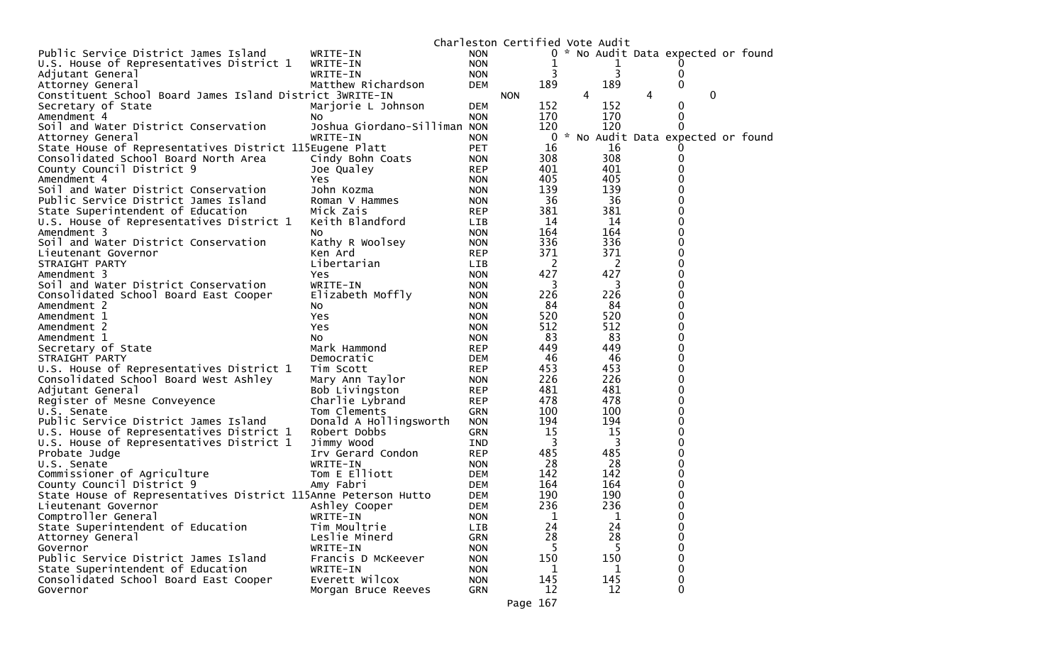|                                                                |                              |            | Charleston Certified Vote Audit |   |           |   |                                     |  |
|----------------------------------------------------------------|------------------------------|------------|---------------------------------|---|-----------|---|-------------------------------------|--|
| Public Service District James Island                           | WRITE-IN                     | <b>NON</b> |                                 |   |           |   | 0 * No Audit Data expected or found |  |
| U.S. House of Representatives District 1                       | WRITE-IN                     | <b>NON</b> | 1                               |   |           |   |                                     |  |
| Adjutant General                                               | WRITE-IN                     | <b>NON</b> | 3                               |   | 3         |   | O)                                  |  |
| Attorney General                                               | Matthew Richardson           | <b>DEM</b> | 189                             |   | 189       |   | 0                                   |  |
| Constituent School Board James Island District 3WRITE-IN       |                              |            | <b>NON</b>                      | 4 |           | 4 | 0                                   |  |
| Secretary of State                                             | Marjorie L Johnson           | <b>DEM</b> | 152                             |   | 152       |   | 0                                   |  |
| Amendment 4                                                    | No                           | <b>NON</b> | 170                             |   | 170       |   | 0                                   |  |
| Soil and Water District Conservation                           | Joshua Giordano-Silliman NON |            | 120                             |   | 120       |   | $\Omega$                            |  |
| Attorney General                                               | WRITE-IN                     | <b>NON</b> | 0                               |   |           |   | * No Audit Data expected or found   |  |
| State House of Representatives District 115Eugene Platt        |                              | <b>PET</b> | 16                              |   | 16        |   |                                     |  |
| Consolidated School Board North Area                           | Cindy Bohn Coats             | <b>NON</b> | 308                             |   | 308       |   | 0                                   |  |
| County Council District 9                                      | Joe Qualey                   | <b>REP</b> | 401                             |   | 401       |   | 0                                   |  |
| Amendment 4                                                    | <b>Yes</b>                   | <b>NON</b> | 405                             |   | 405       |   | 0                                   |  |
| Soil and Water District Conservation                           | John Kozma                   | <b>NON</b> | 139                             |   | 139       |   | 0                                   |  |
| Public Service District James Island                           | Roman V Hammes               | <b>NON</b> | 36                              |   | 36        |   | 0                                   |  |
|                                                                |                              |            | 381                             |   |           |   | 0                                   |  |
| State Superintendent of Education                              | Mick Zais                    | <b>REP</b> | 14                              |   | 381<br>14 |   |                                     |  |
| U.S. House of Representatives District 1                       | Keith Blandford              | <b>LIB</b> |                                 |   |           |   | 0                                   |  |
| Amendment 3                                                    | NO                           | <b>NON</b> | 164                             |   | 164       |   | 0                                   |  |
| Soil and Water District Conservation                           | Kathy R Woolsey              | <b>NON</b> | 336                             |   | 336       |   | 0                                   |  |
| Lieutenant Governor                                            | Ken Ard                      | <b>REP</b> | 371                             |   | 371       |   | 0                                   |  |
| STRAIGHT PARTY                                                 | Libertarian                  | <b>LIB</b> | 2                               |   | 2         |   | 0                                   |  |
| Amendment 3                                                    | Yes.                         | <b>NON</b> | 427                             |   | 427       |   | 0                                   |  |
| Soil and Water District Conservation                           | WRITE-IN                     | <b>NON</b> | 3                               |   | 3         |   | 0                                   |  |
| Consolidated School Board East Cooper                          | Elizabeth Moffly             | <b>NON</b> | 226                             |   | 226       |   | 0                                   |  |
| Amendment 2                                                    | No.                          | <b>NON</b> | 84                              |   | 84        |   | 0                                   |  |
| Amendment 1                                                    | Yes.                         | <b>NON</b> | 520                             |   | 520       |   | 0                                   |  |
| Amendment 2                                                    | <b>Yes</b>                   | <b>NON</b> | 512                             |   | 512       |   | 0                                   |  |
| Amendment 1                                                    | No.                          | <b>NON</b> | 83                              |   | 83        |   | 0                                   |  |
| Secretary of State                                             | Mark Hammond                 | <b>REP</b> | 449                             |   | 449       |   | 0                                   |  |
| STRAIGHT PARTY                                                 | Democratic                   | <b>DEM</b> | 46                              |   | 46        |   | 0                                   |  |
| U.S. House of Representatives District 1                       | Tim Scott                    | <b>REP</b> | 453                             |   | 453       |   | 0                                   |  |
| Consolidated School Board West Ashley                          | Mary Ann Taylor              | <b>NON</b> | 226                             |   | 226       |   | 0                                   |  |
| Adjutant General                                               | Bob Livingston               | <b>REP</b> | 481                             |   | 481       |   | 0                                   |  |
| Register of Mesne Conveyence                                   | Charlie Lybrand              | <b>REP</b> | 478                             |   | 478       |   | 0                                   |  |
| U.S. Senate                                                    | Tom Clements                 | <b>GRN</b> | 100                             |   | 100       |   | 0                                   |  |
| Public Service District James Island                           | Donald A Hollingsworth       | <b>NON</b> | 194                             |   | 194       |   | 0                                   |  |
| U.S. House of Representatives District 1                       | Robert Dobbs                 | <b>GRN</b> | 15                              |   | 15        |   | 0                                   |  |
| U.S. House of Representatives District 1                       | Jimmy Wood                   | IND        | 3                               |   | 3         |   | 0                                   |  |
| Probate Judge                                                  | Irv Gerard Condon            | <b>REP</b> | 485                             |   | 485       |   | 0                                   |  |
| U.S. Senate                                                    | WRITE-IN                     | <b>NON</b> | 28                              |   | 28        |   | 0                                   |  |
| Commissioner of Agriculture                                    | Tom E Elliott                | <b>DEM</b> | 142                             |   | 142       |   | 0                                   |  |
| County Council District 9                                      | Amy Fabri                    | <b>DEM</b> | 164                             |   | 164       |   | 0                                   |  |
| State House of Representatives District 115Anne Peterson Hutto |                              | <b>DEM</b> | 190                             |   | 190       |   | 0                                   |  |
| Lieutenant Governor                                            | Ashley Cooper                | <b>DEM</b> | 236                             |   | 236       |   | 0                                   |  |
| Comptroller General                                            | WRITE-IN                     | <b>NON</b> | T                               |   | Ŧ         |   | 0                                   |  |
| State Superintendent of Education                              | Tim Moultrie                 | LIB        | 24                              |   | 24        |   | 0                                   |  |
| Attorney General                                               | Leslie Minerd                | GRN        | 28                              |   | 28        |   | 0                                   |  |
| Governor                                                       | WRITE-IN                     | <b>NON</b> | 5                               |   |           |   | 0                                   |  |
| Public Service District James Island                           | Francis D McKeever           | <b>NON</b> | 150                             |   | 150       |   | 0                                   |  |
| State Superintendent of Education                              | WRITE-IN                     | <b>NON</b> | 1                               |   | 1         |   | 0                                   |  |
| Consolidated School Board East Cooper                          | Everett Wilcox               | <b>NON</b> | 145                             |   | 145       |   | 0                                   |  |
| Governor                                                       |                              | GRN        | 12                              |   | 12        |   | 0                                   |  |
|                                                                | Morgan Bruce Reeves          |            |                                 |   |           |   |                                     |  |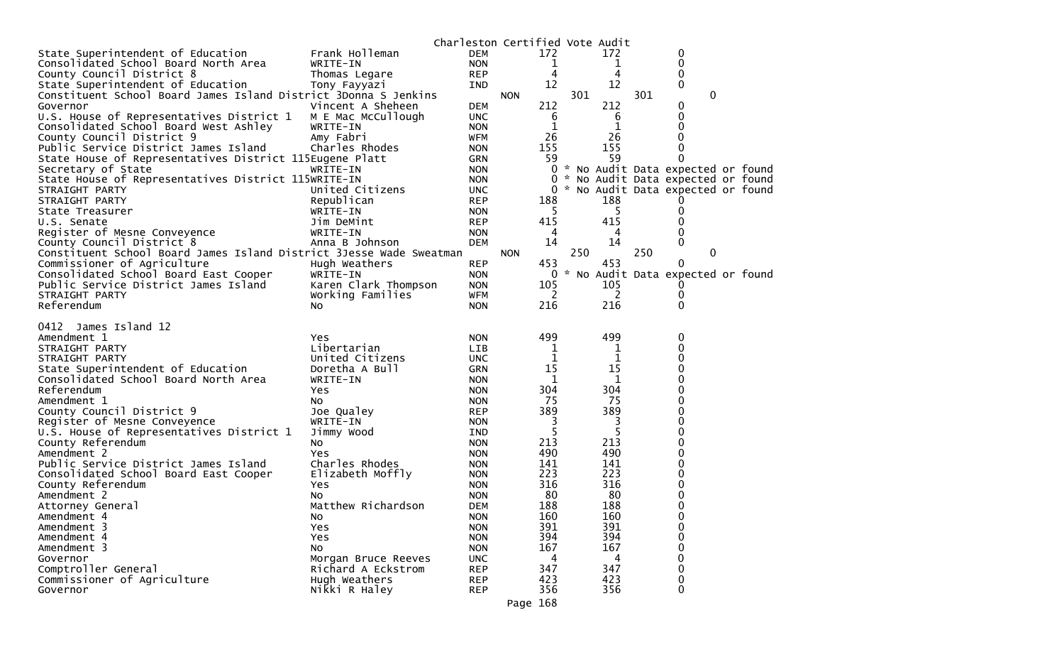|                                                                     |                           |                          | Charleston Certified Vote Audit |        |        |                                     |              |  |
|---------------------------------------------------------------------|---------------------------|--------------------------|---------------------------------|--------|--------|-------------------------------------|--------------|--|
| State Superintendent of Education                                   | Frank Holleman            | <b>DEM</b>               | 172                             |        | 172    | 0                                   |              |  |
| Consolidated School Board North Area                                | WRITE-IN                  | <b>NON</b>               |                                 | 1      | ı      | 0                                   |              |  |
| County Council District 8                                           | Thomas Legare             | <b>REP</b>               |                                 | 4      | 4      | 0                                   |              |  |
| State Superintendent of Education                                   | Tony Fayyazi              | IND.                     | 12                              |        | 12     | 0                                   |              |  |
| Constituent School Board James Island District 3Donna S Jenkins     |                           |                          | <b>NON</b>                      | 301    |        | 301                                 | $\mathbf{0}$ |  |
| Governor                                                            | Vincent A Sheheen         | <b>DEM</b>               | 212                             |        | 212    | 0                                   |              |  |
| U.S. House of Representatives District 1                            | M E Mac McCullough        | <b>UNC</b>               |                                 | 6      | 6      | 0                                   |              |  |
| Consolidated School Board West Ashley                               | WRITE-IN                  | <b>NON</b>               |                                 | 1      | 1      | 0                                   |              |  |
| County Council District 9                                           | Amy Fabri                 | WFM                      | 26                              |        | 26     | 0                                   |              |  |
| Public Service District James Island                                | Charles Rhodes            | <b>NON</b>               | 155                             |        | 155    | 0                                   |              |  |
| State House of Representatives District 115Eugene Platt             |                           | GRN                      | 59                              |        | 59     | 0                                   |              |  |
| Secretary of State                                                  | WRITE-IN                  | <b>NON</b>               |                                 |        |        | 0 * No Audit Data expected or found |              |  |
| State House of Representatives District 115WRITE-IN                 |                           | <b>NON</b>               |                                 |        |        | 0 * No Audit Data expected or found |              |  |
| STRAIGHT PARTY                                                      | United Citizens           | <b>UNC</b>               |                                 |        |        | 0 * No Audit Data expected or found |              |  |
| STRAIGHT PARTY                                                      | Republican                | <b>REP</b>               | 188                             |        | 188    |                                     |              |  |
| State Treasurer                                                     | WRITE-IN                  | <b>NON</b>               |                                 | 5      | 5      | 0                                   |              |  |
| U.S. Senate                                                         | Jim DeMint                | <b>REP</b>               | 415                             |        | 415    | 0                                   |              |  |
| Register of Mesne Conveyence                                        | WRITE-IN                  | <b>NON</b>               |                                 | 4      | 4      | 0                                   |              |  |
| County Council District 8                                           | Anna B Johnson            | <b>DEM</b>               | 14                              |        | 14     | 0                                   |              |  |
| Constituent School Board James Island District 3Jesse Wade Sweatman |                           |                          | <b>NON</b>                      | 250    |        | 250                                 | 0            |  |
| Commissioner of Agriculture                                         | Hugh Weathers             | <b>REP</b>               | 453                             |        | 453    | 0                                   |              |  |
| Consolidated School Board East Cooper                               | WRITE-IN                  | <b>NON</b>               |                                 |        |        | 0 * No Audit Data expected or found |              |  |
| Public Service District James Island                                | Karen Clark Thompson      | <b>NON</b>               | 105                             |        | 105    |                                     |              |  |
| STRAIGHT PARTY                                                      | Working Families          | WFM                      |                                 | 2      | 2      | 0                                   |              |  |
| Referendum                                                          | NO.                       | <b>NON</b>               | 216                             |        | 216    | 0                                   |              |  |
|                                                                     |                           |                          |                                 |        |        |                                     |              |  |
| 0412 James Island 12<br>Amendment 1                                 |                           |                          |                                 |        |        |                                     |              |  |
| STRAIGHT PARTY                                                      | <b>Yes</b><br>Libertarian | <b>NON</b><br><b>LIB</b> | 499                             |        | 499    | 0<br>0                              |              |  |
| STRAIGHT PARTY                                                      | United Citizens           | <b>UNC</b>               |                                 | ı<br>1 | 1<br>1 | 0                                   |              |  |
| State Superintendent of Education                                   | Doretha A Bull            | <b>GRN</b>               | 15                              |        | 15     | 0                                   |              |  |
|                                                                     |                           | <b>NON</b>               |                                 | 1      | 1      | 0                                   |              |  |
| Consolidated School Board North Area                                | WRITE-IN                  |                          |                                 |        |        | 0                                   |              |  |
| Referendum                                                          | Yes                       | <b>NON</b>               | 304<br>75                       |        | 304    | 0                                   |              |  |
| Amendment 1                                                         | NO.                       | <b>NON</b>               | 389                             |        | 75     |                                     |              |  |
| County Council District 9                                           | Joe Qualey                | <b>REP</b>               |                                 |        | 389    | 0                                   |              |  |
| Register of Mesne Conveyence                                        | WRITE-IN                  | <b>NON</b>               |                                 | 3      | 3      | 0                                   |              |  |
| U.S. House of Representatives District 1                            | Jimmy Wood                | IND                      |                                 | 5      | 5      | 0                                   |              |  |
| County Referendum                                                   | NO.                       | <b>NON</b>               | 213                             |        | 213    | 0                                   |              |  |
| Amendment 2                                                         | Yes                       | <b>NON</b>               | 490                             |        | 490    | 0                                   |              |  |
| Public Service District James Island                                | Charles Rhodes            | <b>NON</b>               | 141                             |        | 141    | 0                                   |              |  |
| Consolidated School Board East Cooper                               | Elizabeth Moffly          | <b>NON</b>               | 223                             |        | 223    | 0                                   |              |  |
| County Referendum                                                   | Yes                       | <b>NON</b>               | 316                             |        | 316    | 0                                   |              |  |
| Amendment 2                                                         | NO.                       | <b>NON</b>               | 80                              |        | 80     | 0                                   |              |  |
| Attorney General                                                    | Matthew Richardson        | <b>DEM</b>               | 188                             |        | 188    | 0                                   |              |  |
| Amendment 4                                                         | No                        | <b>NON</b>               | 160                             |        | 160    | 0                                   |              |  |
| Amendment 3                                                         | Yes                       | <b>NON</b>               | 391                             |        | 391    | 0                                   |              |  |
| Amendment 4                                                         | Yes                       | <b>NON</b>               | 394                             |        | 394    | 0                                   |              |  |
| Amendment 3                                                         | <b>NO</b>                 | <b>NON</b>               | 167                             |        | 167    | 0                                   |              |  |
| Governor                                                            | Morgan Bruce Reeves       | <b>UNC</b>               |                                 | 4      | 4      | 0                                   |              |  |
| Comptroller General                                                 | Richard A Eckstrom        | <b>REP</b>               | 347                             |        | 347    | 0                                   |              |  |
| Commissioner of Agriculture                                         | Hugh Weathers             | <b>REP</b>               | 423                             |        | 423    | 0                                   |              |  |
| Governor                                                            | Nikki R Haley             | <b>REP</b>               | 356                             |        | 356    | $\mathbf 0$                         |              |  |
|                                                                     |                           |                          | Page 168                        |        |        |                                     |              |  |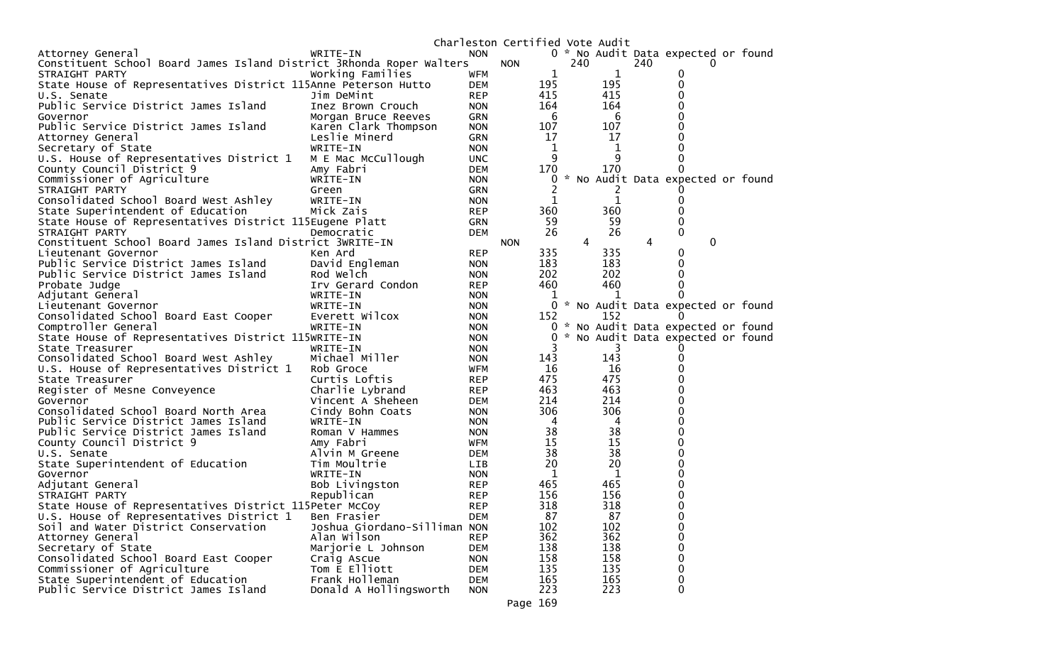|                                                                      |                              |            | Charleston Certified Vote Audit |             |          |              |     |                                     |  |
|----------------------------------------------------------------------|------------------------------|------------|---------------------------------|-------------|----------|--------------|-----|-------------------------------------|--|
| Attorney General                                                     | WRITE-IN                     | <b>NON</b> |                                 |             |          |              |     | 0 * No Audit Data expected or found |  |
| Constituent School Board James Island District 3Rhonda Roper Walters |                              |            | <b>NON</b>                      |             | 240      |              | 240 |                                     |  |
| STRAIGHT PARTY                                                       | Working Families             | <b>WFM</b> |                                 | 1           |          | $\mathbf{1}$ |     | 0                                   |  |
| State House of Representatives District 115Anne Peterson Hutto       |                              | <b>DEM</b> |                                 | 195         |          | 195          |     | 0                                   |  |
| U.S. Senate                                                          | Jim DeMint                   | <b>REP</b> |                                 | 415         |          | 415          |     | 0                                   |  |
| Public Service District James Island                                 | Inez Brown Crouch            | <b>NON</b> |                                 | 164         |          | 164          |     | $\Omega$                            |  |
| Governor                                                             | Morgan Bruce Reeves          | GRN        |                                 | 6           |          | 6            |     | 0                                   |  |
| Public Service District James Island                                 | Karen Clark Thompson         | <b>NON</b> |                                 | 107         |          | 107          |     | 0                                   |  |
| Attorney General                                                     | Leslie Minerd                | GRN        |                                 | 17          |          | 17           |     | 0                                   |  |
| Secretary of State                                                   | WRITE-IN                     | <b>NON</b> |                                 | 1           |          | 1            |     | 0                                   |  |
| U.S. House of Representatives District 1                             | M E Mac McCullough           | <b>UNC</b> |                                 | 9           |          | 9            |     | 0                                   |  |
| County Council District 9                                            | Amy Fabri                    | DEM        |                                 | 170         |          | 170          |     | 0                                   |  |
| Commissioner of Agriculture                                          | WRITE-IN                     | <b>NON</b> |                                 | 0           | <b>X</b> |              |     | No Audit Data expected or found     |  |
| STRAIGHT PARTY                                                       |                              | <b>GRN</b> |                                 | 2           |          | 2            |     |                                     |  |
|                                                                      | Green<br>WRITE-IN            | <b>NON</b> |                                 | 1           |          | 1            |     | 0                                   |  |
| Consolidated School Board West Ashley                                |                              | <b>REP</b> |                                 | 360         |          | 360          |     | 0                                   |  |
| State Superintendent of Education                                    | Mick Zais                    |            |                                 | 59          |          | 59           |     | 0                                   |  |
| State House of Representatives District 115Eugene Platt              |                              | <b>GRN</b> |                                 |             |          |              |     |                                     |  |
| STRAIGHT PARTY                                                       | Democratic                   | DEM        |                                 | 26          |          | 26           |     | 0                                   |  |
| Constituent School Board James Island District 3WRITE-IN             |                              |            | <b>NON</b>                      |             | 4        |              | 4   | 0                                   |  |
| Lieutenant Governor                                                  | Ken Ard                      | <b>REP</b> |                                 | 335         |          | 335          |     | 0                                   |  |
| Public Service District James Island                                 | David Engleman               | <b>NON</b> |                                 | 183         |          | 183          |     | 0                                   |  |
| Public Service District James Island                                 | Rod Welch                    | <b>NON</b> |                                 | 202         |          | 202          |     | 0                                   |  |
| Probate Judge                                                        | Irv Gerard Condon            | <b>REP</b> |                                 | 460         |          | 460          |     | 0                                   |  |
| Adjutant General                                                     | WRITE-IN                     | <b>NON</b> |                                 | 1           |          | 1            |     |                                     |  |
| Lieutenant Governor                                                  | WRITE-IN                     | <b>NON</b> |                                 |             |          |              |     | 0 * No Audit Data expected or found |  |
| Consolidated School Board East Cooper                                | Everett Wilcox               | <b>NON</b> |                                 | 152         |          | 152          |     | $\Omega$                            |  |
| Comptroller General                                                  | WRITE-IN                     | <b>NON</b> |                                 |             |          |              |     | 0 * No Audit Data expected or found |  |
| State House of Representatives District 115WRITE-IN                  |                              | <b>NON</b> |                                 | 0           |          |              |     | * No Audit Data expected or found   |  |
| State Treasurer                                                      | WRITE-IN                     | <b>NON</b> |                                 | 3           |          | 3            |     |                                     |  |
| Consolidated School Board West Ashley                                | Michael Miller               | <b>NON</b> |                                 | 143         |          | 143          |     | 0                                   |  |
| U.S. House of Representatives District 1                             | Rob Groce                    | WFM        |                                 | 16          |          | 16           |     | 0                                   |  |
| State Treasurer                                                      | Curtis Loftis                | <b>REP</b> |                                 | 475         |          | 475          |     | 0                                   |  |
| Register of Mesne Conveyence                                         | Charlie Lybrand              | <b>REP</b> |                                 | 463         |          | 463          |     | 0                                   |  |
| Governor                                                             | Vincent A Sheheen            | DEM        |                                 | 214         |          | 214          |     | 0                                   |  |
| Consolidated School Board North Area                                 | Cindy Bohn Coats             | <b>NON</b> |                                 | 306         |          | 306          |     | 0                                   |  |
| Public Service District James Island                                 | WRITE-IN                     | <b>NON</b> |                                 | 4           |          | 4            |     | 0                                   |  |
| Public Service District James Island                                 | Roman V Hammes               | <b>NON</b> |                                 | 38          |          | 38           |     | 0                                   |  |
| County Council District 9                                            | Amy Fabri                    | WFM        |                                 | 15          |          | 15           |     | 0                                   |  |
| U.S. Senate                                                          | Alvin M Greene               | DEM        |                                 | 38          |          | 38           |     | 0                                   |  |
| State Superintendent of Education                                    | Tim Moultrie                 | LIB.       |                                 | 20          |          | 20           |     | 0                                   |  |
| Governor                                                             | WRITE-IN                     | <b>NON</b> |                                 | $\mathbf 1$ |          | 1            |     | 0                                   |  |
| Adjutant General                                                     | Bob Livingston               | <b>REP</b> |                                 | 465         |          | 465          |     | 0                                   |  |
| STRAIGHT PARTY                                                       | Republican                   | <b>REP</b> |                                 | 156         |          | 156          |     | 0                                   |  |
| State House of Representatives District 115Peter McCoy               |                              | <b>REP</b> |                                 | 318         |          | 318          |     | 0                                   |  |
| U.S. House of Representatives District 1                             | Ben Frasier                  | <b>DEM</b> |                                 | 87          |          | 87           |     | 0                                   |  |
| Soil and Water District Conservation                                 | Joshua Giordano-Silliman NON |            |                                 | 102         |          | 102          |     | 0                                   |  |
| Attorney General                                                     | Alan Wilson                  | <b>REP</b> |                                 | 362         |          | 362          |     | 0                                   |  |
| Secretary of State                                                   | Marjorie L Johnson           | <b>DEM</b> |                                 | 138         |          | 138          |     | 0                                   |  |
| Consolidated School Board East Cooper                                | Craig Ascue                  | <b>NON</b> |                                 | 158         |          | 158          |     | 0                                   |  |
| Commissioner of Agriculture                                          | Tom E Elliott                | <b>DEM</b> |                                 | 135         |          | 135          |     | 0                                   |  |
| State Superintendent of Education                                    | Frank Holleman               | <b>DEM</b> |                                 | 165         |          | 165          |     | 0                                   |  |
| Public Service District James Island                                 | Donald A Hollingsworth       | <b>NON</b> |                                 | 223         |          | 223          |     | 0                                   |  |
|                                                                      |                              |            |                                 |             |          |              |     |                                     |  |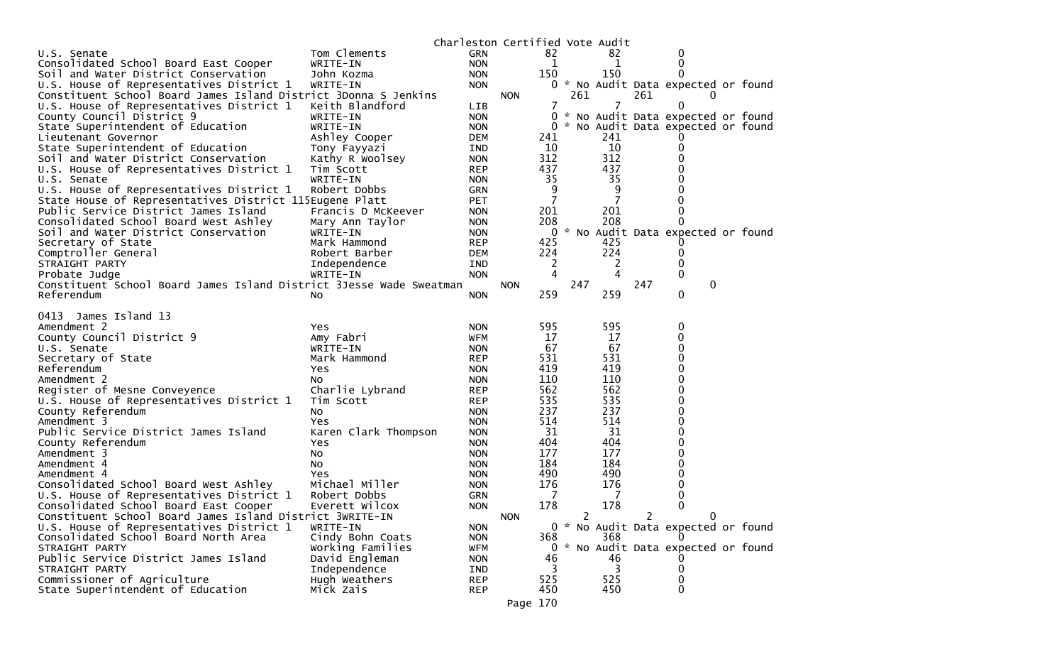|                                                                                                   |                                    |                   | Charleston Certified Vote Audit |     |                             |     |                                     |
|---------------------------------------------------------------------------------------------------|------------------------------------|-------------------|---------------------------------|-----|-----------------------------|-----|-------------------------------------|
| U.S. Senate                                                                                       | Tom Clements                       | <b>GRN</b>        |                                 | 82  |                             | 82  | $\mathbf 0$                         |
| Consolidated School Board East Cooper                                                             | WRITE-IN                           | <b>NON</b>        |                                 | 1   |                             | 1   | 0                                   |
| Soil and Water District Conservation                                                              | John Kozma                         | <b>NON</b>        |                                 | 150 |                             | 150 | $\Omega$                            |
| U.S. House of Representatives District 1                                                          | WRITE-IN                           | <b>NON</b>        |                                 |     |                             |     | 0 * No Audit Data expected or found |
| Constituent School Board James Island District 3Donna S Jenkins                                   |                                    |                   | <b>NON</b>                      |     | 261                         |     | 261                                 |
| U.S. House of Representatives District 1                                                          | Keith Blandford                    | LIB               |                                 | 7   |                             | 7   | 0                                   |
| County Council District 9                                                                         | WRITE-IN                           | <b>NON</b>        |                                 |     |                             |     | 0 * No Audit Data expected or found |
| State Superintendent of Education                                                                 | WRITE-IN                           | <b>NON</b>        |                                 |     |                             |     | 0 * No Audit Data expected or found |
| Lieutenant Governor                                                                               | Ashley Cooper                      | DEM               |                                 | 241 |                             | 241 |                                     |
| State Superintendent of Education                                                                 | Tony Fayyazi                       | IND.              |                                 | 10  |                             | 10  | 0                                   |
| Soil and Water District Conservation                                                              | Kathy R Woolsey                    | <b>NON</b>        |                                 | 312 |                             | 312 | 0                                   |
| U.S. House of Representatives District 1                                                          | Tim Scott                          | REP               |                                 | 437 |                             | 437 | 0                                   |
| U.S. Senate                                                                                       | WRITE-IN                           | <b>NON</b>        |                                 | 35  |                             | 35  | 0                                   |
| U.S. House of Representatives District 1                                                          | Robert Dobbs                       | GRN               |                                 | 9   |                             | 9   | 0                                   |
| State House of Representatives District 115Eugene Platt                                           |                                    | <b>PET</b>        |                                 | 7   |                             | 7   | 0                                   |
| Public Service District James Island                                                              | Francis D McKeever                 | <b>NON</b>        |                                 | 201 |                             | 201 | 0                                   |
| Consolidated School Board West Ashley                                                             | Mary Ann Taylor                    | <b>NON</b>        |                                 | 208 |                             | 208 | $\Omega$                            |
| Soil and Water District Conservation                                                              | WRITE-IN                           | <b>NON</b>        |                                 | 0   |                             |     | * No Audit Data expected or found   |
| Secretary of State                                                                                | Mark Hammond                       | <b>REP</b>        |                                 | 425 |                             | 425 |                                     |
| Comptroller General                                                                               | Robert Barber                      | <b>DEM</b>        |                                 | 224 |                             | 224 | 0                                   |
| STRAIGHT PARTY                                                                                    | Independence                       | IND               |                                 | 2   |                             | 2   | 0                                   |
| Probate Judge                                                                                     | WRITE-IN                           | <b>NON</b>        |                                 | 4   |                             | 4   | $\mathbf{0}$                        |
| Constituent School Board James Island District 3Jesse Wade Sweatman                               |                                    |                   | <b>NON</b>                      |     | 247                         |     | 247<br>0                            |
| Referendum                                                                                        | NO.                                | <b>NON</b>        |                                 | 259 |                             | 259 | 0                                   |
|                                                                                                   |                                    |                   |                                 |     |                             |     |                                     |
| 0413 James Island 13                                                                              |                                    |                   |                                 |     |                             |     |                                     |
| Amendment 2                                                                                       | Yes                                | <b>NON</b>        |                                 | 595 |                             | 595 | 0                                   |
| County Council District 9                                                                         | Amy Fabri                          | WFM               |                                 | 17  |                             | 17  | 0                                   |
| U.S. Senate                                                                                       | WRITE-IN                           | <b>NON</b>        |                                 | 67  |                             | 67  | 0                                   |
| Secretary of State                                                                                | Mark Hammond                       | <b>REP</b>        |                                 | 531 |                             | 531 | 0                                   |
| Referendum                                                                                        | Yes                                | <b>NON</b>        |                                 | 419 |                             | 419 | 0                                   |
| Amendment 2                                                                                       | NO.                                | <b>NON</b>        |                                 | 110 |                             | 110 | 0                                   |
| Register of Mesne Conveyence                                                                      | Charlie Lybrand                    | REP               |                                 | 562 |                             | 562 | 0                                   |
| U.S. House of Representatives District 1                                                          | Tim Scott                          | <b>REP</b>        |                                 | 535 |                             | 535 | 0                                   |
| County Referendum                                                                                 | NO.                                | <b>NON</b>        |                                 | 237 |                             | 237 | 0                                   |
| Amendment 3                                                                                       | Yes                                | <b>NON</b>        |                                 | 514 |                             | 514 | 0                                   |
| Public Service District James Island                                                              | Karen Clark Thompson               | <b>NON</b>        |                                 | 31  |                             | 31  | 0                                   |
| County Referendum                                                                                 | Yes                                | <b>NON</b>        |                                 | 404 |                             | 404 | 0                                   |
| Amendment 3                                                                                       | No                                 | <b>NON</b>        |                                 | 177 |                             | 177 | 0                                   |
| Amendment 4                                                                                       | NO.                                | <b>NON</b>        |                                 | 184 |                             | 184 | 0                                   |
| Amendment 4                                                                                       | Yes                                | <b>NON</b>        |                                 | 490 |                             | 490 | 0                                   |
| Consolidated School Board West Ashley                                                             | Michael Miller                     | <b>NON</b>        |                                 | 176 |                             | 176 | 0                                   |
| U.S. House of Representatives District 1                                                          | Robert Dobbs                       | GRN               |                                 | 7   |                             | 7   | 0<br>0                              |
| Consolidated School Board East Cooper<br>Constituent School Board James Island District 3WRITE-IN | Everett Wilcox                     | <b>NON</b>        |                                 | 178 |                             | 178 | 2                                   |
|                                                                                                   |                                    |                   | <b>NON</b>                      |     | $\mathcal{L}_{\mathcal{L}}$ |     | $\Omega$                            |
| U.S. House of Representatives District 1                                                          | WRITE-IN                           | <b>NON</b>        |                                 |     |                             |     | 0 * No Audit Data expected or found |
| Consolidated School Board North Area                                                              | Cindy Bohn Coats                   | <b>NON</b>        |                                 | 368 |                             | 368 |                                     |
| STRAIGHT PARTY<br>Public Service District James Island                                            | Working Families<br>David Engleman | <b>WFM</b>        |                                 | 46  |                             | 46  | 0 * No Audit Data expected or found |
| STRAIGHT PARTY                                                                                    |                                    | <b>NON</b>        |                                 | 3   |                             | 3   | 0                                   |
| Commissioner of Agriculture                                                                       | Independence<br>Hugh Weathers      | IND<br><b>REP</b> |                                 | 525 |                             | 525 | 0                                   |
| State Superintendent of Education                                                                 | Mick Zais                          | <b>REP</b>        |                                 | 450 |                             | 450 | 0                                   |
|                                                                                                   |                                    |                   |                                 |     |                             |     |                                     |
|                                                                                                   |                                    |                   | Page 170                        |     |                             |     |                                     |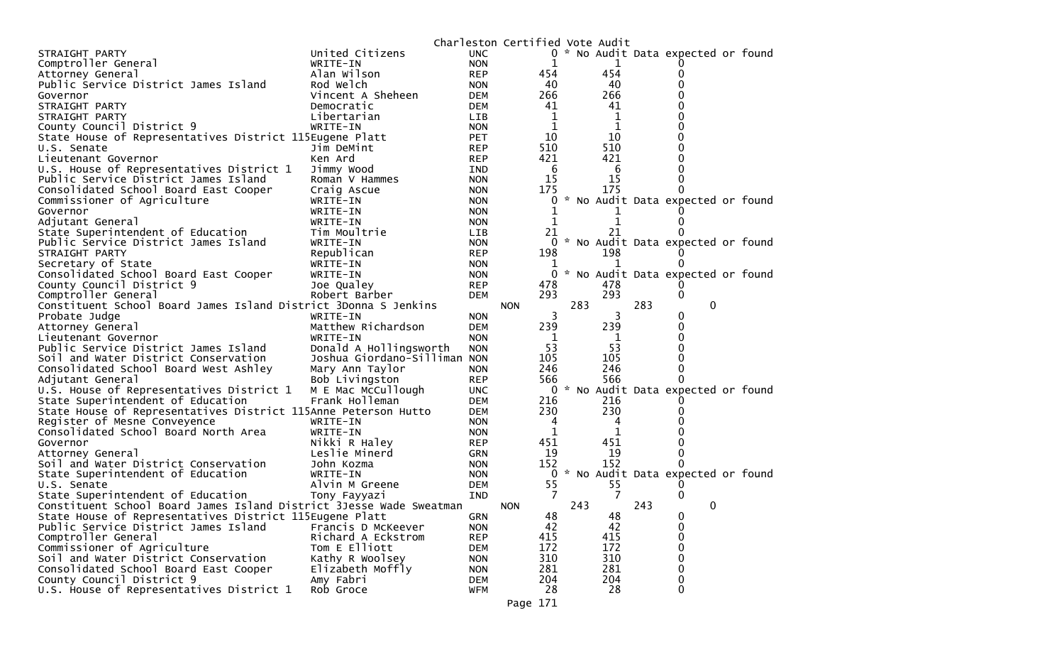|                                                                                                                                |                              |                          | Charleston Certified Vote Audit |     |           |     |                                     |  |
|--------------------------------------------------------------------------------------------------------------------------------|------------------------------|--------------------------|---------------------------------|-----|-----------|-----|-------------------------------------|--|
| STRAIGHT PARTY                                                                                                                 | United Citizens              | <b>UNC</b>               |                                 |     |           |     | 0 * No Audit Data expected or found |  |
| Comptroller General                                                                                                            | WRITE-IN                     | <b>NON</b>               |                                 |     | 1         |     |                                     |  |
| Attorney General                                                                                                               | Alan Wilson                  | <b>REP</b>               | 454                             |     | 454       |     | 0                                   |  |
| Public Service District James Island                                                                                           | Rod Welch                    | <b>NON</b>               | 40                              |     | 40        |     | 0                                   |  |
| Governor                                                                                                                       | Vincent A Sheheen            | DEM                      | 266                             |     | 266       |     |                                     |  |
| STRAIGHT PARTY                                                                                                                 | Democratic                   | <b>DEM</b>               | 41                              |     | 41        |     | 0                                   |  |
| STRAIGHT PARTY                                                                                                                 | Libertarian                  | LIB.                     | 1                               |     | 1         |     |                                     |  |
| County Council District 9                                                                                                      | WRITE-IN                     | <b>NON</b>               | 1                               |     | 1         |     |                                     |  |
| State House of Representatives District 115Eugene Platt                                                                        |                              | <b>PET</b>               | 10                              |     | 10        |     |                                     |  |
| U.S. Senate                                                                                                                    | Jim DeMint                   | <b>REP</b>               | 510                             |     | 510       |     | o                                   |  |
| Lieutenant Governor                                                                                                            | Ken Ard                      | <b>REP</b>               | 421                             |     | 421       |     | 0                                   |  |
| U.S. House of Representatives District 1                                                                                       | Jimmy Wood                   | IND                      | 6                               |     | 6         |     |                                     |  |
| Public Service District James Island                                                                                           | Roman V Hammes               | <b>NON</b>               | 15                              |     | 15        |     | 0                                   |  |
| Consolidated School Board East Cooper                                                                                          | Craig Ascue                  | <b>NON</b>               | 175                             |     | 175       |     | 0                                   |  |
| Commissioner of Agriculture                                                                                                    | WRITE-IN                     | <b>NON</b>               | 0                               |     |           |     | * No Audit Data expected or found   |  |
| Governor                                                                                                                       | WRITE-IN                     | <b>NON</b>               |                                 |     |           |     |                                     |  |
| Adjutant General                                                                                                               | WRITE-IN                     | <b>NON</b>               | 1                               |     | 1         |     | 0                                   |  |
| State Superintendent of Education                                                                                              | Tim Moultrie                 | <b>LIB</b>               | 21                              |     | 21        |     |                                     |  |
| Public Service District James Island                                                                                           | WRITE-IN                     | <b>NON</b>               | 0                               |     |           |     | * No Audit Data expected or found   |  |
| STRAIGHT PARTY                                                                                                                 | Republican                   | <b>REP</b>               | 198                             |     | 198       |     |                                     |  |
| Secretary of State                                                                                                             | WRITE-IN                     | <b>NON</b>               | ı                               |     |           |     | $\Omega$                            |  |
| Consolidated School Board East Cooper                                                                                          | WRITE-IN                     | <b>NON</b>               | $\Omega$                        |     |           |     | * No Audit Data expected or found   |  |
| County Council District 9                                                                                                      | Joe Qualey                   | <b>REP</b>               | 478                             |     | 478       |     |                                     |  |
| Comptroller General                                                                                                            | Robert Barber                | <b>DEM</b>               | 293                             |     | 293       |     | 0                                   |  |
| Constituent School Board James Island District 3Donna S Jenkins                                                                |                              |                          | <b>NON</b>                      | 283 |           | 283 | 0                                   |  |
| Probate Judge                                                                                                                  | WRITE-IN                     | <b>NON</b>               | 3                               |     | 3         |     | 0                                   |  |
| Attorney General                                                                                                               | Matthew Richardson           | <b>DEM</b>               | 239                             |     | 239       |     | 0                                   |  |
| Lieutenant Governor                                                                                                            | WRITE-IN                     | <b>NON</b>               | 1                               |     | 1         |     | 0                                   |  |
| Public Service District James Island                                                                                           | Donald A Hollingsworth       | <b>NON</b>               | 53                              |     | 53        |     |                                     |  |
| Soil and Water District Conservation                                                                                           | Joshua Giordano-Silliman NON |                          | 105                             |     | 105       |     |                                     |  |
| Consolidated School Board West Ashley                                                                                          | Mary Ann Taylor              | <b>NON</b>               | 246                             |     | 246       |     | 0                                   |  |
| Adjutant General                                                                                                               | Bob Livingston               | <b>REP</b>               | 566                             |     | 566       |     | 0                                   |  |
| U.S. House of Representatives District 1                                                                                       | M E Mac McCullough           | <b>UNC</b>               | 0                               |     |           |     | * No Audit Data expected or found   |  |
| State Superintendent of Education                                                                                              | Frank Holleman               | <b>DEM</b>               | 216                             |     | 216       |     |                                     |  |
| State House of Representatives District 115Anne Peterson Hutto                                                                 |                              | <b>DEM</b>               | 230                             |     | 230       |     |                                     |  |
| Register of Mesne Conveyence                                                                                                   | WRITE-IN                     | <b>NON</b>               | 4                               |     | 4         |     |                                     |  |
| Consolidated School Board North Area                                                                                           | WRITE-IN                     | <b>NON</b>               | 1                               |     | 1         |     |                                     |  |
| Governor                                                                                                                       | Nikki R Haley                | <b>REP</b>               | 451                             |     | 451<br>19 |     |                                     |  |
| Attorney General<br>Soil and Water District Conservation                                                                       | Leslie Minerd                | <b>GRN</b>               | 19<br>152                       |     | 152       |     | 0<br>0                              |  |
|                                                                                                                                | John Kozma                   | <b>NON</b>               | 0                               |     |           |     | * No Audit Data expected or found   |  |
| State Superintendent of Education<br>U.S. Senate                                                                               | WRITE-IN<br>Alvin M Greene   | <b>NON</b><br><b>DEM</b> | 55                              |     | 55        |     |                                     |  |
|                                                                                                                                |                              |                          | 7                               |     | 7         |     |                                     |  |
| State Superintendent of Education                                                                                              | Tony Fayyazi                 | IND                      |                                 | 243 |           | 243 | 0<br>0                              |  |
| Constituent School Board James Island District 3Jesse Wade Sweatman<br>State House of Representatives District 115Eugene Platt |                              | GRN                      | <b>NON</b>                      |     | 48        |     |                                     |  |
| Public Service District James Island                                                                                           | Francis D McKeever           | <b>NON</b>               | 48<br>42                        |     | 42        |     | $\mathbf 0$<br>0                    |  |
| Comptroller General                                                                                                            | Richard A Eckstrom           | <b>REP</b>               | 415                             |     | 415       |     | 0                                   |  |
| Commissioner of Agriculture                                                                                                    | Tom E Elliott                |                          | 172                             |     | 172       |     | 0                                   |  |
| Soil and Water District Conservation                                                                                           | Kathy R Woolsey              | <b>DEM</b><br><b>NON</b> | 310                             |     | 310       |     | 0                                   |  |
| Consolidated School Board East Cooper                                                                                          | Elizabeth Moffly             | <b>NON</b>               | 281                             |     | 281       |     | 0                                   |  |
| County Council District 9                                                                                                      | Amy Fabri                    | <b>DEM</b>               | 204                             |     | 204       |     | 0                                   |  |
| U.S. House of Representatives District 1                                                                                       | Rob Groce                    | <b>WFM</b>               | 28                              |     | 28        |     | $\mathbf{0}$                        |  |
|                                                                                                                                |                              |                          |                                 |     |           |     |                                     |  |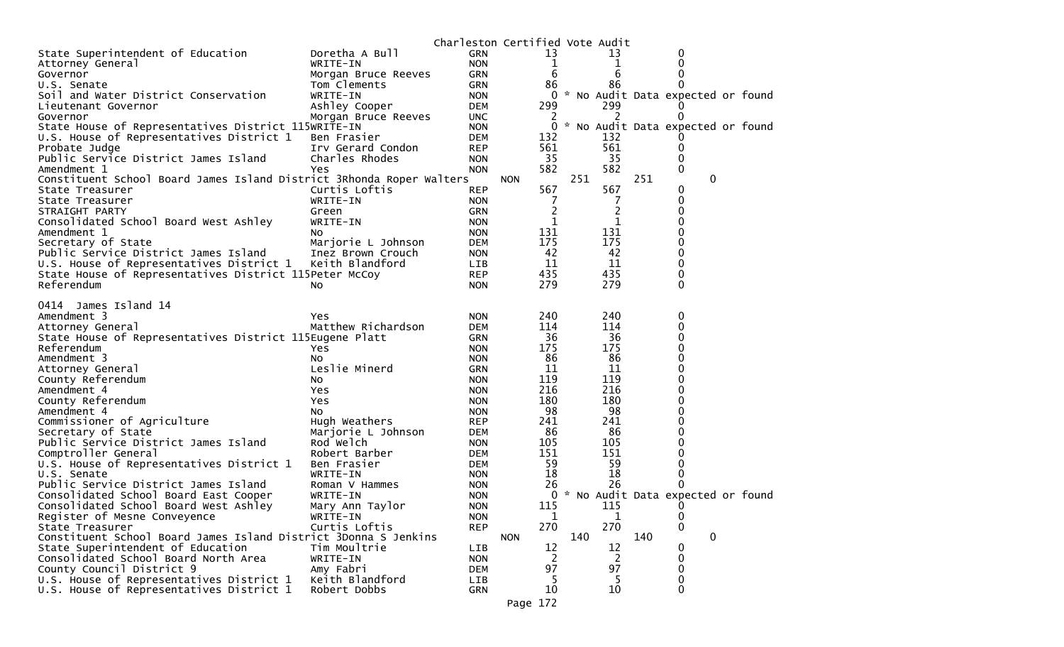| State Superintendent of Education<br><b>GRN</b><br>13<br>Doretha A Bull<br>13<br>0<br><b>NON</b><br>1<br>0<br>WRITE-IN<br>1<br>Attorney General<br>6<br>6<br>GRN<br>Governor<br>Morgan Bruce Reeves<br>86<br>Tom Clements<br><b>GRN</b><br>86<br>U.S. Senate<br>Soil and Water District Conservation<br>WRITE-IN<br><b>NON</b><br>$\overline{0}$<br>* No Audit Data expected or found<br>299<br>299<br>Ashley Cooper<br><b>DEM</b><br>Lieutenant Governor<br>2<br>Morgan Bruce Reeves<br>2<br>Governor<br><b>UNC</b><br>0<br>* No Audit Data expected or found<br>State House of Representatives District 115WRITE-IN<br>0<br><b>NON</b><br>132<br>U.S. House of Representatives District 1<br>132<br>Ben Frasier<br><b>DEM</b><br>561<br>561<br><b>REP</b><br>Probate Judge<br>Irv Gerard Condon<br>35<br>Public Service District James Island<br>Charles Rhodes<br>35<br><b>NON</b><br>0<br>582<br>582<br>0<br>Amendment 1<br><b>NON</b><br>Yes<br>251<br>$\mathbf 0$<br>Constituent School Board James Island District 3Rhonda Roper Walters<br>251<br><b>NON</b><br>567<br>567<br>Curtis Loftis<br><b>REP</b><br>0<br>State Treasurer<br>WRITE-IN<br><b>NON</b><br>7<br>7<br>Ω<br>State Treasurer<br>$\overline{2}$<br>$\overline{c}$<br>STRAIGHT PARTY<br>GRN<br>Green<br>$\mathbf{1}$<br>1<br>Consolidated School Board West Ashley<br>WRITE-IN<br><b>NON</b><br>131<br>131<br>Amendment 1<br><b>NON</b><br>NO.<br>175<br>175<br>Secretary of State<br>Marjorie L Johnson<br><b>DEM</b><br>42<br>42<br>Public Service District James Island<br>0<br>Inez Brown Crouch<br><b>NON</b><br>11<br>11<br>0<br>U.S. House of Representatives District 1<br>Keith Blandford<br>LIB.<br>435<br>435<br>State House of Representatives District 115Peter McCoy<br><b>REP</b><br>0<br>279<br>279<br>Referendum<br>0<br>No.<br><b>NON</b><br>James Island 14<br>0414<br>240<br>Amendment 3<br>240<br>0<br><b>NON</b><br>Yes<br>114<br>Matthew Richardson<br>114<br>0<br>Attorney General<br>DEM<br>36<br>36<br>State House of Representatives District 115Eugene Platt<br><b>GRN</b><br>175<br>175<br>Referendum<br><b>NON</b><br>Yes<br>86<br>86<br>Amendment 3<br><b>NON</b><br>NO.<br>Leslie Minerd<br>11<br>11<br>Attorney General<br><b>GRN</b><br>119<br>119<br>County Referendum<br><b>NON</b><br>NO.<br>216<br>216<br>Amendment 4<br>Yes<br><b>NON</b><br>180<br>180<br>County Referendum<br>Yes<br><b>NON</b><br>98<br>98<br>Amendment 4<br><b>NON</b><br>NO.<br>Commissioner of Agriculture<br>241<br>241<br>Hugh Weathers<br><b>REP</b><br>86<br>86<br>Secretary of State<br>Marjorie L Johnson<br><b>DEM</b><br>105<br>Public Service District James Island<br>Rod Welch<br>105<br><b>NON</b><br>151<br>151<br>Comptroller General<br>Robert Barber<br>DEM<br>59<br>59<br>U.S. House of Representatives District 1<br>Ben Frasier<br>DEM<br>18<br>18<br>U.S. Senate<br>WRITE-IN<br><b>NON</b><br>26<br>Public Service District James Island<br>26<br>Roman V Hammes<br><b>NON</b><br>* No Audit Data expected or found<br>Consolidated School Board East Cooper<br>WRITE-IN<br><b>NON</b><br>0<br>115<br>Consolidated School Board West Ashley<br>Mary Ann Taylor<br><b>NON</b><br>115<br>O<br>Register of Mesne Conveyence<br>WRITE-IN<br><b>NON</b><br>1<br>1<br>$\bf{0}$<br>270<br>270<br>$\mathbf{0}$<br>Curtis Loftis<br><b>REP</b><br>State Treasurer<br>Constituent School Board James Island District 3Donna S Jenkins<br>140<br>140<br>0<br><b>NON</b><br>State Superintendent of Education<br>12<br>12<br>Tim Moultrie<br>LIB<br>0 |                                          |          | Charleston Certified Vote Audit |                |                |   |  |
|---------------------------------------------------------------------------------------------------------------------------------------------------------------------------------------------------------------------------------------------------------------------------------------------------------------------------------------------------------------------------------------------------------------------------------------------------------------------------------------------------------------------------------------------------------------------------------------------------------------------------------------------------------------------------------------------------------------------------------------------------------------------------------------------------------------------------------------------------------------------------------------------------------------------------------------------------------------------------------------------------------------------------------------------------------------------------------------------------------------------------------------------------------------------------------------------------------------------------------------------------------------------------------------------------------------------------------------------------------------------------------------------------------------------------------------------------------------------------------------------------------------------------------------------------------------------------------------------------------------------------------------------------------------------------------------------------------------------------------------------------------------------------------------------------------------------------------------------------------------------------------------------------------------------------------------------------------------------------------------------------------------------------------------------------------------------------------------------------------------------------------------------------------------------------------------------------------------------------------------------------------------------------------------------------------------------------------------------------------------------------------------------------------------------------------------------------------------------------------------------------------------------------------------------------------------------------------------------------------------------------------------------------------------------------------------------------------------------------------------------------------------------------------------------------------------------------------------------------------------------------------------------------------------------------------------------------------------------------------------------------------------------------------------------------------------------------------------------------------------------------------------------------------------------------------------------------------------------------------------------------------------------------------------------------------------------------------------------------------------------------------------------------------------------------------------------------------------------------------------------------------------------------------------------------|------------------------------------------|----------|---------------------------------|----------------|----------------|---|--|
|                                                                                                                                                                                                                                                                                                                                                                                                                                                                                                                                                                                                                                                                                                                                                                                                                                                                                                                                                                                                                                                                                                                                                                                                                                                                                                                                                                                                                                                                                                                                                                                                                                                                                                                                                                                                                                                                                                                                                                                                                                                                                                                                                                                                                                                                                                                                                                                                                                                                                                                                                                                                                                                                                                                                                                                                                                                                                                                                                                                                                                                                                                                                                                                                                                                                                                                                                                                                                                                                                                                                                   |                                          |          |                                 |                |                |   |  |
|                                                                                                                                                                                                                                                                                                                                                                                                                                                                                                                                                                                                                                                                                                                                                                                                                                                                                                                                                                                                                                                                                                                                                                                                                                                                                                                                                                                                                                                                                                                                                                                                                                                                                                                                                                                                                                                                                                                                                                                                                                                                                                                                                                                                                                                                                                                                                                                                                                                                                                                                                                                                                                                                                                                                                                                                                                                                                                                                                                                                                                                                                                                                                                                                                                                                                                                                                                                                                                                                                                                                                   |                                          |          |                                 |                |                |   |  |
|                                                                                                                                                                                                                                                                                                                                                                                                                                                                                                                                                                                                                                                                                                                                                                                                                                                                                                                                                                                                                                                                                                                                                                                                                                                                                                                                                                                                                                                                                                                                                                                                                                                                                                                                                                                                                                                                                                                                                                                                                                                                                                                                                                                                                                                                                                                                                                                                                                                                                                                                                                                                                                                                                                                                                                                                                                                                                                                                                                                                                                                                                                                                                                                                                                                                                                                                                                                                                                                                                                                                                   |                                          |          |                                 |                |                |   |  |
|                                                                                                                                                                                                                                                                                                                                                                                                                                                                                                                                                                                                                                                                                                                                                                                                                                                                                                                                                                                                                                                                                                                                                                                                                                                                                                                                                                                                                                                                                                                                                                                                                                                                                                                                                                                                                                                                                                                                                                                                                                                                                                                                                                                                                                                                                                                                                                                                                                                                                                                                                                                                                                                                                                                                                                                                                                                                                                                                                                                                                                                                                                                                                                                                                                                                                                                                                                                                                                                                                                                                                   |                                          |          |                                 |                |                |   |  |
|                                                                                                                                                                                                                                                                                                                                                                                                                                                                                                                                                                                                                                                                                                                                                                                                                                                                                                                                                                                                                                                                                                                                                                                                                                                                                                                                                                                                                                                                                                                                                                                                                                                                                                                                                                                                                                                                                                                                                                                                                                                                                                                                                                                                                                                                                                                                                                                                                                                                                                                                                                                                                                                                                                                                                                                                                                                                                                                                                                                                                                                                                                                                                                                                                                                                                                                                                                                                                                                                                                                                                   |                                          |          |                                 |                |                |   |  |
|                                                                                                                                                                                                                                                                                                                                                                                                                                                                                                                                                                                                                                                                                                                                                                                                                                                                                                                                                                                                                                                                                                                                                                                                                                                                                                                                                                                                                                                                                                                                                                                                                                                                                                                                                                                                                                                                                                                                                                                                                                                                                                                                                                                                                                                                                                                                                                                                                                                                                                                                                                                                                                                                                                                                                                                                                                                                                                                                                                                                                                                                                                                                                                                                                                                                                                                                                                                                                                                                                                                                                   |                                          |          |                                 |                |                |   |  |
|                                                                                                                                                                                                                                                                                                                                                                                                                                                                                                                                                                                                                                                                                                                                                                                                                                                                                                                                                                                                                                                                                                                                                                                                                                                                                                                                                                                                                                                                                                                                                                                                                                                                                                                                                                                                                                                                                                                                                                                                                                                                                                                                                                                                                                                                                                                                                                                                                                                                                                                                                                                                                                                                                                                                                                                                                                                                                                                                                                                                                                                                                                                                                                                                                                                                                                                                                                                                                                                                                                                                                   |                                          |          |                                 |                |                |   |  |
|                                                                                                                                                                                                                                                                                                                                                                                                                                                                                                                                                                                                                                                                                                                                                                                                                                                                                                                                                                                                                                                                                                                                                                                                                                                                                                                                                                                                                                                                                                                                                                                                                                                                                                                                                                                                                                                                                                                                                                                                                                                                                                                                                                                                                                                                                                                                                                                                                                                                                                                                                                                                                                                                                                                                                                                                                                                                                                                                                                                                                                                                                                                                                                                                                                                                                                                                                                                                                                                                                                                                                   |                                          |          |                                 |                |                |   |  |
|                                                                                                                                                                                                                                                                                                                                                                                                                                                                                                                                                                                                                                                                                                                                                                                                                                                                                                                                                                                                                                                                                                                                                                                                                                                                                                                                                                                                                                                                                                                                                                                                                                                                                                                                                                                                                                                                                                                                                                                                                                                                                                                                                                                                                                                                                                                                                                                                                                                                                                                                                                                                                                                                                                                                                                                                                                                                                                                                                                                                                                                                                                                                                                                                                                                                                                                                                                                                                                                                                                                                                   |                                          |          |                                 |                |                |   |  |
|                                                                                                                                                                                                                                                                                                                                                                                                                                                                                                                                                                                                                                                                                                                                                                                                                                                                                                                                                                                                                                                                                                                                                                                                                                                                                                                                                                                                                                                                                                                                                                                                                                                                                                                                                                                                                                                                                                                                                                                                                                                                                                                                                                                                                                                                                                                                                                                                                                                                                                                                                                                                                                                                                                                                                                                                                                                                                                                                                                                                                                                                                                                                                                                                                                                                                                                                                                                                                                                                                                                                                   |                                          |          |                                 |                |                |   |  |
|                                                                                                                                                                                                                                                                                                                                                                                                                                                                                                                                                                                                                                                                                                                                                                                                                                                                                                                                                                                                                                                                                                                                                                                                                                                                                                                                                                                                                                                                                                                                                                                                                                                                                                                                                                                                                                                                                                                                                                                                                                                                                                                                                                                                                                                                                                                                                                                                                                                                                                                                                                                                                                                                                                                                                                                                                                                                                                                                                                                                                                                                                                                                                                                                                                                                                                                                                                                                                                                                                                                                                   |                                          |          |                                 |                |                |   |  |
|                                                                                                                                                                                                                                                                                                                                                                                                                                                                                                                                                                                                                                                                                                                                                                                                                                                                                                                                                                                                                                                                                                                                                                                                                                                                                                                                                                                                                                                                                                                                                                                                                                                                                                                                                                                                                                                                                                                                                                                                                                                                                                                                                                                                                                                                                                                                                                                                                                                                                                                                                                                                                                                                                                                                                                                                                                                                                                                                                                                                                                                                                                                                                                                                                                                                                                                                                                                                                                                                                                                                                   |                                          |          |                                 |                |                |   |  |
|                                                                                                                                                                                                                                                                                                                                                                                                                                                                                                                                                                                                                                                                                                                                                                                                                                                                                                                                                                                                                                                                                                                                                                                                                                                                                                                                                                                                                                                                                                                                                                                                                                                                                                                                                                                                                                                                                                                                                                                                                                                                                                                                                                                                                                                                                                                                                                                                                                                                                                                                                                                                                                                                                                                                                                                                                                                                                                                                                                                                                                                                                                                                                                                                                                                                                                                                                                                                                                                                                                                                                   |                                          |          |                                 |                |                |   |  |
|                                                                                                                                                                                                                                                                                                                                                                                                                                                                                                                                                                                                                                                                                                                                                                                                                                                                                                                                                                                                                                                                                                                                                                                                                                                                                                                                                                                                                                                                                                                                                                                                                                                                                                                                                                                                                                                                                                                                                                                                                                                                                                                                                                                                                                                                                                                                                                                                                                                                                                                                                                                                                                                                                                                                                                                                                                                                                                                                                                                                                                                                                                                                                                                                                                                                                                                                                                                                                                                                                                                                                   |                                          |          |                                 |                |                |   |  |
|                                                                                                                                                                                                                                                                                                                                                                                                                                                                                                                                                                                                                                                                                                                                                                                                                                                                                                                                                                                                                                                                                                                                                                                                                                                                                                                                                                                                                                                                                                                                                                                                                                                                                                                                                                                                                                                                                                                                                                                                                                                                                                                                                                                                                                                                                                                                                                                                                                                                                                                                                                                                                                                                                                                                                                                                                                                                                                                                                                                                                                                                                                                                                                                                                                                                                                                                                                                                                                                                                                                                                   |                                          |          |                                 |                |                |   |  |
|                                                                                                                                                                                                                                                                                                                                                                                                                                                                                                                                                                                                                                                                                                                                                                                                                                                                                                                                                                                                                                                                                                                                                                                                                                                                                                                                                                                                                                                                                                                                                                                                                                                                                                                                                                                                                                                                                                                                                                                                                                                                                                                                                                                                                                                                                                                                                                                                                                                                                                                                                                                                                                                                                                                                                                                                                                                                                                                                                                                                                                                                                                                                                                                                                                                                                                                                                                                                                                                                                                                                                   |                                          |          |                                 |                |                |   |  |
|                                                                                                                                                                                                                                                                                                                                                                                                                                                                                                                                                                                                                                                                                                                                                                                                                                                                                                                                                                                                                                                                                                                                                                                                                                                                                                                                                                                                                                                                                                                                                                                                                                                                                                                                                                                                                                                                                                                                                                                                                                                                                                                                                                                                                                                                                                                                                                                                                                                                                                                                                                                                                                                                                                                                                                                                                                                                                                                                                                                                                                                                                                                                                                                                                                                                                                                                                                                                                                                                                                                                                   |                                          |          |                                 |                |                |   |  |
|                                                                                                                                                                                                                                                                                                                                                                                                                                                                                                                                                                                                                                                                                                                                                                                                                                                                                                                                                                                                                                                                                                                                                                                                                                                                                                                                                                                                                                                                                                                                                                                                                                                                                                                                                                                                                                                                                                                                                                                                                                                                                                                                                                                                                                                                                                                                                                                                                                                                                                                                                                                                                                                                                                                                                                                                                                                                                                                                                                                                                                                                                                                                                                                                                                                                                                                                                                                                                                                                                                                                                   |                                          |          |                                 |                |                |   |  |
|                                                                                                                                                                                                                                                                                                                                                                                                                                                                                                                                                                                                                                                                                                                                                                                                                                                                                                                                                                                                                                                                                                                                                                                                                                                                                                                                                                                                                                                                                                                                                                                                                                                                                                                                                                                                                                                                                                                                                                                                                                                                                                                                                                                                                                                                                                                                                                                                                                                                                                                                                                                                                                                                                                                                                                                                                                                                                                                                                                                                                                                                                                                                                                                                                                                                                                                                                                                                                                                                                                                                                   |                                          |          |                                 |                |                |   |  |
|                                                                                                                                                                                                                                                                                                                                                                                                                                                                                                                                                                                                                                                                                                                                                                                                                                                                                                                                                                                                                                                                                                                                                                                                                                                                                                                                                                                                                                                                                                                                                                                                                                                                                                                                                                                                                                                                                                                                                                                                                                                                                                                                                                                                                                                                                                                                                                                                                                                                                                                                                                                                                                                                                                                                                                                                                                                                                                                                                                                                                                                                                                                                                                                                                                                                                                                                                                                                                                                                                                                                                   |                                          |          |                                 |                |                |   |  |
|                                                                                                                                                                                                                                                                                                                                                                                                                                                                                                                                                                                                                                                                                                                                                                                                                                                                                                                                                                                                                                                                                                                                                                                                                                                                                                                                                                                                                                                                                                                                                                                                                                                                                                                                                                                                                                                                                                                                                                                                                                                                                                                                                                                                                                                                                                                                                                                                                                                                                                                                                                                                                                                                                                                                                                                                                                                                                                                                                                                                                                                                                                                                                                                                                                                                                                                                                                                                                                                                                                                                                   |                                          |          |                                 |                |                |   |  |
|                                                                                                                                                                                                                                                                                                                                                                                                                                                                                                                                                                                                                                                                                                                                                                                                                                                                                                                                                                                                                                                                                                                                                                                                                                                                                                                                                                                                                                                                                                                                                                                                                                                                                                                                                                                                                                                                                                                                                                                                                                                                                                                                                                                                                                                                                                                                                                                                                                                                                                                                                                                                                                                                                                                                                                                                                                                                                                                                                                                                                                                                                                                                                                                                                                                                                                                                                                                                                                                                                                                                                   |                                          |          |                                 |                |                |   |  |
|                                                                                                                                                                                                                                                                                                                                                                                                                                                                                                                                                                                                                                                                                                                                                                                                                                                                                                                                                                                                                                                                                                                                                                                                                                                                                                                                                                                                                                                                                                                                                                                                                                                                                                                                                                                                                                                                                                                                                                                                                                                                                                                                                                                                                                                                                                                                                                                                                                                                                                                                                                                                                                                                                                                                                                                                                                                                                                                                                                                                                                                                                                                                                                                                                                                                                                                                                                                                                                                                                                                                                   |                                          |          |                                 |                |                |   |  |
|                                                                                                                                                                                                                                                                                                                                                                                                                                                                                                                                                                                                                                                                                                                                                                                                                                                                                                                                                                                                                                                                                                                                                                                                                                                                                                                                                                                                                                                                                                                                                                                                                                                                                                                                                                                                                                                                                                                                                                                                                                                                                                                                                                                                                                                                                                                                                                                                                                                                                                                                                                                                                                                                                                                                                                                                                                                                                                                                                                                                                                                                                                                                                                                                                                                                                                                                                                                                                                                                                                                                                   |                                          |          |                                 |                |                |   |  |
|                                                                                                                                                                                                                                                                                                                                                                                                                                                                                                                                                                                                                                                                                                                                                                                                                                                                                                                                                                                                                                                                                                                                                                                                                                                                                                                                                                                                                                                                                                                                                                                                                                                                                                                                                                                                                                                                                                                                                                                                                                                                                                                                                                                                                                                                                                                                                                                                                                                                                                                                                                                                                                                                                                                                                                                                                                                                                                                                                                                                                                                                                                                                                                                                                                                                                                                                                                                                                                                                                                                                                   |                                          |          |                                 |                |                |   |  |
|                                                                                                                                                                                                                                                                                                                                                                                                                                                                                                                                                                                                                                                                                                                                                                                                                                                                                                                                                                                                                                                                                                                                                                                                                                                                                                                                                                                                                                                                                                                                                                                                                                                                                                                                                                                                                                                                                                                                                                                                                                                                                                                                                                                                                                                                                                                                                                                                                                                                                                                                                                                                                                                                                                                                                                                                                                                                                                                                                                                                                                                                                                                                                                                                                                                                                                                                                                                                                                                                                                                                                   |                                          |          |                                 |                |                |   |  |
|                                                                                                                                                                                                                                                                                                                                                                                                                                                                                                                                                                                                                                                                                                                                                                                                                                                                                                                                                                                                                                                                                                                                                                                                                                                                                                                                                                                                                                                                                                                                                                                                                                                                                                                                                                                                                                                                                                                                                                                                                                                                                                                                                                                                                                                                                                                                                                                                                                                                                                                                                                                                                                                                                                                                                                                                                                                                                                                                                                                                                                                                                                                                                                                                                                                                                                                                                                                                                                                                                                                                                   |                                          |          |                                 |                |                |   |  |
|                                                                                                                                                                                                                                                                                                                                                                                                                                                                                                                                                                                                                                                                                                                                                                                                                                                                                                                                                                                                                                                                                                                                                                                                                                                                                                                                                                                                                                                                                                                                                                                                                                                                                                                                                                                                                                                                                                                                                                                                                                                                                                                                                                                                                                                                                                                                                                                                                                                                                                                                                                                                                                                                                                                                                                                                                                                                                                                                                                                                                                                                                                                                                                                                                                                                                                                                                                                                                                                                                                                                                   |                                          |          |                                 |                |                |   |  |
|                                                                                                                                                                                                                                                                                                                                                                                                                                                                                                                                                                                                                                                                                                                                                                                                                                                                                                                                                                                                                                                                                                                                                                                                                                                                                                                                                                                                                                                                                                                                                                                                                                                                                                                                                                                                                                                                                                                                                                                                                                                                                                                                                                                                                                                                                                                                                                                                                                                                                                                                                                                                                                                                                                                                                                                                                                                                                                                                                                                                                                                                                                                                                                                                                                                                                                                                                                                                                                                                                                                                                   |                                          |          |                                 |                |                |   |  |
|                                                                                                                                                                                                                                                                                                                                                                                                                                                                                                                                                                                                                                                                                                                                                                                                                                                                                                                                                                                                                                                                                                                                                                                                                                                                                                                                                                                                                                                                                                                                                                                                                                                                                                                                                                                                                                                                                                                                                                                                                                                                                                                                                                                                                                                                                                                                                                                                                                                                                                                                                                                                                                                                                                                                                                                                                                                                                                                                                                                                                                                                                                                                                                                                                                                                                                                                                                                                                                                                                                                                                   |                                          |          |                                 |                |                |   |  |
|                                                                                                                                                                                                                                                                                                                                                                                                                                                                                                                                                                                                                                                                                                                                                                                                                                                                                                                                                                                                                                                                                                                                                                                                                                                                                                                                                                                                                                                                                                                                                                                                                                                                                                                                                                                                                                                                                                                                                                                                                                                                                                                                                                                                                                                                                                                                                                                                                                                                                                                                                                                                                                                                                                                                                                                                                                                                                                                                                                                                                                                                                                                                                                                                                                                                                                                                                                                                                                                                                                                                                   |                                          |          |                                 |                |                |   |  |
|                                                                                                                                                                                                                                                                                                                                                                                                                                                                                                                                                                                                                                                                                                                                                                                                                                                                                                                                                                                                                                                                                                                                                                                                                                                                                                                                                                                                                                                                                                                                                                                                                                                                                                                                                                                                                                                                                                                                                                                                                                                                                                                                                                                                                                                                                                                                                                                                                                                                                                                                                                                                                                                                                                                                                                                                                                                                                                                                                                                                                                                                                                                                                                                                                                                                                                                                                                                                                                                                                                                                                   |                                          |          |                                 |                |                |   |  |
|                                                                                                                                                                                                                                                                                                                                                                                                                                                                                                                                                                                                                                                                                                                                                                                                                                                                                                                                                                                                                                                                                                                                                                                                                                                                                                                                                                                                                                                                                                                                                                                                                                                                                                                                                                                                                                                                                                                                                                                                                                                                                                                                                                                                                                                                                                                                                                                                                                                                                                                                                                                                                                                                                                                                                                                                                                                                                                                                                                                                                                                                                                                                                                                                                                                                                                                                                                                                                                                                                                                                                   |                                          |          |                                 |                |                |   |  |
|                                                                                                                                                                                                                                                                                                                                                                                                                                                                                                                                                                                                                                                                                                                                                                                                                                                                                                                                                                                                                                                                                                                                                                                                                                                                                                                                                                                                                                                                                                                                                                                                                                                                                                                                                                                                                                                                                                                                                                                                                                                                                                                                                                                                                                                                                                                                                                                                                                                                                                                                                                                                                                                                                                                                                                                                                                                                                                                                                                                                                                                                                                                                                                                                                                                                                                                                                                                                                                                                                                                                                   |                                          |          |                                 |                |                |   |  |
|                                                                                                                                                                                                                                                                                                                                                                                                                                                                                                                                                                                                                                                                                                                                                                                                                                                                                                                                                                                                                                                                                                                                                                                                                                                                                                                                                                                                                                                                                                                                                                                                                                                                                                                                                                                                                                                                                                                                                                                                                                                                                                                                                                                                                                                                                                                                                                                                                                                                                                                                                                                                                                                                                                                                                                                                                                                                                                                                                                                                                                                                                                                                                                                                                                                                                                                                                                                                                                                                                                                                                   |                                          |          |                                 |                |                |   |  |
|                                                                                                                                                                                                                                                                                                                                                                                                                                                                                                                                                                                                                                                                                                                                                                                                                                                                                                                                                                                                                                                                                                                                                                                                                                                                                                                                                                                                                                                                                                                                                                                                                                                                                                                                                                                                                                                                                                                                                                                                                                                                                                                                                                                                                                                                                                                                                                                                                                                                                                                                                                                                                                                                                                                                                                                                                                                                                                                                                                                                                                                                                                                                                                                                                                                                                                                                                                                                                                                                                                                                                   |                                          |          |                                 |                |                |   |  |
|                                                                                                                                                                                                                                                                                                                                                                                                                                                                                                                                                                                                                                                                                                                                                                                                                                                                                                                                                                                                                                                                                                                                                                                                                                                                                                                                                                                                                                                                                                                                                                                                                                                                                                                                                                                                                                                                                                                                                                                                                                                                                                                                                                                                                                                                                                                                                                                                                                                                                                                                                                                                                                                                                                                                                                                                                                                                                                                                                                                                                                                                                                                                                                                                                                                                                                                                                                                                                                                                                                                                                   |                                          |          |                                 |                |                |   |  |
|                                                                                                                                                                                                                                                                                                                                                                                                                                                                                                                                                                                                                                                                                                                                                                                                                                                                                                                                                                                                                                                                                                                                                                                                                                                                                                                                                                                                                                                                                                                                                                                                                                                                                                                                                                                                                                                                                                                                                                                                                                                                                                                                                                                                                                                                                                                                                                                                                                                                                                                                                                                                                                                                                                                                                                                                                                                                                                                                                                                                                                                                                                                                                                                                                                                                                                                                                                                                                                                                                                                                                   |                                          |          |                                 |                |                |   |  |
|                                                                                                                                                                                                                                                                                                                                                                                                                                                                                                                                                                                                                                                                                                                                                                                                                                                                                                                                                                                                                                                                                                                                                                                                                                                                                                                                                                                                                                                                                                                                                                                                                                                                                                                                                                                                                                                                                                                                                                                                                                                                                                                                                                                                                                                                                                                                                                                                                                                                                                                                                                                                                                                                                                                                                                                                                                                                                                                                                                                                                                                                                                                                                                                                                                                                                                                                                                                                                                                                                                                                                   |                                          |          |                                 |                |                |   |  |
|                                                                                                                                                                                                                                                                                                                                                                                                                                                                                                                                                                                                                                                                                                                                                                                                                                                                                                                                                                                                                                                                                                                                                                                                                                                                                                                                                                                                                                                                                                                                                                                                                                                                                                                                                                                                                                                                                                                                                                                                                                                                                                                                                                                                                                                                                                                                                                                                                                                                                                                                                                                                                                                                                                                                                                                                                                                                                                                                                                                                                                                                                                                                                                                                                                                                                                                                                                                                                                                                                                                                                   |                                          |          |                                 |                |                |   |  |
|                                                                                                                                                                                                                                                                                                                                                                                                                                                                                                                                                                                                                                                                                                                                                                                                                                                                                                                                                                                                                                                                                                                                                                                                                                                                                                                                                                                                                                                                                                                                                                                                                                                                                                                                                                                                                                                                                                                                                                                                                                                                                                                                                                                                                                                                                                                                                                                                                                                                                                                                                                                                                                                                                                                                                                                                                                                                                                                                                                                                                                                                                                                                                                                                                                                                                                                                                                                                                                                                                                                                                   |                                          |          |                                 |                |                |   |  |
|                                                                                                                                                                                                                                                                                                                                                                                                                                                                                                                                                                                                                                                                                                                                                                                                                                                                                                                                                                                                                                                                                                                                                                                                                                                                                                                                                                                                                                                                                                                                                                                                                                                                                                                                                                                                                                                                                                                                                                                                                                                                                                                                                                                                                                                                                                                                                                                                                                                                                                                                                                                                                                                                                                                                                                                                                                                                                                                                                                                                                                                                                                                                                                                                                                                                                                                                                                                                                                                                                                                                                   |                                          |          |                                 |                |                |   |  |
|                                                                                                                                                                                                                                                                                                                                                                                                                                                                                                                                                                                                                                                                                                                                                                                                                                                                                                                                                                                                                                                                                                                                                                                                                                                                                                                                                                                                                                                                                                                                                                                                                                                                                                                                                                                                                                                                                                                                                                                                                                                                                                                                                                                                                                                                                                                                                                                                                                                                                                                                                                                                                                                                                                                                                                                                                                                                                                                                                                                                                                                                                                                                                                                                                                                                                                                                                                                                                                                                                                                                                   |                                          |          |                                 |                |                |   |  |
|                                                                                                                                                                                                                                                                                                                                                                                                                                                                                                                                                                                                                                                                                                                                                                                                                                                                                                                                                                                                                                                                                                                                                                                                                                                                                                                                                                                                                                                                                                                                                                                                                                                                                                                                                                                                                                                                                                                                                                                                                                                                                                                                                                                                                                                                                                                                                                                                                                                                                                                                                                                                                                                                                                                                                                                                                                                                                                                                                                                                                                                                                                                                                                                                                                                                                                                                                                                                                                                                                                                                                   |                                          |          |                                 |                |                |   |  |
|                                                                                                                                                                                                                                                                                                                                                                                                                                                                                                                                                                                                                                                                                                                                                                                                                                                                                                                                                                                                                                                                                                                                                                                                                                                                                                                                                                                                                                                                                                                                                                                                                                                                                                                                                                                                                                                                                                                                                                                                                                                                                                                                                                                                                                                                                                                                                                                                                                                                                                                                                                                                                                                                                                                                                                                                                                                                                                                                                                                                                                                                                                                                                                                                                                                                                                                                                                                                                                                                                                                                                   |                                          |          |                                 |                |                |   |  |
|                                                                                                                                                                                                                                                                                                                                                                                                                                                                                                                                                                                                                                                                                                                                                                                                                                                                                                                                                                                                                                                                                                                                                                                                                                                                                                                                                                                                                                                                                                                                                                                                                                                                                                                                                                                                                                                                                                                                                                                                                                                                                                                                                                                                                                                                                                                                                                                                                                                                                                                                                                                                                                                                                                                                                                                                                                                                                                                                                                                                                                                                                                                                                                                                                                                                                                                                                                                                                                                                                                                                                   |                                          |          |                                 |                |                |   |  |
|                                                                                                                                                                                                                                                                                                                                                                                                                                                                                                                                                                                                                                                                                                                                                                                                                                                                                                                                                                                                                                                                                                                                                                                                                                                                                                                                                                                                                                                                                                                                                                                                                                                                                                                                                                                                                                                                                                                                                                                                                                                                                                                                                                                                                                                                                                                                                                                                                                                                                                                                                                                                                                                                                                                                                                                                                                                                                                                                                                                                                                                                                                                                                                                                                                                                                                                                                                                                                                                                                                                                                   |                                          |          |                                 |                |                |   |  |
|                                                                                                                                                                                                                                                                                                                                                                                                                                                                                                                                                                                                                                                                                                                                                                                                                                                                                                                                                                                                                                                                                                                                                                                                                                                                                                                                                                                                                                                                                                                                                                                                                                                                                                                                                                                                                                                                                                                                                                                                                                                                                                                                                                                                                                                                                                                                                                                                                                                                                                                                                                                                                                                                                                                                                                                                                                                                                                                                                                                                                                                                                                                                                                                                                                                                                                                                                                                                                                                                                                                                                   | Consolidated School Board North Area     | WRITE-IN | <b>NON</b>                      | $\overline{2}$ | $\overline{2}$ | 0 |  |
| 97<br>97<br>0<br>County Council District 9<br>Amy Fabri<br><b>DEM</b>                                                                                                                                                                                                                                                                                                                                                                                                                                                                                                                                                                                                                                                                                                                                                                                                                                                                                                                                                                                                                                                                                                                                                                                                                                                                                                                                                                                                                                                                                                                                                                                                                                                                                                                                                                                                                                                                                                                                                                                                                                                                                                                                                                                                                                                                                                                                                                                                                                                                                                                                                                                                                                                                                                                                                                                                                                                                                                                                                                                                                                                                                                                                                                                                                                                                                                                                                                                                                                                                             |                                          |          |                                 |                |                |   |  |
| Keith Blandford<br>5<br>0<br>-5<br>LIB                                                                                                                                                                                                                                                                                                                                                                                                                                                                                                                                                                                                                                                                                                                                                                                                                                                                                                                                                                                                                                                                                                                                                                                                                                                                                                                                                                                                                                                                                                                                                                                                                                                                                                                                                                                                                                                                                                                                                                                                                                                                                                                                                                                                                                                                                                                                                                                                                                                                                                                                                                                                                                                                                                                                                                                                                                                                                                                                                                                                                                                                                                                                                                                                                                                                                                                                                                                                                                                                                                            | U.S. House of Representatives District 1 |          |                                 |                |                |   |  |
| 10<br>10<br>$\mathbf{0}$<br>Robert Dobbs<br>GRN                                                                                                                                                                                                                                                                                                                                                                                                                                                                                                                                                                                                                                                                                                                                                                                                                                                                                                                                                                                                                                                                                                                                                                                                                                                                                                                                                                                                                                                                                                                                                                                                                                                                                                                                                                                                                                                                                                                                                                                                                                                                                                                                                                                                                                                                                                                                                                                                                                                                                                                                                                                                                                                                                                                                                                                                                                                                                                                                                                                                                                                                                                                                                                                                                                                                                                                                                                                                                                                                                                   | U.S. House of Representatives District 1 |          |                                 |                |                |   |  |
| Page 172                                                                                                                                                                                                                                                                                                                                                                                                                                                                                                                                                                                                                                                                                                                                                                                                                                                                                                                                                                                                                                                                                                                                                                                                                                                                                                                                                                                                                                                                                                                                                                                                                                                                                                                                                                                                                                                                                                                                                                                                                                                                                                                                                                                                                                                                                                                                                                                                                                                                                                                                                                                                                                                                                                                                                                                                                                                                                                                                                                                                                                                                                                                                                                                                                                                                                                                                                                                                                                                                                                                                          |                                          |          |                                 |                |                |   |  |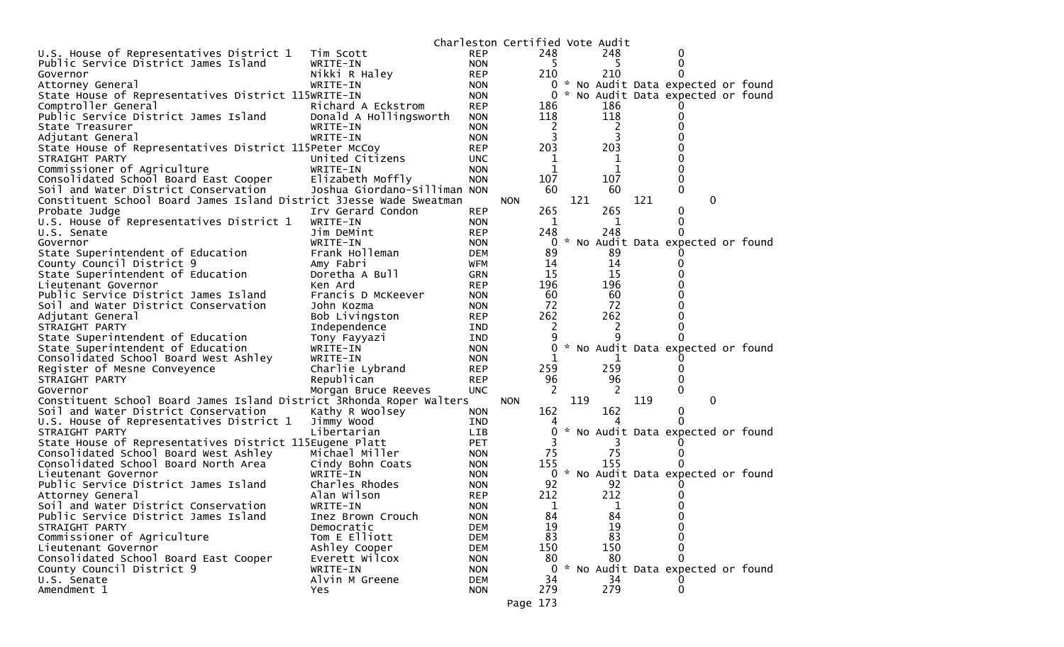|                                                                               |                              |                          | Charleston Certified Vote Audit |                |     |           |     |                                   |  |
|-------------------------------------------------------------------------------|------------------------------|--------------------------|---------------------------------|----------------|-----|-----------|-----|-----------------------------------|--|
| U.S. House of Representatives District 1                                      | Tim Scott                    | <b>REP</b>               |                                 | 248            |     | 248       |     | 0                                 |  |
| Public Service District James Island                                          | WRITE-IN                     | <b>NON</b>               |                                 | 5              |     | 5         |     | $\Omega$                          |  |
| Governor                                                                      | Nikki R Haley                | <b>REP</b>               |                                 | 210            |     | 210       |     |                                   |  |
| Attorney General                                                              | WRITE-IN                     | <b>NON</b>               |                                 | 0              |     |           |     | * No Audit Data expected or found |  |
| State House of Representatives District 115WRITE-IN                           |                              | <b>NON</b>               |                                 | 0              |     |           |     | * No Audit Data expected or found |  |
| Comptroller General                                                           | Richard A Eckstrom           | <b>REP</b>               |                                 | 186            |     | 186       |     |                                   |  |
| Public Service District James Island                                          | Donald A Hollingsworth       | <b>NON</b>               |                                 | 118            |     | 118       |     |                                   |  |
| State Treasurer                                                               | WRITE-IN                     | <b>NON</b>               |                                 | 2              |     | 2         |     |                                   |  |
| Adjutant General                                                              | WRITE-IN                     | <b>NON</b>               |                                 | 3              |     |           |     |                                   |  |
| State House of Representatives District 115Peter McCoy                        |                              | <b>REP</b>               |                                 | 203            |     | 203       |     |                                   |  |
| STRAIGHT PARTY                                                                | United Citizens              | <b>UNC</b>               |                                 | 1              |     | 1         |     |                                   |  |
| Commissioner of Agriculture                                                   | WRITE-IN                     | <b>NON</b>               |                                 | 1              |     | 1         |     |                                   |  |
| Consolidated School Board East Cooper                                         | Elizabeth Moffly             | <b>NON</b>               |                                 | 107            |     | 107       |     |                                   |  |
| Soil and Water District Conservation                                          | Joshua Giordano-Silliman NON |                          |                                 | 60             |     | 60        |     | 0                                 |  |
| Constituent School Board James Island District 3Jesse Wade Sweatman           |                              |                          | <b>NON</b>                      |                | 121 |           | 121 | 0                                 |  |
| Probate Judge                                                                 | Irv Gerard Condon            | <b>REP</b>               |                                 | 265            |     | 265       |     | 0                                 |  |
| U.S. House of Representatives District 1                                      | WRITE-IN                     | <b>NON</b>               |                                 | 1              |     | 1         |     | 0                                 |  |
| U.S. Senate                                                                   | Jim DeMint                   | <b>REP</b>               |                                 | 248            |     | 248       |     |                                   |  |
| Governor                                                                      | WRITE-IN                     | <b>NON</b>               |                                 | 0              |     |           |     | * No Audit Data expected or found |  |
| State Superintendent of Education                                             | Frank Holleman               | <b>DEM</b>               |                                 | 89             |     | 89        |     |                                   |  |
| County Council District 9                                                     | Amy Fabri                    | WFM                      |                                 | 14             |     | 14        |     |                                   |  |
| State Superintendent of Education                                             | Doretha A Bull               | <b>GRN</b>               |                                 | 15             |     | 15        |     |                                   |  |
| Lieutenant Governor                                                           | Ken Ard                      | <b>REP</b>               |                                 | 196            |     | 196       |     |                                   |  |
| Public Service District James Island                                          | Francis D McKeever           | <b>NON</b>               |                                 | 60             |     | 60        |     |                                   |  |
| Soil and Water District Conservation                                          | John Kozma                   | <b>NON</b>               |                                 | 72             |     | 72        |     |                                   |  |
| Adjutant General                                                              | Bob Livingston               | <b>REP</b>               |                                 | 262            |     | 262       |     |                                   |  |
| STRAIGHT PARTY                                                                | Independence                 | IND                      |                                 | 2              |     | 2         |     |                                   |  |
| State Superintendent of Education                                             | Tony Fayyazi                 | IND                      |                                 |                |     | q         |     |                                   |  |
| State Superintendent of Education                                             | WRITE-IN                     | <b>NON</b>               |                                 | 0              |     |           |     | * No Audit Data expected or found |  |
| Consolidated School Board West Ashley                                         | WRITE-IN                     | <b>NON</b>               |                                 |                |     |           |     |                                   |  |
| Register of Mesne Conveyence                                                  | Charlie Lybrand              | <b>REP</b>               |                                 | 259            |     | 259       |     |                                   |  |
| STRAIGHT PARTY                                                                | Republican                   | <b>REP</b>               |                                 | 96             |     | 96        |     |                                   |  |
| Governor                                                                      | Morgan Bruce Reeves          | <b>UNC</b>               |                                 | -2             |     | 2         |     | 0                                 |  |
| Constituent School Board James Island District 3Rhonda Roper Walters          |                              |                          | <b>NON</b>                      |                | 119 |           | 119 | $\mathbf{0}$                      |  |
| Soil and Water District Conservation                                          | Kathy R Woolsey              | <b>NON</b>               |                                 | 162            |     | 162       |     | $\Omega$                          |  |
| U.S. House of Representatives District 1                                      | Jimmy Wood                   | IND                      |                                 |                |     |           |     |                                   |  |
| STRAIGHT PARTY                                                                | Libertarian                  | <b>LIB</b>               |                                 | O              |     |           |     | * No Audit Data expected or found |  |
| State House of Representatives District 115Eugene Platt                       |                              | <b>PET</b>               |                                 |                |     |           |     |                                   |  |
| Consolidated School Board West Ashley<br>Consolidated School Board North Area | Michael Miller               | <b>NON</b>               |                                 | 75<br>155      |     | 75<br>155 |     | $_{0}$                            |  |
| Lieutenant Governor                                                           | Cindy Bohn Coats             | <b>NON</b>               |                                 |                |     |           |     | * No Audit Data expected or found |  |
| Public Service District James Island                                          | WRITE-IN<br>Charles Rhodes   | <b>NON</b>               |                                 | $\bf{0}$<br>92 |     | 92        |     |                                   |  |
|                                                                               | Alan Wilson                  | <b>NON</b><br><b>REP</b> |                                 | 212            |     | 212       |     |                                   |  |
| Attorney General<br>Soil and Water District Conservation                      | WRITE-IN                     | <b>NON</b>               |                                 | 1              |     | 1         |     |                                   |  |
| Public Service District James Island                                          | Inez Brown Crouch            | <b>NON</b>               |                                 | 84             |     | 84        |     | 0                                 |  |
| STRAIGHT PARTY                                                                | Democratic                   | <b>DEM</b>               |                                 | 19             |     | 19        |     | 0                                 |  |
| Commissioner of Agriculture                                                   | Tom E Elliott                | <b>DEM</b>               |                                 | 83             |     | 83        |     | ∩                                 |  |
| Lieutenant Governor                                                           | Ashley Cooper                | <b>DEM</b>               |                                 | 150            |     | 150       |     | 0                                 |  |
| Consolidated School Board East Cooper                                         | Everett Wilcox               | <b>NON</b>               |                                 | 80             |     | 80        |     | 0                                 |  |
| County Council District 9                                                     | WRITE-IN                     | <b>NON</b>               |                                 | 0              |     |           |     | * No Audit Data expected or found |  |
| U.S. Senate                                                                   | Alvin M Greene               | <b>DEM</b>               |                                 | 34             |     | 34        |     |                                   |  |
| Amendment 1                                                                   | Yes                          | <b>NON</b>               |                                 | 279            |     | 279       |     | 0                                 |  |
|                                                                               |                              |                          | Page 173                        |                |     |           |     |                                   |  |
|                                                                               |                              |                          |                                 |                |     |           |     |                                   |  |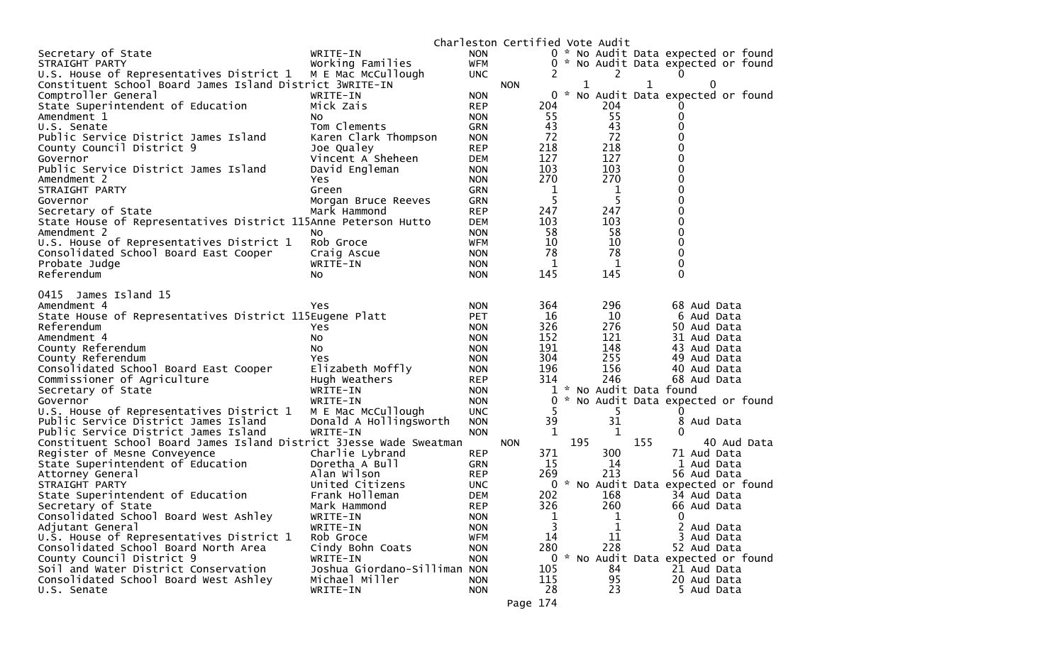|                                                                     |                                     |                          | Charleston Certified Vote Audit |             |                    |           |                                     |
|---------------------------------------------------------------------|-------------------------------------|--------------------------|---------------------------------|-------------|--------------------|-----------|-------------------------------------|
| Secretary of State                                                  | WRITE-IN                            | <b>NON</b>               |                                 |             |                    |           | 0 * No Audit Data expected or found |
| STRAIGHT PARTY                                                      | Working Families                    | WFM                      |                                 | 0           |                    |           | * No Audit Data expected or found   |
| U.S. House of Representatives District 1                            | M E Mac McCullough                  | <b>UNC</b>               |                                 |             |                    | 2         | 0                                   |
| Constituent School Board James Island District 3WRITE-IN            |                                     |                          | <b>NON</b>                      |             | 1                  |           | 1<br>$\Omega$                       |
| Comptroller General                                                 | WRITE-IN                            | <b>NON</b>               |                                 | 0           | $\mathcal{H}$      |           | No Audit Data expected or found     |
| State Superintendent of Education                                   | Mick Zais                           | <b>REP</b>               |                                 | 204         |                    | 204       |                                     |
| Amendment 1                                                         | No.                                 | <b>NON</b>               |                                 | 55          |                    | 55        | 0                                   |
| U.S. Senate                                                         | Tom Clements                        | <b>GRN</b>               |                                 | 43          |                    | 43        | 0                                   |
| Public Service District James Island                                | Karen Clark Thompson                | <b>NON</b>               |                                 | 72          |                    | 72<br>218 | 0                                   |
| County Council District 9                                           | Joe Qualey                          | <b>REP</b>               |                                 | 218<br>127  |                    | 127       | 0<br>0                              |
| Governor<br>Public Service District James Island                    | Vincent A Sheheen<br>David Engleman | <b>DEM</b>               |                                 | 103         |                    | 103       | 0                                   |
| Amendment 2                                                         | Yes                                 | <b>NON</b><br><b>NON</b> |                                 | 270         |                    | 270       | 0                                   |
| STRAIGHT PARTY                                                      | Green                               | <b>GRN</b>               |                                 | $\mathbf 1$ |                    | 1         | 0                                   |
| Governor                                                            | Morgan Bruce Reeves                 | <b>GRN</b>               |                                 | 5           |                    | 5         | 0                                   |
| Secretary of State                                                  | Mark Hammond                        | <b>REP</b>               |                                 | 247         |                    | 247       | 0                                   |
| State House of Representatives District 115Anne Peterson Hutto      |                                     | <b>DEM</b>               |                                 | 103         |                    | 103       | 0                                   |
| Amendment 2                                                         | No                                  | <b>NON</b>               |                                 | 58          |                    | 58        | 0                                   |
| U.S. House of Representatives District 1                            | Rob Groce                           | <b>WFM</b>               |                                 | 10          |                    | 10        | 0                                   |
| Consolidated School Board East Cooper                               | Craig Ascue                         | <b>NON</b>               |                                 | 78          |                    | 78        | 0                                   |
| Probate Judge                                                       | WRITE-IN                            | <b>NON</b>               |                                 | 1           |                    | 1         | 0                                   |
| Referendum                                                          | No.                                 | <b>NON</b>               |                                 | 145         |                    | 145       | $\Omega$                            |
|                                                                     |                                     |                          |                                 |             |                    |           |                                     |
| James Island 15<br>0415                                             |                                     |                          |                                 |             |                    |           |                                     |
| Amendment 4                                                         | Yes                                 | <b>NON</b>               |                                 | 364         |                    | 296       | 68 Aud Data                         |
| State House of Representatives District 115Eugene Platt             |                                     | <b>PET</b>               |                                 | 16          |                    | 10        | 6 Aud Data                          |
| Referendum                                                          | Yes                                 | <b>NON</b>               |                                 | 326         |                    | 276       | 50 Aud Data                         |
| Amendment 4                                                         | No.                                 | <b>NON</b>               |                                 | 152         |                    | 121       | 31 Aud Data                         |
| County Referendum                                                   | No                                  | <b>NON</b>               |                                 | 191         |                    | 148       | 43 Aud Data                         |
| County Referendum                                                   | Yes                                 | <b>NON</b>               |                                 | 304         |                    | 255       | 49 Aud Data                         |
| Consolidated School Board East Cooper                               | Elizabeth Moffly                    | <b>NON</b>               |                                 | 196         |                    | 156       | 40 Aud Data                         |
| Commissioner of Agriculture                                         | Hugh Weathers                       | <b>REP</b>               |                                 | 314         |                    | 246       | 68 Aud Data                         |
| Secretary of State                                                  | WRITE-IN                            | <b>NON</b>               |                                 | 1           |                    |           | * No Audit Data found               |
| Governor                                                            | WRITE-IN                            | <b>NON</b>               |                                 | 0           | $\boldsymbol{\pi}$ |           | No Audit Data expected or found     |
| U.S. House of Representatives District 1                            | M E Mac McCullough                  | <b>UNC</b>               |                                 | 5           |                    | 5.        | 0                                   |
| Public Service District James Island                                | Donald A Hollingsworth              | <b>NON</b>               |                                 | 39          |                    | 31        | 8 Aud Data                          |
| Public Service District James Island                                | WRITE-IN                            | <b>NON</b>               |                                 | 1           |                    | 1         | 0                                   |
| Constituent School Board James Island District 3Jesse Wade Sweatman |                                     |                          | <b>NON</b>                      |             | 195                |           | 155<br>40 Aud Data                  |
| Register of Mesne Conveyence                                        | Charlie Lybrand                     | <b>REP</b>               |                                 | 371         |                    | 300       | 71 Aud Data                         |
| State Superintendent of Education                                   | Doretha A Bull                      | <b>GRN</b>               |                                 | 15          |                    | 14        | 1 Aud Data                          |
| Attorney General                                                    | Alan Wilson                         | <b>REP</b>               |                                 | 269         |                    | 213       | 56 Aud Data                         |
| STRAIGHT PARTY                                                      | United Citizens                     | <b>UNC</b>               |                                 | 0           |                    |           | * No Audit Data expected or found   |
| State Superintendent of Education                                   | Frank Holleman                      | DEM                      |                                 | 202         |                    | 168       | 34 Aud Data                         |
| Secretary of State                                                  | Mark Hammond                        | <b>REP</b>               |                                 | 326         |                    | 260       | 66 Aud Data<br>0                    |
| Consolidated School Board West Ashley<br>Adjutant General           | WRITE-IN<br>WRITE-IN                | <b>NON</b><br><b>NON</b> |                                 | 1<br>3      |                    | 1<br>1    | 2<br>Aud Data                       |
| U.S. House of Representatives District 1                            | Rob Groce                           | <b>WFM</b>               |                                 | 14          |                    | 11        | 3 Aud Data                          |
| Consolidated School Board North Area                                | Cindy Bohn Coats                    | <b>NON</b>               |                                 | 280         |                    | 228       | 52 Aud Data                         |
| County Council District 9                                           | WRITE-IN                            | <b>NON</b>               |                                 |             |                    |           | 0 * No Audit Data expected or found |
| Soil and Water District Conservation                                | Joshua Giordano-Silliman NON        |                          |                                 | 105         |                    | 84        | 21 Aud Data                         |
| Consolidated School Board West Ashley                               | Michael Miller                      | <b>NON</b>               |                                 | 115         |                    | 95        | 20 Aud Data                         |
| U.S. Senate                                                         | WRITE-IN                            | <b>NON</b>               |                                 | 28          |                    | 23        | 5 Aud Data                          |
|                                                                     |                                     |                          |                                 |             |                    |           |                                     |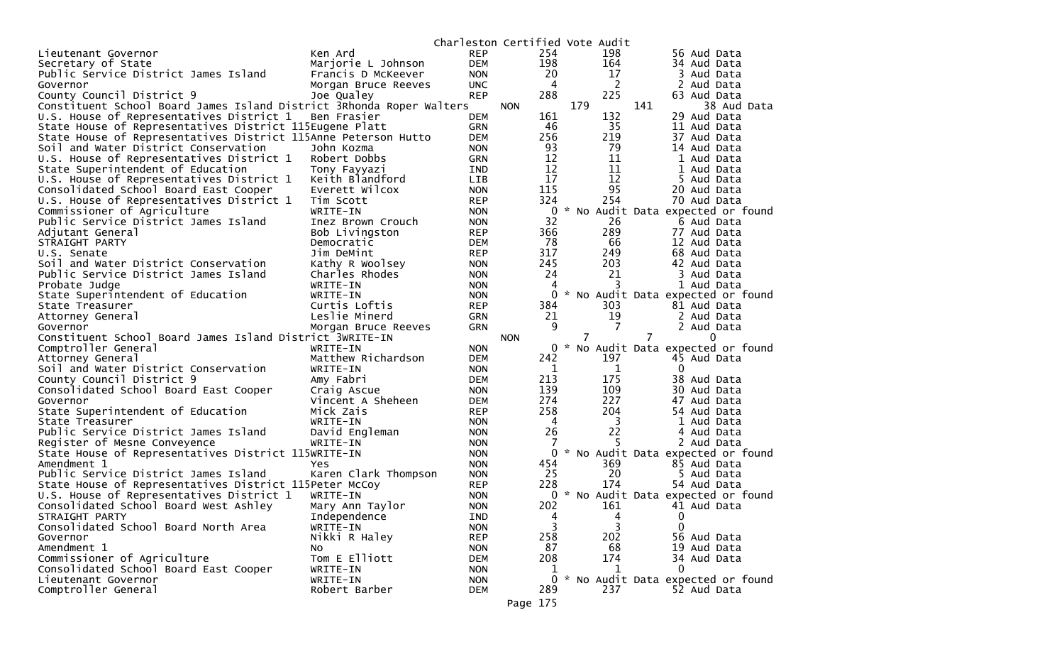|                                                                      |                      | Charleston Certified Vote Audit |            |                |     |                |                |                                     |
|----------------------------------------------------------------------|----------------------|---------------------------------|------------|----------------|-----|----------------|----------------|-------------------------------------|
| Lieutenant Governor                                                  | Ken Ard              | <b>REP</b>                      |            | 254            |     | 198            |                | 56 Aud Data                         |
| Secretary of State                                                   | Marjorie L Johnson   | <b>DEM</b>                      |            | 198            |     | 164            |                | 34 Aud Data                         |
| Public Service District James Island                                 | Francis D McKeever   | <b>NON</b>                      |            | 20             |     | 17             |                | 3 Aud Data                          |
| Governor                                                             | Morgan Bruce Reeves  | <b>UNC</b>                      |            | $\overline{4}$ |     | 2              |                | 2 Aud Data                          |
| County Council District 9                                            | Joe Qualey           | <b>REP</b>                      |            | 288            |     | 225            |                | 63 Aud Data                         |
| Constituent School Board James Island District 3Rhonda Roper Walters |                      |                                 | <b>NON</b> |                | 179 |                | 141            | 38 Aud Data                         |
| U.S. House of Representatives District 1                             | Ben Frasier          | <b>DEM</b>                      |            | 161            |     | 132            |                | 29 Aud Data                         |
| State House of Representatives District 115Eugene Platt              |                      | GRN                             |            | 46             |     | 35             |                | 11 Aud Data                         |
| State House of Representatives District 115Anne Peterson Hutto       |                      | <b>DEM</b>                      |            | 256            |     | 219            |                | 37 Aud Data                         |
| Soil and Water District Conservation                                 | John Kozma           | <b>NON</b>                      |            | 93             |     | 79             |                | 14 Aud Data                         |
| U.S. House of Representatives District 1                             | Robert Dobbs         | GRN                             |            | 12             |     | 11             |                | 1 Aud Data                          |
| State Superintendent of Education                                    | Tony Fayyazi         | IND.                            |            | 12             |     | 11             |                | 1 Aud Data                          |
| U.S. House of Representatives District 1                             | Keith Blandford      | <b>LIB</b>                      |            | 17             |     | 12             |                | 5 Aud Data                          |
| Consolidated School Board East Cooper                                | Everett Wilcox       | <b>NON</b>                      |            | 115            |     | 95             |                | 20 Aud Data                         |
| U.S. House of Representatives District 1                             | Tim Scott            | <b>REP</b>                      |            | 324            |     | 254            |                | 70 Aud Data                         |
| Commissioner of Agriculture                                          | WRITE-IN             | <b>NON</b>                      |            | $\mathbf{0}$   |     |                |                | * No Audit Data expected or found   |
| Public Service District James Island                                 | Inez Brown Crouch    | <b>NON</b>                      |            | 32             |     | 26             |                | 6 Aud Data                          |
| Adjutant General                                                     | Bob Livingston       | <b>REP</b>                      |            | 366            |     | 289            |                | 77 Aud Data                         |
| STRAIGHT PARTY                                                       | Democratic           | <b>DEM</b>                      |            | 78             |     | 66             |                | 12 Aud Data                         |
| U.S. Senate                                                          | Jim DeMint           | <b>REP</b>                      |            | 317            |     | 249            |                | 68 Aud Data                         |
| Soil and Water District Conservation                                 | Kathy R Woolsey      | <b>NON</b>                      |            | 245            |     | 203            |                | 42 Aud Data                         |
| Public Service District James Island                                 | Charles Rhodes       | <b>NON</b>                      |            | 24             |     | 21             |                | 3 Aud Data                          |
| Probate Judge                                                        | WRITE-IN             | <b>NON</b>                      |            | 4              |     | 3              |                | 1 Aud Data                          |
| State Superintendent of Education                                    | WRITE-IN             | <b>NON</b>                      |            | 0              |     |                |                | * No Audit Data expected or found   |
| State Treasurer                                                      | Curtis Loftis        | <b>REP</b>                      |            | 384            |     | 303            |                | 81 Aud Data                         |
| Attorney General                                                     | Leslie Minerd        | <b>GRN</b>                      |            | 21             |     | 19             |                | 2 Aud Data                          |
| Governor                                                             | Morgan Bruce Reeves  | <b>GRN</b>                      |            | 9              |     | 7              |                | 2 Aud Data                          |
| Constituent School Board James Island District 3WRITE-IN             |                      |                                 | <b>NON</b> |                |     |                | $\overline{7}$ | $\Omega$                            |
| Comptroller General                                                  | WRITE-IN             | <b>NON</b>                      |            | 0              |     |                |                | * No Audit Data expected or found   |
| Attorney General                                                     | Matthew Richardson   | <b>DEM</b>                      |            | 242            |     | 197            |                | 45 Aud Data                         |
| Soil and Water District Conservation                                 | WRITE-IN             | <b>NON</b>                      |            | 1              |     | 1              |                | 0                                   |
| County Council District 9                                            | Amy Fabri            | DEM                             |            | 213            |     | 175            |                | 38 Aud Data                         |
| Consolidated School Board East Cooper                                | Craig Ascue          | <b>NON</b>                      |            | 139            |     | 109            |                | 30 Aud Data                         |
| Governor                                                             | Vincent A Sheheen    | DEM                             |            | 274            |     | 227            |                | 47 Aud Data                         |
| State Superintendent of Education                                    | Mick Zais            | <b>REP</b>                      |            | 258            |     | 204            |                | 54 Aud Data                         |
| State Treasurer                                                      | WRITE-IN             | <b>NON</b>                      |            | $\overline{4}$ |     | 3              |                | 1 Aud Data                          |
| Public Service District James Island                                 | David Engleman       | <b>NON</b>                      |            | 26             |     | 22             |                | 4 Aud Data                          |
| Register of Mesne Conveyence                                         | WRITE-IN             | <b>NON</b>                      |            | 7              |     | 5              |                | 2 Aud Data                          |
| State House of Representatives District 115WRITE-IN                  |                      | <b>NON</b>                      |            | $\Omega$       |     |                |                | * No Audit Data expected or found   |
| Amendment 1                                                          | Yes                  | <b>NON</b>                      |            | 454            |     | 369            |                | 85 Aud Data                         |
| Public Service District James Island                                 | Karen Clark Thompson | <b>NON</b>                      |            | 25             |     | 20             |                | 5 Aud Data                          |
| State House of Representatives District 115Peter McCoy               |                      | <b>REP</b>                      |            | 228            |     | 174            |                | 54 Aud Data                         |
| U.S. House of Representatives District 1                             | WRITE-IN             | <b>NON</b>                      |            |                |     |                |                | 0 * No Audit Data expected or found |
| Consolidated School Board West Ashley                                | Mary Ann Taylor      | <b>NON</b>                      |            | 202            |     | 161            |                | 41 Aud Data                         |
| STRAIGHT PARTY                                                       | Independence         | IND                             |            | 4              |     | 4              |                | 0                                   |
| Consolidated School Board North Area                                 | WRITE-IN             | <b>NON</b>                      |            | 3              |     | $\overline{3}$ |                | $\Omega$                            |
| Governor                                                             | Nikki R Haley        | <b>REP</b>                      |            | 258            |     | 202            |                | 56 Aud Data                         |
| Amendment 1                                                          | NO.                  | <b>NON</b>                      |            | 87             |     | 68             |                | 19 Aud Data                         |
| Commissioner of Agriculture                                          | Tom E Elliott        | <b>DEM</b>                      |            | 208            |     | 174            |                | 34 Aud Data                         |
| Consolidated School Board East Cooper                                | WRITE-IN             | <b>NON</b>                      |            | 1              |     | 1              |                | 0                                   |
| Lieutenant Governor                                                  | WRITE-IN             | <b>NON</b>                      |            | $\mathbf{0}$   |     |                |                | * No Audit Data expected or found   |
| Comptroller General                                                  | Robert Barber        | <b>DEM</b>                      |            | 289            |     | 237            |                | 52 Aud Data                         |
|                                                                      |                      |                                 | Page 175   |                |     |                |                |                                     |
|                                                                      |                      |                                 |            |                |     |                |                |                                     |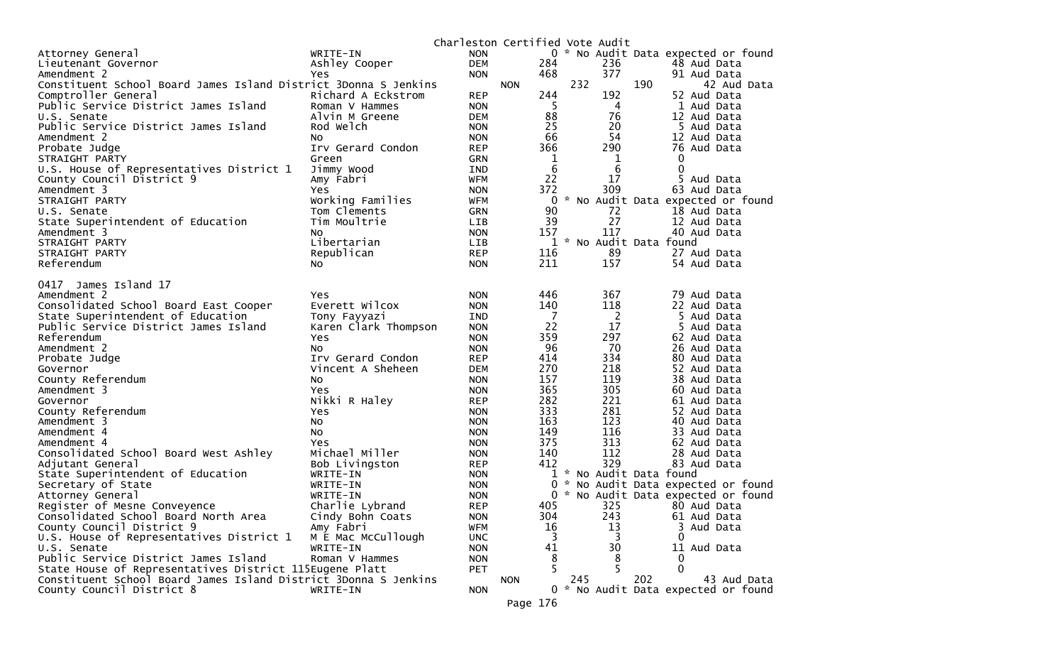|                                                                 |                      | Charleston Certified Vote Audit |            |                                    |     |                                                                        |
|-----------------------------------------------------------------|----------------------|---------------------------------|------------|------------------------------------|-----|------------------------------------------------------------------------|
| Attorney General                                                | WRITE-IN             | <b>NON</b>                      |            |                                    |     | 0 * No Audit Data expected or found                                    |
| Lieutenant Governor                                             | Ashley Cooper        | <b>DEM</b>                      | 284        |                                    | 236 | 48 Aud Data                                                            |
| Amendment 2                                                     | Yes                  | <b>NON</b>                      | 468        |                                    | 377 | 91 Aud Data                                                            |
| Constituent School Board James Island District 3Donna S Jenkins |                      |                                 | <b>NON</b> | 232                                |     | 190<br>42 Aud Data                                                     |
| Comptroller General                                             | Richard A Eckstrom   | <b>REP</b>                      | 244        |                                    | 192 | 52 Aud Data                                                            |
| Public Service District James Island                            | Roman V Hammes       | <b>NON</b>                      |            | -5                                 | 4   | 1 Aud Data                                                             |
| U.S. Senate                                                     | Alvin M Greene       | <b>DEM</b>                      |            | 88                                 | 76  | 12 Aud Data                                                            |
| Public Service District James Island                            | Rod Welch            | <b>NON</b>                      |            | 25                                 | 20  | 5 Aud Data                                                             |
| Amendment 2                                                     | No.                  | <b>NON</b>                      |            | 66                                 | 54  | 12 Aud Data                                                            |
| Probate Judge                                                   | Irv Gerard Condon    | <b>REP</b>                      | 366        |                                    | 290 | 76 Aud Data                                                            |
| STRAIGHT PARTY                                                  | Green                | <b>GRN</b>                      |            | $\mathbf 1$                        | 1   | 0                                                                      |
| U.S. House of Representatives District 1                        | Jimmy Wood           | IND                             |            | $6\phantom{1}6$                    | 6   | $\mathbf{0}$                                                           |
| County Council District 9                                       | Amy Fabri            | WFM                             |            | 22                                 | 17  | 5 Aud Data                                                             |
| Amendment 3                                                     | Yes                  | <b>NON</b>                      | 372        |                                    | 309 | 63 Aud Data                                                            |
| STRAIGHT PARTY                                                  | Working Families     | <b>WFM</b>                      |            | $\mathbf{0}$<br>$\mathcal{H}$      |     | No Audit Data expected or found                                        |
| U.S. Senate                                                     | Tom Clements         | <b>GRN</b>                      |            | 90                                 | 72  | 18 Aud Data                                                            |
| State Superintendent of Education                               | Tim Moultrie         | LIB                             |            | 39                                 | 27  | 12 Aud Data                                                            |
| Amendment 3                                                     | NO.                  | <b>NON</b>                      | 157        |                                    | 117 | 40 Aud Data                                                            |
| STRAIGHT PARTY                                                  | Libertarian          | LIB                             |            |                                    |     | 1 * No Audit Data found                                                |
| STRAIGHT PARTY                                                  | Republican           | <b>REP</b>                      | 116        |                                    | 89  | 27 Aud Data                                                            |
| Referendum                                                      | No.                  | <b>NON</b>                      | 211        |                                    | 157 | 54 Aud Data                                                            |
| 0417 James Island 17                                            |                      |                                 |            |                                    |     |                                                                        |
| Amendment 2                                                     | Yes.                 | <b>NON</b>                      | 446        |                                    | 367 | 79 Aud Data                                                            |
| Consolidated School Board East Cooper                           | Everett Wilcox       | <b>NON</b>                      | 140        |                                    | 118 | 22 Aud Data                                                            |
| State Superintendent of Education                               | Tony Fayyazi         | <b>IND</b>                      |            | $\overline{7}$                     | 2   | 5 Aud Data                                                             |
| Public Service District James Island                            | Karen Clark Thompson | <b>NON</b>                      |            | 22                                 | 17  | 5 Aud Data                                                             |
| Referendum                                                      | Yes                  | <b>NON</b>                      | 359        |                                    | 297 | 62 Aud Data                                                            |
| Amendment 2                                                     | No.                  | <b>NON</b>                      |            | 96                                 | 70  | 26 Aud Data                                                            |
| Probate Judge                                                   | Irv Gerard Condon    | <b>REP</b>                      | 414        |                                    | 334 | 80 Aud Data                                                            |
| Governor                                                        | Vincent A Sheheen    | <b>DEM</b>                      | 270        |                                    | 218 | 52 Aud Data                                                            |
| County Referendum                                               | No.                  | <b>NON</b>                      | 157        |                                    | 119 | 38 Aud Data                                                            |
| Amendment 3                                                     | Yes                  | <b>NON</b>                      | 365        |                                    | 305 | 60 Aud Data                                                            |
| Governor                                                        | Nikki R Haley        | <b>REP</b>                      | 282        |                                    | 221 | 61 Aud Data                                                            |
| County Referendum                                               | Yes                  | <b>NON</b>                      | 333        |                                    | 281 | 52 Aud Data                                                            |
| Amendment 3                                                     | No                   | <b>NON</b>                      | 163        |                                    | 123 | 40 Aud Data                                                            |
| Amendment 4                                                     | No                   | <b>NON</b>                      | 149        |                                    | 116 | 33 Aud Data                                                            |
| Amendment 4                                                     | Yes.                 | <b>NON</b>                      | 375        |                                    | 313 | 62 Aud Data                                                            |
| Consolidated School Board West Ashley                           | Michael Miller       | <b>NON</b>                      | 140        |                                    | 112 | 28 Aud Data                                                            |
| Adjutant General                                                | Bob Livingston       | <b>REP</b>                      | 412        |                                    | 329 | 83 Aud Data                                                            |
| State Superintendent of Education                               | WRITE-IN             | <b>NON</b>                      |            | $\mathbf{1}$<br>0<br>$\mathcal{H}$ |     | * No Audit Data found                                                  |
| Secretary of State<br>Attorney General                          | WRITE-IN<br>WRITE-IN | <b>NON</b><br><b>NON</b>        |            |                                    |     | No Audit Data expected or found<br>0 * No Audit Data expected or found |
| Register of Mesne Conveyence                                    | Charlie Lybrand      | <b>REP</b>                      | 405        |                                    | 325 | 80 Aud Data                                                            |
| Consolidated School Board North Area                            | Cindy Bohn Coats     | <b>NON</b>                      | 304        |                                    | 243 | 61 Aud Data                                                            |
| County Council District 9                                       | Amy Fabri            | <b>WFM</b>                      |            | 16                                 | 13  | 3 Aud Data                                                             |
| U.S. House of Representatives District 1                        | M E Mac McCullough   | <b>UNC</b>                      |            | 3                                  | 3   | 0                                                                      |
| U.S. Senate                                                     | WRITE-IN             | <b>NON</b>                      |            | 41                                 | 30  | 11 Aud Data                                                            |
| Public Service District James Island                            | Roman V Hammes       | <b>NON</b>                      |            | 8                                  | 8   | 0                                                                      |
| State House of Representatives District 115Eugene Platt         |                      | <b>PET</b>                      |            |                                    |     | $\Omega$                                                               |
| Constituent School Board James Island District 3Donna S Jenkins |                      |                                 | <b>NON</b> | 245                                |     | 202<br>43 Aud Data                                                     |
| County Council District 8                                       | WRITE-IN             | <b>NON</b>                      |            |                                    |     | 0 * No Audit Data expected or found                                    |
|                                                                 |                      |                                 | Page 176   |                                    |     |                                                                        |
|                                                                 |                      |                                 |            |                                    |     |                                                                        |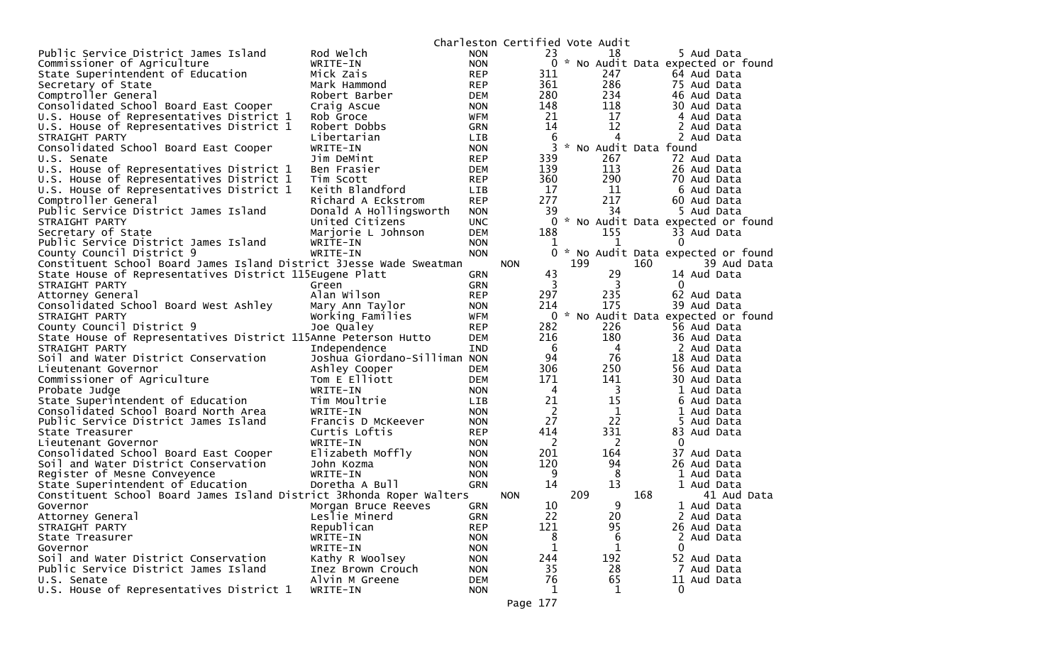|                                                                      |                              |            | Charleston Certified Vote Audit |     |                       |     |                                     |
|----------------------------------------------------------------------|------------------------------|------------|---------------------------------|-----|-----------------------|-----|-------------------------------------|
| Public Service District James Island                                 | Rod Welch                    | <b>NON</b> | 23                              |     | 18                    |     | 5 Aud Data                          |
| Commissioner of Agriculture                                          | WRITE-IN                     | <b>NON</b> |                                 |     |                       |     | 0 * No Audit Data expected or found |
| State Superintendent of Education                                    | Mick Zais                    | <b>REP</b> | 311                             |     | 247                   |     | 64 Aud Data                         |
| Secretary of State                                                   | Mark Hammond                 | <b>REP</b> | 361                             |     | 286                   |     | 75 Aud Data                         |
| Comptroller General                                                  | Robert Barber                | DEM        | 280                             |     | 234                   |     | 46 Aud Data                         |
| Consolidated School Board East Cooper                                | Craig Ascue                  | <b>NON</b> | 148                             |     | 118                   |     | 30 Aud Data                         |
| U.S. House of Representatives District 1                             | Rob Groce                    | WFM        | 21                              |     | 17                    |     | 4 Aud Data                          |
| U.S. House of Representatives District 1                             | Robert Dobbs                 | <b>GRN</b> | 14                              |     | 12                    |     | 2 Aud Data                          |
| STRAIGHT PARTY                                                       | Libertarian                  | <b>LIB</b> | 6                               |     | 4                     |     | 2 Aud Data                          |
| Consolidated School Board East Cooper                                | WRITE-IN                     | <b>NON</b> | 3                               |     | * No Audit Data found |     |                                     |
| U.S. Senate                                                          | Jim DeMint                   | REP        | 339                             |     | 267                   |     | 72 Aud Data                         |
| U.S. House of Representatives District 1                             | Ben Frasier                  | DEM        | 139                             |     | 113                   |     | 26 Aud Data                         |
| U.S. House of Representatives District 1                             | Tim Scott                    | <b>REP</b> | 360                             |     | 290                   |     | 70 Aud Data                         |
| U.S. House of Representatives District 1                             | Keith Blandford              | <b>LIB</b> | 17                              |     | 11                    |     | 6 Aud Data                          |
| Comptroller General                                                  | Richard A Eckstrom           | <b>REP</b> | 277                             |     | 217                   |     | 60 Aud Data                         |
| Public Service District James Island                                 | Donald A Hollingsworth       | <b>NON</b> | 39                              |     | 34                    |     | 5 Aud Data                          |
| STRAIGHT PARTY                                                       | United Citizens              | <b>UNC</b> |                                 |     |                       |     | 0 * No Audit Data expected or found |
| Secretary of State                                                   | Marjorie L Johnson           | <b>DEM</b> | 188                             |     | 155                   |     | 33 Aud Data                         |
| Public Service District James Island                                 | WRITE-IN                     | <b>NON</b> | 1                               |     | 1                     |     | $\Omega$                            |
| County Council District 9                                            | WRITE-IN                     | <b>NON</b> | 0                               |     |                       |     | * No Audit Data expected or found   |
| Constituent School Board James Island District 3Jesse Wade Sweatman  |                              |            | <b>NON</b>                      | 199 |                       | 160 | 39 Aud Data                         |
| State House of Representatives District 115Eugene Platt              |                              | <b>GRN</b> | 43                              |     | 29                    |     | 14 Aud Data                         |
| STRAIGHT PARTY                                                       | Green                        | <b>GRN</b> | 3                               |     | 3                     |     | $\mathbf{0}$                        |
| Attorney General                                                     | Alan Wilson                  | <b>REP</b> | 297                             |     | 235                   |     | 62 Aud Data                         |
| Consolidated School Board West Ashley                                | Mary Ann Taylor              | <b>NON</b> | 214                             |     | 175                   |     | 39 Aud Data                         |
| STRAIGHT PARTY                                                       | Working Families             | WFM        |                                 |     |                       |     | 0 * No Audit Data expected or found |
| County Council District 9                                            | Joe Qualey                   | <b>REP</b> | 282                             |     | 226                   |     | 56 Aud Data                         |
| State House of Representatives District 115Anne Peterson Hutto       |                              | DEM        | 216                             |     | 180                   |     | 36 Aud Data                         |
| STRAIGHT PARTY                                                       | Independence                 | IND        | - 6                             |     | $\overline{4}$        |     | 2 Aud Data                          |
| Soil and Water District Conservation                                 | Joshua Giordano-Silliman NON |            | 94                              |     | 76                    |     | 18 Aud Data                         |
| Lieutenant Governor                                                  | Ashley Cooper                | DEM        | 306                             |     | 250                   |     | 56 Aud Data                         |
| Commissioner of Agriculture                                          | Tom E Elliott                | DEM        | 171                             |     | 141                   |     | 30 Aud Data                         |
| Probate Judge                                                        | WRITE-IN                     | <b>NON</b> | $\overline{4}$                  |     | 3                     |     | 1 Aud Data                          |
| State Superintendent of Education                                    | Tim Moultrie                 | LIB.       | 21                              |     | 15                    |     | 6 Aud Data                          |
| Consolidated School Board North Area                                 | WRITE-IN                     | <b>NON</b> | $\overline{2}$                  |     | 1                     |     | 1 Aud Data                          |
| Public Service District James Island                                 | Francis D McKeever           | <b>NON</b> | 27                              |     | 22                    |     | 5 Aud Data                          |
| State Treasurer                                                      | Curtis Loftis                | <b>REP</b> | 414                             |     | 331                   |     | 83 Aud Data                         |
| Lieutenant Governor                                                  | WRITE-IN                     | <b>NON</b> | 2                               |     | 2                     |     | 0                                   |
| Consolidated School Board East Cooper                                | Elizabeth Moffly             | <b>NON</b> | 201                             |     | 164                   |     | 37 Aud Data                         |
| Soil and Water District Conservation                                 | John Kozma                   | <b>NON</b> | 120                             |     | 94                    |     | 26 Aud Data                         |
| Register of Mesne Conveyence                                         | WRITE-IN                     | <b>NON</b> | 9                               |     | 8                     |     | 1 Aud Data                          |
| State Superintendent of Education                                    | Doretha A Bull               | <b>GRN</b> | 14                              |     | 13                    |     | 1 Aud Data                          |
| Constituent School Board James Island District 3Rhonda Roper Walters |                              |            | <b>NON</b>                      | 209 |                       | 168 | 41 Aud Data                         |
| Governor                                                             | Morgan Bruce Reeves          | <b>GRN</b> | 10                              |     | 9                     |     | 1 Aud Data                          |
|                                                                      | Leslie Minerd                | GRN        | 22                              |     | 20                    |     | 2 Aud Data                          |
| Attorney General<br>STRAIGHT PARTY                                   | Republican                   | <b>REP</b> | 121                             |     | 95                    |     | 26 Aud Data                         |
| State Treasurer                                                      | WRITE-IN                     | <b>NON</b> | 8                               |     | 6                     |     | 2 Aud Data                          |
|                                                                      | WRITE-IN                     |            | 1                               |     | 1                     |     | 0                                   |
| Governor<br>Soil and Water District Conservation                     |                              | <b>NON</b> |                                 |     | 192                   |     |                                     |
|                                                                      | Kathy R Woolsey              | <b>NON</b> | 244                             |     |                       |     | 52 Aud Data                         |
| Public Service District James Island                                 | Inez Brown Crouch            | <b>NON</b> | 35                              |     | 28                    |     | 7 Aud Data                          |
| U.S. Senate                                                          | Alvin M Greene               | <b>DEM</b> | 76                              |     | 65                    |     | 11 Aud Data                         |
| U.S. House of Representatives District 1                             | WRITE-IN                     | <b>NON</b> | 1                               |     | $\mathbf 1$           |     | 0                                   |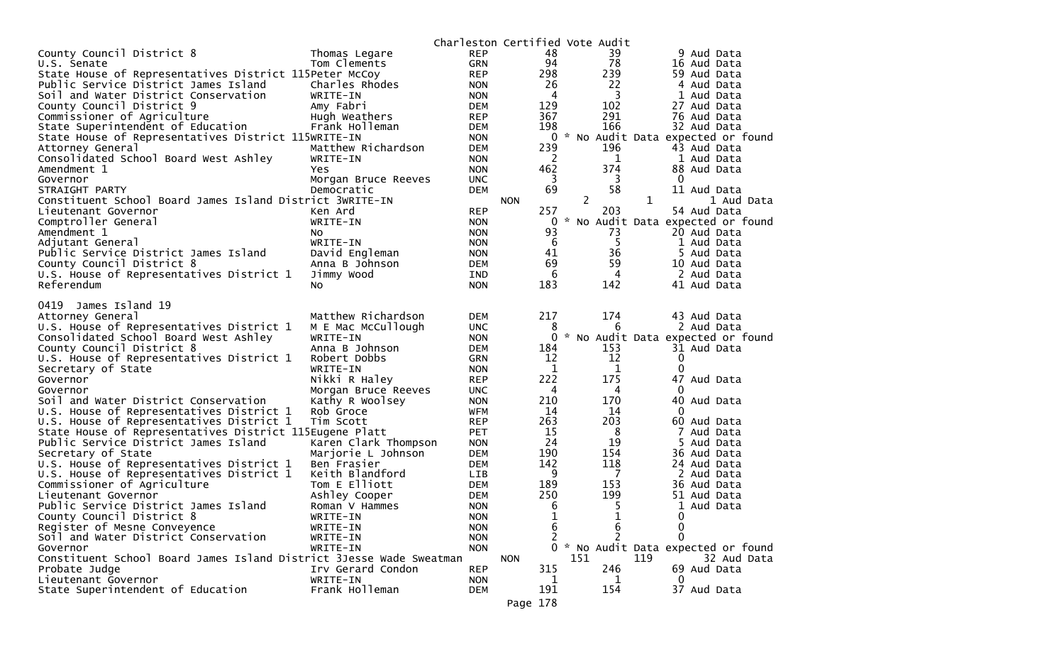|                                                                     |                                        |                          |                    | Charleston Certified Vote Audit |                                     |
|---------------------------------------------------------------------|----------------------------------------|--------------------------|--------------------|---------------------------------|-------------------------------------|
| County Council District 8                                           | Thomas Legare                          | <b>REP</b>               | 48                 | 39                              | 9 Aud Data                          |
| U.S. Senate                                                         | Tom Clements                           | <b>GRN</b>               | 94                 | 78                              | 16 Aud Data                         |
| State House of Representatives District 115Peter McCoy              |                                        | <b>REP</b>               | 298                | 239                             | 59 Aud Data                         |
| Public Service District James Island                                | Charles Rhodes                         | <b>NON</b>               | 26                 | 22                              | 4 Aud Data                          |
| Soil and Water District Conservation                                | WRITE-IN                               | <b>NON</b>               | 4                  | 3                               | 1 Aud Data                          |
| County Council District 9                                           | Amy Fabri                              | <b>DEM</b>               | 129                | 102                             | 27 Aud Data                         |
| Commissioner of Agriculture                                         | Hugh Weathers                          | <b>REP</b>               | 367                | 291                             | 76 Aud Data                         |
| State Superintendent of Education                                   | Frank Holleman                         | <b>DEM</b>               | 198                | 166                             | 32 Aud Data                         |
| State House of Representatives District 115WRITE-IN                 |                                        | <b>NON</b>               |                    |                                 | 0 * No Audit Data expected or found |
| Attorney General                                                    | Matthew Richardson                     | <b>DEM</b>               | 239                | 196                             | 43 Aud Data                         |
| Consolidated School Board West Ashley                               | WRITE-IN                               | <b>NON</b>               | 2                  | 1                               | 1 Aud Data                          |
| Amendment 1                                                         | Yes                                    | <b>NON</b>               | 462                | 374                             | 88 Aud Data                         |
| Governor                                                            | Morgan Bruce Reeves                    | <b>UNC</b>               | 3                  | 3                               | 0                                   |
| STRAIGHT PARTY                                                      | Democratic                             | <b>DEM</b>               | 69                 | 58                              | 11 Aud Data                         |
| Constituent School Board James Island District 3WRITE-IN            |                                        |                          | <b>NON</b>         | $\overline{c}$                  | $\mathbf{1}$<br>1 Aud Data          |
| Lieutenant Governor                                                 | Ken Ard                                | <b>REP</b>               | 257                | 203                             | 54 Aud Data                         |
| Comptroller General                                                 | WRITE-IN                               | <b>NON</b>               | 0                  | $\mathcal{H}$                   | No Audit Data expected or found     |
| Amendment 1                                                         | NO.                                    | <b>NON</b>               | 93                 | 73                              | 20 Aud Data                         |
| Adjutant General                                                    | WRITE-IN                               | <b>NON</b>               | 6                  | 5                               | 1 Aud Data                          |
| Public Service District James Island                                | David Engleman                         | <b>NON</b>               | 41                 | 36                              | 5 Aud Data                          |
| County Council District 8                                           | Anna B Johnson                         | <b>DEM</b>               | 69                 | 59                              | 10 Aud Data                         |
| U.S. House of Representatives District 1                            | Jimmy Wood                             | <b>IND</b>               | 6                  | 4                               | 2 Aud Data                          |
| Referendum                                                          | No                                     | <b>NON</b>               | 183                | 142                             | 41 Aud Data                         |
|                                                                     |                                        |                          |                    |                                 |                                     |
| 0419<br>James Island 19                                             |                                        |                          |                    |                                 |                                     |
| Attorney General                                                    | Matthew Richardson                     | <b>DEM</b>               | 217                | 174                             | 43 Aud Data                         |
| U.S. House of Representatives District 1                            | M E Mac McCullough                     | <b>UNC</b>               | 8                  | 6                               | 2 Aud Data                          |
| Consolidated School Board West Ashley                               | WRITE-IN                               | <b>NON</b>               | 0                  |                                 | * No Audit Data expected or found   |
| County Council District 8                                           | Anna B Johnson                         | <b>DEM</b>               | 184                | 153<br>12                       | 31 Aud Data                         |
| U.S. House of Representatives District 1                            | Robert Dobbs<br>WRITE-IN               | <b>GRN</b>               | 12                 |                                 | 0<br>0                              |
| Secretary of State                                                  |                                        | <b>NON</b>               | $\mathbf 1$<br>222 | 1<br>175                        | 47<br>Aud Data                      |
| Governor<br>Governor                                                | Nikki R Haley                          | <b>REP</b><br><b>UNC</b> | 4                  | 4                               | $\Omega$                            |
| Soil and Water District Conservation                                | Morgan Bruce Reeves<br>Kathy R Woolsey | <b>NON</b>               | 210                | 170                             | 40 Aud Data                         |
| U.S. House of Representatives District 1                            | Rob Groce                              | WFM                      | 14                 | 14                              | $\Omega$                            |
| U.S. House of Representatives District 1                            | Tim Scott                              | <b>REP</b>               | 263                | 203                             | 60 Aud Data                         |
| State House of Representatives District 115Eugene Platt             |                                        | <b>PET</b>               | 15                 | 8                               | 7<br>Aud Data                       |
| Public Service District James Island                                | Karen Clark Thompson                   | <b>NON</b>               | 24                 | 19                              | 5.<br>Aud Data                      |
| Secretary of State                                                  | Marjorie L Johnson                     | <b>DEM</b>               | 190                | 154                             | 36 Aud Data                         |
| U.S. House of Representatives District 1                            | Ben Frasier                            | <b>DEM</b>               | 142                | 118                             | 24 Aud Data                         |
| U.S. House of Representatives District 1                            | Keith Blandford                        | <b>LIB</b>               | 9                  | 7                               | 2 Aud Data                          |
| Commissioner of Agriculture                                         | Tom E Elliott                          | <b>DEM</b>               | 189                | 153                             | 36 Aud Data                         |
| Lieutenant Governor                                                 | Ashley Cooper                          | <b>DEM</b>               | 250                | 199                             | 51 Aud Data                         |
| Public Service District James Island                                | Roman V Hammes                         | <b>NON</b>               | 6                  | 5                               | 1 Aud Data                          |
| County Council District 8                                           | WRITE-IN                               | <b>NON</b>               |                    |                                 | 0                                   |
| Register of Mesne Conveyence                                        | WRITE-IN                               | <b>NON</b>               | 6                  | Ŧ<br>6                          | 0                                   |
| Soil and Water District Conservation                                | WRITE-IN                               | <b>NON</b>               |                    |                                 | 0                                   |
| Governor                                                            | WRITE-IN                               | <b>NON</b>               | 0                  |                                 | * No Audit Data expected or found   |
| Constituent School Board James Island District 3Jesse Wade Sweatman |                                        |                          | <b>NON</b>         | 151                             | 119<br>32 Aud Data                  |
| Probate Judge                                                       | Irv Gerard Condon                      | <b>REP</b>               | 315                | 246                             | 69 Aud Data                         |
| Lieutenant Governor                                                 | WRITE-IN                               | <b>NON</b>               | 1                  | 1                               | 0                                   |
| State Superintendent of Education                                   | Frank Holleman                         | <b>DEM</b>               | 191                | 154                             | 37 Aud Data                         |
|                                                                     |                                        |                          |                    |                                 |                                     |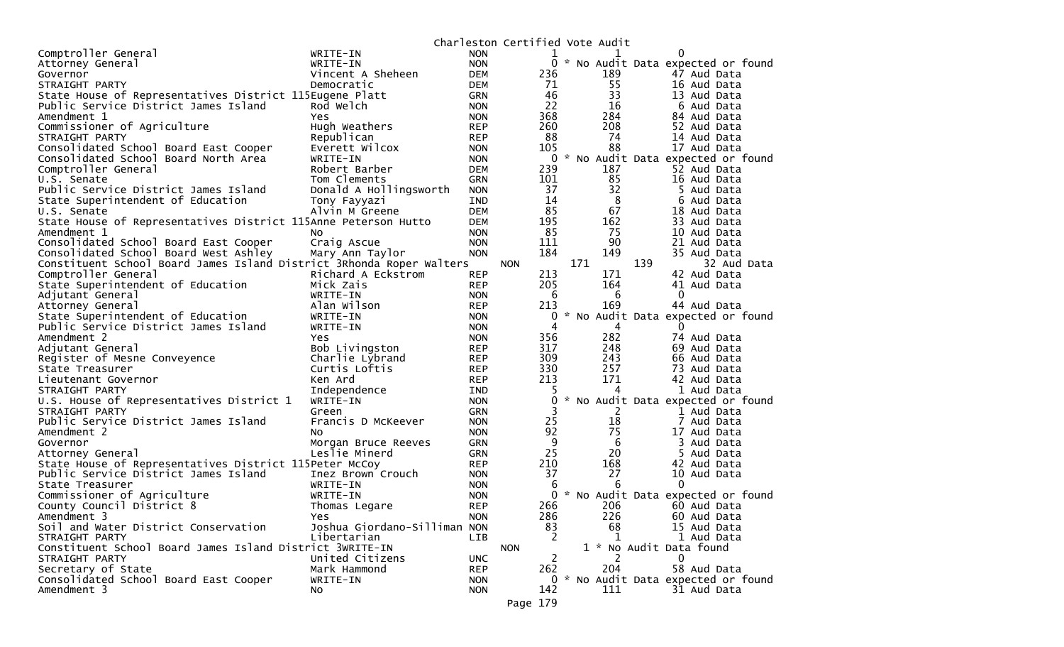|                                                                      |                              |            | Charleston Certified Vote Audit |              |     |                                     |
|----------------------------------------------------------------------|------------------------------|------------|---------------------------------|--------------|-----|-------------------------------------|
| Comptroller General                                                  | WRITE-IN                     | <b>NON</b> | 1                               |              | 1   | 0                                   |
| Attorney General                                                     | WRITE-IN                     | <b>NON</b> |                                 |              |     | 0 * No Audit Data expected or found |
| Governor                                                             | Vincent A Sheheen            | <b>DEM</b> | 236                             |              | 189 | 47 Aud Data                         |
| STRAIGHT PARTY                                                       | Democratic                   | <b>DEM</b> | 71                              |              | 55  | 16 Aud Data                         |
| State House of Representatives District 115Eugene Platt              |                              | <b>GRN</b> | 46                              |              | 33  | 13 Aud Data                         |
| Public Service District James Island                                 | Rod Welch                    | <b>NON</b> | 22                              |              | 16  | 6 Aud Data                          |
| Amendment 1                                                          | <b>Yes</b>                   | <b>NON</b> | 368                             |              | 284 | 84 Aud Data                         |
| Commissioner of Agriculture                                          | Hugh Weathers                | <b>REP</b> | 260                             |              | 208 | 52 Aud Data                         |
| STRAIGHT PARTY                                                       | Republican                   | <b>REP</b> | 88                              |              | 74  | 14 Aud Data                         |
| Consolidated School Board East Cooper                                | Everett Wilcox               | <b>NON</b> | 105                             |              | 88  | 17 Aud Data                         |
| Consolidated School Board North Area                                 | WRITE-IN                     | <b>NON</b> |                                 | $\mathbf{0}$ |     | * No Audit Data expected or found   |
| Comptroller General                                                  | Robert Barber                | <b>DEM</b> | 239                             |              | 187 | 52 Aud Data                         |
| U.S. Senate                                                          | Tom Clements                 | <b>GRN</b> | 101                             |              | 85  | 16 Aud Data                         |
| Public Service District James Island                                 | Donald A Hollingsworth       | <b>NON</b> | 37                              |              | 32  | 5 Aud Data                          |
|                                                                      |                              | IND        | 14                              |              | 8   | 6 Aud Data                          |
| State Superintendent of Education                                    | Tony Fayyazi                 |            | 85                              |              | 67  |                                     |
| U.S. Senate                                                          | Alvin M Greene               | <b>DEM</b> |                                 |              |     | 18 Aud Data                         |
| State House of Representatives District 115Anne Peterson Hutto       |                              | <b>DEM</b> | 195                             |              | 162 | 33 Aud Data                         |
| Amendment 1                                                          | NO.                          | <b>NON</b> | 85                              |              | 75  | 10 Aud Data                         |
| Consolidated School Board East Cooper                                | Craig Ascue                  | <b>NON</b> | 111                             |              | 90  | 21 Aud Data                         |
| Consolidated School Board West Ashley                                | Mary Ann Taylor              | <b>NON</b> | 184                             |              | 149 | 35 Aud Data                         |
| Constituent School Board James Island District 3Rhonda Roper Walters |                              |            | <b>NON</b>                      | 171          |     | 139<br>32 Aud Data                  |
| Comptroller General                                                  | Richard A Eckstrom           | <b>REP</b> | 213                             |              | 171 | 42 Aud Data                         |
| State Superintendent of Education                                    | Mick Zais                    | <b>REP</b> | 205                             |              | 164 | 41 Aud Data                         |
| Adjutant General                                                     | WRITE-IN                     | <b>NON</b> | 6                               |              | 6   | 0                                   |
| Attorney General                                                     | Alan Wilson                  | <b>REP</b> | 213                             |              | 169 | 44 Aud Data                         |
| State Superintendent of Education                                    | WRITE-IN                     | <b>NON</b> | 0                               |              |     | * No Audit Data expected or found   |
| Public Service District James Island                                 | WRITE-IN                     | <b>NON</b> | 4                               |              | 4   | $\Omega$                            |
| Amendment 2                                                          | Yes                          | <b>NON</b> | 356                             |              | 282 | 74 Aud Data                         |
| Adjutant General                                                     | Bob Livingston               | <b>REP</b> | 317                             |              | 248 | 69 Aud Data                         |
| Register of Mesne Conveyence                                         | Charlie Lybrand              | <b>REP</b> | 309                             |              | 243 | 66 Aud Data                         |
| State Treasurer                                                      | Curtis Loftis                | <b>REP</b> | 330                             |              | 257 | 73 Aud Data                         |
| Lieutenant Governor                                                  | Ken Ard                      | <b>REP</b> | 213                             |              | 171 | 42 Aud Data                         |
| STRAIGHT PARTY                                                       | Independence                 | <b>IND</b> |                                 |              | 4   | 1 Aud Data                          |
| U.S. House of Representatives District 1                             | WRITE-IN                     | <b>NON</b> | 0                               |              |     | * No Audit Data expected or found   |
| STRAIGHT PARTY                                                       | Green                        | <b>GRN</b> | 3                               |              | 2   | 1 Aud Data                          |
| Public Service District James Island                                 | Francis D McKeever           | <b>NON</b> | 25                              |              | 18  | 7 Aud Data                          |
| Amendment 2                                                          | No                           | <b>NON</b> | 92                              |              | 75  | 17 Aud Data                         |
| Governor                                                             | Morgan Bruce Reeves          | <b>GRN</b> | 9                               |              | 6   | 3 Aud Data                          |
| Attorney General                                                     | Leslie Minerd                | <b>GRN</b> | 25                              |              | 20  | 5 Aud Data                          |
| State House of Representatives District 115Peter McCoy               |                              | <b>REP</b> | 210                             |              | 168 | 42 Aud Data                         |
| Public Service District James Island                                 | Inez Brown Crouch            | <b>NON</b> | 37                              |              | 27  | 10 Aud Data                         |
| State Treasurer                                                      | WRITE-IN                     | <b>NON</b> | 6                               |              | 6   | 0                                   |
| Commissioner of Agriculture                                          | WRITE-IN                     | <b>NON</b> |                                 | 0            |     | * No Audit Data expected or found   |
| County Council District 8                                            | Thomas Legare                | <b>REP</b> | 266                             |              | 206 | 60 Aud Data                         |
| Amendment 3                                                          | Yes                          | <b>NON</b> | 286                             |              | 226 | 60 Aud Data                         |
| Soil and Water District Conservation                                 | Joshua Giordano-Silliman NON |            | 83                              |              | 68  | 15 Aud Data                         |
| STRAIGHT PARTY                                                       |                              |            | 2                               |              | 1   | 1 Aud Data                          |
|                                                                      | Libertarian                  | <b>LIB</b> |                                 |              |     |                                     |
| Constituent School Board James Island District 3WRITE-IN             |                              |            | <b>NON</b>                      |              |     | 1 * No Audit Data found             |
| STRAIGHT PARTY                                                       | United Citizens              | <b>UNC</b> | 2                               |              | 204 | 0                                   |
| Secretary of State                                                   | Mark Hammond                 | <b>REP</b> | 262                             |              |     | 58 Aud Data                         |
| Consolidated School Board East Cooper                                | WRITE-IN                     | <b>NON</b> |                                 |              |     | 0 * No Audit Data expected or found |
| Amendment 3                                                          | No.                          | <b>NON</b> | 142                             |              | 111 | 31 Aud Data                         |
|                                                                      |                              |            | Page 179                        |              |     |                                     |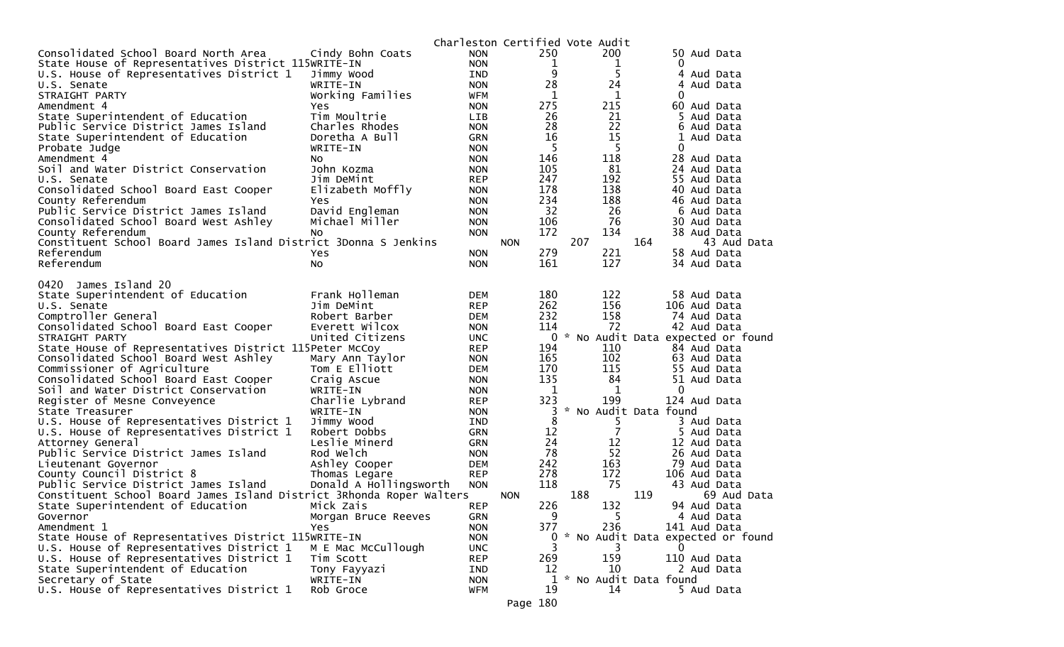|                                                                      |                        |            |            | Charleston Certified Vote Audit |                                     |
|----------------------------------------------------------------------|------------------------|------------|------------|---------------------------------|-------------------------------------|
| Consolidated School Board North Area                                 | Cindy Bohn Coats       | <b>NON</b> | 250        | 200                             | 50 Aud Data                         |
| State House of Representatives District 115WRITE-IN                  |                        | <b>NON</b> | 1          | 1                               | 0                                   |
| U.S. House of Representatives District 1                             | Jimmy Wood             | <b>IND</b> | 9          | 5                               | Aud Data<br>4                       |
| U.S. Senate                                                          | WRITE-IN               | <b>NON</b> | 28         | 24                              | 4<br>Aud Data                       |
| STRAIGHT PARTY                                                       | Working Families       | WFM        | 1          | 1                               | 0                                   |
| Amendment 4                                                          | Yes                    | <b>NON</b> | 275        | 215                             | 60 Aud Data                         |
| State Superintendent of Education                                    | Tim Moultrie           | LIB.       | 26         | 21                              | 5 Aud Data                          |
| Public Service District James Island                                 | Charles Rhodes         | <b>NON</b> | 28         | 22                              | 6<br>Aud Data                       |
| State Superintendent of Education                                    | Doretha A Bull         | <b>GRN</b> | 16         | 15                              | 1<br>Aud Data                       |
| Probate Judge                                                        | WRITE-IN               | <b>NON</b> | 5          | 5                               | 0                                   |
| Amendment 4                                                          | No.                    | <b>NON</b> | 146        | 118                             | 28 Aud Data                         |
| Soil and Water District Conservation                                 | John Kozma             | <b>NON</b> | 105        | 81                              | 24 Aud Data                         |
| U.S. Senate                                                          | Jim DeMint             | <b>REP</b> | 247        | 192                             | 55 Aud Data                         |
| Consolidated School Board East Cooper                                | Elizabeth Moffly       | <b>NON</b> | 178        | 138                             | 40 Aud Data                         |
| County Referendum                                                    | Yes                    | <b>NON</b> | 234        | 188                             | 46 Aud Data                         |
| Public Service District James Island                                 | David Engleman         | <b>NON</b> | 32         | 26                              | 6 Aud Data                          |
| Consolidated School Board West Ashley                                | Michael Miller         | <b>NON</b> | 106        | 76                              | 30 Aud Data                         |
| County Referendum                                                    | NO.                    | <b>NON</b> | 172        | 134                             | 38 Aud Data                         |
| Constituent School Board James Island District 3Donna S Jenkins      |                        |            | <b>NON</b> | 207                             | 164<br>43 Aud Data                  |
| Referendum                                                           | Yes                    | <b>NON</b> | 279        | 221                             | 58 Aud Data                         |
| Referendum                                                           | No                     | <b>NON</b> | 161        | 127                             | 34 Aud Data                         |
| James Island 20<br>0420                                              |                        |            |            |                                 |                                     |
| State Superintendent of Education                                    | Frank Holleman         | <b>DEM</b> | 180        | 122                             | 58 Aud Data                         |
| U.S. Senate                                                          | Jim DeMint             | <b>REP</b> | 262        | 156                             | 106 Aud Data                        |
| Comptroller General                                                  | Robert Barber          | <b>DEM</b> | 232        | 158                             | 74 Aud Data                         |
| Consolidated School Board East Cooper                                | Everett Wilcox         | <b>NON</b> | 114        | 72                              | 42 Aud Data                         |
| STRAIGHT PARTY                                                       | United Citizens        | <b>UNC</b> |            |                                 | 0 * No Audit Data expected or found |
| State House of Representatives District 115Peter McCoy               |                        | <b>REP</b> | 194        | 110                             | 84 Aud Data                         |
| Consolidated School Board West Ashley                                | Mary Ann Taylor        | <b>NON</b> | 165        | 102                             | 63 Aud Data                         |
| Commissioner of Agriculture                                          | Tom E Elliott          | <b>DEM</b> | 170        | 115                             | 55 Aud Data                         |
| Consolidated School Board East Cooper                                | Craig Ascue            | <b>NON</b> | 135        | 84                              | 51 Aud Data                         |
| Soil and Water District Conservation                                 | WRITE-IN               | <b>NON</b> | 1          | 1                               | 0                                   |
| Register of Mesne Conveyence                                         | Charlie Lybrand        | <b>REP</b> | 323        | 199                             | 124 Aud Data                        |
| State Treasurer                                                      | WRITE-IN               | <b>NON</b> | 3          |                                 | * No Audit Data found               |
| U.S. House of Representatives District 1                             | Jimmy Wood             | <b>IND</b> | 8          | 5.                              | 3 Aud Data                          |
| U.S. House of Representatives District 1                             | Robert Dobbs           | <b>GRN</b> | 12         | $\overline{7}$                  | 5.<br>Aud Data                      |
| Attorney General                                                     | Leslie Minerd          | <b>GRN</b> | 24         | 12                              | 12 Aud Data                         |
| Public Service District James Island                                 | Rod Welch              | <b>NON</b> | 78         | 52                              | 26 Aud Data                         |
| Lieutenant Governor                                                  | Ashley Cooper          | <b>DEM</b> | 242        | 163                             | 79 Aud Data                         |
| County Council District 8                                            | Thomas Legare          | <b>REP</b> | 278        | 172                             | 106 Aud Data                        |
| Public Service District James Island                                 | Donald A Hollingsworth | <b>NON</b> | 118        | 75                              | 43 Aud Data                         |
| Constituent School Board James Island District 3Rhonda Roper Walters |                        |            | <b>NON</b> | 188                             | 119<br>69 Aud Data                  |
| State Superintendent of Education                                    | Mick Zais              | <b>REP</b> | 226        | 132                             | 94 Aud Data                         |
| Governor                                                             | Morgan Bruce Reeves    | <b>GRN</b> | 9          | 5.                              | 4 Aud Data                          |
| Amendment 1                                                          | Yes                    | <b>NON</b> | 377        | 236                             | 141 Aud Data                        |
| State House of Representatives District 115WRITE-IN                  |                        | <b>NON</b> | 0          |                                 | * No Audit Data expected or found   |
| U.S. House of Representatives District 1                             | M E Mac McCullough     | <b>UNC</b> | 3          | 3                               | 0                                   |
| U.S. House of Representatives District 1                             | Tim Scott              | <b>REP</b> | 269        | 159                             | 110 Aud Data                        |
| State Superintendent of Education                                    | Tony Fayyazi           | IND        | 12         | 10                              | 2 Aud Data                          |
| Secretary of State                                                   | WRITE-IN               | <b>NON</b> |            |                                 | * No Audit Data found               |
| U.S. House of Representatives District 1                             | Rob Groce              | <b>WFM</b> | 19         | 14                              | 5 Aud Data                          |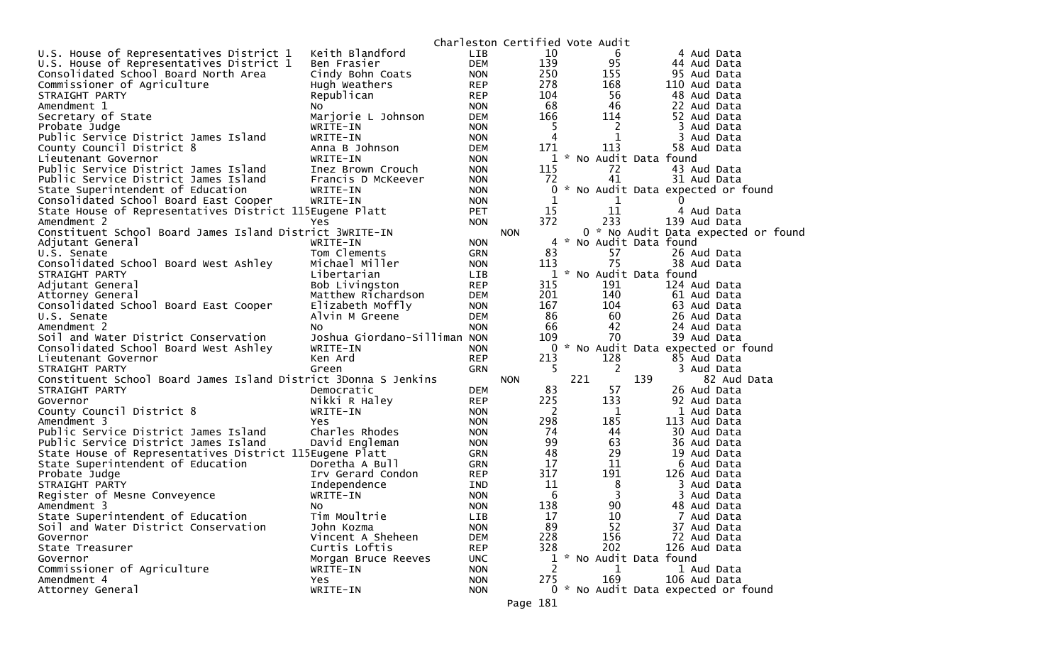|                                                                 |                              |                          | Charleston Certified Vote Audit |              |                       |                                     |
|-----------------------------------------------------------------|------------------------------|--------------------------|---------------------------------|--------------|-----------------------|-------------------------------------|
| U.S. House of Representatives District 1                        | Keith Blandford              | <b>LIB</b>               | 10                              |              | 6                     | 4 Aud Data                          |
| U.S. House of Representatives District 1                        | Ben Frasier                  | <b>DEM</b>               | 139                             |              | 95                    | 44 Aud Data                         |
| Consolidated School Board North Area                            | Cindy Bohn Coats             | <b>NON</b>               | 250                             |              | 155                   | 95 Aud Data                         |
| Commissioner of Agriculture                                     | Hugh Weathers                | <b>REP</b>               | 278                             |              | 168                   | 110 Aud Data                        |
| STRAIGHT PARTY                                                  | Republican                   | <b>REP</b>               | 104                             |              | 56                    | 48 Aud Data                         |
| Amendment 1                                                     | NO.                          | <b>NON</b>               | 68                              |              | 46                    | 22 Aud Data                         |
| Secretary of State                                              | Marjorie L Johnson           | <b>DEM</b>               | 166                             |              | 114                   | 52 Aud Data                         |
| Probate Judge                                                   | WRITE-IN                     | <b>NON</b>               | 5                               |              | 2                     | 3 Aud Data                          |
| Public Service District James Island                            | WRITE-IN                     | <b>NON</b>               | 4                               |              | 1                     | 3 Aud Data                          |
| County Council District 8                                       | Anna B Johnson               | <b>DEM</b>               | 171                             |              | 113                   | 58 Aud Data                         |
| Lieutenant Governor                                             | WRITE-IN                     | <b>NON</b>               |                                 | $\mathbf{1}$ | * No Audit Data found |                                     |
| Public Service District James Island                            | Inez Brown Crouch            | <b>NON</b>               | 115                             |              | 72                    | 43 Aud Data                         |
| Public Service District James Island                            | Francis D McKeever           | <b>NON</b>               | 72                              |              | 41                    | 31 Aud Data                         |
| State Superintendent of Education                               | WRITE-IN                     | <b>NON</b>               |                                 | $\mathbf{0}$ |                       | * No Audit Data expected or found   |
| Consolidated School Board East Cooper                           | WRITE-IN                     | <b>NON</b>               |                                 | 1            | 1                     | 0                                   |
| State House of Representatives District 115Eugene Platt         |                              | PET                      | 15                              |              | 11                    | 4 Aud Data                          |
| Amendment 2                                                     | Yes                          | <b>NON</b>               | 372                             |              | 233                   | 139 Aud Data                        |
| Constituent School Board James Island District 3WRITE-IN        |                              |                          | <b>NON</b>                      |              |                       | 0 * No Audit Data expected or found |
| Adjutant General                                                | WRITE-IN                     | <b>NON</b>               |                                 | 4            | No Audit Data found   |                                     |
| U.S. Senate                                                     | Tom Clements                 | <b>GRN</b>               | 83                              |              | 57                    | 26 Aud Data                         |
| Consolidated School Board West Ashley                           | Michael Miller               | <b>NON</b>               | 113                             |              | 75                    | 38 Aud Data                         |
| STRAIGHT PARTY                                                  | Libertarian                  | LIB                      |                                 | $\mathbf{1}$ | * No Audit Data found |                                     |
| Adjutant General                                                | Bob Livingston               | <b>REP</b>               | 315                             |              | 191                   | 124 Aud Data                        |
| Attorney General                                                | Matthew Richardson           | <b>DEM</b>               | 201                             |              | 140                   | 61 Aud Data                         |
| Consolidated School Board East Cooper                           | Elizabeth Moffly             | <b>NON</b>               | 167                             |              | 104                   | 63 Aud Data                         |
| U.S. Senate                                                     | Alvin M Greene               | <b>DEM</b>               | 86                              |              | 60                    | 26 Aud Data                         |
| Amendment 2                                                     | No.                          | <b>NON</b>               | 66                              |              | 42                    | 24 Aud Data                         |
| Soil and Water District Conservation                            | Joshua Giordano-Silliman NON |                          | 109                             |              | 70                    | 39 Aud Data                         |
| Consolidated School Board West Ashley                           | WRITE-IN                     | <b>NON</b>               |                                 |              |                       | 0 * No Audit Data expected or found |
| Lieutenant Governor                                             | Ken Ard                      | <b>REP</b>               | 213                             |              | 128                   | 85 Aud Data                         |
| STRAIGHT PARTY                                                  | Green                        | <b>GRN</b>               | -5                              |              | 2                     | 3 Aud Data                          |
| Constituent School Board James Island District 3Donna S Jenkins |                              |                          | <b>NON</b>                      | 221          | 139                   | 82 Aud Data                         |
| STRAIGHT PARTY                                                  | Democratic                   | <b>DEM</b>               | 83                              |              | 57                    | 26 Aud Data                         |
| Governor                                                        | Nikki R Haley                | <b>REP</b>               | 225                             |              | 133                   | 92 Aud Data                         |
| County Council District 8                                       | WRITE-IN                     | <b>NON</b>               | 2                               |              | 1                     | 1 Aud Data                          |
| Amendment 3                                                     | Yes                          | <b>NON</b>               | 298                             |              | 185                   | 113 Aud Data                        |
| Public Service District James Island                            | Charles Rhodes               |                          | 74                              |              | 44                    | 30 Aud Data                         |
| Public Service District James Island                            | David Engleman               | <b>NON</b><br><b>NON</b> | 99                              |              | 63                    | 36 Aud Data                         |
| State House of Representatives District 115Eugene Platt         |                              |                          | 48                              |              | 29                    | 19 Aud Data                         |
|                                                                 | Doretha A Bull               | GRN                      | 17                              |              | 11                    | 6 Aud Data                          |
| State Superintendent of Education<br>Probate Judge              |                              | GRN                      | 317                             |              | 191                   |                                     |
| STRAIGHT PARTY                                                  | Irv Gerard Condon            | <b>REP</b>               | 11                              |              | 8                     | 126 Aud Data<br>3 Aud Data          |
|                                                                 | Independence                 | IND                      | 6                               |              | 3                     |                                     |
| Register of Mesne Conveyence                                    | WRITE-IN                     | <b>NON</b>               |                                 |              |                       | 3 Aud Data                          |
| Amendment 3                                                     | NO.                          | <b>NON</b>               | 138                             |              | 90                    | 48 Aud Data                         |
| State Superintendent of Education                               | Tim Moultrie                 | LIB                      | 17                              |              | 10                    | 7 Aud Data                          |
| Soil and Water District Conservation                            | John Kozma                   | <b>NON</b>               | 89                              |              | 52                    | 37 Aud Data                         |
| Governor                                                        | Vincent A Sheheen            | DEM                      | 228                             |              | 156                   | 72 Aud Data                         |
| State Treasurer                                                 | Curtis Loftis                | <b>REP</b>               | 328                             |              | 202                   | 126 Aud Data                        |
| Governor                                                        | Morgan Bruce Reeves          | <b>UNC</b>               |                                 | $\mathbf{1}$ | * No Audit Data found |                                     |
| Commissioner of Agriculture                                     | WRITE-IN                     | <b>NON</b>               |                                 | 2            | 1                     | 1 Aud Data                          |
| Amendment 4                                                     | Yes                          | <b>NON</b>               | 275                             |              | 169                   | 106 Aud Data                        |
| Attorney General                                                | WRITE-IN                     | <b>NON</b>               |                                 |              |                       | 0 * No Audit Data expected or found |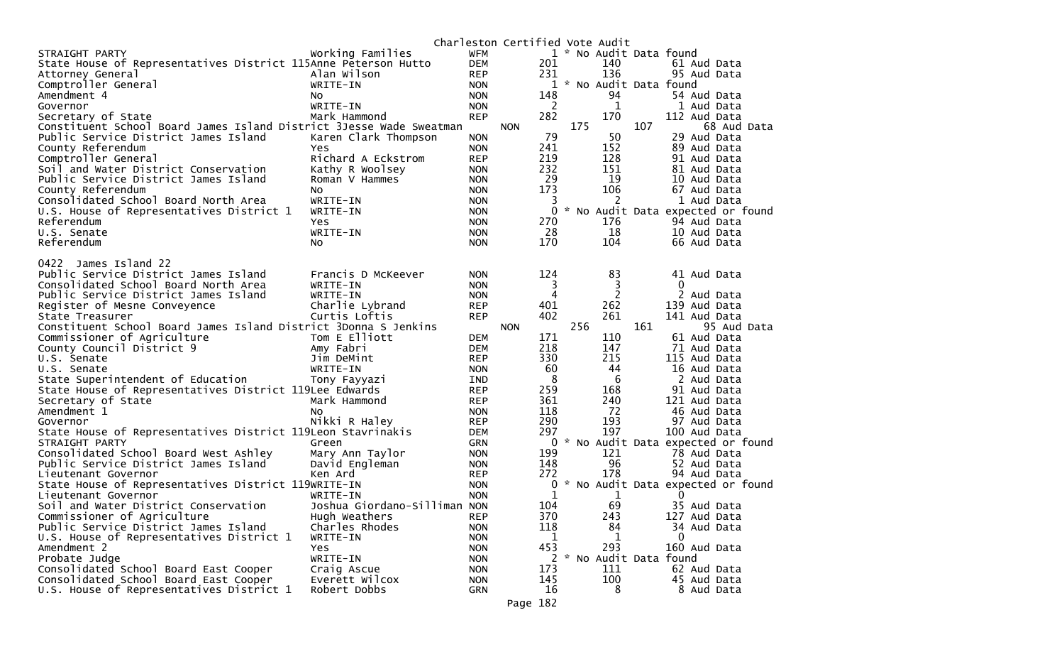|                                                                     |                               |                          |            |     |     | Charleston Certified Vote Audit |     |                                     |
|---------------------------------------------------------------------|-------------------------------|--------------------------|------------|-----|-----|---------------------------------|-----|-------------------------------------|
| STRAIGHT PARTY                                                      | Working Families              | WFM                      |            |     |     | 1 * No Audit Data found         |     |                                     |
| State House of Representatives District 115Anne Peterson Hutto      |                               | <b>DEM</b>               |            | 201 |     | 140                             |     | 61 Aud Data                         |
| Attorney General                                                    | Alan Wilson                   | <b>REP</b>               |            | 231 |     | 136                             |     | 95 Aud Data                         |
| Comptroller General                                                 | WRITE-IN                      | <b>NON</b>               |            |     |     | 1 * No Audit Data found         |     |                                     |
| Amendment 4                                                         | NO.                           | <b>NON</b>               |            | 148 |     | 94                              |     | 54 Aud Data                         |
| Governor                                                            | WRITE-IN                      | <b>NON</b>               |            | 2   |     | 1                               |     | 1 Aud Data                          |
| Secretary of State                                                  | Mark Hammond                  | <b>REP</b>               |            | 282 |     | 170                             |     | 112 Aud Data                        |
| Constituent School Board James Island District 3Jesse Wade Sweatman |                               |                          | <b>NON</b> |     | 175 |                                 | 107 | 68 Aud Data                         |
| Public Service District James Island                                | Karen Clark Thompson          | <b>NON</b>               |            | 79  |     | 50                              |     | 29 Aud Data                         |
| County Referendum                                                   | Yes                           | <b>NON</b>               |            | 241 |     | 152                             |     | 89 Aud Data                         |
| Comptroller General                                                 | Richard A Eckstrom            | <b>REP</b>               |            | 219 |     | 128                             |     | 91 Aud Data                         |
| Soil and Water District Conservation                                | Kathy R Woolsey               | <b>NON</b>               |            | 232 |     | 151                             |     | 81 Aud Data                         |
| Public Service District James Island                                | Roman V Hammes                | <b>NON</b>               |            | 29  |     | 19                              |     | 10 Aud Data                         |
| County Referendum                                                   | NO.                           | <b>NON</b>               |            | 173 |     | 106                             |     | 67 Aud Data                         |
| Consolidated School Board North Area                                | WRITE-IN                      | <b>NON</b>               |            | 3   |     | 2                               |     | 1 Aud Data                          |
| U.S. House of Representatives District 1                            | WRITE-IN                      | <b>NON</b>               |            | 0   |     |                                 |     | * No Audit Data expected or found   |
| Referendum                                                          | Yes                           | <b>NON</b>               |            | 270 |     | 176                             |     | 94 Aud Data                         |
| U.S. Senate                                                         | WRITE-IN                      | <b>NON</b>               |            | 28  |     | 18                              |     | 10 Aud Data                         |
| Referendum                                                          | No                            | <b>NON</b>               |            | 170 |     | 104                             |     | 66 Aud Data                         |
| 0422 James Island 22                                                |                               |                          |            |     |     |                                 |     |                                     |
| Public Service District James Island                                | Francis D McKeever            | <b>NON</b>               |            | 124 |     | 83                              |     | 41 Aud Data                         |
| Consolidated School Board North Area                                | WRITE-IN                      | <b>NON</b>               |            | 3   |     | 3                               |     | $\Omega$                            |
| Public Service District James Island                                | WRITE-IN                      | <b>NON</b>               |            | 4   |     | $\overline{2}$                  |     | 2 Aud Data                          |
| Register of Mesne Conveyence                                        | Charlie Lybrand               | <b>REP</b>               |            | 401 |     | 262                             |     | 139 Aud Data                        |
| State Treasurer                                                     | Curtis Loftis                 | <b>REP</b>               |            | 402 |     | 261                             |     | 141 Aud Data                        |
| Constituent School Board James Island District 3Donna S Jenkins     |                               |                          | <b>NON</b> |     | 256 |                                 | 161 | 95 Aud Data                         |
| Commissioner of Agriculture                                         | Tom E Elliott                 | <b>DEM</b>               |            | 171 |     | 110                             |     | 61 Aud Data                         |
| County Council District 9                                           | Amy Fabri                     | <b>DEM</b>               |            | 218 |     | 147                             |     | 71 Aud Data                         |
| U.S. Senate                                                         | Jim DeMint                    | <b>REP</b>               |            | 330 |     | 215                             |     | 115 Aud Data                        |
| U.S. Senate                                                         | WRITE-IN                      | <b>NON</b>               |            | 60  |     | 44                              |     | 16 Aud Data                         |
| State Superintendent of Education                                   | Tony Fayyazi                  | IND.                     |            | 8   |     | 6                               |     | 2 Aud Data                          |
| State House of Representatives District 119Lee Edwards              |                               | <b>REP</b>               |            | 259 |     | 168                             |     | 91 Aud Data                         |
| Secretary of State                                                  | Mark Hammond                  | <b>REP</b>               |            | 361 |     | 240                             |     | 121 Aud Data                        |
| Amendment 1                                                         | N0                            | <b>NON</b>               |            | 118 |     | 72                              |     | 46 Aud Data                         |
| Governor                                                            | Nikki R Haley                 | <b>REP</b>               |            | 290 |     | 193                             |     | 97 Aud Data                         |
| State House of Representatives District 119Leon Stavrinakis         |                               | <b>DEM</b>               |            | 297 |     | 197                             |     | 100 Aud Data                        |
| STRAIGHT PARTY                                                      | Green                         | <b>GRN</b>               |            |     |     |                                 |     | 0 * No Audit Data expected or found |
| Consolidated School Board West Ashley                               | Mary Ann Taylor               | <b>NON</b>               |            | 199 |     | 121                             |     | 78 Aud Data                         |
| Public Service District James Island                                | David Engleman                | <b>NON</b>               |            | 148 |     | 96                              |     | 52 Aud Data                         |
| Lieutenant Governor                                                 | Ken Ard                       | <b>REP</b>               |            | 272 |     | 178                             |     | 94 Aud Data                         |
| State House of Representatives District 119WRITE-IN                 |                               | <b>NON</b>               |            | 0   |     |                                 |     | * No Audit Data expected or found   |
| Lieutenant Governor                                                 | WRITE-IN                      | <b>NON</b>               |            | 1   |     | 1                               |     | 0                                   |
| Soil and Water District Conservation                                | Joshua Giordano-Silliman NON  |                          |            | 104 |     | 69                              |     | 35 Aud Data                         |
| Commissioner of Agriculture                                         | Hugh Weathers                 | <b>REP</b>               |            | 370 |     | 243                             |     | 127 Aud Data                        |
| Public Service District James Island                                | Charles Rhodes                | <b>NON</b>               |            | 118 |     | 84                              |     | 34 Aud Data<br>$\Omega$             |
| U.S. House of Representatives District 1                            | WRITE-IN                      | <b>NON</b>               |            | 1   |     | 1                               |     |                                     |
| Amendment 2                                                         | Yes                           | <b>NON</b>               |            | 453 |     | 293<br>2 * No Audit Data found  |     | 160 Aud Data                        |
| Probate Judge<br>Consolidated School Board East Cooper              | WRITE-IN                      | <b>NON</b>               |            | 173 |     | 111                             |     | 62 Aud Data                         |
| Consolidated School Board East Cooper                               | Craig Ascue<br>Everett Wilcox | <b>NON</b>               |            | 145 |     | 100                             |     | 45 Aud Data                         |
| U.S. House of Representatives District 1                            | Robert Dobbs                  | <b>NON</b><br><b>GRN</b> |            | 16  |     | 8                               |     | 8 Aud Data                          |
|                                                                     |                               |                          |            |     |     |                                 |     |                                     |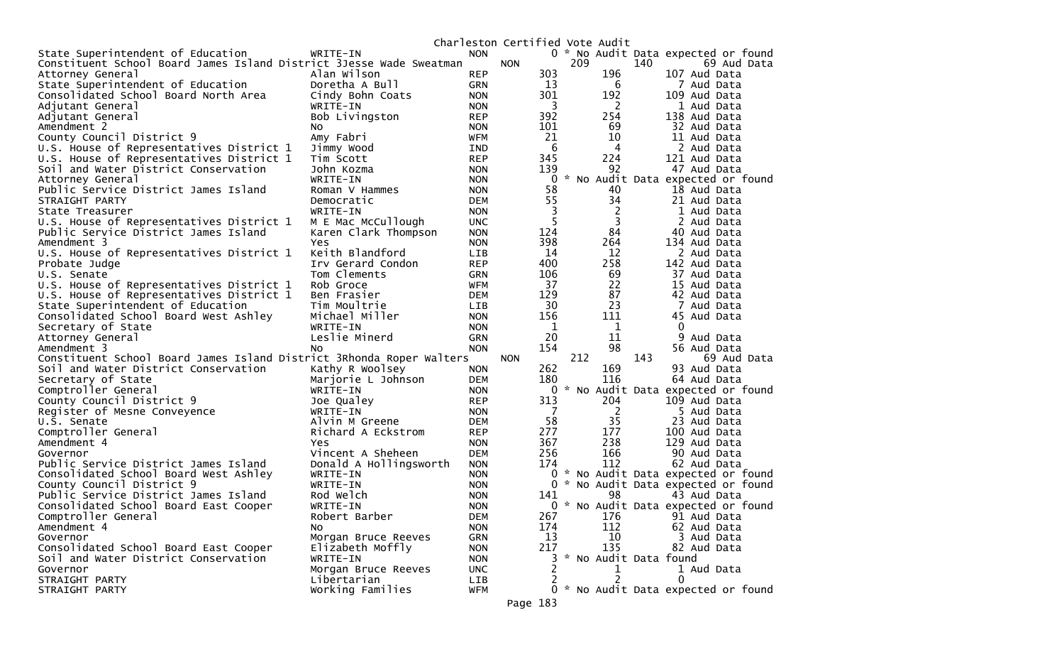|                                                                      |                        |            | Charleston Certified Vote Audit |          |        |                       |     |                                     |
|----------------------------------------------------------------------|------------------------|------------|---------------------------------|----------|--------|-----------------------|-----|-------------------------------------|
| State Superintendent of Education                                    | WRITE-IN               | <b>NON</b> |                                 |          |        |                       |     | 0 * No Audit Data expected or found |
| Constituent School Board James Island District 3Jesse Wade Sweatman  |                        |            | <b>NON</b>                      |          | 209    |                       | 140 | 69 Aud Data                         |
| Attorney General                                                     | Alan Wilson            | <b>REP</b> |                                 | 303      |        | 196                   |     | 107 Aud Data                        |
| State Superintendent of Education                                    | Doretha A Bull         | GRN        |                                 | 13       |        | 6                     |     | 7 Aud Data                          |
| Consolidated School Board North Area                                 | Cindy Bohn Coats       | <b>NON</b> |                                 | 301      |        | 192                   |     | 109 Aud Data                        |
| Adjutant General                                                     | WRITE-IN               | <b>NON</b> |                                 | 3        |        | 2                     |     | 1 Aud Data                          |
| Adjutant General                                                     | Bob Livingston         | <b>REP</b> |                                 | 392      |        | 254                   |     | 138 Aud Data                        |
| Amendment 2                                                          | NO.                    | <b>NON</b> |                                 | 101      |        | 69                    |     | 32 Aud Data                         |
| County Council District 9                                            | Amy Fabri              | <b>WFM</b> |                                 | 21       |        | 10                    |     | 11 Aud Data                         |
| U.S. House of Representatives District 1                             | Jimmy Wood             | IND        |                                 | 6        |        | 4                     |     | 2 Aud Data                          |
| U.S. House of Representatives District 1                             | Tim Scott              | <b>REP</b> |                                 | 345      |        | 224                   |     | 121 Aud Data                        |
| Soil and Water District Conservation                                 | John Kozma             | <b>NON</b> |                                 | 139      |        | 92                    |     | 47 Aud Data                         |
| Attorney General                                                     | WRITE-IN               | <b>NON</b> |                                 | 0        | $\sim$ |                       |     | No Audit Data expected or found     |
| Public Service District James Island                                 | Roman V Hammes         | <b>NON</b> |                                 | 58       |        | 40                    |     | 18 Aud Data                         |
|                                                                      |                        |            |                                 | 55       |        | 34                    |     |                                     |
| STRAIGHT PARTY                                                       | Democratic             | <b>DEM</b> |                                 |          |        |                       |     | 21 Aud Data                         |
| State Treasurer                                                      | WRITE-IN               | <b>NON</b> |                                 | 3        |        | 2                     |     | 1 Aud Data                          |
| U.S. House of Representatives District 1                             | M E Mac McCullough     | <b>UNC</b> |                                 | 5        |        | 3                     |     | 2 Aud Data                          |
| Public Service District James Island                                 | Karen Clark Thompson   | <b>NON</b> |                                 | 124      |        | 84                    |     | 40 Aud Data                         |
| Amendment 3                                                          | Yes                    | <b>NON</b> |                                 | 398      |        | 264                   |     | 134 Aud Data                        |
| U.S. House of Representatives District 1                             | Keith Blandford        | <b>LIB</b> |                                 | 14       |        | 12                    |     | 2 Aud Data                          |
| Probate Judge                                                        | Irv Gerard Condon      | <b>REP</b> |                                 | 400      |        | 258                   |     | 142 Aud Data                        |
| U.S. Senate                                                          | Tom Clements           | <b>GRN</b> |                                 | 106      |        | 69                    |     | 37 Aud Data                         |
| U.S. House of Representatives District 1                             | Rob Groce              | <b>WFM</b> |                                 | 37       |        | 22                    |     | 15 Aud Data                         |
| U.S. House of Representatives District 1                             | Ben Frasier            | <b>DEM</b> |                                 | 129      |        | 87                    |     | 42 Aud Data                         |
| State Superintendent of Education                                    | Tim Moultrie           | LIB        |                                 | 30       |        | 23                    |     | Aud Data                            |
| Consolidated School Board West Ashley                                | Michael Miller         | <b>NON</b> |                                 | 156      |        | 111                   |     | 45 Aud Data                         |
| Secretary of State                                                   | WRITE-IN               | <b>NON</b> |                                 | 1        |        | 1                     |     | 0                                   |
| Attorney General                                                     | Leslie Minerd          | <b>GRN</b> |                                 | 20       |        | 11                    |     | 9<br>Aud Data                       |
| Amendment 3                                                          | NO.                    | <b>NON</b> |                                 | 154      |        | 98                    |     | 56 Aud Data                         |
| Constituent School Board James Island District 3Rhonda Roper Walters |                        |            | <b>NON</b>                      |          | 212    |                       | 143 | 69 Aud Data                         |
| Soil and Water District Conservation                                 | Kathy R Woolsey        | <b>NON</b> |                                 | 262      |        | 169                   |     | 93 Aud Data                         |
| Secretary of State                                                   | Marjorie L Johnson     | <b>DEM</b> |                                 | 180      |        | 116                   |     | 64 Aud Data                         |
| Comptroller General                                                  | WRITE-IN               | <b>NON</b> |                                 | 0        |        |                       |     | * No Audit Data expected or found   |
| County Council District 9                                            | Joe Qualey             | <b>REP</b> |                                 | 313      |        | 204                   |     | 109 Aud Data                        |
| Register of Mesne Conveyence                                         | WRITE-IN               | <b>NON</b> |                                 | 7        |        | 2                     |     | 5 Aud Data                          |
| U.S. Senate                                                          | Alvin M Greene         | <b>DEM</b> |                                 | 58       |        | 35                    |     | 23 Aud Data                         |
| Comptroller General                                                  | Richard A Eckstrom     | <b>REP</b> |                                 | 277      |        | 177                   |     | 100 Aud Data                        |
| Amendment 4                                                          | <b>Yes</b>             | <b>NON</b> |                                 | 367      |        | 238                   |     | 129 Aud Data                        |
|                                                                      | Vincent A Sheheen      |            |                                 | 256      |        | 166                   |     | 90 Aud Data                         |
| Governor                                                             |                        | <b>DEM</b> |                                 | 174      |        | 112                   |     |                                     |
| Public Service District James Island                                 | Donald A Hollingsworth | <b>NON</b> |                                 |          |        |                       |     | 62 Aud Data                         |
| Consolidated School Board West Ashley                                | WRITE-IN               | <b>NON</b> |                                 | 0        |        |                       |     | * No Audit Data expected or found   |
| County Council District 9                                            | WRITE-IN               | <b>NON</b> |                                 | $\Omega$ |        |                       |     | * No Audit Data expected or found   |
| Public Service District James Island                                 | Rod Welch              | <b>NON</b> |                                 | 141      |        | 98                    |     | 43 Aud Data                         |
| Consolidated School Board East Cooper                                | WRITE-IN               | <b>NON</b> |                                 |          |        |                       |     | 0 * No Audit Data expected or found |
| Comptroller General                                                  | Robert Barber          | <b>DEM</b> |                                 | 267      |        | 176                   |     | 91 Aud Data                         |
| Amendment 4                                                          | NO.                    | <b>NON</b> |                                 | 174      |        | 112                   |     | 62 Aud Data                         |
| Governor                                                             | Morgan Bruce Reeves    | <b>GRN</b> |                                 | 13       |        | 10                    |     | 3 Aud Data                          |
| Consolidated School Board East Cooper                                | Elizabeth Moffly       | <b>NON</b> |                                 | 217      |        | 135                   |     | 82 Aud Data                         |
| Soil and Water District Conservation                                 | WRITE-IN               | <b>NON</b> |                                 | 3        |        | * No Audit Data found |     |                                     |
| Governor                                                             | Morgan Bruce Reeves    | <b>UNC</b> |                                 | 2        |        |                       |     | 1 Aud Data                          |
| STRAIGHT PARTY                                                       | Libertarian            | <b>LIB</b> |                                 |          |        |                       |     | $\mathbf{0}$                        |
| STRAIGHT PARTY                                                       | Working Families       | <b>WFM</b> |                                 |          |        |                       |     | 0 * No Audit Data expected or found |
|                                                                      |                        |            | Page 183                        |          |        |                       |     |                                     |
|                                                                      |                        |            |                                 |          |        |                       |     |                                     |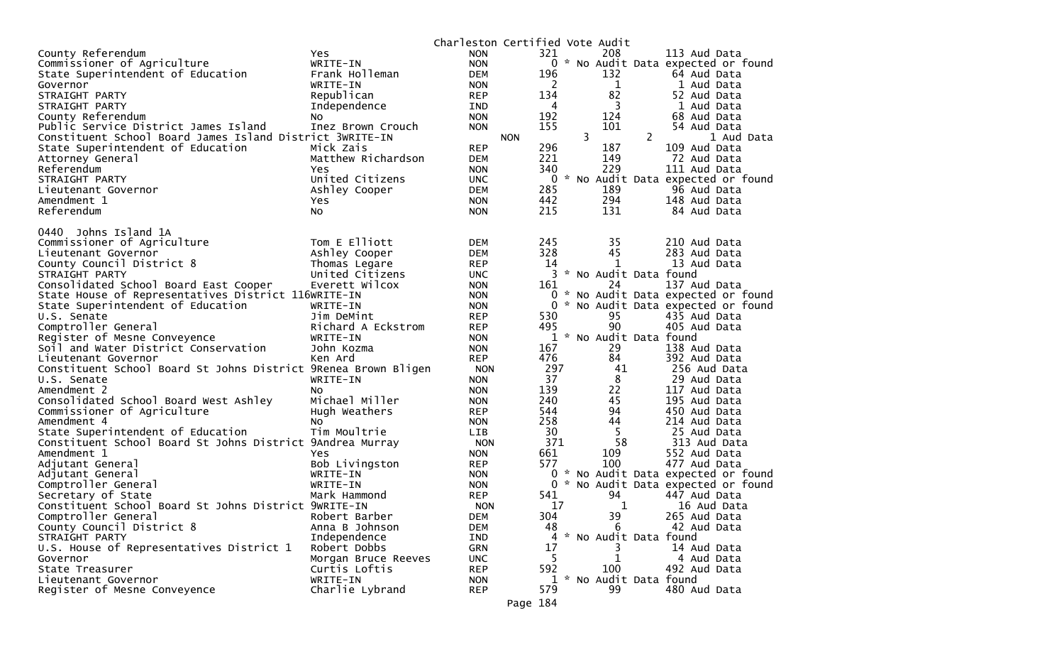|                                                                |                           | Charleston Certified Vote Audit |            |         |   |                         |                |                                     |
|----------------------------------------------------------------|---------------------------|---------------------------------|------------|---------|---|-------------------------|----------------|-------------------------------------|
| County Referendum                                              | Yes.                      | <b>NON</b>                      |            | 321     |   | 208                     |                | 113 Aud Data                        |
| Commissioner of Agriculture                                    | WRITE-IN                  | <b>NON</b>                      |            |         |   |                         |                | 0 * No Audit Data expected or found |
| State Superintendent of Education                              | Frank Holleman            | DEM                             |            | 196     |   | 132                     |                | 64 Aud Data                         |
| Governor                                                       | WRITE-IN                  | <b>NON</b>                      |            | 2       |   | 1                       |                | 1 Aud Data                          |
| STRAIGHT PARTY                                                 | Republican                | <b>REP</b>                      |            | 134     |   | 82                      |                | 52 Aud Data                         |
| STRAIGHT PARTY                                                 | Independence              | IND                             |            | 4       |   | 3                       |                | 1 Aud Data                          |
| County Referendum                                              | No                        | <b>NON</b>                      |            | 192     |   | 124                     |                | 68 Aud Data                         |
| Public Service District James Island                           | Inez Brown Crouch         | <b>NON</b>                      |            | 155     |   | 101                     |                | 54 Aud Data                         |
| Constituent School Board James Island District 3WRITE-IN       |                           |                                 | <b>NON</b> |         | 3 |                         | $\overline{2}$ | 1 Aud Data                          |
| State Superintendent of Education                              | Mick Zais                 | <b>REP</b>                      |            | 296     |   | 187                     |                | 109 Aud Data                        |
| Attorney General                                               | Matthew Richardson        | <b>DEM</b>                      |            | 221     |   | 149                     |                | 72 Aud Data                         |
| Referendum                                                     | Yes                       | <b>NON</b>                      |            | 340     |   | 229                     |                | 111 Aud Data                        |
| STRAIGHT PARTY                                                 | United Citizens           | <b>UNC</b>                      |            |         |   |                         |                | 0 * No Audit Data expected or found |
| Lieutenant Governor                                            | Ashley Cooper             | DEM                             |            | 285     |   | 189                     |                | 96 Aud Data                         |
| Amendment 1                                                    | Yes.                      | <b>NON</b>                      |            | 442     |   | 294                     |                | 148 Aud Data                        |
| Referendum                                                     | No                        | <b>NON</b>                      |            | 215     |   | 131                     |                | 84 Aud Data                         |
| 0440 Johns Island 1A                                           |                           |                                 |            |         |   |                         |                |                                     |
| Commissioner of Agriculture                                    | Tom E Elliott             | <b>DEM</b>                      |            | 245     |   | 35                      |                | 210 Aud Data                        |
| Lieutenant Governor                                            | Ashley Cooper             | <b>DEM</b>                      |            | 328     |   | 45                      |                | 283 Aud Data                        |
| County Council District 8                                      | Thomas Legare             | <b>REP</b>                      |            | 14      |   | 1                       |                | 13 Aud Data                         |
| STRAIGHT PARTY                                                 | United Citizens           | <b>UNC</b>                      |            |         |   | 3 * No Audit Data found |                |                                     |
| Consolidated School Board East Cooper                          | Everett Wilcox            | <b>NON</b>                      |            | 161     |   | 24                      |                | 137 Aud Data                        |
| State House of Representatives District 116WRITE-IN            |                           | <b>NON</b>                      |            |         |   |                         |                | 0 * No Audit Data expected or found |
| State Superintendent of Education                              | WRITE-IN                  | <b>NON</b>                      |            |         |   |                         |                | 0 * No Audit Data expected or found |
| U.S. Senate                                                    | Jim DeMint                | <b>REP</b>                      |            | 530     |   | 95                      |                | 435 Aud Data                        |
| Comptroller General                                            | Richard A Eckstrom        | <b>REP</b>                      |            | 495     |   | 90                      |                | 405 Aud Data                        |
| Register of Mesne Conveyence                                   | WRITE-IN                  | <b>NON</b>                      |            |         |   | 1 * No Audit Data found |                |                                     |
| Soil and Water District Conservation                           | John Kozma                | <b>NON</b>                      |            | 167     |   | 29                      |                | 138 Aud Data                        |
| Lieutenant Governor                                            | Ken Ard                   | <b>REP</b>                      |            | 476     |   | 84                      |                | 392 Aud Data                        |
| Constituent School Board St Johns District 9Renea Brown Bligen |                           | <b>NON</b>                      |            | 297     |   | 41                      |                | 256 Aud Data                        |
| U.S. Senate                                                    | WRITE-IN                  | <b>NON</b>                      |            | 37      |   | 8                       |                | 29 Aud Data                         |
| Amendment 2                                                    | No                        | <b>NON</b>                      |            | 139     |   | 22                      |                | 117 Aud Data                        |
| Consolidated School Board West Ashley                          | Michael Miller            | <b>NON</b>                      |            | 240     |   | 45                      |                | 195 Aud Data                        |
| Commissioner of Agriculture                                    | Hugh Weathers             | <b>REP</b>                      |            | 544     |   | 94                      |                | 450 Aud Data                        |
| Amendment 4                                                    | No                        | <b>NON</b>                      |            | 258     |   | 44                      |                | 214 Aud Data                        |
| State Superintendent of Education                              | Tim Moultrie              | <b>LIB</b>                      |            | 30      |   | 5                       |                | 25 Aud Data                         |
| Constituent School Board St Johns District 9Andrea Murray      |                           | <b>NON</b>                      |            | 371     |   | 58                      |                | 313 Aud Data                        |
| Amendment 1                                                    | Yes                       | <b>NON</b>                      |            | 661     |   | 109                     |                | 552 Aud Data                        |
| Adjutant General                                               | Bob Livingston            | <b>REP</b>                      |            | 577     |   | 100                     |                | 477 Aud Data                        |
| Adjutant General                                               | WRITE-IN                  | <b>NON</b>                      |            |         |   |                         |                | 0 * No Audit Data expected or found |
| Comptroller General                                            | WRITE-IN                  | <b>NON</b>                      |            |         |   |                         |                | 0 * No Audit Data expected or found |
| Secretary of State                                             | Mark Hammond              | <b>REP</b>                      |            | 541     |   | 94                      |                | 447 Aud Data                        |
| Constituent School Board St Johns District 9WRITE-IN           |                           | <b>NON</b>                      |            | 17      |   | 1                       |                | 16 Aud Data                         |
| Comptroller General                                            | Robert Barber             | <b>DEM</b>                      |            | 304     |   | 39                      |                | 265 Aud Data                        |
| County Council District 8                                      | Anna B Johnson            | <b>DEM</b>                      |            | 48      |   | 6                       |                | 42 Aud Data                         |
| STRAIGHT PARTY                                                 | Independence              | IND                             |            | 4       |   | * No Audit Data found   |                |                                     |
| U.S. House of Representatives District 1                       | Robert Dobbs              | GRN                             |            | 17<br>5 |   | 3<br>1                  |                | 14 Aud Data                         |
| Governor                                                       | Morgan Bruce Reeves       | <b>UNC</b>                      |            | 592     |   | 100                     |                | 4 Aud Data                          |
| State Treasurer<br>Lieutenant Governor                         | Curtis Loftis<br>WRITE-IN | <b>REP</b>                      |            |         |   | 1 * No Audit Data found |                | 492 Aud Data                        |
| Register of Mesne Conveyence                                   | Charlie Lybrand           | <b>NON</b><br><b>REP</b>        |            | 579     |   | 99                      |                | 480 Aud Data                        |
|                                                                |                           |                                 |            |         |   |                         |                |                                     |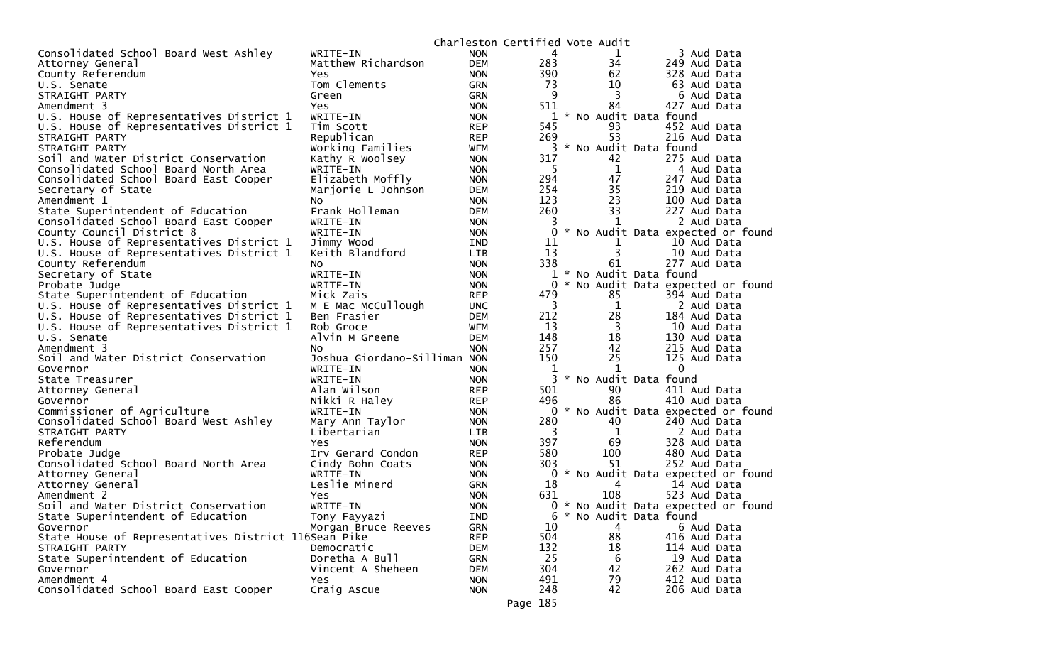|                                                         |                                |                          | Charleston Certified Vote Audit |                    |                             |                                     |
|---------------------------------------------------------|--------------------------------|--------------------------|---------------------------------|--------------------|-----------------------------|-------------------------------------|
| Consolidated School Board West Ashley                   | WRITE-IN                       | <b>NON</b>               | 4                               |                    | 1                           | 3 Aud Data                          |
| Attorney General                                        | Matthew Richardson             | <b>DEM</b>               | 283                             |                    | 34                          | 249 Aud Data                        |
| County Referendum                                       | <b>Yes</b>                     | <b>NON</b>               | 390                             |                    | 62                          | 328 Aud Data                        |
| U.S. Senate                                             | Tom Clements                   | <b>GRN</b>               | 73                              |                    | 10                          | 63 Aud Data                         |
| STRAIGHT PARTY                                          | Green                          | <b>GRN</b>               | 9                               |                    | 3                           | 6 Aud Data                          |
| Amendment 3                                             | <b>Yes</b>                     | <b>NON</b>               | 511                             |                    | 84                          | 427 Aud Data                        |
| U.S. House of Representatives District 1                | WRITE-IN                       | <b>NON</b>               | 1                               | Ж.,                | No Audit Data found         |                                     |
| U.S. House of Representatives District 1                | Tim Scott                      | <b>REP</b>               | 545                             |                    | 93                          | 452 Aud Data                        |
| STRAIGHT PARTY                                          | Republican                     | <b>REP</b>               | 269                             |                    | 53                          | 216 Aud Data                        |
| STRAIGHT PARTY                                          | Working Families               | <b>WFM</b>               | 3                               |                    | * No Audit Data found       |                                     |
| Soil and Water District Conservation                    | Kathy R Woolsey                | <b>NON</b>               | 317                             |                    | 42                          | 275 Aud Data                        |
| Consolidated School Board North Area                    | WRITE-IN                       | <b>NON</b>               | 5                               |                    | $\mathbf 1$                 | 4 Aud Data                          |
| Consolidated School Board East Cooper                   | Elizabeth Moffly               | <b>NON</b>               | 294                             |                    | 47                          | 247 Aud Data                        |
| Secretary of State                                      | Marjorie L Johnson             | <b>DEM</b>               | 254                             |                    | 35                          | 219 Aud Data                        |
| Amendment 1                                             | No.                            | <b>NON</b>               | 123                             |                    | 23                          | 100 Aud Data                        |
| State Superintendent of Education                       | Frank Holleman                 | <b>DEM</b>               | 260                             |                    | 33                          | 227 Aud Data                        |
| Consolidated School Board East Cooper                   | WRITE-IN                       | <b>NON</b>               | 3                               |                    | 1                           | 2 Aud Data                          |
| County Council District 8                               | WRITE-IN                       | <b>NON</b>               | 0                               |                    |                             | * No Audit Data expected or found   |
| U.S. House of Representatives District 1                | Jimmy Wood                     | IND                      | 11                              |                    | 1                           | 10 Aud Data                         |
| U.S. House of Representatives District 1                | Keith Blandford                | LIB                      | 13                              |                    | 3                           | 10 Aud Data                         |
| County Referendum                                       | No                             | <b>NON</b>               | 338                             |                    | 61                          | 277 Aud Data                        |
| Secretary of State                                      | WRITE-IN                       | <b>NON</b>               | 1                               | *                  | No Audit Data found         |                                     |
| Probate Judge                                           | WRITE-IN                       | <b>NON</b>               | $\Omega$                        |                    |                             | * No Audit Data expected or found   |
| State Superintendent of Education                       | Mick Zais                      | <b>REP</b>               | 479                             |                    | 85                          | 394 Aud Data                        |
| U.S. House of Representatives District 1                | M E Mac McCullough             | <b>UNC</b>               | 3                               |                    | 1                           | 2 Aud Data                          |
| U.S. House of Representatives District 1                | Ben Frasier                    | <b>DEM</b>               | 212                             |                    | 28                          | 184 Aud Data                        |
| U.S. House of Representatives District 1                | Rob Groce                      | <b>WFM</b>               | 13                              |                    | 3                           | 10 Aud Data                         |
| U.S. Senate                                             | Alvin M Greene                 | <b>DEM</b>               | 148                             |                    | 18                          | 130 Aud Data                        |
| Amendment 3                                             | N <sub>O</sub>                 | <b>NON</b>               | 257                             |                    | 42                          | 215 Aud Data                        |
| Soil and Water District Conservation                    | Joshua Giordano-Silliman NON   |                          | 150                             |                    | 25                          | 125 Aud Data                        |
| Governor                                                | WRITE-IN                       | <b>NON</b>               | 1                               |                    | 1                           | $\mathbf 0$                         |
| State Treasurer                                         | WRITE-IN                       | <b>NON</b>               |                                 |                    | * No Audit Data found<br>90 |                                     |
| Attorney General                                        | Alan Wilson                    | <b>REP</b>               | 501<br>496                      |                    | 86                          | 411 Aud Data<br>410 Aud Data        |
| Governor                                                | Nikki R Haley                  | <b>REP</b>               | 0                               |                    |                             | * No Audit Data expected or found   |
| Commissioner of Agriculture                             | WRITE-IN                       | <b>NON</b><br><b>NON</b> | 280                             |                    | 40                          | 240 Aud Data                        |
| Consolidated School Board West Ashley<br>STRAIGHT PARTY | Mary Ann Taylor<br>Libertarian | <b>LIB</b>               | 3                               |                    | 1                           |                                     |
| Referendum                                              | Yes                            | <b>NON</b>               | 397                             |                    | 69                          | 2 Aud Data<br>328 Aud Data          |
| Probate Judge                                           | Irv Gerard Condon              | <b>REP</b>               | 580                             |                    | 100                         | 480 Aud Data                        |
| Consolidated School Board North Area                    | Cindy Bohn Coats               | <b>NON</b>               | 303                             |                    | 51                          | 252 Aud Data                        |
| Attorney General                                        | WRITE-IN                       | <b>NON</b>               |                                 |                    |                             | 0 * No Audit Data expected or found |
| Attorney General                                        | Leslie Minerd                  | <b>GRN</b>               | 18                              |                    | 4                           | 14 Aud Data                         |
| Amendment 2                                             | Yes                            | <b>NON</b>               | 631                             |                    | 108                         | 523 Aud Data                        |
| Soil and Water District Conservation                    | WRITE-IN                       | <b>NON</b>               |                                 |                    |                             | 0 * No Audit Data expected or found |
| State Superintendent of Education                       | Tony Fayyazi                   | IND                      | b                               | $\boldsymbol{\pi}$ | No Audit Data found         |                                     |
| Governor                                                | Morgan Bruce Reeves            | <b>GRN</b>               | 10                              |                    | 4                           | 6 Aud Data                          |
| State House of Representatives District 116Sean Pike    |                                | <b>REP</b>               | 504                             |                    | 88                          | 416 Aud Data                        |
| STRAIGHT PARTY                                          | Democratic                     | DEM                      | 132                             |                    | 18                          | 114 Aud Data                        |
| State Superintendent of Education                       | Doretha A Bull                 | <b>GRN</b>               | 25                              |                    | 6                           | 19 Aud Data                         |
| Governor                                                | Vincent A Sheheen              | DEM                      | 304                             |                    | 42                          | 262 Aud Data                        |
| Amendment 4                                             | Yes                            | <b>NON</b>               | 491                             |                    | 79                          | 412 Aud Data                        |
| Consolidated School Board East Cooper                   | Craig Ascue                    | <b>NON</b>               | 248                             |                    | 42                          | 206 Aud Data                        |
|                                                         |                                |                          |                                 |                    |                             |                                     |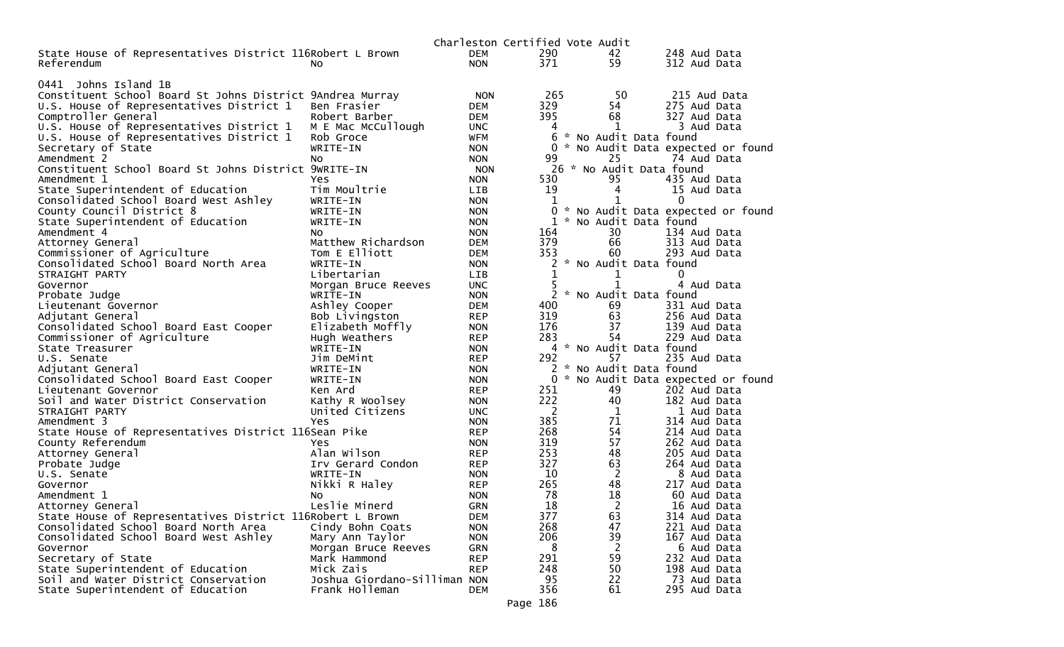|                                                                |                              |                          | Charleston Certified Vote Audit |                          |                                   |
|----------------------------------------------------------------|------------------------------|--------------------------|---------------------------------|--------------------------|-----------------------------------|
| State House of Representatives District 116Robert L Brown      |                              | DEM                      | 290                             | 42                       | 248 Aud Data                      |
| Referendum                                                     | No.                          | <b>NON</b>               | 371                             | 59                       | 312 Aud Data                      |
|                                                                |                              |                          |                                 |                          |                                   |
| 0441 Johns Island 1B                                           |                              |                          |                                 |                          |                                   |
| Constituent School Board St Johns District 9Andrea Murray      |                              | <b>NON</b>               | 265                             | 50                       | 215 Aud Data                      |
| U.S. House of Representatives District 1                       | Ben Frasier                  | <b>DEM</b>               | 329                             | 54                       | 275 Aud Data                      |
| Comptroller General                                            | Robert Barber                | DEM                      | 395                             | 68                       | 327 Aud Data                      |
| U.S. House of Representatives District 1                       | M E Mac McCullough           | <b>UNC</b>               | 4                               | 1                        | 3 Aud Data                        |
| U.S. House of Representatives District 1                       | Rob Groce                    | <b>WFM</b>               | 6                               | * No Audit Data found    |                                   |
| Secretary of State                                             | WRITE-IN                     | <b>NON</b>               | 0                               |                          | * No Audit Data expected or found |
| Amendment 2                                                    | No.                          | <b>NON</b>               | 99                              | 25                       | 74 Aud Data                       |
| Constituent School Board St Johns District 9WRITE-IN           |                              | <b>NON</b>               |                                 | 26 * No Audit Data found |                                   |
| Amendment 1                                                    | Yes                          | <b>NON</b>               | 530                             | 95                       | 435 Aud Data                      |
| State Superintendent of Education                              | Tim Moultrie                 | <b>LIB</b>               | 19<br>1                         | 4<br>1                   | 15 Aud Data<br>0                  |
| Consolidated School Board West Ashley                          | WRITE-IN<br>WRITE-IN         | <b>NON</b>               | $\mathbf{0}$                    |                          |                                   |
| County Council District 8<br>State Superintendent of Education | WRITE-IN                     | <b>NON</b><br><b>NON</b> | 1<br>*                          | No Audit Data found      | * No Audit Data expected or found |
| Amendment 4                                                    | No.                          | <b>NON</b>               | 164                             | 30                       | 134 Aud Data                      |
|                                                                | Matthew Richardson           | <b>DEM</b>               | 379                             | 66                       | 313 Aud Data                      |
| Attorney General<br>Commissioner of Agriculture                | Tom E Elliott                | DEM                      | 353                             | 60                       | 293 Aud Data                      |
| Consolidated School Board North Area                           | WRITE-IN                     | <b>NON</b>               |                                 | * No Audit Data found    |                                   |
| STRAIGHT PARTY                                                 | Libertarian                  | LIB.                     | 1                               | 1                        | 0                                 |
| Governor                                                       | Morgan Bruce Reeves          | UNC.                     |                                 | $\mathbf{1}$             | 4 Aud Data                        |
| Probate Judge                                                  | WRITE-IN                     | <b>NON</b>               | 2                               | * No Audit Data found    |                                   |
| Lieutenant Governor                                            | Ashley Cooper                | DEM                      | 400                             | 69                       | 331 Aud Data                      |
| Adjutant General                                               | Bob Livingston               | <b>REP</b>               | 319                             | 63                       | 256 Aud Data                      |
| Consolidated School Board East Cooper                          | Elizabeth Moffly             | <b>NON</b>               | 176                             | 37                       | 139 Aud Data                      |
| Commissioner of Agriculture                                    | Hugh Weathers                | <b>REP</b>               | 283                             | 54                       | 229 Aud Data                      |
| State Treasurer                                                | WRITE-IN                     | <b>NON</b>               |                                 | 4 * No Audit Data found  |                                   |
| U.S. Senate                                                    | Jim DeMint                   | <b>REP</b>               | 292                             | 57                       | 235 Aud Data                      |
| Adjutant General                                               | WRITE-IN                     | <b>NON</b>               | $\mathcal{H}$<br>2              | No Audit Data found      |                                   |
| Consolidated School Board East Cooper                          | WRITE-IN                     | <b>NON</b>               | $\mathbf{0}$                    |                          | * No Audit Data expected or found |
| Lieutenant Governor                                            | Ken Ard                      | <b>REP</b>               | 251                             | 49                       | 202 Aud Data                      |
| Soil and Water District Conservation                           | Kathy R Woolsey              | <b>NON</b>               | 222                             | 40                       | 182 Aud Data                      |
| STRAIGHT PARTY                                                 | United Citizens              | <b>UNC</b>               | 2                               | 1                        | 1 Aud Data                        |
| Amendment 3                                                    | Yes                          | <b>NON</b>               | 385                             | 71                       | 314 Aud Data                      |
| State House of Representatives District 116Sean Pike           |                              | <b>REP</b>               | 268                             | 54                       | 214 Aud Data                      |
| County Referendum                                              | <b>Yes</b>                   | <b>NON</b>               | 319                             | 57                       | 262 Aud Data                      |
| Attorney General                                               | Alan Wilson                  | <b>REP</b>               | 253                             | 48                       | 205 Aud Data                      |
| Probate Judge                                                  | Irv Gerard Condon            | <b>REP</b>               | 327                             | 63                       | 264 Aud Data                      |
| U.S. Senate                                                    | WRITE-IN                     | <b>NON</b>               | 10                              | $\overline{2}$           | 8 Aud Data                        |
| Governor                                                       | Nikki R Haley                | <b>REP</b>               | 265                             | 48                       | 217 Aud Data                      |
| Amendment 1                                                    | No.                          | <b>NON</b>               | 78                              | 18                       | 60 Aud Data                       |
| Attorney General                                               | Leslie Minerd                | <b>GRN</b>               | 18                              | 2                        | 16 Aud Data                       |
| State House of Representatives District 116Robert L Brown      |                              | <b>DEM</b>               | 377                             | 63                       | 314 Aud Data                      |
| Consolidated School Board North Area                           | Cindy Bohn Coats             | <b>NON</b>               | 268                             | 47                       | 221 Aud Data                      |
| Consolidated School Board West Ashley                          | Mary Ann Taylor              | <b>NON</b>               | 206                             | 39                       | 167 Aud Data                      |
| Governor<br>Secretary of State                                 | Morgan Bruce Reeves          | <b>GRN</b>               | 8<br>291                        | 2<br>59                  | 6 Aud Data<br>232 Aud Data        |
| State Superintendent of Education                              | Mark Hammond<br>Mick Zais    | <b>REP</b><br><b>REP</b> | 248                             | 50                       | 198 Aud Data                      |
| Soil and Water District Conservation                           | Joshua Giordano-Silliman NON |                          | 95                              | 22                       | 73 Aud Data                       |
| State Superintendent of Education                              | Frank Holleman               | <b>DEM</b>               | 356                             | 61                       | 295 Aud Data                      |
|                                                                |                              |                          |                                 |                          |                                   |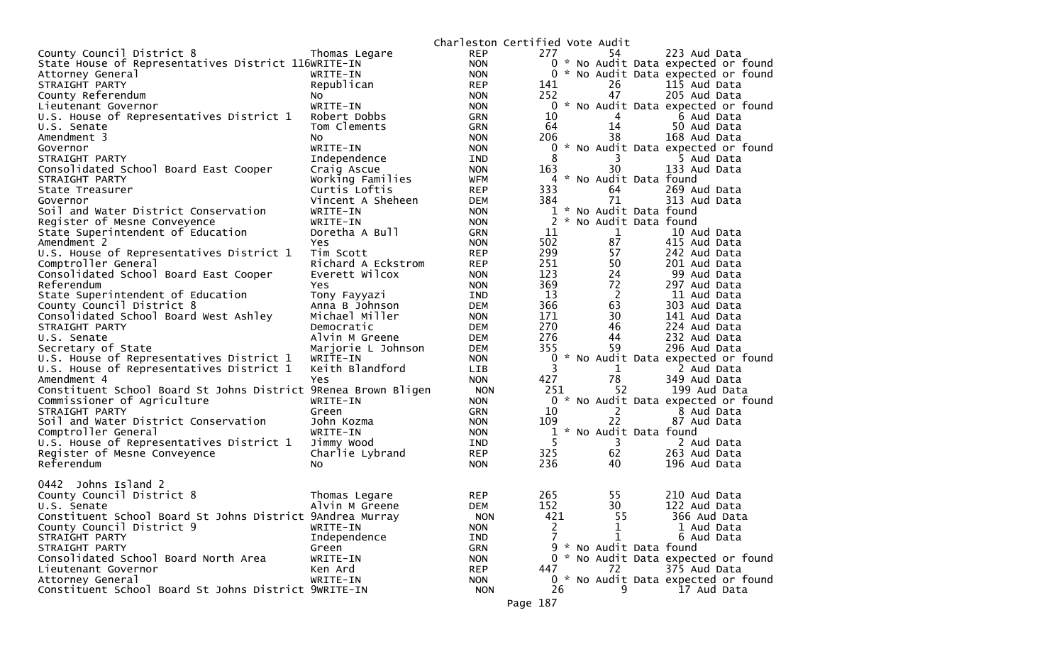|                                                                |                                |            | Charleston Certified Vote Audit |                         |                                     |
|----------------------------------------------------------------|--------------------------------|------------|---------------------------------|-------------------------|-------------------------------------|
| County Council District 8                                      | Thomas Legare                  | <b>REP</b> | 277                             | 54                      | 223 Aud Data                        |
| State House of Representatives District 116WRITE-IN            |                                | <b>NON</b> |                                 |                         | 0 * No Audit Data expected or found |
| Attorney General                                               | WRITE-IN                       | <b>NON</b> |                                 |                         | 0 * No Audit Data expected or found |
| STRAIGHT PARTY                                                 | Republican                     | <b>REP</b> | 141                             | 26                      | 115 Aud Data                        |
| County Referendum                                              | NO.                            | <b>NON</b> | 252                             | 47                      | 205 Aud Data                        |
| Lieutenant Governor                                            | WRITE-IN                       | <b>NON</b> |                                 |                         | 0 * No Audit Data expected or found |
| U.S. House of Representatives District 1                       | Robert Dobbs                   | <b>GRN</b> | 10                              | $\overline{4}$          | 6 Aud Data                          |
| U.S. Senate                                                    | Tom Clements                   | <b>GRN</b> | 64                              | 14                      | 50 Aud Data                         |
| Amendment 3                                                    | NO.                            | <b>NON</b> | 206                             | 38                      | 168 Aud Data                        |
| Governor                                                       | WRITE-IN                       | <b>NON</b> |                                 |                         | 0 * No Audit Data expected or found |
| STRAIGHT PARTY                                                 | Independence                   | <b>IND</b> | 8                               | 3                       | 5 Aud Data                          |
| Consolidated School Board East Cooper                          | Craig Ascue                    | <b>NON</b> | 163                             | 30                      | 133 Aud Data                        |
| STRAIGHT PARTY                                                 | Working Families               | <b>WFM</b> |                                 | 4 * No Audit Data found |                                     |
| State Treasurer                                                | Curtis Loftis                  | <b>REP</b> | 333                             | 64                      | 269 Aud Data                        |
| Governor                                                       | Vincent A Sheheen              | <b>DEM</b> | 384                             | 71                      | 313 Aud Data                        |
| Soil and Water District Conservation                           | WRITE-IN                       | <b>NON</b> |                                 | 1 * No Audit Data found |                                     |
| Register of Mesne Conveyence                                   | WRITE-IN                       | <b>NON</b> | $\mathbf{2}$                    | * No Audit Data found   |                                     |
| State Superintendent of Education                              | Doretha A Bull                 | <b>GRN</b> | 11                              | $\mathbf{1}$            | 10 Aud Data                         |
| Amendment 2                                                    | Yes                            | <b>NON</b> | 502                             | 87                      | 415 Aud Data                        |
| U.S. House of Representatives District 1                       | Tim Scott                      | <b>REP</b> | 299                             | 57                      | 242 Aud Data                        |
| Comptroller General                                            | Richard A Eckstrom             | <b>REP</b> | 251                             | 50                      | 201 Aud Data                        |
| Consolidated School Board East Cooper                          | Everett Wilcox                 | <b>NON</b> | 123                             | 24                      | 99 Aud Data                         |
| Referendum                                                     | Yes                            | <b>NON</b> | 369                             | 72                      | 297 Aud Data                        |
| State Superintendent of Education                              | Tony Fayyazi                   | IND        | 13<br>366                       | $\overline{2}$          | 11 Aud Data<br>303 Aud Data         |
| County Council District 8                                      | Anna B Johnson                 | DEM        |                                 | 63<br>30                |                                     |
| Consolidated School Board West Ashley<br>STRAIGHT PARTY        | Michael Miller                 | <b>NON</b> | 171<br>270                      | 46                      | 141 Aud Data<br>224 Aud Data        |
| U.S. Senate                                                    | Democratic<br>Alvin M Greene   | <b>DEM</b> | 276                             | 44                      | 232 Aud Data                        |
| Secretary of State                                             |                                | DEM<br>DEM | 355                             | 59                      | 296 Aud Data                        |
| U.S. House of Representatives District 1                       | Marjorie L Johnson<br>WRITE-IN | <b>NON</b> | 0                               |                         | * No Audit Data expected or found   |
| U.S. House of Representatives District 1                       | Keith Blandford                | <b>LIB</b> | 3                               | $\mathbf{1}$            | 2 Aud Data                          |
| Amendment 4                                                    | Yes                            | <b>NON</b> | 427                             | 78                      | 349 Aud Data                        |
| Constituent School Board St Johns District 9Renea Brown Bligen |                                | <b>NON</b> | 251                             | 52                      | 199 Aud Data                        |
| Commissioner of Agriculture                                    | WRITE-IN                       | <b>NON</b> |                                 |                         | 0 * No Audit Data expected or found |
| STRAIGHT PARTY                                                 | Green                          | <b>GRN</b> | 10                              | $2^{\circ}$             | 8 Aud Data                          |
| Soil and Water District Conservation                           | John Kozma                     | <b>NON</b> | 109                             | 22                      | 87 Aud Data                         |
| Comptroller General                                            | WRITE-IN                       | <b>NON</b> |                                 | * No Audit Data found   |                                     |
| U.S. House of Representatives District 1                       | Jimmy Wood                     | IND        | 5                               | 3                       | 2 Aud Data                          |
| Register of Mesne Conveyence                                   | Charlie Lybrand                | <b>REP</b> | 325                             | 62                      | 263 Aud Data                        |
| Referendum                                                     | No                             | <b>NON</b> | 236                             | 40                      | 196 Aud Data                        |
|                                                                |                                |            |                                 |                         |                                     |
| 0442 Johns Island 2                                            |                                |            |                                 |                         |                                     |
| County Council District 8                                      | Thomas Legare                  | <b>REP</b> | 265                             | 55                      | 210 Aud Data                        |
| U.S. Senate                                                    | Alvin M Greene                 | <b>DEM</b> | 152                             | 30                      | 122 Aud Data                        |
| Constituent School Board St Johns District 9Andrea Murray      |                                | <b>NON</b> | 421                             | 55                      | 366 Aud Data                        |
| County Council District 9                                      | WRITE-IN                       | <b>NON</b> | 2                               | 1                       | 1 Aud Data                          |
| STRAIGHT PARTY                                                 | Independence                   | IND        | $\overline{7}$                  | 1                       | 6 Aud Data                          |
| STRAIGHT PARTY                                                 | Green                          | <b>GRN</b> |                                 | 9 * No Audit Data found |                                     |
| Consolidated School Board North Area                           | WRITE-IN                       | <b>NON</b> |                                 |                         | 0 * No Audit Data expected or found |
| Lieutenant Governor                                            | Ken Ard                        | <b>REP</b> | 447                             | 72                      | 375 Aud Data                        |
| Attorney General                                               | WRITE-IN                       | <b>NON</b> |                                 |                         | 0 * No Audit Data expected or found |
| Constituent School Board St Johns District 9wRITE-IN           |                                | <b>NON</b> | 26                              | 9                       | 17 Aud Data                         |
|                                                                |                                |            | Page 187                        |                         |                                     |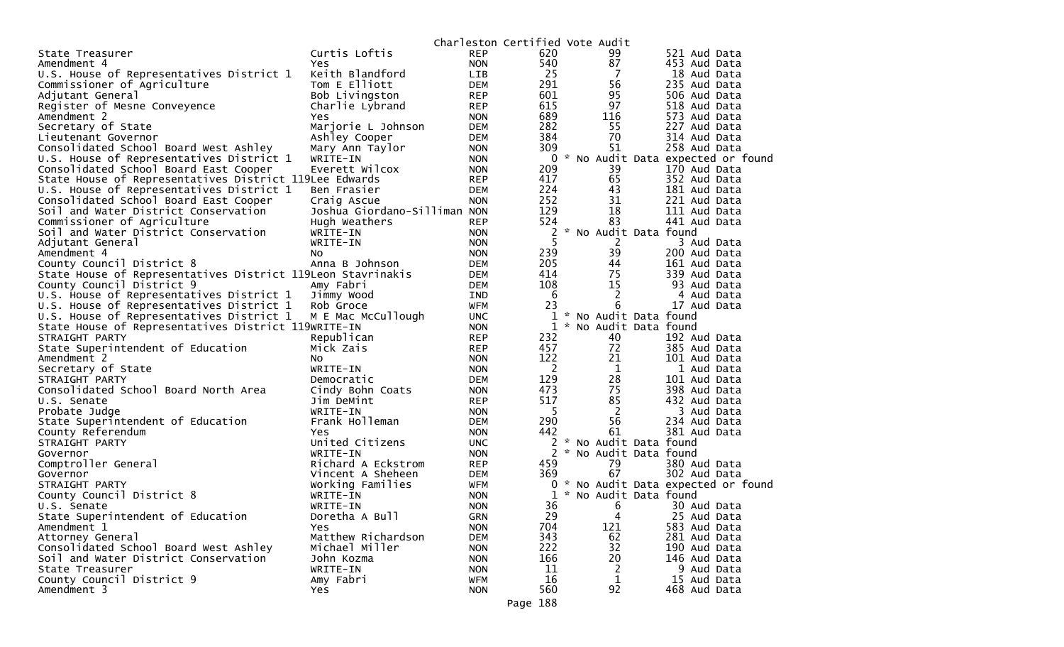|                                                             |                              |            | Charleston Certified Vote Audit |                       |                                   |  |
|-------------------------------------------------------------|------------------------------|------------|---------------------------------|-----------------------|-----------------------------------|--|
| State Treasurer                                             | Curtis Loftis                | <b>REP</b> | 620                             | 99                    | 521 Aud Data                      |  |
| Amendment 4                                                 | Yes.                         | <b>NON</b> | 540                             | 87                    | 453 Aud Data                      |  |
| U.S. House of Representatives District 1                    | Keith Blandford              | <b>LIB</b> | 25                              | 7                     | 18 Aud Data                       |  |
| Commissioner of Agriculture                                 | Tom E Elliott                | <b>DEM</b> | 291                             | 56                    | 235 Aud Data                      |  |
| Adjutant General                                            | Bob Livingston               | REP        | 601                             | 95                    | 506 Aud Data                      |  |
| Register of Mesne Conveyence                                | Charlie Lybrand              | <b>REP</b> | 615                             | 97                    | 518 Aud Data                      |  |
| Amendment 2                                                 | <b>Yes</b>                   | <b>NON</b> | 689                             | 116                   | 573 Aud Data                      |  |
| Secretary of State                                          | Marjorie L Johnson           | DEM        | 282                             | 55                    | 227 Aud Data                      |  |
| Lieutenant Governor                                         | Ashley Cooper                | DEM        | 384                             | 70                    | 314 Aud Data                      |  |
| Consolidated School Board West Ashley                       | Mary Ann Taylor              | <b>NON</b> | 309                             | 51                    | 258 Aud Data                      |  |
| U.S. House of Representatives District 1                    | WRITE-IN                     | <b>NON</b> | $\mathbf 0$                     |                       | * No Audit Data expected or found |  |
| Consolidated School Board East Cooper                       | Everett Wilcox               | <b>NON</b> | 209                             | 39                    | 170 Aud Data                      |  |
| State House of Representatives District 119Lee Edwards      |                              | <b>REP</b> | 417                             | 65                    | 352 Aud Data                      |  |
| U.S. House of Representatives District 1                    | Ben Frasier                  | <b>DEM</b> | 224                             | 43                    | 181 Aud Data                      |  |
| Consolidated School Board East Cooper                       | Craig Ascue                  | <b>NON</b> | 252                             | 31                    | 221 Aud Data                      |  |
| Soil and Water District Conservation                        | Joshua Giordano-Silliman NON |            | 129                             | 18                    | 111 Aud Data                      |  |
| Commissioner of Agriculture                                 | Hugh Weathers                | <b>REP</b> | 524                             | 83                    | 441 Aud Data                      |  |
| Soil and Water District Conservation                        | WRITE-IN                     | <b>NON</b> | $\overline{c}$                  | * No Audit Data found |                                   |  |
| Adjutant General                                            | WRITE-IN                     | <b>NON</b> | 5                               | $\overline{2}$        | 3 Aud Data                        |  |
| Amendment 4                                                 | No                           | <b>NON</b> | 239                             | 39                    | 200 Aud Data                      |  |
| County Council District 8                                   | Anna B Johnson               | <b>DEM</b> | 205                             | 44                    | 161 Aud Data                      |  |
| State House of Representatives District 119Leon Stavrinakis |                              | <b>DEM</b> | 414                             | 75                    | 339 Aud Data                      |  |
| County Council District 9                                   | Amy Fabri                    | DEM        | 108                             | 15                    | 93 Aud Data                       |  |
| U.S. House of Representatives District 1                    | Jimmy Wood                   | <b>IND</b> | -6                              | $\overline{2}$        | 4 Aud Data                        |  |
| U.S. House of Representatives District 1                    | Rob Groce                    | WFM        | 23                              | 6                     | 17 Aud Data                       |  |
| U.S. House of Representatives District 1                    | M E Mac McCullough           | <b>UNC</b> | 1                               | * No Audit Data found |                                   |  |
| State House of Representatives District 119WRITE-IN         |                              | <b>NON</b> | 1                               | * No Audit Data found |                                   |  |
| STRAIGHT PARTY                                              | Republican                   | <b>REP</b> | 232                             | 40                    | 192 Aud Data                      |  |
| State Superintendent of Education                           | Mick Zais                    | <b>REP</b> | 457                             | 72                    | 385 Aud Data                      |  |
| Amendment 2                                                 | NO.                          | <b>NON</b> | 122                             | 21                    | 101 Aud Data                      |  |
| Secretary of State                                          | WRITE-IN                     | <b>NON</b> | $\overline{2}$                  | $\mathbf 1$           | 1 Aud Data                        |  |
| STRAIGHT PARTY                                              | Democratic                   | <b>DEM</b> | 129                             | 28                    | 101 Aud Data                      |  |
| Consolidated School Board North Area                        | Cindy Bohn Coats             | <b>NON</b> | 473                             | 75                    | 398 Aud Data                      |  |
| U.S. Senate                                                 | Jim DeMint                   | <b>REP</b> | 517                             | 85                    | 432 Aud Data                      |  |
| Probate Judge                                               | WRITE-IN                     | <b>NON</b> | -5                              | $\overline{2}$        | 3 Aud Data                        |  |
| State Superintendent of Education                           | Frank Holleman               | <b>DEM</b> | 290                             | 56                    | 234 Aud Data                      |  |
| County Referendum                                           | Yes                          | <b>NON</b> | 442                             | 61                    | 381 Aud Data                      |  |
| STRAIGHT PARTY                                              | United Citizens              | <b>UNC</b> | 2                               | * No Audit Data found |                                   |  |
| Governor                                                    | WRITE-IN                     | <b>NON</b> | 2                               | * No Audit Data found |                                   |  |
| Comptroller General                                         | Richard A Eckstrom           | REP        | 459                             | 79                    | 380 Aud Data                      |  |
| Governor                                                    | Vincent A Sheheen            | DEM        | 369                             | 67                    | 302 Aud Data                      |  |
| STRAIGHT PARTY                                              | Working Families             | <b>WFM</b> | 0                               |                       | * No Audit Data expected or found |  |
| County Council District 8                                   | WRITE-IN                     | <b>NON</b> | 1                               | * No Audit Data found |                                   |  |
| U.S. Senate                                                 | WRITE-IN                     | <b>NON</b> | 36                              | 6                     | 30 Aud Data                       |  |
| State Superintendent of Education                           | Doretha A Bull               | <b>GRN</b> | 29                              | 4                     | 25 Aud Data                       |  |
| Amendment 1                                                 | <b>Yes</b>                   | <b>NON</b> | 704                             | 121                   | 583 Aud Data                      |  |
| Attorney General                                            | Matthew Richardson           | <b>DEM</b> | 343                             | 62                    | 281 Aud Data                      |  |
| Consolidated School Board West Ashley                       | Michael Miller               | <b>NON</b> | 222                             | 32                    | 190 Aud Data                      |  |
| Soil and Water District Conservation                        | John Kozma                   | <b>NON</b> | 166                             | 20                    | 146 Aud Data                      |  |
| State Treasurer                                             | WRITE-IN                     | <b>NON</b> | 11                              | $\overline{c}$        | 9 Aud Data                        |  |
| County Council District 9                                   | Amy Fabri                    | <b>WFM</b> | 16                              | 1                     | 15 Aud Data                       |  |
| Amendment 3                                                 | <b>Yes</b>                   | <b>NON</b> | 560                             | 92                    | 468 Aud Data                      |  |
|                                                             |                              |            |                                 |                       |                                   |  |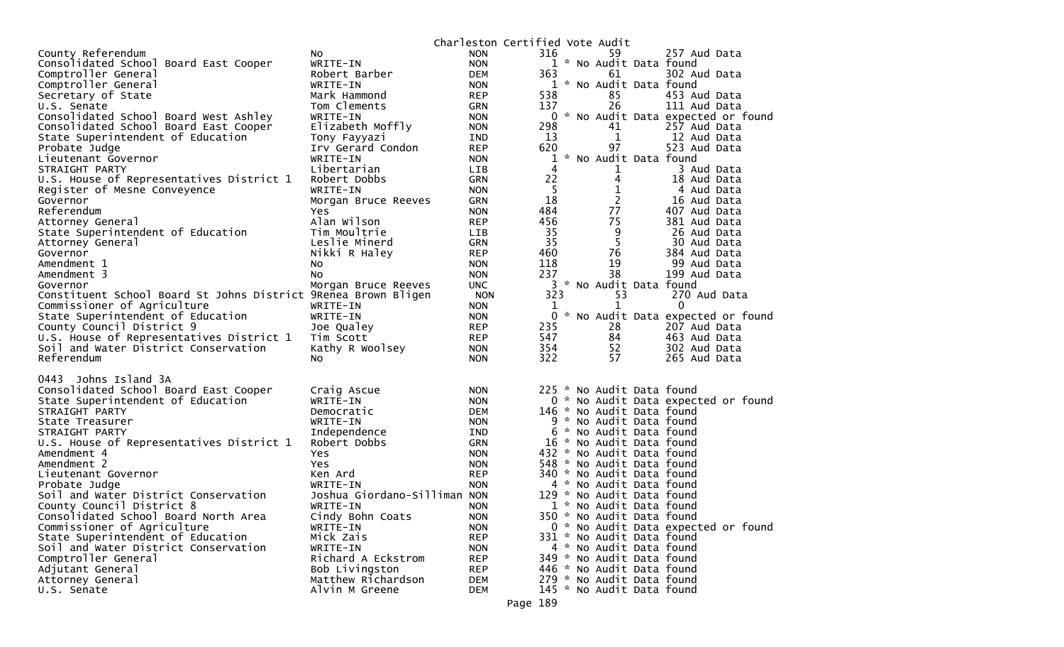| County Referendum<br>316<br>59<br>257 Aud Data<br><b>NON</b><br>NO.<br>1 * No Audit Data found<br>Consolidated School Board East Cooper<br>WRITE-IN<br><b>NON</b><br>Comptroller General<br>Robert Barber<br><b>DEM</b><br>363<br>61<br>302 Aud Data<br>1 * No Audit Data found<br>Comptroller General<br>WRITE-IN<br><b>NON</b><br>538<br>85<br>453 Aud Data<br>Secretary of State<br>Mark Hammond<br><b>REP</b><br>26<br>U.S. Senate<br>Tom Clements<br>137<br>111 Aud Data<br><b>GRN</b><br>0 * No Audit Data expected or found<br>Consolidated School Board West Ashley<br>WRITE-IN<br><b>NON</b><br>Consolidated School Board East Cooper<br>Elizabeth Moffly<br>298<br>41<br>257 Aud Data<br><b>NON</b><br>13<br>1<br>State Superintendent of Education<br>Tony Fayyazi<br>12 Aud Data<br>IND<br>97<br>620<br>523 Aud Data<br>Probate Judge<br>Irv Gerard Condon<br><b>REP</b><br>* No Audit Data found<br>1<br>Lieutenant Governor<br>WRITE-IN<br><b>NON</b><br>STRAIGHT PARTY<br>Libertarian<br>4<br>$\mathbf{1}$<br>3 Aud Data<br><b>LIB</b><br>22<br>4<br>U.S. House of Representatives District 1<br>18 Aud Data<br>Robert Dobbs<br><b>GRN</b><br>5<br>$\mathbf 1$<br>Register of Mesne Conveyence<br>WRITE-IN<br>4 Aud Data<br><b>NON</b><br>18<br>$\mathbf{2}$<br>Governor<br>Morgan Bruce Reeves<br><b>GRN</b><br>16 Aud Data<br>484<br>77<br>Referendum<br>407 Aud Data<br>Yes.<br><b>NON</b><br>456<br>75<br>Alan Wilson<br><b>REP</b><br>381 Aud Data<br>Attorney General<br>35<br>Tim Moultrie<br>9<br>26 Aud Data<br>State Superintendent of Education<br><b>LIB</b><br>35<br>5<br>Leslie Minerd<br>30 Aud Data<br>Attorney General<br>GRN<br>460<br>76<br>Nikki R Haley<br><b>REP</b><br>384 Aud Data<br>Governor<br>118<br>19<br>Amendment 1<br>99 Aud Data<br>No<br><b>NON</b><br>38<br>237<br>No<br><b>NON</b><br>199 Aud Data<br>Amendment 3<br>3 * No Audit Data found<br><b>UNC</b><br>Governor<br>Morgan Bruce Reeves<br>Constituent School Board St Johns District 9Renea Brown Bligen<br>323<br>53<br>270 Aud Data<br><b>NON</b><br>Commissioner of Agriculture<br>0<br>WRITE-IN<br>1<br>1<br><b>NON</b><br>$\mathbf{0}$<br>* No Audit Data expected or found<br>State Superintendent of Education<br>WRITE-IN<br><b>NON</b><br>County Council District 9<br>235<br>28<br>Joe Qualey<br><b>REP</b><br>207 Aud Data<br>547<br>U.S. House of Representatives District 1<br>84<br><b>REP</b><br>463 Aud Data<br>Tim Scott<br>354<br>52<br>Soil and Water District Conservation<br>Kathy R Woolsey<br>302 Aud Data<br><b>NON</b><br>57<br>Referendum<br>322<br>265 Aud Data<br><b>NON</b><br>NO.<br>0443 Johns Island 3A<br>225 * No Audit Data found<br>Consolidated School Board East Cooper<br>Craig Ascue<br><b>NON</b><br>0 * No Audit Data expected or found<br>State Superintendent of Education<br>WRITE-IN<br><b>NON</b><br>STRAIGHT PARTY<br>146 * No Audit Data found<br>Democratic<br><b>DEM</b><br>WRITE-IN<br>9 * No Audit Data found<br>State Treasurer<br><b>NON</b><br>6 * No Audit Data found<br>STRAIGHT PARTY<br>Independence<br>IND<br>U.S. House of Representatives District 1<br>GRN<br>16 * No Audit Data found<br>Robert Dobbs<br>432 * No Audit Data found<br>Amendment 4<br><b>NON</b><br>Yes<br>548 * No Audit Data found<br>Amendment 2<br>Yes.<br><b>NON</b><br>340 * No Audit Data found<br>Ken Ard<br><b>REP</b><br>Lieutenant Governor<br><b>NON</b><br>4 * No Audit Data found<br>Probate Judge<br>WRITE-IN<br>Joshua Giordano-Silliman<br>129 * No Audit Data found<br>Soil and Water District Conservation<br><b>NON</b><br>County Council District 8<br>1 * No Audit Data found<br>WRITE-IN<br><b>NON</b><br>Consolidated School Board North Area<br>Cindy Bohn Coats<br><b>NON</b><br>350 * No Audit Data found<br>Commissioner of Agriculture<br>0 * No Audit Data expected or found<br>WRITE-IN<br><b>NON</b><br>State Superintendent of Education<br>Mick Zais<br><b>REP</b><br>331 * No Audit Data found<br>Soil and Water District Conservation<br>WRITE-IN<br>4 * No Audit Data found<br><b>NON</b><br>349 * No Audit Data found<br>Comptroller General<br>Richard A Eckstrom<br><b>REP</b> |                  |                |            | Charleston Certified Vote Audit |  |
|------------------------------------------------------------------------------------------------------------------------------------------------------------------------------------------------------------------------------------------------------------------------------------------------------------------------------------------------------------------------------------------------------------------------------------------------------------------------------------------------------------------------------------------------------------------------------------------------------------------------------------------------------------------------------------------------------------------------------------------------------------------------------------------------------------------------------------------------------------------------------------------------------------------------------------------------------------------------------------------------------------------------------------------------------------------------------------------------------------------------------------------------------------------------------------------------------------------------------------------------------------------------------------------------------------------------------------------------------------------------------------------------------------------------------------------------------------------------------------------------------------------------------------------------------------------------------------------------------------------------------------------------------------------------------------------------------------------------------------------------------------------------------------------------------------------------------------------------------------------------------------------------------------------------------------------------------------------------------------------------------------------------------------------------------------------------------------------------------------------------------------------------------------------------------------------------------------------------------------------------------------------------------------------------------------------------------------------------------------------------------------------------------------------------------------------------------------------------------------------------------------------------------------------------------------------------------------------------------------------------------------------------------------------------------------------------------------------------------------------------------------------------------------------------------------------------------------------------------------------------------------------------------------------------------------------------------------------------------------------------------------------------------------------------------------------------------------------------------------------------------------------------------------------------------------------------------------------------------------------------------------------------------------------------------------------------------------------------------------------------------------------------------------------------------------------------------------------------------------------------------------------------------------------------------------------------------------------------------------------------------------------------------------------------------------------------------------------------------------------------------------------------------------------------------------------------------------------------------------------------------------------------------------------------------------------------------------------------------------------------------------------------------------------------------------------------------------------------------------------------------------------------------------------|------------------|----------------|------------|---------------------------------|--|
|                                                                                                                                                                                                                                                                                                                                                                                                                                                                                                                                                                                                                                                                                                                                                                                                                                                                                                                                                                                                                                                                                                                                                                                                                                                                                                                                                                                                                                                                                                                                                                                                                                                                                                                                                                                                                                                                                                                                                                                                                                                                                                                                                                                                                                                                                                                                                                                                                                                                                                                                                                                                                                                                                                                                                                                                                                                                                                                                                                                                                                                                                                                                                                                                                                                                                                                                                                                                                                                                                                                                                                                                                                                                                                                                                                                                                                                                                                                                                                                                                                                                                                                                                                  |                  |                |            |                                 |  |
|                                                                                                                                                                                                                                                                                                                                                                                                                                                                                                                                                                                                                                                                                                                                                                                                                                                                                                                                                                                                                                                                                                                                                                                                                                                                                                                                                                                                                                                                                                                                                                                                                                                                                                                                                                                                                                                                                                                                                                                                                                                                                                                                                                                                                                                                                                                                                                                                                                                                                                                                                                                                                                                                                                                                                                                                                                                                                                                                                                                                                                                                                                                                                                                                                                                                                                                                                                                                                                                                                                                                                                                                                                                                                                                                                                                                                                                                                                                                                                                                                                                                                                                                                                  |                  |                |            |                                 |  |
|                                                                                                                                                                                                                                                                                                                                                                                                                                                                                                                                                                                                                                                                                                                                                                                                                                                                                                                                                                                                                                                                                                                                                                                                                                                                                                                                                                                                                                                                                                                                                                                                                                                                                                                                                                                                                                                                                                                                                                                                                                                                                                                                                                                                                                                                                                                                                                                                                                                                                                                                                                                                                                                                                                                                                                                                                                                                                                                                                                                                                                                                                                                                                                                                                                                                                                                                                                                                                                                                                                                                                                                                                                                                                                                                                                                                                                                                                                                                                                                                                                                                                                                                                                  |                  |                |            |                                 |  |
|                                                                                                                                                                                                                                                                                                                                                                                                                                                                                                                                                                                                                                                                                                                                                                                                                                                                                                                                                                                                                                                                                                                                                                                                                                                                                                                                                                                                                                                                                                                                                                                                                                                                                                                                                                                                                                                                                                                                                                                                                                                                                                                                                                                                                                                                                                                                                                                                                                                                                                                                                                                                                                                                                                                                                                                                                                                                                                                                                                                                                                                                                                                                                                                                                                                                                                                                                                                                                                                                                                                                                                                                                                                                                                                                                                                                                                                                                                                                                                                                                                                                                                                                                                  |                  |                |            |                                 |  |
|                                                                                                                                                                                                                                                                                                                                                                                                                                                                                                                                                                                                                                                                                                                                                                                                                                                                                                                                                                                                                                                                                                                                                                                                                                                                                                                                                                                                                                                                                                                                                                                                                                                                                                                                                                                                                                                                                                                                                                                                                                                                                                                                                                                                                                                                                                                                                                                                                                                                                                                                                                                                                                                                                                                                                                                                                                                                                                                                                                                                                                                                                                                                                                                                                                                                                                                                                                                                                                                                                                                                                                                                                                                                                                                                                                                                                                                                                                                                                                                                                                                                                                                                                                  |                  |                |            |                                 |  |
|                                                                                                                                                                                                                                                                                                                                                                                                                                                                                                                                                                                                                                                                                                                                                                                                                                                                                                                                                                                                                                                                                                                                                                                                                                                                                                                                                                                                                                                                                                                                                                                                                                                                                                                                                                                                                                                                                                                                                                                                                                                                                                                                                                                                                                                                                                                                                                                                                                                                                                                                                                                                                                                                                                                                                                                                                                                                                                                                                                                                                                                                                                                                                                                                                                                                                                                                                                                                                                                                                                                                                                                                                                                                                                                                                                                                                                                                                                                                                                                                                                                                                                                                                                  |                  |                |            |                                 |  |
|                                                                                                                                                                                                                                                                                                                                                                                                                                                                                                                                                                                                                                                                                                                                                                                                                                                                                                                                                                                                                                                                                                                                                                                                                                                                                                                                                                                                                                                                                                                                                                                                                                                                                                                                                                                                                                                                                                                                                                                                                                                                                                                                                                                                                                                                                                                                                                                                                                                                                                                                                                                                                                                                                                                                                                                                                                                                                                                                                                                                                                                                                                                                                                                                                                                                                                                                                                                                                                                                                                                                                                                                                                                                                                                                                                                                                                                                                                                                                                                                                                                                                                                                                                  |                  |                |            |                                 |  |
|                                                                                                                                                                                                                                                                                                                                                                                                                                                                                                                                                                                                                                                                                                                                                                                                                                                                                                                                                                                                                                                                                                                                                                                                                                                                                                                                                                                                                                                                                                                                                                                                                                                                                                                                                                                                                                                                                                                                                                                                                                                                                                                                                                                                                                                                                                                                                                                                                                                                                                                                                                                                                                                                                                                                                                                                                                                                                                                                                                                                                                                                                                                                                                                                                                                                                                                                                                                                                                                                                                                                                                                                                                                                                                                                                                                                                                                                                                                                                                                                                                                                                                                                                                  |                  |                |            |                                 |  |
|                                                                                                                                                                                                                                                                                                                                                                                                                                                                                                                                                                                                                                                                                                                                                                                                                                                                                                                                                                                                                                                                                                                                                                                                                                                                                                                                                                                                                                                                                                                                                                                                                                                                                                                                                                                                                                                                                                                                                                                                                                                                                                                                                                                                                                                                                                                                                                                                                                                                                                                                                                                                                                                                                                                                                                                                                                                                                                                                                                                                                                                                                                                                                                                                                                                                                                                                                                                                                                                                                                                                                                                                                                                                                                                                                                                                                                                                                                                                                                                                                                                                                                                                                                  |                  |                |            |                                 |  |
|                                                                                                                                                                                                                                                                                                                                                                                                                                                                                                                                                                                                                                                                                                                                                                                                                                                                                                                                                                                                                                                                                                                                                                                                                                                                                                                                                                                                                                                                                                                                                                                                                                                                                                                                                                                                                                                                                                                                                                                                                                                                                                                                                                                                                                                                                                                                                                                                                                                                                                                                                                                                                                                                                                                                                                                                                                                                                                                                                                                                                                                                                                                                                                                                                                                                                                                                                                                                                                                                                                                                                                                                                                                                                                                                                                                                                                                                                                                                                                                                                                                                                                                                                                  |                  |                |            |                                 |  |
|                                                                                                                                                                                                                                                                                                                                                                                                                                                                                                                                                                                                                                                                                                                                                                                                                                                                                                                                                                                                                                                                                                                                                                                                                                                                                                                                                                                                                                                                                                                                                                                                                                                                                                                                                                                                                                                                                                                                                                                                                                                                                                                                                                                                                                                                                                                                                                                                                                                                                                                                                                                                                                                                                                                                                                                                                                                                                                                                                                                                                                                                                                                                                                                                                                                                                                                                                                                                                                                                                                                                                                                                                                                                                                                                                                                                                                                                                                                                                                                                                                                                                                                                                                  |                  |                |            |                                 |  |
|                                                                                                                                                                                                                                                                                                                                                                                                                                                                                                                                                                                                                                                                                                                                                                                                                                                                                                                                                                                                                                                                                                                                                                                                                                                                                                                                                                                                                                                                                                                                                                                                                                                                                                                                                                                                                                                                                                                                                                                                                                                                                                                                                                                                                                                                                                                                                                                                                                                                                                                                                                                                                                                                                                                                                                                                                                                                                                                                                                                                                                                                                                                                                                                                                                                                                                                                                                                                                                                                                                                                                                                                                                                                                                                                                                                                                                                                                                                                                                                                                                                                                                                                                                  |                  |                |            |                                 |  |
|                                                                                                                                                                                                                                                                                                                                                                                                                                                                                                                                                                                                                                                                                                                                                                                                                                                                                                                                                                                                                                                                                                                                                                                                                                                                                                                                                                                                                                                                                                                                                                                                                                                                                                                                                                                                                                                                                                                                                                                                                                                                                                                                                                                                                                                                                                                                                                                                                                                                                                                                                                                                                                                                                                                                                                                                                                                                                                                                                                                                                                                                                                                                                                                                                                                                                                                                                                                                                                                                                                                                                                                                                                                                                                                                                                                                                                                                                                                                                                                                                                                                                                                                                                  |                  |                |            |                                 |  |
|                                                                                                                                                                                                                                                                                                                                                                                                                                                                                                                                                                                                                                                                                                                                                                                                                                                                                                                                                                                                                                                                                                                                                                                                                                                                                                                                                                                                                                                                                                                                                                                                                                                                                                                                                                                                                                                                                                                                                                                                                                                                                                                                                                                                                                                                                                                                                                                                                                                                                                                                                                                                                                                                                                                                                                                                                                                                                                                                                                                                                                                                                                                                                                                                                                                                                                                                                                                                                                                                                                                                                                                                                                                                                                                                                                                                                                                                                                                                                                                                                                                                                                                                                                  |                  |                |            |                                 |  |
|                                                                                                                                                                                                                                                                                                                                                                                                                                                                                                                                                                                                                                                                                                                                                                                                                                                                                                                                                                                                                                                                                                                                                                                                                                                                                                                                                                                                                                                                                                                                                                                                                                                                                                                                                                                                                                                                                                                                                                                                                                                                                                                                                                                                                                                                                                                                                                                                                                                                                                                                                                                                                                                                                                                                                                                                                                                                                                                                                                                                                                                                                                                                                                                                                                                                                                                                                                                                                                                                                                                                                                                                                                                                                                                                                                                                                                                                                                                                                                                                                                                                                                                                                                  |                  |                |            |                                 |  |
|                                                                                                                                                                                                                                                                                                                                                                                                                                                                                                                                                                                                                                                                                                                                                                                                                                                                                                                                                                                                                                                                                                                                                                                                                                                                                                                                                                                                                                                                                                                                                                                                                                                                                                                                                                                                                                                                                                                                                                                                                                                                                                                                                                                                                                                                                                                                                                                                                                                                                                                                                                                                                                                                                                                                                                                                                                                                                                                                                                                                                                                                                                                                                                                                                                                                                                                                                                                                                                                                                                                                                                                                                                                                                                                                                                                                                                                                                                                                                                                                                                                                                                                                                                  |                  |                |            |                                 |  |
|                                                                                                                                                                                                                                                                                                                                                                                                                                                                                                                                                                                                                                                                                                                                                                                                                                                                                                                                                                                                                                                                                                                                                                                                                                                                                                                                                                                                                                                                                                                                                                                                                                                                                                                                                                                                                                                                                                                                                                                                                                                                                                                                                                                                                                                                                                                                                                                                                                                                                                                                                                                                                                                                                                                                                                                                                                                                                                                                                                                                                                                                                                                                                                                                                                                                                                                                                                                                                                                                                                                                                                                                                                                                                                                                                                                                                                                                                                                                                                                                                                                                                                                                                                  |                  |                |            |                                 |  |
|                                                                                                                                                                                                                                                                                                                                                                                                                                                                                                                                                                                                                                                                                                                                                                                                                                                                                                                                                                                                                                                                                                                                                                                                                                                                                                                                                                                                                                                                                                                                                                                                                                                                                                                                                                                                                                                                                                                                                                                                                                                                                                                                                                                                                                                                                                                                                                                                                                                                                                                                                                                                                                                                                                                                                                                                                                                                                                                                                                                                                                                                                                                                                                                                                                                                                                                                                                                                                                                                                                                                                                                                                                                                                                                                                                                                                                                                                                                                                                                                                                                                                                                                                                  |                  |                |            |                                 |  |
|                                                                                                                                                                                                                                                                                                                                                                                                                                                                                                                                                                                                                                                                                                                                                                                                                                                                                                                                                                                                                                                                                                                                                                                                                                                                                                                                                                                                                                                                                                                                                                                                                                                                                                                                                                                                                                                                                                                                                                                                                                                                                                                                                                                                                                                                                                                                                                                                                                                                                                                                                                                                                                                                                                                                                                                                                                                                                                                                                                                                                                                                                                                                                                                                                                                                                                                                                                                                                                                                                                                                                                                                                                                                                                                                                                                                                                                                                                                                                                                                                                                                                                                                                                  |                  |                |            |                                 |  |
|                                                                                                                                                                                                                                                                                                                                                                                                                                                                                                                                                                                                                                                                                                                                                                                                                                                                                                                                                                                                                                                                                                                                                                                                                                                                                                                                                                                                                                                                                                                                                                                                                                                                                                                                                                                                                                                                                                                                                                                                                                                                                                                                                                                                                                                                                                                                                                                                                                                                                                                                                                                                                                                                                                                                                                                                                                                                                                                                                                                                                                                                                                                                                                                                                                                                                                                                                                                                                                                                                                                                                                                                                                                                                                                                                                                                                                                                                                                                                                                                                                                                                                                                                                  |                  |                |            |                                 |  |
|                                                                                                                                                                                                                                                                                                                                                                                                                                                                                                                                                                                                                                                                                                                                                                                                                                                                                                                                                                                                                                                                                                                                                                                                                                                                                                                                                                                                                                                                                                                                                                                                                                                                                                                                                                                                                                                                                                                                                                                                                                                                                                                                                                                                                                                                                                                                                                                                                                                                                                                                                                                                                                                                                                                                                                                                                                                                                                                                                                                                                                                                                                                                                                                                                                                                                                                                                                                                                                                                                                                                                                                                                                                                                                                                                                                                                                                                                                                                                                                                                                                                                                                                                                  |                  |                |            |                                 |  |
|                                                                                                                                                                                                                                                                                                                                                                                                                                                                                                                                                                                                                                                                                                                                                                                                                                                                                                                                                                                                                                                                                                                                                                                                                                                                                                                                                                                                                                                                                                                                                                                                                                                                                                                                                                                                                                                                                                                                                                                                                                                                                                                                                                                                                                                                                                                                                                                                                                                                                                                                                                                                                                                                                                                                                                                                                                                                                                                                                                                                                                                                                                                                                                                                                                                                                                                                                                                                                                                                                                                                                                                                                                                                                                                                                                                                                                                                                                                                                                                                                                                                                                                                                                  |                  |                |            |                                 |  |
|                                                                                                                                                                                                                                                                                                                                                                                                                                                                                                                                                                                                                                                                                                                                                                                                                                                                                                                                                                                                                                                                                                                                                                                                                                                                                                                                                                                                                                                                                                                                                                                                                                                                                                                                                                                                                                                                                                                                                                                                                                                                                                                                                                                                                                                                                                                                                                                                                                                                                                                                                                                                                                                                                                                                                                                                                                                                                                                                                                                                                                                                                                                                                                                                                                                                                                                                                                                                                                                                                                                                                                                                                                                                                                                                                                                                                                                                                                                                                                                                                                                                                                                                                                  |                  |                |            |                                 |  |
|                                                                                                                                                                                                                                                                                                                                                                                                                                                                                                                                                                                                                                                                                                                                                                                                                                                                                                                                                                                                                                                                                                                                                                                                                                                                                                                                                                                                                                                                                                                                                                                                                                                                                                                                                                                                                                                                                                                                                                                                                                                                                                                                                                                                                                                                                                                                                                                                                                                                                                                                                                                                                                                                                                                                                                                                                                                                                                                                                                                                                                                                                                                                                                                                                                                                                                                                                                                                                                                                                                                                                                                                                                                                                                                                                                                                                                                                                                                                                                                                                                                                                                                                                                  |                  |                |            |                                 |  |
|                                                                                                                                                                                                                                                                                                                                                                                                                                                                                                                                                                                                                                                                                                                                                                                                                                                                                                                                                                                                                                                                                                                                                                                                                                                                                                                                                                                                                                                                                                                                                                                                                                                                                                                                                                                                                                                                                                                                                                                                                                                                                                                                                                                                                                                                                                                                                                                                                                                                                                                                                                                                                                                                                                                                                                                                                                                                                                                                                                                                                                                                                                                                                                                                                                                                                                                                                                                                                                                                                                                                                                                                                                                                                                                                                                                                                                                                                                                                                                                                                                                                                                                                                                  |                  |                |            |                                 |  |
|                                                                                                                                                                                                                                                                                                                                                                                                                                                                                                                                                                                                                                                                                                                                                                                                                                                                                                                                                                                                                                                                                                                                                                                                                                                                                                                                                                                                                                                                                                                                                                                                                                                                                                                                                                                                                                                                                                                                                                                                                                                                                                                                                                                                                                                                                                                                                                                                                                                                                                                                                                                                                                                                                                                                                                                                                                                                                                                                                                                                                                                                                                                                                                                                                                                                                                                                                                                                                                                                                                                                                                                                                                                                                                                                                                                                                                                                                                                                                                                                                                                                                                                                                                  |                  |                |            |                                 |  |
|                                                                                                                                                                                                                                                                                                                                                                                                                                                                                                                                                                                                                                                                                                                                                                                                                                                                                                                                                                                                                                                                                                                                                                                                                                                                                                                                                                                                                                                                                                                                                                                                                                                                                                                                                                                                                                                                                                                                                                                                                                                                                                                                                                                                                                                                                                                                                                                                                                                                                                                                                                                                                                                                                                                                                                                                                                                                                                                                                                                                                                                                                                                                                                                                                                                                                                                                                                                                                                                                                                                                                                                                                                                                                                                                                                                                                                                                                                                                                                                                                                                                                                                                                                  |                  |                |            |                                 |  |
|                                                                                                                                                                                                                                                                                                                                                                                                                                                                                                                                                                                                                                                                                                                                                                                                                                                                                                                                                                                                                                                                                                                                                                                                                                                                                                                                                                                                                                                                                                                                                                                                                                                                                                                                                                                                                                                                                                                                                                                                                                                                                                                                                                                                                                                                                                                                                                                                                                                                                                                                                                                                                                                                                                                                                                                                                                                                                                                                                                                                                                                                                                                                                                                                                                                                                                                                                                                                                                                                                                                                                                                                                                                                                                                                                                                                                                                                                                                                                                                                                                                                                                                                                                  |                  |                |            |                                 |  |
|                                                                                                                                                                                                                                                                                                                                                                                                                                                                                                                                                                                                                                                                                                                                                                                                                                                                                                                                                                                                                                                                                                                                                                                                                                                                                                                                                                                                                                                                                                                                                                                                                                                                                                                                                                                                                                                                                                                                                                                                                                                                                                                                                                                                                                                                                                                                                                                                                                                                                                                                                                                                                                                                                                                                                                                                                                                                                                                                                                                                                                                                                                                                                                                                                                                                                                                                                                                                                                                                                                                                                                                                                                                                                                                                                                                                                                                                                                                                                                                                                                                                                                                                                                  |                  |                |            |                                 |  |
|                                                                                                                                                                                                                                                                                                                                                                                                                                                                                                                                                                                                                                                                                                                                                                                                                                                                                                                                                                                                                                                                                                                                                                                                                                                                                                                                                                                                                                                                                                                                                                                                                                                                                                                                                                                                                                                                                                                                                                                                                                                                                                                                                                                                                                                                                                                                                                                                                                                                                                                                                                                                                                                                                                                                                                                                                                                                                                                                                                                                                                                                                                                                                                                                                                                                                                                                                                                                                                                                                                                                                                                                                                                                                                                                                                                                                                                                                                                                                                                                                                                                                                                                                                  |                  |                |            |                                 |  |
|                                                                                                                                                                                                                                                                                                                                                                                                                                                                                                                                                                                                                                                                                                                                                                                                                                                                                                                                                                                                                                                                                                                                                                                                                                                                                                                                                                                                                                                                                                                                                                                                                                                                                                                                                                                                                                                                                                                                                                                                                                                                                                                                                                                                                                                                                                                                                                                                                                                                                                                                                                                                                                                                                                                                                                                                                                                                                                                                                                                                                                                                                                                                                                                                                                                                                                                                                                                                                                                                                                                                                                                                                                                                                                                                                                                                                                                                                                                                                                                                                                                                                                                                                                  |                  |                |            |                                 |  |
|                                                                                                                                                                                                                                                                                                                                                                                                                                                                                                                                                                                                                                                                                                                                                                                                                                                                                                                                                                                                                                                                                                                                                                                                                                                                                                                                                                                                                                                                                                                                                                                                                                                                                                                                                                                                                                                                                                                                                                                                                                                                                                                                                                                                                                                                                                                                                                                                                                                                                                                                                                                                                                                                                                                                                                                                                                                                                                                                                                                                                                                                                                                                                                                                                                                                                                                                                                                                                                                                                                                                                                                                                                                                                                                                                                                                                                                                                                                                                                                                                                                                                                                                                                  |                  |                |            |                                 |  |
|                                                                                                                                                                                                                                                                                                                                                                                                                                                                                                                                                                                                                                                                                                                                                                                                                                                                                                                                                                                                                                                                                                                                                                                                                                                                                                                                                                                                                                                                                                                                                                                                                                                                                                                                                                                                                                                                                                                                                                                                                                                                                                                                                                                                                                                                                                                                                                                                                                                                                                                                                                                                                                                                                                                                                                                                                                                                                                                                                                                                                                                                                                                                                                                                                                                                                                                                                                                                                                                                                                                                                                                                                                                                                                                                                                                                                                                                                                                                                                                                                                                                                                                                                                  |                  |                |            |                                 |  |
|                                                                                                                                                                                                                                                                                                                                                                                                                                                                                                                                                                                                                                                                                                                                                                                                                                                                                                                                                                                                                                                                                                                                                                                                                                                                                                                                                                                                                                                                                                                                                                                                                                                                                                                                                                                                                                                                                                                                                                                                                                                                                                                                                                                                                                                                                                                                                                                                                                                                                                                                                                                                                                                                                                                                                                                                                                                                                                                                                                                                                                                                                                                                                                                                                                                                                                                                                                                                                                                                                                                                                                                                                                                                                                                                                                                                                                                                                                                                                                                                                                                                                                                                                                  |                  |                |            |                                 |  |
|                                                                                                                                                                                                                                                                                                                                                                                                                                                                                                                                                                                                                                                                                                                                                                                                                                                                                                                                                                                                                                                                                                                                                                                                                                                                                                                                                                                                                                                                                                                                                                                                                                                                                                                                                                                                                                                                                                                                                                                                                                                                                                                                                                                                                                                                                                                                                                                                                                                                                                                                                                                                                                                                                                                                                                                                                                                                                                                                                                                                                                                                                                                                                                                                                                                                                                                                                                                                                                                                                                                                                                                                                                                                                                                                                                                                                                                                                                                                                                                                                                                                                                                                                                  |                  |                |            |                                 |  |
|                                                                                                                                                                                                                                                                                                                                                                                                                                                                                                                                                                                                                                                                                                                                                                                                                                                                                                                                                                                                                                                                                                                                                                                                                                                                                                                                                                                                                                                                                                                                                                                                                                                                                                                                                                                                                                                                                                                                                                                                                                                                                                                                                                                                                                                                                                                                                                                                                                                                                                                                                                                                                                                                                                                                                                                                                                                                                                                                                                                                                                                                                                                                                                                                                                                                                                                                                                                                                                                                                                                                                                                                                                                                                                                                                                                                                                                                                                                                                                                                                                                                                                                                                                  |                  |                |            |                                 |  |
|                                                                                                                                                                                                                                                                                                                                                                                                                                                                                                                                                                                                                                                                                                                                                                                                                                                                                                                                                                                                                                                                                                                                                                                                                                                                                                                                                                                                                                                                                                                                                                                                                                                                                                                                                                                                                                                                                                                                                                                                                                                                                                                                                                                                                                                                                                                                                                                                                                                                                                                                                                                                                                                                                                                                                                                                                                                                                                                                                                                                                                                                                                                                                                                                                                                                                                                                                                                                                                                                                                                                                                                                                                                                                                                                                                                                                                                                                                                                                                                                                                                                                                                                                                  |                  |                |            |                                 |  |
|                                                                                                                                                                                                                                                                                                                                                                                                                                                                                                                                                                                                                                                                                                                                                                                                                                                                                                                                                                                                                                                                                                                                                                                                                                                                                                                                                                                                                                                                                                                                                                                                                                                                                                                                                                                                                                                                                                                                                                                                                                                                                                                                                                                                                                                                                                                                                                                                                                                                                                                                                                                                                                                                                                                                                                                                                                                                                                                                                                                                                                                                                                                                                                                                                                                                                                                                                                                                                                                                                                                                                                                                                                                                                                                                                                                                                                                                                                                                                                                                                                                                                                                                                                  |                  |                |            |                                 |  |
|                                                                                                                                                                                                                                                                                                                                                                                                                                                                                                                                                                                                                                                                                                                                                                                                                                                                                                                                                                                                                                                                                                                                                                                                                                                                                                                                                                                                                                                                                                                                                                                                                                                                                                                                                                                                                                                                                                                                                                                                                                                                                                                                                                                                                                                                                                                                                                                                                                                                                                                                                                                                                                                                                                                                                                                                                                                                                                                                                                                                                                                                                                                                                                                                                                                                                                                                                                                                                                                                                                                                                                                                                                                                                                                                                                                                                                                                                                                                                                                                                                                                                                                                                                  |                  |                |            |                                 |  |
|                                                                                                                                                                                                                                                                                                                                                                                                                                                                                                                                                                                                                                                                                                                                                                                                                                                                                                                                                                                                                                                                                                                                                                                                                                                                                                                                                                                                                                                                                                                                                                                                                                                                                                                                                                                                                                                                                                                                                                                                                                                                                                                                                                                                                                                                                                                                                                                                                                                                                                                                                                                                                                                                                                                                                                                                                                                                                                                                                                                                                                                                                                                                                                                                                                                                                                                                                                                                                                                                                                                                                                                                                                                                                                                                                                                                                                                                                                                                                                                                                                                                                                                                                                  |                  |                |            |                                 |  |
|                                                                                                                                                                                                                                                                                                                                                                                                                                                                                                                                                                                                                                                                                                                                                                                                                                                                                                                                                                                                                                                                                                                                                                                                                                                                                                                                                                                                                                                                                                                                                                                                                                                                                                                                                                                                                                                                                                                                                                                                                                                                                                                                                                                                                                                                                                                                                                                                                                                                                                                                                                                                                                                                                                                                                                                                                                                                                                                                                                                                                                                                                                                                                                                                                                                                                                                                                                                                                                                                                                                                                                                                                                                                                                                                                                                                                                                                                                                                                                                                                                                                                                                                                                  |                  |                |            |                                 |  |
|                                                                                                                                                                                                                                                                                                                                                                                                                                                                                                                                                                                                                                                                                                                                                                                                                                                                                                                                                                                                                                                                                                                                                                                                                                                                                                                                                                                                                                                                                                                                                                                                                                                                                                                                                                                                                                                                                                                                                                                                                                                                                                                                                                                                                                                                                                                                                                                                                                                                                                                                                                                                                                                                                                                                                                                                                                                                                                                                                                                                                                                                                                                                                                                                                                                                                                                                                                                                                                                                                                                                                                                                                                                                                                                                                                                                                                                                                                                                                                                                                                                                                                                                                                  |                  |                |            |                                 |  |
|                                                                                                                                                                                                                                                                                                                                                                                                                                                                                                                                                                                                                                                                                                                                                                                                                                                                                                                                                                                                                                                                                                                                                                                                                                                                                                                                                                                                                                                                                                                                                                                                                                                                                                                                                                                                                                                                                                                                                                                                                                                                                                                                                                                                                                                                                                                                                                                                                                                                                                                                                                                                                                                                                                                                                                                                                                                                                                                                                                                                                                                                                                                                                                                                                                                                                                                                                                                                                                                                                                                                                                                                                                                                                                                                                                                                                                                                                                                                                                                                                                                                                                                                                                  |                  |                |            |                                 |  |
|                                                                                                                                                                                                                                                                                                                                                                                                                                                                                                                                                                                                                                                                                                                                                                                                                                                                                                                                                                                                                                                                                                                                                                                                                                                                                                                                                                                                                                                                                                                                                                                                                                                                                                                                                                                                                                                                                                                                                                                                                                                                                                                                                                                                                                                                                                                                                                                                                                                                                                                                                                                                                                                                                                                                                                                                                                                                                                                                                                                                                                                                                                                                                                                                                                                                                                                                                                                                                                                                                                                                                                                                                                                                                                                                                                                                                                                                                                                                                                                                                                                                                                                                                                  |                  |                |            |                                 |  |
|                                                                                                                                                                                                                                                                                                                                                                                                                                                                                                                                                                                                                                                                                                                                                                                                                                                                                                                                                                                                                                                                                                                                                                                                                                                                                                                                                                                                                                                                                                                                                                                                                                                                                                                                                                                                                                                                                                                                                                                                                                                                                                                                                                                                                                                                                                                                                                                                                                                                                                                                                                                                                                                                                                                                                                                                                                                                                                                                                                                                                                                                                                                                                                                                                                                                                                                                                                                                                                                                                                                                                                                                                                                                                                                                                                                                                                                                                                                                                                                                                                                                                                                                                                  |                  |                |            |                                 |  |
|                                                                                                                                                                                                                                                                                                                                                                                                                                                                                                                                                                                                                                                                                                                                                                                                                                                                                                                                                                                                                                                                                                                                                                                                                                                                                                                                                                                                                                                                                                                                                                                                                                                                                                                                                                                                                                                                                                                                                                                                                                                                                                                                                                                                                                                                                                                                                                                                                                                                                                                                                                                                                                                                                                                                                                                                                                                                                                                                                                                                                                                                                                                                                                                                                                                                                                                                                                                                                                                                                                                                                                                                                                                                                                                                                                                                                                                                                                                                                                                                                                                                                                                                                                  |                  |                |            |                                 |  |
|                                                                                                                                                                                                                                                                                                                                                                                                                                                                                                                                                                                                                                                                                                                                                                                                                                                                                                                                                                                                                                                                                                                                                                                                                                                                                                                                                                                                                                                                                                                                                                                                                                                                                                                                                                                                                                                                                                                                                                                                                                                                                                                                                                                                                                                                                                                                                                                                                                                                                                                                                                                                                                                                                                                                                                                                                                                                                                                                                                                                                                                                                                                                                                                                                                                                                                                                                                                                                                                                                                                                                                                                                                                                                                                                                                                                                                                                                                                                                                                                                                                                                                                                                                  |                  |                |            |                                 |  |
|                                                                                                                                                                                                                                                                                                                                                                                                                                                                                                                                                                                                                                                                                                                                                                                                                                                                                                                                                                                                                                                                                                                                                                                                                                                                                                                                                                                                                                                                                                                                                                                                                                                                                                                                                                                                                                                                                                                                                                                                                                                                                                                                                                                                                                                                                                                                                                                                                                                                                                                                                                                                                                                                                                                                                                                                                                                                                                                                                                                                                                                                                                                                                                                                                                                                                                                                                                                                                                                                                                                                                                                                                                                                                                                                                                                                                                                                                                                                                                                                                                                                                                                                                                  |                  |                |            |                                 |  |
|                                                                                                                                                                                                                                                                                                                                                                                                                                                                                                                                                                                                                                                                                                                                                                                                                                                                                                                                                                                                                                                                                                                                                                                                                                                                                                                                                                                                                                                                                                                                                                                                                                                                                                                                                                                                                                                                                                                                                                                                                                                                                                                                                                                                                                                                                                                                                                                                                                                                                                                                                                                                                                                                                                                                                                                                                                                                                                                                                                                                                                                                                                                                                                                                                                                                                                                                                                                                                                                                                                                                                                                                                                                                                                                                                                                                                                                                                                                                                                                                                                                                                                                                                                  |                  |                |            |                                 |  |
| 446 * No Audit Data found                                                                                                                                                                                                                                                                                                                                                                                                                                                                                                                                                                                                                                                                                                                                                                                                                                                                                                                                                                                                                                                                                                                                                                                                                                                                                                                                                                                                                                                                                                                                                                                                                                                                                                                                                                                                                                                                                                                                                                                                                                                                                                                                                                                                                                                                                                                                                                                                                                                                                                                                                                                                                                                                                                                                                                                                                                                                                                                                                                                                                                                                                                                                                                                                                                                                                                                                                                                                                                                                                                                                                                                                                                                                                                                                                                                                                                                                                                                                                                                                                                                                                                                                        | Adjutant General | Bob Livingston | <b>REP</b> |                                 |  |
| Attorney General<br>Matthew Richardson<br>279 * No Audit Data found<br><b>DEM</b>                                                                                                                                                                                                                                                                                                                                                                                                                                                                                                                                                                                                                                                                                                                                                                                                                                                                                                                                                                                                                                                                                                                                                                                                                                                                                                                                                                                                                                                                                                                                                                                                                                                                                                                                                                                                                                                                                                                                                                                                                                                                                                                                                                                                                                                                                                                                                                                                                                                                                                                                                                                                                                                                                                                                                                                                                                                                                                                                                                                                                                                                                                                                                                                                                                                                                                                                                                                                                                                                                                                                                                                                                                                                                                                                                                                                                                                                                                                                                                                                                                                                                |                  |                |            |                                 |  |
| 145 * No Audit Data found<br>Alvin M Greene<br><b>DEM</b><br>U.S. Senate                                                                                                                                                                                                                                                                                                                                                                                                                                                                                                                                                                                                                                                                                                                                                                                                                                                                                                                                                                                                                                                                                                                                                                                                                                                                                                                                                                                                                                                                                                                                                                                                                                                                                                                                                                                                                                                                                                                                                                                                                                                                                                                                                                                                                                                                                                                                                                                                                                                                                                                                                                                                                                                                                                                                                                                                                                                                                                                                                                                                                                                                                                                                                                                                                                                                                                                                                                                                                                                                                                                                                                                                                                                                                                                                                                                                                                                                                                                                                                                                                                                                                         |                  |                |            |                                 |  |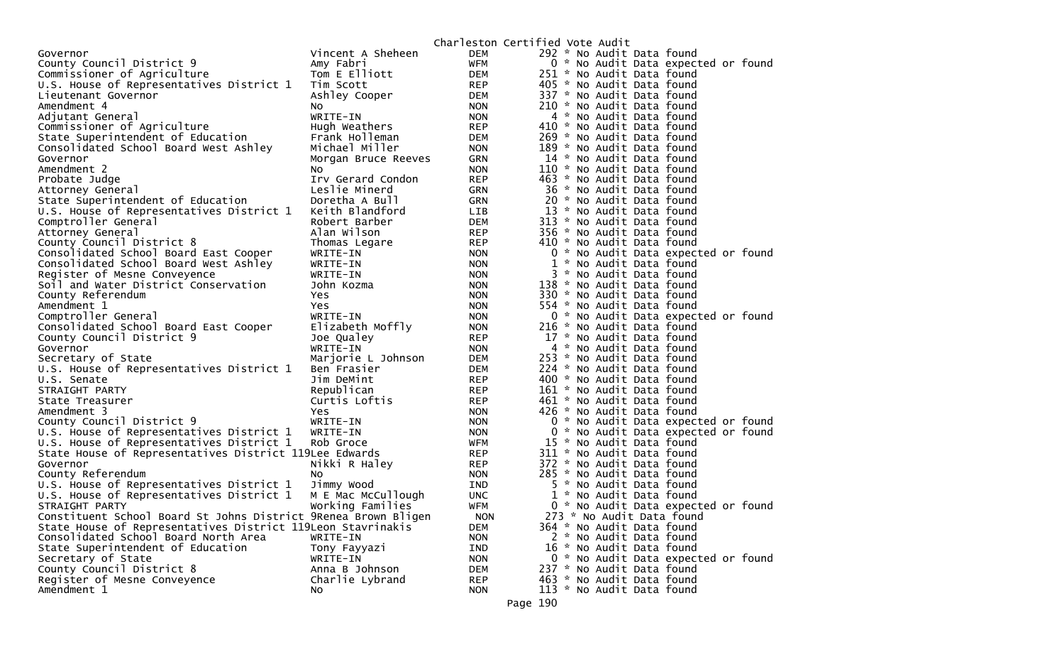|                                                                                                    |                       |                   | Charleston Certified Vote Audit                        |
|----------------------------------------------------------------------------------------------------|-----------------------|-------------------|--------------------------------------------------------|
| Governor                                                                                           | Vincent A Sheheen     | DEM               | 292 * No Audit Data found                              |
| County Council District 9                                                                          | Amy Fabri             | WFM               | 0 * No Audit Data expected or found                    |
| Commissioner of Agriculture                                                                        | Tom E Elliott         | DEM               | 251 * No Audit Data found                              |
| U.S. House of Representatives District 1                                                           | Tim Scott             | REP               | 405 * No Audit Data found                              |
| Lieutenant Governor                                                                                | Ashley Cooper         | DEM               | 337 * No Audit Data found                              |
| Amendment 4                                                                                        | NO.                   | <b>NON</b>        | 210 * No Audit Data found                              |
| Adjutant General                                                                                   | WRITE-IN              | <b>NON</b>        | 4 * No Audit Data found                                |
| Commissioner of Agriculture                                                                        | Hugh Weathers         | REP               | 410 * No Audit Data found                              |
| State Superintendent of Education                                                                  | Frank Holleman        | DEM               | 269 * No Audit Data found                              |
| Consolidated School Board West Ashley                                                              | Michael Miller        | <b>NON</b>        | 189 * No Audit Data found                              |
| Governor                                                                                           | Morgan Bruce Reeves   | <b>GRN</b>        | 14 * No Audit Data found                               |
| Amendment 2                                                                                        | NO.                   | <b>NON</b>        | 110 * No Audit Data found                              |
| Probate Judge                                                                                      | Irv Gerard Condon     | REP               | 463 * No Audit Data found                              |
| Attorney General                                                                                   | Leslie Minerd         | GRN               | 36 * No Audit Data found                               |
| State Superintendent of Education                                                                  | Doretha A Bull        | <b>GRN</b>        | 20 * No Audit Data found                               |
| U.S. House of Representatives District 1                                                           | Keith Blandford       | LIB               | 13 * No Audit Data found                               |
| Comptroller General                                                                                | Robert Barber         | DEM               | 313 * No Audit Data found                              |
| Attorney General                                                                                   | Alan Wilson           | <b>REP</b>        | 356 * No Audit Data found                              |
| County Council District 8                                                                          | Thomas Legare         | <b>REP</b>        | 410 * No Audit Data found                              |
| Consolidated School Board East Cooper                                                              | WRITE-IN              | <b>NON</b>        | 0 * No Audit Data expected or found                    |
| Consolidated School Board West Ashley                                                              | WRITE-IN              | <b>NON</b>        | 1 * No Audit Data found                                |
| Register of Mesne Conveyence                                                                       | WRITE-IN              | <b>NON</b>        | 3 * No Audit Data found                                |
| Soil and Water District Conservation                                                               | John Kozma            | <b>NON</b>        | 138 * No Audit Data found                              |
| County Referendum                                                                                  | Yes                   | <b>NON</b>        | 330 * No Audit Data found                              |
| Amendment 1                                                                                        | Yes                   | <b>NON</b>        | 554 * No Audit Data found                              |
| Comptroller General                                                                                | WRITE-IN              | <b>NON</b>        | 0 * No Audit Data expected or found                    |
| Consolidated School Board East Cooper                                                              | Elizabeth Moffly      | <b>NON</b>        | 216 * No Audit Data found                              |
| County Council District 9                                                                          | Joe Qualey            | REP               | 17 * No Audit Data found                               |
| Governor                                                                                           | WRITE-IN              | <b>NON</b>        | 4 * No Audit Data found                                |
| Secretary of State                                                                                 | Marjorie L Johnson    | DEM               | 253 * No Audit Data found                              |
| U.S. House of Representatives District 1                                                           | Ben Frasier           | DEM               | 224 * No Audit Data found                              |
| U.S. Senate                                                                                        | Jim DeMint            | <b>REP</b>        | 400 * No Audit Data found                              |
| STRAIGHT PARTY                                                                                     | Republican            | REP               | 161 * No Audit Data found                              |
| State Treasurer                                                                                    | Curtis Loftis         | REP               | 461 * No Audit Data found                              |
| Amendment 3                                                                                        | Yes                   | <b>NON</b>        | 426 * No Audit Data found                              |
| County Council District 9                                                                          | WRITE-IN              | <b>NON</b>        | 0 * No Audit Data expected or found                    |
| U.S. House of Representatives District 1                                                           | WRITE-IN<br>Rob Groce | <b>NON</b>        | 0 * No Audit Data expected or found                    |
| U.S. House of Representatives District 1<br>State House of Representatives District 119Lee Edwards |                       | WFM               | 15 * No Audit Data found                               |
|                                                                                                    |                       | REP               | 311 * No Audit Data found<br>372 * No Audit Data found |
| Governor<br>County Referendum                                                                      | Nikki R Haley         | REP               | 285 * No Audit Data found                              |
| U.S. House of Representatives District 1                                                           | NO.<br>Jimmy Wood     | <b>NON</b><br>IND | 5 * No Audit Data found                                |
| U.S. House of Representatives District 1                                                           | M E Mac McCullough    | <b>UNC</b>        | 1 * No Audit Data found                                |
| STRAIGHT PARTY                                                                                     | Working Families      | WFM               | 0 * No Audit Data expected or found                    |
| Constituent School Board St Johns District 9Renea Brown Bligen                                     |                       | <b>NON</b>        | 273 * No Audit Data found                              |
| State House of Representatives District 119Leon Stavrinakis                                        |                       | DEM               | 364 * No Audit Data found                              |
| Consolidated School Board North Area                                                               | WRITE-IN              | <b>NON</b>        | 2 * No Audit Data found                                |
| State Superintendent of Education                                                                  | Tony Fayyazi          | IND               | 16 * No Audit Data found                               |
| Secretary of State                                                                                 | WRITE-IN              | <b>NON</b>        | 0 * No Audit Data expected or found                    |
| County Council District 8                                                                          | Anna B Johnson        | <b>DEM</b>        | 237 * No Audit Data found                              |
| Register of Mesne Conveyence                                                                       | Charlie Lybrand       | <b>REP</b>        | 463 * No Audit Data found                              |
| Amendment 1                                                                                        | No                    | <b>NON</b>        | 113 * No Audit Data found                              |
|                                                                                                    |                       |                   |                                                        |
|                                                                                                    |                       |                   | Page 190                                               |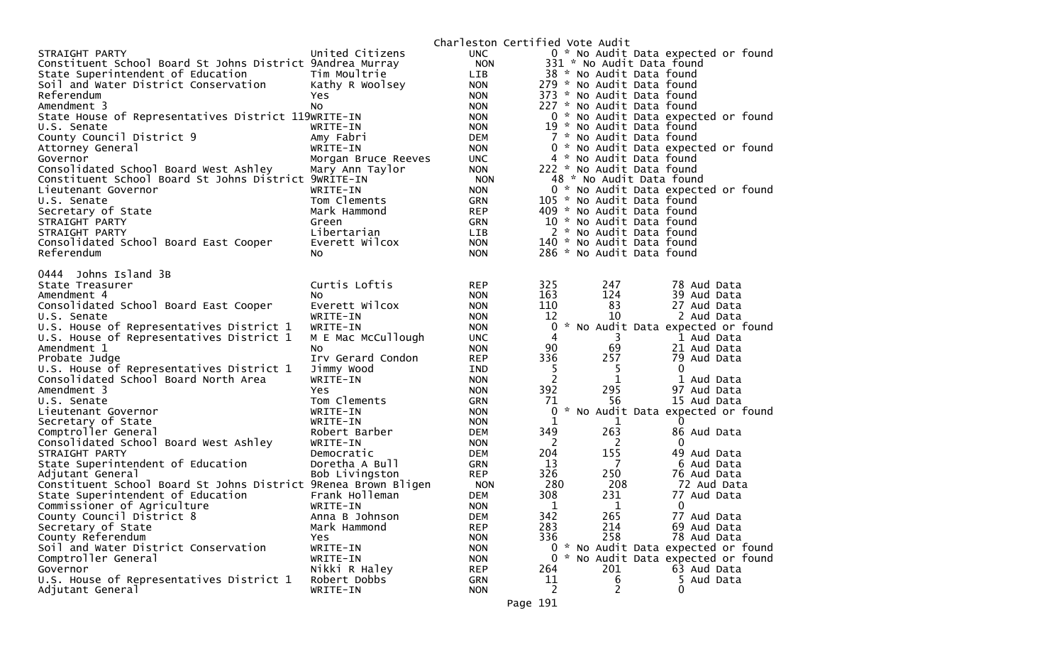|                                                                |                     |            | Charleston Certified Vote Audit |                |                                     |
|----------------------------------------------------------------|---------------------|------------|---------------------------------|----------------|-------------------------------------|
| STRAIGHT PARTY                                                 | United Citizens     | <b>UNC</b> |                                 |                | 0 * No Audit Data expected or found |
| Constituent School Board St Johns District 9Andrea Murray      |                     | <b>NON</b> |                                 |                | 331 * No Audit Data found           |
| State Superintendent of Education                              | Tim Moultrie        | <b>LIB</b> |                                 |                | 38 * No Audit Data found            |
| Soil and Water District Conservation                           | Kathy R Woolsey     | <b>NON</b> |                                 |                | 279 * No Audit Data found           |
| Referendum                                                     | <b>Yes</b>          | <b>NON</b> |                                 |                | 373 * No Audit Data found           |
| Amendment 3                                                    | NO.                 | <b>NON</b> |                                 |                | 227 * No Audit Data found           |
| State House of Representatives District 119WRITE-IN            |                     | <b>NON</b> |                                 |                | 0 * No Audit Data expected or found |
| U.S. Senate                                                    | WRITE-IN            | <b>NON</b> |                                 |                | 19 * No Audit Data found            |
| County Council District 9                                      | Amy Fabri           | <b>DEM</b> |                                 |                | 7 * No Audit Data found             |
| Attorney General                                               | WRITE-IN            | <b>NON</b> |                                 |                | 0 * No Audit Data expected or found |
| Governor                                                       | Morgan Bruce Reeves | <b>UNC</b> |                                 |                | 4 * No Audit Data found             |
| Consolidated School Board West Ashley                          | Mary Ann Taylor     | <b>NON</b> |                                 |                | 222 * No Audit Data found           |
| Constituent School Board St Johns District 9WRITE-IN           |                     | <b>NON</b> |                                 |                | 48 * No Audit Data found            |
| Lieutenant Governor                                            | WRITE-IN            | <b>NON</b> |                                 |                | 0 * No Audit Data expected or found |
| U.S. Senate                                                    | Tom Clements        | <b>GRN</b> |                                 |                | 105 * No Audit Data found           |
| Secretary of State                                             | Mark Hammond        | <b>REP</b> |                                 |                | 409 * No Audit Data found           |
| STRAIGHT PARTY                                                 | Green               | <b>GRN</b> |                                 |                | 10 * No Audit Data found            |
| STRAIGHT PARTY                                                 | Libertarian         | LIB        |                                 |                | 2 * No Audit Data found             |
| Consolidated School Board East Cooper                          | Everett Wilcox      | <b>NON</b> |                                 |                | 140 * No Audit Data found           |
| Referendum                                                     | NO.                 | <b>NON</b> |                                 |                | 286 * No Audit Data found           |
| 0444 Johns Island 3B                                           |                     |            |                                 |                |                                     |
| State Treasurer                                                | Curtis Loftis       | <b>REP</b> | 325                             | 247            | 78 Aud Data                         |
| Amendment 4                                                    | No.                 | <b>NON</b> | 163                             | 124            | 39 Aud Data                         |
| Consolidated School Board East Cooper                          | Everett Wilcox      | <b>NON</b> | 110                             | 83             | 27 Aud Data                         |
| U.S. Senate                                                    | WRITE-IN            | <b>NON</b> | 12                              | 10             | 2 Aud Data                          |
| U.S. House of Representatives District 1                       | WRITE-IN            | <b>NON</b> | $\mathbf{0}$                    |                | * No Audit Data expected or found   |
| U.S. House of Representatives District 1                       | M E Mac McCullough  | <b>UNC</b> | 4                               | 3              | 1 Aud Data                          |
| Amendment 1                                                    | N <sub>O</sub>      | <b>NON</b> | 90                              | 69             | 21 Aud Data                         |
| Probate Judge                                                  | Irv Gerard Condon   | <b>REP</b> | 336                             | 257            | 79 Aud Data                         |
| U.S. House of Representatives District 1                       | Jimmy Wood          | IND        | 5                               | 5              | 0                                   |
| Consolidated School Board North Area                           | WRITE-IN            | <b>NON</b> | 2                               | 1              | 1 Aud Data                          |
| Amendment 3                                                    | <b>Yes</b>          | <b>NON</b> | 392                             | 295            | 97 Aud Data                         |
| U.S. Senate                                                    | Tom Clements        | <b>GRN</b> | 71                              | 56             | 15 Aud Data                         |
| Lieutenant Governor                                            | WRITE-IN            | <b>NON</b> | 0                               |                | * No Audit Data expected or found   |
| Secretary of State                                             | WRITE-IN            | <b>NON</b> | 1                               | 1              | $\Omega$                            |
| Comptroller General                                            | Robert Barber       | <b>DEM</b> | 349                             | 263            | 86 Aud Data                         |
| Consolidated School Board West Ashley                          | WRITE-IN            | <b>NON</b> | 2                               | 2              | 0                                   |
| STRAIGHT PARTY                                                 | Democratic          | <b>DEM</b> | 204                             | 155            | 49 Aud Data                         |
| State Superintendent of Education                              | Doretha A Bull      | <b>GRN</b> | 13                              | $\overline{7}$ | 6 Aud Data                          |
| Adjutant General                                               | Bob Livingston      | <b>REP</b> | 326                             | 250            | 76 Aud Data                         |
| Constituent School Board St Johns District 9Renea Brown Bligen |                     | <b>NON</b> | 280                             | 208            | 72 Aud Data                         |
| State Superintendent of Education                              | Frank Holleman      | <b>DEM</b> | 308                             | 231            | 77 Aud Data                         |
| Commissioner of Agriculture                                    | WRITE-IN            | <b>NON</b> | 1                               | 1              | $\mathbf 0$                         |
| County Council District 8                                      | Anna B Johnson      | <b>DEM</b> | 342                             | 265            | 77 Aud Data                         |
| Secretary of State                                             | Mark Hammond        | <b>REP</b> | 283                             | 214            | 69 Aud Data                         |
| County Referendum                                              | Yes                 | <b>NON</b> | 336                             | 258            | 78 Aud Data                         |
| Soil and Water District Conservation                           | WRITE-IN            | <b>NON</b> |                                 |                | 0 * No Audit Data expected or found |
| Comptroller General                                            | WRITE-IN            | <b>NON</b> | 0                               |                | * No Audit Data expected or found   |
| Governor                                                       | Nikki R Haley       | <b>REP</b> | 264                             | 201            | 63 Aud Data                         |
| U.S. House of Representatives District 1                       | Robert Dobbs        | <b>GRN</b> | 11                              | 6<br>2         | 5 Aud Data<br>0                     |
| Adjutant General                                               | WRITE-IN            | <b>NON</b> | 2<br>$\sim$                     |                |                                     |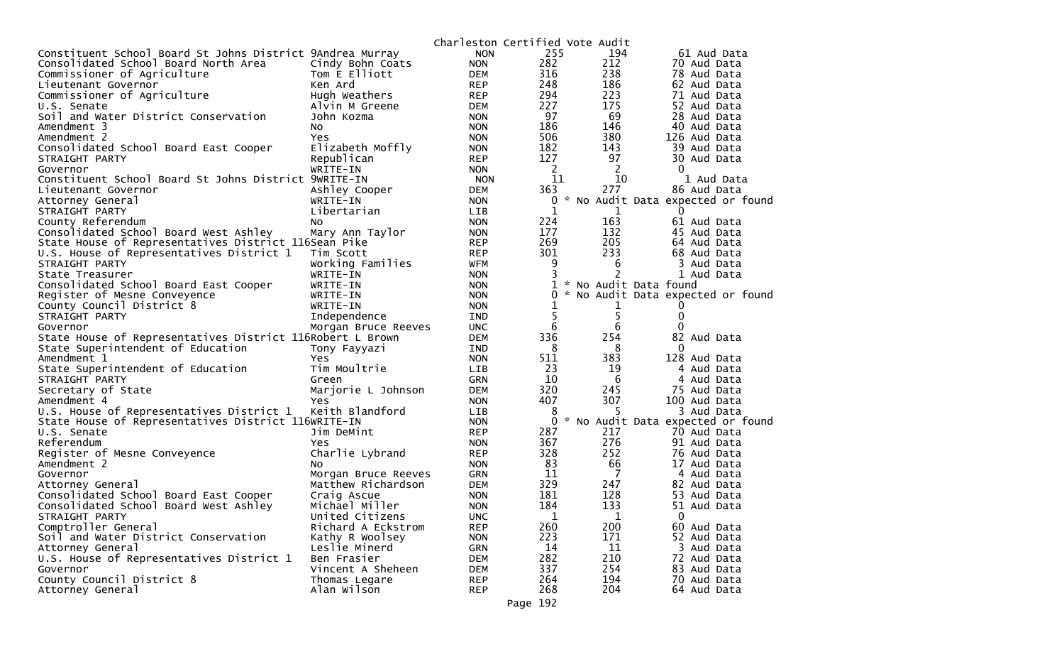|                                                           |                     |            | Charleston Certified Vote Audit |                |                                   |
|-----------------------------------------------------------|---------------------|------------|---------------------------------|----------------|-----------------------------------|
| Constituent School Board St Johns District 9Andrea Murray |                     | <b>NON</b> | 255                             | 194            | 61 Aud Data                       |
| Consolidated School Board North Area                      | Cindy Bohn Coats    | <b>NON</b> | 282                             | 212            | 70 Aud Data                       |
| Commissioner of Agriculture                               | Tom E Elliott       | DEM        | 316                             | 238            | 78 Aud Data                       |
| Lieutenant Governor                                       | Ken Ard             | <b>REP</b> | 248                             | 186            | 62 Aud Data                       |
| Commissioner of Agriculture                               | Hugh Weathers       | <b>REP</b> | 294                             | 223            | 71 Aud Data                       |
| U.S. Senate                                               | Alvin M Greene      | DEM        | 227                             | 175            | 52 Aud Data                       |
| Soil and Water District Conservation                      | John Kozma          | <b>NON</b> | 97                              | 69             | 28 Aud Data                       |
| Amendment 3                                               | No                  | <b>NON</b> | 186                             | 146            | 40 Aud Data                       |
| Amendment 2                                               | Yes.                | <b>NON</b> | 506                             | 380            | 126 Aud Data                      |
| Consolidated School Board East Cooper                     | Elizabeth Moffly    | <b>NON</b> | 182                             | 143            | 39 Aud Data                       |
| STRAIGHT PARTY                                            | Republican          | <b>REP</b> | 127                             | 97             | 30 Aud Data                       |
| Governor                                                  | WRITE-IN            | <b>NON</b> | $\overline{2}$                  | 2              | $\mathbf{0}$                      |
| Constituent School Board St Johns District 9WRITE-IN      |                     | <b>NON</b> | 11                              | 10             | 1 Aud Data                        |
| Lieutenant Governor                                       | Ashley Cooper       | DEM        | 363                             | 277            | 86 Aud Data                       |
| Attorney General                                          | WRITE-IN            | <b>NON</b> | 0                               |                | * No Audit Data expected or found |
| STRAIGHT PARTY                                            | Libertarian         | LIB        | 1                               | 1              | $\Omega$                          |
| County Referendum                                         | NO.                 | <b>NON</b> | 224                             | 163            | 61 Aud Data                       |
| Consolidated School Board West Ashley                     | Mary Ann Taylor     | <b>NON</b> | 177                             | 132            | 45 Aud Data                       |
| State House of Representatives District 116Sean Pike      |                     | <b>REP</b> | 269                             | 205            | 64 Aud Data                       |
| U.S. House of Representatives District 1                  | Tim Scott           | <b>REP</b> | 301                             | 233            | 68 Aud Data                       |
| STRAIGHT PARTY                                            | Working Families    | WFM        | 9                               | 6              | 3 Aud Data                        |
| State Treasurer                                           | WRITE-IN            | <b>NON</b> |                                 | $\overline{2}$ | 1 Aud Data                        |
| Consolidated School Board East Cooper                     | WRITE-IN            | <b>NON</b> |                                 |                | 1 * No Audit Data found           |
| Register of Mesne Conveyence                              | WRITE-IN            | <b>NON</b> | $\Omega$                        |                | * No Audit Data expected or found |
| County Council District 8                                 | WRITE-IN            | <b>NON</b> |                                 | 1              |                                   |
| STRAIGHT PARTY                                            | Independence        | IND        | 5                               | 5              | 0                                 |
| Governor                                                  | Morgan Bruce Reeves | <b>UNC</b> | 6                               | 6              | $\Omega$                          |
| State House of Representatives District 116Robert L Brown |                     | DEM        | 336                             | 254            | 82 Aud Data                       |
| State Superintendent of Education                         | Tony Fayyazi        | IND        | - 8                             | 8              | $\Omega$                          |
| Amendment 1                                               | Yes.                | <b>NON</b> | 511                             | 383            | 128 Aud Data                      |
| State Superintendent of Education                         | Tim Moultrie        | <b>LIB</b> | 23                              | 19             | 4 Aud Data                        |
| STRAIGHT PARTY                                            | Green               | GRN        | 10                              | 6              | 4 Aud Data                        |
| Secretary of State                                        | Marjorie L Johnson  | DEM        | 320                             | 245            | 75 Aud Data                       |
| Amendment 4                                               | <b>Yes</b>          | <b>NON</b> | 407                             | 307            | 100 Aud Data                      |
| U.S. House of Representatives District 1                  | Keith Blandford     | <b>LIB</b> | 8                               | 5              | 3 Aud Data                        |
| State House of Representatives District 116WRITE-IN       |                     | <b>NON</b> | 0                               |                | * No Audit Data expected or found |
| U.S. Senate                                               | Jim DeMint          | <b>REP</b> | 287                             | 217            | 70 Aud Data                       |
| Referendum                                                | Yes.                | <b>NON</b> | 367                             | 276            | 91 Aud Data                       |
| Register of Mesne Conveyence                              | Charlie Lybrand     | <b>REP</b> | 328                             | 252            | 76 Aud Data                       |
| Amendment 2                                               | NO.                 | <b>NON</b> | 83                              | 66             | 17 Aud Data                       |
| Governor                                                  | Morgan Bruce Reeves | GRN        | 11                              | $\overline{7}$ | 4 Aud Data                        |
| Attorney General                                          | Matthew Richardson  | DEM        | 329                             | 247            | 82 Aud Data                       |
| Consolidated School Board East Cooper                     | Craig Ascue         | <b>NON</b> | 181                             | 128            | 53 Aud Data                       |
| Consolidated School Board West Ashley                     | Michael Miller      | <b>NON</b> | 184                             | 133            | 51 Aud Data                       |
| STRAIGHT PARTY                                            | United Citizens     | <b>UNC</b> | 1                               | 1              | $\mathbf 0$                       |
| Comptroller General                                       | Richard A Eckstrom  | <b>REP</b> | 260                             | 200            | 60 Aud Data                       |
| Soil and Water District Conservation                      | Kathy R Woolsey     | <b>NON</b> | 223                             | 171            | 52 Aud Data                       |
| Attorney General                                          | Leslie Minerd       | <b>GRN</b> | 14                              | 11             | 3 Aud Data                        |
| U.S. House of Representatives District 1                  | Ben Frasier         | <b>DEM</b> | 282                             | 210            | 72 Aud Data                       |
| Governor                                                  | Vincent A Sheheen   | <b>DEM</b> | 337                             | 254            | 83 Aud Data                       |
| County Council District 8                                 | Thomas Legare       | <b>REP</b> | 264                             | 194            | 70 Aud Data                       |
| Attorney General                                          | Alan Wilson         | <b>REP</b> | 268                             | 204            | 64 Aud Data                       |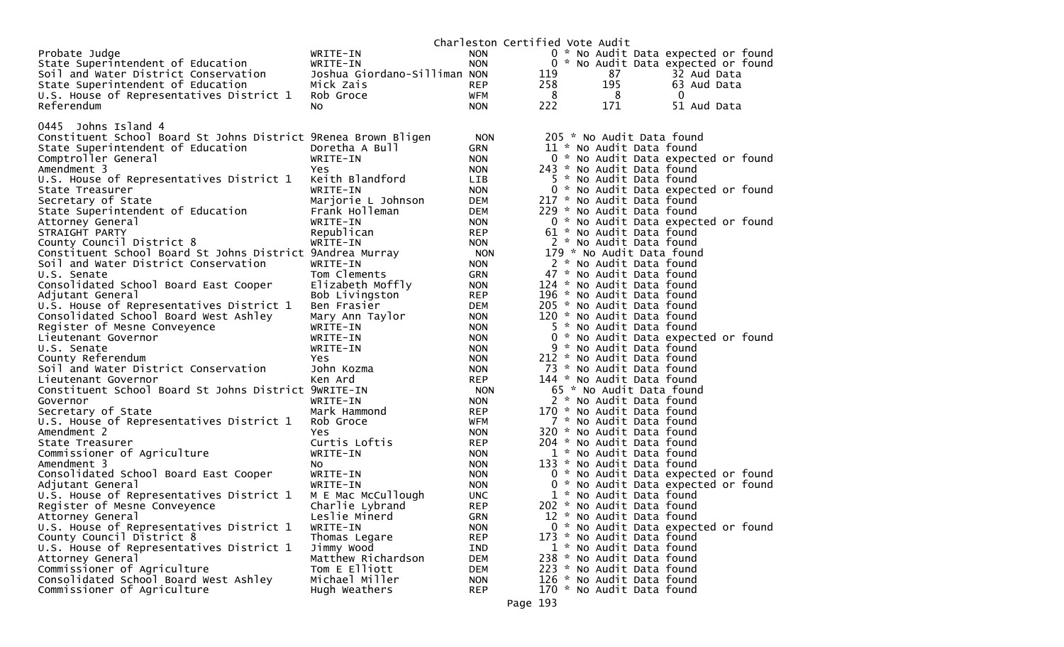|                                                                       |                              |                          | Charleston Certified Vote Audit                                 |
|-----------------------------------------------------------------------|------------------------------|--------------------------|-----------------------------------------------------------------|
| Probate Judge                                                         | WRITE-IN                     | <b>NON</b>               | 0 * No Audit Data expected or found                             |
| State Superintendent of Education                                     | WRITE-IN                     | <b>NON</b>               | 0 * No Audit Data expected or found                             |
| Soil and Water District Conservation                                  | Joshua Giordano-Silliman NON |                          | 87<br>119<br>32 Aud Data                                        |
| State Superintendent of Education                                     | Mick Zais                    | REP                      | 258<br>195<br>63 Aud Data                                       |
| U.S. House of Representatives District 1                              | Rob Groce                    | WFM                      | 8<br>8<br>$\overline{0}$                                        |
| Referendum                                                            | No.                          | <b>NON</b>               | 222<br>171<br>51 Aud Data                                       |
|                                                                       |                              |                          |                                                                 |
| 0445 Johns Island 4                                                   |                              |                          |                                                                 |
| Constituent School Board St Johns District 9Renea Brown Bligen        |                              | <b>NON</b>               | 205 * No Audit Data found                                       |
| State Superintendent of Education                                     | Doretha A Bull               | <b>GRN</b>               | 11 * No Audit Data found                                        |
| Comptroller General                                                   | WRITE-IN                     | <b>NON</b>               | 0 * No Audit Data expected or found                             |
| Amendment 3                                                           | Yes                          | <b>NON</b>               | 243 * No Audit Data found                                       |
| U.S. House of Representatives District 1                              | Keith Blandford              | LIB.                     | 5 * No Audit Data found                                         |
| State Treasurer                                                       | WRITE-IN                     | <b>NON</b>               | 0 * No Audit Data expected or found                             |
| Secretary of State                                                    | Marjorie L Johnson           | DEM                      | 217 * No Audit Data found                                       |
| State Superintendent of Education                                     | Frank Holleman               | DEM                      | 229 * No Audit Data found                                       |
| Attorney General                                                      | WRITE-IN                     | <b>NON</b>               | 0 * No Audit Data expected or found                             |
| STRAIGHT PARTY                                                        | Republican                   | <b>REP</b>               | 61 * No Audit Data found                                        |
| County Council District 8                                             | WRITE-IN                     | <b>NON</b>               | 2 * No Audit Data found                                         |
| Constituent School Board St Johns District 9Andrea Murray             |                              | <b>NON</b>               | 179 * No Audit Data found                                       |
| Soil and Water District Conservation                                  | WRITE-IN                     | <b>NON</b>               | 2 * No Audit Data found                                         |
| U.S. Senate                                                           | Tom Clements                 | <b>GRN</b>               | 47 * No Audit Data found                                        |
| Consolidated School Board East Cooper                                 | Elizabeth Moffly             | <b>NON</b>               | 124 * No Audit Data found                                       |
| Adjutant General                                                      | Bob Livingston               | <b>REP</b>               | 196 * No Audit Data found                                       |
| U.S. House of Representatives District 1                              | Ben Frasier                  | DEM                      | 205 * No Audit Data found                                       |
| Consolidated School Board West Ashley                                 | Mary Ann Taylor              | <b>NON</b>               | 120 * No Audit Data found                                       |
| Register of Mesne Conveyence                                          | WRITE-IN                     | <b>NON</b>               | 5 * No Audit Data found                                         |
| Lieutenant Governor                                                   | WRITE-IN                     | <b>NON</b>               | 0 * No Audit Data expected or found                             |
| U.S. Senate                                                           | WRITE-IN                     | <b>NON</b>               | 9 * No Audit Data found                                         |
| County Referendum                                                     | <b>Yes</b>                   | <b>NON</b>               | 212 * No Audit Data found                                       |
| Soil and Water District Conservation                                  | John Kozma                   | <b>NON</b>               | 73 * No Audit Data found                                        |
| Lieutenant Governor                                                   | Ken Ard                      | <b>REP</b>               | 144 * No Audit Data found                                       |
| Constituent School Board St Johns District 9WRITE-IN                  |                              | <b>NON</b>               | 65 * No Audit Data found                                        |
| Governor                                                              | WRITE-IN                     | <b>NON</b>               | 2 * No Audit Data found                                         |
| Secretary of State                                                    | Mark Hammond                 | <b>REP</b>               | 170 * No Audit Data found                                       |
| U.S. House of Representatives District 1                              | Rob Groce                    | WFM                      | 7 * No Audit Data found                                         |
| Amendment 2                                                           | Yes                          | <b>NON</b>               | 320 * No Audit Data found                                       |
| State Treasurer                                                       | Curtis Loftis                | <b>REP</b>               | 204 * No Audit Data found                                       |
| Commissioner of Agriculture                                           | WRITE-IN                     | <b>NON</b>               | 1 * No Audit Data found                                         |
| Amendment 3                                                           | NO.                          | <b>NON</b>               | 133 * No Audit Data found                                       |
| Consolidated School Board East Cooper                                 | WRITE-IN                     | <b>NON</b>               | 0 * No Audit Data expected or found                             |
| Adjutant General                                                      | WRITE-IN                     | <b>NON</b>               | 0 * No Audit Data expected or found                             |
| U.S. House of Representatives District 1                              | M E Mac McCullough           | <b>UNC</b>               | 1 * No Audit Data found                                         |
| Register of Mesne Conveyence                                          | Charlie Lybrand              | <b>REP</b>               | 202 * No Audit Data found                                       |
| Attorney General                                                      | Leslie Minerd                | GRN                      | 12 * No Audit Data found<br>0 * No Audit Data expected or found |
| U.S. House of Representatives District 1<br>County Council District 8 | WRITE-IN                     | <b>NON</b><br><b>REP</b> | 173 * No Audit Data found                                       |
|                                                                       | Thomas Legare<br>Jimmy Wood  |                          |                                                                 |
| U.S. House of Representatives District 1<br>Attorney General          | Matthew Richardson           | IND<br><b>DEM</b>        | 1 * No Audit Data found<br>238 * No Audit Data found            |
| Commissioner of Agriculture                                           | Tom E Elliott                | <b>DEM</b>               | 223 * No Audit Data found                                       |
| Consolidated School Board West Ashley                                 | Michael Miller               | <b>NON</b>               | 126 * No Audit Data found                                       |
| Commissioner of Agriculture                                           | Hugh Weathers                | <b>REP</b>               | 170 * No Audit Data found                                       |
|                                                                       |                              |                          |                                                                 |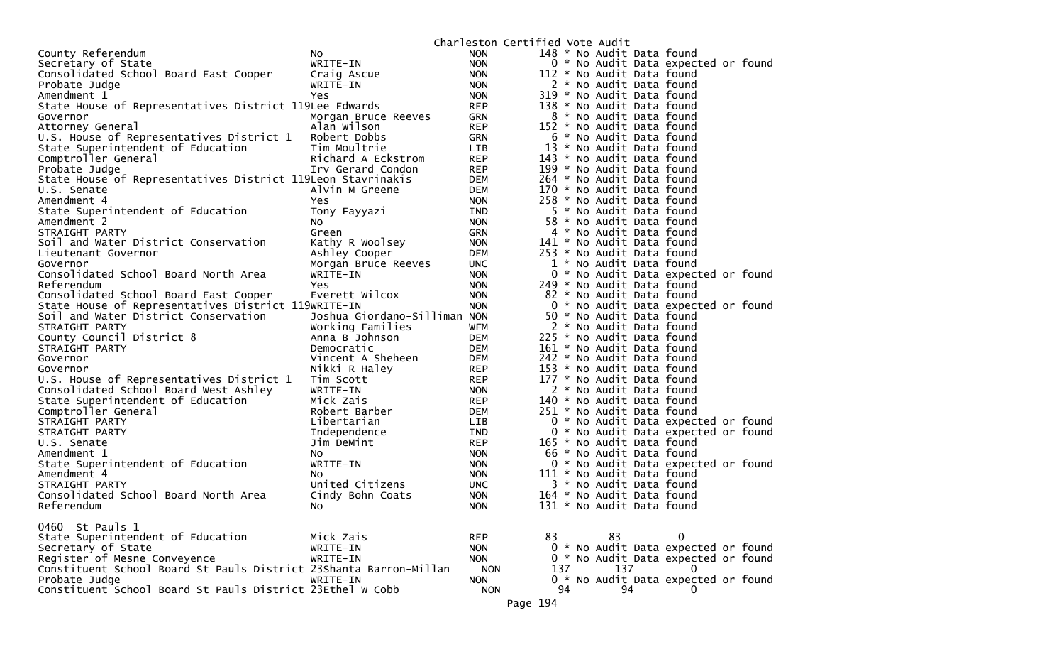|                                                                   |                              |                          | Charleston Certified Vote Audit                       |
|-------------------------------------------------------------------|------------------------------|--------------------------|-------------------------------------------------------|
| County Referendum                                                 | NO.                          | NON.                     | 148 * No Audit Data found                             |
| Secretary of State                                                | WRITE-IN                     | <b>NON</b>               | 0 * No Audit Data expected or found                   |
| Consolidated School Board East Cooper                             | Craig Ascue                  | <b>NON</b>               | 112 * No Audit Data found                             |
| Probate Judge                                                     | WRITE-IN                     | <b>NON</b>               | 2 * No Audit Data found                               |
| Amendment 1                                                       | Yes                          | <b>NON</b>               | 319 * No Audit Data found                             |
| State House of Representatives District 119Lee Edwards            |                              | <b>REP</b>               | 138 * No Audit Data found                             |
| Governor                                                          | Morgan Bruce Reeves          | GRN                      | 8 * No Audit Data found                               |
| Attorney General                                                  | Alan Wilson                  | <b>REP</b>               | 152 * No Audit Data found                             |
| U.S. House of Representatives District 1                          | Robert Dobbs                 | <b>GRN</b>               | 6<br>* No Audit Data found                            |
| State Superintendent of Education                                 | Tim Moultrie                 | LIB                      | 13 * No Audit Data found                              |
| Comptroller General                                               | Richard A Eckstrom           | <b>REP</b>               | 143 * No Audit Data found                             |
| Probate Judge                                                     | Irv Gerard Condon            | <b>REP</b>               | 199 * No Audit Data found                             |
| State House of Representatives District 119Leon Stavrinakis       |                              | DEM                      | 264 * No Audit Data found                             |
| U.S. Senate                                                       | Alvin M Greene               | DEM                      | 170 * No Audit Data found                             |
| Amendment 4                                                       | Yes                          | <b>NON</b>               | 258 * No Audit Data found                             |
| State Superintendent of Education                                 | Tony Fayyazi                 | IND                      | 5 * No Audit Data found                               |
| Amendment 2                                                       | NO.                          | <b>NON</b>               | 58 * No Audit Data found                              |
| STRAIGHT PARTY                                                    | Green                        | <b>GRN</b>               | 4 * No Audit Data found                               |
| Soil and Water District Conservation                              | Kathy R Woolsey              | <b>NON</b>               | 141 * No Audit Data found                             |
| Lieutenant Governor                                               | Ashley Cooper                | DEM                      | 253 * No Audit Data found                             |
| Governor                                                          | Morgan Bruce Reeves          | <b>UNC</b>               | 1 * No Audit Data found                               |
| Consolidated School Board North Area                              | WRITE-IN                     | <b>NON</b>               | 0 * No Audit Data expected or found                   |
| Referendum<br>Consolidated School Board East Cooper               | Yes<br>Everett Wilcox        | <b>NON</b><br><b>NON</b> | 249 * No Audit Data found<br>82 * No Audit Data found |
| State House of Representatives District 119WRITE-IN               |                              | <b>NON</b>               | 0 * No Audit Data expected or found                   |
| Soil and Water District Conservation                              | Joshua Giordano-Silliman NON |                          | 50 * No Audit Data found                              |
| STRAIGHT PARTY                                                    | Working Families             | WFM                      | 2 * No Audit Data found                               |
| County Council District 8                                         | Anna B Johnson               | <b>DEM</b>               | 225 * No Audit Data found                             |
| STRAIGHT PARTY                                                    | Democratic                   | DEM                      | 161 * No Audit Data found                             |
| Governor                                                          | Vincent A Sheheen            | DEM                      | 242 * No Audit Data found                             |
| Governor                                                          | Nikki R Haley                | REP                      | 153 * No Audit Data found                             |
| U.S. House of Representatives District 1                          | Tim Scott                    | <b>REP</b>               | 177 * No Audit Data found                             |
| Consolidated School Board West Ashley                             | WRITE-IN                     | <b>NON</b>               | 2 * No Audit Data found                               |
| State Superintendent of Education                                 | Mick Zais                    | <b>REP</b>               | 140 * No Audit Data found                             |
| Comptroller General                                               | Robert Barber                | DEM                      | 251 * No Audit Data found                             |
| STRAIGHT PARTY                                                    | Libertarian                  | LIB                      | 0 * No Audit Data expected or found                   |
| STRAIGHT PARTY                                                    | Independence                 | IND                      | 0 * No Audit Data expected or found                   |
| U.S. Senate                                                       | Jim DeMint                   | <b>REP</b>               | 165 * No Audit Data found                             |
| Amendment 1                                                       | No.                          | <b>NON</b>               | 66 * No Audit Data found                              |
| State Superintendent of Education                                 | WRITE-IN                     | <b>NON</b>               | 0 * No Audit Data expected or found                   |
| Amendment 4                                                       | NO.                          | <b>NON</b>               | 111 * No Audit Data found                             |
| STRAIGHT PARTY                                                    | United Citizens              | UNC.                     | 3 * No Audit Data found                               |
| Consolidated School Board North Area                              | Cindy Bohn Coats             | <b>NON</b>               | 164 * No Audit Data found                             |
| Referendum                                                        | No l                         | <b>NON</b>               | 131 * No Audit Data found                             |
| 0460 St Pauls 1                                                   |                              |                          |                                                       |
| State Superintendent of Education                                 | Mick Zais                    | REP                      | 83<br>83<br>$\mathbf 0$                               |
| Secretary of State                                                | WRITE-IN                     | <b>NON</b>               | 0 * No Audit Data expected or found                   |
| Register of Mesne Conveyence                                      | WRITE-IN                     | <b>NON</b>               | 0 * No Audit Data expected or found                   |
| Constituent School Board St Pauls District 23Shanta Barron-Millan |                              | <b>NON</b>               | 137<br>137<br>0                                       |
| Probate Judge                                                     | WRITE-IN                     | <b>NON</b>               | 0 * No Audit Data expected or found                   |
| Constituent School Board St Pauls District 23Ethel W Cobb         |                              | <b>NON</b>               | 94<br>94<br>0                                         |
|                                                                   |                              |                          | Page 194                                              |
|                                                                   |                              |                          |                                                       |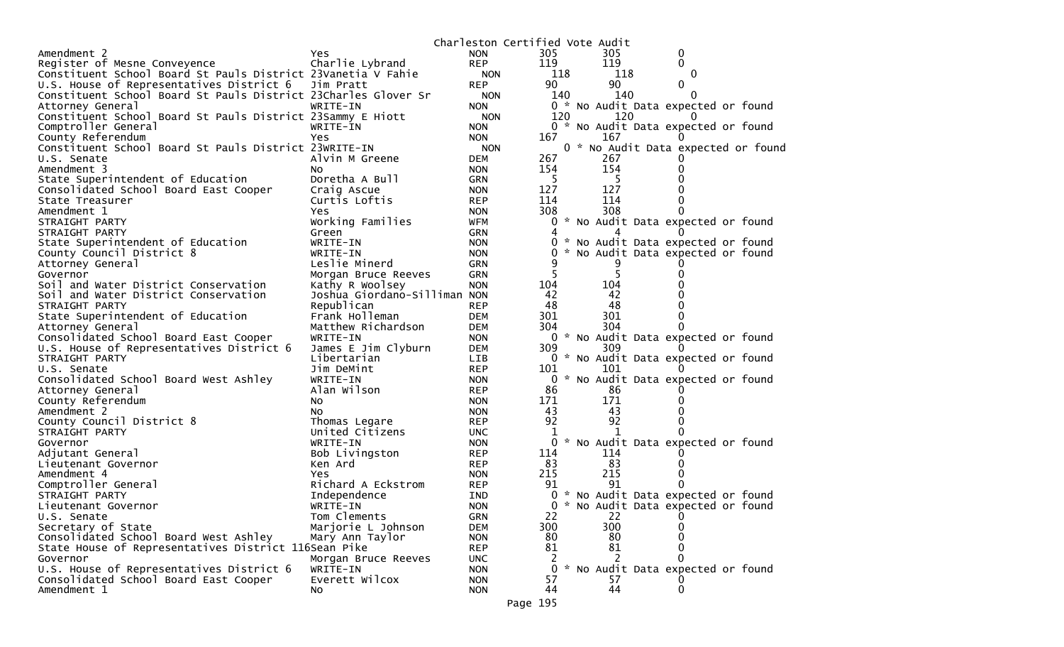|                                                                |                              | Charleston Certified Vote Audit |     |  |     |                                     |  |
|----------------------------------------------------------------|------------------------------|---------------------------------|-----|--|-----|-------------------------------------|--|
| Amendment 2                                                    | Yes.                         | <b>NON</b>                      | 305 |  | 305 | 0                                   |  |
| Register of Mesne Conveyence                                   | Charlie Lybrand              | <b>REP</b>                      | 119 |  | 119 | 0                                   |  |
| Constituent School Board St Pauls District 23Vanetia V Fahie   |                              | <b>NON</b>                      | 118 |  | 118 | 0                                   |  |
| U.S. House of Representatives District 6                       | Jim Pratt                    | <b>REP</b>                      | 90  |  | 90  | 0                                   |  |
| Constituent School Board St Pauls District 23Charles Glover Sr |                              | NON.                            | 140 |  | 140 |                                     |  |
| Attorney General                                               | WRITE-IN                     | <b>NON</b>                      |     |  |     | 0 * No Audit Data expected or found |  |
| Constituent School Board St Pauls District 23Sammy E Hiott     |                              | <b>NON</b>                      | 120 |  | 120 |                                     |  |
| Comptroller General                                            | WRITE-IN                     | <b>NON</b>                      |     |  |     | 0 * No Audit Data expected or found |  |
| County Referendum                                              | Yes                          | <b>NON</b>                      | 167 |  | 167 |                                     |  |
| Constituent School Board St Pauls District 23WRITE-IN          |                              | <b>NON</b>                      |     |  |     | 0 * No Audit Data expected or found |  |
| U.S. Senate                                                    | Alvin M Greene               | <b>DEM</b>                      | 267 |  | 267 |                                     |  |
| Amendment 3                                                    | NO.                          | <b>NON</b>                      | 154 |  | 154 |                                     |  |
| State Superintendent of Education                              | Doretha A Bull               | <b>GRN</b>                      | 5   |  | -5  |                                     |  |
| Consolidated School Board East Cooper                          | Craig Ascue                  | <b>NON</b>                      | 127 |  | 127 |                                     |  |
| State Treasurer                                                | Curtis Loftis                | <b>REP</b>                      | 114 |  | 114 |                                     |  |
| Amendment 1                                                    | Yes                          | <b>NON</b>                      | 308 |  | 308 |                                     |  |
| STRAIGHT PARTY                                                 | Working Families             | WFM                             | 0   |  |     | * No Audit Data expected or found   |  |
| STRAIGHT PARTY                                                 | Green                        | <b>GRN</b>                      | 4   |  |     |                                     |  |
| State Superintendent of Education                              | WRITE-IN                     | <b>NON</b>                      |     |  |     | * No Audit Data expected or found   |  |
| County Council District 8                                      | WRITE-IN                     | <b>NON</b>                      | 0   |  |     | * No Audit Data expected or found   |  |
| Attorney General                                               | Leslie Minerd                | <b>GRN</b>                      | 9   |  | 9   |                                     |  |
| Governor                                                       | Morgan Bruce Reeves          | <b>GRN</b>                      | 5   |  |     |                                     |  |
| Soil and Water District Conservation                           | Kathy R Woolsey              | <b>NON</b>                      | 104 |  | 104 |                                     |  |
| Soil and Water District Conservation                           | Joshua Giordano-Silliman NON |                                 | 42  |  | 42  |                                     |  |
| STRAIGHT PARTY                                                 | Republican                   | <b>REP</b>                      | 48  |  | 48  |                                     |  |
| State Superintendent of Education                              | Frank Holleman               | <b>DEM</b>                      | 301 |  | 301 |                                     |  |
| Attorney General                                               | Matthew Richardson           | <b>DEM</b>                      | 304 |  | 304 |                                     |  |
| Consolidated School Board East Cooper                          | WRITE-IN                     | <b>NON</b>                      |     |  |     | 0 * No Audit Data expected or found |  |
| U.S. House of Representatives District 6                       | James E Jim Clyburn          | <b>DEM</b>                      | 309 |  | 309 |                                     |  |
| STRAIGHT PARTY                                                 | Libertarian                  | <b>LIB</b>                      |     |  |     | 0 * No Audit Data expected or found |  |
| U.S. Senate                                                    | Jim DeMint                   | <b>REP</b>                      | 101 |  | 101 |                                     |  |
| Consolidated School Board West Ashley                          | WRITE-IN                     | <b>NON</b>                      | 0   |  |     | * No Audit Data expected or found   |  |
| Attorney General                                               | Alan Wilson                  | <b>REP</b>                      | 86  |  | 86  |                                     |  |
| County Referendum                                              | No.                          | <b>NON</b>                      | 171 |  | 171 |                                     |  |
| Amendment 2                                                    | NO.                          | <b>NON</b>                      | 43  |  | 43  |                                     |  |
| County Council District 8                                      | Thomas Legare                | <b>REP</b>                      | 92  |  | 92  |                                     |  |
| STRAIGHT PARTY                                                 | United Citizens              | <b>UNC</b>                      |     |  |     |                                     |  |
| Governor                                                       | WRITE-IN                     | <b>NON</b>                      | 0   |  |     | * No Audit Data expected or found   |  |
| Adjutant General                                               | Bob Livingston               | <b>REP</b>                      | 114 |  | 114 |                                     |  |
| Lieutenant Governor                                            | Ken Ard                      | <b>REP</b>                      | 83  |  | 83  |                                     |  |
| Amendment 4                                                    | Yes                          | <b>NON</b>                      | 215 |  | 215 |                                     |  |
| Comptroller General                                            | Richard A Eckstrom           | <b>REP</b>                      | 91  |  | 91  |                                     |  |
| STRAIGHT PARTY                                                 | Independence                 | <b>IND</b>                      | 0   |  |     | * No Audit Data expected or found   |  |
| Lieutenant Governor                                            | WRITE-IN                     | <b>NON</b>                      |     |  |     | 0 * No Audit Data expected or found |  |
| U.S. Senate                                                    | Tom Clements                 | <b>GRN</b>                      | 22  |  | 22  | 0                                   |  |
| Secretary of State                                             | Marjorie L Johnson           | <b>DEM</b>                      | 300 |  | 300 | 0                                   |  |
| Consolidated School Board West Ashley                          | Mary Ann Taylor              | <b>NON</b>                      | 80  |  | 80  |                                     |  |
| State House of Representatives District 116Sean Pike           |                              | <b>REP</b>                      | 81  |  | 81  | 0                                   |  |
| Governor                                                       | Morgan Bruce Reeves          | <b>UNC</b>                      |     |  | 2   |                                     |  |
| U.S. House of Representatives District 6                       | WRITE-IN                     | <b>NON</b>                      | 0   |  |     | * No Audit Data expected or found   |  |
| Consolidated School Board East Cooper                          | Everett Wilcox               | <b>NON</b>                      | 57  |  | 57  |                                     |  |
| Amendment 1                                                    | NO.                          | <b>NON</b>                      | 44  |  | 44  | 0                                   |  |
|                                                                |                              |                                 |     |  |     |                                     |  |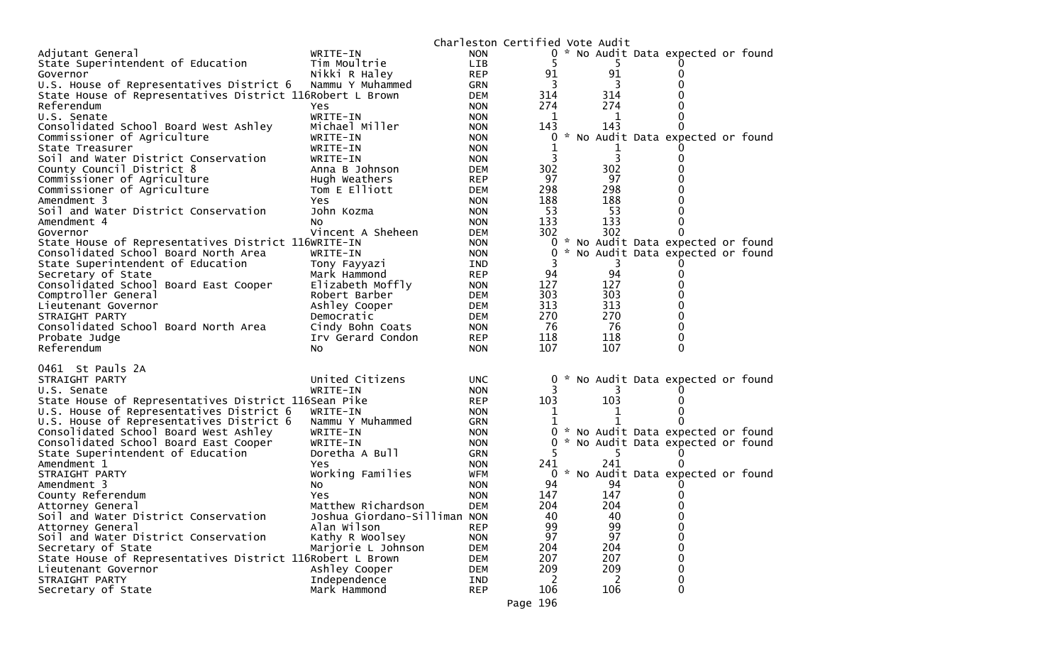|                                                                            |                              | Charleston Certified Vote Audit |     |           |                                     |  |
|----------------------------------------------------------------------------|------------------------------|---------------------------------|-----|-----------|-------------------------------------|--|
| Adjutant General                                                           | WRITE-IN                     | <b>NON</b>                      |     |           | 0 * No Audit Data expected or found |  |
| State Superintendent of Education                                          | Tim Moultrie                 | <b>LIB</b>                      |     |           |                                     |  |
| Governor                                                                   | Nikki R Haley                | <b>REP</b>                      | 91  | 91        |                                     |  |
| U.S. House of Representatives District 6                                   | Nammu Y Muhammed             | <b>GRN</b>                      | 3   | 3         |                                     |  |
| State House of Representatives District 116Robert L Brown                  |                              | <b>DEM</b>                      | 314 | 314       |                                     |  |
| Referendum                                                                 | Yes                          | <b>NON</b>                      | 274 | 274       |                                     |  |
| U.S. Senate                                                                | WRITE-IN                     | <b>NON</b>                      | 1   | 1         |                                     |  |
| Consolidated School Board West Ashley                                      | Michael Miller               | <b>NON</b>                      | 143 | 143       | 0                                   |  |
| Commissioner of Agriculture                                                | WRITE-IN                     | <b>NON</b>                      | 0   |           | * No Audit Data expected or found   |  |
| State Treasurer<br>Soil and Water District Conservation                    | WRITE-IN<br>WRITE-IN         | <b>NON</b><br><b>NON</b>        | 3   | 3         |                                     |  |
| County Council District 8                                                  | Anna B Johnson               | <b>DEM</b>                      | 302 | 302       |                                     |  |
| Commissioner of Agriculture                                                | Hugh Weathers                | <b>REP</b>                      | 97  | 97        |                                     |  |
| Commissioner of Agriculture                                                | Tom E Elliott                | <b>DEM</b>                      | 298 | 298       | 0                                   |  |
| Amendment 3                                                                | Yes                          | <b>NON</b>                      | 188 | 188       |                                     |  |
| Soil and Water District Conservation                                       | John Kozma                   | <b>NON</b>                      | 53  | 53        |                                     |  |
| Amendment 4                                                                | No.                          | <b>NON</b>                      | 133 | 133       | 0                                   |  |
| Governor                                                                   | Vincent A Sheheen            | DEM                             | 302 | 302       | 0                                   |  |
| State House of Representatives District 116WRITE-IN                        |                              | <b>NON</b>                      | 0   |           | * No Audit Data expected or found   |  |
| Consolidated School Board North Area                                       | WRITE-IN                     | <b>NON</b>                      | 0   |           | * No Audit Data expected or found   |  |
| State Superintendent of Education                                          | Tony Fayyazi                 | IND                             |     | 3         |                                     |  |
| Secretary of State                                                         | Mark Hammond                 | <b>REP</b>                      | 94  | 94        | 0                                   |  |
| Consolidated School Board East Cooper                                      | Elizabeth Moffly             | <b>NON</b>                      | 127 | 127       | 0                                   |  |
| Comptroller General                                                        | Robert Barber                | DEM                             | 303 | 303       | 0                                   |  |
| Lieutenant Governor                                                        | Ashley Cooper                | DEM                             | 313 | 313       | 0                                   |  |
| STRAIGHT PARTY                                                             | Democratic                   | DEM                             | 270 | 270       | 0                                   |  |
| Consolidated School Board North Area                                       | Cindy Bohn Coats             | <b>NON</b>                      | 76  | 76        | 0                                   |  |
| Probate Judge                                                              | Irv Gerard Condon            | <b>REP</b>                      | 118 | 118       | 0                                   |  |
| Referendum                                                                 | No                           | <b>NON</b>                      | 107 | 107       | $\Omega$                            |  |
|                                                                            |                              |                                 |     |           |                                     |  |
| 0461 St Pauls 2A                                                           |                              |                                 |     |           |                                     |  |
| STRAIGHT PARTY                                                             | United Citizens              | <b>UNC</b>                      | 0   |           | * No Audit Data expected or found   |  |
| U.S. Senate                                                                | WRITE-IN                     | <b>NON</b>                      |     |           |                                     |  |
| State House of Representatives District 116Sean Pike                       |                              | <b>REP</b>                      | 103 | 103       |                                     |  |
| U.S. House of Representatives District 6                                   | WRITE-IN                     | <b>NON</b>                      | 1   | 1         | 0                                   |  |
| U.S. House of Representatives District 6                                   | Nammu Y Muhammed             | <b>GRN</b>                      |     |           | 0                                   |  |
| Consolidated School Board West Ashley                                      | WRITE-IN                     | <b>NON</b>                      | 0   |           | * No Audit Data expected or found   |  |
| Consolidated School Board East Cooper<br>State Superintendent of Education | WRITE-IN<br>Doretha A Bull   | <b>NON</b>                      |     |           | * No Audit Data expected or found   |  |
| Amendment 1                                                                |                              | <b>GRN</b><br><b>NON</b>        | 241 | 5.<br>241 | 0                                   |  |
| STRAIGHT PARTY                                                             | Yes                          | WFM                             |     |           | 0 * No Audit Data expected or found |  |
| Amendment 3                                                                | Working Families<br>NO.      | <b>NON</b>                      | 94  | 94        |                                     |  |
| County Referendum                                                          | Yes                          | <b>NON</b>                      | 147 | 147       |                                     |  |
| Attorney General                                                           | Matthew Richardson           | <b>DEM</b>                      | 204 | 204       | 0                                   |  |
| Soil and Water District Conservation                                       | Joshua Giordano-Silliman NON |                                 | 40  | 40        | 0                                   |  |
| Attorney General                                                           | Alan Wilson                  | <b>REP</b>                      | 99  | 99        | 0                                   |  |
| Soil and Water District Conservation                                       | Kathy R Woolsey              | <b>NON</b>                      | 97  | 97        | 0                                   |  |
| Secretary of State                                                         | Marjorie L Johnson           | <b>DEM</b>                      | 204 | 204       | 0                                   |  |
| State House of Representatives District 116Robert L Brown                  |                              | <b>DEM</b>                      | 207 | 207       | 0                                   |  |
| Lieutenant Governor                                                        | Ashley Cooper                | <b>DEM</b>                      | 209 | 209       | 0                                   |  |
| STRAIGHT PARTY                                                             | Independence                 | IND                             | 2   | 2         | 0                                   |  |
| Secretary of State                                                         | Mark Hammond                 | <b>REP</b>                      | 106 | 106       | $\mathbf{0}$                        |  |
|                                                                            |                              |                                 |     |           |                                     |  |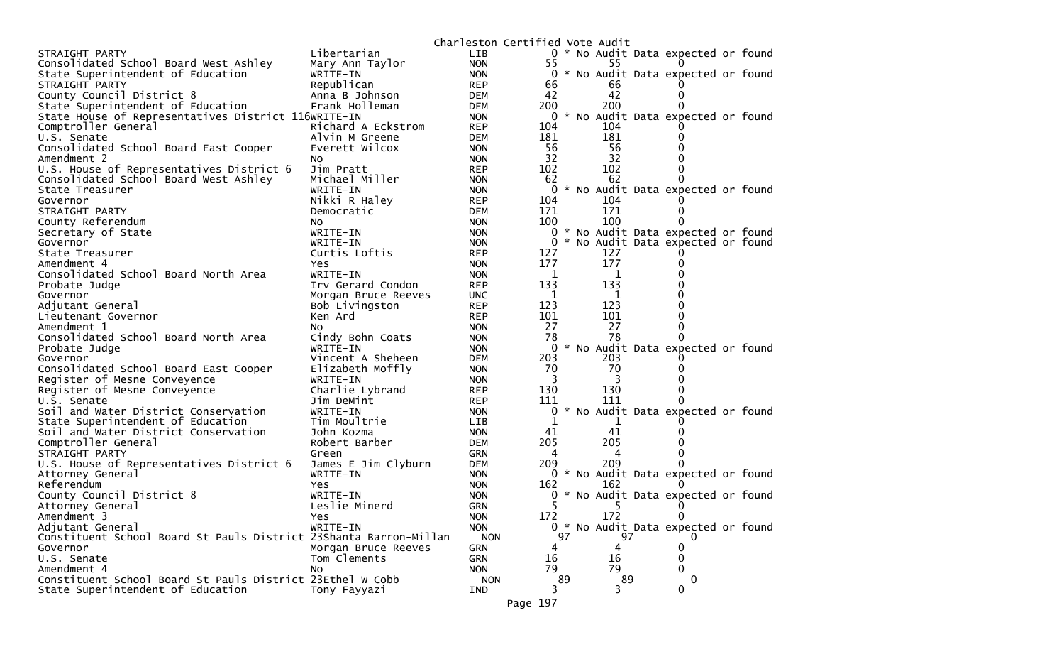|                                                                   |                                          | Charleston Certified Vote Audit |                |    |            |                                     |  |
|-------------------------------------------------------------------|------------------------------------------|---------------------------------|----------------|----|------------|-------------------------------------|--|
| STRAIGHT PARTY                                                    | Libertarian                              | <b>LIB</b>                      |                |    |            | 0 * No Audit Data expected or found |  |
| Consolidated School Board West Ashley                             | Mary Ann Taylor                          | <b>NON</b>                      | 55             |    | 55         |                                     |  |
| State Superintendent of Education                                 | WRITE-IN                                 | <b>NON</b>                      |                |    |            | 0 * No Audit Data expected or found |  |
| STRAIGHT PARTY                                                    | Republican                               | <b>REP</b>                      | 66             |    | 66         |                                     |  |
| County Council District 8                                         | Anna B Johnson                           | <b>DEM</b>                      | 42             |    | 42         |                                     |  |
| State Superintendent of Education                                 | Frank Holleman                           | <b>DEM</b>                      | 200            |    | 200        |                                     |  |
| State House of Representatives District 116WRITE-IN               |                                          | <b>NON</b>                      | 0              |    |            | * No Audit Data expected or found   |  |
| Comptroller General                                               | Richard A Eckstrom                       | <b>REP</b>                      | 104            |    | 104        |                                     |  |
| U.S. Senate                                                       | Alvin M Greene                           | <b>DEM</b>                      | 181            |    | 181        |                                     |  |
| Consolidated School Board East Cooper                             | Everett Wilcox                           | <b>NON</b>                      | 56             |    | 56         |                                     |  |
| Amendment 2                                                       | No                                       | <b>NON</b>                      | 32             |    | 32         |                                     |  |
| U.S. House of Representatives District 6                          | Jim Pratt                                | <b>REP</b>                      | 102            |    | 102        |                                     |  |
| Consolidated School Board West Ashley                             | Michael Miller                           | <b>NON</b>                      | 62             |    | 62         |                                     |  |
| State Treasurer                                                   | WRITE-IN                                 | <b>NON</b>                      | $\mathbf{0}$   |    |            | * No Audit Data expected or found   |  |
| Governor                                                          | Nikki R Haley                            | <b>REP</b>                      | 104            |    | 104        |                                     |  |
| STRAIGHT PARTY                                                    | Democratic                               | <b>DEM</b>                      | 171            |    | 171        |                                     |  |
| County Referendum                                                 | NO.                                      | <b>NON</b>                      | 100            |    | 100        |                                     |  |
| Secretary of State                                                | WRITE-IN                                 | <b>NON</b>                      | 0              |    |            | * No Audit Data expected or found   |  |
| Governor                                                          | WRITE-IN                                 | <b>NON</b>                      | 0              |    |            | * No Audit Data expected or found   |  |
| State Treasurer                                                   | Curtis Loftis                            | <b>REP</b>                      | 127<br>177     |    | 127<br>177 |                                     |  |
| Amendment 4                                                       | Yes<br>WRITE-IN                          | <b>NON</b>                      |                |    | 1          |                                     |  |
| Consolidated School Board North Area                              |                                          | <b>NON</b>                      | 1<br>133       |    | 133        |                                     |  |
| Probate Judge<br>Governor                                         | Irv Gerard Condon<br>Morgan Bruce Reeves | <b>REP</b>                      | 1              |    | 1          |                                     |  |
|                                                                   |                                          | <b>UNC</b><br><b>REP</b>        | 123            |    | 123        |                                     |  |
| Adjutant General                                                  | Bob Livingston<br>Ken Ard                | <b>REP</b>                      | 101            |    | 101        |                                     |  |
| Lieutenant Governor<br>Amendment 1                                | NO.                                      | <b>NON</b>                      | 27             |    | 27         |                                     |  |
| Consolidated School Board North Area                              | Cindy Bohn Coats                         | <b>NON</b>                      | 78             |    | 78         |                                     |  |
| Probate Judge                                                     | WRITE-IN                                 | <b>NON</b>                      | $\overline{0}$ |    |            | * No Audit Data expected or found   |  |
| Governor                                                          | Vincent A Sheheen                        | <b>DEM</b>                      | 203            |    | 203        |                                     |  |
| Consolidated School Board East Cooper                             | Elizabeth Moffly                         | <b>NON</b>                      | 70             |    | 70         |                                     |  |
| Register of Mesne Conveyence                                      | WRITE-IN                                 | <b>NON</b>                      | 3              |    | 3          |                                     |  |
| Register of Mesne Conveyence                                      | Charlie Lybrand                          | <b>REP</b>                      | 130            |    | 130        |                                     |  |
| U.S. Senate                                                       | Jim DeMint                               | <b>REP</b>                      | 111            |    | 111        |                                     |  |
| Soil and Water District Conservation                              | WRITE-IN                                 | <b>NON</b>                      | 0              |    |            | * No Audit Data expected or found   |  |
| State Superintendent of Education                                 | Tim Moultrie                             | <b>LIB</b>                      | 1              |    |            |                                     |  |
| Soil and Water District Conservation                              | John Kozma                               | <b>NON</b>                      | 41             |    | 41         |                                     |  |
| Comptroller General                                               | Robert Barber                            | <b>DEM</b>                      | 205            |    | 205        |                                     |  |
| STRAIGHT PARTY                                                    | Green                                    | <b>GRN</b>                      | 4              |    | 4          |                                     |  |
| U.S. House of Representatives District 6                          | James E Jim Clyburn                      | <b>DEM</b>                      | 209            |    | 209        |                                     |  |
| Attorney General                                                  | WRITE-IN                                 | <b>NON</b>                      |                |    |            | 0 * No Audit Data expected or found |  |
| Referendum                                                        | Yes                                      | <b>NON</b>                      | 162            |    | 162        |                                     |  |
| County Council District 8                                         | WRITE-IN                                 | <b>NON</b>                      | 0              |    |            | * No Audit Data expected or found   |  |
| Attorney General                                                  | Leslie Minerd                            | <b>GRN</b>                      | 5              |    | 5          |                                     |  |
| Amendment 3                                                       | Yes                                      | <b>NON</b>                      | 172            |    | 172        | 0                                   |  |
| Adjutant General                                                  | WRITE-IN                                 | <b>NON</b>                      |                |    |            | 0 * No Audit Data expected or found |  |
| Constituent School Board St Pauls District 23Shanta Barron-Millan |                                          | <b>NON</b>                      |                | 97 | 97         | 0                                   |  |
| Governor                                                          | Morgan Bruce Reeves                      | GRN                             | 4              |    | 4          | 0                                   |  |
| U.S. Senate                                                       | Tom Clements                             | GRN                             | 16             |    | 16         | 0                                   |  |
| Amendment 4                                                       | NO.                                      | <b>NON</b>                      | 79             |    | 79         | 0                                   |  |
| Constituent School Board St Pauls District 23Ethel W Cobb         |                                          | <b>NON</b>                      |                | 89 | 89         | 0                                   |  |
| State Superintendent of Education                                 | Tony Fayyazi                             | IND                             | 3              |    | 3          | 0                                   |  |
|                                                                   |                                          |                                 | Page 197       |    |            |                                     |  |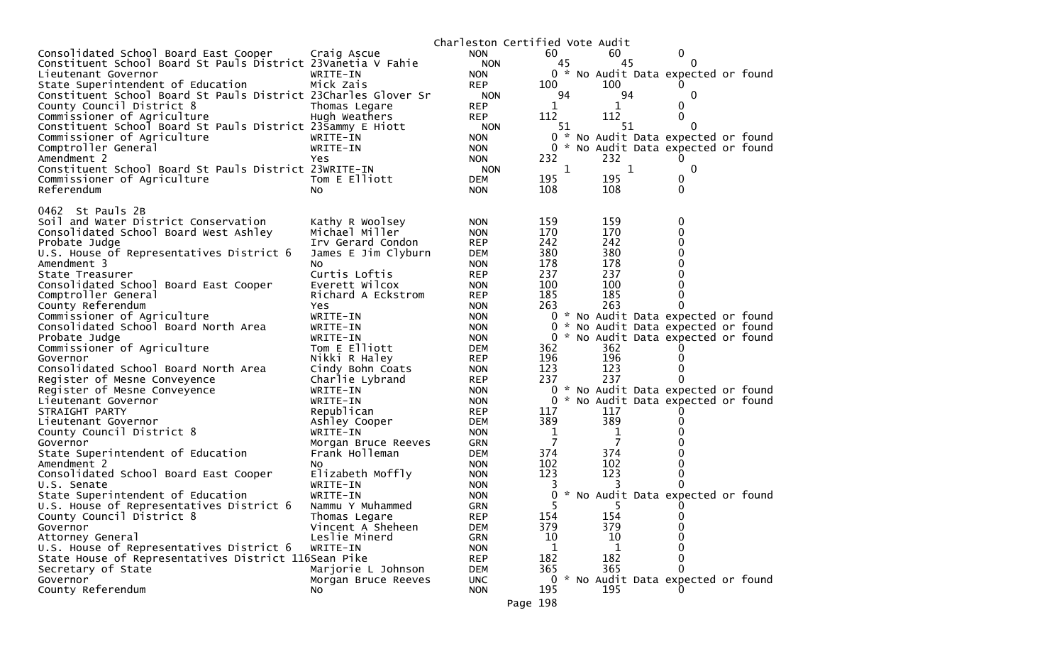|                                                                                      |                           | Charleston Certified Vote Audit |                    |                                     |              |  |
|--------------------------------------------------------------------------------------|---------------------------|---------------------------------|--------------------|-------------------------------------|--------------|--|
| Consolidated School Board East Cooper                                                | Craig Ascue               | <b>NON</b>                      | 60                 | 60                                  | 0            |  |
| Constituent School Board St Pauls District 23Vanetia V Fahie                         |                           | <b>NON</b>                      | 45                 | 45                                  | 0            |  |
| Lieutenant Governor                                                                  | WRITE-IN                  | <b>NON</b>                      |                    | 0 * No Audit Data expected or found |              |  |
| State Superintendent of Education                                                    | Mick Zais                 | <b>REP</b>                      | 100                | 100                                 |              |  |
| Constituent School Board St Pauls District 23Charles Glover Sr                       |                           | <b>NON</b>                      | 94                 | 94                                  | $\mathbf{0}$ |  |
| County Council District 8                                                            | Thomas Legare             | <b>REP</b>                      | 1                  | 1                                   | 0            |  |
| Commissioner of Agriculture                                                          | Hugh Weathers             | <b>REP</b>                      | 112                | 112                                 | $\Omega$     |  |
| Constituent School Board St Pauls District 23Sammy E Hiott                           |                           | <b>NON</b>                      | 51                 | 51                                  | 0            |  |
| Commissioner of Agriculture                                                          | WRITE-IN                  | <b>NON</b>                      |                    | 0 * No Audit Data expected or found |              |  |
| Comptroller General                                                                  | WRITE-IN                  | <b>NON</b>                      |                    | 0 * No Audit Data expected or found |              |  |
| Amendment 2                                                                          | Yes.                      | <b>NON</b>                      | 232<br>$\mathbf 1$ | 232<br>$\mathbf{1}$                 | $\mathbf 0$  |  |
| Constituent School Board St Pauls District 23WRITE-IN<br>Commissioner of Agriculture | Tom E Elliott             | <b>NON</b><br><b>DEM</b>        | 195                | 195                                 | 0            |  |
| Referendum                                                                           | No.                       | <b>NON</b>                      | 108                | 108                                 | $\mathbf{0}$ |  |
|                                                                                      |                           |                                 |                    |                                     |              |  |
| 0462 St Pauls 2B                                                                     |                           |                                 |                    |                                     |              |  |
| Soil and Water District Conservation                                                 | Kathy R Woolsey           | <b>NON</b>                      | 159                | 159                                 | 0            |  |
| Consolidated School Board West Ashley                                                | Michael Miller            | <b>NON</b>                      | 170                | 170                                 | 0            |  |
| Probate Judge                                                                        | Irv Gerard Condon         | <b>REP</b>                      | 242                | 242                                 | 0            |  |
| U.S. House of Representatives District 6                                             | James E Jim Clyburn       | <b>DEM</b>                      | 380                | 380                                 | 0            |  |
| Amendment 3                                                                          | No                        | <b>NON</b>                      | 178                | 178                                 |              |  |
| State Treasurer                                                                      | Curtis Loftis             | <b>REP</b>                      | 237                | 237                                 | O            |  |
| Consolidated School Board East Cooper                                                | Everett Wilcox            | <b>NON</b>                      | 100                | 100                                 | 0            |  |
| Comptroller General                                                                  | Richard A Eckstrom        | <b>REP</b>                      | 185                | 185                                 | 0            |  |
| County Referendum                                                                    | Yes.                      | <b>NON</b>                      | 263                | 263                                 | 0            |  |
| Commissioner of Agriculture                                                          | WRITE-IN                  | <b>NON</b>                      |                    | 0 * No Audit Data expected or found |              |  |
| Consolidated School Board North Area                                                 | WRITE-IN                  | <b>NON</b>                      | 0                  | * No Audit Data expected or found   |              |  |
| Probate Judge                                                                        | WRITE-IN                  | <b>NON</b>                      |                    | 0 * No Audit Data expected or found |              |  |
| Commissioner of Agriculture                                                          | Tom E Elliott             | <b>DEM</b>                      | 362                | 362                                 |              |  |
| Governor                                                                             | Nikki R Haley             | <b>REP</b>                      | 196                | 196                                 | 0            |  |
| Consolidated School Board North Area                                                 | Cindy Bohn Coats          | <b>NON</b>                      | 123                | 123                                 |              |  |
| Register of Mesne Conveyence                                                         | Charlie Lybrand           | <b>REP</b>                      | 237                | 237                                 | 0            |  |
| Register of Mesne Conveyence                                                         | WRITE-IN                  | <b>NON</b>                      | 0                  | * No Audit Data expected or found   |              |  |
| Lieutenant Governor                                                                  | WRITE-IN                  | <b>NON</b>                      | 0                  | * No Audit Data expected or found   |              |  |
| STRAIGHT PARTY                                                                       | Republican                | <b>REP</b><br><b>DEM</b>        | 117<br>389         | 117<br>389                          | 0            |  |
| Lieutenant Governor<br>County Council District 8                                     | Ashley Cooper<br>WRITE-IN | <b>NON</b>                      | 1                  | 1                                   |              |  |
| Governor                                                                             | Morgan Bruce Reeves       | <b>GRN</b>                      | 7                  | $\overline{7}$                      |              |  |
| State Superintendent of Education                                                    | Frank Holleman            | <b>DEM</b>                      | 374                | 374                                 |              |  |
| Amendment 2                                                                          | NO.                       | <b>NON</b>                      | 102                | 102                                 |              |  |
| Consolidated School Board East Cooper                                                | Elizabeth Moffly          | <b>NON</b>                      | 123                | 123                                 | 0            |  |
| U.S. Senate                                                                          | WRITE-IN                  | <b>NON</b>                      |                    |                                     | 0            |  |
| State Superintendent of Education                                                    | WRITE-IN                  | <b>NON</b>                      | 0                  | * No Audit Data expected or found   |              |  |
| U.S. House of Representatives District 6                                             | Nammu Y Muhammed          | <b>GRN</b>                      | 5                  | 5.                                  | $\Omega$     |  |
| County Council District 8                                                            | Thomas Legare             | <b>REP</b>                      | 154                | 154                                 | 0            |  |
| Governor                                                                             | Vincent A Sheheen         | <b>DEM</b>                      | 379                | 379                                 | $\Omega$     |  |
| Attorney General                                                                     | Leslie Minerd             | <b>GRN</b>                      | 10                 | 10                                  | 0            |  |
| U.S. House of Representatives District 6                                             | WRITE-IN                  | <b>NON</b>                      | 1                  | 1                                   | $\Omega$     |  |
| State House of Representatives District 116Sean Pike                                 |                           | <b>REP</b>                      | 182                | 182                                 | 0            |  |
| Secretary of State                                                                   | Marjorie L Johnson        | <b>DEM</b>                      | 365                | 365                                 | 0            |  |
| Governor                                                                             | Morgan Bruce Reeves       | <b>UNC</b>                      |                    | 0 * No Audit Data expected or found |              |  |
| County Referendum                                                                    | No                        | <b>NON</b>                      | 195                | 195                                 |              |  |
|                                                                                      |                           |                                 | Page 198           |                                     |              |  |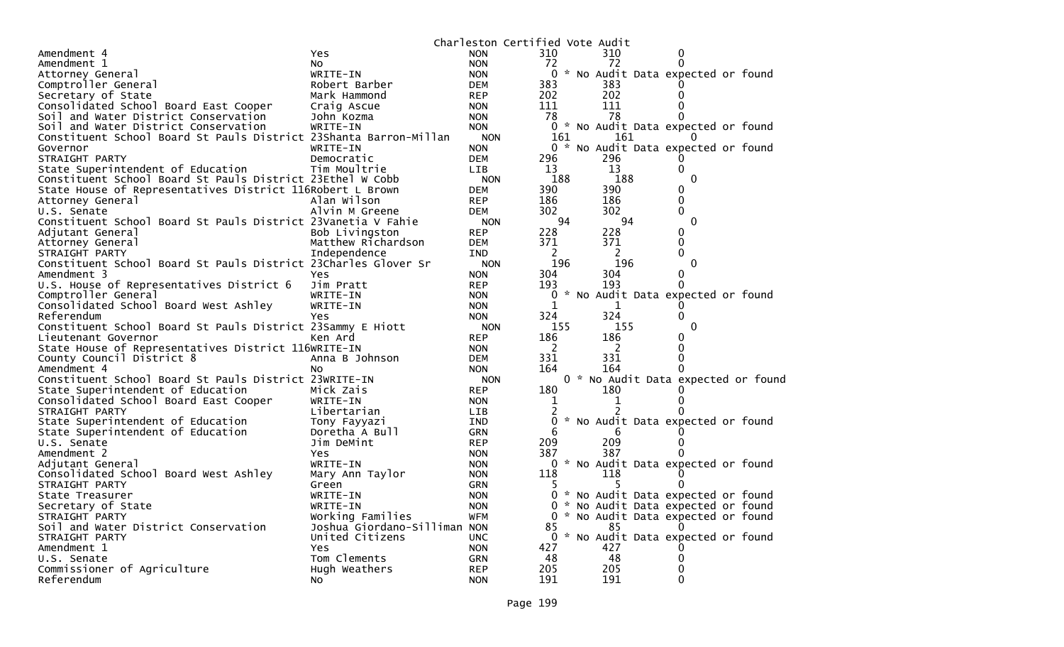|                                                                   |                              | Charleston Certified Vote Audit |              |          |                                     |  |
|-------------------------------------------------------------------|------------------------------|---------------------------------|--------------|----------|-------------------------------------|--|
| Amendment 4                                                       | Yes                          | <b>NON</b>                      | 310          | 310      | 0                                   |  |
| Amendment 1                                                       | NO.                          | <b>NON</b>                      | 72           | 72       | $\Omega$                            |  |
| Attorney General                                                  | WRITE-IN                     | <b>NON</b>                      |              |          | 0 * No Audit Data expected or found |  |
| Comptroller General                                               | Robert Barber                | <b>DEM</b>                      | 383          | 383      |                                     |  |
| Secretary of State                                                | Mark Hammond                 | <b>REP</b>                      | 202          | 202      | 0                                   |  |
| Consolidated School Board East Cooper                             | Craig Ascue                  | <b>NON</b>                      | 111          | 111      |                                     |  |
| Soil and Water District Conservation                              | John Kozma                   | <b>NON</b>                      | 78           | 78       |                                     |  |
| Soil and Water District Conservation                              | WRITE-IN                     | <b>NON</b>                      | $\mathbf{0}$ |          | * No Audit Data expected or found   |  |
| Constituent School Board St Pauls District 23Shanta Barron-Millan |                              | <b>NON</b>                      | 161          | 161      | 0                                   |  |
| Governor                                                          | WRITE-IN                     | <b>NON</b>                      |              |          | 0 * No Audit Data expected or found |  |
| STRAIGHT PARTY                                                    | Democratic                   | <b>DEM</b>                      | 296          | 296      |                                     |  |
| State Superintendent of Education                                 | Tim Moultrie                 | <b>LIB</b>                      | 13           | 13       | 0                                   |  |
| Constituent School Board St Pauls District 23Ethel W Cobb         |                              | <b>NON</b>                      | 188          | 188      | $\mathbf{0}$                        |  |
| State House of Representatives District 116Robert L Brown         |                              | <b>DEM</b>                      | 390          | 390      | 0                                   |  |
| Attorney General                                                  | Alan Wilson                  | <b>REP</b>                      | 186          | 186      | 0                                   |  |
| U.S. Senate                                                       | Alvin M Greene               | <b>DEM</b>                      | 302          | 302      | 0                                   |  |
| Constituent School Board St Pauls District 23Vanetia V Fahie      |                              | <b>NON</b>                      | 94           | 94       | $\mathbf{0}$                        |  |
| Adjutant General                                                  | Bob Livingston               | <b>REP</b>                      | 228          | 228      | 0                                   |  |
| Attorney General                                                  | Matthew Richardson           | <b>DEM</b>                      | 371          | 371      | $\Omega$                            |  |
| STRAIGHT PARTY                                                    | Independence                 | <b>IND</b>                      | 2            | 2        | $\Omega$                            |  |
| Constituent School Board St Pauls District 23Charles Glover Sr    |                              | <b>NON</b>                      | 196          | 196      | 0                                   |  |
| Amendment 3                                                       | Yes                          | <b>NON</b>                      | 304          | 304      | 0                                   |  |
| U.S. House of Representatives District 6                          | Jim Pratt                    | <b>REP</b>                      | 193          | 193      | 0                                   |  |
| Comptroller General                                               | WRITE-IN                     | <b>NON</b>                      | 0            |          | * No Audit Data expected or found   |  |
| Consolidated School Board West Ashley                             | WRITE-IN                     | <b>NON</b>                      | 1            | 1        |                                     |  |
| Referendum                                                        | Yes                          | <b>NON</b>                      | 324          | 324      | 0                                   |  |
| Constituent School Board St Pauls District 23Sammy E Hiott        |                              | <b>NON</b>                      | 155          | 155      | $\Omega$                            |  |
| Lieutenant Governor                                               | Ken Ard                      | <b>REP</b>                      | 186          | 186      | 0                                   |  |
| State House of Representatives District 116WRITE-IN               |                              | <b>NON</b>                      | 2            | 2        |                                     |  |
| County Council District 8                                         | Anna B Johnson               | <b>DEM</b>                      | 331          | 331      |                                     |  |
| Amendment 4                                                       | N0                           | <b>NON</b>                      | 164          | 164      |                                     |  |
| Constituent School Board St Pauls District 23WRITE-IN             |                              | <b>NON</b>                      |              |          | 0 * No Audit Data expected or found |  |
| State Superintendent of Education                                 | Mick Zais                    | <b>REP</b>                      | 180          | 180      |                                     |  |
|                                                                   | WRITE-IN                     |                                 | 1            | 1        |                                     |  |
| Consolidated School Board East Cooper                             |                              | <b>NON</b>                      |              |          |                                     |  |
| STRAIGHT PARTY                                                    | Libertarian                  | <b>LIB</b>                      | 2            |          |                                     |  |
| State Superintendent of Education                                 | Tony Fayyazi                 | <b>IND</b>                      | 0<br>6       |          | * No Audit Data expected or found   |  |
| State Superintendent of Education                                 | Doretha A Bull               | <b>GRN</b>                      | 209          | 6<br>209 |                                     |  |
| U.S. Senate                                                       | Jim DeMint                   | <b>REP</b>                      | 387          | 387      |                                     |  |
| Amendment 2                                                       | <b>Yes</b>                   | <b>NON</b>                      |              |          |                                     |  |
| Adjutant General                                                  | WRITE-IN                     | <b>NON</b>                      | 0            |          | * No Audit Data expected or found   |  |
| Consolidated School Board West Ashley                             | Mary Ann Taylor              | <b>NON</b>                      | 118          | 118      | $\Omega$                            |  |
| STRAIGHT PARTY                                                    | Green                        | GRN                             |              |          |                                     |  |
| State Treasurer                                                   | WRITE-IN                     | <b>NON</b>                      | 0            |          | * No Audit Data expected or found   |  |
| Secretary of State                                                | WRITE-IN                     | <b>NON</b>                      | 0            |          | * No Audit Data expected or found   |  |
| STRAIGHT PARTY                                                    | Working Families             | <b>WFM</b>                      | 0            |          | * No Audit Data expected or found   |  |
| Soil and Water District Conservation                              | Joshua Giordano-Silliman NON |                                 | 85           | 85       |                                     |  |
| STRAIGHT PARTY                                                    | United Citizens              | <b>UNC</b>                      | 0            |          | * No Audit Data expected or found   |  |
| Amendment 1                                                       | Yes                          | <b>NON</b>                      | 427          | 427      |                                     |  |
| U.S. Senate                                                       | Tom Clements                 | <b>GRN</b>                      | 48           | 48       |                                     |  |
| Commissioner of Agriculture                                       | Hugh Weathers                | <b>REP</b>                      | 205          | 205      |                                     |  |
| Referendum                                                        | NO.                          | <b>NON</b>                      | 191          | 191      | $\Omega$                            |  |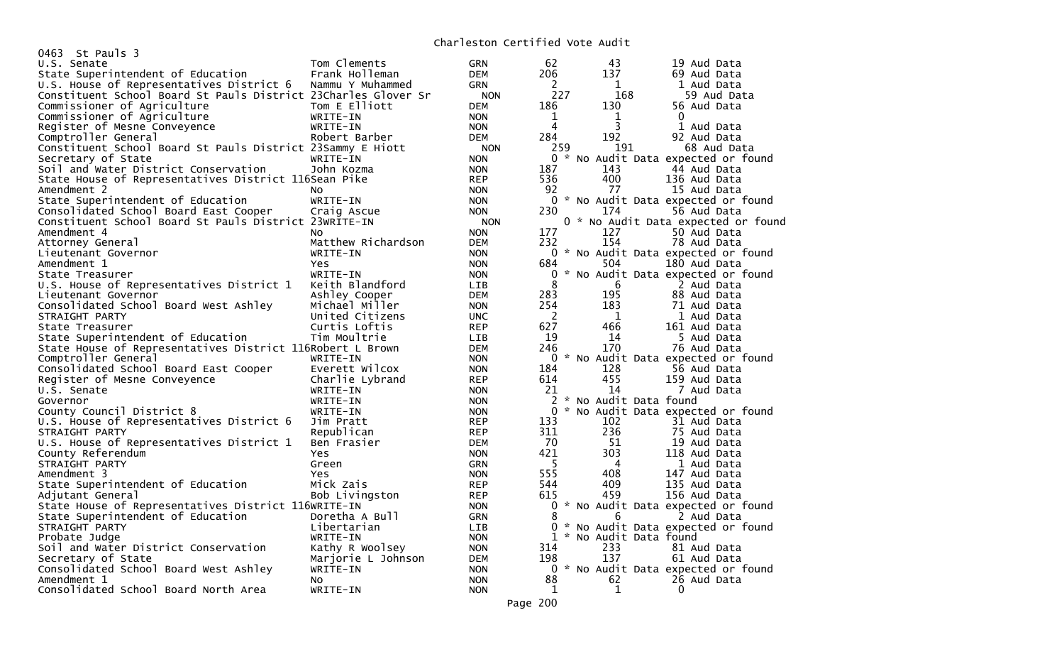| 0463 St Pauls 3                                                |                             |            |          |                       |                                     |
|----------------------------------------------------------------|-----------------------------|------------|----------|-----------------------|-------------------------------------|
| U.S. Senate                                                    | Tom Clements                | <b>GRN</b> | 62       | 43                    | 19 Aud Data                         |
| State Superintendent of Education                              | Frank Holleman              | <b>DEM</b> | 206      | 137                   | 69 Aud Data                         |
| U.S. House of Representatives District 6                       | Nammu Y Muhammed            | <b>GRN</b> | 2        | 1                     | 1 Aud Data                          |
| Constituent School Board St Pauls District 23Charles Glover Sr |                             | <b>NON</b> | 227      | 168                   | 59 Aud Data                         |
| Commissioner of Agriculture                                    | Tom E Elliott               | DEM        | 186      | 130                   | 56 Aud Data                         |
| Commissioner of Agriculture                                    | WRITE-IN                    | <b>NON</b> | 1        | 1                     | $\Omega$                            |
| Register of Mesne Conveyence                                   | WRITE-IN                    | <b>NON</b> | 4        | 3                     | 1 Aud Data                          |
| Comptroller General                                            | Robert Barber               | <b>DEM</b> | 284      | 192                   | 92 Aud Data                         |
| Constituent School Board St Pauls District 23Sammy E Hiott     |                             | <b>NON</b> | 259      | 191                   | 68 Aud Data                         |
| Secretary of State                                             | WRITE-IN                    | <b>NON</b> | $\Omega$ |                       | * No Audit Data expected or found   |
| Soil and Water District Conservation                           | John Kozma                  | <b>NON</b> | 187      | 143                   | 44 Aud Data                         |
| State House of Representatives District 116Sean Pike           |                             | <b>REP</b> | 536      | 400                   | 136 Aud Data                        |
| Amendment 2                                                    | NO.                         | <b>NON</b> | 92       | 77                    | 15 Aud Data                         |
| State Superintendent of Education                              | WRITE-IN                    | <b>NON</b> | 0        |                       | * No Audit Data expected or found   |
| Consolidated School Board East Cooper                          | Craig Ascue                 | <b>NON</b> | 230      | 174                   | 56 Aud Data                         |
| Constituent School Board St Pauls District 23WRITE-IN          |                             | <b>NON</b> |          |                       | 0 * No Audit Data expected or found |
| Amendment 4                                                    | NO.                         | <b>NON</b> | 177      | 127                   | 50 Aud Data                         |
| Attorney General                                               | Matthew Richardson          | DEM        | 232      | 154                   | 78 Aud Data                         |
| Lieutenant Governor                                            | WRITE-IN                    | <b>NON</b> |          |                       | 0 * No Audit Data expected or found |
| Amendment 1                                                    | Yes                         | <b>NON</b> | 684      | 504                   | 180 Aud Data                        |
|                                                                |                             |            | 0        |                       |                                     |
| State Treasurer                                                | WRITE-IN<br>Keith Blandford | <b>NON</b> | 8        | 6                     | * No Audit Data expected or found   |
| U.S. House of Representatives District 1                       |                             | <b>LIB</b> | 283      | 195                   | 2 Aud Data<br>88 Aud Data           |
| Lieutenant Governor                                            | Ashley Cooper               | DEM        |          |                       |                                     |
| Consolidated School Board West Ashley                          | Michael Miller              | <b>NON</b> | 254      | 183                   | 71 Aud Data                         |
| STRAIGHT PARTY                                                 | United Citizens             | <b>UNC</b> | 2<br>627 | - 1<br>466            | 1 Aud Data                          |
| State Treasurer                                                | Curtis Loftis               | <b>REP</b> |          |                       | 161 Aud Data                        |
| State Superintendent of Education                              | Tim Moultrie                | <b>LIB</b> | 19       | 14                    | 5 Aud Data                          |
| State House of Representatives District 116Robert L Brown      |                             | <b>DEM</b> | 246      | 170                   | 76 Aud Data                         |
| Comptroller General                                            | WRITE-IN                    | <b>NON</b> | 0        |                       | * No Audit Data expected or found   |
| Consolidated School Board East Cooper                          | Everett Wilcox              | <b>NON</b> | 184      | 128                   | 56 Aud Data                         |
| Register of Mesne Conveyence                                   | Charlie Lybrand             | <b>REP</b> | 614      | 455                   | 159 Aud Data                        |
| U.S. Senate                                                    | WRITE-IN                    | <b>NON</b> | 21       | 14                    | 7 Aud Data                          |
| Governor                                                       | WRITE-IN                    | <b>NON</b> | 2        | * No Audit Data found |                                     |
| County Council District 8                                      | WRITE-IN                    | <b>NON</b> | $\Omega$ |                       | * No Audit Data expected or found   |
| U.S. House of Representatives District 6                       | Jim Pratt                   | <b>REP</b> | 133      | 102                   | 31 Aud Data                         |
| STRAIGHT PARTY                                                 | Republican                  | <b>REP</b> | 311      | 236                   | 75 Aud Data                         |
| U.S. House of Representatives District 1                       | Ben Frasier                 | DEM        | 70       | 51                    | 19 Aud Data                         |
| County Referendum                                              | <b>Yes</b>                  | <b>NON</b> | 421      | 303                   | 118 Aud Data                        |
| STRAIGHT PARTY                                                 | Green                       | <b>GRN</b> | - 5      | 4                     | 1 Aud Data                          |
| Amendment 3                                                    | Yes                         | <b>NON</b> | 555      | 408                   | 147 Aud Data                        |
| State Superintendent of Education                              | Mick Zais                   | <b>REP</b> | 544      | 409                   | 135 Aud Data                        |
| Adjutant General                                               | Bob Livingston              | <b>REP</b> | 615      | 459                   | 156 Aud Data                        |
| State House of Representatives District 116WRITE-IN            |                             | <b>NON</b> | 0        |                       | * No Audit Data expected or found   |
| State Superintendent of Education                              | Doretha A Bull              | <b>GRN</b> | 8        | 6                     | 2 Aud Data                          |
| STRAIGHT PARTY                                                 | Libertarian                 | <b>LIB</b> | $\Omega$ |                       | * No Audit Data expected or found   |
| Probate Judge                                                  | WRITE-IN                    | <b>NON</b> | 1        | * No Audit Data found |                                     |
| Soil and Water District Conservation                           | Kathy R Woolsey             | <b>NON</b> | 314      | 233                   | 81 Aud Data                         |
| Secretary of State                                             | Marjorie L Johnson          | <b>DEM</b> | 198      | 137                   | 61 Aud Data                         |
| Consolidated School Board West Ashley                          | WRITE-IN                    | <b>NON</b> | 0        |                       | * No Audit Data expected or found   |
| Amendment 1                                                    | NO.                         | <b>NON</b> | 88       | 62                    | 26 Aud Data                         |
| Consolidated School Board North Area                           | WRITE-IN                    | <b>NON</b> | 1        | $\mathbf 1$           | 0                                   |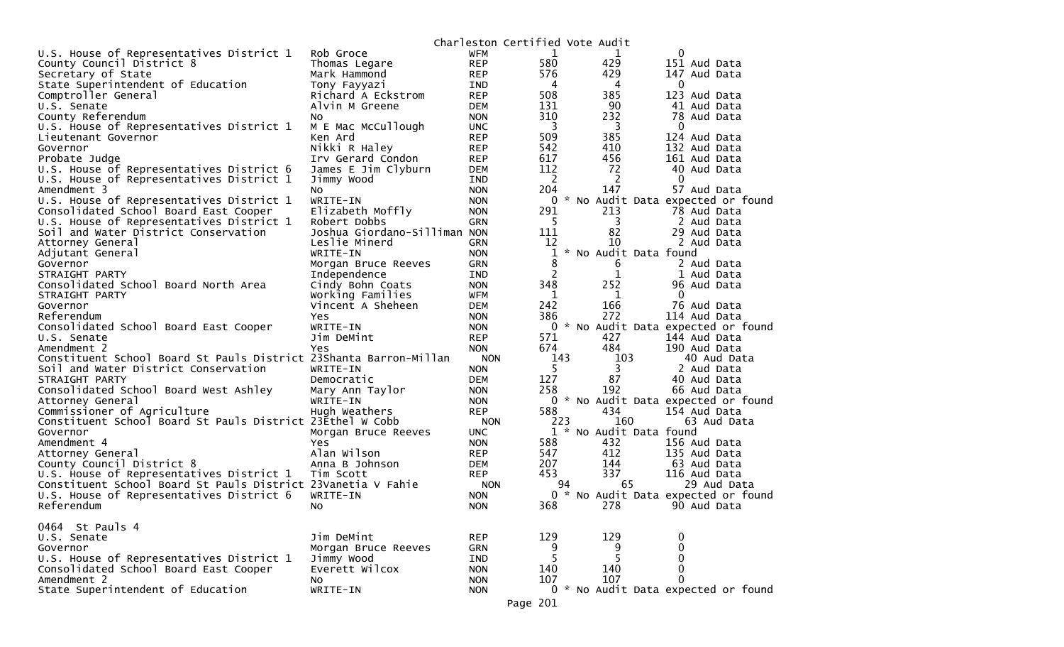|                                                                   |                                 |                          | Charleston Certified Vote Audit |                                     |              |             |
|-------------------------------------------------------------------|---------------------------------|--------------------------|---------------------------------|-------------------------------------|--------------|-------------|
| U.S. House of Representatives District 1                          | Rob Groce                       | WFM                      | 1                               | 1                                   | 0            |             |
| County Council District 8                                         | Thomas Legare                   | <b>REP</b>               | 580                             | 429                                 | 151 Aud Data |             |
| Secretary of State                                                | Mark Hammond                    | <b>REP</b>               | 576                             | 429                                 | 147 Aud Data |             |
| State Superintendent of Education                                 | Tony Fayyazi                    | IND                      | 4                               | 4                                   | 0            |             |
| Comptroller General                                               | Richard A Eckstrom              | <b>REP</b>               | 508                             | 385                                 | 123 Aud Data |             |
| U.S. Senate                                                       | Alvin M Greene                  | <b>DEM</b>               | 131                             | 90                                  | 41 Aud Data  |             |
| County Referendum                                                 | No                              | <b>NON</b>               | 310                             | 232                                 | 78 Aud Data  |             |
| U.S. House of Representatives District 1                          | M E Mac McCullough              | <b>UNC</b>               | 3                               | 3                                   | 0            |             |
| Lieutenant Governor                                               | Ken Ard                         | <b>REP</b>               | 509                             | 385                                 | 124 Aud Data |             |
| Governor                                                          | Nikki R Haley                   | <b>REP</b>               | 542                             | 410                                 | 132 Aud Data |             |
| Probate Judge                                                     | Irv Gerard Condon               | <b>REP</b>               | 617                             | 456                                 | 161 Aud Data |             |
| U.S. House of Representatives District 6                          | James E Jim Clyburn             | <b>DEM</b>               | 112                             | 72                                  | 40 Aud Data  |             |
| U.S. House of Representatives District 1                          | Jimmy Wood                      | IND                      | 2                               | 2                                   | 0            |             |
| Amendment 3                                                       | NO.                             | <b>NON</b>               | 204                             | 147                                 | 57 Aud Data  |             |
| U.S. House of Representatives District 1                          | WRITE-IN                        | <b>NON</b>               | 0                               | No Audit Data expected or found     |              |             |
| Consolidated School Board East Cooper                             | Elizabeth Moffly                | <b>NON</b>               | 291                             | 213                                 | 78 Aud Data  |             |
| U.S. House of Representatives District 1                          | Robert Dobbs                    | <b>GRN</b>               | 5                               | 3                                   | 2 Aud Data   |             |
| Soil and Water District Conservation                              | Joshua Giordano-Silliman NON    |                          | 111                             | 82                                  | 29 Aud Data  |             |
| Attorney General                                                  | Leslie Minerd                   | <b>GRN</b>               | 12                              | 10                                  | 2 Aud Data   |             |
| Adjutant General                                                  | WRITE-IN                        | <b>NON</b>               | 1                               | * No Audit Data found               |              |             |
| Governor                                                          | Morgan Bruce Reeves             | <b>GRN</b>               | 8                               | 6                                   | 2 Aud Data   |             |
| STRAIGHT PARTY                                                    | Independence                    | <b>IND</b>               | $\overline{c}$                  | $\mathbf{1}$                        | 1 Aud Data   |             |
| Consolidated School Board North Area                              | Cindy Bohn Coats                | <b>NON</b>               | 348                             | 252                                 | 96 Aud Data  |             |
| STRAIGHT PARTY                                                    | Working Families                | <b>WFM</b>               | 1                               | 1                                   | 0            |             |
| Governor<br>Referendum                                            | Vincent A Sheheen<br><b>Yes</b> | <b>DEM</b>               | 242<br>386                      | 166<br>272                          | 76 Aud Data  |             |
| Consolidated School Board East Cooper                             | WRITE-IN                        | <b>NON</b><br><b>NON</b> | 0                               | * No Audit Data expected or found   | 114 Aud Data |             |
| U.S. Senate                                                       | Jim DeMint                      | <b>REP</b>               | 571                             | 427                                 | 144 Aud Data |             |
| Amendment 2                                                       | Yes                             | <b>NON</b>               | 674                             | 484                                 | 190 Aud Data |             |
| Constituent School Board St Pauls District 23Shanta Barron-Millan |                                 | <b>NON</b>               | 143                             | 103                                 |              | 40 Aud Data |
| Soil and Water District Conservation                              | WRITE-IN                        | <b>NON</b>               | 5.                              | 3                                   | 2 Aud Data   |             |
| STRAIGHT PARTY                                                    | Democratic                      | <b>DEM</b>               | 127                             | 87                                  | 40 Aud Data  |             |
| Consolidated School Board West Ashley                             | Mary Ann Taylor                 | <b>NON</b>               | 258                             | 192                                 | 66 Aud Data  |             |
| Attorney General                                                  | WRITE-IN                        | <b>NON</b>               |                                 | 0 * No Audit Data expected or found |              |             |
| Commissioner of Agriculture                                       | Hugh Weathers                   | <b>REP</b>               | 588                             | 434                                 | 154 Aud Data |             |
| Constituent School Board St Pauls District 23Ethel W Cobb         |                                 | <b>NON</b>               | 223                             | 160                                 |              | 63 Aud Data |
| Governor                                                          | Morgan Bruce Reeves             | <b>UNC</b>               |                                 | 1 * No Audit Data found             |              |             |
| Amendment 4                                                       | Yes.                            | <b>NON</b>               | 588                             | 432                                 | 156 Aud Data |             |
| Attorney General                                                  | Alan Wilson                     | <b>REP</b>               | 547                             | 412                                 | 135 Aud Data |             |
| County Council District 8                                         | Anna B Johnson                  | <b>DEM</b>               | 207                             | 144                                 | 63 Aud Data  |             |
| U.S. House of Representatives District 1                          | Tim Scott                       | <b>REP</b>               | 453                             | 337                                 | 116 Aud Data |             |
| Constituent School Board St Pauls District 23Vanetia V Fahie      |                                 | <b>NON</b>               | 94                              | 65                                  |              | 29 Aud Data |
| U.S. House of Representatives District 6                          | WRITE-IN                        | <b>NON</b>               |                                 | 0 * No Audit Data expected or found |              |             |
| Referendum                                                        | No l                            | <b>NON</b>               | 368                             | 278 — 278                           | 90 Aud Data  |             |
|                                                                   |                                 |                          |                                 |                                     |              |             |
| 0464 St Pauls 4                                                   |                                 |                          |                                 |                                     |              |             |
| U.S. Senate                                                       | Jim DeMint                      | <b>REP</b>               | 129                             | 129                                 | 0            |             |
| Governor                                                          | Morgan Bruce Reeves             | <b>GRN</b>               | 9                               | 9                                   | 0            |             |
| U.S. House of Representatives District 1                          | Jimmy Wood                      | IND                      | 5                               | 5                                   | 0            |             |
| Consolidated School Board East Cooper<br>Amendment 2              | Everett Wilcox                  | <b>NON</b>               | 140                             | 140                                 | 0            |             |
|                                                                   | NO<br>WRITE-IN                  | <b>NON</b>               | 107                             | 107                                 | $\Omega$     |             |
| State Superintendent of Education                                 |                                 | <b>NON</b>               |                                 | 0 * No Audit Data expected or found |              |             |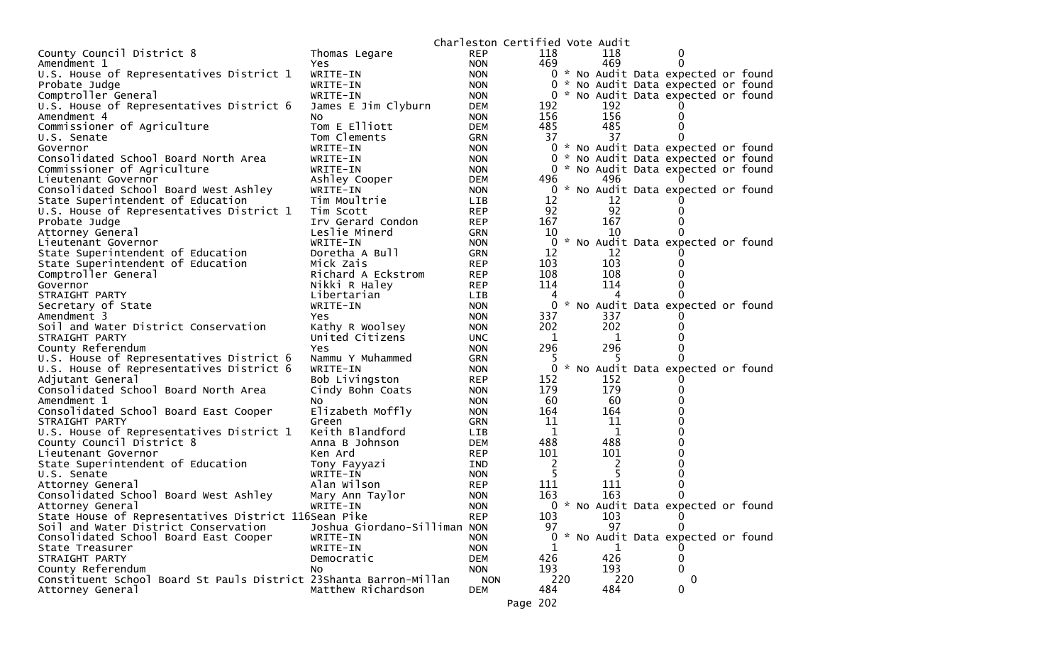|                                                                   |                              | Charleston Certified Vote Audit |              |     |              |                                     |  |
|-------------------------------------------------------------------|------------------------------|---------------------------------|--------------|-----|--------------|-------------------------------------|--|
| County Council District 8                                         | Thomas Legare                | <b>REP</b>                      | 118          |     | 118          | 0                                   |  |
| Amendment 1                                                       | Yes                          | <b>NON</b>                      | 469          |     | 469          | $\Omega$                            |  |
| U.S. House of Representatives District 1                          | WRITE-IN                     | <b>NON</b>                      |              |     |              | 0 * No Audit Data expected or found |  |
| Probate Judge                                                     | WRITE-IN                     | <b>NON</b>                      |              |     |              | 0 * No Audit Data expected or found |  |
| Comptroller General                                               | WRITE-IN                     | <b>NON</b>                      |              |     |              | 0 * No Audit Data expected or found |  |
| U.S. House of Representatives District 6                          | James E Jim Clyburn          | DEM                             | 192          |     | 192          |                                     |  |
| Amendment 4                                                       | NO.                          | <b>NON</b>                      | 156          |     | 156          | 0                                   |  |
| Commissioner of Agriculture                                       | Tom E Elliott                | <b>DEM</b>                      | 485          |     | 485          | 0                                   |  |
| U.S. Senate                                                       | Tom Clements                 | <b>GRN</b>                      | 37           |     | 37           | 0                                   |  |
| Governor                                                          | WRITE-IN                     | <b>NON</b>                      |              |     |              | 0 * No Audit Data expected or found |  |
| Consolidated School Board North Area                              | WRITE-IN                     | <b>NON</b>                      |              |     |              | 0 * No Audit Data expected or found |  |
| Commissioner of Agriculture                                       | WRITE-IN                     | <b>NON</b>                      |              | 0   |              | * No Audit Data expected or found   |  |
| Lieutenant Governor                                               | Ashley Cooper                | DEM                             | 496          |     | 496          |                                     |  |
| Consolidated School Board West Ashley                             | WRITE-IN                     | <b>NON</b>                      |              |     |              | 0 * No Audit Data expected or found |  |
| State Superintendent of Education                                 | Tim Moultrie                 | LIB.                            | 12           |     | 12           |                                     |  |
| U.S. House of Representatives District 1                          | Tim Scott                    | <b>REP</b>                      | 92           |     | 92           | 0                                   |  |
| Probate Judge                                                     | Irv Gerard Condon            | <b>REP</b>                      | 167          |     | 167          | 0                                   |  |
| Attorney General                                                  | Leslie Minerd                | <b>GRN</b>                      | 10           |     | 10           | 0                                   |  |
| Lieutenant Governor                                               | WRITE-IN                     | <b>NON</b>                      |              |     |              | 0 * No Audit Data expected or found |  |
| State Superintendent of Education                                 | Doretha A Bull               | <b>GRN</b>                      | 12           |     | 12           |                                     |  |
| State Superintendent of Education                                 | Mick Zais                    | <b>REP</b>                      | 103          |     | 103          | 0                                   |  |
| Comptroller General                                               | Richard A Eckstrom           | <b>REP</b>                      | 108          |     | 108          | 0                                   |  |
| Governor                                                          | Nikki R Haley                | <b>REP</b>                      | 114          |     | 114          | 0                                   |  |
| STRAIGHT PARTY                                                    | Libertarian                  | LIB.                            |              |     |              | $\Omega$                            |  |
| Secretary of State                                                | WRITE-IN                     | <b>NON</b>                      |              |     |              | 0 * No Audit Data expected or found |  |
| Amendment 3                                                       | Yes.                         | <b>NON</b>                      | 337          |     | 337          | 0                                   |  |
| Soil and Water District Conservation                              | Kathy R Woolsey              | <b>NON</b>                      | 202          |     | 202          | 0                                   |  |
| STRAIGHT PARTY                                                    | United Citizens              | <b>UNC</b>                      | 1            |     | 1            | 0                                   |  |
| County Referendum                                                 | Yes                          | <b>NON</b>                      | 296          |     | 296          | 0                                   |  |
| U.S. House of Representatives District 6                          | Nammu Y Muhammed             | <b>GRN</b>                      |              |     |              | 0                                   |  |
| U.S. House of Representatives District 6                          | WRITE-IN                     | <b>NON</b>                      |              |     |              | 0 * No Audit Data expected or found |  |
| Adjutant General                                                  | Bob Livingston               | <b>REP</b>                      | 152          |     | 152<br>179   | Ü                                   |  |
| Consolidated School Board North Area<br>Amendment 1               | Cindy Bohn Coats             | <b>NON</b>                      | 179<br>60    |     | 60           | 0                                   |  |
|                                                                   | NO.                          | <b>NON</b>                      | 164          |     | 164          | 0<br>0                              |  |
| Consolidated School Board East Cooper<br>STRAIGHT PARTY           | Elizabeth Moffly             | <b>NON</b>                      | 11           |     | 11           | 0                                   |  |
| U.S. House of Representatives District 1                          | Green<br>Keith Blandford     | GRN<br>LIB                      | $\mathbf{1}$ |     | 1            | 0                                   |  |
| County Council District 8                                         | Anna B Johnson               | <b>DEM</b>                      | 488          |     | 488          | 0                                   |  |
| Lieutenant Governor                                               | Ken Ard                      | REP                             | 101          |     | 101          | 0                                   |  |
| State Superintendent of Education                                 | Tony Fayyazi                 | IND                             | 2            |     | 2            | 0                                   |  |
| U.S. Senate                                                       | WRITE-IN                     | <b>NON</b>                      | -5           |     | -5           | 0                                   |  |
| Attorney General                                                  | Alan Wilson                  | <b>REP</b>                      | 111          |     | 111          | 0                                   |  |
| Consolidated School Board West Ashley                             | Mary Ann Taylor              | <b>NON</b>                      | 163          |     | 163          | $\mathbf{0}$                        |  |
| Attorney General                                                  | WRITE-IN                     | <b>NON</b>                      |              |     |              | 0 * No Audit Data expected or found |  |
| State House of Representatives District 116Sean Pike              |                              | <b>REP</b>                      | 103          |     | 103          | 0                                   |  |
| Soil and Water District Conservation                              | Joshua Giordano-Silliman NON |                                 | 97           |     | 97           | 0                                   |  |
| Consolidated School Board East Cooper                             | WRITE-IN                     | <b>NON</b>                      |              |     |              | * No Audit Data expected or found   |  |
| State Treasurer                                                   | WRITE-IN                     | <b>NON</b>                      | 1            |     | $\mathbf{1}$ | O                                   |  |
| STRAIGHT PARTY                                                    | Democratic                   | DEM                             | 426          |     | 426          | 0                                   |  |
| County Referendum                                                 | No.                          | <b>NON</b>                      | 193          |     | 193          | $\Omega$                            |  |
| Constituent School Board St Pauls District 23Shanta Barron-Millan |                              | <b>NON</b>                      |              | 220 | 220          | $\mathbf{0}$                        |  |
| Attorney General                                                  | Matthew Richardson           | <b>DEM</b>                      | 484          |     | 484          | 0                                   |  |
|                                                                   |                              |                                 |              |     |              |                                     |  |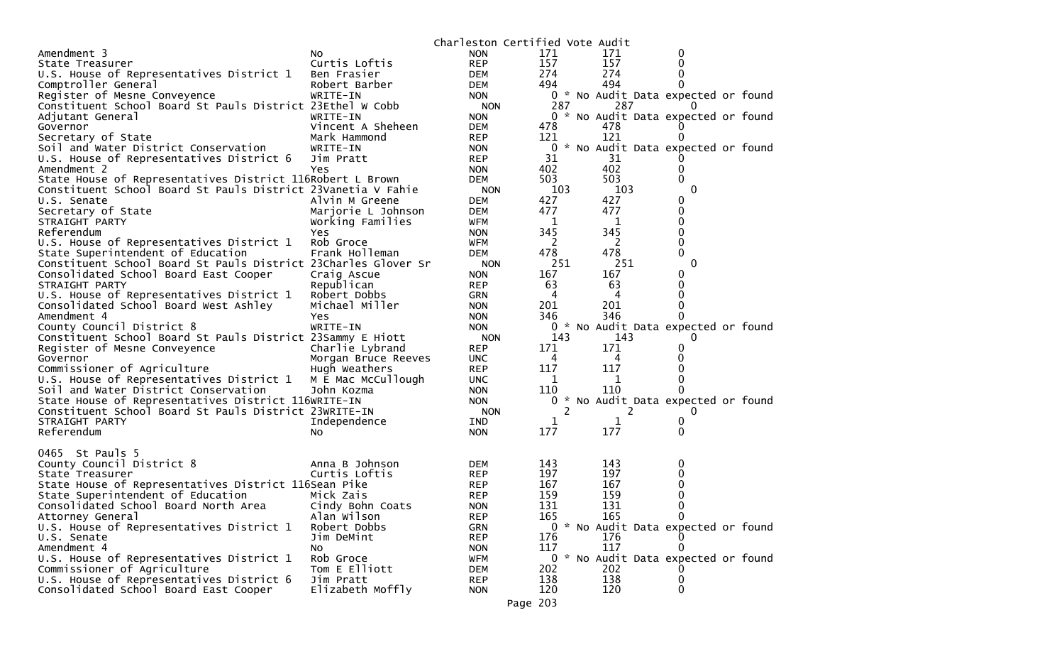|                                                                                  |                                      | Charleston Certified Vote Audit |                      |          |                                     |  |
|----------------------------------------------------------------------------------|--------------------------------------|---------------------------------|----------------------|----------|-------------------------------------|--|
| Amendment 3                                                                      | No.                                  | <b>NON</b>                      | 171                  | 171      | 0                                   |  |
| State Treasurer                                                                  | Curtis Loftis                        | <b>REP</b>                      | 157                  | 157      | 0                                   |  |
| U.S. House of Representatives District 1                                         | Ben Frasier                          | DEM                             | 274                  | 274      |                                     |  |
| Comptroller General                                                              | Robert Barber                        | <b>DEM</b>                      | 494                  | 494      | 0                                   |  |
| Register of Mesne Conveyence                                                     | WRITE-IN                             | <b>NON</b>                      |                      |          | 0 * No Audit Data expected or found |  |
| Constituent School Board St Pauls District 23Ethel W Cobb                        |                                      | <b>NON</b>                      | 287                  | 287      | $\Omega$                            |  |
| Adjutant General                                                                 | WRITE-IN                             | <b>NON</b>                      |                      |          | 0 * No Audit Data expected or found |  |
| Governor                                                                         | Vincent A Sheheen                    | <b>DEM</b>                      | 478                  | 478      |                                     |  |
| Secretary of State                                                               | Mark Hammond                         | <b>REP</b>                      | 121                  | 121      | 0                                   |  |
| Soil and Water District Conservation                                             | WRITE-IN                             | <b>NON</b>                      |                      |          | 0 * No Audit Data expected or found |  |
| U.S. House of Representatives District 6                                         | Jim Pratt                            | <b>REP</b>                      | 31                   | 31       |                                     |  |
| Amendment 2                                                                      | Yes                                  | <b>NON</b>                      | 402                  | 402      | 0                                   |  |
| State House of Representatives District 116Robert L Brown                        |                                      | <b>DEM</b>                      | 503                  | 503      | 0                                   |  |
| Constituent School Board St Pauls District 23Vanetia V Fahie                     |                                      | <b>NON</b>                      | 103                  | 103      | 0                                   |  |
| U.S. Senate                                                                      | Alvin M Greene                       | <b>DEM</b>                      | 427                  | 427      | 0                                   |  |
| Secretary of State                                                               | Marjorie L Johnson                   | <b>DEM</b>                      | 477                  | 477      | 0                                   |  |
| STRAIGHT PARTY                                                                   | Working Families                     | WFM                             | 1                    | 1        | 0                                   |  |
| Referendum                                                                       | Yes                                  | <b>NON</b>                      | 345                  | 345      | 0                                   |  |
| U.S. House of Representatives District 1                                         | Rob Groce                            | WFM                             | 2                    | 2        | 0                                   |  |
| State Superintendent of Education                                                | Frank Holleman                       | <b>DEM</b>                      | 478                  | 478      | 0                                   |  |
| Constituent School Board St Pauls District 23Charles Glover Sr                   |                                      | <b>NON</b>                      | 251                  | 251      | 0                                   |  |
| Consolidated School Board East Cooper                                            | Craig Ascue                          | <b>NON</b>                      | 167                  | 167      | 0                                   |  |
| STRAIGHT PARTY                                                                   | Republican                           | <b>REP</b>                      | 63                   | 63       | 0                                   |  |
| U.S. House of Representatives District 1                                         | Robert Dobbs                         | <b>GRN</b>                      | 4                    | 4        | 0                                   |  |
| Consolidated School Board West Ashley                                            | Michael Miller                       | <b>NON</b>                      | 201                  | 201      |                                     |  |
| Amendment 4                                                                      | Yes                                  | <b>NON</b>                      | 346                  | 346      | 0                                   |  |
| County Council District 8                                                        | WRITE-IN                             | <b>NON</b>                      |                      |          | 0 * No Audit Data expected or found |  |
| Constituent School Board St Pauls District 23Sammy E Hiott                       |                                      |                                 | 143                  | 143      | 0                                   |  |
| Register of Mesne Conveyence                                                     | Charlie Lybrand                      | <b>NON</b><br><b>REP</b>        | 171                  | 171      | 0                                   |  |
| Governor                                                                         |                                      |                                 | 4                    | 4        | 0                                   |  |
| Commissioner of Agriculture                                                      | Morgan Bruce Reeves<br>Hugh Weathers | <b>UNC</b><br><b>REP</b>        | 117                  | 117      | 0                                   |  |
|                                                                                  | M E Mac McCullough                   | <b>UNC</b>                      | 1                    | 1        | 0                                   |  |
| U.S. House of Representatives District 1<br>Soil and Water District Conservation | John Kozma                           | <b>NON</b>                      | 110                  | 110      | 0                                   |  |
| State House of Representatives District 116WRITE-IN                              |                                      | <b>NON</b>                      | $\overline{0}$<br>*. |          | No Audit Data expected or found     |  |
|                                                                                  |                                      |                                 | 2                    | 2        |                                     |  |
| Constituent School Board St Pauls District 23WRITE-IN                            |                                      | <b>NON</b>                      |                      |          | 0                                   |  |
| STRAIGHT PARTY                                                                   | Independence                         | IND                             | 1                    | 1<br>177 | 0<br>0                              |  |
| Referendum                                                                       | NO.                                  | <b>NON</b>                      | 177                  |          |                                     |  |
| 0465 St Pauls 5                                                                  |                                      |                                 |                      |          |                                     |  |
|                                                                                  |                                      |                                 |                      |          |                                     |  |
| County Council District 8                                                        | Anna B Johnson                       | <b>DEM</b>                      | 143                  | 143      | 0                                   |  |
| State Treasurer                                                                  | Curtis Loftis                        | <b>REP</b>                      | 197<br>167           | 197      | 0<br>0                              |  |
| State House of Representatives District 116Sean Pike                             |                                      | <b>REP</b>                      |                      | 167      |                                     |  |
| State Superintendent of Education                                                | Mick Zais                            | <b>REP</b>                      | 159                  | 159      | 0                                   |  |
| Consolidated School Board North Area                                             | Cindy Bohn Coats                     | <b>NON</b>                      | 131                  | 131      | 0                                   |  |
| Attorney General                                                                 | Alan Wilson                          | <b>REP</b>                      | 165                  | 165      | 0                                   |  |
| U.S. House of Representatives District 1                                         | Robert Dobbs                         | <b>GRN</b>                      |                      |          | 0 * No Audit Data expected or found |  |
| U.S. Senate                                                                      | Jim DeMint                           | <b>REP</b>                      | 176                  | 176      |                                     |  |
| Amendment 4                                                                      | NO.                                  | <b>NON</b>                      | 117                  | 117      | $\Omega$                            |  |
| U.S. House of Representatives District 1                                         | Rob Groce                            | <b>WFM</b>                      |                      |          | 0 * No Audit Data expected or found |  |
| Commissioner of Agriculture                                                      | Tom E Elliott                        | <b>DEM</b>                      | 202                  | 202      |                                     |  |
| U.S. House of Representatives District 6                                         | Jim Pratt                            | <b>REP</b>                      | 138                  | 138      | 0                                   |  |
| Consolidated School Board East Cooper                                            | Elizabeth Moffly                     | <b>NON</b>                      | 120                  | 120      | 0                                   |  |
|                                                                                  |                                      | Page 203                        |                      |          |                                     |  |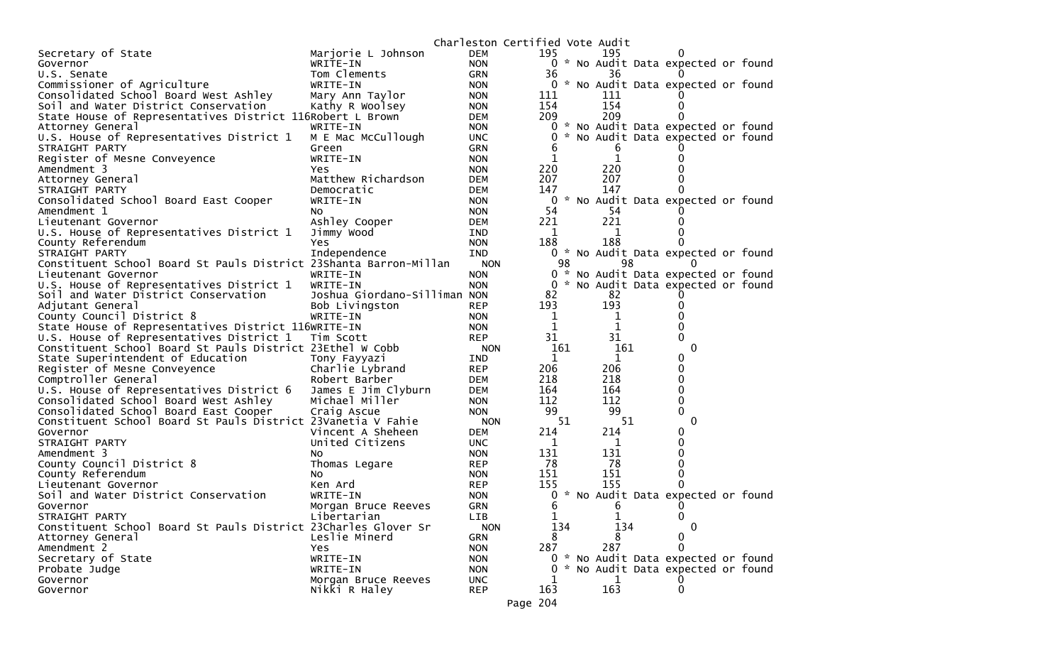|                                                                   |                              |            | Charleston Certified Vote Audit |             |     |                                     |  |
|-------------------------------------------------------------------|------------------------------|------------|---------------------------------|-------------|-----|-------------------------------------|--|
| Secretary of State                                                | Marjorie L Johnson           | <b>DEM</b> | 195                             | 195         |     |                                     |  |
| Governor                                                          | WRITE-IN                     | <b>NON</b> |                                 |             |     | 0 * No Audit Data expected or found |  |
| U.S. Senate                                                       | Tom Clements                 | <b>GRN</b> | 36                              | 36          |     |                                     |  |
| Commissioner of Agriculture                                       | WRITE-IN                     | <b>NON</b> | 0                               |             |     | * No Audit Data expected or found   |  |
| Consolidated School Board West Ashley                             | Mary Ann Taylor              | <b>NON</b> | 111                             | 111         |     |                                     |  |
| Soil and Water District Conservation                              | Kathy R Woolsey              | <b>NON</b> | 154                             | 154         |     | 0                                   |  |
| State House of Representatives District 116Robert L Brown         |                              | DEM        | 209                             | 209         |     | 0                                   |  |
| Attorney General                                                  | WRITE-IN                     | <b>NON</b> |                                 |             |     | 0 * No Audit Data expected or found |  |
| U.S. House of Representatives District 1                          | M E Mac McCullough           | <b>UNC</b> | 0                               |             |     | * No Audit Data expected or found   |  |
| STRAIGHT PARTY                                                    | Green                        | <b>GRN</b> | b                               | b           |     |                                     |  |
| Register of Mesne Conveyence                                      | WRITE-IN                     | <b>NON</b> | 1                               | $\mathbf 1$ |     | 0                                   |  |
| Amendment 3                                                       | Yes                          | <b>NON</b> | 220                             | 220         |     |                                     |  |
| Attorney General                                                  | Matthew Richardson           | DEM        | 207                             | 207         |     |                                     |  |
| STRAIGHT PARTY                                                    | Democratic                   | DEM        | 147                             | 147         |     |                                     |  |
| Consolidated School Board East Cooper                             | WRITE-IN                     | <b>NON</b> | 0                               |             |     | * No Audit Data expected or found   |  |
| Amendment 1                                                       | NO.                          | <b>NON</b> | 54                              | -54         |     |                                     |  |
| Lieutenant Governor                                               | Ashley Cooper                | <b>DEM</b> | 221                             | 221         |     |                                     |  |
| U.S. House of Representatives District 1                          | Jimmy Wood                   | <b>IND</b> | 1                               | 1           |     |                                     |  |
| County Referendum                                                 | Yes                          | <b>NON</b> | 188                             | 188         |     |                                     |  |
| STRAIGHT PARTY                                                    | Independence                 | <b>IND</b> | 0                               |             |     | * No Audit Data expected or found   |  |
| Constituent School Board St Pauls District 23Shanta Barron-Millan |                              | <b>NON</b> | 98                              |             | 98  | $\Omega$                            |  |
| Lieutenant Governor                                               | WRITE-IN                     | <b>NON</b> | 0<br>$\boldsymbol{\mathcal{R}}$ |             |     | No Audit Data expected or found     |  |
| U.S. House of Representatives District 1                          | WRITE-IN                     | <b>NON</b> | 0                               |             |     | * No Audit Data expected or found   |  |
| Soil and Water District Conservation                              | Joshua Giordano-Silliman NON |            | 82                              | 82          |     |                                     |  |
| Adjutant General                                                  | Bob Livingston               | <b>REP</b> | 193                             | 193         |     |                                     |  |
| County Council District 8                                         | WRITE-IN                     | <b>NON</b> | 1                               | 1           |     |                                     |  |
| State House of Representatives District 116WRITE-IN               |                              | <b>NON</b> | 1                               | 1           |     |                                     |  |
| U.S. House of Representatives District 1                          | Tim Scott                    | <b>REP</b> | 31                              | 31          |     | 0                                   |  |
| Constituent School Board St Pauls District 23Ethel W Cobb         |                              | <b>NON</b> | 161                             |             | 161 | 0                                   |  |
| State Superintendent of Education                                 | Tony Fayyazi                 | <b>IND</b> | 1                               | 1           |     | 0                                   |  |
| Register of Mesne Conveyence                                      | Charlie Lybrand              | <b>REP</b> | 206                             | 206         |     | 0                                   |  |
| Comptroller General                                               | Robert Barber                | DEM        | 218                             | 218         |     | 0                                   |  |
| U.S. House of Representatives District 6                          | James E Jim Clyburn          | DEM        | 164                             | 164         |     | 0                                   |  |
| Consolidated School Board West Ashley                             | Michael Miller               | <b>NON</b> | 112                             | 112         |     | 0                                   |  |
| Consolidated School Board East Cooper                             | Craig Ascue                  | <b>NON</b> | 99                              | 99          |     | 0                                   |  |
| Constituent School Board St Pauls District 23Vanetia V Fahie      |                              | <b>NON</b> | 51                              |             | 51  | 0                                   |  |
| Governor                                                          | Vincent A Sheheen            | <b>DEM</b> | 214                             | 214         |     | 0                                   |  |
| STRAIGHT PARTY                                                    | United Citizens              | <b>UNC</b> | 1                               | 1           |     | 0                                   |  |
| Amendment 3                                                       | NO.                          | <b>NON</b> | 131                             | 131         |     | 0                                   |  |
| County Council District 8                                         | Thomas Legare                | <b>REP</b> | 78                              | 78          |     | 0                                   |  |
| County Referendum                                                 | No                           | <b>NON</b> | 151                             | 151         |     | 0                                   |  |
| Lieutenant Governor                                               | Ken Ard                      | <b>REP</b> | 155                             | 155         |     | 0                                   |  |
| Soil and Water District Conservation                              | WRITE-IN                     | <b>NON</b> | 0                               |             |     | * No Audit Data expected or found   |  |
| Governor                                                          | Morgan Bruce Reeves          | <b>GRN</b> | 6                               | 6           |     | 0                                   |  |
| STRAIGHT PARTY                                                    | Libertarian                  | LIB        | 1                               | 1           |     | 0                                   |  |
| Constituent School Board St Pauls District 23Charles Glover Sr    |                              | <b>NON</b> | 134                             |             | 134 | 0                                   |  |
| Attorney General                                                  | Leslie Minerd                | <b>GRN</b> | 8                               | 8           |     | 0                                   |  |
| Amendment 2                                                       | Yes                          | <b>NON</b> | 287                             | 287         |     | $\mathbf 0$                         |  |
| Secretary of State                                                | WRITE-IN                     | <b>NON</b> |                                 |             |     | 0 * No Audit Data expected or found |  |
| Probate Judge                                                     | WRITE-IN                     | <b>NON</b> | 0                               |             |     | * No Audit Data expected or found   |  |
| Governor                                                          | Morgan Bruce Reeves          | <b>UNC</b> |                                 | 1           |     |                                     |  |
| Governor                                                          | Nikki R Haley                | <b>REP</b> | 163                             | 163         |     | 0                                   |  |
|                                                                   |                              |            | $\neg \wedge \wedge$            |             |     |                                     |  |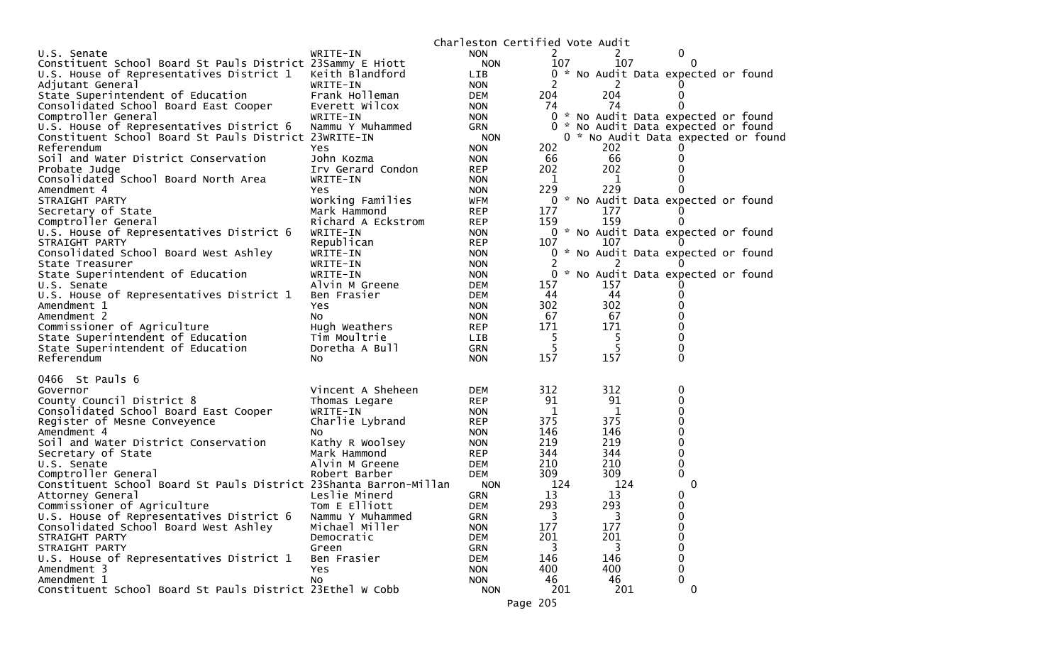| 2<br>0<br>WRITE-IN<br><b>NON</b><br>U.S. Senate<br>107<br>107<br>Constituent School Board St Pauls District 23Sammy E Hiott<br><b>NON</b><br>$\Omega$<br>U.S. House of Representatives District 1<br>Keith Blandford<br>LIB<br>0 * No Audit Data expected or found<br>2<br>2<br>Adjutant General<br>WRITE-IN<br><b>NON</b><br>204<br>Frank Holleman<br>204<br>State Superintendent of Education<br>DEM<br>0<br>74<br>Consolidated School Board East Cooper<br>Everett Wilcox<br>74<br>0<br><b>NON</b><br>0 * No Audit Data expected or found<br>Comptroller General<br>WRITE-IN<br><b>NON</b><br>U.S. House of Representatives District 6<br>Nammu Y Muhammed<br>0 * No Audit Data expected or found<br><b>GRN</b><br>Constituent School Board St Pauls District 23WRITE-IN<br><b>NON</b><br>0 * No Audit Data expected or found<br>202<br>Referendum<br>202<br>Yes.<br><b>NON</b><br>66<br>66<br>Soil and Water District Conservation<br>John Kozma<br><b>NON</b><br>0<br>202<br>202<br>Probate Judge<br>Irv Gerard Condon<br><b>REP</b><br>Consolidated School Board North Area<br>0<br>WRITE-IN<br>1<br>1<br><b>NON</b><br>229<br>229<br>Amendment 4<br>0<br>Yes.<br><b>NON</b><br>0 * No Audit Data expected or found<br>STRAIGHT PARTY<br>Working Families<br>WFM<br>Secretary of State<br>Mark Hammond<br>177<br>177<br><b>REP</b><br>159<br>159<br>Comptroller General<br>Richard A Eckstrom<br><b>REP</b><br>0<br>U.S. House of Representatives District 6<br>WRITE-IN<br>0 * No Audit Data expected or found<br><b>NON</b><br>Republican<br>107<br>107<br>STRAIGHT PARTY<br><b>REP</b><br>$\Omega$<br>Consolidated School Board West Ashley<br>0 * No Audit Data expected or found<br>WRITE-IN<br><b>NON</b><br>WRITE-IN<br>State Treasurer<br><b>NON</b><br>2<br>$\Omega$<br>* No Audit Data expected or found<br>State Superintendent of Education<br>WRITE-IN<br><b>NON</b><br>157<br>Alvin M Greene<br>157<br>U.S. Senate<br><b>DEM</b><br>44<br>U.S. House of Representatives District 1<br>44<br>Ben Frasier<br>DEM<br>0<br>302<br>302<br>0<br>Amendment 1<br>Yes<br><b>NON</b><br>67<br>67<br>0<br>Amendment 2<br>NO.<br><b>NON</b><br>Commissioner of Agriculture<br>171<br>171<br>0<br>Hugh Weathers<br><b>REP</b><br>State Superintendent of Education<br>5<br>5<br>0<br>Tim Moultrie<br>LIB.<br>5<br>5<br>0<br>State Superintendent of Education<br>Doretha A Bull<br>GRN<br>Referendum<br>157<br>$\Omega$<br>157<br>No.<br><b>NON</b><br>0466 St Pauls 6<br>312<br>Vincent A Sheheen<br>312<br>0<br>Governor<br>DEM.<br>91<br>91<br>County Council District 8<br><b>REP</b><br>0<br>Thomas Legare<br>Consolidated School Board East Cooper<br>1<br>1<br>0<br>WRITE-IN<br><b>NON</b><br>375<br>375<br>0<br>Charlie Lybrand<br>Register of Mesne Conveyence<br><b>REP</b><br>146<br>146<br>0<br>Amendment 4<br><b>NON</b><br>NO.<br>219<br>219<br>Soil and Water District Conservation<br>0<br>Kathy R Woolsey<br><b>NON</b><br>0<br>344<br>344<br>Secretary of State<br>Mark Hammond<br><b>REP</b><br>210<br>210<br>0<br>U.S. Senate<br>Alvin M Greene<br>DEM<br>309<br>309<br>0<br>Comptroller General<br>Robert Barber<br>DEM<br>$\mathbf{0}$<br>Constituent School Board St Pauls District 23Shanta Barron-Millan<br>124<br>124<br><b>NON</b><br>Leslie Minerd<br>13<br>13<br>0<br>Attorney General<br><b>GRN</b><br>293<br>0<br>Commissioner of Agriculture<br>Tom E Elliott<br>293<br>DEM<br>U.S. House of Representatives District 6<br>Nammu Y Muhammed<br><b>GRN</b><br>3<br>3<br>0<br>Consolidated School Board West Ashley<br>Michael Miller<br>177<br>177<br>0<br><b>NON</b><br>201<br>0<br><b>DEM</b><br>201<br>STRAIGHT PARTY<br>Democratic<br>0<br>STRAIGHT PARTY<br>3<br>3<br><b>GRN</b><br>Green<br>0<br>U.S. House of Representatives District 1<br>Ben Frasier<br>146<br>146<br><b>DEM</b><br>0<br>Amendment 3<br>400<br>400<br><b>Yes</b><br><b>NON</b> |             |    | Charleston Certified Vote Audit |    |    |   |  |
|------------------------------------------------------------------------------------------------------------------------------------------------------------------------------------------------------------------------------------------------------------------------------------------------------------------------------------------------------------------------------------------------------------------------------------------------------------------------------------------------------------------------------------------------------------------------------------------------------------------------------------------------------------------------------------------------------------------------------------------------------------------------------------------------------------------------------------------------------------------------------------------------------------------------------------------------------------------------------------------------------------------------------------------------------------------------------------------------------------------------------------------------------------------------------------------------------------------------------------------------------------------------------------------------------------------------------------------------------------------------------------------------------------------------------------------------------------------------------------------------------------------------------------------------------------------------------------------------------------------------------------------------------------------------------------------------------------------------------------------------------------------------------------------------------------------------------------------------------------------------------------------------------------------------------------------------------------------------------------------------------------------------------------------------------------------------------------------------------------------------------------------------------------------------------------------------------------------------------------------------------------------------------------------------------------------------------------------------------------------------------------------------------------------------------------------------------------------------------------------------------------------------------------------------------------------------------------------------------------------------------------------------------------------------------------------------------------------------------------------------------------------------------------------------------------------------------------------------------------------------------------------------------------------------------------------------------------------------------------------------------------------------------------------------------------------------------------------------------------------------------------------------------------------------------------------------------------------------------------------------------------------------------------------------------------------------------------------------------------------------------------------------------------------------------------------------------------------------------------------------------------------------------------------------------------------------------------------------------------------------------------------------------------------------------------------------------------------------------------------------------------------------------------------------------------------------------------------------------------------------------------------------|-------------|----|---------------------------------|----|----|---|--|
|                                                                                                                                                                                                                                                                                                                                                                                                                                                                                                                                                                                                                                                                                                                                                                                                                                                                                                                                                                                                                                                                                                                                                                                                                                                                                                                                                                                                                                                                                                                                                                                                                                                                                                                                                                                                                                                                                                                                                                                                                                                                                                                                                                                                                                                                                                                                                                                                                                                                                                                                                                                                                                                                                                                                                                                                                                                                                                                                                                                                                                                                                                                                                                                                                                                                                                                                                                                                                                                                                                                                                                                                                                                                                                                                                                                                                                                                                                |             |    |                                 |    |    |   |  |
|                                                                                                                                                                                                                                                                                                                                                                                                                                                                                                                                                                                                                                                                                                                                                                                                                                                                                                                                                                                                                                                                                                                                                                                                                                                                                                                                                                                                                                                                                                                                                                                                                                                                                                                                                                                                                                                                                                                                                                                                                                                                                                                                                                                                                                                                                                                                                                                                                                                                                                                                                                                                                                                                                                                                                                                                                                                                                                                                                                                                                                                                                                                                                                                                                                                                                                                                                                                                                                                                                                                                                                                                                                                                                                                                                                                                                                                                                                |             |    |                                 |    |    |   |  |
|                                                                                                                                                                                                                                                                                                                                                                                                                                                                                                                                                                                                                                                                                                                                                                                                                                                                                                                                                                                                                                                                                                                                                                                                                                                                                                                                                                                                                                                                                                                                                                                                                                                                                                                                                                                                                                                                                                                                                                                                                                                                                                                                                                                                                                                                                                                                                                                                                                                                                                                                                                                                                                                                                                                                                                                                                                                                                                                                                                                                                                                                                                                                                                                                                                                                                                                                                                                                                                                                                                                                                                                                                                                                                                                                                                                                                                                                                                |             |    |                                 |    |    |   |  |
|                                                                                                                                                                                                                                                                                                                                                                                                                                                                                                                                                                                                                                                                                                                                                                                                                                                                                                                                                                                                                                                                                                                                                                                                                                                                                                                                                                                                                                                                                                                                                                                                                                                                                                                                                                                                                                                                                                                                                                                                                                                                                                                                                                                                                                                                                                                                                                                                                                                                                                                                                                                                                                                                                                                                                                                                                                                                                                                                                                                                                                                                                                                                                                                                                                                                                                                                                                                                                                                                                                                                                                                                                                                                                                                                                                                                                                                                                                |             |    |                                 |    |    |   |  |
|                                                                                                                                                                                                                                                                                                                                                                                                                                                                                                                                                                                                                                                                                                                                                                                                                                                                                                                                                                                                                                                                                                                                                                                                                                                                                                                                                                                                                                                                                                                                                                                                                                                                                                                                                                                                                                                                                                                                                                                                                                                                                                                                                                                                                                                                                                                                                                                                                                                                                                                                                                                                                                                                                                                                                                                                                                                                                                                                                                                                                                                                                                                                                                                                                                                                                                                                                                                                                                                                                                                                                                                                                                                                                                                                                                                                                                                                                                |             |    |                                 |    |    |   |  |
|                                                                                                                                                                                                                                                                                                                                                                                                                                                                                                                                                                                                                                                                                                                                                                                                                                                                                                                                                                                                                                                                                                                                                                                                                                                                                                                                                                                                                                                                                                                                                                                                                                                                                                                                                                                                                                                                                                                                                                                                                                                                                                                                                                                                                                                                                                                                                                                                                                                                                                                                                                                                                                                                                                                                                                                                                                                                                                                                                                                                                                                                                                                                                                                                                                                                                                                                                                                                                                                                                                                                                                                                                                                                                                                                                                                                                                                                                                |             |    |                                 |    |    |   |  |
|                                                                                                                                                                                                                                                                                                                                                                                                                                                                                                                                                                                                                                                                                                                                                                                                                                                                                                                                                                                                                                                                                                                                                                                                                                                                                                                                                                                                                                                                                                                                                                                                                                                                                                                                                                                                                                                                                                                                                                                                                                                                                                                                                                                                                                                                                                                                                                                                                                                                                                                                                                                                                                                                                                                                                                                                                                                                                                                                                                                                                                                                                                                                                                                                                                                                                                                                                                                                                                                                                                                                                                                                                                                                                                                                                                                                                                                                                                |             |    |                                 |    |    |   |  |
|                                                                                                                                                                                                                                                                                                                                                                                                                                                                                                                                                                                                                                                                                                                                                                                                                                                                                                                                                                                                                                                                                                                                                                                                                                                                                                                                                                                                                                                                                                                                                                                                                                                                                                                                                                                                                                                                                                                                                                                                                                                                                                                                                                                                                                                                                                                                                                                                                                                                                                                                                                                                                                                                                                                                                                                                                                                                                                                                                                                                                                                                                                                                                                                                                                                                                                                                                                                                                                                                                                                                                                                                                                                                                                                                                                                                                                                                                                |             |    |                                 |    |    |   |  |
|                                                                                                                                                                                                                                                                                                                                                                                                                                                                                                                                                                                                                                                                                                                                                                                                                                                                                                                                                                                                                                                                                                                                                                                                                                                                                                                                                                                                                                                                                                                                                                                                                                                                                                                                                                                                                                                                                                                                                                                                                                                                                                                                                                                                                                                                                                                                                                                                                                                                                                                                                                                                                                                                                                                                                                                                                                                                                                                                                                                                                                                                                                                                                                                                                                                                                                                                                                                                                                                                                                                                                                                                                                                                                                                                                                                                                                                                                                |             |    |                                 |    |    |   |  |
|                                                                                                                                                                                                                                                                                                                                                                                                                                                                                                                                                                                                                                                                                                                                                                                                                                                                                                                                                                                                                                                                                                                                                                                                                                                                                                                                                                                                                                                                                                                                                                                                                                                                                                                                                                                                                                                                                                                                                                                                                                                                                                                                                                                                                                                                                                                                                                                                                                                                                                                                                                                                                                                                                                                                                                                                                                                                                                                                                                                                                                                                                                                                                                                                                                                                                                                                                                                                                                                                                                                                                                                                                                                                                                                                                                                                                                                                                                |             |    |                                 |    |    |   |  |
|                                                                                                                                                                                                                                                                                                                                                                                                                                                                                                                                                                                                                                                                                                                                                                                                                                                                                                                                                                                                                                                                                                                                                                                                                                                                                                                                                                                                                                                                                                                                                                                                                                                                                                                                                                                                                                                                                                                                                                                                                                                                                                                                                                                                                                                                                                                                                                                                                                                                                                                                                                                                                                                                                                                                                                                                                                                                                                                                                                                                                                                                                                                                                                                                                                                                                                                                                                                                                                                                                                                                                                                                                                                                                                                                                                                                                                                                                                |             |    |                                 |    |    |   |  |
|                                                                                                                                                                                                                                                                                                                                                                                                                                                                                                                                                                                                                                                                                                                                                                                                                                                                                                                                                                                                                                                                                                                                                                                                                                                                                                                                                                                                                                                                                                                                                                                                                                                                                                                                                                                                                                                                                                                                                                                                                                                                                                                                                                                                                                                                                                                                                                                                                                                                                                                                                                                                                                                                                                                                                                                                                                                                                                                                                                                                                                                                                                                                                                                                                                                                                                                                                                                                                                                                                                                                                                                                                                                                                                                                                                                                                                                                                                |             |    |                                 |    |    |   |  |
|                                                                                                                                                                                                                                                                                                                                                                                                                                                                                                                                                                                                                                                                                                                                                                                                                                                                                                                                                                                                                                                                                                                                                                                                                                                                                                                                                                                                                                                                                                                                                                                                                                                                                                                                                                                                                                                                                                                                                                                                                                                                                                                                                                                                                                                                                                                                                                                                                                                                                                                                                                                                                                                                                                                                                                                                                                                                                                                                                                                                                                                                                                                                                                                                                                                                                                                                                                                                                                                                                                                                                                                                                                                                                                                                                                                                                                                                                                |             |    |                                 |    |    |   |  |
|                                                                                                                                                                                                                                                                                                                                                                                                                                                                                                                                                                                                                                                                                                                                                                                                                                                                                                                                                                                                                                                                                                                                                                                                                                                                                                                                                                                                                                                                                                                                                                                                                                                                                                                                                                                                                                                                                                                                                                                                                                                                                                                                                                                                                                                                                                                                                                                                                                                                                                                                                                                                                                                                                                                                                                                                                                                                                                                                                                                                                                                                                                                                                                                                                                                                                                                                                                                                                                                                                                                                                                                                                                                                                                                                                                                                                                                                                                |             |    |                                 |    |    |   |  |
|                                                                                                                                                                                                                                                                                                                                                                                                                                                                                                                                                                                                                                                                                                                                                                                                                                                                                                                                                                                                                                                                                                                                                                                                                                                                                                                                                                                                                                                                                                                                                                                                                                                                                                                                                                                                                                                                                                                                                                                                                                                                                                                                                                                                                                                                                                                                                                                                                                                                                                                                                                                                                                                                                                                                                                                                                                                                                                                                                                                                                                                                                                                                                                                                                                                                                                                                                                                                                                                                                                                                                                                                                                                                                                                                                                                                                                                                                                |             |    |                                 |    |    |   |  |
|                                                                                                                                                                                                                                                                                                                                                                                                                                                                                                                                                                                                                                                                                                                                                                                                                                                                                                                                                                                                                                                                                                                                                                                                                                                                                                                                                                                                                                                                                                                                                                                                                                                                                                                                                                                                                                                                                                                                                                                                                                                                                                                                                                                                                                                                                                                                                                                                                                                                                                                                                                                                                                                                                                                                                                                                                                                                                                                                                                                                                                                                                                                                                                                                                                                                                                                                                                                                                                                                                                                                                                                                                                                                                                                                                                                                                                                                                                |             |    |                                 |    |    |   |  |
|                                                                                                                                                                                                                                                                                                                                                                                                                                                                                                                                                                                                                                                                                                                                                                                                                                                                                                                                                                                                                                                                                                                                                                                                                                                                                                                                                                                                                                                                                                                                                                                                                                                                                                                                                                                                                                                                                                                                                                                                                                                                                                                                                                                                                                                                                                                                                                                                                                                                                                                                                                                                                                                                                                                                                                                                                                                                                                                                                                                                                                                                                                                                                                                                                                                                                                                                                                                                                                                                                                                                                                                                                                                                                                                                                                                                                                                                                                |             |    |                                 |    |    |   |  |
|                                                                                                                                                                                                                                                                                                                                                                                                                                                                                                                                                                                                                                                                                                                                                                                                                                                                                                                                                                                                                                                                                                                                                                                                                                                                                                                                                                                                                                                                                                                                                                                                                                                                                                                                                                                                                                                                                                                                                                                                                                                                                                                                                                                                                                                                                                                                                                                                                                                                                                                                                                                                                                                                                                                                                                                                                                                                                                                                                                                                                                                                                                                                                                                                                                                                                                                                                                                                                                                                                                                                                                                                                                                                                                                                                                                                                                                                                                |             |    |                                 |    |    |   |  |
|                                                                                                                                                                                                                                                                                                                                                                                                                                                                                                                                                                                                                                                                                                                                                                                                                                                                                                                                                                                                                                                                                                                                                                                                                                                                                                                                                                                                                                                                                                                                                                                                                                                                                                                                                                                                                                                                                                                                                                                                                                                                                                                                                                                                                                                                                                                                                                                                                                                                                                                                                                                                                                                                                                                                                                                                                                                                                                                                                                                                                                                                                                                                                                                                                                                                                                                                                                                                                                                                                                                                                                                                                                                                                                                                                                                                                                                                                                |             |    |                                 |    |    |   |  |
|                                                                                                                                                                                                                                                                                                                                                                                                                                                                                                                                                                                                                                                                                                                                                                                                                                                                                                                                                                                                                                                                                                                                                                                                                                                                                                                                                                                                                                                                                                                                                                                                                                                                                                                                                                                                                                                                                                                                                                                                                                                                                                                                                                                                                                                                                                                                                                                                                                                                                                                                                                                                                                                                                                                                                                                                                                                                                                                                                                                                                                                                                                                                                                                                                                                                                                                                                                                                                                                                                                                                                                                                                                                                                                                                                                                                                                                                                                |             |    |                                 |    |    |   |  |
|                                                                                                                                                                                                                                                                                                                                                                                                                                                                                                                                                                                                                                                                                                                                                                                                                                                                                                                                                                                                                                                                                                                                                                                                                                                                                                                                                                                                                                                                                                                                                                                                                                                                                                                                                                                                                                                                                                                                                                                                                                                                                                                                                                                                                                                                                                                                                                                                                                                                                                                                                                                                                                                                                                                                                                                                                                                                                                                                                                                                                                                                                                                                                                                                                                                                                                                                                                                                                                                                                                                                                                                                                                                                                                                                                                                                                                                                                                |             |    |                                 |    |    |   |  |
|                                                                                                                                                                                                                                                                                                                                                                                                                                                                                                                                                                                                                                                                                                                                                                                                                                                                                                                                                                                                                                                                                                                                                                                                                                                                                                                                                                                                                                                                                                                                                                                                                                                                                                                                                                                                                                                                                                                                                                                                                                                                                                                                                                                                                                                                                                                                                                                                                                                                                                                                                                                                                                                                                                                                                                                                                                                                                                                                                                                                                                                                                                                                                                                                                                                                                                                                                                                                                                                                                                                                                                                                                                                                                                                                                                                                                                                                                                |             |    |                                 |    |    |   |  |
|                                                                                                                                                                                                                                                                                                                                                                                                                                                                                                                                                                                                                                                                                                                                                                                                                                                                                                                                                                                                                                                                                                                                                                                                                                                                                                                                                                                                                                                                                                                                                                                                                                                                                                                                                                                                                                                                                                                                                                                                                                                                                                                                                                                                                                                                                                                                                                                                                                                                                                                                                                                                                                                                                                                                                                                                                                                                                                                                                                                                                                                                                                                                                                                                                                                                                                                                                                                                                                                                                                                                                                                                                                                                                                                                                                                                                                                                                                |             |    |                                 |    |    |   |  |
|                                                                                                                                                                                                                                                                                                                                                                                                                                                                                                                                                                                                                                                                                                                                                                                                                                                                                                                                                                                                                                                                                                                                                                                                                                                                                                                                                                                                                                                                                                                                                                                                                                                                                                                                                                                                                                                                                                                                                                                                                                                                                                                                                                                                                                                                                                                                                                                                                                                                                                                                                                                                                                                                                                                                                                                                                                                                                                                                                                                                                                                                                                                                                                                                                                                                                                                                                                                                                                                                                                                                                                                                                                                                                                                                                                                                                                                                                                |             |    |                                 |    |    |   |  |
|                                                                                                                                                                                                                                                                                                                                                                                                                                                                                                                                                                                                                                                                                                                                                                                                                                                                                                                                                                                                                                                                                                                                                                                                                                                                                                                                                                                                                                                                                                                                                                                                                                                                                                                                                                                                                                                                                                                                                                                                                                                                                                                                                                                                                                                                                                                                                                                                                                                                                                                                                                                                                                                                                                                                                                                                                                                                                                                                                                                                                                                                                                                                                                                                                                                                                                                                                                                                                                                                                                                                                                                                                                                                                                                                                                                                                                                                                                |             |    |                                 |    |    |   |  |
|                                                                                                                                                                                                                                                                                                                                                                                                                                                                                                                                                                                                                                                                                                                                                                                                                                                                                                                                                                                                                                                                                                                                                                                                                                                                                                                                                                                                                                                                                                                                                                                                                                                                                                                                                                                                                                                                                                                                                                                                                                                                                                                                                                                                                                                                                                                                                                                                                                                                                                                                                                                                                                                                                                                                                                                                                                                                                                                                                                                                                                                                                                                                                                                                                                                                                                                                                                                                                                                                                                                                                                                                                                                                                                                                                                                                                                                                                                |             |    |                                 |    |    |   |  |
|                                                                                                                                                                                                                                                                                                                                                                                                                                                                                                                                                                                                                                                                                                                                                                                                                                                                                                                                                                                                                                                                                                                                                                                                                                                                                                                                                                                                                                                                                                                                                                                                                                                                                                                                                                                                                                                                                                                                                                                                                                                                                                                                                                                                                                                                                                                                                                                                                                                                                                                                                                                                                                                                                                                                                                                                                                                                                                                                                                                                                                                                                                                                                                                                                                                                                                                                                                                                                                                                                                                                                                                                                                                                                                                                                                                                                                                                                                |             |    |                                 |    |    |   |  |
|                                                                                                                                                                                                                                                                                                                                                                                                                                                                                                                                                                                                                                                                                                                                                                                                                                                                                                                                                                                                                                                                                                                                                                                                                                                                                                                                                                                                                                                                                                                                                                                                                                                                                                                                                                                                                                                                                                                                                                                                                                                                                                                                                                                                                                                                                                                                                                                                                                                                                                                                                                                                                                                                                                                                                                                                                                                                                                                                                                                                                                                                                                                                                                                                                                                                                                                                                                                                                                                                                                                                                                                                                                                                                                                                                                                                                                                                                                |             |    |                                 |    |    |   |  |
|                                                                                                                                                                                                                                                                                                                                                                                                                                                                                                                                                                                                                                                                                                                                                                                                                                                                                                                                                                                                                                                                                                                                                                                                                                                                                                                                                                                                                                                                                                                                                                                                                                                                                                                                                                                                                                                                                                                                                                                                                                                                                                                                                                                                                                                                                                                                                                                                                                                                                                                                                                                                                                                                                                                                                                                                                                                                                                                                                                                                                                                                                                                                                                                                                                                                                                                                                                                                                                                                                                                                                                                                                                                                                                                                                                                                                                                                                                |             |    |                                 |    |    |   |  |
|                                                                                                                                                                                                                                                                                                                                                                                                                                                                                                                                                                                                                                                                                                                                                                                                                                                                                                                                                                                                                                                                                                                                                                                                                                                                                                                                                                                                                                                                                                                                                                                                                                                                                                                                                                                                                                                                                                                                                                                                                                                                                                                                                                                                                                                                                                                                                                                                                                                                                                                                                                                                                                                                                                                                                                                                                                                                                                                                                                                                                                                                                                                                                                                                                                                                                                                                                                                                                                                                                                                                                                                                                                                                                                                                                                                                                                                                                                |             |    |                                 |    |    |   |  |
|                                                                                                                                                                                                                                                                                                                                                                                                                                                                                                                                                                                                                                                                                                                                                                                                                                                                                                                                                                                                                                                                                                                                                                                                                                                                                                                                                                                                                                                                                                                                                                                                                                                                                                                                                                                                                                                                                                                                                                                                                                                                                                                                                                                                                                                                                                                                                                                                                                                                                                                                                                                                                                                                                                                                                                                                                                                                                                                                                                                                                                                                                                                                                                                                                                                                                                                                                                                                                                                                                                                                                                                                                                                                                                                                                                                                                                                                                                |             |    |                                 |    |    |   |  |
|                                                                                                                                                                                                                                                                                                                                                                                                                                                                                                                                                                                                                                                                                                                                                                                                                                                                                                                                                                                                                                                                                                                                                                                                                                                                                                                                                                                                                                                                                                                                                                                                                                                                                                                                                                                                                                                                                                                                                                                                                                                                                                                                                                                                                                                                                                                                                                                                                                                                                                                                                                                                                                                                                                                                                                                                                                                                                                                                                                                                                                                                                                                                                                                                                                                                                                                                                                                                                                                                                                                                                                                                                                                                                                                                                                                                                                                                                                |             |    |                                 |    |    |   |  |
|                                                                                                                                                                                                                                                                                                                                                                                                                                                                                                                                                                                                                                                                                                                                                                                                                                                                                                                                                                                                                                                                                                                                                                                                                                                                                                                                                                                                                                                                                                                                                                                                                                                                                                                                                                                                                                                                                                                                                                                                                                                                                                                                                                                                                                                                                                                                                                                                                                                                                                                                                                                                                                                                                                                                                                                                                                                                                                                                                                                                                                                                                                                                                                                                                                                                                                                                                                                                                                                                                                                                                                                                                                                                                                                                                                                                                                                                                                |             |    |                                 |    |    |   |  |
|                                                                                                                                                                                                                                                                                                                                                                                                                                                                                                                                                                                                                                                                                                                                                                                                                                                                                                                                                                                                                                                                                                                                                                                                                                                                                                                                                                                                                                                                                                                                                                                                                                                                                                                                                                                                                                                                                                                                                                                                                                                                                                                                                                                                                                                                                                                                                                                                                                                                                                                                                                                                                                                                                                                                                                                                                                                                                                                                                                                                                                                                                                                                                                                                                                                                                                                                                                                                                                                                                                                                                                                                                                                                                                                                                                                                                                                                                                |             |    |                                 |    |    |   |  |
|                                                                                                                                                                                                                                                                                                                                                                                                                                                                                                                                                                                                                                                                                                                                                                                                                                                                                                                                                                                                                                                                                                                                                                                                                                                                                                                                                                                                                                                                                                                                                                                                                                                                                                                                                                                                                                                                                                                                                                                                                                                                                                                                                                                                                                                                                                                                                                                                                                                                                                                                                                                                                                                                                                                                                                                                                                                                                                                                                                                                                                                                                                                                                                                                                                                                                                                                                                                                                                                                                                                                                                                                                                                                                                                                                                                                                                                                                                |             |    |                                 |    |    |   |  |
|                                                                                                                                                                                                                                                                                                                                                                                                                                                                                                                                                                                                                                                                                                                                                                                                                                                                                                                                                                                                                                                                                                                                                                                                                                                                                                                                                                                                                                                                                                                                                                                                                                                                                                                                                                                                                                                                                                                                                                                                                                                                                                                                                                                                                                                                                                                                                                                                                                                                                                                                                                                                                                                                                                                                                                                                                                                                                                                                                                                                                                                                                                                                                                                                                                                                                                                                                                                                                                                                                                                                                                                                                                                                                                                                                                                                                                                                                                |             |    |                                 |    |    |   |  |
|                                                                                                                                                                                                                                                                                                                                                                                                                                                                                                                                                                                                                                                                                                                                                                                                                                                                                                                                                                                                                                                                                                                                                                                                                                                                                                                                                                                                                                                                                                                                                                                                                                                                                                                                                                                                                                                                                                                                                                                                                                                                                                                                                                                                                                                                                                                                                                                                                                                                                                                                                                                                                                                                                                                                                                                                                                                                                                                                                                                                                                                                                                                                                                                                                                                                                                                                                                                                                                                                                                                                                                                                                                                                                                                                                                                                                                                                                                |             |    |                                 |    |    |   |  |
|                                                                                                                                                                                                                                                                                                                                                                                                                                                                                                                                                                                                                                                                                                                                                                                                                                                                                                                                                                                                                                                                                                                                                                                                                                                                                                                                                                                                                                                                                                                                                                                                                                                                                                                                                                                                                                                                                                                                                                                                                                                                                                                                                                                                                                                                                                                                                                                                                                                                                                                                                                                                                                                                                                                                                                                                                                                                                                                                                                                                                                                                                                                                                                                                                                                                                                                                                                                                                                                                                                                                                                                                                                                                                                                                                                                                                                                                                                |             |    |                                 |    |    |   |  |
|                                                                                                                                                                                                                                                                                                                                                                                                                                                                                                                                                                                                                                                                                                                                                                                                                                                                                                                                                                                                                                                                                                                                                                                                                                                                                                                                                                                                                                                                                                                                                                                                                                                                                                                                                                                                                                                                                                                                                                                                                                                                                                                                                                                                                                                                                                                                                                                                                                                                                                                                                                                                                                                                                                                                                                                                                                                                                                                                                                                                                                                                                                                                                                                                                                                                                                                                                                                                                                                                                                                                                                                                                                                                                                                                                                                                                                                                                                |             |    |                                 |    |    |   |  |
|                                                                                                                                                                                                                                                                                                                                                                                                                                                                                                                                                                                                                                                                                                                                                                                                                                                                                                                                                                                                                                                                                                                                                                                                                                                                                                                                                                                                                                                                                                                                                                                                                                                                                                                                                                                                                                                                                                                                                                                                                                                                                                                                                                                                                                                                                                                                                                                                                                                                                                                                                                                                                                                                                                                                                                                                                                                                                                                                                                                                                                                                                                                                                                                                                                                                                                                                                                                                                                                                                                                                                                                                                                                                                                                                                                                                                                                                                                |             |    |                                 |    |    |   |  |
|                                                                                                                                                                                                                                                                                                                                                                                                                                                                                                                                                                                                                                                                                                                                                                                                                                                                                                                                                                                                                                                                                                                                                                                                                                                                                                                                                                                                                                                                                                                                                                                                                                                                                                                                                                                                                                                                                                                                                                                                                                                                                                                                                                                                                                                                                                                                                                                                                                                                                                                                                                                                                                                                                                                                                                                                                                                                                                                                                                                                                                                                                                                                                                                                                                                                                                                                                                                                                                                                                                                                                                                                                                                                                                                                                                                                                                                                                                |             |    |                                 |    |    |   |  |
|                                                                                                                                                                                                                                                                                                                                                                                                                                                                                                                                                                                                                                                                                                                                                                                                                                                                                                                                                                                                                                                                                                                                                                                                                                                                                                                                                                                                                                                                                                                                                                                                                                                                                                                                                                                                                                                                                                                                                                                                                                                                                                                                                                                                                                                                                                                                                                                                                                                                                                                                                                                                                                                                                                                                                                                                                                                                                                                                                                                                                                                                                                                                                                                                                                                                                                                                                                                                                                                                                                                                                                                                                                                                                                                                                                                                                                                                                                |             |    |                                 |    |    |   |  |
|                                                                                                                                                                                                                                                                                                                                                                                                                                                                                                                                                                                                                                                                                                                                                                                                                                                                                                                                                                                                                                                                                                                                                                                                                                                                                                                                                                                                                                                                                                                                                                                                                                                                                                                                                                                                                                                                                                                                                                                                                                                                                                                                                                                                                                                                                                                                                                                                                                                                                                                                                                                                                                                                                                                                                                                                                                                                                                                                                                                                                                                                                                                                                                                                                                                                                                                                                                                                                                                                                                                                                                                                                                                                                                                                                                                                                                                                                                |             |    |                                 |    |    |   |  |
|                                                                                                                                                                                                                                                                                                                                                                                                                                                                                                                                                                                                                                                                                                                                                                                                                                                                                                                                                                                                                                                                                                                                                                                                                                                                                                                                                                                                                                                                                                                                                                                                                                                                                                                                                                                                                                                                                                                                                                                                                                                                                                                                                                                                                                                                                                                                                                                                                                                                                                                                                                                                                                                                                                                                                                                                                                                                                                                                                                                                                                                                                                                                                                                                                                                                                                                                                                                                                                                                                                                                                                                                                                                                                                                                                                                                                                                                                                |             |    |                                 |    |    |   |  |
|                                                                                                                                                                                                                                                                                                                                                                                                                                                                                                                                                                                                                                                                                                                                                                                                                                                                                                                                                                                                                                                                                                                                                                                                                                                                                                                                                                                                                                                                                                                                                                                                                                                                                                                                                                                                                                                                                                                                                                                                                                                                                                                                                                                                                                                                                                                                                                                                                                                                                                                                                                                                                                                                                                                                                                                                                                                                                                                                                                                                                                                                                                                                                                                                                                                                                                                                                                                                                                                                                                                                                                                                                                                                                                                                                                                                                                                                                                |             |    |                                 |    |    |   |  |
|                                                                                                                                                                                                                                                                                                                                                                                                                                                                                                                                                                                                                                                                                                                                                                                                                                                                                                                                                                                                                                                                                                                                                                                                                                                                                                                                                                                                                                                                                                                                                                                                                                                                                                                                                                                                                                                                                                                                                                                                                                                                                                                                                                                                                                                                                                                                                                                                                                                                                                                                                                                                                                                                                                                                                                                                                                                                                                                                                                                                                                                                                                                                                                                                                                                                                                                                                                                                                                                                                                                                                                                                                                                                                                                                                                                                                                                                                                |             |    |                                 |    |    |   |  |
|                                                                                                                                                                                                                                                                                                                                                                                                                                                                                                                                                                                                                                                                                                                                                                                                                                                                                                                                                                                                                                                                                                                                                                                                                                                                                                                                                                                                                                                                                                                                                                                                                                                                                                                                                                                                                                                                                                                                                                                                                                                                                                                                                                                                                                                                                                                                                                                                                                                                                                                                                                                                                                                                                                                                                                                                                                                                                                                                                                                                                                                                                                                                                                                                                                                                                                                                                                                                                                                                                                                                                                                                                                                                                                                                                                                                                                                                                                |             |    |                                 |    |    |   |  |
|                                                                                                                                                                                                                                                                                                                                                                                                                                                                                                                                                                                                                                                                                                                                                                                                                                                                                                                                                                                                                                                                                                                                                                                                                                                                                                                                                                                                                                                                                                                                                                                                                                                                                                                                                                                                                                                                                                                                                                                                                                                                                                                                                                                                                                                                                                                                                                                                                                                                                                                                                                                                                                                                                                                                                                                                                                                                                                                                                                                                                                                                                                                                                                                                                                                                                                                                                                                                                                                                                                                                                                                                                                                                                                                                                                                                                                                                                                |             |    |                                 |    |    |   |  |
|                                                                                                                                                                                                                                                                                                                                                                                                                                                                                                                                                                                                                                                                                                                                                                                                                                                                                                                                                                                                                                                                                                                                                                                                                                                                                                                                                                                                                                                                                                                                                                                                                                                                                                                                                                                                                                                                                                                                                                                                                                                                                                                                                                                                                                                                                                                                                                                                                                                                                                                                                                                                                                                                                                                                                                                                                                                                                                                                                                                                                                                                                                                                                                                                                                                                                                                                                                                                                                                                                                                                                                                                                                                                                                                                                                                                                                                                                                |             |    |                                 |    |    |   |  |
|                                                                                                                                                                                                                                                                                                                                                                                                                                                                                                                                                                                                                                                                                                                                                                                                                                                                                                                                                                                                                                                                                                                                                                                                                                                                                                                                                                                                                                                                                                                                                                                                                                                                                                                                                                                                                                                                                                                                                                                                                                                                                                                                                                                                                                                                                                                                                                                                                                                                                                                                                                                                                                                                                                                                                                                                                                                                                                                                                                                                                                                                                                                                                                                                                                                                                                                                                                                                                                                                                                                                                                                                                                                                                                                                                                                                                                                                                                |             |    |                                 |    |    |   |  |
|                                                                                                                                                                                                                                                                                                                                                                                                                                                                                                                                                                                                                                                                                                                                                                                                                                                                                                                                                                                                                                                                                                                                                                                                                                                                                                                                                                                                                                                                                                                                                                                                                                                                                                                                                                                                                                                                                                                                                                                                                                                                                                                                                                                                                                                                                                                                                                                                                                                                                                                                                                                                                                                                                                                                                                                                                                                                                                                                                                                                                                                                                                                                                                                                                                                                                                                                                                                                                                                                                                                                                                                                                                                                                                                                                                                                                                                                                                |             |    |                                 |    |    |   |  |
|                                                                                                                                                                                                                                                                                                                                                                                                                                                                                                                                                                                                                                                                                                                                                                                                                                                                                                                                                                                                                                                                                                                                                                                                                                                                                                                                                                                                                                                                                                                                                                                                                                                                                                                                                                                                                                                                                                                                                                                                                                                                                                                                                                                                                                                                                                                                                                                                                                                                                                                                                                                                                                                                                                                                                                                                                                                                                                                                                                                                                                                                                                                                                                                                                                                                                                                                                                                                                                                                                                                                                                                                                                                                                                                                                                                                                                                                                                |             |    |                                 |    |    |   |  |
|                                                                                                                                                                                                                                                                                                                                                                                                                                                                                                                                                                                                                                                                                                                                                                                                                                                                                                                                                                                                                                                                                                                                                                                                                                                                                                                                                                                                                                                                                                                                                                                                                                                                                                                                                                                                                                                                                                                                                                                                                                                                                                                                                                                                                                                                                                                                                                                                                                                                                                                                                                                                                                                                                                                                                                                                                                                                                                                                                                                                                                                                                                                                                                                                                                                                                                                                                                                                                                                                                                                                                                                                                                                                                                                                                                                                                                                                                                | Amendment 1 | No | <b>NON</b>                      | 46 | 46 | 0 |  |
| Constituent School Board St Pauls District 23Ethel W Cobb<br>201<br>201<br>$\bf{0}$<br><b>NON</b>                                                                                                                                                                                                                                                                                                                                                                                                                                                                                                                                                                                                                                                                                                                                                                                                                                                                                                                                                                                                                                                                                                                                                                                                                                                                                                                                                                                                                                                                                                                                                                                                                                                                                                                                                                                                                                                                                                                                                                                                                                                                                                                                                                                                                                                                                                                                                                                                                                                                                                                                                                                                                                                                                                                                                                                                                                                                                                                                                                                                                                                                                                                                                                                                                                                                                                                                                                                                                                                                                                                                                                                                                                                                                                                                                                                              |             |    |                                 |    |    |   |  |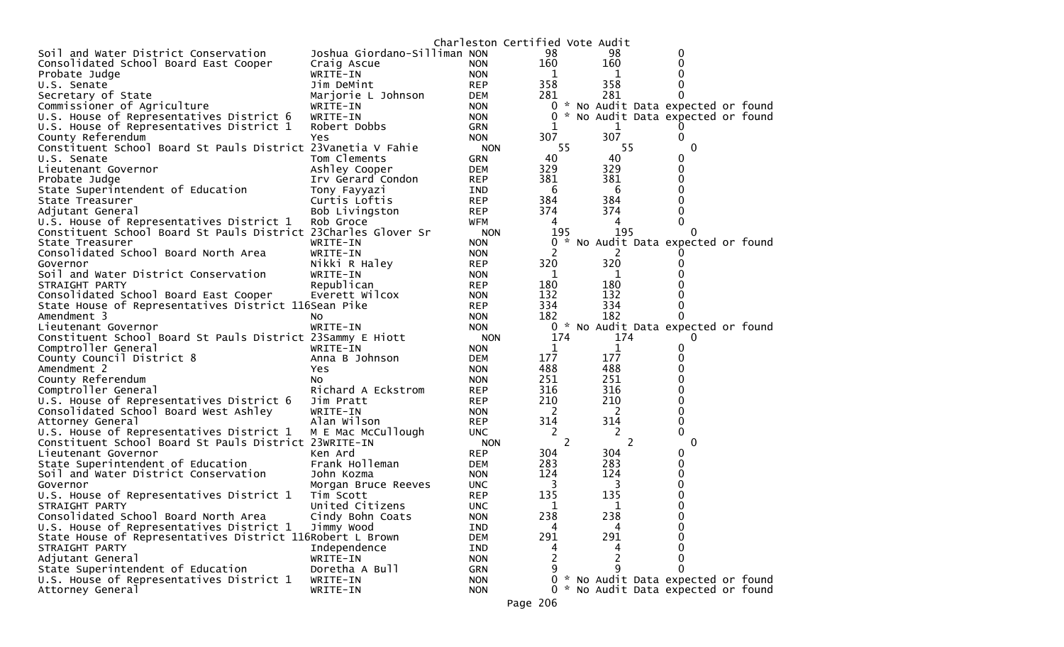|                                                                |                              | Charleston Certified Vote Audit |        |                                     |          |  |
|----------------------------------------------------------------|------------------------------|---------------------------------|--------|-------------------------------------|----------|--|
| Soil and Water District Conservation                           | Joshua Giordano-Silliman NON |                                 | 98     | 98                                  | 0        |  |
| Consolidated School Board East Cooper                          | Craig Ascue                  | <b>NON</b>                      | 160    | 160                                 | 0        |  |
| Probate Judge                                                  | WRITE-IN                     | <b>NON</b>                      | 1      | 1                                   | 0        |  |
| U.S. Senate                                                    | Jim DeMint                   | <b>REP</b>                      | 358    | 358                                 |          |  |
| Secretary of State                                             | Marjorie L Johnson           | DEM                             | 281    | 281                                 | 0        |  |
| Commissioner of Agriculture                                    | WRITE-IN                     | <b>NON</b>                      | 0      | * No Audit Data expected or found   |          |  |
| U.S. House of Representatives District 6                       | WRITE-IN                     | <b>NON</b>                      | 0      | * No Audit Data expected or found   |          |  |
| U.S. House of Representatives District 1                       | Robert Dobbs                 | <b>GRN</b>                      | 1      | 1                                   |          |  |
| County Referendum                                              | Yes                          | <b>NON</b>                      | 307    | 307                                 | 0        |  |
| Constituent School Board St Pauls District 23Vanetia V Fahie   |                              | <b>NON</b>                      | 55     | 55                                  | 0        |  |
| U.S. Senate                                                    | Tom Clements                 | <b>GRN</b>                      | 40     | 40                                  | 0        |  |
| Lieutenant Governor                                            | Ashley Cooper                | <b>DEM</b>                      | 329    | 329                                 | 0        |  |
| Probate Judge                                                  | Irv Gerard Condon            | <b>REP</b>                      | 381    | 381                                 | 0        |  |
| State Superintendent of Education                              | Tony Fayyazi                 | IND                             | 6      | 6                                   | 0        |  |
| State Treasurer                                                | Curtis Loftis                | <b>REP</b>                      | 384    | 384                                 |          |  |
| Adjutant General                                               | Bob Livingston               | <b>REP</b>                      | 374    | 374                                 |          |  |
| U.S. House of Representatives District 1                       | Rob Groce                    | WFM                             | 4      | 4                                   | 0        |  |
| Constituent School Board St Pauls District 23Charles Glover Sr |                              | <b>NON</b>                      | 195    | 195                                 | $\Omega$ |  |
| State Treasurer                                                | WRITE-IN                     | <b>NON</b>                      | 0<br>* | No Audit Data expected or found     |          |  |
| Consolidated School Board North Area                           | WRITE-IN                     | <b>NON</b>                      |        |                                     |          |  |
| Governor                                                       | Nikki R Haley                | <b>REP</b>                      | 320    | 320                                 |          |  |
| Soil and Water District Conservation                           | WRITE-IN                     | <b>NON</b>                      | 1      | 1                                   |          |  |
| STRAIGHT PARTY                                                 | Republican                   | <b>REP</b>                      | 180    | 180                                 |          |  |
| Consolidated School Board East Cooper                          | Everett Wilcox               | <b>NON</b>                      | 132    | 132                                 |          |  |
| State House of Representatives District 116Sean Pike           |                              | <b>REP</b>                      | 334    | 334                                 |          |  |
| Amendment 3                                                    | No                           | <b>NON</b>                      | 182    | 182                                 | 0        |  |
| Lieutenant Governor                                            | WRITE-IN                     | <b>NON</b>                      | 0      | * No Audit Data expected or found   |          |  |
| Constituent School Board St Pauls District 23Sammy E Hiott     |                              | <b>NON</b>                      | 174    | 174                                 | 0        |  |
| Comptroller General                                            | WRITE-IN                     | <b>NON</b>                      | 1      | 1                                   | 0        |  |
| County Council District 8                                      | Anna B Johnson               | <b>DEM</b>                      | 177    | 177                                 | 0        |  |
| Amendment 2                                                    | Yes                          | <b>NON</b>                      | 488    | 488                                 | 0        |  |
| County Referendum                                              | NO.                          | <b>NON</b>                      | 251    | 251                                 | 0        |  |
| Comptroller General                                            | Richard A Eckstrom           | <b>REP</b>                      | 316    | 316                                 | 0        |  |
| U.S. House of Representatives District 6                       | Jim Pratt                    | <b>REP</b>                      | 210    | 210                                 | Ω        |  |
| Consolidated School Board West Ashley                          | WRITE-IN                     | <b>NON</b>                      | 2      | 2                                   | 0        |  |
| Attorney General                                               | Alan Wilson                  | <b>REP</b>                      | 314    | 314                                 | 0        |  |
| U.S. House of Representatives District 1                       | M E Mac McCullough           | <b>UNC</b>                      | 2      | 2                                   | 0        |  |
| Constituent School Board St Pauls District 23WRITE-IN          |                              | <b>NON</b>                      | 2      | 2                                   | 0        |  |
| Lieutenant Governor                                            | Ken Ard                      | <b>REP</b>                      | 304    | 304                                 | 0        |  |
| State Superintendent of Education                              | Frank Holleman               | <b>DEM</b>                      | 283    | 283                                 | 0        |  |
| Soil and Water District Conservation                           | John Kozma                   | <b>NON</b>                      | 124    | 124                                 | 0        |  |
| Governor                                                       | Morgan Bruce Reeves          | UNC.                            | 3      | 3                                   |          |  |
| U.S. House of Representatives District 1                       | Tim Scott                    | <b>REP</b>                      | 135    | 135                                 | 0        |  |
| STRAIGHT PARTY                                                 | United Citizens              | <b>UNC</b>                      | 1      | 1                                   | 0        |  |
| Consolidated School Board North Area                           | Cindy Bohn Coats             | <b>NON</b>                      | 238    | 238                                 | 0        |  |
| U.S. House of Representatives District 1                       | Jimmy Wood                   | IND                             | 4      | 4                                   | 0        |  |
| State House of Representatives District 116Robert L Brown      |                              | <b>DEM</b>                      | 291    | 291                                 | 0        |  |
| STRAIGHT PARTY                                                 | Independence                 | IND                             | 4      | 4                                   | 0        |  |
| Adjutant General                                               | WRITE-IN                     | <b>NON</b>                      | 2      | 2                                   | 0        |  |
| State Superintendent of Education                              | Doretha A Bull               | GRN                             | 9      | 9                                   | 0        |  |
| U.S. House of Representatives District 1                       | WRITE-IN                     | <b>NON</b>                      | 0      | * No Audit Data expected or found   |          |  |
| Attorney General                                               | WRITE-IN                     | <b>NON</b>                      |        | 0 * No Audit Data expected or found |          |  |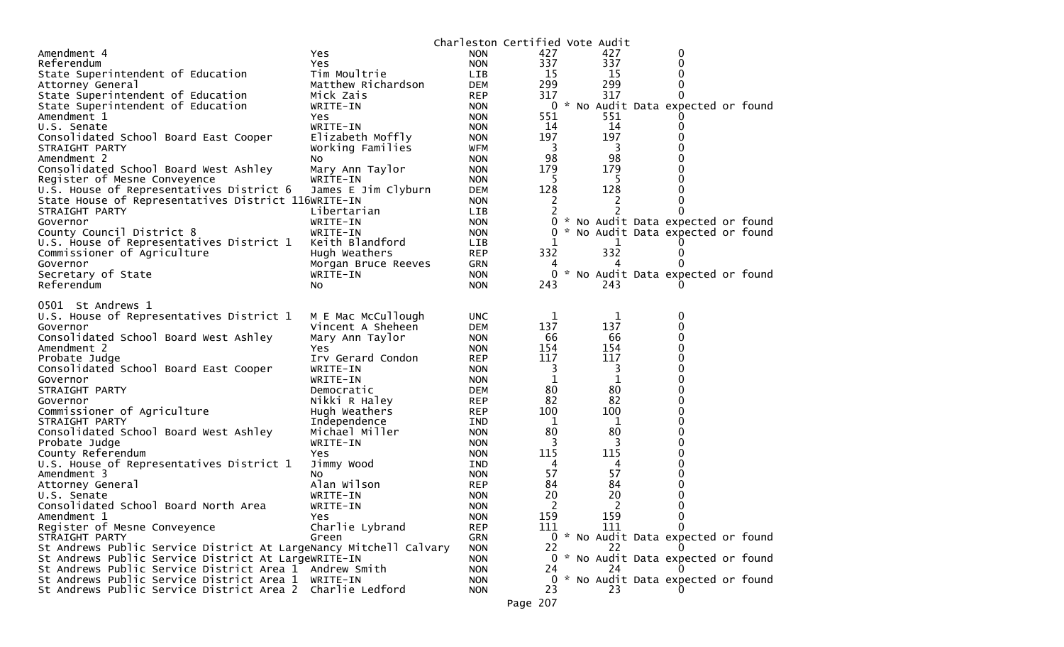|                                                                                                 |                             | Charleston Certified Vote Audit |                       |          |                                     |  |
|-------------------------------------------------------------------------------------------------|-----------------------------|---------------------------------|-----------------------|----------|-------------------------------------|--|
| Amendment 4                                                                                     | Yes                         | <b>NON</b>                      | 427                   | 427      | 0                                   |  |
| Referendum                                                                                      | Yes                         | <b>NON</b>                      | 337                   | 337      | 0                                   |  |
| State Superintendent of Education                                                               | Tim Moultrie                | LIB                             | 15                    | 15       |                                     |  |
| Attorney General                                                                                | Matthew Richardson          | <b>DEM</b>                      | 299                   | 299      |                                     |  |
| State Superintendent of Education                                                               | Mick Zais                   | <b>REP</b>                      | 317                   | 317      |                                     |  |
| State Superintendent of Education                                                               | WRITE-IN                    | <b>NON</b>                      | 0                     |          | * No Audit Data expected or found   |  |
| Amendment 1                                                                                     | <b>Yes</b>                  | <b>NON</b>                      | 551                   | 551      |                                     |  |
| U.S. Senate                                                                                     | WRITE-IN                    | <b>NON</b>                      | 14                    | 14       |                                     |  |
| Consolidated School Board East Cooper                                                           | Elizabeth Moffly            | <b>NON</b>                      | 197                   | 197      |                                     |  |
| STRAIGHT PARTY                                                                                  | Working Families            | <b>WFM</b>                      | 3                     | 3        |                                     |  |
| Amendment 2                                                                                     | NO.                         | <b>NON</b>                      | 98<br>179             | 98       |                                     |  |
| Consolidated School Board West Ashley<br>Register of Mesne Conveyence                           | Mary Ann Taylor<br>WRITE-IN | <b>NON</b><br><b>NON</b>        | -5                    | 179<br>5 |                                     |  |
|                                                                                                 |                             | <b>DEM</b>                      | 128                   | 128      |                                     |  |
| U.S. House of Representatives District 6<br>State House of Representatives District 116WRITE-IN | James E Jim Clyburn         | <b>NON</b>                      | 2                     | 2        |                                     |  |
| STRAIGHT PARTY                                                                                  | Libertarian                 | <b>LIB</b>                      |                       |          |                                     |  |
| Governor                                                                                        | WRITE-IN                    | <b>NON</b>                      | 0                     |          | * No Audit Data expected or found   |  |
| County Council District 8                                                                       | WRITE-IN                    | <b>NON</b>                      | 0                     |          | * No Audit Data expected or found   |  |
| U.S. House of Representatives District 1                                                        | Keith Blandford             | <b>LIB</b>                      |                       | 1        |                                     |  |
| Commissioner of Agriculture                                                                     | Hugh Weathers               | <b>REP</b>                      | 332                   | 332      |                                     |  |
| Governor                                                                                        | Morgan Bruce Reeves         | <b>GRN</b>                      | 4                     |          |                                     |  |
| Secretary of State                                                                              | WRITE-IN                    | <b>NON</b>                      | 0                     |          | * No Audit Data expected or found   |  |
| Referendum                                                                                      | NO.                         | <b>NON</b>                      | 243                   | 243      |                                     |  |
|                                                                                                 |                             |                                 |                       |          |                                     |  |
| 0501 St Andrews 1                                                                               |                             |                                 |                       |          |                                     |  |
| U.S. House of Representatives District 1                                                        | M E Mac McCullough          | <b>UNC</b>                      | 1                     | 1        | 0                                   |  |
| Governor                                                                                        | Vincent A Sheheen           | <b>DEM</b>                      | 137                   | 137      | 0                                   |  |
| Consolidated School Board West Ashley                                                           | Mary Ann Taylor             | <b>NON</b>                      | 66                    | 66       |                                     |  |
| Amendment 2                                                                                     | Yes                         | <b>NON</b>                      | 154                   | 154      |                                     |  |
| Probate Judge                                                                                   | Irv Gerard Condon           | <b>REP</b>                      | 117                   | 117      |                                     |  |
| Consolidated School Board East Cooper                                                           | WRITE-IN                    | <b>NON</b>                      | 3                     | 3        |                                     |  |
| Governor                                                                                        | WRITE-IN                    | <b>NON</b>                      | 1                     | 1        |                                     |  |
| STRAIGHT PARTY                                                                                  | Democratic                  | <b>DEM</b>                      | 80                    | 80       |                                     |  |
| Governor                                                                                        | Nikki R Haley               | <b>REP</b>                      | 82                    | 82       |                                     |  |
| Commissioner of Agriculture                                                                     | Hugh Weathers               | <b>REP</b>                      | 100                   | 100      |                                     |  |
| STRAIGHT PARTY                                                                                  | Independence                | IND                             | 1                     | 1        |                                     |  |
| Consolidated School Board West Ashley                                                           | Michael Miller              | <b>NON</b>                      | 80                    | 80       |                                     |  |
| Probate Judge                                                                                   | WRITE-IN                    | <b>NON</b>                      | 3                     | 3        |                                     |  |
| County Referendum                                                                               | <b>Yes</b>                  | <b>NON</b>                      | 115                   | 115      |                                     |  |
| U.S. House of Representatives District 1                                                        | Jimmy Wood                  | <b>IND</b>                      | 4                     | 4        |                                     |  |
| Amendment 3                                                                                     | <b>NO</b>                   | <b>NON</b>                      | 57                    | 57       |                                     |  |
| Attorney General                                                                                | Alan Wilson                 | <b>REP</b>                      | 84                    | 84       |                                     |  |
| U.S. Senate                                                                                     | WRITE-IN                    | <b>NON</b>                      | 20                    | 20       |                                     |  |
| Consolidated School Board North Area                                                            | WRITE-IN                    | <b>NON</b>                      | $\overline{2}$<br>159 | 2<br>159 | 0                                   |  |
| Amendment 1                                                                                     | Yes                         | <b>NON</b><br><b>REP</b>        | 111                   | 111      | 0                                   |  |
| Register of Mesne Conveyence<br>STRAIGHT PARTY                                                  | Charlie Lybrand             | GRN                             |                       |          | 0 * No Audit Data expected or found |  |
| St Andrews Public Service District At LargeNancy Mitchell Calvary                               | Green                       | <b>NON</b>                      | 22                    | 22       |                                     |  |
| St Andrews Public Service District At LargeWRITE-IN                                             |                             | <b>NON</b>                      |                       |          | 0 * No Audit Data expected or found |  |
| St Andrews Public Service District Area 1 Andrew Smith                                          |                             | <b>NON</b>                      | 24                    | 24       |                                     |  |
| St Andrews Public Service District Area 1 WRITE-IN                                              |                             | <b>NON</b>                      | 0                     |          | * No Audit Data expected or found   |  |
| St Andrews Public Service District Area 2 Charlie Ledford                                       |                             | <b>NON</b>                      | 23                    | 23       |                                     |  |
|                                                                                                 |                             |                                 | Page 207              |          |                                     |  |
|                                                                                                 |                             |                                 |                       |          |                                     |  |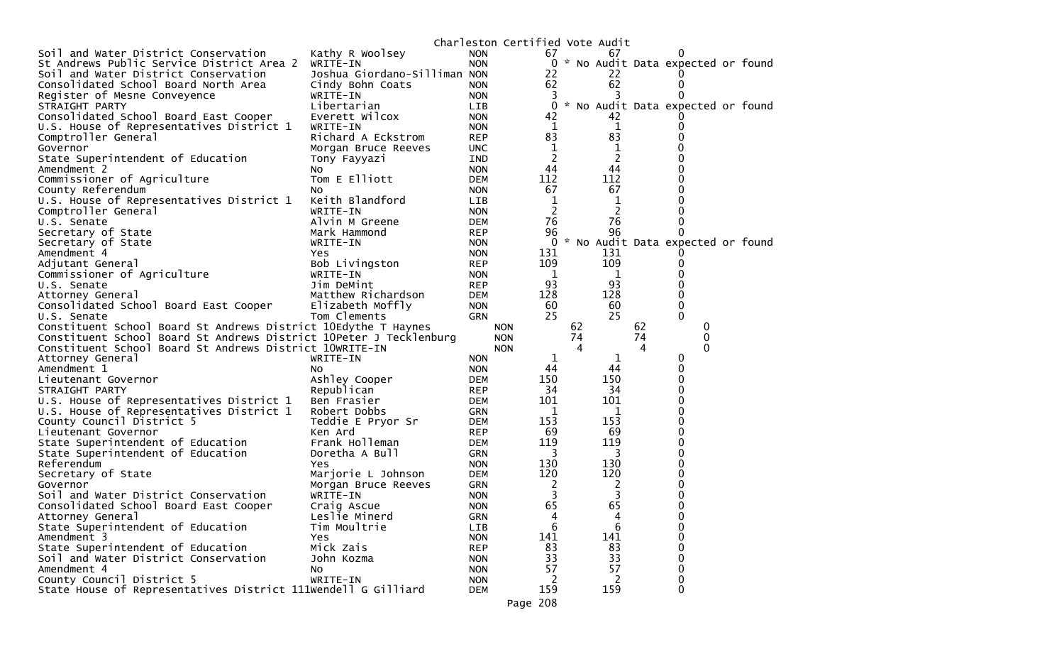|                                                                                            |                                 |                          | Charleston Certified Vote Audit |    |                |    |                                     |  |
|--------------------------------------------------------------------------------------------|---------------------------------|--------------------------|---------------------------------|----|----------------|----|-------------------------------------|--|
| Soil and Water District Conservation                                                       | Kathy R Woolsey                 | <b>NON</b>               | 67                              |    | 67             |    | $_{0}$                              |  |
| St Andrews Public Service District Area 2                                                  | WRITE-IN                        | <b>NON</b>               |                                 |    |                |    | 0 * No Audit Data expected or found |  |
| Soil and Water District Conservation                                                       | Joshua Giordano-Silliman NON    |                          | 22                              |    | 22             |    |                                     |  |
| Consolidated School Board North Area                                                       | Cindy Bohn Coats                | <b>NON</b>               | 62                              |    | 62             |    | 0                                   |  |
| Register of Mesne Conveyence                                                               | WRITE-IN                        | <b>NON</b>               | 3                               |    |                |    |                                     |  |
| STRAIGHT PARTY                                                                             | Libertarian                     | <b>LIB</b>               | 0                               |    |                |    | * No Audit Data expected or found   |  |
| Consolidated School Board East Cooper                                                      | Everett Wilcox                  | <b>NON</b>               | 42                              |    | 42             |    |                                     |  |
| U.S. House of Representatives District 1                                                   | WRITE-IN                        | <b>NON</b>               | 1                               |    | 1              |    | 0                                   |  |
| Comptroller General                                                                        | Richard A Eckstrom              | <b>REP</b>               | 83                              |    | 83             |    |                                     |  |
| Governor                                                                                   | Morgan Bruce Reeves             | <b>UNC</b>               | 1                               |    | 1              |    |                                     |  |
| State Superintendent of Education                                                          | Tony Fayyazi                    | IND                      | $\overline{2}$                  |    | $\overline{c}$ |    | 0                                   |  |
| Amendment 2                                                                                | NO.                             | <b>NON</b>               | 44                              |    | 44             |    |                                     |  |
| Commissioner of Agriculture                                                                | Tom E Elliott                   | <b>DEM</b>               | 112                             |    | 112            |    | 0                                   |  |
| County Referendum                                                                          | No                              | <b>NON</b>               | 67                              |    | 67             |    |                                     |  |
| U.S. House of Representatives District 1                                                   | Keith Blandford                 | <b>LIB</b>               | 1                               |    | 1              |    |                                     |  |
| Comptroller General                                                                        | WRITE-IN                        | <b>NON</b>               | 2                               |    | 2              |    | 0                                   |  |
| U.S. Senate                                                                                | Alvin M Greene                  | <b>DEM</b>               | 76                              |    | 76             |    | 0                                   |  |
| Secretary of State                                                                         | Mark Hammond                    | <b>REP</b>               | 96                              |    | 96             |    |                                     |  |
| Secretary of State                                                                         | WRITE-IN                        | <b>NON</b>               | 0                               |    |                |    | * No Audit Data expected or found   |  |
| Amendment 4                                                                                | Yes.                            | <b>NON</b>               | 131                             |    | 131            |    |                                     |  |
| Adjutant General                                                                           | Bob Livingston                  | <b>REP</b>               | 109                             |    | 109            |    | 0                                   |  |
| Commissioner of Agriculture                                                                | WRITE-IN                        | <b>NON</b>               | 1                               |    | 1              |    | 0                                   |  |
| U.S. Senate                                                                                | Jim DeMint                      | <b>REP</b>               | 93                              |    | 93             |    | 0                                   |  |
| Attorney General                                                                           | Matthew Richardson              | DEM                      | 128                             |    | 128            |    | 0                                   |  |
| Consolidated School Board East Cooper                                                      | Elizabeth Moffly                | <b>NON</b>               | 60                              |    | 60             |    | 0                                   |  |
| U.S. Senate                                                                                | Tom Clements                    | <b>GRN</b>               | 25                              |    | 25             |    | $\Omega$                            |  |
| Constituent School Board St Andrews District 10Edythe T Haynes                             |                                 |                          | <b>NON</b>                      | 62 |                | 62 | 0                                   |  |
| Constituent School Board St Andrews District 10Peter J Tecklenburg                         |                                 |                          | <b>NON</b>                      | 74 |                | 74 | 0                                   |  |
| Constituent School Board St Andrews District 10WRITE-IN                                    |                                 |                          | <b>NON</b>                      | 4  |                | 4  | 0                                   |  |
| Attorney General                                                                           | WRITE-IN                        | <b>NON</b>               | ı                               |    | 1              |    | 0                                   |  |
| Amendment 1                                                                                | NO.                             | <b>NON</b>               | 44                              |    | 44             |    | 0                                   |  |
| Lieutenant Governor                                                                        | Ashley Cooper                   | <b>DEM</b>               | 150                             |    | 150            |    | 0                                   |  |
| STRAIGHT PARTY                                                                             | Republican                      | <b>REP</b>               | 34                              |    | 34             |    | 0                                   |  |
| U.S. House of Representatives District 1                                                   | Ben Frasier                     | DEM                      | 101                             |    | 101            |    | 0                                   |  |
| U.S. House of Representatives District 1                                                   | Robert Dobbs                    | <b>GRN</b>               | 1                               |    | 1              |    | 0                                   |  |
| County Council District 5                                                                  | Teddie E Pryor Sr               | <b>DEM</b>               | 153                             |    | 153            |    | 0                                   |  |
| Lieutenant Governor                                                                        | Ken Ard                         | <b>REP</b>               | 69                              |    | 69<br>119      |    | 0<br>0                              |  |
| State Superintendent of Education                                                          | Frank Holleman                  | <b>DEM</b>               | 119                             |    |                |    | U                                   |  |
| State Superintendent of Education<br>Referendum                                            | Doretha A Bull                  | <b>GRN</b>               | 3<br>130                        |    | 3<br>130       |    | 0                                   |  |
|                                                                                            | Yes                             | <b>NON</b>               |                                 |    | 120            |    | 0                                   |  |
| Secretary of State<br>Governor                                                             | Marjorie L Johnson              | DEM<br>GRN               | 120                             |    |                |    | 0                                   |  |
| Soil and Water District Conservation                                                       | Morgan Bruce Reeves<br>WRITE-IN | <b>NON</b>               | 2<br>3                          |    | 2<br>3         |    | 0                                   |  |
| Consolidated School Board East Cooper                                                      |                                 | <b>NON</b>               | 65                              |    | 65             |    | 0                                   |  |
| Attorney General                                                                           | Craig Ascue<br>Leslie Minerd    | GRN                      | 4                               |    | 4              |    | 0                                   |  |
| State Superintendent of Education                                                          | Tim Moultrie                    | LIB                      | 6                               |    | 6              |    | 0                                   |  |
| Amendment 3                                                                                | Yes                             | <b>NON</b>               | 141                             |    | 141            |    | 0                                   |  |
| State Superintendent of Education                                                          |                                 |                          | 83                              |    | 83             |    | 0                                   |  |
| Soil and Water District Conservation                                                       |                                 |                          |                                 |    |                |    |                                     |  |
|                                                                                            | Mick Zais                       | <b>REP</b>               |                                 |    |                |    |                                     |  |
|                                                                                            | John Kozma                      | <b>NON</b>               | 33                              |    | 33             |    | 0                                   |  |
| Amendment 4                                                                                | NO.                             | <b>NON</b>               | 57                              |    | 57             |    | 0                                   |  |
| County Council District 5<br>State House of Representatives District 111Wendell G Gilliard | WRITE-IN                        | <b>NON</b><br><b>DEM</b> | 2<br>159                        |    | 2<br>159       |    | 0<br>0                              |  |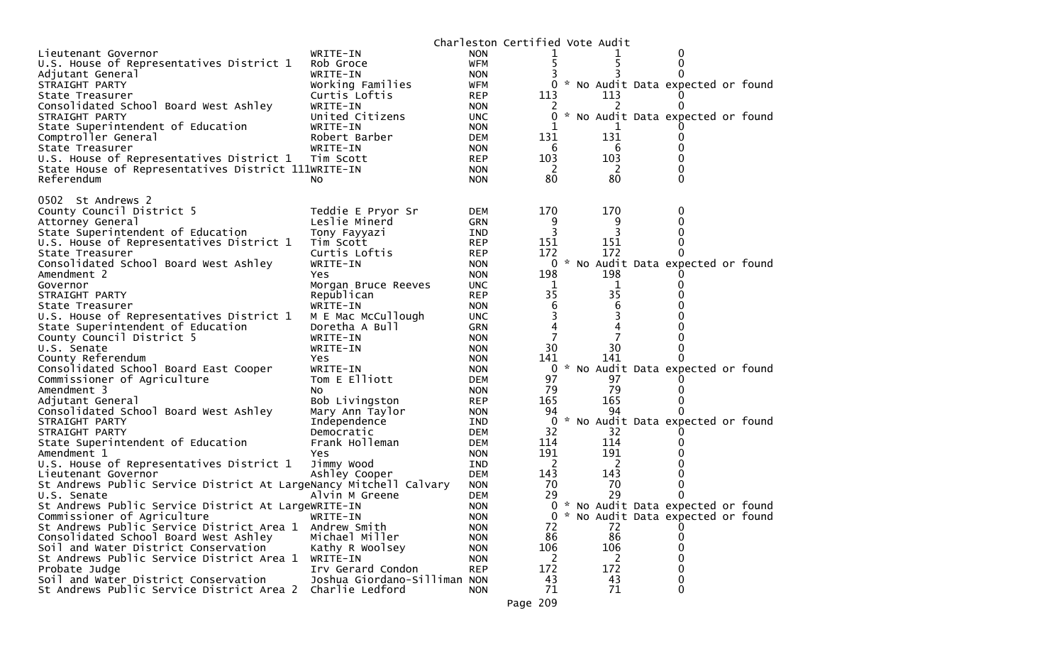|                                                                               |                              |                          | Charleston Certified Vote Audit |         |                                     |  |
|-------------------------------------------------------------------------------|------------------------------|--------------------------|---------------------------------|---------|-------------------------------------|--|
| Lieutenant Governor                                                           | WRITE-IN                     | <b>NON</b>               |                                 |         |                                     |  |
| U.S. House of Representatives District 1                                      | Rob Groce                    | <b>WFM</b>               |                                 |         | 0                                   |  |
| Adjutant General                                                              | WRITE-IN                     | <b>NON</b>               |                                 |         |                                     |  |
| STRAIGHT PARTY                                                                | Working Families             | WFM                      |                                 |         | * No Audit Data expected or found   |  |
| State Treasurer                                                               | Curtis Loftis                | <b>REP</b>               | 113                             | 113     |                                     |  |
| Consolidated School Board West Ashley                                         | WRITE-IN                     | <b>NON</b>               | 2                               | 2       | 0                                   |  |
| STRAIGHT PARTY                                                                | United Citizens              | <b>UNC</b>               |                                 |         | * No Audit Data expected or found   |  |
| State Superintendent of Education                                             | WRITE-IN                     | <b>NON</b>               |                                 |         |                                     |  |
| Comptroller General                                                           | Robert Barber                | <b>DEM</b>               | 131                             | 131     |                                     |  |
| State Treasurer                                                               | WRITE-IN                     | <b>NON</b>               | 6                               | 6       | 0                                   |  |
| U.S. House of Representatives District 1                                      | Tim Scott                    | <b>REP</b>               | 103                             | 103     | 0                                   |  |
| State House of Representatives District 111WRITE-IN                           |                              | <b>NON</b>               | <sup>2</sup>                    | 2       | 0                                   |  |
| Referendum                                                                    | No.                          | <b>NON</b>               | 80                              | 80      | 0                                   |  |
|                                                                               |                              |                          |                                 |         |                                     |  |
| 0502 St Andrews 2                                                             |                              |                          |                                 |         |                                     |  |
| County Council District 5                                                     | Teddie E Pryor Sr            | <b>DEM</b>               | 170                             | 170     | 0                                   |  |
| Attorney General                                                              | Leslie Minerd                | <b>GRN</b>               | 9                               | 9       | 0                                   |  |
| State Superintendent of Education                                             | Tony Fayyazi                 | IND                      | 3                               |         |                                     |  |
| U.S. House of Representatives District 1                                      | Tim Scott                    | <b>REP</b>               | 151                             | 151     | 0                                   |  |
| State Treasurer                                                               | Curtis Loftis                | <b>REP</b>               | 172                             | 172     | 0                                   |  |
| Consolidated School Board West Ashley                                         | WRITE-IN                     | <b>NON</b>               |                                 |         | 0 * No Audit Data expected or found |  |
| Amendment 2                                                                   | Yes.                         | <b>NON</b>               | 198                             | 198     |                                     |  |
| Governor                                                                      | Morgan Bruce Reeves          | <b>UNC</b>               | 1<br>35                         | 1<br>35 | 0                                   |  |
| STRAIGHT PARTY                                                                | Republican                   | <b>REP</b>               | 6                               |         |                                     |  |
| State Treasurer                                                               | WRITE-IN                     | <b>NON</b>               |                                 | 6       |                                     |  |
| U.S. House of Representatives District 1<br>State Superintendent of Education | M E Mac McCullough           | <b>UNC</b>               | 3                               | 3       |                                     |  |
|                                                                               | Doretha A Bull               | <b>GRN</b>               |                                 |         |                                     |  |
| County Council District 5                                                     | WRITE-IN                     | <b>NON</b>               | 30                              | 30      | 0                                   |  |
| U.S. Senate<br>County Referendum                                              | WRITE-IN                     | <b>NON</b>               | 141                             | 141     |                                     |  |
| Consolidated School Board East Cooper                                         | Yes.<br>WRITE-IN             | <b>NON</b><br><b>NON</b> | 0                               |         | * No Audit Data expected or found   |  |
| Commissioner of Agriculture                                                   | Tom E Elliott                | DEM                      | 97                              | 97      |                                     |  |
| Amendment 3                                                                   | No                           | <b>NON</b>               | 79                              | 79      |                                     |  |
| Adjutant General                                                              | Bob Livingston               | <b>REP</b>               | 165                             | 165     | 0                                   |  |
| Consolidated School Board West Ashley                                         | Mary Ann Taylor              | <b>NON</b>               | 94                              | 94      | 0                                   |  |
| STRAIGHT PARTY                                                                | Independence                 | IND                      | 0                               |         | * No Audit Data expected or found   |  |
| STRAIGHT PARTY                                                                | Democratic                   | <b>DEM</b>               | 32                              | 32      |                                     |  |
| State Superintendent of Education                                             | Frank Holleman               | DEM                      | 114                             | 114     |                                     |  |
| Amendment 1                                                                   | Yes                          | <b>NON</b>               | 191                             | 191     |                                     |  |
| U.S. House of Representatives District 1                                      | Jimmy Wood                   | IND                      | 2                               | 2       |                                     |  |
| Lieutenant Governor                                                           | Ashley Cooper                | <b>DEM</b>               | 143                             | 143     |                                     |  |
| St Andrews Public Service District At LargeNancy Mitchell Calvary             |                              | <b>NON</b>               | 70                              | 70      | 0                                   |  |
| U.S. Senate                                                                   | Alvin M Greene               | <b>DEM</b>               | 29                              | 29      | 0                                   |  |
| St Andrews Public Service District At LargeWRITE-IN                           |                              | <b>NON</b>               |                                 |         | 0 * No Audit Data expected or found |  |
| Commissioner of Agriculture                                                   | WRITE-IN                     | <b>NON</b>               | 0                               |         | * No Audit Data expected or found   |  |
| St Andrews Public Service District Area 1                                     | Andrew Smith                 | <b>NON</b>               | 72                              | 72      |                                     |  |
| Consolidated School Board West Ashley                                         | Michael Miller               | <b>NON</b>               | 86                              | 86      | 0                                   |  |
| Soil and Water District Conservation                                          | Kathy R Woolsey              | <b>NON</b>               | 106                             | 106     | 0                                   |  |
| St Andrews Public Service District Area 1                                     | WRITE-IN                     | <b>NON</b>               | 2                               | 2       | 0                                   |  |
| Probate Judge                                                                 | Irv Gerard Condon            | <b>REP</b>               | 172                             | 172     | 0                                   |  |
| Soil and Water District Conservation                                          | Joshua Giordano-Silliman NON |                          | 43                              | 43      | 0                                   |  |
| St Andrews Public Service District Area 2                                     | Charlie Ledford              | <b>NON</b>               | 71                              | 71      | 0                                   |  |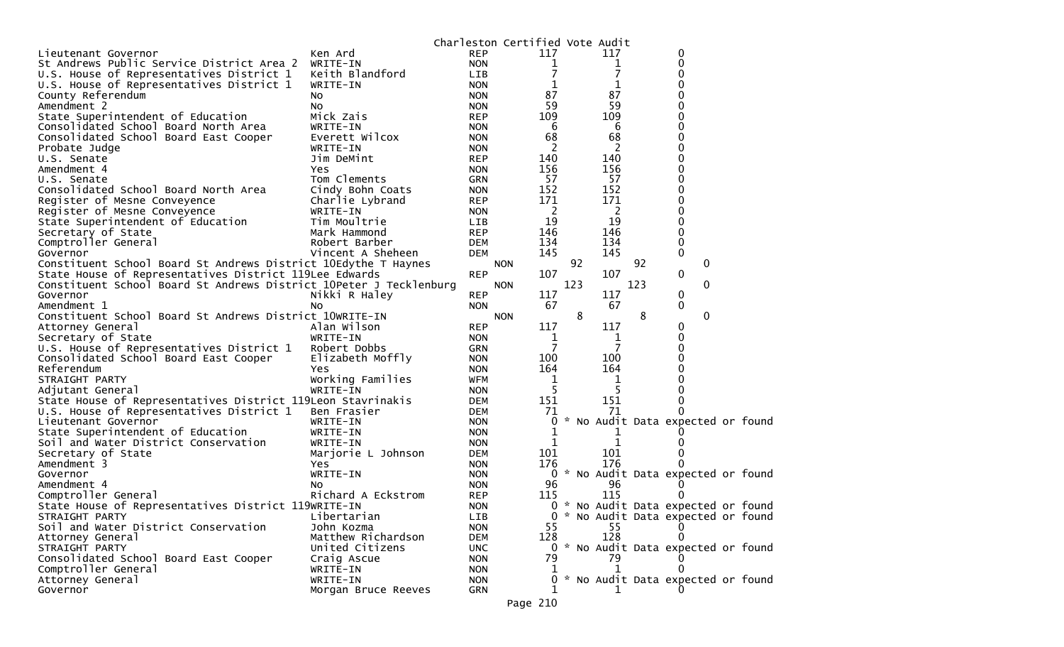|                                                                    |                              |                          | Charleston Certified Vote Audit |            |     |   |     |     |                                     |  |
|--------------------------------------------------------------------|------------------------------|--------------------------|---------------------------------|------------|-----|---|-----|-----|-------------------------------------|--|
| Lieutenant Governor                                                | Ken Ard                      | <b>REP</b>               |                                 | 117        |     |   | 117 |     | 0                                   |  |
| St Andrews Public Service District Area 2                          | WRITE-IN                     | <b>NON</b>               |                                 | 1          |     |   | 1   |     | 0                                   |  |
| U.S. House of Representatives District 1                           | Keith Blandford              | LIB                      |                                 | 7          |     |   |     |     | 0                                   |  |
| U.S. House of Representatives District 1                           | WRITE-IN                     | <b>NON</b>               |                                 | 1          |     |   |     |     |                                     |  |
| County Referendum                                                  | NO.                          | <b>NON</b>               |                                 | 87         |     |   | 87  |     | 0                                   |  |
| Amendment 2                                                        | N <sub>O</sub>               | <b>NON</b>               |                                 | 59         |     |   | 59  |     | 0                                   |  |
| State Superintendent of Education                                  | Mick Zais                    | <b>REP</b>               |                                 | 109        |     |   | 109 |     |                                     |  |
| Consolidated School Board North Area                               | WRITE-IN                     | <b>NON</b>               |                                 | 6          |     |   | 6   |     | 0                                   |  |
| Consolidated School Board East Cooper                              | Everett Wilcox               | <b>NON</b>               |                                 | 68         |     |   | 68  |     | 0                                   |  |
| Probate Judge                                                      | WRITE-IN                     | <b>NON</b>               |                                 | 2          |     |   | 2   |     |                                     |  |
| U.S. Senate                                                        | Jim DeMint                   | <b>REP</b>               |                                 | 140        |     |   | 140 |     |                                     |  |
| Amendment 4                                                        | Yes                          | <b>NON</b>               |                                 | 156        |     |   | 156 |     | 0                                   |  |
| U.S. Senate                                                        | Tom Clements                 | <b>GRN</b>               |                                 | 57         |     |   | 57  |     | 0                                   |  |
| Consolidated School Board North Area                               | Cindy Bohn Coats             | <b>NON</b>               |                                 | 152        |     |   | 152 |     | 0                                   |  |
| Register of Mesne Conveyence                                       | Charlie Lybrand              | <b>REP</b>               |                                 | 171        |     |   | 171 |     | 0                                   |  |
| Register of Mesne Conveyence                                       | WRITE-IN                     | <b>NON</b>               |                                 | 2          |     |   | 2   |     | 0                                   |  |
| State Superintendent of Education                                  | Tim Moultrie                 | <b>LIB</b>               |                                 | 19         |     |   | 19  |     | 0                                   |  |
| Secretary of State                                                 | Mark Hammond                 | <b>REP</b>               |                                 | 146        |     |   | 146 |     | 0                                   |  |
| Comptroller General                                                | Robert Barber                | <b>DEM</b>               |                                 | 134        |     |   | 134 |     | 0                                   |  |
| Governor                                                           | Vincent A Sheheen            | <b>DEM</b>               |                                 | 145        |     |   | 145 |     | 0                                   |  |
| Constituent School Board St Andrews District 10Edythe T Haynes     |                              |                          | <b>NON</b>                      |            | 92  |   |     | 92  | 0                                   |  |
| State House of Representatives District 119Lee Edwards             |                              | <b>REP</b>               |                                 | 107        |     |   | 107 |     | 0                                   |  |
| Constituent School Board St Andrews District 10Peter J Tecklenburg |                              |                          | <b>NON</b>                      |            | 123 |   |     | 123 | 0                                   |  |
| Governor                                                           | Nikki R Haley                | <b>REP</b>               |                                 | 117        |     |   | 117 |     | 0                                   |  |
| Amendment 1                                                        | NO                           | <b>NON</b>               |                                 | 67         |     |   | 67  |     | 0                                   |  |
| Constituent School Board St Andrews District 10WRITE-IN            |                              |                          | <b>NON</b>                      |            |     | 8 |     | 8   | 0                                   |  |
| Attorney General                                                   | Alan Wilson                  | <b>REP</b>               |                                 | 117        |     |   | 117 |     | 0                                   |  |
| Secretary of State                                                 | WRITE-IN                     | <b>NON</b>               |                                 | 1          |     |   | 1   |     | 0                                   |  |
| U.S. House of Representatives District 1                           | Robert Dobbs                 | <b>GRN</b>               |                                 | 7          |     |   | 7   |     | 0                                   |  |
| Consolidated School Board East Cooper<br>Referendum                | Elizabeth Moffly             | <b>NON</b>               |                                 | 100<br>164 |     |   | 100 |     | 0                                   |  |
|                                                                    | Yes                          | <b>NON</b>               |                                 |            |     |   | 164 |     |                                     |  |
| STRAIGHT PARTY<br>Adjutant General                                 | Working Families<br>WRITE-IN | <b>WFM</b><br><b>NON</b> |                                 | 1<br>5     |     |   | 1   |     |                                     |  |
| State House of Representatives District 119Leon Stavrinakis        |                              | <b>DEM</b>               |                                 | 151        |     |   | 151 |     | 0                                   |  |
| U.S. House of Representatives District 1                           | Ben Frasier                  | <b>DEM</b>               |                                 | 71         |     |   | 71  |     | 0                                   |  |
| Lieutenant Governor                                                | WRITE-IN                     | <b>NON</b>               |                                 | 0          |     |   |     |     | * No Audit Data expected or found   |  |
| State Superintendent of Education                                  | WRITE-IN                     | <b>NON</b>               |                                 | 1          |     |   |     |     |                                     |  |
| Soil and Water District Conservation                               | WRITE-IN                     | <b>NON</b>               |                                 | 1          |     |   | 1   |     |                                     |  |
| Secretary of State                                                 | Marjorie L Johnson           | <b>DEM</b>               |                                 | 101        |     |   | 101 |     |                                     |  |
| Amendment 3                                                        | Yes                          | <b>NON</b>               |                                 | 176        |     |   | 176 |     |                                     |  |
| Governor                                                           | WRITE-IN                     | <b>NON</b>               |                                 |            |     |   |     |     | 0 * No Audit Data expected or found |  |
| Amendment 4                                                        | NO.                          | <b>NON</b>               |                                 | 96         |     |   | 96  |     |                                     |  |
| Comptroller General                                                | Richard A Eckstrom           | <b>REP</b>               |                                 | 115        |     |   | 115 |     |                                     |  |
| State House of Representatives District 119WRITE-IN                |                              | <b>NON</b>               |                                 |            |     |   |     |     | 0 * No Audit Data expected or found |  |
| STRAIGHT PARTY                                                     | Libertarian                  | LIB                      |                                 |            |     |   |     |     | 0 * No Audit Data expected or found |  |
| Soil and Water District Conservation                               | John Kozma                   | <b>NON</b>               |                                 | 55         |     |   | 55  |     |                                     |  |
| Attorney General                                                   | Matthew Richardson           | DEM                      |                                 | 128        |     |   | 128 |     |                                     |  |
| STRAIGHT PARTY                                                     | United Citizens              | <b>UNC</b>               |                                 |            |     |   |     |     | 0 * No Audit Data expected or found |  |
| Consolidated School Board East Cooper                              | Craig Ascue                  | <b>NON</b>               |                                 | 79         |     |   | 79  |     |                                     |  |
| Comptroller General                                                | WRITE-IN                     | <b>NON</b>               |                                 |            |     |   | 1   |     |                                     |  |
| Attorney General                                                   | WRITE-IN                     | <b>NON</b>               |                                 | 0          |     |   |     |     | * No Audit Data expected or found   |  |
| Governor                                                           | Morgan Bruce Reeves          | GRN                      |                                 |            |     |   |     |     |                                     |  |
|                                                                    |                              |                          | Page 210                        |            |     |   |     |     |                                     |  |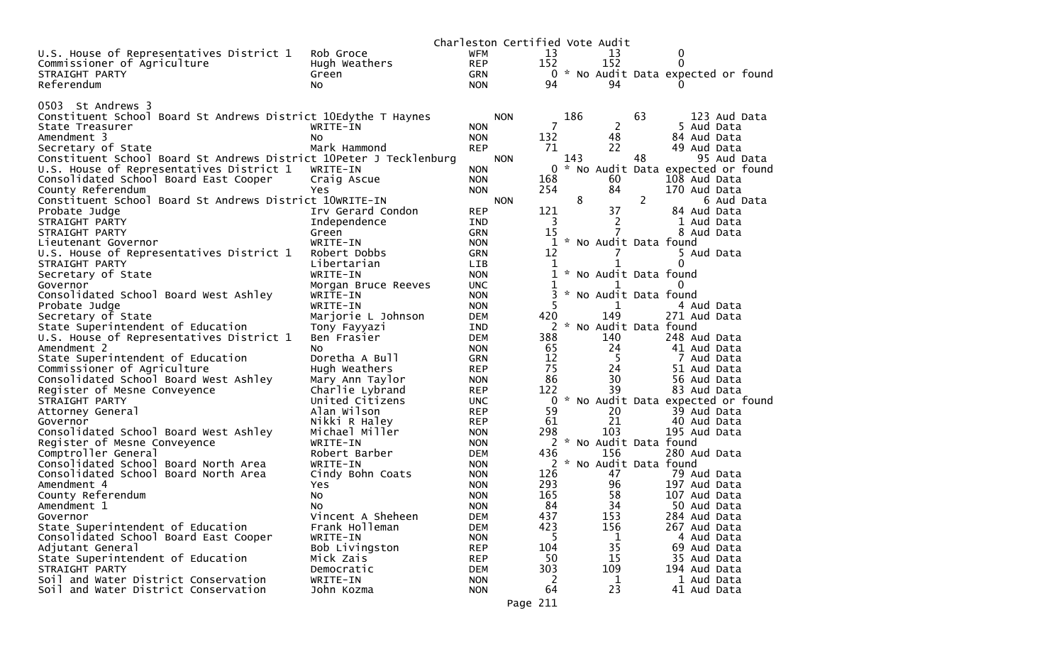|                                                                    |                     |            | Charleston Certified Vote Audit |     |               |                         |    |              |                                     |
|--------------------------------------------------------------------|---------------------|------------|---------------------------------|-----|---------------|-------------------------|----|--------------|-------------------------------------|
| U.S. House of Representatives District 1                           | Rob Groce           | WFM        |                                 | 13  |               | 13                      |    | 0            |                                     |
| Commissioner of Agriculture                                        | Hugh Weathers       | <b>REP</b> |                                 | 152 |               | 152                     |    | 0            |                                     |
| STRAIGHT PARTY                                                     | Green               | <b>GRN</b> |                                 |     |               |                         |    |              | 0 * No Audit Data expected or found |
| Referendum                                                         | NO.                 | <b>NON</b> |                                 | 94  |               | 94                      |    |              |                                     |
|                                                                    |                     |            |                                 |     |               |                         |    |              |                                     |
| 0503 St Andrews 3                                                  |                     |            |                                 |     |               |                         |    |              |                                     |
| Constituent School Board St Andrews District 10Edythe T Haynes     |                     |            | <b>NON</b>                      |     | 186           |                         | 63 |              | 123 Aud Data                        |
| State Treasurer                                                    | WRITE-IN            | <b>NON</b> |                                 | 7   |               | 2                       |    | 5 Aud Data   |                                     |
| Amendment 3                                                        | NO.                 | <b>NON</b> |                                 | 132 |               | 48                      |    | 84 Aud Data  |                                     |
| Secretary of State                                                 | Mark Hammond        | <b>REP</b> |                                 | 71  |               | 22                      |    | 49 Aud Data  |                                     |
| Constituent School Board St Andrews District 10Peter J Tecklenburg |                     |            | <b>NON</b>                      |     | 143           |                         | 48 |              | 95 Aud Data                         |
| U.S. House of Representatives District 1                           | WRITE-IN            | <b>NON</b> |                                 | 0   | $\sim$        |                         |    |              | No Audit Data expected or found     |
| Consolidated School Board East Cooper                              | Craig Ascue         | <b>NON</b> |                                 | 168 |               | 60                      |    | 108 Aud Data |                                     |
| County Referendum                                                  | Yes.                | <b>NON</b> |                                 | 254 |               | 84                      |    | 170 Aud Data |                                     |
| Constituent School Board St Andrews District 10WRITE-IN            |                     |            | <b>NON</b>                      |     | 8             |                         | 2  |              | 6 Aud Data                          |
| Probate Judge                                                      | Irv Gerard Condon   | <b>REP</b> |                                 | 121 |               | 37                      |    | 84 Aud Data  |                                     |
| STRAIGHT PARTY                                                     | Independence        | IND        |                                 | 3   |               | $\mathbf{2}$            |    | 1 Aud Data   |                                     |
| STRAIGHT PARTY                                                     | Green               | <b>GRN</b> |                                 | 15  |               | 7                       |    | 8 Aud Data   |                                     |
| Lieutenant Governor                                                | WRITE-IN            | <b>NON</b> |                                 | 1   |               | * No Audit Data found   |    |              |                                     |
| U.S. House of Representatives District 1                           | Robert Dobbs        | <b>GRN</b> |                                 | 12  |               | 7                       |    | 5 Aud Data   |                                     |
| STRAIGHT PARTY                                                     | Libertarian         | <b>LIB</b> |                                 | 1   |               |                         |    | 0            |                                     |
| Secretary of State                                                 | WRITE-IN            | <b>NON</b> |                                 | 1   |               | * No Audit Data found   |    |              |                                     |
| Governor                                                           | Morgan Bruce Reeves | <b>UNC</b> |                                 | 1   |               | 1                       |    | $\Omega$     |                                     |
| Consolidated School Board West Ashley                              | WRITE-IN            | <b>NON</b> |                                 |     | $\mathcal{H}$ | No Audit Data found     |    |              |                                     |
| Probate Judge                                                      | WRITE-IN            | <b>NON</b> |                                 | 5   |               | 1                       |    | 4 Aud Data   |                                     |
| Secretary of State                                                 | Marjorie L Johnson  | <b>DEM</b> |                                 | 420 |               | 149                     |    | 271 Aud Data |                                     |
| State Superintendent of Education                                  | Tony Fayyazi        | IND        |                                 |     |               | 2 * No Audit Data found |    |              |                                     |
| U.S. House of Representatives District 1                           | Ben Frasier         | <b>DEM</b> |                                 | 388 |               | 140                     |    | 248 Aud Data |                                     |
| Amendment 2                                                        | NO.                 | <b>NON</b> |                                 | 65  |               | 24                      |    | 41 Aud Data  |                                     |
| State Superintendent of Education                                  | Doretha A Bull      | <b>GRN</b> |                                 | 12  |               | -5                      |    | 7 Aud Data   |                                     |
| Commissioner of Agriculture                                        | Hugh Weathers       | <b>REP</b> |                                 | 75  |               | 24                      |    | 51 Aud Data  |                                     |
| Consolidated School Board West Ashley                              | Mary Ann Taylor     | <b>NON</b> |                                 | 86  |               | 30                      |    | 56 Aud Data  |                                     |
| Register of Mesne Conveyence                                       | Charlie Lybrand     | <b>REP</b> |                                 | 122 |               | 39                      |    | 83 Aud Data  |                                     |
| STRAIGHT PARTY                                                     | United Citizens     | <b>UNC</b> |                                 | 0   |               |                         |    |              | * No Audit Data expected or found   |
| Attorney General                                                   | Alan Wilson         | <b>REP</b> |                                 | 59  |               | 20                      |    | 39 Aud Data  |                                     |
| Governor                                                           | Nikki R Haley       | <b>REP</b> |                                 | 61  |               | 21                      |    | 40 Aud Data  |                                     |
| Consolidated School Board West Ashley                              | Michael Miller      | <b>NON</b> |                                 | 298 |               | 103                     |    | 195 Aud Data |                                     |
| Register of Mesne Conveyence                                       | WRITE-IN            | <b>NON</b> |                                 |     |               | 2 * No Audit Data found |    |              |                                     |
| Comptroller General                                                | Robert Barber       | <b>DEM</b> |                                 | 436 |               | 156                     |    | 280 Aud Data |                                     |
| Consolidated School Board North Area                               | WRITE-IN            | <b>NON</b> |                                 |     |               | 2 * No Audit Data found |    |              |                                     |
| Consolidated School Board North Area                               | Cindy Bohn Coats    | <b>NON</b> |                                 | 126 |               | 47                      |    | 79 Aud Data  |                                     |
| Amendment 4                                                        | Yes                 | <b>NON</b> |                                 | 293 |               | 96                      |    | 197 Aud Data |                                     |
| County Referendum                                                  | No                  | <b>NON</b> |                                 | 165 |               | 58                      |    | 107 Aud Data |                                     |
| Amendment 1                                                        | No.                 | <b>NON</b> |                                 | 84  |               | 34                      |    | 50 Aud Data  |                                     |
| Governor                                                           | Vincent A Sheheen   | <b>DEM</b> |                                 | 437 |               | 153                     |    | 284 Aud Data |                                     |
| State Superintendent of Education                                  | Frank Holleman      | <b>DEM</b> |                                 | 423 |               | 156                     |    | 267 Aud Data |                                     |
| Consolidated School Board East Cooper                              | WRITE-IN            | <b>NON</b> |                                 | 5.  |               | 1                       |    | 4 Aud Data   |                                     |
| Adjutant General                                                   | Bob Livingston      | <b>REP</b> |                                 | 104 |               | 35                      |    | 69 Aud Data  |                                     |
| State Superintendent of Education                                  | Mick Zais           | <b>REP</b> |                                 | 50  |               | 15                      |    | 35 Aud Data  |                                     |
| STRAIGHT PARTY                                                     | Democratic          | <b>DEM</b> |                                 | 303 |               | 109                     |    | 194 Aud Data |                                     |
| Soil and Water District Conservation                               | WRITE-IN            | <b>NON</b> |                                 | 2   |               | 1                       |    | 1 Aud Data   |                                     |
| Soil and Water District Conservation                               | John Kozma          | <b>NON</b> |                                 | 64  |               | 23                      |    | 41 Aud Data  |                                     |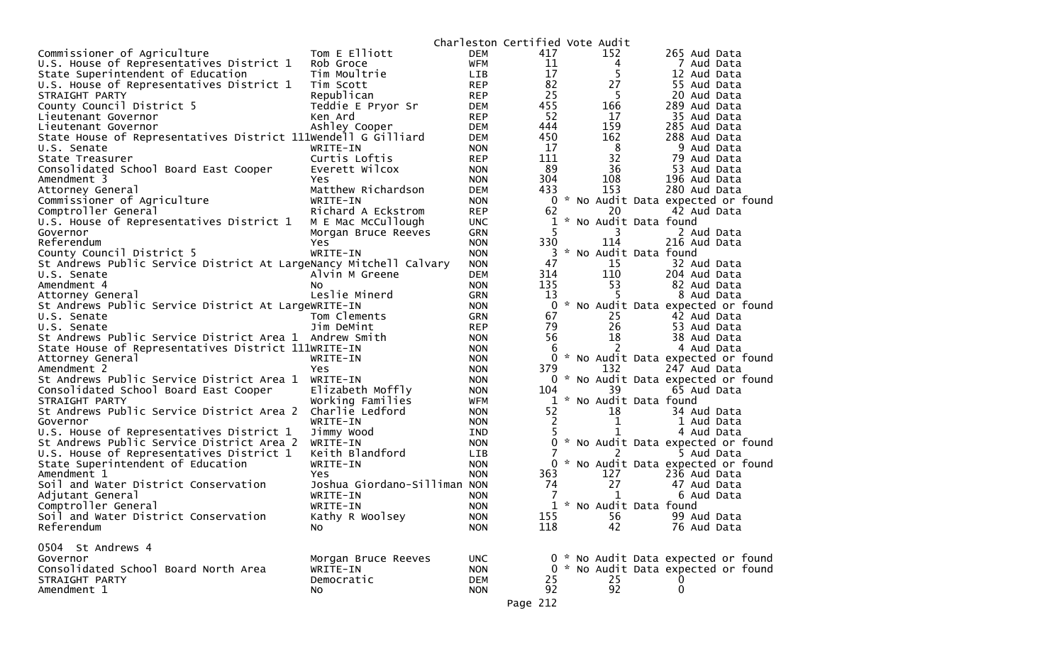|                                                                   |                              |            |                | Charleston Certified Vote Audit |                                     |  |
|-------------------------------------------------------------------|------------------------------|------------|----------------|---------------------------------|-------------------------------------|--|
| Commissioner of Agriculture                                       | Tom E Elliott                | <b>DEM</b> | 417            | 152                             | 265 Aud Data                        |  |
| U.S. House of Representatives District 1                          | Rob Groce                    | <b>WFM</b> | 11             | 4                               | 7 Aud Data                          |  |
| State Superintendent of Education                                 | Tim Moultrie                 | LIB        | 17             | 5                               | 12 Aud Data                         |  |
| U.S. House of Representatives District 1                          | Tim Scott                    | <b>REP</b> | 82             | 27                              | 55 Aud Data                         |  |
| STRAIGHT PARTY                                                    | Republican                   | <b>REP</b> | 25             | 5                               | 20 Aud Data                         |  |
| County Council District 5                                         | Teddie E Pryor Sr            | <b>DEM</b> | 455            | 166                             | 289 Aud Data                        |  |
| Lieutenant Governor                                               | Ken Ard                      | <b>REP</b> | 52             | 17                              | 35 Aud Data                         |  |
| Lieutenant Governor                                               | Ashley Cooper                | <b>DEM</b> | 444            | 159                             | 285 Aud Data                        |  |
| State House of Representatives District 111Wendell G Gilliard     |                              | <b>DEM</b> | 450            | 162                             | 288 Aud Data                        |  |
|                                                                   |                              |            | 17             | 8                               | 9 Aud Data                          |  |
| U.S. Senate                                                       | WRITE-IN                     | <b>NON</b> |                |                                 |                                     |  |
| State Treasurer                                                   | Curtis Loftis                | <b>REP</b> | 111            | 32                              | 79 Aud Data                         |  |
| Consolidated School Board East Cooper                             | Everett Wilcox               | <b>NON</b> | 89             | 36                              | 53 Aud Data                         |  |
| Amendment 3                                                       | Yes                          | <b>NON</b> | 304            | 108                             | 196 Aud Data                        |  |
| Attorney General                                                  | Matthew Richardson           | <b>DEM</b> | 433            | 153                             | 280 Aud Data                        |  |
| Commissioner of Agriculture                                       | WRITE-IN                     | <b>NON</b> | 0              |                                 | * No Audit Data expected or found   |  |
| Comptroller General                                               | Richard A Eckstrom           | <b>REP</b> | 62             | 20                              | 42 Aud Data                         |  |
| U.S. House of Representatives District 1                          | M E Mac McCullough           | <b>UNC</b> | 1              |                                 | * No Audit Data found               |  |
| Governor                                                          | Morgan Bruce Reeves          | <b>GRN</b> | 5              | 3.                              | 2 Aud Data                          |  |
| Referendum                                                        | Yes                          | <b>NON</b> | 330            | 114                             | 216 Aud Data                        |  |
| County Council District 5                                         | WRITE-IN                     | <b>NON</b> | 3              |                                 | * No Audit Data found               |  |
| St Andrews Public Service District At LargeNancy Mitchell Calvary |                              | <b>NON</b> | 47             | 15                              | 32 Aud Data                         |  |
| U.S. Senate                                                       | Alvin M Greene               | <b>DEM</b> | 314            | 110                             | 204 Aud Data                        |  |
| Amendment 4                                                       | NO.                          | <b>NON</b> | 135            | 53                              | 82 Aud Data                         |  |
| Attorney General                                                  | Leslie Minerd                | <b>GRN</b> | 13             | 5                               | 8 Aud Data                          |  |
| St Andrews Public Service District At LargeWRITE-IN               |                              | <b>NON</b> | $\Omega$       |                                 | * No Audit Data expected or found   |  |
| U.S. Senate                                                       | Tom Clements                 | <b>GRN</b> | 67             | 25                              | 42 Aud Data                         |  |
| U.S. Senate                                                       | Jim DeMint                   | <b>REP</b> | 79             | 26                              | 53 Aud Data                         |  |
| St Andrews Public Service District Area 1                         | Andrew Smith                 | <b>NON</b> | 56             | 18                              | 38 Aud Data                         |  |
|                                                                   |                              | <b>NON</b> | 6              | 2                               | 4 Aud Data                          |  |
| State House of Representatives District 111WRITE-IN               |                              |            |                |                                 |                                     |  |
| Attorney General                                                  | WRITE-IN                     | <b>NON</b> | 0              |                                 | * No Audit Data expected or found   |  |
| Amendment 2                                                       | Yes                          | <b>NON</b> | 379            | 132                             | 247 Aud Data                        |  |
| St Andrews Public Service District Area 1                         | WRITE-IN                     | <b>NON</b> |                |                                 | 0 * No Audit Data expected or found |  |
| Consolidated School Board East Cooper                             | Elizabeth Moffly             | <b>NON</b> | 104            | 39                              | 65 Aud Data                         |  |
| STRAIGHT PARTY                                                    | Working Families             | WFM        | $\mathbf{1}$   |                                 | * No Audit Data found               |  |
| St Andrews Public Service District Area 2                         | Charlie Ledford              | <b>NON</b> | 52             | 18                              | 34 Aud Data                         |  |
| Governor                                                          | WRITE-IN                     | <b>NON</b> | $\overline{c}$ | 1                               | 1 Aud Data                          |  |
| U.S. House of Representatives District 1                          | Jimmy Wood                   | IND        | 5              |                                 | 4 Aud Data                          |  |
| St Andrews Public Service District Area 2                         | WRITE-IN                     | <b>NON</b> | $\Omega$       |                                 | * No Audit Data expected or found   |  |
| U.S. House of Representatives District 1                          | Keith Blandford              | LIB        |                |                                 | 5 Aud Data                          |  |
| State Superintendent of Education                                 | WRITE-IN                     | <b>NON</b> |                |                                 | 0 * No Audit Data expected or found |  |
| Amendment 1                                                       | <b>Yes</b>                   | <b>NON</b> | 363            | 127                             | 236 Aud Data                        |  |
| Soil and Water District Conservation                              | Joshua Giordano-Silliman NON |            | 74             | 27                              | 47 Aud Data                         |  |
| Adjutant General                                                  | WRITE-IN                     | <b>NON</b> |                | 1                               | 6 Aud Data                          |  |
| Comptroller General                                               | WRITE-IN                     | <b>NON</b> |                | 1 * No Audit Data found         |                                     |  |
| Soil and Water District Conservation                              | Kathy R Woolsey              | <b>NON</b> | 155            | 56                              | 99 Aud Data                         |  |
| Referendum                                                        | No.                          | <b>NON</b> | 118            | 42                              | 76 Aud Data                         |  |
|                                                                   |                              |            |                |                                 |                                     |  |
| 0504 St Andrews 4                                                 |                              |            |                |                                 |                                     |  |
|                                                                   |                              |            |                |                                 | 0 * No Audit Data expected or found |  |
| Governor                                                          | Morgan Bruce Reeves          | <b>UNC</b> |                |                                 |                                     |  |
| Consolidated School Board North Area                              | WRITE-IN                     | <b>NON</b> |                |                                 | 0 * No Audit Data expected or found |  |
| STRAIGHT PARTY                                                    | Democratic                   | <b>DEM</b> | 25             | 25                              |                                     |  |
| Amendment 1                                                       | No                           | <b>NON</b> | 92             | 92                              | 0                                   |  |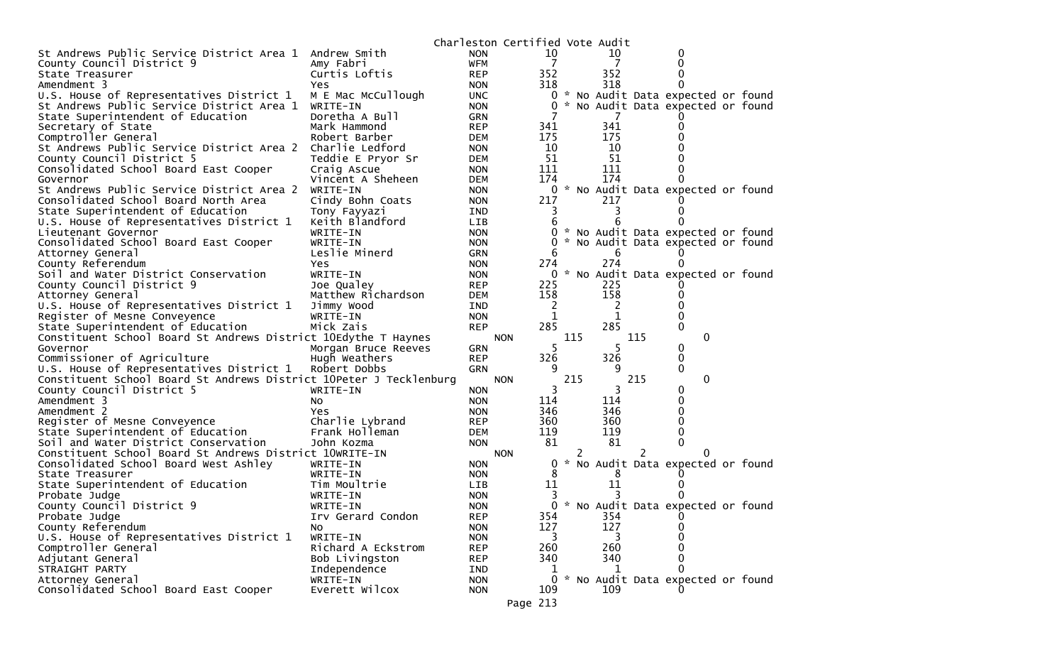|                                                                    |                     |            | Charleston Certified Vote Audit |                |   |              |     |                                     |  |
|--------------------------------------------------------------------|---------------------|------------|---------------------------------|----------------|---|--------------|-----|-------------------------------------|--|
| St Andrews Public Service District Area 1                          | Andrew Smith        | <b>NON</b> |                                 | 10             |   | 10           |     |                                     |  |
| County Council District 9                                          | Amy Fabri           | <b>WFM</b> |                                 | 7              |   | 7            |     |                                     |  |
| State Treasurer                                                    | Curtis Loftis       | <b>REP</b> | 352                             |                |   | 352          |     |                                     |  |
| Amendment 3                                                        | Yes                 | <b>NON</b> | 318                             |                |   | 318          |     | 0                                   |  |
| U.S. House of Representatives District 1                           | M E Mac McCullough  | <b>UNC</b> |                                 | $\overline{0}$ |   |              |     | * No Audit Data expected or found   |  |
| St Andrews Public Service District Area 1                          | WRITE-IN            | <b>NON</b> |                                 | 0              |   |              |     | * No Audit Data expected or found   |  |
| State Superintendent of Education                                  | Doretha A Bull      | <b>GRN</b> |                                 |                |   | 7            |     |                                     |  |
| Secretary of State                                                 | Mark Hammond        | <b>REP</b> | 341                             |                |   | 341          |     |                                     |  |
| Comptroller General                                                | Robert Barber       | <b>DEM</b> | 175                             |                |   | 175          |     |                                     |  |
| St Andrews Public Service District Area 2                          | Charlie Ledford     | <b>NON</b> |                                 | 10             |   | 10           |     |                                     |  |
| County Council District 5                                          | Teddie E Pryor Sr   | DEM        |                                 | 51             |   | 51           |     |                                     |  |
| Consolidated School Board East Cooper                              | Craig Ascue         | <b>NON</b> | 111                             |                |   | 111          |     |                                     |  |
| Governor                                                           | Vincent A Sheheen   | <b>DEM</b> | 174                             |                |   | 174          |     |                                     |  |
| St Andrews Public Service District Area 2                          | WRITE-IN            | <b>NON</b> |                                 | 0              |   |              |     | * No Audit Data expected or found   |  |
| Consolidated School Board North Area                               | Cindy Bohn Coats    | <b>NON</b> | 217                             |                |   | 217          |     |                                     |  |
| State Superintendent of Education                                  | Tony Fayyazi        | IND        |                                 | 3              |   | 3            |     |                                     |  |
| U.S. House of Representatives District 1                           | Keith Blandford     | LIB        |                                 | 6              |   |              |     |                                     |  |
| Lieutenant Governor                                                | WRITE-IN            | <b>NON</b> |                                 | 0              |   |              |     | * No Audit Data expected or found   |  |
| Consolidated School Board East Cooper                              | WRITE-IN            | <b>NON</b> |                                 | 0              |   |              |     | * No Audit Data expected or found   |  |
| Attorney General                                                   | Leslie Minerd       | <b>GRN</b> |                                 | 6              |   | 6            |     |                                     |  |
| County Referendum                                                  | Yes                 | <b>NON</b> | 274                             |                |   | 274          |     |                                     |  |
| Soil and Water District Conservation                               | WRITE-IN            | <b>NON</b> |                                 | ж.,<br>0       |   |              |     | No Audit Data expected or found     |  |
| County Council District 9                                          | Joe Qualey          | <b>REP</b> | 225                             |                |   | 225          |     |                                     |  |
| Attorney General                                                   | Matthew Richardson  | DEM        | 158                             |                |   | 158          |     |                                     |  |
| U.S. House of Representatives District 1                           | Jimmy Wood          | IND        |                                 | 2              |   | 2            |     |                                     |  |
| Register of Mesne Conveyence                                       | WRITE-IN            | <b>NON</b> |                                 | 1              |   | 1            |     |                                     |  |
| State Superintendent of Education                                  | Mick Zais           | <b>REP</b> | 285                             |                |   | 285          |     | 0                                   |  |
| Constituent School Board St Andrews District 10Edythe T Haynes     |                     |            | <b>NON</b>                      | 115            |   |              | 115 | $\mathbf{0}$                        |  |
| Governor                                                           | Morgan Bruce Reeves | <b>GRN</b> |                                 | 5.             |   | 5.           |     | 0                                   |  |
| Commissioner of Agriculture                                        | Hugh Weathers       | <b>REP</b> | 326                             |                |   | 326          |     | 0                                   |  |
| U.S. House of Representatives District 1                           | Robert Dobbs        | <b>GRN</b> |                                 | 9              |   | 9            |     | 0                                   |  |
| Constituent School Board St Andrews District 10Peter J Tecklenburg |                     |            | <b>NON</b>                      | 215            |   |              | 215 | $\mathbf{0}$                        |  |
| County Council District 5                                          | WRITE-IN            | <b>NON</b> |                                 | 3              |   | 3            |     | 0                                   |  |
| Amendment 3                                                        | NO.                 | <b>NON</b> | 114                             |                |   | 114          |     |                                     |  |
| Amendment 2                                                        | Yes                 | <b>NON</b> | 346                             |                |   | 346          |     |                                     |  |
| Register of Mesne Conveyence                                       | Charlie Lybrand     | <b>REP</b> | 360                             |                |   | 360          |     |                                     |  |
| State Superintendent of Education                                  | Frank Holleman      | <b>DEM</b> | 119                             |                |   | 119          |     |                                     |  |
| Soil and Water District Conservation                               | John Kozma          | <b>NON</b> |                                 | 81             |   | 81           |     | 0                                   |  |
| Constituent School Board St Andrews District 10WRITE-IN            |                     |            | <b>NON</b>                      |                | 2 |              | 2   | $\mathbf{U}$                        |  |
| Consolidated School Board West Ashley                              | WRITE-IN            | <b>NON</b> |                                 | 0<br>*         |   |              |     | No Audit Data expected or found     |  |
| State Treasurer                                                    | WRITE-IN            | <b>NON</b> |                                 | 8              |   | 8            |     |                                     |  |
| State Superintendent of Education                                  | Tim Moultrie        | LIB        |                                 | 11             |   | 11           |     |                                     |  |
| Probate Judge                                                      | WRITE-IN            | <b>NON</b> |                                 |                |   |              |     |                                     |  |
| County Council District 9                                          | WRITE-IN            | <b>NON</b> |                                 |                |   |              |     | 0 * No Audit Data expected or found |  |
| Probate Judge                                                      | Irv Gerard Condon   | <b>REP</b> | 354                             |                |   | 354          |     | 0                                   |  |
| County Referendum                                                  | NO.                 | <b>NON</b> | 127                             |                |   | 127          |     |                                     |  |
| U.S. House of Representatives District 1                           | WRITE-IN            | <b>NON</b> |                                 | 3              |   | 3            |     |                                     |  |
| Comptroller General                                                | Richard A Eckstrom  | <b>REP</b> | 260                             |                |   | 260          |     |                                     |  |
| Adjutant General                                                   | Bob Livingston      | <b>REP</b> | 340                             |                |   | 340          |     |                                     |  |
| STRAIGHT PARTY                                                     | Independence        | IND        |                                 |                |   | $\mathbf{1}$ |     |                                     |  |
| Attorney General                                                   | WRITE-IN            | <b>NON</b> |                                 | 0              |   |              |     | * No Audit Data expected or found   |  |
| Consolidated School Board East Cooper                              | Everett Wilcox      | <b>NON</b> | 109                             |                |   | 109          |     |                                     |  |
|                                                                    |                     |            | Page 213                        |                |   |              |     |                                     |  |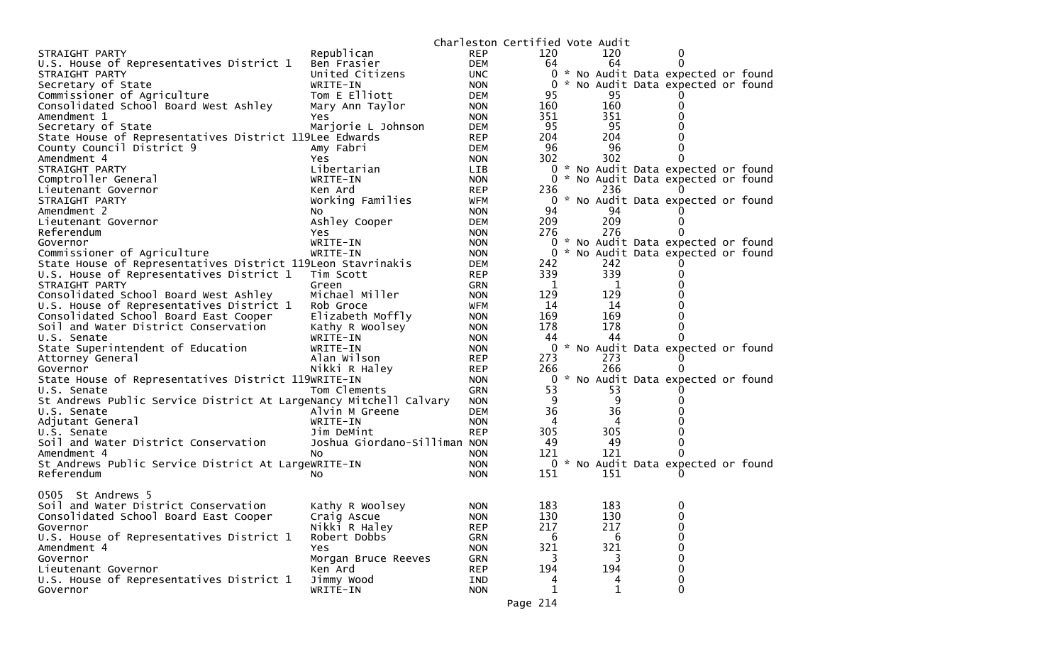|                                                                   |                              |            | Charleston Certified Vote Audit |                  |                                     |  |
|-------------------------------------------------------------------|------------------------------|------------|---------------------------------|------------------|-------------------------------------|--|
| STRAIGHT PARTY                                                    | Republican                   | <b>REP</b> | 120                             | 120              | 0                                   |  |
| U.S. House of Representatives District 1                          | Ben Frasier                  | <b>DEM</b> | 64                              | 64               | $\Omega$                            |  |
| STRAIGHT PARTY                                                    | United Citizens              | <b>UNC</b> |                                 |                  | 0 * No Audit Data expected or found |  |
| Secretary of State                                                | WRITE-IN                     | <b>NON</b> |                                 |                  | 0 * No Audit Data expected or found |  |
| Commissioner of Agriculture                                       | Tom E Elliott                | DEM        | 95                              | 95               |                                     |  |
| Consolidated School Board West Ashley                             | Mary Ann Taylor              | <b>NON</b> | 160                             | 160              | 0                                   |  |
| Amendment 1                                                       | Yes                          | <b>NON</b> | 351                             | 351              |                                     |  |
| Secretary of State                                                | Marjorie L Johnson           | DEM        | 95                              | 95               |                                     |  |
| State House of Representatives District 119Lee Edwards            |                              | <b>REP</b> | 204                             | 204              |                                     |  |
| County Council District 9                                         | Amy Fabri                    | <b>DEM</b> | 96                              | 96               | 0                                   |  |
| Amendment 4                                                       | <b>Yes</b>                   | <b>NON</b> | 302                             | 302              | $\Omega$                            |  |
| STRAIGHT PARTY                                                    | Libertarian                  | LIB        |                                 |                  | 0 * No Audit Data expected or found |  |
| Comptroller General                                               | WRITE-IN                     | <b>NON</b> |                                 |                  | 0 * No Audit Data expected or found |  |
| Lieutenant Governor                                               | Ken Ard                      | <b>REP</b> | 236                             | 236              |                                     |  |
| STRAIGHT PARTY                                                    | Working Families             | WFM        |                                 |                  | 0 * No Audit Data expected or found |  |
| Amendment 2                                                       | NO.                          | <b>NON</b> | 94                              | 94               |                                     |  |
| Lieutenant Governor                                               | Ashley Cooper                | DEM        | 209                             | 209              | 0                                   |  |
| Referendum                                                        | Yes                          | <b>NON</b> | 276                             | 276              |                                     |  |
| Governor                                                          | WRITE-IN                     | <b>NON</b> |                                 |                  | 0 * No Audit Data expected or found |  |
| Commissioner of Agriculture                                       | WRITE-IN                     | <b>NON</b> |                                 |                  | 0 * No Audit Data expected or found |  |
| State House of Representatives District 119Leon Stavrinakis       |                              | <b>DEM</b> | 242                             | 242              |                                     |  |
| U.S. House of Representatives District 1                          | Tim Scott                    | <b>REP</b> | 339                             | 339              | 0                                   |  |
| STRAIGHT PARTY                                                    | Green                        | <b>GRN</b> | - 1                             | 1                | 0                                   |  |
| Consolidated School Board West Ashley                             | Michael Miller               | <b>NON</b> | 129                             | 129              |                                     |  |
| U.S. House of Representatives District 1                          | Rob Groce                    | <b>WFM</b> | 14                              | 14               |                                     |  |
| Consolidated School Board East Cooper                             | Elizabeth Moffly             | <b>NON</b> | 169                             | 169              | 0                                   |  |
| Soil and Water District Conservation                              | Kathy R Woolsey              | <b>NON</b> | 178                             | 178              | 0                                   |  |
| U.S. Senate                                                       | WRITE-IN                     | <b>NON</b> | 44                              | 44               |                                     |  |
| State Superintendent of Education                                 | WRITE-IN                     | <b>NON</b> |                                 |                  | 0 * No Audit Data expected or found |  |
| Attorney General                                                  | Alan Wilson                  | <b>REP</b> | 273                             | 273              |                                     |  |
| Governor                                                          | Nikki R Haley                | <b>REP</b> | 266                             | 266              |                                     |  |
| State House of Representatives District 119WRITE-IN               |                              | <b>NON</b> |                                 |                  | 0 * No Audit Data expected or found |  |
| U.S. Senate                                                       | Tom Clements                 | GRN        | 53                              | 53               |                                     |  |
| St Andrews Public Service District At LargeNancy Mitchell Calvary |                              | <b>NON</b> | 9                               | 9                |                                     |  |
| U.S. Senate                                                       | Alvin M Greene               | <b>DEM</b> | 36                              | 36               |                                     |  |
| Adjutant General                                                  | WRITE-IN                     | <b>NON</b> | 4                               | 4                |                                     |  |
| U.S. Senate                                                       | Jim DeMint                   | <b>REP</b> | 305                             | 305              |                                     |  |
| Soil and Water District Conservation                              | Joshua Giordano-Silliman NON |            | 49                              | 49               | 0                                   |  |
| Amendment 4                                                       | NO.                          | <b>NON</b> | 121                             | 121              | 0                                   |  |
| St Andrews Public Service District At LargeWRITE-IN               |                              | <b>NON</b> |                                 |                  | 0 * No Audit Data expected or found |  |
| Referendum                                                        | No                           | <b>NON</b> | 151                             | 151              |                                     |  |
|                                                                   |                              |            |                                 |                  |                                     |  |
| 0505 St Andrews 5                                                 |                              |            |                                 |                  |                                     |  |
| Soil and Water District Conservation                              | Kathy R Woolsey              | <b>NON</b> | 183                             | 183              | $\mathbf 0$                         |  |
| Consolidated School Board East Cooper                             | Craig Ascue                  | <b>NON</b> | 130                             | 130              | 0                                   |  |
| Governor                                                          | Nikki R Haley                | <b>REP</b> | 217                             | 217              | $\mathbf 0$                         |  |
| U.S. House of Representatives District 1                          | Robert Dobbs                 | GRN        | 6                               | 6                | 0                                   |  |
| Amendment 4                                                       | <b>Yes</b>                   | <b>NON</b> | 321                             | 321              | 0                                   |  |
| Governor                                                          | Morgan Bruce Reeves          | GRN        | 3                               | 3                | $\Omega$                            |  |
| Lieutenant Governor                                               | Ken Ard                      | <b>REP</b> | 194                             | 194              | $\mathbf 0$                         |  |
| U.S. House of Representatives District 1                          | Jimmy Wood                   | IND        | 4                               |                  | 0                                   |  |
| Governor                                                          | WRITE-IN                     | <b>NON</b> | $\mathbf 1$                     | 4<br>$\mathbf 1$ | $\mathbf{0}$                        |  |
|                                                                   |                              |            |                                 |                  |                                     |  |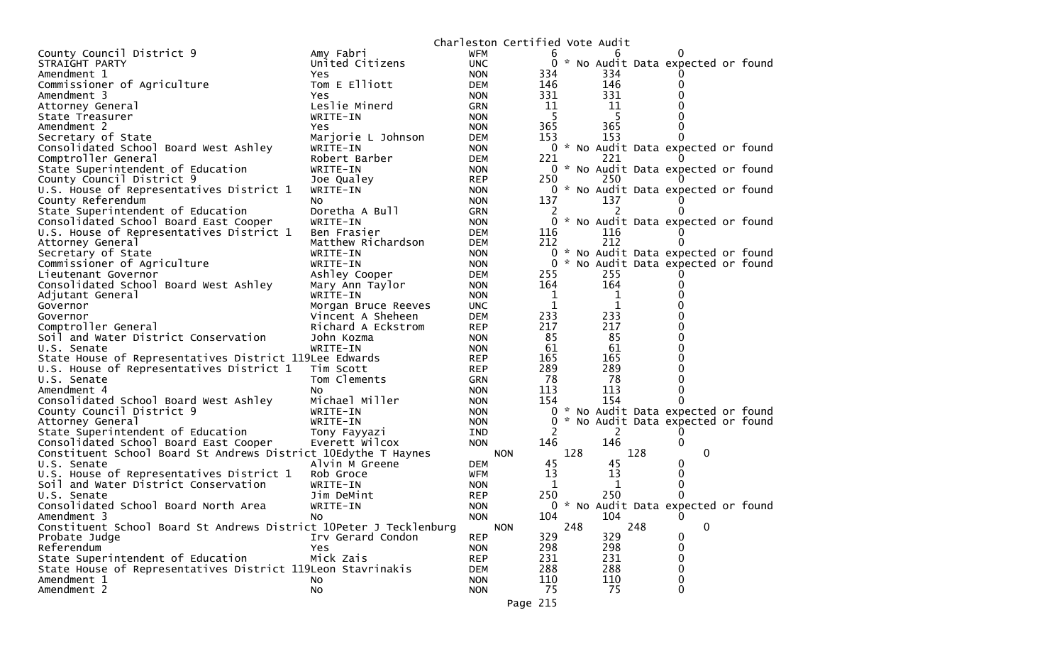|                                                                    |                     | Charleston Certified Vote Audit |              |     |     |                                     |  |
|--------------------------------------------------------------------|---------------------|---------------------------------|--------------|-----|-----|-------------------------------------|--|
| County Council District 9                                          | Amy Fabri           | WFM                             | b            |     | 6   |                                     |  |
| STRAIGHT PARTY                                                     | United Citizens     | <b>UNC</b>                      |              |     |     | 0 * No Audit Data expected or found |  |
| Amendment 1                                                        | Yes.                | <b>NON</b>                      | 334          |     | 334 |                                     |  |
| Commissioner of Agriculture                                        | Tom E Elliott       | <b>DEM</b>                      | 146          |     | 146 | 0                                   |  |
| Amendment 3                                                        | Yes                 | <b>NON</b>                      | 331          |     | 331 |                                     |  |
| Attorney General                                                   | Leslie Minerd       | <b>GRN</b>                      | 11           |     | 11  |                                     |  |
| State Treasurer                                                    | WRITE-IN            | <b>NON</b>                      | 5            |     | 5   |                                     |  |
| Amendment 2                                                        | <b>Yes</b>          | <b>NON</b>                      | 365          |     | 365 | 0                                   |  |
| Secretary of State                                                 | Marjorie L Johnson  | <b>DEM</b>                      | 153          |     | 153 | 0                                   |  |
| Consolidated School Board West Ashley                              | WRITE-IN            | <b>NON</b>                      |              |     |     | 0 * No Audit Data expected or found |  |
| Comptroller General                                                | Robert Barber       | <b>DEM</b>                      | 221          |     | 221 |                                     |  |
| State Superintendent of Education                                  | WRITE-IN            | <b>NON</b>                      |              |     |     | 0 * No Audit Data expected or found |  |
| County Council District 9                                          | Joe Qualey          | <b>REP</b>                      | 250          |     | 250 |                                     |  |
| U.S. House of Representatives District 1                           | WRITE-IN            | <b>NON</b>                      |              |     |     | 0 * No Audit Data expected or found |  |
| County Referendum                                                  | No.                 | <b>NON</b>                      | 137          |     | 137 |                                     |  |
| State Superintendent of Education                                  | Doretha A Bull      | <b>GRN</b>                      |              |     |     |                                     |  |
| Consolidated School Board East Cooper                              | WRITE-IN            | <b>NON</b>                      |              |     |     | 0 * No Audit Data expected or found |  |
| U.S. House of Representatives District 1                           | Ben Frasier         | <b>DEM</b>                      | 116          |     | 116 |                                     |  |
|                                                                    |                     |                                 | 212          |     | 212 | 0                                   |  |
| Attorney General                                                   | Matthew Richardson  | <b>DEM</b>                      |              |     |     | 0 * No Audit Data expected or found |  |
| Secretary of State                                                 | WRITE-IN            | <b>NON</b>                      |              |     |     |                                     |  |
| Commissioner of Agriculture                                        | WRITE-IN            | <b>NON</b>                      | 0            |     |     | * No Audit Data expected or found   |  |
| Lieutenant Governor                                                | Ashley Cooper       | DEM                             | 255          |     | 255 |                                     |  |
| Consolidated School Board West Ashley                              | Mary Ann Taylor     | <b>NON</b>                      | 164          |     | 164 | 0                                   |  |
| Adjutant General                                                   | WRITE-IN            | <b>NON</b>                      | 1            |     | 1   |                                     |  |
| Governor                                                           | Morgan Bruce Reeves | <b>UNC</b>                      | $\mathbf{1}$ |     | 1   | U                                   |  |
| Governor                                                           | Vincent A Sheheen   | <b>DEM</b>                      | 233          |     | 233 |                                     |  |
| Comptroller General                                                | Richard A Eckstrom  | <b>REP</b>                      | 217          |     | 217 |                                     |  |
| Soil and Water District Conservation                               | John Kozma          | <b>NON</b>                      | 85           |     | 85  | 0                                   |  |
| U.S. Senate                                                        | WRITE-IN            | <b>NON</b>                      | 61           |     | 61  | 0                                   |  |
| State House of Representatives District 119Lee Edwards             |                     | <b>REP</b>                      | 165          |     | 165 |                                     |  |
| U.S. House of Representatives District 1                           | Tim Scott           | <b>REP</b>                      | 289          |     | 289 | 0                                   |  |
| U.S. Senate                                                        | Tom Clements        | <b>GRN</b>                      | 78           |     | 78  | 0                                   |  |
| Amendment 4                                                        | No.                 | <b>NON</b>                      | 113          |     | 113 | 0                                   |  |
| Consolidated School Board West Ashley                              | Michael Miller      | <b>NON</b>                      | 154          |     | 154 | 0                                   |  |
| County Council District 9                                          | WRITE-IN            | <b>NON</b>                      | 0            |     |     | * No Audit Data expected or found   |  |
| Attorney General                                                   | WRITE-IN            | <b>NON</b>                      | 0            |     |     | * No Audit Data expected or found   |  |
| State Superintendent of Education                                  | Tony Fayyazi        | IND                             | 2            |     | 2   |                                     |  |
| Consolidated School Board East Cooper                              | Everett Wilcox      | <b>NON</b>                      | 146          |     | 146 | 0                                   |  |
| Constituent School Board St Andrews District 10Edythe T Haynes     |                     | <b>NON</b>                      |              | 128 |     | 128<br>$\mathbf 0$                  |  |
| U.S. Senate                                                        | Alvin M Greene      | <b>DEM</b>                      | 45           |     | 45  | 0                                   |  |
| U.S. House of Representatives District 1                           | Rob Groce           | <b>WFM</b>                      | 13           |     | 13  | 0                                   |  |
| Soil and Water District Conservation                               | WRITE-IN            | <b>NON</b>                      | 1            |     |     | 0                                   |  |
| U.S. Senate                                                        | Jim DeMint          | <b>REP</b>                      | 250          |     | 250 | 0                                   |  |
| Consolidated School Board North Area                               | WRITE-IN            | <b>NON</b>                      |              |     |     | 0 * No Audit Data expected or found |  |
| Amendment 3                                                        | NO.                 | <b>NON</b>                      | 104          |     | 104 | 0                                   |  |
| Constituent School Board St Andrews District 10Peter J Tecklenburg |                     | <b>NON</b>                      |              | 248 |     | 248<br>0                            |  |
| Probate Judge                                                      | Irv Gerard Condon   | <b>REP</b>                      | 329          |     | 329 | 0                                   |  |
| Referendum                                                         | Yes.                | <b>NON</b>                      | 298          |     | 298 | 0                                   |  |
| State Superintendent of Education                                  | Mick Zais           | <b>REP</b>                      | 231          |     | 231 | 0                                   |  |
| State House of Representatives District 119Leon Stavrinakis        |                     | <b>DEM</b>                      | 288          |     | 288 | 0                                   |  |
| Amendment 1                                                        | No.                 | <b>NON</b>                      | 110          |     | 110 | 0                                   |  |
| Amendment 2                                                        | No                  | <b>NON</b>                      | 75           |     | 75  | 0                                   |  |
|                                                                    |                     |                                 |              |     |     |                                     |  |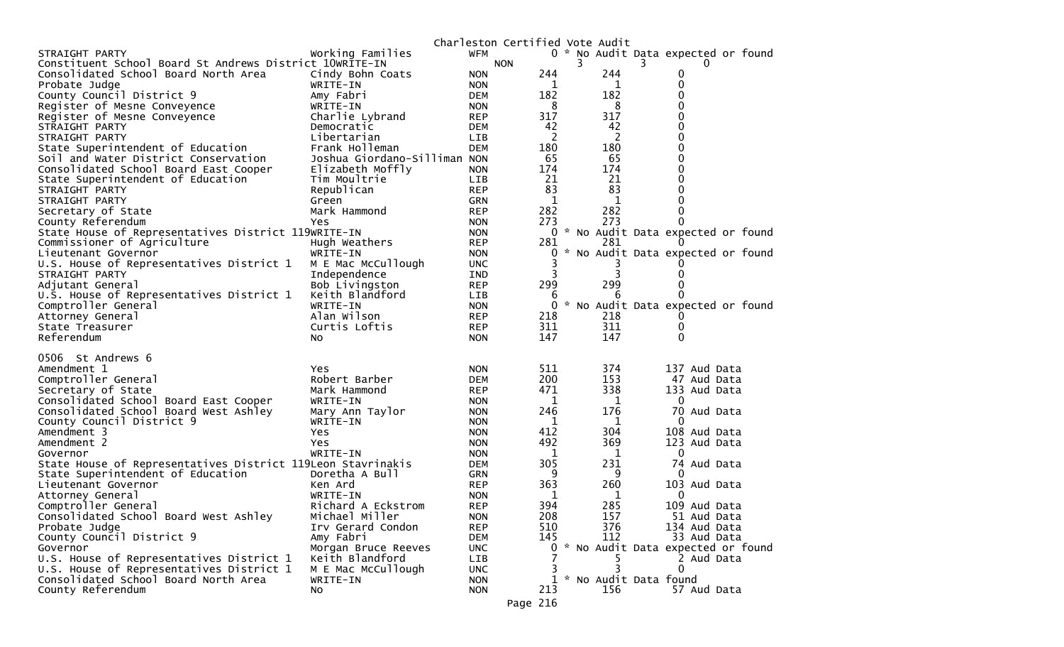|                                                             |                              | Charleston Certified Vote Audit |     |   |     |                                        |  |
|-------------------------------------------------------------|------------------------------|---------------------------------|-----|---|-----|----------------------------------------|--|
| STRAIGHT PARTY                                              | Working Families             | WFM                             |     |   |     | 0 * No Audit Data expected or found    |  |
| Constituent School Board St Andrews District 10WRITE-IN     |                              | <b>NON</b>                      |     | 3 |     |                                        |  |
| Consolidated School Board North Area                        | Cindy Bohn Coats             | <b>NON</b>                      | 244 |   | 244 | 0                                      |  |
| Probate Judge                                               | WRITE-IN                     | <b>NON</b>                      | 1   |   | 1   | 0                                      |  |
| County Council District 9                                   | Amy Fabri                    | <b>DEM</b>                      | 182 |   | 182 | 0                                      |  |
| Register of Mesne Conveyence                                | WRITE-IN                     | <b>NON</b>                      | 8   |   | 8   | 0                                      |  |
| Register of Mesne Conveyence                                | Charlie Lybrand              | <b>REP</b>                      | 317 |   | 317 | 0                                      |  |
| STRAIGHT PARTY                                              | Democratic                   | <b>DEM</b>                      | 42  |   | 42  | 0                                      |  |
| STRAIGHT PARTY                                              | Libertarian                  | <b>LIB</b>                      | 2   |   | 2   | 0                                      |  |
| State Superintendent of Education                           | Frank Holleman               | <b>DEM</b>                      | 180 |   | 180 | 0                                      |  |
| Soil and Water District Conservation                        | Joshua Giordano-Silliman NON |                                 | 65  |   | 65  | 0                                      |  |
| Consolidated School Board East Cooper                       | Elizabeth Moffly             | <b>NON</b>                      | 174 |   | 174 | 0                                      |  |
| State Superintendent of Education                           | Tim Moultrie                 | LIB                             | 21  |   | 21  | 0                                      |  |
| STRAIGHT PARTY                                              | Republican                   | <b>REP</b>                      | 83  |   | 83  | 0                                      |  |
| STRAIGHT PARTY                                              | Green                        | <b>GRN</b>                      | 1   |   | 1   | 0                                      |  |
| Secretary of State                                          | Mark Hammond                 | <b>REP</b>                      | 282 |   | 282 | 0                                      |  |
| County Referendum                                           | Yes                          | <b>NON</b>                      | 273 |   | 273 | 0                                      |  |
| State House of Representatives District 119WRITE-IN         |                              | <b>NON</b>                      | 0   |   |     | * No Audit Data expected or found      |  |
| Commissioner of Agriculture                                 | Hugh Weathers                | <b>REP</b>                      | 281 |   | 281 | $\Omega$                               |  |
| Lieutenant Governor                                         | WRITE-IN                     | <b>NON</b>                      |     |   |     | * No Audit Data expected or found      |  |
| U.S. House of Representatives District 1                    | M E Mac McCullough           | <b>UNC</b>                      |     |   |     |                                        |  |
| STRAIGHT PARTY                                              | Independence                 | IND                             |     |   | 3   | 0                                      |  |
| Adjutant General                                            | Bob Livingston               | <b>REP</b>                      | 299 |   | 299 | 0                                      |  |
| U.S. House of Representatives District 1                    | Keith Blandford              | LIB.                            | b   |   | 6   |                                        |  |
| Comptroller General                                         | WRITE-IN                     | <b>NON</b>                      | 0   |   |     | * No Audit Data expected or found      |  |
| Attorney General                                            | Alan Wilson                  | <b>REP</b>                      | 218 |   | 218 |                                        |  |
| State Treasurer                                             | Curtis Loftis                | <b>REP</b>                      | 311 |   | 311 | 0                                      |  |
| Referendum                                                  | No                           | <b>NON</b>                      | 147 |   | 147 | $\Omega$                               |  |
| 0506 St Andrews 6                                           |                              |                                 |     |   |     |                                        |  |
| Amendment 1                                                 | Yes                          | <b>NON</b>                      | 511 |   | 374 | 137 Aud Data                           |  |
| Comptroller General                                         | Robert Barber                | <b>DEM</b>                      | 200 |   | 153 | 47 Aud Data                            |  |
| Secretary of State                                          | Mark Hammond                 | <b>REP</b>                      | 471 |   | 338 | 133 Aud Data                           |  |
| Consolidated School Board East Cooper                       | WRITE-IN                     | <b>NON</b>                      | 1   |   | 1   | $\Omega$                               |  |
| Consolidated School Board West Ashley                       | Mary Ann Taylor              | <b>NON</b>                      | 246 |   | 176 | 70 Aud Data                            |  |
| County Council District 9                                   | WRITE-IN                     | <b>NON</b>                      | 1   |   | 1   | 0                                      |  |
| Amendment 3                                                 | Yes                          | <b>NON</b>                      | 412 |   | 304 | 108 Aud Data                           |  |
| Amendment 2                                                 | Yes                          | <b>NON</b>                      | 492 |   | 369 | 123 Aud Data                           |  |
| Governor                                                    | WRITE-IN                     | <b>NON</b>                      | 1   |   | 1   | 0                                      |  |
| State House of Representatives District 119Leon Stavrinakis |                              | DEM                             | 305 |   | 231 | 74 Aud Data                            |  |
| State Superintendent of Education                           | Doretha A Bull               | <b>GRN</b>                      | 9   |   | 9   | $\Omega$                               |  |
| Lieutenant Governor                                         | Ken Ard                      | <b>REP</b>                      | 363 |   | 260 | 103 Aud Data                           |  |
| Attorney General                                            | WRITE-IN                     | <b>NON</b>                      | 1   |   | 1   | 0                                      |  |
| Comptroller General                                         | Richard A Eckstrom           | <b>REP</b>                      | 394 |   | 285 | 109 Aud Data                           |  |
| Consolidated School Board West Ashley                       | Michael Miller               | <b>NON</b>                      | 208 |   | 157 | 51 Aud Data                            |  |
| Probate Judge                                               | Irv Gerard Condon            | <b>REP</b>                      | 510 |   | 376 | 134 Aud Data                           |  |
| County Council District 9                                   | Amy Fabri                    | <b>DEM</b>                      | 145 |   | 112 | 33 Aud Data                            |  |
| Governor                                                    | Morgan Bruce Reeves          | <b>UNC</b>                      |     |   |     | 0 * No Audit Data expected or found    |  |
| U.S. House of Representatives District 1                    | Keith Blandford              | LIB                             |     |   |     | 2 Aud Data                             |  |
| U.S. House of Representatives District 1                    | M E Mac McCullough           | <b>UNC</b>                      | 3   |   | 3   | $\mathbf{0}$                           |  |
| Consolidated School Board North Area                        |                              |                                 |     |   |     |                                        |  |
|                                                             |                              |                                 |     |   |     |                                        |  |
| County Referendum                                           | WRITE-IN<br>No               | <b>NON</b><br><b>NON</b>        | 213 |   | 156 | 1 * No Audit Data found<br>57 Aud Data |  |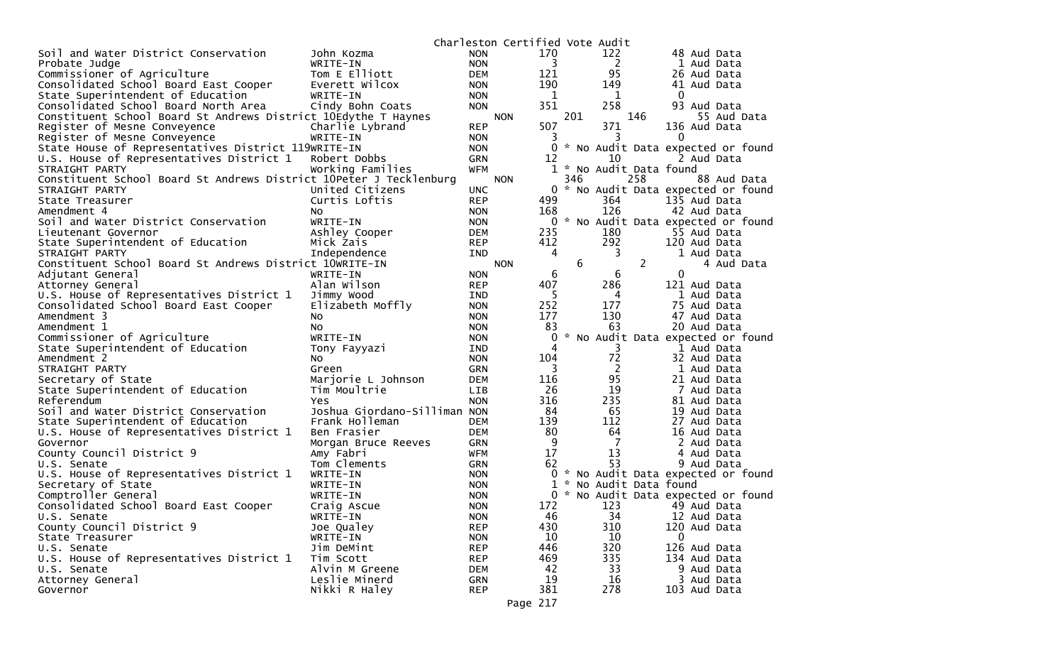|                                                                    |                                     |                   | Charleston Certified Vote Audit |             |     |                         |     |                                     |
|--------------------------------------------------------------------|-------------------------------------|-------------------|---------------------------------|-------------|-----|-------------------------|-----|-------------------------------------|
| Soil and Water District Conservation                               | John Kozma                          | <b>NON</b>        |                                 | 170         |     | 122                     |     | 48 Aud Data                         |
| Probate Judge                                                      | WRITE-IN                            | <b>NON</b>        |                                 | 3           |     | 2                       |     | 1 Aud Data                          |
| Commissioner of Agriculture                                        | Tom E Elliott                       | <b>DEM</b>        |                                 | 121         |     | 95                      |     | 26 Aud Data                         |
| Consolidated School Board East Cooper                              | Everett Wilcox                      | <b>NON</b>        |                                 | 190         |     | 149                     |     | 41 Aud Data                         |
| State Superintendent of Education                                  | WRITE-IN                            | <b>NON</b>        |                                 | $\mathbf 1$ |     | 1                       |     | $\mathbf 0$                         |
| Consolidated School Board North Area                               | Cindy Bohn Coats                    | <b>NON</b>        |                                 | 351         |     | 258                     |     | 93 Aud Data                         |
| Constituent School Board St Andrews District 10Edythe T Haynes     |                                     |                   | <b>NON</b>                      |             | 201 |                         | 146 | 55 Aud Data                         |
| Register of Mesne Conveyence                                       | Charlie Lybrand                     | <b>REP</b>        |                                 | 507         |     | 371                     |     | 136 Aud Data                        |
| Register of Mesne Conveyence                                       | WRITE-IN                            | <b>NON</b>        |                                 | 3           |     | 3                       |     | 0                                   |
| State House of Representatives District 119WRITE-IN                |                                     | <b>NON</b>        |                                 | 0           |     |                         |     | * No Audit Data expected or found   |
| U.S. House of Representatives District 1                           | Robert Dobbs                        | <b>GRN</b>        |                                 | 12          |     | 10                      |     | 2 Aud Data                          |
| STRAIGHT PARTY                                                     | Working Families                    | <b>WFM</b>        |                                 |             |     | 1 * No Audit Data found |     |                                     |
| Constituent School Board St Andrews District 10Peter J Tecklenburg |                                     |                   | <b>NON</b>                      |             | 346 |                         | 258 | 88 Aud Data                         |
| STRAIGHT PARTY                                                     | United Citizens                     | <b>UNC</b>        |                                 |             |     |                         |     | 0 * No Audit Data expected or found |
| State Treasurer                                                    | Curtis Loftis                       | <b>REP</b>        |                                 | 499         |     | 364                     |     | 135 Aud Data                        |
| Amendment 4                                                        | NO.                                 | <b>NON</b>        |                                 | 168         |     | 126                     |     | 42 Aud Data                         |
| Soil and Water District Conservation                               | WRITE-IN                            | <b>NON</b>        |                                 |             |     |                         |     | 0 * No Audit Data expected or found |
| Lieutenant Governor                                                | Ashley Cooper                       | <b>DEM</b>        |                                 | 235         |     | 180                     |     | 55 Aud Data                         |
| State Superintendent of Education                                  | Mick Zais                           | <b>REP</b>        |                                 | 412         |     | 292                     |     | 120 Aud Data                        |
| STRAIGHT PARTY                                                     | Independence                        | IND               |                                 | 4           |     | 3                       |     | 1 Aud Data                          |
| Constituent School Board St Andrews District 10WRITE-IN            |                                     |                   | <b>NON</b>                      |             | 6   |                         | 2   | 4 Aud Data                          |
| Adjutant General                                                   | WRITE-IN                            | <b>NON</b>        |                                 | 6           |     | 6                       |     | 0                                   |
| Attorney General                                                   | Alan Wilson                         | <b>REP</b>        |                                 | 407         |     | 286                     |     | 121 Aud Data                        |
| U.S. House of Representatives District 1                           | Jimmy Wood                          | IND               |                                 | 5           |     | 4                       |     | 1 Aud Data                          |
| Consolidated School Board East Cooper                              | Elizabeth Moffly                    | <b>NON</b>        |                                 | 252         |     | 177                     |     | 75 Aud Data                         |
| Amendment 3                                                        |                                     | <b>NON</b>        |                                 | 177         |     | 130                     |     | 47 Aud Data                         |
| Amendment 1                                                        | No.<br>No.                          | <b>NON</b>        |                                 | 83          |     | 63                      |     | 20 Aud Data                         |
| Commissioner of Agriculture                                        | WRITE-IN                            |                   |                                 | 0           |     |                         |     | * No Audit Data expected or found   |
| State Superintendent of Education                                  |                                     | <b>NON</b><br>IND |                                 | 4           |     | 3                       |     | 1 Aud Data                          |
| Amendment 2                                                        | Tony Fayyazi                        | <b>NON</b>        |                                 | 104         |     | 72                      |     | 32 Aud Data                         |
| STRAIGHT PARTY                                                     | No<br>Green                         | <b>GRN</b>        |                                 | 3           |     | 2                       |     | 1 Aud Data                          |
| Secretary of State                                                 |                                     | <b>DEM</b>        |                                 | 116         |     | 95                      |     | 21 Aud Data                         |
| State Superintendent of Education                                  | Marjorie L Johnson<br>Tim Moultrie  | <b>LIB</b>        |                                 | 26          |     | 19                      |     | 7 Aud Data                          |
| Referendum                                                         |                                     |                   |                                 | 316         |     | 235                     |     | 81 Aud Data                         |
|                                                                    | Yes<br>Joshua Giordano-Silliman NON | <b>NON</b>        |                                 | 84          |     | 65                      |     | 19 Aud Data                         |
| Soil and Water District Conservation                               |                                     |                   |                                 |             |     | 112                     |     | 27 Aud Data                         |
| State Superintendent of Education                                  | Frank Holleman                      | <b>DEM</b>        |                                 | 139         |     |                         |     |                                     |
| U.S. House of Representatives District 1                           | Ben Frasier                         | <b>DEM</b>        |                                 | 80          |     | 64                      |     | 16 Aud Data                         |
| Governor                                                           | Morgan Bruce Reeves                 | <b>GRN</b>        |                                 | 9           |     | 7                       |     | 2 Aud Data                          |
| County Council District 9                                          | Amy Fabri                           | WFM               |                                 | 17<br>62    |     | 13<br>53                |     | 4 Aud Data                          |
| U.S. Senate                                                        | Tom Clements                        | <b>GRN</b>        |                                 |             |     |                         |     | 9 Aud Data                          |
| U.S. House of Representatives District 1                           | WRITE-IN                            | <b>NON</b>        |                                 |             |     |                         |     | 0 * No Audit Data expected or found |
| Secretary of State                                                 | WRITE-IN                            | <b>NON</b>        |                                 | 1           |     | * No Audit Data found   |     |                                     |
| Comptroller General                                                | WRITE-IN                            | <b>NON</b>        |                                 |             |     |                         |     | 0 * No Audit Data expected or found |
| Consolidated School Board East Cooper                              | Craig Ascue                         | <b>NON</b>        |                                 | 172         |     | 123                     |     | 49 Aud Data                         |
| U.S. Senate                                                        | WRITE-IN                            | <b>NON</b>        |                                 | 46          |     | 34                      |     | 12 Aud Data                         |
| County Council District 9                                          | Joe Qualey                          | <b>REP</b>        |                                 | 430         |     | 310                     |     | 120 Aud Data                        |
| State Treasurer                                                    | WRITE-IN                            | <b>NON</b>        |                                 | 10          |     | 10                      |     | 0                                   |
| U.S. Senate                                                        | Jim DeMint                          | <b>REP</b>        |                                 | 446         |     | 320                     |     | 126 Aud Data                        |
| U.S. House of Representatives District 1                           | Tim Scott                           | <b>REP</b>        |                                 | 469         |     | 335                     |     | 134 Aud Data                        |
| U.S. Senate                                                        | Alvin M Greene                      | DEM               |                                 | 42          |     | 33                      |     | 9 Aud Data                          |
| Attorney General                                                   | Leslie Minerd                       | <b>GRN</b>        |                                 | 19          |     | 16                      |     | 3 Aud Data                          |
| Governor                                                           | Nikki R Haley                       | <b>REP</b>        |                                 | 381         |     | 278                     |     | 103 Aud Data                        |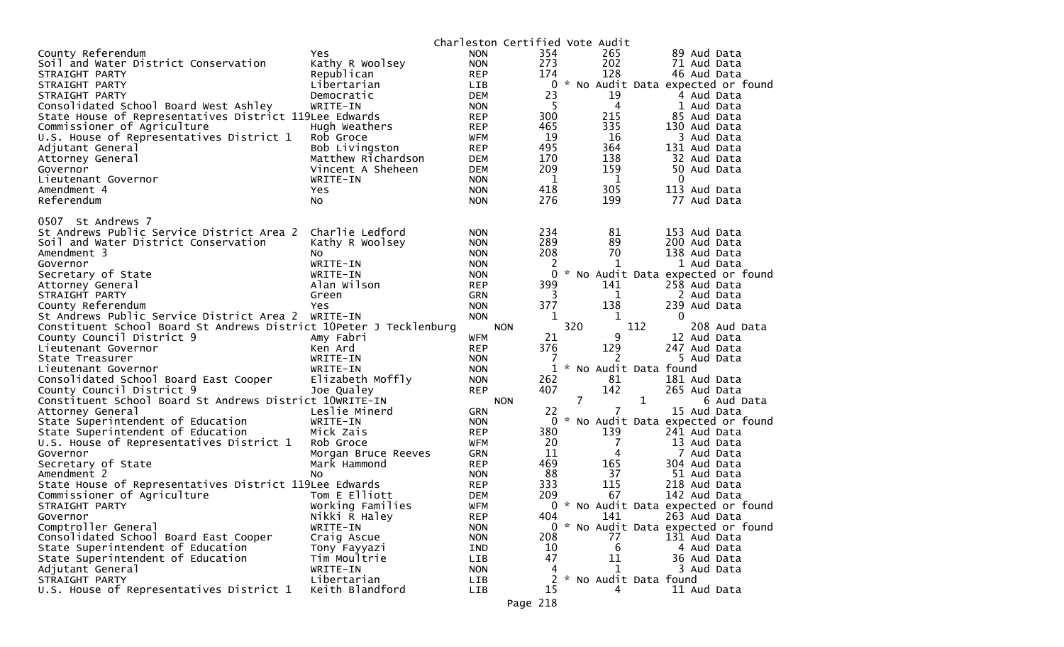|                                                                    |                                | Charleston Certified Vote Audit |              |                |              |              |                                      |
|--------------------------------------------------------------------|--------------------------------|---------------------------------|--------------|----------------|--------------|--------------|--------------------------------------|
| County Referendum                                                  | Yes.                           | <b>NON</b>                      | 354          |                | 265          |              | 89 Aud Data                          |
| Soil and Water District Conservation                               | Kathy R Woolsey                | <b>NON</b>                      | 273          |                | 202          |              | 71 Aud Data                          |
| STRAIGHT PARTY                                                     | Republican                     | <b>REP</b>                      | 174          |                | 128          |              | 46 Aud Data                          |
| STRAIGHT PARTY                                                     | Libertarian                    | <b>LIB</b>                      | 0            |                |              |              | * No Audit Data expected or found    |
| STRAIGHT PARTY                                                     | Democratic                     | <b>DEM</b>                      | 23           |                | 19           |              | 4 Aud Data                           |
| Consolidated School Board West Ashley                              | WRITE-IN                       | <b>NON</b>                      | 5            |                | 4            |              | 1 Aud Data                           |
| State House of Representatives District 119Lee Edwards             |                                | <b>REP</b>                      | 300          |                | 215          |              | 85 Aud Data                          |
| Commissioner of Agriculture                                        | Hugh Weathers                  | <b>REP</b>                      | 465          |                | 335          |              | 130 Aud Data                         |
| U.S. House of Representatives District 1                           | Rob Groce                      | <b>WFM</b>                      | 19           |                | 16           |              | 3 Aud Data                           |
| Adjutant General                                                   | Bob Livingston                 | <b>REP</b>                      | 495          |                | 364          |              | 131 Aud Data                         |
| Attorney General                                                   | Matthew Richardson             | <b>DEM</b>                      | 170          |                | 138          |              | 32 Aud Data                          |
| Governor                                                           | Vincent A Sheheen              | <b>DEM</b>                      | 209          |                | 159          |              | 50 Aud Data                          |
| Lieutenant Governor                                                | WRITE-IN                       | <b>NON</b>                      | 1            |                | 1            |              | $\mathbf{0}$                         |
| Amendment 4                                                        | Yes                            | <b>NON</b>                      | 418          |                | 305          |              | 113 Aud Data                         |
| Referendum                                                         | No                             | <b>NON</b>                      | 276          |                | 199          |              | 77 Aud Data                          |
|                                                                    |                                |                                 |              |                |              |              |                                      |
| 0507 St Andrews 7                                                  |                                |                                 |              |                |              |              |                                      |
| St Andrews Public Service District Area 2                          | Charlie Ledford                | <b>NON</b>                      | 234          |                | 81           |              | 153 Aud Data                         |
| Soil and Water District Conservation                               | Kathy R Woolsey                | <b>NON</b>                      | 289          |                | 89           |              | 200 Aud Data                         |
| Amendment 3                                                        | NO.                            | <b>NON</b>                      | 208          |                | 70           |              | 138 Aud Data                         |
| Governor                                                           | WRITE-IN                       | <b>NON</b>                      | 2            |                | 1            |              | 1 Aud Data                           |
| Secretary of State                                                 | WRITE-IN                       | <b>NON</b>                      | $\Omega$     |                |              |              | * No Audit Data expected or found    |
| Attorney General                                                   | Alan Wilson                    | <b>REP</b>                      | 399          |                | 141          |              | 258 Aud Data                         |
| STRAIGHT PARTY                                                     | Green                          | <b>GRN</b>                      | 3            |                | 1            |              | 2 Aud Data                           |
| County Referendum                                                  | Yes                            | <b>NON</b>                      | 377          |                | 138          |              | 239 Aud Data                         |
| St Andrews Public Service District Area 2                          | WRITE-IN                       | <b>NON</b>                      | 1            |                | 1            |              | $\mathbf{0}$                         |
|                                                                    |                                |                                 |              |                |              |              |                                      |
|                                                                    |                                |                                 |              |                |              |              |                                      |
| Constituent School Board St Andrews District 10Peter J Tecklenburg |                                | <b>NON</b>                      |              | 320            |              | 112          | 208 Aud Data                         |
| County Council District 9                                          | Amy Fabri                      | <b>WFM</b>                      | 21           |                | 9            |              | 12 Aud Data                          |
| Lieutenant Governor                                                | Ken Ard                        | <b>REP</b>                      | 376          |                | 129          |              | 247 Aud Data                         |
| State Treasurer                                                    | WRITE-IN                       | <b>NON</b>                      | 7            |                | 2            |              | 5 Aud Data                           |
| Lieutenant Governor                                                | WRITE-IN                       | <b>NON</b>                      | $\mathbf{1}$ |                |              |              | No Audit Data found                  |
| Consolidated School Board East Cooper                              | Elizabeth Moffly               | <b>NON</b>                      | 262          |                | 81           |              | 181 Aud Data                         |
| County Council District 9                                          | Joe Qualey                     | <b>REP</b>                      | 407          |                | 142          |              | 265 Aud Data                         |
| Constituent School Board St Andrews District 10WRITE-IN            |                                | <b>NON</b>                      |              | $\overline{7}$ |              | $\mathbf{1}$ | 6 Aud Data                           |
| Attorney General                                                   | Leslie Minerd                  | <b>GRN</b>                      | 22           |                | 7            |              | 15 Aud Data                          |
| State Superintendent of Education                                  | WRITE-IN                       | <b>NON</b>                      | 0            |                |              |              | No Audit Data expected or found      |
| State Superintendent of Education                                  | Mick Zais                      | <b>REP</b>                      | 380          |                | 139          |              | 241 Aud Data                         |
| U.S. House of Representatives District 1                           | Rob Groce                      | WFM                             | 20           |                | 7            |              | 13 Aud Data                          |
| Governor                                                           | Morgan Bruce Reeves            | GRN                             | 11           |                | 4            |              | 7 Aud Data                           |
| Secretary of State                                                 | Mark Hammond                   | <b>REP</b>                      | 469          |                | 165          |              | 304 Aud Data                         |
| Amendment 2                                                        | No.                            | <b>NON</b>                      | 88           |                | 37           |              | 51 Aud Data                          |
| State House of Representatives District 119Lee Edwards             |                                | <b>REP</b>                      | 333          |                | 115          |              | 218 Aud Data                         |
| Commissioner of Agriculture                                        | Tom E Elliott                  | <b>DEM</b>                      | 209          |                | 67           |              | 142 Aud Data                         |
| STRAIGHT PARTY                                                     | Working Families               | <b>WFM</b>                      |              |                |              |              | 0 * No Audit Data expected or found  |
| Governor                                                           | Nikki R Haley                  | <b>REP</b>                      | 404          |                | 141          |              | 263 Aud Data                         |
| Comptroller General                                                | WRITE-IN                       | <b>NON</b>                      |              |                |              |              | 0 * No Audit Data expected or found  |
| Consolidated School Board East Cooper                              | Craig Ascue                    | <b>NON</b>                      | 208          |                | 77           |              | 131 Aud Data                         |
| State Superintendent of Education                                  | Tony Fayyazi                   | IND                             | 10           |                | 6            |              | 4 Aud Data                           |
| State Superintendent of Education                                  | Tim Moultrie                   | LIB                             | 47           |                | 11           |              | 36 Aud Data                          |
| Adjutant General                                                   | WRITE-IN                       | <b>NON</b>                      | 4            |                | $\mathbf{1}$ |              | 3 Aud Data                           |
| STRAIGHT PARTY<br>U.S. House of Representatives District 1         | Libertarian<br>Keith Blandford | LIB<br><b>LIB</b>               | 2<br>15      |                | 4            |              | * No Audit Data found<br>11 Aud Data |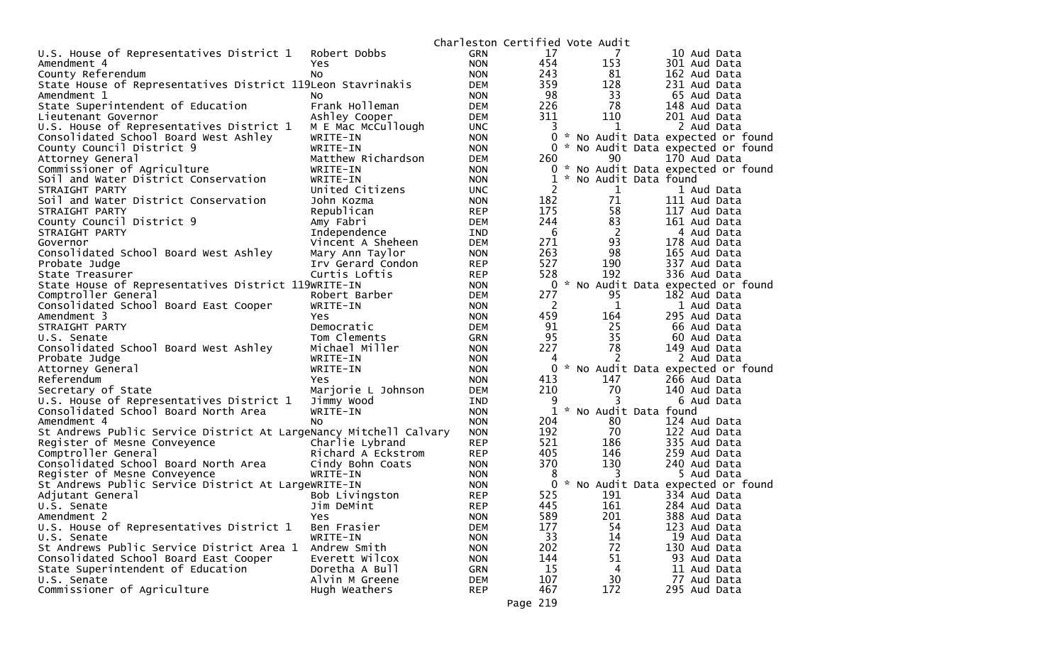|                                                                   |                    |            | Charleston Certified Vote Audit |                       |                                     |
|-------------------------------------------------------------------|--------------------|------------|---------------------------------|-----------------------|-------------------------------------|
| U.S. House of Representatives District 1                          | Robert Dobbs       | <b>GRN</b> | 17                              | 7                     | 10 Aud Data                         |
| Amendment 4                                                       | Yes                | <b>NON</b> | 454                             | 153                   | 301 Aud Data                        |
| County Referendum                                                 | No.                | <b>NON</b> | 243                             | 81                    | 162 Aud Data                        |
| State House of Representatives District 119Leon Stavrinakis       |                    | <b>DEM</b> | 359                             | 128                   | 231 Aud Data                        |
| Amendment 1                                                       | NO.                | <b>NON</b> | 98                              | 33                    | 65 Aud Data                         |
| State Superintendent of Education                                 | Frank Holleman     | <b>DEM</b> | 226                             | 78                    | 148 Aud Data                        |
| Lieutenant Governor                                               | Ashley Cooper      | <b>DEM</b> | 311                             | 110                   | 201 Aud Data                        |
| U.S. House of Representatives District 1                          | M E Mac McCullough | <b>UNC</b> | 3                               | 1                     | 2 Aud Data                          |
| Consolidated School Board West Ashley                             | WRITE-IN           | <b>NON</b> | 0                               |                       | * No Audit Data expected or found   |
| County Council District 9                                         | WRITE-IN           | <b>NON</b> |                                 |                       | 0 * No Audit Data expected or found |
| Attorney General                                                  | Matthew Richardson | <b>DEM</b> | 260                             | 90                    | 170 Aud Data                        |
| Commissioner of Agriculture                                       | WRITE-IN           | <b>NON</b> |                                 |                       | 0 * No Audit Data expected or found |
| Soil and Water District Conservation                              | WRITE-IN           | <b>NON</b> | 1                               | * No Audit Data found |                                     |
| STRAIGHT PARTY                                                    | United Citizens    | <b>UNC</b> | 2                               | $\mathbf 1$           | 1 Aud Data                          |
| Soil and Water District Conservation                              | John Kozma         | <b>NON</b> | 182                             | 71                    | 111 Aud Data                        |
| STRAIGHT PARTY                                                    | Republican         | <b>REP</b> | 175                             | 58                    | 117 Aud Data                        |
| County Council District 9                                         | Amy Fabri          | DEM        | 244                             | 83                    | 161 Aud Data                        |
| STRAIGHT PARTY                                                    | Independence       | IND        | 6                               | 2                     | 4 Aud Data                          |
| Governor                                                          | Vincent A Sheheen  | <b>DEM</b> | 271                             | 93                    | 178 Aud Data                        |
| Consolidated School Board West Ashley                             | Mary Ann Taylor    | <b>NON</b> | 263                             | 98                    | 165 Aud Data                        |
| Probate Judge                                                     | Irv Gerard Condon  | <b>REP</b> | 527                             | 190                   | 337 Aud Data                        |
| State Treasurer                                                   | Curtis Loftis      | <b>REP</b> | 528                             | 192                   | 336 Aud Data                        |
| State House of Representatives District 119WRITE-IN               |                    | <b>NON</b> |                                 |                       | 0 * No Audit Data expected or found |
| Comptroller General                                               | Robert Barber      | <b>DEM</b> | 277                             | 95                    | 182 Aud Data                        |
| Consolidated School Board East Cooper                             | WRITE-IN           | <b>NON</b> | $\overline{2}$                  | 1                     | 1 Aud Data                          |
| Amendment 3                                                       | Yes                | <b>NON</b> | 459                             | 164                   | 295 Aud Data                        |
| STRAIGHT PARTY                                                    | Democratic         | <b>DEM</b> | 91                              | 25                    | 66 Aud Data                         |
| U.S. Senate                                                       | Tom Clements       | <b>GRN</b> | 95                              | 35                    | 60 Aud Data                         |
| Consolidated School Board West Ashley                             | Michael Miller     | <b>NON</b> | 227                             | 78                    | 149 Aud Data                        |
| Probate Judge                                                     | WRITE-IN           | <b>NON</b> | 4                               | 2                     | 2 Aud Data                          |
| Attorney General                                                  | WRITE-IN           | <b>NON</b> | 0                               |                       | * No Audit Data expected or found   |
| Referendum                                                        | Yes                | <b>NON</b> | 413                             | 147                   | 266 Aud Data                        |
| Secretary of State                                                | Marjorie L Johnson | DEM        | 210                             | 70                    | 140 Aud Data                        |
| U.S. House of Representatives District 1                          | Jimmy Wood         | IND        | 9                               | 3                     | 6 Aud Data                          |
| Consolidated School Board North Area                              | WRITE-IN           | <b>NON</b> |                                 | * No Audit Data found |                                     |
| Amendment 4                                                       | No.                | <b>NON</b> | 204                             | 80                    | 124 Aud Data                        |
| St Andrews Public Service District At LargeNancy Mitchell Calvary |                    | <b>NON</b> | 192                             | 70                    | 122 Aud Data                        |
| Register of Mesne Conveyence                                      | Charlie Lybrand    | <b>REP</b> | 521                             | 186                   | 335 Aud Data                        |
| Comptroller General                                               | Richard A Eckstrom | <b>REP</b> | 405                             | 146                   | 259 Aud Data                        |
| Consolidated School Board North Area                              | Cindy Bohn Coats   | <b>NON</b> | 370                             | 130                   | 240 Aud Data                        |
| Register of Mesne Conveyence                                      | WRITE-IN           | <b>NON</b> | 8                               | 3                     | 5 Aud Data                          |
| St Andrews Public Service District At LargeWRITE-IN               |                    | <b>NON</b> | 0                               |                       | * No Audit Data expected or found   |
| Adjutant General                                                  | Bob Livingston     | <b>REP</b> | 525                             | 191                   | 334 Aud Data                        |
| U.S. Senate                                                       | Jim DeMint         | <b>REP</b> | 445                             | 161                   | 284 Aud Data                        |
| Amendment 2                                                       | Yes                | <b>NON</b> | 589                             | 201                   | 388 Aud Data                        |
| U.S. House of Representatives District 1                          | Ben Frasier        | <b>DEM</b> | 177                             | 54                    | 123 Aud Data                        |
| U.S. Senate                                                       | WRITE-IN           | <b>NON</b> | 33                              | 14                    | 19 Aud Data                         |
| St Andrews Public Service District Area 1                         | Andrew Smith       | <b>NON</b> | 202                             | 72                    | 130 Aud Data                        |
| Consolidated School Board East Cooper                             | Everett Wilcox     | <b>NON</b> | 144                             | 51                    | 93 Aud Data                         |
| State Superintendent of Education                                 | Doretha A Bull     | <b>GRN</b> | 15                              | 4                     | 11 Aud Data                         |
| U.S. Senate                                                       | Alvin M Greene     | <b>DEM</b> | 107                             | 30                    | 77 Aud Data                         |
| Commissioner of Agriculture                                       | Hugh Weathers      | <b>REP</b> | 467                             | 172                   | 295 Aud Data                        |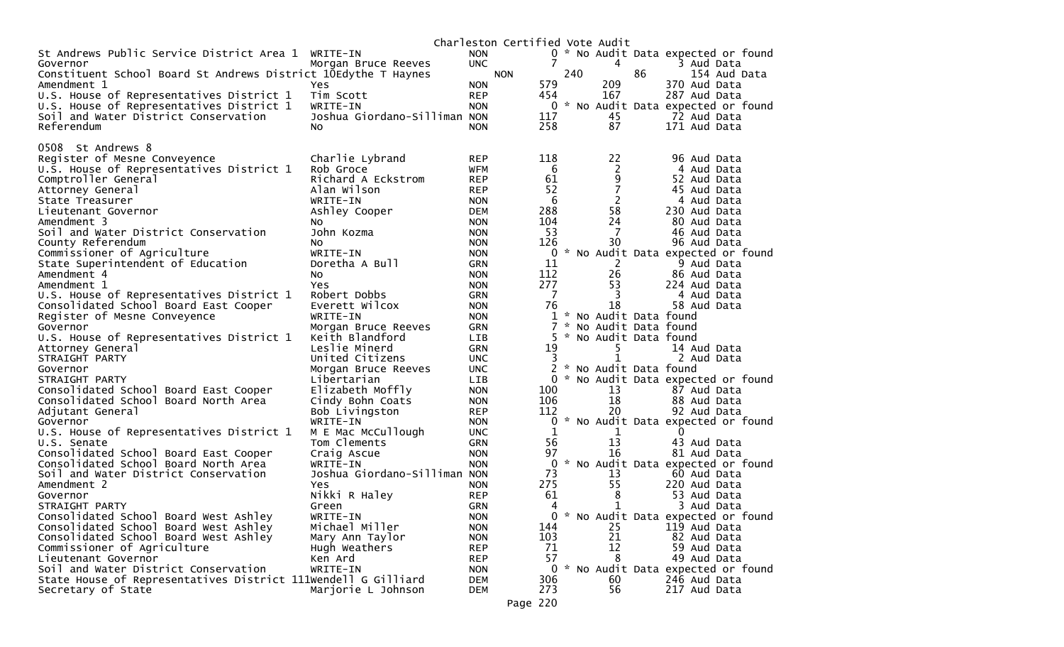|                                                                |                                   | Charleston Certified Vote Audit |                 |     |                         |    |                                     |
|----------------------------------------------------------------|-----------------------------------|---------------------------------|-----------------|-----|-------------------------|----|-------------------------------------|
| St Andrews Public Service District Area 1                      | WRITE-IN                          | <b>NON</b>                      |                 |     |                         |    | 0 * No Audit Data expected or found |
| Governor                                                       | Morgan Bruce Reeves               | <b>UNC</b>                      | 7               |     | 4                       |    | 3 Aud Data                          |
| Constituent School Board St Andrews District 10Edythe T Haynes |                                   | <b>NON</b>                      |                 | 240 |                         | 86 | 154 Aud Data                        |
| Amendment 1                                                    | Yes                               | <b>NON</b>                      | 579             |     | 209                     |    | 370 Aud Data                        |
| U.S. House of Representatives District 1                       | Tim Scott                         | <b>REP</b>                      | 454             |     | 167                     |    | 287 Aud Data                        |
| U.S. House of Representatives District 1                       | WRITE-IN                          | <b>NON</b>                      |                 |     |                         |    | 0 * No Audit Data expected or found |
| Soil and Water District Conservation                           | Joshua Giordano-Silliman NON      |                                 | 117             |     | 45                      |    | 72 Aud Data                         |
| Referendum                                                     | No.                               | <b>NON</b>                      | 258             |     | 87                      |    | 171 Aud Data                        |
|                                                                |                                   |                                 |                 |     |                         |    |                                     |
| 0508 St Andrews 8                                              |                                   |                                 |                 |     |                         |    |                                     |
| Register of Mesne Conveyence                                   | Charlie Lybrand                   | <b>REP</b>                      | 118             |     | 22                      |    | 96 Aud Data                         |
| U.S. House of Representatives District 1                       | Rob Groce                         | <b>WFM</b>                      | 6<br>61         |     | $\overline{c}$          |    | 4 Aud Data                          |
| Comptroller General                                            | Richard A Eckstrom<br>Alan Wilson | <b>REP</b>                      | 52              |     | 9<br>$\overline{7}$     |    | 52 Aud Data<br>45 Aud Data          |
| Attorney General                                               | WRITE-IN                          | <b>REP</b>                      | $6\phantom{.}6$ |     |                         |    | 4 Aud Data                          |
| State Treasurer                                                |                                   | <b>NON</b>                      | 288             |     | 2<br>58                 |    | 230 Aud Data                        |
| Lieutenant Governor<br>Amendment 3                             | Ashley Cooper                     | <b>DEM</b><br><b>NON</b>        | 104             |     | 24                      |    | 80 Aud Data                         |
| Soil and Water District Conservation                           | NO.<br>John Kozma                 | <b>NON</b>                      | 53              |     | 7                       |    | 46 Aud Data                         |
| County Referendum                                              | NO.                               | <b>NON</b>                      | 126             |     | 30                      |    | 96 Aud Data                         |
| Commissioner of Agriculture                                    | WRITE-IN                          | <b>NON</b>                      | 0               |     |                         |    | * No Audit Data expected or found   |
| State Superintendent of Education                              | Doretha A Bull                    | <b>GRN</b>                      | 11              |     | $\mathbf{2}$            |    | 9 Aud Data                          |
| Amendment 4                                                    | NO.                               | <b>NON</b>                      | 112             |     | 26                      |    | 86 Aud Data                         |
| Amendment 1                                                    | Yes                               | <b>NON</b>                      | 277             |     | 53                      |    | 224 Aud Data                        |
| U.S. House of Representatives District 1                       | Robert Dobbs                      | <b>GRN</b>                      | 7               |     | 3                       |    | 4 Aud Data                          |
| Consolidated School Board East Cooper                          | Everett Wilcox                    | <b>NON</b>                      | 76              |     | 18                      |    | 58 Aud Data                         |
| Register of Mesne Conveyence                                   | WRITE-IN                          | <b>NON</b>                      |                 |     | 1 * No Audit Data found |    |                                     |
| Governor                                                       | Morgan Bruce Reeves               | <b>GRN</b>                      | 7               |     | * No Audit Data found   |    |                                     |
| U.S. House of Representatives District 1                       | Keith Blandford                   | LIB                             | 5.              |     | * No Audit Data found   |    |                                     |
| Attorney General                                               | Leslie Minerd                     | <b>GRN</b>                      | 19              |     | 5                       |    | 14 Aud Data                         |
| STRAIGHT PARTY                                                 | United Citizens                   | <b>UNC</b>                      | 3               |     |                         |    | 2 Aud Data                          |
| Governor                                                       | Morgan Bruce Reeves               | <b>UNC</b>                      |                 |     | 2 * No Audit Data found |    |                                     |
| STRAIGHT PARTY                                                 | Libertarian                       | <b>LIB</b>                      |                 |     |                         |    | 0 * No Audit Data expected or found |
| Consolidated School Board East Cooper                          | Elizabeth Moffly                  | <b>NON</b>                      | 100             |     | 13                      |    | 87 Aud Data                         |
| Consolidated School Board North Area                           | Cindy Bohn Coats                  | <b>NON</b>                      | 106             |     | 18                      |    | 88 Aud Data                         |
| Adjutant General                                               | Bob Livingston                    | <b>REP</b>                      | 112             |     | 20                      |    | 92 Aud Data                         |
| Governor                                                       | WRITE-IN                          | <b>NON</b>                      | 0               |     |                         |    | * No Audit Data expected or found   |
| U.S. House of Representatives District 1                       | M E Mac McCullough                | <b>UNC</b>                      | 1               |     | 1                       |    | $\mathbf{0}$                        |
| U.S. Senate                                                    | Tom Clements                      | <b>GRN</b>                      | 56              |     | 13                      |    | 43 Aud Data                         |
| Consolidated School Board East Cooper                          | Craig Ascue                       | <b>NON</b>                      | 97              |     | 16                      |    | 81 Aud Data                         |
| Consolidated School Board North Area                           | WRITE-IN                          | <b>NON</b>                      |                 |     |                         |    | 0 * No Audit Data expected or found |
| Soil and Water District Conservation                           | Joshua Giordano-Silliman NON      |                                 | 73              |     | 13                      |    | 60 Aud Data                         |
| Amendment 2                                                    | Yes                               | <b>NON</b>                      | 275             |     | 55                      |    | 220 Aud Data                        |
| Governor                                                       | Nikki R Haley                     | <b>REP</b>                      | 61              |     | 8                       |    | 53 Aud Data                         |
| STRAIGHT PARTY                                                 | Green                             | GRN                             | 4               |     | $\mathbf 1$             |    | 3 Aud Data                          |
| Consolidated School Board West Ashley                          | WRITE-IN                          | <b>NON</b>                      | $0 *$           |     |                         |    | No Audit Data expected or found     |
| Consolidated School Board West Ashley                          | Michael Miller                    | <b>NON</b>                      | 144             |     | 25                      |    | 119 Aud Data                        |
| Consolidated School Board West Ashley                          | Mary Ann Taylor                   | <b>NON</b>                      | 103             |     | 21                      |    | 82 Aud Data                         |
| Commissioner of Agriculture                                    | Hugh Weathers                     | <b>REP</b>                      | 71              |     | 12                      |    | 59 Aud Data                         |
| Lieutenant Governor                                            | Ken Ard                           | <b>REP</b>                      | 57              |     | 8                       |    | 49 Aud Data                         |
| Soil and Water District Conservation                           | WRITE-IN                          | <b>NON</b>                      |                 |     |                         |    | 0 * No Audit Data expected or found |
| State House of Representatives District 111Wendell G Gilliard  |                                   | <b>DEM</b>                      | 306             |     | 60                      |    | 246 Aud Data                        |
| Secretary of State                                             | Marjorie L Johnson                | <b>DEM</b>                      | 273             |     | 56                      |    | 217 Aud Data                        |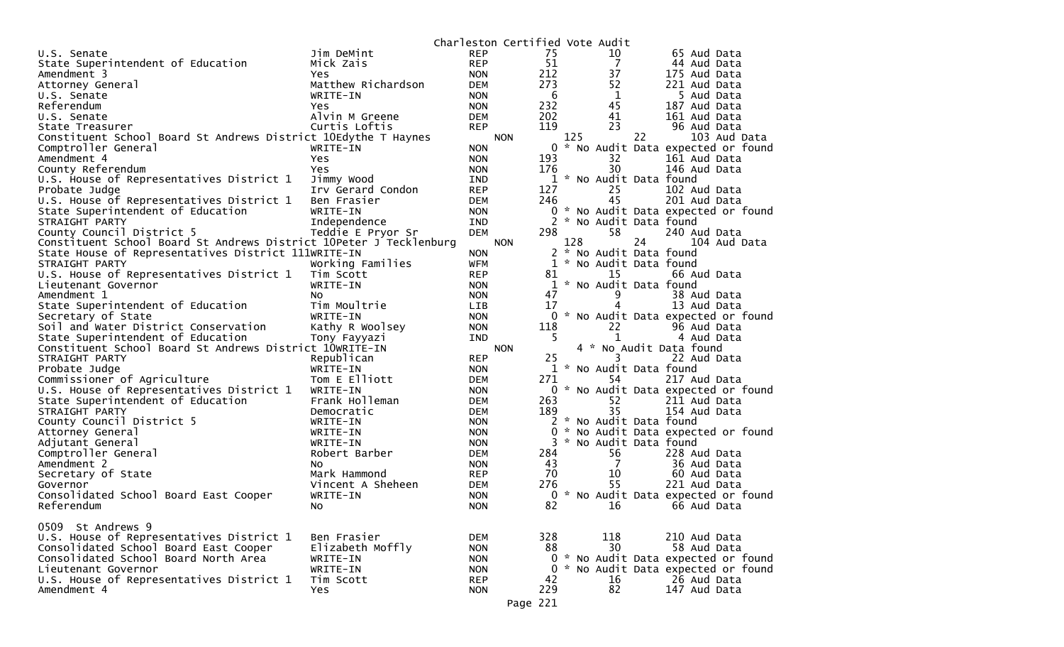|                                                                    |                    |            | Charleston Certified Vote Audit |                |     |     |                |                         |                                     |
|--------------------------------------------------------------------|--------------------|------------|---------------------------------|----------------|-----|-----|----------------|-------------------------|-------------------------------------|
| U.S. Senate                                                        | Jim DeMint         | <b>REP</b> |                                 | 75             |     |     | 10             | 65 Aud Data             |                                     |
| State Superintendent of Education                                  | Mick Zais          | <b>REP</b> |                                 | 51             |     |     | $\overline{7}$ | 44 Aud Data             |                                     |
| Amendment 3                                                        | Yes.               | <b>NON</b> |                                 | 212            |     |     | 37             | 175 Aud Data            |                                     |
| Attorney General                                                   | Matthew Richardson | <b>DEM</b> |                                 | 273            |     |     | 52             | 221 Aud Data            |                                     |
| U.S. Senate                                                        | WRITE-IN           | <b>NON</b> |                                 | 6              |     |     | 1              |                         | 5 Aud Data                          |
| Referendum                                                         | Yes.               | <b>NON</b> |                                 | 232            |     |     | 45             | 187 Aud Data            |                                     |
| U.S. Senate                                                        | Alvin M Greene     | DEM        |                                 | 202            |     |     | 41             | 161 Aud Data            |                                     |
| State Treasurer                                                    | Curtis Loftis      | <b>REP</b> |                                 | 119            |     |     | 23             | 96 Aud Data             |                                     |
| Constituent School Board St Andrews District 10Edythe T Haynes     |                    |            | <b>NON</b>                      |                | 125 |     | 22             |                         | 103 Aud Data                        |
| Comptroller General                                                | WRITE-IN           | <b>NON</b> |                                 | 0              | *   |     |                |                         | No Audit Data expected or found     |
| Amendment 4                                                        | Yes                | <b>NON</b> |                                 | 193            |     |     | 32             | 161 Aud Data            |                                     |
| County Referendum                                                  | Yes.               | <b>NON</b> |                                 | 176            |     |     | 30             | 146 Aud Data            |                                     |
| U.S. House of Representatives District 1                           | Jimmy Wood         | <b>IND</b> |                                 |                |     |     |                | 1 * No Audit Data found |                                     |
| Probate Judge                                                      | Irv Gerard Condon  | <b>REP</b> |                                 | 127            |     |     | 25             | 102 Aud Data            |                                     |
| U.S. House of Representatives District 1                           | Ben Frasier        | DEM        |                                 | 246            |     | 45  |                | 201 Aud Data            |                                     |
|                                                                    | WRITE-IN           |            |                                 | 0              |     |     |                |                         |                                     |
| State Superintendent of Education                                  |                    | <b>NON</b> |                                 |                |     |     |                | 2 * No Audit Data found | * No Audit Data expected or found   |
| STRAIGHT PARTY                                                     | Independence       | <b>IND</b> |                                 |                |     |     |                |                         |                                     |
| County Council District 5                                          | Teddie E Pryor Sr  | <b>DEM</b> |                                 | 298            |     |     | 58             | 240 Aud Data            |                                     |
| Constituent School Board St Andrews District 10Peter J Tecklenburg |                    |            | <b>NON</b>                      |                | 128 |     | 24             |                         | 104 Aud Data                        |
| State House of Representatives District 111WRITE-IN                |                    | <b>NON</b> |                                 |                |     |     |                | 2 * No Audit Data found |                                     |
| STRAIGHT PARTY                                                     | Working Families   | WFM        |                                 |                |     |     |                | 1 * No Audit Data found |                                     |
| U.S. House of Representatives District 1                           | Tim Scott          | <b>REP</b> |                                 | 81             |     | 15  |                | 66 Aud Data             |                                     |
| Lieutenant Governor                                                | WRITE-IN           | <b>NON</b> |                                 |                |     |     |                | 1 * No Audit Data found |                                     |
| Amendment 1                                                        | No                 | <b>NON</b> |                                 | 47             |     |     |                | 38 Aud Data             |                                     |
| State Superintendent of Education                                  | Tim Moultrie       | <b>LIB</b> |                                 | 17             |     |     |                | 13 Aud Data             |                                     |
| Secretary of State                                                 | WRITE-IN           | <b>NON</b> |                                 |                |     |     |                |                         | 0 * No Audit Data expected or found |
| Soil and Water District Conservation                               | Kathy R Woolsey    | <b>NON</b> |                                 | 118            |     |     | 22             | 96 Aud Data             |                                     |
| State Superintendent of Education                                  | Tony Fayyazi       | <b>IND</b> |                                 | 5              |     |     | $\mathbf{1}$   |                         | 4 Aud Data                          |
| Constituent School Board St Andrews District 10WRITE-IN            |                    |            | <b>NON</b>                      |                |     |     |                | 4 * No Audit Data found |                                     |
| STRAIGHT PARTY                                                     | Republican         | <b>REP</b> |                                 | 25             |     |     | 3              | 22 Aud Data             |                                     |
| Probate Judge                                                      | WRITE-IN           | <b>NON</b> |                                 |                |     |     |                | 1 * No Audit Data found |                                     |
| Commissioner of Agriculture                                        | Tom E Elliott      | <b>DEM</b> |                                 | 271            |     |     | 54             | 217 Aud Data            |                                     |
| U.S. House of Representatives District 1                           | WRITE-IN           | <b>NON</b> |                                 |                |     |     |                |                         | 0 * No Audit Data expected or found |
| State Superintendent of Education                                  | Frank Holleman     | <b>DEM</b> |                                 | 263            |     |     | 52             | 211 Aud Data            |                                     |
| STRAIGHT PARTY                                                     | Democratic         | DEM        |                                 | 189            |     |     | 35             | 154 Aud Data            |                                     |
| County Council District 5                                          | WRITE-IN           | <b>NON</b> |                                 |                |     |     |                | 2 * No Audit Data found |                                     |
| Attorney General                                                   | WRITE-IN           | <b>NON</b> |                                 | 0              |     |     |                |                         | No Audit Data expected or found     |
| Adjutant General                                                   | WRITE-IN           | <b>NON</b> |                                 |                |     |     |                | 3 * No Audit Data found |                                     |
| Comptroller General                                                | Robert Barber      | <b>DEM</b> |                                 | 284            |     |     | 56             | 228 Aud Data            |                                     |
| Amendment 2                                                        | No.                | <b>NON</b> |                                 | 43             |     |     | 7              | 36 Aud Data             |                                     |
| Secretary of State                                                 | Mark Hammond       | <b>REP</b> |                                 | 70             |     |     | 10             | 60 Aud Data             |                                     |
| Governor                                                           | Vincent A Sheheen  | DEM        |                                 | 276            |     |     | 55             | 221 Aud Data            |                                     |
|                                                                    |                    |            |                                 | 0              |     |     |                |                         |                                     |
| Consolidated School Board East Cooper                              | WRITE-IN           | <b>NON</b> |                                 |                |     |     |                |                         | * No Audit Data expected or found   |
| Referendum                                                         | No                 | <b>NON</b> |                                 | 82             |     |     | 16             | 66 Aud Data             |                                     |
|                                                                    |                    |            |                                 |                |     |     |                |                         |                                     |
| 0509 St Andrews 9                                                  |                    |            |                                 |                |     |     |                |                         |                                     |
| U.S. House of Representatives District 1                           | Ben Frasier        | DEM        |                                 | 328            |     | 118 |                | 210 Aud Data            |                                     |
| Consolidated School Board East Cooper                              | Elizabeth Moffly   | <b>NON</b> |                                 | 88             |     |     | 30             | 58 Aud Data             |                                     |
| Consolidated School Board North Area                               | WRITE-IN           | <b>NON</b> |                                 | $\overline{0}$ |     |     |                |                         | * No Audit Data expected or found   |
| Lieutenant Governor                                                | WRITE-IN           | <b>NON</b> |                                 | 0              |     |     |                |                         | * No Audit Data expected or found   |
| U.S. House of Representatives District 1                           | Tim Scott          | <b>REP</b> |                                 | 42             |     |     | 16             | 26 Aud Data             |                                     |
| Amendment 4                                                        | Yes                | <b>NON</b> |                                 | 229            |     |     | 82             | 147 Aud Data            |                                     |
|                                                                    |                    |            | Page 221                        |                |     |     |                |                         |                                     |
|                                                                    |                    |            |                                 |                |     |     |                |                         |                                     |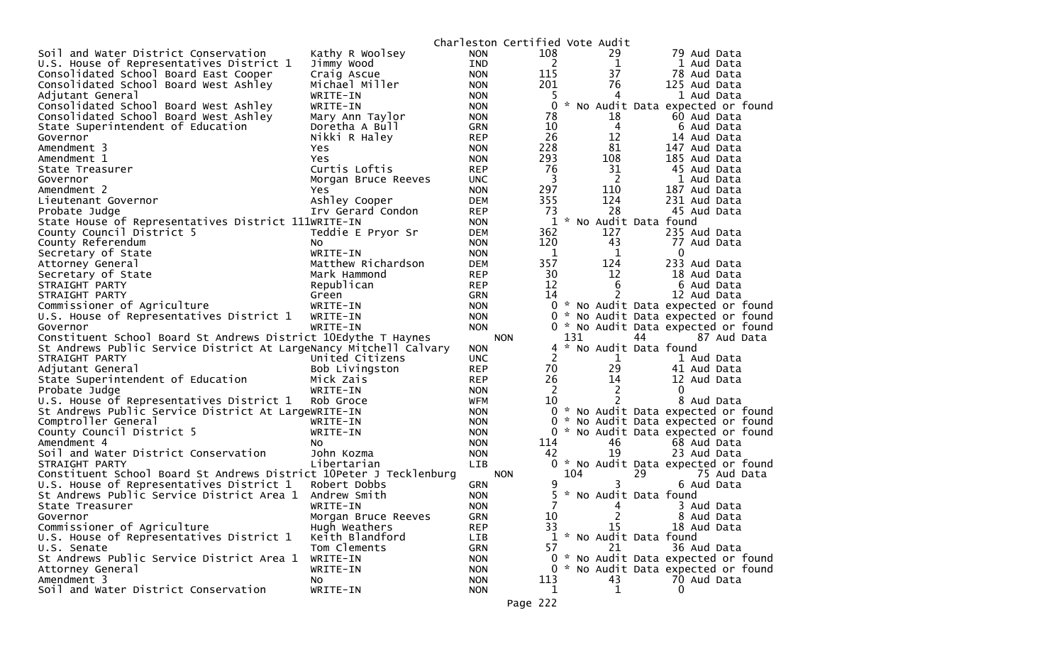|                                                                    |                     |            | Charleston Certified Vote Audit |     |             |                                     |
|--------------------------------------------------------------------|---------------------|------------|---------------------------------|-----|-------------|-------------------------------------|
| Soil and Water District Conservation                               | Kathy R Woolsey     | <b>NON</b> | 108                             |     | 29          | 79 Aud Data                         |
| U.S. House of Representatives District 1                           | Jimmy Wood          | <b>IND</b> | 2                               |     | 1           | 1 Aud Data                          |
| Consolidated School Board East Cooper                              | Craig Ascue         | <b>NON</b> | 115                             |     | 37          | 78 Aud Data                         |
| Consolidated School Board West Ashley                              | Michael Miller      | <b>NON</b> | 201                             |     | 76          | 125 Aud Data                        |
| Adjutant General                                                   | WRITE-IN            | <b>NON</b> | 5                               |     | 4           | 1 Aud Data                          |
| Consolidated School Board West Ashley                              | WRITE-IN            | <b>NON</b> | 0                               |     |             | * No Audit Data expected or found   |
| Consolidated School Board West Ashley                              | Mary Ann Taylor     | <b>NON</b> | 78                              |     | 18          | 60 Aud Data                         |
| State Superintendent of Education                                  | Doretha A Bull      | <b>GRN</b> | 10                              |     | 4           | 6 Aud Data                          |
| Governor                                                           | Nikki R Haley       | <b>REP</b> | 26                              |     | 12          | 14 Aud Data                         |
| Amendment 3                                                        | Yes                 | <b>NON</b> | 228                             |     | 81          | 147 Aud Data                        |
| Amendment 1                                                        | Yes.                | <b>NON</b> | 293                             |     | 108         | 185 Aud Data                        |
| State Treasurer                                                    | Curtis Loftis       | <b>REP</b> | 76                              |     | 31          | 45 Aud Data                         |
| Governor                                                           | Morgan Bruce Reeves | <b>UNC</b> | 3                               |     | 2           | 1 Aud Data                          |
| Amendment 2                                                        | Yes.                | <b>NON</b> | 297                             |     | 110         | 187 Aud Data                        |
| Lieutenant Governor                                                | Ashley Cooper       | <b>DEM</b> | 355                             |     | 124         | 231 Aud Data                        |
| Probate Judge                                                      | Irv Gerard Condon   | <b>REP</b> | 73                              |     | 28          | 45 Aud Data                         |
| State House of Representatives District 111WRITE-IN                |                     | <b>NON</b> | 1                               |     |             | * No Audit Data found               |
| County Council District 5                                          | Teddie E Pryor Sr   | <b>DEM</b> | 362                             |     | 127         | 235 Aud Data                        |
| County Referendum                                                  | NO.                 | <b>NON</b> | 120                             |     | 43          | 77 Aud Data                         |
| Secretary of State                                                 | WRITE-IN            | <b>NON</b> | $\mathbf 1$                     |     | 1           | 0                                   |
| Attorney General                                                   | Matthew Richardson  | <b>DEM</b> | 357                             |     | 124         | 233 Aud Data                        |
| Secretary of State                                                 | Mark Hammond        | <b>REP</b> | 30                              |     | 12          | 18 Aud Data                         |
| STRAIGHT PARTY                                                     | Republican          | <b>REP</b> | 12                              |     | 6           | 6 Aud Data                          |
| STRAIGHT PARTY                                                     | Green               | <b>GRN</b> | 14                              |     | 2           | 12 Aud Data                         |
| Commissioner of Agriculture                                        | WRITE-IN            | <b>NON</b> |                                 |     |             | 0 * No Audit Data expected or found |
| U.S. House of Representatives District 1                           | WRITE-IN            | <b>NON</b> |                                 |     |             | 0 * No Audit Data expected or found |
| Governor                                                           | WRITE-IN            | <b>NON</b> |                                 |     |             | 0 * No Audit Data expected or found |
| Constituent School Board St Andrews District 10Edythe T Haynes     |                     |            | <b>NON</b>                      | 131 |             | 44<br>87 Aud Data                   |
| St Andrews Public Service District At LargeNancy Mitchell Calvary  |                     | <b>NON</b> |                                 |     |             | 4 * No Audit Data found             |
| STRAIGHT PARTY                                                     | United Citizens     | <b>UNC</b> | 2                               |     | 1           | 1 Aud Data                          |
| Adjutant General                                                   | Bob Livingston      | <b>REP</b> | 70                              |     | 29          | 41 Aud Data                         |
| State Superintendent of Education                                  | Mick Zais           | <b>REP</b> | 26                              |     | 14          | 12 Aud Data                         |
| Probate Judge                                                      | WRITE-IN            | <b>NON</b> | 2                               |     | 2           | 0                                   |
| U.S. House of Representatives District 1                           | Rob Groce           | WFM        | 10                              |     | 2           | 8 Aud Data                          |
| St Andrews Public Service District At LargeWRITE-IN                |                     | <b>NON</b> |                                 |     |             | 0 * No Audit Data expected or found |
| Comptroller General                                                | WRITE-IN            | <b>NON</b> |                                 |     |             | 0 * No Audit Data expected or found |
| County Council District 5                                          | WRITE-IN            | NON.       |                                 |     |             | 0 * No Audit Data expected or found |
| Amendment 4                                                        | NO.                 | <b>NON</b> | 114                             |     | 46          | 68 Aud Data                         |
| Soil and Water District Conservation                               | John Kozma          | <b>NON</b> | 42                              |     | 19          | 23 Aud Data                         |
| STRAIGHT PARTY                                                     | Libertarian         | LIB        |                                 |     |             | 0 * No Audit Data expected or found |
| Constituent School Board St Andrews District 10Peter J Tecklenburg |                     |            | <b>NON</b>                      | 104 |             | 29<br>75 Aud Data                   |
| U.S. House of Representatives District 1                           | Robert Dobbs        | <b>GRN</b> | 9                               |     | 3           | 6 Aud Data                          |
| St Andrews Public Service District Area 1                          | Andrew Smith        | <b>NON</b> |                                 |     |             | 5 * No Audit Data found             |
| State Treasurer                                                    | WRITE-IN            | <b>NON</b> | 7                               |     | 4           | 3 Aud Data                          |
| Governor                                                           | Morgan Bruce Reeves | GRN        | 10                              |     | 2           | 8 Aud Data                          |
| Commissioner of Agriculture                                        | Hugh Weathers       | <b>REP</b> | 33                              |     | 15          | 18 Aud Data                         |
| U.S. House of Representatives District 1                           | Keith Blandford     | LIB        |                                 |     |             | 1 * No Audit Data found             |
| U.S. Senate                                                        | Tom Clements        | <b>GRN</b> | 57                              |     | 21          | 36 Aud Data                         |
| St Andrews Public Service District Area 1                          | WRITE-IN            | <b>NON</b> |                                 |     |             | 0 * No Audit Data expected or found |
| Attorney General                                                   | WRITE-IN            | <b>NON</b> |                                 |     |             | 0 * No Audit Data expected or found |
| Amendment 3                                                        | NO.                 | <b>NON</b> | 113                             |     | 43          | 70 Aud Data                         |
| Soil and Water District Conservation                               | WRITE-IN            | <b>NON</b> | 1                               |     | $\mathbf 1$ | 0                                   |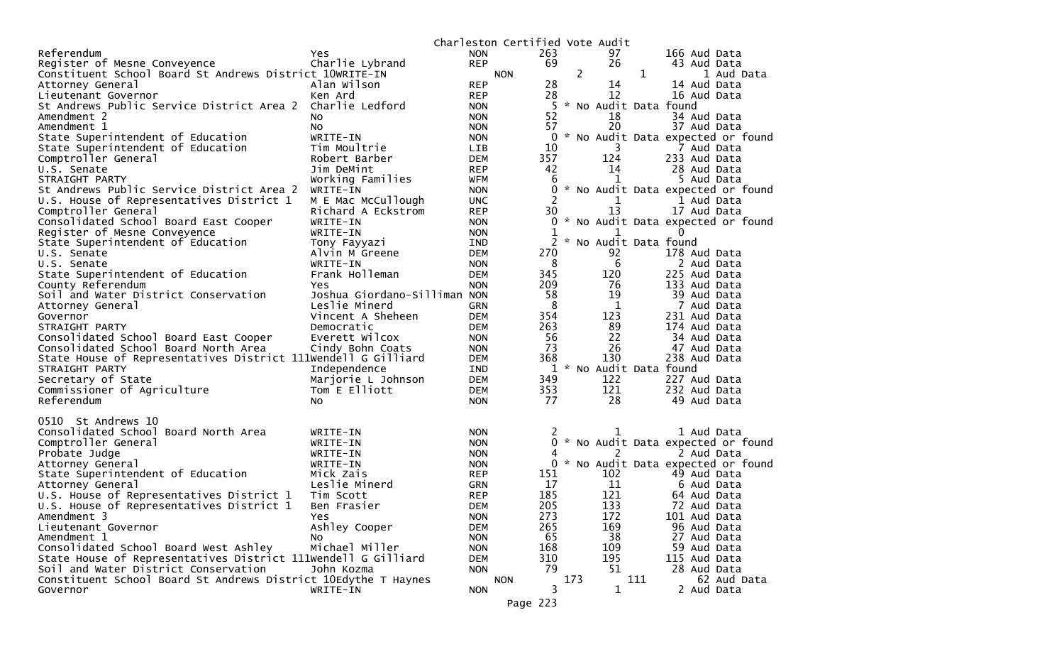|                                                                                                        |                          |            | Charleston Certified Vote Audit |              |                |                       |              |              |                                     |
|--------------------------------------------------------------------------------------------------------|--------------------------|------------|---------------------------------|--------------|----------------|-----------------------|--------------|--------------|-------------------------------------|
| Referendum                                                                                             | Yes                      | <b>NON</b> |                                 | 263          |                | 97                    |              | 166 Aud Data |                                     |
| Register of Mesne Conveyence                                                                           | Charlie Lybrand          | <b>REP</b> |                                 | 69           |                | 26                    |              | 43 Aud Data  |                                     |
| Constituent School Board St Andrews District 10WRITE-IN                                                |                          |            | <b>NON</b>                      |              | $\overline{2}$ |                       | $\mathbf{1}$ |              | 1 Aud Data                          |
| Attorney General                                                                                       | Alan Wilson              | <b>REP</b> |                                 | 28           |                | 14                    |              | 14 Aud Data  |                                     |
| Lieutenant Governor                                                                                    | Ken Ard                  | <b>REP</b> |                                 | 28           |                | 12                    |              | 16 Aud Data  |                                     |
| St Andrews Public Service District Area 2                                                              | Charlie Ledford          | <b>NON</b> |                                 | 5            |                | * No Audit Data found |              |              |                                     |
| Amendment 2                                                                                            | NO.                      | <b>NON</b> |                                 | 52           |                | 18                    |              | 34 Aud Data  |                                     |
| Amendment 1                                                                                            | NO.                      | <b>NON</b> |                                 | 57           |                | 20                    |              | 37 Aud Data  |                                     |
| State Superintendent of Education                                                                      | WRITE-IN                 | <b>NON</b> |                                 | $\mathbf{0}$ |                |                       |              |              | * No Audit Data expected or found   |
| State Superintendent of Education                                                                      | Tim Moultrie             | <b>LIB</b> |                                 | 10           |                | 3                     |              | 7 Aud Data   |                                     |
| Comptroller General                                                                                    | Robert Barber            | <b>DEM</b> |                                 | 357          |                | 124                   |              | 233 Aud Data |                                     |
| U.S. Senate                                                                                            | Jim DeMint               | <b>REP</b> |                                 | 42           |                | 14                    |              | 28 Aud Data  |                                     |
| STRAIGHT PARTY                                                                                         | Working Families         | <b>WFM</b> |                                 | 6            |                | 1                     |              | 5 Aud Data   |                                     |
| St Andrews Public Service District Area 2                                                              | WRITE-IN                 | <b>NON</b> |                                 | 0            |                |                       |              |              | * No Audit Data expected or found   |
| U.S. House of Representatives District 1                                                               | M E Mac McCullough       | <b>UNC</b> |                                 | 2            |                |                       |              | 1 Aud Data   |                                     |
| Comptroller General                                                                                    | Richard A Eckstrom       | <b>REP</b> |                                 | 30           |                | 13                    |              | 17 Aud Data  |                                     |
| Consolidated School Board East Cooper                                                                  | WRITE-IN                 | <b>NON</b> |                                 | 0            |                |                       |              |              | * No Audit Data expected or found   |
| Register of Mesne Conveyence                                                                           | WRITE-IN                 | <b>NON</b> |                                 | 1            |                | 1                     |              | 0            |                                     |
| State Superintendent of Education                                                                      | Tony Fayyazi             | IND        |                                 | 2            | $\mathcal{H}$  | No Audit Data found   |              |              |                                     |
| U.S. Senate                                                                                            | Alvin M Greene           | <b>DEM</b> |                                 | 270          |                | 92                    |              | 178 Aud Data |                                     |
| U.S. Senate                                                                                            | WRITE-IN                 | <b>NON</b> |                                 | 8            |                | 6                     |              | 2 Aud Data   |                                     |
| State Superintendent of Education                                                                      | Frank Holleman           | <b>DEM</b> | 345                             |              |                | 120                   |              | 225 Aud Data |                                     |
| County Referendum                                                                                      | Yes                      | <b>NON</b> |                                 | 209          |                | 76                    |              | 133 Aud Data |                                     |
| Soil and Water District Conservation                                                                   | Joshua Giordano-Silliman | <b>NON</b> |                                 | 58           |                | 19                    |              | 39 Aud Data  |                                     |
| Attorney General                                                                                       | Leslie Minerd            | <b>GRN</b> |                                 | 8            |                | 1                     |              | 7 Aud Data   |                                     |
| Governor                                                                                               | Vincent A Sheheen        | <b>DEM</b> |                                 | 354          |                | 123                   |              | 231 Aud Data |                                     |
| STRAIGHT PARTY                                                                                         | Democratic               | <b>DEM</b> |                                 | 263          |                | 89                    |              | 174 Aud Data |                                     |
| Consolidated School Board East Cooper                                                                  | Everett Wilcox           | <b>NON</b> |                                 | 56           |                | 22                    |              | 34 Aud Data  |                                     |
| Consolidated School Board North Area                                                                   | Cindy Bohn Coats         | <b>NON</b> |                                 | 73           |                | 26                    |              | 47 Aud Data  |                                     |
| State House of Representatives District 111Wendell G Gilliard                                          |                          | <b>DEM</b> | 368                             |              |                | 130                   |              | 238 Aud Data |                                     |
| STRAIGHT PARTY                                                                                         | Independence             | IND        |                                 | 1            |                | * No Audit Data found |              |              |                                     |
| Secretary of State                                                                                     | Marjorie L Johnson       | <b>DEM</b> |                                 | 349          |                | 122                   |              | 227 Aud Data |                                     |
| Commissioner of Agriculture                                                                            | Tom E Elliott            | <b>DEM</b> |                                 | 353          |                | 121                   |              | 232 Aud Data |                                     |
| Referendum                                                                                             | NO.                      | <b>NON</b> |                                 | 77           |                | 28                    |              | 49 Aud Data  |                                     |
|                                                                                                        |                          |            |                                 |              |                |                       |              |              |                                     |
| 0510 St Andrews 10                                                                                     |                          |            |                                 |              |                |                       |              |              |                                     |
| Consolidated School Board North Area                                                                   | WRITE-IN                 | <b>NON</b> |                                 |              |                |                       |              | 1 Aud Data   |                                     |
| Comptroller General                                                                                    | WRITE-IN                 | <b>NON</b> |                                 | 0            |                |                       |              |              | * No Audit Data expected or found   |
| Probate Judge                                                                                          | WRITE-IN                 | <b>NON</b> |                                 | 4            |                | 2                     |              | 2 Aud Data   |                                     |
| Attorney General                                                                                       | WRITE-IN                 | <b>NON</b> |                                 |              |                |                       |              |              | 0 * No Audit Data expected or found |
| State Superintendent of Education                                                                      | Mick Zais                | <b>REP</b> |                                 | 151          |                | 102                   |              | 49 Aud Data  |                                     |
| Attorney General                                                                                       | Leslie Minerd            | <b>GRN</b> |                                 | 17           |                | 11                    |              | 6 Aud Data   |                                     |
| U.S. House of Representatives District 1                                                               | Tim Scott                | <b>REP</b> |                                 | 185          |                | 121                   |              | 64 Aud Data  |                                     |
| U.S. House of Representatives District 1                                                               | Ben Frasier              | DEM        | 205                             |              |                | 133                   |              | 72 Aud Data  |                                     |
| Amendment 3                                                                                            | Yes                      | <b>NON</b> | 273                             |              |                | 172                   |              | 101 Aud Data |                                     |
| Lieutenant Governor                                                                                    | Ashley Cooper            | <b>DEM</b> | 265                             |              |                | 169                   |              | 96 Aud Data  |                                     |
| Amendment 1                                                                                            | NO.                      | <b>NON</b> |                                 | 65           |                | 38                    |              | 27 Aud Data  |                                     |
| Consolidated School Board West Ashley                                                                  | Michael Miller           | <b>NON</b> | 168                             |              |                | 109                   |              | 59 Aud Data  |                                     |
| State House of Representatives District 111Wendell G Gilliard                                          | John Kozma               | <b>DEM</b> |                                 | 310<br>79    |                | 195<br>51             |              | 115 Aud Data |                                     |
| Soil and Water District Conservation<br>Constituent School Board St Andrews District 10Edythe T Haynes |                          | <b>NON</b> |                                 |              | 173            |                       | 111          | 28 Aud Data  | 62 Aud Data                         |
| Governor                                                                                               | WRITE-IN                 |            | <b>NON</b>                      | 3            |                | 1                     |              | 2 Aud Data   |                                     |
|                                                                                                        |                          | <b>NON</b> |                                 |              |                |                       |              |              |                                     |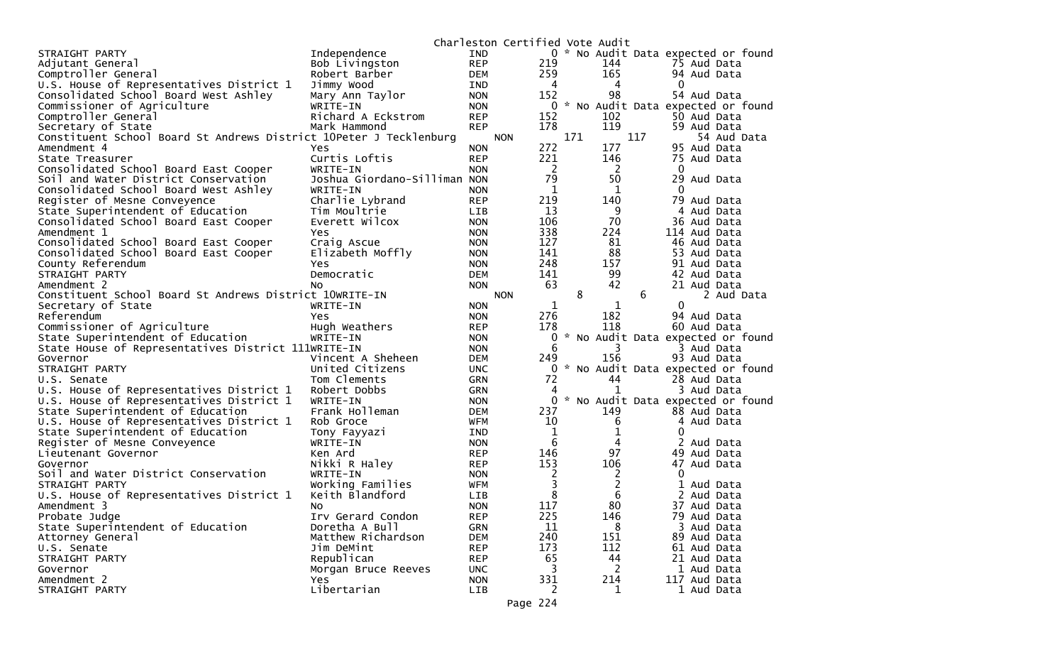|                                                                    |                              |            | Charleston Certified Vote Audit |             |     |                |     |              |                                     |
|--------------------------------------------------------------------|------------------------------|------------|---------------------------------|-------------|-----|----------------|-----|--------------|-------------------------------------|
| STRAIGHT PARTY                                                     | Independence                 | <b>IND</b> |                                 |             |     |                |     |              | 0 * No Audit Data expected or found |
| Adjutant General                                                   | Bob Livingston               | <b>REP</b> |                                 | 219         |     | 144            |     | 75 Aud Data  |                                     |
| Comptroller General                                                | Robert Barber                | DEM        |                                 | 259         |     | 165            |     | 94 Aud Data  |                                     |
| U.S. House of Representatives District 1                           | Jimmy Wood                   | IND        |                                 | 4           |     | 4              |     | 0            |                                     |
| Consolidated School Board West Ashley                              | Mary Ann Taylor              | <b>NON</b> |                                 | 152         |     | 98             |     | 54 Aud Data  |                                     |
| Commissioner of Agriculture                                        | WRITE-IN                     | <b>NON</b> |                                 | 0           |     |                |     |              | * No Audit Data expected or found   |
| Comptroller General                                                | Richard A Eckstrom           | <b>REP</b> |                                 | 152         |     | 102            |     | 50 Aud Data  |                                     |
| Secretary of State                                                 | Mark Hammond                 | <b>REP</b> |                                 | 178         |     | 119            |     | 59 Aud Data  |                                     |
| Constituent School Board St Andrews District 10Peter J Tecklenburg |                              |            | <b>NON</b>                      |             | 171 |                | 117 |              | 54 Aud Data                         |
| Amendment 4                                                        | Yes                          | <b>NON</b> |                                 | 272         |     | 177            |     | 95 Aud Data  |                                     |
| State Treasurer                                                    | Curtis Loftis                | <b>REP</b> |                                 | 221         |     | 146            |     | 75 Aud Data  |                                     |
| Consolidated School Board East Cooper                              | WRITE-IN                     | <b>NON</b> |                                 | 2           |     | $\overline{2}$ |     | $\mathbf 0$  |                                     |
| Soil and Water District Conservation                               | Joshua Giordano-Silliman NON |            |                                 | 79          |     | 50             |     | 29 Aud Data  |                                     |
| Consolidated School Board West Ashley                              | WRITE-IN                     | <b>NON</b> |                                 | 1           |     | 1              |     | 0            |                                     |
| Register of Mesne Conveyence                                       | Charlie Lybrand              | <b>REP</b> |                                 | 219         |     | 140            |     | 79 Aud Data  |                                     |
| State Superintendent of Education                                  | Tim Moultrie                 | <b>LIB</b> |                                 | 13          |     | 9              |     | 4            | Aud Data                            |
| Consolidated School Board East Cooper                              | Everett Wilcox               | <b>NON</b> |                                 | 106         |     | 70             |     | 36 Aud Data  |                                     |
| Amendment 1                                                        | Yes                          | <b>NON</b> |                                 | 338         |     | 224            |     | 114 Aud Data |                                     |
| Consolidated School Board East Cooper                              | Craig Ascue                  | <b>NON</b> |                                 | 127         |     | 81             |     | 46 Aud Data  |                                     |
| Consolidated School Board East Cooper                              | Elizabeth Moffly             | <b>NON</b> |                                 | 141         |     | 88             |     | 53 Aud Data  |                                     |
| County Referendum                                                  | Yes.                         | <b>NON</b> |                                 | 248         |     | 157            |     | 91 Aud Data  |                                     |
| STRAIGHT PARTY                                                     | Democratic                   | <b>DEM</b> |                                 | 141         |     | 99             |     | 42 Aud Data  |                                     |
| Amendment 2                                                        | No.                          | <b>NON</b> |                                 | 63          |     | 42             |     | 21 Aud Data  |                                     |
| Constituent School Board St Andrews District 10WRITE-IN            |                              |            | <b>NON</b>                      |             | 8   |                | 6   |              | 2 Aud Data                          |
| Secretary of State                                                 | WRITE-IN                     | <b>NON</b> |                                 | 1           |     | 1              |     | 0            |                                     |
| Referendum                                                         | <b>Yes</b>                   | <b>NON</b> |                                 | 276         |     | 182            |     | 94 Aud Data  |                                     |
| Commissioner of Agriculture                                        | Hugh Weathers                | <b>REP</b> |                                 | 178         |     | 118            |     | 60 Aud Data  |                                     |
| State Superintendent of Education                                  | WRITE-IN                     | <b>NON</b> |                                 | 0           |     |                |     |              | No Audit Data expected or found     |
| State House of Representatives District 111WRITE-IN                |                              | <b>NON</b> |                                 | 6           |     | 3              |     | 3 Aud Data   |                                     |
| Governor                                                           | Vincent A Sheheen            | <b>DEM</b> |                                 | 249         |     | 156            |     | 93 Aud Data  |                                     |
| STRAIGHT PARTY                                                     | United Citizens              | <b>UNC</b> |                                 | 0           |     |                |     |              | * No Audit Data expected or found   |
| U.S. Senate                                                        | Tom Clements                 | <b>GRN</b> |                                 | 72          |     | 44             |     | 28 Aud Data  |                                     |
| U.S. House of Representatives District 1                           | Robert Dobbs                 | <b>GRN</b> |                                 | 4           |     | $\mathbf{1}$   |     | 3 Aud Data   |                                     |
| U.S. House of Representatives District 1                           | WRITE-IN                     | <b>NON</b> |                                 | 0           |     |                |     |              | * No Audit Data expected or found   |
| State Superintendent of Education                                  | Frank Holleman               | <b>DEM</b> |                                 | 237         |     | 149            |     | 88 Aud Data  |                                     |
| U.S. House of Representatives District 1                           | Rob Groce                    | WFM        |                                 | 10          |     | 6              |     | 4 Aud Data   |                                     |
| State Superintendent of Education                                  | Tony Fayyazi                 | <b>IND</b> |                                 | $\mathbf 1$ |     | 1              |     | 0            |                                     |
| Register of Mesne Conveyence                                       | WRITE-IN                     | <b>NON</b> |                                 | 6           |     | 4              |     | 2 Aud Data   |                                     |
| Lieutenant Governor                                                | Ken Ard                      | <b>REP</b> |                                 | 146         |     | 97             |     | 49 Aud Data  |                                     |
| Governor                                                           | Nikki R Haley                | <b>REP</b> |                                 | 153         |     | 106            |     | 47 Aud Data  |                                     |
| Soil and Water District Conservation                               | WRITE-IN                     | <b>NON</b> |                                 | 2           |     | $\overline{2}$ |     | $\Omega$     |                                     |
| STRAIGHT PARTY                                                     | Working Families             | <b>WFM</b> |                                 | 3           |     | $\overline{2}$ |     | 1            | Aud Data                            |
| U.S. House of Representatives District 1                           | Keith Blandford              | <b>LIB</b> |                                 | 8           |     | 6              |     | 2 Aud Data   |                                     |
| Amendment 3                                                        | No                           | <b>NON</b> |                                 | 117         |     | 80             |     | 37 Aud Data  |                                     |
| Probate Judge                                                      | Irv Gerard Condon            | <b>REP</b> |                                 | 225         |     | 146            |     | 79 Aud Data  |                                     |
| State Superintendent of Education                                  | Doretha A Bull               | <b>GRN</b> |                                 | 11          |     | 8              |     | 3 Aud Data   |                                     |
| Attorney General                                                   | Matthew Richardson           | <b>DEM</b> |                                 | 240         |     | 151            |     | 89 Aud Data  |                                     |
| U.S. Senate                                                        | Jim DeMint                   | <b>REP</b> |                                 | 173         |     | 112            |     | 61 Aud Data  |                                     |
| STRAIGHT PARTY                                                     | Republican                   | <b>REP</b> |                                 | 65          |     | 44             |     | 21 Aud Data  |                                     |
| Governor                                                           | Morgan Bruce Reeves          | <b>UNC</b> |                                 | 3           |     | 2              |     | 1 Aud Data   |                                     |
| Amendment 2                                                        | Yes                          | <b>NON</b> |                                 | 331         |     | 214            |     | 117 Aud Data |                                     |
| STRAIGHT PARTY                                                     | Libertarian                  | LIB        |                                 | 2           |     | 1              |     | 1 Aud Data   |                                     |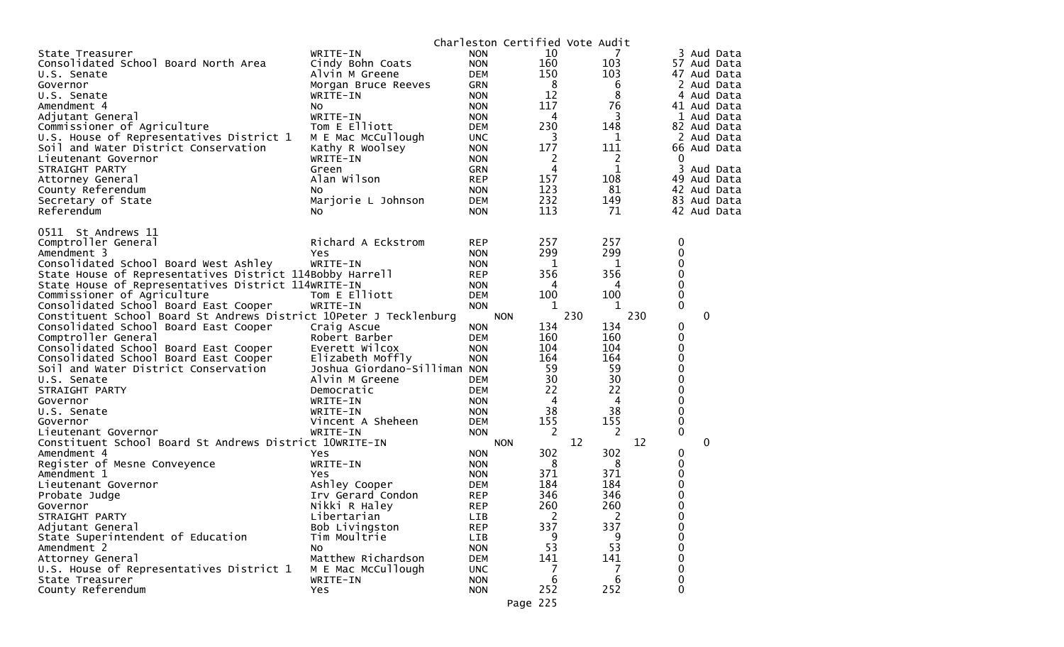|                                                                    |                              |            | Charleston Certified Vote Audit |     |     |     |             |   |             |
|--------------------------------------------------------------------|------------------------------|------------|---------------------------------|-----|-----|-----|-------------|---|-------------|
| State Treasurer                                                    | WRITE-IN                     | <b>NON</b> | 10                              |     |     |     |             |   | Aud Data    |
| Consolidated School Board North Area                               | Cindy Bohn Coats             | <b>NON</b> | 160                             |     | 103 |     |             |   | 57 Aud Data |
| U.S. Senate                                                        | Alvin M Greene               | <b>DEM</b> | 150                             |     | 103 |     |             |   | 47 Aud Data |
| Governor                                                           | Morgan Bruce Reeves          | <b>GRN</b> | 8                               |     | 6   |     |             |   | 2 Aud Data  |
| U.S. Senate                                                        | WRITE-IN                     | <b>NON</b> | 12                              |     | 8   |     | 4           |   | Aud Data    |
| Amendment 4                                                        | No.                          | <b>NON</b> | 117                             |     | 76  |     |             |   | 41 Aud Data |
| Adjutant General                                                   | WRITE-IN                     | <b>NON</b> | 4                               |     | 3   |     |             |   | Aud Data    |
| Commissioner of Agriculture                                        | Tom E Elliott                | <b>DEM</b> | 230                             |     | 148 |     |             |   | 82 Aud Data |
| U.S. House of Representatives District 1                           | M E Mac McCullough           | <b>UNC</b> | 3                               |     | 1   |     |             |   | 2 Aud Data  |
| Soil and Water District Conservation                               | Kathy R Woolsey              | <b>NON</b> | 177                             |     | 111 |     |             |   | 66 Aud Data |
| Lieutenant Governor                                                | WRITE-IN                     | <b>NON</b> | 2                               |     | 2   |     | 0           |   |             |
| STRAIGHT PARTY                                                     | Green                        | <b>GRN</b> | 4                               |     | 1   |     | 3           |   | Aud Data    |
|                                                                    | Alan Wilson                  | <b>REP</b> | 157                             |     | 108 |     | 49          |   |             |
| Attorney General                                                   |                              |            | 123                             |     | 81  |     |             |   | Aud Data    |
| County Referendum                                                  | NO.                          | <b>NON</b> | 232                             |     |     |     |             |   | 42 Aud Data |
| Secretary of State                                                 | Marjorie L Johnson           | <b>DEM</b> |                                 |     | 149 |     |             |   | 83 Aud Data |
| Referendum                                                         | No.                          | <b>NON</b> | 113                             |     | 71  |     |             |   | 42 Aud Data |
| 0511 St Andrews 11                                                 |                              |            |                                 |     |     |     |             |   |             |
| Comptroller General                                                | Richard A Eckstrom           | <b>REP</b> | 257                             |     | 257 |     | 0           |   |             |
| Amendment 3                                                        | Yes                          | <b>NON</b> | 299                             |     | 299 |     | 0           |   |             |
| Consolidated School Board West Ashley                              | WRITE-IN                     | <b>NON</b> | 1                               |     | 1   |     | 0           |   |             |
| State House of Representatives District 114Bobby Harrell           |                              | <b>REP</b> | 356                             |     | 356 |     | 0           |   |             |
| State House of Representatives District 114WRITE-IN                |                              | <b>NON</b> | 4                               |     | 4   |     | 0           |   |             |
| Commissioner of Agriculture                                        | Tom E Elliott                | <b>DEM</b> | 100                             |     | 100 |     | 0           |   |             |
| Consolidated School Board East Cooper                              |                              |            | 1                               |     | 1   |     | $\mathbf 0$ |   |             |
|                                                                    | WRITE-IN                     | <b>NON</b> |                                 | 230 |     | 230 |             |   |             |
| Constituent School Board St Andrews District 10Peter J Tecklenburg |                              |            | <b>NON</b><br>134               |     | 134 |     |             | 0 |             |
| Consolidated School Board East Cooper                              | Craig Ascue                  | <b>NON</b> |                                 |     |     |     | 0           |   |             |
| Comptroller General                                                | Robert Barber                | <b>DEM</b> | 160                             |     | 160 |     | 0           |   |             |
| Consolidated School Board East Cooper                              | Everett Wilcox               | <b>NON</b> | 104                             |     | 104 |     | 0           |   |             |
| Consolidated School Board East Cooper                              | Elizabeth Moffly             | <b>NON</b> | 164                             |     | 164 |     | 0           |   |             |
| Soil and Water District Conservation                               | Joshua Giordano-Silliman NON |            | 59                              |     | 59  |     | 0           |   |             |
| U.S. Senate                                                        | Alvin M Greene               | <b>DEM</b> | 30                              |     | 30  |     | 0           |   |             |
| STRAIGHT PARTY                                                     | Democratic                   | <b>DEM</b> | 22                              |     | 22  |     | $\mathbf 0$ |   |             |
| Governor                                                           | WRITE-IN                     | <b>NON</b> | 4                               |     | 4   |     | 0           |   |             |
| U.S. Senate                                                        | WRITE-IN                     | <b>NON</b> | 38                              |     | 38  |     | 0           |   |             |
| Governor                                                           | Vincent A Sheheen            | <b>DEM</b> | 155                             |     | 155 |     | 0           |   |             |
| Lieutenant Governor                                                | WRITE-IN                     | <b>NON</b> | 2                               |     | 2   |     | 0           |   |             |
| Constituent School Board St Andrews District 10WRITE-IN            |                              |            | <b>NON</b>                      | 12  |     | 12  |             | 0 |             |
| Amendment 4                                                        | Yes                          | <b>NON</b> | 302                             |     | 302 |     | 0           |   |             |
| Register of Mesne Conveyence                                       | WRITE-IN                     | <b>NON</b> | 8                               |     | 8   |     | 0           |   |             |
| Amendment 1                                                        | Yes                          | <b>NON</b> | 371                             |     | 371 |     | 0           |   |             |
| Lieutenant Governor                                                | Ashley Cooper                | <b>DEM</b> | 184                             |     | 184 |     | 0           |   |             |
| Probate Judge                                                      | Irv Gerard Condon            | <b>REP</b> | 346                             |     | 346 |     | 0           |   |             |
| Governor                                                           | Nikki R Haley                | <b>REP</b> | 260                             |     | 260 |     | 0           |   |             |
| STRAIGHT PARTY                                                     | Libertarian                  | LIB        | 2                               |     | 2   |     | 0           |   |             |
| Adjutant General                                                   | Bob Livingston               | <b>REP</b> | 337                             |     | 337 |     | 0           |   |             |
| State Superintendent of Education                                  | Tim Moultrie                 | LIB        | 9                               |     | 9   |     | 0           |   |             |
| Amendment 2                                                        | No.                          | <b>NON</b> | 53                              |     | 53  |     | 0           |   |             |
| Attorney General                                                   | Matthew Richardson           | <b>DEM</b> | 141                             |     | 141 |     | 0           |   |             |
| U.S. House of Representatives District 1                           | M E Mac McCullough           | <b>UNC</b> | 7                               |     | 7   |     | $\pmb{0}$   |   |             |
| State Treasurer                                                    | WRITE-IN                     | <b>NON</b> | 6                               |     | 6   |     | $\pmb{0}$   |   |             |
| County Referendum                                                  | Yes                          | <b>NON</b> | 252                             |     | 252 |     | 0           |   |             |
|                                                                    |                              |            | Page 225                        |     |     |     |             |   |             |
|                                                                    |                              |            |                                 |     |     |     |             |   |             |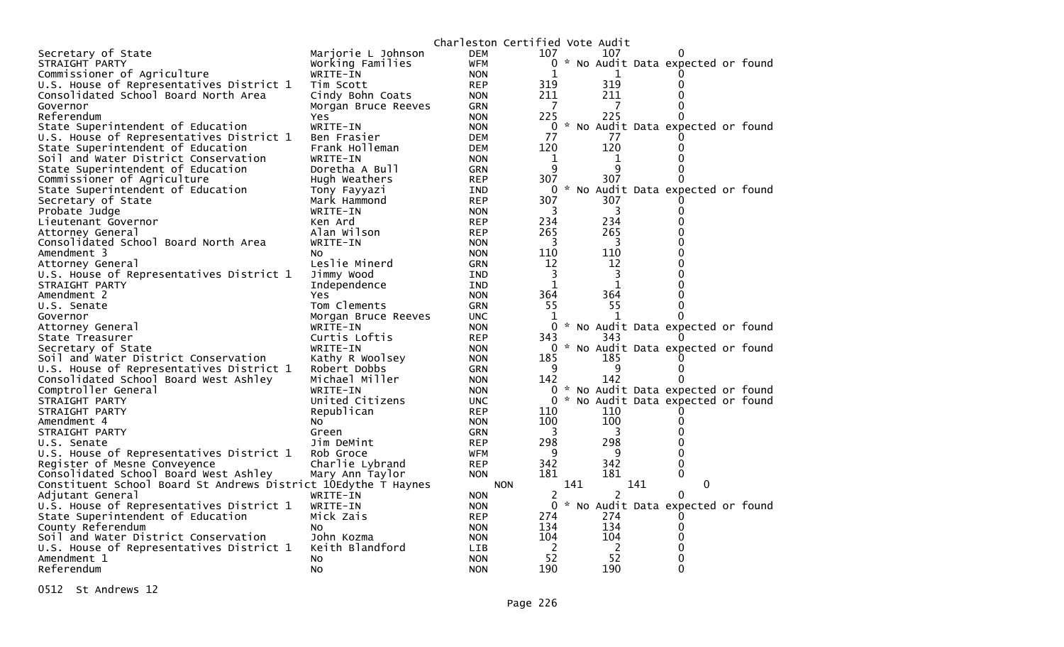|                                                                |                     | Charleston Certified Vote Audit |              |     |              |                                     |   |  |
|----------------------------------------------------------------|---------------------|---------------------------------|--------------|-----|--------------|-------------------------------------|---|--|
| Secretary of State                                             | Marjorie L Johnson  | <b>DEM</b>                      | 107          |     | 107          |                                     |   |  |
| STRAIGHT PARTY                                                 | Working Families    | <b>WFM</b>                      |              |     |              | 0 * No Audit Data expected or found |   |  |
| Commissioner of Agriculture                                    | WRITE-IN            | <b>NON</b>                      |              |     | 1            | $\Omega$                            |   |  |
| U.S. House of Representatives District 1                       | Tim Scott           | <b>REP</b>                      | 319          |     | 319          | 0                                   |   |  |
| Consolidated School Board North Area                           | Cindy Bohn Coats    | <b>NON</b>                      | 211          |     | 211          | 0                                   |   |  |
| Governor                                                       | Morgan Bruce Reeves | <b>GRN</b>                      | 7            |     | 7            | 0                                   |   |  |
| Referendum                                                     | Yes.                | <b>NON</b>                      | 225          |     | 225          | 0                                   |   |  |
| State Superintendent of Education                              | WRITE-IN            | <b>NON</b>                      | 0            |     |              | * No Audit Data expected or found   |   |  |
| U.S. House of Representatives District 1                       | Ben Frasier         | <b>DEM</b>                      | 77           |     | 77           |                                     |   |  |
| State Superintendent of Education                              | Frank Holleman      | <b>DEM</b>                      | 120          |     | 120          | 0                                   |   |  |
| Soil and Water District Conservation                           | WRITE-IN            | <b>NON</b>                      | 1            |     | 1            | 0                                   |   |  |
| State Superintendent of Education                              | Doretha A Bull      | <b>GRN</b>                      | 9            |     | q            | 0                                   |   |  |
| Commissioner of Agriculture                                    | Hugh Weathers       | <b>REP</b>                      | 307          |     | 307          | 0                                   |   |  |
| State Superintendent of Education                              | Tony Fayyazi        | IND                             | $\mathbf{0}$ |     |              | * No Audit Data expected or found   |   |  |
| Secretary of State                                             | Mark Hammond        | <b>REP</b>                      | 307          |     | 307          |                                     |   |  |
| Probate Judge                                                  | WRITE-IN            | <b>NON</b>                      | 3            |     | 3            | 0                                   |   |  |
| Lieutenant Governor                                            | Ken Ard             | <b>REP</b>                      | 234          |     | 234          | 0                                   |   |  |
| Attorney General                                               | Alan Wilson         | <b>REP</b>                      | 265          |     | 265          | 0                                   |   |  |
| Consolidated School Board North Area                           | WRITE-IN            | <b>NON</b>                      | 3            |     | 3            | 0                                   |   |  |
| Amendment 3                                                    | No.                 | <b>NON</b>                      | 110          |     | 110          | 0                                   |   |  |
|                                                                | Leslie Minerd       |                                 | 12           |     | 12           | ი                                   |   |  |
| Attorney General                                               |                     | <b>GRN</b>                      | 3            |     | 3            | 0                                   |   |  |
| U.S. House of Representatives District 1                       | Jimmy Wood          | IND                             | $\mathbf{1}$ |     | $\mathbf{1}$ | 0                                   |   |  |
| STRAIGHT PARTY                                                 | Independence        | <b>IND</b>                      |              |     |              | 0                                   |   |  |
| Amendment 2                                                    | <b>Yes</b>          | <b>NON</b>                      | 364          |     | 364          |                                     |   |  |
| U.S. Senate                                                    | Tom Clements        | <b>GRN</b>                      | 55           |     | 55           | 0                                   |   |  |
| Governor                                                       | Morgan Bruce Reeves | <b>UNC</b>                      | 1            |     | 1            | 0                                   |   |  |
| Attorney General                                               | WRITE-IN            | <b>NON</b>                      | $\Omega$     |     |              | * No Audit Data expected or found   |   |  |
| State Treasurer                                                | Curtis Loftis       | <b>REP</b>                      | 343          |     | 343          |                                     |   |  |
| Secretary of State                                             | WRITE-IN            | <b>NON</b>                      |              |     |              | 0 * No Audit Data expected or found |   |  |
| Soil and Water District Conservation                           | Kathy R Woolsey     | <b>NON</b>                      | 185          |     | 185          |                                     |   |  |
| U.S. House of Representatives District 1                       | Robert Dobbs        | <b>GRN</b>                      | 9            |     | 9            | 0                                   |   |  |
| Consolidated School Board West Ashley                          | Michael Miller      | <b>NON</b>                      | 142          |     | 142          | 0                                   |   |  |
| Comptroller General                                            | WRITE-IN            | <b>NON</b>                      |              |     |              | 0 * No Audit Data expected or found |   |  |
| STRAIGHT PARTY                                                 | United Citizens     | <b>UNC</b>                      |              |     |              | * No Audit Data expected or found   |   |  |
| STRAIGHT PARTY                                                 | Republican          | <b>REP</b>                      | 110          |     | 110          | $_{0}$                              |   |  |
| Amendment 4                                                    | No                  | <b>NON</b>                      | 100          |     | 100          | 0                                   |   |  |
| STRAIGHT PARTY                                                 | Green               | <b>GRN</b>                      | 3            |     | 3            | 0                                   |   |  |
| U.S. Senate                                                    | Jim DeMint          | <b>REP</b>                      | 298          |     | 298          | 0                                   |   |  |
| U.S. House of Representatives District 1                       | Rob Groce           | <b>WFM</b>                      | 9            |     | 9            | 0                                   |   |  |
| Register of Mesne Conveyence                                   | Charlie Lybrand     | <b>REP</b>                      | 342          |     | 342          | 0                                   |   |  |
| Consolidated School Board West Ashley                          | Mary Ann Taylor     | <b>NON</b>                      | 181          |     | 181          | 0                                   |   |  |
| Constituent School Board St Andrews District 10Edythe T Haynes |                     | <b>NON</b>                      |              | 141 |              | 141                                 | 0 |  |
| Adjutant General                                               | WRITE-IN            | <b>NON</b>                      | 2            |     | 2            | 0                                   |   |  |
| U.S. House of Representatives District 1                       | WRITE-IN            | <b>NON</b>                      | $\Omega$     |     |              | * No Audit Data expected or found   |   |  |
| State Superintendent of Education                              | Mick Zais           | <b>REP</b>                      | 274          |     | 274          |                                     |   |  |
| County Referendum                                              | NO.                 | <b>NON</b>                      | 134          |     | 134          | 0                                   |   |  |
| Soil and Water District Conservation                           | John Kozma          | <b>NON</b>                      | 104          |     | 104          | 0                                   |   |  |
| U.S. House of Representatives District 1                       | Keith Blandford     | LIB                             | 2            |     | 2            | 0                                   |   |  |
| Amendment 1                                                    | No.                 | <b>NON</b>                      | 52           |     | 52           | 0                                   |   |  |
| Referendum                                                     | NO.                 | <b>NON</b>                      | 190          |     | 190          | 0                                   |   |  |

0512 St Andrews 12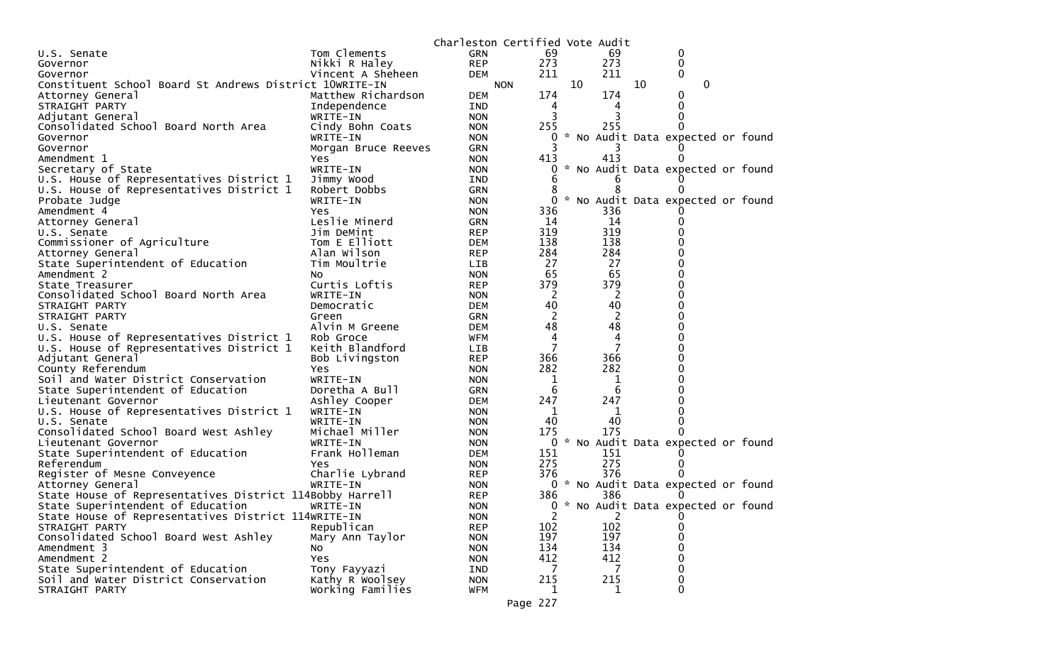|                                                          |                           | Charleston Certified Vote Audit |              |    |                     |    |                                     |  |
|----------------------------------------------------------|---------------------------|---------------------------------|--------------|----|---------------------|----|-------------------------------------|--|
| U.S. Senate                                              | Tom Clements              | <b>GRN</b>                      | 69           |    | 69                  |    | 0                                   |  |
| Governor                                                 | Nikki R Haley             | <b>REP</b>                      | 273          |    | 273                 |    | 0                                   |  |
| Governor                                                 | Vincent A Sheheen         | <b>DEM</b>                      | 211          |    | 211                 |    | 0                                   |  |
| Constituent School Board St Andrews District 10WRITE-IN  |                           | <b>NON</b>                      |              | 10 |                     | 10 | $\mathbf{0}$                        |  |
| Attorney General                                         | Matthew Richardson        | <b>DEM</b>                      | 174          |    | 174                 |    | 0                                   |  |
| STRAIGHT PARTY                                           | Independence              | <b>IND</b>                      | 4            |    | 4                   |    | 0                                   |  |
| Adjutant General                                         | WRITE-IN                  | <b>NON</b>                      | 3            |    | 3                   |    |                                     |  |
| Consolidated School Board North Area                     | Cindy Bohn Coats          | <b>NON</b>                      | 255          |    | 255                 |    | 0                                   |  |
| Governor                                                 | WRITE-IN                  | <b>NON</b>                      | 0            |    |                     |    | * No Audit Data expected or found   |  |
| Governor                                                 | Morgan Bruce Reeves       | <b>GRN</b>                      |              |    |                     |    |                                     |  |
| Amendment 1                                              | Yes                       | <b>NON</b>                      | 413          |    | 413                 |    | 0                                   |  |
| Secretary of State                                       | WRITE-IN                  | <b>NON</b>                      | 0            |    |                     |    | * No Audit Data expected or found   |  |
| U.S. House of Representatives District 1                 | Jimmy Wood                | IND                             | 6            |    |                     |    |                                     |  |
| U.S. House of Representatives District 1                 | Robert Dobbs              | <b>GRN</b>                      |              |    | 8                   |    |                                     |  |
| Probate Judge                                            | WRITE-IN                  | <b>NON</b>                      | 0            |    |                     |    | * No Audit Data expected or found   |  |
| Amendment 4                                              | Yes                       | <b>NON</b>                      | 336          |    | 336                 |    |                                     |  |
| Attorney General                                         | Leslie Minerd             | <b>GRN</b>                      | 14           |    | 14                  |    | 0                                   |  |
| U.S. Senate                                              | Jim DeMint                | <b>REP</b>                      | 319          |    | 319                 |    |                                     |  |
| Commissioner of Agriculture                              | Tom E Elliott             | <b>DEM</b>                      | 138          |    | 138                 |    |                                     |  |
| Attorney General                                         | Alan Wilson               | <b>REP</b>                      | 284          |    | 284                 |    | 0                                   |  |
| State Superintendent of Education                        | Tim Moultrie              | <b>LIB</b>                      | 27           |    | 27                  |    |                                     |  |
| Amendment 2                                              | NO.                       | <b>NON</b>                      | 65           |    | 65                  |    | O                                   |  |
| State Treasurer                                          | Curtis Loftis             | <b>REP</b>                      | 379          |    | 379                 |    | 0                                   |  |
| Consolidated School Board North Area                     | WRITE-IN                  | <b>NON</b>                      | <sup>2</sup> |    | 2                   |    | $\Omega$                            |  |
| STRAIGHT PARTY                                           | Democratic                | <b>DEM</b>                      | 40           |    | 40                  |    | $\Omega$                            |  |
| STRAIGHT PARTY                                           | Green                     | <b>GRN</b>                      | 2            |    | 2                   |    | 0                                   |  |
| U.S. Senate                                              | Alvin M Greene            | <b>DEM</b>                      | 48           |    | 48                  |    | 0                                   |  |
| U.S. House of Representatives District 1                 | Rob Groce                 | <b>WFM</b>                      | 4            |    | 4<br>$\overline{7}$ |    | O                                   |  |
| U.S. House of Representatives District 1                 | Keith Blandford           | LIB                             | 7            |    |                     |    | 0<br>0                              |  |
| Adjutant General                                         | Bob Livingston            | <b>REP</b>                      | 366<br>282   |    | 366<br>282          |    | 0                                   |  |
| County Referendum                                        | Yes<br>WRITE-IN           | <b>NON</b>                      |              |    |                     |    |                                     |  |
| Soil and Water District Conservation                     | Doretha A Bull            | <b>NON</b><br><b>GRN</b>        | 1<br>6       |    | 1<br>6              |    |                                     |  |
| State Superintendent of Education<br>Lieutenant Governor |                           | <b>DEM</b>                      | 247          |    | 247                 |    |                                     |  |
|                                                          | Ashley Cooper<br>WRITE-IN | <b>NON</b>                      | 1            |    | 1                   |    |                                     |  |
| U.S. House of Representatives District 1<br>U.S. Senate  | WRITE-IN                  | <b>NON</b>                      | 40           |    | 40                  |    |                                     |  |
| Consolidated School Board West Ashley                    | Michael Miller            | <b>NON</b>                      | 175          |    | 175                 |    |                                     |  |
| Lieutenant Governor                                      | WRITE-IN                  | <b>NON</b>                      | 0            |    |                     |    | * No Audit Data expected or found   |  |
| State Superintendent of Education                        | Frank Holleman            | <b>DEM</b>                      | 151          |    | 151                 |    |                                     |  |
| Referendum                                               | Yes                       | <b>NON</b>                      | 275          |    | 275                 |    |                                     |  |
| Register of Mesne Conveyence                             | Charlie Lybrand           | <b>REP</b>                      | 376          |    | 376                 |    |                                     |  |
| Attorney General                                         | WRITE-IN                  | <b>NON</b>                      |              |    |                     |    | 0 * No Audit Data expected or found |  |
| State House of Representatives District 114Bobby Harrell |                           | <b>REP</b>                      | 386          |    | 386                 |    | $\Omega$                            |  |
| State Superintendent of Education                        | WRITE-IN                  | <b>NON</b>                      |              |    |                     |    | 0 * No Audit Data expected or found |  |
| State House of Representatives District 114WRITE-IN      |                           | <b>NON</b>                      | 2            |    | $\overline{2}$      |    | 0                                   |  |
| STRAIGHT PARTY                                           | Republican                | <b>REP</b>                      | 102          |    | 102                 |    | $\Omega$                            |  |
| Consolidated School Board West Ashley                    | Mary Ann Taylor           | <b>NON</b>                      | 197          |    | 197                 |    | $\Omega$                            |  |
| Amendment 3                                              | NO.                       | <b>NON</b>                      | 134          |    | 134                 |    | 0                                   |  |
| Amendment 2                                              | Yes                       | <b>NON</b>                      | 412          |    | 412                 |    | $\mathbf 0$                         |  |
| State Superintendent of Education                        | Tony Fayyazi              | IND                             | 7            |    | 7                   |    | $\boldsymbol{0}$                    |  |
| Soil and Water District Conservation                     | Kathy R Woolsey           | <b>NON</b>                      | 215          |    | 215                 |    | 0                                   |  |
| STRAIGHT PARTY                                           | Working Families          | <b>WFM</b>                      | 1            |    | $\mathbf{1}$        |    | 0                                   |  |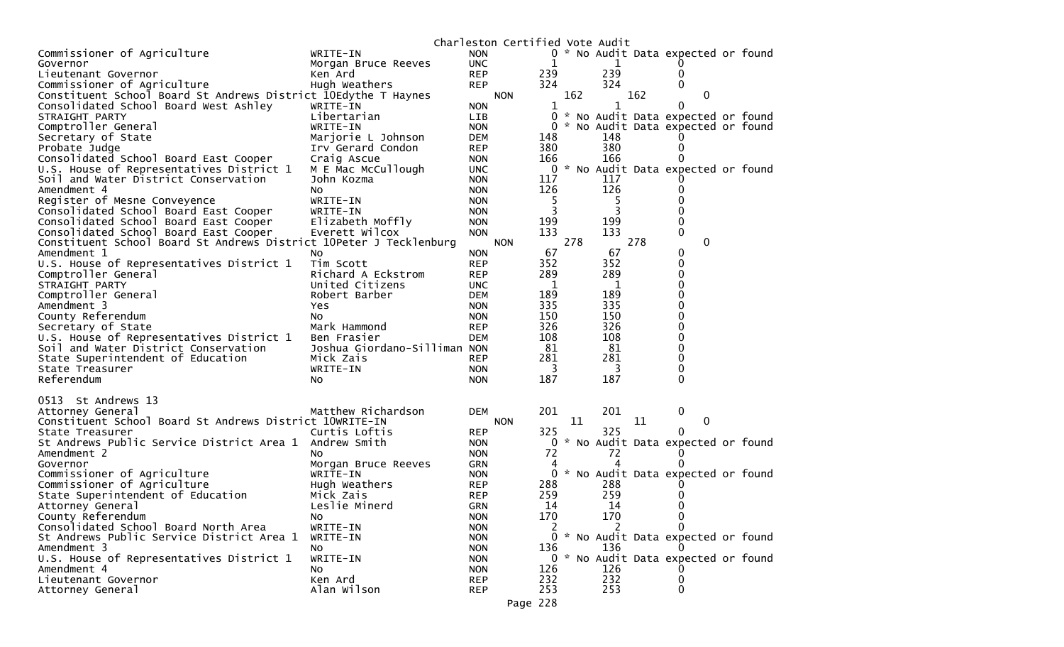|                                                                    |                              |                          | Charleston Certified Vote Audit |            |     |              |     |                                     |  |
|--------------------------------------------------------------------|------------------------------|--------------------------|---------------------------------|------------|-----|--------------|-----|-------------------------------------|--|
| Commissioner of Agriculture                                        | WRITE-IN                     | <b>NON</b>               |                                 |            |     |              |     | 0 * No Audit Data expected or found |  |
| Governor                                                           | Morgan Bruce Reeves          | <b>UNC</b>               |                                 | 1          |     | 1            |     |                                     |  |
| Lieutenant Governor                                                | Ken Ard                      | <b>REP</b>               |                                 | 239        |     | 239          |     | 0                                   |  |
| Commissioner of Agriculture                                        | Hugh Weathers                | <b>REP</b>               |                                 | 324        |     | 324          |     | $\Omega$                            |  |
| Constituent School Board St Andrews District 10Edythe T Haynes     |                              |                          | <b>NON</b>                      |            | 162 |              | 162 | 0                                   |  |
| Consolidated School Board West Ashley                              | WRITE-IN                     | <b>NON</b>               |                                 | 1          |     | $\mathbf{1}$ |     | 0                                   |  |
| STRAIGHT PARTY                                                     | Libertarian                  | <b>LIB</b>               |                                 | $\Omega$   |     |              |     | * No Audit Data expected or found   |  |
| Comptroller General                                                | WRITE-IN                     | <b>NON</b>               |                                 | 0          |     |              |     | * No Audit Data expected or found   |  |
| Secretary of State                                                 | Marjorie L Johnson           | DEM                      |                                 | 148        |     | 148          |     |                                     |  |
| Probate Judge                                                      | Irv Gerard Condon            | <b>REP</b>               |                                 | 380        |     | 380          |     | 0                                   |  |
| Consolidated School Board East Cooper                              | Craig Ascue                  | <b>NON</b>               |                                 | 166        |     | 166          |     | 0                                   |  |
| U.S. House of Representatives District 1                           | M E Mac McCullough           | <b>UNC</b>               |                                 | 0          |     | 117          |     | * No Audit Data expected or found   |  |
| Soil and Water District Conservation<br>Amendment 4                | John Kozma<br>N <sub>O</sub> | <b>NON</b><br><b>NON</b> |                                 | 117<br>126 |     | 126          |     |                                     |  |
| Register of Mesne Conveyence                                       | WRITE-IN                     | <b>NON</b>               |                                 | 5          |     | 5            |     |                                     |  |
| Consolidated School Board East Cooper                              | WRITE-IN                     | <b>NON</b>               |                                 |            |     |              |     | 0                                   |  |
| Consolidated School Board East Cooper                              | Elizabeth Moffly             | <b>NON</b>               |                                 | 199        |     | 199          |     | 0                                   |  |
| Consolidated School Board East Cooper                              | Everett Wilcox               | <b>NON</b>               |                                 | 133        |     | 133          |     | $\Omega$                            |  |
| Constituent School Board St Andrews District 10Peter J Tecklenburg |                              |                          | <b>NON</b>                      |            | 278 |              | 278 | $\mathbf{0}$                        |  |
| Amendment 1                                                        | No                           | <b>NON</b>               |                                 | 67         |     | 67           |     | 0                                   |  |
| U.S. House of Representatives District 1                           | Tim Scott                    | <b>REP</b>               |                                 | 352        |     | 352          |     | 0                                   |  |
| Comptroller General                                                | Richard A Eckstrom           | <b>REP</b>               |                                 | 289        |     | 289          |     | 0                                   |  |
| STRAIGHT PARTY                                                     | United Citizens              | <b>UNC</b>               |                                 | 1          |     | 1            |     | 0                                   |  |
| Comptroller General                                                | Robert Barber                | <b>DEM</b>               |                                 | 189        |     | 189          |     | 0                                   |  |
| Amendment 3                                                        | Yes                          | <b>NON</b>               |                                 | 335        |     | 335          |     | 0                                   |  |
| County Referendum                                                  | NO.                          | <b>NON</b>               |                                 | 150        |     | 150          |     | 0                                   |  |
| Secretary of State                                                 | Mark Hammond                 | <b>REP</b>               |                                 | 326        |     | 326          |     | 0                                   |  |
| U.S. House of Representatives District 1                           | Ben Frasier                  | DEM                      |                                 | 108        |     | 108          |     | 0                                   |  |
| Soil and Water District Conservation                               | Joshua Giordano-Silliman NON |                          |                                 | 81         |     | 81           |     | 0                                   |  |
| State Superintendent of Education                                  | Mick Zais                    | <b>REP</b>               |                                 | 281        |     | 281          |     | 0                                   |  |
| State Treasurer                                                    | WRITE-IN                     | <b>NON</b>               |                                 | 3          |     | 3            |     | $\Omega$                            |  |
| Referendum                                                         | NO.                          | <b>NON</b>               |                                 | 187        |     | 187          |     | 0                                   |  |
| 0513 St Andrews 13                                                 |                              |                          |                                 |            |     |              |     |                                     |  |
| Attorney General                                                   | Matthew Richardson           | <b>DEM</b>               |                                 | 201        |     | 201          |     | 0                                   |  |
| Constituent School Board St Andrews District 10WRITE-IN            |                              |                          | <b>NON</b>                      |            | 11  |              | 11  | 0                                   |  |
| State Treasurer                                                    | Curtis Loftis                | <b>REP</b>               |                                 | 325        |     | 325          |     | 0                                   |  |
| St Andrews Public Service District Area 1                          | Andrew Smith                 | <b>NON</b>               |                                 | 0          |     |              |     | * No Audit Data expected or found   |  |
| Amendment 2                                                        | NO.                          | <b>NON</b>               |                                 | 72         |     | 72           |     | $\mathbf 0$                         |  |
| Governor                                                           | Morgan Bruce Reeves          | <b>GRN</b>               |                                 | 4          |     | Δ            |     | 0                                   |  |
| Commissioner of Agriculture                                        | WRITE-IN                     | <b>NON</b>               |                                 | 0          |     |              |     | * No Audit Data expected or found   |  |
| Commissioner of Agriculture                                        | Hugh Weathers                | <b>REP</b>               |                                 | 288        |     | 288          |     |                                     |  |
| State Superintendent of Education                                  | Mick Zais                    | <b>REP</b>               |                                 | 259        |     | 259          |     | 0                                   |  |
| Attorney General                                                   | Leslie Minerd                | <b>GRN</b>               |                                 | 14         |     | 14           |     | 0                                   |  |
| County Referendum                                                  | No                           | <b>NON</b>               |                                 | 170        |     | 170          |     | 0                                   |  |
| Consolidated School Board North Area                               | WRITE-IN                     | <b>NON</b>               |                                 |            |     | 2            |     | $\Omega$                            |  |
| St Andrews Public Service District Area 1                          | WRITE-IN                     | <b>NON</b>               |                                 |            |     |              |     | 0 * No Audit Data expected or found |  |
| Amendment 3                                                        | No                           | <b>NON</b>               |                                 | 136        |     | 136          |     |                                     |  |
| U.S. House of Representatives District 1                           | WRITE-IN                     | <b>NON</b>               |                                 |            |     |              |     | 0 * No Audit Data expected or found |  |
| Amendment 4                                                        | NO.                          | <b>NON</b>               |                                 | 126        |     | 126          |     |                                     |  |
| Lieutenant Governor<br>Attorney General                            | Ken Ard<br>Alan Wilson       | <b>REP</b><br><b>REP</b> |                                 | 232<br>253 |     | 232<br>253   |     | 0<br>0                              |  |
|                                                                    |                              |                          |                                 |            |     |              |     |                                     |  |
|                                                                    |                              |                          | Page 228                        |            |     |              |     |                                     |  |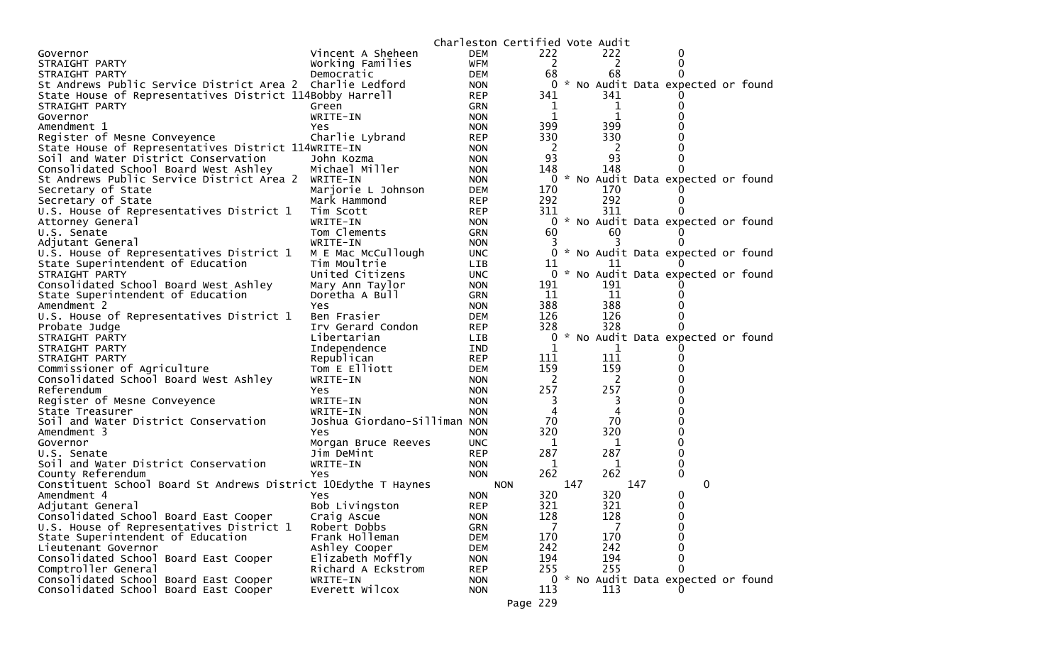|                                                                |                              |            | Charleston Certified Vote Audit |     |     |     |                                     |  |
|----------------------------------------------------------------|------------------------------|------------|---------------------------------|-----|-----|-----|-------------------------------------|--|
| Governor                                                       | Vincent A Sheheen            | <b>DEM</b> | 222                             |     | 222 |     | 0                                   |  |
| STRAIGHT PARTY                                                 | Working Families             | <b>WFM</b> | 2                               |     | 2   |     | 0                                   |  |
| STRAIGHT PARTY                                                 | Democratic                   | <b>DEM</b> | 68                              |     | 68  |     |                                     |  |
| St Andrews Public Service District Area 2 Charlie Ledford      |                              | <b>NON</b> | 0                               |     |     |     | * No Audit Data expected or found   |  |
| State House of Representatives District 114Bobby Harrell       |                              | <b>REP</b> | 341                             |     | 341 |     |                                     |  |
| STRAIGHT PARTY                                                 | Green                        | GRN        | $\mathbf 1$                     |     | 1   |     |                                     |  |
| Governor                                                       | WRITE-IN                     | <b>NON</b> | 1                               |     | 1   |     |                                     |  |
| Amendment 1                                                    | Yes.                         | <b>NON</b> | 399                             |     | 399 |     |                                     |  |
| Register of Mesne Conveyence                                   | Charlie Lybrand              | <b>REP</b> | 330                             |     | 330 |     |                                     |  |
| State House of Representatives District 114WRITE-IN            |                              | <b>NON</b> | 2                               |     | -2  |     |                                     |  |
| Soil and Water District Conservation                           | John Kozma                   | <b>NON</b> | 93                              |     | 93  |     |                                     |  |
| Consolidated School Board West Ashley                          | Michael Miller               | <b>NON</b> | 148                             |     | 148 |     |                                     |  |
| St Andrews Public Service District Area 2 WRITE-IN             |                              | <b>NON</b> | 0                               |     |     |     | * No Audit Data expected or found   |  |
| Secretary of State                                             | Marjorie L Johnson           | <b>DEM</b> | 170                             |     | 170 |     |                                     |  |
| Secretary of State                                             | Mark Hammond                 | <b>REP</b> | 292                             |     | 292 |     |                                     |  |
| U.S. House of Representatives District 1                       | Tim Scott                    | <b>REP</b> | 311                             |     | 311 |     |                                     |  |
| Attorney General                                               | WRITE-IN                     | <b>NON</b> | 0                               |     |     |     | * No Audit Data expected or found   |  |
| U.S. Senate                                                    | Tom Clements                 | GRN        | 60                              |     | 60  |     |                                     |  |
| Adjutant General                                               | WRITE-IN                     | <b>NON</b> | 3                               |     |     |     |                                     |  |
| U.S. House of Representatives District 1                       | M E Mac McCullough           | <b>UNC</b> | 0                               |     |     |     | * No Audit Data expected or found   |  |
| State Superintendent of Education                              | Tim Moultrie                 | <b>LIB</b> | 11                              |     | 11  |     |                                     |  |
| STRAIGHT PARTY                                                 | United Citizens              | <b>UNC</b> | $\mathbf{0}$                    |     |     |     | * No Audit Data expected or found   |  |
| Consolidated School Board West Ashley                          | Mary Ann Taylor              | <b>NON</b> | 191                             |     | 191 |     |                                     |  |
| State Superintendent of Education                              | Doretha A Bull               | GRN        | 11                              |     | 11  |     |                                     |  |
| Amendment 2                                                    | Yes                          | <b>NON</b> | 388                             |     | 388 |     |                                     |  |
| U.S. House of Representatives District 1                       | Ben Frasier                  | <b>DEM</b> | 126                             |     | 126 |     |                                     |  |
| Probate Judge                                                  | Irv Gerard Condon            | <b>REP</b> | 328                             |     | 328 |     |                                     |  |
| STRAIGHT PARTY                                                 | Libertarian                  | <b>LIB</b> | 0                               |     |     |     | * No Audit Data expected or found   |  |
| STRAIGHT PARTY                                                 | Independence                 | IND        | 1                               |     |     |     |                                     |  |
| STRAIGHT PARTY                                                 | Republican                   | <b>REP</b> | 111                             |     | 111 |     |                                     |  |
| Commissioner of Agriculture                                    | Tom E Elliott                | <b>DEM</b> | 159                             |     | 159 |     |                                     |  |
| Consolidated School Board West Ashley                          | WRITE-IN                     | <b>NON</b> | 2                               |     | 2   |     |                                     |  |
| Referendum                                                     | Yes                          | <b>NON</b> | 257                             |     | 257 |     |                                     |  |
| Register of Mesne Conveyence                                   | WRITE-IN                     | <b>NON</b> | 3                               |     | 3   |     |                                     |  |
| State Treasurer                                                | WRITE-IN                     | <b>NON</b> | 4                               |     | 4   |     |                                     |  |
| Soil and Water District Conservation                           | Joshua Giordano-Silliman NON |            | 70                              |     | 70  |     |                                     |  |
| Amendment 3                                                    | Yes                          | <b>NON</b> | 320                             |     | 320 |     | ŋ                                   |  |
| Governor                                                       | Morgan Bruce Reeves          | <b>UNC</b> | 1                               |     | 1   |     | 0                                   |  |
| U.S. Senate                                                    | Jim DeMint                   | <b>REP</b> | 287                             |     | 287 |     | 0                                   |  |
| Soil and Water District Conservation                           | WRITE-IN                     | <b>NON</b> | 1                               |     | 1   |     | 0                                   |  |
| County Referendum                                              | Yes                          | <b>NON</b> | 262                             |     | 262 |     | 0                                   |  |
| Constituent School Board St Andrews District 10Edythe T Haynes |                              |            | <b>NON</b>                      | 147 |     | 147 | 0                                   |  |
| Amendment 4                                                    | Yes                          | <b>NON</b> | 320                             |     | 320 |     | 0                                   |  |
| Adjutant General                                               | Bob Livingston               | <b>REP</b> | 321                             |     | 321 |     | 0                                   |  |
| Consolidated School Board East Cooper                          | Craig Ascue                  | <b>NON</b> | 128                             |     | 128 |     | 0                                   |  |
| U.S. House of Representatives District 1                       | Robert Dobbs                 | <b>GRN</b> | 7                               |     |     |     | 0                                   |  |
| State Superintendent of Education                              | Frank Holleman               | <b>DEM</b> | 170                             |     | 170 |     | 0                                   |  |
| Lieutenant Governor                                            | Ashley Cooper                | <b>DEM</b> | 242                             |     | 242 |     | 0                                   |  |
| Consolidated School Board East Cooper                          | Elizabeth Moffly             | <b>NON</b> | 194                             |     | 194 |     | 0                                   |  |
| Comptroller General                                            | Richard A Eckstrom           | <b>REP</b> | 255                             |     | 255 |     |                                     |  |
| Consolidated School Board East Cooper                          | WRITE-IN                     | <b>NON</b> |                                 |     |     |     | 0 * No Audit Data expected or found |  |
| Consolidated School Board East Cooper                          | Everett Wilcox               | <b>NON</b> | 113                             |     | 113 |     |                                     |  |
|                                                                |                              |            |                                 |     |     |     |                                     |  |
|                                                                |                              |            | Page 229                        |     |     |     |                                     |  |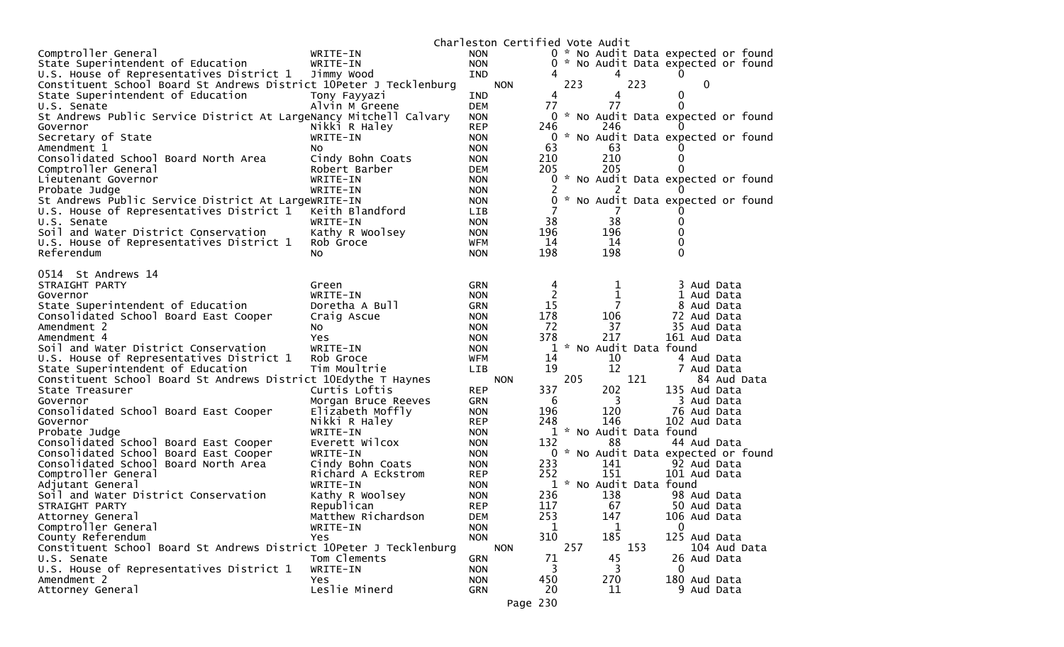|                                                                    |                     | Charleston Certified Vote Audit |                     |                       |                                     |
|--------------------------------------------------------------------|---------------------|---------------------------------|---------------------|-----------------------|-------------------------------------|
| Comptroller General                                                | WRITE-IN            | <b>NON</b>                      |                     |                       | 0 * No Audit Data expected or found |
| State Superintendent of Education                                  | WRITE-IN            | <b>NON</b>                      |                     |                       | 0 * No Audit Data expected or found |
| U.S. House of Representatives District 1                           | Jimmy Wood          | <b>IND</b>                      |                     | 4                     | 0                                   |
| Constituent School Board St Andrews District 10Peter J Tecklenburg |                     | <b>NON</b>                      | 223                 | 223                   | 0                                   |
| State Superintendent of Education                                  | Tony Fayyazi        | <b>IND</b>                      | 4                   | 4                     | 0                                   |
| U.S. Senate                                                        | Alvin M Greene      | <b>DEM</b>                      | 77                  | 77                    | 0                                   |
| St Andrews Public Service District At LargeNancy Mitchell Calvary  |                     | <b>NON</b>                      |                     |                       | 0 * No Audit Data expected or found |
| Governor                                                           | Nikki R Haley       | <b>REP</b>                      | 246                 | 246                   | $\Omega$                            |
| Secretary of State                                                 | WRITE-IN            | <b>NON</b>                      | $\Omega$            |                       | * No Audit Data expected or found   |
| Amendment 1                                                        | NO.                 | <b>NON</b>                      | 63                  | 63                    |                                     |
| Consolidated School Board North Area                               | Cindy Bohn Coats    | <b>NON</b>                      | 210                 | 210                   | 0                                   |
| Comptroller General                                                | Robert Barber       | <b>DEM</b>                      | 205                 | 205                   |                                     |
| Lieutenant Governor                                                | WRITE-IN            | <b>NON</b>                      | 0                   |                       | * No Audit Data expected or found   |
| Probate Judge                                                      | WRITE-IN            | <b>NON</b>                      | 2                   | 2                     | $\Omega$                            |
| St Andrews Public Service District At LargeWRITE-IN                |                     | <b>NON</b>                      | 0                   |                       | * No Audit Data expected or found   |
| U.S. House of Representatives District 1                           | Keith Blandford     | <b>LIB</b>                      |                     |                       |                                     |
| U.S. Senate                                                        | WRITE-IN            | <b>NON</b>                      | 38                  | 38                    | 0                                   |
| Soil and Water District Conservation                               | Kathy R Woolsey     | <b>NON</b>                      | 196                 | 196                   | 0                                   |
| U.S. House of Representatives District 1                           | Rob Groce           | <b>WFM</b>                      | 14                  | 14                    | 0                                   |
| Referendum                                                         | NO.                 | <b>NON</b>                      | 198                 | 198                   | 0                                   |
| 0514 St Andrews 14                                                 |                     |                                 |                     |                       |                                     |
|                                                                    |                     |                                 |                     |                       |                                     |
| STRAIGHT PARTY<br>Governor                                         | Green<br>WRITE-IN   | <b>GRN</b><br><b>NON</b>        | 4<br>$\overline{c}$ | 1<br>1                | 3 Aud Data<br>1 Aud Data            |
| State Superintendent of Education                                  | Doretha A Bull      | <b>GRN</b>                      | 15                  |                       | 8 Aud Data                          |
| Consolidated School Board East Cooper                              | Craig Ascue         | <b>NON</b>                      | 178                 | 106                   | 72 Aud Data                         |
| Amendment 2                                                        | NO.                 | <b>NON</b>                      | 72                  | 37                    | 35 Aud Data                         |
| Amendment 4                                                        | Yes                 | <b>NON</b>                      | 378                 | 217                   | 161 Aud Data                        |
| Soil and Water District Conservation                               | WRITE-IN            | <b>NON</b>                      | 1                   | * No Audit Data found |                                     |
| U.S. House of Representatives District 1                           | Rob Groce           | <b>WFM</b>                      | 14                  | 10                    | 4 Aud Data                          |
| State Superintendent of Education                                  | Tim Moultrie        | <b>LIB</b>                      | 19                  | 12                    | 7 Aud Data                          |
| Constituent School Board St Andrews District 10Edythe T Haynes     |                     | <b>NON</b>                      | 205                 | 121                   | 84 Aud Data                         |
| State Treasurer                                                    | Curtis Loftis       | <b>REP</b>                      | 337                 | 202                   | 135 Aud Data                        |
| Governor                                                           | Morgan Bruce Reeves | <b>GRN</b>                      | 6                   | 3                     | 3 Aud Data                          |
| Consolidated School Board East Cooper                              | Elizabeth Moffly    | <b>NON</b>                      | 196                 | 120                   | 76 Aud Data                         |
| Governor                                                           | Nikki R Haley       | <b>REP</b>                      | 248                 | 146                   | 102 Aud Data                        |
| Probate Judge                                                      | WRITE-IN            | <b>NON</b>                      |                     | * No Audit Data found |                                     |
| Consolidated School Board East Cooper                              | Everett Wilcox      | <b>NON</b>                      | 132                 | 88                    | 44 Aud Data                         |
| Consolidated School Board East Cooper                              | WRITE-IN            | <b>NON</b>                      | 0                   |                       | * No Audit Data expected or found   |
| Consolidated School Board North Area                               | Cindy Bohn Coats    | <b>NON</b>                      | 233                 | 141                   | 92 Aud Data                         |
| Comptroller General                                                | Richard A Eckstrom  | <b>REP</b>                      | 252                 | 151                   | 101 Aud Data                        |
| Adjutant General                                                   | WRITE-IN            | <b>NON</b>                      |                     | * No Audit Data found |                                     |
| Soil and Water District Conservation                               | Kathy R Woolsey     | <b>NON</b>                      | 236                 | 138                   | 98 Aud Data                         |
| STRAIGHT PARTY                                                     | Republican          | <b>REP</b>                      | 117                 | 67                    | 50 Aud Data                         |
| Attorney General                                                   | Matthew Richardson  | DEM                             | 253                 | 147                   | 106 Aud Data                        |
| Comptroller General                                                | WRITE-IN            | <b>NON</b>                      | 1                   | 1                     | 0                                   |
| County Referendum                                                  | Yes                 | <b>NON</b>                      | 310                 | 185                   | 125 Aud Data                        |
| Constituent School Board St Andrews District 10Peter J Tecklenburg |                     | <b>NON</b>                      | 257                 | 153                   | 104 Aud Data                        |
| U.S. Senate                                                        | Tom Clements        | <b>GRN</b>                      | 71                  | 45                    | 26 Aud Data                         |
| U.S. House of Representatives District 1                           | WRITE-IN            | <b>NON</b>                      | 3                   | 3                     | $\mathbf 0$                         |
| Amendment 2                                                        | Yes                 | <b>NON</b>                      | 450                 | 270                   | 180 Aud Data                        |
| Attorney General                                                   | Leslie Minerd       | <b>GRN</b>                      | 20                  | 11                    | 9 Aud Data                          |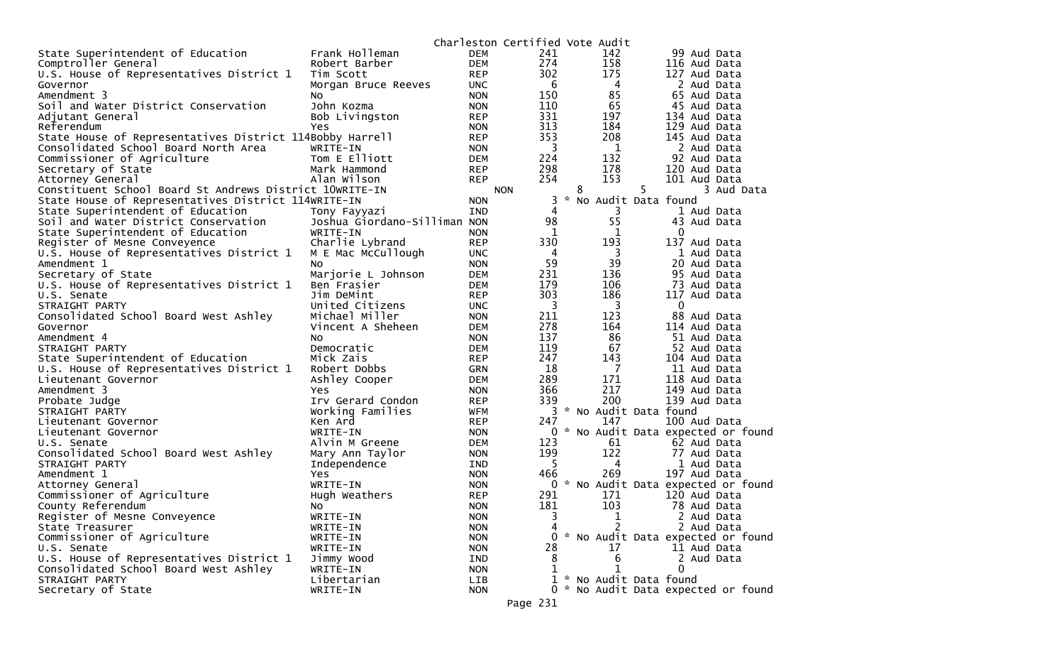|                                                          |                                       |            | Charleston Certified Vote Audit |                                      |                                     |
|----------------------------------------------------------|---------------------------------------|------------|---------------------------------|--------------------------------------|-------------------------------------|
| State Superintendent of Education                        | Frank Holleman                        | <b>DEM</b> | 241                             | 142                                  | 99 Aud Data                         |
| Comptroller General                                      | Robert Barber                         | <b>DEM</b> | 274                             | 158                                  | 116 Aud Data                        |
| U.S. House of Representatives District 1                 | Tim Scott                             | <b>REP</b> | 302                             | 175                                  | 127 Aud Data                        |
| Governor                                                 | Morgan Bruce Reeves                   | <b>UNC</b> | $6\overline{6}$                 | 4                                    | 2 Aud Data                          |
| Amendment 3                                              | NO.                                   | <b>NON</b> | 150                             | 85                                   | 65 Aud Data                         |
| Soil and Water District Conservation                     | John Kozma                            | <b>NON</b> | 110                             | 65                                   | 45 Aud Data                         |
| Adjutant General                                         | Bob Livingston                        | <b>REP</b> | 331                             | 197                                  | 134 Aud Data                        |
| Referendum                                               | Yes                                   | <b>NON</b> | 313                             | 184                                  | 129 Aud Data                        |
| State House of Representatives District 114Bobby Harrell |                                       | <b>REP</b> | 353                             | 208                                  | 145 Aud Data                        |
| Consolidated School Board North Area                     | WRITE-IN                              | <b>NON</b> | $\overline{3}$                  | $\mathbf{1}$                         | 2 Aud Data                          |
| Commissioner of Agriculture                              | Tom E Elliott                         | <b>DEM</b> | 224                             | 132                                  | 92 Aud Data                         |
| Secretary of State                                       | Mark Hammond                          | <b>REP</b> | 298                             | 178                                  | 120 Aud Data                        |
| Attorney General                                         | Alan Wilson                           | <b>REP</b> | 254                             | 153                                  | 101 Aud Data                        |
| Constituent School Board St Andrews District 10WRITE-IN  |                                       |            | <b>NON</b>                      | 8                                    | 5<br>3 Aud Data                     |
| State House of Representatives District 114WRITE-IN      |                                       | <b>NON</b> | 3                               | $\mathcal{H}$<br>No Audit Data found |                                     |
| State Superintendent of Education                        | Tony Fayyazi                          | <b>IND</b> | 4                               | 3                                    | 1 Aud Data                          |
| Soil and Water District Conservation                     | Joshua Giordano-Silliman NON          |            | 98                              | 55                                   | 43 Aud Data                         |
| State Superintendent of Education                        | WRITE-IN                              | <b>NON</b> | $\mathbf{1}$                    | $\mathbf 1$                          | 0                                   |
| Register of Mesne Conveyence                             |                                       |            | 330                             | 193                                  | 137 Aud Data                        |
| U.S. House of Representatives District 1                 | Charlie Lybrand<br>M E Mac McCullough | <b>REP</b> | 4                               |                                      |                                     |
|                                                          |                                       | <b>UNC</b> | 59                              | 3<br>39                              | 1 Aud Data<br>20 Aud Data           |
| Amendment 1<br>Secretary of State                        | NO.                                   | <b>NON</b> |                                 |                                      |                                     |
|                                                          | Marjorie L Johnson                    | <b>DEM</b> | 231                             | 136                                  | 95 Aud Data                         |
| U.S. House of Representatives District 1                 | Ben Frasier                           | DEM        | 179                             | 106                                  | 73 Aud Data                         |
| U.S. Senate                                              | Jim DeMint                            | <b>REP</b> | 303                             | 186                                  | 117 Aud Data                        |
| STRAIGHT PARTY                                           | United Citizens                       | <b>UNC</b> | 3                               | 3                                    | $\mathbf 0$                         |
| Consolidated School Board West Ashley                    | Michael Miller                        | <b>NON</b> | 211                             | 123                                  | 88 Aud Data                         |
| Governor                                                 | Vincent A Sheheen                     | <b>DEM</b> | 278                             | 164                                  | 114 Aud Data                        |
| Amendment 4                                              | NO.                                   | <b>NON</b> | 137                             | 86                                   | 51 Aud Data                         |
| STRAIGHT PARTY                                           | Democratic                            | <b>DEM</b> | 119                             | 67                                   | 52 Aud Data                         |
| State Superintendent of Education                        | Mick Zais                             | <b>REP</b> | 247                             | 143                                  | 104 Aud Data                        |
| U.S. House of Representatives District 1                 | Robert Dobbs                          | <b>GRN</b> | 18                              | 7                                    | 11 Aud Data                         |
| Lieutenant Governor                                      | Ashley Cooper                         | <b>DEM</b> | 289                             | 171                                  | 118 Aud Data                        |
| Amendment 3                                              | Yes                                   | <b>NON</b> | 366                             | 217                                  | 149 Aud Data                        |
| Probate Judge                                            | Irv Gerard Condon                     | <b>REP</b> | 339                             | 200                                  | 139 Aud Data                        |
| STRAIGHT PARTY                                           | Working Families                      | <b>WFM</b> | 3                               | * No Audit Data found                |                                     |
| Lieutenant Governor                                      | Ken Ard                               | <b>REP</b> | 247                             | 147                                  | 100 Aud Data                        |
| Lieutenant Governor                                      | WRITE-IN                              | <b>NON</b> | 0                               |                                      | * No Audit Data expected or found   |
| U.S. Senate                                              | Alvin M Greene                        | <b>DEM</b> | 123                             | 61                                   | 62 Aud Data                         |
| Consolidated School Board West Ashley                    | Mary Ann Taylor                       | <b>NON</b> | 199                             | 122                                  | 77 Aud Data                         |
| STRAIGHT PARTY                                           | Independence                          | IND        | 5.                              | 4                                    | 1 Aud Data                          |
| Amendment 1                                              | Yes                                   | <b>NON</b> | 466                             | 269                                  | 197 Aud Data                        |
| Attorney General                                         | WRITE-IN                              | <b>NON</b> |                                 |                                      | 0 * No Audit Data expected or found |
| Commissioner of Agriculture                              | Hugh Weathers                         | <b>REP</b> | 291                             | 171                                  | 120 Aud Data                        |
| County Referendum                                        | NO.                                   | <b>NON</b> | 181                             | 103                                  | 78 Aud Data                         |
| Register of Mesne Conveyence                             | WRITE-IN                              | <b>NON</b> | 3                               | 1                                    | 2 Aud Data                          |
| State Treasurer                                          | WRITE-IN                              | <b>NON</b> |                                 | 2                                    | 2 Aud Data                          |
| Commissioner of Agriculture                              | WRITE-IN                              | <b>NON</b> | 0                               |                                      | * No Audit Data expected or found   |
| U.S. Senate                                              | WRITE-IN                              | <b>NON</b> | 28                              | 17                                   | 11 Aud Data                         |
| U.S. House of Representatives District 1                 | Jimmy Wood                            | IND        | 8                               | 6                                    | 2 Aud Data                          |
| Consolidated School Board West Ashley                    | WRITE-IN                              | <b>NON</b> |                                 |                                      | 0                                   |
| STRAIGHT PARTY                                           | Libertarian                           | LIB        |                                 | 1 * No Audit Data found              |                                     |
| Secretary of State                                       | WRITE-IN                              | <b>NON</b> |                                 |                                      | 0 * No Audit Data expected or found |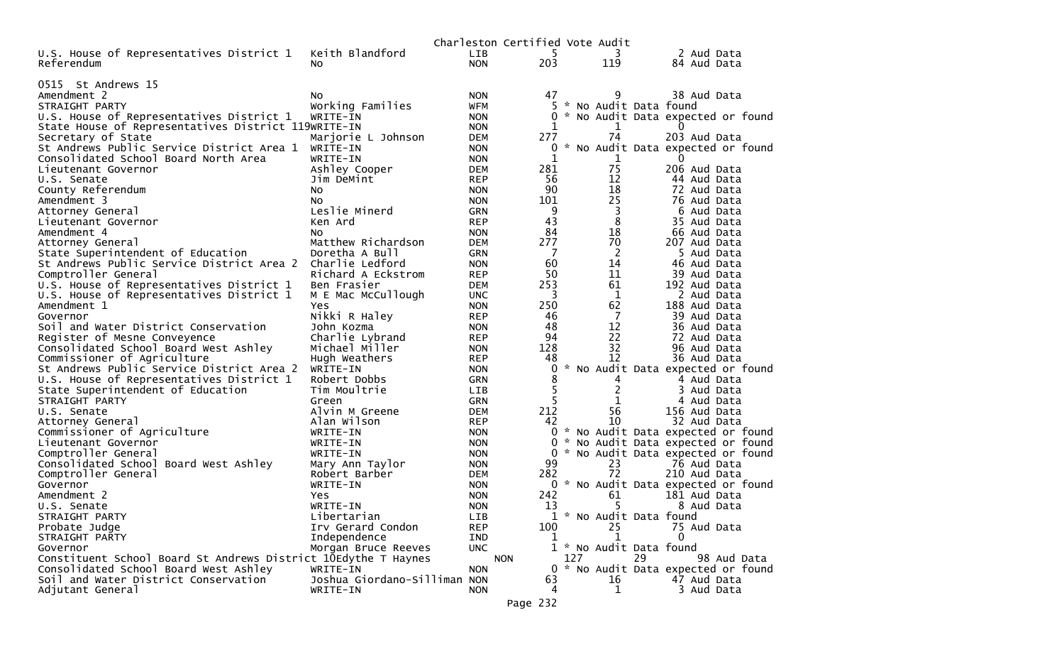|                                                                |                              |                          | Charleston Certified Vote Audit |           |               |                         |    |                                     |             |  |
|----------------------------------------------------------------|------------------------------|--------------------------|---------------------------------|-----------|---------------|-------------------------|----|-------------------------------------|-------------|--|
| U.S. House of Representatives District 1                       | Keith Blandford              | <b>LIB</b>               |                                 | 5.        |               | 3                       |    | 2 Aud Data                          |             |  |
| Referendum                                                     | NO.                          | <b>NON</b>               |                                 | 203       |               | 119                     |    | 84 Aud Data                         |             |  |
|                                                                |                              |                          |                                 |           |               |                         |    |                                     |             |  |
| 0515 St Andrews 15                                             |                              |                          |                                 |           |               |                         |    |                                     |             |  |
| Amendment 2                                                    | NO.                          | <b>NON</b>               |                                 | 47        |               | 9                       |    | 38 Aud Data                         |             |  |
| STRAIGHT PARTY                                                 | Working Families             | <b>WFM</b>               |                                 |           |               | * No Audit Data found   |    |                                     |             |  |
| U.S. House of Representatives District 1                       | WRITE-IN                     | <b>NON</b>               |                                 |           |               |                         |    | 0 * No Audit Data expected or found |             |  |
| State House of Representatives District 119WRITE-IN            |                              | <b>NON</b>               |                                 | 1         |               | 1<br>74                 |    | 0                                   |             |  |
| Secretary of State                                             | Marjorie L Johnson           | <b>DEM</b>               |                                 | 277       |               |                         |    | 203 Aud Data                        |             |  |
| St Andrews Public Service District Area 1                      | WRITE-IN                     | <b>NON</b>               |                                 | 0         |               |                         |    | * No Audit Data expected or found   |             |  |
| Consolidated School Board North Area                           | WRITE-IN                     | <b>NON</b>               |                                 | 1         |               | 1<br>75                 |    | $\Omega$                            |             |  |
| Lieutenant Governor                                            | Ashley Cooper                | <b>DEM</b>               |                                 | 281<br>56 |               | 12                      |    | 206 Aud Data<br>44 Aud Data         |             |  |
| U.S. Senate                                                    | Jim DeMint                   | <b>REP</b>               |                                 | 90        |               | 18                      |    | 72 Aud Data                         |             |  |
| County Referendum<br>Amendment 3                               | NO.                          | <b>NON</b><br><b>NON</b> |                                 | 101       |               | 25                      |    | 76 Aud Data                         |             |  |
|                                                                | NO.                          |                          |                                 | 9         |               |                         |    | 6 Aud Data                          |             |  |
| Attorney General                                               | Leslie Minerd<br>Ken Ard     | <b>GRN</b><br><b>REP</b> |                                 | 43        |               | 3<br>8                  |    | 35 Aud Data                         |             |  |
| Lieutenant Governor                                            |                              |                          |                                 | 84        |               | 18                      |    |                                     |             |  |
| Amendment 4                                                    | NO.<br>Matthew Richardson    | <b>NON</b>               |                                 | 277       |               | 70                      |    | 66 Aud Data<br>207 Aud Data         |             |  |
| Attorney General<br>State Superintendent of Education          | Doretha A Bull               | <b>DEM</b><br><b>GRN</b> |                                 | 7         |               | 2                       |    | 5 Aud Data                          |             |  |
| St Andrews Public Service District Area 2                      | Charlie Ledford              | <b>NON</b>               |                                 | 60        |               | 14                      |    | 46 Aud Data                         |             |  |
| Comptroller General                                            | Richard A Eckstrom           | <b>REP</b>               |                                 | 50        |               | 11                      |    | 39 Aud Data                         |             |  |
| U.S. House of Representatives District 1                       | Ben Frasier                  | <b>DEM</b>               |                                 | 253       |               | 61                      |    | 192 Aud Data                        |             |  |
| U.S. House of Representatives District 1                       | M E Mac McCullough           | <b>UNC</b>               |                                 | 3         |               | 1                       |    | 2 Aud Data                          |             |  |
| Amendment 1                                                    | Yes                          | <b>NON</b>               |                                 | 250       |               | 62                      |    | 188 Aud Data                        |             |  |
| Governor                                                       | Nikki R Haley                | <b>REP</b>               |                                 | 46        |               | 7                       |    | 39 Aud Data                         |             |  |
| Soil and Water District Conservation                           | John Kozma                   | <b>NON</b>               |                                 | 48        |               | 12                      |    | 36 Aud Data                         |             |  |
| Register of Mesne Conveyence                                   | Charlie Lybrand              | <b>REP</b>               |                                 | 94        |               | 22                      |    | 72 Aud Data                         |             |  |
| Consolidated School Board West Ashley                          | Michael Miller               | <b>NON</b>               |                                 | 128       |               | 32                      |    | 96 Aud Data                         |             |  |
| Commissioner of Agriculture                                    | Hugh Weathers                | <b>REP</b>               |                                 | 48        |               | 12                      |    | 36 Aud Data                         |             |  |
| St Andrews Public Service District Area 2                      | WRITE-IN                     | <b>NON</b>               |                                 | 0         | $\mathcal{H}$ |                         |    | No Audit Data expected or found     |             |  |
| U.S. House of Representatives District 1                       | Robert Dobbs                 | <b>GRN</b>               |                                 | 8         |               | 4                       |    | 4 Aud Data                          |             |  |
| State Superintendent of Education                              | Tim Moultrie                 | LIB                      |                                 |           |               | 2                       |    | 3 Aud Data                          |             |  |
| STRAIGHT PARTY                                                 | Green                        | <b>GRN</b>               |                                 | 5         |               |                         |    | 4 Aud Data                          |             |  |
| U.S. Senate                                                    | Alvin M Greene               | <b>DEM</b>               |                                 | 212       |               | 56                      |    | 156 Aud Data                        |             |  |
| Attorney General                                               | Alan Wilson                  | <b>REP</b>               |                                 | 42        |               | 10                      |    | 32 Aud Data                         |             |  |
| Commissioner of Agriculture                                    | WRITE-IN                     | <b>NON</b>               |                                 | 0         |               |                         |    | * No Audit Data expected or found   |             |  |
| Lieutenant Governor                                            | WRITE-IN                     | <b>NON</b>               |                                 |           |               |                         |    | 0 * No Audit Data expected or found |             |  |
| Comptroller General                                            | WRITE-IN                     | <b>NON</b>               |                                 | 0         |               |                         |    | * No Audit Data expected or found   |             |  |
| Consolidated School Board West Ashley                          | Mary Ann Taylor              | <b>NON</b>               |                                 | 99        |               | 23                      |    | 76 Aud Data                         |             |  |
| Comptroller General                                            | Robert Barber                | <b>DEM</b>               |                                 | 282       |               | 72                      |    | 210 Aud Data                        |             |  |
| Governor                                                       | WRITE-IN                     | <b>NON</b>               |                                 |           |               |                         |    | 0 * No Audit Data expected or found |             |  |
| Amendment 2                                                    | Yes                          | <b>NON</b>               |                                 | 242       |               | 61                      |    | 181 Aud Data                        |             |  |
| U.S. Senate                                                    | WRITE-IN                     | <b>NON</b>               |                                 | 13        |               | 5                       |    | 8 Aud Data                          |             |  |
| STRAIGHT PARTY                                                 | Libertarian                  | LIB                      |                                 |           |               | 1 * No Audit Data found |    |                                     |             |  |
| Probate Judge                                                  | Irv Gerard Condon            | <b>REP</b>               |                                 | 100       |               | 25                      |    | 75 Aud Data                         |             |  |
| STRAIGHT PARTY                                                 | Independence                 | IND                      |                                 | 1         |               | 1                       |    | $\Omega$                            |             |  |
| Governor                                                       | Morgan Bruce Reeves          | <b>UNC</b>               |                                 |           |               | 1 * No Audit Data found |    |                                     |             |  |
| Constituent School Board St Andrews District 10Edythe T Haynes |                              |                          | <b>NON</b>                      |           | 127           |                         | 29 |                                     | 98 Aud Data |  |
| Consolidated School Board West Ashley                          | WRITE-IN                     | <b>NON</b>               |                                 |           |               |                         |    | 0 * No Audit Data expected or found |             |  |
| Soil and Water District Conservation                           | Joshua Giordano-Silliman NON |                          |                                 | 63        |               | 16                      |    | 47 Aud Data                         |             |  |
| Adjutant General                                               | WRITE-IN                     | <b>NON</b>               |                                 | 4         |               | 1                       |    | 3 Aud Data                          |             |  |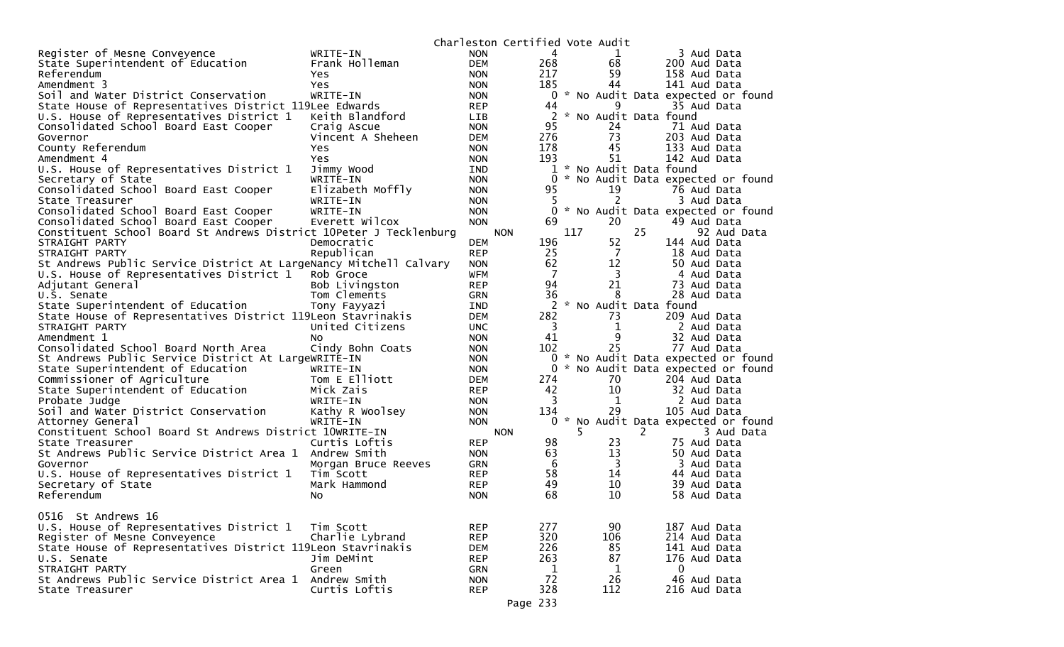|                                                                    |                     |                          | Charleston Certified Vote Audit |              |     |                       |    |                                     |
|--------------------------------------------------------------------|---------------------|--------------------------|---------------------------------|--------------|-----|-----------------------|----|-------------------------------------|
| Register of Mesne Conveyence                                       | WRITE-IN            | <b>NON</b>               |                                 | 4            |     |                       |    | 3 Aud Data                          |
| State Superintendent of Education                                  | Frank Holleman      | <b>DEM</b>               |                                 | 268          |     | 68                    |    | 200 Aud Data                        |
| Referendum                                                         | <b>Yes</b>          | <b>NON</b>               |                                 | 217          |     | 59                    |    | 158 Aud Data                        |
| Amendment 3                                                        | Yes                 | <b>NON</b>               |                                 | 185          |     | 44                    |    | 141 Aud Data                        |
| Soil and Water District Conservation                               | WRITE-IN            | <b>NON</b>               |                                 |              |     |                       |    | 0 * No Audit Data expected or found |
| State House of Representatives District 119Lee Edwards             |                     | <b>REP</b>               |                                 | 44           |     | 9                     |    | 35 Aud Data                         |
| U.S. House of Representatives District 1                           | Keith Blandford     | <b>LIB</b>               |                                 | 2            |     | * No Audit Data found |    |                                     |
| Consolidated School Board East Cooper                              | Craig Ascue         | <b>NON</b>               |                                 | 95           |     | 24                    |    | 71 Aud Data                         |
| Governor                                                           | Vincent A Sheheen   | <b>DEM</b>               |                                 | 276          |     | 73                    |    | 203 Aud Data                        |
| County Referendum                                                  | Yes                 | <b>NON</b>               |                                 | 178          |     | 45                    |    | 133 Aud Data                        |
| Amendment 4                                                        | Yes                 | <b>NON</b>               |                                 | 193          |     | 51                    |    | 142 Aud Data                        |
| U.S. House of Representatives District 1                           | Jimmy Wood          | <b>IND</b>               |                                 | $\mathbf{1}$ |     | * No Audit Data found |    |                                     |
| Secretary of State                                                 | WRITE-IN            | <b>NON</b>               |                                 | 0            |     |                       |    | * No Audit Data expected or found   |
| Consolidated School Board East Cooper                              | Elizabeth Moffly    | <b>NON</b>               |                                 | 95           |     | 19                    |    | 76 Aud Data                         |
| State Treasurer                                                    | WRITE-IN            | <b>NON</b>               |                                 | 5.           |     |                       |    | 3 Aud Data                          |
| Consolidated School Board East Cooper                              | WRITE-IN            | <b>NON</b>               |                                 | 0            |     |                       |    | * No Audit Data expected or found   |
| Consolidated School Board East Cooper                              | Everett Wilcox      | <b>NON</b>               |                                 | 69           |     | 20                    |    | 49 Aud Data                         |
| Constituent School Board St Andrews District 10Peter J Tecklenburg |                     |                          | <b>NON</b>                      |              | 117 |                       | 25 | 92 Aud Data                         |
| STRAIGHT PARTY                                                     | Democratic          | <b>DEM</b>               |                                 | 196          |     | 52                    |    | 144 Aud Data                        |
| STRAIGHT PARTY                                                     | Republican          | <b>REP</b>               |                                 | 25           |     | 7                     |    | 18 Aud Data                         |
| St Andrews Public Service District At LargeNancy Mitchell Calvary  |                     | <b>NON</b>               |                                 | 62           |     | 12                    |    | 50 Aud Data                         |
| U.S. House of Representatives District 1                           | Rob Groce           | <b>WFM</b>               |                                 | 7            |     | 3                     |    | 4 Aud Data                          |
| Adjutant General                                                   | Bob Livingston      | <b>REP</b>               |                                 | 94           |     | 21                    |    | 73 Aud Data                         |
| U.S. Senate                                                        | Tom Clements        | <b>GRN</b>               |                                 | 36           |     | 8                     |    | 28 Aud Data                         |
| State Superintendent of Education                                  | Tony Fayyazi        | <b>IND</b>               |                                 | 2            |     | * No Audit Data found |    |                                     |
| State House of Representatives District 119Leon Stavrinakis        |                     | <b>DEM</b>               |                                 | 282          |     | 73                    |    | 209 Aud Data                        |
| STRAIGHT PARTY                                                     | United Citizens     | <b>UNC</b>               |                                 | 3            |     | 1                     |    | 2 Aud Data                          |
| Amendment 1                                                        | No.                 | <b>NON</b>               |                                 | 41           |     | 9                     |    | 32 Aud Data                         |
| Consolidated School Board North Area                               | Cindy Bohn Coats    | <b>NON</b>               |                                 | 102          |     | 25                    |    | 77 Aud Data                         |
| St Andrews Public Service District At LargeWRITE-IN                |                     | <b>NON</b>               |                                 | $0 *$        |     |                       |    | No Audit Data expected or found     |
| State Superintendent of Education                                  | WRITE-IN            | <b>NON</b>               |                                 | $\Omega$     |     |                       |    | * No Audit Data expected or found   |
| Commissioner of Agriculture                                        | Tom E Elliott       | <b>DEM</b>               |                                 | 274          |     | 70                    |    | 204 Aud Data                        |
| State Superintendent of Education                                  | Mick Zais           | <b>REP</b>               |                                 | 42           |     | 10                    |    | 32 Aud Data                         |
| Probate Judge                                                      | WRITE-IN            | <b>NON</b>               |                                 | 3            |     | 1                     |    | 2 Aud Data                          |
| Soil and Water District Conservation                               | Kathy R Woolsey     | <b>NON</b>               |                                 | 134          |     | 29                    |    | 105 Aud Data                        |
| Attorney General                                                   | WRITE-IN            | <b>NON</b>               |                                 | $0 *$        |     |                       |    | No Audit Data expected or found     |
| Constituent School Board St Andrews District 10WRITE-IN            |                     |                          | <b>NON</b>                      |              | 5   |                       | 2  | 3 Aud Data                          |
| State Treasurer                                                    | Curtis Loftis       | <b>REP</b>               |                                 | 98           |     | 23                    |    | 75 Aud Data                         |
| St Andrews Public Service District Area 1                          | Andrew Smith        | <b>NON</b>               |                                 | 63           |     | 13                    |    | 50 Aud Data                         |
| Governor                                                           | Morgan Bruce Reeves | <b>GRN</b>               |                                 | 6            |     | 3                     |    | 3 Aud Data                          |
| U.S. House of Representatives District 1                           | Tim Scott           | <b>REP</b>               |                                 | 58           |     | 14                    |    | 44 Aud Data                         |
| Secretary of State                                                 | Mark Hammond        | <b>REP</b>               |                                 | 49           |     | 10                    |    | 39 Aud Data                         |
| Referendum                                                         | NO.                 | <b>NON</b>               |                                 | 68           |     | 10                    |    | 58 Aud Data                         |
| 0516 St Andrews 16                                                 |                     |                          |                                 |              |     |                       |    |                                     |
| U.S. House of Representatives District 1                           | Tim Scott           |                          |                                 | 277          |     | 90                    |    | 187 Aud Data                        |
| Register of Mesne Conveyence                                       | Charlie Lybrand     | <b>REP</b><br><b>REP</b> |                                 | 320          |     | 106                   |    | 214 Aud Data                        |
| State House of Representatives District 119Leon Stavrinakis        |                     | <b>DEM</b>               |                                 | 226          |     | 85                    |    | 141 Aud Data                        |
| U.S. Senate                                                        | Jim DeMint          | <b>REP</b>               |                                 | 263          |     | 87                    |    | 176 Aud Data                        |
| STRAIGHT PARTY                                                     | Green               | GRN                      |                                 | $\mathbf{1}$ |     | $\mathbf 1$           |    | $\mathbf 0$                         |
| St Andrews Public Service District Area 1                          | Andrew Smith        | <b>NON</b>               |                                 | 72           |     | 26                    |    | 46 Aud Data                         |
| State Treasurer                                                    | Curtis Loftis       | <b>REP</b>               |                                 | 328          |     | 112                   |    | 216 Aud Data                        |
|                                                                    |                     |                          |                                 |              |     |                       |    |                                     |
|                                                                    |                     |                          | Page 233                        |              |     |                       |    |                                     |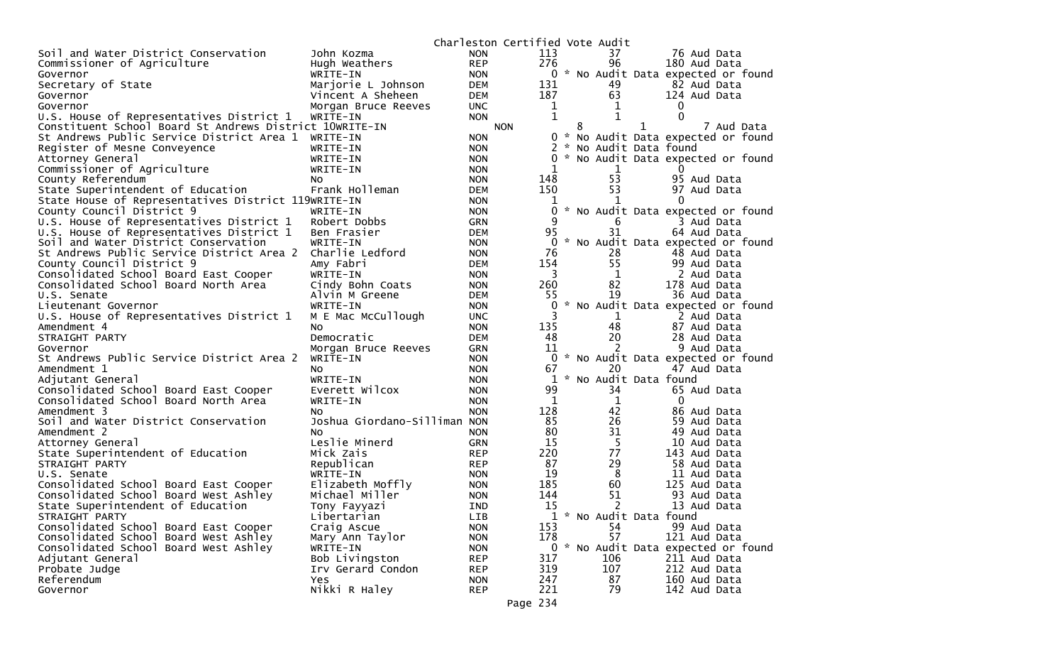|                                                         |                                    |                          | Charleston Certified Vote Audit |              |     |             |   |                                     |
|---------------------------------------------------------|------------------------------------|--------------------------|---------------------------------|--------------|-----|-------------|---|-------------------------------------|
| Soil and Water District Conservation                    | John Kozma                         | <b>NON</b>               |                                 | 113          |     | 37          |   | 76 Aud Data                         |
| Commissioner of Agriculture                             | Hugh Weathers                      | <b>REP</b>               |                                 | 276          |     | 96          |   | 180 Aud Data                        |
| Governor                                                | WRITE-IN                           | <b>NON</b>               |                                 |              |     |             |   | 0 * No Audit Data expected or found |
| Secretary of State                                      | Marjorie L Johnson                 | <b>DEM</b>               |                                 | 131          |     | 49          |   | 82 Aud Data                         |
| Governor                                                | Vincent A Sheheen                  | <b>DEM</b>               |                                 | 187          |     | 63          |   | 124 Aud Data                        |
| Governor                                                | Morgan Bruce Reeves                | <b>UNC</b>               |                                 | $\mathbf{1}$ |     | 1           |   | 0                                   |
| U.S. House of Representatives District 1                | WRITE-IN                           | <b>NON</b>               |                                 | $\mathbf 1$  |     | 1           |   | $\Omega$                            |
| Constituent School Board St Andrews District 10WRITE-IN |                                    |                          | <b>NON</b>                      |              | 8   |             | 1 | 7 Aud Data                          |
| St Andrews Public Service District Area 1 WRITE-IN      |                                    | <b>NON</b>               |                                 |              | 0 * |             |   | No Audit Data expected or found     |
| Register of Mesne Conveyence                            | WRITE-IN                           | <b>NON</b>               |                                 |              | *   |             |   | No Audit Data found                 |
| Attorney General                                        | WRITE-IN                           | <b>NON</b>               |                                 | 0            |     |             |   | * No Audit Data expected or found   |
| Commissioner of Agriculture                             | WRITE-IN                           | <b>NON</b>               |                                 | 1            |     | 1           |   | $_{0}$                              |
| County Referendum                                       | NO.                                | <b>NON</b>               |                                 | 148          |     | 53          |   | 95 Aud Data                         |
| State Superintendent of Education                       | Frank Holleman                     | <b>DEM</b>               |                                 | 150          |     | 53          |   | 97 Aud Data                         |
| State House of Representatives District 119WRITE-IN     |                                    | <b>NON</b>               |                                 | 1            |     | 1           |   | $\Omega$                            |
| County Council District 9                               | WRITE-IN                           | <b>NON</b>               |                                 | 0            |     |             |   | * No Audit Data expected or found   |
| U.S. House of Representatives District 1                | Robert Dobbs                       | <b>GRN</b>               |                                 | 9            |     | 6           |   | 3 Aud Data                          |
| U.S. House of Representatives District 1                | Ben Frasier                        | <b>DEM</b>               |                                 | 95           |     | 31          |   | 64 Aud Data                         |
| Soil and Water District Conservation                    | WRITE-IN                           | <b>NON</b>               |                                 | $\Omega$     |     |             |   | No Audit Data expected or found     |
| St Andrews Public Service District Area 2               | Charlie Ledford                    | <b>NON</b>               |                                 | 76           |     | 28          |   | 48 Aud Data                         |
| County Council District 9                               | Amy Fabri                          | <b>DEM</b>               |                                 | 154          |     | 55          |   | 99 Aud Data                         |
| Consolidated School Board East Cooper                   | WRITE-IN                           | <b>NON</b>               |                                 | 3            |     | 1           |   | 2 Aud Data                          |
| Consolidated School Board North Area                    | Cindy Bohn Coats                   | <b>NON</b>               |                                 | 260          |     | 82          |   | 178 Aud Data                        |
| U.S. Senate                                             | Alvin M Greene                     | <b>DEM</b>               |                                 | 55           |     | 19          |   | 36 Aud Data                         |
| Lieutenant Governor                                     | WRITE-IN                           | <b>NON</b>               |                                 | 0            |     |             |   | No Audit Data expected or found     |
| U.S. House of Representatives District 1                | M E Mac McCullough                 | <b>UNC</b>               |                                 | 3            |     | $\mathbf 1$ |   | 2 Aud Data                          |
| Amendment 4                                             | No                                 | <b>NON</b>               |                                 | 135          |     | 48          |   | 87 Aud Data                         |
| STRAIGHT PARTY                                          | Democratic                         | <b>DEM</b>               |                                 | 48           |     | 20          |   | 28 Aud Data                         |
| Governor                                                | Morgan Bruce Reeves                | <b>GRN</b>               |                                 | 11           |     | 2           |   | 9 Aud Data                          |
| St Andrews Public Service District Area 2               | WRITE-IN                           | <b>NON</b>               |                                 | 0            |     |             |   | * No Audit Data expected or found   |
| Amendment 1                                             | NO.                                | <b>NON</b>               |                                 | 67           |     | 20          |   | 47 Aud Data                         |
| Adjutant General                                        | WRITE-IN                           | <b>NON</b>               |                                 | $\mathbf{1}$ |     |             |   | * No Audit Data found               |
| Consolidated School Board East Cooper                   | Everett Wilcox                     | <b>NON</b>               |                                 | 99           |     | 34          |   | 65 Aud Data                         |
| Consolidated School Board North Area                    | WRITE-IN                           | <b>NON</b>               |                                 | 1            |     | $\mathbf 1$ |   | 0                                   |
| Amendment 3                                             | NO.                                | <b>NON</b>               |                                 | 128          |     | 42          |   | 86 Aud Data                         |
| Soil and Water District Conservation                    | Joshua Giordano-Silliman NON       |                          |                                 | 85<br>80     |     | 26          |   | 59 Aud Data                         |
| Amendment 2                                             | NO.                                | <b>NON</b>               |                                 |              |     | 31          |   | 49 Aud Data                         |
| Attorney General                                        | Leslie Minerd                      | <b>GRN</b>               |                                 | 15           |     | 5           |   | 10 Aud Data                         |
| State Superintendent of Education                       | Mick Zais                          | <b>REP</b>               |                                 | 220<br>87    |     | 77<br>29    |   | 143 Aud Data                        |
| STRAIGHT PARTY                                          | Republican                         | <b>REP</b>               |                                 | 19           |     |             |   | 58 Aud Data                         |
| U.S. Senate<br>Consolidated School Board East Cooper    | WRITE-IN                           | <b>NON</b><br><b>NON</b> |                                 | 185          |     | 8<br>60     |   | 11 Aud Data<br>125 Aud Data         |
| Consolidated School Board West Ashley                   | Elizabeth Moffly<br>Michael Miller | <b>NON</b>               |                                 | 144          |     | 51          |   | 93 Aud Data                         |
| State Superintendent of Education                       |                                    | <b>IND</b>               |                                 | 15           |     | 2           |   | 13 Aud Data                         |
| STRAIGHT PARTY                                          | Tony Fayyazi                       | LIB                      |                                 |              |     |             |   | 1 * No Audit Data found             |
| Consolidated School Board East Cooper                   | Libertarian                        | <b>NON</b>               |                                 | 153          |     | 54          |   | 99 Aud Data                         |
| Consolidated School Board West Ashley                   | Craig Ascue<br>Mary Ann Taylor     | <b>NON</b>               |                                 | 178          |     | 57          |   | 121 Aud Data                        |
| Consolidated School Board West Ashley                   | WRITE-IN                           | <b>NON</b>               |                                 |              |     |             |   | 0 * No Audit Data expected or found |
| Adjutant General                                        | Bob Livingston                     | <b>REP</b>               |                                 | 317          |     | 106         |   | 211 Aud Data                        |
| Probate Judge                                           | Irv Gerard Condon                  | <b>REP</b>               |                                 | 319          |     | 107         |   | 212 Aud Data                        |
| Referendum                                              | Yes                                | <b>NON</b>               |                                 | 247          |     | 87          |   | 160 Aud Data                        |
| Governor                                                | Nikki R Haley                      | <b>REP</b>               |                                 | 221          |     | 79          |   | 142 Aud Data                        |
|                                                         |                                    |                          |                                 |              |     |             |   |                                     |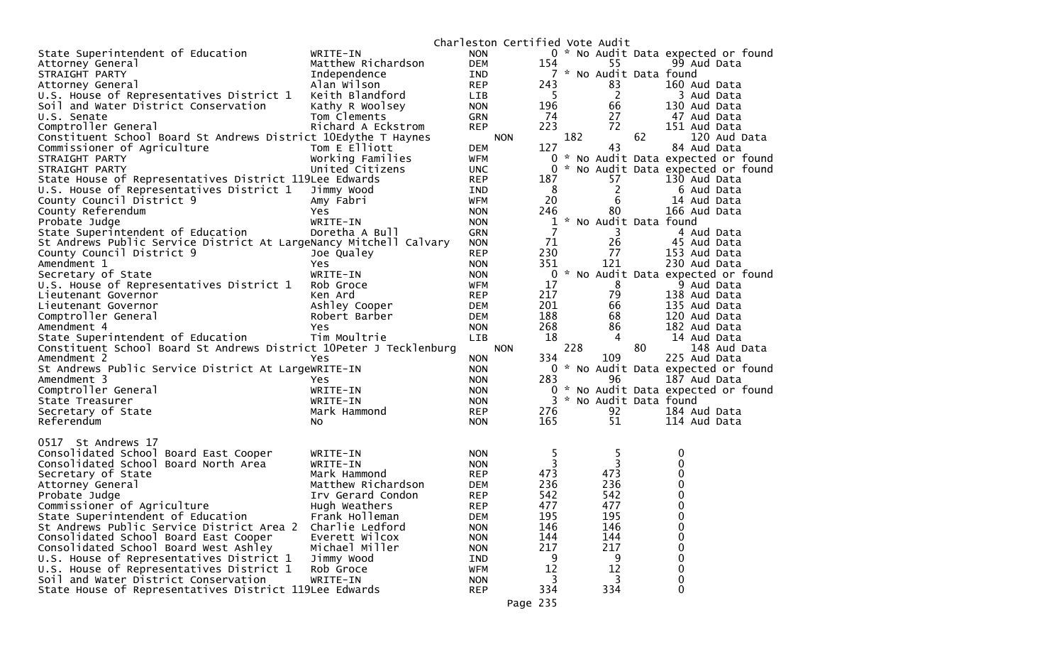|                                                                    |                                   | Charleston Certified Vote Audit |              |     |                         |    |                                     |
|--------------------------------------------------------------------|-----------------------------------|---------------------------------|--------------|-----|-------------------------|----|-------------------------------------|
| State Superintendent of Education                                  | WRITE-IN                          | <b>NON</b>                      |              |     |                         |    | 0 * No Audit Data expected or found |
| Attorney General                                                   | Matthew Richardson                | <b>DEM</b>                      | 154          |     | 55                      |    | 99 Aud Data                         |
| STRAIGHT PARTY                                                     | Independence                      | IND                             |              |     | 7 * No Audit Data found |    |                                     |
| Attorney General                                                   | Alan Wilson                       | <b>REP</b>                      | 243          |     | 83                      |    | 160 Aud Data                        |
| U.S. House of Representatives District 1                           | Keith Blandford                   | LIB                             | 5            |     | 2                       |    | 3 Aud Data                          |
| Soil and Water District Conservation                               | Kathy R Woolsey                   | <b>NON</b>                      | 196          |     | 66                      |    | 130 Aud Data                        |
| U.S. Senate                                                        | Tom Clements                      | <b>GRN</b>                      | 74           |     | 27                      |    | 47 Aud Data                         |
| Comptroller General                                                | Richard A Eckstrom                | <b>REP</b>                      | 223          |     | 72                      |    | 151 Aud Data                        |
| Constituent School Board St Andrews District 10Edythe T Haynes     |                                   | <b>NON</b>                      |              | 182 |                         | 62 | 120 Aud Data                        |
| Commissioner of Agriculture                                        | Tom E Elliott                     | <b>DEM</b>                      | 127          |     | 43                      |    | 84 Aud Data                         |
| STRAIGHT PARTY                                                     | Working Families                  | <b>WFM</b>                      |              |     |                         |    | 0 * No Audit Data expected or found |
| STRAIGHT PARTY                                                     | United Citizens                   | <b>UNC</b>                      | 0            |     |                         |    | * No Audit Data expected or found   |
| State House of Representatives District 119Lee Edwards             |                                   | <b>REP</b>                      | 187          |     | 57                      |    | 130 Aud Data                        |
| U.S. House of Representatives District 1                           | Jimmy Wood                        | IND                             | 8            |     | 2                       |    | 6 Aud Data                          |
| County Council District 9                                          | Amy Fabri                         | <b>WFM</b>                      | 20           |     | 6                       |    | 14 Aud Data                         |
| County Referendum                                                  | Yes                               | <b>NON</b>                      | 246          |     | 80                      |    | 166 Aud Data                        |
| Probate Judge                                                      | WRITE-IN                          | <b>NON</b>                      | 1            |     | * No Audit Data found   |    |                                     |
| State Superintendent of Education                                  | Doretha A Bull                    | <b>GRN</b>                      | 7            |     | 3                       |    | 4 Aud Data                          |
| St Andrews Public Service District At LargeNancy Mitchell Calvary  |                                   | <b>NON</b>                      | 71           |     | 26                      |    | 45 Aud Data                         |
| County Council District 9                                          | Joe Qualey                        | <b>REP</b>                      | 230          |     | 77                      |    | 153 Aud Data                        |
| Amendment 1                                                        | Yes                               | <b>NON</b>                      | 351          |     | 121                     |    | 230 Aud Data                        |
| Secretary of State                                                 | WRITE-IN                          | <b>NON</b>                      | $\mathbf{0}$ |     |                         |    | * No Audit Data expected or found   |
| U.S. House of Representatives District 1                           | Rob Groce                         | <b>WFM</b>                      | 17           |     | 8                       |    | 9 Aud Data                          |
| Lieutenant Governor                                                | Ken Ard                           | <b>REP</b>                      | 217          |     | 79                      |    | 138 Aud Data                        |
| Lieutenant Governor                                                | Ashley Cooper                     | <b>DEM</b>                      | 201          |     | 66                      |    | 135 Aud Data                        |
| Comptroller General                                                | Robert Barber                     | <b>DEM</b>                      | 188          |     | 68                      |    | 120 Aud Data                        |
| Amendment 4                                                        | Yes                               | <b>NON</b>                      | 268          |     | 86                      |    | 182 Aud Data                        |
| State Superintendent of Education                                  | Tim Moultrie                      | <b>LIB</b>                      | 18           |     | 4                       |    | 14 Aud Data                         |
| Constituent School Board St Andrews District 10Peter J Tecklenburg |                                   | <b>NON</b>                      |              | 228 |                         | 80 | 148 Aud Data                        |
| Amendment 2                                                        | Yes                               | <b>NON</b>                      | 334          |     | 109                     |    | 225 Aud Data                        |
| St Andrews Public Service District At LargeWRITE-IN                |                                   | <b>NON</b>                      |              |     |                         |    | 0 * No Audit Data expected or found |
| Amendment 3                                                        | Yes                               | <b>NON</b>                      | 283          |     | 96                      |    | 187 Aud Data                        |
| Comptroller General                                                | WRITE-IN                          | <b>NON</b>                      |              |     |                         |    | 0 * No Audit Data expected or found |
| State Treasurer                                                    | WRITE-IN                          | <b>NON</b>                      | 3            |     | * No Audit Data found   |    |                                     |
| Secretary of State                                                 | Mark Hammond                      | <b>REP</b>                      | 276          |     | 92                      |    | 184 Aud Data                        |
| Referendum                                                         | No                                | <b>NON</b>                      | 165          |     | 51                      |    | 114 Aud Data                        |
|                                                                    |                                   |                                 |              |     |                         |    |                                     |
| 0517 St Andrews 17                                                 |                                   |                                 |              |     |                         |    |                                     |
| Consolidated School Board East Cooper                              | WRITE-IN                          | <b>NON</b>                      | 5.           |     | 5                       |    | 0                                   |
| Consolidated School Board North Area                               | WRITE-IN                          | <b>NON</b>                      | 3            |     | 3                       |    | 0                                   |
| Secretary of State                                                 | Mark Hammond                      | <b>REP</b>                      | 473          |     | 473                     |    | 0                                   |
| Attorney General                                                   | Matthew Richardson                | <b>DEM</b>                      | 236          |     | 236                     |    | 0                                   |
|                                                                    |                                   |                                 | 542          |     | 542                     |    | 0                                   |
| Probate Judge                                                      | Irv Gerard Condon                 | <b>REP</b>                      | 477          |     | 477                     |    | $\mathbf 0$                         |
| Commissioner of Agriculture<br>State Superintendent of Education   | Hugh Weathers                     | <b>REP</b>                      | 195          |     | 195                     |    |                                     |
|                                                                    | Frank Holleman<br>Charlie Ledford | <b>DEM</b>                      | 146          |     |                         |    | 0                                   |
| St Andrews Public Service District Area 2                          | Everett Wilcox                    | <b>NON</b>                      | 144          |     | 146<br>144              |    | 0<br>0                              |
| Consolidated School Board East Cooper                              |                                   | <b>NON</b>                      |              |     |                         |    |                                     |
| Consolidated School Board West Ashley                              | Michael Miller                    | <b>NON</b>                      | 217<br>9     |     | 217<br>9                |    | $\Omega$<br>0                       |
| U.S. House of Representatives District 1                           | Jimmy Wood                        | IND                             |              |     |                         |    |                                     |
| U.S. House of Representatives District 1                           | Rob Groce                         | <b>WFM</b>                      | 12           |     | 12                      |    | $\pmb{0}$                           |
| Soil and Water District Conservation                               | WRITE-IN                          | <b>NON</b>                      | 3            |     | 3                       |    | 0                                   |
| State House of Representatives District 119Lee Edwards             |                                   | <b>REP</b>                      | 334          |     | 334                     |    | $\Omega$                            |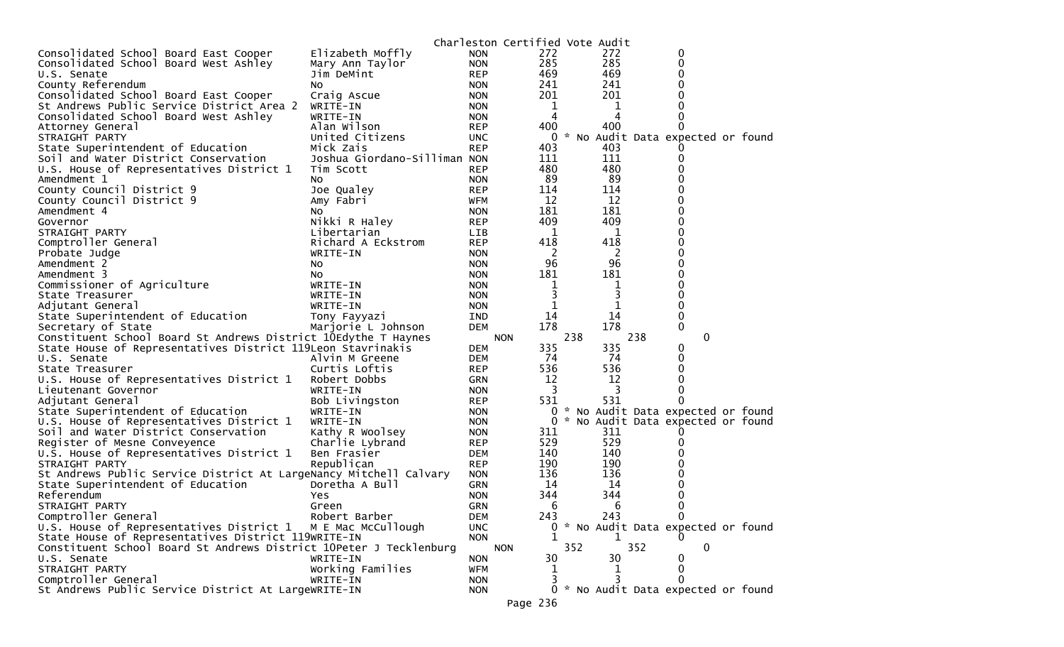|                                                                                   |                              |                          | Charleston Certified Vote Audit |     |            |     |                                               |  |
|-----------------------------------------------------------------------------------|------------------------------|--------------------------|---------------------------------|-----|------------|-----|-----------------------------------------------|--|
| Consolidated School Board East Cooper                                             | Elizabeth Moffly             | <b>NON</b>               | 272                             |     | 272        |     | 0                                             |  |
| Consolidated School Board West Ashley                                             | Mary Ann Taylor              | <b>NON</b>               | 285                             |     | 285        |     | 0                                             |  |
| U.S. Senate                                                                       | Jim DeMint                   | <b>REP</b>               | 469                             |     | 469        |     | 0                                             |  |
| County Referendum                                                                 | NO.                          | <b>NON</b>               | 241                             |     | 241        |     | O                                             |  |
| Consolidated School Board East Cooper                                             | Craig Ascue                  | <b>NON</b>               | 201                             |     | 201        |     |                                               |  |
| St Andrews Public Service District Area 2                                         | WRITE-IN                     | <b>NON</b>               | 1                               |     | 1          |     |                                               |  |
| Consolidated School Board West Ashley                                             | WRITE-IN                     | <b>NON</b>               | 4                               |     | 4          |     |                                               |  |
| Attorney General                                                                  | Alan Wilson                  | <b>REP</b>               | 400                             |     | 400        |     |                                               |  |
| STRAIGHT PARTY                                                                    | United Citizens              | <b>UNC</b>               | 0                               |     |            |     | * No Audit Data expected or found             |  |
| State Superintendent of Education                                                 | Mick Zais                    | <b>REP</b>               | 403                             |     | 403        |     |                                               |  |
| Soil and Water District Conservation                                              | Joshua Giordano-Silliman NON |                          | 111                             |     | 111        |     |                                               |  |
| U.S. House of Representatives District 1                                          | Tim Scott                    | <b>REP</b>               | 480                             |     | 480        |     |                                               |  |
| Amendment 1                                                                       | NO.                          | <b>NON</b>               | -89                             |     | 89         |     |                                               |  |
| County Council District 9                                                         | Joe Qualey                   | <b>REP</b>               | 114                             |     | 114        |     | 0                                             |  |
| County Council District 9                                                         | Amy Fabri                    | <b>WFM</b>               | 12                              |     | 12         |     | ი                                             |  |
| Amendment 4                                                                       | NO.                          | <b>NON</b>               | 181                             |     | 181        |     | 0                                             |  |
| Governor                                                                          | Nikki R Haley                | <b>REP</b>               | 409                             |     | 409        |     | 0                                             |  |
| STRAIGHT PARTY                                                                    | Libertarian                  | <b>LIB</b>               | 1                               |     | 1          |     | U                                             |  |
| Comptroller General                                                               | Richard A Eckstrom           | <b>REP</b>               | 418                             |     | 418        |     | 0                                             |  |
| Probate Judge                                                                     | WRITE-IN                     | <b>NON</b>               | 2                               |     | 2          |     | 0                                             |  |
| Amendment 2                                                                       | NO.                          | <b>NON</b>               | 96                              |     | 96         |     |                                               |  |
| Amendment 3                                                                       | NO.                          | <b>NON</b>               | 181                             |     | 181        |     | U                                             |  |
| Commissioner of Agriculture                                                       | WRITE-IN                     | <b>NON</b>               | 1                               |     | 1          |     |                                               |  |
| State Treasurer                                                                   | WRITE-IN                     | <b>NON</b>               | 3                               |     | 3          |     | 0                                             |  |
| Adjutant General                                                                  | WRITE-IN                     | <b>NON</b>               | 1                               |     | 1          |     | $\Omega$                                      |  |
| State Superintendent of Education                                                 | Tony Fayyazi                 | <b>IND</b>               | 14                              |     | 14         |     | 0                                             |  |
| Secretary of State                                                                | Marjorie L Johnson           | <b>DEM</b>               | 178                             |     | 178        |     | 0                                             |  |
| Constituent School Board St Andrews District 10Edythe T Haynes                    |                              |                          | <b>NON</b>                      | 238 |            | 238 | 0                                             |  |
| State House of Representatives District 119Leon Stavrinakis                       |                              | <b>DEM</b>               | 335                             |     | 335        |     | 0                                             |  |
| U.S. Senate                                                                       | Alvin M Greene               | <b>DEM</b>               | 74                              |     | 74         |     | 0                                             |  |
| State Treasurer                                                                   | Curtis Loftis                | <b>REP</b>               | 536                             |     | 536        |     | 0                                             |  |
| U.S. House of Representatives District 1                                          | Robert Dobbs                 | <b>GRN</b>               | 12                              |     | 12         |     |                                               |  |
| Lieutenant Governor                                                               | WRITE-IN                     | <b>NON</b>               | 3                               |     | 3          |     |                                               |  |
| Adjutant General                                                                  | Bob Livingston               | <b>REP</b>               | 531                             |     | 531        |     |                                               |  |
| State Superintendent of Education                                                 | WRITE-IN                     | <b>NON</b>               | 0                               |     |            |     | * No Audit Data expected or found             |  |
| U.S. House of Representatives District 1                                          | WRITE-IN                     | <b>NON</b>               | 0                               |     |            |     | * No Audit Data expected or found             |  |
| Soil and Water District Conservation                                              | Kathy R Woolsey              | <b>NON</b>               | 311                             |     | 311        |     |                                               |  |
| Register of Mesne Conveyence                                                      | Charlie Lybrand              | REP                      | 529                             |     | 529        |     |                                               |  |
| U.S. House of Representatives District 1                                          | Ben Frasier                  | <b>DEM</b>               | 140                             |     | 140        |     |                                               |  |
| STRAIGHT PARTY                                                                    | Republican                   | <b>REP</b>               | 190                             |     | 190<br>136 |     |                                               |  |
| St Andrews Public Service District At LargeNancy Mitchell Calvary                 |                              | <b>NON</b>               | 136                             |     |            |     |                                               |  |
| State Superintendent of Education                                                 | Doretha A Bull               | <b>GRN</b>               | 14                              |     | 14<br>344  |     | 0                                             |  |
| Referendum                                                                        | Yes<br>Green                 | <b>NON</b><br><b>GRN</b> | 344<br>6                        |     | 6          |     | 0                                             |  |
| STRAIGHT PARTY<br>Comptroller General                                             | Robert Barber                |                          | 243                             |     | 243        |     | 0                                             |  |
| U.S. House of Representatives District 1                                          | M E Mac McCullough           | DEM                      | 0                               |     |            |     |                                               |  |
| State House of Representatives District 119WRITE-IN                               |                              | <b>UNC</b><br><b>NON</b> | 1                               |     | 1          |     | * No Audit Data expected or found<br>$\Omega$ |  |
|                                                                                   |                              |                          |                                 |     |            | 352 | $\Omega$                                      |  |
| Constituent School Board St Andrews District 10Peter J Tecklenburg<br>U.S. Senate | WRITE-IN                     | <b>NON</b>               | <b>NON</b><br>30                | 352 | 30         |     | 0                                             |  |
| STRAIGHT PARTY                                                                    | Working Families             | <b>WFM</b>               | 1                               |     | 1          |     | 0                                             |  |
| Comptroller General                                                               | WRITE-IN                     | <b>NON</b>               | 3                               |     |            |     | 0                                             |  |
| St Andrews Public Service District At LargeWRITE-IN                               |                              |                          |                                 |     |            |     | 0 * No Audit Data expected or found           |  |
|                                                                                   |                              | <b>NON</b>               |                                 |     |            |     |                                               |  |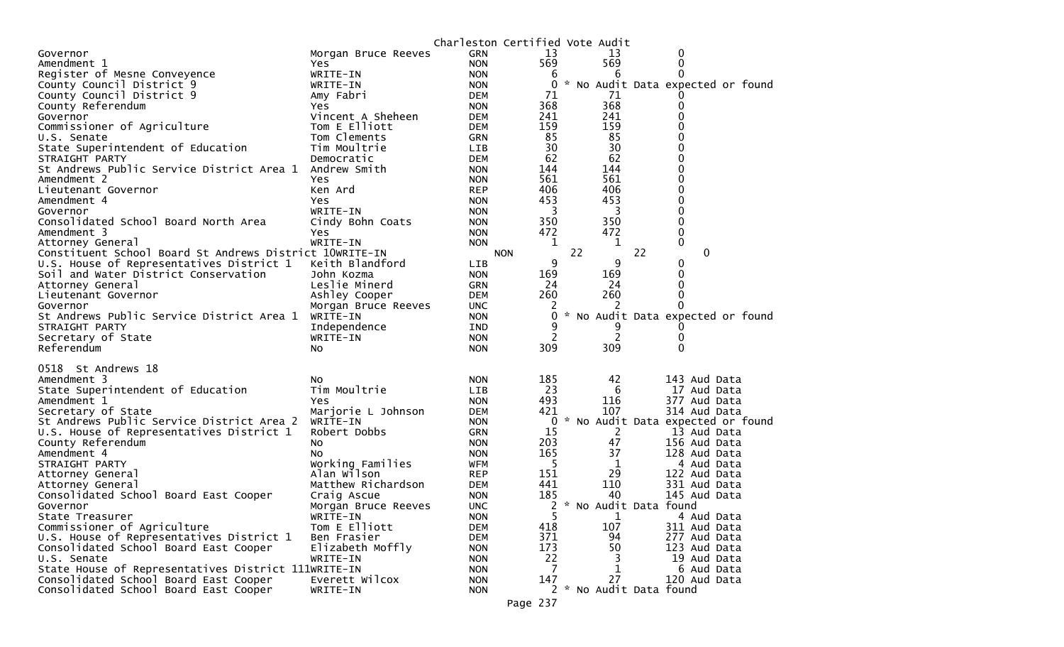|                                                         |                                 | Charleston Certified Vote Audit |                 |    |     |    |                                   |  |
|---------------------------------------------------------|---------------------------------|---------------------------------|-----------------|----|-----|----|-----------------------------------|--|
| Governor                                                | Morgan Bruce Reeves             | <b>GRN</b>                      | 13              |    | 13  |    | 0                                 |  |
| Amendment 1                                             | Yes                             | <b>NON</b>                      | 569             |    | 569 |    | 0                                 |  |
| Register of Mesne Conveyence                            | WRITE-IN                        | <b>NON</b>                      | 6               |    | 6   |    | 0                                 |  |
| County Council District 9                               | WRITE-IN                        | <b>NON</b>                      | 0               |    |     |    | * No Audit Data expected or found |  |
| County Council District 9                               | Amy Fabri                       | DEM                             | 71              |    | 71  |    |                                   |  |
| County Referendum                                       | Yes                             | <b>NON</b>                      | 368             |    | 368 |    | 0                                 |  |
| Governor                                                | Vincent A Sheheen               | <b>DEM</b>                      | 241             |    | 241 |    |                                   |  |
| Commissioner of Agriculture                             | Tom E Elliott                   | DEM                             | 159             |    | 159 |    | 0                                 |  |
| U.S. Senate                                             | Tom Clements                    | <b>GRN</b>                      | 85              |    | 85  |    |                                   |  |
| State Superintendent of Education                       | Tim Moultrie                    | <b>LIB</b>                      | 30              |    | 30  |    |                                   |  |
| STRAIGHT PARTY                                          | Democratic                      | <b>DEM</b>                      | 62              |    | 62  |    | 0                                 |  |
| St Andrews Public Service District Area 1               | Andrew Smith                    | <b>NON</b>                      | 144             |    | 144 |    |                                   |  |
| Amendment 2                                             | Yes                             | <b>NON</b>                      | 561             |    | 561 |    | 0                                 |  |
| Lieutenant Governor                                     | Ken Ard                         | <b>REP</b>                      | 406             |    | 406 |    | 0                                 |  |
| Amendment 4                                             | Yes                             | <b>NON</b>                      | 453             |    | 453 |    | 0                                 |  |
| Governor                                                | WRITE-IN                        | <b>NON</b>                      | 3               |    | 3   |    | 0                                 |  |
| Consolidated School Board North Area                    | Cindy Bohn Coats                | <b>NON</b>                      | 350             |    | 350 |    | 0                                 |  |
| Amendment 3                                             | Yes                             | <b>NON</b>                      | 472             |    | 472 |    | 0                                 |  |
| Attorney General                                        | WRITE-IN                        | <b>NON</b>                      | 1               |    | 1   |    | 0                                 |  |
| Constituent School Board St Andrews District 10WRITE-IN |                                 |                                 | <b>NON</b><br>9 | 22 | 9   | 22 | 0                                 |  |
| U.S. House of Representatives District 1                | Keith Blandford                 | LIB                             | 169             |    | 169 |    | 0<br>0                            |  |
| Soil and Water District Conservation                    | John Kozma<br>Leslie Minerd     | <b>NON</b>                      | 24              |    | 24  |    | 0                                 |  |
| Attorney General                                        |                                 | <b>GRN</b><br><b>DEM</b>        | 260             |    | 260 |    | 0                                 |  |
| Lieutenant Governor<br>Governor                         | Ashley Cooper                   |                                 | 2               |    | 2   |    | 0                                 |  |
| St Andrews Public Service District Area 1               | Morgan Bruce Reeves<br>WRITE-IN | <b>UNC</b><br><b>NON</b>        | 0               |    |     |    | * No Audit Data expected or found |  |
| STRAIGHT PARTY                                          | Independence                    | IND                             | 9               |    |     |    |                                   |  |
| Secretary of State                                      | WRITE-IN                        | <b>NON</b>                      |                 |    | 2   |    | 0                                 |  |
| Referendum                                              | No.                             | <b>NON</b>                      | 309             |    | 309 |    | 0                                 |  |
|                                                         |                                 |                                 |                 |    |     |    |                                   |  |
| 0518 St Andrews 18                                      |                                 |                                 |                 |    |     |    |                                   |  |
| Amendment 3                                             | NO.                             | <b>NON</b>                      | 185             |    | 42  |    | 143 Aud Data                      |  |
| State Superintendent of Education                       | Tim Moultrie                    | <b>LIB</b>                      | 23              |    | 6   |    | 17 Aud Data                       |  |
| Amendment 1                                             | Yes                             | <b>NON</b>                      | 493             |    | 116 |    | 377 Aud Data                      |  |
| Secretary of State                                      | Marjorie L Johnson              | <b>DEM</b>                      | 421             |    | 107 |    | 314 Aud Data                      |  |
| St Andrews Public Service District Area 2               | WRITE-IN                        | <b>NON</b>                      | 0               |    |     |    | * No Audit Data expected or found |  |
| U.S. House of Representatives District 1                | Robert Dobbs                    | <b>GRN</b>                      | 15              |    | 2   |    | 13 Aud Data                       |  |
| County Referendum                                       | No.                             | <b>NON</b>                      | 203             |    | 47  |    | 156 Aud Data                      |  |
| Amendment 4                                             | NO.                             | <b>NON</b>                      | 165             |    | 37  |    | 128 Aud Data                      |  |
| STRAIGHT PARTY                                          | Working Families                | WFM                             | -5              |    | 1   |    | 4 Aud Data                        |  |
| Attorney General                                        | Alan Wilson                     | <b>REP</b>                      | 151             |    | 29  |    | 122 Aud Data                      |  |
| Attorney General                                        | Matthew Richardson              | <b>DEM</b>                      | 441             |    | 110 |    | 331 Aud Data                      |  |
| Consolidated School Board East Cooper                   | Craig Ascue                     | <b>NON</b>                      | 185             |    | 40  |    | 145 Aud Data                      |  |
| Governor                                                | Morgan Bruce Reeves             | <b>UNC</b>                      | 2               |    |     |    | * No Audit Data found             |  |
| State Treasurer                                         | WRITE-IN                        | <b>NON</b>                      | 5               |    | 1   |    | 4 Aud Data                        |  |
| Commissioner of Agriculture                             | Tom E Elliott                   | <b>DEM</b>                      | 418             |    | 107 |    | 311 Aud Data                      |  |
| U.S. House of Representatives District 1                | Ben Frasier                     | <b>DEM</b>                      | 371             |    | 94  |    | 277 Aud Data                      |  |
| Consolidated School Board East Cooper                   | Elizabeth Moffly                | <b>NON</b>                      | 173             |    | 50  |    | 123 Aud Data                      |  |
| U.S. Senate                                             | WRITE-IN                        | <b>NON</b>                      | 22              |    | 3   |    | 19 Aud Data                       |  |
| State House of Representatives District 111WRITE-IN     |                                 | <b>NON</b>                      | 7               |    | 1   |    | 6 Aud Data                        |  |
| Consolidated School Board East Cooper                   | Everett Wilcox                  | <b>NON</b>                      | 147             |    | 27  |    | 120 Aud Data                      |  |
| Consolidated School Board East Cooper                   | WRITE-IN                        | <b>NON</b>                      |                 |    |     |    | 2 * No Audit Data found           |  |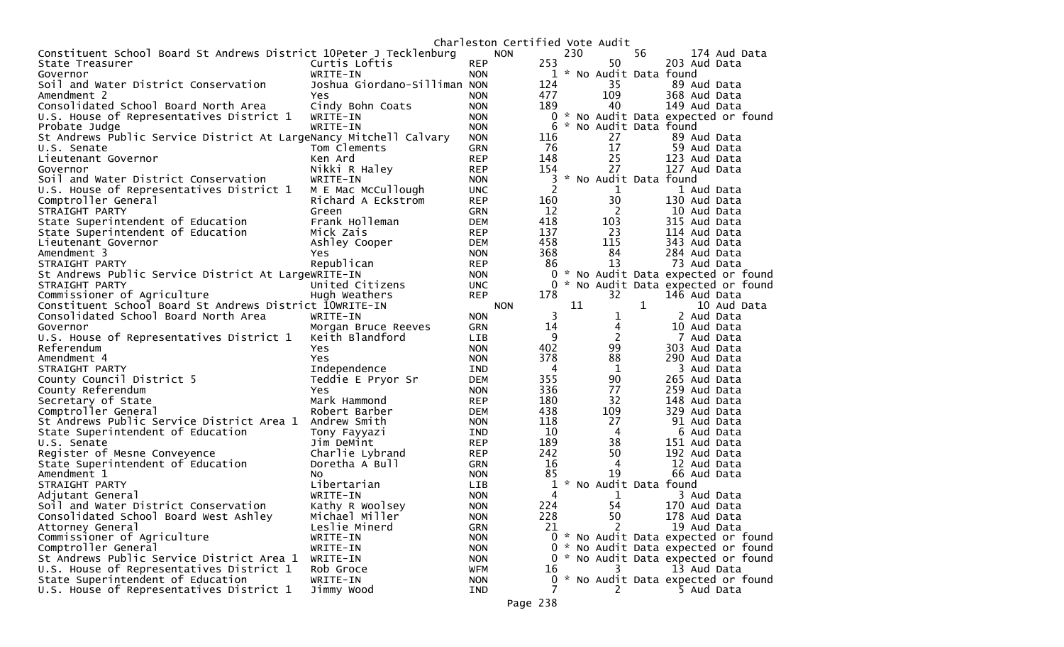|                                                                    |                              |            | Charleston Certified Vote Audit |                |               |                |                         |                                     |
|--------------------------------------------------------------------|------------------------------|------------|---------------------------------|----------------|---------------|----------------|-------------------------|-------------------------------------|
| Constituent School Board St Andrews District 10Peter J Tecklenburg |                              |            | <b>NON</b>                      |                | 230           |                | 56                      | 174 Aud Data                        |
| State Treasurer                                                    | Curtis Loftis                | <b>REP</b> | 253                             |                |               | 50             |                         | 203 Aud Data                        |
| Governor                                                           | WRITE-IN                     | <b>NON</b> |                                 |                |               |                | 1 * No Audit Data found |                                     |
| Soil and Water District Conservation                               | Joshua Giordano-Silliman NON |            | 124                             |                |               | 35             |                         | 89 Aud Data                         |
| Amendment 2                                                        | Yes                          | <b>NON</b> | 477                             |                |               | 109            |                         | 368 Aud Data                        |
| Consolidated School Board North Area                               | Cindy Bohn Coats             | <b>NON</b> | 189                             |                |               | 40             |                         | 149 Aud Data                        |
| U.S. House of Representatives District 1                           | WRITE-IN                     | <b>NON</b> |                                 |                |               |                |                         | 0 * No Audit Data expected or found |
| Probate Judge                                                      | WRITE-IN                     | <b>NON</b> |                                 | 6              |               |                | * No Audit Data found   |                                     |
| St Andrews Public Service District At LargeNancy Mitchell Calvary  |                              | <b>NON</b> | 116                             |                |               | 27             |                         | 89 Aud Data                         |
| U.S. Senate                                                        | Tom Clements                 | <b>GRN</b> |                                 | 76             |               | 17             |                         | 59 Aud Data                         |
| Lieutenant Governor                                                | Ken Ard                      | <b>REP</b> | 148                             |                |               | 25             |                         | 123 Aud Data                        |
| Governor                                                           | Nikki R Haley                | <b>REP</b> | 154                             |                |               | 27             |                         | 127 Aud Data                        |
| Soil and Water District Conservation                               | WRITE-IN                     | <b>NON</b> |                                 | 3              |               |                | * No Audit Data found   |                                     |
| U.S. House of Representatives District 1                           | M E Mac McCullough           | <b>UNC</b> |                                 | $\overline{2}$ |               | $\mathbf 1$    |                         | 1 Aud Data                          |
| Comptroller General                                                | Richard A Eckstrom           | <b>REP</b> | 160                             |                |               | 30             |                         | 130 Aud Data                        |
| STRAIGHT PARTY                                                     | Green                        | GRN        |                                 | 12             |               | 2              |                         | 10 Aud Data                         |
| State Superintendent of Education                                  | Frank Holleman               | <b>DEM</b> | 418                             |                |               | 103            |                         | 315 Aud Data                        |
| State Superintendent of Education                                  | Mick Zais                    | <b>REP</b> | 137                             |                |               | 23             |                         | 114 Aud Data                        |
| Lieutenant Governor                                                | Ashley Cooper                | <b>DEM</b> | 458                             |                |               | 115            |                         | 343 Aud Data                        |
| Amendment 3                                                        | Yes                          | <b>NON</b> | 368                             |                |               | 84             |                         | 284 Aud Data                        |
|                                                                    |                              |            |                                 | 86             |               | 13             |                         | 73 Aud Data                         |
| STRAIGHT PARTY                                                     | Republican                   | <b>REP</b> |                                 |                |               |                |                         |                                     |
| St Andrews Public Service District At LargeWRITE-IN                |                              | <b>NON</b> |                                 |                |               |                |                         | 0 * No Audit Data expected or found |
| STRAIGHT PARTY                                                     | United Citizens              | <b>UNC</b> |                                 |                |               |                |                         | 0 * No Audit Data expected or found |
| Commissioner of Agriculture                                        | Hugh Weathers                | <b>REP</b> | 178                             |                |               | 32             |                         | 146 Aud Data                        |
| Constituent School Board St Andrews District 10WRITE-IN            |                              |            | <b>NON</b>                      |                | 11            |                | 1                       | 10 Aud Data                         |
| Consolidated School Board North Area                               | WRITE-IN                     | <b>NON</b> |                                 | 3              |               | $\mathbf 1$    |                         | 2 Aud Data                          |
| Governor                                                           | Morgan Bruce Reeves          | <b>GRN</b> |                                 | 14             |               | 4              |                         | 10 Aud Data                         |
| U.S. House of Representatives District 1                           | Keith Blandford              | <b>LIB</b> |                                 | 9              |               | $\overline{c}$ |                         | 7 Aud Data                          |
| Referendum                                                         | Yes.                         | <b>NON</b> | 402                             |                |               | 99             |                         | 303 Aud Data                        |
| Amendment 4                                                        | Yes                          | <b>NON</b> | 378                             |                |               | 88             |                         | 290 Aud Data                        |
| STRAIGHT PARTY                                                     | Independence                 | <b>IND</b> |                                 | 4              |               | $\mathbf 1$    |                         | 3 Aud Data                          |
| County Council District 5                                          | Teddie E Pryor Sr            | <b>DEM</b> | 355                             |                |               | 90             |                         | 265 Aud Data                        |
| County Referendum                                                  | <b>Yes</b>                   | <b>NON</b> | 336                             |                |               | 77             |                         | 259 Aud Data                        |
| Secretary of State                                                 | Mark Hammond                 | <b>REP</b> | 180                             |                |               | 32             |                         | 148 Aud Data                        |
| Comptroller General                                                | Robert Barber                | <b>DEM</b> | 438                             |                |               | 109            |                         | 329 Aud Data                        |
| St Andrews Public Service District Area 1                          | Andrew Smith                 | <b>NON</b> | 118                             |                |               | 27             |                         | 91 Aud Data                         |
| State Superintendent of Education                                  | Tony Fayyazi                 | <b>IND</b> |                                 | 10             |               | 4              |                         | 6 Aud Data                          |
| U.S. Senate                                                        | Jim DeMint                   | <b>REP</b> | 189                             |                |               | 38             |                         | 151 Aud Data                        |
| Register of Mesne Conveyence                                       | Charlie Lybrand              | <b>REP</b> | 242                             |                |               | 50             |                         | 192 Aud Data                        |
| State Superintendent of Education                                  | Doretha A Bull               | GRN        |                                 | 16             |               | 4              |                         | 12 Aud Data                         |
| Amendment 1                                                        | NO.                          | <b>NON</b> |                                 | 85             |               | 19             |                         | 66 Aud Data                         |
| STRAIGHT PARTY                                                     | Libertarian                  | <b>LIB</b> |                                 | $\mathbf{1}$   | $\mathcal{H}$ |                | No Audit Data found     |                                     |
| Adjutant General                                                   | WRITE-IN                     | <b>NON</b> |                                 | 4              |               | $\mathbf{1}$   |                         | 3 Aud Data                          |
| Soil and Water District Conservation                               | Kathy R Woolsey              | <b>NON</b> | 224                             |                |               | 54             |                         | 170 Aud Data                        |
| Consolidated School Board West Ashley                              | Michael Miller               | <b>NON</b> | 228                             |                |               | 50             |                         | 178 Aud Data                        |
| Attorney General                                                   | Leslie Minerd                | GRN        |                                 | 21             |               | 2              |                         | 19 Aud Data                         |
| Commissioner of Agriculture                                        | WRITE-IN                     | <b>NON</b> |                                 |                |               |                |                         | 0 * No Audit Data expected or found |
| Comptroller General                                                | WRITE-IN                     | <b>NON</b> |                                 |                |               |                |                         | 0 * No Audit Data expected or found |
| St Andrews Public Service District Area 1                          | WRITE-IN                     | <b>NON</b> |                                 |                |               |                |                         | 0 * No Audit Data expected or found |
| U.S. House of Representatives District 1                           | Rob Groce                    | <b>WFM</b> |                                 | 16             |               | 3              |                         | 13 Aud Data                         |
| State Superintendent of Education                                  | WRITE-IN                     | <b>NON</b> |                                 | $\overline{0}$ |               |                |                         | * No Audit Data expected or found   |
| U.S. House of Representatives District 1                           | Jimmy Wood                   | IND        |                                 |                |               | 2              |                         | 5 Aud Data                          |
|                                                                    |                              |            |                                 |                |               |                |                         |                                     |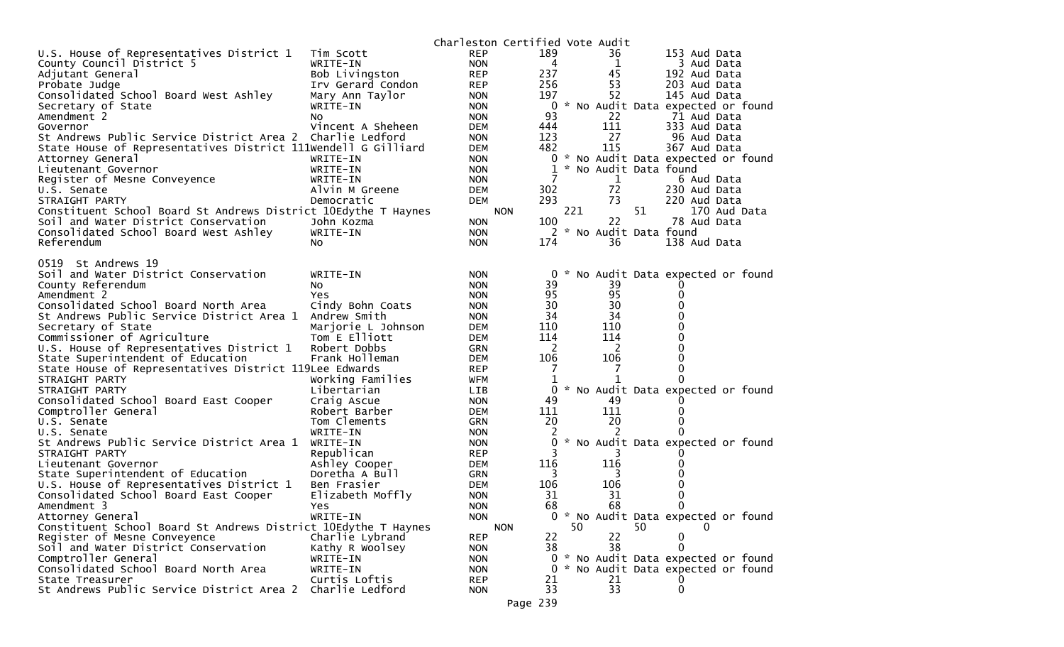|                                                                |                    | Charleston Certified Vote Audit |            |     |                       |    |                                     |  |
|----------------------------------------------------------------|--------------------|---------------------------------|------------|-----|-----------------------|----|-------------------------------------|--|
| U.S. House of Representatives District 1                       | Tim Scott          | <b>REP</b>                      | 189        |     | 36                    |    | 153 Aud Data                        |  |
| County Council District 5                                      | WRITE-IN           | <b>NON</b>                      | 4          |     | $\mathbf{1}$          |    | 3 Aud Data                          |  |
| Adjutant General                                               | Bob Livingston     | <b>REP</b>                      | 237        |     | 45                    |    | 192 Aud Data                        |  |
| Probate Judge                                                  | Irv Gerard Condon  | <b>REP</b>                      | 256        |     | 53                    |    | 203 Aud Data                        |  |
| Consolidated School Board West Ashley                          | Mary Ann Taylor    | <b>NON</b>                      | 197        |     | 52                    |    | 145 Aud Data                        |  |
| Secretary of State                                             | WRITE-IN           | <b>NON</b>                      | 0          |     |                       |    | * No Audit Data expected or found   |  |
| Amendment 2                                                    | NO.                | <b>NON</b>                      | 93         |     | 22                    |    | 71 Aud Data                         |  |
| Governor                                                       | Vincent A Sheheen  | <b>DEM</b>                      | 444        |     | 111                   |    | 333 Aud Data                        |  |
| St Andrews Public Service District Area 2                      | Charlie Ledford    | <b>NON</b>                      | 123        |     | 27                    |    | 96 Aud Data                         |  |
| State House of Representatives District 111Wendell G Gilliard  |                    | <b>DEM</b>                      | 482        |     | 115                   |    | 367 Aud Data                        |  |
| Attorney General                                               | WRITE-IN           | <b>NON</b>                      | 0          | Ж., |                       |    | No Audit Data expected or found     |  |
| Lieutenant Governor                                            | WRITE-IN           | <b>NON</b>                      |            |     | * No Audit Data found |    |                                     |  |
| Register of Mesne Conveyence                                   | WRITE-IN           | <b>NON</b>                      |            |     | 1                     |    | 6 Aud Data                          |  |
| U.S. Senate                                                    | Alvin M Greene     | <b>DEM</b>                      | 302        |     | 72                    |    | 230 Aud Data                        |  |
| STRAIGHT PARTY                                                 | Democratic         | <b>DEM</b>                      | 293        |     | 73                    |    | 220 Aud Data                        |  |
| Constituent School Board St Andrews District 10Edythe T Haynes |                    |                                 | <b>NON</b> | 221 |                       | 51 | 170 Aud Data                        |  |
| Soil and Water District Conservation                           | John Kozma         | <b>NON</b>                      | 100        |     | 22                    |    | 78 Aud Data                         |  |
| Consolidated School Board West Ashley                          | WRITE-IN           | <b>NON</b>                      |            |     | * No Audit Data found |    |                                     |  |
| Referendum                                                     | NO.                | <b>NON</b>                      | 174        |     | 36                    |    | 138 Aud Data                        |  |
| 0519 St Andrews 19                                             |                    |                                 |            |     |                       |    |                                     |  |
| Soil and Water District Conservation                           | WRITE-IN           | <b>NON</b>                      | 0          |     |                       |    | * No Audit Data expected or found   |  |
| County Referendum                                              | NO.                | <b>NON</b>                      | 39         |     | 39                    |    |                                     |  |
| Amendment 2                                                    | Yes                | <b>NON</b>                      | 95         |     | 95                    |    | 0                                   |  |
| Consolidated School Board North Area                           | Cindy Bohn Coats   | <b>NON</b>                      | 30         |     | 30                    |    |                                     |  |
| St Andrews Public Service District Area 1                      | Andrew Smith       | <b>NON</b>                      | 34         |     | 34                    |    | 0                                   |  |
| Secretary of State                                             | Marjorie L Johnson | <b>DEM</b>                      | 110        |     | 110                   |    |                                     |  |
| Commissioner of Agriculture                                    | Tom E Elliott      | <b>DEM</b>                      | 114        |     | 114                   |    |                                     |  |
| U.S. House of Representatives District 1                       | Robert Dobbs       | <b>GRN</b>                      | -2         |     | 2                     |    | 0                                   |  |
| State Superintendent of Education                              | Frank Holleman     | <b>DEM</b>                      | 106        |     | 106                   |    |                                     |  |
| State House of Representatives District 119Lee Edwards         |                    | <b>REP</b>                      |            |     |                       |    |                                     |  |
| STRAIGHT PARTY                                                 | Working Families   | WFM                             | 1          |     |                       |    |                                     |  |
| STRAIGHT PARTY                                                 | Libertarian        | <b>LIB</b>                      | 0          |     |                       |    | * No Audit Data expected or found   |  |
| Consolidated School Board East Cooper                          | Craig Ascue        | <b>NON</b>                      | 49         |     | 49                    |    |                                     |  |
| Comptroller General                                            | Robert Barber      | <b>DEM</b>                      | 111        |     | 111                   |    | 0                                   |  |
| U.S. Senate                                                    | Tom Clements       | <b>GRN</b>                      | 20         |     | 20                    |    | 0                                   |  |
| U.S. Senate                                                    | WRITE-IN           | <b>NON</b>                      |            |     |                       |    |                                     |  |
| St Andrews Public Service District Area 1                      | WRITE-IN           | <b>NON</b>                      | 0          |     |                       |    | * No Audit Data expected or found   |  |
| STRAIGHT PARTY                                                 | Republican         | <b>REP</b>                      |            |     | 3                     |    |                                     |  |
| Lieutenant Governor                                            | Ashley Cooper      | <b>DEM</b>                      | 116        |     | 116                   |    | O                                   |  |
| State Superintendent of Education                              | Doretha A Bull     | GRN                             | 3          |     | 3                     |    |                                     |  |
| U.S. House of Representatives District 1                       | Ben Frasier        | <b>DEM</b>                      | 106        |     | 106                   |    |                                     |  |
| Consolidated School Board East Cooper                          | Elizabeth Moffly   | <b>NON</b>                      | 31         |     | 31                    |    | 0                                   |  |
| Amendment 3                                                    | Yes                | <b>NON</b>                      | 68         |     | 68                    |    | 0                                   |  |
| Attorney General                                               | WRITE-IN           | <b>NON</b>                      |            |     |                       |    | 0 * No Audit Data expected or found |  |
| Constituent School Board St Andrews District 10Edythe T Haynes |                    |                                 | <b>NON</b> | 50  |                       | 50 |                                     |  |
| Register of Mesne Conveyence                                   | Charlie Lybrand    | <b>REP</b>                      | 22         |     | 22                    |    | 0                                   |  |
| Soil and Water District Conservation                           | Kathy R Woolsey    | <b>NON</b>                      | 38         |     | 38                    |    | 0                                   |  |
| Comptroller General                                            | WRITE-IN           | <b>NON</b>                      | $\Omega$   |     |                       |    | * No Audit Data expected or found   |  |
| Consolidated School Board North Area                           | WRITE-IN           | <b>NON</b>                      | 0          |     |                       |    | * No Audit Data expected or found   |  |
| State Treasurer                                                | Curtis Loftis      | <b>REP</b>                      | 21         |     | 21                    |    |                                     |  |
| St Andrews Public Service District Area 2                      | Charlie Ledford    | <b>NON</b>                      | 33         |     | 33                    |    | 0                                   |  |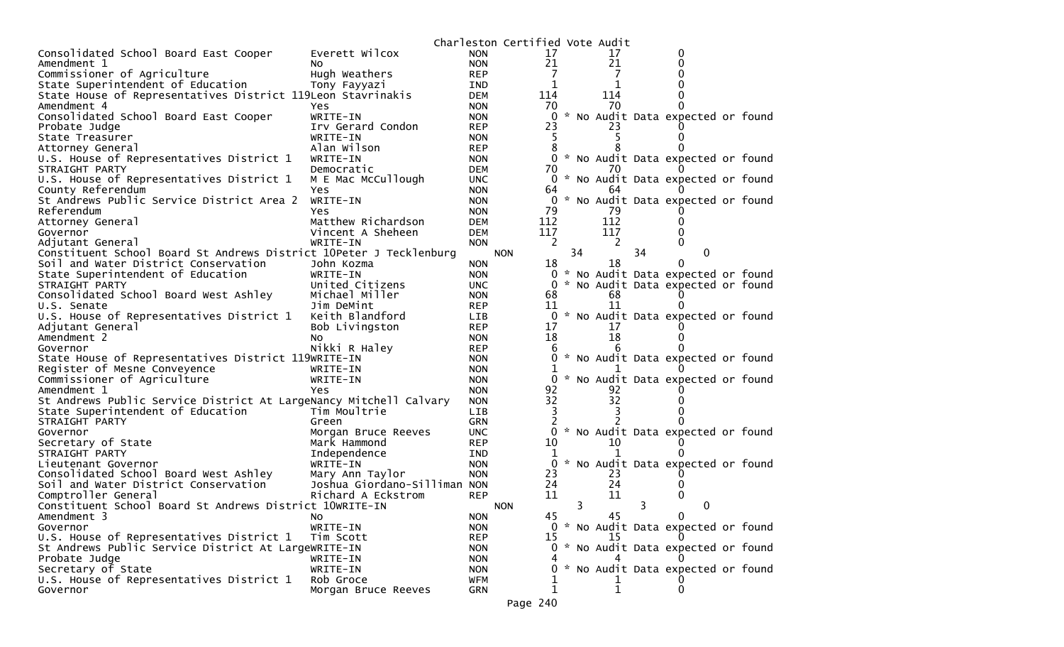|                                                                    |                              |            | Charleston Certified Vote Audit |    |     |                                     |  |
|--------------------------------------------------------------------|------------------------------|------------|---------------------------------|----|-----|-------------------------------------|--|
| Consolidated School Board East Cooper                              | Everett Wilcox               | <b>NON</b> | 17                              |    | 17  |                                     |  |
| Amendment 1                                                        | NO.                          | <b>NON</b> | 21                              |    | 21  |                                     |  |
| Commissioner of Agriculture                                        | Hugh Weathers                | <b>REP</b> | 7                               |    | 7   |                                     |  |
| State Superintendent of Education                                  | Tony Fayyazi                 | IND        | 1                               |    | 1   |                                     |  |
| State House of Representatives District 119Leon Stavrinakis        |                              | DEM        | 114                             |    | 114 |                                     |  |
| Amendment 4                                                        | Yes                          | <b>NON</b> | 70                              |    | 70  |                                     |  |
| Consolidated School Board East Cooper                              | WRITE-IN                     | <b>NON</b> | 0                               |    |     | * No Audit Data expected or found   |  |
| Probate Judge                                                      | Irv Gerard Condon            | <b>REP</b> | 23                              |    |     |                                     |  |
| State Treasurer                                                    | WRITE-IN                     | <b>NON</b> | 5                               |    |     |                                     |  |
| Attorney General                                                   | Alan Wilson                  | <b>REP</b> | 8                               |    |     |                                     |  |
| U.S. House of Representatives District 1                           | WRITE-IN                     | <b>NON</b> |                                 |    |     | 0 * No Audit Data expected or found |  |
| STRAIGHT PARTY                                                     | Democratic                   | <b>DEM</b> | 70                              |    | 70  |                                     |  |
| U.S. House of Representatives District 1                           | M E Mac McCullough           | <b>UNC</b> | 0                               |    |     | * No Audit Data expected or found   |  |
| County Referendum                                                  | Yes                          | <b>NON</b> | 64                              |    | 64  |                                     |  |
| St Andrews Public Service District Area 2                          | WRITE-IN                     | <b>NON</b> | $\Omega$                        |    |     | * No Audit Data expected or found   |  |
| Referendum                                                         | Yes                          | <b>NON</b> | 79                              |    | 79  |                                     |  |
| Attorney General                                                   | Matthew Richardson           | DEM        | 112                             |    | 112 |                                     |  |
| Governor                                                           | Vincent A Sheheen            | <b>DEM</b> | 117                             |    | 117 |                                     |  |
| Adjutant General                                                   | WRITE-IN                     | <b>NON</b> | 2                               |    | 2   |                                     |  |
| Constituent School Board St Andrews District 10Peter J Tecklenburg |                              |            | <b>NON</b>                      | 34 |     | 34<br>0                             |  |
| Soil and Water District Conservation                               | John Kozma                   | <b>NON</b> | 18                              |    | 18  | 0                                   |  |
| State Superintendent of Education                                  | WRITE-IN                     | <b>NON</b> | 0                               |    |     | * No Audit Data expected or found   |  |
| STRAIGHT PARTY                                                     | United Citizens              | <b>UNC</b> | 0                               |    |     | * No Audit Data expected or found   |  |
| Consolidated School Board West Ashley                              | Michael Miller               | <b>NON</b> | 68                              |    | 68  |                                     |  |
| U.S. Senate                                                        | Jim DeMint                   | <b>REP</b> | 11                              |    | 11  |                                     |  |
| U.S. House of Representatives District 1                           | Keith Blandford              | <b>LIB</b> | $\mathbf{0}$                    |    |     | * No Audit Data expected or found   |  |
| Adjutant General                                                   | Bob Livingston               | <b>REP</b> | 17                              |    | 17  |                                     |  |
| Amendment 2                                                        | No                           | <b>NON</b> | 18                              |    | 18  |                                     |  |
| Governor                                                           | Nikki R Haley                | <b>REP</b> | 6                               |    |     |                                     |  |
| State House of Representatives District 119WRITE-IN                |                              | <b>NON</b> | 0                               |    |     | * No Audit Data expected or found   |  |
| Register of Mesne Conveyence                                       | WRITE-IN                     | <b>NON</b> |                                 |    |     |                                     |  |
| Commissioner of Agriculture                                        | WRITE-IN                     | <b>NON</b> | 0                               |    |     | * No Audit Data expected or found   |  |
| Amendment 1                                                        | Yes                          | <b>NON</b> | 92                              |    | 92  |                                     |  |
| St Andrews Public Service District At LargeNancy Mitchell Calvary  |                              | <b>NON</b> | 32                              |    | 32  |                                     |  |
| State Superintendent of Education                                  | Tim Moultrie                 | <b>LIB</b> | 3                               |    |     |                                     |  |
| STRAIGHT PARTY                                                     | Green                        | <b>GRN</b> | 2                               |    |     |                                     |  |
| Governor                                                           | Morgan Bruce Reeves          | <b>UNC</b> | 0                               |    |     | * No Audit Data expected or found   |  |
| Secretary of State                                                 | Mark Hammond                 | <b>REP</b> | 10                              |    | 10  |                                     |  |
| STRAIGHT PARTY                                                     | Independence                 | <b>IND</b> | 1                               |    |     |                                     |  |
| Lieutenant Governor                                                | WRITE-IN                     | <b>NON</b> | 0                               |    |     | * No Audit Data expected or found   |  |
| Consolidated School Board West Ashley                              | Mary Ann Taylor              | <b>NON</b> | 23                              |    | 23  |                                     |  |
| Soil and Water District Conservation                               | Joshua Giordano-Silliman NON |            | 24                              |    | 24  |                                     |  |
| Comptroller General                                                | Richard A Eckstrom           | <b>REP</b> | 11                              |    | 11  |                                     |  |
| Constituent School Board St Andrews District 10WRITE-IN            |                              |            | <b>NON</b>                      | 3  |     | 3<br>0                              |  |
| Amendment 3                                                        | No                           | <b>NON</b> | 45                              |    | 45  | 0                                   |  |
| Governor                                                           | WRITE-IN                     | <b>NON</b> | 0                               |    |     | * No Audit Data expected or found   |  |
| U.S. House of Representatives District 1                           | Tim Scott                    | <b>REP</b> | 15                              |    | 15  |                                     |  |
| St Andrews Public Service District At LargeWRITE-IN                |                              | <b>NON</b> |                                 |    |     | 0 * No Audit Data expected or found |  |
| Probate Judge                                                      | WRITE-IN                     | <b>NON</b> |                                 |    |     |                                     |  |
| Secretary of State                                                 | WRITE-IN                     | <b>NON</b> | 0                               |    |     | * No Audit Data expected or found   |  |
| U.S. House of Representatives District 1                           | Rob Groce                    | WFM        |                                 |    |     |                                     |  |
| Governor                                                           | Morgan Bruce Reeves          | GRN        | 1                               |    | 1   | 0                                   |  |
|                                                                    |                              |            |                                 |    |     |                                     |  |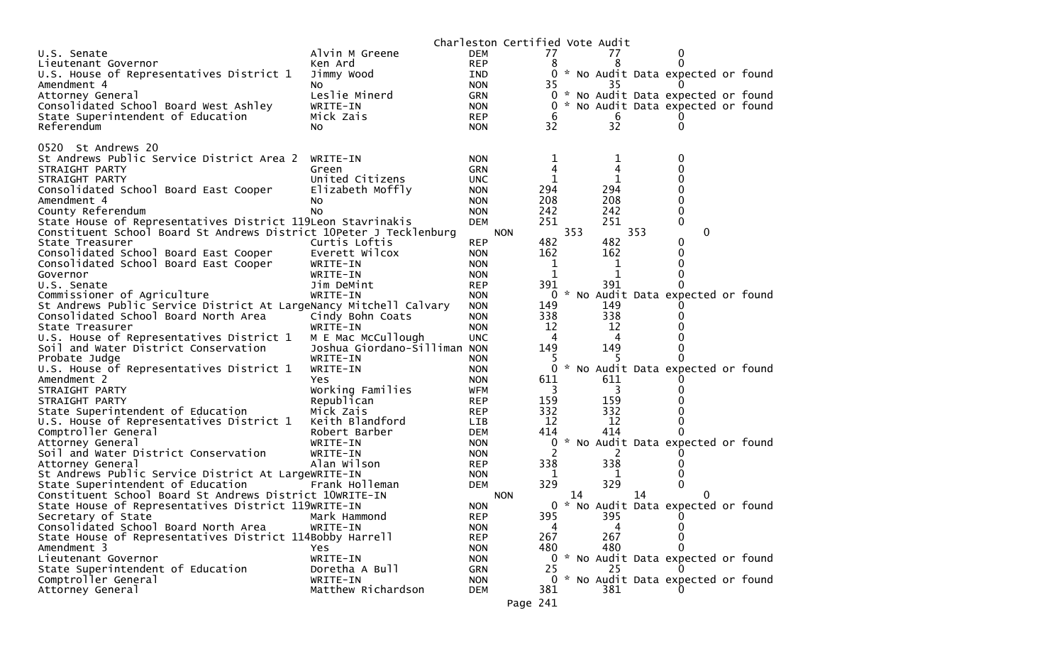|                                                                    |                              |            | Charleston Certified Vote Audit |     |     |             |     |                                     |  |
|--------------------------------------------------------------------|------------------------------|------------|---------------------------------|-----|-----|-------------|-----|-------------------------------------|--|
| U.S. Senate                                                        | Alvin M Greene               | <b>DEM</b> |                                 | 77  |     | 77          |     | 0                                   |  |
| Lieutenant Governor                                                | Ken Ard                      | <b>REP</b> |                                 | 8   |     | 8           |     | $\Omega$                            |  |
| U.S. House of Representatives District 1                           | Jimmy Wood                   | IND        |                                 |     |     |             |     | 0 * No Audit Data expected or found |  |
| Amendment 4                                                        | NO.                          | <b>NON</b> |                                 | 35  |     | 35          |     |                                     |  |
| Attorney General                                                   | Leslie Minerd                | <b>GRN</b> |                                 |     |     |             |     | 0 * No Audit Data expected or found |  |
| Consolidated School Board West Ashley                              | WRITE-IN                     | <b>NON</b> |                                 | 0   |     |             |     | * No Audit Data expected or found   |  |
| State Superintendent of Education                                  | Mick Zais                    | <b>REP</b> |                                 | 6   |     | 6           |     |                                     |  |
| Referendum                                                         | No.                          | <b>NON</b> |                                 | 32  |     | 32          |     | 0                                   |  |
|                                                                    |                              |            |                                 |     |     |             |     |                                     |  |
| 0520 St Andrews 20                                                 |                              |            |                                 |     |     |             |     |                                     |  |
| St Andrews Public Service District Area 2                          | WRITE-IN                     | <b>NON</b> |                                 | 1   |     | $\mathbf 1$ |     | 0                                   |  |
| STRAIGHT PARTY                                                     | Green                        | <b>GRN</b> |                                 | 4   |     | 4           |     |                                     |  |
| STRAIGHT PARTY                                                     | United Citizens              | <b>UNC</b> |                                 | 1   |     | 1           |     | 0                                   |  |
| Consolidated School Board East Cooper                              | Elizabeth Moffly             | <b>NON</b> |                                 | 294 |     | 294         |     | 0                                   |  |
| Amendment 4                                                        |                              | <b>NON</b> |                                 | 208 |     | 208         |     | 0                                   |  |
|                                                                    | NO.                          |            |                                 | 242 |     | 242         |     | 0                                   |  |
| County Referendum                                                  | No.                          | <b>NON</b> |                                 | 251 |     | 251         |     | $\mathbf 0$                         |  |
| State House of Representatives District 119Leon Stavrinakis        |                              | <b>DEM</b> |                                 |     |     |             |     |                                     |  |
| Constituent School Board St Andrews District 10Peter J Tecklenburg |                              |            | <b>NON</b>                      |     | 353 |             | 353 | 0                                   |  |
| State Treasurer                                                    | Curtis Loftis                | <b>REP</b> |                                 | 482 |     | 482         |     | 0                                   |  |
| Consolidated School Board East Cooper                              | Everett Wilcox               | <b>NON</b> |                                 | 162 |     | 162         |     | 0                                   |  |
| Consolidated School Board East Cooper                              | WRITE-IN                     | <b>NON</b> |                                 | 1   |     | 1           |     | 0                                   |  |
| Governor                                                           | WRITE-IN                     | <b>NON</b> |                                 | 1   |     | 1           |     | 0                                   |  |
| U.S. Senate                                                        | Jim DeMint                   | <b>REP</b> |                                 | 391 |     | 391         |     | 0                                   |  |
| Commissioner of Agriculture                                        | WRITE-IN                     | <b>NON</b> |                                 |     |     |             |     | * No Audit Data expected or found   |  |
| St Andrews Public Service District At LargeNancy Mitchell Calvary  |                              | <b>NON</b> |                                 | 149 |     | 149         |     |                                     |  |
| Consolidated School Board North Area                               | Cindy Bohn Coats             | <b>NON</b> |                                 | 338 |     | 338         |     |                                     |  |
| State Treasurer                                                    | WRITE-IN                     | <b>NON</b> |                                 | 12  |     | 12          |     |                                     |  |
| U.S. House of Representatives District 1                           | M E Mac McCullough           | <b>UNC</b> |                                 | 4   |     | 4           |     |                                     |  |
| Soil and Water District Conservation                               | Joshua Giordano-Silliman NON |            |                                 | 149 |     | 149         |     |                                     |  |
| Probate Judge                                                      | WRITE-IN                     | <b>NON</b> |                                 |     |     |             |     |                                     |  |
| U.S. House of Representatives District 1                           | WRITE-IN                     | <b>NON</b> |                                 | 0   |     |             |     | * No Audit Data expected or found   |  |
| Amendment 2                                                        | <b>Yes</b>                   | <b>NON</b> |                                 | 611 |     | 611         |     |                                     |  |
| STRAIGHT PARTY                                                     | Working Families             | <b>WFM</b> |                                 | 3   |     | 3           |     |                                     |  |
| STRAIGHT PARTY                                                     | Republican                   | <b>REP</b> |                                 | 159 |     | 159         |     |                                     |  |
| State Superintendent of Education                                  | Mick Zais                    | <b>REP</b> |                                 | 332 |     | 332         |     |                                     |  |
| U.S. House of Representatives District 1                           | Keith Blandford              | LIB        |                                 | 12  |     | 12          |     | 0                                   |  |
| Comptroller General                                                | Robert Barber                | <b>DEM</b> |                                 | 414 |     | 414         |     | 0                                   |  |
| Attorney General                                                   | WRITE-IN                     | <b>NON</b> |                                 |     |     |             |     | * No Audit Data expected or found   |  |
| Soil and Water District Conservation                               | WRITE-IN                     | <b>NON</b> |                                 | 2   |     | 2           |     |                                     |  |
| Attorney General                                                   | Alan Wilson                  | <b>REP</b> |                                 | 338 |     | 338         |     |                                     |  |
| St Andrews Public Service District At LargeWRITE-IN                |                              | <b>NON</b> |                                 | 1   |     |             |     | 0                                   |  |
| State Superintendent of Education                                  | Frank Holleman               | <b>DEM</b> |                                 | 329 |     | 329         |     | $\Omega$                            |  |
| Constituent School Board St Andrews District 10WRITE-IN            |                              |            | <b>NON</b>                      |     | 14  |             | 14  |                                     |  |
|                                                                    |                              |            |                                 |     |     |             |     |                                     |  |
| State House of Representatives District 119WRITE-IN                |                              | <b>NON</b> |                                 |     |     |             |     | 0 * No Audit Data expected or found |  |
| Secretary of State                                                 | Mark Hammond                 | <b>REP</b> |                                 | 395 |     | 395         |     | 0                                   |  |
| Consolidated School Board North Area                               | WRITE-IN                     | <b>NON</b> |                                 | 4   |     | 4           |     | 0                                   |  |
| State House of Representatives District 114Bobby Harrell           |                              | <b>REP</b> |                                 | 267 |     | 267         |     | 0                                   |  |
| Amendment 3                                                        | Yes.                         | <b>NON</b> |                                 | 480 |     | 480         |     | 0                                   |  |
| Lieutenant Governor                                                | WRITE-IN                     | <b>NON</b> |                                 |     |     |             |     | 0 * No Audit Data expected or found |  |
| State Superintendent of Education                                  | Doretha A Bull               | <b>GRN</b> |                                 | 25  |     | 25          |     |                                     |  |
| Comptroller General                                                | WRITE-IN                     | <b>NON</b> |                                 | 0   |     |             |     | * No Audit Data expected or found   |  |
| Attorney General                                                   | Matthew Richardson           | DEM        |                                 | 381 |     | 381         |     |                                     |  |
|                                                                    |                              |            | Page 241                        |     |     |             |     |                                     |  |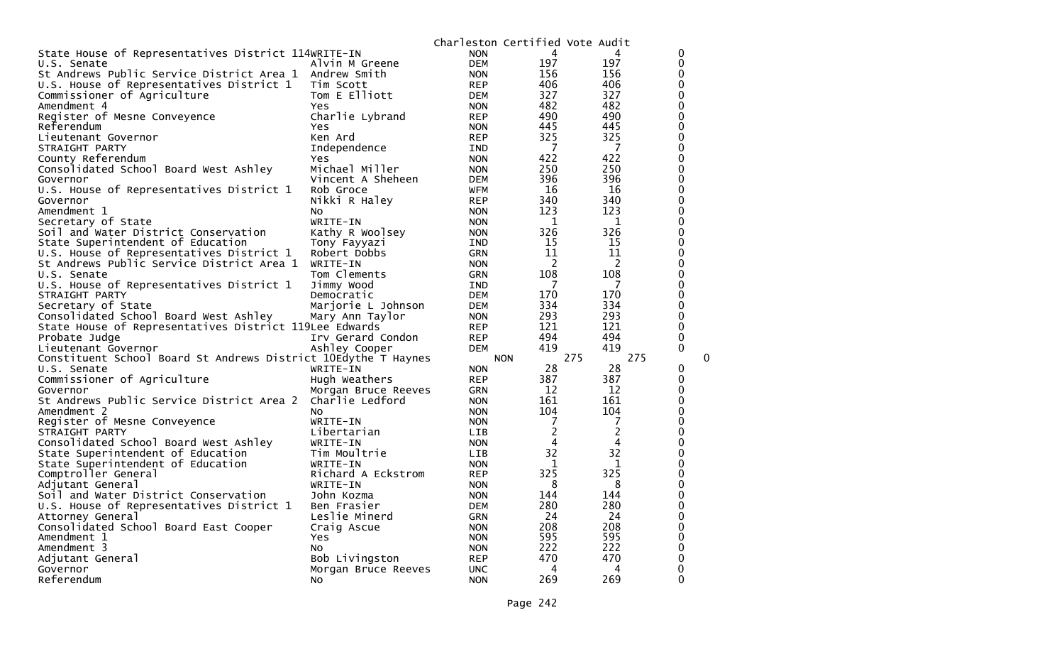|                                                                |                     |            |                | Charleston Certified Vote Audit |              |
|----------------------------------------------------------------|---------------------|------------|----------------|---------------------------------|--------------|
| State House of Representatives District 114WRITE-IN            |                     | <b>NON</b> | 4              |                                 | 0            |
| U.S. Senate                                                    | Alvin M Greene      | <b>DEM</b> | 197            | 197                             | 0            |
| St Andrews Public Service District Area 1                      | Andrew Smith        | <b>NON</b> | 156            | 156                             | $\mathbf 0$  |
| U.S. House of Representatives District 1                       | Tim Scott           | <b>REP</b> | 406            | 406                             | $\Omega$     |
| Commissioner of Agriculture                                    | Tom E Elliott       | <b>DEM</b> | 327            | 327                             | 0            |
| Amendment 4                                                    | Yes                 | <b>NON</b> | 482            | 482                             | $\mathbf 0$  |
| Register of Mesne Conveyence                                   | Charlie Lybrand     | <b>REP</b> | 490            | 490                             | $\mathbf 0$  |
| Referendum                                                     | Yes                 | <b>NON</b> | 445            | 445                             | $\mathbf 0$  |
| Lieutenant Governor                                            | Ken Ard             | <b>REP</b> | 325            | 325                             | $\mathbf 0$  |
| STRAIGHT PARTY                                                 | Independence        | <b>IND</b> | 7              | 7                               | $\mathbf 0$  |
| County Referendum                                              | Yes                 | <b>NON</b> | 422            | 422                             | $\mathbf 0$  |
| Consolidated School Board West Ashley                          | Michael Miller      | <b>NON</b> | 250            | 250                             | $\mathbf 0$  |
| Governor                                                       | Vincent A Sheheen   | DEM        | 396            | 396                             | $\mathbf 0$  |
| U.S. House of Representatives District 1                       | Rob Groce           | <b>WFM</b> | 16             | 16                              | $\mathbf 0$  |
| Governor                                                       | Nikki R Haley       | <b>REP</b> | 340            | 340                             | $\mathbf 0$  |
| Amendment 1                                                    | NO.                 | <b>NON</b> | 123            | 123                             | $\mathbf 0$  |
| Secretary of State                                             | WRITE-IN            | <b>NON</b> | 1              | 1                               | 0            |
| Soil and Water District Conservation                           | Kathy R Woolsey     | <b>NON</b> | 326            | 326                             | $\mathbf 0$  |
| State Superintendent of Education                              | Tony Fayyazi        | IND        | 15             | 15                              | $\mathbf 0$  |
| U.S. House of Representatives District 1                       | Robert Dobbs        | GRN        | 11             | 11                              | $\mathbf 0$  |
| St Andrews Public Service District Area 1                      | WRITE-IN            | <b>NON</b> | $\overline{c}$ | $\overline{c}$                  | $\mathbf 0$  |
| U.S. Senate                                                    | Tom Clements        | <b>GRN</b> | 108            | 108                             | $\mathbf 0$  |
| U.S. House of Representatives District 1                       | Jimmy Wood          | <b>IND</b> | 7              | 7                               | $\mathbf 0$  |
| STRAIGHT PARTY                                                 | Democratic          | DEM        | 170            | 170                             | 0            |
| Secretary of State                                             | Marjorie L Johnson  | <b>DEM</b> | 334            | 334                             | $\mathbf 0$  |
| Consolidated School Board West Ashley                          | Mary Ann Taylor     | <b>NON</b> | 293            | 293                             | $\mathbf 0$  |
| State House of Representatives District 119Lee Edwards         |                     | <b>REP</b> | 121            | 121                             | $\mathbf 0$  |
| Probate Judge                                                  | Irv Gerard Condon   | <b>REP</b> | 494            | 494                             | $\mathbf 0$  |
| Lieutenant Governor                                            | Ashley Cooper       | <b>DEM</b> | 419            | 419                             | $\mathbf{0}$ |
| Constituent School Board St Andrews District 10Edythe T Haynes |                     |            | <b>NON</b>     | 275<br>275                      | 0            |
| U.S. Senate                                                    | WRITE-IN            | <b>NON</b> | 28             | 28                              | 0            |
| Commissioner of Agriculture                                    | Hugh Weathers       | <b>REP</b> | 387            | 387                             | $\Omega$     |
| Governor                                                       | Morgan Bruce Reeves | <b>GRN</b> | 12             | 12                              | 0            |
| St Andrews Public Service District Area 2                      | Charlie Ledford     | <b>NON</b> | 161            | 161                             | 0            |
| Amendment 2                                                    | No.                 | <b>NON</b> | 104            | 104                             | 0            |
| Register of Mesne Conveyence                                   | WRITE-IN            | <b>NON</b> | 7              | 7                               | $\mathbf 0$  |
| STRAIGHT PARTY                                                 | Libertarian         | LIB.       | 2              | 2                               | $\mathbf 0$  |
| Consolidated School Board West Ashley                          | WRITE-IN            | <b>NON</b> | 4              | 4                               | 0            |
| State Superintendent of Education                              | Tim Moultrie        | <b>LIB</b> | 32             | 32                              | $\mathbf 0$  |
| State Superintendent of Education                              | WRITE-IN            | <b>NON</b> | 1              | 1                               | $\pmb{0}$    |
| Comptroller General                                            | Richard A Eckstrom  | <b>REP</b> | 325            | 325                             | $\mathbf 0$  |
| Adjutant General                                               | WRITE-IN            | <b>NON</b> | 8              | 8                               | $\mathbf 0$  |
| Soil and Water District Conservation                           | John Kozma          | <b>NON</b> | 144            | 144                             | $\mathbf 0$  |
| U.S. House of Representatives District 1                       | Ben Frasier         | <b>DEM</b> | 280            | 280                             | $\mathbf 0$  |
| Attorney General                                               | Leslie Minerd       | GRN        | 24             | 24                              | 0            |
| Consolidated School Board East Cooper                          | Craig Ascue         | <b>NON</b> | 208            | 208                             | 0            |
| Amendment 1                                                    | Yes                 | <b>NON</b> | 595            | 595                             | $\mathbf 0$  |
| Amendment 3                                                    | No                  | <b>NON</b> | 222            | 222                             | 0            |
| Adjutant General                                               | Bob Livingston      | <b>REP</b> | 470            | 470                             | 0            |
| Governor                                                       | Morgan Bruce Reeves | <b>UNC</b> | 4              | 4                               | 0            |
| Referendum                                                     | No                  | <b>NON</b> | 269            | 269                             | $\mathbf 0$  |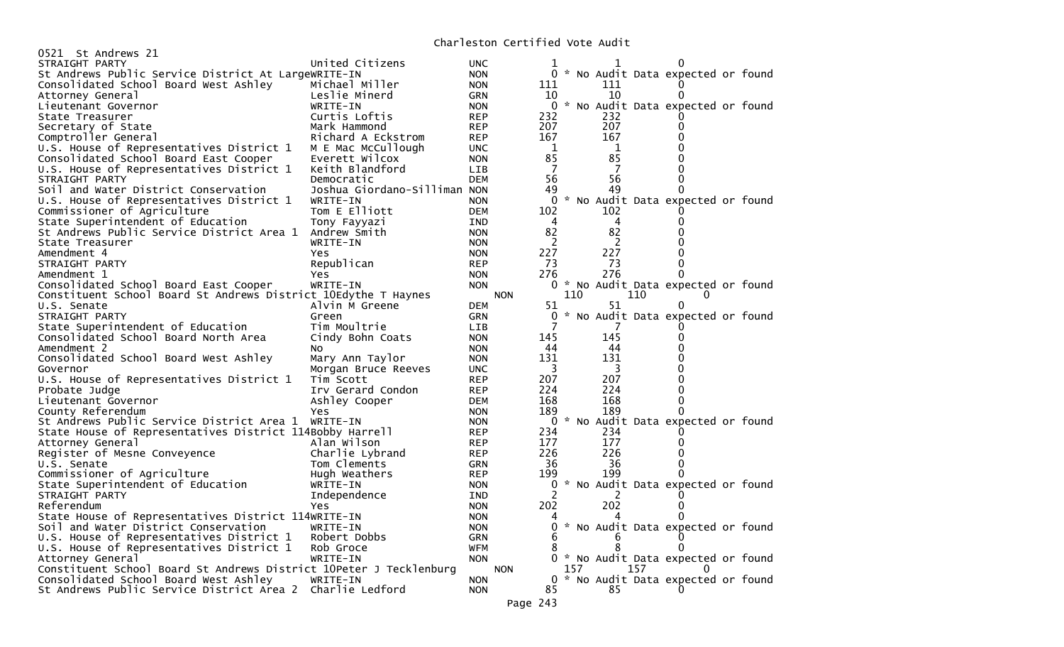| 0521 St Andrews 21                                                 |                                 |                          |            |                |     |     |     |                                     |  |
|--------------------------------------------------------------------|---------------------------------|--------------------------|------------|----------------|-----|-----|-----|-------------------------------------|--|
| STRAIGHT PARTY                                                     | United Citizens                 | <b>UNC</b>               |            |                |     |     |     |                                     |  |
| St Andrews Public Service District At LargeWRITE-IN                |                                 | <b>NON</b>               |            |                |     |     |     | * No Audit Data expected or found   |  |
| Consolidated School Board West Ashley                              | Michael Miller                  | <b>NON</b>               |            | 111            |     | 111 |     |                                     |  |
| Attorney General                                                   | Leslie Minerd                   | <b>GRN</b>               |            | 10             |     | 10  |     |                                     |  |
| Lieutenant Governor                                                | WRITE-IN                        | <b>NON</b>               |            | 0              |     |     |     | * No Audit Data expected or found   |  |
| State Treasurer                                                    | Curtis Loftis                   | <b>REP</b>               |            | 232            |     | 232 |     |                                     |  |
| Secretary of State                                                 | Mark Hammond                    | <b>REP</b>               |            | 207            |     | 207 |     |                                     |  |
| Comptroller General                                                | Richard A Eckstrom              | <b>REP</b>               |            | 167            |     | 167 |     |                                     |  |
| U.S. House of Representatives District 1                           | M E Mac McCullough              | <b>UNC</b>               |            | 1              |     | 1   |     |                                     |  |
| Consolidated School Board East Cooper                              | Everett Wilcox                  | <b>NON</b>               |            | 85             |     | 85  |     |                                     |  |
| U.S. House of Representatives District 1                           | Keith Blandford                 | <b>LIB</b>               |            | 7              |     | 7   |     |                                     |  |
| STRAIGHT PARTY                                                     | Democratic                      | <b>DEM</b>               |            | 56             |     | 56  |     |                                     |  |
| Soil and Water District Conservation                               | Joshua Giordano-Silliman NON    |                          |            | 49             |     | 49  |     |                                     |  |
| U.S. House of Representatives District 1                           | WRITE-IN                        | <b>NON</b>               |            | 0              |     |     |     | * No Audit Data expected or found   |  |
| Commissioner of Agriculture                                        | Tom E Elliott                   | <b>DEM</b>               |            | 102            |     | 102 |     |                                     |  |
| State Superintendent of Education                                  | Tony Fayyazi                    | <b>IND</b>               |            | 4              |     | 4   |     |                                     |  |
| St Andrews Public Service District Area 1                          | Andrew Smith                    | <b>NON</b>               |            | 82             |     | 82  |     |                                     |  |
| State Treasurer                                                    | WRITE-IN                        | <b>NON</b>               |            | 2              |     | 2   |     |                                     |  |
| Amendment 4                                                        | Yes                             | <b>NON</b>               |            | 227            |     | 227 |     |                                     |  |
| STRAIGHT PARTY                                                     | Republican                      | <b>REP</b>               |            | 73             |     | 73  |     |                                     |  |
| Amendment 1                                                        | Yes                             | <b>NON</b>               |            | 276            |     | 276 |     |                                     |  |
| Consolidated School Board East Cooper                              | WRITE-IN                        | <b>NON</b>               |            | $\overline{0}$ |     |     |     | * No Audit Data expected or found   |  |
| Constituent School Board St Andrews District 10Edythe T Haynes     |                                 |                          | <b>NON</b> |                | 110 |     | 110 |                                     |  |
| U.S. Senate                                                        | Alvin M Greene                  | <b>DEM</b>               |            | 51             |     | 51  |     | 0                                   |  |
| STRAIGHT PARTY                                                     | Green                           | <b>GRN</b>               |            | 0              |     |     |     | * No Audit Data expected or found   |  |
| State Superintendent of Education                                  | Tim Moultrie                    | <b>LIB</b>               |            |                |     |     |     |                                     |  |
| Consolidated School Board North Area                               | Cindy Bohn Coats                | <b>NON</b>               |            | 145            |     | 145 |     |                                     |  |
| Amendment 2                                                        | NO.                             | <b>NON</b>               |            | 44             |     | 44  |     |                                     |  |
| Consolidated School Board West Ashley                              | Mary Ann Taylor                 | <b>NON</b>               |            | 131            |     | 131 |     |                                     |  |
| Governor                                                           | Morgan Bruce Reeves             | <b>UNC</b>               |            | 3              |     | 3   |     |                                     |  |
| U.S. House of Representatives District 1                           | Tim Scott                       | <b>REP</b>               |            | 207            |     | 207 |     |                                     |  |
| Probate Judge                                                      | Irv Gerard Condon               | <b>REP</b>               |            | 224            |     | 224 |     |                                     |  |
| Lieutenant Governor                                                | Ashley Cooper                   | <b>DEM</b>               |            | 168            |     | 168 |     |                                     |  |
| County Referendum                                                  | Yes                             | <b>NON</b>               |            | 189            |     | 189 |     |                                     |  |
| St Andrews Public Service District Area 1                          | WRITE-IN                        | <b>NON</b>               |            | 0              |     |     |     | * No Audit Data expected or found   |  |
| State House of Representatives District 114Bobby Harrell           |                                 |                          |            | 234            |     | 234 |     |                                     |  |
|                                                                    | Alan Wilson                     | <b>REP</b><br><b>REP</b> |            | 177            |     | 177 |     |                                     |  |
| Attorney General                                                   |                                 |                          |            | 226            |     | 226 |     |                                     |  |
| Register of Mesne Conveyence<br>U.S. Senate                        | Charlie Lybrand<br>Tom Clements | <b>REP</b><br>GRN        |            | 36             |     | 36  |     |                                     |  |
|                                                                    | Hugh Weathers                   |                          |            | 199            |     | 199 |     |                                     |  |
| Commissioner of Agriculture                                        |                                 | <b>REP</b>               |            | 0              |     |     |     | * No Audit Data expected or found   |  |
| State Superintendent of Education                                  | WRITE-IN                        | <b>NON</b>               |            |                |     |     |     |                                     |  |
| STRAIGHT PARTY                                                     | Independence                    | <b>IND</b>               |            |                |     | 2   |     |                                     |  |
| Referendum                                                         | Yes                             | <b>NON</b>               |            | 202            |     | 202 |     |                                     |  |
| State House of Representatives District 114WRITE-IN                |                                 | NON                      |            | Δ              |     | 4   |     |                                     |  |
| Soil and Water District Conservation                               | WRITE-IN                        | <b>NON</b>               |            |                |     |     |     | 0 * No Audit Data expected or found |  |
| U.S. House of Representatives District 1                           | Robert Dobbs                    | <b>GRN</b>               |            | 6              |     |     |     |                                     |  |
| U.S. House of Representatives District 1                           | Rob Groce                       | WFM                      |            |                |     | 8   |     |                                     |  |
| Attorney General                                                   | WRITE-IN                        | <b>NON</b>               |            |                |     |     |     | * No Audit Data expected or found   |  |
| Constituent School Board St Andrews District 10Peter J Tecklenburg |                                 |                          | <b>NON</b> |                | 157 |     | 157 |                                     |  |
| Consolidated School Board West Ashley                              | WRITE-IN                        | <b>NON</b>               |            |                |     |     |     | 0 * No Audit Data expected or found |  |
| St Andrews Public Service District Area 2 Charlie Ledford          |                                 | <b>NON</b>               |            | 85             |     | 85  |     |                                     |  |
|                                                                    |                                 |                          | Page 243   |                |     |     |     |                                     |  |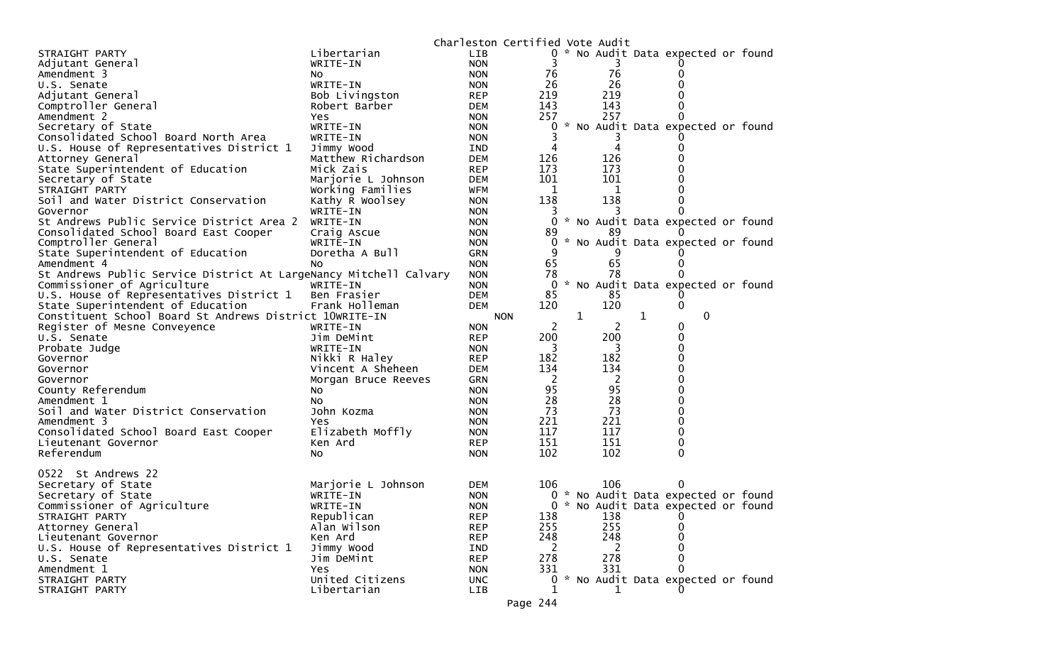|                                                                   |                     |            | Charleston Certified Vote Audit |              |     |   |                                     |  |
|-------------------------------------------------------------------|---------------------|------------|---------------------------------|--------------|-----|---|-------------------------------------|--|
| STRAIGHT PARTY                                                    | Libertarian         | <b>LIB</b> |                                 |              |     |   | 0 * No Audit Data expected or found |  |
| Adjutant General                                                  | WRITE-IN            | <b>NON</b> | 3                               |              | 3   |   |                                     |  |
| Amendment 3                                                       | NO.                 | <b>NON</b> | 76                              |              | 76  |   | 0                                   |  |
| U.S. Senate                                                       | WRITE-IN            | <b>NON</b> | 26                              |              | 26  |   | 0                                   |  |
| Adjutant General                                                  | Bob Livingston      | <b>REP</b> | 219                             |              | 219 |   |                                     |  |
| Comptroller General                                               | Robert Barber       | DEM        | 143                             |              | 143 |   | 0                                   |  |
| Amendment 2                                                       | Yes                 | <b>NON</b> | 257                             |              | 257 |   | 0                                   |  |
| Secretary of State                                                | WRITE-IN            | <b>NON</b> | 0                               |              |     |   | * No Audit Data expected or found   |  |
| Consolidated School Board North Area                              | WRITE-IN            | <b>NON</b> |                                 |              |     |   |                                     |  |
| U.S. House of Representatives District 1                          | Jimmy Wood          | IND        |                                 |              | 4   |   | 0                                   |  |
| Attorney General                                                  | Matthew Richardson  | <b>DEM</b> | 126                             |              | 126 |   |                                     |  |
| State Superintendent of Education                                 | Mick Zais           | <b>REP</b> | 173                             |              | 173 |   |                                     |  |
| Secretary of State                                                | Marjorie L Johnson  | <b>DEM</b> | 101                             |              | 101 |   | 0                                   |  |
| STRAIGHT PARTY                                                    | Working Families    | <b>WFM</b> | 1                               |              | 1   |   |                                     |  |
| Soil and Water District Conservation                              | Kathy R Woolsey     | <b>NON</b> | 138                             |              | 138 |   | 0                                   |  |
| Governor                                                          | WRITE-IN            | <b>NON</b> |                                 |              |     |   |                                     |  |
| St Andrews Public Service District Area 2                         | WRITE-IN            | <b>NON</b> |                                 |              |     |   | 0 * No Audit Data expected or found |  |
| Consolidated School Board East Cooper                             | Craig Ascue         | <b>NON</b> | 89                              |              | 89  |   |                                     |  |
| Comptroller General                                               | WRITE-IN            | <b>NON</b> | 0                               |              |     |   | * No Audit Data expected or found   |  |
| State Superintendent of Education                                 | Doretha A Bull      | GRN        | 9                               |              |     |   |                                     |  |
| Amendment 4                                                       | No.                 | <b>NON</b> | 65                              |              | 65  |   | 0                                   |  |
| St Andrews Public Service District At LargeNancy Mitchell Calvary |                     | <b>NON</b> | 78                              |              | 78  |   | 0                                   |  |
| Commissioner of Agriculture                                       | WRITE-IN            | <b>NON</b> | 0                               |              |     |   | * No Audit Data expected or found   |  |
| U.S. House of Representatives District 1                          | Ben Frasier         | <b>DEM</b> | 85                              |              | 85  |   |                                     |  |
| State Superintendent of Education                                 | Frank Holleman      | <b>DEM</b> | 120                             |              | 120 |   | 0                                   |  |
| Constituent School Board St Andrews District 10WRITE-IN           |                     |            | <b>NON</b>                      | $\mathbf{1}$ |     | 1 | 0                                   |  |
| Register of Mesne Conveyence                                      | WRITE-IN            | <b>NON</b> | 2                               |              | 2   |   | 0                                   |  |
| U.S. Senate                                                       | Jim DeMint          | <b>REP</b> | 200                             |              | 200 |   | 0                                   |  |
| Probate Judge                                                     | WRITE-IN            | <b>NON</b> | 3                               |              | 3   |   | 0                                   |  |
| Governor                                                          | Nikki R Haley       | <b>REP</b> | 182                             |              | 182 |   | 0                                   |  |
| Governor                                                          | Vincent A Sheheen   | <b>DEM</b> | 134                             |              | 134 |   | 0                                   |  |
| Governor                                                          | Morgan Bruce Reeves | GRN        | 2                               |              | 2   |   | 0                                   |  |
| County Referendum                                                 | No.                 | <b>NON</b> | 95                              |              | 95  |   | 0                                   |  |
| Amendment 1                                                       | No.                 | <b>NON</b> | 28                              |              | 28  |   | 0                                   |  |
| Soil and Water District Conservation                              | John Kozma          | <b>NON</b> | 73                              |              | 73  |   | 0                                   |  |
| Amendment 3                                                       | Yes                 | <b>NON</b> | 221                             |              | 221 |   | 0                                   |  |
| Consolidated School Board East Cooper                             | Elizabeth Moffly    | <b>NON</b> | 117                             |              | 117 |   | 0                                   |  |
| Lieutenant Governor                                               | Ken Ard             | <b>REP</b> | 151                             |              | 151 |   | 0                                   |  |
| Referendum                                                        | No                  | <b>NON</b> | 102                             |              | 102 |   | 0                                   |  |
|                                                                   |                     |            |                                 |              |     |   |                                     |  |
| 0522 St Andrews 22                                                |                     |            |                                 |              |     |   |                                     |  |
| Secretary of State                                                | Marjorie L Johnson  | <b>DEM</b> | 106                             |              | 106 |   | 0                                   |  |
| Secretary of State                                                | WRITE-IN            | <b>NON</b> |                                 |              |     |   | 0 * No Audit Data expected or found |  |
| Commissioner of Agriculture                                       | WRITE-IN            | <b>NON</b> |                                 |              |     |   | 0 * No Audit Data expected or found |  |
| STRAIGHT PARTY                                                    | Republican          | <b>REP</b> | 138                             |              | 138 |   | 0                                   |  |
| Attorney General                                                  | Alan Wilson         | <b>REP</b> | 255                             |              | 255 |   | 0                                   |  |
| Lieutenant Governor                                               | Ken Ard             | <b>REP</b> | 248                             |              | 248 |   | 0                                   |  |
| U.S. House of Representatives District 1                          | Jimmy Wood          | <b>IND</b> | 2                               |              | 2   |   | 0                                   |  |
| U.S. Senate                                                       | Jim DeMint          | <b>REP</b> | 278                             |              | 278 |   | 0                                   |  |
| Amendment 1                                                       | Yes                 | <b>NON</b> | 331                             |              | 331 |   | 0                                   |  |
| STRAIGHT PARTY                                                    | United Citizens     | <b>UNC</b> | 0                               |              |     |   | * No Audit Data expected or found   |  |
| STRAIGHT PARTY                                                    | Libertarian         | LIB        | 1                               |              | 1   |   | 0                                   |  |
|                                                                   |                     |            |                                 |              |     |   |                                     |  |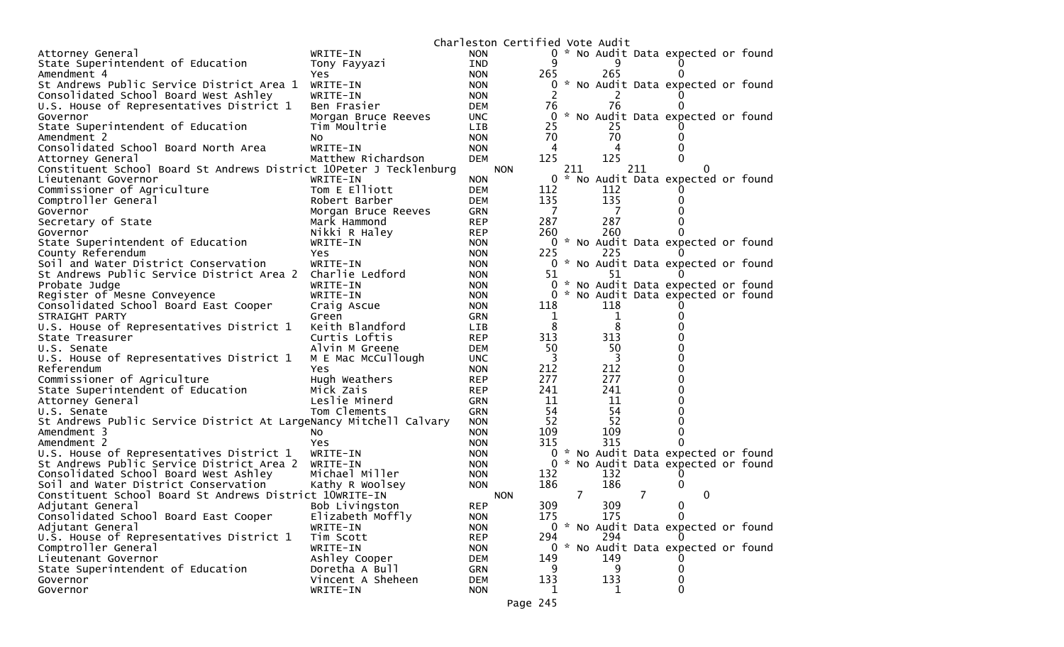|                                                                    |                                     |            | Charleston Certified Vote Audit |                |     |     |                                     |  |
|--------------------------------------------------------------------|-------------------------------------|------------|---------------------------------|----------------|-----|-----|-------------------------------------|--|
| Attorney General                                                   | WRITE-IN                            | <b>NON</b> |                                 |                |     |     | 0 * No Audit Data expected or found |  |
| State Superintendent of Education                                  | Tony Fayyazi                        | IND        | 9                               |                | 9   |     |                                     |  |
| Amendment 4                                                        | Yes                                 | <b>NON</b> | 265                             |                | 265 |     |                                     |  |
| St Andrews Public Service District Area 1                          | WRITE-IN                            | <b>NON</b> | 0                               |                |     |     | * No Audit Data expected or found   |  |
| Consolidated School Board West Ashley                              | WRITE-IN                            | <b>NON</b> |                                 |                |     |     |                                     |  |
| U.S. House of Representatives District 1                           | Ben Frasier                         | <b>DEM</b> | 76                              |                | 76  |     |                                     |  |
| Governor                                                           | Morgan Bruce Reeves                 | <b>UNC</b> | 0                               |                |     |     | * No Audit Data expected or found   |  |
| State Superintendent of Education                                  | Tim Moultrie                        | <b>LIB</b> | 25                              |                | 25  |     |                                     |  |
| Amendment 2                                                        | NO.                                 | <b>NON</b> | 70                              |                | 70  |     |                                     |  |
| Consolidated School Board North Area                               | WRITE-IN                            | <b>NON</b> | 4                               |                | 4   |     |                                     |  |
| Attorney General                                                   | Matthew Richardson                  | <b>DEM</b> | 125                             |                | 125 |     |                                     |  |
| Constituent School Board St Andrews District 10Peter J Tecklenburg |                                     |            | <b>NON</b>                      | 211            |     | 211 |                                     |  |
| Lieutenant Governor                                                | WRITE-IN                            | <b>NON</b> | 0                               |                |     |     | No Audit Data expected or found     |  |
| Commissioner of Agriculture                                        | Tom E Elliott                       | <b>DEM</b> | 112                             |                | 112 |     |                                     |  |
| Comptroller General                                                | Robert Barber                       | <b>DEM</b> | 135                             |                | 135 |     |                                     |  |
| Governor                                                           |                                     | <b>GRN</b> | 7                               |                | 7   |     |                                     |  |
| Secretary of State                                                 | Morgan Bruce Reeves<br>Mark Hammond | <b>REP</b> | 287                             |                | 287 |     |                                     |  |
|                                                                    |                                     |            | 260                             |                | 260 |     |                                     |  |
| Governor                                                           | Nikki R Haley                       | <b>REP</b> |                                 |                |     |     |                                     |  |
| State Superintendent of Education                                  | WRITE-IN                            | <b>NON</b> |                                 |                |     |     | 0 * No Audit Data expected or found |  |
| County Referendum                                                  | Yes                                 | <b>NON</b> | 225                             |                | 225 |     |                                     |  |
| Soil and Water District Conservation                               | WRITE-IN                            | <b>NON</b> |                                 |                |     |     | 0 * No Audit Data expected or found |  |
| St Andrews Public Service District Area 2                          | Charlie Ledford                     | <b>NON</b> | 51                              |                | 51  |     |                                     |  |
| Probate Judge                                                      | WRITE-IN                            | <b>NON</b> |                                 | 0              |     |     | * No Audit Data expected or found   |  |
| Register of Mesne Conveyence                                       | WRITE-IN                            | <b>NON</b> | 0                               |                |     |     | * No Audit Data expected or found   |  |
| Consolidated School Board East Cooper                              | Craig Ascue                         | <b>NON</b> | 118                             |                | 118 |     |                                     |  |
| STRAIGHT PARTY                                                     | Green                               | <b>GRN</b> | 1                               |                | 1   |     |                                     |  |
| U.S. House of Representatives District 1                           | Keith Blandford                     | <b>LIB</b> | 8                               |                | 8   |     |                                     |  |
| State Treasurer                                                    | Curtis Loftis                       | <b>REP</b> | 313                             |                | 313 |     |                                     |  |
| U.S. Senate                                                        | Alvin M Greene                      | <b>DEM</b> | 50                              |                | 50  |     |                                     |  |
| U.S. House of Representatives District 1                           | M E Mac McCullough                  | <b>UNC</b> | 3                               |                | 3   |     |                                     |  |
| Referendum                                                         | Yes                                 | <b>NON</b> | 212                             |                | 212 |     |                                     |  |
| Commissioner of Agriculture                                        | Hugh Weathers                       | <b>REP</b> | 277                             |                | 277 |     |                                     |  |
| State Superintendent of Education                                  | Mick Zais                           | <b>REP</b> | 241                             |                | 241 |     |                                     |  |
| Attorney General                                                   | Leslie Minerd                       | <b>GRN</b> | 11                              |                | 11  |     |                                     |  |
| U.S. Senate                                                        | Tom Clements                        | GRN        | 54                              |                | 54  |     |                                     |  |
| St Andrews Public Service District At LargeNancy Mitchell Calvary  |                                     | <b>NON</b> | 52                              |                | 52  |     |                                     |  |
| Amendment 3                                                        | NO.                                 | <b>NON</b> | 109                             |                | 109 |     |                                     |  |
| Amendment 2                                                        | Yes                                 | <b>NON</b> | 315                             |                | 315 |     |                                     |  |
| U.S. House of Representatives District 1                           | WRITE-IN                            | <b>NON</b> | 0                               |                |     |     | * No Audit Data expected or found   |  |
| St Andrews Public Service District Area 2                          | WRITE-IN                            | <b>NON</b> |                                 | 0              |     |     | * No Audit Data expected or found   |  |
| Consolidated School Board West Ashley                              | Michael Miller                      | <b>NON</b> | 132                             |                | 132 |     |                                     |  |
| Soil and Water District Conservation                               | Kathy R Woolsey                     | <b>NON</b> | 186                             |                | 186 |     | 0                                   |  |
| Constituent School Board St Andrews District 10WRITE-IN            |                                     |            | <b>NON</b>                      | $\overline{7}$ |     | 7   | 0                                   |  |
| Adjutant General                                                   | Bob Livingston                      | <b>REP</b> | 309                             |                | 309 |     | 0                                   |  |
| Consolidated School Board East Cooper                              | Elizabeth Moffly                    | <b>NON</b> | 175                             |                | 175 |     | 0                                   |  |
| Adjutant General                                                   | WRITE-IN                            | <b>NON</b> |                                 |                |     |     | 0 * No Audit Data expected or found |  |
| U.S. House of Representatives District 1                           | Tim Scott                           | <b>REP</b> | 294                             |                | 294 |     |                                     |  |
| Comptroller General                                                | WRITE-IN                            | <b>NON</b> |                                 |                |     |     | 0 * No Audit Data expected or found |  |
| Lieutenant Governor                                                | Ashley Cooper                       | DEM        | 149                             |                | 149 |     |                                     |  |
| State Superintendent of Education                                  | Doretha A Bull                      | <b>GRN</b> | 9                               |                | 9   |     | 0                                   |  |
| Governor                                                           | Vincent A Sheheen                   | <b>DEM</b> | 133                             |                | 133 |     | 0                                   |  |
| Governor                                                           | WRITE-IN                            | <b>NON</b> | 1                               |                | 1   |     | 0                                   |  |
|                                                                    |                                     |            |                                 |                |     |     |                                     |  |
|                                                                    |                                     |            | Page 245                        |                |     |     |                                     |  |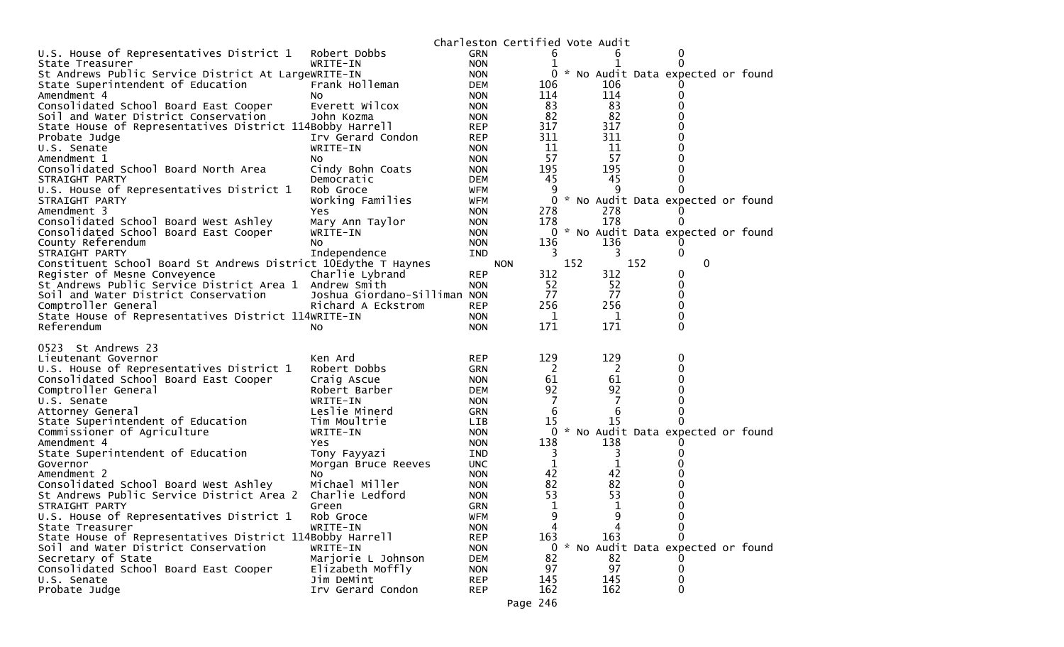|                                                                |                              |            | Charleston Certified Vote Audit |     |             |     |                                     |  |
|----------------------------------------------------------------|------------------------------|------------|---------------------------------|-----|-------------|-----|-------------------------------------|--|
| U.S. House of Representatives District 1                       | Robert Dobbs                 | <b>GRN</b> |                                 |     |             |     | $\Omega$                            |  |
| State Treasurer                                                | WRITE-IN                     | <b>NON</b> |                                 |     |             |     | 0                                   |  |
| St Andrews Public Service District At LargeWRITE-IN            |                              | <b>NON</b> | 0                               |     |             |     | * No Audit Data expected or found   |  |
| State Superintendent of Education                              | Frank Holleman               | <b>DEM</b> | 106                             |     | 106         |     |                                     |  |
| Amendment 4                                                    | NO.                          | <b>NON</b> | 114                             |     | 114         |     | 0                                   |  |
| Consolidated School Board East Cooper                          | Everett Wilcox               | <b>NON</b> | 83                              |     | 83          |     |                                     |  |
| Soil and Water District Conservation                           | John Kozma                   | <b>NON</b> | 82                              |     | 82          |     |                                     |  |
| State House of Representatives District 114Bobby Harrell       |                              | <b>REP</b> | 317                             |     | 317         |     |                                     |  |
| Probate Judge                                                  | Irv Gerard Condon            | <b>REP</b> | 311                             |     | 311         |     |                                     |  |
| U.S. Senate                                                    | WRITE-IN                     | <b>NON</b> | 11                              |     | 11          |     |                                     |  |
| Amendment 1                                                    | NO.                          | <b>NON</b> | 57                              |     | 57          |     |                                     |  |
| Consolidated School Board North Area                           | Cindy Bohn Coats             | <b>NON</b> | 195                             |     | 195         |     |                                     |  |
| STRAIGHT PARTY                                                 | Democratic                   | <b>DEM</b> | 45                              |     | 45          |     |                                     |  |
| U.S. House of Representatives District 1                       | Rob Groce                    | <b>WFM</b> | 9                               |     | q           |     |                                     |  |
| STRAIGHT PARTY                                                 | Working Families             | <b>WFM</b> | 0                               |     |             |     | * No Audit Data expected or found   |  |
| Amendment 3                                                    | Yes                          | <b>NON</b> | 278                             |     | 278         |     |                                     |  |
| Consolidated School Board West Ashley                          | Mary Ann Taylor              | <b>NON</b> | 178                             |     | 178         |     | 0                                   |  |
| Consolidated School Board East Cooper                          | WRITE-IN                     | <b>NON</b> |                                 |     |             |     | 0 * No Audit Data expected or found |  |
| County Referendum                                              | NO.                          | <b>NON</b> | 136                             |     | 136         |     |                                     |  |
| STRAIGHT PARTY                                                 | Independence                 | <b>IND</b> | 3                               |     | 3           |     | 0                                   |  |
| Constituent School Board St Andrews District 10Edythe T Haynes |                              |            | <b>NON</b>                      | 152 |             | 152 | $\mathbf{0}$                        |  |
| Register of Mesne Conveyence                                   | Charlie Lybrand              | <b>REP</b> | 312                             |     | 312         |     | 0                                   |  |
| St Andrews Public Service District Area 1 Andrew Smith         |                              | <b>NON</b> | 52                              |     | 52          |     | 0                                   |  |
| Soil and Water District Conservation                           | Joshua Giordano-Silliman NON |            | 77                              |     | 77          |     | 0                                   |  |
| Comptroller General                                            | Richard A Eckstrom           | <b>REP</b> | 256                             |     | 256         |     | $\Omega$                            |  |
| State House of Representatives District 114WRITE-IN            |                              | <b>NON</b> | 1                               |     | 1           |     | 0                                   |  |
|                                                                |                              |            |                                 |     |             |     |                                     |  |
| Referendum                                                     | NO.                          | <b>NON</b> | 171                             |     | 171         |     | $\Omega$                            |  |
|                                                                |                              |            |                                 |     |             |     |                                     |  |
| 0523 St Andrews 23                                             |                              |            |                                 |     |             |     |                                     |  |
| Lieutenant Governor                                            | Ken Ard                      | <b>REP</b> | 129                             |     | 129         |     | 0                                   |  |
| U.S. House of Representatives District 1                       | Robert Dobbs                 | <b>GRN</b> | 2                               |     | 2           |     | 0                                   |  |
| Consolidated School Board East Cooper                          | Craig Ascue                  | <b>NON</b> | 61                              |     | 61          |     |                                     |  |
| Comptroller General                                            | Robert Barber                | <b>DEM</b> | 92                              |     | 92          |     |                                     |  |
| U.S. Senate                                                    | WRITE-IN                     | <b>NON</b> | 7                               |     | 7           |     |                                     |  |
| Attorney General                                               | Leslie Minerd                | <b>GRN</b> | 6                               |     | 6           |     |                                     |  |
| State Superintendent of Education                              | Tim Moultrie                 | <b>LIB</b> | 15                              |     | 15          |     |                                     |  |
| Commissioner of Agriculture                                    | WRITE-IN                     | <b>NON</b> | 0                               |     |             |     | * No Audit Data expected or found   |  |
| Amendment 4                                                    | Yes.                         | <b>NON</b> | 138                             |     | 138         |     |                                     |  |
| State Superintendent of Education                              | Tony Fayyazi                 | <b>IND</b> | 3                               |     | 3           |     |                                     |  |
| Governor                                                       | Morgan Bruce Reeves          | <b>UNC</b> | 1                               |     | $\mathbf 1$ |     |                                     |  |
| Amendment 2                                                    | <b>NO</b>                    | <b>NON</b> | 42                              |     | 42          |     |                                     |  |
| Consolidated School Board West Ashley                          | Michael Miller               | <b>NON</b> | 82                              |     | 82          |     |                                     |  |
| St Andrews Public Service District Area 2                      | Charlie Ledford              | <b>NON</b> | 53                              |     | 53          |     |                                     |  |
| STRAIGHT PARTY                                                 | Green                        | <b>GRN</b> | 1                               |     | 1           |     | $\Omega$                            |  |
| U.S. House of Representatives District 1                       | Rob Groce                    | <b>WFM</b> | 9                               |     | 9           |     | 0                                   |  |
| State Treasurer                                                | WRITE-IN                     | <b>NON</b> | 4                               |     | 4           |     | $\mathbf{0}$                        |  |
| State House of Representatives District 114Bobby Harrell       |                              | <b>REP</b> | 163                             |     | 163         |     | 0                                   |  |
| Soil and Water District Conservation                           | WRITE-IN                     | <b>NON</b> | 0                               |     |             |     | * No Audit Data expected or found   |  |
| Secretary of State                                             | Marjorie L Johnson           | <b>DEM</b> | 82                              |     | 82          |     |                                     |  |
| Consolidated School Board East Cooper                          | Elizabeth Moffly             | <b>NON</b> | 97                              |     | 97          |     | $\mathbf{0}$                        |  |
| U.S. Senate                                                    | Jim DeMint                   | <b>REP</b> | 145                             |     | 145         |     | 0                                   |  |
| Probate Judge                                                  | Irv Gerard Condon            | <b>REP</b> | 162<br>Page 246                 |     | 162         |     | $\mathbf{0}$                        |  |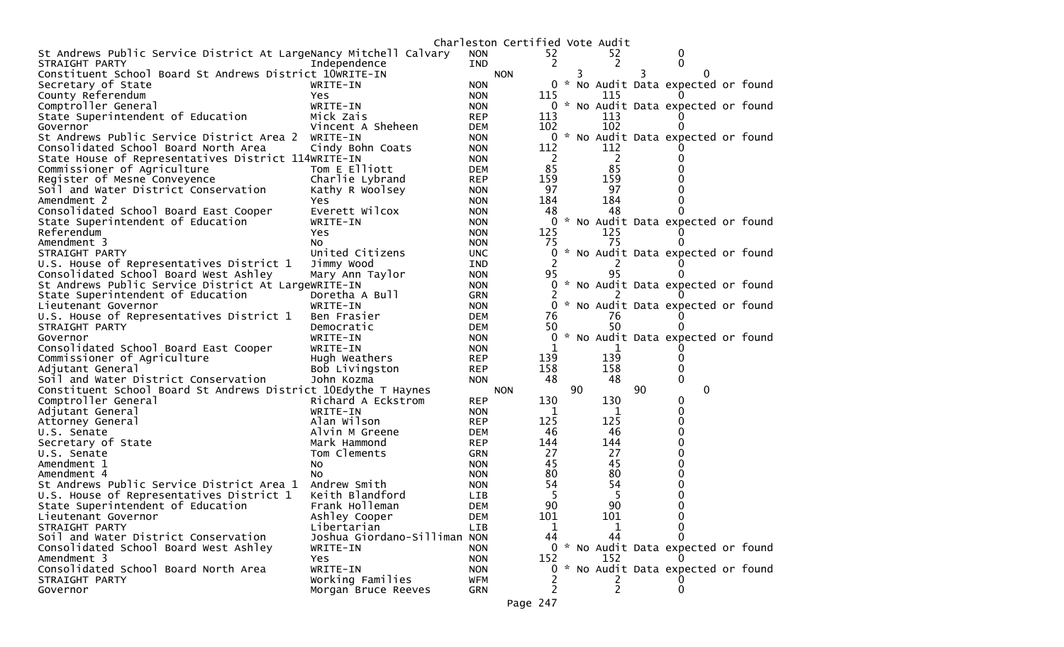| 52<br>St Andrews Public Service District At LargeNancy Mitchell Calvary<br>52<br><b>NON</b><br>0<br>2<br>2<br>0<br>STRAIGHT PARTY<br>Independence<br><b>IND</b><br>Constituent School Board St Andrews District 10WRITE-IN<br><b>NON</b><br>3<br>$\Omega$<br>3.<br>Secretary of State<br>0 * No Audit Data expected or found<br>WRITE-IN<br><b>NON</b><br>County Referendum<br>115<br><b>NON</b><br>115<br>Yes.<br>0 * No Audit Data expected or found<br>Comptroller General<br>WRITE-IN<br><b>NON</b><br>State Superintendent of Education<br>Mick Zais<br><b>REP</b><br>113<br>113<br>102<br>Vincent A Sheheen<br>102<br>Governor<br><b>DEM</b><br>* No Audit Data expected or found<br>St Andrews Public Service District Area 2<br>0<br>WRITE-IN<br><b>NON</b><br>Consolidated School Board North Area<br>Cindy Bohn Coats<br>112<br>112<br><b>NON</b><br>-2<br>2<br>State House of Representatives District 114WRITE-IN<br><b>NON</b><br>85<br>85<br>Tom E Elliott<br>Commissioner of Agriculture<br><b>DEM</b><br>159<br>159<br>Register of Mesne Conveyence<br>Charlie Lybrand<br><b>REP</b><br>97<br>97<br>Soil and Water District Conservation<br>Kathy R Woolsey<br><b>NON</b><br>184<br>184<br>Amendment 2<br><b>NON</b><br>Yes.<br>Consolidated School Board East Cooper<br>Everett Wilcox<br>48<br>48<br><b>NON</b><br>* No Audit Data expected or found<br>State Superintendent of Education<br><b>NON</b><br>0<br>WRITE-IN<br>125<br>Referendum<br>125<br><b>NON</b><br>Yes.<br>75<br>Amendment 3<br>75<br><b>NON</b><br>NO.<br>* No Audit Data expected or found<br>United Citizens<br>STRAIGHT PARTY<br>0<br><b>UNC</b><br>U.S. House of Representatives District 1<br>Jimmy Wood<br>IND<br>95<br>Consolidated School Board West Ashley<br>95<br>Mary Ann Taylor<br><b>NON</b><br>St Andrews Public Service District At LargeWRITE-IN<br>* No Audit Data expected or found<br><b>NON</b><br>0<br>State Superintendent of Education<br>Doretha A Bull<br><b>GRN</b><br>* No Audit Data expected or found<br>Lieutenant Governor<br>WRITE-IN<br><b>NON</b><br>0<br>U.S. House of Representatives District 1<br>76<br>Ben Frasier<br><b>DEM</b><br>76<br>50<br>50<br>STRAIGHT PARTY<br>Democratic<br><b>DEM</b><br>* No Audit Data expected or found<br>Governor<br>WRITE-IN<br><b>NON</b><br>0<br>Consolidated School Board East Cooper<br>WRITE-IN<br>1<br><b>NON</b><br>139<br>Hugh Weathers<br>139<br>Commissioner of Agriculture<br><b>REP</b><br>158<br>158<br>Adjutant General<br>Bob Livingston<br><b>REP</b><br>Soil and Water District Conservation<br>48<br>48<br>John Kozma<br>0<br><b>NON</b><br>90<br>90<br>$\mathbf{0}$<br>Constituent School Board St Andrews District 10Edythe T Haynes<br><b>NON</b><br>130<br>Comptroller General<br>Richard A Eckstrom<br><b>REP</b><br>130<br>0<br>WRITE-IN<br>0<br>Adjutant General<br><b>NON</b><br>1<br>1<br>125<br>125<br>Alan Wilson<br>Attorney General<br><b>REP</b><br>46<br>46<br>U.S. Senate<br>Alvin M Greene<br><b>DEM</b><br>144<br>144<br><b>REP</b><br>Secretary of State<br>Mark Hammond<br>27<br>27<br>Tom Clements<br>U.S. Senate<br><b>GRN</b><br>45<br>45<br>Amendment 1<br><b>NON</b><br>NO.<br>80<br>80<br>Amendment 4<br><b>NON</b><br>NO.<br>St Andrews Public Service District Area 1<br>54<br>54<br>Andrew Smith<br><b>NON</b><br>5<br>Keith Blandford<br>5<br>U.S. House of Representatives District 1<br><b>LIB</b><br>90<br>90<br>State Superintendent of Education<br>Frank Holleman<br><b>DEM</b><br>0<br>101<br>101<br>Ashley Cooper<br>0<br>Lieutenant Governor<br><b>DEM</b><br>STRAIGHT PARTY<br>Libertarian<br>LIB<br>1<br>1<br>Joshua Giordano-Silliman NON<br>44<br>44<br>Soil and Water District Conservation<br>$\Omega$<br>Consolidated School Board West Ashley<br>0 * No Audit Data expected or found<br>WRITE-IN<br><b>NON</b><br>Amendment 3<br>152<br>152<br>Yes<br><b>NON</b><br>0 * No Audit Data expected or found<br>Consolidated School Board North Area<br>WRITE-IN<br><b>NON</b><br>Working Families<br><b>WFM</b><br>STRAIGHT PARTY<br>Ζ<br>2<br>0<br>Governor<br>Morgan Bruce Reeves<br><b>GRN</b><br>Page 247 |  | Charleston Certified Vote Audit |  |  |  |  |
|-------------------------------------------------------------------------------------------------------------------------------------------------------------------------------------------------------------------------------------------------------------------------------------------------------------------------------------------------------------------------------------------------------------------------------------------------------------------------------------------------------------------------------------------------------------------------------------------------------------------------------------------------------------------------------------------------------------------------------------------------------------------------------------------------------------------------------------------------------------------------------------------------------------------------------------------------------------------------------------------------------------------------------------------------------------------------------------------------------------------------------------------------------------------------------------------------------------------------------------------------------------------------------------------------------------------------------------------------------------------------------------------------------------------------------------------------------------------------------------------------------------------------------------------------------------------------------------------------------------------------------------------------------------------------------------------------------------------------------------------------------------------------------------------------------------------------------------------------------------------------------------------------------------------------------------------------------------------------------------------------------------------------------------------------------------------------------------------------------------------------------------------------------------------------------------------------------------------------------------------------------------------------------------------------------------------------------------------------------------------------------------------------------------------------------------------------------------------------------------------------------------------------------------------------------------------------------------------------------------------------------------------------------------------------------------------------------------------------------------------------------------------------------------------------------------------------------------------------------------------------------------------------------------------------------------------------------------------------------------------------------------------------------------------------------------------------------------------------------------------------------------------------------------------------------------------------------------------------------------------------------------------------------------------------------------------------------------------------------------------------------------------------------------------------------------------------------------------------------------------------------------------------------------------------------------------------------------------------------------------------------------------------------------------------------------------------------------------------------------------------------------------------------------------------------------------------------------------------------------------------------------------------------------------------------------------------------------------------------------------------------------------------------------------------------------------------------------------------------------------------------------------|--|---------------------------------|--|--|--|--|
|                                                                                                                                                                                                                                                                                                                                                                                                                                                                                                                                                                                                                                                                                                                                                                                                                                                                                                                                                                                                                                                                                                                                                                                                                                                                                                                                                                                                                                                                                                                                                                                                                                                                                                                                                                                                                                                                                                                                                                                                                                                                                                                                                                                                                                                                                                                                                                                                                                                                                                                                                                                                                                                                                                                                                                                                                                                                                                                                                                                                                                                                                                                                                                                                                                                                                                                                                                                                                                                                                                                                                                                                                                                                                                                                                                                                                                                                                                                                                                                                                                                                                                                                           |  |                                 |  |  |  |  |
|                                                                                                                                                                                                                                                                                                                                                                                                                                                                                                                                                                                                                                                                                                                                                                                                                                                                                                                                                                                                                                                                                                                                                                                                                                                                                                                                                                                                                                                                                                                                                                                                                                                                                                                                                                                                                                                                                                                                                                                                                                                                                                                                                                                                                                                                                                                                                                                                                                                                                                                                                                                                                                                                                                                                                                                                                                                                                                                                                                                                                                                                                                                                                                                                                                                                                                                                                                                                                                                                                                                                                                                                                                                                                                                                                                                                                                                                                                                                                                                                                                                                                                                                           |  |                                 |  |  |  |  |
|                                                                                                                                                                                                                                                                                                                                                                                                                                                                                                                                                                                                                                                                                                                                                                                                                                                                                                                                                                                                                                                                                                                                                                                                                                                                                                                                                                                                                                                                                                                                                                                                                                                                                                                                                                                                                                                                                                                                                                                                                                                                                                                                                                                                                                                                                                                                                                                                                                                                                                                                                                                                                                                                                                                                                                                                                                                                                                                                                                                                                                                                                                                                                                                                                                                                                                                                                                                                                                                                                                                                                                                                                                                                                                                                                                                                                                                                                                                                                                                                                                                                                                                                           |  |                                 |  |  |  |  |
|                                                                                                                                                                                                                                                                                                                                                                                                                                                                                                                                                                                                                                                                                                                                                                                                                                                                                                                                                                                                                                                                                                                                                                                                                                                                                                                                                                                                                                                                                                                                                                                                                                                                                                                                                                                                                                                                                                                                                                                                                                                                                                                                                                                                                                                                                                                                                                                                                                                                                                                                                                                                                                                                                                                                                                                                                                                                                                                                                                                                                                                                                                                                                                                                                                                                                                                                                                                                                                                                                                                                                                                                                                                                                                                                                                                                                                                                                                                                                                                                                                                                                                                                           |  |                                 |  |  |  |  |
|                                                                                                                                                                                                                                                                                                                                                                                                                                                                                                                                                                                                                                                                                                                                                                                                                                                                                                                                                                                                                                                                                                                                                                                                                                                                                                                                                                                                                                                                                                                                                                                                                                                                                                                                                                                                                                                                                                                                                                                                                                                                                                                                                                                                                                                                                                                                                                                                                                                                                                                                                                                                                                                                                                                                                                                                                                                                                                                                                                                                                                                                                                                                                                                                                                                                                                                                                                                                                                                                                                                                                                                                                                                                                                                                                                                                                                                                                                                                                                                                                                                                                                                                           |  |                                 |  |  |  |  |
|                                                                                                                                                                                                                                                                                                                                                                                                                                                                                                                                                                                                                                                                                                                                                                                                                                                                                                                                                                                                                                                                                                                                                                                                                                                                                                                                                                                                                                                                                                                                                                                                                                                                                                                                                                                                                                                                                                                                                                                                                                                                                                                                                                                                                                                                                                                                                                                                                                                                                                                                                                                                                                                                                                                                                                                                                                                                                                                                                                                                                                                                                                                                                                                                                                                                                                                                                                                                                                                                                                                                                                                                                                                                                                                                                                                                                                                                                                                                                                                                                                                                                                                                           |  |                                 |  |  |  |  |
|                                                                                                                                                                                                                                                                                                                                                                                                                                                                                                                                                                                                                                                                                                                                                                                                                                                                                                                                                                                                                                                                                                                                                                                                                                                                                                                                                                                                                                                                                                                                                                                                                                                                                                                                                                                                                                                                                                                                                                                                                                                                                                                                                                                                                                                                                                                                                                                                                                                                                                                                                                                                                                                                                                                                                                                                                                                                                                                                                                                                                                                                                                                                                                                                                                                                                                                                                                                                                                                                                                                                                                                                                                                                                                                                                                                                                                                                                                                                                                                                                                                                                                                                           |  |                                 |  |  |  |  |
|                                                                                                                                                                                                                                                                                                                                                                                                                                                                                                                                                                                                                                                                                                                                                                                                                                                                                                                                                                                                                                                                                                                                                                                                                                                                                                                                                                                                                                                                                                                                                                                                                                                                                                                                                                                                                                                                                                                                                                                                                                                                                                                                                                                                                                                                                                                                                                                                                                                                                                                                                                                                                                                                                                                                                                                                                                                                                                                                                                                                                                                                                                                                                                                                                                                                                                                                                                                                                                                                                                                                                                                                                                                                                                                                                                                                                                                                                                                                                                                                                                                                                                                                           |  |                                 |  |  |  |  |
|                                                                                                                                                                                                                                                                                                                                                                                                                                                                                                                                                                                                                                                                                                                                                                                                                                                                                                                                                                                                                                                                                                                                                                                                                                                                                                                                                                                                                                                                                                                                                                                                                                                                                                                                                                                                                                                                                                                                                                                                                                                                                                                                                                                                                                                                                                                                                                                                                                                                                                                                                                                                                                                                                                                                                                                                                                                                                                                                                                                                                                                                                                                                                                                                                                                                                                                                                                                                                                                                                                                                                                                                                                                                                                                                                                                                                                                                                                                                                                                                                                                                                                                                           |  |                                 |  |  |  |  |
|                                                                                                                                                                                                                                                                                                                                                                                                                                                                                                                                                                                                                                                                                                                                                                                                                                                                                                                                                                                                                                                                                                                                                                                                                                                                                                                                                                                                                                                                                                                                                                                                                                                                                                                                                                                                                                                                                                                                                                                                                                                                                                                                                                                                                                                                                                                                                                                                                                                                                                                                                                                                                                                                                                                                                                                                                                                                                                                                                                                                                                                                                                                                                                                                                                                                                                                                                                                                                                                                                                                                                                                                                                                                                                                                                                                                                                                                                                                                                                                                                                                                                                                                           |  |                                 |  |  |  |  |
|                                                                                                                                                                                                                                                                                                                                                                                                                                                                                                                                                                                                                                                                                                                                                                                                                                                                                                                                                                                                                                                                                                                                                                                                                                                                                                                                                                                                                                                                                                                                                                                                                                                                                                                                                                                                                                                                                                                                                                                                                                                                                                                                                                                                                                                                                                                                                                                                                                                                                                                                                                                                                                                                                                                                                                                                                                                                                                                                                                                                                                                                                                                                                                                                                                                                                                                                                                                                                                                                                                                                                                                                                                                                                                                                                                                                                                                                                                                                                                                                                                                                                                                                           |  |                                 |  |  |  |  |
|                                                                                                                                                                                                                                                                                                                                                                                                                                                                                                                                                                                                                                                                                                                                                                                                                                                                                                                                                                                                                                                                                                                                                                                                                                                                                                                                                                                                                                                                                                                                                                                                                                                                                                                                                                                                                                                                                                                                                                                                                                                                                                                                                                                                                                                                                                                                                                                                                                                                                                                                                                                                                                                                                                                                                                                                                                                                                                                                                                                                                                                                                                                                                                                                                                                                                                                                                                                                                                                                                                                                                                                                                                                                                                                                                                                                                                                                                                                                                                                                                                                                                                                                           |  |                                 |  |  |  |  |
|                                                                                                                                                                                                                                                                                                                                                                                                                                                                                                                                                                                                                                                                                                                                                                                                                                                                                                                                                                                                                                                                                                                                                                                                                                                                                                                                                                                                                                                                                                                                                                                                                                                                                                                                                                                                                                                                                                                                                                                                                                                                                                                                                                                                                                                                                                                                                                                                                                                                                                                                                                                                                                                                                                                                                                                                                                                                                                                                                                                                                                                                                                                                                                                                                                                                                                                                                                                                                                                                                                                                                                                                                                                                                                                                                                                                                                                                                                                                                                                                                                                                                                                                           |  |                                 |  |  |  |  |
|                                                                                                                                                                                                                                                                                                                                                                                                                                                                                                                                                                                                                                                                                                                                                                                                                                                                                                                                                                                                                                                                                                                                                                                                                                                                                                                                                                                                                                                                                                                                                                                                                                                                                                                                                                                                                                                                                                                                                                                                                                                                                                                                                                                                                                                                                                                                                                                                                                                                                                                                                                                                                                                                                                                                                                                                                                                                                                                                                                                                                                                                                                                                                                                                                                                                                                                                                                                                                                                                                                                                                                                                                                                                                                                                                                                                                                                                                                                                                                                                                                                                                                                                           |  |                                 |  |  |  |  |
|                                                                                                                                                                                                                                                                                                                                                                                                                                                                                                                                                                                                                                                                                                                                                                                                                                                                                                                                                                                                                                                                                                                                                                                                                                                                                                                                                                                                                                                                                                                                                                                                                                                                                                                                                                                                                                                                                                                                                                                                                                                                                                                                                                                                                                                                                                                                                                                                                                                                                                                                                                                                                                                                                                                                                                                                                                                                                                                                                                                                                                                                                                                                                                                                                                                                                                                                                                                                                                                                                                                                                                                                                                                                                                                                                                                                                                                                                                                                                                                                                                                                                                                                           |  |                                 |  |  |  |  |
|                                                                                                                                                                                                                                                                                                                                                                                                                                                                                                                                                                                                                                                                                                                                                                                                                                                                                                                                                                                                                                                                                                                                                                                                                                                                                                                                                                                                                                                                                                                                                                                                                                                                                                                                                                                                                                                                                                                                                                                                                                                                                                                                                                                                                                                                                                                                                                                                                                                                                                                                                                                                                                                                                                                                                                                                                                                                                                                                                                                                                                                                                                                                                                                                                                                                                                                                                                                                                                                                                                                                                                                                                                                                                                                                                                                                                                                                                                                                                                                                                                                                                                                                           |  |                                 |  |  |  |  |
|                                                                                                                                                                                                                                                                                                                                                                                                                                                                                                                                                                                                                                                                                                                                                                                                                                                                                                                                                                                                                                                                                                                                                                                                                                                                                                                                                                                                                                                                                                                                                                                                                                                                                                                                                                                                                                                                                                                                                                                                                                                                                                                                                                                                                                                                                                                                                                                                                                                                                                                                                                                                                                                                                                                                                                                                                                                                                                                                                                                                                                                                                                                                                                                                                                                                                                                                                                                                                                                                                                                                                                                                                                                                                                                                                                                                                                                                                                                                                                                                                                                                                                                                           |  |                                 |  |  |  |  |
|                                                                                                                                                                                                                                                                                                                                                                                                                                                                                                                                                                                                                                                                                                                                                                                                                                                                                                                                                                                                                                                                                                                                                                                                                                                                                                                                                                                                                                                                                                                                                                                                                                                                                                                                                                                                                                                                                                                                                                                                                                                                                                                                                                                                                                                                                                                                                                                                                                                                                                                                                                                                                                                                                                                                                                                                                                                                                                                                                                                                                                                                                                                                                                                                                                                                                                                                                                                                                                                                                                                                                                                                                                                                                                                                                                                                                                                                                                                                                                                                                                                                                                                                           |  |                                 |  |  |  |  |
|                                                                                                                                                                                                                                                                                                                                                                                                                                                                                                                                                                                                                                                                                                                                                                                                                                                                                                                                                                                                                                                                                                                                                                                                                                                                                                                                                                                                                                                                                                                                                                                                                                                                                                                                                                                                                                                                                                                                                                                                                                                                                                                                                                                                                                                                                                                                                                                                                                                                                                                                                                                                                                                                                                                                                                                                                                                                                                                                                                                                                                                                                                                                                                                                                                                                                                                                                                                                                                                                                                                                                                                                                                                                                                                                                                                                                                                                                                                                                                                                                                                                                                                                           |  |                                 |  |  |  |  |
|                                                                                                                                                                                                                                                                                                                                                                                                                                                                                                                                                                                                                                                                                                                                                                                                                                                                                                                                                                                                                                                                                                                                                                                                                                                                                                                                                                                                                                                                                                                                                                                                                                                                                                                                                                                                                                                                                                                                                                                                                                                                                                                                                                                                                                                                                                                                                                                                                                                                                                                                                                                                                                                                                                                                                                                                                                                                                                                                                                                                                                                                                                                                                                                                                                                                                                                                                                                                                                                                                                                                                                                                                                                                                                                                                                                                                                                                                                                                                                                                                                                                                                                                           |  |                                 |  |  |  |  |
|                                                                                                                                                                                                                                                                                                                                                                                                                                                                                                                                                                                                                                                                                                                                                                                                                                                                                                                                                                                                                                                                                                                                                                                                                                                                                                                                                                                                                                                                                                                                                                                                                                                                                                                                                                                                                                                                                                                                                                                                                                                                                                                                                                                                                                                                                                                                                                                                                                                                                                                                                                                                                                                                                                                                                                                                                                                                                                                                                                                                                                                                                                                                                                                                                                                                                                                                                                                                                                                                                                                                                                                                                                                                                                                                                                                                                                                                                                                                                                                                                                                                                                                                           |  |                                 |  |  |  |  |
|                                                                                                                                                                                                                                                                                                                                                                                                                                                                                                                                                                                                                                                                                                                                                                                                                                                                                                                                                                                                                                                                                                                                                                                                                                                                                                                                                                                                                                                                                                                                                                                                                                                                                                                                                                                                                                                                                                                                                                                                                                                                                                                                                                                                                                                                                                                                                                                                                                                                                                                                                                                                                                                                                                                                                                                                                                                                                                                                                                                                                                                                                                                                                                                                                                                                                                                                                                                                                                                                                                                                                                                                                                                                                                                                                                                                                                                                                                                                                                                                                                                                                                                                           |  |                                 |  |  |  |  |
|                                                                                                                                                                                                                                                                                                                                                                                                                                                                                                                                                                                                                                                                                                                                                                                                                                                                                                                                                                                                                                                                                                                                                                                                                                                                                                                                                                                                                                                                                                                                                                                                                                                                                                                                                                                                                                                                                                                                                                                                                                                                                                                                                                                                                                                                                                                                                                                                                                                                                                                                                                                                                                                                                                                                                                                                                                                                                                                                                                                                                                                                                                                                                                                                                                                                                                                                                                                                                                                                                                                                                                                                                                                                                                                                                                                                                                                                                                                                                                                                                                                                                                                                           |  |                                 |  |  |  |  |
|                                                                                                                                                                                                                                                                                                                                                                                                                                                                                                                                                                                                                                                                                                                                                                                                                                                                                                                                                                                                                                                                                                                                                                                                                                                                                                                                                                                                                                                                                                                                                                                                                                                                                                                                                                                                                                                                                                                                                                                                                                                                                                                                                                                                                                                                                                                                                                                                                                                                                                                                                                                                                                                                                                                                                                                                                                                                                                                                                                                                                                                                                                                                                                                                                                                                                                                                                                                                                                                                                                                                                                                                                                                                                                                                                                                                                                                                                                                                                                                                                                                                                                                                           |  |                                 |  |  |  |  |
|                                                                                                                                                                                                                                                                                                                                                                                                                                                                                                                                                                                                                                                                                                                                                                                                                                                                                                                                                                                                                                                                                                                                                                                                                                                                                                                                                                                                                                                                                                                                                                                                                                                                                                                                                                                                                                                                                                                                                                                                                                                                                                                                                                                                                                                                                                                                                                                                                                                                                                                                                                                                                                                                                                                                                                                                                                                                                                                                                                                                                                                                                                                                                                                                                                                                                                                                                                                                                                                                                                                                                                                                                                                                                                                                                                                                                                                                                                                                                                                                                                                                                                                                           |  |                                 |  |  |  |  |
|                                                                                                                                                                                                                                                                                                                                                                                                                                                                                                                                                                                                                                                                                                                                                                                                                                                                                                                                                                                                                                                                                                                                                                                                                                                                                                                                                                                                                                                                                                                                                                                                                                                                                                                                                                                                                                                                                                                                                                                                                                                                                                                                                                                                                                                                                                                                                                                                                                                                                                                                                                                                                                                                                                                                                                                                                                                                                                                                                                                                                                                                                                                                                                                                                                                                                                                                                                                                                                                                                                                                                                                                                                                                                                                                                                                                                                                                                                                                                                                                                                                                                                                                           |  |                                 |  |  |  |  |
|                                                                                                                                                                                                                                                                                                                                                                                                                                                                                                                                                                                                                                                                                                                                                                                                                                                                                                                                                                                                                                                                                                                                                                                                                                                                                                                                                                                                                                                                                                                                                                                                                                                                                                                                                                                                                                                                                                                                                                                                                                                                                                                                                                                                                                                                                                                                                                                                                                                                                                                                                                                                                                                                                                                                                                                                                                                                                                                                                                                                                                                                                                                                                                                                                                                                                                                                                                                                                                                                                                                                                                                                                                                                                                                                                                                                                                                                                                                                                                                                                                                                                                                                           |  |                                 |  |  |  |  |
|                                                                                                                                                                                                                                                                                                                                                                                                                                                                                                                                                                                                                                                                                                                                                                                                                                                                                                                                                                                                                                                                                                                                                                                                                                                                                                                                                                                                                                                                                                                                                                                                                                                                                                                                                                                                                                                                                                                                                                                                                                                                                                                                                                                                                                                                                                                                                                                                                                                                                                                                                                                                                                                                                                                                                                                                                                                                                                                                                                                                                                                                                                                                                                                                                                                                                                                                                                                                                                                                                                                                                                                                                                                                                                                                                                                                                                                                                                                                                                                                                                                                                                                                           |  |                                 |  |  |  |  |
|                                                                                                                                                                                                                                                                                                                                                                                                                                                                                                                                                                                                                                                                                                                                                                                                                                                                                                                                                                                                                                                                                                                                                                                                                                                                                                                                                                                                                                                                                                                                                                                                                                                                                                                                                                                                                                                                                                                                                                                                                                                                                                                                                                                                                                                                                                                                                                                                                                                                                                                                                                                                                                                                                                                                                                                                                                                                                                                                                                                                                                                                                                                                                                                                                                                                                                                                                                                                                                                                                                                                                                                                                                                                                                                                                                                                                                                                                                                                                                                                                                                                                                                                           |  |                                 |  |  |  |  |
|                                                                                                                                                                                                                                                                                                                                                                                                                                                                                                                                                                                                                                                                                                                                                                                                                                                                                                                                                                                                                                                                                                                                                                                                                                                                                                                                                                                                                                                                                                                                                                                                                                                                                                                                                                                                                                                                                                                                                                                                                                                                                                                                                                                                                                                                                                                                                                                                                                                                                                                                                                                                                                                                                                                                                                                                                                                                                                                                                                                                                                                                                                                                                                                                                                                                                                                                                                                                                                                                                                                                                                                                                                                                                                                                                                                                                                                                                                                                                                                                                                                                                                                                           |  |                                 |  |  |  |  |
|                                                                                                                                                                                                                                                                                                                                                                                                                                                                                                                                                                                                                                                                                                                                                                                                                                                                                                                                                                                                                                                                                                                                                                                                                                                                                                                                                                                                                                                                                                                                                                                                                                                                                                                                                                                                                                                                                                                                                                                                                                                                                                                                                                                                                                                                                                                                                                                                                                                                                                                                                                                                                                                                                                                                                                                                                                                                                                                                                                                                                                                                                                                                                                                                                                                                                                                                                                                                                                                                                                                                                                                                                                                                                                                                                                                                                                                                                                                                                                                                                                                                                                                                           |  |                                 |  |  |  |  |
|                                                                                                                                                                                                                                                                                                                                                                                                                                                                                                                                                                                                                                                                                                                                                                                                                                                                                                                                                                                                                                                                                                                                                                                                                                                                                                                                                                                                                                                                                                                                                                                                                                                                                                                                                                                                                                                                                                                                                                                                                                                                                                                                                                                                                                                                                                                                                                                                                                                                                                                                                                                                                                                                                                                                                                                                                                                                                                                                                                                                                                                                                                                                                                                                                                                                                                                                                                                                                                                                                                                                                                                                                                                                                                                                                                                                                                                                                                                                                                                                                                                                                                                                           |  |                                 |  |  |  |  |
|                                                                                                                                                                                                                                                                                                                                                                                                                                                                                                                                                                                                                                                                                                                                                                                                                                                                                                                                                                                                                                                                                                                                                                                                                                                                                                                                                                                                                                                                                                                                                                                                                                                                                                                                                                                                                                                                                                                                                                                                                                                                                                                                                                                                                                                                                                                                                                                                                                                                                                                                                                                                                                                                                                                                                                                                                                                                                                                                                                                                                                                                                                                                                                                                                                                                                                                                                                                                                                                                                                                                                                                                                                                                                                                                                                                                                                                                                                                                                                                                                                                                                                                                           |  |                                 |  |  |  |  |
|                                                                                                                                                                                                                                                                                                                                                                                                                                                                                                                                                                                                                                                                                                                                                                                                                                                                                                                                                                                                                                                                                                                                                                                                                                                                                                                                                                                                                                                                                                                                                                                                                                                                                                                                                                                                                                                                                                                                                                                                                                                                                                                                                                                                                                                                                                                                                                                                                                                                                                                                                                                                                                                                                                                                                                                                                                                                                                                                                                                                                                                                                                                                                                                                                                                                                                                                                                                                                                                                                                                                                                                                                                                                                                                                                                                                                                                                                                                                                                                                                                                                                                                                           |  |                                 |  |  |  |  |
|                                                                                                                                                                                                                                                                                                                                                                                                                                                                                                                                                                                                                                                                                                                                                                                                                                                                                                                                                                                                                                                                                                                                                                                                                                                                                                                                                                                                                                                                                                                                                                                                                                                                                                                                                                                                                                                                                                                                                                                                                                                                                                                                                                                                                                                                                                                                                                                                                                                                                                                                                                                                                                                                                                                                                                                                                                                                                                                                                                                                                                                                                                                                                                                                                                                                                                                                                                                                                                                                                                                                                                                                                                                                                                                                                                                                                                                                                                                                                                                                                                                                                                                                           |  |                                 |  |  |  |  |
|                                                                                                                                                                                                                                                                                                                                                                                                                                                                                                                                                                                                                                                                                                                                                                                                                                                                                                                                                                                                                                                                                                                                                                                                                                                                                                                                                                                                                                                                                                                                                                                                                                                                                                                                                                                                                                                                                                                                                                                                                                                                                                                                                                                                                                                                                                                                                                                                                                                                                                                                                                                                                                                                                                                                                                                                                                                                                                                                                                                                                                                                                                                                                                                                                                                                                                                                                                                                                                                                                                                                                                                                                                                                                                                                                                                                                                                                                                                                                                                                                                                                                                                                           |  |                                 |  |  |  |  |
|                                                                                                                                                                                                                                                                                                                                                                                                                                                                                                                                                                                                                                                                                                                                                                                                                                                                                                                                                                                                                                                                                                                                                                                                                                                                                                                                                                                                                                                                                                                                                                                                                                                                                                                                                                                                                                                                                                                                                                                                                                                                                                                                                                                                                                                                                                                                                                                                                                                                                                                                                                                                                                                                                                                                                                                                                                                                                                                                                                                                                                                                                                                                                                                                                                                                                                                                                                                                                                                                                                                                                                                                                                                                                                                                                                                                                                                                                                                                                                                                                                                                                                                                           |  |                                 |  |  |  |  |
|                                                                                                                                                                                                                                                                                                                                                                                                                                                                                                                                                                                                                                                                                                                                                                                                                                                                                                                                                                                                                                                                                                                                                                                                                                                                                                                                                                                                                                                                                                                                                                                                                                                                                                                                                                                                                                                                                                                                                                                                                                                                                                                                                                                                                                                                                                                                                                                                                                                                                                                                                                                                                                                                                                                                                                                                                                                                                                                                                                                                                                                                                                                                                                                                                                                                                                                                                                                                                                                                                                                                                                                                                                                                                                                                                                                                                                                                                                                                                                                                                                                                                                                                           |  |                                 |  |  |  |  |
|                                                                                                                                                                                                                                                                                                                                                                                                                                                                                                                                                                                                                                                                                                                                                                                                                                                                                                                                                                                                                                                                                                                                                                                                                                                                                                                                                                                                                                                                                                                                                                                                                                                                                                                                                                                                                                                                                                                                                                                                                                                                                                                                                                                                                                                                                                                                                                                                                                                                                                                                                                                                                                                                                                                                                                                                                                                                                                                                                                                                                                                                                                                                                                                                                                                                                                                                                                                                                                                                                                                                                                                                                                                                                                                                                                                                                                                                                                                                                                                                                                                                                                                                           |  |                                 |  |  |  |  |
|                                                                                                                                                                                                                                                                                                                                                                                                                                                                                                                                                                                                                                                                                                                                                                                                                                                                                                                                                                                                                                                                                                                                                                                                                                                                                                                                                                                                                                                                                                                                                                                                                                                                                                                                                                                                                                                                                                                                                                                                                                                                                                                                                                                                                                                                                                                                                                                                                                                                                                                                                                                                                                                                                                                                                                                                                                                                                                                                                                                                                                                                                                                                                                                                                                                                                                                                                                                                                                                                                                                                                                                                                                                                                                                                                                                                                                                                                                                                                                                                                                                                                                                                           |  |                                 |  |  |  |  |
|                                                                                                                                                                                                                                                                                                                                                                                                                                                                                                                                                                                                                                                                                                                                                                                                                                                                                                                                                                                                                                                                                                                                                                                                                                                                                                                                                                                                                                                                                                                                                                                                                                                                                                                                                                                                                                                                                                                                                                                                                                                                                                                                                                                                                                                                                                                                                                                                                                                                                                                                                                                                                                                                                                                                                                                                                                                                                                                                                                                                                                                                                                                                                                                                                                                                                                                                                                                                                                                                                                                                                                                                                                                                                                                                                                                                                                                                                                                                                                                                                                                                                                                                           |  |                                 |  |  |  |  |
|                                                                                                                                                                                                                                                                                                                                                                                                                                                                                                                                                                                                                                                                                                                                                                                                                                                                                                                                                                                                                                                                                                                                                                                                                                                                                                                                                                                                                                                                                                                                                                                                                                                                                                                                                                                                                                                                                                                                                                                                                                                                                                                                                                                                                                                                                                                                                                                                                                                                                                                                                                                                                                                                                                                                                                                                                                                                                                                                                                                                                                                                                                                                                                                                                                                                                                                                                                                                                                                                                                                                                                                                                                                                                                                                                                                                                                                                                                                                                                                                                                                                                                                                           |  |                                 |  |  |  |  |
|                                                                                                                                                                                                                                                                                                                                                                                                                                                                                                                                                                                                                                                                                                                                                                                                                                                                                                                                                                                                                                                                                                                                                                                                                                                                                                                                                                                                                                                                                                                                                                                                                                                                                                                                                                                                                                                                                                                                                                                                                                                                                                                                                                                                                                                                                                                                                                                                                                                                                                                                                                                                                                                                                                                                                                                                                                                                                                                                                                                                                                                                                                                                                                                                                                                                                                                                                                                                                                                                                                                                                                                                                                                                                                                                                                                                                                                                                                                                                                                                                                                                                                                                           |  |                                 |  |  |  |  |
|                                                                                                                                                                                                                                                                                                                                                                                                                                                                                                                                                                                                                                                                                                                                                                                                                                                                                                                                                                                                                                                                                                                                                                                                                                                                                                                                                                                                                                                                                                                                                                                                                                                                                                                                                                                                                                                                                                                                                                                                                                                                                                                                                                                                                                                                                                                                                                                                                                                                                                                                                                                                                                                                                                                                                                                                                                                                                                                                                                                                                                                                                                                                                                                                                                                                                                                                                                                                                                                                                                                                                                                                                                                                                                                                                                                                                                                                                                                                                                                                                                                                                                                                           |  |                                 |  |  |  |  |
|                                                                                                                                                                                                                                                                                                                                                                                                                                                                                                                                                                                                                                                                                                                                                                                                                                                                                                                                                                                                                                                                                                                                                                                                                                                                                                                                                                                                                                                                                                                                                                                                                                                                                                                                                                                                                                                                                                                                                                                                                                                                                                                                                                                                                                                                                                                                                                                                                                                                                                                                                                                                                                                                                                                                                                                                                                                                                                                                                                                                                                                                                                                                                                                                                                                                                                                                                                                                                                                                                                                                                                                                                                                                                                                                                                                                                                                                                                                                                                                                                                                                                                                                           |  |                                 |  |  |  |  |
|                                                                                                                                                                                                                                                                                                                                                                                                                                                                                                                                                                                                                                                                                                                                                                                                                                                                                                                                                                                                                                                                                                                                                                                                                                                                                                                                                                                                                                                                                                                                                                                                                                                                                                                                                                                                                                                                                                                                                                                                                                                                                                                                                                                                                                                                                                                                                                                                                                                                                                                                                                                                                                                                                                                                                                                                                                                                                                                                                                                                                                                                                                                                                                                                                                                                                                                                                                                                                                                                                                                                                                                                                                                                                                                                                                                                                                                                                                                                                                                                                                                                                                                                           |  |                                 |  |  |  |  |
|                                                                                                                                                                                                                                                                                                                                                                                                                                                                                                                                                                                                                                                                                                                                                                                                                                                                                                                                                                                                                                                                                                                                                                                                                                                                                                                                                                                                                                                                                                                                                                                                                                                                                                                                                                                                                                                                                                                                                                                                                                                                                                                                                                                                                                                                                                                                                                                                                                                                                                                                                                                                                                                                                                                                                                                                                                                                                                                                                                                                                                                                                                                                                                                                                                                                                                                                                                                                                                                                                                                                                                                                                                                                                                                                                                                                                                                                                                                                                                                                                                                                                                                                           |  |                                 |  |  |  |  |
|                                                                                                                                                                                                                                                                                                                                                                                                                                                                                                                                                                                                                                                                                                                                                                                                                                                                                                                                                                                                                                                                                                                                                                                                                                                                                                                                                                                                                                                                                                                                                                                                                                                                                                                                                                                                                                                                                                                                                                                                                                                                                                                                                                                                                                                                                                                                                                                                                                                                                                                                                                                                                                                                                                                                                                                                                                                                                                                                                                                                                                                                                                                                                                                                                                                                                                                                                                                                                                                                                                                                                                                                                                                                                                                                                                                                                                                                                                                                                                                                                                                                                                                                           |  |                                 |  |  |  |  |
|                                                                                                                                                                                                                                                                                                                                                                                                                                                                                                                                                                                                                                                                                                                                                                                                                                                                                                                                                                                                                                                                                                                                                                                                                                                                                                                                                                                                                                                                                                                                                                                                                                                                                                                                                                                                                                                                                                                                                                                                                                                                                                                                                                                                                                                                                                                                                                                                                                                                                                                                                                                                                                                                                                                                                                                                                                                                                                                                                                                                                                                                                                                                                                                                                                                                                                                                                                                                                                                                                                                                                                                                                                                                                                                                                                                                                                                                                                                                                                                                                                                                                                                                           |  |                                 |  |  |  |  |
|                                                                                                                                                                                                                                                                                                                                                                                                                                                                                                                                                                                                                                                                                                                                                                                                                                                                                                                                                                                                                                                                                                                                                                                                                                                                                                                                                                                                                                                                                                                                                                                                                                                                                                                                                                                                                                                                                                                                                                                                                                                                                                                                                                                                                                                                                                                                                                                                                                                                                                                                                                                                                                                                                                                                                                                                                                                                                                                                                                                                                                                                                                                                                                                                                                                                                                                                                                                                                                                                                                                                                                                                                                                                                                                                                                                                                                                                                                                                                                                                                                                                                                                                           |  |                                 |  |  |  |  |
|                                                                                                                                                                                                                                                                                                                                                                                                                                                                                                                                                                                                                                                                                                                                                                                                                                                                                                                                                                                                                                                                                                                                                                                                                                                                                                                                                                                                                                                                                                                                                                                                                                                                                                                                                                                                                                                                                                                                                                                                                                                                                                                                                                                                                                                                                                                                                                                                                                                                                                                                                                                                                                                                                                                                                                                                                                                                                                                                                                                                                                                                                                                                                                                                                                                                                                                                                                                                                                                                                                                                                                                                                                                                                                                                                                                                                                                                                                                                                                                                                                                                                                                                           |  |                                 |  |  |  |  |
|                                                                                                                                                                                                                                                                                                                                                                                                                                                                                                                                                                                                                                                                                                                                                                                                                                                                                                                                                                                                                                                                                                                                                                                                                                                                                                                                                                                                                                                                                                                                                                                                                                                                                                                                                                                                                                                                                                                                                                                                                                                                                                                                                                                                                                                                                                                                                                                                                                                                                                                                                                                                                                                                                                                                                                                                                                                                                                                                                                                                                                                                                                                                                                                                                                                                                                                                                                                                                                                                                                                                                                                                                                                                                                                                                                                                                                                                                                                                                                                                                                                                                                                                           |  |                                 |  |  |  |  |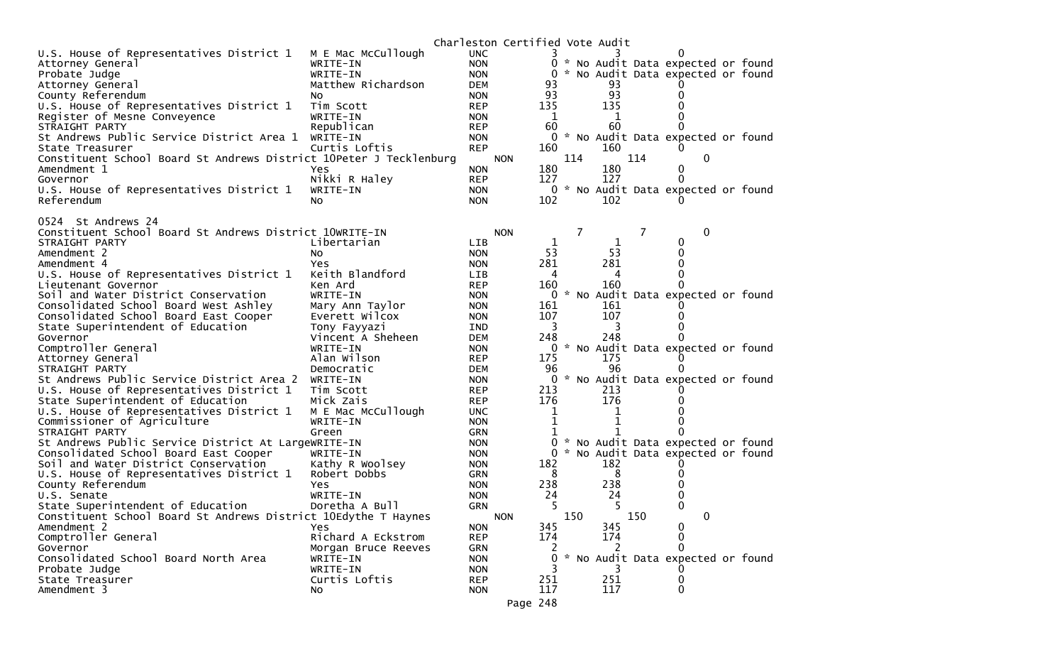|                                                                    |                        |                          | Charleston Certified Vote Audit |              |     |           |     |                                     |  |
|--------------------------------------------------------------------|------------------------|--------------------------|---------------------------------|--------------|-----|-----------|-----|-------------------------------------|--|
| U.S. House of Representatives District 1                           | M E Mac McCullough     | <b>UNC</b>               |                                 |              |     |           |     |                                     |  |
| Attorney General                                                   | WRITE-IN               | <b>NON</b>               |                                 | 0            |     |           |     | * No Audit Data expected or found   |  |
| Probate Judge                                                      | WRITE-IN               | <b>NON</b>               |                                 | $\Omega$     |     |           |     | * No Audit Data expected or found   |  |
| Attorney General                                                   | Matthew Richardson     | <b>DEM</b>               |                                 | 93           |     | 93        |     |                                     |  |
| County Referendum                                                  | NO.                    | <b>NON</b>               |                                 | 93           |     | 93        |     |                                     |  |
| U.S. House of Representatives District 1                           | Tim Scott              | <b>REP</b>               |                                 | 135          |     | 135       |     |                                     |  |
| Register of Mesne Conveyence                                       | WRITE-IN               | <b>NON</b>               |                                 | 1            |     | 1         |     |                                     |  |
| STRAIGHT PARTY                                                     | Republican             | <b>REP</b>               |                                 | 60           |     | 60        |     |                                     |  |
| St Andrews Public Service District Area 1                          | WRITE-IN               | <b>NON</b>               |                                 |              |     |           |     | 0 * No Audit Data expected or found |  |
| State Treasurer                                                    | Curtis Loftis          | <b>REP</b>               |                                 | 160          |     | 160       |     | $\Omega$                            |  |
| Constituent School Board St Andrews District 10Peter J Tecklenburg |                        |                          | <b>NON</b>                      | 180          | 114 | 180       | 114 | 0<br>0                              |  |
| Amendment 1<br>Governor                                            | Yes<br>Nikki R Haley   | <b>NON</b><br><b>REP</b> |                                 | 127          |     | 127       |     | 0                                   |  |
| U.S. House of Representatives District 1                           | WRITE-IN               | <b>NON</b>               |                                 | 0            |     |           |     | * No Audit Data expected or found   |  |
| Referendum                                                         | No.                    | <b>NON</b>               |                                 | 102          |     | 102       |     |                                     |  |
|                                                                    |                        |                          |                                 |              |     |           |     |                                     |  |
| 0524 St Andrews 24                                                 |                        |                          |                                 |              |     |           |     |                                     |  |
| Constituent School Board St Andrews District 10WRITE-IN            |                        |                          | <b>NON</b>                      |              | 7   |           | 7   | 0                                   |  |
| STRAIGHT PARTY                                                     | Libertarian            | <b>LIB</b>               |                                 | $\mathbf{1}$ |     | 1         |     | 0                                   |  |
| Amendment 2                                                        | NO.                    | <b>NON</b>               |                                 | 53           |     | 53        |     |                                     |  |
| Amendment 4                                                        | Yes                    | <b>NON</b>               |                                 | 281          |     | 281       |     |                                     |  |
| U.S. House of Representatives District 1                           | Keith Blandford        | LIB                      |                                 | 4            |     | 4         |     |                                     |  |
| Lieutenant Governor                                                | Ken Ard                | <b>REP</b>               |                                 | 160          |     | 160       |     |                                     |  |
| Soil and Water District Conservation                               | WRITE-IN               | <b>NON</b>               |                                 |              |     |           |     | 0 * No Audit Data expected or found |  |
| Consolidated School Board West Ashley                              | Mary Ann Taylor        | <b>NON</b>               |                                 | 161          |     | 161       |     |                                     |  |
| Consolidated School Board East Cooper                              | Everett Wilcox         | <b>NON</b>               |                                 | 107          |     | 107       |     |                                     |  |
| State Superintendent of Education                                  | Tony Fayyazi           | <b>IND</b>               |                                 | 3            |     | 3         |     |                                     |  |
| Governor                                                           | Vincent A Sheheen      | <b>DEM</b>               |                                 | 248          |     | 248       |     |                                     |  |
| Comptroller General                                                | WRITE-IN               | <b>NON</b>               |                                 | 0            |     |           |     | * No Audit Data expected or found   |  |
| Attorney General                                                   | Alan Wilson            | <b>REP</b>               |                                 | 175          |     | 175<br>96 |     |                                     |  |
| STRAIGHT PARTY<br>St Andrews Public Service District Area 2        | Democratic<br>WRITE-IN | <b>DEM</b>               |                                 | 96<br>0      |     |           |     | * No Audit Data expected or found   |  |
| U.S. House of Representatives District 1                           | Tim Scott              | <b>NON</b><br><b>REP</b> |                                 | 213          |     | 213       |     |                                     |  |
| State Superintendent of Education                                  | Mick Zais              | <b>REP</b>               |                                 | 176          |     | 176       |     |                                     |  |
| U.S. House of Representatives District 1                           | M E Mac McCullough     | <b>UNC</b>               |                                 |              |     |           |     |                                     |  |
| Commissioner of Agriculture                                        | WRITE-IN               | <b>NON</b>               |                                 | 1            |     | 1         |     |                                     |  |
| STRAIGHT PARTY                                                     | Green                  | <b>GRN</b>               |                                 |              |     |           |     |                                     |  |
| St Andrews Public Service District At LargeWRITE-IN                |                        | <b>NON</b>               |                                 | $\Omega$     |     |           |     | * No Audit Data expected or found   |  |
| Consolidated School Board East Cooper                              | WRITE-IN               | <b>NON</b>               |                                 | 0            |     |           |     | * No Audit Data expected or found   |  |
| Soil and Water District Conservation                               | Kathy R Woolsey        | <b>NON</b>               |                                 | 182          |     | 182       |     |                                     |  |
| U.S. House of Representatives District 1                           | Robert Dobbs           | <b>GRN</b>               |                                 | 8            |     | 8         |     |                                     |  |
| County Referendum                                                  | Yes                    | <b>NON</b>               |                                 | 238          |     | 238       |     |                                     |  |
| U.S. Senate                                                        | WRITE-IN               | <b>NON</b>               |                                 | 24           |     | 24        |     |                                     |  |
| State Superintendent of Education                                  | Doretha A Bull         | <b>GRN</b>               |                                 | 5            |     |           |     |                                     |  |
| Constituent School Board St Andrews District 10Edythe T Haynes     |                        |                          | <b>NON</b>                      |              | 150 |           | 150 | 0                                   |  |
| Amendment 2                                                        | Yes                    | <b>NON</b>               |                                 | 345          |     | 345       |     | 0                                   |  |
| Comptroller General                                                | Richard A Eckstrom     | <b>REP</b>               |                                 | 174          |     | 174       |     | 0                                   |  |
| Governor                                                           | Morgan Bruce Reeves    | GRN                      |                                 |              |     | 2         |     | 0                                   |  |
| Consolidated School Board North Area                               | WRITE-IN               | <b>NON</b>               |                                 | 0            |     |           |     | * No Audit Data expected or found   |  |
| Probate Judge                                                      | WRITE-IN               | <b>NON</b>               |                                 |              |     |           |     |                                     |  |
| State Treasurer                                                    | Curtis Loftis          | <b>REP</b>               |                                 | 251          |     | 251       |     | 0                                   |  |
| Amendment 3                                                        | NO.                    | <b>NON</b>               |                                 | 117          |     | 117       |     | 0                                   |  |
|                                                                    |                        |                          | Page 248                        |              |     |           |     |                                     |  |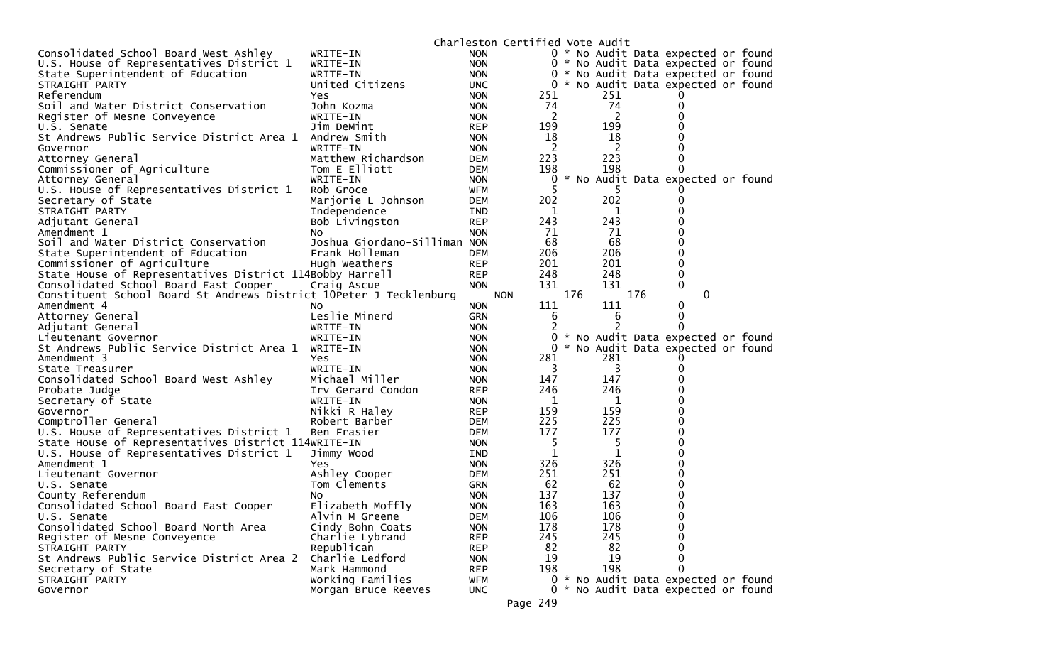|                                                                    |                              |            | Charleston Certified Vote Audit |               |     |     |                                     |  |
|--------------------------------------------------------------------|------------------------------|------------|---------------------------------|---------------|-----|-----|-------------------------------------|--|
| Consolidated School Board West Ashley                              | WRITE-IN                     | <b>NON</b> |                                 |               |     |     | 0 * No Audit Data expected or found |  |
| U.S. House of Representatives District 1                           | WRITE-IN                     | <b>NON</b> |                                 |               |     |     | 0 * No Audit Data expected or found |  |
| State Superintendent of Education                                  | WRITE-IN                     | <b>NON</b> |                                 |               |     |     | 0 * No Audit Data expected or found |  |
| STRAIGHT PARTY                                                     | United Citizens              | UNC.       |                                 |               |     |     | 0 * No Audit Data expected or found |  |
| Referendum                                                         | Yes                          | <b>NON</b> | 251                             |               | 251 |     |                                     |  |
| Soil and Water District Conservation                               | John Kozma                   | <b>NON</b> | 74                              |               | 74  |     | 0                                   |  |
| Register of Mesne Conveyence                                       | WRITE-IN                     | <b>NON</b> | 2                               |               | 2   |     |                                     |  |
| U.S. Senate                                                        | Jim DeMint                   | <b>REP</b> | 199                             |               | 199 |     |                                     |  |
| St Andrews Public Service District Area 1                          | Andrew Smith                 | <b>NON</b> | 18                              |               | 18  |     |                                     |  |
| Governor                                                           | WRITE-IN                     | <b>NON</b> | $\overline{c}$                  |               | 2   |     |                                     |  |
| Attorney General                                                   | Matthew Richardson           | <b>DEM</b> | 223                             |               | 223 |     |                                     |  |
| Commissioner of Agriculture                                        | Tom E Elliott                | <b>DEM</b> | 198                             |               | 198 |     |                                     |  |
| Attorney General                                                   | WRITE-IN                     | <b>NON</b> | 0                               | $\mathcal{H}$ |     |     | No Audit Data expected or found     |  |
| U.S. House of Representatives District 1                           | Rob Groce                    | WFM        | 5                               |               | 5   |     |                                     |  |
| Secretary of State                                                 | Marjorie L Johnson           | DEM        | 202                             |               | 202 |     |                                     |  |
| STRAIGHT PARTY                                                     | Independence                 | IND        | 1                               |               | 1   |     |                                     |  |
| Adjutant General                                                   | Bob Livingston               | <b>REP</b> | 243                             |               | 243 |     |                                     |  |
| Amendment 1                                                        | NO.                          | <b>NON</b> | 71                              |               | 71  |     |                                     |  |
| Soil and Water District Conservation                               | Joshua Giordano-Silliman NON |            | 68                              |               | 68  |     |                                     |  |
| State Superintendent of Education                                  | Frank Holleman               | <b>DEM</b> | 206                             |               | 206 |     |                                     |  |
| Commissioner of Agriculture                                        | Hugh Weathers                | <b>REP</b> | 201                             |               | 201 |     |                                     |  |
| State House of Representatives District 114Bobby Harrell           |                              | <b>REP</b> | 248                             |               | 248 |     | 0                                   |  |
| Consolidated School Board East Cooper                              | Craig Ascue                  | <b>NON</b> | 131                             |               | 131 |     | 0                                   |  |
| Constituent School Board St Andrews District 10Peter J Tecklenburg |                              |            | <b>NON</b>                      | 176           |     | 176 | 0                                   |  |
| Amendment 4                                                        | NO.                          | <b>NON</b> | 111                             |               | 111 |     | 0                                   |  |
| Attorney General                                                   | Leslie Minerd                | GRN        | 6                               |               | 6   |     | 0                                   |  |
| Adjutant General                                                   | WRITE-IN                     | <b>NON</b> | 2                               |               |     |     | 0                                   |  |
| Lieutenant Governor                                                | WRITE-IN                     | <b>NON</b> | 0                               |               |     |     | * No Audit Data expected or found   |  |
| St Andrews Public Service District Area 1                          | WRITE-IN                     | <b>NON</b> | 0                               |               |     |     | * No Audit Data expected or found   |  |
| Amendment 3                                                        | Yes                          | <b>NON</b> | 281                             |               | 281 |     |                                     |  |
| State Treasurer                                                    | WRITE-IN                     | <b>NON</b> | 3                               |               | 3   |     |                                     |  |
| Consolidated School Board West Ashley                              | Michael Miller               | <b>NON</b> | 147                             |               | 147 |     |                                     |  |
| Probate Judge                                                      | Irv Gerard Condon            | <b>REP</b> | 246                             |               | 246 |     |                                     |  |
| Secretary of State                                                 | WRITE-IN                     | <b>NON</b> | 1                               |               | 1   |     |                                     |  |
| Governor                                                           | Nikki R Haley                | <b>REP</b> | 159                             |               | 159 |     |                                     |  |
| Comptroller General                                                | Robert Barber                | <b>DEM</b> | 225                             |               | 225 |     |                                     |  |
| U.S. House of Representatives District 1                           | Ben Frasier                  | <b>DEM</b> | 177                             |               | 177 |     |                                     |  |
| State House of Representatives District 114WRITE-IN                |                              | <b>NON</b> | 5                               |               | 5   |     |                                     |  |
| U.S. House of Representatives District 1                           | Jimmy Wood                   | IND.       | 1                               |               | 1   |     |                                     |  |
| Amendment 1                                                        | Yes                          | <b>NON</b> | 326                             |               | 326 |     |                                     |  |
| Lieutenant Governor                                                | Ashley Cooper                | <b>DEM</b> | 251                             |               | 251 |     |                                     |  |
| U.S. Senate                                                        | Tom Clements                 | <b>GRN</b> | 62                              |               | 62  |     |                                     |  |
| County Referendum                                                  | NO.                          | <b>NON</b> | 137                             |               | 137 |     |                                     |  |
| Consolidated School Board East Cooper                              | Elizabeth Moffly             | <b>NON</b> | 163                             |               | 163 |     | 0                                   |  |
| U.S. Senate                                                        | Alvin M Greene               | <b>DEM</b> | 106                             |               | 106 |     | 0                                   |  |
| Consolidated School Board North Area                               | Cindy Bohn Coats             | <b>NON</b> | 178                             |               | 178 |     | 0                                   |  |
| Register of Mesne Conveyence                                       | Charlie Lybrand              | <b>REP</b> | 245                             |               | 245 |     | 0                                   |  |
| STRAIGHT PARTY                                                     | Republican                   | <b>REP</b> | 82                              |               | 82  |     | 0                                   |  |
| St Andrews Public Service District Area 2                          | Charlie Ledford              | <b>NON</b> | 19                              |               | 19  |     | 0                                   |  |
| Secretary of State                                                 | Mark Hammond                 | <b>REP</b> | 198                             |               | 198 |     | 0                                   |  |
| STRAIGHT PARTY                                                     | Working Families             | <b>WFM</b> |                                 |               |     |     | 0 * No Audit Data expected or found |  |
| Governor                                                           | Morgan Bruce Reeves          | UNC.       | $\Omega$                        |               |     |     | * No Audit Data expected or found   |  |
|                                                                    |                              |            | Page 249                        |               |     |     |                                     |  |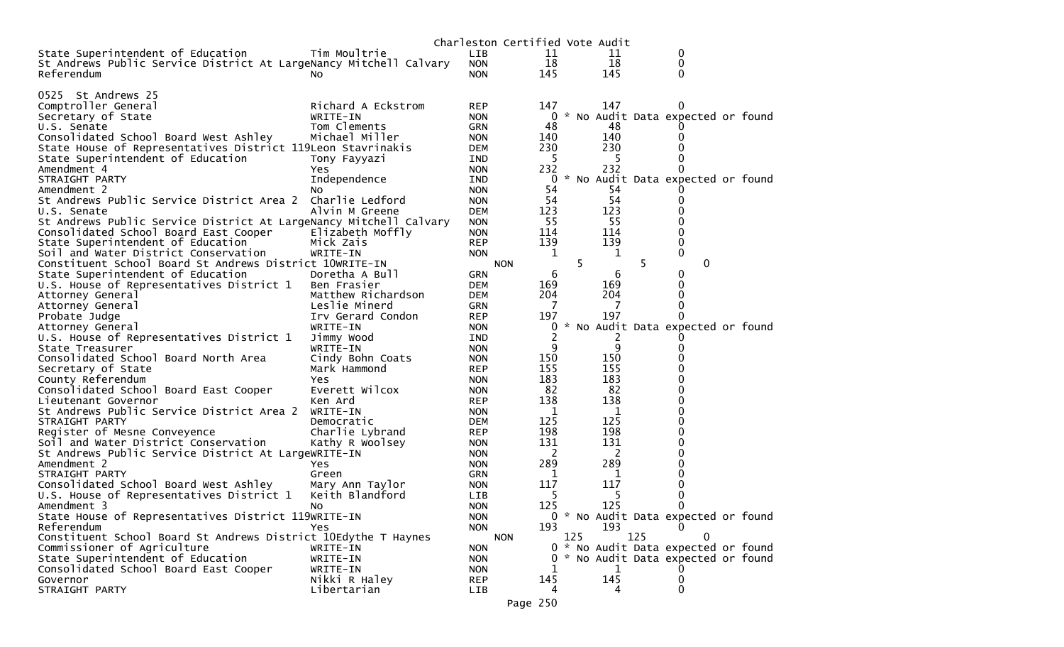|                                                                   |                    |            | Charleston Certified Vote Audit |                |     |     |     |                                     |  |
|-------------------------------------------------------------------|--------------------|------------|---------------------------------|----------------|-----|-----|-----|-------------------------------------|--|
| State Superintendent of Education                                 | Tim Moultrie       | <b>LIB</b> |                                 | 11             |     | 11  |     | 0                                   |  |
| St Andrews Public Service District At LargeNancy Mitchell Calvary |                    | <b>NON</b> |                                 | 18             |     | 18  |     | 0                                   |  |
| Referendum                                                        | NO.                | <b>NON</b> |                                 | 145            |     | 145 |     | 0                                   |  |
|                                                                   |                    |            |                                 |                |     |     |     |                                     |  |
| 0525 St Andrews 25                                                |                    |            |                                 |                |     |     |     |                                     |  |
| Comptroller General                                               | Richard A Eckstrom | <b>REP</b> |                                 | 147            |     | 147 |     |                                     |  |
| Secretary of State                                                | WRITE-IN           | <b>NON</b> |                                 | 0              |     |     |     | * No Audit Data expected or found   |  |
| U.S. Senate                                                       | Tom Clements       | GRN        |                                 | 48             |     | 48  |     |                                     |  |
| Consolidated School Board West Ashley                             | Michael Miller     | <b>NON</b> |                                 | 140            |     | 140 |     | $\Omega$                            |  |
| State House of Representatives District 119Leon Stavrinakis       |                    | DEM        |                                 | 230            |     | 230 |     |                                     |  |
| State Superintendent of Education                                 | Tony Fayyazi       | IND        |                                 | 5              |     | 5   |     | 0                                   |  |
| Amendment 4                                                       | Yes                | <b>NON</b> |                                 | 232            |     | 232 |     | $\Omega$                            |  |
| STRAIGHT PARTY                                                    | Independence       | IND        |                                 | 0              |     |     |     | * No Audit Data expected or found   |  |
| Amendment 2                                                       | No.                |            |                                 | 54             |     | 54  |     |                                     |  |
| St Andrews Public Service District Area 2                         | Charlie Ledford    | <b>NON</b> |                                 | 54             |     | 54  |     | 0                                   |  |
| U.S. Senate                                                       |                    | <b>NON</b> |                                 | 123            |     | 123 |     |                                     |  |
|                                                                   | Alvin M Greene     | DEM        |                                 | 55             |     | 55  |     | 0                                   |  |
| St Andrews Public Service District At LargeNancy Mitchell Calvary |                    | <b>NON</b> |                                 |                |     |     |     |                                     |  |
| Consolidated School Board East Cooper                             | Elizabeth Moffly   | <b>NON</b> |                                 | 114            |     | 114 |     | 0                                   |  |
| State Superintendent of Education                                 | Mick Zais          | <b>REP</b> |                                 | 139            |     | 139 |     | 0                                   |  |
| Soil and Water District Conservation                              | WRITE-IN           | <b>NON</b> |                                 | $\mathbf 1$    |     | 1   |     | 0                                   |  |
| Constituent School Board St Andrews District 10WRITE-IN           |                    |            | <b>NON</b>                      |                | 5.  |     | 5   | 0                                   |  |
| State Superintendent of Education                                 | Doretha A Bull     | <b>GRN</b> |                                 | 6              |     | 6   |     | $\bf{0}$                            |  |
| U.S. House of Representatives District 1                          | Ben Frasier        | <b>DEM</b> |                                 | 169            |     | 169 |     | 0                                   |  |
| Attorney General                                                  | Matthew Richardson | DEM        |                                 | 204            |     | 204 |     | 0                                   |  |
| Attorney General                                                  | Leslie Minerd      | GRN        |                                 | 7              |     | 7   |     | 0                                   |  |
| Probate Judge                                                     | Irv Gerard Condon  | REP        |                                 | 197            |     | 197 |     |                                     |  |
| Attorney General                                                  | WRITE-IN           | <b>NON</b> |                                 | 0              |     |     |     | * No Audit Data expected or found   |  |
| U.S. House of Representatives District 1                          | Jimmy Wood         | IND        |                                 | $\overline{2}$ |     | 2   |     |                                     |  |
| State Treasurer                                                   | WRITE-IN           | <b>NON</b> |                                 | 9              |     | 9   |     | 0                                   |  |
| Consolidated School Board North Area                              | Cindy Bohn Coats   | <b>NON</b> |                                 | 150            |     | 150 |     | 0                                   |  |
| Secretary of State                                                | Mark Hammond       | <b>REP</b> |                                 | 155            |     | 155 |     |                                     |  |
| County Referendum                                                 | Yes                | <b>NON</b> |                                 | 183            |     | 183 |     | 0                                   |  |
| Consolidated School Board East Cooper                             | Everett Wilcox     | <b>NON</b> |                                 | 82             |     | 82  |     | 0                                   |  |
| Lieutenant Governor                                               | Ken Ard            | <b>REP</b> |                                 | 138            |     | 138 |     | 0                                   |  |
| St Andrews Public Service District Area 2                         | WRITE-IN           | <b>NON</b> |                                 | 1              |     | 1   |     | 0                                   |  |
| STRAIGHT PARTY                                                    | Democratic         | DEM        |                                 | 125            |     | 125 |     | 0                                   |  |
| Register of Mesne Conveyence                                      | Charlie Lybrand    | <b>REP</b> |                                 | 198            |     | 198 |     | 0                                   |  |
| Soil and Water District Conservation                              | Kathy R Woolsey    | <b>NON</b> |                                 | 131            |     | 131 |     | 0                                   |  |
| St Andrews Public Service District At LargeWRITE-IN               |                    | <b>NON</b> |                                 | 2              |     | 2   |     | 0                                   |  |
| Amendment 2                                                       | Yes                | <b>NON</b> |                                 | 289            |     | 289 |     | 0                                   |  |
| STRAIGHT PARTY                                                    | Green              | GRN        |                                 | 1              |     | 1   |     | 0                                   |  |
| Consolidated School Board West Ashley                             | Mary Ann Taylor    | <b>NON</b> |                                 | 117            |     | 117 |     | 0                                   |  |
| U.S. House of Representatives District 1                          | Keith Blandford    | <b>LIB</b> |                                 | 5              |     | 5   |     | 0                                   |  |
| Amendment 3                                                       | No                 | <b>NON</b> |                                 | 125            |     | 125 |     | $\Omega$                            |  |
| State House of Representatives District 119WRITE-IN               |                    | <b>NON</b> |                                 |                |     |     |     | 0 * No Audit Data expected or found |  |
| Referendum                                                        | <b>Yes</b>         | <b>NON</b> |                                 | 193            |     | 193 |     | $\Omega$                            |  |
| Constituent School Board St Andrews District 10Edythe T Haynes    |                    |            | <b>NON</b>                      |                | 125 |     | 125 | 0                                   |  |
| Commissioner of Agriculture                                       | WRITE-IN           | <b>NON</b> |                                 |                |     |     |     | 0 * No Audit Data expected or found |  |
| State Superintendent of Education                                 | WRITE-IN           | <b>NON</b> |                                 |                |     |     |     | * No Audit Data expected or found   |  |
| Consolidated School Board East Cooper                             | WRITE-IN           | <b>NON</b> |                                 | 1              |     | 1   |     |                                     |  |
| Governor                                                          | Nikki R Haley      | <b>REP</b> |                                 | 145            |     | 145 |     | 0                                   |  |
| STRAIGHT PARTY                                                    | Libertarian        | LIB        |                                 | 4              |     | 4   |     | 0                                   |  |
|                                                                   |                    |            |                                 |                |     |     |     |                                     |  |
|                                                                   |                    |            | Page 250                        |                |     |     |     |                                     |  |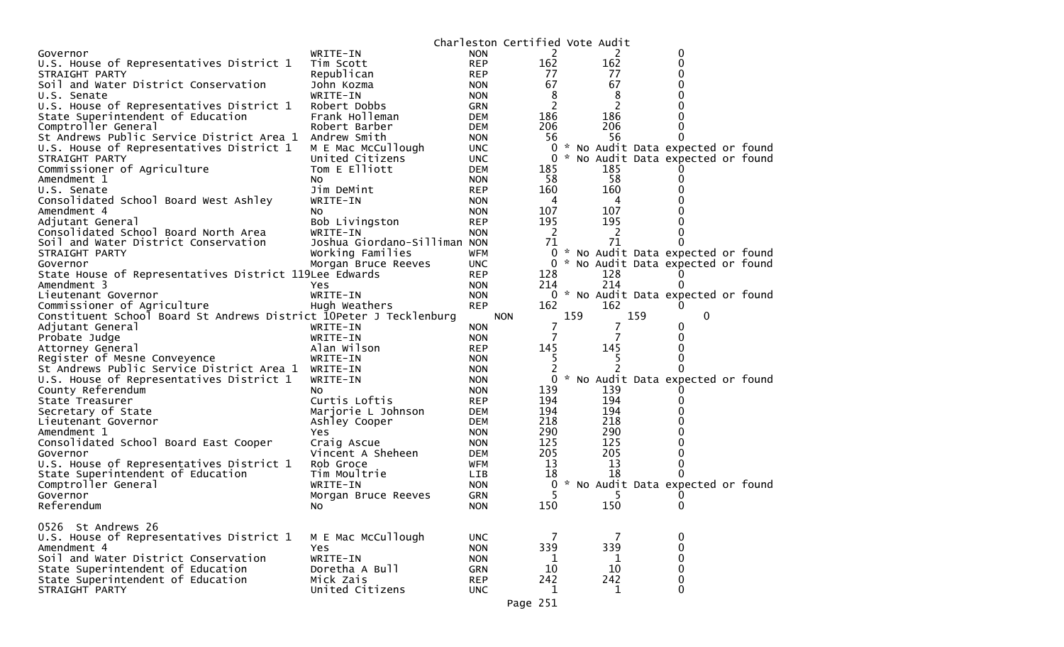|                                                                    |                              |            | Charleston Certified Vote Audit |     |     |     |                                     |  |
|--------------------------------------------------------------------|------------------------------|------------|---------------------------------|-----|-----|-----|-------------------------------------|--|
| Governor                                                           | WRITE-IN                     | <b>NON</b> | 2                               |     | 2   |     | 0                                   |  |
| U.S. House of Representatives District 1                           | Tim Scott                    | <b>REP</b> | 162                             |     | 162 |     | 0                                   |  |
| STRAIGHT PARTY                                                     | Republican                   | <b>REP</b> | 77                              |     | 77  |     | 0                                   |  |
| Soil and Water District Conservation                               | John Kozma                   | <b>NON</b> | 67                              |     | 67  |     | 0                                   |  |
| U.S. Senate                                                        | WRITE-IN                     | <b>NON</b> | 8                               |     | 8   |     | 0                                   |  |
| U.S. House of Representatives District 1                           | Robert Dobbs                 | GRN        | 2                               |     | 2   |     |                                     |  |
| State Superintendent of Education                                  | Frank Holleman               | <b>DEM</b> | 186                             |     | 186 |     | 0                                   |  |
| Comptroller General                                                | Robert Barber                | <b>DEM</b> | 206                             |     | 206 |     | 0                                   |  |
| St Andrews Public Service District Area 1                          | Andrew Smith                 | <b>NON</b> | 56                              |     | 56  |     | 0                                   |  |
| U.S. House of Representatives District 1                           | M E Mac McCullough           | <b>UNC</b> |                                 |     |     |     | 0 * No Audit Data expected or found |  |
| STRAIGHT PARTY                                                     | United Citizens              | <b>UNC</b> |                                 |     |     |     | 0 * No Audit Data expected or found |  |
|                                                                    | Tom E Elliott                | <b>DEM</b> | 185                             |     | 185 |     |                                     |  |
| Commissioner of Agriculture                                        |                              |            |                                 |     | 58  |     | 0                                   |  |
| Amendment 1                                                        | No.                          | <b>NON</b> | 58                              |     |     |     |                                     |  |
| U.S. Senate                                                        | Jim DeMint                   | <b>REP</b> | 160                             |     | 160 |     | 0                                   |  |
| Consolidated School Board West Ashley                              | WRITE-IN                     | <b>NON</b> | 4                               |     | 4   |     | 0                                   |  |
| Amendment 4                                                        | No.                          | <b>NON</b> | 107                             |     | 107 |     | 0                                   |  |
| Adjutant General                                                   | Bob Livingston               | <b>REP</b> | 195                             |     | 195 |     | 0                                   |  |
| Consolidated School Board North Area                               | WRITE-IN                     | <b>NON</b> | -2                              |     | 2   |     | O                                   |  |
| Soil and Water District Conservation                               | Joshua Giordano-Silliman NON |            | 71                              |     | 71  |     |                                     |  |
| STRAIGHT PARTY                                                     | Working Families             | WFM        |                                 |     |     |     | 0 * No Audit Data expected or found |  |
| Governor                                                           | Morgan Bruce Reeves          | <b>UNC</b> |                                 |     |     |     | 0 * No Audit Data expected or found |  |
| State House of Representatives District 119Lee Edwards             |                              | <b>REP</b> | 128                             |     | 128 |     |                                     |  |
| Amendment 3                                                        | Yes                          | <b>NON</b> | 214                             |     | 214 |     |                                     |  |
| Lieutenant Governor                                                | WRITE-IN                     | <b>NON</b> |                                 |     |     |     | 0 * No Audit Data expected or found |  |
| Commissioner of Agriculture                                        | Hugh Weathers                | <b>REP</b> | 162                             |     | 162 |     |                                     |  |
| Constituent School Board St Andrews District 10Peter J Tecklenburg |                              |            | <b>NON</b>                      | 159 |     | 159 | $\mathbf 0$                         |  |
| Adjutant General                                                   | WRITE-IN                     | <b>NON</b> | 7                               |     | 7   |     | 0                                   |  |
| Probate Judge                                                      | WRITE-IN                     | <b>NON</b> |                                 |     |     |     | 0                                   |  |
| Attorney General                                                   | Alan Wilson                  | <b>REP</b> | 145                             |     | 145 |     | 0                                   |  |
| Register of Mesne Conveyence                                       | WRITE-IN                     | <b>NON</b> | 5.                              |     | Ь   |     |                                     |  |
| St Andrews Public Service District Area 1                          | WRITE-IN                     | <b>NON</b> | 2                               |     |     |     |                                     |  |
| U.S. House of Representatives District 1                           | WRITE-IN                     | <b>NON</b> |                                 |     |     |     | 0 * No Audit Data expected or found |  |
| County Referendum                                                  | No                           | <b>NON</b> | 139                             |     | 139 |     |                                     |  |
| State Treasurer                                                    | Curtis Loftis                | <b>REP</b> | 194                             |     | 194 |     | O)                                  |  |
| Secretary of State                                                 | Marjorie L Johnson           | <b>DEM</b> | 194                             |     | 194 |     | 0                                   |  |
|                                                                    |                              | <b>DEM</b> | 218                             |     | 218 |     | 0                                   |  |
| Lieutenant Governor<br>Amendment 1                                 | Ashley Cooper                |            | 290                             |     | 290 |     | 0                                   |  |
|                                                                    | <b>Yes</b>                   | <b>NON</b> | 125                             |     | 125 |     | 0                                   |  |
| Consolidated School Board East Cooper                              | Craig Ascue                  | <b>NON</b> |                                 |     |     |     |                                     |  |
| Governor                                                           | Vincent A Sheheen            | <b>DEM</b> | 205                             |     | 205 |     | 0                                   |  |
| U.S. House of Representatives District 1                           | Rob Groce                    | WFM        | 13                              |     | 13  |     | 0                                   |  |
| State Superintendent of Education                                  | Tim Moultrie                 | <b>LIB</b> | 18                              |     | 18  |     | 0                                   |  |
| Comptroller General                                                | WRITE-IN                     | <b>NON</b> |                                 |     |     |     | 0 * No Audit Data expected or found |  |
| Governor                                                           | Morgan Bruce Reeves          | GRN        | 5                               |     | 5   |     |                                     |  |
| Referendum                                                         | No.                          | <b>NON</b> | 150                             |     | 150 |     | 0                                   |  |
|                                                                    |                              |            |                                 |     |     |     |                                     |  |
| 0526 St Andrews 26                                                 |                              |            |                                 |     |     |     |                                     |  |
| U.S. House of Representatives District 1                           | M E Mac McCullough           | <b>UNC</b> | 7                               |     | 7   |     | 0                                   |  |
| Amendment 4                                                        | Yes.                         | <b>NON</b> | 339                             |     | 339 |     | 0                                   |  |
| Soil and Water District Conservation                               | WRITE-IN                     | <b>NON</b> | $\mathbf 1$                     |     | 1   |     | $\mathbf 0$                         |  |
| State Superintendent of Education                                  | Doretha A Bull               | <b>GRN</b> | 10                              |     | 10  |     | $\mathbf 0$                         |  |
| State Superintendent of Education                                  | Mick Zais                    | <b>REP</b> | 242                             |     | 242 |     | 0                                   |  |
| STRAIGHT PARTY                                                     | United Citizens              | <b>UNC</b> | $\mathbf{1}$                    |     | 1   |     | $\Omega$                            |  |
|                                                                    |                              |            |                                 |     |     |     |                                     |  |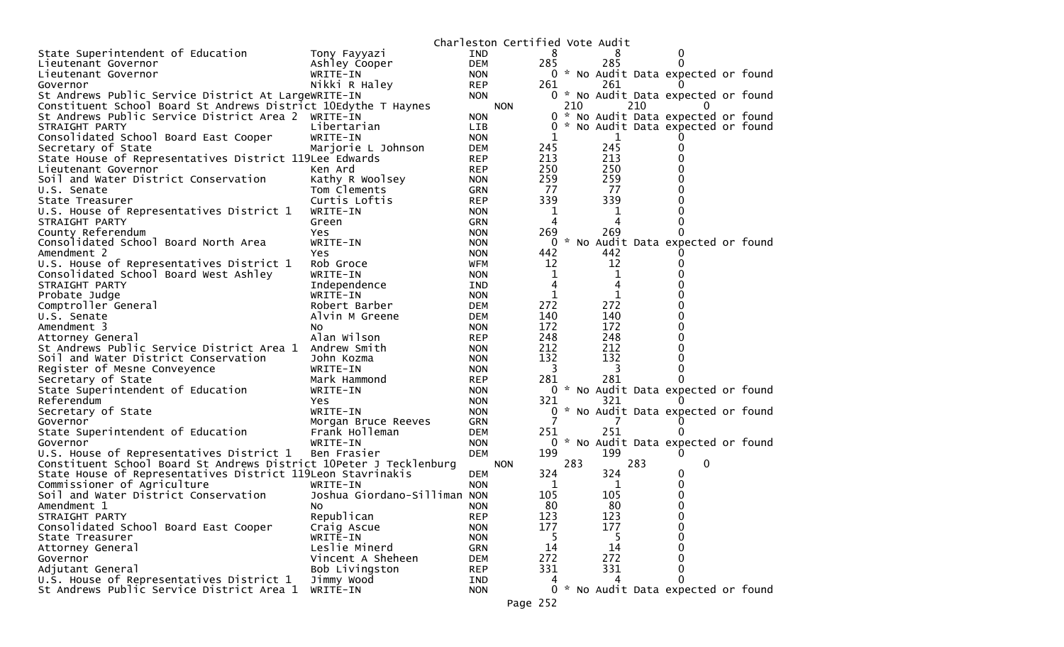|                                                                                       |                                     |            | Charleston Certified Vote Audit |                |       |     |                                     |  |
|---------------------------------------------------------------------------------------|-------------------------------------|------------|---------------------------------|----------------|-------|-----|-------------------------------------|--|
| State Superintendent of Education                                                     | Tony Fayyazi                        | <b>IND</b> |                                 | 8              |       | 8   |                                     |  |
| Lieutenant Governor                                                                   | Ashley Cooper                       | <b>DEM</b> |                                 | 285            |       | 285 |                                     |  |
| Lieutenant Governor                                                                   | WRITE-IN                            | <b>NON</b> |                                 |                |       |     | 0 * No Audit Data expected or found |  |
| Governor                                                                              | Nikki R Haley                       | <b>REP</b> |                                 | 261            |       | 261 |                                     |  |
| St Andrews Public Service District At LargeWRITE-IN                                   |                                     | <b>NON</b> |                                 |                |       |     | 0 * No Audit Data expected or found |  |
| Constituent School Board St Andrews District 10Edythe T Haynes                        |                                     |            | <b>NON</b>                      |                | 210   | 210 |                                     |  |
| St Andrews Public Service District Area 2                                             | WRITE-IN                            | <b>NON</b> |                                 |                | $0 *$ |     | No Audit Data expected or found     |  |
| STRAIGHT PARTY                                                                        | Libertarian                         | LIB        |                                 | $\overline{0}$ |       |     | * No Audit Data expected or found   |  |
| Consolidated School Board East Cooper                                                 | WRITE-IN                            | <b>NON</b> |                                 | 1              |       | 1   |                                     |  |
| Secretary of State                                                                    | Marjorie L Johnson                  | <b>DEM</b> |                                 | 245            |       | 245 |                                     |  |
| State House of Representatives District 119Lee Edwards                                |                                     | <b>REP</b> |                                 | 213            |       | 213 |                                     |  |
| Lieutenant Governor                                                                   | Ken Ard                             | <b>REP</b> |                                 | 250            |       | 250 |                                     |  |
| Soil and Water District Conservation                                                  | Kathy R Woolsey                     | <b>NON</b> |                                 | 259            |       | 259 |                                     |  |
| U.S. Senate                                                                           | Tom Clements                        | <b>GRN</b> |                                 | 77             |       | 77  |                                     |  |
| State Treasurer                                                                       | Curtis Loftis                       | <b>REP</b> |                                 | 339            |       | 339 |                                     |  |
| U.S. House of Representatives District 1                                              | WRITE-IN                            | <b>NON</b> |                                 | 1              |       | 1   |                                     |  |
| STRAIGHT PARTY                                                                        | Green                               | <b>GRN</b> |                                 | 4              |       | 4   |                                     |  |
| County Referendum                                                                     | Yes                                 | <b>NON</b> |                                 | 269            |       | 269 |                                     |  |
| Consolidated School Board North Area                                                  | WRITE-IN                            | <b>NON</b> |                                 | 0              |       |     | * No Audit Data expected or found   |  |
| Amendment 2                                                                           | Yes.                                | <b>NON</b> |                                 | 442            |       | 442 |                                     |  |
| U.S. House of Representatives District 1                                              | Rob Groce                           | WFM        |                                 | 12             |       | 12  |                                     |  |
| Consolidated School Board West Ashley                                                 | WRITE-IN                            | <b>NON</b> |                                 | 1              |       | 1   |                                     |  |
| STRAIGHT PARTY                                                                        | Independence                        | IND        |                                 | 4              |       | 4   |                                     |  |
| Probate Judge                                                                         | WRITE-IN                            | <b>NON</b> |                                 | 1              |       | 1   |                                     |  |
| Comptroller General                                                                   | Robert Barber                       | DEM        |                                 | 272            |       | 272 |                                     |  |
| U.S. Senate                                                                           | Alvin M Greene                      | DEM        |                                 | 140            |       | 140 |                                     |  |
| Amendment 3                                                                           | NO.                                 | <b>NON</b> |                                 | 172            |       | 172 |                                     |  |
| Attorney General                                                                      | Alan Wilson                         | <b>REP</b> |                                 | 248            |       | 248 |                                     |  |
| St Andrews Public Service District Area 1                                             | Andrew Smith                        | <b>NON</b> |                                 | 212            |       | 212 |                                     |  |
| Soil and Water District Conservation                                                  | John Kozma                          | <b>NON</b> |                                 | 132            |       | 132 |                                     |  |
| Register of Mesne Conveyence                                                          | WRITE-IN                            | <b>NON</b> |                                 | 3              |       | 3   |                                     |  |
| Secretary of State                                                                    | Mark Hammond                        | <b>REP</b> |                                 | 281            |       | 281 |                                     |  |
| State Superintendent of Education                                                     | WRITE-IN                            | <b>NON</b> |                                 |                |       |     | 0 * No Audit Data expected or found |  |
| Referendum                                                                            | Yes                                 | <b>NON</b> |                                 | 321            |       | 321 |                                     |  |
| Secretary of State                                                                    | WRITE-IN                            | <b>NON</b> |                                 | 0              |       |     | * No Audit Data expected or found   |  |
| Governor                                                                              | Morgan Bruce Reeves                 | <b>GRN</b> |                                 |                |       |     |                                     |  |
| State Superintendent of Education                                                     | Frank Holleman                      | DEM        |                                 | 251            |       | 251 |                                     |  |
| Governor                                                                              | WRITE-IN                            | <b>NON</b> |                                 |                |       |     | 0 * No Audit Data expected or found |  |
| U.S. House of Representatives District 1                                              | Ben Frasier                         | <b>DEM</b> |                                 | 199            |       | 199 | 0                                   |  |
| Constituent School Board St Andrews District 10Peter J Tecklenburg                    |                                     |            | <b>NON</b>                      |                | 283   | 283 | 0                                   |  |
| State House of Representatives District 119Leon Stavrinakis                           |                                     | <b>DEM</b> |                                 | 324            |       | 324 | 0                                   |  |
| Commissioner of Agriculture                                                           | WRITE-IN                            | <b>NON</b> |                                 | 1              |       | 1   | 0                                   |  |
| Soil and Water District Conservation                                                  | Joshua Giordano-Silliman NON        |            |                                 | 105            |       | 105 |                                     |  |
| Amendment 1                                                                           |                                     | <b>NON</b> |                                 | 80             |       | 80  | 0                                   |  |
| STRAIGHT PARTY                                                                        | No.<br>Republican                   | <b>REP</b> |                                 | 123            |       | 123 | 0                                   |  |
| Consolidated School Board East Cooper                                                 | Craig Ascue                         | <b>NON</b> |                                 | 177            |       | 177 | 0                                   |  |
| State Treasurer                                                                       |                                     | <b>NON</b> |                                 | -5             |       | 5   | 0                                   |  |
| Attorney General                                                                      | WRITE-IN<br>Leslie Minerd           | <b>GRN</b> |                                 | 14             |       | 14  | 0                                   |  |
|                                                                                       |                                     |            |                                 | 272            |       | 272 | 0                                   |  |
| Governor<br>Adjutant General                                                          | Vincent A Sheheen<br>Bob Livingston | <b>DEM</b> |                                 | 331            |       | 331 | 0                                   |  |
|                                                                                       | Jimmy Wood                          | <b>REP</b> |                                 |                |       | 4   | 0                                   |  |
| U.S. House of Representatives District 1<br>St Andrews Public Service District Area 1 | WRITE-IN                            | IND        |                                 |                |       |     |                                     |  |
|                                                                                       |                                     | <b>NON</b> |                                 |                |       |     | 0 * No Audit Data expected or found |  |
|                                                                                       |                                     |            | Page 252                        |                |       |     |                                     |  |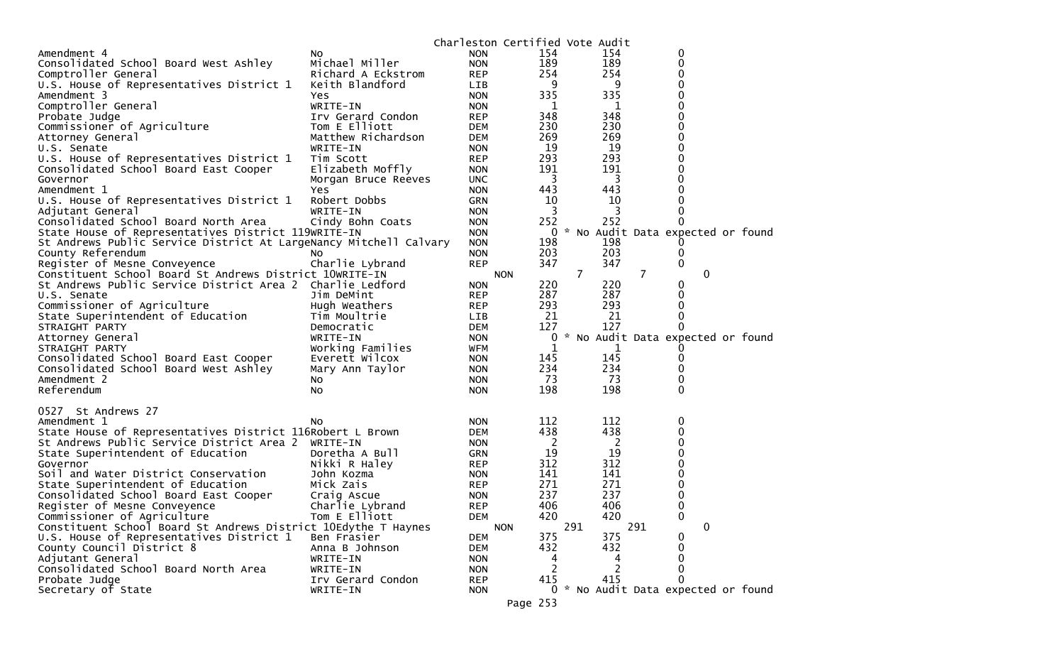|                                                                   |                     |            | Charleston Certified Vote Audit |                |     |                                     |  |
|-------------------------------------------------------------------|---------------------|------------|---------------------------------|----------------|-----|-------------------------------------|--|
| Amendment 4                                                       | No.                 | <b>NON</b> | 154                             | 154            |     | 0                                   |  |
| Consolidated School Board West Ashley                             | Michael Miller      | <b>NON</b> | 189                             | 189            |     | 0                                   |  |
| Comptroller General                                               | Richard A Eckstrom  | <b>REP</b> | 254                             | 254            |     | 0                                   |  |
| U.S. House of Representatives District 1                          | Keith Blandford     | LIB        | 9                               |                | 9   | 0                                   |  |
| Amendment 3                                                       | Yes                 | <b>NON</b> | 335                             | 335            |     | 0                                   |  |
| Comptroller General                                               | WRITE-IN            | <b>NON</b> | 1                               |                | 1   | 0                                   |  |
| Probate Judge                                                     | Irv Gerard Condon   | <b>REP</b> | 348                             | 348            |     | 0                                   |  |
| Commissioner of Agriculture                                       | Tom E Elliott       | <b>DEM</b> | 230                             | 230            |     | 0                                   |  |
| Attorney General                                                  | Matthew Richardson  | <b>DEM</b> | 269                             | 269            |     | 0                                   |  |
| U.S. Senate                                                       | WRITE-IN            | <b>NON</b> | 19                              | 19             |     | 0                                   |  |
| U.S. House of Representatives District 1                          | Tim Scott           | <b>REP</b> | 293                             | 293            |     | 0                                   |  |
| Consolidated School Board East Cooper                             | Elizabeth Moffly    | <b>NON</b> | 191                             | 191            |     | 0                                   |  |
| Governor                                                          | Morgan Bruce Reeves | <b>UNC</b> | 3                               |                | 3   | 0                                   |  |
| Amendment 1                                                       | Yes.                | <b>NON</b> | 443                             | 443            |     | 0                                   |  |
| U.S. House of Representatives District 1                          | Robert Dobbs        | <b>GRN</b> | 10                              | 10             |     | 0                                   |  |
| Adjutant General                                                  | WRITE-IN            | <b>NON</b> | 3                               |                | 3   | 0                                   |  |
| Consolidated School Board North Area                              | Cindy Bohn Coats    | <b>NON</b> | 252                             | 252            |     | $\Omega$                            |  |
| State House of Representatives District 119WRITE-IN               |                     | <b>NON</b> | 0                               |                |     | * No Audit Data expected or found   |  |
| St Andrews Public Service District At LargeNancy Mitchell Calvary |                     | <b>NON</b> | 198                             | 198            |     |                                     |  |
| County Referendum                                                 | NO.                 | <b>NON</b> | 203                             | 203            |     | 0                                   |  |
| Register of Mesne Conveyence                                      | Charlie Lybrand     | <b>REP</b> | 347                             | 347            |     | 0                                   |  |
| Constituent School Board St Andrews District 10WRITE-IN           |                     |            | <b>NON</b>                      | $\overline{7}$ | 7   | 0                                   |  |
| St Andrews Public Service District Area 2                         | Charlie Ledford     | <b>NON</b> | 220                             | 220            |     | 0                                   |  |
| U.S. Senate                                                       | Jim DeMint          | <b>REP</b> | 287                             | 287            |     | 0                                   |  |
| Commissioner of Agriculture                                       | Hugh Weathers       | <b>REP</b> | 293                             | 293            |     | 0                                   |  |
| State Superintendent of Education                                 | Tim Moultrie        | LIB        | 21                              | 21             |     | 0                                   |  |
| STRAIGHT PARTY                                                    | Democratic          | DEM        | 127                             | 127            |     | 0                                   |  |
| Attorney General                                                  | WRITE-IN            | <b>NON</b> | 0                               |                |     | * No Audit Data expected or found   |  |
| STRAIGHT PARTY                                                    | Working Families    | WFM        | 1                               |                |     |                                     |  |
| Consolidated School Board East Cooper                             | Everett Wilcox      | <b>NON</b> | 145                             | 145            |     | 0                                   |  |
| Consolidated School Board West Ashley                             | Mary Ann Taylor     | <b>NON</b> | 234                             | 234            |     | 0                                   |  |
| Amendment 2                                                       | NO.                 | <b>NON</b> | 73                              | -73            |     | 0                                   |  |
| Referendum                                                        | NO.                 | <b>NON</b> | 198                             | 198            |     | 0                                   |  |
| 0527 St Andrews 27                                                |                     |            |                                 |                |     |                                     |  |
| Amendment 1                                                       | No.                 | <b>NON</b> | 112                             | 112            |     | 0                                   |  |
| State House of Representatives District 116Robert L Brown         |                     | <b>DEM</b> | 438                             | 438            |     | 0                                   |  |
| St Andrews Public Service District Area 2                         | WRITE-IN            | <b>NON</b> | -2                              |                | 2   | 0                                   |  |
| State Superintendent of Education                                 | Doretha A Bull      | <b>GRN</b> | 19                              | 19             |     | 0                                   |  |
| Governor                                                          | Nikki R Haley       | <b>REP</b> | 312                             | 312            |     | 0                                   |  |
| Soil and Water District Conservation                              | John Kozma          | <b>NON</b> | 141                             | 141            |     | 0                                   |  |
| State Superintendent of Education                                 | Mick Zais           | <b>REP</b> | 271                             | 271            |     | 0                                   |  |
| Consolidated School Board East Cooper                             | Craig Ascue         | <b>NON</b> | 237                             | 237            |     | 0                                   |  |
| Register of Mesne Conveyence                                      | Charlie Lybrand     | <b>REP</b> | 406                             | 406            |     | 0                                   |  |
| Commissioner of Agriculture                                       | Tom E Elliott       | <b>DEM</b> | 420                             | 420            |     | 0                                   |  |
| Constituent School Board St Andrews District 10Edythe T Haynes    |                     |            | <b>NON</b>                      | 291            | 291 | 0                                   |  |
| U.S. House of Representatives District 1                          | Ben Frasier         | <b>DEM</b> | 375                             | 375            |     | 0                                   |  |
| County Council District 8                                         | Anna B Johnson      | <b>DEM</b> | 432                             | 432            |     | 0                                   |  |
| Adjutant General                                                  | WRITE-IN            | <b>NON</b> | 4                               |                | 4   | 0                                   |  |
| Consolidated School Board North Area                              | WRITE-IN            | <b>NON</b> | 2                               |                | 2   | 0                                   |  |
| Probate Judge                                                     | Irv Gerard Condon   | <b>REP</b> | 415                             | 415            |     | $\Omega$                            |  |
| Secretary of State                                                | WRITE-IN            | <b>NON</b> |                                 |                |     | 0 * No Audit Data expected or found |  |
|                                                                   |                     |            | Page 253                        |                |     |                                     |  |
|                                                                   |                     |            |                                 |                |     |                                     |  |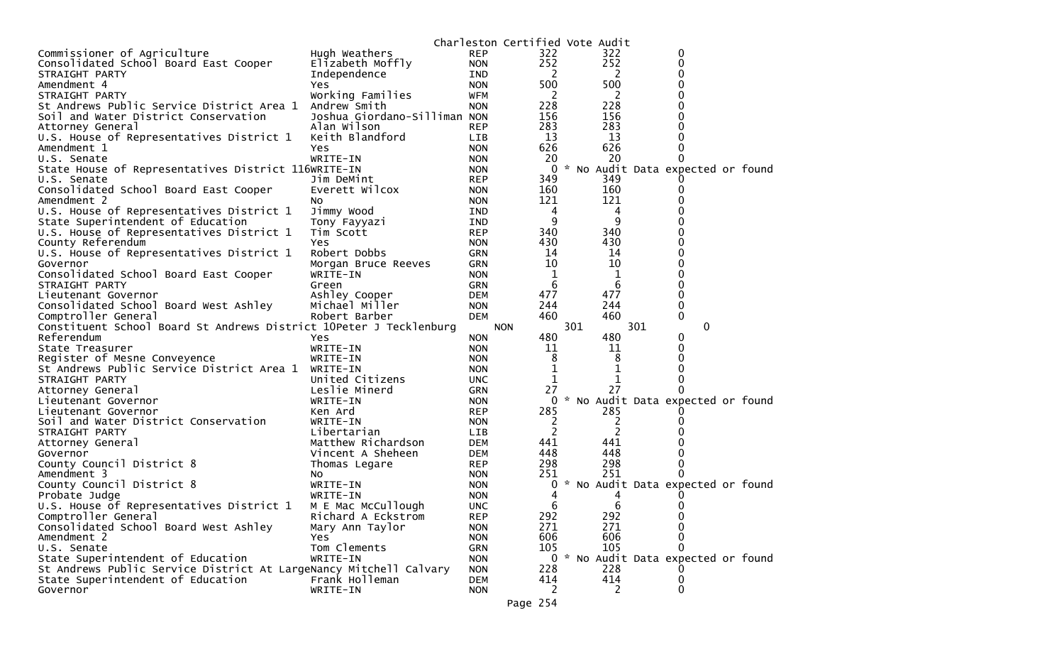|                                                                    |                              |                          | Charleston Certified Vote Audit |     |          |     |                                     |  |
|--------------------------------------------------------------------|------------------------------|--------------------------|---------------------------------|-----|----------|-----|-------------------------------------|--|
| Commissioner of Agriculture                                        | Hugh Weathers                | <b>REP</b>               | 322                             |     | 322      |     | 0                                   |  |
| Consolidated School Board East Cooper                              | Elizabeth Moffly             | <b>NON</b>               | 252                             |     | 252      |     | 0                                   |  |
| STRAIGHT PARTY                                                     | Independence                 | IND                      | 2                               |     | 2        |     | 0                                   |  |
| Amendment 4                                                        | Yes                          | <b>NON</b>               | 500                             |     | 500      |     | 0                                   |  |
| STRAIGHT PARTY                                                     | Working Families             | WFM                      | 2                               |     | 2        |     | 0                                   |  |
| St Andrews Public Service District Area 1                          | Andrew Smith                 | <b>NON</b>               | 228                             |     | 228      |     |                                     |  |
| Soil and Water District Conservation                               | Joshua Giordano-Silliman NON |                          | 156                             |     | 156      |     |                                     |  |
| Attorney General                                                   | Alan Wilson                  | <b>REP</b>               | 283                             |     | 283      |     |                                     |  |
| U.S. House of Representatives District 1                           | Keith Blandford              | LIB                      | 13                              |     | 13       |     |                                     |  |
| Amendment 1                                                        | <b>Yes</b>                   | <b>NON</b>               | 626                             |     | 626      |     |                                     |  |
| U.S. Senate                                                        | WRITE-IN                     | <b>NON</b>               | 20                              |     | 20       |     |                                     |  |
| State House of Representatives District 116WRITE-IN                |                              | <b>NON</b>               | 0                               |     |          |     | * No Audit Data expected or found   |  |
| U.S. Senate                                                        | Jim DeMint                   | <b>REP</b>               | 349                             |     | 349      |     |                                     |  |
| Consolidated School Board East Cooper                              | Everett Wilcox               | <b>NON</b>               | 160                             |     | 160      |     |                                     |  |
| Amendment 2                                                        | NO.                          | <b>NON</b>               | 121                             |     | 121      |     |                                     |  |
| U.S. House of Representatives District 1                           | Jimmy Wood                   | IND                      | 4                               |     | 4        |     |                                     |  |
| State Superintendent of Education                                  | Tony Fayyazi                 | IND                      | 9                               |     | 9        |     |                                     |  |
| U.S. House of Representatives District 1                           | Tim Scott                    | <b>REP</b>               | 340                             |     | 340      |     |                                     |  |
| County Referendum                                                  | Yes                          | <b>NON</b>               | 430                             |     | 430      |     | 0                                   |  |
| U.S. House of Representatives District 1                           | Robert Dobbs                 | <b>GRN</b>               | 14                              |     | 14       |     | 0                                   |  |
| Governor                                                           | Morgan Bruce Reeves          | <b>GRN</b>               | 10                              |     | 10       |     |                                     |  |
| Consolidated School Board East Cooper                              | WRITE-IN                     | <b>NON</b>               | 1                               |     | 1        |     | 0                                   |  |
| STRAIGHT PARTY                                                     | Green                        | <b>GRN</b>               | 6                               |     | 6        |     | 0                                   |  |
| Lieutenant Governor                                                | Ashley Cooper                | <b>DEM</b>               | 477                             |     | 477      |     | 0                                   |  |
| Consolidated School Board West Ashley                              | Michael Miller               | <b>NON</b>               | 244                             |     | 244      |     | 0                                   |  |
| Comptroller General                                                | Robert Barber                | <b>DEM</b>               | 460                             |     | 460      |     | 0                                   |  |
|                                                                    |                              |                          |                                 |     |          |     |                                     |  |
| Constituent School Board St Andrews District 10Peter J Tecklenburg |                              |                          | <b>NON</b>                      | 301 |          | 301 | 0                                   |  |
| Referendum                                                         | Yes                          | <b>NON</b>               | 480                             |     | 480      |     | 0                                   |  |
| State Treasurer                                                    | WRITE-IN                     | <b>NON</b>               | 11                              |     | 11       |     | 0                                   |  |
| Register of Mesne Conveyence                                       | WRITE-IN                     | <b>NON</b>               | 8                               |     | 8        |     |                                     |  |
| St Andrews Public Service District Area 1                          | WRITE-IN                     | <b>NON</b>               |                                 |     | 1        |     |                                     |  |
| STRAIGHT PARTY                                                     | United Citizens              | <b>UNC</b>               | 1                               |     | 1        |     |                                     |  |
| Attorney General                                                   | Leslie Minerd                | <b>GRN</b>               | 27                              |     | 27       |     |                                     |  |
| Lieutenant Governor                                                | WRITE-IN                     | <b>NON</b>               | 0                               |     |          |     | * No Audit Data expected or found   |  |
| Lieutenant Governor                                                | Ken Ard                      | <b>REP</b>               | 285                             |     | 285      |     |                                     |  |
| Soil and Water District Conservation                               | WRITE-IN                     | <b>NON</b>               | 2                               |     | 2        |     |                                     |  |
| STRAIGHT PARTY                                                     | Libertarian                  | <b>LIB</b>               | 2                               |     | 2        |     |                                     |  |
| Attorney General                                                   | Matthew Richardson           | <b>DEM</b>               | 441                             |     | 441      |     |                                     |  |
| Governor                                                           | Vincent A Sheheen            | <b>DEM</b>               | 448                             |     | 448      |     |                                     |  |
| County Council District 8                                          | Thomas Legare                | <b>REP</b>               | 298                             |     | 298      |     |                                     |  |
| Amendment 3                                                        | NO.                          | <b>NON</b>               | 251                             |     | 251      |     |                                     |  |
| County Council District 8                                          | WRITE-IN                     | <b>NON</b>               | 0                               |     |          |     | * No Audit Data expected or found   |  |
| Probate Judge                                                      | WRITE-IN                     | <b>NON</b>               |                                 |     |          |     |                                     |  |
| U.S. House of Representatives District 1                           | M E Mac McCullough           | <b>UNC</b>               | 6                               |     | 6        |     | 0                                   |  |
| Comptroller General                                                | Richard A Eckstrom           | <b>REP</b>               | 292                             |     | 292      |     | 0                                   |  |
| Consolidated School Board West Ashley                              | Mary Ann Taylor              | <b>NON</b>               | 271                             |     | 271      |     | $\Omega$                            |  |
| Amendment 2                                                        | <b>Yes</b>                   | <b>NON</b>               | 606                             |     | 606      |     | $\Omega$                            |  |
| U.S. Senate                                                        | Tom Clements                 | <b>GRN</b>               | 105                             |     | 105      |     |                                     |  |
| State Superintendent of Education                                  | WRITE-IN                     | <b>NON</b>               |                                 |     |          |     | 0 * No Audit Data expected or found |  |
| St Andrews Public Service District At LargeNancy Mitchell Calvary  |                              | <b>NON</b>               | 228                             |     | 228      |     |                                     |  |
| State Superintendent of Education<br>Governor                      | Frank Holleman<br>WRITE-IN   | <b>DEM</b><br><b>NON</b> | 414<br>2                        |     | 414<br>2 |     | 0<br>0                              |  |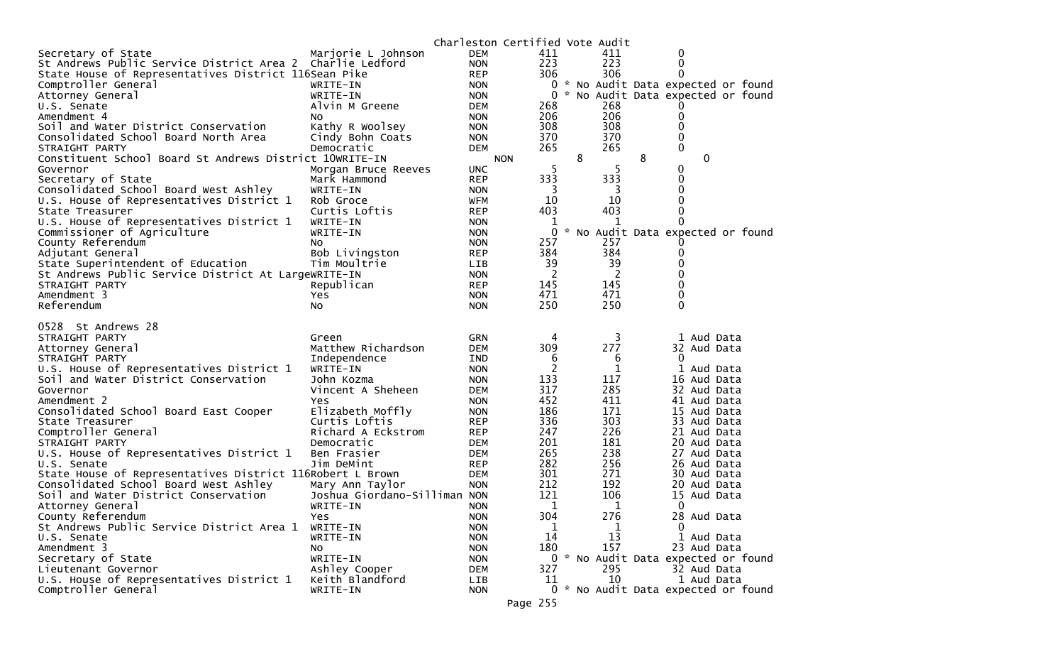|                                                                                          |                              |                   | Charleston Certified Vote Audit |   |            |   |                |                                     |
|------------------------------------------------------------------------------------------|------------------------------|-------------------|---------------------------------|---|------------|---|----------------|-------------------------------------|
| Secretary of State                                                                       | Marjorie L Johnson           | <b>DEM</b>        | 411                             |   | 411        |   | 0              |                                     |
| St Andrews Public Service District Area 2 Charlie Ledford                                |                              | <b>NON</b>        | 223                             |   | 223        |   | 0              |                                     |
| State House of Representatives District 116Sean Pike                                     |                              | <b>REP</b>        | 306                             |   | 306        |   | 0              |                                     |
| Comptroller General                                                                      | WRITE-IN                     | <b>NON</b>        | 0                               |   |            |   |                | * No Audit Data expected or found   |
| Attorney General                                                                         | WRITE-IN                     | <b>NON</b>        | 0                               |   |            |   |                | No Audit Data expected or found     |
| U.S. Senate                                                                              | Alvin M Greene               | <b>DEM</b>        | 268                             |   | 268        |   |                |                                     |
| Amendment 4                                                                              | NO.                          | <b>NON</b>        | 206                             |   | 206        |   | 0              |                                     |
| Soil and Water District Conservation                                                     | Kathy R Woolsey              | <b>NON</b>        | 308                             |   | 308        |   | $\Omega$       |                                     |
| Consolidated School Board North Area                                                     | Cindy Bohn Coats             | <b>NON</b>        | 370                             |   | 370        |   | 0              |                                     |
| STRAIGHT PARTY                                                                           | Democratic                   | <b>DEM</b>        | 265                             |   | 265        |   | 0              |                                     |
| Constituent School Board St Andrews District 10WRITE-IN                                  |                              |                   | <b>NON</b>                      | 8 |            | 8 | $\mathbf{0}$   |                                     |
| Governor                                                                                 | Morgan Bruce Reeves          | <b>UNC</b>        | -5                              |   | 5          |   | 0              |                                     |
| Secretary of State                                                                       | Mark Hammond                 | <b>REP</b>        | 333                             |   | 333        |   | 0              |                                     |
| Consolidated School Board West Ashley                                                    | WRITE-IN                     | <b>NON</b>        | 3                               |   | 3          |   | $\Omega$       |                                     |
| U.S. House of Representatives District 1                                                 | Rob Groce                    | <b>WFM</b>        | 10                              |   | 10         |   | 0              |                                     |
| State Treasurer                                                                          | Curtis Loftis                | <b>REP</b>        | 403                             |   | 403        |   | 0<br>0         |                                     |
| U.S. House of Representatives District 1                                                 | WRITE-IN                     | <b>NON</b>        | 1                               |   | 1          |   |                |                                     |
| Commissioner of Agriculture                                                              | WRITE-IN                     | <b>NON</b>        | 0                               |   |            |   |                | * No Audit Data expected or found   |
| County Referendum                                                                        | No                           | <b>NON</b>        | 257<br>384                      |   | 257<br>384 |   | 0              |                                     |
| Adjutant General                                                                         | Bob Livingston               | <b>REP</b>        | 39                              |   | 39         |   |                |                                     |
| State Superintendent of Education<br>St Andrews Public Service District At LargeWRITE-IN | Tim Moultrie                 | LIB<br><b>NON</b> | 2                               |   | 2          |   | 0              |                                     |
| STRAIGHT PARTY                                                                           | Republican                   | <b>REP</b>        | 145                             |   | 145        |   | 0              |                                     |
| Amendment 3                                                                              | Yes                          | <b>NON</b>        | 471                             |   | 471        |   | 0              |                                     |
| Referendum                                                                               | No                           | <b>NON</b>        | 250                             |   | 250        |   | $\Omega$       |                                     |
|                                                                                          |                              |                   |                                 |   |            |   |                |                                     |
|                                                                                          |                              |                   |                                 |   |            |   |                |                                     |
| 0528 St Andrews 28                                                                       |                              |                   |                                 |   |            |   |                |                                     |
| STRAIGHT PARTY                                                                           | Green                        | GRN               | 4                               |   | 3          |   | 1 Aud Data     |                                     |
| Attorney General                                                                         | Matthew Richardson           | <b>DEM</b>        | 309                             |   | 277        |   | 32 Aud Data    |                                     |
| STRAIGHT PARTY                                                                           | Independence                 | IND               | 6                               |   | 6          |   | $\mathbf{0}$   |                                     |
| U.S. House of Representatives District 1                                                 | WRITE-IN                     | <b>NON</b>        | $\overline{c}$                  |   | 1          |   | 1 Aud Data     |                                     |
| Soil and Water District Conservation                                                     | John Kozma                   | <b>NON</b>        | 133                             |   | 117        |   | 16 Aud Data    |                                     |
| Governor                                                                                 | Vincent A Sheheen            | <b>DEM</b>        | 317                             |   | 285        |   | 32 Aud Data    |                                     |
| Amendment 2                                                                              | Yes                          | <b>NON</b>        | 452                             |   | 411        |   | 41 Aud Data    |                                     |
| Consolidated School Board East Cooper                                                    | Elizabeth Moffly             | <b>NON</b>        | 186                             |   | 171        |   | 15 Aud Data    |                                     |
| State Treasurer                                                                          | Curtis Loftis                | <b>REP</b>        | 336                             |   | 303        |   | 33 Aud Data    |                                     |
| Comptroller General                                                                      | Richard A Eckstrom           | <b>REP</b>        | 247                             |   | 226        |   | 21 Aud Data    |                                     |
| STRAIGHT PARTY                                                                           | Democratic                   | DEM               | 201                             |   | 181        |   | 20 Aud Data    |                                     |
| U.S. House of Representatives District 1                                                 | Ben Frasier                  | DEM               | 265                             |   | 238        |   | 27 Aud Data    |                                     |
| U.S. Senate                                                                              | Jim DeMint                   | <b>REP</b>        | 282                             |   | 256        |   | 26 Aud Data    |                                     |
| State House of Representatives District 116Robert L Brown                                |                              | DEM               | 301                             |   | 271        |   | 30 Aud Data    |                                     |
| Consolidated School Board West Ashley                                                    | Mary Ann Taylor              | <b>NON</b>        | 212                             |   | 192        |   | 20 Aud Data    |                                     |
| Soil and Water District Conservation                                                     | Joshua Giordano-Silliman NON |                   | 121                             |   | 106        |   | 15<br>Aud Data |                                     |
| Attorney General                                                                         | WRITE-IN                     | <b>NON</b>        | 1                               |   | 1          |   | 0              |                                     |
| County Referendum                                                                        | Yes                          | <b>NON</b>        | 304                             |   | 276        |   | 28 Aud Data    |                                     |
| St Andrews Public Service District Area 1                                                | WRITE-IN                     | <b>NON</b>        | 1                               |   | 1          |   | $\mathbf{0}$   |                                     |
| U.S. Senate                                                                              | WRITE-IN                     | <b>NON</b>        | 14                              |   | 13         |   | 1 Aud Data     |                                     |
| Amendment 3                                                                              | No                           | <b>NON</b>        | 180                             |   | 157        |   | 23 Aud Data    |                                     |
| Secretary of State                                                                       | WRITE-IN                     | <b>NON</b>        |                                 |   |            |   |                | 0 * No Audit Data expected or found |
| Lieutenant Governor                                                                      | Ashley Cooper                | <b>DEM</b>        | 327                             |   | 295        |   | 32 Aud Data    |                                     |
| U.S. House of Representatives District 1<br>Comptroller General                          | Keith Blandford<br>WRITE-IN  | LIB<br><b>NON</b> | 11                              |   | 10         |   | 1 Aud Data     | 0 * No Audit Data expected or found |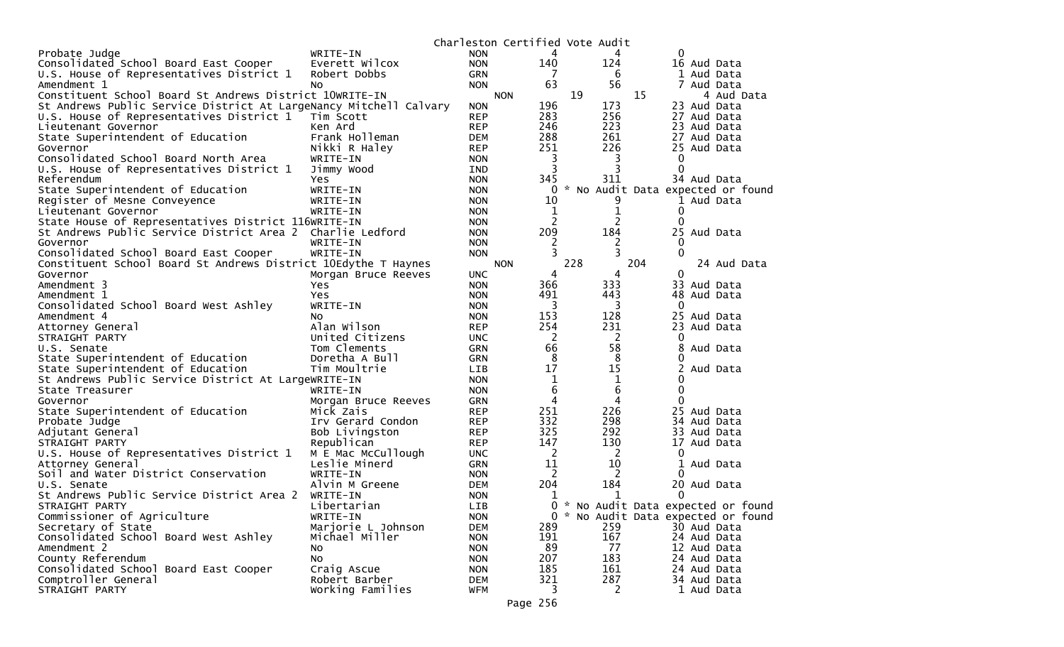|                                                                   |                           |                          |                | Charleston Certified Vote Audit |                                   |
|-------------------------------------------------------------------|---------------------------|--------------------------|----------------|---------------------------------|-----------------------------------|
| Probate Judge                                                     | WRITE-IN                  | <b>NON</b>               | 4              |                                 | 0                                 |
| Consolidated School Board East Cooper                             | Everett Wilcox            | <b>NON</b>               | 140            | 124                             | 16 Aud Data                       |
| U.S. House of Representatives District 1                          | Robert Dobbs              | <b>GRN</b>               |                | 6                               | 1 Aud Data                        |
| Amendment 1                                                       | No.                       | <b>NON</b>               | 63             | 56                              | 7 Aud Data                        |
| Constituent School Board St Andrews District 10WRITE-IN           |                           | <b>NON</b>               |                | 19                              | 15<br>4 Aud Data                  |
| St Andrews Public Service District At LargeNancy Mitchell Calvary |                           | <b>NON</b>               | 196            | 173                             | 23 Aud Data                       |
| U.S. House of Representatives District 1                          | Tim Scott                 | <b>REP</b>               | 283            | 256                             | 27 Aud Data                       |
| Lieutenant Governor                                               | Ken Ard                   | <b>REP</b>               | 246            | 223                             | 23 Aud Data                       |
| State Superintendent of Education                                 | Frank Holleman            | DEM                      | 288            | 261                             | 27 Aud Data                       |
| Governor                                                          | Nikki R Haley             | <b>REP</b>               | 251            | 226                             | 25 Aud Data                       |
| Consolidated School Board North Area                              | WRITE-IN                  | <b>NON</b>               | 3              | 3                               | 0                                 |
| U.S. House of Representatives District 1                          | Jimmy Wood                | <b>IND</b>               | 3              |                                 | $\Omega$                          |
| Referendum                                                        | Yes                       | <b>NON</b>               | 345            | 311                             | 34 Aud Data                       |
| State Superintendent of Education                                 | WRITE-IN                  | <b>NON</b>               | 0              |                                 | * No Audit Data expected or found |
| Register of Mesne Conveyence                                      | WRITE-IN                  | <b>NON</b>               | 10             |                                 | 1 Aud Data                        |
| Lieutenant Governor                                               | WRITE-IN                  | <b>NON</b>               | 1              | 1                               | 0                                 |
| State House of Representatives District 116WRITE-IN               |                           | <b>NON</b>               | $\overline{2}$ | 2                               | $\Omega$                          |
| St Andrews Public Service District Area 2 Charlie Ledford         |                           | <b>NON</b>               | 209            | 184                             | 25 Aud Data                       |
| Governor                                                          | WRITE-IN                  | <b>NON</b>               | 2              | 2                               | 0                                 |
| Consolidated School Board East Cooper                             | WRITE-IN                  | <b>NON</b>               |                | 3                               | 0                                 |
| Constituent School Board St Andrews District 10Edythe T Haynes    |                           | <b>NON</b>               |                | 228                             | 204<br>24 Aud Data                |
| Governor                                                          | Morgan Bruce Reeves       | <b>UNC</b>               | 4              | 4                               | 0                                 |
| Amendment 3                                                       | Yes.                      | <b>NON</b>               | 366            | 333                             | 33 Aud Data                       |
| Amendment 1                                                       | Yes                       | <b>NON</b>               | 491            | 443                             | 48 Aud Data                       |
| Consolidated School Board West Ashley                             | WRITE-IN                  | <b>NON</b>               | 3              | 3                               | 0                                 |
| Amendment 4                                                       | NO.                       | <b>NON</b>               | 153            | 128                             | 25 Aud Data                       |
| Attorney General                                                  | Alan Wilson               | <b>REP</b>               | 254            | 231                             | 23 Aud Data                       |
| STRAIGHT PARTY                                                    | United Citizens           | <b>UNC</b>               | 2              | 2                               | O                                 |
| U.S. Senate                                                       | Tom Clements              | <b>GRN</b>               | 66             | 58                              | 8<br>Aud Data                     |
| State Superintendent of Education                                 | Doretha A Bull            | <b>GRN</b>               | 8              | 8                               |                                   |
| State Superintendent of Education                                 | Tim Moultrie              | LIB                      | 17             | 15                              | Aud Data                          |
| St Andrews Public Service District At LargeWRITE-IN               |                           | <b>NON</b>               | 1              | 1                               | 0                                 |
| State Treasurer                                                   | WRITE-IN                  | <b>NON</b>               | 6              | 6                               | 0                                 |
| Governor                                                          | Morgan Bruce Reeves       | <b>GRN</b>               | 4              | 4                               | 0                                 |
| State Superintendent of Education                                 | Mick Zais                 | <b>REP</b>               | 251            | 226                             | 25 Aud Data                       |
| Probate Judge                                                     | Irv Gerard Condon         | <b>REP</b>               | 332            | 298                             | 34 Aud Data                       |
| Adjutant General                                                  | Bob Livingston            | <b>REP</b>               | 325            | 292                             | 33 Aud Data                       |
| STRAIGHT PARTY                                                    | Republican                | <b>REP</b>               | 147            | 130                             | 17<br>Aud Data                    |
| U.S. House of Representatives District 1                          | M E Mac McCullough        | <b>UNC</b>               | 2<br>11        | 2<br>10                         | 0                                 |
| Attorney General                                                  | Leslie Minerd<br>WRITE-IN | <b>GRN</b>               | 2              | 2                               | 1<br>Aud Data<br>0                |
| Soil and Water District Conservation<br>U.S. Senate               | Alvin M Greene            | <b>NON</b><br><b>DEM</b> | 204            | 184                             | 20 Aud Data                       |
| St Andrews Public Service District Area 2                         | WRITE-IN                  | <b>NON</b>               |                | 1                               | 0                                 |
| STRAIGHT PARTY                                                    | Libertarian               | <b>LIB</b>               | T<br>0         |                                 | * No Audit Data expected or found |
| Commissioner of Agriculture                                       | WRITE-IN                  |                          | 0              |                                 | No Audit Data expected or found   |
| Secretary of State                                                | Marjorie L Johnson        | <b>NON</b><br>DEM        | 289            | 259                             | 30 Aud Data                       |
| Consolidated School Board West Ashley                             | Michael Miller            | <b>NON</b>               | 191            | 167                             | 24 Aud Data                       |
| Amendment 2                                                       | NO.                       | <b>NON</b>               | 89             | 77                              | 12 Aud Data                       |
| County Referendum                                                 | No                        | <b>NON</b>               | 207            | 183                             | 24 Aud Data                       |
| Consolidated School Board East Cooper                             | Craig Ascue               | <b>NON</b>               | 185            | 161                             | 24 Aud Data                       |
| Comptroller General                                               | Robert Barber             | DEM                      | 321            | 287                             | 34 Aud Data                       |
| STRAIGHT PARTY                                                    | Working Families          | <b>WFM</b>               | 3              | 2                               | 1 Aud Data                        |
|                                                                   |                           |                          |                |                                 |                                   |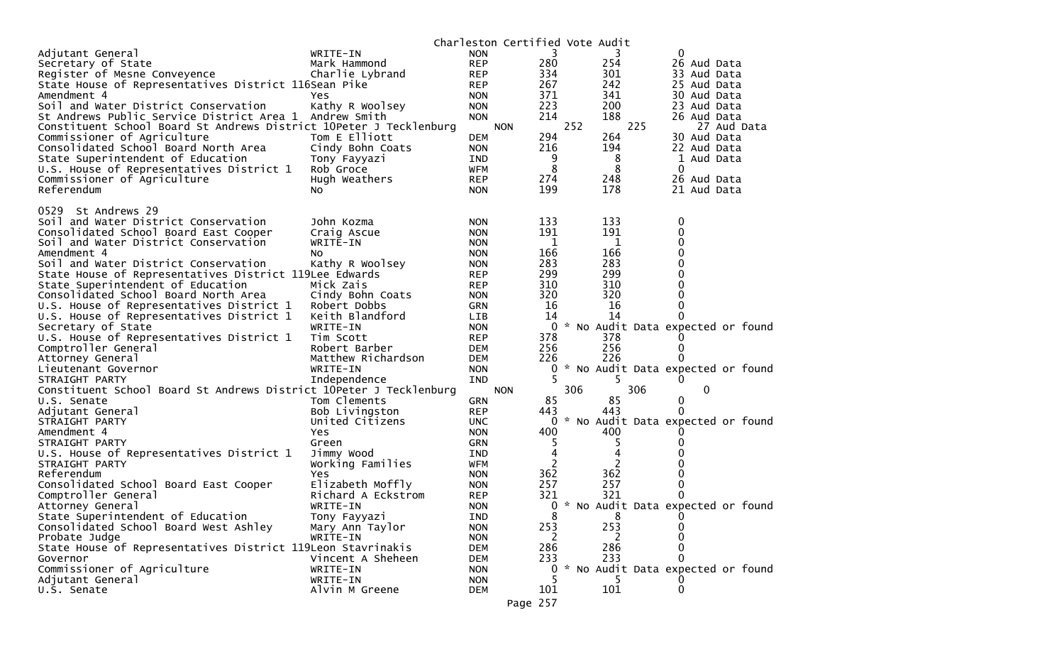|                                                                    |                    |            | Charleston Certified Vote Audit |     |     |     |     |                  |                                     |
|--------------------------------------------------------------------|--------------------|------------|---------------------------------|-----|-----|-----|-----|------------------|-------------------------------------|
| Adjutant General                                                   | WRITE-IN           | <b>NON</b> |                                 | 3   |     | 3   |     | 0                |                                     |
| Secretary of State                                                 | Mark Hammond       | <b>REP</b> |                                 | 280 |     | 254 |     | 26 Aud Data      |                                     |
| Register of Mesne Conveyence                                       | Charlie Lybrand    | <b>REP</b> |                                 | 334 |     | 301 |     | 33 Aud Data      |                                     |
| State House of Representatives District 116Sean Pike               |                    | <b>REP</b> |                                 | 267 |     | 242 |     | 25 Aud Data      |                                     |
| Amendment 4                                                        | Yes                | <b>NON</b> |                                 | 371 |     | 341 |     | 30 Aud Data      |                                     |
| Soil and Water District Conservation                               | Kathy R Woolsey    | <b>NON</b> |                                 | 223 |     | 200 |     | 23 Aud Data      |                                     |
| St Andrews Public Service District Area 1                          | Andrew Smith       | <b>NON</b> |                                 | 214 |     | 188 |     | 26 Aud Data      |                                     |
| Constituent School Board St Andrews District 10Peter J Tecklenburg |                    |            | <b>NON</b>                      |     | 252 |     | 225 |                  | 27 Aud Data                         |
| Commissioner of Agriculture                                        | Tom E Elliott      | <b>DEM</b> |                                 | 294 |     | 264 |     | 30 Aud Data      |                                     |
| Consolidated School Board North Area                               | Cindy Bohn Coats   | <b>NON</b> |                                 | 216 |     | 194 |     | 22 Aud Data      |                                     |
| State Superintendent of Education                                  | Tony Fayyazi       | IND        |                                 | 9   |     | 8   |     | 1 Aud Data       |                                     |
| U.S. House of Representatives District 1                           | Rob Groce          | WFM        |                                 | 8   |     | 8   |     | 0                |                                     |
| Commissioner of Agriculture                                        | Hugh Weathers      | <b>REP</b> |                                 | 274 |     | 248 |     | 26 Aud Data      |                                     |
| Referendum                                                         | NO.                | <b>NON</b> |                                 | 199 |     | 178 |     | 21 Aud Data      |                                     |
|                                                                    |                    |            |                                 |     |     |     |     |                  |                                     |
| St Andrews 29<br>0529                                              |                    |            |                                 |     |     |     |     |                  |                                     |
| Soil and Water District Conservation                               | John Kozma         | <b>NON</b> |                                 | 133 |     | 133 |     | $\boldsymbol{0}$ |                                     |
| Consolidated School Board East Cooper                              | Craig Ascue        | <b>NON</b> |                                 | 191 |     | 191 |     | 0                |                                     |
| Soil and Water District Conservation                               | WRITE-IN           | <b>NON</b> |                                 | 1   |     | 1   |     | $\mathbf 0$      |                                     |
| Amendment 4                                                        | No                 | <b>NON</b> |                                 | 166 |     | 166 |     | $\mathbf 0$      |                                     |
| Soil and Water District Conservation                               | Kathy R Woolsey    | <b>NON</b> |                                 | 283 |     | 283 |     | 0                |                                     |
| State House of Representatives District 119Lee Edwards             |                    | <b>REP</b> |                                 | 299 |     | 299 |     | 0                |                                     |
| State Superintendent of Education                                  | Mick Zais          | <b>REP</b> |                                 | 310 |     | 310 |     | $\mathbf 0$      |                                     |
| Consolidated School Board North Area                               | Cindy Bohn Coats   | <b>NON</b> |                                 | 320 |     | 320 |     | 0                |                                     |
| U.S. House of Representatives District 1                           | Robert Dobbs       | GRN        |                                 | 16  |     | 16  |     | 0                |                                     |
| U.S. House of Representatives District 1                           | Keith Blandford    | <b>LIB</b> |                                 | 14  |     | 14  |     | 0                |                                     |
| Secretary of State                                                 | WRITE-IN           | <b>NON</b> |                                 |     |     |     |     |                  | 0 * No Audit Data expected or found |
| U.S. House of Representatives District 1                           | Tim Scott          | <b>REP</b> |                                 | 378 |     | 378 |     | O                |                                     |
| Comptroller General                                                | Robert Barber      | <b>DEM</b> |                                 | 256 |     | 256 |     | 0                |                                     |
| Attorney General                                                   | Matthew Richardson | <b>DEM</b> |                                 | 226 |     | 226 |     | O                |                                     |
| Lieutenant Governor                                                | WRITE-IN           | <b>NON</b> |                                 | 0   |     |     |     |                  | * No Audit Data expected or found   |
| STRAIGHT PARTY                                                     | Independence       | IND        |                                 |     |     | 5   |     | 0                |                                     |
| Constituent School Board St Andrews District 10Peter J Tecklenburg |                    |            | <b>NON</b>                      |     | 306 |     | 306 | 0                |                                     |
| U.S. Senate                                                        | Tom Clements       | <b>GRN</b> |                                 | 85  |     | 85  |     | 0                |                                     |
| Adjutant General                                                   | Bob Livingston     | <b>REP</b> |                                 | 443 |     | 443 |     | 0                |                                     |
| STRAIGHT PARTY                                                     | United Citizens    | <b>UNC</b> |                                 | 0   |     |     |     |                  | * No Audit Data expected or found   |
| Amendment 4                                                        | Yes                | <b>NON</b> |                                 | 400 |     | 400 |     |                  |                                     |
| STRAIGHT PARTY                                                     | Green              | <b>GRN</b> |                                 | 5   |     | 5   |     | O                |                                     |
| U.S. House of Representatives District 1                           | Jimmy Wood         | IND        |                                 | 4   |     | 4   |     | 0                |                                     |
| STRAIGHT PARTY                                                     | Working Families   | WFM        |                                 | 2   |     | 2   |     | 0                |                                     |
| Referendum                                                         | Yes                | <b>NON</b> |                                 | 362 |     | 362 |     | 0                |                                     |
| Consolidated School Board East Cooper                              | Elizabeth Moffly   | <b>NON</b> |                                 | 257 |     | 257 |     | 0                |                                     |
| Comptroller General                                                | Richard A Eckstrom | <b>REP</b> |                                 | 321 |     | 321 |     | 0                |                                     |
| Attorney General                                                   | WRITE-IN           | <b>NON</b> |                                 |     |     |     |     |                  | 0 * No Audit Data expected or found |
| State Superintendent of Education                                  | Tony Fayyazi       | IND        |                                 | 8   |     | 8   |     |                  |                                     |
| Consolidated School Board West Ashley                              | Mary Ann Taylor    | <b>NON</b> |                                 | 253 |     | 253 |     | 0                |                                     |
| Probate Judge                                                      | WRITE-IN           | <b>NON</b> |                                 | 2   |     |     |     | 0                |                                     |
| State House of Representatives District 119Leon Stavrinakis        |                    | <b>DEM</b> |                                 | 286 |     | 286 |     | 0                |                                     |
| Governor                                                           | Vincent A Sheheen  | DEM        |                                 | 233 |     | 233 |     | 0                |                                     |
| Commissioner of Agriculture                                        | WRITE-IN           | <b>NON</b> |                                 | 0   |     |     |     |                  | * No Audit Data expected or found   |
| Adjutant General                                                   | WRITE-IN           | <b>NON</b> |                                 |     |     |     |     |                  |                                     |
| U.S. Senate                                                        | Alvin M Greene     | DEM        |                                 | 101 |     | 101 |     | 0                |                                     |
|                                                                    |                    |            | Page 257                        |     |     |     |     |                  |                                     |
|                                                                    |                    |            |                                 |     |     |     |     |                  |                                     |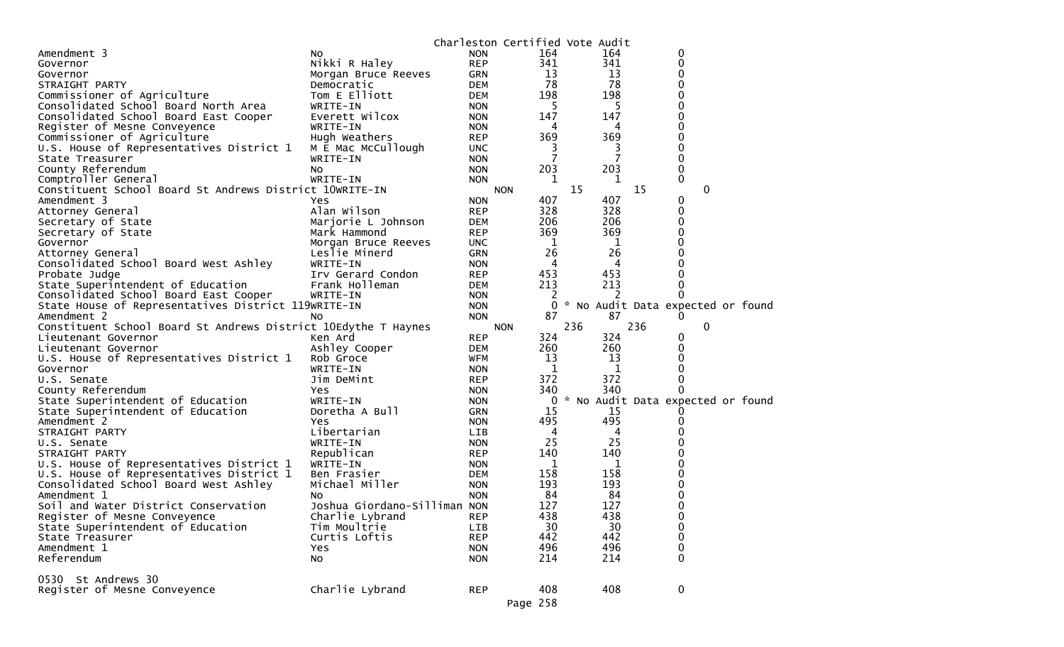|                                                                |                              |            | Charleston Certified Vote Audit |     |     |                                   |             |   |  |
|----------------------------------------------------------------|------------------------------|------------|---------------------------------|-----|-----|-----------------------------------|-------------|---|--|
| Amendment 3                                                    | No                           | <b>NON</b> | 164                             |     | 164 |                                   | 0           |   |  |
| Governor                                                       | Nikki R Haley                | <b>REP</b> | 341                             |     | 341 |                                   | 0           |   |  |
| Governor                                                       | Morgan Bruce Reeves          | GRN        | 13                              |     | 13  |                                   | 0           |   |  |
| STRAIGHT PARTY                                                 | Democratic                   | <b>DEM</b> | 78                              |     | 78  |                                   | 0           |   |  |
| Commissioner of Agriculture                                    | Tom E Elliott                | <b>DEM</b> | 198                             |     | 198 |                                   | 0           |   |  |
| Consolidated School Board North Area                           | WRITE-IN                     | <b>NON</b> | 5                               |     | 5   |                                   | 0           |   |  |
| Consolidated School Board East Cooper                          | Everett Wilcox               | <b>NON</b> | 147                             |     | 147 |                                   | 0           |   |  |
| Register of Mesne Conveyence                                   | WRITE-IN                     | <b>NON</b> | 4                               |     | 4   |                                   | 0           |   |  |
| Commissioner of Agriculture                                    | Hugh Weathers                | <b>REP</b> | 369                             |     | 369 |                                   | 0           |   |  |
| U.S. House of Representatives District 1                       | M E Mac McCullough           | <b>UNC</b> | 3                               |     | 3   |                                   | 0           |   |  |
| State Treasurer                                                | WRITE-IN                     | <b>NON</b> | 7                               |     | 7   |                                   | $\Omega$    |   |  |
| County Referendum                                              | No                           | <b>NON</b> | 203                             |     | 203 |                                   | 0           |   |  |
| Comptroller General                                            | WRITE-IN                     | <b>NON</b> | 1                               |     | 1   |                                   | 0           |   |  |
| Constituent School Board St Andrews District 10WRITE-IN        |                              |            | <b>NON</b>                      | 15  |     | 15                                |             | 0 |  |
| Amendment 3                                                    | <b>Yes</b>                   | <b>NON</b> | 407                             |     | 407 |                                   | 0           |   |  |
| Attorney General                                               | Alan Wilson                  | <b>REP</b> | 328                             |     | 328 |                                   | 0           |   |  |
| Secretary of State                                             | Marjorie L Johnson           | <b>DEM</b> | 206                             |     | 206 |                                   | 0           |   |  |
| Secretary of State                                             | Mark Hammond                 | <b>REP</b> | 369                             |     | 369 |                                   | 0           |   |  |
| Governor                                                       | Morgan Bruce Reeves          | <b>UNC</b> | 1                               |     | 1   |                                   | 0           |   |  |
| Attorney General                                               | Leslie Minerd                | GRN        | 26                              |     | 26  |                                   | 0           |   |  |
| Consolidated School Board West Ashley                          | WRITE-IN                     | <b>NON</b> | 4                               |     | 4   |                                   |             |   |  |
| Probate Judge                                                  | Irv Gerard Condon            | <b>REP</b> | 453                             |     | 453 |                                   | 0           |   |  |
| State Superintendent of Education                              | Frank Holleman               | <b>DEM</b> | 213                             |     | 213 |                                   | 0           |   |  |
| Consolidated School Board East Cooper                          | WRITE-IN                     | <b>NON</b> | 2                               |     | 2   |                                   | 0           |   |  |
| State House of Representatives District 119WRITE-IN            |                              | <b>NON</b> | 0                               |     |     | * No Audit Data expected or found |             |   |  |
| Amendment 2                                                    | No                           | <b>NON</b> | 87                              |     | 87  |                                   | 0           |   |  |
| Constituent School Board St Andrews District 10Edythe T Haynes |                              |            | <b>NON</b>                      | 236 |     | 236                               |             | 0 |  |
| Lieutenant Governor                                            | Ken Ard                      | <b>REP</b> | 324                             |     | 324 |                                   | 0           |   |  |
| Lieutenant Governor                                            | Ashley Cooper                | <b>DEM</b> | 260                             |     | 260 |                                   | 0           |   |  |
| U.S. House of Representatives District 1                       | Rob Groce                    | <b>WFM</b> | 13                              |     | 13  |                                   | 0           |   |  |
| Governor                                                       | WRITE-IN                     | <b>NON</b> | 1                               |     | 1   |                                   | 0           |   |  |
| U.S. Senate                                                    | Jim DeMint                   | <b>REP</b> | 372                             |     | 372 |                                   | 0           |   |  |
| County Referendum                                              | Yes                          | <b>NON</b> | 340                             |     | 340 |                                   | 0           |   |  |
| State Superintendent of Education                              | WRITE-IN                     | <b>NON</b> | 0                               |     |     | * No Audit Data expected or found |             |   |  |
| State Superintendent of Education                              | Doretha A Bull               | <b>GRN</b> | 15                              |     | 15  |                                   |             |   |  |
| Amendment 2                                                    | Yes                          | <b>NON</b> | 495                             |     | 495 |                                   | 0           |   |  |
| STRAIGHT PARTY                                                 | Libertarian                  | <b>LIB</b> | 4                               |     | 4   |                                   |             |   |  |
| U.S. Senate                                                    | WRITE-IN                     | <b>NON</b> | 25                              |     | 25  |                                   |             |   |  |
| STRAIGHT PARTY                                                 | Republican                   | <b>REP</b> | 140                             |     | 140 |                                   |             |   |  |
| U.S. House of Representatives District 1                       | WRITE-IN                     | <b>NON</b> | 1                               |     | 1   |                                   | 0           |   |  |
| U.S. House of Representatives District 1                       | Ben Frasier                  | <b>DEM</b> | 158                             |     | 158 |                                   | 0           |   |  |
| Consolidated School Board West Ashley                          | Michael Miller               | <b>NON</b> | 193                             |     | 193 |                                   | 0           |   |  |
| Amendment 1                                                    | No                           | <b>NON</b> | 84                              |     | 84  |                                   | 0           |   |  |
| Soil and Water District Conservation                           | Joshua Giordano-Silliman NON |            | 127                             |     | 127 |                                   | $\mathbf 0$ |   |  |
| Register of Mesne Conveyence                                   | Charlie Lybrand              | <b>REP</b> | 438                             |     | 438 |                                   | 0           |   |  |
| State Superintendent of Education                              | Tim Moultrie                 | LIB        | 30                              |     | 30  |                                   | 0           |   |  |
| State Treasurer                                                | Curtis Loftis                | <b>REP</b> | 442                             |     | 442 |                                   | $\pmb{0}$   |   |  |
| Amendment 1                                                    | Yes                          | <b>NON</b> | 496                             |     | 496 |                                   | $\pmb{0}$   |   |  |
| Referendum                                                     | No                           | <b>NON</b> | 214                             |     | 214 |                                   | $\Omega$    |   |  |
|                                                                |                              |            |                                 |     |     |                                   |             |   |  |
| 0530 St Andrews 30                                             |                              |            |                                 |     |     |                                   |             |   |  |
| Register of Mesne Conveyence                                   | Charlie Lybrand              | <b>REP</b> | 408                             |     | 408 |                                   | 0           |   |  |
|                                                                |                              |            | Page 258                        |     |     |                                   |             |   |  |
|                                                                |                              |            |                                 |     |     |                                   |             |   |  |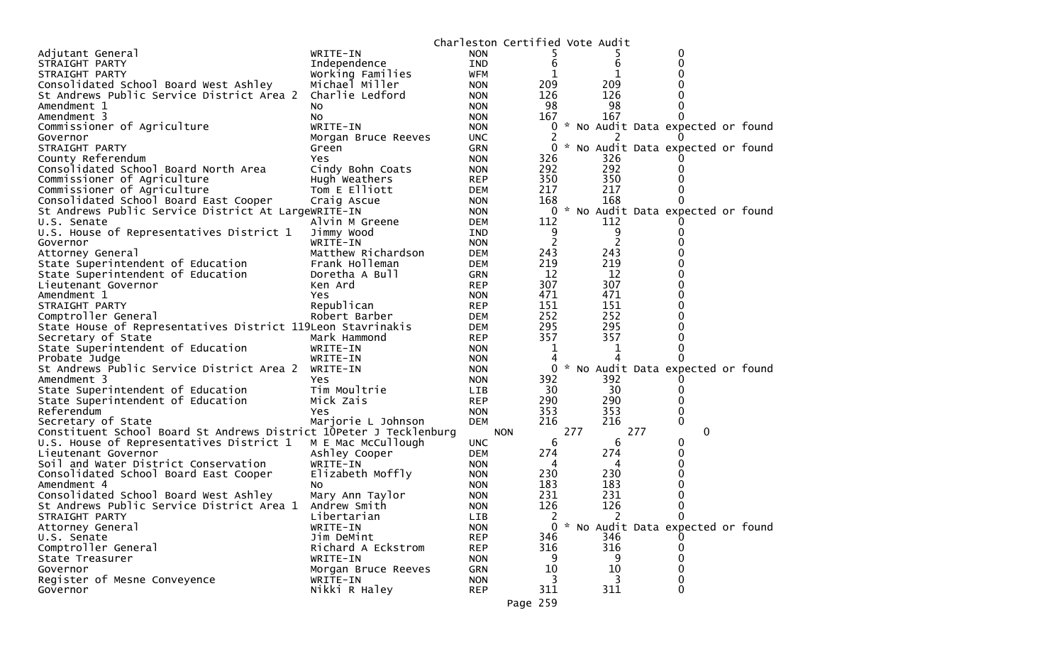| WRITE-IN<br>Adjutant General<br><b>NON</b><br>0<br>6<br>6<br>IND<br>0<br>Independence<br>STRAIGHT PARTY<br>Working Families<br><b>WFM</b><br>1<br>0<br>STRAIGHT PARTY<br>209<br>Consolidated School Board West Ashley<br>Michael Miller<br>209<br>0<br><b>NON</b><br>126<br>St Andrews Public Service District Area 2<br>126<br>Charlie Ledford<br>0<br><b>NON</b><br>98<br>98<br>0<br>Amendment 1<br><b>NON</b><br>No.<br>167<br>167<br>0<br>Amendment 3<br><b>NON</b><br>NO.<br>Commissioner of Agriculture<br>* No Audit Data expected or found<br>WRITE-IN<br><b>NON</b><br>0<br><b>UNC</b><br>Governor<br>Morgan Bruce Reeves<br>STRAIGHT PARTY<br>0<br>* No Audit Data expected or found<br><b>GRN</b><br>Green<br>County Referendum<br>326<br>326<br><b>Yes</b><br><b>NON</b><br>292<br>292<br>Consolidated School Board North Area<br>Cindy Bohn Coats<br><b>NON</b><br>0<br>350<br>350<br>Commissioner of Agriculture<br>Hugh Weathers<br>0<br><b>REP</b><br>217<br>217<br>Commissioner of Agriculture<br>Tom E Elliott<br>0<br>DEM<br>168<br>168<br>Consolidated School Board East Cooper<br>0<br>Craig Ascue<br><b>NON</b><br>St Andrews Public Service District At LargeWRITE-IN<br>0<br>* No Audit Data expected or found<br><b>NON</b><br>Alvin M Greene<br>112<br>112<br>DEM<br>U.S. Senate<br>9<br>9<br>U.S. House of Representatives District 1<br>Jimmy Wood<br>0<br>IND<br>$\overline{c}$<br>WRITE-IN<br>Governor<br><b>NON</b><br>243<br>243<br>Matthew Richardson<br>0<br>Attorney General<br>DEM<br>219<br>219<br>0<br>State Superintendent of Education<br>Frank Holleman<br><b>DEM</b><br>12<br>12<br>0<br>State Superintendent of Education<br>Doretha A Bull<br>GRN<br>307<br>307<br>Ken Ard<br>0<br>Lieutenant Governor<br><b>REP</b><br>471<br>471<br>0<br>Amendment 1<br>Yes<br><b>NON</b><br>151<br>151<br>0<br>Republican<br>STRAIGHT PARTY<br><b>REP</b><br>252<br>252<br>Comptroller General<br>Robert Barber<br>0<br>DEM<br>295<br>295<br>State House of Representatives District 119Leon Stavrinakis<br>0<br>DEM<br>357<br>357<br>Secretary of State<br>Mark Hammond<br>0<br><b>REP</b><br>0<br>State Superintendent of Education<br>WRITE-IN<br><b>NON</b><br>1<br>1<br>Probate Judge<br>WRITE-IN<br><b>NON</b><br>4<br>0<br>St Andrews Public Service District Area 2<br>* No Audit Data expected or found<br>WRITE-IN<br>0<br><b>NON</b><br>392<br>392<br>Amendment 3<br><b>NON</b><br>Yes.<br>30<br>30<br>State Superintendent of Education<br>Tim Moultrie<br><b>LIB</b><br>0<br>290<br>290<br>0<br>State Superintendent of Education<br>Mick Zais<br><b>REP</b><br>353<br>353<br>Referendum<br>0<br><b>NON</b><br>Yes<br>216<br>216<br>0<br>Secretary of State<br><b>DEM</b><br>Marjorie L Johnson<br>Constituent School Board St Andrews District 10Peter J Tecklenburg<br>277<br>277<br>0<br><b>NON</b><br>6<br>6<br>U.S. House of Representatives District 1<br>M E Mac McCullough<br><b>UNC</b><br>0<br>274<br>274<br>0<br>Ashley Cooper<br>Lieutenant Governor<br><b>DEM</b><br>0<br>Soil and Water District Conservation<br>WRITE-IN<br><b>NON</b><br>4<br>4<br>230<br>230<br>0<br>Consolidated School Board East Cooper<br>Elizabeth Moffly<br><b>NON</b><br>183<br>0<br>Amendment 4<br>183<br><b>NON</b><br>No.<br>231<br>231<br>0<br>Consolidated School Board West Ashley<br>Mary Ann Taylor<br><b>NON</b><br>126<br>0<br>126<br>St Andrews Public Service District Area 1<br><b>NON</b><br>Andrew Smith<br>2<br>STRAIGHT PARTY<br>Libertarian<br>LIB<br>0<br>2<br><b>NON</b><br>* No Audit Data expected or found<br>0<br>Attorney General<br>WRITE-IN<br>U.S. Senate<br>Jim DeMint<br><b>REP</b><br>346<br>346<br>316<br>Comptroller General<br>Richard A Eckstrom<br>316<br><b>REP</b><br>0<br>9<br>9<br>State Treasurer<br>WRITE-IN<br>0<br><b>NON</b><br>10<br>0<br>Governor<br><b>GRN</b><br>10<br>Morgan Bruce Reeves<br>Register of Mesne Conveyence<br>WRITE-IN<br>3<br>0<br><b>NON</b><br>311<br>0<br>Nikki R Haley<br><b>REP</b><br>311<br>Governor |  | Charleston Certified Vote Audit |  |  |  |
|-------------------------------------------------------------------------------------------------------------------------------------------------------------------------------------------------------------------------------------------------------------------------------------------------------------------------------------------------------------------------------------------------------------------------------------------------------------------------------------------------------------------------------------------------------------------------------------------------------------------------------------------------------------------------------------------------------------------------------------------------------------------------------------------------------------------------------------------------------------------------------------------------------------------------------------------------------------------------------------------------------------------------------------------------------------------------------------------------------------------------------------------------------------------------------------------------------------------------------------------------------------------------------------------------------------------------------------------------------------------------------------------------------------------------------------------------------------------------------------------------------------------------------------------------------------------------------------------------------------------------------------------------------------------------------------------------------------------------------------------------------------------------------------------------------------------------------------------------------------------------------------------------------------------------------------------------------------------------------------------------------------------------------------------------------------------------------------------------------------------------------------------------------------------------------------------------------------------------------------------------------------------------------------------------------------------------------------------------------------------------------------------------------------------------------------------------------------------------------------------------------------------------------------------------------------------------------------------------------------------------------------------------------------------------------------------------------------------------------------------------------------------------------------------------------------------------------------------------------------------------------------------------------------------------------------------------------------------------------------------------------------------------------------------------------------------------------------------------------------------------------------------------------------------------------------------------------------------------------------------------------------------------------------------------------------------------------------------------------------------------------------------------------------------------------------------------------------------------------------------------------------------------------------------------------------------------------------------------------------------------------------------------------------------------------------------------------------------------------------------------------------------------------------------------------------------------------------------------------------------------------------------------------------------------------------------------------------------------------------------------------------------|--|---------------------------------|--|--|--|
|                                                                                                                                                                                                                                                                                                                                                                                                                                                                                                                                                                                                                                                                                                                                                                                                                                                                                                                                                                                                                                                                                                                                                                                                                                                                                                                                                                                                                                                                                                                                                                                                                                                                                                                                                                                                                                                                                                                                                                                                                                                                                                                                                                                                                                                                                                                                                                                                                                                                                                                                                                                                                                                                                                                                                                                                                                                                                                                                                                                                                                                                                                                                                                                                                                                                                                                                                                                                                                                                                                                                                                                                                                                                                                                                                                                                                                                                                                                                                                                                                   |  |                                 |  |  |  |
|                                                                                                                                                                                                                                                                                                                                                                                                                                                                                                                                                                                                                                                                                                                                                                                                                                                                                                                                                                                                                                                                                                                                                                                                                                                                                                                                                                                                                                                                                                                                                                                                                                                                                                                                                                                                                                                                                                                                                                                                                                                                                                                                                                                                                                                                                                                                                                                                                                                                                                                                                                                                                                                                                                                                                                                                                                                                                                                                                                                                                                                                                                                                                                                                                                                                                                                                                                                                                                                                                                                                                                                                                                                                                                                                                                                                                                                                                                                                                                                                                   |  |                                 |  |  |  |
|                                                                                                                                                                                                                                                                                                                                                                                                                                                                                                                                                                                                                                                                                                                                                                                                                                                                                                                                                                                                                                                                                                                                                                                                                                                                                                                                                                                                                                                                                                                                                                                                                                                                                                                                                                                                                                                                                                                                                                                                                                                                                                                                                                                                                                                                                                                                                                                                                                                                                                                                                                                                                                                                                                                                                                                                                                                                                                                                                                                                                                                                                                                                                                                                                                                                                                                                                                                                                                                                                                                                                                                                                                                                                                                                                                                                                                                                                                                                                                                                                   |  |                                 |  |  |  |
|                                                                                                                                                                                                                                                                                                                                                                                                                                                                                                                                                                                                                                                                                                                                                                                                                                                                                                                                                                                                                                                                                                                                                                                                                                                                                                                                                                                                                                                                                                                                                                                                                                                                                                                                                                                                                                                                                                                                                                                                                                                                                                                                                                                                                                                                                                                                                                                                                                                                                                                                                                                                                                                                                                                                                                                                                                                                                                                                                                                                                                                                                                                                                                                                                                                                                                                                                                                                                                                                                                                                                                                                                                                                                                                                                                                                                                                                                                                                                                                                                   |  |                                 |  |  |  |
|                                                                                                                                                                                                                                                                                                                                                                                                                                                                                                                                                                                                                                                                                                                                                                                                                                                                                                                                                                                                                                                                                                                                                                                                                                                                                                                                                                                                                                                                                                                                                                                                                                                                                                                                                                                                                                                                                                                                                                                                                                                                                                                                                                                                                                                                                                                                                                                                                                                                                                                                                                                                                                                                                                                                                                                                                                                                                                                                                                                                                                                                                                                                                                                                                                                                                                                                                                                                                                                                                                                                                                                                                                                                                                                                                                                                                                                                                                                                                                                                                   |  |                                 |  |  |  |
|                                                                                                                                                                                                                                                                                                                                                                                                                                                                                                                                                                                                                                                                                                                                                                                                                                                                                                                                                                                                                                                                                                                                                                                                                                                                                                                                                                                                                                                                                                                                                                                                                                                                                                                                                                                                                                                                                                                                                                                                                                                                                                                                                                                                                                                                                                                                                                                                                                                                                                                                                                                                                                                                                                                                                                                                                                                                                                                                                                                                                                                                                                                                                                                                                                                                                                                                                                                                                                                                                                                                                                                                                                                                                                                                                                                                                                                                                                                                                                                                                   |  |                                 |  |  |  |
|                                                                                                                                                                                                                                                                                                                                                                                                                                                                                                                                                                                                                                                                                                                                                                                                                                                                                                                                                                                                                                                                                                                                                                                                                                                                                                                                                                                                                                                                                                                                                                                                                                                                                                                                                                                                                                                                                                                                                                                                                                                                                                                                                                                                                                                                                                                                                                                                                                                                                                                                                                                                                                                                                                                                                                                                                                                                                                                                                                                                                                                                                                                                                                                                                                                                                                                                                                                                                                                                                                                                                                                                                                                                                                                                                                                                                                                                                                                                                                                                                   |  |                                 |  |  |  |
|                                                                                                                                                                                                                                                                                                                                                                                                                                                                                                                                                                                                                                                                                                                                                                                                                                                                                                                                                                                                                                                                                                                                                                                                                                                                                                                                                                                                                                                                                                                                                                                                                                                                                                                                                                                                                                                                                                                                                                                                                                                                                                                                                                                                                                                                                                                                                                                                                                                                                                                                                                                                                                                                                                                                                                                                                                                                                                                                                                                                                                                                                                                                                                                                                                                                                                                                                                                                                                                                                                                                                                                                                                                                                                                                                                                                                                                                                                                                                                                                                   |  |                                 |  |  |  |
|                                                                                                                                                                                                                                                                                                                                                                                                                                                                                                                                                                                                                                                                                                                                                                                                                                                                                                                                                                                                                                                                                                                                                                                                                                                                                                                                                                                                                                                                                                                                                                                                                                                                                                                                                                                                                                                                                                                                                                                                                                                                                                                                                                                                                                                                                                                                                                                                                                                                                                                                                                                                                                                                                                                                                                                                                                                                                                                                                                                                                                                                                                                                                                                                                                                                                                                                                                                                                                                                                                                                                                                                                                                                                                                                                                                                                                                                                                                                                                                                                   |  |                                 |  |  |  |
|                                                                                                                                                                                                                                                                                                                                                                                                                                                                                                                                                                                                                                                                                                                                                                                                                                                                                                                                                                                                                                                                                                                                                                                                                                                                                                                                                                                                                                                                                                                                                                                                                                                                                                                                                                                                                                                                                                                                                                                                                                                                                                                                                                                                                                                                                                                                                                                                                                                                                                                                                                                                                                                                                                                                                                                                                                                                                                                                                                                                                                                                                                                                                                                                                                                                                                                                                                                                                                                                                                                                                                                                                                                                                                                                                                                                                                                                                                                                                                                                                   |  |                                 |  |  |  |
|                                                                                                                                                                                                                                                                                                                                                                                                                                                                                                                                                                                                                                                                                                                                                                                                                                                                                                                                                                                                                                                                                                                                                                                                                                                                                                                                                                                                                                                                                                                                                                                                                                                                                                                                                                                                                                                                                                                                                                                                                                                                                                                                                                                                                                                                                                                                                                                                                                                                                                                                                                                                                                                                                                                                                                                                                                                                                                                                                                                                                                                                                                                                                                                                                                                                                                                                                                                                                                                                                                                                                                                                                                                                                                                                                                                                                                                                                                                                                                                                                   |  |                                 |  |  |  |
|                                                                                                                                                                                                                                                                                                                                                                                                                                                                                                                                                                                                                                                                                                                                                                                                                                                                                                                                                                                                                                                                                                                                                                                                                                                                                                                                                                                                                                                                                                                                                                                                                                                                                                                                                                                                                                                                                                                                                                                                                                                                                                                                                                                                                                                                                                                                                                                                                                                                                                                                                                                                                                                                                                                                                                                                                                                                                                                                                                                                                                                                                                                                                                                                                                                                                                                                                                                                                                                                                                                                                                                                                                                                                                                                                                                                                                                                                                                                                                                                                   |  |                                 |  |  |  |
|                                                                                                                                                                                                                                                                                                                                                                                                                                                                                                                                                                                                                                                                                                                                                                                                                                                                                                                                                                                                                                                                                                                                                                                                                                                                                                                                                                                                                                                                                                                                                                                                                                                                                                                                                                                                                                                                                                                                                                                                                                                                                                                                                                                                                                                                                                                                                                                                                                                                                                                                                                                                                                                                                                                                                                                                                                                                                                                                                                                                                                                                                                                                                                                                                                                                                                                                                                                                                                                                                                                                                                                                                                                                                                                                                                                                                                                                                                                                                                                                                   |  |                                 |  |  |  |
|                                                                                                                                                                                                                                                                                                                                                                                                                                                                                                                                                                                                                                                                                                                                                                                                                                                                                                                                                                                                                                                                                                                                                                                                                                                                                                                                                                                                                                                                                                                                                                                                                                                                                                                                                                                                                                                                                                                                                                                                                                                                                                                                                                                                                                                                                                                                                                                                                                                                                                                                                                                                                                                                                                                                                                                                                                                                                                                                                                                                                                                                                                                                                                                                                                                                                                                                                                                                                                                                                                                                                                                                                                                                                                                                                                                                                                                                                                                                                                                                                   |  |                                 |  |  |  |
|                                                                                                                                                                                                                                                                                                                                                                                                                                                                                                                                                                                                                                                                                                                                                                                                                                                                                                                                                                                                                                                                                                                                                                                                                                                                                                                                                                                                                                                                                                                                                                                                                                                                                                                                                                                                                                                                                                                                                                                                                                                                                                                                                                                                                                                                                                                                                                                                                                                                                                                                                                                                                                                                                                                                                                                                                                                                                                                                                                                                                                                                                                                                                                                                                                                                                                                                                                                                                                                                                                                                                                                                                                                                                                                                                                                                                                                                                                                                                                                                                   |  |                                 |  |  |  |
|                                                                                                                                                                                                                                                                                                                                                                                                                                                                                                                                                                                                                                                                                                                                                                                                                                                                                                                                                                                                                                                                                                                                                                                                                                                                                                                                                                                                                                                                                                                                                                                                                                                                                                                                                                                                                                                                                                                                                                                                                                                                                                                                                                                                                                                                                                                                                                                                                                                                                                                                                                                                                                                                                                                                                                                                                                                                                                                                                                                                                                                                                                                                                                                                                                                                                                                                                                                                                                                                                                                                                                                                                                                                                                                                                                                                                                                                                                                                                                                                                   |  |                                 |  |  |  |
|                                                                                                                                                                                                                                                                                                                                                                                                                                                                                                                                                                                                                                                                                                                                                                                                                                                                                                                                                                                                                                                                                                                                                                                                                                                                                                                                                                                                                                                                                                                                                                                                                                                                                                                                                                                                                                                                                                                                                                                                                                                                                                                                                                                                                                                                                                                                                                                                                                                                                                                                                                                                                                                                                                                                                                                                                                                                                                                                                                                                                                                                                                                                                                                                                                                                                                                                                                                                                                                                                                                                                                                                                                                                                                                                                                                                                                                                                                                                                                                                                   |  |                                 |  |  |  |
|                                                                                                                                                                                                                                                                                                                                                                                                                                                                                                                                                                                                                                                                                                                                                                                                                                                                                                                                                                                                                                                                                                                                                                                                                                                                                                                                                                                                                                                                                                                                                                                                                                                                                                                                                                                                                                                                                                                                                                                                                                                                                                                                                                                                                                                                                                                                                                                                                                                                                                                                                                                                                                                                                                                                                                                                                                                                                                                                                                                                                                                                                                                                                                                                                                                                                                                                                                                                                                                                                                                                                                                                                                                                                                                                                                                                                                                                                                                                                                                                                   |  |                                 |  |  |  |
|                                                                                                                                                                                                                                                                                                                                                                                                                                                                                                                                                                                                                                                                                                                                                                                                                                                                                                                                                                                                                                                                                                                                                                                                                                                                                                                                                                                                                                                                                                                                                                                                                                                                                                                                                                                                                                                                                                                                                                                                                                                                                                                                                                                                                                                                                                                                                                                                                                                                                                                                                                                                                                                                                                                                                                                                                                                                                                                                                                                                                                                                                                                                                                                                                                                                                                                                                                                                                                                                                                                                                                                                                                                                                                                                                                                                                                                                                                                                                                                                                   |  |                                 |  |  |  |
|                                                                                                                                                                                                                                                                                                                                                                                                                                                                                                                                                                                                                                                                                                                                                                                                                                                                                                                                                                                                                                                                                                                                                                                                                                                                                                                                                                                                                                                                                                                                                                                                                                                                                                                                                                                                                                                                                                                                                                                                                                                                                                                                                                                                                                                                                                                                                                                                                                                                                                                                                                                                                                                                                                                                                                                                                                                                                                                                                                                                                                                                                                                                                                                                                                                                                                                                                                                                                                                                                                                                                                                                                                                                                                                                                                                                                                                                                                                                                                                                                   |  |                                 |  |  |  |
|                                                                                                                                                                                                                                                                                                                                                                                                                                                                                                                                                                                                                                                                                                                                                                                                                                                                                                                                                                                                                                                                                                                                                                                                                                                                                                                                                                                                                                                                                                                                                                                                                                                                                                                                                                                                                                                                                                                                                                                                                                                                                                                                                                                                                                                                                                                                                                                                                                                                                                                                                                                                                                                                                                                                                                                                                                                                                                                                                                                                                                                                                                                                                                                                                                                                                                                                                                                                                                                                                                                                                                                                                                                                                                                                                                                                                                                                                                                                                                                                                   |  |                                 |  |  |  |
|                                                                                                                                                                                                                                                                                                                                                                                                                                                                                                                                                                                                                                                                                                                                                                                                                                                                                                                                                                                                                                                                                                                                                                                                                                                                                                                                                                                                                                                                                                                                                                                                                                                                                                                                                                                                                                                                                                                                                                                                                                                                                                                                                                                                                                                                                                                                                                                                                                                                                                                                                                                                                                                                                                                                                                                                                                                                                                                                                                                                                                                                                                                                                                                                                                                                                                                                                                                                                                                                                                                                                                                                                                                                                                                                                                                                                                                                                                                                                                                                                   |  |                                 |  |  |  |
|                                                                                                                                                                                                                                                                                                                                                                                                                                                                                                                                                                                                                                                                                                                                                                                                                                                                                                                                                                                                                                                                                                                                                                                                                                                                                                                                                                                                                                                                                                                                                                                                                                                                                                                                                                                                                                                                                                                                                                                                                                                                                                                                                                                                                                                                                                                                                                                                                                                                                                                                                                                                                                                                                                                                                                                                                                                                                                                                                                                                                                                                                                                                                                                                                                                                                                                                                                                                                                                                                                                                                                                                                                                                                                                                                                                                                                                                                                                                                                                                                   |  |                                 |  |  |  |
|                                                                                                                                                                                                                                                                                                                                                                                                                                                                                                                                                                                                                                                                                                                                                                                                                                                                                                                                                                                                                                                                                                                                                                                                                                                                                                                                                                                                                                                                                                                                                                                                                                                                                                                                                                                                                                                                                                                                                                                                                                                                                                                                                                                                                                                                                                                                                                                                                                                                                                                                                                                                                                                                                                                                                                                                                                                                                                                                                                                                                                                                                                                                                                                                                                                                                                                                                                                                                                                                                                                                                                                                                                                                                                                                                                                                                                                                                                                                                                                                                   |  |                                 |  |  |  |
|                                                                                                                                                                                                                                                                                                                                                                                                                                                                                                                                                                                                                                                                                                                                                                                                                                                                                                                                                                                                                                                                                                                                                                                                                                                                                                                                                                                                                                                                                                                                                                                                                                                                                                                                                                                                                                                                                                                                                                                                                                                                                                                                                                                                                                                                                                                                                                                                                                                                                                                                                                                                                                                                                                                                                                                                                                                                                                                                                                                                                                                                                                                                                                                                                                                                                                                                                                                                                                                                                                                                                                                                                                                                                                                                                                                                                                                                                                                                                                                                                   |  |                                 |  |  |  |
|                                                                                                                                                                                                                                                                                                                                                                                                                                                                                                                                                                                                                                                                                                                                                                                                                                                                                                                                                                                                                                                                                                                                                                                                                                                                                                                                                                                                                                                                                                                                                                                                                                                                                                                                                                                                                                                                                                                                                                                                                                                                                                                                                                                                                                                                                                                                                                                                                                                                                                                                                                                                                                                                                                                                                                                                                                                                                                                                                                                                                                                                                                                                                                                                                                                                                                                                                                                                                                                                                                                                                                                                                                                                                                                                                                                                                                                                                                                                                                                                                   |  |                                 |  |  |  |
|                                                                                                                                                                                                                                                                                                                                                                                                                                                                                                                                                                                                                                                                                                                                                                                                                                                                                                                                                                                                                                                                                                                                                                                                                                                                                                                                                                                                                                                                                                                                                                                                                                                                                                                                                                                                                                                                                                                                                                                                                                                                                                                                                                                                                                                                                                                                                                                                                                                                                                                                                                                                                                                                                                                                                                                                                                                                                                                                                                                                                                                                                                                                                                                                                                                                                                                                                                                                                                                                                                                                                                                                                                                                                                                                                                                                                                                                                                                                                                                                                   |  |                                 |  |  |  |
|                                                                                                                                                                                                                                                                                                                                                                                                                                                                                                                                                                                                                                                                                                                                                                                                                                                                                                                                                                                                                                                                                                                                                                                                                                                                                                                                                                                                                                                                                                                                                                                                                                                                                                                                                                                                                                                                                                                                                                                                                                                                                                                                                                                                                                                                                                                                                                                                                                                                                                                                                                                                                                                                                                                                                                                                                                                                                                                                                                                                                                                                                                                                                                                                                                                                                                                                                                                                                                                                                                                                                                                                                                                                                                                                                                                                                                                                                                                                                                                                                   |  |                                 |  |  |  |
|                                                                                                                                                                                                                                                                                                                                                                                                                                                                                                                                                                                                                                                                                                                                                                                                                                                                                                                                                                                                                                                                                                                                                                                                                                                                                                                                                                                                                                                                                                                                                                                                                                                                                                                                                                                                                                                                                                                                                                                                                                                                                                                                                                                                                                                                                                                                                                                                                                                                                                                                                                                                                                                                                                                                                                                                                                                                                                                                                                                                                                                                                                                                                                                                                                                                                                                                                                                                                                                                                                                                                                                                                                                                                                                                                                                                                                                                                                                                                                                                                   |  |                                 |  |  |  |
|                                                                                                                                                                                                                                                                                                                                                                                                                                                                                                                                                                                                                                                                                                                                                                                                                                                                                                                                                                                                                                                                                                                                                                                                                                                                                                                                                                                                                                                                                                                                                                                                                                                                                                                                                                                                                                                                                                                                                                                                                                                                                                                                                                                                                                                                                                                                                                                                                                                                                                                                                                                                                                                                                                                                                                                                                                                                                                                                                                                                                                                                                                                                                                                                                                                                                                                                                                                                                                                                                                                                                                                                                                                                                                                                                                                                                                                                                                                                                                                                                   |  |                                 |  |  |  |
|                                                                                                                                                                                                                                                                                                                                                                                                                                                                                                                                                                                                                                                                                                                                                                                                                                                                                                                                                                                                                                                                                                                                                                                                                                                                                                                                                                                                                                                                                                                                                                                                                                                                                                                                                                                                                                                                                                                                                                                                                                                                                                                                                                                                                                                                                                                                                                                                                                                                                                                                                                                                                                                                                                                                                                                                                                                                                                                                                                                                                                                                                                                                                                                                                                                                                                                                                                                                                                                                                                                                                                                                                                                                                                                                                                                                                                                                                                                                                                                                                   |  |                                 |  |  |  |
|                                                                                                                                                                                                                                                                                                                                                                                                                                                                                                                                                                                                                                                                                                                                                                                                                                                                                                                                                                                                                                                                                                                                                                                                                                                                                                                                                                                                                                                                                                                                                                                                                                                                                                                                                                                                                                                                                                                                                                                                                                                                                                                                                                                                                                                                                                                                                                                                                                                                                                                                                                                                                                                                                                                                                                                                                                                                                                                                                                                                                                                                                                                                                                                                                                                                                                                                                                                                                                                                                                                                                                                                                                                                                                                                                                                                                                                                                                                                                                                                                   |  |                                 |  |  |  |
|                                                                                                                                                                                                                                                                                                                                                                                                                                                                                                                                                                                                                                                                                                                                                                                                                                                                                                                                                                                                                                                                                                                                                                                                                                                                                                                                                                                                                                                                                                                                                                                                                                                                                                                                                                                                                                                                                                                                                                                                                                                                                                                                                                                                                                                                                                                                                                                                                                                                                                                                                                                                                                                                                                                                                                                                                                                                                                                                                                                                                                                                                                                                                                                                                                                                                                                                                                                                                                                                                                                                                                                                                                                                                                                                                                                                                                                                                                                                                                                                                   |  |                                 |  |  |  |
|                                                                                                                                                                                                                                                                                                                                                                                                                                                                                                                                                                                                                                                                                                                                                                                                                                                                                                                                                                                                                                                                                                                                                                                                                                                                                                                                                                                                                                                                                                                                                                                                                                                                                                                                                                                                                                                                                                                                                                                                                                                                                                                                                                                                                                                                                                                                                                                                                                                                                                                                                                                                                                                                                                                                                                                                                                                                                                                                                                                                                                                                                                                                                                                                                                                                                                                                                                                                                                                                                                                                                                                                                                                                                                                                                                                                                                                                                                                                                                                                                   |  |                                 |  |  |  |
|                                                                                                                                                                                                                                                                                                                                                                                                                                                                                                                                                                                                                                                                                                                                                                                                                                                                                                                                                                                                                                                                                                                                                                                                                                                                                                                                                                                                                                                                                                                                                                                                                                                                                                                                                                                                                                                                                                                                                                                                                                                                                                                                                                                                                                                                                                                                                                                                                                                                                                                                                                                                                                                                                                                                                                                                                                                                                                                                                                                                                                                                                                                                                                                                                                                                                                                                                                                                                                                                                                                                                                                                                                                                                                                                                                                                                                                                                                                                                                                                                   |  |                                 |  |  |  |
|                                                                                                                                                                                                                                                                                                                                                                                                                                                                                                                                                                                                                                                                                                                                                                                                                                                                                                                                                                                                                                                                                                                                                                                                                                                                                                                                                                                                                                                                                                                                                                                                                                                                                                                                                                                                                                                                                                                                                                                                                                                                                                                                                                                                                                                                                                                                                                                                                                                                                                                                                                                                                                                                                                                                                                                                                                                                                                                                                                                                                                                                                                                                                                                                                                                                                                                                                                                                                                                                                                                                                                                                                                                                                                                                                                                                                                                                                                                                                                                                                   |  |                                 |  |  |  |
|                                                                                                                                                                                                                                                                                                                                                                                                                                                                                                                                                                                                                                                                                                                                                                                                                                                                                                                                                                                                                                                                                                                                                                                                                                                                                                                                                                                                                                                                                                                                                                                                                                                                                                                                                                                                                                                                                                                                                                                                                                                                                                                                                                                                                                                                                                                                                                                                                                                                                                                                                                                                                                                                                                                                                                                                                                                                                                                                                                                                                                                                                                                                                                                                                                                                                                                                                                                                                                                                                                                                                                                                                                                                                                                                                                                                                                                                                                                                                                                                                   |  |                                 |  |  |  |
|                                                                                                                                                                                                                                                                                                                                                                                                                                                                                                                                                                                                                                                                                                                                                                                                                                                                                                                                                                                                                                                                                                                                                                                                                                                                                                                                                                                                                                                                                                                                                                                                                                                                                                                                                                                                                                                                                                                                                                                                                                                                                                                                                                                                                                                                                                                                                                                                                                                                                                                                                                                                                                                                                                                                                                                                                                                                                                                                                                                                                                                                                                                                                                                                                                                                                                                                                                                                                                                                                                                                                                                                                                                                                                                                                                                                                                                                                                                                                                                                                   |  |                                 |  |  |  |
|                                                                                                                                                                                                                                                                                                                                                                                                                                                                                                                                                                                                                                                                                                                                                                                                                                                                                                                                                                                                                                                                                                                                                                                                                                                                                                                                                                                                                                                                                                                                                                                                                                                                                                                                                                                                                                                                                                                                                                                                                                                                                                                                                                                                                                                                                                                                                                                                                                                                                                                                                                                                                                                                                                                                                                                                                                                                                                                                                                                                                                                                                                                                                                                                                                                                                                                                                                                                                                                                                                                                                                                                                                                                                                                                                                                                                                                                                                                                                                                                                   |  |                                 |  |  |  |
|                                                                                                                                                                                                                                                                                                                                                                                                                                                                                                                                                                                                                                                                                                                                                                                                                                                                                                                                                                                                                                                                                                                                                                                                                                                                                                                                                                                                                                                                                                                                                                                                                                                                                                                                                                                                                                                                                                                                                                                                                                                                                                                                                                                                                                                                                                                                                                                                                                                                                                                                                                                                                                                                                                                                                                                                                                                                                                                                                                                                                                                                                                                                                                                                                                                                                                                                                                                                                                                                                                                                                                                                                                                                                                                                                                                                                                                                                                                                                                                                                   |  |                                 |  |  |  |
|                                                                                                                                                                                                                                                                                                                                                                                                                                                                                                                                                                                                                                                                                                                                                                                                                                                                                                                                                                                                                                                                                                                                                                                                                                                                                                                                                                                                                                                                                                                                                                                                                                                                                                                                                                                                                                                                                                                                                                                                                                                                                                                                                                                                                                                                                                                                                                                                                                                                                                                                                                                                                                                                                                                                                                                                                                                                                                                                                                                                                                                                                                                                                                                                                                                                                                                                                                                                                                                                                                                                                                                                                                                                                                                                                                                                                                                                                                                                                                                                                   |  |                                 |  |  |  |
|                                                                                                                                                                                                                                                                                                                                                                                                                                                                                                                                                                                                                                                                                                                                                                                                                                                                                                                                                                                                                                                                                                                                                                                                                                                                                                                                                                                                                                                                                                                                                                                                                                                                                                                                                                                                                                                                                                                                                                                                                                                                                                                                                                                                                                                                                                                                                                                                                                                                                                                                                                                                                                                                                                                                                                                                                                                                                                                                                                                                                                                                                                                                                                                                                                                                                                                                                                                                                                                                                                                                                                                                                                                                                                                                                                                                                                                                                                                                                                                                                   |  |                                 |  |  |  |
|                                                                                                                                                                                                                                                                                                                                                                                                                                                                                                                                                                                                                                                                                                                                                                                                                                                                                                                                                                                                                                                                                                                                                                                                                                                                                                                                                                                                                                                                                                                                                                                                                                                                                                                                                                                                                                                                                                                                                                                                                                                                                                                                                                                                                                                                                                                                                                                                                                                                                                                                                                                                                                                                                                                                                                                                                                                                                                                                                                                                                                                                                                                                                                                                                                                                                                                                                                                                                                                                                                                                                                                                                                                                                                                                                                                                                                                                                                                                                                                                                   |  |                                 |  |  |  |
|                                                                                                                                                                                                                                                                                                                                                                                                                                                                                                                                                                                                                                                                                                                                                                                                                                                                                                                                                                                                                                                                                                                                                                                                                                                                                                                                                                                                                                                                                                                                                                                                                                                                                                                                                                                                                                                                                                                                                                                                                                                                                                                                                                                                                                                                                                                                                                                                                                                                                                                                                                                                                                                                                                                                                                                                                                                                                                                                                                                                                                                                                                                                                                                                                                                                                                                                                                                                                                                                                                                                                                                                                                                                                                                                                                                                                                                                                                                                                                                                                   |  |                                 |  |  |  |
|                                                                                                                                                                                                                                                                                                                                                                                                                                                                                                                                                                                                                                                                                                                                                                                                                                                                                                                                                                                                                                                                                                                                                                                                                                                                                                                                                                                                                                                                                                                                                                                                                                                                                                                                                                                                                                                                                                                                                                                                                                                                                                                                                                                                                                                                                                                                                                                                                                                                                                                                                                                                                                                                                                                                                                                                                                                                                                                                                                                                                                                                                                                                                                                                                                                                                                                                                                                                                                                                                                                                                                                                                                                                                                                                                                                                                                                                                                                                                                                                                   |  |                                 |  |  |  |
|                                                                                                                                                                                                                                                                                                                                                                                                                                                                                                                                                                                                                                                                                                                                                                                                                                                                                                                                                                                                                                                                                                                                                                                                                                                                                                                                                                                                                                                                                                                                                                                                                                                                                                                                                                                                                                                                                                                                                                                                                                                                                                                                                                                                                                                                                                                                                                                                                                                                                                                                                                                                                                                                                                                                                                                                                                                                                                                                                                                                                                                                                                                                                                                                                                                                                                                                                                                                                                                                                                                                                                                                                                                                                                                                                                                                                                                                                                                                                                                                                   |  |                                 |  |  |  |
|                                                                                                                                                                                                                                                                                                                                                                                                                                                                                                                                                                                                                                                                                                                                                                                                                                                                                                                                                                                                                                                                                                                                                                                                                                                                                                                                                                                                                                                                                                                                                                                                                                                                                                                                                                                                                                                                                                                                                                                                                                                                                                                                                                                                                                                                                                                                                                                                                                                                                                                                                                                                                                                                                                                                                                                                                                                                                                                                                                                                                                                                                                                                                                                                                                                                                                                                                                                                                                                                                                                                                                                                                                                                                                                                                                                                                                                                                                                                                                                                                   |  |                                 |  |  |  |
|                                                                                                                                                                                                                                                                                                                                                                                                                                                                                                                                                                                                                                                                                                                                                                                                                                                                                                                                                                                                                                                                                                                                                                                                                                                                                                                                                                                                                                                                                                                                                                                                                                                                                                                                                                                                                                                                                                                                                                                                                                                                                                                                                                                                                                                                                                                                                                                                                                                                                                                                                                                                                                                                                                                                                                                                                                                                                                                                                                                                                                                                                                                                                                                                                                                                                                                                                                                                                                                                                                                                                                                                                                                                                                                                                                                                                                                                                                                                                                                                                   |  |                                 |  |  |  |
|                                                                                                                                                                                                                                                                                                                                                                                                                                                                                                                                                                                                                                                                                                                                                                                                                                                                                                                                                                                                                                                                                                                                                                                                                                                                                                                                                                                                                                                                                                                                                                                                                                                                                                                                                                                                                                                                                                                                                                                                                                                                                                                                                                                                                                                                                                                                                                                                                                                                                                                                                                                                                                                                                                                                                                                                                                                                                                                                                                                                                                                                                                                                                                                                                                                                                                                                                                                                                                                                                                                                                                                                                                                                                                                                                                                                                                                                                                                                                                                                                   |  |                                 |  |  |  |
|                                                                                                                                                                                                                                                                                                                                                                                                                                                                                                                                                                                                                                                                                                                                                                                                                                                                                                                                                                                                                                                                                                                                                                                                                                                                                                                                                                                                                                                                                                                                                                                                                                                                                                                                                                                                                                                                                                                                                                                                                                                                                                                                                                                                                                                                                                                                                                                                                                                                                                                                                                                                                                                                                                                                                                                                                                                                                                                                                                                                                                                                                                                                                                                                                                                                                                                                                                                                                                                                                                                                                                                                                                                                                                                                                                                                                                                                                                                                                                                                                   |  |                                 |  |  |  |
|                                                                                                                                                                                                                                                                                                                                                                                                                                                                                                                                                                                                                                                                                                                                                                                                                                                                                                                                                                                                                                                                                                                                                                                                                                                                                                                                                                                                                                                                                                                                                                                                                                                                                                                                                                                                                                                                                                                                                                                                                                                                                                                                                                                                                                                                                                                                                                                                                                                                                                                                                                                                                                                                                                                                                                                                                                                                                                                                                                                                                                                                                                                                                                                                                                                                                                                                                                                                                                                                                                                                                                                                                                                                                                                                                                                                                                                                                                                                                                                                                   |  |                                 |  |  |  |
|                                                                                                                                                                                                                                                                                                                                                                                                                                                                                                                                                                                                                                                                                                                                                                                                                                                                                                                                                                                                                                                                                                                                                                                                                                                                                                                                                                                                                                                                                                                                                                                                                                                                                                                                                                                                                                                                                                                                                                                                                                                                                                                                                                                                                                                                                                                                                                                                                                                                                                                                                                                                                                                                                                                                                                                                                                                                                                                                                                                                                                                                                                                                                                                                                                                                                                                                                                                                                                                                                                                                                                                                                                                                                                                                                                                                                                                                                                                                                                                                                   |  |                                 |  |  |  |
|                                                                                                                                                                                                                                                                                                                                                                                                                                                                                                                                                                                                                                                                                                                                                                                                                                                                                                                                                                                                                                                                                                                                                                                                                                                                                                                                                                                                                                                                                                                                                                                                                                                                                                                                                                                                                                                                                                                                                                                                                                                                                                                                                                                                                                                                                                                                                                                                                                                                                                                                                                                                                                                                                                                                                                                                                                                                                                                                                                                                                                                                                                                                                                                                                                                                                                                                                                                                                                                                                                                                                                                                                                                                                                                                                                                                                                                                                                                                                                                                                   |  |                                 |  |  |  |
|                                                                                                                                                                                                                                                                                                                                                                                                                                                                                                                                                                                                                                                                                                                                                                                                                                                                                                                                                                                                                                                                                                                                                                                                                                                                                                                                                                                                                                                                                                                                                                                                                                                                                                                                                                                                                                                                                                                                                                                                                                                                                                                                                                                                                                                                                                                                                                                                                                                                                                                                                                                                                                                                                                                                                                                                                                                                                                                                                                                                                                                                                                                                                                                                                                                                                                                                                                                                                                                                                                                                                                                                                                                                                                                                                                                                                                                                                                                                                                                                                   |  | Page 259                        |  |  |  |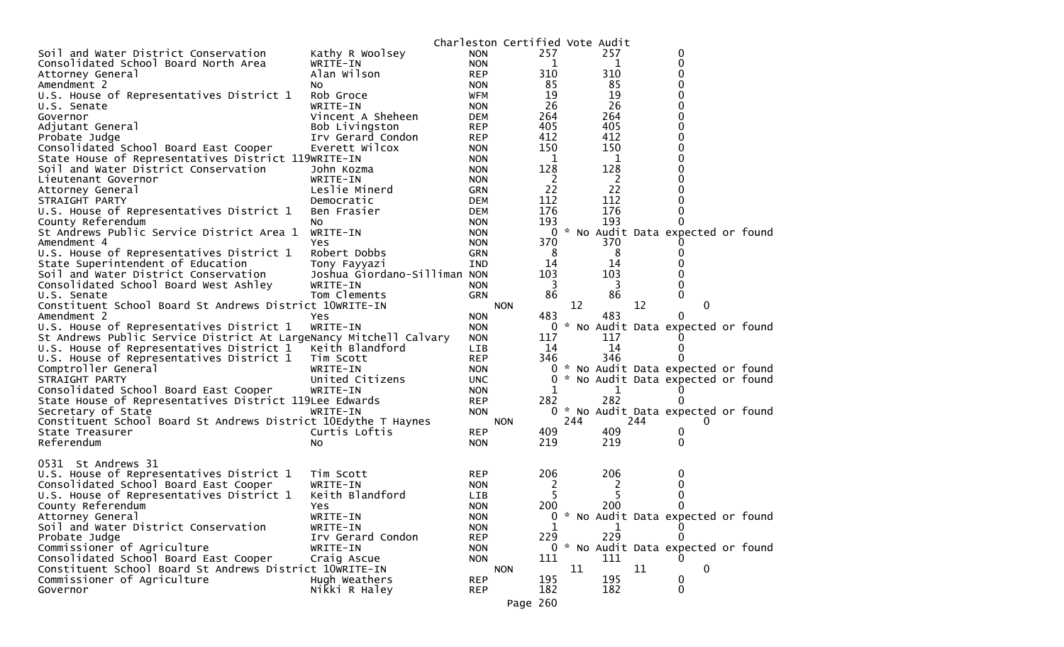|                                                                   |                              |            | Charleston Certified Vote Audit |       |               |     |                                     |  |
|-------------------------------------------------------------------|------------------------------|------------|---------------------------------|-------|---------------|-----|-------------------------------------|--|
| Soil and Water District Conservation                              | Kathy R Woolsey              | <b>NON</b> | 257                             |       | 257           |     | 0                                   |  |
| Consolidated School Board North Area                              | WRITE-IN                     | <b>NON</b> |                                 | 1     | 1             |     | 0                                   |  |
| Attorney General                                                  | Alan Wilson                  | <b>REP</b> | 310                             |       | 310           |     | 0                                   |  |
| Amendment 2                                                       | NO.                          | <b>NON</b> | 85                              |       | 85            |     | 0                                   |  |
| U.S. House of Representatives District 1                          | Rob Groce                    | WFM        | 19                              |       | 19            |     | 0                                   |  |
| U.S. Senate                                                       | WRITE-IN                     | <b>NON</b> | 26                              |       | 26            |     | 0                                   |  |
| Governor                                                          | Vincent A Sheheen            | <b>DEM</b> | 264                             |       | 264           |     | 0                                   |  |
| Adjutant General                                                  | Bob Livingston               | <b>REP</b> | 405                             |       | 405           |     | 0                                   |  |
| Probate Judge                                                     | Irv Gerard Condon            | <b>REP</b> | 412                             |       | 412           |     | 0                                   |  |
| Consolidated School Board East Cooper                             | Everett Wilcox               | <b>NON</b> | 150                             |       | 150           |     | 0                                   |  |
| State House of Representatives District 119WRITE-IN               |                              | <b>NON</b> |                                 | 1     | 1             |     | 0                                   |  |
| Soil and Water District Conservation                              | John Kozma                   | <b>NON</b> | 128                             |       | 128           |     |                                     |  |
| Lieutenant Governor                                               | WRITE-IN                     | <b>NON</b> |                                 | 2     | 2             |     | 0                                   |  |
| Attorney General                                                  | Leslie Minerd                | <b>GRN</b> | 22                              |       | 22            |     | 0                                   |  |
| STRAIGHT PARTY                                                    | Democratic                   | <b>DEM</b> | 112                             |       | 112           |     | 0                                   |  |
| U.S. House of Representatives District 1                          | Ben Frasier                  | <b>DEM</b> | 176                             |       | 176           |     | 0                                   |  |
| County Referendum                                                 | No.                          | <b>NON</b> | 193                             |       | 193           |     | 0                                   |  |
| St Andrews Public Service District Area 1                         | WRITE-IN                     | <b>NON</b> |                                 | 0     |               |     | * No Audit Data expected or found   |  |
| Amendment 4                                                       | Yes                          | <b>NON</b> | 370                             |       | 370           |     |                                     |  |
| U.S. House of Representatives District 1                          | Robert Dobbs                 | <b>GRN</b> |                                 | 8     | 8             |     | 0                                   |  |
| State Superintendent of Education                                 | Tony Fayyazi                 | <b>IND</b> | 14                              |       | 14            |     |                                     |  |
| Soil and Water District Conservation                              | Joshua Giordano-Silliman NON |            | 103                             |       | 103           |     | 0                                   |  |
| Consolidated School Board West Ashley<br>U.S. Senate              | WRITE-IN<br>Tom Clements     | <b>NON</b> | 86                              | 3     | 3<br>86       |     | 0<br>$\Omega$                       |  |
| Constituent School Board St Andrews District 10WRITE-IN           |                              | <b>GRN</b> |                                 | 12    |               |     | 0                                   |  |
| Amendment 2                                                       | Yes                          | <b>NON</b> | <b>NON</b><br>483               |       | 483           | 12  | 0                                   |  |
| U.S. House of Representatives District 1                          | WRITE-IN                     | <b>NON</b> |                                 | 0     |               |     | * No Audit Data expected or found   |  |
| St Andrews Public Service District At LargeNancy Mitchell Calvary |                              | <b>NON</b> | 117                             |       | 117           |     |                                     |  |
| U.S. House of Representatives District 1                          | Keith Blandford              | <b>LIB</b> | 14                              |       | 14            |     | $\Omega$                            |  |
| U.S. House of Representatives District 1                          | Tim Scott                    | <b>REP</b> | 346                             |       | 346           |     |                                     |  |
| Comptroller General                                               | WRITE-IN                     | <b>NON</b> |                                 | 0     |               |     | * No Audit Data expected or found   |  |
| STRAIGHT PARTY                                                    | United Citizens              | <b>UNC</b> |                                 | 0     |               |     | * No Audit Data expected or found   |  |
| Consolidated School Board East Cooper                             | WRITE-IN                     | <b>NON</b> |                                 | 1     | 1             |     |                                     |  |
| State House of Representatives District 119Lee Edwards            |                              | <b>REP</b> | 282                             |       | 282           |     |                                     |  |
| Secretary of State                                                | WRITE-IN                     | <b>NON</b> |                                 | $0 *$ |               |     | No Audit Data expected or found     |  |
| Constituent School Board St Andrews District 10Edythe T Haynes    |                              |            | <b>NON</b>                      | 244   |               | 244 | $\Omega$                            |  |
| State Treasurer                                                   | Curtis Loftis                | <b>REP</b> | 409                             |       | 409           |     | 0                                   |  |
| Referendum                                                        | NO.                          | <b>NON</b> | 219                             |       | 219           |     | 0                                   |  |
|                                                                   |                              |            |                                 |       |               |     |                                     |  |
| 0531 St Andrews 31                                                |                              |            |                                 |       |               |     |                                     |  |
| U.S. House of Representatives District 1                          | Tim Scott                    | <b>REP</b> | 206                             |       | 206           |     | 0                                   |  |
| Consolidated School Board East Cooper                             | WRITE-IN                     | <b>NON</b> |                                 | 2     | $\mathcal{L}$ |     | 0                                   |  |
| U.S. House of Representatives District 1                          | Keith Blandford              | LIB        |                                 | 5     | 5             |     | 0                                   |  |
| County Referendum                                                 | Yes.                         | <b>NON</b> | 200                             |       | 200           |     | 0                                   |  |
| Attorney General                                                  | WRITE-IN                     | <b>NON</b> |                                 |       |               |     | 0 * No Audit Data expected or found |  |
| Soil and Water District Conservation                              | WRITE-IN                     | <b>NON</b> |                                 | 1     | 1             |     |                                     |  |
| Probate Judge                                                     | Irv Gerard Condon            | <b>REP</b> | 229                             |       | 229           |     |                                     |  |
| Commissioner of Agriculture                                       | WRITE-IN                     | <b>NON</b> |                                 |       |               |     | 0 * No Audit Data expected or found |  |
| Consolidated School Board East Cooper                             | Craig Ascue                  | <b>NON</b> | 111                             |       | 111           |     |                                     |  |
| Constituent School Board St Andrews District 10WRITE-IN           |                              |            | <b>NON</b>                      | 11    |               | 11  | 0                                   |  |
| Commissioner of Agriculture                                       | Hugh Weathers                | <b>REP</b> | 195                             |       | 195           |     | 0                                   |  |
| Governor                                                          | Nikki R Haley                | <b>REP</b> | 182                             |       | 182           |     | 0                                   |  |
|                                                                   |                              |            | Page 260                        |       |               |     |                                     |  |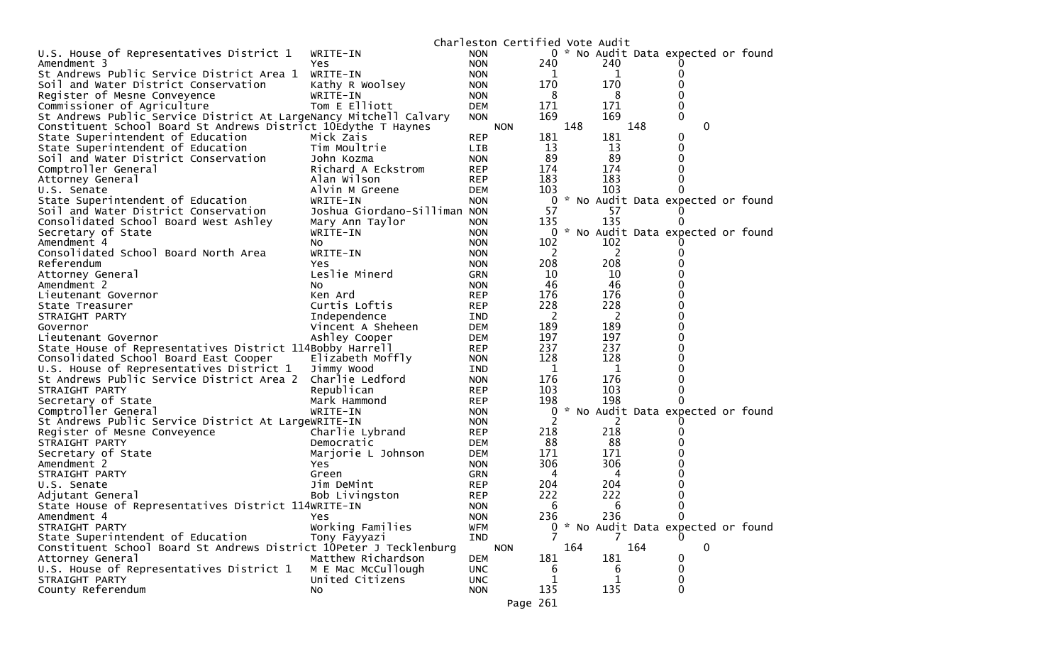|                                                                    |                               |                          | Charleston Certified Vote Audit |                |          |                                     |  |
|--------------------------------------------------------------------|-------------------------------|--------------------------|---------------------------------|----------------|----------|-------------------------------------|--|
| U.S. House of Representatives District 1                           | WRITE-IN                      | <b>NON</b>               |                                 |                |          | 0 * No Audit Data expected or found |  |
| Amendment 3                                                        | Yes.                          | <b>NON</b>               | 240                             |                | 240      |                                     |  |
| St Andrews Public Service District Area 1                          | WRITE-IN                      | <b>NON</b>               |                                 | 1              | 1        | 0                                   |  |
| Soil and Water District Conservation                               | Kathy R Woolsey               | <b>NON</b>               | 170                             |                | 170      | 0                                   |  |
| Register of Mesne Conveyence                                       | WRITE-IN                      | <b>NON</b>               |                                 | 8              | 8        | 0                                   |  |
| Commissioner of Agriculture                                        | Tom E Elliott                 | <b>DEM</b>               | 171                             |                | 171      | 0                                   |  |
| St Andrews Public Service District At LargeNancy Mitchell Calvary  |                               | <b>NON</b>               | 169                             |                | 169      | 0                                   |  |
| Constituent School Board St Andrews District 10Edythe T Haynes     |                               |                          | <b>NON</b>                      | 148            |          | 148<br>$\mathbf 0$                  |  |
| State Superintendent of Education                                  | Mick Zais                     | <b>REP</b>               | 181                             |                | 181      | 0                                   |  |
| State Superintendent of Education                                  | Tim Moultrie                  | <b>LIB</b>               |                                 | 13             | 13       | 0                                   |  |
| Soil and Water District Conservation                               | John Kozma                    | <b>NON</b>               |                                 | 89             | 89       | 0                                   |  |
| Comptroller General                                                | Richard A Eckstrom            | <b>REP</b>               | 174                             |                | 174      | 0                                   |  |
| Attorney General                                                   | Alan Wilson                   | <b>REP</b>               | 183                             |                | 183      | 0                                   |  |
| U.S. Senate                                                        | Alvin M Greene                | DEM                      | 103                             |                | 103      | 0                                   |  |
| State Superintendent of Education                                  | WRITE-IN                      | <b>NON</b>               |                                 | 0              |          | * No Audit Data expected or found   |  |
| Soil and Water District Conservation                               | Joshua Giordano-Silliman NON  |                          |                                 | 57             | 57       |                                     |  |
| Consolidated School Board West Ashley                              | Mary Ann Taylor               | NON.                     | 135                             |                | 135      |                                     |  |
| Secretary of State                                                 | WRITE-IN                      | <b>NON</b>               |                                 |                |          | 0 * No Audit Data expected or found |  |
| Amendment 4                                                        | NO.                           | <b>NON</b>               | 102                             |                | 102      |                                     |  |
| Consolidated School Board North Area                               | WRITE-IN                      | <b>NON</b>               |                                 | 2              | 2        | 0                                   |  |
| Referendum                                                         | Yes                           | <b>NON</b>               | 208                             |                | 208      |                                     |  |
| Attorney General                                                   | Leslie Minerd                 | GRN                      |                                 | 10             | 10       | 0                                   |  |
| Amendment 2                                                        | NO.                           | <b>NON</b>               |                                 | 46             | 46       | 0                                   |  |
| Lieutenant Governor                                                | Ken Ard                       | <b>REP</b>               | 176                             |                | 176      | 0                                   |  |
| State Treasurer                                                    | Curtis Loftis                 | <b>REP</b>               | 228                             |                | 228      | 0                                   |  |
| STRAIGHT PARTY                                                     | Independence                  | <b>IND</b>               |                                 | 2              | 2        | 0                                   |  |
| Governor                                                           | Vincent A Sheheen             | <b>DEM</b>               | 189                             |                | 189      | 0                                   |  |
| Lieutenant Governor                                                | Ashley Cooper                 | <b>DEM</b>               | 197                             |                | 197      | 0                                   |  |
| State House of Representatives District 114Bobby Harrell           |                               | <b>REP</b>               | 237                             |                | 237      | 0                                   |  |
| Consolidated School Board East Cooper                              | Elizabeth Moffly              | <b>NON</b>               | 128                             |                | 128      | 0                                   |  |
| U.S. House of Representatives District 1                           | Jimmy Wood                    | IND                      |                                 | 1              | 1        | 0                                   |  |
| St Andrews Public Service District Area 2                          | Charlie Ledford               | <b>NON</b>               | 176                             |                | 176      | 0                                   |  |
| STRAIGHT PARTY                                                     | Republican                    | <b>REP</b>               | 103                             |                | 103      | 0                                   |  |
| Secretary of State                                                 | Mark Hammond                  | <b>REP</b>               | 198                             |                | 198      | 0                                   |  |
| Comptroller General                                                | WRITE-IN                      | <b>NON</b>               |                                 | 0<br>2         |          | * No Audit Data expected or found   |  |
| St Andrews Public Service District At LargeWRITE-IN                |                               | <b>NON</b>               | 218                             |                | 2<br>218 | 0                                   |  |
| Register of Mesne Conveyence<br>STRAIGHT PARTY                     | Charlie Lybrand<br>Democratic | <b>REP</b><br><b>DEM</b> |                                 | 88             | 88       | 0                                   |  |
| Secretary of State                                                 |                               |                          | 171                             |                | 171      |                                     |  |
| Amendment 2                                                        | Marjorie L Johnson<br>Yes     | DEM<br><b>NON</b>        | 306                             |                | 306      | 0                                   |  |
| STRAIGHT PARTY                                                     | Green                         | GRN                      |                                 | 4              | 4        | 0                                   |  |
| U.S. Senate                                                        | Jim DeMint                    | <b>REP</b>               | 204                             |                | 204      | 0                                   |  |
| Adjutant General                                                   | Bob Livingston                | <b>REP</b>               | 222                             |                | 222      | 0                                   |  |
| State House of Representatives District 114WRITE-IN                |                               | <b>NON</b>               |                                 | 6              | 6        | $\Omega$                            |  |
| Amendment 4                                                        | <b>Yes</b>                    | <b>NON</b>               | 236                             |                | 236      | 0                                   |  |
| STRAIGHT PARTY                                                     | Working Families              | <b>WFM</b>               |                                 | $\overline{0}$ |          | * No Audit Data expected or found   |  |
| State Superintendent of Education                                  | Tony Fayyazi                  | IND                      |                                 |                | 7        | $\Omega$                            |  |
| Constituent School Board St Andrews District 10Peter J Tecklenburg |                               |                          | <b>NON</b>                      | 164            |          | 164<br>0                            |  |
| Attorney General                                                   | Matthew Richardson            | <b>DEM</b>               | 181                             |                | 181      | 0                                   |  |
| U.S. House of Representatives District 1                           | M E Mac McCullough            | <b>UNC</b>               |                                 | 6              | 6        | 0                                   |  |
| STRAIGHT PARTY                                                     | United Citizens               | <b>UNC</b>               |                                 | 1              | 1        | 0                                   |  |
| County Referendum                                                  | No                            | <b>NON</b>               | 135                             |                | 135      | $\Omega$                            |  |
|                                                                    |                               |                          | Page 261                        |                |          |                                     |  |
|                                                                    |                               |                          |                                 |                |          |                                     |  |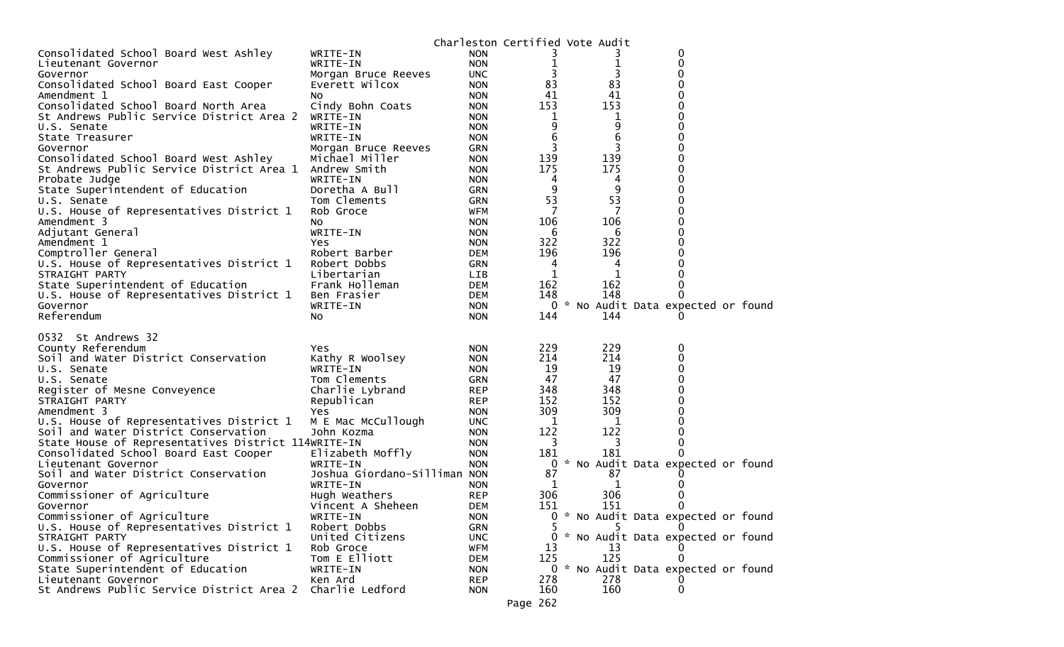|                                                     |                              |                          |                 | Charleston Certified Vote Audit |                                     |  |
|-----------------------------------------------------|------------------------------|--------------------------|-----------------|---------------------------------|-------------------------------------|--|
| Consolidated School Board West Ashley               | WRITE-IN                     | <b>NON</b>               |                 |                                 | 0                                   |  |
| Lieutenant Governor                                 | WRITE-IN                     | <b>NON</b>               | 1               | 1                               | 0                                   |  |
| Governor                                            | Morgan Bruce Reeves          | <b>UNC</b>               | 3               | 3                               | 0                                   |  |
| Consolidated School Board East Cooper               | Everett Wilcox               | <b>NON</b>               | 83              | 83                              | 0                                   |  |
| Amendment 1                                         | No                           | <b>NON</b>               | 41              | 41                              | 0                                   |  |
| Consolidated School Board North Area                | Cindy Bohn Coats             | <b>NON</b>               | 153             | 153                             |                                     |  |
| St Andrews Public Service District Area 2           | WRITE-IN                     | <b>NON</b>               | 1               | 1                               |                                     |  |
| U.S. Senate                                         | WRITE-IN                     | <b>NON</b>               | 9               | 9                               | 0                                   |  |
| State Treasurer                                     | WRITE-IN                     | <b>NON</b>               | 6               | 6                               |                                     |  |
| Governor                                            | Morgan Bruce Reeves          | GRN                      | 3               | 3                               | 0                                   |  |
| Consolidated School Board West Ashley               | Michael Miller               | <b>NON</b>               | 139             | 139                             | 0                                   |  |
| St Andrews Public Service District Area 1           | Andrew Smith                 | <b>NON</b>               | 175             | 175                             |                                     |  |
| Probate Judge                                       | WRITE-IN                     | <b>NON</b>               | 4               | 4                               | 0                                   |  |
| State Superintendent of Education                   | Doretha A Bull               | <b>GRN</b>               | 9               | 9                               | 0                                   |  |
| U.S. Senate                                         | Tom Clements                 | <b>GRN</b>               | 53              | 53                              | 0                                   |  |
| U.S. House of Representatives District 1            | Rob Groce                    | <b>WFM</b>               |                 |                                 |                                     |  |
| Amendment 3                                         | No                           | <b>NON</b>               | 106             | 106                             | 0                                   |  |
| Adjutant General                                    | WRITE-IN                     | <b>NON</b>               | 6               | 6                               |                                     |  |
| Amendment 1                                         | Yes                          | <b>NON</b>               | 322             | 322                             |                                     |  |
| Comptroller General                                 | Robert Barber                | <b>DEM</b>               | 196             | 196                             | 0                                   |  |
| U.S. House of Representatives District 1            | Robert Dobbs                 | <b>GRN</b>               | 4               | 4                               |                                     |  |
| STRAIGHT PARTY                                      | Libertarian                  | LIB.                     | 1               | 1                               | 0                                   |  |
| State Superintendent of Education                   | Frank Holleman               | <b>DEM</b>               | 162             | 162                             | 0                                   |  |
| U.S. House of Representatives District 1            | Ben Frasier                  | <b>DEM</b>               | 148             | 148                             |                                     |  |
| Governor                                            | WRITE-IN                     | <b>NON</b>               | 0               |                                 | * No Audit Data expected or found   |  |
| Referendum                                          | No                           | <b>NON</b>               | 144             | 144                             |                                     |  |
|                                                     |                              |                          |                 |                                 |                                     |  |
| 0532 St Andrews 32                                  |                              |                          |                 |                                 |                                     |  |
| County Referendum                                   | Yes.                         | <b>NON</b>               | 229             | 229                             | 0                                   |  |
| Soil and Water District Conservation                | Kathy R Woolsey              | <b>NON</b>               | 214             | 214                             | 0                                   |  |
|                                                     |                              | <b>NON</b>               | 19              | 19                              | 0                                   |  |
| U.S. Senate                                         | WRITE-IN                     |                          |                 |                                 |                                     |  |
| U.S. Senate                                         | Tom Clements                 | GRN                      | 47              | 47                              |                                     |  |
|                                                     |                              | <b>REP</b>               | 348             | 348                             | 0                                   |  |
| Register of Mesne Conveyence<br>STRAIGHT PARTY      | Charlie Lybrand              | <b>REP</b>               |                 |                                 | 0                                   |  |
|                                                     | Republican                   |                          | 152             | 152                             |                                     |  |
| Amendment 3                                         | Yes                          | <b>NON</b><br><b>UNC</b> | 309<br>1        | 309<br>1                        | 0                                   |  |
| U.S. House of Representatives District 1            | M E Mac McCullough           |                          |                 |                                 | 0                                   |  |
| Soil and Water District Conservation                | John Kozma                   | <b>NON</b>               | 122<br>3        | 122<br>3                        | 0                                   |  |
| State House of Representatives District 114WRITE-IN |                              | <b>NON</b>               |                 |                                 |                                     |  |
| Consolidated School Board East Cooper               | Elizabeth Moffly             | <b>NON</b>               | 181<br>0        | 181                             |                                     |  |
| Lieutenant Governor                                 | WRITE-IN                     | <b>NON</b>               |                 |                                 | * No Audit Data expected or found   |  |
| Soil and Water District Conservation                | Joshua Giordano-Silliman NON |                          | 87              | 87                              |                                     |  |
| Governor                                            | WRITE-IN                     | <b>NON</b>               | 1               | 1                               |                                     |  |
| Commissioner of Agriculture                         | Hugh Weathers                | <b>REP</b>               | 306             | 306                             |                                     |  |
| Governor                                            | Vincent A Sheheen            | <b>DEM</b>               | 151             | 151                             | 0                                   |  |
| Commissioner of Agriculture                         | WRITE-IN                     | <b>NON</b>               |                 |                                 | 0 * No Audit Data expected or found |  |
| U.S. House of Representatives District 1            | Robert Dobbs                 | GRN                      |                 |                                 |                                     |  |
| STRAIGHT PARTY                                      | United Citizens              | <b>UNC</b>               |                 |                                 | 0 * No Audit Data expected or found |  |
| U.S. House of Representatives District 1            | Rob Groce                    | <b>WFM</b>               | 13              | 13                              |                                     |  |
| Commissioner of Agriculture                         | Tom E Elliott                | <b>DEM</b>               | 125             | 125                             |                                     |  |
| State Superintendent of Education                   | WRITE-IN                     | <b>NON</b>               |                 |                                 | 0 * No Audit Data expected or found |  |
| Lieutenant Governor                                 | Ken Ard                      | <b>REP</b>               | 278             | 278                             |                                     |  |
| St Andrews Public Service District Area 2           | Charlie Ledford              | <b>NON</b>               | 160<br>Page 262 | 160                             |                                     |  |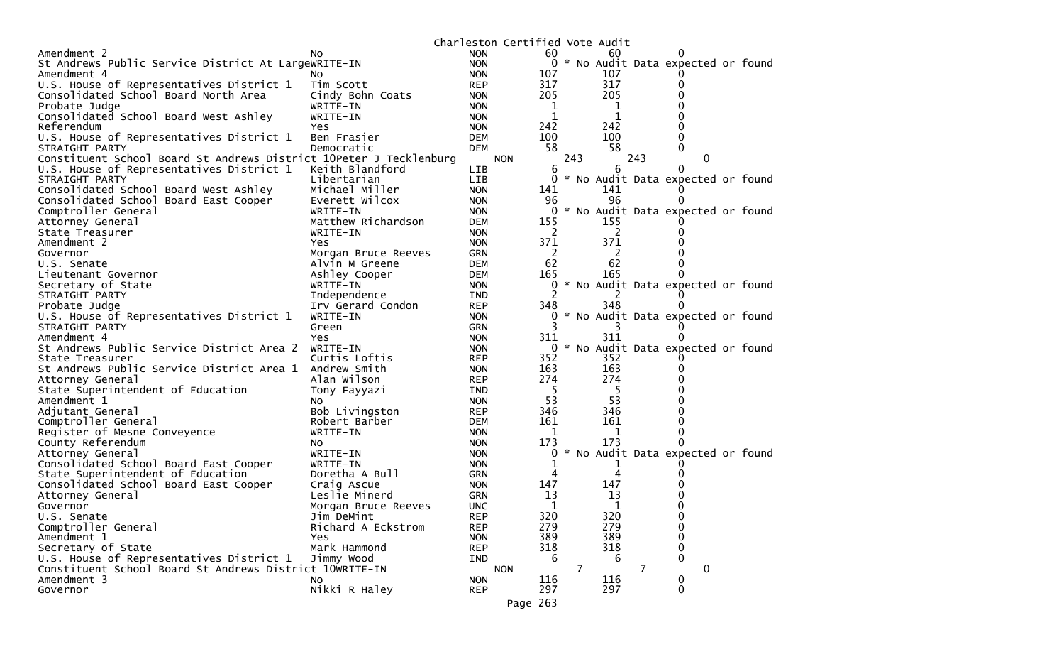|                                                                                                     |                                       |                   | Charleston Certified Vote Audit |     |   |          |     |                                     |  |
|-----------------------------------------------------------------------------------------------------|---------------------------------------|-------------------|---------------------------------|-----|---|----------|-----|-------------------------------------|--|
| Amendment 2                                                                                         | No.                                   | <b>NON</b>        | 60                              |     |   | 60       |     |                                     |  |
| St Andrews Public Service District At LargeWRITE-IN                                                 |                                       | <b>NON</b>        |                                 |     |   |          |     | 0 * No Audit Data expected or found |  |
| Amendment 4                                                                                         | NO.                                   | <b>NON</b>        | 107                             |     |   | 107      |     |                                     |  |
| U.S. House of Representatives District 1                                                            | Tim Scott                             | <b>REP</b>        | 317                             |     |   | 317      |     | 0                                   |  |
| Consolidated School Board North Area                                                                | Cindy Bohn Coats                      | <b>NON</b>        | 205                             |     |   | 205      |     |                                     |  |
| Probate Judge                                                                                       | WRITE-IN                              | <b>NON</b>        |                                 | 1   |   | 1        |     |                                     |  |
| Consolidated School Board West Ashley                                                               | WRITE-IN                              | <b>NON</b>        |                                 |     |   | 1        |     |                                     |  |
| Referendum                                                                                          | Yes                                   | <b>NON</b>        | 242                             |     |   | 242      |     |                                     |  |
| U.S. House of Representatives District 1                                                            | Ben Frasier                           | <b>DEM</b>        | 100                             |     |   | 100      |     | 0                                   |  |
| STRAIGHT PARTY                                                                                      | Democratic                            | <b>DEM</b>        | 58                              |     |   | 58       |     | 0                                   |  |
| Constituent School Board St Andrews District 10Peter J Tecklenburg                                  |                                       |                   | <b>NON</b>                      | 243 |   |          | 243 | 0                                   |  |
| U.S. House of Representatives District 1                                                            | Keith Blandford                       | <b>LIB</b>        |                                 | 6   |   | 6        |     | 0                                   |  |
| STRAIGHT PARTY                                                                                      | Libertarian                           | <b>LIB</b>        |                                 | 0   |   |          |     | * No Audit Data expected or found   |  |
| Consolidated School Board West Ashley                                                               | Michael Miller                        | <b>NON</b>        | 141                             |     |   | 141      |     |                                     |  |
| Consolidated School Board East Cooper                                                               | Everett Wilcox                        | <b>NON</b>        | 96                              |     |   | 96       |     | $_{0}$                              |  |
| Comptroller General                                                                                 | WRITE-IN                              | <b>NON</b>        |                                 | 0   |   |          |     | * No Audit Data expected or found   |  |
| Attorney General                                                                                    | Matthew Richardson                    | <b>DEM</b>        | 155                             |     |   | 155      |     |                                     |  |
| State Treasurer<br>Amendment 2                                                                      | WRITE-IN                              | <b>NON</b>        | 371                             | 2   |   | 2<br>371 |     |                                     |  |
|                                                                                                     | <b>Yes</b>                            | <b>NON</b><br>GRN |                                 | 2   |   | 2        |     |                                     |  |
| Governor<br>U.S. Senate                                                                             | Morgan Bruce Reeves<br>Alvin M Greene | <b>DEM</b>        | 62                              |     |   | 62       |     |                                     |  |
| Lieutenant Governor                                                                                 | Ashley Cooper                         | <b>DEM</b>        | 165                             |     |   | 165      |     | 0                                   |  |
| Secretary of State                                                                                  | WRITE-IN                              | <b>NON</b>        |                                 | 0   |   |          |     | * No Audit Data expected or found   |  |
| STRAIGHT PARTY                                                                                      | Independence                          | IND               |                                 |     |   |          |     |                                     |  |
| Probate Judge                                                                                       | Irv Gerard Condon                     | <b>REP</b>        | 348                             |     |   | 348      |     | 0                                   |  |
| U.S. House of Representatives District 1                                                            | WRITE-IN                              | <b>NON</b>        |                                 |     |   |          |     | * No Audit Data expected or found   |  |
| STRAIGHT PARTY                                                                                      | Green                                 | <b>GRN</b>        |                                 |     |   |          |     |                                     |  |
| Amendment 4                                                                                         | Yes                                   | <b>NON</b>        | 311                             |     |   | 311      |     |                                     |  |
| St Andrews Public Service District Area 2                                                           | WRITE-IN                              | <b>NON</b>        |                                 | 0   |   |          |     | * No Audit Data expected or found   |  |
| State Treasurer                                                                                     | Curtis Loftis                         | <b>REP</b>        | 352                             |     |   | 352      |     |                                     |  |
| St Andrews Public Service District Area 1                                                           | Andrew Smith                          | <b>NON</b>        | 163                             |     |   | 163      |     |                                     |  |
| Attorney General                                                                                    | Alan Wilson                           | <b>REP</b>        | 274                             |     |   | 274      |     |                                     |  |
| State Superintendent of Education                                                                   | Tony Fayyazi                          | <b>IND</b>        |                                 | 5   |   | -5       |     |                                     |  |
| Amendment 1                                                                                         | NO.                                   | <b>NON</b>        | 53                              |     |   | 53       |     |                                     |  |
| Adjutant General                                                                                    | Bob Livingston                        | <b>REP</b>        | 346                             |     |   | 346      |     |                                     |  |
| Comptroller General                                                                                 | Robert Barber                         | <b>DEM</b>        | 161                             |     |   | 161      |     |                                     |  |
| Register of Mesne Conveyence                                                                        | WRITE-IN                              | <b>NON</b>        |                                 | 1   |   | 1        |     |                                     |  |
| County Referendum                                                                                   | NO.                                   | <b>NON</b>        | 173                             |     |   | 173      |     |                                     |  |
| Attorney General                                                                                    | WRITE-IN                              | <b>NON</b>        |                                 | 0   |   |          |     | * No Audit Data expected or found   |  |
| Consolidated School Board East Cooper                                                               | WRITE-IN                              | <b>NON</b>        |                                 | ı   |   |          |     |                                     |  |
| State Superintendent of Education                                                                   | Doretha A Bull                        | GRN               |                                 | 4   |   | 4        |     |                                     |  |
| Consolidated School Board East Cooper                                                               | Craig Ascue                           | <b>NON</b>        | 147                             |     |   | 147      |     |                                     |  |
| Attorney General                                                                                    | Leslie Minerd                         | <b>GRN</b>        | 13                              |     |   | 13       |     |                                     |  |
| Governor                                                                                            | Morgan Bruce Reeves                   | UNC               |                                 | 1   |   | 1        |     | 0                                   |  |
| U.S. Senate                                                                                         | Jim DeMint                            | <b>REP</b>        | 320                             |     |   | 320      |     | 0                                   |  |
| Comptroller General                                                                                 | Richard A Eckstrom                    | <b>REP</b>        | 279                             |     |   | 279      |     | 0                                   |  |
| Amendment 1                                                                                         | Yes<br>Mark Hammond                   | <b>NON</b>        | 389                             |     |   | 389      |     | 0                                   |  |
| Secretary of State                                                                                  |                                       | <b>REP</b>        | 318                             | 6   |   | 318<br>6 |     | 0<br>$\Omega$                       |  |
| U.S. House of Representatives District 1<br>Constituent School Board St Andrews District 10WRITE-IN | Jimmy Wood                            | IND               | <b>NON</b>                      |     | 7 |          | 7   | $\mathbf{0}$                        |  |
| Amendment 3                                                                                         | <b>NO</b>                             | <b>NON</b>        | 116                             |     |   | 116      |     | 0                                   |  |
| Governor                                                                                            | Nikki R Haley                         | <b>REP</b>        | 297                             |     |   | 297      |     | $\mathbf{0}$                        |  |
|                                                                                                     |                                       |                   | 202                             |     |   |          |     |                                     |  |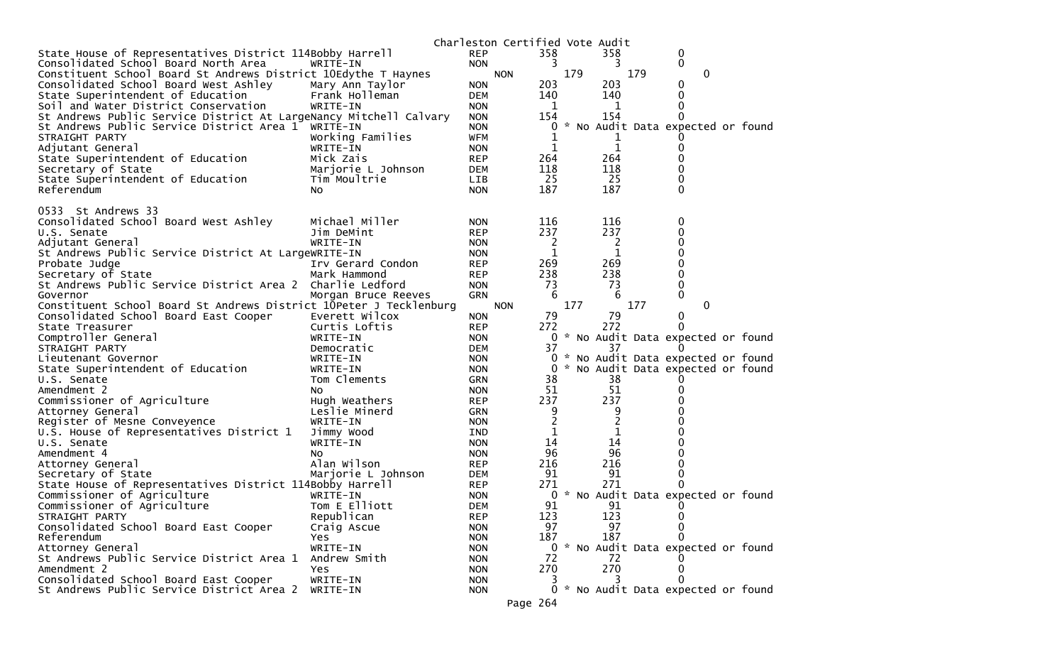|                                                                    |                           |                          | Charleston Certified Vote Audit |     |                |     |                                     |  |
|--------------------------------------------------------------------|---------------------------|--------------------------|---------------------------------|-----|----------------|-----|-------------------------------------|--|
| State House of Representatives District 114Bobby Harrell           |                           | <b>REP</b>               | 358                             |     | 358            |     | 0                                   |  |
| Consolidated School Board North Area                               | WRITE-IN                  | <b>NON</b>               | 3                               |     | 3              |     | 0                                   |  |
| Constituent School Board St Andrews District 10Edythe T Haynes     |                           |                          | <b>NON</b>                      | 179 |                | 179 | $\mathbf{0}$                        |  |
| Consolidated School Board West Ashley                              | Mary Ann Taylor           | <b>NON</b>               | 203                             |     | 203            |     | 0                                   |  |
| State Superintendent of Education                                  | Frank Holleman            | <b>DEM</b>               | 140                             |     | 140            |     | 0                                   |  |
| Soil and Water District Conservation                               | WRITE-IN                  | <b>NON</b>               | 1                               |     | 1              |     | 0                                   |  |
| St Andrews Public Service District At LargeNancy Mitchell Calvary  |                           | <b>NON</b>               | 154                             |     | 154            |     | 0                                   |  |
| St Andrews Public Service District Area 1 WRITE-IN                 |                           | <b>NON</b>               | 0                               |     |                |     | No Audit Data expected or found     |  |
| STRAIGHT PARTY                                                     | Working Families          | <b>WFM</b>               | 1                               |     | ı              |     |                                     |  |
| Adjutant General                                                   | WRITE-IN                  | <b>NON</b>               | 1                               |     | $\mathbf{1}$   |     |                                     |  |
| State Superintendent of Education                                  | Mick Zais                 | <b>REP</b>               | 264                             |     | 264            |     | 0                                   |  |
| Secretary of State                                                 | Marjorie L Johnson        | DEM                      | 118                             |     | 118            |     |                                     |  |
| State Superintendent of Education                                  | Tim Moultrie              | LIB                      | 25                              |     | 25             |     | 0                                   |  |
| Referendum                                                         | No.                       | <b>NON</b>               | 187                             |     | 187            |     | $\Omega$                            |  |
| 0533 St Andrews 33                                                 |                           |                          |                                 |     |                |     |                                     |  |
| Consolidated School Board West Ashley                              | Michael Miller            | <b>NON</b>               | 116                             |     | 116            |     | 0                                   |  |
| U.S. Senate                                                        | Jim DeMint                | <b>REP</b>               | 237                             |     | 237            |     |                                     |  |
| Adjutant General                                                   | WRITE-IN                  | <b>NON</b>               | 2                               |     | $\overline{2}$ |     |                                     |  |
| St Andrews Public Service District At LargeWRITE-IN                |                           | <b>NON</b>               | 1                               |     | 1              |     | 0                                   |  |
| Probate Judge                                                      | Irv Gerard Condon         | <b>REP</b>               | 269                             |     | 269            |     |                                     |  |
| Secretary of State                                                 | Mark Hammond              | <b>REP</b>               | 238                             |     | 238            |     | 0                                   |  |
| St Andrews Public Service District Area 2 Charlie Ledford          |                           | <b>NON</b>               | 73                              |     | 73             |     | 0                                   |  |
| Governor                                                           | Morgan Bruce Reeves       | <b>GRN</b>               | 6                               |     | 6              |     | 0                                   |  |
| Constituent School Board St Andrews District 10Peter J Tecklenburg |                           |                          | <b>NON</b>                      | 177 |                | 177 | $\mathbf{0}$                        |  |
| Consolidated School Board East Cooper                              | Everett Wilcox            | <b>NON</b>               | 79                              |     | 79             |     | 0                                   |  |
| State Treasurer                                                    | Curtis Loftis             | <b>REP</b>               | 272                             |     | 272            |     | <sup>0</sup>                        |  |
| Comptroller General                                                | WRITE-IN                  | <b>NON</b>               |                                 |     |                |     | 0 * No Audit Data expected or found |  |
| STRAIGHT PARTY                                                     | Democratic                | DEM                      | 37                              |     | 37             |     |                                     |  |
| Lieutenant Governor                                                | WRITE-IN                  | <b>NON</b>               | 0                               |     |                |     | * No Audit Data expected or found   |  |
| State Superintendent of Education                                  | WRITE-IN                  | <b>NON</b>               | 0                               |     |                |     | * No Audit Data expected or found   |  |
| U.S. Senate                                                        | Tom Clements              | <b>GRN</b>               | 38                              |     | 38             |     |                                     |  |
| Amendment 2                                                        | NO.                       | <b>NON</b>               | 51                              |     | 51             |     |                                     |  |
| Commissioner of Agriculture                                        | Hugh Weathers             | <b>REP</b>               | 237                             |     | 237            |     |                                     |  |
| Attorney General                                                   | Leslie Minerd             | <b>GRN</b>               | 9                               |     | 9              |     |                                     |  |
| Register of Mesne Conveyence                                       | WRITE-IN                  | <b>NON</b>               | $\overline{c}$                  |     | $\overline{c}$ |     |                                     |  |
| U.S. House of Representatives District 1                           | Jimmy Wood                | IND                      |                                 |     | 1              |     |                                     |  |
| U.S. Senate                                                        | WRITE-IN                  | <b>NON</b>               | 14                              |     | 14             |     |                                     |  |
| Amendment 4                                                        | NO.                       | <b>NON</b>               | 96                              |     | 96             |     |                                     |  |
| Attorney General                                                   | Alan Wilson               | <b>REP</b>               | 216                             |     | 216            |     |                                     |  |
| Secretary of State                                                 | Marjorie L Johnson        | DEM                      | 91                              |     | 91             |     |                                     |  |
| State House of Representatives District 114Bobby Harrell           |                           | <b>REP</b>               | 271                             |     | 271            |     |                                     |  |
| Commissioner of Agriculture                                        | WRITE-IN<br>Tom E Elliott | <b>NON</b>               | 0                               |     |                |     | * No Audit Data expected or found   |  |
| Commissioner of Agriculture<br>STRAIGHT PARTY                      | Republican                | <b>DEM</b>               | 91<br>123                       |     | 91<br>123      |     | $\mathbf{0}$<br>0                   |  |
| Consolidated School Board East Cooper                              | Craig Ascue               | <b>REP</b><br><b>NON</b> | 97                              |     | 97             |     | 0                                   |  |
| Referendum                                                         | Yes                       | <b>NON</b>               | 187                             |     | 187            |     | 0                                   |  |
| Attorney General                                                   | WRITE-IN                  | <b>NON</b>               |                                 |     |                |     | 0 * No Audit Data expected or found |  |
| St Andrews Public Service District Area 1                          | Andrew Smith              | <b>NON</b>               | 72                              |     | 72             |     |                                     |  |
| Amendment 2                                                        | <b>Yes</b>                | <b>NON</b>               | 270                             |     | 270            |     | O                                   |  |
| Consolidated School Board East Cooper                              | WRITE-IN                  | <b>NON</b>               |                                 |     |                |     |                                     |  |
| St Andrews Public Service District Area 2                          | WRITE-IN                  | <b>NON</b>               | 0                               |     |                |     | * No Audit Data expected or found   |  |
|                                                                    |                           |                          |                                 |     |                |     |                                     |  |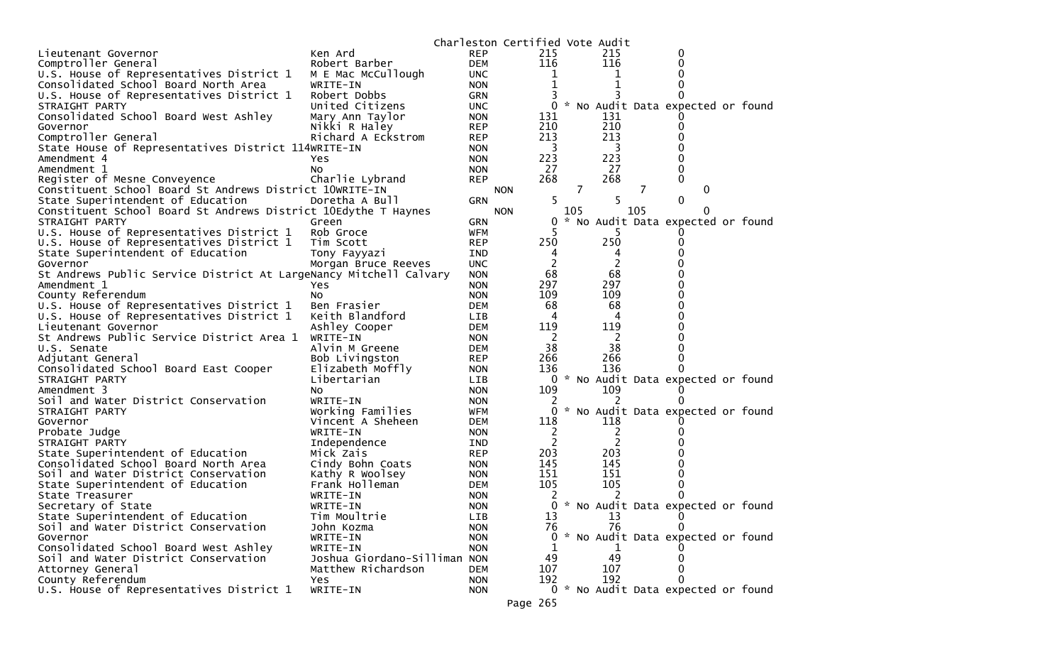|                                                                               |                                          |            | Charleston Certified Vote Audit |     |                |     |                                        |  |
|-------------------------------------------------------------------------------|------------------------------------------|------------|---------------------------------|-----|----------------|-----|----------------------------------------|--|
| Lieutenant Governor                                                           | Ken Ard                                  | <b>REP</b> | 215                             |     | 215            |     | 0                                      |  |
| Comptroller General                                                           | Robert Barber                            | <b>DEM</b> | 116                             |     | 116            |     | O                                      |  |
| U.S. House of Representatives District 1                                      | M E Mac McCullough                       | <b>UNC</b> | 1                               |     |                |     |                                        |  |
| Consolidated School Board North Area                                          | WRITE-IN                                 | <b>NON</b> | 1                               |     |                |     |                                        |  |
| U.S. House of Representatives District 1                                      | Robert Dobbs                             | <b>GRN</b> |                                 |     |                |     |                                        |  |
| STRAIGHT PARTY                                                                | United Citizens                          | <b>UNC</b> | 0                               |     |                |     | * No Audit Data expected or found      |  |
| Consolidated School Board West Ashley                                         | Mary Ann Taylor                          | <b>NON</b> | 131                             |     | 131            |     |                                        |  |
| Governor                                                                      | Nikki R Haley                            | <b>REP</b> | 210                             |     | 210            |     |                                        |  |
| Comptroller General                                                           | Richard A Eckstrom                       | <b>REP</b> | 213                             |     | 213            |     |                                        |  |
| State House of Representatives District 114WRITE-IN                           |                                          | <b>NON</b> | 3                               |     | 3              |     |                                        |  |
| Amendment 4                                                                   | Yes                                      | <b>NON</b> | 223                             |     | 223            |     |                                        |  |
| Amendment 1                                                                   | NO.                                      | <b>NON</b> | 27                              |     | 27             |     | 0                                      |  |
| Register of Mesne Conveyence                                                  | Charlie Lybrand                          | <b>REP</b> | 268                             |     | 268            |     | 0                                      |  |
| Constituent School Board St Andrews District 10WRITE-IN                       |                                          |            | <b>NON</b>                      | 7   |                | 7   | $\Omega$                               |  |
| State Superintendent of Education                                             | Doretha A Bull                           | <b>GRN</b> | 5                               |     | 5              |     | 0                                      |  |
| Constituent School Board St Andrews District 10Edythe T Haynes                |                                          |            | <b>NON</b>                      | 105 |                | 105 | $\Omega$                               |  |
| STRAIGHT PARTY                                                                | Green                                    | <b>GRN</b> | 0                               |     |                |     | * No Audit Data expected or found      |  |
| U.S. House of Representatives District 1                                      | Rob Groce                                | <b>WFM</b> |                                 |     | 5              |     |                                        |  |
| U.S. House of Representatives District 1                                      | Tim Scott                                | <b>REP</b> | 250                             |     | 250            |     | 0                                      |  |
| State Superintendent of Education                                             | Tony Fayyazi                             | <b>IND</b> | 4                               |     | 4              |     |                                        |  |
| Governor                                                                      | Morgan Bruce Reeves                      | <b>UNC</b> | $\overline{c}$                  |     | $\overline{2}$ |     |                                        |  |
| St Andrews Public Service District At LargeNancy Mitchell Calvary             |                                          | <b>NON</b> | 68                              |     | 68             |     |                                        |  |
| Amendment 1                                                                   | Yes.                                     | <b>NON</b> | 297                             |     | 297            |     |                                        |  |
| County Referendum                                                             | NO.                                      | <b>NON</b> | 109                             |     | 109            |     |                                        |  |
| U.S. House of Representatives District 1                                      | Ben Frasier                              | <b>DEM</b> | 68                              |     | 68             |     |                                        |  |
| U.S. House of Representatives District 1                                      | Keith Blandford                          | <b>LIB</b> | 4                               |     | 4              |     |                                        |  |
| Lieutenant Governor                                                           | Ashley Cooper                            | <b>DEM</b> | 119                             |     | 119            |     |                                        |  |
| St Andrews Public Service District Area 1                                     | WRITE-IN                                 | <b>NON</b> | 2                               |     | 2              |     |                                        |  |
| U.S. Senate                                                                   | Alvin M Greene                           | <b>DEM</b> | 38                              |     | 38             |     |                                        |  |
| Adjutant General                                                              | Bob Livingston                           | <b>REP</b> | 266                             |     | 266            |     |                                        |  |
| Consolidated School Board East Cooper                                         | Elizabeth Moffly                         | <b>NON</b> | 136                             |     | 136            |     |                                        |  |
| STRAIGHT PARTY                                                                | Libertarian                              | <b>LIB</b> | 0                               |     |                |     | * No Audit Data expected or found      |  |
| Amendment 3                                                                   | NO.                                      | <b>NON</b> | 109                             |     | 109            |     |                                        |  |
| Soil and Water District Conservation                                          | WRITE-IN                                 | <b>NON</b> | 2                               |     |                |     |                                        |  |
| STRAIGHT PARTY                                                                | Working Families                         | <b>WFM</b> | 0                               |     |                |     | * No Audit Data expected or found      |  |
| Governor                                                                      | Vincent A Sheheen                        | <b>DEM</b> | 118                             |     | 118            |     |                                        |  |
| Probate Judge                                                                 | WRITE-IN                                 | <b>NON</b> | 2                               |     | 2              |     |                                        |  |
| STRAIGHT PARTY                                                                | Independence                             | IND        | 2                               |     | 2              |     |                                        |  |
| State Superintendent of Education                                             | Mick Zais                                | <b>REP</b> | 203                             |     | 203            |     |                                        |  |
| Consolidated School Board North Area                                          | Cindy Bohn Coats                         | <b>NON</b> | 145                             |     | 145            |     |                                        |  |
| Soil and Water District Conservation                                          | Kathy R Woolsey                          | <b>NON</b> | 151<br>105                      |     | 151<br>105     |     |                                        |  |
| State Superintendent of Education                                             | Frank Holleman                           | DEM        |                                 |     |                |     |                                        |  |
| State Treasurer                                                               | WRITE-IN                                 | <b>NON</b> |                                 |     |                |     |                                        |  |
| Secretary of State                                                            | WRITE-IN                                 | <b>NON</b> | 0<br>13                         |     |                |     | * No Audit Data expected or found<br>0 |  |
| State Superintendent of Education<br>Soil and Water District Conservation     | Tim Moultrie                             | <b>LIB</b> |                                 |     | 13<br>76       |     | 0                                      |  |
| Governor                                                                      | John Kozma                               | <b>NON</b> | 76                              |     |                |     | 0 * No Audit Data expected or found    |  |
|                                                                               | WRITE-IN                                 | <b>NON</b> |                                 |     |                |     |                                        |  |
| Consolidated School Board West Ashley<br>Soil and Water District Conservation | WRITE-IN<br>Joshua Giordano-Silliman NON | <b>NON</b> | 1<br>49                         |     | 1<br>49        |     | O                                      |  |
| Attorney General                                                              | Matthew Richardson                       | <b>DEM</b> | 107                             |     | 107            |     | 0                                      |  |
| County Referendum                                                             | <b>Yes</b>                               | <b>NON</b> | 192                             |     | 192            |     | 0                                      |  |
| U.S. House of Representatives District 1                                      | WRITE-IN                                 | <b>NON</b> |                                 |     |                |     | 0 * No Audit Data expected or found    |  |
|                                                                               |                                          |            |                                 |     |                |     |                                        |  |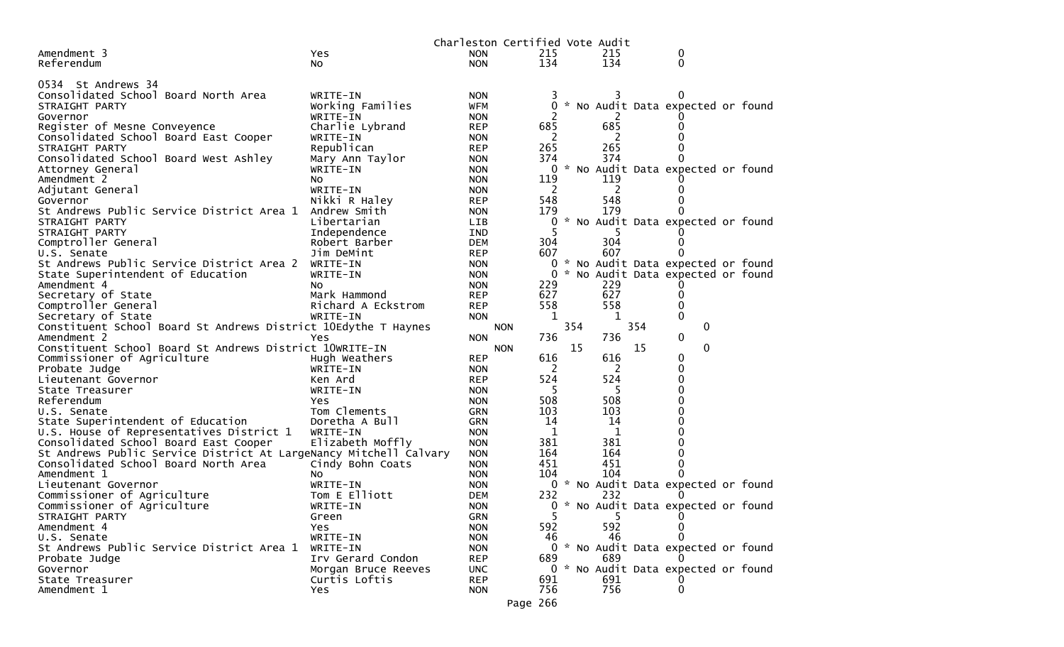|                                                                        |                                |                          | Charleston Certified Vote Audit |            |     |            |     |                                     |  |
|------------------------------------------------------------------------|--------------------------------|--------------------------|---------------------------------|------------|-----|------------|-----|-------------------------------------|--|
| Amendment 3                                                            | Yes                            | <b>NON</b>               |                                 | 215        |     | 215        |     | 0                                   |  |
| Referendum                                                             | No                             | <b>NON</b>               |                                 | 134        |     | 134        |     | 0                                   |  |
|                                                                        |                                |                          |                                 |            |     |            |     |                                     |  |
| 0534 St Andrews 34                                                     |                                |                          |                                 |            |     |            |     |                                     |  |
| Consolidated School Board North Area                                   | WRITE-IN                       | <b>NON</b>               |                                 |            |     |            |     |                                     |  |
| STRAIGHT PARTY                                                         | Working Families               | <b>WFM</b>               |                                 | 0          |     |            |     | * No Audit Data expected or found   |  |
| Governor                                                               | WRITE-IN                       | <b>NON</b>               |                                 |            |     |            |     |                                     |  |
| Register of Mesne Conveyence                                           | Charlie Lybrand                | <b>REP</b>               |                                 | 685        |     | 685        |     |                                     |  |
| Consolidated School Board East Cooper                                  | WRITE-IN                       | <b>NON</b>               |                                 | 2          |     | 2          |     |                                     |  |
| STRAIGHT PARTY                                                         | Republican                     | <b>REP</b>               |                                 | 265        |     | 265        |     |                                     |  |
| Consolidated School Board West Ashley                                  | Mary Ann Taylor                | <b>NON</b>               |                                 | 374        |     | 374        |     | 0                                   |  |
| Attorney General                                                       | WRITE-IN                       | <b>NON</b>               |                                 | 0          |     |            |     | * No Audit Data expected or found   |  |
| Amendment 2                                                            | NO.                            | <b>NON</b>               |                                 | 119        |     | 119        |     |                                     |  |
| Adjutant General                                                       | WRITE-IN                       | <b>NON</b>               |                                 | 2          |     | 2          |     |                                     |  |
| Governor                                                               | Nikki R Haley                  | <b>REP</b>               |                                 | 548        |     | 548        |     |                                     |  |
| St Andrews Public Service District Area 1                              | Andrew Smith                   | <b>NON</b>               |                                 | 179        |     | 179        |     |                                     |  |
| STRAIGHT PARTY                                                         | Libertarian                    | <b>LIB</b>               |                                 | 0          |     |            |     | * No Audit Data expected or found   |  |
| STRAIGHT PARTY                                                         | Independence                   | <b>IND</b>               |                                 | 5          |     |            |     |                                     |  |
| Comptroller General                                                    | Robert Barber                  | <b>DEM</b>               |                                 | 304        |     | 304        |     |                                     |  |
| U.S. Senate                                                            | Jim DeMint                     | <b>REP</b>               |                                 | 607        |     | 607        |     |                                     |  |
| St Andrews Public Service District Area 2                              | WRITE-IN                       | <b>NON</b>               |                                 |            |     |            |     | 0 * No Audit Data expected or found |  |
| State Superintendent of Education                                      | WRITE-IN                       | <b>NON</b>               |                                 | 0          |     |            |     | * No Audit Data expected or found   |  |
| Amendment 4<br>Secretary of State                                      | No.                            | <b>NON</b>               |                                 | 229        |     | 229<br>627 |     |                                     |  |
|                                                                        | Mark Hammond                   | <b>REP</b>               |                                 | 627<br>558 |     | 558        |     | 0<br>0                              |  |
| Comptroller General                                                    | Richard A Eckstrom<br>WRITE-IN | <b>REP</b><br><b>NON</b> |                                 | 1          |     |            |     | $\mathbf{0}$                        |  |
| Secretary of State                                                     |                                |                          |                                 |            | 354 | 1          | 354 | 0                                   |  |
| Constituent School Board St Andrews District 10Edythe T Haynes         |                                |                          | <b>NON</b>                      | 736        |     | 736        |     | 0                                   |  |
| Amendment 2<br>Constituent School Board St Andrews District 10WRITE-IN | Yes                            | <b>NON</b>               | <b>NON</b>                      |            | 15  |            | 15  | $\mathbf 0$                         |  |
|                                                                        |                                |                          |                                 | 616        |     | 616        |     |                                     |  |
| Commissioner of Agriculture                                            | Hugh Weathers                  | <b>REP</b>               |                                 | 2          |     |            |     | 0<br>0                              |  |
| Probate Judge                                                          | WRITE-IN<br>Ken Ard            | <b>NON</b>               |                                 | 524        |     | 2<br>524   |     | 0                                   |  |
| Lieutenant Governor<br>State Treasurer                                 | WRITE-IN                       | <b>REP</b>               |                                 | 5          |     | 5          |     | 0                                   |  |
| Referendum                                                             | Yes.                           | <b>NON</b><br><b>NON</b> |                                 | 508        |     | 508        |     | 0                                   |  |
| U.S. Senate                                                            | Tom Clements                   | <b>GRN</b>               |                                 | 103        |     | 103        |     |                                     |  |
| State Superintendent of Education                                      | Doretha A Bull                 | <b>GRN</b>               |                                 | 14         |     | 14         |     | 0                                   |  |
| U.S. House of Representatives District 1                               | WRITE-IN                       | <b>NON</b>               |                                 | 1          |     | 1          |     | 0                                   |  |
| Consolidated School Board East Cooper                                  | Elizabeth Moffly               | <b>NON</b>               |                                 | 381        |     | 381        |     |                                     |  |
| St Andrews Public Service District At LargeNancy Mitchell Calvary      |                                | <b>NON</b>               |                                 | 164        |     | 164        |     | 0                                   |  |
| Consolidated School Board North Area                                   | Cindy Bohn Coats               | <b>NON</b>               |                                 | 451        |     | 451        |     | 0                                   |  |
| Amendment 1                                                            | NO.                            | <b>NON</b>               |                                 | 104        |     | 104        |     | 0                                   |  |
| Lieutenant Governor                                                    | WRITE-IN                       | <b>NON</b>               |                                 |            |     |            |     | 0 * No Audit Data expected or found |  |
| Commissioner of Agriculture                                            | Tom E Elliott                  | DEM                      |                                 | 232        |     | 232        |     |                                     |  |
| Commissioner of Agriculture                                            | WRITE-IN                       | <b>NON</b>               |                                 |            |     |            |     | 0 * No Audit Data expected or found |  |
| STRAIGHT PARTY                                                         | Green                          | GRN                      |                                 | 5          |     | 5.         |     | 0                                   |  |
| Amendment 4                                                            | Yes                            | <b>NON</b>               |                                 | 592        |     | 592        |     | 0                                   |  |
| U.S. Senate                                                            | WRITE-IN                       | <b>NON</b>               |                                 | 46         |     | 46         |     | 0                                   |  |
| St Andrews Public Service District Area 1                              | WRITE-IN                       | <b>NON</b>               |                                 |            |     |            |     | 0 * No Audit Data expected or found |  |
| Probate Judge                                                          | Irv Gerard Condon              | <b>REP</b>               |                                 | 689        |     | 689        |     |                                     |  |
| Governor                                                               | Morgan Bruce Reeves            | <b>UNC</b>               |                                 |            |     |            |     | 0 * No Audit Data expected or found |  |
| State Treasurer                                                        | Curtis Loftis                  | <b>REP</b>               |                                 | 691        |     | 691        |     |                                     |  |
| Amendment 1                                                            | Yes                            | <b>NON</b>               |                                 | 756        |     | 756        |     | 0                                   |  |
|                                                                        |                                |                          | Page 266                        |            |     |            |     |                                     |  |
|                                                                        |                                |                          |                                 |            |     |            |     |                                     |  |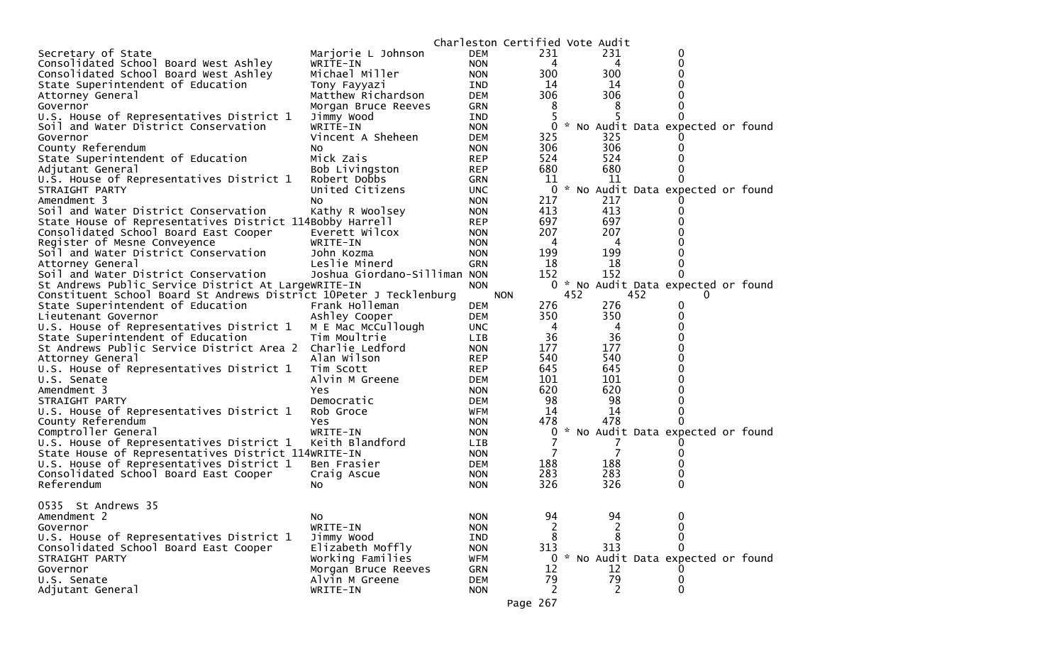|                                                                                |                                    |                          | Charleston Certified Vote Audit |     |         |     |                                     |  |
|--------------------------------------------------------------------------------|------------------------------------|--------------------------|---------------------------------|-----|---------|-----|-------------------------------------|--|
| Secretary of State                                                             | Marjorie L Johnson                 | <b>DEM</b>               | 231                             |     | 231     |     | 0                                   |  |
| Consolidated School Board West Ashley                                          | WRITE-IN                           | <b>NON</b>               | 4                               |     | 4       |     | 0                                   |  |
| Consolidated School Board West Ashley                                          | Michael Miller                     | <b>NON</b>               | 300                             |     | 300     |     |                                     |  |
| State Superintendent of Education                                              | Tony Fayyazi                       | IND                      | 14                              |     | 14      |     |                                     |  |
| Attorney General                                                               | Matthew Richardson                 | <b>DEM</b>               | 306                             |     | 306     |     |                                     |  |
| Governor                                                                       | Morgan Bruce Reeves                | GRN                      | 8                               |     | 8       |     |                                     |  |
| U.S. House of Representatives District 1                                       | Jimmy Wood                         | IND                      | 5                               |     |         |     |                                     |  |
| Soil and Water District Conservation                                           | WRITE-IN                           | <b>NON</b>               | 0                               |     |         |     | * No Audit Data expected or found   |  |
| Governor                                                                       | Vincent A Sheheen                  | <b>DEM</b>               | 325                             |     | 325     |     |                                     |  |
| County Referendum                                                              | NO.                                | <b>NON</b>               | 306                             |     | 306     |     | $_{0}$                              |  |
| State Superintendent of Education                                              | Mick Zais                          | <b>REP</b>               | 524                             |     | 524     |     |                                     |  |
| Adjutant General                                                               | Bob Livingston                     | <b>REP</b>               | 680                             |     | 680     |     |                                     |  |
| U.S. House of Representatives District 1                                       | Robert Dobbs                       | GRN                      | 11                              |     | 11      |     |                                     |  |
| STRAIGHT PARTY                                                                 | United Citizens                    | <b>UNC</b>               | 0                               |     |         |     | * No Audit Data expected or found   |  |
| Amendment 3                                                                    | NO.                                | <b>NON</b>               | 217                             |     | 217     |     |                                     |  |
| Soil and Water District Conservation                                           | Kathy R Woolsey                    | <b>NON</b>               | 413                             |     | 413     |     | $\Omega$                            |  |
| State House of Representatives District 114Bobby Harrell                       |                                    | <b>REP</b>               | 697                             |     | 697     |     |                                     |  |
| Consolidated School Board East Cooper                                          | Everett Wilcox                     | <b>NON</b>               | 207                             |     | 207     |     |                                     |  |
| Register of Mesne Conveyence                                                   | WRITE-IN                           | <b>NON</b>               | 4                               |     | 4       |     |                                     |  |
| Soil and Water District Conservation                                           | John Kozma                         | <b>NON</b>               | 199                             |     | 199     |     |                                     |  |
| Attorney General                                                               | Leslie Minerd                      | <b>GRN</b>               | 18                              |     | 18      |     |                                     |  |
| Soil and Water District Conservation                                           | Joshua Giordano-Silliman NON       |                          | 152                             |     | 152     |     | 0                                   |  |
| St Andrews Public Service District At LargeWRITE-IN                            |                                    | <b>NON</b>               |                                 |     |         |     | 0 * No Audit Data expected or found |  |
| Constituent School Board St Andrews District 10Peter J Tecklenburg             |                                    |                          | <b>NON</b>                      | 452 |         | 452 | $\Omega$                            |  |
| State Superintendent of Education                                              | Frank Holleman                     | <b>DEM</b>               | 276                             |     | 276     |     | 0                                   |  |
| Lieutenant Governor                                                            | Ashley Cooper                      | <b>DEM</b>               | 350                             |     | 350     |     | 0<br>0                              |  |
| U.S. House of Representatives District 1                                       | M E Mac McCullough<br>Tim Moultrie | <b>UNC</b>               | 4<br>36                         |     | 4<br>36 |     |                                     |  |
| State Superintendent of Education<br>St Andrews Public Service District Area 2 | Charlie Ledford                    | <b>LIB</b>               | 177                             |     | 177     |     | 0                                   |  |
|                                                                                | Alan Wilson                        | <b>NON</b>               | 540                             |     | 540     |     |                                     |  |
| Attorney General<br>U.S. House of Representatives District 1                   | Tim Scott                          | <b>REP</b><br><b>REP</b> | 645                             |     | 645     |     |                                     |  |
| U.S. Senate                                                                    | Alvin M Greene                     | <b>DEM</b>               | 101                             |     | 101     |     |                                     |  |
| Amendment 3                                                                    | Yes                                | <b>NON</b>               | 620                             |     | 620     |     |                                     |  |
| STRAIGHT PARTY                                                                 | Democratic                         | <b>DEM</b>               | 98                              |     | 98      |     |                                     |  |
| U.S. House of Representatives District 1                                       | Rob Groce                          | WFM                      | 14                              |     | 14      |     | 0                                   |  |
| County Referendum                                                              | Yes                                | <b>NON</b>               | 478                             |     | 478     |     | 0                                   |  |
| Comptroller General                                                            | WRITE-IN                           | <b>NON</b>               | 0                               | *   |         |     | No Audit Data expected or found     |  |
| U.S. House of Representatives District 1                                       | Keith Blandford                    | <b>LIB</b>               | 7                               |     | 7       |     |                                     |  |
| State House of Representatives District 114WRITE-IN                            |                                    | <b>NON</b>               | 7                               |     | 7       |     | 0                                   |  |
| U.S. House of Representatives District 1                                       | Ben Frasier                        | <b>DEM</b>               | 188                             |     | 188     |     | 0                                   |  |
| Consolidated School Board East Cooper                                          | Craig Ascue                        | <b>NON</b>               | 283                             |     | 283     |     | 0                                   |  |
| Referendum                                                                     | No.                                | <b>NON</b>               | 326                             |     | 326     |     | 0                                   |  |
|                                                                                |                                    |                          |                                 |     |         |     |                                     |  |
| 0535 St Andrews 35                                                             |                                    |                          |                                 |     |         |     |                                     |  |
| Amendment 2                                                                    | NO.                                | <b>NON</b>               | 94                              |     | 94      |     | 0                                   |  |
| Governor                                                                       | WRITE-IN                           | <b>NON</b>               | 2                               |     | 2       |     | 0                                   |  |
| U.S. House of Representatives District 1                                       | Jimmy Wood                         | IND                      | 8                               |     | 8       |     | 0                                   |  |
| Consolidated School Board East Cooper                                          | Elizabeth Moffly                   | <b>NON</b>               | 313                             |     | 313     |     | 0                                   |  |
| STRAIGHT PARTY                                                                 | Working Families                   | <b>WFM</b>               | $\overline{0}$                  |     |         |     | * No Audit Data expected or found   |  |
| Governor                                                                       | Morgan Bruce Reeves                | <b>GRN</b>               | 12                              |     | 12      |     |                                     |  |
| U.S. Senate                                                                    | Alvin M Greene                     | <b>DEM</b>               | 79                              |     | 79      |     | 0                                   |  |
| Adjutant General                                                               | WRITE-IN                           | <b>NON</b>               | <sup>2</sup>                    |     | 2       |     | 0                                   |  |
|                                                                                |                                    |                          | Page 267                        |     |         |     |                                     |  |
|                                                                                |                                    |                          |                                 |     |         |     |                                     |  |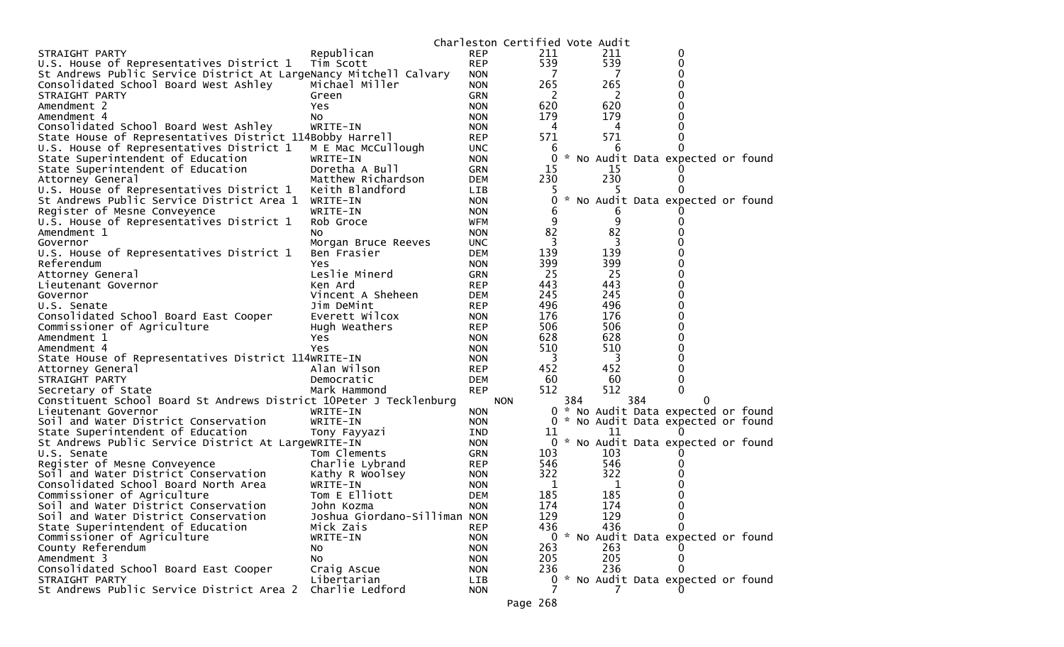|                                                                    |                                            |                          | Charleston Certified Vote Audit |     |             |     |                                     |  |
|--------------------------------------------------------------------|--------------------------------------------|--------------------------|---------------------------------|-----|-------------|-----|-------------------------------------|--|
| STRAIGHT PARTY                                                     | Republican                                 | <b>REP</b>               | 211                             |     | 211         |     | 0                                   |  |
| U.S. House of Representatives District 1                           | Tim Scott                                  | <b>REP</b>               | 539                             |     | 539         |     | 0                                   |  |
| St Andrews Public Service District At LargeNancy Mitchell Calvary  |                                            | <b>NON</b>               | - 7                             |     | 7           |     | $\Omega$                            |  |
| Consolidated School Board West Ashley                              | Michael Miller                             | <b>NON</b>               | 265                             |     | 265         |     | 0                                   |  |
| STRAIGHT PARTY                                                     | Green                                      | <b>GRN</b>               | 2                               |     | 2           |     |                                     |  |
| Amendment 2                                                        | Yes.                                       | <b>NON</b>               | 620                             |     | 620         |     | 0                                   |  |
| Amendment 4                                                        | No                                         | <b>NON</b>               | 179                             |     | 179         |     |                                     |  |
| Consolidated School Board West Ashley                              | WRITE-IN                                   | <b>NON</b>               | 4                               |     | 4           |     |                                     |  |
| State House of Representatives District 114Bobby Harrell           |                                            | <b>REP</b>               | 571                             |     | 571         |     | 0                                   |  |
| U.S. House of Representatives District 1                           | M E Mac McCullough                         | <b>UNC</b>               | 6                               |     | 6           |     |                                     |  |
| State Superintendent of Education                                  | WRITE-IN                                   | <b>NON</b>               | 0                               |     |             |     | * No Audit Data expected or found   |  |
| State Superintendent of Education                                  | Doretha A Bull                             | <b>GRN</b>               | 15                              |     | 15          |     |                                     |  |
| Attorney General                                                   | Matthew Richardson                         | <b>DEM</b>               | 230                             |     | 230         |     | $\Omega$                            |  |
| U.S. House of Representatives District 1                           | Keith Blandford                            | <b>LIB</b>               |                                 |     |             |     |                                     |  |
| St Andrews Public Service District Area 1 WRITE-IN                 |                                            | <b>NON</b>               | 0                               |     |             |     | * No Audit Data expected or found   |  |
| Register of Mesne Conveyence                                       | WRITE-IN                                   | <b>NON</b>               | 6                               |     | b           |     |                                     |  |
| U.S. House of Representatives District 1                           | Rob Groce                                  | <b>WFM</b>               | 9                               |     | 9           |     |                                     |  |
| Amendment 1                                                        | NO.                                        | <b>NON</b>               | 82                              |     | 82          |     |                                     |  |
| Governor                                                           | Morgan Bruce Reeves                        | <b>UNC</b>               | 3                               |     | 3           |     |                                     |  |
| U.S. House of Representatives District 1                           | Ben Frasier                                | <b>DEM</b>               | 139                             |     | 139         |     | ∩                                   |  |
| Referendum                                                         | Yes.                                       | <b>NON</b>               | 399                             |     | 399         |     | 0                                   |  |
| Attorney General                                                   | Leslie Minerd                              | <b>GRN</b>               | 25                              |     | 25          |     | 0                                   |  |
| Lieutenant Governor                                                | Ken Ard                                    | <b>REP</b>               | 443                             |     | 443         |     | 0                                   |  |
| Governor                                                           | Vincent A Sheheen                          | <b>DEM</b>               | 245                             |     | 245         |     | 0                                   |  |
| U.S. Senate                                                        | Jim DeMint                                 | <b>REP</b>               | 496                             |     | 496         |     | 0                                   |  |
| Consolidated School Board East Cooper                              | Everett Wilcox                             | <b>NON</b>               | 176                             |     | 176         |     | $\Omega$                            |  |
| Commissioner of Agriculture                                        | Hugh Weathers                              | <b>REP</b>               | 506                             |     | 506         |     | 0                                   |  |
| Amendment 1                                                        | Yes.                                       | <b>NON</b>               | 628                             |     | 628         |     | 0                                   |  |
| Amendment 4                                                        | Yes                                        | <b>NON</b>               | 510                             |     | 510         |     | 0                                   |  |
| State House of Representatives District 114WRITE-IN                |                                            | <b>NON</b>               | 3                               |     | 3           |     | 0                                   |  |
| Attorney General                                                   | Alan Wilson                                | <b>REP</b>               | 452                             |     | 452         |     | 0                                   |  |
| STRAIGHT PARTY                                                     | Democratic                                 | <b>DEM</b>               | 60                              |     | 60          |     | $\Omega$                            |  |
| Secretary of State                                                 | Mark Hammond                               | <b>REP</b>               | 512                             |     | 512         |     | 0                                   |  |
| Constituent School Board St Andrews District 10Peter J Tecklenburg |                                            |                          | <b>NON</b>                      | 384 |             | 384 |                                     |  |
| Lieutenant Governor                                                | WRITE-IN                                   | <b>NON</b>               |                                 |     |             |     | 0 * No Audit Data expected or found |  |
| Soil and Water District Conservation                               | WRITE-IN                                   | <b>NON</b>               |                                 |     |             |     | 0 * No Audit Data expected or found |  |
| State Superintendent of Education                                  |                                            | IND                      | 11                              |     | 11          |     |                                     |  |
| St Andrews Public Service District At LargeWRITE-IN                | Tony Fayyazi                               | <b>NON</b>               | 0                               |     |             |     | * No Audit Data expected or found   |  |
| U.S. Senate                                                        | Tom Clements                               | <b>GRN</b>               | 103                             |     | 103         |     |                                     |  |
| Register of Mesne Conveyence                                       | Charlie Lybrand                            | REP                      | 546                             |     | 546         |     |                                     |  |
| Soil and Water District Conservation                               | Kathy R Woolsey                            |                          | 322                             |     | 322         |     |                                     |  |
| Consolidated School Board North Area                               | WRITE-IN                                   | <b>NON</b><br><b>NON</b> | $\mathbf 1$                     |     | $\mathbf 1$ |     |                                     |  |
|                                                                    | Tom E Elliott                              | <b>DEM</b>               | 185                             |     | 185         |     |                                     |  |
| Commissioner of Agriculture                                        |                                            |                          | 174                             |     |             |     | $\Omega$                            |  |
| Soil and Water District Conservation                               | John Kozma<br>Joshua Giordano-Silliman NON | <b>NON</b>               | 129                             |     | 174<br>129  |     | $\mathbf 0$                         |  |
| Soil and Water District Conservation                               |                                            |                          |                                 |     |             |     |                                     |  |
| State Superintendent of Education                                  | Mick Zais                                  | <b>REP</b>               | 436                             |     | 436         |     | $\Omega$                            |  |
| Commissioner of Agriculture                                        | WRITE-IN                                   | <b>NON</b>               |                                 |     |             |     | 0 * No Audit Data expected or found |  |
| County Referendum                                                  | NO.                                        | <b>NON</b>               | 263                             |     | 263         |     |                                     |  |
| Amendment 3                                                        | No                                         | <b>NON</b>               | 205                             |     | 205         |     | 0                                   |  |
| Consolidated School Board East Cooper                              | Craig Ascue                                | <b>NON</b>               | 236                             |     | 236         |     | $\Omega$                            |  |
| STRAIGHT PARTY                                                     | Libertarian                                | LIB                      |                                 |     |             |     | 0 * No Audit Data expected or found |  |
| St Andrews Public Service District Area 2                          | Charlie Ledford                            | <b>NON</b>               |                                 |     |             |     |                                     |  |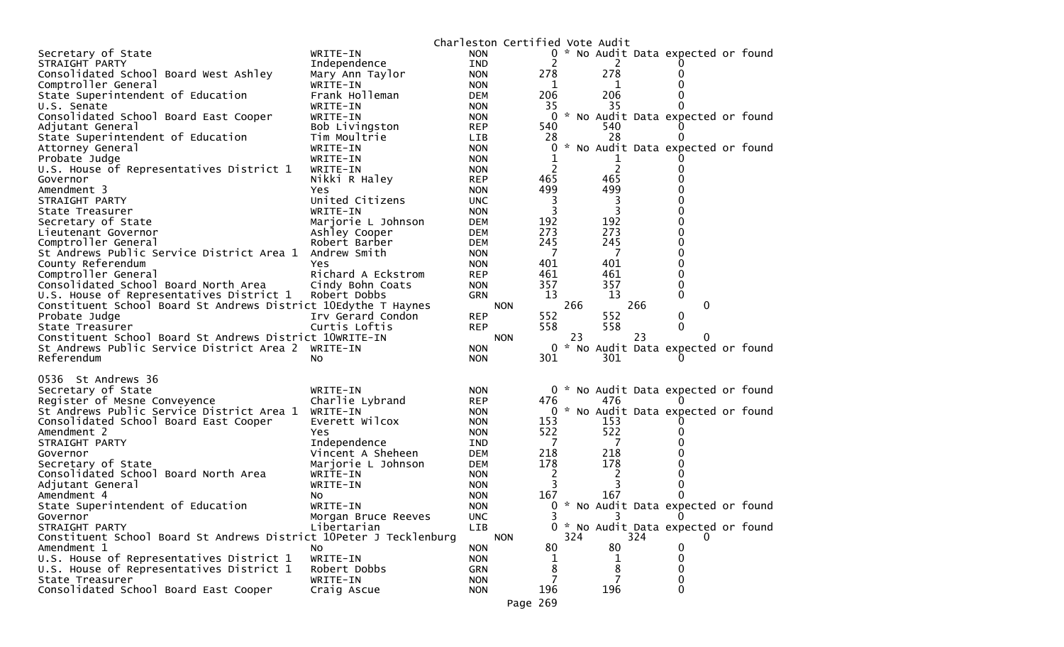|                                                                        | Charleston Certified Vote Audit |                   |     |                |     |                                     |  |
|------------------------------------------------------------------------|---------------------------------|-------------------|-----|----------------|-----|-------------------------------------|--|
| Secretary of State<br>WRITE-IN                                         | <b>NON</b>                      | 0                 |     |                |     | * No Audit Data expected or found   |  |
| Independence<br>STRAIGHT PARTY                                         | IND                             | 2                 |     | 2              |     |                                     |  |
| Consolidated School Board West Ashley<br>Mary Ann Taylor               | <b>NON</b>                      | 278               |     | 278            |     | 0                                   |  |
| Comptroller General<br>WRITE-IN                                        | <b>NON</b>                      | 1                 |     | 1              |     | 0                                   |  |
| State Superintendent of Education<br>Frank Holleman                    | <b>DEM</b>                      | 206               |     | 206            |     | 0                                   |  |
| U.S. Senate<br>WRITE-IN                                                | <b>NON</b>                      | 35                |     | 35             |     | 0                                   |  |
| Consolidated School Board East Cooper<br>WRITE-IN                      | <b>NON</b>                      | 0                 |     |                |     | * No Audit Data expected or found   |  |
| Bob Livingston<br>Adjutant General                                     | <b>REP</b>                      | 540               |     | 540            |     |                                     |  |
| State Superintendent of Education<br>Tim Moultrie                      | <b>LIB</b>                      | 28                |     | 28             |     | 0                                   |  |
| Attorney General<br>WRITE-IN                                           | <b>NON</b>                      | 0                 |     |                |     | * No Audit Data expected or found   |  |
| Probate Judge<br>WRITE-IN                                              | <b>NON</b>                      |                   |     |                |     |                                     |  |
| U.S. House of Representatives District 1<br>WRITE-IN                   | <b>NON</b>                      | 2                 |     | $\overline{c}$ |     | 0                                   |  |
| Nikki R Haley<br>Governor                                              | <b>REP</b>                      | 465               |     | 465            |     | 0                                   |  |
| Amendment 3<br>Yes                                                     | <b>NON</b>                      | 499               |     | 499            |     | 0                                   |  |
| United Citizens<br>STRAIGHT PARTY                                      | <b>UNC</b>                      | 3                 |     | 3              |     | 0                                   |  |
| State Treasurer<br>WRITE-IN                                            | <b>NON</b>                      | 3                 |     | 3              |     | 0                                   |  |
| Secretary of State<br>Marjorie L Johnson                               | <b>DEM</b>                      | 192               |     | 192            |     | 0                                   |  |
| Lieutenant Governor<br>Ashley Cooper                                   | <b>DEM</b>                      | 273               |     | 273            |     | 0                                   |  |
| Comptroller General<br>Robert Barber                                   | <b>DEM</b>                      | 245               |     | 245            |     | 0                                   |  |
| St Andrews Public Service District Area 1<br>Andrew Smith              | <b>NON</b>                      | 7                 |     | 7              |     | 0                                   |  |
| County Referendum<br>Yes                                               | <b>NON</b>                      | 401               |     | 401            |     | 0                                   |  |
| Comptroller General<br>Richard A Eckstrom                              | <b>REP</b>                      | 461               |     | 461            |     | 0                                   |  |
| Consolidated School Board North Area<br>Cindy Bohn Coats               | <b>NON</b>                      | 357<br>13         |     | 357<br>13      |     | 0<br>$\mathbf{0}$                   |  |
| U.S. House of Representatives District 1<br>Robert Dobbs               | <b>GRN</b>                      |                   |     |                |     |                                     |  |
| Constituent School Board St Andrews District 10Edythe T Haynes         |                                 | <b>NON</b><br>552 | 266 | 552            | 266 | 0                                   |  |
| Probate Judge<br>Irv Gerard Condon<br>Curtis Loftis<br>State Treasurer | <b>REP</b><br><b>REP</b>        | 558               |     | 558            |     | 0<br>$\mathbf{0}$                   |  |
| Constituent School Board St Andrews District 10WRITE-IN                |                                 | <b>NON</b>        | 23  |                | 23  | 0                                   |  |
| St Andrews Public Service District Area 2<br>WRITE-IN                  | <b>NON</b>                      |                   |     |                |     | 0 * No Audit Data expected or found |  |
| Referendum<br>No.                                                      | <b>NON</b>                      | 301               |     | 301            |     |                                     |  |
|                                                                        |                                 |                   |     |                |     |                                     |  |
| 0536 St Andrews 36                                                     |                                 |                   |     |                |     |                                     |  |
| Secretary of State<br>WRITE-IN                                         | <b>NON</b>                      |                   |     |                |     | 0 * No Audit Data expected or found |  |
| Charlie Lybrand<br>Register of Mesne Conveyence                        | <b>REP</b>                      | 476               |     | 476            |     |                                     |  |
| St Andrews Public Service District Area 1<br>WRITE-IN                  | <b>NON</b>                      |                   |     |                |     | 0 * No Audit Data expected or found |  |
| Everett Wilcox<br>Consolidated School Board East Cooper                | <b>NON</b>                      | 153               |     | 153            |     |                                     |  |
| Amendment 2<br>Yes.                                                    | <b>NON</b>                      | 522               |     | 522            |     | 0                                   |  |
| Independence<br>STRAIGHT PARTY                                         | <b>IND</b>                      | 7                 |     | 7              |     |                                     |  |
| Vincent A Sheheen<br>Governor                                          | <b>DEM</b>                      | 218               |     | 218            |     | O                                   |  |
| Secretary of State<br>Marjorie L Johnson                               | <b>DEM</b>                      | 178               |     | 178            |     | 0                                   |  |
| Consolidated School Board North Area<br>WRITE-IN                       | <b>NON</b>                      | 2                 |     | 2              |     | O                                   |  |
| WRITE-IN<br>Adjutant General                                           | <b>NON</b>                      | 3                 |     |                |     | 0                                   |  |
| Amendment 4<br>NO.                                                     | <b>NON</b>                      | 167               |     | 167            |     | 0                                   |  |
| State Superintendent of Education<br>WRITE-IN                          | <b>NON</b>                      |                   |     |                |     | 0 * No Audit Data expected or found |  |
| Governor<br>Morgan Bruce Reeves                                        | <b>UNC</b>                      |                   |     |                |     | 0                                   |  |
| STRAIGHT PARTY<br>Libertarian                                          | LIB                             |                   |     |                |     | 0 * No Audit Data expected or found |  |
| Constituent School Board St Andrews District 10Peter J Tecklenburg     |                                 | <b>NON</b>        | 324 |                | 324 |                                     |  |
| Amendment 1<br>No.                                                     | <b>NON</b>                      | 80                |     | 80             |     | 0                                   |  |
| U.S. House of Representatives District 1<br>WRITE-IN                   | <b>NON</b>                      | 1                 |     | ı              |     | 0                                   |  |
| Robert Dobbs<br>U.S. House of Representatives District 1               | <b>GRN</b>                      | 8                 |     | 8              |     | 0                                   |  |
| State Treasurer<br>WRITE-IN                                            | <b>NON</b>                      |                   |     |                |     | 0                                   |  |
| Consolidated School Board East Cooper<br>Craig Ascue                   | <b>NON</b>                      | 196               |     | 196            |     | 0                                   |  |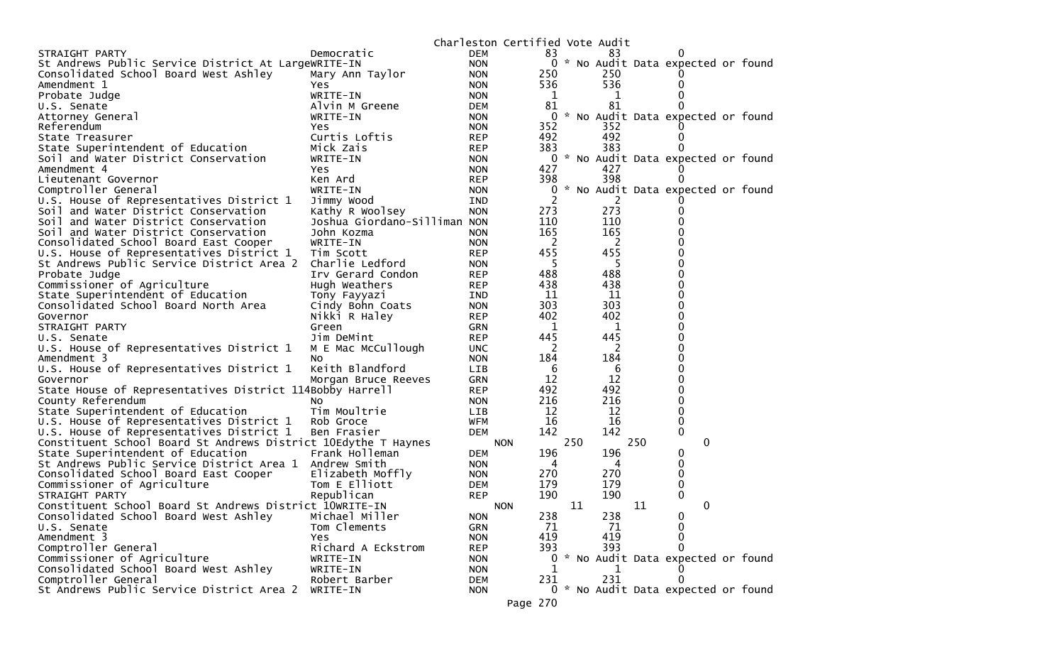| STRAIGHT PARTY<br>Democratic<br><b>DEM</b><br>83<br>83<br>0 * No Audit Data expected or found<br>St Andrews Public Service District At LargeWRITE-IN<br><b>NON</b><br>Consolidated School Board West Ashley<br>250<br>250<br>Mary Ann Taylor<br><b>NON</b><br>536<br>536<br>Amendment 1<br><b>NON</b><br>Yes.<br>WRITE-IN<br>Probate Judge<br><b>NON</b><br>1<br>1<br>81<br>81<br>U.S. Senate<br>Alvin M Greene<br><b>DEM</b><br>$\Omega$<br>No Audit Data expected or found<br>0<br>WRITE-IN<br><b>NON</b><br>Attorney General<br>352<br>352<br>Referendum<br><b>NON</b><br>Yes<br>492<br>492<br>Curtis Loftis<br>State Treasurer<br><b>REP</b><br>0<br>383<br>383<br>Mick Zais<br>State Superintendent of Education<br><b>REP</b><br>0 * No Audit Data expected or found<br>Soil and Water District Conservation<br>WRITE-IN<br><b>NON</b><br>427<br>427<br>Amendment 4<br>Yes<br><b>NON</b><br>398<br>398<br>Lieutenant Governor<br>Ken Ard<br><b>REP</b><br>0<br>* No Audit Data expected or found<br>Comptroller General<br>WRITE-IN<br><b>NON</b><br>$\mathbf 0$<br>2<br>U.S. House of Representatives District 1<br>Jimmy Wood<br><b>IND</b><br>273<br>273<br><b>NON</b><br>Soil and Water District Conservation<br>Kathy R Woolsey<br>0<br>110<br>110<br>Joshua Giordano-Silliman NON<br>0<br>Soil and Water District Conservation<br>165<br>165<br>0<br>Soil and Water District Conservation<br>John Kozma<br><b>NON</b><br>2<br>2<br>$\Omega$<br>Consolidated School Board East Cooper<br>WRITE-IN<br><b>NON</b><br>455<br>455<br>0<br>U.S. House of Representatives District 1<br>Tim Scott<br><b>REP</b><br>5<br>-5<br>0<br>St Andrews Public Service District Area 2<br>Charlie Ledford<br><b>NON</b><br>488<br>488<br>$\Omega$<br>Probate Judge<br>Irv Gerard Condon<br><b>REP</b><br>438<br>438<br>0<br>Commissioner of Agriculture<br>Hugh Weathers<br><b>REP</b><br>State Superintendent of Education<br>11<br>11<br>0<br>Tony Fayyazi<br><b>IND</b><br>303<br>303<br>$\Omega$<br>Consolidated School Board North Area<br>Cindy Bohn Coats<br><b>NON</b><br>402<br>402<br>0<br>Nikki R Haley<br>Governor<br><b>REP</b><br>0<br>STRAIGHT PARTY<br><b>GRN</b><br>1<br>1<br>Green<br>445<br>445<br>$\Omega$<br>Jim DeMint<br><b>REP</b><br>U.S. Senate<br>2<br>0<br>M E Mac McCullough<br>2<br>U.S. House of Representatives District 1<br><b>UNC</b><br>184<br>184<br>0<br>Amendment 3<br><b>NON</b><br>No<br>Keith Blandford<br>0<br>U.S. House of Representatives District 1<br>6<br><b>LIB</b><br>6<br>12<br>12<br>0<br><b>GRN</b><br>Morgan Bruce Reeves<br>Governor<br>492<br>492<br>0<br>State House of Representatives District 114Bobby Harrell<br><b>REP</b><br>216<br>216<br>0<br>County Referendum<br><b>NON</b><br><b>NO</b><br>12<br>12<br>0<br>State Superintendent of Education<br>Tim Moultrie<br><b>LIB</b><br>16<br>16<br>U.S. House of Representatives District 1<br><b>WFM</b><br>0<br>Rob Groce<br>142<br>142<br>0<br>U.S. House of Representatives District 1<br>Ben Frasier<br>DEM<br>Constituent School Board St Andrews District 10Edythe T Haynes<br>250<br>250<br>0<br><b>NON</b><br>State Superintendent of Education<br>196<br>196<br>Frank Holleman<br>0<br><b>DEM</b><br>0<br>St Andrews Public Service District Area 1 Andrew Smith<br><b>NON</b><br>4<br>4<br>270<br>270<br>0<br>Consolidated School Board East Cooper<br>Elizabeth Moffly<br><b>NON</b><br>Tom E Elliott<br>179<br>Commissioner of Agriculture<br>179<br>0<br><b>DEM</b><br>190<br>190<br>$\Omega$<br>Republican<br>STRAIGHT PARTY<br><b>REP</b><br>11<br>11<br>0<br>Constituent School Board St Andrews District 10WRITE-IN<br><b>NON</b><br>238<br>Michael Miller<br>238<br>Consolidated School Board West Ashley<br><b>NON</b><br>$\bf{0}$<br>Tom Clements<br>71<br>71<br>0<br><b>GRN</b><br>U.S. Senate<br>0<br>419<br>419<br>Amendment 3<br>Yes<br><b>NON</b><br>Comptroller General<br>393<br>Richard A Eckstrom<br>393<br>0<br><b>REP</b><br>0 * No Audit Data expected or found<br>Commissioner of Agriculture<br>WRITE-IN<br><b>NON</b><br>Consolidated School Board West Ashley<br>WRITE-IN<br><b>NON</b><br>1<br>Comptroller General<br>231<br>Robert Barber<br>231<br>0<br><b>DEM</b><br>St Andrews Public Service District Area 2<br>0 * No Audit Data expected or found<br>WRITE-IN<br><b>NON</b><br>Page 270 |  | Charleston Certified Vote Audit |  |  |  |  |
|----------------------------------------------------------------------------------------------------------------------------------------------------------------------------------------------------------------------------------------------------------------------------------------------------------------------------------------------------------------------------------------------------------------------------------------------------------------------------------------------------------------------------------------------------------------------------------------------------------------------------------------------------------------------------------------------------------------------------------------------------------------------------------------------------------------------------------------------------------------------------------------------------------------------------------------------------------------------------------------------------------------------------------------------------------------------------------------------------------------------------------------------------------------------------------------------------------------------------------------------------------------------------------------------------------------------------------------------------------------------------------------------------------------------------------------------------------------------------------------------------------------------------------------------------------------------------------------------------------------------------------------------------------------------------------------------------------------------------------------------------------------------------------------------------------------------------------------------------------------------------------------------------------------------------------------------------------------------------------------------------------------------------------------------------------------------------------------------------------------------------------------------------------------------------------------------------------------------------------------------------------------------------------------------------------------------------------------------------------------------------------------------------------------------------------------------------------------------------------------------------------------------------------------------------------------------------------------------------------------------------------------------------------------------------------------------------------------------------------------------------------------------------------------------------------------------------------------------------------------------------------------------------------------------------------------------------------------------------------------------------------------------------------------------------------------------------------------------------------------------------------------------------------------------------------------------------------------------------------------------------------------------------------------------------------------------------------------------------------------------------------------------------------------------------------------------------------------------------------------------------------------------------------------------------------------------------------------------------------------------------------------------------------------------------------------------------------------------------------------------------------------------------------------------------------------------------------------------------------------------------------------------------------------------------------------------------------------------------------------------------------------------------------------------------------------------------------------------------------------------------------------------------------------------------------------------------------------------------------------------------------------------------------------------------------------------------------------------|--|---------------------------------|--|--|--|--|
|                                                                                                                                                                                                                                                                                                                                                                                                                                                                                                                                                                                                                                                                                                                                                                                                                                                                                                                                                                                                                                                                                                                                                                                                                                                                                                                                                                                                                                                                                                                                                                                                                                                                                                                                                                                                                                                                                                                                                                                                                                                                                                                                                                                                                                                                                                                                                                                                                                                                                                                                                                                                                                                                                                                                                                                                                                                                                                                                                                                                                                                                                                                                                                                                                                                                                                                                                                                                                                                                                                                                                                                                                                                                                                                                                                                                                                                                                                                                                                                                                                                                                                                                                                                                                                                                                                                                              |  |                                 |  |  |  |  |
|                                                                                                                                                                                                                                                                                                                                                                                                                                                                                                                                                                                                                                                                                                                                                                                                                                                                                                                                                                                                                                                                                                                                                                                                                                                                                                                                                                                                                                                                                                                                                                                                                                                                                                                                                                                                                                                                                                                                                                                                                                                                                                                                                                                                                                                                                                                                                                                                                                                                                                                                                                                                                                                                                                                                                                                                                                                                                                                                                                                                                                                                                                                                                                                                                                                                                                                                                                                                                                                                                                                                                                                                                                                                                                                                                                                                                                                                                                                                                                                                                                                                                                                                                                                                                                                                                                                                              |  |                                 |  |  |  |  |
|                                                                                                                                                                                                                                                                                                                                                                                                                                                                                                                                                                                                                                                                                                                                                                                                                                                                                                                                                                                                                                                                                                                                                                                                                                                                                                                                                                                                                                                                                                                                                                                                                                                                                                                                                                                                                                                                                                                                                                                                                                                                                                                                                                                                                                                                                                                                                                                                                                                                                                                                                                                                                                                                                                                                                                                                                                                                                                                                                                                                                                                                                                                                                                                                                                                                                                                                                                                                                                                                                                                                                                                                                                                                                                                                                                                                                                                                                                                                                                                                                                                                                                                                                                                                                                                                                                                                              |  |                                 |  |  |  |  |
|                                                                                                                                                                                                                                                                                                                                                                                                                                                                                                                                                                                                                                                                                                                                                                                                                                                                                                                                                                                                                                                                                                                                                                                                                                                                                                                                                                                                                                                                                                                                                                                                                                                                                                                                                                                                                                                                                                                                                                                                                                                                                                                                                                                                                                                                                                                                                                                                                                                                                                                                                                                                                                                                                                                                                                                                                                                                                                                                                                                                                                                                                                                                                                                                                                                                                                                                                                                                                                                                                                                                                                                                                                                                                                                                                                                                                                                                                                                                                                                                                                                                                                                                                                                                                                                                                                                                              |  |                                 |  |  |  |  |
|                                                                                                                                                                                                                                                                                                                                                                                                                                                                                                                                                                                                                                                                                                                                                                                                                                                                                                                                                                                                                                                                                                                                                                                                                                                                                                                                                                                                                                                                                                                                                                                                                                                                                                                                                                                                                                                                                                                                                                                                                                                                                                                                                                                                                                                                                                                                                                                                                                                                                                                                                                                                                                                                                                                                                                                                                                                                                                                                                                                                                                                                                                                                                                                                                                                                                                                                                                                                                                                                                                                                                                                                                                                                                                                                                                                                                                                                                                                                                                                                                                                                                                                                                                                                                                                                                                                                              |  |                                 |  |  |  |  |
|                                                                                                                                                                                                                                                                                                                                                                                                                                                                                                                                                                                                                                                                                                                                                                                                                                                                                                                                                                                                                                                                                                                                                                                                                                                                                                                                                                                                                                                                                                                                                                                                                                                                                                                                                                                                                                                                                                                                                                                                                                                                                                                                                                                                                                                                                                                                                                                                                                                                                                                                                                                                                                                                                                                                                                                                                                                                                                                                                                                                                                                                                                                                                                                                                                                                                                                                                                                                                                                                                                                                                                                                                                                                                                                                                                                                                                                                                                                                                                                                                                                                                                                                                                                                                                                                                                                                              |  |                                 |  |  |  |  |
|                                                                                                                                                                                                                                                                                                                                                                                                                                                                                                                                                                                                                                                                                                                                                                                                                                                                                                                                                                                                                                                                                                                                                                                                                                                                                                                                                                                                                                                                                                                                                                                                                                                                                                                                                                                                                                                                                                                                                                                                                                                                                                                                                                                                                                                                                                                                                                                                                                                                                                                                                                                                                                                                                                                                                                                                                                                                                                                                                                                                                                                                                                                                                                                                                                                                                                                                                                                                                                                                                                                                                                                                                                                                                                                                                                                                                                                                                                                                                                                                                                                                                                                                                                                                                                                                                                                                              |  |                                 |  |  |  |  |
|                                                                                                                                                                                                                                                                                                                                                                                                                                                                                                                                                                                                                                                                                                                                                                                                                                                                                                                                                                                                                                                                                                                                                                                                                                                                                                                                                                                                                                                                                                                                                                                                                                                                                                                                                                                                                                                                                                                                                                                                                                                                                                                                                                                                                                                                                                                                                                                                                                                                                                                                                                                                                                                                                                                                                                                                                                                                                                                                                                                                                                                                                                                                                                                                                                                                                                                                                                                                                                                                                                                                                                                                                                                                                                                                                                                                                                                                                                                                                                                                                                                                                                                                                                                                                                                                                                                                              |  |                                 |  |  |  |  |
|                                                                                                                                                                                                                                                                                                                                                                                                                                                                                                                                                                                                                                                                                                                                                                                                                                                                                                                                                                                                                                                                                                                                                                                                                                                                                                                                                                                                                                                                                                                                                                                                                                                                                                                                                                                                                                                                                                                                                                                                                                                                                                                                                                                                                                                                                                                                                                                                                                                                                                                                                                                                                                                                                                                                                                                                                                                                                                                                                                                                                                                                                                                                                                                                                                                                                                                                                                                                                                                                                                                                                                                                                                                                                                                                                                                                                                                                                                                                                                                                                                                                                                                                                                                                                                                                                                                                              |  |                                 |  |  |  |  |
|                                                                                                                                                                                                                                                                                                                                                                                                                                                                                                                                                                                                                                                                                                                                                                                                                                                                                                                                                                                                                                                                                                                                                                                                                                                                                                                                                                                                                                                                                                                                                                                                                                                                                                                                                                                                                                                                                                                                                                                                                                                                                                                                                                                                                                                                                                                                                                                                                                                                                                                                                                                                                                                                                                                                                                                                                                                                                                                                                                                                                                                                                                                                                                                                                                                                                                                                                                                                                                                                                                                                                                                                                                                                                                                                                                                                                                                                                                                                                                                                                                                                                                                                                                                                                                                                                                                                              |  |                                 |  |  |  |  |
|                                                                                                                                                                                                                                                                                                                                                                                                                                                                                                                                                                                                                                                                                                                                                                                                                                                                                                                                                                                                                                                                                                                                                                                                                                                                                                                                                                                                                                                                                                                                                                                                                                                                                                                                                                                                                                                                                                                                                                                                                                                                                                                                                                                                                                                                                                                                                                                                                                                                                                                                                                                                                                                                                                                                                                                                                                                                                                                                                                                                                                                                                                                                                                                                                                                                                                                                                                                                                                                                                                                                                                                                                                                                                                                                                                                                                                                                                                                                                                                                                                                                                                                                                                                                                                                                                                                                              |  |                                 |  |  |  |  |
|                                                                                                                                                                                                                                                                                                                                                                                                                                                                                                                                                                                                                                                                                                                                                                                                                                                                                                                                                                                                                                                                                                                                                                                                                                                                                                                                                                                                                                                                                                                                                                                                                                                                                                                                                                                                                                                                                                                                                                                                                                                                                                                                                                                                                                                                                                                                                                                                                                                                                                                                                                                                                                                                                                                                                                                                                                                                                                                                                                                                                                                                                                                                                                                                                                                                                                                                                                                                                                                                                                                                                                                                                                                                                                                                                                                                                                                                                                                                                                                                                                                                                                                                                                                                                                                                                                                                              |  |                                 |  |  |  |  |
|                                                                                                                                                                                                                                                                                                                                                                                                                                                                                                                                                                                                                                                                                                                                                                                                                                                                                                                                                                                                                                                                                                                                                                                                                                                                                                                                                                                                                                                                                                                                                                                                                                                                                                                                                                                                                                                                                                                                                                                                                                                                                                                                                                                                                                                                                                                                                                                                                                                                                                                                                                                                                                                                                                                                                                                                                                                                                                                                                                                                                                                                                                                                                                                                                                                                                                                                                                                                                                                                                                                                                                                                                                                                                                                                                                                                                                                                                                                                                                                                                                                                                                                                                                                                                                                                                                                                              |  |                                 |  |  |  |  |
|                                                                                                                                                                                                                                                                                                                                                                                                                                                                                                                                                                                                                                                                                                                                                                                                                                                                                                                                                                                                                                                                                                                                                                                                                                                                                                                                                                                                                                                                                                                                                                                                                                                                                                                                                                                                                                                                                                                                                                                                                                                                                                                                                                                                                                                                                                                                                                                                                                                                                                                                                                                                                                                                                                                                                                                                                                                                                                                                                                                                                                                                                                                                                                                                                                                                                                                                                                                                                                                                                                                                                                                                                                                                                                                                                                                                                                                                                                                                                                                                                                                                                                                                                                                                                                                                                                                                              |  |                                 |  |  |  |  |
|                                                                                                                                                                                                                                                                                                                                                                                                                                                                                                                                                                                                                                                                                                                                                                                                                                                                                                                                                                                                                                                                                                                                                                                                                                                                                                                                                                                                                                                                                                                                                                                                                                                                                                                                                                                                                                                                                                                                                                                                                                                                                                                                                                                                                                                                                                                                                                                                                                                                                                                                                                                                                                                                                                                                                                                                                                                                                                                                                                                                                                                                                                                                                                                                                                                                                                                                                                                                                                                                                                                                                                                                                                                                                                                                                                                                                                                                                                                                                                                                                                                                                                                                                                                                                                                                                                                                              |  |                                 |  |  |  |  |
|                                                                                                                                                                                                                                                                                                                                                                                                                                                                                                                                                                                                                                                                                                                                                                                                                                                                                                                                                                                                                                                                                                                                                                                                                                                                                                                                                                                                                                                                                                                                                                                                                                                                                                                                                                                                                                                                                                                                                                                                                                                                                                                                                                                                                                                                                                                                                                                                                                                                                                                                                                                                                                                                                                                                                                                                                                                                                                                                                                                                                                                                                                                                                                                                                                                                                                                                                                                                                                                                                                                                                                                                                                                                                                                                                                                                                                                                                                                                                                                                                                                                                                                                                                                                                                                                                                                                              |  |                                 |  |  |  |  |
|                                                                                                                                                                                                                                                                                                                                                                                                                                                                                                                                                                                                                                                                                                                                                                                                                                                                                                                                                                                                                                                                                                                                                                                                                                                                                                                                                                                                                                                                                                                                                                                                                                                                                                                                                                                                                                                                                                                                                                                                                                                                                                                                                                                                                                                                                                                                                                                                                                                                                                                                                                                                                                                                                                                                                                                                                                                                                                                                                                                                                                                                                                                                                                                                                                                                                                                                                                                                                                                                                                                                                                                                                                                                                                                                                                                                                                                                                                                                                                                                                                                                                                                                                                                                                                                                                                                                              |  |                                 |  |  |  |  |
|                                                                                                                                                                                                                                                                                                                                                                                                                                                                                                                                                                                                                                                                                                                                                                                                                                                                                                                                                                                                                                                                                                                                                                                                                                                                                                                                                                                                                                                                                                                                                                                                                                                                                                                                                                                                                                                                                                                                                                                                                                                                                                                                                                                                                                                                                                                                                                                                                                                                                                                                                                                                                                                                                                                                                                                                                                                                                                                                                                                                                                                                                                                                                                                                                                                                                                                                                                                                                                                                                                                                                                                                                                                                                                                                                                                                                                                                                                                                                                                                                                                                                                                                                                                                                                                                                                                                              |  |                                 |  |  |  |  |
|                                                                                                                                                                                                                                                                                                                                                                                                                                                                                                                                                                                                                                                                                                                                                                                                                                                                                                                                                                                                                                                                                                                                                                                                                                                                                                                                                                                                                                                                                                                                                                                                                                                                                                                                                                                                                                                                                                                                                                                                                                                                                                                                                                                                                                                                                                                                                                                                                                                                                                                                                                                                                                                                                                                                                                                                                                                                                                                                                                                                                                                                                                                                                                                                                                                                                                                                                                                                                                                                                                                                                                                                                                                                                                                                                                                                                                                                                                                                                                                                                                                                                                                                                                                                                                                                                                                                              |  |                                 |  |  |  |  |
|                                                                                                                                                                                                                                                                                                                                                                                                                                                                                                                                                                                                                                                                                                                                                                                                                                                                                                                                                                                                                                                                                                                                                                                                                                                                                                                                                                                                                                                                                                                                                                                                                                                                                                                                                                                                                                                                                                                                                                                                                                                                                                                                                                                                                                                                                                                                                                                                                                                                                                                                                                                                                                                                                                                                                                                                                                                                                                                                                                                                                                                                                                                                                                                                                                                                                                                                                                                                                                                                                                                                                                                                                                                                                                                                                                                                                                                                                                                                                                                                                                                                                                                                                                                                                                                                                                                                              |  |                                 |  |  |  |  |
|                                                                                                                                                                                                                                                                                                                                                                                                                                                                                                                                                                                                                                                                                                                                                                                                                                                                                                                                                                                                                                                                                                                                                                                                                                                                                                                                                                                                                                                                                                                                                                                                                                                                                                                                                                                                                                                                                                                                                                                                                                                                                                                                                                                                                                                                                                                                                                                                                                                                                                                                                                                                                                                                                                                                                                                                                                                                                                                                                                                                                                                                                                                                                                                                                                                                                                                                                                                                                                                                                                                                                                                                                                                                                                                                                                                                                                                                                                                                                                                                                                                                                                                                                                                                                                                                                                                                              |  |                                 |  |  |  |  |
|                                                                                                                                                                                                                                                                                                                                                                                                                                                                                                                                                                                                                                                                                                                                                                                                                                                                                                                                                                                                                                                                                                                                                                                                                                                                                                                                                                                                                                                                                                                                                                                                                                                                                                                                                                                                                                                                                                                                                                                                                                                                                                                                                                                                                                                                                                                                                                                                                                                                                                                                                                                                                                                                                                                                                                                                                                                                                                                                                                                                                                                                                                                                                                                                                                                                                                                                                                                                                                                                                                                                                                                                                                                                                                                                                                                                                                                                                                                                                                                                                                                                                                                                                                                                                                                                                                                                              |  |                                 |  |  |  |  |
|                                                                                                                                                                                                                                                                                                                                                                                                                                                                                                                                                                                                                                                                                                                                                                                                                                                                                                                                                                                                                                                                                                                                                                                                                                                                                                                                                                                                                                                                                                                                                                                                                                                                                                                                                                                                                                                                                                                                                                                                                                                                                                                                                                                                                                                                                                                                                                                                                                                                                                                                                                                                                                                                                                                                                                                                                                                                                                                                                                                                                                                                                                                                                                                                                                                                                                                                                                                                                                                                                                                                                                                                                                                                                                                                                                                                                                                                                                                                                                                                                                                                                                                                                                                                                                                                                                                                              |  |                                 |  |  |  |  |
|                                                                                                                                                                                                                                                                                                                                                                                                                                                                                                                                                                                                                                                                                                                                                                                                                                                                                                                                                                                                                                                                                                                                                                                                                                                                                                                                                                                                                                                                                                                                                                                                                                                                                                                                                                                                                                                                                                                                                                                                                                                                                                                                                                                                                                                                                                                                                                                                                                                                                                                                                                                                                                                                                                                                                                                                                                                                                                                                                                                                                                                                                                                                                                                                                                                                                                                                                                                                                                                                                                                                                                                                                                                                                                                                                                                                                                                                                                                                                                                                                                                                                                                                                                                                                                                                                                                                              |  |                                 |  |  |  |  |
|                                                                                                                                                                                                                                                                                                                                                                                                                                                                                                                                                                                                                                                                                                                                                                                                                                                                                                                                                                                                                                                                                                                                                                                                                                                                                                                                                                                                                                                                                                                                                                                                                                                                                                                                                                                                                                                                                                                                                                                                                                                                                                                                                                                                                                                                                                                                                                                                                                                                                                                                                                                                                                                                                                                                                                                                                                                                                                                                                                                                                                                                                                                                                                                                                                                                                                                                                                                                                                                                                                                                                                                                                                                                                                                                                                                                                                                                                                                                                                                                                                                                                                                                                                                                                                                                                                                                              |  |                                 |  |  |  |  |
|                                                                                                                                                                                                                                                                                                                                                                                                                                                                                                                                                                                                                                                                                                                                                                                                                                                                                                                                                                                                                                                                                                                                                                                                                                                                                                                                                                                                                                                                                                                                                                                                                                                                                                                                                                                                                                                                                                                                                                                                                                                                                                                                                                                                                                                                                                                                                                                                                                                                                                                                                                                                                                                                                                                                                                                                                                                                                                                                                                                                                                                                                                                                                                                                                                                                                                                                                                                                                                                                                                                                                                                                                                                                                                                                                                                                                                                                                                                                                                                                                                                                                                                                                                                                                                                                                                                                              |  |                                 |  |  |  |  |
|                                                                                                                                                                                                                                                                                                                                                                                                                                                                                                                                                                                                                                                                                                                                                                                                                                                                                                                                                                                                                                                                                                                                                                                                                                                                                                                                                                                                                                                                                                                                                                                                                                                                                                                                                                                                                                                                                                                                                                                                                                                                                                                                                                                                                                                                                                                                                                                                                                                                                                                                                                                                                                                                                                                                                                                                                                                                                                                                                                                                                                                                                                                                                                                                                                                                                                                                                                                                                                                                                                                                                                                                                                                                                                                                                                                                                                                                                                                                                                                                                                                                                                                                                                                                                                                                                                                                              |  |                                 |  |  |  |  |
|                                                                                                                                                                                                                                                                                                                                                                                                                                                                                                                                                                                                                                                                                                                                                                                                                                                                                                                                                                                                                                                                                                                                                                                                                                                                                                                                                                                                                                                                                                                                                                                                                                                                                                                                                                                                                                                                                                                                                                                                                                                                                                                                                                                                                                                                                                                                                                                                                                                                                                                                                                                                                                                                                                                                                                                                                                                                                                                                                                                                                                                                                                                                                                                                                                                                                                                                                                                                                                                                                                                                                                                                                                                                                                                                                                                                                                                                                                                                                                                                                                                                                                                                                                                                                                                                                                                                              |  |                                 |  |  |  |  |
|                                                                                                                                                                                                                                                                                                                                                                                                                                                                                                                                                                                                                                                                                                                                                                                                                                                                                                                                                                                                                                                                                                                                                                                                                                                                                                                                                                                                                                                                                                                                                                                                                                                                                                                                                                                                                                                                                                                                                                                                                                                                                                                                                                                                                                                                                                                                                                                                                                                                                                                                                                                                                                                                                                                                                                                                                                                                                                                                                                                                                                                                                                                                                                                                                                                                                                                                                                                                                                                                                                                                                                                                                                                                                                                                                                                                                                                                                                                                                                                                                                                                                                                                                                                                                                                                                                                                              |  |                                 |  |  |  |  |
|                                                                                                                                                                                                                                                                                                                                                                                                                                                                                                                                                                                                                                                                                                                                                                                                                                                                                                                                                                                                                                                                                                                                                                                                                                                                                                                                                                                                                                                                                                                                                                                                                                                                                                                                                                                                                                                                                                                                                                                                                                                                                                                                                                                                                                                                                                                                                                                                                                                                                                                                                                                                                                                                                                                                                                                                                                                                                                                                                                                                                                                                                                                                                                                                                                                                                                                                                                                                                                                                                                                                                                                                                                                                                                                                                                                                                                                                                                                                                                                                                                                                                                                                                                                                                                                                                                                                              |  |                                 |  |  |  |  |
|                                                                                                                                                                                                                                                                                                                                                                                                                                                                                                                                                                                                                                                                                                                                                                                                                                                                                                                                                                                                                                                                                                                                                                                                                                                                                                                                                                                                                                                                                                                                                                                                                                                                                                                                                                                                                                                                                                                                                                                                                                                                                                                                                                                                                                                                                                                                                                                                                                                                                                                                                                                                                                                                                                                                                                                                                                                                                                                                                                                                                                                                                                                                                                                                                                                                                                                                                                                                                                                                                                                                                                                                                                                                                                                                                                                                                                                                                                                                                                                                                                                                                                                                                                                                                                                                                                                                              |  |                                 |  |  |  |  |
|                                                                                                                                                                                                                                                                                                                                                                                                                                                                                                                                                                                                                                                                                                                                                                                                                                                                                                                                                                                                                                                                                                                                                                                                                                                                                                                                                                                                                                                                                                                                                                                                                                                                                                                                                                                                                                                                                                                                                                                                                                                                                                                                                                                                                                                                                                                                                                                                                                                                                                                                                                                                                                                                                                                                                                                                                                                                                                                                                                                                                                                                                                                                                                                                                                                                                                                                                                                                                                                                                                                                                                                                                                                                                                                                                                                                                                                                                                                                                                                                                                                                                                                                                                                                                                                                                                                                              |  |                                 |  |  |  |  |
|                                                                                                                                                                                                                                                                                                                                                                                                                                                                                                                                                                                                                                                                                                                                                                                                                                                                                                                                                                                                                                                                                                                                                                                                                                                                                                                                                                                                                                                                                                                                                                                                                                                                                                                                                                                                                                                                                                                                                                                                                                                                                                                                                                                                                                                                                                                                                                                                                                                                                                                                                                                                                                                                                                                                                                                                                                                                                                                                                                                                                                                                                                                                                                                                                                                                                                                                                                                                                                                                                                                                                                                                                                                                                                                                                                                                                                                                                                                                                                                                                                                                                                                                                                                                                                                                                                                                              |  |                                 |  |  |  |  |
|                                                                                                                                                                                                                                                                                                                                                                                                                                                                                                                                                                                                                                                                                                                                                                                                                                                                                                                                                                                                                                                                                                                                                                                                                                                                                                                                                                                                                                                                                                                                                                                                                                                                                                                                                                                                                                                                                                                                                                                                                                                                                                                                                                                                                                                                                                                                                                                                                                                                                                                                                                                                                                                                                                                                                                                                                                                                                                                                                                                                                                                                                                                                                                                                                                                                                                                                                                                                                                                                                                                                                                                                                                                                                                                                                                                                                                                                                                                                                                                                                                                                                                                                                                                                                                                                                                                                              |  |                                 |  |  |  |  |
|                                                                                                                                                                                                                                                                                                                                                                                                                                                                                                                                                                                                                                                                                                                                                                                                                                                                                                                                                                                                                                                                                                                                                                                                                                                                                                                                                                                                                                                                                                                                                                                                                                                                                                                                                                                                                                                                                                                                                                                                                                                                                                                                                                                                                                                                                                                                                                                                                                                                                                                                                                                                                                                                                                                                                                                                                                                                                                                                                                                                                                                                                                                                                                                                                                                                                                                                                                                                                                                                                                                                                                                                                                                                                                                                                                                                                                                                                                                                                                                                                                                                                                                                                                                                                                                                                                                                              |  |                                 |  |  |  |  |
|                                                                                                                                                                                                                                                                                                                                                                                                                                                                                                                                                                                                                                                                                                                                                                                                                                                                                                                                                                                                                                                                                                                                                                                                                                                                                                                                                                                                                                                                                                                                                                                                                                                                                                                                                                                                                                                                                                                                                                                                                                                                                                                                                                                                                                                                                                                                                                                                                                                                                                                                                                                                                                                                                                                                                                                                                                                                                                                                                                                                                                                                                                                                                                                                                                                                                                                                                                                                                                                                                                                                                                                                                                                                                                                                                                                                                                                                                                                                                                                                                                                                                                                                                                                                                                                                                                                                              |  |                                 |  |  |  |  |
|                                                                                                                                                                                                                                                                                                                                                                                                                                                                                                                                                                                                                                                                                                                                                                                                                                                                                                                                                                                                                                                                                                                                                                                                                                                                                                                                                                                                                                                                                                                                                                                                                                                                                                                                                                                                                                                                                                                                                                                                                                                                                                                                                                                                                                                                                                                                                                                                                                                                                                                                                                                                                                                                                                                                                                                                                                                                                                                                                                                                                                                                                                                                                                                                                                                                                                                                                                                                                                                                                                                                                                                                                                                                                                                                                                                                                                                                                                                                                                                                                                                                                                                                                                                                                                                                                                                                              |  |                                 |  |  |  |  |
|                                                                                                                                                                                                                                                                                                                                                                                                                                                                                                                                                                                                                                                                                                                                                                                                                                                                                                                                                                                                                                                                                                                                                                                                                                                                                                                                                                                                                                                                                                                                                                                                                                                                                                                                                                                                                                                                                                                                                                                                                                                                                                                                                                                                                                                                                                                                                                                                                                                                                                                                                                                                                                                                                                                                                                                                                                                                                                                                                                                                                                                                                                                                                                                                                                                                                                                                                                                                                                                                                                                                                                                                                                                                                                                                                                                                                                                                                                                                                                                                                                                                                                                                                                                                                                                                                                                                              |  |                                 |  |  |  |  |
|                                                                                                                                                                                                                                                                                                                                                                                                                                                                                                                                                                                                                                                                                                                                                                                                                                                                                                                                                                                                                                                                                                                                                                                                                                                                                                                                                                                                                                                                                                                                                                                                                                                                                                                                                                                                                                                                                                                                                                                                                                                                                                                                                                                                                                                                                                                                                                                                                                                                                                                                                                                                                                                                                                                                                                                                                                                                                                                                                                                                                                                                                                                                                                                                                                                                                                                                                                                                                                                                                                                                                                                                                                                                                                                                                                                                                                                                                                                                                                                                                                                                                                                                                                                                                                                                                                                                              |  |                                 |  |  |  |  |
|                                                                                                                                                                                                                                                                                                                                                                                                                                                                                                                                                                                                                                                                                                                                                                                                                                                                                                                                                                                                                                                                                                                                                                                                                                                                                                                                                                                                                                                                                                                                                                                                                                                                                                                                                                                                                                                                                                                                                                                                                                                                                                                                                                                                                                                                                                                                                                                                                                                                                                                                                                                                                                                                                                                                                                                                                                                                                                                                                                                                                                                                                                                                                                                                                                                                                                                                                                                                                                                                                                                                                                                                                                                                                                                                                                                                                                                                                                                                                                                                                                                                                                                                                                                                                                                                                                                                              |  |                                 |  |  |  |  |
|                                                                                                                                                                                                                                                                                                                                                                                                                                                                                                                                                                                                                                                                                                                                                                                                                                                                                                                                                                                                                                                                                                                                                                                                                                                                                                                                                                                                                                                                                                                                                                                                                                                                                                                                                                                                                                                                                                                                                                                                                                                                                                                                                                                                                                                                                                                                                                                                                                                                                                                                                                                                                                                                                                                                                                                                                                                                                                                                                                                                                                                                                                                                                                                                                                                                                                                                                                                                                                                                                                                                                                                                                                                                                                                                                                                                                                                                                                                                                                                                                                                                                                                                                                                                                                                                                                                                              |  |                                 |  |  |  |  |
|                                                                                                                                                                                                                                                                                                                                                                                                                                                                                                                                                                                                                                                                                                                                                                                                                                                                                                                                                                                                                                                                                                                                                                                                                                                                                                                                                                                                                                                                                                                                                                                                                                                                                                                                                                                                                                                                                                                                                                                                                                                                                                                                                                                                                                                                                                                                                                                                                                                                                                                                                                                                                                                                                                                                                                                                                                                                                                                                                                                                                                                                                                                                                                                                                                                                                                                                                                                                                                                                                                                                                                                                                                                                                                                                                                                                                                                                                                                                                                                                                                                                                                                                                                                                                                                                                                                                              |  |                                 |  |  |  |  |
|                                                                                                                                                                                                                                                                                                                                                                                                                                                                                                                                                                                                                                                                                                                                                                                                                                                                                                                                                                                                                                                                                                                                                                                                                                                                                                                                                                                                                                                                                                                                                                                                                                                                                                                                                                                                                                                                                                                                                                                                                                                                                                                                                                                                                                                                                                                                                                                                                                                                                                                                                                                                                                                                                                                                                                                                                                                                                                                                                                                                                                                                                                                                                                                                                                                                                                                                                                                                                                                                                                                                                                                                                                                                                                                                                                                                                                                                                                                                                                                                                                                                                                                                                                                                                                                                                                                                              |  |                                 |  |  |  |  |
|                                                                                                                                                                                                                                                                                                                                                                                                                                                                                                                                                                                                                                                                                                                                                                                                                                                                                                                                                                                                                                                                                                                                                                                                                                                                                                                                                                                                                                                                                                                                                                                                                                                                                                                                                                                                                                                                                                                                                                                                                                                                                                                                                                                                                                                                                                                                                                                                                                                                                                                                                                                                                                                                                                                                                                                                                                                                                                                                                                                                                                                                                                                                                                                                                                                                                                                                                                                                                                                                                                                                                                                                                                                                                                                                                                                                                                                                                                                                                                                                                                                                                                                                                                                                                                                                                                                                              |  |                                 |  |  |  |  |
|                                                                                                                                                                                                                                                                                                                                                                                                                                                                                                                                                                                                                                                                                                                                                                                                                                                                                                                                                                                                                                                                                                                                                                                                                                                                                                                                                                                                                                                                                                                                                                                                                                                                                                                                                                                                                                                                                                                                                                                                                                                                                                                                                                                                                                                                                                                                                                                                                                                                                                                                                                                                                                                                                                                                                                                                                                                                                                                                                                                                                                                                                                                                                                                                                                                                                                                                                                                                                                                                                                                                                                                                                                                                                                                                                                                                                                                                                                                                                                                                                                                                                                                                                                                                                                                                                                                                              |  |                                 |  |  |  |  |
|                                                                                                                                                                                                                                                                                                                                                                                                                                                                                                                                                                                                                                                                                                                                                                                                                                                                                                                                                                                                                                                                                                                                                                                                                                                                                                                                                                                                                                                                                                                                                                                                                                                                                                                                                                                                                                                                                                                                                                                                                                                                                                                                                                                                                                                                                                                                                                                                                                                                                                                                                                                                                                                                                                                                                                                                                                                                                                                                                                                                                                                                                                                                                                                                                                                                                                                                                                                                                                                                                                                                                                                                                                                                                                                                                                                                                                                                                                                                                                                                                                                                                                                                                                                                                                                                                                                                              |  |                                 |  |  |  |  |
|                                                                                                                                                                                                                                                                                                                                                                                                                                                                                                                                                                                                                                                                                                                                                                                                                                                                                                                                                                                                                                                                                                                                                                                                                                                                                                                                                                                                                                                                                                                                                                                                                                                                                                                                                                                                                                                                                                                                                                                                                                                                                                                                                                                                                                                                                                                                                                                                                                                                                                                                                                                                                                                                                                                                                                                                                                                                                                                                                                                                                                                                                                                                                                                                                                                                                                                                                                                                                                                                                                                                                                                                                                                                                                                                                                                                                                                                                                                                                                                                                                                                                                                                                                                                                                                                                                                                              |  |                                 |  |  |  |  |
|                                                                                                                                                                                                                                                                                                                                                                                                                                                                                                                                                                                                                                                                                                                                                                                                                                                                                                                                                                                                                                                                                                                                                                                                                                                                                                                                                                                                                                                                                                                                                                                                                                                                                                                                                                                                                                                                                                                                                                                                                                                                                                                                                                                                                                                                                                                                                                                                                                                                                                                                                                                                                                                                                                                                                                                                                                                                                                                                                                                                                                                                                                                                                                                                                                                                                                                                                                                                                                                                                                                                                                                                                                                                                                                                                                                                                                                                                                                                                                                                                                                                                                                                                                                                                                                                                                                                              |  |                                 |  |  |  |  |
|                                                                                                                                                                                                                                                                                                                                                                                                                                                                                                                                                                                                                                                                                                                                                                                                                                                                                                                                                                                                                                                                                                                                                                                                                                                                                                                                                                                                                                                                                                                                                                                                                                                                                                                                                                                                                                                                                                                                                                                                                                                                                                                                                                                                                                                                                                                                                                                                                                                                                                                                                                                                                                                                                                                                                                                                                                                                                                                                                                                                                                                                                                                                                                                                                                                                                                                                                                                                                                                                                                                                                                                                                                                                                                                                                                                                                                                                                                                                                                                                                                                                                                                                                                                                                                                                                                                                              |  |                                 |  |  |  |  |
|                                                                                                                                                                                                                                                                                                                                                                                                                                                                                                                                                                                                                                                                                                                                                                                                                                                                                                                                                                                                                                                                                                                                                                                                                                                                                                                                                                                                                                                                                                                                                                                                                                                                                                                                                                                                                                                                                                                                                                                                                                                                                                                                                                                                                                                                                                                                                                                                                                                                                                                                                                                                                                                                                                                                                                                                                                                                                                                                                                                                                                                                                                                                                                                                                                                                                                                                                                                                                                                                                                                                                                                                                                                                                                                                                                                                                                                                                                                                                                                                                                                                                                                                                                                                                                                                                                                                              |  |                                 |  |  |  |  |
|                                                                                                                                                                                                                                                                                                                                                                                                                                                                                                                                                                                                                                                                                                                                                                                                                                                                                                                                                                                                                                                                                                                                                                                                                                                                                                                                                                                                                                                                                                                                                                                                                                                                                                                                                                                                                                                                                                                                                                                                                                                                                                                                                                                                                                                                                                                                                                                                                                                                                                                                                                                                                                                                                                                                                                                                                                                                                                                                                                                                                                                                                                                                                                                                                                                                                                                                                                                                                                                                                                                                                                                                                                                                                                                                                                                                                                                                                                                                                                                                                                                                                                                                                                                                                                                                                                                                              |  |                                 |  |  |  |  |
|                                                                                                                                                                                                                                                                                                                                                                                                                                                                                                                                                                                                                                                                                                                                                                                                                                                                                                                                                                                                                                                                                                                                                                                                                                                                                                                                                                                                                                                                                                                                                                                                                                                                                                                                                                                                                                                                                                                                                                                                                                                                                                                                                                                                                                                                                                                                                                                                                                                                                                                                                                                                                                                                                                                                                                                                                                                                                                                                                                                                                                                                                                                                                                                                                                                                                                                                                                                                                                                                                                                                                                                                                                                                                                                                                                                                                                                                                                                                                                                                                                                                                                                                                                                                                                                                                                                                              |  |                                 |  |  |  |  |
|                                                                                                                                                                                                                                                                                                                                                                                                                                                                                                                                                                                                                                                                                                                                                                                                                                                                                                                                                                                                                                                                                                                                                                                                                                                                                                                                                                                                                                                                                                                                                                                                                                                                                                                                                                                                                                                                                                                                                                                                                                                                                                                                                                                                                                                                                                                                                                                                                                                                                                                                                                                                                                                                                                                                                                                                                                                                                                                                                                                                                                                                                                                                                                                                                                                                                                                                                                                                                                                                                                                                                                                                                                                                                                                                                                                                                                                                                                                                                                                                                                                                                                                                                                                                                                                                                                                                              |  |                                 |  |  |  |  |
|                                                                                                                                                                                                                                                                                                                                                                                                                                                                                                                                                                                                                                                                                                                                                                                                                                                                                                                                                                                                                                                                                                                                                                                                                                                                                                                                                                                                                                                                                                                                                                                                                                                                                                                                                                                                                                                                                                                                                                                                                                                                                                                                                                                                                                                                                                                                                                                                                                                                                                                                                                                                                                                                                                                                                                                                                                                                                                                                                                                                                                                                                                                                                                                                                                                                                                                                                                                                                                                                                                                                                                                                                                                                                                                                                                                                                                                                                                                                                                                                                                                                                                                                                                                                                                                                                                                                              |  |                                 |  |  |  |  |
|                                                                                                                                                                                                                                                                                                                                                                                                                                                                                                                                                                                                                                                                                                                                                                                                                                                                                                                                                                                                                                                                                                                                                                                                                                                                                                                                                                                                                                                                                                                                                                                                                                                                                                                                                                                                                                                                                                                                                                                                                                                                                                                                                                                                                                                                                                                                                                                                                                                                                                                                                                                                                                                                                                                                                                                                                                                                                                                                                                                                                                                                                                                                                                                                                                                                                                                                                                                                                                                                                                                                                                                                                                                                                                                                                                                                                                                                                                                                                                                                                                                                                                                                                                                                                                                                                                                                              |  |                                 |  |  |  |  |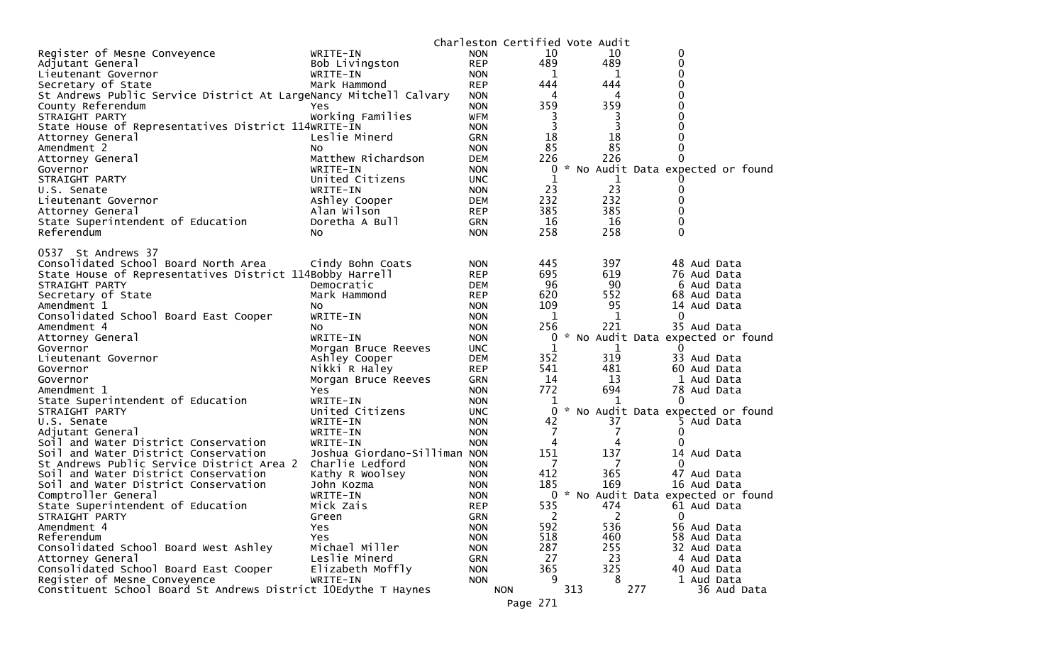|                                                                       |                              |                          | Charleston Certified Vote Audit |     |                |                                     |
|-----------------------------------------------------------------------|------------------------------|--------------------------|---------------------------------|-----|----------------|-------------------------------------|
| Register of Mesne Conveyence                                          | WRITE-IN                     | <b>NON</b>               | 10                              |     | 10             | 0                                   |
| Adjutant General                                                      | Bob Livingston               | <b>REP</b>               | 489                             |     | 489            | $\mathbf 0$                         |
| Lieutenant Governor                                                   | WRITE-IN                     | <b>NON</b>               | 1                               |     | 1              | 0                                   |
| Secretary of State                                                    | Mark Hammond                 | <b>REP</b>               | 444                             |     | 444            | 0                                   |
| St Andrews Public Service District At LargeNancy Mitchell Calvary     |                              | <b>NON</b>               | 4                               |     | 4              | $\Omega$<br>0                       |
| County Referendum                                                     | Yes<br>Working Families      | <b>NON</b>               | 359                             |     | 359            | 0                                   |
| STRAIGHT PARTY<br>State House of Representatives District 114WRITE-IN |                              | <b>WFM</b><br><b>NON</b> | 3<br>3                          |     | 3<br>3         | 0                                   |
| Attorney General                                                      | Leslie Minerd                | <b>GRN</b>               | 18                              |     | 18             |                                     |
| Amendment 2                                                           | NO.                          | <b>NON</b>               | 85                              |     | 85             | 0                                   |
| Attorney General                                                      | Matthew Richardson           | <b>DEM</b>               | 226                             |     | 226            | $\Omega$                            |
| Governor                                                              | WRITE-IN                     | <b>NON</b>               | 0                               |     |                | * No Audit Data expected or found   |
| STRAIGHT PARTY                                                        | United Citizens              | UNC.                     | 1                               |     | 1              |                                     |
| U.S. Senate                                                           | WRITE-IN                     | <b>NON</b>               | 23                              |     | 23             | 0                                   |
| Lieutenant Governor                                                   | Ashley Cooper                | DEM                      | 232                             |     | 232            | $\Omega$                            |
| Attorney General                                                      | Alan Wilson                  | <b>REP</b>               | 385                             |     | 385            | 0                                   |
| State Superintendent of Education                                     | Doretha A Bull               | <b>GRN</b>               | 16                              |     | 16             | 0                                   |
| Referendum                                                            | NO.                          | <b>NON</b>               | 258                             |     | 258            | $\Omega$                            |
|                                                                       |                              |                          |                                 |     |                |                                     |
| 0537 St Andrews 37                                                    |                              |                          |                                 |     |                |                                     |
| Consolidated School Board North Area                                  | Cindy Bohn Coats             | <b>NON</b>               | 445                             |     | 397            | 48 Aud Data                         |
| State House of Representatives District 114Bobby Harrell              |                              | <b>REP</b>               | 695                             |     | 619            | 76 Aud Data                         |
| STRAIGHT PARTY                                                        | Democratic                   | DEM                      | 96                              |     | 90             | 6 Aud Data                          |
| Secretary of State                                                    | Mark Hammond                 | <b>REP</b>               | 620                             |     | 552            | 68 Aud Data                         |
| Amendment 1                                                           | NO.                          | <b>NON</b>               | 109                             |     | 95             | 14 Aud Data                         |
| Consolidated School Board East Cooper                                 | WRITE-IN                     | <b>NON</b>               | 1<br>256                        |     | 1<br>221       | 0<br>35 Aud Data                    |
| Amendment 4                                                           | NO.<br>WRITE-IN              | <b>NON</b><br><b>NON</b> | 0                               |     |                | * No Audit Data expected or found   |
| Attorney General<br>Governor                                          | Morgan Bruce Reeves          | <b>UNC</b>               | 1                               |     | 1              | $\Omega$                            |
| Lieutenant Governor                                                   | Ashley Cooper                | DEM                      | 352                             |     | 319            | 33 Aud Data                         |
| Governor                                                              | Nikki R Haley                | <b>REP</b>               | 541                             |     | 481            | 60 Aud Data                         |
| Governor                                                              | Morgan Bruce Reeves          | GRN                      | 14                              |     | 13             | 1 Aud Data                          |
| Amendment 1                                                           | Yes                          | <b>NON</b>               | 772                             |     | 694            | 78 Aud Data                         |
| State Superintendent of Education                                     | WRITE-IN                     | <b>NON</b>               | 1                               |     |                | 0                                   |
| STRAIGHT PARTY                                                        | United Citizens              | <b>UNC</b>               | 0                               |     |                | * No Audit Data expected or found   |
| U.S. Senate                                                           | WRITE-IN                     | <b>NON</b>               | 42                              |     | 37             | 5 Aud Data                          |
| Adjutant General                                                      | WRITE-IN                     | <b>NON</b>               | 7                               |     | 7              | 0                                   |
| Soil and Water District Conservation                                  | WRITE-IN                     | <b>NON</b>               | 4                               |     | 4              | $\Omega$                            |
| Soil and Water District Conservation                                  | Joshua Giordano-Silliman NON |                          | 151                             |     | 137            | 14 Aud Data                         |
| St Andrews Public Service District Area 2                             | Charlie Ledford              | <b>NON</b>               | - 7                             |     | 7              | 0                                   |
| Soil and Water District Conservation                                  | Kathy R Woolsey              | <b>NON</b>               | 412                             |     | 365            | 47 Aud Data                         |
| Soil and Water District Conservation                                  | John Kozma                   | <b>NON</b>               | 185                             |     | 169            | 16 Aud Data                         |
| Comptroller General                                                   | WRITE-IN                     | <b>NON</b>               |                                 |     |                | 0 * No Audit Data expected or found |
| State Superintendent of Education                                     | Mick Zais                    | <b>REP</b>               | 535                             |     | 474            | 61 Aud Data                         |
| STRAIGHT PARTY                                                        | Green                        | GRN                      | $\overline{2}$                  |     | $\overline{2}$ | $\mathbf 0$                         |
| Amendment 4                                                           | Yes                          | <b>NON</b>               | 592                             |     | 536            | 56 Aud Data                         |
| Referendum                                                            | Yes<br>Michael Miller        | <b>NON</b>               | 518                             |     | 460            | 58 Aud Data                         |
| Consolidated School Board West Ashley                                 | Leslie Minerd                | <b>NON</b>               | 287<br>27                       |     | 255<br>23      | 32 Aud Data                         |
| Attorney General<br>Consolidated School Board East Cooper             | Elizabeth Moffly             | GRN<br><b>NON</b>        | 365                             |     | 325            | 4 Aud Data<br>40 Aud Data           |
| Register of Mesne Conveyence                                          | WRITE-IN                     | <b>NON</b>               | q                               |     | 8              | 1 Aud Data                          |
| Constituent School Board St Andrews District 10Edythe T Haynes        |                              |                          | <b>NON</b>                      | 313 |                | 277<br>36 Aud Data                  |
|                                                                       |                              |                          | Page 271                        |     |                |                                     |
|                                                                       |                              |                          |                                 |     |                |                                     |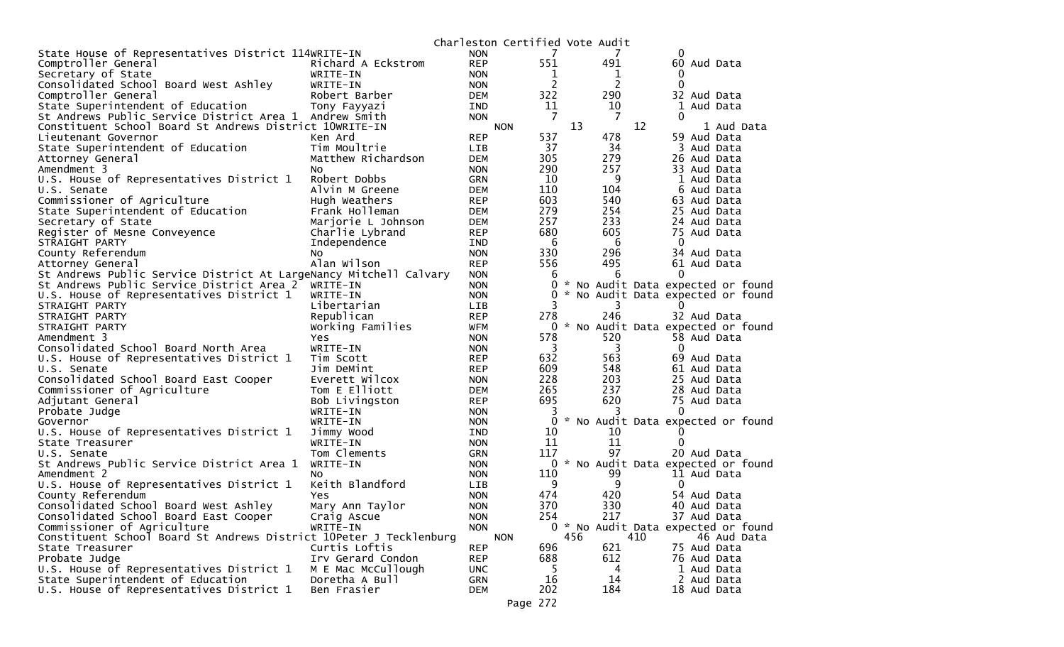|                                                                    |                    | Charleston Certified Vote Audit |                |               |     |     |              |                                     |
|--------------------------------------------------------------------|--------------------|---------------------------------|----------------|---------------|-----|-----|--------------|-------------------------------------|
| State House of Representatives District 114WRITE-IN                |                    | <b>NON</b>                      | 7              |               |     |     | 0            |                                     |
| Comptroller General                                                | Richard A Eckstrom | <b>REP</b>                      | 551            |               | 491 |     | 60 Aud Data  |                                     |
| Secretary of State                                                 | WRITE-IN           | <b>NON</b>                      | 1              |               | 1   |     | 0            |                                     |
| Consolidated School Board West Ashley                              | WRITE-IN           | <b>NON</b>                      | $\overline{c}$ |               | 2   |     | $\Omega$     |                                     |
| Comptroller General                                                | Robert Barber      | <b>DEM</b>                      | 322            |               | 290 |     | 32 Aud Data  |                                     |
| State Superintendent of Education                                  | Tony Fayyazi       | IND                             | 11             |               | 10  |     |              | 1 Aud Data                          |
| St Andrews Public Service District Area 1 Andrew Smith             |                    | <b>NON</b>                      | 7              |               | -7  |     | $\Omega$     |                                     |
| Constituent School Board St Andrews District 10WRITE-IN            |                    | <b>NON</b>                      |                | 13            |     | 12  |              | 1 Aud Data                          |
| Lieutenant Governor                                                | Ken Ard            | <b>REP</b>                      | 537            |               | 478 |     | 59 Aud Data  |                                     |
| State Superintendent of Education                                  | Tim Moultrie       | LIB                             | 37             |               | 34  |     |              | 3 Aud Data                          |
| Attorney General                                                   | Matthew Richardson | <b>DEM</b>                      | 305            |               | 279 |     | 26 Aud Data  |                                     |
| Amendment 3                                                        | NO.                | <b>NON</b>                      | 290            |               | 257 |     | 33 Aud Data  |                                     |
| U.S. House of Representatives District 1                           | Robert Dobbs       | <b>GRN</b>                      | 10             |               | 9   |     |              | 1 Aud Data                          |
| U.S. Senate                                                        | Alvin M Greene     | <b>DEM</b>                      | 110            |               | 104 |     |              | 6 Aud Data                          |
| Commissioner of Agriculture                                        | Hugh Weathers      | <b>REP</b>                      | 603            |               | 540 |     | 63 Aud Data  |                                     |
| State Superintendent of Education                                  | Frank Holleman     | <b>DEM</b>                      | 279            |               | 254 |     | 25 Aud Data  |                                     |
| Secretary of State                                                 | Marjorie L Johnson | <b>DEM</b>                      | 257            |               | 233 |     | 24 Aud Data  |                                     |
| Register of Mesne Conveyence                                       | Charlie Lybrand    | <b>REP</b>                      | 680            |               | 605 |     | 75 Aud Data  |                                     |
| STRAIGHT PARTY                                                     | Independence       | <b>IND</b>                      | 6              |               | 6   |     | $\mathbf{0}$ |                                     |
| County Referendum                                                  | No                 | <b>NON</b>                      | 330            |               | 296 |     | 34 Aud Data  |                                     |
| Attorney General                                                   | Alan Wilson        | <b>REP</b>                      | 556            |               | 495 |     | 61 Aud Data  |                                     |
| St Andrews Public Service District At LargeNancy Mitchell Calvary  |                    | <b>NON</b>                      | 6              |               | 6   |     | 0            |                                     |
| St Andrews Public Service District Area 2                          | WRITE-IN           | <b>NON</b>                      | 0              |               |     |     |              | * No Audit Data expected or found   |
| U.S. House of Representatives District 1                           | WRITE-IN           | <b>NON</b>                      | 0              |               |     |     |              | No Audit Data expected or found     |
| STRAIGHT PARTY                                                     | Libertarian        | LIB                             | 3              |               | 3   |     | 0            |                                     |
| STRAIGHT PARTY                                                     | Republican         | <b>REP</b>                      | 278            |               | 246 |     | 32 Aud Data  |                                     |
| STRAIGHT PARTY                                                     | Working Families   | <b>WFM</b>                      | 0              | $\mathcal{H}$ |     |     |              | No Audit Data expected or found     |
| Amendment 3                                                        | Yes                | <b>NON</b>                      | 578            |               | 520 |     | 58 Aud Data  |                                     |
| Consolidated School Board North Area                               | WRITE-IN           | <b>NON</b>                      | 3              |               | 3   |     | $\Omega$     |                                     |
| U.S. House of Representatives District 1                           | Tim Scott          | <b>REP</b>                      | 632            |               | 563 |     | 69 Aud Data  |                                     |
| U.S. Senate                                                        | Jim DeMint         | <b>REP</b>                      | 609            |               | 548 |     | 61 Aud Data  |                                     |
| Consolidated School Board East Cooper                              | Everett Wilcox     | <b>NON</b>                      | 228            |               | 203 |     | 25 Aud Data  |                                     |
| Commissioner of Agriculture                                        | Tom E Elliott      | <b>DEM</b>                      | 265            |               | 237 |     | 28 Aud Data  |                                     |
| Adjutant General                                                   | Bob Livingston     | <b>REP</b>                      | 695            |               | 620 |     | 75 Aud Data  |                                     |
| Probate Judge                                                      | WRITE-IN           | <b>NON</b>                      | 3              |               |     |     | 0            |                                     |
| Governor                                                           | WRITE-IN           | <b>NON</b>                      | 0              |               |     |     |              | * No Audit Data expected or found   |
| U.S. House of Representatives District 1                           | Jimmy Wood         | <b>IND</b>                      | 10             |               | 10  |     |              |                                     |
| State Treasurer                                                    | WRITE-IN           | <b>NON</b>                      | 11             |               | 11  |     | 0            |                                     |
| U.S. Senate                                                        | Tom Clements       | <b>GRN</b>                      | 117            |               | 97  |     | 20 Aud Data  |                                     |
| St Andrews Public Service District Area 1                          | WRITE-IN           | <b>NON</b>                      | 0              |               |     |     |              | * No Audit Data expected or found   |
| Amendment 2                                                        | NO.                | <b>NON</b>                      | 110            |               | 99  |     | 11 Aud Data  |                                     |
| U.S. House of Representatives District 1                           | Keith Blandford    | <b>LIB</b>                      | 9              |               | 9   |     | $\Omega$     |                                     |
| County Referendum                                                  | Yes.               | <b>NON</b>                      | 474            |               | 420 |     | 54 Aud Data  |                                     |
| Consolidated School Board West Ashley                              | Mary Ann Taylor    | <b>NON</b>                      | 370            |               | 330 |     | 40 Aud Data  |                                     |
| Consolidated School Board East Cooper                              | Craig Ascue        | <b>NON</b>                      | 254            |               | 217 |     | 37 Aud Data  |                                     |
| Commissioner of Agriculture                                        | WRITE-IN           | <b>NON</b>                      |                |               |     |     |              | 0 * No Audit Data expected or found |
| Constituent School Board St Andrews District 10Peter J Tecklenburg |                    | <b>NON</b>                      |                | 456           |     | 410 |              | 46 Aud Data                         |
| State Treasurer                                                    | Curtis Loftis      | <b>REP</b>                      | 696            |               | 621 |     | 75 Aud Data  |                                     |
| Probate Judge                                                      | Irv Gerard Condon  | <b>REP</b>                      | 688            |               | 612 |     | 76 Aud Data  |                                     |
| U.S. House of Representatives District 1                           | M E Mac McCullough | <b>UNC</b>                      | 5              |               | 4   |     |              | 1 Aud Data                          |
| State Superintendent of Education                                  | Doretha A Bull     | <b>GRN</b>                      | 16             |               | 14  |     |              | 2 Aud Data                          |
| U.S. House of Representatives District 1                           | Ben Frasier        | <b>DEM</b>                      | 202            |               | 184 |     | 18 Aud Data  |                                     |
|                                                                    |                    |                                 |                |               |     |     |              |                                     |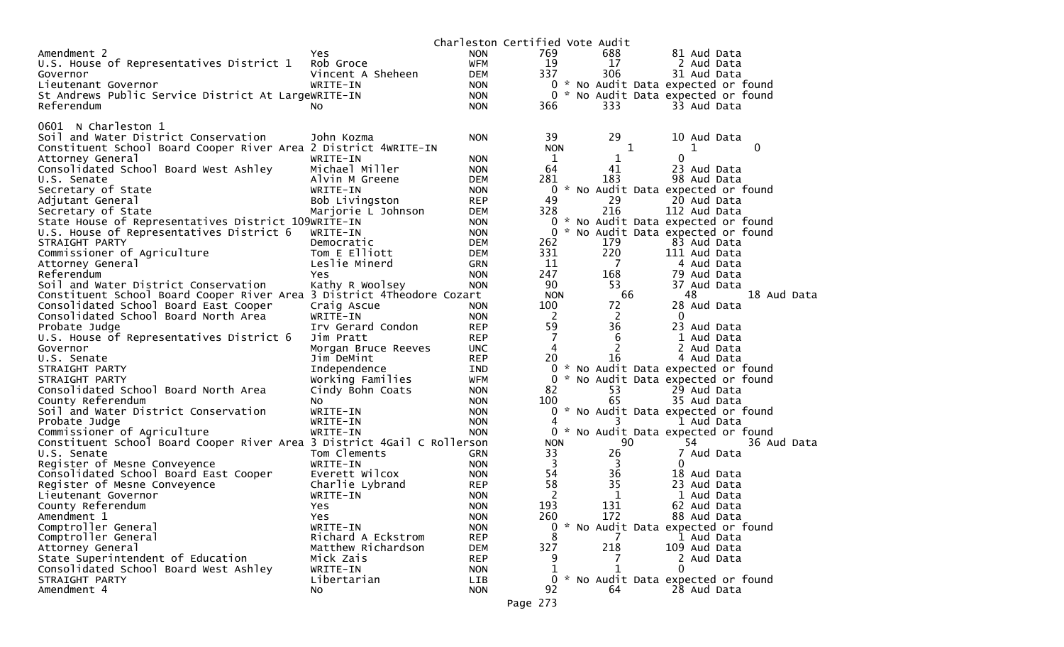|                                                                         |                     |            | Charleston Certified Vote Audit |                |                                     |
|-------------------------------------------------------------------------|---------------------|------------|---------------------------------|----------------|-------------------------------------|
| Amendment 2                                                             | <b>Yes</b>          | <b>NON</b> | 769                             | 688            | 81 Aud Data                         |
| U.S. House of Representatives District 1                                | Rob Groce           | <b>WFM</b> | 19                              | 17             | 2 Aud Data                          |
| Governor                                                                | Vincent A Sheheen   | <b>DEM</b> | 337                             | 306            | 31 Aud Data                         |
| Lieutenant Governor                                                     | WRITE-IN            | NON        | $\mathbf{0}$                    |                | * No Audit Data expected or found   |
| St Andrews Public Service District At LargeWRITE-IN                     |                     | <b>NON</b> |                                 |                | 0 * No Audit Data expected or found |
| Referendum                                                              | NO.                 | <b>NON</b> | 366                             | 333            | 33 Aud Data                         |
|                                                                         |                     |            |                                 |                |                                     |
| 0601 N Charleston 1                                                     |                     |            |                                 |                |                                     |
| Soil and Water District Conservation                                    | John Kozma          | <b>NON</b> | 39                              | 29             | 10 Aud Data                         |
| Constituent School Board Cooper River Area 2 District 4WRITE-IN         |                     |            | <b>NON</b>                      | 1              | 0<br>1                              |
| Attorney General                                                        | WRITE-IN            | <b>NON</b> | 1                               | 1              | $\Omega$                            |
| Consolidated School Board West Ashley                                   | Michael Miller      | <b>NON</b> | 64                              | 41             | 23 Aud Data                         |
| U.S. Senate                                                             | Alvin M Greene      | DEM        | 281                             | 183            | 98 Aud Data                         |
| Secretary of State                                                      | WRITE-IN            | <b>NON</b> | 0                               |                | * No Audit Data expected or found   |
| Adjutant General                                                        | Bob Livingston      | <b>REP</b> | 49                              | 29             | 20 Aud Data                         |
| Secretary of State                                                      | Marjorie L Johnson  | DEM        | 328                             | 216            | 112 Aud Data                        |
| State House of Representatives District 109WRITE-IN                     |                     | <b>NON</b> | 0                               |                | * No Audit Data expected or found   |
| U.S. House of Representatives District 6                                | WRITE-IN            | <b>NON</b> | 0                               |                | * No Audit Data expected or found   |
| STRAIGHT PARTY                                                          | Democratic          | DEM        | 262                             | 179            | 83 Aud Data                         |
| Commissioner of Agriculture                                             | Tom E Elliott       | <b>DEM</b> | 331                             | 220            | 111 Aud Data                        |
| Attorney General                                                        | Leslie Minerd       | <b>GRN</b> | 11                              | $\overline{7}$ | 4 Aud Data                          |
| Referendum                                                              | Yes                 | <b>NON</b> | 247                             | 168            | 79 Aud Data                         |
| Soil and Water District Conservation                                    | Kathy R Woolsey     | <b>NON</b> | 90                              | 53             | 37 Aud Data                         |
| Constituent School Board Cooper River Area 3 District 4Theodore Cozart  |                     |            | <b>NON</b>                      | 66             | 48<br>18 Aud Data                   |
| Consolidated School Board East Cooper                                   | Craig Ascue         | <b>NON</b> | 100                             | 72             | 28 Aud Data                         |
| Consolidated School Board North Area                                    | WRITE-IN            | <b>NON</b> | 2                               | $\overline{2}$ | $\mathbf{0}$                        |
| Probate Judge                                                           | Irv Gerard Condon   | <b>REP</b> | 59                              | 36             | 23 Aud Data                         |
| U.S. House of Representatives District 6                                | Jim Pratt           | <b>REP</b> | $\overline{7}$                  | 6              | 1 Aud Data                          |
| Governor                                                                | Morgan Bruce Reeves | <b>UNC</b> | $\overline{4}$                  | 2              | 2 Aud Data                          |
| U.S. Senate                                                             | Jim DeMint          | <b>REP</b> | 20                              | 16             | 4 Aud Data                          |
| STRAIGHT PARTY                                                          | Independence        | IND        |                                 |                | 0 * No Audit Data expected or found |
| STRAIGHT PARTY                                                          | Working Families    | <b>WFM</b> | 0                               |                | * No Audit Data expected or found   |
| Consolidated School Board North Area                                    | Cindy Bohn Coats    | <b>NON</b> | 82                              | 53             | 29 Aud Data                         |
| County Referendum                                                       | NO.                 | <b>NON</b> | 100                             | 65             | 35 Aud Data                         |
| Soil and Water District Conservation                                    | WRITE-IN            | <b>NON</b> | 0                               |                | * No Audit Data expected or found   |
| Probate Judge                                                           | WRITE-IN            | <b>NON</b> | 4                               | 3              | 1 Aud Data                          |
| Commissioner of Agriculture                                             | WRITE-IN            | <b>NON</b> |                                 |                | 0 * No Audit Data expected or found |
| Constituent School Board Cooper River Area 3 District 4Gail C Rollerson |                     |            | <b>NON</b>                      | 90             | 36 Aud Data<br>54                   |
| U.S. Senate                                                             | Tom Clements        | GRN        | 33                              | 26             | 7 Aud Data                          |
| Register of Mesne Conveyence                                            | WRITE-IN            | <b>NON</b> | 3                               | 3              | 0                                   |
| Consolidated School Board East Cooper                                   | Everett Wilcox      | <b>NON</b> | 54                              | 36             | 18 Aud Data                         |
| Register of Mesne Conveyence                                            | Charlie Lybrand     | <b>REP</b> | 58                              | 35             | 23 Aud Data                         |
| Lieutenant Governor                                                     | WRITE-IN            | <b>NON</b> | 2                               | 1              | 1 Aud Data                          |
| County Referendum                                                       | Yes                 | <b>NON</b> | 193                             | 131            | 62 Aud Data                         |
| Amendment 1                                                             | Yes                 | <b>NON</b> | 260                             | 172            | 88 Aud Data                         |
| Comptroller General                                                     | WRITE-IN            | <b>NON</b> | $\mathbf{0}$                    |                | * No Audit Data expected or found   |
| Comptroller General                                                     | Richard A Eckstrom  | <b>REP</b> | 8                               |                | 1 Aud Data                          |
| Attorney General                                                        | Matthew Richardson  | <b>DEM</b> | 327                             | 218            | 109 Aud Data                        |
| State Superintendent of Education                                       | Mick Zais           | <b>REP</b> | 9                               |                | 2 Aud Data                          |
| Consolidated School Board West Ashley                                   | WRITE-IN            | <b>NON</b> | 1                               |                | 0                                   |
| STRAIGHT PARTY                                                          | Libertarian         | LIB        | 0                               |                | * No Audit Data expected or found   |
| Amendment 4                                                             | NO.                 | <b>NON</b> | 92                              | 64             | 28 Aud Data                         |
|                                                                         |                     |            |                                 |                |                                     |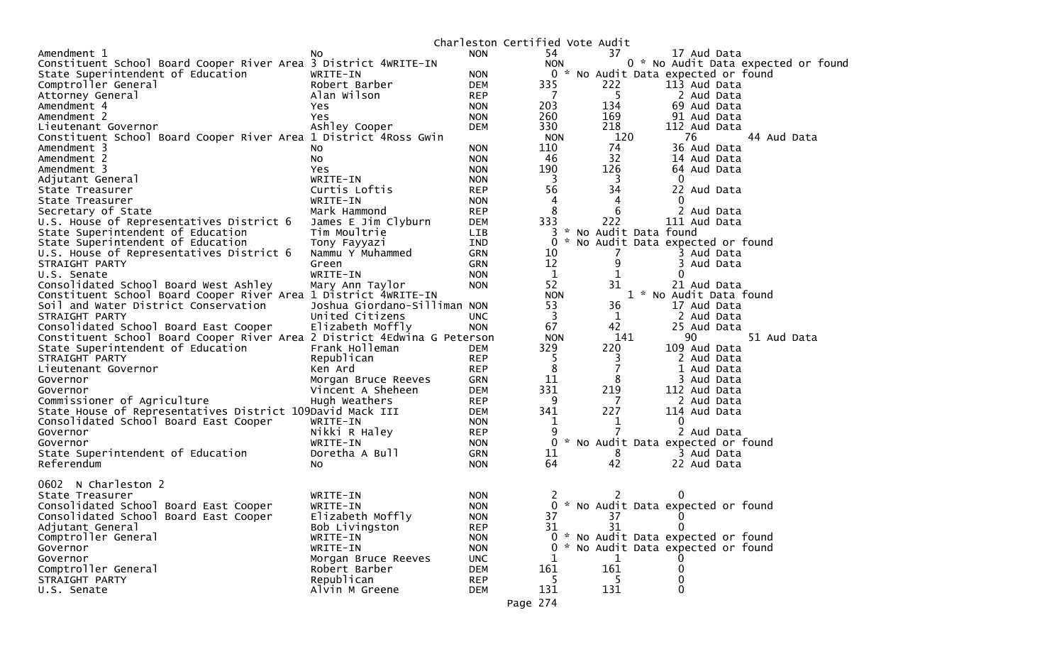|                                                                          |                              |            |                    | Charleston Certified Vote Audit |                                        |
|--------------------------------------------------------------------------|------------------------------|------------|--------------------|---------------------------------|----------------------------------------|
| Amendment 1                                                              | NO.                          | <b>NON</b> | 54                 | 37                              | 17 Aud Data                            |
| Constituent School Board Cooper River Area 3 District 4WRITE-IN          |                              |            | <b>NON</b>         |                                 | 0 * No Audit Data expected or foun     |
| State Superintendent of Education                                        | WRITE-IN                     | <b>NON</b> |                    |                                 | 0 * No Audit Data expected or found    |
| Comptroller General                                                      | Robert Barber                | <b>DEM</b> | 335                | 222                             | 113 Aud Data                           |
| Attorney General                                                         | Alan Wilson                  | <b>REP</b> | $\overline{7}$     | -5                              | 2 Aud Data                             |
| Amendment 4                                                              | Yes.                         | <b>NON</b> | 203                | 134                             | 69 Aud Data                            |
| Amendment 2                                                              | Yes.                         | <b>NON</b> | 260                | 169                             | 91 Aud Data                            |
| Lieutenant Governor                                                      | Ashley Cooper                | <b>DEM</b> | 330                | 218                             | 112 Aud Data                           |
| Constituent School Board Cooper River Area 1 District 4Ross Gwin         |                              |            | <b>NON</b>         | 120                             | 76<br>44 Aud Data                      |
| Amendment 3                                                              | No                           | <b>NON</b> | 110                | 74                              | 36 Aud Data                            |
| Amendment 2                                                              | NO.                          | <b>NON</b> | 46                 | 32                              | 14 Aud Data                            |
| Amendment 3                                                              | Yes.                         | <b>NON</b> | 190                | 126                             | 64 Aud Data                            |
| Adjutant General                                                         | WRITE-IN                     | <b>NON</b> | 3                  | $\overline{\mathbf{3}}$         | 0                                      |
| State Treasurer                                                          | Curtis Loftis                | <b>REP</b> | 56                 | 34                              | 22 Aud Data                            |
| State Treasurer                                                          | WRITE-IN                     | <b>NON</b> | 4                  | 4                               | $\Omega$                               |
| Secretary of State                                                       | Mark Hammond                 | <b>REP</b> | 8                  | 6                               | 2 Aud Data                             |
| U.S. House of Representatives District 6                                 | James E Jim Clyburn          | <b>DEM</b> | 333                | 222<br><b>X</b>                 | 111 Aud Data                           |
| State Superintendent of Education                                        | Tim Moultrie                 | LIB        | 3                  |                                 | No Audit Data found                    |
| State Superintendent of Education                                        | Tony Fayyazi                 | <b>IND</b> | $\Omega$           |                                 | No Audit Data expected or found        |
| U.S. House of Representatives District 6                                 | Nammu Y Muhammed             | GRN        | 10                 | 7                               | 3 Aud Data                             |
| STRAIGHT PARTY                                                           | Green                        | GRN        | 12<br>$\mathbf{1}$ | 9<br>1                          | 3 Aud Data<br>0                        |
| U.S. Senate<br>Consolidated School Board West Ashley                     | WRITE-IN                     | <b>NON</b> | 52                 | 31                              |                                        |
| Constituent School Board Cooper River Area 1 District 4WRITE-IN          | Mary Ann Taylor              | <b>NON</b> | <b>NON</b>         |                                 | 21 Aud Data<br>1 * No Audit Data found |
| Soil and Water District Conservation                                     | Joshua Giordano-Silliman NON |            | 53                 | 36                              | 17 Aud Data                            |
| STRAIGHT PARTY                                                           | United Citizens              | <b>UNC</b> | $\overline{3}$     | $\mathbf 1$                     | 2 Aud Data                             |
| Consolidated School Board East Cooper                                    | Elizabeth Moffly             | <b>NON</b> | 67                 | 42                              | 25 Aud Data                            |
| Constituent School Board Cooper River Area 2 District 4Edwina G Peterson |                              |            | <b>NON</b>         | 141                             | 90<br>51 Aud Data                      |
| State Superintendent of Education                                        | Frank Holleman               | <b>DEM</b> | 329                | 220                             | 109 Aud Data                           |
| STRAIGHT PARTY                                                           | Republican                   | <b>REP</b> | 5                  | 3                               | 2 Aud Data                             |
| Lieutenant Governor                                                      | Ken Ard                      | <b>REP</b> | 8                  | 7                               | 1 Aud Data                             |
| Governor                                                                 | Morgan Bruce Reeves          | <b>GRN</b> | 11                 | 8                               | 3 Aud Data                             |
| Governor                                                                 | Vincent A Sheheen            | <b>DEM</b> | 331                | 219                             | 112 Aud Data                           |
| Commissioner of Agriculture                                              | Hugh Weathers                | <b>REP</b> | 9                  | $\overline{7}$                  | 2 Aud Data                             |
| State House of Representatives District 109David Mack III                |                              | <b>DEM</b> | 341                | 227                             | 114 Aud Data                           |
| Consolidated School Board East Cooper                                    | WRITE-IN                     | <b>NON</b> | 1                  | 1                               | $\Omega$                               |
| Governor                                                                 | Nikki R Haley                | <b>REP</b> | 9                  | 7                               | 2 Aud Data                             |
| Governor                                                                 | WRITE-IN                     | <b>NON</b> |                    |                                 | 0 * No Audit Data expected or found    |
| State Superintendent of Education                                        | Doretha A Bull               | <b>GRN</b> | 11                 | 8                               | 3 Aud Data                             |
| Referendum                                                               | NO.                          | <b>NON</b> | 64                 | 42                              | 22 Aud Data                            |
|                                                                          |                              |            |                    |                                 |                                        |
| 0602 N Charleston 2                                                      |                              |            |                    |                                 |                                        |
| State Treasurer                                                          | WRITE-IN                     | <b>NON</b> | 2                  | 2                               | 0                                      |
| Consolidated School Board East Cooper                                    | WRITE-IN                     | <b>NON</b> |                    |                                 | 0 * No Audit Data expected or found    |
| Consolidated School Board East Cooper                                    | Elizabeth Moffly             | <b>NON</b> | 37                 | 37                              | 0                                      |
| Adjutant General                                                         | Bob Livingston               | <b>REP</b> | 31                 | 31                              | $\Omega$                               |
| Comptroller General                                                      | WRITE-IN                     | <b>NON</b> |                    |                                 | 0 * No Audit Data expected or found    |
| Governor                                                                 | WRITE-IN                     | <b>NON</b> | 0                  |                                 | * No Audit Data expected or found      |
| Governor                                                                 | Morgan Bruce Reeves          | <b>UNC</b> | 1                  | $\mathbf{1}$                    |                                        |
| Comptroller General                                                      | Robert Barber                | DEM        | 161                | 161                             | $\mathbf 0$                            |
| STRAIGHT PARTY                                                           | Republican                   | <b>REP</b> | 5                  |                                 | 0                                      |
| U.S. Senate                                                              | Alvin M Greene               | DEM        | 131                | 131                             | $\mathbf{0}$                           |
|                                                                          |                              |            | Page 274           |                                 |                                        |

d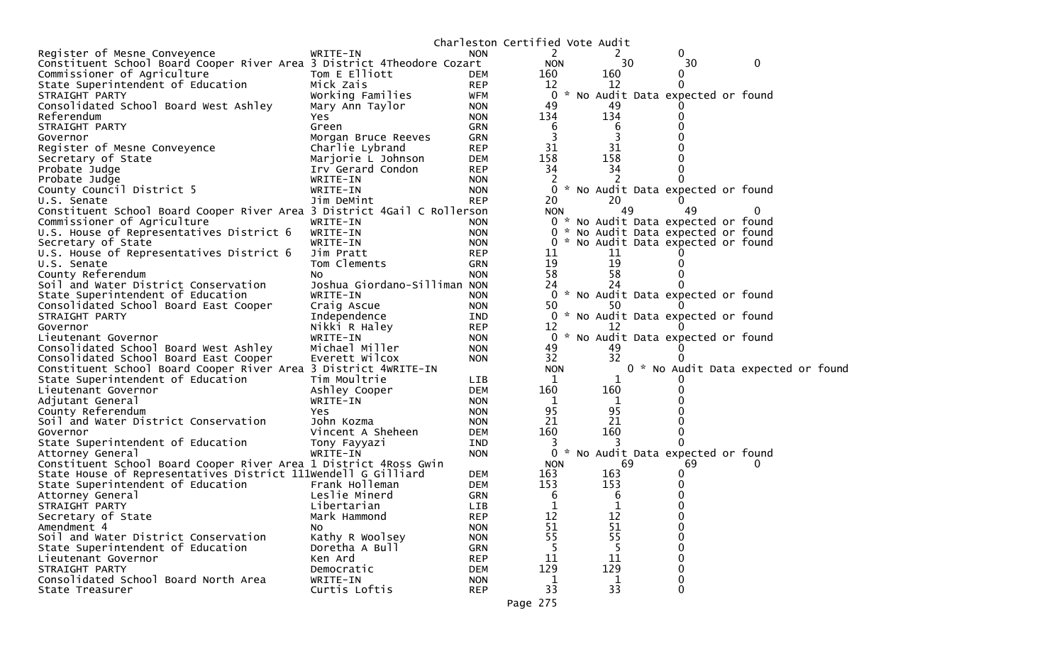|                                                                         |                              |            |            | Charleston Certified Vote Audit |                                     |   |
|-------------------------------------------------------------------------|------------------------------|------------|------------|---------------------------------|-------------------------------------|---|
| Register of Mesne Conveyence                                            | WRITE-IN                     | <b>NON</b> | 2          | 2                               | 0                                   |   |
| Constituent School Board Cooper River Area 3 District 4Theodore Cozart  |                              |            | <b>NON</b> | 30                              | 30                                  | 0 |
| Commissioner of Agriculture                                             | Tom E Elliott                | DEM        | 160        | 160                             | 0                                   |   |
| State Superintendent of Education                                       | Mick Zais                    | <b>REP</b> | 12         | 12                              |                                     |   |
| STRAIGHT PARTY                                                          | Working Families             | WFM        | 0          |                                 | * No Audit Data expected or found   |   |
| Consolidated School Board West Ashley                                   | Mary Ann Taylor              | <b>NON</b> | 49         | 49                              |                                     |   |
| Referendum                                                              | Yes                          | <b>NON</b> | 134        | 134                             |                                     |   |
| STRAIGHT PARTY                                                          | Green                        | <b>GRN</b> | 6          | 6                               |                                     |   |
| Governor                                                                | Morgan Bruce Reeves          | <b>GRN</b> | 3          |                                 |                                     |   |
| Register of Mesne Conveyence                                            | Charlie Lybrand              | <b>REP</b> | 31         | 31                              |                                     |   |
| Secretary of State                                                      | Marjorie L Johnson           | <b>DEM</b> | 158        | 158                             |                                     |   |
| Probate Judge                                                           | Irv Gerard Condon            | <b>REP</b> | 34         | 34                              |                                     |   |
| Probate Judge                                                           | WRITE-IN                     | <b>NON</b> | 2          | 2                               |                                     |   |
| County Council District 5                                               | WRITE-IN                     | <b>NON</b> | 0          |                                 | * No Audit Data expected or found   |   |
| U.S. Senate                                                             | Jim DeMint                   | <b>REP</b> | 20         | 20                              |                                     |   |
| Constituent School Board Cooper River Area 3 District 4Gail C Rollerson |                              |            | <b>NON</b> | 49                              | 49                                  |   |
| Commissioner of Agriculture                                             | WRITE-IN                     | <b>NON</b> |            |                                 | 0 * No Audit Data expected or found |   |
| U.S. House of Representatives District 6                                | WRITE-IN                     | <b>NON</b> |            |                                 | 0 * No Audit Data expected or found |   |
| Secretary of State                                                      | WRITE-IN                     | <b>NON</b> |            |                                 | * No Audit Data expected or found   |   |
| U.S. House of Representatives District 6                                | Jim Pratt                    | <b>REP</b> | 11         | 11                              |                                     |   |
| U.S. Senate                                                             | Tom Clements                 | <b>GRN</b> | 19         | 19                              |                                     |   |
| County Referendum                                                       | NO.                          | <b>NON</b> | 58         | 58                              |                                     |   |
| Soil and Water District Conservation                                    | Joshua Giordano-Silliman NON |            | 24         | 24                              |                                     |   |
| State Superintendent of Education                                       | WRITE-IN                     | <b>NON</b> | 0          |                                 | * No Audit Data expected or found   |   |
| Consolidated School Board East Cooper                                   | Craig Ascue                  | <b>NON</b> | 50         | 50                              |                                     |   |
| STRAIGHT PARTY                                                          | Independence                 | IND        |            |                                 | 0 * No Audit Data expected or found |   |
| Governor                                                                | Nikki R Haley                | <b>REP</b> | 12         | 12                              |                                     |   |
| Lieutenant Governor                                                     | WRITE-IN                     | <b>NON</b> | 0          |                                 | * No Audit Data expected or found   |   |
| Consolidated School Board West Ashley                                   | Michael Miller               | <b>NON</b> | 49         | 49                              |                                     |   |
| Consolidated School Board East Cooper                                   | Everett Wilcox               | <b>NON</b> | 32         | 32                              |                                     |   |
| Constituent School Board Cooper River Area 3 District 4WRITE-IN         |                              |            | <b>NON</b> |                                 | 0 * No Audit Data expected or foun  |   |
| State Superintendent of Education                                       | Tim Moultrie                 | LIB.       | 1          |                                 |                                     |   |
| Lieutenant Governor                                                     | Ashley Cooper                | <b>DEM</b> | 160        | 160                             |                                     |   |
| Adjutant General                                                        | WRITE-IN                     | <b>NON</b> | 1          | 1                               |                                     |   |
| County Referendum                                                       | Yes.                         | <b>NON</b> | 95         | 95                              |                                     |   |
| Soil and Water District Conservation                                    | John Kozma                   | <b>NON</b> | 21         | 21                              |                                     |   |
| Governor                                                                | Vincent A Sheheen            | <b>DEM</b> | 160        | 160                             |                                     |   |
| State Superintendent of Education                                       | Tony Fayyazi                 | IND        | 3          | 3                               |                                     |   |
| Attorney General                                                        | WRITE-IN                     | <b>NON</b> | 0          |                                 | * No Audit Data expected or found   |   |
| Constituent School Board Cooper River Area 1 District 4Ross Gwin        |                              |            | <b>NON</b> | 69                              | 69                                  |   |
| State House of Representatives District 111Wendell G Gilliard           |                              | <b>DEM</b> | 163        | 163                             |                                     |   |
| State Superintendent of Education                                       | Frank Holleman               | <b>DEM</b> | 153        | 153                             |                                     |   |
| Attorney General                                                        | Leslie Minerd                | <b>GRN</b> | 6          | 6                               |                                     |   |
| STRAIGHT PARTY                                                          | Libertarian                  | <b>LIB</b> | 1          | 1                               |                                     |   |
| Secretary of State                                                      | Mark Hammond                 | <b>REP</b> | 12         | 12                              | 0                                   |   |
| Amendment 4                                                             | NO.                          | <b>NON</b> | 51         | 51                              | $\Omega$                            |   |
| Soil and Water District Conservation                                    | Kathy R Woolsey              | <b>NON</b> | 55         | 55                              | $\mathbf 0$                         |   |
| State Superintendent of Education                                       | Doretha A Bull               | <b>GRN</b> | 5          | 5                               | $\Omega$                            |   |
| Lieutenant Governor                                                     | Ken Ard                      | <b>REP</b> | 11         | 11                              | $\Omega$                            |   |
| STRAIGHT PARTY                                                          | Democratic                   | <b>DEM</b> | 129        | 129                             | $\mathbf 0$                         |   |
| Consolidated School Board North Area                                    | WRITE-IN                     | <b>NON</b> | 1          | 1                               | 0                                   |   |
| State Treasurer                                                         | Curtis Loftis                | <b>REP</b> | 33         | 33                              | 0                                   |   |
|                                                                         |                              |            |            |                                 |                                     |   |

d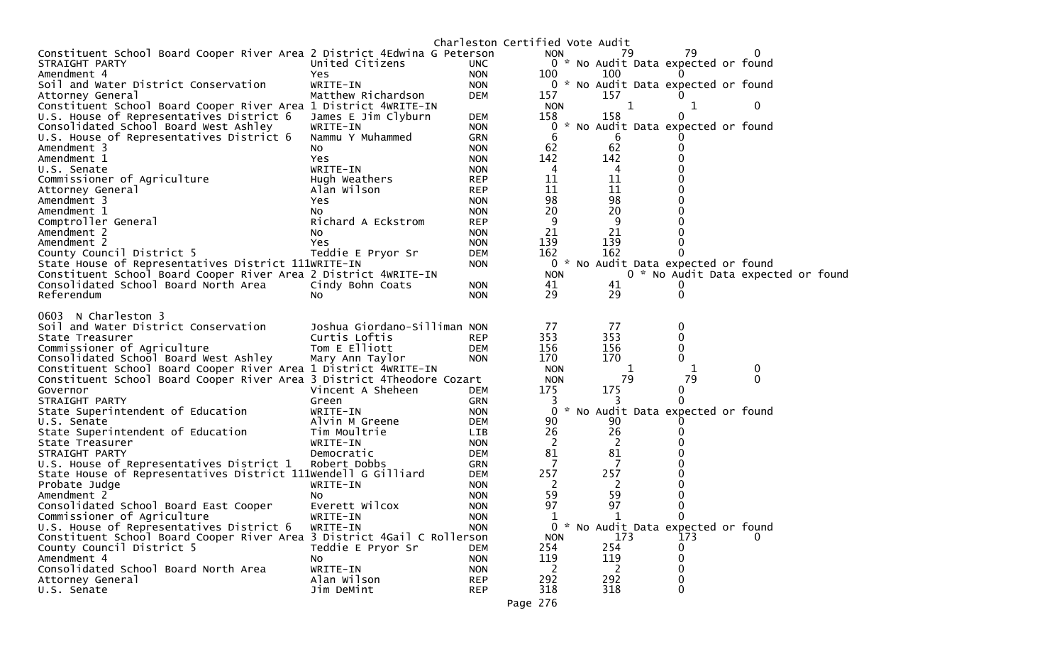|                                                                          |                              |                          | Charleston Certified Vote Audit |     |                                     |                                     |
|--------------------------------------------------------------------------|------------------------------|--------------------------|---------------------------------|-----|-------------------------------------|-------------------------------------|
| Constituent School Board Cooper River Area 2 District 4Edwina G Peterson |                              |                          | <b>NON</b>                      | 79  | 79                                  | 0                                   |
| STRAIGHT PARTY                                                           | United Citizens              | UNC.                     |                                 |     | 0 * No Audit Data expected or found |                                     |
| Amendment 4                                                              | Yes                          | <b>NON</b>               | 100                             | 100 | 0                                   |                                     |
| Soil and Water District Conservation                                     | WRITE-IN                     | <b>NON</b>               |                                 |     | 0 * No Audit Data expected or found |                                     |
| Attorney General                                                         | Matthew Richardson           | <b>DEM</b>               | 157                             | 157 |                                     |                                     |
| Constituent School Board Cooper River Area 1 District 4WRITE-IN          |                              |                          | <b>NON</b>                      | 1   | 1                                   | 0                                   |
| U.S. House of Representatives District 6                                 | James E Jim Clyburn          | <b>DEM</b>               | 158                             | 158 | 0                                   |                                     |
| Consolidated School Board West Ashley                                    | WRITE-IN                     | <b>NON</b>               | 0                               |     | * No Audit Data expected or found   |                                     |
| U.S. House of Representatives District 6                                 | Nammu Y Muhammed             | <b>GRN</b>               | 6                               | 6   |                                     |                                     |
| Amendment 3                                                              | NO.                          | <b>NON</b>               | 62                              | 62  | O                                   |                                     |
| Amendment 1                                                              | Yes                          | <b>NON</b>               | 142                             | 142 |                                     |                                     |
| U.S. Senate                                                              | WRITE-IN                     | <b>NON</b>               | 4                               | 4   |                                     |                                     |
| Commissioner of Agriculture                                              | Hugh Weathers                | <b>REP</b>               | 11                              | 11  |                                     |                                     |
| Attorney General                                                         | Alan Wilson                  | <b>REP</b>               | 11                              | 11  |                                     |                                     |
| Amendment 3                                                              | Yes                          | <b>NON</b>               | 98                              | 98  |                                     |                                     |
| Amendment 1                                                              | NO.                          | <b>NON</b>               | 20                              | 20  |                                     |                                     |
| Comptroller General                                                      | Richard A Eckstrom           | <b>REP</b>               | 9                               | 9   |                                     |                                     |
| Amendment 2                                                              | NO.                          | <b>NON</b>               | 21                              | 21  |                                     |                                     |
| Amendment 2                                                              | Yes                          | <b>NON</b>               | 139                             | 139 |                                     |                                     |
| County Council District 5                                                | Teddie E Pryor Sr            | <b>DEM</b>               | 162                             | 162 | 0                                   |                                     |
| State House of Representatives District 111WRITE-IN                      |                              | <b>NON</b>               |                                 |     | 0 * No Audit Data expected or found |                                     |
| Constituent School Board Cooper River Area 2 District 4WRITE-IN          |                              |                          | <b>NON</b>                      |     |                                     | 0 * No Audit Data expected or found |
| Consolidated School Board North Area                                     | Cindy Bohn Coats             | <b>NON</b>               | 41                              | 41  | 0                                   |                                     |
| Referendum                                                               | NO.                          | <b>NON</b>               | 29                              | 29  | 0                                   |                                     |
|                                                                          |                              |                          |                                 |     |                                     |                                     |
| 0603 N Charleston 3                                                      |                              |                          |                                 |     |                                     |                                     |
| Soil and Water District Conservation                                     | Joshua Giordano-Silliman NON |                          | 77                              | 77  | 0                                   |                                     |
| State Treasurer                                                          | Curtis Loftis                | <b>REP</b>               | 353                             | 353 | 0                                   |                                     |
| Commissioner of Agriculture                                              | Tom E Elliott                | <b>DEM</b>               | 156                             | 156 | 0                                   |                                     |
| Consolidated School Board West Ashley                                    | Mary Ann Taylor              | <b>NON</b>               | 170                             | 170 | 0                                   |                                     |
| Constituent School Board Cooper River Area 1 District 4WRITE-IN          |                              |                          | <b>NON</b>                      |     |                                     | $\bf{0}$                            |
| Constituent School Board Cooper River Area 3 District 4Theodore Cozart   |                              |                          | <b>NON</b>                      | 79  | 79                                  | $\mathbf{0}$                        |
| Governor                                                                 | Vincent A Sheheen            | <b>DEM</b>               | 175                             | 175 | 0                                   |                                     |
| STRAIGHT PARTY                                                           | Green                        | <b>GRN</b>               | 3                               |     | 0                                   |                                     |
| State Superintendent of Education                                        | WRITE-IN                     | <b>NON</b>               | 0                               |     | * No Audit Data expected or found   |                                     |
| U.S. Senate                                                              | Alvin M Greene               | <b>DEM</b>               | 90                              | 90  |                                     |                                     |
| State Superintendent of Education                                        | Tim Moultrie                 | <b>LIB</b>               | 26                              | 26  | O)                                  |                                     |
| State Treasurer                                                          | WRITE-IN                     | <b>NON</b>               | 2                               | 2   |                                     |                                     |
| STRAIGHT PARTY                                                           | Democratic                   | <b>DEM</b>               | 81                              | 81  |                                     |                                     |
| U.S. House of Representatives District 1                                 | Robert Dobbs                 | <b>GRN</b>               | 7                               |     |                                     |                                     |
| State House of Representatives District 111Wendell G Gilliard            |                              | <b>DEM</b>               | 257                             | 257 |                                     |                                     |
| Probate Judge                                                            | WRITE-IN                     | <b>NON</b>               | 2                               | 2   |                                     |                                     |
| Amendment 2                                                              | NO.                          | <b>NON</b>               | 59                              | 59  | 0                                   |                                     |
| Consolidated School Board East Cooper                                    | Everett Wilcox               | <b>NON</b>               | 97                              | 97  | 0                                   |                                     |
| Commissioner of Agriculture                                              | WRITE-IN                     | <b>NON</b>               | $\mathbf{1}$                    | 1   | $\mathbf{0}$                        |                                     |
| U.S. House of Representatives District 6                                 | WRITE-IN                     | <b>NON</b>               | 0                               |     | * No Audit Data expected or found   |                                     |
| Constituent School Board Cooper River Area 3 District 4Gail C Rollerson  |                              |                          | <b>NON</b>                      | 173 | 173                                 | 0                                   |
| County Council District 5                                                |                              |                          | 254                             | 254 | 0                                   |                                     |
| Amendment 4                                                              | Teddie E Pryor Sr            | <b>DEM</b><br><b>NON</b> | 119                             | 119 | 0                                   |                                     |
| Consolidated School Board North Area                                     | NO.<br>WRITE-IN              |                          | 2                               |     | 0                                   |                                     |
|                                                                          |                              | <b>NON</b>               |                                 | 2   |                                     |                                     |
| Attorney General<br>U.S. Senate                                          | Alan Wilson                  | <b>REP</b>               | 292                             | 292 | 0                                   |                                     |
|                                                                          | Jim DeMint                   | <b>REP</b>               | 318                             | 318 | 0                                   |                                     |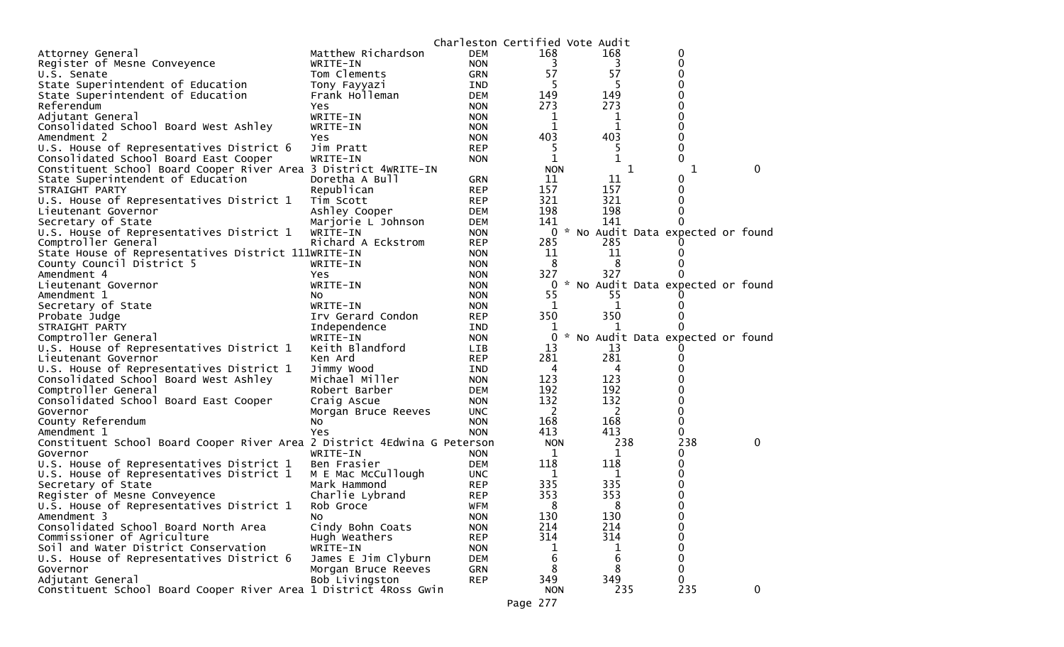|                                                                          |                     | Charleston Certified Vote Audit |            |              |                                   |              |
|--------------------------------------------------------------------------|---------------------|---------------------------------|------------|--------------|-----------------------------------|--------------|
| Attorney General                                                         | Matthew Richardson  | <b>DEM</b>                      | 168        | 168          | 0                                 |              |
| Register of Mesne Conveyence                                             | WRITE-IN            | <b>NON</b>                      | 3          | 3            | 0                                 |              |
| U.S. Senate                                                              | Tom Clements        | <b>GRN</b>                      | 57         | 57           | 0                                 |              |
| State Superintendent of Education                                        | Tony Fayyazi        | IND                             | -5         |              | 0                                 |              |
| State Superintendent of Education                                        | Frank Holleman      | <b>DEM</b>                      | 149        | 149          | 0                                 |              |
| Referendum                                                               | Yes                 | <b>NON</b>                      | 273        | 273          | 0                                 |              |
| Adjutant General                                                         | WRITE-IN            | <b>NON</b>                      | ı          | 1            | 0                                 |              |
| Consolidated School Board West Ashley                                    | WRITE-IN            | <b>NON</b>                      | 1          | 1            | $\Omega$                          |              |
| Amendment 2                                                              | Yes                 | <b>NON</b>                      | 403        | 403          | 0                                 |              |
| U.S. House of Representatives District 6                                 | Jim Pratt           | <b>REP</b>                      | 5          | 5            | 0                                 |              |
| Consolidated School Board East Cooper                                    | WRITE-IN            | <b>NON</b>                      | 1          | 1            | 0                                 |              |
| Constituent School Board Cooper River Area 3 District 4WRITE-IN          |                     |                                 | <b>NON</b> |              | 1<br>1                            | $\mathbf{0}$ |
| State Superintendent of Education                                        | Doretha A Bull      | <b>GRN</b>                      | 11         | 11           | O                                 |              |
| STRAIGHT PARTY                                                           | Republican          | <b>REP</b>                      | 157        | 157          | 0                                 |              |
| U.S. House of Representatives District 1                                 | Tim Scott           | <b>REP</b>                      | 321        | 321          | $\Omega$                          |              |
| Lieutenant Governor                                                      | Ashley Cooper       | <b>DEM</b>                      | 198        | 198          | 0                                 |              |
| Secretary of State                                                       | Marjorie L Johnson  | <b>DEM</b>                      | 141        | 141          | 0                                 |              |
| U.S. House of Representatives District 1                                 | WRITE-IN            | <b>NON</b>                      | 0          |              | * No Audit Data expected or found |              |
| Comptroller General                                                      | Richard A Eckstrom  | <b>REP</b>                      | 285        | 285          |                                   |              |
| State House of Representatives District 111WRITE-IN                      |                     | <b>NON</b>                      | 11         | 11           |                                   |              |
| County Council District 5                                                | WRITE-IN            | <b>NON</b>                      | 8          | 8            |                                   |              |
| Amendment 4                                                              | Yes                 | <b>NON</b>                      | 327        | 327          |                                   |              |
| Lieutenant Governor                                                      | WRITE-IN            | <b>NON</b>                      | 0          |              | * No Audit Data expected or found |              |
| Amendment 1                                                              | NO.                 | <b>NON</b>                      | 55         | 55           |                                   |              |
| Secretary of State                                                       | WRITE-IN            | <b>NON</b>                      | 1          | 1            |                                   |              |
| Probate Judge                                                            | Irv Gerard Condon   | <b>REP</b>                      | 350        | 350          |                                   |              |
| STRAIGHT PARTY                                                           | Independence        | IND                             | 1          |              |                                   |              |
| Comptroller General                                                      | WRITE-IN            | <b>NON</b>                      | 0          |              | * No Audit Data expected or found |              |
| U.S. House of Representatives District 1                                 | Keith Blandford     | LIB                             | 13         | 13           |                                   |              |
| Lieutenant Governor                                                      | Ken Ard             | <b>REP</b>                      | 281        | 281          |                                   |              |
| U.S. House of Representatives District 1                                 | Jimmy Wood          | IND                             | 4          | 4            |                                   |              |
| Consolidated School Board West Ashley                                    | Michael Miller      | <b>NON</b>                      | 123        | 123          |                                   |              |
| Comptroller General                                                      | Robert Barber       | <b>DEM</b>                      | 192        | 192          |                                   |              |
| Consolidated School Board East Cooper                                    | Craig Ascue         | <b>NON</b>                      | 132        | 132          | 0                                 |              |
| Governor                                                                 | Morgan Bruce Reeves | <b>UNC</b>                      | 2          | <sup>2</sup> | 0                                 |              |
| County Referendum                                                        | No                  | <b>NON</b>                      | 168        | 168          | 0                                 |              |
| Amendment 1                                                              | Yes                 | <b>NON</b>                      | 413        | 413          | 0                                 |              |
| Constituent School Board Cooper River Area 2 District 4Edwina G Peterson |                     |                                 | <b>NON</b> | 238          | 238                               | 0            |
| Governor                                                                 | WRITE-IN            | <b>NON</b>                      | 1          | 1            | 0                                 |              |
| U.S. House of Representatives District 1                                 | Ben Frasier         | DEM                             | 118        | 118          | 0                                 |              |
| U.S. House of Representatives District 1                                 | M E Mac McCullough  | <b>UNC</b>                      | 1          | 1            | 0                                 |              |
| Secretary of State                                                       | Mark Hammond        | <b>REP</b>                      | 335        | 335          | 0                                 |              |
| Register of Mesne Conveyence                                             | Charlie Lybrand     | <b>REP</b>                      | 353        | 353          | 0                                 |              |
| U.S. House of Representatives District 1                                 | Rob Groce           | <b>WFM</b>                      | 8          | 8            | 0                                 |              |
| Amendment 3                                                              | No.                 | <b>NON</b>                      | 130        | 130          | 0                                 |              |
| Consolidated School Board North Area                                     | Cindy Bohn Coats    | <b>NON</b>                      | 214        | 214          | 0                                 |              |
| Commissioner of Agriculture                                              | Hugh Weathers       | <b>REP</b>                      | 314        | 314          | $\mathbf 0$                       |              |
| Soil and Water District Conservation                                     | WRITE-IN            | <b>NON</b>                      |            | 1            | 0                                 |              |
| U.S. House of Representatives District 6                                 | James E Jim Clyburn | <b>DEM</b>                      | ı<br>6     | 6            | 0                                 |              |
| Governor                                                                 | Morgan Bruce Reeves | <b>GRN</b>                      | 8          | 8            | $\mathbf 0$                       |              |
|                                                                          |                     |                                 |            | 349          | 0                                 |              |
| Adjutant General                                                         | Bob Livingston      | <b>REP</b>                      | 349        | 235          | 235                               |              |
| Constituent School Board Cooper River Area 1 District 4Ross Gwin         |                     |                                 | <b>NON</b> |              |                                   | 0            |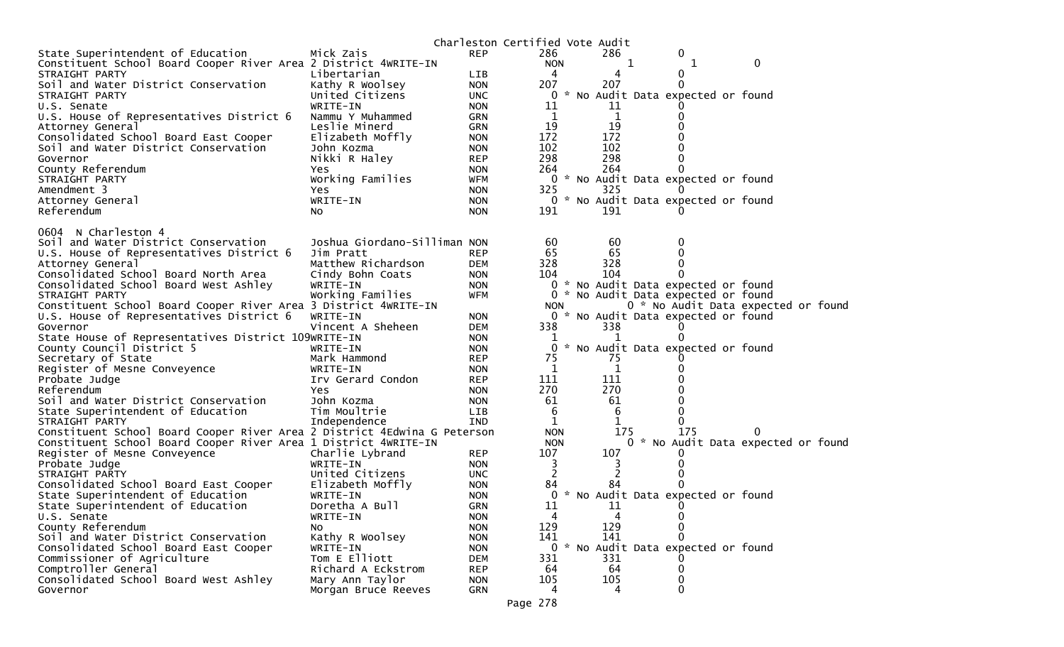|                                                                                  |                              |            | Charleston Certified Vote Audit |          |   |                                     |   |  |
|----------------------------------------------------------------------------------|------------------------------|------------|---------------------------------|----------|---|-------------------------------------|---|--|
| State Superintendent of Education                                                | Mick Zais                    | <b>REP</b> | 286                             | 286      |   | 0                                   |   |  |
| Constituent School Board Cooper River Area 2 District 4WRITE-IN                  |                              |            | <b>NON</b>                      |          | 1 | 1                                   | 0 |  |
| STRAIGHT PARTY                                                                   | Libertarian                  | <b>LIB</b> | 4                               | 4        |   | 0                                   |   |  |
| Soil and Water District Conservation                                             | Kathy R Woolsey              | <b>NON</b> | 207                             | 207      |   |                                     |   |  |
| STRAIGHT PARTY                                                                   | United Citizens              | <b>UNC</b> | 0                               |          |   | * No Audit Data expected or found   |   |  |
| U.S. Senate                                                                      | WRITE-IN                     | <b>NON</b> | 11                              | 11       |   |                                     |   |  |
| U.S. House of Representatives District 6                                         | Nammu Y Muhammed             | <b>GRN</b> | 1                               | 1        |   |                                     |   |  |
| Attorney General                                                                 | Leslie Minerd                | GRN        | 19                              | 19       |   |                                     |   |  |
| Consolidated School Board East Cooper                                            | Elizabeth Moffly             | <b>NON</b> | 172                             | 172      |   |                                     |   |  |
| Soil and Water District Conservation                                             | John Kozma                   | <b>NON</b> | 102                             | 102      |   |                                     |   |  |
| Governor                                                                         | Nikki R Haley                | <b>REP</b> | 298                             | 298      |   |                                     |   |  |
| County Referendum                                                                | <b>Yes</b>                   | <b>NON</b> | 264                             | 264      |   |                                     |   |  |
| STRAIGHT PARTY                                                                   | Working Families             | <b>WFM</b> | 0                               |          |   | * No Audit Data expected or found   |   |  |
| Amendment 3                                                                      | Yes                          | <b>NON</b> | 325                             | 325      |   |                                     |   |  |
| Attorney General                                                                 | WRITE-IN                     | <b>NON</b> |                                 |          |   | 0 * No Audit Data expected or found |   |  |
| Referendum                                                                       | NO.                          | <b>NON</b> | 191                             | 191      |   |                                     |   |  |
| 0604 N Charleston 4                                                              |                              |            |                                 |          |   |                                     |   |  |
|                                                                                  | Joshua Giordano-Silliman NON |            |                                 |          |   | 0                                   |   |  |
| Soil and Water District Conservation<br>U.S. House of Representatives District 6 | Jim Pratt                    | <b>REP</b> | 60<br>65                        | 60<br>65 |   |                                     |   |  |
| Attorney General                                                                 | Matthew Richardson           | <b>DEM</b> | 328                             | 328      |   | 0                                   |   |  |
| Consolidated School Board North Area                                             | Cindy Bohn Coats             | <b>NON</b> | 104                             | 104      |   |                                     |   |  |
| Consolidated School Board West Ashley                                            | WRITE-IN                     | <b>NON</b> |                                 |          |   | 0 * No Audit Data expected or found |   |  |
| STRAIGHT PARTY                                                                   | Working Families             | <b>WFM</b> |                                 |          |   | 0 * No Audit Data expected or found |   |  |
| Constituent School Board Cooper River Area 3 District 4WRITE-IN                  |                              |            | <b>NON</b>                      |          |   | 0 * No Audit Data expected or foun  |   |  |
| U.S. House of Representatives District 6                                         | WRITE-IN                     | <b>NON</b> |                                 |          |   | 0 * No Audit Data expected or found |   |  |
| Governor                                                                         | Vincent A Sheheen            | DEM        | 338                             | 338      |   |                                     |   |  |
| State House of Representatives District 109WRITE-IN                              |                              | <b>NON</b> |                                 |          |   |                                     |   |  |
| County Council District 5                                                        | WRITE-IN                     | <b>NON</b> |                                 |          |   | 0 * No Audit Data expected or found |   |  |
| Secretary of State                                                               | Mark Hammond                 | <b>REP</b> | 75                              | 75       |   |                                     |   |  |
| Register of Mesne Conveyence                                                     | WRITE-IN                     | <b>NON</b> | 1                               | 1        |   |                                     |   |  |
| Probate Judge                                                                    | Irv Gerard Condon            | <b>REP</b> | 111                             | 111      |   |                                     |   |  |
| Referendum                                                                       | Yes.                         | <b>NON</b> | 270                             | 270      |   |                                     |   |  |
| Soil and Water District Conservation                                             | John Kozma                   | <b>NON</b> | 61                              | 61       |   |                                     |   |  |
| State Superintendent of Education                                                | Tim Moultrie                 | LIB        | 6                               | 6        |   |                                     |   |  |
| STRAIGHT PARTY                                                                   | Independence                 | <b>IND</b> | 1                               | 1        |   |                                     |   |  |
| Constituent School Board Cooper River Area 2 District 4Edwina G Peterson         |                              |            | <b>NON</b>                      | 175      |   | 175                                 |   |  |
| Constituent School Board Cooper River Area 1 District 4WRITE-IN                  |                              |            | <b>NON</b>                      |          |   | 0 * No Audit Data expected or foun  |   |  |
| Register of Mesne Conveyence                                                     | Charlie Lybrand              | <b>REP</b> | 107                             | 107      |   |                                     |   |  |
| Probate Judge                                                                    | WRITE-IN                     | <b>NON</b> | 3                               |          |   |                                     |   |  |
| STRAIGHT PARTY                                                                   | United Citizens              | <b>UNC</b> | 2                               | 2        |   |                                     |   |  |
| Consolidated School Board East Cooper                                            | Elizabeth Moffly             | <b>NON</b> | 84                              | 84       |   |                                     |   |  |
| State Superintendent of Education                                                | WRITE-IN                     | <b>NON</b> | 0                               |          |   | * No Audit Data expected or found   |   |  |
| State Superintendent of Education                                                | Doretha A Bull               | <b>GRN</b> | 11                              | 11       |   |                                     |   |  |
| U.S. Senate                                                                      | WRITE-IN                     | <b>NON</b> | 4                               | 4        |   | 0                                   |   |  |
| County Referendum                                                                | No.                          | <b>NON</b> | 129                             | 129      |   | $\Omega$                            |   |  |
| Soil and Water District Conservation                                             | Kathy R Woolsey              | <b>NON</b> | 141                             | 141      |   |                                     |   |  |
| Consolidated School Board East Cooper                                            | WRITE-IN                     | <b>NON</b> |                                 |          |   | 0 * No Audit Data expected or found |   |  |
| Commissioner of Agriculture                                                      | Tom E Elliott                | DEM        | 331                             | 331      |   |                                     |   |  |
| Comptroller General                                                              | Richard A Eckstrom           | <b>REP</b> | 64                              | 64       |   | 0                                   |   |  |
| Consolidated School Board West Ashley                                            | Mary Ann Taylor              | <b>NON</b> | 105                             | 105      |   |                                     |   |  |
| Governor                                                                         | Morgan Bruce Reeves          | GRN        | 4                               | 4        |   | 0                                   |   |  |
|                                                                                  |                              |            | 770                             |          |   |                                     |   |  |

d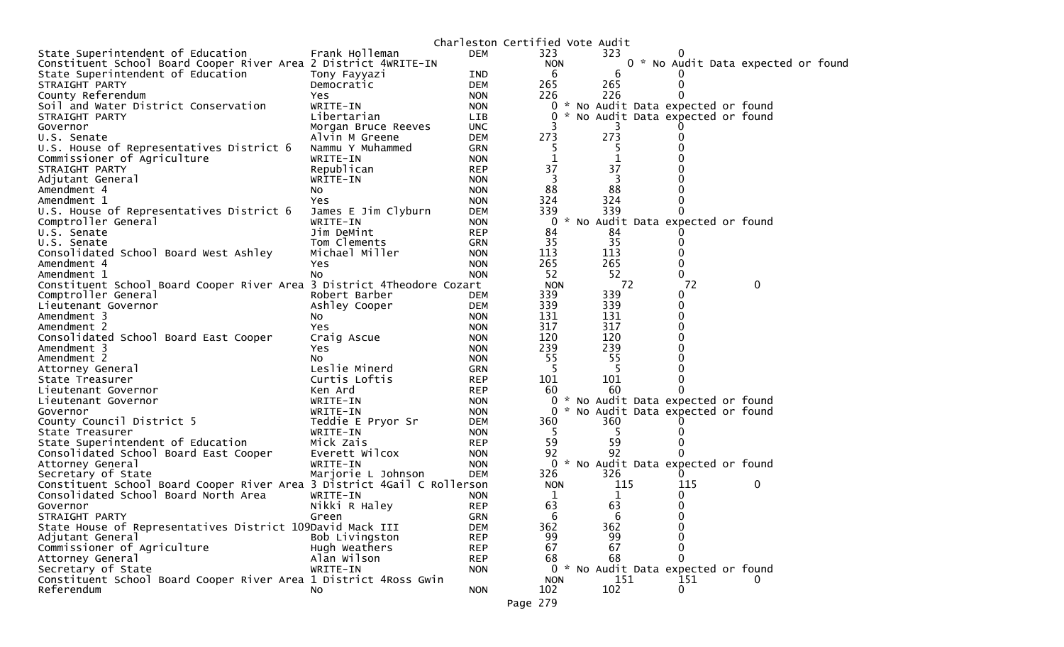|                                                                         |                     |            |              | Charleston Certified Vote Audit |                                     |   |  |
|-------------------------------------------------------------------------|---------------------|------------|--------------|---------------------------------|-------------------------------------|---|--|
| State Superintendent of Education                                       | Frank Holleman      | <b>DEM</b> | 323          | 323                             |                                     |   |  |
| Constituent School Board Cooper River Area 2 District 4WRITE-IN         |                     |            | <b>NON</b>   |                                 | 0 * No Audit Data expected or found |   |  |
| State Superintendent of Education                                       | Tony Fayyazi        | IND        | -6           | 6                               |                                     |   |  |
| STRAIGHT PARTY                                                          | Democratic          | <b>DEM</b> | 265          | 265                             | 0                                   |   |  |
| County Referendum                                                       | Yes                 | <b>NON</b> | 226          | 226                             | 0                                   |   |  |
| Soil and Water District Conservation                                    | WRITE-IN            | <b>NON</b> | 0            |                                 | * No Audit Data expected or found   |   |  |
| STRAIGHT PARTY                                                          | Libertarian         | LIB.       | $\Omega$     |                                 | * No Audit Data expected or found   |   |  |
| Governor                                                                | Morgan Bruce Reeves | <b>UNC</b> |              |                                 |                                     |   |  |
| U.S. Senate                                                             | Alvin M Greene      | <b>DEM</b> | 273          | 273                             |                                     |   |  |
| U.S. House of Representatives District 6                                | Nammu Y Muhammed    | <b>GRN</b> |              |                                 |                                     |   |  |
| Commissioner of Agriculture                                             | WRITE-IN            | <b>NON</b> | 1            | 1                               |                                     |   |  |
| STRAIGHT PARTY                                                          | Republican          | <b>REP</b> | 37           | 37                              |                                     |   |  |
| Adjutant General                                                        | WRITE-IN            | <b>NON</b> | 3            | 3                               |                                     |   |  |
| Amendment 4                                                             | NO.                 | <b>NON</b> | 88           | 88                              |                                     |   |  |
| Amendment 1                                                             | Yes.                | <b>NON</b> | 324          | 324                             |                                     |   |  |
| U.S. House of Representatives District 6                                | James E Jim Clyburn | <b>DEM</b> | 339          | 339                             |                                     |   |  |
| Comptroller General                                                     | WRITE-IN            | <b>NON</b> | $\Omega$     |                                 | * No Audit Data expected or found   |   |  |
| U.S. Senate                                                             | Jim DeMint          | <b>REP</b> | 84           | 84                              |                                     |   |  |
| U.S. Senate                                                             | Tom Clements        | <b>GRN</b> | 35           | 35                              | 0                                   |   |  |
| Consolidated School Board West Ashley                                   | Michael Miller      | <b>NON</b> | 113          | 113                             | O                                   |   |  |
| Amendment 4                                                             | Yes                 | <b>NON</b> | 265          | 265                             | 0                                   |   |  |
| Amendment 1                                                             | NO.                 | <b>NON</b> | 52           | 52                              | 0                                   |   |  |
| Constituent School Board Cooper River Area 3 District 4Theodore Cozart  |                     |            | <b>NON</b>   | 72                              | 72                                  | 0 |  |
| Comptroller General                                                     | Robert Barber       | <b>DEM</b> | 339          | 339                             | 0                                   |   |  |
| Lieutenant Governor                                                     | Ashley Cooper       | <b>DEM</b> | 339          | 339                             | 0                                   |   |  |
| Amendment 3                                                             | NO.                 | <b>NON</b> | 131          | 131                             | 0                                   |   |  |
| Amendment 2                                                             | Yes                 | <b>NON</b> | 317          | 317                             |                                     |   |  |
| Consolidated School Board East Cooper                                   | Craig Ascue         | <b>NON</b> | 120          | 120                             | 0                                   |   |  |
| Amendment 3                                                             | Yes.                | <b>NON</b> | 239          | 239                             |                                     |   |  |
| Amendment 2                                                             | NO.                 | <b>NON</b> | 55           | 55                              |                                     |   |  |
| Attorney General                                                        | Leslie Minerd       | <b>GRN</b> | -5           | -5                              |                                     |   |  |
|                                                                         | Curtis Loftis       | <b>REP</b> | 101          | 101                             | 0                                   |   |  |
| State Treasurer<br>Lieutenant Governor                                  | Ken Ard             | <b>REP</b> | 60           | 60                              |                                     |   |  |
| Lieutenant Governor                                                     | WRITE-IN            | <b>NON</b> | 0            |                                 | * No Audit Data expected or found   |   |  |
|                                                                         |                     |            |              |                                 | * No Audit Data expected or found   |   |  |
| Governor                                                                | WRITE-IN            | <b>NON</b> | $\mathbf{0}$ | 360                             |                                     |   |  |
| County Council District 5                                               | Teddie E Pryor Sr   | <b>DEM</b> | 360          |                                 |                                     |   |  |
| State Treasurer                                                         | WRITE-IN            | <b>NON</b> | -5           | -5                              |                                     |   |  |
| State Superintendent of Education                                       | Mick Zais           | <b>REP</b> | 59           | 59                              | 0                                   |   |  |
| Consolidated School Board East Cooper                                   | Everett Wilcox      | <b>NON</b> | 92           | 92                              |                                     |   |  |
| Attorney General                                                        | WRITE-IN            | <b>NON</b> | $\Omega$     |                                 | * No Audit Data expected or found   |   |  |
| Secretary of State                                                      | Marjorie L Johnson  | <b>DEM</b> | 326          | 326                             | 0                                   |   |  |
| Constituent School Board Cooper River Area 3 District 4Gail C Rollerson |                     |            | <b>NON</b>   | 115                             | 115                                 | 0 |  |
| Consolidated School Board North Area                                    | WRITE-IN            | <b>NON</b> | 1            | 1                               | 0                                   |   |  |
| Governor                                                                | Nikki R Haley       | <b>REP</b> | 63           | 63                              | 0                                   |   |  |
| STRAIGHT PARTY                                                          | Green               | <b>GRN</b> | 6            | 6                               | 0                                   |   |  |
| State House of Representatives District 109David Mack III               |                     | <b>DEM</b> | 362          | 362                             |                                     |   |  |
| Adjutant General                                                        | Bob Livingston      | <b>REP</b> | 99           | 99                              |                                     |   |  |
| Commissioner of Agriculture                                             | Hugh Weathers       | <b>REP</b> | 67           | 67                              | 0                                   |   |  |
| Attorney General                                                        | Alan Wilson         | <b>REP</b> | 68           | 68                              | 0                                   |   |  |
| Secretary of State                                                      | WRITE-IN            | <b>NON</b> | 0            | $\mathcal{H}$                   | No Audit Data expected or found     |   |  |
| Constituent School Board Cooper River Area 1 District 4Ross Gwin        |                     |            | <b>NON</b>   | 151                             | 151                                 |   |  |
| Referendum                                                              | NO.                 | <b>NON</b> | 102          | 102                             | 0                                   |   |  |
|                                                                         |                     |            | Page 279     |                                 |                                     |   |  |
|                                                                         |                     |            |              |                                 |                                     |   |  |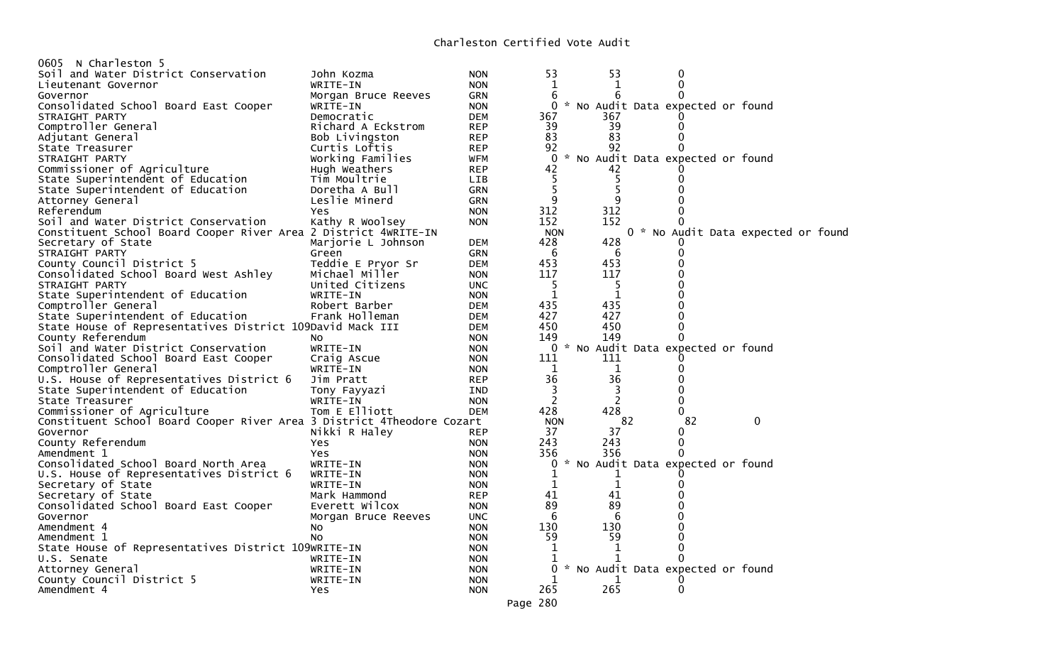| 0605 N Charleston 5                                                    |                     |            |                |              |                                     |                                    |
|------------------------------------------------------------------------|---------------------|------------|----------------|--------------|-------------------------------------|------------------------------------|
| Soil and Water District Conservation                                   | John Kozma          | <b>NON</b> | 53             | 53           | 0                                   |                                    |
| Lieutenant Governor                                                    | WRITE-IN            | <b>NON</b> | $\mathbf 1$    | 1            | 0                                   |                                    |
| Governor                                                               | Morgan Bruce Reeves | GRN        | 6              | 6            |                                     |                                    |
| Consolidated School Board East Cooper                                  | WRITE-IN            | <b>NON</b> |                |              | 0 * No Audit Data expected or found |                                    |
| STRAIGHT PARTY                                                         | Democratic          | <b>DEM</b> | 367            | 367          |                                     |                                    |
| Comptroller General                                                    | Richard A Eckstrom  | <b>REP</b> | 39             | 39           | 0                                   |                                    |
| Adjutant General                                                       | Bob Livingston      | <b>REP</b> | 83             | 83           | 0                                   |                                    |
| State Treasurer                                                        | Curtis Loftis       | <b>REP</b> | 92             | 92           |                                     |                                    |
| STRAIGHT PARTY                                                         | Working Families    | <b>WFM</b> | $\Omega$       |              | * No Audit Data expected or found   |                                    |
| Commissioner of Agriculture                                            | Hugh Weathers       | <b>REP</b> | 42             | 42           |                                     |                                    |
| State Superintendent of Education                                      | Tim Moultrie        | <b>LIB</b> | 5              | 5            | $\Omega$                            |                                    |
|                                                                        |                     |            | 5              | 5            |                                     |                                    |
| State Superintendent of Education                                      | Doretha A Bull      | <b>GRN</b> | 9              | 9            |                                     |                                    |
| Attorney General                                                       | Leslie Minerd       | <b>GRN</b> |                | 312          |                                     |                                    |
| Referendum                                                             | Yes                 | <b>NON</b> | 312            |              |                                     |                                    |
| Soil and Water District Conservation                                   | Kathy R Woolsey     | <b>NON</b> | 152            | 152          |                                     |                                    |
| Constituent School Board Cooper River Area 2 District 4WRITE-IN        |                     |            | <b>NON</b>     |              |                                     | 0 * No Audit Data expected or foun |
| Secretary of State                                                     | Marjorie L Johnson  | <b>DEM</b> | 428            | 428          |                                     |                                    |
| STRAIGHT PARTY                                                         | Green               | <b>GRN</b> | 6              | 6            | 0                                   |                                    |
| County Council District 5                                              | Teddie E Pryor Sr   | <b>DEM</b> | 453            | 453          |                                     |                                    |
| Consolidated School Board West Ashley                                  | Michael Miller      | <b>NON</b> | 117            | 117          |                                     |                                    |
| STRAIGHT PARTY                                                         | United Citizens     | <b>UNC</b> | 5              | 5            |                                     |                                    |
| State Superintendent of Education                                      | WRITE-IN            | <b>NON</b> | $\mathbf{1}$   | $\mathbf{1}$ |                                     |                                    |
| Comptroller General                                                    | Robert Barber       | <b>DEM</b> | 435            | 435          |                                     |                                    |
| State Superintendent of Education                                      | Frank Holleman      | <b>DEM</b> | 427            | 427          | 0                                   |                                    |
| State House of Representatives District 109David Mack III              |                     | DEM        | 450            | 450          | 0                                   |                                    |
| County Referendum                                                      | NO.                 | <b>NON</b> | 149            | 149          |                                     |                                    |
| Soil and Water District Conservation                                   | WRITE-IN            | <b>NON</b> |                |              | 0 * No Audit Data expected or found |                                    |
| Consolidated School Board East Cooper                                  | Craig Ascue         | <b>NON</b> | 111            | 111          |                                     |                                    |
| Comptroller General                                                    | WRITE-IN            | <b>NON</b> | 1              | $\mathbf 1$  | 0                                   |                                    |
| U.S. House of Representatives District 6                               | Jim Pratt           | <b>REP</b> | 36             | 36           | 0                                   |                                    |
| State Superintendent of Education                                      | Tony Fayyazi        | IND        | 3              | 3            | 0                                   |                                    |
| State Treasurer                                                        | WRITE-IN            | <b>NON</b> | $\overline{c}$ | 2            | 0                                   |                                    |
| Commissioner of Agriculture                                            | Tom E Elliott       | <b>DEM</b> | 428            | 428          | 0                                   |                                    |
| Constituent School Board Cooper River Area 3 District 4Theodore Cozart |                     |            | <b>NON</b>     |              | 82<br>82                            | $\mathbf{0}$                       |
| Governor                                                               | Nikki R Haley       | <b>REP</b> | 37             | 37           | 0                                   |                                    |
| County Referendum                                                      | Yes                 | <b>NON</b> | 243            | 243          | 0                                   |                                    |
| Amendment 1                                                            | <b>Yes</b>          | <b>NON</b> | 356            | 356          | 0                                   |                                    |
| Consolidated School Board North Area                                   | WRITE-IN            | <b>NON</b> | 0              |              | * No Audit Data expected or found   |                                    |
| U.S. House of Representatives District 6                               | WRITE-IN            | <b>NON</b> | $\mathbf 1$    | 1            |                                     |                                    |
| Secretary of State                                                     | WRITE-IN            | <b>NON</b> | $\mathbf 1$    | $\mathbf{1}$ | 0                                   |                                    |
| Secretary of State                                                     | Mark Hammond        | <b>REP</b> | 41             | 41           |                                     |                                    |
| Consolidated School Board East Cooper                                  | Everett Wilcox      | <b>NON</b> | 89             | 89           |                                     |                                    |
| Governor                                                               | Morgan Bruce Reeves | <b>UNC</b> | 6              | 6            |                                     |                                    |
| Amendment 4                                                            | NO.                 | <b>NON</b> | 130            | 130          |                                     |                                    |
| Amendment 1                                                            | No                  | <b>NON</b> | 59             | 59           | 0                                   |                                    |
| State House of Representatives District 109WRITE-IN                    |                     | <b>NON</b> | 1              | 1            | 0                                   |                                    |
| U.S. Senate                                                            | WRITE-IN            | <b>NON</b> | 1              | 1            |                                     |                                    |
| Attorney General                                                       | WRITE-IN            | <b>NON</b> | 0              |              | * No Audit Data expected or found   |                                    |
| County Council District 5                                              | WRITE-IN            | <b>NON</b> | 1              | 1            |                                     |                                    |
| Amendment 4                                                            | Yes                 | <b>NON</b> | 265            | 265          | 0                                   |                                    |
|                                                                        |                     |            | Page 280       |              |                                     |                                    |
|                                                                        |                     |            |                |              |                                     |                                    |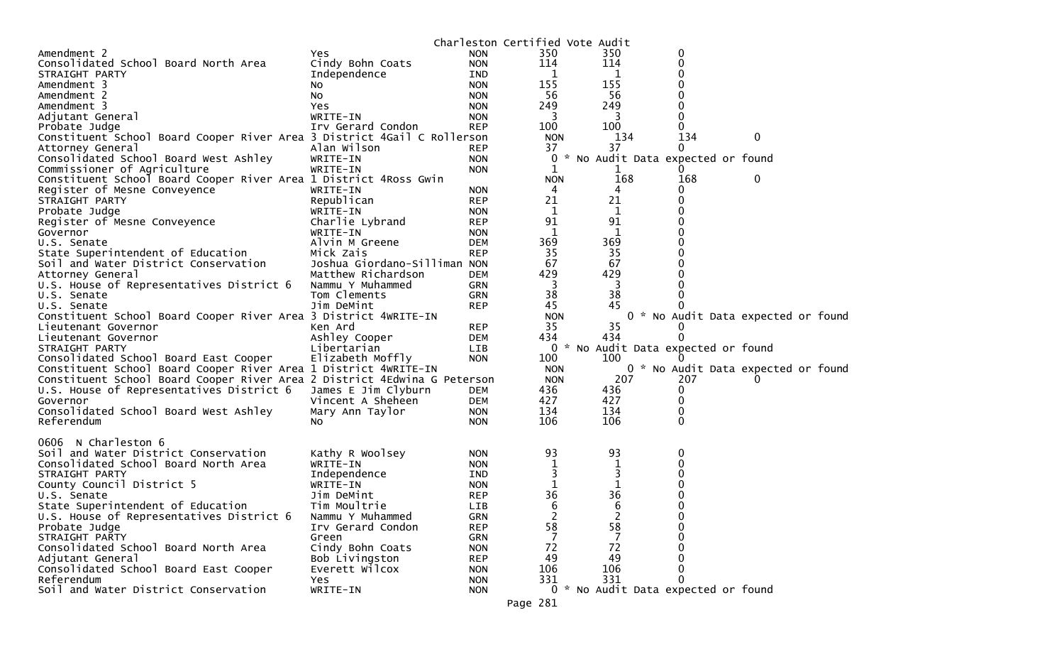|                                                                          |                                  |            | Charleston Certified Vote Audit |                         |                                     |                                     |
|--------------------------------------------------------------------------|----------------------------------|------------|---------------------------------|-------------------------|-------------------------------------|-------------------------------------|
| Amendment 2                                                              | Yes.                             | <b>NON</b> | 350                             | 350                     | 0                                   |                                     |
| Consolidated School Board North Area                                     | Cindy Bohn Coats                 | <b>NON</b> | 114                             | 114                     | 0                                   |                                     |
| STRAIGHT PARTY                                                           | Independence                     | <b>IND</b> | 1                               | 1                       | 0                                   |                                     |
| Amendment 3                                                              | NO.                              | <b>NON</b> | 155                             | 155                     |                                     |                                     |
| Amendment 2                                                              | NO.                              | <b>NON</b> | 56                              | 56                      | 0                                   |                                     |
| Amendment 3                                                              | Yes                              | <b>NON</b> | 249                             | 249                     | 0                                   |                                     |
| Adjutant General                                                         | WRITE-IN                         | <b>NON</b> | 3                               | 3                       |                                     |                                     |
| Probate Judge                                                            | Irv Gerard Condon                | <b>REP</b> | 100                             | 100                     | $\Omega$                            |                                     |
| Constituent School Board Cooper River Area 3 District 4Gail C Rollerson  |                                  |            | <b>NON</b>                      | 134                     | 134                                 | 0                                   |
| Attorney General                                                         | Alan Wilson                      | <b>REP</b> | 37                              | 37                      | $\Omega$                            |                                     |
| Consolidated School Board West Ashley                                    | WRITE-IN                         | <b>NON</b> | 0                               |                         | * No Audit Data expected or found   |                                     |
| Commissioner of Agriculture                                              | WRITE-IN                         | <b>NON</b> | 1                               | ı                       | $\Omega$                            |                                     |
| Constituent School Board Cooper River Area 1 District 4Ross Gwin         |                                  |            | <b>NON</b>                      | 168                     | 168                                 | 0                                   |
| Register of Mesne Conveyence                                             | WRITE-IN                         | <b>NON</b> | 4                               | 4                       | $\Omega$                            |                                     |
| STRAIGHT PARTY                                                           | Republican                       | <b>REP</b> | 21                              | 21                      | $\Omega$                            |                                     |
| Probate Judge                                                            | WRITE-IN                         | <b>NON</b> | 1                               | $\mathbf 1$             |                                     |                                     |
| Register of Mesne Conveyence                                             | Charlie Lybrand                  | <b>REP</b> | 91                              | 91                      | $\Omega$                            |                                     |
| Governor                                                                 | WRITE-IN                         | <b>NON</b> | 1                               | $\mathbf 1$             | 0                                   |                                     |
| U.S. Senate                                                              | Alvin M Greene                   | <b>DEM</b> | 369                             | 369                     |                                     |                                     |
| State Superintendent of Education                                        | Mick Zais                        | <b>REP</b> | 35                              | 35                      | 0                                   |                                     |
| Soil and Water District Conservation                                     | Joshua Giordano-Silliman NON     |            | 67                              | 67                      |                                     |                                     |
|                                                                          |                                  |            | 429                             | 429                     |                                     |                                     |
| Attorney General                                                         | Matthew Richardson               | <b>DEM</b> |                                 |                         |                                     |                                     |
| U.S. House of Representatives District 6                                 | Nammu Y Muhammed<br>Tom Clements | <b>GRN</b> | -3                              | $\overline{\mathbf{3}}$ |                                     |                                     |
| U.S. Senate                                                              |                                  | <b>GRN</b> | 38                              | 38                      |                                     |                                     |
| U.S. Senate                                                              | Jim DeMint                       | <b>REP</b> | 45                              | 45                      |                                     |                                     |
| Constituent School Board Cooper River Area 3 District 4WRITE-IN          |                                  |            | <b>NON</b>                      |                         |                                     | 0 * No Audit Data expected or found |
| Lieutenant Governor                                                      | Ken Ard                          | <b>REP</b> | 35                              | 35                      |                                     |                                     |
| Lieutenant Governor                                                      | Ashley Cooper                    | <b>DEM</b> | 434                             | 434                     | 0                                   |                                     |
| STRAIGHT PARTY                                                           | Libertarian                      | <b>LIB</b> | $\mathbf{0}$                    |                         | * No Audit Data expected or found   |                                     |
| Consolidated School Board East Cooper                                    | Elizabeth Moffly                 | <b>NON</b> | 100                             | 100                     |                                     |                                     |
| Constituent School Board Cooper River Area 1 District 4WRITE-IN          |                                  |            | <b>NON</b>                      |                         |                                     | 0 * No Audit Data expected or found |
| Constituent School Board Cooper River Area 2 District 4Edwina G Peterson |                                  |            | <b>NON</b>                      | 207                     | 207                                 |                                     |
| U.S. House of Representatives District 6                                 | James E Jim Clyburn              | DEM        | 436                             | 436                     | 0                                   |                                     |
| Governor                                                                 | Vincent A Sheheen                | <b>DEM</b> | 427                             | 427                     | $\Omega$                            |                                     |
| Consolidated School Board West Ashley                                    | Mary Ann Taylor                  | <b>NON</b> | 134                             | 134                     | 0                                   |                                     |
| Referendum                                                               | NO.                              | <b>NON</b> | 106                             | 106                     | $\Omega$                            |                                     |
|                                                                          |                                  |            |                                 |                         |                                     |                                     |
| N Charleston 6<br>0606                                                   |                                  |            |                                 |                         |                                     |                                     |
| Soil and Water District Conservation                                     | Kathy R Woolsey                  | <b>NON</b> | 93                              | 93                      | 0                                   |                                     |
| Consolidated School Board North Area                                     | WRITE-IN                         | <b>NON</b> | $\mathbf 1$                     | 1                       | 0                                   |                                     |
| STRAIGHT PARTY                                                           | Independence                     | IND        | 3                               | 3                       | 0                                   |                                     |
| County Council District 5                                                | WRITE-IN                         | <b>NON</b> | 1                               | 1                       |                                     |                                     |
| U.S. Senate                                                              | Jim DeMint                       | <b>REP</b> | 36                              | 36                      | $\Omega$                            |                                     |
| State Superintendent of Education                                        | Tim Moultrie                     | LIB        | 6                               | 6                       | $\Omega$                            |                                     |
| U.S. House of Representatives District 6                                 | Nammu Y Muhammed                 | <b>GRN</b> | 2                               | $\overline{2}$          | 0                                   |                                     |
| Probate Judge                                                            | Irv Gerard Condon                | <b>REP</b> | 58                              | 58                      | 0                                   |                                     |
| STRAIGHT PARTY                                                           | Green                            | <b>GRN</b> | 7                               |                         |                                     |                                     |
| Consolidated School Board North Area                                     | Cindy Bohn Coats                 | <b>NON</b> | 72                              | 72                      |                                     |                                     |
| Adjutant General                                                         | Bob Livingston                   | <b>REP</b> | 49                              | 49                      |                                     |                                     |
| Consolidated School Board East Cooper                                    | Everett Wilcox                   | <b>NON</b> | 106                             | 106                     |                                     |                                     |
| Referendum                                                               | Yes                              | <b>NON</b> | 331                             | 331                     | 0                                   |                                     |
| Soil and Water District Conservation                                     | WRITE-IN                         | <b>NON</b> |                                 |                         | 0 * No Audit Data expected or found |                                     |
|                                                                          |                                  |            |                                 |                         |                                     |                                     |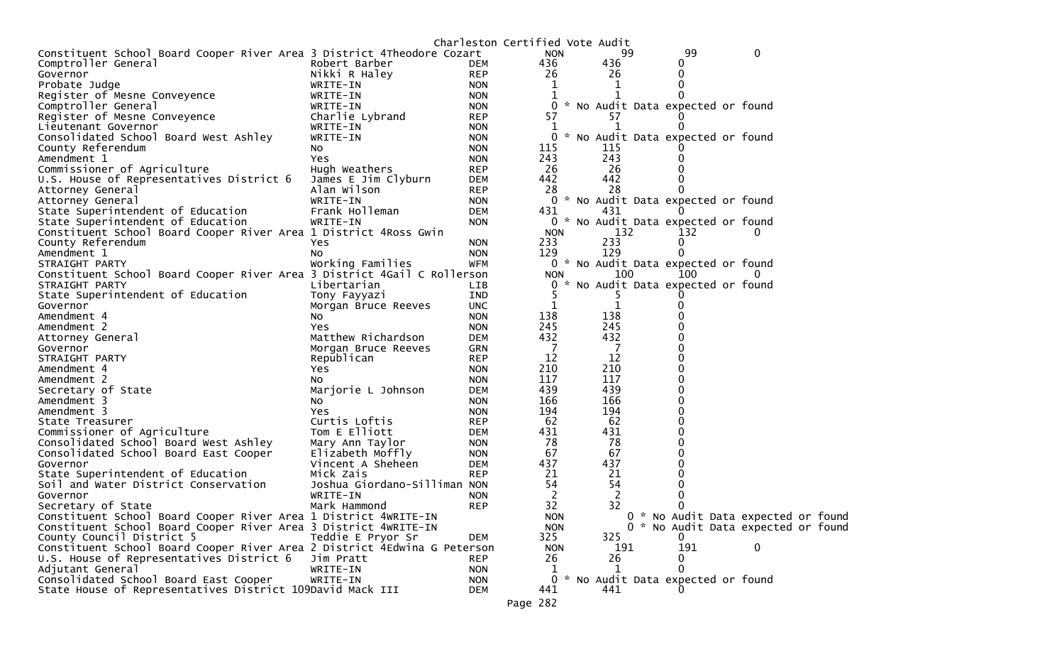|                                                                          |                              |            | Charleston Certified Vote Audit |            |              |                                     |                                    |  |
|--------------------------------------------------------------------------|------------------------------|------------|---------------------------------|------------|--------------|-------------------------------------|------------------------------------|--|
| Constituent School Board Cooper River Area 3 District 4Theodore Cozart   |                              |            | <b>NON</b>                      |            | 99           | 99                                  | 0                                  |  |
| Comptroller General                                                      | Robert Barber                | <b>DEM</b> | 436                             |            | 436          | $_{0}$                              |                                    |  |
| Governor                                                                 | Nikki R Haley                | <b>REP</b> | 26                              |            | 26           | 0                                   |                                    |  |
| Probate Judge                                                            | WRITE-IN                     | <b>NON</b> | $\mathbf{1}$                    |            | 1            | 0                                   |                                    |  |
| Register of Mesne Conveyence                                             | WRITE-IN                     | <b>NON</b> |                                 |            |              |                                     |                                    |  |
| Comptroller General                                                      | WRITE-IN                     | <b>NON</b> |                                 | 0          |              | * No Audit Data expected or found   |                                    |  |
| Register of Mesne Conveyence                                             | Charlie Lybrand              | <b>REP</b> | 57                              |            | 57           |                                     |                                    |  |
| Lieutenant Governor                                                      | WRITE-IN                     | <b>NON</b> | 1                               |            | 1            |                                     |                                    |  |
| Consolidated School Board West Ashley                                    | WRITE-IN                     | <b>NON</b> | 0                               |            |              | * No Audit Data expected or found   |                                    |  |
| County Referendum                                                        | NO.                          | <b>NON</b> | 115                             |            | 115          |                                     |                                    |  |
| Amendment 1                                                              | Yes                          | <b>NON</b> | 243                             |            | 243          |                                     |                                    |  |
| Commissioner of Agriculture                                              | Hugh Weathers                | <b>REP</b> | 26                              |            | 26           |                                     |                                    |  |
| U.S. House of Representatives District 6                                 | James E Jim Clyburn          | <b>DEM</b> | 442                             |            | 442          |                                     |                                    |  |
| Attorney General                                                         | Alan Wilson                  | <b>REP</b> | 28                              |            | 28           |                                     |                                    |  |
| Attorney General                                                         | WRITE-IN                     | <b>NON</b> |                                 | 0          |              | * No Audit Data expected or found   |                                    |  |
| State Superintendent of Education                                        | Frank Holleman               | <b>DEM</b> | 431                             |            | 431          |                                     |                                    |  |
| State Superintendent of Education                                        | WRITE-IN                     | <b>NON</b> |                                 |            |              | 0 * No Audit Data expected or found |                                    |  |
| Constituent School Board Cooper River Area 1 District 4Ross Gwin         |                              |            | <b>NON</b>                      |            | 132          | 132                                 | $\Omega$                           |  |
| County Referendum                                                        | Yes                          | <b>NON</b> | 233                             |            | 233          | 0                                   |                                    |  |
| Amendment 1                                                              | NO.                          | <b>NON</b> | 129                             |            | 129          |                                     |                                    |  |
| STRAIGHT PARTY                                                           | Working Families             | <b>WFM</b> |                                 |            |              | 0 * No Audit Data expected or found |                                    |  |
| Constituent School Board Cooper River Area 3 District 4Gail C Rollerson  |                              |            | <b>NON</b>                      |            | 100          | 100                                 | $\mathbf{0}$                       |  |
| STRAIGHT PARTY                                                           | Libertarian                  | <b>LIB</b> |                                 |            |              | 0 * No Audit Data expected or found |                                    |  |
| State Superintendent of Education                                        | Tony Fayyazi                 | IND        |                                 |            |              |                                     |                                    |  |
| Governor                                                                 | Morgan Bruce Reeves          | <b>UNC</b> | $\mathbf 1$                     |            | $\mathbf{1}$ |                                     |                                    |  |
| Amendment 4                                                              | No.                          | <b>NON</b> | 138                             |            | 138          |                                     |                                    |  |
| Amendment 2                                                              | Yes                          | <b>NON</b> | 245                             |            | 245          |                                     |                                    |  |
| Attorney General                                                         | Matthew Richardson           | <b>DEM</b> | 432                             |            | 432          |                                     |                                    |  |
| Governor                                                                 | Morgan Bruce Reeves          | GRN        | -7                              |            | -7           |                                     |                                    |  |
| STRAIGHT PARTY                                                           | Republican                   | <b>REP</b> | 12                              |            | 12           |                                     |                                    |  |
| Amendment 4                                                              | Yes                          | <b>NON</b> | 210                             |            | 210          |                                     |                                    |  |
| Amendment 2                                                              | NO.                          | <b>NON</b> | 117                             |            | 117          |                                     |                                    |  |
| Secretary of State                                                       | Marjorie L Johnson           | <b>DEM</b> | 439                             |            | 439          | 0                                   |                                    |  |
| Amendment 3                                                              | NO.                          | <b>NON</b> | 166                             |            | 166          |                                     |                                    |  |
| Amendment 3                                                              | Yes                          | <b>NON</b> | 194                             |            | 194          |                                     |                                    |  |
| State Treasurer                                                          | Curtis Loftis                | <b>REP</b> | 62                              |            | 62           | 0                                   |                                    |  |
| Commissioner of Agriculture                                              | Tom E Elliott                | <b>DEM</b> | 431                             |            | 431          |                                     |                                    |  |
| Consolidated School Board West Ashley                                    | Mary Ann Taylor              | <b>NON</b> | 78                              |            | 78           |                                     |                                    |  |
| Consolidated School Board East Cooper                                    | Elizabeth Moffly             | <b>NON</b> | 67                              |            | 67           | 0                                   |                                    |  |
| Governor                                                                 | Vincent A Sheheen            | <b>DEM</b> | 437                             |            | 437          |                                     |                                    |  |
| State Superintendent of Education                                        | Mick Zais                    | <b>REP</b> | 21                              |            | 21           |                                     |                                    |  |
| Soil and Water District Conservation                                     | Joshua Giordano-Silliman NON |            | 54                              |            | 54           |                                     |                                    |  |
| Governor                                                                 | WRITE-IN                     | <b>NON</b> | 2                               |            | 2            |                                     |                                    |  |
| Secretary of State                                                       | Mark Hammond                 | <b>REP</b> | 32                              |            | 32           |                                     |                                    |  |
| Constituent School Board Cooper River Area 1 District 4WRITE-IN          |                              |            | <b>NON</b>                      |            |              |                                     | 0 * No Audit Data expected or foun |  |
| Constituent School Board Cooper River Area 3 District 4WRITE-IN          |                              |            |                                 | <b>NON</b> |              |                                     | 0 * No Audit Data expected or foun |  |
| County Council District 5                                                | Teddie E Pryor Sr            | DEM        | 325                             |            | 325          | 0                                   |                                    |  |
| Constituent School Board Cooper River Area 2 District 4Edwina G Peterson |                              |            | <b>NON</b>                      |            | 191          | 191                                 | 0                                  |  |
| U.S. House of Representatives District 6                                 | Jim Pratt                    | <b>REP</b> | 26                              |            | 26           | 0                                   |                                    |  |
| Adjutant General                                                         | WRITE-IN                     | <b>NON</b> | 1                               |            | 1            | 0                                   |                                    |  |
| Consolidated School Board East Cooper                                    | WRITE-IN                     | <b>NON</b> |                                 |            |              | 0 * No Audit Data expected or found |                                    |  |
| State House of Representatives District 109David Mack III                |                              | DEM        | 441                             |            | 441          |                                     |                                    |  |
|                                                                          |                              |            | Page 282                        |            |              |                                     |                                    |  |

d d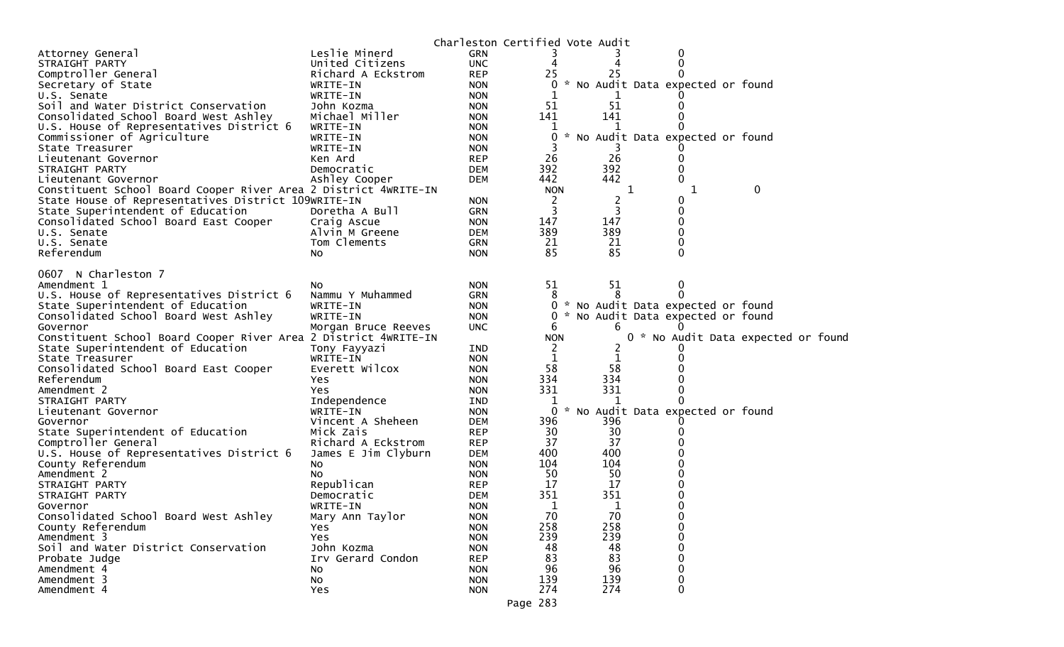|                                                                            |                                 |                          | Charleston Certified Vote Audit |     |                                   |                                     |  |
|----------------------------------------------------------------------------|---------------------------------|--------------------------|---------------------------------|-----|-----------------------------------|-------------------------------------|--|
| Attorney General                                                           | Leslie Minerd                   | <b>GRN</b>               |                                 |     | 0                                 |                                     |  |
| STRAIGHT PARTY                                                             | United Citizens                 | <b>UNC</b>               |                                 |     | 0                                 |                                     |  |
| Comptroller General                                                        | Richard A Eckstrom              | <b>REP</b>               | 25                              | 25  | 0                                 |                                     |  |
| Secretary of State                                                         | WRITE-IN                        | <b>NON</b>               |                                 |     | * No Audit Data expected or found |                                     |  |
| U.S. Senate                                                                | WRITE-IN                        | <b>NON</b>               |                                 |     |                                   |                                     |  |
| Soil and Water District Conservation                                       | John Kozma                      | <b>NON</b>               | 51                              | 51  | 0                                 |                                     |  |
| Consolidated School Board West Ashley                                      | Michael Miller                  | <b>NON</b>               | 141                             | 141 |                                   |                                     |  |
| U.S. House of Representatives District 6                                   | WRITE-IN                        | <b>NON</b>               |                                 |     |                                   |                                     |  |
| Commissioner of Agriculture                                                | WRITE-IN                        | <b>NON</b>               | 0                               |     | * No Audit Data expected or found |                                     |  |
| State Treasurer                                                            | WRITE-IN                        | <b>NON</b>               |                                 |     |                                   |                                     |  |
| Lieutenant Governor                                                        | Ken Ard                         | <b>REP</b>               | 26                              | 26  |                                   |                                     |  |
| STRAIGHT PARTY                                                             | Democratic                      | <b>DEM</b>               | 392                             | 392 | 0                                 |                                     |  |
| Lieutenant Governor                                                        | Ashley Cooper                   | <b>DEM</b>               | 442                             | 442 | 0                                 |                                     |  |
| Constituent School Board Cooper River Area 2 District 4WRITE-IN            |                                 |                          | <b>NON</b>                      |     | ı                                 | 0                                   |  |
| State House of Representatives District 109WRITE-IN                        |                                 | <b>NON</b>               | 2                               | 2   | 0                                 |                                     |  |
| State Superintendent of Education                                          | Doretha A Bull                  | <b>GRN</b>               | 3                               |     | 0                                 |                                     |  |
| Consolidated School Board East Cooper                                      | Craig Ascue                     | <b>NON</b>               | 147                             | 147 | 0                                 |                                     |  |
| U.S. Senate                                                                | Alvin M Greene                  | <b>DEM</b>               | 389                             | 389 | 0                                 |                                     |  |
| U.S. Senate                                                                | Tom Clements                    | <b>GRN</b>               | 21                              | 21  | 0                                 |                                     |  |
| Referendum                                                                 | No.                             | <b>NON</b>               | 85                              | 85  | 0                                 |                                     |  |
|                                                                            |                                 |                          |                                 |     |                                   |                                     |  |
| 0607 N Charleston 7                                                        |                                 |                          |                                 |     |                                   |                                     |  |
| Amendment 1<br>U.S. House of Representatives District 6                    | No<br>Nammu Y Muhammed          | <b>NON</b>               | 51<br>8                         | 51  | 0<br>0                            |                                     |  |
|                                                                            |                                 | GRN                      | 0                               |     | * No Audit Data expected or found |                                     |  |
| State Superintendent of Education<br>Consolidated School Board West Ashley | WRITE-IN                        | <b>NON</b>               |                                 |     |                                   |                                     |  |
| Governor                                                                   | WRITE-IN<br>Morgan Bruce Reeves | <b>NON</b><br><b>UNC</b> | 6                               | 6   | * No Audit Data expected or found |                                     |  |
| Constituent School Board Cooper River Area 2 District 4WRITE-IN            |                                 |                          | <b>NON</b>                      |     |                                   | 0 * No Audit Data expected or found |  |
| State Superintendent of Education                                          |                                 | <b>IND</b>               | 2                               |     |                                   |                                     |  |
| State Treasurer                                                            | Tony Fayyazi<br>WRITE-IN        | <b>NON</b>               | 1                               | 1   |                                   |                                     |  |
| Consolidated School Board East Cooper                                      | Everett Wilcox                  | <b>NON</b>               | 58                              | 58  |                                   |                                     |  |
| Referendum                                                                 | Yes                             | <b>NON</b>               | 334                             | 334 |                                   |                                     |  |
| Amendment 2                                                                | Yes                             | <b>NON</b>               | 331                             | 331 | 0                                 |                                     |  |
| STRAIGHT PARTY                                                             | Independence                    | IND                      |                                 |     |                                   |                                     |  |
| Lieutenant Governor                                                        | WRITE-IN                        | <b>NON</b>               | $\overline{0}$                  |     | * No Audit Data expected or found |                                     |  |
| Governor                                                                   | Vincent A Sheheen               | <b>DEM</b>               | 396                             | 396 |                                   |                                     |  |
| State Superintendent of Education                                          | Mick Zais                       | <b>REP</b>               | 30                              | 30  |                                   |                                     |  |
| Comptroller General                                                        | Richard A Eckstrom              | <b>REP</b>               | 37                              | 37  |                                   |                                     |  |
| U.S. House of Representatives District 6                                   | James E Jim Clyburn             | <b>DEM</b>               | 400                             | 400 |                                   |                                     |  |
| County Referendum                                                          | NO.                             | <b>NON</b>               | 104                             | 104 |                                   |                                     |  |
| Amendment 2                                                                | NO.                             | <b>NON</b>               | 50                              | 50  |                                   |                                     |  |
| STRAIGHT PARTY                                                             | Republican                      | <b>REP</b>               | 17                              | 17  |                                   |                                     |  |
| STRAIGHT PARTY                                                             | Democratic                      | <b>DEM</b>               | 351                             | 351 | O                                 |                                     |  |
| Governor                                                                   | WRITE-IN                        | <b>NON</b>               | 1                               | 1   | 0                                 |                                     |  |
| Consolidated School Board West Ashley                                      | Mary Ann Taylor                 | <b>NON</b>               | 70                              | 70  | 0                                 |                                     |  |
| County Referendum                                                          | Yes                             | <b>NON</b>               | 258                             | 258 | 0                                 |                                     |  |
| Amendment 3                                                                | Yes                             | <b>NON</b>               | 239                             | 239 | 0                                 |                                     |  |
| Soil and Water District Conservation                                       | John Kozma                      | <b>NON</b>               | 48                              | 48  | 0                                 |                                     |  |
| Probate Judge                                                              | Irv Gerard Condon               | <b>REP</b>               | 83                              | 83  | 0                                 |                                     |  |
| Amendment 4                                                                | No                              | <b>NON</b>               | 96                              | 96  | 0                                 |                                     |  |
| Amendment 3                                                                | No                              | <b>NON</b>               | 139                             | 139 | 0                                 |                                     |  |
| Amendment 4                                                                | Yes                             | <b>NON</b>               | 274                             | 274 | 0                                 |                                     |  |
|                                                                            |                                 |                          |                                 |     |                                   |                                     |  |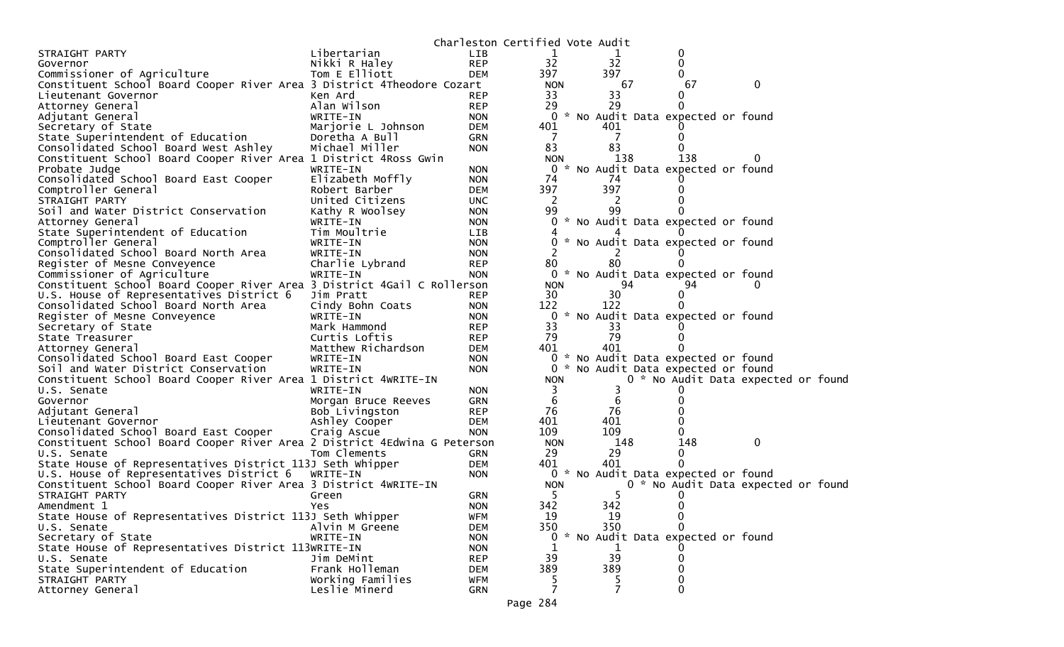|                                                                          |                     |            | Charleston Certified Vote Audit |           |                                     |          |  |
|--------------------------------------------------------------------------|---------------------|------------|---------------------------------|-----------|-------------------------------------|----------|--|
| STRAIGHT PARTY                                                           | Libertarian         | <b>LIB</b> |                                 |           | 0                                   |          |  |
| Governor                                                                 | Nikki R Haley       | <b>REP</b> | 32                              | 32        | 0                                   |          |  |
| Commissioner of Agriculture                                              | Tom E Elliott       | <b>DEM</b> | 397                             | 397       |                                     |          |  |
| Constituent School Board Cooper River Area 3 District 4Theodore Cozart   |                     |            | <b>NON</b>                      | 67        | 67                                  | 0        |  |
| Lieutenant Governor                                                      | Ken Ard             | <b>REP</b> | 33                              | 33        | $\Omega$                            |          |  |
| Attorney General                                                         | Alan Wilson         | <b>REP</b> | 29                              | 29        |                                     |          |  |
| Adjutant General                                                         | WRITE-IN            | <b>NON</b> |                                 |           | 0 * No Audit Data expected or found |          |  |
| Secretary of State                                                       | Marjorie L Johnson  | <b>DEM</b> | 401                             | 401       |                                     |          |  |
| State Superintendent of Education                                        | Doretha A Bull      | <b>GRN</b> |                                 |           |                                     |          |  |
| Consolidated School Board West Ashley                                    | Michael Miller      | <b>NON</b> | 83                              | 83        |                                     |          |  |
| Constituent School Board Cooper River Area 1 District 4Ross Gwin         |                     |            | <b>NON</b>                      | 138       | 138                                 | $\Omega$ |  |
| Probate Judge                                                            | WRITE-IN            | <b>NON</b> | 0                               |           | * No Audit Data expected or found   |          |  |
| Consolidated School Board East Cooper                                    | Elizabeth Moffly    | <b>NON</b> | 74                              | 74        |                                     |          |  |
| Comptroller General                                                      | Robert Barber       | <b>DEM</b> | 397                             | 397       |                                     |          |  |
| STRAIGHT PARTY                                                           | United Citizens     | <b>UNC</b> | 2                               | 2         |                                     |          |  |
| Soil and Water District Conservation                                     | Kathy R Woolsey     | <b>NON</b> | 99                              | 99        |                                     |          |  |
| Attorney General                                                         | WRITE-IN            | <b>NON</b> |                                 |           | 0 * No Audit Data expected or found |          |  |
| State Superintendent of Education                                        | Tim Moultrie        | LIB        |                                 |           |                                     |          |  |
| Comptroller General                                                      | WRITE-IN            | <b>NON</b> |                                 |           | * No Audit Data expected or found   |          |  |
| Consolidated School Board North Area                                     | WRITE-IN            | <b>NON</b> |                                 |           |                                     |          |  |
| Register of Mesne Conveyence                                             | Charlie Lybrand     | <b>REP</b> | 80                              | 80        |                                     |          |  |
| Commissioner of Agriculture                                              | WRITE-IN            | <b>NON</b> |                                 |           | 0 * No Audit Data expected or found |          |  |
| Constituent School Board Cooper River Area 3 District 4Gail C Rollerson  |                     |            | <b>NON</b>                      | 94        | 94                                  |          |  |
| U.S. House of Representatives District 6                                 | Jim Pratt           | <b>REP</b> | 30                              | 30        |                                     |          |  |
| Consolidated School Board North Area                                     | Cindy Bohn Coats    | <b>NON</b> | 122                             | 122       |                                     |          |  |
| Register of Mesne Conveyence                                             | WRITE-IN            | <b>NON</b> | $\mathbf{0}$                    |           | * No Audit Data expected or found   |          |  |
| Secretary of State                                                       | Mark Hammond        | <b>REP</b> | 33                              | 33        |                                     |          |  |
| State Treasurer                                                          | Curtis Loftis       | <b>REP</b> | 79                              | 79        |                                     |          |  |
| Attorney General                                                         | Matthew Richardson  | <b>DEM</b> | 401                             | 401       |                                     |          |  |
| Consolidated School Board East Cooper                                    | WRITE-IN            | <b>NON</b> |                                 |           | 0 * No Audit Data expected or found |          |  |
| Soil and Water District Conservation                                     | WRITE-IN            | <b>NON</b> | 0                               |           | * No Audit Data expected or found   |          |  |
| Constituent School Board Cooper River Area 1 District 4WRITE-IN          |                     |            | <b>NON</b>                      |           | 0 * No Audit Data expected or foun  |          |  |
| U.S. Senate                                                              | WRITE-IN            | <b>NON</b> | 3                               | 3         |                                     |          |  |
| Governor                                                                 | Morgan Bruce Reeves | <b>GRN</b> | 6                               | 6         |                                     |          |  |
| Adjutant General                                                         | Bob Livingston      | <b>REP</b> | 76                              | 76        |                                     |          |  |
| Lieutenant Governor                                                      | Ashley Cooper       | <b>DEM</b> | 401                             | 401       |                                     |          |  |
| Consolidated School Board East Cooper                                    | Craig Ascue         | <b>NON</b> | 109                             | 109       |                                     |          |  |
| Constituent School Board Cooper River Area 2 District 4Edwina G Peterson |                     |            | <b>NON</b>                      | 148       | 148                                 | 0        |  |
| U.S. Senate                                                              | Tom Clements        | <b>GRN</b> | 29                              | 29        | 0                                   |          |  |
| State House of Representatives District 113J Seth Whipper                |                     | <b>DEM</b> | 401                             | 401       |                                     |          |  |
| U.S. House of Representatives District 6                                 | WRITE-IN            | <b>NON</b> |                                 |           | 0 * No Audit Data expected or found |          |  |
| Constituent School Board Cooper River Area 3 District 4WRITE-IN          |                     |            | <b>NON</b>                      |           | 0 * No Audit Data expected or foun  |          |  |
| STRAIGHT PARTY                                                           | Green               | <b>GRN</b> | 5                               | 5         |                                     |          |  |
| Amendment 1                                                              | Yes                 | <b>NON</b> | 342                             | 342       | 0                                   |          |  |
| State House of Representatives District 113J Seth Whipper                |                     | <b>WFM</b> | 19                              | 19<br>350 | 0                                   |          |  |
| U.S. Senate<br>Secretary of State                                        | Alvin M Greene      | DEM        | 350                             |           | * No Audit Data expected or found   |          |  |
|                                                                          | WRITE-IN            | <b>NON</b> | 0                               |           |                                     |          |  |
| State House of Representatives District 113WRITE-IN                      |                     | <b>NON</b> | 39                              | 1<br>39   |                                     |          |  |
| U.S. Senate                                                              | Jim DeMint          | <b>REP</b> |                                 |           |                                     |          |  |
| State Superintendent of Education                                        | Frank Holleman      | <b>DEM</b> | 389                             | 389       |                                     |          |  |
| STRAIGHT PARTY                                                           | Working Families    | <b>WFM</b> | 5<br>7                          | 5<br>7    | 0                                   |          |  |
| Attorney General                                                         | Leslie Minerd       | <b>GRN</b> |                                 |           |                                     |          |  |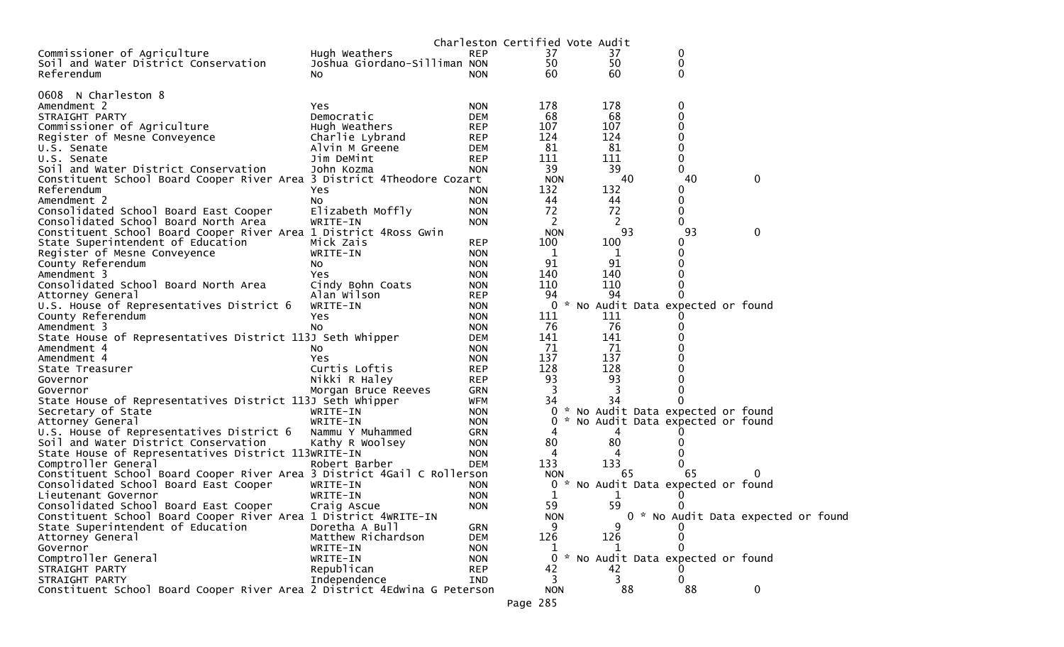|                                                                          |                                      |            |                            | Charleston Certified Vote Audit     |             |                                    |
|--------------------------------------------------------------------------|--------------------------------------|------------|----------------------------|-------------------------------------|-------------|------------------------------------|
| Commissioner of Agriculture                                              | Hugh Weathers                        | <b>REP</b> | 37                         | 37                                  | 0           |                                    |
| Soil and Water District Conservation                                     | Joshua Giordano-Silliman NON         |            | 50                         | 50                                  | $\mathbf 0$ |                                    |
| Referendum                                                               | No.                                  | <b>NON</b> | 60                         | 60                                  | 0           |                                    |
|                                                                          |                                      |            |                            |                                     |             |                                    |
| N Charleston 8<br>0608                                                   |                                      |            |                            |                                     |             |                                    |
| Amendment 2                                                              | Yes.                                 | <b>NON</b> | 178                        | 178                                 | 0           |                                    |
| STRAIGHT PARTY                                                           | Democratic                           | <b>DEM</b> | 68                         | 68                                  | 0           |                                    |
| Commissioner of Agriculture                                              | Hugh Weathers                        | <b>REP</b> | 107                        | 107                                 | 0           |                                    |
| Register of Mesne Conveyence                                             | Charlie Lybrand                      | <b>REP</b> | 124                        | 124                                 | 0           |                                    |
| U.S. Senate                                                              | Alvin M Greene                       | <b>DEM</b> | 81                         | 81                                  | 0           |                                    |
| U.S. Senate                                                              | Jim DeMint                           | <b>REP</b> | 111                        | 111                                 | 0           |                                    |
| Soil and Water District Conservation                                     | John Kozma                           | <b>NON</b> | 39                         | 39                                  | $\Omega$    |                                    |
| Constituent School Board Cooper River Area 3 District 4Theodore Cozart   |                                      |            | <b>NON</b>                 | 40                                  | 40          | 0                                  |
| Referendum                                                               | Yes                                  | NON.       | 132                        | 132                                 | 0           |                                    |
| Amendment 2                                                              | NO.                                  | <b>NON</b> | 44                         | 44                                  | 0           |                                    |
| Consolidated School Board East Cooper                                    | Elizabeth Moffly                     | <b>NON</b> | 72                         | 72                                  | 0           |                                    |
| Consolidated School Board North Area                                     | WRITE-IN                             | <b>NON</b> | 2                          | 2                                   | 0           |                                    |
| Constituent School Board Cooper River Area 1 District 4Ross Gwin         |                                      |            | <b>NON</b>                 | 93                                  | 93          | 0                                  |
| State Superintendent of Education                                        | Mick Zais                            | <b>REP</b> | 100                        | 100                                 | 0           |                                    |
| Register of Mesne Conveyence                                             | WRITE-IN                             | <b>NON</b> | 1                          | 1                                   | 0           |                                    |
| County Referendum                                                        |                                      | <b>NON</b> | 91                         | 91                                  | 0           |                                    |
| Amendment 3                                                              | NO.<br><b>Yes</b>                    | <b>NON</b> | 140                        | 140                                 | 0           |                                    |
| Consolidated School Board North Area                                     | Cindy Bohn Coats                     | <b>NON</b> | 110                        | 110                                 | 0           |                                    |
| Attorney General                                                         | Alan Wilson                          | <b>REP</b> | 94                         | 94                                  | 0           |                                    |
| U.S. House of Representatives District 6                                 | WRITE-IN                             | <b>NON</b> | 0                          | * No Audit Data expected or found   |             |                                    |
|                                                                          |                                      | <b>NON</b> | 111                        | 111                                 |             |                                    |
| County Referendum<br>Amendment 3                                         | Yes<br>No                            | <b>NON</b> | 76                         | 76                                  | 0           |                                    |
|                                                                          |                                      | DEM        | 141                        | 141                                 |             |                                    |
| State House of Representatives District 113J Seth Whipper                |                                      | <b>NON</b> | 71                         | -71                                 |             |                                    |
| Amendment 4<br>Amendment 4                                               | NO.<br>Yes                           | <b>NON</b> | 137                        | 137                                 |             |                                    |
|                                                                          | Curtis Loftis                        | <b>REP</b> | 128                        | 128                                 |             |                                    |
| State Treasurer                                                          | Nikki R Haley                        | <b>REP</b> | 93                         | 93                                  | 0           |                                    |
| Governor<br>Governor                                                     | Morgan Bruce Reeves                  | <b>GRN</b> | 3                          | 3                                   | 0           |                                    |
| State House of Representatives District 113J Seth Whipper                |                                      | <b>WFM</b> | 34                         | 34                                  |             |                                    |
|                                                                          | WRITE-IN                             | <b>NON</b> |                            | 0 * No Audit Data expected or found |             |                                    |
| Secretary of State                                                       | WRITE-IN                             | <b>NON</b> | 0                          | * No Audit Data expected or found   |             |                                    |
| Attorney General<br>U.S. House of Representatives District 6             | Nammu Y Muhammed                     | <b>GRN</b> | 4                          |                                     |             |                                    |
| Soil and Water District Conservation                                     | Kathy R Woolsey                      | <b>NON</b> | 80                         | 80                                  |             |                                    |
| State House of Representatives District 113WRITE-IN                      |                                      | <b>NON</b> | 4                          | 4                                   | 0           |                                    |
| Comptroller General                                                      | Robert Barber                        | <b>DEM</b> | 133                        | 133                                 |             |                                    |
| Constituent School Board Cooper River Area 3 District 4Gail C Rollerson  |                                      |            |                            | 65                                  | 65          | $\Omega$                           |
| Consolidated School Board East Cooper                                    | WRITE-IN                             | NON        | <b>NON</b><br>$\mathbf{0}$ | * No Audit Data expected or found   |             |                                    |
|                                                                          | WRITE-IN                             | <b>NON</b> | 1                          |                                     |             |                                    |
| Lieutenant Governor<br>Consolidated School Board East Cooper             |                                      |            | 59                         | 59                                  | 0           |                                    |
| Constituent School Board Cooper River Area 1 District 4WRITE-IN          | Craig Ascue                          | <b>NON</b> | <b>NON</b>                 |                                     |             | 0 * No Audit Data expected or foun |
|                                                                          |                                      |            | 9                          | q                                   |             |                                    |
| State Superintendent of Education                                        | Doretha A Bull<br>Matthew Richardson | <b>GRN</b> | 126                        | 126                                 |             |                                    |
| Attorney General                                                         |                                      | <b>DEM</b> |                            |                                     |             |                                    |
| Governor<br>Comptroller General                                          | WRITE-IN                             | <b>NON</b> | $\perp$<br>$\Omega$        | * No Audit Data expected or found   |             |                                    |
|                                                                          | WRITE-IN                             | <b>NON</b> |                            |                                     |             |                                    |
| STRAIGHT PARTY                                                           | Republican                           | <b>REP</b> | 42                         | 42                                  |             |                                    |
| STRAIGHT PARTY                                                           | Independence                         | IND        | 3                          | 3                                   | 0           |                                    |
| Constituent School Board Cooper River Area 2 District 4Edwina G Peterson |                                      |            | <b>NON</b>                 | 88                                  | 88          | $\mathbf{0}$                       |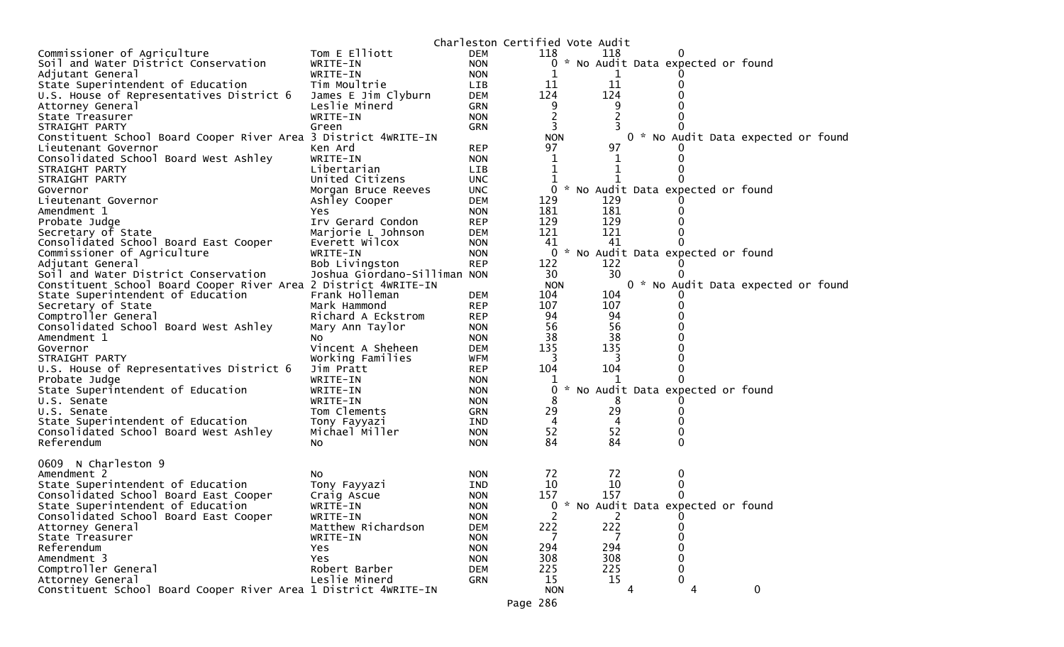|                                                                 |                              |            | Charleston Certified Vote Audit |     |                                     |                                     |
|-----------------------------------------------------------------|------------------------------|------------|---------------------------------|-----|-------------------------------------|-------------------------------------|
| Commissioner of Agriculture                                     | Tom E Elliott                | <b>DEM</b> | 118                             | 118 | 0                                   |                                     |
| Soil and Water District Conservation                            | WRITE-IN                     | <b>NON</b> |                                 |     | 0 * No Audit Data expected or found |                                     |
| Adjutant General                                                | WRITE-IN                     | <b>NON</b> |                                 |     |                                     |                                     |
| State Superintendent of Education                               | Tim Moultrie                 | <b>LIB</b> | 11                              | 11  |                                     |                                     |
| U.S. House of Representatives District 6                        | James E Jim Clyburn          | <b>DEM</b> | 124                             | 124 |                                     |                                     |
| Attorney General                                                | Leslie Minerd                | <b>GRN</b> | 9                               | 9   |                                     |                                     |
| State Treasurer                                                 | WRITE-IN                     | <b>NON</b> |                                 | 2   |                                     |                                     |
| STRAIGHT PARTY                                                  | Green                        | <b>GRN</b> | 3                               |     |                                     |                                     |
| Constituent School Board Cooper River Area 3 District 4WRITE-IN |                              |            | <b>NON</b>                      |     |                                     | 0 * No Audit Data expected or found |
| Lieutenant Governor                                             | Ken Ard                      | <b>REP</b> | 97                              | 97  |                                     |                                     |
| Consolidated School Board West Ashley                           | WRITE-IN                     | <b>NON</b> | 1                               |     |                                     |                                     |
| STRAIGHT PARTY                                                  | Libertarian                  | LIB        | 1                               |     |                                     |                                     |
| STRAIGHT PARTY                                                  | United Citizens              | <b>UNC</b> |                                 |     |                                     |                                     |
| Governor                                                        | Morgan Bruce Reeves          | <b>UNC</b> | $\mathbf{0}$                    |     | * No Audit Data expected or found   |                                     |
| Lieutenant Governor                                             | Ashley Cooper                | <b>DEM</b> | 129                             | 129 |                                     |                                     |
| Amendment 1                                                     | Yes                          | <b>NON</b> | 181                             | 181 |                                     |                                     |
| Probate Judge                                                   | Irv Gerard Condon            | <b>REP</b> | 129                             | 129 |                                     |                                     |
|                                                                 | Marjorie L Johnson           | <b>DEM</b> | 121                             | 121 |                                     |                                     |
| Secretary of State                                              |                              |            |                                 |     |                                     |                                     |
| Consolidated School Board East Cooper                           | Everett Wilcox               | <b>NON</b> | 41                              | 41  |                                     |                                     |
| Commissioner of Agriculture                                     | WRITE-IN                     | <b>NON</b> | 0                               |     | * No Audit Data expected or found   |                                     |
| Adjutant General                                                | Bob Livingston               | <b>REP</b> | 122                             | 122 |                                     |                                     |
| Soil and Water District Conservation                            | Joshua Giordano-Silliman NON |            | 30                              | 30  |                                     |                                     |
| Constituent School Board Cooper River Area 2 District 4WRITE-IN |                              |            | <b>NON</b>                      |     |                                     | 0 * No Audit Data expected or found |
| State Superintendent of Education                               | Frank Holleman               | <b>DEM</b> | 104                             | 104 |                                     |                                     |
| Secretary of State                                              | Mark Hammond                 | <b>REP</b> | 107                             | 107 |                                     |                                     |
| Comptroller General                                             | Richard A Eckstrom           | <b>REP</b> | 94                              | 94  |                                     |                                     |
| Consolidated School Board West Ashley                           | Mary Ann Taylor              | <b>NON</b> | 56                              | 56  |                                     |                                     |
| Amendment 1                                                     | No.                          | <b>NON</b> | 38                              | 38  |                                     |                                     |
| Governor                                                        | Vincent A Sheheen            | <b>DEM</b> | 135                             | 135 |                                     |                                     |
| STRAIGHT PARTY                                                  | Working Families             | <b>WFM</b> | 3                               | 3   |                                     |                                     |
| U.S. House of Representatives District 6                        | Jim Pratt                    | <b>REP</b> | 104                             | 104 | 0                                   |                                     |
| Probate Judge                                                   | WRITE-IN                     | <b>NON</b> |                                 |     |                                     |                                     |
| State Superintendent of Education                               | WRITE-IN                     | <b>NON</b> | 0                               |     | No Audit Data expected or found     |                                     |
| U.S. Senate                                                     | WRITE-IN                     | <b>NON</b> | 8                               | 8   |                                     |                                     |
| U.S. Senate                                                     | Tom Clements                 | <b>GRN</b> | 29                              | 29  |                                     |                                     |
| State Superintendent of Education                               | Tony Fayyazi                 | <b>IND</b> | 4                               | 4   |                                     |                                     |
| Consolidated School Board West Ashley                           | Michael Miller               | <b>NON</b> | 52                              | 52  | 0                                   |                                     |
| Referendum                                                      | NO.                          | <b>NON</b> | 84                              | 84  | 0                                   |                                     |
|                                                                 |                              |            |                                 |     |                                     |                                     |
| 0609 N Charleston 9                                             |                              |            |                                 |     |                                     |                                     |
| Amendment 2                                                     | No                           | <b>NON</b> | 72                              | 72  | 0                                   |                                     |
| State Superintendent of Education                               | Tony Fayyazi                 | IND        | 10                              | 10  | 0                                   |                                     |
| Consolidated School Board East Cooper                           | Craig Ascue                  | <b>NON</b> | 157                             | 157 |                                     |                                     |
| State Superintendent of Education                               |                              | <b>NON</b> | 0                               |     | * No Audit Data expected or found   |                                     |
| Consolidated School Board East Cooper                           | WRITE-IN<br>WRITE-IN         |            | 2                               | 2   | 0                                   |                                     |
|                                                                 | Matthew Richardson           | <b>NON</b> |                                 |     |                                     |                                     |
| Attorney General                                                |                              | <b>DEM</b> | 222                             | 222 | 0                                   |                                     |
| State Treasurer                                                 | WRITE-IN                     | <b>NON</b> |                                 |     |                                     |                                     |
| Referendum                                                      | Yes                          | <b>NON</b> | 294                             | 294 | 0                                   |                                     |
| Amendment 3                                                     | Yes                          | <b>NON</b> | 308                             | 308 | 0                                   |                                     |
| Comptroller General                                             | Robert Barber                | <b>DEM</b> | 225                             | 225 |                                     |                                     |
| Attorney General                                                | Leslie Minerd                | GRN        | 15                              | 15  | 0                                   |                                     |
| Constituent School Board Cooper River Area 1 District 4WRITE-IN |                              |            | <b>NON</b>                      | 4   | 4                                   | $\mathbf 0$                         |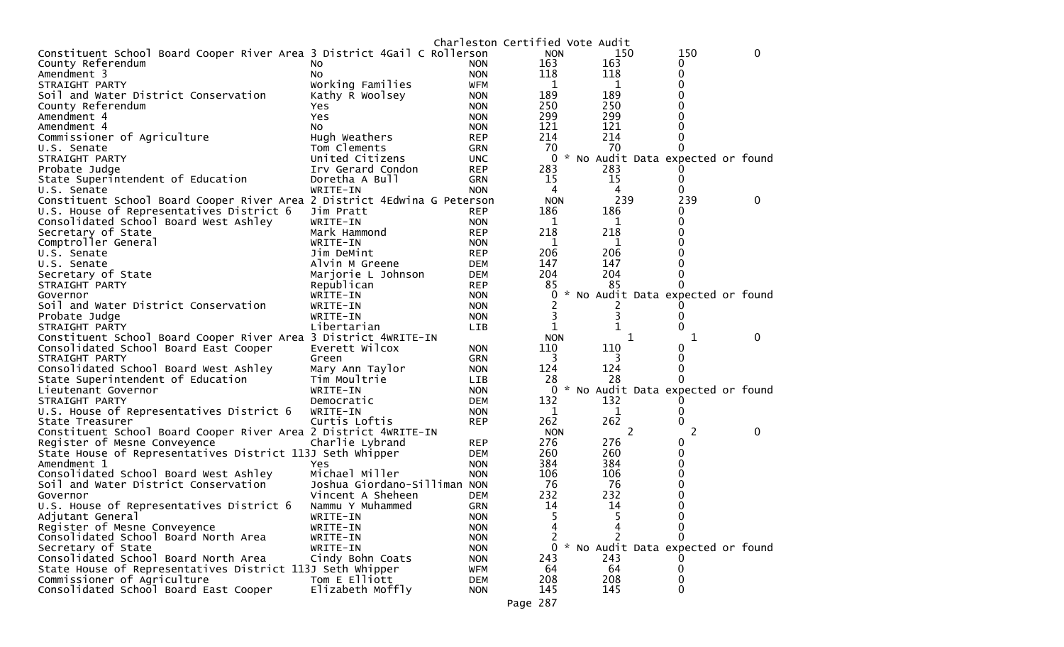|                                                                          |                              |            | Charleston Certified Vote Audit |                                   |     |             |
|--------------------------------------------------------------------------|------------------------------|------------|---------------------------------|-----------------------------------|-----|-------------|
| Constituent School Board Cooper River Area 3 District 4Gail C Rollerson  |                              |            | <b>NON</b>                      | 150                               | 150 | $\mathbf 0$ |
| County Referendum                                                        | NO.                          | <b>NON</b> | 163                             | 163                               | 0   |             |
| Amendment 3                                                              | NO.                          | <b>NON</b> | 118                             | 118                               | 0   |             |
| STRAIGHT PARTY                                                           | Working Families             | <b>WFM</b> | 1                               | 1                                 | 0   |             |
| Soil and Water District Conservation                                     | Kathy R Woolsey              | <b>NON</b> | 189                             | 189                               |     |             |
| County Referendum                                                        | Yes.                         | <b>NON</b> | 250                             | 250                               | O   |             |
| Amendment 4                                                              | Yes                          | <b>NON</b> | 299                             | 299                               |     |             |
| Amendment 4                                                              | NO.                          | <b>NON</b> | 121                             | 121                               |     |             |
| Commissioner of Agriculture                                              | Hugh Weathers                | <b>REP</b> | 214                             | 214                               | O   |             |
| U.S. Senate                                                              | Tom Clements                 | <b>GRN</b> | 70                              | 70                                |     |             |
| STRAIGHT PARTY                                                           | United Citizens              | <b>UNC</b> | $\mathbf 0$                     | * No Audit Data expected or found |     |             |
| Probate Judge                                                            | Irv Gerard Condon            | <b>REP</b> | 283                             | 283                               |     |             |
| State Superintendent of Education                                        | Doretha A Bull               | GRN        | 15                              | 15                                | 0   |             |
| U.S. Senate                                                              | WRITE-IN                     | <b>NON</b> | 4                               | 4                                 | 0   |             |
| Constituent School Board Cooper River Area 2 District 4Edwina G Peterson |                              |            | <b>NON</b>                      | 239                               | 239 | 0           |
| U.S. House of Representatives District 6                                 | Jim Pratt                    | <b>REP</b> | 186                             | 186                               | 0   |             |
| Consolidated School Board West Ashley                                    | WRITE-IN                     | <b>NON</b> | 1                               | 1                                 | O   |             |
| Secretary of State                                                       | Mark Hammond                 | <b>REP</b> | 218                             | 218                               | 0   |             |
| Comptroller General                                                      | WRITE-IN                     | <b>NON</b> | 1                               | 1                                 |     |             |
| U.S. Senate                                                              | Jim DeMint                   | <b>REP</b> | 206                             | 206                               |     |             |
| U.S. Senate                                                              | Alvin M Greene               | <b>DEM</b> | 147                             | 147                               |     |             |
| Secretary of State                                                       | Marjorie L Johnson           | <b>DEM</b> | 204                             | 204                               |     |             |
| STRAIGHT PARTY                                                           | Republican                   | <b>REP</b> | 85                              | 85                                |     |             |
| Governor                                                                 | WRITE-IN                     | <b>NON</b> | 0                               | * No Audit Data expected or found |     |             |
| Soil and Water District Conservation                                     | WRITE-IN                     | <b>NON</b> |                                 |                                   |     |             |
| Probate Judge                                                            | WRITE-IN                     | <b>NON</b> | 3                               |                                   |     |             |
| STRAIGHT PARTY                                                           | Libertarian                  | <b>LIB</b> | 1                               |                                   | O   |             |
| Constituent School Board Cooper River Area 3 District 4WRITE-IN          |                              |            | <b>NON</b>                      | 1                                 | 1   | 0           |
| Consolidated School Board East Cooper                                    | Everett Wilcox               | <b>NON</b> | 110                             | 110                               |     |             |
| STRAIGHT PARTY                                                           | Green                        | <b>GRN</b> | 3                               | 3                                 |     |             |
| Consolidated School Board West Ashley                                    | Mary Ann Taylor              | <b>NON</b> | 124                             | 124                               |     |             |
| State Superintendent of Education                                        | Tim Moultrie                 | <b>LIB</b> | 28                              | 28                                |     |             |
| Lieutenant Governor                                                      | WRITE-IN                     | <b>NON</b> | 0                               | * No Audit Data expected or found |     |             |
| STRAIGHT PARTY                                                           | Democratic                   | <b>DEM</b> | 132                             | 132                               |     |             |
| U.S. House of Representatives District 6                                 | WRITE-IN                     | <b>NON</b> | 1                               | 1                                 | O)  |             |
| State Treasurer                                                          | Curtis Loftis                | <b>REP</b> | 262                             | 262                               | 0   |             |
| Constituent School Board Cooper River Area 2 District 4WRITE-IN          |                              |            | <b>NON</b>                      | 2                                 | 2   | 0           |
| Register of Mesne Conveyence                                             | Charlie Lybrand              | <b>REP</b> | 276                             | 276                               | O   |             |
| State House of Representatives District 113J Seth Whipper                |                              | <b>DEM</b> | 260                             | 260                               | 0   |             |
| Amendment 1                                                              | Yes                          | <b>NON</b> | 384                             | 384                               | 0   |             |
| Consolidated School Board West Ashley                                    | Michael Miller               | <b>NON</b> | 106                             | 106                               | 0   |             |
| Soil and Water District Conservation                                     | Joshua Giordano-Silliman NON |            | 76                              | 76                                |     |             |
| Governor                                                                 | Vincent A Sheheen            | <b>DEM</b> | 232                             | 232                               |     |             |
| U.S. House of Representatives District 6                                 | Nammu Y Muhammed             | <b>GRN</b> | 14                              | 14                                | ∩   |             |
| Adjutant General                                                         | WRITE-IN                     | <b>NON</b> | 5                               | 5                                 | 0   |             |
| Register of Mesne Conveyence                                             | WRITE-IN                     | <b>NON</b> |                                 |                                   | 0   |             |
| Consolidated School Board North Area                                     | WRITE-IN                     | <b>NON</b> | 2                               |                                   | ∩   |             |
| Secretary of State                                                       | WRITE-IN                     | <b>NON</b> | 0                               | * No Audit Data expected or found |     |             |
| Consolidated School Board North Area                                     | Cindy Bohn Coats             | <b>NON</b> | 243                             | 243                               |     |             |
| State House of Representatives District 113J Seth Whipper                |                              | WFM        | 64                              | 64                                | 0   |             |
| Commissioner of Agriculture                                              | Tom E Elliott                | <b>DEM</b> | 208                             | 208                               | 0   |             |
| Consolidated School Board East Cooper                                    | Elizabeth Moffly             | <b>NON</b> | 145                             | 145                               | 0   |             |
|                                                                          |                              |            |                                 |                                   |     |             |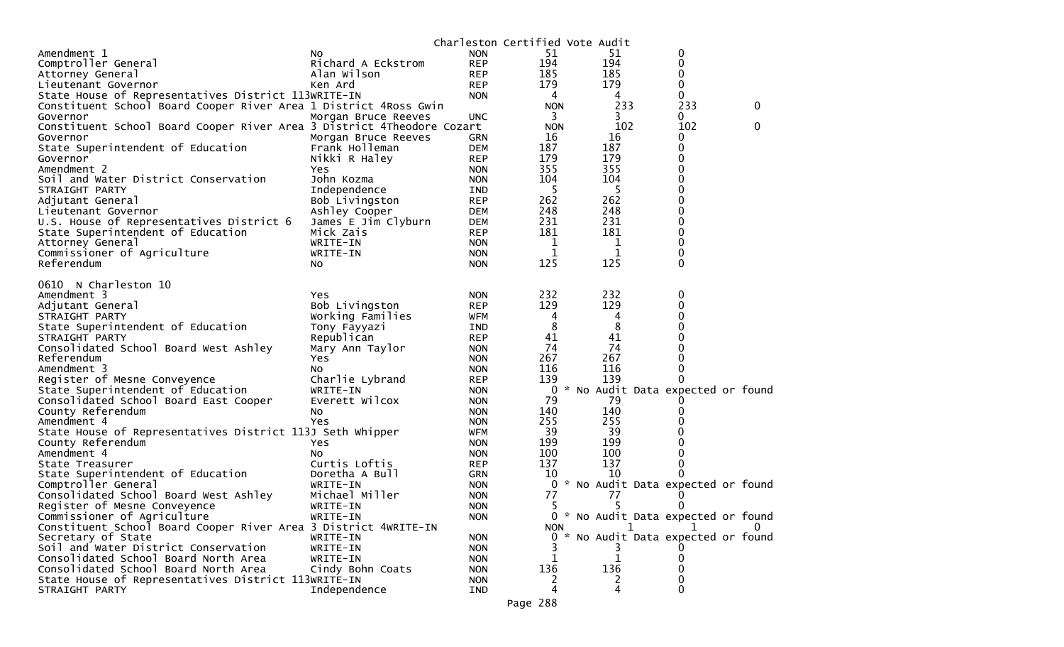|                                                                        |                     |            | Charleston Certified Vote Audit |              |                                     |   |
|------------------------------------------------------------------------|---------------------|------------|---------------------------------|--------------|-------------------------------------|---|
| Amendment 1                                                            | NO.                 | <b>NON</b> | 51                              | 51           | 0                                   |   |
| Comptroller General                                                    | Richard A Eckstrom  | <b>REP</b> | 194                             | 194          | 0                                   |   |
| Attorney General                                                       | Alan Wilson         | <b>REP</b> | 185                             | 185          | 0                                   |   |
| Lieutenant Governor                                                    | Ken Ard             | <b>REP</b> | 179                             | 179          | 0                                   |   |
| State House of Representatives District 113WRITE-IN                    |                     | <b>NON</b> | 4                               | 4            | 0                                   |   |
| Constituent School Board Cooper River Area 1 District 4Ross Gwin       |                     |            | <b>NON</b>                      | 233          | 233                                 | 0 |
| Governor                                                               |                     | <b>UNC</b> | 3                               | 3.           | 0                                   |   |
|                                                                        | Morgan Bruce Reeves |            |                                 | 102          | 102                                 | 0 |
| Constituent School Board Cooper River Area 3 District 4Theodore Cozart |                     |            | <b>NON</b>                      |              |                                     |   |
| Governor                                                               | Morgan Bruce Reeves | <b>GRN</b> | 16                              | 16           | 0                                   |   |
| State Superintendent of Education                                      | Frank Holleman      | <b>DEM</b> | 187                             | 187          | 0                                   |   |
| Governor                                                               | Nikki R Haley       | <b>REP</b> | 179                             | 179          | 0                                   |   |
| Amendment 2                                                            | Yes                 | <b>NON</b> | 355                             | 355          | 0                                   |   |
| Soil and Water District Conservation                                   | John Kozma          | <b>NON</b> | 104                             | 104          | 0                                   |   |
| STRAIGHT PARTY                                                         | Independence        | <b>IND</b> | 5                               | 5            | 0                                   |   |
| Adjutant General                                                       | Bob Livingston      | <b>REP</b> | 262                             | 262          | 0                                   |   |
| Lieutenant Governor                                                    | Ashley Cooper       | <b>DEM</b> | 248                             | 248          | 0                                   |   |
| U.S. House of Representatives District 6                               | James E Jim Clyburn | <b>DEM</b> | 231                             | 231          | 0                                   |   |
| State Superintendent of Education                                      | Mick Zais           | <b>REP</b> | 181                             | 181          | 0                                   |   |
| Attorney General                                                       | WRITE-IN            | <b>NON</b> | 1                               | 1            | 0                                   |   |
| Commissioner of Agriculture                                            | WRITE-IN            | <b>NON</b> | 1                               | 1            | 0                                   |   |
| Referendum                                                             | No                  | <b>NON</b> | 125                             | 125          | 0                                   |   |
|                                                                        |                     |            |                                 |              |                                     |   |
| 0610 N Charleston 10                                                   |                     |            |                                 |              |                                     |   |
| Amendment 3                                                            | Yes                 | <b>NON</b> | 232                             | 232          | 0                                   |   |
| Adjutant General                                                       | Bob Livingston      | <b>REP</b> | 129                             | 129          | 0                                   |   |
|                                                                        |                     |            |                                 |              | 0                                   |   |
| STRAIGHT PARTY                                                         | Working Families    | WFM        | 4                               | 4            |                                     |   |
| State Superintendent of Education                                      | Tony Fayyazi        | <b>IND</b> | 8                               | 8            | 0                                   |   |
| STRAIGHT PARTY                                                         | Republican          | <b>REP</b> | 41                              | 41           | 0                                   |   |
| Consolidated School Board West Ashley                                  | Mary Ann Taylor     | <b>NON</b> | 74                              | 74           | 0                                   |   |
| Referendum                                                             | Yes                 | <b>NON</b> | 267                             | 267          | 0                                   |   |
| Amendment 3                                                            | No                  | <b>NON</b> | 116                             | 116          | 0                                   |   |
| Register of Mesne Conveyence                                           | Charlie Lybrand     | <b>REP</b> | 139                             | 139          |                                     |   |
| State Superintendent of Education                                      | WRITE-IN            | <b>NON</b> | 0                               |              | * No Audit Data expected or found   |   |
| Consolidated School Board East Cooper                                  | Everett Wilcox      | <b>NON</b> | 79                              | 79           |                                     |   |
| County Referendum                                                      | NO.                 | <b>NON</b> | 140                             | 140          | 0                                   |   |
| Amendment 4                                                            | Yes                 | <b>NON</b> | 255                             | 255          |                                     |   |
| State House of Representatives District 113J Seth Whipper              |                     | <b>WFM</b> | 39                              | 39           | 0                                   |   |
| County Referendum                                                      | Yes                 | <b>NON</b> | 199                             | 199          | 0                                   |   |
| Amendment 4                                                            | NO.                 | <b>NON</b> | 100                             | 100          | 0                                   |   |
| State Treasurer                                                        | Curtis Loftis       | <b>REP</b> | 137                             | 137          | 0                                   |   |
| State Superintendent of Education                                      | Doretha A Bull      | <b>GRN</b> | 10                              | 10           |                                     |   |
| Comptroller General                                                    | WRITE-IN            | <b>NON</b> | 0                               |              | * No Audit Data expected or found   |   |
| Consolidated School Board West Ashley                                  | Michael Miller      | <b>NON</b> | 77                              | 77           |                                     |   |
| Register of Mesne Conveyence                                           |                     |            | 5                               | 5            | 0                                   |   |
| Commissioner of Agriculture                                            | WRITE-IN            | <b>NON</b> |                                 |              |                                     |   |
|                                                                        | WRITE-IN            | <b>NON</b> |                                 |              | 0 * No Audit Data expected or found |   |
| Constituent School Board Cooper River Area 3 District 4WRITE-IN        |                     |            | <b>NON</b>                      |              |                                     |   |
| Secretary of State                                                     | WRITE-IN            | <b>NON</b> |                                 |              | 0 * No Audit Data expected or found |   |
| Soil and Water District Conservation                                   | WRITE-IN            | <b>NON</b> |                                 |              |                                     |   |
| Consolidated School Board North Area                                   | WRITE-IN            | <b>NON</b> | 1                               | $\mathbf{1}$ |                                     |   |
| Consolidated School Board North Area                                   | Cindy Bohn Coats    | <b>NON</b> | 136                             | 136          |                                     |   |
| State House of Representatives District 113WRITE-IN                    |                     | <b>NON</b> | 2                               | 2            |                                     |   |
| STRAIGHT PARTY                                                         | Independence        | <b>IND</b> | 4                               | 4            | 0                                   |   |
|                                                                        |                     |            | $\Omega$                        |              |                                     |   |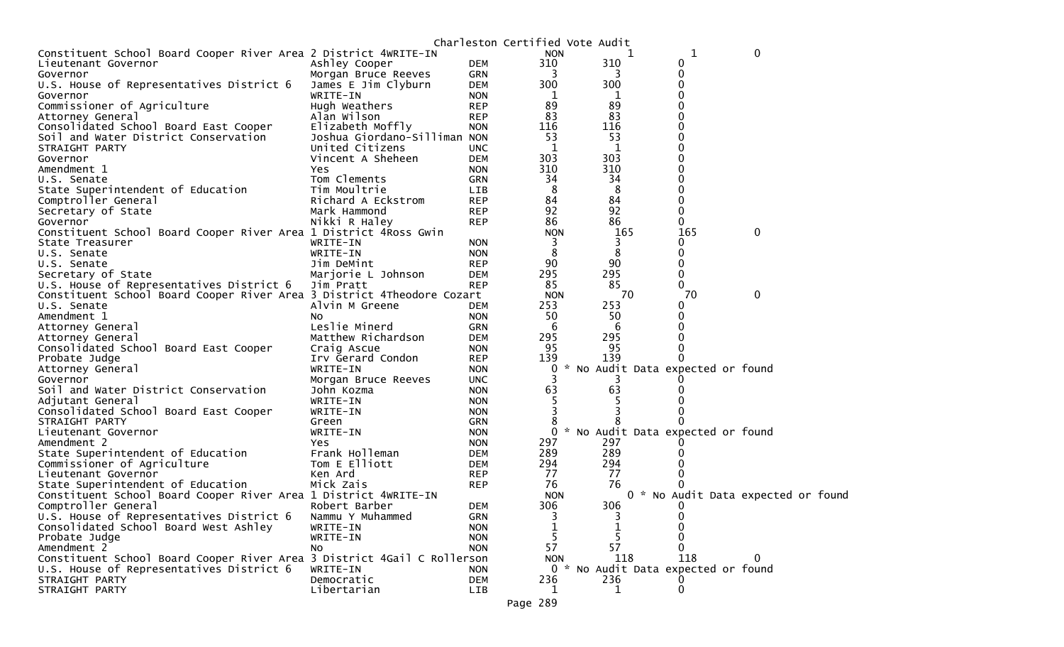|                                                                         |                              |            | Charleston Certified Vote Audit |                                     |              |                                     |  |
|-------------------------------------------------------------------------|------------------------------|------------|---------------------------------|-------------------------------------|--------------|-------------------------------------|--|
| Constituent School Board Cooper River Area 2 District 4WRITE-IN         |                              |            | <b>NON</b>                      |                                     | 1            | 0                                   |  |
| Lieutenant Governor                                                     | Ashley Cooper                | DEM        | 310                             | 310                                 | 0            |                                     |  |
| Governor                                                                | Morgan Bruce Reeves          | <b>GRN</b> |                                 |                                     | 0            |                                     |  |
| U.S. House of Representatives District 6                                | James E Jim Clyburn          | DEM        | 300                             | 300                                 | 0            |                                     |  |
| Governor                                                                | WRITE-IN                     | <b>NON</b> | 1                               |                                     |              |                                     |  |
| Commissioner of Agriculture                                             | Hugh Weathers                | <b>REP</b> | 89                              | 89                                  |              |                                     |  |
| Attorney General                                                        | Alan Wilson                  | <b>REP</b> | 83                              | 83                                  |              |                                     |  |
| Consolidated School Board East Cooper                                   | Elizabeth Moffly             | <b>NON</b> | 116                             | 116                                 |              |                                     |  |
| Soil and Water District Conservation                                    | Joshua Giordano-Silliman NON |            | 53                              | 53                                  |              |                                     |  |
| STRAIGHT PARTY                                                          | United Citizens              | <b>UNC</b> | 1                               | 1                                   |              |                                     |  |
| Governor                                                                | Vincent A Sheheen            | <b>DEM</b> | 303                             | 303                                 |              |                                     |  |
| Amendment 1                                                             | Yes                          | <b>NON</b> | 310                             | 310                                 |              |                                     |  |
| U.S. Senate                                                             | Tom Clements                 | GRN        | 34                              | 34                                  |              |                                     |  |
| State Superintendent of Education                                       | Tim Moultrie                 | LIB        | 8                               | 8                                   |              |                                     |  |
| Comptroller General                                                     | Richard A Eckstrom           | <b>REP</b> | 84                              | 84                                  | 0            |                                     |  |
| Secretary of State                                                      | Mark Hammond                 | <b>REP</b> | 92                              | 92                                  |              |                                     |  |
| Governor                                                                | Nikki R Haley                | <b>REP</b> | 86                              | 86                                  | 0            |                                     |  |
| Constituent School Board Cooper River Area 1 District 4Ross Gwin        |                              |            | <b>NON</b>                      | 165                                 | 165          | 0                                   |  |
| State Treasurer                                                         | WRITE-IN                     | <b>NON</b> | 3                               |                                     | 0            |                                     |  |
| U.S. Senate                                                             | WRITE-IN                     | <b>NON</b> | 8                               | 8                                   | 0            |                                     |  |
| U.S. Senate                                                             | Jim DeMint                   | <b>REP</b> | 90                              | 90                                  | 0            |                                     |  |
| Secretary of State                                                      | Marjorie L Johnson           | <b>DEM</b> | 295                             | 295                                 | 0            |                                     |  |
| U.S. House of Representatives District 6                                | Jim Pratt                    | <b>REP</b> | 85                              | 85                                  | 0            |                                     |  |
| Constituent School Board Cooper River Area 3 District 4Theodore Cozart  |                              |            | <b>NON</b>                      | 70                                  | 70           | 0                                   |  |
| U.S. Senate                                                             | Alvin M Greene               | DEM        | 253                             | 253                                 | 0            |                                     |  |
| Amendment 1                                                             | No                           | <b>NON</b> | 50                              | 50                                  |              |                                     |  |
| Attorney General                                                        | Leslie Minerd                | <b>GRN</b> | -6                              | 6                                   |              |                                     |  |
| Attorney General                                                        | Matthew Richardson           | <b>DEM</b> | 295                             | 295                                 |              |                                     |  |
| Consolidated School Board East Cooper                                   | Craig Ascue                  | <b>NON</b> | 95                              | 95                                  |              |                                     |  |
| Probate Judge                                                           | Irv Gerard Condon            | <b>REP</b> | 139                             | 139                                 |              |                                     |  |
| Attorney General                                                        | WRITE-IN                     | <b>NON</b> | 0                               | * No Audit Data expected or found   |              |                                     |  |
| Governor                                                                | Morgan Bruce Reeves          | <b>UNC</b> |                                 | 3                                   |              |                                     |  |
| Soil and Water District Conservation                                    | John Kozma                   | <b>NON</b> | 63                              | 63                                  |              |                                     |  |
| Adjutant General                                                        | WRITE-IN                     | <b>NON</b> |                                 |                                     |              |                                     |  |
| Consolidated School Board East Cooper                                   | WRITE-IN                     | <b>NON</b> |                                 |                                     |              |                                     |  |
| STRAIGHT PARTY                                                          | Green                        | <b>GRN</b> |                                 |                                     |              |                                     |  |
| Lieutenant Governor                                                     | WRITE-IN                     | <b>NON</b> | 0                               | * No Audit Data expected or found   |              |                                     |  |
| Amendment 2                                                             | <b>Yes</b>                   | <b>NON</b> | 297                             | 297                                 |              |                                     |  |
| State Superintendent of Education                                       | Frank Holleman               | DEM        | 289                             | 289                                 |              |                                     |  |
| Commissioner of Agriculture                                             | Tom E Elliott                | DEM        | 294                             | 294                                 |              |                                     |  |
| Lieutenant Governor                                                     | Ken Ard                      | <b>REP</b> | 77                              | 77                                  |              |                                     |  |
| State Superintendent of Education                                       | Mick Zais                    | <b>REP</b> | 76                              | 76                                  |              |                                     |  |
| Constituent School Board Cooper River Area 1 District 4WRITE-IN         |                              |            | <b>NON</b>                      |                                     |              | 0 * No Audit Data expected or found |  |
| Comptroller General                                                     | Robert Barber                | <b>DEM</b> | 306                             | 306                                 | $\Omega$     |                                     |  |
| U.S. House of Representatives District 6                                | Nammu Y Muhammed             | <b>GRN</b> | 3                               | 3                                   |              |                                     |  |
| Consolidated School Board West Ashley                                   | WRITE-IN                     | <b>NON</b> |                                 |                                     |              |                                     |  |
| Probate Judge                                                           | WRITE-IN                     | <b>NON</b> |                                 |                                     | 0            |                                     |  |
| Amendment 2                                                             | NO.                          | <b>NON</b> | 57                              | 57                                  | 0            |                                     |  |
| Constituent School Board Cooper River Area 3 District 4Gail C Rollerson |                              |            | <b>NON</b>                      | 118                                 | 118          | 0                                   |  |
| U.S. House of Representatives District 6                                | WRITE-IN                     | <b>NON</b> |                                 | 0 * No Audit Data expected or found |              |                                     |  |
| STRAIGHT PARTY                                                          | Democratic                   | <b>DEM</b> | 236                             | 236                                 |              |                                     |  |
| STRAIGHT PARTY                                                          | Libertarian                  | <b>LIB</b> | 1                               | $\mathbf{1}$                        | $\mathbf{0}$ |                                     |  |
|                                                                         |                              |            |                                 |                                     |              |                                     |  |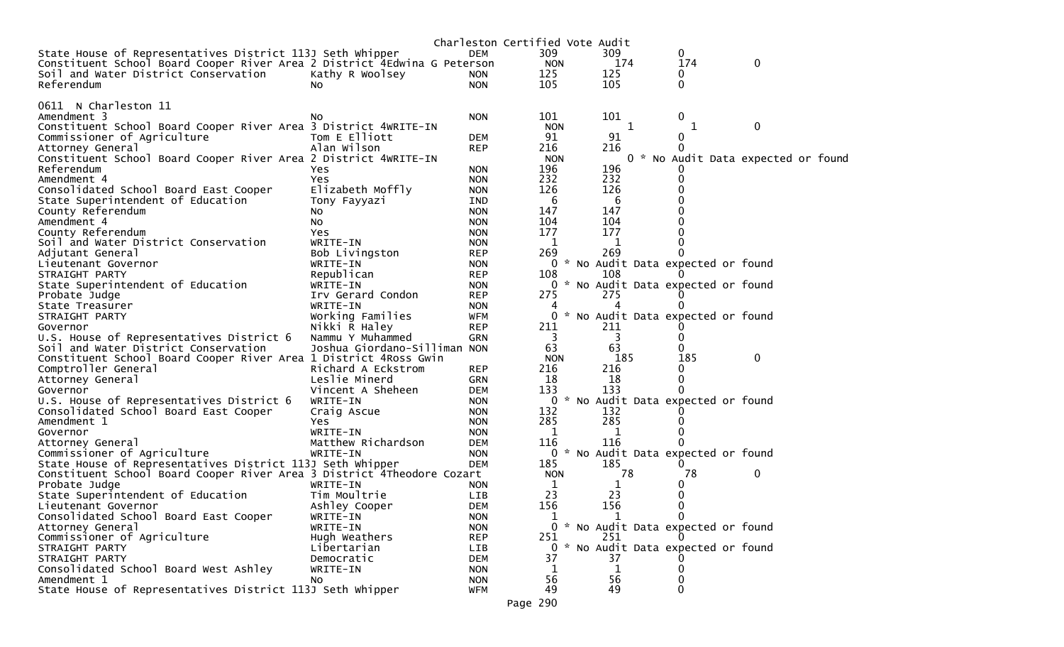|                                                                          |                               |                          | Charleston Certified Vote Audit |              |   |                                     |                                    |  |
|--------------------------------------------------------------------------|-------------------------------|--------------------------|---------------------------------|--------------|---|-------------------------------------|------------------------------------|--|
| State House of Representatives District 113J Seth Whipper                |                               | <b>DEM</b>               | 309                             | 309          |   | 0                                   |                                    |  |
| Constituent School Board Cooper River Area 2 District 4Edwina G Peterson |                               |                          | <b>NON</b>                      | 174          |   | 174                                 | $\mathbf 0$                        |  |
| Soil and Water District Conservation                                     | Kathy R Woolsey               | <b>NON</b>               | 125                             | 125          |   | 0                                   |                                    |  |
| Referendum                                                               | NO.                           | <b>NON</b>               | 105                             | 105          |   | 0                                   |                                    |  |
|                                                                          |                               |                          |                                 |              |   |                                     |                                    |  |
| 0611 N Charleston 11                                                     |                               |                          |                                 |              |   |                                     |                                    |  |
| Amendment 3                                                              | No.                           | <b>NON</b>               | 101                             | 101          |   | 0                                   |                                    |  |
| Constituent School Board Cooper River Area 3 District 4WRITE-IN          |                               |                          | <b>NON</b>                      |              | 1 | 1                                   | $\mathbf 0$                        |  |
| Commissioner of Agriculture                                              | Tom E Elliott                 | <b>DEM</b>               | 91                              | 91           |   | $\mathbf 0$                         |                                    |  |
| Attorney General                                                         | Alan Wilson                   | <b>REP</b>               | 216                             | 216          |   |                                     |                                    |  |
| Constituent School Board Cooper River Area 2 District 4WRITE-IN          |                               |                          | <b>NON</b>                      |              |   |                                     | 0 * No Audit Data expected or foun |  |
| Referendum                                                               | Yes                           | <b>NON</b>               | 196                             | 196          |   |                                     |                                    |  |
| Amendment 4                                                              | Yes                           | <b>NON</b>               | 232                             | 232          |   | 0                                   |                                    |  |
| Consolidated School Board East Cooper                                    | Elizabeth Moffly              | <b>NON</b>               | 126                             | 126          |   |                                     |                                    |  |
| State Superintendent of Education                                        | Tony Fayyazi                  | IND                      | 6                               | -6           |   |                                     |                                    |  |
| County Referendum                                                        | No                            | <b>NON</b>               | 147                             | 147          |   |                                     |                                    |  |
| Amendment 4                                                              | No                            | <b>NON</b>               | 104                             | 104          |   |                                     |                                    |  |
| County Referendum                                                        | Yes                           | <b>NON</b>               | 177                             | 177          |   |                                     |                                    |  |
| Soil and Water District Conservation                                     | WRITE-IN                      | <b>NON</b>               | 1                               | 1            |   |                                     |                                    |  |
| Adjutant General                                                         | Bob Livingston                | <b>REP</b>               | 269                             | 269          |   |                                     |                                    |  |
| Lieutenant Governor                                                      | WRITE-IN                      | <b>NON</b>               |                                 |              |   | 0 * No Audit Data expected or found |                                    |  |
| STRAIGHT PARTY                                                           | Republican                    | <b>REP</b>               | 108                             | 108          |   |                                     |                                    |  |
| State Superintendent of Education                                        | WRITE-IN                      | <b>NON</b>               | 275                             | 275          |   | 0 * No Audit Data expected or found |                                    |  |
| Probate Judge                                                            | Irv Gerard Condon<br>WRITE-IN | <b>REP</b><br><b>NON</b> | 4                               | 4            |   |                                     |                                    |  |
| State Treasurer<br>STRAIGHT PARTY                                        | Working Families              | <b>WFM</b>               | 0                               |              |   | * No Audit Data expected or found   |                                    |  |
| Governor                                                                 | Nikki R Haley                 | <b>REP</b>               | 211                             | 211          |   |                                     |                                    |  |
| U.S. House of Representatives District 6                                 | Nammu Y Muhammed              | <b>GRN</b>               | 3                               | 3            |   | 0                                   |                                    |  |
| Soil and Water District Conservation                                     | Joshua Giordano-Silliman NON  |                          | 63                              | 63           |   |                                     |                                    |  |
| Constituent School Board Cooper River Area 1 District 4Ross Gwin         |                               |                          | <b>NON</b>                      | 185          |   | 185                                 | 0                                  |  |
| Comptroller General                                                      | Richard A Eckstrom            | <b>REP</b>               | 216                             | 216          |   | 0                                   |                                    |  |
| Attorney General                                                         | Leslie Minerd                 | <b>GRN</b>               | 18                              | 18           |   | 0                                   |                                    |  |
| Governor                                                                 | Vincent A Sheheen             | <b>DEM</b>               | 133                             | 133          |   |                                     |                                    |  |
| U.S. House of Representatives District 6                                 | WRITE-IN                      | <b>NON</b>               |                                 |              |   | 0 * No Audit Data expected or found |                                    |  |
| Consolidated School Board East Cooper                                    | Craig Ascue                   | <b>NON</b>               | 132                             | 132          |   |                                     |                                    |  |
| Amendment 1                                                              | Yes                           | <b>NON</b>               | 285                             | 285          |   |                                     |                                    |  |
| Governor                                                                 | WRITE-IN                      | <b>NON</b>               | 1                               | 1            |   |                                     |                                    |  |
| Attorney General                                                         | Matthew Richardson            | <b>DEM</b>               | 116                             | 116          |   |                                     |                                    |  |
| Commissioner of Agriculture                                              | WRITE-IN                      | <b>NON</b>               |                                 |              |   | 0 * No Audit Data expected or found |                                    |  |
| State House of Representatives District 113J Seth Whipper                |                               | <b>DEM</b>               | 185                             | 185          |   |                                     |                                    |  |
| Constituent School Board Cooper River Area 3 District 4Theodore Cozart   |                               |                          | <b>NON</b>                      | 78           |   | 78                                  | 0                                  |  |
| Probate Judge                                                            | WRITE-IN                      | <b>NON</b>               | 1                               | 1            |   | 0                                   |                                    |  |
| State Superintendent of Education                                        | Tim Moultrie                  | <b>LIB</b>               | 23                              | 23           |   | 0                                   |                                    |  |
| Lieutenant Governor                                                      | Ashley Cooper                 | <b>DEM</b>               | 156                             | 156          |   | 0                                   |                                    |  |
| Consolidated School Board East Cooper                                    | WRITE-IN                      | <b>NON</b>               | 1                               | $\mathbf{1}$ |   | $\mathbf{0}$                        |                                    |  |
| Attorney General                                                         | WRITE-IN                      | <b>NON</b>               |                                 |              |   | 0 * No Audit Data expected or found |                                    |  |
| Commissioner of Agriculture                                              | Hugh Weathers                 | <b>REP</b>               | 251                             | 251          |   |                                     |                                    |  |
| STRAIGHT PARTY                                                           | Libertarian                   | LIB                      |                                 |              |   | 0 * No Audit Data expected or found |                                    |  |
| STRAIGHT PARTY                                                           | Democratic                    | <b>DEM</b>               | 37                              | 37           |   |                                     |                                    |  |
| Consolidated School Board West Ashley                                    | WRITE-IN                      | <b>NON</b>               | 1                               | 1            |   | 0                                   |                                    |  |
| Amendment 1                                                              | NO.                           | <b>NON</b>               | 56<br>49                        | 56<br>49     |   |                                     |                                    |  |
| State House of Representatives District 113J Seth Whipper                |                               | WFM                      | $\sim$ $\sim$                   |              |   | 0                                   |                                    |  |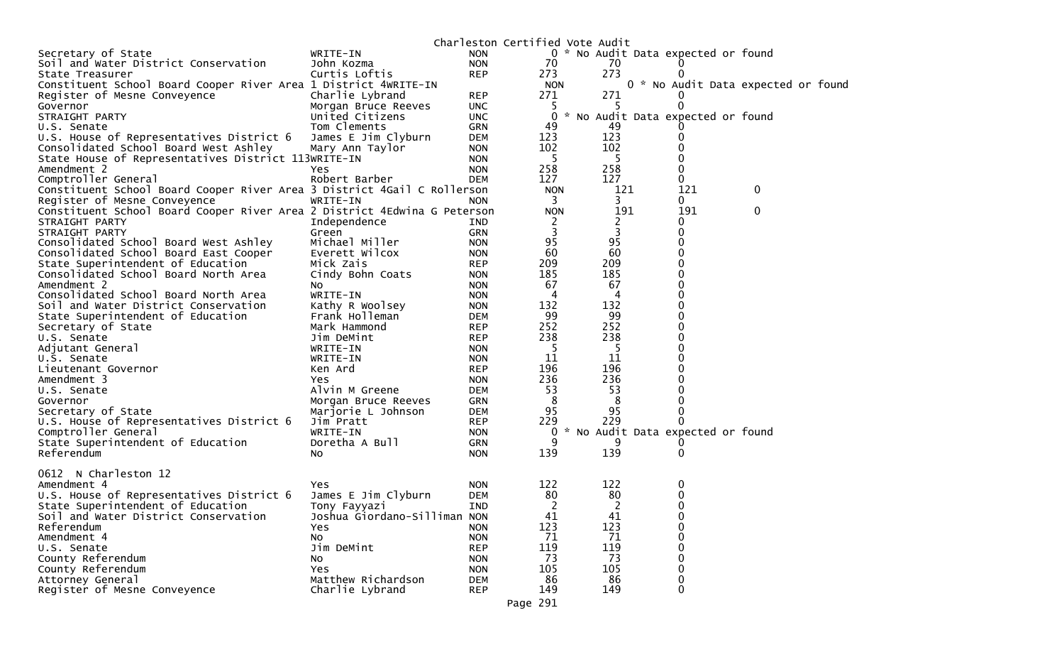|                                                                          |                              |            |             | Charleston Certified Vote Audit       |     |                                     |  |
|--------------------------------------------------------------------------|------------------------------|------------|-------------|---------------------------------------|-----|-------------------------------------|--|
| Secretary of State                                                       | WRITE-IN                     | <b>NON</b> |             | 0 * No Audit Data expected or found   |     |                                     |  |
| Soil and Water District Conservation                                     | John Kozma                   | <b>NON</b> | 70          | 70                                    |     |                                     |  |
| State Treasurer                                                          | Curtis Loftis                | <b>REP</b> | 273         | 273                                   |     |                                     |  |
| Constituent School Board Cooper River Area 1 District 4WRITE-IN          |                              |            | <b>NON</b>  |                                       |     | 0 * No Audit Data expected or found |  |
| Register of Mesne Conveyence                                             | Charlie Lybrand              | <b>REP</b> | 271         | 271                                   |     |                                     |  |
| Governor                                                                 | Morgan Bruce Reeves          | <b>UNC</b> | -5          |                                       | 0   |                                     |  |
| STRAIGHT PARTY                                                           | United Citizens              | <b>UNC</b> | $\mathbf 0$ | No Audit Data expected or found<br>₩. |     |                                     |  |
| U.S. Senate                                                              | Tom Clements                 | GRN        | 49          | 49                                    |     |                                     |  |
| U.S. House of Representatives District 6                                 | James E Jim Clyburn          | DEM        | 123         | 123                                   | 0   |                                     |  |
| Consolidated School Board West Ashley                                    | Mary Ann Taylor              | <b>NON</b> | 102         | 102                                   | 0   |                                     |  |
| State House of Representatives District 113WRITE-IN                      |                              | <b>NON</b> | - 5         | -5                                    |     |                                     |  |
| Amendment 2                                                              | Yes.                         | <b>NON</b> | 258         | 258                                   | 0   |                                     |  |
| Comptroller General                                                      | Robert Barber                | <b>DEM</b> | 127         | 127                                   | 0   |                                     |  |
| Constituent School Board Cooper River Area 3 District 4Gail C Rollerson  |                              |            | <b>NON</b>  | 121                                   | 121 | 0                                   |  |
| Register of Mesne Conveyence                                             | WRITE-IN                     | <b>NON</b> | 3           | 3                                     | 0   |                                     |  |
| Constituent School Board Cooper River Area 2 District 4Edwina G Peterson |                              |            | <b>NON</b>  | 191                                   | 191 | 0                                   |  |
| STRAIGHT PARTY                                                           | Independence                 | IND        | 2           | 2                                     | 0   |                                     |  |
| STRAIGHT PARTY                                                           | Green                        | <b>GRN</b> | 3           | 3                                     | 0   |                                     |  |
| Consolidated School Board West Ashley                                    | Michael Miller               | <b>NON</b> | 95          | 95                                    | 0   |                                     |  |
| Consolidated School Board East Cooper                                    | Everett Wilcox               | <b>NON</b> | 60          | 60                                    | 0   |                                     |  |
| State Superintendent of Education                                        | Mick Zais                    | <b>REP</b> | 209         | 209                                   | 0   |                                     |  |
| Consolidated School Board North Area                                     | Cindy Bohn Coats             | <b>NON</b> | 185         | 185                                   | 0   |                                     |  |
| Amendment 2                                                              | NO.                          | <b>NON</b> | 67          | 67                                    | 0   |                                     |  |
| Consolidated School Board North Area                                     | WRITE-IN                     | <b>NON</b> | 4           | 4                                     | 0   |                                     |  |
| Soil and Water District Conservation                                     | Kathy R Woolsey              | <b>NON</b> | 132         | 132                                   | 0   |                                     |  |
| State Superintendent of Education                                        | Frank Holleman               | <b>DEM</b> | 99          | 99                                    | 0   |                                     |  |
| Secretary of State                                                       | Mark Hammond                 | <b>REP</b> | 252         | 252                                   | 0   |                                     |  |
| U.S. Senate                                                              | Jim DeMint                   | <b>REP</b> | 238         | 238                                   | 0   |                                     |  |
| Adjutant General                                                         | WRITE-IN                     | <b>NON</b> | -5          | -5                                    | 0   |                                     |  |
| U.S. Senate                                                              | WRITE-IN                     | <b>NON</b> | 11          | 11                                    | 0   |                                     |  |
| Lieutenant Governor                                                      | Ken Ard                      | <b>REP</b> | 196         | 196                                   | 0   |                                     |  |
| Amendment 3                                                              | Yes                          | <b>NON</b> | 236         | 236                                   |     |                                     |  |
| U.S. Senate                                                              | Alvin M Greene               | <b>DEM</b> | 53          | 53                                    |     |                                     |  |
| Governor                                                                 | Morgan Bruce Reeves          | <b>GRN</b> | 8           | 8                                     | 0   |                                     |  |
| Secretary of State                                                       | Marjorie L Johnson           | <b>DEM</b> | 95          | 95                                    | 0   |                                     |  |
| U.S. House of Representatives District 6                                 | Jim Pratt                    | <b>REP</b> | 229         | 229                                   | 0   |                                     |  |
| Comptroller General                                                      | WRITE-IN                     | <b>NON</b> | 0           | * No Audit Data expected or found     |     |                                     |  |
| State Superintendent of Education                                        | Doretha A Bull               | <b>GRN</b> | 9           | 9                                     |     |                                     |  |
| Referendum                                                               | NO.                          | <b>NON</b> | 139         | 139                                   | 0   |                                     |  |
|                                                                          |                              |            |             |                                       |     |                                     |  |
| 0612 N Charleston 12                                                     |                              |            |             |                                       |     |                                     |  |
| Amendment 4                                                              | Yes                          | <b>NON</b> | 122         | 122                                   | 0   |                                     |  |
| U.S. House of Representatives District 6                                 | James E Jim Clyburn          | <b>DEM</b> | 80          | 80                                    | 0   |                                     |  |
| State Superintendent of Education                                        | Tony Fayyazi                 | <b>IND</b> | 2           | 2                                     | 0   |                                     |  |
| Soil and Water District Conservation                                     | Joshua Giordano-Silliman NON |            | 41          | 41                                    | 0   |                                     |  |
| Referendum                                                               | Yes.                         | <b>NON</b> | 123         | 123                                   | 0   |                                     |  |
| Amendment 4                                                              | NO.                          | <b>NON</b> | 71          | 71                                    | 0   |                                     |  |
| U.S. Senate                                                              | Jim DeMint                   | <b>REP</b> | 119         | 119                                   | 0   |                                     |  |
| County Referendum                                                        | No                           | <b>NON</b> | 73          | 73                                    | 0   |                                     |  |
| County Referendum                                                        | Yes.                         | <b>NON</b> | 105         | 105                                   | 0   |                                     |  |
| Attorney General                                                         | Matthew Richardson           | <b>DEM</b> | 86          | 86                                    | 0   |                                     |  |
| Register of Mesne Conveyence                                             | Charlie Lybrand              | <b>REP</b> | 149         | 149                                   | 0   |                                     |  |
|                                                                          |                              |            |             |                                       |     |                                     |  |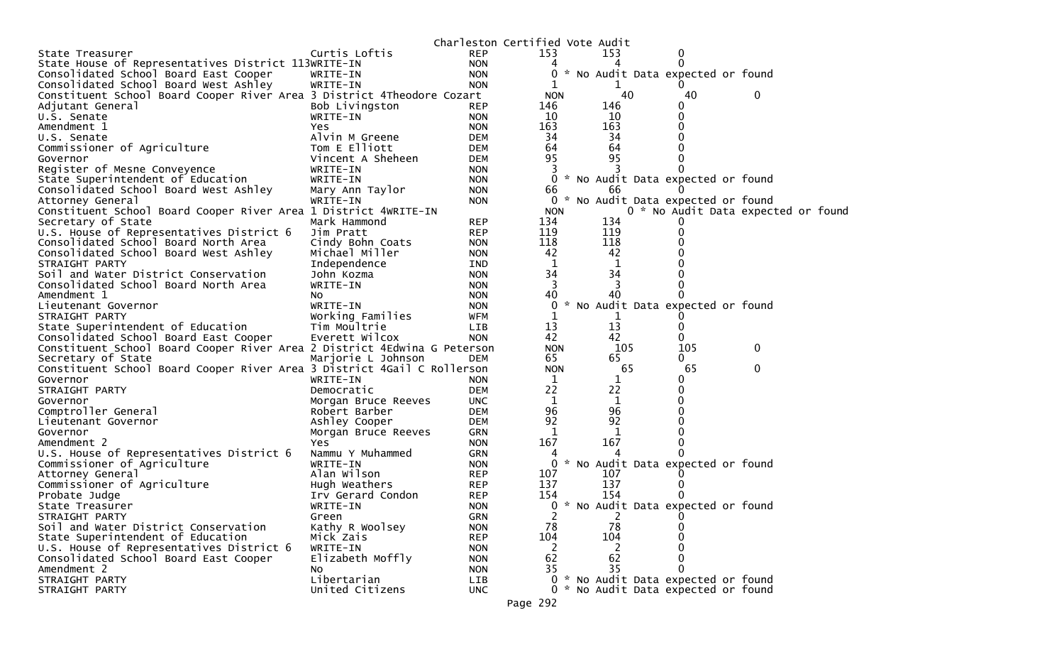|                                                                          |                     |            | Charleston Certified Vote Audit |     |     |                                     |              |  |
|--------------------------------------------------------------------------|---------------------|------------|---------------------------------|-----|-----|-------------------------------------|--------------|--|
| State Treasurer                                                          | Curtis Loftis       | <b>REP</b> | 153                             | 153 |     | 0                                   |              |  |
| State House of Representatives District 113WRITE-IN                      |                     | <b>NON</b> | 4                               |     |     |                                     |              |  |
| Consolidated School Board East Cooper                                    | WRITE-IN            | <b>NON</b> |                                 |     |     | 0 * No Audit Data expected or found |              |  |
| Consolidated School Board West Ashley                                    | WRITE-IN            | <b>NON</b> | 1                               |     | 1   |                                     |              |  |
| Constituent School Board Cooper River Area 3 District 4Theodore Cozart   |                     |            | <b>NON</b>                      |     | 40  | 40                                  | 0            |  |
| Adjutant General                                                         | Bob Livingston      | <b>REP</b> | 146                             | 146 |     | 0                                   |              |  |
| U.S. Senate                                                              | WRITE-IN            | <b>NON</b> | 10                              | 10  |     | 0                                   |              |  |
| Amendment 1                                                              | Yes.                | <b>NON</b> | 163                             | 163 |     | 0                                   |              |  |
| U.S. Senate                                                              | Alvin M Greene      | <b>DEM</b> | 34                              | 34  |     |                                     |              |  |
| Commissioner of Agriculture                                              | Tom E Elliott       | <b>DEM</b> | 64                              | 64  |     |                                     |              |  |
| Governor                                                                 | Vincent A Sheheen   | <b>DEM</b> | 95                              | 95  |     | 0                                   |              |  |
| Register of Mesne Conveyence                                             | WRITE-IN            | <b>NON</b> |                                 |     | 3   |                                     |              |  |
| State Superintendent of Education                                        | WRITE-IN            | <b>NON</b> |                                 |     |     | 0 * No Audit Data expected or found |              |  |
| Consolidated School Board West Ashley                                    | Mary Ann Taylor     | <b>NON</b> | 66                              | 66  |     | $\Omega$                            |              |  |
| Attorney General                                                         | WRITE-IN            | <b>NON</b> |                                 |     |     | 0 * No Audit Data expected or found |              |  |
| Constituent School Board Cooper River Area 1 District 4WRITE-IN          |                     |            | <b>NON</b>                      |     |     | 0 * No Audit Data expected or foun  |              |  |
| Secretary of State                                                       | Mark Hammond        | <b>REP</b> | 134                             | 134 |     |                                     |              |  |
| U.S. House of Representatives District 6                                 | Jim Pratt           | <b>REP</b> | 119                             | 119 |     | 0                                   |              |  |
| Consolidated School Board North Area                                     | Cindy Bohn Coats    | <b>NON</b> | 118                             | 118 |     |                                     |              |  |
| Consolidated School Board West Ashley                                    | Michael Miller      | <b>NON</b> | 42                              | 42  |     |                                     |              |  |
| STRAIGHT PARTY                                                           | Independence        | IND        | 1                               |     | 1   |                                     |              |  |
| Soil and Water District Conservation                                     | John Kozma          | <b>NON</b> | 34                              | 34  |     |                                     |              |  |
| Consolidated School Board North Area                                     | WRITE-IN            | <b>NON</b> | 3                               |     | 3   |                                     |              |  |
| Amendment 1                                                              | NO.                 | <b>NON</b> | 40                              | 40  |     |                                     |              |  |
| Lieutenant Governor                                                      | WRITE-IN            | <b>NON</b> | 0                               |     |     | No Audit Data expected or found     |              |  |
| STRAIGHT PARTY                                                           | Working Families    | <b>WFM</b> | 1                               |     |     |                                     |              |  |
| State Superintendent of Education                                        | Tim Moultrie        | <b>LIB</b> | 13                              | 13  |     | 0                                   |              |  |
| Consolidated School Board East Cooper                                    | Everett Wilcox      | <b>NON</b> | 42                              | 42  |     | 0                                   |              |  |
| Constituent School Board Cooper River Area 2 District 4Edwina G Peterson |                     |            | <b>NON</b>                      |     | 105 | 105                                 | 0            |  |
| Secretary of State                                                       | Marjorie L Johnson  | <b>DEM</b> | 65                              | 65  |     | 0                                   |              |  |
| Constituent School Board Cooper River Area 3 District 4Gail C Rollerson  |                     |            | <b>NON</b>                      |     | 65  | 65                                  | $\mathbf{0}$ |  |
| Governor                                                                 | WRITE-IN            | <b>NON</b> | 1                               |     |     | 0                                   |              |  |
| STRAIGHT PARTY                                                           | Democratic          | <b>DEM</b> | 22                              | 22  |     | 0                                   |              |  |
| Governor                                                                 | Morgan Bruce Reeves | <b>UNC</b> | 1                               |     | 1   |                                     |              |  |
| Comptroller General                                                      | Robert Barber       | <b>DEM</b> | 96                              | 96  |     | 0                                   |              |  |
| Lieutenant Governor                                                      | Ashley Cooper       | <b>DEM</b> | 92                              | 92  |     |                                     |              |  |
| Governor                                                                 | Morgan Bruce Reeves | GRN        | 1                               |     | 1   |                                     |              |  |
| Amendment 2                                                              | <b>Yes</b>          | <b>NON</b> | 167                             | 167 |     | 0                                   |              |  |
| U.S. House of Representatives District 6                                 | Nammu Y Muhammed    | GRN        | 4                               |     |     |                                     |              |  |
| Commissioner of Agriculture                                              | WRITE-IN            | <b>NON</b> | $\overline{0}$                  |     |     | * No Audit Data expected or found   |              |  |
| Attorney General                                                         | Alan Wilson         | <b>REP</b> | 107                             | 107 |     |                                     |              |  |
| Commissioner of Agriculture                                              | Hugh Weathers       | <b>REP</b> | 137                             | 137 |     | $\Omega$                            |              |  |
| Probate Judge                                                            | Irv Gerard Condon   | <b>REP</b> | 154                             | 154 |     |                                     |              |  |
| State Treasurer                                                          | WRITE-IN            | <b>NON</b> |                                 |     |     | 0 * No Audit Data expected or found |              |  |
| STRAIGHT PARTY                                                           | Green               | <b>GRN</b> | 2                               |     | 2   | 0                                   |              |  |
| Soil and Water District Conservation                                     | Kathy R Woolsey     | <b>NON</b> | 78                              | 78  |     | $\Omega$                            |              |  |
| State Superintendent of Education                                        | Mick Zais           | <b>REP</b> | 104                             | 104 |     | 0                                   |              |  |
| U.S. House of Representatives District 6                                 | WRITE-IN            | <b>NON</b> | 2                               |     | 2   | 0                                   |              |  |
| Consolidated School Board East Cooper                                    | Elizabeth Moffly    | <b>NON</b> | 62                              | 62  |     | $\Omega$                            |              |  |
| Amendment 2                                                              | No.                 | <b>NON</b> | 35                              | 35  |     | $\Omega$                            |              |  |
| STRAIGHT PARTY                                                           | Libertarian         | LIB        |                                 |     |     | 0 * No Audit Data expected or found |              |  |
| STRAIGHT PARTY                                                           | United Citizens     | <b>UNC</b> |                                 |     |     | 0 * No Audit Data expected or found |              |  |
|                                                                          |                     |            | Page 292                        |     |     |                                     |              |  |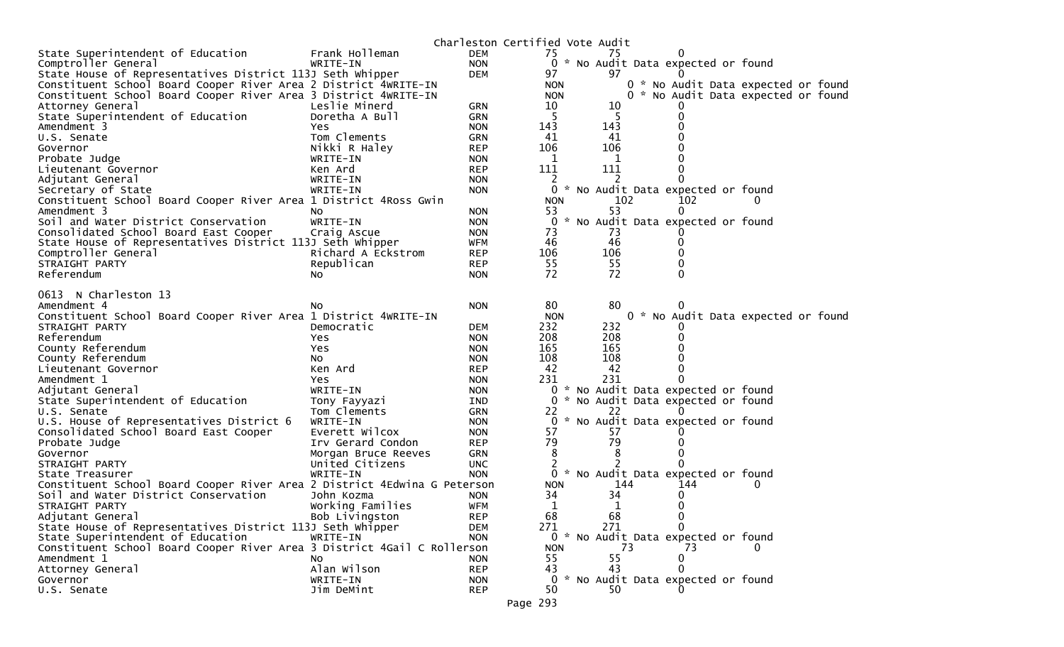|                                                                          |                     |                          | Charleston Certified Vote Audit |             |                                   |                                     |  |
|--------------------------------------------------------------------------|---------------------|--------------------------|---------------------------------|-------------|-----------------------------------|-------------------------------------|--|
| State Superintendent of Education                                        | Frank Holleman      | DEM                      | 75                              | 75          | $\Omega$                          |                                     |  |
| Comptroller General                                                      | WRITE-IN            | <b>NON</b>               | $\mathbf{0}$                    |             | * No Audit Data expected or found |                                     |  |
| State House of Representatives District 113J Seth Whipper                |                     | <b>DEM</b>               | 97                              | 97          |                                   |                                     |  |
| Constituent School Board Cooper River Area 2 District 4WRITE-IN          |                     |                          | <b>NON</b>                      |             |                                   | 0 * No Audit Data expected or found |  |
| Constituent School Board Cooper River Area 3 District 4WRITE-IN          |                     |                          | <b>NON</b>                      |             |                                   | 0 * No Audit Data expected or found |  |
| Attorney General                                                         | Leslie Minerd       | <b>GRN</b>               | 10                              | 10          |                                   |                                     |  |
| State Superintendent of Education                                        | Doretha A Bull      | GRN                      | -5                              |             |                                   |                                     |  |
| Amendment 3                                                              | Yes                 | <b>NON</b>               | 143                             | 143         |                                   |                                     |  |
| U.S. Senate                                                              | Tom Clements        | <b>GRN</b>               | 41                              | 41          |                                   |                                     |  |
| Governor                                                                 | Nikki R Haley       | <b>REP</b>               | 106                             | 106         |                                   |                                     |  |
| Probate Judge                                                            | WRITE-IN            | <b>NON</b>               | 1                               | $\mathbf 1$ |                                   |                                     |  |
| Lieutenant Governor                                                      | Ken Ard             | <b>REP</b>               | 111                             | 111         |                                   |                                     |  |
| Adjutant General                                                         | WRITE-IN            | <b>NON</b>               |                                 |             |                                   |                                     |  |
| Secretary of State                                                       | WRITE-IN            | <b>NON</b>               | 0                               |             | * No Audit Data expected or found |                                     |  |
| Constituent School Board Cooper River Area 1 District 4Ross Gwin         |                     |                          | <b>NON</b>                      | 102         | 102                               | 0                                   |  |
| Amendment 3                                                              | No.                 | <b>NON</b>               | 53                              | 53          | 0                                 |                                     |  |
| Soil and Water District Conservation                                     | WRITE-IN            | <b>NON</b>               | 0                               |             | * No Audit Data expected or found |                                     |  |
| Consolidated School Board East Cooper                                    | Craig Ascue         | <b>NON</b>               | 73                              | 73          |                                   |                                     |  |
| State House of Representatives District 113J Seth Whipper                |                     | <b>WFM</b>               | 46<br>106                       | 46<br>106   |                                   |                                     |  |
| Comptroller General<br>STRAIGHT PARTY                                    | Richard A Eckstrom  | <b>REP</b>               | 55                              | 55          |                                   |                                     |  |
| Referendum                                                               | Republican          | <b>REP</b><br><b>NON</b> | 72                              | 72          | 0                                 |                                     |  |
|                                                                          | No.                 |                          |                                 |             |                                   |                                     |  |
| 0613 N Charleston 13                                                     |                     |                          |                                 |             |                                   |                                     |  |
| Amendment 4                                                              | NO.                 | <b>NON</b>               | 80                              | 80          |                                   |                                     |  |
| Constituent School Board Cooper River Area 1 District 4WRITE-IN          |                     |                          | <b>NON</b>                      |             |                                   | 0 * No Audit Data expected or found |  |
| STRAIGHT PARTY                                                           | Democratic          | <b>DEM</b>               | 232                             | 232         |                                   |                                     |  |
| Referendum                                                               | Yes                 | <b>NON</b>               | 208                             | 208         |                                   |                                     |  |
| County Referendum                                                        | Yes                 | <b>NON</b>               | 165                             | 165         |                                   |                                     |  |
| County Referendum                                                        | No.                 | <b>NON</b>               | 108                             | 108         |                                   |                                     |  |
| Lieutenant Governor                                                      | Ken Ard             | <b>REP</b>               | 42                              | 42          | 0                                 |                                     |  |
| Amendment 1                                                              | Yes                 | <b>NON</b>               | 231                             | 231         |                                   |                                     |  |
| Adjutant General                                                         | WRITE-IN            | <b>NON</b>               | 0                               |             | * No Audit Data expected or found |                                     |  |
| State Superintendent of Education                                        | Tony Fayyazi        | IND                      | 0                               |             | * No Audit Data expected or found |                                     |  |
| U.S. Senate                                                              | Tom Clements        | <b>GRN</b>               | 22                              | 22          |                                   |                                     |  |
| U.S. House of Representatives District 6                                 | WRITE-IN            | <b>NON</b>               | 0                               |             | * No Audit Data expected or found |                                     |  |
| Consolidated School Board East Cooper                                    | Everett Wilcox      | <b>NON</b>               | 57                              | 57          |                                   |                                     |  |
| Probate Judge                                                            | Irv Gerard Condon   | <b>REP</b>               | 79                              | 79          |                                   |                                     |  |
| Governor                                                                 | Morgan Bruce Reeves | <b>GRN</b>               | 8                               | 8           |                                   |                                     |  |
| STRAIGHT PARTY                                                           | United Citizens     | <b>UNC</b>               | 2                               |             | $\Omega$                          |                                     |  |
| State Treasurer                                                          | WRITE-IN            | <b>NON</b>               | 0                               |             | * No Audit Data expected or found |                                     |  |
| Constituent School Board Cooper River Area 2 District 4Edwina G Peterson |                     |                          | <b>NON</b>                      | 144         | 144                               |                                     |  |
| Soil and Water District Conservation                                     | John Kozma          | <b>NON</b>               | 34                              | 34          | 0                                 |                                     |  |
| STRAIGHT PARTY                                                           | Working Families    | WFM                      | 1                               | 1           | 0                                 |                                     |  |
| Adjutant General                                                         | Bob Livingston      | <b>REP</b>               | 68                              | 68          | 0                                 |                                     |  |
| State House of Representatives District 113J Seth Whipper                |                     | <b>DEM</b>               | 271                             | 271         | $\Omega$                          |                                     |  |
| State Superintendent of Education                                        | WRITE-IN            | <b>NON</b>               | $\overline{0}$                  |             | * No Audit Data expected or found |                                     |  |
| Constituent School Board Cooper River Area 3 District 4Gail C Rollerson  |                     |                          | <b>NON</b>                      | 73          | 73                                |                                     |  |
| Amendment 1                                                              | No                  | <b>NON</b>               | 55                              | 55          | 0                                 |                                     |  |
| Attorney General                                                         | Alan Wilson         | <b>REP</b>               | 43                              | 43          | $\mathbf{0}$                      |                                     |  |
| Governor                                                                 | WRITE-IN            | <b>NON</b>               | 0                               |             | * No Audit Data expected or found |                                     |  |
| U.S. Senate                                                              | Jim DeMint          | <b>REP</b>               | 50                              | 50          |                                   |                                     |  |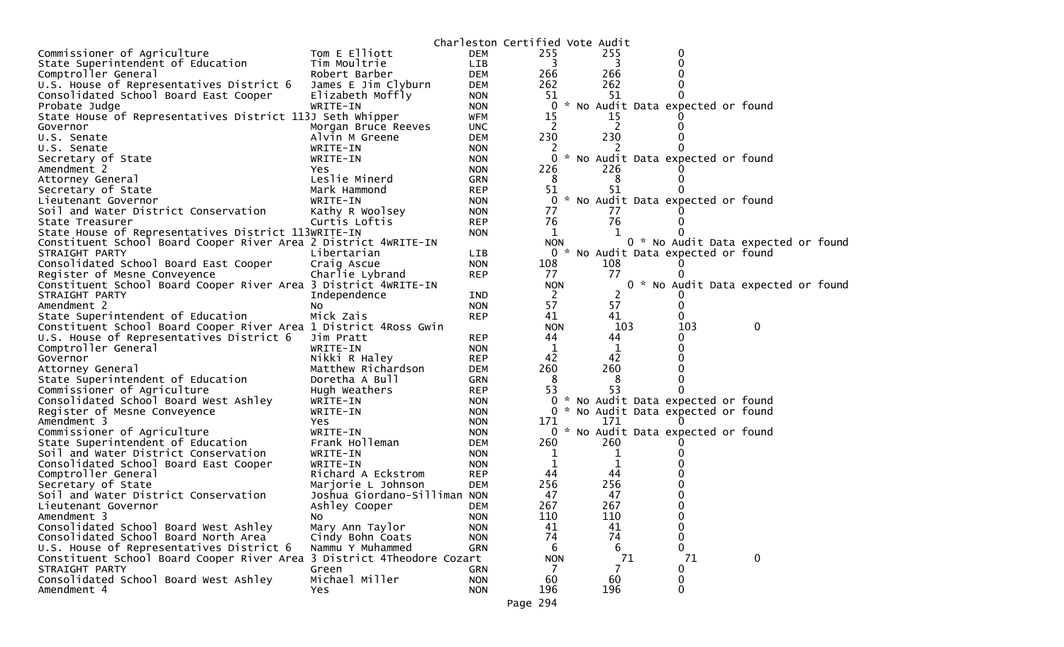|                                                                        |                              |                          | Charleston Certified Vote Audit |           |    |                                     |                                    |  |
|------------------------------------------------------------------------|------------------------------|--------------------------|---------------------------------|-----------|----|-------------------------------------|------------------------------------|--|
| Commissioner of Agriculture                                            | Tom E Elliott                | <b>DEM</b>               | 255                             | 255       |    | 0                                   |                                    |  |
| State Superintendent of Education                                      | Tim Moultrie                 | LIB                      | 3                               | 3         |    | 0                                   |                                    |  |
| Comptroller General                                                    | Robert Barber                | DEM                      | 266                             | 266       |    |                                     |                                    |  |
| U.S. House of Representatives District 6                               | James E Jim Clyburn          | <b>DEM</b>               | 262                             | 262       |    |                                     |                                    |  |
| Consolidated School Board East Cooper                                  | Elizabeth Moffly             | <b>NON</b>               | 51                              | 51        |    |                                     |                                    |  |
| Probate Judge                                                          | WRITE-IN                     | <b>NON</b>               | 0                               |           |    | * No Audit Data expected or found   |                                    |  |
| State House of Representatives District 113J Seth Whipper              |                              | <b>WFM</b>               | 15                              | 15        |    |                                     |                                    |  |
| Governor                                                               | Morgan Bruce Reeves          | <b>UNC</b>               | <sup>2</sup>                    | 2         |    |                                     |                                    |  |
| U.S. Senate                                                            | Alvin M Greene               | <b>DEM</b>               | 230                             | 230       |    |                                     |                                    |  |
| U.S. Senate                                                            | WRITE-IN                     | <b>NON</b>               |                                 |           |    |                                     |                                    |  |
| Secretary of State                                                     | WRITE-IN                     | <b>NON</b>               | 0                               |           |    | * No Audit Data expected or found   |                                    |  |
| Amendment 2                                                            | Yes                          | <b>NON</b>               | 226                             | 226       |    |                                     |                                    |  |
| Attorney General                                                       | Leslie Minerd                | <b>GRN</b>               | 8                               | 8         |    |                                     |                                    |  |
| Secretary of State                                                     | Mark Hammond                 | <b>REP</b>               | 51                              | 51        |    |                                     |                                    |  |
| Lieutenant Governor                                                    | WRITE-IN                     | <b>NON</b>               |                                 |           |    | 0 * No Audit Data expected or found |                                    |  |
| Soil and Water District Conservation                                   | Kathy R Woolsey              | <b>NON</b>               | 77                              | 77        |    |                                     |                                    |  |
| State Treasurer                                                        | Curtis Loftis                | <b>REP</b>               | 76                              | 76        |    |                                     |                                    |  |
| State House of Representatives District 113WRITE-IN                    |                              | <b>NON</b>               | 1                               | 1         |    |                                     |                                    |  |
| Constituent School Board Cooper River Area 2 District 4WRITE-IN        |                              |                          | <b>NON</b>                      |           |    |                                     | 0 * No Audit Data expected or foun |  |
| STRAIGHT PARTY                                                         | Libertarian                  | <b>LIB</b>               |                                 |           |    | 0 * No Audit Data expected or found |                                    |  |
| Consolidated School Board East Cooper                                  | Craig Ascue                  | <b>NON</b>               | 108                             | 108       |    |                                     |                                    |  |
| Register of Mesne Conveyence                                           | Charlie Lybrand              | <b>REP</b>               | 77                              | 77        |    |                                     |                                    |  |
| Constituent School Board Cooper River Area 3 District 4WRITE-IN        |                              |                          | <b>NON</b>                      |           |    |                                     | 0 * No Audit Data expected or foun |  |
| STRAIGHT PARTY                                                         | Independence                 | <b>IND</b>               | 2                               | 2         |    |                                     |                                    |  |
| Amendment 2                                                            | NO.                          | <b>NON</b>               | 57                              | 57        |    |                                     |                                    |  |
| State Superintendent of Education                                      | Mick Zais                    | <b>REP</b>               | 41                              | 41        |    |                                     |                                    |  |
| Constituent School Board Cooper River Area 1 District 4Ross Gwin       |                              |                          | <b>NON</b>                      | 103       |    | 103                                 | 0                                  |  |
|                                                                        |                              |                          |                                 |           |    |                                     |                                    |  |
| U.S. House of Representatives District 6                               | Jim Pratt                    | <b>REP</b>               | 44                              | 44        |    |                                     |                                    |  |
| Comptroller General                                                    | WRITE-IN                     | <b>NON</b>               | 1                               | 1         |    |                                     |                                    |  |
| Governor                                                               | Nikki R Haley                | <b>REP</b>               | 42                              | 42        |    |                                     |                                    |  |
| Attorney General                                                       | Matthew Richardson           | <b>DEM</b>               | 260                             | 260       |    |                                     |                                    |  |
| State Superintendent of Education                                      | Doretha A Bull               | <b>GRN</b>               | 8                               | 8         |    |                                     |                                    |  |
| Commissioner of Agriculture                                            | Hugh Weathers                | <b>REP</b>               | 53                              | 53        |    |                                     |                                    |  |
| Consolidated School Board West Ashley                                  | WRITE-IN                     | <b>NON</b>               |                                 |           |    | 0 * No Audit Data expected or found |                                    |  |
| Register of Mesne Conveyence                                           | WRITE-IN                     | <b>NON</b>               |                                 |           |    | 0 * No Audit Data expected or found |                                    |  |
| Amendment 3                                                            | Yes                          | <b>NON</b>               | 171                             | 171       |    |                                     |                                    |  |
| Commissioner of Agriculture                                            | WRITE-IN                     | <b>NON</b>               |                                 |           |    | 0 * No Audit Data expected or found |                                    |  |
| State Superintendent of Education                                      | Frank Holleman               | DEM                      | 260                             | 260       |    |                                     |                                    |  |
| Soil and Water District Conservation                                   | WRITE-IN                     | <b>NON</b>               | 1                               | 1         |    |                                     |                                    |  |
| Consolidated School Board East Cooper                                  | WRITE-IN                     | <b>NON</b>               | 1                               | 1         |    |                                     |                                    |  |
| Comptroller General                                                    | Richard A Eckstrom           | <b>REP</b>               | 44                              | 44        |    |                                     |                                    |  |
| Secretary of State                                                     | Marjorie L Johnson           | <b>DEM</b>               | 256                             | 256       |    |                                     |                                    |  |
| Soil and Water District Conservation                                   | Joshua Giordano-Silliman NON |                          | 47                              | 47        |    |                                     |                                    |  |
| Lieutenant Governor                                                    | Ashley Cooper                | <b>DEM</b>               | 267                             | 267       |    | 0                                   |                                    |  |
| Amendment 3                                                            | NO.                          | <b>NON</b>               | 110                             | 110       |    | 0                                   |                                    |  |
| Consolidated School Board West Ashley                                  | Mary Ann Taylor              | <b>NON</b>               | 41                              | 41        |    | 0                                   |                                    |  |
| Consolidated School Board North Area                                   | Cindy Bohn Coats             | <b>NON</b>               | 74                              | 74        |    | 0                                   |                                    |  |
| U.S. House of Representatives District 6                               | Nammu Y Muhammed             | <b>GRN</b>               | 6                               | 6         |    | 0                                   |                                    |  |
| Constituent School Board Cooper River Area 3 District 4Theodore Cozart |                              |                          | <b>NON</b>                      |           | 71 | 71                                  | $\mathbf{0}$                       |  |
| STRAIGHT PARTY                                                         | Green                        | <b>GRN</b>               | 7                               | 7         |    | 0                                   |                                    |  |
| Consolidated School Board West Ashley<br>Amendment 4                   | Michael Miller<br>Yes        | <b>NON</b><br><b>NON</b> | 60<br>196                       | 60<br>196 |    | 0<br>0                              |                                    |  |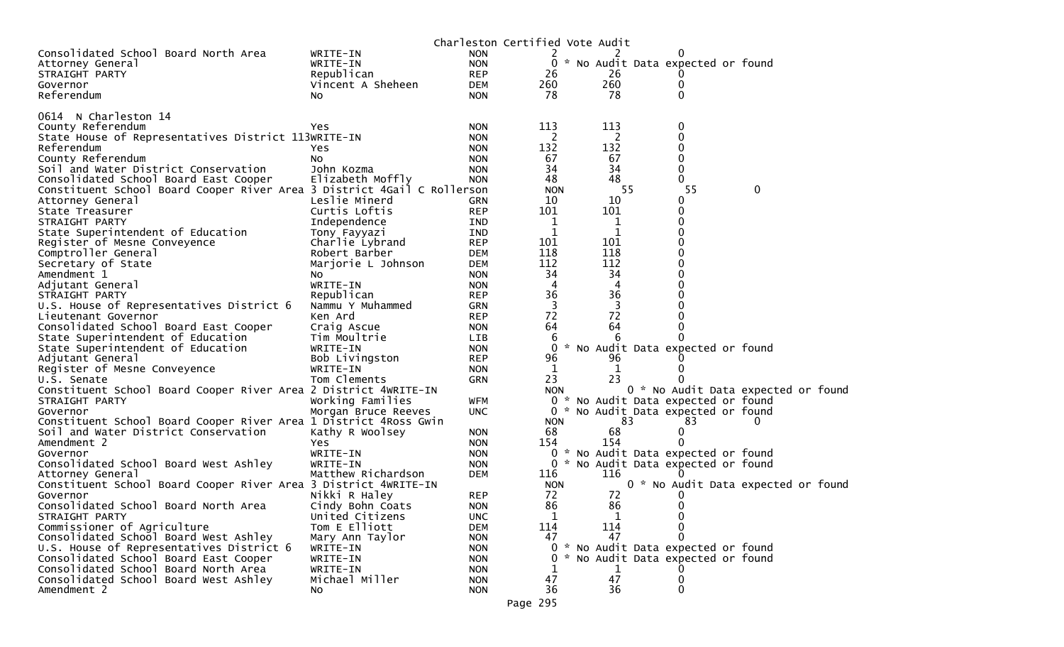|                                                                                |                     |            | Charleston Certified Vote Audit |             |    |                                     |          |  |
|--------------------------------------------------------------------------------|---------------------|------------|---------------------------------|-------------|----|-------------------------------------|----------|--|
| Consolidated School Board North Area                                           | WRITE-IN            | <b>NON</b> | 2                               |             |    |                                     |          |  |
| Attorney General                                                               | WRITE-IN            | <b>NON</b> |                                 |             |    | 0 * No Audit Data expected or found |          |  |
| STRAIGHT PARTY                                                                 | Republican          | <b>REP</b> | 26                              | 26          |    |                                     |          |  |
| Governor                                                                       | Vincent A Sheheen   | DEM        | 260                             | 260         |    |                                     |          |  |
| Referendum                                                                     | NO.                 | <b>NON</b> | 78                              | 78          |    | 0                                   |          |  |
| 0614 N Charleston 14                                                           |                     |            |                                 |             |    |                                     |          |  |
| County Referendum                                                              | Yes.                | <b>NON</b> | 113                             | 113         |    | 0                                   |          |  |
| State House of Representatives District 113WRITE-IN                            |                     | <b>NON</b> | 2                               | 2           |    | $\mathbf 0$                         |          |  |
| Referendum                                                                     | Yes.                | <b>NON</b> | 132                             | 132         |    |                                     |          |  |
| County Referendum                                                              | NO.                 | <b>NON</b> | 67                              | 67          |    | 0                                   |          |  |
| Soil and Water District Conservation                                           | John Kozma          | <b>NON</b> | 34                              | 34          |    | 0                                   |          |  |
| Consolidated School Board East Cooper                                          | Elizabeth Moffly    | <b>NON</b> | 48                              | 48          |    |                                     |          |  |
| Constituent School Board Cooper River Area 3 District 4Gail C Rollerson        |                     |            | <b>NON</b>                      |             | 55 | 55                                  | 0        |  |
| Attorney General                                                               | Leslie Minerd       | GRN        | 10                              | 10          |    | 0                                   |          |  |
| State Treasurer                                                                | Curtis Loftis       | <b>REP</b> | 101                             | 101         |    | 0                                   |          |  |
| STRAIGHT PARTY                                                                 | Independence        | IND        | 1                               | 1           |    | 0                                   |          |  |
| State Superintendent of Education                                              | Tony Fayyazi        | IND        | 1                               | $\mathbf 1$ |    |                                     |          |  |
| Register of Mesne Conveyence                                                   | Charlie Lybrand     | <b>REP</b> | 101                             | 101         |    |                                     |          |  |
| Comptroller General                                                            | Robert Barber       | <b>DEM</b> | 118                             | 118         |    | 0                                   |          |  |
| Secretary of State                                                             | Marjorie L Johnson  | <b>DEM</b> | 112                             | 112         |    |                                     |          |  |
| Amendment 1                                                                    | NO.                 | <b>NON</b> | 34                              | 34          |    |                                     |          |  |
| Adjutant General                                                               | WRITE-IN            | <b>NON</b> | $\overline{4}$                  | 4           |    |                                     |          |  |
| STRAIGHT PARTY                                                                 | Republican          | <b>REP</b> | 36                              | 36          |    |                                     |          |  |
| U.S. House of Representatives District 6                                       | Nammu Y Muhammed    | GRN        | 3                               | 3           |    |                                     |          |  |
| Lieutenant Governor                                                            | Ken Ard             | <b>REP</b> | 72                              | 72          |    |                                     |          |  |
| Consolidated School Board East Cooper                                          | Craig Ascue         | <b>NON</b> | 64                              | 64          |    |                                     |          |  |
| State Superintendent of Education                                              | Tim Moultrie        | <b>LIB</b> |                                 | 6           |    |                                     |          |  |
| State Superintendent of Education                                              | WRITE-IN            | <b>NON</b> | $\Omega$                        |             |    | * No Audit Data expected or found   |          |  |
| Adjutant General                                                               | Bob Livingston      | <b>REP</b> | 96                              | 96          |    |                                     |          |  |
| Register of Mesne Conveyence                                                   | WRITE-IN            | <b>NON</b> | 1<br>23                         | 1           |    |                                     |          |  |
| U.S. Senate<br>Constituent School Board Cooper River Area 2 District 4WRITE-IN | Tom Clements        | GRN        | <b>NON</b>                      | 23          |    | 0 * No Audit Data expected or foun  |          |  |
| STRAIGHT PARTY                                                                 | Working Families    | WFM        |                                 |             |    | 0 * No Audit Data expected or found |          |  |
| Governor                                                                       | Morgan Bruce Reeves | <b>UNC</b> |                                 |             |    | 0 * No Audit Data expected or found |          |  |
| Constituent School Board Cooper River Area 1 District 4Ross Gwin               |                     |            | <b>NON</b>                      |             | 83 | 83                                  | $\Omega$ |  |
| Soil and Water District Conservation                                           | Kathy R Woolsey     | <b>NON</b> | 68                              | 68          |    | 0                                   |          |  |
| Amendment 2                                                                    | Yes                 | <b>NON</b> | 154                             | 154         |    |                                     |          |  |
| Governor                                                                       | WRITE-IN            | <b>NON</b> |                                 |             |    | 0 * No Audit Data expected or found |          |  |
| Consolidated School Board West Ashley                                          | WRITE-IN            | <b>NON</b> |                                 |             |    | 0 * No Audit Data expected or found |          |  |
| Attorney General                                                               | Matthew Richardson  | <b>DEM</b> | 116                             | 116         |    |                                     |          |  |
| Constituent School Board Cooper River Area 3 District 4WRITE-IN                |                     |            | <b>NON</b>                      |             |    | 0 * No Audit Data expected or foun  |          |  |
| Governor                                                                       | Nikki R Haley       | <b>REP</b> | 72                              | 72          |    |                                     |          |  |
| Consolidated School Board North Area                                           | Cindy Bohn Coats    | <b>NON</b> | 86                              | 86          |    | 0                                   |          |  |
| STRAIGHT PARTY                                                                 | United Citizens     | <b>UNC</b> | 1                               | 1           |    | 0                                   |          |  |
| Commissioner of Agriculture                                                    | Tom E Elliott       | DEM        | 114                             | 114         |    | $\Omega$                            |          |  |
| Consolidated School Board West Ashley                                          | Mary Ann Taylor     | <b>NON</b> | 47                              | 47          |    |                                     |          |  |
| U.S. House of Representatives District 6                                       | WRITE-IN            | <b>NON</b> |                                 |             |    | 0 * No Audit Data expected or found |          |  |
| Consolidated School Board East Cooper                                          | WRITE-IN            | <b>NON</b> |                                 |             |    | * No Audit Data expected or found   |          |  |
| Consolidated School Board North Area                                           | WRITE-IN            | <b>NON</b> |                                 | 1           |    |                                     |          |  |
| Consolidated School Board West Ashley                                          | Michael Miller      | <b>NON</b> | 47                              | 47          |    | 0                                   |          |  |
| Amendment 2                                                                    | No                  | <b>NON</b> | 36                              | 36          |    | $\Omega$                            |          |  |
|                                                                                |                     |            | Page 295                        |             |    |                                     |          |  |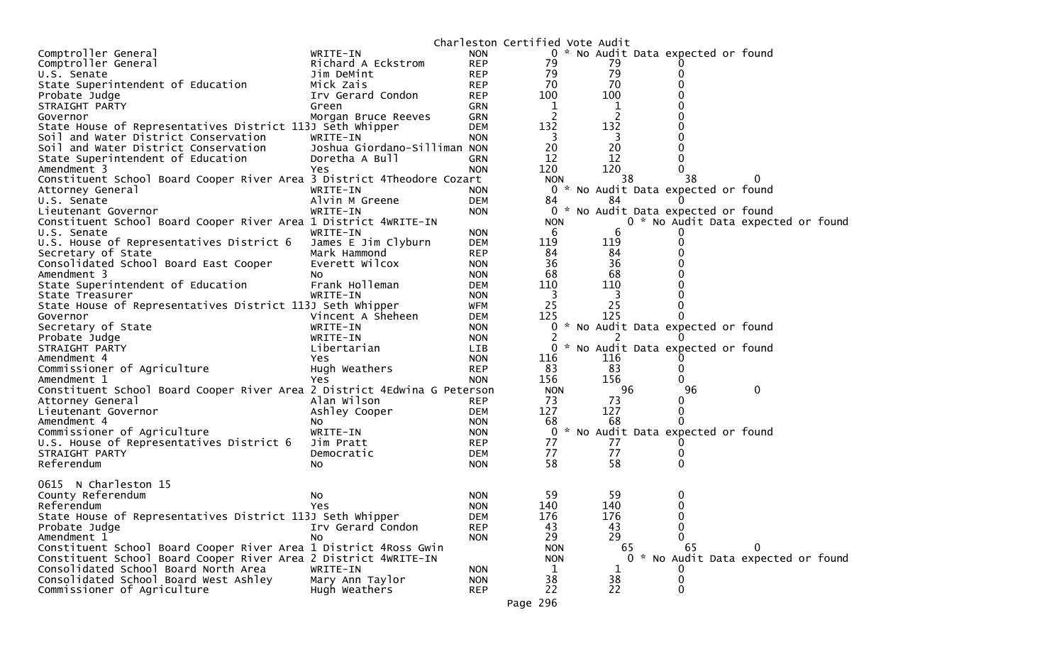|                                                                          |                              |                          | Charleston Certified Vote Audit |          |                                     |                                     |
|--------------------------------------------------------------------------|------------------------------|--------------------------|---------------------------------|----------|-------------------------------------|-------------------------------------|
| Comptroller General                                                      | WRITE-IN                     | <b>NON</b>               |                                 |          | 0 * No Audit Data expected or found |                                     |
| Comptroller General                                                      | Richard A Eckstrom           | <b>REP</b>               | 79                              | 79       |                                     |                                     |
| U.S. Senate                                                              | Jim DeMint                   | <b>REP</b>               | 79                              | 79       |                                     |                                     |
| State Superintendent of Education                                        | Mick Zais                    | <b>REP</b>               | 70                              | 70       |                                     |                                     |
| Probate Judge                                                            | Irv Gerard Condon            | <b>REP</b>               | 100                             | 100      |                                     |                                     |
| STRAIGHT PARTY                                                           | Green                        | GRN                      | $\mathbf 1$                     | 1        |                                     |                                     |
| Governor                                                                 | Morgan Bruce Reeves          | GRN                      | 2                               |          |                                     |                                     |
| State House of Representatives District 113J Seth Whipper                |                              | <b>DEM</b>               | 132                             | 132      |                                     |                                     |
| Soil and Water District Conservation                                     | WRITE-IN                     | <b>NON</b>               | 3                               | 3        |                                     |                                     |
| Soil and Water District Conservation                                     | Joshua Giordano-Silliman NON |                          | 20                              | 20       |                                     |                                     |
| State Superintendent of Education                                        | Doretha A Bull               | <b>GRN</b>               | 12                              | 12       | 0                                   |                                     |
| Amendment 3                                                              | Yes                          | <b>NON</b>               | 120                             | 120      | 0                                   |                                     |
| Constituent School Board Cooper River Area 3 District 4Theodore Cozart   |                              |                          | <b>NON</b>                      | 38       | 38                                  |                                     |
| Attorney General                                                         | WRITE-IN                     | <b>NON</b>               | 0                               |          | * No Audit Data expected or found   |                                     |
| U.S. Senate                                                              | Alvin M Greene               | <b>DEM</b>               | 84                              | 84       |                                     |                                     |
| Lieutenant Governor                                                      | WRITE-IN                     | <b>NON</b>               |                                 |          | 0 * No Audit Data expected or found |                                     |
| Constituent School Board Cooper River Area 1 District 4WRITE-IN          |                              |                          | <b>NON</b>                      |          |                                     | 0 * No Audit Data expected or found |
| U.S. Senate                                                              | WRITE-IN                     | <b>NON</b>               | 6                               | 6        |                                     |                                     |
| U.S. House of Representatives District 6                                 | James E Jim Clyburn          | <b>DEM</b>               | 119                             | 119      |                                     |                                     |
| Secretary of State                                                       | Mark Hammond                 | <b>REP</b>               | 84                              | 84       |                                     |                                     |
| Consolidated School Board East Cooper                                    | Everett Wilcox               | <b>NON</b>               | 36                              | 36       |                                     |                                     |
| Amendment 3                                                              | No                           | <b>NON</b>               | 68                              | 68       |                                     |                                     |
| State Superintendent of Education                                        | Frank Holleman               | <b>DEM</b>               | 110                             | 110      |                                     |                                     |
| State Treasurer                                                          | WRITE-IN                     | <b>NON</b>               | 3                               | 3        |                                     |                                     |
| State House of Representatives District 113J Seth Whipper                |                              | WFM                      | 25                              | 25       |                                     |                                     |
| Governor                                                                 | Vincent A Sheheen            | <b>DEM</b>               | 125                             | 125      |                                     |                                     |
| Secretary of State                                                       | WRITE-IN                     | <b>NON</b>               | 0                               |          | * No Audit Data expected or found   |                                     |
| Probate Judge                                                            | WRITE-IN                     | <b>NON</b>               | 2                               |          |                                     |                                     |
| STRAIGHT PARTY                                                           | Libertarian                  | LIB.                     | 0                               |          | * No Audit Data expected or found   |                                     |
| Amendment 4                                                              | Yes.                         | <b>NON</b>               | 116                             | 116      |                                     |                                     |
| Commissioner of Agriculture                                              | Hugh Weathers                | <b>REP</b>               | 83                              | 83       | 0                                   |                                     |
| Amendment 1                                                              |                              | <b>NON</b>               | 156                             | 156      |                                     |                                     |
| Constituent School Board Cooper River Area 2 District 4Edwina G Peterson | Yes.                         |                          | <b>NON</b>                      | 96       | 96                                  | 0                                   |
|                                                                          | Alan Wilson                  | <b>REP</b>               | 73                              | 73       | 0                                   |                                     |
| Attorney General                                                         |                              |                          | 127                             | 127      | 0                                   |                                     |
| Lieutenant Governor<br>Amendment 4                                       | Ashley Cooper                | DEM<br><b>NON</b>        | 68                              | 68       |                                     |                                     |
|                                                                          | No<br>WRITE-IN               |                          | 0                               |          | * No Audit Data expected or found   |                                     |
| Commissioner of Agriculture                                              | Jim Pratt                    | <b>NON</b><br><b>REP</b> | 77                              | 77       |                                     |                                     |
| U.S. House of Representatives District 6                                 |                              |                          | 77                              | 77       | 0                                   |                                     |
| STRAIGHT PARTY<br>Referendum                                             | Democratic                   | DEM<br><b>NON</b>        | 58                              | 58       | 0                                   |                                     |
|                                                                          | No                           |                          |                                 |          |                                     |                                     |
| 0615 N Charleston 15                                                     |                              |                          |                                 |          |                                     |                                     |
| County Referendum                                                        |                              |                          | 59                              | 59       | 0                                   |                                     |
|                                                                          | No                           | <b>NON</b>               | 140                             | 140      | 0                                   |                                     |
| Referendum<br>State House of Representatives District 113J Seth Whipper  | Yes                          | <b>NON</b>               | 176                             | 176      | 0                                   |                                     |
| Probate Judge                                                            | Irv Gerard Condon            | DEM<br><b>REP</b>        | 43                              | 43       | O                                   |                                     |
| Amendment 1                                                              |                              |                          | 29                              | 29       |                                     |                                     |
|                                                                          | N <sub>O</sub>               | <b>NON</b>               |                                 |          |                                     |                                     |
| Constituent School Board Cooper River Area 1 District 4Ross Gwin         |                              |                          | <b>NON</b>                      | 65       | 65                                  | 0                                   |
| Constituent School Board Cooper River Area 2 District 4WRITE-IN          |                              |                          | <b>NON</b>                      |          |                                     | 0 * No Audit Data expected or found |
| Consolidated School Board North Area                                     | WRITE-IN                     | <b>NON</b>               | 1                               |          |                                     |                                     |
| Consolidated School Board West Ashley                                    | Mary Ann Taylor              | <b>NON</b>               | 38                              | 38<br>22 | 0                                   |                                     |
| Commissioner of Agriculture                                              | Hugh Weathers                | <b>REP</b>               | 22                              |          | 0                                   |                                     |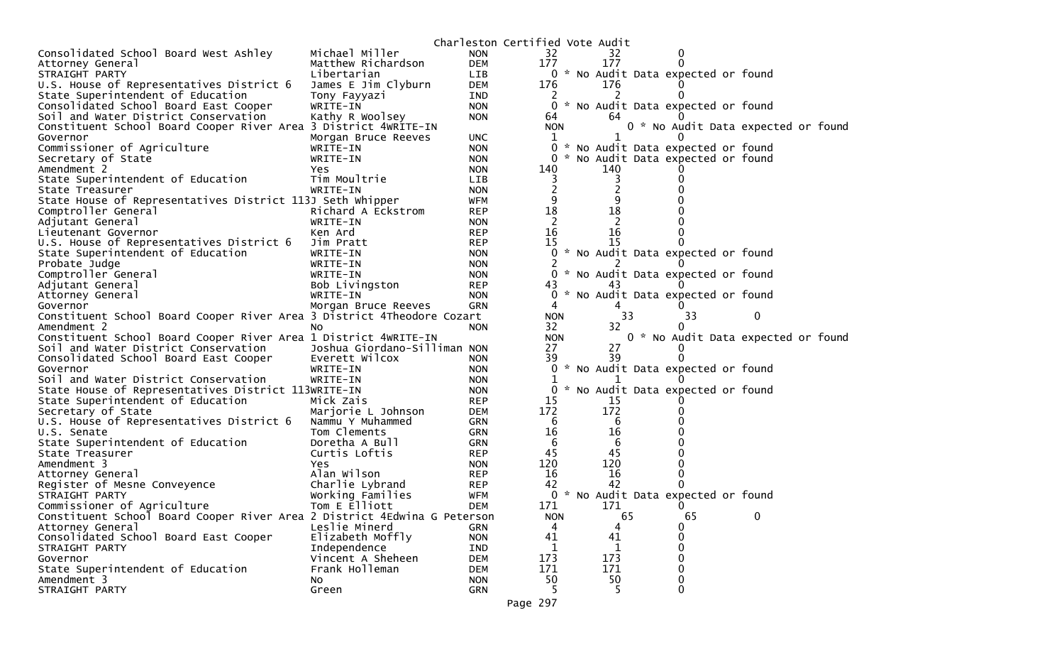|                                                                          |                              | Charleston Certified Vote Audit |                |     |                                     |    |                                     |  |
|--------------------------------------------------------------------------|------------------------------|---------------------------------|----------------|-----|-------------------------------------|----|-------------------------------------|--|
| Consolidated School Board West Ashley                                    | Michael Miller               | <b>NON</b>                      | 32             | 32  | 0                                   |    |                                     |  |
| Attorney General                                                         | Matthew Richardson           | <b>DEM</b>                      | 177            | 177 | $\Omega$                            |    |                                     |  |
| STRAIGHT PARTY                                                           | Libertarian                  | LIB                             |                |     | 0 * No Audit Data expected or found |    |                                     |  |
| U.S. House of Representatives District 6                                 | James E Jim Clyburn          | DEM                             | 176            | 176 |                                     |    |                                     |  |
| State Superintendent of Education                                        | Tony Fayyazi                 | IND                             |                |     |                                     |    |                                     |  |
| Consolidated School Board East Cooper                                    | WRITE-IN                     | <b>NON</b>                      | 0              |     | * No Audit Data expected or found   |    |                                     |  |
| Soil and Water District Conservation                                     | Kathy R Woolsey              | <b>NON</b>                      | 64             | 64  |                                     |    |                                     |  |
| Constituent School Board Cooper River Area 3 District 4WRITE-IN          |                              |                                 | <b>NON</b>     |     |                                     |    | 0 * No Audit Data expected or found |  |
| Governor                                                                 | Morgan Bruce Reeves          | <b>UNC</b>                      | $\mathbf{1}$   |     |                                     |    |                                     |  |
| Commissioner of Agriculture                                              | WRITE-IN                     | <b>NON</b>                      | 0              |     | * No Audit Data expected or found   |    |                                     |  |
| Secretary of State                                                       | WRITE-IN                     | <b>NON</b>                      |                |     | * No Audit Data expected or found   |    |                                     |  |
| Amendment 2                                                              | Yes                          | <b>NON</b>                      | 140            | 140 |                                     |    |                                     |  |
| State Superintendent of Education                                        | Tim Moultrie                 | <b>LIB</b>                      |                |     |                                     |    |                                     |  |
| State Treasurer                                                          | WRITE-IN                     | <b>NON</b>                      | $\overline{2}$ |     |                                     |    |                                     |  |
| State House of Representatives District 113J Seth Whipper                |                              | <b>WFM</b>                      | 9              |     |                                     |    |                                     |  |
| Comptroller General                                                      | Richard A Eckstrom           | <b>REP</b>                      | 18             | 18  |                                     |    |                                     |  |
| Adjutant General                                                         | WRITE-IN                     | <b>NON</b>                      | 2              | 2   |                                     |    |                                     |  |
| Lieutenant Governor                                                      | Ken Ard                      | <b>REP</b>                      | 16             | 16  |                                     |    |                                     |  |
| U.S. House of Representatives District 6                                 | Jim Pratt                    | <b>REP</b>                      | 15             | 15  | $\Omega$                            |    |                                     |  |
| State Superintendent of Education                                        | WRITE-IN                     | <b>NON</b>                      |                |     | 0 * No Audit Data expected or found |    |                                     |  |
| Probate Judge                                                            | WRITE-IN                     | <b>NON</b>                      |                |     |                                     |    |                                     |  |
| Comptroller General                                                      | WRITE-IN                     | <b>NON</b>                      | $\Omega$       |     | * No Audit Data expected or found   |    |                                     |  |
| Adjutant General                                                         | Bob Livingston               | <b>REP</b>                      | 43             | 43  |                                     |    |                                     |  |
| Attorney General                                                         | WRITE-IN                     | <b>NON</b>                      | 0              |     | * No Audit Data expected or found   |    |                                     |  |
| Governor                                                                 | Morgan Bruce Reeves          | GRN                             | 4              | 4   |                                     |    |                                     |  |
| Constituent School Board Cooper River Area 3 District 4Theodore Cozart   |                              |                                 | <b>NON</b>     | 33  |                                     | 33 | $\bf{0}$                            |  |
| Amendment 2                                                              | NO.                          | <b>NON</b>                      | 32             | 32  | 0                                   |    |                                     |  |
| Constituent School Board Cooper River Area 1 District 4WRITE-IN          |                              |                                 | <b>NON</b>     |     |                                     |    | 0 * No Audit Data expected or found |  |
| Soil and Water District Conservation                                     | Joshua Giordano-Silliman NON |                                 | 27             | 27  |                                     |    |                                     |  |
| Consolidated School Board East Cooper                                    | Everett Wilcox               | <b>NON</b>                      | 39             | 39  | $\Omega$                            |    |                                     |  |
| Governor                                                                 | WRITE-IN                     | <b>NON</b>                      |                |     | * No Audit Data expected or found   |    |                                     |  |
| Soil and Water District Conservation                                     | WRITE-IN                     | <b>NON</b>                      |                |     |                                     |    |                                     |  |
| State House of Representatives District 113WRITE-IN                      |                              | <b>NON</b>                      |                |     | * No Audit Data expected or found   |    |                                     |  |
| State Superintendent of Education                                        | Mick Zais                    | <b>REP</b>                      | 15             | 15  |                                     |    |                                     |  |
| Secretary of State                                                       | Marjorie L Johnson           | DEM                             | 172            | 172 |                                     |    |                                     |  |
| U.S. House of Representatives District 6                                 | Nammu Y Muhammed             | GRN                             | -6             | 6   |                                     |    |                                     |  |
| U.S. Senate                                                              | Tom Clements                 | GRN                             | 16             | 16  |                                     |    |                                     |  |
| State Superintendent of Education                                        | Doretha A Bull               | GRN                             | 6              | 6   |                                     |    |                                     |  |
| State Treasurer                                                          | Curtis Loftis                | <b>REP</b>                      | 45             | 45  |                                     |    |                                     |  |
| Amendment 3                                                              | <b>Yes</b>                   | <b>NON</b>                      | 120            | 120 |                                     |    |                                     |  |
| Attorney General                                                         | Alan Wilson                  | <b>REP</b>                      | 16             | 16  | 0                                   |    |                                     |  |
| Register of Mesne Conveyence                                             | Charlie Lybrand              | <b>REP</b>                      | 42             | 42  | $\Omega$                            |    |                                     |  |
| STRAIGHT PARTY                                                           | Working Families             | WFM                             | 0              |     | * No Audit Data expected or found   |    |                                     |  |
| Commissioner of Agriculture                                              | Tom E Elliott                | <b>DEM</b>                      | 171            | 171 | $\Omega$                            |    |                                     |  |
| Constituent School Board Cooper River Area 2 District 4Edwina G Peterson |                              |                                 | <b>NON</b>     | 65  |                                     | 65 | 0                                   |  |
| Attorney General                                                         | Leslie Minerd                | GRN                             | 4              | 4   | 0                                   |    |                                     |  |
| Consolidated School Board East Cooper                                    | Elizabeth Moffly             | <b>NON</b>                      | 41             | 41  | 0                                   |    |                                     |  |
| STRAIGHT PARTY                                                           | Independence                 | <b>IND</b>                      |                |     | 0                                   |    |                                     |  |
| Governor                                                                 | Vincent A Sheheen            | <b>DEM</b>                      | 173            | 173 | $\mathbf{0}$                        |    |                                     |  |
| State Superintendent of Education                                        | Frank Holleman               | <b>DEM</b>                      | 171            | 171 | 0                                   |    |                                     |  |
| Amendment 3                                                              | No.                          | <b>NON</b>                      | 50             | 50  | 0                                   |    |                                     |  |
| STRAIGHT PARTY                                                           | Green                        | GRN                             | .5.            | -5. | $\Omega$                            |    |                                     |  |
|                                                                          |                              |                                 |                |     |                                     |    |                                     |  |
|                                                                          |                              |                                 | Page 297       |     |                                     |    |                                     |  |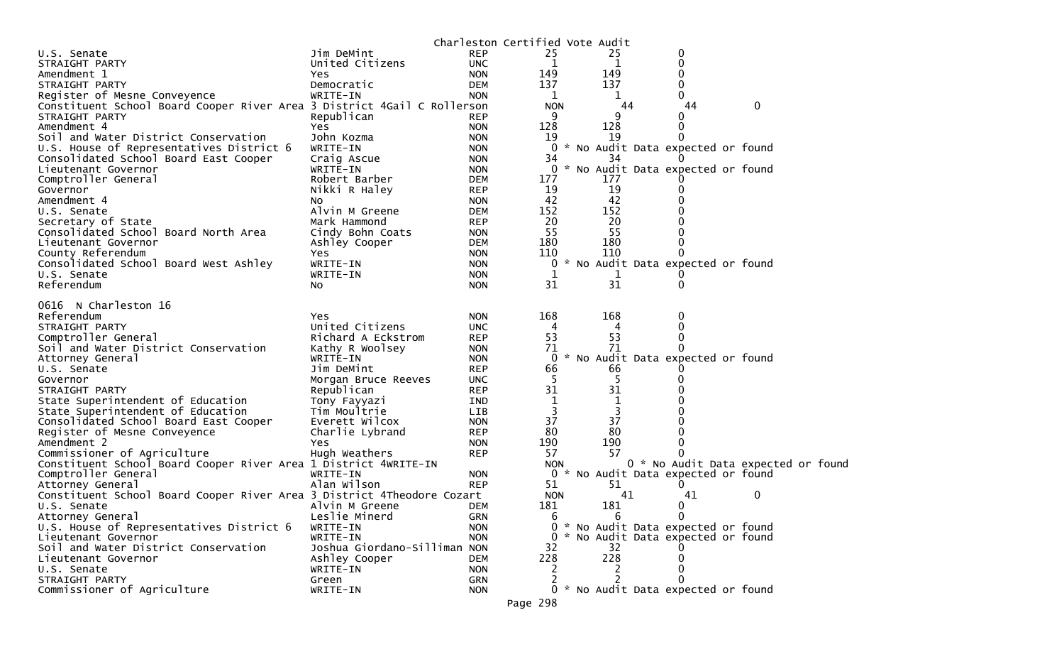|                                                                         |                              |            | Charleston Certified Vote Audit |  |         |                                     |                                    |  |
|-------------------------------------------------------------------------|------------------------------|------------|---------------------------------|--|---------|-------------------------------------|------------------------------------|--|
| U.S. Senate                                                             | Jim DeMint                   | <b>REP</b> | 25                              |  | 25      | 0                                   |                                    |  |
| STRAIGHT PARTY                                                          | United Citizens              | <b>UNC</b> | 1                               |  | 1       | 0                                   |                                    |  |
| Amendment 1                                                             | Yes                          | <b>NON</b> | 149                             |  | 149     | 0                                   |                                    |  |
| STRAIGHT PARTY                                                          | Democratic                   | <b>DEM</b> | 137                             |  | 137     | 0                                   |                                    |  |
| Register of Mesne Conveyence                                            | WRITE-IN                     | <b>NON</b> | 1                               |  | 1       | $\Omega$                            |                                    |  |
| Constituent School Board Cooper River Area 3 District 4Gail C Rollerson |                              |            | <b>NON</b>                      |  | 44      | 44                                  | 0                                  |  |
| STRAIGHT PARTY                                                          | Republican                   | <b>REP</b> | 9                               |  | 9       | 0                                   |                                    |  |
| Amendment 4                                                             | Yes                          | <b>NON</b> | 128                             |  | 128     | 0                                   |                                    |  |
| Soil and Water District Conservation                                    | John Kozma                   | <b>NON</b> | 19                              |  | 19      |                                     |                                    |  |
| U.S. House of Representatives District 6                                | WRITE-IN                     | <b>NON</b> |                                 |  |         | 0 * No Audit Data expected or found |                                    |  |
| Consolidated School Board East Cooper                                   | Craig Ascue                  | <b>NON</b> | 34                              |  | 34      |                                     |                                    |  |
| Lieutenant Governor                                                     | WRITE-IN                     | <b>NON</b> | 0                               |  |         | * No Audit Data expected or found   |                                    |  |
| Comptroller General                                                     | Robert Barber                | DEM        | 177                             |  | 177     |                                     |                                    |  |
| Governor                                                                | Nikki R Haley                | <b>REP</b> | 19                              |  | 19      | 0                                   |                                    |  |
| Amendment 4                                                             | NO.                          | <b>NON</b> | 42                              |  | 42      |                                     |                                    |  |
| U.S. Senate                                                             | Alvin M Greene               | DEM        | 152                             |  | 152     |                                     |                                    |  |
| Secretary of State                                                      | Mark Hammond                 | <b>REP</b> | 20                              |  | 20      |                                     |                                    |  |
| Consolidated School Board North Area                                    | Cindy Bohn Coats             | <b>NON</b> | 55                              |  | 55      |                                     |                                    |  |
| Lieutenant Governor                                                     | Ashley Cooper                | <b>DEM</b> | 180                             |  | 180     |                                     |                                    |  |
| County Referendum                                                       | Yes                          | <b>NON</b> | 110                             |  | 110     |                                     |                                    |  |
| Consolidated School Board West Ashley                                   | WRITE-IN                     | <b>NON</b> |                                 |  |         | 0 * No Audit Data expected or found |                                    |  |
| U.S. Senate<br>Referendum                                               | WRITE-IN                     | <b>NON</b> | 1<br>31                         |  | T<br>31 | 0                                   |                                    |  |
|                                                                         | No                           | <b>NON</b> |                                 |  |         |                                     |                                    |  |
| 0616 N Charleston 16                                                    |                              |            |                                 |  |         |                                     |                                    |  |
| Referendum                                                              | Yes                          | <b>NON</b> | 168                             |  | 168     | 0                                   |                                    |  |
| STRAIGHT PARTY                                                          | United Citizens              | <b>UNC</b> | 4                               |  | 4       | 0                                   |                                    |  |
| Comptroller General                                                     | Richard A Eckstrom           | <b>REP</b> | 53                              |  | 53      | 0                                   |                                    |  |
| Soil and Water District Conservation                                    | Kathy R Woolsey              | <b>NON</b> | 71                              |  | 71      | 0                                   |                                    |  |
| Attorney General                                                        | WRITE-IN                     | <b>NON</b> | 0                               |  |         | * No Audit Data expected or found   |                                    |  |
| U.S. Senate                                                             | Jim DeMint                   | <b>REP</b> | 66                              |  | 66      |                                     |                                    |  |
| Governor                                                                | Morgan Bruce Reeves          | <b>UNC</b> | 5                               |  | -5      |                                     |                                    |  |
| STRAIGHT PARTY                                                          | Republican                   | <b>REP</b> | 31                              |  | 31      |                                     |                                    |  |
| State Superintendent of Education                                       | Tony Fayyazi                 | <b>IND</b> | $\mathbf 1$                     |  |         |                                     |                                    |  |
| State Superintendent of Education                                       | Tim Moultrie                 | LIB        | 3                               |  | 3       |                                     |                                    |  |
| Consolidated School Board East Cooper                                   | Everett Wilcox               | <b>NON</b> | 37                              |  | 37      |                                     |                                    |  |
| Register of Mesne Conveyence                                            | Charlie Lybrand              | <b>REP</b> | 80                              |  | 80      |                                     |                                    |  |
| Amendment 2                                                             | Yes.                         | <b>NON</b> | 190                             |  | 190     | 0                                   |                                    |  |
| Commissioner of Agriculture                                             | Hugh Weathers                | <b>REP</b> | 57                              |  | 57      |                                     |                                    |  |
| Constituent School Board Cooper River Area 1 District 4WRITE-IN         |                              |            | <b>NON</b>                      |  |         |                                     | 0 * No Audit Data expected or foun |  |
| Comptroller General                                                     | WRITE-IN                     | <b>NON</b> |                                 |  |         | 0 * No Audit Data expected or found |                                    |  |
| Attorney General                                                        | Alan Wilson                  | <b>REP</b> | 51                              |  | 51      | 0                                   |                                    |  |
| Constituent School Board Cooper River Area 3 District 4Theodore Cozart  |                              |            | <b>NON</b>                      |  | 41      | 41                                  | 0                                  |  |
| U.S. Senate                                                             | Alvin M Greene               | <b>DEM</b> | 181                             |  | 181     | 0                                   |                                    |  |
| Attorney General                                                        | Leslie Minerd                | <b>GRN</b> | 6                               |  | 6       | 0                                   |                                    |  |
| U.S. House of Representatives District 6                                | WRITE-IN                     | <b>NON</b> |                                 |  |         | 0 * No Audit Data expected or found |                                    |  |
| Lieutenant Governor                                                     | WRITE-IN                     | <b>NON</b> |                                 |  |         | 0 * No Audit Data expected or found |                                    |  |
| Soil and Water District Conservation                                    | Joshua Giordano-Silliman NON |            | 32                              |  | 32      |                                     |                                    |  |
| Lieutenant Governor                                                     | Ashley Cooper                | <b>DEM</b> | 228                             |  | 228     | 0                                   |                                    |  |
| U.S. Senate                                                             | WRITE-IN                     | <b>NON</b> | 2                               |  |         |                                     |                                    |  |
| STRAIGHT PARTY                                                          | Green                        | GRN        |                                 |  |         |                                     |                                    |  |
| Commissioner of Agriculture                                             | WRITE-IN                     | <b>NON</b> |                                 |  |         | 0 * No Audit Data expected or found |                                    |  |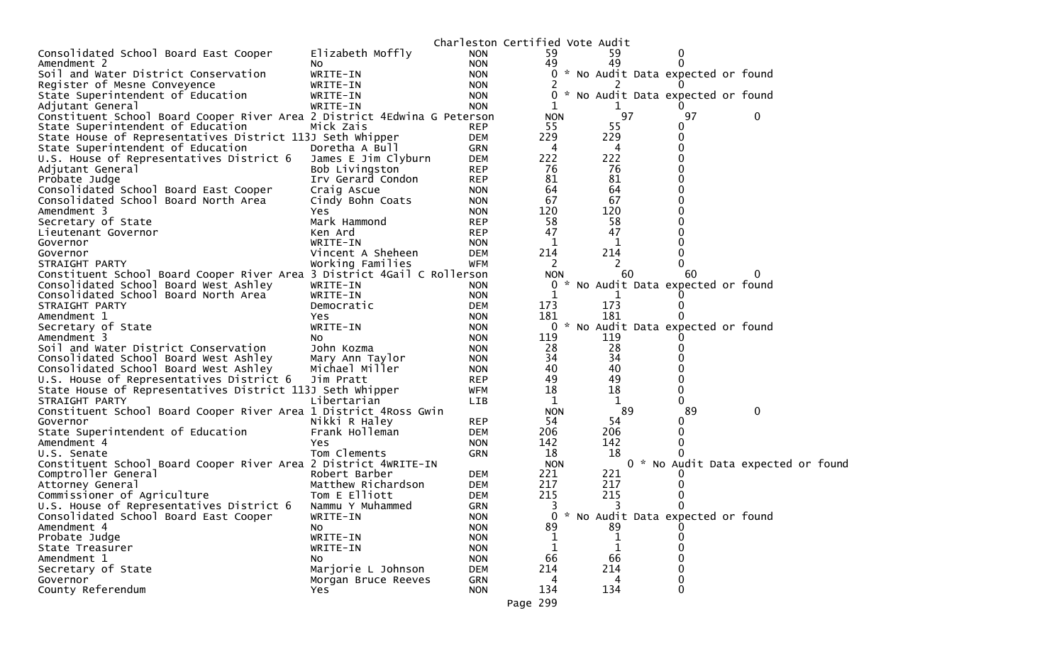|                                                                          |                     | Charleston Certified Vote Audit |              |     |                                     |                                    |  |
|--------------------------------------------------------------------------|---------------------|---------------------------------|--------------|-----|-------------------------------------|------------------------------------|--|
| Consolidated School Board East Cooper                                    | Elizabeth Moffly    | <b>NON</b>                      | 59           | 59  |                                     |                                    |  |
| Amendment 2                                                              | NO.                 | <b>NON</b>                      | 49           | 49  |                                     |                                    |  |
| Soil and Water District Conservation                                     | WRITE-IN            | <b>NON</b>                      |              |     | * No Audit Data expected or found   |                                    |  |
| Register of Mesne Conveyence                                             | WRITE-IN            | <b>NON</b>                      |              |     |                                     |                                    |  |
| State Superintendent of Education                                        | WRITE-IN            | <b>NON</b>                      | 0            |     | * No Audit Data expected or found   |                                    |  |
| Adjutant General                                                         | WRITE-IN            | <b>NON</b>                      | 1            | 1   |                                     |                                    |  |
| Constituent School Board Cooper River Area 2 District 4Edwina G Peterson |                     |                                 | <b>NON</b>   |     | 97<br>97                            | 0                                  |  |
| State Superintendent of Education                                        | Mick Zais           | <b>REP</b>                      | 55           | 55  | 0                                   |                                    |  |
| State House of Representatives District 113J Seth Whipper                |                     | <b>DEM</b>                      | 229          | 229 |                                     |                                    |  |
| State Superintendent of Education                                        | Doretha A Bull      | GRN                             | 4            | 4   |                                     |                                    |  |
| U.S. House of Representatives District 6                                 | James E Jim Clyburn | <b>DEM</b>                      | 222          | 222 |                                     |                                    |  |
| Adjutant General                                                         | Bob Livingston      | <b>REP</b>                      | 76           | 76  |                                     |                                    |  |
| Probate Judge                                                            | Irv Gerard Condon   | <b>REP</b>                      | 81           | 81  |                                     |                                    |  |
| Consolidated School Board East Cooper                                    | Craig Ascue         | <b>NON</b>                      | 64           | 64  |                                     |                                    |  |
| Consolidated School Board North Area                                     | Cindy Bohn Coats    | <b>NON</b>                      | 67           | 67  |                                     |                                    |  |
| Amendment 3                                                              | Yes.                | <b>NON</b>                      | 120          | 120 |                                     |                                    |  |
| Secretary of State                                                       | Mark Hammond        | <b>REP</b>                      | 58           | 58  |                                     |                                    |  |
| Lieutenant Governor                                                      | Ken Ard             | <b>REP</b>                      | 47           | 47  |                                     |                                    |  |
| Governor                                                                 | WRITE-IN            | <b>NON</b>                      | 1            | 1   |                                     |                                    |  |
| Governor                                                                 | Vincent A Sheheen   | <b>DEM</b>                      | 214          | 214 |                                     |                                    |  |
| STRAIGHT PARTY                                                           | Working Families    | <b>WFM</b>                      | 2            | 2   |                                     |                                    |  |
| Constituent School Board Cooper River Area 3 District 4Gail C Rollerson  |                     |                                 | <b>NON</b>   |     | 60<br>60                            | 0                                  |  |
| Consolidated School Board West Ashley                                    | WRITE-IN            | <b>NON</b>                      |              |     | 0 * No Audit Data expected or found |                                    |  |
| Consolidated School Board North Area                                     | WRITE-IN            | <b>NON</b>                      | $\mathbf{1}$ | 1   |                                     |                                    |  |
| STRAIGHT PARTY                                                           | Democratic          | <b>DEM</b>                      | 173          | 173 |                                     |                                    |  |
| Amendment 1                                                              | Yes.                | <b>NON</b>                      | 181          | 181 |                                     |                                    |  |
| Secretary of State                                                       | WRITE-IN            | <b>NON</b>                      | 0            |     | * No Audit Data expected or found   |                                    |  |
| Amendment 3                                                              | NO.                 | <b>NON</b>                      | 119          | 119 |                                     |                                    |  |
| Soil and Water District Conservation                                     | John Kozma          | <b>NON</b>                      | 28           | 28  |                                     |                                    |  |
| Consolidated School Board West Ashley                                    | Mary Ann Taylor     | <b>NON</b>                      | 34           | 34  |                                     |                                    |  |
| Consolidated School Board West Ashley                                    | Michael Miller      | <b>NON</b>                      | 40           | 40  |                                     |                                    |  |
| U.S. House of Representatives District 6                                 | Jim Pratt           | <b>REP</b>                      | 49           | 49  |                                     |                                    |  |
| State House of Representatives District 113J Seth Whipper                |                     | WFM                             | 18           | 18  | 0                                   |                                    |  |
| STRAIGHT PARTY                                                           | Libertarian         | <b>LIB</b>                      | 1            | 1   |                                     |                                    |  |
| Constituent School Board Cooper River Area 1 District 4Ross Gwin         |                     |                                 | <b>NON</b>   |     | 89<br>89                            | 0                                  |  |
| Governor                                                                 | Nikki R Haley       | <b>REP</b>                      | 54           | 54  |                                     |                                    |  |
| State Superintendent of Education                                        | Frank Holleman      | <b>DEM</b>                      | 206          | 206 |                                     |                                    |  |
| Amendment 4                                                              | Yes                 | <b>NON</b>                      | 142          | 142 |                                     |                                    |  |
| U.S. Senate                                                              | Tom Clements        | <b>GRN</b>                      | 18           | 18  |                                     |                                    |  |
| Constituent School Board Cooper River Area 2 District 4WRITE-IN          |                     |                                 | <b>NON</b>   |     |                                     | 0 * No Audit Data expected or foun |  |
| Comptroller General                                                      | Robert Barber       | <b>DEM</b>                      | 221          | 221 |                                     |                                    |  |
| Attorney General                                                         | Matthew Richardson  | <b>DEM</b>                      | 217          | 217 |                                     |                                    |  |
| Commissioner of Agriculture                                              | Tom E Elliott       | <b>DEM</b>                      | 215          | 215 |                                     |                                    |  |
| U.S. House of Representatives District 6                                 | Nammu Y Muhammed    | <b>GRN</b>                      | 3            | 3   |                                     |                                    |  |
| Consolidated School Board East Cooper                                    | WRITE-IN            | <b>NON</b>                      |              |     | 0 * No Audit Data expected or found |                                    |  |
| Amendment 4                                                              | NO.                 | <b>NON</b>                      | 89           | 89  |                                     |                                    |  |
| Probate Judge                                                            | WRITE-IN            | <b>NON</b>                      |              |     |                                     |                                    |  |
| State Treasurer                                                          | WRITE-IN            | <b>NON</b>                      |              |     |                                     |                                    |  |
| Amendment 1                                                              | No                  | <b>NON</b>                      | 66           | 66  |                                     |                                    |  |
| Secretary of State                                                       | Marjorie L Johnson  | <b>DEM</b>                      | 214          | 214 |                                     |                                    |  |
| Governor                                                                 | Morgan Bruce Reeves | <b>GRN</b>                      | 4            | 4   |                                     |                                    |  |
| County Referendum                                                        | <b>Yes</b>          | <b>NON</b>                      | 134          | 134 | 0                                   |                                    |  |
|                                                                          |                     |                                 | Page 299     |     |                                     |                                    |  |
|                                                                          |                     |                                 |              |     |                                     |                                    |  |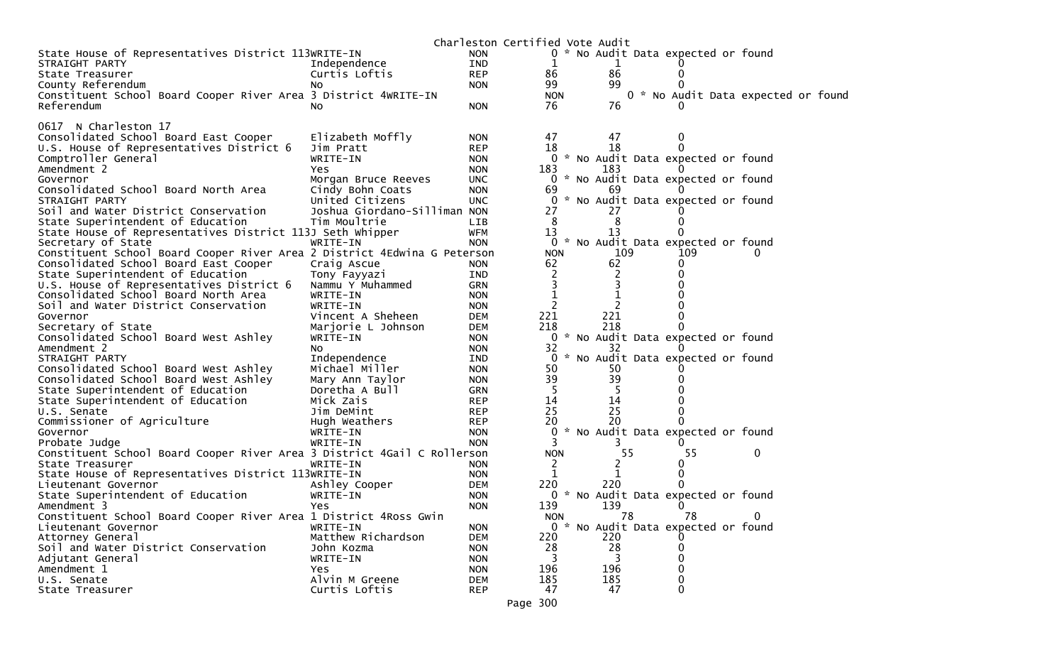|                                                                          |                              |            | Charleston Certified Vote Audit |     |    |                                     |                                    |
|--------------------------------------------------------------------------|------------------------------|------------|---------------------------------|-----|----|-------------------------------------|------------------------------------|
| State House of Representatives District 113WRITE-IN                      |                              | <b>NON</b> |                                 |     |    | 0 * No Audit Data expected or found |                                    |
| STRAIGHT PARTY                                                           | Independence                 | IND        | 1                               |     |    |                                     |                                    |
| State Treasurer                                                          | Curtis Loftis                | <b>REP</b> | 86                              | 86  |    |                                     |                                    |
| County Referendum                                                        | NO.                          | <b>NON</b> | 99                              | 99  |    |                                     |                                    |
| Constituent School Board Cooper River Area 3 District 4WRITE-IN          |                              |            | <b>NON</b>                      |     |    |                                     | 0 * No Audit Data expected or foun |
| Referendum                                                               | NO.                          | <b>NON</b> | 76                              | 76  |    |                                     |                                    |
|                                                                          |                              |            |                                 |     |    |                                     |                                    |
| 0617 N Charleston 17                                                     |                              |            |                                 |     |    |                                     |                                    |
| Consolidated School Board East Cooper                                    | Elizabeth Moffly             | <b>NON</b> | 47                              | 47  |    | 0                                   |                                    |
| U.S. House of Representatives District 6                                 | Jim Pratt                    | <b>REP</b> | 18                              | 18  |    |                                     |                                    |
| Comptroller General                                                      | WRITE-IN                     | <b>NON</b> |                                 |     |    | 0 * No Audit Data expected or found |                                    |
| Amendment 2                                                              | Yes                          | <b>NON</b> | 183                             | 183 |    |                                     |                                    |
| Governor                                                                 | Morgan Bruce Reeves          | <b>UNC</b> |                                 |     |    | 0 * No Audit Data expected or found |                                    |
| Consolidated School Board North Area                                     | Cindy Bohn Coats             | <b>NON</b> | 69                              | 69  |    |                                     |                                    |
| STRAIGHT PARTY                                                           | United Citizens              | <b>UNC</b> |                                 |     |    | 0 * No Audit Data expected or found |                                    |
| Soil and Water District Conservation                                     | Joshua Giordano-Silliman NON |            | 27                              | 27  |    |                                     |                                    |
| State Superintendent of Education                                        | Tim Moultrie                 | LIB.       | 8                               | 8   |    |                                     |                                    |
| State House of Representatives District 113J Seth Whipper                |                              | <b>WFM</b> | 13                              | 13  |    |                                     |                                    |
| Secretary of State                                                       | WRITE-IN                     | <b>NON</b> | $\mathbf{0}$                    |     |    | * No Audit Data expected or found   |                                    |
| Constituent School Board Cooper River Area 2 District 4Edwina G Peterson |                              |            | <b>NON</b>                      | 109 |    | 109                                 | 0                                  |
| Consolidated School Board East Cooper                                    | Craig Ascue                  | <b>NON</b> | 62                              | 62  |    |                                     |                                    |
| State Superintendent of Education                                        | Tony Fayyazi                 | IND        | 2                               | 2   |    |                                     |                                    |
| U.S. House of Representatives District 6                                 | Nammu Y Muhammed             | <b>GRN</b> |                                 | 3   |    |                                     |                                    |
| Consolidated School Board North Area                                     | WRITE-IN                     | <b>NON</b> |                                 |     |    |                                     |                                    |
| Soil and Water District Conservation                                     | WRITE-IN                     | <b>NON</b> | $\overline{2}$                  | 2   |    |                                     |                                    |
| Governor                                                                 | Vincent A Sheheen            | <b>DEM</b> | 221                             | 221 |    |                                     |                                    |
| Secretary of State                                                       | Marjorie L Johnson           | <b>DEM</b> | 218                             | 218 |    |                                     |                                    |
| Consolidated School Board West Ashley                                    | WRITE-IN                     | <b>NON</b> |                                 |     |    | 0 * No Audit Data expected or found |                                    |
| Amendment 2                                                              | NO.                          | <b>NON</b> | 32                              | 32  |    |                                     |                                    |
| STRAIGHT PARTY                                                           | Independence                 | IND        |                                 |     |    | 0 * No Audit Data expected or found |                                    |
| Consolidated School Board West Ashley                                    | Michael Miller               | <b>NON</b> | 50                              | 50  |    |                                     |                                    |
| Consolidated School Board West Ashley                                    | Mary Ann Taylor              | <b>NON</b> | 39                              | 39  |    |                                     |                                    |
| State Superintendent of Education                                        | Doretha A Bull               | <b>GRN</b> | -5                              |     |    |                                     |                                    |
| State Superintendent of Education                                        | Mick Zais                    | <b>REP</b> | 14                              | 14  |    |                                     |                                    |
| U.S. Senate                                                              | Jim DeMint                   | <b>REP</b> | 25                              | 25  |    |                                     |                                    |
| Commissioner of Agriculture                                              | Hugh Weathers                | <b>REP</b> | 20                              | 20  |    |                                     |                                    |
| Governor                                                                 | WRITE-IN                     | <b>NON</b> | 0                               |     |    | * No Audit Data expected or found   |                                    |
| Probate Judge                                                            | WRITE-IN                     | <b>NON</b> | 3                               | 3   |    |                                     |                                    |
| Constituent School Board Cooper River Area 3 District 4Gail C Rollerson  |                              |            | <b>NON</b>                      |     | 55 | 55                                  | $\bf{0}$                           |
| State Treasurer                                                          | WRITE-IN                     | <b>NON</b> | 2                               | 2   |    | 0                                   |                                    |
| State House of Representatives District 113WRITE-IN                      |                              | <b>NON</b> | 1                               | 1   |    | 0                                   |                                    |
| Lieutenant Governor                                                      | Ashley Cooper                | <b>DEM</b> | 220                             | 220 |    |                                     |                                    |
| State Superintendent of Education                                        | WRITE-IN                     | <b>NON</b> |                                 |     |    | 0 * No Audit Data expected or found |                                    |
| Amendment 3                                                              | Yes                          | <b>NON</b> | 139                             | 139 |    |                                     |                                    |
| Constituent School Board Cooper River Area 1 District 4Ross Gwin         |                              |            | NON.                            |     | 78 | 78                                  | 0                                  |
| Lieutenant Governor                                                      | WRITE-IN                     | <b>NON</b> |                                 |     |    | 0 * No Audit Data expected or found |                                    |
| Attorney General                                                         | Matthew Richardson           | <b>DEM</b> | 220                             | 220 |    |                                     |                                    |
| Soil and Water District Conservation                                     | John Kozma                   | <b>NON</b> | 28                              | 28  |    |                                     |                                    |
| Adjutant General                                                         | WRITE-IN                     | <b>NON</b> | 3                               | 3   |    |                                     |                                    |
| Amendment 1                                                              | Yes                          | <b>NON</b> | 196                             | 196 |    |                                     |                                    |
| U.S. Senate                                                              | Alvin M Greene               | <b>DEM</b> | 185                             | 185 |    |                                     |                                    |
| State Treasurer                                                          | Curtis Loftis                | <b>REP</b> | 47                              | 47  |    | 0                                   |                                    |
|                                                                          |                              |            |                                 |     |    |                                     |                                    |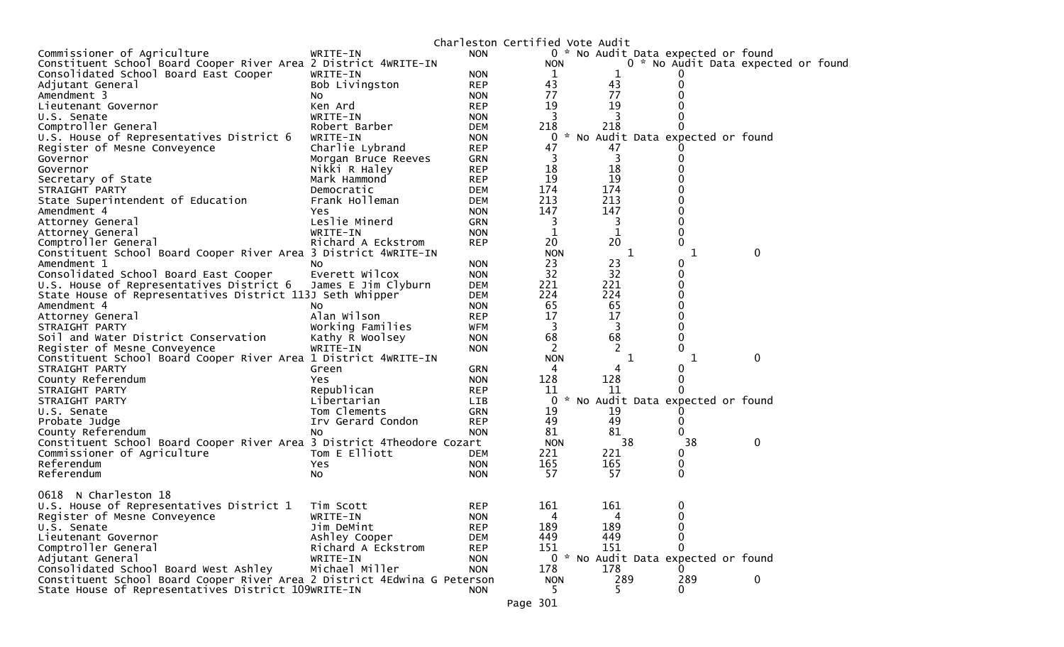|                                                                          |                     |            | Charleston Certified Vote Audit |              |                                     |             |  |
|--------------------------------------------------------------------------|---------------------|------------|---------------------------------|--------------|-------------------------------------|-------------|--|
| Commissioner of Agriculture                                              | WRITE-IN            | <b>NON</b> |                                 |              | 0 * No Audit Data expected or found |             |  |
| Constituent School Board Cooper River Area 2 District 4WRITE-IN          |                     |            | <b>NON</b>                      |              | 0 * No Audit Data expected or found |             |  |
| Consolidated School Board East Cooper                                    | WRITE-IN            | <b>NON</b> | 1                               | 1            | Ü                                   |             |  |
| Adjutant General                                                         | Bob Livingston      | <b>REP</b> | 43                              | 43           | 0                                   |             |  |
| Amendment 3                                                              | N0                  | <b>NON</b> | 77                              | 77           |                                     |             |  |
| Lieutenant Governor                                                      | Ken Ard             | <b>REP</b> | 19                              | 19           |                                     |             |  |
| U.S. Senate                                                              | WRITE-IN            | <b>NON</b> | 3                               |              |                                     |             |  |
| Comptroller General                                                      | Robert Barber       | <b>DEM</b> | 218                             | 218          | 0                                   |             |  |
| U.S. House of Representatives District 6                                 | WRITE-IN            | <b>NON</b> | 0                               |              | * No Audit Data expected or found   |             |  |
| Register of Mesne Conveyence                                             | Charlie Lybrand     | <b>REP</b> | 47                              | 47           |                                     |             |  |
| Governor                                                                 | Morgan Bruce Reeves | <b>GRN</b> | 3                               | 3            | 0                                   |             |  |
| Governor                                                                 | Nikki R Haley       | <b>REP</b> | 18                              | 18           |                                     |             |  |
| Secretary of State                                                       | Mark Hammond        | <b>REP</b> | 19                              | 19           |                                     |             |  |
| STRAIGHT PARTY                                                           | Democratic          | <b>DEM</b> | 174                             | 174          |                                     |             |  |
| State Superintendent of Education                                        | Frank Holleman      | <b>DEM</b> | 213                             | 213          |                                     |             |  |
|                                                                          |                     |            | 147                             | 147          | 0                                   |             |  |
| Amendment 4                                                              | Yes.                | <b>NON</b> |                                 |              |                                     |             |  |
| Attorney General                                                         | Leslie Minerd       | <b>GRN</b> | 3                               | 3            | 0                                   |             |  |
| Attorney General                                                         | WRITE-IN            | <b>NON</b> | $\mathbf 1$                     | $\mathbf{1}$ | 0                                   |             |  |
| Comptroller General                                                      | Richard A Eckstrom  | <b>REP</b> | 20                              | 20           | 0                                   |             |  |
| Constituent School Board Cooper River Area 3 District 4WRITE-IN          |                     |            | <b>NON</b>                      | 1            | 1                                   | $\mathbf 0$ |  |
| Amendment 1                                                              | NO.                 | <b>NON</b> | 23                              | 23           | 0                                   |             |  |
| Consolidated School Board East Cooper                                    | Everett Wilcox      | <b>NON</b> | 32                              | 32           | 0                                   |             |  |
| U.S. House of Representatives District 6                                 | James E Jim Clyburn | <b>DEM</b> | 221                             | 221          | 0                                   |             |  |
| State House of Representatives District 113J Seth Whipper                |                     | <b>DEM</b> | 224                             | 224          | 0                                   |             |  |
| Amendment 4                                                              | No                  | <b>NON</b> | 65                              | 65           | 0                                   |             |  |
| Attorney General                                                         | Alan Wilson         | <b>REP</b> | 17                              | 17           | 0                                   |             |  |
| STRAIGHT PARTY                                                           | Working Families    | <b>WFM</b> | 3                               | 3            |                                     |             |  |
| Soil and Water District Conservation                                     | Kathy R Woolsey     | <b>NON</b> | 68                              | 68           | 0                                   |             |  |
| Register of Mesne Conveyence                                             | WRITE-IN            | <b>NON</b> | 2                               | 2            | 0                                   |             |  |
| Constituent School Board Cooper River Area 1 District 4WRITE-IN          |                     |            | <b>NON</b>                      | 1            | 1                                   | 0           |  |
| STRAIGHT PARTY                                                           | Green               | GRN        | 4                               |              | 0                                   |             |  |
| County Referendum                                                        | Yes.                | <b>NON</b> | 128                             | 128          | 0                                   |             |  |
| STRAIGHT PARTY                                                           | Republican          | <b>REP</b> | 11                              | 11           | 0                                   |             |  |
| STRAIGHT PARTY                                                           | Libertarian         | <b>LIB</b> | 0                               |              | * No Audit Data expected or found   |             |  |
| U.S. Senate                                                              | Tom Clements        | <b>GRN</b> | 19                              | 19           |                                     |             |  |
| Probate Judge                                                            | Irv Gerard Condon   | <b>REP</b> | 49                              | 49           | 0                                   |             |  |
| County Referendum                                                        | No                  | <b>NON</b> | 81                              | 81           | 0                                   |             |  |
| Constituent School Board Cooper River Area 3 District 4Theodore Cozart   |                     |            | <b>NON</b>                      | 38           | 38                                  | 0           |  |
| Commissioner of Agriculture                                              | Tom E Elliott       | <b>DEM</b> | 221                             | 221          | 0                                   |             |  |
| Referendum                                                               | Yes.                | <b>NON</b> | 165                             | 165          | 0                                   |             |  |
| Referendum                                                               |                     | <b>NON</b> | 57                              | 57           | 0                                   |             |  |
|                                                                          | No                  |            |                                 |              |                                     |             |  |
| 0618<br>N Charleston 18                                                  |                     |            |                                 |              |                                     |             |  |
|                                                                          | Tim Scott           | <b>REP</b> | 161                             | 161          | 0                                   |             |  |
| U.S. House of Representatives District 1                                 | WRITE-IN            |            |                                 |              |                                     |             |  |
| Register of Mesne Conveyence                                             |                     | <b>NON</b> | 4                               | 4            | 0                                   |             |  |
| U.S. Senate                                                              | Jim DeMint          | <b>REP</b> | 189                             | 189          | 0                                   |             |  |
| Lieutenant Governor                                                      | Ashley Cooper       | <b>DEM</b> | 449                             | 449          | 0                                   |             |  |
| Comptroller General                                                      | Richard A Eckstrom  | <b>REP</b> | 151                             | 151          | 0                                   |             |  |
| Adjutant General                                                         | WRITE-IN            | <b>NON</b> |                                 |              | 0 * No Audit Data expected or found |             |  |
| Consolidated School Board West Ashley                                    | Michael Miller      | <b>NON</b> | 178                             | 178          | 0                                   |             |  |
| Constituent School Board Cooper River Area 2 District 4Edwina G Peterson |                     |            | <b>NON</b>                      | 289          | 289                                 | $\mathbf 0$ |  |
| State House of Representatives District 109WRITE-IN                      |                     | <b>NON</b> | 5.                              | 5.           | 0                                   |             |  |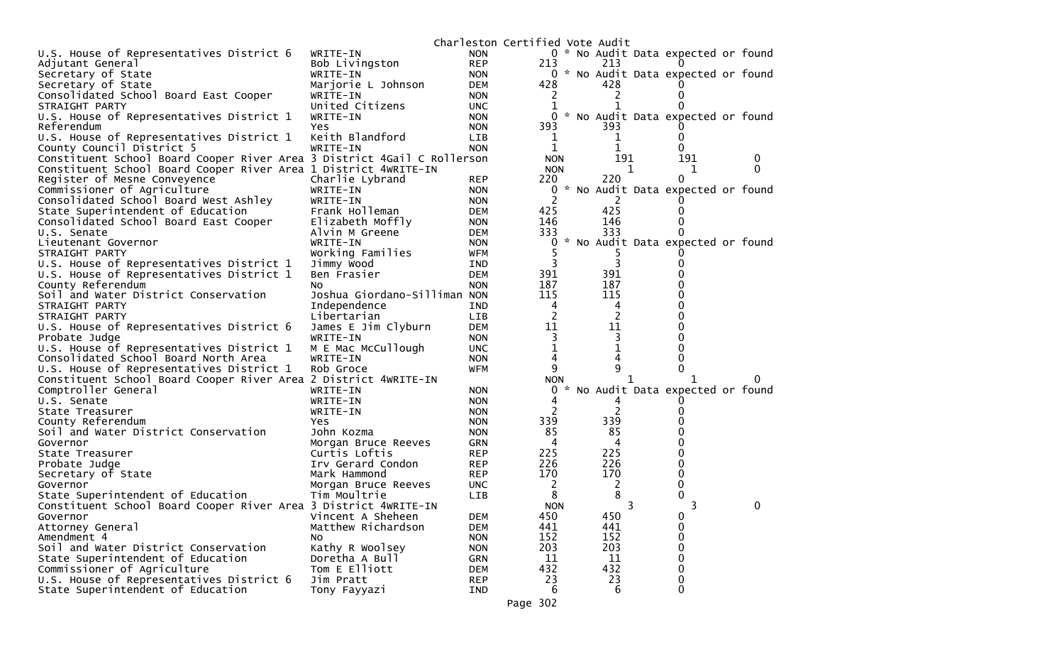|                                                                                  |                              |                          | Charleston Certified Vote Audit |                                     |          |   |
|----------------------------------------------------------------------------------|------------------------------|--------------------------|---------------------------------|-------------------------------------|----------|---|
| U.S. House of Representatives District 6                                         | WRITE-IN                     | <b>NON</b>               |                                 | 0 * No Audit Data expected or found |          |   |
| Adjutant General                                                                 | Bob Livingston               | <b>REP</b>               | 213                             | 213                                 |          |   |
| Secretary of State                                                               | WRITE-IN                     | <b>NON</b>               |                                 | 0 * No Audit Data expected or found |          |   |
| Secretary of State                                                               | Marjorie L Johnson           | DEM                      | 428                             | 428                                 |          |   |
| Consolidated School Board East Cooper                                            | WRITE-IN                     | <b>NON</b>               |                                 |                                     |          |   |
| STRAIGHT PARTY                                                                   | United Citizens              | <b>UNC</b>               | 1                               |                                     |          |   |
| U.S. House of Representatives District 1                                         | WRITE-IN                     | <b>NON</b>               | 0                               | * No Audit Data expected or found   |          |   |
| Referendum                                                                       | Yes                          | <b>NON</b>               | 393                             | 393                                 |          |   |
| U.S. House of Representatives District 1                                         | Keith Blandford              | <b>LIB</b>               |                                 | 1                                   |          |   |
| County Council District 5                                                        | WRITE-IN                     | <b>NON</b>               | 1                               | 1                                   | 0        |   |
| Constituent School Board Cooper River Area 3 District 4Gail C Rollerson          |                              |                          | <b>NON</b>                      | 191                                 | 191      | 0 |
| Constituent School Board Cooper River Area 1 District 4WRITE-IN                  |                              |                          | <b>NON</b>                      | 1                                   | 1        | 0 |
| Register of Mesne Conveyence                                                     | Charlie Lybrand              | <b>REP</b>               | 220                             | 220                                 | 0        |   |
| Commissioner of Agriculture                                                      | WRITE-IN                     | <b>NON</b>               | 0                               | * No Audit Data expected or found   |          |   |
| Consolidated School Board West Ashley                                            | WRITE-IN                     | <b>NON</b>               |                                 | 2                                   |          |   |
| State Superintendent of Education                                                | Frank Holleman               | <b>DEM</b>               | 425                             | 425                                 |          |   |
| Consolidated School Board East Cooper                                            | Elizabeth Moffly             | <b>NON</b>               | 146                             | 146                                 |          |   |
| U.S. Senate                                                                      | Alvin M Greene               | <b>DEM</b>               | 333                             | 333                                 |          |   |
| Lieutenant Governor                                                              | WRITE-IN                     | <b>NON</b>               | 0                               | * No Audit Data expected or found   |          |   |
| STRAIGHT PARTY                                                                   | Working Families             | WFM                      |                                 |                                     |          |   |
| U.S. House of Representatives District 1                                         | Jimmy Wood                   | IND                      |                                 | 3                                   |          |   |
| U.S. House of Representatives District 1                                         | Ben Frasier                  | <b>DEM</b>               | 391                             | 391                                 |          |   |
| County Referendum                                                                | NO.                          | <b>NON</b>               | 187                             | 187                                 |          |   |
| Soil and Water District Conservation                                             | Joshua Giordano-Silliman NON |                          | 115                             | 115                                 |          |   |
| STRAIGHT PARTY                                                                   | Independence                 | IND                      | 4                               | 4                                   |          |   |
| STRAIGHT PARTY                                                                   | Libertarian                  | <b>LIB</b>               | 11                              | 2<br>11                             |          |   |
| U.S. House of Representatives District 6                                         | James E Jim Clyburn          | <b>DEM</b>               |                                 |                                     |          |   |
| Probate Judge                                                                    | WRITE-IN                     | <b>NON</b>               | 1                               | 1                                   |          |   |
| U.S. House of Representatives District 1                                         | M E Mac McCullough           | <b>UNC</b>               | 4                               | 4                                   |          |   |
| Consolidated School Board North Area<br>U.S. House of Representatives District 1 | WRITE-IN<br>Rob Groce        | <b>NON</b><br><b>WFM</b> | 9                               | 9                                   |          |   |
| Constituent School Board Cooper River Area 2 District 4WRITE-IN                  |                              |                          | <b>NON</b>                      |                                     |          |   |
| Comptroller General                                                              | WRITE-IN                     | <b>NON</b>               | *<br>0                          | No Audit Data expected or found     |          |   |
| U.S. Senate                                                                      | WRITE-IN                     | <b>NON</b>               | 4                               | 4                                   |          |   |
| State Treasurer                                                                  | WRITE-IN                     | <b>NON</b>               |                                 | 2                                   |          |   |
| County Referendum                                                                | Yes                          | <b>NON</b>               | 339                             | 339                                 |          |   |
| Soil and Water District Conservation                                             | John Kozma                   | <b>NON</b>               | 85                              | 85                                  |          |   |
| Governor                                                                         | Morgan Bruce Reeves          | GRN                      | 4                               | 4                                   |          |   |
| State Treasurer                                                                  | Curtis Loftis                | <b>REP</b>               | 225                             | 225                                 |          |   |
| Probate Judge                                                                    | Irv Gerard Condon            | <b>REP</b>               | 226                             | 226                                 |          |   |
| Secretary of State                                                               | Mark Hammond                 | <b>REP</b>               | 170                             | 170                                 |          |   |
| Governor                                                                         | Morgan Bruce Reeves          | UNC.                     | 2                               | 2                                   |          |   |
| State Superintendent of Education                                                | Tim Moultrie                 | <b>LIB</b>               | 8                               | 8                                   |          |   |
| Constituent School Board Cooper River Area 3 District 4WRITE-IN                  |                              |                          | <b>NON</b>                      | 3                                   |          | 0 |
| Governor                                                                         | Vincent A Sheheen            | <b>DEM</b>               | 450                             | 450                                 | 0        |   |
| Attorney General                                                                 | Matthew Richardson           | <b>DEM</b>               | 441                             | 441                                 | 0        |   |
| Amendment 4                                                                      | NO.                          | <b>NON</b>               | 152                             | 152                                 | 0        |   |
| Soil and Water District Conservation                                             | Kathy R Woolsey              | <b>NON</b>               | 203                             | 203                                 | 0        |   |
| State Superintendent of Education                                                | Doretha A Bull               | GRN                      | 11                              | 11                                  | $\Omega$ |   |
| Commissioner of Agriculture                                                      | Tom E Elliott                | <b>DEM</b>               | 432                             | 432                                 | 0        |   |
| U.S. House of Representatives District 6                                         | Jim Pratt                    | <b>REP</b>               | 23                              | 23                                  | 0        |   |
| State Superintendent of Education                                                | Tony Fayyazi                 | IND                      | 6                               | 6                                   | 0        |   |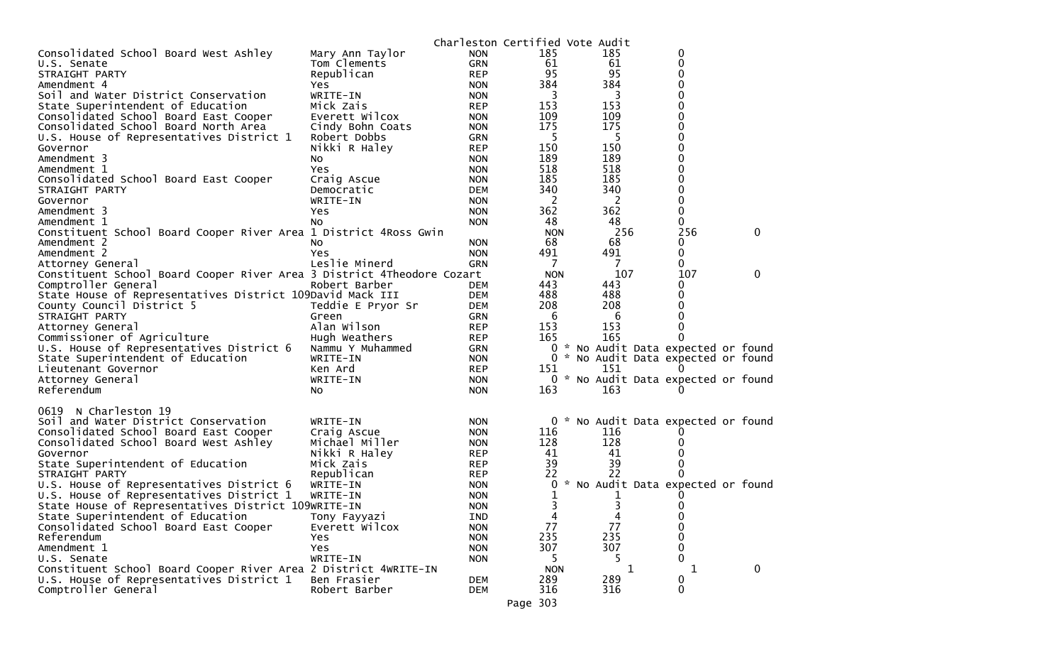|                                                                        |                   |            | Charleston Certified Vote Audit |     |                                     |              |
|------------------------------------------------------------------------|-------------------|------------|---------------------------------|-----|-------------------------------------|--------------|
| Consolidated School Board West Ashley                                  | Mary Ann Taylor   | <b>NON</b> | 185                             | 185 | 0                                   |              |
| U.S. Senate                                                            | Tom Clements      | <b>GRN</b> | 61                              | 61  | 0                                   |              |
| STRAIGHT PARTY                                                         | Republican        | <b>REP</b> | 95                              | 95  | 0                                   |              |
| Amendment 4                                                            | Yes               | <b>NON</b> | 384                             | 384 | 0                                   |              |
| Soil and Water District Conservation                                   | WRITE-IN          | <b>NON</b> | 3                               | 3   | O                                   |              |
| State Superintendent of Education                                      | Mick Zais         | <b>REP</b> | 153                             | 153 | 0                                   |              |
| Consolidated School Board East Cooper                                  | Everett Wilcox    | <b>NON</b> | 109                             | 109 | 0                                   |              |
| Consolidated School Board North Area                                   | Cindy Bohn Coats  | <b>NON</b> | 175                             | 175 | 0                                   |              |
| U.S. House of Representatives District 1                               | Robert Dobbs      | <b>GRN</b> | -5                              | -5  | 0                                   |              |
| Governor                                                               | Nikki R Haley     | <b>REP</b> | 150                             | 150 | 0                                   |              |
| Amendment 3                                                            | NO.               | <b>NON</b> | 189                             | 189 | 0                                   |              |
| Amendment 1                                                            | Yes               | <b>NON</b> | 518                             | 518 | 0                                   |              |
| Consolidated School Board East Cooper                                  | Craig Ascue       | <b>NON</b> | 185                             | 185 | 0                                   |              |
| STRAIGHT PARTY                                                         | Democratic        | <b>DEM</b> | 340                             | 340 | 0                                   |              |
| Governor                                                               | WRITE-IN          | <b>NON</b> | 2                               | 2   | 0                                   |              |
| Amendment 3                                                            | Yes               | <b>NON</b> | 362                             | 362 | 0                                   |              |
| Amendment 1                                                            | NO.               | <b>NON</b> | 48                              | 48  | 0                                   |              |
| Constituent School Board Cooper River Area 1 District 4Ross Gwin       |                   |            | <b>NON</b>                      | 256 | 256                                 | $\mathbf 0$  |
| Amendment 2                                                            | No.               | <b>NON</b> | 68                              | 68  | 0                                   |              |
| Amendment 2                                                            | Yes               | <b>NON</b> | 491                             | 491 | 0                                   |              |
| Attorney General                                                       | Leslie Minerd     | GRN        | 7                               | 7   | 0                                   |              |
| Constituent School Board Cooper River Area 3 District 4Theodore Cozart |                   |            | <b>NON</b>                      | 107 | 107                                 | $\mathbf{0}$ |
| Comptroller General                                                    | Robert Barber     | <b>DEM</b> | 443                             | 443 | 0                                   |              |
| State House of Representatives District 109David Mack III              |                   | <b>DEM</b> | 488                             | 488 | 0                                   |              |
| County Council District 5                                              | Teddie E Pryor Sr | <b>DEM</b> | 208                             | 208 | 0                                   |              |
| STRAIGHT PARTY                                                         | Green             | <b>GRN</b> | 6                               | 6   | O                                   |              |
| Attorney General                                                       | Alan Wilson       | <b>REP</b> | 153                             | 153 |                                     |              |
| Commissioner of Agriculture                                            | Hugh Weathers     | <b>REP</b> | 165                             | 165 |                                     |              |
| U.S. House of Representatives District 6                               | Nammu Y Muhammed  | GRN        | 0                               |     | * No Audit Data expected or found   |              |
| State Superintendent of Education                                      | WRITE-IN          | <b>NON</b> |                                 |     | 0 * No Audit Data expected or found |              |
| Lieutenant Governor                                                    | Ken Ard           | <b>REP</b> | 151                             | 151 |                                     |              |
| Attorney General                                                       | WRITE-IN          | <b>NON</b> |                                 |     | 0 * No Audit Data expected or found |              |
| Referendum                                                             | No                | <b>NON</b> | 163                             | 163 |                                     |              |
|                                                                        |                   |            |                                 |     |                                     |              |
| N Charleston 19<br>0619                                                |                   |            |                                 |     |                                     |              |
| Soil and Water District Conservation                                   | WRITE-IN          | <b>NON</b> |                                 |     | 0 * No Audit Data expected or found |              |
| Consolidated School Board East Cooper                                  | Craig Ascue       | <b>NON</b> | 116                             | 116 |                                     |              |
| Consolidated School Board West Ashley                                  | Michael Miller    | <b>NON</b> | 128                             | 128 |                                     |              |
| Governor                                                               | Nikki R Haley     | <b>REP</b> | 41                              | 41  |                                     |              |
| State Superintendent of Education                                      | Mick Zais         | <b>REP</b> | 39                              | 39  |                                     |              |
| STRAIGHT PARTY                                                         | Republican        | <b>REP</b> | 22                              | 22  | 0                                   |              |
|                                                                        |                   |            |                                 |     | * No Audit Data expected or found   |              |
| U.S. House of Representatives District 6                               | WRITE-IN          | <b>NON</b> | 0                               |     |                                     |              |
| U.S. House of Representatives District 1                               | WRITE-IN          | <b>NON</b> |                                 |     |                                     |              |
| State House of Representatives District 109WRITE-IN                    |                   | <b>NON</b> | 3                               | 3   | 0                                   |              |
| State Superintendent of Education                                      | Tony Fayyazi      | <b>IND</b> | 4                               | 4   | 0                                   |              |
| Consolidated School Board East Cooper                                  | Everett Wilcox    | <b>NON</b> | 77                              | 77  | $\mathbf 0$                         |              |
| Referendum                                                             | Yes               | <b>NON</b> | 235                             | 235 | 0                                   |              |
| Amendment 1                                                            | <b>Yes</b>        | <b>NON</b> | 307                             | 307 | $\Omega$                            |              |
| U.S. Senate                                                            | WRITE-IN          | <b>NON</b> |                                 | 5   | $\Omega$                            |              |
| Constituent School Board Cooper River Area 2 District 4WRITE-IN        |                   |            | <b>NON</b>                      | 1   | 1                                   | $\mathbf 0$  |
| U.S. House of Representatives District 1                               | Ben Frasier       | <b>DEM</b> | 289                             | 289 | 0                                   |              |
| Comptroller General                                                    | Robert Barber     | DEM        | 316                             | 316 | $\mathbf 0$                         |              |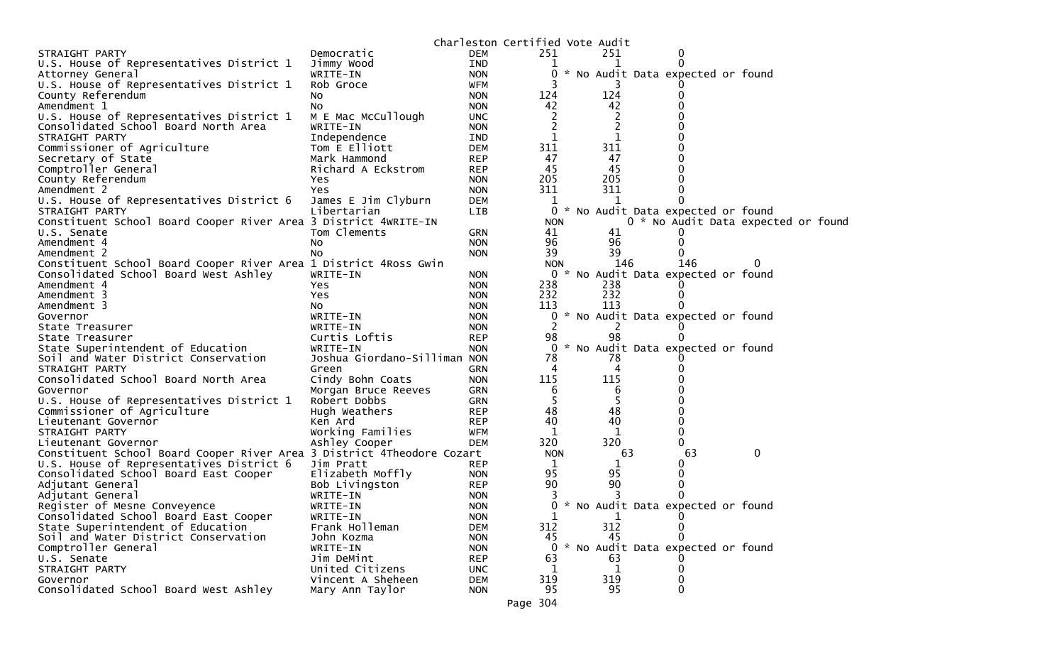|                                                                        |                              |            | Charleston Certified Vote Audit |                |    |          |                                     |                                    |  |
|------------------------------------------------------------------------|------------------------------|------------|---------------------------------|----------------|----|----------|-------------------------------------|------------------------------------|--|
| STRAIGHT PARTY                                                         | Democratic                   | <b>DEM</b> | 251                             | 251            |    | 0        |                                     |                                    |  |
| U.S. House of Representatives District 1                               | Jimmy Wood                   | IND        | 1                               |                |    | $\Omega$ |                                     |                                    |  |
| Attorney General                                                       | WRITE-IN                     | <b>NON</b> | 0                               |                |    |          | * No Audit Data expected or found   |                                    |  |
| U.S. House of Representatives District 1                               | Rob Groce                    | <b>WFM</b> |                                 |                |    |          |                                     |                                    |  |
| County Referendum                                                      | No                           | <b>NON</b> | 124                             | 124            |    | 0        |                                     |                                    |  |
| Amendment 1                                                            | NO                           | <b>NON</b> | 42                              | 42             |    |          |                                     |                                    |  |
| U.S. House of Representatives District 1                               | M E Mac McCullough           | <b>UNC</b> | $\overline{c}$                  |                |    |          |                                     |                                    |  |
| Consolidated School Board North Area                                   | WRITE-IN                     | <b>NON</b> | $\overline{2}$                  | $\overline{c}$ |    |          |                                     |                                    |  |
| STRAIGHT PARTY                                                         | Independence                 | IND        | 1                               | 1              |    |          |                                     |                                    |  |
| Commissioner of Agriculture                                            | Tom E Elliott                | <b>DEM</b> | 311                             | 311            |    |          |                                     |                                    |  |
| Secretary of State                                                     | Mark Hammond                 | <b>REP</b> | 47                              | 47             |    |          |                                     |                                    |  |
| Comptroller General                                                    | Richard A Eckstrom           | <b>REP</b> | 45                              | 45             |    |          |                                     |                                    |  |
| County Referendum                                                      | Yes                          | <b>NON</b> | 205                             | 205            |    | 0        |                                     |                                    |  |
| Amendment 2                                                            | Yes                          | <b>NON</b> | 311                             | 311            |    | 0        |                                     |                                    |  |
| U.S. House of Representatives District 6                               | James E Jim Clyburn          | <b>DEM</b> | 1                               | 1              |    |          |                                     |                                    |  |
| STRAIGHT PARTY                                                         | Libertarian                  | LIB        |                                 |                |    |          | 0 * No Audit Data expected or found |                                    |  |
| Constituent School Board Cooper River Area 3 District 4WRITE-IN        |                              |            | <b>NON</b>                      |                |    |          |                                     | 0 * No Audit Data expected or foun |  |
| U.S. Senate                                                            | Tom Clements                 | <b>GRN</b> | 41                              | 41             |    |          |                                     |                                    |  |
| Amendment 4                                                            | NO                           | <b>NON</b> | 96                              | 96             |    | 0        |                                     |                                    |  |
| Amendment 2                                                            | No                           | <b>NON</b> | 39                              | 39             |    |          |                                     |                                    |  |
| Constituent School Board Cooper River Area 1 District 4Ross Gwin       |                              |            | <b>NON</b>                      | 146            |    | 146      |                                     | 0                                  |  |
| Consolidated School Board West Ashley                                  | WRITE-IN                     | <b>NON</b> |                                 |                |    |          | 0 * No Audit Data expected or found |                                    |  |
| Amendment 4                                                            | Yes.                         | <b>NON</b> | 238                             | 238            |    |          |                                     |                                    |  |
| Amendment 3                                                            | Yes                          | <b>NON</b> | 232                             | 232            |    | $\bf{0}$ |                                     |                                    |  |
| Amendment 3                                                            | NO.                          | <b>NON</b> | 113                             | 113            |    |          |                                     |                                    |  |
| Governor                                                               | WRITE-IN                     | <b>NON</b> | 0                               |                |    |          | * No Audit Data expected or found   |                                    |  |
| State Treasurer                                                        | WRITE-IN                     | <b>NON</b> | 2                               | 2              |    |          |                                     |                                    |  |
| State Treasurer                                                        | Curtis Loftis                | <b>REP</b> | 98                              | 98             |    |          |                                     |                                    |  |
| State Superintendent of Education                                      | WRITE-IN                     | <b>NON</b> |                                 |                |    |          | 0 * No Audit Data expected or found |                                    |  |
| Soil and Water District Conservation                                   | Joshua Giordano-Silliman NON |            | 78                              | 78             |    |          |                                     |                                    |  |
| STRAIGHT PARTY                                                         | Green                        | GRN        | 4                               | 4              |    |          |                                     |                                    |  |
| Consolidated School Board North Area                                   | Cindy Bohn Coats             | <b>NON</b> | 115                             | 115            |    |          |                                     |                                    |  |
| Governor                                                               | Morgan Bruce Reeves          | <b>GRN</b> | 6                               | 6              |    |          |                                     |                                    |  |
| U.S. House of Representatives District 1                               | Robert Dobbs                 | <b>GRN</b> | 5                               | 5              |    |          |                                     |                                    |  |
| Commissioner of Agriculture                                            | Hugh Weathers                | <b>REP</b> | 48                              | 48             |    |          |                                     |                                    |  |
| Lieutenant Governor                                                    | Ken Ard                      | <b>REP</b> | 40                              | 40             |    | 0        |                                     |                                    |  |
| STRAIGHT PARTY                                                         | Working Families             | <b>WFM</b> | 1                               | 1              |    | 0        |                                     |                                    |  |
| Lieutenant Governor                                                    | Ashley Cooper                | <b>DEM</b> | 320                             | 320            |    | 0        |                                     |                                    |  |
| Constituent School Board Cooper River Area 3 District 4Theodore Cozart |                              |            | <b>NON</b>                      |                | 63 | 63       |                                     | 0                                  |  |
| U.S. House of Representatives District 6                               | Jim Pratt                    | <b>REP</b> | 1                               | 1              |    | 0        |                                     |                                    |  |
| Consolidated School Board East Cooper                                  | Elizabeth Moffly             | <b>NON</b> | 95                              | 95             |    | 0        |                                     |                                    |  |
| Adjutant General                                                       | Bob Livingston               | <b>REP</b> | 90                              | 90             |    | 0        |                                     |                                    |  |
| Adjutant General                                                       | WRITE-IN                     | <b>NON</b> | 3                               | 3              |    |          |                                     |                                    |  |
| Register of Mesne Conveyence                                           | WRITE-IN                     | <b>NON</b> |                                 |                |    |          | 0 * No Audit Data expected or found |                                    |  |
| Consolidated School Board East Cooper                                  | WRITE-IN                     | <b>NON</b> | 1                               | 1              |    | $\bf{0}$ |                                     |                                    |  |
| State Superintendent of Education                                      | Frank Holleman               | <b>DEM</b> | 312                             | 312            |    | 0        |                                     |                                    |  |
| Soil and Water District Conservation                                   | John Kozma                   | <b>NON</b> | 45                              | 45             |    | 0        |                                     |                                    |  |
| Comptroller General                                                    | WRITE-IN                     | <b>NON</b> |                                 |                |    |          | 0 * No Audit Data expected or found |                                    |  |
| U.S. Senate                                                            | Jim DeMint                   | <b>REP</b> | 63                              | 63             |    |          |                                     |                                    |  |
| STRAIGHT PARTY                                                         | United Citizens              | <b>UNC</b> | 1                               | $\mathbf 1$    |    | 0        |                                     |                                    |  |
| Governor                                                               | Vincent A Sheheen            | DEM        | 319                             | 319            |    | 0        |                                     |                                    |  |
| Consolidated School Board West Ashley                                  | Mary Ann Taylor              | <b>NON</b> | 95                              | 95             |    | 0        |                                     |                                    |  |
|                                                                        |                              |            |                                 |                |    |          |                                     |                                    |  |
|                                                                        |                              |            | Page 304                        |                |    |          |                                     |                                    |  |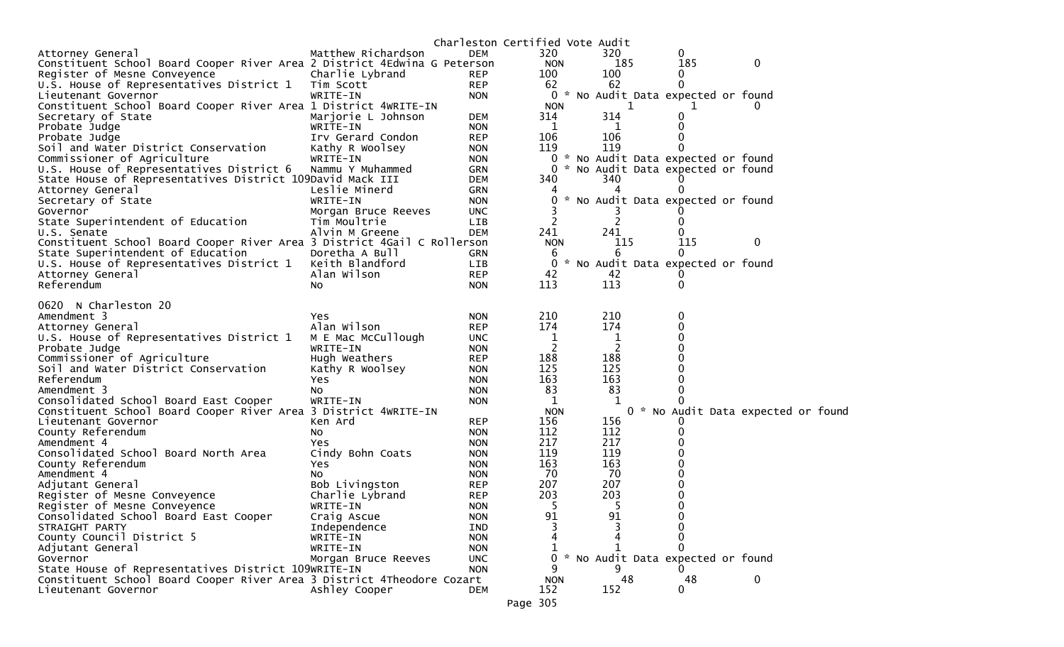|                                                                          |                     |            | Charleston Certified Vote Audit |                |                                     |                                    |  |
|--------------------------------------------------------------------------|---------------------|------------|---------------------------------|----------------|-------------------------------------|------------------------------------|--|
| Attorney General                                                         | Matthew Richardson  | <b>DEM</b> | 320                             | 320            | $\Omega$                            |                                    |  |
| Constituent School Board Cooper River Area 2 District 4Edwina G Peterson |                     |            | <b>NON</b>                      | 185            | 185                                 | 0                                  |  |
| Register of Mesne Conveyence                                             | Charlie Lybrand     | REP        | 100                             | 100            | 0                                   |                                    |  |
| U.S. House of Representatives District 1 Tim Scott                       |                     | <b>REP</b> | 62                              | 62             |                                     |                                    |  |
| Lieutenant Governor                                                      | WRITE-IN            | <b>NON</b> |                                 |                | 0 * No Audit Data expected or found |                                    |  |
| Constituent School Board Cooper River Area 1 District 4WRITE-IN          |                     |            | <b>NON</b>                      | 1              |                                     |                                    |  |
| Secretary of State                                                       | Marjorie L Johnson  | <b>DEM</b> | 314                             | 314            |                                     |                                    |  |
| Probate Judge                                                            | WRITE-IN            | <b>NON</b> | 1                               | 1              |                                     |                                    |  |
| Probate Judge                                                            | Irv Gerard Condon   | <b>REP</b> | 106                             | 106            |                                     |                                    |  |
| Soil and Water District Conservation                                     | Kathy R Woolsey     | <b>NON</b> | 119                             | 119            |                                     |                                    |  |
| Commissioner of Agriculture                                              | WRITE-IN            | <b>NON</b> |                                 |                | 0 * No Audit Data expected or found |                                    |  |
| U.S. House of Representatives District 6                                 | Nammu Y Muhammed    | GRN        |                                 |                | 0 * No Audit Data expected or found |                                    |  |
| State House of Representatives District 109David Mack III                |                     | <b>DEM</b> | 340                             | 340            |                                     |                                    |  |
| Attorney General                                                         | Leslie Minerd       | <b>GRN</b> |                                 |                |                                     |                                    |  |
| Secretary of State                                                       | WRITE-IN            | <b>NON</b> |                                 |                | * No Audit Data expected or found   |                                    |  |
| Governor                                                                 | Morgan Bruce Reeves | <b>UNC</b> |                                 |                |                                     |                                    |  |
| State Superintendent of Education                                        | Tim Moultrie        | LIB        | 2                               | 2              |                                     |                                    |  |
| U.S. Senate                                                              | Alvin M Greene      | <b>DEM</b> | 241                             | 241            |                                     |                                    |  |
| Constituent School Board Cooper River Area 3 District 4Gail C Rollerson  |                     |            | <b>NON</b>                      | 115            | 115                                 | 0                                  |  |
| State Superintendent of Education                                        | Doretha A Bull      | GRN        | 6                               | 6              | $\Omega$                            |                                    |  |
| U.S. House of Representatives District 1                                 | Keith Blandford     | LIB        | 0                               |                | * No Audit Data expected or found   |                                    |  |
| Attorney General                                                         | Alan Wilson         | <b>REP</b> | 42                              | 42             |                                     |                                    |  |
| Referendum                                                               | NO.                 | <b>NON</b> | 113                             | 113            |                                     |                                    |  |
|                                                                          |                     |            |                                 |                |                                     |                                    |  |
| 0620 N Charleston 20                                                     |                     |            |                                 |                |                                     |                                    |  |
| Amendment 3                                                              | Yes                 | <b>NON</b> | 210                             | 210            | 0                                   |                                    |  |
| Attorney General                                                         | Alan Wilson         | <b>REP</b> | 174                             | 174            |                                     |                                    |  |
| U.S. House of Representatives District 1                                 | M E Mac McCullough  | <b>UNC</b> | 1                               | 1              |                                     |                                    |  |
| Probate Judge                                                            | WRITE-IN            | <b>NON</b> | 2                               | $\overline{2}$ |                                     |                                    |  |
| Commissioner of Agriculture                                              | Hugh Weathers       | <b>REP</b> | 188                             | 188            |                                     |                                    |  |
| Soil and Water District Conservation                                     | Kathy R Woolsey     | <b>NON</b> | 125                             | 125            |                                     |                                    |  |
| Referendum                                                               | Yes                 | <b>NON</b> | 163                             | 163            |                                     |                                    |  |
| Amendment 3                                                              | No.                 | <b>NON</b> | 83                              | 83             | 0                                   |                                    |  |
| Consolidated School Board East Cooper                                    | WRITE-IN            | <b>NON</b> | $\mathbf{1}$                    |                |                                     |                                    |  |
| Constituent School Board Cooper River Area 3 District 4WRITE-IN          |                     |            | <b>NON</b>                      |                |                                     | 0 * No Audit Data expected or foun |  |
| Lieutenant Governor                                                      | Ken Ard             | <b>REP</b> | 156                             | 156            |                                     |                                    |  |
| County Referendum                                                        | No.                 | <b>NON</b> | 112                             | 112            |                                     |                                    |  |
| Amendment 4                                                              | Yes                 | <b>NON</b> | 217                             | 217            |                                     |                                    |  |
| Consolidated School Board North Area                                     | Cindy Bohn Coats    | <b>NON</b> | 119                             | 119            |                                     |                                    |  |
| County Referendum                                                        | Yes                 | <b>NON</b> | 163                             | 163            |                                     |                                    |  |
| Amendment 4                                                              | NO.                 | <b>NON</b> | 70                              | 70             |                                     |                                    |  |
| Adjutant General                                                         | Bob Livingston      | <b>REP</b> | 207                             | 207            |                                     |                                    |  |
| Register of Mesne Conveyence                                             | Charlie Lybrand     | <b>REP</b> | 203                             | 203            |                                     |                                    |  |
| Register of Mesne Conveyence                                             | WRITE-IN            | <b>NON</b> | 5                               | 5              | 0                                   |                                    |  |
| Consolidated School Board East Cooper                                    | Craig Ascue         | <b>NON</b> | 91                              | 91             | 0                                   |                                    |  |
| STRAIGHT PARTY                                                           | Independence        | IND        |                                 | Δ              | $\Omega$                            |                                    |  |
| County Council District 5                                                | WRITE-IN            | <b>NON</b> | 4                               |                | 0                                   |                                    |  |
| Adjutant General                                                         | WRITE-IN            | <b>NON</b> |                                 |                |                                     |                                    |  |
| Governor                                                                 | Morgan Bruce Reeves | <b>UNC</b> | 0                               |                | * No Audit Data expected or found   |                                    |  |
| State House of Representatives District 109WRITE-IN                      |                     | <b>NON</b> | 9                               | 9              |                                     |                                    |  |
| Constituent School Board Cooper River Area 3 District 4Theodore Cozart   |                     |            | <b>NON</b>                      | 48             | 48                                  | 0                                  |  |
| Lieutenant Governor                                                      | Ashley Cooper       | DEM        | 152                             | 152            | $\mathbf{0}$                        |                                    |  |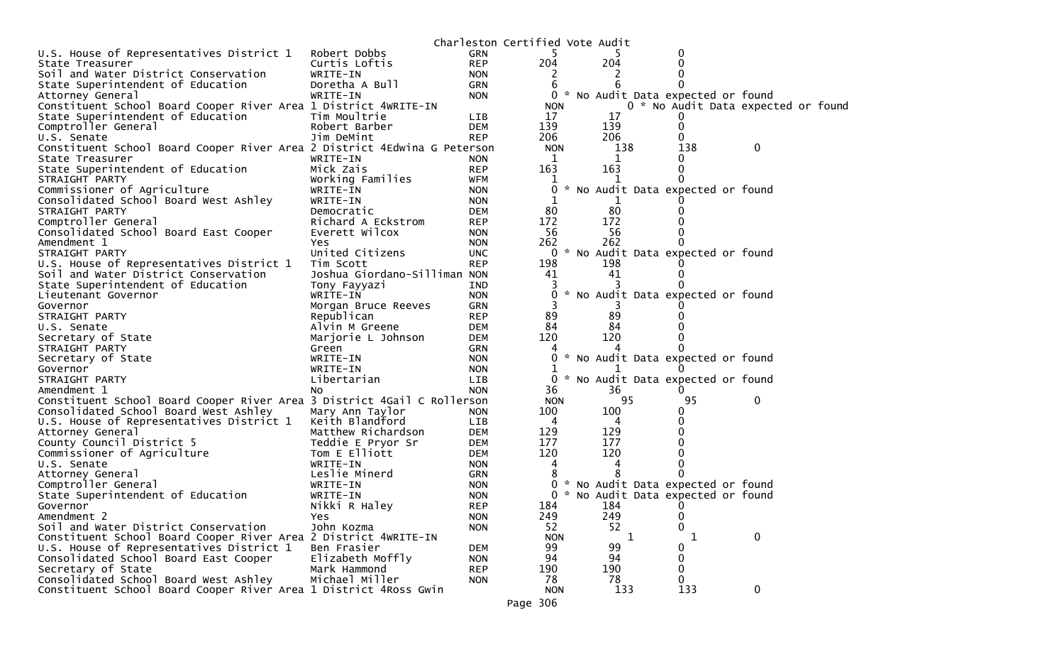|                                                                          |                              |            | Charleston Certified Vote Audit |     |              |                                     |                                     |  |
|--------------------------------------------------------------------------|------------------------------|------------|---------------------------------|-----|--------------|-------------------------------------|-------------------------------------|--|
| U.S. House of Representatives District 1                                 | Robert Dobbs                 | <b>GRN</b> |                                 |     |              | 0                                   |                                     |  |
| State Treasurer                                                          | Curtis Loftis                | <b>REP</b> | 204                             | 204 |              |                                     |                                     |  |
| Soil and Water District Conservation                                     | WRITE-IN                     | <b>NON</b> |                                 |     |              |                                     |                                     |  |
| State Superintendent of Education                                        | Doretha A Bull               | <b>GRN</b> | 6                               |     |              |                                     |                                     |  |
| Attorney General                                                         | WRITE-IN                     | <b>NON</b> |                                 |     |              | 0 * No Audit Data expected or found |                                     |  |
| Constituent School Board Cooper River Area 1 District 4WRITE-IN          |                              |            | <b>NON</b>                      |     |              |                                     | 0 * No Audit Data expected or found |  |
| State Superintendent of Education                                        | Tim Moultrie                 | LIB        | 17                              | 17  |              |                                     |                                     |  |
| Comptroller General                                                      | Robert Barber                | <b>DEM</b> | 139                             | 139 |              |                                     |                                     |  |
| U.S. Senate                                                              | Jim DeMint                   | <b>REP</b> | 206                             | 206 |              | 0                                   |                                     |  |
| Constituent School Board Cooper River Area 2 District 4Edwina G Peterson |                              |            | <b>NON</b>                      | 138 |              | 138                                 | 0                                   |  |
| State Treasurer                                                          | WRITE-IN                     | <b>NON</b> | 1                               |     |              | 0                                   |                                     |  |
| State Superintendent of Education                                        | Mick Zais                    | <b>REP</b> | 163                             | 163 |              | 0                                   |                                     |  |
| STRAIGHT PARTY                                                           | Working Families             | <b>WFM</b> |                                 |     |              |                                     |                                     |  |
| Commissioner of Agriculture                                              | WRITE-IN                     | <b>NON</b> | 0                               |     |              | * No Audit Data expected or found   |                                     |  |
| Consolidated School Board West Ashley                                    | WRITE-IN                     | <b>NON</b> |                                 |     |              |                                     |                                     |  |
| STRAIGHT PARTY                                                           | Democratic                   | <b>DEM</b> | 80                              | 80  |              |                                     |                                     |  |
| Comptroller General                                                      | Richard A Eckstrom           | <b>REP</b> | 172                             | 172 |              |                                     |                                     |  |
| Consolidated School Board East Cooper                                    | Everett Wilcox               | <b>NON</b> | 56                              | 56  |              |                                     |                                     |  |
| Amendment 1                                                              | Yes                          | <b>NON</b> | 262                             | 262 |              |                                     |                                     |  |
| STRAIGHT PARTY                                                           | United Citizens              | <b>UNC</b> | 0                               |     |              | * No Audit Data expected or found   |                                     |  |
| U.S. House of Representatives District 1                                 | Tim Scott                    | <b>REP</b> | 198                             | 198 |              |                                     |                                     |  |
| Soil and Water District Conservation                                     | Joshua Giordano-Silliman NON |            | 41                              | 41  |              |                                     |                                     |  |
| State Superintendent of Education                                        | Tony Fayyazi                 | IND        |                                 |     |              |                                     |                                     |  |
| Lieutenant Governor                                                      | WRITE-IN                     | <b>NON</b> |                                 |     |              | * No Audit Data expected or found   |                                     |  |
| Governor                                                                 | Morgan Bruce Reeves          | <b>GRN</b> |                                 |     |              |                                     |                                     |  |
| STRAIGHT PARTY                                                           | Republican                   | <b>REP</b> | 89                              | 89  |              |                                     |                                     |  |
| U.S. Senate                                                              | Alvin M Greene               | <b>DEM</b> | 84                              | 84  |              |                                     |                                     |  |
| Secretary of State                                                       | Marjorie L Johnson           | <b>DEM</b> | 120                             | 120 |              |                                     |                                     |  |
| STRAIGHT PARTY                                                           | Green                        | GRN        | 4                               |     |              |                                     |                                     |  |
| Secretary of State                                                       | WRITE-IN                     | <b>NON</b> |                                 |     |              | * No Audit Data expected or found   |                                     |  |
| Governor                                                                 | WRITE-IN                     | <b>NON</b> |                                 |     |              |                                     |                                     |  |
| STRAIGHT PARTY                                                           | Libertarian                  | <b>LIB</b> | 0                               |     |              | * No Audit Data expected or found   |                                     |  |
| Amendment 1                                                              | No.                          | <b>NON</b> | 36                              | 36  |              |                                     |                                     |  |
| Constituent School Board Cooper River Area 3 District 4Gail C Rollerson  |                              |            | <b>NON</b>                      | 95  |              | 95                                  | 0                                   |  |
| Consolidated School Board West Ashley                                    | Mary Ann Taylor              | <b>NON</b> | 100                             | 100 |              | 0                                   |                                     |  |
| U.S. House of Representatives District 1                                 | Keith Blandford              | LIB        | 4                               | 4   |              |                                     |                                     |  |
| Attorney General                                                         | Matthew Richardson           | <b>DEM</b> | 129                             | 129 |              |                                     |                                     |  |
| County Council District 5                                                | Teddie E Pryor Sr            | <b>DEM</b> | 177                             | 177 |              |                                     |                                     |  |
| Commissioner of Agriculture                                              | Tom E Elliott                | <b>DEM</b> | 120                             | 120 |              |                                     |                                     |  |
| U.S. Senate                                                              | WRITE-IN                     | <b>NON</b> | 4                               |     |              |                                     |                                     |  |
| Attorney General                                                         | Leslie Minerd                | <b>GRN</b> |                                 |     |              |                                     |                                     |  |
| Comptroller General                                                      | WRITE-IN                     | <b>NON</b> | 0                               |     |              | * No Audit Data expected or found   |                                     |  |
| State Superintendent of Education                                        | WRITE-IN                     | <b>NON</b> | $\Omega$                        |     |              | * No Audit Data expected or found   |                                     |  |
| Governor                                                                 | Nikki R Haley                | <b>REP</b> | 184                             | 184 |              | 0                                   |                                     |  |
| Amendment 2                                                              | <b>Yes</b>                   | <b>NON</b> | 249                             | 249 |              | 0                                   |                                     |  |
| Soil and Water District Conservation                                     | John Kozma                   | <b>NON</b> | 52                              | 52  |              | 0                                   |                                     |  |
| Constituent School Board Cooper River Area 2 District 4WRITE-IN          |                              |            | <b>NON</b>                      |     | $\mathbf{1}$ | 1                                   | 0                                   |  |
| U.S. House of Representatives District 1                                 | Ben Frasier                  | <b>DEM</b> | 99                              | 99  |              | 0                                   |                                     |  |
| Consolidated School Board East Cooper                                    | Elizabeth Moffly             | <b>NON</b> | 94                              | 94  |              | 0                                   |                                     |  |
| Secretary of State                                                       | Mark Hammond                 | <b>REP</b> | 190                             | 190 |              | 0                                   |                                     |  |
| Consolidated School Board West Ashley                                    | Michael Miller               | <b>NON</b> | 78                              | 78  |              | 0                                   |                                     |  |
| Constituent School Board Cooper River Area 1 District 4Ross Gwin         |                              |            | <b>NON</b>                      | 133 |              | 133                                 | 0                                   |  |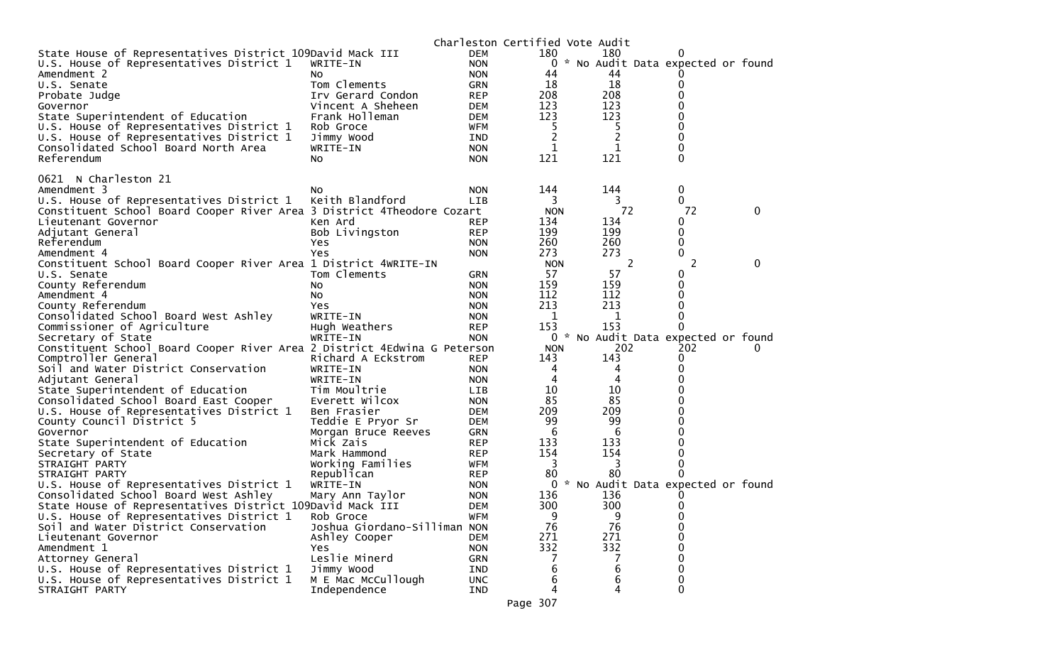|                                                                          |                              |            | Charleston Certified Vote Audit |                                   |              |   |
|--------------------------------------------------------------------------|------------------------------|------------|---------------------------------|-----------------------------------|--------------|---|
| State House of Representatives District 109David Mack III                |                              | <b>DEM</b> | 180                             | 180                               |              |   |
| U.S. House of Representatives District 1                                 | WRITE-IN                     | <b>NON</b> | $\mathcal{H}$<br>0              | No Audit Data expected or found   |              |   |
| Amendment 2                                                              | NO.                          | <b>NON</b> | 44                              | 44                                |              |   |
| U.S. Senate                                                              | Tom Clements                 | <b>GRN</b> | 18                              | 18                                | 0            |   |
| Probate Judge                                                            | Irv Gerard Condon            | <b>REP</b> | 208                             | 208                               | 0            |   |
| Governor                                                                 | Vincent A Sheheen            | <b>DEM</b> | 123                             | 123                               | 0            |   |
| State Superintendent of Education                                        | Frank Holleman               | <b>DEM</b> | 123                             | 123                               |              |   |
| U.S. House of Representatives District 1                                 | Rob Groce                    | WFM        | 5                               | 5                                 | 0            |   |
| U.S. House of Representatives District 1                                 | Jimmy Wood                   | IND        | $\overline{2}$                  | 2                                 | 0            |   |
| Consolidated School Board North Area                                     | WRITE-IN                     | <b>NON</b> | 1                               | 1                                 | 0            |   |
| Referendum                                                               | No.                          | <b>NON</b> | 121                             | 121                               | 0            |   |
|                                                                          |                              |            |                                 |                                   |              |   |
| 0621 N Charleston 21                                                     |                              |            |                                 |                                   |              |   |
| Amendment 3                                                              | NO.                          | <b>NON</b> | 144                             | 144                               | 0            |   |
| U.S. House of Representatives District 1                                 | Keith Blandford              | LIB        | 3                               | 3                                 | 0            |   |
| Constituent School Board Cooper River Area 3 District 4Theodore Cozart   |                              |            | <b>NON</b>                      | 72                                | 72           | 0 |
| Lieutenant Governor                                                      | Ken Ard                      | <b>REP</b> | 134                             | 134                               | 0            |   |
| Adjutant General                                                         | Bob Livingston               | <b>REP</b> | 199                             | 199                               | 0            |   |
| Referendum                                                               | Yes                          | <b>NON</b> | 260                             | 260                               | 0            |   |
| Amendment 4                                                              | Yes                          | <b>NON</b> | 273                             | 273                               | 0            |   |
| Constituent School Board Cooper River Area 1 District 4WRITE-IN          |                              |            | <b>NON</b>                      | 2                                 | 2            | 0 |
| U.S. Senate                                                              | Tom Clements                 | <b>GRN</b> | 57                              | 57                                | 0            |   |
| County Referendum                                                        | No.                          | <b>NON</b> | 159                             | 159                               | 0            |   |
| Amendment 4                                                              | No                           | <b>NON</b> | 112                             | 112                               | 0            |   |
| County Referendum                                                        | Yes                          | <b>NON</b> | 213                             | 213                               | 0            |   |
| Consolidated School Board West Ashley                                    | WRITE-IN                     | <b>NON</b> | 1                               | 1                                 | 0            |   |
| Commissioner of Agriculture                                              | Hugh Weathers                | <b>REP</b> | 153                             | 153                               | 0            |   |
| Secretary of State                                                       | WRITE-IN                     | <b>NON</b> | 0<br>$\mathcal{R}$              | No Audit Data expected or found   |              |   |
| Constituent School Board Cooper River Area 2 District 4Edwina G Peterson |                              |            | <b>NON</b>                      | 202                               | 202          |   |
| Comptroller General                                                      | Richard A Eckstrom           | <b>REP</b> | 143                             | 143                               | 0            |   |
| Soil and Water District Conservation                                     | WRITE-IN                     | <b>NON</b> | 4                               | 4                                 | Ω            |   |
| Adjutant General                                                         | WRITE-IN                     | <b>NON</b> | 4                               | 4                                 |              |   |
| State Superintendent of Education                                        | Tim Moultrie                 | <b>LIB</b> | 10                              | 10                                |              |   |
| Consolidated School Board East Cooper                                    | Everett Wilcox               | <b>NON</b> | 85                              | 85                                |              |   |
| U.S. House of Representatives District 1                                 | Ben Frasier                  | <b>DEM</b> | 209                             | 209                               |              |   |
| County Council District 5                                                | Teddie E Pryor Sr            | <b>DEM</b> | 99                              | 99                                |              |   |
| Governor                                                                 | Morgan Bruce Reeves          | GRN        | -6                              | 6                                 |              |   |
| State Superintendent of Education                                        | Mick Zais                    | <b>REP</b> | 133                             | 133                               | 0            |   |
| Secretary of State                                                       | Mark Hammond                 | <b>REP</b> | 154                             | 154                               |              |   |
| STRAIGHT PARTY                                                           | Working Families             | WFM        | 3                               | 3                                 | 0            |   |
| STRAIGHT PARTY                                                           | Republican                   | <b>REP</b> | 80                              | 80                                | 0            |   |
| U.S. House of Representatives District 1                                 | WRITE-IN                     | <b>NON</b> | 0                               | * No Audit Data expected or found |              |   |
| Consolidated School Board West Ashley                                    | Mary Ann Taylor              | <b>NON</b> | 136                             | 136                               |              |   |
| State House of Representatives District 109David Mack III                |                              | DEM        | 300                             | 300                               | 0            |   |
| U.S. House of Representatives District 1                                 | Rob Groce                    | <b>WFM</b> | 9                               | 9                                 | 0            |   |
| Soil and Water District Conservation                                     | Joshua Giordano-Silliman NON |            | 76                              | 76                                | 0            |   |
| Lieutenant Governor                                                      | Ashley Cooper                | <b>DEM</b> | 271                             | 271                               | 0            |   |
| Amendment 1                                                              | Yes.                         | <b>NON</b> | 332                             | 332                               | 0            |   |
| Attorney General                                                         | Leslie Minerd                | <b>GRN</b> |                                 |                                   | 0            |   |
| U.S. House of Representatives District 1                                 | Jimmy Wood                   | IND        | 6                               | 6                                 | 0            |   |
| U.S. House of Representatives District 1                                 | M E Mac McCullough           | <b>UNC</b> | 6                               | 6                                 | 0            |   |
| STRAIGHT PARTY                                                           | Independence                 | IND        | 4                               | 4                                 | $\mathbf{0}$ |   |
|                                                                          |                              |            |                                 |                                   |              |   |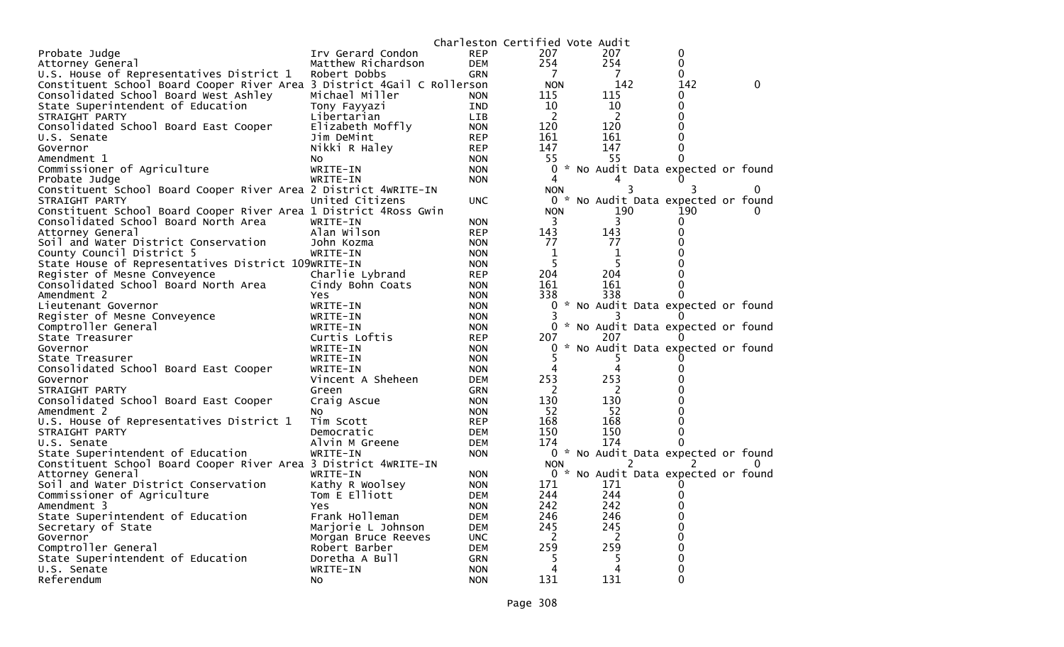| Irv Gerard Condon<br><b>REP</b><br>207<br>207<br>0<br>Probate Judge<br>254<br>254<br>0<br>Attorney General<br>Matthew Richardson<br><b>DEM</b><br>U.S. House of Representatives District 1<br>Robert Dobbs<br><b>GRN</b><br>7<br>7<br>0<br>142<br>Constituent School Board Cooper River Area 3 District 4Gail C Rollerson<br><b>NON</b><br>142<br>0<br>Michael Miller<br>115<br>115<br>Consolidated School Board West Ashley<br><b>NON</b><br>0<br>10<br>10<br>State Superintendent of Education<br>Tony Fayyazi<br>IND<br>0<br>$\overline{c}$<br>2<br>STRAIGHT PARTY<br>Libertarian<br><b>LIB</b><br>120<br>120<br>Consolidated School Board East Cooper<br>Elizabeth Moffly<br><b>NON</b><br>161<br>U.S. Senate<br>Jim DeMint<br><b>REP</b><br>161<br>147<br>Governor<br>Nikki R Haley<br><b>REP</b><br>147<br>55<br>55<br>Amendment 1<br>No<br><b>NON</b><br>Commissioner of Agriculture<br>0<br>* No Audit Data expected or found<br>WRITE-IN<br><b>NON</b><br>Probate Judge<br>WRITE-IN<br><b>NON</b><br>4<br>$\mathbf{0}$<br>Constituent School Board Cooper River Area 2 District 4WRITE-IN<br>3<br>3<br>NON.<br>No Audit Data expected or found<br>STRAIGHT PARTY<br>United Citizens<br>₩.<br><b>UNC</b><br>0<br>190<br>Constituent School Board Cooper River Area 1 District 4Ross Gwin<br><b>NON</b><br>190<br>3<br>Consolidated School Board North Area<br>WRITE-IN<br><b>NON</b><br>3<br>O<br>143<br>143<br>Alan Wilson<br>Attorney General<br><b>REP</b><br>77<br>77<br>Soil and Water District Conservation<br>John Kozma<br><b>NON</b><br>County Council District 5<br>1<br>WRITE-IN<br><b>NON</b><br>1<br>5<br>5<br>State House of Representatives District 109WRITE-IN<br><b>NON</b><br>204<br>204<br>Register of Mesne Conveyence<br>Charlie Lybrand<br><b>REP</b><br>Consolidated School Board North Area<br>161<br>161<br>Cindy Bohn Coats<br><b>NON</b><br>Amendment 2<br>338<br>338<br><b>NON</b><br>Yes<br>* No Audit Data expected or found<br>Lieutenant Governor<br>WRITE-IN<br>0<br><b>NON</b><br>Register of Mesne Conveyence<br>WRITE-IN<br><b>NON</b><br>Comptroller General<br>* No Audit Data expected or found<br>0<br>WRITE-IN<br><b>NON</b><br>Curtis Loftis<br><b>REP</b><br>207<br>207<br>State Treasurer<br>No Audit Data expected or found<br>Governor<br>WRITE-IN<br><b>NON</b><br>0<br>WRITE-IN<br><b>NON</b><br>5<br>State Treasurer<br>5<br>Consolidated School Board East Cooper<br>WRITE-IN<br>4<br><b>NON</b><br>253<br>253<br>Vincent A Sheheen<br>Governor<br><b>DEM</b><br>2<br>STRAIGHT PARTY<br>Green<br>GRN<br>2<br>130<br>130<br>Consolidated School Board East Cooper<br>Craig Ascue<br><b>NON</b><br>52<br>52<br>Amendment 2<br><b>NON</b><br>NO.<br>168<br>168<br>U.S. House of Representatives District 1<br>Tim Scott<br><b>REP</b><br>150<br>150<br>STRAIGHT PARTY<br>Democratic<br><b>DEM</b><br>174<br>174<br>Alvin M Greene<br>U.S. Senate<br><b>DEM</b><br>State Superintendent of Education<br>WRITE-IN<br>0 * No Audit Data expected or found<br><b>NON</b><br>Constituent School Board Cooper River Area 3 District 4WRITE-IN<br><b>NON</b><br>$\Omega$<br>* No Audit Data expected or found<br>Attorney General<br>WRITE-IN<br><b>NON</b><br>0<br>Kathy R Woolsey<br>171<br>171<br>Soil and Water District Conservation<br><b>NON</b><br>244<br>Commissioner of Agriculture<br>Tom E Elliott<br>244<br><b>DEM</b><br>0<br>242<br>242<br>Amendment 3<br><b>Yes</b><br><b>NON</b><br>246<br>246<br>State Superintendent of Education<br>Frank Holleman<br>DEM<br>245<br>245<br>Secretary of State<br>Marjorie L Johnson<br><b>DEM</b><br>2<br>2<br>Governor<br>Morgan Bruce Reeves<br><b>UNC</b><br>259<br>259<br>Comptroller General<br>Robert Barber<br><b>DEM</b><br>State Superintendent of Education<br>5<br>5<br>Doretha A Bull<br>GRN<br>4<br>U.S. Senate<br>WRITE-IN<br><b>NON</b><br>4<br>0 |            |           |            | Charleston Certified Vote Audit |     |  |
|-----------------------------------------------------------------------------------------------------------------------------------------------------------------------------------------------------------------------------------------------------------------------------------------------------------------------------------------------------------------------------------------------------------------------------------------------------------------------------------------------------------------------------------------------------------------------------------------------------------------------------------------------------------------------------------------------------------------------------------------------------------------------------------------------------------------------------------------------------------------------------------------------------------------------------------------------------------------------------------------------------------------------------------------------------------------------------------------------------------------------------------------------------------------------------------------------------------------------------------------------------------------------------------------------------------------------------------------------------------------------------------------------------------------------------------------------------------------------------------------------------------------------------------------------------------------------------------------------------------------------------------------------------------------------------------------------------------------------------------------------------------------------------------------------------------------------------------------------------------------------------------------------------------------------------------------------------------------------------------------------------------------------------------------------------------------------------------------------------------------------------------------------------------------------------------------------------------------------------------------------------------------------------------------------------------------------------------------------------------------------------------------------------------------------------------------------------------------------------------------------------------------------------------------------------------------------------------------------------------------------------------------------------------------------------------------------------------------------------------------------------------------------------------------------------------------------------------------------------------------------------------------------------------------------------------------------------------------------------------------------------------------------------------------------------------------------------------------------------------------------------------------------------------------------------------------------------------------------------------------------------------------------------------------------------------------------------------------------------------------------------------------------------------------------------------------------------------------------------------------------------------------------------------------------------------------------------------------------------------------------------------------------------------------------------------------------------------------------------------------------------------------------------------------------------------------------------------------------------------------------|------------|-----------|------------|---------------------------------|-----|--|
|                                                                                                                                                                                                                                                                                                                                                                                                                                                                                                                                                                                                                                                                                                                                                                                                                                                                                                                                                                                                                                                                                                                                                                                                                                                                                                                                                                                                                                                                                                                                                                                                                                                                                                                                                                                                                                                                                                                                                                                                                                                                                                                                                                                                                                                                                                                                                                                                                                                                                                                                                                                                                                                                                                                                                                                                                                                                                                                                                                                                                                                                                                                                                                                                                                                                                                                                                                                                                                                                                                                                                                                                                                                                                                                                                                                                                                                                       |            |           |            |                                 |     |  |
|                                                                                                                                                                                                                                                                                                                                                                                                                                                                                                                                                                                                                                                                                                                                                                                                                                                                                                                                                                                                                                                                                                                                                                                                                                                                                                                                                                                                                                                                                                                                                                                                                                                                                                                                                                                                                                                                                                                                                                                                                                                                                                                                                                                                                                                                                                                                                                                                                                                                                                                                                                                                                                                                                                                                                                                                                                                                                                                                                                                                                                                                                                                                                                                                                                                                                                                                                                                                                                                                                                                                                                                                                                                                                                                                                                                                                                                                       |            |           |            |                                 |     |  |
|                                                                                                                                                                                                                                                                                                                                                                                                                                                                                                                                                                                                                                                                                                                                                                                                                                                                                                                                                                                                                                                                                                                                                                                                                                                                                                                                                                                                                                                                                                                                                                                                                                                                                                                                                                                                                                                                                                                                                                                                                                                                                                                                                                                                                                                                                                                                                                                                                                                                                                                                                                                                                                                                                                                                                                                                                                                                                                                                                                                                                                                                                                                                                                                                                                                                                                                                                                                                                                                                                                                                                                                                                                                                                                                                                                                                                                                                       |            |           |            |                                 |     |  |
|                                                                                                                                                                                                                                                                                                                                                                                                                                                                                                                                                                                                                                                                                                                                                                                                                                                                                                                                                                                                                                                                                                                                                                                                                                                                                                                                                                                                                                                                                                                                                                                                                                                                                                                                                                                                                                                                                                                                                                                                                                                                                                                                                                                                                                                                                                                                                                                                                                                                                                                                                                                                                                                                                                                                                                                                                                                                                                                                                                                                                                                                                                                                                                                                                                                                                                                                                                                                                                                                                                                                                                                                                                                                                                                                                                                                                                                                       |            |           |            |                                 |     |  |
|                                                                                                                                                                                                                                                                                                                                                                                                                                                                                                                                                                                                                                                                                                                                                                                                                                                                                                                                                                                                                                                                                                                                                                                                                                                                                                                                                                                                                                                                                                                                                                                                                                                                                                                                                                                                                                                                                                                                                                                                                                                                                                                                                                                                                                                                                                                                                                                                                                                                                                                                                                                                                                                                                                                                                                                                                                                                                                                                                                                                                                                                                                                                                                                                                                                                                                                                                                                                                                                                                                                                                                                                                                                                                                                                                                                                                                                                       |            |           |            |                                 |     |  |
|                                                                                                                                                                                                                                                                                                                                                                                                                                                                                                                                                                                                                                                                                                                                                                                                                                                                                                                                                                                                                                                                                                                                                                                                                                                                                                                                                                                                                                                                                                                                                                                                                                                                                                                                                                                                                                                                                                                                                                                                                                                                                                                                                                                                                                                                                                                                                                                                                                                                                                                                                                                                                                                                                                                                                                                                                                                                                                                                                                                                                                                                                                                                                                                                                                                                                                                                                                                                                                                                                                                                                                                                                                                                                                                                                                                                                                                                       |            |           |            |                                 |     |  |
|                                                                                                                                                                                                                                                                                                                                                                                                                                                                                                                                                                                                                                                                                                                                                                                                                                                                                                                                                                                                                                                                                                                                                                                                                                                                                                                                                                                                                                                                                                                                                                                                                                                                                                                                                                                                                                                                                                                                                                                                                                                                                                                                                                                                                                                                                                                                                                                                                                                                                                                                                                                                                                                                                                                                                                                                                                                                                                                                                                                                                                                                                                                                                                                                                                                                                                                                                                                                                                                                                                                                                                                                                                                                                                                                                                                                                                                                       |            |           |            |                                 |     |  |
|                                                                                                                                                                                                                                                                                                                                                                                                                                                                                                                                                                                                                                                                                                                                                                                                                                                                                                                                                                                                                                                                                                                                                                                                                                                                                                                                                                                                                                                                                                                                                                                                                                                                                                                                                                                                                                                                                                                                                                                                                                                                                                                                                                                                                                                                                                                                                                                                                                                                                                                                                                                                                                                                                                                                                                                                                                                                                                                                                                                                                                                                                                                                                                                                                                                                                                                                                                                                                                                                                                                                                                                                                                                                                                                                                                                                                                                                       |            |           |            |                                 |     |  |
|                                                                                                                                                                                                                                                                                                                                                                                                                                                                                                                                                                                                                                                                                                                                                                                                                                                                                                                                                                                                                                                                                                                                                                                                                                                                                                                                                                                                                                                                                                                                                                                                                                                                                                                                                                                                                                                                                                                                                                                                                                                                                                                                                                                                                                                                                                                                                                                                                                                                                                                                                                                                                                                                                                                                                                                                                                                                                                                                                                                                                                                                                                                                                                                                                                                                                                                                                                                                                                                                                                                                                                                                                                                                                                                                                                                                                                                                       |            |           |            |                                 |     |  |
|                                                                                                                                                                                                                                                                                                                                                                                                                                                                                                                                                                                                                                                                                                                                                                                                                                                                                                                                                                                                                                                                                                                                                                                                                                                                                                                                                                                                                                                                                                                                                                                                                                                                                                                                                                                                                                                                                                                                                                                                                                                                                                                                                                                                                                                                                                                                                                                                                                                                                                                                                                                                                                                                                                                                                                                                                                                                                                                                                                                                                                                                                                                                                                                                                                                                                                                                                                                                                                                                                                                                                                                                                                                                                                                                                                                                                                                                       |            |           |            |                                 |     |  |
|                                                                                                                                                                                                                                                                                                                                                                                                                                                                                                                                                                                                                                                                                                                                                                                                                                                                                                                                                                                                                                                                                                                                                                                                                                                                                                                                                                                                                                                                                                                                                                                                                                                                                                                                                                                                                                                                                                                                                                                                                                                                                                                                                                                                                                                                                                                                                                                                                                                                                                                                                                                                                                                                                                                                                                                                                                                                                                                                                                                                                                                                                                                                                                                                                                                                                                                                                                                                                                                                                                                                                                                                                                                                                                                                                                                                                                                                       |            |           |            |                                 |     |  |
|                                                                                                                                                                                                                                                                                                                                                                                                                                                                                                                                                                                                                                                                                                                                                                                                                                                                                                                                                                                                                                                                                                                                                                                                                                                                                                                                                                                                                                                                                                                                                                                                                                                                                                                                                                                                                                                                                                                                                                                                                                                                                                                                                                                                                                                                                                                                                                                                                                                                                                                                                                                                                                                                                                                                                                                                                                                                                                                                                                                                                                                                                                                                                                                                                                                                                                                                                                                                                                                                                                                                                                                                                                                                                                                                                                                                                                                                       |            |           |            |                                 |     |  |
|                                                                                                                                                                                                                                                                                                                                                                                                                                                                                                                                                                                                                                                                                                                                                                                                                                                                                                                                                                                                                                                                                                                                                                                                                                                                                                                                                                                                                                                                                                                                                                                                                                                                                                                                                                                                                                                                                                                                                                                                                                                                                                                                                                                                                                                                                                                                                                                                                                                                                                                                                                                                                                                                                                                                                                                                                                                                                                                                                                                                                                                                                                                                                                                                                                                                                                                                                                                                                                                                                                                                                                                                                                                                                                                                                                                                                                                                       |            |           |            |                                 |     |  |
|                                                                                                                                                                                                                                                                                                                                                                                                                                                                                                                                                                                                                                                                                                                                                                                                                                                                                                                                                                                                                                                                                                                                                                                                                                                                                                                                                                                                                                                                                                                                                                                                                                                                                                                                                                                                                                                                                                                                                                                                                                                                                                                                                                                                                                                                                                                                                                                                                                                                                                                                                                                                                                                                                                                                                                                                                                                                                                                                                                                                                                                                                                                                                                                                                                                                                                                                                                                                                                                                                                                                                                                                                                                                                                                                                                                                                                                                       |            |           |            |                                 |     |  |
|                                                                                                                                                                                                                                                                                                                                                                                                                                                                                                                                                                                                                                                                                                                                                                                                                                                                                                                                                                                                                                                                                                                                                                                                                                                                                                                                                                                                                                                                                                                                                                                                                                                                                                                                                                                                                                                                                                                                                                                                                                                                                                                                                                                                                                                                                                                                                                                                                                                                                                                                                                                                                                                                                                                                                                                                                                                                                                                                                                                                                                                                                                                                                                                                                                                                                                                                                                                                                                                                                                                                                                                                                                                                                                                                                                                                                                                                       |            |           |            |                                 |     |  |
|                                                                                                                                                                                                                                                                                                                                                                                                                                                                                                                                                                                                                                                                                                                                                                                                                                                                                                                                                                                                                                                                                                                                                                                                                                                                                                                                                                                                                                                                                                                                                                                                                                                                                                                                                                                                                                                                                                                                                                                                                                                                                                                                                                                                                                                                                                                                                                                                                                                                                                                                                                                                                                                                                                                                                                                                                                                                                                                                                                                                                                                                                                                                                                                                                                                                                                                                                                                                                                                                                                                                                                                                                                                                                                                                                                                                                                                                       |            |           |            |                                 |     |  |
|                                                                                                                                                                                                                                                                                                                                                                                                                                                                                                                                                                                                                                                                                                                                                                                                                                                                                                                                                                                                                                                                                                                                                                                                                                                                                                                                                                                                                                                                                                                                                                                                                                                                                                                                                                                                                                                                                                                                                                                                                                                                                                                                                                                                                                                                                                                                                                                                                                                                                                                                                                                                                                                                                                                                                                                                                                                                                                                                                                                                                                                                                                                                                                                                                                                                                                                                                                                                                                                                                                                                                                                                                                                                                                                                                                                                                                                                       |            |           |            |                                 |     |  |
|                                                                                                                                                                                                                                                                                                                                                                                                                                                                                                                                                                                                                                                                                                                                                                                                                                                                                                                                                                                                                                                                                                                                                                                                                                                                                                                                                                                                                                                                                                                                                                                                                                                                                                                                                                                                                                                                                                                                                                                                                                                                                                                                                                                                                                                                                                                                                                                                                                                                                                                                                                                                                                                                                                                                                                                                                                                                                                                                                                                                                                                                                                                                                                                                                                                                                                                                                                                                                                                                                                                                                                                                                                                                                                                                                                                                                                                                       |            |           |            |                                 |     |  |
|                                                                                                                                                                                                                                                                                                                                                                                                                                                                                                                                                                                                                                                                                                                                                                                                                                                                                                                                                                                                                                                                                                                                                                                                                                                                                                                                                                                                                                                                                                                                                                                                                                                                                                                                                                                                                                                                                                                                                                                                                                                                                                                                                                                                                                                                                                                                                                                                                                                                                                                                                                                                                                                                                                                                                                                                                                                                                                                                                                                                                                                                                                                                                                                                                                                                                                                                                                                                                                                                                                                                                                                                                                                                                                                                                                                                                                                                       |            |           |            |                                 |     |  |
|                                                                                                                                                                                                                                                                                                                                                                                                                                                                                                                                                                                                                                                                                                                                                                                                                                                                                                                                                                                                                                                                                                                                                                                                                                                                                                                                                                                                                                                                                                                                                                                                                                                                                                                                                                                                                                                                                                                                                                                                                                                                                                                                                                                                                                                                                                                                                                                                                                                                                                                                                                                                                                                                                                                                                                                                                                                                                                                                                                                                                                                                                                                                                                                                                                                                                                                                                                                                                                                                                                                                                                                                                                                                                                                                                                                                                                                                       |            |           |            |                                 |     |  |
|                                                                                                                                                                                                                                                                                                                                                                                                                                                                                                                                                                                                                                                                                                                                                                                                                                                                                                                                                                                                                                                                                                                                                                                                                                                                                                                                                                                                                                                                                                                                                                                                                                                                                                                                                                                                                                                                                                                                                                                                                                                                                                                                                                                                                                                                                                                                                                                                                                                                                                                                                                                                                                                                                                                                                                                                                                                                                                                                                                                                                                                                                                                                                                                                                                                                                                                                                                                                                                                                                                                                                                                                                                                                                                                                                                                                                                                                       |            |           |            |                                 |     |  |
|                                                                                                                                                                                                                                                                                                                                                                                                                                                                                                                                                                                                                                                                                                                                                                                                                                                                                                                                                                                                                                                                                                                                                                                                                                                                                                                                                                                                                                                                                                                                                                                                                                                                                                                                                                                                                                                                                                                                                                                                                                                                                                                                                                                                                                                                                                                                                                                                                                                                                                                                                                                                                                                                                                                                                                                                                                                                                                                                                                                                                                                                                                                                                                                                                                                                                                                                                                                                                                                                                                                                                                                                                                                                                                                                                                                                                                                                       |            |           |            |                                 |     |  |
|                                                                                                                                                                                                                                                                                                                                                                                                                                                                                                                                                                                                                                                                                                                                                                                                                                                                                                                                                                                                                                                                                                                                                                                                                                                                                                                                                                                                                                                                                                                                                                                                                                                                                                                                                                                                                                                                                                                                                                                                                                                                                                                                                                                                                                                                                                                                                                                                                                                                                                                                                                                                                                                                                                                                                                                                                                                                                                                                                                                                                                                                                                                                                                                                                                                                                                                                                                                                                                                                                                                                                                                                                                                                                                                                                                                                                                                                       |            |           |            |                                 |     |  |
|                                                                                                                                                                                                                                                                                                                                                                                                                                                                                                                                                                                                                                                                                                                                                                                                                                                                                                                                                                                                                                                                                                                                                                                                                                                                                                                                                                                                                                                                                                                                                                                                                                                                                                                                                                                                                                                                                                                                                                                                                                                                                                                                                                                                                                                                                                                                                                                                                                                                                                                                                                                                                                                                                                                                                                                                                                                                                                                                                                                                                                                                                                                                                                                                                                                                                                                                                                                                                                                                                                                                                                                                                                                                                                                                                                                                                                                                       |            |           |            |                                 |     |  |
|                                                                                                                                                                                                                                                                                                                                                                                                                                                                                                                                                                                                                                                                                                                                                                                                                                                                                                                                                                                                                                                                                                                                                                                                                                                                                                                                                                                                                                                                                                                                                                                                                                                                                                                                                                                                                                                                                                                                                                                                                                                                                                                                                                                                                                                                                                                                                                                                                                                                                                                                                                                                                                                                                                                                                                                                                                                                                                                                                                                                                                                                                                                                                                                                                                                                                                                                                                                                                                                                                                                                                                                                                                                                                                                                                                                                                                                                       |            |           |            |                                 |     |  |
|                                                                                                                                                                                                                                                                                                                                                                                                                                                                                                                                                                                                                                                                                                                                                                                                                                                                                                                                                                                                                                                                                                                                                                                                                                                                                                                                                                                                                                                                                                                                                                                                                                                                                                                                                                                                                                                                                                                                                                                                                                                                                                                                                                                                                                                                                                                                                                                                                                                                                                                                                                                                                                                                                                                                                                                                                                                                                                                                                                                                                                                                                                                                                                                                                                                                                                                                                                                                                                                                                                                                                                                                                                                                                                                                                                                                                                                                       |            |           |            |                                 |     |  |
|                                                                                                                                                                                                                                                                                                                                                                                                                                                                                                                                                                                                                                                                                                                                                                                                                                                                                                                                                                                                                                                                                                                                                                                                                                                                                                                                                                                                                                                                                                                                                                                                                                                                                                                                                                                                                                                                                                                                                                                                                                                                                                                                                                                                                                                                                                                                                                                                                                                                                                                                                                                                                                                                                                                                                                                                                                                                                                                                                                                                                                                                                                                                                                                                                                                                                                                                                                                                                                                                                                                                                                                                                                                                                                                                                                                                                                                                       |            |           |            |                                 |     |  |
|                                                                                                                                                                                                                                                                                                                                                                                                                                                                                                                                                                                                                                                                                                                                                                                                                                                                                                                                                                                                                                                                                                                                                                                                                                                                                                                                                                                                                                                                                                                                                                                                                                                                                                                                                                                                                                                                                                                                                                                                                                                                                                                                                                                                                                                                                                                                                                                                                                                                                                                                                                                                                                                                                                                                                                                                                                                                                                                                                                                                                                                                                                                                                                                                                                                                                                                                                                                                                                                                                                                                                                                                                                                                                                                                                                                                                                                                       |            |           |            |                                 |     |  |
|                                                                                                                                                                                                                                                                                                                                                                                                                                                                                                                                                                                                                                                                                                                                                                                                                                                                                                                                                                                                                                                                                                                                                                                                                                                                                                                                                                                                                                                                                                                                                                                                                                                                                                                                                                                                                                                                                                                                                                                                                                                                                                                                                                                                                                                                                                                                                                                                                                                                                                                                                                                                                                                                                                                                                                                                                                                                                                                                                                                                                                                                                                                                                                                                                                                                                                                                                                                                                                                                                                                                                                                                                                                                                                                                                                                                                                                                       |            |           |            |                                 |     |  |
|                                                                                                                                                                                                                                                                                                                                                                                                                                                                                                                                                                                                                                                                                                                                                                                                                                                                                                                                                                                                                                                                                                                                                                                                                                                                                                                                                                                                                                                                                                                                                                                                                                                                                                                                                                                                                                                                                                                                                                                                                                                                                                                                                                                                                                                                                                                                                                                                                                                                                                                                                                                                                                                                                                                                                                                                                                                                                                                                                                                                                                                                                                                                                                                                                                                                                                                                                                                                                                                                                                                                                                                                                                                                                                                                                                                                                                                                       |            |           |            |                                 |     |  |
|                                                                                                                                                                                                                                                                                                                                                                                                                                                                                                                                                                                                                                                                                                                                                                                                                                                                                                                                                                                                                                                                                                                                                                                                                                                                                                                                                                                                                                                                                                                                                                                                                                                                                                                                                                                                                                                                                                                                                                                                                                                                                                                                                                                                                                                                                                                                                                                                                                                                                                                                                                                                                                                                                                                                                                                                                                                                                                                                                                                                                                                                                                                                                                                                                                                                                                                                                                                                                                                                                                                                                                                                                                                                                                                                                                                                                                                                       |            |           |            |                                 |     |  |
|                                                                                                                                                                                                                                                                                                                                                                                                                                                                                                                                                                                                                                                                                                                                                                                                                                                                                                                                                                                                                                                                                                                                                                                                                                                                                                                                                                                                                                                                                                                                                                                                                                                                                                                                                                                                                                                                                                                                                                                                                                                                                                                                                                                                                                                                                                                                                                                                                                                                                                                                                                                                                                                                                                                                                                                                                                                                                                                                                                                                                                                                                                                                                                                                                                                                                                                                                                                                                                                                                                                                                                                                                                                                                                                                                                                                                                                                       |            |           |            |                                 |     |  |
|                                                                                                                                                                                                                                                                                                                                                                                                                                                                                                                                                                                                                                                                                                                                                                                                                                                                                                                                                                                                                                                                                                                                                                                                                                                                                                                                                                                                                                                                                                                                                                                                                                                                                                                                                                                                                                                                                                                                                                                                                                                                                                                                                                                                                                                                                                                                                                                                                                                                                                                                                                                                                                                                                                                                                                                                                                                                                                                                                                                                                                                                                                                                                                                                                                                                                                                                                                                                                                                                                                                                                                                                                                                                                                                                                                                                                                                                       |            |           |            |                                 |     |  |
|                                                                                                                                                                                                                                                                                                                                                                                                                                                                                                                                                                                                                                                                                                                                                                                                                                                                                                                                                                                                                                                                                                                                                                                                                                                                                                                                                                                                                                                                                                                                                                                                                                                                                                                                                                                                                                                                                                                                                                                                                                                                                                                                                                                                                                                                                                                                                                                                                                                                                                                                                                                                                                                                                                                                                                                                                                                                                                                                                                                                                                                                                                                                                                                                                                                                                                                                                                                                                                                                                                                                                                                                                                                                                                                                                                                                                                                                       |            |           |            |                                 |     |  |
|                                                                                                                                                                                                                                                                                                                                                                                                                                                                                                                                                                                                                                                                                                                                                                                                                                                                                                                                                                                                                                                                                                                                                                                                                                                                                                                                                                                                                                                                                                                                                                                                                                                                                                                                                                                                                                                                                                                                                                                                                                                                                                                                                                                                                                                                                                                                                                                                                                                                                                                                                                                                                                                                                                                                                                                                                                                                                                                                                                                                                                                                                                                                                                                                                                                                                                                                                                                                                                                                                                                                                                                                                                                                                                                                                                                                                                                                       |            |           |            |                                 |     |  |
|                                                                                                                                                                                                                                                                                                                                                                                                                                                                                                                                                                                                                                                                                                                                                                                                                                                                                                                                                                                                                                                                                                                                                                                                                                                                                                                                                                                                                                                                                                                                                                                                                                                                                                                                                                                                                                                                                                                                                                                                                                                                                                                                                                                                                                                                                                                                                                                                                                                                                                                                                                                                                                                                                                                                                                                                                                                                                                                                                                                                                                                                                                                                                                                                                                                                                                                                                                                                                                                                                                                                                                                                                                                                                                                                                                                                                                                                       |            |           |            |                                 |     |  |
|                                                                                                                                                                                                                                                                                                                                                                                                                                                                                                                                                                                                                                                                                                                                                                                                                                                                                                                                                                                                                                                                                                                                                                                                                                                                                                                                                                                                                                                                                                                                                                                                                                                                                                                                                                                                                                                                                                                                                                                                                                                                                                                                                                                                                                                                                                                                                                                                                                                                                                                                                                                                                                                                                                                                                                                                                                                                                                                                                                                                                                                                                                                                                                                                                                                                                                                                                                                                                                                                                                                                                                                                                                                                                                                                                                                                                                                                       |            |           |            |                                 |     |  |
|                                                                                                                                                                                                                                                                                                                                                                                                                                                                                                                                                                                                                                                                                                                                                                                                                                                                                                                                                                                                                                                                                                                                                                                                                                                                                                                                                                                                                                                                                                                                                                                                                                                                                                                                                                                                                                                                                                                                                                                                                                                                                                                                                                                                                                                                                                                                                                                                                                                                                                                                                                                                                                                                                                                                                                                                                                                                                                                                                                                                                                                                                                                                                                                                                                                                                                                                                                                                                                                                                                                                                                                                                                                                                                                                                                                                                                                                       |            |           |            |                                 |     |  |
|                                                                                                                                                                                                                                                                                                                                                                                                                                                                                                                                                                                                                                                                                                                                                                                                                                                                                                                                                                                                                                                                                                                                                                                                                                                                                                                                                                                                                                                                                                                                                                                                                                                                                                                                                                                                                                                                                                                                                                                                                                                                                                                                                                                                                                                                                                                                                                                                                                                                                                                                                                                                                                                                                                                                                                                                                                                                                                                                                                                                                                                                                                                                                                                                                                                                                                                                                                                                                                                                                                                                                                                                                                                                                                                                                                                                                                                                       |            |           |            |                                 |     |  |
|                                                                                                                                                                                                                                                                                                                                                                                                                                                                                                                                                                                                                                                                                                                                                                                                                                                                                                                                                                                                                                                                                                                                                                                                                                                                                                                                                                                                                                                                                                                                                                                                                                                                                                                                                                                                                                                                                                                                                                                                                                                                                                                                                                                                                                                                                                                                                                                                                                                                                                                                                                                                                                                                                                                                                                                                                                                                                                                                                                                                                                                                                                                                                                                                                                                                                                                                                                                                                                                                                                                                                                                                                                                                                                                                                                                                                                                                       |            |           |            |                                 |     |  |
|                                                                                                                                                                                                                                                                                                                                                                                                                                                                                                                                                                                                                                                                                                                                                                                                                                                                                                                                                                                                                                                                                                                                                                                                                                                                                                                                                                                                                                                                                                                                                                                                                                                                                                                                                                                                                                                                                                                                                                                                                                                                                                                                                                                                                                                                                                                                                                                                                                                                                                                                                                                                                                                                                                                                                                                                                                                                                                                                                                                                                                                                                                                                                                                                                                                                                                                                                                                                                                                                                                                                                                                                                                                                                                                                                                                                                                                                       |            |           |            |                                 |     |  |
|                                                                                                                                                                                                                                                                                                                                                                                                                                                                                                                                                                                                                                                                                                                                                                                                                                                                                                                                                                                                                                                                                                                                                                                                                                                                                                                                                                                                                                                                                                                                                                                                                                                                                                                                                                                                                                                                                                                                                                                                                                                                                                                                                                                                                                                                                                                                                                                                                                                                                                                                                                                                                                                                                                                                                                                                                                                                                                                                                                                                                                                                                                                                                                                                                                                                                                                                                                                                                                                                                                                                                                                                                                                                                                                                                                                                                                                                       |            |           |            |                                 |     |  |
|                                                                                                                                                                                                                                                                                                                                                                                                                                                                                                                                                                                                                                                                                                                                                                                                                                                                                                                                                                                                                                                                                                                                                                                                                                                                                                                                                                                                                                                                                                                                                                                                                                                                                                                                                                                                                                                                                                                                                                                                                                                                                                                                                                                                                                                                                                                                                                                                                                                                                                                                                                                                                                                                                                                                                                                                                                                                                                                                                                                                                                                                                                                                                                                                                                                                                                                                                                                                                                                                                                                                                                                                                                                                                                                                                                                                                                                                       |            |           |            |                                 |     |  |
|                                                                                                                                                                                                                                                                                                                                                                                                                                                                                                                                                                                                                                                                                                                                                                                                                                                                                                                                                                                                                                                                                                                                                                                                                                                                                                                                                                                                                                                                                                                                                                                                                                                                                                                                                                                                                                                                                                                                                                                                                                                                                                                                                                                                                                                                                                                                                                                                                                                                                                                                                                                                                                                                                                                                                                                                                                                                                                                                                                                                                                                                                                                                                                                                                                                                                                                                                                                                                                                                                                                                                                                                                                                                                                                                                                                                                                                                       |            |           |            |                                 |     |  |
|                                                                                                                                                                                                                                                                                                                                                                                                                                                                                                                                                                                                                                                                                                                                                                                                                                                                                                                                                                                                                                                                                                                                                                                                                                                                                                                                                                                                                                                                                                                                                                                                                                                                                                                                                                                                                                                                                                                                                                                                                                                                                                                                                                                                                                                                                                                                                                                                                                                                                                                                                                                                                                                                                                                                                                                                                                                                                                                                                                                                                                                                                                                                                                                                                                                                                                                                                                                                                                                                                                                                                                                                                                                                                                                                                                                                                                                                       |            |           |            |                                 |     |  |
|                                                                                                                                                                                                                                                                                                                                                                                                                                                                                                                                                                                                                                                                                                                                                                                                                                                                                                                                                                                                                                                                                                                                                                                                                                                                                                                                                                                                                                                                                                                                                                                                                                                                                                                                                                                                                                                                                                                                                                                                                                                                                                                                                                                                                                                                                                                                                                                                                                                                                                                                                                                                                                                                                                                                                                                                                                                                                                                                                                                                                                                                                                                                                                                                                                                                                                                                                                                                                                                                                                                                                                                                                                                                                                                                                                                                                                                                       |            |           |            |                                 |     |  |
|                                                                                                                                                                                                                                                                                                                                                                                                                                                                                                                                                                                                                                                                                                                                                                                                                                                                                                                                                                                                                                                                                                                                                                                                                                                                                                                                                                                                                                                                                                                                                                                                                                                                                                                                                                                                                                                                                                                                                                                                                                                                                                                                                                                                                                                                                                                                                                                                                                                                                                                                                                                                                                                                                                                                                                                                                                                                                                                                                                                                                                                                                                                                                                                                                                                                                                                                                                                                                                                                                                                                                                                                                                                                                                                                                                                                                                                                       |            |           |            |                                 |     |  |
|                                                                                                                                                                                                                                                                                                                                                                                                                                                                                                                                                                                                                                                                                                                                                                                                                                                                                                                                                                                                                                                                                                                                                                                                                                                                                                                                                                                                                                                                                                                                                                                                                                                                                                                                                                                                                                                                                                                                                                                                                                                                                                                                                                                                                                                                                                                                                                                                                                                                                                                                                                                                                                                                                                                                                                                                                                                                                                                                                                                                                                                                                                                                                                                                                                                                                                                                                                                                                                                                                                                                                                                                                                                                                                                                                                                                                                                                       |            |           |            |                                 |     |  |
|                                                                                                                                                                                                                                                                                                                                                                                                                                                                                                                                                                                                                                                                                                                                                                                                                                                                                                                                                                                                                                                                                                                                                                                                                                                                                                                                                                                                                                                                                                                                                                                                                                                                                                                                                                                                                                                                                                                                                                                                                                                                                                                                                                                                                                                                                                                                                                                                                                                                                                                                                                                                                                                                                                                                                                                                                                                                                                                                                                                                                                                                                                                                                                                                                                                                                                                                                                                                                                                                                                                                                                                                                                                                                                                                                                                                                                                                       |            |           |            |                                 |     |  |
|                                                                                                                                                                                                                                                                                                                                                                                                                                                                                                                                                                                                                                                                                                                                                                                                                                                                                                                                                                                                                                                                                                                                                                                                                                                                                                                                                                                                                                                                                                                                                                                                                                                                                                                                                                                                                                                                                                                                                                                                                                                                                                                                                                                                                                                                                                                                                                                                                                                                                                                                                                                                                                                                                                                                                                                                                                                                                                                                                                                                                                                                                                                                                                                                                                                                                                                                                                                                                                                                                                                                                                                                                                                                                                                                                                                                                                                                       |            |           |            |                                 |     |  |
|                                                                                                                                                                                                                                                                                                                                                                                                                                                                                                                                                                                                                                                                                                                                                                                                                                                                                                                                                                                                                                                                                                                                                                                                                                                                                                                                                                                                                                                                                                                                                                                                                                                                                                                                                                                                                                                                                                                                                                                                                                                                                                                                                                                                                                                                                                                                                                                                                                                                                                                                                                                                                                                                                                                                                                                                                                                                                                                                                                                                                                                                                                                                                                                                                                                                                                                                                                                                                                                                                                                                                                                                                                                                                                                                                                                                                                                                       | Referendum | <b>NO</b> | <b>NON</b> | 131                             | 131 |  |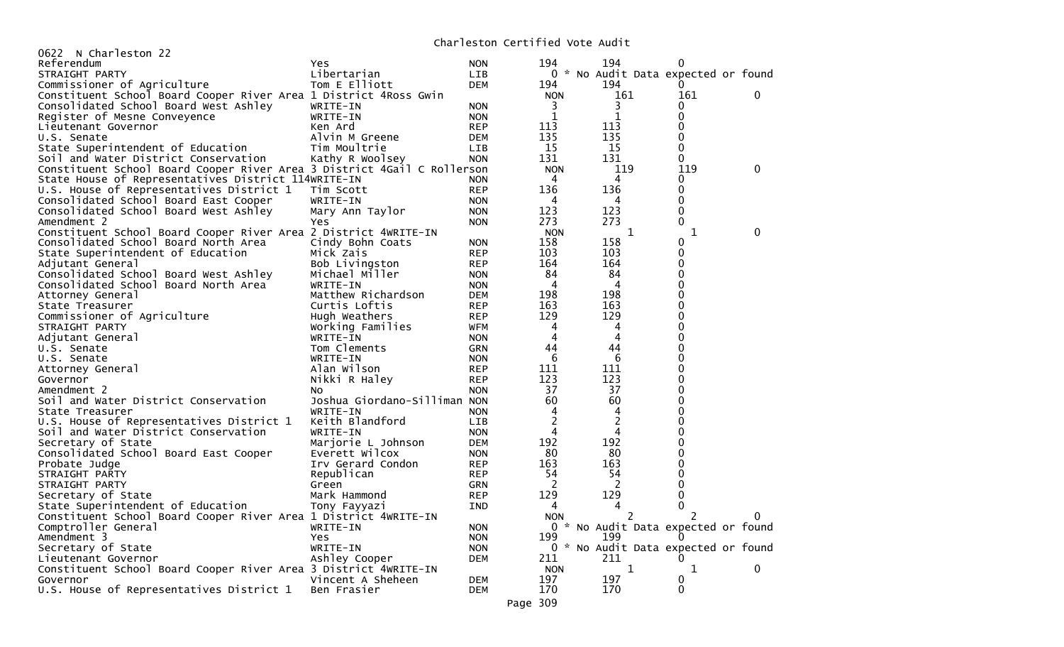## Charleston Certified Vote Audit

| 0622 N Charleston 22                                                    |                              |            | Charles Control Teatro Corporation |                                     |             |   |
|-------------------------------------------------------------------------|------------------------------|------------|------------------------------------|-------------------------------------|-------------|---|
| Referendum                                                              | Yes.                         | <b>NON</b> | 194                                | 194                                 | 0           |   |
| STRAIGHT PARTY                                                          | Libertarian                  | LIB        |                                    | 0 * No Audit Data expected or found |             |   |
| Commissioner of Agriculture                                             | Tom E Elliott                | <b>DEM</b> | 194                                | 194                                 | $\Omega$    |   |
| Constituent School Board Cooper River Area 1 District 4Ross Gwin        |                              |            | <b>NON</b>                         | 161                                 | 161         | 0 |
| Consolidated School Board West Ashley                                   | WRITE-IN                     | <b>NON</b> | 3                                  | 3                                   |             |   |
| Register of Mesne Conveyence                                            | WRITE-IN                     | <b>NON</b> | $\mathbf 1$                        | 1                                   | 0           |   |
| Lieutenant Governor                                                     | Ken Ard                      | <b>REP</b> | 113                                | 113                                 | 0           |   |
| U.S. Senate                                                             | Alvin M Greene               | <b>DEM</b> | 135                                | 135                                 | 0           |   |
| State Superintendent of Education                                       | Tim Moultrie                 | <b>LIB</b> | 15                                 | 15                                  | 0           |   |
| Soil and Water District Conservation                                    | Kathy R Woolsey              | <b>NON</b> | 131                                | 131                                 | 0           |   |
| Constituent School Board Cooper River Area 3 District 4Gail C Rollerson |                              |            | <b>NON</b>                         | 119                                 | 119         | 0 |
| State House of Representatives District 114WRITE-IN                     |                              | <b>NON</b> | 4                                  | 4                                   | 0           |   |
| U.S. House of Representatives District 1                                | Tim Scott                    | <b>REP</b> | 136                                | 136                                 | 0           |   |
| Consolidated School Board East Cooper                                   | WRITE-IN                     | <b>NON</b> | 4                                  | 4                                   | 0           |   |
| Consolidated School Board West Ashley                                   | Mary Ann Taylor              | <b>NON</b> | 123                                | 123                                 | $\mathbf 0$ |   |
| Amendment 2                                                             | Yes                          | <b>NON</b> | 273                                | 273                                 | 0           |   |
| Constituent School Board Cooper River Area 2 District 4WRITE-IN         |                              |            | <b>NON</b>                         | 1                                   | 1           | 0 |
| Consolidated School Board North Area                                    | Cindy Bohn Coats             | <b>NON</b> | 158                                | 158                                 | 0           |   |
| State Superintendent of Education                                       | Mick Zais                    | <b>REP</b> | 103                                | 103                                 | 0           |   |
| Adjutant General                                                        | Bob Livingston               | <b>REP</b> | 164                                | 164                                 | 0           |   |
| Consolidated School Board West Ashley                                   | Michael Miller               | <b>NON</b> | 84                                 | 84                                  | 0           |   |
| Consolidated School Board North Area                                    | WRITE-IN                     | <b>NON</b> | 4                                  | 4                                   | 0           |   |
| Attorney General                                                        | Matthew Richardson           | <b>DEM</b> | 198                                | 198                                 | 0           |   |
| State Treasurer                                                         | Curtis Loftis                | <b>REP</b> | 163                                | 163                                 | 0           |   |
| Commissioner of Agriculture                                             | Hugh Weathers                | <b>REP</b> | 129                                | 129                                 | 0           |   |
| STRAIGHT PARTY                                                          | Working Families             | WFM        | 4                                  | 4                                   | 0           |   |
| Adjutant General                                                        | WRITE-IN                     | <b>NON</b> | 4                                  | 4                                   | 0           |   |
| U.S. Senate                                                             | Tom Clements                 | <b>GRN</b> | 44                                 | 44                                  | 0           |   |
| U.S. Senate                                                             | WRITE-IN                     | <b>NON</b> | 6                                  | 6                                   | 0           |   |
| Attorney General                                                        | Alan Wilson                  | <b>REP</b> | 111                                | 111                                 | 0           |   |
| Governor                                                                | Nikki R Haley                | <b>REP</b> | 123                                | 123                                 | 0           |   |
| Amendment 2                                                             | NO.                          | <b>NON</b> | 37                                 | 37                                  | 0           |   |
| Soil and Water District Conservation                                    | Joshua Giordano-Silliman NON |            | 60                                 | 60                                  | 0           |   |
| State Treasurer                                                         | WRITE-IN                     | <b>NON</b> | 4                                  | $\overline{4}$                      | 0           |   |
| U.S. House of Representatives District 1                                | Keith Blandford              | <b>LIB</b> | 2                                  | $\overline{2}$                      | 0           |   |
| Soil and Water District Conservation                                    | WRITE-IN                     | <b>NON</b> | 4                                  | 4                                   | 0           |   |
| Secretary of State                                                      | Marjorie L Johnson           | DEM        | 192                                | 192                                 | 0           |   |
| Consolidated School Board East Cooper                                   | Everett Wilcox               | <b>NON</b> | 80                                 | 80                                  | 0           |   |
| Probate Judge                                                           | Irv Gerard Condon            | <b>REP</b> | 163                                | 163                                 | 0           |   |
| STRAIGHT PARTY                                                          | Republican                   | <b>REP</b> | 54                                 | 54                                  | 0           |   |
| STRAIGHT PARTY                                                          | Green                        | <b>GRN</b> | 2                                  | 2                                   | 0           |   |
| Secretary of State                                                      | Mark Hammond                 | <b>REP</b> | 129                                | 129                                 | 0           |   |
| State Superintendent of Education                                       | Tony Fayyazi                 | <b>IND</b> | 4                                  | 4                                   | 0           |   |
| Constituent School Board Cooper River Area 1 District 4WRITE-IN         |                              |            | <b>NON</b>                         |                                     |             | 0 |
| Comptroller General                                                     | WRITE-IN                     | <b>NON</b> |                                    | 0 * No Audit Data expected or found |             |   |
| Amendment 3                                                             | Yes                          | <b>NON</b> | 199                                | 199                                 |             |   |
| Secretary of State                                                      | WRITE-IN                     | <b>NON</b> |                                    | 0 * No Audit Data expected or found |             |   |
| Lieutenant Governor                                                     | Ashley Cooper                | <b>DEM</b> | 211                                | 211                                 |             |   |
| Constituent School Board Cooper River Area 3 District 4WRITE-IN         |                              |            | <b>NON</b>                         | $\mathbf 1$                         | 1           | 0 |
| Governor                                                                | Vincent A Sheheen            | <b>DEM</b> | 197                                | 197                                 | 0           |   |
| U.S. House of Representatives District 1                                | Ben Frasier                  | <b>DEM</b> | 170                                | 170                                 | $\Omega$    |   |
|                                                                         |                              |            |                                    |                                     |             |   |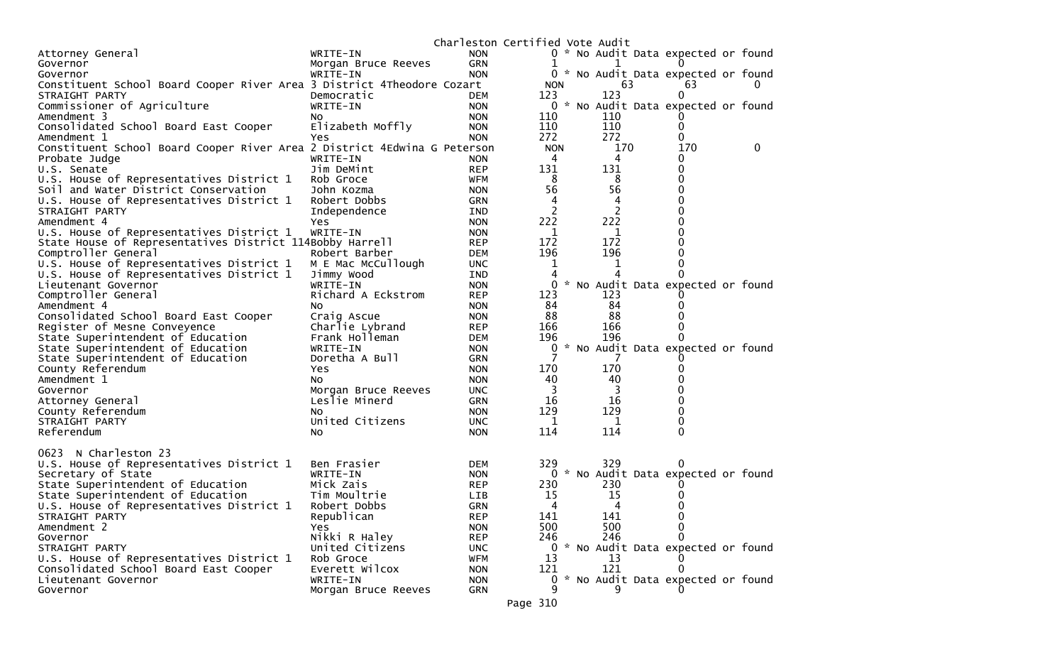|                                                                          |                     | Charleston Certified Vote Audit |              |  |                |                                     |          |
|--------------------------------------------------------------------------|---------------------|---------------------------------|--------------|--|----------------|-------------------------------------|----------|
| Attorney General                                                         | WRITE-IN            | <b>NON</b>                      |              |  |                | 0 * No Audit Data expected or found |          |
| Governor                                                                 | Morgan Bruce Reeves | GRN                             |              |  |                |                                     |          |
| Governor                                                                 | WRITE-IN            | <b>NON</b>                      |              |  |                | 0 * No Audit Data expected or found |          |
| Constituent School Board Cooper River Area 3 District 4Theodore Cozart   |                     |                                 | <b>NON</b>   |  | 63             | 63                                  |          |
| STRAIGHT PARTY                                                           | Democratic          | <b>DEM</b>                      | 123          |  | 123            | $\Omega$                            |          |
| Commissioner of Agriculture                                              | WRITE-IN            | <b>NON</b>                      | $\mathbf{0}$ |  |                | * No Audit Data expected or found   |          |
| Amendment 3                                                              | NO.                 | <b>NON</b>                      | 110          |  | 110            |                                     |          |
| Consolidated School Board East Cooper                                    | Elizabeth Moffly    | <b>NON</b>                      | 110          |  | 110            |                                     |          |
| Amendment 1                                                              | Yes                 | <b>NON</b>                      | 272          |  | 272            |                                     |          |
| Constituent School Board Cooper River Area 2 District 4Edwina G Peterson |                     |                                 | <b>NON</b>   |  | 170            | 170                                 | $\bf{0}$ |
| Probate Judge                                                            | WRITE-IN            | <b>NON</b>                      | 4            |  | 4              |                                     |          |
| U.S. Senate                                                              | Jim DeMint          | <b>REP</b>                      | 131          |  | 131            |                                     |          |
| U.S. House of Representatives District 1                                 | Rob Groce           | <b>WFM</b>                      | 8            |  | 8              |                                     |          |
| Soil and Water District Conservation                                     | John Kozma          | <b>NON</b>                      | 56           |  | 56             |                                     |          |
| U.S. House of Representatives District 1                                 | Robert Dobbs        | <b>GRN</b>                      | 4            |  | 4              |                                     |          |
| STRAIGHT PARTY                                                           | Independence        | <b>IND</b>                      | 2            |  | $\overline{c}$ |                                     |          |
| Amendment 4                                                              | Yes                 | <b>NON</b>                      | 222          |  | 222            |                                     |          |
| U.S. House of Representatives District 1                                 | WRITE-IN            | <b>NON</b>                      | 1            |  | 1              |                                     |          |
| State House of Representatives District 114Bobby Harrell                 |                     | <b>REP</b>                      | 172          |  | 172            |                                     |          |
| Comptroller General                                                      | Robert Barber       | <b>DEM</b>                      | 196          |  | 196            |                                     |          |
| U.S. House of Representatives District 1                                 | M E Mac McCullough  | <b>UNC</b>                      | 1            |  | 1              |                                     |          |
| U.S. House of Representatives District 1                                 | Jimmy Wood          | <b>IND</b>                      |              |  |                |                                     |          |
| Lieutenant Governor                                                      | WRITE-IN            | <b>NON</b>                      | 0            |  |                | * No Audit Data expected or found   |          |
| Comptroller General                                                      | Richard A Eckstrom  | <b>REP</b>                      | 123          |  | 123            |                                     |          |
| Amendment 4                                                              | No                  | <b>NON</b>                      | 84           |  | 84             |                                     |          |
| Consolidated School Board East Cooper                                    | Craig Ascue         | <b>NON</b>                      | 88           |  | 88             |                                     |          |
| Register of Mesne Conveyence                                             | Charlie Lybrand     | <b>REP</b>                      | 166          |  | 166            |                                     |          |
| State Superintendent of Education                                        | Frank Holleman      | <b>DEM</b>                      | 196          |  | 196            |                                     |          |
| State Superintendent of Education                                        | WRITE-IN            | <b>NON</b>                      | 0            |  |                | * No Audit Data expected or found   |          |
| State Superintendent of Education                                        | Doretha A Bull      | <b>GRN</b>                      |              |  |                |                                     |          |
| County Referendum                                                        | Yes                 | <b>NON</b>                      | 170          |  | 170            |                                     |          |
| Amendment 1                                                              | NO.                 | <b>NON</b>                      | 40           |  | 40             |                                     |          |
| Governor                                                                 | Morgan Bruce Reeves | <b>UNC</b>                      | 3            |  | 3              |                                     |          |
| Attorney General                                                         | Leslie Minerd       | <b>GRN</b>                      | 16           |  | 16             |                                     |          |
| County Referendum                                                        | NO.                 | <b>NON</b>                      | 129          |  | 129            |                                     |          |
| STRAIGHT PARTY                                                           | United Citizens     | <b>UNC</b>                      | 1            |  | 1              |                                     |          |
| Referendum                                                               | No.                 | <b>NON</b>                      | 114          |  | 114            | 0                                   |          |
|                                                                          |                     |                                 |              |  |                |                                     |          |
| 0623<br>N Charleston 23                                                  |                     |                                 |              |  |                |                                     |          |
| U.S. House of Representatives District 1                                 | Ben Frasier         | <b>DEM</b>                      | 329          |  | 329            |                                     |          |
| Secretary of State                                                       | WRITE-IN            | <b>NON</b>                      |              |  |                | 0 * No Audit Data expected or found |          |
| State Superintendent of Education                                        | Mick Zais           | <b>REP</b>                      | 230          |  | 230            |                                     |          |
| State Superintendent of Education                                        | Tim Moultrie        | <b>LIB</b>                      | 15           |  | 15             |                                     |          |
| U.S. House of Representatives District 1                                 | Robert Dobbs        | <b>GRN</b>                      | 4            |  | 4              |                                     |          |
| STRAIGHT PARTY                                                           | Republican          | <b>REP</b>                      | 141          |  | 141            | 0                                   |          |
| Amendment 2                                                              | Yes.                | <b>NON</b>                      | 500          |  | 500            |                                     |          |
| Governor                                                                 | Nikki R Haley       | <b>REP</b>                      | 246          |  | 246            |                                     |          |
| STRAIGHT PARTY                                                           | United Citizens     | <b>UNC</b>                      |              |  |                | 0 * No Audit Data expected or found |          |
| U.S. House of Representatives District 1                                 | Rob Groce           | <b>WFM</b>                      | 13           |  | 13             |                                     |          |
| Consolidated School Board East Cooper                                    | Everett Wilcox      | <b>NON</b>                      | 121          |  | 121            |                                     |          |
| Lieutenant Governor                                                      | WRITE-IN            | <b>NON</b>                      | 0            |  |                | * No Audit Data expected or found   |          |
| Governor                                                                 | Morgan Bruce Reeves | GRN                             | 9            |  | 9              |                                     |          |
|                                                                          |                     |                                 |              |  |                |                                     |          |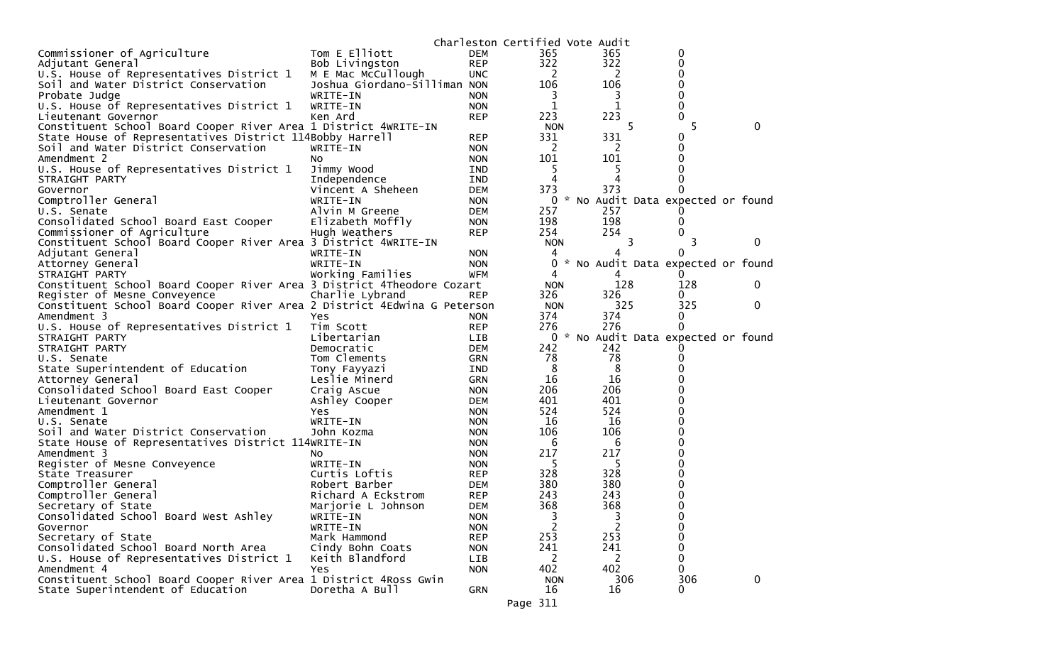|                                                                          |                              |             | Charleston Certified Vote Audit |                |                                   |              |
|--------------------------------------------------------------------------|------------------------------|-------------|---------------------------------|----------------|-----------------------------------|--------------|
| Commissioner of Agriculture                                              | Tom E Elliott                | <b>DEM</b>  | 365                             | 365            | 0                                 |              |
| Adjutant General                                                         | Bob Livingston               | <b>REP</b>  | 322                             | 322            | 0                                 |              |
| U.S. House of Representatives District 1                                 | M E Mac McCullough           | <b>UNC</b>  | 2                               | <sup>2</sup>   | 0                                 |              |
| Soil and Water District Conservation                                     | Joshua Giordano-Silliman NON |             | 106                             | 106            | 0                                 |              |
| Probate Judge                                                            | WRITE-IN                     | <b>NON</b>  | 3                               | 3              | 0                                 |              |
| U.S. House of Representatives District 1                                 | WRITE-IN                     | <b>NON</b>  | 1                               | 1              | 0                                 |              |
| Lieutenant Governor                                                      | Ken Ard                      | <b>REP</b>  | 223                             | 223            | 0                                 |              |
| Constituent School Board Cooper River Area 1 District 4WRITE-IN          |                              |             | <b>NON</b>                      | 5              | 5.                                | 0            |
| State House of Representatives District 114Bobby Harrell                 |                              | <b>REP</b>  | 331                             | 331            | 0                                 |              |
| Soil and Water District Conservation                                     | WRITE-IN                     | <b>NON</b>  | 2                               | 2              | 0                                 |              |
| Amendment 2                                                              | NO.                          | <b>NON</b>  | 101                             | 101            | 0                                 |              |
| U.S. House of Representatives District 1                                 | Jimmy Wood                   | IND         | 5                               | 5              | 0                                 |              |
| STRAIGHT PARTY                                                           | Independence                 | IND         | 4                               | 4              |                                   |              |
| Governor                                                                 | Vincent A Sheheen            | <b>DEM</b>  | 373                             | 373            |                                   |              |
| Comptroller General                                                      | WRITE-IN                     | <b>NON</b>  | $\mathbf{0}$                    |                | * No Audit Data expected or found |              |
| U.S. Senate                                                              | Alvin M Greene               | DEM         | 257                             | 257            |                                   |              |
| Consolidated School Board East Cooper                                    | Elizabeth Moffly             | <b>NON</b>  | 198                             | 198            | 0                                 |              |
| Commissioner of Agriculture                                              | Hugh Weathers                | <b>REP</b>  | 254                             | 254            | 0                                 |              |
| Constituent School Board Cooper River Area 3 District 4WRITE-IN          |                              |             | <b>NON</b>                      | 3              |                                   | 0            |
| Adjutant General                                                         | WRITE-IN                     | <b>NON</b>  | 4                               | 4              | 0                                 |              |
| Attorney General                                                         | WRITE-IN                     | <b>NON</b>  | 0                               |                | * No Audit Data expected or found |              |
| STRAIGHT PARTY                                                           | Working Families             | <b>WFM</b>  | 4                               | 4              |                                   |              |
| Constituent School Board Cooper River Area 3 District 4Theodore Cozart   |                              |             | <b>NON</b>                      | 128            | 128                               | 0            |
| Register of Mesne Conveyence                                             | Charlie Lybrand              | <b>REP</b>  | 326                             | 326            | 0                                 |              |
| Constituent School Board Cooper River Area 2 District 4Edwina G Peterson |                              |             | <b>NON</b>                      | 325            | 325                               | 0            |
| Amendment 3                                                              | Yes                          | <b>NON</b>  | 374                             | 374            | 0                                 |              |
| U.S. House of Representatives District 1                                 | Tim Scott                    | <b>REP</b>  | 276                             | 276            | 0                                 |              |
|                                                                          | Libertarian                  |             | 0                               |                | * No Audit Data expected or found |              |
| STRAIGHT PARTY<br>STRAIGHT PARTY                                         | Democratic                   | LIB.<br>DEM | 242                             | 242            |                                   |              |
| U.S. Senate                                                              | Tom Clements                 |             | 78                              | 78             | 0                                 |              |
|                                                                          |                              | <b>GRN</b>  | 8                               | 8              |                                   |              |
| State Superintendent of Education                                        | Tony Fayyazi                 | <b>IND</b>  | 16                              | 16             | 0                                 |              |
| Attorney General                                                         | Leslie Minerd                | GRN         | 206                             | 206            | 0                                 |              |
| Consolidated School Board East Cooper                                    | Craig Ascue                  | <b>NON</b>  | 401                             | 401            | 0                                 |              |
| Lieutenant Governor                                                      | Ashley Cooper                | <b>DEM</b>  | 524                             |                |                                   |              |
| Amendment 1                                                              | Yes                          | <b>NON</b>  |                                 | 524            | 0<br>0                            |              |
| U.S. Senate                                                              | WRITE-IN                     | <b>NON</b>  | 16                              | -16            |                                   |              |
| Soil and Water District Conservation                                     | John Kozma                   | <b>NON</b>  | 106                             | 106            | 0                                 |              |
| State House of Representatives District 114WRITE-IN                      |                              | <b>NON</b>  | 6                               | 6<br>217       | 0<br>0                            |              |
| Amendment 3                                                              | NO.                          | <b>NON</b>  | 217                             |                | 0                                 |              |
| Register of Mesne Conveyence                                             | WRITE-IN                     | <b>NON</b>  | 5                               | 5              |                                   |              |
| State Treasurer                                                          | Curtis Loftis                | <b>REP</b>  | 328                             | 328            | 0                                 |              |
| Comptroller General                                                      | Robert Barber                | <b>DEM</b>  | 380                             | 380            | 0                                 |              |
| Comptroller General                                                      | Richard A Eckstrom           | <b>REP</b>  | 243                             | 243            | 0                                 |              |
| Secretary of State                                                       | Marjorie L Johnson           | <b>DEM</b>  | 368                             | 368            | 0                                 |              |
| Consolidated School Board West Ashley                                    | WRITE-IN                     | <b>NON</b>  | 3                               | 3              | 0                                 |              |
| Governor                                                                 | WRITE-IN                     | <b>NON</b>  | 2                               | $\overline{2}$ | 0                                 |              |
| Secretary of State                                                       | Mark Hammond                 | <b>REP</b>  | 253                             | 253            | 0                                 |              |
| Consolidated School Board North Area                                     | Cindy Bohn Coats             | <b>NON</b>  | 241                             | 241            | 0                                 |              |
| U.S. House of Representatives District 1                                 | Keith Blandford              | LIB         | 2                               | 2              | 0                                 |              |
| Amendment 4                                                              | Yes                          | <b>NON</b>  | 402                             | 402            | $\mathbf{0}$                      |              |
| Constituent School Board Cooper River Area 1 District 4Ross Gwin         |                              |             | <b>NON</b>                      | 306            | 306                               | $\mathbf{0}$ |
| State Superintendent of Education                                        | Doretha A Bull               | <b>GRN</b>  | 16                              | 16             | 0                                 |              |
|                                                                          |                              |             | Page 311                        |                |                                   |              |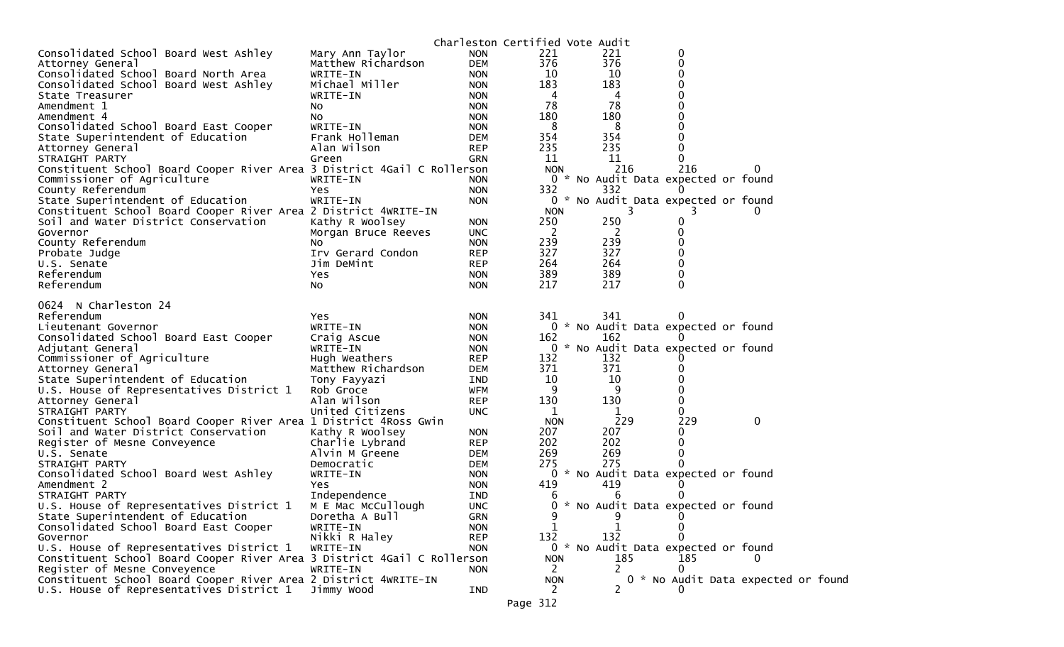|                                                                         |                     |            |                       | Charleston Certified Vote Audit     |     |                                    |
|-------------------------------------------------------------------------|---------------------|------------|-----------------------|-------------------------------------|-----|------------------------------------|
| Consolidated School Board West Ashley                                   | Mary Ann Taylor     | <b>NON</b> | 221                   | 221                                 | 0   |                                    |
| Attorney General                                                        | Matthew Richardson  | <b>DEM</b> | 376                   | 376                                 | 0   |                                    |
| Consolidated School Board North Area                                    | WRITE-IN            | <b>NON</b> | 10                    | 10                                  | 0   |                                    |
| Consolidated School Board West Ashley                                   | Michael Miller      | <b>NON</b> | 183                   | 183                                 |     |                                    |
| State Treasurer                                                         | WRITE-IN            | <b>NON</b> | 4                     | 4                                   | 0   |                                    |
| Amendment 1                                                             | NO.                 | <b>NON</b> | 78                    | 78                                  |     |                                    |
| Amendment 4                                                             | No.                 | <b>NON</b> | 180                   | 180                                 |     |                                    |
| Consolidated School Board East Cooper                                   | WRITE-IN            | <b>NON</b> | 8                     | 8                                   | 0   |                                    |
| State Superintendent of Education                                       | Frank Holleman      | <b>DEM</b> | 354                   | 354                                 |     |                                    |
| Attorney General                                                        | Alan Wilson         | <b>REP</b> | 235                   | 235                                 |     |                                    |
| STRAIGHT PARTY                                                          | Green               | <b>GRN</b> | 11                    | 11                                  | O   |                                    |
| Constituent School Board Cooper River Area 3 District 4Gail C Rollerson |                     |            | <b>NON</b>            | 216                                 | 216 | 0                                  |
| Commissioner of Agriculture                                             | WRITE-IN            | NON.       |                       | 0 * No Audit Data expected or found |     |                                    |
| County Referendum                                                       | Yes                 | <b>NON</b> | 332                   | 332                                 |     |                                    |
| State Superintendent of Education                                       | WRITE-IN            | <b>NON</b> |                       | 0 * No Audit Data expected or found |     |                                    |
| Constituent School Board Cooper River Area 2 District 4WRITE-IN         |                     |            | <b>NON</b>            | 3                                   | 3   | 0                                  |
| Soil and Water District Conservation                                    | Kathy R Woolsey     | <b>NON</b> | 250                   | 250                                 | 0   |                                    |
| Governor                                                                | Morgan Bruce Reeves | <b>UNC</b> | 2                     | 2                                   | 0   |                                    |
| County Referendum                                                       | No                  | <b>NON</b> | 239                   | 239                                 |     |                                    |
| Probate Judge                                                           | Irv Gerard Condon   | <b>REP</b> | 327                   | 327                                 | 0   |                                    |
| U.S. Senate                                                             | Jim DeMint          | <b>REP</b> | 264                   | 264                                 |     |                                    |
| Referendum                                                              | Yes                 | <b>NON</b> | 389                   | 389                                 | 0   |                                    |
| Referendum                                                              | NO.                 | <b>NON</b> | 217                   | 217                                 | 0   |                                    |
| 0624 N Charleston 24                                                    |                     |            |                       |                                     |     |                                    |
| Referendum                                                              | Yes.                | <b>NON</b> | 341                   | 341                                 |     |                                    |
| Lieutenant Governor                                                     | WRITE-IN            | <b>NON</b> |                       | 0 * No Audit Data expected or found |     |                                    |
| Consolidated School Board East Cooper                                   | Craig Ascue         | <b>NON</b> | 162                   | 162                                 |     |                                    |
| Adjutant General                                                        | WRITE-IN            | <b>NON</b> |                       | 0 * No Audit Data expected or found |     |                                    |
| Commissioner of Agriculture                                             | Hugh Weathers       | <b>REP</b> | 132                   | 132                                 |     |                                    |
| Attorney General                                                        | Matthew Richardson  | <b>DEM</b> | 371                   | 371                                 |     |                                    |
| State Superintendent of Education                                       | Tony Fayyazi        | IND        | 10                    | 10                                  |     |                                    |
| U.S. House of Representatives District 1                                | Rob Groce           | <b>WFM</b> | 9                     | 9                                   |     |                                    |
| Attorney General                                                        | Alan Wilson         | <b>REP</b> | 130                   | 130                                 |     |                                    |
| STRAIGHT PARTY                                                          | United Citizens     | <b>UNC</b> | 1                     | 1                                   |     |                                    |
| Constituent School Board Cooper River Area 1 District 4Ross Gwin        |                     |            | <b>NON</b>            | 229                                 | 229 | $\mathbf 0$                        |
| Soil and Water District Conservation                                    | Kathy R Woolsey     | <b>NON</b> | 207                   | 207                                 | 0   |                                    |
| Register of Mesne Conveyence                                            | Charlie Lybrand     | <b>REP</b> | 202                   | 202                                 | 0   |                                    |
| U.S. Senate                                                             | Alvin M Greene      | <b>DEM</b> | 269                   | 269                                 | 0   |                                    |
| STRAIGHT PARTY                                                          | Democratic          | <b>DEM</b> | 275                   | 275                                 |     |                                    |
| Consolidated School Board West Ashley                                   | WRITE-IN            | <b>NON</b> |                       | 0 * No Audit Data expected or found |     |                                    |
| Amendment 2                                                             | Yes                 | <b>NON</b> | 419                   | 419                                 |     |                                    |
| STRAIGHT PARTY                                                          | Independence        | IND        | 6                     | 6                                   |     |                                    |
| U.S. House of Representatives District 1                                | M E Mac McCullough  | <b>UNC</b> | 0                     | * No Audit Data expected or found   |     |                                    |
| State Superintendent of Education                                       | Doretha A Bull      | GRN        | 9                     | 9                                   | 0   |                                    |
| Consolidated School Board East Cooper                                   | WRITE-IN            | <b>NON</b> | 1                     |                                     | 0   |                                    |
| Governor                                                                | Nikki R Haley       | <b>REP</b> | 132                   | 132                                 |     |                                    |
| U.S. House of Representatives District 1                                | WRITE-IN            | <b>NON</b> |                       | 0 * No Audit Data expected or found |     |                                    |
| Constituent School Board Cooper River Area 3 District 4Gail C Rollerson |                     |            | <b>NON</b>            | 185                                 | 185 |                                    |
| Register of Mesne Conveyence                                            | WRITE-IN            | <b>NON</b> | 2                     | 2                                   | 0   |                                    |
| Constituent School Board Cooper River Area 2 District 4WRITE-IN         |                     |            | <b>NON</b>            |                                     |     | 0 * No Audit Data expected or foun |
| U.S. House of Representatives District 1                                | Jimmy Wood          | IND        | $\mathbf{2}^{\prime}$ | 2                                   |     |                                    |
|                                                                         |                     |            | Page 312              |                                     |     |                                    |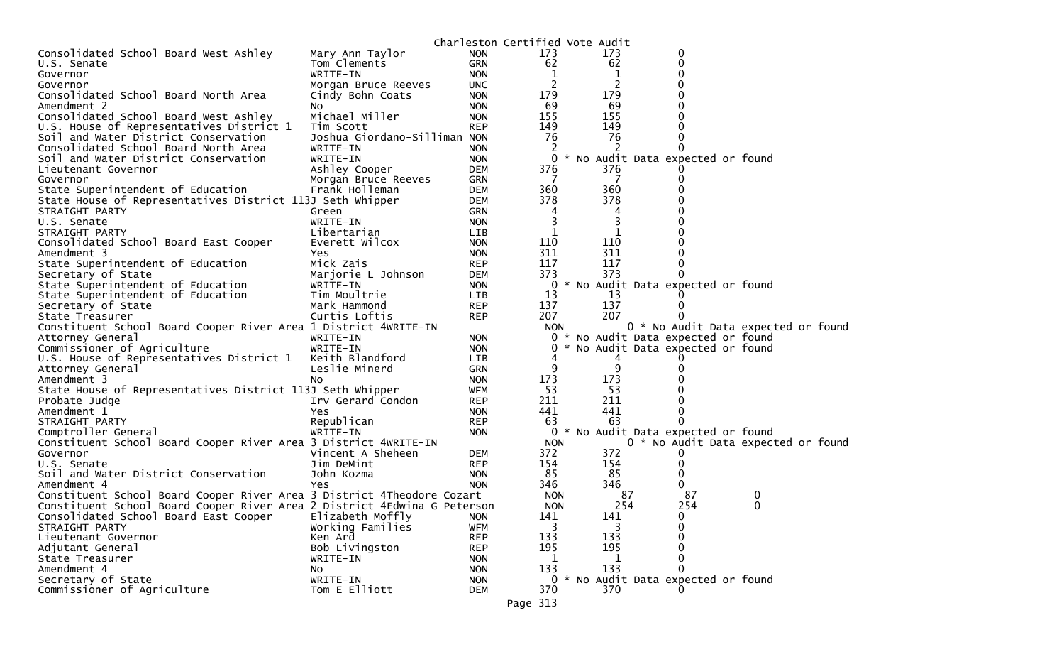|                                                                          |                              |            | Charleston Certified Vote Audit |    |     |                                                                        |                                     |
|--------------------------------------------------------------------------|------------------------------|------------|---------------------------------|----|-----|------------------------------------------------------------------------|-------------------------------------|
| Consolidated School Board West Ashley                                    | Mary Ann Taylor              | <b>NON</b> | 173                             |    | 173 | 0                                                                      |                                     |
| U.S. Senate                                                              | Tom Clements                 | <b>GRN</b> | 62                              |    | 62  | 0                                                                      |                                     |
| Governor                                                                 | WRITE-IN                     | <b>NON</b> | 1                               |    | 1   | 0                                                                      |                                     |
| Governor                                                                 | Morgan Bruce Reeves          | UNC.       | 2                               |    | 2   | 0                                                                      |                                     |
| Consolidated School Board North Area                                     | Cindy Bohn Coats             | <b>NON</b> | 179                             |    | 179 | 0                                                                      |                                     |
| Amendment 2                                                              | NO.                          | <b>NON</b> | 69                              |    | 69  | 0                                                                      |                                     |
| Consolidated School Board West Ashley                                    | Michael Miller               | <b>NON</b> | 155                             |    | 155 | 0                                                                      |                                     |
| U.S. House of Representatives District 1                                 | Tim Scott                    | <b>REP</b> | 149                             |    | 149 | 0                                                                      |                                     |
| Soil and Water District Conservation                                     | Joshua Giordano-Silliman NON |            | 76                              |    | 76  | 0                                                                      |                                     |
| Consolidated School Board North Area                                     | WRITE-IN                     | <b>NON</b> | 2                               |    |     |                                                                        |                                     |
| Soil and Water District Conservation                                     | WRITE-IN                     | <b>NON</b> | 0                               |    |     | * No Audit Data expected or found                                      |                                     |
| Lieutenant Governor                                                      | Ashley Cooper                | <b>DEM</b> | 376                             |    | 376 |                                                                        |                                     |
| Governor                                                                 | Morgan Bruce Reeves          | <b>GRN</b> | 7                               |    | 7   | 0                                                                      |                                     |
| State Superintendent of Education                                        | Frank Holleman               | <b>DEM</b> | 360                             |    | 360 | 0                                                                      |                                     |
| State House of Representatives District 113J Seth Whipper                |                              | DEM        | 378                             |    | 378 | 0                                                                      |                                     |
| STRAIGHT PARTY                                                           | Green                        | <b>GRN</b> | 4                               |    | 4   | 0                                                                      |                                     |
| U.S. Senate                                                              | WRITE-IN                     | <b>NON</b> | 3                               |    | 3   | 0                                                                      |                                     |
| STRAIGHT PARTY                                                           | Libertarian                  | LIB        | 1                               |    | 1   | 0                                                                      |                                     |
| Consolidated School Board East Cooper                                    | Everett Wilcox               | <b>NON</b> | 110                             |    | 110 |                                                                        |                                     |
| Amendment 3                                                              | Yes                          | <b>NON</b> | 311                             |    | 311 | 0                                                                      |                                     |
| State Superintendent of Education                                        | Mick Zais                    | <b>REP</b> | 117                             |    | 117 | 0                                                                      |                                     |
| Secretary of State                                                       | Marjorie L Johnson           | <b>DEM</b> | 373                             |    | 373 | 0                                                                      |                                     |
| State Superintendent of Education                                        | WRITE-IN                     | <b>NON</b> |                                 |    |     | 0 * No Audit Data expected or found                                    |                                     |
| State Superintendent of Education                                        | Tim Moultrie                 | LIB        | 13                              |    | 13  |                                                                        |                                     |
| Secretary of State                                                       | Mark Hammond                 | <b>REP</b> | 137                             |    | 137 |                                                                        |                                     |
| State Treasurer                                                          | Curtis Loftis                | <b>REP</b> | 207                             |    | 207 |                                                                        | 0 * No Audit Data expected or found |
| Constituent School Board Cooper River Area 1 District 4WRITE-IN          |                              |            | <b>NON</b><br>0                 |    |     |                                                                        |                                     |
| Attorney General<br>Commissioner of Agriculture                          | WRITE-IN<br>WRITE-IN         | <b>NON</b> | 0                               |    |     | * No Audit Data expected or found<br>* No Audit Data expected or found |                                     |
|                                                                          | Keith Blandford              | <b>NON</b> |                                 |    | 4   |                                                                        |                                     |
| U.S. House of Representatives District 1<br>Attorney General             | Leslie Minerd                | LIB<br>GRN | 9                               |    | 9   | 0                                                                      |                                     |
| Amendment 3                                                              | No                           | <b>NON</b> | 173                             |    | 173 | 0                                                                      |                                     |
| State House of Representatives District 113J Seth Whipper                |                              | <b>WFM</b> | 53                              |    | 53  | 0                                                                      |                                     |
| Probate Judge                                                            | Irv Gerard Condon            | <b>REP</b> | 211                             |    | 211 | 0                                                                      |                                     |
| Amendment 1                                                              | Yes                          | <b>NON</b> | 441                             |    | 441 | 0                                                                      |                                     |
| STRAIGHT PARTY                                                           | Republican                   | <b>REP</b> | 63                              |    | 63  | 0                                                                      |                                     |
| Comptroller General                                                      | WRITE-IN                     | <b>NON</b> | $\mathbf{0}$                    | *. |     | No Audit Data expected or found                                        |                                     |
| Constituent School Board Cooper River Area 3 District 4WRITE-IN          |                              |            | <b>NON</b>                      |    |     |                                                                        | 0 * No Audit Data expected or found |
| Governor                                                                 | Vincent A Sheheen            | <b>DEM</b> | 372                             |    | 372 | U                                                                      |                                     |
| U.S. Senate                                                              | Jim DeMint                   | <b>REP</b> | 154                             |    | 154 | 0                                                                      |                                     |
| Soil and Water District Conservation                                     | John Kozma                   | <b>NON</b> | 85                              |    | 85  | 0                                                                      |                                     |
| Amendment 4                                                              | Yes                          | <b>NON</b> | 346                             |    | 346 | 0                                                                      |                                     |
| Constituent School Board Cooper River Area 3 District 4Theodore Cozart   |                              |            | <b>NON</b>                      |    | 87  | 87                                                                     | $\bf{0}$                            |
| Constituent School Board Cooper River Area 2 District 4Edwina G Peterson |                              |            | <b>NON</b>                      |    | 254 | 254                                                                    | $\mathbf{0}$                        |
| Consolidated School Board East Cooper                                    | Elizabeth Moffly             | <b>NON</b> | 141                             |    | 141 | 0                                                                      |                                     |
| STRAIGHT PARTY                                                           | Working Families             | <b>WFM</b> | 3                               |    |     | 0                                                                      |                                     |
| Lieutenant Governor                                                      | Ken Ard                      | <b>REP</b> | 133                             |    | 133 | 0                                                                      |                                     |
| Adjutant General                                                         | Bob Livingston               | <b>REP</b> | 195                             |    | 195 | 0                                                                      |                                     |
| State Treasurer                                                          | WRITE-IN                     | <b>NON</b> | 1                               |    | 1   | 0                                                                      |                                     |
| Amendment 4                                                              | No                           | <b>NON</b> | 133                             |    | 133 | 0                                                                      |                                     |
| Secretary of State                                                       | WRITE-IN                     | <b>NON</b> |                                 |    |     | 0 * No Audit Data expected or found                                    |                                     |
| Commissioner of Agriculture                                              | Tom E Elliott                | <b>DEM</b> | 370                             |    | 370 |                                                                        |                                     |
|                                                                          |                              |            | Page 313                        |    |     |                                                                        |                                     |
|                                                                          |                              |            |                                 |    |     |                                                                        |                                     |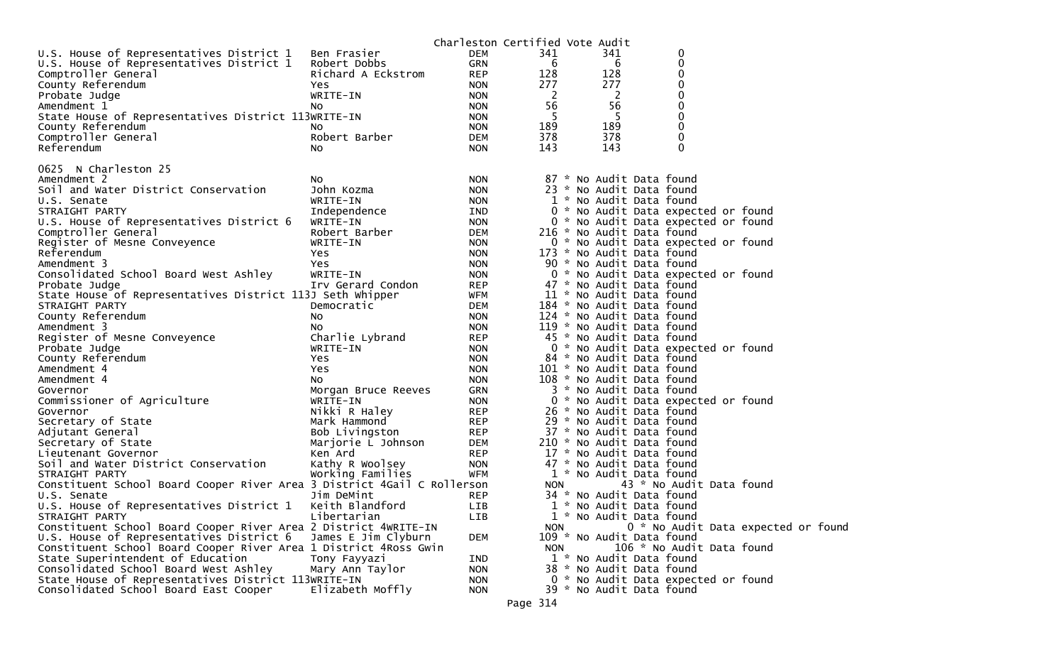|                                                                         |                     | Charleston Certified Vote Audit |            |                           |                                     |  |  |
|-------------------------------------------------------------------------|---------------------|---------------------------------|------------|---------------------------|-------------------------------------|--|--|
| U.S. House of Representatives District 1                                | Ben Frasier         | <b>DEM</b>                      | 341        | 341                       | 0                                   |  |  |
| U.S. House of Representatives District 1                                | Robert Dobbs        | GRN                             | 6          | 6                         | 0                                   |  |  |
| Comptroller General                                                     | Richard A Eckstrom  | <b>REP</b>                      | 128        | 128                       | 0                                   |  |  |
| County Referendum                                                       | Yes                 | <b>NON</b>                      | 277        | 277                       | 0                                   |  |  |
| Probate Judge                                                           | WRITE-IN            | <b>NON</b>                      | 2          | -2                        | 0                                   |  |  |
| Amendment 1                                                             | NO.                 | <b>NON</b>                      | 56         | 56                        | 0                                   |  |  |
| State House of Representatives District 113WRITE-IN                     |                     | <b>NON</b>                      | 5          | 5                         | $\mathbf 0$                         |  |  |
| County Referendum                                                       | NO.                 | <b>NON</b>                      | 189        | 189                       | 0                                   |  |  |
| Comptroller General                                                     | Robert Barber       | <b>DEM</b>                      | 378        | 378                       | 0                                   |  |  |
| Referendum                                                              | NO.                 | <b>NON</b>                      | 143        | 143                       | 0                                   |  |  |
|                                                                         |                     |                                 |            |                           |                                     |  |  |
| 0625 N Charleston 25                                                    |                     |                                 |            |                           |                                     |  |  |
| Amendment 2                                                             | NO.                 | <b>NON</b>                      |            | 87 * No Audit Data found  |                                     |  |  |
| Soil and Water District Conservation                                    | John Kozma          | <b>NON</b>                      |            | 23 * No Audit Data found  |                                     |  |  |
| U.S. Senate                                                             | WRITE-IN            | <b>NON</b>                      |            | 1 * No Audit Data found   |                                     |  |  |
| STRAIGHT PARTY                                                          | Independence        | IND                             |            |                           | 0 * No Audit Data expected or found |  |  |
| U.S. House of Representatives District 6                                | WRITE-IN            | <b>NON</b>                      |            |                           | 0 * No Audit Data expected or found |  |  |
| Comptroller General                                                     | Robert Barber       | DEM                             |            | 216 * No Audit Data found |                                     |  |  |
| Register of Mesne Conveyence                                            | WRITE-IN            | <b>NON</b>                      |            |                           | 0 * No Audit Data expected or found |  |  |
| Referendum                                                              | Yes                 | <b>NON</b>                      |            | 173 * No Audit Data found |                                     |  |  |
| Amendment 3                                                             | Yes                 | <b>NON</b>                      |            | 90 * No Audit Data found  |                                     |  |  |
| Consolidated School Board West Ashley                                   | WRITE-IN            | <b>NON</b>                      |            |                           | 0 * No Audit Data expected or found |  |  |
| Probate Judge                                                           | Irv Gerard Condon   | <b>REP</b>                      |            | 47 * No Audit Data found  |                                     |  |  |
|                                                                         |                     | <b>WFM</b>                      |            | 11 * No Audit Data found  |                                     |  |  |
| State House of Representatives District 113J Seth Whipper               |                     |                                 |            |                           |                                     |  |  |
| STRAIGHT PARTY                                                          | Democratic          | DEM                             |            | 184 * No Audit Data found |                                     |  |  |
| County Referendum                                                       | NO.                 | <b>NON</b>                      |            | 124 * No Audit Data found |                                     |  |  |
| Amendment 3                                                             | No                  | <b>NON</b>                      |            | 119 * No Audit Data found |                                     |  |  |
| Register of Mesne Conveyence                                            | Charlie Lybrand     | <b>REP</b>                      |            | 45 * No Audit Data found  |                                     |  |  |
| Probate Judge                                                           | WRITE-IN            | <b>NON</b>                      |            |                           | 0 * No Audit Data expected or found |  |  |
| County Referendum                                                       | Yes                 | <b>NON</b>                      |            | 84 * No Audit Data found  |                                     |  |  |
| Amendment 4                                                             | Yes                 | <b>NON</b>                      |            | 101 * No Audit Data found |                                     |  |  |
| Amendment 4                                                             | NO.                 | <b>NON</b>                      |            | 108 * No Audit Data found |                                     |  |  |
| Governor                                                                | Morgan Bruce Reeves | GRN                             |            | 3 * No Audit Data found   |                                     |  |  |
| Commissioner of Agriculture                                             | WRITE-IN            | <b>NON</b>                      |            |                           | 0 * No Audit Data expected or found |  |  |
| Governor                                                                | Nikki R Haley       | <b>REP</b>                      |            | 26 * No Audit Data found  |                                     |  |  |
| Secretary of State                                                      | Mark Hammond        | <b>REP</b>                      |            | 29 * No Audit Data found  |                                     |  |  |
| Adjutant General                                                        | Bob Livingston      | <b>REP</b>                      |            | 37 * No Audit Data found  |                                     |  |  |
| Secretary of State                                                      | Marjorie L Johnson  | <b>DEM</b>                      |            | 210 * No Audit Data found |                                     |  |  |
| Lieutenant Governor                                                     | Ken Ard             | <b>REP</b>                      |            | 17 * No Audit Data found  |                                     |  |  |
| Soil and Water District Conservation                                    | Kathy R Woolsey     | <b>NON</b>                      |            | 47 * No Audit Data found  |                                     |  |  |
| STRAIGHT PARTY                                                          | Working Families    | WFM                             |            | 1 * No Audit Data found   |                                     |  |  |
| Constituent School Board Cooper River Area 3 District 4Gail C Rollerson |                     |                                 | <b>NON</b> |                           | 43 * No Audit Data found            |  |  |
| U.S. Senate                                                             | Jim DeMint          | <b>REP</b>                      |            | 34 * No Audit Data found  |                                     |  |  |
| U.S. House of Representatives District 1                                | Keith Blandford     | LIB                             |            | 1 * No Audit Data found   |                                     |  |  |
| STRAIGHT PARTY                                                          | Libertarian         | LIB                             |            | 1 * No Audit Data found   |                                     |  |  |
| Constituent School Board Cooper River Area 2 District 4WRITE-IN         |                     |                                 | <b>NON</b> |                           | 0 * No Audit Data expected or foun  |  |  |
| U.S. House of Representatives District 6                                | James E Jim Clyburn | DEM                             |            | 109 * No Audit Data found |                                     |  |  |
| Constituent School Board Cooper River Area 1 District 4Ross Gwin        |                     |                                 | <b>NON</b> |                           | 106 * No Audit Data found           |  |  |
| State Superintendent of Education                                       | Tony Fayyazi        | IND                             |            | 1 * No Audit Data found   |                                     |  |  |
| Consolidated School Board West Ashley                                   | Mary Ann Taylor     | <b>NON</b>                      |            | 38 * No Audit Data found  |                                     |  |  |
| State House of Representatives District 113WRITE-IN                     |                     | <b>NON</b>                      |            |                           | 0 * No Audit Data expected or found |  |  |
| Consolidated School Board East Cooper                                   | Elizabeth Moffly    | <b>NON</b>                      |            | 39 * No Audit Data found  |                                     |  |  |

Page 314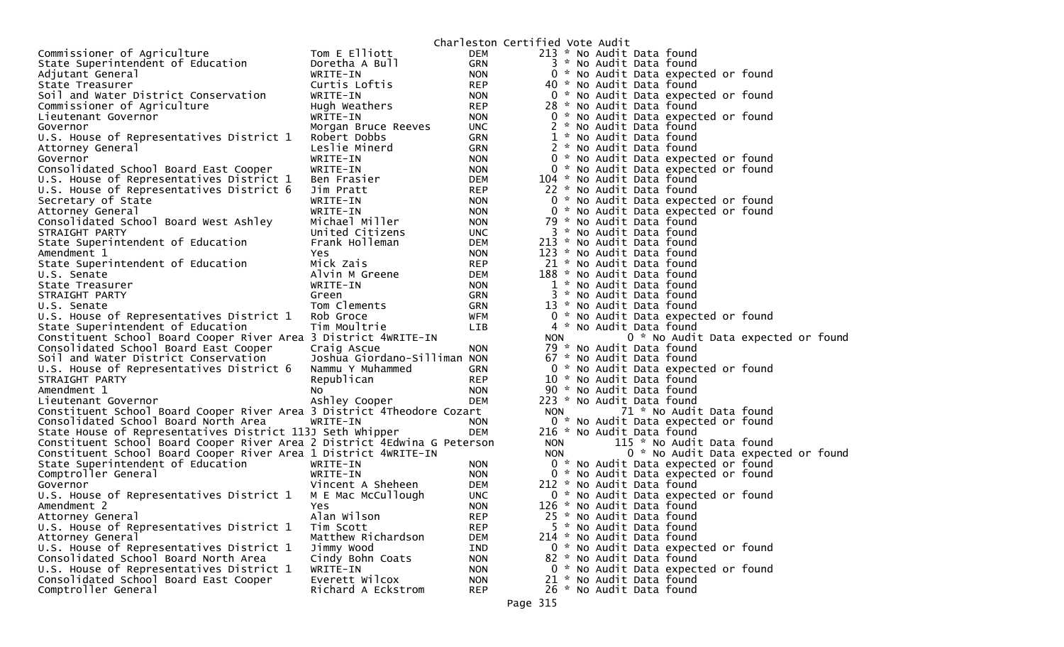|                                                                          |                              |            | Charleston Certified Vote Audit |  |  |                                     |                                     |  |
|--------------------------------------------------------------------------|------------------------------|------------|---------------------------------|--|--|-------------------------------------|-------------------------------------|--|
| Commissioner of Agriculture                                              | Tom E Elliott                | <b>DEM</b> |                                 |  |  | 213 * No Audit Data found           |                                     |  |
| State Superintendent of Education                                        | Doretha A Bull               | GRN        |                                 |  |  | 3 * No Audit Data found             |                                     |  |
| Adjutant General                                                         | WRITE-IN                     | <b>NON</b> |                                 |  |  | 0 * No Audit Data expected or found |                                     |  |
| State Treasurer                                                          | Curtis Loftis                | <b>REP</b> |                                 |  |  | 40 * No Audit Data found            |                                     |  |
| Soil and Water District Conservation                                     | WRITE-IN                     | <b>NON</b> |                                 |  |  | 0 * No Audit Data expected or found |                                     |  |
| Commissioner of Agriculture                                              | Hugh Weathers                | <b>REP</b> |                                 |  |  | 28 * No Audit Data found            |                                     |  |
| Lieutenant Governor                                                      | WRITE-IN                     | <b>NON</b> |                                 |  |  | 0 * No Audit Data expected or found |                                     |  |
| Governor                                                                 | Morgan Bruce Reeves          | <b>UNC</b> |                                 |  |  | 2 * No Audit Data found             |                                     |  |
| U.S. House of Representatives District 1                                 | Robert Dobbs                 | GRN        |                                 |  |  | 1 * No Audit Data found             |                                     |  |
| Attorney General                                                         | Leslie Minerd                | GRN        |                                 |  |  | 2 * No Audit Data found             |                                     |  |
| Governor                                                                 | WRITE-IN                     | <b>NON</b> |                                 |  |  | 0 * No Audit Data expected or found |                                     |  |
| Consolidated School Board East Cooper                                    | WRITE-IN                     | <b>NON</b> |                                 |  |  | 0 * No Audit Data expected or found |                                     |  |
| U.S. House of Representatives District 1                                 | Ben Frasier                  | DEM        |                                 |  |  | 104 * No Audit Data found           |                                     |  |
| U.S. House of Representatives District 6                                 | Jim Pratt                    | <b>REP</b> |                                 |  |  | 22 * No Audit Data found            |                                     |  |
| Secretary of State                                                       | WRITE-IN                     | <b>NON</b> |                                 |  |  | 0 * No Audit Data expected or found |                                     |  |
| Attorney General                                                         | WRITE-IN                     | <b>NON</b> |                                 |  |  | 0 * No Audit Data expected or found |                                     |  |
| Consolidated School Board West Ashley                                    | Michael Miller               | <b>NON</b> |                                 |  |  | 79 * No Audit Data found            |                                     |  |
| STRAIGHT PARTY                                                           | United Citizens              | <b>UNC</b> |                                 |  |  | 3 * No Audit Data found             |                                     |  |
| State Superintendent of Education                                        | Frank Holleman               | <b>DEM</b> |                                 |  |  | 213 * No Audit Data found           |                                     |  |
| Amendment 1                                                              | Yes.                         | <b>NON</b> |                                 |  |  | 123 * No Audit Data found           |                                     |  |
| State Superintendent of Education                                        | Mick Zais                    | <b>REP</b> |                                 |  |  | 21 * No Audit Data found            |                                     |  |
| U.S. Senate                                                              | Alvin M Greene               | DEM        |                                 |  |  | 188 * No Audit Data found           |                                     |  |
| State Treasurer                                                          | WRITE-IN                     | <b>NON</b> |                                 |  |  | 1 * No Audit Data found             |                                     |  |
| STRAIGHT PARTY                                                           | Green                        | GRN        |                                 |  |  | * No Audit Data found               |                                     |  |
| U.S. Senate                                                              | Tom Clements                 | GRN        |                                 |  |  | 13 * No Audit Data found            |                                     |  |
| U.S. House of Representatives District 1                                 | Rob Groce                    | WFM        |                                 |  |  | 0 * No Audit Data expected or found |                                     |  |
| State Superintendent of Education                                        | Tim Moultrie                 | LIB        |                                 |  |  | 4 * No Audit Data found             |                                     |  |
| Constituent School Board Cooper River Area 3 District 4WRITE-IN          |                              |            | <b>NON</b>                      |  |  |                                     | 0 * No Audit Data expected or found |  |
| Consolidated School Board East Cooper                                    | Craig Ascue                  | <b>NON</b> |                                 |  |  | 79 * No Audit Data found            |                                     |  |
| Soil and Water District Conservation                                     | Joshua Giordano-Silliman NON |            |                                 |  |  | 67 * No Audit Data found            |                                     |  |
| U.S. House of Representatives District 6                                 | Nammu Y Muhammed             | GRN        |                                 |  |  | 0 * No Audit Data expected or found |                                     |  |
| STRAIGHT PARTY                                                           | Republican                   | <b>REP</b> |                                 |  |  | 10 * No Audit Data found            |                                     |  |
| Amendment 1                                                              | No                           | <b>NON</b> |                                 |  |  | 90 * No Audit Data found            |                                     |  |
| Lieutenant Governor                                                      | Ashley Cooper                | <b>DEM</b> |                                 |  |  | 223 * No Audit Data found           |                                     |  |
| Constituent School Board Cooper River Area 3 District 4Theodore Cozart   |                              |            | <b>NON</b>                      |  |  | 71 * No Audit Data found            |                                     |  |
| Consolidated School Board North Area                                     | WRITE-IN                     | <b>NON</b> |                                 |  |  | 0 * No Audit Data expected or found |                                     |  |
| State House of Representatives District 113J Seth Whipper                |                              | <b>DEM</b> |                                 |  |  | 216 * No Audit Data found           |                                     |  |
| Constituent School Board Cooper River Area 2 District 4Edwina G Peterson |                              |            | <b>NON</b>                      |  |  | 115 * No Audit Data found           |                                     |  |
| Constituent School Board Cooper River Area 1 District 4WRITE-IN          |                              |            | <b>NON</b>                      |  |  |                                     | 0 * No Audit Data expected or found |  |
| State Superintendent of Education                                        | WRITE-IN                     | <b>NON</b> |                                 |  |  | 0 * No Audit Data expected or found |                                     |  |
| Comptroller General                                                      | WRITE-IN                     | <b>NON</b> |                                 |  |  | 0 * No Audit Data expected or found |                                     |  |
| Governor                                                                 | Vincent A Sheheen            | DEM        |                                 |  |  | 212 * No Audit Data found           |                                     |  |
| U.S. House of Representatives District 1                                 | M E Mac McCullough           | <b>UNC</b> |                                 |  |  | 0 * No Audit Data expected or found |                                     |  |
| Amendment 2                                                              | Yes.                         | <b>NON</b> |                                 |  |  | 126 * No Audit Data found           |                                     |  |
| Attorney General                                                         | Alan Wilson                  | <b>REP</b> |                                 |  |  | 25 * No Audit Data found            |                                     |  |
| U.S. House of Representatives District 1                                 | Tim Scott                    | <b>REP</b> |                                 |  |  | 5 * No Audit Data found             |                                     |  |
| Attorney General                                                         | Matthew Richardson           | <b>DEM</b> |                                 |  |  | 214 * No Audit Data found           |                                     |  |
| U.S. House of Representatives District 1                                 | Jimmy Wood                   | IND        |                                 |  |  | 0 * No Audit Data expected or found |                                     |  |
| Consolidated School Board North Area                                     | Cindy Bohn Coats             | <b>NON</b> |                                 |  |  | 82 * No Audit Data found            |                                     |  |
| U.S. House of Representatives District 1                                 | WRITE-IN                     | <b>NON</b> |                                 |  |  | 0 * No Audit Data expected or found |                                     |  |
| Consolidated School Board East Cooper                                    | Everett Wilcox               | <b>NON</b> |                                 |  |  | 21 * No Audit Data found            |                                     |  |
| Comptroller General                                                      | Richard A Eckstrom           | <b>REP</b> |                                 |  |  | 26 * No Audit Data found            |                                     |  |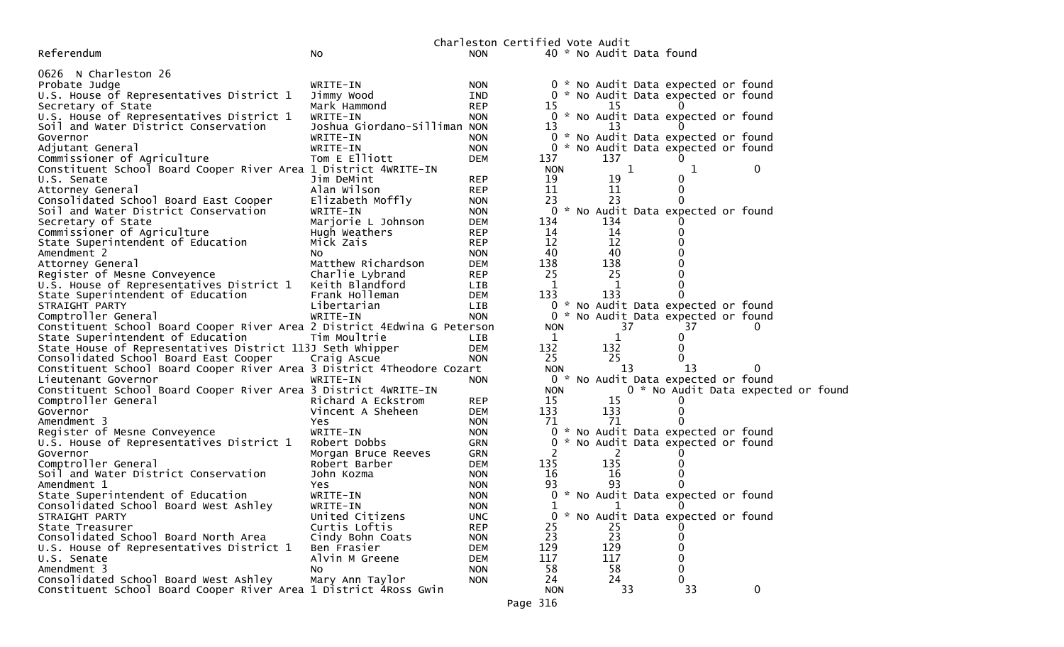|                                                                                |                              |                          | Charleston Certified Vote Audit |                          |   |                                     |                                    |
|--------------------------------------------------------------------------------|------------------------------|--------------------------|---------------------------------|--------------------------|---|-------------------------------------|------------------------------------|
| Referendum                                                                     | No                           | <b>NON</b>               |                                 | 40 * No Audit Data found |   |                                     |                                    |
|                                                                                |                              |                          |                                 |                          |   |                                     |                                    |
| 0626 N Charleston 26                                                           |                              |                          |                                 |                          |   |                                     |                                    |
| Probate Judge                                                                  | WRITE-IN                     | <b>NON</b>               |                                 |                          |   | 0 * No Audit Data expected or found |                                    |
| U.S. House of Representatives District 1                                       | Jimmy Wood                   | IND                      |                                 |                          |   | 0 * No Audit Data expected or found |                                    |
| Secretary of State                                                             | Mark Hammond                 | <b>REP</b>               | 15                              | 15                       |   |                                     |                                    |
| U.S. House of Representatives District 1                                       | WRITE-IN                     | <b>NON</b>               |                                 |                          |   | 0 * No Audit Data expected or found |                                    |
| Soil and Water District Conservation                                           | Joshua Giordano-Silliman NON |                          | 13                              | 13                       |   |                                     |                                    |
| Governor                                                                       | WRITE-IN                     | <b>NON</b>               |                                 |                          |   | 0 * No Audit Data expected or found |                                    |
| Adjutant General                                                               | WRITE-IN                     | <b>NON</b>               |                                 |                          |   | 0 * No Audit Data expected or found |                                    |
| Commissioner of Agriculture                                                    | Tom E Elliott                | <b>DEM</b>               | 137<br><b>NON</b>               | 137                      |   |                                     |                                    |
| Constituent School Board Cooper River Area 1 District 4WRITE-IN<br>U.S. Senate | Jim DeMint                   |                          | 19                              | 19                       | 1 | ı<br>0                              | $\bf{0}$                           |
|                                                                                | Alan Wilson                  | <b>REP</b>               | 11                              |                          |   | 0                                   |                                    |
| Attorney General<br>Consolidated School Board East Cooper                      | Elizabeth Moffly             | <b>REP</b><br><b>NON</b> | 23                              | 11<br>23                 |   |                                     |                                    |
| Soil and Water District Conservation                                           | WRITE-IN                     | <b>NON</b>               |                                 |                          |   | 0 * No Audit Data expected or found |                                    |
| Secretary of State                                                             | Marjorie L Johnson           | <b>DEM</b>               | 134                             | 134                      |   |                                     |                                    |
| Commissioner of Agriculture                                                    | Hugh Weathers                | <b>REP</b>               | 14                              | 14                       |   |                                     |                                    |
| State Superintendent of Education                                              | Mick Zais                    | <b>REP</b>               | 12                              | 12                       |   |                                     |                                    |
| Amendment 2                                                                    | NO.                          | <b>NON</b>               | 40                              | 40                       |   |                                     |                                    |
| Attorney General                                                               | Matthew Richardson           | <b>DEM</b>               | 138                             | 138                      |   |                                     |                                    |
| Register of Mesne Conveyence                                                   | Charlie Lybrand              | <b>REP</b>               | 25                              | 25                       |   |                                     |                                    |
| U.S. House of Representatives District 1                                       | Keith Blandford              | LIB                      | 1                               | 1                        |   |                                     |                                    |
| State Superintendent of Education                                              | Frank Holleman               | <b>DEM</b>               | 133                             | 133                      |   | 0                                   |                                    |
| STRAIGHT PARTY                                                                 | Libertarian                  | <b>LIB</b>               |                                 |                          |   | 0 * No Audit Data expected or found |                                    |
| Comptroller General                                                            | WRITE-IN                     | <b>NON</b>               | $\mathbf{0}$                    |                          |   | No Audit Data expected or found     |                                    |
| Constituent School Board Cooper River Area 2 District 4Edwina G Peterson       |                              |                          | <b>NON</b>                      | 37                       |   | 37                                  | $\mathbf{0}$                       |
| State Superintendent of Education                                              | Tim Moultrie                 | LIB.                     | 1                               | $\mathbf{1}$             |   | 0                                   |                                    |
| State House of Representatives District 113J Seth Whipper                      |                              | <b>DEM</b>               | 132                             | 132                      |   | 0                                   |                                    |
| Consolidated School Board East Cooper                                          | Craig Ascue                  | <b>NON</b>               | 25                              | 25                       |   | 0                                   |                                    |
| Constituent School Board Cooper River Area 3 District 4Theodore Cozart         |                              |                          | <b>NON</b>                      | 13                       |   | 13                                  | 0                                  |
| Lieutenant Governor                                                            | WRITE-IN                     | <b>NON</b>               |                                 |                          |   | 0 * No Audit Data expected or found |                                    |
| Constituent School Board Cooper River Area 3 District 4WRITE-IN                |                              |                          | <b>NON</b>                      |                          |   |                                     | 0 * No Audit Data expected or foun |
| Comptroller General                                                            | Richard A Eckstrom           | <b>REP</b>               | 15                              | 15                       |   |                                     |                                    |
| Governor                                                                       | Vincent A Sheheen            | <b>DEM</b>               | 133                             | 133                      |   | 0                                   |                                    |
| Amendment 3                                                                    | Yes                          | <b>NON</b>               | 71                              | 71                       |   |                                     |                                    |
| Register of Mesne Conveyence                                                   | WRITE-IN                     | <b>NON</b>               | $\mathbf{0}$                    |                          |   | * No Audit Data expected or found   |                                    |
| U.S. House of Representatives District 1                                       | Robert Dobbs                 | <b>GRN</b>               | 0                               |                          |   | * No Audit Data expected or found   |                                    |
| Governor                                                                       | Morgan Bruce Reeves          | <b>GRN</b>               | 2                               | 2                        |   |                                     |                                    |
| Comptroller General                                                            | Robert Barber                | <b>DEM</b>               | 135                             | 135                      |   |                                     |                                    |
| Soil and Water District Conservation                                           | John Kozma                   | <b>NON</b>               | 16                              | 16                       |   |                                     |                                    |
| Amendment 1                                                                    | Yes                          | <b>NON</b>               | 93                              | 93                       |   |                                     |                                    |
| State Superintendent of Education                                              | WRITE-IN                     | <b>NON</b>               |                                 |                          |   | 0 * No Audit Data expected or found |                                    |
| Consolidated School Board West Ashley                                          | WRITE-IN                     | <b>NON</b>               |                                 |                          |   |                                     |                                    |
| STRAIGHT PARTY                                                                 | United Citizens              | <b>UNC</b>               |                                 |                          |   | 0 * No Audit Data expected or found |                                    |
| State Treasurer                                                                | Curtis Loftis                | <b>REP</b>               | 25                              | 25                       |   |                                     |                                    |
| Consolidated School Board North Area                                           | Cindy Bohn Coats             | <b>NON</b>               | 23                              | 23                       |   | 0                                   |                                    |
| U.S. House of Representatives District 1                                       | Ben Frasier                  | <b>DEM</b>               | 129                             | 129                      |   |                                     |                                    |
| U.S. Senate                                                                    | Alvin M Greene               | <b>DEM</b>               | 117                             | 117                      |   |                                     |                                    |
| Amendment 3                                                                    | NO.                          | <b>NON</b>               | 58                              | 58                       |   | 0                                   |                                    |
| Consolidated School Board West Ashley                                          | Mary Ann Taylor              | <b>NON</b>               | 24                              | 24                       |   | 0                                   |                                    |
| Constituent School Board Cooper River Area 1 District 4Ross Gwin               |                              |                          | <b>NON</b>                      | 33                       |   | 33                                  | $\mathbf{0}$                       |

Page 316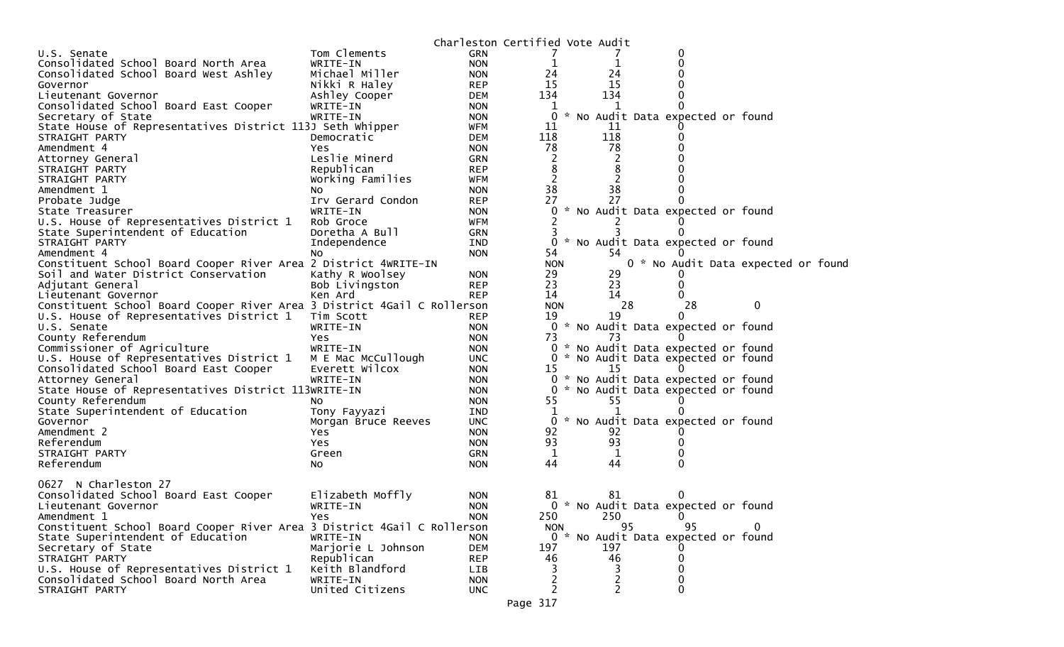|                                                                         |                     |            | Charleston Certified Vote Audit |     |                                     |   |  |
|-------------------------------------------------------------------------|---------------------|------------|---------------------------------|-----|-------------------------------------|---|--|
| U.S. Senate                                                             | Tom Clements        | <b>GRN</b> |                                 |     | 0                                   |   |  |
| Consolidated School Board North Area                                    | WRITE-IN            | <b>NON</b> | 1                               |     | 0                                   |   |  |
| Consolidated School Board West Ashley                                   | Michael Miller      | <b>NON</b> | 24                              | 24  |                                     |   |  |
| Governor                                                                | Nikki R Haley       | <b>REP</b> | 15                              | 15  |                                     |   |  |
| Lieutenant Governor                                                     | Ashley Cooper       | <b>DEM</b> | 134                             | 134 |                                     |   |  |
| Consolidated School Board East Cooper                                   | WRITE-IN            | <b>NON</b> | 1                               | 1   |                                     |   |  |
| Secretary of State                                                      | WRITE-IN            | <b>NON</b> | 0                               |     | * No Audit Data expected or found   |   |  |
| State House of Representatives District 113J Seth Whipper               |                     | WFM        | 11                              | 11  |                                     |   |  |
| STRAIGHT PARTY                                                          | Democratic          | <b>DEM</b> | 118                             | 118 |                                     |   |  |
| Amendment 4                                                             | Yes.                | <b>NON</b> | 78                              | 78  |                                     |   |  |
| Attorney General                                                        | Leslie Minerd       | GRN        | 2                               |     |                                     |   |  |
| STRAIGHT PARTY                                                          | Republican          | <b>REP</b> | 8                               | 8   |                                     |   |  |
| STRAIGHT PARTY                                                          | Working Families    | <b>WFM</b> | 2                               |     |                                     |   |  |
| Amendment 1                                                             | NO.                 | <b>NON</b> | 38                              | 38  |                                     |   |  |
| Probate Judge                                                           | Irv Gerard Condon   | <b>REP</b> | 27                              | 27  |                                     |   |  |
| State Treasurer                                                         | WRITE-IN            | <b>NON</b> |                                 |     | 0 * No Audit Data expected or found |   |  |
| U.S. House of Representatives District 1                                | Rob Groce           | <b>WFM</b> |                                 |     |                                     |   |  |
| State Superintendent of Education                                       | Doretha A Bull      | <b>GRN</b> | 3                               |     |                                     |   |  |
| STRAIGHT PARTY                                                          | Independence        | <b>IND</b> | 0                               |     | No Audit Data expected or found     |   |  |
| Amendment 4                                                             | No                  | <b>NON</b> | 54                              | 54  |                                     |   |  |
| Constituent School Board Cooper River Area 2 District 4WRITE-IN         |                     |            | <b>NON</b>                      |     | 0 * No Audit Data expected or foun  |   |  |
| Soil and Water District Conservation                                    | Kathy R Woolsey     | <b>NON</b> | 29                              | 29  |                                     |   |  |
| Adjutant General                                                        | Bob Livingston      | <b>REP</b> | 23                              | 23  | $\Omega$                            |   |  |
| Lieutenant Governor                                                     | Ken Ard             | <b>REP</b> | 14                              | 14  |                                     |   |  |
| Constituent School Board Cooper River Area 3 District 4Gail C Rollerson |                     |            | <b>NON</b>                      | 28  | 28                                  | 0 |  |
| U.S. House of Representatives District 1                                | Tim Scott           | <b>REP</b> | 19                              | 19  | 0                                   |   |  |
| U.S. Senate                                                             | WRITE-IN            | <b>NON</b> |                                 |     | 0 * No Audit Data expected or found |   |  |
| County Referendum                                                       | <b>Yes</b>          | <b>NON</b> | 73                              | 73  |                                     |   |  |
| Commissioner of Agriculture                                             | WRITE-IN            | <b>NON</b> |                                 |     | 0 * No Audit Data expected or found |   |  |
| U.S. House of Representatives District 1                                | M E Mac McCullough  | <b>UNC</b> |                                 |     | 0 * No Audit Data expected or found |   |  |
| Consolidated School Board East Cooper                                   | Everett Wilcox      | <b>NON</b> | 15                              | 15  |                                     |   |  |
| Attorney General                                                        | WRITE-IN            | <b>NON</b> |                                 |     | 0 * No Audit Data expected or found |   |  |
| State House of Representatives District 113WRITE-IN                     |                     | <b>NON</b> |                                 |     | 0 * No Audit Data expected or found |   |  |
| County Referendum                                                       | NO.                 | <b>NON</b> | 55                              | 55  |                                     |   |  |
| State Superintendent of Education                                       | Tony Fayyazi        | <b>IND</b> |                                 |     |                                     |   |  |
| Governor                                                                | Morgan Bruce Reeves | <b>UNC</b> |                                 |     | 0 * No Audit Data expected or found |   |  |
| Amendment 2                                                             | Yes.                | <b>NON</b> | 92                              | 92  |                                     |   |  |
| Referendum                                                              | Yes                 | <b>NON</b> | 93                              | 93  |                                     |   |  |
| STRAIGHT PARTY                                                          | Green               | GRN        | $\mathbf{1}$                    | 1   |                                     |   |  |
| Referendum                                                              | No                  | <b>NON</b> | 44                              | 44  |                                     |   |  |
|                                                                         |                     |            |                                 |     |                                     |   |  |
| 0627 N Charleston 27                                                    |                     |            |                                 |     |                                     |   |  |
| Consolidated School Board East Cooper                                   | Elizabeth Moffly    | <b>NON</b> | 81                              | 81  |                                     |   |  |
| Lieutenant Governor                                                     | WRITE-IN            | <b>NON</b> |                                 |     | 0 * No Audit Data expected or found |   |  |
| Amendment 1                                                             | Yes.                | <b>NON</b> | 250                             | 250 | $\mathbf 0$                         |   |  |
| Constituent School Board Cooper River Area 3 District 4Gail C Rollerson |                     |            | <b>NON</b>                      | 95  | 95                                  | 0 |  |
| State Superintendent of Education                                       | WRITE-IN            | <b>NON</b> |                                 |     | 0 * No Audit Data expected or found |   |  |
| Secretary of State                                                      | Marjorie L Johnson  | DEM        | 197                             | 197 | $\Omega$                            |   |  |
| STRAIGHT PARTY                                                          | Republican          | <b>REP</b> | 46                              | 46  | 0                                   |   |  |
| U.S. House of Representatives District 1                                | Keith Blandford     | LIB        | 3                               | 3   | 0                                   |   |  |
| Consolidated School Board North Area                                    | WRITE-IN            | <b>NON</b> | 2                               |     | 0                                   |   |  |
| STRAIGHT PARTY                                                          | United Citizens     | <b>UNC</b> | $\overline{2}$                  | 2   | $\Omega$                            |   |  |
|                                                                         |                     |            |                                 |     |                                     |   |  |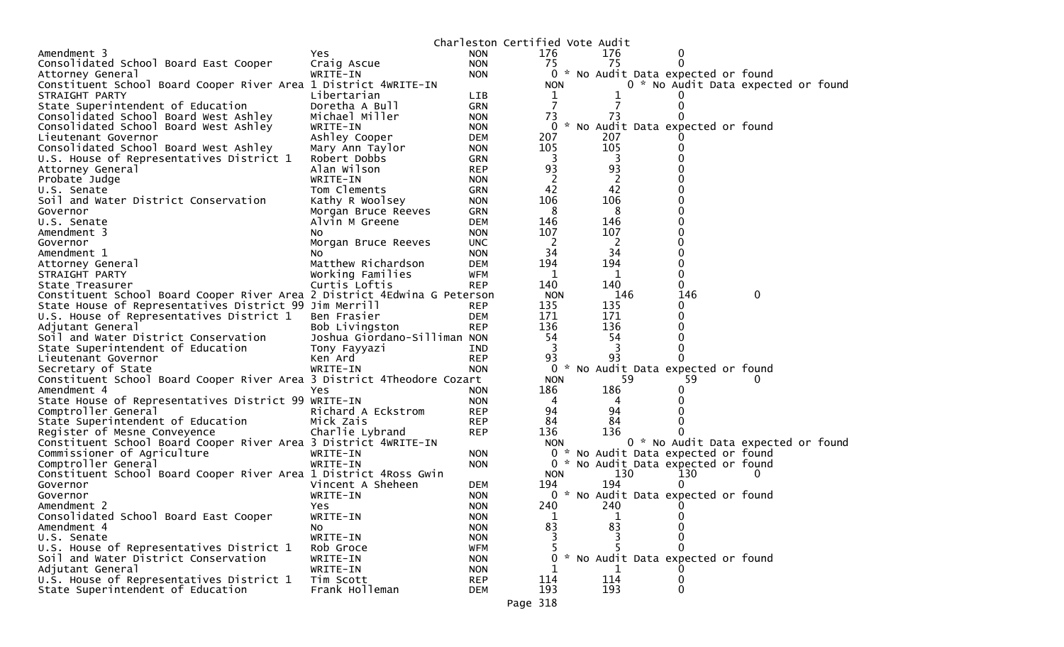|                                                                                                    |                                                |                          | Charleston Certified Vote Audit |         |                                     |                                     |
|----------------------------------------------------------------------------------------------------|------------------------------------------------|--------------------------|---------------------------------|---------|-------------------------------------|-------------------------------------|
| Amendment 3                                                                                        | Yes.                                           | <b>NON</b>               | 176                             | 176     | $\bf{0}$                            |                                     |
| Consolidated School Board East Cooper                                                              | Craig Ascue                                    | <b>NON</b>               | 75                              | 75      | $\Omega$                            |                                     |
| Attorney General                                                                                   | WRITE-IN                                       | <b>NON</b>               | 0                               |         | * No Audit Data expected or found   |                                     |
| Constituent School Board Cooper River Area 1 District 4WRITE-IN                                    |                                                |                          | <b>NON</b>                      |         |                                     | 0 * No Audit Data expected or found |
| STRAIGHT PARTY                                                                                     | Libertarian                                    | <b>LIB</b>               | 1                               |         |                                     |                                     |
| State Superintendent of Education                                                                  | Doretha A Bull                                 | <b>GRN</b>               | $\overline{7}$                  |         | 0                                   |                                     |
| Consolidated School Board West Ashley                                                              | Michael Miller                                 | <b>NON</b>               | 73                              | 73      |                                     |                                     |
| Consolidated School Board West Ashley                                                              | WRITE-IN                                       | <b>NON</b>               |                                 |         | 0 * No Audit Data expected or found |                                     |
| Lieutenant Governor                                                                                | Ashley Cooper                                  | DEM                      | 207                             | 207     |                                     |                                     |
| Consolidated School Board West Ashley                                                              |                                                |                          | 105                             | 105     |                                     |                                     |
| U.S. House of Representatives District 1                                                           | Mary Ann Taylor<br>Robert Dobbs                | <b>NON</b><br><b>GRN</b> | 3                               | 3       |                                     |                                     |
| Attorney General                                                                                   | Alan Wilson                                    | <b>REP</b>               | 93                              | 93      |                                     |                                     |
| Probate Judge                                                                                      | WRITE-IN                                       | <b>NON</b>               | 2                               | 2       |                                     |                                     |
| U.S. Senate                                                                                        | Tom Clements                                   | <b>GRN</b>               | 42                              | 42      |                                     |                                     |
| Soil and Water District Conservation                                                               | Kathy R Woolsey                                | <b>NON</b>               | 106                             | 106     |                                     |                                     |
| Governor                                                                                           |                                                |                          | 8                               | 8       |                                     |                                     |
| U.S. Senate                                                                                        | Morgan Bruce Reeves<br>Alvin M Greene          | <b>GRN</b><br><b>DEM</b> | 146                             | 146     | 0                                   |                                     |
| Amendment 3                                                                                        |                                                | <b>NON</b>               | 107                             | 107     |                                     |                                     |
|                                                                                                    | NO.                                            |                          | 2                               | 2       | 0                                   |                                     |
| Governor<br>Amendment 1                                                                            | Morgan Bruce Reeves<br>No                      | <b>UNC</b><br><b>NON</b> | 34                              | 34      | 0                                   |                                     |
|                                                                                                    | Matthew Richardson                             | <b>DEM</b>               | 194                             | 194     | 0                                   |                                     |
| Attorney General<br>STRAIGHT PARTY                                                                 | Working Families                               | WFM                      | $\mathbf 1$                     | 1       | $\Omega$                            |                                     |
| State Treasurer                                                                                    | Curtis Loftis                                  | <b>REP</b>               | 140                             | 140     | 0                                   |                                     |
| Constituent School Board Cooper River Area 2 District 4Edwina G Peterson                           |                                                |                          | <b>NON</b>                      | 146     | 146                                 | $\mathbf 0$                         |
|                                                                                                    |                                                | <b>REP</b>               | 135                             | 135     | 0                                   |                                     |
| State House of Representatives District 99 Jim Merrill<br>U.S. House of Representatives District 1 |                                                |                          | 171                             | 171     | 0                                   |                                     |
| Adjutant General                                                                                   | Ben Frasier                                    | <b>DEM</b><br><b>REP</b> | 136                             | 136     | 0                                   |                                     |
|                                                                                                    | Bob Livingston<br>Joshua Giordano-Silliman NON |                          | 54                              |         | 0                                   |                                     |
| Soil and Water District Conservation<br>State Superintendent of Education                          |                                                |                          | 3                               | 54<br>3 | 0                                   |                                     |
| Lieutenant Governor                                                                                | Tony Fayyazi<br>Ken Ard                        | IND<br><b>REP</b>        | 93                              | 93      |                                     |                                     |
|                                                                                                    | WRITE-IN                                       | <b>NON</b>               | $\mathbf{0}$                    |         | * No Audit Data expected or found   |                                     |
| Secretary of State                                                                                 |                                                |                          | <b>NON</b>                      | 59      | 59                                  |                                     |
| Constituent School Board Cooper River Area 3 District 4Theodore Cozart<br>Amendment 4              | Yes                                            | <b>NON</b>               | 186                             | 186     | 0                                   |                                     |
| State House of Representatives District 99 WRITE-IN                                                |                                                | <b>NON</b>               | 4                               | 4       |                                     |                                     |
| Comptroller General                                                                                | Richard A Eckstrom                             | <b>REP</b>               | 94                              | 94      |                                     |                                     |
| State Superintendent of Education                                                                  | Mick Zais                                      | <b>REP</b>               | 84                              | 84      |                                     |                                     |
| Register of Mesne Conveyence                                                                       | Charlie Lybrand                                | <b>REP</b>               | 136                             | 136     |                                     |                                     |
| Constituent School Board Cooper River Area 3 District 4WRITE-IN                                    |                                                |                          | <b>NON</b>                      |         |                                     | 0 * No Audit Data expected or found |
| Commissioner of Agriculture                                                                        | WRITE-IN                                       | <b>NON</b>               |                                 |         | 0 * No Audit Data expected or found |                                     |
| Comptroller General                                                                                | WRITE-IN                                       | <b>NON</b>               |                                 |         | 0 * No Audit Data expected or found |                                     |
| Constituent School Board Cooper River Area 1 District 4Ross Gwin                                   |                                                |                          | <b>NON</b>                      | 130     | 130                                 | 0                                   |
| Governor                                                                                           | Vincent A Sheheen                              | <b>DEM</b>               | 194                             | 194     |                                     |                                     |
| Governor                                                                                           | WRITE-IN                                       | <b>NON</b>               |                                 |         | 0 * No Audit Data expected or found |                                     |
| Amendment 2                                                                                        | Yes                                            | <b>NON</b>               | 240                             | 240     |                                     |                                     |
| Consolidated School Board East Cooper                                                              | WRITE-IN                                       | <b>NON</b>               | 1                               | 1       | 0                                   |                                     |
| Amendment 4                                                                                        | No.                                            | <b>NON</b>               | 83                              | 83      |                                     |                                     |
| U.S. Senate                                                                                        | WRITE-IN                                       | <b>NON</b>               |                                 |         |                                     |                                     |
| U.S. House of Representatives District 1                                                           | Rob Groce                                      | <b>WFM</b>               |                                 |         |                                     |                                     |
| Soil and Water District Conservation                                                               | WRITE-IN                                       | <b>NON</b>               | 0                               |         | * No Audit Data expected or found   |                                     |
| Adjutant General                                                                                   | WRITE-IN                                       | <b>NON</b>               |                                 |         |                                     |                                     |
| U.S. House of Representatives District 1                                                           | Tim Scott                                      | <b>REP</b>               | 114                             | 114     |                                     |                                     |
| State Superintendent of Education                                                                  | Frank Holleman                                 | DEM                      | 193                             | 193     | ∩                                   |                                     |
|                                                                                                    |                                                |                          | Page 318                        |         |                                     |                                     |
|                                                                                                    |                                                |                          |                                 |         |                                     |                                     |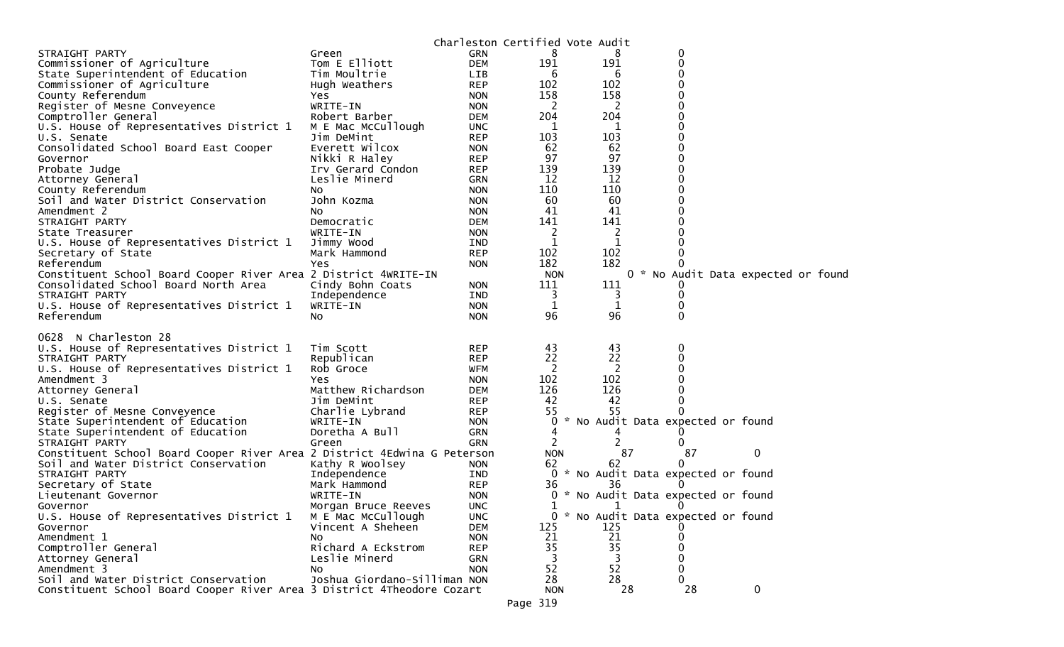| 8<br>0<br>STRAIGHT PARTY<br><b>GRN</b><br>Green<br>8<br>191<br>191<br>Commissioner of Agriculture<br>Tom E Elliott<br>0<br><b>DEM</b><br>0<br>State Superintendent of Education<br>Tim Moultrie<br><b>LIB</b><br>6<br>6<br>102<br>0<br>Commissioner of Agriculture<br>102<br>Hugh Weathers<br><b>REP</b><br>158<br>158<br>County Referendum<br>0<br><b>NON</b><br>Yes<br>0<br>2<br>2<br>Register of Mesne Conveyence<br>WRITE-IN<br><b>NON</b><br>204<br>Comptroller General<br>204<br>0<br>Robert Barber<br><b>DEM</b><br>U.S. House of Representatives District 1<br>0<br>M E Mac McCullough<br><b>UNC</b><br>1<br>1<br>103<br>103<br>Jim DeMint<br><b>REP</b><br>U.S. Senate<br>62<br>62<br>Consolidated School Board East Cooper<br>Everett Wilcox<br><b>NON</b><br>97<br>97<br>0<br>Nikki R Haley<br><b>REP</b><br>Governor<br>139<br>139<br>Probate Judge<br><b>REP</b><br>Irv Gerard Condon<br>0<br>12<br>12<br>Leslie Minerd<br>Attorney General<br>GRN<br>110<br>110<br>0<br>County Referendum<br><b>NON</b><br>No<br>Soil and Water District Conservation<br>60<br>60<br>John Kozma<br><b>NON</b><br>41<br>41<br>Amendment 2<br><b>NON</b><br>NO.<br>141<br>141<br><b>DEM</b><br>STRAIGHT PARTY<br>Democratic<br>WRITE-IN<br>2<br>2<br>State Treasurer<br><b>NON</b><br>1<br>U.S. House of Representatives District 1<br>Jimmy Wood<br>1<br>IND<br>102<br>102<br>Mark Hammond<br><b>REP</b><br>Secretary of State<br>182<br>182<br>Referendum<br><b>Yes</b><br><b>NON</b><br>Constituent School Board Cooper River Area 2 District 4WRITE-IN<br>0 * No Audit Data expected or found<br><b>NON</b><br>Consolidated School Board North Area<br>111<br>111<br>Cindy Bohn Coats<br><b>NON</b><br>STRAIGHT PARTY<br>Independence<br>3<br>IND<br>0<br>3<br>U.S. House of Representatives District 1<br>WRITE-IN<br>1<br>1<br><b>NON</b><br>96<br>96<br>Referendum<br>0<br><b>NON</b><br>NO.<br>0628 N Charleston 28<br>U.S. House of Representatives District 1<br>43<br>43<br>0<br>Tim Scott<br><b>REP</b><br>22<br>Republican<br>22<br>STRAIGHT PARTY<br><b>REP</b><br>2<br>U.S. House of Representatives District 1<br>Rob Groce<br>-2<br>0<br>WFM<br>102<br>102<br>Amendment 3<br><b>NON</b><br>Yes<br>126<br>126<br>Matthew Richardson<br>Attorney General<br><b>DEM</b><br>42<br>42<br>0<br>Jim DeMint<br><b>REP</b><br>U.S. Senate<br>55<br>55<br>Register of Mesne Conveyence<br>Charlie Lybrand<br><b>REP</b><br>* No Audit Data expected or found<br>State Superintendent of Education<br>WRITE-IN<br>0<br><b>NON</b><br>Doretha A Bull<br>State Superintendent of Education<br><b>GRN</b><br>4<br>4<br>2<br><b>GRN</b><br>2<br>STRAIGHT PARTY<br>Green<br>0<br>87<br>87<br>Constituent School Board Cooper River Area 2 District 4Edwina G Peterson<br>0<br><b>NON</b><br>Soil and Water District Conservation<br>Kathy R Woolsey<br>62<br>0<br><b>NON</b><br>62<br>* No Audit Data expected or found<br>STRAIGHT PARTY<br>Independence<br>0<br>IND<br>Mark Hammond<br>36<br>Secretary of State<br><b>REP</b><br>36<br>* No Audit Data expected or found<br>Lieutenant Governor<br>WRITE-IN<br><b>NON</b><br>$\mathbf{0}$<br><b>UNC</b><br>1<br>1<br>Governor<br>Morgan Bruce Reeves<br>U.S. House of Representatives District 1<br>M E Mac McCullough<br>0<br>* No Audit Data expected or found<br><b>UNC</b><br>Vincent A Sheheen<br>125<br>125<br><b>DEM</b><br>Governor<br>Amendment 1<br>21<br>21<br><b>NON</b><br>NO.<br>Comptroller General<br>35<br>35<br>Richard A Eckstrom<br><b>REP</b><br>Attorney General<br>Leslie Minerd<br><b>GRN</b><br>3<br>3<br>0<br>52<br>52<br>Amendment 3<br><b>NON</b><br>0<br>NO.<br>Joshua Giordano-Silliman NON<br>28<br>Soil and Water District Conservation<br>28<br>0<br>Constituent School Board Cooper River Area 3 District 4Theodore Cozart |  | Charleston Certified Vote Audit |    |    |             |  |
|-------------------------------------------------------------------------------------------------------------------------------------------------------------------------------------------------------------------------------------------------------------------------------------------------------------------------------------------------------------------------------------------------------------------------------------------------------------------------------------------------------------------------------------------------------------------------------------------------------------------------------------------------------------------------------------------------------------------------------------------------------------------------------------------------------------------------------------------------------------------------------------------------------------------------------------------------------------------------------------------------------------------------------------------------------------------------------------------------------------------------------------------------------------------------------------------------------------------------------------------------------------------------------------------------------------------------------------------------------------------------------------------------------------------------------------------------------------------------------------------------------------------------------------------------------------------------------------------------------------------------------------------------------------------------------------------------------------------------------------------------------------------------------------------------------------------------------------------------------------------------------------------------------------------------------------------------------------------------------------------------------------------------------------------------------------------------------------------------------------------------------------------------------------------------------------------------------------------------------------------------------------------------------------------------------------------------------------------------------------------------------------------------------------------------------------------------------------------------------------------------------------------------------------------------------------------------------------------------------------------------------------------------------------------------------------------------------------------------------------------------------------------------------------------------------------------------------------------------------------------------------------------------------------------------------------------------------------------------------------------------------------------------------------------------------------------------------------------------------------------------------------------------------------------------------------------------------------------------------------------------------------------------------------------------------------------------------------------------------------------------------------------------------------------------------------------------------------------------------------------------------------------------------------------------------------------------------------------------------------------------------------------------------------------------------------------------------------------------------------------------------------------------------------------------------------|--|---------------------------------|----|----|-------------|--|
|                                                                                                                                                                                                                                                                                                                                                                                                                                                                                                                                                                                                                                                                                                                                                                                                                                                                                                                                                                                                                                                                                                                                                                                                                                                                                                                                                                                                                                                                                                                                                                                                                                                                                                                                                                                                                                                                                                                                                                                                                                                                                                                                                                                                                                                                                                                                                                                                                                                                                                                                                                                                                                                                                                                                                                                                                                                                                                                                                                                                                                                                                                                                                                                                                                                                                                                                                                                                                                                                                                                                                                                                                                                                                                                                                                                                             |  |                                 |    |    |             |  |
|                                                                                                                                                                                                                                                                                                                                                                                                                                                                                                                                                                                                                                                                                                                                                                                                                                                                                                                                                                                                                                                                                                                                                                                                                                                                                                                                                                                                                                                                                                                                                                                                                                                                                                                                                                                                                                                                                                                                                                                                                                                                                                                                                                                                                                                                                                                                                                                                                                                                                                                                                                                                                                                                                                                                                                                                                                                                                                                                                                                                                                                                                                                                                                                                                                                                                                                                                                                                                                                                                                                                                                                                                                                                                                                                                                                                             |  |                                 |    |    |             |  |
|                                                                                                                                                                                                                                                                                                                                                                                                                                                                                                                                                                                                                                                                                                                                                                                                                                                                                                                                                                                                                                                                                                                                                                                                                                                                                                                                                                                                                                                                                                                                                                                                                                                                                                                                                                                                                                                                                                                                                                                                                                                                                                                                                                                                                                                                                                                                                                                                                                                                                                                                                                                                                                                                                                                                                                                                                                                                                                                                                                                                                                                                                                                                                                                                                                                                                                                                                                                                                                                                                                                                                                                                                                                                                                                                                                                                             |  |                                 |    |    |             |  |
|                                                                                                                                                                                                                                                                                                                                                                                                                                                                                                                                                                                                                                                                                                                                                                                                                                                                                                                                                                                                                                                                                                                                                                                                                                                                                                                                                                                                                                                                                                                                                                                                                                                                                                                                                                                                                                                                                                                                                                                                                                                                                                                                                                                                                                                                                                                                                                                                                                                                                                                                                                                                                                                                                                                                                                                                                                                                                                                                                                                                                                                                                                                                                                                                                                                                                                                                                                                                                                                                                                                                                                                                                                                                                                                                                                                                             |  |                                 |    |    |             |  |
|                                                                                                                                                                                                                                                                                                                                                                                                                                                                                                                                                                                                                                                                                                                                                                                                                                                                                                                                                                                                                                                                                                                                                                                                                                                                                                                                                                                                                                                                                                                                                                                                                                                                                                                                                                                                                                                                                                                                                                                                                                                                                                                                                                                                                                                                                                                                                                                                                                                                                                                                                                                                                                                                                                                                                                                                                                                                                                                                                                                                                                                                                                                                                                                                                                                                                                                                                                                                                                                                                                                                                                                                                                                                                                                                                                                                             |  |                                 |    |    |             |  |
|                                                                                                                                                                                                                                                                                                                                                                                                                                                                                                                                                                                                                                                                                                                                                                                                                                                                                                                                                                                                                                                                                                                                                                                                                                                                                                                                                                                                                                                                                                                                                                                                                                                                                                                                                                                                                                                                                                                                                                                                                                                                                                                                                                                                                                                                                                                                                                                                                                                                                                                                                                                                                                                                                                                                                                                                                                                                                                                                                                                                                                                                                                                                                                                                                                                                                                                                                                                                                                                                                                                                                                                                                                                                                                                                                                                                             |  |                                 |    |    |             |  |
|                                                                                                                                                                                                                                                                                                                                                                                                                                                                                                                                                                                                                                                                                                                                                                                                                                                                                                                                                                                                                                                                                                                                                                                                                                                                                                                                                                                                                                                                                                                                                                                                                                                                                                                                                                                                                                                                                                                                                                                                                                                                                                                                                                                                                                                                                                                                                                                                                                                                                                                                                                                                                                                                                                                                                                                                                                                                                                                                                                                                                                                                                                                                                                                                                                                                                                                                                                                                                                                                                                                                                                                                                                                                                                                                                                                                             |  |                                 |    |    |             |  |
|                                                                                                                                                                                                                                                                                                                                                                                                                                                                                                                                                                                                                                                                                                                                                                                                                                                                                                                                                                                                                                                                                                                                                                                                                                                                                                                                                                                                                                                                                                                                                                                                                                                                                                                                                                                                                                                                                                                                                                                                                                                                                                                                                                                                                                                                                                                                                                                                                                                                                                                                                                                                                                                                                                                                                                                                                                                                                                                                                                                                                                                                                                                                                                                                                                                                                                                                                                                                                                                                                                                                                                                                                                                                                                                                                                                                             |  |                                 |    |    |             |  |
|                                                                                                                                                                                                                                                                                                                                                                                                                                                                                                                                                                                                                                                                                                                                                                                                                                                                                                                                                                                                                                                                                                                                                                                                                                                                                                                                                                                                                                                                                                                                                                                                                                                                                                                                                                                                                                                                                                                                                                                                                                                                                                                                                                                                                                                                                                                                                                                                                                                                                                                                                                                                                                                                                                                                                                                                                                                                                                                                                                                                                                                                                                                                                                                                                                                                                                                                                                                                                                                                                                                                                                                                                                                                                                                                                                                                             |  |                                 |    |    |             |  |
|                                                                                                                                                                                                                                                                                                                                                                                                                                                                                                                                                                                                                                                                                                                                                                                                                                                                                                                                                                                                                                                                                                                                                                                                                                                                                                                                                                                                                                                                                                                                                                                                                                                                                                                                                                                                                                                                                                                                                                                                                                                                                                                                                                                                                                                                                                                                                                                                                                                                                                                                                                                                                                                                                                                                                                                                                                                                                                                                                                                                                                                                                                                                                                                                                                                                                                                                                                                                                                                                                                                                                                                                                                                                                                                                                                                                             |  |                                 |    |    |             |  |
|                                                                                                                                                                                                                                                                                                                                                                                                                                                                                                                                                                                                                                                                                                                                                                                                                                                                                                                                                                                                                                                                                                                                                                                                                                                                                                                                                                                                                                                                                                                                                                                                                                                                                                                                                                                                                                                                                                                                                                                                                                                                                                                                                                                                                                                                                                                                                                                                                                                                                                                                                                                                                                                                                                                                                                                                                                                                                                                                                                                                                                                                                                                                                                                                                                                                                                                                                                                                                                                                                                                                                                                                                                                                                                                                                                                                             |  |                                 |    |    |             |  |
|                                                                                                                                                                                                                                                                                                                                                                                                                                                                                                                                                                                                                                                                                                                                                                                                                                                                                                                                                                                                                                                                                                                                                                                                                                                                                                                                                                                                                                                                                                                                                                                                                                                                                                                                                                                                                                                                                                                                                                                                                                                                                                                                                                                                                                                                                                                                                                                                                                                                                                                                                                                                                                                                                                                                                                                                                                                                                                                                                                                                                                                                                                                                                                                                                                                                                                                                                                                                                                                                                                                                                                                                                                                                                                                                                                                                             |  |                                 |    |    |             |  |
|                                                                                                                                                                                                                                                                                                                                                                                                                                                                                                                                                                                                                                                                                                                                                                                                                                                                                                                                                                                                                                                                                                                                                                                                                                                                                                                                                                                                                                                                                                                                                                                                                                                                                                                                                                                                                                                                                                                                                                                                                                                                                                                                                                                                                                                                                                                                                                                                                                                                                                                                                                                                                                                                                                                                                                                                                                                                                                                                                                                                                                                                                                                                                                                                                                                                                                                                                                                                                                                                                                                                                                                                                                                                                                                                                                                                             |  |                                 |    |    |             |  |
|                                                                                                                                                                                                                                                                                                                                                                                                                                                                                                                                                                                                                                                                                                                                                                                                                                                                                                                                                                                                                                                                                                                                                                                                                                                                                                                                                                                                                                                                                                                                                                                                                                                                                                                                                                                                                                                                                                                                                                                                                                                                                                                                                                                                                                                                                                                                                                                                                                                                                                                                                                                                                                                                                                                                                                                                                                                                                                                                                                                                                                                                                                                                                                                                                                                                                                                                                                                                                                                                                                                                                                                                                                                                                                                                                                                                             |  |                                 |    |    |             |  |
|                                                                                                                                                                                                                                                                                                                                                                                                                                                                                                                                                                                                                                                                                                                                                                                                                                                                                                                                                                                                                                                                                                                                                                                                                                                                                                                                                                                                                                                                                                                                                                                                                                                                                                                                                                                                                                                                                                                                                                                                                                                                                                                                                                                                                                                                                                                                                                                                                                                                                                                                                                                                                                                                                                                                                                                                                                                                                                                                                                                                                                                                                                                                                                                                                                                                                                                                                                                                                                                                                                                                                                                                                                                                                                                                                                                                             |  |                                 |    |    |             |  |
|                                                                                                                                                                                                                                                                                                                                                                                                                                                                                                                                                                                                                                                                                                                                                                                                                                                                                                                                                                                                                                                                                                                                                                                                                                                                                                                                                                                                                                                                                                                                                                                                                                                                                                                                                                                                                                                                                                                                                                                                                                                                                                                                                                                                                                                                                                                                                                                                                                                                                                                                                                                                                                                                                                                                                                                                                                                                                                                                                                                                                                                                                                                                                                                                                                                                                                                                                                                                                                                                                                                                                                                                                                                                                                                                                                                                             |  |                                 |    |    |             |  |
|                                                                                                                                                                                                                                                                                                                                                                                                                                                                                                                                                                                                                                                                                                                                                                                                                                                                                                                                                                                                                                                                                                                                                                                                                                                                                                                                                                                                                                                                                                                                                                                                                                                                                                                                                                                                                                                                                                                                                                                                                                                                                                                                                                                                                                                                                                                                                                                                                                                                                                                                                                                                                                                                                                                                                                                                                                                                                                                                                                                                                                                                                                                                                                                                                                                                                                                                                                                                                                                                                                                                                                                                                                                                                                                                                                                                             |  |                                 |    |    |             |  |
|                                                                                                                                                                                                                                                                                                                                                                                                                                                                                                                                                                                                                                                                                                                                                                                                                                                                                                                                                                                                                                                                                                                                                                                                                                                                                                                                                                                                                                                                                                                                                                                                                                                                                                                                                                                                                                                                                                                                                                                                                                                                                                                                                                                                                                                                                                                                                                                                                                                                                                                                                                                                                                                                                                                                                                                                                                                                                                                                                                                                                                                                                                                                                                                                                                                                                                                                                                                                                                                                                                                                                                                                                                                                                                                                                                                                             |  |                                 |    |    |             |  |
|                                                                                                                                                                                                                                                                                                                                                                                                                                                                                                                                                                                                                                                                                                                                                                                                                                                                                                                                                                                                                                                                                                                                                                                                                                                                                                                                                                                                                                                                                                                                                                                                                                                                                                                                                                                                                                                                                                                                                                                                                                                                                                                                                                                                                                                                                                                                                                                                                                                                                                                                                                                                                                                                                                                                                                                                                                                                                                                                                                                                                                                                                                                                                                                                                                                                                                                                                                                                                                                                                                                                                                                                                                                                                                                                                                                                             |  |                                 |    |    |             |  |
|                                                                                                                                                                                                                                                                                                                                                                                                                                                                                                                                                                                                                                                                                                                                                                                                                                                                                                                                                                                                                                                                                                                                                                                                                                                                                                                                                                                                                                                                                                                                                                                                                                                                                                                                                                                                                                                                                                                                                                                                                                                                                                                                                                                                                                                                                                                                                                                                                                                                                                                                                                                                                                                                                                                                                                                                                                                                                                                                                                                                                                                                                                                                                                                                                                                                                                                                                                                                                                                                                                                                                                                                                                                                                                                                                                                                             |  |                                 |    |    |             |  |
|                                                                                                                                                                                                                                                                                                                                                                                                                                                                                                                                                                                                                                                                                                                                                                                                                                                                                                                                                                                                                                                                                                                                                                                                                                                                                                                                                                                                                                                                                                                                                                                                                                                                                                                                                                                                                                                                                                                                                                                                                                                                                                                                                                                                                                                                                                                                                                                                                                                                                                                                                                                                                                                                                                                                                                                                                                                                                                                                                                                                                                                                                                                                                                                                                                                                                                                                                                                                                                                                                                                                                                                                                                                                                                                                                                                                             |  |                                 |    |    |             |  |
|                                                                                                                                                                                                                                                                                                                                                                                                                                                                                                                                                                                                                                                                                                                                                                                                                                                                                                                                                                                                                                                                                                                                                                                                                                                                                                                                                                                                                                                                                                                                                                                                                                                                                                                                                                                                                                                                                                                                                                                                                                                                                                                                                                                                                                                                                                                                                                                                                                                                                                                                                                                                                                                                                                                                                                                                                                                                                                                                                                                                                                                                                                                                                                                                                                                                                                                                                                                                                                                                                                                                                                                                                                                                                                                                                                                                             |  |                                 |    |    |             |  |
|                                                                                                                                                                                                                                                                                                                                                                                                                                                                                                                                                                                                                                                                                                                                                                                                                                                                                                                                                                                                                                                                                                                                                                                                                                                                                                                                                                                                                                                                                                                                                                                                                                                                                                                                                                                                                                                                                                                                                                                                                                                                                                                                                                                                                                                                                                                                                                                                                                                                                                                                                                                                                                                                                                                                                                                                                                                                                                                                                                                                                                                                                                                                                                                                                                                                                                                                                                                                                                                                                                                                                                                                                                                                                                                                                                                                             |  |                                 |    |    |             |  |
|                                                                                                                                                                                                                                                                                                                                                                                                                                                                                                                                                                                                                                                                                                                                                                                                                                                                                                                                                                                                                                                                                                                                                                                                                                                                                                                                                                                                                                                                                                                                                                                                                                                                                                                                                                                                                                                                                                                                                                                                                                                                                                                                                                                                                                                                                                                                                                                                                                                                                                                                                                                                                                                                                                                                                                                                                                                                                                                                                                                                                                                                                                                                                                                                                                                                                                                                                                                                                                                                                                                                                                                                                                                                                                                                                                                                             |  |                                 |    |    |             |  |
|                                                                                                                                                                                                                                                                                                                                                                                                                                                                                                                                                                                                                                                                                                                                                                                                                                                                                                                                                                                                                                                                                                                                                                                                                                                                                                                                                                                                                                                                                                                                                                                                                                                                                                                                                                                                                                                                                                                                                                                                                                                                                                                                                                                                                                                                                                                                                                                                                                                                                                                                                                                                                                                                                                                                                                                                                                                                                                                                                                                                                                                                                                                                                                                                                                                                                                                                                                                                                                                                                                                                                                                                                                                                                                                                                                                                             |  |                                 |    |    |             |  |
|                                                                                                                                                                                                                                                                                                                                                                                                                                                                                                                                                                                                                                                                                                                                                                                                                                                                                                                                                                                                                                                                                                                                                                                                                                                                                                                                                                                                                                                                                                                                                                                                                                                                                                                                                                                                                                                                                                                                                                                                                                                                                                                                                                                                                                                                                                                                                                                                                                                                                                                                                                                                                                                                                                                                                                                                                                                                                                                                                                                                                                                                                                                                                                                                                                                                                                                                                                                                                                                                                                                                                                                                                                                                                                                                                                                                             |  |                                 |    |    |             |  |
|                                                                                                                                                                                                                                                                                                                                                                                                                                                                                                                                                                                                                                                                                                                                                                                                                                                                                                                                                                                                                                                                                                                                                                                                                                                                                                                                                                                                                                                                                                                                                                                                                                                                                                                                                                                                                                                                                                                                                                                                                                                                                                                                                                                                                                                                                                                                                                                                                                                                                                                                                                                                                                                                                                                                                                                                                                                                                                                                                                                                                                                                                                                                                                                                                                                                                                                                                                                                                                                                                                                                                                                                                                                                                                                                                                                                             |  |                                 |    |    |             |  |
|                                                                                                                                                                                                                                                                                                                                                                                                                                                                                                                                                                                                                                                                                                                                                                                                                                                                                                                                                                                                                                                                                                                                                                                                                                                                                                                                                                                                                                                                                                                                                                                                                                                                                                                                                                                                                                                                                                                                                                                                                                                                                                                                                                                                                                                                                                                                                                                                                                                                                                                                                                                                                                                                                                                                                                                                                                                                                                                                                                                                                                                                                                                                                                                                                                                                                                                                                                                                                                                                                                                                                                                                                                                                                                                                                                                                             |  |                                 |    |    |             |  |
|                                                                                                                                                                                                                                                                                                                                                                                                                                                                                                                                                                                                                                                                                                                                                                                                                                                                                                                                                                                                                                                                                                                                                                                                                                                                                                                                                                                                                                                                                                                                                                                                                                                                                                                                                                                                                                                                                                                                                                                                                                                                                                                                                                                                                                                                                                                                                                                                                                                                                                                                                                                                                                                                                                                                                                                                                                                                                                                                                                                                                                                                                                                                                                                                                                                                                                                                                                                                                                                                                                                                                                                                                                                                                                                                                                                                             |  |                                 |    |    |             |  |
|                                                                                                                                                                                                                                                                                                                                                                                                                                                                                                                                                                                                                                                                                                                                                                                                                                                                                                                                                                                                                                                                                                                                                                                                                                                                                                                                                                                                                                                                                                                                                                                                                                                                                                                                                                                                                                                                                                                                                                                                                                                                                                                                                                                                                                                                                                                                                                                                                                                                                                                                                                                                                                                                                                                                                                                                                                                                                                                                                                                                                                                                                                                                                                                                                                                                                                                                                                                                                                                                                                                                                                                                                                                                                                                                                                                                             |  |                                 |    |    |             |  |
|                                                                                                                                                                                                                                                                                                                                                                                                                                                                                                                                                                                                                                                                                                                                                                                                                                                                                                                                                                                                                                                                                                                                                                                                                                                                                                                                                                                                                                                                                                                                                                                                                                                                                                                                                                                                                                                                                                                                                                                                                                                                                                                                                                                                                                                                                                                                                                                                                                                                                                                                                                                                                                                                                                                                                                                                                                                                                                                                                                                                                                                                                                                                                                                                                                                                                                                                                                                                                                                                                                                                                                                                                                                                                                                                                                                                             |  |                                 |    |    |             |  |
|                                                                                                                                                                                                                                                                                                                                                                                                                                                                                                                                                                                                                                                                                                                                                                                                                                                                                                                                                                                                                                                                                                                                                                                                                                                                                                                                                                                                                                                                                                                                                                                                                                                                                                                                                                                                                                                                                                                                                                                                                                                                                                                                                                                                                                                                                                                                                                                                                                                                                                                                                                                                                                                                                                                                                                                                                                                                                                                                                                                                                                                                                                                                                                                                                                                                                                                                                                                                                                                                                                                                                                                                                                                                                                                                                                                                             |  |                                 |    |    |             |  |
|                                                                                                                                                                                                                                                                                                                                                                                                                                                                                                                                                                                                                                                                                                                                                                                                                                                                                                                                                                                                                                                                                                                                                                                                                                                                                                                                                                                                                                                                                                                                                                                                                                                                                                                                                                                                                                                                                                                                                                                                                                                                                                                                                                                                                                                                                                                                                                                                                                                                                                                                                                                                                                                                                                                                                                                                                                                                                                                                                                                                                                                                                                                                                                                                                                                                                                                                                                                                                                                                                                                                                                                                                                                                                                                                                                                                             |  |                                 |    |    |             |  |
|                                                                                                                                                                                                                                                                                                                                                                                                                                                                                                                                                                                                                                                                                                                                                                                                                                                                                                                                                                                                                                                                                                                                                                                                                                                                                                                                                                                                                                                                                                                                                                                                                                                                                                                                                                                                                                                                                                                                                                                                                                                                                                                                                                                                                                                                                                                                                                                                                                                                                                                                                                                                                                                                                                                                                                                                                                                                                                                                                                                                                                                                                                                                                                                                                                                                                                                                                                                                                                                                                                                                                                                                                                                                                                                                                                                                             |  |                                 |    |    |             |  |
|                                                                                                                                                                                                                                                                                                                                                                                                                                                                                                                                                                                                                                                                                                                                                                                                                                                                                                                                                                                                                                                                                                                                                                                                                                                                                                                                                                                                                                                                                                                                                                                                                                                                                                                                                                                                                                                                                                                                                                                                                                                                                                                                                                                                                                                                                                                                                                                                                                                                                                                                                                                                                                                                                                                                                                                                                                                                                                                                                                                                                                                                                                                                                                                                                                                                                                                                                                                                                                                                                                                                                                                                                                                                                                                                                                                                             |  |                                 |    |    |             |  |
|                                                                                                                                                                                                                                                                                                                                                                                                                                                                                                                                                                                                                                                                                                                                                                                                                                                                                                                                                                                                                                                                                                                                                                                                                                                                                                                                                                                                                                                                                                                                                                                                                                                                                                                                                                                                                                                                                                                                                                                                                                                                                                                                                                                                                                                                                                                                                                                                                                                                                                                                                                                                                                                                                                                                                                                                                                                                                                                                                                                                                                                                                                                                                                                                                                                                                                                                                                                                                                                                                                                                                                                                                                                                                                                                                                                                             |  |                                 |    |    |             |  |
|                                                                                                                                                                                                                                                                                                                                                                                                                                                                                                                                                                                                                                                                                                                                                                                                                                                                                                                                                                                                                                                                                                                                                                                                                                                                                                                                                                                                                                                                                                                                                                                                                                                                                                                                                                                                                                                                                                                                                                                                                                                                                                                                                                                                                                                                                                                                                                                                                                                                                                                                                                                                                                                                                                                                                                                                                                                                                                                                                                                                                                                                                                                                                                                                                                                                                                                                                                                                                                                                                                                                                                                                                                                                                                                                                                                                             |  |                                 |    |    |             |  |
|                                                                                                                                                                                                                                                                                                                                                                                                                                                                                                                                                                                                                                                                                                                                                                                                                                                                                                                                                                                                                                                                                                                                                                                                                                                                                                                                                                                                                                                                                                                                                                                                                                                                                                                                                                                                                                                                                                                                                                                                                                                                                                                                                                                                                                                                                                                                                                                                                                                                                                                                                                                                                                                                                                                                                                                                                                                                                                                                                                                                                                                                                                                                                                                                                                                                                                                                                                                                                                                                                                                                                                                                                                                                                                                                                                                                             |  |                                 |    |    |             |  |
|                                                                                                                                                                                                                                                                                                                                                                                                                                                                                                                                                                                                                                                                                                                                                                                                                                                                                                                                                                                                                                                                                                                                                                                                                                                                                                                                                                                                                                                                                                                                                                                                                                                                                                                                                                                                                                                                                                                                                                                                                                                                                                                                                                                                                                                                                                                                                                                                                                                                                                                                                                                                                                                                                                                                                                                                                                                                                                                                                                                                                                                                                                                                                                                                                                                                                                                                                                                                                                                                                                                                                                                                                                                                                                                                                                                                             |  |                                 |    |    |             |  |
|                                                                                                                                                                                                                                                                                                                                                                                                                                                                                                                                                                                                                                                                                                                                                                                                                                                                                                                                                                                                                                                                                                                                                                                                                                                                                                                                                                                                                                                                                                                                                                                                                                                                                                                                                                                                                                                                                                                                                                                                                                                                                                                                                                                                                                                                                                                                                                                                                                                                                                                                                                                                                                                                                                                                                                                                                                                                                                                                                                                                                                                                                                                                                                                                                                                                                                                                                                                                                                                                                                                                                                                                                                                                                                                                                                                                             |  |                                 |    |    |             |  |
|                                                                                                                                                                                                                                                                                                                                                                                                                                                                                                                                                                                                                                                                                                                                                                                                                                                                                                                                                                                                                                                                                                                                                                                                                                                                                                                                                                                                                                                                                                                                                                                                                                                                                                                                                                                                                                                                                                                                                                                                                                                                                                                                                                                                                                                                                                                                                                                                                                                                                                                                                                                                                                                                                                                                                                                                                                                                                                                                                                                                                                                                                                                                                                                                                                                                                                                                                                                                                                                                                                                                                                                                                                                                                                                                                                                                             |  |                                 |    |    |             |  |
|                                                                                                                                                                                                                                                                                                                                                                                                                                                                                                                                                                                                                                                                                                                                                                                                                                                                                                                                                                                                                                                                                                                                                                                                                                                                                                                                                                                                                                                                                                                                                                                                                                                                                                                                                                                                                                                                                                                                                                                                                                                                                                                                                                                                                                                                                                                                                                                                                                                                                                                                                                                                                                                                                                                                                                                                                                                                                                                                                                                                                                                                                                                                                                                                                                                                                                                                                                                                                                                                                                                                                                                                                                                                                                                                                                                                             |  |                                 |    |    |             |  |
|                                                                                                                                                                                                                                                                                                                                                                                                                                                                                                                                                                                                                                                                                                                                                                                                                                                                                                                                                                                                                                                                                                                                                                                                                                                                                                                                                                                                                                                                                                                                                                                                                                                                                                                                                                                                                                                                                                                                                                                                                                                                                                                                                                                                                                                                                                                                                                                                                                                                                                                                                                                                                                                                                                                                                                                                                                                                                                                                                                                                                                                                                                                                                                                                                                                                                                                                                                                                                                                                                                                                                                                                                                                                                                                                                                                                             |  |                                 |    |    |             |  |
|                                                                                                                                                                                                                                                                                                                                                                                                                                                                                                                                                                                                                                                                                                                                                                                                                                                                                                                                                                                                                                                                                                                                                                                                                                                                                                                                                                                                                                                                                                                                                                                                                                                                                                                                                                                                                                                                                                                                                                                                                                                                                                                                                                                                                                                                                                                                                                                                                                                                                                                                                                                                                                                                                                                                                                                                                                                                                                                                                                                                                                                                                                                                                                                                                                                                                                                                                                                                                                                                                                                                                                                                                                                                                                                                                                                                             |  |                                 |    |    |             |  |
|                                                                                                                                                                                                                                                                                                                                                                                                                                                                                                                                                                                                                                                                                                                                                                                                                                                                                                                                                                                                                                                                                                                                                                                                                                                                                                                                                                                                                                                                                                                                                                                                                                                                                                                                                                                                                                                                                                                                                                                                                                                                                                                                                                                                                                                                                                                                                                                                                                                                                                                                                                                                                                                                                                                                                                                                                                                                                                                                                                                                                                                                                                                                                                                                                                                                                                                                                                                                                                                                                                                                                                                                                                                                                                                                                                                                             |  |                                 |    |    |             |  |
|                                                                                                                                                                                                                                                                                                                                                                                                                                                                                                                                                                                                                                                                                                                                                                                                                                                                                                                                                                                                                                                                                                                                                                                                                                                                                                                                                                                                                                                                                                                                                                                                                                                                                                                                                                                                                                                                                                                                                                                                                                                                                                                                                                                                                                                                                                                                                                                                                                                                                                                                                                                                                                                                                                                                                                                                                                                                                                                                                                                                                                                                                                                                                                                                                                                                                                                                                                                                                                                                                                                                                                                                                                                                                                                                                                                                             |  |                                 |    |    |             |  |
|                                                                                                                                                                                                                                                                                                                                                                                                                                                                                                                                                                                                                                                                                                                                                                                                                                                                                                                                                                                                                                                                                                                                                                                                                                                                                                                                                                                                                                                                                                                                                                                                                                                                                                                                                                                                                                                                                                                                                                                                                                                                                                                                                                                                                                                                                                                                                                                                                                                                                                                                                                                                                                                                                                                                                                                                                                                                                                                                                                                                                                                                                                                                                                                                                                                                                                                                                                                                                                                                                                                                                                                                                                                                                                                                                                                                             |  |                                 |    |    |             |  |
|                                                                                                                                                                                                                                                                                                                                                                                                                                                                                                                                                                                                                                                                                                                                                                                                                                                                                                                                                                                                                                                                                                                                                                                                                                                                                                                                                                                                                                                                                                                                                                                                                                                                                                                                                                                                                                                                                                                                                                                                                                                                                                                                                                                                                                                                                                                                                                                                                                                                                                                                                                                                                                                                                                                                                                                                                                                                                                                                                                                                                                                                                                                                                                                                                                                                                                                                                                                                                                                                                                                                                                                                                                                                                                                                                                                                             |  |                                 |    |    |             |  |
|                                                                                                                                                                                                                                                                                                                                                                                                                                                                                                                                                                                                                                                                                                                                                                                                                                                                                                                                                                                                                                                                                                                                                                                                                                                                                                                                                                                                                                                                                                                                                                                                                                                                                                                                                                                                                                                                                                                                                                                                                                                                                                                                                                                                                                                                                                                                                                                                                                                                                                                                                                                                                                                                                                                                                                                                                                                                                                                                                                                                                                                                                                                                                                                                                                                                                                                                                                                                                                                                                                                                                                                                                                                                                                                                                                                                             |  |                                 |    |    |             |  |
|                                                                                                                                                                                                                                                                                                                                                                                                                                                                                                                                                                                                                                                                                                                                                                                                                                                                                                                                                                                                                                                                                                                                                                                                                                                                                                                                                                                                                                                                                                                                                                                                                                                                                                                                                                                                                                                                                                                                                                                                                                                                                                                                                                                                                                                                                                                                                                                                                                                                                                                                                                                                                                                                                                                                                                                                                                                                                                                                                                                                                                                                                                                                                                                                                                                                                                                                                                                                                                                                                                                                                                                                                                                                                                                                                                                                             |  |                                 |    |    |             |  |
|                                                                                                                                                                                                                                                                                                                                                                                                                                                                                                                                                                                                                                                                                                                                                                                                                                                                                                                                                                                                                                                                                                                                                                                                                                                                                                                                                                                                                                                                                                                                                                                                                                                                                                                                                                                                                                                                                                                                                                                                                                                                                                                                                                                                                                                                                                                                                                                                                                                                                                                                                                                                                                                                                                                                                                                                                                                                                                                                                                                                                                                                                                                                                                                                                                                                                                                                                                                                                                                                                                                                                                                                                                                                                                                                                                                                             |  | <b>NON</b>                      | 28 | 28 | $\mathbf 0$ |  |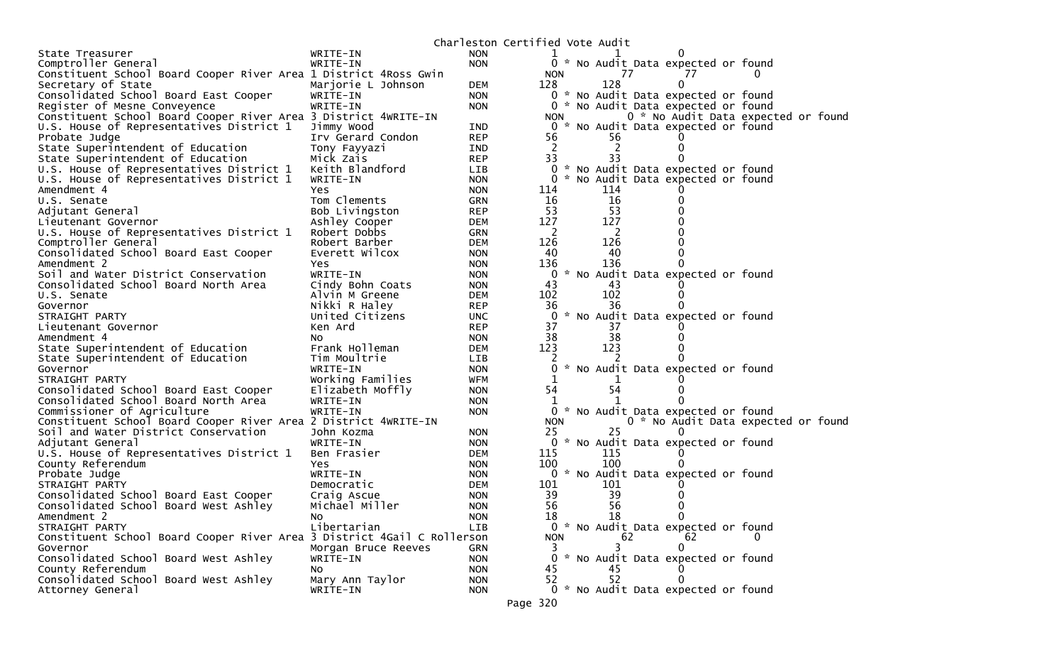|                                                                         |                                    |                          | Charleston Certified Vote Audit |     |    |                                     |  |
|-------------------------------------------------------------------------|------------------------------------|--------------------------|---------------------------------|-----|----|-------------------------------------|--|
| State Treasurer                                                         | WRITE-IN                           | <b>NON</b>               |                                 |     |    |                                     |  |
| Comptroller General                                                     | WRITE-IN                           | <b>NON</b>               |                                 |     |    | 0 * No Audit Data expected or found |  |
| Constituent School Board Cooper River Area 1 District 4Ross Gwin        |                                    |                          | <b>NON</b>                      |     | 77 | 77                                  |  |
| Secretary of State                                                      | Marjorie L Johnson                 | <b>DEM</b>               | 128                             | 128 |    | 0                                   |  |
| Consolidated School Board East Cooper                                   | WRITE-IN                           | <b>NON</b>               |                                 |     |    | 0 * No Audit Data expected or found |  |
| Register of Mesne Conveyence                                            | WRITE-IN                           | <b>NON</b>               |                                 |     |    | 0 * No Audit Data expected or found |  |
| Constituent School Board Cooper River Area 3 District 4WRITE-IN         |                                    |                          | <b>NON</b>                      |     |    | 0 * No Audit Data expected or foun  |  |
| U.S. House of Representatives District 1                                | Jimmy Wood                         | <b>IND</b>               |                                 |     |    | 0 * No Audit Data expected or found |  |
| Probate Judge                                                           | Irv Gerard Condon                  | <b>REP</b>               | 56                              | 56  |    |                                     |  |
| State Superintendent of Education                                       | Tony Fayyazi                       | <b>IND</b>               | $\overline{2}$                  |     |    |                                     |  |
| State Superintendent of Education                                       | Mick Zais                          | <b>REP</b>               | 33                              | 33  |    |                                     |  |
| U.S. House of Representatives District 1                                | Keith Blandford                    | LIB                      |                                 |     |    | 0 * No Audit Data expected or found |  |
| U.S. House of Representatives District 1                                | WRITE-IN                           | <b>NON</b>               |                                 |     |    | 0 * No Audit Data expected or found |  |
| Amendment 4                                                             | Yes                                | <b>NON</b>               | 114                             | 114 |    |                                     |  |
| U.S. Senate                                                             | Tom Clements                       | <b>GRN</b>               | 16                              | 16  |    |                                     |  |
| Adjutant General                                                        | Bob Livingston                     | <b>REP</b>               | 53                              | 53  |    |                                     |  |
| Lieutenant Governor                                                     | Ashley Cooper                      | <b>DEM</b>               | 127                             | 127 |    |                                     |  |
| U.S. House of Representatives District 1                                | Robert Dobbs                       | GRN                      | 2                               | 2   |    |                                     |  |
| Comptroller General                                                     | Robert Barber                      | <b>DEM</b>               | 126                             | 126 |    |                                     |  |
| Consolidated School Board East Cooper                                   | Everett Wilcox                     | <b>NON</b>               | 40                              | 40  |    |                                     |  |
| Amendment 2                                                             | Yes                                | <b>NON</b>               | 136                             | 136 |    |                                     |  |
| Soil and Water District Conservation                                    | WRITE-IN                           | <b>NON</b>               | 43                              | 43  |    | 0 * No Audit Data expected or found |  |
| Consolidated School Board North Area<br>U.S. Senate                     | Cindy Bohn Coats<br>Alvin M Greene | <b>NON</b><br><b>DEM</b> | 102                             | 102 |    |                                     |  |
|                                                                         | Nikki R Haley                      | <b>REP</b>               | 36                              | 36  |    |                                     |  |
| Governor<br>STRAIGHT PARTY                                              | United Citizens                    | <b>UNC</b>               |                                 |     |    | 0 * No Audit Data expected or found |  |
| Lieutenant Governor                                                     | Ken Ard                            | <b>REP</b>               | 37                              | 37  |    |                                     |  |
| Amendment 4                                                             | NO.                                | <b>NON</b>               | 38                              | 38  |    |                                     |  |
| State Superintendent of Education                                       | Frank Holleman                     | DEM                      | 123                             | 123 |    |                                     |  |
| State Superintendent of Education                                       | Tim Moultrie                       | <b>LIB</b>               |                                 |     |    |                                     |  |
| Governor                                                                | WRITE-IN                           | <b>NON</b>               |                                 |     |    | * No Audit Data expected or found   |  |
| STRAIGHT PARTY                                                          | Working Families                   | WFM                      | 1                               |     |    |                                     |  |
| Consolidated School Board East Cooper                                   | Elizabeth Moffly                   | <b>NON</b>               | 54                              | 54  |    |                                     |  |
| Consolidated School Board North Area                                    | WRITE-IN                           | <b>NON</b>               |                                 |     |    |                                     |  |
| Commissioner of Agriculture                                             | WRITE-IN                           | <b>NON</b>               |                                 |     |    | 0 * No Audit Data expected or found |  |
| Constituent School Board Cooper River Area 2 District 4WRITE-IN         |                                    |                          | <b>NON</b>                      |     |    | 0 * No Audit Data expected or foun  |  |
| Soil and Water District Conservation                                    | John Kozma                         | <b>NON</b>               | 25                              | 25  |    | $\Omega$                            |  |
| Adjutant General                                                        | WRITE-IN                           | <b>NON</b>               |                                 |     |    | 0 * No Audit Data expected or found |  |
| U.S. House of Representatives District 1                                | Ben Frasier                        | <b>DEM</b>               | 115                             | 115 |    |                                     |  |
| County Referendum                                                       | Yes                                | <b>NON</b>               | 100                             | 100 |    |                                     |  |
| Probate Judge                                                           | WRITE-IN                           | <b>NON</b>               |                                 |     |    | 0 * No Audit Data expected or found |  |
| STRAIGHT PARTY                                                          | Democratic                         | <b>DEM</b>               | 101                             | 101 |    |                                     |  |
| Consolidated School Board East Cooper                                   | Craig Ascue                        | <b>NON</b>               | 39                              | 39  |    |                                     |  |
| Consolidated School Board West Ashley                                   | Michael Miller                     | <b>NON</b>               | 56                              | 56  |    |                                     |  |
| Amendment 2                                                             | NO.                                | <b>NON</b>               | ΤR.                             | 18  |    | 0                                   |  |
| STRAIGHT PARTY                                                          | Libertarian                        | LIB                      |                                 |     |    | 0 * No Audit Data expected or found |  |
| Constituent School Board Cooper River Area 3 District 4Gail C Rollerson |                                    |                          | <b>NON</b>                      |     | 62 | 62                                  |  |
| Governor                                                                | Morgan Bruce Reeves                | GRN                      | 3                               | 3   |    | $\Omega$                            |  |
| Consolidated School Board West Ashley                                   | WRITE-IN                           | <b>NON</b>               |                                 |     |    | 0 * No Audit Data expected or found |  |
| County Referendum                                                       | No                                 | <b>NON</b>               | 45                              | 45  |    |                                     |  |
| Consolidated School Board West Ashley                                   | Mary Ann Taylor                    | <b>NON</b>               | 52                              | 52  |    |                                     |  |
| Attorney General                                                        | WRITE-IN                           | <b>NON</b>               |                                 |     |    | 0 * No Audit Data expected or found |  |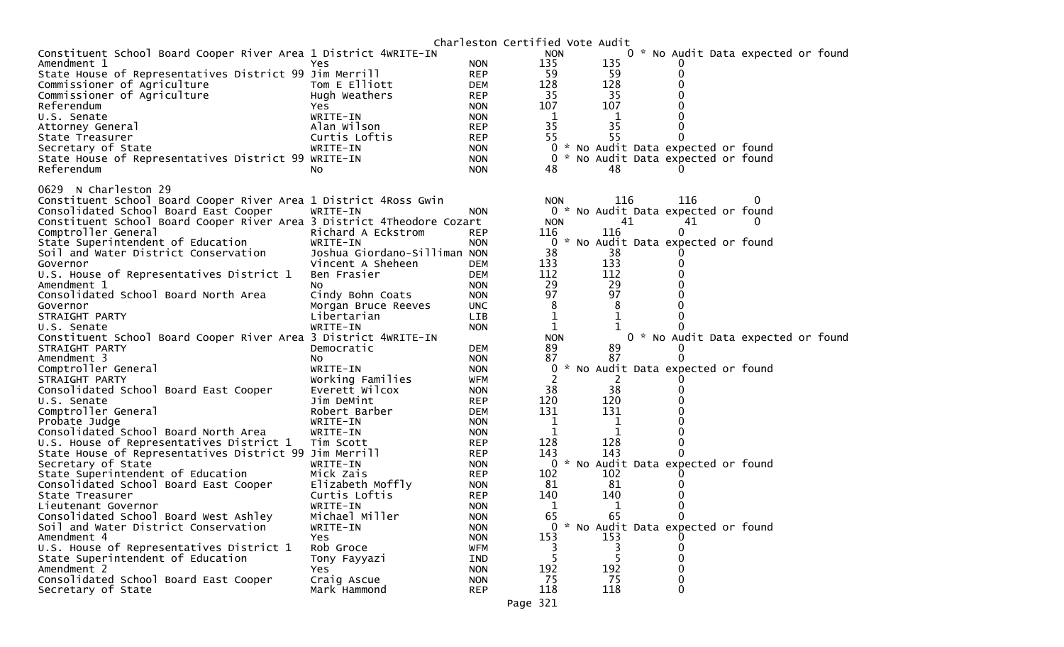|                                                                        |                              |            | Charleston Certified Vote Audit |     |                                     |                                     |  |
|------------------------------------------------------------------------|------------------------------|------------|---------------------------------|-----|-------------------------------------|-------------------------------------|--|
| Constituent School Board Cooper River Area 1 District 4WRITE-IN        |                              |            | <b>NON</b>                      |     |                                     | 0 * No Audit Data expected or found |  |
| Amendment 1                                                            | Yes                          | <b>NON</b> | 135                             | 135 |                                     |                                     |  |
| State House of Representatives District 99 Jim Merrill                 |                              | <b>REP</b> | 59                              | 59  | 0                                   |                                     |  |
| Commissioner of Agriculture                                            | Tom E Elliott                | <b>DEM</b> | 128                             | 128 |                                     |                                     |  |
| Commissioner of Agriculture                                            | Hugh Weathers                | <b>REP</b> | 35                              | 35  |                                     |                                     |  |
| Referendum                                                             | Yes                          | <b>NON</b> | 107                             | 107 |                                     |                                     |  |
| U.S. Senate                                                            | WRITE-IN                     | <b>NON</b> | $\mathbf 1$                     | 1   |                                     |                                     |  |
| Attorney General                                                       | Alan Wilson                  | <b>REP</b> | 35                              | 35  |                                     |                                     |  |
| State Treasurer                                                        | Curtis Loftis                | <b>REP</b> | 55                              | 55  |                                     |                                     |  |
| Secretary of State                                                     | WRITE-IN                     | <b>NON</b> | $\overline{0}$                  |     | * No Audit Data expected or found   |                                     |  |
| State House of Representatives District 99 WRITE-IN                    |                              | <b>NON</b> | $\mathbf{0}$                    |     | * No Audit Data expected or found   |                                     |  |
| Referendum                                                             | NO.                          | <b>NON</b> | 48                              | 48  |                                     |                                     |  |
|                                                                        |                              |            |                                 |     |                                     |                                     |  |
| 0629 N Charleston 29                                                   |                              |            |                                 |     |                                     |                                     |  |
| Constituent School Board Cooper River Area 1 District 4Ross Gwin       |                              |            | <b>NON</b>                      | 116 | 116                                 |                                     |  |
| Consolidated School Board East Cooper                                  | WRITE-IN                     | <b>NON</b> |                                 |     | 0 * No Audit Data expected or found |                                     |  |
| Constituent School Board Cooper River Area 3 District 4Theodore Cozart |                              |            | <b>NON</b>                      | 41  | 41                                  |                                     |  |
| Comptroller General                                                    | Richard A Eckstrom           | <b>REP</b> | 116                             | 116 | 0                                   |                                     |  |
| State Superintendent of Education                                      | WRITE-IN                     | <b>NON</b> | $\mathbf 0$                     |     | No Audit Data expected or found     |                                     |  |
| Soil and Water District Conservation                                   | Joshua Giordano-Silliman NON |            | 38                              | 38  |                                     |                                     |  |
| Governor                                                               | Vincent A Sheheen            | <b>DEM</b> | 133                             | 133 |                                     |                                     |  |
| U.S. House of Representatives District 1                               | Ben Frasier                  | DEM        | 112                             | 112 |                                     |                                     |  |
| Amendment 1                                                            | NO.                          | <b>NON</b> | 29                              | 29  |                                     |                                     |  |
| Consolidated School Board North Area                                   | Cindy Bohn Coats             | <b>NON</b> | 97                              | 97  |                                     |                                     |  |
| Governor                                                               | Morgan Bruce Reeves          | <b>UNC</b> | 8                               | 8   |                                     |                                     |  |
| STRAIGHT PARTY                                                         | Libertarian                  | <b>LIB</b> | $\mathbf 1$                     | 1   |                                     |                                     |  |
| U.S. Senate                                                            | WRITE-IN                     | <b>NON</b> | 1                               |     |                                     |                                     |  |
| Constituent School Board Cooper River Area 3 District 4WRITE-IN        |                              |            | <b>NON</b>                      |     |                                     | 0 * No Audit Data expected or found |  |
| STRAIGHT PARTY                                                         | Democratic                   | <b>DEM</b> | 89                              | 89  |                                     |                                     |  |
| Amendment 3                                                            | NO.                          | <b>NON</b> | 87                              | 87  |                                     |                                     |  |
| Comptroller General                                                    | WRITE-IN                     | <b>NON</b> | 0                               |     | * No Audit Data expected or found   |                                     |  |
| STRAIGHT PARTY                                                         | Working Families             | <b>WFM</b> |                                 |     |                                     |                                     |  |
| Consolidated School Board East Cooper                                  | Everett Wilcox               | <b>NON</b> | 38                              | 38  |                                     |                                     |  |
| U.S. Senate                                                            | Jim DeMint                   | <b>REP</b> | 120                             | 120 |                                     |                                     |  |
| Comptroller General                                                    | Robert Barber                | <b>DEM</b> | 131                             | 131 |                                     |                                     |  |
| Probate Judge                                                          | WRITE-IN                     | <b>NON</b> | 1                               | 1   |                                     |                                     |  |
| Consolidated School Board North Area                                   | WRITE-IN                     | <b>NON</b> | 1                               | 1   |                                     |                                     |  |
| U.S. House of Representatives District 1                               | Tim Scott                    | <b>REP</b> | 128                             | 128 | 0                                   |                                     |  |
| State House of Representatives District 99 Jim Merrill                 |                              | <b>REP</b> | 143                             | 143 |                                     |                                     |  |
| Secretary of State                                                     | WRITE-IN                     | <b>NON</b> |                                 |     | 0 * No Audit Data expected or found |                                     |  |
| State Superintendent of Education                                      | Mick Zais                    | <b>REP</b> | 102                             | 102 |                                     |                                     |  |
| Consolidated School Board East Cooper                                  | Elizabeth Moffly             | <b>NON</b> | 81                              | 81  |                                     |                                     |  |
| State Treasurer                                                        | Curtis Loftis                | <b>REP</b> | 140                             | 140 |                                     |                                     |  |
| Lieutenant Governor                                                    | WRITE-IN                     | <b>NON</b> | 1                               | 1   | 0                                   |                                     |  |
| Consolidated School Board West Ashley                                  | Michael Miller               | <b>NON</b> | 65.                             | 65  | 0                                   |                                     |  |
| Soil and Water District Conservation                                   | WRITE-IN                     | <b>NON</b> |                                 |     | 0 * No Audit Data expected or found |                                     |  |
| Amendment 4                                                            | <b>Yes</b>                   | <b>NON</b> | 153                             | 153 |                                     |                                     |  |
| U.S. House of Representatives District 1                               | Rob Groce                    | <b>WFM</b> |                                 |     |                                     |                                     |  |
| State Superintendent of Education                                      | Tony Fayyazi                 | <b>IND</b> | 5                               |     | O                                   |                                     |  |
| Amendment 2                                                            | Yes                          | <b>NON</b> | 192                             | 192 |                                     |                                     |  |
| Consolidated School Board East Cooper                                  | Craig Ascue                  | <b>NON</b> | 75                              | 75  |                                     |                                     |  |
| Secretary of State                                                     |                              |            |                                 |     |                                     |                                     |  |
|                                                                        | Mark Hammond                 | REP        | 118<br>Page 321                 | 118 | 0                                   |                                     |  |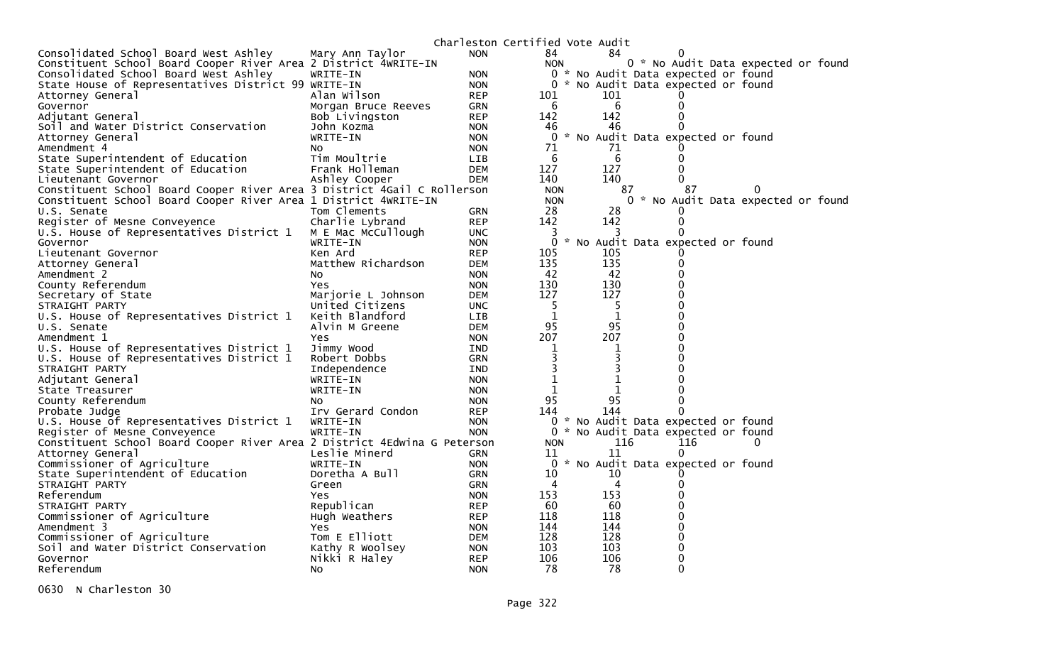|                                                                          |                     |            | Charleston Certified Vote Audit |              |                                     |                |  |
|--------------------------------------------------------------------------|---------------------|------------|---------------------------------|--------------|-------------------------------------|----------------|--|
| Consolidated School Board West Ashley                                    | Mary Ann Taylor     | <b>NON</b> | 84                              | 84           |                                     |                |  |
| Constituent School Board Cooper River Area 2 District 4WRITE-IN          |                     |            | <b>NON</b>                      |              | 0 * No Audit Data expected or found |                |  |
| Consolidated School Board West Ashley                                    | WRITE-IN            | <b>NON</b> |                                 |              | 0 * No Audit Data expected or found |                |  |
| State House of Representatives District 99 WRITE-IN                      |                     | <b>NON</b> | 0                               |              | * No Audit Data expected or found   |                |  |
| Attorney General                                                         | Alan Wilson         | <b>REP</b> | 101                             | 101          |                                     |                |  |
| Governor                                                                 | Morgan Bruce Reeves | <b>GRN</b> | 6                               | 6            | 0                                   |                |  |
| Adjutant General                                                         | Bob Livingston      | <b>REP</b> | 142                             | 142          | 0                                   |                |  |
| Soil and Water District Conservation                                     | John Kozma          | <b>NON</b> | 46                              | 46           | 0                                   |                |  |
| Attorney General                                                         | WRITE-IN            | <b>NON</b> |                                 |              | 0 * No Audit Data expected or found |                |  |
| Amendment 4                                                              | NO.                 | <b>NON</b> | 71                              | 71           |                                     |                |  |
| State Superintendent of Education                                        | Tim Moultrie        | <b>LIB</b> | 6                               | 6            | 0                                   |                |  |
| State Superintendent of Education                                        | Frank Holleman      | <b>DEM</b> | 127                             | 127          |                                     |                |  |
| Lieutenant Governor                                                      | Ashley Cooper       | <b>DEM</b> | 140                             | 140          |                                     |                |  |
| Constituent School Board Cooper River Area 3 District 4Gail C Rollerson  |                     |            | <b>NON</b>                      |              | 87                                  | 0              |  |
|                                                                          |                     |            | <b>NON</b>                      | 87           |                                     |                |  |
| Constituent School Board Cooper River Area 1 District 4WRITE-IN          |                     |            |                                 |              | 0 * No Audit Data expected or found |                |  |
| U.S. Senate                                                              | Tom Clements        | GRN        | 28                              | 28           |                                     |                |  |
| Register of Mesne Conveyence                                             | Charlie Lybrand     | <b>REP</b> | 142                             | 142          | 0                                   |                |  |
| U.S. House of Representatives District 1                                 | M E Mac McCullough  | <b>UNC</b> | 3                               |              | 0                                   |                |  |
| Governor                                                                 | WRITE-IN            | <b>NON</b> | 0                               |              | * No Audit Data expected or found   |                |  |
| Lieutenant Governor                                                      | Ken Ard             | <b>REP</b> | 105                             | 105          |                                     |                |  |
| Attorney General                                                         | Matthew Richardson  | <b>DEM</b> | 135                             | 135          | 0                                   |                |  |
| Amendment 2                                                              | NO.                 | <b>NON</b> | 42                              | 42           | 0                                   |                |  |
| County Referendum                                                        | Yes.                | <b>NON</b> | 130                             | 130          | 0                                   |                |  |
| Secretary of State                                                       | Marjorie L Johnson  | <b>DEM</b> | 127                             | 127          | 0                                   |                |  |
| STRAIGHT PARTY                                                           | United Citizens     | <b>UNC</b> | 5                               | -5           | 0                                   |                |  |
| U.S. House of Representatives District 1                                 | Keith Blandford     | <b>LIB</b> | 1                               | $\mathbf{1}$ | 0                                   |                |  |
| U.S. Senate                                                              | Alvin M Greene      | <b>DEM</b> | 95                              | 95           | 0                                   |                |  |
| Amendment 1                                                              | Yes                 | <b>NON</b> | 207                             | 207          | 0                                   |                |  |
| U.S. House of Representatives District 1                                 | Jimmy Wood          | IND        | 1                               | 1            | 0                                   |                |  |
| U.S. House of Representatives District 1                                 | Robert Dobbs        | <b>GRN</b> | 3                               | 3            | 0                                   |                |  |
| STRAIGHT PARTY                                                           | Independence        | <b>IND</b> | 3                               |              | 0                                   |                |  |
| Adjutant General                                                         | WRITE-IN            | <b>NON</b> | 1                               | 1            | 0                                   |                |  |
| State Treasurer                                                          | WRITE-IN            | <b>NON</b> | 1                               | 1            | 0                                   |                |  |
| County Referendum                                                        | NO.                 | <b>NON</b> | 95                              | 95           | 0                                   |                |  |
| Probate Judge                                                            | Irv Gerard Condon   | <b>REP</b> | 144                             | 144          | 0                                   |                |  |
| U.S. House of Representatives District 1                                 | WRITE-IN            | <b>NON</b> | $\Omega$                        |              | * No Audit Data expected or found   |                |  |
| Register of Mesne Conveyence                                             | WRITE-IN            | <b>NON</b> |                                 |              | 0 * No Audit Data expected or found |                |  |
| Constituent School Board Cooper River Area 2 District 4Edwina G Peterson |                     |            | <b>NON</b>                      | 116          | 116                                 | $\overline{0}$ |  |
| Attorney General                                                         | Leslie Minerd       | <b>GRN</b> | 11                              | 11           | 0                                   |                |  |
| Commissioner of Agriculture                                              | WRITE-IN            | <b>NON</b> | $\Omega$                        |              | * No Audit Data expected or found   |                |  |
| State Superintendent of Education                                        | Doretha A Bull      | <b>GRN</b> | 10                              | 10           |                                     |                |  |
| STRAIGHT PARTY                                                           | Green               | GRN        | 4                               | 4            | 0                                   |                |  |
| Referendum                                                               | Yes.                | <b>NON</b> | 153                             | 153          | 0                                   |                |  |
|                                                                          |                     |            |                                 |              | 0                                   |                |  |
| STRAIGHT PARTY                                                           | Republican          | <b>REP</b> | 60                              | 60           | 0                                   |                |  |
| Commissioner of Agriculture                                              | Hugh Weathers       | <b>REP</b> | 118                             | 118          |                                     |                |  |
| Amendment 3                                                              | Yes                 | <b>NON</b> | 144                             | 144          | 0                                   |                |  |
| Commissioner of Agriculture                                              | Tom E Elliott       | DEM        | 128                             | 128          | 0                                   |                |  |
| Soil and Water District Conservation                                     | Kathy R Woolsey     | <b>NON</b> | 103                             | 103          | 0                                   |                |  |
| Governor                                                                 | Nikki R Haley       | <b>REP</b> | 106                             | 106          | 0                                   |                |  |
| Referendum                                                               | No                  | <b>NON</b> | 78                              | 78           | $\Omega$                            |                |  |

0630 N Charleston 30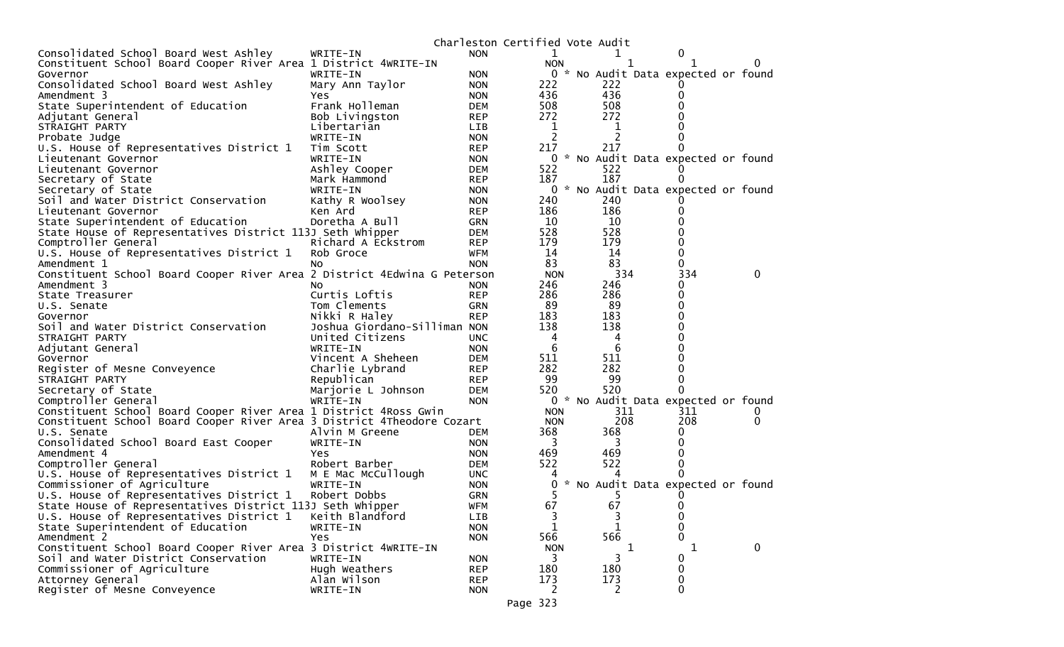|                                                                          |                              |            | Charleston Certified Vote Audit |                |                                     |              |
|--------------------------------------------------------------------------|------------------------------|------------|---------------------------------|----------------|-------------------------------------|--------------|
| Consolidated School Board West Ashley                                    | WRITE-IN                     | <b>NON</b> | 1                               |                | 0                                   |              |
| Constituent School Board Cooper River Area 1 District 4WRITE-IN          |                              |            | <b>NON</b>                      |                |                                     |              |
| Governor                                                                 | WRITE-IN                     | <b>NON</b> |                                 |                | 0 * No Audit Data expected or found |              |
| Consolidated School Board West Ashley                                    | Mary Ann Taylor              | <b>NON</b> | 222                             | 222            |                                     |              |
| Amendment 3                                                              | <b>Yes</b>                   | <b>NON</b> | 436                             | 436            |                                     |              |
| State Superintendent of Education                                        | Frank Holleman               | DEM        | 508                             | 508            |                                     |              |
| Adjutant General                                                         | Bob Livingston               | <b>REP</b> | 272                             | 272            |                                     |              |
| STRAIGHT PARTY                                                           | Libertarian                  | LIB        | $\mathbf 1$                     | 1              |                                     |              |
| Probate Judge                                                            | WRITE-IN                     | <b>NON</b> | 2                               | 2              |                                     |              |
| U.S. House of Representatives District 1                                 | Tim Scott                    | <b>REP</b> | 217                             | 217            |                                     |              |
| Lieutenant Governor                                                      | WRITE-IN                     | <b>NON</b> | 0                               |                | * No Audit Data expected or found   |              |
| Lieutenant Governor                                                      | Ashley Cooper                | <b>DEM</b> | 522                             | 522            |                                     |              |
| Secretary of State                                                       | Mark Hammond                 | <b>REP</b> | 187                             | 187            | 0                                   |              |
| Secretary of State                                                       | WRITE-IN                     | <b>NON</b> | 0                               |                | * No Audit Data expected or found   |              |
| Soil and Water District Conservation                                     | Kathy R Woolsey              | <b>NON</b> | 240                             | 240            |                                     |              |
| Lieutenant Governor                                                      | Ken Ard                      | <b>REP</b> | 186                             | 186            |                                     |              |
| State Superintendent of Education                                        | Doretha A Bull               | GRN        | 10                              | 10             |                                     |              |
| State House of Representatives District 113J Seth Whipper                |                              | DEM        | 528                             | 528            |                                     |              |
| Comptroller General                                                      | Richard A Eckstrom           | <b>REP</b> | 179                             | 179            |                                     |              |
| U.S. House of Representatives District 1                                 | Rob Groce                    | WFM        | 14                              | 14             | 0                                   |              |
| Amendment 1                                                              | NO.                          | <b>NON</b> | 83                              | 83             | 0                                   |              |
| Constituent School Board Cooper River Area 2 District 4Edwina G Peterson |                              |            | <b>NON</b>                      | 334            | 334                                 | $\Omega$     |
| Amendment 3                                                              | NO.                          | <b>NON</b> | 246                             | 246            | 0                                   |              |
| State Treasurer                                                          | Curtis Loftis                | <b>REP</b> | 286                             | 286            | 0                                   |              |
| U.S. Senate                                                              | Tom Clements                 | GRN        | 89                              | 89             | 0                                   |              |
| Governor                                                                 | Nikki R Haley                | <b>REP</b> | 183                             | 183            |                                     |              |
| Soil and Water District Conservation                                     | Joshua Giordano-Silliman NON |            | 138                             | 138            |                                     |              |
| STRAIGHT PARTY                                                           | United Citizens              | <b>UNC</b> | 4                               | 4              |                                     |              |
| Adjutant General                                                         | WRITE-IN                     | <b>NON</b> | 6                               | -6             |                                     |              |
| Governor                                                                 | Vincent A Sheheen            | <b>DEM</b> | 511                             | 511            |                                     |              |
| Register of Mesne Conveyence                                             | Charlie Lybrand              | <b>REP</b> | 282                             | 282            |                                     |              |
| STRAIGHT PARTY                                                           | Republican                   | <b>REP</b> | 99                              | 99             |                                     |              |
| Secretary of State                                                       | Marjorie L Johnson           | DEM        | 520                             | 520            |                                     |              |
| Comptroller General                                                      | WRITE-IN                     | <b>NON</b> |                                 |                | 0 * No Audit Data expected or found |              |
| Constituent School Board Cooper River Area 1 District 4Ross Gwin         |                              |            | <b>NON</b>                      | 311            | 311                                 |              |
| Constituent School Board Cooper River Area 3 District 4Theodore Cozart   |                              |            | <b>NON</b>                      | 208            | 208                                 | 0            |
| U.S. Senate                                                              | Alvin M Greene               | <b>DEM</b> | 368                             | 368            | 0                                   |              |
| Consolidated School Board East Cooper                                    | WRITE-IN                     | <b>NON</b> | 3                               | 3              |                                     |              |
| Amendment 4                                                              | <b>Yes</b>                   | <b>NON</b> | 469                             | 469            |                                     |              |
| Comptroller General                                                      | Robert Barber                | DEM        | 522                             | 522            |                                     |              |
| U.S. House of Representatives District 1                                 | M E Mac McCullough           | <b>UNC</b> |                                 |                | 0                                   |              |
| Commissioner of Agriculture                                              | WRITE-IN                     | <b>NON</b> | 0                               |                | * No Audit Data expected or found   |              |
| U.S. House of Representatives District 1                                 | Robert Dobbs                 | <b>GRN</b> |                                 |                |                                     |              |
| State House of Representatives District 113J Seth Whipper                |                              |            | 67                              | 67             | 0                                   |              |
|                                                                          |                              | WFM        |                                 |                |                                     |              |
| U.S. House of Representatives District 1                                 | Keith Blandford              | <b>LIB</b> | 3                               | 3              | $\mathbf 0$                         |              |
| State Superintendent of Education                                        | WRITE-IN                     | <b>NON</b> | $\mathbf 1$                     | $\mathbf 1$    | $\mathbf{0}$<br>0                   |              |
| Amendment 2                                                              | Yes                          | <b>NON</b> | 566                             | 566            |                                     |              |
| Constituent School Board Cooper River Area 3 District 4WRITE-IN          |                              |            | <b>NON</b>                      | 1              | 1                                   | $\mathbf{0}$ |
| Soil and Water District Conservation                                     | WRITE-IN                     | <b>NON</b> | 3                               | 3              | 0                                   |              |
| Commissioner of Agriculture                                              | Hugh Weathers                | <b>REP</b> | 180                             | 180            | $\mathbf 0$                         |              |
| Attorney General                                                         | Alan Wilson                  | <b>REP</b> | 173                             | 173            | 0                                   |              |
| Register of Mesne Conveyence                                             | WRITE-IN                     | <b>NON</b> | $\mathbf{2}^{\prime}$           | $\overline{2}$ | $\mathbf 0$                         |              |

Page 323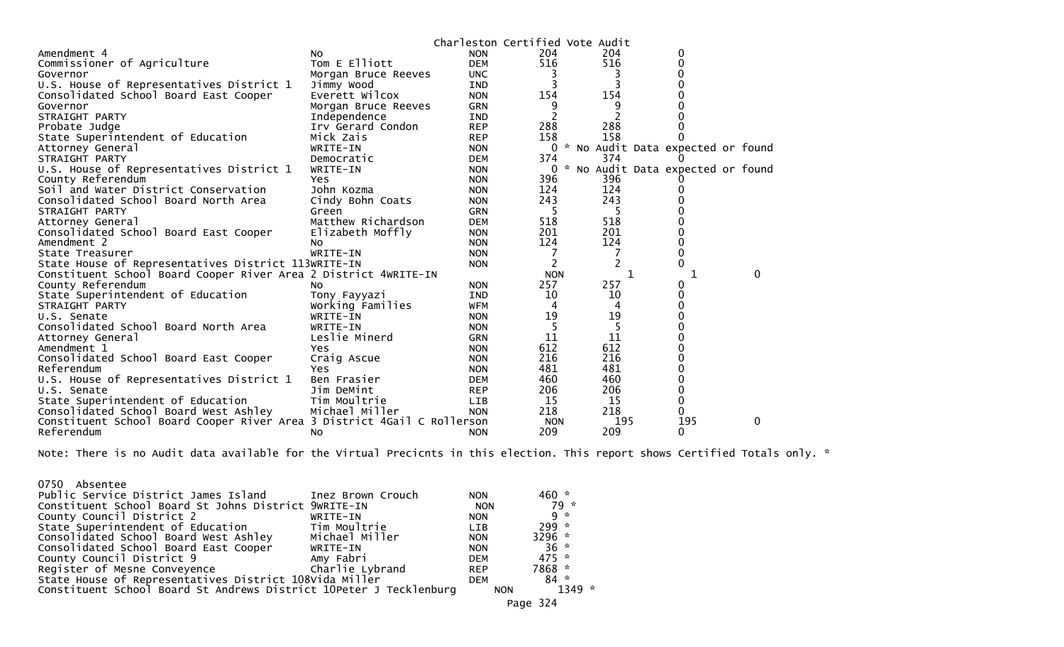|                                                                         |                     | Charleston Certified Vote Audit |            |                |                                   |   |  |
|-------------------------------------------------------------------------|---------------------|---------------------------------|------------|----------------|-----------------------------------|---|--|
| Amendment 4                                                             | NO.                 | <b>NON</b>                      | 204        | 204            | 0                                 |   |  |
| Commissioner of Agriculture                                             | Tom E Elliott       | <b>DEM</b>                      | 516        | 516            |                                   |   |  |
| Governor                                                                | Morgan Bruce Reeves | <b>UNC</b>                      |            |                |                                   |   |  |
| U.S. House of Representatives District 1                                | Jimmy Wood          | IND                             |            |                |                                   |   |  |
| Consolidated School Board East Cooper                                   | Everett Wilcox      | <b>NON</b>                      | 154        | 154            |                                   |   |  |
| Governor                                                                | Morgan Bruce Reeves | GRN                             |            | 9              |                                   |   |  |
| STRAIGHT PARTY                                                          | Independence        | <b>IND</b>                      |            | $\overline{2}$ |                                   |   |  |
| Probate Judge                                                           | Irv Gerard Condon   | <b>REP</b>                      | 288        | 288            |                                   |   |  |
| State Superintendent of Education                                       | Mick Zais           | <b>REP</b>                      | 158        | 158            |                                   |   |  |
| Attorney General                                                        | WRITE-IN            | <b>NON</b>                      | $\Omega$   |                | * No Audit Data expected or found |   |  |
| STRAIGHT PARTY                                                          | Democratic          | <b>DEM</b>                      | 374        | 374            |                                   |   |  |
| U.S. House of Representatives District 1                                | WRITE-IN            | <b>NON</b>                      | $\Omega$   |                | * No Audit Data expected or found |   |  |
| County Referendum                                                       | <b>Yes</b>          | <b>NON</b>                      | 396        | 396            |                                   |   |  |
| Soil and Water District Conservation                                    | John Kozma          | <b>NON</b>                      | 124        | 124            |                                   |   |  |
| Consolidated School Board North Area                                    | Cindy Bohn Coats    | <b>NON</b>                      | 243        | 243            |                                   |   |  |
| STRAIGHT PARTY                                                          | Green               | <b>GRN</b>                      | 5          | 5              |                                   |   |  |
| Attorney General                                                        | Matthew Richardson  | <b>DEM</b>                      | 518        | 518            |                                   |   |  |
| Consolidated School Board East Cooper                                   | Elizabeth Moffly    | <b>NON</b>                      | 201        | 201            |                                   |   |  |
| Amendment 2                                                             | N <sub>O</sub>      | <b>NON</b>                      | 124        | 124            |                                   |   |  |
| State Treasurer                                                         | WRITE-IN            | <b>NON</b>                      |            | 7              |                                   |   |  |
| State House of Representatives District 113WRITE-IN                     |                     | <b>NON</b>                      | 2          |                |                                   |   |  |
| Constituent School Board Cooper River Area 2 District 4WRITE-IN         |                     |                                 | <b>NON</b> |                | 1                                 | 0 |  |
| County Referendum                                                       | NO.                 | <b>NON</b>                      | 257        | 257            |                                   |   |  |
| State Superintendent of Education                                       | Tony Fayyazi        | IND                             | 10         | 10             | 0                                 |   |  |
| STRAIGHT PARTY                                                          | Working Families    | <b>WFM</b>                      | 4          | 4              |                                   |   |  |
| U.S. Senate                                                             | WRITE-IN            | <b>NON</b>                      | 19         | 19             |                                   |   |  |
| Consolidated School Board North Area                                    | WRITE-IN            | <b>NON</b>                      |            | 5              |                                   |   |  |
| Attorney General                                                        | Leslie Minerd       | <b>GRN</b>                      | 11         | 11             |                                   |   |  |
| Amendment 1                                                             | Yes.                | <b>NON</b>                      | 612        | 612            |                                   |   |  |
| Consolidated School Board East Cooper                                   | Craig Ascue         | <b>NON</b>                      | 216        | 216            |                                   |   |  |
| Referendum                                                              | <b>Yes</b>          | <b>NON</b>                      | 481        | 481            |                                   |   |  |
| U.S. House of Representatives District 1                                | Ben Frasier         | <b>DEM</b>                      | 460        | 460            |                                   |   |  |
| U.S. Senate                                                             | Jim DeMint          | <b>REP</b>                      | 206        | 206            |                                   |   |  |
| State Superintendent of Education                                       | Tim Moultrie        | LIB                             | 15         | 15             |                                   |   |  |
| Consolidated School Board West Ashley                                   | Michael Miller      | <b>NON</b>                      | 218        | 218            | 0                                 |   |  |
| Constituent School Board Cooper River Area 3 District 4Gail C Rollerson |                     |                                 | <b>NON</b> | 195            | 195                               | 0 |  |
| Referendum                                                              | No.                 | <b>NON</b>                      | 209        | 209            | 0                                 |   |  |

Note: There is no Audit data available for the Virtual Precicnts in this election. This report shows Certified Totals only. \*

| 0750 Absentee<br>Public Service District James Island                             | Inez Brown Crouch | <b>NON</b>               | $460 *$<br>79 * |
|-----------------------------------------------------------------------------------|-------------------|--------------------------|-----------------|
| Constituent School Board St Johns District 9WRITE-IN<br>County Council District 2 | WRITE-IN          | <b>NON</b><br><b>NON</b> | $9 *$           |
| State Superintendent of Education                                                 | Tim Moultrie      | <b>LIB</b>               | $299*$          |
| Consolidated School Board West Ashley                                             | Michael Miller    | <b>NON</b>               | 3296 $*$        |
| Consolidated School Board East Cooper                                             | WRITE-IN          | <b>NON</b>               | $36 *$          |
| County Council District 9                                                         | Amy Fabri         | <b>DEM</b>               | $475 *$         |
| Register of Mesne Conveyence                                                      | Charlie Lybrand   | <b>REP</b>               | 7868 *          |
| State House of Representatives District 108Vida Miller                            |                   | <b>DEM</b>               | $84 *$          |
| Constituent School Board St Andrews District 10Peter J Tecklenburg                |                   | <b>NON</b>               | $1349 *$        |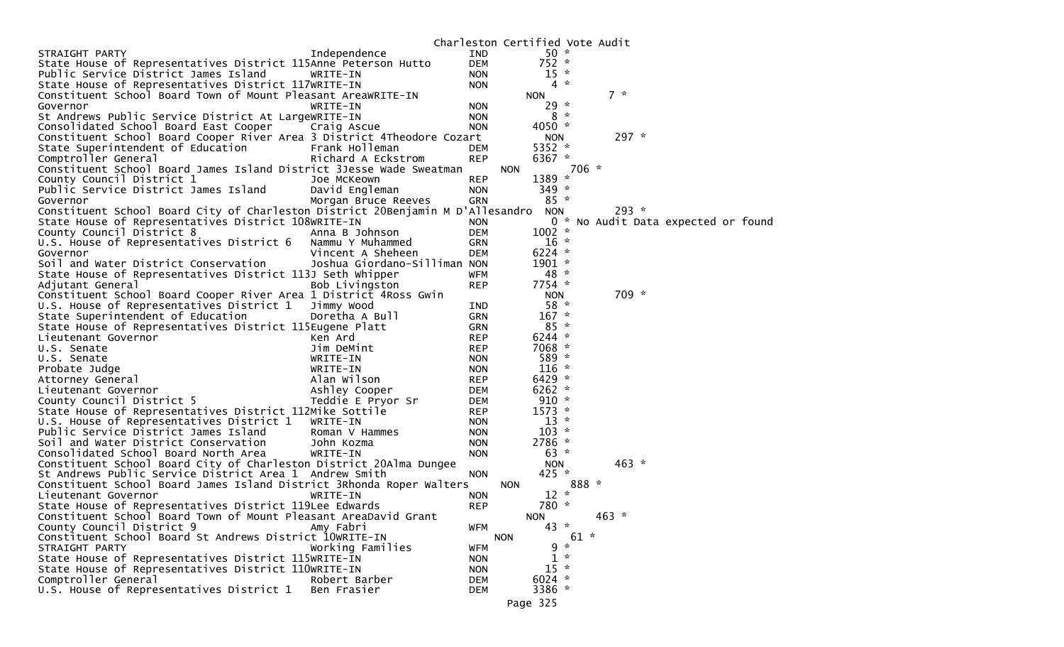| $50 *$<br>STRAIGHT PARTY<br>Independence<br><b>IND</b><br>$752 *$<br>State House of Representatives District 115Anne Peterson Hutto<br><b>DEM</b><br>$15 *$<br>Public Service District James Island<br>WRITE-IN<br><b>NON</b><br>$4 *$<br>State House of Representatives District 117WRITE-IN<br><b>NON</b><br>$7 *$<br>Constituent School Board Town of Mount Pleasant AreaWRITE-IN<br><b>NON</b><br>$29 *$<br>WRITE-IN<br><b>NON</b><br>Governor<br>St Andrews Public Service District At LargeWRITE-IN<br>$8*$<br><b>NON</b><br>4050 $*$<br>Consolidated School Board East Cooper<br><b>NON</b><br>Craig Ascue<br>$297 *$<br>Constituent School Board Cooper River Area 3 District 4Theodore Cozart<br><b>NON</b><br>5352 $*$<br>State Superintendent of Education<br>Frank Holleman<br><b>DEM</b><br>6367 *<br>Comptroller General<br>Richard A Eckstrom<br><b>REP</b><br>706 *<br>Constituent School Board James Island District 3Jesse Wade Sweatman<br><b>NON</b><br>1389 *<br>County Council District 1<br>Joe McKeown<br><b>REP</b><br>Public Service District James Island<br>$349 *$<br>David Engleman<br><b>NON</b><br>$85 *$<br><b>GRN</b><br>Governor<br>Morgan Bruce Reeves<br>Constituent School Board City of Charleston District 20Benjamin M D'Allesandro<br>$293 *$<br><b>NON</b><br>State House of Representatives District 108WRITE-IN<br>0 * No Audit Data expected or found<br><b>NON</b><br>$1002$ *<br>County Council District 8<br>Anna B Johnson<br><b>DEM</b><br>U.S. House of Representatives District 6<br>$16 *$<br>Nammu Y Muhammed<br><b>GRN</b><br>6224 $*$<br>Vincent A Sheheen<br><b>DEM</b><br>Governor<br>$1901 *$<br>Soil and Water District Conservation<br>Joshua Giordano-Silliman NON<br>State House of Representatives District 113J Seth Whipper<br>48 *<br><b>WFM</b><br>$7754$ *<br>Bob Livingston<br>Adjutant General<br><b>REP</b><br>709 *<br>Constituent School Board Cooper River Area 1 District 4Ross Gwin<br><b>NON</b><br>$58 *$<br>U.S. House of Representatives District 1<br>Jimmy Wood<br>IND<br>$167 *$<br>State Superintendent of Education<br>Doretha A Bull<br><b>GRN</b><br>$85 *$<br>State House of Representatives District 115Eugene Platt<br><b>GRN</b><br>$6244$ *<br>Lieutenant Governor<br><b>REP</b><br>Ken Ard<br>7068 *<br>Jim DeMint<br>U.S. Senate<br><b>REP</b><br>589 *<br>U.S. Senate<br>WRITE-IN<br><b>NON</b><br>$116 *$<br>WRITE-IN<br><b>NON</b><br>Probate Judge<br>$6429$ *<br>Alan Wilson<br><b>REP</b><br>Attorney General<br>Ashley Cooper<br>$6262$ *<br><b>DEM</b><br>Lieutenant Governor<br>$910 *$<br>County Council District 5<br>Teddie E Pryor Sr<br><b>DEM</b><br>State House of Representatives District 112Mike Sottile<br>$1573 *$<br><b>REP</b><br>$13 *$<br>U.S. House of Representatives District 1<br>WRITE-IN<br><b>NON</b><br>$103 *$<br>Public Service District James Island<br>Roman V Hammes<br><b>NON</b><br>2786 *<br>Soil and Water District Conservation<br>John Kozma<br><b>NON</b><br>Consolidated School Board North Area<br>$63 *$<br>WRITE-IN<br><b>NON</b><br>$463 *$<br>Constituent School Board City of Charleston District 20Alma Dungee<br><b>NON</b><br>$425 *$<br>St Andrews Public Service District Area 1 Andrew Smith<br><b>NON</b><br>888 *<br>Constituent School Board James Island District 3Rhonda Roper Walters<br><b>NON</b><br>$12 *$<br>Lieutenant Governor<br>WRITE-IN<br><b>NON</b><br>780 *<br>State House of Representatives District 119Lee Edwards<br><b>REP</b><br>Constituent School Board Town of Mount Pleasant AreaDavid Grant<br>$463 *$<br><b>NON</b><br>County Council District 9<br>$43 *$<br>Amy Fabri<br>WFM<br>$61 *$<br>Constituent School Board St Andrews District 10WRITE-IN<br><b>NON</b><br>$9 *$<br>STRAIGHT PARTY<br>Working Families<br><b>WFM</b><br>$1 *$<br>State House of Representatives District 115WRITE-IN<br><b>NON</b><br>$15 *$<br>State House of Representatives District 110WRITE-IN<br><b>NON</b><br>6024 $*$<br>Comptroller General<br>Robert Barber<br><b>DEM</b><br>U.S. House of Representatives District 1<br>3386 *<br>Ben Frasier<br><b>DEM</b> |  | Charleston Certified Vote Audit |  |  |  |
|------------------------------------------------------------------------------------------------------------------------------------------------------------------------------------------------------------------------------------------------------------------------------------------------------------------------------------------------------------------------------------------------------------------------------------------------------------------------------------------------------------------------------------------------------------------------------------------------------------------------------------------------------------------------------------------------------------------------------------------------------------------------------------------------------------------------------------------------------------------------------------------------------------------------------------------------------------------------------------------------------------------------------------------------------------------------------------------------------------------------------------------------------------------------------------------------------------------------------------------------------------------------------------------------------------------------------------------------------------------------------------------------------------------------------------------------------------------------------------------------------------------------------------------------------------------------------------------------------------------------------------------------------------------------------------------------------------------------------------------------------------------------------------------------------------------------------------------------------------------------------------------------------------------------------------------------------------------------------------------------------------------------------------------------------------------------------------------------------------------------------------------------------------------------------------------------------------------------------------------------------------------------------------------------------------------------------------------------------------------------------------------------------------------------------------------------------------------------------------------------------------------------------------------------------------------------------------------------------------------------------------------------------------------------------------------------------------------------------------------------------------------------------------------------------------------------------------------------------------------------------------------------------------------------------------------------------------------------------------------------------------------------------------------------------------------------------------------------------------------------------------------------------------------------------------------------------------------------------------------------------------------------------------------------------------------------------------------------------------------------------------------------------------------------------------------------------------------------------------------------------------------------------------------------------------------------------------------------------------------------------------------------------------------------------------------------------------------------------------------------------------------------------------------------------------------------------------------------------------------------------------------------------------------------------------------------------------------------------------------------------------------------------------------------------------------------------------------------------------------------------------------|--|---------------------------------|--|--|--|
|                                                                                                                                                                                                                                                                                                                                                                                                                                                                                                                                                                                                                                                                                                                                                                                                                                                                                                                                                                                                                                                                                                                                                                                                                                                                                                                                                                                                                                                                                                                                                                                                                                                                                                                                                                                                                                                                                                                                                                                                                                                                                                                                                                                                                                                                                                                                                                                                                                                                                                                                                                                                                                                                                                                                                                                                                                                                                                                                                                                                                                                                                                                                                                                                                                                                                                                                                                                                                                                                                                                                                                                                                                                                                                                                                                                                                                                                                                                                                                                                                                                                                                                                          |  |                                 |  |  |  |
|                                                                                                                                                                                                                                                                                                                                                                                                                                                                                                                                                                                                                                                                                                                                                                                                                                                                                                                                                                                                                                                                                                                                                                                                                                                                                                                                                                                                                                                                                                                                                                                                                                                                                                                                                                                                                                                                                                                                                                                                                                                                                                                                                                                                                                                                                                                                                                                                                                                                                                                                                                                                                                                                                                                                                                                                                                                                                                                                                                                                                                                                                                                                                                                                                                                                                                                                                                                                                                                                                                                                                                                                                                                                                                                                                                                                                                                                                                                                                                                                                                                                                                                                          |  |                                 |  |  |  |
|                                                                                                                                                                                                                                                                                                                                                                                                                                                                                                                                                                                                                                                                                                                                                                                                                                                                                                                                                                                                                                                                                                                                                                                                                                                                                                                                                                                                                                                                                                                                                                                                                                                                                                                                                                                                                                                                                                                                                                                                                                                                                                                                                                                                                                                                                                                                                                                                                                                                                                                                                                                                                                                                                                                                                                                                                                                                                                                                                                                                                                                                                                                                                                                                                                                                                                                                                                                                                                                                                                                                                                                                                                                                                                                                                                                                                                                                                                                                                                                                                                                                                                                                          |  |                                 |  |  |  |
|                                                                                                                                                                                                                                                                                                                                                                                                                                                                                                                                                                                                                                                                                                                                                                                                                                                                                                                                                                                                                                                                                                                                                                                                                                                                                                                                                                                                                                                                                                                                                                                                                                                                                                                                                                                                                                                                                                                                                                                                                                                                                                                                                                                                                                                                                                                                                                                                                                                                                                                                                                                                                                                                                                                                                                                                                                                                                                                                                                                                                                                                                                                                                                                                                                                                                                                                                                                                                                                                                                                                                                                                                                                                                                                                                                                                                                                                                                                                                                                                                                                                                                                                          |  |                                 |  |  |  |
|                                                                                                                                                                                                                                                                                                                                                                                                                                                                                                                                                                                                                                                                                                                                                                                                                                                                                                                                                                                                                                                                                                                                                                                                                                                                                                                                                                                                                                                                                                                                                                                                                                                                                                                                                                                                                                                                                                                                                                                                                                                                                                                                                                                                                                                                                                                                                                                                                                                                                                                                                                                                                                                                                                                                                                                                                                                                                                                                                                                                                                                                                                                                                                                                                                                                                                                                                                                                                                                                                                                                                                                                                                                                                                                                                                                                                                                                                                                                                                                                                                                                                                                                          |  |                                 |  |  |  |
|                                                                                                                                                                                                                                                                                                                                                                                                                                                                                                                                                                                                                                                                                                                                                                                                                                                                                                                                                                                                                                                                                                                                                                                                                                                                                                                                                                                                                                                                                                                                                                                                                                                                                                                                                                                                                                                                                                                                                                                                                                                                                                                                                                                                                                                                                                                                                                                                                                                                                                                                                                                                                                                                                                                                                                                                                                                                                                                                                                                                                                                                                                                                                                                                                                                                                                                                                                                                                                                                                                                                                                                                                                                                                                                                                                                                                                                                                                                                                                                                                                                                                                                                          |  |                                 |  |  |  |
|                                                                                                                                                                                                                                                                                                                                                                                                                                                                                                                                                                                                                                                                                                                                                                                                                                                                                                                                                                                                                                                                                                                                                                                                                                                                                                                                                                                                                                                                                                                                                                                                                                                                                                                                                                                                                                                                                                                                                                                                                                                                                                                                                                                                                                                                                                                                                                                                                                                                                                                                                                                                                                                                                                                                                                                                                                                                                                                                                                                                                                                                                                                                                                                                                                                                                                                                                                                                                                                                                                                                                                                                                                                                                                                                                                                                                                                                                                                                                                                                                                                                                                                                          |  |                                 |  |  |  |
|                                                                                                                                                                                                                                                                                                                                                                                                                                                                                                                                                                                                                                                                                                                                                                                                                                                                                                                                                                                                                                                                                                                                                                                                                                                                                                                                                                                                                                                                                                                                                                                                                                                                                                                                                                                                                                                                                                                                                                                                                                                                                                                                                                                                                                                                                                                                                                                                                                                                                                                                                                                                                                                                                                                                                                                                                                                                                                                                                                                                                                                                                                                                                                                                                                                                                                                                                                                                                                                                                                                                                                                                                                                                                                                                                                                                                                                                                                                                                                                                                                                                                                                                          |  |                                 |  |  |  |
|                                                                                                                                                                                                                                                                                                                                                                                                                                                                                                                                                                                                                                                                                                                                                                                                                                                                                                                                                                                                                                                                                                                                                                                                                                                                                                                                                                                                                                                                                                                                                                                                                                                                                                                                                                                                                                                                                                                                                                                                                                                                                                                                                                                                                                                                                                                                                                                                                                                                                                                                                                                                                                                                                                                                                                                                                                                                                                                                                                                                                                                                                                                                                                                                                                                                                                                                                                                                                                                                                                                                                                                                                                                                                                                                                                                                                                                                                                                                                                                                                                                                                                                                          |  |                                 |  |  |  |
|                                                                                                                                                                                                                                                                                                                                                                                                                                                                                                                                                                                                                                                                                                                                                                                                                                                                                                                                                                                                                                                                                                                                                                                                                                                                                                                                                                                                                                                                                                                                                                                                                                                                                                                                                                                                                                                                                                                                                                                                                                                                                                                                                                                                                                                                                                                                                                                                                                                                                                                                                                                                                                                                                                                                                                                                                                                                                                                                                                                                                                                                                                                                                                                                                                                                                                                                                                                                                                                                                                                                                                                                                                                                                                                                                                                                                                                                                                                                                                                                                                                                                                                                          |  |                                 |  |  |  |
|                                                                                                                                                                                                                                                                                                                                                                                                                                                                                                                                                                                                                                                                                                                                                                                                                                                                                                                                                                                                                                                                                                                                                                                                                                                                                                                                                                                                                                                                                                                                                                                                                                                                                                                                                                                                                                                                                                                                                                                                                                                                                                                                                                                                                                                                                                                                                                                                                                                                                                                                                                                                                                                                                                                                                                                                                                                                                                                                                                                                                                                                                                                                                                                                                                                                                                                                                                                                                                                                                                                                                                                                                                                                                                                                                                                                                                                                                                                                                                                                                                                                                                                                          |  |                                 |  |  |  |
|                                                                                                                                                                                                                                                                                                                                                                                                                                                                                                                                                                                                                                                                                                                                                                                                                                                                                                                                                                                                                                                                                                                                                                                                                                                                                                                                                                                                                                                                                                                                                                                                                                                                                                                                                                                                                                                                                                                                                                                                                                                                                                                                                                                                                                                                                                                                                                                                                                                                                                                                                                                                                                                                                                                                                                                                                                                                                                                                                                                                                                                                                                                                                                                                                                                                                                                                                                                                                                                                                                                                                                                                                                                                                                                                                                                                                                                                                                                                                                                                                                                                                                                                          |  |                                 |  |  |  |
|                                                                                                                                                                                                                                                                                                                                                                                                                                                                                                                                                                                                                                                                                                                                                                                                                                                                                                                                                                                                                                                                                                                                                                                                                                                                                                                                                                                                                                                                                                                                                                                                                                                                                                                                                                                                                                                                                                                                                                                                                                                                                                                                                                                                                                                                                                                                                                                                                                                                                                                                                                                                                                                                                                                                                                                                                                                                                                                                                                                                                                                                                                                                                                                                                                                                                                                                                                                                                                                                                                                                                                                                                                                                                                                                                                                                                                                                                                                                                                                                                                                                                                                                          |  |                                 |  |  |  |
|                                                                                                                                                                                                                                                                                                                                                                                                                                                                                                                                                                                                                                                                                                                                                                                                                                                                                                                                                                                                                                                                                                                                                                                                                                                                                                                                                                                                                                                                                                                                                                                                                                                                                                                                                                                                                                                                                                                                                                                                                                                                                                                                                                                                                                                                                                                                                                                                                                                                                                                                                                                                                                                                                                                                                                                                                                                                                                                                                                                                                                                                                                                                                                                                                                                                                                                                                                                                                                                                                                                                                                                                                                                                                                                                                                                                                                                                                                                                                                                                                                                                                                                                          |  |                                 |  |  |  |
|                                                                                                                                                                                                                                                                                                                                                                                                                                                                                                                                                                                                                                                                                                                                                                                                                                                                                                                                                                                                                                                                                                                                                                                                                                                                                                                                                                                                                                                                                                                                                                                                                                                                                                                                                                                                                                                                                                                                                                                                                                                                                                                                                                                                                                                                                                                                                                                                                                                                                                                                                                                                                                                                                                                                                                                                                                                                                                                                                                                                                                                                                                                                                                                                                                                                                                                                                                                                                                                                                                                                                                                                                                                                                                                                                                                                                                                                                                                                                                                                                                                                                                                                          |  |                                 |  |  |  |
|                                                                                                                                                                                                                                                                                                                                                                                                                                                                                                                                                                                                                                                                                                                                                                                                                                                                                                                                                                                                                                                                                                                                                                                                                                                                                                                                                                                                                                                                                                                                                                                                                                                                                                                                                                                                                                                                                                                                                                                                                                                                                                                                                                                                                                                                                                                                                                                                                                                                                                                                                                                                                                                                                                                                                                                                                                                                                                                                                                                                                                                                                                                                                                                                                                                                                                                                                                                                                                                                                                                                                                                                                                                                                                                                                                                                                                                                                                                                                                                                                                                                                                                                          |  |                                 |  |  |  |
|                                                                                                                                                                                                                                                                                                                                                                                                                                                                                                                                                                                                                                                                                                                                                                                                                                                                                                                                                                                                                                                                                                                                                                                                                                                                                                                                                                                                                                                                                                                                                                                                                                                                                                                                                                                                                                                                                                                                                                                                                                                                                                                                                                                                                                                                                                                                                                                                                                                                                                                                                                                                                                                                                                                                                                                                                                                                                                                                                                                                                                                                                                                                                                                                                                                                                                                                                                                                                                                                                                                                                                                                                                                                                                                                                                                                                                                                                                                                                                                                                                                                                                                                          |  |                                 |  |  |  |
|                                                                                                                                                                                                                                                                                                                                                                                                                                                                                                                                                                                                                                                                                                                                                                                                                                                                                                                                                                                                                                                                                                                                                                                                                                                                                                                                                                                                                                                                                                                                                                                                                                                                                                                                                                                                                                                                                                                                                                                                                                                                                                                                                                                                                                                                                                                                                                                                                                                                                                                                                                                                                                                                                                                                                                                                                                                                                                                                                                                                                                                                                                                                                                                                                                                                                                                                                                                                                                                                                                                                                                                                                                                                                                                                                                                                                                                                                                                                                                                                                                                                                                                                          |  |                                 |  |  |  |
|                                                                                                                                                                                                                                                                                                                                                                                                                                                                                                                                                                                                                                                                                                                                                                                                                                                                                                                                                                                                                                                                                                                                                                                                                                                                                                                                                                                                                                                                                                                                                                                                                                                                                                                                                                                                                                                                                                                                                                                                                                                                                                                                                                                                                                                                                                                                                                                                                                                                                                                                                                                                                                                                                                                                                                                                                                                                                                                                                                                                                                                                                                                                                                                                                                                                                                                                                                                                                                                                                                                                                                                                                                                                                                                                                                                                                                                                                                                                                                                                                                                                                                                                          |  |                                 |  |  |  |
|                                                                                                                                                                                                                                                                                                                                                                                                                                                                                                                                                                                                                                                                                                                                                                                                                                                                                                                                                                                                                                                                                                                                                                                                                                                                                                                                                                                                                                                                                                                                                                                                                                                                                                                                                                                                                                                                                                                                                                                                                                                                                                                                                                                                                                                                                                                                                                                                                                                                                                                                                                                                                                                                                                                                                                                                                                                                                                                                                                                                                                                                                                                                                                                                                                                                                                                                                                                                                                                                                                                                                                                                                                                                                                                                                                                                                                                                                                                                                                                                                                                                                                                                          |  |                                 |  |  |  |
|                                                                                                                                                                                                                                                                                                                                                                                                                                                                                                                                                                                                                                                                                                                                                                                                                                                                                                                                                                                                                                                                                                                                                                                                                                                                                                                                                                                                                                                                                                                                                                                                                                                                                                                                                                                                                                                                                                                                                                                                                                                                                                                                                                                                                                                                                                                                                                                                                                                                                                                                                                                                                                                                                                                                                                                                                                                                                                                                                                                                                                                                                                                                                                                                                                                                                                                                                                                                                                                                                                                                                                                                                                                                                                                                                                                                                                                                                                                                                                                                                                                                                                                                          |  |                                 |  |  |  |
|                                                                                                                                                                                                                                                                                                                                                                                                                                                                                                                                                                                                                                                                                                                                                                                                                                                                                                                                                                                                                                                                                                                                                                                                                                                                                                                                                                                                                                                                                                                                                                                                                                                                                                                                                                                                                                                                                                                                                                                                                                                                                                                                                                                                                                                                                                                                                                                                                                                                                                                                                                                                                                                                                                                                                                                                                                                                                                                                                                                                                                                                                                                                                                                                                                                                                                                                                                                                                                                                                                                                                                                                                                                                                                                                                                                                                                                                                                                                                                                                                                                                                                                                          |  |                                 |  |  |  |
|                                                                                                                                                                                                                                                                                                                                                                                                                                                                                                                                                                                                                                                                                                                                                                                                                                                                                                                                                                                                                                                                                                                                                                                                                                                                                                                                                                                                                                                                                                                                                                                                                                                                                                                                                                                                                                                                                                                                                                                                                                                                                                                                                                                                                                                                                                                                                                                                                                                                                                                                                                                                                                                                                                                                                                                                                                                                                                                                                                                                                                                                                                                                                                                                                                                                                                                                                                                                                                                                                                                                                                                                                                                                                                                                                                                                                                                                                                                                                                                                                                                                                                                                          |  |                                 |  |  |  |
|                                                                                                                                                                                                                                                                                                                                                                                                                                                                                                                                                                                                                                                                                                                                                                                                                                                                                                                                                                                                                                                                                                                                                                                                                                                                                                                                                                                                                                                                                                                                                                                                                                                                                                                                                                                                                                                                                                                                                                                                                                                                                                                                                                                                                                                                                                                                                                                                                                                                                                                                                                                                                                                                                                                                                                                                                                                                                                                                                                                                                                                                                                                                                                                                                                                                                                                                                                                                                                                                                                                                                                                                                                                                                                                                                                                                                                                                                                                                                                                                                                                                                                                                          |  |                                 |  |  |  |
|                                                                                                                                                                                                                                                                                                                                                                                                                                                                                                                                                                                                                                                                                                                                                                                                                                                                                                                                                                                                                                                                                                                                                                                                                                                                                                                                                                                                                                                                                                                                                                                                                                                                                                                                                                                                                                                                                                                                                                                                                                                                                                                                                                                                                                                                                                                                                                                                                                                                                                                                                                                                                                                                                                                                                                                                                                                                                                                                                                                                                                                                                                                                                                                                                                                                                                                                                                                                                                                                                                                                                                                                                                                                                                                                                                                                                                                                                                                                                                                                                                                                                                                                          |  |                                 |  |  |  |
|                                                                                                                                                                                                                                                                                                                                                                                                                                                                                                                                                                                                                                                                                                                                                                                                                                                                                                                                                                                                                                                                                                                                                                                                                                                                                                                                                                                                                                                                                                                                                                                                                                                                                                                                                                                                                                                                                                                                                                                                                                                                                                                                                                                                                                                                                                                                                                                                                                                                                                                                                                                                                                                                                                                                                                                                                                                                                                                                                                                                                                                                                                                                                                                                                                                                                                                                                                                                                                                                                                                                                                                                                                                                                                                                                                                                                                                                                                                                                                                                                                                                                                                                          |  |                                 |  |  |  |
|                                                                                                                                                                                                                                                                                                                                                                                                                                                                                                                                                                                                                                                                                                                                                                                                                                                                                                                                                                                                                                                                                                                                                                                                                                                                                                                                                                                                                                                                                                                                                                                                                                                                                                                                                                                                                                                                                                                                                                                                                                                                                                                                                                                                                                                                                                                                                                                                                                                                                                                                                                                                                                                                                                                                                                                                                                                                                                                                                                                                                                                                                                                                                                                                                                                                                                                                                                                                                                                                                                                                                                                                                                                                                                                                                                                                                                                                                                                                                                                                                                                                                                                                          |  |                                 |  |  |  |
|                                                                                                                                                                                                                                                                                                                                                                                                                                                                                                                                                                                                                                                                                                                                                                                                                                                                                                                                                                                                                                                                                                                                                                                                                                                                                                                                                                                                                                                                                                                                                                                                                                                                                                                                                                                                                                                                                                                                                                                                                                                                                                                                                                                                                                                                                                                                                                                                                                                                                                                                                                                                                                                                                                                                                                                                                                                                                                                                                                                                                                                                                                                                                                                                                                                                                                                                                                                                                                                                                                                                                                                                                                                                                                                                                                                                                                                                                                                                                                                                                                                                                                                                          |  |                                 |  |  |  |
|                                                                                                                                                                                                                                                                                                                                                                                                                                                                                                                                                                                                                                                                                                                                                                                                                                                                                                                                                                                                                                                                                                                                                                                                                                                                                                                                                                                                                                                                                                                                                                                                                                                                                                                                                                                                                                                                                                                                                                                                                                                                                                                                                                                                                                                                                                                                                                                                                                                                                                                                                                                                                                                                                                                                                                                                                                                                                                                                                                                                                                                                                                                                                                                                                                                                                                                                                                                                                                                                                                                                                                                                                                                                                                                                                                                                                                                                                                                                                                                                                                                                                                                                          |  |                                 |  |  |  |
|                                                                                                                                                                                                                                                                                                                                                                                                                                                                                                                                                                                                                                                                                                                                                                                                                                                                                                                                                                                                                                                                                                                                                                                                                                                                                                                                                                                                                                                                                                                                                                                                                                                                                                                                                                                                                                                                                                                                                                                                                                                                                                                                                                                                                                                                                                                                                                                                                                                                                                                                                                                                                                                                                                                                                                                                                                                                                                                                                                                                                                                                                                                                                                                                                                                                                                                                                                                                                                                                                                                                                                                                                                                                                                                                                                                                                                                                                                                                                                                                                                                                                                                                          |  |                                 |  |  |  |
|                                                                                                                                                                                                                                                                                                                                                                                                                                                                                                                                                                                                                                                                                                                                                                                                                                                                                                                                                                                                                                                                                                                                                                                                                                                                                                                                                                                                                                                                                                                                                                                                                                                                                                                                                                                                                                                                                                                                                                                                                                                                                                                                                                                                                                                                                                                                                                                                                                                                                                                                                                                                                                                                                                                                                                                                                                                                                                                                                                                                                                                                                                                                                                                                                                                                                                                                                                                                                                                                                                                                                                                                                                                                                                                                                                                                                                                                                                                                                                                                                                                                                                                                          |  |                                 |  |  |  |
|                                                                                                                                                                                                                                                                                                                                                                                                                                                                                                                                                                                                                                                                                                                                                                                                                                                                                                                                                                                                                                                                                                                                                                                                                                                                                                                                                                                                                                                                                                                                                                                                                                                                                                                                                                                                                                                                                                                                                                                                                                                                                                                                                                                                                                                                                                                                                                                                                                                                                                                                                                                                                                                                                                                                                                                                                                                                                                                                                                                                                                                                                                                                                                                                                                                                                                                                                                                                                                                                                                                                                                                                                                                                                                                                                                                                                                                                                                                                                                                                                                                                                                                                          |  |                                 |  |  |  |
|                                                                                                                                                                                                                                                                                                                                                                                                                                                                                                                                                                                                                                                                                                                                                                                                                                                                                                                                                                                                                                                                                                                                                                                                                                                                                                                                                                                                                                                                                                                                                                                                                                                                                                                                                                                                                                                                                                                                                                                                                                                                                                                                                                                                                                                                                                                                                                                                                                                                                                                                                                                                                                                                                                                                                                                                                                                                                                                                                                                                                                                                                                                                                                                                                                                                                                                                                                                                                                                                                                                                                                                                                                                                                                                                                                                                                                                                                                                                                                                                                                                                                                                                          |  |                                 |  |  |  |
|                                                                                                                                                                                                                                                                                                                                                                                                                                                                                                                                                                                                                                                                                                                                                                                                                                                                                                                                                                                                                                                                                                                                                                                                                                                                                                                                                                                                                                                                                                                                                                                                                                                                                                                                                                                                                                                                                                                                                                                                                                                                                                                                                                                                                                                                                                                                                                                                                                                                                                                                                                                                                                                                                                                                                                                                                                                                                                                                                                                                                                                                                                                                                                                                                                                                                                                                                                                                                                                                                                                                                                                                                                                                                                                                                                                                                                                                                                                                                                                                                                                                                                                                          |  |                                 |  |  |  |
|                                                                                                                                                                                                                                                                                                                                                                                                                                                                                                                                                                                                                                                                                                                                                                                                                                                                                                                                                                                                                                                                                                                                                                                                                                                                                                                                                                                                                                                                                                                                                                                                                                                                                                                                                                                                                                                                                                                                                                                                                                                                                                                                                                                                                                                                                                                                                                                                                                                                                                                                                                                                                                                                                                                                                                                                                                                                                                                                                                                                                                                                                                                                                                                                                                                                                                                                                                                                                                                                                                                                                                                                                                                                                                                                                                                                                                                                                                                                                                                                                                                                                                                                          |  |                                 |  |  |  |
|                                                                                                                                                                                                                                                                                                                                                                                                                                                                                                                                                                                                                                                                                                                                                                                                                                                                                                                                                                                                                                                                                                                                                                                                                                                                                                                                                                                                                                                                                                                                                                                                                                                                                                                                                                                                                                                                                                                                                                                                                                                                                                                                                                                                                                                                                                                                                                                                                                                                                                                                                                                                                                                                                                                                                                                                                                                                                                                                                                                                                                                                                                                                                                                                                                                                                                                                                                                                                                                                                                                                                                                                                                                                                                                                                                                                                                                                                                                                                                                                                                                                                                                                          |  |                                 |  |  |  |
|                                                                                                                                                                                                                                                                                                                                                                                                                                                                                                                                                                                                                                                                                                                                                                                                                                                                                                                                                                                                                                                                                                                                                                                                                                                                                                                                                                                                                                                                                                                                                                                                                                                                                                                                                                                                                                                                                                                                                                                                                                                                                                                                                                                                                                                                                                                                                                                                                                                                                                                                                                                                                                                                                                                                                                                                                                                                                                                                                                                                                                                                                                                                                                                                                                                                                                                                                                                                                                                                                                                                                                                                                                                                                                                                                                                                                                                                                                                                                                                                                                                                                                                                          |  |                                 |  |  |  |
|                                                                                                                                                                                                                                                                                                                                                                                                                                                                                                                                                                                                                                                                                                                                                                                                                                                                                                                                                                                                                                                                                                                                                                                                                                                                                                                                                                                                                                                                                                                                                                                                                                                                                                                                                                                                                                                                                                                                                                                                                                                                                                                                                                                                                                                                                                                                                                                                                                                                                                                                                                                                                                                                                                                                                                                                                                                                                                                                                                                                                                                                                                                                                                                                                                                                                                                                                                                                                                                                                                                                                                                                                                                                                                                                                                                                                                                                                                                                                                                                                                                                                                                                          |  |                                 |  |  |  |
|                                                                                                                                                                                                                                                                                                                                                                                                                                                                                                                                                                                                                                                                                                                                                                                                                                                                                                                                                                                                                                                                                                                                                                                                                                                                                                                                                                                                                                                                                                                                                                                                                                                                                                                                                                                                                                                                                                                                                                                                                                                                                                                                                                                                                                                                                                                                                                                                                                                                                                                                                                                                                                                                                                                                                                                                                                                                                                                                                                                                                                                                                                                                                                                                                                                                                                                                                                                                                                                                                                                                                                                                                                                                                                                                                                                                                                                                                                                                                                                                                                                                                                                                          |  |                                 |  |  |  |
|                                                                                                                                                                                                                                                                                                                                                                                                                                                                                                                                                                                                                                                                                                                                                                                                                                                                                                                                                                                                                                                                                                                                                                                                                                                                                                                                                                                                                                                                                                                                                                                                                                                                                                                                                                                                                                                                                                                                                                                                                                                                                                                                                                                                                                                                                                                                                                                                                                                                                                                                                                                                                                                                                                                                                                                                                                                                                                                                                                                                                                                                                                                                                                                                                                                                                                                                                                                                                                                                                                                                                                                                                                                                                                                                                                                                                                                                                                                                                                                                                                                                                                                                          |  |                                 |  |  |  |
|                                                                                                                                                                                                                                                                                                                                                                                                                                                                                                                                                                                                                                                                                                                                                                                                                                                                                                                                                                                                                                                                                                                                                                                                                                                                                                                                                                                                                                                                                                                                                                                                                                                                                                                                                                                                                                                                                                                                                                                                                                                                                                                                                                                                                                                                                                                                                                                                                                                                                                                                                                                                                                                                                                                                                                                                                                                                                                                                                                                                                                                                                                                                                                                                                                                                                                                                                                                                                                                                                                                                                                                                                                                                                                                                                                                                                                                                                                                                                                                                                                                                                                                                          |  |                                 |  |  |  |
|                                                                                                                                                                                                                                                                                                                                                                                                                                                                                                                                                                                                                                                                                                                                                                                                                                                                                                                                                                                                                                                                                                                                                                                                                                                                                                                                                                                                                                                                                                                                                                                                                                                                                                                                                                                                                                                                                                                                                                                                                                                                                                                                                                                                                                                                                                                                                                                                                                                                                                                                                                                                                                                                                                                                                                                                                                                                                                                                                                                                                                                                                                                                                                                                                                                                                                                                                                                                                                                                                                                                                                                                                                                                                                                                                                                                                                                                                                                                                                                                                                                                                                                                          |  |                                 |  |  |  |
|                                                                                                                                                                                                                                                                                                                                                                                                                                                                                                                                                                                                                                                                                                                                                                                                                                                                                                                                                                                                                                                                                                                                                                                                                                                                                                                                                                                                                                                                                                                                                                                                                                                                                                                                                                                                                                                                                                                                                                                                                                                                                                                                                                                                                                                                                                                                                                                                                                                                                                                                                                                                                                                                                                                                                                                                                                                                                                                                                                                                                                                                                                                                                                                                                                                                                                                                                                                                                                                                                                                                                                                                                                                                                                                                                                                                                                                                                                                                                                                                                                                                                                                                          |  |                                 |  |  |  |
|                                                                                                                                                                                                                                                                                                                                                                                                                                                                                                                                                                                                                                                                                                                                                                                                                                                                                                                                                                                                                                                                                                                                                                                                                                                                                                                                                                                                                                                                                                                                                                                                                                                                                                                                                                                                                                                                                                                                                                                                                                                                                                                                                                                                                                                                                                                                                                                                                                                                                                                                                                                                                                                                                                                                                                                                                                                                                                                                                                                                                                                                                                                                                                                                                                                                                                                                                                                                                                                                                                                                                                                                                                                                                                                                                                                                                                                                                                                                                                                                                                                                                                                                          |  |                                 |  |  |  |
|                                                                                                                                                                                                                                                                                                                                                                                                                                                                                                                                                                                                                                                                                                                                                                                                                                                                                                                                                                                                                                                                                                                                                                                                                                                                                                                                                                                                                                                                                                                                                                                                                                                                                                                                                                                                                                                                                                                                                                                                                                                                                                                                                                                                                                                                                                                                                                                                                                                                                                                                                                                                                                                                                                                                                                                                                                                                                                                                                                                                                                                                                                                                                                                                                                                                                                                                                                                                                                                                                                                                                                                                                                                                                                                                                                                                                                                                                                                                                                                                                                                                                                                                          |  |                                 |  |  |  |
|                                                                                                                                                                                                                                                                                                                                                                                                                                                                                                                                                                                                                                                                                                                                                                                                                                                                                                                                                                                                                                                                                                                                                                                                                                                                                                                                                                                                                                                                                                                                                                                                                                                                                                                                                                                                                                                                                                                                                                                                                                                                                                                                                                                                                                                                                                                                                                                                                                                                                                                                                                                                                                                                                                                                                                                                                                                                                                                                                                                                                                                                                                                                                                                                                                                                                                                                                                                                                                                                                                                                                                                                                                                                                                                                                                                                                                                                                                                                                                                                                                                                                                                                          |  |                                 |  |  |  |
|                                                                                                                                                                                                                                                                                                                                                                                                                                                                                                                                                                                                                                                                                                                                                                                                                                                                                                                                                                                                                                                                                                                                                                                                                                                                                                                                                                                                                                                                                                                                                                                                                                                                                                                                                                                                                                                                                                                                                                                                                                                                                                                                                                                                                                                                                                                                                                                                                                                                                                                                                                                                                                                                                                                                                                                                                                                                                                                                                                                                                                                                                                                                                                                                                                                                                                                                                                                                                                                                                                                                                                                                                                                                                                                                                                                                                                                                                                                                                                                                                                                                                                                                          |  |                                 |  |  |  |
|                                                                                                                                                                                                                                                                                                                                                                                                                                                                                                                                                                                                                                                                                                                                                                                                                                                                                                                                                                                                                                                                                                                                                                                                                                                                                                                                                                                                                                                                                                                                                                                                                                                                                                                                                                                                                                                                                                                                                                                                                                                                                                                                                                                                                                                                                                                                                                                                                                                                                                                                                                                                                                                                                                                                                                                                                                                                                                                                                                                                                                                                                                                                                                                                                                                                                                                                                                                                                                                                                                                                                                                                                                                                                                                                                                                                                                                                                                                                                                                                                                                                                                                                          |  |                                 |  |  |  |
|                                                                                                                                                                                                                                                                                                                                                                                                                                                                                                                                                                                                                                                                                                                                                                                                                                                                                                                                                                                                                                                                                                                                                                                                                                                                                                                                                                                                                                                                                                                                                                                                                                                                                                                                                                                                                                                                                                                                                                                                                                                                                                                                                                                                                                                                                                                                                                                                                                                                                                                                                                                                                                                                                                                                                                                                                                                                                                                                                                                                                                                                                                                                                                                                                                                                                                                                                                                                                                                                                                                                                                                                                                                                                                                                                                                                                                                                                                                                                                                                                                                                                                                                          |  |                                 |  |  |  |
|                                                                                                                                                                                                                                                                                                                                                                                                                                                                                                                                                                                                                                                                                                                                                                                                                                                                                                                                                                                                                                                                                                                                                                                                                                                                                                                                                                                                                                                                                                                                                                                                                                                                                                                                                                                                                                                                                                                                                                                                                                                                                                                                                                                                                                                                                                                                                                                                                                                                                                                                                                                                                                                                                                                                                                                                                                                                                                                                                                                                                                                                                                                                                                                                                                                                                                                                                                                                                                                                                                                                                                                                                                                                                                                                                                                                                                                                                                                                                                                                                                                                                                                                          |  |                                 |  |  |  |
|                                                                                                                                                                                                                                                                                                                                                                                                                                                                                                                                                                                                                                                                                                                                                                                                                                                                                                                                                                                                                                                                                                                                                                                                                                                                                                                                                                                                                                                                                                                                                                                                                                                                                                                                                                                                                                                                                                                                                                                                                                                                                                                                                                                                                                                                                                                                                                                                                                                                                                                                                                                                                                                                                                                                                                                                                                                                                                                                                                                                                                                                                                                                                                                                                                                                                                                                                                                                                                                                                                                                                                                                                                                                                                                                                                                                                                                                                                                                                                                                                                                                                                                                          |  |                                 |  |  |  |
|                                                                                                                                                                                                                                                                                                                                                                                                                                                                                                                                                                                                                                                                                                                                                                                                                                                                                                                                                                                                                                                                                                                                                                                                                                                                                                                                                                                                                                                                                                                                                                                                                                                                                                                                                                                                                                                                                                                                                                                                                                                                                                                                                                                                                                                                                                                                                                                                                                                                                                                                                                                                                                                                                                                                                                                                                                                                                                                                                                                                                                                                                                                                                                                                                                                                                                                                                                                                                                                                                                                                                                                                                                                                                                                                                                                                                                                                                                                                                                                                                                                                                                                                          |  |                                 |  |  |  |
|                                                                                                                                                                                                                                                                                                                                                                                                                                                                                                                                                                                                                                                                                                                                                                                                                                                                                                                                                                                                                                                                                                                                                                                                                                                                                                                                                                                                                                                                                                                                                                                                                                                                                                                                                                                                                                                                                                                                                                                                                                                                                                                                                                                                                                                                                                                                                                                                                                                                                                                                                                                                                                                                                                                                                                                                                                                                                                                                                                                                                                                                                                                                                                                                                                                                                                                                                                                                                                                                                                                                                                                                                                                                                                                                                                                                                                                                                                                                                                                                                                                                                                                                          |  |                                 |  |  |  |
|                                                                                                                                                                                                                                                                                                                                                                                                                                                                                                                                                                                                                                                                                                                                                                                                                                                                                                                                                                                                                                                                                                                                                                                                                                                                                                                                                                                                                                                                                                                                                                                                                                                                                                                                                                                                                                                                                                                                                                                                                                                                                                                                                                                                                                                                                                                                                                                                                                                                                                                                                                                                                                                                                                                                                                                                                                                                                                                                                                                                                                                                                                                                                                                                                                                                                                                                                                                                                                                                                                                                                                                                                                                                                                                                                                                                                                                                                                                                                                                                                                                                                                                                          |  |                                 |  |  |  |
|                                                                                                                                                                                                                                                                                                                                                                                                                                                                                                                                                                                                                                                                                                                                                                                                                                                                                                                                                                                                                                                                                                                                                                                                                                                                                                                                                                                                                                                                                                                                                                                                                                                                                                                                                                                                                                                                                                                                                                                                                                                                                                                                                                                                                                                                                                                                                                                                                                                                                                                                                                                                                                                                                                                                                                                                                                                                                                                                                                                                                                                                                                                                                                                                                                                                                                                                                                                                                                                                                                                                                                                                                                                                                                                                                                                                                                                                                                                                                                                                                                                                                                                                          |  | Page 325                        |  |  |  |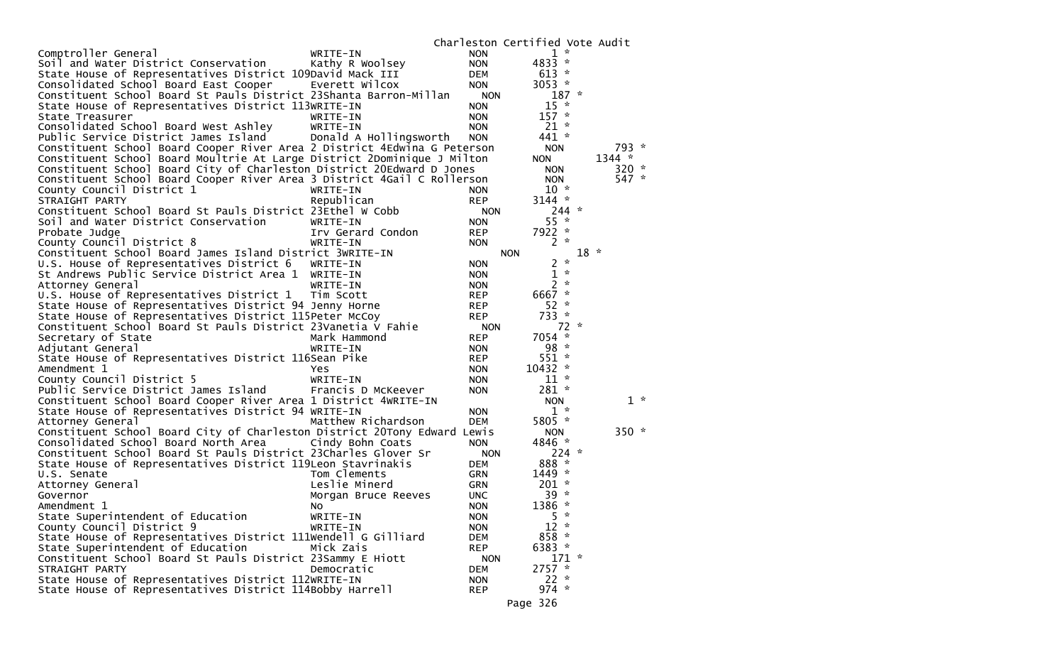|                                                                          |                        |            | Charleston Certified Vote Audit |        |          |       |
|--------------------------------------------------------------------------|------------------------|------------|---------------------------------|--------|----------|-------|
| Comptroller General                                                      | WRITE-IN               | <b>NON</b> | $1 *$                           |        |          |       |
| Soil and Water District Conservation                                     | Kathy R Woolsey        | <b>NON</b> | 4833 *                          |        |          |       |
| State House of Representatives District 109David Mack III                |                        | <b>DEM</b> | $613 *$                         |        |          |       |
| Consolidated School Board East Cooper                                    | Everett Wilcox         | <b>NON</b> | 3053 $*$                        |        |          |       |
| Constituent School Board St Pauls District 23Shanta Barron-Millan        |                        | <b>NON</b> | $187 *$                         |        |          |       |
| State House of Representatives District 113WRITE-IN                      |                        | <b>NON</b> | $15 *$                          |        |          |       |
| State Treasurer                                                          | WRITE-IN               | <b>NON</b> | $157 *$                         |        |          |       |
| Consolidated School Board West Ashley                                    | WRITE-IN               | <b>NON</b> | $21 *$                          |        |          |       |
| Public Service District James Island                                     | Donald A Hollingsworth | <b>NON</b> | 441 *                           |        |          |       |
| Constituent School Board Cooper River Area 2 District 4Edwina G Peterson |                        |            | <b>NON</b>                      |        | 793 *    |       |
| Constituent School Board Moultrie At Large District 2Dominique J Milton  |                        |            | <b>NON</b>                      |        | $1344 *$ |       |
|                                                                          |                        |            |                                 |        | $320 *$  |       |
| Constituent School Board City of Charleston District 20Edward D Jones    |                        |            | <b>NON</b>                      |        |          |       |
| Constituent School Board Cooper River Area 3 District 4Gail C Rollerson  |                        |            | <b>NON</b>                      |        | 547 *    |       |
| County Council District 1                                                | WRITE-IN               | <b>NON</b> | $10 *$                          |        |          |       |
| STRAIGHT PARTY                                                           | Republican             | <b>REP</b> | $3144 *$                        |        |          |       |
| Constituent School Board St Pauls District 23Ethel W Cobb                |                        | <b>NON</b> | $244 *$                         |        |          |       |
| Soil and Water District Conservation                                     | WRITE-IN               | <b>NON</b> | $55 *$                          |        |          |       |
| Probate Judge                                                            | Irv Gerard Condon      | <b>REP</b> | 7922 *                          |        |          |       |
| County Council District 8                                                | WRITE-IN               | <b>NON</b> | $2 *$                           |        |          |       |
| Constituent School Board James Island District 3WRITE-IN                 |                        |            | <b>NON</b>                      | $18 *$ |          |       |
| U.S. House of Representatives District 6                                 | WRITE-IN               | <b>NON</b> | $\mathcal{R}$<br>2              |        |          |       |
| St Andrews Public Service District Area 1                                | WRITE-IN               | <b>NON</b> | $\boldsymbol{\pi}$<br>1         |        |          |       |
| Attorney General                                                         | WRITE-IN               | <b>NON</b> | $2 *$                           |        |          |       |
| U.S. House of Representatives District 1                                 | Tim Scott              | <b>REP</b> | 6667 *                          |        |          |       |
| State House of Representatives District 94 Jenny Horne                   |                        | <b>REP</b> | $52 *$                          |        |          |       |
| State House of Representatives District 115Peter McCoy                   |                        | <b>REP</b> | 733 *                           |        |          |       |
| Constituent School Board St Pauls District 23Vanetia V Fahie             |                        | <b>NON</b> | $72 *$                          |        |          |       |
| Secretary of State                                                       | Mark Hammond           | <b>REP</b> | 7054 *                          |        |          |       |
| Adjutant General                                                         | WRITE-IN               | <b>NON</b> | $98 *$                          |        |          |       |
| State House of Representatives District 116Sean Pike                     |                        | <b>REP</b> | $551 *$                         |        |          |       |
| Amendment 1                                                              | Yes                    | <b>NON</b> | $10432$ *                       |        |          |       |
| County Council District 5                                                | WRITE-IN               | <b>NON</b> | $11 *$                          |        |          |       |
| Public Service District James Island                                     | Francis D McKeever     | <b>NON</b> | $281 *$                         |        |          |       |
|                                                                          |                        |            |                                 |        |          | $1 *$ |
| Constituent School Board Cooper River Area 1 District 4WRITE-IN          |                        |            | <b>NON</b>                      |        |          |       |
| State House of Representatives District 94 WRITE-IN                      |                        | <b>NON</b> | $1 *$                           |        |          |       |
| Attorney General                                                         | Matthew Richardson     | <b>DEM</b> | 5805 *                          |        |          |       |
| Constituent School Board City of Charleston District 20Tony Edward Lewis |                        |            | <b>NON</b>                      |        | $350 *$  |       |
| Consolidated School Board North Area Cindy Bohn Coats                    |                        | <b>NON</b> | 4846 *                          |        |          |       |
| Constituent School Board St Pauls District 23Charles Glover Sr           |                        | <b>NON</b> | $224$ *                         |        |          |       |
| State House of Representatives District 119Leon Stavrinakis              |                        | <b>DEM</b> | 888 *                           |        |          |       |
| U.S. Senate                                                              | Tom Clements           | <b>GRN</b> | $1449 *$                        |        |          |       |
| Attorney General                                                         | Leslie Minerd          | <b>GRN</b> | $201 *$                         |        |          |       |
| Governor                                                                 | Morgan Bruce Reeves    | <b>UNC</b> | $39 *$                          |        |          |       |
| Amendment 1                                                              | No.                    | <b>NON</b> | 1386 *                          |        |          |       |
| State Superintendent of Education                                        | WRITE-IN               | <b>NON</b> | $5 *$                           |        |          |       |
| County Council District 9                                                | WRITE-IN               | <b>NON</b> | $12 *$                          |        |          |       |
| State House of Representatives District 111Wendell G Gilliard            |                        | <b>DEM</b> | $858 *$                         |        |          |       |
| State Superintendent of Education                                        | Mick Zais              | <b>REP</b> | 6383 *                          |        |          |       |
| Constituent School Board St Pauls District 23Sammy E Hiott               |                        | <b>NON</b> | $171 *$                         |        |          |       |
| STRAIGHT PARTY                                                           | Democratic             | <b>DEM</b> | $2757 *$                        |        |          |       |
| State House of Representatives District 112WRITE-IN                      |                        | <b>NON</b> | $22 *$                          |        |          |       |
| State House of Representatives District 114Bobby Harrell                 |                        | <b>REP</b> | $974 *$                         |        |          |       |
|                                                                          |                        |            |                                 |        |          |       |
|                                                                          |                        |            | Page 326                        |        |          |       |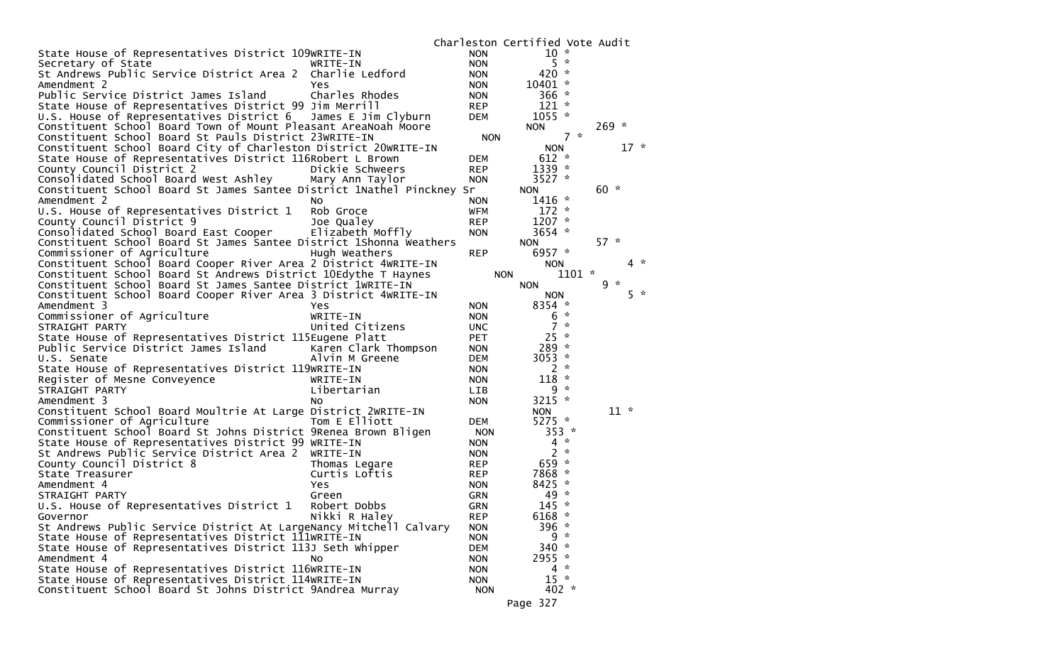| $10 *$<br>State House of Representatives District 109WRITE-IN<br><b>NON</b><br>$5 *$<br>Secretary of State<br><b>NON</b><br>WRITE-IN<br>St Andrews Public Service District Area 2 Charlie Ledford<br>$420 *$<br><b>NON</b><br>10401 *<br>Amendment 2<br><b>NON</b><br>Yes<br>Public Service District James Island<br>Charles Rhodes<br>$366 *$<br><b>NON</b><br>State House of Representatives District 99 Jim Merrill<br>$121 *$<br><b>REP</b><br>U.S. House of Representatives District 6<br>$1055$ *<br>James E Jim Clyburn<br><b>DEM</b><br>Constituent School Board Town of Mount Pleasant AreaNoah Moore<br>$269 *$<br><b>NON</b><br>$7 *$<br>Constituent School Board St Pauls District 23WRITE-IN<br><b>NON</b><br>Constituent School Board City of Charleston District 20WRITE-IN<br>$17 *$<br><b>NON</b><br>State House of Representatives District 116Robert L Brown<br>$612 *$<br><b>DEM</b><br>County Council District 2<br>Dickie Schweers<br>$1339 *$<br><b>REP</b><br>Consolidated School Board West Ashley Mary Ann Taylor<br>3527 $*$<br><b>NON</b><br>$60 *$<br>Constituent School Board St James Santee District 1Nathel Pinckney Sr<br><b>NON</b><br>$1416 *$<br>Amendment 2<br><b>NON</b><br>NO.<br>$172 *$<br>U.S. House of Representatives District 1<br>Rob Groce<br><b>WFM</b><br>$1207 *$<br>County Council District 9<br><b>REP</b><br>Joe Qualey<br>Consolidated School Board East Cooper<br>Elizabeth Moffly<br>3654 $*$<br><b>NON</b><br>$57 *$<br>Constituent School Board St James Santee District 1Shonna Weathers<br><b>NON</b><br>Commissioner of Agriculture<br>6957 $*$<br>Hugh Weathers<br><b>REP</b><br>Constituent School Board Cooper River Area 2 District 4WRITE-IN<br>$4 *$<br><b>NON</b><br>$1101 *$<br>Constituent School Board St Andrews District 10Edythe T Haynes<br><b>NON</b><br>$9 *$<br>Constituent School Board St James Santee District 1WRITE-IN<br><b>NON</b><br>$5 *$<br>Constituent School Board Cooper River Area 3 District 4WRITE-IN<br><b>NON</b><br>8354 *<br>Amendment 3<br><b>Yes</b><br><b>NON</b><br>Commissioner of Agriculture<br>$\mathcal{R}$<br>WRITE-IN<br>6<br><b>NON</b><br>7<br>$\boldsymbol{\pi}$<br>United Citizens<br>STRAIGHT PARTY<br><b>UNC</b><br>$25 *$<br>State House of Representatives District 115Eugene Platt<br><b>PET</b><br>Public Service District James Island<br>$289 *$<br>Karen Clark Thompson<br><b>NON</b><br>3053 $*$<br>U.S. Senate<br><b>DEM</b><br>Alvin M Greene<br>$\sim$<br>State House of Representatives District 119WRITE-IN<br>2<br><b>NON</b><br>$118 *$<br>Register of Mesne Conveyence<br><b>NON</b><br>WRITE-IN<br>9<br>$\mathcal{R}$<br>STRAIGHT PARTY<br>Libertarian<br><b>LIB</b><br>3215 *<br>Amendment 3<br><b>NON</b><br>No<br>$11 *$<br>Constituent School Board Moultrie At Large District 2WRITE-IN<br><b>NON</b><br>Commissioner of Agriculture<br>Tom E Elliott<br>5275 *<br><b>DEM</b><br>Constituent School Board St Johns District 9Renea Brown Bligen<br>353<br>$\boldsymbol{\pi}$<br><b>NON</b><br>$\mathcal{R}$<br>State House of Representatives District 99 WRITE-IN<br>4<br><b>NON</b><br>$\sim$<br>St Andrews Public Service District Area 2 WRITE-IN<br>2<br><b>NON</b><br>$659*$<br>County Council District 8<br><b>REP</b><br>Thomas Legare<br>7868 *<br><b>REP</b><br>State Treasurer<br>Curtis Loftis<br>$\mathcal{H}$<br>Amendment 4<br>8425<br>Yes<br><b>NON</b><br>$49 *$<br><b>GRN</b><br>STRAIGHT PARTY<br>Green<br>U.S. House of Representatives District 1<br>$145 *$<br>Robert Dobbs<br><b>GRN</b><br>Nikki R Haley<br>6168 *<br>Governor<br>REP<br>St Andrews Public Service District At LargeNancy Mitchell Calvary<br>396 *<br><b>NON</b><br>$9 *$<br>State House of Representatives District 111WRITE-IN<br><b>NON</b><br>State House of Representatives District 113J Seth Whipper<br>$340 *$<br><b>DEM</b><br>2955 *<br>Amendment 4<br><b>NON</b><br>No.<br>State House of Representatives District 116WRITE-IN<br>$4 *$<br><b>NON</b><br>$15 *$<br>State House of Representatives District 114WRITE-IN<br><b>NON</b><br>Constituent School Board St Johns District 9Andrea Murray<br>$402 *$<br><b>NON</b><br>Page 327 |  | Charleston Certified Vote Audit |  |
|--------------------------------------------------------------------------------------------------------------------------------------------------------------------------------------------------------------------------------------------------------------------------------------------------------------------------------------------------------------------------------------------------------------------------------------------------------------------------------------------------------------------------------------------------------------------------------------------------------------------------------------------------------------------------------------------------------------------------------------------------------------------------------------------------------------------------------------------------------------------------------------------------------------------------------------------------------------------------------------------------------------------------------------------------------------------------------------------------------------------------------------------------------------------------------------------------------------------------------------------------------------------------------------------------------------------------------------------------------------------------------------------------------------------------------------------------------------------------------------------------------------------------------------------------------------------------------------------------------------------------------------------------------------------------------------------------------------------------------------------------------------------------------------------------------------------------------------------------------------------------------------------------------------------------------------------------------------------------------------------------------------------------------------------------------------------------------------------------------------------------------------------------------------------------------------------------------------------------------------------------------------------------------------------------------------------------------------------------------------------------------------------------------------------------------------------------------------------------------------------------------------------------------------------------------------------------------------------------------------------------------------------------------------------------------------------------------------------------------------------------------------------------------------------------------------------------------------------------------------------------------------------------------------------------------------------------------------------------------------------------------------------------------------------------------------------------------------------------------------------------------------------------------------------------------------------------------------------------------------------------------------------------------------------------------------------------------------------------------------------------------------------------------------------------------------------------------------------------------------------------------------------------------------------------------------------------------------------------------------------------------------------------------------------------------------------------------------------------------------------------------------------------------------------------------------------------------------------------------------------------------------------------------------------------------------------------------------------------------------------------------------------------------------------------------------------------------------------------------------------------------------------------------------------------------------|--|---------------------------------|--|
|                                                                                                                                                                                                                                                                                                                                                                                                                                                                                                                                                                                                                                                                                                                                                                                                                                                                                                                                                                                                                                                                                                                                                                                                                                                                                                                                                                                                                                                                                                                                                                                                                                                                                                                                                                                                                                                                                                                                                                                                                                                                                                                                                                                                                                                                                                                                                                                                                                                                                                                                                                                                                                                                                                                                                                                                                                                                                                                                                                                                                                                                                                                                                                                                                                                                                                                                                                                                                                                                                                                                                                                                                                                                                                                                                                                                                                                                                                                                                                                                                                                                                                                                                                                      |  |                                 |  |
|                                                                                                                                                                                                                                                                                                                                                                                                                                                                                                                                                                                                                                                                                                                                                                                                                                                                                                                                                                                                                                                                                                                                                                                                                                                                                                                                                                                                                                                                                                                                                                                                                                                                                                                                                                                                                                                                                                                                                                                                                                                                                                                                                                                                                                                                                                                                                                                                                                                                                                                                                                                                                                                                                                                                                                                                                                                                                                                                                                                                                                                                                                                                                                                                                                                                                                                                                                                                                                                                                                                                                                                                                                                                                                                                                                                                                                                                                                                                                                                                                                                                                                                                                                                      |  |                                 |  |
|                                                                                                                                                                                                                                                                                                                                                                                                                                                                                                                                                                                                                                                                                                                                                                                                                                                                                                                                                                                                                                                                                                                                                                                                                                                                                                                                                                                                                                                                                                                                                                                                                                                                                                                                                                                                                                                                                                                                                                                                                                                                                                                                                                                                                                                                                                                                                                                                                                                                                                                                                                                                                                                                                                                                                                                                                                                                                                                                                                                                                                                                                                                                                                                                                                                                                                                                                                                                                                                                                                                                                                                                                                                                                                                                                                                                                                                                                                                                                                                                                                                                                                                                                                                      |  |                                 |  |
|                                                                                                                                                                                                                                                                                                                                                                                                                                                                                                                                                                                                                                                                                                                                                                                                                                                                                                                                                                                                                                                                                                                                                                                                                                                                                                                                                                                                                                                                                                                                                                                                                                                                                                                                                                                                                                                                                                                                                                                                                                                                                                                                                                                                                                                                                                                                                                                                                                                                                                                                                                                                                                                                                                                                                                                                                                                                                                                                                                                                                                                                                                                                                                                                                                                                                                                                                                                                                                                                                                                                                                                                                                                                                                                                                                                                                                                                                                                                                                                                                                                                                                                                                                                      |  |                                 |  |
|                                                                                                                                                                                                                                                                                                                                                                                                                                                                                                                                                                                                                                                                                                                                                                                                                                                                                                                                                                                                                                                                                                                                                                                                                                                                                                                                                                                                                                                                                                                                                                                                                                                                                                                                                                                                                                                                                                                                                                                                                                                                                                                                                                                                                                                                                                                                                                                                                                                                                                                                                                                                                                                                                                                                                                                                                                                                                                                                                                                                                                                                                                                                                                                                                                                                                                                                                                                                                                                                                                                                                                                                                                                                                                                                                                                                                                                                                                                                                                                                                                                                                                                                                                                      |  |                                 |  |
|                                                                                                                                                                                                                                                                                                                                                                                                                                                                                                                                                                                                                                                                                                                                                                                                                                                                                                                                                                                                                                                                                                                                                                                                                                                                                                                                                                                                                                                                                                                                                                                                                                                                                                                                                                                                                                                                                                                                                                                                                                                                                                                                                                                                                                                                                                                                                                                                                                                                                                                                                                                                                                                                                                                                                                                                                                                                                                                                                                                                                                                                                                                                                                                                                                                                                                                                                                                                                                                                                                                                                                                                                                                                                                                                                                                                                                                                                                                                                                                                                                                                                                                                                                                      |  |                                 |  |
|                                                                                                                                                                                                                                                                                                                                                                                                                                                                                                                                                                                                                                                                                                                                                                                                                                                                                                                                                                                                                                                                                                                                                                                                                                                                                                                                                                                                                                                                                                                                                                                                                                                                                                                                                                                                                                                                                                                                                                                                                                                                                                                                                                                                                                                                                                                                                                                                                                                                                                                                                                                                                                                                                                                                                                                                                                                                                                                                                                                                                                                                                                                                                                                                                                                                                                                                                                                                                                                                                                                                                                                                                                                                                                                                                                                                                                                                                                                                                                                                                                                                                                                                                                                      |  |                                 |  |
|                                                                                                                                                                                                                                                                                                                                                                                                                                                                                                                                                                                                                                                                                                                                                                                                                                                                                                                                                                                                                                                                                                                                                                                                                                                                                                                                                                                                                                                                                                                                                                                                                                                                                                                                                                                                                                                                                                                                                                                                                                                                                                                                                                                                                                                                                                                                                                                                                                                                                                                                                                                                                                                                                                                                                                                                                                                                                                                                                                                                                                                                                                                                                                                                                                                                                                                                                                                                                                                                                                                                                                                                                                                                                                                                                                                                                                                                                                                                                                                                                                                                                                                                                                                      |  |                                 |  |
|                                                                                                                                                                                                                                                                                                                                                                                                                                                                                                                                                                                                                                                                                                                                                                                                                                                                                                                                                                                                                                                                                                                                                                                                                                                                                                                                                                                                                                                                                                                                                                                                                                                                                                                                                                                                                                                                                                                                                                                                                                                                                                                                                                                                                                                                                                                                                                                                                                                                                                                                                                                                                                                                                                                                                                                                                                                                                                                                                                                                                                                                                                                                                                                                                                                                                                                                                                                                                                                                                                                                                                                                                                                                                                                                                                                                                                                                                                                                                                                                                                                                                                                                                                                      |  |                                 |  |
|                                                                                                                                                                                                                                                                                                                                                                                                                                                                                                                                                                                                                                                                                                                                                                                                                                                                                                                                                                                                                                                                                                                                                                                                                                                                                                                                                                                                                                                                                                                                                                                                                                                                                                                                                                                                                                                                                                                                                                                                                                                                                                                                                                                                                                                                                                                                                                                                                                                                                                                                                                                                                                                                                                                                                                                                                                                                                                                                                                                                                                                                                                                                                                                                                                                                                                                                                                                                                                                                                                                                                                                                                                                                                                                                                                                                                                                                                                                                                                                                                                                                                                                                                                                      |  |                                 |  |
|                                                                                                                                                                                                                                                                                                                                                                                                                                                                                                                                                                                                                                                                                                                                                                                                                                                                                                                                                                                                                                                                                                                                                                                                                                                                                                                                                                                                                                                                                                                                                                                                                                                                                                                                                                                                                                                                                                                                                                                                                                                                                                                                                                                                                                                                                                                                                                                                                                                                                                                                                                                                                                                                                                                                                                                                                                                                                                                                                                                                                                                                                                                                                                                                                                                                                                                                                                                                                                                                                                                                                                                                                                                                                                                                                                                                                                                                                                                                                                                                                                                                                                                                                                                      |  |                                 |  |
|                                                                                                                                                                                                                                                                                                                                                                                                                                                                                                                                                                                                                                                                                                                                                                                                                                                                                                                                                                                                                                                                                                                                                                                                                                                                                                                                                                                                                                                                                                                                                                                                                                                                                                                                                                                                                                                                                                                                                                                                                                                                                                                                                                                                                                                                                                                                                                                                                                                                                                                                                                                                                                                                                                                                                                                                                                                                                                                                                                                                                                                                                                                                                                                                                                                                                                                                                                                                                                                                                                                                                                                                                                                                                                                                                                                                                                                                                                                                                                                                                                                                                                                                                                                      |  |                                 |  |
|                                                                                                                                                                                                                                                                                                                                                                                                                                                                                                                                                                                                                                                                                                                                                                                                                                                                                                                                                                                                                                                                                                                                                                                                                                                                                                                                                                                                                                                                                                                                                                                                                                                                                                                                                                                                                                                                                                                                                                                                                                                                                                                                                                                                                                                                                                                                                                                                                                                                                                                                                                                                                                                                                                                                                                                                                                                                                                                                                                                                                                                                                                                                                                                                                                                                                                                                                                                                                                                                                                                                                                                                                                                                                                                                                                                                                                                                                                                                                                                                                                                                                                                                                                                      |  |                                 |  |
|                                                                                                                                                                                                                                                                                                                                                                                                                                                                                                                                                                                                                                                                                                                                                                                                                                                                                                                                                                                                                                                                                                                                                                                                                                                                                                                                                                                                                                                                                                                                                                                                                                                                                                                                                                                                                                                                                                                                                                                                                                                                                                                                                                                                                                                                                                                                                                                                                                                                                                                                                                                                                                                                                                                                                                                                                                                                                                                                                                                                                                                                                                                                                                                                                                                                                                                                                                                                                                                                                                                                                                                                                                                                                                                                                                                                                                                                                                                                                                                                                                                                                                                                                                                      |  |                                 |  |
|                                                                                                                                                                                                                                                                                                                                                                                                                                                                                                                                                                                                                                                                                                                                                                                                                                                                                                                                                                                                                                                                                                                                                                                                                                                                                                                                                                                                                                                                                                                                                                                                                                                                                                                                                                                                                                                                                                                                                                                                                                                                                                                                                                                                                                                                                                                                                                                                                                                                                                                                                                                                                                                                                                                                                                                                                                                                                                                                                                                                                                                                                                                                                                                                                                                                                                                                                                                                                                                                                                                                                                                                                                                                                                                                                                                                                                                                                                                                                                                                                                                                                                                                                                                      |  |                                 |  |
|                                                                                                                                                                                                                                                                                                                                                                                                                                                                                                                                                                                                                                                                                                                                                                                                                                                                                                                                                                                                                                                                                                                                                                                                                                                                                                                                                                                                                                                                                                                                                                                                                                                                                                                                                                                                                                                                                                                                                                                                                                                                                                                                                                                                                                                                                                                                                                                                                                                                                                                                                                                                                                                                                                                                                                                                                                                                                                                                                                                                                                                                                                                                                                                                                                                                                                                                                                                                                                                                                                                                                                                                                                                                                                                                                                                                                                                                                                                                                                                                                                                                                                                                                                                      |  |                                 |  |
|                                                                                                                                                                                                                                                                                                                                                                                                                                                                                                                                                                                                                                                                                                                                                                                                                                                                                                                                                                                                                                                                                                                                                                                                                                                                                                                                                                                                                                                                                                                                                                                                                                                                                                                                                                                                                                                                                                                                                                                                                                                                                                                                                                                                                                                                                                                                                                                                                                                                                                                                                                                                                                                                                                                                                                                                                                                                                                                                                                                                                                                                                                                                                                                                                                                                                                                                                                                                                                                                                                                                                                                                                                                                                                                                                                                                                                                                                                                                                                                                                                                                                                                                                                                      |  |                                 |  |
|                                                                                                                                                                                                                                                                                                                                                                                                                                                                                                                                                                                                                                                                                                                                                                                                                                                                                                                                                                                                                                                                                                                                                                                                                                                                                                                                                                                                                                                                                                                                                                                                                                                                                                                                                                                                                                                                                                                                                                                                                                                                                                                                                                                                                                                                                                                                                                                                                                                                                                                                                                                                                                                                                                                                                                                                                                                                                                                                                                                                                                                                                                                                                                                                                                                                                                                                                                                                                                                                                                                                                                                                                                                                                                                                                                                                                                                                                                                                                                                                                                                                                                                                                                                      |  |                                 |  |
|                                                                                                                                                                                                                                                                                                                                                                                                                                                                                                                                                                                                                                                                                                                                                                                                                                                                                                                                                                                                                                                                                                                                                                                                                                                                                                                                                                                                                                                                                                                                                                                                                                                                                                                                                                                                                                                                                                                                                                                                                                                                                                                                                                                                                                                                                                                                                                                                                                                                                                                                                                                                                                                                                                                                                                                                                                                                                                                                                                                                                                                                                                                                                                                                                                                                                                                                                                                                                                                                                                                                                                                                                                                                                                                                                                                                                                                                                                                                                                                                                                                                                                                                                                                      |  |                                 |  |
|                                                                                                                                                                                                                                                                                                                                                                                                                                                                                                                                                                                                                                                                                                                                                                                                                                                                                                                                                                                                                                                                                                                                                                                                                                                                                                                                                                                                                                                                                                                                                                                                                                                                                                                                                                                                                                                                                                                                                                                                                                                                                                                                                                                                                                                                                                                                                                                                                                                                                                                                                                                                                                                                                                                                                                                                                                                                                                                                                                                                                                                                                                                                                                                                                                                                                                                                                                                                                                                                                                                                                                                                                                                                                                                                                                                                                                                                                                                                                                                                                                                                                                                                                                                      |  |                                 |  |
|                                                                                                                                                                                                                                                                                                                                                                                                                                                                                                                                                                                                                                                                                                                                                                                                                                                                                                                                                                                                                                                                                                                                                                                                                                                                                                                                                                                                                                                                                                                                                                                                                                                                                                                                                                                                                                                                                                                                                                                                                                                                                                                                                                                                                                                                                                                                                                                                                                                                                                                                                                                                                                                                                                                                                                                                                                                                                                                                                                                                                                                                                                                                                                                                                                                                                                                                                                                                                                                                                                                                                                                                                                                                                                                                                                                                                                                                                                                                                                                                                                                                                                                                                                                      |  |                                 |  |
|                                                                                                                                                                                                                                                                                                                                                                                                                                                                                                                                                                                                                                                                                                                                                                                                                                                                                                                                                                                                                                                                                                                                                                                                                                                                                                                                                                                                                                                                                                                                                                                                                                                                                                                                                                                                                                                                                                                                                                                                                                                                                                                                                                                                                                                                                                                                                                                                                                                                                                                                                                                                                                                                                                                                                                                                                                                                                                                                                                                                                                                                                                                                                                                                                                                                                                                                                                                                                                                                                                                                                                                                                                                                                                                                                                                                                                                                                                                                                                                                                                                                                                                                                                                      |  |                                 |  |
|                                                                                                                                                                                                                                                                                                                                                                                                                                                                                                                                                                                                                                                                                                                                                                                                                                                                                                                                                                                                                                                                                                                                                                                                                                                                                                                                                                                                                                                                                                                                                                                                                                                                                                                                                                                                                                                                                                                                                                                                                                                                                                                                                                                                                                                                                                                                                                                                                                                                                                                                                                                                                                                                                                                                                                                                                                                                                                                                                                                                                                                                                                                                                                                                                                                                                                                                                                                                                                                                                                                                                                                                                                                                                                                                                                                                                                                                                                                                                                                                                                                                                                                                                                                      |  |                                 |  |
|                                                                                                                                                                                                                                                                                                                                                                                                                                                                                                                                                                                                                                                                                                                                                                                                                                                                                                                                                                                                                                                                                                                                                                                                                                                                                                                                                                                                                                                                                                                                                                                                                                                                                                                                                                                                                                                                                                                                                                                                                                                                                                                                                                                                                                                                                                                                                                                                                                                                                                                                                                                                                                                                                                                                                                                                                                                                                                                                                                                                                                                                                                                                                                                                                                                                                                                                                                                                                                                                                                                                                                                                                                                                                                                                                                                                                                                                                                                                                                                                                                                                                                                                                                                      |  |                                 |  |
|                                                                                                                                                                                                                                                                                                                                                                                                                                                                                                                                                                                                                                                                                                                                                                                                                                                                                                                                                                                                                                                                                                                                                                                                                                                                                                                                                                                                                                                                                                                                                                                                                                                                                                                                                                                                                                                                                                                                                                                                                                                                                                                                                                                                                                                                                                                                                                                                                                                                                                                                                                                                                                                                                                                                                                                                                                                                                                                                                                                                                                                                                                                                                                                                                                                                                                                                                                                                                                                                                                                                                                                                                                                                                                                                                                                                                                                                                                                                                                                                                                                                                                                                                                                      |  |                                 |  |
|                                                                                                                                                                                                                                                                                                                                                                                                                                                                                                                                                                                                                                                                                                                                                                                                                                                                                                                                                                                                                                                                                                                                                                                                                                                                                                                                                                                                                                                                                                                                                                                                                                                                                                                                                                                                                                                                                                                                                                                                                                                                                                                                                                                                                                                                                                                                                                                                                                                                                                                                                                                                                                                                                                                                                                                                                                                                                                                                                                                                                                                                                                                                                                                                                                                                                                                                                                                                                                                                                                                                                                                                                                                                                                                                                                                                                                                                                                                                                                                                                                                                                                                                                                                      |  |                                 |  |
|                                                                                                                                                                                                                                                                                                                                                                                                                                                                                                                                                                                                                                                                                                                                                                                                                                                                                                                                                                                                                                                                                                                                                                                                                                                                                                                                                                                                                                                                                                                                                                                                                                                                                                                                                                                                                                                                                                                                                                                                                                                                                                                                                                                                                                                                                                                                                                                                                                                                                                                                                                                                                                                                                                                                                                                                                                                                                                                                                                                                                                                                                                                                                                                                                                                                                                                                                                                                                                                                                                                                                                                                                                                                                                                                                                                                                                                                                                                                                                                                                                                                                                                                                                                      |  |                                 |  |
|                                                                                                                                                                                                                                                                                                                                                                                                                                                                                                                                                                                                                                                                                                                                                                                                                                                                                                                                                                                                                                                                                                                                                                                                                                                                                                                                                                                                                                                                                                                                                                                                                                                                                                                                                                                                                                                                                                                                                                                                                                                                                                                                                                                                                                                                                                                                                                                                                                                                                                                                                                                                                                                                                                                                                                                                                                                                                                                                                                                                                                                                                                                                                                                                                                                                                                                                                                                                                                                                                                                                                                                                                                                                                                                                                                                                                                                                                                                                                                                                                                                                                                                                                                                      |  |                                 |  |
|                                                                                                                                                                                                                                                                                                                                                                                                                                                                                                                                                                                                                                                                                                                                                                                                                                                                                                                                                                                                                                                                                                                                                                                                                                                                                                                                                                                                                                                                                                                                                                                                                                                                                                                                                                                                                                                                                                                                                                                                                                                                                                                                                                                                                                                                                                                                                                                                                                                                                                                                                                                                                                                                                                                                                                                                                                                                                                                                                                                                                                                                                                                                                                                                                                                                                                                                                                                                                                                                                                                                                                                                                                                                                                                                                                                                                                                                                                                                                                                                                                                                                                                                                                                      |  |                                 |  |
|                                                                                                                                                                                                                                                                                                                                                                                                                                                                                                                                                                                                                                                                                                                                                                                                                                                                                                                                                                                                                                                                                                                                                                                                                                                                                                                                                                                                                                                                                                                                                                                                                                                                                                                                                                                                                                                                                                                                                                                                                                                                                                                                                                                                                                                                                                                                                                                                                                                                                                                                                                                                                                                                                                                                                                                                                                                                                                                                                                                                                                                                                                                                                                                                                                                                                                                                                                                                                                                                                                                                                                                                                                                                                                                                                                                                                                                                                                                                                                                                                                                                                                                                                                                      |  |                                 |  |
|                                                                                                                                                                                                                                                                                                                                                                                                                                                                                                                                                                                                                                                                                                                                                                                                                                                                                                                                                                                                                                                                                                                                                                                                                                                                                                                                                                                                                                                                                                                                                                                                                                                                                                                                                                                                                                                                                                                                                                                                                                                                                                                                                                                                                                                                                                                                                                                                                                                                                                                                                                                                                                                                                                                                                                                                                                                                                                                                                                                                                                                                                                                                                                                                                                                                                                                                                                                                                                                                                                                                                                                                                                                                                                                                                                                                                                                                                                                                                                                                                                                                                                                                                                                      |  |                                 |  |
|                                                                                                                                                                                                                                                                                                                                                                                                                                                                                                                                                                                                                                                                                                                                                                                                                                                                                                                                                                                                                                                                                                                                                                                                                                                                                                                                                                                                                                                                                                                                                                                                                                                                                                                                                                                                                                                                                                                                                                                                                                                                                                                                                                                                                                                                                                                                                                                                                                                                                                                                                                                                                                                                                                                                                                                                                                                                                                                                                                                                                                                                                                                                                                                                                                                                                                                                                                                                                                                                                                                                                                                                                                                                                                                                                                                                                                                                                                                                                                                                                                                                                                                                                                                      |  |                                 |  |
|                                                                                                                                                                                                                                                                                                                                                                                                                                                                                                                                                                                                                                                                                                                                                                                                                                                                                                                                                                                                                                                                                                                                                                                                                                                                                                                                                                                                                                                                                                                                                                                                                                                                                                                                                                                                                                                                                                                                                                                                                                                                                                                                                                                                                                                                                                                                                                                                                                                                                                                                                                                                                                                                                                                                                                                                                                                                                                                                                                                                                                                                                                                                                                                                                                                                                                                                                                                                                                                                                                                                                                                                                                                                                                                                                                                                                                                                                                                                                                                                                                                                                                                                                                                      |  |                                 |  |
|                                                                                                                                                                                                                                                                                                                                                                                                                                                                                                                                                                                                                                                                                                                                                                                                                                                                                                                                                                                                                                                                                                                                                                                                                                                                                                                                                                                                                                                                                                                                                                                                                                                                                                                                                                                                                                                                                                                                                                                                                                                                                                                                                                                                                                                                                                                                                                                                                                                                                                                                                                                                                                                                                                                                                                                                                                                                                                                                                                                                                                                                                                                                                                                                                                                                                                                                                                                                                                                                                                                                                                                                                                                                                                                                                                                                                                                                                                                                                                                                                                                                                                                                                                                      |  |                                 |  |
|                                                                                                                                                                                                                                                                                                                                                                                                                                                                                                                                                                                                                                                                                                                                                                                                                                                                                                                                                                                                                                                                                                                                                                                                                                                                                                                                                                                                                                                                                                                                                                                                                                                                                                                                                                                                                                                                                                                                                                                                                                                                                                                                                                                                                                                                                                                                                                                                                                                                                                                                                                                                                                                                                                                                                                                                                                                                                                                                                                                                                                                                                                                                                                                                                                                                                                                                                                                                                                                                                                                                                                                                                                                                                                                                                                                                                                                                                                                                                                                                                                                                                                                                                                                      |  |                                 |  |
|                                                                                                                                                                                                                                                                                                                                                                                                                                                                                                                                                                                                                                                                                                                                                                                                                                                                                                                                                                                                                                                                                                                                                                                                                                                                                                                                                                                                                                                                                                                                                                                                                                                                                                                                                                                                                                                                                                                                                                                                                                                                                                                                                                                                                                                                                                                                                                                                                                                                                                                                                                                                                                                                                                                                                                                                                                                                                                                                                                                                                                                                                                                                                                                                                                                                                                                                                                                                                                                                                                                                                                                                                                                                                                                                                                                                                                                                                                                                                                                                                                                                                                                                                                                      |  |                                 |  |
|                                                                                                                                                                                                                                                                                                                                                                                                                                                                                                                                                                                                                                                                                                                                                                                                                                                                                                                                                                                                                                                                                                                                                                                                                                                                                                                                                                                                                                                                                                                                                                                                                                                                                                                                                                                                                                                                                                                                                                                                                                                                                                                                                                                                                                                                                                                                                                                                                                                                                                                                                                                                                                                                                                                                                                                                                                                                                                                                                                                                                                                                                                                                                                                                                                                                                                                                                                                                                                                                                                                                                                                                                                                                                                                                                                                                                                                                                                                                                                                                                                                                                                                                                                                      |  |                                 |  |
|                                                                                                                                                                                                                                                                                                                                                                                                                                                                                                                                                                                                                                                                                                                                                                                                                                                                                                                                                                                                                                                                                                                                                                                                                                                                                                                                                                                                                                                                                                                                                                                                                                                                                                                                                                                                                                                                                                                                                                                                                                                                                                                                                                                                                                                                                                                                                                                                                                                                                                                                                                                                                                                                                                                                                                                                                                                                                                                                                                                                                                                                                                                                                                                                                                                                                                                                                                                                                                                                                                                                                                                                                                                                                                                                                                                                                                                                                                                                                                                                                                                                                                                                                                                      |  |                                 |  |
|                                                                                                                                                                                                                                                                                                                                                                                                                                                                                                                                                                                                                                                                                                                                                                                                                                                                                                                                                                                                                                                                                                                                                                                                                                                                                                                                                                                                                                                                                                                                                                                                                                                                                                                                                                                                                                                                                                                                                                                                                                                                                                                                                                                                                                                                                                                                                                                                                                                                                                                                                                                                                                                                                                                                                                                                                                                                                                                                                                                                                                                                                                                                                                                                                                                                                                                                                                                                                                                                                                                                                                                                                                                                                                                                                                                                                                                                                                                                                                                                                                                                                                                                                                                      |  |                                 |  |
|                                                                                                                                                                                                                                                                                                                                                                                                                                                                                                                                                                                                                                                                                                                                                                                                                                                                                                                                                                                                                                                                                                                                                                                                                                                                                                                                                                                                                                                                                                                                                                                                                                                                                                                                                                                                                                                                                                                                                                                                                                                                                                                                                                                                                                                                                                                                                                                                                                                                                                                                                                                                                                                                                                                                                                                                                                                                                                                                                                                                                                                                                                                                                                                                                                                                                                                                                                                                                                                                                                                                                                                                                                                                                                                                                                                                                                                                                                                                                                                                                                                                                                                                                                                      |  |                                 |  |
|                                                                                                                                                                                                                                                                                                                                                                                                                                                                                                                                                                                                                                                                                                                                                                                                                                                                                                                                                                                                                                                                                                                                                                                                                                                                                                                                                                                                                                                                                                                                                                                                                                                                                                                                                                                                                                                                                                                                                                                                                                                                                                                                                                                                                                                                                                                                                                                                                                                                                                                                                                                                                                                                                                                                                                                                                                                                                                                                                                                                                                                                                                                                                                                                                                                                                                                                                                                                                                                                                                                                                                                                                                                                                                                                                                                                                                                                                                                                                                                                                                                                                                                                                                                      |  |                                 |  |
|                                                                                                                                                                                                                                                                                                                                                                                                                                                                                                                                                                                                                                                                                                                                                                                                                                                                                                                                                                                                                                                                                                                                                                                                                                                                                                                                                                                                                                                                                                                                                                                                                                                                                                                                                                                                                                                                                                                                                                                                                                                                                                                                                                                                                                                                                                                                                                                                                                                                                                                                                                                                                                                                                                                                                                                                                                                                                                                                                                                                                                                                                                                                                                                                                                                                                                                                                                                                                                                                                                                                                                                                                                                                                                                                                                                                                                                                                                                                                                                                                                                                                                                                                                                      |  |                                 |  |
|                                                                                                                                                                                                                                                                                                                                                                                                                                                                                                                                                                                                                                                                                                                                                                                                                                                                                                                                                                                                                                                                                                                                                                                                                                                                                                                                                                                                                                                                                                                                                                                                                                                                                                                                                                                                                                                                                                                                                                                                                                                                                                                                                                                                                                                                                                                                                                                                                                                                                                                                                                                                                                                                                                                                                                                                                                                                                                                                                                                                                                                                                                                                                                                                                                                                                                                                                                                                                                                                                                                                                                                                                                                                                                                                                                                                                                                                                                                                                                                                                                                                                                                                                                                      |  |                                 |  |
|                                                                                                                                                                                                                                                                                                                                                                                                                                                                                                                                                                                                                                                                                                                                                                                                                                                                                                                                                                                                                                                                                                                                                                                                                                                                                                                                                                                                                                                                                                                                                                                                                                                                                                                                                                                                                                                                                                                                                                                                                                                                                                                                                                                                                                                                                                                                                                                                                                                                                                                                                                                                                                                                                                                                                                                                                                                                                                                                                                                                                                                                                                                                                                                                                                                                                                                                                                                                                                                                                                                                                                                                                                                                                                                                                                                                                                                                                                                                                                                                                                                                                                                                                                                      |  |                                 |  |
|                                                                                                                                                                                                                                                                                                                                                                                                                                                                                                                                                                                                                                                                                                                                                                                                                                                                                                                                                                                                                                                                                                                                                                                                                                                                                                                                                                                                                                                                                                                                                                                                                                                                                                                                                                                                                                                                                                                                                                                                                                                                                                                                                                                                                                                                                                                                                                                                                                                                                                                                                                                                                                                                                                                                                                                                                                                                                                                                                                                                                                                                                                                                                                                                                                                                                                                                                                                                                                                                                                                                                                                                                                                                                                                                                                                                                                                                                                                                                                                                                                                                                                                                                                                      |  |                                 |  |
|                                                                                                                                                                                                                                                                                                                                                                                                                                                                                                                                                                                                                                                                                                                                                                                                                                                                                                                                                                                                                                                                                                                                                                                                                                                                                                                                                                                                                                                                                                                                                                                                                                                                                                                                                                                                                                                                                                                                                                                                                                                                                                                                                                                                                                                                                                                                                                                                                                                                                                                                                                                                                                                                                                                                                                                                                                                                                                                                                                                                                                                                                                                                                                                                                                                                                                                                                                                                                                                                                                                                                                                                                                                                                                                                                                                                                                                                                                                                                                                                                                                                                                                                                                                      |  |                                 |  |
|                                                                                                                                                                                                                                                                                                                                                                                                                                                                                                                                                                                                                                                                                                                                                                                                                                                                                                                                                                                                                                                                                                                                                                                                                                                                                                                                                                                                                                                                                                                                                                                                                                                                                                                                                                                                                                                                                                                                                                                                                                                                                                                                                                                                                                                                                                                                                                                                                                                                                                                                                                                                                                                                                                                                                                                                                                                                                                                                                                                                                                                                                                                                                                                                                                                                                                                                                                                                                                                                                                                                                                                                                                                                                                                                                                                                                                                                                                                                                                                                                                                                                                                                                                                      |  |                                 |  |
|                                                                                                                                                                                                                                                                                                                                                                                                                                                                                                                                                                                                                                                                                                                                                                                                                                                                                                                                                                                                                                                                                                                                                                                                                                                                                                                                                                                                                                                                                                                                                                                                                                                                                                                                                                                                                                                                                                                                                                                                                                                                                                                                                                                                                                                                                                                                                                                                                                                                                                                                                                                                                                                                                                                                                                                                                                                                                                                                                                                                                                                                                                                                                                                                                                                                                                                                                                                                                                                                                                                                                                                                                                                                                                                                                                                                                                                                                                                                                                                                                                                                                                                                                                                      |  |                                 |  |
|                                                                                                                                                                                                                                                                                                                                                                                                                                                                                                                                                                                                                                                                                                                                                                                                                                                                                                                                                                                                                                                                                                                                                                                                                                                                                                                                                                                                                                                                                                                                                                                                                                                                                                                                                                                                                                                                                                                                                                                                                                                                                                                                                                                                                                                                                                                                                                                                                                                                                                                                                                                                                                                                                                                                                                                                                                                                                                                                                                                                                                                                                                                                                                                                                                                                                                                                                                                                                                                                                                                                                                                                                                                                                                                                                                                                                                                                                                                                                                                                                                                                                                                                                                                      |  |                                 |  |
|                                                                                                                                                                                                                                                                                                                                                                                                                                                                                                                                                                                                                                                                                                                                                                                                                                                                                                                                                                                                                                                                                                                                                                                                                                                                                                                                                                                                                                                                                                                                                                                                                                                                                                                                                                                                                                                                                                                                                                                                                                                                                                                                                                                                                                                                                                                                                                                                                                                                                                                                                                                                                                                                                                                                                                                                                                                                                                                                                                                                                                                                                                                                                                                                                                                                                                                                                                                                                                                                                                                                                                                                                                                                                                                                                                                                                                                                                                                                                                                                                                                                                                                                                                                      |  |                                 |  |
|                                                                                                                                                                                                                                                                                                                                                                                                                                                                                                                                                                                                                                                                                                                                                                                                                                                                                                                                                                                                                                                                                                                                                                                                                                                                                                                                                                                                                                                                                                                                                                                                                                                                                                                                                                                                                                                                                                                                                                                                                                                                                                                                                                                                                                                                                                                                                                                                                                                                                                                                                                                                                                                                                                                                                                                                                                                                                                                                                                                                                                                                                                                                                                                                                                                                                                                                                                                                                                                                                                                                                                                                                                                                                                                                                                                                                                                                                                                                                                                                                                                                                                                                                                                      |  |                                 |  |
|                                                                                                                                                                                                                                                                                                                                                                                                                                                                                                                                                                                                                                                                                                                                                                                                                                                                                                                                                                                                                                                                                                                                                                                                                                                                                                                                                                                                                                                                                                                                                                                                                                                                                                                                                                                                                                                                                                                                                                                                                                                                                                                                                                                                                                                                                                                                                                                                                                                                                                                                                                                                                                                                                                                                                                                                                                                                                                                                                                                                                                                                                                                                                                                                                                                                                                                                                                                                                                                                                                                                                                                                                                                                                                                                                                                                                                                                                                                                                                                                                                                                                                                                                                                      |  |                                 |  |
|                                                                                                                                                                                                                                                                                                                                                                                                                                                                                                                                                                                                                                                                                                                                                                                                                                                                                                                                                                                                                                                                                                                                                                                                                                                                                                                                                                                                                                                                                                                                                                                                                                                                                                                                                                                                                                                                                                                                                                                                                                                                                                                                                                                                                                                                                                                                                                                                                                                                                                                                                                                                                                                                                                                                                                                                                                                                                                                                                                                                                                                                                                                                                                                                                                                                                                                                                                                                                                                                                                                                                                                                                                                                                                                                                                                                                                                                                                                                                                                                                                                                                                                                                                                      |  |                                 |  |
|                                                                                                                                                                                                                                                                                                                                                                                                                                                                                                                                                                                                                                                                                                                                                                                                                                                                                                                                                                                                                                                                                                                                                                                                                                                                                                                                                                                                                                                                                                                                                                                                                                                                                                                                                                                                                                                                                                                                                                                                                                                                                                                                                                                                                                                                                                                                                                                                                                                                                                                                                                                                                                                                                                                                                                                                                                                                                                                                                                                                                                                                                                                                                                                                                                                                                                                                                                                                                                                                                                                                                                                                                                                                                                                                                                                                                                                                                                                                                                                                                                                                                                                                                                                      |  |                                 |  |
|                                                                                                                                                                                                                                                                                                                                                                                                                                                                                                                                                                                                                                                                                                                                                                                                                                                                                                                                                                                                                                                                                                                                                                                                                                                                                                                                                                                                                                                                                                                                                                                                                                                                                                                                                                                                                                                                                                                                                                                                                                                                                                                                                                                                                                                                                                                                                                                                                                                                                                                                                                                                                                                                                                                                                                                                                                                                                                                                                                                                                                                                                                                                                                                                                                                                                                                                                                                                                                                                                                                                                                                                                                                                                                                                                                                                                                                                                                                                                                                                                                                                                                                                                                                      |  |                                 |  |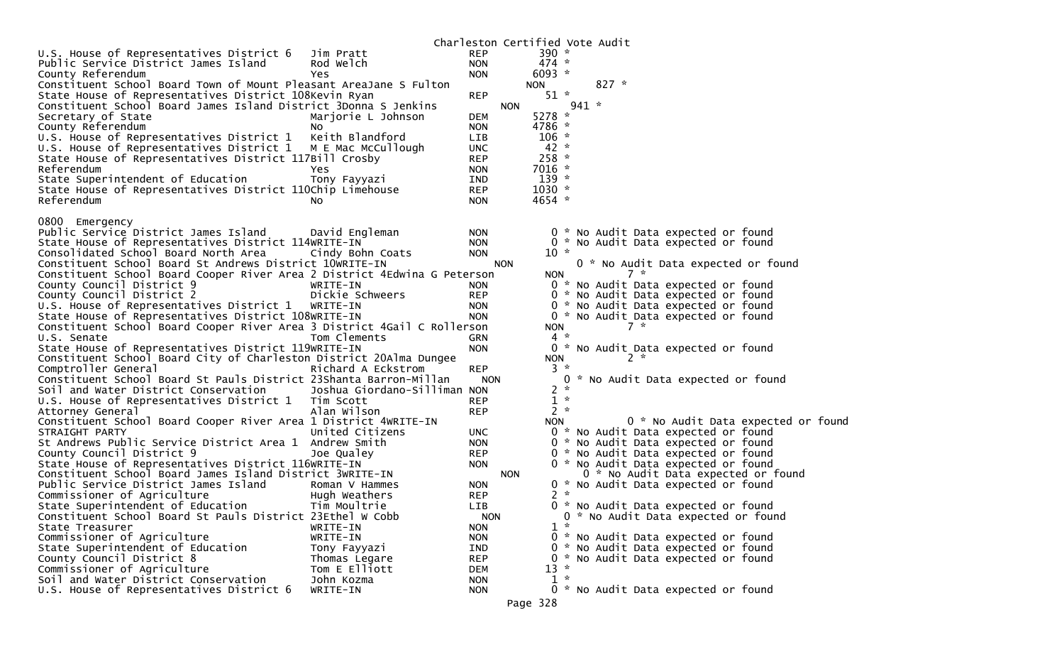|                                                                          |                              |                          |            | Charleston Certified Vote Audit |         |         |       |                                                                            |                                    |  |
|--------------------------------------------------------------------------|------------------------------|--------------------------|------------|---------------------------------|---------|---------|-------|----------------------------------------------------------------------------|------------------------------------|--|
| U.S. House of Representatives District 6                                 | Jim Pratt                    | <b>REP</b>               |            | 390 $*$                         |         |         |       |                                                                            |                                    |  |
| Public Service District James Island                                     | Rod Welch                    | <b>NON</b>               |            | $474 *$                         |         |         |       |                                                                            |                                    |  |
| County Referendum                                                        | Yes                          | <b>NON</b>               |            | $6093 *$                        |         |         |       |                                                                            |                                    |  |
| Constituent School Board Town of Mount Pleasant AreaJane S Fulton        |                              |                          |            | <b>NON</b>                      |         | $827 *$ |       |                                                                            |                                    |  |
| State House of Representatives District 108Kevin Ryan                    |                              | <b>REP</b>               |            | $51 *$                          |         |         |       |                                                                            |                                    |  |
| Constituent School Board James Island District 3Donna S Jenkins          |                              |                          | <b>NON</b> |                                 | $941 *$ |         |       |                                                                            |                                    |  |
| Secretary of State                                                       | Marjorie L Johnson           | <b>DEM</b>               |            | 5278 *                          |         |         |       |                                                                            |                                    |  |
| County Referendum                                                        | NO.                          | <b>NON</b>               |            | 4786 *                          |         |         |       |                                                                            |                                    |  |
| U.S. House of Representatives District 1                                 | Keith Blandford              | <b>LIB</b>               |            | $106 *$                         |         |         |       |                                                                            |                                    |  |
| U.S. House of Representatives District 1 M E Mac McCullough              |                              | <b>UNC</b>               |            | $42 *$                          |         |         |       |                                                                            |                                    |  |
| State House of Representatives District 117Bill Crosby                   |                              | <b>REP</b>               |            | $258 *$                         |         |         |       |                                                                            |                                    |  |
| Referendum                                                               | Yes                          | <b>NON</b>               |            | $7016 *$                        |         |         |       |                                                                            |                                    |  |
| State Superintendent of Education                                        | Tony Fayyazi                 | IND                      |            | $139 *$                         |         |         |       |                                                                            |                                    |  |
| State House of Representatives District 110Chip Limehouse                |                              | <b>REP</b>               |            | $1030 *$                        |         |         |       |                                                                            |                                    |  |
| Referendum                                                               | NO.                          | <b>NON</b>               |            | 4654 *                          |         |         |       |                                                                            |                                    |  |
|                                                                          |                              |                          |            |                                 |         |         |       |                                                                            |                                    |  |
| 0800 Emergency                                                           |                              |                          |            |                                 |         |         |       |                                                                            |                                    |  |
| Public Service District James Island                                     | David Engleman               | <b>NON</b>               |            |                                 |         |         |       | 0 * No Audit Data expected or found                                        |                                    |  |
| State House of Representatives District 114WRITE-IN                      |                              | <b>NON</b>               |            |                                 |         |         |       | 0 * No Audit Data expected or found                                        |                                    |  |
| Consolidated School Board North Area                                     | Cindy Bohn Coats             | <b>NON</b>               |            | $10 *$                          |         |         |       |                                                                            |                                    |  |
| Constituent School Board St Andrews District 10WRITE-IN                  |                              |                          | <b>NON</b> |                                 |         |         | $7 *$ | 0 * No Audit Data expected or found                                        |                                    |  |
| Constituent School Board Cooper River Area 2 District 4Edwina G Peterson |                              |                          |            | <b>NON</b>                      |         |         |       |                                                                            |                                    |  |
| County Council District 9<br>County Council District 2                   | WRITE-IN<br>Dickie Schweers  | <b>NON</b><br><b>REP</b> |            |                                 |         |         |       | 0 * No Audit Data expected or found                                        |                                    |  |
| U.S. House of Representatives District 1                                 | WRITE-IN                     | <b>NON</b>               |            |                                 |         |         |       | 0 * No Audit Data expected or found<br>0 * No Audit Data expected or found |                                    |  |
| State House of Representatives District 108WRITE-IN                      |                              | <b>NON</b>               |            |                                 |         |         |       | 0 * No Audit Data expected or found                                        |                                    |  |
| Constituent School Board Cooper River Area 3 District 4Gail C Rollerson  |                              |                          |            | <b>NON</b>                      |         |         | $7 *$ |                                                                            |                                    |  |
| U.S. Senate                                                              | Tom Clements                 | GRN                      |            | $4 *$                           |         |         |       |                                                                            |                                    |  |
| State House of Representatives District 119WRITE-IN                      |                              | <b>NON</b>               |            |                                 |         |         |       | 0 * No Audit Data expected or found                                        |                                    |  |
| Constituent School Board City of Charleston District 20Alma Dungee       |                              |                          |            | <b>NON</b>                      |         |         | $2 *$ |                                                                            |                                    |  |
| Comptroller General                                                      | Richard A Eckstrom           | <b>REP</b>               |            | $3 *$                           |         |         |       |                                                                            |                                    |  |
| Constituent School Board St Pauls District 23Shanta Barron-Millan        |                              | <b>NON</b>               |            |                                 |         |         |       | 0 * No Audit Data expected or found                                        |                                    |  |
| Soil and Water District Conservation                                     | Joshua Giordano-Silliman NON |                          |            | 2                               | - *     |         |       |                                                                            |                                    |  |
| U.S. House of Representatives District 1                                 | Tim Scott                    | <b>REP</b>               |            | $1 *$                           |         |         |       |                                                                            |                                    |  |
| Attorney General                                                         | Alan Wilson                  | <b>REP</b>               |            | $2 *$                           |         |         |       |                                                                            |                                    |  |
| Constituent School Board Cooper River Area 1 District 4WRITE-IN          |                              |                          |            | <b>NON</b>                      |         |         |       |                                                                            | 0 * No Audit Data expected or foun |  |
| STRAIGHT PARTY                                                           | United Citizens              | UNC.                     |            |                                 |         |         |       | 0 * No Audit Data expected or found                                        |                                    |  |
| St Andrews Public Service District Area 1 Andrew Smith                   |                              | <b>NON</b>               |            |                                 |         |         |       | 0 * No Audit Data expected or found                                        |                                    |  |
| County Council District 9                                                | Joe Qualey                   | <b>REP</b>               |            |                                 |         |         |       | 0 * No Audit Data expected or found                                        |                                    |  |
| State House of Representatives District 116WRITE-IN                      |                              | <b>NON</b>               |            |                                 |         |         |       | 0 * No Audit Data expected or found                                        |                                    |  |
| Constituent School Board James Island District 3WRITE-IN                 |                              |                          | <b>NON</b> |                                 |         |         |       | 0 * No Audit Data expected or found                                        |                                    |  |
| Public Service District James Island                                     | Roman V Hammes               | <b>NON</b>               |            |                                 |         |         |       | 0 * No Audit Data expected or found                                        |                                    |  |
| Commissioner of Agriculture                                              | Hugh Weathers                | <b>REP</b>               |            | $2 *$                           |         |         |       |                                                                            |                                    |  |
| State Superintendent of Education                                        | Tim Moultrie                 | LIB                      |            |                                 |         |         |       | 0 * No Audit Data expected or found                                        |                                    |  |
| Constituent School Board St Pauls District 23Ethel W Cobb                |                              | <b>NON</b>               |            |                                 |         |         |       | 0 * No Audit Data expected or found                                        |                                    |  |
| State Treasurer                                                          | WRITE-IN                     | <b>NON</b>               |            | $1 *$                           |         |         |       |                                                                            |                                    |  |
| Commissioner of Agriculture                                              | WRITE-IN                     | <b>NON</b>               |            |                                 |         |         |       | 0 * No Audit Data expected or found                                        |                                    |  |
| State Superintendent of Education                                        | Tony Fayyazi                 | IND                      |            |                                 |         |         |       | 0 * No Audit Data expected or found                                        |                                    |  |
| County Council District 8                                                | Thomas Legare                | <b>REP</b>               |            | $13 *$                          |         |         |       | 0 * No Audit Data expected or found                                        |                                    |  |
| Commissioner of Agriculture<br>Soil and Water District Conservation      | Tom E Elliott                | DEM                      |            | $1 *$                           |         |         |       |                                                                            |                                    |  |
| U.S. House of Representatives District 6                                 | John Kozma<br>WRITE-IN       | <b>NON</b><br><b>NON</b> |            |                                 |         |         |       | 0 * No Audit Data expected or found                                        |                                    |  |
|                                                                          |                              |                          |            |                                 |         |         |       |                                                                            |                                    |  |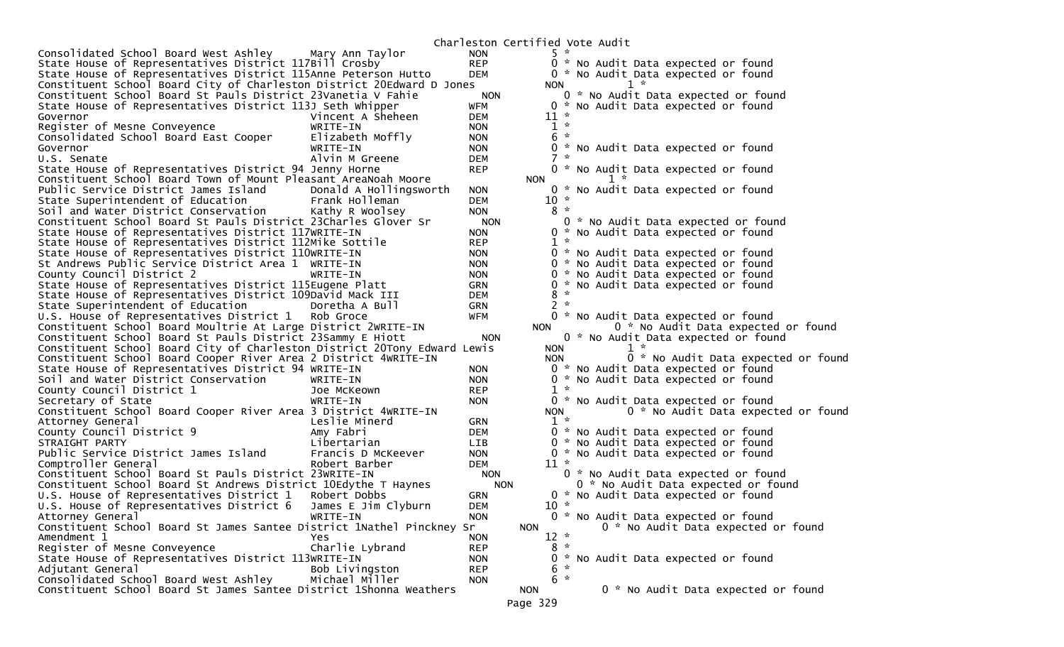Charleston Certified Vote AuditConsolidated School Board West Ashley Mary Ann Taylor NON 5 \*<br>State House of Representatives District 117Bill Crosby REP 0 \* No Audit Data expected or found State House of Representatives District 117Bill Crosby REP 0 \* No Audit Data expected or found<br>State House of Representatives District 115Anne Peterson Hutto DEM 0 \* No Audit Data expe State House of Representatives District 115Anne Peterson Hutto Constituent School Board City of Charleston District 20Edward D Jones NON 1 \* [1] Annum 20 and it Data expected or found constituent School Board St Pauls District 23Vanetia V Fahie NON 0 \* No Audit Data expected or found Constituent School Board St Pauls District 23Vanetia V Fahie 0 \* No Audit Data expected or found<br>State House of Representatives District 113J Seth Whipper 0 \* No A State House of Representatives District 113J Seth Whipper WFM 0 \* No Audit Data expected or found Vincent A Sheheen DEM  $1 *$ Register of Mesne Conveyence WRITE-IN NON 1 \*<br>Consolidated School Board East Cooper Elizabeth Moffly NON 6 \* Consolidated School Board East Cooper Elizabeth Moffly NON 6 \* Governor WRITE-IN NON 0 \* No Audit Data expected or found U.S. Senate Alvin M Greene DEM 7 \* 0 \* No Audit Data expected or found State House of Representatives District 94 Jenny Horne  $REP$ Constituent School Board Town of Mount Pleasant AreaNoah Moore  $1 *$  Public Service District James Island Donald A Hollingsworth NON 0 \* No Audit Data expected or found State Superintendent of Education Frank Holleman DEM 10 \* Soil and Water District Conservation Kathy R Woolsey NON 8 \* Constituent School Board St Pauls District 23Charles Glover Sr NON 0 \* No Audit Data expected or found<br>State House of Representatives District 117WRITE-IN NON 0 \* No Audit Data State House of Representatives District 117WRITE-IN NON 0 \* No Audit Data expected or found State House of Representatives District 112Mike Sottile REP 1 \* State House of Representatives District 110WRITE-IN NON NON O \* No Audit Data expected or found<br>St Andrews Public Service District Area 1 WRITE-IN NON NON O \* No Audit Data expected or found St Andrews Public Service District Area 1 WRITE-IN County Council District 2 WRITE-IN NON 0 \* No Audit Data expected or found<br>State House of Representatives District 115Eugene Platt GRN 0 \* No Audit Data expected or found State House of Representatives District 115Eugene Platt GRN GRN 0 \*<br>State House of Representatives District 109David Mack TTT GDEM 0 \* 8 \* State House of Representatives District 109David Mack III DEM 8 \* State Superintendent of Education Doretha A Bull GRN 2 \* U.S. House of Representatives District 1 Rob Groce WFM 0 \* No Audit Data expected or found<br>Constituent School Board Moultrie At Large District 2WRITE-IN NON 0 \* N Constituent School Board Moultrie At Large District 2WRITE-IN NON 0 \* No Audit Data expected or found Constituent School Board St Pauls District 23Sammy E Hiott NON 0 \* No Audit Data expected or found Constituent School Board City of Charleston District 20Tony Edward Lewis NON Constituent School Board Cooper River Area 2 District 4WRITE-IN NON 0 \* No Audit Data expected or foun 0 \* No Audit Data expected or found State House of Representatives District 94 WRITE-IN NON 0 \* No Audit Data expected or found Soil and Water District Conservation WRITE-IN NON 0 \* No Audit Data expected or found County Council District 1 Joe McKeown REP 1 \* WRITE-IN MON 0 \* No Audit Data expected or found<br>3 District 4WRITE-IN MON NON 0 \* No Audit Data expect Constituent School Board Cooper River Area 3 District 4WRITE-IN 0 \* No Audit Data expected or found Attorney General Leslie Minerd GRN 1 \* County Council District 9 Amy Fabri DEM 0 \* No Audit Data expected or found STRAIGHT PARTY Libertarian LIB 0 \* No Audit Data expected or found Francis D McKeever  $\begin{array}{ccc}\n\text{NON} & 0 * \text{No} & \text{Audit} & \text{Data } \text{expected} & \text{or } \text{found} \\
\text{Robert Barber} & \text{DEM} & 11 * \n\end{array}$ Comptroller General Robert Barber DEM 11 \* Constituent School Board St Pauls District 23WRITE-IN MON 0 \* No Audit Data expected or found<br>Constituent School Board St Andrews District 10Edvthe T Havnes MON 0 \* No Audit Data expected or found Constituent School Board St Andrews District 10Edythe T Haynes NON U.S. House of Representatives District  $1$  Robert Dobbs GRN 0 \* No Audit Data expected or found<br>U.S. House of Representatives District 6 James E Jim Clvburn DEM 10 \* U.S. House of Representatives District 6 James E Jim Clyburn DEM 10 \*  $0 * No$  Audit Data expected or found<br>NON  $0 * No$  Audit Data expected or found Constituent School Board St James Santee District 1Nathel Pinckney Sr Amendment 1 The Magnus of the Magnus of the Magnus of the Magnus of the Magnus of the Magnus of the Magnus of the Magnus of the Magnus of the Magnus of the Magnus of the Magnus of the Magnus of the Magnus of the Magnus of  $8 *$ Register of Mesne Conveyence Charlie Lybrand REP 8 \*<br>State House of Representatives District 113WRITE-IN NON 0 \* No Audit Data expected or found State House of Representatives District 113WRITE-IN NON 0 \* No Audit Data expected or found Adjutant General Bob Livingston REP 6 \* Consolidated School Board West Ashley Michael Miller NON 6 \* Constituent School Board St James Santee District 1Shonna Weathers NON 0 \* No Audit Data expected or found Page 329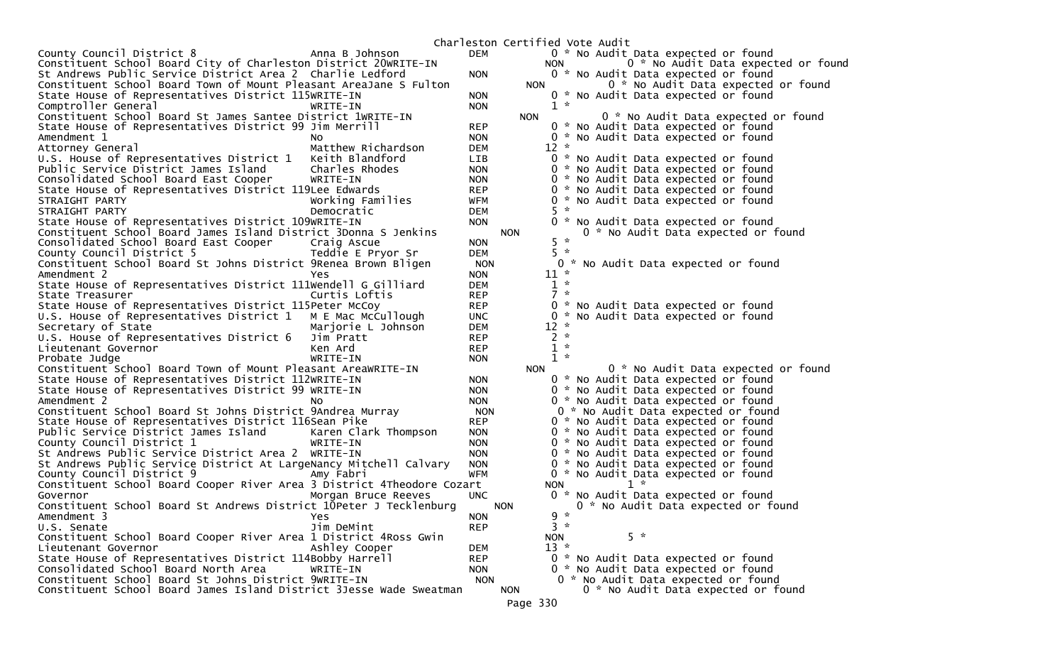Charleston Certified Vote AuditCounty Council District 8 Anna B Johnson DEM 0 \* No Audit Data expected or found Constituent School Board City of Charleston District 20WRITE-IN NON 0 \* No Audit Data expected or foun 0 \* No Audit Data expected or found St Andrews Public Service District Area 2 Charlie Ledford 0  $\sim$  NON Constituent School Board Town of Mount Pleasant AreaJane S Fulton NON 0 \* No Audit Data expected or found State House of Representatives District 115WRITE-IN NON 0 \* No Audit Data expected or found Comptroller General 2008 Comptroller WRITE-IN 2008 WRITE-IN Constituent School Board St James Santee District 1WRITE-IN NON 0 \* No Audit Data expected or found<br>State House of Representatives District 99 Jim Merrill REP 0 \* No Audit Data expected or found State House of Representatives District 99 Jim Merrill REP 0 \* No Audit Data expected or found Amendment 1 No NON 0 \* No Audit Data expected or found Matthew Richardson DEM U.S. House of Representatives District 1 Keith Blandford LIB 0 \* No Audit Data expected or found<br>Public Service District James Island Charles Rhodes NON 0 \* No Audit Data Public Service District James Island Charles Rhodes NON 0 \* No Audit Data expected or found Consolidated School Board East Cooper WRITE-IN NON 0 \* No Audit Data expected or found State House of Representatives District 119Lee Edwards STRAIGHT PARTY Working Families WFM 0 \* No Audit Data expected or found STRAIGHT PARTY 0 \* No Audit Data expected or found State House of Representatives District 109WRITE-IN NON 0 \* No Audit Data expected or found Constituent School Board James Island District 3Donna S Jenkins NON 0 \* No Audit Data expected or found Consolidated School Board East Cooper Craig Ascue NON 5 \* County Council District 5 Teddie E Pryor Sr DEM 5 \* The Constituent School Board St Johns District 9Renea Brown Bligen NON 0 \* 0 \* 0 \* NON 0 \* 11 \* Amendment 2 Amendment 2 November 2 November 2 November 2 November 2 November 2 November 2 November 2 November 2 November 2  $1 *$ State House of Representatives District 111Wendell G Gilliard DEM 2 \*<br>
State Treasurer 2 \* Curtis Loftis REP 2 \* State Treasurer 0 \* No Audit Data expected or found State House of Representatives District 115Peter McCoy REP 0 \* No Audit Data expected or found<br>U.S. House of Representatives District 1 M E Mac McCullough UNC 0 \* No Audit Data U.S. House of Representatives District 1 M E Mac McCullough UNC 0 \* 0 \*<br>Secretary of State 12 \* Mariorie L Johnson DEM 12 \* Secretary of State Marjorie L Johnson DEM 12 \* U.S. House of Representatives District 6 Jim Pratt REP 2 \* Lieutenant Governor and Represent Represent Architecture Represent Architecture Represent Architecture Represent  $1 *$ Probate Judge None and the WRITE-IN NON 1 NON Constituent School Board Town of Mount Pleasant AreaWRITE-IN NON 0 \* No Audit Data expected or found<br>State House of Representatives District 112WRITE-IN NON 0 \* No Audit Data expected or found State House of Representatives District 112WRITE-IN NON 0 \* No Audit Data expected or found State House of Representatives District 99 WRITE-IN NON 0 \* No Audit Data expected or found No  $\begin{array}{ccc} No & & & 0 * & No & \end{array}$  Amendment 2 No  $\begin{array}{ccc} No & & 0 * & No & \end{array}$  And  $\begin{array}{ccc} No & & 0 * & No & \end{array}$  And  $\begin{array}{ccc} A & \end{array}$  and  $\begin{array}{ccc} A & \end{array}$  and  $\begin{array}{ccc} A & \end{array}$  and  $\begin{array}{ccc} A & \end{array}$  and  $\begin{array}{ccc} A & \end{array}$  and  $\begin{array}{ccc} A & \end{array}$  Constituent School Board St Johns District 9Andrea Murray NON State House of Representatives District 116Sean Pike REP 0 \* No Audit Data expected or found<br>Public Service District James Island Karen Clark Thompson NON 0 \* No Audit Public Service District James Island Karen Clark Thompson Council District 1 NON  $0 * No$  Audit Data expected or found<br>NON  $0 * No$  Audit Data expected or found St Andrews Public Service District Area 2 WRITE-IN NON St Andrews Public Service District At LargeNancy Mitchell Calvary NON 0 \* No Audit Data expected or found  $C^*$  No Audit Data expected or found<br>Jon Constituent School Board Cooper River Area 3 District 4Theodore Cozart NON 1 \* Governor Morgan Bruce Reeves UNC 0 \* No Audit Data expected or found Constituent School Board St Andrews District 10Peter J Tecklenburg NON 0 \* No Audit Data expected or found Amendment 3 Yes  $3 *$ U.S. Senate  $Jim$  DeMint REP Constituent School Board Cooper River Area 1 District 4Ross Gwin NON 5 \* Lieutenant Governor Ashley Cooper DEM 13 \* State House of Representatives District 114Bobby Harrell REP 0 \* No Audit Data expected or found Consolidated School Board North Area WRITE-IN NON 0 \* No Audit Data expected or found Constituent School Board St Johns District 9WRITE-IN MON 0 \* No Audit Data expected or found<br>Constituent School Board James Island District 3Jesse Wade Sweatman NON 0 \* No Audit Data expected or found Constituent School Board James Island District 3Jesse Wade Sweatman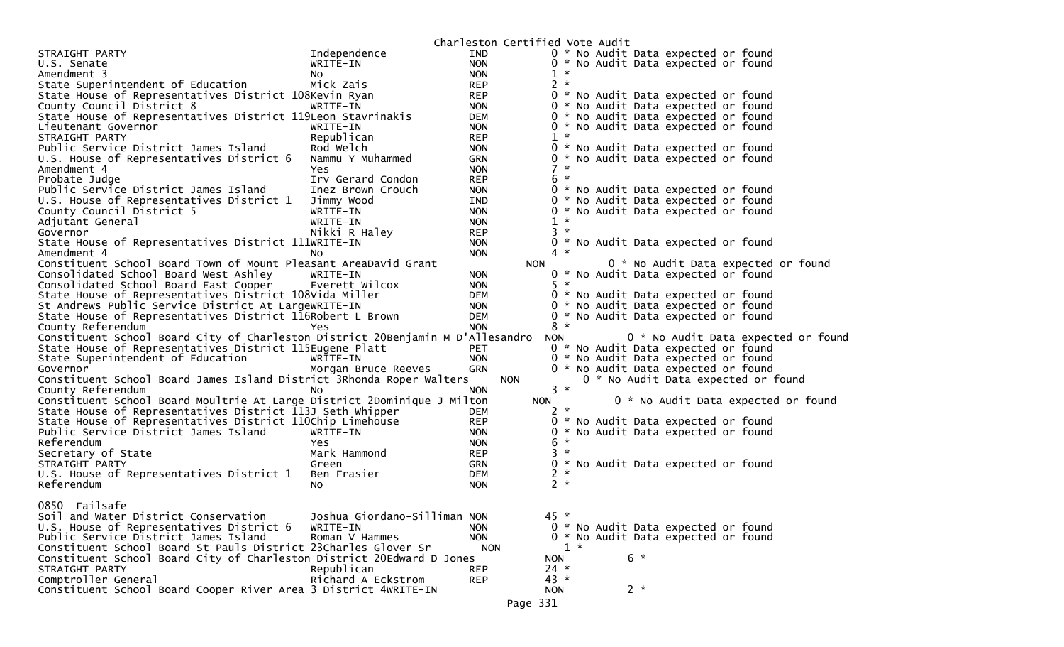|                                                                                |                              | Charleston Certified Vote Audit |                    |       |       |                                     |                                     |  |
|--------------------------------------------------------------------------------|------------------------------|---------------------------------|--------------------|-------|-------|-------------------------------------|-------------------------------------|--|
| STRAIGHT PARTY                                                                 | Independence                 | <b>IND</b>                      |                    |       |       | 0 * No Audit Data expected or found |                                     |  |
| U.S. Senate                                                                    | WRITE-IN                     | <b>NON</b>                      |                    |       |       | 0 * No Audit Data expected or found |                                     |  |
| Amendment 3                                                                    |                              | <b>NON</b>                      | $\mathcal{H}$<br>1 |       |       |                                     |                                     |  |
| State Superintendent of Education                                              | No<br>Mick Zais              | <b>REP</b>                      | $2 *$              |       |       |                                     |                                     |  |
|                                                                                |                              |                                 |                    |       |       | 0 * No Audit Data expected or found |                                     |  |
| State House of Representatives District 108Kevin Ryan                          |                              | <b>REP</b>                      |                    |       |       |                                     |                                     |  |
| County Council District 8                                                      | WRITE-IN                     | <b>NON</b>                      |                    |       |       | 0 * No Audit Data expected or found |                                     |  |
| State House of Representatives District 119Leon Stavrinakis                    |                              | <b>DEM</b>                      |                    |       |       | 0 * No Audit Data expected or found |                                     |  |
| Lieutenant Governor                                                            | WRITE-IN                     | <b>NON</b>                      |                    |       |       | 0 * No Audit Data expected or found |                                     |  |
| STRAIGHT PARTY                                                                 | Republican                   | <b>REP</b>                      | $1 *$              |       |       |                                     |                                     |  |
| Public Service District James Island                                           | Rod Welch                    | <b>NON</b>                      |                    |       |       | 0 * No Audit Data expected or found |                                     |  |
| U.S. House of Representatives District 6                                       | Nammu Y Muhammed             | GRN                             |                    |       |       | 0 * No Audit Data expected or found |                                     |  |
| Amendment 4                                                                    | <b>Yes</b>                   | <b>NON</b>                      | $7 *$              |       |       |                                     |                                     |  |
| Probate Judge                                                                  | Irv Gerard Condon            | <b>REP</b>                      | $6 *$              |       |       |                                     |                                     |  |
| Public Service District James Island                                           | Inez Brown Crouch            | <b>NON</b>                      |                    |       |       | 0 * No Audit Data expected or found |                                     |  |
| U.S. House of Representatives District 1                                       | Jimmy Wood                   | IND                             |                    |       |       | 0 * No Audit Data expected or found |                                     |  |
| County Council District 5                                                      | WRITE-IN                     | <b>NON</b>                      |                    |       |       | 0 * No Audit Data expected or found |                                     |  |
| Adjutant General                                                               | WRITE-IN                     | <b>NON</b>                      | $\mathcal{H}$<br>1 |       |       |                                     |                                     |  |
| Governor                                                                       | Nikki R Haley                | <b>REP</b>                      | $3 *$              |       |       |                                     |                                     |  |
| State House of Representatives District 111WRITE-IN                            |                              | <b>NON</b>                      |                    |       |       | 0 * No Audit Data expected or found |                                     |  |
| Amendment 4                                                                    | NO.                          | <b>NON</b>                      | $4 *$              |       |       |                                     |                                     |  |
| Constituent School Board Town of Mount Pleasant AreaDavid Grant                |                              |                                 | <b>NON</b>         |       |       |                                     | 0 * No Audit Data expected or found |  |
| Consolidated School Board West Ashley                                          | WRITE-IN                     | <b>NON</b>                      |                    |       |       | 0 * No Audit Data expected or found |                                     |  |
| Consolidated School Board East Cooper                                          | Everett Wilcox               | <b>NON</b>                      | $5 *$              |       |       |                                     |                                     |  |
| State House of Representatives District 108Vida Miller                         |                              | DEM                             |                    |       |       | 0 * No Audit Data expected or found |                                     |  |
| St Andrews Public Service District At LargeWRITE-IN                            |                              | <b>NON</b>                      |                    |       |       | 0 * No Audit Data expected or found |                                     |  |
| State House of Representatives District 116Robert L Brown                      |                              | <b>DEM</b>                      |                    |       |       | 0 * No Audit Data expected or found |                                     |  |
| County Referendum                                                              | <b>Yes</b>                   | <b>NON</b>                      | $8 *$              |       |       |                                     |                                     |  |
| Constituent School Board City of Charleston District 20Benjamin M D'Allesandro |                              |                                 | <b>NON</b>         |       |       |                                     | 0 * No Audit Data expected or found |  |
| State House of Representatives District 115Eugene Platt                        |                              | <b>PET</b>                      |                    |       |       | 0 * No Audit Data expected or found |                                     |  |
| State Superintendent of Education                                              | WRITE-IN                     | <b>NON</b>                      |                    |       |       | 0 * No Audit Data expected or found |                                     |  |
| Governor                                                                       | Morgan Bruce Reeves          | <b>GRN</b>                      |                    |       |       | 0 * No Audit Data expected or found |                                     |  |
| Constituent School Board James Island District 3Rhonda Roper Walters           |                              | <b>NON</b>                      |                    |       |       |                                     | 0 * No Audit Data expected or found |  |
| County Referendum                                                              | No                           | <b>NON</b>                      | $3 *$              |       |       |                                     |                                     |  |
| Constituent School Board Moultrie At Large District 2Dominique J Milton        |                              |                                 | <b>NON</b>         |       |       |                                     | 0 * No Audit Data expected or found |  |
| State House of Representatives District 113J Seth Whipper                      |                              | DEM                             | $2 *$              |       |       |                                     |                                     |  |
| State House of Representatives District 110Chip Limehouse                      |                              | <b>REP</b>                      | 0                  |       |       | * No Audit Data expected or found   |                                     |  |
| Public Service District James Island                                           | WRITE-IN                     | <b>NON</b>                      |                    |       |       | 0 * No Audit Data expected or found |                                     |  |
| Referendum                                                                     | <b>Yes</b>                   | <b>NON</b>                      | 6<br>$\mathcal{H}$ |       |       |                                     |                                     |  |
| Secretary of State                                                             | Mark Hammond                 | <b>REP</b>                      | $3 *$              |       |       |                                     |                                     |  |
| STRAIGHT PARTY                                                                 | Green                        | <b>GRN</b>                      |                    |       |       | 0 * No Audit Data expected or found |                                     |  |
| U.S. House of Representatives District 1                                       | Ben Frasier                  | <b>DEM</b>                      | $2 *$              |       |       |                                     |                                     |  |
| Referendum                                                                     | No.                          | <b>NON</b>                      | $2 *$              |       |       |                                     |                                     |  |
|                                                                                |                              |                                 |                    |       |       |                                     |                                     |  |
| 0850 Failsafe                                                                  |                              |                                 |                    |       |       |                                     |                                     |  |
| Soil and Water District Conservation                                           | Joshua Giordano-Silliman NON |                                 | $45 *$             |       |       |                                     |                                     |  |
| U.S. House of Representatives District 6                                       | WRITE-IN                     | <b>NON</b>                      |                    |       |       | 0 * No Audit Data expected or found |                                     |  |
| Public Service District James Island                                           | Roman V Hammes               | <b>NON</b>                      |                    |       |       | 0 * No Audit Data expected or found |                                     |  |
| Constituent School Board St Pauls District 23Charles Glover Sr                 |                              | <b>NON</b>                      |                    | $1 *$ |       |                                     |                                     |  |
| Constituent School Board City of Charleston District 20Edward D Jones          |                              |                                 | <b>NON</b>         |       | $6 *$ |                                     |                                     |  |
| STRAIGHT PARTY                                                                 | Republican                   | <b>REP</b>                      | $24 *$             |       |       |                                     |                                     |  |
| Comptroller General                                                            | Richard A Eckstrom           | <b>REP</b>                      | $43 *$             |       |       |                                     |                                     |  |
| Constituent School Board Cooper River Area 3 District 4WRITE-IN                |                              |                                 | <b>NON</b>         |       | $2 *$ |                                     |                                     |  |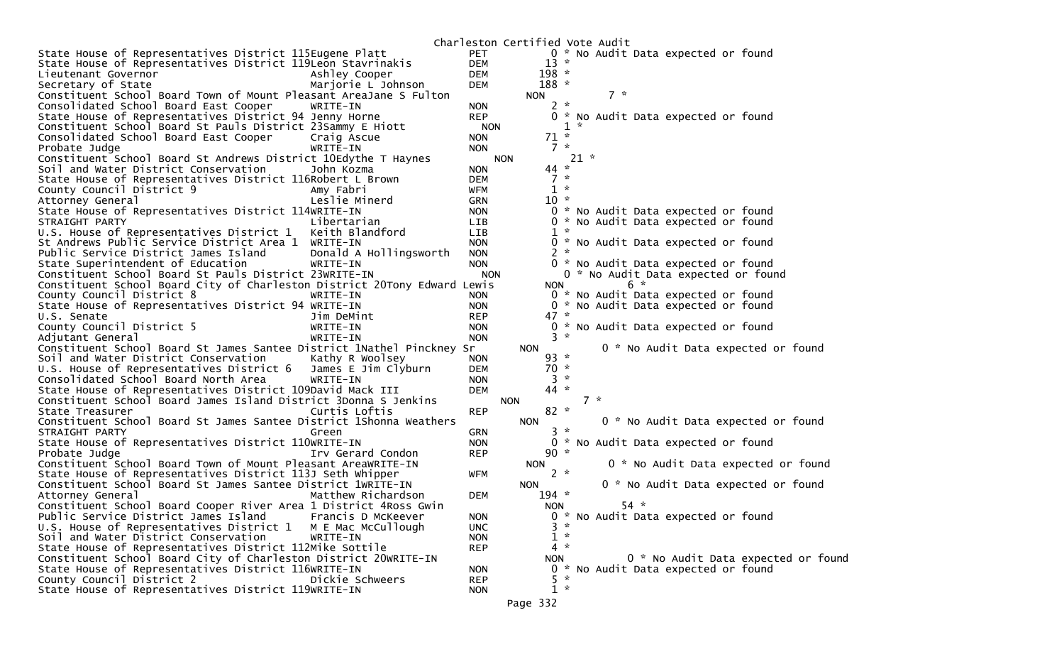|                                                                          |            | Charleston Certified Vote Audit |        |                                     |
|--------------------------------------------------------------------------|------------|---------------------------------|--------|-------------------------------------|
| State House of Representatives District 115Eugene Platt                  | PET        |                                 |        | 0 * No Audit Data expected or found |
| State House of Representatives District 119Leon Stavrinakis              | <b>DEM</b> | $13 *$                          |        |                                     |
| Ashley Cooper<br>Lieutenant Governor                                     | <b>DEM</b> | $198 *$                         |        |                                     |
| Secretary of State<br>Marjorie L Johnson                                 | DEM        | $188 *$                         |        |                                     |
| Constituent School Board Town of Mount Pleasant AreaJane S Fulton        |            | <b>NON</b>                      | $7 *$  |                                     |
| Consolidated School Board East Cooper<br>WRITE-IN                        | <b>NON</b> | $2 *$                           |        |                                     |
| State House of Representatives District 94 Jenny Horne                   | <b>REP</b> |                                 |        | 0 * No Audit Data expected or found |
| Constituent School Board St Pauls District 23Sammy E Hiott               | <b>NON</b> |                                 | $1 *$  |                                     |
| Consolidated School Board East Cooper<br>Craig Ascue                     | <b>NON</b> | $71 *$                          |        |                                     |
| Probate Judge<br>WRITE-IN                                                | <b>NON</b> | $7 *$                           |        |                                     |
| Constituent School Board St Andrews District 10Edythe T Haynes           |            | <b>NON</b>                      | $21 *$ |                                     |
| Soil and Water District Conservation<br>John Kozma                       | <b>NON</b> | $44 *$                          |        |                                     |
| State House of Representatives District 116Robert L Brown                | <b>DEM</b> | $7 *$                           |        |                                     |
| County Council District 9<br>Amy Fabri                                   | <b>WFM</b> | $1 *$                           |        |                                     |
| Leslie Minerd                                                            | <b>GRN</b> | $10 *$                          |        |                                     |
| Attorney General                                                         | <b>NON</b> |                                 |        |                                     |
| State House of Representatives District 114WRITE-IN                      |            |                                 |        | 0 * No Audit Data expected or found |
| Libertarian<br>STRAIGHT PARTY                                            | <b>LIB</b> |                                 |        | 0 * No Audit Data expected or found |
| U.S. House of Representatives District 1<br>Keith Blandford              | <b>LIB</b> | $1 *$                           |        |                                     |
| St Andrews Public Service District Area 1<br>WRITE-IN                    | <b>NON</b> |                                 |        | 0 * No Audit Data expected or found |
| Public Service District James Island<br>Donald A Hollingsworth           | <b>NON</b> | $2 *$                           |        |                                     |
| State Superintendent of Education<br>WRITE-IN                            | <b>NON</b> |                                 |        | 0 * No Audit Data expected or found |
| Constituent School Board St Pauls District 23WRITE-IN                    | <b>NON</b> |                                 |        | 0 * No Audit Data expected or found |
| Constituent School Board City of Charleston District 20Tony Edward Lewis |            | <b>NON</b>                      |        | $6 *$                               |
| County Council District 8<br>WRITE-IN                                    | <b>NON</b> |                                 |        | 0 * No Audit Data expected or found |
| State House of Representatives District 94 WRITE-IN                      | <b>NON</b> |                                 |        | 0 * No Audit Data expected or found |
| U.S. Senate<br>Jim DeMint                                                | <b>REP</b> | $47 *$                          |        |                                     |
| County Council District 5<br>WRITE-IN                                    | <b>NON</b> |                                 |        | 0 * No Audit Data expected or found |
| Adjutant General<br>WRITE-IN                                             | <b>NON</b> | $3 \times$                      |        |                                     |
| Constituent School Board St James Santee District 1Nathel Pinckney Sr    |            | <b>NON</b>                      |        | 0 * No Audit Data expected or found |
| Soil and Water District Conservation<br>Kathy R Woolsey                  | <b>NON</b> | $93 *$                          |        |                                     |
| U.S. House of Representatives District 6<br>James E Jim Clyburn          | <b>DEM</b> | $70 *$                          |        |                                     |
| Consolidated School Board North Area<br>WRITE-IN                         | <b>NON</b> | $3 *$                           |        |                                     |
| State House of Representatives District 109David Mack III                | <b>DEM</b> | $44 *$                          |        |                                     |
| Constituent School Board James Island District 3Donna S Jenkins          |            | <b>NON</b>                      | $7 *$  |                                     |
| Curtis Loftis<br>State Treasurer                                         | <b>REP</b> | $82 *$                          |        |                                     |
| Constituent School Board St James Santee District 1Shonna Weathers       |            | <b>NON</b>                      |        | 0 * No Audit Data expected or found |
| STRAIGHT PARTY<br>Green                                                  | <b>GRN</b> | $3 *$                           |        |                                     |
| State House of Representatives District 110WRITE-IN                      | <b>NON</b> |                                 |        |                                     |
|                                                                          |            |                                 |        | 0 * No Audit Data expected or found |
| Probate Judge<br>Irv Gerard Condon                                       | REP        | $90 *$                          |        |                                     |
| Constituent School Board Town of Mount Pleasant AreaWRITE-IN             |            | <b>NON</b>                      |        | 0 * No Audit Data expected or found |
| State House of Representatives District 113J Seth Whipper                | WFM        | $2 *$                           |        |                                     |
| Constituent School Board St James Santee District 1WRITE-IN              |            | <b>NON</b>                      |        | 0 * No Audit Data expected or found |
| Matthew Richardson<br>Attorney General                                   | <b>DEM</b> | $194 *$                         |        |                                     |
| Constituent School Board Cooper River Area 1 District 4Ross Gwin         |            | <b>NON</b>                      |        | $54 *$                              |
| Public Service District James Island<br>Francis D McKeever               | <b>NON</b> |                                 |        | * No Audit Data expected or found   |
| U.S. House of Representatives District 1<br>M E Mac McCullough           | <b>UNC</b> | $3 *$                           |        |                                     |
| Soil and Water District Conservation<br>WRITE-IN                         | <b>NON</b> | $1 *$                           |        |                                     |
| State House of Representatives District 112Mike Sottile                  | <b>REP</b> | $\boldsymbol{\pi}$<br>4         |        |                                     |
| Constituent School Board City of Charleston District 20WRITE-IN          |            | <b>NON</b>                      |        | 0 * No Audit Data expected or foun  |
| State House of Representatives District 116WRITE-IN                      | <b>NON</b> |                                 |        | 0 * No Audit Data expected or found |
| County Council District 2<br>Dickie Schweers                             | <b>REP</b> | $5 *$                           |        |                                     |
| State House of Representatives District 119WRITE-IN                      | <b>NON</b> | $1 *$                           |        |                                     |
|                                                                          |            | Page 332                        |        |                                     |
|                                                                          |            |                                 |        |                                     |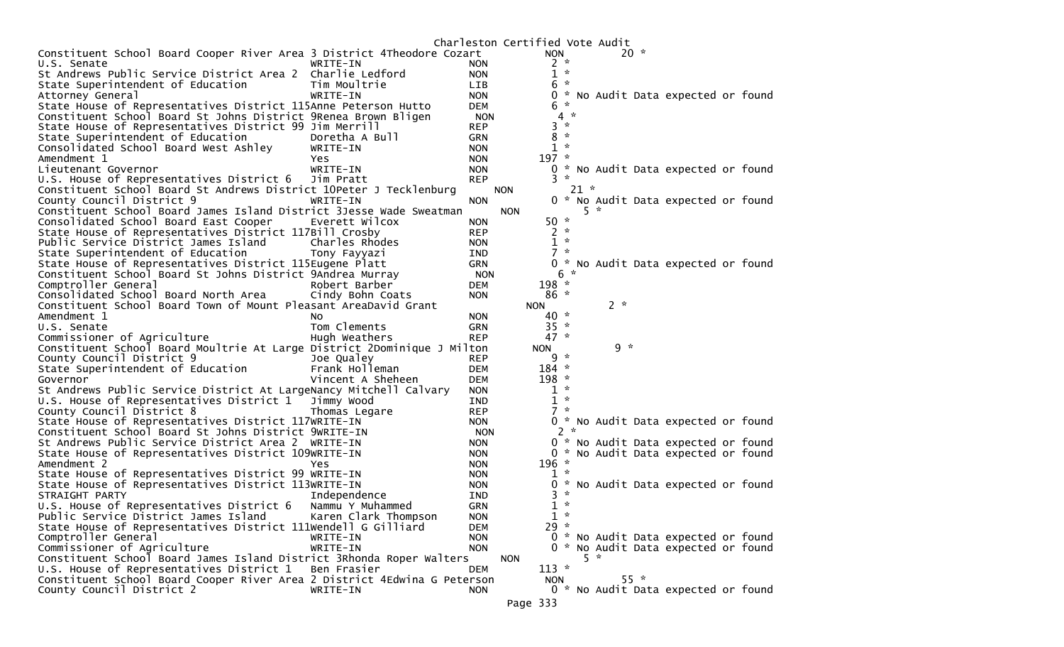|                                                                          |                      |            |            | Charleston Certified Vote Audit |                    |         |        |                                     |  |
|--------------------------------------------------------------------------|----------------------|------------|------------|---------------------------------|--------------------|---------|--------|-------------------------------------|--|
| Constituent School Board Cooper River Area 3 District 4Theodore Cozart   |                      |            |            | <b>NON</b>                      |                    |         | $20 *$ |                                     |  |
| U.S. Senate                                                              | WRITE-IN             | <b>NON</b> |            | $2 *$                           |                    |         |        |                                     |  |
| St Andrews Public Service District Area 2 Charlie Ledford                |                      | <b>NON</b> |            | $1 *$                           |                    |         |        |                                     |  |
| State Superintendent of Education                                        | Tim Moultrie         | <b>LIB</b> |            | 6                               | $\boldsymbol{\pi}$ |         |        |                                     |  |
| Attorney General                                                         | WRITE-IN             | <b>NON</b> |            |                                 |                    |         |        | 0 * No Audit Data expected or found |  |
| State House of Representatives District 115Anne Peterson Hutto           |                      | DEM        |            | 6                               | $\sim$             |         |        |                                     |  |
| Constituent School Board St Johns District 9Renea Brown Bligen           |                      | <b>NON</b> |            | 4                               | $\mathcal{R}$      |         |        |                                     |  |
| State House of Representatives District 99 Jim Merrill                   |                      | <b>REP</b> |            | 3                               | $\mathcal{H}$      |         |        |                                     |  |
| State Superintendent of Education                                        | Doretha A Bull       | <b>GRN</b> |            | 8                               | $\sim$             |         |        |                                     |  |
| Consolidated School Board West Ashley                                    | WRITE-IN             | <b>NON</b> |            | $1 *$                           |                    |         |        |                                     |  |
| Amendment 1                                                              | <b>Yes</b>           | <b>NON</b> |            | $197 *$                         |                    |         |        |                                     |  |
| Lieutenant Governor                                                      | WRITE-IN             | <b>NON</b> |            |                                 |                    |         |        | 0 * No Audit Data expected or found |  |
| U.S. House of Representatives District 6                                 | Jim Pratt            |            |            | $3*$                            |                    |         |        |                                     |  |
|                                                                          |                      | <b>REP</b> |            |                                 |                    |         |        |                                     |  |
| Constituent School Board St Andrews District 10Peter J Tecklenburg       |                      |            | <b>NON</b> |                                 | $21 *$             |         |        |                                     |  |
| County Council District 9                                                | WRITE-IN             | <b>NON</b> |            |                                 |                    |         |        | 0 * No Audit Data expected or found |  |
| Constituent School Board James Island District 3Jesse Wade Sweatman      |                      |            | <b>NON</b> |                                 |                    | $5 - x$ |        |                                     |  |
| Consolidated School Board East Cooper                                    | Everett Wilcox       | <b>NON</b> |            | $50 *$                          |                    |         |        |                                     |  |
| State House of Representatives District 117Bill Crosby                   |                      | <b>REP</b> |            | $2 *$                           |                    |         |        |                                     |  |
| Public Service District James Island                                     | Charles Rhodes       | <b>NON</b> |            | $1 *$                           |                    |         |        |                                     |  |
| State Superintendent of Education                                        | Tony Fayyazi         | <b>IND</b> |            | $7 *$                           |                    |         |        |                                     |  |
| State House of Representatives District 115Eugene Platt                  |                      | <b>GRN</b> |            |                                 |                    |         |        | 0 * No Audit Data expected or found |  |
| Constituent School Board St Johns District 9Andrea Murray                |                      | <b>NON</b> |            |                                 | $6 *$              |         |        |                                     |  |
| Comptroller General                                                      | Robert Barber        | <b>DEM</b> |            | $198 *$                         |                    |         |        |                                     |  |
| Consolidated School Board North Area                                     | Cindy Bohn Coats     | <b>NON</b> |            | $86*$                           |                    |         |        |                                     |  |
| Constituent School Board Town of Mount Pleasant AreaDavid Grant          |                      |            |            | <b>NON</b>                      |                    | $2 *$   |        |                                     |  |
| Amendment 1                                                              | No.                  | <b>NON</b> |            | $40 *$                          |                    |         |        |                                     |  |
| U.S. Senate                                                              | Tom Clements         | <b>GRN</b> |            | $35 *$                          |                    |         |        |                                     |  |
| Commissioner of Agriculture                                              | Hugh Weathers        | <b>REP</b> |            | $47 *$                          |                    |         |        |                                     |  |
| Constituent School Board Moultrie At Large District 2Dominique J Milton  |                      |            |            | <b>NON</b>                      |                    | $9 *$   |        |                                     |  |
|                                                                          |                      |            |            |                                 |                    |         |        |                                     |  |
|                                                                          |                      |            |            |                                 |                    |         |        |                                     |  |
| County Council District 9                                                | Joe Qualey           | <b>REP</b> |            | $9 *$                           |                    |         |        |                                     |  |
| State Superintendent of Education                                        | Frank Holleman       | <b>DEM</b> |            | $184 *$                         |                    |         |        |                                     |  |
| Governor                                                                 | Vincent A Sheheen    | <b>DEM</b> |            | $198 *$                         |                    |         |        |                                     |  |
| St Andrews Public Service District At LargeNancy Mitchell Calvary        |                      | <b>NON</b> |            | $1 *$                           |                    |         |        |                                     |  |
| U.S. House of Representatives District 1                                 | Jimmy Wood           | <b>IND</b> |            | $\mathbf{1}$                    | $\sim$             |         |        |                                     |  |
| County Council District 8                                                | Thomas Legare        | <b>REP</b> |            | $7 *$                           |                    |         |        |                                     |  |
| State House of Representatives District 117WRITE-IN                      |                      | <b>NON</b> |            |                                 |                    |         |        | 0 * No Audit Data expected or found |  |
| Constituent School Board St Johns District 9WRITE-IN                     |                      | <b>NON</b> |            |                                 | $2 *$              |         |        |                                     |  |
| St Andrews Public Service District Area 2 WRITE-IN                       |                      | <b>NON</b> |            |                                 |                    |         |        | 0 * No Audit Data expected or found |  |
| State House of Representatives District 109WRITE-IN                      |                      | <b>NON</b> |            |                                 |                    |         |        | 0 * No Audit Data expected or found |  |
| Amendment 2                                                              | Yes                  | <b>NON</b> |            | $196 *$                         |                    |         |        |                                     |  |
| State House of Representatives District 99 WRITE-IN                      |                      | <b>NON</b> |            | $1 *$                           |                    |         |        |                                     |  |
| State House of Representatives District 113WRITE-IN                      |                      | <b>NON</b> |            | 0.                              |                    |         |        | * No Audit Data expected or found   |  |
| STRAIGHT PARTY                                                           | Independence         | <b>IND</b> |            | 3.                              | $\sim$             |         |        |                                     |  |
| U.S. House of Representatives District 6                                 | Nammu Y Muhammed     | <b>GRN</b> |            | $1 *$                           |                    |         |        |                                     |  |
| Public Service District James Island                                     | Karen Clark Thompson | <b>NON</b> |            | $1 *$                           |                    |         |        |                                     |  |
| State House of Representatives District 111Wendell G Gilliard            |                      | <b>DEM</b> |            | $29 *$                          |                    |         |        |                                     |  |
| Comptroller General                                                      | WRITE-IN             | <b>NON</b> |            |                                 |                    |         |        |                                     |  |
|                                                                          | WRITE-IN             | <b>NON</b> |            |                                 |                    |         |        | 0 * No Audit Data expected or found |  |
| Commissioner of Agriculture                                              |                      |            | <b>NON</b> |                                 |                    | $5 *$   |        | 0 * No Audit Data expected or found |  |
| Constituent School Board James Island District 3Rhonda Roper Walters     |                      |            |            |                                 |                    |         |        |                                     |  |
| U.S. House of Representatives District 1                                 | Ben Frasier          | DEM        |            | $113 *$                         |                    |         |        |                                     |  |
| Constituent School Board Cooper River Area 2 District 4Edwina G Peterson |                      |            |            | <b>NON</b>                      |                    |         | $55*$  |                                     |  |
| County Council District 2                                                | WRITE-IN             | <b>NON</b> |            | Page 333                        |                    |         |        | 0 * No Audit Data expected or found |  |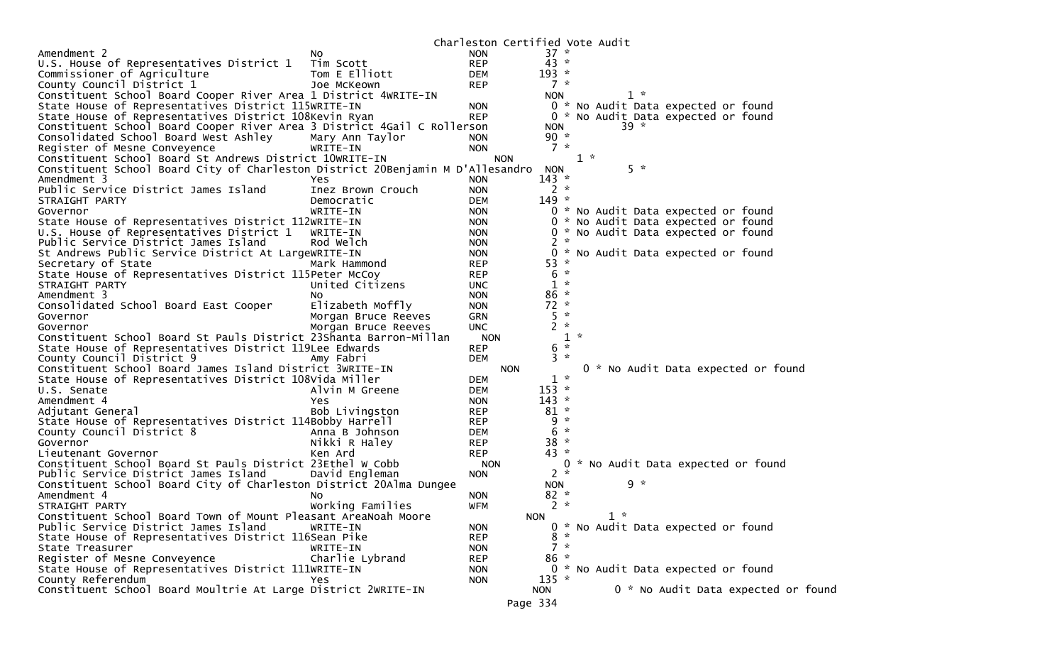|                                                                                |                     |            |                         | Charleston Certified Vote Audit     |
|--------------------------------------------------------------------------------|---------------------|------------|-------------------------|-------------------------------------|
| Amendment 2                                                                    | NO.                 | <b>NON</b> | $37 *$                  |                                     |
| U.S. House of Representatives District 1                                       | Tim Scott           | <b>REP</b> | $43 *$                  |                                     |
| Commissioner of Agriculture                                                    | Tom E Elliott       | <b>DEM</b> | $193 *$                 |                                     |
| County Council District 1                                                      | Joe McKeown         | <b>REP</b> | $7 *$                   |                                     |
| Constituent School Board Cooper River Area 1 District 4WRITE-IN                |                     |            | <b>NON</b>              | $1 *$                               |
| State House of Representatives District 115WRITE-IN                            |                     | <b>NON</b> |                         | 0 * No Audit Data expected or found |
| State House of Representatives District 108Kevin Ryan                          |                     | <b>REP</b> |                         | 0 * No Audit Data expected or found |
| Constituent School Board Cooper River Area 3 District 4Gail C Rollerson        |                     |            | <b>NON</b>              | $39 *$                              |
| Consolidated School Board West Ashley                                          | Mary Ann Taylor     | <b>NON</b> | 90 $*$                  |                                     |
| Register of Mesne Conveyence                                                   | WRITE-IN            | <b>NON</b> | $7 *$                   |                                     |
| Constituent School Board St Andrews District 10WRITE-IN                        |                     | <b>NON</b> |                         | $1 *$                               |
| Constituent School Board City of Charleston District 20Benjamin M D'Allesandro |                     |            | <b>NON</b>              | $5 *$                               |
| Amendment 3                                                                    | Yes                 | <b>NON</b> | $143 *$                 |                                     |
| Public Service District James Island                                           | Inez Brown Crouch   | <b>NON</b> | $2 *$                   |                                     |
| STRAIGHT PARTY                                                                 | Democratic          | <b>DEM</b> | $149 *$                 |                                     |
| Governor                                                                       | WRITE-IN            | <b>NON</b> |                         | 0 * No Audit Data expected or found |
| State House of Representatives District 112WRITE-IN                            |                     | <b>NON</b> |                         | 0 * No Audit Data expected or found |
| U.S. House of Representatives District 1                                       | WRITE-IN            | <b>NON</b> |                         | 0 * No Audit Data expected or found |
| Public Service District James Island                                           | Rod Welch           | <b>NON</b> | 2<br>$\boldsymbol{\pi}$ |                                     |
| St Andrews Public Service District At LargeWRITE-IN                            |                     | <b>NON</b> |                         | 0 * No Audit Data expected or found |
| Secretary of State                                                             | Mark Hammond        | <b>REP</b> | 53 *                    |                                     |
| State House of Representatives District 115Peter McCoy                         |                     | <b>REP</b> | 6<br>$\boldsymbol{\pi}$ |                                     |
| STRAIGHT PARTY                                                                 | United Citizens     | UNC.       | $1 *$                   |                                     |
| Amendment 3                                                                    | NO.                 | <b>NON</b> | $86 *$                  |                                     |
| Consolidated School Board East Cooper                                          | Elizabeth Moffly    | <b>NON</b> | $72 *$                  |                                     |
| Governor                                                                       | Morgan Bruce Reeves | GRN        | $5 *$                   |                                     |
| Governor                                                                       | Morgan Bruce Reeves | <b>UNC</b> | $2 *$                   |                                     |
| Constituent School Board St Pauls District 23Shanta Barron-Millan              |                     | <b>NON</b> |                         | $1 *$                               |
| State House of Representatives District 119Lee Edwards                         |                     | <b>REP</b> | $6 *$                   |                                     |
| County Council District 9                                                      | Amy Fabri           | <b>DEM</b> | $3 *$                   |                                     |
| Constituent School Board James Island District 3WRITE-IN                       |                     | <b>NON</b> |                         | 0 * No Audit Data expected or found |
| State House of Representatives District 108Vida Miller                         |                     | <b>DEM</b> | $1 *$                   |                                     |
| U.S. Senate                                                                    | Alvin M Greene      | <b>DEM</b> | $153 *$                 |                                     |
| Amendment 4                                                                    | Yes                 | <b>NON</b> | $143 *$                 |                                     |
| Adjutant General                                                               | Bob Livingston      | <b>REP</b> | $81 *$                  |                                     |
| State House of Representatives District 114Bobby Harrell                       |                     | <b>REP</b> | $9 *$                   |                                     |
| County Council District 8                                                      | Anna B Johnson      | DEM        | $6 *$                   |                                     |
| Governor                                                                       | Nikki R Haley       | <b>REP</b> | $38 *$                  |                                     |
| Lieutenant Governor                                                            | Ken Ard             | <b>REP</b> | $43 *$                  |                                     |
| Constituent School Board St Pauls District 23Ethel W Cobb                      |                     | <b>NON</b> |                         | 0 * No Audit Data expected or found |
| Public Service District James Island                                           | David Engleman      | <b>NON</b> | $2 *$                   |                                     |
| Constituent School Board City of Charleston District 20Alma Dungee             |                     |            | <b>NON</b>              | $9 *$                               |
| Amendment 4                                                                    | NO.                 | <b>NON</b> | $82 *$                  |                                     |
| STRAIGHT PARTY                                                                 | Working Families    | <b>WFM</b> | $2 *$                   |                                     |
| Constituent School Board Town of Mount Pleasant AreaNoah Moore                 |                     |            | <b>NON</b>              | $1 *$                               |
| Public Service District James Island                                           | WRITE-IN            | <b>NON</b> |                         | 0 * No Audit Data expected or found |
| State House of Representatives District 116Sean Pike                           |                     | <b>REP</b> | $8 *$                   |                                     |
| State Treasurer                                                                | WRITE-IN            | <b>NON</b> | $7 *$                   |                                     |
| Register of Mesne Conveyence                                                   | Charlie Lybrand     | <b>REP</b> | $86 *$                  |                                     |
| State House of Representatives District 111WRITE-IN                            |                     | <b>NON</b> |                         | 0 * No Audit Data expected or found |
| County Referendum                                                              | Yes                 | <b>NON</b> | $135 *$                 |                                     |
| Constituent School Board Moultrie At Large District 2WRITE-IN                  |                     |            | <b>NON</b>              | 0 * No Audit Data expected or found |
|                                                                                |                     |            | Page 334                |                                     |
|                                                                                |                     |            |                         |                                     |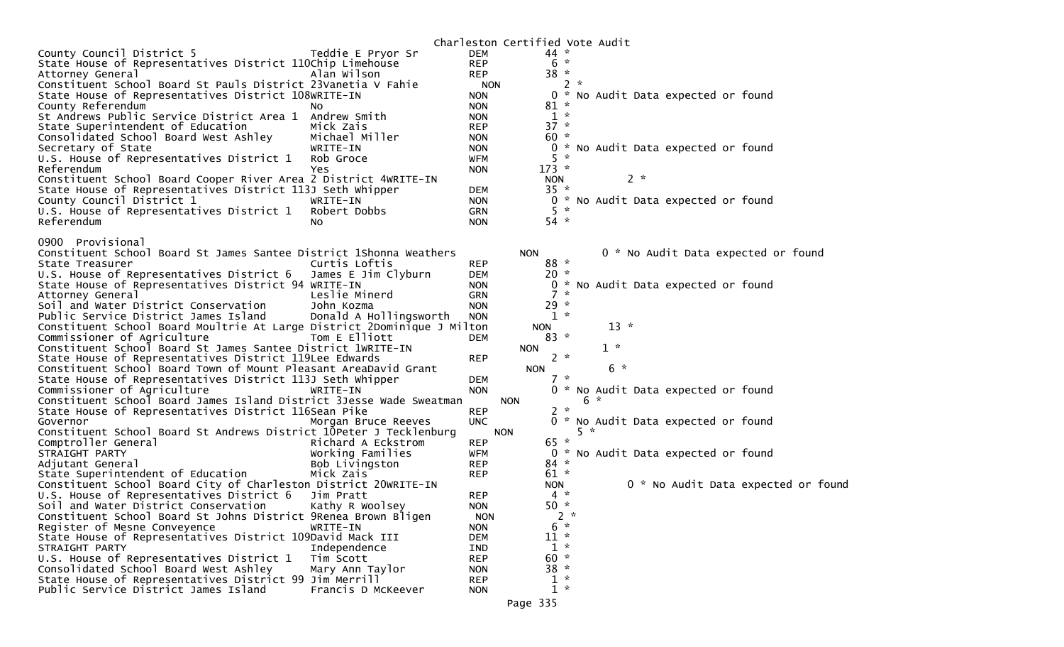|                                                                             |                        |            | Charleston Certified Vote Audit |            |       |                                     |                                     |  |
|-----------------------------------------------------------------------------|------------------------|------------|---------------------------------|------------|-------|-------------------------------------|-------------------------------------|--|
| County Council District 5                                                   | Teddie E Pryor Sr      | <b>DEM</b> |                                 | $44 *$     |       |                                     |                                     |  |
| State House of Representatives District 110Chip Limehouse                   |                        | <b>REP</b> |                                 | $6 *$      |       |                                     |                                     |  |
| Attorney General                                                            | Alan Wilson            | <b>REP</b> |                                 | $38 *$     |       |                                     |                                     |  |
| Constituent School Board St Pauls District 23Vanetia V Fahie                |                        | <b>NON</b> |                                 |            | $2 *$ |                                     |                                     |  |
| State House of Representatives District 108WRITE-IN                         |                        | <b>NON</b> |                                 |            |       | 0 * No Audit Data expected or found |                                     |  |
| County Referendum<br>NO.                                                    |                        | <b>NON</b> |                                 | $81 *$     |       |                                     |                                     |  |
| St Andrews Public Service District Area 1                                   | Andrew Smith           | <b>NON</b> |                                 | $1 *$      |       |                                     |                                     |  |
| State Superintendent of Education                                           | Mick Zais              | <b>REP</b> |                                 | $37 *$     |       |                                     |                                     |  |
| Consolidated School Board West Ashley                                       | Michael Miller         | <b>NON</b> |                                 | $60 *$     |       |                                     |                                     |  |
| Secretary of State                                                          | WRITE-IN               | <b>NON</b> |                                 |            |       | 0 * No Audit Data expected or found |                                     |  |
| U.S. House of Representatives District 1                                    | Rob Groce              | WFM        |                                 | $5 *$      |       |                                     |                                     |  |
| Referendum                                                                  | Yes                    | <b>NON</b> |                                 | $173 *$    |       |                                     |                                     |  |
| Constituent School Board Cooper River Area 2 District 4WRITE-IN             |                        |            |                                 | <b>NON</b> |       | $2 *$                               |                                     |  |
|                                                                             |                        |            |                                 | $35 *$     |       |                                     |                                     |  |
| State House of Representatives District 113J Seth Whipper                   |                        | DEM        |                                 |            |       |                                     |                                     |  |
| County Council District 1                                                   | WRITE-IN               | <b>NON</b> |                                 |            |       | 0 * No Audit Data expected or found |                                     |  |
| U.S. House of Representatives District 1                                    | Robert Dobbs           | <b>GRN</b> |                                 | $5*$       |       |                                     |                                     |  |
| Referendum<br>NO.                                                           |                        | <b>NON</b> |                                 | $54 *$     |       |                                     |                                     |  |
|                                                                             |                        |            |                                 |            |       |                                     |                                     |  |
| 0900<br>Provisional                                                         |                        |            |                                 |            |       |                                     |                                     |  |
| Constituent School Board St James Santee District 1Shonna Weathers          |                        |            | <b>NON</b>                      |            |       |                                     | 0 * No Audit Data expected or found |  |
| State Treasurer                                                             | Curtis Loftis          | <b>REP</b> |                                 | 88 *       |       |                                     |                                     |  |
| U.S. House of Representatives District 6                                    | James E Jim Clyburn    | DEM        |                                 | $20 *$     |       |                                     |                                     |  |
| State House of Representatives District 94 WRITE-IN                         |                        | <b>NON</b> |                                 |            |       | 0 * No Audit Data expected or found |                                     |  |
| Attorney General                                                            | Leslie Minerd          | <b>GRN</b> |                                 | $7 *$      |       |                                     |                                     |  |
| Soil and Water District Conservation                                        | John Kozma             | <b>NON</b> |                                 | $29 *$     |       |                                     |                                     |  |
| Public Service District James Island                                        | Donald A Hollingsworth | <b>NON</b> |                                 | $1 *$      |       |                                     |                                     |  |
| Constituent School Board Moultrie At Large District 2Dominique J Milton     |                        |            | <b>NON</b>                      |            |       | $13 *$                              |                                     |  |
| Commissioner of Agriculture                                                 | Tom E Elliott          | <b>DEM</b> |                                 | $83 *$     |       |                                     |                                     |  |
| Constituent School Board St James Santee District 1WRITE-IN                 |                        |            | <b>NON</b>                      |            |       | $1 *$                               |                                     |  |
| State House of Representatives District 119Lee Edwards                      |                        | <b>REP</b> |                                 | $2 *$      |       |                                     |                                     |  |
| Constituent School Board Town of Mount Pleasant AreaDavid Grant             |                        |            | <b>NON</b>                      |            |       | $6 *$                               |                                     |  |
| State House of Representatives District 113J Seth Whipper                   |                        | <b>DEM</b> |                                 | $7 *$      |       |                                     |                                     |  |
| Commissioner of Agriculture                                                 | WRITE-IN               | <b>NON</b> |                                 |            |       | 0 * No Audit Data expected or found |                                     |  |
| Constituent School Board James Island District 3Jesse Wade Sweatman         |                        |            | <b>NON</b>                      |            | 6     |                                     |                                     |  |
| State House of Representatives District 116Sean Pike                        |                        | <b>REP</b> |                                 | $2 *$      |       |                                     |                                     |  |
| Governor                                                                    | Morgan Bruce Reeves    | <b>UNC</b> |                                 |            |       | 0 * No Audit Data expected or found |                                     |  |
| Constituent School Board St Andrews District 10Peter J Tecklenburg          |                        |            |                                 |            | $5 *$ |                                     |                                     |  |
| Comptroller General                                                         | Richard A Eckstrom     |            | <b>NON</b>                      | $65 *$     |       |                                     |                                     |  |
|                                                                             |                        | <b>REP</b> |                                 |            |       |                                     |                                     |  |
| STRAIGHT PARTY                                                              | Working Families       | <b>WFM</b> |                                 |            |       | 0 * No Audit Data expected or found |                                     |  |
| Adjutant General                                                            | Bob Livingston         | <b>REP</b> |                                 | $84 *$     |       |                                     |                                     |  |
| State Superintendent of Education                                           | Mick Zais              | <b>REP</b> |                                 | $61 *$     |       |                                     |                                     |  |
| Constituent School Board City of Charleston District 20WRITE-IN             |                        |            |                                 | <b>NON</b> |       |                                     | 0 * No Audit Data expected or found |  |
| U.S. House of Representatives District 6                                    | Jim Pratt              | <b>REP</b> |                                 | $4 *$      |       |                                     |                                     |  |
| Soil and Water District Conservation                                        | Kathy R Woolsey        | <b>NON</b> |                                 | $50 *$     |       |                                     |                                     |  |
| Constituent School Board St Johns District 9Renea Brown Bligen              |                        |            |                                 |            | $2 *$ |                                     |                                     |  |
|                                                                             |                        | <b>NON</b> |                                 |            |       |                                     |                                     |  |
| Register of Mesne Conveyence                                                | WRITE-IN               | <b>NON</b> |                                 | $6 *$      |       |                                     |                                     |  |
|                                                                             |                        | DEM        |                                 | $11 *$     |       |                                     |                                     |  |
| State House of Representatives District 109David Mack III<br>STRAIGHT PARTY | Independence           | <b>IND</b> |                                 | $1 *$      |       |                                     |                                     |  |
|                                                                             |                        |            |                                 | $60 *$     |       |                                     |                                     |  |
| U.S. House of Representatives District 1                                    | Tim Scott              | <b>REP</b> |                                 |            |       |                                     |                                     |  |
| Consolidated School Board West Ashley                                       | Mary Ann Taylor        | <b>NON</b> |                                 | $38 *$     |       |                                     |                                     |  |
| State House of Representatives District 99 Jim Merrill                      |                        | <b>REP</b> |                                 | $1 *$      |       |                                     |                                     |  |
| Public Service District James Island                                        | Francis D McKeever     | <b>NON</b> | Page 335                        | $1 *$      |       |                                     |                                     |  |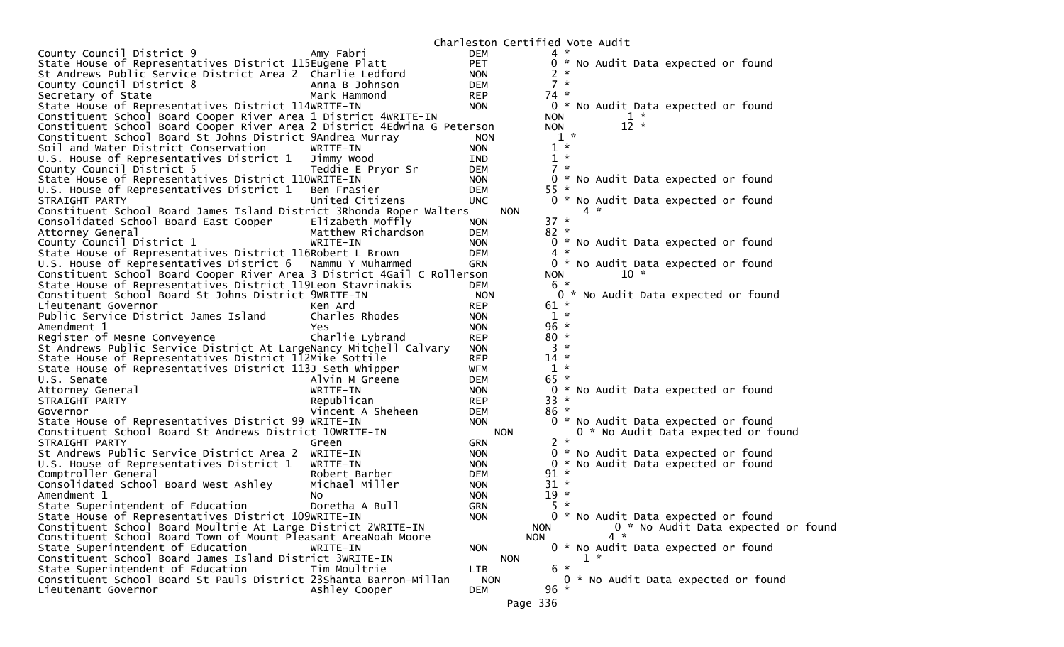Charleston Certified Vote Audit

|                                                                          |                    |            | COLON CCILITICA VOLC AUGIC |       |                                     |
|--------------------------------------------------------------------------|--------------------|------------|----------------------------|-------|-------------------------------------|
| County Council District 9                                                | Amy Fabri          | <b>DEM</b> | $4 *$                      |       |                                     |
| State House of Representatives District 115Eugene Platt                  |                    | <b>PET</b> |                            |       | 0 * No Audit Data expected or found |
| St Andrews Public Service District Area 2 Charlie Ledford                |                    | <b>NON</b> | $2 *$                      |       |                                     |
| County Council District 8                                                | Anna B Johnson     | <b>DEM</b> | $7 *$                      |       |                                     |
| Secretary of State                                                       | Mark Hammond       | <b>REP</b> | $74 *$                     |       |                                     |
| State House of Representatives District 114WRITE-IN                      |                    | <b>NON</b> |                            |       | 0 * No Audit Data expected or found |
| Constituent School Board Cooper River Area 1 District 4WRITE-IN          |                    |            | <b>NON</b>                 |       | $1 *$                               |
| Constituent School Board Cooper River Area 2 District 4Edwina G Peterson |                    |            | <b>NON</b>                 |       | $12 *$                              |
| Constituent School Board St Johns District 9Andrea Murray                |                    | <b>NON</b> |                            | $1 *$ |                                     |
| Soil and Water District Conservation                                     | WRITE-IN           | <b>NON</b> | $1 *$                      |       |                                     |
| U.S. House of Representatives District 1                                 | Jimmy Wood         | IND        | $1 *$                      |       |                                     |
| County Council District 5                                                | Teddie E Pryor Sr  | <b>DEM</b> | $7 *$                      |       |                                     |
| State House of Representatives District 110WRITE-IN                      |                    | <b>NON</b> |                            |       | 0 * No Audit Data expected or found |
| U.S. House of Representatives District 1                                 | Ben Frasier        | <b>DEM</b> | $55*$                      |       |                                     |
| STRAIGHT PARTY                                                           | United Citizens    | <b>UNC</b> |                            |       | 0 * No Audit Data expected or found |
| Constituent School Board James Island District 3Rhonda Roper Walters     |                    | <b>NON</b> |                            |       | $4 *$                               |
| Consolidated School Board East Cooper                                    | Elizabeth Moffly   | <b>NON</b> | $37 *$                     |       |                                     |
| Attorney General                                                         | Matthew Richardson | DEM        | $82 *$                     |       |                                     |
| County Council District 1                                                | WRITE-IN           | <b>NON</b> |                            |       | 0 * No Audit Data expected or found |
| State House of Representatives District 116Robert L Brown                |                    | <b>DEM</b> | $4 *$                      |       |                                     |
| U.S. House of Representatives District 6                                 | Nammu Y Muhammed   | <b>GRN</b> |                            |       | 0 * No Audit Data expected or found |
| Constituent School Board Cooper River Area 3 District 4Gail C Rollerson  |                    |            | <b>NON</b>                 |       | $10 *$                              |
| State House of Representatives District 119Leon Stavrinakis              |                    | DEM        | 6 *                        |       |                                     |
| Constituent School Board St Johns District 9WRITE-IN                     |                    | <b>NON</b> |                            |       | 0 * No Audit Data expected or found |
| Lieutenant Governor                                                      | Ken Ard            | <b>REP</b> | $61 *$                     |       |                                     |
| Public Service District James Island                                     | Charles Rhodes     | <b>NON</b> | $1 *$                      |       |                                     |
| Amendment 1                                                              | Yes                | <b>NON</b> | $96 *$                     |       |                                     |
| Register of Mesne Conveyence                                             | Charlie Lybrand    | <b>REP</b> | $80 *$                     |       |                                     |
| St Andrews Public Service District At LargeNancy Mitchell Calvary        |                    | <b>NON</b> | $3 *$                      |       |                                     |
| State House of Representatives District 112Mike Sottile                  |                    | <b>REP</b> | $14$ *                     |       |                                     |
| State House of Representatives District 113J Seth Whipper                |                    | WFM        | $1 *$                      |       |                                     |
| U.S. Senate                                                              | Alvin M Greene     | DEM        | $65 *$                     |       |                                     |
| Attorney General                                                         | WRITE-IN           | <b>NON</b> | 0 *                        |       | No Audit Data expected or found     |
| STRAIGHT PARTY                                                           | Republican         | <b>REP</b> | $33 *$                     |       |                                     |
| Governor                                                                 | Vincent A Sheheen  | <b>DEM</b> | $86 *$                     |       |                                     |
| State House of Representatives District 99 WRITE-IN                      |                    | <b>NON</b> | 0 *                        |       | No Audit Data expected or found     |
| Constituent School Board St Andrews District 10WRITE-IN                  |                    | <b>NON</b> |                            |       | 0 * No Audit Data expected or found |
| STRAIGHT PARTY                                                           | Green              | GRN        | $2 *$                      |       |                                     |
| St Andrews Public Service District Area 2                                | WRITE-IN           | <b>NON</b> |                            |       | 0 * No Audit Data expected or found |
| U.S. House of Representatives District 1                                 | WRITE-IN           | <b>NON</b> |                            |       | 0 * No Audit Data expected or found |
| Comptroller General                                                      | Robert Barber      | <b>DEM</b> | $91 *$                     |       |                                     |
| Consolidated School Board West Ashley                                    | Michael Miller     | <b>NON</b> | $31 *$                     |       |                                     |
| Amendment 1                                                              | NO.                | <b>NON</b> | $19 *$                     |       |                                     |
| State Superintendent of Education                                        | Doretha A Bull     | <b>GRN</b> | 5.                         | *     |                                     |
| State House of Representatives District 109WRITE-IN                      |                    | <b>NON</b> |                            |       | 0 * No Audit Data expected or found |
| Constituent School Board Moultrie At Large District 2WRITE-IN            |                    |            | <b>NON</b>                 |       | 0 * No Audit Data expected or found |
| Constituent School Board Town of Mount Pleasant AreaNoah Moore           |                    |            | <b>NON</b>                 |       | $4 *$                               |
| State Superintendent of Education                                        | WRITE-IN           | <b>NON</b> |                            |       | 0 * No Audit Data expected or found |
| Constituent School Board James Island District 3WRITE-IN                 |                    | <b>NON</b> |                            |       | $1 *$                               |
| State Superintendent of Education                                        | Tim Moultrie       | LIB        | $6 *$                      |       |                                     |
| Constituent School Board St Pauls District 23Shanta Barron-Millan        |                    | <b>NON</b> |                            |       | 0 * No Audit Data expected or found |
| Lieutenant Governor                                                      | Ashley Cooper      | <b>DEM</b> | $96 *$                     |       |                                     |
|                                                                          |                    |            | Page 336                   |       |                                     |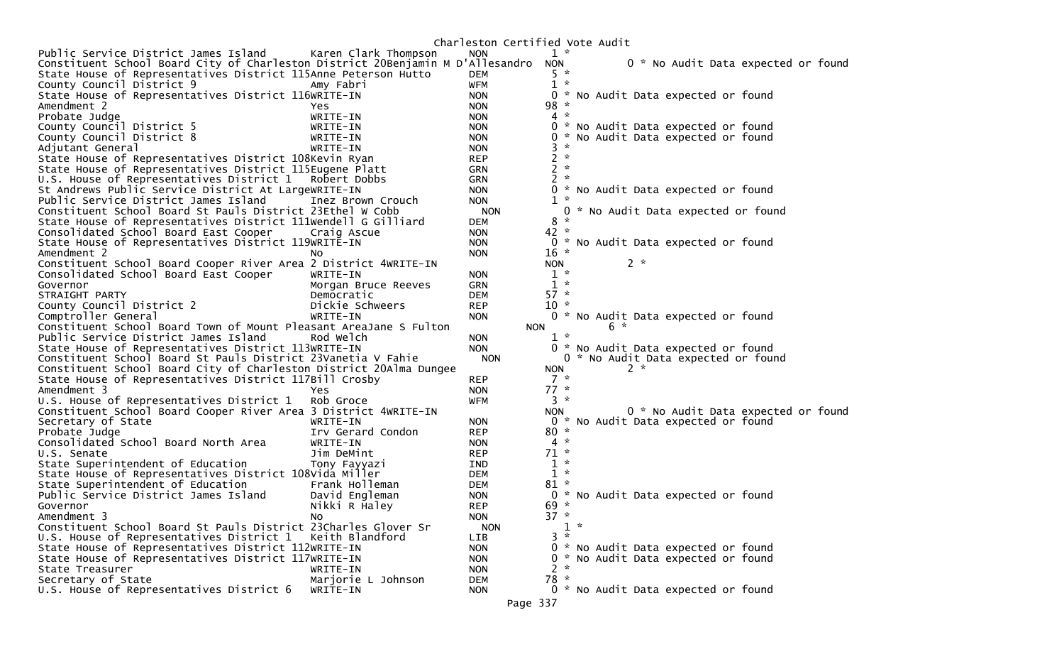|                                                                                                                     |                      |                          | Charleston Certified Vote Audit                                            |
|---------------------------------------------------------------------------------------------------------------------|----------------------|--------------------------|----------------------------------------------------------------------------|
| Public Service District James Island                                                                                | Karen Clark Thompson | <b>NON</b>               | $1 *$                                                                      |
| Constituent School Board City of Charleston District 20Benjamin M D'Allesandro                                      |                      |                          | 0 * No Audit Data expected or found<br><b>NON</b>                          |
| State House of Representatives District 115Anne Peterson Hutto                                                      |                      | <b>DEM</b>               | $5 *$                                                                      |
| County Council District 9                                                                                           | Amy Fabri            | <b>WFM</b>               | $1 *$                                                                      |
| State House of Representatives District 116WRITE-IN                                                                 |                      | <b>NON</b>               | 0 * No Audit Data expected or found                                        |
| Amendment 2                                                                                                         | Yes                  | <b>NON</b>               | $98 *$                                                                     |
| Probate Judge                                                                                                       | WRITE-IN             | <b>NON</b>               | $4 *$                                                                      |
| County Council District 5                                                                                           | WRITE-IN             | <b>NON</b>               | 0 * No Audit Data expected or found                                        |
| County Council District 8                                                                                           | WRITE-IN             | <b>NON</b>               | * No Audit Data expected or found<br>0                                     |
| Adjutant General                                                                                                    | WRITE-IN             | <b>NON</b>               | $\mathcal{H}$<br>3                                                         |
| State House of Representatives District 108Kevin Ryan                                                               |                      | <b>REP</b>               | $2 *$                                                                      |
| State House of Representatives District 115Eugene Platt                                                             |                      | <b>GRN</b>               | $2 *$                                                                      |
| U.S. House of Representatives District 1                                                                            | Robert Dobbs         | <b>GRN</b>               | $2 *$                                                                      |
| St Andrews Public Service District At LargeWRITE-IN                                                                 |                      | <b>NON</b>               | 0 * No Audit Data expected or found                                        |
| Public Service District James Island                                                                                | Inez Brown Crouch    | <b>NON</b>               | $1 *$                                                                      |
| Constituent School Board St Pauls District 23Ethel W Cobb                                                           |                      | <b>NON</b>               | 0 * No Audit Data expected or found                                        |
| State House of Representatives District 111Wendell G Gilliard                                                       |                      | DEM                      | $\mathcal{H}$<br>8                                                         |
| Consolidated School Board East Cooper                                                                               | Craig Ascue          | <b>NON</b>               | $42 *$                                                                     |
| State House of Representatives District 119WRITE-IN                                                                 |                      | <b>NON</b>               | 0 * No Audit Data expected or found                                        |
| Amendment 2                                                                                                         | No.                  | <b>NON</b>               | $16 *$                                                                     |
| Constituent School Board Cooper River Area 2 District 4WRITE-IN                                                     |                      |                          | $2 *$<br><b>NON</b>                                                        |
| Consolidated School Board East Cooper                                                                               | WRITE-IN             | <b>NON</b>               | $1 *$                                                                      |
| Governor                                                                                                            | Morgan Bruce Reeves  | <b>GRN</b>               | $1 *$                                                                      |
| STRAIGHT PARTY                                                                                                      | Democratic           | <b>DEM</b>               | $57 *$                                                                     |
| County Council District 2                                                                                           | Dickie Schweers      | <b>REP</b>               | $10 *$                                                                     |
| Comptroller General                                                                                                 | WRITE-IN             | <b>NON</b>               | 0 * No Audit Data expected or found<br>6 *                                 |
| Constituent School Board Town of Mount Pleasant AreaJane S Fulton                                                   |                      |                          | <b>NON</b><br>$1 *$                                                        |
| Public Service District James Island                                                                                | Rod Welch            | <b>NON</b><br><b>NON</b> |                                                                            |
| State House of Representatives District 113WRITE-IN<br>Constituent School Board St Pauls District 23Vanetia V Fahie |                      | <b>NON</b>               | 0 * No Audit Data expected or found<br>0 * No Audit Data expected or found |
| Constituent School Board City of Charleston District 20Alma Dungee                                                  |                      |                          | $2 *$<br><b>NON</b>                                                        |
| State House of Representatives District 117Bill Crosby                                                              |                      | <b>REP</b>               | $7 *$                                                                      |
| Amendment 3                                                                                                         | Yes                  | <b>NON</b>               | $77 *$                                                                     |
| U.S. House of Representatives District 1                                                                            | Rob Groce            | <b>WFM</b>               | $3 *$                                                                      |
| Constituent School Board Cooper River Area 3 District 4WRITE-IN                                                     |                      |                          | 0 * No Audit Data expected or found<br><b>NON</b>                          |
| Secretary of State                                                                                                  | WRITE-IN             | <b>NON</b>               | 0 * No Audit Data expected or found                                        |
| Probate Judge                                                                                                       | Irv Gerard Condon    | <b>REP</b>               | $80 *$                                                                     |
| Consolidated School Board North Area                                                                                | WRITE-IN             | <b>NON</b>               | $4 *$                                                                      |
| U.S. Senate                                                                                                         | Jim DeMint           | <b>REP</b>               | $71 *$                                                                     |
| State Superintendent of Education                                                                                   | Tony Fayyazi         | IND.                     | $1 *$                                                                      |
| State House of Representatives District 108Vida Miller                                                              |                      | <b>DEM</b>               | $1 *$                                                                      |
| State Superintendent of Education                                                                                   | Frank Holleman       | <b>DEM</b>               | $81 *$                                                                     |
| Public Service District James Island                                                                                | David Engleman       | <b>NON</b>               | 0 * No Audit Data expected or found                                        |
| Governor                                                                                                            | Nikki R Haley        | <b>REP</b>               | $69 *$                                                                     |
| Amendment 3                                                                                                         | No.                  | <b>NON</b>               | $37 *$                                                                     |
| Constituent School Board St Pauls District 23Charles Glover Sr                                                      |                      | <b>NON</b>               | $1 *$                                                                      |
| U.S. House of Representatives District 1 Keith Blandford                                                            |                      | <b>LIB</b>               | $3 *$                                                                      |
| State House of Representatives District 112WRITE-IN                                                                 |                      | <b>NON</b>               | 0 * No Audit Data expected or found                                        |
| State House of Representatives District 117WRITE-IN                                                                 |                      | <b>NON</b>               | * No Audit Data expected or found<br>0                                     |
| State Treasurer                                                                                                     | WRITE-IN             | <b>NON</b>               | $\sim$<br>2                                                                |
| Secretary of State                                                                                                  | Marjorie L Johnson   | <b>DEM</b>               | 78 *                                                                       |
| U.S. House of Representatives District 6                                                                            | WRITE-IN             | <b>NON</b>               | 0 * No Audit Data expected or found                                        |
|                                                                                                                     |                      |                          | Page 337                                                                   |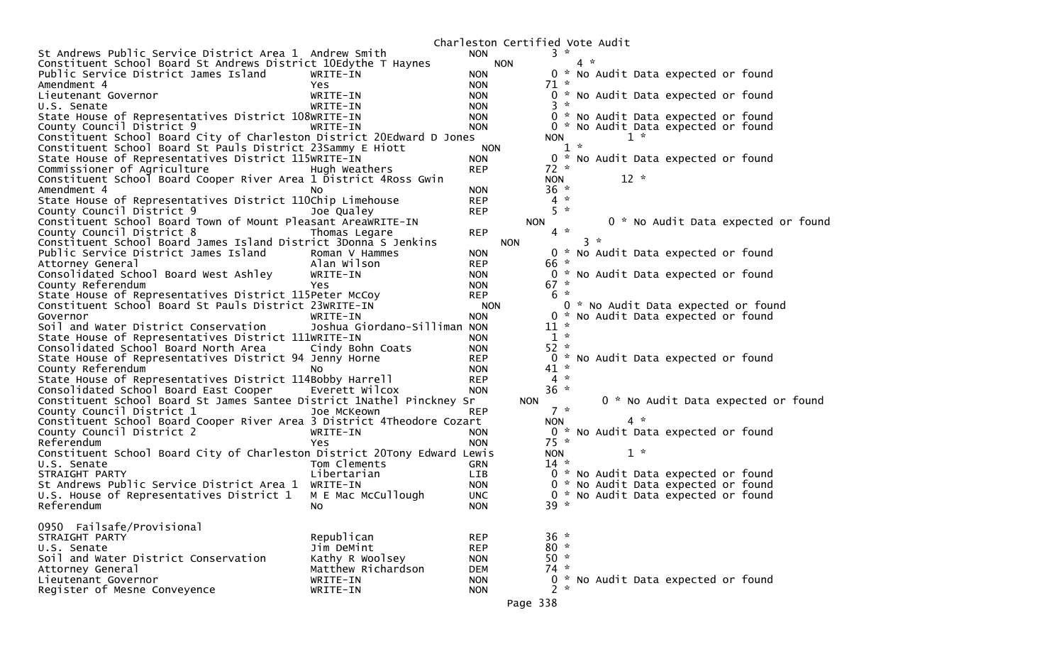|                                                                          |                              |            | Charleston Certified Vote Audit |            |       |        |                                     |                                     |
|--------------------------------------------------------------------------|------------------------------|------------|---------------------------------|------------|-------|--------|-------------------------------------|-------------------------------------|
| St Andrews Public Service District Area 1 Andrew Smith                   |                              | <b>NON</b> |                                 | $3 *$      |       |        |                                     |                                     |
| Constituent School Board St Andrews District 10Edythe T Haynes           |                              | <b>NON</b> |                                 |            | $4 *$ |        |                                     |                                     |
| Public Service District James Island                                     | WRITE-IN                     | <b>NON</b> |                                 |            |       |        | 0 * No Audit Data expected or found |                                     |
| Amendment 4                                                              | Yes                          | <b>NON</b> |                                 | $71 *$     |       |        |                                     |                                     |
| Lieutenant Governor                                                      | WRITE-IN                     | <b>NON</b> |                                 |            |       |        | 0 * No Audit Data expected or found |                                     |
| U.S. Senate                                                              | WRITE-IN                     | <b>NON</b> |                                 | $3 *$      |       |        |                                     |                                     |
| State House of Representatives District 108WRITE-IN                      |                              | <b>NON</b> |                                 |            |       |        | 0 * No Audit Data expected or found |                                     |
| County Council District 9                                                | WRITE-IN                     | <b>NON</b> |                                 |            |       |        | 0 * No Audit Data expected or found |                                     |
| Constituent School Board City of Charleston District 20Edward D Jones    |                              |            |                                 | <b>NON</b> |       | $1 *$  |                                     |                                     |
| Constituent School Board St Pauls District 23Sammy E Hiott               |                              | <b>NON</b> |                                 | $1 *$      |       |        |                                     |                                     |
| State House of Representatives District 115WRITE-IN                      |                              | <b>NON</b> |                                 |            |       |        | 0 * No Audit Data expected or found |                                     |
| Commissioner of Agriculture                                              | Hugh Weathers                | <b>REP</b> |                                 | $72 *$     |       |        |                                     |                                     |
| Constituent School Board Cooper River Area 1 District 4Ross Gwin         |                              |            |                                 | <b>NON</b> |       | $12 *$ |                                     |                                     |
| Amendment 4                                                              |                              | <b>NON</b> |                                 | 36 *       |       |        |                                     |                                     |
|                                                                          | NO.                          | <b>REP</b> |                                 | $4 *$      |       |        |                                     |                                     |
| State House of Representatives District 110Chip Limehouse                |                              |            |                                 | $5 *$      |       |        |                                     |                                     |
| County Council District 9                                                | Joe Qualey                   | <b>REP</b> |                                 |            |       |        |                                     |                                     |
| Constituent School Board Town of Mount Pleasant AreaWRITE-IN             |                              |            | <b>NON</b>                      |            |       |        |                                     | 0 * No Audit Data expected or found |
| County Council District 8                                                | Thomas Legare                | <b>REP</b> |                                 | $4 *$      |       |        |                                     |                                     |
| Constituent School Board James Island District 3Donna S Jenkins          |                              |            | <b>NON</b>                      |            | $3 *$ |        |                                     |                                     |
| Public Service District James Island                                     | Roman V Hammes               | <b>NON</b> |                                 |            |       |        | 0 * No Audit Data expected or found |                                     |
| Attorney General                                                         | Alan Wilson                  | <b>REP</b> |                                 | 66 *       |       |        |                                     |                                     |
| Consolidated School Board West Ashley                                    | WRITE-IN                     | <b>NON</b> |                                 |            |       |        | 0 * No Audit Data expected or found |                                     |
| County Referendum                                                        | Yes.                         | <b>NON</b> |                                 | $67 *$     |       |        |                                     |                                     |
| State House of Representatives District 115Peter McCoy                   |                              | <b>REP</b> |                                 | 6 *        |       |        |                                     |                                     |
| Constituent School Board St Pauls District 23WRITE-IN                    |                              | <b>NON</b> |                                 |            |       |        | 0 * No Audit Data expected or found |                                     |
| Governor                                                                 | WRITE-IN                     | <b>NON</b> |                                 |            |       |        | 0 * No Audit Data expected or found |                                     |
| Soil and Water District Conservation                                     | Joshua Giordano-Silliman NON |            |                                 | $11 *$     |       |        |                                     |                                     |
| State House of Representatives District 111WRITE-IN                      |                              | <b>NON</b> |                                 | $1 *$      |       |        |                                     |                                     |
| Consolidated School Board North Area                                     | Cindy Bohn Coats             | <b>NON</b> |                                 | $52 *$     |       |        |                                     |                                     |
| State House of Representatives District 94 Jenny Horne                   |                              | <b>REP</b> |                                 |            |       |        | 0 * No Audit Data expected or found |                                     |
| County Referendum                                                        | NO.                          | <b>NON</b> |                                 | $41 *$     |       |        |                                     |                                     |
| State House of Representatives District 114Bobby Harrell                 |                              | <b>REP</b> |                                 | $4 *$      |       |        |                                     |                                     |
| Consolidated School Board East Cooper                                    | Everett Wilcox               | <b>NON</b> |                                 | $36 *$     |       |        |                                     |                                     |
| Constituent School Board St James Santee District 1Nathel Pinckney Sr    |                              |            | <b>NON</b>                      |            |       |        |                                     | 0 * No Audit Data expected or found |
| County Council District 1                                                | Joe McKeown                  | <b>REP</b> |                                 | $7 *$      |       |        |                                     |                                     |
| Constituent School Board Cooper River Area 3 District 4Theodore Cozart   |                              |            |                                 | NON.       |       | 4 *    |                                     |                                     |
| County Council District 2                                                | WRITE-IN                     | <b>NON</b> |                                 |            |       |        | 0 * No Audit Data expected or found |                                     |
| Referendum                                                               | Yes                          | <b>NON</b> |                                 | $75 *$     |       |        |                                     |                                     |
|                                                                          |                              |            |                                 |            |       |        |                                     |                                     |
| Constituent School Board City of Charleston District 20Tony Edward Lewis |                              |            |                                 | <b>NON</b> |       | $1 *$  |                                     |                                     |
| U.S. Senate                                                              | Tom Clements                 | <b>GRN</b> |                                 | $14 *$     |       |        |                                     |                                     |
| STRAIGHT PARTY                                                           | Libertarian                  | LIB        |                                 |            |       |        | 0 * No Audit Data expected or found |                                     |
| St Andrews Public Service District Area 1                                | WRITE-IN                     | <b>NON</b> |                                 | 0          |       |        | * No Audit Data expected or found   |                                     |
| U.S. House of Representatives District 1                                 | M E Mac McCullough           | <b>UNC</b> |                                 |            |       |        | 0 * No Audit Data expected or found |                                     |
| Referendum                                                               | No                           | <b>NON</b> |                                 | $39 *$     |       |        |                                     |                                     |
|                                                                          |                              |            |                                 |            |       |        |                                     |                                     |
| 0950 Failsafe/Provisional                                                |                              |            |                                 |            |       |        |                                     |                                     |
| STRAIGHT PARTY                                                           | Republican                   | <b>REP</b> |                                 | $36 *$     |       |        |                                     |                                     |
| U.S. Senate                                                              | Jim DeMint                   | <b>REP</b> |                                 | $80 *$     |       |        |                                     |                                     |
| Soil and Water District Conservation                                     | Kathy R Woolsey              | <b>NON</b> |                                 | $50 *$     |       |        |                                     |                                     |
| Attorney General                                                         | Matthew Richardson           | <b>DEM</b> |                                 | $74 *$     |       |        |                                     |                                     |
| Lieutenant Governor                                                      | WRITE-IN                     | <b>NON</b> |                                 |            |       |        | 0 * No Audit Data expected or found |                                     |
| Register of Mesne Conveyence                                             | WRITE-IN                     | <b>NON</b> |                                 | $2 *$      |       |        |                                     |                                     |
|                                                                          |                              |            | Page 338                        |            |       |        |                                     |                                     |
|                                                                          |                              |            |                                 |            |       |        |                                     |                                     |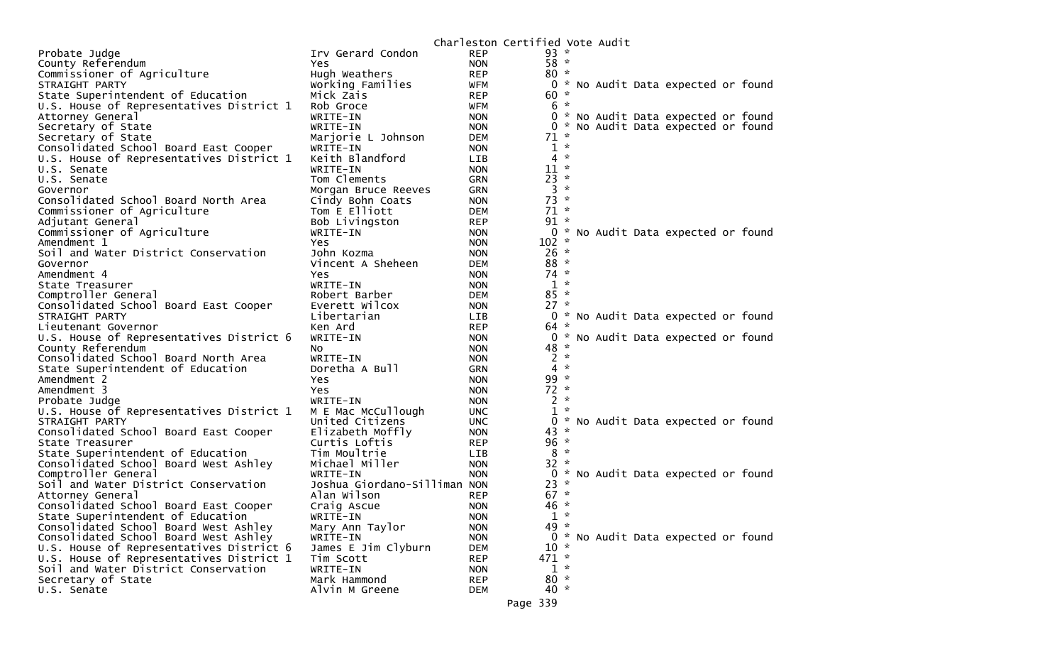|                                                                                   |                                |                          | Charleston Certified Vote Audit |              |  |                                     |  |
|-----------------------------------------------------------------------------------|--------------------------------|--------------------------|---------------------------------|--------------|--|-------------------------------------|--|
| Probate Judge                                                                     | Irv Gerard Condon              | <b>REP</b>               | $93 *$                          |              |  |                                     |  |
| County Referendum                                                                 | Yes                            | <b>NON</b>               | $58 *$                          |              |  |                                     |  |
| Commissioner of Agriculture                                                       | Hugh Weathers                  | <b>REP</b>               | $80 *$                          |              |  |                                     |  |
| STRAIGHT PARTY                                                                    | Working Families               | <b>WFM</b>               |                                 |              |  | 0 * No Audit Data expected or found |  |
| State Superintendent of Education                                                 | Mick Zais                      | <b>REP</b>               | $60 *$                          |              |  |                                     |  |
| U.S. House of Representatives District 1                                          | Rob Groce                      | WFM                      | $6*$                            |              |  |                                     |  |
| Attorney General                                                                  | WRITE-IN                       | <b>NON</b>               |                                 |              |  | 0 * No Audit Data expected or found |  |
| Secretary of State                                                                | WRITE-IN                       | <b>NON</b>               | 0                               |              |  | * No Audit Data expected or found   |  |
| Secretary of State                                                                | Marjorie L Johnson             | DEM                      | $71 *$<br>$1 *$                 |              |  |                                     |  |
| Consolidated School Board East Cooper<br>U.S. House of Representatives District 1 | WRITE-IN<br>Keith Blandford    | <b>NON</b><br>LIB.       | 4                               | $\sim$       |  |                                     |  |
| U.S. Senate                                                                       | WRITE-IN                       | <b>NON</b>               | $11 *$                          |              |  |                                     |  |
| U.S. Senate                                                                       | Tom Clements                   | <b>GRN</b>               | $23 *$                          |              |  |                                     |  |
| Governor                                                                          | Morgan Bruce Reeves            | <b>GRN</b>               | $3 *$                           |              |  |                                     |  |
| Consolidated School Board North Area                                              | Cindy Bohn Coats               | <b>NON</b>               | $73 *$                          |              |  |                                     |  |
| Commissioner of Agriculture                                                       | Tom E Elliott                  | <b>DEM</b>               | $71 *$                          |              |  |                                     |  |
| Adjutant General                                                                  | Bob Livingston                 | <b>REP</b>               | $91*$                           |              |  |                                     |  |
| Commissioner of Agriculture                                                       | WRITE-IN                       | <b>NON</b>               |                                 |              |  | 0 * No Audit Data expected or found |  |
| Amendment 1                                                                       | Yes.                           | <b>NON</b>               | $102 *$                         |              |  |                                     |  |
| Soil and Water District Conservation                                              | John Kozma                     | <b>NON</b>               | $26 *$                          |              |  |                                     |  |
| Governor                                                                          | Vincent A Sheheen              | <b>DEM</b>               | $88 *$                          |              |  |                                     |  |
| Amendment 4                                                                       | Yes                            | <b>NON</b>               | $74 *$                          |              |  |                                     |  |
| State Treasurer                                                                   | WRITE-IN                       | <b>NON</b>               | $1 *$                           |              |  |                                     |  |
| Comptroller General                                                               | Robert Barber                  | <b>DEM</b>               | $85 *$<br>$27 *$                |              |  |                                     |  |
| Consolidated School Board East Cooper<br>STRAIGHT PARTY                           | Everett Wilcox<br>Libertarian  | <b>NON</b><br><b>LIB</b> |                                 |              |  | 0 * No Audit Data expected or found |  |
| Lieutenant Governor                                                               | Ken Ard                        | <b>REP</b>               | $64 *$                          |              |  |                                     |  |
| U.S. House of Representatives District 6                                          | WRITE-IN                       | <b>NON</b>               |                                 |              |  | 0 * No Audit Data expected or found |  |
| County Referendum                                                                 | NO.                            | <b>NON</b>               | 48 *                            |              |  |                                     |  |
| Consolidated School Board North Area                                              | WRITE-IN                       | <b>NON</b>               | $2 *$                           |              |  |                                     |  |
| State Superintendent of Education                                                 | Doretha A Bull                 | <b>GRN</b>               | 4                               | $\sim$       |  |                                     |  |
| Amendment 2                                                                       | Yes                            | <b>NON</b>               | $99 *$                          |              |  |                                     |  |
| Amendment 3                                                                       | Yes                            | <b>NON</b>               | $72 *$                          |              |  |                                     |  |
| Probate Judge                                                                     | WRITE-IN                       | <b>NON</b>               | $2 *$                           |              |  |                                     |  |
| U.S. House of Representatives District 1                                          | M E Mac McCullough             | <b>UNC</b>               | 1                               | $\mathbf{x}$ |  |                                     |  |
| STRAIGHT PARTY                                                                    | United Citizens                | <b>UNC</b>               | 0                               |              |  | * No Audit Data expected or found   |  |
| Consolidated School Board East Cooper                                             | Elizabeth Moffly               | <b>NON</b>               | $43 *$                          |              |  |                                     |  |
| State Treasurer                                                                   | Curtis Loftis                  | <b>REP</b>               | $96 *$<br>$8 *$                 |              |  |                                     |  |
| State Superintendent of Education<br>Consolidated School Board West Ashley        | Tim Moultrie<br>Michael Miller | <b>LIB</b><br><b>NON</b> | $32 *$                          |              |  |                                     |  |
| Comptroller General                                                               | WRITE-IN                       | <b>NON</b>               | 0                               |              |  | * No Audit Data expected or found   |  |
| Soil and Water District Conservation                                              | Joshua Giordano-Silliman NON   |                          | $23 *$                          |              |  |                                     |  |
| Attorney General                                                                  | Alan Wilson                    | <b>REP</b>               | $67 *$                          |              |  |                                     |  |
| Consolidated School Board East Cooper                                             | Craig Ascue                    | <b>NON</b>               | 46 *                            |              |  |                                     |  |
| State Superintendent of Education                                                 | WRITE-IN                       | <b>NON</b>               | $1 *$                           |              |  |                                     |  |
| Consolidated School Board West Ashley                                             | Mary Ann Taylor                | <b>NON</b>               | 49 *                            |              |  |                                     |  |
| Consolidated School Board West Ashley                                             | WRITE-IN                       | <b>NON</b>               |                                 |              |  | 0 * No Audit Data expected or found |  |
| U.S. House of Representatives District 6                                          | James E Jim Clyburn            | <b>DEM</b>               | $10 *$                          |              |  |                                     |  |
| U.S. House of Representatives District 1                                          | Tim Scott                      | <b>REP</b>               | $471 *$                         |              |  |                                     |  |
| Soil and Water District Conservation                                              | WRITE-IN                       | <b>NON</b>               | $1 *$                           |              |  |                                     |  |
| Secretary of State                                                                | Mark Hammond                   | <b>REP</b>               | $80 *$                          |              |  |                                     |  |
| U.S. Senate                                                                       | Alvin M Greene                 | <b>DEM</b>               | $40 *$<br>$\sim$ $\sim$ $\sim$  |              |  |                                     |  |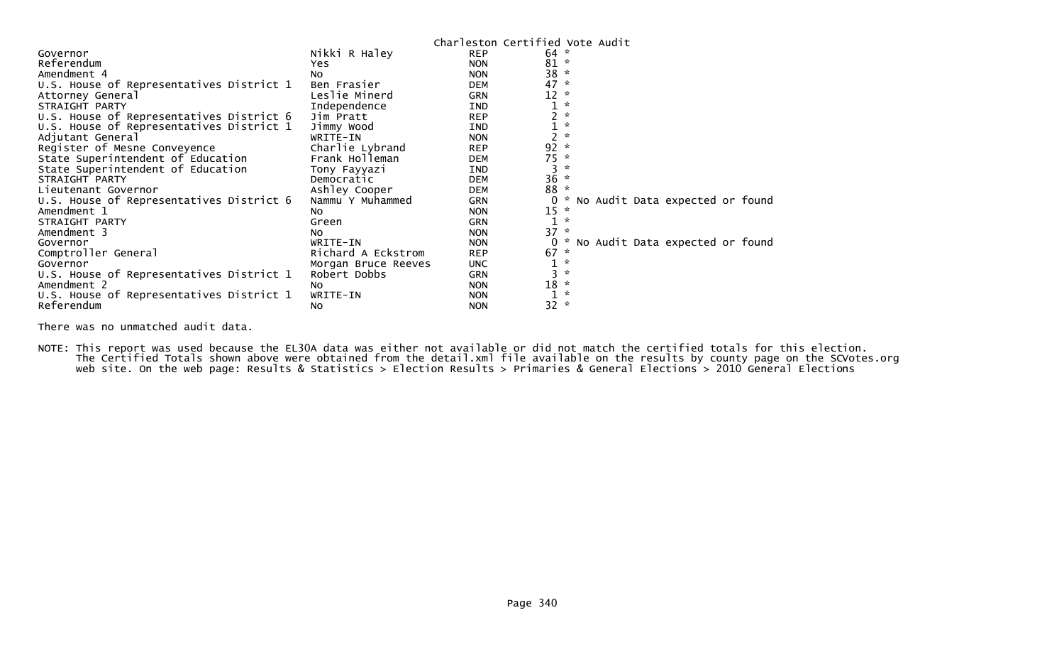|                                          |                     | Charleston Certified Vote Audit |                |               |  |                                 |  |
|------------------------------------------|---------------------|---------------------------------|----------------|---------------|--|---------------------------------|--|
| Governor                                 | Nikki R Haley       | <b>REP</b>                      | 64             |               |  |                                 |  |
| Referendum                               | Yes.                | <b>NON</b>                      | 81             |               |  |                                 |  |
| Amendment 4                              | NO.                 | <b>NON</b>                      | 38             |               |  |                                 |  |
| U.S. House of Representatives District 1 | Ben Frasier         | <b>DEM</b>                      | 47             | $\mathcal{H}$ |  |                                 |  |
| Attorney General                         | Leslie Minerd       | <b>GRN</b>                      | 12             |               |  |                                 |  |
| STRAIGHT PARTY                           | Independence        | IND                             |                |               |  |                                 |  |
| U.S. House of Representatives District 6 | Jim Pratt           | <b>REP</b>                      |                |               |  |                                 |  |
| U.S. House of Representatives District 1 | Jimmy Wood          | <b>IND</b>                      |                |               |  |                                 |  |
| Adjutant General                         | WRITE-IN            | <b>NON</b>                      | $\overline{c}$ |               |  |                                 |  |
| Register of Mesne Conveyence             | Charlie Lybrand     | <b>REP</b>                      | 92             | $\sim$        |  |                                 |  |
| State Superintendent of Education        | Frank Holleman      | <b>DEM</b>                      | $75 *$         |               |  |                                 |  |
| State Superintendent of Education        | Tony Fayyazi        | IND                             | 3              |               |  |                                 |  |
| STRAIGHT PARTY                           | Democratic          | <b>DEM</b>                      | 36             |               |  |                                 |  |
| Lieutenant Governor                      | Ashley Cooper       | <b>DEM</b>                      | 88             |               |  |                                 |  |
| U.S. House of Representatives District 6 | Nammu Y Muhammed    | GRN                             |                |               |  | No Audit Data expected or found |  |
| Amendment 1                              | NO.                 | <b>NON</b>                      | 15             |               |  |                                 |  |
| STRAIGHT PARTY                           | Green               | <b>GRN</b>                      | $\mathbf{1}$   |               |  |                                 |  |
| Amendment 3                              | NO.                 | <b>NON</b>                      | 37             |               |  |                                 |  |
| Governor                                 | WRITE-IN            | <b>NON</b>                      |                |               |  | No Audit Data expected or found |  |
| Comptroller General                      | Richard A Eckstrom  | <b>REP</b>                      | 67             |               |  |                                 |  |
| Governor                                 | Morgan Bruce Reeves | <b>UNC</b>                      |                |               |  |                                 |  |
| U.S. House of Representatives District 1 | Robert Dobbs        | <b>GRN</b>                      |                |               |  |                                 |  |
| Amendment 2                              | NO.                 | <b>NON</b>                      | 18             |               |  |                                 |  |
| U.S. House of Representatives District 1 | WRITE-IN            | <b>NON</b>                      |                | $\mathcal{R}$ |  |                                 |  |
| Referendum                               | No                  | <b>NON</b>                      | 32             | $\sim$        |  |                                 |  |

There was no unmatched audit data.

NOTE: This report was used because the EL30A data was either not available or did not match the certified totals for this election. The Certified Totals shown above were obtained from the detail.xml file available on the results by county page on the SCVotes.org web site. On the web page: Results & Statistics > Election Results > Primaries & General Elections > 2010 General Elections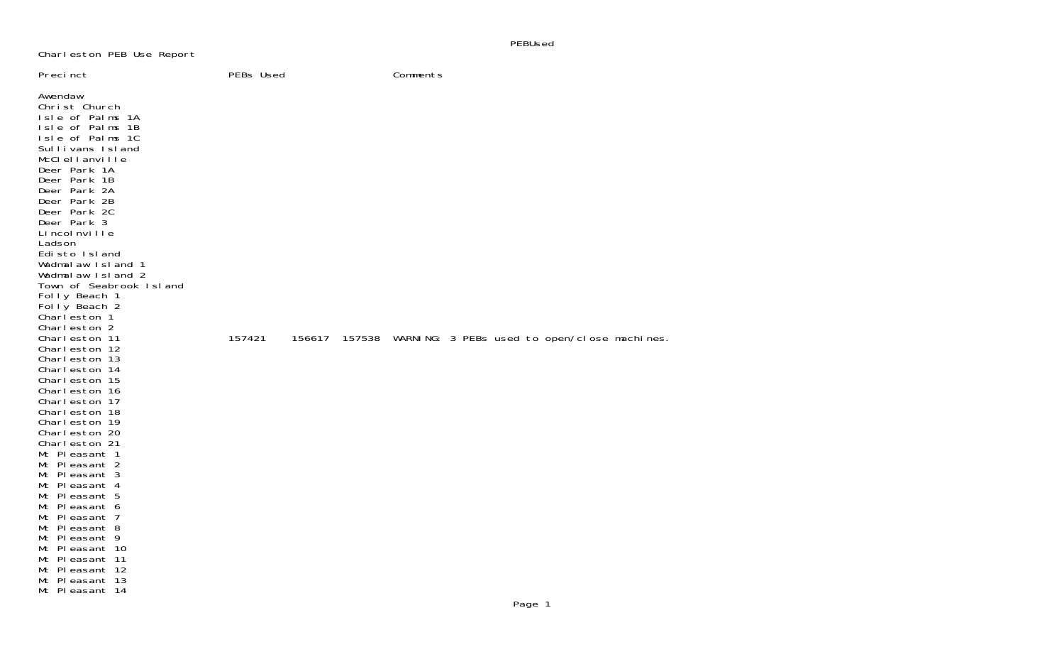Charleston PEB Use Report

| Precinct                                                                                                                                                                                                                                                                                                                                                                                                                                                                                                                                                                                                                                                                                                                                                                                                                                                    | PEBs Used |        | Comments |  |                                                     |  |
|-------------------------------------------------------------------------------------------------------------------------------------------------------------------------------------------------------------------------------------------------------------------------------------------------------------------------------------------------------------------------------------------------------------------------------------------------------------------------------------------------------------------------------------------------------------------------------------------------------------------------------------------------------------------------------------------------------------------------------------------------------------------------------------------------------------------------------------------------------------|-----------|--------|----------|--|-----------------------------------------------------|--|
| Awendaw<br>Christ Church<br>Isle of Palms 1A<br>Isle of Palms 1B<br>Isle of Palms 1C<br>Sullivans Island<br>McClellanville<br>Deer Park 1A<br>Deer Park 1B<br>Deer Park 2A<br>Deer Park 2B<br>Deer Park 2C<br>Deer Park 3<br>Li ncol nville<br>Ladson<br>Edisto Island<br>Wadmalaw Island 1<br>Wadmalaw Island 2<br>Town of Seabrook Island<br>Folly Beach 1<br>Folly Beach 2<br>Charleston 1<br>Charleston 2<br>Charleston 11<br>Charleston 12<br>Charleston 13<br>Charleston 14<br>Charleston 15<br>Charleston 16<br>Charleston 17<br>Charleston 18<br>Charleston 19<br>Charleston 20<br>Charleston 21<br>Mt Pleasant 1<br>Mt Pleasant 2<br>Mt Pleasant 3<br>Mt Pleasant 4<br>Mt Pleasant 5<br>Mt Pleasant 6<br>Mt Pleasant 7<br>Mt Pleasant 8<br>Mt Pleasant 9<br>Mt Pleasant 10<br>Mt Pleasant 11<br>Mt Pleasant 12<br>Mt Pleasant 13<br>Mt Pleasant 14 | 157421    | 156617 |          |  | 157538 WARNING: 3 PEBs used to open/close machines. |  |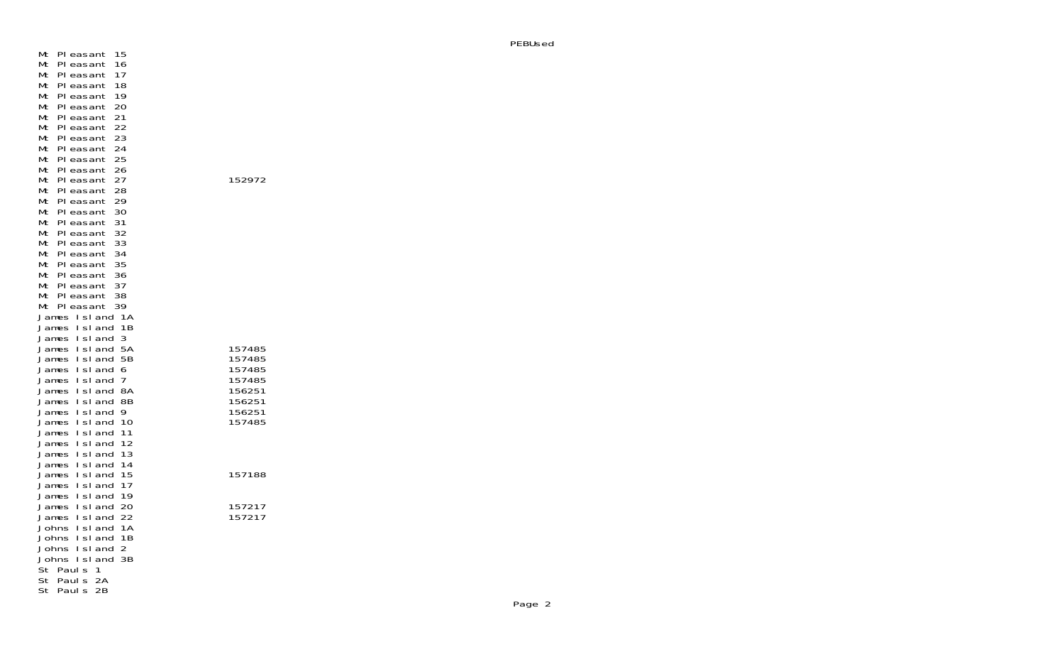Mt Pleasant 15 Mt Pleasant 16 Mt Pleasant 17 Mt Pleasant 18 Mt Pleasant 19 Mt Pleasant 20 Mt Pleasant 21 Mt Pleasant 22 Mt Pleasant 23 Mt Pleasant 24 Mt Pleasant 25 Mt Pleasant 26 Mt Pleasant 27 152972 Mt Pleasant 28 Mt Pleasant 29 Mt Pleasant 30 Mt Pleasant 31 Mt Pleasant 32 Mt Pleasant 33 Mt Pleasant 34 Mt Pleasant 35 Mt Pleasant 36 Mt Pleasant 37 Mt Pleasant 38 Mt Pleasant 39 James Island 1A James Island 1B James Island 3 James Island 5A 157485James Island 5B 157485James Island 6 James Island 7 James Island 8A James Island 8B James Island 9 156251James Island 10 James Island 11 James Island 12 James Island 13 James Island 14 James Island 15 157188James Island 17 James Island 19 James Island 20 157217James Island 22 Johns Island 1A Johns Island 1B Johns Island 2 Johns Island 3B St Pauls 1 St Pauls 2A St Pauls 2B

157485

156251

157188

157217<br>157217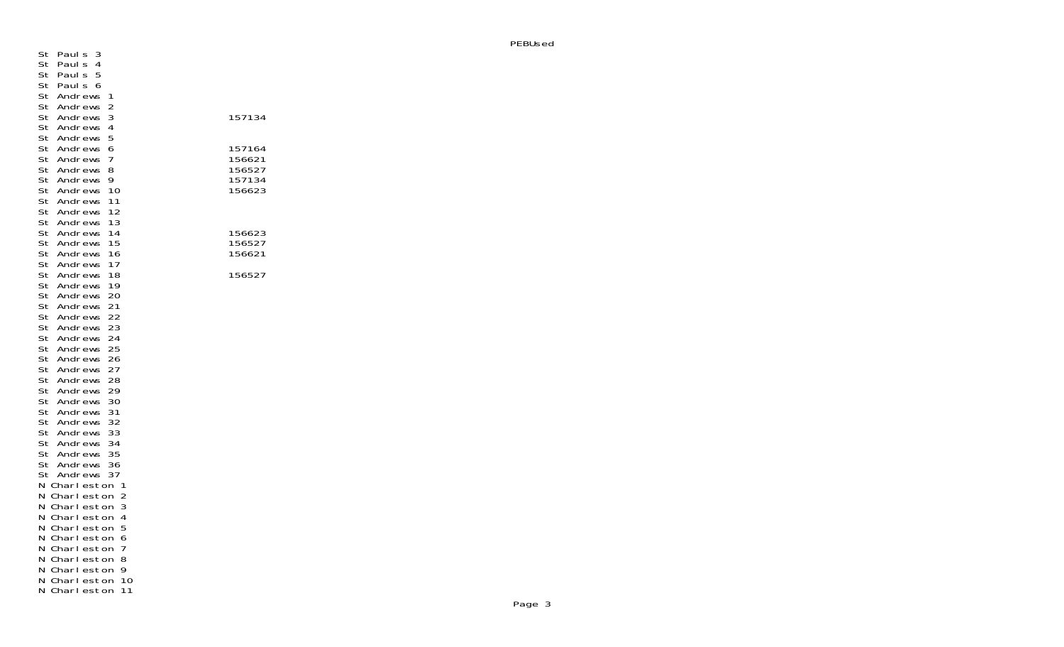| St<br>St<br>St<br>St<br>St                                                       | Paul s<br>3<br>Paul s<br>4<br>5<br>Paul s<br>Paul s<br>6<br>Andrews<br>1                                                                                                                                                                   |                                                |
|----------------------------------------------------------------------------------|--------------------------------------------------------------------------------------------------------------------------------------------------------------------------------------------------------------------------------------------|------------------------------------------------|
| St<br>St<br>St<br>St                                                             | Andrews<br>2<br>3<br>Andrews<br>Andrews<br>4<br>5<br>Andrews                                                                                                                                                                               | 157134                                         |
| St<br>St<br>St<br>St<br>St<br>St                                                 | Andrews<br>6<br>Andrews<br>7<br>St Andrews<br>8<br>Andrews<br>9<br>10<br>Andrews<br>11<br>Andrews<br>12<br>Andrews                                                                                                                         | 157164<br>156621<br>156527<br>157134<br>156623 |
| St<br>St<br>St<br>St                                                             | Andrews<br>13<br>14<br>Andrews<br>15<br>Andrews<br>16<br>Andrews                                                                                                                                                                           | 156623<br>156527<br>156621                     |
| St<br>St<br>St<br>St<br>St<br>St<br>St<br>St<br>St<br>St<br>St<br>St<br>St<br>St | 17<br>Andrews<br>Andrews<br>18<br>19<br>Andrews<br>20<br>Andrews<br>Andrews<br>21<br>22<br>Andrews<br>23<br>Andrews<br>Andrews<br>24<br>25<br>Andrews<br>26<br>Andrews<br>Andrews<br>27<br>28<br>Andrews<br>Andrews<br>29<br>Andrews<br>30 | 156527                                         |
| St<br>St<br>St<br>St                                                             | St Andrews<br>31<br>Andrews<br>32<br>Andrews<br>33<br>St Andrews<br>34<br>Andrews<br>35<br>Andrews<br>36<br>37                                                                                                                             |                                                |
| Ν<br>Ν<br>Ν<br>N<br>Ν<br>Ν<br>Ν                                                  | St Andrews<br>Charl eston<br>1<br>Charleston<br>2<br>Charl eston<br>3<br>Charleston<br>4<br>Charleston<br>5<br>6<br>Charleston<br>7<br>Charleston                                                                                          |                                                |
| Ν<br>Ν<br>Ν<br>N                                                                 | Charl eston<br>8<br>9<br>Charleston<br>10<br>Charleston<br>11<br>Charl eston                                                                                                                                                               |                                                |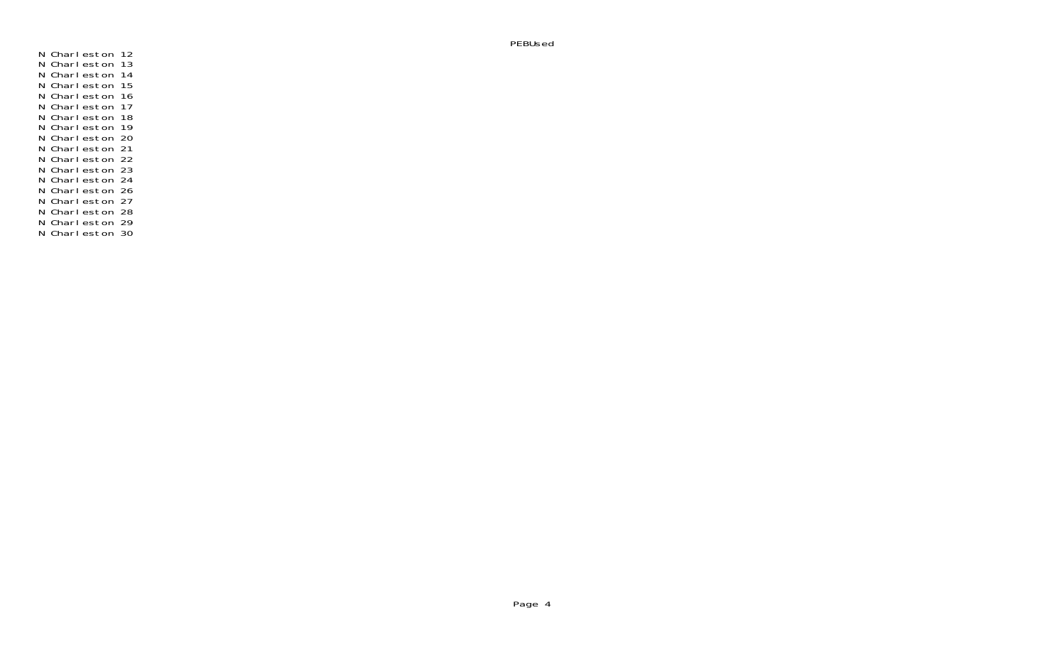N Charleston 12<br>N Charleston 13<br>N Charleston 14<br>N Charleston 15<br>N Charleston 16<br>N Charleston 17<br>N Charleston 20<br>N Charleston 22<br>N Charleston 22<br>N Charleston 22<br>N Charleston 24<br>N Charleston 26<br>N Charleston 26<br>N Charleston 2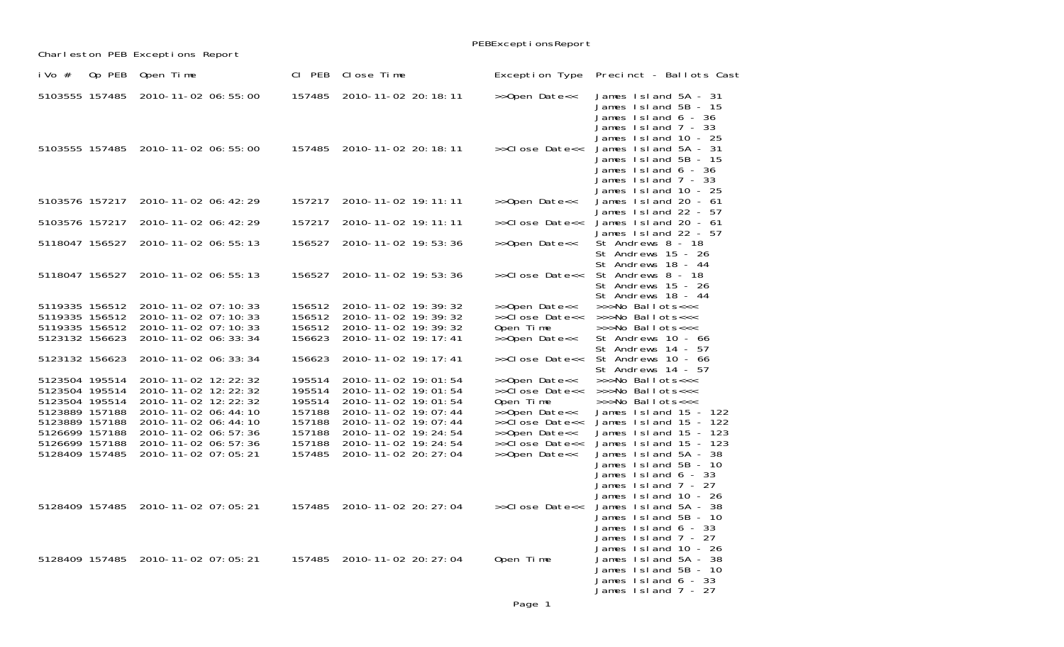|                                                                                                                                              |        |                                                                                                                                                                                                    |                                                                              |                                                                                                                                                                                            | PEBExceptionsReport                                                                                                                 |                                                                                                                                                                                                                                           |
|----------------------------------------------------------------------------------------------------------------------------------------------|--------|----------------------------------------------------------------------------------------------------------------------------------------------------------------------------------------------------|------------------------------------------------------------------------------|--------------------------------------------------------------------------------------------------------------------------------------------------------------------------------------------|-------------------------------------------------------------------------------------------------------------------------------------|-------------------------------------------------------------------------------------------------------------------------------------------------------------------------------------------------------------------------------------------|
|                                                                                                                                              |        | Charleston PEB Exceptions Report                                                                                                                                                                   |                                                                              |                                                                                                                                                                                            |                                                                                                                                     |                                                                                                                                                                                                                                           |
| i Vo $#$                                                                                                                                     | Op PEB | Open Time                                                                                                                                                                                          | CI PEB                                                                       | Close Time                                                                                                                                                                                 | Exception Type                                                                                                                      | Precinct - Ballots Cast                                                                                                                                                                                                                   |
| 5103555 157485                                                                                                                               |        | 2010-11-02 06:55:00                                                                                                                                                                                | 157485                                                                       | 2010-11-02 20: 18: 11                                                                                                                                                                      | >>Open Date<<                                                                                                                       | James 1sl and 5A - 31<br>James Island 5B - 15<br>James $Island 6 - 36$<br>James Island 7 - 33                                                                                                                                             |
|                                                                                                                                              |        | 5103555 157485 2010-11-02 06:55:00                                                                                                                                                                 | 157485                                                                       | 2010-11-02 20: 18: 11                                                                                                                                                                      | >>Close Date<<                                                                                                                      | James 1sland 10 - 25<br>James 1sl and 5A - 31<br>James 1sl and 5B - 15<br>James Island 6 - 36<br>James Island 7 - 33<br>James Island 10 - 25                                                                                              |
| 5103576 157217                                                                                                                               |        | 2010-11-02 06: 42: 29                                                                                                                                                                              | 157217                                                                       | 2010-11-02 19: 11: 11                                                                                                                                                                      | >>Open Date<<                                                                                                                       | James 1sland 20 - 61                                                                                                                                                                                                                      |
| 5103576 157217                                                                                                                               |        | 2010-11-02 06: 42: 29                                                                                                                                                                              | 157217                                                                       | 2010-11-02 19: 11: 11                                                                                                                                                                      | >>Close Date<<                                                                                                                      | James 1sland 22 - 57<br>James 1sl and 20 - 61<br>James 1sland 22 - 57                                                                                                                                                                     |
| 5118047 156527                                                                                                                               |        | 2010-11-02 06: 55: 13                                                                                                                                                                              | 156527                                                                       | 2010-11-02 19:53:36                                                                                                                                                                        | >>Open Date<<                                                                                                                       | St Andrews 8 - 18<br>St Andrews 15 - 26<br>St Andrews 18 - 44                                                                                                                                                                             |
| 5118047 156527                                                                                                                               |        | 2010-11-02 06: 55: 13                                                                                                                                                                              | 156527                                                                       | 2010-11-02 19:53:36                                                                                                                                                                        | >>Close Date<<                                                                                                                      | St Andrews 8 - 18<br>St Andrews 15 - 26<br>St Andrews 18 - 44                                                                                                                                                                             |
| 5119335 156512<br>5119335 156512<br>5119335 156512<br>5123132 156623                                                                         |        | 2010-11-02 07: 10: 33<br>2010-11-02 07:10:33<br>2010-11-02 07: 10: 33<br>2010-11-02 06: 33: 34                                                                                                     | 156512<br>156512<br>156512<br>156623                                         | 2010-11-02 19: 39: 32<br>2010-11-02 19: 39: 32<br>2010-11-02 19: 39: 32<br>2010-11-02 19: 17: 41                                                                                           | >>Open Date<<<br>>>Close Date<<<br>Open Time<br>>>Open Date<<                                                                       | >>>No Ballots<<<<br>>>>No Ballots<<<<br>>>>No Ballots<<<<br>St Andrews 10 - 66<br>St Andrews 14 - 57                                                                                                                                      |
| 5123132 156623                                                                                                                               |        | 2010-11-02 06: 33: 34                                                                                                                                                                              | 156623                                                                       | 2010-11-02 19: 17: 41                                                                                                                                                                      | >>Close Date<<                                                                                                                      | St Andrews 10 - 66<br>St Andrews 14 - 57                                                                                                                                                                                                  |
| 5123504 195514<br>5123504 195514<br>5123504 195514<br>5123889 157188<br>5123889 157188<br>5126699 157188<br>5126699 157188<br>5128409 157485 |        | 2010-11-02 12: 22: 32<br>2010-11-02 12: 22: 32<br>2010-11-02 12: 22: 32<br>2010-11-02 06: 44: 10<br>2010-11-02 06: 44: 10<br>2010-11-02 06: 57: 36<br>2010-11-02 06: 57: 36<br>2010-11-02 07:05:21 | 195514<br>195514<br>195514<br>157188<br>157188<br>157188<br>157188<br>157485 | 2010-11-02 19:01:54<br>2010-11-02 19:01:54<br>2010-11-02 19:01:54<br>2010-11-02 19:07:44<br>2010-11-02 19:07:44<br>2010-11-02 19: 24: 54<br>2010-11-02 19: 24: 54<br>2010-11-02 20: 27: 04 | >>Open Date<<<br>>>Close Date<<<br>Open Time<br>>>Open Date<<<br>>>Close Date<<<br>>>Open Date<<<br>>>Close Date<<<br>>>Open Date<< | >>>No Ballots<<<<br>>>>No Ballots<<<<br>>>>No Ballots<<<<br>James 1sl and 15 - 122<br>James 1sl and 15 - 122<br>James 1sl and 15 - 123<br>James 1sl and 15 - 123<br>James Island 5A - 38<br>James Island 5B - 10<br>James $Island 6 - 33$ |
|                                                                                                                                              |        | 5128409 157485 2010-11-02 07:05:21                                                                                                                                                                 | 157485                                                                       | 2010-11-02 20: 27: 04                                                                                                                                                                      | >>Close Date<<                                                                                                                      | James Island 7 - 27<br>James Island 10 - 26<br>James Island 5A - 38<br>James Island 5B - 10<br>James Island 6 - 33<br>James Island 7 - 27                                                                                                 |
|                                                                                                                                              |        | 5128409 157485 2010-11-02 07:05:21                                                                                                                                                                 |                                                                              | 157485 2010-11-02 20: 27: 04                                                                                                                                                               | Open Time                                                                                                                           | James 1sland 10 - 26<br>James Island 5A - 38<br>James Island 5B - 10<br>James $Island 6 - 33$<br>James 1sl and 7 - 27                                                                                                                     |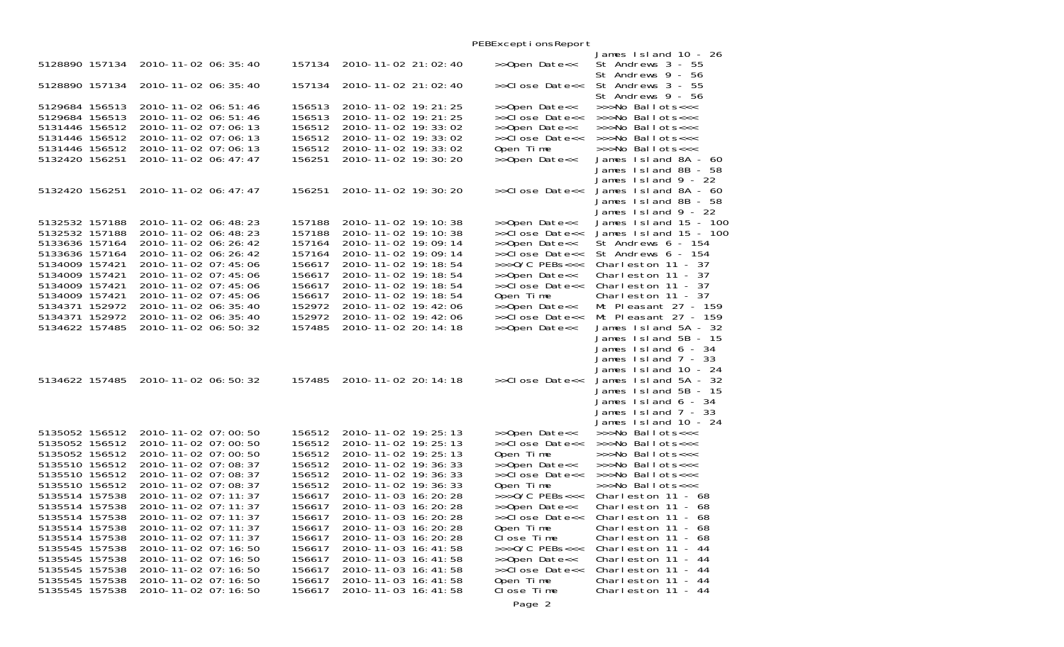|                                  |                                                |                  |                                                | PEBExceptionsReport             |                                                                      |
|----------------------------------|------------------------------------------------|------------------|------------------------------------------------|---------------------------------|----------------------------------------------------------------------|
| 5128890 157134                   | 2010-11-02 06: 35: 40                          | 157134           | 2010-11-02 21:02:40                            | >>Open Date<<                   | James Island 10 - 26<br>St Andrews 3 - 55<br>St Andrews 9 - 56       |
| 5128890 157134                   | 2010-11-02 06: 35: 40                          | 157134           | 2010-11-02 21:02:40                            | >>Close Date<<                  | St Andrews 3 - 55<br>St Andrews 9 - 56                               |
| 5129684 156513<br>5129684 156513 | 2010-11-02 06: 51: 46<br>2010-11-02 06: 51: 46 | 156513<br>156513 | 2010-11-02 19: 21: 25<br>2010-11-02 19: 21: 25 | >>Open Date<<<br>>>Close Date<< | >>>No Ballots<<<<br>>>>No Ballots<<<                                 |
| 5131446 156512                   | 2010-11-02 07:06:13                            | 156512           | 2010-11-02 19: 33: 02                          | >>Open Date<<                   | >>>No Ballots<<<                                                     |
| 5131446 156512                   | 2010-11-02 07:06:13                            | 156512           | 2010-11-02 19: 33: 02                          | >>Close Date<<                  | $>>\nightharpoonup$ Ballots<<<                                       |
| 5131446 156512                   | 2010-11-02 07:06:13                            | 156512           | 2010-11-02 19: 33: 02                          | Open Time                       | >>>No Ballots<<<                                                     |
| 5132420 156251                   | 2010-11-02 06: 47: 47                          | 156251           | 2010-11-02 19: 30: 20                          | >>Open Date<<                   | James Island 8A - 60<br>James Island 8B - 58<br>James 1sl and 9 - 22 |
| 5132420 156251                   | 2010-11-02 06: 47: 47                          | 156251           | 2010-11-02 19: 30: 20                          | >>Close Date<<                  | James Island 8A - 60<br>James Island 8B - 58                         |
|                                  |                                                |                  |                                                |                                 | James $Island 9 - 22$                                                |
| 5132532 157188<br>5132532 157188 | 2010-11-02 06:48:23<br>2010-11-02 06: 48: 23   | 157188<br>157188 | 2010-11-02 19: 10: 38<br>2010-11-02 19: 10: 38 | >>Open Date<<<br>>>Close Date<< | James $1$ sland $15 - 100$<br>James $1$ sland $15 - 100$             |
| 5133636 157164                   | 2010-11-02 06: 26: 42                          | 157164           | 2010-11-02 19:09:14                            | >>Open Date<<                   | St Andrews 6 - 154                                                   |
| 5133636 157164                   | 2010-11-02 06: 26: 42                          | 157164           | 2010-11-02 19:09:14                            | >>Close Date<<                  | St Andrews 6 - 154                                                   |
| 5134009 157421                   | 2010-11-02 07: 45: 06                          | 156617           | 2010-11-02 19: 18: 54                          | $>>$ $0/C$ PEBs<<<              | Charleston $11 - 37$                                                 |
| 5134009 157421                   | 2010-11-02 07: 45: 06                          | 156617           | 2010-11-02 19: 18: 54                          | >>Open Date<<                   | Charleston $11 - 37$                                                 |
| 5134009 157421                   | 2010-11-02 07:45:06                            | 156617           | 2010-11-02 19: 18: 54                          | >>Close Date<<                  | Charleston $11 - 37$                                                 |
| 5134009 157421                   | 2010-11-02 07:45:06                            | 156617           | 2010-11-02 19: 18: 54                          | Open Time                       | Charleston 11 - 37                                                   |
| 5134371 152972<br>5134371 152972 | 2010-11-02 06: 35: 40<br>2010-11-02 06: 35: 40 | 152972<br>152972 | 2010-11-02 19: 42: 06<br>2010-11-02 19: 42: 06 | >>Open Date<<<br>>>Close Date<< | Mt Pleasant 27 - 159<br>Mt Pleasant 27 - 159                         |
| 5134622 157485                   | 2010-11-02 06: 50: 32                          | 157485           | 2010-11-02 20: 14: 18                          | >>Open Date<<                   | James 1sl and 5A - 32                                                |
|                                  |                                                |                  |                                                |                                 | James Island 5B - 15                                                 |
|                                  |                                                |                  |                                                |                                 | James Island 6 - 34                                                  |
|                                  |                                                |                  |                                                |                                 | James $1$ sland $7 - 33$                                             |
|                                  |                                                |                  |                                                |                                 | James Island 10 - 24                                                 |
| 5134622 157485                   | 2010-11-02 06:50:32                            | 157485           | 2010-11-02 20: 14: 18                          | >>Close Date<<                  | James Island 5A - 32                                                 |
|                                  |                                                |                  |                                                |                                 | James Island 5B - 15<br>James $Island 6 - 34$                        |
|                                  |                                                |                  |                                                |                                 | James $Island 7 - 33$                                                |
|                                  |                                                |                  |                                                |                                 | James Island 10 - 24                                                 |
| 5135052 156512                   | 2010-11-02 07:00:50                            | 156512           | 2010-11-02 19: 25: 13                          | >>Open Date<<                   | $\gg$ Mo Ballots $<<$                                                |
| 5135052 156512                   | 2010-11-02 07:00:50                            | 156512           | 2010-11-02 19: 25: 13                          | >>Close Date<<                  | >>>No Ballots<<<                                                     |
| 5135052 156512                   | 2010-11-02 07:00:50                            | 156512           | 2010-11-02 19: 25: 13                          | Open Time                       | >>>No Ballots<<<                                                     |
| 5135510 156512                   | 2010-11-02 07:08:37                            | 156512           | 2010-11-02 19: 36: 33                          | >>Open Date<<                   | >>>No Ballots<<<                                                     |
| 5135510 156512<br>5135510 156512 | 2010-11-02 07:08:37<br>2010-11-02 07:08:37     | 156512<br>156512 | 2010-11-02 19: 36: 33<br>2010-11-02 19: 36: 33 | >>Close Date<<<br>Open Time     | >>>No Ballots<<<<br>>>>No Ballots<<<                                 |
| 5135514 157538                   | 2010-11-02 07: 11: 37                          | 156617           | 2010-11-03 16: 20: 28                          | $>>0/C$ PEBs<<<                 | Charleston $11 - 68$                                                 |
| 5135514 157538                   | 2010-11-02 07: 11: 37                          | 156617           | 2010-11-03 16: 20: 28                          | >>Open Date<<                   | Charleston 11 - 68                                                   |
| 5135514 157538                   | 2010-11-02 07:11:37                            | 156617           | 2010-11-03 16: 20: 28                          | >>Close Date<<                  | Charleston $11 - 68$                                                 |
| 5135514 157538                   | 2010-11-02 07: 11: 37                          | 156617           | 2010-11-03 16: 20: 28                          | Open Time                       | Charleston $11 - 68$                                                 |
| 5135514 157538                   | 2010-11-02 07: 11: 37                          | 156617           | 2010-11-03 16: 20: 28                          | Close Time                      | Charleston $11 - 68$                                                 |
| 5135545 157538                   | 2010-11-02 07: 16: 50                          | 156617           | 2010-11-03 16: 41: 58                          | $>>$ $0/C$ PEBs<<<              | Charleston $11 - 44$                                                 |
| 5135545 157538<br>5135545 157538 | 2010-11-02 07:16:50<br>2010-11-02 07:16:50     | 156617<br>156617 | 2010-11-03 16: 41: 58<br>2010-11-03 16: 41: 58 | >>Open Date<<<br>>>Close Date<< | Charleston $11 - 44$<br>Charleston $11 - 44$                         |
| 5135545 157538                   | 2010-11-02 07:16:50                            | 156617           | 2010-11-03 16: 41: 58                          | Open Time                       | Charleston $11 - 44$                                                 |
| 5135545 157538                   | 2010-11-02 07: 16: 50                          | 156617           | 2010-11-03 16: 41: 58                          | Close Time                      | Charleston $11 - 44$                                                 |
|                                  |                                                |                  |                                                |                                 |                                                                      |